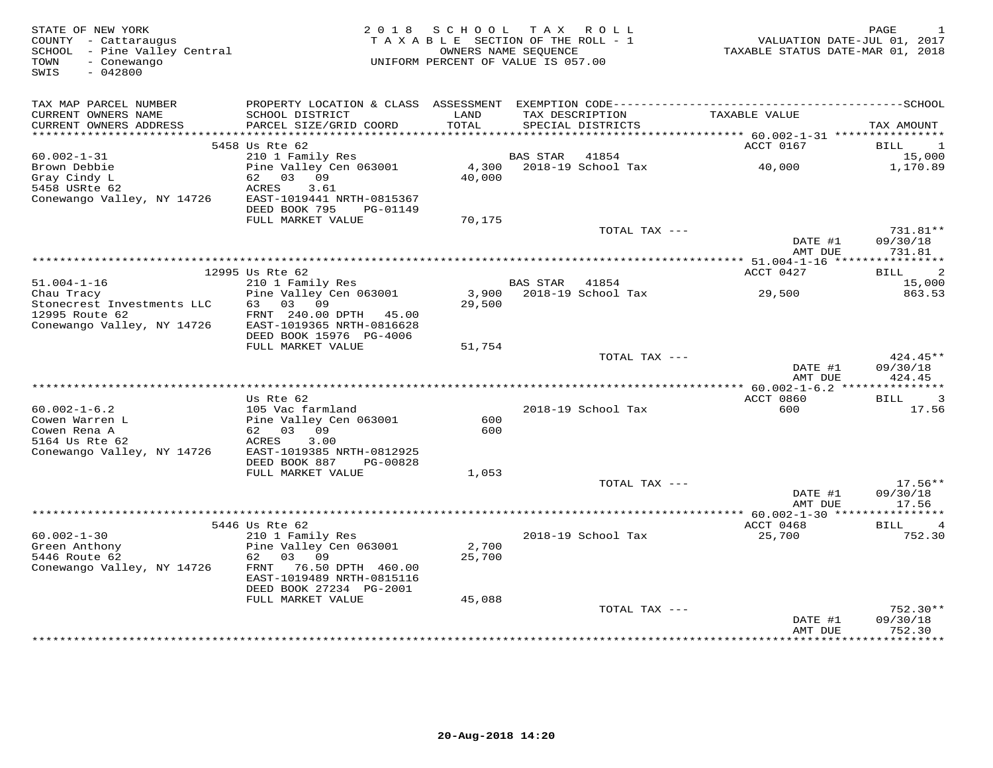| STATE OF NEW YORK<br>COUNTY - Cattaraugus<br>SCHOOL - Pine Valley Central<br>- Conewango<br>TOWN<br>$-042800$<br>SWIS |                                                                                              | 2018 SCHOOL<br>TAXABLE SECTION OF THE ROLL - 1<br>OWNERS NAME SEQUENCE<br>UNIFORM PERCENT OF VALUE IS 057.00 |                 | TAX ROLL                    | TAXABLE STATUS DATE-MAR 01, 2018       | PAGE<br>1<br>VALUATION DATE-JUL 01, 2017 |
|-----------------------------------------------------------------------------------------------------------------------|----------------------------------------------------------------------------------------------|--------------------------------------------------------------------------------------------------------------|-----------------|-----------------------------|----------------------------------------|------------------------------------------|
|                                                                                                                       | PROPERTY LOCATION & CLASS ASSESSMENT EXEMPTION CODE-----------------------------------SCHOOL |                                                                                                              |                 |                             |                                        |                                          |
| TAX MAP PARCEL NUMBER<br>CURRENT OWNERS NAME                                                                          | SCHOOL DISTRICT                                                                              | LAND                                                                                                         |                 | TAX DESCRIPTION             | TAXABLE VALUE                          |                                          |
| CURRENT OWNERS ADDRESS                                                                                                | PARCEL SIZE/GRID COORD                                                                       | TOTAL                                                                                                        |                 | SPECIAL DISTRICTS           |                                        | TAX AMOUNT                               |
| ************************                                                                                              |                                                                                              |                                                                                                              |                 |                             |                                        |                                          |
|                                                                                                                       | 5458 Us Rte 62                                                                               |                                                                                                              |                 |                             | ACCT 0167                              | BILL<br>1                                |
| $60.002 - 1 - 31$<br>Brown Debbie                                                                                     | 210 1 Family Res<br>Pine Valley Cen 063001                                                   | 4,300                                                                                                        | BAS STAR        | 41854<br>2018-19 School Tax | 40,000                                 | 15,000<br>1,170.89                       |
| Gray Cindy L                                                                                                          | 62 03 09                                                                                     | 40,000                                                                                                       |                 |                             |                                        |                                          |
| 5458 USRte 62                                                                                                         | ACRES<br>3.61                                                                                |                                                                                                              |                 |                             |                                        |                                          |
| Conewango Valley, NY 14726                                                                                            | EAST-1019441 NRTH-0815367                                                                    |                                                                                                              |                 |                             |                                        |                                          |
|                                                                                                                       | DEED BOOK 795<br>PG-01149                                                                    |                                                                                                              |                 |                             |                                        |                                          |
|                                                                                                                       | FULL MARKET VALUE                                                                            | 70,175                                                                                                       |                 | TOTAL TAX ---               |                                        | 731.81**                                 |
|                                                                                                                       |                                                                                              |                                                                                                              |                 |                             | DATE #1                                | 09/30/18                                 |
|                                                                                                                       |                                                                                              |                                                                                                              |                 |                             | AMT DUE                                | 731.81                                   |
|                                                                                                                       |                                                                                              |                                                                                                              |                 |                             |                                        |                                          |
|                                                                                                                       | 12995 Us Rte 62                                                                              |                                                                                                              |                 |                             | ACCT 0427                              | 2<br>BILL                                |
| $51.004 - 1 - 16$<br>Chau Tracy                                                                                       | 210 1 Family Res<br>Pine Valley Cen 063001                                                   | 3,900                                                                                                        | <b>BAS STAR</b> | 41854<br>2018-19 School Tax | 29,500                                 | 15,000<br>863.53                         |
| Stonecrest Investments LLC                                                                                            | 63 03 09                                                                                     | 29,500                                                                                                       |                 |                             |                                        |                                          |
| 12995 Route 62                                                                                                        | FRNT 240.00 DPTH<br>45.00                                                                    |                                                                                                              |                 |                             |                                        |                                          |
| Conewango Valley, NY 14726                                                                                            | EAST-1019365 NRTH-0816628                                                                    |                                                                                                              |                 |                             |                                        |                                          |
|                                                                                                                       | DEED BOOK 15976 PG-4006                                                                      |                                                                                                              |                 |                             |                                        |                                          |
|                                                                                                                       | FULL MARKET VALUE                                                                            | 51,754                                                                                                       |                 | TOTAL TAX ---               |                                        | $424.45**$                               |
|                                                                                                                       |                                                                                              |                                                                                                              |                 |                             | DATE #1                                | 09/30/18                                 |
|                                                                                                                       |                                                                                              |                                                                                                              |                 |                             | AMT DUE                                | 424.45                                   |
|                                                                                                                       |                                                                                              |                                                                                                              |                 |                             | *** $60.002 - 1 - 6.2$ *************** |                                          |
| $60.002 - 1 - 6.2$                                                                                                    | Us Rte 62<br>105 Vac farmland                                                                |                                                                                                              |                 |                             | ACCT 0860<br>600                       | $\overline{\mathbf{3}}$<br>BILL<br>17.56 |
| Cowen Warren L                                                                                                        | Pine Valley Cen 063001                                                                       | 600                                                                                                          |                 | 2018-19 School Tax          |                                        |                                          |
| Cowen Rena A                                                                                                          | 62 03 09                                                                                     | 600                                                                                                          |                 |                             |                                        |                                          |
| 5164 Us Rte 62                                                                                                        | 3.00<br>ACRES                                                                                |                                                                                                              |                 |                             |                                        |                                          |
| Conewango Valley, NY 14726                                                                                            | EAST-1019385 NRTH-0812925                                                                    |                                                                                                              |                 |                             |                                        |                                          |
|                                                                                                                       | DEED BOOK 887<br>PG-00828                                                                    |                                                                                                              |                 |                             |                                        |                                          |
|                                                                                                                       | FULL MARKET VALUE                                                                            | 1,053                                                                                                        |                 | TOTAL TAX ---               |                                        | $17.56**$                                |
|                                                                                                                       |                                                                                              |                                                                                                              |                 |                             | DATE #1                                | 09/30/18                                 |
|                                                                                                                       |                                                                                              |                                                                                                              |                 |                             | AMT DUE                                | 17.56                                    |
|                                                                                                                       |                                                                                              |                                                                                                              |                 |                             |                                        |                                          |
|                                                                                                                       | 5446 Us Rte 62                                                                               |                                                                                                              |                 |                             | ACCT 0468                              | BILL<br>4                                |
| $60.002 - 1 - 30$<br>Green Anthony                                                                                    | 210 1 Family Res<br>Pine Valley Cen 063001                                                   | 2,700                                                                                                        |                 | 2018-19 School Tax          | 25,700                                 | 752.30                                   |
| 5446 Route 62                                                                                                         | 03 09<br>62                                                                                  | 25,700                                                                                                       |                 |                             |                                        |                                          |
| Conewango Valley, NY 14726                                                                                            | FRNT<br>76.50 DPTH 460.00                                                                    |                                                                                                              |                 |                             |                                        |                                          |
|                                                                                                                       | EAST-1019489 NRTH-0815116                                                                    |                                                                                                              |                 |                             |                                        |                                          |
|                                                                                                                       | DEED BOOK 27234 PG-2001                                                                      |                                                                                                              |                 |                             |                                        |                                          |
|                                                                                                                       | FULL MARKET VALUE                                                                            | 45,088                                                                                                       |                 | TOTAL TAX ---               |                                        | $752.30**$                               |
|                                                                                                                       |                                                                                              |                                                                                                              |                 |                             | DATE #1                                | 09/30/18                                 |
|                                                                                                                       |                                                                                              |                                                                                                              |                 |                             | AMT DUE                                | 752.30                                   |
|                                                                                                                       |                                                                                              |                                                                                                              |                 |                             |                                        | ***********                              |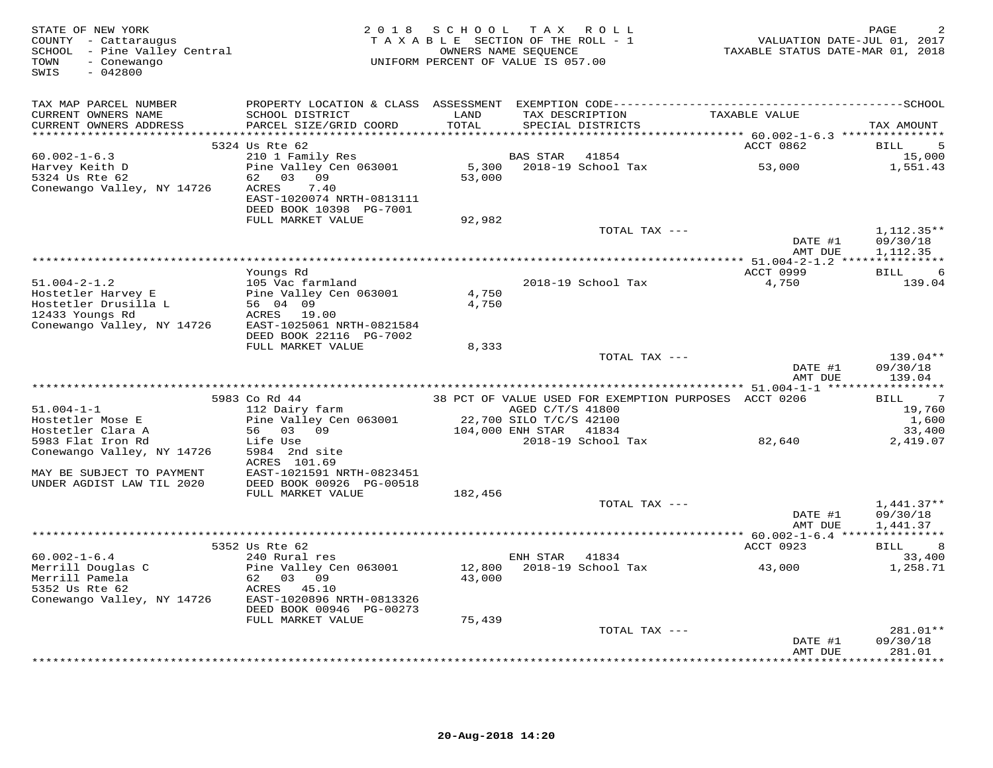| STATE OF NEW YORK<br>COUNTY - Cattaraugus<br>SCHOOL - Pine Valley Central<br>TOWN<br>- Conewango<br>SWIS<br>$-042800$ |                                                                                          |               | 2018 SCHOOL TAX ROLL<br>TAXABLE SECTION OF THE ROLL - 1<br>OWNERS NAME SEQUENCE<br>UNIFORM PERCENT OF VALUE IS 057.00 |                                                       | TAXABLE STATUS DATE-MAR 01, 2018 | PAGE<br>VALUATION DATE-JUL 01, 2017 |
|-----------------------------------------------------------------------------------------------------------------------|------------------------------------------------------------------------------------------|---------------|-----------------------------------------------------------------------------------------------------------------------|-------------------------------------------------------|----------------------------------|-------------------------------------|
| TAX MAP PARCEL NUMBER                                                                                                 |                                                                                          |               |                                                                                                                       |                                                       |                                  |                                     |
| CURRENT OWNERS NAME<br>CURRENT OWNERS ADDRESS                                                                         | SCHOOL DISTRICT<br>PARCEL SIZE/GRID COORD                                                | LAND<br>TOTAL | TAX DESCRIPTION<br>SPECIAL DISTRICTS                                                                                  |                                                       | TAXABLE VALUE                    | TAX AMOUNT                          |
|                                                                                                                       |                                                                                          |               |                                                                                                                       |                                                       |                                  |                                     |
|                                                                                                                       | 5324 Us Rte 62                                                                           |               |                                                                                                                       |                                                       | ACCT 0862                        | 5<br>BILL                           |
| $60.002 - 1 - 6.3$                                                                                                    | 210 1 Family Res                                                                         |               | <b>BAS STAR</b><br>41854                                                                                              |                                                       |                                  | 15,000                              |
| Harvey Keith D                                                                                                        | Pine Valley Cen 063001                                                                   |               | 5,300 2018-19 School Tax                                                                                              |                                                       | 53,000                           | 1,551.43                            |
| 5324 Us Rte 62<br>Conewango Valley, NY 14726                                                                          | 62 03 09<br><b>ACRES</b><br>7.40<br>EAST-1020074 NRTH-0813111<br>DEED BOOK 10398 PG-7001 | 53,000        |                                                                                                                       |                                                       |                                  |                                     |
|                                                                                                                       | FULL MARKET VALUE                                                                        | 92,982        |                                                                                                                       |                                                       |                                  |                                     |
|                                                                                                                       |                                                                                          |               |                                                                                                                       | TOTAL TAX ---                                         | DATE #1                          | $1,112.35**$<br>09/30/18            |
|                                                                                                                       |                                                                                          |               |                                                                                                                       |                                                       | AMT DUE                          | 1,112.35                            |
|                                                                                                                       |                                                                                          |               |                                                                                                                       |                                                       |                                  |                                     |
| $51.004 - 2 - 1.2$                                                                                                    | Youngs Rd<br>105 Vac farmland                                                            |               | 2018-19 School Tax                                                                                                    |                                                       | ACCT 0999<br>4,750               | BILL<br>$\overline{6}$<br>139.04    |
| Hostetler Harvey E                                                                                                    | Pine Valley Cen 063001                                                                   | 4,750         |                                                                                                                       |                                                       |                                  |                                     |
| Hostetler Drusilla L                                                                                                  | 56 04 09                                                                                 | 4,750         |                                                                                                                       |                                                       |                                  |                                     |
| 12433 Youngs Rd                                                                                                       | ACRES 19.00                                                                              |               |                                                                                                                       |                                                       |                                  |                                     |
| Conewango Valley, NY 14726                                                                                            | EAST-1025061 NRTH-0821584<br>DEED BOOK 22116 PG-7002                                     |               |                                                                                                                       |                                                       |                                  |                                     |
|                                                                                                                       | FULL MARKET VALUE                                                                        | 8,333         |                                                                                                                       |                                                       |                                  |                                     |
|                                                                                                                       |                                                                                          |               |                                                                                                                       | TOTAL TAX ---                                         |                                  | 139.04**                            |
|                                                                                                                       |                                                                                          |               |                                                                                                                       |                                                       | DATE #1<br>AMT DUE               | 09/30/18<br>139.04                  |
|                                                                                                                       |                                                                                          |               |                                                                                                                       |                                                       |                                  |                                     |
|                                                                                                                       | 5983 Co Rd 44                                                                            |               |                                                                                                                       | 38 PCT OF VALUE USED FOR EXEMPTION PURPOSES ACCT 0206 |                                  | $\overline{7}$<br>BILL              |
| $51.004 - 1 - 1$                                                                                                      | 112 Dairy farm                                                                           |               | AGED C/T/S 41800                                                                                                      |                                                       |                                  | 19,760                              |
| Hostetler Mose E                                                                                                      | Pine Valley Cen 063001                                                                   |               | 22,700 SILO T/C/S 42100                                                                                               |                                                       |                                  | 1,600                               |
| Hostetler Clara A<br>5983 Flat Iron Rd                                                                                | 56 03 09<br>Life Use                                                                     |               | 104,000 ENH STAR 41834<br>2018-19 School Tax                                                                          |                                                       | 82,640                           | 33,400<br>2,419.07                  |
| Conewango Valley, NY 14726                                                                                            | 5984 2nd site                                                                            |               |                                                                                                                       |                                                       |                                  |                                     |
|                                                                                                                       | ACRES 101.69                                                                             |               |                                                                                                                       |                                                       |                                  |                                     |
| MAY BE SUBJECT TO PAYMENT                                                                                             | EAST-1021591 NRTH-0823451                                                                |               |                                                                                                                       |                                                       |                                  |                                     |
| UNDER AGDIST LAW TIL 2020                                                                                             | DEED BOOK 00926 PG-00518                                                                 |               |                                                                                                                       |                                                       |                                  |                                     |
|                                                                                                                       | FULL MARKET VALUE                                                                        | 182,456       |                                                                                                                       |                                                       |                                  |                                     |
|                                                                                                                       |                                                                                          |               |                                                                                                                       | TOTAL TAX ---                                         |                                  | $1,441.37**$                        |
|                                                                                                                       |                                                                                          |               |                                                                                                                       |                                                       | DATE #1                          | 09/30/18                            |
|                                                                                                                       |                                                                                          |               |                                                                                                                       |                                                       | AMT DUE                          | 1,441.37                            |
|                                                                                                                       |                                                                                          |               |                                                                                                                       |                                                       |                                  |                                     |
|                                                                                                                       | 5352 Us Rte 62                                                                           |               |                                                                                                                       |                                                       | ACCT 0923                        | BILL<br>8                           |
| $60.002 - 1 - 6.4$<br>Merrill Douglas C                                                                               | 240 Rural res<br>Pine Valley Cen 063001                                                  | 12,800        | ENH STAR 41834<br>2018-19 School Tax                                                                                  |                                                       | 43,000                           | 33,400<br>1,258.71                  |
| Merrill Pamela                                                                                                        | 62 03 09                                                                                 | 43,000        |                                                                                                                       |                                                       |                                  |                                     |
| 5352 Us Rte 62                                                                                                        | ACRES 45.10                                                                              |               |                                                                                                                       |                                                       |                                  |                                     |
| Conewango Valley, NY 14726                                                                                            | EAST-1020896 NRTH-0813326                                                                |               |                                                                                                                       |                                                       |                                  |                                     |
|                                                                                                                       | DEED BOOK 00946 PG-00273                                                                 |               |                                                                                                                       |                                                       |                                  |                                     |
|                                                                                                                       | FULL MARKET VALUE                                                                        | 75,439        |                                                                                                                       |                                                       |                                  |                                     |
|                                                                                                                       |                                                                                          |               |                                                                                                                       | TOTAL TAX ---                                         |                                  | 281.01**                            |
|                                                                                                                       |                                                                                          |               |                                                                                                                       |                                                       | DATE #1                          | 09/30/18                            |
|                                                                                                                       |                                                                                          |               |                                                                                                                       |                                                       | AMT DUE<br>**************        | 281.01<br>* * * * * * * * * *       |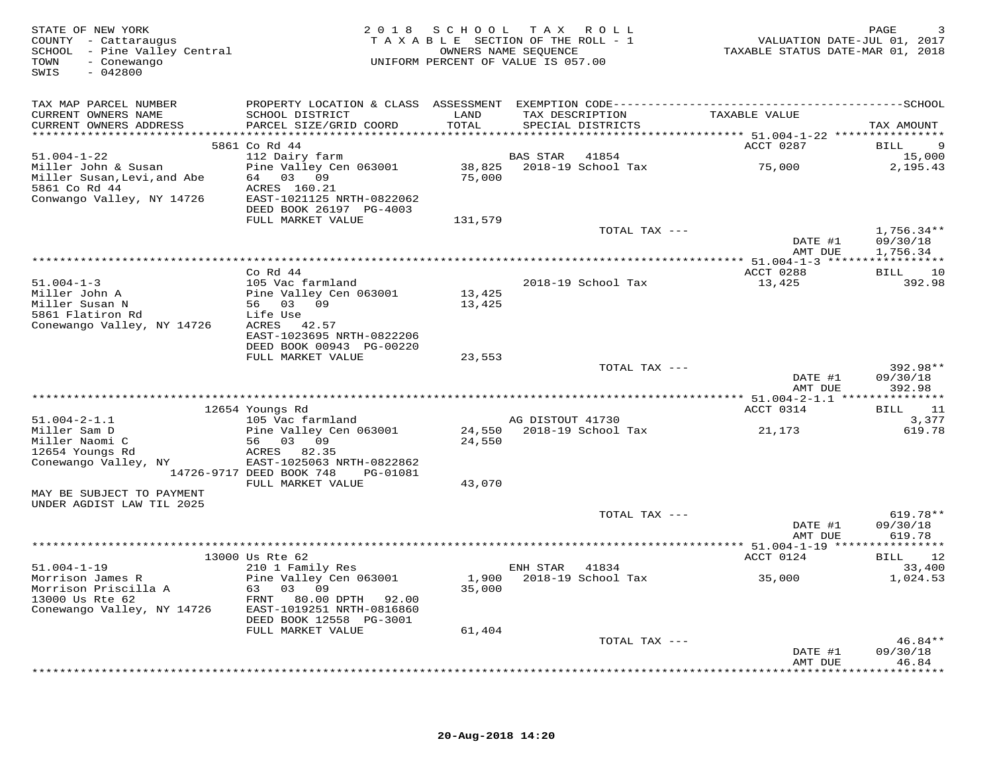| STATE OF NEW YORK<br>COUNTY - Cattaraugus<br>SCHOOL - Pine Valley Central<br>- Conewango<br>TOWN<br>$-042800$<br>SWIS |                                                                                                                        | 2018 SCHOOL      | TAX ROLL<br>TAXABLE SECTION OF THE ROLL - 1<br>OWNERS NAME SEQUENCE<br>UNIFORM PERCENT OF VALUE IS 057.00 | TAXABLE STATUS DATE-MAR 01, 2018                 | PAGE<br>VALUATION DATE-JUL 01, 2017  |
|-----------------------------------------------------------------------------------------------------------------------|------------------------------------------------------------------------------------------------------------------------|------------------|-----------------------------------------------------------------------------------------------------------|--------------------------------------------------|--------------------------------------|
| TAX MAP PARCEL NUMBER<br>CURRENT OWNERS NAME<br>CURRENT OWNERS ADDRESS                                                | SCHOOL DISTRICT<br>PARCEL SIZE/GRID COORD                                                                              | LAND<br>TOTAL    | TAX DESCRIPTION<br>SPECIAL DISTRICTS                                                                      | TAXABLE VALUE                                    | TAX AMOUNT                           |
|                                                                                                                       | 5861 Co Rd 44                                                                                                          |                  |                                                                                                           | ACCT 0287                                        | 9<br>BILL                            |
| $51.004 - 1 - 22$                                                                                                     | 112 Dairy farm                                                                                                         |                  | <b>BAS STAR</b><br>41854                                                                                  |                                                  | 15,000                               |
| Miller John & Susan<br>Miller Susan, Levi, and Abe<br>5861 Co Rd 44<br>Conwango Valley, NY 14726                      | Pine Valley Cen 063001<br>64 03 09<br>ACRES 160.21<br>EAST-1021125 NRTH-0822062<br>DEED BOOK 26197 PG-4003             | 75,000           |                                                                                                           | 75,000                                           | 2,195.43                             |
|                                                                                                                       | FULL MARKET VALUE                                                                                                      | 131,579          |                                                                                                           |                                                  |                                      |
|                                                                                                                       |                                                                                                                        |                  | TOTAL TAX ---                                                                                             | DATE #1<br>AMT DUE                               | $1,756.34**$<br>09/30/18<br>1,756.34 |
|                                                                                                                       |                                                                                                                        |                  |                                                                                                           |                                                  |                                      |
|                                                                                                                       | $Co$ Rd $44$                                                                                                           |                  |                                                                                                           | ACCT 0288                                        | BILL 10                              |
| $51.004 - 1 - 3$<br>Miller John A<br>Miller Susan N<br>5861 Flatiron Rd                                               | 105 Vac farmland<br>Pine Valley Cen 063001<br>56 03 09                                                                 | 13,425<br>13,425 | 2018-19 School Tax                                                                                        | 13,425                                           | 392.98                               |
| Conewango Valley, NY 14726                                                                                            | Life Use<br>ACRES 42.57<br>EAST-1023695 NRTH-0822206<br>DEED BOOK 00943 PG-00220<br>FULL MARKET VALUE                  | 23,553           |                                                                                                           |                                                  |                                      |
|                                                                                                                       |                                                                                                                        |                  | TOTAL TAX ---                                                                                             |                                                  | 392.98**                             |
|                                                                                                                       |                                                                                                                        |                  |                                                                                                           | DATE #1<br>AMT DUE                               | 09/30/18<br>392.98                   |
|                                                                                                                       |                                                                                                                        |                  |                                                                                                           | ****************** 51.004-2-1.1 **************** |                                      |
| $51.004 - 2 - 1.1$                                                                                                    | 12654 Youngs Rd<br>105 Vac farmland                                                                                    |                  | AG DISTOUT 41730                                                                                          | ACCT 0314                                        | BILL<br>11<br>3,377                  |
| Miller Sam D<br>Miller Naomi C<br>12654 Youngs Rd<br>Conewango Valley, NY                                             | Pine Valley Cen 063001<br>56 03 09<br>ACRES 82.35<br>EAST-1025063 NRTH-0822862<br>14726-9717 DEED BOOK 748<br>PG-01081 | 24,550           | 24,550 2018-19 School Tax                                                                                 | 21,173                                           | 619.78                               |
|                                                                                                                       | FULL MARKET VALUE                                                                                                      | 43,070           |                                                                                                           |                                                  |                                      |
| MAY BE SUBJECT TO PAYMENT<br>UNDER AGDIST LAW TIL 2025                                                                |                                                                                                                        |                  |                                                                                                           |                                                  |                                      |
|                                                                                                                       |                                                                                                                        |                  | TOTAL TAX ---                                                                                             | DATE #1<br>AMT DUE                               | 619.78**<br>09/30/18<br>619.78       |
|                                                                                                                       |                                                                                                                        |                  |                                                                                                           |                                                  |                                      |
| $51.004 - 1 - 19$                                                                                                     | 13000 Us Rte 62<br>210 1 Family Res                                                                                    |                  | ENH STAR 41834                                                                                            | ACCT 0124                                        | BILL 12<br>33,400                    |
| Morrison James R<br>Morrison Priscilla A<br>13000 Us Rte 62<br>Conewango Valley, NY 14726                             | Pine Valley Cen 063001<br>63 03 09<br>FRNT 80.00 DPTH<br>92.00<br>EAST-1019251 NRTH-0816860<br>DEED BOOK 12558 PG-3001 | 1,900<br>35,000  | 2018-19 School Tax                                                                                        | 35,000                                           | 1,024.53                             |
|                                                                                                                       | FULL MARKET VALUE                                                                                                      | 61,404           |                                                                                                           |                                                  |                                      |
|                                                                                                                       |                                                                                                                        |                  | TOTAL TAX ---                                                                                             | DATE #1<br>AMT DUE                               | $46.84**$<br>09/30/18<br>46.84       |
|                                                                                                                       |                                                                                                                        |                  |                                                                                                           |                                                  |                                      |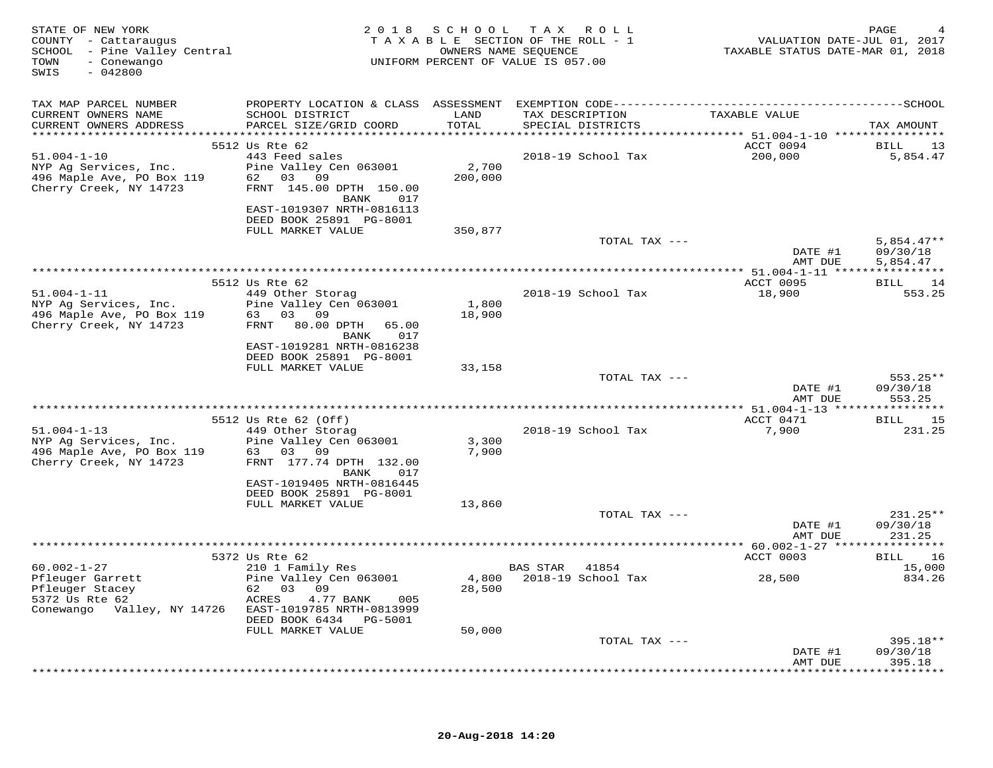| STATE OF NEW YORK<br>COUNTY - Cattaraugus<br>SCHOOL - Pine Valley Central<br>TOWN<br>- Conewango<br>$-042800$<br>SWIS                         |                                                                                                                                                                       | 2018 SCHOOL      | TAX ROLL<br>TAXABLE SECTION OF THE ROLL - 1<br>OWNERS NAME SEQUENCE<br>UNIFORM PERCENT OF VALUE IS 057.00 | VALUATION DATE-JUL 01, 2017<br>TAXABLE STATUS DATE-MAR 01, 2018 | PAGE                                 |
|-----------------------------------------------------------------------------------------------------------------------------------------------|-----------------------------------------------------------------------------------------------------------------------------------------------------------------------|------------------|-----------------------------------------------------------------------------------------------------------|-----------------------------------------------------------------|--------------------------------------|
| TAX MAP PARCEL NUMBER<br>CURRENT OWNERS NAME<br>CURRENT OWNERS ADDRESS                                                                        | SCHOOL DISTRICT<br>PARCEL SIZE/GRID COORD                                                                                                                             | LAND<br>TOTAL    | TAX DESCRIPTION<br>SPECIAL DISTRICTS                                                                      | TAXABLE VALUE                                                   | TAX AMOUNT                           |
| $51.004 - 1 - 10$<br>NYP Ag Services, Inc.<br>496 Maple Ave, PO Box 119<br>Cherry Creek, NY 14723                                             | 5512 Us Rte 62<br>443 Feed sales<br>Pine Valley Cen 063001<br>62 03 09<br>FRNT 145.00 DPTH 150.00<br>BANK 017<br>EAST-1019307 NRTH-0816113<br>DEED BOOK 25891 PG-8001 | 2,700<br>200,000 | 2018-19 School Tax                                                                                        | ACCT 0094<br>200,000                                            | BILL 13<br>5,854.47                  |
|                                                                                                                                               | FULL MARKET VALUE                                                                                                                                                     | 350,877          | TOTAL TAX ---                                                                                             | DATE #1<br>AMT DUE                                              | $5,854.47**$<br>09/30/18<br>5,854.47 |
|                                                                                                                                               |                                                                                                                                                                       |                  |                                                                                                           |                                                                 |                                      |
| $51.004 - 1 - 11$<br>NYP Ag Services, Inc.<br>496 Maple Ave, PO Box 119<br>Cherry Creek, NY 14723                                             | 5512 Us Rte 62<br>449 Other Storag<br>Pine Valley Cen 063001<br>63 03 09<br>FRNT 80.00 DPTH<br>65.00<br>BANK 017<br>EAST-1019281 NRTH-0816238                         | 1,800<br>18,900  | 2018-19 School Tax                                                                                        | ACCT 0095<br>18,900                                             | BILL 14<br>553.25                    |
|                                                                                                                                               | DEED BOOK 25891 PG-8001                                                                                                                                               |                  |                                                                                                           |                                                                 |                                      |
|                                                                                                                                               | FULL MARKET VALUE                                                                                                                                                     | 33,158           | TOTAL TAX ---                                                                                             | DATE #1<br>AMT DUE                                              | $553.25**$<br>09/30/18<br>553.25     |
|                                                                                                                                               | 5512 Us Rte 62 (Off)                                                                                                                                                  |                  |                                                                                                           | ACCT 0471                                                       | BILL 15                              |
| $51.004 - 1 - 13$<br>NYP Ag Services, Inc.<br>496 Maple Ave, PO Box 119<br>Cherry Creek, NY 14723                                             | 449 Other Storag<br>Pine Valley Cen 063001<br>63 03 09<br>FRNT 177.74 DPTH 132.00<br>BANK 017<br>EAST-1019405 NRTH-0816445                                            | 3,300<br>7,900   | 2018-19 School Tax                                                                                        | 7,900                                                           | 231.25                               |
|                                                                                                                                               | DEED BOOK 25891 PG-8001<br>FULL MARKET VALUE                                                                                                                          | 13,860           | TOTAL TAX ---                                                                                             | DATE #1                                                         | $231.25**$<br>09/30/18               |
|                                                                                                                                               |                                                                                                                                                                       |                  |                                                                                                           | AMT DUE                                                         | 231.25                               |
|                                                                                                                                               | 5372 Us Rte 62                                                                                                                                                        |                  |                                                                                                           | *********** 60.002-1-27 *****************<br>ACCT 0003          | <b>BILL</b><br>16                    |
| $60.002 - 1 - 27$<br>60.002-1-2,<br>Pfleuger Garrett<br>Pfleuger Stacey<br>The Dte 62<br>Conewango Valley, NY 14726 EAST-1019785 NRTH-0813999 | 210 1 Family Res<br>Pine Valley Cen 063001<br>62 03 09<br>ACRES<br>4.77 BANK<br>005<br>DEED BOOK 6434 PG-5001                                                         | 28,500           | BAS STAR 41854<br>4,800 2018-19 School Tax                                                                | 28,500                                                          | 15,000<br>834.26                     |
|                                                                                                                                               | FULL MARKET VALUE                                                                                                                                                     | 50,000           | TOTAL TAX ---                                                                                             |                                                                 | 395.18**                             |
|                                                                                                                                               |                                                                                                                                                                       |                  |                                                                                                           | DATE #1<br>AMT DUE                                              | 09/30/18<br>395.18<br>**********     |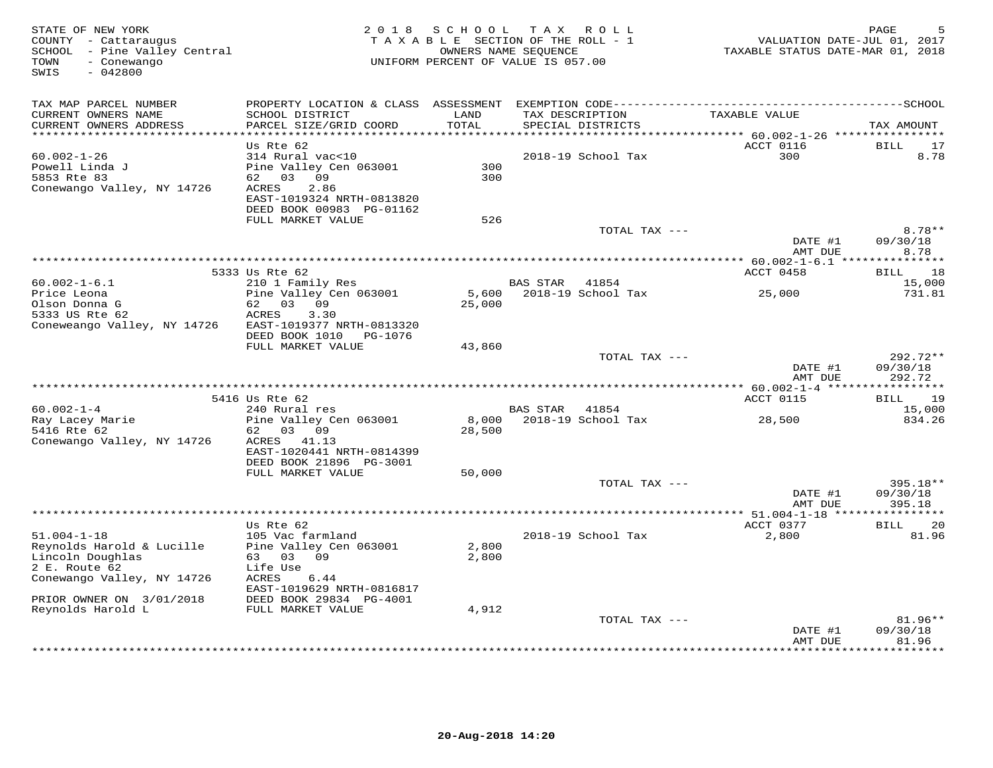| STATE OF NEW YORK<br>COUNTY - Cattaraugus<br>SCHOOL - Pine Valley Central<br>TOWN<br>- Conewango<br>SWIS<br>$-042800$ | 2 0 1 8                                                                                                                                       | SCHOOL          | T A X<br>ROLL ROLL<br>TAXABLE SECTION OF THE ROLL - 1<br>OWNERS NAME SEQUENCE<br>UNIFORM PERCENT OF VALUE IS 057.00 |                    | PAGE<br>VALUATION DATE-JUL 01, 2017<br>TAXABLE STATUS DATE-MAR 01, 2018 |
|-----------------------------------------------------------------------------------------------------------------------|-----------------------------------------------------------------------------------------------------------------------------------------------|-----------------|---------------------------------------------------------------------------------------------------------------------|--------------------|-------------------------------------------------------------------------|
| TAX MAP PARCEL NUMBER<br>CURRENT OWNERS NAME<br>CURRENT OWNERS ADDRESS<br>************************                    | SCHOOL DISTRICT<br>PARCEL SIZE/GRID COORD<br>*************************                                                                        | LAND<br>TOTAL   | TAX DESCRIPTION<br>SPECIAL DISTRICTS                                                                                | TAXABLE VALUE      | TAX AMOUNT                                                              |
| $60.002 - 1 - 26$<br>Powell Linda J<br>5853 Rte 83<br>Conewango Valley, NY 14726                                      | Us Rte 62<br>314 Rural vac<10<br>Pine Valley Cen 063001<br>62 03 09<br>2.86<br>ACRES<br>EAST-1019324 NRTH-0813820<br>DEED BOOK 00983 PG-01162 | 300<br>300      | 2018-19 School Tax                                                                                                  | ACCT 0116<br>300   | <b>BILL</b><br>17<br>8.78                                               |
|                                                                                                                       | FULL MARKET VALUE                                                                                                                             | 526             | TOTAL TAX ---                                                                                                       | DATE #1            | $8.78**$<br>09/30/18                                                    |
|                                                                                                                       |                                                                                                                                               |                 |                                                                                                                     | AMT DUE            | 8.78                                                                    |
|                                                                                                                       | 5333 Us Rte 62                                                                                                                                |                 |                                                                                                                     | ACCT 0458          | ** 60.002-1-6.1 ****************<br>18<br>BILL                          |
| $60.002 - 1 - 6.1$<br>Price Leona                                                                                     | 210 1 Family Res<br>Pine Valley Cen 063001                                                                                                    | 5,600           | BAS STAR 41854<br>2018-19 School Tax                                                                                | 25,000             | 15,000<br>731.81                                                        |
| Olson Donna G<br>5333 US Rte 62<br>Coneweango Valley, NY 14726                                                        | 62 03 09<br>ACRES<br>3.30<br>EAST-1019377 NRTH-0813320<br>DEED BOOK 1010<br>PG-1076                                                           | 25,000          |                                                                                                                     |                    |                                                                         |
|                                                                                                                       | FULL MARKET VALUE                                                                                                                             | 43,860          | TOTAL TAX ---                                                                                                       | DATE #1<br>AMT DUE | 292.72**<br>09/30/18<br>292.72                                          |
|                                                                                                                       |                                                                                                                                               |                 |                                                                                                                     |                    | ***********                                                             |
| $60.002 - 1 - 4$                                                                                                      | 5416 Us Rte 62<br>240 Rural res                                                                                                               |                 | BAS STAR<br>41854                                                                                                   | ACCT 0115          | 19<br>BILL<br>15,000                                                    |
| Ray Lacey Marie<br>5416 Rte 62<br>Conewango Valley, NY 14726                                                          | Pine Valley Cen 063001<br>03 09<br>62<br>ACRES<br>41.13<br>EAST-1020441 NRTH-0814399<br>DEED BOOK 21896 PG-3001                               | 8,000<br>28,500 | 2018-19 School Tax                                                                                                  | 28,500             | 834.26                                                                  |
|                                                                                                                       | FULL MARKET VALUE                                                                                                                             | 50,000          |                                                                                                                     |                    |                                                                         |
|                                                                                                                       |                                                                                                                                               |                 | TOTAL TAX ---                                                                                                       | DATE #1<br>AMT DUE | 395.18**<br>09/30/18<br>395.18                                          |
|                                                                                                                       | ********************************<br>Us Rte 62                                                                                                 |                 |                                                                                                                     | ACCT 0377          | 20<br><b>BILL</b>                                                       |
| $51.004 - 1 - 18$<br>Reynolds Harold & Lucille<br>Lincoln Doughlas<br>2 E. Route 62<br>Conewango Valley, NY 14726     | 105 Vac farmland<br>Pine Valley Cen 063001<br>63 03 09<br>Life Use<br>ACRES<br>6.44<br>EAST-1019629 NRTH-0816817                              | 2,800<br>2,800  | 2018-19 School Tax                                                                                                  | 2,800              | 81.96                                                                   |
| PRIOR OWNER ON 3/01/2018                                                                                              | DEED BOOK 29834 PG-4001                                                                                                                       |                 |                                                                                                                     |                    |                                                                         |
| Reynolds Harold L                                                                                                     | FULL MARKET VALUE                                                                                                                             | 4,912           | TOTAL TAX ---                                                                                                       | DATE #1            | 81.96**<br>09/30/18                                                     |
|                                                                                                                       |                                                                                                                                               |                 |                                                                                                                     | AMT DUE            | 81.96<br>* * * * * * * *                                                |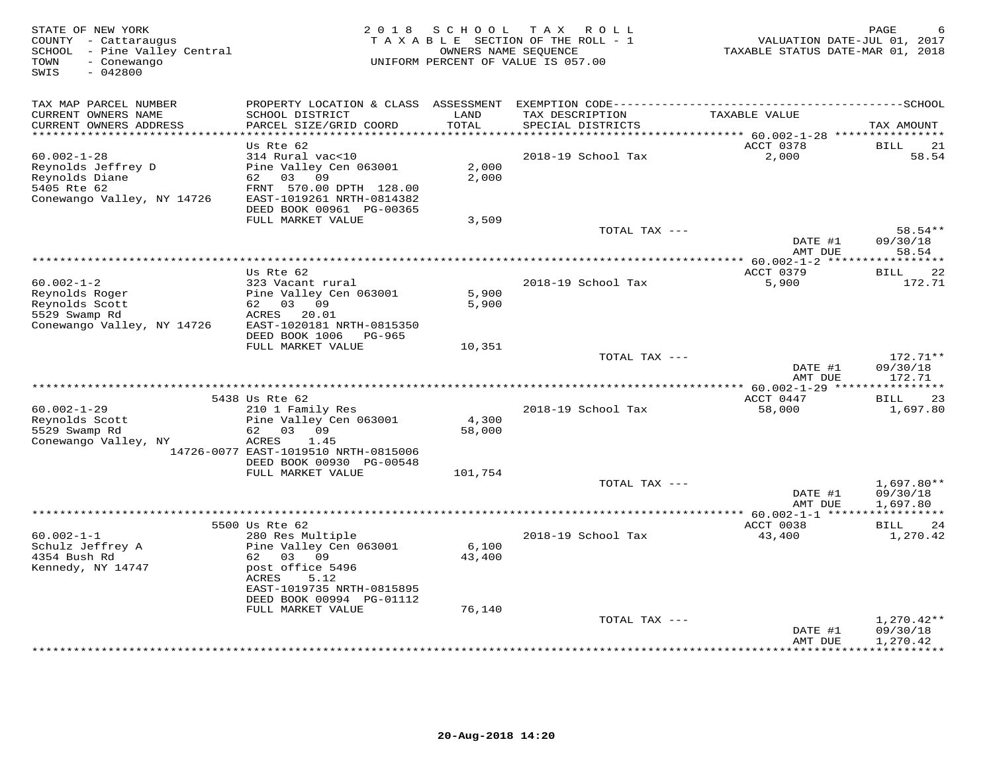| STATE OF NEW YORK<br>COUNTY - Cattaraugus<br>SCHOOL - Pine Valley Central<br>- Conewango<br>TOWN<br>$-042800$<br>SWIS | 2 0 1 8                                               |               | SCHOOL TAX ROLL<br>TAXABLE SECTION OF THE ROLL - 1<br>OWNERS NAME SEQUENCE<br>UNIFORM PERCENT OF VALUE IS 057.00 | VALUATION DATE-JUL 01, 2017<br>TAXABLE STATUS DATE-MAR 01, 2018 | PAGE                          |
|-----------------------------------------------------------------------------------------------------------------------|-------------------------------------------------------|---------------|------------------------------------------------------------------------------------------------------------------|-----------------------------------------------------------------|-------------------------------|
| TAX MAP PARCEL NUMBER                                                                                                 | PROPERTY LOCATION & CLASS ASSESSMENT                  |               |                                                                                                                  |                                                                 |                               |
| CURRENT OWNERS NAME<br>CURRENT OWNERS ADDRESS<br>**********************                                               | SCHOOL DISTRICT<br>PARCEL SIZE/GRID COORD             | LAND<br>TOTAL | TAX DESCRIPTION<br>SPECIAL DISTRICTS                                                                             | TAXABLE VALUE                                                   | TAX AMOUNT                    |
|                                                                                                                       | Us Rte 62                                             |               |                                                                                                                  | ACCT 0378                                                       | BILL<br>21                    |
| $60.002 - 1 - 28$                                                                                                     | 314 Rural vac<10                                      |               | 2018-19 School Tax                                                                                               | 2,000                                                           | 58.54                         |
| Reynolds Jeffrey D                                                                                                    | Pine Valley Cen 063001                                | 2,000         |                                                                                                                  |                                                                 |                               |
| Reynolds Diane                                                                                                        | 62 03<br>09                                           | 2,000         |                                                                                                                  |                                                                 |                               |
| 5405 Rte 62<br>Conewango Valley, NY 14726                                                                             | FRNT 570.00 DPTH 128.00<br>EAST-1019261 NRTH-0814382  |               |                                                                                                                  |                                                                 |                               |
|                                                                                                                       | DEED BOOK 00961 PG-00365                              |               |                                                                                                                  |                                                                 |                               |
|                                                                                                                       | FULL MARKET VALUE                                     | 3,509         |                                                                                                                  |                                                                 |                               |
|                                                                                                                       |                                                       |               | TOTAL TAX ---                                                                                                    |                                                                 | 58.54**                       |
|                                                                                                                       |                                                       |               |                                                                                                                  | DATE #1<br>AMT DUE                                              | 09/30/18<br>58.54             |
|                                                                                                                       |                                                       |               |                                                                                                                  |                                                                 |                               |
|                                                                                                                       | Us Rte 62                                             |               |                                                                                                                  | ACCT 0379                                                       | 22<br><b>BILL</b>             |
| $60.002 - 1 - 2$                                                                                                      | 323 Vacant rural                                      |               | 2018-19 School Tax                                                                                               | 5,900                                                           | 172.71                        |
| Reynolds Roger                                                                                                        | Pine Valley Cen 063001<br>62 03 09                    | 5,900         |                                                                                                                  |                                                                 |                               |
| Reynolds Scott<br>5529 Swamp Rd                                                                                       | ACRES<br>20.01                                        | 5,900         |                                                                                                                  |                                                                 |                               |
| Conewango Valley, NY 14726                                                                                            | EAST-1020181 NRTH-0815350                             |               |                                                                                                                  |                                                                 |                               |
|                                                                                                                       | DEED BOOK 1006<br>PG-965                              |               |                                                                                                                  |                                                                 |                               |
|                                                                                                                       | FULL MARKET VALUE                                     | 10,351        |                                                                                                                  |                                                                 |                               |
|                                                                                                                       |                                                       |               | TOTAL TAX ---                                                                                                    | DATE #1                                                         | $172.71**$<br>09/30/18        |
|                                                                                                                       |                                                       |               |                                                                                                                  | AMT DUE                                                         | 172.71                        |
|                                                                                                                       |                                                       |               |                                                                                                                  |                                                                 |                               |
|                                                                                                                       | 5438 Us Rte 62                                        |               |                                                                                                                  | ACCT 0447                                                       | 23<br>BILL                    |
| $60.002 - 1 - 29$<br>Reynolds Scott                                                                                   | 210 1 Family Res<br>Pine Valley Cen 063001            | 4,300         | 2018-19 School Tax                                                                                               | 58,000                                                          | 1,697.80                      |
| 5529 Swamp Rd                                                                                                         | 62<br>0.3 0.9                                         | 58,000        |                                                                                                                  |                                                                 |                               |
| Conewango Valley, NY                                                                                                  | ACRES<br>1.45                                         |               |                                                                                                                  |                                                                 |                               |
|                                                                                                                       | 14726-0077 EAST-1019510 NRTH-0815006                  |               |                                                                                                                  |                                                                 |                               |
|                                                                                                                       | DEED BOOK 00930 PG-00548                              |               |                                                                                                                  |                                                                 |                               |
|                                                                                                                       | FULL MARKET VALUE                                     | 101,754       | TOTAL TAX ---                                                                                                    |                                                                 | $1,697.80**$                  |
|                                                                                                                       |                                                       |               |                                                                                                                  | DATE #1                                                         | 09/30/18                      |
|                                                                                                                       |                                                       |               |                                                                                                                  | AMT DUE                                                         | 1,697.80                      |
|                                                                                                                       |                                                       |               |                                                                                                                  | **** 60.002-1-1 ******************                              |                               |
| $60.002 - 1 - 1$                                                                                                      | 5500 Us Rte 62<br>280 Res Multiple                    |               | 2018-19 School Tax                                                                                               | ACCT 0038<br>43,400                                             | <b>BILL</b><br>24<br>1,270.42 |
| Schulz Jeffrey A                                                                                                      | Pine Valley Cen 063001                                | 6,100         |                                                                                                                  |                                                                 |                               |
| 4354 Bush Rd                                                                                                          | 62 03 09                                              | 43,400        |                                                                                                                  |                                                                 |                               |
| Kennedy, NY 14747                                                                                                     | post office 5496                                      |               |                                                                                                                  |                                                                 |                               |
|                                                                                                                       | 5.12<br>ACRES                                         |               |                                                                                                                  |                                                                 |                               |
|                                                                                                                       | EAST-1019735 NRTH-0815895<br>DEED BOOK 00994 PG-01112 |               |                                                                                                                  |                                                                 |                               |
|                                                                                                                       | FULL MARKET VALUE                                     | 76,140        |                                                                                                                  |                                                                 |                               |
|                                                                                                                       |                                                       |               | TOTAL TAX ---                                                                                                    |                                                                 | $1,270.42**$                  |
|                                                                                                                       |                                                       |               |                                                                                                                  | DATE #1                                                         | 09/30/18                      |
|                                                                                                                       |                                                       |               |                                                                                                                  | AMT DUE                                                         | 1,270.42<br>**********        |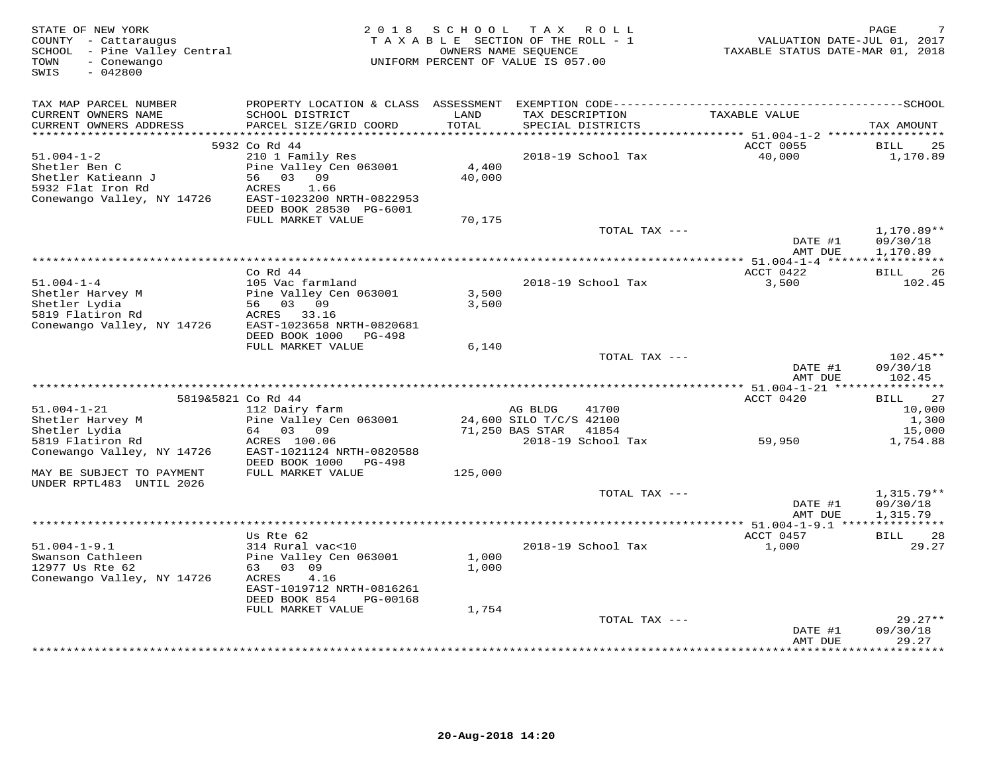| STATE OF NEW YORK<br>COUNTY - Cattaraugus<br>SCHOOL - Pine Valley Central<br>TOWN<br>- Conewango<br>SWIS<br>$-042800$ | 2 0 1 8                                                                                                                                        |                 | SCHOOL TAX ROLL<br>TAXABLE SECTION OF THE ROLL - 1<br>OWNERS NAME SEQUENCE<br>UNIFORM PERCENT OF VALUE IS 057.00 | VALUATION DATE-JUL 01, 2017<br>TAXABLE STATUS DATE-MAR 01, 2018 | PAGE                                  |
|-----------------------------------------------------------------------------------------------------------------------|------------------------------------------------------------------------------------------------------------------------------------------------|-----------------|------------------------------------------------------------------------------------------------------------------|-----------------------------------------------------------------|---------------------------------------|
| TAX MAP PARCEL NUMBER<br>CURRENT OWNERS NAME<br>CURRENT OWNERS ADDRESS                                                | PROPERTY LOCATION & CLASS ASSESSMENT EXEMPTION CODE-----------------------------------SCHOOL<br>SCHOOL DISTRICT<br>PARCEL SIZE/GRID COORD      | LAND<br>TOTAL   | TAX DESCRIPTION<br>SPECIAL DISTRICTS                                                                             | TAXABLE VALUE                                                   | TAX AMOUNT                            |
|                                                                                                                       | 5932 Co Rd 44                                                                                                                                  |                 |                                                                                                                  | ACCT 0055                                                       | BILL<br>25                            |
| $51.004 - 1 - 2$<br>Shetler Ben C<br>Shetler Katieann J<br>5932 Flat Iron Rd<br>Conewango Valley, NY 14726            | 210 1 Family Res<br>Pine Valley Cen 063001<br>56<br>03 09<br>ACRES<br>1.66<br>EAST-1023200 NRTH-0822953<br>DEED BOOK 28530 PG-6001             | 4,400<br>40,000 | 2018-19 School Tax                                                                                               | 40,000                                                          | 1,170.89                              |
|                                                                                                                       | FULL MARKET VALUE                                                                                                                              | 70,175          | TOTAL TAX ---                                                                                                    |                                                                 | $1,170.89**$                          |
|                                                                                                                       |                                                                                                                                                |                 |                                                                                                                  | DATE #1<br>AMT DUE                                              | 09/30/18<br>1,170.89                  |
|                                                                                                                       |                                                                                                                                                |                 |                                                                                                                  |                                                                 |                                       |
| $51.004 - 1 - 4$<br>Shetler Harvey M<br>Shetler Lydia<br>5819 Flatiron Rd<br>Conewango Valley, NY 14726               | $Co$ Rd $44$<br>105 Vac farmland<br>Pine Valley Cen 063001<br>56 03 09<br>ACRES<br>33.16<br>EAST-1023658 NRTH-0820681                          | 3,500<br>3,500  | 2018-19 School Tax                                                                                               | ACCT 0422<br>3,500                                              | 26<br>BILL<br>102.45                  |
|                                                                                                                       | DEED BOOK 1000 PG-498                                                                                                                          |                 |                                                                                                                  |                                                                 |                                       |
|                                                                                                                       | FULL MARKET VALUE                                                                                                                              | 6,140           | TOTAL TAX ---                                                                                                    | DATE #1<br>AMT DUE                                              | $102.45**$<br>09/30/18<br>102.45      |
|                                                                                                                       |                                                                                                                                                |                 |                                                                                                                  |                                                                 |                                       |
|                                                                                                                       | 5819&5821 Co Rd 44                                                                                                                             |                 |                                                                                                                  | ACCT 0420                                                       | 27<br>BILL                            |
| $51.004 - 1 - 21$<br>Shetler Harvey M<br>Shetler Lydia<br>5819 Flatiron Rd<br>Conewango Valley, NY 14726              | 112 Dairy farm<br>Pine Valley Cen 063001<br>64 03 09<br>ACRES 100.06<br>EAST-1021124 NRTH-0820588                                              |                 | AG BLDG<br>41700<br>24,600 SILO T/C/S 42100<br>71,250 BAS STAR<br>41854<br>2018-19 School Tax                    | 59,950                                                          | 10,000<br>1,300<br>15,000<br>1,754.88 |
|                                                                                                                       | DEED BOOK 1000<br>PG-498                                                                                                                       |                 |                                                                                                                  |                                                                 |                                       |
| MAY BE SUBJECT TO PAYMENT<br>UNDER RPTL483 UNTIL 2026                                                                 | FULL MARKET VALUE                                                                                                                              | 125,000         |                                                                                                                  |                                                                 |                                       |
|                                                                                                                       |                                                                                                                                                |                 | TOTAL TAX ---                                                                                                    | DATE #1<br>AMT DUE                                              | $1,315.79**$<br>09/30/18<br>1,315.79  |
|                                                                                                                       |                                                                                                                                                |                 |                                                                                                                  |                                                                 |                                       |
| $51.004 - 1 - 9.1$<br>Swanson Cathleen<br>12977 Us Rte 62<br>Conewango Valley, NY 14726                               | Us Rte 62<br>314 Rural vac<10<br>Pine Valley Cen 063001<br>63 03 09<br>4.16<br>ACRES<br>EAST-1019712 NRTH-0816261<br>DEED BOOK 854<br>PG-00168 | 1,000<br>1,000  | 2018-19 School Tax                                                                                               | ACCT 0457<br>1,000                                              | 28<br>BILL<br>29.27                   |
|                                                                                                                       | FULL MARKET VALUE                                                                                                                              | 1,754           |                                                                                                                  |                                                                 |                                       |
|                                                                                                                       |                                                                                                                                                |                 | TOTAL TAX ---                                                                                                    | DATE #1<br>AMT DUE                                              | $29.27**$<br>09/30/18<br>29.27        |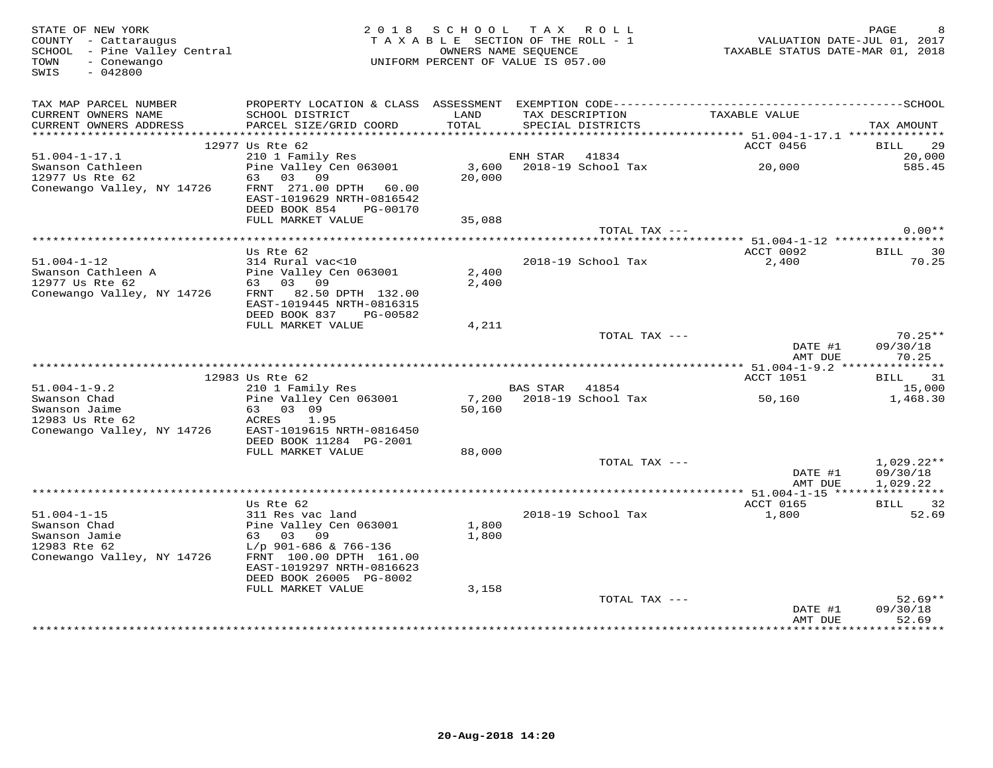| STATE OF NEW YORK<br>COUNTY - Cattaraugus<br>COONII - Cattaraugus<br>SCHOOL - Pine Valley Central<br>TOWN<br>- Conewango<br>SWIS<br>$-042800$ |                                                                                  |               | 2018 SCHOOL TAX ROLL<br>TAXABLE SECTION OF THE ROLL - 1<br>OWNERS NAME SEQUENCE<br>UNIFORM PERCENT OF VALUE IS 057.00 |               | VALUATION DATE-JUL 01, 2017<br>TAXABLE STATUS DATE-MAR 01, 2018 | PAGE                                 |
|-----------------------------------------------------------------------------------------------------------------------------------------------|----------------------------------------------------------------------------------|---------------|-----------------------------------------------------------------------------------------------------------------------|---------------|-----------------------------------------------------------------|--------------------------------------|
| TAX MAP PARCEL NUMBER<br>CURRENT OWNERS NAME<br>CURRENT OWNERS ADDRESS                                                                        | SCHOOL DISTRICT<br>PARCEL SIZE/GRID COORD                                        | LAND<br>TOTAL | TAX DESCRIPTION<br>SPECIAL DISTRICTS                                                                                  |               | TAXABLE VALUE                                                   | TAX AMOUNT                           |
|                                                                                                                                               |                                                                                  |               |                                                                                                                       |               |                                                                 |                                      |
| $51.004 - 1 - 17.1$                                                                                                                           | 12977 Us Rte 62                                                                  |               |                                                                                                                       |               | ACCT 0456                                                       | BILL 29<br>20,000                    |
| Swanson Cathleen<br>12977 Us Rte 62                                                                                                           | 05 Acc 02<br>210 1 Family Res<br>Pine Valley Cen 063001<br>63 03 09              | 20,000        |                                                                                                                       |               | ENH STAR 41834<br>3,600 2018-19 School Tax 20,000               | 585.45                               |
| Conewango Valley, NY 14726                                                                                                                    | FRNT 271.00 DPTH 60.00<br>EAST-1019629 NRTH-0816542<br>DEED BOOK 854<br>PG-00170 |               |                                                                                                                       |               |                                                                 |                                      |
|                                                                                                                                               | FULL MARKET VALUE                                                                | 35,088        |                                                                                                                       |               |                                                                 |                                      |
|                                                                                                                                               |                                                                                  |               |                                                                                                                       | TOTAL TAX --- |                                                                 | $0.00**$                             |
|                                                                                                                                               |                                                                                  |               |                                                                                                                       |               |                                                                 |                                      |
| $51.004 - 1 - 12$                                                                                                                             | Us Rte 62<br>314 Rural vac<10<br>Pine Valley Cen 063001                          | 2,400         | 2018-19 School Tax                                                                                                    |               | ACCT 0092<br>2,400                                              | BILL 30<br>70.25                     |
| Swanson Cathleen A<br>12977 Us Rte 62<br>Conewango Valley, NY 14726                                                                           | 63 03 09<br>FRNT 82.50 DPTH 132.00<br>EAST-1019445 NRTH-0816315                  | 2,400         |                                                                                                                       |               |                                                                 |                                      |
|                                                                                                                                               | DEED BOOK 837 PG-00582<br>FULL MARKET VALUE                                      | 4,211         |                                                                                                                       |               |                                                                 |                                      |
|                                                                                                                                               |                                                                                  |               |                                                                                                                       | TOTAL TAX --- | DATE #1                                                         | $70.25**$<br>09/30/18                |
|                                                                                                                                               |                                                                                  |               |                                                                                                                       |               | AMT DUE                                                         | 70.25                                |
|                                                                                                                                               | 12983 Us Rte 62                                                                  |               |                                                                                                                       |               | ACCT 1051                                                       | BILL 31                              |
|                                                                                                                                               | 210 1 Family Res                                                                 |               | <b>BAS STAR 41854</b>                                                                                                 |               |                                                                 | 15,000                               |
| 51.004-1-9.2<br>Swanson Chad<br>Swanson Jaime<br>And Stand Chapter 62                                                                         | Pine Valley Cen 063001<br>63 03 09<br>ACRES 1.95                                 | 50,160        |                                                                                                                       |               |                                                                 | 1,468.30                             |
| Conewango Valley, NY 14726 EAST-1019615 NRTH-0816450                                                                                          | DEED BOOK 11284 PG-2001                                                          |               |                                                                                                                       |               |                                                                 |                                      |
|                                                                                                                                               | FULL MARKET VALUE                                                                | 88,000        |                                                                                                                       |               |                                                                 |                                      |
|                                                                                                                                               |                                                                                  |               |                                                                                                                       | TOTAL TAX --- | DATE #1<br>AMT DUE                                              | $1,029.22**$<br>09/30/18<br>1,029.22 |
|                                                                                                                                               |                                                                                  |               |                                                                                                                       |               |                                                                 |                                      |
|                                                                                                                                               | Us Rte 62                                                                        |               |                                                                                                                       |               | ACCT 0165                                                       | BILL 32                              |
| $51.004 - 1 - 15$<br>Swanson Chad                                                                                                             | 311 Res vac land<br>Pine Valley Cen 063001                                       | 1,800         | 2018-19 School Tax                                                                                                    |               | 1,800                                                           | 52.69                                |
| Swanson Jamie                                                                                                                                 | 63 03 09                                                                         | 1,800         |                                                                                                                       |               |                                                                 |                                      |
| 12983 Rte 62                                                                                                                                  | L/p 901-686 & 766-136                                                            |               |                                                                                                                       |               |                                                                 |                                      |
| Conewango Valley, NY 14726                                                                                                                    | FRNT 100.00 DPTH 161.00<br>EAST-1019297 NRTH-0816623<br>DEED BOOK 26005 PG-8002  |               |                                                                                                                       |               |                                                                 |                                      |
|                                                                                                                                               | FULL MARKET VALUE                                                                | 3,158         |                                                                                                                       |               |                                                                 |                                      |
|                                                                                                                                               |                                                                                  |               |                                                                                                                       | TOTAL TAX --- |                                                                 | $52.69**$                            |
|                                                                                                                                               |                                                                                  |               |                                                                                                                       |               | DATE #1                                                         | 09/30/18                             |
|                                                                                                                                               |                                                                                  |               |                                                                                                                       |               | AMT DUE<br>*****************                                    | 52.69<br>* * * * * * * * ·           |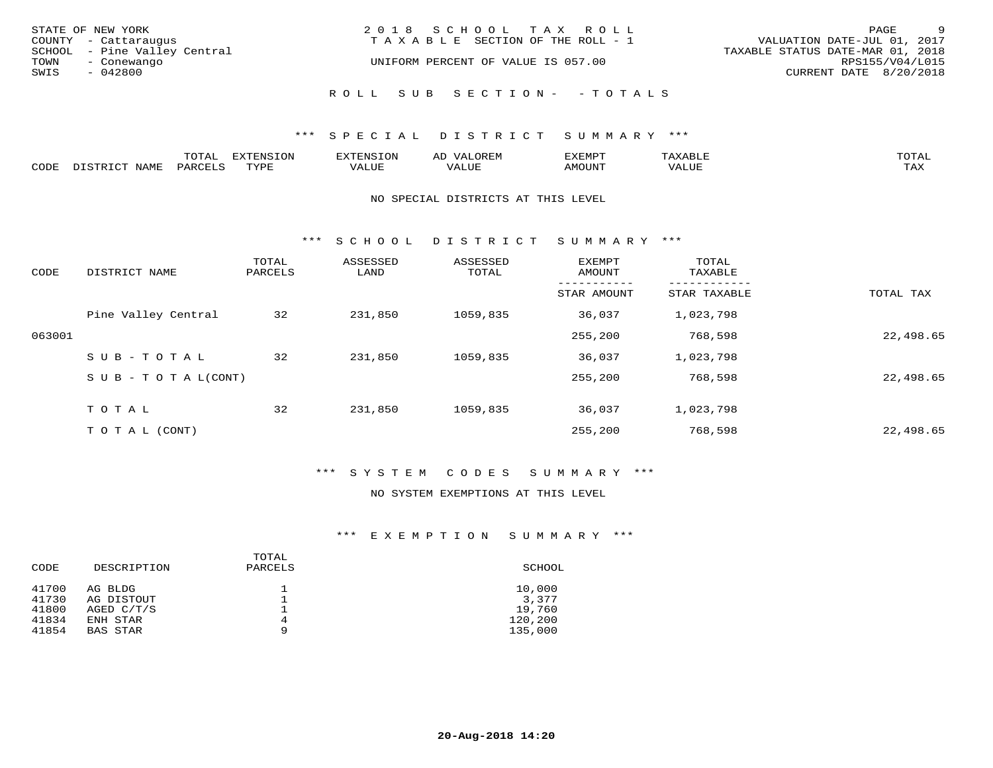|      | STATE OF NEW YORK<br>COUNTY - Cattaraugus   | 2018 SCHOOL TAX ROLL<br>T A X A B L E SECTION OF THE ROLL - 1 | PAGE<br>VALUATION DATE-JUL 01, 2017 | $\overline{9}$  |
|------|---------------------------------------------|---------------------------------------------------------------|-------------------------------------|-----------------|
| TOWN | SCHOOL - Pine Valley Central<br>- Conewango | UNIFORM PERCENT OF VALUE IS 057.00                            | TAXABLE STATUS DATE-MAR 01, 2018    | RPS155/V04/L015 |
| SWIS | - 042800                                    |                                                               | CURRENT DATE 8/20/2018              |                 |
|      |                                             | ROLL SUB SECTION- - TOTALS                                    |                                     |                 |

|      |                     | <b>ጥ</b> ଠጥ አ<br>- U I AL' | $\pi$<br>. U L' | N.S                 | )R EI<br>ΑL       | 13251050      |                                 | <b>TOTA</b> |
|------|---------------------|----------------------------|-----------------|---------------------|-------------------|---------------|---------------------------------|-------------|
| CODE | NIAMT<br>. סידים דר | PARO                       | TVDF            | <b>TTTT</b><br>ALUR | T T T<br>الالمسحب | <b>AMOUNT</b> | $+ + + + +$<br>$\Delta$<br>ALUP | TAY<br>∸∽∸  |

#### NO SPECIAL DISTRICTS AT THIS LEVEL

\*\*\* S C H O O L D I S T R I C T S U M M A R Y \*\*\*

| CODE   | DISTRICT NAME                    | TOTAL<br>PARCELS | ASSESSED<br>LAND | ASSESSED<br>TOTAL | EXEMPT<br>AMOUNT | TOTAL<br>TAXABLE |           |
|--------|----------------------------------|------------------|------------------|-------------------|------------------|------------------|-----------|
|        |                                  |                  |                  |                   | STAR AMOUNT      | STAR TAXABLE     | TOTAL TAX |
|        | Pine Valley Central              | 32               | 231,850          | 1059,835          | 36,037           | 1,023,798        |           |
| 063001 |                                  |                  |                  |                   | 255,200          | 768,598          | 22,498.65 |
|        | SUB-TOTAL                        | 32               | 231,850          | 1059,835          | 36,037           | 1,023,798        |           |
|        | $S \cup B - T \cup T A L (CONT)$ |                  |                  |                   | 255,200          | 768,598          | 22,498.65 |
|        | TOTAL                            | 32               | 231,850          | 1059,835          | 36,037           | 1,023,798        |           |
|        | T O T A L (CONT)                 |                  |                  |                   | 255,200          | 768,598          | 22,498.65 |

#### \*\*\* S Y S T E M C O D E S S U M M A R Y \*\*\*

#### NO SYSTEM EXEMPTIONS AT THIS LEVEL

| DESCRIPTION                 | TOTAL<br>PARCELS | SCHOOL             |
|-----------------------------|------------------|--------------------|
| AG BLDG                     |                  | 10,000<br>3,377    |
| AGED C/T/S                  |                  | 19,760             |
| ENH STAR<br><b>BAS STAR</b> | 4<br>9           | 120,200<br>135,000 |
|                             | AG DISTOUT       |                    |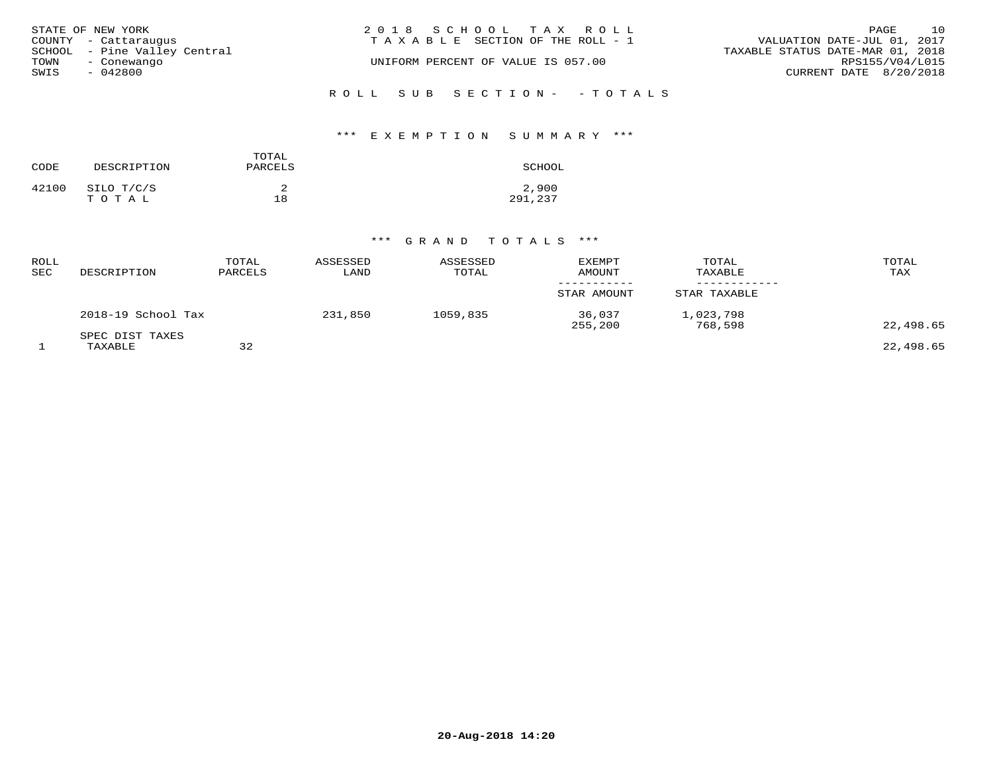| STATE OF NEW YORK<br>COUNTY - Cattaraugus           | 2018 SCHOOL TAX ROLL<br>TAXABLE SECTION OF THE ROLL - 1 | 10<br>PAGE<br>VALUATION DATE-JUL 01, 2017           |
|-----------------------------------------------------|---------------------------------------------------------|-----------------------------------------------------|
| SCHOOL - Pine Valley Central<br>TOWN<br>- Conewango | UNIFORM PERCENT OF VALUE IS 057.00                      | TAXABLE STATUS DATE-MAR 01, 2018<br>RPS155/V04/L015 |
| SWIS<br>- 042800                                    |                                                         | CURRENT DATE 8/20/2018                              |
|                                                     | ROLL SUB SECTION- - TOTALS                              |                                                     |

#### \*\*\* E X E M P T I O N S U M M A R Y \*\*\*

| CODE  | DESCRIPTION         | TOTAL<br>PARCELS | SCHOOL           |
|-------|---------------------|------------------|------------------|
| 42100 | SILO T/C/S<br>тотаь | 18               | 2,900<br>291,237 |

| ROLL<br>SEC | DESCRIPTION                | TOTAL<br>PARCELS | ASSESSED<br>LAND | ASSESSED<br>TOTAL | <b>EXEMPT</b><br>AMOUNT | TOTAL<br>TAXABLE     | TOTAL<br>TAX |
|-------------|----------------------------|------------------|------------------|-------------------|-------------------------|----------------------|--------------|
|             |                            |                  |                  |                   | STAR AMOUNT             | STAR TAXABLE         |              |
|             | 2018-19 School Tax         |                  | 231,850          | 1059,835          | 36,037<br>255,200       | 1,023,798<br>768,598 | 22,498.65    |
|             | SPEC DIST TAXES<br>TAXABLE | 32               |                  |                   |                         |                      | 22,498.65    |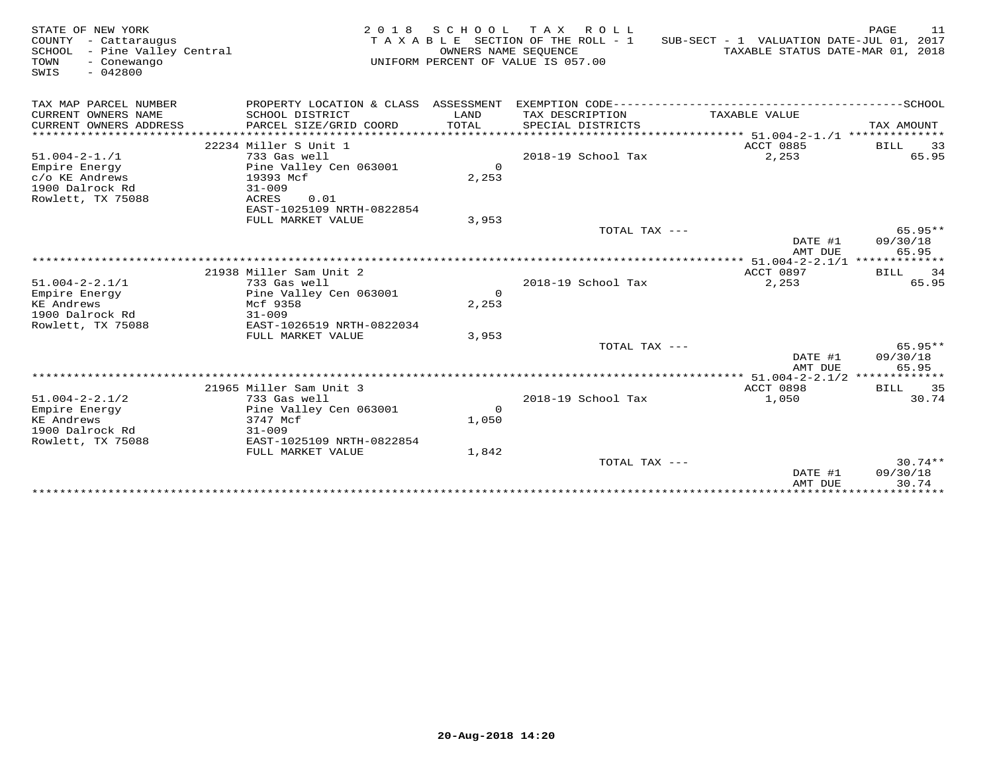| TAX MAP PARCEL NUMBER<br>---------------------------SCHOOL<br>PROPERTY LOCATION & CLASS ASSESSMENT<br>EXEMPTION CODE-------------<br>CURRENT OWNERS NAME<br>SCHOOL DISTRICT<br>TAX DESCRIPTION<br>LAND<br>TAXABLE VALUE<br>TOTAL<br>CURRENT OWNERS ADDRESS<br>PARCEL SIZE/GRID COORD<br>SPECIAL DISTRICTS<br>TAX AMOUNT<br>*******************<br>********************************* 51.004-2-1./1 **************<br>ACCT 0885<br>22234 Miller S Unit 1<br><b>BILL</b><br>2018-19 School Tax<br>2,253<br>$51.004 - 2 - 1.71$<br>733 Gas well |                                |
|---------------------------------------------------------------------------------------------------------------------------------------------------------------------------------------------------------------------------------------------------------------------------------------------------------------------------------------------------------------------------------------------------------------------------------------------------------------------------------------------------------------------------------------------|--------------------------------|
|                                                                                                                                                                                                                                                                                                                                                                                                                                                                                                                                             |                                |
|                                                                                                                                                                                                                                                                                                                                                                                                                                                                                                                                             |                                |
| $\Omega$<br>Empire Energy<br>Pine Valley Cen 063001<br>2,253<br>c/o KE Andrews<br>19393 Mcf<br>1900 Dalrock Rd<br>$31 - 009$<br>Rowlett, TX 75088<br>ACRES<br>0.01                                                                                                                                                                                                                                                                                                                                                                          | 33<br>65.95                    |
| EAST-1025109 NRTH-0822854<br>FULL MARKET VALUE<br>3,953<br>TOTAL TAX ---                                                                                                                                                                                                                                                                                                                                                                                                                                                                    | $65.95**$                      |
| DATE #1<br>AMT DUE                                                                                                                                                                                                                                                                                                                                                                                                                                                                                                                          | 09/30/18<br>65.95              |
| **** 51.004-2-2.1/1 *************                                                                                                                                                                                                                                                                                                                                                                                                                                                                                                           |                                |
| ACCT 0897<br>21938 Miller Sam Unit 2<br>BILL                                                                                                                                                                                                                                                                                                                                                                                                                                                                                                | 34                             |
| $51.004 - 2 - 2.1/1$<br>2018-19 School Tax<br>2,253<br>733 Gas well                                                                                                                                                                                                                                                                                                                                                                                                                                                                         | 65.95                          |
| $\Omega$<br>Pine Valley Cen 063001<br>Empire Energy<br>2,253<br>KE Andrews<br>Mcf 9358<br>1900 Dalrock Rd<br>$31 - 009$                                                                                                                                                                                                                                                                                                                                                                                                                     |                                |
| Rowlett, TX 75088<br>EAST-1026519 NRTH-0822034<br>FULL MARKET VALUE<br>3,953                                                                                                                                                                                                                                                                                                                                                                                                                                                                |                                |
| TOTAL TAX ---<br>DATE #1<br>AMT DUE                                                                                                                                                                                                                                                                                                                                                                                                                                                                                                         | $65.95**$<br>09/30/18<br>65.95 |
| ** 51.004-2-2.1/2 **************                                                                                                                                                                                                                                                                                                                                                                                                                                                                                                            |                                |
| 21965 Miller Sam Unit 3<br><b>ACCT 0898</b>                                                                                                                                                                                                                                                                                                                                                                                                                                                                                                 | BILL 35                        |
| $51.004 - 2 - 2.1/2$<br>733 Gas well<br>2018-19 School Tax<br>1,050                                                                                                                                                                                                                                                                                                                                                                                                                                                                         | 30.74                          |
| Empire Energy<br>Pine Valley Cen 063001<br>$\Omega$                                                                                                                                                                                                                                                                                                                                                                                                                                                                                         |                                |
| KE Andrews<br>3747 Mcf<br>1,050<br>1900 Dalrock Rd                                                                                                                                                                                                                                                                                                                                                                                                                                                                                          |                                |
| $31 - 009$<br>Rowlett, TX 75088<br>EAST-1025109 NRTH-0822854                                                                                                                                                                                                                                                                                                                                                                                                                                                                                |                                |
| 1,842<br>FULL MARKET VALUE                                                                                                                                                                                                                                                                                                                                                                                                                                                                                                                  |                                |
| TOTAL TAX ---                                                                                                                                                                                                                                                                                                                                                                                                                                                                                                                               | $30.74**$                      |
| DATE #1                                                                                                                                                                                                                                                                                                                                                                                                                                                                                                                                     | 09/30/18                       |
| AMT DUE                                                                                                                                                                                                                                                                                                                                                                                                                                                                                                                                     | 30.74                          |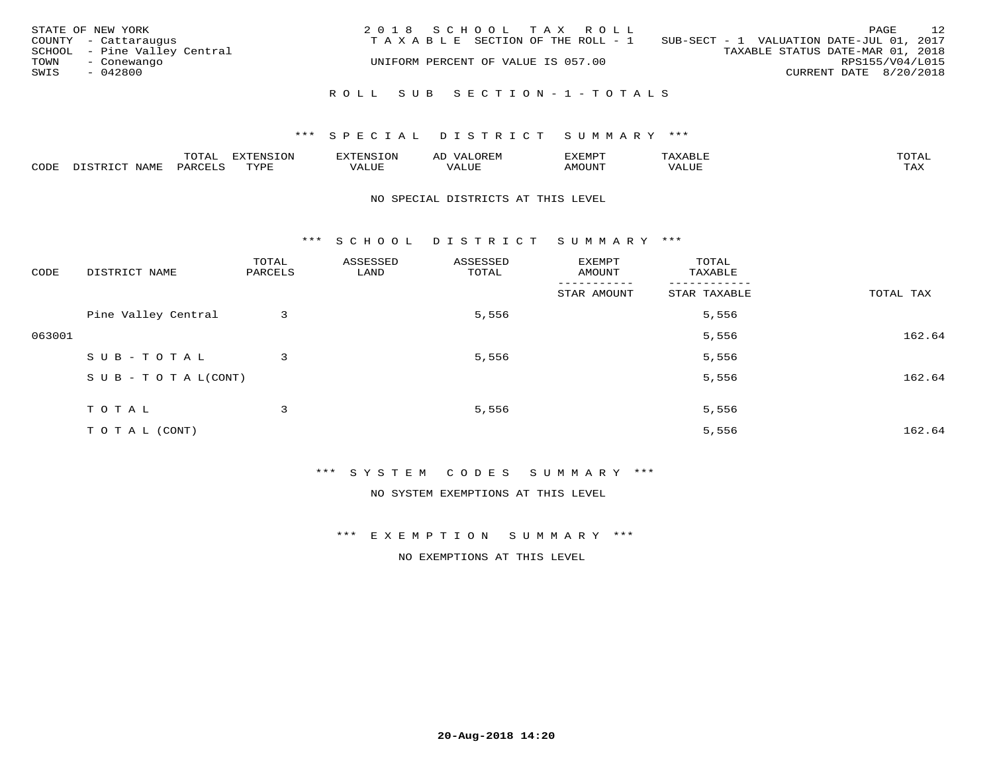| STATE OF NEW YORK<br>COUNTY - Cattaraugus<br>SCHOOL - Pine Valley Central<br>TOWN<br>- Conewango<br>SWIS<br>$-042800$ | 2018 SCHOOL TAX ROLL<br>TAXABLE SECTION OF THE ROLL - 1<br>UNIFORM PERCENT OF VALUE IS 057.00 | 12<br>PAGE<br>SUB-SECT - 1 VALUATION DATE-JUL 01, 2017<br>TAXABLE STATUS DATE-MAR 01, 2018<br>RPS155/V04/L015<br>CURRENT DATE 8/20/2018 |
|-----------------------------------------------------------------------------------------------------------------------|-----------------------------------------------------------------------------------------------|-----------------------------------------------------------------------------------------------------------------------------------------|
|                                                                                                                       | ROLL SUB SECTION-1-TOTALS                                                                     |                                                                                                                                         |

|      |      | $m \wedge m \wedge n$<br>◡∸ғ | TON                              | . HUNY              | AĽ                  | ے ا      |       | $m \wedge m \wedge n$ |
|------|------|------------------------------|----------------------------------|---------------------|---------------------|----------|-------|-----------------------|
| CODE | NAMF | 'AK                          | $m \times r \times r$<br>- - - - | T T T<br>اللالمستحم | - ---<br>اللالمستعم | 57077375 | VALUF | $m \times r$<br>- −-  |

#### NO SPECIAL DISTRICTS AT THIS LEVEL

\*\*\* S C H O O L D I S T R I C T S U M M A R Y \*\*\*

| CODE   | DISTRICT NAME                    | TOTAL<br>PARCELS | ASSESSED<br>LAND | ASSESSED<br>TOTAL | EXEMPT<br>AMOUNT | TOTAL<br>TAXABLE |           |
|--------|----------------------------------|------------------|------------------|-------------------|------------------|------------------|-----------|
|        |                                  |                  |                  |                   | STAR AMOUNT      | STAR TAXABLE     | TOTAL TAX |
|        | Pine Valley Central              | 3                |                  | 5,556             |                  | 5,556            |           |
| 063001 |                                  |                  |                  |                   |                  | 5,556            | 162.64    |
|        | SUB-TOTAL                        | 3                |                  | 5,556             |                  | 5,556            |           |
|        | $S \cup B - T \cup T A L (CONT)$ |                  |                  |                   |                  | 5,556            | 162.64    |
|        | T O T A L                        | 3                |                  | 5,556             |                  | 5,556            |           |
|        |                                  |                  |                  |                   |                  |                  |           |
|        | T O T A L (CONT)                 |                  |                  |                   |                  | 5,556            | 162.64    |

\*\*\* S Y S T E M C O D E S S U M M A R Y \*\*\*

NO SYSTEM EXEMPTIONS AT THIS LEVEL

\*\*\* E X E M P T I O N S U M M A R Y \*\*\*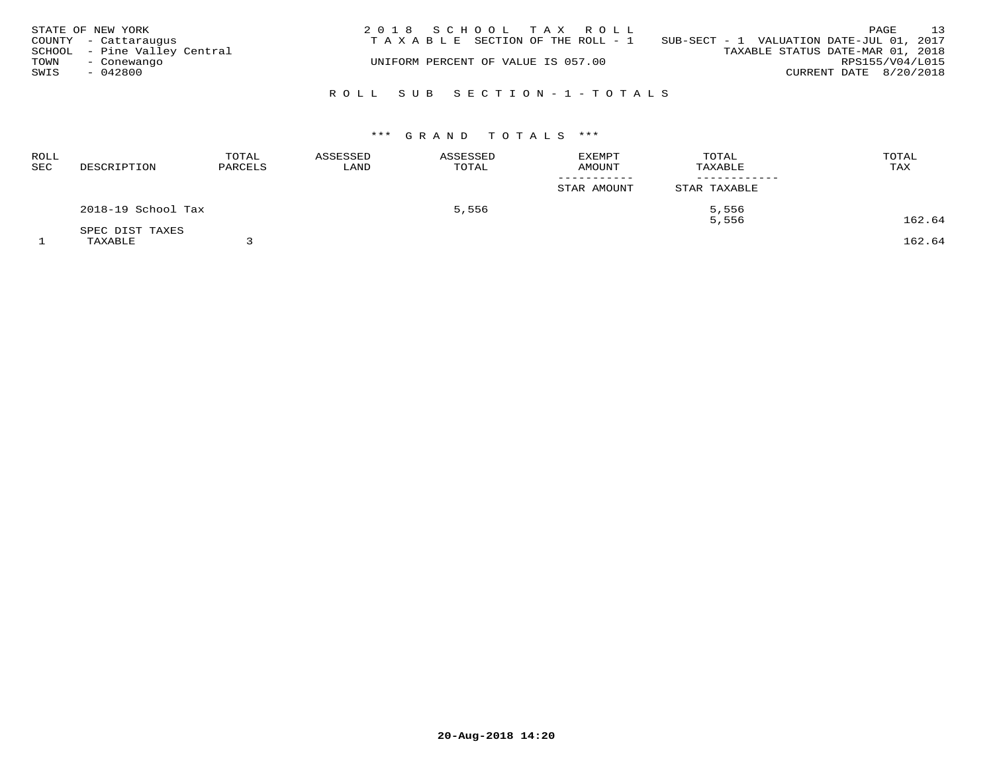|      | STATE OF NEW YORK            | 2018 SCHOOL TAX ROLL                                                           |                        | PAGE            | 13 |
|------|------------------------------|--------------------------------------------------------------------------------|------------------------|-----------------|----|
|      | COUNTY - Cattaraugus         | T A X A B L E SECTION OF THE ROLL - 1 SUB-SECT - 1 VALUATION DATE-JUL 01, 2017 |                        |                 |    |
|      | SCHOOL - Pine Valley Central | TAXABLE STATUS DATE-MAR 01, 2018                                               |                        |                 |    |
| TOWN | - Conewango                  | UNIFORM PERCENT OF VALUE IS 057.00                                             |                        | RPS155/V04/L015 |    |
| SWIS | $-042800$                    |                                                                                | CURRENT DATE 8/20/2018 |                 |    |
|      |                              |                                                                                |                        |                 |    |
|      |                              | ROLL SUB SECTION-1-TOTALS                                                      |                        |                 |    |

| <b>ROLL</b><br>SEC | DESCRIPTION        | TOTAL<br>PARCELS | ASSESSED<br>LAND | ASSESSED<br>TOTAL | <b>EXEMPT</b><br><b>AMOUNT</b> | TOTAL<br>TAXABLE | TOTAL<br>TAX |  |
|--------------------|--------------------|------------------|------------------|-------------------|--------------------------------|------------------|--------------|--|
|                    |                    |                  |                  |                   | -----------<br>STAR AMOUNT     | STAR TAXABLE     |              |  |
|                    | 2018-19 School Tax |                  | 5,556            |                   |                                | 5,556            |              |  |
|                    | SPEC DIST TAXES    |                  |                  |                   |                                | 5,556            | 162.64       |  |
|                    | TAXABLE            |                  |                  |                   |                                |                  | 162.64       |  |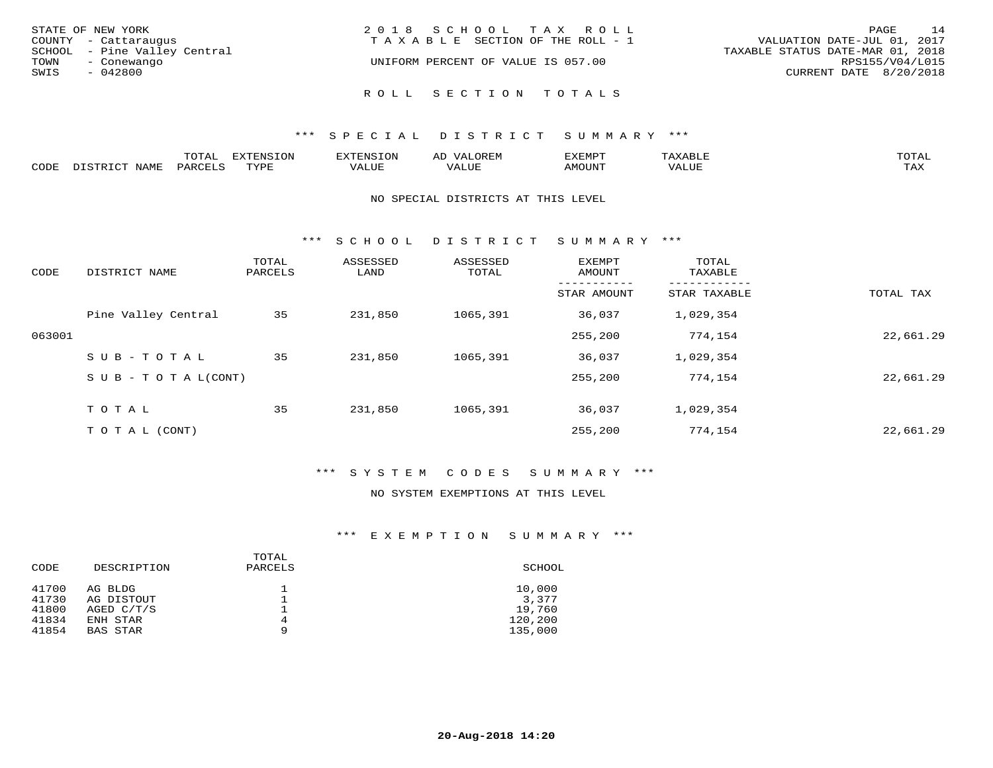| STATE OF NEW YORK<br>COUNTY - Cattaraugus           | 2018 SCHOOL TAX ROLL<br>TAXABLE SECTION OF THE ROLL - 1 | 14<br>PAGE<br>VALUATION DATE-JUL 01, 2017           |
|-----------------------------------------------------|---------------------------------------------------------|-----------------------------------------------------|
| SCHOOL - Pine Valley Central<br>TOWN<br>- Conewango | UNIFORM PERCENT OF VALUE IS 057.00                      | TAXABLE STATUS DATE-MAR 01, 2018<br>RPS155/V04/L015 |
| SWIS<br>- 042800                                    |                                                         | CURRENT DATE 8/20/2018                              |
|                                                     | ROLL SECTION TOTALS                                     |                                                     |

|      |      | momn:<br>LUIAI | $\pi$<br>. JN | .     | : יהם קבר <i>ב</i><br>ΑL | תסאה <i>צ</i> י |                       | TOTA.      |
|------|------|----------------|---------------|-------|--------------------------|-----------------|-----------------------|------------|
| CODE | NAME | PARTPT         | mvnt          | VALUE |                          | <b>AMOUNT</b>   | ,,, , ,, <del>,</del> | TAY<br>∸∽∸ |

#### NO SPECIAL DISTRICTS AT THIS LEVEL

\*\*\* S C H O O L D I S T R I C T S U M M A R Y \*\*\*

| CODE   | DISTRICT NAME                    | TOTAL<br>PARCELS | ASSESSED<br>LAND | ASSESSED<br>TOTAL | EXEMPT<br>AMOUNT | TOTAL<br>TAXABLE |           |
|--------|----------------------------------|------------------|------------------|-------------------|------------------|------------------|-----------|
|        |                                  |                  |                  |                   | STAR AMOUNT      | STAR TAXABLE     | TOTAL TAX |
|        | Pine Valley Central              | 35               | 231,850          | 1065,391          | 36,037           | 1,029,354        |           |
| 063001 |                                  |                  |                  |                   | 255,200          | 774,154          | 22,661.29 |
|        | SUB-TOTAL                        | 35               | 231,850          | 1065,391          | 36,037           | 1,029,354        |           |
|        | $S \cup B - T \cup T A L (CONT)$ |                  |                  |                   | 255,200          | 774,154          | 22,661.29 |
|        | TOTAL                            | 35               | 231,850          | 1065,391          | 36,037           | 1,029,354        |           |
|        | T O T A L (CONT)                 |                  |                  |                   | 255,200          | 774,154          | 22,661.29 |

## \*\*\* S Y S T E M C O D E S S U M M A R Y \*\*\*

#### NO SYSTEM EXEMPTIONS AT THIS LEVEL

| CODE  | DESCRIPTION  | TOTAL<br>PARCELS | SCHOOL  |
|-------|--------------|------------------|---------|
| 41700 | AG BLDG      |                  | 10,000  |
| 41730 | AG DISTOUT   |                  | 3,377   |
| 41800 | AGED $C/T/S$ |                  | 19,760  |
| 41834 | ENH STAR     | 4                | 120,200 |
| 41854 | BAS STAR     | 9                | 135,000 |
|       |              |                  |         |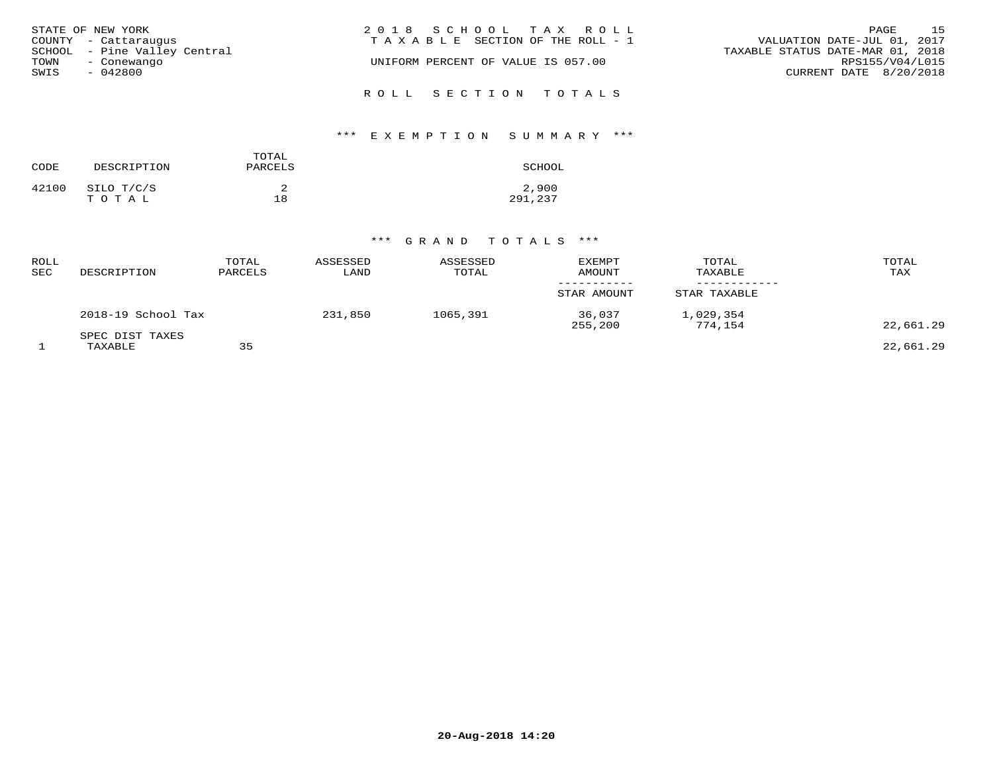| STATE OF NEW YORK            | 2018 SCHOOL TAX ROLL                  | 1.5<br>PAGE                      |
|------------------------------|---------------------------------------|----------------------------------|
| COUNTY - Cattaraugus         | T A X A B L E SECTION OF THE ROLL - 1 | VALUATION DATE-JUL 01, 2017      |
| SCHOOL - Pine Valley Central |                                       | TAXABLE STATUS DATE-MAR 01, 2018 |
| TOWN<br>- Conewango          | UNIFORM PERCENT OF VALUE IS 057.00    | RPS155/V04/L015                  |
| SWIS<br>- 042800             |                                       | CURRENT DATE 8/20/2018           |
|                              | ROLL SECTION TOTALS                   |                                  |

# \*\*\* E X E M P T I O N S U M M A R Y \*\*\*

| CODE  | DESCRIPTION         | TOTAL<br>PARCELS | SCHOOL           |
|-------|---------------------|------------------|------------------|
| 42100 | SILO T/C/S<br>TOTAL | 18               | 2,900<br>291,237 |

| ROLL<br>SEC | DESCRIPTION                | TOTAL<br>PARCELS | ASSESSED<br>LAND | ASSESSED<br>TOTAL | <b>EXEMPT</b><br>AMOUNT | TOTAL<br>TAXABLE     | TOTAL<br>TAX |
|-------------|----------------------------|------------------|------------------|-------------------|-------------------------|----------------------|--------------|
|             |                            |                  |                  |                   | STAR AMOUNT             | STAR TAXABLE         |              |
|             | 2018-19 School Tax         |                  | 231,850          | 1065,391          | 36,037<br>255,200       | 1,029,354<br>774,154 | 22,661.29    |
|             | SPEC DIST TAXES<br>TAXABLE | 35               |                  |                   |                         |                      | 22,661.29    |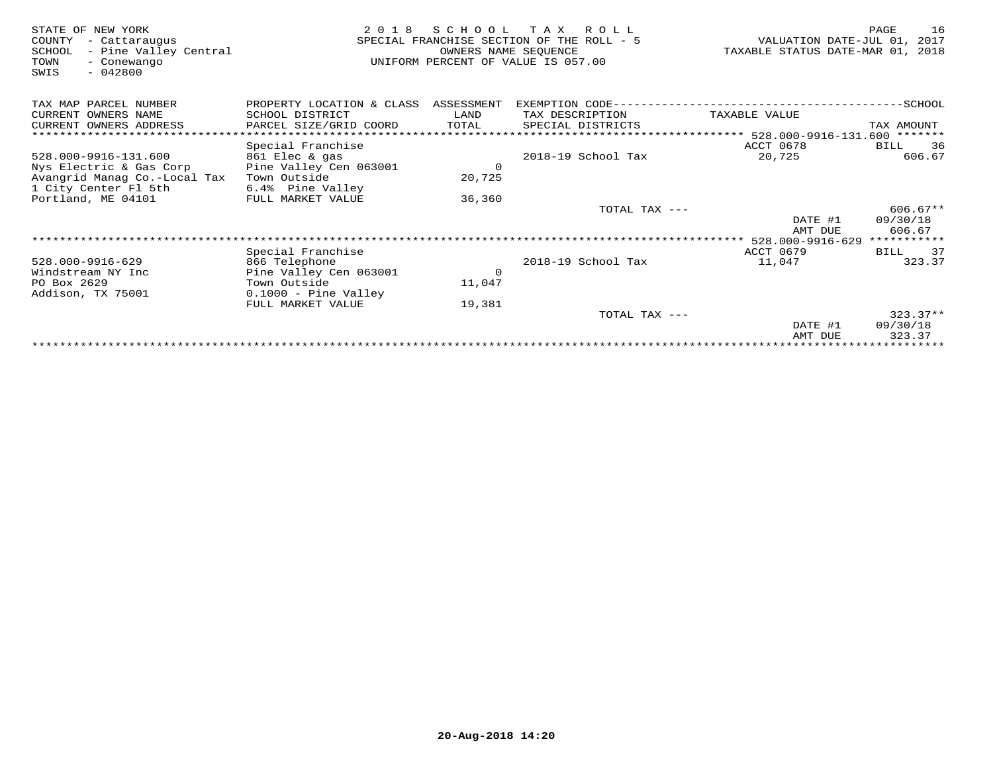| STATE OF NEW YORK<br>COUNTY<br>- Cattaraugus<br>- Pine Valley Central<br>SCHOOL<br>TOWN<br>- Conewango<br>$-042800$<br>SWIS | 2 0 1 8                   | SCHOOL<br>OWNERS NAME SEOUENCE | T A X<br>R O L L<br>SPECIAL FRANCHISE SECTION OF THE ROLL - 5<br>UNIFORM PERCENT OF VALUE IS 057.00 | VALUATION DATE-JUL 01, 2017<br>TAXABLE STATUS DATE-MAR 01, 2018 | 16<br>PAGE         |
|-----------------------------------------------------------------------------------------------------------------------------|---------------------------|--------------------------------|-----------------------------------------------------------------------------------------------------|-----------------------------------------------------------------|--------------------|
| TAX MAP PARCEL NUMBER                                                                                                       | PROPERTY LOCATION & CLASS | ASSESSMENT                     | EXEMPTION CODE-------                                                                               |                                                                 | $-$ SCHOOL         |
| CURRENT OWNERS NAME                                                                                                         | SCHOOL DISTRICT           | LAND                           | TAX DESCRIPTION                                                                                     | TAXABLE VALUE                                                   |                    |
| CURRENT OWNERS ADDRESS                                                                                                      | PARCEL SIZE/GRID COORD    | TOTAL                          | SPECIAL DISTRICTS                                                                                   |                                                                 | TAX AMOUNT         |
|                                                                                                                             |                           |                                |                                                                                                     | **************************** 528.000-9916-131.600 *******       |                    |
|                                                                                                                             | Special Franchise         |                                |                                                                                                     | ACCT 0678                                                       | 36<br>BILL         |
| 528.000-9916-131.600                                                                                                        | 861 Elec & gas            |                                | 2018-19 School Tax                                                                                  | 20,725                                                          | 606.67             |
| Nys Electric & Gas Corp                                                                                                     | Pine Valley Cen 063001    | $\circ$                        |                                                                                                     |                                                                 |                    |
| Avangrid Manag Co.-Local Tax                                                                                                | Town Outside              | 20,725                         |                                                                                                     |                                                                 |                    |
| 1 City Center Fl 5th                                                                                                        | 6.4% Pine Valley          |                                |                                                                                                     |                                                                 |                    |
| Portland, ME 04101                                                                                                          | FULL MARKET VALUE         | 36,360                         |                                                                                                     |                                                                 |                    |
|                                                                                                                             |                           |                                | TOTAL TAX ---                                                                                       |                                                                 | $606.67**$         |
|                                                                                                                             |                           |                                |                                                                                                     | DATE #1                                                         | 09/30/18<br>606.67 |
|                                                                                                                             |                           |                                |                                                                                                     | AMT DUE<br>528.000-9916-629                                     | ***********        |
|                                                                                                                             | Special Franchise         |                                |                                                                                                     | <b>ACCT 0679</b>                                                | 37<br>BILL         |
| 528.000-9916-629                                                                                                            | 866 Telephone             |                                | 2018-19 School Tax                                                                                  | 11,047                                                          | 323.37             |
| Windstream NY Inc                                                                                                           | Pine Valley Cen 063001    | $\circ$                        |                                                                                                     |                                                                 |                    |
| PO Box 2629                                                                                                                 | Town Outside              | 11,047                         |                                                                                                     |                                                                 |                    |
| Addison, TX 75001                                                                                                           | $0.1000$ - Pine Valley    |                                |                                                                                                     |                                                                 |                    |
|                                                                                                                             | FULL MARKET VALUE         | 19,381                         |                                                                                                     |                                                                 |                    |
|                                                                                                                             |                           |                                | TOTAL TAX ---                                                                                       |                                                                 | $323.37**$         |
|                                                                                                                             |                           |                                |                                                                                                     | DATE #1                                                         | 09/30/18           |
|                                                                                                                             |                           |                                |                                                                                                     | AMT DUE                                                         | 323.37             |
|                                                                                                                             |                           |                                |                                                                                                     |                                                                 |                    |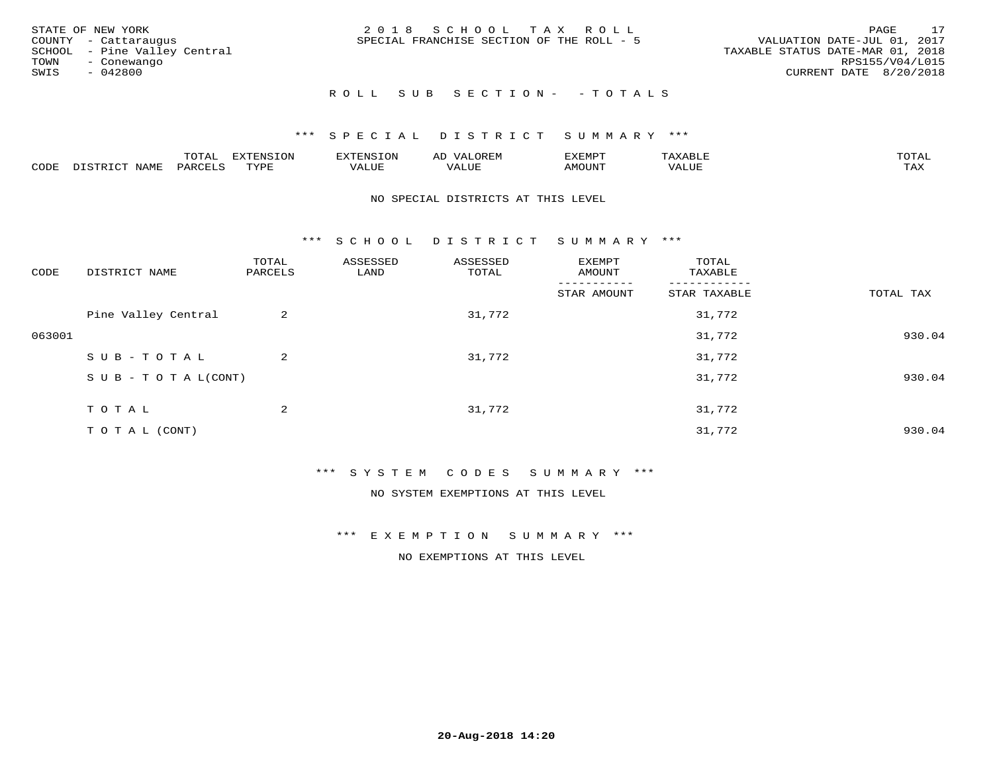| STATE OF NEW YORK<br>COUNTY - Cattaraugus<br>SCHOOL - Pine Valley Central<br>TOWN<br>- Conewango<br>SWIS<br>- 042800 | 2018 SCHOOL TAX ROLL<br>SPECIAL FRANCHISE SECTION OF THE ROLL - 5 | 17<br>PAGE<br>VALUATION DATE-JUL 01, 2017<br>TAXABLE STATUS DATE-MAR 01, 2018<br>RPS155/V04/L015<br>CURRENT DATE 8/20/2018 |
|----------------------------------------------------------------------------------------------------------------------|-------------------------------------------------------------------|----------------------------------------------------------------------------------------------------------------------------|
|                                                                                                                      | ROLL SUB SECTION- - TOTALS                                        |                                                                                                                            |

|      |                      | ----           | <b>FYTFNSION</b><br>- 75 | <b>FNC</b>     | ᅺᅜᄓ                      | SXEMPT | $\Delta$<br>.                  | $m \wedge m \wedge n$ |
|------|----------------------|----------------|--------------------------|----------------|--------------------------|--------|--------------------------------|-----------------------|
| CODE | <b>NTAMT</b><br>⊥∙⊥⊥ | D.ODT.<br>PARL | $m \tau \tau m$<br>.     | T T T<br>ALUF: | , <del>,</del> , , , , , | MOUN.  | , 77 T TT <del>D</del><br>ALUE | TAX                   |

#### NO SPECIAL DISTRICTS AT THIS LEVEL

\*\*\* S C H O O L D I S T R I C T S U M M A R Y \*\*\*

| CODE   | DISTRICT NAME                    | TOTAL<br>PARCELS | ASSESSED<br>LAND | ASSESSED<br>TOTAL | EXEMPT<br>AMOUNT | TOTAL<br>TAXABLE |           |
|--------|----------------------------------|------------------|------------------|-------------------|------------------|------------------|-----------|
|        |                                  |                  |                  |                   | STAR AMOUNT      | STAR TAXABLE     | TOTAL TAX |
|        | Pine Valley Central              | 2                |                  | 31,772            |                  | 31,772           |           |
| 063001 |                                  |                  |                  |                   |                  | 31,772           | 930.04    |
|        | SUB-TOTAL                        | $\overline{a}$   |                  | 31,772            |                  | 31,772           |           |
|        | $S \cup B - T \cup T A L (CONT)$ |                  |                  |                   |                  | 31,772           | 930.04    |
|        | TOTAL                            | 2                |                  | 31,772            |                  | 31,772           |           |
|        | TO TAL (CONT)                    |                  |                  |                   |                  | 31,772           | 930.04    |

#### \*\*\* S Y S T E M C O D E S S U M M A R Y \*\*\*

NO SYSTEM EXEMPTIONS AT THIS LEVEL

\*\*\* E X E M P T I O N S U M M A R Y \*\*\*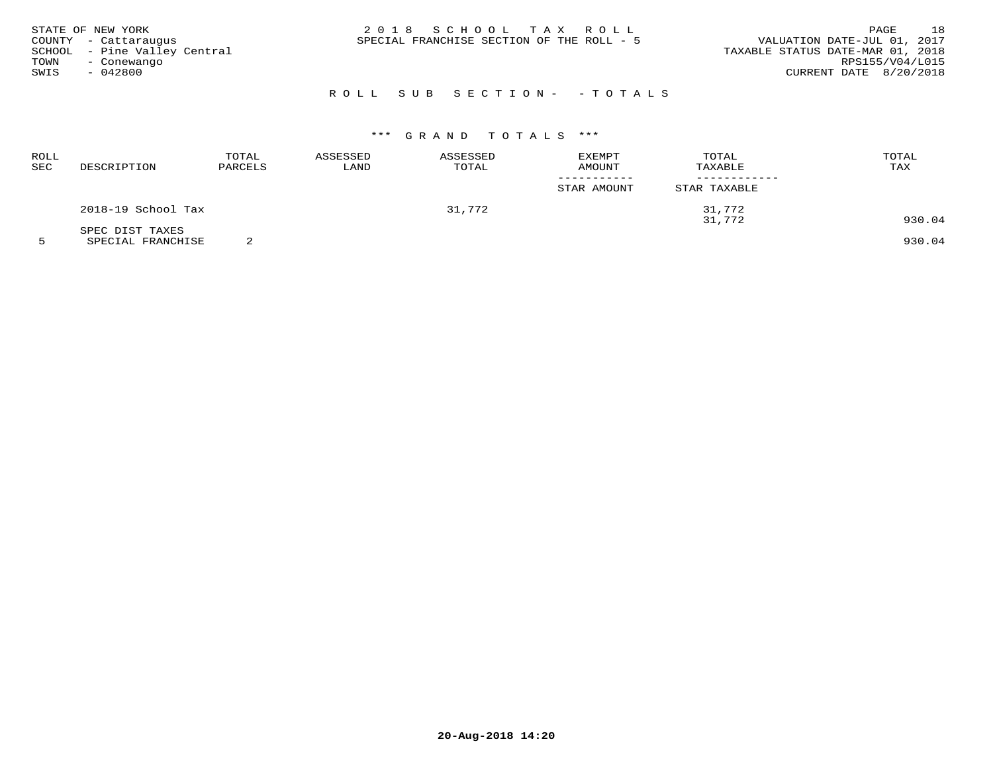| STATE OF NEW YORK<br>COUNTY - Cattaraugus<br>SCHOOL - Pine Valley Central<br>TOWN<br>- Conewango<br>SWIS<br>- 042800 | 2018 SCHOOL TAX ROLL<br>SPECIAL FRANCHISE SECTION OF THE ROLL - 5 | 18<br>PAGE<br>VALUATION DATE-JUL 01, 2017<br>TAXABLE STATUS DATE-MAR 01, 2018<br>RPS155/V04/L015<br>CURRENT DATE 8/20/2018 |
|----------------------------------------------------------------------------------------------------------------------|-------------------------------------------------------------------|----------------------------------------------------------------------------------------------------------------------------|
|                                                                                                                      | ROLL SUB SECTION- - TOTALS                                        |                                                                                                                            |

| ROLL<br>SEC | DESCRIPTION        | TOTAL<br>PARCELS | ASSESSED<br>LAND | ASSESSED<br>TOTAL | EXEMPT<br>AMOUNT<br>STAR AMOUNT | TOTAL<br>TAXABLE<br>STAR TAXABLE | TOTAL<br>TAX |
|-------------|--------------------|------------------|------------------|-------------------|---------------------------------|----------------------------------|--------------|
|             | 2018-19 School Tax |                  |                  | 31,772            |                                 | 31,772                           |              |
|             | SPEC DIST TAXES    |                  |                  |                   |                                 | 31,772                           | 930.04       |

5 SPECIAL FRANCHISE 2 930.04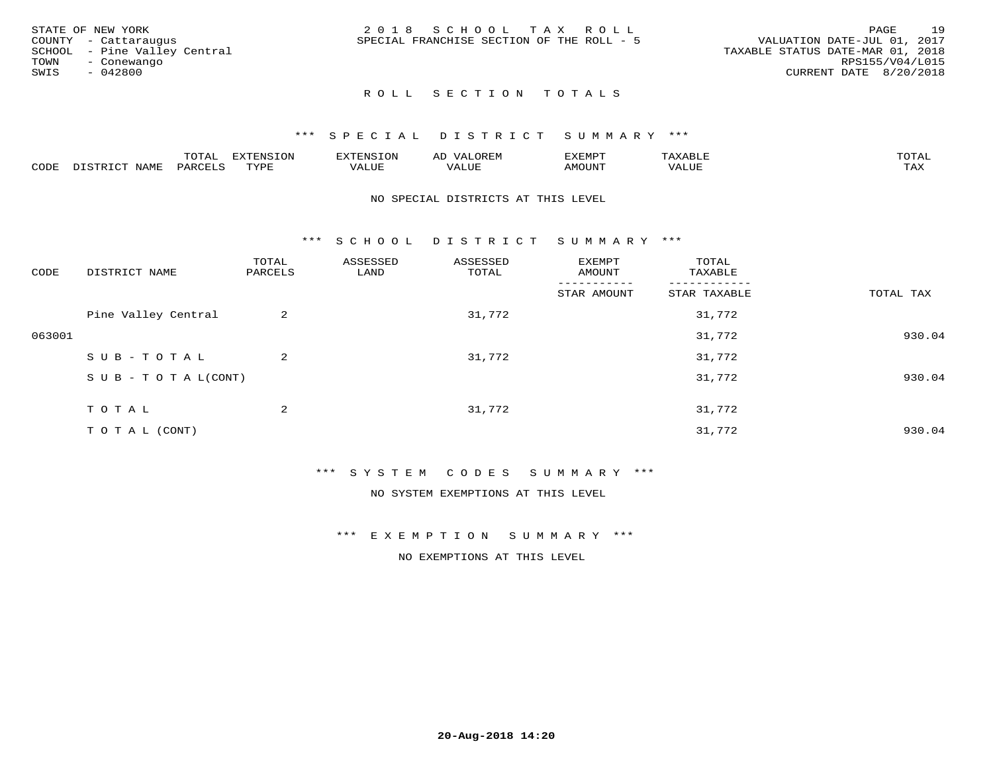|      | STATE OF NEW YORK            | 2018 SCHOOL TAX ROLL                      |  |                                  | PAGE                   | 19 |
|------|------------------------------|-------------------------------------------|--|----------------------------------|------------------------|----|
|      | COUNTY - Cattaraugus         | SPECIAL FRANCHISE SECTION OF THE ROLL - 5 |  | VALUATION DATE-JUL 01, 2017      |                        |    |
|      | SCHOOL - Pine Valley Central |                                           |  | TAXABLE STATUS DATE-MAR 01, 2018 |                        |    |
| TOWN | - Conewango                  |                                           |  |                                  | RPS155/V04/L015        |    |
| SWIS | - 042800                     |                                           |  |                                  | CURRENT DATE 8/20/2018 |    |
|      |                              |                                           |  |                                  |                        |    |

#### \*\*\* S P E C I A L D I S T R I C T S U M M A R Y \*\*\*

|      |                  | momm <sup>.</sup><br>TOTAT | <b>ELIMENT OF ONT</b><br>T OTA | 'ENS   | OREM                     | CXEMPT        | $max$ and $max$          | $m \wedge m \wedge n$ |
|------|------------------|----------------------------|--------------------------------|--------|--------------------------|---------------|--------------------------|-----------------------|
| CODE | NAME<br>DISTRICT | PARCELS                    | TVDF<br>.                      | 7ALUE. | . <del>.</del><br>. ALUF | <b>AMOUNT</b> | * * * * * * * *<br>'ALUL | <b>TAY</b><br>⊥⇔∆     |

#### NO SPECIAL DISTRICTS AT THIS LEVEL

\*\*\* S C H O O L D I S T R I C T S U M M A R Y \*\*\*

| CODE   | DISTRICT NAME                    | TOTAL<br>PARCELS | ASSESSED<br>LAND | ASSESSED<br>TOTAL | EXEMPT<br>AMOUNT | TOTAL<br>TAXABLE |           |
|--------|----------------------------------|------------------|------------------|-------------------|------------------|------------------|-----------|
|        |                                  |                  |                  |                   | STAR AMOUNT      | STAR TAXABLE     | TOTAL TAX |
|        | Pine Valley Central              | 2                |                  | 31,772            |                  | 31,772           |           |
| 063001 |                                  |                  |                  |                   |                  | 31,772           | 930.04    |
|        | SUB-TOTAL                        | 2                |                  | 31,772            |                  | 31,772           |           |
|        | $S \cup B - T \cup T A L (CONT)$ |                  |                  |                   |                  | 31,772           | 930.04    |
|        | TOTAL                            | 2                |                  | 31,772            |                  | 31,772           |           |
|        | T O T A L (CONT)                 |                  |                  |                   |                  | 31,772           | 930.04    |

#### \*\*\* S Y S T E M C O D E S S U M M A R Y \*\*\*

NO SYSTEM EXEMPTIONS AT THIS LEVEL

\*\*\* E X E M P T I O N S U M M A R Y \*\*\*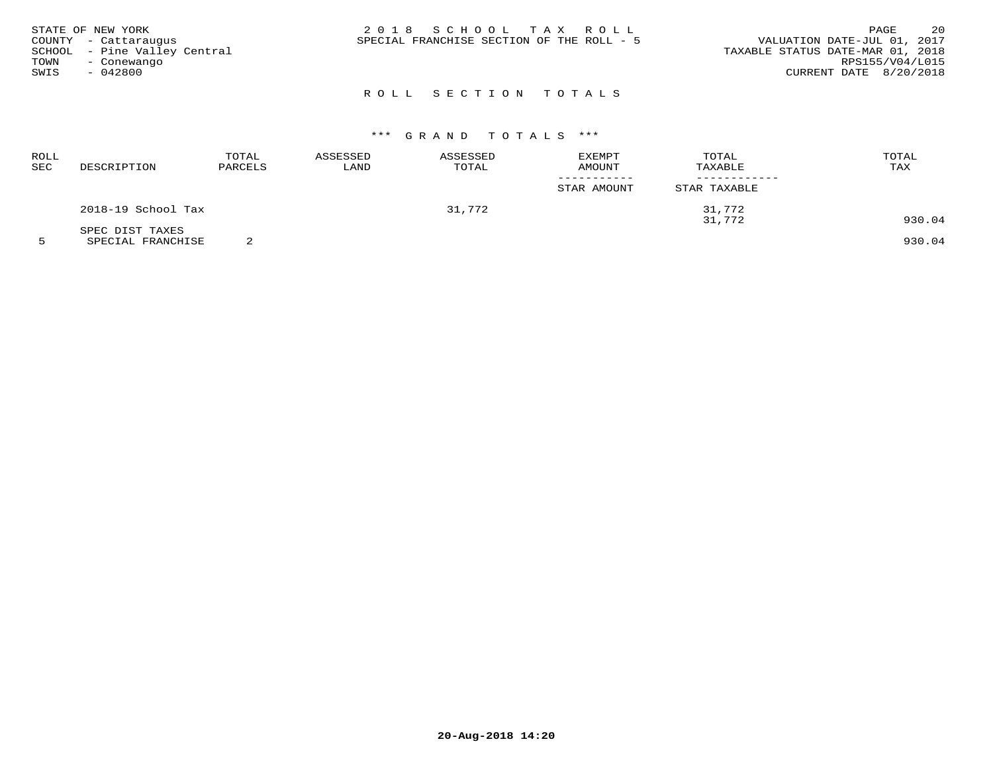| TOWN | STATE OF NEW YORK<br>COUNTY - Cattaraugus<br>SCHOOL - Pine Valley Central<br>- Conewango | 2018 SCHOOL TAX ROLL<br>VALUATION DATE-JUL 01, 2017<br>SPECIAL FRANCHISE SECTION OF THE ROLL - 5<br>TAXABLE STATUS DATE-MAR 01, 2018 | PAGE<br>RPS155/V04/L015 | 20 |
|------|------------------------------------------------------------------------------------------|--------------------------------------------------------------------------------------------------------------------------------------|-------------------------|----|
| SWIS | - 042800                                                                                 | CURRENT DATE 8/20/2018                                                                                                               |                         |    |

# \*\*\* G R A N D T O T A L S \*\*\*

| ROLL<br><b>SEC</b> | DESCRIPTION        | TOTAL<br>PARCELS | ASSESSED<br>LAND | ASSESSED<br>TOTAL | EXEMPT<br>AMOUNT<br>----------- | TOTAL<br>TAXABLE | TOTAL<br>TAX |
|--------------------|--------------------|------------------|------------------|-------------------|---------------------------------|------------------|--------------|
|                    |                    |                  |                  |                   | STAR AMOUNT                     | STAR TAXABLE     |              |
|                    | 2018-19 School Tax |                  |                  | 31,772            | 31,772                          |                  |              |
|                    | SPEC DIST TAXES    |                  |                  |                   |                                 | 31,772           | 930.04       |

5 SPECIAL FRANCHISE 2 930.04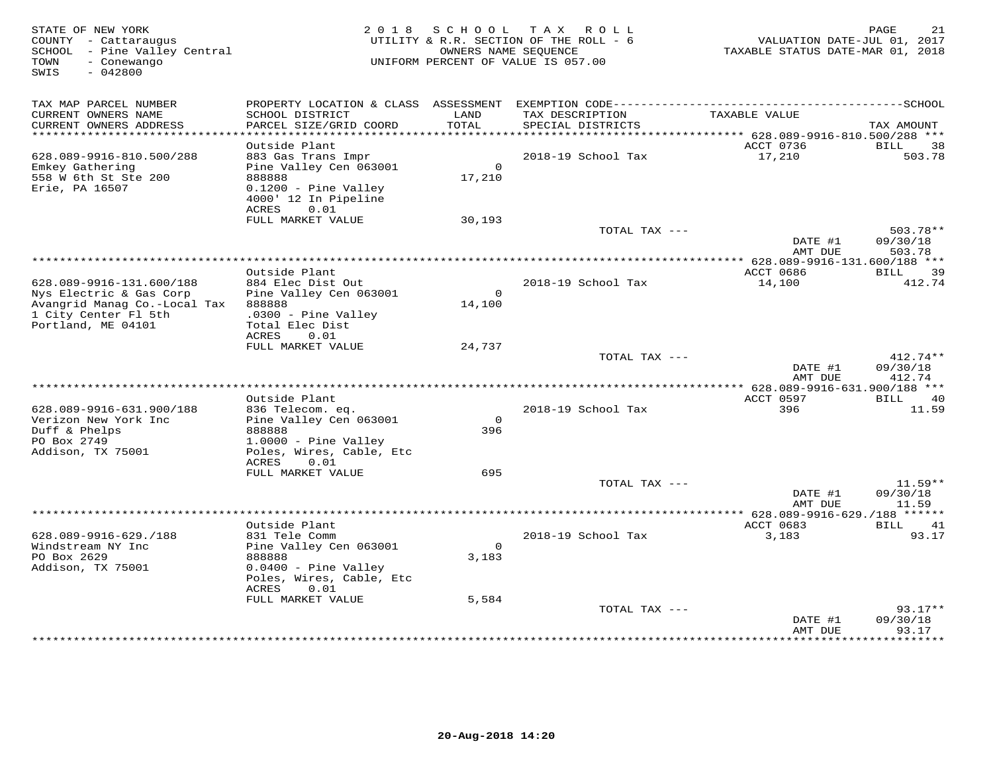| STATE OF NEW YORK<br>COUNTY - Cattaraugus<br>SCHOOL - Pine Valley Central<br>- Conewango<br>TOWN<br>$-042800$<br>SWIS |                                                                                |                    | 2018 SCHOOL TAX ROLL<br>UTILITY & R.R. SECTION OF THE ROLL - 6<br>OWNERS NAME SEQUENCE<br>UNIFORM PERCENT OF VALUE IS 057.00 | VALUATION DATE-JUL 01, 2017<br>TAXABLE STATUS DATE-MAR 01, 2018 | PAGE<br>21             |
|-----------------------------------------------------------------------------------------------------------------------|--------------------------------------------------------------------------------|--------------------|------------------------------------------------------------------------------------------------------------------------------|-----------------------------------------------------------------|------------------------|
| TAX MAP PARCEL NUMBER                                                                                                 |                                                                                |                    |                                                                                                                              |                                                                 |                        |
| CURRENT OWNERS NAME<br>CURRENT OWNERS ADDRESS                                                                         | SCHOOL DISTRICT<br>PARCEL SIZE/GRID COORD                                      | LAND<br>TOTAL      | TAX DESCRIPTION<br>SPECIAL DISTRICTS                                                                                         | TAXABLE VALUE                                                   | TAX AMOUNT             |
| **************************                                                                                            |                                                                                |                    |                                                                                                                              |                                                                 |                        |
|                                                                                                                       | Outside Plant                                                                  |                    |                                                                                                                              | ACCT 0736                                                       | <b>BILL</b><br>38      |
| 628.089-9916-810.500/288<br>Emkey Gathering<br>558 W 6th St Ste 200<br>Erie, PA 16507                                 | 883 Gas Trans Impr<br>Pine Valley Cen 063001<br>888888<br>0.1200 - Pine Valley | $\Omega$<br>17,210 | 2018-19 School Tax                                                                                                           | 17,210                                                          | 503.78                 |
|                                                                                                                       | 4000' 12 In Pipeline<br>0.01<br>ACRES                                          |                    |                                                                                                                              |                                                                 |                        |
|                                                                                                                       | FULL MARKET VALUE                                                              | 30,193             |                                                                                                                              |                                                                 |                        |
|                                                                                                                       |                                                                                |                    | TOTAL TAX ---                                                                                                                | DATE #1<br>AMT DUE                                              | $503.78**$<br>09/30/18 |
| ******************************                                                                                        |                                                                                |                    |                                                                                                                              |                                                                 | 503.78                 |
|                                                                                                                       | Outside Plant                                                                  |                    |                                                                                                                              | ACCT 0686                                                       | BILL<br>39             |
| 628.089-9916-131.600/188                                                                                              | 884 Elec Dist Out                                                              |                    | 2018-19 School Tax                                                                                                           | 14,100                                                          | 412.74                 |
| Nys Electric & Gas Corp                                                                                               | Pine Valley Cen 063001                                                         | $\circ$            |                                                                                                                              |                                                                 |                        |
| Avangrid Manag Co.-Local Tax<br>1 City Center Fl 5th                                                                  | 888888<br>$.0300 -$ Pine Valley                                                | 14,100             |                                                                                                                              |                                                                 |                        |
| Portland, ME 04101                                                                                                    | Total Elec Dist                                                                |                    |                                                                                                                              |                                                                 |                        |
|                                                                                                                       | ACRES<br>0.01                                                                  |                    |                                                                                                                              |                                                                 |                        |
|                                                                                                                       | FULL MARKET VALUE                                                              | 24,737             | TOTAL TAX ---                                                                                                                |                                                                 | $412.74**$             |
|                                                                                                                       |                                                                                |                    |                                                                                                                              | DATE #1                                                         | 09/30/18               |
|                                                                                                                       |                                                                                |                    |                                                                                                                              | AMT DUE                                                         | 412.74                 |
|                                                                                                                       |                                                                                |                    |                                                                                                                              | ** $628.089 - 9916 - 631.900 / 188$ ***                         |                        |
| 628.089-9916-631.900/188                                                                                              | Outside Plant<br>836 Telecom. eq.                                              |                    | 2018-19 School Tax                                                                                                           | ACCT 0597<br>396                                                | BILL 40<br>11.59       |
| Verizon New York Inc                                                                                                  | Pine Valley Cen 063001                                                         | $\overline{0}$     |                                                                                                                              |                                                                 |                        |
| Duff & Phelps                                                                                                         | 888888                                                                         | 396                |                                                                                                                              |                                                                 |                        |
| PO Box 2749<br>Addison, TX 75001                                                                                      | $1.0000 -$ Pine Valley<br>Poles, Wires, Cable, Etc                             |                    |                                                                                                                              |                                                                 |                        |
|                                                                                                                       | ACRES<br>0.01                                                                  |                    |                                                                                                                              |                                                                 |                        |
|                                                                                                                       | FULL MARKET VALUE                                                              | 695                |                                                                                                                              |                                                                 |                        |
|                                                                                                                       |                                                                                |                    | TOTAL TAX ---                                                                                                                |                                                                 | $11.59**$              |
|                                                                                                                       |                                                                                |                    |                                                                                                                              | DATE #1<br>AMT DUE                                              | 09/30/18<br>11.59      |
|                                                                                                                       |                                                                                |                    |                                                                                                                              |                                                                 |                        |
|                                                                                                                       | Outside Plant                                                                  |                    |                                                                                                                              | ACCT 0683                                                       | 41<br>BILL             |
| 628.089-9916-629./188                                                                                                 | 831 Tele Comm                                                                  |                    | 2018-19 School Tax                                                                                                           | 3,183                                                           | 93.17                  |
| Windstream NY Inc<br>PO Box 2629                                                                                      | Pine Valley Cen 063001<br>888888                                               | $\circ$<br>3,183   |                                                                                                                              |                                                                 |                        |
| Addison, TX 75001                                                                                                     | $0.0400$ - Pine Valley                                                         |                    |                                                                                                                              |                                                                 |                        |
|                                                                                                                       | Poles, Wires, Cable, Etc<br>ACRES<br>0.01                                      |                    |                                                                                                                              |                                                                 |                        |
|                                                                                                                       | FULL MARKET VALUE                                                              | 5,584              |                                                                                                                              |                                                                 |                        |
|                                                                                                                       |                                                                                |                    | TOTAL TAX ---                                                                                                                | DATE #1                                                         | $93.17**$<br>09/30/18  |
|                                                                                                                       |                                                                                |                    |                                                                                                                              | AMT DUE                                                         | 93.17                  |
|                                                                                                                       |                                                                                |                    |                                                                                                                              |                                                                 | * * * * * * * *        |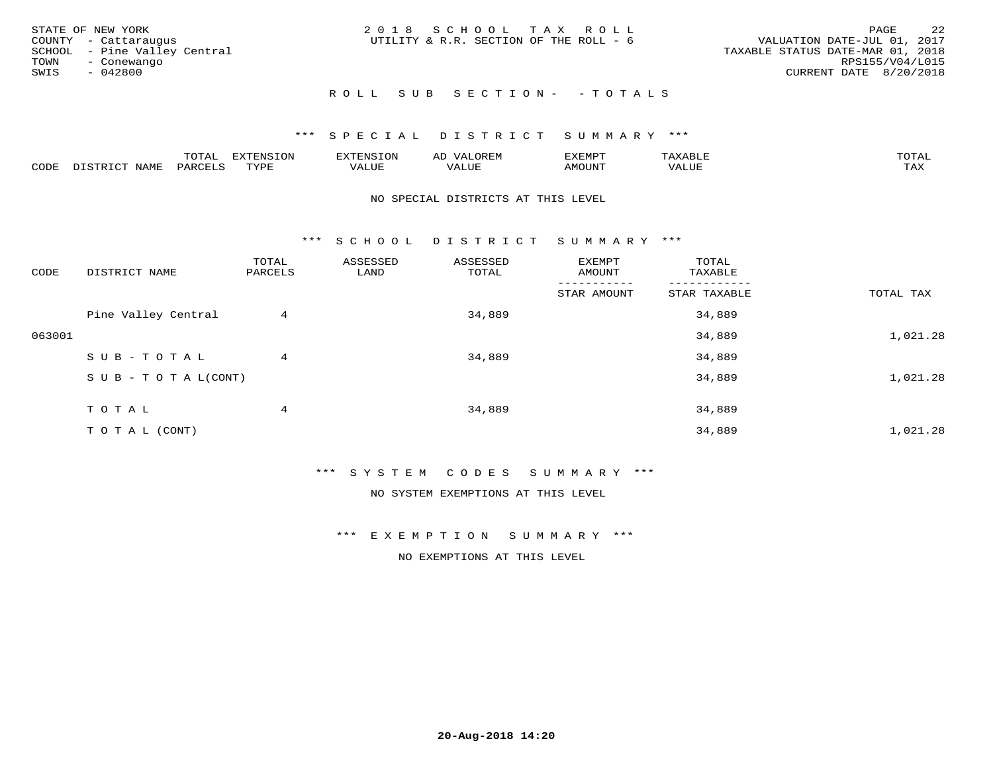| STATE OF NEW YORK<br>COUNTY - Cattaraugus<br>SCHOOL - Pine Valley Central<br>TOWN<br>- Conewango<br>SWIS<br>- 042800 | 2018 SCHOOL TAX ROLL<br>UTILITY & R.R. SECTION OF THE ROLL - 6 | 2.2<br>PAGE<br>VALUATION DATE-JUL 01, 2017<br>TAXABLE STATUS DATE-MAR 01, 2018<br>RPS155/V04/L015<br>CURRENT DATE 8/20/2018 |
|----------------------------------------------------------------------------------------------------------------------|----------------------------------------------------------------|-----------------------------------------------------------------------------------------------------------------------------|
|                                                                                                                      | ROLL SUB SECTION- - TOTALS                                     |                                                                                                                             |

|                         |      | m^m |      | 'NT C     |           | ∟ו∨ו          |              |                        |
|-------------------------|------|-----|------|-----------|-----------|---------------|--------------|------------------------|
| $\bigcap_{\Pi}$<br>◡◡◡ュ | мдмь |     | TVDF | ۳۰ تاللاد | $- - - -$ | 550T<br>IUUN. | ALUE<br>77 T | $m \times r$<br>- − 14 |

#### NO SPECIAL DISTRICTS AT THIS LEVEL

\*\*\* S C H O O L D I S T R I C T S U M M A R Y \*\*\*

| CODE   | DISTRICT NAME                    | TOTAL<br>PARCELS | ASSESSED<br>LAND | ASSESSED<br>TOTAL | EXEMPT<br>AMOUNT | TOTAL<br>TAXABLE |           |
|--------|----------------------------------|------------------|------------------|-------------------|------------------|------------------|-----------|
|        |                                  |                  |                  |                   | STAR AMOUNT      | STAR TAXABLE     | TOTAL TAX |
|        | Pine Valley Central              | 4                |                  | 34,889            |                  | 34,889           |           |
| 063001 |                                  |                  |                  |                   |                  | 34,889           | 1,021.28  |
|        | SUB-TOTAL                        | 4                |                  | 34,889            |                  | 34,889           |           |
|        | $S \cup B - T \cup T A L (CONT)$ |                  |                  |                   |                  | 34,889           | 1,021.28  |
|        | TOTAL                            | 4                |                  | 34,889            |                  | 34,889           |           |
|        | T O T A L (CONT)                 |                  |                  |                   |                  | 34,889           | 1,021.28  |

\*\*\* S Y S T E M C O D E S S U M M A R Y \*\*\*

NO SYSTEM EXEMPTIONS AT THIS LEVEL

\*\*\* E X E M P T I O N S U M M A R Y \*\*\*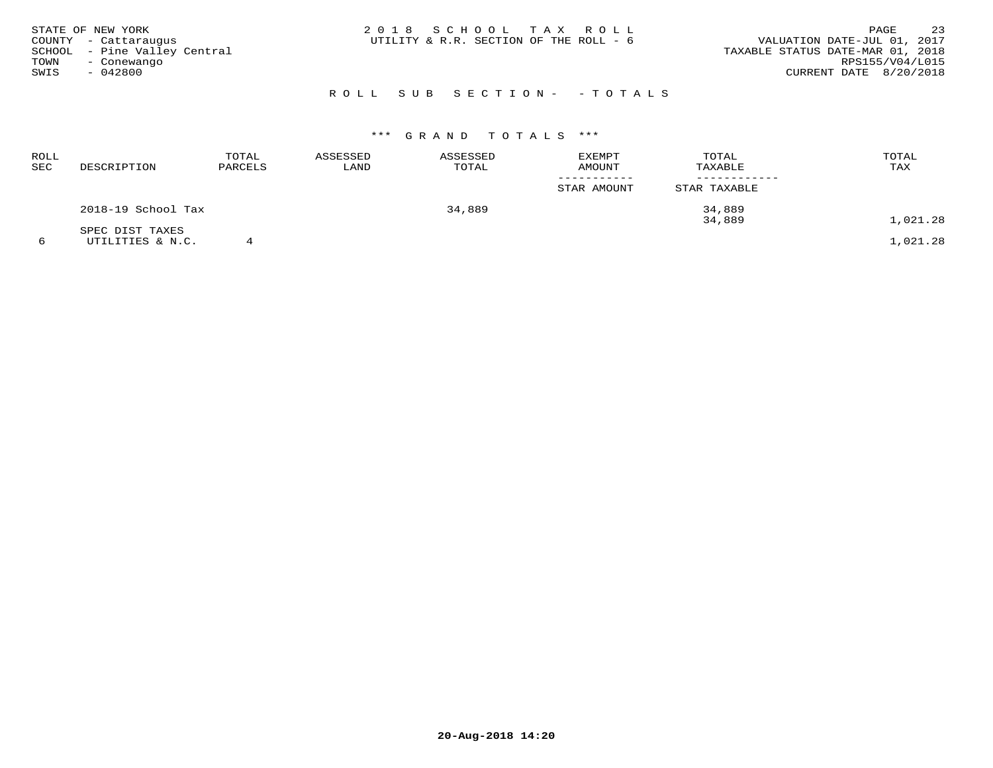| STATE OF NEW YORK<br>COUNTY - Cattaraugus<br>SCHOOL - Pine Valley Central<br>TOWN<br>- Conewango<br>SWIS<br>$-042800$ | 2018 SCHOOL TAX ROLL<br>UTILITY & R.R. SECTION OF THE ROLL - 6 | 23<br>PAGE<br>VALUATION DATE-JUL 01, 2017<br>TAXABLE STATUS DATE-MAR 01, 2018<br>RPS155/V04/L015<br>CURRENT DATE 8/20/2018 |
|-----------------------------------------------------------------------------------------------------------------------|----------------------------------------------------------------|----------------------------------------------------------------------------------------------------------------------------|
|                                                                                                                       | ROLL SUB SECTION- - TOTALS                                     |                                                                                                                            |

| ROLL<br><b>SEC</b> | DESCRIPTION        | TOTAL<br>PARCELS | ASSESSED<br>LAND | ASSESSED<br>TOTAL | <b>EXEMPT</b><br><b>AMOUNT</b> | TOTAL<br>TAXABLE | TOTAL<br>TAX |
|--------------------|--------------------|------------------|------------------|-------------------|--------------------------------|------------------|--------------|
|                    |                    |                  |                  |                   | STAR AMOUNT                    | STAR TAXABLE     |              |
|                    | 2018-19 School Tax |                  |                  | 34,889            |                                | 34,889           |              |
|                    | SPEC DIST TAXES    |                  |                  |                   |                                | 34,889           | 1,021.28     |
|                    | UTILITIES & N.C.   |                  |                  |                   |                                |                  | 1,021.28     |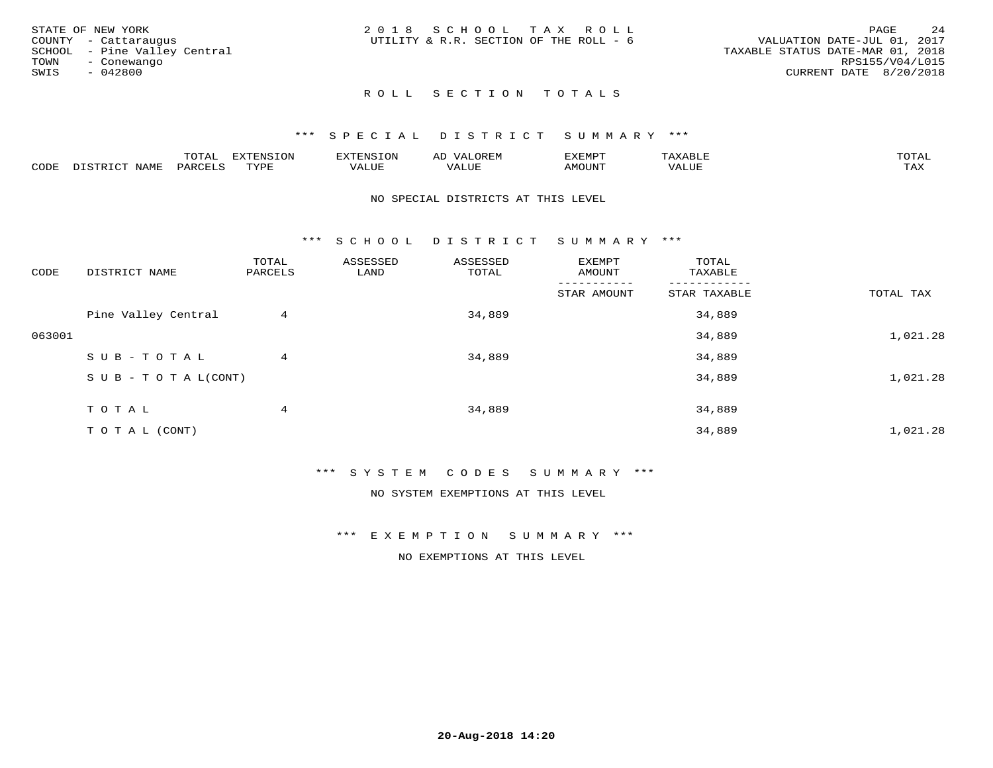|      | STATE OF NEW YORK            | 2018 SCHOOL TAX ROLL                   |  |  |                                  |                 | PAGE | 24 |
|------|------------------------------|----------------------------------------|--|--|----------------------------------|-----------------|------|----|
|      | COUNTY - Cattaraugus         | UTILITY & R.R. SECTION OF THE ROLL - 6 |  |  | VALUATION DATE-JUL 01, 2017      |                 |      |    |
|      | SCHOOL - Pine Valley Central |                                        |  |  | TAXABLE STATUS DATE-MAR 01, 2018 |                 |      |    |
| TOWN | - Conewango                  |                                        |  |  |                                  | RPS155/V04/L015 |      |    |
| SWIS | $-042800$                    |                                        |  |  | CURRENT DATE 8/20/2018           |                 |      |    |
|      |                              |                                        |  |  |                                  |                 |      |    |

### \*\*\* S P E C I A L D I S T R I C T S U M M A R Y \*\*\*

|      |                          | momn.<br>LUIAL     | <b>EXTENSION</b> | $117$ mm $170707$<br>אי | ΑD<br>.JREN      | 33773850<br>ivi D'<br>ניומיום בי | $max$ and $max$ | $m \wedge m \wedge n$ |
|------|--------------------------|--------------------|------------------|-------------------------|------------------|----------------------------------|-----------------|-----------------------|
| CODE | <b>NAME</b><br>DISTO TOT | PARCE <sup>T</sup> | TVDF             | VALUE                   | -- - ---<br>ALUE | TUUOM4                           | VALUE           | <b>TAY</b><br>⊥⇔∆     |

#### NO SPECIAL DISTRICTS AT THIS LEVEL

\*\*\* S C H O O L D I S T R I C T S U M M A R Y \*\*\*

| CODE   | DISTRICT NAME                    | TOTAL<br>PARCELS | ASSESSED<br>LAND | ASSESSED<br>TOTAL | EXEMPT<br>AMOUNT | TOTAL<br>TAXABLE |           |
|--------|----------------------------------|------------------|------------------|-------------------|------------------|------------------|-----------|
|        |                                  |                  |                  |                   | STAR AMOUNT      | STAR TAXABLE     | TOTAL TAX |
|        | Pine Valley Central              | 4                |                  | 34,889            |                  | 34,889           |           |
| 063001 |                                  |                  |                  |                   |                  | 34,889           | 1,021.28  |
|        | SUB-TOTAL                        | 4                |                  | 34,889            |                  | 34,889           |           |
|        | $S \cup B - T \cup T A L (CONT)$ |                  |                  |                   |                  | 34,889           | 1,021.28  |
|        | TOTAL                            | 4                |                  | 34,889            |                  | 34,889           |           |
|        | TO TAL (CONT)                    |                  |                  |                   |                  | 34,889           | 1,021.28  |

\*\*\* S Y S T E M C O D E S S U M M A R Y \*\*\*

NO SYSTEM EXEMPTIONS AT THIS LEVEL

\*\*\* E X E M P T I O N S U M M A R Y \*\*\*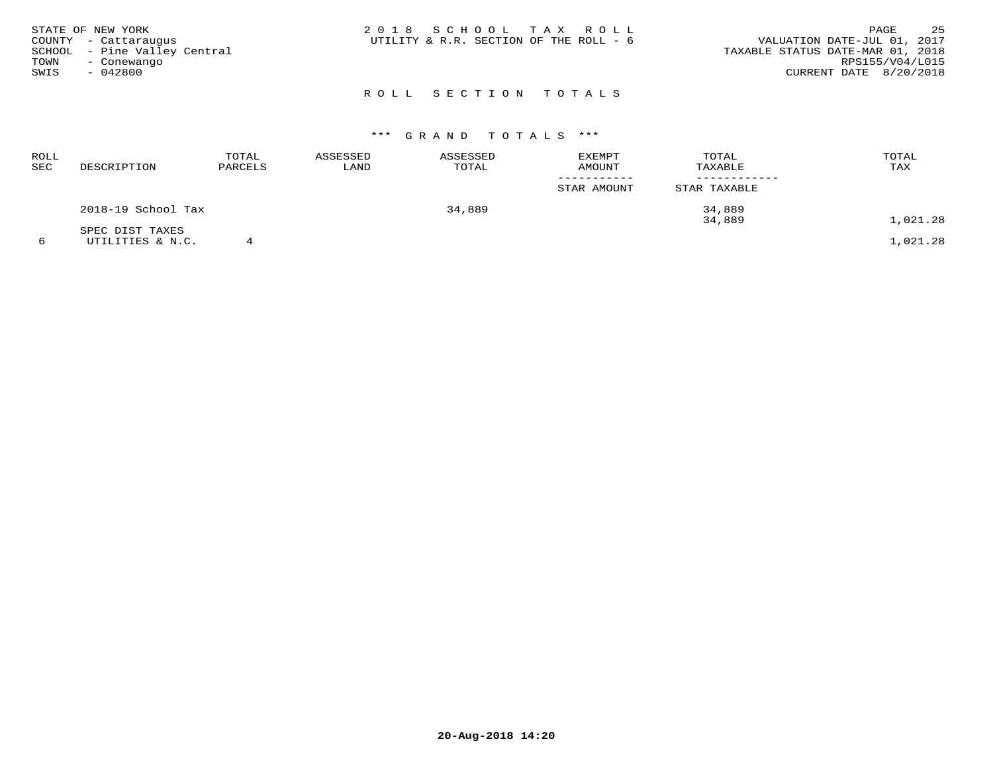| STATE OF NEW YORK<br>COUNTY - Cattaraugus<br>SCHOOL - Pine Valley Central<br>TOWN<br>- Conewango<br>SWIS<br>- 042800 |  | 2018 SCHOOL TAX ROLL<br>UTILITY & R.R. SECTION OF THE ROLL - 6 |  | VALUATION DATE-JUL 01, 2017<br>TAXABLE STATUS DATE-MAR 01, 2018<br>CURRENT DATE 8/20/2018 | PAGE<br>RPS155/V04/L015 | 25 |
|----------------------------------------------------------------------------------------------------------------------|--|----------------------------------------------------------------|--|-------------------------------------------------------------------------------------------|-------------------------|----|
|                                                                                                                      |  | ROLL SECTION TOTALS                                            |  |                                                                                           |                         |    |

| ROLL<br>SEC | DESCRIPTION        | TOTAL<br>PARCELS | ASSESSED<br>LAND | ASSESSED<br>TOTAL | EXEMPT<br><b>AMOUNT</b> | TOTAL<br>TAXABLE | TOTAL<br>TAX |
|-------------|--------------------|------------------|------------------|-------------------|-------------------------|------------------|--------------|
|             |                    |                  |                  |                   | STAR AMOUNT             | STAR TAXABLE     |              |
|             | 2018-19 School Tax |                  |                  | 34,889            |                         | 34,889<br>34,889 | 1,021.28     |
|             | SPEC DIST TAXES    |                  |                  |                   |                         |                  |              |
|             | UTILITIES & N.C.   |                  |                  |                   |                         |                  | 1,021.28     |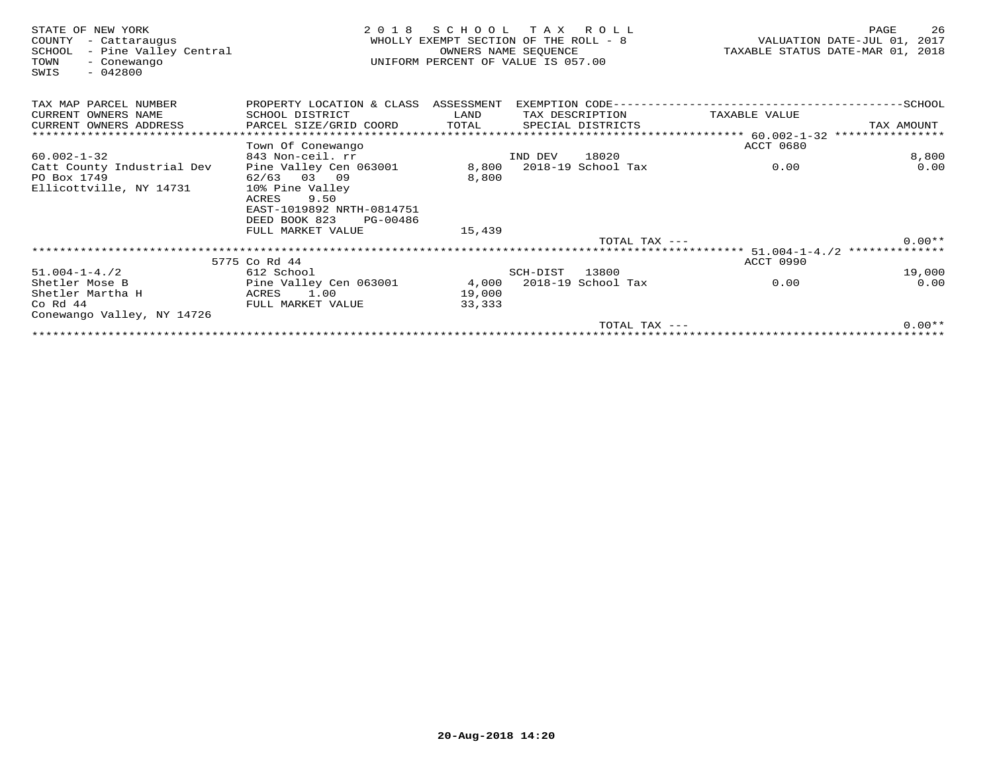| STATE OF NEW YORK<br>COUNTY<br>- Cattaraugus<br>- Pine Valley Central<br>SCHOOL<br>TOWN<br>- Conewango<br>$-042800$<br>SWIS | 2 0 1 8                                                | SCHOOL<br>TAX ROLL<br>WHOLLY EXEMPT SECTION OF THE ROLL - 8<br>OWNERS NAME SEQUENCE<br>UNIFORM PERCENT OF VALUE IS 057.00 |          |                    |                  | 26<br>PAGE<br>VALUATION DATE-JUL 01, 2017<br>TAXABLE STATUS DATE-MAR 01, 2018 |
|-----------------------------------------------------------------------------------------------------------------------------|--------------------------------------------------------|---------------------------------------------------------------------------------------------------------------------------|----------|--------------------|------------------|-------------------------------------------------------------------------------|
| TAX MAP PARCEL NUMBER                                                                                                       | PROPERTY LOCATION & CLASS ASSESSMENT                   |                                                                                                                           |          |                    |                  |                                                                               |
| CURRENT OWNERS NAME                                                                                                         | SCHOOL DISTRICT                                        | LAND                                                                                                                      |          | TAX DESCRIPTION    | TAXABLE VALUE    |                                                                               |
| CURRENT OWNERS ADDRESS                                                                                                      | PARCEL SIZE/GRID COORD                                 | TOTAL                                                                                                                     |          | SPECIAL DISTRICTS  |                  | TAX AMOUNT                                                                    |
|                                                                                                                             |                                                        |                                                                                                                           |          |                    |                  |                                                                               |
|                                                                                                                             | Town Of Conewango                                      |                                                                                                                           |          |                    | <b>ACCT 0680</b> |                                                                               |
| $60.002 - 1 - 32$                                                                                                           | 843 Non-ceil. rr                                       |                                                                                                                           | IND DEV  | 18020              |                  | 8,800                                                                         |
| Catt County Industrial Dev                                                                                                  | Pine Valley Cen 063001                                 | 8,800                                                                                                                     |          | 2018-19 School Tax | 0.00             | 0.00                                                                          |
| PO Box 1749                                                                                                                 | 62/63 03 09                                            | 8,800                                                                                                                     |          |                    |                  |                                                                               |
| Ellicottville, NY 14731                                                                                                     | 10% Pine Valley                                        |                                                                                                                           |          |                    |                  |                                                                               |
|                                                                                                                             | 9.50<br>ACRES                                          |                                                                                                                           |          |                    |                  |                                                                               |
|                                                                                                                             | EAST-1019892 NRTH-0814751<br>DEED BOOK 823<br>PG-00486 |                                                                                                                           |          |                    |                  |                                                                               |
|                                                                                                                             | FULL MARKET VALUE                                      | 15,439                                                                                                                    |          |                    |                  |                                                                               |
|                                                                                                                             |                                                        |                                                                                                                           |          | TOTAL TAX $---$    |                  | $0.00**$                                                                      |
|                                                                                                                             |                                                        |                                                                                                                           |          |                    |                  |                                                                               |
|                                                                                                                             | 5775 Co Rd 44                                          |                                                                                                                           |          |                    | ACCT 0990        |                                                                               |
| $51.004 - 1 - 4.72$                                                                                                         | 612 School                                             |                                                                                                                           | SCH-DIST | 13800              |                  | 19,000                                                                        |
| Shetler Mose B                                                                                                              | Pine Valley Cen 063001                                 | 4,000 2018-19 School Tax                                                                                                  |          |                    | 0.00             | 0.00                                                                          |
| Shetler Martha H                                                                                                            | 1.00<br>ACRES                                          | 19,000                                                                                                                    |          |                    |                  |                                                                               |
| Co Rd 44                                                                                                                    | FULL MARKET VALUE                                      | 33,333                                                                                                                    |          |                    |                  |                                                                               |
| Conewango Valley, NY 14726                                                                                                  |                                                        |                                                                                                                           |          |                    |                  |                                                                               |
|                                                                                                                             |                                                        |                                                                                                                           |          | TOTAL TAX $---$    |                  | $0.00**$                                                                      |
|                                                                                                                             |                                                        |                                                                                                                           |          |                    |                  |                                                                               |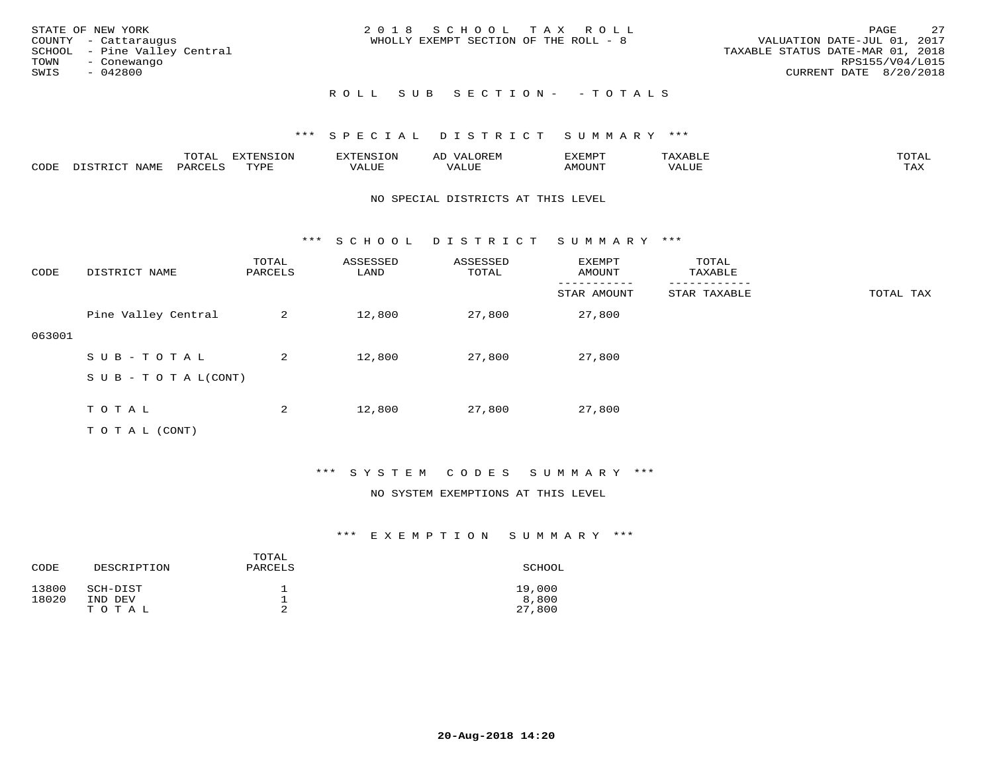| STATE OF NEW YORK<br>COUNTY - Cattaraugus<br>SCHOOL - Pine Valley Central<br>TOWN<br>- Conewango<br>SWIS<br>- 042800 | 2018 SCHOOL TAX ROLL<br>WHOLLY EXEMPT SECTION OF THE ROLL - 8 | 2.7<br>PAGE<br>VALUATION DATE-JUL 01, 2017<br>TAXABLE STATUS DATE-MAR 01, 2018<br>RPS155/V04/L015<br>CURRENT DATE 8/20/2018 |
|----------------------------------------------------------------------------------------------------------------------|---------------------------------------------------------------|-----------------------------------------------------------------------------------------------------------------------------|
|                                                                                                                      | ROLL SUB SECTION- - TOTALS                                    |                                                                                                                             |

|      |      | $m \wedge m \wedge n$<br>⊥∪⊥AL | <b>DIZPOILIC TOM</b><br>⊥ບ⊥ | EN.  | .<br>AL'<br>٠، تن ١٠ | 5773570      |          | $m \wedge m \wedge n$<br>$\mathsf{L}^{\mathsf{L}}$ |
|------|------|--------------------------------|-----------------------------|------|----------------------|--------------|----------|----------------------------------------------------|
| CODE | NAMF | PARO                           | TVDF<br><u>ـ د د</u>        | ALUE |                      | <b>MOUNT</b> | 7 A LU B | may<br>- ∠∡∡                                       |

#### NO SPECIAL DISTRICTS AT THIS LEVEL

\*\*\* S C H O O L D I S T R I C T S U M M A R Y \*\*\*

| CODE   | DISTRICT NAME                    | TOTAL<br>PARCELS | ASSESSED<br>LAND | ASSESSED<br>TOTAL | EXEMPT<br>AMOUNT | TOTAL<br>TAXABLE |           |
|--------|----------------------------------|------------------|------------------|-------------------|------------------|------------------|-----------|
|        |                                  |                  |                  |                   | STAR AMOUNT      | STAR TAXABLE     | TOTAL TAX |
|        | Pine Valley Central              | 2                | 12,800           | 27,800            | 27,800           |                  |           |
| 063001 |                                  |                  |                  |                   |                  |                  |           |
|        | SUB-TOTAL                        | 2                | 12,800           | 27,800            | 27,800           |                  |           |
|        | $S \cup B - T \cup T A L (CONT)$ |                  |                  |                   |                  |                  |           |
|        |                                  |                  |                  |                   |                  |                  |           |
|        | TOTAL                            | 2                | 12,800           | 27,800            | 27,800           |                  |           |
|        | T O T A L (CONT)                 |                  |                  |                   |                  |                  |           |

## \*\*\* S Y S T E M C O D E S S U M M A R Y \*\*\*

#### NO SYSTEM EXEMPTIONS AT THIS LEVEL

| CODE           | DESCRIPTION         | TOTAL<br>PARCELS | SCHOOL          |
|----------------|---------------------|------------------|-----------------|
| 13800<br>18020 | SCH-DIST<br>IND DEV |                  | 19,000<br>8,800 |
|                | TOTAL               |                  | 27,800          |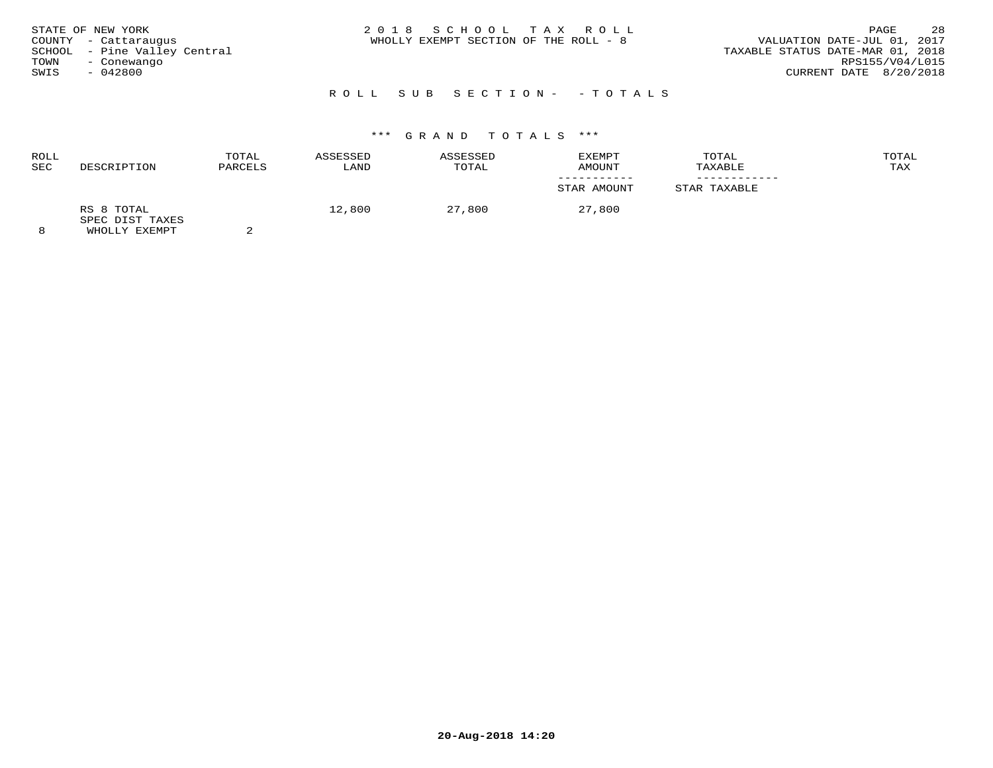| STATE OF NEW YORK<br>COUNTY - Cattaraugus<br>SCHOOL - Pine Valley Central<br>TOWN<br>- Conewango<br>SWIS<br>$-042800$ | 2018 SCHOOL TAX ROLL<br>WHOLLY EXEMPT SECTION OF THE ROLL - 8 | 28<br>PAGE<br>VALUATION DATE-JUL 01, 2017<br>TAXABLE STATUS DATE-MAR 01, 2018<br>RPS155/V04/L015<br>CURRENT DATE 8/20/2018 |
|-----------------------------------------------------------------------------------------------------------------------|---------------------------------------------------------------|----------------------------------------------------------------------------------------------------------------------------|
|                                                                                                                       | ROLL SUB SECTION- - TOTALS                                    |                                                                                                                            |

| <b>ROLL</b><br><b>SEC</b> | DESCRIPTION                                    | TOTAL<br>PARCELS | ASSESSED<br>LAND | ASSESSED<br>TOTAL | EXEMPT<br>AMOUNT | TOTAL<br>TAXABLE | TOTAL<br>TAX |
|---------------------------|------------------------------------------------|------------------|------------------|-------------------|------------------|------------------|--------------|
|                           |                                                |                  |                  |                   | STAR AMOUNT      | STAR TAXABLE     |              |
|                           | RS 8 TOTAL<br>SPEC DIST TAXES<br>WHOLLY EXEMPT |                  | 12,800           | 27,800            | 27,800           |                  |              |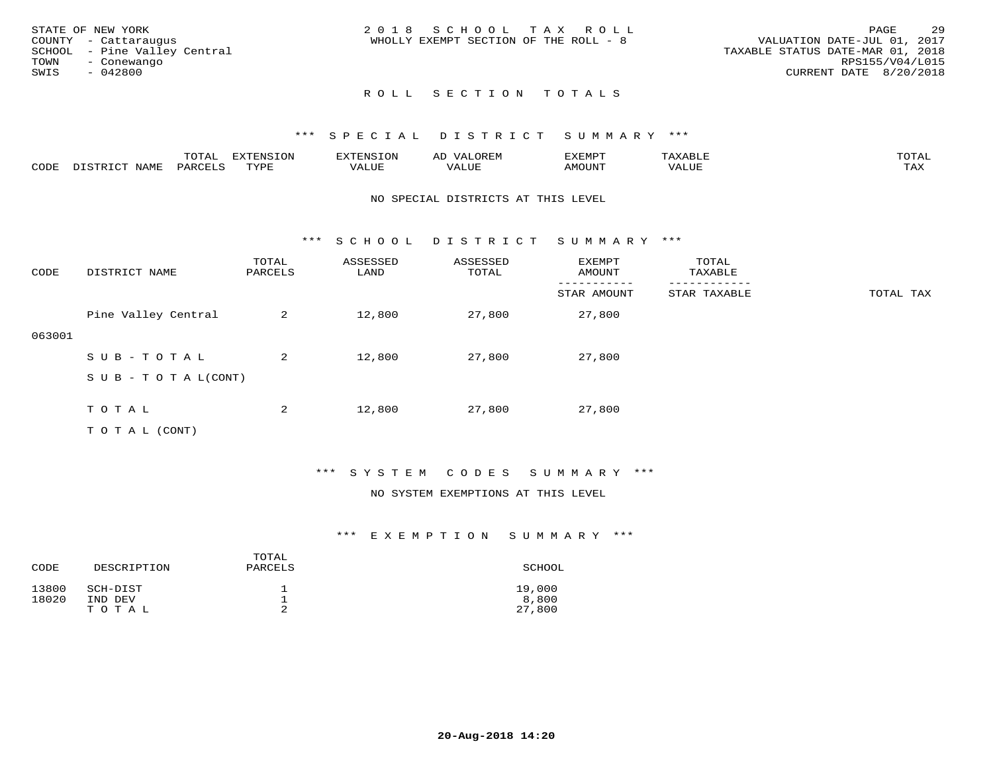|      | STATE OF NEW YORK            | 2018 SCHOOL TAX ROLL                                                 | PAGE            | 29 |
|------|------------------------------|----------------------------------------------------------------------|-----------------|----|
|      | COUNTY - Cattaraugus         | VALUATION DATE-JUL 01, 2017<br>WHOLLY EXEMPT SECTION OF THE ROLL - 8 |                 |    |
|      | SCHOOL - Pine Valley Central | TAXABLE STATUS DATE-MAR 01, 2018                                     |                 |    |
| TOWN | - Conewango                  |                                                                      | RPS155/V04/L015 |    |
| SWIS | - 042800                     | CURRENT DATE 8/20/2018                                               |                 |    |
|      |                              |                                                                      |                 |    |

### \*\*\* S P E C I A L D I S T R I C T S U M M A R Y \*\*\*

|      |                  | TOTAL   | <b>EXTENSION</b> | EXTENSION | OREM<br>ΑD | EXEMPT |       | TOTAI |
|------|------------------|---------|------------------|-----------|------------|--------|-------|-------|
| CODE | NAME<br>DICTDICT | PARCELS | TYPE             | VALUE     | VALUE      | AMOUNT | VALUE | TAX   |

#### NO SPECIAL DISTRICTS AT THIS LEVEL

\*\*\* S C H O O L D I S T R I C T S U M M A R Y \*\*\*

| CODE   | DISTRICT NAME                    | TOTAL<br>PARCELS | ASSESSED<br>LAND | ASSESSED<br>TOTAL | EXEMPT<br>AMOUNT | TOTAL<br>TAXABLE |           |
|--------|----------------------------------|------------------|------------------|-------------------|------------------|------------------|-----------|
|        |                                  |                  |                  |                   | STAR AMOUNT      | STAR TAXABLE     | TOTAL TAX |
|        | Pine Valley Central              | 2                | 12,800           | 27,800            | 27,800           |                  |           |
| 063001 |                                  |                  |                  |                   |                  |                  |           |
|        | SUB-TOTAL                        | 2                | 12,800           | 27,800            | 27,800           |                  |           |
|        | $S \cup B - T \cup T A L (CONT)$ |                  |                  |                   |                  |                  |           |
|        |                                  |                  |                  |                   |                  |                  |           |
|        | TOTAL                            | 2                | 12,800           | 27,800            | 27,800           |                  |           |
|        | T O T A L (CONT)                 |                  |                  |                   |                  |                  |           |

## \*\*\* S Y S T E M C O D E S S U M M A R Y \*\*\*

#### NO SYSTEM EXEMPTIONS AT THIS LEVEL

| CODE           | DESCRIPTION         | TOTAL<br>PARCELS | SCHOOL          |
|----------------|---------------------|------------------|-----------------|
| 13800<br>18020 | SCH-DIST<br>IND DEV | ᅩ                | 19,000<br>8,800 |
|                | TOTAL               | ∠                | 27,800          |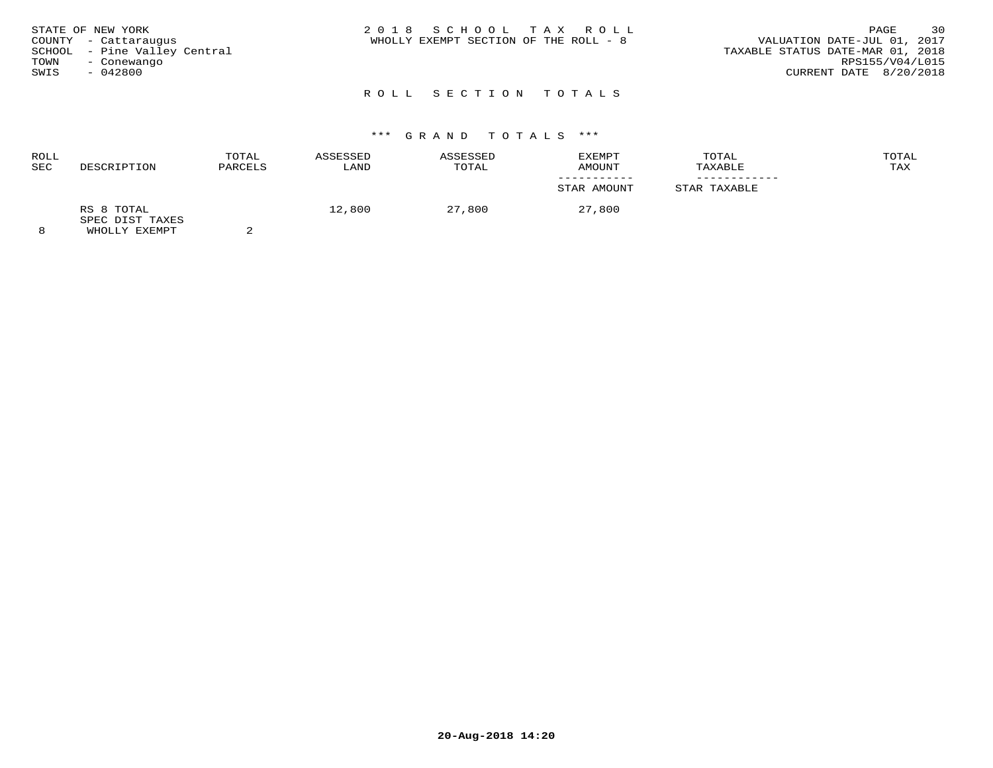| STATE OF NEW YORK<br>COUNTY - Cattaraugus<br>SCHOOL - Pine Valley Central<br>TOWN<br>- Conewango<br>SWIS<br>$-042800$ | 2018 SCHOOL TAX ROLL<br>WHOLLY EXEMPT SECTION OF THE ROLL - 8 | 30<br>PAGE<br>VALUATION DATE-JUL 01, 2017<br>TAXABLE STATUS DATE-MAR 01, 2018<br>RPS155/V04/L015<br>CURRENT DATE 8/20/2018 |
|-----------------------------------------------------------------------------------------------------------------------|---------------------------------------------------------------|----------------------------------------------------------------------------------------------------------------------------|
|                                                                                                                       |                                                               |                                                                                                                            |

# \*\*\* G R A N D T O T A L S \*\*\*

| <b>ROLL</b><br>SEC | DESCRIPTION                                             | TOTAL<br>PARCELS | ASSESSED<br>LAND | ASSESSED<br>TOTAL | EXEMPT<br>AMOUNT | TOTAL<br>TAXABLE | TOTAL<br>TAX |
|--------------------|---------------------------------------------------------|------------------|------------------|-------------------|------------------|------------------|--------------|
|                    |                                                         |                  |                  |                   | STAR AMOUNT      | STAR TAXABLE     |              |
| $\circ$            | RS 8 TOTAL<br>SPEC DIST TAXES<br><b>MILOT IV RYBMDP</b> |                  | 12,800           | 27,800            | 27,800           |                  |              |

8 WHOLLY EXEMPT 2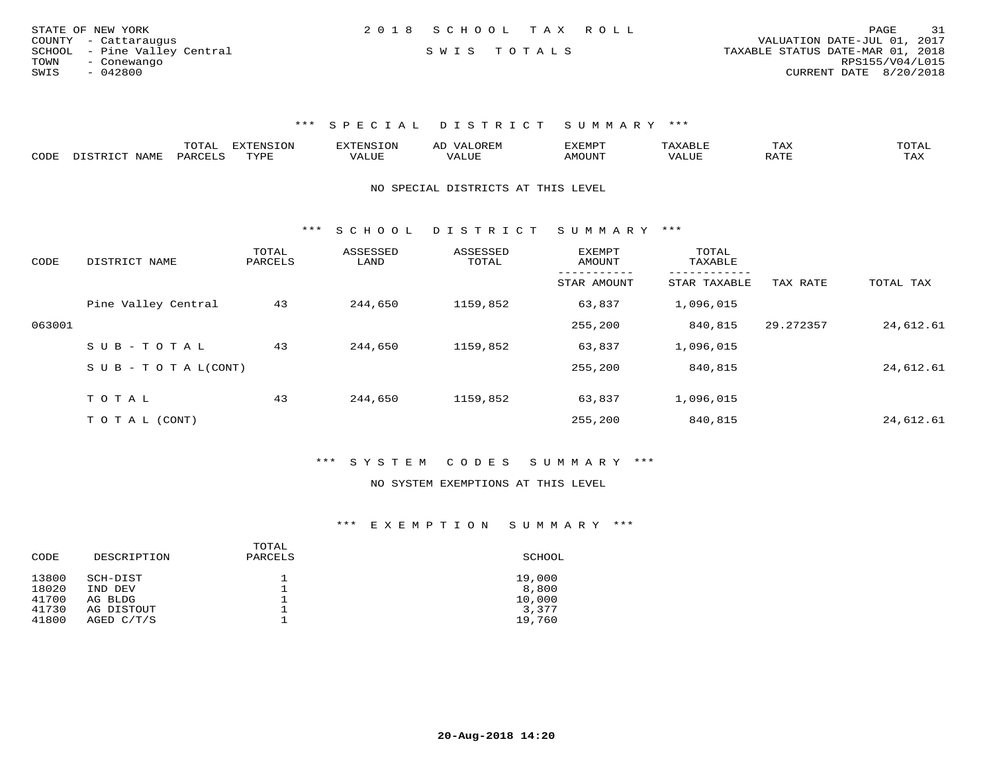| STATE OF NEW YORK    |                              | 2018 SCHOOL TAX ROLL |                                  | PAGE                        | 31 |
|----------------------|------------------------------|----------------------|----------------------------------|-----------------------------|----|
| COUNTY - Cattaraugus |                              |                      |                                  | VALUATION DATE-JUL 01, 2017 |    |
|                      | SCHOOL - Pine Valley Central | SWIS TOTALS          | TAXABLE STATUS DATE-MAR 01, 2018 |                             |    |
| TOWN<br>- Conewango  |                              |                      |                                  | RPS155/V04/L015             |    |
| SWIS<br>- 042800     |                              |                      |                                  | CURRENT DATE 8/20/2018      |    |

|      |                             | ™∩m⊼<br>UIAI | <b>EXTENSION</b> | : N.S | A <sub>1</sub> | 'XEMP. |              | ГАХ            | ◡⊥▱⊥ |
|------|-----------------------------|--------------|------------------|-------|----------------|--------|--------------|----------------|------|
| CODE | <b>NAME</b><br>תר הרוסיים " | DARCTLS      | rvdr             | ALUE  |                | 'MOUN  | <b>7ALUE</b> | 5.7.77<br>KAII | TAX  |

NO SPECIAL DISTRICTS AT THIS LEVEL

\*\*\* S C H O O L D I S T R I C T S U M M A R Y \*\*\*

| CODE   | DISTRICT NAME              | TOTAL<br>PARCELS | ASSESSED<br>LAND | ASSESSED<br>TOTAL | EXEMPT<br>AMOUNT | TOTAL<br>TAXABLE |           |           |
|--------|----------------------------|------------------|------------------|-------------------|------------------|------------------|-----------|-----------|
|        |                            |                  |                  |                   | STAR AMOUNT      | STAR TAXABLE     | TAX RATE  | TOTAL TAX |
|        | Pine Valley Central        | 43               | 244,650          | 1159,852          | 63,837           | 1,096,015        |           |           |
| 063001 |                            |                  |                  |                   | 255,200          | 840,815          | 29.272357 | 24,612.61 |
|        | $SUB - TO TAL$             | 43               | 244,650          | 1159,852          | 63,837           | 1,096,015        |           |           |
|        | S U B - T O T A $L$ (CONT) |                  |                  |                   | 255,200          | 840,815          |           | 24,612.61 |
|        | TOTAL                      | 43               | 244,650          | 1159,852          | 63,837           | 1,096,015        |           |           |
|        |                            |                  |                  |                   |                  |                  |           |           |
|        | T O T A L (CONT)           |                  |                  |                   | 255,200          | 840,815          |           | 24,612.61 |

\*\*\* S Y S T E M C O D E S S U M M A R Y \*\*\*

#### NO SYSTEM EXEMPTIONS AT THIS LEVEL

| CODE  | DESCRIPTION | TOTAL<br>PARCELS | SCHOOL |
|-------|-------------|------------------|--------|
| 13800 | SCH-DIST    | ᅩ                | 19,000 |
| 18020 | IND DEV     | ᅩ                | 8,800  |
| 41700 | AG BLDG     | ᅩ                | 10,000 |
| 41730 | AG DISTOUT  | ᅩ                | 3,377  |
| 41800 | AGED C/T/S  |                  | 19,760 |
|       |             |                  |        |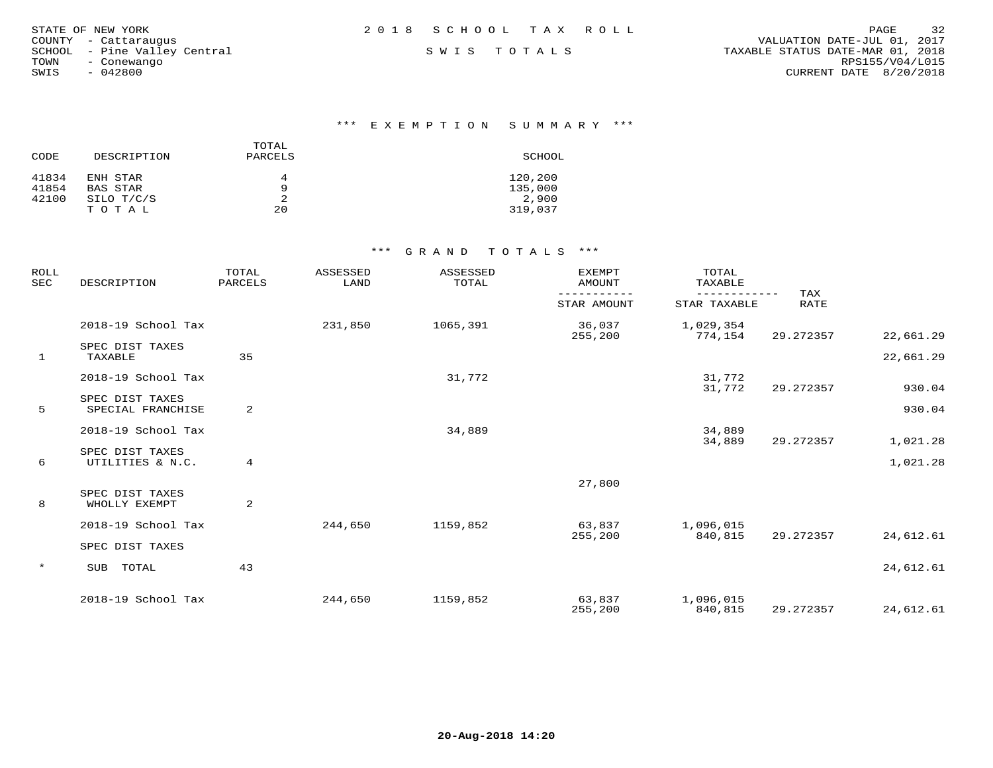| STATE OF NEW YORK            | 2018 SCHOOL TAX ROLL | 32<br>PAGE                       |
|------------------------------|----------------------|----------------------------------|
| COUNTY - Cattaraugus         |                      | VALUATION DATE-JUL 01, 2017      |
| SCHOOL - Pine Valley Central | SWIS TOTALS          | TAXABLE STATUS DATE-MAR 01, 2018 |
| TOWN<br>- Conewango          |                      | RPS155/V04/L015                  |
| 042800<br>SWIS               |                      | CURRENT DATE 8/20/2018           |
|                              |                      |                                  |

\*\*\* E X E M P T I O N S U M M A R Y \*\*\*

| CODE  | DESCRIPTION | TOTAL<br>PARCELS | SCHOOL  |
|-------|-------------|------------------|---------|
| 41834 | ENH STAR    | 4                | 120,200 |
| 41854 | BAS STAR    | 9                | 135,000 |
| 42100 | SILO T/C/S  |                  | 2,900   |
|       | TOTAL       | 20               | 319,037 |

| <b>ROLL</b><br><b>SEC</b> | DESCRIPTION                          | TOTAL<br>PARCELS | <b>ASSESSED</b><br>LAND | ASSESSED<br>TOTAL | <b>EXEMPT</b><br><b>AMOUNT</b> | TOTAL<br>TAXABLE          |             |           |
|---------------------------|--------------------------------------|------------------|-------------------------|-------------------|--------------------------------|---------------------------|-------------|-----------|
|                           |                                      |                  |                         |                   | STAR AMOUNT                    | ---------<br>STAR TAXABLE | TAX<br>RATE |           |
|                           | 2018-19 School Tax                   |                  | 231,850                 | 1065,391          | 36,037<br>255,200              | 1,029,354<br>774,154      | 29.272357   | 22,661.29 |
| 1                         | SPEC DIST TAXES<br>TAXABLE           | 35               |                         |                   |                                |                           |             | 22,661.29 |
|                           | 2018-19 School Tax                   |                  |                         | 31,772            |                                | 31,772<br>31,772          | 29.272357   | 930.04    |
| 5                         | SPEC DIST TAXES<br>SPECIAL FRANCHISE | 2                |                         |                   |                                |                           |             | 930.04    |
|                           | 2018-19 School Tax                   |                  |                         | 34,889            |                                | 34,889<br>34,889          | 29.272357   | 1,021.28  |
| 6                         | SPEC DIST TAXES<br>UTILITIES & N.C.  | $\overline{4}$   |                         |                   |                                |                           |             | 1,021.28  |
|                           |                                      |                  |                         |                   | 27,800                         |                           |             |           |
| 8                         | SPEC DIST TAXES<br>WHOLLY EXEMPT     | 2                |                         |                   |                                |                           |             |           |
|                           | 2018-19 School Tax                   |                  | 244,650                 | 1159,852          | 63,837<br>255,200              | 1,096,015<br>840,815      | 29.272357   | 24,612.61 |
|                           | SPEC DIST TAXES                      |                  |                         |                   |                                |                           |             |           |
| $\star$                   | TOTAL<br>SUB                         | 43               |                         |                   |                                |                           |             | 24,612.61 |
|                           | 2018-19 School Tax                   |                  | 244,650                 | 1159,852          | 63,837<br>255,200              | 1,096,015<br>840,815      | 29.272357   | 24,612.61 |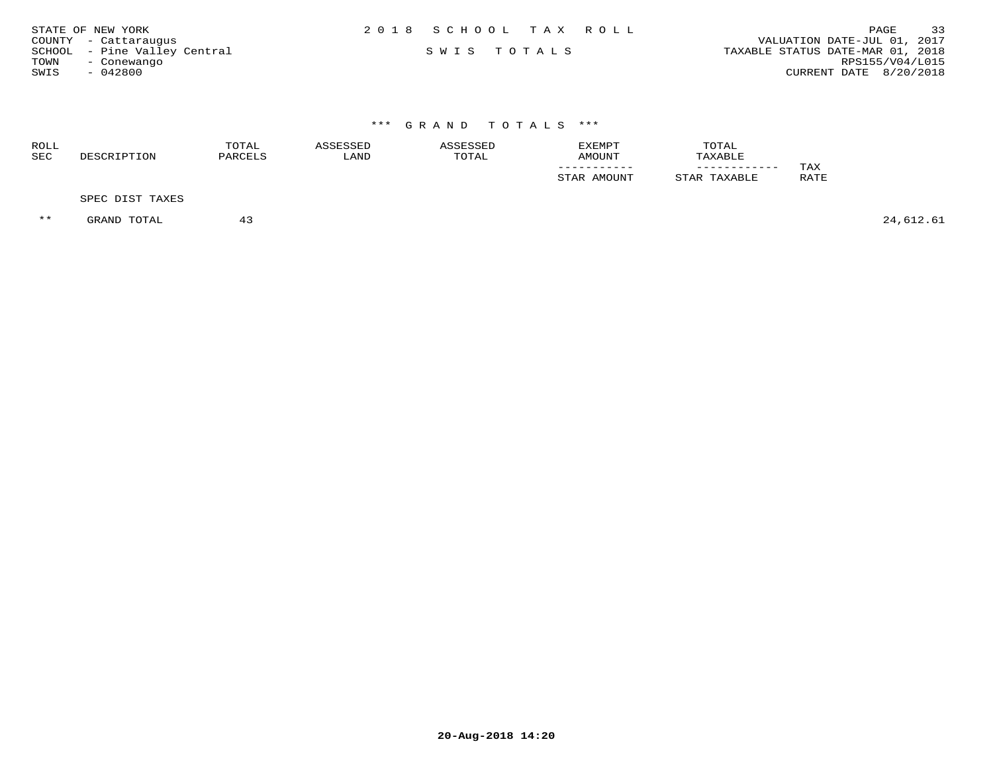| STATE OF NEW YORK            | 2018 SCHOOL TAX ROLL | 33<br>PAGE                       |
|------------------------------|----------------------|----------------------------------|
| COUNTY - Cattaraugus         |                      | VALUATION DATE-JUL 01, 2017      |
| SCHOOL - Pine Valley Central | SWIS TOTALS          | TAXABLE STATUS DATE-MAR 01, 2018 |
| TOWN<br>- Conewango          |                      | RPS155/V04/L015                  |
| $-042800$<br>SWIS            |                      | CURRENT DATE 8/20/2018           |

| ROLL<br>SEC | DESCRIPTION     | TOTAL<br>PARCELS | ASSESSED<br>LAND | ASSESSED<br>TOTAL | <b>EXEMPT</b><br>AMOUNT | TOTAL<br>TAXABLE |                    |
|-------------|-----------------|------------------|------------------|-------------------|-------------------------|------------------|--------------------|
|             |                 |                  |                  |                   | STAR AMOUNT             | STAR TAXABLE     | TAX<br><b>RATE</b> |
|             | SPEC DIST TAXES |                  |                  |                   |                         |                  |                    |

 $***$  GRAND TOTAL 43 43 44,612.61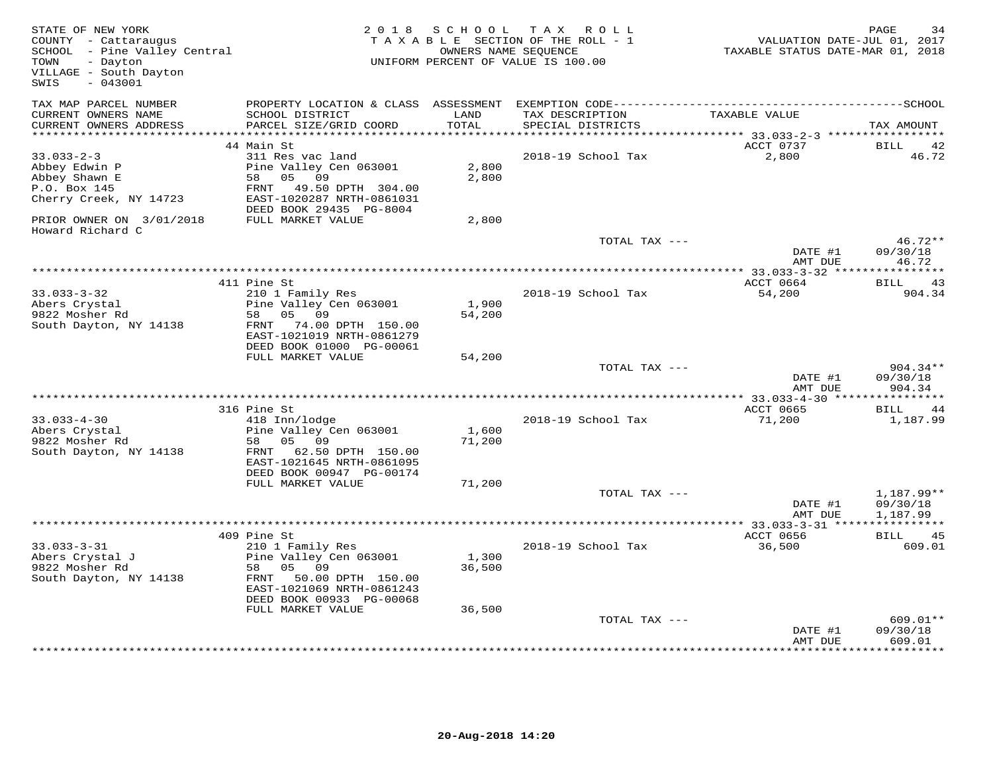| STATE OF NEW YORK<br>COUNTY - Cattaraugus<br>SCHOOL - Pine Valley Central<br>TOWN<br>- Dayton<br>VILLAGE - South Dayton<br>SWIS<br>$-043001$ | 2 0 1 8                                                                                                                                                           | OWNERS NAME SEQUENCE      | SCHOOL TAX ROLL<br>TAXABLE SECTION OF THE ROLL - 1<br>UNIFORM PERCENT OF VALUE IS 100.00 | VALUATION DATE-JUL 01, 2017<br>TAXABLE STATUS DATE-MAR 01, 2018 | PAGE<br>34                       |
|----------------------------------------------------------------------------------------------------------------------------------------------|-------------------------------------------------------------------------------------------------------------------------------------------------------------------|---------------------------|------------------------------------------------------------------------------------------|-----------------------------------------------------------------|----------------------------------|
| TAX MAP PARCEL NUMBER<br>CURRENT OWNERS NAME<br>CURRENT OWNERS ADDRESS                                                                       | SCHOOL DISTRICT<br>PARCEL SIZE/GRID COORD                                                                                                                         | LAND<br>TOTAL             | TAX DESCRIPTION<br>SPECIAL DISTRICTS                                                     | TAXABLE VALUE                                                   | TAX AMOUNT                       |
| ************************                                                                                                                     |                                                                                                                                                                   |                           |                                                                                          |                                                                 |                                  |
| $33.033 - 2 - 3$<br>Abbey Edwin P<br>Abbey Shawn E<br>P.O. Box 145<br>Cherry Creek, NY 14723                                                 | 44 Main St<br>311 Res vac land<br>Pine Valley Cen 063001<br>05<br>09<br>58<br>FRNT<br>49.50 DPTH 304.00<br>EAST-1020287 NRTH-0861031<br>DEED BOOK 29435 PG-8004   | 2,800<br>2,800            | 2018-19 School Tax                                                                       | ACCT 0737<br>2,800                                              | BILL<br>42<br>46.72              |
| PRIOR OWNER ON 3/01/2018<br>Howard Richard C                                                                                                 | FULL MARKET VALUE                                                                                                                                                 | 2,800                     |                                                                                          |                                                                 |                                  |
|                                                                                                                                              |                                                                                                                                                                   |                           | TOTAL TAX ---                                                                            | DATE #1<br>AMT DUE                                              | 46.72**<br>09/30/18<br>46.72     |
|                                                                                                                                              |                                                                                                                                                                   |                           |                                                                                          |                                                                 |                                  |
| $33.033 - 3 - 32$<br>Abers Crystal<br>9822 Mosher Rd                                                                                         | 411 Pine St<br>210 1 Family Res<br>Pine Valley Cen 063001<br>58<br>05 09                                                                                          | 1,900<br>54,200           | 2018-19 School Tax                                                                       | ACCT 0664<br>54,200                                             | BILL<br>43<br>904.34             |
| South Dayton, NY 14138                                                                                                                       | FRNT 74.00 DPTH 150.00<br>EAST-1021019 NRTH-0861279<br>DEED BOOK 01000 PG-00061<br>FULL MARKET VALUE                                                              | 54,200                    |                                                                                          |                                                                 |                                  |
|                                                                                                                                              |                                                                                                                                                                   |                           | TOTAL TAX ---                                                                            | DATE #1<br>AMT DUE                                              | $904.34**$<br>09/30/18<br>904.34 |
|                                                                                                                                              | 316 Pine St                                                                                                                                                       |                           |                                                                                          | ACCT 0665                                                       | <b>BILL</b><br>44                |
| $33.033 - 4 - 30$<br>Abers Crystal<br>9822 Mosher Rd<br>South Dayton, NY 14138                                                               | 418 Inn/lodge<br>Pine Valley Cen 063001<br>58<br>05 09<br>FRNT 62.50 DPTH 150.00<br>EAST-1021645 NRTH-0861095<br>DEED BOOK 00947 PG-00174                         | 1,600<br>71,200           | 2018-19 School Tax                                                                       | 71,200                                                          | 1,187.99                         |
|                                                                                                                                              | FULL MARKET VALUE                                                                                                                                                 | 71,200                    | TOTAL TAX ---                                                                            | DATE #1                                                         | $1,187.99**$<br>09/30/18         |
|                                                                                                                                              |                                                                                                                                                                   |                           |                                                                                          | AMT DUE                                                         | 1,187.99                         |
|                                                                                                                                              | 409 Pine St                                                                                                                                                       |                           |                                                                                          | ACCT 0656                                                       | 45<br><b>BILL</b>                |
| $33.033 - 3 - 31$<br>Abers Crystal J<br>9822 Mosher Rd<br>South Dayton, NY 14138                                                             | 210 1 Family Res<br>Pine Valley Cen 063001<br>58<br>05 09<br>FRNT 50.00 DPTH 150.00<br>EAST-1021069 NRTH-0861243<br>DEED BOOK 00933 PG-00068<br>FULL MARKET VALUE | 1,300<br>36,500<br>36,500 | 2018-19 School Tax                                                                       | 36,500                                                          | 609.01                           |
|                                                                                                                                              |                                                                                                                                                                   |                           | TOTAL TAX ---                                                                            | DATE #1<br>AMT DUE                                              | 609.01**<br>09/30/18<br>609.01   |
|                                                                                                                                              |                                                                                                                                                                   |                           |                                                                                          |                                                                 | * * * * * * * * * *              |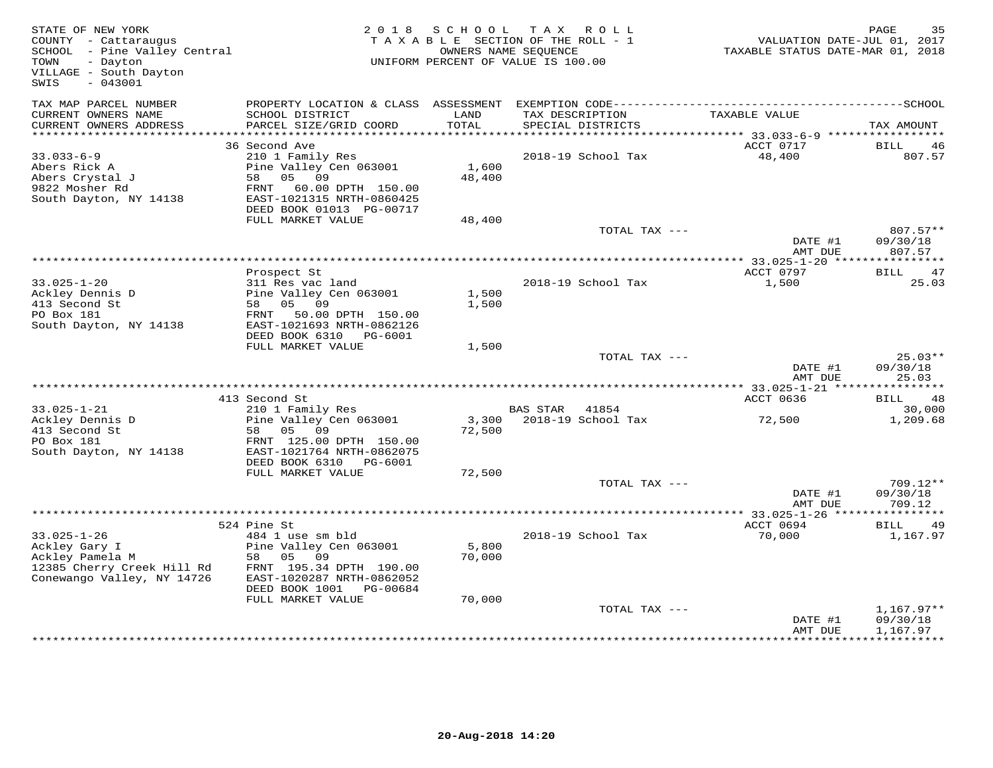| STATE OF NEW YORK<br>COUNTY - Cattaraugus<br>SCHOOL - Pine Valley Central<br>- Dayton<br>TOWN<br>VILLAGE - South Dayton<br>$-043001$<br>SWIS | 2 0 1 8                                                                                                                                                       | S C H O O L     | T A X<br>R O L L<br>T A X A B L E SECTION OF THE ROLL - 1<br>OWNERS NAME SEQUENCE<br>UNIFORM PERCENT OF VALUE IS 100.00 | VALUATION DATE-JUL 01, 2017<br>TAXABLE STATUS DATE-MAR 01, 2018 | PAGE<br>35                           |
|----------------------------------------------------------------------------------------------------------------------------------------------|---------------------------------------------------------------------------------------------------------------------------------------------------------------|-----------------|-------------------------------------------------------------------------------------------------------------------------|-----------------------------------------------------------------|--------------------------------------|
| TAX MAP PARCEL NUMBER<br>CURRENT OWNERS NAME<br>CURRENT OWNERS ADDRESS                                                                       | PROPERTY LOCATION & CLASS ASSESSMENT<br>SCHOOL DISTRICT<br>PARCEL SIZE/GRID COORD                                                                             | LAND<br>TOTAL   | TAX DESCRIPTION<br>SPECIAL DISTRICTS                                                                                    | TAXABLE VALUE                                                   | TAX AMOUNT                           |
| ***********************                                                                                                                      |                                                                                                                                                               |                 |                                                                                                                         |                                                                 |                                      |
| $33.033 - 6 - 9$<br>Abers Rick A<br>Abers Crystal J<br>9822 Mosher Rd<br>South Dayton, NY 14138                                              | 36 Second Ave<br>210 1 Family Res<br>Pine Valley Cen 063001<br>58<br>05 09<br>FRNT 60.00 DPTH 150.00<br>EAST-1021315 NRTH-0860425<br>DEED BOOK 01013 PG-00717 | 1,600<br>48,400 | 2018-19 School Tax                                                                                                      | ACCT 0717<br>48,400                                             | BILL<br>-46<br>807.57                |
|                                                                                                                                              | FULL MARKET VALUE                                                                                                                                             | 48,400          |                                                                                                                         |                                                                 |                                      |
|                                                                                                                                              |                                                                                                                                                               |                 | TOTAL TAX ---                                                                                                           | DATE #1<br>AMT DUE                                              | 807.57**<br>09/30/18<br>807.57       |
|                                                                                                                                              | ************                                                                                                                                                  |                 |                                                                                                                         | ********** 33.025-1-20 *****                                    | * * * * * * * * * * *                |
| $33.025 - 1 - 20$<br>Ackley Dennis D<br>413 Second St<br>PO Box 181<br>South Dayton, NY 14138                                                | Prospect St<br>311 Res vac land<br>Pine Valley Cen 063001<br>58 05 09<br>FRNT 50.00 DPTH 150.00<br>EAST-1021693 NRTH-0862126<br>DEED BOOK 6310 PG-6001        | 1,500<br>1,500  | 2018-19 School Tax                                                                                                      | ACCT 0797<br>1,500                                              | 47<br>BILL<br>25.03                  |
|                                                                                                                                              | FULL MARKET VALUE                                                                                                                                             | 1,500           |                                                                                                                         |                                                                 |                                      |
|                                                                                                                                              |                                                                                                                                                               |                 | TOTAL TAX ---                                                                                                           | DATE #1<br>AMT DUE                                              | $25.03**$<br>09/30/18<br>25.03       |
|                                                                                                                                              |                                                                                                                                                               |                 |                                                                                                                         |                                                                 |                                      |
|                                                                                                                                              | 413 Second St                                                                                                                                                 |                 |                                                                                                                         | ACCT 0636                                                       | BILL<br>48                           |
| $33.025 - 1 - 21$<br>Ackley Dennis D<br>413 Second St<br>PO Box 181<br>South Dayton, NY 14138                                                | 210 1 Family Res<br>Pine Valley Cen 063001<br>05<br>09<br>58<br>FRNT 125.00 DPTH 150.00<br>EAST-1021764 NRTH-0862075                                          | 3,300<br>72,500 | BAS STAR 41854<br>2018-19 School Tax                                                                                    | 72,500                                                          | 30,000<br>1,209.68                   |
|                                                                                                                                              | DEED BOOK 6310 PG-6001                                                                                                                                        |                 |                                                                                                                         |                                                                 |                                      |
|                                                                                                                                              | FULL MARKET VALUE                                                                                                                                             | 72,500          | TOTAL TAX ---                                                                                                           |                                                                 | $709.12**$                           |
|                                                                                                                                              |                                                                                                                                                               |                 |                                                                                                                         | DATE #1<br>AMT DUE                                              | 09/30/18<br>709.12                   |
|                                                                                                                                              |                                                                                                                                                               |                 |                                                                                                                         |                                                                 |                                      |
|                                                                                                                                              | 524 Pine St                                                                                                                                                   |                 |                                                                                                                         | ACCT 0694                                                       | BILL<br>-49                          |
| $33.025 - 1 - 26$<br>Ackley Gary I<br>Ackley Pamela M<br>12385 Cherry Creek Hill Rd<br>Conewango Valley, NY 14726                            | 484 1 use sm bld<br>Pine Valley Cen 063001<br>58 05<br>09<br>FRNT 195.34 DPTH 190.00<br>EAST-1020287 NRTH-0862052<br>DEED BOOK 1001<br>PG-00684               | 5,800<br>70,000 | 2018-19 School Tax                                                                                                      | 70,000                                                          | 1,167.97                             |
|                                                                                                                                              | FULL MARKET VALUE                                                                                                                                             | 70,000          | TOTAL TAX ---                                                                                                           | DATE #1<br>AMT DUE                                              | $1,167.97**$<br>09/30/18<br>1,167.97 |
|                                                                                                                                              |                                                                                                                                                               |                 |                                                                                                                         |                                                                 | *********                            |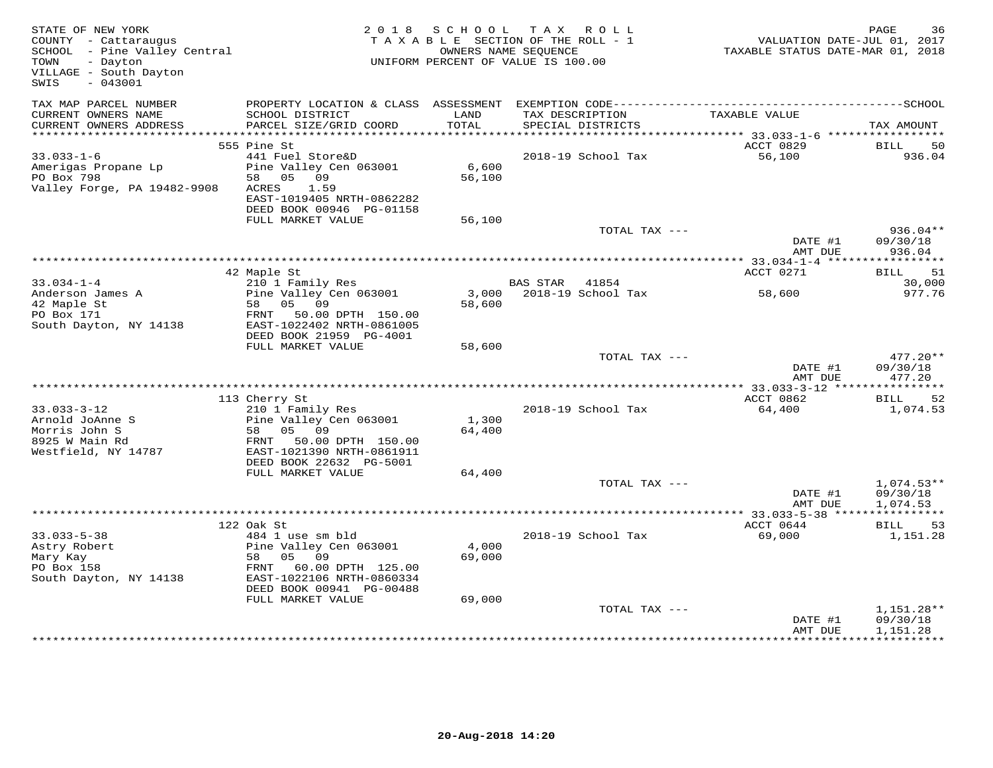| STATE OF NEW YORK<br>COUNTY - Cattaraugus<br>SCHOOL - Pine Valley Central<br>- Dayton<br>TOWN<br>VILLAGE - South Dayton<br>$-043001$<br>SWIS | 2 0 1 8                                                                                                                                                              | S C H O O L               | T A X<br>ROLL ROLL<br>TAXABLE SECTION OF THE ROLL - 1<br>OWNERS NAME SEQUENCE<br>UNIFORM PERCENT OF VALUE IS 100.00 | VALUATION DATE-JUL 01, 2017<br>TAXABLE STATUS DATE-MAR 01, 2018 | PAGE<br>36                           |
|----------------------------------------------------------------------------------------------------------------------------------------------|----------------------------------------------------------------------------------------------------------------------------------------------------------------------|---------------------------|---------------------------------------------------------------------------------------------------------------------|-----------------------------------------------------------------|--------------------------------------|
| TAX MAP PARCEL NUMBER<br>CURRENT OWNERS NAME<br>CURRENT OWNERS ADDRESS                                                                       | PROPERTY LOCATION & CLASS ASSESSMENT<br>SCHOOL DISTRICT<br>PARCEL SIZE/GRID COORD                                                                                    | LAND<br>TOTAL             | TAX DESCRIPTION<br>SPECIAL DISTRICTS                                                                                | TAXABLE VALUE                                                   | TAX AMOUNT                           |
|                                                                                                                                              |                                                                                                                                                                      |                           |                                                                                                                     |                                                                 |                                      |
|                                                                                                                                              | 555 Pine St                                                                                                                                                          |                           |                                                                                                                     | ACCT 0829                                                       | BILL<br>50                           |
| $33.033 - 1 - 6$<br>Amerigas Propane Lp<br>PO Box 798<br>Valley Forge, PA 19482-9908                                                         | 441 Fuel Store&D<br>Pine Valley Cen 063001<br>58 05 09<br>1.59<br>ACRES<br>EAST-1019405 NRTH-0862282<br>DEED BOOK 00946 PG-01158                                     | 6,600<br>56,100           | 2018-19 School Tax                                                                                                  | 56,100                                                          | 936.04                               |
|                                                                                                                                              | FULL MARKET VALUE                                                                                                                                                    | 56,100                    |                                                                                                                     |                                                                 |                                      |
|                                                                                                                                              |                                                                                                                                                                      |                           | TOTAL TAX ---                                                                                                       | DATE #1<br>AMT DUE                                              | $936.04**$<br>09/30/18<br>936.04     |
|                                                                                                                                              |                                                                                                                                                                      |                           |                                                                                                                     |                                                                 |                                      |
|                                                                                                                                              | 42 Maple St                                                                                                                                                          |                           |                                                                                                                     | ACCT 0271                                                       | 51<br>BILL                           |
| $33.034 - 1 - 4$                                                                                                                             | 210 1 Family Res                                                                                                                                                     |                           | BAS STAR<br>41854                                                                                                   |                                                                 | 30,000                               |
| Anderson James A<br>42 Maple St<br>PO Box 171<br>South Dayton, NY 14138                                                                      | Pine Valley Cen 063001<br>58 05 09<br>FRNT 50.00 DPTH 150.00<br>EAST-1022402 NRTH-0861005<br>DEED BOOK 21959 PG-4001                                                 | 58,600                    | 3,000    2018-19    School Tax                                                                                      | 58,600                                                          | 977.76                               |
|                                                                                                                                              | FULL MARKET VALUE                                                                                                                                                    | 58,600                    |                                                                                                                     |                                                                 |                                      |
|                                                                                                                                              |                                                                                                                                                                      |                           | TOTAL TAX ---                                                                                                       | DATE #1<br>AMT DUE                                              | $477.20**$<br>09/30/18<br>477.20     |
|                                                                                                                                              |                                                                                                                                                                      |                           |                                                                                                                     |                                                                 |                                      |
|                                                                                                                                              | 113 Cherry St                                                                                                                                                        |                           |                                                                                                                     | ACCT 0862                                                       | BILL<br>52                           |
| $33.033 - 3 - 12$<br>Arnold JoAnne S<br>Morris John S<br>8925 W Main Rd                                                                      | 210 1 Family Res<br>Pine Valley Cen 063001<br>05 09<br>58<br>50.00 DPTH 150.00<br>FRNT                                                                               | 1,300<br>64,400           | 2018-19 School Tax                                                                                                  | 64,400                                                          | 1,074.53                             |
| Westfield, NY 14787                                                                                                                          | EAST-1021390 NRTH-0861911<br>DEED BOOK 22632 PG-5001                                                                                                                 |                           |                                                                                                                     |                                                                 |                                      |
|                                                                                                                                              | FULL MARKET VALUE                                                                                                                                                    | 64,400                    |                                                                                                                     |                                                                 |                                      |
|                                                                                                                                              |                                                                                                                                                                      |                           | TOTAL TAX ---                                                                                                       | DATE #1<br>AMT DUE                                              | $1,074.53**$<br>09/30/18<br>1,074.53 |
|                                                                                                                                              |                                                                                                                                                                      |                           |                                                                                                                     | ************ 33.033-5-38 *****                                  | ***********                          |
|                                                                                                                                              | 122 Oak St                                                                                                                                                           |                           |                                                                                                                     | ACCT 0644                                                       | <b>BILL</b><br>53                    |
| $33.033 - 5 - 38$<br>Astry Robert<br>Mary Kay<br>PO Box 158<br>South Dayton, NY 14138                                                        | 484 1 use sm bld<br>Pine Valley Cen 063001<br>09<br>58<br>05<br>FRNT 60.00 DPTH 125.00<br>EAST-1022106 NRTH-0860334<br>DEED BOOK 00941 PG-00488<br>FULL MARKET VALUE | 4,000<br>69,000<br>69,000 | 2018-19 School Tax                                                                                                  | 69,000                                                          | 1,151.28                             |
|                                                                                                                                              |                                                                                                                                                                      |                           | TOTAL TAX ---                                                                                                       | DATE #1<br>AMT DUE                                              | $1,151.28**$<br>09/30/18<br>1,151.28 |
|                                                                                                                                              | ***************************                                                                                                                                          |                           |                                                                                                                     |                                                                 | ***********                          |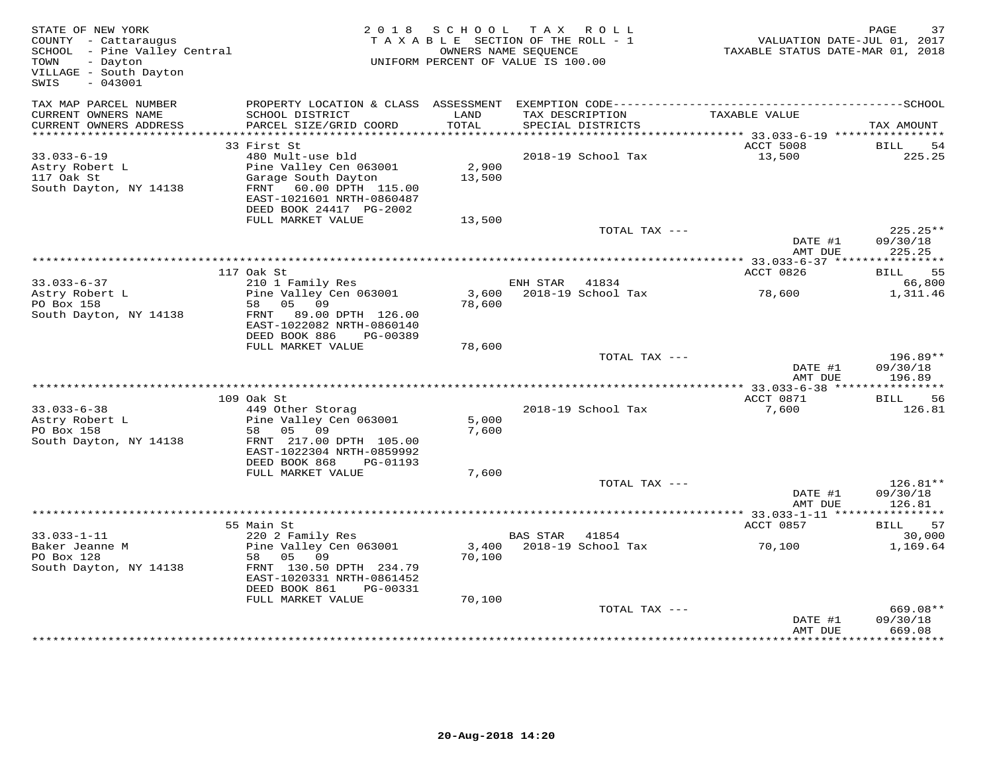| STATE OF NEW YORK<br>COUNTY - Cattaraugus<br>COONII - Cattaraugus<br>SCHOOL - Pine Valley Central<br>TOWN<br>- Dayton<br>VILLAGE - South Dayton<br>SWIS<br>$-043001$ |                                                                                                                                                     |                 | 2018 SCHOOL TAX ROLL<br>TAXABLE SECTION OF THE ROLL - 1<br>OWNERS NAME SEQUENCE<br>UNIFORM PERCENT OF VALUE IS 100.00 | VALUATION DATE-JUL 01, 2017<br>TAXABLE STATUS DATE-MAR 01, 2018 | PAGE<br>37                       |
|----------------------------------------------------------------------------------------------------------------------------------------------------------------------|-----------------------------------------------------------------------------------------------------------------------------------------------------|-----------------|-----------------------------------------------------------------------------------------------------------------------|-----------------------------------------------------------------|----------------------------------|
| TAX MAP PARCEL NUMBER<br>CURRENT OWNERS NAME                                                                                                                         | PROPERTY LOCATION & CLASS ASSESSMENT EXEMPTION CODE-----------------------------------SCHOOL<br>SCHOOL DISTRICT                                     | LAND            | TAX DESCRIPTION                                                                                                       | TAXABLE VALUE                                                   |                                  |
| CURRENT OWNERS ADDRESS<br>**************************                                                                                                                 | PARCEL SIZE/GRID COORD                                                                                                                              | <b>TOTAL</b>    | SPECIAL DISTRICTS                                                                                                     |                                                                 | TAX AMOUNT                       |
|                                                                                                                                                                      | 33 First St                                                                                                                                         |                 |                                                                                                                       | ACCT 5008                                                       | BILL<br>54                       |
| $33.033 - 6 - 19$<br>Astry Robert L<br>117 Oak St<br>South Dayton, NY 14138                                                                                          | 480 Mult-use bld<br>Pine Valley Cen 063001<br>Garage South Dayton<br>FRNT 60.00 DPTH 115.00<br>EAST-1021601 NRTH-0860487<br>DEED BOOK 24417 PG-2002 | 2,900<br>13,500 | 2018-19 School Tax                                                                                                    | 13,500                                                          | 225.25                           |
|                                                                                                                                                                      | FULL MARKET VALUE                                                                                                                                   | 13,500          |                                                                                                                       |                                                                 |                                  |
|                                                                                                                                                                      |                                                                                                                                                     |                 | TOTAL TAX ---                                                                                                         | DATE #1<br>AMT DUE                                              | $225.25**$<br>09/30/18<br>225.25 |
|                                                                                                                                                                      |                                                                                                                                                     |                 |                                                                                                                       |                                                                 |                                  |
|                                                                                                                                                                      | 117 Oak St                                                                                                                                          |                 |                                                                                                                       | ACCT 0826                                                       | BILL 55                          |
| $33.033 - 6 - 37$                                                                                                                                                    | 210 1 Family Res                                                                                                                                    |                 | ENH STAR 41834                                                                                                        |                                                                 | 66,800                           |
| Astry Robert L<br>Astry Robert L<br>PO Box 158<br>South Dayton, NY 14138                                                                                             | Pine Valley Cen 063001<br>58 05 09<br>FRNT 89.00 DPTH 126.00                                                                                        | 3,600<br>78,600 | 2018-19 School Tax                                                                                                    | 78,600                                                          | 1,311.46                         |
|                                                                                                                                                                      | EAST-1022082 NRTH-0860140<br>DEED BOOK 886<br>PG-00389                                                                                              |                 |                                                                                                                       |                                                                 |                                  |
|                                                                                                                                                                      | FULL MARKET VALUE                                                                                                                                   | 78,600          | TOTAL TAX ---                                                                                                         |                                                                 | 196.89**                         |
|                                                                                                                                                                      |                                                                                                                                                     |                 |                                                                                                                       | DATE #1<br>AMT DUE                                              | 09/30/18<br>196.89               |
|                                                                                                                                                                      |                                                                                                                                                     |                 |                                                                                                                       |                                                                 |                                  |
| $33.033 - 6 - 38$                                                                                                                                                    | 109 Oak St<br>449 Other Storag                                                                                                                      |                 | 2018-19 School Tax                                                                                                    | ACCT 0871<br>7,600                                              | BILL<br>56<br>126.81             |
| Astry Robert L<br>PO Box 158                                                                                                                                         | Pine Valley Cen 063001<br>58 05 09                                                                                                                  | 5,000<br>7,600  |                                                                                                                       |                                                                 |                                  |
| South Dayton, NY 14138                                                                                                                                               | FRNT 217.00 DPTH 105.00<br>EAST-1022304 NRTH-0859992<br>DEED BOOK 868<br>PG-01193                                                                   |                 |                                                                                                                       |                                                                 |                                  |
|                                                                                                                                                                      | FULL MARKET VALUE                                                                                                                                   | 7,600           |                                                                                                                       |                                                                 |                                  |
|                                                                                                                                                                      |                                                                                                                                                     |                 | TOTAL TAX ---                                                                                                         | DATE #1<br>AMT DUE                                              | 126.81**<br>09/30/18<br>126.81   |
|                                                                                                                                                                      |                                                                                                                                                     |                 |                                                                                                                       | ******** 33.033-1-11 ****************                           |                                  |
|                                                                                                                                                                      | 55 Main St                                                                                                                                          |                 |                                                                                                                       | ACCT 0857                                                       | <b>BILL</b><br>57                |
| $33.033 - 1 - 11$                                                                                                                                                    | 220 2 Family Res                                                                                                                                    |                 | BAS STAR 41854                                                                                                        |                                                                 | 30,000                           |
| Baker Jeanne M<br>PO Box 128<br>South Dayton, NY 14138                                                                                                               | Pine Valley Cen 063001<br>58 05 09<br>FRNT 130.50 DPTH 234.79<br>EAST-1020331 NRTH-0861452<br>DEED BOOK 861<br>PG-00331                             | 70,100          | 3,400 2018-19 School Tax                                                                                              | 70,100                                                          | 1,169.64                         |
|                                                                                                                                                                      | FULL MARKET VALUE                                                                                                                                   | 70,100          |                                                                                                                       |                                                                 |                                  |
|                                                                                                                                                                      |                                                                                                                                                     |                 | TOTAL TAX ---                                                                                                         | DATE #1<br>AMT DUE                                              | 669.08**<br>09/30/18<br>669.08   |
|                                                                                                                                                                      |                                                                                                                                                     |                 |                                                                                                                       |                                                                 |                                  |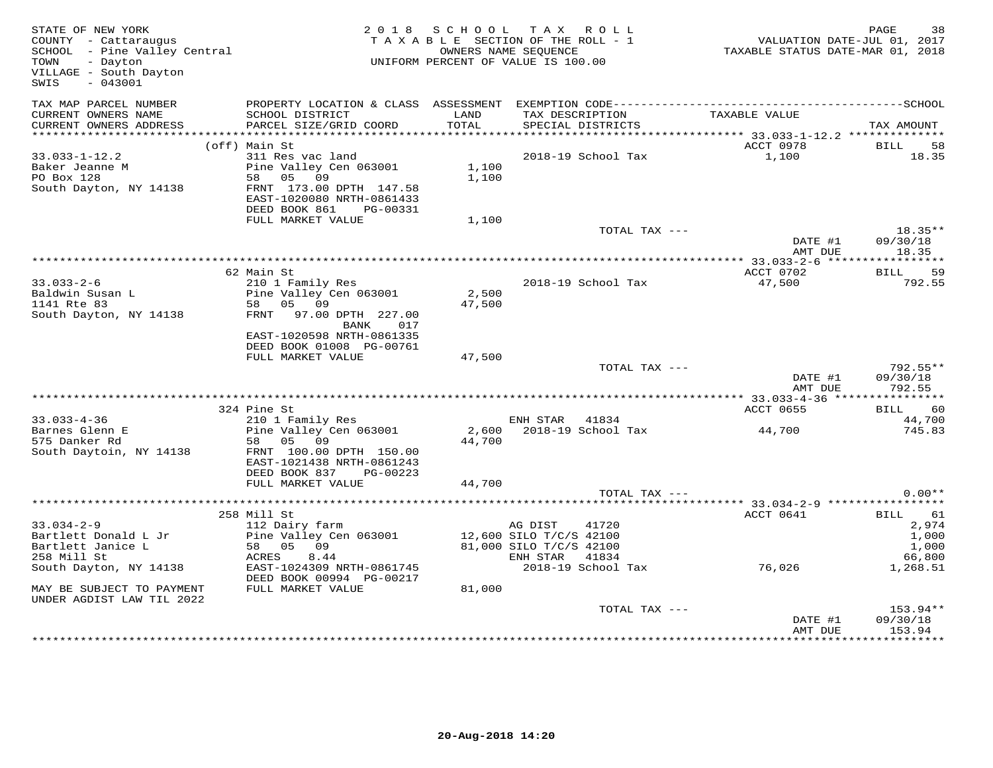| STATE OF NEW YORK<br>COUNTY - Cattaraugus<br>SCHOOL - Pine Valley Central<br>Dovton<br>VILLAGE - South Dayton<br>SWIS<br>$-043001$ | UNIFORM PERCENT OF VALUE IS 100.00                                                                                      | 2018 SCHOOL TAX ROLL<br>TAXABLE SECTION OF THE ROLL - 1<br>OWNERS NAME SEQUENCE |                         |                                      | oc Din<br>701, VALUATION DATE-JUL 01, 2017<br>712XABLE STATUS DATE-MAR 01, 2018 TAXABLE STATUS | PAGE<br>38                     |
|------------------------------------------------------------------------------------------------------------------------------------|-------------------------------------------------------------------------------------------------------------------------|---------------------------------------------------------------------------------|-------------------------|--------------------------------------|------------------------------------------------------------------------------------------------|--------------------------------|
| TAX MAP PARCEL NUMBER<br>CURRENT OWNERS NAME                                                                                       | SCHOOL DISTRICT                                                                                                         | LAND                                                                            |                         | TAX DESCRIPTION<br>SPECIAL DISTRICTS | TAXABLE VALUE                                                                                  |                                |
| CURRENT OWNERS ADDRESS                                                                                                             | PARCEL SIZE/GRID COORD                                                                                                  | TOTAL                                                                           |                         | SPECIAL DISTRICTS                    |                                                                                                | TAX AMOUNT                     |
|                                                                                                                                    | (off) Main St                                                                                                           |                                                                                 |                         |                                      | ACCT 0978                                                                                      | <b>BILL</b><br>58              |
| $33.033 - 1 - 12.2$                                                                                                                | 311 Res vac land                                                                                                        |                                                                                 |                         | 2018-19 School Tax                   | 1,100                                                                                          | 18.35                          |
| Baker Jeanne M<br>$PO$ Box $128$<br>South Dayton, NY 14138                                                                         | Pine Valley Cen 063001<br>58 05 09<br>FRNT 173.00 DPTH 147.58<br>EAST-1020080 NRTH-0861433<br>DEED BOOK 861<br>PG-00331 | 1,100<br>1,100                                                                  |                         |                                      |                                                                                                |                                |
|                                                                                                                                    | FULL MARKET VALUE                                                                                                       | 1,100                                                                           |                         |                                      |                                                                                                |                                |
|                                                                                                                                    |                                                                                                                         |                                                                                 |                         | TOTAL TAX ---                        | DATE #1<br>AMT DUE                                                                             | $18.35**$<br>09/30/18<br>18.35 |
|                                                                                                                                    |                                                                                                                         |                                                                                 |                         |                                      |                                                                                                |                                |
|                                                                                                                                    | 62 Main St                                                                                                              |                                                                                 |                         |                                      | ACCT 0702                                                                                      | BILL 59                        |
| $33.033 - 2 - 6$<br>Baldwin Susan L<br>1141 Rte 83                                                                                 | 210 1 Family Res<br>Pine Valley Cen 063001<br>58 05 09                                                                  | 2,500<br>47,500                                                                 |                         | 2018-19 School Tax                   | 47,500                                                                                         | 792.55                         |
| South Dayton, NY 14138                                                                                                             | FRNT 97.00 DPTH 227.00<br><b>BANK</b><br>017<br>EAST-1020598 NRTH-0861335<br>DEED BOOK 01008 PG-00761                   |                                                                                 |                         |                                      |                                                                                                |                                |
|                                                                                                                                    | FULL MARKET VALUE                                                                                                       | 47,500                                                                          |                         |                                      |                                                                                                |                                |
|                                                                                                                                    |                                                                                                                         |                                                                                 |                         | TOTAL TAX ---                        | DATE #1                                                                                        | $792.55**$<br>09/30/18         |
|                                                                                                                                    |                                                                                                                         |                                                                                 |                         |                                      | AMT DUE                                                                                        | 792.55                         |
|                                                                                                                                    | 324 Pine St                                                                                                             |                                                                                 |                         |                                      | ACCT 0655                                                                                      | <b>BILL</b><br>60              |
| $33.033 - 4 - 36$                                                                                                                  | 210 1 Family Res                                                                                                        |                                                                                 | ENH STAR 41834          |                                      |                                                                                                | 44,700                         |
| Barnes Glenn E<br>575 Danker Rd                                                                                                    | Pine Valley Cen 063001<br>58 05 09                                                                                      | 44,700                                                                          |                         | 2,600 2018-19 School Tax             | 44,700                                                                                         | 745.83                         |
| South Daytoin, NY 14138                                                                                                            | FRNT 100.00 DPTH 150.00<br>EAST-1021438 NRTH-0861243<br>DEED BOOK 837 PG-00223                                          |                                                                                 |                         |                                      |                                                                                                |                                |
|                                                                                                                                    | FULL MARKET VALUE                                                                                                       | 44,700                                                                          |                         |                                      |                                                                                                |                                |
|                                                                                                                                    |                                                                                                                         |                                                                                 |                         | TOTAL TAX ---                        |                                                                                                | $0.00**$                       |
|                                                                                                                                    |                                                                                                                         |                                                                                 |                         |                                      |                                                                                                |                                |
| $33.034 - 2 - 9$                                                                                                                   | 258 Mill St<br>112 Dairy farm                                                                                           |                                                                                 |                         |                                      | ACCT 0641                                                                                      | BILL 61<br>2,974               |
| Bartlett Donald L Jr                                                                                                               | Pine Valley Cen 063001                                                                                                  | AG DIST 41720<br>12,600 SILO T/C/S 42100                                        |                         |                                      |                                                                                                | 1,000                          |
| Bartlett Janice L                                                                                                                  |                                                                                                                         |                                                                                 | 81,000 SILO T/C/S 42100 |                                      |                                                                                                | 1,000                          |
| 258 Mill St                                                                                                                        | $58$ 05 09<br>ACRES 8.44<br>ACRES 8.44                                                                                  |                                                                                 | ENH STAR 41834          |                                      |                                                                                                | 66,800                         |
| South Dayton, NY 14138                                                                                                             | ACRES 0. <del>11</del><br>EAST-1024309 NRTH-0861745<br>DEED BOOK 00994 PG-00217                                         |                                                                                 |                         |                                      | 2018-19 School Tax 76,026                                                                      | 1,268.51                       |
| MAY BE SUBJECT TO PAYMENT<br>UNDER AGDIST LAW TIL 2022                                                                             | FULL MARKET VALUE                                                                                                       | 81,000                                                                          |                         |                                      |                                                                                                |                                |
|                                                                                                                                    |                                                                                                                         |                                                                                 |                         | TOTAL TAX ---                        | DATE #1<br>AMT DUE                                                                             | 153.94**<br>09/30/18<br>153.94 |
|                                                                                                                                    |                                                                                                                         |                                                                                 |                         |                                      |                                                                                                | *********                      |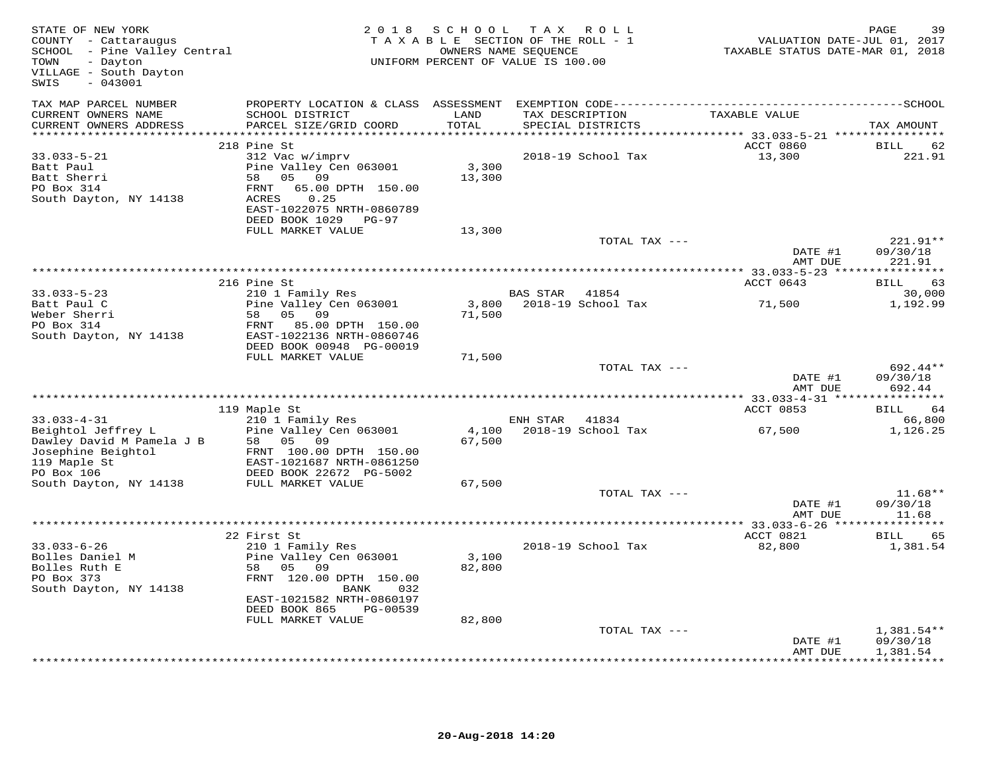| STATE OF NEW YORK<br>COUNTY - Cattaraugus<br>SCHOOL - Pine Valley Central<br>- Dayton<br>TOWN<br>VILLAGE - South Dayton<br>$-043001$<br>SWIS                                                                                              |                                                                                                                                     | 2018 SCHOOL     | TAX ROLL<br>TAXABLE SECTION OF THE ROLL - 1<br>OWNERS NAME SEQUENCE<br>UNIFORM PERCENT OF VALUE IS 100.00 |               | PAGE<br>39<br>VALUATION DATE-JUL 01, 2017<br>TAXABLE STATUS DATE-MAR 01, 2018 |
|-------------------------------------------------------------------------------------------------------------------------------------------------------------------------------------------------------------------------------------------|-------------------------------------------------------------------------------------------------------------------------------------|-----------------|-----------------------------------------------------------------------------------------------------------|---------------|-------------------------------------------------------------------------------|
| TAX MAP PARCEL NUMBER                                                                                                                                                                                                                     | PROPERTY LOCATION & CLASS ASSESSMENT EXEMPTION CODE-----------------------------------SCHOOL                                        |                 |                                                                                                           |               |                                                                               |
| CURRENT OWNERS NAME<br>CURRENT OWNERS ADDRESS                                                                                                                                                                                             | SCHOOL DISTRICT<br>PARCEL SIZE/GRID COORD                                                                                           | LAND<br>TOTAL   | TAX DESCRIPTION<br>SPECIAL DISTRICTS                                                                      | TAXABLE VALUE | TAX AMOUNT                                                                    |
| ***********************                                                                                                                                                                                                                   | 218 Pine St                                                                                                                         | ************    |                                                                                                           | ACCT 0860     | BILL<br>62                                                                    |
| $33.033 - 5 - 21$<br>Batt Paul<br>Batt Sherri<br>PO Box 314<br>South Dayton, NY 14138                                                                                                                                                     | 312 Vac w/imprv<br>Pine Valley Cen 063001<br>05 09<br>58<br>65.00 DPTH 150.00<br>FRNT<br>ACRES<br>0.25<br>EAST-1022075 NRTH-0860789 | 3,300<br>13,300 | 2018-19 School Tax                                                                                        | 13,300        | 221.91                                                                        |
|                                                                                                                                                                                                                                           | DEED BOOK 1029 PG-97<br>FULL MARKET VALUE                                                                                           | 13,300          |                                                                                                           |               |                                                                               |
|                                                                                                                                                                                                                                           |                                                                                                                                     |                 |                                                                                                           | TOTAL TAX --- | 221.91**<br>DATE #1<br>09/30/18                                               |
|                                                                                                                                                                                                                                           |                                                                                                                                     |                 |                                                                                                           |               | AMT DUE<br>221.91                                                             |
|                                                                                                                                                                                                                                           |                                                                                                                                     |                 |                                                                                                           |               |                                                                               |
| $33.033 - 5 - 23$                                                                                                                                                                                                                         | 216 Pine St<br>210 1 Family Res                                                                                                     |                 | BAS STAR<br>41854                                                                                         | ACCT 0643     | BILL<br>63<br>30,000                                                          |
| Batt Paul C<br>Weber Sherri                                                                                                                                                                                                               | Pine Valley Cen 063001<br>05 09<br>58                                                                                               | 71,500          | 3,800 2018-19 School Tax                                                                                  | 71,500        | 1,192.99                                                                      |
| PO Box 314<br>South Dayton, NY 14138                                                                                                                                                                                                      | 85.00 DPTH 150.00<br>FRNT<br>EAST-1022136 NRTH-0860746<br>DEED BOOK 00948 PG-00019                                                  |                 |                                                                                                           |               |                                                                               |
|                                                                                                                                                                                                                                           | FULL MARKET VALUE                                                                                                                   | 71,500          |                                                                                                           |               |                                                                               |
|                                                                                                                                                                                                                                           |                                                                                                                                     |                 |                                                                                                           | TOTAL TAX --- | 692.44**<br>DATE #1<br>09/30/18<br>692.44<br>AMT DUE                          |
|                                                                                                                                                                                                                                           |                                                                                                                                     |                 |                                                                                                           | ACCT 0853     | BILL 64                                                                       |
|                                                                                                                                                                                                                                           |                                                                                                                                     |                 | ENH STAR 41834                                                                                            |               | 66,800                                                                        |
|                                                                                                                                                                                                                                           |                                                                                                                                     | 4,100<br>67,500 | 2018-19 School Tax                                                                                        | 67,500        | 1,126.25                                                                      |
| ****<br>33.033-4-31<br>Beightol Jeffrey L<br>Dawley David M Pamela J B<br>Tosephine Beightol<br>FRNT 100.00 DPTH 150<br>Tosephine Beightol<br>FRNT 100.00 DPTH 150<br>FRNT 100.00 DPTH 150<br>EAST-1021687 NRTH-0861250<br>DEED BOOK 2267 |                                                                                                                                     |                 |                                                                                                           |               |                                                                               |
|                                                                                                                                                                                                                                           |                                                                                                                                     | 67,500          |                                                                                                           |               |                                                                               |
|                                                                                                                                                                                                                                           |                                                                                                                                     |                 |                                                                                                           | TOTAL TAX --- | $11.68**$                                                                     |
|                                                                                                                                                                                                                                           |                                                                                                                                     |                 |                                                                                                           |               | 09/30/18<br>DATE #1<br>AMT DUE<br>11.68                                       |
|                                                                                                                                                                                                                                           |                                                                                                                                     |                 |                                                                                                           |               |                                                                               |
|                                                                                                                                                                                                                                           | 22 First St                                                                                                                         |                 |                                                                                                           | ACCT 0821     | 65<br><b>BILL</b>                                                             |
| $33.033 - 6 - 26$<br>Bolles Daniel M<br>Bolles Ruth E<br>PO Box 373<br>South Dayton, NY 14138                                                                                                                                             | 210 1 Family Res<br>Pine Valley Cen 063001<br>58 05 09<br>FRNT 120.00 DPTH 150.00<br>BANK<br>032                                    | 3,100<br>82,800 | 2018-19 School Tax                                                                                        | 82,800        | 1,381.54                                                                      |
|                                                                                                                                                                                                                                           | EAST-1021582 NRTH-0860197<br>DEED BOOK 865<br>PG-00539                                                                              |                 |                                                                                                           |               |                                                                               |
|                                                                                                                                                                                                                                           | FULL MARKET VALUE                                                                                                                   | 82,800          |                                                                                                           |               |                                                                               |
|                                                                                                                                                                                                                                           |                                                                                                                                     |                 |                                                                                                           | TOTAL TAX --- | $1,381.54**$<br>DATE #1<br>09/30/18<br>AMT DUE<br>1,381.54                    |
|                                                                                                                                                                                                                                           |                                                                                                                                     |                 |                                                                                                           |               | <b>+++++++++++</b>                                                            |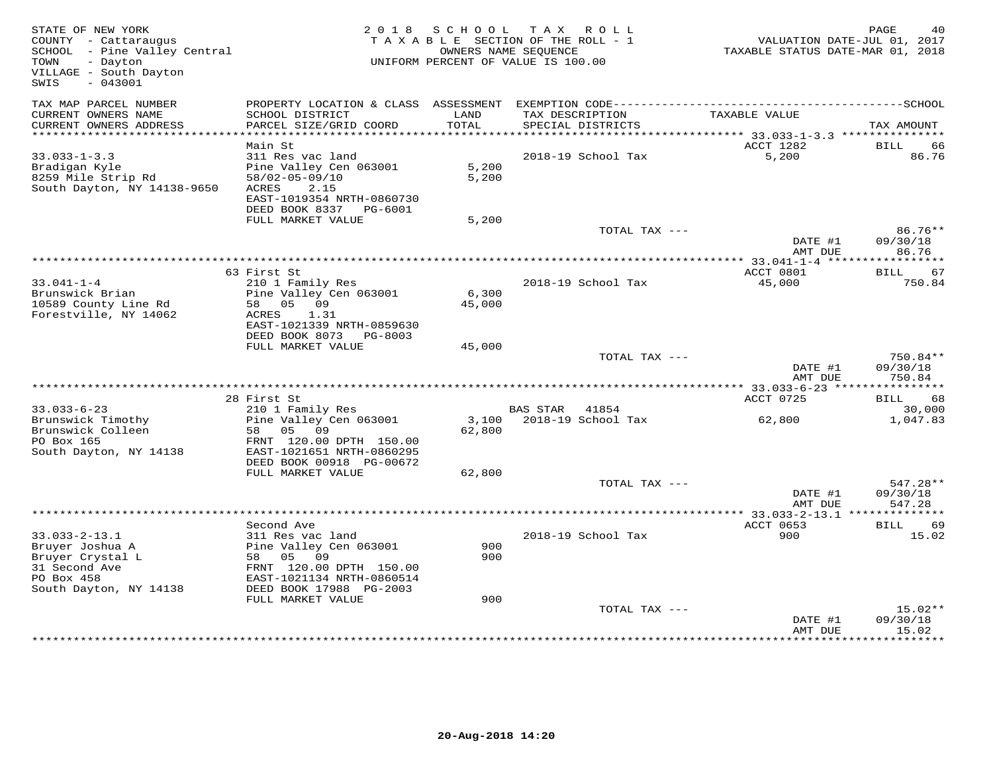| STATE OF NEW YORK<br>COUNTY - Cattaraugus<br>SCHOOL - Pine Valley Central<br>- Dayton<br>TOWN<br>VILLAGE - South Dayton<br>SWIS<br>$-043001$ |                                                                                                                                               | 2018 SCHOOL<br>OWNERS NAME SEQUENCE | TAX ROLL<br>TAXABLE SECTION OF THE ROLL - 1<br>UNIFORM PERCENT OF VALUE IS 100.00 | VALUATION DATE-JUL 01, 2017<br>TAXABLE STATUS DATE-MAR 01, 2018 | PAGE<br>40                       |
|----------------------------------------------------------------------------------------------------------------------------------------------|-----------------------------------------------------------------------------------------------------------------------------------------------|-------------------------------------|-----------------------------------------------------------------------------------|-----------------------------------------------------------------|----------------------------------|
| TAX MAP PARCEL NUMBER<br>CURRENT OWNERS NAME<br>CURRENT OWNERS ADDRESS                                                                       | SCHOOL DISTRICT<br>PARCEL SIZE/GRID COORD                                                                                                     | LAND<br>TOTAL                       | TAX DESCRIPTION<br>SPECIAL DISTRICTS                                              | TAXABLE VALUE                                                   | TAX AMOUNT                       |
| **********************                                                                                                                       |                                                                                                                                               |                                     |                                                                                   |                                                                 |                                  |
|                                                                                                                                              | Main St                                                                                                                                       |                                     |                                                                                   | ACCT 1282                                                       | BILL<br>66                       |
| $33.033 - 1 - 3.3$<br>Bradigan Kyle<br>8259 Mile Strip Rd<br>South Dayton, NY 14138-9650                                                     | 311 Res vac land<br>Pine Valley Cen 063001<br>$58/02 - 05 - 09/10$<br>ACRES<br>2.15<br>EAST-1019354 NRTH-0860730<br>DEED BOOK 8337 PG-6001    | 5,200<br>5,200                      | 2018-19 School Tax                                                                | 5,200                                                           | 86.76                            |
|                                                                                                                                              | FULL MARKET VALUE                                                                                                                             | 5,200                               |                                                                                   |                                                                 |                                  |
|                                                                                                                                              |                                                                                                                                               |                                     | TOTAL TAX ---                                                                     | DATE #1                                                         | $86.76**$<br>09/30/18            |
|                                                                                                                                              |                                                                                                                                               |                                     |                                                                                   | AMT DUE                                                         | 86.76                            |
|                                                                                                                                              | 63 First St                                                                                                                                   |                                     |                                                                                   | ACCT 0801                                                       | 67<br>BILL                       |
| $33.041 - 1 - 4$<br>Brunswick Brian                                                                                                          | 210 1 Family Res<br>Pine Valley Cen 063001                                                                                                    | 6,300                               | 2018-19 School Tax                                                                | 45,000                                                          | 750.84                           |
| 10589 County Line Rd<br>Forestville, NY 14062                                                                                                | 58 05 09<br>ACRES<br>1.31<br>EAST-1021339 NRTH-0859630<br>DEED BOOK 8073 PG-8003                                                              | 45,000                              |                                                                                   |                                                                 |                                  |
|                                                                                                                                              | FULL MARKET VALUE                                                                                                                             | 45,000                              |                                                                                   |                                                                 |                                  |
|                                                                                                                                              |                                                                                                                                               |                                     | TOTAL TAX ---                                                                     | DATE #1<br>AMT DUE                                              | 750.84**<br>09/30/18<br>750.84   |
|                                                                                                                                              |                                                                                                                                               |                                     |                                                                                   |                                                                 |                                  |
| $33.033 - 6 - 23$                                                                                                                            | 28 First St<br>210 1 Family Res                                                                                                               |                                     | BAS STAR 41854                                                                    | ACCT 0725                                                       | BILL<br>68<br>30,000             |
| Brunswick Timothy                                                                                                                            | Pine Valley Cen 063001                                                                                                                        |                                     | 3,100 2018-19 School Tax                                                          | 62,800                                                          | 1,047.83                         |
| Brunswick Colleen<br>PO Box 165<br>South Dayton, NY 14138                                                                                    | 58 05<br>09<br>FRNT 120.00 DPTH 150.00<br>EAST-1021651 NRTH-0860295<br>DEED BOOK 00918 PG-00672                                               | 62,800                              |                                                                                   |                                                                 |                                  |
|                                                                                                                                              | FULL MARKET VALUE                                                                                                                             | 62,800                              |                                                                                   |                                                                 |                                  |
|                                                                                                                                              |                                                                                                                                               |                                     | TOTAL TAX ---                                                                     | DATE #1<br>AMT DUE                                              | $547.28**$<br>09/30/18<br>547.28 |
|                                                                                                                                              |                                                                                                                                               |                                     |                                                                                   |                                                                 |                                  |
|                                                                                                                                              | Second Ave                                                                                                                                    |                                     |                                                                                   | ACCT 0653                                                       | BILL<br>69                       |
| $33.033 - 2 - 13.1$<br>Bruyer Joshua A<br>Bruyer Crystal L<br>31 Second Ave<br>PO Box 458<br>South Dayton, NY 14138                          | 311 Res vac land<br>Pine Valley Cen 063001<br>0.9<br>58 05<br>FRNT 120.00 DPTH 150.00<br>EAST-1021134 NRTH-0860514<br>DEED BOOK 17988 PG-2003 | 900<br>900                          | 2018-19 School Tax                                                                | 900                                                             | 15.02                            |
|                                                                                                                                              | FULL MARKET VALUE                                                                                                                             | 900                                 |                                                                                   |                                                                 |                                  |
|                                                                                                                                              |                                                                                                                                               |                                     | TOTAL TAX ---                                                                     | DATE #1<br>AMT DUE                                              | $15.02**$<br>09/30/18<br>15.02   |
|                                                                                                                                              |                                                                                                                                               |                                     |                                                                                   |                                                                 |                                  |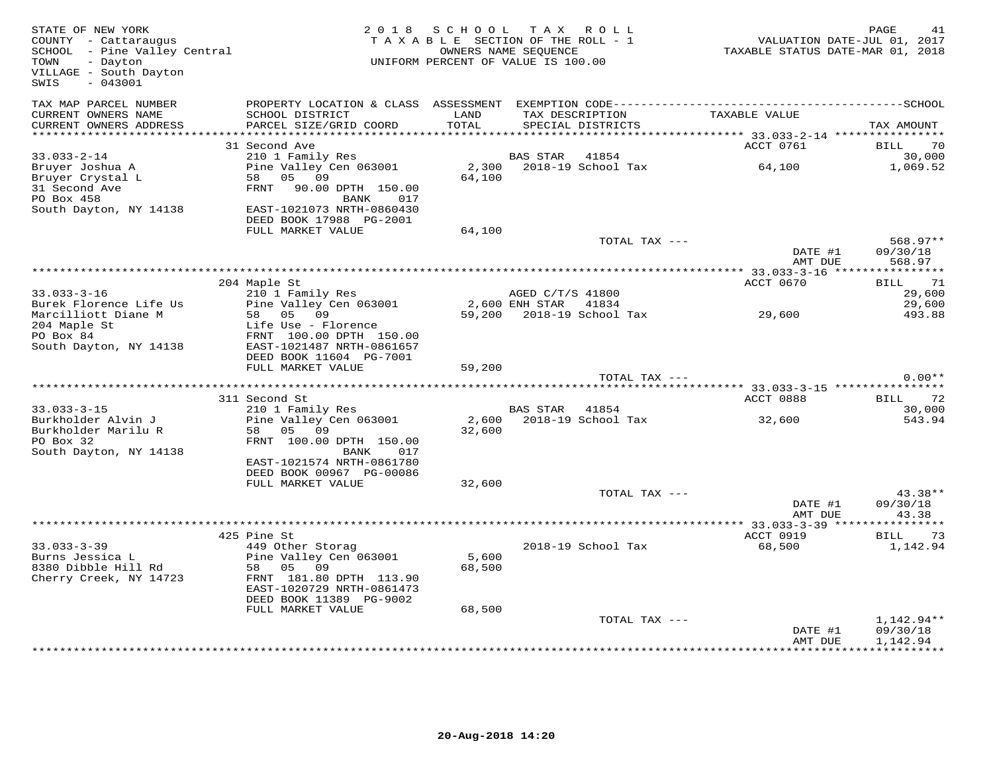| STATE OF NEW YORK<br>COUNTY - Cattaraugus<br>SCHOOL - Pine Valley Central<br>TOWN<br>- Dayton<br>VILLAGE - South Dayton<br>SWIS<br>$-043001$ | 2 0 1 8                                                                                                                                     | SCHOOL<br>TAXABLE SECTION OF THE ROLL - 1<br>UNIFORM PERCENT OF VALUE IS 100.00 | T A X<br>OWNERS NAME SEQUENCE | ROLL ROLL                   | TAXABLE STATUS DATE-MAR 01, 2018                                   | PAGE<br>41<br>VALUATION DATE-JUL 01, 2017 |
|----------------------------------------------------------------------------------------------------------------------------------------------|---------------------------------------------------------------------------------------------------------------------------------------------|---------------------------------------------------------------------------------|-------------------------------|-----------------------------|--------------------------------------------------------------------|-------------------------------------------|
| TAX MAP PARCEL NUMBER<br>CURRENT OWNERS NAME<br>CURRENT OWNERS ADDRESS                                                                       | SCHOOL DISTRICT<br>PARCEL SIZE/GRID COORD                                                                                                   | LAND<br>TOTAL                                                                   | TAX DESCRIPTION               | SPECIAL DISTRICTS           | TAXABLE VALUE                                                      | TAX AMOUNT                                |
| **************************                                                                                                                   |                                                                                                                                             |                                                                                 |                               |                             |                                                                    |                                           |
|                                                                                                                                              | 31 Second Ave                                                                                                                               |                                                                                 |                               |                             | ACCT 0761                                                          | BILL<br>70                                |
| $33.033 - 2 - 14$                                                                                                                            | 210 1 Family Res                                                                                                                            |                                                                                 | <b>BAS STAR</b>               | 41854                       |                                                                    | 30,000                                    |
| Bruyer Joshua A<br>Bruyer Crystal L<br>31 Second Ave<br>PO Box 458<br>South Dayton, NY 14138                                                 | Pine Valley Cen 063001<br>58<br>05<br>09<br>FRNT<br>90.00 DPTH 150.00<br>BANK<br>017<br>EAST-1021073 NRTH-0860430                           | 2,300<br>64,100                                                                 |                               | 2018-19 School Tax          | 64,100                                                             | 1,069.52                                  |
|                                                                                                                                              | DEED BOOK 17988 PG-2001                                                                                                                     |                                                                                 |                               |                             |                                                                    |                                           |
|                                                                                                                                              | FULL MARKET VALUE                                                                                                                           | 64,100                                                                          |                               |                             |                                                                    |                                           |
|                                                                                                                                              |                                                                                                                                             |                                                                                 |                               | TOTAL TAX ---               | DATE #1<br>AMT DUE                                                 | $568.97**$<br>09/30/18<br>568.97          |
|                                                                                                                                              |                                                                                                                                             |                                                                                 |                               |                             |                                                                    |                                           |
|                                                                                                                                              | 204 Maple St                                                                                                                                |                                                                                 |                               |                             | ACCT 0670                                                          | 71<br>BILL                                |
| $33.033 - 3 - 16$                                                                                                                            | 210 1 Family Res                                                                                                                            |                                                                                 | AGED C/T/S 41800              |                             |                                                                    | 29,600                                    |
| Burek Florence Life Us<br>Marcilliott Diane M<br>204 Maple St<br>PO Box 84<br>South Dayton, NY 14138                                         | Pine Valley Cen 063001<br>05 09<br>58<br>Life Use - Florence<br>FRNT 100.00 DPTH 150.00<br>EAST-1021487 NRTH-0861657                        | 59,200                                                                          | 2,600 ENH STAR                | 41834<br>2018-19 School Tax | 29,600                                                             | 29,600<br>493.88                          |
|                                                                                                                                              | DEED BOOK 11604 PG-7001<br>FULL MARKET VALUE                                                                                                | 59,200                                                                          |                               |                             |                                                                    |                                           |
|                                                                                                                                              |                                                                                                                                             |                                                                                 |                               | TOTAL TAX ---               |                                                                    | $0.00**$                                  |
|                                                                                                                                              |                                                                                                                                             |                                                                                 |                               |                             | *************************************53.033-3-15 ***************** |                                           |
|                                                                                                                                              | 311 Second St                                                                                                                               |                                                                                 |                               |                             | ACCT 0888                                                          | 72<br>BILL                                |
| $33.033 - 3 - 15$                                                                                                                            | 210 1 Family Res                                                                                                                            |                                                                                 | BAS STAR                      | 41854                       |                                                                    | 30,000                                    |
| Burkholder Alvin J<br>Burkholder Marilu R<br>PO Box 32<br>South Dayton, NY 14138                                                             | Pine Valley Cen 063001<br>58<br>05<br>09<br>FRNT 100.00 DPTH 150.00<br>017<br>BANK<br>EAST-1021574 NRTH-0861780<br>DEED BOOK 00967 PG-00086 | 2,600<br>32,600                                                                 |                               | 2018-19 School Tax          | 32,600                                                             | 543.94                                    |
|                                                                                                                                              | FULL MARKET VALUE                                                                                                                           | 32,600                                                                          |                               |                             |                                                                    |                                           |
|                                                                                                                                              |                                                                                                                                             |                                                                                 |                               | TOTAL TAX ---               | DATE #1<br>AMT DUE                                                 | 43.38**<br>09/30/18<br>43.38              |
|                                                                                                                                              |                                                                                                                                             |                                                                                 |                               |                             | $* 33.033 - 3 - 39$ ***                                            |                                           |
|                                                                                                                                              | 425 Pine St                                                                                                                                 |                                                                                 |                               |                             | ACCT 0919                                                          | <b>BILL</b><br>73                         |
| $33.033 - 3 - 39$                                                                                                                            | 449 Other Storag                                                                                                                            |                                                                                 |                               | 2018-19 School Tax          | 68,500                                                             | 1,142.94                                  |
| Burns Jessica L<br>8380 Dibble Hill Rd<br>Cherry Creek, NY 14723                                                                             | Pine Valley Cen 063001<br>58<br>05 09<br>FRNT 181.80 DPTH 113.90<br>EAST-1020729 NRTH-0861473<br>DEED BOOK 11389 PG-9002                    | 5,600<br>68,500                                                                 |                               |                             |                                                                    |                                           |
|                                                                                                                                              | FULL MARKET VALUE                                                                                                                           | 68,500                                                                          |                               |                             |                                                                    |                                           |
|                                                                                                                                              |                                                                                                                                             |                                                                                 |                               | TOTAL TAX ---               | DATE #1                                                            | 1,142.94**<br>09/30/18                    |
|                                                                                                                                              |                                                                                                                                             |                                                                                 |                               |                             | AMT DUE                                                            | 1,142.94                                  |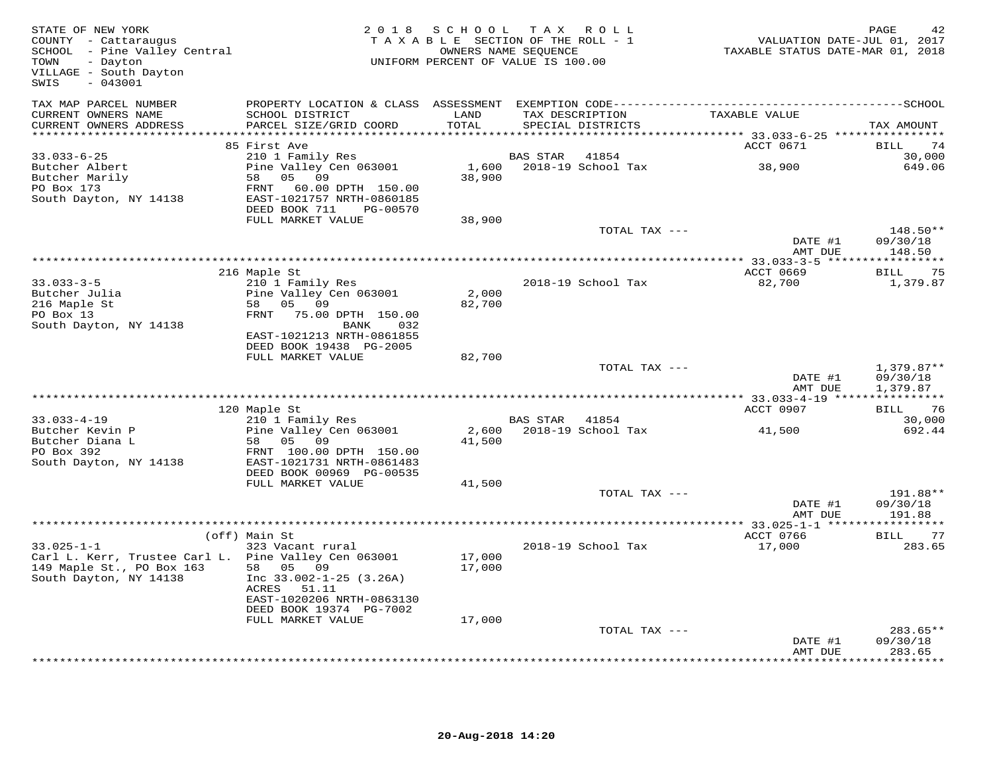| STATE OF NEW YORK<br>COUNTY - Cattaraugus<br>SCHOOL - Pine Valley Central<br>TOWN<br>- Dayton<br>VILLAGE - South Dayton<br>$-043001$<br>SWIS |                                                                                                                     | 2018 SCHOOL      | TAX ROLL<br>TAXABLE SECTION OF THE ROLL - 1<br>OWNERS NAME SEQUENCE<br>UNIFORM PERCENT OF VALUE IS 100.00 | VALUATION DATE-JUL 01, 2017<br>TAXABLE STATUS DATE-MAR 01, 2018 | PAGE                          |
|----------------------------------------------------------------------------------------------------------------------------------------------|---------------------------------------------------------------------------------------------------------------------|------------------|-----------------------------------------------------------------------------------------------------------|-----------------------------------------------------------------|-------------------------------|
| TAX MAP PARCEL NUMBER<br>CURRENT OWNERS NAME<br>CURRENT OWNERS ADDRESS<br>************************                                           | SCHOOL DISTRICT<br>PARCEL SIZE/GRID COORD                                                                           | LAND<br>TOTAL    | TAX DESCRIPTION<br>SPECIAL DISTRICTS                                                                      | TAXABLE VALUE                                                   | TAX AMOUNT                    |
|                                                                                                                                              | 85 First Ave                                                                                                        |                  |                                                                                                           | ACCT 0671                                                       | BILL<br>74                    |
| $33.033 - 6 - 25$<br>Butcher Albert<br>Butcher Marily<br>PO Box 173<br>South Dayton, NY 14138                                                | 210 1 Family Res<br>Pine Valley Cen 063001<br>58<br>05 09<br>60.00 DPTH 150.00<br>FRNT<br>EAST-1021757 NRTH-0860185 | 38,900           | 41854<br>BAS STAR<br>1,600 2018-19 School Tax                                                             | 38,900                                                          | 30,000<br>649.06              |
|                                                                                                                                              | DEED BOOK 711<br>PG-00570                                                                                           |                  |                                                                                                           |                                                                 |                               |
|                                                                                                                                              | FULL MARKET VALUE                                                                                                   | 38,900           | TOTAL TAX ---                                                                                             |                                                                 | 148.50**                      |
|                                                                                                                                              |                                                                                                                     |                  |                                                                                                           | DATE #1                                                         | 09/30/18                      |
|                                                                                                                                              |                                                                                                                     |                  |                                                                                                           | AMT DUE                                                         | 148.50                        |
|                                                                                                                                              | 216 Maple St                                                                                                        |                  |                                                                                                           | ACCT 0669                                                       | 75<br>BILL                    |
| $33.033 - 3 - 5$                                                                                                                             | 210 1 Family Res                                                                                                    |                  | 2018-19 School Tax                                                                                        | 82,700                                                          | 1,379.87                      |
| Butcher Julia                                                                                                                                | Pine Valley Cen 063001                                                                                              | 2,000            |                                                                                                           |                                                                 |                               |
| 216 Maple St<br>PO Box 13                                                                                                                    | 58 05 09<br>FRNT<br>75.00 DPTH 150.00                                                                               | 82,700           |                                                                                                           |                                                                 |                               |
| South Dayton, NY 14138                                                                                                                       | BANK<br>032                                                                                                         |                  |                                                                                                           |                                                                 |                               |
|                                                                                                                                              | EAST-1021213 NRTH-0861855                                                                                           |                  |                                                                                                           |                                                                 |                               |
|                                                                                                                                              | DEED BOOK 19438 PG-2005<br>FULL MARKET VALUE                                                                        | 82,700           |                                                                                                           |                                                                 |                               |
|                                                                                                                                              |                                                                                                                     |                  | TOTAL TAX ---                                                                                             |                                                                 | $1,379.87**$                  |
|                                                                                                                                              |                                                                                                                     |                  |                                                                                                           | DATE #1<br>AMT DUE                                              | 09/30/18<br>1,379.87          |
|                                                                                                                                              | 120 Maple St                                                                                                        |                  |                                                                                                           | ACCT 0907                                                       | BILL 76                       |
| $33.033 - 4 - 19$                                                                                                                            | 210 1 Family Res                                                                                                    |                  | BAS STAR 41854                                                                                            |                                                                 | 30,000                        |
| Butcher Kevin P<br>Butcher Diana L                                                                                                           | Pine Valley Cen 063001<br>58 05 09                                                                                  | 2,600<br>41,500  | 2018-19 School Tax                                                                                        | 41,500                                                          | 692.44                        |
| PO Box 392<br>South Dayton, NY 14138                                                                                                         | FRNT 100.00 DPTH 150.00<br>EAST-1021731 NRTH-0861483<br>DEED BOOK 00969 PG-00535                                    |                  |                                                                                                           |                                                                 |                               |
|                                                                                                                                              | FULL MARKET VALUE                                                                                                   | 41,500           |                                                                                                           |                                                                 |                               |
|                                                                                                                                              |                                                                                                                     |                  | TOTAL TAX ---                                                                                             | DATE #1                                                         | 191.88**<br>09/30/18          |
|                                                                                                                                              |                                                                                                                     |                  |                                                                                                           | AMT DUE<br>***************** 33.025-1-1 ******                  | 191.88<br>***********         |
|                                                                                                                                              | (off) Main St                                                                                                       |                  |                                                                                                           | ACCT 0766                                                       | BILL 77                       |
| $33.025 - 1 - 1$<br>Carl L. Kerr, Trustee Carl L. Pine Valley Cen 063001<br>149 Maple St., PO Box 163<br>South Dayton, NY 14138              | 323 Vacant rural<br>58 05 09<br>Inc $33.002 - 1 - 25$ (3.26A)<br>ACRES<br>51.11<br>EAST-1020206 NRTH-0863130        | 17,000<br>17,000 | 2018-19 School Tax                                                                                        | 17,000                                                          | 283.65                        |
|                                                                                                                                              | DEED BOOK 19374 PG-7002                                                                                             |                  |                                                                                                           |                                                                 |                               |
|                                                                                                                                              | FULL MARKET VALUE                                                                                                   | 17,000           | TOTAL TAX ---                                                                                             |                                                                 | 283.65**                      |
|                                                                                                                                              |                                                                                                                     |                  |                                                                                                           | DATE #1                                                         | 09/30/18                      |
|                                                                                                                                              |                                                                                                                     |                  |                                                                                                           | AMT DUE                                                         | 283.65<br>* * * * * * * * * * |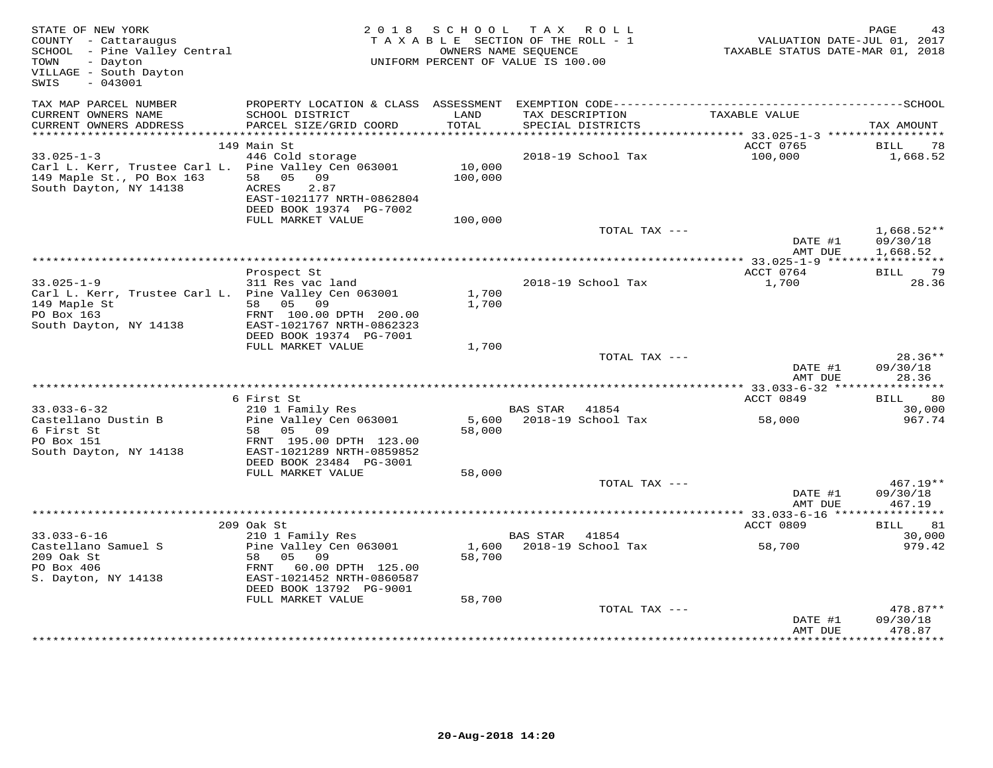| STATE OF NEW YORK<br>COUNTY - Cattaraugus<br>SCHOOL - Pine Valley Central<br>- Dayton<br>TOWN<br>VILLAGE - South Dayton<br>$-043001$<br>SWIS | 2 0 1 8                                                                                                                                       | SCHOOL                    | T A X<br>R O L L<br>TAXABLE SECTION OF THE ROLL - 1<br>OWNERS NAME SEQUENCE<br>UNIFORM PERCENT OF VALUE IS 100.00 | VALUATION DATE-JUL 01, 2017<br>TAXABLE STATUS DATE-MAR 01, 2018 | PAGE<br>43                     |
|----------------------------------------------------------------------------------------------------------------------------------------------|-----------------------------------------------------------------------------------------------------------------------------------------------|---------------------------|-------------------------------------------------------------------------------------------------------------------|-----------------------------------------------------------------|--------------------------------|
| TAX MAP PARCEL NUMBER                                                                                                                        |                                                                                                                                               |                           |                                                                                                                   |                                                                 |                                |
| CURRENT OWNERS NAME<br>CURRENT OWNERS ADDRESS<br>***********************                                                                     | SCHOOL DISTRICT<br>PARCEL SIZE/GRID COORD                                                                                                     | LAND<br>TOTAL             | TAX DESCRIPTION<br>SPECIAL DISTRICTS                                                                              | TAXABLE VALUE                                                   | TAX AMOUNT                     |
|                                                                                                                                              | 149 Main St                                                                                                                                   |                           |                                                                                                                   | ACCT 0765                                                       | BILL<br>78                     |
| $33.025 - 1 - 3$<br>Carl L. Kerr, Trustee Carl L.<br>149 Maple St., PO Box 163<br>South Dayton, NY 14138                                     | 446 Cold storage<br>Pine Valley Cen 063001<br>05<br>58<br>09<br><b>ACRES</b><br>2.87<br>EAST-1021177 NRTH-0862804<br>DEED BOOK 19374 PG-7002  | 10,000<br>100,000         | 2018-19 School Tax                                                                                                | 100,000                                                         | 1,668.52                       |
|                                                                                                                                              | FULL MARKET VALUE                                                                                                                             | 100,000                   | TOTAL TAX ---                                                                                                     |                                                                 | $1,668.52**$                   |
|                                                                                                                                              |                                                                                                                                               |                           |                                                                                                                   | DATE #1<br>AMT DUE                                              | 09/30/18<br>1,668.52           |
|                                                                                                                                              |                                                                                                                                               |                           |                                                                                                                   |                                                                 | BILL 79                        |
| $33.025 - 1 - 9$<br>Carl L. Kerr, Trustee Carl L. Pine Valley Cen 063001<br>149 Maple St<br>PO Box 163<br>South Dayton, NY 14138             | Prospect St<br>311 Res vac land<br>58 05 09<br>FRNT 100.00 DPTH 200.00<br>EAST-1021767 NRTH-0862323<br>DEED BOOK 19374 PG-7001                | 1,700<br>1,700            | 2018-19 School Tax                                                                                                | ACCT 0764<br>1,700                                              | 28.36                          |
|                                                                                                                                              | FULL MARKET VALUE                                                                                                                             | 1,700                     |                                                                                                                   |                                                                 |                                |
|                                                                                                                                              |                                                                                                                                               |                           | TOTAL TAX ---                                                                                                     | DATE #1<br>AMT DUE                                              | $28.36**$<br>09/30/18<br>28.36 |
|                                                                                                                                              |                                                                                                                                               |                           |                                                                                                                   |                                                                 |                                |
|                                                                                                                                              | 6 First St                                                                                                                                    |                           |                                                                                                                   | ACCT 0849                                                       | -80<br>BILL                    |
| $33.033 - 6 - 32$                                                                                                                            | 210 1 Family Res                                                                                                                              |                           | BAS STAR<br>41854                                                                                                 |                                                                 | 30,000                         |
| Castellano Dustin B<br>6 First St<br>PO Box 151<br>South Dayton, NY 14138                                                                    | Pine Valley Cen 063001<br>58<br>05 09<br>FRNT 195.00 DPTH 123.00<br>EAST-1021289 NRTH-0859852<br>DEED BOOK 23484 PG-3001<br>FULL MARKET VALUE | 5,600<br>58,000<br>58,000 | 2018-19 School Tax                                                                                                | 58,000                                                          | 967.74                         |
|                                                                                                                                              |                                                                                                                                               |                           | TOTAL TAX ---                                                                                                     |                                                                 | $467.19**$                     |
|                                                                                                                                              |                                                                                                                                               |                           |                                                                                                                   | DATE #1<br>AMT DUE                                              | 09/30/18<br>467.19             |
|                                                                                                                                              |                                                                                                                                               |                           |                                                                                                                   |                                                                 |                                |
| $33.033 - 6 - 16$                                                                                                                            | 209 Oak St<br>210 1 Family Res                                                                                                                |                           | BAS STAR<br>41854                                                                                                 | ACCT 0809                                                       | BILL<br>81<br>30,000           |
| Castellano Samuel S<br>209 Oak St<br>PO Box 406<br>S. Dayton, NY 14138                                                                       | Pine Valley Cen 063001<br>58<br>05<br>09<br>60.00 DPTH 125.00<br>FRNT<br>EAST-1021452 NRTH-0860587<br>DEED BOOK 13792 PG-9001                 | 1,600<br>58,700           | 2018-19 School Tax                                                                                                | 58,700                                                          | 979.42                         |
|                                                                                                                                              | FULL MARKET VALUE                                                                                                                             | 58,700                    | TOTAL TAX ---                                                                                                     | DATE #1                                                         | 478.87**<br>09/30/18           |
|                                                                                                                                              |                                                                                                                                               |                           |                                                                                                                   | AMT DUE                                                         | 478.87                         |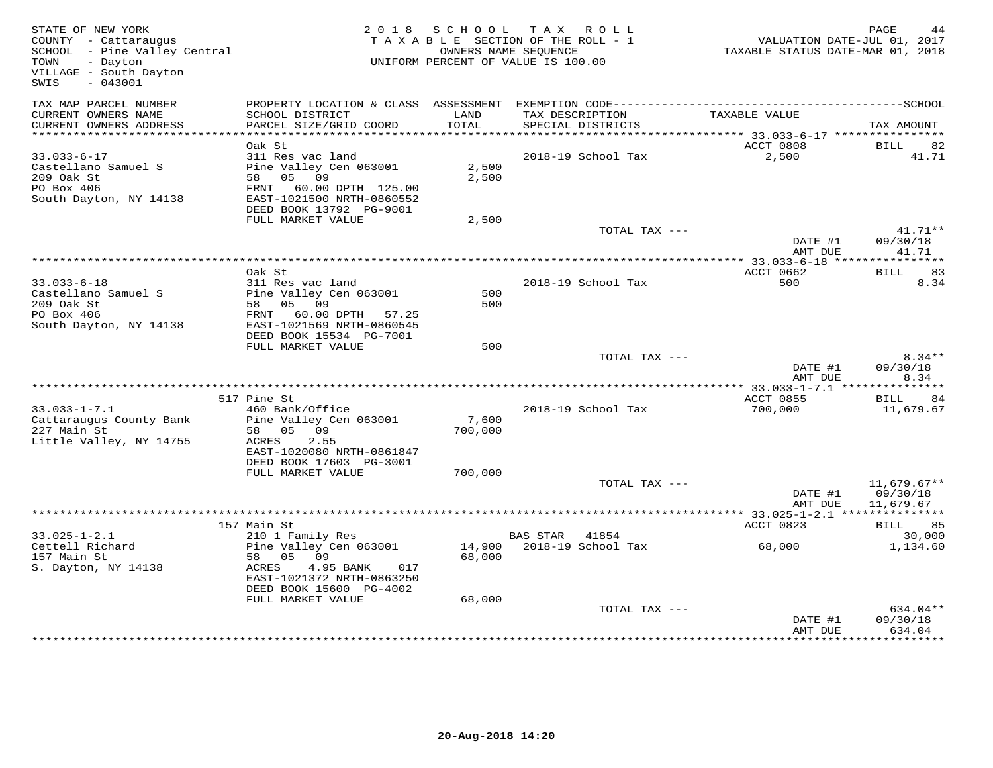| STATE OF NEW YORK<br>COUNTY - Cattaraugus<br>SCHOOL - Pine Valley Central<br>TOWN<br>- Dayton<br>VILLAGE - South Dayton<br>$-043001$<br>SWIS |                                                                                                                                         | 2018 SCHOOL TAX ROLL<br>TAXABLE SECTION OF THE ROLL - 1<br>UNIFORM PERCENT OF VALUE IS 100.00 | OWNERS NAME SEOUENCE                        |                    | VALUATION DATE-JUL 01, 2017<br>TAXABLE STATUS DATE-MAR 01, 2018 | PAGE                                   |
|----------------------------------------------------------------------------------------------------------------------------------------------|-----------------------------------------------------------------------------------------------------------------------------------------|-----------------------------------------------------------------------------------------------|---------------------------------------------|--------------------|-----------------------------------------------------------------|----------------------------------------|
| TAX MAP PARCEL NUMBER<br>CURRENT OWNERS NAME                                                                                                 | SCHOOL DISTRICT                                                                                                                         | LAND                                                                                          |                                             | TAX DESCRIPTION    | TAXABLE VALUE                                                   |                                        |
| CURRENT OWNERS ADDRESS<br>***********************                                                                                            | PARCEL SIZE/GRID COORD                                                                                                                  | TOTAL                                                                                         | SPECIAL DISTRICTS                           |                    |                                                                 | TAX AMOUNT                             |
|                                                                                                                                              | Oak St                                                                                                                                  |                                                                                               |                                             |                    |                                                                 |                                        |
| $33.033 - 6 - 17$                                                                                                                            | 311 Res vac land                                                                                                                        |                                                                                               |                                             | 2018-19 School Tax | ACCT 0808<br>2,500                                              | <b>BILL</b><br>82<br>41.71             |
| Castellano Samuel S<br>209 Oak St<br>PO Box 406<br>South Dayton, NY 14138                                                                    | Pine Valley Cen 063001<br>58 05 09<br>FRNT 60.00 DPTH 125.00<br>EAST-1021500 NRTH-0860552<br>DEED BOOK 13792 PG-9001                    | 2,500<br>2,500                                                                                |                                             |                    |                                                                 |                                        |
|                                                                                                                                              | FULL MARKET VALUE                                                                                                                       | 2,500                                                                                         |                                             |                    |                                                                 |                                        |
|                                                                                                                                              |                                                                                                                                         |                                                                                               |                                             | TOTAL TAX ---      | DATE #1<br>AMT DUE                                              | $41.71**$<br>09/30/18<br>41.71         |
|                                                                                                                                              |                                                                                                                                         |                                                                                               |                                             |                    |                                                                 |                                        |
|                                                                                                                                              | Oak St                                                                                                                                  |                                                                                               |                                             |                    | ACCT 0662                                                       | BILL 83                                |
| $33.033 - 6 - 18$<br>Castellano Samuel S<br>209 Oak St<br>PO Box 406<br>South Dayton, NY 14138                                               | 311 Res vac land<br>Pine Valley Cen 063001<br>58 05 09<br>FRNT 60.00 DPTH 57.25<br>EAST-1021569 NRTH-0860545<br>DEED BOOK 15534 PG-7001 | 500<br>500                                                                                    |                                             | 2018-19 School Tax | 500                                                             | 8.34                                   |
|                                                                                                                                              | FULL MARKET VALUE                                                                                                                       | 500                                                                                           |                                             |                    |                                                                 |                                        |
|                                                                                                                                              |                                                                                                                                         |                                                                                               |                                             | TOTAL TAX ---      | DATE #1                                                         | $8.34**$<br>09/30/18                   |
|                                                                                                                                              |                                                                                                                                         |                                                                                               |                                             |                    | AMT DUE                                                         | 8.34                                   |
|                                                                                                                                              |                                                                                                                                         |                                                                                               |                                             |                    |                                                                 |                                        |
| $33.033 - 1 - 7.1$                                                                                                                           | 517 Pine St<br>460 Bank/Office                                                                                                          |                                                                                               |                                             | 2018-19 School Tax | ACCT 0855<br>700,000                                            | BILL 84<br>11,679.67                   |
| Cattaraugus County Bank<br>227 Main St<br>Little Valley, NY 14755                                                                            | Pine Valley Cen 063001<br>58 05 09<br>2.55<br>ACRES                                                                                     | 7,600<br>700,000                                                                              |                                             |                    |                                                                 |                                        |
|                                                                                                                                              | EAST-1020080 NRTH-0861847<br>DEED BOOK 17603 PG-3001                                                                                    |                                                                                               |                                             |                    |                                                                 |                                        |
|                                                                                                                                              | FULL MARKET VALUE                                                                                                                       | 700,000                                                                                       |                                             |                    |                                                                 |                                        |
|                                                                                                                                              |                                                                                                                                         |                                                                                               |                                             | TOTAL TAX ---      | DATE #1<br>AMT DUE                                              | $11,679.67**$<br>09/30/18<br>11,679.67 |
|                                                                                                                                              |                                                                                                                                         |                                                                                               |                                             |                    | ****** 33.025-1-2.1 ***************                             |                                        |
|                                                                                                                                              | 157 Main St                                                                                                                             |                                                                                               |                                             |                    | ACCT 0823                                                       | BILL 85                                |
| $33.025 - 1 - 2.1$<br>Cettell Richard<br>157 Main St<br>S. Dayton, NY 14138                                                                  | 210 1 Family Res<br>Pine Valley Cen 063001<br>58 05 09<br>4.95 BANK<br>017<br>ACRES                                                     | 68,000                                                                                        | BAS STAR 41854<br>14,900 2018-19 School Tax |                    | 68,000                                                          | 30,000<br>1,134.60                     |
|                                                                                                                                              | EAST-1021372 NRTH-0863250<br>DEED BOOK 15600 PG-4002                                                                                    |                                                                                               |                                             |                    |                                                                 |                                        |
|                                                                                                                                              | FULL MARKET VALUE                                                                                                                       | 68,000                                                                                        |                                             |                    |                                                                 |                                        |
|                                                                                                                                              |                                                                                                                                         |                                                                                               |                                             | TOTAL TAX ---      | DATE #1<br>AMT DUE                                              | 634.04**<br>09/30/18<br>634.04         |
|                                                                                                                                              |                                                                                                                                         |                                                                                               |                                             |                    |                                                                 |                                        |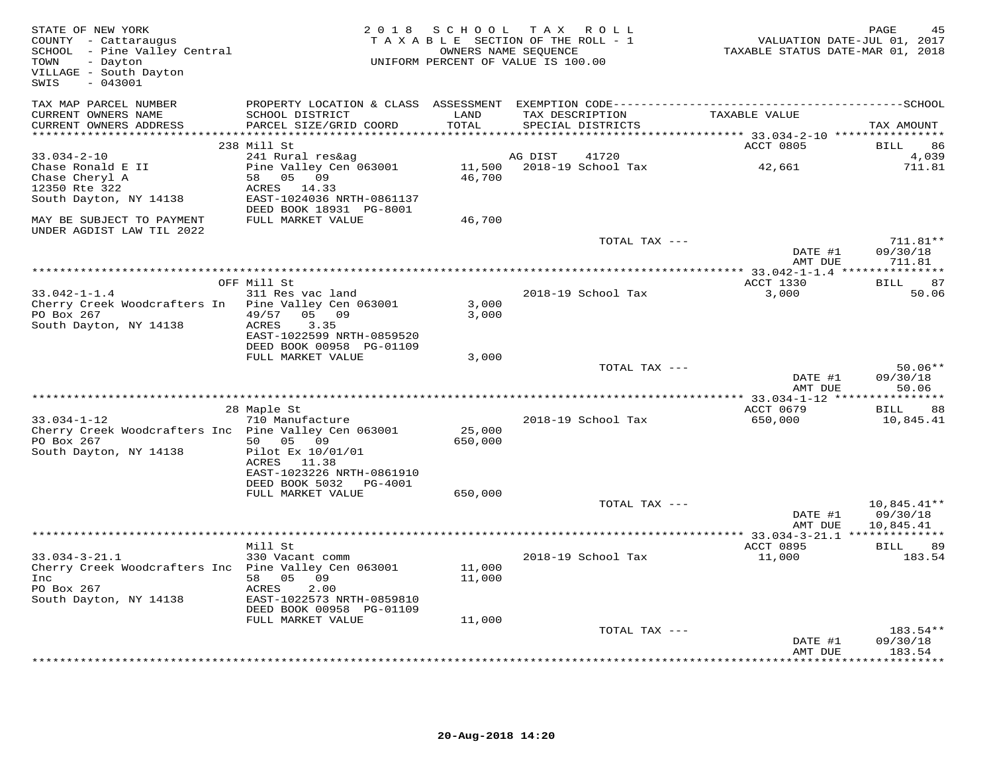| STATE OF NEW YORK<br>COUNTY - Cattaraugus<br>SCHOOL - Pine Valley Central<br>TOWN<br>- Dayton<br>VILLAGE - South Dayton<br>$-043001$<br>SWIS |                                                                        | 2018 SCHOOL       | TAX ROLL<br>TAXABLE SECTION OF THE ROLL - 1<br>OWNERS NAME SEQUENCE<br>UNIFORM PERCENT OF VALUE IS 100.00 | VALUATION DATE-JUL 01, 2017<br>TAXABLE STATUS DATE-MAR 01, 2018 | PAGE<br>45                             |
|----------------------------------------------------------------------------------------------------------------------------------------------|------------------------------------------------------------------------|-------------------|-----------------------------------------------------------------------------------------------------------|-----------------------------------------------------------------|----------------------------------------|
| TAX MAP PARCEL NUMBER<br>CURRENT OWNERS NAME                                                                                                 | SCHOOL DISTRICT                                                        | LAND              | TAX DESCRIPTION                                                                                           | TAXABLE VALUE                                                   |                                        |
| CURRENT OWNERS ADDRESS                                                                                                                       | PARCEL SIZE/GRID COORD                                                 | TOTAL             | SPECIAL DISTRICTS                                                                                         |                                                                 | TAX AMOUNT                             |
| **********************                                                                                                                       |                                                                        | **********        |                                                                                                           |                                                                 |                                        |
| $33.034 - 2 - 10$                                                                                                                            | 238 Mill St<br>241 Rural res&ag                                        |                   | 41720<br>AG DIST                                                                                          | ACCT 0805                                                       | BILL<br>86<br>4,039                    |
| Chase Ronald E II<br>Chase Cheryl A<br>12350 Rte 322                                                                                         | Pine Valley Cen 063001<br>58 05 09<br>ACRES 14.33                      | 46,700            | 11,500    2018-19    School Tax                                                                           | 42,661                                                          | 711.81                                 |
| South Dayton, NY 14138                                                                                                                       | EAST-1024036 NRTH-0861137<br>DEED BOOK 18931 PG-8001                   |                   |                                                                                                           |                                                                 |                                        |
| MAY BE SUBJECT TO PAYMENT<br>UNDER AGDIST LAW TIL 2022                                                                                       | FULL MARKET VALUE                                                      | 46,700            |                                                                                                           |                                                                 |                                        |
|                                                                                                                                              |                                                                        |                   | TOTAL TAX ---                                                                                             |                                                                 | $711.81**$                             |
|                                                                                                                                              |                                                                        |                   |                                                                                                           | DATE #1<br>AMT DUE                                              | 09/30/18<br>711.81                     |
|                                                                                                                                              |                                                                        |                   | **************************************                                                                    | ************** 33.042-1-1.4 ****************                    |                                        |
|                                                                                                                                              | OFF Mill St                                                            |                   |                                                                                                           | ACCT 1330                                                       | 87<br>BILL                             |
| $33.042 - 1 - 1.4$<br>Cherry Creek Woodcrafters In Pine Valley Cen 063001                                                                    | 311 Res vac land                                                       | 3,000             | 2018-19 School Tax                                                                                        | 3,000                                                           | 50.06                                  |
| PO Box 267                                                                                                                                   | 49/57<br>05 09                                                         | 3,000             |                                                                                                           |                                                                 |                                        |
| South Dayton, NY 14138                                                                                                                       | ACRES<br>3.35<br>EAST-1022599 NRTH-0859520                             |                   |                                                                                                           |                                                                 |                                        |
|                                                                                                                                              | DEED BOOK 00958 PG-01109<br>FULL MARKET VALUE                          | 3,000             |                                                                                                           |                                                                 |                                        |
|                                                                                                                                              |                                                                        |                   | TOTAL TAX ---                                                                                             |                                                                 | $50.06**$                              |
|                                                                                                                                              |                                                                        |                   |                                                                                                           | DATE #1<br>AMT DUE                                              | 09/30/18<br>50.06                      |
|                                                                                                                                              |                                                                        |                   |                                                                                                           |                                                                 |                                        |
| $33.034 - 1 - 12$                                                                                                                            | 28 Maple St<br>710 Manufacture                                         |                   | 2018-19 School Tax                                                                                        | ACCT 0679<br>650,000                                            | <b>BILL</b><br>88<br>10,845.41         |
| Cherry Creek Woodcrafters Inc Pine Valley Cen 063001<br>PO Box 267                                                                           | 50 05 09                                                               | 25,000<br>650,000 |                                                                                                           |                                                                 |                                        |
| South Dayton, NY 14138                                                                                                                       | Pilot Ex 10/01/01                                                      |                   |                                                                                                           |                                                                 |                                        |
|                                                                                                                                              | ACRES 11.38<br>EAST-1023226 NRTH-0861910                               |                   |                                                                                                           |                                                                 |                                        |
|                                                                                                                                              | DEED BOOK 5032 PG-4001<br>FULL MARKET VALUE                            | 650,000           |                                                                                                           |                                                                 |                                        |
|                                                                                                                                              |                                                                        |                   | TOTAL TAX ---                                                                                             | DATE #1<br>AMT DUE                                              | $10,845.41**$<br>09/30/18<br>10,845.41 |
|                                                                                                                                              |                                                                        |                   |                                                                                                           |                                                                 |                                        |
|                                                                                                                                              | Mill St                                                                |                   |                                                                                                           | ACCT 0895                                                       | <b>BILL</b><br>89                      |
| $33.034 - 3 - 21.1$<br>Cherry Creek Woodcrafters Inc Pine Valley Cen 063001<br>Inc                                                           | 330 Vacant comm<br>58 05 09                                            | 11,000<br>11,000  | 2018-19 School Tax                                                                                        | 11,000                                                          | 183.54                                 |
| PO Box 267<br>South Dayton, NY 14138                                                                                                         | ACRES<br>2.00<br>EAST-1022573 NRTH-0859810<br>DEED BOOK 00958 PG-01109 |                   |                                                                                                           |                                                                 |                                        |
|                                                                                                                                              | FULL MARKET VALUE                                                      | 11,000            |                                                                                                           |                                                                 |                                        |
|                                                                                                                                              |                                                                        |                   | TOTAL TAX ---                                                                                             |                                                                 | 183.54**                               |
|                                                                                                                                              |                                                                        |                   |                                                                                                           | DATE #1<br>AMT DUE                                              | 09/30/18<br>183.54                     |
|                                                                                                                                              |                                                                        |                   |                                                                                                           |                                                                 | ********                               |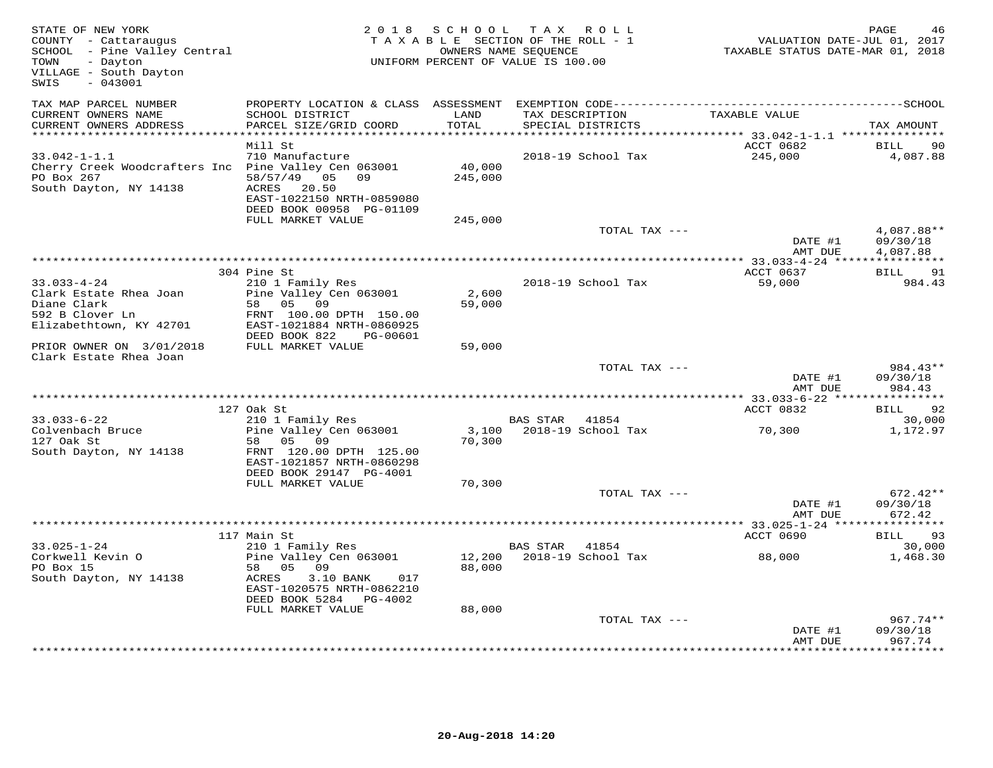| STATE OF NEW YORK<br>COUNTY - Cattaraugus<br>SCHOOL - Pine Valley Central<br>TOWN<br>- Dayton<br>VILLAGE - South Dayton<br>$-043001$<br>SWIS |                                                                                                                                                    |                              | 2018 SCHOOL TAX ROLL<br>TAXABLE SECTION OF THE ROLL - 1<br>OWNERS NAME SEQUENCE<br>UNIFORM PERCENT OF VALUE IS 100.00 | VALUATION DATE-JUL 01, 2017<br>TAXABLE STATUS DATE-MAR 01, 2018 | PAGE<br>46                     |
|----------------------------------------------------------------------------------------------------------------------------------------------|----------------------------------------------------------------------------------------------------------------------------------------------------|------------------------------|-----------------------------------------------------------------------------------------------------------------------|-----------------------------------------------------------------|--------------------------------|
| TAX MAP PARCEL NUMBER<br>CURRENT OWNERS NAME<br>CURRENT OWNERS ADDRESS                                                                       | SCHOOL DISTRICT<br>PARCEL SIZE/GRID COORD                                                                                                          | LAND<br>TOTAL                | TAX DESCRIPTION<br>SPECIAL DISTRICTS                                                                                  | TAXABLE VALUE                                                   | TAX AMOUNT                     |
| ***********************                                                                                                                      |                                                                                                                                                    |                              |                                                                                                                       |                                                                 |                                |
| $33.042 - 1 - 1.1$<br>Cherry Creek Woodcrafters Inc Pine Valley Cen 063001<br>PO Box 267<br>South Dayton, NY 14138                           | Mill St<br>710 Manufacture<br>58/57/49<br>05<br>09<br>ACRES<br>20.50<br>EAST-1022150 NRTH-0859080<br>DEED BOOK 00958 PG-01109<br>FULL MARKET VALUE | 40,000<br>245,000<br>245,000 | 2018-19 School Tax                                                                                                    | ACCT 0682<br>245,000                                            | BILL<br>90<br>4,087.88         |
|                                                                                                                                              |                                                                                                                                                    |                              | TOTAL TAX ---                                                                                                         |                                                                 | 4,087.88**                     |
|                                                                                                                                              |                                                                                                                                                    |                              |                                                                                                                       | DATE #1<br>AMT DUE                                              | 09/30/18<br>4,087.88           |
|                                                                                                                                              |                                                                                                                                                    |                              |                                                                                                                       |                                                                 |                                |
| $33.033 - 4 - 24$                                                                                                                            | 304 Pine St<br>210 1 Family Res                                                                                                                    |                              | 2018-19 School Tax                                                                                                    | ACCT 0637<br>59,000                                             | BILL 91<br>984.43              |
| Clark Estate Rhea Joan<br>Diane Clark<br>592 B Clover Ln<br>Elizabethtown, KY 42701                                                          | Pine Valley Cen 063001<br>58 05 09<br>FRNT 100.00 DPTH 150.00<br>EAST-1021884 NRTH-0860925                                                         | 2,600<br>59,000              |                                                                                                                       |                                                                 |                                |
| PRIOR OWNER ON 3/01/2018<br>Clark Estate Rhea Joan                                                                                           | DEED BOOK 822<br>PG-00601<br>FULL MARKET VALUE                                                                                                     | 59,000                       |                                                                                                                       |                                                                 |                                |
|                                                                                                                                              |                                                                                                                                                    |                              | TOTAL TAX ---                                                                                                         | DATE #1<br>AMT DUE                                              | 984.43**<br>09/30/18<br>984.43 |
|                                                                                                                                              |                                                                                                                                                    |                              |                                                                                                                       |                                                                 | BILL 92                        |
| $33.033 - 6 - 22$                                                                                                                            | 127 Oak St<br>210 1 Family Res                                                                                                                     |                              | BAS STAR<br>41854                                                                                                     | ACCT 0832                                                       | 30,000                         |
| Colvenbach Bruce<br>127 Oak St<br>South Dayton, NY 14138                                                                                     | Pine Valley Cen 063001<br>58 05 09<br>FRNT 120.00 DPTH 125.00                                                                                      | 3,100<br>70,300              | 2018-19 School Tax                                                                                                    | 70,300                                                          | 1,172.97                       |
|                                                                                                                                              | EAST-1021857 NRTH-0860298<br>DEED BOOK 29147 PG-4001<br>FULL MARKET VALUE                                                                          | 70,300                       |                                                                                                                       |                                                                 |                                |
|                                                                                                                                              |                                                                                                                                                    |                              | TOTAL TAX ---                                                                                                         |                                                                 | $672.42**$                     |
|                                                                                                                                              |                                                                                                                                                    |                              |                                                                                                                       | DATE #1<br>AMT DUE                                              | 09/30/18<br>672.42             |
|                                                                                                                                              |                                                                                                                                                    |                              |                                                                                                                       |                                                                 | ***********                    |
| $33.025 - 1 - 24$                                                                                                                            | 117 Main St<br>210 1 Family Res                                                                                                                    |                              | BAS STAR<br>41854                                                                                                     | ACCT 0690                                                       | BILL 93<br>30,000              |
| Corkwell Kevin O<br>PO Box 15<br>South Dayton, NY 14138                                                                                      | Pine Valley Cen 063001<br>58 05<br>09<br>ACRES<br>3.10 BANK<br>017<br>EAST-1020575 NRTH-0862210                                                    | 12,200<br>88,000             | 2018-19 School Tax                                                                                                    | 88,000                                                          | 1,468.30                       |
|                                                                                                                                              | DEED BOOK 5284 PG-4002<br>FULL MARKET VALUE                                                                                                        | 88,000                       |                                                                                                                       |                                                                 |                                |
|                                                                                                                                              |                                                                                                                                                    |                              | TOTAL TAX ---                                                                                                         | DATE #1<br>AMT DUE                                              | 967.74**<br>09/30/18<br>967.74 |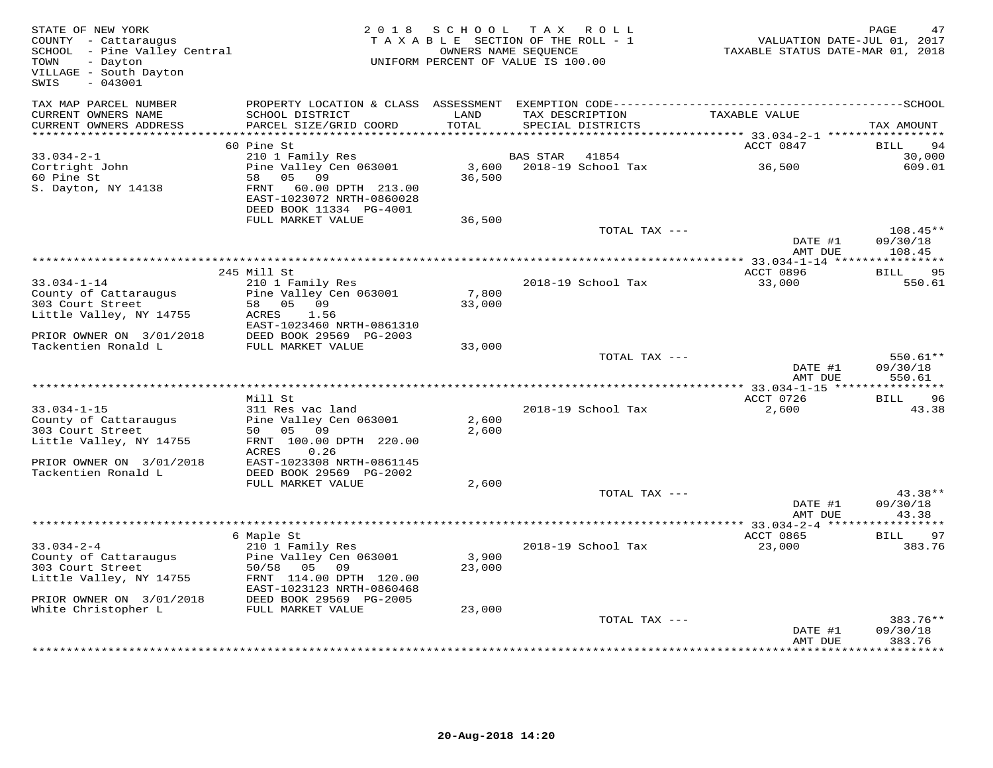| STATE OF NEW YORK<br>COUNTY - Cattaraugus<br>SCHOOL - Pine Valley Central<br>TOWN<br>- Dayton<br>VILLAGE - South Dayton<br>$-043001$<br>SWIS | 2 0 1 8                                      | S C H O O L     | TAX ROLL<br>TAXABLE SECTION OF THE ROLL - 1<br>OWNERS NAME SEQUENCE<br>UNIFORM PERCENT OF VALUE IS 100.00 | VALUATION DATE-JUL 01, 2017<br>TAXABLE STATUS DATE-MAR 01, 2018 | PAGE<br>47         |
|----------------------------------------------------------------------------------------------------------------------------------------------|----------------------------------------------|-----------------|-----------------------------------------------------------------------------------------------------------|-----------------------------------------------------------------|--------------------|
| TAX MAP PARCEL NUMBER                                                                                                                        |                                              |                 |                                                                                                           |                                                                 |                    |
| CURRENT OWNERS NAME<br>CURRENT OWNERS ADDRESS                                                                                                | SCHOOL DISTRICT<br>PARCEL SIZE/GRID COORD    | LAND<br>TOTAL   | TAX DESCRIPTION<br>SPECIAL DISTRICTS                                                                      | TAXABLE VALUE                                                   | TAX AMOUNT         |
| **************************                                                                                                                   |                                              |                 |                                                                                                           |                                                                 |                    |
|                                                                                                                                              | 60 Pine St                                   |                 |                                                                                                           | ACCT 0847                                                       | <b>BILL</b><br>94  |
| $33.034 - 2 - 1$                                                                                                                             | 210 1 Family Res                             |                 | <b>BAS STAR</b><br>41854                                                                                  |                                                                 | 30,000             |
| Cortright John<br>60 Pine St                                                                                                                 | Pine Valley Cen 063001<br>05<br>58<br>09     | 3,600<br>36,500 | 2018-19 School Tax                                                                                        | 36,500                                                          | 609.01             |
| S. Dayton, NY 14138                                                                                                                          | FRNT<br>60.00 DPTH 213.00                    |                 |                                                                                                           |                                                                 |                    |
|                                                                                                                                              | EAST-1023072 NRTH-0860028                    |                 |                                                                                                           |                                                                 |                    |
|                                                                                                                                              | DEED BOOK 11334 PG-4001                      |                 |                                                                                                           |                                                                 |                    |
|                                                                                                                                              | FULL MARKET VALUE                            | 36,500          |                                                                                                           |                                                                 |                    |
|                                                                                                                                              |                                              |                 | TOTAL TAX ---                                                                                             |                                                                 | $108.45**$         |
|                                                                                                                                              |                                              |                 |                                                                                                           | DATE #1                                                         | 09/30/18           |
|                                                                                                                                              |                                              |                 |                                                                                                           | AMT DUE                                                         | 108.45             |
|                                                                                                                                              | 245 Mill St                                  |                 |                                                                                                           | ACCT 0896                                                       | BILL<br>95         |
| $33.034 - 1 - 14$                                                                                                                            | 210 1 Family Res                             |                 | 2018-19 School Tax                                                                                        | 33,000                                                          | 550.61             |
| County of Cattaraugus                                                                                                                        | Pine Valley Cen 063001                       | 7,800           |                                                                                                           |                                                                 |                    |
| 303 Court Street                                                                                                                             | 58 05<br>0.9                                 | 33,000          |                                                                                                           |                                                                 |                    |
| Little Valley, NY 14755                                                                                                                      | ACRES<br>1.56                                |                 |                                                                                                           |                                                                 |                    |
|                                                                                                                                              | EAST-1023460 NRTH-0861310                    |                 |                                                                                                           |                                                                 |                    |
| PRIOR OWNER ON 3/01/2018<br>Tackentien Ronald L                                                                                              | DEED BOOK 29569 PG-2003<br>FULL MARKET VALUE | 33,000          |                                                                                                           |                                                                 |                    |
|                                                                                                                                              |                                              |                 | TOTAL TAX ---                                                                                             |                                                                 | 550.61**           |
|                                                                                                                                              |                                              |                 |                                                                                                           | DATE #1                                                         | 09/30/18           |
|                                                                                                                                              |                                              |                 |                                                                                                           | AMT DUE                                                         | 550.61             |
| *****************************                                                                                                                |                                              |                 |                                                                                                           |                                                                 | ***********        |
|                                                                                                                                              | Mill St                                      |                 |                                                                                                           | ACCT 0726                                                       | <b>BILL</b><br>96  |
| $33.034 - 1 - 15$<br>County of Cattaraugus                                                                                                   | 311 Res vac land<br>Pine Valley Cen 063001   | 2,600           | 2018-19 School Tax                                                                                        | 2,600                                                           | 43.38              |
| 303 Court Street                                                                                                                             | 50 05<br>09                                  | 2,600           |                                                                                                           |                                                                 |                    |
| Little Valley, NY 14755                                                                                                                      | FRNT 100.00 DPTH 220.00                      |                 |                                                                                                           |                                                                 |                    |
|                                                                                                                                              | ACRES<br>0.26                                |                 |                                                                                                           |                                                                 |                    |
| PRIOR OWNER ON 3/01/2018                                                                                                                     | EAST-1023308 NRTH-0861145                    |                 |                                                                                                           |                                                                 |                    |
| Tackentien Ronald L                                                                                                                          | DEED BOOK 29569 PG-2002<br>FULL MARKET VALUE | 2,600           |                                                                                                           |                                                                 |                    |
|                                                                                                                                              |                                              |                 | TOTAL TAX ---                                                                                             |                                                                 | $43.38**$          |
|                                                                                                                                              |                                              |                 |                                                                                                           | DATE #1                                                         | 09/30/18           |
|                                                                                                                                              |                                              |                 |                                                                                                           | AMT DUE                                                         | 43.38              |
|                                                                                                                                              |                                              |                 |                                                                                                           |                                                                 | **********         |
|                                                                                                                                              | 6 Maple St                                   |                 |                                                                                                           | ACCT 0865                                                       | 97<br><b>BILL</b>  |
| $33.034 - 2 - 4$                                                                                                                             | 210 1 Family Res                             |                 | 2018-19 School Tax                                                                                        | 23,000                                                          | 383.76             |
| County of Cattaraugus<br>303 Court Street                                                                                                    | Pine Valley Cen 063001<br>50/58 05 09        | 3,900<br>23,000 |                                                                                                           |                                                                 |                    |
| Little Valley, NY 14755                                                                                                                      | FRNT 114.00 DPTH 120.00                      |                 |                                                                                                           |                                                                 |                    |
|                                                                                                                                              | EAST-1023123 NRTH-0860468                    |                 |                                                                                                           |                                                                 |                    |
| PRIOR OWNER ON 3/01/2018                                                                                                                     | DEED BOOK 29569 PG-2005                      |                 |                                                                                                           |                                                                 |                    |
| White Christopher L                                                                                                                          | FULL MARKET VALUE                            | 23,000          |                                                                                                           |                                                                 |                    |
|                                                                                                                                              |                                              |                 | TOTAL TAX ---                                                                                             |                                                                 | 383.76**           |
|                                                                                                                                              |                                              |                 |                                                                                                           | DATE #1<br>AMT DUE                                              | 09/30/18<br>383.76 |
|                                                                                                                                              |                                              |                 |                                                                                                           |                                                                 |                    |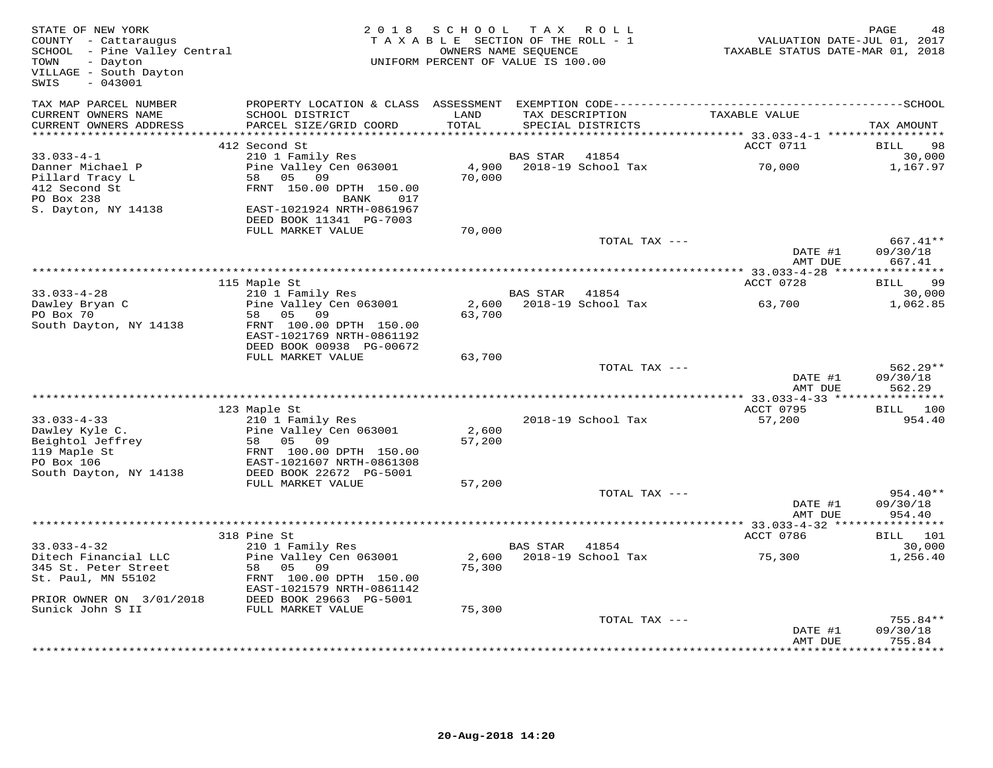| STATE OF NEW YORK<br>COUNTY - Cattaraugus<br>SCHOOL - Pine Valley Central<br>TOWN<br>- Dayton<br>VILLAGE - South Dayton<br>$-043001$<br>SWIS | 2 0 1 8                                              | SCHOOL<br>TAXABLE SECTION OF THE ROLL - 1<br>UNIFORM PERCENT OF VALUE IS 100.00 | T A X<br>OWNERS NAME SEQUENCE | ROLL ROLL          | TAXABLE STATUS DATE-MAR 01, 2018 | PAGE<br>48<br>VALUATION DATE-JUL 01, 2017 |
|----------------------------------------------------------------------------------------------------------------------------------------------|------------------------------------------------------|---------------------------------------------------------------------------------|-------------------------------|--------------------|----------------------------------|-------------------------------------------|
| TAX MAP PARCEL NUMBER<br>CURRENT OWNERS NAME                                                                                                 | SCHOOL DISTRICT                                      | LAND                                                                            |                               | TAX DESCRIPTION    | TAXABLE VALUE                    |                                           |
| CURRENT OWNERS ADDRESS                                                                                                                       | PARCEL SIZE/GRID COORD                               | TOTAL                                                                           |                               | SPECIAL DISTRICTS  |                                  | TAX AMOUNT                                |
|                                                                                                                                              |                                                      |                                                                                 |                               |                    |                                  |                                           |
|                                                                                                                                              | 412 Second St                                        |                                                                                 |                               |                    | ACCT 0711                        | 98<br>BILL                                |
| $33.033 - 4 - 1$                                                                                                                             | 210 1 Family Res                                     |                                                                                 | <b>BAS STAR</b>               | 41854              |                                  | 30,000                                    |
| Danner Michael P                                                                                                                             | Pine Valley Cen 063001                               | 4,900<br>70,000                                                                 |                               | 2018-19 School Tax | 70,000                           | 1,167.97                                  |
| Pillard Tracy L<br>412 Second St                                                                                                             | 58<br>05<br>09<br>FRNT 150.00 DPTH 150.00            |                                                                                 |                               |                    |                                  |                                           |
| PO Box 238                                                                                                                                   | 017<br>BANK                                          |                                                                                 |                               |                    |                                  |                                           |
| S. Dayton, NY 14138                                                                                                                          | EAST-1021924 NRTH-0861967                            |                                                                                 |                               |                    |                                  |                                           |
|                                                                                                                                              | DEED BOOK 11341 PG-7003                              |                                                                                 |                               |                    |                                  |                                           |
|                                                                                                                                              | FULL MARKET VALUE                                    | 70,000                                                                          |                               |                    |                                  |                                           |
|                                                                                                                                              |                                                      |                                                                                 |                               | TOTAL TAX ---      |                                  | 667.41**                                  |
|                                                                                                                                              |                                                      |                                                                                 |                               |                    | DATE #1<br>AMT DUE               | 09/30/18<br>667.41                        |
|                                                                                                                                              |                                                      |                                                                                 |                               |                    |                                  |                                           |
|                                                                                                                                              | 115 Maple St                                         |                                                                                 |                               |                    | ACCT 0728                        | 99<br>BILL                                |
| $33.033 - 4 - 28$                                                                                                                            | 210 1 Family Res                                     |                                                                                 | <b>BAS STAR</b>               | 41854              |                                  | 30,000                                    |
| Dawley Bryan C                                                                                                                               | Pine Valley Cen 063001                               | 2,600                                                                           |                               | 2018-19 School Tax | 63,700                           | 1,062.85                                  |
| PO Box 70                                                                                                                                    | 58<br>05 09                                          | 63,700                                                                          |                               |                    |                                  |                                           |
| South Dayton, NY 14138                                                                                                                       | FRNT 100.00 DPTH 150.00<br>EAST-1021769 NRTH-0861192 |                                                                                 |                               |                    |                                  |                                           |
|                                                                                                                                              | DEED BOOK 00938 PG-00672                             |                                                                                 |                               |                    |                                  |                                           |
|                                                                                                                                              | FULL MARKET VALUE                                    | 63,700                                                                          |                               |                    |                                  |                                           |
|                                                                                                                                              |                                                      |                                                                                 |                               | TOTAL TAX ---      |                                  | $562.29**$                                |
|                                                                                                                                              |                                                      |                                                                                 |                               |                    | DATE #1                          | 09/30/18                                  |
|                                                                                                                                              |                                                      |                                                                                 |                               |                    | AMT DUE                          | 562.29                                    |
|                                                                                                                                              |                                                      |                                                                                 |                               |                    |                                  |                                           |
|                                                                                                                                              | 123 Maple St                                         |                                                                                 |                               |                    | ACCT 0795                        | BILL 100                                  |
| $33.033 - 4 - 33$                                                                                                                            | 210 1 Family Res                                     |                                                                                 |                               | 2018-19 School Tax | 57,200                           | 954.40                                    |
| Dawley Kyle C.<br>Beightol Jeffrey                                                                                                           | Pine Valley Cen 063001<br>58 05 09                   | 2,600<br>57,200                                                                 |                               |                    |                                  |                                           |
| 119 Maple St                                                                                                                                 | FRNT 100.00 DPTH 150.00                              |                                                                                 |                               |                    |                                  |                                           |
| PO Box 106                                                                                                                                   | EAST-1021607 NRTH-0861308                            |                                                                                 |                               |                    |                                  |                                           |
| South Dayton, NY 14138                                                                                                                       | DEED BOOK 22672 PG-5001                              |                                                                                 |                               |                    |                                  |                                           |
|                                                                                                                                              | FULL MARKET VALUE                                    | 57,200                                                                          |                               |                    |                                  |                                           |
|                                                                                                                                              |                                                      |                                                                                 |                               | TOTAL TAX ---      |                                  | 954.40**                                  |
|                                                                                                                                              |                                                      |                                                                                 |                               |                    | DATE #1                          | 09/30/18                                  |
|                                                                                                                                              |                                                      |                                                                                 |                               |                    | AMT DUE                          | 954.40                                    |
|                                                                                                                                              |                                                      |                                                                                 |                               |                    | ********* 33.033-4-32 ****       | ***********                               |
|                                                                                                                                              | 318 Pine St                                          |                                                                                 |                               | 41854              | ACCT 0786                        | BILL 101                                  |
| $33.033 - 4 - 32$<br>Ditech Financial LLC                                                                                                    | 210 1 Family Res<br>Pine Valley Cen 063001           | 2,600                                                                           | <b>BAS STAR</b>               | 2018-19 School Tax | 75,300                           | 30,000<br>1,256.40                        |
| 345 St. Peter Street                                                                                                                         | 58<br>05 09                                          | 75,300                                                                          |                               |                    |                                  |                                           |
| St. Paul, MN 55102                                                                                                                           | FRNT 100.00 DPTH 150.00                              |                                                                                 |                               |                    |                                  |                                           |
|                                                                                                                                              | EAST-1021579 NRTH-0861142                            |                                                                                 |                               |                    |                                  |                                           |
| PRIOR OWNER ON 3/01/2018                                                                                                                     | DEED BOOK 29663 PG-5001                              |                                                                                 |                               |                    |                                  |                                           |
| Sunick John S II                                                                                                                             | FULL MARKET VALUE                                    | 75,300                                                                          |                               |                    |                                  |                                           |
|                                                                                                                                              |                                                      |                                                                                 |                               | TOTAL TAX ---      |                                  | 755.84**                                  |
|                                                                                                                                              |                                                      |                                                                                 |                               |                    | DATE #1                          | 09/30/18                                  |
|                                                                                                                                              |                                                      |                                                                                 |                               |                    | AMT DUE                          | 755.84<br>**********                      |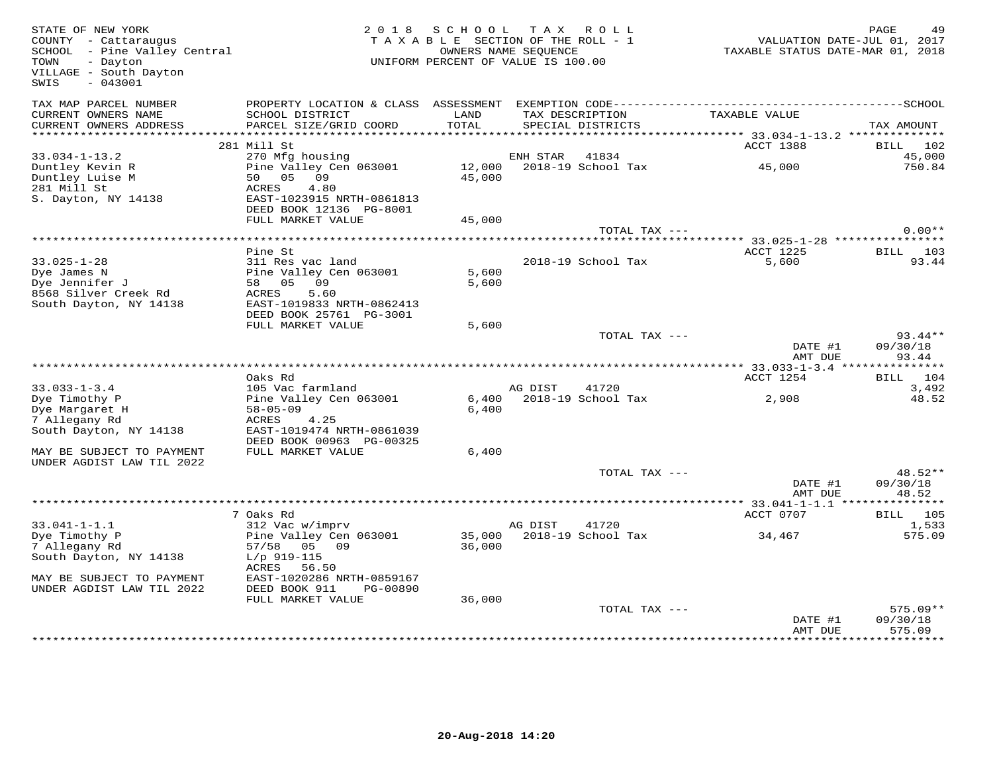| STATE OF NEW YORK<br>COUNTY - Cattaraugus<br>SCHOOL - Pine Valley Central<br>- Dayton<br>TOWN<br>VILLAGE - South Dayton<br>$-043001$<br>SWIS |                                                                           | 2018 SCHOOL<br>TAXABLE SECTION OF THE ROLL - 1<br>UNIFORM PERCENT OF VALUE IS 100.00 | OWNERS NAME SEQUENCE | TAX ROLL                             | VALUATION DATE-JUL 01, 2017<br>TAXABLE STATUS DATE-MAR 01, 2018 | PAGE                     |
|----------------------------------------------------------------------------------------------------------------------------------------------|---------------------------------------------------------------------------|--------------------------------------------------------------------------------------|----------------------|--------------------------------------|-----------------------------------------------------------------|--------------------------|
| TAX MAP PARCEL NUMBER<br>CURRENT OWNERS NAME<br>CURRENT OWNERS ADDRESS                                                                       | SCHOOL DISTRICT<br>PARCEL SIZE/GRID COORD                                 | LAND<br>TOTAL                                                                        |                      | TAX DESCRIPTION<br>SPECIAL DISTRICTS | TAXABLE VALUE                                                   | TAX AMOUNT               |
|                                                                                                                                              |                                                                           |                                                                                      |                      |                                      | ************ 33.034-1-13.2 **************                       |                          |
| $33.034 - 1 - 13.2$                                                                                                                          | 281 Mill St                                                               |                                                                                      | ENH STAR             | 41834                                | ACCT 1388                                                       | BILL<br>102<br>45,000    |
| Duntley Kevin R<br>Duntley Luise M<br>281 Mill St                                                                                            | 270 Mfg housing<br>Pine Valley Cen 063001<br>50 05 09<br>ACRES<br>4.80    | 12,000<br>45,000                                                                     |                      | 2018-19 School Tax                   | 45,000                                                          | 750.84                   |
| S. Dayton, NY 14138                                                                                                                          | EAST-1023915 NRTH-0861813<br>DEED BOOK 12136 PG-8001<br>FULL MARKET VALUE | 45,000                                                                               |                      |                                      |                                                                 |                          |
|                                                                                                                                              |                                                                           |                                                                                      |                      | TOTAL TAX ---                        |                                                                 | $0.00**$                 |
|                                                                                                                                              |                                                                           |                                                                                      |                      |                                      | *********** 33.025-1-28 ****************                        |                          |
|                                                                                                                                              | Pine St                                                                   |                                                                                      |                      |                                      | <b>ACCT 1225</b>                                                | BILL<br>103              |
| $33.025 - 1 - 28$                                                                                                                            | 311 Res vac land                                                          |                                                                                      |                      | 2018-19 School Tax                   | 5,600                                                           | 93.44                    |
| Dye James N                                                                                                                                  | Pine Valley Cen 063001<br>09                                              | 5,600                                                                                |                      |                                      |                                                                 |                          |
| Dye Jennifer J<br>8568 Silver Creek Rd                                                                                                       | 58 05<br>ACRES<br>5.60                                                    | 5,600                                                                                |                      |                                      |                                                                 |                          |
| South Dayton, NY 14138                                                                                                                       | EAST-1019833 NRTH-0862413                                                 |                                                                                      |                      |                                      |                                                                 |                          |
|                                                                                                                                              | DEED BOOK 25761 PG-3001                                                   |                                                                                      |                      |                                      |                                                                 |                          |
|                                                                                                                                              | FULL MARKET VALUE                                                         | 5,600                                                                                |                      |                                      |                                                                 |                          |
|                                                                                                                                              |                                                                           |                                                                                      |                      | TOTAL TAX ---                        | DATE #1                                                         | $93.44**$<br>09/30/18    |
|                                                                                                                                              |                                                                           |                                                                                      |                      |                                      | AMT DUE                                                         | 93.44                    |
|                                                                                                                                              |                                                                           |                                                                                      |                      |                                      |                                                                 |                          |
|                                                                                                                                              | Oaks Rd                                                                   |                                                                                      |                      |                                      | ACCT 1254                                                       | BILL<br>104              |
| $33.033 - 1 - 3.4$                                                                                                                           | 105 Vac farmland                                                          |                                                                                      | AG DIST              | 41720                                |                                                                 | 3,492                    |
| Dye Timothy P<br>Dye Margaret H<br>7 Allegany Rd                                                                                             | Pine Valley Cen 063001<br>$58 - 05 - 09$<br>ACRES<br>4.25                 | 6,400<br>6,400                                                                       |                      | 2018-19 School Tax                   | 2,908                                                           | 48.52                    |
| South Dayton, NY 14138                                                                                                                       | EAST-1019474 NRTH-0861039<br>DEED BOOK 00963 PG-00325                     |                                                                                      |                      |                                      |                                                                 |                          |
| MAY BE SUBJECT TO PAYMENT<br>UNDER AGDIST LAW TIL 2022                                                                                       | FULL MARKET VALUE                                                         | 6,400                                                                                |                      |                                      |                                                                 |                          |
|                                                                                                                                              |                                                                           |                                                                                      |                      | TOTAL TAX ---                        |                                                                 | 48.52**                  |
|                                                                                                                                              |                                                                           |                                                                                      |                      |                                      | DATE #1                                                         | 09/30/18                 |
|                                                                                                                                              |                                                                           |                                                                                      |                      |                                      | AMT DUE                                                         | 48.52                    |
|                                                                                                                                              |                                                                           |                                                                                      |                      |                                      |                                                                 |                          |
| $33.041 - 1 - 1.1$                                                                                                                           | 7 Oaks Rd<br>312 Vac w/imprv                                              |                                                                                      | AG DIST              | 41720                                | ACCT 0707                                                       | <b>BILL</b> 105<br>1,533 |
| Dye Timothy P                                                                                                                                | Pine Valley Cen 063001                                                    | 35,000                                                                               |                      | 2018-19 School Tax                   | 34,467                                                          | 575.09                   |
| 7 Allegany Rd                                                                                                                                | 57/58 05 09                                                               | 36,000                                                                               |                      |                                      |                                                                 |                          |
| South Dayton, NY 14138                                                                                                                       | $L/p$ 919-115<br>ACRES<br>56.50                                           |                                                                                      |                      |                                      |                                                                 |                          |
| MAY BE SUBJECT TO PAYMENT                                                                                                                    | EAST-1020286 NRTH-0859167                                                 |                                                                                      |                      |                                      |                                                                 |                          |
| UNDER AGDIST LAW TIL 2022                                                                                                                    | DEED BOOK 911<br>PG-00890                                                 |                                                                                      |                      |                                      |                                                                 |                          |
|                                                                                                                                              | FULL MARKET VALUE                                                         | 36,000                                                                               |                      |                                      |                                                                 |                          |
|                                                                                                                                              |                                                                           |                                                                                      |                      | TOTAL TAX ---                        |                                                                 | $575.09**$               |
|                                                                                                                                              |                                                                           |                                                                                      |                      |                                      | DATE #1<br>AMT DUE                                              | 09/30/18<br>575.09       |
|                                                                                                                                              |                                                                           |                                                                                      |                      |                                      |                                                                 |                          |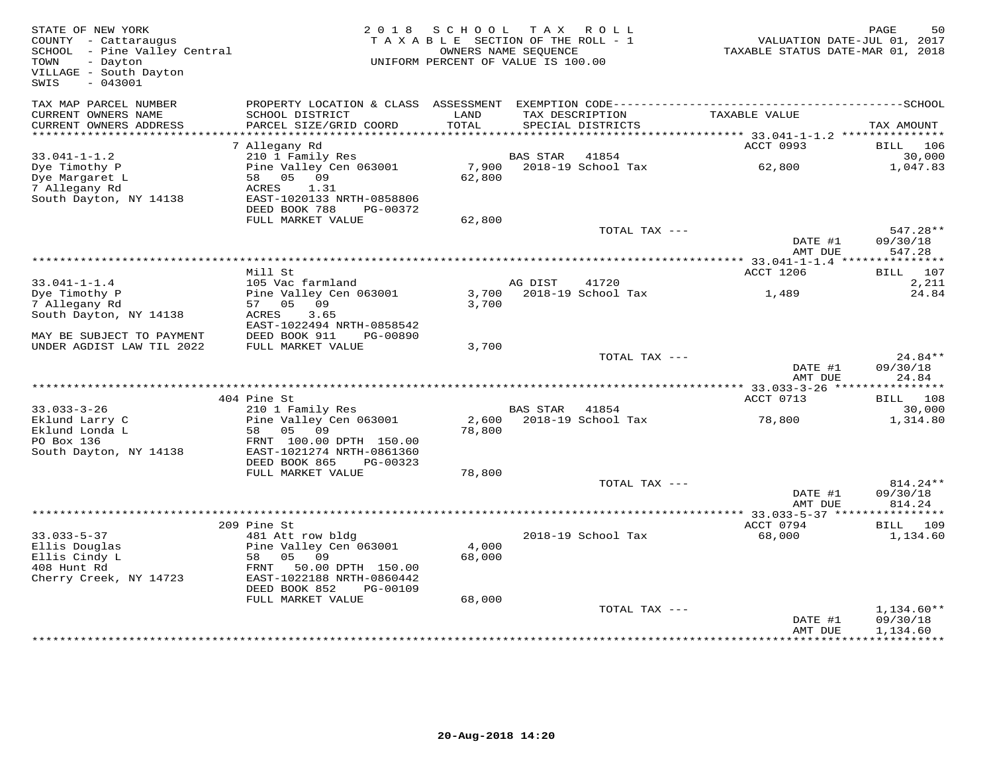| STATE OF NEW YORK<br>COUNTY - Cattaraugus<br>SCHOOL - Pine Valley Central<br>- Dayton<br>TOWN<br>VILLAGE - South Dayton<br>$-043001$<br>SWIS | 2 0 1 8                                                                                                                                   | S C H O O L<br>TAXABLE SECTION OF THE ROLL - 1<br>UNIFORM PERCENT OF VALUE IS 100.00 | OWNERS NAME SEOUENCE | TAX ROLL                             | VALUATION DATE-JUL 01, 2017<br>TAXABLE STATUS DATE-MAR 01, 2018 | PAGE<br>50           |
|----------------------------------------------------------------------------------------------------------------------------------------------|-------------------------------------------------------------------------------------------------------------------------------------------|--------------------------------------------------------------------------------------|----------------------|--------------------------------------|-----------------------------------------------------------------|----------------------|
| TAX MAP PARCEL NUMBER<br>CURRENT OWNERS NAME<br>CURRENT OWNERS ADDRESS                                                                       | PROPERTY LOCATION & CLASS ASSESSMENT EXEMPTION CODE-----------------------------------SCHOOL<br>SCHOOL DISTRICT<br>PARCEL SIZE/GRID COORD | LAND<br>TOTAL                                                                        |                      | TAX DESCRIPTION<br>SPECIAL DISTRICTS | TAXABLE VALUE                                                   | TAX AMOUNT           |
| **********************                                                                                                                       |                                                                                                                                           |                                                                                      |                      |                                      |                                                                 |                      |
|                                                                                                                                              | 7 Allegany Rd                                                                                                                             |                                                                                      |                      |                                      | ACCT 0993                                                       | BILL<br>106          |
| $33.041 - 1 - 1.2$                                                                                                                           | 210 1 Family Res                                                                                                                          |                                                                                      | BAS STAR             | 41854                                |                                                                 | 30,000               |
| Dye Timothy P<br>Dye Margaret L                                                                                                              | Pine Valley Cen 063001<br>58 05 09                                                                                                        | 7,900<br>62,800                                                                      |                      | 2018-19 School Tax                   | 62,800                                                          | 1,047.83             |
| 7 Allegany Rd                                                                                                                                | 1.31<br>ACRES                                                                                                                             |                                                                                      |                      |                                      |                                                                 |                      |
| South Dayton, NY 14138                                                                                                                       | EAST-1020133 NRTH-0858806                                                                                                                 |                                                                                      |                      |                                      |                                                                 |                      |
|                                                                                                                                              | DEED BOOK 788<br>PG-00372                                                                                                                 |                                                                                      |                      |                                      |                                                                 |                      |
|                                                                                                                                              | FULL MARKET VALUE                                                                                                                         | 62,800                                                                               |                      | TOTAL TAX ---                        |                                                                 | 547.28**             |
|                                                                                                                                              |                                                                                                                                           |                                                                                      |                      |                                      | DATE #1                                                         | 09/30/18             |
|                                                                                                                                              |                                                                                                                                           |                                                                                      |                      |                                      | AMT DUE                                                         | 547.28               |
|                                                                                                                                              |                                                                                                                                           |                                                                                      |                      |                                      |                                                                 |                      |
|                                                                                                                                              | Mill St                                                                                                                                   |                                                                                      |                      |                                      | <b>ACCT 1206</b>                                                | BILL 107             |
| $33.041 - 1 - 1.4$<br>Dye Timothy P                                                                                                          | 105 Vac farmland<br>Pine Valley Cen 063001                                                                                                | 3,700                                                                                | AG DIST              | 41720<br>2018-19 School Tax          | 1,489                                                           | 2,211<br>24.84       |
| 7 Allegany Rd                                                                                                                                | 57 05 09                                                                                                                                  | 3,700                                                                                |                      |                                      |                                                                 |                      |
| South Dayton, NY 14138                                                                                                                       | 3.65<br>ACRES                                                                                                                             |                                                                                      |                      |                                      |                                                                 |                      |
|                                                                                                                                              | EAST-1022494 NRTH-0858542                                                                                                                 |                                                                                      |                      |                                      |                                                                 |                      |
| MAY BE SUBJECT TO PAYMENT<br>UNDER AGDIST LAW TIL 2022                                                                                       | DEED BOOK 911<br>PG-00890<br>FULL MARKET VALUE                                                                                            |                                                                                      |                      |                                      |                                                                 |                      |
|                                                                                                                                              |                                                                                                                                           | 3,700                                                                                |                      | TOTAL TAX ---                        |                                                                 | $24.84**$            |
|                                                                                                                                              |                                                                                                                                           |                                                                                      |                      |                                      | DATE #1                                                         | 09/30/18             |
|                                                                                                                                              |                                                                                                                                           |                                                                                      |                      |                                      | AMT DUE                                                         | 24.84                |
|                                                                                                                                              |                                                                                                                                           |                                                                                      |                      |                                      |                                                                 |                      |
| $33.033 - 3 - 26$                                                                                                                            | 404 Pine St<br>210 1 Family Res                                                                                                           |                                                                                      | BAS STAR 41854       |                                      | ACCT 0713                                                       | BILL 108<br>30,000   |
| Eklund Larry C                                                                                                                               | Pine Valley Cen 063001                                                                                                                    |                                                                                      |                      | 2,600 2018-19 School Tax             | 78,800                                                          | 1,314.80             |
| Eklund Londa L                                                                                                                               | 58 05<br>09                                                                                                                               | 78,800                                                                               |                      |                                      |                                                                 |                      |
| PO Box 136                                                                                                                                   | FRNT 100.00 DPTH 150.00                                                                                                                   |                                                                                      |                      |                                      |                                                                 |                      |
| South Dayton, NY 14138                                                                                                                       | EAST-1021274 NRTH-0861360<br>DEED BOOK 865<br>PG-00323                                                                                    |                                                                                      |                      |                                      |                                                                 |                      |
|                                                                                                                                              | FULL MARKET VALUE                                                                                                                         | 78,800                                                                               |                      |                                      |                                                                 |                      |
|                                                                                                                                              |                                                                                                                                           |                                                                                      |                      | TOTAL TAX ---                        |                                                                 | 814.24**             |
|                                                                                                                                              |                                                                                                                                           |                                                                                      |                      |                                      | DATE #1                                                         | 09/30/18             |
|                                                                                                                                              |                                                                                                                                           |                                                                                      |                      |                                      | AMT DUE                                                         | 814.24<br>********** |
|                                                                                                                                              | 209 Pine St                                                                                                                               |                                                                                      |                      |                                      | *************** 33.033-5-37 ****<br>ACCT 0794                   | BILL<br>109          |
| $33.033 - 5 - 37$                                                                                                                            | 481 Att row bldg                                                                                                                          |                                                                                      |                      | 2018-19 School Tax                   | 68,000                                                          | 1,134.60             |
| Ellis Douglas                                                                                                                                | Pine Valley Cen 063001                                                                                                                    | 4,000                                                                                |                      |                                      |                                                                 |                      |
| Ellis Cindy L                                                                                                                                | 09<br>0.5<br>58                                                                                                                           | 68,000                                                                               |                      |                                      |                                                                 |                      |
| 408 Hunt Rd                                                                                                                                  | 50.00 DPTH 150.00<br>FRNT                                                                                                                 |                                                                                      |                      |                                      |                                                                 |                      |
| Cherry Creek, NY 14723                                                                                                                       | EAST-1022188 NRTH-0860442<br>DEED BOOK 852<br>PG-00109                                                                                    |                                                                                      |                      |                                      |                                                                 |                      |
|                                                                                                                                              | FULL MARKET VALUE                                                                                                                         | 68,000                                                                               |                      |                                      |                                                                 |                      |
|                                                                                                                                              |                                                                                                                                           |                                                                                      |                      | TOTAL TAX ---                        |                                                                 | $1,134.60**$         |
|                                                                                                                                              |                                                                                                                                           |                                                                                      |                      |                                      | DATE #1                                                         | 09/30/18             |
|                                                                                                                                              |                                                                                                                                           |                                                                                      |                      |                                      | AMT DUE                                                         | 1,134.60             |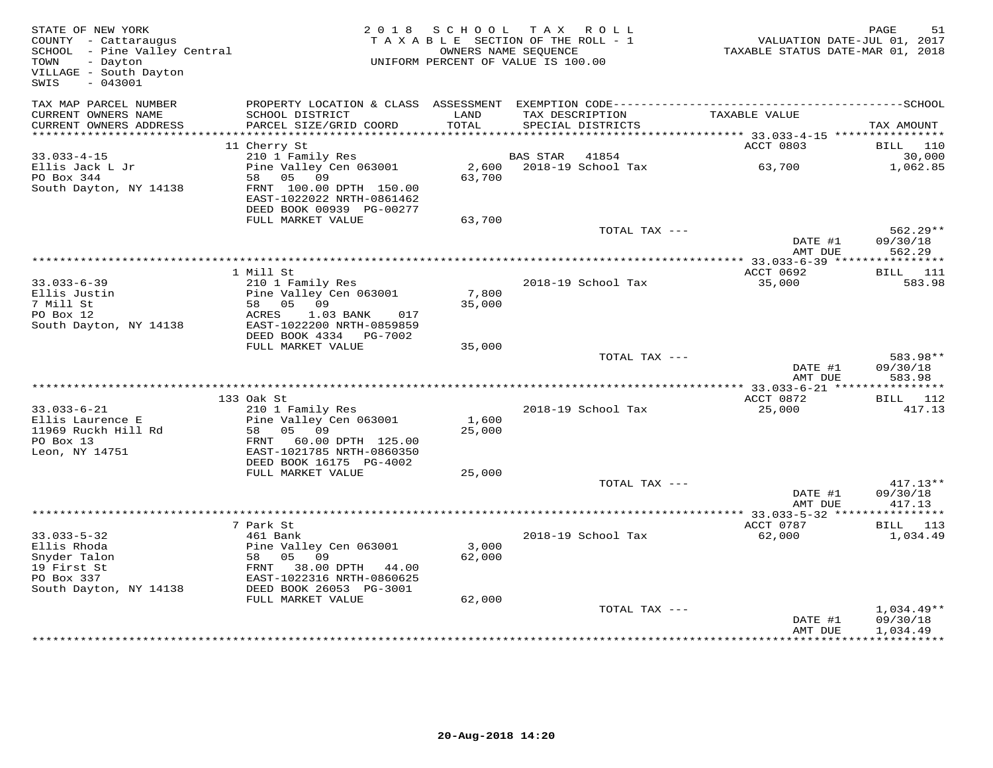| STATE OF NEW YORK<br>COUNTY - Cattaraugus<br>SCHOOL - Pine Valley Central<br>VILLAGE - South Dayton<br>$-043001$<br>SWIS |                                                                                                    | 2018 SCHOOL<br>TAXABLE SECTION OF THE ROLL - 1<br>OWNERS NAME SEQUENCE<br>UNIFORM PERCENT OF VALUE IS 100.00 |                       | TAX ROLL                 | VALUATION DATE-JUL 01, 2017<br>TAXABLE STATUS DATE-MAR 01, 2018 | PAGE<br>51             |
|--------------------------------------------------------------------------------------------------------------------------|----------------------------------------------------------------------------------------------------|--------------------------------------------------------------------------------------------------------------|-----------------------|--------------------------|-----------------------------------------------------------------|------------------------|
| TAX MAP PARCEL NUMBER<br>CURRENT OWNERS NAME                                                                             | SCHOOL DISTRICT                                                                                    | LAND                                                                                                         |                       | TAX DESCRIPTION          | TAXABLE VALUE                                                   |                        |
| CURRENT OWNERS ADDRESS                                                                                                   | PARCEL SIZE/GRID COORD                                                                             | TOTAL                                                                                                        |                       | SPECIAL DISTRICTS        |                                                                 | TAX AMOUNT             |
|                                                                                                                          |                                                                                                    |                                                                                                              |                       |                          |                                                                 |                        |
|                                                                                                                          | 11 Cherry St                                                                                       |                                                                                                              |                       |                          | ACCT 0803                                                       | BILL 110               |
| $33.033 - 4 - 15$<br>Ellis Jack L Jr                                                                                     | 210 1 Family Res<br>210 1 Family Res<br>Pine Valley Cen 063001                                     |                                                                                                              | <b>BAS STAR</b> 41854 | 2,600 2018-19 School Tax | 63,700                                                          | 30,000<br>1,062.85     |
| PO Box 344                                                                                                               | 58 05 09                                                                                           | 63,700                                                                                                       |                       |                          |                                                                 |                        |
| South Dayton, NY 14138                                                                                                   | FRNT 100.00 DPTH 150.00                                                                            |                                                                                                              |                       |                          |                                                                 |                        |
|                                                                                                                          | EAST-1022022 NRTH-0861462                                                                          |                                                                                                              |                       |                          |                                                                 |                        |
|                                                                                                                          | DEED BOOK 00939 PG-00277<br>FULL MARKET VALUE                                                      | 63,700                                                                                                       |                       |                          |                                                                 |                        |
|                                                                                                                          |                                                                                                    |                                                                                                              |                       | TOTAL TAX ---            |                                                                 | $562.29**$             |
|                                                                                                                          |                                                                                                    |                                                                                                              |                       |                          | DATE #1                                                         | 09/30/18               |
|                                                                                                                          |                                                                                                    |                                                                                                              |                       |                          | AMT DUE                                                         | 562.29                 |
|                                                                                                                          | 1 Mill St                                                                                          |                                                                                                              |                       |                          | ACCT 0692                                                       | <b>BILL</b> 111        |
| $33.033 - 6 - 39$                                                                                                        | 210 1 Family Res                                                                                   |                                                                                                              |                       | 2018-19 School Tax       | 35,000                                                          | 583.98                 |
| Ellis Justin                                                                                                             |                                                                                                    | 7,800                                                                                                        |                       |                          |                                                                 |                        |
| 7 Mill St                                                                                                                |                                                                                                    | 35,000                                                                                                       |                       |                          |                                                                 |                        |
| PO Box 12                                                                                                                | ACRES<br>1.03 BANK<br>017<br>EAST-1022200 NRTH-0859859                                             |                                                                                                              |                       |                          |                                                                 |                        |
| South Dayton, NY 14138                                                                                                   | DEED BOOK 4334 PG-7002                                                                             |                                                                                                              |                       |                          |                                                                 |                        |
|                                                                                                                          | FULL MARKET VALUE                                                                                  | 35,000                                                                                                       |                       |                          |                                                                 |                        |
|                                                                                                                          |                                                                                                    |                                                                                                              |                       | TOTAL TAX ---            |                                                                 | 583.98**               |
|                                                                                                                          |                                                                                                    |                                                                                                              |                       |                          | DATE #1                                                         | 09/30/18               |
|                                                                                                                          |                                                                                                    |                                                                                                              |                       |                          | AMT DUE                                                         | 583.98                 |
|                                                                                                                          | 133 Oak St                                                                                         |                                                                                                              |                       |                          | ACCT 0872                                                       | BILL 112               |
| $33.033 - 6 - 21$                                                                                                        | 210 1 Family Res                                                                                   |                                                                                                              |                       | 2018-19 School Tax       | 25,000                                                          | 417.13                 |
| Ellis Laurence E<br>Lilis Laurence L<br>11969 Ruckh Hill Rd                                                              | Pine Valley Cen 063001<br>Pine Valley (<br>58 05 09                                                | 1,600                                                                                                        |                       |                          |                                                                 |                        |
| PO Box 13                                                                                                                | FRNT 60.00 DPTH 125.00                                                                             | 25,000                                                                                                       |                       |                          |                                                                 |                        |
| Leon, NY 14751                                                                                                           | EAST-1021785 NRTH-0860350                                                                          |                                                                                                              |                       |                          |                                                                 |                        |
|                                                                                                                          | DEED BOOK 16175 PG-4002                                                                            |                                                                                                              |                       |                          |                                                                 |                        |
|                                                                                                                          | FULL MARKET VALUE                                                                                  | 25,000                                                                                                       |                       |                          |                                                                 |                        |
|                                                                                                                          |                                                                                                    |                                                                                                              |                       | TOTAL TAX ---            | DATE #1                                                         | $417.13**$<br>09/30/18 |
|                                                                                                                          |                                                                                                    |                                                                                                              |                       |                          | AMT DUE                                                         | 417.13                 |
|                                                                                                                          |                                                                                                    |                                                                                                              |                       |                          |                                                                 |                        |
|                                                                                                                          | 7 Park St                                                                                          |                                                                                                              |                       |                          | ACCT 0787                                                       | BILL 113               |
| $33.033 - 5 - 32$<br>Ellis Rhoda                                                                                         | 461 Bank<br>Pine Valley Cen 063001<br>58 05 05 09<br>FRNT 38.00 DPTH 44.00<br>RAST-1022316 NEWSTON | 3,000                                                                                                        |                       | 2018-19 School Tax       | 62,000                                                          | 1,034.49               |
| Snyder Talon                                                                                                             |                                                                                                    | 62,000                                                                                                       |                       |                          |                                                                 |                        |
| 19 First St                                                                                                              |                                                                                                    |                                                                                                              |                       |                          |                                                                 |                        |
| PO Box 337                                                                                                               | EAST-1022316 NRTH-0860625                                                                          |                                                                                                              |                       |                          |                                                                 |                        |
| South Dayton, NY 14138                                                                                                   | DEED BOOK 26053 PG-3001<br>FULL MARKET VALUE                                                       |                                                                                                              |                       |                          |                                                                 |                        |
|                                                                                                                          |                                                                                                    | 62,000                                                                                                       |                       | TOTAL TAX ---            |                                                                 | $1,034.49**$           |
|                                                                                                                          |                                                                                                    |                                                                                                              |                       |                          | DATE #1                                                         | 09/30/18               |
|                                                                                                                          |                                                                                                    |                                                                                                              |                       |                          | AMT DUE                                                         | 1,034.49               |
|                                                                                                                          |                                                                                                    |                                                                                                              |                       |                          |                                                                 | *************          |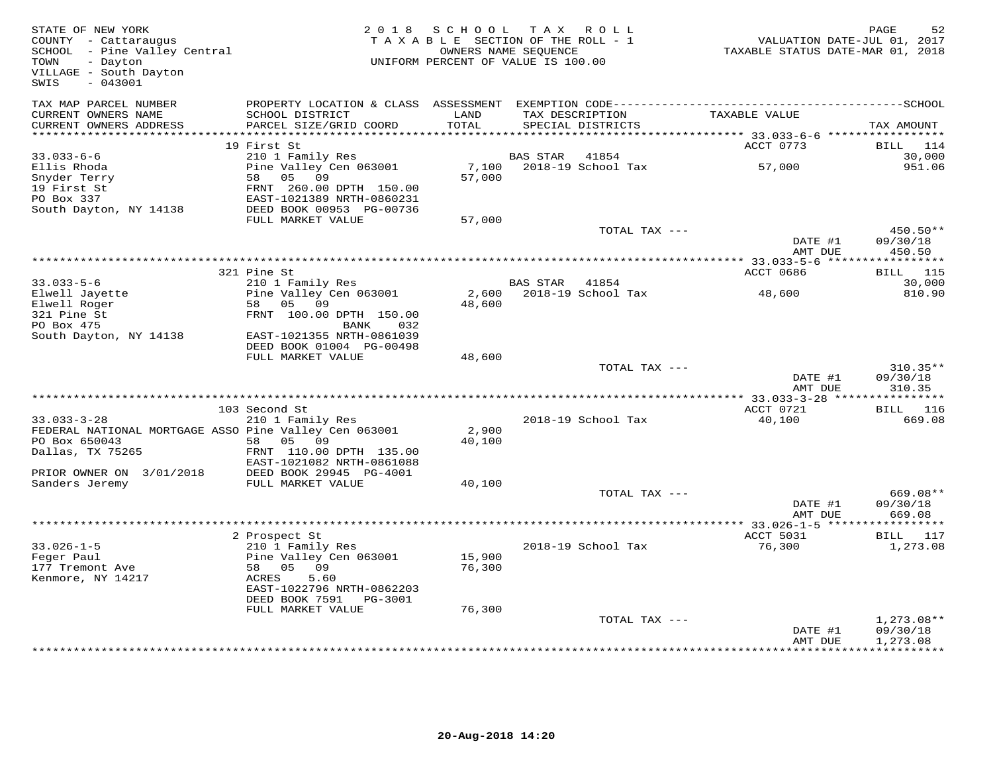| TAX MAP PARCEL NUMBER<br>CURRENT OWNERS NAME<br>SCHOOL DISTRICT<br>LAND<br>TAX DESCRIPTION<br>TAXABLE VALUE<br>CURRENT OWNERS ADDRESS<br>PARCEL SIZE/GRID COORD<br>TOTAL<br>SPECIAL DISTRICTS<br>TAX AMOUNT<br>19 First St<br>ACCT 0773<br>BILL<br>114<br>$33.033 - 6 - 6$<br>210 1 Family Res<br><b>BAS STAR</b><br>41854<br>30,000<br>Ellis Rhoda<br>Pine Valley Cen 063001<br>7,100<br>2018-19 School Tax<br>57,000<br>951.06<br>Snyder Terry<br>58 05 09<br>57,000<br>19 First St<br>FRNT 260.00 DPTH 150.00<br>PO Box 337<br>EAST-1021389 NRTH-0860231<br>DEED BOOK 00953 PG-00736<br>South Dayton, NY 14138<br>FULL MARKET VALUE<br>57,000<br>TOTAL TAX ---<br>450.50**<br>DATE #1<br>09/30/18<br>AMT DUE<br>450.50<br>321 Pine St<br>ACCT 0686<br><b>BILL</b> 115<br>$33.033 - 5 - 6$<br>210 1 Family Res<br>30,000<br>BAS STAR 41854<br>Pine Valley Cen 063001<br>2018-19 School Tax<br>810.90<br>Elwell Jayette<br>2,600<br>48,600<br>58 05 09<br>48,600<br>Elwell Roger<br>321 Pine St<br>FRNT 100.00 DPTH 150.00<br>PO Box 475<br>BANK<br>032<br>South Dayton, NY 14138<br>EAST-1021355 NRTH-0861039<br>DEED BOOK 01004 PG-00498<br>FULL MARKET VALUE<br>48,600<br>TOTAL TAX ---<br>$310.35**$<br>09/30/18<br>DATE #1<br>310.35<br>AMT DUE<br>** 33.033-3-28 ****<br>***********<br>103 Second St<br>ACCT 0721<br><b>BILL</b> 116<br>$33.033 - 3 - 28$<br>210 1 Family Res<br>2018-19 School Tax<br>40,100<br>669.08<br>FEDERAL NATIONAL MORTGAGE ASSO Pine Valley Cen 063001<br>2,900<br>PO Box 650043<br>58 05 09<br>40,100<br>Dallas, TX 75265<br>FRNT 110.00 DPTH 135.00<br>EAST-1021082 NRTH-0861088<br>DEED BOOK 29945 PG-4001<br>PRIOR OWNER ON 3/01/2018<br>Sanders Jeremy<br>FULL MARKET VALUE<br>40,100<br>TOTAL TAX ---<br>669.08**<br>09/30/18<br>DATE #1<br>AMT DUE<br>669.08<br>***********<br>2 Prospect St<br>ACCT 5031<br>BILL 117<br>$33.026 - 1 - 5$<br>2018-19 School Tax<br>76,300<br>210 1 Family Res<br>1,273.08<br>Feger Paul<br>Pine Valley Cen 063001<br>15,900<br>177 Tremont Ave<br>76,300<br>58<br>05 09<br>5.60<br>Kenmore, NY 14217<br>ACRES<br>EAST-1022796 NRTH-0862203<br>DEED BOOK 7591 PG-3001<br>FULL MARKET VALUE<br>76,300<br>TOTAL TAX ---<br>$1,273.08**$<br>DATE #1<br>09/30/18<br>AMT DUE<br>1,273.08 | STATE OF NEW YORK<br>COUNTY - Cattaraugus<br>SCHOOL - Pine Valley Central<br>TOWN<br>- Dayton<br>VILLAGE - South Dayton<br>$-043001$<br>SWIS | 2018 SCHOOL | TAX ROLL<br>TAXABLE SECTION OF THE ROLL - 1<br>OWNERS NAME SEQUENCE<br>UNIFORM PERCENT OF VALUE IS 100.00 | PAGE<br>52<br>VALUATION DATE-JUL 01, 2017<br>TAXABLE STATUS DATE-MAR 01, 2018 |
|-------------------------------------------------------------------------------------------------------------------------------------------------------------------------------------------------------------------------------------------------------------------------------------------------------------------------------------------------------------------------------------------------------------------------------------------------------------------------------------------------------------------------------------------------------------------------------------------------------------------------------------------------------------------------------------------------------------------------------------------------------------------------------------------------------------------------------------------------------------------------------------------------------------------------------------------------------------------------------------------------------------------------------------------------------------------------------------------------------------------------------------------------------------------------------------------------------------------------------------------------------------------------------------------------------------------------------------------------------------------------------------------------------------------------------------------------------------------------------------------------------------------------------------------------------------------------------------------------------------------------------------------------------------------------------------------------------------------------------------------------------------------------------------------------------------------------------------------------------------------------------------------------------------------------------------------------------------------------------------------------------------------------------------------------------------------------------------------------------------------------------------------------------------------------------------------------------------------------------------------------------------|----------------------------------------------------------------------------------------------------------------------------------------------|-------------|-----------------------------------------------------------------------------------------------------------|-------------------------------------------------------------------------------|
|                                                                                                                                                                                                                                                                                                                                                                                                                                                                                                                                                                                                                                                                                                                                                                                                                                                                                                                                                                                                                                                                                                                                                                                                                                                                                                                                                                                                                                                                                                                                                                                                                                                                                                                                                                                                                                                                                                                                                                                                                                                                                                                                                                                                                                                             |                                                                                                                                              |             |                                                                                                           |                                                                               |
|                                                                                                                                                                                                                                                                                                                                                                                                                                                                                                                                                                                                                                                                                                                                                                                                                                                                                                                                                                                                                                                                                                                                                                                                                                                                                                                                                                                                                                                                                                                                                                                                                                                                                                                                                                                                                                                                                                                                                                                                                                                                                                                                                                                                                                                             |                                                                                                                                              |             |                                                                                                           |                                                                               |
|                                                                                                                                                                                                                                                                                                                                                                                                                                                                                                                                                                                                                                                                                                                                                                                                                                                                                                                                                                                                                                                                                                                                                                                                                                                                                                                                                                                                                                                                                                                                                                                                                                                                                                                                                                                                                                                                                                                                                                                                                                                                                                                                                                                                                                                             |                                                                                                                                              |             |                                                                                                           |                                                                               |
|                                                                                                                                                                                                                                                                                                                                                                                                                                                                                                                                                                                                                                                                                                                                                                                                                                                                                                                                                                                                                                                                                                                                                                                                                                                                                                                                                                                                                                                                                                                                                                                                                                                                                                                                                                                                                                                                                                                                                                                                                                                                                                                                                                                                                                                             |                                                                                                                                              |             |                                                                                                           |                                                                               |
|                                                                                                                                                                                                                                                                                                                                                                                                                                                                                                                                                                                                                                                                                                                                                                                                                                                                                                                                                                                                                                                                                                                                                                                                                                                                                                                                                                                                                                                                                                                                                                                                                                                                                                                                                                                                                                                                                                                                                                                                                                                                                                                                                                                                                                                             |                                                                                                                                              |             |                                                                                                           |                                                                               |
|                                                                                                                                                                                                                                                                                                                                                                                                                                                                                                                                                                                                                                                                                                                                                                                                                                                                                                                                                                                                                                                                                                                                                                                                                                                                                                                                                                                                                                                                                                                                                                                                                                                                                                                                                                                                                                                                                                                                                                                                                                                                                                                                                                                                                                                             |                                                                                                                                              |             |                                                                                                           |                                                                               |
|                                                                                                                                                                                                                                                                                                                                                                                                                                                                                                                                                                                                                                                                                                                                                                                                                                                                                                                                                                                                                                                                                                                                                                                                                                                                                                                                                                                                                                                                                                                                                                                                                                                                                                                                                                                                                                                                                                                                                                                                                                                                                                                                                                                                                                                             |                                                                                                                                              |             |                                                                                                           |                                                                               |
|                                                                                                                                                                                                                                                                                                                                                                                                                                                                                                                                                                                                                                                                                                                                                                                                                                                                                                                                                                                                                                                                                                                                                                                                                                                                                                                                                                                                                                                                                                                                                                                                                                                                                                                                                                                                                                                                                                                                                                                                                                                                                                                                                                                                                                                             |                                                                                                                                              |             |                                                                                                           |                                                                               |
|                                                                                                                                                                                                                                                                                                                                                                                                                                                                                                                                                                                                                                                                                                                                                                                                                                                                                                                                                                                                                                                                                                                                                                                                                                                                                                                                                                                                                                                                                                                                                                                                                                                                                                                                                                                                                                                                                                                                                                                                                                                                                                                                                                                                                                                             |                                                                                                                                              |             |                                                                                                           |                                                                               |
|                                                                                                                                                                                                                                                                                                                                                                                                                                                                                                                                                                                                                                                                                                                                                                                                                                                                                                                                                                                                                                                                                                                                                                                                                                                                                                                                                                                                                                                                                                                                                                                                                                                                                                                                                                                                                                                                                                                                                                                                                                                                                                                                                                                                                                                             |                                                                                                                                              |             |                                                                                                           |                                                                               |
|                                                                                                                                                                                                                                                                                                                                                                                                                                                                                                                                                                                                                                                                                                                                                                                                                                                                                                                                                                                                                                                                                                                                                                                                                                                                                                                                                                                                                                                                                                                                                                                                                                                                                                                                                                                                                                                                                                                                                                                                                                                                                                                                                                                                                                                             |                                                                                                                                              |             |                                                                                                           |                                                                               |
|                                                                                                                                                                                                                                                                                                                                                                                                                                                                                                                                                                                                                                                                                                                                                                                                                                                                                                                                                                                                                                                                                                                                                                                                                                                                                                                                                                                                                                                                                                                                                                                                                                                                                                                                                                                                                                                                                                                                                                                                                                                                                                                                                                                                                                                             |                                                                                                                                              |             |                                                                                                           |                                                                               |
|                                                                                                                                                                                                                                                                                                                                                                                                                                                                                                                                                                                                                                                                                                                                                                                                                                                                                                                                                                                                                                                                                                                                                                                                                                                                                                                                                                                                                                                                                                                                                                                                                                                                                                                                                                                                                                                                                                                                                                                                                                                                                                                                                                                                                                                             |                                                                                                                                              |             |                                                                                                           |                                                                               |
|                                                                                                                                                                                                                                                                                                                                                                                                                                                                                                                                                                                                                                                                                                                                                                                                                                                                                                                                                                                                                                                                                                                                                                                                                                                                                                                                                                                                                                                                                                                                                                                                                                                                                                                                                                                                                                                                                                                                                                                                                                                                                                                                                                                                                                                             |                                                                                                                                              |             |                                                                                                           |                                                                               |
|                                                                                                                                                                                                                                                                                                                                                                                                                                                                                                                                                                                                                                                                                                                                                                                                                                                                                                                                                                                                                                                                                                                                                                                                                                                                                                                                                                                                                                                                                                                                                                                                                                                                                                                                                                                                                                                                                                                                                                                                                                                                                                                                                                                                                                                             |                                                                                                                                              |             |                                                                                                           |                                                                               |
|                                                                                                                                                                                                                                                                                                                                                                                                                                                                                                                                                                                                                                                                                                                                                                                                                                                                                                                                                                                                                                                                                                                                                                                                                                                                                                                                                                                                                                                                                                                                                                                                                                                                                                                                                                                                                                                                                                                                                                                                                                                                                                                                                                                                                                                             |                                                                                                                                              |             |                                                                                                           |                                                                               |
|                                                                                                                                                                                                                                                                                                                                                                                                                                                                                                                                                                                                                                                                                                                                                                                                                                                                                                                                                                                                                                                                                                                                                                                                                                                                                                                                                                                                                                                                                                                                                                                                                                                                                                                                                                                                                                                                                                                                                                                                                                                                                                                                                                                                                                                             |                                                                                                                                              |             |                                                                                                           |                                                                               |
|                                                                                                                                                                                                                                                                                                                                                                                                                                                                                                                                                                                                                                                                                                                                                                                                                                                                                                                                                                                                                                                                                                                                                                                                                                                                                                                                                                                                                                                                                                                                                                                                                                                                                                                                                                                                                                                                                                                                                                                                                                                                                                                                                                                                                                                             |                                                                                                                                              |             |                                                                                                           |                                                                               |
|                                                                                                                                                                                                                                                                                                                                                                                                                                                                                                                                                                                                                                                                                                                                                                                                                                                                                                                                                                                                                                                                                                                                                                                                                                                                                                                                                                                                                                                                                                                                                                                                                                                                                                                                                                                                                                                                                                                                                                                                                                                                                                                                                                                                                                                             |                                                                                                                                              |             |                                                                                                           |                                                                               |
|                                                                                                                                                                                                                                                                                                                                                                                                                                                                                                                                                                                                                                                                                                                                                                                                                                                                                                                                                                                                                                                                                                                                                                                                                                                                                                                                                                                                                                                                                                                                                                                                                                                                                                                                                                                                                                                                                                                                                                                                                                                                                                                                                                                                                                                             |                                                                                                                                              |             |                                                                                                           |                                                                               |
|                                                                                                                                                                                                                                                                                                                                                                                                                                                                                                                                                                                                                                                                                                                                                                                                                                                                                                                                                                                                                                                                                                                                                                                                                                                                                                                                                                                                                                                                                                                                                                                                                                                                                                                                                                                                                                                                                                                                                                                                                                                                                                                                                                                                                                                             |                                                                                                                                              |             |                                                                                                           |                                                                               |
|                                                                                                                                                                                                                                                                                                                                                                                                                                                                                                                                                                                                                                                                                                                                                                                                                                                                                                                                                                                                                                                                                                                                                                                                                                                                                                                                                                                                                                                                                                                                                                                                                                                                                                                                                                                                                                                                                                                                                                                                                                                                                                                                                                                                                                                             |                                                                                                                                              |             |                                                                                                           |                                                                               |
|                                                                                                                                                                                                                                                                                                                                                                                                                                                                                                                                                                                                                                                                                                                                                                                                                                                                                                                                                                                                                                                                                                                                                                                                                                                                                                                                                                                                                                                                                                                                                                                                                                                                                                                                                                                                                                                                                                                                                                                                                                                                                                                                                                                                                                                             |                                                                                                                                              |             |                                                                                                           |                                                                               |
|                                                                                                                                                                                                                                                                                                                                                                                                                                                                                                                                                                                                                                                                                                                                                                                                                                                                                                                                                                                                                                                                                                                                                                                                                                                                                                                                                                                                                                                                                                                                                                                                                                                                                                                                                                                                                                                                                                                                                                                                                                                                                                                                                                                                                                                             |                                                                                                                                              |             |                                                                                                           |                                                                               |
|                                                                                                                                                                                                                                                                                                                                                                                                                                                                                                                                                                                                                                                                                                                                                                                                                                                                                                                                                                                                                                                                                                                                                                                                                                                                                                                                                                                                                                                                                                                                                                                                                                                                                                                                                                                                                                                                                                                                                                                                                                                                                                                                                                                                                                                             |                                                                                                                                              |             |                                                                                                           |                                                                               |
|                                                                                                                                                                                                                                                                                                                                                                                                                                                                                                                                                                                                                                                                                                                                                                                                                                                                                                                                                                                                                                                                                                                                                                                                                                                                                                                                                                                                                                                                                                                                                                                                                                                                                                                                                                                                                                                                                                                                                                                                                                                                                                                                                                                                                                                             |                                                                                                                                              |             |                                                                                                           |                                                                               |
|                                                                                                                                                                                                                                                                                                                                                                                                                                                                                                                                                                                                                                                                                                                                                                                                                                                                                                                                                                                                                                                                                                                                                                                                                                                                                                                                                                                                                                                                                                                                                                                                                                                                                                                                                                                                                                                                                                                                                                                                                                                                                                                                                                                                                                                             |                                                                                                                                              |             |                                                                                                           |                                                                               |
|                                                                                                                                                                                                                                                                                                                                                                                                                                                                                                                                                                                                                                                                                                                                                                                                                                                                                                                                                                                                                                                                                                                                                                                                                                                                                                                                                                                                                                                                                                                                                                                                                                                                                                                                                                                                                                                                                                                                                                                                                                                                                                                                                                                                                                                             |                                                                                                                                              |             |                                                                                                           |                                                                               |
|                                                                                                                                                                                                                                                                                                                                                                                                                                                                                                                                                                                                                                                                                                                                                                                                                                                                                                                                                                                                                                                                                                                                                                                                                                                                                                                                                                                                                                                                                                                                                                                                                                                                                                                                                                                                                                                                                                                                                                                                                                                                                                                                                                                                                                                             |                                                                                                                                              |             |                                                                                                           |                                                                               |
|                                                                                                                                                                                                                                                                                                                                                                                                                                                                                                                                                                                                                                                                                                                                                                                                                                                                                                                                                                                                                                                                                                                                                                                                                                                                                                                                                                                                                                                                                                                                                                                                                                                                                                                                                                                                                                                                                                                                                                                                                                                                                                                                                                                                                                                             |                                                                                                                                              |             |                                                                                                           |                                                                               |
|                                                                                                                                                                                                                                                                                                                                                                                                                                                                                                                                                                                                                                                                                                                                                                                                                                                                                                                                                                                                                                                                                                                                                                                                                                                                                                                                                                                                                                                                                                                                                                                                                                                                                                                                                                                                                                                                                                                                                                                                                                                                                                                                                                                                                                                             |                                                                                                                                              |             |                                                                                                           |                                                                               |
|                                                                                                                                                                                                                                                                                                                                                                                                                                                                                                                                                                                                                                                                                                                                                                                                                                                                                                                                                                                                                                                                                                                                                                                                                                                                                                                                                                                                                                                                                                                                                                                                                                                                                                                                                                                                                                                                                                                                                                                                                                                                                                                                                                                                                                                             |                                                                                                                                              |             |                                                                                                           |                                                                               |
|                                                                                                                                                                                                                                                                                                                                                                                                                                                                                                                                                                                                                                                                                                                                                                                                                                                                                                                                                                                                                                                                                                                                                                                                                                                                                                                                                                                                                                                                                                                                                                                                                                                                                                                                                                                                                                                                                                                                                                                                                                                                                                                                                                                                                                                             |                                                                                                                                              |             |                                                                                                           |                                                                               |
|                                                                                                                                                                                                                                                                                                                                                                                                                                                                                                                                                                                                                                                                                                                                                                                                                                                                                                                                                                                                                                                                                                                                                                                                                                                                                                                                                                                                                                                                                                                                                                                                                                                                                                                                                                                                                                                                                                                                                                                                                                                                                                                                                                                                                                                             |                                                                                                                                              |             |                                                                                                           |                                                                               |
|                                                                                                                                                                                                                                                                                                                                                                                                                                                                                                                                                                                                                                                                                                                                                                                                                                                                                                                                                                                                                                                                                                                                                                                                                                                                                                                                                                                                                                                                                                                                                                                                                                                                                                                                                                                                                                                                                                                                                                                                                                                                                                                                                                                                                                                             |                                                                                                                                              |             |                                                                                                           |                                                                               |
|                                                                                                                                                                                                                                                                                                                                                                                                                                                                                                                                                                                                                                                                                                                                                                                                                                                                                                                                                                                                                                                                                                                                                                                                                                                                                                                                                                                                                                                                                                                                                                                                                                                                                                                                                                                                                                                                                                                                                                                                                                                                                                                                                                                                                                                             |                                                                                                                                              |             |                                                                                                           |                                                                               |
|                                                                                                                                                                                                                                                                                                                                                                                                                                                                                                                                                                                                                                                                                                                                                                                                                                                                                                                                                                                                                                                                                                                                                                                                                                                                                                                                                                                                                                                                                                                                                                                                                                                                                                                                                                                                                                                                                                                                                                                                                                                                                                                                                                                                                                                             |                                                                                                                                              |             |                                                                                                           |                                                                               |
|                                                                                                                                                                                                                                                                                                                                                                                                                                                                                                                                                                                                                                                                                                                                                                                                                                                                                                                                                                                                                                                                                                                                                                                                                                                                                                                                                                                                                                                                                                                                                                                                                                                                                                                                                                                                                                                                                                                                                                                                                                                                                                                                                                                                                                                             |                                                                                                                                              |             |                                                                                                           |                                                                               |
|                                                                                                                                                                                                                                                                                                                                                                                                                                                                                                                                                                                                                                                                                                                                                                                                                                                                                                                                                                                                                                                                                                                                                                                                                                                                                                                                                                                                                                                                                                                                                                                                                                                                                                                                                                                                                                                                                                                                                                                                                                                                                                                                                                                                                                                             |                                                                                                                                              |             |                                                                                                           |                                                                               |
|                                                                                                                                                                                                                                                                                                                                                                                                                                                                                                                                                                                                                                                                                                                                                                                                                                                                                                                                                                                                                                                                                                                                                                                                                                                                                                                                                                                                                                                                                                                                                                                                                                                                                                                                                                                                                                                                                                                                                                                                                                                                                                                                                                                                                                                             |                                                                                                                                              |             |                                                                                                           |                                                                               |
|                                                                                                                                                                                                                                                                                                                                                                                                                                                                                                                                                                                                                                                                                                                                                                                                                                                                                                                                                                                                                                                                                                                                                                                                                                                                                                                                                                                                                                                                                                                                                                                                                                                                                                                                                                                                                                                                                                                                                                                                                                                                                                                                                                                                                                                             |                                                                                                                                              |             |                                                                                                           |                                                                               |
|                                                                                                                                                                                                                                                                                                                                                                                                                                                                                                                                                                                                                                                                                                                                                                                                                                                                                                                                                                                                                                                                                                                                                                                                                                                                                                                                                                                                                                                                                                                                                                                                                                                                                                                                                                                                                                                                                                                                                                                                                                                                                                                                                                                                                                                             |                                                                                                                                              |             |                                                                                                           |                                                                               |
|                                                                                                                                                                                                                                                                                                                                                                                                                                                                                                                                                                                                                                                                                                                                                                                                                                                                                                                                                                                                                                                                                                                                                                                                                                                                                                                                                                                                                                                                                                                                                                                                                                                                                                                                                                                                                                                                                                                                                                                                                                                                                                                                                                                                                                                             |                                                                                                                                              |             |                                                                                                           |                                                                               |
|                                                                                                                                                                                                                                                                                                                                                                                                                                                                                                                                                                                                                                                                                                                                                                                                                                                                                                                                                                                                                                                                                                                                                                                                                                                                                                                                                                                                                                                                                                                                                                                                                                                                                                                                                                                                                                                                                                                                                                                                                                                                                                                                                                                                                                                             |                                                                                                                                              |             |                                                                                                           |                                                                               |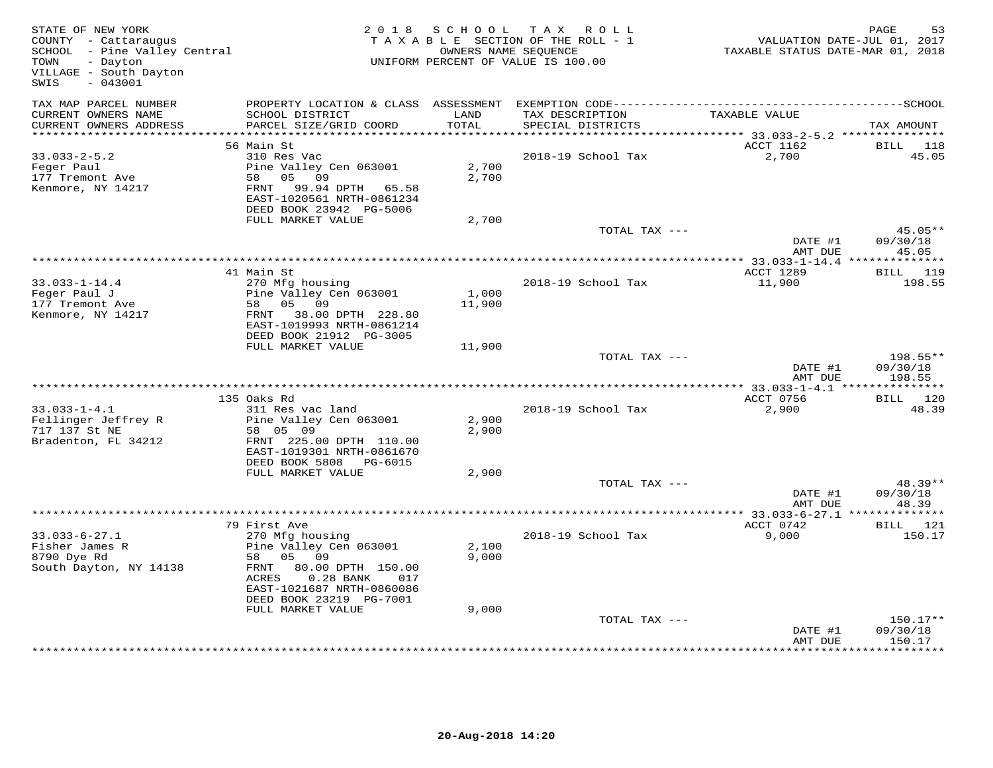| STATE OF NEW YORK<br>COUNTY - Cattaraugus<br>SCHOOL - Pine Valley Central<br>TOWN<br>- Dayton<br>VILLAGE - South Dayton<br>$-043001$<br>SWIS |                                                                                                                                                                                                | 2018 SCHOOL             | TAX ROLL<br>TAXABLE SECTION OF THE ROLL - 1<br>OWNERS NAME SEQUENCE<br>UNIFORM PERCENT OF VALUE IS 100.00 | TAXABLE STATUS DATE-MAR 01, 2018                           | PAGE<br>53<br>VALUATION DATE-JUL 01, 2017 |
|----------------------------------------------------------------------------------------------------------------------------------------------|------------------------------------------------------------------------------------------------------------------------------------------------------------------------------------------------|-------------------------|-----------------------------------------------------------------------------------------------------------|------------------------------------------------------------|-------------------------------------------|
| TAX MAP PARCEL NUMBER<br>CURRENT OWNERS NAME<br>CURRENT OWNERS ADDRESS                                                                       | PROPERTY LOCATION & CLASS ASSESSMENT<br>SCHOOL DISTRICT<br>PARCEL SIZE/GRID COORD                                                                                                              | LAND<br>TOTAL           | TAX DESCRIPTION<br>SPECIAL DISTRICTS                                                                      | TAXABLE VALUE                                              | TAX AMOUNT                                |
| *************************                                                                                                                    |                                                                                                                                                                                                |                         |                                                                                                           |                                                            |                                           |
| $33.033 - 2 - 5.2$<br>Feger Paul<br>177 Tremont Ave<br>Kenmore, NY 14217                                                                     | 56 Main St<br>310 Res Vac<br>Pine Valley Cen 063001<br>58 05 09<br>FRNT 99.94 DPTH 65.58<br>EAST-1020561 NRTH-0861234<br>DEED BOOK 23942 PG-5006                                               | 2,700<br>2,700          | 2018-19 School Tax                                                                                        | ACCT 1162<br>2,700                                         | BILL<br>118<br>45.05                      |
|                                                                                                                                              | FULL MARKET VALUE                                                                                                                                                                              | 2,700                   | TOTAL TAX ---                                                                                             |                                                            | 45.05**                                   |
|                                                                                                                                              |                                                                                                                                                                                                |                         |                                                                                                           | DATE #1<br>AMT DUE                                         | 09/30/18<br>45.05                         |
|                                                                                                                                              |                                                                                                                                                                                                |                         |                                                                                                           |                                                            |                                           |
| $33.033 - 1 - 14.4$<br>Feger Paul J<br>177 Tremont Ave<br>Kenmore, NY 14217                                                                  | 41 Main St<br>270 Mfg housing<br>Pine Valley Cen 063001<br>58 05<br>09<br>FRNT 38.00 DPTH 228.80<br>EAST-1019993 NRTH-0861214<br>DEED BOOK 21912 PG-3005                                       | 1,000<br>11,900         | 2018-19 School Tax                                                                                        | ACCT 1289<br>11,900                                        | BILL 119<br>198.55                        |
|                                                                                                                                              | FULL MARKET VALUE                                                                                                                                                                              | 11,900                  |                                                                                                           |                                                            |                                           |
|                                                                                                                                              |                                                                                                                                                                                                |                         | TOTAL TAX ---                                                                                             | DATE #1<br>AMT DUE                                         | 198.55**<br>09/30/18<br>198.55            |
|                                                                                                                                              |                                                                                                                                                                                                |                         |                                                                                                           | ****************** 33.033-1-4.1 ***************            |                                           |
|                                                                                                                                              | 135 Oaks Rd                                                                                                                                                                                    |                         |                                                                                                           | ACCT 0756                                                  | BILL 120                                  |
| $33.033 - 1 - 4.1$<br>Fellinger Jeffrey R<br>717 137 St NE<br>Bradenton, FL 34212                                                            | 311 Res vac land<br>Pine Valley Cen 063001<br>58 05 09<br>FRNT 225.00 DPTH 110.00<br>EAST-1019301 NRTH-0861670<br>DEED BOOK 5808 PG-6015<br>FULL MARKET VALUE                                  | 2,900<br>2,900<br>2,900 | 2018-19 School Tax                                                                                        | 2,900                                                      | 48.39                                     |
|                                                                                                                                              |                                                                                                                                                                                                |                         | TOTAL TAX ---                                                                                             | DATE #1                                                    | 48.39**<br>09/30/18                       |
|                                                                                                                                              |                                                                                                                                                                                                |                         | ***********************                                                                                   | AMT DUE<br>***************** 33.033-6-27.1 *************** | 48.39                                     |
|                                                                                                                                              | 79 First Ave                                                                                                                                                                                   |                         |                                                                                                           | ACCT 0742                                                  | BILL 121                                  |
| $33.033 - 6 - 27.1$<br>Fisher James R<br>8790 Dye Rd<br>South Dayton, NY 14138                                                               | 270 Mfg housing<br>Pine Valley Cen 063001<br>58 05 09<br>FRNT<br>80.00 DPTH 150.00<br>$0.28$ BANK<br>ACRES<br>017<br>EAST-1021687 NRTH-0860086<br>DEED BOOK 23219 PG-7001<br>FULL MARKET VALUE | 2,100<br>9,000<br>9,000 | 2018-19 School Tax                                                                                        | 9,000                                                      | 150.17                                    |
|                                                                                                                                              |                                                                                                                                                                                                |                         | TOTAL TAX ---                                                                                             |                                                            | 150.17**                                  |
|                                                                                                                                              |                                                                                                                                                                                                |                         |                                                                                                           | DATE #1<br>AMT DUE<br>******************                   | 09/30/18<br>150.17<br>***********         |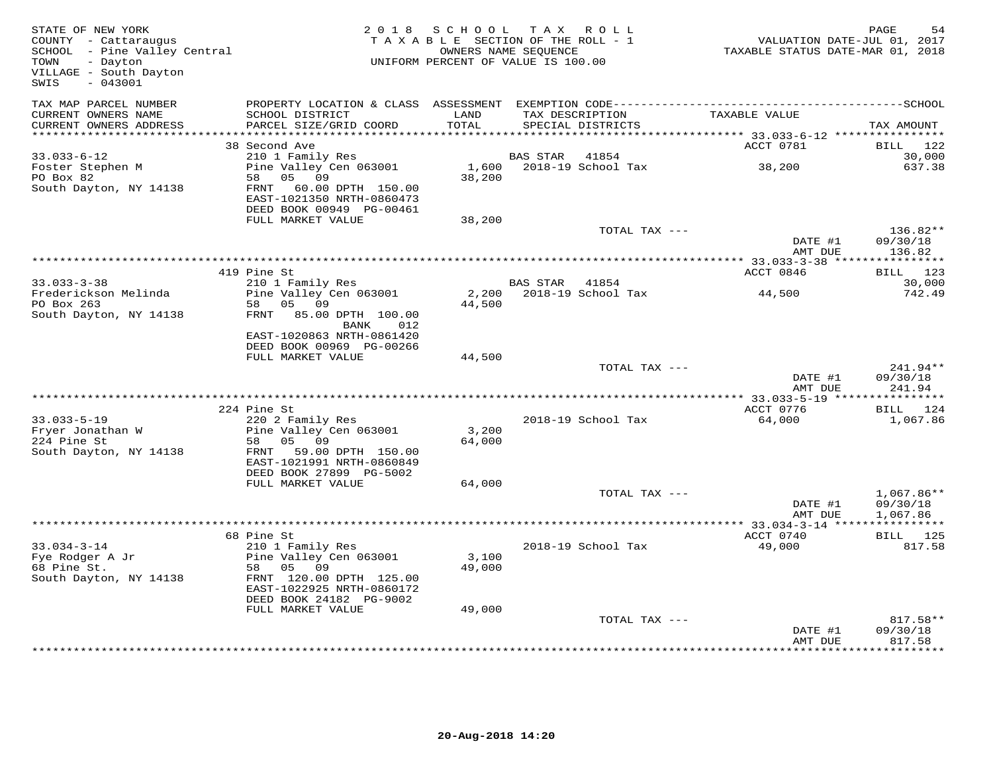| STATE OF NEW YORK<br>COUNTY - Cattaraugus<br>COUNTY - Cattaraugus<br>SCHOOL - Pine Valley Central<br>TOWN<br>- Dayton<br>VILLAGE - South Dayton<br>SWIS<br>$-043001$ |                                               | 2018 SCHOOL TAX ROLL<br>TAXABLE SECTION OF THE ROLL - 1<br>UNIFORM PERCENT OF VALUE IS 100.00 | OWNERS NAME SEQUENCE |                          | VALUATION DATE-JUL 01, 2017<br>TAXABLE STATUS DATE-MAR 01, 2018 | PAGE<br>54         |
|----------------------------------------------------------------------------------------------------------------------------------------------------------------------|-----------------------------------------------|-----------------------------------------------------------------------------------------------|----------------------|--------------------------|-----------------------------------------------------------------|--------------------|
| TAX MAP PARCEL NUMBER<br>CURRENT OWNERS NAME                                                                                                                         | SCHOOL DISTRICT                               | LAND                                                                                          |                      | TAX DESCRIPTION          | TAXABLE VALUE                                                   |                    |
| CURRENT OWNERS ADDRESS<br>************************                                                                                                                   | PARCEL SIZE/GRID COORD                        | TOTAL                                                                                         |                      | SPECIAL DISTRICTS        |                                                                 | TAX AMOUNT         |
|                                                                                                                                                                      | 38 Second Ave                                 |                                                                                               |                      |                          | ACCT 0781                                                       | BILL 122           |
| $33.033 - 6 - 12$                                                                                                                                                    | 210 1 Family Res                              |                                                                                               | BAS STAR             | 41854                    |                                                                 | 30,000             |
| Foster Stephen M                                                                                                                                                     | Pine Valley Cen 063001                        |                                                                                               |                      | 1,600 2018-19 School Tax | 38,200                                                          | 637.38             |
| PO Box 82                                                                                                                                                            | 58 05 09                                      | 38,200                                                                                        |                      |                          |                                                                 |                    |
| South Dayton, NY 14138                                                                                                                                               | FRNT 60.00 DPTH 150.00                        |                                                                                               |                      |                          |                                                                 |                    |
|                                                                                                                                                                      | EAST-1021350 NRTH-0860473                     |                                                                                               |                      |                          |                                                                 |                    |
|                                                                                                                                                                      | DEED BOOK 00949 PG-00461                      |                                                                                               |                      |                          |                                                                 |                    |
|                                                                                                                                                                      | FULL MARKET VALUE                             | 38,200                                                                                        |                      |                          |                                                                 |                    |
|                                                                                                                                                                      |                                               |                                                                                               |                      | TOTAL TAX ---            |                                                                 | 136.82**           |
|                                                                                                                                                                      |                                               |                                                                                               |                      |                          | DATE #1                                                         | 09/30/18           |
|                                                                                                                                                                      |                                               |                                                                                               |                      |                          | AMT DUE                                                         | 136.82             |
|                                                                                                                                                                      | 419 Pine St                                   |                                                                                               |                      |                          | ACCT 0846                                                       | BILL 123           |
| $33.033 - 3 - 38$                                                                                                                                                    | 210 1 Family Res                              |                                                                                               | BAS STAR 41854       |                          |                                                                 | 30,000             |
| Frederickson Melinda                                                                                                                                                 | Pine Valley Cen 063001                        |                                                                                               |                      |                          | 44,500                                                          | 742.49             |
| PO Box 263                                                                                                                                                           | 58 05 09                                      | 44,500                                                                                        |                      |                          |                                                                 |                    |
| South Dayton, NY 14138                                                                                                                                               | FRNT 85.00 DPTH 100.00                        |                                                                                               |                      |                          |                                                                 |                    |
|                                                                                                                                                                      | BANK<br>012                                   |                                                                                               |                      |                          |                                                                 |                    |
|                                                                                                                                                                      | EAST-1020863 NRTH-0861420                     |                                                                                               |                      |                          |                                                                 |                    |
|                                                                                                                                                                      | DEED BOOK 00969 PG-00266<br>FULL MARKET VALUE | 44,500                                                                                        |                      |                          |                                                                 |                    |
|                                                                                                                                                                      |                                               |                                                                                               |                      | TOTAL TAX ---            |                                                                 | 241.94**           |
|                                                                                                                                                                      |                                               |                                                                                               |                      |                          | DATE #1                                                         | 09/30/18           |
|                                                                                                                                                                      |                                               |                                                                                               |                      |                          | AMT DUE                                                         | 241.94             |
|                                                                                                                                                                      |                                               |                                                                                               |                      |                          | ************** 33.033-5-19 ****************                     |                    |
|                                                                                                                                                                      | 224 Pine St                                   |                                                                                               |                      |                          | ACCT 0776                                                       | BILL 124           |
| $33.033 - 5 - 19$                                                                                                                                                    | 220 2 Family Res                              |                                                                                               |                      | 2018-19 School Tax       | 64,000                                                          | 1,067.86           |
| Fryer Jonathan W                                                                                                                                                     | Pine Valley Cen 063001                        | 3,200                                                                                         |                      |                          |                                                                 |                    |
| 224 Pine St<br>South Dayton, NY 14138                                                                                                                                | 58 05 09<br>FRNT 59.00 DPTH 150.00            | 64,000                                                                                        |                      |                          |                                                                 |                    |
|                                                                                                                                                                      | EAST-1021991 NRTH-0860849                     |                                                                                               |                      |                          |                                                                 |                    |
|                                                                                                                                                                      | DEED BOOK 27899 PG-5002                       |                                                                                               |                      |                          |                                                                 |                    |
|                                                                                                                                                                      | FULL MARKET VALUE                             | 64,000                                                                                        |                      |                          |                                                                 |                    |
|                                                                                                                                                                      |                                               |                                                                                               |                      | TOTAL TAX ---            |                                                                 | $1,067.86**$       |
|                                                                                                                                                                      |                                               |                                                                                               |                      |                          | DATE #1                                                         | 09/30/18           |
|                                                                                                                                                                      |                                               |                                                                                               |                      |                          | AMT DUE                                                         | 1,067.86           |
|                                                                                                                                                                      |                                               |                                                                                               |                      |                          |                                                                 |                    |
| $33.034 - 3 - 14$                                                                                                                                                    | 68 Pine St<br>210 1 Family Res                |                                                                                               |                      | 2018-19 School Tax       | ACCT 0740<br>49,000                                             | BILL 125<br>817.58 |
| Fye Rodger A Jr                                                                                                                                                      | Pine Valley Cen 063001                        | 3,100                                                                                         |                      |                          |                                                                 |                    |
| 68 Pine St.                                                                                                                                                          | 58 05 09                                      | 49,000                                                                                        |                      |                          |                                                                 |                    |
| South Dayton, NY 14138                                                                                                                                               | FRNT 120.00 DPTH 125.00                       |                                                                                               |                      |                          |                                                                 |                    |
|                                                                                                                                                                      | EAST-1022925 NRTH-0860172                     |                                                                                               |                      |                          |                                                                 |                    |
|                                                                                                                                                                      | DEED BOOK 24182 PG-9002                       |                                                                                               |                      |                          |                                                                 |                    |
|                                                                                                                                                                      | FULL MARKET VALUE                             | 49,000                                                                                        |                      |                          |                                                                 |                    |
|                                                                                                                                                                      |                                               |                                                                                               |                      | TOTAL TAX ---            |                                                                 | 817.58**           |
|                                                                                                                                                                      |                                               |                                                                                               |                      |                          | DATE #1                                                         | 09/30/18           |
|                                                                                                                                                                      |                                               |                                                                                               |                      |                          | AMT DUE                                                         | 817.58             |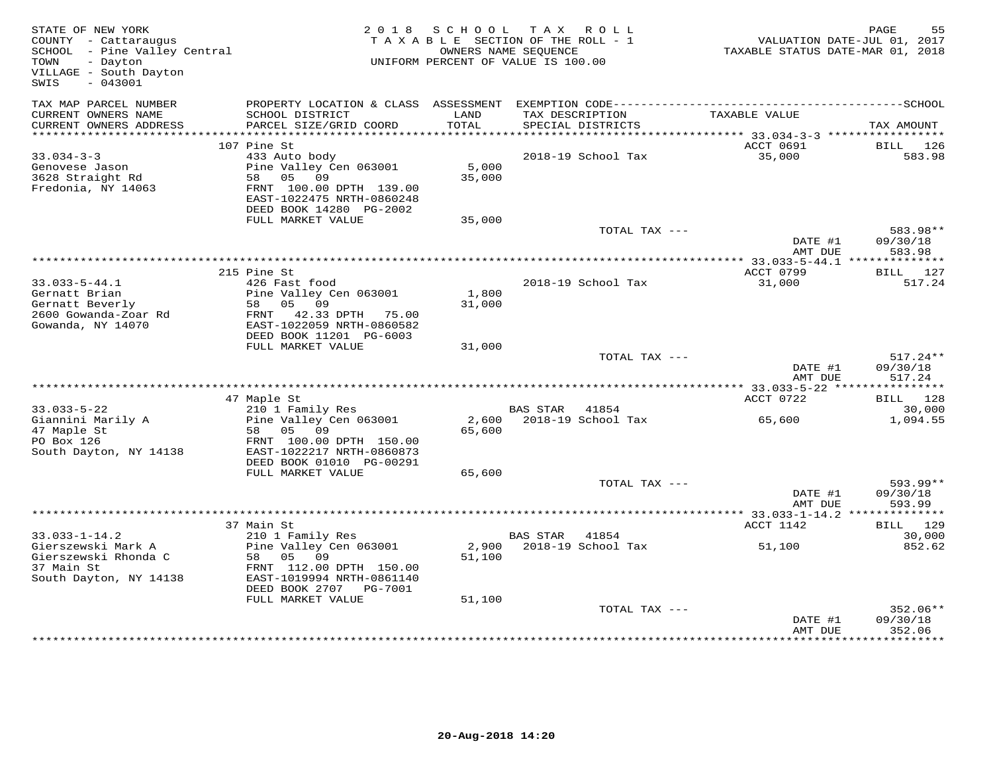| STATE OF NEW YORK<br>COUNTY - Cattaraugus<br>SCHOOL - Pine Valley Central<br>- Dayton<br>TOWN<br>VILLAGE - South Dayton<br>$-043001$<br>SWIS | 2 0 1 8                                                                                                                                | S C H O O L     | TAX ROLL<br>TAXABLE SECTION OF THE ROLL - 1<br>OWNERS NAME SEQUENCE<br>UNIFORM PERCENT OF VALUE IS 100.00 |               | VALUATION DATE-JUL 01, 2017<br>TAXABLE STATUS DATE-MAR 01, 2018 | PAGE                             | 55 |
|----------------------------------------------------------------------------------------------------------------------------------------------|----------------------------------------------------------------------------------------------------------------------------------------|-----------------|-----------------------------------------------------------------------------------------------------------|---------------|-----------------------------------------------------------------|----------------------------------|----|
| TAX MAP PARCEL NUMBER<br>CURRENT OWNERS NAME<br>CURRENT OWNERS ADDRESS                                                                       | PROPERTY LOCATION & CLASS ASSESSMENT<br>SCHOOL DISTRICT<br>PARCEL SIZE/GRID COORD                                                      | LAND<br>TOTAL   | TAX DESCRIPTION<br>SPECIAL DISTRICTS                                                                      |               | TAXABLE VALUE                                                   | TAX AMOUNT                       |    |
|                                                                                                                                              |                                                                                                                                        |                 |                                                                                                           |               |                                                                 |                                  |    |
|                                                                                                                                              | 107 Pine St                                                                                                                            |                 |                                                                                                           |               | ACCT 0691                                                       | BILL 126                         |    |
| $33.034 - 3 - 3$<br>Genovese Jason<br>3628 Straight Rd<br>Fredonia, NY 14063                                                                 | 433 Auto body<br>Pine Valley Cen 063001<br>58 05 09<br>FRNT 100.00 DPTH 139.00<br>EAST-1022475 NRTH-0860248<br>DEED BOOK 14280 PG-2002 | 5,000<br>35,000 | 2018-19 School Tax                                                                                        |               | 35,000                                                          | 583.98                           |    |
|                                                                                                                                              | FULL MARKET VALUE                                                                                                                      | 35,000          |                                                                                                           |               |                                                                 |                                  |    |
|                                                                                                                                              |                                                                                                                                        |                 |                                                                                                           | TOTAL TAX --- | DATE #1<br>AMT DUE                                              | 583.98**<br>09/30/18<br>583.98   |    |
|                                                                                                                                              |                                                                                                                                        |                 |                                                                                                           |               | ********** 33.033-5-44.1 **************                         |                                  |    |
| $33.033 - 5 - 44.1$                                                                                                                          | 215 Pine St<br>426 Fast food                                                                                                           |                 | 2018-19 School Tax                                                                                        |               | ACCT 0799<br>31,000                                             | BILL 127<br>517.24               |    |
| Gernatt Brian<br>Gernatt Beverly<br>2600 Gowanda-Zoar Rd<br>Gowanda, NY 14070                                                                | Pine Valley Cen 063001<br>58 05 09<br>FRNT 42.33 DPTH 75.00<br>EAST-1022059 NRTH-0860582<br>DEED BOOK 11201 PG-6003                    | 1,800<br>31,000 |                                                                                                           |               |                                                                 |                                  |    |
|                                                                                                                                              | FULL MARKET VALUE                                                                                                                      | 31,000          |                                                                                                           |               |                                                                 |                                  |    |
|                                                                                                                                              |                                                                                                                                        |                 |                                                                                                           | TOTAL TAX --- | DATE #1<br>AMT DUE                                              | $517.24**$<br>09/30/18<br>517.24 |    |
|                                                                                                                                              |                                                                                                                                        |                 |                                                                                                           |               |                                                                 |                                  |    |
|                                                                                                                                              | 47 Maple St                                                                                                                            |                 |                                                                                                           |               | ACCT 0722                                                       | BILL 128                         |    |
| $33.033 - 5 - 22$<br>Giannini Marily A<br>47 Maple St<br>PO Box 126                                                                          | 210 1 Family Res<br>Pine Valley Cen 063001<br>58 05 09<br>FRNT 100.00 DPTH 150.00                                                      | 65,600          | BAS STAR 41854<br>2,600 2018-19 School Tax                                                                |               | 65,600                                                          | 30,000<br>1,094.55               |    |
| South Dayton, NY 14138                                                                                                                       | EAST-1022217 NRTH-0860873<br>DEED BOOK 01010 PG-00291                                                                                  |                 |                                                                                                           |               |                                                                 |                                  |    |
|                                                                                                                                              | FULL MARKET VALUE                                                                                                                      | 65,600          |                                                                                                           | TOTAL TAX --- |                                                                 | $593.99**$                       |    |
|                                                                                                                                              |                                                                                                                                        |                 |                                                                                                           |               | DATE #1<br>AMT DUE                                              | 09/30/18<br>593.99               |    |
|                                                                                                                                              |                                                                                                                                        |                 |                                                                                                           |               |                                                                 |                                  |    |
|                                                                                                                                              | 37 Main St                                                                                                                             |                 |                                                                                                           |               | ACCT 1142                                                       | BILL 129                         |    |
| $33.033 - 1 - 14.2$<br>Gierszewski Mark A<br>Gierszewski Rhonda C<br>37 Main St<br>South Dayton, NY 14138                                    | 210 1 Family Res<br>Pine Valley Cen 063001<br>58 05<br>09<br>FRNT 112.00 DPTH 150.00<br>EAST-1019994 NRTH-0861140                      | 51,100          | BAS STAR<br>2,900 2018-19 School Tax                                                                      | 41854         | 51,100                                                          | 30,000<br>852.62                 |    |
|                                                                                                                                              | DEED BOOK 2707 PG-7001<br>FULL MARKET VALUE                                                                                            | 51,100          |                                                                                                           |               |                                                                 |                                  |    |
|                                                                                                                                              |                                                                                                                                        |                 |                                                                                                           | TOTAL TAX --- | DATE #1<br>AMT DUE                                              | 352.06**<br>09/30/18<br>352.06   |    |
|                                                                                                                                              |                                                                                                                                        |                 |                                                                                                           |               |                                                                 |                                  |    |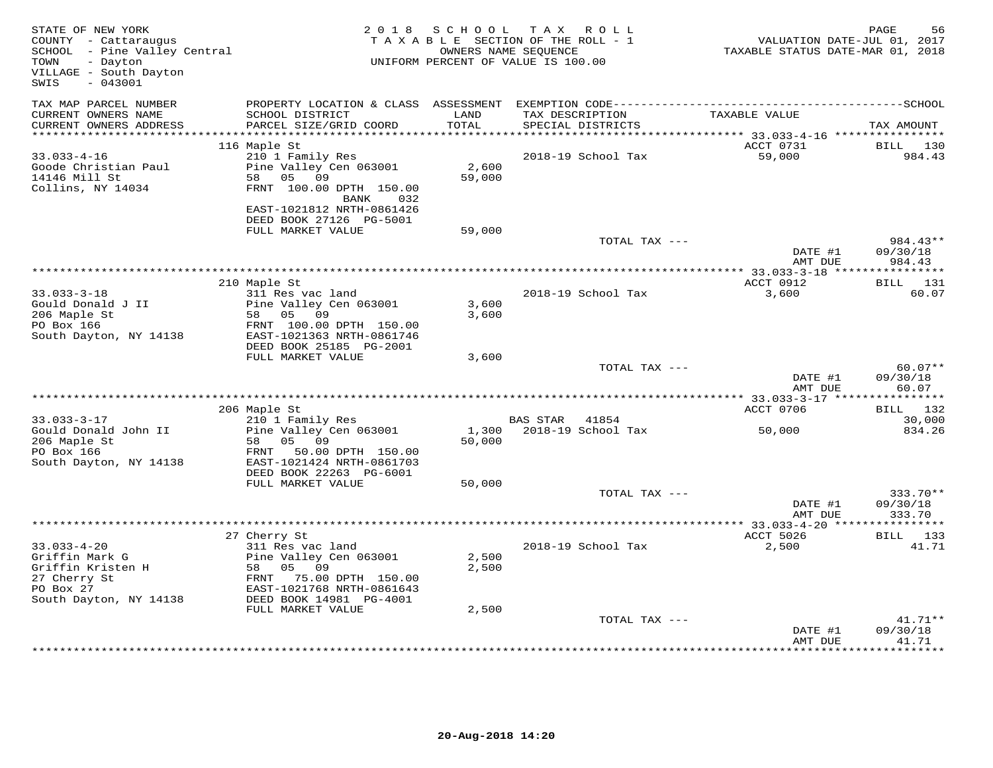| STATE OF NEW YORK<br>COUNTY - Cattaraugus<br>SCHOOL - Pine Valley Central<br>TOWN<br>- Dayton<br>VILLAGE - South Dayton<br>SWIS<br>$-043001$ |                                                                                   | 2018 SCHOOL     | TAX ROLL<br>TAXABLE SECTION OF THE ROLL - 1<br>OWNERS NAME SEQUENCE<br>UNIFORM PERCENT OF VALUE IS 100.00 | VALUATION DATE-JUL 01, 2017<br>TAXABLE STATUS DATE-MAR 01, 2018 | PAGE<br>56                     |
|----------------------------------------------------------------------------------------------------------------------------------------------|-----------------------------------------------------------------------------------|-----------------|-----------------------------------------------------------------------------------------------------------|-----------------------------------------------------------------|--------------------------------|
| TAX MAP PARCEL NUMBER<br>CURRENT OWNERS NAME<br>CURRENT OWNERS ADDRESS                                                                       | SCHOOL DISTRICT<br>PARCEL SIZE/GRID COORD                                         | LAND<br>TOTAL   | TAX DESCRIPTION<br>SPECIAL DISTRICTS                                                                      | TAXABLE VALUE                                                   | TAX AMOUNT                     |
| ***********************                                                                                                                      |                                                                                   |                 |                                                                                                           |                                                                 |                                |
|                                                                                                                                              | 116 Maple St                                                                      |                 |                                                                                                           | ACCT 0731                                                       | BILL 130                       |
| $33.033 - 4 - 16$<br>Goode Christian Paul<br>14146 Mill St<br>Collins, NY 14034                                                              | 210 1 Family Res<br>Pine Valley Cen 063001<br>58 05 09<br>FRNT 100.00 DPTH 150.00 | 2,600<br>59,000 | 2018-19 School Tax                                                                                        | 59,000                                                          | 984.43                         |
|                                                                                                                                              | 032<br>BANK<br>EAST-1021812 NRTH-0861426<br>DEED BOOK 27126 PG-5001               |                 |                                                                                                           |                                                                 |                                |
|                                                                                                                                              | FULL MARKET VALUE                                                                 | 59,000          |                                                                                                           |                                                                 |                                |
|                                                                                                                                              |                                                                                   |                 | TOTAL TAX ---                                                                                             | DATE #1<br>AMT DUE                                              | 984.43**<br>09/30/18<br>984.43 |
|                                                                                                                                              |                                                                                   |                 |                                                                                                           |                                                                 | ***********                    |
|                                                                                                                                              | 210 Maple St                                                                      |                 |                                                                                                           | ACCT 0912                                                       | <b>BILL</b> 131                |
| $33.033 - 3 - 18$<br>Gould Donald J II                                                                                                       | 311 Res vac land<br>Pine Valley Cen 063001                                        | 3,600           | 2018-19 School Tax                                                                                        | 3,600                                                           | 60.07                          |
| 206 Maple St<br>PO Box 166<br>South Dayton, NY 14138                                                                                         | 58 05 09<br>FRNT 100.00 DPTH 150.00<br>EAST-1021363 NRTH-0861746                  | 3,600           |                                                                                                           |                                                                 |                                |
|                                                                                                                                              | DEED BOOK 25185 PG-2001<br>FULL MARKET VALUE                                      | 3,600           |                                                                                                           |                                                                 |                                |
|                                                                                                                                              |                                                                                   |                 | TOTAL TAX ---                                                                                             |                                                                 | $60.07**$                      |
|                                                                                                                                              |                                                                                   |                 |                                                                                                           | DATE #1<br>AMT DUE                                              | 09/30/18<br>60.07              |
|                                                                                                                                              |                                                                                   |                 |                                                                                                           |                                                                 | ***********                    |
|                                                                                                                                              | 206 Maple St                                                                      |                 |                                                                                                           | ACCT 0706                                                       | BILL 132                       |
| $33.033 - 3 - 17$                                                                                                                            | 210 1 Family Res                                                                  |                 | BAS STAR 41854                                                                                            |                                                                 | 30,000                         |
| Gould Donald John II<br>206 Maple St<br>PO Box 166                                                                                           | Pine Valley Cen 063001<br>58 05 09<br>FRNT 50.00 DPTH 150.00                      | 1,300<br>50,000 | 2018-19 School Tax                                                                                        | 50,000                                                          | 834.26                         |
| South Dayton, NY 14138                                                                                                                       | EAST-1021424 NRTH-0861703<br>DEED BOOK 22263 PG-6001                              |                 |                                                                                                           |                                                                 |                                |
|                                                                                                                                              | FULL MARKET VALUE                                                                 | 50,000          |                                                                                                           |                                                                 |                                |
|                                                                                                                                              |                                                                                   |                 | TOTAL TAX ---                                                                                             | DATE #1<br>AMT DUE                                              | 333.70**<br>09/30/18<br>333.70 |
|                                                                                                                                              |                                                                                   |                 |                                                                                                           |                                                                 |                                |
|                                                                                                                                              | 27 Cherry St                                                                      |                 |                                                                                                           | ACCT 5026                                                       | BILL 133                       |
| $33.033 - 4 - 20$                                                                                                                            | 311 Res vac land                                                                  |                 | 2018-19 School Tax                                                                                        | 2,500                                                           | 41.71                          |
| Griffin Mark G<br>Griffin Kristen H                                                                                                          | Pine Valley Cen 063001                                                            | 2,500<br>2,500  |                                                                                                           |                                                                 |                                |
| 27 Cherry St                                                                                                                                 | - 1112 valicy<br>58 05 09<br>FRNT 75.00<br>FRNT 75.00 DPTH 150.00                 |                 |                                                                                                           |                                                                 |                                |
| PO Box 27                                                                                                                                    | EAST-1021768 NRTH-0861643                                                         |                 |                                                                                                           |                                                                 |                                |
| South Dayton, NY 14138                                                                                                                       | DEED BOOK 14981 PG-4001                                                           |                 |                                                                                                           |                                                                 |                                |
|                                                                                                                                              | FULL MARKET VALUE                                                                 | 2,500           |                                                                                                           |                                                                 |                                |
|                                                                                                                                              |                                                                                   |                 | TOTAL TAX ---                                                                                             | DATE #1                                                         | $41.71**$<br>09/30/18          |
|                                                                                                                                              |                                                                                   |                 |                                                                                                           | AMT DUE                                                         | 41.71<br>* * * * * * * * * *   |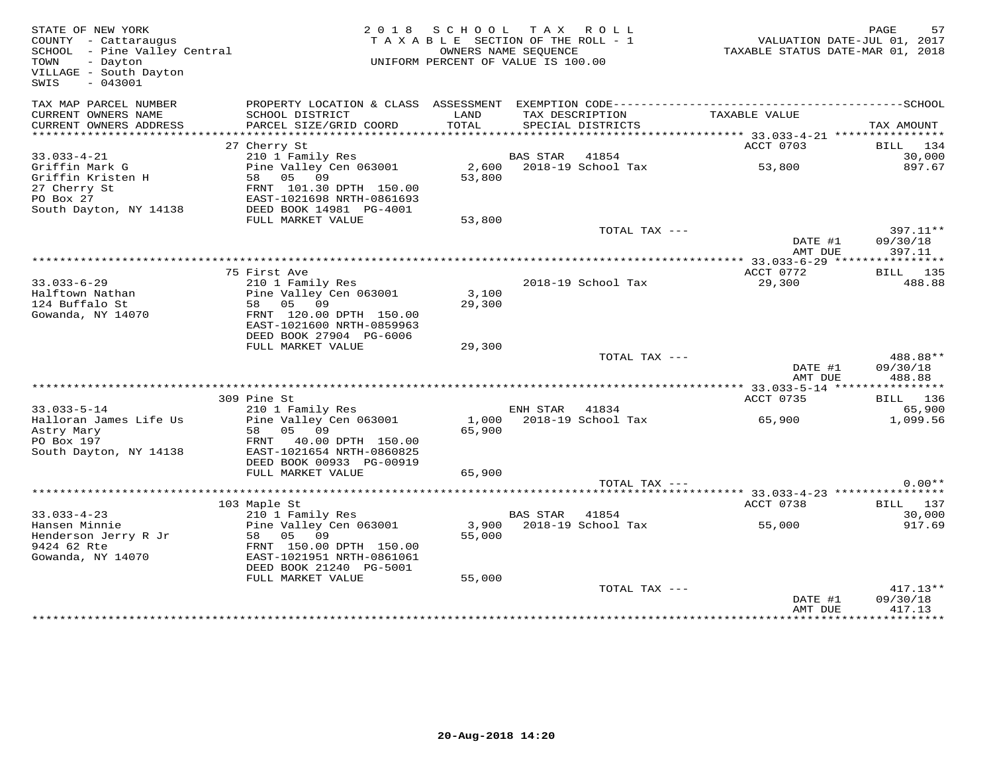| STATE OF NEW YORK<br>COUNTY - Cattaraugus<br>SCHOOL - Pine Valley Central<br>TOWN<br>- Dayton<br>VILLAGE - South Dayton<br>$-043001$<br>SWIS |                                     |        | 2018 SCHOOL TAX ROLL<br>TAXABLE SECTION OF THE ROLL - 1<br>OWNERS NAME SEQUENCE<br>UNIFORM PERCENT OF VALUE IS 100.00 | VALUATION DATE-JUL 01, 2017<br>TAXABLE STATUS DATE-MAR 01, 2018 | PAGE<br>57 |
|----------------------------------------------------------------------------------------------------------------------------------------------|-------------------------------------|--------|-----------------------------------------------------------------------------------------------------------------------|-----------------------------------------------------------------|------------|
| TAX MAP PARCEL NUMBER<br>CURRENT OWNERS NAME                                                                                                 | SCHOOL DISTRICT                     | LAND   | TAX DESCRIPTION                                                                                                       | TAXABLE VALUE                                                   |            |
| CURRENT OWNERS ADDRESS<br>*********************                                                                                              | PARCEL SIZE/GRID COORD              | TOTAL  | SPECIAL DISTRICTS                                                                                                     |                                                                 | TAX AMOUNT |
|                                                                                                                                              | 27 Cherry St                        |        |                                                                                                                       | ACCT 0703                                                       | BILL 134   |
| $33.033 - 4 - 21$                                                                                                                            | 210 1 Family Res                    |        | BAS STAR 41854                                                                                                        |                                                                 | 30,000     |
| Griffin Mark G                                                                                                                               | Pine Valley Cen 063001              |        | 2,600 2018-19 School Tax                                                                                              | 53,800                                                          | 897.67     |
| Griffin Kristen H                                                                                                                            | 58 05 09                            | 53,800 |                                                                                                                       |                                                                 |            |
| 27 Cherry St                                                                                                                                 | FRNT 101.30 DPTH 150.00             |        |                                                                                                                       |                                                                 |            |
| PO Box 27                                                                                                                                    | EAST-1021698 NRTH-0861693           |        |                                                                                                                       |                                                                 |            |
| South Dayton, NY 14138                                                                                                                       | DEED BOOK 14981 PG-4001             |        |                                                                                                                       |                                                                 |            |
|                                                                                                                                              | FULL MARKET VALUE                   | 53,800 |                                                                                                                       |                                                                 |            |
|                                                                                                                                              |                                     |        | TOTAL TAX ---                                                                                                         |                                                                 | 397.11**   |
|                                                                                                                                              |                                     |        |                                                                                                                       | DATE #1                                                         | 09/30/18   |
|                                                                                                                                              |                                     |        |                                                                                                                       | AMT DUE                                                         | 397.11     |
|                                                                                                                                              |                                     |        |                                                                                                                       |                                                                 |            |
|                                                                                                                                              | 75 First Ave                        |        |                                                                                                                       | ACCT 0772                                                       | BILL 135   |
| $33.033 - 6 - 29$                                                                                                                            | 210 1 Family Res                    |        | 2018-19 School Tax                                                                                                    | 29,300                                                          | 488.88     |
| Halftown Nathan                                                                                                                              | Pine Valley Cen 063001              | 3,100  |                                                                                                                       |                                                                 |            |
| 124 Buffalo St<br>Gowanda, NY 14070                                                                                                          | 58 05 09<br>FRNT 120.00 DPTH 150.00 | 29,300 |                                                                                                                       |                                                                 |            |
|                                                                                                                                              | EAST-1021600 NRTH-0859963           |        |                                                                                                                       |                                                                 |            |
|                                                                                                                                              | DEED BOOK 27904 PG-6006             |        |                                                                                                                       |                                                                 |            |
|                                                                                                                                              | FULL MARKET VALUE                   | 29,300 |                                                                                                                       |                                                                 |            |
|                                                                                                                                              |                                     |        | TOTAL TAX ---                                                                                                         |                                                                 | 488.88**   |
|                                                                                                                                              |                                     |        |                                                                                                                       | DATE #1                                                         | 09/30/18   |
|                                                                                                                                              |                                     |        |                                                                                                                       | AMT DUE                                                         | 488.88     |
|                                                                                                                                              |                                     |        |                                                                                                                       |                                                                 |            |
|                                                                                                                                              | 309 Pine St                         |        |                                                                                                                       | ACCT 0735                                                       | BILL 136   |
| $33.033 - 5 - 14$                                                                                                                            | 210 1 Family Res                    |        | ENH STAR<br>41834                                                                                                     |                                                                 | 65,900     |
| Halloran James Life Us                                                                                                                       | Pine Valley Cen 063001              |        | 1,000 2018-19 School Tax                                                                                              | 65,900                                                          | 1,099.56   |
| Astry Mary                                                                                                                                   | 58 05 09                            | 65,900 |                                                                                                                       |                                                                 |            |
| PO Box 197                                                                                                                                   | FRNT 40.00 DPTH 150.00              |        |                                                                                                                       |                                                                 |            |
| South Dayton, NY 14138                                                                                                                       | EAST-1021654 NRTH-0860825           |        |                                                                                                                       |                                                                 |            |
|                                                                                                                                              | DEED BOOK 00933 PG-00919            |        |                                                                                                                       |                                                                 |            |
|                                                                                                                                              | FULL MARKET VALUE                   | 65,900 |                                                                                                                       |                                                                 |            |
|                                                                                                                                              |                                     |        | TOTAL TAX ---                                                                                                         |                                                                 | $0.00**$   |
|                                                                                                                                              | 103 Maple St                        |        |                                                                                                                       | ACCT 0738                                                       | BILL 137   |
| $33.033 - 4 - 23$                                                                                                                            | 210 1 Family Res                    |        | <b>BAS STAR</b><br>41854                                                                                              |                                                                 | 30,000     |
| Hansen Minnie                                                                                                                                | Pine Valley Cen 063001              |        | 3,900 2018-19 School Tax                                                                                              | 55,000                                                          | 917.69     |
| Henderson Jerry R Jr                                                                                                                         | 58 05 09                            | 55,000 |                                                                                                                       |                                                                 |            |
| 9424 62 Rte                                                                                                                                  | FRNT 150.00 DPTH 150.00             |        |                                                                                                                       |                                                                 |            |
| Gowanda, NY 14070                                                                                                                            | EAST-1021951 NRTH-0861061           |        |                                                                                                                       |                                                                 |            |
|                                                                                                                                              | DEED BOOK 21240 PG-5001             |        |                                                                                                                       |                                                                 |            |
|                                                                                                                                              | FULL MARKET VALUE                   | 55,000 |                                                                                                                       |                                                                 |            |
|                                                                                                                                              |                                     |        | TOTAL TAX ---                                                                                                         |                                                                 | $417.13**$ |
|                                                                                                                                              |                                     |        |                                                                                                                       | DATE #1                                                         | 09/30/18   |
|                                                                                                                                              |                                     |        |                                                                                                                       | AMT DUE                                                         | 417.13     |
|                                                                                                                                              |                                     |        |                                                                                                                       |                                                                 |            |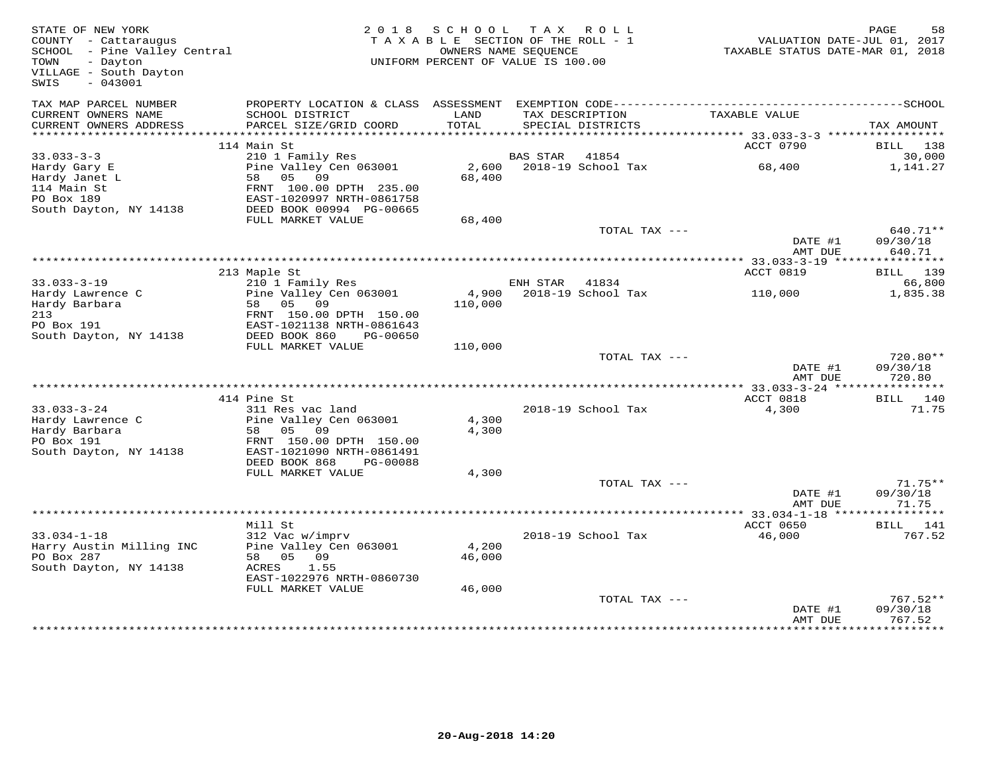| STATE OF NEW YORK<br>COUNTY - Cattaraugus<br>SCHOOL - Pine Valley Central<br>- Dayton<br>TOWN<br>VILLAGE - South Dayton<br>$-043001$<br>SWIS |                                                                                             | 2018 SCHOOL<br>TAXABLE SECTION OF THE ROLL - 1<br>OWNERS NAME SEQUENCE<br>UNIFORM PERCENT OF VALUE IS 100.00 |                | TAX ROLL                 | TAXABLE STATUS DATE-MAR 01, 2018 | PAGE<br>58<br>VALUATION DATE-JUL 01, 2017 |
|----------------------------------------------------------------------------------------------------------------------------------------------|---------------------------------------------------------------------------------------------|--------------------------------------------------------------------------------------------------------------|----------------|--------------------------|----------------------------------|-------------------------------------------|
| TAX MAP PARCEL NUMBER<br>CURRENT OWNERS NAME                                                                                                 | PROPERTY LOCATION & CLASS ASSESSMENT EXEMPTION CODE---------------------<br>SCHOOL DISTRICT | LAND                                                                                                         |                | TAX DESCRIPTION          | TAXABLE VALUE                    | --------------SCHOOL                      |
| CURRENT OWNERS ADDRESS                                                                                                                       | PARCEL SIZE/GRID COORD                                                                      | TOTAL                                                                                                        |                | SPECIAL DISTRICTS        |                                  | TAX AMOUNT                                |
| ***********************                                                                                                                      |                                                                                             |                                                                                                              |                |                          |                                  |                                           |
| $33.033 - 3 - 3$                                                                                                                             | 114 Main St<br>210 1 Family Res                                                             |                                                                                                              | BAS STAR 41854 |                          | ACCT 0790                        | BILL 138<br>30,000                        |
| Hardy Gary E                                                                                                                                 | Pine Valley Cen 063001                                                                      |                                                                                                              |                | 2,600 2018-19 School Tax | 68,400                           | 1,141.27                                  |
| Hardy Janet L                                                                                                                                | 58 05<br>09                                                                                 | 68,400                                                                                                       |                |                          |                                  |                                           |
| 114 Main St                                                                                                                                  | FRNT 100.00 DPTH 235.00                                                                     |                                                                                                              |                |                          |                                  |                                           |
| PO Box 189                                                                                                                                   | EAST-1020997 NRTH-0861758                                                                   |                                                                                                              |                |                          |                                  |                                           |
| South Dayton, NY 14138                                                                                                                       | DEED BOOK 00994 PG-00665                                                                    |                                                                                                              |                |                          |                                  |                                           |
|                                                                                                                                              | FULL MARKET VALUE                                                                           | 68,400                                                                                                       |                | TOTAL TAX ---            |                                  | 640.71**                                  |
|                                                                                                                                              |                                                                                             |                                                                                                              |                |                          | DATE #1<br>AMT DUE               | 09/30/18<br>640.71                        |
|                                                                                                                                              |                                                                                             |                                                                                                              |                |                          |                                  |                                           |
|                                                                                                                                              | 213 Maple St                                                                                |                                                                                                              |                |                          | ACCT 0819                        | 139<br>BILL                               |
| $33.033 - 3 - 19$                                                                                                                            | 210 1 Family Res                                                                            |                                                                                                              | ENH STAR       | 41834                    |                                  | 66,800                                    |
| Hardy Lawrence C<br>Hardy Barbara                                                                                                            | Pine Valley Cen 063001<br>58 05 09                                                          | 4,900<br>110,000                                                                                             |                | 2018-19 School Tax       | 110,000                          | 1,835.38                                  |
| 213                                                                                                                                          | FRNT 150.00 DPTH 150.00                                                                     |                                                                                                              |                |                          |                                  |                                           |
| PO Box 191                                                                                                                                   | EAST-1021138 NRTH-0861643                                                                   |                                                                                                              |                |                          |                                  |                                           |
| South Dayton, NY 14138                                                                                                                       | DEED BOOK 860<br>PG-00650                                                                   |                                                                                                              |                |                          |                                  |                                           |
|                                                                                                                                              | FULL MARKET VALUE                                                                           | 110,000                                                                                                      |                |                          |                                  |                                           |
|                                                                                                                                              |                                                                                             |                                                                                                              |                | TOTAL TAX ---            | DATE #1                          | $720.80**$<br>09/30/18                    |
|                                                                                                                                              |                                                                                             |                                                                                                              |                |                          | AMT DUE                          | 720.80                                    |
|                                                                                                                                              | 414 Pine St                                                                                 |                                                                                                              |                |                          | ACCT 0818                        | BILL 140                                  |
| $33.033 - 3 - 24$                                                                                                                            | 311 Res vac land                                                                            |                                                                                                              |                | 2018-19 School Tax       | 4,300                            | 71.75                                     |
| Hardy Lawrence C                                                                                                                             | Pine Valley Cen 063001                                                                      | 4,300                                                                                                        |                |                          |                                  |                                           |
| Hardy Barbara                                                                                                                                | 58 05 09                                                                                    | 4,300                                                                                                        |                |                          |                                  |                                           |
| PO Box 191                                                                                                                                   | FRNT 150.00 DPTH 150.00                                                                     |                                                                                                              |                |                          |                                  |                                           |
| South Dayton, NY 14138                                                                                                                       | EAST-1021090 NRTH-0861491<br>DEED BOOK 868<br>PG-00088                                      |                                                                                                              |                |                          |                                  |                                           |
|                                                                                                                                              | FULL MARKET VALUE                                                                           | 4,300                                                                                                        |                |                          |                                  |                                           |
|                                                                                                                                              |                                                                                             |                                                                                                              |                | TOTAL TAX ---            |                                  | $71.75**$                                 |
|                                                                                                                                              |                                                                                             |                                                                                                              |                |                          | DATE #1<br>AMT DUE               | 09/30/18<br>71.75                         |
|                                                                                                                                              |                                                                                             |                                                                                                              |                |                          |                                  |                                           |
|                                                                                                                                              | Mill St                                                                                     |                                                                                                              |                |                          | ACCT 0650                        | BILL 141                                  |
| $33.034 - 1 - 18$                                                                                                                            | 312 Vac w/imprv                                                                             |                                                                                                              |                | 2018-19 School Tax       | 46,000                           | 767.52                                    |
| Harry Austin Milling INC<br>PO Box 287                                                                                                       | Pine Valley Cen 063001<br>58 05 09                                                          | 4,200<br>46,000                                                                                              |                |                          |                                  |                                           |
| South Dayton, NY 14138                                                                                                                       | ACRES<br>1.55                                                                               |                                                                                                              |                |                          |                                  |                                           |
|                                                                                                                                              | EAST-1022976 NRTH-0860730                                                                   |                                                                                                              |                |                          |                                  |                                           |
|                                                                                                                                              | FULL MARKET VALUE                                                                           | 46,000                                                                                                       |                |                          |                                  |                                           |
|                                                                                                                                              |                                                                                             |                                                                                                              |                | TOTAL TAX ---            |                                  | $767.52**$                                |
|                                                                                                                                              |                                                                                             |                                                                                                              |                |                          | DATE #1<br>AMT DUE               | 09/30/18<br>767.52                        |
|                                                                                                                                              |                                                                                             |                                                                                                              |                |                          |                                  |                                           |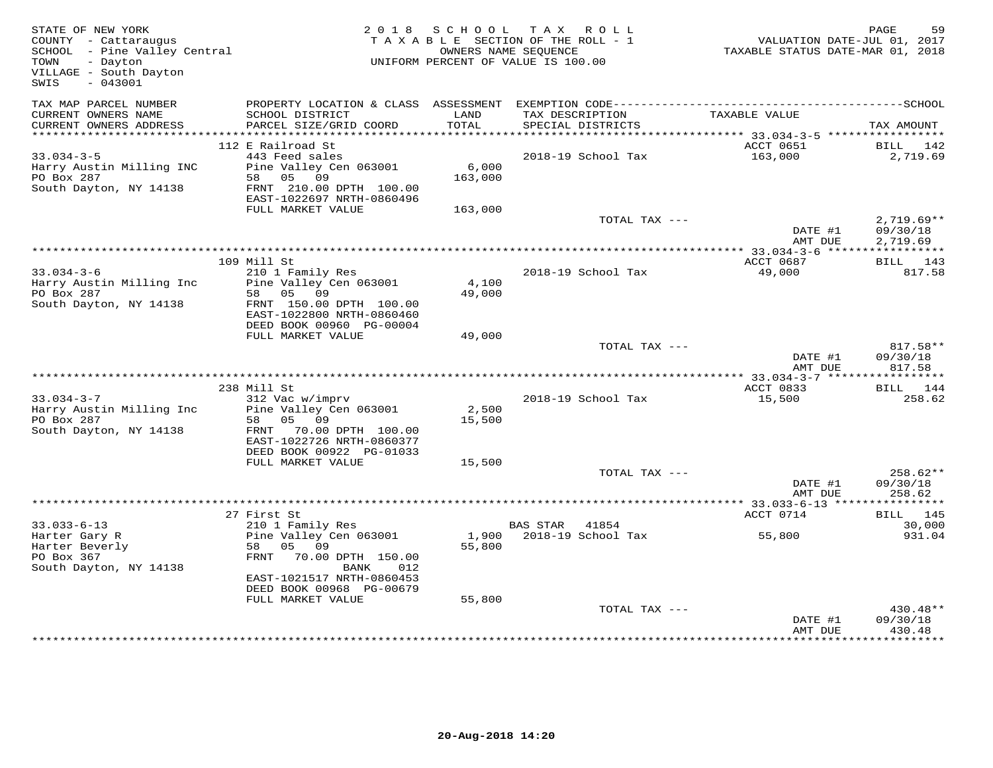| STATE OF NEW YORK<br>COUNTY - Cattaraugus<br>SCHOOL - Pine Valley Central<br>- Dayton<br>TOWN<br>VILLAGE - South Dayton<br>$-043001$<br>SWIS |                                                      | OWNERS NAME SEQUENCE | 2018 SCHOOL TAX ROLL<br>TAXABLE SECTION OF THE ROLL - 1<br>UNIFORM PERCENT OF VALUE IS 100.00 | VALUATION DATE-JUL 01, 2017<br>TAXABLE STATUS DATE-MAR 01, 2018 | PAGE<br>59         |
|----------------------------------------------------------------------------------------------------------------------------------------------|------------------------------------------------------|----------------------|-----------------------------------------------------------------------------------------------|-----------------------------------------------------------------|--------------------|
| TAX MAP PARCEL NUMBER<br>CURRENT OWNERS NAME<br>CURRENT OWNERS ADDRESS                                                                       | SCHOOL DISTRICT<br>PARCEL SIZE/GRID COORD            | LAND<br>TOTAL        | TAX DESCRIPTION<br>SPECIAL DISTRICTS                                                          | TAXABLE VALUE                                                   | TAX AMOUNT         |
|                                                                                                                                              |                                                      |                      |                                                                                               |                                                                 |                    |
|                                                                                                                                              | 112 E Railroad St                                    |                      |                                                                                               | ACCT 0651                                                       | BILL 142           |
| $33.034 - 3 - 5$                                                                                                                             | 443 Feed sales                                       |                      | 2018-19 School Tax                                                                            | 163,000                                                         | 2,719.69           |
| Harry Austin Milling INC<br>PO Box 287                                                                                                       | Pine Valley Cen 063001<br>58 05 09                   | 6,000<br>163,000     |                                                                                               |                                                                 |                    |
| South Dayton, NY 14138                                                                                                                       | FRNT 210.00 DPTH 100.00                              |                      |                                                                                               |                                                                 |                    |
|                                                                                                                                              | EAST-1022697 NRTH-0860496                            |                      |                                                                                               |                                                                 |                    |
|                                                                                                                                              | FULL MARKET VALUE                                    | 163,000              |                                                                                               |                                                                 |                    |
|                                                                                                                                              |                                                      |                      | TOTAL TAX ---                                                                                 |                                                                 | $2,719.69**$       |
|                                                                                                                                              |                                                      |                      |                                                                                               | DATE #1                                                         | 09/30/18           |
|                                                                                                                                              |                                                      |                      |                                                                                               | AMT DUE                                                         | 2,719.69           |
|                                                                                                                                              | 109 Mill St                                          |                      |                                                                                               | ACCT 0687                                                       | BILL 143           |
| $33.034 - 3 - 6$                                                                                                                             | 210 1 Family Res                                     |                      | 2018-19 School Tax                                                                            | 49,000                                                          | 817.58             |
| Harry Austin Milling Inc                                                                                                                     | Pine Valley Cen 063001                               | 4,100                |                                                                                               |                                                                 |                    |
| PO Box 287                                                                                                                                   | 58 05 09                                             | 49,000               |                                                                                               |                                                                 |                    |
| South Dayton, NY 14138                                                                                                                       | FRNT 150.00 DPTH 100.00<br>EAST-1022800 NRTH-0860460 |                      |                                                                                               |                                                                 |                    |
|                                                                                                                                              | DEED BOOK 00960 PG-00004                             |                      |                                                                                               |                                                                 |                    |
|                                                                                                                                              | FULL MARKET VALUE                                    | 49,000               |                                                                                               |                                                                 |                    |
|                                                                                                                                              |                                                      |                      | TOTAL TAX ---                                                                                 |                                                                 | $817.58**$         |
|                                                                                                                                              |                                                      |                      |                                                                                               | DATE #1                                                         | 09/30/18           |
|                                                                                                                                              |                                                      |                      |                                                                                               | AMT DUE                                                         | 817.58             |
|                                                                                                                                              | 238 Mill St                                          |                      |                                                                                               | ACCT 0833                                                       | <b>BILL</b> 144    |
| $33.034 - 3 - 7$                                                                                                                             | 312 Vac w/imprv                                      |                      | 2018-19 School Tax                                                                            | 15,500                                                          | 258.62             |
| Harry Austin Milling Inc                                                                                                                     | Pine Valley Cen 063001                               | 2,500                |                                                                                               |                                                                 |                    |
| PO Box 287                                                                                                                                   | 58 05 09                                             | 15,500               |                                                                                               |                                                                 |                    |
| South Dayton, NY 14138                                                                                                                       | FRNT 70.00 DPTH 100.00<br>EAST-1022726 NRTH-0860377  |                      |                                                                                               |                                                                 |                    |
|                                                                                                                                              | DEED BOOK 00922 PG-01033                             |                      |                                                                                               |                                                                 |                    |
|                                                                                                                                              | FULL MARKET VALUE                                    | 15,500               |                                                                                               |                                                                 |                    |
|                                                                                                                                              |                                                      |                      | TOTAL TAX ---                                                                                 |                                                                 | $258.62**$         |
|                                                                                                                                              |                                                      |                      |                                                                                               | DATE #1                                                         | 09/30/18           |
|                                                                                                                                              |                                                      |                      |                                                                                               | AMT DUE                                                         | 258.62             |
|                                                                                                                                              | 27 First St                                          |                      |                                                                                               | ACCT 0714                                                       | BILL 145           |
| $33.033 - 6 - 13$                                                                                                                            | 210 1 Family Res                                     |                      | BAS STAR 41854                                                                                |                                                                 | 30,000             |
| Harter Gary R                                                                                                                                | Pine Valley Cen 063001                               |                      | 1,900 2018-19 School Tax                                                                      | 55,800                                                          | 931.04             |
| Harter Beverly                                                                                                                               | 58 05 09                                             | 55,800               |                                                                                               |                                                                 |                    |
| PO Box 367<br>South Dayton, NY 14138                                                                                                         | 70.00 DPTH 150.00<br>FRNT<br>BANK<br>012             |                      |                                                                                               |                                                                 |                    |
|                                                                                                                                              | EAST-1021517 NRTH-0860453                            |                      |                                                                                               |                                                                 |                    |
|                                                                                                                                              | DEED BOOK 00968 PG-00679                             |                      |                                                                                               |                                                                 |                    |
|                                                                                                                                              | FULL MARKET VALUE                                    | 55,800               |                                                                                               |                                                                 |                    |
|                                                                                                                                              |                                                      |                      | TOTAL TAX ---                                                                                 |                                                                 | 430.48**           |
|                                                                                                                                              |                                                      |                      |                                                                                               | DATE #1<br>AMT DUE                                              | 09/30/18<br>430.48 |
|                                                                                                                                              |                                                      |                      |                                                                                               |                                                                 |                    |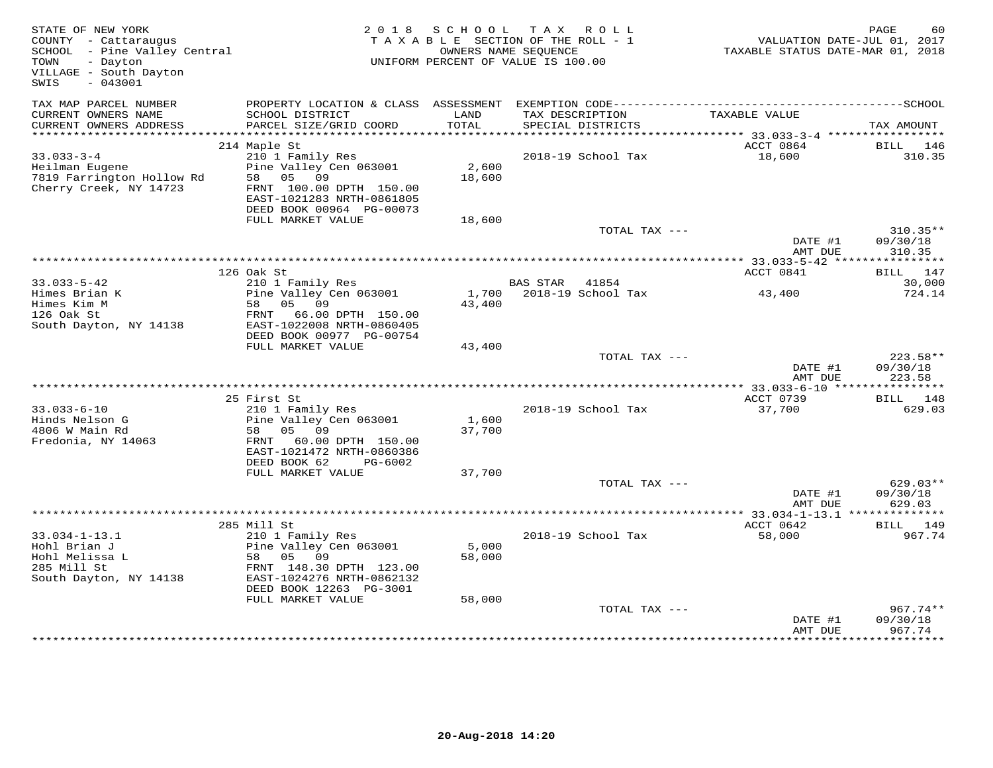| STATE OF NEW YORK<br>COUNTY - Cattaraugus<br>SCHOOL - Pine Valley Central<br>TOWN<br>- Dayton<br>VILLAGE - South Dayton<br>SWIS<br>$-043001$ | 2 0 1 8                                                                                                                                       | S C H O O L     | T A X<br>ROLL<br>TAXABLE SECTION OF THE ROLL - 1<br>OWNERS NAME SEQUENCE<br>UNIFORM PERCENT OF VALUE IS 100.00 | VALUATION DATE-JUL 01, 2017<br>TAXABLE STATUS DATE-MAR 01, 2018 | PAGE<br>60                      |
|----------------------------------------------------------------------------------------------------------------------------------------------|-----------------------------------------------------------------------------------------------------------------------------------------------|-----------------|----------------------------------------------------------------------------------------------------------------|-----------------------------------------------------------------|---------------------------------|
| TAX MAP PARCEL NUMBER                                                                                                                        | PROPERTY LOCATION & CLASS ASSESSMENT                                                                                                          |                 |                                                                                                                |                                                                 |                                 |
| CURRENT OWNERS NAME<br>CURRENT OWNERS ADDRESS                                                                                                | SCHOOL DISTRICT<br>PARCEL SIZE/GRID COORD                                                                                                     | LAND<br>TOTAL   | TAX DESCRIPTION<br>SPECIAL DISTRICTS                                                                           | TAXABLE VALUE                                                   | TAX AMOUNT                      |
|                                                                                                                                              |                                                                                                                                               |                 |                                                                                                                |                                                                 |                                 |
|                                                                                                                                              | 214 Maple St                                                                                                                                  |                 |                                                                                                                | ACCT 0864                                                       | BILL<br>146                     |
| $33.033 - 3 - 4$<br>Heilman Eugene<br>7819 Farrington Hollow Rd<br>Cherry Creek, NY 14723                                                    | 210 1 Family Res<br>Pine Valley Cen 063001<br>05 09<br>58<br>FRNT 100.00 DPTH 150.00<br>EAST-1021283 NRTH-0861805<br>DEED BOOK 00964 PG-00073 | 2,600<br>18,600 | 2018-19 School Tax                                                                                             | 18,600                                                          | 310.35                          |
|                                                                                                                                              | FULL MARKET VALUE                                                                                                                             | 18,600          |                                                                                                                |                                                                 |                                 |
|                                                                                                                                              |                                                                                                                                               |                 | TOTAL TAX ---                                                                                                  | DATE #1                                                         | $310.35**$<br>09/30/18          |
|                                                                                                                                              | ****************                                                                                                                              |                 |                                                                                                                | AMT DUE<br>************ 33.033-5-42 ****                        | 310.35<br>* * * * * * * * * * * |
|                                                                                                                                              | 126 Oak St                                                                                                                                    |                 |                                                                                                                | ACCT 0841                                                       | BILL 147                        |
| $33.033 - 5 - 42$                                                                                                                            | 210 1 Family Res                                                                                                                              |                 | BAS STAR<br>41854                                                                                              |                                                                 | 30,000                          |
| Himes Brian K                                                                                                                                | Pine Valley Cen 063001                                                                                                                        | 1,700           | 2018-19 School Tax                                                                                             | 43,400                                                          | 724.14                          |
| Himes Kim M<br>126 Oak St                                                                                                                    | 05 09<br>58<br>FRNT<br>66.00 DPTH 150.00                                                                                                      | 43,400          |                                                                                                                |                                                                 |                                 |
| South Dayton, NY 14138                                                                                                                       | EAST-1022008 NRTH-0860405                                                                                                                     |                 |                                                                                                                |                                                                 |                                 |
|                                                                                                                                              | DEED BOOK 00977 PG-00754                                                                                                                      |                 |                                                                                                                |                                                                 |                                 |
|                                                                                                                                              | FULL MARKET VALUE                                                                                                                             | 43,400          | TOTAL TAX ---                                                                                                  |                                                                 | $223.58**$                      |
|                                                                                                                                              |                                                                                                                                               |                 |                                                                                                                | DATE #1<br>AMT DUE                                              | 09/30/18<br>223.58              |
|                                                                                                                                              |                                                                                                                                               |                 |                                                                                                                |                                                                 |                                 |
|                                                                                                                                              | 25 First St                                                                                                                                   |                 |                                                                                                                | ACCT 0739                                                       | 148<br>BILL                     |
| $33.033 - 6 - 10$                                                                                                                            | 210 1 Family Res                                                                                                                              |                 | 2018-19 School Tax                                                                                             | 37,700                                                          | 629.03                          |
| Hinds Nelson G<br>4806 W Main Rd                                                                                                             | Pine Valley Cen 063001<br>05<br>09<br>58                                                                                                      | 1,600<br>37,700 |                                                                                                                |                                                                 |                                 |
| Fredonia, NY 14063                                                                                                                           | FRNT<br>60.00 DPTH 150.00<br>EAST-1021472 NRTH-0860386                                                                                        |                 |                                                                                                                |                                                                 |                                 |
|                                                                                                                                              | DEED BOOK 62<br>PG-6002<br>FULL MARKET VALUE                                                                                                  | 37,700          |                                                                                                                |                                                                 |                                 |
|                                                                                                                                              |                                                                                                                                               |                 | TOTAL TAX ---                                                                                                  |                                                                 | $629.03**$                      |
|                                                                                                                                              |                                                                                                                                               |                 |                                                                                                                | DATE #1<br>AMT DUE                                              | 09/30/18<br>629.03              |
|                                                                                                                                              |                                                                                                                                               |                 |                                                                                                                | ************ 33.034-1-13.1 ***************                      |                                 |
|                                                                                                                                              | 285 Mill St                                                                                                                                   |                 |                                                                                                                | ACCT 0642                                                       | BILL<br>149                     |
| $33.034 - 1 - 13.1$                                                                                                                          | 210 1 Family Res                                                                                                                              |                 | 2018-19 School Tax                                                                                             | 58,000                                                          | 967.74                          |
| Hohl Brian J                                                                                                                                 | Pine Valley Cen 063001                                                                                                                        | 5,000           |                                                                                                                |                                                                 |                                 |
| Hohl Melissa L                                                                                                                               | 58 05 09                                                                                                                                      | 58,000          |                                                                                                                |                                                                 |                                 |
| 285 Mill St<br>South Dayton, NY 14138                                                                                                        | FRNT 148.30 DPTH 123.00<br>EAST-1024276 NRTH-0862132                                                                                          |                 |                                                                                                                |                                                                 |                                 |
|                                                                                                                                              | DEED BOOK 12263 PG-3001<br>FULL MARKET VALUE                                                                                                  | 58,000          |                                                                                                                |                                                                 |                                 |
|                                                                                                                                              |                                                                                                                                               |                 | TOTAL TAX ---                                                                                                  |                                                                 | $967.74**$                      |
|                                                                                                                                              |                                                                                                                                               |                 |                                                                                                                | DATE #1<br>AMT DUE                                              | 09/30/18<br>967.74              |
|                                                                                                                                              |                                                                                                                                               |                 |                                                                                                                |                                                                 |                                 |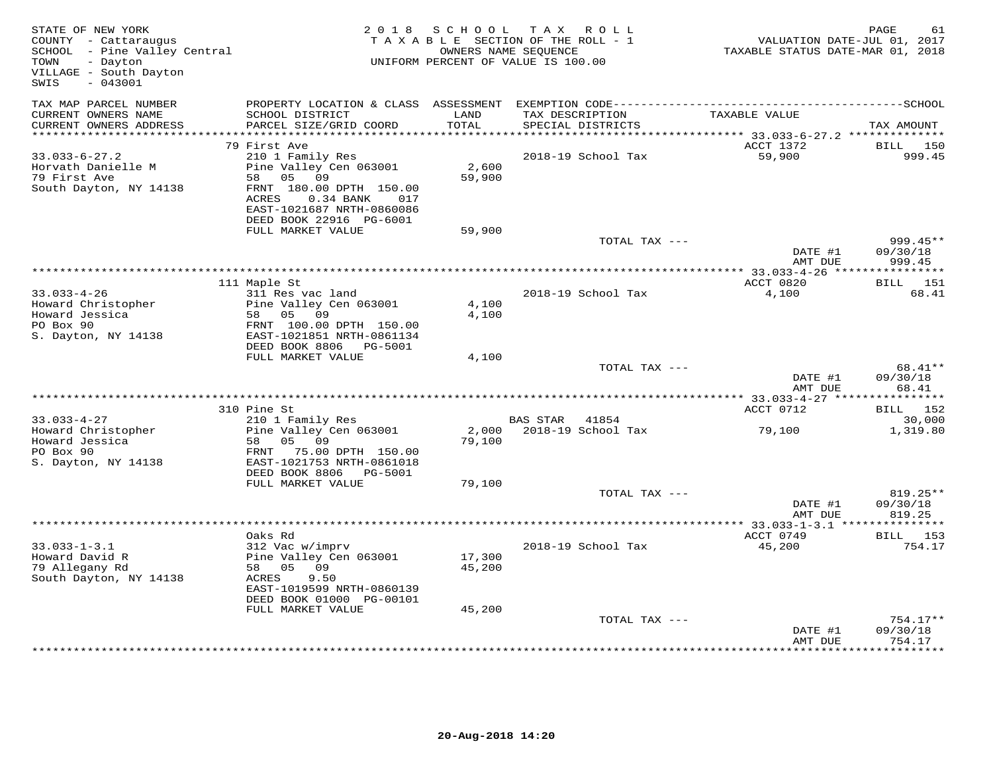| STATE OF NEW YORK<br>COUNTY - Cattaraugus<br>SCHOOL - Pine Valley Central<br>- Dayton<br>TOWN<br>VILLAGE - South Dayton<br>$-043001$<br>SWIS |                                                                                     | 2018 SCHOOL      | TAX ROLL<br>TAXABLE SECTION OF THE ROLL - 1<br>OWNERS NAME SEQUENCE<br>UNIFORM PERCENT OF VALUE IS 100.00 | VALUATION DATE-JUL 01, 2017<br>TAXABLE STATUS DATE-MAR 01, 2018 | PAGE<br>61             |
|----------------------------------------------------------------------------------------------------------------------------------------------|-------------------------------------------------------------------------------------|------------------|-----------------------------------------------------------------------------------------------------------|-----------------------------------------------------------------|------------------------|
| TAX MAP PARCEL NUMBER                                                                                                                        |                                                                                     |                  |                                                                                                           |                                                                 |                        |
| CURRENT OWNERS NAME<br>CURRENT OWNERS ADDRESS                                                                                                | SCHOOL DISTRICT<br>PARCEL SIZE/GRID COORD                                           | LAND<br>TOTAL    | TAX DESCRIPTION<br>SPECIAL DISTRICTS                                                                      | TAXABLE VALUE                                                   | TAX AMOUNT             |
| ***********************                                                                                                                      |                                                                                     |                  |                                                                                                           |                                                                 |                        |
| $33.033 - 6 - 27.2$                                                                                                                          | 79 First Ave<br>210 1 Family Res                                                    |                  | 2018-19 School Tax                                                                                        | ACCT 1372<br>59,900                                             | BILL 150<br>999.45     |
| Horvath Danielle M                                                                                                                           | Pine Valley Cen 063001                                                              | 2,600            |                                                                                                           |                                                                 |                        |
| 79 First Ave                                                                                                                                 | 58 05<br>09                                                                         | 59,900           |                                                                                                           |                                                                 |                        |
| South Dayton, NY 14138                                                                                                                       | FRNT 180.00 DPTH 150.00<br>ACRES<br>$0.34$ BANK<br>017<br>EAST-1021687 NRTH-0860086 |                  |                                                                                                           |                                                                 |                        |
|                                                                                                                                              | DEED BOOK 22916 PG-6001<br>FULL MARKET VALUE                                        | 59,900           |                                                                                                           |                                                                 |                        |
|                                                                                                                                              |                                                                                     |                  | TOTAL TAX ---                                                                                             |                                                                 | $999.45**$             |
|                                                                                                                                              |                                                                                     |                  |                                                                                                           | DATE #1<br>AMT DUE                                              | 09/30/18<br>999.45     |
|                                                                                                                                              |                                                                                     |                  |                                                                                                           |                                                                 |                        |
|                                                                                                                                              | 111 Maple St                                                                        |                  |                                                                                                           | ACCT 0820                                                       | BILL 151<br>68.41      |
| $33.033 - 4 - 26$<br>Howard Christopher                                                                                                      | 311 Res vac land<br>Pine Valley Cen 063001                                          | 4,100            | 2018-19 School Tax                                                                                        | 4,100                                                           |                        |
| Howard Jessica                                                                                                                               | 58 05 09                                                                            | 4,100            |                                                                                                           |                                                                 |                        |
| PO Box 90                                                                                                                                    | FRNT 100.00 DPTH 150.00                                                             |                  |                                                                                                           |                                                                 |                        |
| S. Dayton, NY 14138                                                                                                                          | EAST-1021851 NRTH-0861134                                                           |                  |                                                                                                           |                                                                 |                        |
|                                                                                                                                              | DEED BOOK 8806 PG-5001                                                              |                  |                                                                                                           |                                                                 |                        |
|                                                                                                                                              | FULL MARKET VALUE                                                                   | 4,100            | TOTAL TAX ---                                                                                             |                                                                 | 68.41**                |
|                                                                                                                                              |                                                                                     |                  |                                                                                                           | DATE #1                                                         | 09/30/18               |
|                                                                                                                                              |                                                                                     |                  |                                                                                                           | AMT DUE                                                         | 68.41                  |
|                                                                                                                                              |                                                                                     |                  |                                                                                                           |                                                                 | ***********            |
|                                                                                                                                              | 310 Pine St                                                                         |                  |                                                                                                           | ACCT 0712                                                       | BILL 152               |
| $33.033 - 4 - 27$<br>Howard Christopher                                                                                                      | 210 1 Family Res<br>Pine Valley Cen 063001                                          |                  | BAS STAR 41854<br>2,000 2018-19 School Tax                                                                | 79,100                                                          | 30,000<br>1,319.80     |
| Howard Jessica                                                                                                                               | 58 05 09                                                                            | 79,100           |                                                                                                           |                                                                 |                        |
| PO Box 90                                                                                                                                    | FRNT 75.00 DPTH 150.00                                                              |                  |                                                                                                           |                                                                 |                        |
| S. Dayton, NY 14138                                                                                                                          | EAST-1021753 NRTH-0861018                                                           |                  |                                                                                                           |                                                                 |                        |
|                                                                                                                                              | DEED BOOK 8806 PG-5001                                                              |                  |                                                                                                           |                                                                 |                        |
|                                                                                                                                              | FULL MARKET VALUE                                                                   | 79,100           | TOTAL TAX ---                                                                                             |                                                                 | 819.25**               |
|                                                                                                                                              |                                                                                     |                  |                                                                                                           | DATE #1                                                         | 09/30/18               |
|                                                                                                                                              |                                                                                     |                  |                                                                                                           | AMT DUE                                                         | 819.25                 |
|                                                                                                                                              |                                                                                     |                  |                                                                                                           |                                                                 |                        |
|                                                                                                                                              | Oaks Rd                                                                             |                  |                                                                                                           | ACCT 0749                                                       | BILL 153               |
| $33.033 - 1 - 3.1$                                                                                                                           | 312 Vac w/imprv                                                                     |                  | 2018-19 School Tax                                                                                        | 45,200                                                          | 754.17                 |
| Howard David R<br>79 Allegany Rd                                                                                                             | Pine Valley Cen 063001<br>58 05 09                                                  | 17,300<br>45,200 |                                                                                                           |                                                                 |                        |
| South Dayton, NY 14138                                                                                                                       | 9.50<br>ACRES                                                                       |                  |                                                                                                           |                                                                 |                        |
|                                                                                                                                              | EAST-1019599 NRTH-0860139                                                           |                  |                                                                                                           |                                                                 |                        |
|                                                                                                                                              | DEED BOOK 01000 PG-00101                                                            |                  |                                                                                                           |                                                                 |                        |
|                                                                                                                                              | FULL MARKET VALUE                                                                   | 45,200           |                                                                                                           |                                                                 |                        |
|                                                                                                                                              |                                                                                     |                  | TOTAL TAX ---                                                                                             | DATE #1                                                         | $754.17**$<br>09/30/18 |
|                                                                                                                                              |                                                                                     |                  |                                                                                                           | AMT DUE                                                         | 754.17                 |
|                                                                                                                                              |                                                                                     |                  |                                                                                                           |                                                                 | ***********            |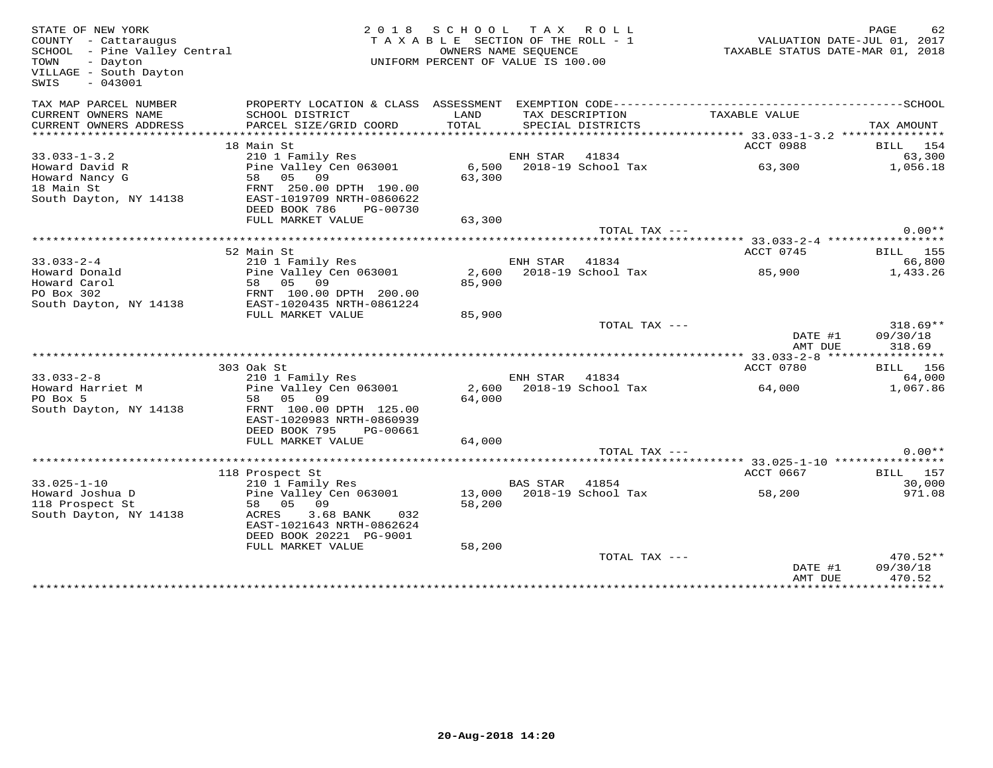| STATE OF NEW YORK<br>COUNTY - Cattaraugus<br>$SCH OOL$ - Pine Valley Central<br>- Dayton<br>TOWN<br>VILLAGE - South Dayton<br>SWIS<br>$-043001$ | 2 0 1 8                                        | SCHOOL TAX ROLL<br>TAXABLE SECTION OF THE ROLL - 1<br>OWNERS NAME SEQUENCE<br>UNIFORM PERCENT OF VALUE IS 100.00 |                |                    | 92 PAGE 62<br>VALUATION DATE-JUL 01, 2017<br>TAXARLE STATUS DATE 111 | TAXABLE STATUS DATE-MAR 01, 2018 |
|-------------------------------------------------------------------------------------------------------------------------------------------------|------------------------------------------------|------------------------------------------------------------------------------------------------------------------|----------------|--------------------|----------------------------------------------------------------------|----------------------------------|
| TAX MAP PARCEL NUMBER                                                                                                                           |                                                |                                                                                                                  |                |                    |                                                                      |                                  |
| CURRENT OWNERS NAME                                                                                                                             | SCHOOL DISTRICT                                | LAND                                                                                                             |                | TAX DESCRIPTION    | TAXABLE VALUE                                                        |                                  |
| CURRENT OWNERS ADDRESS                                                                                                                          | PARCEL SIZE/GRID COORD                         | TOTAL                                                                                                            |                | SPECIAL DISTRICTS  |                                                                      | TAX AMOUNT                       |
|                                                                                                                                                 | 18 Main St                                     |                                                                                                                  |                |                    | ACCT 0988                                                            | BILL 154                         |
| $33.033 - 1 - 3.2$                                                                                                                              | 210 1 Family Res                               |                                                                                                                  | ENH STAR       | 41834              |                                                                      | 63,300                           |
| Howard David R                                                                                                                                  | Pine Valley Cen 063001                         | 6,500                                                                                                            |                | 2018-19 School Tax | 63,300                                                               | 1,056.18                         |
| Howard Nancy G                                                                                                                                  | 58 05 09                                       | 63,300                                                                                                           |                |                    |                                                                      |                                  |
| 18 Main St                                                                                                                                      | FRNT 250.00 DPTH 190.00                        |                                                                                                                  |                |                    |                                                                      |                                  |
| South Dayton, NY 14138                                                                                                                          | EAST-1019709 NRTH-0860622                      |                                                                                                                  |                |                    |                                                                      |                                  |
|                                                                                                                                                 | DEED BOOK 786<br>PG-00730                      |                                                                                                                  |                |                    |                                                                      |                                  |
|                                                                                                                                                 | FULL MARKET VALUE                              | 63,300                                                                                                           |                | TOTAL TAX ---      |                                                                      | $0.00**$                         |
|                                                                                                                                                 |                                                |                                                                                                                  |                |                    |                                                                      |                                  |
|                                                                                                                                                 | 52 Main St                                     |                                                                                                                  |                |                    | ACCT 0745                                                            | BILL 155                         |
| $33.033 - 2 - 4$                                                                                                                                | 210 1 Family Res                               |                                                                                                                  | ENH STAR 41834 |                    |                                                                      | 66,800                           |
| Howard Donald                                                                                                                                   | Pine Valley Cen 063001                         | 2,600                                                                                                            |                | 2018-19 School Tax | 85,900                                                               | 1,433.26                         |
| Howard Carol                                                                                                                                    | 58 05 09                                       | 85,900                                                                                                           |                |                    |                                                                      |                                  |
| PO Box 302                                                                                                                                      | FRNT 100.00 DPTH 200.00                        |                                                                                                                  |                |                    |                                                                      |                                  |
| South Dayton, NY 14138                                                                                                                          | EAST-1020435 NRTH-0861224<br>FULL MARKET VALUE | 85,900                                                                                                           |                |                    |                                                                      |                                  |
|                                                                                                                                                 |                                                |                                                                                                                  |                | TOTAL TAX ---      |                                                                      | $318.69**$                       |
|                                                                                                                                                 |                                                |                                                                                                                  |                |                    | DATE #1                                                              | 09/30/18                         |
|                                                                                                                                                 |                                                |                                                                                                                  |                |                    | AMT DUE                                                              | 318.69                           |
|                                                                                                                                                 |                                                |                                                                                                                  |                |                    |                                                                      |                                  |
|                                                                                                                                                 | 303 Oak St                                     |                                                                                                                  |                |                    | ACCT 0780                                                            | <b>BILL</b> 156                  |
| $33.033 - 2 - 8$                                                                                                                                | 210 1 Family Res                               |                                                                                                                  | ENH STAR 41834 |                    |                                                                      | 64,000                           |
| Howard Harriet M<br>PO Box 5                                                                                                                    | Pine Valley Cen 063001<br>58 05 09             | 2,600<br>64,000                                                                                                  |                | 2018-19 School Tax | 64,000                                                               | 1,067.86                         |
| South Dayton, NY 14138                                                                                                                          | FRNT 100.00 DPTH 125.00                        |                                                                                                                  |                |                    |                                                                      |                                  |
|                                                                                                                                                 | EAST-1020983 NRTH-0860939                      |                                                                                                                  |                |                    |                                                                      |                                  |
|                                                                                                                                                 | DEED BOOK 795<br>PG-00661                      |                                                                                                                  |                |                    |                                                                      |                                  |
|                                                                                                                                                 | FULL MARKET VALUE                              | 64,000                                                                                                           |                |                    |                                                                      |                                  |
|                                                                                                                                                 |                                                |                                                                                                                  |                | TOTAL TAX ---      |                                                                      | $0.00**$                         |
|                                                                                                                                                 |                                                |                                                                                                                  |                |                    |                                                                      |                                  |
| $33.025 - 1 - 10$                                                                                                                               | 118 Prospect St<br>210 1 Family Res            |                                                                                                                  | BAS STAR 41854 |                    | ACCT 0667                                                            | BILL 157<br>30,000               |
| Howard Joshua D                                                                                                                                 | Pine Valley Cen 063001                         | 13,000                                                                                                           |                | 2018-19 School Tax | 58,200                                                               | 971.08                           |
| 118 Prospect St                                                                                                                                 | 58 05 09                                       | 58,200                                                                                                           |                |                    |                                                                      |                                  |
| South Dayton, NY 14138                                                                                                                          | ACRES<br>3.68 BANK 032                         |                                                                                                                  |                |                    |                                                                      |                                  |
|                                                                                                                                                 | EAST-1021643 NRTH-0862624                      |                                                                                                                  |                |                    |                                                                      |                                  |
|                                                                                                                                                 | DEED BOOK 20221 PG-9001                        |                                                                                                                  |                |                    |                                                                      |                                  |
|                                                                                                                                                 | FULL MARKET VALUE                              | 58,200                                                                                                           |                |                    |                                                                      |                                  |
|                                                                                                                                                 |                                                |                                                                                                                  |                | TOTAL TAX ---      |                                                                      | 470.52**                         |
|                                                                                                                                                 |                                                |                                                                                                                  |                |                    | DATE #1<br>AMT DUE                                                   | 09/30/18<br>470.52               |
|                                                                                                                                                 |                                                |                                                                                                                  |                |                    |                                                                      |                                  |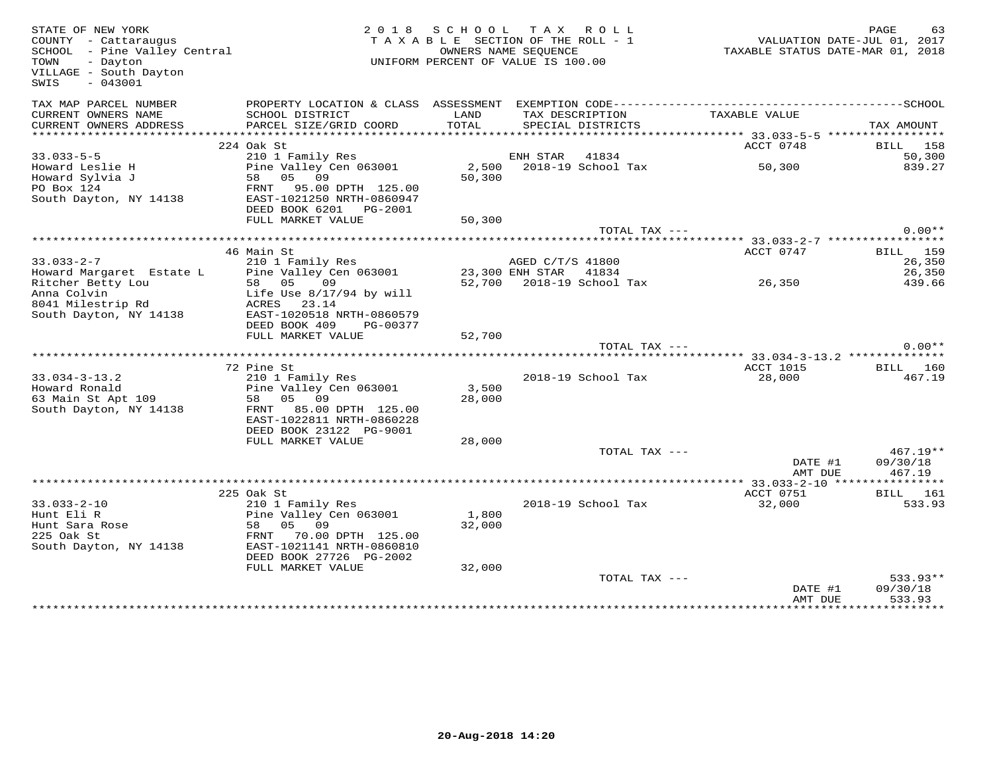| STATE OF NEW YORK<br>COUNTY - Cattaraugus<br>SCHOOL - Pine Valley Central<br>- Dayton<br>TOWN<br>VILLAGE - South Dayton<br>$-043001$<br>SWIS |                                            | 2018 SCHOOL TAX ROLL<br>TAXABLE SECTION OF THE ROLL - 1<br>UNIFORM PERCENT OF VALUE IS 100.00 | OWNERS NAME SEQUENCE      |                          | VALUATION DATE-JUL 01, 2017<br>TAXABLE STATUS DATE-MAR 01, 2018<br>TAXABLE STATUS DATE-MAR 01, 2018 | PAGE              | 63                        |
|----------------------------------------------------------------------------------------------------------------------------------------------|--------------------------------------------|-----------------------------------------------------------------------------------------------|---------------------------|--------------------------|-----------------------------------------------------------------------------------------------------|-------------------|---------------------------|
| TAX MAP PARCEL NUMBER                                                                                                                        |                                            |                                                                                               |                           |                          |                                                                                                     |                   |                           |
| CURRENT OWNERS NAME<br>CURRENT OWNERS ADDRESS                                                                                                | SCHOOL DISTRICT<br>PARCEL SIZE/GRID COORD  | LAND<br>TOTAL                                                                                 | TAX DESCRIPTION           | SPECIAL DISTRICTS        | TAXABLE VALUE                                                                                       | TAX AMOUNT        |                           |
|                                                                                                                                              |                                            |                                                                                               |                           |                          | ACCT 0748                                                                                           |                   |                           |
| $33.033 - 5 - 5$                                                                                                                             | 224 Oak St<br>210 1 Family Res             |                                                                                               | ENH STAR                  | 41834                    |                                                                                                     |                   | BILL 158<br>50,300        |
| Howard Leslie H                                                                                                                              | Pine Valley Cen 063001                     |                                                                                               |                           | 2,500 2018-19 School Tax | 50,300                                                                                              |                   | 839.27                    |
| Howard Sylvia J                                                                                                                              | 58 05 09                                   | 50,300                                                                                        |                           |                          |                                                                                                     |                   |                           |
| PO Box 124                                                                                                                                   | FRNT<br>95.00 DPTH 125.00                  |                                                                                               |                           |                          |                                                                                                     |                   |                           |
| South Dayton, NY 14138                                                                                                                       | EAST-1021250 NRTH-0860947                  |                                                                                               |                           |                          |                                                                                                     |                   |                           |
|                                                                                                                                              | DEED BOOK 6201 PG-2001                     |                                                                                               |                           |                          |                                                                                                     |                   |                           |
|                                                                                                                                              | FULL MARKET VALUE                          | 50,300                                                                                        |                           |                          |                                                                                                     |                   |                           |
|                                                                                                                                              |                                            |                                                                                               |                           | TOTAL TAX ---            |                                                                                                     |                   | $0.00**$                  |
|                                                                                                                                              |                                            |                                                                                               |                           |                          |                                                                                                     |                   |                           |
| $33.033 - 2 - 7$                                                                                                                             | 46 Main St<br>210 1 Family Res             |                                                                                               | AGED C/T/S 41800          |                          | ACCT 0747                                                                                           |                   | <b>BILL</b> 159<br>26,350 |
| Howard Margaret Estate L                                                                                                                     | Pine Valley Cen 063001                     |                                                                                               | 23,300 ENH STAR 41834     |                          |                                                                                                     |                   | 26,350                    |
| Ritcher Betty Lou                                                                                                                            | 58 05<br>09                                |                                                                                               | 52,700 2018-19 School Tax |                          | 26,350                                                                                              |                   | 439.66                    |
| Anna Colvin                                                                                                                                  | Life Use 8/17/94 by will                   |                                                                                               |                           |                          |                                                                                                     |                   |                           |
| 8041 Milestrip Rd                                                                                                                            | ACRES 23.14                                |                                                                                               |                           |                          |                                                                                                     |                   |                           |
| South Dayton, NY 14138                                                                                                                       | EAST-1020518 NRTH-0860579                  |                                                                                               |                           |                          |                                                                                                     |                   |                           |
|                                                                                                                                              | DEED BOOK 409 PG-00377                     |                                                                                               |                           |                          |                                                                                                     |                   |                           |
|                                                                                                                                              | FULL MARKET VALUE                          | 52,700                                                                                        |                           |                          |                                                                                                     |                   |                           |
|                                                                                                                                              |                                            |                                                                                               |                           | TOTAL TAX ---            |                                                                                                     |                   | $0.00**$                  |
|                                                                                                                                              |                                            |                                                                                               |                           |                          |                                                                                                     |                   |                           |
|                                                                                                                                              | 72 Pine St                                 |                                                                                               |                           |                          | ACCT 1015                                                                                           |                   | <b>BILL</b> 160           |
| $33.034 - 3 - 13.2$<br>Howard Ronald                                                                                                         | 210 1 Family Res<br>Pine Valley Cen 063001 | 3,500                                                                                         |                           | 2018-19 School Tax       | 28,000                                                                                              |                   | 467.19                    |
| 63 Main St Apt 109                                                                                                                           | 58 05 09                                   | 28,000                                                                                        |                           |                          |                                                                                                     |                   |                           |
| South Dayton, NY 14138                                                                                                                       | 85.00 DPTH 125.00<br>FRNT                  |                                                                                               |                           |                          |                                                                                                     |                   |                           |
|                                                                                                                                              | EAST-1022811 NRTH-0860228                  |                                                                                               |                           |                          |                                                                                                     |                   |                           |
|                                                                                                                                              | DEED BOOK 23122 PG-9001                    |                                                                                               |                           |                          |                                                                                                     |                   |                           |
|                                                                                                                                              | FULL MARKET VALUE                          | 28,000                                                                                        |                           |                          |                                                                                                     |                   |                           |
|                                                                                                                                              |                                            |                                                                                               |                           | TOTAL TAX ---            |                                                                                                     |                   | $467.19**$                |
|                                                                                                                                              |                                            |                                                                                               |                           |                          | DATE #1                                                                                             | 09/30/18          |                           |
|                                                                                                                                              |                                            |                                                                                               |                           |                          | AMT DUE                                                                                             |                   | 467.19                    |
|                                                                                                                                              |                                            |                                                                                               |                           |                          |                                                                                                     |                   |                           |
|                                                                                                                                              | 225 Oak St                                 |                                                                                               |                           |                          | ACCT 0751                                                                                           |                   | BILL 161                  |
| $33.033 - 2 - 10$<br>Hunt Eli R                                                                                                              | 210 1 Family Res<br>Pine Valley Cen 063001 | 1,800                                                                                         |                           | 2018-19 School Tax       | 32,000                                                                                              |                   | 533.93                    |
|                                                                                                                                              | 05 09<br>58                                | 32,000                                                                                        |                           |                          |                                                                                                     |                   |                           |
| Hunt Sara Rose<br>225 Oak St                                                                                                                 | 70.00 DPTH 125.00<br>FRNT                  |                                                                                               |                           |                          |                                                                                                     |                   |                           |
| South Dayton, NY 14138                                                                                                                       | EAST-1021141 NRTH-0860810                  |                                                                                               |                           |                          |                                                                                                     |                   |                           |
|                                                                                                                                              | DEED BOOK 27726 PG-2002                    |                                                                                               |                           |                          |                                                                                                     |                   |                           |
|                                                                                                                                              | FULL MARKET VALUE                          | 32,000                                                                                        |                           |                          |                                                                                                     |                   |                           |
|                                                                                                                                              |                                            |                                                                                               |                           | TOTAL TAX ---            |                                                                                                     |                   | 533.93**                  |
|                                                                                                                                              |                                            |                                                                                               |                           |                          | DATE #1                                                                                             | 09/30/18          |                           |
|                                                                                                                                              |                                            |                                                                                               |                           |                          | AMT DUE<br><b>++++++++++++++++</b>                                                                  | <b>++++++++++</b> | 533.93                    |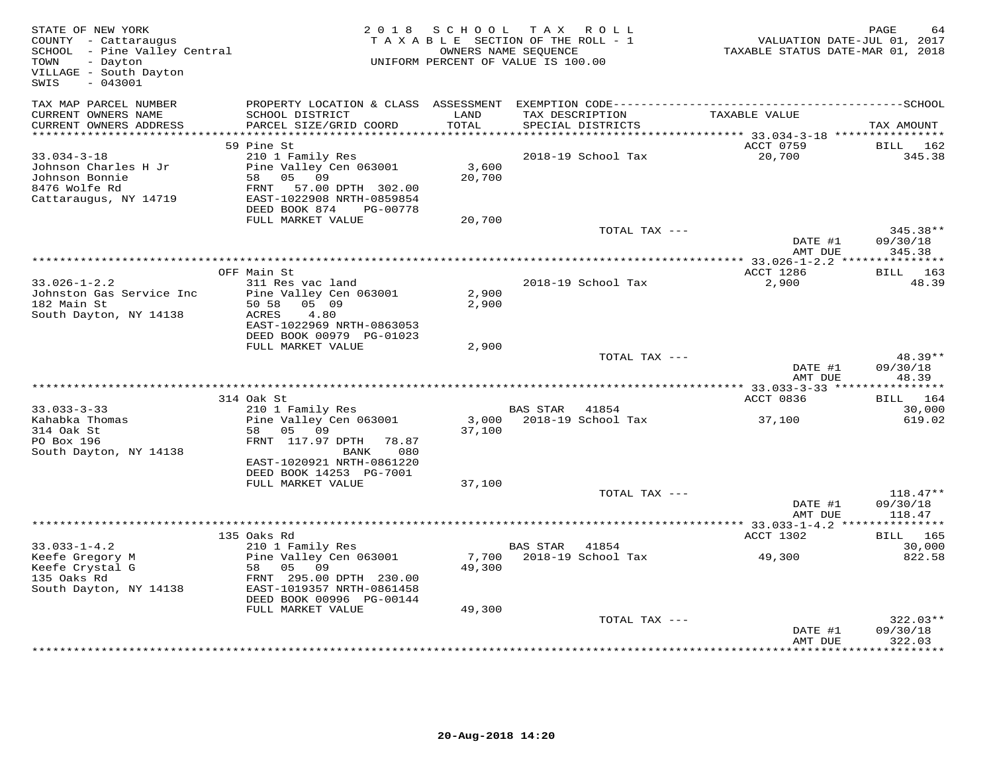| STATE OF NEW YORK<br>COUNTY - Cattaraugus<br>SCHOOL - Pine Valley Central<br>TOWN<br>- Dayton<br>VILLAGE - South Dayton<br>SWIS<br>$-043001$ |                                                                                                                 |        | 2018 SCHOOL TAX ROLL<br>TAXABLE SECTION OF THE ROLL - 1<br>OWNERS NAME SEQUENCE<br>UNIFORM PERCENT OF VALUE IS 100.00 | VALUATION DATE-JUL 01, 2017<br>TAXABLE STATUS DATE-MAR 01, 2018 | PAGE                   |
|----------------------------------------------------------------------------------------------------------------------------------------------|-----------------------------------------------------------------------------------------------------------------|--------|-----------------------------------------------------------------------------------------------------------------------|-----------------------------------------------------------------|------------------------|
| TAX MAP PARCEL NUMBER<br>CURRENT OWNERS NAME                                                                                                 | PROPERTY LOCATION & CLASS ASSESSMENT EXEMPTION CODE-----------------------------------SCHOOL<br>SCHOOL DISTRICT | LAND   | TAX DESCRIPTION                                                                                                       | TAXABLE VALUE                                                   |                        |
| CURRENT OWNERS ADDRESS                                                                                                                       | PARCEL SIZE/GRID COORD                                                                                          | TOTAL  | SPECIAL DISTRICTS                                                                                                     |                                                                 | TAX AMOUNT             |
| ***********************                                                                                                                      |                                                                                                                 |        |                                                                                                                       |                                                                 |                        |
|                                                                                                                                              | 59 Pine St                                                                                                      |        |                                                                                                                       | ACCT 0759                                                       | BILL 162               |
| $33.034 - 3 - 18$<br>Johnson Charles H Jr                                                                                                    | 210 1 Family Res<br>Pine Valley Cen 063001                                                                      | 3,600  | 2018-19 School Tax                                                                                                    | 20,700                                                          | 345.38                 |
| Johnson Bonnie                                                                                                                               | 58 05 09                                                                                                        | 20,700 |                                                                                                                       |                                                                 |                        |
| 8476 Wolfe Rd                                                                                                                                | FRNT 57.00 DPTH 302.00                                                                                          |        |                                                                                                                       |                                                                 |                        |
| Cattaraugus, NY 14719                                                                                                                        | EAST-1022908 NRTH-0859854                                                                                       |        |                                                                                                                       |                                                                 |                        |
|                                                                                                                                              | DEED BOOK 874<br>PG-00778                                                                                       |        |                                                                                                                       |                                                                 |                        |
|                                                                                                                                              | FULL MARKET VALUE                                                                                               | 20,700 |                                                                                                                       |                                                                 |                        |
|                                                                                                                                              |                                                                                                                 |        | TOTAL TAX ---                                                                                                         |                                                                 | 345.38**               |
|                                                                                                                                              |                                                                                                                 |        |                                                                                                                       | DATE #1                                                         | 09/30/18               |
|                                                                                                                                              |                                                                                                                 |        |                                                                                                                       | AMT DUE                                                         | 345.38                 |
|                                                                                                                                              | OFF Main St                                                                                                     |        |                                                                                                                       | ACCT 1286                                                       | BILL 163               |
| $33.026 - 1 - 2.2$                                                                                                                           | 311 Res vac land                                                                                                |        | 2018-19 School Tax                                                                                                    | 2,900                                                           | 48.39                  |
| Johnston Gas Service Inc                                                                                                                     | Pine Valley Cen 063001                                                                                          | 2,900  |                                                                                                                       |                                                                 |                        |
| 182 Main St                                                                                                                                  | 50 58 05 09                                                                                                     | 2,900  |                                                                                                                       |                                                                 |                        |
| South Dayton, NY 14138                                                                                                                       | ACRES<br>4.80                                                                                                   |        |                                                                                                                       |                                                                 |                        |
|                                                                                                                                              | EAST-1022969 NRTH-0863053<br>DEED BOOK 00979 PG-01023                                                           |        |                                                                                                                       |                                                                 |                        |
|                                                                                                                                              | FULL MARKET VALUE                                                                                               | 2,900  |                                                                                                                       |                                                                 |                        |
|                                                                                                                                              |                                                                                                                 |        | TOTAL TAX ---                                                                                                         |                                                                 | 48.39**                |
|                                                                                                                                              |                                                                                                                 |        |                                                                                                                       | DATE #1                                                         | 09/30/18               |
|                                                                                                                                              |                                                                                                                 |        |                                                                                                                       | AMT DUE                                                         | 48.39                  |
|                                                                                                                                              |                                                                                                                 |        |                                                                                                                       |                                                                 |                        |
|                                                                                                                                              | 314 Oak St                                                                                                      |        |                                                                                                                       | ACCT 0836                                                       | BILL 164               |
| $33.033 - 3 - 33$<br>Kahabka Thomas                                                                                                          | 210 1 Family Res<br>Pine Valley Cen 063001                                                                      |        | BAS STAR<br>41854<br>3,000 2018-19 School Tax                                                                         | 37,100                                                          | 30,000<br>619.02       |
| 314 Oak St                                                                                                                                   | 58 05 09                                                                                                        | 37,100 |                                                                                                                       |                                                                 |                        |
| PO Box 196                                                                                                                                   | FRNT 117.97 DPTH 78.87                                                                                          |        |                                                                                                                       |                                                                 |                        |
| South Dayton, NY 14138                                                                                                                       | 080<br>BANK                                                                                                     |        |                                                                                                                       |                                                                 |                        |
|                                                                                                                                              | EAST-1020921 NRTH-0861220                                                                                       |        |                                                                                                                       |                                                                 |                        |
|                                                                                                                                              | DEED BOOK 14253 PG-7001                                                                                         |        |                                                                                                                       |                                                                 |                        |
|                                                                                                                                              | FULL MARKET VALUE                                                                                               | 37,100 |                                                                                                                       |                                                                 |                        |
|                                                                                                                                              |                                                                                                                 |        | TOTAL TAX ---                                                                                                         | DATE #1                                                         | $118.47**$<br>09/30/18 |
|                                                                                                                                              |                                                                                                                 |        |                                                                                                                       | AMT DUE                                                         | 118.47                 |
|                                                                                                                                              |                                                                                                                 |        |                                                                                                                       |                                                                 |                        |
|                                                                                                                                              | 135 Oaks Rd                                                                                                     |        |                                                                                                                       | ACCT 1302                                                       | BILL 165               |
| $33.033 - 1 - 4.2$                                                                                                                           | 210 1 Family Res                                                                                                |        | BAS STAR 41854                                                                                                        |                                                                 | 30,000                 |
| Keefe Gregory M                                                                                                                              | Pine Valley Cen 063001                                                                                          |        | 7,700 2018-19 School Tax                                                                                              | 49,300                                                          | 822.58                 |
| Keefe Crystal G                                                                                                                              | 58 05 09                                                                                                        | 49,300 |                                                                                                                       |                                                                 |                        |
| 135 Oaks Rd                                                                                                                                  | FRNT 295.00 DPTH 230.00<br>EAST-1019357 NRTH-0861458                                                            |        |                                                                                                                       |                                                                 |                        |
| South Dayton, NY 14138                                                                                                                       | DEED BOOK 00996 PG-00144                                                                                        |        |                                                                                                                       |                                                                 |                        |
|                                                                                                                                              | FULL MARKET VALUE                                                                                               | 49,300 |                                                                                                                       |                                                                 |                        |
|                                                                                                                                              |                                                                                                                 |        | TOTAL TAX ---                                                                                                         |                                                                 | $322.03**$             |
|                                                                                                                                              |                                                                                                                 |        |                                                                                                                       | DATE #1                                                         | 09/30/18               |
|                                                                                                                                              |                                                                                                                 |        |                                                                                                                       | AMT DUE                                                         | 322.03                 |
|                                                                                                                                              |                                                                                                                 |        |                                                                                                                       |                                                                 |                        |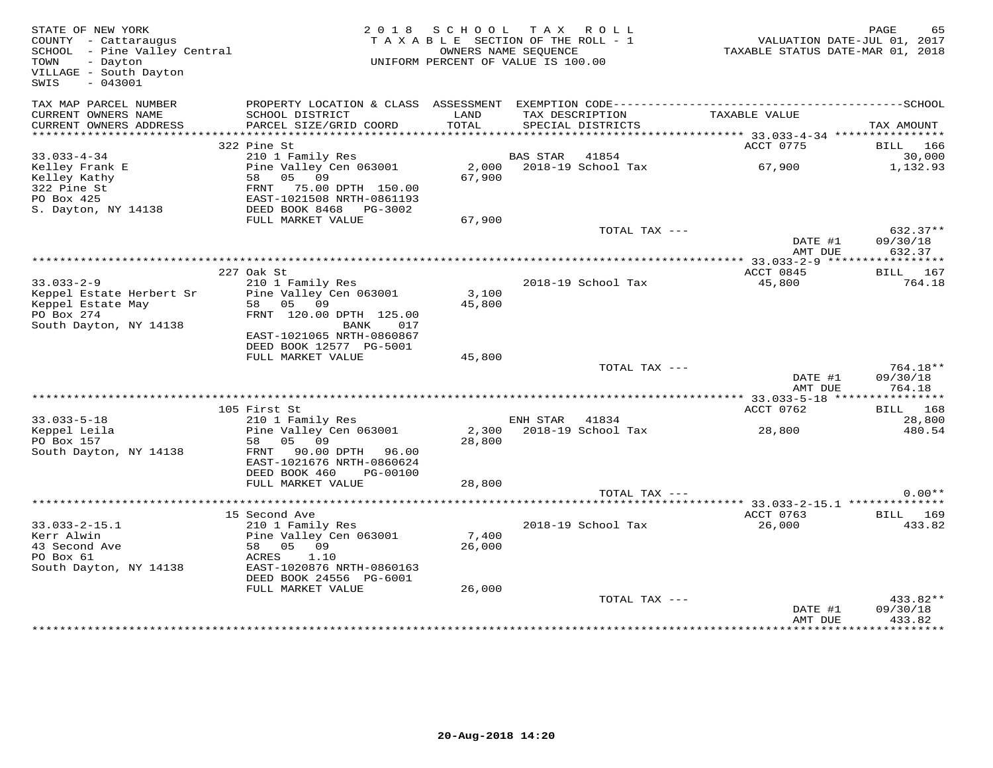| STATE OF NEW YORK<br>COUNTY - Cattaraugus<br>SCHOOL - Pine Valley Central<br>- Dayton<br>TOWN<br>VILLAGE - South Dayton<br>$-043001$<br>SWIS |                                            | 2018 SCHOOL TAX ROLL<br>TAXABLE SECTION OF THE ROLL - 1<br>UNIFORM PERCENT OF VALUE IS 100.00 | OWNERS NAME SEQUENCE |                                      | VALUATION DATE-JUL 01, 2017<br>TAXABLE STATUS DATE-MAR 01, 2018 | PAGE<br>65           |
|----------------------------------------------------------------------------------------------------------------------------------------------|--------------------------------------------|-----------------------------------------------------------------------------------------------|----------------------|--------------------------------------|-----------------------------------------------------------------|----------------------|
| TAX MAP PARCEL NUMBER<br>CURRENT OWNERS NAME<br>CURRENT OWNERS ADDRESS                                                                       | SCHOOL DISTRICT<br>PARCEL SIZE/GRID COORD  | LAND<br>TOTAL                                                                                 |                      | TAX DESCRIPTION<br>SPECIAL DISTRICTS | TAXABLE VALUE                                                   | TAX AMOUNT           |
|                                                                                                                                              |                                            |                                                                                               |                      |                                      |                                                                 |                      |
|                                                                                                                                              | 322 Pine St                                |                                                                                               |                      |                                      | ACCT 0775                                                       | BILL 166             |
| $33.033 - 4 - 34$                                                                                                                            | 210 1 Family Res                           |                                                                                               | BAS STAR 41854       |                                      |                                                                 | 30,000               |
| Kelley Frank E<br>Kelley Kathy                                                                                                               | Pine Valley Cen 063001<br>05 09<br>58      | 67,900                                                                                        |                      | 2,000 2018-19 School Tax             | 67,900                                                          | 1,132.93             |
| 322 Pine St                                                                                                                                  | 75.00 DPTH 150.00<br>FRNT                  |                                                                                               |                      |                                      |                                                                 |                      |
| PO Box 425                                                                                                                                   | EAST-1021508 NRTH-0861193                  |                                                                                               |                      |                                      |                                                                 |                      |
| S. Dayton, NY 14138                                                                                                                          | DEED BOOK 8468 PG-3002                     |                                                                                               |                      |                                      |                                                                 |                      |
|                                                                                                                                              | FULL MARKET VALUE                          | 67,900                                                                                        |                      |                                      |                                                                 |                      |
|                                                                                                                                              |                                            |                                                                                               |                      | TOTAL TAX ---                        | DATE #1                                                         | 632.37**<br>09/30/18 |
|                                                                                                                                              |                                            |                                                                                               |                      |                                      | AMT DUE                                                         | 632.37               |
|                                                                                                                                              |                                            |                                                                                               |                      |                                      | ************ 33.033-2-9 ******                                  | ***********          |
|                                                                                                                                              | 227 Oak St                                 |                                                                                               |                      |                                      | ACCT 0845                                                       | BILL 167             |
| $33.033 - 2 - 9$                                                                                                                             | 210 1 Family Res                           |                                                                                               |                      | 2018-19 School Tax                   | 45,800                                                          | 764.18               |
| Keppel Estate Herbert Sr<br>Keppel Estate May                                                                                                | Pine Valley Cen 063001<br>58 05 09         | 3,100<br>45,800                                                                               |                      |                                      |                                                                 |                      |
| PO Box 274                                                                                                                                   | FRNT 120.00 DPTH 125.00                    |                                                                                               |                      |                                      |                                                                 |                      |
| South Dayton, NY 14138                                                                                                                       | 017<br>BANK                                |                                                                                               |                      |                                      |                                                                 |                      |
|                                                                                                                                              | EAST-1021065 NRTH-0860867                  |                                                                                               |                      |                                      |                                                                 |                      |
|                                                                                                                                              | DEED BOOK 12577 PG-5001                    |                                                                                               |                      |                                      |                                                                 |                      |
|                                                                                                                                              | FULL MARKET VALUE                          | 45,800                                                                                        |                      | TOTAL TAX ---                        |                                                                 | 764.18**             |
|                                                                                                                                              |                                            |                                                                                               |                      |                                      | DATE #1                                                         | 09/30/18             |
|                                                                                                                                              |                                            |                                                                                               |                      |                                      | AMT DUE                                                         | 764.18               |
|                                                                                                                                              |                                            |                                                                                               |                      |                                      |                                                                 |                      |
|                                                                                                                                              | 105 First St                               |                                                                                               |                      |                                      | ACCT 0762                                                       | <b>BILL</b> 168      |
| $33.033 - 5 - 18$                                                                                                                            | 210 1 Family Res                           |                                                                                               | ENH STAR 41834       |                                      |                                                                 | 28,800<br>480.54     |
| Keppel Leila<br>PO Box 157                                                                                                                   | Pine Valley Cen 063001<br>05 09<br>58      | 28,800                                                                                        |                      | 2,300 2018-19 School Tax             | 28,800                                                          |                      |
| South Dayton, NY 14138                                                                                                                       | 90.00 DPTH 96.00<br>FRNT                   |                                                                                               |                      |                                      |                                                                 |                      |
|                                                                                                                                              | EAST-1021676 NRTH-0860624                  |                                                                                               |                      |                                      |                                                                 |                      |
|                                                                                                                                              | DEED BOOK 460<br>PG-00100                  |                                                                                               |                      |                                      |                                                                 |                      |
|                                                                                                                                              | FULL MARKET VALUE                          | 28,800                                                                                        |                      |                                      |                                                                 |                      |
|                                                                                                                                              |                                            |                                                                                               |                      | TOTAL TAX ---                        |                                                                 | $0.00**$             |
|                                                                                                                                              | 15 Second Ave                              |                                                                                               |                      |                                      | ACCT 0763                                                       | BILL 169             |
| $33.033 - 2 - 15.1$                                                                                                                          | 210 1 Family Res                           |                                                                                               |                      | 2018-19 School Tax                   | 26,000                                                          | 433.82               |
| Kerr Alwin                                                                                                                                   | Pine Valley Cen 063001                     | 7,400                                                                                         |                      |                                      |                                                                 |                      |
| 43 Second Ave                                                                                                                                | 58 05 09                                   | 26,000                                                                                        |                      |                                      |                                                                 |                      |
| PO Box 61<br>South Dayton, NY 14138                                                                                                          | ACRES<br>1.10<br>EAST-1020876 NRTH-0860163 |                                                                                               |                      |                                      |                                                                 |                      |
|                                                                                                                                              | DEED BOOK 24556 PG-6001                    |                                                                                               |                      |                                      |                                                                 |                      |
|                                                                                                                                              | FULL MARKET VALUE                          | 26,000                                                                                        |                      |                                      |                                                                 |                      |
|                                                                                                                                              |                                            |                                                                                               |                      | TOTAL TAX ---                        |                                                                 | 433.82**             |
|                                                                                                                                              |                                            |                                                                                               |                      |                                      | DATE #1                                                         | 09/30/18             |
|                                                                                                                                              |                                            |                                                                                               |                      |                                      | AMT DUE                                                         | 433.82               |
|                                                                                                                                              |                                            |                                                                                               |                      |                                      |                                                                 |                      |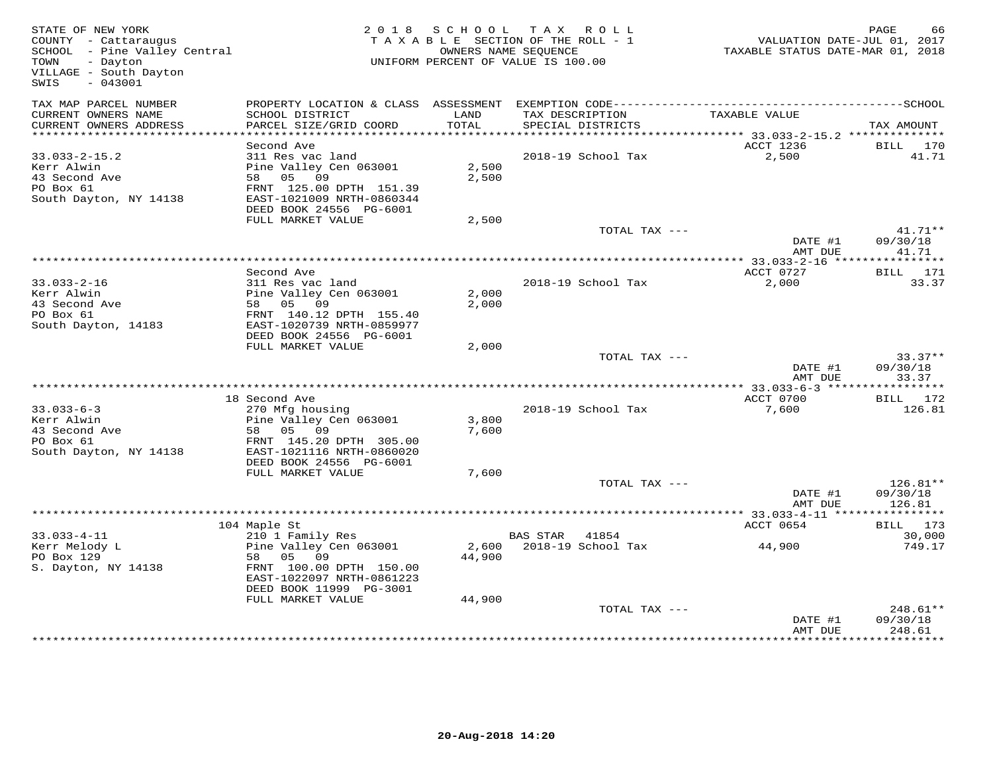| TAX MAP PARCEL NUMBER<br>CURRENT OWNERS NAME<br>SCHOOL DISTRICT<br>LAND<br>TAX DESCRIPTION<br>TAXABLE VALUE<br>TOTAL<br>CURRENT OWNERS ADDRESS<br>PARCEL SIZE/GRID COORD<br>SPECIAL DISTRICTS<br>***********************<br>Second Ave<br>ACCT 1236<br>BILL 170<br>$33.033 - 2 - 15.2$<br>311 Res vac land<br>2018-19 School Tax<br>2,500<br>Pine Valley Cen 063001<br>2,500<br>Kerr Alwin<br>58 05 09<br>2,500<br>43 Second Ave<br>PO Box 61<br>FRNT 125.00 DPTH 151.39<br>South Dayton, NY 14138<br>EAST-1021009 NRTH-0860344<br>DEED BOOK 24556 PG-6001<br>FULL MARKET VALUE<br>2,500<br>TOTAL TAX ---<br>DATE #1<br>AMT DUE<br>ACCT 0727<br>Second Ave<br>BILL 171<br>2,000<br>$33.033 - 2 - 16$<br>311 Res vac land<br>2018-19 School Tax<br>Kerr Alwin<br>Pine Valley Cen 063001<br>2,000<br>43 Second Ave<br>58 05 09<br>2,000<br>PO Box 61<br>FRNT 140.12 DPTH 155.40<br>South Dayton, 14183<br>EAST-1020739 NRTH-0859977<br>DEED BOOK 24556 PG-6001<br>2,000<br>FULL MARKET VALUE<br>TOTAL TAX ---<br>DATE #1<br>AMT DUE<br>ACCT 0700<br>18 Second Ave<br>BILL 172<br>270 Mfg housing<br>$33.033 - 6 - 3$<br>2018-19 School Tax<br>7,600<br>Kerr Alwin<br>Pine Valley Cen 063001<br>3,800<br>58 05 09<br>43 Second Ave<br>7,600<br>FRNT 145.20 DPTH 305.00<br>PO Box 61<br>South Dayton, NY 14138<br>EAST-1021116 NRTH-0860020<br>DEED BOOK 24556 PG-6001<br>7,600<br>FULL MARKET VALUE<br>TOTAL TAX ---<br>DATE #1<br>AMT DUE<br>ACCT 0654<br>104 Maple St<br>BILL 173<br>$33.033 - 4 - 11$<br>210 1 Family Res<br>BAS STAR 41854<br>30,000<br>44,900<br>2,600 2018-19 School Tax<br>Kerr Melody L<br>Pine Valley Cen 063001<br>PO Box 129<br>58 05 09<br>44,900<br>FRNT 100.00 DPTH 150.00<br>S. Dayton, NY 14138<br>EAST-1022097 NRTH-0861223<br>DEED BOOK 11999 PG-3001<br>FULL MARKET VALUE<br>44,900<br>TOTAL TAX ---<br>DATE #1 | STATE OF NEW YORK<br>COUNTY - Cattaraugus<br>SCHOOL - Pine Valley Central<br>TOWN<br>- Dayton<br>VILLAGE - South Dayton<br>$-043001$<br>SWIS | 2018 SCHOOL | TAX ROLL<br>TAXABLE SECTION OF THE ROLL - 1<br>OWNERS NAME SEQUENCE<br>UNIFORM PERCENT OF VALUE IS 100.00 | VALUATION DATE-JUL 01, 2017<br>TAXABLE STATUS DATE-MAR 01, 2018 | PAGE<br>66                       |
|-------------------------------------------------------------------------------------------------------------------------------------------------------------------------------------------------------------------------------------------------------------------------------------------------------------------------------------------------------------------------------------------------------------------------------------------------------------------------------------------------------------------------------------------------------------------------------------------------------------------------------------------------------------------------------------------------------------------------------------------------------------------------------------------------------------------------------------------------------------------------------------------------------------------------------------------------------------------------------------------------------------------------------------------------------------------------------------------------------------------------------------------------------------------------------------------------------------------------------------------------------------------------------------------------------------------------------------------------------------------------------------------------------------------------------------------------------------------------------------------------------------------------------------------------------------------------------------------------------------------------------------------------------------------------------------------------------------------------------------------------------------------------------------------------------------------------------------------------|----------------------------------------------------------------------------------------------------------------------------------------------|-------------|-----------------------------------------------------------------------------------------------------------|-----------------------------------------------------------------|----------------------------------|
|                                                                                                                                                                                                                                                                                                                                                                                                                                                                                                                                                                                                                                                                                                                                                                                                                                                                                                                                                                                                                                                                                                                                                                                                                                                                                                                                                                                                                                                                                                                                                                                                                                                                                                                                                                                                                                                 |                                                                                                                                              |             |                                                                                                           |                                                                 | TAX AMOUNT                       |
|                                                                                                                                                                                                                                                                                                                                                                                                                                                                                                                                                                                                                                                                                                                                                                                                                                                                                                                                                                                                                                                                                                                                                                                                                                                                                                                                                                                                                                                                                                                                                                                                                                                                                                                                                                                                                                                 |                                                                                                                                              |             |                                                                                                           |                                                                 |                                  |
|                                                                                                                                                                                                                                                                                                                                                                                                                                                                                                                                                                                                                                                                                                                                                                                                                                                                                                                                                                                                                                                                                                                                                                                                                                                                                                                                                                                                                                                                                                                                                                                                                                                                                                                                                                                                                                                 |                                                                                                                                              |             |                                                                                                           |                                                                 | 41.71                            |
|                                                                                                                                                                                                                                                                                                                                                                                                                                                                                                                                                                                                                                                                                                                                                                                                                                                                                                                                                                                                                                                                                                                                                                                                                                                                                                                                                                                                                                                                                                                                                                                                                                                                                                                                                                                                                                                 |                                                                                                                                              |             |                                                                                                           |                                                                 |                                  |
|                                                                                                                                                                                                                                                                                                                                                                                                                                                                                                                                                                                                                                                                                                                                                                                                                                                                                                                                                                                                                                                                                                                                                                                                                                                                                                                                                                                                                                                                                                                                                                                                                                                                                                                                                                                                                                                 |                                                                                                                                              |             |                                                                                                           |                                                                 | $41.71**$<br>09/30/18<br>41.71   |
|                                                                                                                                                                                                                                                                                                                                                                                                                                                                                                                                                                                                                                                                                                                                                                                                                                                                                                                                                                                                                                                                                                                                                                                                                                                                                                                                                                                                                                                                                                                                                                                                                                                                                                                                                                                                                                                 |                                                                                                                                              |             |                                                                                                           |                                                                 |                                  |
|                                                                                                                                                                                                                                                                                                                                                                                                                                                                                                                                                                                                                                                                                                                                                                                                                                                                                                                                                                                                                                                                                                                                                                                                                                                                                                                                                                                                                                                                                                                                                                                                                                                                                                                                                                                                                                                 |                                                                                                                                              |             |                                                                                                           |                                                                 | 33.37                            |
|                                                                                                                                                                                                                                                                                                                                                                                                                                                                                                                                                                                                                                                                                                                                                                                                                                                                                                                                                                                                                                                                                                                                                                                                                                                                                                                                                                                                                                                                                                                                                                                                                                                                                                                                                                                                                                                 |                                                                                                                                              |             |                                                                                                           |                                                                 |                                  |
|                                                                                                                                                                                                                                                                                                                                                                                                                                                                                                                                                                                                                                                                                                                                                                                                                                                                                                                                                                                                                                                                                                                                                                                                                                                                                                                                                                                                                                                                                                                                                                                                                                                                                                                                                                                                                                                 |                                                                                                                                              |             |                                                                                                           |                                                                 | $33.37**$<br>09/30/18<br>33.37   |
|                                                                                                                                                                                                                                                                                                                                                                                                                                                                                                                                                                                                                                                                                                                                                                                                                                                                                                                                                                                                                                                                                                                                                                                                                                                                                                                                                                                                                                                                                                                                                                                                                                                                                                                                                                                                                                                 |                                                                                                                                              |             |                                                                                                           |                                                                 |                                  |
|                                                                                                                                                                                                                                                                                                                                                                                                                                                                                                                                                                                                                                                                                                                                                                                                                                                                                                                                                                                                                                                                                                                                                                                                                                                                                                                                                                                                                                                                                                                                                                                                                                                                                                                                                                                                                                                 |                                                                                                                                              |             |                                                                                                           |                                                                 | 126.81                           |
|                                                                                                                                                                                                                                                                                                                                                                                                                                                                                                                                                                                                                                                                                                                                                                                                                                                                                                                                                                                                                                                                                                                                                                                                                                                                                                                                                                                                                                                                                                                                                                                                                                                                                                                                                                                                                                                 |                                                                                                                                              |             |                                                                                                           |                                                                 |                                  |
|                                                                                                                                                                                                                                                                                                                                                                                                                                                                                                                                                                                                                                                                                                                                                                                                                                                                                                                                                                                                                                                                                                                                                                                                                                                                                                                                                                                                                                                                                                                                                                                                                                                                                                                                                                                                                                                 |                                                                                                                                              |             |                                                                                                           |                                                                 | $126.81**$<br>09/30/18<br>126.81 |
|                                                                                                                                                                                                                                                                                                                                                                                                                                                                                                                                                                                                                                                                                                                                                                                                                                                                                                                                                                                                                                                                                                                                                                                                                                                                                                                                                                                                                                                                                                                                                                                                                                                                                                                                                                                                                                                 |                                                                                                                                              |             |                                                                                                           |                                                                 |                                  |
|                                                                                                                                                                                                                                                                                                                                                                                                                                                                                                                                                                                                                                                                                                                                                                                                                                                                                                                                                                                                                                                                                                                                                                                                                                                                                                                                                                                                                                                                                                                                                                                                                                                                                                                                                                                                                                                 |                                                                                                                                              |             |                                                                                                           |                                                                 |                                  |
|                                                                                                                                                                                                                                                                                                                                                                                                                                                                                                                                                                                                                                                                                                                                                                                                                                                                                                                                                                                                                                                                                                                                                                                                                                                                                                                                                                                                                                                                                                                                                                                                                                                                                                                                                                                                                                                 |                                                                                                                                              |             |                                                                                                           |                                                                 | 749.17                           |
|                                                                                                                                                                                                                                                                                                                                                                                                                                                                                                                                                                                                                                                                                                                                                                                                                                                                                                                                                                                                                                                                                                                                                                                                                                                                                                                                                                                                                                                                                                                                                                                                                                                                                                                                                                                                                                                 |                                                                                                                                              |             |                                                                                                           |                                                                 |                                  |
| 248.61<br>AMT DUE                                                                                                                                                                                                                                                                                                                                                                                                                                                                                                                                                                                                                                                                                                                                                                                                                                                                                                                                                                                                                                                                                                                                                                                                                                                                                                                                                                                                                                                                                                                                                                                                                                                                                                                                                                                                                               |                                                                                                                                              |             |                                                                                                           |                                                                 | 248.61**<br>09/30/18<br>******** |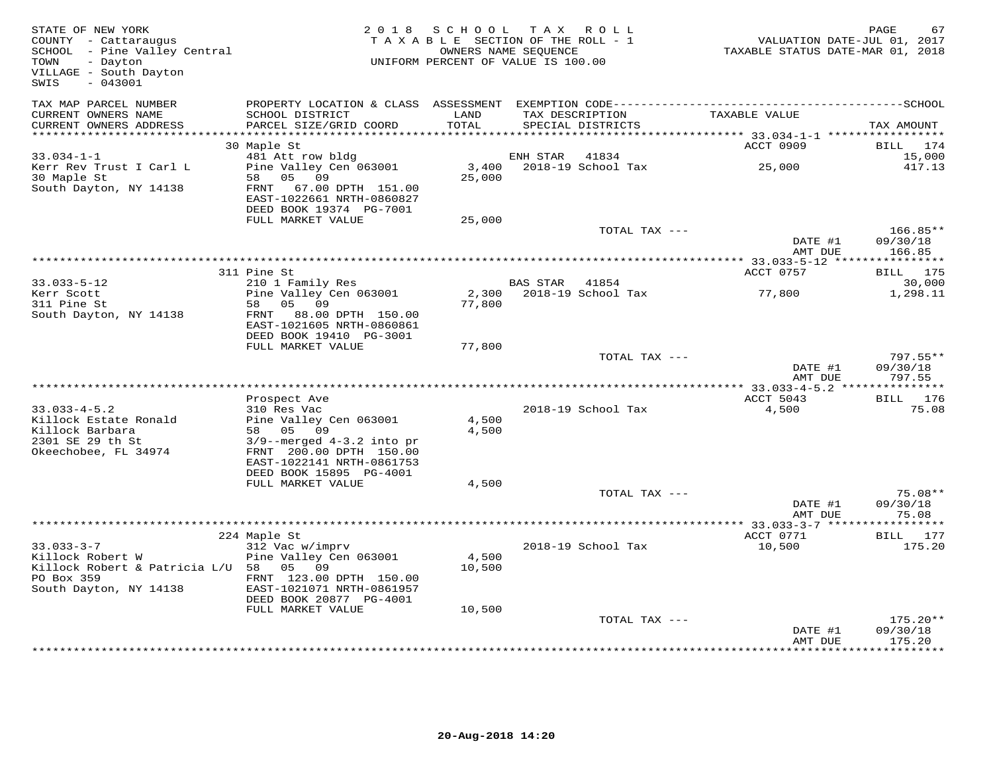| STATE OF NEW YORK<br>COUNTY - Cattaraugus<br>SCHOOL - Pine Valley Central<br>TOWN<br>- Dayton<br>VILLAGE - South Dayton<br>$-043001$<br>SWIS |                                                                                                     | 2018 SCHOOL<br>TAXABLE SECTION OF THE ROLL - 1<br>UNIFORM PERCENT OF VALUE IS 100.00 | TAX ROLL<br>OWNERS NAME SEQUENCE |                             | TAXABLE STATUS DATE-MAR 01, 2018 | PAGE<br>67<br>VALUATION DATE-JUL 01, 2017 |
|----------------------------------------------------------------------------------------------------------------------------------------------|-----------------------------------------------------------------------------------------------------|--------------------------------------------------------------------------------------|----------------------------------|-----------------------------|----------------------------------|-------------------------------------------|
| TAX MAP PARCEL NUMBER<br>CURRENT OWNERS NAME<br>CURRENT OWNERS ADDRESS                                                                       | SCHOOL DISTRICT<br>PARCEL SIZE/GRID COORD                                                           | LAND<br>TOTAL                                                                        | TAX DESCRIPTION                  | SPECIAL DISTRICTS           | TAXABLE VALUE                    | TAX AMOUNT                                |
| ***********************                                                                                                                      |                                                                                                     |                                                                                      |                                  |                             |                                  |                                           |
|                                                                                                                                              | 30 Maple St                                                                                         |                                                                                      |                                  |                             | ACCT 0909                        | BILL<br>174                               |
| $33.034 - 1 - 1$<br>Kerr Rev Trust I Carl L                                                                                                  | 481 Att row bldg<br>Pine Valley Cen 063001                                                          | 3,400                                                                                | ENH STAR                         | 41834<br>2018-19 School Tax | 25,000                           | 15,000<br>417.13                          |
| 30 Maple St<br>South Dayton, NY 14138                                                                                                        | 05<br>09<br>58<br>FRNT<br>67.00 DPTH 151.00<br>EAST-1022661 NRTH-0860827<br>DEED BOOK 19374 PG-7001 | 25,000                                                                               |                                  |                             |                                  |                                           |
|                                                                                                                                              | FULL MARKET VALUE                                                                                   | 25,000                                                                               |                                  |                             |                                  |                                           |
|                                                                                                                                              |                                                                                                     |                                                                                      |                                  | TOTAL TAX ---               | DATE #1                          | 166.85**<br>09/30/18                      |
|                                                                                                                                              |                                                                                                     |                                                                                      |                                  |                             | AMT DUE                          | 166.85                                    |
|                                                                                                                                              | 311 Pine St                                                                                         |                                                                                      |                                  |                             | ACCT 0757                        | BILL 175                                  |
| $33.033 - 5 - 12$                                                                                                                            | 210 1 Family Res                                                                                    |                                                                                      | BAS STAR 41854                   |                             |                                  | 30,000                                    |
| Kerr Scott                                                                                                                                   | Pine Valley Cen 063001                                                                              | 2,300                                                                                |                                  | 2018-19 School Tax          | 77,800                           | 1,298.11                                  |
| 311 Pine St                                                                                                                                  | 05<br>09<br>58                                                                                      | 77,800                                                                               |                                  |                             |                                  |                                           |
| South Dayton, NY 14138                                                                                                                       | 88.00 DPTH 150.00<br>FRNT<br>EAST-1021605 NRTH-0860861                                              |                                                                                      |                                  |                             |                                  |                                           |
|                                                                                                                                              | DEED BOOK 19410 PG-3001                                                                             |                                                                                      |                                  |                             |                                  |                                           |
|                                                                                                                                              | FULL MARKET VALUE                                                                                   | 77,800                                                                               |                                  |                             |                                  |                                           |
|                                                                                                                                              |                                                                                                     |                                                                                      |                                  | TOTAL TAX ---               | DATE #1<br>AMT DUE               | $797.55**$<br>09/30/18<br>797.55          |
|                                                                                                                                              |                                                                                                     |                                                                                      |                                  |                             |                                  |                                           |
|                                                                                                                                              | Prospect Ave                                                                                        |                                                                                      |                                  |                             | ACCT 5043                        | BILL 176                                  |
| $33.033 - 4 - 5.2$                                                                                                                           | 310 Res Vac                                                                                         |                                                                                      |                                  | 2018-19 School Tax          | 4,500                            | 75.08                                     |
| Killock Estate Ronald                                                                                                                        | Pine Valley Cen 063001                                                                              | 4,500                                                                                |                                  |                             |                                  |                                           |
| Killock Barbara                                                                                                                              | 58 05 09                                                                                            | 4,500                                                                                |                                  |                             |                                  |                                           |
| 2301 SE 29 th St<br>Okeechobee, FL 34974                                                                                                     | $3/9$ --merged $4-3.2$ into pr<br>FRNT 200.00 DPTH 150.00                                           |                                                                                      |                                  |                             |                                  |                                           |
|                                                                                                                                              | EAST-1022141 NRTH-0861753                                                                           |                                                                                      |                                  |                             |                                  |                                           |
|                                                                                                                                              | DEED BOOK 15895 PG-4001                                                                             |                                                                                      |                                  |                             |                                  |                                           |
|                                                                                                                                              | FULL MARKET VALUE                                                                                   | 4,500                                                                                |                                  |                             |                                  |                                           |
|                                                                                                                                              |                                                                                                     |                                                                                      |                                  | TOTAL TAX ---               |                                  | $75.08**$                                 |
|                                                                                                                                              |                                                                                                     |                                                                                      |                                  |                             | DATE #1<br>AMT DUE               | 09/30/18<br>75.08                         |
|                                                                                                                                              |                                                                                                     |                                                                                      |                                  |                             |                                  | ***********                               |
| $33.033 - 3 - 7$                                                                                                                             | 224 Maple St<br>312 Vac w/imprv                                                                     |                                                                                      |                                  | 2018-19 School Tax          | ACCT 0771<br>10,500              | BILL 177<br>175.20                        |
| Killock Robert W                                                                                                                             | Pine Valley Cen 063001                                                                              | 4,500                                                                                |                                  |                             |                                  |                                           |
| Killock Robert & Patricia L/U 58 05 09                                                                                                       |                                                                                                     | 10,500                                                                               |                                  |                             |                                  |                                           |
| PO Box 359                                                                                                                                   | FRNT 123.00 DPTH 150.00                                                                             |                                                                                      |                                  |                             |                                  |                                           |
| South Dayton, NY 14138                                                                                                                       | EAST-1021071 NRTH-0861957                                                                           |                                                                                      |                                  |                             |                                  |                                           |
|                                                                                                                                              | DEED BOOK 20877 PG-4001                                                                             |                                                                                      |                                  |                             |                                  |                                           |
|                                                                                                                                              | FULL MARKET VALUE                                                                                   | 10,500                                                                               |                                  |                             |                                  |                                           |
|                                                                                                                                              |                                                                                                     |                                                                                      |                                  | TOTAL TAX ---               | DATE #1                          | $175.20**$<br>09/30/18                    |
|                                                                                                                                              |                                                                                                     |                                                                                      |                                  |                             | AMT DUE                          | 175.20                                    |
|                                                                                                                                              |                                                                                                     |                                                                                      |                                  |                             |                                  |                                           |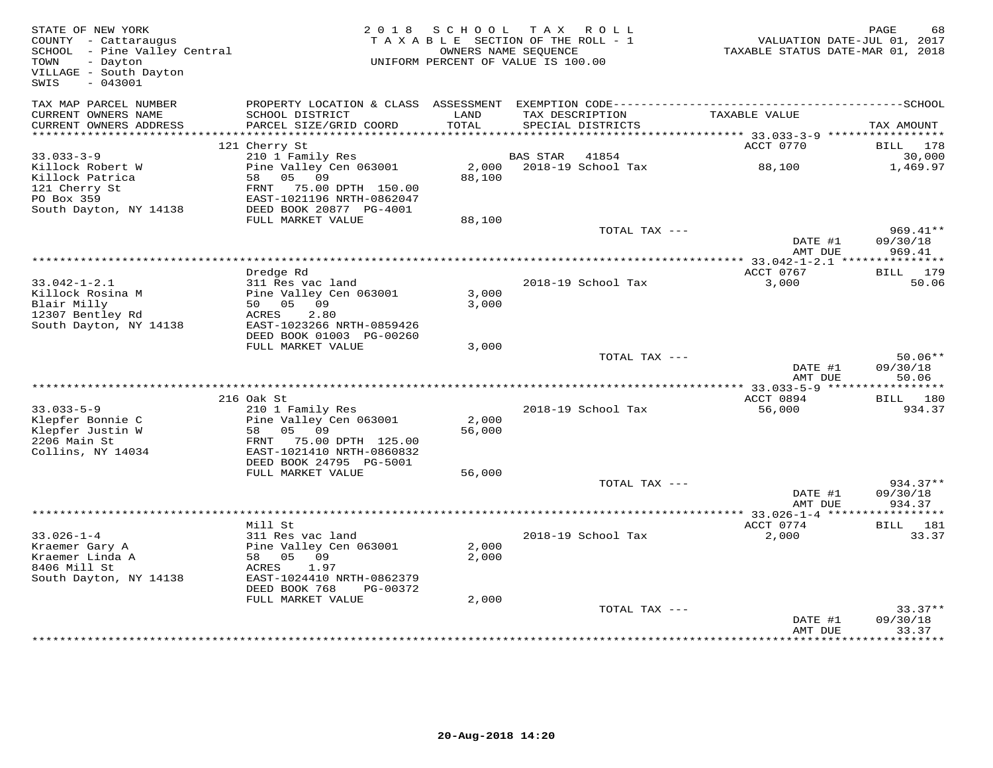| STATE OF NEW YORK<br>COUNTY - Cattaraugus<br>SCHOOL - Pine Valley Central<br>TOWN<br>- Dayton<br>VILLAGE - South Dayton<br>$-043001$<br>SWIS |                                                       | 2018 SCHOOL TAX ROLL<br>TAXABLE SECTION OF THE ROLL - 1<br>UNIFORM PERCENT OF VALUE IS 100.00 | OWNERS NAME SEQUENCE |                          | VALUATION DATE-JUL 01, 2017<br>TAXABLE STATUS DATE-MAR 01, 2018 | PAGE<br>68         |
|----------------------------------------------------------------------------------------------------------------------------------------------|-------------------------------------------------------|-----------------------------------------------------------------------------------------------|----------------------|--------------------------|-----------------------------------------------------------------|--------------------|
| TAX MAP PARCEL NUMBER<br>CURRENT OWNERS NAME                                                                                                 | SCHOOL DISTRICT                                       | LAND                                                                                          |                      | TAX DESCRIPTION          | TAXABLE VALUE                                                   |                    |
| CURRENT OWNERS ADDRESS                                                                                                                       | PARCEL SIZE/GRID COORD                                | TOTAL                                                                                         |                      | SPECIAL DISTRICTS        |                                                                 | TAX AMOUNT         |
|                                                                                                                                              |                                                       |                                                                                               |                      |                          |                                                                 |                    |
|                                                                                                                                              | 121 Cherry St                                         |                                                                                               |                      |                          | ACCT 0770                                                       | BILL 178           |
| $33.033 - 3 - 9$<br>Killock Robert W                                                                                                         | 210 1 Family Res<br>Pine Valley Cen 063001            |                                                                                               | BAS STAR 41854       | 2,000 2018-19 School Tax | 88,100                                                          | 30,000<br>1,469.97 |
| Killock Patrica                                                                                                                              | 58 05 09                                              | 88,100                                                                                        |                      |                          |                                                                 |                    |
| 121 Cherry St                                                                                                                                | FRNT 75.00 DPTH 150.00                                |                                                                                               |                      |                          |                                                                 |                    |
| PO Box 359                                                                                                                                   | EAST-1021196 NRTH-0862047                             |                                                                                               |                      |                          |                                                                 |                    |
| South Dayton, NY 14138                                                                                                                       | DEED BOOK 20877 PG-4001                               |                                                                                               |                      |                          |                                                                 |                    |
|                                                                                                                                              | FULL MARKET VALUE                                     | 88,100                                                                                        |                      | TOTAL TAX ---            |                                                                 | $969.41**$         |
|                                                                                                                                              |                                                       |                                                                                               |                      |                          | DATE #1                                                         | 09/30/18           |
|                                                                                                                                              |                                                       |                                                                                               |                      |                          | AMT DUE                                                         | 969.41             |
|                                                                                                                                              |                                                       |                                                                                               |                      |                          |                                                                 |                    |
| $33.042 - 1 - 2.1$                                                                                                                           | Dredge Rd<br>311 Res vac land                         |                                                                                               |                      | 2018-19 School Tax       | ACCT 0767<br>3,000                                              | BILL 179<br>50.06  |
| Killock Rosina M                                                                                                                             | Pine Valley Cen 063001                                | 3,000                                                                                         |                      |                          |                                                                 |                    |
| Blair Milly                                                                                                                                  | 50 05 09                                              | 3,000                                                                                         |                      |                          |                                                                 |                    |
| 12307 Bentley Rd                                                                                                                             | ACRES<br>2.80                                         |                                                                                               |                      |                          |                                                                 |                    |
| South Dayton, NY 14138                                                                                                                       | EAST-1023266 NRTH-0859426<br>DEED BOOK 01003 PG-00260 |                                                                                               |                      |                          |                                                                 |                    |
|                                                                                                                                              | FULL MARKET VALUE                                     | 3,000                                                                                         |                      |                          |                                                                 |                    |
|                                                                                                                                              |                                                       |                                                                                               |                      | TOTAL TAX ---            |                                                                 | $50.06**$          |
|                                                                                                                                              |                                                       |                                                                                               |                      |                          | DATE #1                                                         | 09/30/18           |
|                                                                                                                                              |                                                       |                                                                                               |                      |                          | AMT DUE                                                         | 50.06              |
|                                                                                                                                              | 216 Oak St                                            |                                                                                               |                      |                          | ACCT 0894                                                       | BILL 180           |
| $33.033 - 5 - 9$                                                                                                                             | 210 1 Family Res                                      |                                                                                               |                      | 2018-19 School Tax       | 56,000                                                          | 934.37             |
| Klepfer Bonnie C                                                                                                                             | Pine Valley Cen 063001                                | 2,000                                                                                         |                      |                          |                                                                 |                    |
| Klepfer Justin W                                                                                                                             | 58 05 09                                              | 56,000                                                                                        |                      |                          |                                                                 |                    |
| 2206 Main St                                                                                                                                 | FRNT 75.00 DPTH 125.00<br>EAST-1021410 NRTH-0860832   |                                                                                               |                      |                          |                                                                 |                    |
| Collins, NY 14034                                                                                                                            | DEED BOOK 24795 PG-5001                               |                                                                                               |                      |                          |                                                                 |                    |
|                                                                                                                                              | FULL MARKET VALUE                                     | 56,000                                                                                        |                      |                          |                                                                 |                    |
|                                                                                                                                              |                                                       |                                                                                               |                      | TOTAL TAX ---            |                                                                 | $934.37**$         |
|                                                                                                                                              |                                                       |                                                                                               |                      |                          | DATE #1                                                         | 09/30/18           |
|                                                                                                                                              |                                                       |                                                                                               |                      |                          | AMT DUE                                                         | 934.37             |
|                                                                                                                                              | Mill St                                               |                                                                                               |                      |                          | ACCT 0774                                                       | BILL 181           |
| $33.026 - 1 - 4$                                                                                                                             | 311 Res vac land                                      |                                                                                               |                      | 2018-19 School Tax       | 2,000                                                           | 33.37              |
| Kraemer Gary A                                                                                                                               | Pine Valley Cen 063001                                | 2,000                                                                                         |                      |                          |                                                                 |                    |
| Kraemer Linda A                                                                                                                              | 58 05 09                                              | 2,000                                                                                         |                      |                          |                                                                 |                    |
| 8406 Mill St<br>South Dayton, NY 14138                                                                                                       | ACRES<br>1.97<br>EAST-1024410 NRTH-0862379            |                                                                                               |                      |                          |                                                                 |                    |
|                                                                                                                                              | DEED BOOK 768<br>PG-00372                             |                                                                                               |                      |                          |                                                                 |                    |
|                                                                                                                                              | FULL MARKET VALUE                                     | 2,000                                                                                         |                      |                          |                                                                 |                    |
|                                                                                                                                              |                                                       |                                                                                               |                      | TOTAL TAX ---            |                                                                 | $33.37**$          |
|                                                                                                                                              |                                                       |                                                                                               |                      |                          | DATE #1<br>AMT DUE                                              | 09/30/18<br>33.37  |
|                                                                                                                                              |                                                       |                                                                                               |                      |                          |                                                                 |                    |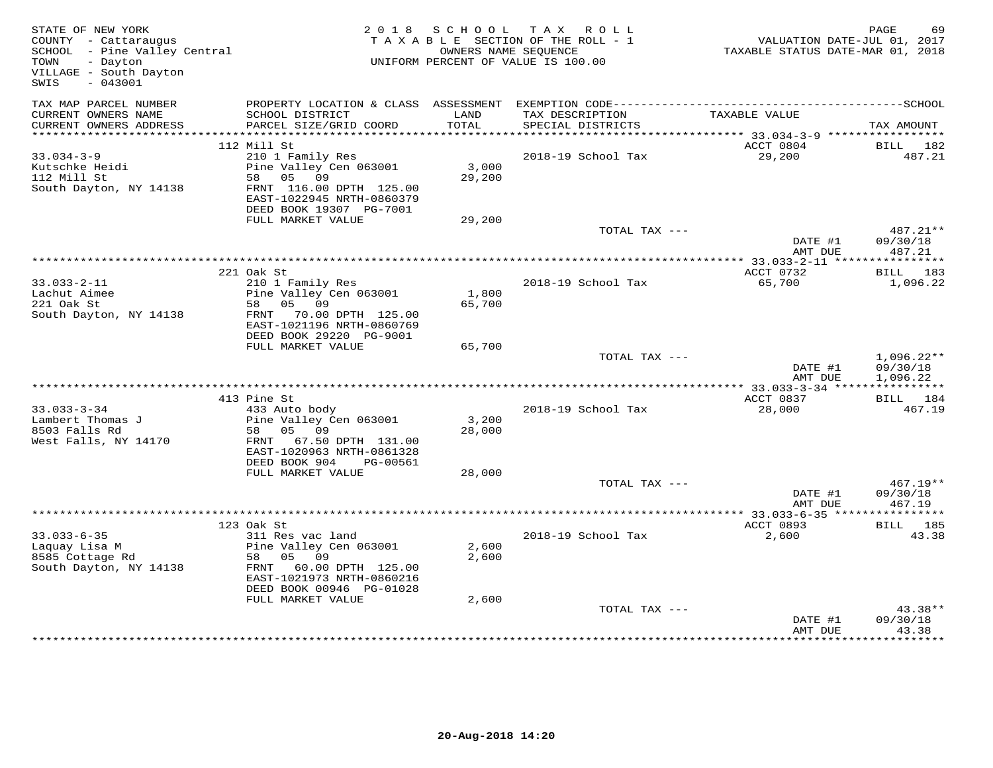| STATE OF NEW YORK<br>COUNTY - Cattaraugus<br>SCHOOL - Pine Valley Central<br>- Dayton<br>TOWN<br>VILLAGE - South Dayton<br>$-043001$<br>SWIS | 2 0 1 8                                                                                                                                                                      | S C H O O L<br>OWNERS NAME SEQUENCE | TAX ROLL<br>TAXABLE SECTION OF THE ROLL - 1<br>UNIFORM PERCENT OF VALUE IS 100.00 | VALUATION DATE-JUL 01, 2017<br>TAXABLE STATUS DATE-MAR 01, 2018 | PAGE<br>69                           |
|----------------------------------------------------------------------------------------------------------------------------------------------|------------------------------------------------------------------------------------------------------------------------------------------------------------------------------|-------------------------------------|-----------------------------------------------------------------------------------|-----------------------------------------------------------------|--------------------------------------|
| TAX MAP PARCEL NUMBER<br>CURRENT OWNERS NAME<br>CURRENT OWNERS ADDRESS                                                                       | SCHOOL DISTRICT<br>PARCEL SIZE/GRID COORD                                                                                                                                    | LAND<br>TOTAL                       | TAX DESCRIPTION<br>SPECIAL DISTRICTS                                              | TAXABLE VALUE                                                   | TAX AMOUNT                           |
|                                                                                                                                              |                                                                                                                                                                              |                                     |                                                                                   |                                                                 |                                      |
| $33.034 - 3 - 9$<br>Kutschke Heidi<br>112 Mill St<br>South Dayton, NY 14138                                                                  | 112 Mill St<br>210 1 Family Res<br>Pine Valley Cen 063001<br>58 05 09<br>FRNT 116.00 DPTH 125.00<br>EAST-1022945 NRTH-0860379<br>DEED BOOK 19307 PG-7001                     | 3,000<br>29,200                     | 2018-19 School Tax                                                                | ACCT 0804<br>29,200                                             | BILL<br>182<br>487.21                |
|                                                                                                                                              | FULL MARKET VALUE                                                                                                                                                            | 29,200                              |                                                                                   |                                                                 |                                      |
|                                                                                                                                              |                                                                                                                                                                              |                                     | TOTAL TAX ---                                                                     | DATE #1<br>AMT DUE                                              | 487.21**<br>09/30/18<br>487.21       |
|                                                                                                                                              |                                                                                                                                                                              |                                     |                                                                                   |                                                                 |                                      |
| $33.033 - 2 - 11$<br>Lachut Aimee<br>221 Oak St<br>South Dayton, NY 14138                                                                    | 221 Oak St<br>210 1 Family Res<br>Pine Valley Cen 063001<br>58 05 09<br>FRNT 70.00 DPTH 125.00<br>EAST-1021196 NRTH-0860769<br>DEED BOOK 29220 PG-9001                       | 1,800<br>65,700                     | 2018-19 School Tax                                                                | ACCT 0732<br>65,700                                             | <b>BILL</b> 183<br>1,096.22          |
|                                                                                                                                              | FULL MARKET VALUE                                                                                                                                                            | 65,700                              |                                                                                   |                                                                 |                                      |
|                                                                                                                                              |                                                                                                                                                                              |                                     | TOTAL TAX ---                                                                     | DATE #1<br>AMT DUE                                              | $1,096.22**$<br>09/30/18<br>1,096.22 |
|                                                                                                                                              | 413 Pine St                                                                                                                                                                  |                                     |                                                                                   | ACCT 0837                                                       | BILL 184                             |
| $33.033 - 3 - 34$<br>Lambert Thomas J<br>8503 Falls Rd<br>West Falls, NY 14170                                                               | 433 Auto body<br>Pine Valley Cen 063001<br>58 05 09<br>FRNT 67.50 DPTH 131.00<br>EAST-1020963 NRTH-0861328<br>DEED BOOK 904<br>PG-00561                                      | 3,200<br>28,000                     | 2018-19 School Tax                                                                | 28,000                                                          | 467.19                               |
|                                                                                                                                              | FULL MARKET VALUE                                                                                                                                                            | 28,000                              | TOTAL TAX ---                                                                     |                                                                 | $467.19**$                           |
|                                                                                                                                              |                                                                                                                                                                              |                                     |                                                                                   | DATE #1<br>AMT DUE                                              | 09/30/18<br>467.19                   |
|                                                                                                                                              |                                                                                                                                                                              |                                     |                                                                                   | ************* 33.033-6-35 ****                                  | * * * * * * * * * * *                |
| $33.033 - 6 - 35$<br>Laquay Lisa M<br>8585 Cottage Rd<br>South Dayton, NY 14138                                                              | 123 Oak St<br>311 Res vac land<br>Pine Valley Cen 063001<br>58 05 09<br>FRNT 60.00 DPTH 125.00<br>EAST-1021973 NRTH-0860216<br>DEED BOOK 00946 PG-01028<br>FULL MARKET VALUE | 2,600<br>2,600<br>2,600             | 2018-19 School Tax                                                                | ACCT 0893<br>2,600                                              | BILL 185<br>43.38                    |
|                                                                                                                                              |                                                                                                                                                                              |                                     | TOTAL TAX ---                                                                     | DATE #1<br>AMT DUE                                              | $43.38**$<br>09/30/18<br>43.38       |
|                                                                                                                                              |                                                                                                                                                                              |                                     |                                                                                   |                                                                 |                                      |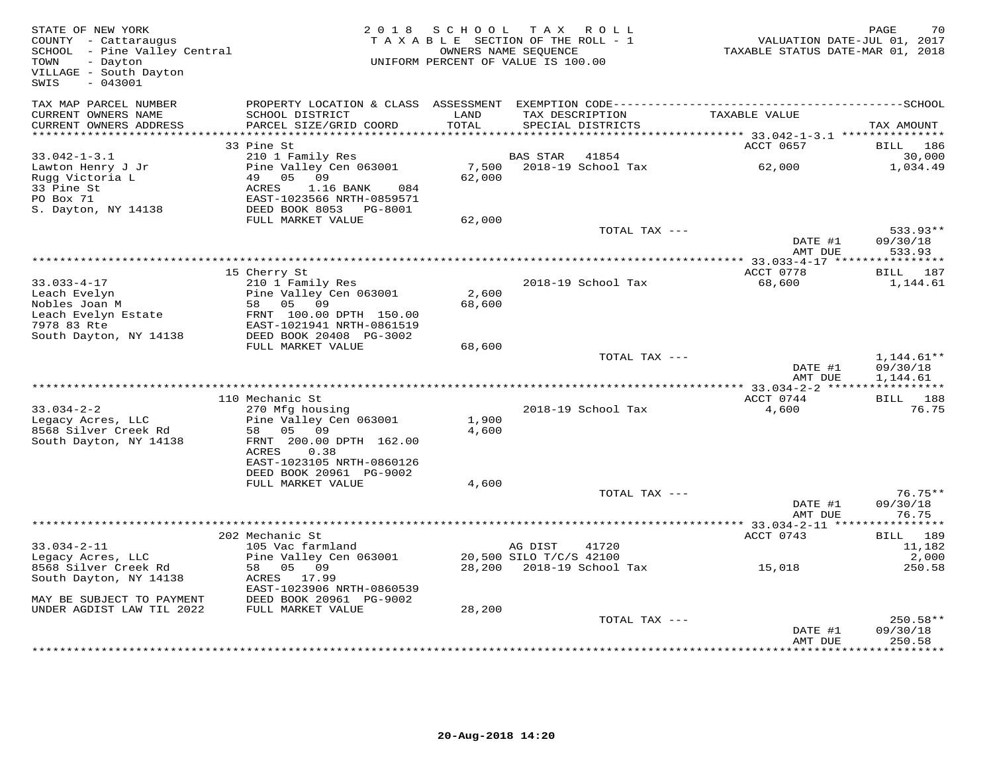| STATE OF NEW YORK<br>COUNTY - Cattaraugus<br>SCHOOL - Pine Valley Central<br>TOWN<br>- Dayton<br>VILLAGE - South Dayton<br>$-043001$<br>SWIS | 2 0 1 8                                                                           | S C H O O L     | TAX ROLL<br>TAXABLE SECTION OF THE ROLL - 1<br>OWNERS NAME SEQUENCE<br>UNIFORM PERCENT OF VALUE IS 100.00 | VALUATION DATE-JUL 01, 2017<br>TAXABLE STATUS DATE-MAR 01, 2018 | PAGE<br>70            |
|----------------------------------------------------------------------------------------------------------------------------------------------|-----------------------------------------------------------------------------------|-----------------|-----------------------------------------------------------------------------------------------------------|-----------------------------------------------------------------|-----------------------|
| TAX MAP PARCEL NUMBER<br>CURRENT OWNERS NAME<br>CURRENT OWNERS ADDRESS                                                                       | PROPERTY LOCATION & CLASS ASSESSMENT<br>SCHOOL DISTRICT<br>PARCEL SIZE/GRID COORD | LAND<br>TOTAL   | TAX DESCRIPTION<br>SPECIAL DISTRICTS                                                                      | TAXABLE VALUE                                                   | TAX AMOUNT            |
| ***********************                                                                                                                      |                                                                                   |                 |                                                                                                           |                                                                 |                       |
|                                                                                                                                              | 33 Pine St                                                                        |                 |                                                                                                           | ACCT 0657                                                       | BILL<br>186           |
| $33.042 - 1 - 3.1$                                                                                                                           | 210 1 Family Res                                                                  |                 | 41854<br>BAS STAR                                                                                         |                                                                 | 30,000                |
| Lawton Henry J Jr<br>Rugg Victoria L<br>33 Pine St                                                                                           | Pine Valley Cen 063001<br>05<br>49<br>09<br><b>ACRES</b><br>1.16 BANK<br>084      | 7,500<br>62,000 | 2018-19 School Tax                                                                                        | 62,000                                                          | 1,034.49              |
| PO Box 71                                                                                                                                    | EAST-1023566 NRTH-0859571                                                         |                 |                                                                                                           |                                                                 |                       |
| S. Dayton, NY 14138                                                                                                                          | DEED BOOK 8053 PG-8001                                                            |                 |                                                                                                           |                                                                 |                       |
|                                                                                                                                              | FULL MARKET VALUE                                                                 | 62,000          |                                                                                                           |                                                                 |                       |
|                                                                                                                                              |                                                                                   |                 | TOTAL TAX ---                                                                                             |                                                                 | 533.93**              |
|                                                                                                                                              |                                                                                   |                 |                                                                                                           | DATE #1                                                         | 09/30/18              |
|                                                                                                                                              |                                                                                   |                 |                                                                                                           | AMT DUE<br>*** 33.033-4-17 ****************                     | 533.93                |
|                                                                                                                                              | 15 Cherry St                                                                      |                 |                                                                                                           | ACCT 0778                                                       | BILL 187              |
| $33.033 - 4 - 17$                                                                                                                            | 210 1 Family Res                                                                  |                 | 2018-19 School Tax                                                                                        | 68,600                                                          | 1,144.61              |
| Leach Evelyn                                                                                                                                 | Pine Valley Cen 063001                                                            | 2,600           |                                                                                                           |                                                                 |                       |
| Nobles Joan M                                                                                                                                | 58 05 09                                                                          | 68,600          |                                                                                                           |                                                                 |                       |
| Leach Evelyn Estate                                                                                                                          | FRNT 100.00 DPTH 150.00                                                           |                 |                                                                                                           |                                                                 |                       |
| 7978 83 Rte                                                                                                                                  | EAST-1021941 NRTH-0861519                                                         |                 |                                                                                                           |                                                                 |                       |
| South Dayton, NY 14138                                                                                                                       | DEED BOOK 20408 PG-3002                                                           |                 |                                                                                                           |                                                                 |                       |
|                                                                                                                                              | FULL MARKET VALUE                                                                 | 68,600          |                                                                                                           |                                                                 |                       |
|                                                                                                                                              |                                                                                   |                 | TOTAL TAX ---                                                                                             |                                                                 | $1,144.61**$          |
|                                                                                                                                              |                                                                                   |                 |                                                                                                           | DATE #1<br>AMT DUE                                              | 09/30/18<br>1,144.61  |
|                                                                                                                                              |                                                                                   |                 |                                                                                                           | ***************** 33.034-2-2 ******                             | ***********           |
|                                                                                                                                              | 110 Mechanic St                                                                   |                 |                                                                                                           | ACCT 0744                                                       | BILL 188              |
| $33.034 - 2 - 2$                                                                                                                             | 270 Mfg housing                                                                   |                 | 2018-19 School Tax                                                                                        | 4,600                                                           | 76.75                 |
| Legacy Acres, LLC                                                                                                                            | Pine Valley Cen 063001                                                            | 1,900           |                                                                                                           |                                                                 |                       |
| 8568 Silver Creek Rd                                                                                                                         | 58<br>05<br>09                                                                    | 4,600           |                                                                                                           |                                                                 |                       |
| South Dayton, NY 14138                                                                                                                       | FRNT 200.00 DPTH 162.00                                                           |                 |                                                                                                           |                                                                 |                       |
|                                                                                                                                              | 0.38<br>ACRES                                                                     |                 |                                                                                                           |                                                                 |                       |
|                                                                                                                                              | EAST-1023105 NRTH-0860126<br>DEED BOOK 20961 PG-9002                              |                 |                                                                                                           |                                                                 |                       |
|                                                                                                                                              | FULL MARKET VALUE                                                                 | 4,600           |                                                                                                           |                                                                 |                       |
|                                                                                                                                              |                                                                                   |                 | TOTAL TAX ---                                                                                             |                                                                 | $76.75**$             |
|                                                                                                                                              |                                                                                   |                 |                                                                                                           | DATE #1                                                         | 09/30/18              |
|                                                                                                                                              |                                                                                   |                 |                                                                                                           | AMT DUE                                                         | 76.75                 |
|                                                                                                                                              |                                                                                   |                 |                                                                                                           |                                                                 | * * * * * * * * * * * |
|                                                                                                                                              | 202 Mechanic St                                                                   |                 |                                                                                                           | ACCT 0743                                                       | BILL 189              |
| $33.034 - 2 - 11$                                                                                                                            | 105 Vac farmland                                                                  |                 | AG DIST<br>41720                                                                                          |                                                                 | 11,182                |
| Legacy Acres, LLC                                                                                                                            | Pine Valley Cen 063001                                                            |                 | 20,500 SILO T/C/S 42100                                                                                   |                                                                 | 2,000                 |
| 8568 Silver Creek Rd                                                                                                                         | 58<br>05 09                                                                       |                 | 28,200 2018-19 School Tax                                                                                 | 15,018                                                          | 250.58                |
| South Dayton, NY 14138                                                                                                                       | ACRES 17.99                                                                       |                 |                                                                                                           |                                                                 |                       |
| MAY BE SUBJECT TO PAYMENT                                                                                                                    | EAST-1023906 NRTH-0860539<br>DEED BOOK 20961 PG-9002                              |                 |                                                                                                           |                                                                 |                       |
| UNDER AGDIST LAW TIL 2022                                                                                                                    | FULL MARKET VALUE                                                                 | 28,200          |                                                                                                           |                                                                 |                       |
|                                                                                                                                              |                                                                                   |                 | TOTAL TAX ---                                                                                             |                                                                 | $250.58**$            |
|                                                                                                                                              |                                                                                   |                 |                                                                                                           | DATE #1                                                         | 09/30/18              |
|                                                                                                                                              |                                                                                   |                 |                                                                                                           | AMT DUE                                                         | 250.58                |
|                                                                                                                                              |                                                                                   |                 |                                                                                                           |                                                                 |                       |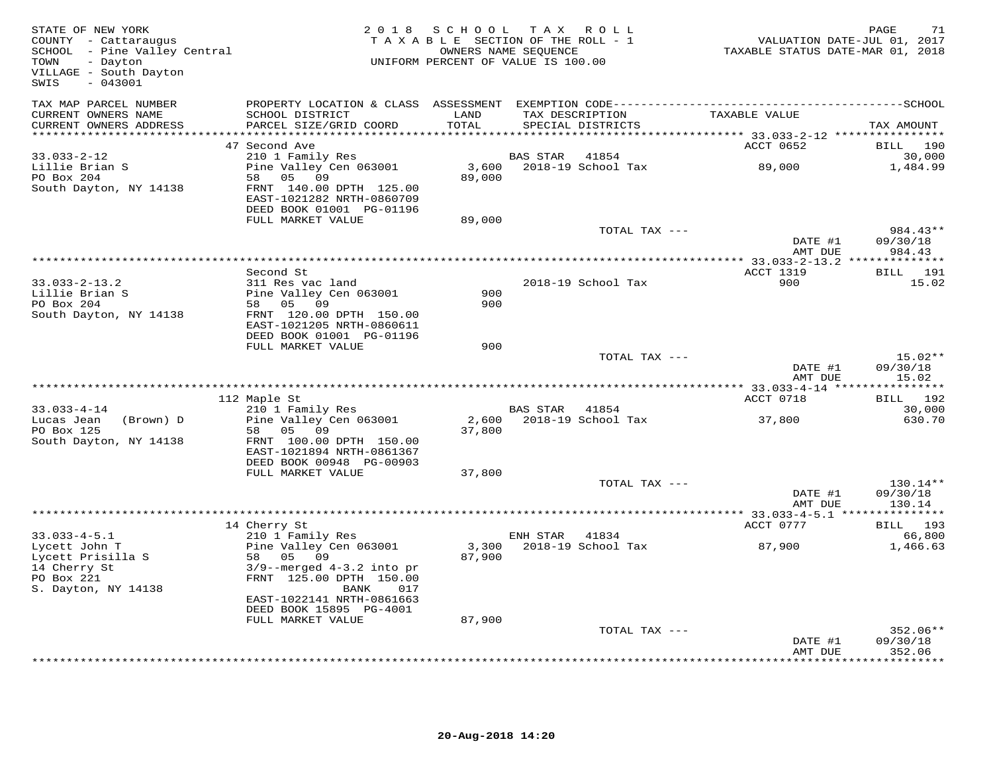| STATE OF NEW YORK<br>COUNTY - Cattaraugus<br>SCHOOL - Pine Valley Central<br>- Dayton<br>TOWN<br>VILLAGE - South Dayton<br>SWIS<br>$-043001$ |                                                                                                                   | 2018 SCHOOL<br>TAXABLE SECTION OF THE ROLL - 1<br>UNIFORM PERCENT OF VALUE IS 100.00 | TAX ROLL<br>OWNERS NAME SEQUENCE |                                      | TAXABLE STATUS DATE-JUL 01, 2017<br>TAXABLE STATUS DATE-MAR 01, 2018 | PAGE<br>71                     |
|----------------------------------------------------------------------------------------------------------------------------------------------|-------------------------------------------------------------------------------------------------------------------|--------------------------------------------------------------------------------------|----------------------------------|--------------------------------------|----------------------------------------------------------------------|--------------------------------|
| TAX MAP PARCEL NUMBER<br>CURRENT OWNERS NAME<br>CURRENT OWNERS ADDRESS                                                                       | SCHOOL DISTRICT<br>PARCEL SIZE/GRID COORD                                                                         | LAND<br>TOTAL                                                                        |                                  | TAX DESCRIPTION<br>SPECIAL DISTRICTS | TAXABLE VALUE                                                        | TAX AMOUNT                     |
| ************************                                                                                                                     | 47 Second Ave                                                                                                     |                                                                                      |                                  |                                      | ACCT 0652                                                            | BILL 190                       |
| $33.033 - 2 - 12$<br>Lillie Brian S                                                                                                          | 210 1 Family Res<br>Pine Valley Cen 063001                                                                        |                                                                                      | BAS STAR                         | 41854<br>3,600 2018-19 School Tax    | 89,000                                                               | 30,000<br>1,484.99             |
| PO Box 204<br>South Dayton, NY 14138                                                                                                         | 58 05 09<br>FRNT 140.00 DPTH 125.00<br>EAST-1021282 NRTH-0860709<br>DEED BOOK 01001 PG-01196<br>FULL MARKET VALUE | 89,000                                                                               |                                  |                                      |                                                                      |                                |
|                                                                                                                                              |                                                                                                                   | 89,000                                                                               |                                  | TOTAL TAX ---                        |                                                                      | 984.43**                       |
|                                                                                                                                              |                                                                                                                   |                                                                                      |                                  |                                      | DATE #1<br>AMT DUE                                                   | 09/30/18<br>984.43             |
|                                                                                                                                              |                                                                                                                   |                                                                                      |                                  |                                      |                                                                      |                                |
| $33.033 - 2 - 13.2$                                                                                                                          | Second St<br>311 Res vac land                                                                                     |                                                                                      |                                  | 2018-19 School Tax                   | <b>ACCT 1319</b><br>900                                              | <b>BILL</b> 191<br>15.02       |
| Lillie Brian S                                                                                                                               | Pine Valley Cen 063001                                                                                            | 900                                                                                  |                                  |                                      |                                                                      |                                |
| PO Box 204                                                                                                                                   | 58 05 09                                                                                                          | 900                                                                                  |                                  |                                      |                                                                      |                                |
| South Dayton, NY 14138                                                                                                                       | FRNT 120.00 DPTH 150.00<br>EAST-1021205 NRTH-0860611<br>DEED BOOK 01001 PG-01196                                  |                                                                                      |                                  |                                      |                                                                      |                                |
|                                                                                                                                              | FULL MARKET VALUE                                                                                                 | 900                                                                                  |                                  |                                      |                                                                      |                                |
|                                                                                                                                              |                                                                                                                   |                                                                                      |                                  | TOTAL TAX ---                        | DATE #1<br>AMT DUE                                                   | $15.02**$<br>09/30/18<br>15.02 |
|                                                                                                                                              |                                                                                                                   |                                                                                      |                                  |                                      |                                                                      |                                |
|                                                                                                                                              | 112 Maple St                                                                                                      |                                                                                      |                                  |                                      | ACCT 0718                                                            | <b>BILL</b> 192                |
| $33.033 - 4 - 14$<br>Lucas Jean<br>(Brown) D                                                                                                 | 210 1 Family Res<br>Pine Valley Cen 063001                                                                        |                                                                                      | BAS STAR                         | 41854<br>2,600 2018-19 School Tax    | 37,800                                                               | 30,000<br>630.70               |
| PO Box 125<br>South Dayton, NY 14138                                                                                                         | 58 05 09<br>FRNT 100.00 DPTH 150.00                                                                               | 37,800                                                                               |                                  |                                      |                                                                      |                                |
|                                                                                                                                              | EAST-1021894 NRTH-0861367<br>DEED BOOK 00948 PG-00903                                                             |                                                                                      |                                  |                                      |                                                                      |                                |
|                                                                                                                                              | FULL MARKET VALUE                                                                                                 | 37,800                                                                               |                                  |                                      |                                                                      |                                |
|                                                                                                                                              |                                                                                                                   |                                                                                      |                                  | TOTAL TAX ---                        | DATE #1                                                              | 130.14**<br>09/30/18           |
|                                                                                                                                              |                                                                                                                   |                                                                                      |                                  |                                      | AMT DUE                                                              | 130.14                         |
|                                                                                                                                              | 14 Cherry St                                                                                                      |                                                                                      |                                  |                                      | ACCT 0777                                                            | BILL 193                       |
| $33.033 - 4 - 5.1$                                                                                                                           | 210 1 Family Res                                                                                                  |                                                                                      | ENH STAR 41834                   |                                      |                                                                      | 66,800                         |
| Lycett John T<br>Lycett Prisilla S<br>14 Cherry St<br>PO Box 221<br>S. Dayton, NY 14138                                                      | Pine Valley Cen 063001<br>58 05 09<br>$3/9$ --merged $4-3.2$ into pr<br>FRNT 125.00 DPTH 150.00<br>BANK<br>017    | 3,300<br>87,900                                                                      |                                  | 2018-19 School Tax                   | 87,900                                                               | 1,466.63                       |
|                                                                                                                                              | EAST-1022141 NRTH-0861663<br>DEED BOOK 15895 PG-4001                                                              |                                                                                      |                                  |                                      |                                                                      |                                |
|                                                                                                                                              | FULL MARKET VALUE                                                                                                 | 87,900                                                                               |                                  |                                      |                                                                      |                                |
|                                                                                                                                              |                                                                                                                   |                                                                                      |                                  | TOTAL TAX ---                        | DATE #1                                                              | $352.06**$<br>09/30/18         |
|                                                                                                                                              |                                                                                                                   |                                                                                      |                                  |                                      | AMT DUE<br>+ + + + + + + + +                                         | 352.06<br>********             |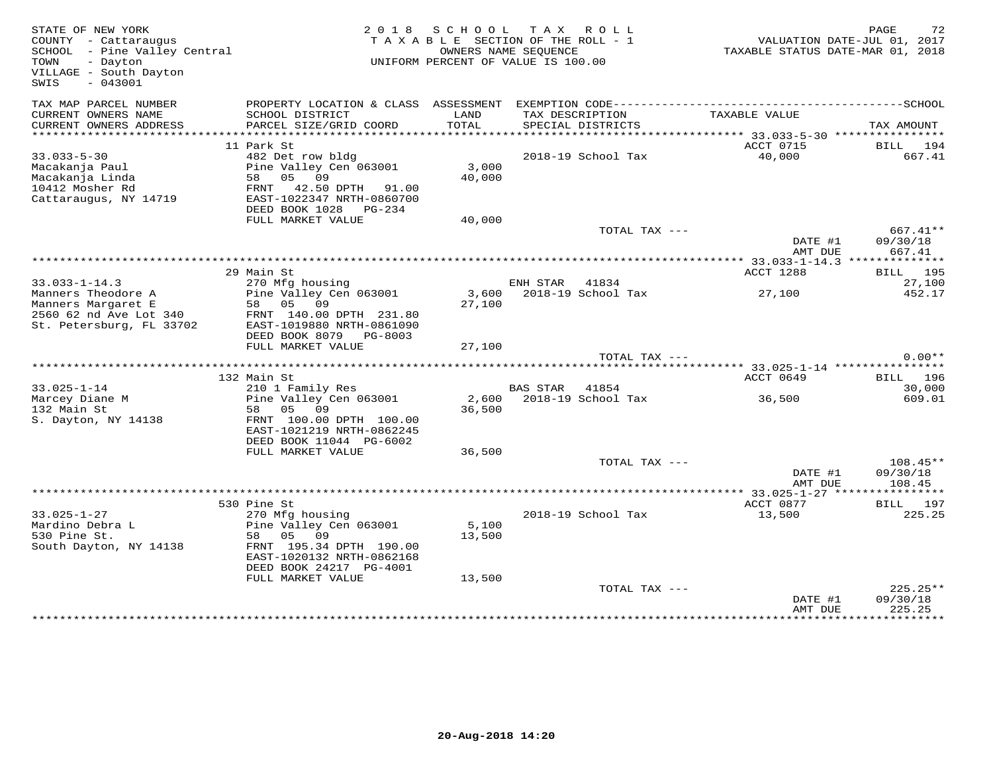| STATE OF NEW YORK<br>COUNTY - Cattaraugus<br>SCHOOL - Pine Valley Central<br>- Dayton<br>TOWN<br>VILLAGE - South Dayton<br>$-043001$<br>SWIS | 2 0 1 8                                                                                                                                                                      |                           | SCHOOL TAX ROLL<br>TAXABLE SECTION OF THE ROLL - 1<br>OWNERS NAME SEQUENCE<br>UNIFORM PERCENT OF VALUE IS 100.00 | TAXABLE STATUS DATE-MAR 01, 2018                                 | PAGE<br>72<br>VALUATION DATE-JUL 01, 2017       |
|----------------------------------------------------------------------------------------------------------------------------------------------|------------------------------------------------------------------------------------------------------------------------------------------------------------------------------|---------------------------|------------------------------------------------------------------------------------------------------------------|------------------------------------------------------------------|-------------------------------------------------|
| TAX MAP PARCEL NUMBER<br>CURRENT OWNERS NAME<br>CURRENT OWNERS ADDRESS<br>*****************                                                  | PROPERTY LOCATION & CLASS ASSESSMENT<br>SCHOOL DISTRICT<br>PARCEL SIZE/GRID COORD<br>*****************************                                                           | LAND<br>TOTAL             | TAX DESCRIPTION<br>SPECIAL DISTRICTS                                                                             | TAXABLE VALUE<br>***************** 33.033-5-30 ***************** | TAX AMOUNT                                      |
| $33.033 - 5 - 30$<br>Macakanja Paul<br>Macakanja Linda<br>10412 Mosher Rd<br>Cattaraugus, NY 14719                                           | 11 Park St<br>482 Det row bldg<br>Pine Valley Cen 063001<br>58 05 09<br>FRNT 42.50 DPTH 91.00<br>EAST-1022347 NRTH-0860700<br>DEED BOOK 1028 PG-234                          | 3,000<br>40,000           | 2018-19 School Tax                                                                                               | ACCT 0715<br>40,000                                              | BILL 194<br>667.41                              |
|                                                                                                                                              | FULL MARKET VALUE                                                                                                                                                            | 40,000                    | TOTAL TAX ---                                                                                                    | DATE #1<br>AMT DUE                                               | 667.41**<br>09/30/18<br>667.41                  |
|                                                                                                                                              | 29 Main St                                                                                                                                                                   |                           |                                                                                                                  | ACCT 1288                                                        | <b>BILL</b> 195                                 |
| $33.033 - 1 - 14.3$<br>Manners Theodore A<br>Manners Margaret E<br>2560 62 nd Ave Lot 340<br>St. Petersburg, FL 33702                        | 270 Mfg housing<br>Pine Valley Cen 063001<br>58 05 09<br>FRNT 140.00 DPTH 231.80<br>EAST-1019880 NRTH-0861090<br>DEED BOOK 8079 PG-8003                                      | 27,100                    | ENH STAR 41834<br>3,600 2018-19 School Tax                                                                       | 27,100                                                           | 27,100<br>452.17                                |
|                                                                                                                                              | FULL MARKET VALUE                                                                                                                                                            | 27,100                    | TOTAL TAX ---                                                                                                    |                                                                  | $0.00**$                                        |
|                                                                                                                                              |                                                                                                                                                                              |                           |                                                                                                                  |                                                                  |                                                 |
| $33.025 - 1 - 14$<br>Marcey Diane M<br>132 Main St<br>S. Dayton, NY 14138                                                                    | 132 Main St<br>210 1 Family Res<br>Pine Valley Cen 063001<br>58 05 09<br>FRNT 100.00 DPTH 100.00<br>EAST-1021219 NRTH-0862245                                                | 2,600<br>36,500           | BAS STAR<br>41854<br>2018-19 School Tax                                                                          | ACCT 0649<br>36,500                                              | <b>BILL</b> 196<br>30,000<br>609.01             |
|                                                                                                                                              | DEED BOOK 11044 PG-6002<br>FULL MARKET VALUE                                                                                                                                 | 36,500                    | TOTAL TAX ---                                                                                                    | DATE #1                                                          | 108.45**<br>09/30/18                            |
|                                                                                                                                              |                                                                                                                                                                              |                           |                                                                                                                  | AMT DUE                                                          | 108.45                                          |
| $33.025 - 1 - 27$<br>Mardino Debra L<br>530 Pine St.<br>South Dayton, NY 14138                                                               | 530 Pine St<br>270 Mfg housing<br>Pine Valley Cen 063001<br>58 05 09<br>FRNT 195.34 DPTH 190.00<br>EAST-1020132 NRTH-0862168<br>DEED BOOK 24217 PG-4001<br>FULL MARKET VALUE | 5,100<br>13,500<br>13,500 | 2018-19 School Tax                                                                                               | ACCT 0877<br>13,500                                              | BILL 197<br>225.25                              |
|                                                                                                                                              |                                                                                                                                                                              |                           | TOTAL TAX ---                                                                                                    | DATE #1<br>AMT DUE                                               | $225.25**$<br>09/30/18<br>225.25<br>*********** |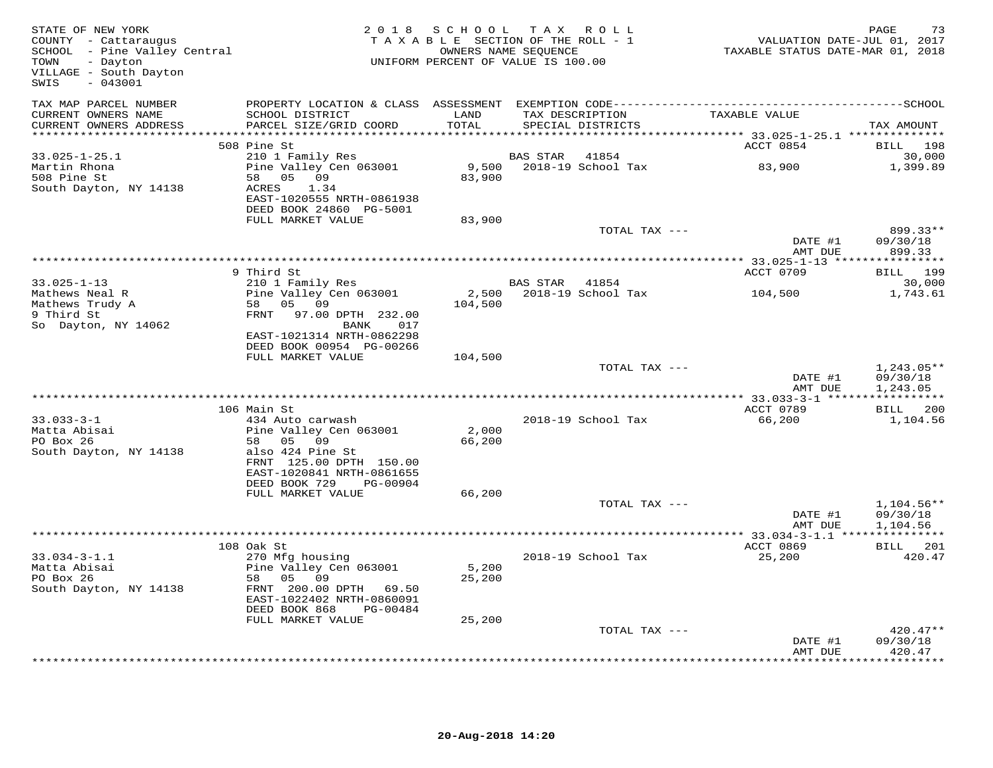| STATE OF NEW YORK<br>COUNTY - Cattaraugus<br>SCHOOL - Pine Valley Central<br>TOWN<br>- Dayton<br>VILLAGE - South Dayton<br>$-043001$<br>SWIS |                                                                                                                                                   | 2018 SCHOOL<br>TAXABLE SECTION OF THE ROLL - 1<br>UNIFORM PERCENT OF VALUE IS 100.00 | OWNERS NAME SEQUENCE | TAX ROLL                             | 75.<br>VALUATION DATE-JUL 01, 2017<br>TAXABLE STATUS DATE-MAR 01, 2018 | PAGE<br>73                                   |
|----------------------------------------------------------------------------------------------------------------------------------------------|---------------------------------------------------------------------------------------------------------------------------------------------------|--------------------------------------------------------------------------------------|----------------------|--------------------------------------|------------------------------------------------------------------------|----------------------------------------------|
| TAX MAP PARCEL NUMBER<br>CURRENT OWNERS NAME<br>CURRENT OWNERS ADDRESS                                                                       | SCHOOL DISTRICT<br>PARCEL SIZE/GRID COORD                                                                                                         | LAND<br>TOTAL                                                                        |                      | TAX DESCRIPTION<br>SPECIAL DISTRICTS | TAXABLE VALUE                                                          | TAX AMOUNT                                   |
|                                                                                                                                              | 508 Pine St                                                                                                                                       |                                                                                      |                      |                                      | ACCT 0854                                                              | BILL 198                                     |
| $33.025 - 1 - 25.1$<br>Martin Rhona<br>508 Pine St<br>South Dayton, NY 14138                                                                 | 210 1 Family Res<br>Pine Valley Cen 063001<br>58 05 09<br>ACRES<br>1.34<br>EAST-1020555 NRTH-0861938                                              | 83,900                                                                               | BAS STAR             | 41854<br>9,500 2018-19 School Tax    | 83,900                                                                 | 30,000<br>1,399.89                           |
|                                                                                                                                              | DEED BOOK 24860 PG-5001<br>FULL MARKET VALUE                                                                                                      | 83,900                                                                               |                      |                                      |                                                                        |                                              |
|                                                                                                                                              |                                                                                                                                                   |                                                                                      |                      | TOTAL TAX ---                        | DATE #1                                                                | 899.33**<br>09/30/18                         |
|                                                                                                                                              |                                                                                                                                                   |                                                                                      |                      |                                      | AMT DUE                                                                | 899.33                                       |
|                                                                                                                                              | 9 Third St                                                                                                                                        |                                                                                      |                      |                                      | ACCT 0709                                                              | BILL 199                                     |
| $33.025 - 1 - 13$                                                                                                                            | 210 1 Family Res                                                                                                                                  |                                                                                      | BAS STAR 41854       |                                      |                                                                        | 30,000                                       |
| Mathews Neal R<br>Mathews Trudy A<br>9 Third St<br>So Dayton, NY 14062                                                                       | Pine Valley Cen 063001<br>58 05 09<br>FRNT<br>97.00 DPTH 232.00<br>BANK<br>017<br>EAST-1021314 NRTH-0862298                                       | 104,500                                                                              |                      | 2,500 2018-19 School Tax             | 104,500                                                                | 1,743.61                                     |
|                                                                                                                                              | DEED BOOK 00954 PG-00266                                                                                                                          |                                                                                      |                      |                                      |                                                                        |                                              |
|                                                                                                                                              | FULL MARKET VALUE                                                                                                                                 | 104,500                                                                              |                      | TOTAL TAX ---                        | DATE #1<br>AMT DUE                                                     | $1,243.05**$<br>09/30/18<br>1,243.05         |
|                                                                                                                                              |                                                                                                                                                   |                                                                                      |                      |                                      |                                                                        |                                              |
| $33.033 - 3 - 1$<br>Matta Abisai<br>PO Box 26<br>South Dayton, NY 14138                                                                      | 106 Main St<br>434 Auto carwash<br>Pine Valley Cen 063001<br>58 05 09<br>also 424 Pine St<br>FRNT 125.00 DPTH 150.00<br>EAST-1020841 NRTH-0861655 | 2,000<br>66,200                                                                      |                      | 2018-19 School Tax                   | ACCT 0789<br>66,200                                                    | BILL 200<br>1,104.56                         |
|                                                                                                                                              | DEED BOOK 729<br>PG-00904<br>FULL MARKET VALUE                                                                                                    | 66,200                                                                               |                      |                                      |                                                                        |                                              |
|                                                                                                                                              |                                                                                                                                                   |                                                                                      |                      | TOTAL TAX ---                        | DATE #1<br>AMT DUE                                                     | $1,104.56**$<br>09/30/18<br>1,104.56         |
|                                                                                                                                              | 108 Oak St                                                                                                                                        |                                                                                      |                      |                                      | ACCT 0869                                                              | <b>BILL</b> 201                              |
| $33.034 - 3 - 1.1$<br>Matta Abisai<br>PO Box 26<br>South Dayton, NY 14138                                                                    | 270 Mfg housing<br>Pine Valley Cen 063001<br>58 05 09<br>FRNT 200.00 DPTH 69.50<br>EAST-1022402 NRTH-0860091<br>DEED BOOK 868<br>PG-00484         | 5,200<br>25,200                                                                      |                      | 2018-19 School Tax                   | 25,200                                                                 | 420.47                                       |
|                                                                                                                                              | FULL MARKET VALUE                                                                                                                                 | 25,200                                                                               |                      |                                      |                                                                        |                                              |
|                                                                                                                                              |                                                                                                                                                   |                                                                                      |                      | TOTAL TAX ---                        | DATE #1<br>AMT DUE                                                     | 420.47**<br>09/30/18<br>420.47<br>********** |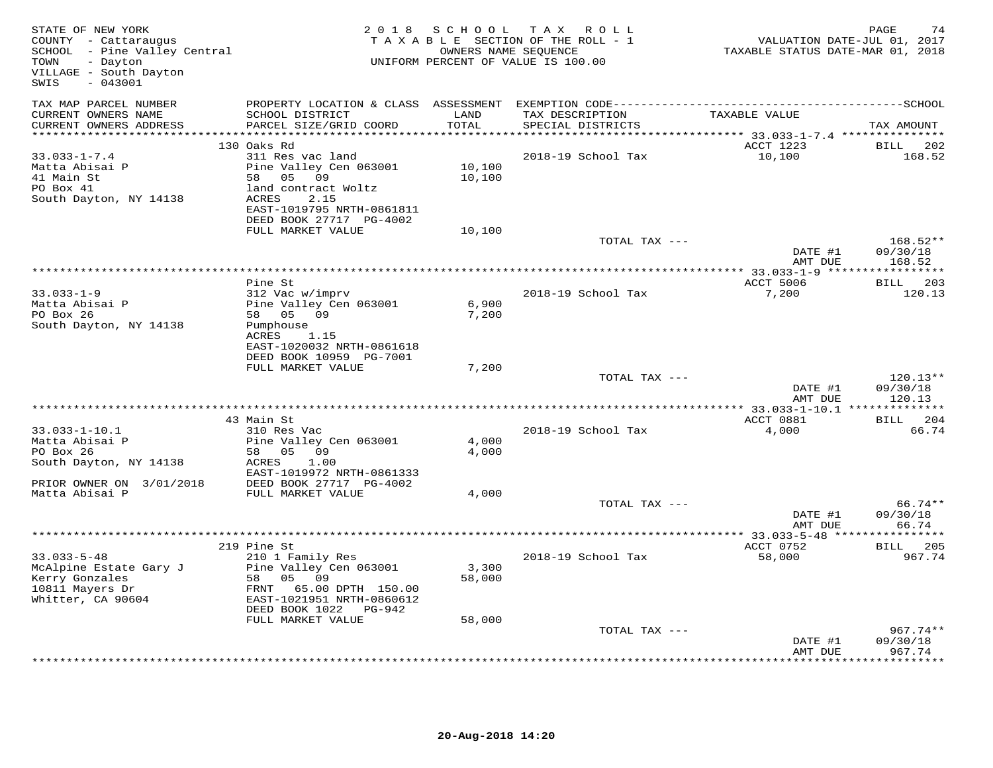| STATE OF NEW YORK<br>COUNTY - Cattaraugus<br>SCHOOL - Pine Valley Central<br>- Dayton<br>TOWN<br>VILLAGE - South Dayton<br>$-043001$<br>SWIS |                                              |                                      | 2018 SCHOOL TAX ROLL<br>TAXABLE SECTION OF THE ROLL - 1<br>OWNERS NAME SEQUENCE<br>UNIFORM PERCENT OF VALUE IS 100.00 | VALUATION DATE-JUL 01, 2017<br>TAXABLE STATUS DATE-MAR 01, 2018 | PAGE<br>74                |
|----------------------------------------------------------------------------------------------------------------------------------------------|----------------------------------------------|--------------------------------------|-----------------------------------------------------------------------------------------------------------------------|-----------------------------------------------------------------|---------------------------|
| TAX MAP PARCEL NUMBER<br>CURRENT OWNERS NAME                                                                                                 |                                              |                                      |                                                                                                                       | TAXABLE VALUE                                                   |                           |
| CURRENT OWNERS ADDRESS                                                                                                                       | SCHOOL DISTRICT<br>PARCEL SIZE/GRID COORD    | LAND<br>TOTAL<br>* * * * * * * * * * | TAX DESCRIPTION<br>SPECIAL DISTRICTS                                                                                  |                                                                 | TAX AMOUNT                |
|                                                                                                                                              | 130 Oaks Rd                                  |                                      |                                                                                                                       | *********** 33.033-1-7.4 ****************<br>ACCT 1223          | <b>BILL</b><br>202        |
| $33.033 - 1 - 7.4$                                                                                                                           | 311 Res vac land                             |                                      | 2018-19 School Tax                                                                                                    | 10,100                                                          | 168.52                    |
| Matta Abisai P                                                                                                                               | Pine Valley Cen 063001                       | 10,100                               |                                                                                                                       |                                                                 |                           |
| 41 Main St                                                                                                                                   | 58 05 09                                     | 10,100                               |                                                                                                                       |                                                                 |                           |
| PO Box 41                                                                                                                                    | land contract Woltz                          |                                      |                                                                                                                       |                                                                 |                           |
| South Dayton, NY 14138                                                                                                                       | ACRES<br>2.15                                |                                      |                                                                                                                       |                                                                 |                           |
|                                                                                                                                              | EAST-1019795 NRTH-0861811                    |                                      |                                                                                                                       |                                                                 |                           |
|                                                                                                                                              | DEED BOOK 27717 PG-4002<br>FULL MARKET VALUE | 10,100                               |                                                                                                                       |                                                                 |                           |
|                                                                                                                                              |                                              |                                      | TOTAL TAX ---                                                                                                         |                                                                 | 168.52**                  |
|                                                                                                                                              |                                              |                                      |                                                                                                                       | DATE #1                                                         | 09/30/18                  |
|                                                                                                                                              |                                              |                                      |                                                                                                                       | AMT DUE                                                         | 168.52                    |
|                                                                                                                                              |                                              |                                      |                                                                                                                       | *************** 33.033-1-9 ****                                 | ***********               |
|                                                                                                                                              | Pine St                                      |                                      |                                                                                                                       | ACCT 5006                                                       | BILL 203                  |
| $33.033 - 1 - 9$<br>Matta Abisai P                                                                                                           | 312 Vac w/imprv<br>Pine Valley Cen 063001    | 6,900                                | 2018-19 School Tax                                                                                                    | 7,200                                                           | 120.13                    |
| PO Box 26                                                                                                                                    | 58 05 09                                     | 7,200                                |                                                                                                                       |                                                                 |                           |
| South Dayton, NY 14138                                                                                                                       | Pumphouse                                    |                                      |                                                                                                                       |                                                                 |                           |
|                                                                                                                                              | ACRES<br>1.15                                |                                      |                                                                                                                       |                                                                 |                           |
|                                                                                                                                              | EAST-1020032 NRTH-0861618                    |                                      |                                                                                                                       |                                                                 |                           |
|                                                                                                                                              | DEED BOOK 10959 PG-7001<br>FULL MARKET VALUE | 7,200                                |                                                                                                                       |                                                                 |                           |
|                                                                                                                                              |                                              |                                      | TOTAL TAX ---                                                                                                         |                                                                 | $120.13**$                |
|                                                                                                                                              |                                              |                                      |                                                                                                                       | DATE #1<br>AMT DUE                                              | 09/30/18<br>120.13        |
|                                                                                                                                              |                                              |                                      |                                                                                                                       | ***************** 33.033-1-10.1 *                               | * * * * * * * * * * * * * |
|                                                                                                                                              | 43 Main St                                   |                                      |                                                                                                                       | ACCT 0881                                                       | BILL 204                  |
| $33.033 - 1 - 10.1$<br>Matta Abisai P                                                                                                        | 310 Res Vac                                  | 4,000                                | 2018-19 School Tax                                                                                                    | 4,000                                                           | 66.74                     |
| PO Box 26                                                                                                                                    | Pine Valley Cen 063001<br>58 05 09           | 4,000                                |                                                                                                                       |                                                                 |                           |
| South Dayton, NY 14138                                                                                                                       | ACRES<br>1.00                                |                                      |                                                                                                                       |                                                                 |                           |
|                                                                                                                                              | EAST-1019972 NRTH-0861333                    |                                      |                                                                                                                       |                                                                 |                           |
| PRIOR OWNER ON 3/01/2018                                                                                                                     | DEED BOOK 27717 PG-4002                      |                                      |                                                                                                                       |                                                                 |                           |
| Matta Abisai P                                                                                                                               | FULL MARKET VALUE                            | 4,000                                |                                                                                                                       |                                                                 |                           |
|                                                                                                                                              |                                              |                                      | TOTAL TAX ---                                                                                                         | DATE #1                                                         | 66.74**<br>09/30/18       |
|                                                                                                                                              |                                              |                                      |                                                                                                                       | AMT DUE                                                         | 66.74                     |
|                                                                                                                                              |                                              |                                      |                                                                                                                       |                                                                 |                           |
|                                                                                                                                              | 219 Pine St                                  |                                      |                                                                                                                       | ACCT 0752                                                       | BILL 205                  |
| $33.033 - 5 - 48$                                                                                                                            | 210 1 Family Res                             |                                      | 2018-19 School Tax                                                                                                    | 58,000                                                          | 967.74                    |
| McAlpine Estate Gary J                                                                                                                       | Pine Valley Cen 063001<br>58 05 09           | 3,300<br>58,000                      |                                                                                                                       |                                                                 |                           |
| Kerry Gonzales<br>10811 Mayers Dr                                                                                                            | FRNT 65.00 DPTH 150.00                       |                                      |                                                                                                                       |                                                                 |                           |
| Whitter, CA 90604                                                                                                                            | EAST-1021951 NRTH-0860612                    |                                      |                                                                                                                       |                                                                 |                           |
|                                                                                                                                              | DEED BOOK 1022 PG-942                        |                                      |                                                                                                                       |                                                                 |                           |
|                                                                                                                                              | FULL MARKET VALUE                            | 58,000                               |                                                                                                                       |                                                                 |                           |
|                                                                                                                                              |                                              |                                      | TOTAL TAX ---                                                                                                         |                                                                 | 967.74**                  |
|                                                                                                                                              |                                              |                                      |                                                                                                                       | DATE #1                                                         | 09/30/18                  |
|                                                                                                                                              |                                              |                                      |                                                                                                                       | AMT DUE                                                         | 967.74<br>*********       |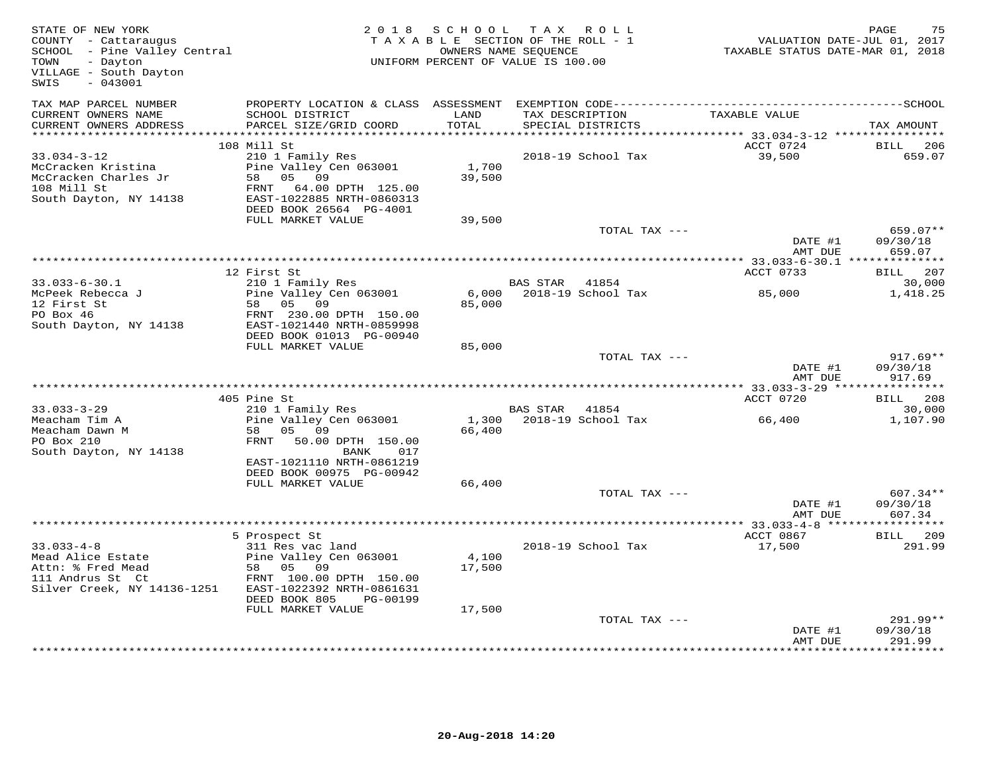| STATE OF NEW YORK<br>COUNTY - Cattaraugus<br>SCHOOL - Pine Valley Central<br>- Dayton<br>TOWN<br>VILLAGE - South Dayton<br>$-043001$<br>SWIS |                                            | 2018 SCHOOL<br>TAXABLE SECTION OF THE ROLL - 1<br>OWNERS NAME SEQUENCE<br>UNIFORM PERCENT OF VALUE IS 100.00 |                 | TAX ROLL                             | VALUATION DATE-JUL 01, 2017<br>TAXABLE STATUS DATE-MAR 01, 2018 | PAGE<br>75            |
|----------------------------------------------------------------------------------------------------------------------------------------------|--------------------------------------------|--------------------------------------------------------------------------------------------------------------|-----------------|--------------------------------------|-----------------------------------------------------------------|-----------------------|
| TAX MAP PARCEL NUMBER                                                                                                                        |                                            |                                                                                                              |                 |                                      |                                                                 |                       |
| CURRENT OWNERS NAME<br>CURRENT OWNERS ADDRESS                                                                                                | SCHOOL DISTRICT<br>PARCEL SIZE/GRID COORD  | LAND<br>TOTAL                                                                                                |                 | TAX DESCRIPTION<br>SPECIAL DISTRICTS | TAXABLE VALUE                                                   | TAX AMOUNT            |
| ***********************                                                                                                                      |                                            |                                                                                                              |                 |                                      |                                                                 |                       |
| $33.034 - 3 - 12$                                                                                                                            | 108 Mill St                                |                                                                                                              |                 | 2018-19 School Tax                   | ACCT 0724<br>39,500                                             | 206<br>BILL<br>659.07 |
| McCracken Kristina                                                                                                                           | 210 1 Family Res<br>Pine Valley Cen 063001 | 1,700                                                                                                        |                 |                                      |                                                                 |                       |
| McCracken Charles Jr                                                                                                                         | 58 05 09                                   | 39,500                                                                                                       |                 |                                      |                                                                 |                       |
| 108 Mill St                                                                                                                                  | FRNT 64.00 DPTH 125.00                     |                                                                                                              |                 |                                      |                                                                 |                       |
| South Dayton, NY 14138                                                                                                                       | EAST-1022885 NRTH-0860313                  |                                                                                                              |                 |                                      |                                                                 |                       |
|                                                                                                                                              | DEED BOOK 26564 PG-4001                    |                                                                                                              |                 |                                      |                                                                 |                       |
|                                                                                                                                              | FULL MARKET VALUE                          | 39,500                                                                                                       |                 |                                      |                                                                 |                       |
|                                                                                                                                              |                                            |                                                                                                              |                 | TOTAL TAX ---                        |                                                                 | 659.07**              |
|                                                                                                                                              |                                            |                                                                                                              |                 |                                      | DATE #1                                                         | 09/30/18              |
|                                                                                                                                              |                                            |                                                                                                              |                 |                                      | AMT DUE                                                         | 659.07                |
|                                                                                                                                              |                                            |                                                                                                              |                 |                                      |                                                                 |                       |
| $33.033 - 6 - 30.1$                                                                                                                          | 12 First St                                |                                                                                                              | BAS STAR 41854  |                                      | ACCT 0733                                                       | BILL 207<br>30,000    |
| McPeek Rebecca J                                                                                                                             | 210 1 Family Res<br>Pine Valley Cen 063001 |                                                                                                              |                 | 6,000 2018-19 School Tax             | 85,000                                                          | 1,418.25              |
| 12 First St                                                                                                                                  | 58 05<br>09                                | 85,000                                                                                                       |                 |                                      |                                                                 |                       |
| PO Box 46                                                                                                                                    | FRNT 230.00 DPTH 150.00                    |                                                                                                              |                 |                                      |                                                                 |                       |
| South Dayton, NY 14138                                                                                                                       | EAST-1021440 NRTH-0859998                  |                                                                                                              |                 |                                      |                                                                 |                       |
|                                                                                                                                              | DEED BOOK 01013 PG-00940                   |                                                                                                              |                 |                                      |                                                                 |                       |
|                                                                                                                                              | FULL MARKET VALUE                          | 85,000                                                                                                       |                 |                                      |                                                                 |                       |
|                                                                                                                                              |                                            |                                                                                                              |                 | TOTAL TAX ---                        |                                                                 | $917.69**$            |
|                                                                                                                                              |                                            |                                                                                                              |                 |                                      | DATE #1                                                         | 09/30/18              |
|                                                                                                                                              |                                            |                                                                                                              |                 |                                      | AMT DUE                                                         | 917.69                |
|                                                                                                                                              | 405 Pine St                                |                                                                                                              |                 |                                      | ACCT 0720                                                       | BILL 208              |
| $33.033 - 3 - 29$                                                                                                                            | 210 1 Family Res                           |                                                                                                              | <b>BAS STAR</b> | 41854                                |                                                                 | 30,000                |
| Meacham Tim A                                                                                                                                | Pine Valley Cen 063001                     |                                                                                                              |                 | 1,300 2018-19 School Tax             | 66,400                                                          | 1,107.90              |
| Meacham Dawn M                                                                                                                               | 58 05 09                                   | 66,400                                                                                                       |                 |                                      |                                                                 |                       |
| PO Box 210                                                                                                                                   | FRNT 50.00 DPTH 150.00                     |                                                                                                              |                 |                                      |                                                                 |                       |
| South Dayton, NY 14138                                                                                                                       | BANK<br>017                                |                                                                                                              |                 |                                      |                                                                 |                       |
|                                                                                                                                              | EAST-1021110 NRTH-0861219                  |                                                                                                              |                 |                                      |                                                                 |                       |
|                                                                                                                                              | DEED BOOK 00975 PG-00942                   |                                                                                                              |                 |                                      |                                                                 |                       |
|                                                                                                                                              | FULL MARKET VALUE                          | 66,400                                                                                                       |                 |                                      |                                                                 |                       |
|                                                                                                                                              |                                            |                                                                                                              |                 | TOTAL TAX ---                        |                                                                 | 607.34**              |
|                                                                                                                                              |                                            |                                                                                                              |                 |                                      | DATE #1<br>AMT DUE                                              | 09/30/18<br>607.34    |
|                                                                                                                                              |                                            |                                                                                                              |                 |                                      |                                                                 |                       |
|                                                                                                                                              | 5 Prospect St                              |                                                                                                              |                 |                                      | ACCT 0867                                                       | BILL 209              |
| $33.033 - 4 - 8$                                                                                                                             | 311 Res vac land                           |                                                                                                              |                 | 2018-19 School Tax                   | 17,500                                                          | 291.99                |
| Mead Alice Estate                                                                                                                            | Pine Valley Cen 063001                     | 4,100                                                                                                        |                 |                                      |                                                                 |                       |
| Attn: % Fred Mead                                                                                                                            | 58 05 09                                   | 17,500                                                                                                       |                 |                                      |                                                                 |                       |
| 111 Andrus St Ct                                                                                                                             | FRNT 100.00 DPTH 150.00                    |                                                                                                              |                 |                                      |                                                                 |                       |
| Silver Creek, NY 14136-1251                                                                                                                  | EAST-1022392 NRTH-0861631                  |                                                                                                              |                 |                                      |                                                                 |                       |
|                                                                                                                                              | DEED BOOK 805<br>PG-00199                  |                                                                                                              |                 |                                      |                                                                 |                       |
|                                                                                                                                              | FULL MARKET VALUE                          | 17,500                                                                                                       |                 |                                      |                                                                 |                       |
|                                                                                                                                              |                                            |                                                                                                              |                 | TOTAL TAX ---                        |                                                                 | 291.99**              |
|                                                                                                                                              |                                            |                                                                                                              |                 |                                      | DATE #1<br>AMT DUE                                              | 09/30/18<br>291.99    |
|                                                                                                                                              |                                            |                                                                                                              |                 |                                      |                                                                 |                       |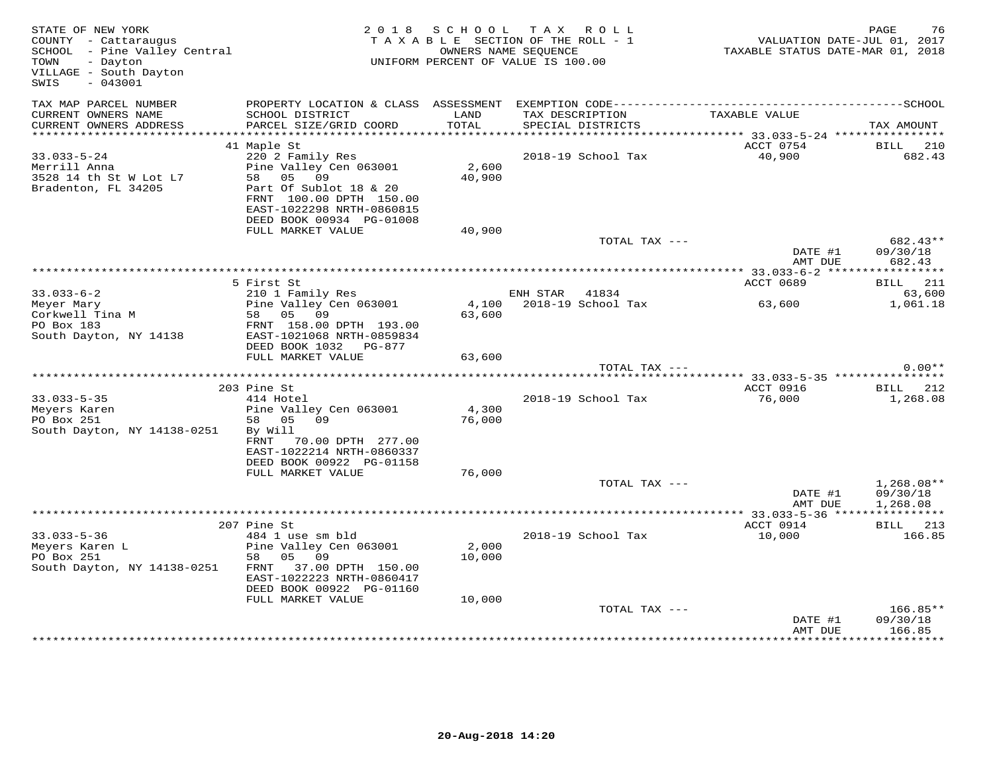| STATE OF NEW YORK<br>COUNTY - Cattaraugus<br>SCHOOL - Pine Valley Central<br>- Dayton<br>TOWN<br>VILLAGE - South Dayton<br>$-043001$<br>SWIS |                                                                                                                                          | 2018 SCHOOL     | T A X<br>ROLL<br>TAXABLE SECTION OF THE ROLL - 1<br>OWNERS NAME SEQUENCE<br>UNIFORM PERCENT OF VALUE IS 100.00 | VALUATION DATE-JUL 01, 2017<br>TAXABLE STATUS DATE-MAR 01, 2018 | PAGE<br>76                     |
|----------------------------------------------------------------------------------------------------------------------------------------------|------------------------------------------------------------------------------------------------------------------------------------------|-----------------|----------------------------------------------------------------------------------------------------------------|-----------------------------------------------------------------|--------------------------------|
| TAX MAP PARCEL NUMBER<br>CURRENT OWNERS NAME<br>CURRENT OWNERS ADDRESS                                                                       | SCHOOL DISTRICT<br>PARCEL SIZE/GRID COORD                                                                                                | LAND<br>TOTAL   | TAX DESCRIPTION<br>SPECIAL DISTRICTS                                                                           | TAXABLE VALUE                                                   | TAX AMOUNT                     |
|                                                                                                                                              |                                                                                                                                          |                 |                                                                                                                |                                                                 |                                |
|                                                                                                                                              | 41 Maple St                                                                                                                              |                 |                                                                                                                | ACCT 0754                                                       | BILL<br>210                    |
| $33.033 - 5 - 24$<br>Merrill Anna<br>3528 14 th St W Lot L7<br>Bradenton, FL 34205                                                           | 220 2 Family Res<br>Pine Valley Cen 063001<br>58 05 09<br>Part Of Sublot 18 & 20<br>FRNT 100.00 DPTH 150.00<br>EAST-1022298 NRTH-0860815 | 2,600<br>40,900 | 2018-19 School Tax                                                                                             | 40,900                                                          | 682.43                         |
|                                                                                                                                              | DEED BOOK 00934 PG-01008                                                                                                                 |                 |                                                                                                                |                                                                 |                                |
|                                                                                                                                              | FULL MARKET VALUE                                                                                                                        | 40,900          | TOTAL TAX ---                                                                                                  |                                                                 | 682.43**                       |
|                                                                                                                                              |                                                                                                                                          |                 |                                                                                                                | DATE #1<br>AMT DUE                                              | 09/30/18<br>682.43             |
|                                                                                                                                              |                                                                                                                                          |                 |                                                                                                                |                                                                 |                                |
|                                                                                                                                              | 5 First St                                                                                                                               |                 |                                                                                                                | ACCT 0689                                                       | <b>BILL</b> 211                |
| $33.033 - 6 - 2$                                                                                                                             | 210 1 Family Res                                                                                                                         |                 | ENH STAR 41834                                                                                                 |                                                                 | 63,600                         |
| Meyer Mary                                                                                                                                   | Pine Valley Cen 063001                                                                                                                   |                 | 4,100 2018-19 School Tax                                                                                       | 63,600                                                          | 1,061.18                       |
| Corkwell Tina M<br>PO Box 183                                                                                                                | 58 05<br>09<br>FRNT 158.00 DPTH 193.00                                                                                                   | 63,600          |                                                                                                                |                                                                 |                                |
| South Dayton, NY 14138                                                                                                                       | EAST-1021068 NRTH-0859834                                                                                                                |                 |                                                                                                                |                                                                 |                                |
|                                                                                                                                              | DEED BOOK 1032 PG-877                                                                                                                    |                 |                                                                                                                |                                                                 |                                |
|                                                                                                                                              | FULL MARKET VALUE                                                                                                                        | 63,600          |                                                                                                                |                                                                 |                                |
|                                                                                                                                              |                                                                                                                                          |                 | TOTAL TAX ---                                                                                                  |                                                                 | $0.00**$                       |
|                                                                                                                                              |                                                                                                                                          |                 |                                                                                                                | *********** 33.033-5-35 ***************                         |                                |
| $33.033 - 5 - 35$                                                                                                                            | 203 Pine St<br>414 Hotel                                                                                                                 |                 | 2018-19 School Tax                                                                                             | ACCT 0916<br>76,000                                             | BILL 212<br>1,268.08           |
| Meyers Karen                                                                                                                                 | Pine Valley Cen 063001                                                                                                                   | 4,300           |                                                                                                                |                                                                 |                                |
| PO Box 251                                                                                                                                   | 58 05 09                                                                                                                                 | 76,000          |                                                                                                                |                                                                 |                                |
| South Dayton, NY 14138-0251                                                                                                                  | By Will                                                                                                                                  |                 |                                                                                                                |                                                                 |                                |
|                                                                                                                                              | 70.00 DPTH 277.00<br>FRNT                                                                                                                |                 |                                                                                                                |                                                                 |                                |
|                                                                                                                                              | EAST-1022214 NRTH-0860337<br>DEED BOOK 00922 PG-01158                                                                                    |                 |                                                                                                                |                                                                 |                                |
|                                                                                                                                              | FULL MARKET VALUE                                                                                                                        | 76,000          |                                                                                                                |                                                                 |                                |
|                                                                                                                                              |                                                                                                                                          |                 | TOTAL TAX ---                                                                                                  |                                                                 | $1,268.08**$                   |
|                                                                                                                                              |                                                                                                                                          |                 |                                                                                                                | DATE #1                                                         | 09/30/18                       |
|                                                                                                                                              |                                                                                                                                          |                 |                                                                                                                | AMT DUE                                                         | 1,268.08                       |
|                                                                                                                                              |                                                                                                                                          |                 |                                                                                                                |                                                                 |                                |
| $33.033 - 5 - 36$                                                                                                                            | 207 Pine St<br>484 1 use sm bld                                                                                                          |                 | 2018-19 School Tax                                                                                             | ACCT 0914<br>10,000                                             | BILL 213<br>166.85             |
| Meyers Karen L                                                                                                                               | Pine Valley Cen 063001                                                                                                                   | 2,000           |                                                                                                                |                                                                 |                                |
| PO Box 251                                                                                                                                   | 58 05 09                                                                                                                                 | 10,000          |                                                                                                                |                                                                 |                                |
| South Dayton, NY 14138-0251                                                                                                                  | 37.00 DPTH 150.00<br>FRNT<br>EAST-1022223 NRTH-0860417                                                                                   |                 |                                                                                                                |                                                                 |                                |
|                                                                                                                                              | DEED BOOK 00922 PG-01160                                                                                                                 |                 |                                                                                                                |                                                                 |                                |
|                                                                                                                                              | FULL MARKET VALUE                                                                                                                        | 10,000          |                                                                                                                |                                                                 |                                |
|                                                                                                                                              |                                                                                                                                          |                 | TOTAL TAX ---                                                                                                  | DATE #1<br>AMT DUE                                              | 166.85**<br>09/30/18<br>166.85 |
|                                                                                                                                              |                                                                                                                                          |                 |                                                                                                                |                                                                 |                                |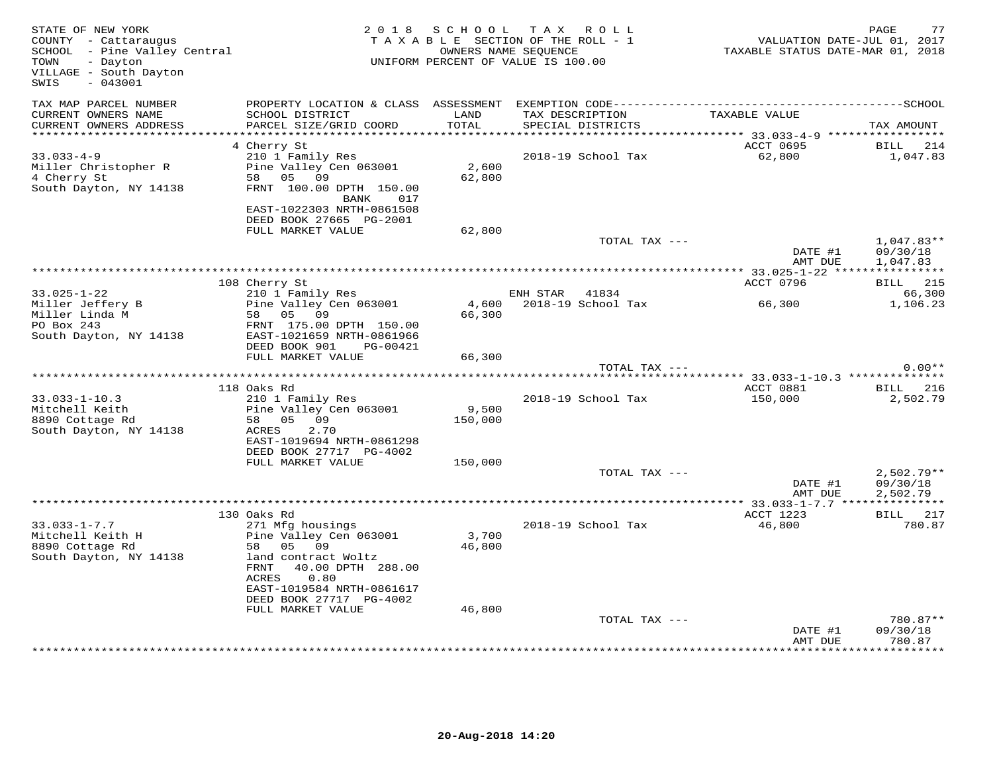| STATE OF NEW YORK<br>COUNTY - Cattaraugus<br>SCHOOL - Pine Valley Central<br>- Dayton<br>TOWN<br>VILLAGE - South Dayton<br>SWIS<br>$-043001$ |                                              | 2018 SCHOOL   | TAX ROLL<br>TAXABLE SECTION OF THE ROLL - 1<br>OWNERS NAME SEQUENCE<br>UNIFORM PERCENT OF VALUE IS 100.00 | <br>VALUATION DATE-JUL 01, 2017<br>TAXABLE STATUS DATE-MAR 01, 2018 | PAGE<br>77               |
|----------------------------------------------------------------------------------------------------------------------------------------------|----------------------------------------------|---------------|-----------------------------------------------------------------------------------------------------------|---------------------------------------------------------------------|--------------------------|
| TAX MAP PARCEL NUMBER                                                                                                                        |                                              |               |                                                                                                           |                                                                     |                          |
| CURRENT OWNERS NAME<br>CURRENT OWNERS ADDRESS                                                                                                | SCHOOL DISTRICT<br>PARCEL SIZE/GRID COORD    | LAND<br>TOTAL | TAX DESCRIPTION<br>SPECIAL DISTRICTS                                                                      | TAXABLE VALUE                                                       | TAX AMOUNT               |
| *************************                                                                                                                    |                                              |               |                                                                                                           |                                                                     |                          |
| $33.033 - 4 - 9$                                                                                                                             | 4 Cherry St<br>210 1 Family Res              |               | 2018-19 School Tax                                                                                        | ACCT 0695<br>62,800                                                 | BILL 214<br>1,047.83     |
| Miller Christopher R                                                                                                                         | Pine Valley Cen 063001                       | 2,600         |                                                                                                           |                                                                     |                          |
| 4 Cherry St                                                                                                                                  | 58 05 09                                     | 62,800        |                                                                                                           |                                                                     |                          |
| South Dayton, NY 14138                                                                                                                       | FRNT 100.00 DPTH 150.00                      |               |                                                                                                           |                                                                     |                          |
|                                                                                                                                              | BANK<br>017                                  |               |                                                                                                           |                                                                     |                          |
|                                                                                                                                              | EAST-1022303 NRTH-0861508                    |               |                                                                                                           |                                                                     |                          |
|                                                                                                                                              | DEED BOOK 27665 PG-2001                      |               |                                                                                                           |                                                                     |                          |
|                                                                                                                                              | FULL MARKET VALUE                            | 62,800        |                                                                                                           |                                                                     |                          |
|                                                                                                                                              |                                              |               |                                                                                                           | TOTAL TAX ---<br>DATE #1                                            | $1,047.83**$<br>09/30/18 |
|                                                                                                                                              |                                              |               |                                                                                                           | AMT DUE                                                             | 1,047.83                 |
|                                                                                                                                              | 108 Cherry St                                |               |                                                                                                           | ACCT 0796                                                           | <b>BILL</b> 215          |
| $33.025 - 1 - 22$                                                                                                                            | 210 1 Family Res                             |               | ENH STAR<br>41834                                                                                         |                                                                     | 66,300                   |
| Miller Jeffery B                                                                                                                             | Pine Valley Cen 063001                       | 4,600         | 2018-19 School Tax                                                                                        | 66,300                                                              | 1,106.23                 |
| Miller Linda M                                                                                                                               | 58 05 09                                     | 66,300        |                                                                                                           |                                                                     |                          |
| PO Box 243                                                                                                                                   | FRNT 175.00 DPTH 150.00                      |               |                                                                                                           |                                                                     |                          |
| South Dayton, NY 14138                                                                                                                       | EAST-1021659 NRTH-0861966                    |               |                                                                                                           |                                                                     |                          |
|                                                                                                                                              | DEED BOOK 901 PG-00421                       |               |                                                                                                           |                                                                     |                          |
|                                                                                                                                              | FULL MARKET VALUE                            | 66,300        |                                                                                                           |                                                                     |                          |
|                                                                                                                                              |                                              |               |                                                                                                           | TOTAL TAX ---                                                       | $0.00**$                 |
|                                                                                                                                              | 118 Oaks Rd                                  |               |                                                                                                           | ACCT 0881                                                           | BILL 216                 |
| $33.033 - 1 - 10.3$                                                                                                                          | 210 1 Family Res                             |               | 2018-19 School Tax                                                                                        | 150,000                                                             | 2,502.79                 |
| Mitchell Keith                                                                                                                               | Pine Valley Cen 063001                       | 9,500         |                                                                                                           |                                                                     |                          |
| 8890 Cottage Rd                                                                                                                              | 58 05 09                                     | 150,000       |                                                                                                           |                                                                     |                          |
| South Dayton, NY 14138                                                                                                                       | ACRES<br>2.70                                |               |                                                                                                           |                                                                     |                          |
|                                                                                                                                              | EAST-1019694 NRTH-0861298                    |               |                                                                                                           |                                                                     |                          |
|                                                                                                                                              | DEED BOOK 27717 PG-4002                      |               |                                                                                                           |                                                                     |                          |
|                                                                                                                                              | FULL MARKET VALUE                            | 150,000       |                                                                                                           |                                                                     |                          |
|                                                                                                                                              |                                              |               |                                                                                                           | TOTAL TAX ---                                                       | $2,502.79**$             |
|                                                                                                                                              |                                              |               |                                                                                                           | DATE #1<br>AMT DUE                                                  | 09/30/18<br>2,502.79     |
|                                                                                                                                              |                                              |               |                                                                                                           |                                                                     |                          |
|                                                                                                                                              | 130 Oaks Rd                                  |               |                                                                                                           | ACCT 1223                                                           | BILL 217                 |
| $33.033 - 1 - 7.7$                                                                                                                           | 271 Mfg housings                             |               | 2018-19 School Tax                                                                                        | 46,800                                                              | 780.87                   |
| Mitchell Keith H                                                                                                                             | Pine Valley Cen 063001                       | 3,700         |                                                                                                           |                                                                     |                          |
| 8890 Cottage Rd                                                                                                                              | 58 05 09                                     | 46,800        |                                                                                                           |                                                                     |                          |
| South Dayton, NY 14138                                                                                                                       | land contract Woltz                          |               |                                                                                                           |                                                                     |                          |
|                                                                                                                                              | FRNT<br>40.00 DPTH 288.00                    |               |                                                                                                           |                                                                     |                          |
|                                                                                                                                              | ACRES<br>0.80                                |               |                                                                                                           |                                                                     |                          |
|                                                                                                                                              | EAST-1019584 NRTH-0861617                    |               |                                                                                                           |                                                                     |                          |
|                                                                                                                                              | DEED BOOK 27717 PG-4002<br>FULL MARKET VALUE | 46,800        |                                                                                                           |                                                                     |                          |
|                                                                                                                                              |                                              |               |                                                                                                           | TOTAL TAX ---                                                       | 780.87**                 |
|                                                                                                                                              |                                              |               |                                                                                                           | DATE #1                                                             | 09/30/18                 |
|                                                                                                                                              |                                              |               |                                                                                                           | AMT DUE                                                             | 780.87                   |
|                                                                                                                                              |                                              |               |                                                                                                           |                                                                     |                          |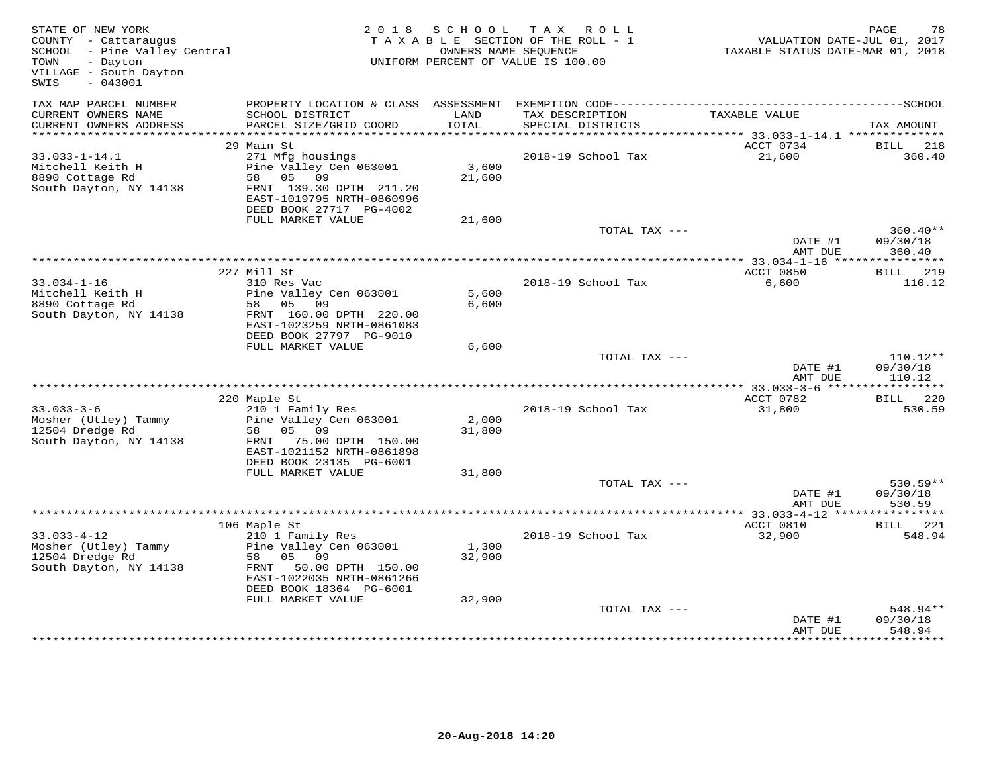| STATE OF NEW YORK<br>COUNTY - Cattaraugus<br>SCHOOL - Pine Valley Central<br>- Dayton<br>TOWN<br>VILLAGE - South Dayton<br>SWIS<br>$-043001$ | 2 0 1 8                                                                                                                                                    | S C H O O L     | TAX ROLL<br>TAXABLE SECTION OF THE ROLL - 1<br>OWNERS NAME SEQUENCE<br>UNIFORM PERCENT OF VALUE IS 100.00 | VALUATION DATE-JUL 01, 2017<br>TAXABLE STATUS DATE-MAR 01, 2018 | PAGE<br>78                       |
|----------------------------------------------------------------------------------------------------------------------------------------------|------------------------------------------------------------------------------------------------------------------------------------------------------------|-----------------|-----------------------------------------------------------------------------------------------------------|-----------------------------------------------------------------|----------------------------------|
| TAX MAP PARCEL NUMBER<br>CURRENT OWNERS NAME<br>CURRENT OWNERS ADDRESS                                                                       | SCHOOL DISTRICT<br>PARCEL SIZE/GRID COORD                                                                                                                  | LAND<br>TOTAL   | TAX DESCRIPTION<br>SPECIAL DISTRICTS                                                                      | TAXABLE VALUE                                                   | TAX AMOUNT                       |
|                                                                                                                                              |                                                                                                                                                            |                 |                                                                                                           |                                                                 |                                  |
| $33.033 - 1 - 14.1$<br>Mitchell Keith H<br>8890 Cottage Rd<br>South Dayton, NY 14138                                                         | 29 Main St<br>271 Mfg housings<br>Pine Valley Cen 063001<br>05 09<br>58<br>FRNT 139.30 DPTH 211.20<br>EAST-1019795 NRTH-0860996<br>DEED BOOK 27717 PG-4002 | 3,600<br>21,600 | 2018-19 School Tax                                                                                        | ACCT 0734<br>21,600                                             | BILL<br>218<br>360.40            |
|                                                                                                                                              | FULL MARKET VALUE                                                                                                                                          | 21,600          |                                                                                                           |                                                                 |                                  |
|                                                                                                                                              |                                                                                                                                                            |                 | TOTAL TAX ---                                                                                             | DATE #1<br>AMT DUE                                              | $360.40**$<br>09/30/18<br>360.40 |
|                                                                                                                                              |                                                                                                                                                            |                 | *********************************                                                                         | **** 33.034-1-16 *****                                          | ***********                      |
| $33.034 - 1 - 16$<br>Mitchell Keith H<br>8890 Cottage Rd<br>South Dayton, NY 14138                                                           | 227 Mill St<br>310 Res Vac<br>Pine Valley Cen 063001<br>58 05 09<br>FRNT 160.00 DPTH 220.00<br>EAST-1023259 NRTH-0861083<br>DEED BOOK 27797 PG-9010        | 5,600<br>6,600  | 2018-19 School Tax                                                                                        | ACCT 0850<br>6,600                                              | BILL 219<br>110.12               |
|                                                                                                                                              | FULL MARKET VALUE                                                                                                                                          | 6,600           |                                                                                                           |                                                                 |                                  |
|                                                                                                                                              |                                                                                                                                                            |                 | TOTAL TAX ---                                                                                             | DATE #1<br>AMT DUE                                              | $110.12**$<br>09/30/18<br>110.12 |
|                                                                                                                                              |                                                                                                                                                            |                 |                                                                                                           |                                                                 |                                  |
| $33.033 - 3 - 6$<br>Mosher (Utley) Tammy<br>12504 Dredge Rd<br>South Dayton, NY 14138                                                        | 220 Maple St<br>210 1 Family Res<br>Pine Valley Cen 063001<br>05 09<br>58<br>75.00 DPTH 150.00<br>FRNT                                                     | 2,000<br>31,800 | 2018-19 School Tax                                                                                        | ACCT 0782<br>31,800                                             | BILL 220<br>530.59               |
|                                                                                                                                              | EAST-1021152 NRTH-0861898<br>DEED BOOK 23135 PG-6001<br>FULL MARKET VALUE                                                                                  | 31,800          |                                                                                                           |                                                                 |                                  |
|                                                                                                                                              |                                                                                                                                                            |                 | TOTAL TAX ---                                                                                             | DATE #1<br>AMT DUE                                              | $530.59**$<br>09/30/18<br>530.59 |
|                                                                                                                                              |                                                                                                                                                            |                 |                                                                                                           |                                                                 |                                  |
|                                                                                                                                              | 106 Maple St                                                                                                                                               |                 |                                                                                                           | ACCT 0810                                                       | <b>BILL</b> 221                  |
| $33.033 - 4 - 12$<br>Mosher (Utley) Tammy<br>12504 Dredge Rd<br>South Dayton, NY 14138                                                       | 210 1 Family Res<br>Pine Valley Cen 063001<br>58<br>05 09<br>50.00 DPTH 150.00<br>FRNT<br>EAST-1022035 NRTH-0861266<br>DEED BOOK 18364 PG-6001             | 1,300<br>32,900 | 2018-19 School Tax                                                                                        | 32,900                                                          | 548.94                           |
|                                                                                                                                              | FULL MARKET VALUE                                                                                                                                          | 32,900          | TOTAL TAX ---                                                                                             | DATE #1                                                         | 548.94**<br>09/30/18             |
|                                                                                                                                              |                                                                                                                                                            |                 |                                                                                                           | AMT DUE                                                         | 548.94                           |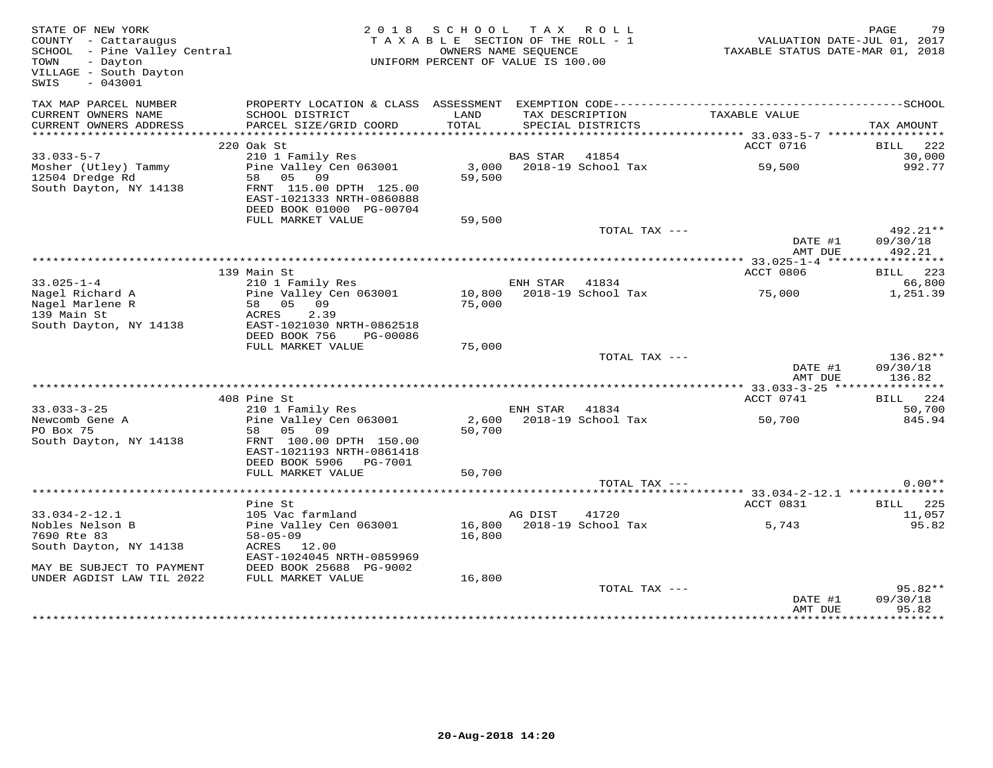| STATE OF NEW YORK<br>COUNTY - Cattaraugus<br>SCHOOL - Pine Valley Central<br>- Dayton<br>TOWN<br>VILLAGE - South Dayton<br>$-043001$<br>SWIS |                                                                                               | 2018 SCHOOL TAX ROLL<br>TAXABLE SECTION OF THE ROLL - 1<br>UNIFORM PERCENT OF VALUE IS 100.00 | OWNERS NAME SEQUENCE |                                      | VALUATION DATE-JUL 01, 2017<br>TAXABLE STATUS DATE-MAR 01, 2018 | PAGE<br>79           |
|----------------------------------------------------------------------------------------------------------------------------------------------|-----------------------------------------------------------------------------------------------|-----------------------------------------------------------------------------------------------|----------------------|--------------------------------------|-----------------------------------------------------------------|----------------------|
| TAX MAP PARCEL NUMBER                                                                                                                        |                                                                                               |                                                                                               |                      |                                      |                                                                 |                      |
| CURRENT OWNERS NAME<br>CURRENT OWNERS ADDRESS                                                                                                | SCHOOL DISTRICT<br>PARCEL SIZE/GRID COORD                                                     | LAND<br>TOTAL                                                                                 |                      | TAX DESCRIPTION<br>SPECIAL DISTRICTS | TAXABLE VALUE                                                   | TAX AMOUNT           |
| **********************                                                                                                                       |                                                                                               |                                                                                               |                      |                                      |                                                                 |                      |
| $33.033 - 5 - 7$                                                                                                                             | 220 Oak St                                                                                    |                                                                                               | BAS STAR 41854       |                                      | ACCT 0716                                                       | BILL 222<br>30,000   |
| Mosher (Utley) Tammy                                                                                                                         | 210 1 Family Res<br>Pine Valley Cen 063001                                                    |                                                                                               |                      | 3,000 2018-19 School Tax             | 59,500                                                          | 992.77               |
| 12504 Dredge Rd<br>South Dayton, NY 14138                                                                                                    | 58 05 09<br>FRNT 115.00 DPTH 125.00<br>EAST-1021333 NRTH-0860888                              | 59,500                                                                                        |                      |                                      |                                                                 |                      |
|                                                                                                                                              | DEED BOOK 01000 PG-00704<br>FULL MARKET VALUE                                                 | 59,500                                                                                        |                      |                                      |                                                                 |                      |
|                                                                                                                                              |                                                                                               |                                                                                               |                      | TOTAL TAX ---                        |                                                                 | 492.21**             |
|                                                                                                                                              |                                                                                               |                                                                                               |                      |                                      | DATE #1<br>AMT DUE                                              | 09/30/18<br>492.21   |
|                                                                                                                                              |                                                                                               |                                                                                               |                      |                                      |                                                                 |                      |
|                                                                                                                                              | 139 Main St                                                                                   |                                                                                               |                      |                                      | ACCT 0806                                                       | BILL 223             |
| $33.025 - 1 - 4$<br>Nagel Richard A                                                                                                          | 210 1 Family Res<br>Pine Valley Cen 063001                                                    |                                                                                               | ENH STAR 41834       | 10,800 2018-19 School Tax            | 75,000                                                          | 66,800<br>1,251.39   |
| Nagel Marlene R                                                                                                                              | 58 05 09                                                                                      | 75,000                                                                                        |                      |                                      |                                                                 |                      |
| 139 Main St                                                                                                                                  | 2.39<br>ACRES                                                                                 |                                                                                               |                      |                                      |                                                                 |                      |
| South Dayton, NY 14138                                                                                                                       | EAST-1021030 NRTH-0862518                                                                     |                                                                                               |                      |                                      |                                                                 |                      |
|                                                                                                                                              | DEED BOOK 756<br>PG-00086                                                                     |                                                                                               |                      |                                      |                                                                 |                      |
|                                                                                                                                              | FULL MARKET VALUE                                                                             | 75,000                                                                                        |                      |                                      |                                                                 |                      |
|                                                                                                                                              |                                                                                               |                                                                                               |                      | TOTAL TAX ---                        | DATE #1                                                         | 136.82**<br>09/30/18 |
|                                                                                                                                              |                                                                                               |                                                                                               |                      |                                      | AMT DUE                                                         | 136.82               |
|                                                                                                                                              |                                                                                               |                                                                                               |                      |                                      |                                                                 |                      |
|                                                                                                                                              | 408 Pine St                                                                                   |                                                                                               |                      |                                      | ACCT 0741                                                       | BILL 224             |
| $33.033 - 3 - 25$                                                                                                                            | 210 1 Family Res                                                                              |                                                                                               | ENH STAR 41834       |                                      |                                                                 | 50,700               |
| Newcomb Gene A                                                                                                                               | Pine Valley Cen 063001                                                                        |                                                                                               |                      | 2,600 2018-19 School Tax             | 50,700                                                          | 845.94               |
| PO Box 75<br>South Dayton, NY 14138                                                                                                          | 58 05 09<br>FRNT 100.00 DPTH 150.00<br>EAST-1021193 NRTH-0861418<br>DEED BOOK 5906    PG-7001 | 50,700                                                                                        |                      |                                      |                                                                 |                      |
|                                                                                                                                              | FULL MARKET VALUE                                                                             | 50,700                                                                                        |                      |                                      |                                                                 |                      |
|                                                                                                                                              |                                                                                               |                                                                                               |                      | TOTAL TAX ---                        |                                                                 | $0.00**$             |
|                                                                                                                                              |                                                                                               |                                                                                               |                      |                                      |                                                                 |                      |
|                                                                                                                                              | Pine St                                                                                       |                                                                                               |                      |                                      | ACCT 0831                                                       | <b>BILL</b> 225      |
| $33.034 - 2 - 12.1$                                                                                                                          | 105 Vac farmland<br>Pine Valley Cen 063001                                                    |                                                                                               | AG DIST              | 41720<br>16,800 2018-19 School Tax   | 5,743                                                           | 11,057<br>95.82      |
| Nobles Nelson B<br>7690 Rte 83                                                                                                               | $58 - 05 - 09$                                                                                | 16,800                                                                                        |                      |                                      |                                                                 |                      |
| South Dayton, NY 14138                                                                                                                       | ACRES 12.00                                                                                   |                                                                                               |                      |                                      |                                                                 |                      |
|                                                                                                                                              | EAST-1024045 NRTH-0859969                                                                     |                                                                                               |                      |                                      |                                                                 |                      |
| MAY BE SUBJECT TO PAYMENT                                                                                                                    | DEED BOOK 25688 PG-9002                                                                       |                                                                                               |                      |                                      |                                                                 |                      |
| UNDER AGDIST LAW TIL 2022                                                                                                                    | FULL MARKET VALUE                                                                             | 16,800                                                                                        |                      |                                      |                                                                 |                      |
|                                                                                                                                              |                                                                                               |                                                                                               |                      | TOTAL TAX ---                        |                                                                 | 95.82**              |
|                                                                                                                                              |                                                                                               |                                                                                               |                      |                                      | DATE #1                                                         | 09/30/18<br>95.82    |
|                                                                                                                                              |                                                                                               |                                                                                               |                      |                                      | AMT DUE                                                         |                      |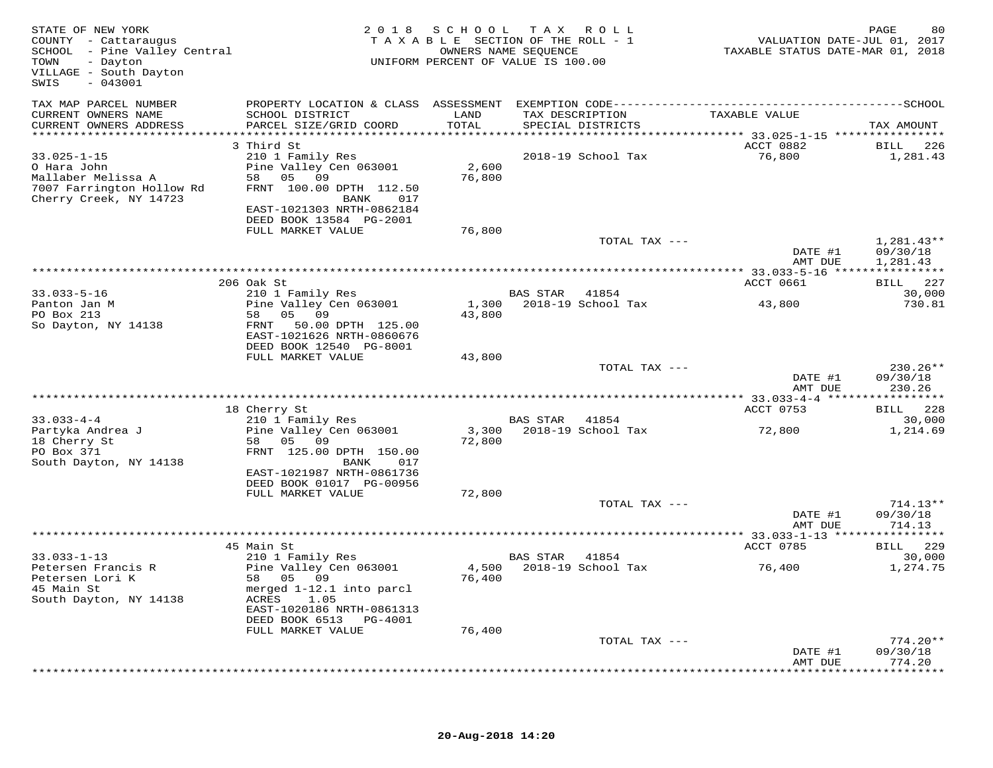| STATE OF NEW YORK<br>COUNTY - Cattaraugus<br>SCHOOL - Pine Valley Central<br>- Dayton<br>TOWN<br>VILLAGE - South Dayton<br>$-043001$<br>SWIS |                                                                                               |                 | 2018 SCHOOL TAX ROLL<br>TAXABLE SECTION OF THE ROLL - 1<br>OWNERS NAME SEQUENCE<br>UNIFORM PERCENT OF VALUE IS 100.00 | VALUATION DATE-JUL 01, 2017<br>TAXABLE STATUS DATE-MAR 01, 2018 | 80<br>PAGE                       |
|----------------------------------------------------------------------------------------------------------------------------------------------|-----------------------------------------------------------------------------------------------|-----------------|-----------------------------------------------------------------------------------------------------------------------|-----------------------------------------------------------------|----------------------------------|
| TAX MAP PARCEL NUMBER<br>CURRENT OWNERS NAME                                                                                                 | SCHOOL DISTRICT                                                                               | LAND            | TAX DESCRIPTION                                                                                                       | TAXABLE VALUE                                                   |                                  |
| CURRENT OWNERS ADDRESS                                                                                                                       | PARCEL SIZE/GRID COORD                                                                        | TOTAL           | SPECIAL DISTRICTS                                                                                                     |                                                                 | TAX AMOUNT                       |
|                                                                                                                                              | 3 Third St                                                                                    |                 |                                                                                                                       | ACCT 0882                                                       | 226<br>BILL                      |
| $33.025 - 1 - 15$<br>O Hara John<br>Mallaber Melissa A<br>7007 Farrington Hollow Rd<br>Cherry Creek, NY 14723                                | 210 1 Family Res<br>Pine Valley Cen 063001<br>58 05 09<br>FRNT 100.00 DPTH 112.50<br>BANK 017 | 2,600<br>76,800 | 2018-19 School Tax                                                                                                    | 76,800                                                          | 1,281.43                         |
|                                                                                                                                              | EAST-1021303 NRTH-0862184<br>DEED BOOK 13584 PG-2001<br>FULL MARKET VALUE                     | 76,800          |                                                                                                                       |                                                                 |                                  |
|                                                                                                                                              |                                                                                               |                 | TOTAL TAX ---                                                                                                         |                                                                 | $1,281.43**$                     |
|                                                                                                                                              |                                                                                               |                 |                                                                                                                       | DATE #1<br>AMT DUE                                              | 09/30/18<br>1,281.43             |
|                                                                                                                                              |                                                                                               |                 |                                                                                                                       | ACCT 0661                                                       | BILL 227                         |
| $33.033 - 5 - 16$                                                                                                                            | 206 Oak St<br>210 1 Family Res                                                                |                 | BAS STAR 41854                                                                                                        |                                                                 | 30,000                           |
| Panton Jan M                                                                                                                                 | Pine Valley Cen 063001                                                                        | 1,300           | 2018-19 School Tax                                                                                                    | 43,800                                                          | 730.81                           |
| PO Box 213<br>So Dayton, NY 14138                                                                                                            | 58 05 09<br>FRNT 50.00 DPTH 125.00<br>EAST-1021626 NRTH-0860676<br>DEED BOOK 12540 PG-8001    | 43,800          |                                                                                                                       |                                                                 |                                  |
|                                                                                                                                              | FULL MARKET VALUE                                                                             | 43,800          |                                                                                                                       |                                                                 |                                  |
|                                                                                                                                              |                                                                                               |                 | TOTAL TAX ---                                                                                                         | DATE #1<br>AMT DUE                                              | $230.26**$<br>09/30/18<br>230.26 |
|                                                                                                                                              |                                                                                               |                 |                                                                                                                       |                                                                 |                                  |
| $33.033 - 4 - 4$                                                                                                                             | 18 Cherry St<br>210 1 Family Res                                                              |                 | 41854<br>BAS STAR                                                                                                     | ACCT 0753                                                       | BILL 228<br>30,000               |
| Partyka Andrea J                                                                                                                             | Pine Valley Cen 063001                                                                        |                 | 3,300 2018-19 School Tax                                                                                              | 72,800                                                          | 1,214.69                         |
| 18 Cherry St<br>PO Box 371<br>South Dayton, NY 14138                                                                                         | 58 05 09<br>FRNT 125.00 DPTH 150.00<br>BANK<br>017                                            | 72,800          |                                                                                                                       |                                                                 |                                  |
|                                                                                                                                              | EAST-1021987 NRTH-0861736<br>DEED BOOK 01017 PG-00956                                         |                 |                                                                                                                       |                                                                 |                                  |
|                                                                                                                                              | FULL MARKET VALUE                                                                             | 72,800          |                                                                                                                       |                                                                 |                                  |
|                                                                                                                                              |                                                                                               |                 | TOTAL TAX ---                                                                                                         | DATE #1                                                         | $714.13**$<br>09/30/18           |
|                                                                                                                                              |                                                                                               |                 |                                                                                                                       | AMT DUE                                                         | 714.13                           |
|                                                                                                                                              | 45 Main St                                                                                    |                 |                                                                                                                       | ACCT 0785                                                       | BILL 229                         |
| $33.033 - 1 - 13$<br>Petersen Francis R                                                                                                      | 210 1 Family Res<br>Pine Valley Cen 063001                                                    | 4,500           | BAS STAR<br>41854<br>2018-19 School Tax                                                                               | 76,400                                                          | 30,000<br>1,274.75               |
| Petersen Lori K<br>45 Main St<br>South Dayton, NY 14138                                                                                      | 58 05 09<br>merged 1-12.1 into parcl<br>ACRES<br>1.05<br>EAST-1020186 NRTH-0861313            | 76,400          |                                                                                                                       |                                                                 |                                  |
|                                                                                                                                              | DEED BOOK 6513 PG-4001<br>FULL MARKET VALUE                                                   | 76,400          |                                                                                                                       |                                                                 |                                  |
|                                                                                                                                              |                                                                                               |                 | TOTAL TAX ---                                                                                                         |                                                                 | $774.20**$                       |
|                                                                                                                                              |                                                                                               |                 |                                                                                                                       | DATE #1<br>AMT DUE                                              | 09/30/18<br>774.20               |
|                                                                                                                                              | *****************************                                                                 |                 |                                                                                                                       |                                                                 |                                  |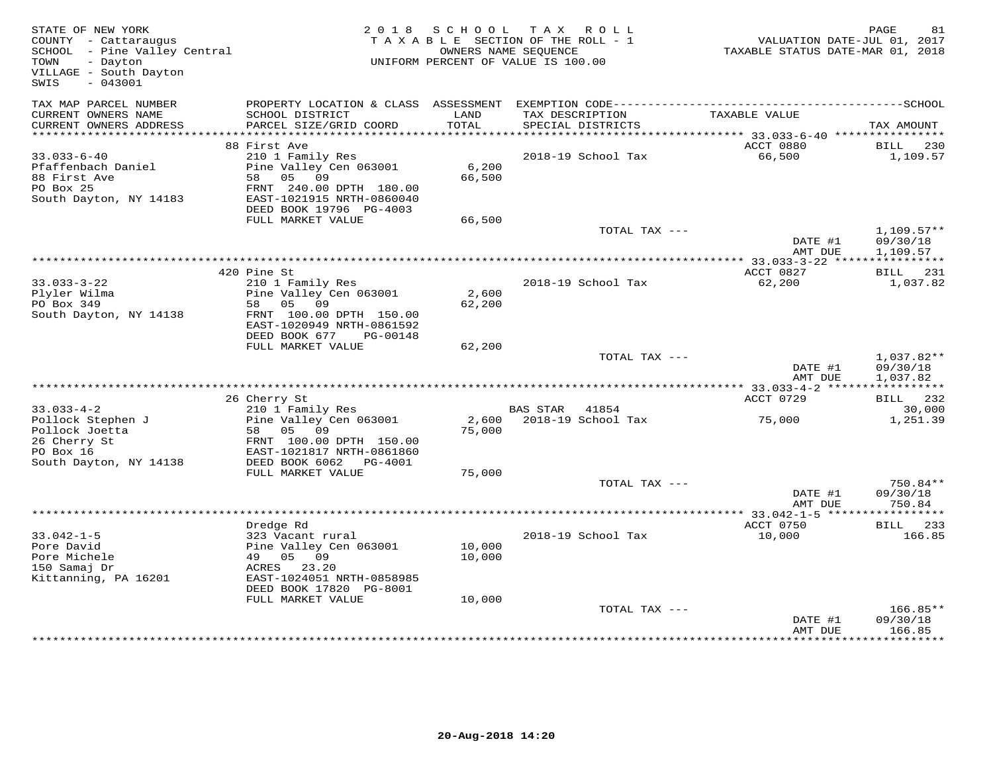| STATE OF NEW YORK<br>COUNTY - Cattaraugus<br>SCHOOL - Pine Valley Central<br>TOWN<br>- Dayton<br>VILLAGE - South Dayton<br>SWIS<br>$-043001$ |                                                                                                                       | 2018 SCHOOL     | TAX ROLL<br>TAXABLE SECTION OF THE ROLL - 1<br>OWNERS NAME SEOUENCE<br>UNIFORM PERCENT OF VALUE IS 100.00 | VALUATION DATE-JUL 01, 2017<br>TAXABLE STATUS DATE-MAR 01, 2018 | PAGE<br>81                           |
|----------------------------------------------------------------------------------------------------------------------------------------------|-----------------------------------------------------------------------------------------------------------------------|-----------------|-----------------------------------------------------------------------------------------------------------|-----------------------------------------------------------------|--------------------------------------|
| TAX MAP PARCEL NUMBER<br>CURRENT OWNERS NAME                                                                                                 | PROPERTY LOCATION & CLASS ASSESSMENT EXEMPTION CODE-----------------------------------SCHOOL<br>SCHOOL DISTRICT       | LAND            | TAX DESCRIPTION                                                                                           | TAXABLE VALUE                                                   |                                      |
| CURRENT OWNERS ADDRESS                                                                                                                       | PARCEL SIZE/GRID COORD                                                                                                | TOTAL           | SPECIAL DISTRICTS                                                                                         |                                                                 | TAX AMOUNT                           |
|                                                                                                                                              | 88 First Ave                                                                                                          |                 |                                                                                                           | ACCT 0880                                                       | BILL<br>230                          |
| $33.033 - 6 - 40$                                                                                                                            | 210 1 Family Res                                                                                                      |                 | 2018-19 School Tax                                                                                        | 66,500                                                          | 1,109.57                             |
| Pfaffenbach Daniel<br>88 First Ave<br>PO Box 25<br>South Dayton, NY 14183                                                                    | Pine Valley Cen 063001<br>58 05 09<br>FRNT 240.00 DPTH 180.00<br>EAST-1021915 NRTH-0860040<br>DEED BOOK 19796 PG-4003 | 6,200<br>66,500 |                                                                                                           |                                                                 |                                      |
|                                                                                                                                              | FULL MARKET VALUE                                                                                                     | 66,500          |                                                                                                           |                                                                 |                                      |
|                                                                                                                                              |                                                                                                                       |                 | TOTAL TAX ---                                                                                             | DATE #1                                                         | $1,109.57**$<br>09/30/18             |
|                                                                                                                                              |                                                                                                                       |                 |                                                                                                           | AMT DUE                                                         | 1,109.57                             |
|                                                                                                                                              | 420 Pine St                                                                                                           |                 |                                                                                                           | ACCT 0827                                                       | BILL 231                             |
| $33.033 - 3 - 22$<br>Plyler Wilma<br>210                                                                                                     | 210 1 Family Res<br>Pine Valley Cen 063001<br>58 05 09                                                                | 2,600<br>62,200 | 2018-19 School Tax                                                                                        | 62,200                                                          | 1,037.82                             |
| South Dayton, NY 14138                                                                                                                       | FRNT 100.00 DPTH 150.00<br>EAST-1020949 NRTH-0861592<br>DEED BOOK 677<br>PG-00148                                     |                 |                                                                                                           |                                                                 |                                      |
|                                                                                                                                              | FULL MARKET VALUE                                                                                                     | 62,200          |                                                                                                           |                                                                 |                                      |
|                                                                                                                                              |                                                                                                                       |                 | TOTAL TAX ---                                                                                             | DATE #1<br>AMT DUE                                              | $1,037.82**$<br>09/30/18<br>1,037.82 |
|                                                                                                                                              | 26 Cherry St                                                                                                          |                 |                                                                                                           | ACCT 0729                                                       | BILL 232                             |
| $33.033 - 4 - 2$                                                                                                                             | 210 1 Family Res                                                                                                      |                 | BAS STAR 41854                                                                                            |                                                                 | 30,000                               |
| Pollock Stephen J<br>Pollock Joetta                                                                                                          | Pine Valley Cen 063001<br>58 05 09                                                                                    | 75,000          | 2,600 2018-19 School Tax                                                                                  | 75,000                                                          | 1,251.39                             |
| 26 Cherry St<br>PO Box 16                                                                                                                    | FRNT 100.00 DPTH 150.00<br>EAST-1021817 NRTH-0861860                                                                  |                 |                                                                                                           |                                                                 |                                      |
| South Dayton, NY 14138                                                                                                                       | DEED BOOK 6062 PG-4001<br>FULL MARKET VALUE                                                                           | 75,000          |                                                                                                           |                                                                 |                                      |
|                                                                                                                                              |                                                                                                                       |                 | TOTAL TAX ---                                                                                             |                                                                 | 750.84**                             |
|                                                                                                                                              |                                                                                                                       |                 |                                                                                                           | DATE #1<br>AMT DUE                                              | 09/30/18<br>750.84                   |
|                                                                                                                                              |                                                                                                                       |                 |                                                                                                           | ***************** 33.042-1-5 *****                              | * * * * * * * * * * *                |
| $33.042 - 1 - 5$                                                                                                                             | Dredge Rd                                                                                                             |                 |                                                                                                           | ACCT 0750                                                       | BILL 233<br>166.85                   |
| Pore David                                                                                                                                   | 323 Vacant rural<br>Pine Valley Cen 063001                                                                            | 10,000          | 2018-19 School Tax                                                                                        | 10,000                                                          |                                      |
| Pore Michele                                                                                                                                 | 49 05 09                                                                                                              | 10,000          |                                                                                                           |                                                                 |                                      |
| 150 Samaj Dr                                                                                                                                 | ACRES 23.20                                                                                                           |                 |                                                                                                           |                                                                 |                                      |
| Kittanning, PA 16201                                                                                                                         | EAST-1024051 NRTH-0858985<br>DEED BOOK 17820 PG-8001                                                                  |                 |                                                                                                           |                                                                 |                                      |
|                                                                                                                                              | FULL MARKET VALUE                                                                                                     | 10,000          |                                                                                                           |                                                                 |                                      |
|                                                                                                                                              |                                                                                                                       |                 | TOTAL TAX ---                                                                                             | DATE #1<br>AMT DUE                                              | 166.85**<br>09/30/18<br>166.85       |
|                                                                                                                                              |                                                                                                                       |                 |                                                                                                           |                                                                 |                                      |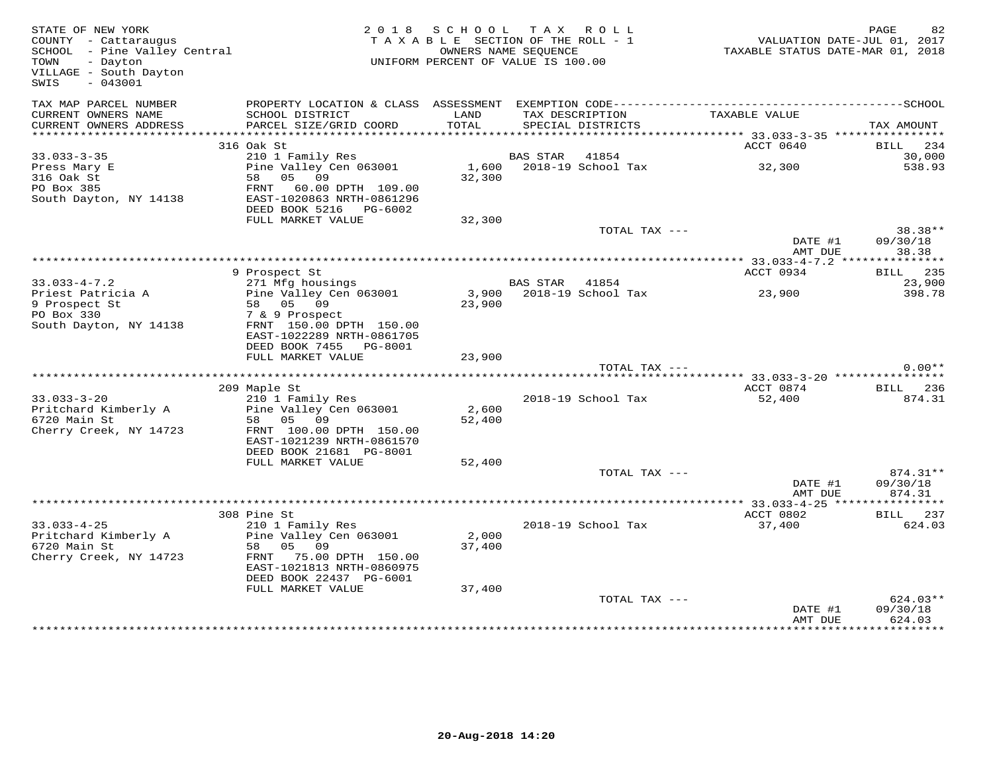| STATE OF NEW YORK<br>COUNTY - Cattaraugus<br>SCHOOL - Pine Valley Central<br>TOWN<br>- Dayton<br>VILLAGE - South Dayton<br>$-043001$<br>SWIS |                                                                                                                                             | 2018 SCHOOL TAX ROLL<br>TAXABLE SECTION OF THE ROLL - 1<br>OWNERS NAME SEQUENCE<br>UNIFORM PERCENT OF VALUE IS 100.00 |                |                          | VALUATION DATE-JUL 01, 2017<br>TAXABLE STATUS DATE-MAR 01, 2018 | PAGE<br>82                     |
|----------------------------------------------------------------------------------------------------------------------------------------------|---------------------------------------------------------------------------------------------------------------------------------------------|-----------------------------------------------------------------------------------------------------------------------|----------------|--------------------------|-----------------------------------------------------------------|--------------------------------|
| TAX MAP PARCEL NUMBER<br>CURRENT OWNERS NAME                                                                                                 | SCHOOL DISTRICT                                                                                                                             | LAND                                                                                                                  |                | TAX DESCRIPTION          | TAXABLE VALUE                                                   |                                |
| CURRENT OWNERS ADDRESS<br>***********************                                                                                            | PARCEL SIZE/GRID COORD                                                                                                                      | TOTAL                                                                                                                 |                | SPECIAL DISTRICTS        |                                                                 | TAX AMOUNT                     |
|                                                                                                                                              | 316 Oak St                                                                                                                                  |                                                                                                                       |                |                          | ACCT 0640                                                       | BILL 234                       |
| $33.033 - 3 - 35$                                                                                                                            | 210 1 Family Res                                                                                                                            |                                                                                                                       | BAS STAR 41854 |                          |                                                                 | 30,000                         |
| Press Mary E<br>316 Oak St<br>PO Box 385<br>South Dayton, NY 14138                                                                           | Pine Valley Cen 063001<br>58 05 09<br>FRNT 60.00 DPTH 109.00<br>EAST-1020863 NRTH-0861296<br>DEED BOOK 5216 PG-6002                         | 32,300                                                                                                                |                | 1,600 2018-19 School Tax | 32,300                                                          | 538.93                         |
|                                                                                                                                              | FULL MARKET VALUE                                                                                                                           | 32,300                                                                                                                |                |                          |                                                                 |                                |
|                                                                                                                                              |                                                                                                                                             |                                                                                                                       |                | TOTAL TAX ---            | DATE #1                                                         | 38.38**<br>09/30/18            |
|                                                                                                                                              |                                                                                                                                             |                                                                                                                       |                |                          | AMT DUE                                                         | 38.38                          |
|                                                                                                                                              | 9 Prospect St                                                                                                                               |                                                                                                                       |                |                          | ACCT 0934                                                       | <b>BILL</b> 235                |
| $33.033 - 4 - 7.2$                                                                                                                           | 271 Mfg housings                                                                                                                            |                                                                                                                       | BAS STAR 41854 |                          |                                                                 | 23,900                         |
| Priest Patricia A<br>9 Prospect St<br>PO Box 330<br>South Dayton, NY 14138                                                                   | Pine Valley Cen 063001<br>58 05 09<br>7 & 9 Prospect<br>FRNT 150.00 DPTH 150.00<br>EAST-1022289 NRTH-0861705                                | 3,900<br>23,900                                                                                                       |                | 2018-19 School Tax       | 23,900                                                          | 398.78                         |
|                                                                                                                                              | DEED BOOK 7455 PG-8001<br>FULL MARKET VALUE                                                                                                 | 23,900                                                                                                                |                |                          |                                                                 |                                |
|                                                                                                                                              |                                                                                                                                             |                                                                                                                       |                | TOTAL TAX ---            |                                                                 | $0.00**$                       |
|                                                                                                                                              | 209 Maple St                                                                                                                                |                                                                                                                       |                |                          | ACCT 0874                                                       | BILL 236                       |
| $33.033 - 3 - 20$                                                                                                                            | 210 1 Family Res                                                                                                                            |                                                                                                                       |                | 2018-19 School Tax       | 52,400                                                          | 874.31                         |
| Pritchard Kimberly A<br>6720 Main St<br>Cherry Creek, NY 14723                                                                               | Pine Valley Cen 063001<br>58 05 09<br>FRNT 100.00 DPTH 150.00<br>EAST-1021239 NRTH-0861570<br>DEED BOOK 21681 PG-8001                       | 2,600<br>52,400                                                                                                       |                |                          |                                                                 |                                |
|                                                                                                                                              | FULL MARKET VALUE                                                                                                                           | 52,400                                                                                                                |                |                          |                                                                 |                                |
|                                                                                                                                              |                                                                                                                                             |                                                                                                                       |                | TOTAL TAX ---            | DATE #1<br>AMT DUE                                              | 874.31**<br>09/30/18<br>874.31 |
|                                                                                                                                              |                                                                                                                                             |                                                                                                                       |                |                          |                                                                 |                                |
|                                                                                                                                              | 308 Pine St                                                                                                                                 |                                                                                                                       |                |                          | ACCT 0802                                                       | BILL 237                       |
| $33.033 - 4 - 25$<br>Pritchard Kimberly A<br>6720 Main St<br>Cherry Creek, NY 14723                                                          | 210 1 Family Res<br>Pine Valley Cen 063001<br>58 05 09<br>75.00 DPTH 150.00<br>FRNT<br>EAST-1021813 NRTH-0860975<br>DEED BOOK 22437 PG-6001 | 2,000<br>37,400                                                                                                       |                | 2018-19 School Tax       | 37,400                                                          | 624.03                         |
|                                                                                                                                              | FULL MARKET VALUE                                                                                                                           | 37,400                                                                                                                |                | TOTAL TAX ---            | DATE #1<br>AMT DUE                                              | 624.03**<br>09/30/18<br>624.03 |
|                                                                                                                                              |                                                                                                                                             |                                                                                                                       |                |                          |                                                                 |                                |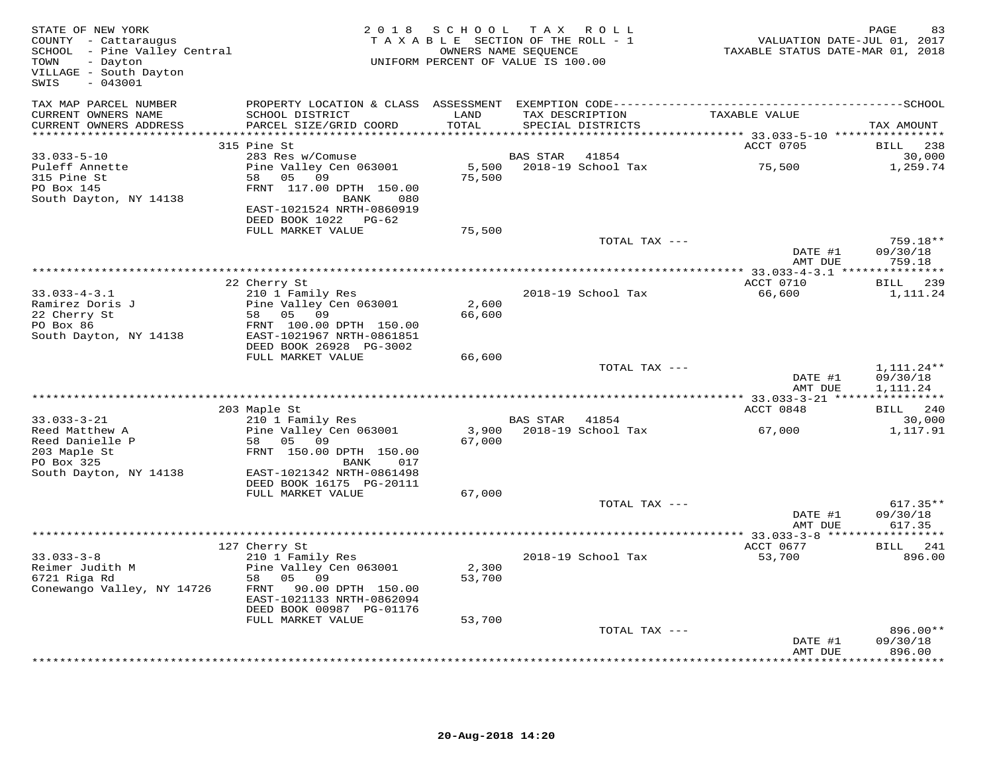| STATE OF NEW YORK<br>COUNTY - Cattaraugus<br>SCHOOL - Pine Valley Central<br>TOWN<br>- Dayton<br>VILLAGE - South Dayton<br>$-043001$<br>SWIS |                                                                                              | 2018 SCHOOL<br>TAXABLE SECTION OF THE ROLL - 1<br>UNIFORM PERCENT OF VALUE IS 100.00 | TAX ROLL<br>OWNERS NAME SEQUENCE |                                      | VALUATION DATE-JUL 01, 2017<br>TAXABLE STATUS DATE-MAR 01, 2018 | PAGE<br>83                           |
|----------------------------------------------------------------------------------------------------------------------------------------------|----------------------------------------------------------------------------------------------|--------------------------------------------------------------------------------------|----------------------------------|--------------------------------------|-----------------------------------------------------------------|--------------------------------------|
| TAX MAP PARCEL NUMBER                                                                                                                        | PROPERTY LOCATION & CLASS ASSESSMENT EXEMPTION CODE-----------------------------------SCHOOL |                                                                                      |                                  |                                      |                                                                 |                                      |
| CURRENT OWNERS NAME<br>CURRENT OWNERS ADDRESS                                                                                                | SCHOOL DISTRICT<br>PARCEL SIZE/GRID COORD                                                    | LAND<br>TOTAL                                                                        |                                  | TAX DESCRIPTION<br>SPECIAL DISTRICTS | TAXABLE VALUE                                                   | TAX AMOUNT                           |
|                                                                                                                                              | 315 Pine St                                                                                  |                                                                                      |                                  |                                      | ACCT 0705                                                       | BILL 238                             |
| 33.033-5-10                                                                                                                                  | 283 Res w/Comuse                                                                             |                                                                                      | BAS STAR                         | 41854                                |                                                                 | 30,000                               |
| Puleff Annette                                                                                                                               | Pine Valley Cen 063001                                                                       |                                                                                      |                                  | 5,500 2018-19 School Tax             | 75,500                                                          | 1,259.74                             |
| 315 Pine St                                                                                                                                  | 58 05 09                                                                                     | 75,500                                                                               |                                  |                                      |                                                                 |                                      |
| PO Box 145                                                                                                                                   | FRNT 117.00 DPTH 150.00                                                                      |                                                                                      |                                  |                                      |                                                                 |                                      |
| South Dayton, NY 14138                                                                                                                       | BANK<br>080<br>EAST-1021524 NRTH-0860919                                                     |                                                                                      |                                  |                                      |                                                                 |                                      |
|                                                                                                                                              | DEED BOOK 1022 PG-62                                                                         |                                                                                      |                                  |                                      |                                                                 |                                      |
|                                                                                                                                              | FULL MARKET VALUE                                                                            | 75,500                                                                               |                                  |                                      |                                                                 |                                      |
|                                                                                                                                              |                                                                                              |                                                                                      |                                  | TOTAL TAX ---                        |                                                                 | 759.18**                             |
|                                                                                                                                              |                                                                                              |                                                                                      |                                  |                                      | DATE #1<br>AMT DUE                                              | 09/30/18<br>759.18                   |
|                                                                                                                                              |                                                                                              |                                                                                      |                                  |                                      |                                                                 |                                      |
|                                                                                                                                              | 22 Cherry St                                                                                 |                                                                                      |                                  |                                      | ACCT 0710                                                       | BILL 239                             |
| $33.033 - 4 - 3.1$                                                                                                                           | 210 1 Family Res                                                                             |                                                                                      |                                  | 2018-19 School Tax                   | 66,600                                                          | 1,111.24                             |
| Ramirez Doris J<br>22 Cherry St                                                                                                              | Pine Valley Cen 063001                                                                       | 2,600<br>66,600                                                                      |                                  |                                      |                                                                 |                                      |
| PO Box 86                                                                                                                                    | 58 05 09<br>FRNT 100.00 DPTH 150.00                                                          |                                                                                      |                                  |                                      |                                                                 |                                      |
| South Dayton, NY 14138                                                                                                                       | EAST-1021967 NRTH-0861851                                                                    |                                                                                      |                                  |                                      |                                                                 |                                      |
|                                                                                                                                              | DEED BOOK 26928 PG-3002                                                                      |                                                                                      |                                  |                                      |                                                                 |                                      |
|                                                                                                                                              | FULL MARKET VALUE                                                                            | 66,600                                                                               |                                  | TOTAL TAX ---                        |                                                                 |                                      |
|                                                                                                                                              |                                                                                              |                                                                                      |                                  |                                      | DATE #1<br>AMT DUE                                              | $1,111.24**$<br>09/30/18<br>1,111.24 |
|                                                                                                                                              |                                                                                              |                                                                                      |                                  |                                      |                                                                 |                                      |
|                                                                                                                                              | 203 Maple St                                                                                 |                                                                                      |                                  |                                      | ACCT 0848                                                       | BILL 240                             |
| $33.033 - 3 - 21$                                                                                                                            | 210 1 Family Res<br>Pine Valley Cen 063001                                                   | 3,900                                                                                | BAS STAR 41854                   | 2018-19 School Tax                   |                                                                 | 30,000                               |
| Reed Matthew A<br>Reed Danielle P                                                                                                            | 58 05 09                                                                                     | 67,000                                                                               |                                  |                                      | 67,000                                                          | 1,117.91                             |
| 203 Maple St                                                                                                                                 | FRNT 150.00 DPTH 150.00                                                                      |                                                                                      |                                  |                                      |                                                                 |                                      |
| PO Box 325                                                                                                                                   | BANK<br>017                                                                                  |                                                                                      |                                  |                                      |                                                                 |                                      |
| South Dayton, NY 14138                                                                                                                       | EAST-1021342 NRTH-0861498                                                                    |                                                                                      |                                  |                                      |                                                                 |                                      |
|                                                                                                                                              | DEED BOOK 16175 PG-20111<br>FULL MARKET VALUE                                                | 67,000                                                                               |                                  |                                      |                                                                 |                                      |
|                                                                                                                                              |                                                                                              |                                                                                      |                                  | TOTAL TAX ---                        |                                                                 | $617.35**$                           |
|                                                                                                                                              |                                                                                              |                                                                                      |                                  |                                      | DATE #1                                                         | 09/30/18                             |
| ****************************                                                                                                                 |                                                                                              |                                                                                      |                                  |                                      | AMT DUE                                                         | 617.35                               |
|                                                                                                                                              | 127 Cherry St                                                                                |                                                                                      |                                  |                                      | ACCT 0677                                                       | BILL 241                             |
| $33.033 - 3 - 8$                                                                                                                             | 210 1 Family Res                                                                             |                                                                                      |                                  | 2018-19 School Tax                   | 53,700                                                          | 896.00                               |
| Reimer Judith M                                                                                                                              | Pine Valley Cen 063001                                                                       | 2,300                                                                                |                                  |                                      |                                                                 |                                      |
| 6721 Riga Rd                                                                                                                                 | 58 05 09                                                                                     | 53,700                                                                               |                                  |                                      |                                                                 |                                      |
| Conewango Valley, NY 14726                                                                                                                   | FRNT 90.00 DPTH 150.00<br>EAST-1021133 NRTH-0862094                                          |                                                                                      |                                  |                                      |                                                                 |                                      |
|                                                                                                                                              | DEED BOOK 00987 PG-01176                                                                     |                                                                                      |                                  |                                      |                                                                 |                                      |
|                                                                                                                                              | FULL MARKET VALUE                                                                            | 53,700                                                                               |                                  |                                      |                                                                 |                                      |
|                                                                                                                                              |                                                                                              |                                                                                      |                                  | TOTAL TAX ---                        |                                                                 | 896.00**                             |
|                                                                                                                                              |                                                                                              |                                                                                      |                                  |                                      | DATE #1<br>AMT DUE                                              | 09/30/18<br>896.00                   |
|                                                                                                                                              |                                                                                              |                                                                                      |                                  |                                      |                                                                 | * * * * * * * * * * *                |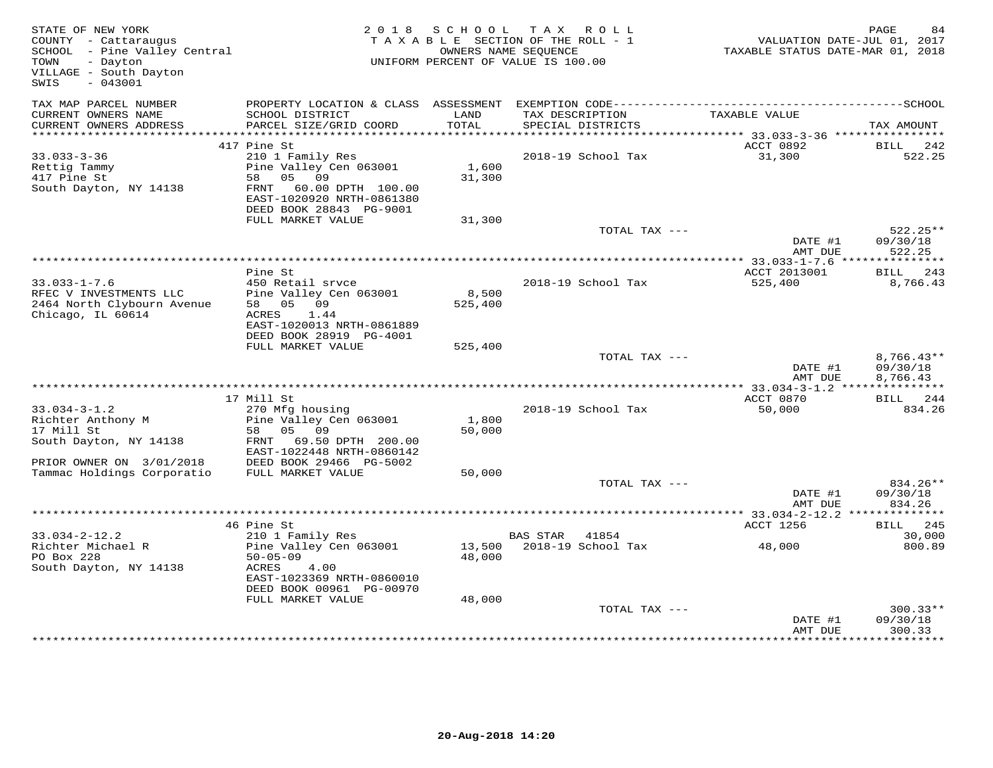| STATE OF NEW YORK<br>COUNTY - Cattaraugus<br>SCHOOL - Pine Valley Central<br>- Dayton<br>TOWN<br>VILLAGE - South Dayton<br>SWIS<br>$-043001$ |                                                                                                                      | 2018 SCHOOL      | TAX ROLL<br>TAXABLE SECTION OF THE ROLL - 1<br>OWNERS NAME SEOUENCE<br>UNIFORM PERCENT OF VALUE IS 100.00 | VALUATION DATE-JUL 01, 2017<br>TAXABLE STATUS DATE-MAR 01, 2018 | PAGE                             |
|----------------------------------------------------------------------------------------------------------------------------------------------|----------------------------------------------------------------------------------------------------------------------|------------------|-----------------------------------------------------------------------------------------------------------|-----------------------------------------------------------------|----------------------------------|
| TAX MAP PARCEL NUMBER<br>CURRENT OWNERS NAME                                                                                                 | SCHOOL DISTRICT                                                                                                      | LAND             | TAX DESCRIPTION                                                                                           | TAXABLE VALUE                                                   |                                  |
| CURRENT OWNERS ADDRESS<br>***********************                                                                                            | PARCEL SIZE/GRID COORD                                                                                               | TOTAL            | SPECIAL DISTRICTS                                                                                         |                                                                 | TAX AMOUNT                       |
|                                                                                                                                              | 417 Pine St                                                                                                          |                  |                                                                                                           | ACCT 0892                                                       | BILL<br>242                      |
| $33.033 - 3 - 36$                                                                                                                            | 210 1 Family Res                                                                                                     |                  | 2018-19 School Tax                                                                                        | 31,300                                                          | 522.25                           |
| Rettig Tammy<br>417 Pine St<br>South Dayton, NY 14138                                                                                        | Pine Valley Cen 063001<br>58 05 09<br>FRNT 60.00 DPTH 100.00<br>EAST-1020920 NRTH-0861380<br>DEED BOOK 28843 PG-9001 | 1,600<br>31,300  |                                                                                                           |                                                                 |                                  |
|                                                                                                                                              | FULL MARKET VALUE                                                                                                    | 31,300           |                                                                                                           |                                                                 |                                  |
|                                                                                                                                              |                                                                                                                      |                  | TOTAL TAX ---                                                                                             | DATE #1<br>AMT DUE                                              | $522.25**$<br>09/30/18<br>522.25 |
|                                                                                                                                              |                                                                                                                      |                  |                                                                                                           |                                                                 |                                  |
|                                                                                                                                              | Pine St                                                                                                              |                  |                                                                                                           | ACCT 2013001                                                    | BILL 243                         |
| $33.033 - 1 - 7.6$<br>RFEC V INVESTMENTS LLC<br>2464 North Clybourn Avenue<br>Chicago, IL 60614                                              | 450 Retail srvce<br>Pine Valley Cen 063001<br>58 05 09<br>ACRES 1.44<br>EAST-1020013 NRTH-0861889                    | 8,500<br>525,400 | 2018-19 School Tax                                                                                        | 525,400                                                         | 8,766.43                         |
|                                                                                                                                              | DEED BOOK 28919 PG-4001                                                                                              |                  |                                                                                                           |                                                                 |                                  |
|                                                                                                                                              | FULL MARKET VALUE                                                                                                    | 525,400          | TOTAL TAX ---                                                                                             | DATE #1                                                         | $8,766.43**$<br>09/30/18         |
|                                                                                                                                              |                                                                                                                      |                  |                                                                                                           | AMT DUE                                                         | 8,766.43                         |
|                                                                                                                                              |                                                                                                                      |                  |                                                                                                           |                                                                 |                                  |
|                                                                                                                                              | 17 Mill St                                                                                                           |                  |                                                                                                           | ACCT 0870<br>50,000                                             | BILL 244<br>834.26               |
| $33.034 - 3 - 1.2$<br>Richter Anthony M                                                                                                      | 270 Mfg housing<br>Pine Valley Cen 063001                                                                            | 1,800            | 2018-19 School Tax                                                                                        |                                                                 |                                  |
| 17 Mill St                                                                                                                                   | 05 09<br>58                                                                                                          | 50,000           |                                                                                                           |                                                                 |                                  |
| South Dayton, NY 14138                                                                                                                       | FRNT 69.50 DPTH 200.00<br>EAST-1022448 NRTH-0860142                                                                  |                  |                                                                                                           |                                                                 |                                  |
| PRIOR OWNER ON 3/01/2018                                                                                                                     | DEED BOOK 29466 PG-5002                                                                                              |                  |                                                                                                           |                                                                 |                                  |
| Tammac Holdings Corporatio                                                                                                                   | FULL MARKET VALUE                                                                                                    | 50,000           | TOTAL TAX ---                                                                                             |                                                                 | 834.26**                         |
|                                                                                                                                              |                                                                                                                      |                  |                                                                                                           | DATE #1<br>AMT DUE                                              | 09/30/18<br>834.26               |
|                                                                                                                                              |                                                                                                                      |                  |                                                                                                           | ********** 33.034-2-12.2 **                                     | ***********                      |
|                                                                                                                                              | 46 Pine St                                                                                                           |                  |                                                                                                           | ACCT 1256                                                       | 245<br>BILL                      |
| $33.034 - 2 - 12.2$<br>Richter Michael R                                                                                                     | 210 1 Family Res                                                                                                     |                  | BAS STAR<br>41854                                                                                         |                                                                 | 30,000                           |
| PO Box 228<br>South Dayton, NY 14138                                                                                                         | Pine Valley Cen 063001<br>$50 - 05 - 09$<br>4.00<br>ACRES<br>EAST-1023369 NRTH-0860010<br>DEED BOOK 00961 PG-00970   | 48,000           | 13,500 2018-19 School Tax                                                                                 | 48,000                                                          | 800.89                           |
|                                                                                                                                              | FULL MARKET VALUE                                                                                                    | 48,000           |                                                                                                           |                                                                 |                                  |
|                                                                                                                                              |                                                                                                                      |                  | TOTAL TAX ---                                                                                             | DATE #1<br>AMT DUE                                              | $300.33**$<br>09/30/18<br>300.33 |
|                                                                                                                                              |                                                                                                                      |                  |                                                                                                           |                                                                 |                                  |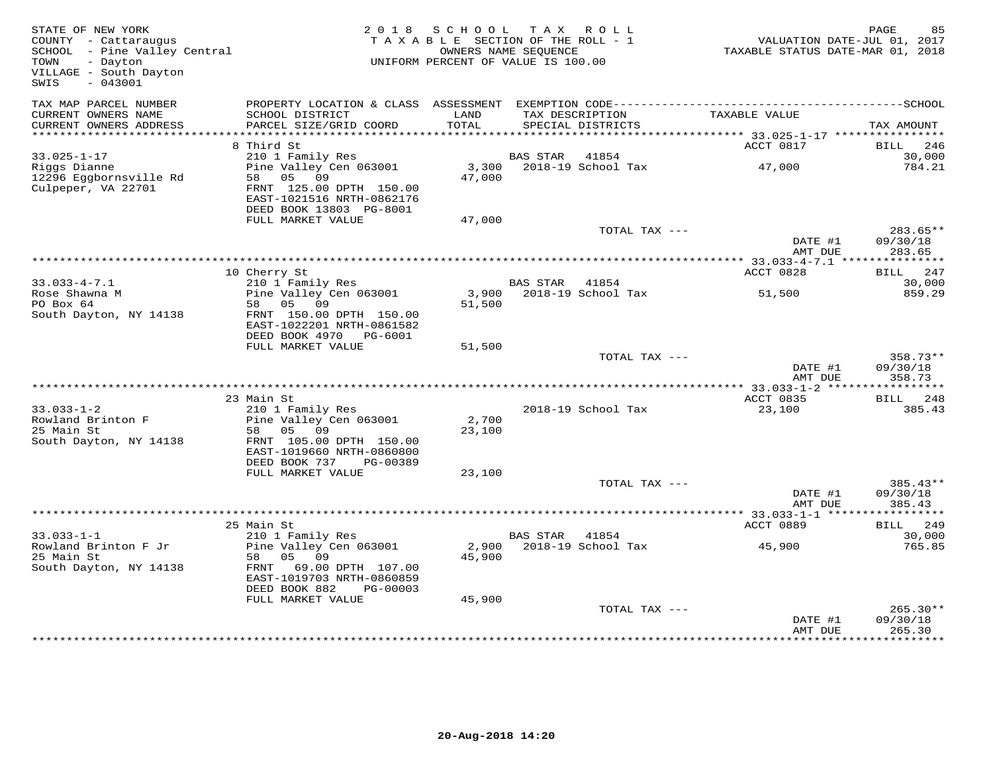| STATE OF NEW YORK<br>COUNTY - Cattaraugus<br>COUNTY - Cattaraugus<br>SCHOOL - Pine Valley Central<br>TOWN - Davton<br>TOWN<br>- Dayton<br>VILLAGE - South Dayton<br>$-043001$<br>SWIS |                                                                                               | 2018 SCHOOL<br>TAXABLE SECTION OF THE ROLL - 1<br>OWNERS NAME SEQUENCE<br>UNIFORM PERCENT OF VALUE IS 100.00 | TAX ROLL       |                                      | VALUATION DATE-JUL 01, 2017<br>TAXABLE STATUS DATE-MAR 01, 2018 | PAGE                           |
|---------------------------------------------------------------------------------------------------------------------------------------------------------------------------------------|-----------------------------------------------------------------------------------------------|--------------------------------------------------------------------------------------------------------------|----------------|--------------------------------------|-----------------------------------------------------------------|--------------------------------|
| TAX MAP PARCEL NUMBER<br>CURRENT OWNERS NAME<br>CURRENT OWNERS ADDRESS                                                                                                                | SCHOOL DISTRICT<br>PARCEL SIZE/GRID COORD                                                     | LAND<br>TOTAL                                                                                                |                | TAX DESCRIPTION<br>SPECIAL DISTRICTS | TAXABLE VALUE                                                   | TAX AMOUNT                     |
| ***********************                                                                                                                                                               |                                                                                               |                                                                                                              |                |                                      |                                                                 |                                |
|                                                                                                                                                                                       | 8 Third St                                                                                    |                                                                                                              |                |                                      | ACCT 0817                                                       | BILL<br>246                    |
| $33.025 - 1 - 17$<br>Riggs Dianne                                                                                                                                                     | 210 1 Family Res<br>Pine Valley Cen 063001                                                    | 3,300                                                                                                        | BAS STAR       | 41854<br>2018-19 School Tax          | 47,000                                                          | 30,000<br>784.21               |
| 12296 Eggbornsville Rd<br>Culpeper, VA 22701                                                                                                                                          | 58 05 09<br>FRNT 125.00 DPTH 150.00<br>EAST-1021516 NRTH-0862176<br>DEED BOOK 13803 PG-8001   | 47,000                                                                                                       |                |                                      |                                                                 |                                |
|                                                                                                                                                                                       | FULL MARKET VALUE                                                                             | 47,000                                                                                                       |                |                                      |                                                                 |                                |
|                                                                                                                                                                                       |                                                                                               |                                                                                                              |                | TOTAL TAX ---                        |                                                                 | $283.65**$                     |
|                                                                                                                                                                                       |                                                                                               |                                                                                                              |                |                                      | DATE #1<br>AMT DUE                                              | 09/30/18<br>283.65             |
|                                                                                                                                                                                       |                                                                                               |                                                                                                              |                |                                      |                                                                 |                                |
|                                                                                                                                                                                       | 10 Cherry St                                                                                  |                                                                                                              |                |                                      | ACCT 0828                                                       | BILL 247                       |
| $33.033 - 4 - 7.1$<br>Rose Shawna M                                                                                                                                                   | 210 1 Family Res<br>Pine Valley Cen 063001                                                    |                                                                                                              | BAS STAR 41854 | 3,900 2018-19 School Tax             | 51,500                                                          | 30,000<br>859.29               |
| PO Box 64<br>South Dayton, NY 14138                                                                                                                                                   | 58 05 09<br>FRNT 150.00 DPTH 150.00<br>EAST-1022201 NRTH-0861582<br>DEED BOOK 4970 PG-6001    | 51,500                                                                                                       |                |                                      |                                                                 |                                |
|                                                                                                                                                                                       | FULL MARKET VALUE                                                                             | 51,500                                                                                                       |                |                                      |                                                                 |                                |
|                                                                                                                                                                                       |                                                                                               |                                                                                                              |                | TOTAL TAX ---                        | DATE #1<br>AMT DUE                                              | 358.73**<br>09/30/18<br>358.73 |
|                                                                                                                                                                                       |                                                                                               |                                                                                                              |                |                                      |                                                                 |                                |
| $33.033 - 1 - 2$                                                                                                                                                                      | 23 Main St<br>210 1 Family Res                                                                |                                                                                                              |                | 2018-19 School Tax                   | ACCT 0835<br>23,100                                             | BILL 248<br>385.43             |
| Rowland Brinton F                                                                                                                                                                     | Pine Valley Cen 063001                                                                        | 2,700                                                                                                        |                |                                      |                                                                 |                                |
| 25 Main St<br>South Dayton, NY 14138                                                                                                                                                  | 58 05 09<br>FRNT 105.00 DPTH 150.00<br>EAST-1019660 NRTH-0860800<br>DEED BOOK 737<br>PG-00389 | 23,100                                                                                                       |                |                                      |                                                                 |                                |
|                                                                                                                                                                                       | FULL MARKET VALUE                                                                             | 23,100                                                                                                       |                |                                      |                                                                 |                                |
|                                                                                                                                                                                       |                                                                                               |                                                                                                              |                | TOTAL TAX ---                        | DATE #1<br>AMT DUE                                              | 385.43**<br>09/30/18<br>385.43 |
|                                                                                                                                                                                       |                                                                                               |                                                                                                              |                |                                      | ********* 33.033-1-1 ****                                       | * * * * * * * * * * *          |
|                                                                                                                                                                                       | 25 Main St                                                                                    |                                                                                                              |                |                                      | ACCT 0889                                                       | BILL 249                       |
| $33.033 - 1 - 1$<br>Rowland Brinton F Jr                                                                                                                                              | 210 1 Family Res<br>Pine Valley Cen 063001                                                    |                                                                                                              | BAS STAR 41854 | 2,900 2018-19 School Tax             | 45,900                                                          | 30,000<br>765.85               |
| 25 Main St<br>South Dayton, NY 14138                                                                                                                                                  | 05 09<br>58<br>FRNT 69.00 DPTH 107.00<br>EAST-1019703 NRTH-0860859                            | 45,900                                                                                                       |                |                                      |                                                                 |                                |
|                                                                                                                                                                                       | DEED BOOK 882<br>PG-00003                                                                     |                                                                                                              |                |                                      |                                                                 |                                |
|                                                                                                                                                                                       | FULL MARKET VALUE                                                                             | 45,900                                                                                                       |                | TOTAL TAX ---                        | DATE #1                                                         | $265.30**$<br>09/30/18         |
|                                                                                                                                                                                       |                                                                                               |                                                                                                              |                |                                      | AMT DUE                                                         | 265.30                         |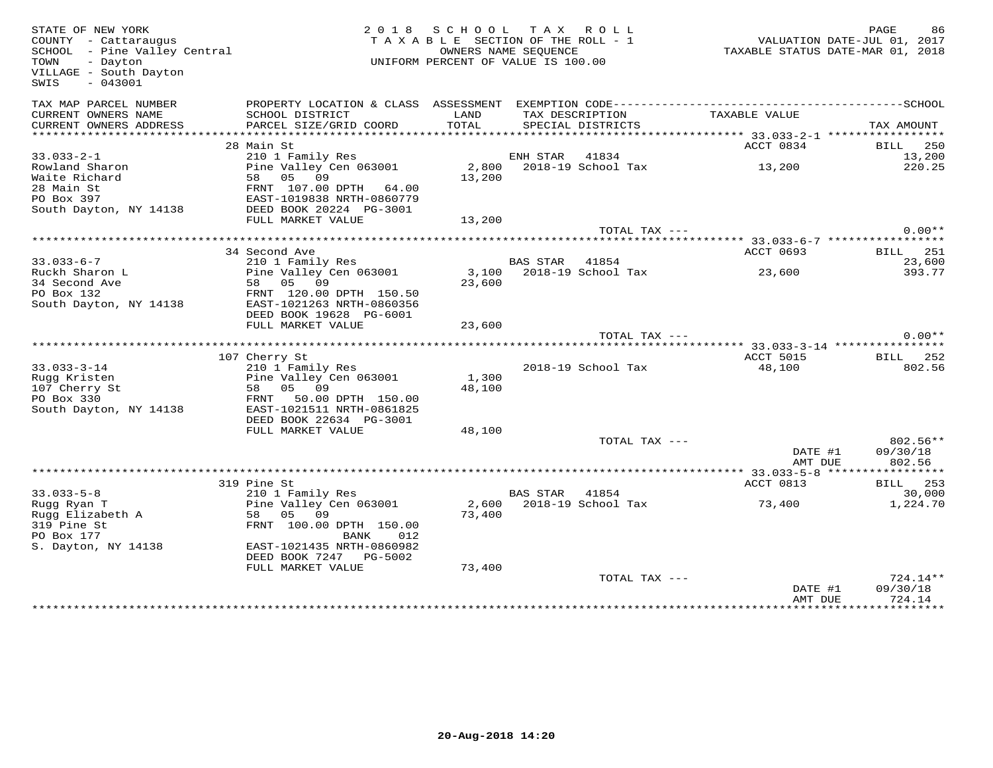| STATE OF NEW YORK<br>COUNTY - Cattaraugus<br>SCHOOL - Pine Valley Central<br>TOWN<br>- Dayton<br>VILLAGE - South Dayton<br>SWIS<br>$-043001$ |                                                     | 2018 SCHOOL TAX ROLL<br>TAXABLE SECTION OF THE ROLL - 1<br>UNIFORM PERCENT OF VALUE IS 100.00 | OWNERS NAME SEQUENCE |                                      | TAXABLE STATUS DATE-MAR 01, 2018                    | PAGE<br>VALUATION DATE-JUL 01, 2017 | 86                                |
|----------------------------------------------------------------------------------------------------------------------------------------------|-----------------------------------------------------|-----------------------------------------------------------------------------------------------|----------------------|--------------------------------------|-----------------------------------------------------|-------------------------------------|-----------------------------------|
| TAX MAP PARCEL NUMBER                                                                                                                        |                                                     |                                                                                               |                      |                                      |                                                     |                                     |                                   |
| CURRENT OWNERS NAME<br>CURRENT OWNERS ADDRESS                                                                                                | SCHOOL DISTRICT<br>PARCEL SIZE/GRID COORD           | LAND<br>TOTAL                                                                                 |                      | TAX DESCRIPTION<br>SPECIAL DISTRICTS | TAXABLE VALUE                                       | TAX AMOUNT                          |                                   |
| ***************                                                                                                                              |                                                     |                                                                                               |                      |                                      | ********************* 33.033-2-1 ****************** |                                     |                                   |
|                                                                                                                                              | 28 Main St                                          |                                                                                               |                      |                                      | ACCT 0834                                           |                                     | BILL 250                          |
| $33.033 - 2 - 1$                                                                                                                             | 210 1 Family Res                                    |                                                                                               | ENH STAR 41834       |                                      |                                                     |                                     | 13,200                            |
| Rowland Sharon                                                                                                                               | Pine Valley Cen 063001<br>58 05 09                  |                                                                                               |                      | 2,800 2018-19 School Tax             | 13,200                                              |                                     | 220.25                            |
| Waite Richard                                                                                                                                |                                                     | 13,200                                                                                        |                      |                                      |                                                     |                                     |                                   |
| 28 Main St<br>PO Box 397                                                                                                                     | FRNT 107.00 DPTH 64.00<br>EAST-1019838 NRTH-0860779 |                                                                                               |                      |                                      |                                                     |                                     |                                   |
| South Dayton, NY 14138                                                                                                                       | DEED BOOK 20224 PG-3001                             |                                                                                               |                      |                                      |                                                     |                                     |                                   |
|                                                                                                                                              | FULL MARKET VALUE                                   | 13,200                                                                                        |                      |                                      |                                                     |                                     |                                   |
|                                                                                                                                              |                                                     |                                                                                               |                      | TOTAL TAX ---                        |                                                     |                                     | $0.00**$                          |
|                                                                                                                                              |                                                     |                                                                                               |                      |                                      |                                                     |                                     |                                   |
|                                                                                                                                              | 34 Second Ave                                       |                                                                                               |                      |                                      | ACCT 0693                                           |                                     | <b>BILL</b> 251                   |
| $33.033 - 6 - 7$                                                                                                                             | 210 1 Family Res                                    |                                                                                               | BAS STAR 41854       |                                      |                                                     |                                     | 23,600                            |
| Ruckh Sharon L                                                                                                                               | Pine Valley Cen 063001                              |                                                                                               |                      | 3,100 2018-19 School Tax             | 23,600                                              |                                     | 393.77                            |
| 34 Second Ave                                                                                                                                | 58 05<br>09                                         | 23,600                                                                                        |                      |                                      |                                                     |                                     |                                   |
| PO Box 132                                                                                                                                   | FRNT 120.00 DPTH 150.50                             |                                                                                               |                      |                                      |                                                     |                                     |                                   |
| South Dayton, NY 14138                                                                                                                       | EAST-1021263 NRTH-0860356                           |                                                                                               |                      |                                      |                                                     |                                     |                                   |
|                                                                                                                                              | DEED BOOK 19628 PG-6001                             |                                                                                               |                      |                                      |                                                     |                                     |                                   |
|                                                                                                                                              | FULL MARKET VALUE                                   | 23,600                                                                                        |                      |                                      |                                                     |                                     | $0.00**$                          |
|                                                                                                                                              |                                                     |                                                                                               |                      | TOTAL TAX ---                        |                                                     |                                     |                                   |
|                                                                                                                                              | 107 Cherry St                                       |                                                                                               |                      |                                      | ACCT 5015                                           |                                     | <b>BILL</b> 252                   |
| $33.033 - 3 - 14$                                                                                                                            | 210 1 Family Res                                    |                                                                                               |                      | 2018-19 School Tax                   | 48,100                                              |                                     | 802.56                            |
| Rugg Kristen                                                                                                                                 | Pine Valley Cen 063001                              | 1,300                                                                                         |                      |                                      |                                                     |                                     |                                   |
| 107 Cherry St                                                                                                                                | 58 05 09                                            | 48,100                                                                                        |                      |                                      |                                                     |                                     |                                   |
| PO Box 330                                                                                                                                   | FRNT<br>50.00 DPTH 150.00                           |                                                                                               |                      |                                      |                                                     |                                     |                                   |
| South Dayton, NY 14138                                                                                                                       | EAST-1021511 NRTH-0861825                           |                                                                                               |                      |                                      |                                                     |                                     |                                   |
|                                                                                                                                              | DEED BOOK 22634 PG-3001                             |                                                                                               |                      |                                      |                                                     |                                     |                                   |
|                                                                                                                                              | FULL MARKET VALUE                                   | 48,100                                                                                        |                      |                                      |                                                     |                                     |                                   |
|                                                                                                                                              |                                                     |                                                                                               |                      | TOTAL TAX ---                        |                                                     |                                     | 802.56**                          |
|                                                                                                                                              |                                                     |                                                                                               |                      |                                      | DATE #1                                             |                                     | 09/30/18                          |
|                                                                                                                                              |                                                     |                                                                                               |                      |                                      | AMT DUE                                             |                                     | 802.56                            |
|                                                                                                                                              | 319 Pine St                                         |                                                                                               |                      |                                      | ACCT 0813                                           | BILL                                | 253                               |
| $33.033 - 5 - 8$                                                                                                                             | 210 1 Family Res                                    |                                                                                               | <b>BAS STAR</b>      | 41854                                |                                                     |                                     | 30,000                            |
| Rugg Ryan T                                                                                                                                  | Pine Valley Cen 063001                              | 2,600                                                                                         |                      | 2018-19 School Tax                   | 73,400                                              |                                     | 1,224.70                          |
| Rugg Elizabeth A                                                                                                                             | 58 05 09                                            | 73,400                                                                                        |                      |                                      |                                                     |                                     |                                   |
| 319 Pine St                                                                                                                                  | FRNT 100.00 DPTH 150.00                             |                                                                                               |                      |                                      |                                                     |                                     |                                   |
| PO Box 177                                                                                                                                   | BANK<br>012                                         |                                                                                               |                      |                                      |                                                     |                                     |                                   |
| S. Dayton, NY 14138                                                                                                                          | EAST-1021435 NRTH-0860982                           |                                                                                               |                      |                                      |                                                     |                                     |                                   |
|                                                                                                                                              | DEED BOOK 7247 PG-5002                              |                                                                                               |                      |                                      |                                                     |                                     |                                   |
|                                                                                                                                              | FULL MARKET VALUE                                   | 73,400                                                                                        |                      |                                      |                                                     |                                     |                                   |
|                                                                                                                                              |                                                     |                                                                                               |                      | TOTAL TAX ---                        |                                                     |                                     | $724.14**$                        |
|                                                                                                                                              |                                                     |                                                                                               |                      |                                      | DATE #1                                             |                                     | 09/30/18                          |
|                                                                                                                                              | *******************************                     |                                                                                               |                      | ++++++++++++++++++++++++++++++++++   | AMT DUE<br><b>++++++++++++++++</b>                  |                                     | 724.14<br>+ + + + + + + + + + + + |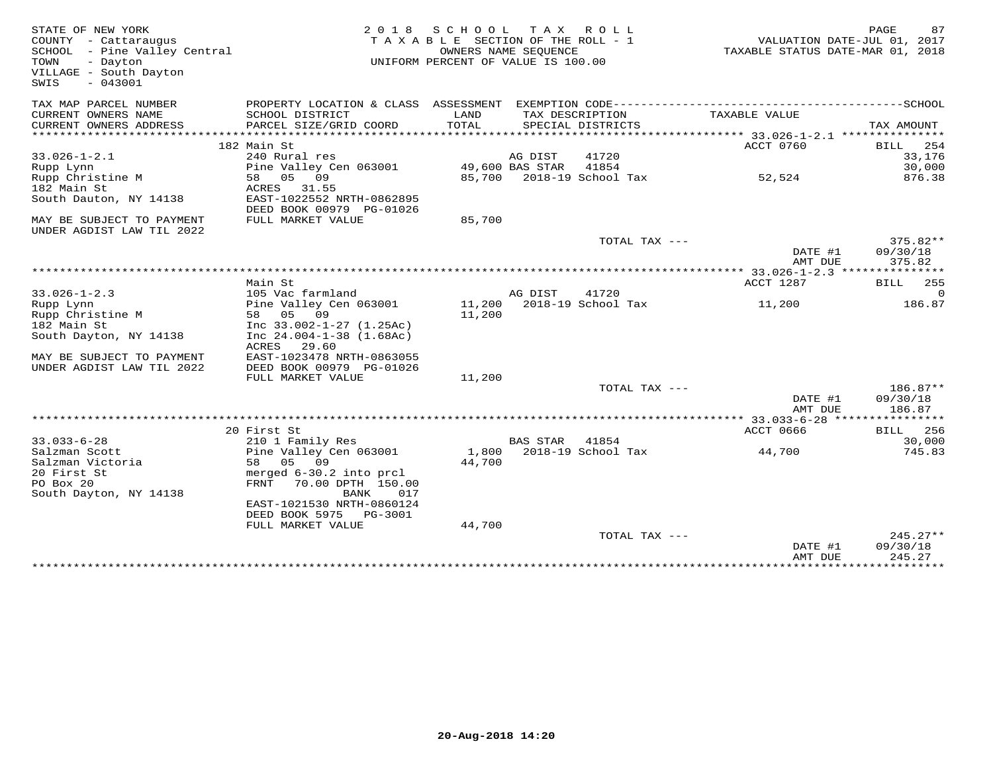| STATE OF NEW YORK<br>COUNTY - Cattaraugus<br>SCHOOL - Pine Valley Central<br>- Dayton<br>TOWN<br>VILLAGE - South Dayton<br>$-043001$<br>SWIS | 2 0 1 8                                                                                      | S C H O O L<br>TAXABLE SECTION OF THE ROLL - 1<br>UNIFORM PERCENT OF VALUE IS 100.00 | T A X<br>OWNERS NAME SEOUENCE | R O L L                     | TAXABLE STATUS DATE-MAR 01, 2018 | PAGE<br>87<br>VALUATION DATE-JUL 01, 2017 |
|----------------------------------------------------------------------------------------------------------------------------------------------|----------------------------------------------------------------------------------------------|--------------------------------------------------------------------------------------|-------------------------------|-----------------------------|----------------------------------|-------------------------------------------|
| TAX MAP PARCEL NUMBER                                                                                                                        | PROPERTY LOCATION & CLASS ASSESSMENT EXEMPTION CODE-----------------------------------SCHOOL |                                                                                      |                               |                             |                                  |                                           |
| CURRENT OWNERS NAME                                                                                                                          | SCHOOL DISTRICT                                                                              | LAND                                                                                 | TAX DESCRIPTION               |                             | TAXABLE VALUE                    |                                           |
| CURRENT OWNERS ADDRESS                                                                                                                       | PARCEL SIZE/GRID COORD                                                                       | TOTAL                                                                                |                               | SPECIAL DISTRICTS           |                                  | TAX AMOUNT                                |
|                                                                                                                                              | 182 Main St                                                                                  |                                                                                      |                               |                             | ACCT 0760                        | 254<br>BILL                               |
| $33.026 - 1 - 2.1$                                                                                                                           | 240 Rural res                                                                                |                                                                                      | AG DIST                       | 41720                       |                                  | 33,176                                    |
| Rupp Lynn                                                                                                                                    | Pine Valley Cen 063001                                                                       |                                                                                      | 49,600 BAS STAR               | 41854                       |                                  | 30,000                                    |
| Rupp Christine M                                                                                                                             | 09<br>58 05                                                                                  |                                                                                      |                               | 85,700 2018-19 School Tax   | 52,524                           | 876.38                                    |
| 182 Main St                                                                                                                                  | 31.55<br>ACRES                                                                               |                                                                                      |                               |                             |                                  |                                           |
| South Dauton, NY 14138                                                                                                                       | EAST-1022552 NRTH-0862895<br>DEED BOOK 00979 PG-01026                                        |                                                                                      |                               |                             |                                  |                                           |
| MAY BE SUBJECT TO PAYMENT<br>UNDER AGDIST LAW TIL 2022                                                                                       | FULL MARKET VALUE                                                                            | 85,700                                                                               |                               |                             |                                  |                                           |
|                                                                                                                                              |                                                                                              |                                                                                      |                               | TOTAL TAX ---               |                                  | $375.82**$                                |
|                                                                                                                                              |                                                                                              |                                                                                      |                               |                             | DATE #1                          | 09/30/18                                  |
|                                                                                                                                              |                                                                                              |                                                                                      |                               |                             | AMT DUE                          | 375.82                                    |
|                                                                                                                                              |                                                                                              |                                                                                      |                               |                             |                                  |                                           |
|                                                                                                                                              | Main St                                                                                      |                                                                                      |                               |                             | ACCT 1287                        | BILL<br>255                               |
| $33.026 - 1 - 2.3$                                                                                                                           | 105 Vac farmland                                                                             |                                                                                      | AG DIST                       | 41720<br>2018-19 School Tax |                                  | $\Omega$                                  |
| Rupp Lynn<br>Rupp Christine M                                                                                                                | Pine Valley Cen 063001<br>58 05 09                                                           | 11,200<br>11,200                                                                     |                               |                             | 11,200                           | 186.87                                    |
| 182 Main St                                                                                                                                  | Inc $33.002 - 1 - 27$ (1.25Ac)                                                               |                                                                                      |                               |                             |                                  |                                           |
| South Dayton, NY 14138                                                                                                                       | Inc $24.004 - 1 - 38$ $(1.68Ac)$                                                             |                                                                                      |                               |                             |                                  |                                           |
|                                                                                                                                              | ACRES<br>29.60                                                                               |                                                                                      |                               |                             |                                  |                                           |
| MAY BE SUBJECT TO PAYMENT                                                                                                                    | EAST-1023478 NRTH-0863055                                                                    |                                                                                      |                               |                             |                                  |                                           |
| UNDER AGDIST LAW TIL 2022                                                                                                                    | DEED BOOK 00979 PG-01026                                                                     |                                                                                      |                               |                             |                                  |                                           |
|                                                                                                                                              | FULL MARKET VALUE                                                                            | 11,200                                                                               |                               |                             |                                  |                                           |
|                                                                                                                                              |                                                                                              |                                                                                      |                               | TOTAL TAX ---               |                                  | 186.87**                                  |
|                                                                                                                                              |                                                                                              |                                                                                      |                               |                             | DATE #1                          | 09/30/18                                  |
|                                                                                                                                              |                                                                                              |                                                                                      |                               |                             | AMT DUE                          | 186.87                                    |
|                                                                                                                                              |                                                                                              |                                                                                      |                               |                             |                                  |                                           |
|                                                                                                                                              | 20 First St                                                                                  |                                                                                      |                               |                             | <b>ACCT 0666</b>                 | 256<br>BILL                               |
| $33.033 - 6 - 28$                                                                                                                            | 210 1 Family Res                                                                             |                                                                                      | <b>BAS STAR</b>               | 41854                       |                                  | 30,000                                    |
| Salzman Scott<br>Salzman Victoria                                                                                                            | Pine Valley Cen 063001<br>09<br>58 05                                                        | 1,800<br>44,700                                                                      |                               | 2018-19 School Tax          | 44,700                           | 745.83                                    |
| 20 First St                                                                                                                                  | merged 6-30.2 into prcl                                                                      |                                                                                      |                               |                             |                                  |                                           |
| PO Box 20                                                                                                                                    | FRNT<br>70.00 DPTH 150.00                                                                    |                                                                                      |                               |                             |                                  |                                           |
| South Dayton, NY 14138                                                                                                                       | BANK<br>017                                                                                  |                                                                                      |                               |                             |                                  |                                           |
|                                                                                                                                              | EAST-1021530 NRTH-0860124                                                                    |                                                                                      |                               |                             |                                  |                                           |
|                                                                                                                                              | DEED BOOK 5975<br>PG-3001                                                                    |                                                                                      |                               |                             |                                  |                                           |
|                                                                                                                                              | FULL MARKET VALUE                                                                            | 44,700                                                                               |                               |                             |                                  |                                           |
|                                                                                                                                              |                                                                                              |                                                                                      |                               | TOTAL TAX ---               |                                  | $245.27**$                                |
|                                                                                                                                              |                                                                                              |                                                                                      |                               |                             | DATE #1                          | 09/30/18                                  |
|                                                                                                                                              |                                                                                              |                                                                                      |                               |                             | AMT DUE<br>***************       | 245.27<br>*************                   |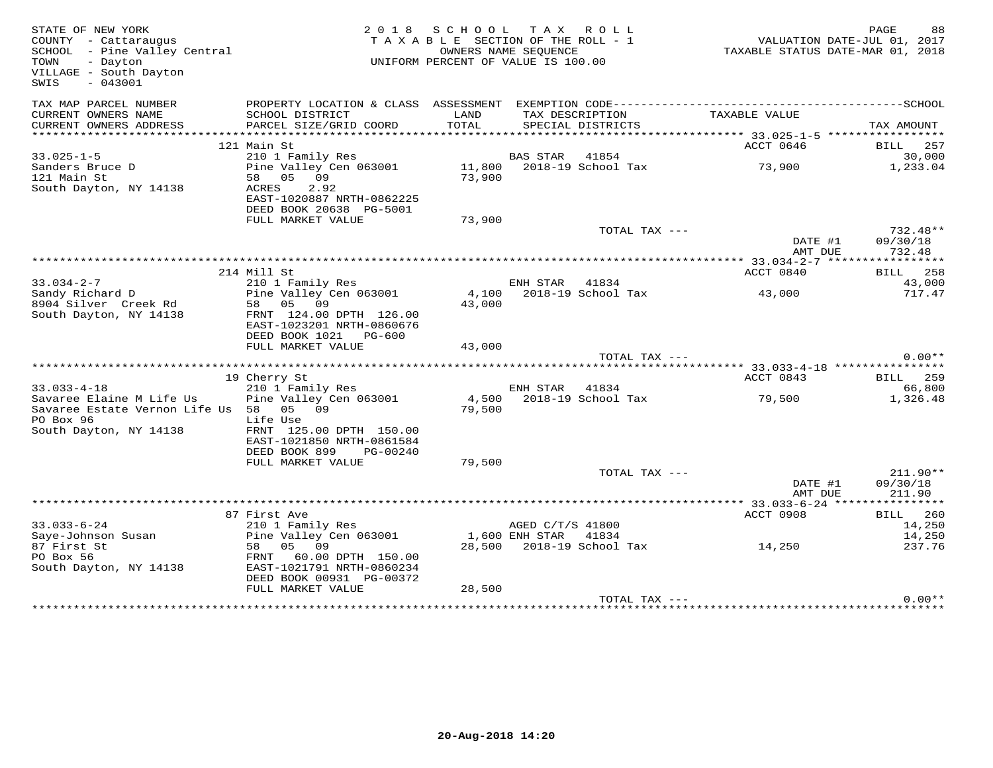| STATE OF NEW YORK<br>COUNTY - Cattaraugus<br>SCHOOL - Pine Valley Central<br>- Dayton<br>TOWN<br>VILLAGE - South Dayton<br>SWIS<br>$-043001$ |                                                                                                                        | 2018 SCHOOL TAX ROLL<br>TAXABLE SECTION OF THE ROLL - 1<br>UNIFORM PERCENT OF VALUE IS 100.00 | OWNERS NAME SEQUENCE |                                    | VALUATION DATE-JUL 01, 2017<br>TAXABLE STATUS DATE-MAR 01, 2018 | PAGE                   | 88       |
|----------------------------------------------------------------------------------------------------------------------------------------------|------------------------------------------------------------------------------------------------------------------------|-----------------------------------------------------------------------------------------------|----------------------|------------------------------------|-----------------------------------------------------------------|------------------------|----------|
| TAX MAP PARCEL NUMBER                                                                                                                        |                                                                                                                        |                                                                                               |                      |                                    |                                                                 |                        |          |
| CURRENT OWNERS NAME<br>CURRENT OWNERS ADDRESS                                                                                                | SCHOOL DISTRICT<br>PARCEL SIZE/GRID COORD                                                                              | LAND<br>TOTAL                                                                                 | TAX DESCRIPTION      | SPECIAL DISTRICTS                  | TAXABLE VALUE                                                   | TAX AMOUNT             |          |
|                                                                                                                                              |                                                                                                                        |                                                                                               |                      |                                    |                                                                 |                        |          |
|                                                                                                                                              | 121 Main St                                                                                                            |                                                                                               |                      |                                    | ACCT 0646                                                       | BILL 257               |          |
| $33.025 - 1 - 5$<br>Sanders Bruce D<br>121 Main St<br>South Dayton, NY 14138                                                                 | 210 1 Family Res<br>Pine Valley Cen 063001<br>58 05 09<br>2.92<br>ACRES<br>EAST-1020887 NRTH-0862225                   | 73,900                                                                                        | BAS STAR             | 41854<br>11,800 2018-19 School Tax | 73,900                                                          | 1,233.04               | 30,000   |
|                                                                                                                                              | DEED BOOK 20638 PG-5001                                                                                                |                                                                                               |                      |                                    |                                                                 |                        |          |
|                                                                                                                                              | FULL MARKET VALUE                                                                                                      | 73,900                                                                                        |                      | TOTAL TAX ---                      |                                                                 | 732.48**               |          |
|                                                                                                                                              |                                                                                                                        |                                                                                               |                      |                                    | DATE #1                                                         | 09/30/18<br>732.48     |          |
|                                                                                                                                              |                                                                                                                        |                                                                                               |                      |                                    | AMT DUE                                                         |                        |          |
|                                                                                                                                              | 214 Mill St                                                                                                            |                                                                                               |                      |                                    | ACCT 0840                                                       | BILL 258               |          |
| $33.034 - 2 - 7$                                                                                                                             | 210 1 Family Res                                                                                                       |                                                                                               | ENH STAR             | 41834                              |                                                                 |                        | 43,000   |
| Sandy Richard D<br>8904 Silver Creek Rd<br>South Dayton, NY 14138                                                                            | Pine Valley Cen 063001<br>58 05 09<br>FRNT 124.00 DPTH 126.00<br>EAST-1023201 NRTH-0860676<br>DEED BOOK 1021<br>PG-600 | 4,100<br>43,000                                                                               |                      | 2018-19 School Tax                 | 43,000                                                          |                        | 717.47   |
|                                                                                                                                              | FULL MARKET VALUE                                                                                                      | 43,000                                                                                        |                      |                                    |                                                                 |                        |          |
|                                                                                                                                              |                                                                                                                        |                                                                                               |                      | TOTAL TAX ---                      |                                                                 |                        | $0.00**$ |
|                                                                                                                                              | 19 Cherry St                                                                                                           |                                                                                               |                      |                                    | ACCT 0843                                                       | <b>BILL</b> 259        |          |
| $33.033 - 4 - 18$                                                                                                                            | 210 1 Family Res                                                                                                       |                                                                                               | ENH STAR 41834       |                                    |                                                                 |                        | 66,800   |
| Savaree Elaine M Life Us<br>Savaree Estate Vernon Life Us 58 05 09<br>PO Box 96<br>South Dayton, NY 14138                                    | Pine Valley Cen 063001<br>Life Use<br>FRNT 125.00 DPTH 150.00<br>EAST-1021850 NRTH-0861584                             | 79,500                                                                                        |                      | 4,500 2018-19 School Tax           | 79,500                                                          | 1,326.48               |          |
|                                                                                                                                              | DEED BOOK 899<br>PG-00240                                                                                              |                                                                                               |                      |                                    |                                                                 |                        |          |
|                                                                                                                                              | FULL MARKET VALUE                                                                                                      | 79,500                                                                                        |                      |                                    |                                                                 |                        |          |
|                                                                                                                                              |                                                                                                                        |                                                                                               |                      | TOTAL TAX ---                      | DATE #1                                                         | $211.90**$<br>09/30/18 |          |
|                                                                                                                                              |                                                                                                                        |                                                                                               |                      |                                    | AMT DUE                                                         | 211.90                 |          |
|                                                                                                                                              | 87 First Ave                                                                                                           |                                                                                               |                      |                                    | ACCT 0908                                                       | <b>BILL</b> 260        |          |
| $33.033 - 6 - 24$                                                                                                                            | 210 1 Family Res                                                                                                       |                                                                                               | AGED C/T/S 41800     |                                    |                                                                 |                        | 14,250   |
| Saye-Johnson Susan                                                                                                                           | Pine Valley Cen 063001                                                                                                 |                                                                                               | 1,600 ENH STAR       | 41834                              |                                                                 |                        | 14,250   |
| 87 First St                                                                                                                                  | 58 05 09                                                                                                               |                                                                                               |                      | 28,500 2018-19 School Tax          | 14,250                                                          |                        | 237.76   |
| PO Box 56<br>South Dayton, NY 14138                                                                                                          | FRNT<br>60.00 DPTH 150.00<br>EAST-1021791 NRTH-0860234<br>DEED BOOK 00931 PG-00372                                     |                                                                                               |                      |                                    |                                                                 |                        |          |
|                                                                                                                                              | FULL MARKET VALUE                                                                                                      | 28,500                                                                                        |                      |                                    |                                                                 |                        |          |
|                                                                                                                                              |                                                                                                                        |                                                                                               |                      | TOTAL TAX ---                      |                                                                 |                        | $0.00**$ |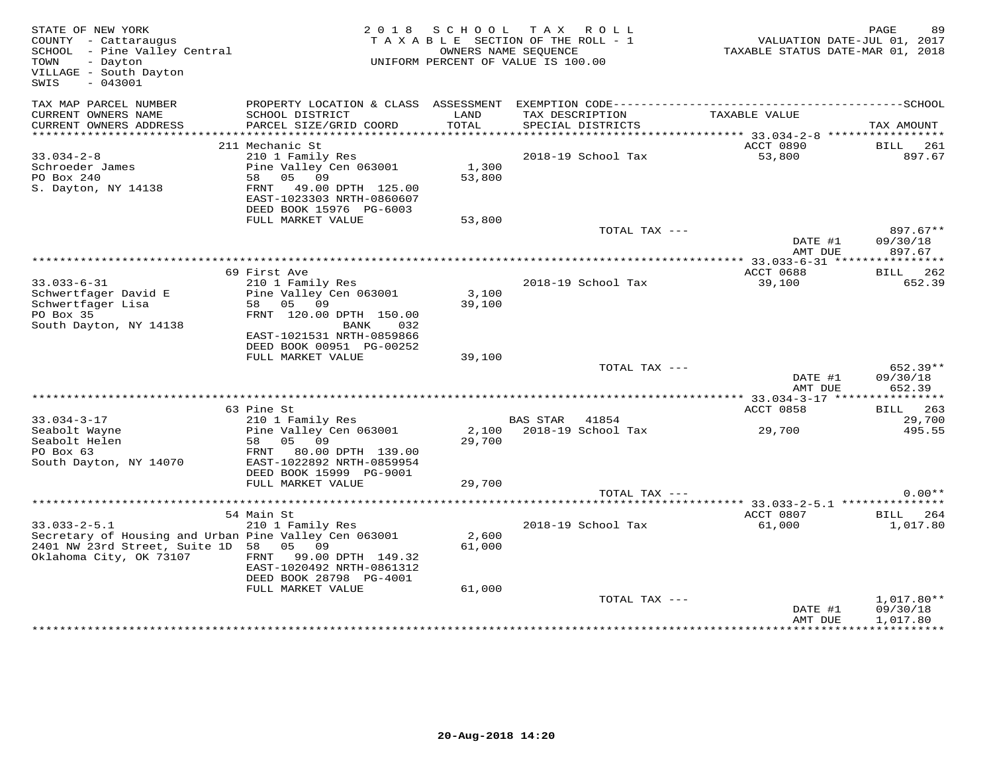| STATE OF NEW YORK<br>COUNTY - Cattaraugus<br>SCHOOL - Pine Valley Central<br>- Dayton<br>TOWN<br>VILLAGE - South Dayton<br>SWIS<br>$-043001$ | 2 0 1 8                                                                                | S C H O O L     | TAX ROLL<br>TAXABLE SECTION OF THE ROLL - 1<br>OWNERS NAME SEOUENCE<br>UNIFORM PERCENT OF VALUE IS 100.00 | VALUATION DATE-JUL 01, 2017<br>TAXABLE STATUS DATE-MAR 01, 2018 | PAGE<br>89                           |
|----------------------------------------------------------------------------------------------------------------------------------------------|----------------------------------------------------------------------------------------|-----------------|-----------------------------------------------------------------------------------------------------------|-----------------------------------------------------------------|--------------------------------------|
| TAX MAP PARCEL NUMBER<br>CURRENT OWNERS NAME<br>CURRENT OWNERS ADDRESS                                                                       | SCHOOL DISTRICT<br>PARCEL SIZE/GRID COORD                                              | LAND<br>TOTAL   | TAX DESCRIPTION<br>SPECIAL DISTRICTS                                                                      | TAXABLE VALUE                                                   | TAX AMOUNT                           |
|                                                                                                                                              |                                                                                        |                 |                                                                                                           |                                                                 |                                      |
|                                                                                                                                              | 211 Mechanic St                                                                        |                 |                                                                                                           | ACCT 0890                                                       | BILL 261                             |
| $33.034 - 2 - 8$<br>Schroeder James<br>PO Box 240<br>S. Dayton, NY 14138                                                                     | 210 1 Family Res<br>Pine Valley Cen 063001<br>05 09<br>58<br>FRNT<br>49.00 DPTH 125.00 | 1,300<br>53,800 | 2018-19 School Tax                                                                                        | 53,800                                                          | 897.67                               |
|                                                                                                                                              | EAST-1023303 NRTH-0860607<br>DEED BOOK 15976 PG-6003                                   |                 |                                                                                                           |                                                                 |                                      |
|                                                                                                                                              | FULL MARKET VALUE                                                                      | 53,800          |                                                                                                           |                                                                 |                                      |
|                                                                                                                                              |                                                                                        |                 | TOTAL TAX ---                                                                                             | DATE #1<br>AMT DUE                                              | 897.67**<br>09/30/18<br>897.67       |
|                                                                                                                                              |                                                                                        |                 |                                                                                                           | ************** 33.033-6-31 *****************                    |                                      |
| $33.033 - 6 - 31$                                                                                                                            | 69 First Ave<br>210 1 Family Res                                                       |                 | 2018-19 School Tax                                                                                        | ACCT 0688<br>39,100                                             | <b>BILL</b> 262<br>652.39            |
| Schwertfager David E<br>Schwertfager Lisa<br>PO Box 35                                                                                       | Pine Valley Cen 063001<br>58 05 09<br>FRNT 120.00 DPTH 150.00                          | 3,100<br>39,100 |                                                                                                           |                                                                 |                                      |
| South Dayton, NY 14138                                                                                                                       | BANK<br>032<br>EAST-1021531 NRTH-0859866<br>DEED BOOK 00951 PG-00252                   |                 |                                                                                                           |                                                                 |                                      |
|                                                                                                                                              | FULL MARKET VALUE                                                                      | 39,100          |                                                                                                           |                                                                 |                                      |
|                                                                                                                                              |                                                                                        |                 | TOTAL TAX ---                                                                                             | DATE #1<br>AMT DUE                                              | 652.39**<br>09/30/18<br>652.39       |
|                                                                                                                                              |                                                                                        |                 |                                                                                                           |                                                                 |                                      |
| $33.034 - 3 - 17$                                                                                                                            | 63 Pine St<br>210 1 Family Res                                                         |                 | BAS STAR<br>41854                                                                                         | ACCT 0858                                                       | <b>BILL</b> 263<br>29,700            |
| Seabolt Wayne<br>Seabolt Helen<br>PO Box 63                                                                                                  | Pine Valley Cen 063001<br>05<br>58<br>09<br>80.00 DPTH 139.00<br>FRNT                  | 29,700          | 2,100 2018-19 School Tax                                                                                  | 29,700                                                          | 495.55                               |
| South Dayton, NY 14070                                                                                                                       | EAST-1022892 NRTH-0859954<br>DEED BOOK 15999 PG-9001<br>FULL MARKET VALUE              | 29,700          |                                                                                                           |                                                                 |                                      |
|                                                                                                                                              |                                                                                        |                 | TOTAL TAX ---                                                                                             |                                                                 | $0.00**$                             |
|                                                                                                                                              | 54 Main St                                                                             |                 |                                                                                                           | ACCT 0807                                                       | BILL 264                             |
| $33.033 - 2 - 5.1$<br>Secretary of Housing and Urban Pine Valley Cen 063001<br>2401 NW 23rd Street, Suite 1D 58<br>Oklahoma City, OK 73107   | 210 1 Family Res<br>05 09<br>FRNT<br>99.00 DPTH 149.32<br>EAST-1020492 NRTH-0861312    | 2,600<br>61,000 | 2018-19 School Tax                                                                                        | 61,000                                                          | 1,017.80                             |
|                                                                                                                                              | DEED BOOK 28798 PG-4001<br>FULL MARKET VALUE                                           | 61,000          |                                                                                                           |                                                                 |                                      |
|                                                                                                                                              |                                                                                        |                 | TOTAL TAX ---                                                                                             | DATE #1<br>AMT DUE                                              | $1,017.80**$<br>09/30/18<br>1,017.80 |
|                                                                                                                                              |                                                                                        |                 |                                                                                                           |                                                                 |                                      |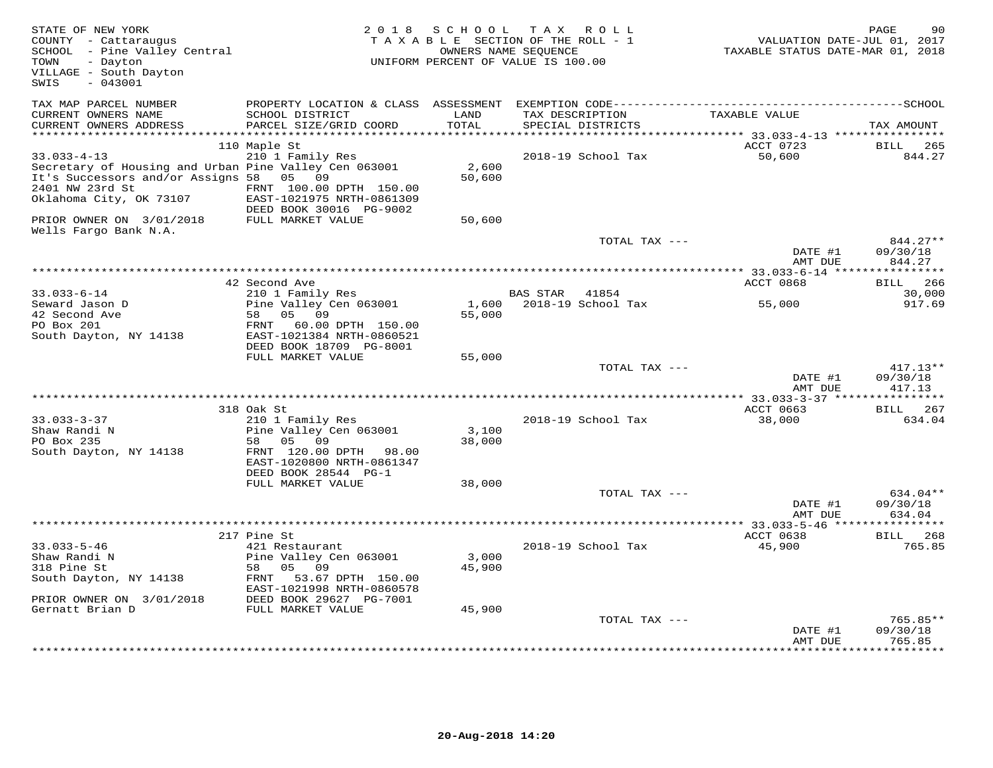| STATE OF NEW YORK<br>COUNTY - Cattaraugus<br>SCHOOL - Pine Valley Central<br>TOWN<br>- Dayton<br>VILLAGE - South Dayton<br>$-043001$<br>SWIS |                                                      | 2018 SCHOOL TAX ROLL<br>TAXABLE SECTION OF THE ROLL - 1<br>OWNERS NAME SEQUENCE<br>UNIFORM PERCENT OF VALUE IS 100.00 |                 |                    | VALUATION DATE-JUL 01, 2017<br>TAXABLE STATUS DATE-MAR 01, 2018 | 90<br>PAGE         |
|----------------------------------------------------------------------------------------------------------------------------------------------|------------------------------------------------------|-----------------------------------------------------------------------------------------------------------------------|-----------------|--------------------|-----------------------------------------------------------------|--------------------|
| TAX MAP PARCEL NUMBER                                                                                                                        |                                                      |                                                                                                                       |                 |                    |                                                                 |                    |
| CURRENT OWNERS NAME                                                                                                                          | SCHOOL DISTRICT                                      | LAND                                                                                                                  |                 | TAX DESCRIPTION    | TAXABLE VALUE                                                   |                    |
| CURRENT OWNERS ADDRESS                                                                                                                       | PARCEL SIZE/GRID COORD                               | TOTAL                                                                                                                 |                 | SPECIAL DISTRICTS  |                                                                 | TAX AMOUNT         |
| **********************                                                                                                                       |                                                      | **********                                                                                                            |                 |                    | *********** 33.033-4-13 *****************                       |                    |
|                                                                                                                                              | 110 Maple St                                         |                                                                                                                       |                 |                    | ACCT 0723                                                       | BILL 265           |
| $33.033 - 4 - 13$                                                                                                                            | 210 1 Family Res                                     |                                                                                                                       |                 | 2018-19 School Tax | 50,600                                                          | 844.27             |
| Secretary of Housing and Urban Pine Valley Cen 063001<br>It's Successors and/or Assigns 58 05 09                                             |                                                      | 2,600<br>50,600                                                                                                       |                 |                    |                                                                 |                    |
| 2401 NW 23rd St                                                                                                                              | FRNT 100.00 DPTH 150.00                              |                                                                                                                       |                 |                    |                                                                 |                    |
| Oklahoma City, OK 73107                                                                                                                      | EAST-1021975 NRTH-0861309<br>DEED BOOK 30016 PG-9002 |                                                                                                                       |                 |                    |                                                                 |                    |
| PRIOR OWNER ON 3/01/2018<br>Wells Fargo Bank N.A.                                                                                            | FULL MARKET VALUE                                    | 50,600                                                                                                                |                 |                    |                                                                 |                    |
|                                                                                                                                              |                                                      |                                                                                                                       |                 | TOTAL TAX ---      |                                                                 | $844.27**$         |
|                                                                                                                                              |                                                      |                                                                                                                       |                 |                    | DATE #1<br>AMT DUE                                              | 09/30/18<br>844.27 |
|                                                                                                                                              |                                                      |                                                                                                                       |                 |                    |                                                                 |                    |
|                                                                                                                                              | 42 Second Ave                                        |                                                                                                                       |                 |                    | ACCT 0868                                                       | BILL 266           |
| $33.033 - 6 - 14$                                                                                                                            | 210 1 Family Res                                     |                                                                                                                       | <b>BAS STAR</b> | 41854              |                                                                 | 30,000             |
| Seward Jason D                                                                                                                               | Pine Valley Cen 063001                               | 1,600                                                                                                                 |                 | 2018-19 School Tax | 55,000                                                          | 917.69             |
| 42 Second Ave                                                                                                                                | 58<br>05 09                                          | 55,000                                                                                                                |                 |                    |                                                                 |                    |
| PO Box 201<br>South Dayton, NY 14138                                                                                                         | FRNT 60.00 DPTH 150.00<br>EAST-1021384 NRTH-0860521  |                                                                                                                       |                 |                    |                                                                 |                    |
|                                                                                                                                              | DEED BOOK 18709 PG-8001                              |                                                                                                                       |                 |                    |                                                                 |                    |
|                                                                                                                                              | FULL MARKET VALUE                                    | 55,000                                                                                                                |                 |                    |                                                                 |                    |
|                                                                                                                                              |                                                      |                                                                                                                       |                 | TOTAL TAX ---      |                                                                 | $417.13**$         |
|                                                                                                                                              |                                                      |                                                                                                                       |                 |                    | DATE #1                                                         | 09/30/18           |
|                                                                                                                                              |                                                      |                                                                                                                       |                 |                    | AMT DUE                                                         | 417.13             |
|                                                                                                                                              |                                                      |                                                                                                                       |                 |                    |                                                                 |                    |
|                                                                                                                                              | 318 Oak St                                           |                                                                                                                       |                 |                    | ACCT 0663                                                       | BILL 267           |
| $33.033 - 3 - 37$                                                                                                                            | 210 1 Family Res                                     |                                                                                                                       |                 | 2018-19 School Tax | 38,000                                                          | 634.04             |
| Shaw Randi N                                                                                                                                 | Pine Valley Cen 063001                               | 3,100                                                                                                                 |                 |                    |                                                                 |                    |
| PO Box 235                                                                                                                                   | 58<br>05 09                                          | 38,000                                                                                                                |                 |                    |                                                                 |                    |
| South Dayton, NY 14138                                                                                                                       | FRNT 120.00 DPTH 98.00<br>EAST-1020800 NRTH-0861347  |                                                                                                                       |                 |                    |                                                                 |                    |
|                                                                                                                                              | DEED BOOK 28544 PG-1                                 |                                                                                                                       |                 |                    |                                                                 |                    |
|                                                                                                                                              | FULL MARKET VALUE                                    | 38,000                                                                                                                |                 |                    |                                                                 |                    |
|                                                                                                                                              |                                                      |                                                                                                                       |                 | TOTAL TAX ---      |                                                                 | 634.04**           |
|                                                                                                                                              |                                                      |                                                                                                                       |                 |                    | DATE #1                                                         | 09/30/18           |
|                                                                                                                                              |                                                      |                                                                                                                       |                 |                    | AMT DUE                                                         | 634.04             |
|                                                                                                                                              |                                                      |                                                                                                                       |                 |                    |                                                                 |                    |
|                                                                                                                                              | 217 Pine St                                          |                                                                                                                       |                 |                    | ACCT 0638                                                       | <b>BILL</b> 268    |
| $33.033 - 5 - 46$                                                                                                                            | 421 Restaurant                                       |                                                                                                                       |                 | 2018-19 School Tax | 45,900                                                          | 765.85             |
| Shaw Randi N                                                                                                                                 | Pine Valley Cen 063001                               | 3,000                                                                                                                 |                 |                    |                                                                 |                    |
| 318 Pine St                                                                                                                                  | 58<br>05 09                                          | 45,900                                                                                                                |                 |                    |                                                                 |                    |
| South Dayton, NY 14138                                                                                                                       | FRNT 53.67 DPTH 150.00                               |                                                                                                                       |                 |                    |                                                                 |                    |
|                                                                                                                                              | EAST-1021998 NRTH-0860578                            |                                                                                                                       |                 |                    |                                                                 |                    |
| PRIOR OWNER ON 3/01/2018<br>Gernatt Brian D                                                                                                  | DEED BOOK 29627 PG-7001                              |                                                                                                                       |                 |                    |                                                                 |                    |
|                                                                                                                                              | FULL MARKET VALUE                                    | 45,900                                                                                                                |                 | TOTAL TAX ---      |                                                                 | 765.85**           |
|                                                                                                                                              |                                                      |                                                                                                                       |                 |                    | DATE #1                                                         | 09/30/18           |
|                                                                                                                                              |                                                      |                                                                                                                       |                 |                    | AMT DUE                                                         | 765.85             |
|                                                                                                                                              |                                                      |                                                                                                                       |                 |                    |                                                                 |                    |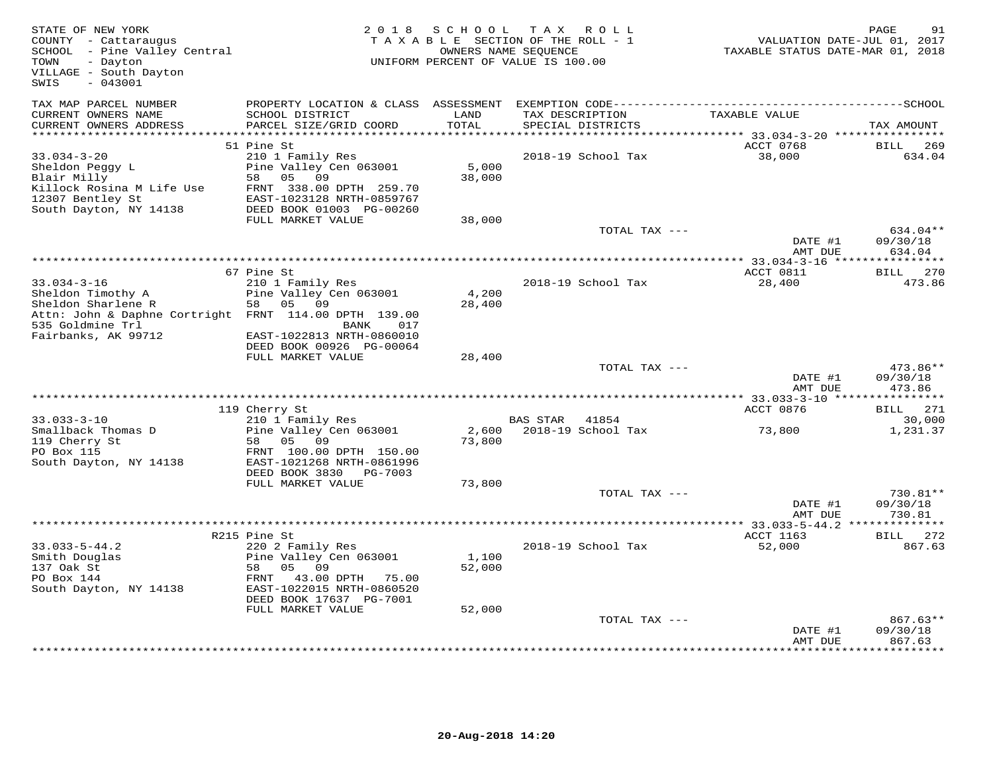| STATE OF NEW YORK<br>COUNTY - Cattaraugus<br>SCHOOL - Pine Valley Central<br>- Dayton<br>TOWN<br>VILLAGE - South Dayton<br>$-043001$<br>SWIS |                                                         | 2018 SCHOOL     | TAX ROLL<br>TAXABLE SECTION OF THE ROLL - 1<br>OWNERS NAME SEQUENCE<br>UNIFORM PERCENT OF VALUE IS 100.00 | VALUATION DATE-JUL 01, 2017<br>TAXABLE STATUS DATE-MAR 01, 2018 | PAGE<br>91         |
|----------------------------------------------------------------------------------------------------------------------------------------------|---------------------------------------------------------|-----------------|-----------------------------------------------------------------------------------------------------------|-----------------------------------------------------------------|--------------------|
| TAX MAP PARCEL NUMBER<br>CURRENT OWNERS NAME                                                                                                 | PROPERTY LOCATION & CLASS ASSESSMENT<br>SCHOOL DISTRICT | LAND            | TAX DESCRIPTION                                                                                           | TAXABLE VALUE                                                   |                    |
| CURRENT OWNERS ADDRESS                                                                                                                       | PARCEL SIZE/GRID COORD                                  | TOTAL           | SPECIAL DISTRICTS                                                                                         |                                                                 | TAX AMOUNT         |
|                                                                                                                                              | 51 Pine St                                              |                 |                                                                                                           | ACCT 0768                                                       | BILL<br>269        |
| $33.034 - 3 - 20$                                                                                                                            | 210 1 Family Res                                        |                 | 2018-19 School Tax                                                                                        | 38,000                                                          | 634.04             |
| Sheldon Peggy L                                                                                                                              | Pine Valley Cen 063001                                  | 5,000           |                                                                                                           |                                                                 |                    |
| Blair Milly                                                                                                                                  | 58<br>05<br>09                                          | 38,000          |                                                                                                           |                                                                 |                    |
| Killock Rosina M Life Use                                                                                                                    | FRNT 338.00 DPTH 259.70                                 |                 |                                                                                                           |                                                                 |                    |
| 12307 Bentley St                                                                                                                             | EAST-1023128 NRTH-0859767                               |                 |                                                                                                           |                                                                 |                    |
| South Dayton, NY 14138                                                                                                                       | DEED BOOK 01003 PG-00260                                |                 |                                                                                                           |                                                                 |                    |
|                                                                                                                                              | FULL MARKET VALUE                                       | 38,000          | TOTAL TAX ---                                                                                             |                                                                 | 634.04**           |
|                                                                                                                                              |                                                         |                 |                                                                                                           | DATE #1                                                         | 09/30/18           |
|                                                                                                                                              |                                                         |                 |                                                                                                           | AMT DUE                                                         | 634.04             |
|                                                                                                                                              |                                                         |                 |                                                                                                           |                                                                 |                    |
|                                                                                                                                              | 67 Pine St                                              |                 |                                                                                                           | ACCT 0811                                                       | BILL 270           |
| $33.034 - 3 - 16$                                                                                                                            | 210 1 Family Res                                        |                 | 2018-19 School Tax                                                                                        | 28,400                                                          | 473.86             |
| Sheldon Timothy A                                                                                                                            | Pine Valley Cen 063001<br>58 05 09                      | 4,200           |                                                                                                           |                                                                 |                    |
| Sheldon Sharlene R<br>Attn: John & Daphne Cortright FRNT 114.00 DPTH 139.00                                                                  |                                                         | 28,400          |                                                                                                           |                                                                 |                    |
| 535 Goldmine Trl                                                                                                                             | BANK<br>017                                             |                 |                                                                                                           |                                                                 |                    |
| Fairbanks, AK 99712                                                                                                                          | EAST-1022813 NRTH-0860010                               |                 |                                                                                                           |                                                                 |                    |
|                                                                                                                                              | DEED BOOK 00926 PG-00064                                |                 |                                                                                                           |                                                                 |                    |
|                                                                                                                                              | FULL MARKET VALUE                                       | 28,400          |                                                                                                           |                                                                 |                    |
|                                                                                                                                              |                                                         |                 | TOTAL TAX ---                                                                                             |                                                                 | 473.86**           |
|                                                                                                                                              |                                                         |                 |                                                                                                           | DATE #1<br>AMT DUE                                              | 09/30/18<br>473.86 |
|                                                                                                                                              | 119 Cherry St                                           |                 |                                                                                                           | ACCT 0876                                                       | BILL 271           |
| $33.033 - 3 - 10$                                                                                                                            | 210 1 Family Res                                        |                 | <b>BAS STAR</b><br>41854                                                                                  |                                                                 | 30,000             |
| Smallback Thomas D                                                                                                                           | Pine Valley Cen 063001                                  | 2,600           | 2018-19 School Tax                                                                                        | 73,800                                                          | 1,231.37           |
| 119 Cherry St                                                                                                                                | 58 05<br>09                                             | 73,800          |                                                                                                           |                                                                 |                    |
| PO Box 115                                                                                                                                   | FRNT 100.00 DPTH 150.00                                 |                 |                                                                                                           |                                                                 |                    |
| South Dayton, NY 14138                                                                                                                       | EAST-1021268 NRTH-0861996                               |                 |                                                                                                           |                                                                 |                    |
|                                                                                                                                              | DEED BOOK 3830 PG-7003<br>FULL MARKET VALUE             | 73,800          |                                                                                                           |                                                                 |                    |
|                                                                                                                                              |                                                         |                 | TOTAL TAX ---                                                                                             |                                                                 | 730.81**           |
|                                                                                                                                              |                                                         |                 |                                                                                                           | DATE #1                                                         | 09/30/18           |
|                                                                                                                                              |                                                         |                 |                                                                                                           | AMT DUE                                                         | 730.81             |
|                                                                                                                                              |                                                         |                 |                                                                                                           |                                                                 |                    |
|                                                                                                                                              | R215 Pine St                                            |                 |                                                                                                           | ACCT 1163                                                       | BILL 272           |
| $33.033 - 5 - 44.2$                                                                                                                          | 220 2 Family Res                                        |                 | 2018-19 School Tax                                                                                        | 52,000                                                          | 867.63             |
| Smith Douglas<br>137 Oak St                                                                                                                  | Pine Valley Cen 063001<br>58<br>05 09                   | 1,100<br>52,000 |                                                                                                           |                                                                 |                    |
| PO Box 144                                                                                                                                   | FRNT 43.00 DPTH 75.00                                   |                 |                                                                                                           |                                                                 |                    |
| South Dayton, NY 14138                                                                                                                       | EAST-1022015 NRTH-0860520                               |                 |                                                                                                           |                                                                 |                    |
|                                                                                                                                              | DEED BOOK 17637 PG-7001                                 |                 |                                                                                                           |                                                                 |                    |
|                                                                                                                                              | FULL MARKET VALUE                                       | 52,000          |                                                                                                           |                                                                 |                    |
|                                                                                                                                              |                                                         |                 | TOTAL TAX ---                                                                                             |                                                                 | 867.63**           |
|                                                                                                                                              |                                                         |                 |                                                                                                           | DATE #1<br>AMT DUE                                              | 09/30/18<br>867.63 |
|                                                                                                                                              |                                                         |                 |                                                                                                           |                                                                 |                    |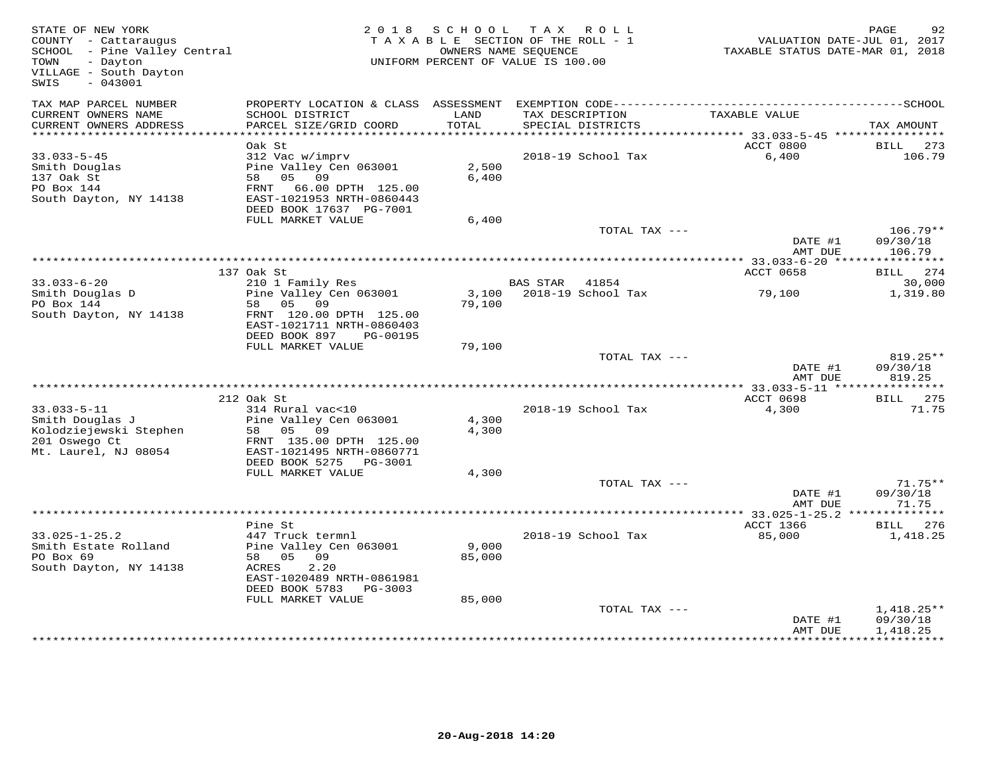| STATE OF NEW YORK<br>COUNTY - Cattaraugus<br>SCHOOL - Pine Valley Central<br>TOWN - Davton<br>- Dayton<br>TOWN<br>VILLAGE - South Dayton<br>$-043001$<br>SWIS |                                                        | 2018 SCHOOL | TAX ROLL<br>TAXABLE SECTION OF THE ROLL - 1<br>OWNERS NAME SEQUENCE<br>UNIFORM PERCENT OF VALUE IS 100.00 | VALUATION DATE-JUL 01, 2017<br>TAXABLE STATUS DATE-MAR 01, 2018 | PAGE<br>92            |
|---------------------------------------------------------------------------------------------------------------------------------------------------------------|--------------------------------------------------------|-------------|-----------------------------------------------------------------------------------------------------------|-----------------------------------------------------------------|-----------------------|
| TAX MAP PARCEL NUMBER                                                                                                                                         |                                                        | LAND        |                                                                                                           |                                                                 |                       |
| CURRENT OWNERS NAME<br>CURRENT OWNERS ADDRESS                                                                                                                 | SCHOOL DISTRICT<br>PARCEL SIZE/GRID COORD              | TOTAL       | TAX DESCRIPTION<br>SPECIAL DISTRICTS                                                                      | TAXABLE VALUE                                                   | TAX AMOUNT            |
| ***********************                                                                                                                                       |                                                        |             |                                                                                                           |                                                                 |                       |
| $33.033 - 5 - 45$                                                                                                                                             | Oak St<br>312 Vac w/imprv                              |             | 2018-19 School Tax                                                                                        | ACCT 0800<br>6,400                                              | BILL<br>273<br>106.79 |
| Smith Douglas                                                                                                                                                 | Pine Valley Cen 063001                                 | 2,500       |                                                                                                           |                                                                 |                       |
| 137 Oak St                                                                                                                                                    | 58 05 09                                               | 6,400       |                                                                                                           |                                                                 |                       |
| PO Box 144                                                                                                                                                    | FRNT 66.00 DPTH 125.00<br>EAST-1021953 NRTH-0860443    |             |                                                                                                           |                                                                 |                       |
| South Dayton, NY 14138                                                                                                                                        | DEED BOOK 17637 PG-7001                                |             |                                                                                                           |                                                                 |                       |
|                                                                                                                                                               | FULL MARKET VALUE                                      | 6,400       |                                                                                                           |                                                                 |                       |
|                                                                                                                                                               |                                                        |             | TOTAL TAX ---                                                                                             |                                                                 | $106.79**$            |
|                                                                                                                                                               |                                                        |             |                                                                                                           | DATE #1<br>AMT DUE                                              | 09/30/18<br>106.79    |
|                                                                                                                                                               |                                                        |             |                                                                                                           |                                                                 |                       |
| $33.033 - 6 - 20$                                                                                                                                             | 137 Oak St<br>210 1 Family Res                         |             | BAS STAR 41854                                                                                            | ACCT 0658                                                       | BILL 274<br>30,000    |
| $53.033 \times -$<br>Smith Douglas D                                                                                                                          | Pine Valley Cen 063001                                 |             | 3,100 2018-19 School Tax                                                                                  | 79,100                                                          | 1,319.80              |
| PO Box 144                                                                                                                                                    | 58 05 09                                               | 79,100      |                                                                                                           |                                                                 |                       |
| South Dayton, NY 14138                                                                                                                                        | FRNT 120.00 DPTH 125.00<br>EAST-1021711 NRTH-0860403   |             |                                                                                                           |                                                                 |                       |
|                                                                                                                                                               | DEED BOOK 897<br>PG-00195<br>FULL MARKET VALUE         | 79,100      |                                                                                                           |                                                                 |                       |
|                                                                                                                                                               |                                                        |             | TOTAL TAX ---                                                                                             |                                                                 | $819.25**$            |
|                                                                                                                                                               |                                                        |             |                                                                                                           | DATE #1                                                         | 09/30/18              |
|                                                                                                                                                               |                                                        |             |                                                                                                           | AMT DUE                                                         | 819.25                |
|                                                                                                                                                               | 212 Oak St                                             |             |                                                                                                           | ACCT 0698                                                       | BILL 275              |
| $33.033 - 5 - 11$                                                                                                                                             | 314 Rural vac<10                                       |             | 2018-19 School Tax                                                                                        | 4,300                                                           | 71.75                 |
| Smith Douglas J                                                                                                                                               | Pine Valley Cen 063001                                 | 4,300       |                                                                                                           |                                                                 |                       |
| Kolodziejewski Stephen                                                                                                                                        | $58$ 05 09                                             | 4,300       |                                                                                                           |                                                                 |                       |
| 201 Oswego Ct                                                                                                                                                 | FRNT 135.00 DPTH 125.00                                |             |                                                                                                           |                                                                 |                       |
| Mt. Laurel, NJ 08054                                                                                                                                          | EAST-1021495 NRTH-0860771<br>DEED BOOK 5275<br>PG-3001 |             |                                                                                                           |                                                                 |                       |
|                                                                                                                                                               | FULL MARKET VALUE                                      | 4,300       |                                                                                                           |                                                                 |                       |
|                                                                                                                                                               |                                                        |             | TOTAL TAX ---                                                                                             |                                                                 | $71.75**$             |
|                                                                                                                                                               |                                                        |             |                                                                                                           | DATE #1                                                         | 09/30/18              |
|                                                                                                                                                               |                                                        |             |                                                                                                           | AMT DUE                                                         | 71.75                 |
|                                                                                                                                                               | Pine St                                                |             |                                                                                                           | ACCT 1366                                                       | BILL 276              |
| $33.025 - 1 - 25.2$                                                                                                                                           | 447 Truck termnl                                       |             | 2018-19 School Tax                                                                                        | 85,000                                                          | 1,418.25              |
| Smith Estate Rolland                                                                                                                                          | Pine Valley Cen 063001                                 | 9,000       |                                                                                                           |                                                                 |                       |
| PO Box 69                                                                                                                                                     | 58 05 09                                               | 85,000      |                                                                                                           |                                                                 |                       |
| South Dayton, NY 14138                                                                                                                                        | 2.20<br>ACRES                                          |             |                                                                                                           |                                                                 |                       |
|                                                                                                                                                               | EAST-1020489 NRTH-0861981<br>DEED BOOK 5783 PG-3003    |             |                                                                                                           |                                                                 |                       |
|                                                                                                                                                               | FULL MARKET VALUE                                      | 85,000      |                                                                                                           |                                                                 |                       |
|                                                                                                                                                               |                                                        |             | TOTAL TAX ---                                                                                             |                                                                 | $1,418.25**$          |
|                                                                                                                                                               |                                                        |             |                                                                                                           | DATE #1                                                         | 09/30/18              |
|                                                                                                                                                               |                                                        |             |                                                                                                           | AMT DUE                                                         | 1,418.25              |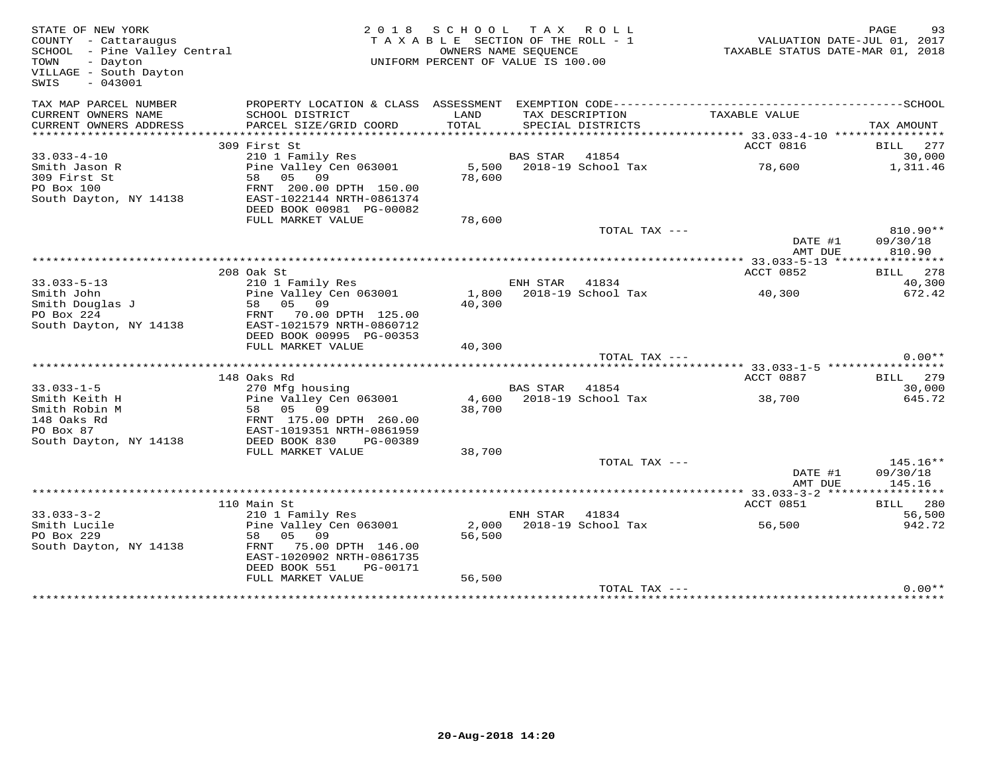| STATE OF NEW YORK<br>COUNTY - Cattaraugus<br>SCHOOL - Pine Valley Central<br>TOWN<br>- Dayton<br>VILLAGE - South Dayton<br>SWIS<br>$-043001$ | 2 0 1 8                                                | SCHOOL TAX ROLL<br>TAXABLE SECTION OF THE ROLL - 1<br>OWNERS NAME SEQUENCE<br>UNIFORM PERCENT OF VALUE IS 100.00 |                 |                          | TAXABLE STATUS DATE-MAR 01, 2018 | PAGE<br>93<br>VALUATION DATE-JUL 01, 2017 |
|----------------------------------------------------------------------------------------------------------------------------------------------|--------------------------------------------------------|------------------------------------------------------------------------------------------------------------------|-----------------|--------------------------|----------------------------------|-------------------------------------------|
| TAX MAP PARCEL NUMBER                                                                                                                        |                                                        |                                                                                                                  |                 |                          |                                  |                                           |
| CURRENT OWNERS NAME                                                                                                                          | SCHOOL DISTRICT                                        | LAND                                                                                                             | TAX DESCRIPTION |                          | TAXABLE VALUE                    |                                           |
| CURRENT OWNERS ADDRESS                                                                                                                       | PARCEL SIZE/GRID COORD                                 | TOTAL                                                                                                            |                 | SPECIAL DISTRICTS        |                                  | TAX AMOUNT                                |
|                                                                                                                                              | 309 First St                                           |                                                                                                                  |                 |                          | ACCT 0816                        | BILL 277                                  |
| $33.033 - 4 - 10$                                                                                                                            | 210 1 Family Res                                       |                                                                                                                  | BAS STAR        | 41854                    |                                  | 30,000                                    |
| Smith Jason R                                                                                                                                | Pine Valley Cen 063001                                 |                                                                                                                  |                 | 5,500 2018-19 School Tax | 78,600                           | 1,311.46                                  |
| 309 First St                                                                                                                                 | 58 05 09                                               | 78,600                                                                                                           |                 |                          |                                  |                                           |
| PO Box 100<br>South Dayton, NY 14138                                                                                                         | FRNT 200.00 DPTH 150.00<br>EAST-1022144 NRTH-0861374   |                                                                                                                  |                 |                          |                                  |                                           |
|                                                                                                                                              | DEED BOOK 00981 PG-00082                               |                                                                                                                  |                 |                          |                                  |                                           |
|                                                                                                                                              | FULL MARKET VALUE                                      | 78,600                                                                                                           |                 |                          |                                  |                                           |
|                                                                                                                                              |                                                        |                                                                                                                  |                 | TOTAL TAX ---            |                                  | $810.90**$                                |
|                                                                                                                                              |                                                        |                                                                                                                  |                 |                          | DATE #1                          | 09/30/18                                  |
|                                                                                                                                              |                                                        |                                                                                                                  |                 |                          | AMT DUE                          | 810.90                                    |
|                                                                                                                                              | 208 Oak St                                             |                                                                                                                  |                 |                          | ACCT 0852                        | BILL 278                                  |
| $33.033 - 5 - 13$                                                                                                                            | 210 1 Family Res                                       |                                                                                                                  | ENH STAR        | 41834                    |                                  | 40,300                                    |
| Smith John                                                                                                                                   | Pine Valley Cen 063001                                 | 1,800                                                                                                            |                 | 2018-19 School Tax       | 40,300                           | 672.42                                    |
| Smith Douglas J<br>Smith Douglas J                                                                                                           | 58 05 09                                               | 40,300                                                                                                           |                 |                          |                                  |                                           |
| South Dayton, NY 14138                                                                                                                       | FRNT 70.00 DPTH 125.00<br>EAST-1021579 NRTH-0860712    |                                                                                                                  |                 |                          |                                  |                                           |
|                                                                                                                                              | DEED BOOK 00995 PG-00353                               |                                                                                                                  |                 |                          |                                  |                                           |
|                                                                                                                                              | FULL MARKET VALUE                                      | 40,300                                                                                                           |                 |                          |                                  |                                           |
|                                                                                                                                              |                                                        |                                                                                                                  |                 | TOTAL TAX ---            |                                  | $0.00**$                                  |
|                                                                                                                                              | 148 Oaks Rd                                            |                                                                                                                  |                 |                          | ACCT 0887                        | BILL 279                                  |
| $33.033 - 1 - 5$                                                                                                                             | 270 Mfg housing                                        |                                                                                                                  | BAS STAR        | 41854                    |                                  | 30,000                                    |
| Smith Keith H                                                                                                                                | Pine Valley Cen 063001                                 |                                                                                                                  |                 | 4,600 2018-19 School Tax | 38,700                           | 645.72                                    |
| Smith Robin M                                                                                                                                | 58 05 09                                               | 38,700                                                                                                           |                 |                          |                                  |                                           |
| 148 Oaks Rd                                                                                                                                  | FRNT 175.00 DPTH 260.00                                |                                                                                                                  |                 |                          |                                  |                                           |
| PO Box 87<br>South Dayton, NY 14138                                                                                                          | EAST-1019351 NRTH-0861959<br>DEED BOOK 830<br>PG-00389 |                                                                                                                  |                 |                          |                                  |                                           |
|                                                                                                                                              | FULL MARKET VALUE                                      | 38,700                                                                                                           |                 |                          |                                  |                                           |
|                                                                                                                                              |                                                        |                                                                                                                  |                 | TOTAL TAX ---            |                                  | $145.16**$                                |
|                                                                                                                                              |                                                        |                                                                                                                  |                 |                          | DATE #1                          | 09/30/18                                  |
|                                                                                                                                              |                                                        |                                                                                                                  |                 |                          | AMT DUE                          | 145.16                                    |
|                                                                                                                                              | 110 Main St                                            |                                                                                                                  |                 |                          | ACCT 0851                        | BILL 280                                  |
| $33.033 - 3 - 2$                                                                                                                             | 210 1 Family Res                                       |                                                                                                                  | ENH STAR        | 41834                    |                                  | 56,500                                    |
| Smith Lucile                                                                                                                                 | Pine Valley Cen 063001                                 | 2,000                                                                                                            |                 | 2018-19 School Tax       | 56,500                           | 942.72                                    |
| PO Box 229                                                                                                                                   | 58<br>05 09                                            | 56,500                                                                                                           |                 |                          |                                  |                                           |
| South Dayton, NY 14138                                                                                                                       | FRNT 75.00 DPTH 146.00                                 |                                                                                                                  |                 |                          |                                  |                                           |
|                                                                                                                                              | EAST-1020902 NRTH-0861735<br>DEED BOOK 551<br>PG-00171 |                                                                                                                  |                 |                          |                                  |                                           |
|                                                                                                                                              | FULL MARKET VALUE                                      | 56,500                                                                                                           |                 |                          |                                  |                                           |
|                                                                                                                                              |                                                        |                                                                                                                  |                 | TOTAL TAX ---            |                                  | $0.00**$                                  |
|                                                                                                                                              |                                                        |                                                                                                                  |                 |                          |                                  |                                           |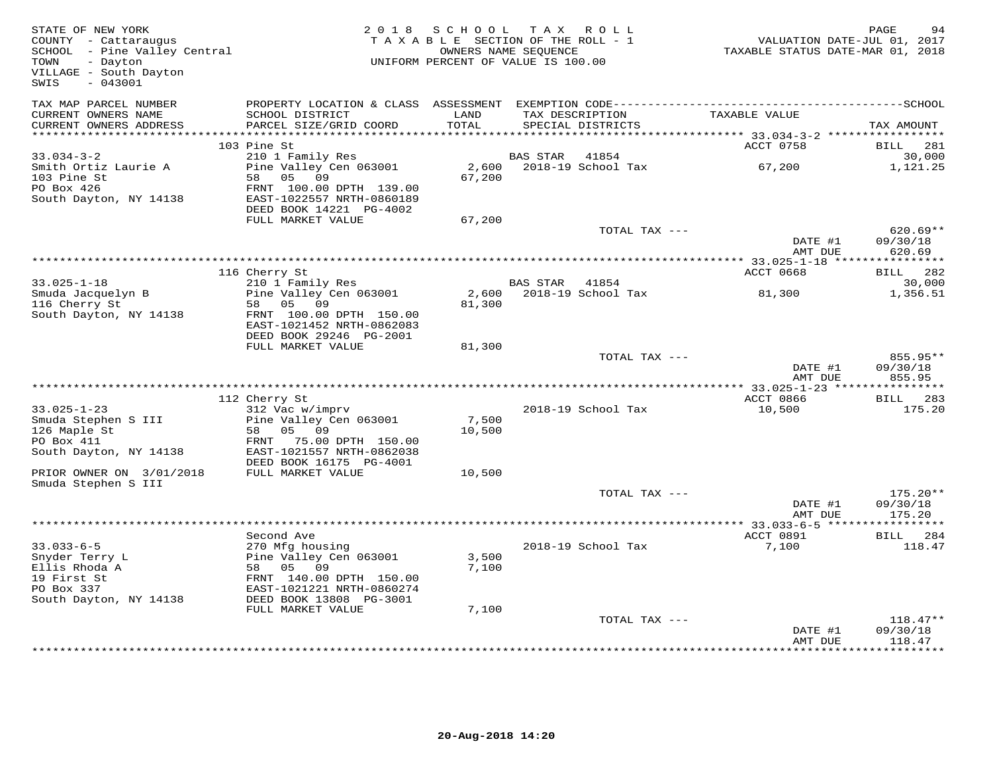| STATE OF NEW YORK<br>COUNTY - Cattaraugus<br>SCHOOL - Pine Valley Central<br>TOWN<br>- Dayton<br>VILLAGE - South Dayton<br>$-043001$<br>SWIS |                                                                                   | 2018 SCHOOL<br>TAXABLE SECTION OF THE ROLL - 1<br>UNIFORM PERCENT OF VALUE IS 100.00 | OWNERS NAME SEQUENCE | TAX ROLL           | VALUATION DATE-JUL 01, 2017<br>TAXABLE STATUS DATE-MAR 01, 2018 | PAGE                             |
|----------------------------------------------------------------------------------------------------------------------------------------------|-----------------------------------------------------------------------------------|--------------------------------------------------------------------------------------|----------------------|--------------------|-----------------------------------------------------------------|----------------------------------|
| TAX MAP PARCEL NUMBER<br>CURRENT OWNERS NAME<br>CURRENT OWNERS ADDRESS                                                                       | PROPERTY LOCATION & CLASS ASSESSMENT<br>SCHOOL DISTRICT<br>PARCEL SIZE/GRID COORD | LAND<br>TOTAL                                                                        | TAX DESCRIPTION      | SPECIAL DISTRICTS  | TAXABLE VALUE                                                   | TAX AMOUNT                       |
|                                                                                                                                              |                                                                                   |                                                                                      |                      |                    |                                                                 |                                  |
|                                                                                                                                              | 103 Pine St                                                                       |                                                                                      |                      |                    | ACCT 0758                                                       | 281<br>BILL                      |
| $33.034 - 3 - 2$                                                                                                                             | 210 1 Family Res                                                                  |                                                                                      | <b>BAS STAR</b>      | 41854              |                                                                 | 30,000                           |
| Smith Ortiz Laurie A<br>103 Pine St                                                                                                          | Pine Valley Cen 063001<br>58 05 09                                                | 2,600<br>67,200                                                                      |                      | 2018-19 School Tax | 67,200                                                          | 1,121.25                         |
| PO Box 426<br>South Dayton, NY 14138                                                                                                         | FRNT 100.00 DPTH 139.00<br>EAST-1022557 NRTH-0860189<br>DEED BOOK 14221 PG-4002   |                                                                                      |                      |                    |                                                                 |                                  |
|                                                                                                                                              | FULL MARKET VALUE                                                                 | 67,200                                                                               |                      |                    |                                                                 |                                  |
|                                                                                                                                              |                                                                                   |                                                                                      |                      | TOTAL TAX ---      |                                                                 | $620.69**$                       |
|                                                                                                                                              |                                                                                   |                                                                                      |                      |                    | DATE #1<br>AMT DUE                                              | 09/30/18<br>620.69               |
|                                                                                                                                              |                                                                                   |                                                                                      |                      |                    |                                                                 |                                  |
|                                                                                                                                              | 116 Cherry St                                                                     |                                                                                      |                      |                    | ACCT 0668                                                       | BILL 282                         |
| $33.025 - 1 - 18$                                                                                                                            | 210 1 Family Res<br>Pine Valley Cen 063001                                        | 2,600                                                                                | BAS STAR 41854       | 2018-19 School Tax |                                                                 | 30,000<br>1,356.51               |
| Smuda Jacquelyn B<br>116 Cherry St                                                                                                           | 58 05 09                                                                          | 81,300                                                                               |                      |                    | 81,300                                                          |                                  |
| South Dayton, NY 14138                                                                                                                       | FRNT 100.00 DPTH 150.00                                                           |                                                                                      |                      |                    |                                                                 |                                  |
|                                                                                                                                              | EAST-1021452 NRTH-0862083<br>DEED BOOK 29246 PG-2001                              |                                                                                      |                      |                    |                                                                 |                                  |
|                                                                                                                                              | FULL MARKET VALUE                                                                 | 81,300                                                                               |                      |                    |                                                                 |                                  |
|                                                                                                                                              |                                                                                   |                                                                                      |                      | TOTAL TAX ---      |                                                                 | 855.95**                         |
|                                                                                                                                              |                                                                                   |                                                                                      |                      |                    | DATE #1<br>AMT DUE                                              | 09/30/18<br>855.95               |
|                                                                                                                                              |                                                                                   |                                                                                      |                      |                    | ACCT 0866                                                       |                                  |
| $33.025 - 1 - 23$                                                                                                                            | 112 Cherry St<br>312 Vac w/imprv                                                  |                                                                                      |                      | 2018-19 School Tax | 10,500                                                          | 283<br>BILL<br>175.20            |
| Smuda Stephen S III                                                                                                                          | Pine Valley Cen 063001                                                            | 7,500                                                                                |                      |                    |                                                                 |                                  |
| 126 Maple St                                                                                                                                 | 58<br>05 09                                                                       | 10,500                                                                               |                      |                    |                                                                 |                                  |
| PO Box 411                                                                                                                                   | FRNT 75.00 DPTH 150.00                                                            |                                                                                      |                      |                    |                                                                 |                                  |
| South Dayton, NY 14138                                                                                                                       | EAST-1021557 NRTH-0862038<br>DEED BOOK 16175 PG-4001                              |                                                                                      |                      |                    |                                                                 |                                  |
| PRIOR OWNER ON 3/01/2018                                                                                                                     | FULL MARKET VALUE                                                                 | 10,500                                                                               |                      |                    |                                                                 |                                  |
| Smuda Stephen S III                                                                                                                          |                                                                                   |                                                                                      |                      |                    |                                                                 |                                  |
|                                                                                                                                              |                                                                                   |                                                                                      |                      | TOTAL TAX ---      | DATE #1<br>AMT DUE                                              | $175.20**$<br>09/30/18<br>175.20 |
|                                                                                                                                              |                                                                                   |                                                                                      |                      |                    |                                                                 | ***********                      |
|                                                                                                                                              | Second Ave                                                                        |                                                                                      |                      |                    | ACCT 0891                                                       | <b>BILL</b> 284                  |
| $33.033 - 6 - 5$                                                                                                                             | 270 Mfg housing                                                                   |                                                                                      |                      | 2018-19 School Tax | 7,100                                                           | 118.47                           |
| Snyder Terry L                                                                                                                               | Pine Valley Cen 063001                                                            | 3,500                                                                                |                      |                    |                                                                 |                                  |
| Ellis Rhoda A                                                                                                                                | 58 05 09                                                                          | 7,100                                                                                |                      |                    |                                                                 |                                  |
| 19 First St                                                                                                                                  | FRNT 140.00 DPTH 150.00                                                           |                                                                                      |                      |                    |                                                                 |                                  |
| PO Box 337                                                                                                                                   | EAST-1021221 NRTH-0860274                                                         |                                                                                      |                      |                    |                                                                 |                                  |
| South Dayton, NY 14138                                                                                                                       | DEED BOOK 13808 PG-3001<br>FULL MARKET VALUE                                      | 7,100                                                                                |                      |                    |                                                                 |                                  |
|                                                                                                                                              |                                                                                   |                                                                                      |                      | TOTAL TAX ---      |                                                                 | $118.47**$                       |
|                                                                                                                                              |                                                                                   |                                                                                      |                      |                    | DATE #1<br>AMT DUE                                              | 09/30/18<br>118.47               |
|                                                                                                                                              |                                                                                   |                                                                                      |                      |                    |                                                                 |                                  |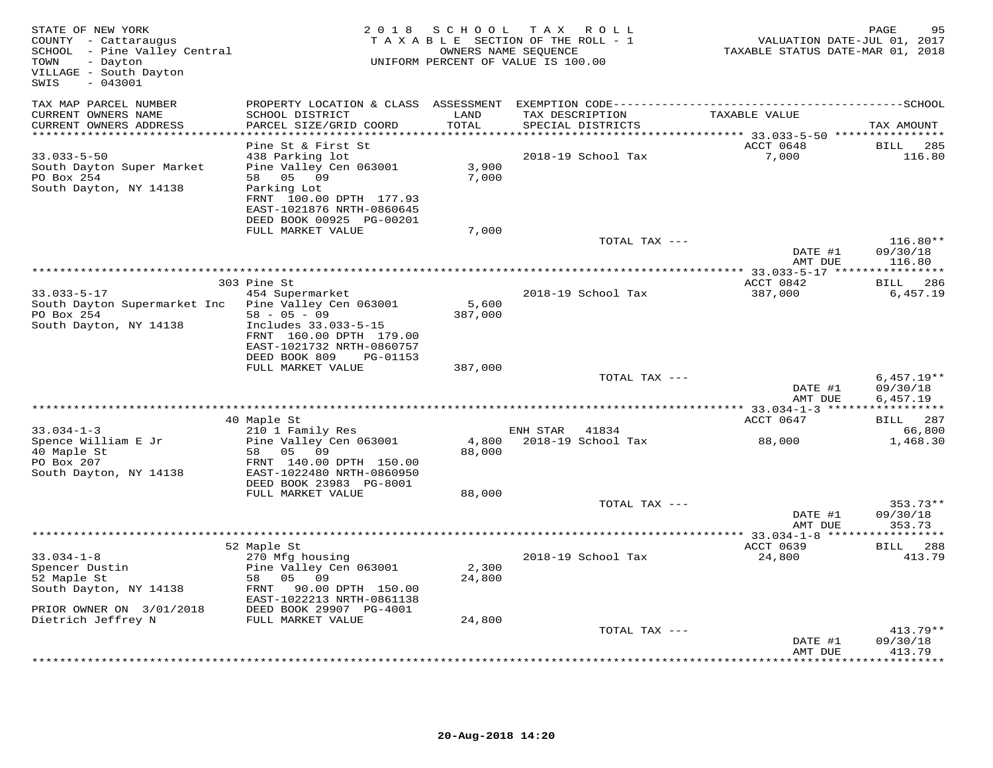| STATE OF NEW YORK<br>COUNTY - Cattaraugus<br>SCHOOL - Pine Valley Central<br>TOWN<br>- Dayton<br>VILLAGE - South Dayton<br>$-043001$<br>SWIS | 2018 SCHOOL<br>TAX ROLL<br>TAXABLE SECTION OF THE ROLL - 1<br>OWNERS NAME SEQUENCE<br>UNIFORM PERCENT OF VALUE IS 100.00                           |                  |          |                                      | PAGE<br>95<br>VALUATION DATE-JUL 01, 2017<br>TAXABLE STATUS DATE-MAR 01, 2018 |                                      |  |
|----------------------------------------------------------------------------------------------------------------------------------------------|----------------------------------------------------------------------------------------------------------------------------------------------------|------------------|----------|--------------------------------------|-------------------------------------------------------------------------------|--------------------------------------|--|
| TAX MAP PARCEL NUMBER                                                                                                                        |                                                                                                                                                    |                  |          |                                      |                                                                               |                                      |  |
| CURRENT OWNERS NAME<br>CURRENT OWNERS ADDRESS                                                                                                | SCHOOL DISTRICT<br>PARCEL SIZE/GRID COORD                                                                                                          | LAND<br>TOTAL    |          | TAX DESCRIPTION<br>SPECIAL DISTRICTS | TAXABLE VALUE                                                                 | TAX AMOUNT                           |  |
| ***********************                                                                                                                      |                                                                                                                                                    |                  |          |                                      |                                                                               |                                      |  |
| $33.033 - 5 - 50$<br>South Dayton Super Market<br>PO Box 254<br>South Dayton, NY 14138                                                       | Pine St & First St<br>438 Parking lot<br>Pine Valley Cen 063001<br>58 05 09<br>Parking Lot<br>FRNT 100.00 DPTH 177.93<br>EAST-1021876 NRTH-0860645 | 3,900<br>7,000   |          | 2018-19 School Tax                   | ACCT 0648<br>7,000                                                            | 285<br>BILL<br>116.80                |  |
|                                                                                                                                              | DEED BOOK 00925 PG-00201                                                                                                                           |                  |          |                                      |                                                                               |                                      |  |
|                                                                                                                                              | FULL MARKET VALUE                                                                                                                                  | 7,000            |          |                                      |                                                                               |                                      |  |
|                                                                                                                                              |                                                                                                                                                    |                  |          | TOTAL TAX ---                        | DATE #1<br>AMT DUE                                                            | $116.80**$<br>09/30/18<br>116.80     |  |
|                                                                                                                                              |                                                                                                                                                    |                  |          |                                      |                                                                               |                                      |  |
| $33.033 - 5 - 17$                                                                                                                            | 303 Pine St<br>454 Supermarket                                                                                                                     |                  |          | 2018-19 School Tax                   | ACCT 0842<br>387,000                                                          | <b>BILL</b><br>286<br>6,457.19       |  |
| South Dayton Supermarket Inc<br>PO Box 254                                                                                                   | Pine Valley Cen 063001<br>$58 - 05 - 09$                                                                                                           | 5,600<br>387,000 |          |                                      |                                                                               |                                      |  |
| South Dayton, NY 14138                                                                                                                       | Includes 33.033-5-15<br>FRNT 160.00 DPTH 179.00<br>EAST-1021732 NRTH-0860757<br>DEED BOOK 809<br>PG-01153                                          |                  |          |                                      |                                                                               |                                      |  |
|                                                                                                                                              | FULL MARKET VALUE                                                                                                                                  | 387,000          |          |                                      |                                                                               |                                      |  |
|                                                                                                                                              |                                                                                                                                                    |                  |          | TOTAL TAX ---                        | DATE #1<br>AMT DUE                                                            | $6,457.19**$<br>09/30/18<br>6,457.19 |  |
| ********************                                                                                                                         |                                                                                                                                                    |                  |          |                                      |                                                                               |                                      |  |
|                                                                                                                                              | 40 Maple St                                                                                                                                        |                  |          |                                      | ACCT 0647                                                                     | BILL 287                             |  |
| $33.034 - 1 - 3$<br>Spence William E Jr                                                                                                      | 210 1 Family Res<br>Pine Valley Cen 063001                                                                                                         |                  | ENH STAR | 41834<br>4,800 2018-19 School Tax    | 88,000                                                                        | 66,800<br>1,468.30                   |  |
| 40 Maple St<br>PO Box 207<br>South Dayton, NY 14138                                                                                          | 58 05 09<br>FRNT 140.00 DPTH 150.00<br>EAST-1022480 NRTH-0860950<br>DEED BOOK 23983 PG-8001                                                        | 88,000           |          |                                      |                                                                               |                                      |  |
|                                                                                                                                              | FULL MARKET VALUE                                                                                                                                  | 88,000           |          |                                      |                                                                               |                                      |  |
|                                                                                                                                              |                                                                                                                                                    |                  |          | TOTAL TAX ---                        | DATE #1<br>AMT DUE                                                            | $353.73**$<br>09/30/18<br>353.73     |  |
|                                                                                                                                              |                                                                                                                                                    |                  |          |                                      |                                                                               |                                      |  |
|                                                                                                                                              | 52 Maple St                                                                                                                                        |                  |          |                                      | ACCT 0639                                                                     | BILL 288                             |  |
| $33.034 - 1 - 8$<br>Spencer Dustin<br>52 Maple St<br>South Dayton, NY 14138                                                                  | 270 Mfg housing<br>Pine Valley Cen 063001<br>58 05<br>09<br>FRNT 90.00 DPTH 150.00                                                                 | 2,300<br>24,800  |          | 2018-19 School Tax                   | 24,800                                                                        | 413.79                               |  |
| PRIOR OWNER ON 3/01/2018                                                                                                                     | EAST-1022213 NRTH-0861138<br>DEED BOOK 29907 PG-4001                                                                                               |                  |          |                                      |                                                                               |                                      |  |
| Dietrich Jeffrey N                                                                                                                           | FULL MARKET VALUE                                                                                                                                  | 24,800           |          |                                      |                                                                               |                                      |  |
|                                                                                                                                              |                                                                                                                                                    |                  |          | TOTAL TAX ---                        | DATE #1                                                                       | $413.79**$<br>09/30/18               |  |
|                                                                                                                                              |                                                                                                                                                    |                  |          |                                      | AMT DUE                                                                       | 413.79<br>* * * * * * * *            |  |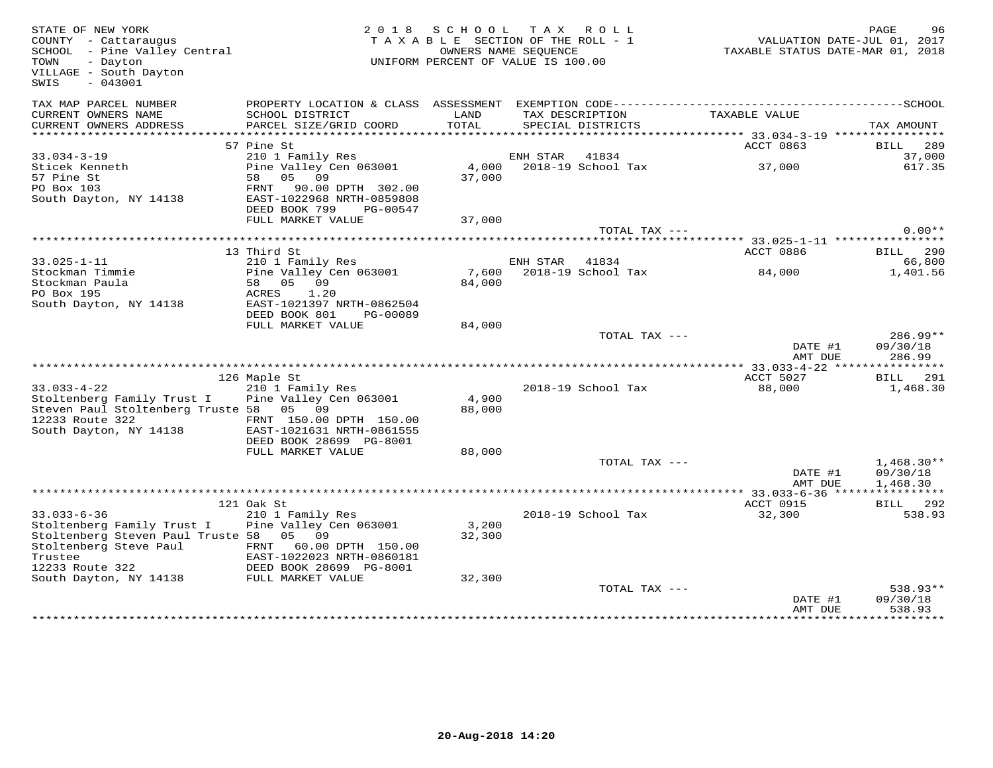| STATE OF NEW YORK<br>COUNTY - Cattaraugus<br>SCHOOL - Pine Valley Central<br>TOWN<br>- Dayton<br>VILLAGE - South Dayton<br>$-043001$<br>SWIS |                                                                                             | 2018 SCHOOL TAX ROLL<br>TAXABLE SECTION OF THE ROLL - 1<br>UNIFORM PERCENT OF VALUE IS 100.00 | OWNERS NAME SEQUENCE |                          |                     | PAGE<br>96<br>VALUATION DATE-JUL 01, 2017<br>TAXABLE STATUS DATE-MAR 01, 2018 |
|----------------------------------------------------------------------------------------------------------------------------------------------|---------------------------------------------------------------------------------------------|-----------------------------------------------------------------------------------------------|----------------------|--------------------------|---------------------|-------------------------------------------------------------------------------|
| TAX MAP PARCEL NUMBER<br>CURRENT OWNERS NAME                                                                                                 | SCHOOL DISTRICT                                                                             | LAND                                                                                          |                      | TAX DESCRIPTION          | TAXABLE VALUE       |                                                                               |
| CURRENT OWNERS ADDRESS                                                                                                                       | PARCEL SIZE/GRID COORD                                                                      | TOTAL                                                                                         |                      | SPECIAL DISTRICTS        |                     | TAX AMOUNT                                                                    |
| **********************                                                                                                                       |                                                                                             |                                                                                               |                      |                          |                     |                                                                               |
|                                                                                                                                              | 57 Pine St                                                                                  |                                                                                               |                      |                          | ACCT 0863           | BILL 289                                                                      |
| $33.034 - 3 - 19$<br>Sticek Kenneth                                                                                                          | 210 1 Family Res<br>Pine Valley Cen 063001                                                  |                                                                                               | ENH STAR 41834       | 4,000 2018-19 School Tax | 37,000              | 37,000<br>617.35                                                              |
| 57 Pine St                                                                                                                                   | 58 05 09                                                                                    | 37,000                                                                                        |                      |                          |                     |                                                                               |
| PO Box 103                                                                                                                                   | FRNT 90.00 DPTH 302.00                                                                      |                                                                                               |                      |                          |                     |                                                                               |
| South Dayton, NY 14138                                                                                                                       | EAST-1022968 NRTH-0859808                                                                   |                                                                                               |                      |                          |                     |                                                                               |
|                                                                                                                                              | DEED BOOK 799<br>PG-00547                                                                   |                                                                                               |                      |                          |                     |                                                                               |
|                                                                                                                                              | FULL MARKET VALUE                                                                           | 37,000                                                                                        |                      |                          |                     |                                                                               |
|                                                                                                                                              |                                                                                             |                                                                                               |                      | TOTAL TAX ---            |                     | $0.00**$                                                                      |
|                                                                                                                                              | 13 Third St                                                                                 |                                                                                               |                      |                          | ACCT 0886           | <b>BILL</b> 290                                                               |
| $33.025 - 1 - 11$                                                                                                                            | 210 1 Family Res                                                                            |                                                                                               | ENH STAR             | 41834                    |                     | 66,800                                                                        |
| Stockman Timmie                                                                                                                              | Pine Valley Cen 063001                                                                      | 7,600                                                                                         |                      | 2018-19 School Tax       | 84,000              | 1,401.56                                                                      |
| Stockman Paula                                                                                                                               | 58 05 09                                                                                    | 84,000                                                                                        |                      |                          |                     |                                                                               |
| PO Box 195<br>South Dayton, NY 14138                                                                                                         | ACRES<br>1.20<br>EAST-1021397 NRTH-0862504                                                  |                                                                                               |                      |                          |                     |                                                                               |
|                                                                                                                                              | DEED BOOK 801<br>PG-00089                                                                   |                                                                                               |                      |                          |                     |                                                                               |
|                                                                                                                                              | FULL MARKET VALUE                                                                           | 84,000                                                                                        |                      |                          |                     |                                                                               |
|                                                                                                                                              |                                                                                             |                                                                                               |                      | TOTAL TAX ---            |                     | $286.99**$                                                                    |
|                                                                                                                                              |                                                                                             |                                                                                               |                      |                          | DATE #1<br>AMT DUE  | 09/30/18<br>286.99                                                            |
|                                                                                                                                              |                                                                                             |                                                                                               |                      |                          |                     |                                                                               |
| $33.033 - 4 - 22$                                                                                                                            | 126 Maple St<br>210 1 Family Res                                                            |                                                                                               |                      | 2018-19 School Tax       | ACCT 5027<br>88,000 | BILL 291<br>1,468.30                                                          |
| Stoltenberg Family Trust I Pine Valley Cen 063001                                                                                            |                                                                                             | 4,900                                                                                         |                      |                          |                     |                                                                               |
| Steven Paul Stoltenberg Truste 58 05 09                                                                                                      |                                                                                             | 88,000                                                                                        |                      |                          |                     |                                                                               |
| 12233 Route 322                                                                                                                              | FRNT 150.00 DPTH 150.00                                                                     |                                                                                               |                      |                          |                     |                                                                               |
| South Dayton, NY 14138                                                                                                                       | EAST-1021631 NRTH-0861555                                                                   |                                                                                               |                      |                          |                     |                                                                               |
|                                                                                                                                              | DEED BOOK 28699 PG-8001<br>FULL MARKET VALUE                                                |                                                                                               |                      |                          |                     |                                                                               |
|                                                                                                                                              |                                                                                             | 88,000                                                                                        |                      | TOTAL TAX ---            |                     | $1,468.30**$                                                                  |
|                                                                                                                                              |                                                                                             |                                                                                               |                      |                          | DATE #1             | 09/30/18                                                                      |
|                                                                                                                                              |                                                                                             |                                                                                               |                      |                          | AMT DUE             | 1,468.30                                                                      |
|                                                                                                                                              |                                                                                             |                                                                                               |                      |                          |                     |                                                                               |
|                                                                                                                                              | 121 Oak St                                                                                  |                                                                                               |                      |                          | ACCT 0915           | BILL 292                                                                      |
| $33.033 - 6 - 36$<br>Stoltenberg Family Trust I                                                                                              | 210 1 Family Res<br>Pine Valley Cen 063001                                                  | 3,200                                                                                         |                      | 2018-19 School Tax       | 32,300              | 538.93                                                                        |
| Stoltenberg Steven Paul Truste 58 05 09                                                                                                      |                                                                                             | 32,300                                                                                        |                      |                          |                     |                                                                               |
| Stoltenberg Steve Paul                                                                                                                       | FRNT 60.00 DPTH 150.00                                                                      |                                                                                               |                      |                          |                     |                                                                               |
| Trustee                                                                                                                                      | EAST-1022023 NRTH-0860181                                                                   |                                                                                               |                      |                          |                     |                                                                               |
| 12233 Route 322                                                                                                                              | EAST-1022023 NRTH-0860181<br>DEED BOOK 28699 PG-8001<br>DEED MARKET VALUE TULL MARKET VALUE |                                                                                               |                      |                          |                     |                                                                               |
| South Dayton, NY 14138                                                                                                                       |                                                                                             | 32,300                                                                                        |                      |                          |                     |                                                                               |
|                                                                                                                                              |                                                                                             |                                                                                               |                      | TOTAL TAX ---            | DATE #1             | $538.93**$<br>09/30/18                                                        |
|                                                                                                                                              |                                                                                             |                                                                                               |                      |                          | AMT DUE             | 538.93                                                                        |
|                                                                                                                                              |                                                                                             |                                                                                               |                      |                          |                     | **********                                                                    |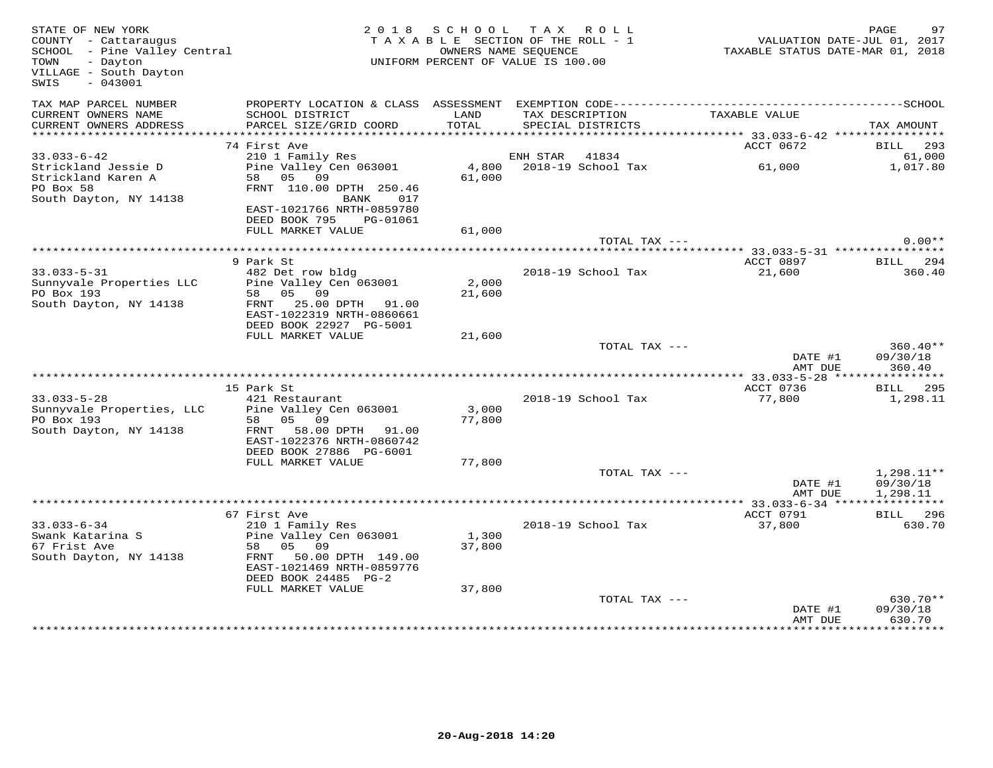| STATE OF NEW YORK<br>COUNTY - Cattaraugus<br>SCHOOL - Pine Valley Central<br>TOWN<br>- Dayton<br>VILLAGE - South Dayton<br>$-043001$<br>SWIS |                                                                               |                 | 2018 SCHOOL TAX ROLL<br>TAXABLE SECTION OF THE ROLL - 1<br>OWNERS NAME SEQUENCE<br>UNIFORM PERCENT OF VALUE IS 100.00 | VALUATION DATE-JUL 01, 2017<br>TAXABLE STATUS DATE-MAR 01, 2018 | PAGE<br>97                           |
|----------------------------------------------------------------------------------------------------------------------------------------------|-------------------------------------------------------------------------------|-----------------|-----------------------------------------------------------------------------------------------------------------------|-----------------------------------------------------------------|--------------------------------------|
| TAX MAP PARCEL NUMBER<br>CURRENT OWNERS NAME<br>CURRENT OWNERS ADDRESS                                                                       | SCHOOL DISTRICT<br>PARCEL SIZE/GRID COORD                                     | LAND<br>TOTAL   | TAX DESCRIPTION<br>SPECIAL DISTRICTS                                                                                  | TAXABLE VALUE                                                   | TAX AMOUNT                           |
|                                                                                                                                              |                                                                               |                 |                                                                                                                       |                                                                 |                                      |
|                                                                                                                                              | 74 First Ave                                                                  |                 |                                                                                                                       | ACCT 0672                                                       | <b>BILL</b> 293                      |
| $33.033 - 6 - 42$                                                                                                                            | 210 1 Family Res                                                              |                 | ENH STAR 41834                                                                                                        |                                                                 | 61,000                               |
| Strickland Jessie D<br>Strickland Karen A<br>PO Box 58<br>South Dayton, NY 14138                                                             | Pine Valley Cen 063001<br>58 05 09<br>FRNT 110.00 DPTH 250.46<br>BANK 017     | 61,000          | 4,800 2018-19 School Tax                                                                                              | 61,000                                                          | 1,017.80                             |
|                                                                                                                                              | EAST-1021766 NRTH-0859780<br>DEED BOOK 795 PG-01061<br>FULL MARKET VALUE      | 61,000          |                                                                                                                       |                                                                 |                                      |
|                                                                                                                                              |                                                                               |                 | TOTAL TAX ---                                                                                                         |                                                                 | $0.00**$                             |
|                                                                                                                                              |                                                                               |                 |                                                                                                                       |                                                                 |                                      |
| $33.033 - 5 - 31$                                                                                                                            | 9 Park St<br>482 Det row bldg                                                 |                 | 2018-19 School Tax                                                                                                    | ACCT 0897<br>21,600                                             | BILL 294<br>360.40                   |
| Sunnyvale Properties LLC<br>PO Box 193                                                                                                       | Pine Valley Cen 063001<br>58 05 09                                            | 2,000<br>21,600 |                                                                                                                       |                                                                 |                                      |
| South Dayton, NY 14138                                                                                                                       | FRNT 25.00 DPTH 91.00<br>EAST-1022319 NRTH-0860661<br>DEED BOOK 22927 PG-5001 |                 |                                                                                                                       |                                                                 |                                      |
|                                                                                                                                              | FULL MARKET VALUE                                                             | 21,600          |                                                                                                                       |                                                                 |                                      |
|                                                                                                                                              |                                                                               |                 | TOTAL TAX ---                                                                                                         | DATE #1<br>AMT DUE                                              | $360.40**$<br>09/30/18<br>360.40     |
|                                                                                                                                              |                                                                               |                 |                                                                                                                       |                                                                 |                                      |
|                                                                                                                                              | 15 Park St                                                                    |                 |                                                                                                                       | ACCT 0736                                                       | <b>BILL</b> 295                      |
| $33.033 - 5 - 28$<br>Sunnyvale Properties, LLC<br>PO Box 193                                                                                 | 421 Restaurant<br>Pine Valley Cen 063001<br>58 05 09                          | 3,000<br>77,800 | 2018-19 School Tax                                                                                                    | 77,800                                                          | 1,298.11                             |
| South Dayton, NY 14138                                                                                                                       | FRNT 58.00 DPTH 91.00<br>EAST-1022376 NRTH-0860742<br>DEED BOOK 27886 PG-6001 |                 |                                                                                                                       |                                                                 |                                      |
|                                                                                                                                              | FULL MARKET VALUE                                                             | 77,800          |                                                                                                                       |                                                                 |                                      |
|                                                                                                                                              |                                                                               |                 | TOTAL TAX ---                                                                                                         | DATE #1<br>AMT DUE                                              | $1,298.11**$<br>09/30/18<br>1,298.11 |
|                                                                                                                                              |                                                                               |                 |                                                                                                                       |                                                                 |                                      |
| $33.033 - 6 - 34$                                                                                                                            | 67 First Ave<br>210 1 Family Res                                              |                 | 2018-19 School Tax                                                                                                    | ACCT 0791<br>37,800                                             | <b>BILL</b> 296<br>630.70            |
| Swank Katarina S<br>67 Frist Ave<br>South Dayton, NY 14138                                                                                   | Pine Valley Cen 063001<br>58 05 09<br>50.00 DPTH 149.00<br>FRNT               | 1,300<br>37,800 |                                                                                                                       |                                                                 |                                      |
|                                                                                                                                              | EAST-1021469 NRTH-0859776<br>DEED BOOK 24485 PG-2<br>FULL MARKET VALUE        | 37,800          |                                                                                                                       |                                                                 |                                      |
|                                                                                                                                              |                                                                               |                 | TOTAL TAX ---                                                                                                         | DATE #1<br>AMT DUE                                              | $630.70**$<br>09/30/18<br>630.70     |
|                                                                                                                                              |                                                                               |                 |                                                                                                                       |                                                                 | * * * * * * * * * *                  |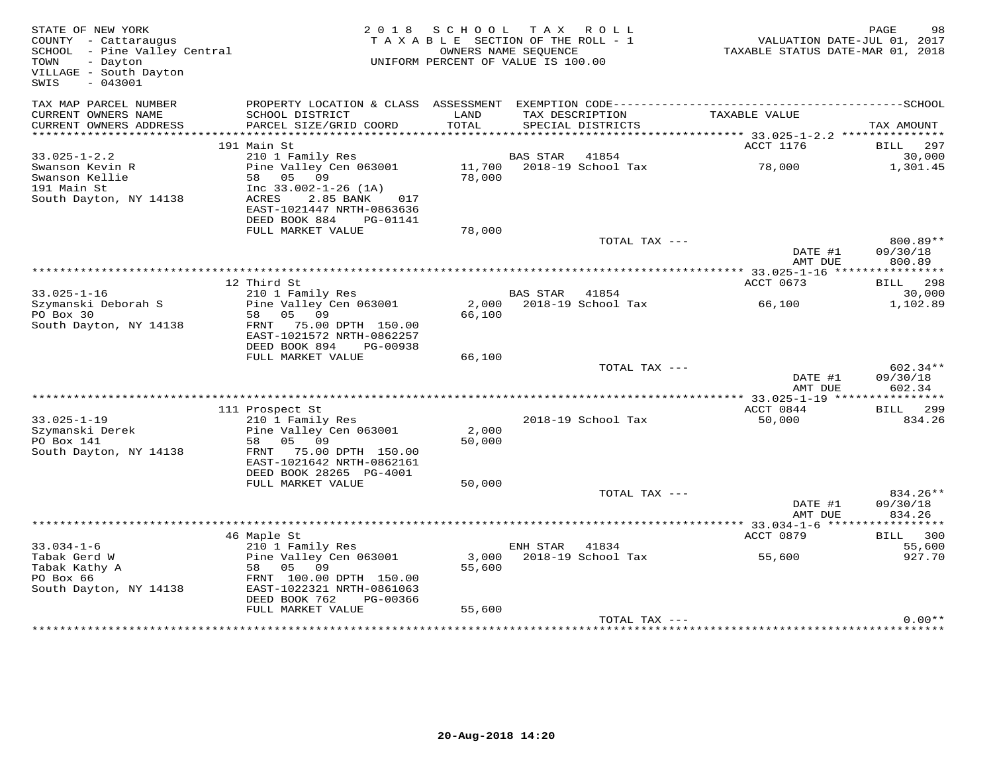| STATE OF NEW YORK<br>COUNTY - Cattaraugus<br>SCHOOL - Pine Valley Central<br>TOWN<br>- Dayton<br>VILLAGE - South Dayton<br>$-043001$<br>SWIS |                                                                                                                                                | 2018 SCHOOL TAX ROLL<br>TAXABLE SECTION OF THE ROLL - 1<br>OWNERS NAME SEQUENCE<br>UNIFORM PERCENT OF VALUE IS 100.00 |                |                                      | VALUATION DATE-JUL 01, 2017<br>TAXABLE STATUS DATE-MAR 01, 2018 | PAGE<br>98                       |
|----------------------------------------------------------------------------------------------------------------------------------------------|------------------------------------------------------------------------------------------------------------------------------------------------|-----------------------------------------------------------------------------------------------------------------------|----------------|--------------------------------------|-----------------------------------------------------------------|----------------------------------|
| TAX MAP PARCEL NUMBER<br>CURRENT OWNERS NAME<br>CURRENT OWNERS ADDRESS                                                                       | SCHOOL DISTRICT<br>PARCEL SIZE/GRID COORD                                                                                                      | LAND<br>TOTAL                                                                                                         |                | TAX DESCRIPTION<br>SPECIAL DISTRICTS | TAXABLE VALUE                                                   | TAX AMOUNT                       |
|                                                                                                                                              |                                                                                                                                                |                                                                                                                       |                |                                      |                                                                 |                                  |
|                                                                                                                                              | 191 Main St                                                                                                                                    |                                                                                                                       |                |                                      | ACCT 1176                                                       | <b>BILL</b> 297                  |
| $33.025 - 1 - 2.2$                                                                                                                           | 210 1 Family Res                                                                                                                               |                                                                                                                       | BAS STAR       | 41854                                |                                                                 | 30,000                           |
| Swanson Kevin R<br>Swanson Kellie<br>191 Main St<br>South Dayton, NY 14138                                                                   | Pine Valley Cen 063001<br>58 05 09<br>Inc $33.002 - 1 - 26$ (1A)<br>ACRES<br>2.85 BANK<br>017<br>EAST-1021447 NRTH-0863636                     | 78,000                                                                                                                |                | 11,700 2018-19 School Tax            | 78,000                                                          | 1,301.45                         |
|                                                                                                                                              | DEED BOOK 884<br>PG-01141<br>FULL MARKET VALUE                                                                                                 | 78,000                                                                                                                |                |                                      |                                                                 |                                  |
|                                                                                                                                              |                                                                                                                                                |                                                                                                                       |                | TOTAL TAX ---                        | DATE #1<br>AMT DUE                                              | $800.89**$<br>09/30/18<br>800.89 |
|                                                                                                                                              |                                                                                                                                                |                                                                                                                       |                |                                      |                                                                 |                                  |
|                                                                                                                                              | 12 Third St                                                                                                                                    |                                                                                                                       |                |                                      | ACCT 0673                                                       | <b>BILL</b> 298                  |
| $33.025 - 1 - 16$                                                                                                                            | 210 1 Family Res                                                                                                                               |                                                                                                                       | BAS STAR       | 41854                                |                                                                 | 30,000                           |
| Szymanski Deborah S<br>PO Box 30<br>South Dayton, NY 14138                                                                                   | Pine Valley Cen 063001<br>05 09<br>58<br>75.00 DPTH 150.00<br>FRNT<br>EAST-1021572 NRTH-0862257<br>DEED BOOK 894<br>PG-00938                   | 66,100                                                                                                                |                | 2,000 2018-19 School Tax             | 66,100                                                          | 1,102.89                         |
|                                                                                                                                              | FULL MARKET VALUE                                                                                                                              | 66,100                                                                                                                |                |                                      |                                                                 |                                  |
|                                                                                                                                              |                                                                                                                                                |                                                                                                                       |                | TOTAL TAX ---                        | DATE #1<br>AMT DUE                                              | 602.34**<br>09/30/18<br>602.34   |
|                                                                                                                                              |                                                                                                                                                |                                                                                                                       |                |                                      |                                                                 |                                  |
| $33.025 - 1 - 19$                                                                                                                            | 111 Prospect St<br>210 1 Family Res                                                                                                            |                                                                                                                       |                | 2018-19 School Tax                   | ACCT 0844<br>50,000                                             | <b>BILL</b> 299<br>834.26        |
| Szymanski Derek<br>PO Box 141<br>South Dayton, NY 14138                                                                                      | Pine Valley Cen 063001<br>58 05 09<br>FRNT 75.00 DPTH 150.00<br>EAST-1021642 NRTH-0862161<br>DEED BOOK 28265 PG-4001                           | 2,000<br>50,000                                                                                                       |                |                                      |                                                                 |                                  |
|                                                                                                                                              | FULL MARKET VALUE                                                                                                                              | 50,000                                                                                                                |                | TOTAL TAX ---                        |                                                                 | 834.26**                         |
|                                                                                                                                              |                                                                                                                                                |                                                                                                                       |                |                                      | DATE #1<br>AMT DUE                                              | 09/30/18<br>834.26               |
|                                                                                                                                              |                                                                                                                                                |                                                                                                                       |                |                                      |                                                                 |                                  |
|                                                                                                                                              | 46 Maple St                                                                                                                                    |                                                                                                                       |                |                                      | ACCT 0879                                                       | BILL 300                         |
| $33.034 - 1 - 6$<br>Tabak Gerd W<br>Tabak Kathy A<br>PO Box 66<br>South Dayton, NY 14138                                                     | 210 1 Family Res<br>Pine Valley Cen 063001<br>05 09<br>58<br>FRNT 100.00 DPTH 150.00<br>EAST-1022321 NRTH-0861063<br>DEED BOOK 762<br>PG-00366 | 3,000<br>55,600                                                                                                       | ENH STAR 41834 | 2018-19 School Tax                   | 55,600                                                          | 55,600<br>927.70                 |
|                                                                                                                                              | FULL MARKET VALUE                                                                                                                              | 55,600                                                                                                                |                |                                      |                                                                 |                                  |
|                                                                                                                                              |                                                                                                                                                |                                                                                                                       |                | TOTAL TAX ---                        |                                                                 | $0.00**$                         |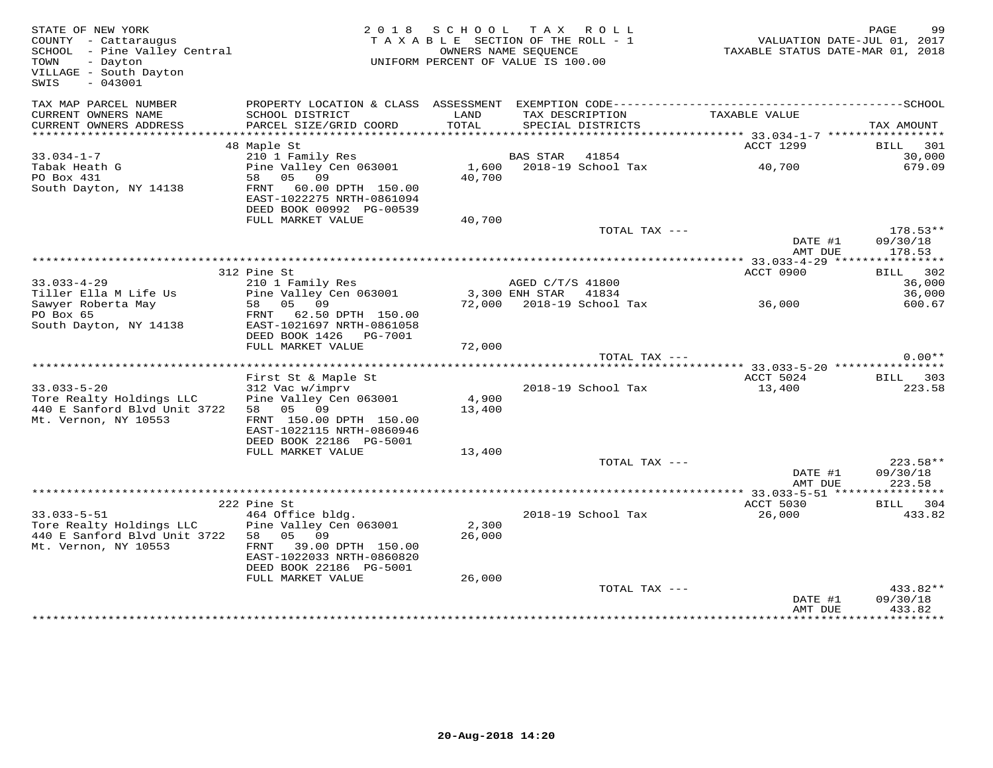| TAX MAP PARCEL NUMBER<br>CURRENT OWNERS NAME<br>SCHOOL DISTRICT<br>LAND<br>TAX DESCRIPTION<br>TAXABLE VALUE<br>CURRENT OWNERS ADDRESS<br>PARCEL SIZE/GRID COORD<br>TOTAL<br>SPECIAL DISTRICTS<br>TAX AMOUNT<br>ACCT 1299<br>48 Maple St<br>BILL 301<br>$33.034 - 1 - 7$<br>BAS STAR 41854<br>30,000<br>210 1 Family Res<br>Tabak Heath G<br>Pine Valley Cen 063001<br>1,600 2018-19 School Tax<br>40,700<br>679.09<br>PO Box 431<br>58 05 09<br>40,700<br>South Dayton, NY 14138<br>FRNT 60.00 DPTH 150.00<br>EAST-1022275 NRTH-0861094<br>DEED BOOK 00992 PG-00539<br>FULL MARKET VALUE<br>40,700<br>178.53**<br>TOTAL TAX ---<br>DATE #1<br>09/30/18<br>AMT DUE<br>178.53<br>ACCT 0900<br>BILL 302<br>312 Pine St<br>210 1 Family Res<br>$33.033 - 4 - 29$<br>36,000<br>AGED C/T/S 41800<br>Tiller Ella M Life Us<br>Pine Valley Cen 063001<br>3,300 ENH STAR 41834<br>36,000<br>72,000 2018-19 School Tax 36,000<br>58 05 09<br>Sawyer Roberta May<br>600.67<br>PO Box 65<br>FRNT 62.50 DPTH 150.00<br>South Dayton, NY 14138<br>EAST-1021697 NRTH-0861058<br>DEED BOOK 1426    PG-7001<br>FULL MARKET VALUE<br>72,000<br>$0.00**$<br>TOTAL TAX ---<br>First St & Maple St<br>ACCT 5024<br>BILL 303<br>$33.033 - 5 - 20$<br>312 Vac w/imprv<br>2018-19 School Tax<br>13,400<br>223.58<br>4,900<br>Pine Valley Cen 063001<br>Tore Realty Holdings LLC<br>440 E Sanford Blvd Unit 3722<br>58 05 09<br>13,400<br>Mt. Vernon, NY 10553<br>FRNT 150.00 DPTH 150.00<br>EAST-1022115 NRTH-0860946<br>DEED BOOK 22186 PG-5001<br>FULL MARKET VALUE<br>13,400<br>223.58**<br>TOTAL TAX ---<br>DATE #1<br>09/30/18<br>AMT DUE<br>223.58<br>ACCT 5030<br>222 Pine St<br>BILL 304<br>464 Office bldg.<br>$33.033 - 5 - 51$<br>2018-19 School Tax<br>26,000<br>433.82<br>Tore Realty Holdings LLC<br>2,300<br>Pine Valley Cen 063001<br>440 E Sanford Blvd Unit 3722 58 05 09<br>26,000<br>Mt. Vernon, NY 10553<br>FRNT 39.00 DPTH 150.00<br>EAST-1022033 NRTH-0860820<br>DEED BOOK 22186 PG-5001<br>FULL MARKET VALUE<br>26,000<br>TOTAL TAX ---<br>433.82**<br>09/30/18<br>DATE #1<br>433.82<br>AMT DUE | STATE OF NEW YORK<br>COUNTY - Cattaraugus<br>SCHOOL - Pine Valley Central<br>TOWN<br>- Dayton<br>VILLAGE - South Dayton<br>$-043001$<br>SWIS |  | 2018 SCHOOL TAX ROLL<br>TAXABLE SECTION OF THE ROLL - 1<br>OWNERS NAME SEQUENCE<br>UNIFORM PERCENT OF VALUE IS 100.00 | VALUATION DATE-JUL 01, 2017<br>TAXABLE STATUS DATE-MAR 01, 2018 | PAGE<br>99 |
|-------------------------------------------------------------------------------------------------------------------------------------------------------------------------------------------------------------------------------------------------------------------------------------------------------------------------------------------------------------------------------------------------------------------------------------------------------------------------------------------------------------------------------------------------------------------------------------------------------------------------------------------------------------------------------------------------------------------------------------------------------------------------------------------------------------------------------------------------------------------------------------------------------------------------------------------------------------------------------------------------------------------------------------------------------------------------------------------------------------------------------------------------------------------------------------------------------------------------------------------------------------------------------------------------------------------------------------------------------------------------------------------------------------------------------------------------------------------------------------------------------------------------------------------------------------------------------------------------------------------------------------------------------------------------------------------------------------------------------------------------------------------------------------------------------------------------------------------------------------------------------------------------------------------------------------------------------------------------------------------------------------------------------------------------------------------------------------------------|----------------------------------------------------------------------------------------------------------------------------------------------|--|-----------------------------------------------------------------------------------------------------------------------|-----------------------------------------------------------------|------------|
|                                                                                                                                                                                                                                                                                                                                                                                                                                                                                                                                                                                                                                                                                                                                                                                                                                                                                                                                                                                                                                                                                                                                                                                                                                                                                                                                                                                                                                                                                                                                                                                                                                                                                                                                                                                                                                                                                                                                                                                                                                                                                                 |                                                                                                                                              |  |                                                                                                                       |                                                                 |            |
|                                                                                                                                                                                                                                                                                                                                                                                                                                                                                                                                                                                                                                                                                                                                                                                                                                                                                                                                                                                                                                                                                                                                                                                                                                                                                                                                                                                                                                                                                                                                                                                                                                                                                                                                                                                                                                                                                                                                                                                                                                                                                                 |                                                                                                                                              |  |                                                                                                                       |                                                                 |            |
|                                                                                                                                                                                                                                                                                                                                                                                                                                                                                                                                                                                                                                                                                                                                                                                                                                                                                                                                                                                                                                                                                                                                                                                                                                                                                                                                                                                                                                                                                                                                                                                                                                                                                                                                                                                                                                                                                                                                                                                                                                                                                                 |                                                                                                                                              |  |                                                                                                                       |                                                                 |            |
|                                                                                                                                                                                                                                                                                                                                                                                                                                                                                                                                                                                                                                                                                                                                                                                                                                                                                                                                                                                                                                                                                                                                                                                                                                                                                                                                                                                                                                                                                                                                                                                                                                                                                                                                                                                                                                                                                                                                                                                                                                                                                                 |                                                                                                                                              |  |                                                                                                                       |                                                                 |            |
|                                                                                                                                                                                                                                                                                                                                                                                                                                                                                                                                                                                                                                                                                                                                                                                                                                                                                                                                                                                                                                                                                                                                                                                                                                                                                                                                                                                                                                                                                                                                                                                                                                                                                                                                                                                                                                                                                                                                                                                                                                                                                                 |                                                                                                                                              |  |                                                                                                                       |                                                                 |            |
|                                                                                                                                                                                                                                                                                                                                                                                                                                                                                                                                                                                                                                                                                                                                                                                                                                                                                                                                                                                                                                                                                                                                                                                                                                                                                                                                                                                                                                                                                                                                                                                                                                                                                                                                                                                                                                                                                                                                                                                                                                                                                                 |                                                                                                                                              |  |                                                                                                                       |                                                                 |            |
|                                                                                                                                                                                                                                                                                                                                                                                                                                                                                                                                                                                                                                                                                                                                                                                                                                                                                                                                                                                                                                                                                                                                                                                                                                                                                                                                                                                                                                                                                                                                                                                                                                                                                                                                                                                                                                                                                                                                                                                                                                                                                                 |                                                                                                                                              |  |                                                                                                                       |                                                                 |            |
|                                                                                                                                                                                                                                                                                                                                                                                                                                                                                                                                                                                                                                                                                                                                                                                                                                                                                                                                                                                                                                                                                                                                                                                                                                                                                                                                                                                                                                                                                                                                                                                                                                                                                                                                                                                                                                                                                                                                                                                                                                                                                                 |                                                                                                                                              |  |                                                                                                                       |                                                                 |            |
|                                                                                                                                                                                                                                                                                                                                                                                                                                                                                                                                                                                                                                                                                                                                                                                                                                                                                                                                                                                                                                                                                                                                                                                                                                                                                                                                                                                                                                                                                                                                                                                                                                                                                                                                                                                                                                                                                                                                                                                                                                                                                                 |                                                                                                                                              |  |                                                                                                                       |                                                                 |            |
|                                                                                                                                                                                                                                                                                                                                                                                                                                                                                                                                                                                                                                                                                                                                                                                                                                                                                                                                                                                                                                                                                                                                                                                                                                                                                                                                                                                                                                                                                                                                                                                                                                                                                                                                                                                                                                                                                                                                                                                                                                                                                                 |                                                                                                                                              |  |                                                                                                                       |                                                                 |            |
|                                                                                                                                                                                                                                                                                                                                                                                                                                                                                                                                                                                                                                                                                                                                                                                                                                                                                                                                                                                                                                                                                                                                                                                                                                                                                                                                                                                                                                                                                                                                                                                                                                                                                                                                                                                                                                                                                                                                                                                                                                                                                                 |                                                                                                                                              |  |                                                                                                                       |                                                                 |            |
|                                                                                                                                                                                                                                                                                                                                                                                                                                                                                                                                                                                                                                                                                                                                                                                                                                                                                                                                                                                                                                                                                                                                                                                                                                                                                                                                                                                                                                                                                                                                                                                                                                                                                                                                                                                                                                                                                                                                                                                                                                                                                                 |                                                                                                                                              |  |                                                                                                                       |                                                                 |            |
|                                                                                                                                                                                                                                                                                                                                                                                                                                                                                                                                                                                                                                                                                                                                                                                                                                                                                                                                                                                                                                                                                                                                                                                                                                                                                                                                                                                                                                                                                                                                                                                                                                                                                                                                                                                                                                                                                                                                                                                                                                                                                                 |                                                                                                                                              |  |                                                                                                                       |                                                                 |            |
|                                                                                                                                                                                                                                                                                                                                                                                                                                                                                                                                                                                                                                                                                                                                                                                                                                                                                                                                                                                                                                                                                                                                                                                                                                                                                                                                                                                                                                                                                                                                                                                                                                                                                                                                                                                                                                                                                                                                                                                                                                                                                                 |                                                                                                                                              |  |                                                                                                                       |                                                                 |            |
|                                                                                                                                                                                                                                                                                                                                                                                                                                                                                                                                                                                                                                                                                                                                                                                                                                                                                                                                                                                                                                                                                                                                                                                                                                                                                                                                                                                                                                                                                                                                                                                                                                                                                                                                                                                                                                                                                                                                                                                                                                                                                                 |                                                                                                                                              |  |                                                                                                                       |                                                                 |            |
|                                                                                                                                                                                                                                                                                                                                                                                                                                                                                                                                                                                                                                                                                                                                                                                                                                                                                                                                                                                                                                                                                                                                                                                                                                                                                                                                                                                                                                                                                                                                                                                                                                                                                                                                                                                                                                                                                                                                                                                                                                                                                                 |                                                                                                                                              |  |                                                                                                                       |                                                                 |            |
|                                                                                                                                                                                                                                                                                                                                                                                                                                                                                                                                                                                                                                                                                                                                                                                                                                                                                                                                                                                                                                                                                                                                                                                                                                                                                                                                                                                                                                                                                                                                                                                                                                                                                                                                                                                                                                                                                                                                                                                                                                                                                                 |                                                                                                                                              |  |                                                                                                                       |                                                                 |            |
|                                                                                                                                                                                                                                                                                                                                                                                                                                                                                                                                                                                                                                                                                                                                                                                                                                                                                                                                                                                                                                                                                                                                                                                                                                                                                                                                                                                                                                                                                                                                                                                                                                                                                                                                                                                                                                                                                                                                                                                                                                                                                                 |                                                                                                                                              |  |                                                                                                                       |                                                                 |            |
|                                                                                                                                                                                                                                                                                                                                                                                                                                                                                                                                                                                                                                                                                                                                                                                                                                                                                                                                                                                                                                                                                                                                                                                                                                                                                                                                                                                                                                                                                                                                                                                                                                                                                                                                                                                                                                                                                                                                                                                                                                                                                                 |                                                                                                                                              |  |                                                                                                                       |                                                                 |            |
|                                                                                                                                                                                                                                                                                                                                                                                                                                                                                                                                                                                                                                                                                                                                                                                                                                                                                                                                                                                                                                                                                                                                                                                                                                                                                                                                                                                                                                                                                                                                                                                                                                                                                                                                                                                                                                                                                                                                                                                                                                                                                                 |                                                                                                                                              |  |                                                                                                                       |                                                                 |            |
|                                                                                                                                                                                                                                                                                                                                                                                                                                                                                                                                                                                                                                                                                                                                                                                                                                                                                                                                                                                                                                                                                                                                                                                                                                                                                                                                                                                                                                                                                                                                                                                                                                                                                                                                                                                                                                                                                                                                                                                                                                                                                                 |                                                                                                                                              |  |                                                                                                                       |                                                                 |            |
|                                                                                                                                                                                                                                                                                                                                                                                                                                                                                                                                                                                                                                                                                                                                                                                                                                                                                                                                                                                                                                                                                                                                                                                                                                                                                                                                                                                                                                                                                                                                                                                                                                                                                                                                                                                                                                                                                                                                                                                                                                                                                                 |                                                                                                                                              |  |                                                                                                                       |                                                                 |            |
|                                                                                                                                                                                                                                                                                                                                                                                                                                                                                                                                                                                                                                                                                                                                                                                                                                                                                                                                                                                                                                                                                                                                                                                                                                                                                                                                                                                                                                                                                                                                                                                                                                                                                                                                                                                                                                                                                                                                                                                                                                                                                                 |                                                                                                                                              |  |                                                                                                                       |                                                                 |            |
|                                                                                                                                                                                                                                                                                                                                                                                                                                                                                                                                                                                                                                                                                                                                                                                                                                                                                                                                                                                                                                                                                                                                                                                                                                                                                                                                                                                                                                                                                                                                                                                                                                                                                                                                                                                                                                                                                                                                                                                                                                                                                                 |                                                                                                                                              |  |                                                                                                                       |                                                                 |            |
|                                                                                                                                                                                                                                                                                                                                                                                                                                                                                                                                                                                                                                                                                                                                                                                                                                                                                                                                                                                                                                                                                                                                                                                                                                                                                                                                                                                                                                                                                                                                                                                                                                                                                                                                                                                                                                                                                                                                                                                                                                                                                                 |                                                                                                                                              |  |                                                                                                                       |                                                                 |            |
|                                                                                                                                                                                                                                                                                                                                                                                                                                                                                                                                                                                                                                                                                                                                                                                                                                                                                                                                                                                                                                                                                                                                                                                                                                                                                                                                                                                                                                                                                                                                                                                                                                                                                                                                                                                                                                                                                                                                                                                                                                                                                                 |                                                                                                                                              |  |                                                                                                                       |                                                                 |            |
|                                                                                                                                                                                                                                                                                                                                                                                                                                                                                                                                                                                                                                                                                                                                                                                                                                                                                                                                                                                                                                                                                                                                                                                                                                                                                                                                                                                                                                                                                                                                                                                                                                                                                                                                                                                                                                                                                                                                                                                                                                                                                                 |                                                                                                                                              |  |                                                                                                                       |                                                                 |            |
|                                                                                                                                                                                                                                                                                                                                                                                                                                                                                                                                                                                                                                                                                                                                                                                                                                                                                                                                                                                                                                                                                                                                                                                                                                                                                                                                                                                                                                                                                                                                                                                                                                                                                                                                                                                                                                                                                                                                                                                                                                                                                                 |                                                                                                                                              |  |                                                                                                                       |                                                                 |            |
|                                                                                                                                                                                                                                                                                                                                                                                                                                                                                                                                                                                                                                                                                                                                                                                                                                                                                                                                                                                                                                                                                                                                                                                                                                                                                                                                                                                                                                                                                                                                                                                                                                                                                                                                                                                                                                                                                                                                                                                                                                                                                                 |                                                                                                                                              |  |                                                                                                                       |                                                                 |            |
|                                                                                                                                                                                                                                                                                                                                                                                                                                                                                                                                                                                                                                                                                                                                                                                                                                                                                                                                                                                                                                                                                                                                                                                                                                                                                                                                                                                                                                                                                                                                                                                                                                                                                                                                                                                                                                                                                                                                                                                                                                                                                                 |                                                                                                                                              |  |                                                                                                                       |                                                                 |            |
|                                                                                                                                                                                                                                                                                                                                                                                                                                                                                                                                                                                                                                                                                                                                                                                                                                                                                                                                                                                                                                                                                                                                                                                                                                                                                                                                                                                                                                                                                                                                                                                                                                                                                                                                                                                                                                                                                                                                                                                                                                                                                                 |                                                                                                                                              |  |                                                                                                                       |                                                                 |            |
|                                                                                                                                                                                                                                                                                                                                                                                                                                                                                                                                                                                                                                                                                                                                                                                                                                                                                                                                                                                                                                                                                                                                                                                                                                                                                                                                                                                                                                                                                                                                                                                                                                                                                                                                                                                                                                                                                                                                                                                                                                                                                                 |                                                                                                                                              |  |                                                                                                                       |                                                                 |            |
|                                                                                                                                                                                                                                                                                                                                                                                                                                                                                                                                                                                                                                                                                                                                                                                                                                                                                                                                                                                                                                                                                                                                                                                                                                                                                                                                                                                                                                                                                                                                                                                                                                                                                                                                                                                                                                                                                                                                                                                                                                                                                                 |                                                                                                                                              |  |                                                                                                                       |                                                                 |            |
|                                                                                                                                                                                                                                                                                                                                                                                                                                                                                                                                                                                                                                                                                                                                                                                                                                                                                                                                                                                                                                                                                                                                                                                                                                                                                                                                                                                                                                                                                                                                                                                                                                                                                                                                                                                                                                                                                                                                                                                                                                                                                                 |                                                                                                                                              |  |                                                                                                                       |                                                                 |            |
|                                                                                                                                                                                                                                                                                                                                                                                                                                                                                                                                                                                                                                                                                                                                                                                                                                                                                                                                                                                                                                                                                                                                                                                                                                                                                                                                                                                                                                                                                                                                                                                                                                                                                                                                                                                                                                                                                                                                                                                                                                                                                                 |                                                                                                                                              |  |                                                                                                                       |                                                                 |            |
|                                                                                                                                                                                                                                                                                                                                                                                                                                                                                                                                                                                                                                                                                                                                                                                                                                                                                                                                                                                                                                                                                                                                                                                                                                                                                                                                                                                                                                                                                                                                                                                                                                                                                                                                                                                                                                                                                                                                                                                                                                                                                                 |                                                                                                                                              |  |                                                                                                                       |                                                                 |            |
|                                                                                                                                                                                                                                                                                                                                                                                                                                                                                                                                                                                                                                                                                                                                                                                                                                                                                                                                                                                                                                                                                                                                                                                                                                                                                                                                                                                                                                                                                                                                                                                                                                                                                                                                                                                                                                                                                                                                                                                                                                                                                                 |                                                                                                                                              |  |                                                                                                                       |                                                                 |            |
|                                                                                                                                                                                                                                                                                                                                                                                                                                                                                                                                                                                                                                                                                                                                                                                                                                                                                                                                                                                                                                                                                                                                                                                                                                                                                                                                                                                                                                                                                                                                                                                                                                                                                                                                                                                                                                                                                                                                                                                                                                                                                                 |                                                                                                                                              |  |                                                                                                                       |                                                                 |            |
|                                                                                                                                                                                                                                                                                                                                                                                                                                                                                                                                                                                                                                                                                                                                                                                                                                                                                                                                                                                                                                                                                                                                                                                                                                                                                                                                                                                                                                                                                                                                                                                                                                                                                                                                                                                                                                                                                                                                                                                                                                                                                                 |                                                                                                                                              |  |                                                                                                                       |                                                                 |            |
|                                                                                                                                                                                                                                                                                                                                                                                                                                                                                                                                                                                                                                                                                                                                                                                                                                                                                                                                                                                                                                                                                                                                                                                                                                                                                                                                                                                                                                                                                                                                                                                                                                                                                                                                                                                                                                                                                                                                                                                                                                                                                                 |                                                                                                                                              |  |                                                                                                                       |                                                                 |            |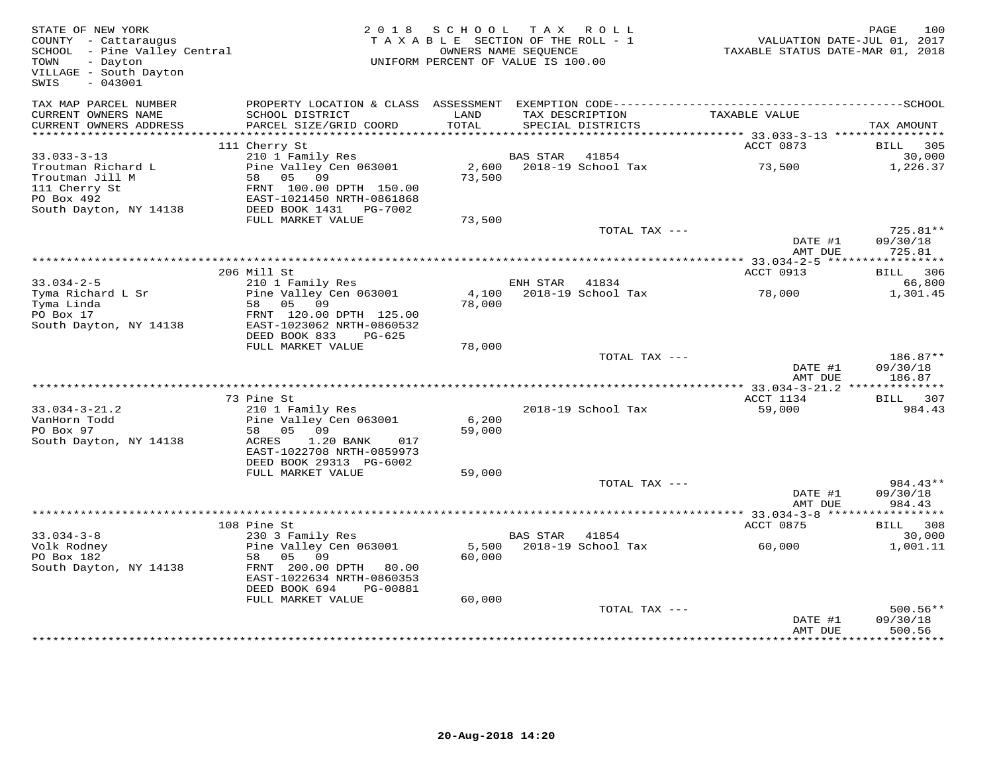| STATE OF NEW YORK<br>COUNTY - Cattaraugus<br>COUNTY - Cattaraugus<br>SCHOOL - Pine Valley Central<br>TOWN - Dayton<br>TOWN<br>- Dayton<br>VILLAGE - South Dayton<br>$-043001$<br>SWIS |                                                                                                                 | 2018 SCHOOL<br>TAXABLE SECTION OF THE ROLL - 1<br>UNIFORM PERCENT OF VALUE IS 100.00 | OWNERS NAME SEQUENCE | TAX ROLL                       | VALUATION DATE-JUL 01, 2017<br>TAXABLE STATUS DATE-MAR 01, 2018 | 100<br>PAGE           |
|---------------------------------------------------------------------------------------------------------------------------------------------------------------------------------------|-----------------------------------------------------------------------------------------------------------------|--------------------------------------------------------------------------------------|----------------------|--------------------------------|-----------------------------------------------------------------|-----------------------|
| TAX MAP PARCEL NUMBER<br>CURRENT OWNERS NAME                                                                                                                                          | PROPERTY LOCATION & CLASS ASSESSMENT EXEMPTION CODE-----------------------------------SCHOOL<br>SCHOOL DISTRICT | LAND                                                                                 |                      | TAX DESCRIPTION                | TAXABLE VALUE                                                   |                       |
| CURRENT OWNERS ADDRESS                                                                                                                                                                | PARCEL SIZE/GRID COORD                                                                                          | TOTAL                                                                                |                      | SPECIAL DISTRICTS              |                                                                 | TAX AMOUNT            |
|                                                                                                                                                                                       |                                                                                                                 |                                                                                      |                      |                                |                                                                 |                       |
|                                                                                                                                                                                       | 111 Cherry St                                                                                                   |                                                                                      |                      |                                | ACCT 0873                                                       | BILL<br>305           |
| $33.033 - 3 - 13$<br>Troutman Richard L                                                                                                                                               | 210 1 Family Res<br>Pine Valley Cen 063001                                                                      | 2,600                                                                                | BAS STAR             | 41854<br>2018-19 School Tax    | 73,500                                                          | 30,000<br>1,226.37    |
| Troutman Jill M                                                                                                                                                                       | 58 05 09                                                                                                        | 73,500                                                                               |                      |                                |                                                                 |                       |
| 111 Cherry St                                                                                                                                                                         | FRNT 100.00 DPTH 150.00                                                                                         |                                                                                      |                      |                                |                                                                 |                       |
| PO Box 492                                                                                                                                                                            | EAST-1021450 NRTH-0861868                                                                                       |                                                                                      |                      |                                |                                                                 |                       |
| South Dayton, NY 14138                                                                                                                                                                | DEED BOOK 1431 PG-7002                                                                                          |                                                                                      |                      |                                |                                                                 |                       |
|                                                                                                                                                                                       | FULL MARKET VALUE                                                                                               | 73,500                                                                               |                      |                                |                                                                 | 725.81**              |
|                                                                                                                                                                                       |                                                                                                                 |                                                                                      |                      | TOTAL TAX ---                  | DATE #1                                                         | 09/30/18              |
|                                                                                                                                                                                       |                                                                                                                 |                                                                                      |                      |                                | AMT DUE                                                         | 725.81                |
|                                                                                                                                                                                       |                                                                                                                 |                                                                                      |                      |                                |                                                                 |                       |
|                                                                                                                                                                                       | 206 Mill St                                                                                                     |                                                                                      |                      |                                | ACCT 0913                                                       | <b>BILL</b> 306       |
| $33.034 - 2 - 5$                                                                                                                                                                      | 210 1 Family Res                                                                                                |                                                                                      | ENH STAR             | 41834                          | 78,000                                                          | 66,800                |
| Tyma Richard L Sr<br>Tyma Linda                                                                                                                                                       | Pine Valley Cen 063001<br>58 05 09                                                                              | 78,000                                                                               |                      | 4,100    2018-19    School Tax |                                                                 | 1,301.45              |
| PO Box 17                                                                                                                                                                             | FRNT 120.00 DPTH 125.00                                                                                         |                                                                                      |                      |                                |                                                                 |                       |
| South Dayton, NY 14138                                                                                                                                                                | EAST-1023062 NRTH-0860532                                                                                       |                                                                                      |                      |                                |                                                                 |                       |
|                                                                                                                                                                                       | DEED BOOK 833<br>PG-625                                                                                         |                                                                                      |                      |                                |                                                                 |                       |
|                                                                                                                                                                                       | FULL MARKET VALUE                                                                                               | 78,000                                                                               |                      | TOTAL TAX ---                  |                                                                 |                       |
|                                                                                                                                                                                       |                                                                                                                 |                                                                                      |                      |                                | DATE #1                                                         | 186.87**<br>09/30/18  |
|                                                                                                                                                                                       |                                                                                                                 |                                                                                      |                      |                                | AMT DUE                                                         | 186.87                |
|                                                                                                                                                                                       |                                                                                                                 |                                                                                      |                      |                                |                                                                 |                       |
|                                                                                                                                                                                       | 73 Pine St                                                                                                      |                                                                                      |                      |                                | ACCT 1134                                                       | BILL 307              |
| $33.034 - 3 - 21.2$<br>VanHorn Todd                                                                                                                                                   | 210 1 Family Res<br>Pine Valley Cen 063001                                                                      | 6,200                                                                                |                      | 2018-19 School Tax             | 59,000                                                          | 984.43                |
| PO Box 97                                                                                                                                                                             | 58 05 09                                                                                                        | 59,000                                                                               |                      |                                |                                                                 |                       |
| South Dayton, NY 14138                                                                                                                                                                | 1.20 BANK<br>ACRES<br>017                                                                                       |                                                                                      |                      |                                |                                                                 |                       |
|                                                                                                                                                                                       | EAST-1022708 NRTH-0859973                                                                                       |                                                                                      |                      |                                |                                                                 |                       |
|                                                                                                                                                                                       | DEED BOOK 29313 PG-6002                                                                                         |                                                                                      |                      |                                |                                                                 |                       |
|                                                                                                                                                                                       | FULL MARKET VALUE                                                                                               | 59,000                                                                               |                      | TOTAL TAX ---                  |                                                                 | $984.43**$            |
|                                                                                                                                                                                       |                                                                                                                 |                                                                                      |                      |                                | DATE #1                                                         | 09/30/18              |
|                                                                                                                                                                                       |                                                                                                                 |                                                                                      |                      |                                | AMT DUE                                                         | 984.43                |
|                                                                                                                                                                                       |                                                                                                                 |                                                                                      |                      |                                | *********** 33.034-3-8 ***                                      | * * * * * * * * * * * |
|                                                                                                                                                                                       | 108 Pine St                                                                                                     |                                                                                      |                      |                                | ACCT 0875                                                       | BILL<br>308           |
| $33.034 - 3 - 8$<br>Volk Rodney                                                                                                                                                       | 230 3 Family Res<br>Pine Valley Cen 063001                                                                      |                                                                                      | BAS STAR 41854       | 5,500 2018-19 School Tax       | 60,000                                                          | 30,000<br>1,001.11    |
| PO Box 182                                                                                                                                                                            | 58 05<br>09                                                                                                     | 60,000                                                                               |                      |                                |                                                                 |                       |
| South Dayton, NY 14138                                                                                                                                                                | FRNT 200.00 DPTH 80.00                                                                                          |                                                                                      |                      |                                |                                                                 |                       |
|                                                                                                                                                                                       | EAST-1022634 NRTH-0860353                                                                                       |                                                                                      |                      |                                |                                                                 |                       |
|                                                                                                                                                                                       | DEED BOOK 694<br>PG-00881                                                                                       |                                                                                      |                      |                                |                                                                 |                       |
|                                                                                                                                                                                       | FULL MARKET VALUE                                                                                               | 60,000                                                                               |                      | TOTAL TAX ---                  |                                                                 | $500.56**$            |
|                                                                                                                                                                                       |                                                                                                                 |                                                                                      |                      |                                | DATE #1                                                         | 09/30/18              |
|                                                                                                                                                                                       |                                                                                                                 |                                                                                      |                      |                                | AMT DUE                                                         | 500.56                |
|                                                                                                                                                                                       |                                                                                                                 |                                                                                      |                      |                                |                                                                 |                       |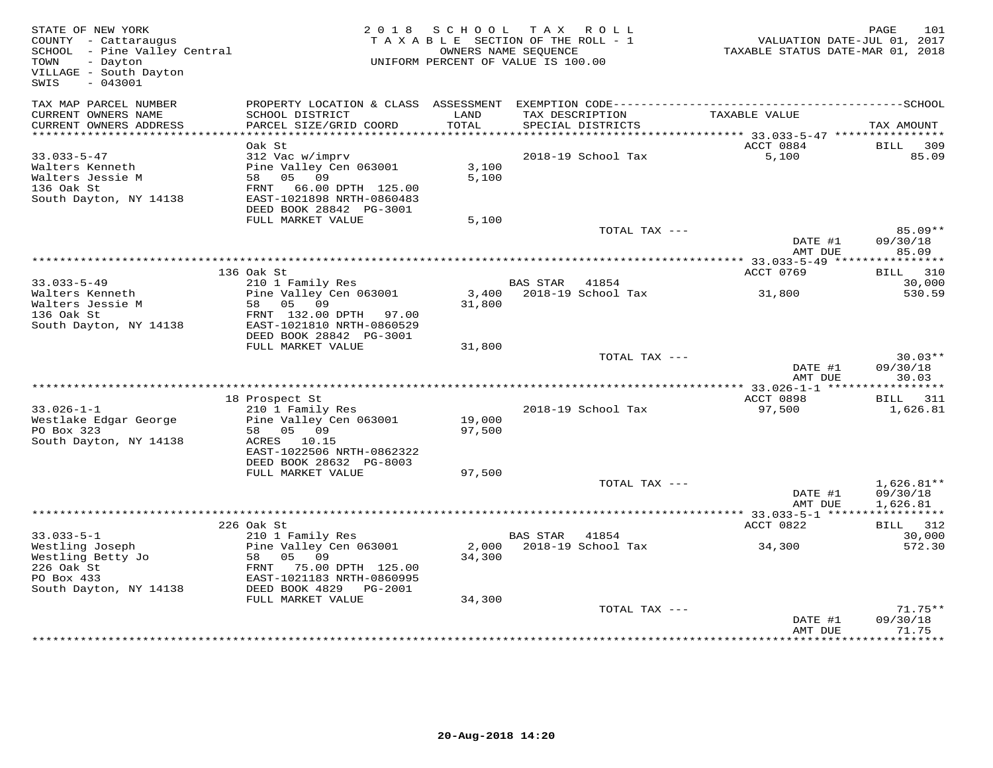| STATE OF NEW YORK<br>COUNTY - Cattaraugus<br>COUNTY - Cattaraugus<br>SCHOOL - Pine Valley Central<br>TOUR<br>TOWN<br>- Dayton<br>VILLAGE - South Dayton<br>$-043001$<br>SWIS |                                                      | 2018 SCHOOL<br>TAXABLE SECTION OF THE ROLL - 1<br>OWNERS NAME SEQUENCE<br>UNIFORM PERCENT OF VALUE IS 100.00 | TAX ROLL       |                          | 1.001 ,<br>7017 - VALUATION DATE<br>712 TAXABLE STATUS DATE-MAR 01, 2018 | 101<br>PAGE           |
|------------------------------------------------------------------------------------------------------------------------------------------------------------------------------|------------------------------------------------------|--------------------------------------------------------------------------------------------------------------|----------------|--------------------------|--------------------------------------------------------------------------|-----------------------|
| TAX MAP PARCEL NUMBER<br>CURRENT OWNERS NAME                                                                                                                                 | SCHOOL DISTRICT                                      | LAND                                                                                                         |                | TAX DESCRIPTION          | TAXABLE VALUE                                                            |                       |
| CURRENT OWNERS ADDRESS                                                                                                                                                       | PARCEL SIZE/GRID COORD                               | TOTAL                                                                                                        |                | SPECIAL DISTRICTS        |                                                                          | TAX AMOUNT            |
| ***********************                                                                                                                                                      |                                                      |                                                                                                              |                |                          |                                                                          |                       |
| $33.033 - 5 - 47$                                                                                                                                                            | Oak St<br>312 Vac w/imprv                            |                                                                                                              |                | 2018-19 School Tax       | ACCT 0884<br>5,100                                                       | BILL 309<br>85.09     |
| Walters Kenneth                                                                                                                                                              | Pine Valley Cen 063001                               | 3,100                                                                                                        |                |                          |                                                                          |                       |
| Walters Jessie M                                                                                                                                                             | 58 05 09                                             | 5,100                                                                                                        |                |                          |                                                                          |                       |
| 136 Oak St                                                                                                                                                                   | FRNT 66.00 DPTH 125.00                               |                                                                                                              |                |                          |                                                                          |                       |
| South Dayton, NY 14138                                                                                                                                                       | EAST-1021898 NRTH-0860483<br>DEED BOOK 28842 PG-3001 |                                                                                                              |                |                          |                                                                          |                       |
|                                                                                                                                                                              | FULL MARKET VALUE                                    | 5,100                                                                                                        |                |                          |                                                                          |                       |
|                                                                                                                                                                              |                                                      |                                                                                                              |                | TOTAL TAX ---            |                                                                          | $85.09**$             |
|                                                                                                                                                                              |                                                      |                                                                                                              |                |                          | DATE #1<br>AMT DUE                                                       | 09/30/18<br>85.09     |
|                                                                                                                                                                              |                                                      |                                                                                                              |                |                          |                                                                          |                       |
|                                                                                                                                                                              | 136 Oak St                                           |                                                                                                              |                |                          | ACCT 0769                                                                | BILL 310              |
| $33.033 - 5 - 49$                                                                                                                                                            | 210 1 Family Res                                     |                                                                                                              | BAS STAR 41854 |                          |                                                                          | 30,000                |
| Walters Kenneth                                                                                                                                                              | Pine Valley Cen 063001<br>58 05 09                   | 31,800                                                                                                       |                | 3,400 2018-19 School Tax | 31,800                                                                   | 530.59                |
| Walters Jessie M<br>136 Oak St<br>136 Oak St                                                                                                                                 | FRNT 132.00 DPTH 97.00                               |                                                                                                              |                |                          |                                                                          |                       |
| South Dayton, NY 14138                                                                                                                                                       | EAST-1021810 NRTH-0860529                            |                                                                                                              |                |                          |                                                                          |                       |
|                                                                                                                                                                              | DEED BOOK 28842 PG-3001<br>FULL MARKET VALUE         | 31,800                                                                                                       |                |                          |                                                                          |                       |
|                                                                                                                                                                              |                                                      |                                                                                                              |                | TOTAL TAX ---            |                                                                          | $30.03**$             |
|                                                                                                                                                                              |                                                      |                                                                                                              |                |                          | DATE #1                                                                  | 09/30/18              |
|                                                                                                                                                                              |                                                      |                                                                                                              |                |                          | AMT DUE                                                                  | 30.03                 |
|                                                                                                                                                                              | 18 Prospect St                                       |                                                                                                              |                |                          | ACCT 0898                                                                | BILL 311              |
| $33.026 - 1 - 1$                                                                                                                                                             | 210 1 Family Res                                     |                                                                                                              |                | 2018-19 School Tax       | 97,500                                                                   | 1,626.81              |
| Westlake Edgar George<br>PO Box 323                                                                                                                                          | Pine Valley Cen 063001<br>58 05 09                   | 19,000                                                                                                       |                |                          |                                                                          |                       |
| South Dayton, NY 14138                                                                                                                                                       | ACRES 10.15                                          | 97,500                                                                                                       |                |                          |                                                                          |                       |
|                                                                                                                                                                              | EAST-1022506 NRTH-0862322                            |                                                                                                              |                |                          |                                                                          |                       |
|                                                                                                                                                                              | DEED BOOK 28632 PG-8003                              |                                                                                                              |                |                          |                                                                          |                       |
|                                                                                                                                                                              | FULL MARKET VALUE                                    | 97,500                                                                                                       |                | TOTAL TAX ---            |                                                                          | $1,626.81**$          |
|                                                                                                                                                                              |                                                      |                                                                                                              |                |                          | DATE #1                                                                  | 09/30/18              |
|                                                                                                                                                                              |                                                      |                                                                                                              |                |                          | AMT DUE                                                                  | 1,626.81              |
|                                                                                                                                                                              | 226 Oak St                                           |                                                                                                              |                |                          | ************ 33.033-5-1 ******************<br>ACCT 0822                  | BILL 312              |
| $33.033 - 5 - 1$                                                                                                                                                             | 210 1 Family Res                                     |                                                                                                              | BAS STAR 41854 |                          |                                                                          | 30,000                |
| Westling Joseph                                                                                                                                                              | Pine Valley Cen 063001                               |                                                                                                              |                | 2,000 2018-19 School Tax | 34,300                                                                   | 572.30                |
| were welling Betty Jo                                                                                                                                                        | 21<br>Pine<br>58<br>FRNT<br>T<br>05 09               | 34,300                                                                                                       |                |                          |                                                                          |                       |
| 226 Oak St<br>PO Box 433                                                                                                                                                     | FRNT 75.00 DPTH 125.00<br>EAST-1021183 NRTH-0860995  |                                                                                                              |                |                          |                                                                          |                       |
| South Dayton, NY 14138                                                                                                                                                       | DEED BOOK 4829    PG-2001                            |                                                                                                              |                |                          |                                                                          |                       |
|                                                                                                                                                                              | FULL MARKET VALUE                                    | 34,300                                                                                                       |                |                          |                                                                          |                       |
|                                                                                                                                                                              |                                                      |                                                                                                              |                | TOTAL TAX ---            | DATE #1                                                                  | $71.75**$<br>09/30/18 |
|                                                                                                                                                                              |                                                      |                                                                                                              |                |                          | AMT DUE                                                                  | 71.75                 |
|                                                                                                                                                                              |                                                      |                                                                                                              |                |                          |                                                                          |                       |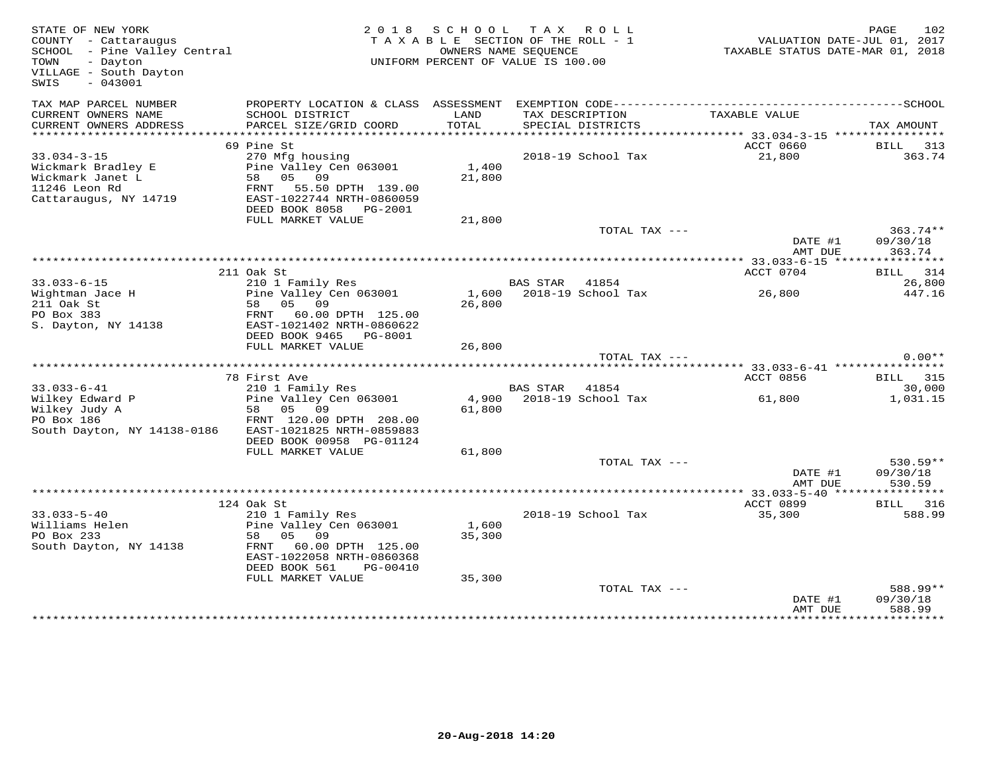| STATE OF NEW YORK<br>COUNTY - Cattaraugus<br>SCHOOL - Pine Valley Central<br>TOWN<br>- Dayton<br>VILLAGE - South Dayton<br>$-043001$<br>SWIS |                                                                                                                                                                                  |                           | 2018 SCHOOL TAX ROLL<br>TAXABLE SECTION OF THE ROLL - 1<br>OWNERS NAME SEQUENCE<br>UNIFORM PERCENT OF VALUE IS 100.00 | TAXABLE STATUS DATE-MAR 01, 2018                | PAGE<br>102<br>VALUATION DATE-JUL 01, 2017 |
|----------------------------------------------------------------------------------------------------------------------------------------------|----------------------------------------------------------------------------------------------------------------------------------------------------------------------------------|---------------------------|-----------------------------------------------------------------------------------------------------------------------|-------------------------------------------------|--------------------------------------------|
| TAX MAP PARCEL NUMBER<br>CURRENT OWNERS NAME<br>CURRENT OWNERS ADDRESS                                                                       | PROPERTY LOCATION & CLASS ASSESSMENT<br>SCHOOL DISTRICT<br>PARCEL SIZE/GRID COORD                                                                                                | LAND<br>TOTAL             | TAX DESCRIPTION<br>SPECIAL DISTRICTS                                                                                  | TAXABLE VALUE                                   | TAX AMOUNT                                 |
| ******************                                                                                                                           |                                                                                                                                                                                  |                           |                                                                                                                       | ***************** 33.034-3-15 ***************** |                                            |
| $33.034 - 3 - 15$<br>Wickmark Bradley E<br>Wickmark Janet L<br>11246 Leon Rd<br>Cattaraugus, NY 14719                                        | 69 Pine St<br>270 Mfg housing<br>Pine Valley Cen 063001<br>58 05 09<br>FRNT 55.50 DPTH 139.00<br>EAST-1022744 NRTH-0860059<br>DEED BOOK 8058 PG-2001                             | 1,400<br>21,800           | 2018-19 School Tax                                                                                                    | ACCT 0660<br>21,800                             | BILL 313<br>363.74                         |
|                                                                                                                                              | FULL MARKET VALUE                                                                                                                                                                | 21,800                    |                                                                                                                       |                                                 |                                            |
|                                                                                                                                              |                                                                                                                                                                                  |                           | TOTAL TAX ---                                                                                                         | DATE #1<br>AMT DUE                              | 363.74**<br>09/30/18<br>363.74             |
|                                                                                                                                              | 211 Oak St                                                                                                                                                                       |                           |                                                                                                                       | ACCT 0704                                       | BILL 314                                   |
| $33.033 - 6 - 15$<br>Wightman Jace H<br>211 Oak St<br>PO Box 383                                                                             | 210 1 Family Res<br>Pine Valley Cen 063001<br>58 05 09<br>FRNT 60.00 DPTH 125.00                                                                                                 | 26,800                    | BAS STAR 41854<br>1,600 2018-19 School Tax                                                                            | 26,800                                          | 26,800<br>447.16                           |
| S. Dayton, NY 14138                                                                                                                          | EAST-1021402 NRTH-0860622<br>DEED BOOK 9465 PG-8001<br>FULL MARKET VALUE                                                                                                         | 26,800                    |                                                                                                                       |                                                 |                                            |
|                                                                                                                                              |                                                                                                                                                                                  |                           | TOTAL TAX ---                                                                                                         |                                                 | $0.00**$                                   |
|                                                                                                                                              | 78 First Ave                                                                                                                                                                     |                           |                                                                                                                       | ACCT 0856                                       | <b>BILL</b> 315                            |
| $33.033 - 6 - 41$<br>Wilkey Edward P<br>Wilkey Judy A<br>PO Box 186<br>South Dayton, NY 14138-0186                                           | 210 1 Family Res<br>Pine Valley Cen 063001<br>58 05 09<br>FRNT 120.00 DPTH 208.00<br>EAST-1021825 NRTH-0859883<br>DEED BOOK 00958 PG-01124                                       | 61,800                    | BAS STAR<br>41854<br>4,900 2018-19 School Tax                                                                         | 61,800                                          | 30,000<br>1,031.15                         |
|                                                                                                                                              | FULL MARKET VALUE                                                                                                                                                                | 61,800                    |                                                                                                                       |                                                 |                                            |
|                                                                                                                                              |                                                                                                                                                                                  |                           | TOTAL TAX ---                                                                                                         | DATE #1<br>AMT DUE                              | $530.59**$<br>09/30/18<br>530.59           |
|                                                                                                                                              |                                                                                                                                                                                  |                           |                                                                                                                       |                                                 |                                            |
| $33.033 - 5 - 40$<br>Williams Helen<br>PO Box 233<br>South Dayton, NY 14138                                                                  | 124 Oak St<br>210 1 Family Res<br>Pine Valley Cen 063001<br>58<br>05 09<br>FRNT 60.00 DPTH 125.00<br>EAST-1022058 NRTH-0860368<br>DEED BOOK 561<br>PG-00410<br>FULL MARKET VALUE | 1,600<br>35,300<br>35,300 | 2018-19 School Tax                                                                                                    | ACCT 0899<br>35,300                             | BILL 316<br>588.99                         |
|                                                                                                                                              |                                                                                                                                                                                  |                           | TOTAL TAX ---                                                                                                         | DATE #1<br>AMT DUE                              | 588.99**<br>09/30/18<br>588.99             |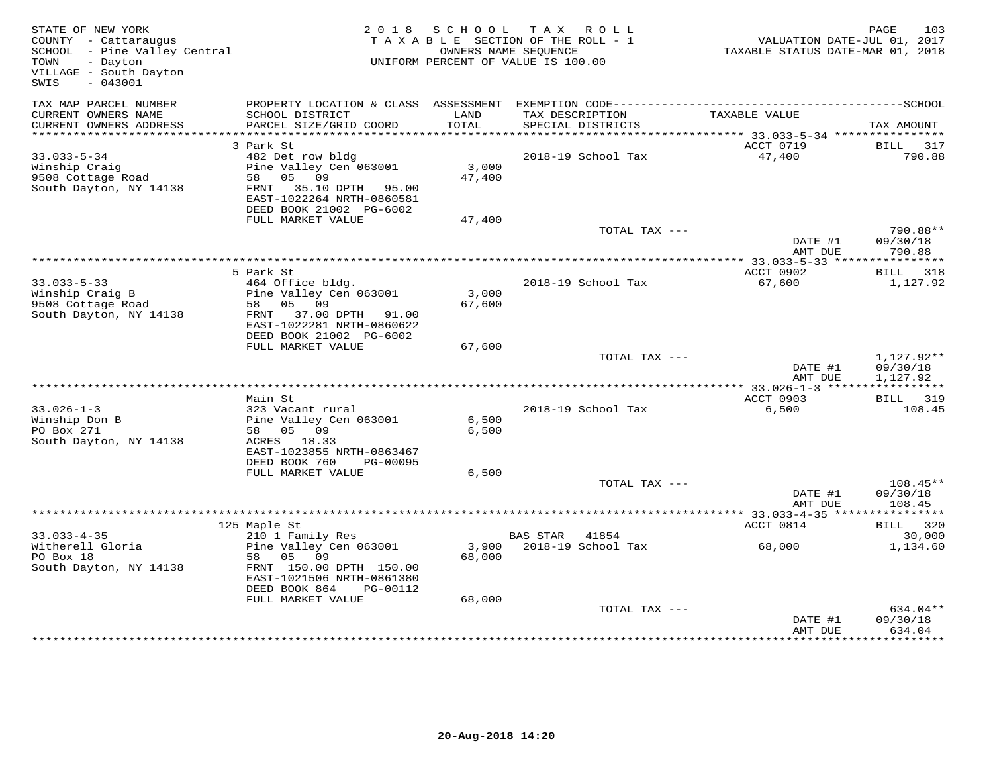| STATE OF NEW YORK<br>COUNTY - Cattaraugus<br>SCHOOL - Pine Valley Central<br>- Dayton<br>TOWN<br>VILLAGE - South Dayton<br>SWIS<br>$-043001$ | 2 0 1 8                                                                                                                                              | S C H O O L     | TAX ROLL<br>TAXABLE SECTION OF THE ROLL - 1<br>OWNERS NAME SEQUENCE<br>UNIFORM PERCENT OF VALUE IS 100.00 | VALUATION DATE-JUL 01, 2017<br>TAXABLE STATUS DATE-MAR 01, 2018 | 103<br>PAGE                        |
|----------------------------------------------------------------------------------------------------------------------------------------------|------------------------------------------------------------------------------------------------------------------------------------------------------|-----------------|-----------------------------------------------------------------------------------------------------------|-----------------------------------------------------------------|------------------------------------|
| TAX MAP PARCEL NUMBER<br>CURRENT OWNERS NAME<br>CURRENT OWNERS ADDRESS                                                                       | SCHOOL DISTRICT<br>PARCEL SIZE/GRID COORD                                                                                                            | LAND<br>TOTAL   | TAX DESCRIPTION<br>SPECIAL DISTRICTS                                                                      | TAXABLE VALUE                                                   | TAX AMOUNT                         |
|                                                                                                                                              |                                                                                                                                                      |                 |                                                                                                           |                                                                 |                                    |
| $33.033 - 5 - 34$<br>Winship Craig<br>9508 Cottage Road<br>South Dayton, NY 14138                                                            | 3 Park St<br>482 Det row bldg<br>Pine Valley Cen 063001<br>58 05 09<br>FRNT 35.10 DPTH 95.00<br>EAST-1022264 NRTH-0860581<br>DEED BOOK 21002 PG-6002 | 3,000<br>47,400 | 2018-19 School Tax                                                                                        | ACCT 0719<br>47,400                                             | BILL<br>317<br>790.88              |
|                                                                                                                                              | FULL MARKET VALUE                                                                                                                                    | 47,400          | TOTAL TAX ---                                                                                             |                                                                 | 790.88**                           |
|                                                                                                                                              |                                                                                                                                                      |                 |                                                                                                           | DATE #1<br>AMT DUE                                              | 09/30/18<br>790.88                 |
|                                                                                                                                              |                                                                                                                                                      |                 |                                                                                                           | ******** 33.033-5-33 ****************                           |                                    |
| $33.033 - 5 - 33$<br>Winship Craig B<br>9508 Cottage Road<br>South Dayton, NY 14138                                                          | 5 Park St<br>464 Office bldg.<br>Pine Valley Cen 063001<br>58 05 09<br>FRNT 37.00 DPTH 91.00<br>EAST-1022281 NRTH-0860622<br>DEED BOOK 21002 PG-6002 | 3,000<br>67,600 | 2018-19 School Tax                                                                                        | ACCT 0902<br>67,600                                             | BILL 318<br>1,127.92               |
|                                                                                                                                              | FULL MARKET VALUE                                                                                                                                    | 67,600          |                                                                                                           |                                                                 |                                    |
|                                                                                                                                              |                                                                                                                                                      |                 | TOTAL TAX ---                                                                                             | DATE #1<br>AMT DUE                                              | 1,127.92**<br>09/30/18<br>1,127.92 |
|                                                                                                                                              |                                                                                                                                                      |                 |                                                                                                           |                                                                 |                                    |
| $33.026 - 1 - 3$<br>Winship Don B<br>PO Box 271<br>South Dayton, NY 14138                                                                    | Main St<br>323 Vacant rural<br>Pine Valley Cen 063001<br>58 05 09<br>ACRES 18.33<br>EAST-1023855 NRTH-0863467                                        | 6,500<br>6,500  | 2018-19 School Tax                                                                                        | ACCT 0903<br>6,500                                              | BILL 319<br>108.45                 |
|                                                                                                                                              | DEED BOOK 760<br>PG-00095<br>FULL MARKET VALUE                                                                                                       | 6,500           |                                                                                                           |                                                                 |                                    |
|                                                                                                                                              |                                                                                                                                                      |                 | TOTAL TAX ---                                                                                             | DATE #1<br>AMT DUE                                              | $108.45**$<br>09/30/18<br>108.45   |
|                                                                                                                                              |                                                                                                                                                      |                 |                                                                                                           |                                                                 |                                    |
|                                                                                                                                              | 125 Maple St                                                                                                                                         |                 |                                                                                                           | ACCT 0814                                                       | BILL 320                           |
| $33.033 - 4 - 35$<br>Witherell Gloria<br>PO Box 18<br>South Dayton, NY 14138                                                                 | 210 1 Family Res<br>Pine Valley Cen 063001<br>58 05<br>09<br>FRNT 150.00 DPTH 150.00<br>EAST-1021506 NRTH-0861380<br>DEED BOOK 864<br>PG-00112       | 3,900<br>68,000 | BAS STAR<br>41854<br>2018-19 School Tax                                                                   | 68,000                                                          | 30,000<br>1,134.60                 |
|                                                                                                                                              | FULL MARKET VALUE                                                                                                                                    | 68,000          | TOTAL TAX ---                                                                                             | DATE #1                                                         | 634.04**<br>09/30/18               |
|                                                                                                                                              |                                                                                                                                                      |                 |                                                                                                           | AMT DUE                                                         | 634.04                             |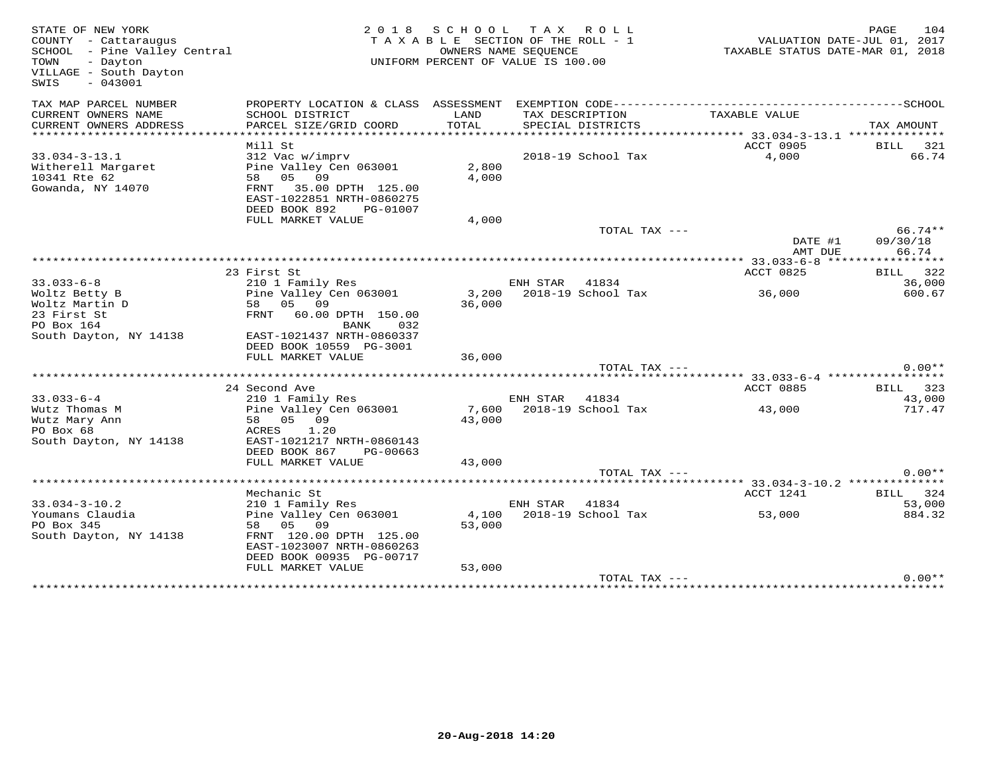| STATE OF NEW YORK<br>COUNTY - Cattaraugus<br>SCHOOL - Pine Valley Central<br>TOWN<br>- Dayton<br>VILLAGE - South Dayton<br>$-043001$<br>SWIS | 2 0 1 8                                                | SCHOOL TAX ROLL<br>TAXABLE SECTION OF THE ROLL - 1<br>UNIFORM PERCENT OF VALUE IS 100.00 | OWNERS NAME SEQUENCE |                          | TAXABLE STATUS DATE-MAR 01, 2018 | PAGE<br>VALUATION DATE-JUL 01, 2017 | 104                |
|----------------------------------------------------------------------------------------------------------------------------------------------|--------------------------------------------------------|------------------------------------------------------------------------------------------|----------------------|--------------------------|----------------------------------|-------------------------------------|--------------------|
| TAX MAP PARCEL NUMBER                                                                                                                        |                                                        |                                                                                          |                      |                          |                                  |                                     |                    |
| CURRENT OWNERS NAME                                                                                                                          | SCHOOL DISTRICT                                        | LAND                                                                                     | TAX DESCRIPTION      |                          | TAXABLE VALUE                    |                                     |                    |
| CURRENT OWNERS ADDRESS                                                                                                                       | PARCEL SIZE/GRID COORD                                 | TOTAL                                                                                    |                      | SPECIAL DISTRICTS        |                                  | TAX AMOUNT                          |                    |
|                                                                                                                                              | Mill St                                                |                                                                                          |                      |                          | <b>ACCT 0905</b>                 | <b>BILL</b>                         | 321                |
| $33.034 - 3 - 13.1$                                                                                                                          | 312 Vac w/imprv                                        |                                                                                          |                      | 2018-19 School Tax       | 4,000                            |                                     | 66.74              |
| Witherell Margaret                                                                                                                           | Pine Valley Cen 063001                                 | 2,800                                                                                    |                      |                          |                                  |                                     |                    |
| 10341 Rte 62                                                                                                                                 | 58 05 09                                               | 4,000                                                                                    |                      |                          |                                  |                                     |                    |
| Gowanda, NY 14070                                                                                                                            | FRNT 35.00 DPTH 125.00<br>EAST-1022851 NRTH-0860275    |                                                                                          |                      |                          |                                  |                                     |                    |
|                                                                                                                                              | DEED BOOK 892<br>PG-01007<br>FULL MARKET VALUE         | 4,000                                                                                    |                      |                          |                                  |                                     |                    |
|                                                                                                                                              |                                                        |                                                                                          |                      | TOTAL TAX ---            |                                  |                                     | $66.74**$          |
|                                                                                                                                              |                                                        |                                                                                          |                      |                          | DATE #1                          | 09/30/18                            |                    |
|                                                                                                                                              |                                                        |                                                                                          |                      |                          | AMT DUE                          |                                     | 66.74              |
|                                                                                                                                              | 23 First St                                            |                                                                                          |                      |                          | ACCT 0825                        |                                     |                    |
| $33.033 - 6 - 8$                                                                                                                             | 210 1 Family Res                                       |                                                                                          | ENH STAR             | 41834                    |                                  |                                     | BILL 322<br>36,000 |
| Woltz Betty B                                                                                                                                | Pine Valley Cen 063001                                 |                                                                                          |                      | 3,200 2018-19 School Tax | 36,000                           |                                     | 600.67             |
| Woltz Martin D                                                                                                                               | 58<br>05 09                                            | 36,000                                                                                   |                      |                          |                                  |                                     |                    |
| 23 First St                                                                                                                                  | FRNT<br>60.00 DPTH 150.00                              |                                                                                          |                      |                          |                                  |                                     |                    |
| PO Box 164                                                                                                                                   | BANK<br>032                                            |                                                                                          |                      |                          |                                  |                                     |                    |
| South Dayton, NY 14138                                                                                                                       | EAST-1021437 NRTH-0860337                              |                                                                                          |                      |                          |                                  |                                     |                    |
|                                                                                                                                              | DEED BOOK 10559 PG-3001<br>FULL MARKET VALUE           | 36,000                                                                                   |                      |                          |                                  |                                     |                    |
|                                                                                                                                              |                                                        |                                                                                          |                      | TOTAL TAX ---            |                                  |                                     | $0.00**$           |
|                                                                                                                                              |                                                        |                                                                                          |                      |                          |                                  |                                     |                    |
|                                                                                                                                              | 24 Second Ave                                          |                                                                                          |                      |                          | ACCT 0885                        |                                     | BILL 323           |
| $33.033 - 6 - 4$                                                                                                                             | 210 1 Family Res                                       |                                                                                          | ENH STAR 41834       |                          |                                  |                                     | 43,000             |
| Wutz Thomas M                                                                                                                                | Pine Valley Cen 063001                                 | 7,600                                                                                    |                      | 2018-19 School Tax       | 43,000                           |                                     | 717.47             |
| Wutz Mary Ann                                                                                                                                | 09<br>58 05                                            | 43,000                                                                                   |                      |                          |                                  |                                     |                    |
| PO Box 68                                                                                                                                    | ACRES<br>1.20                                          |                                                                                          |                      |                          |                                  |                                     |                    |
| South Dayton, NY 14138                                                                                                                       | EAST-1021217 NRTH-0860143<br>DEED BOOK 867<br>PG-00663 |                                                                                          |                      |                          |                                  |                                     |                    |
|                                                                                                                                              | FULL MARKET VALUE                                      | 43,000                                                                                   |                      |                          |                                  |                                     |                    |
|                                                                                                                                              |                                                        |                                                                                          |                      | TOTAL TAX ---            |                                  |                                     | $0.00**$           |
|                                                                                                                                              |                                                        |                                                                                          |                      |                          |                                  |                                     |                    |
|                                                                                                                                              | Mechanic St                                            |                                                                                          |                      |                          | ACCT 1241                        |                                     | BILL 324           |
| $33.034 - 3 - 10.2$                                                                                                                          | 210 1 Family Res                                       |                                                                                          | ENH STAR             | 41834                    |                                  |                                     | 53,000             |
| Youmans Claudia                                                                                                                              | Pine Valley Cen 063001                                 | 4,100                                                                                    |                      | 2018-19 School Tax       | 53,000                           |                                     | 884.32             |
| PO Box 345                                                                                                                                   | 58 05<br>09                                            | 53,000                                                                                   |                      |                          |                                  |                                     |                    |
| South Dayton, NY 14138                                                                                                                       | FRNT 120.00 DPTH 125.00<br>EAST-1023007 NRTH-0860263   |                                                                                          |                      |                          |                                  |                                     |                    |
|                                                                                                                                              | DEED BOOK 00935 PG-00717                               |                                                                                          |                      |                          |                                  |                                     |                    |
|                                                                                                                                              | FULL MARKET VALUE                                      | 53,000                                                                                   |                      |                          |                                  |                                     |                    |
|                                                                                                                                              |                                                        |                                                                                          |                      | TOTAL TAX ---            |                                  |                                     | $0.00**$           |
|                                                                                                                                              |                                                        |                                                                                          |                      |                          |                                  |                                     |                    |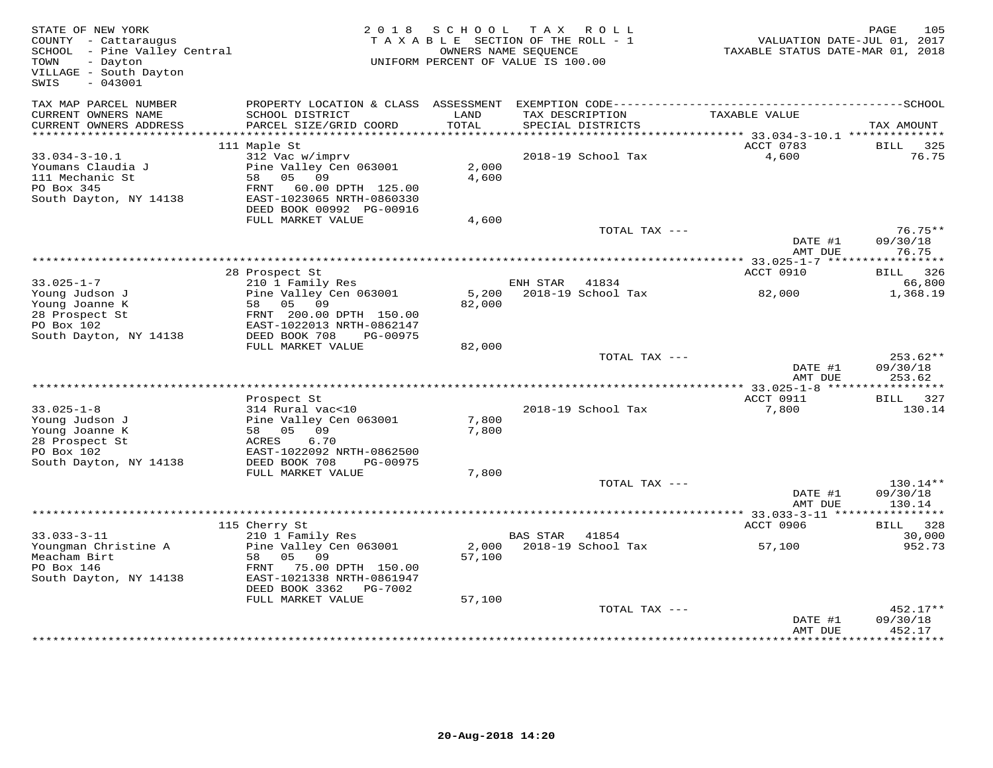| STATE OF NEW YORK<br>COUNTY - Cattaraugus<br>SCHOOL - Pine Valley Central<br>TOWN<br>- Dayton<br>VILLAGE - South Dayton<br>SWIS<br>$-043001$ |                                                                                                                                            | 2018 SCHOOL     | TAX ROLL<br>TAXABLE SECTION OF THE ROLL - 1<br>OWNERS NAME SEQUENCE<br>UNIFORM PERCENT OF VALUE IS 100.00 | VALUATION DATE-JUL 01, 2017<br>TAXABLE STATUS DATE-MAR 01, 2018 | 105<br>PAGE                      |
|----------------------------------------------------------------------------------------------------------------------------------------------|--------------------------------------------------------------------------------------------------------------------------------------------|-----------------|-----------------------------------------------------------------------------------------------------------|-----------------------------------------------------------------|----------------------------------|
| TAX MAP PARCEL NUMBER<br>CURRENT OWNERS NAME                                                                                                 | SCHOOL DISTRICT                                                                                                                            | LAND<br>TOTAL   | TAX DESCRIPTION                                                                                           | TAXABLE VALUE                                                   |                                  |
| CURRENT OWNERS ADDRESS<br>***********************                                                                                            | PARCEL SIZE/GRID COORD                                                                                                                     |                 | SPECIAL DISTRICTS                                                                                         |                                                                 | TAX AMOUNT                       |
|                                                                                                                                              | 111 Maple St                                                                                                                               |                 |                                                                                                           | ACCT 0783                                                       | BILL<br>325                      |
| $33.034 - 3 - 10.1$<br>Youmans Claudia J<br>111 Mechanic St<br>PO Box 345<br>South Dayton, NY 14138                                          | 312 Vac w/imprv<br>Pine Valley Cen 063001<br>58 05 09<br>FRNT 60.00 DPTH 125.00<br>EAST-1023065 NRTH-0860330<br>DEED BOOK 00992 PG-00916   | 2,000<br>4,600  | 2018-19 School Tax                                                                                        | 4,600                                                           | 76.75                            |
|                                                                                                                                              | FULL MARKET VALUE                                                                                                                          | 4,600           |                                                                                                           |                                                                 |                                  |
|                                                                                                                                              |                                                                                                                                            |                 | TOTAL TAX ---                                                                                             | DATE #1                                                         | $76.75**$<br>09/30/18            |
|                                                                                                                                              |                                                                                                                                            |                 |                                                                                                           | AMT DUE                                                         | 76.75                            |
|                                                                                                                                              | 28 Prospect St                                                                                                                             |                 |                                                                                                           | ACCT 0910                                                       | BILL 326                         |
| $33.025 - 1 - 7$                                                                                                                             | 210 1 Family Res                                                                                                                           |                 | ENH STAR<br>41834                                                                                         |                                                                 | 66,800                           |
| Young Judson J<br>Young Joanne K<br>28 Prospect St<br>PO Box 102                                                                             | Pine Valley Cen 063001<br>58 05 09<br>FRNT 200.00 DPTH 150.00<br>EAST-1022013 NRTH-0862147                                                 | 5,200<br>82,000 | 2018-19 School Tax                                                                                        | 82,000                                                          | 1,368.19                         |
| South Dayton, NY 14138                                                                                                                       | DEED BOOK 708<br>PG-00975<br>FULL MARKET VALUE                                                                                             | 82,000          |                                                                                                           |                                                                 |                                  |
|                                                                                                                                              |                                                                                                                                            |                 | TOTAL TAX ---                                                                                             | DATE #1<br>AMT DUE                                              | $253.62**$<br>09/30/18<br>253.62 |
|                                                                                                                                              |                                                                                                                                            |                 |                                                                                                           |                                                                 |                                  |
| $33.025 - 1 - 8$<br>Young Judson J<br>Young Joanne K<br>28 Prospect St<br>PO Box 102                                                         | Prospect St<br>314 Rural vac<10<br>Pine Valley Cen 063001<br>58 05 09<br>6.70<br>ACRES<br>EAST-1022092 NRTH-0862500                        | 7,800<br>7,800  | 2018-19 School Tax                                                                                        | ACCT 0911<br>7,800                                              | BILL 327<br>130.14               |
| South Dayton, NY 14138                                                                                                                       | DEED BOOK 708<br>PG-00975                                                                                                                  |                 |                                                                                                           |                                                                 |                                  |
|                                                                                                                                              | FULL MARKET VALUE                                                                                                                          | 7,800           |                                                                                                           |                                                                 |                                  |
|                                                                                                                                              |                                                                                                                                            |                 | TOTAL TAX ---                                                                                             | DATE #1<br>AMT DUE                                              | $130.14**$<br>09/30/18<br>130.14 |
|                                                                                                                                              |                                                                                                                                            |                 |                                                                                                           | ************ 33.033-3-11 ****************                       |                                  |
|                                                                                                                                              | 115 Cherry St                                                                                                                              |                 |                                                                                                           | ACCT 0906                                                       | <b>BILL</b><br>328               |
| $33.033 - 3 - 11$<br>Youngman Christine A<br>Meacham Birt<br>PO Box 146<br>South Dayton, NY 14138                                            | 210 1 Family Res<br>Pine Valley Cen 063001<br>05 09<br>58<br>FRNT 75.00 DPTH 150.00<br>EAST-1021338 NRTH-0861947<br>DEED BOOK 3362 PG-7002 | 57,100          | BAS STAR<br>41854<br>2,000 2018-19 School Tax                                                             | 57,100                                                          | 30,000<br>952.73                 |
|                                                                                                                                              | FULL MARKET VALUE                                                                                                                          | 57,100          |                                                                                                           |                                                                 |                                  |
|                                                                                                                                              |                                                                                                                                            |                 | TOTAL TAX ---                                                                                             | DATE #1<br>AMT DUE                                              | 452.17**<br>09/30/18<br>452.17   |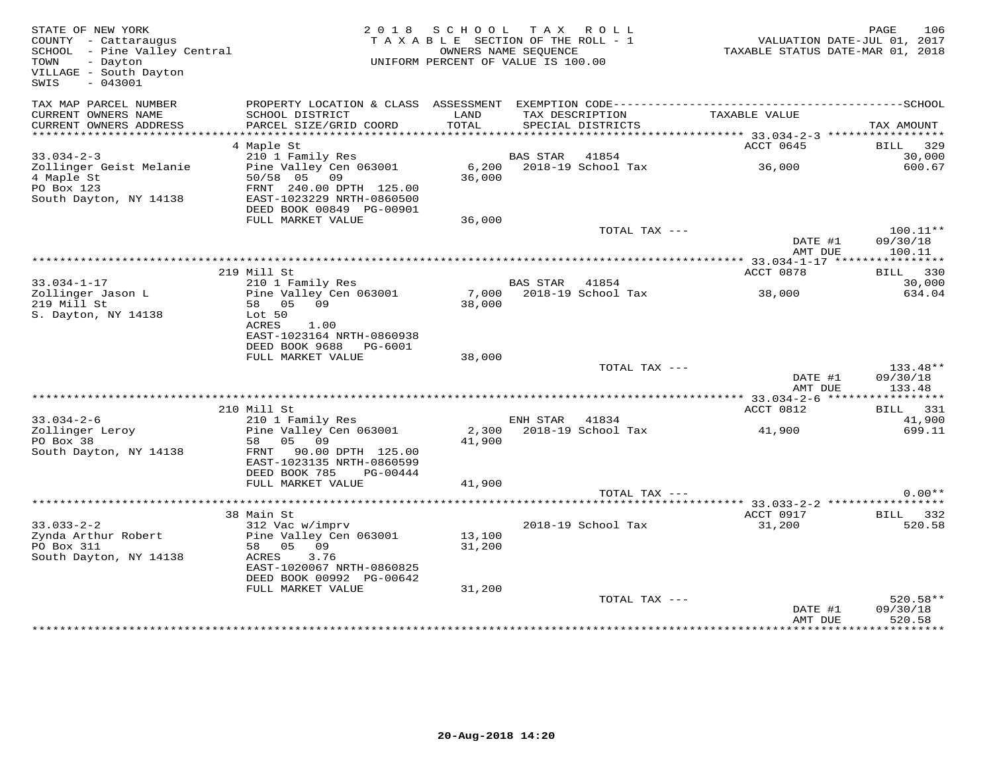| STATE OF NEW YORK<br>COUNTY - Cattaraugus<br>COUNTY - Cattaraugus<br>SCHOOL - Pine Valley Central<br>- Dayton<br>TOWN<br>VILLAGE - South Dayton<br>$-043001$<br>SWIS |                                                                                             | 2018 SCHOOL TAX ROLL<br>TAXABLE SECTION OF THE ROLL - 1<br>UNIFORM PERCENT OF VALUE IS 100.00 | OWNERS NAME SEQUENCE |                                      | VALUATION DATE-JUL 01, 2017<br>TAXABLE STATUS DATE-MAR 01, 2018 | PAGE        | 106                            |
|----------------------------------------------------------------------------------------------------------------------------------------------------------------------|---------------------------------------------------------------------------------------------|-----------------------------------------------------------------------------------------------|----------------------|--------------------------------------|-----------------------------------------------------------------|-------------|--------------------------------|
| TAX MAP PARCEL NUMBER<br>CURRENT OWNERS NAME<br>CURRENT OWNERS ADDRESS                                                                                               | SCHOOL DISTRICT<br>PARCEL SIZE/GRID COORD                                                   | LAND<br>TOTAL                                                                                 |                      | TAX DESCRIPTION<br>SPECIAL DISTRICTS | TAXABLE VALUE                                                   | TAX AMOUNT  |                                |
|                                                                                                                                                                      |                                                                                             |                                                                                               |                      |                                      |                                                                 |             |                                |
|                                                                                                                                                                      | 4 Maple St                                                                                  |                                                                                               |                      |                                      | ACCT 0645                                                       |             | BILL 329                       |
| $33.034 - 2 - 3$<br>Zollinger Geist Melanie<br>4 Maple St<br>PO Box 123                                                                                              | 210 1 Family Res<br>Pine Valley Cen 063001<br>50/58 05 09<br>FRNT 240.00 DPTH 125.00        | 36,000                                                                                        | BAS STAR 41854       | 6,200 2018-19 School Tax             | 36,000                                                          |             | 30,000<br>600.67               |
| South Dayton, NY 14138                                                                                                                                               | EAST-1023229 NRTH-0860500<br>DEED BOOK 00849 PG-00901                                       |                                                                                               |                      |                                      |                                                                 |             |                                |
|                                                                                                                                                                      | FULL MARKET VALUE                                                                           | 36,000                                                                                        |                      | TOTAL TAX ---                        |                                                                 |             | $100.11**$                     |
|                                                                                                                                                                      |                                                                                             |                                                                                               |                      |                                      | DATE #1<br>AMT DUE                                              | 09/30/18    | 100.11                         |
|                                                                                                                                                                      | 219 Mill St                                                                                 |                                                                                               |                      |                                      | ********** 33.034-1-17 ****                                     | *********** |                                |
| $33.034 - 1 - 17$                                                                                                                                                    | 210 1 Family Res                                                                            |                                                                                               | BAS STAR 41854       |                                      | ACCT 0878                                                       |             | BILL 330<br>30,000             |
| Zollinger Jason L<br>219 Mill St<br>S. Dayton, NY 14138                                                                                                              | Pine Valley Cen 063001<br>58 05 09<br>Lot 50                                                | 7,000<br>38,000                                                                               |                      | 2018-19 School Tax                   | 38,000                                                          |             | 634.04                         |
|                                                                                                                                                                      | ACRES<br>1.00<br>EAST-1023164 NRTH-0860938<br>DEED BOOK 9688 PG-6001                        |                                                                                               |                      |                                      |                                                                 |             |                                |
|                                                                                                                                                                      | FULL MARKET VALUE                                                                           | 38,000                                                                                        |                      | TOTAL TAX ---                        |                                                                 |             | 133.48**                       |
|                                                                                                                                                                      |                                                                                             |                                                                                               |                      |                                      | DATE #1<br>AMT DUE                                              | 09/30/18    | 133.48                         |
|                                                                                                                                                                      | 210 Mill St                                                                                 |                                                                                               |                      |                                      | ACCT 0812                                                       |             | BILL 331                       |
| $33.034 - 2 - 6$                                                                                                                                                     | 210 1 Family Res                                                                            |                                                                                               | ENH STAR 41834       |                                      |                                                                 |             | 41,900                         |
| Zollinger Leroy<br>PO Box 38<br>South Dayton, NY 14138                                                                                                               | Pine Valley Cen 063001<br>58 05 09<br>FRNT 90.00 DPTH 125.00                                | 41,900                                                                                        |                      | 2,300 2018-19 School Tax             | 41,900                                                          |             | 699.11                         |
|                                                                                                                                                                      | EAST-1023135 NRTH-0860599<br>DEED BOOK 785<br>PG-00444<br>FULL MARKET VALUE                 | 41,900                                                                                        |                      |                                      |                                                                 |             |                                |
|                                                                                                                                                                      |                                                                                             |                                                                                               |                      | TOTAL TAX ---                        |                                                                 |             | $0.00**$                       |
|                                                                                                                                                                      | 38 Main St                                                                                  |                                                                                               |                      |                                      | ACCT 0917                                                       |             | BILL 332                       |
| $33.033 - 2 - 2$<br>Zynda Arthur Robert<br>PO Box 311                                                                                                                | 312 Vac w/imprv<br>Pine Valley Cen 063001<br>58 05 09                                       | 13,100<br>31,200                                                                              |                      | 2018-19 School Tax                   | 31,200                                                          |             | 520.58                         |
| South Dayton, NY 14138                                                                                                                                               | ACRES<br>3.76<br>EAST-1020067 NRTH-0860825<br>DEED BOOK 00992 PG-00642<br>FULL MARKET VALUE | 31,200                                                                                        |                      |                                      |                                                                 |             |                                |
|                                                                                                                                                                      |                                                                                             |                                                                                               |                      | TOTAL TAX ---                        | DATE #1<br>AMT DUE                                              | 09/30/18    | $520.58**$<br>520.58<br>****** |
|                                                                                                                                                                      |                                                                                             |                                                                                               |                      |                                      |                                                                 |             |                                |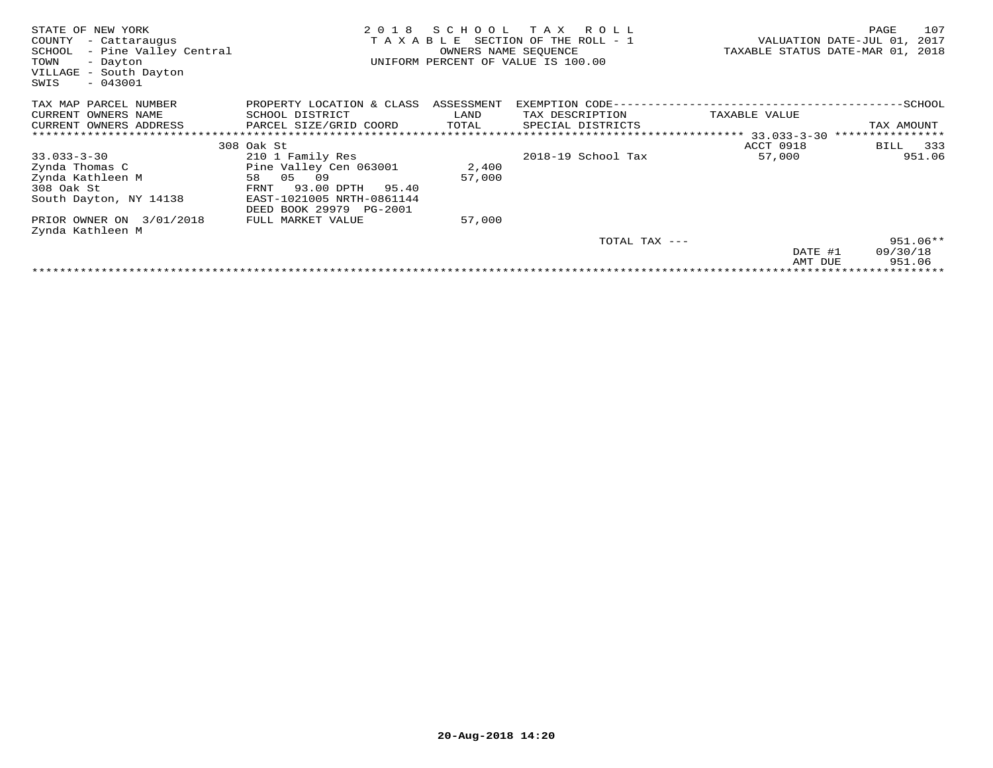| STATE OF NEW YORK<br>COUNTY<br>- Cattaraugus<br>SCHOOL<br>- Pine Valley Central<br>TOWN<br>- Dayton<br>VILLAGE<br>- South Dayton<br>$-043001$<br>SWIS | 2 0 1 8                     | SCHOOL<br>OWNERS NAME SEOUENCE | T A X<br>R O L L<br>TAXABLE SECTION OF THE ROLL - 1<br>UNIFORM PERCENT OF VALUE IS 100.00 | TAXABLE STATUS DATE-MAR 01, | 107<br>PAGE<br>VALUATION DATE-JUL 01,<br>2017<br>2018 |
|-------------------------------------------------------------------------------------------------------------------------------------------------------|-----------------------------|--------------------------------|-------------------------------------------------------------------------------------------|-----------------------------|-------------------------------------------------------|
| TAX MAP PARCEL NUMBER                                                                                                                                 | PROPERTY LOCATION & CLASS   | ASSESSMENT                     | EXEMPTION CODE--                                                                          |                             | ----------SCHOOL                                      |
| CURRENT OWNERS NAME                                                                                                                                   | SCHOOL DISTRICT             | LAND                           | TAX DESCRIPTION                                                                           | TAXABLE VALUE               |                                                       |
| CURRENT OWNERS ADDRESS                                                                                                                                | PARCEL SIZE/GRID COORD      | TOTAL                          | SPECIAL DISTRICTS                                                                         |                             | TAX AMOUNT                                            |
|                                                                                                                                                       |                             |                                |                                                                                           | ********** 33.033-3-30      | ****************                                      |
|                                                                                                                                                       | 308 Oak St                  |                                |                                                                                           | ACCT 0918                   | 333<br>BILL                                           |
| $33.033 - 3 - 30$                                                                                                                                     | 210 1 Family Res            |                                | 2018-19 School Tax                                                                        | 57,000                      | 951.06                                                |
| Zynda Thomas C                                                                                                                                        | Pine Valley Cen 063001      | 2,400                          |                                                                                           |                             |                                                       |
| Zynda Kathleen M                                                                                                                                      | 05<br>09<br>58              | 57,000                         |                                                                                           |                             |                                                       |
| 308 Oak St                                                                                                                                            | 93.00 DPTH<br>FRNT<br>95.40 |                                |                                                                                           |                             |                                                       |
| South Dayton, NY 14138                                                                                                                                | EAST-1021005 NRTH-0861144   |                                |                                                                                           |                             |                                                       |
|                                                                                                                                                       | DEED BOOK 29979<br>PG-2001  |                                |                                                                                           |                             |                                                       |
| PRIOR OWNER ON 3/01/2018                                                                                                                              | FULL MARKET VALUE           | 57,000                         |                                                                                           |                             |                                                       |
| Zynda Kathleen M                                                                                                                                      |                             |                                |                                                                                           |                             |                                                       |
|                                                                                                                                                       |                             |                                | TOTAL TAX ---                                                                             |                             | $951.06**$                                            |
|                                                                                                                                                       |                             |                                |                                                                                           | DATE #1                     | 09/30/18                                              |
|                                                                                                                                                       |                             |                                |                                                                                           | AMT DUE                     | 951.06                                                |
|                                                                                                                                                       |                             |                                |                                                                                           |                             |                                                       |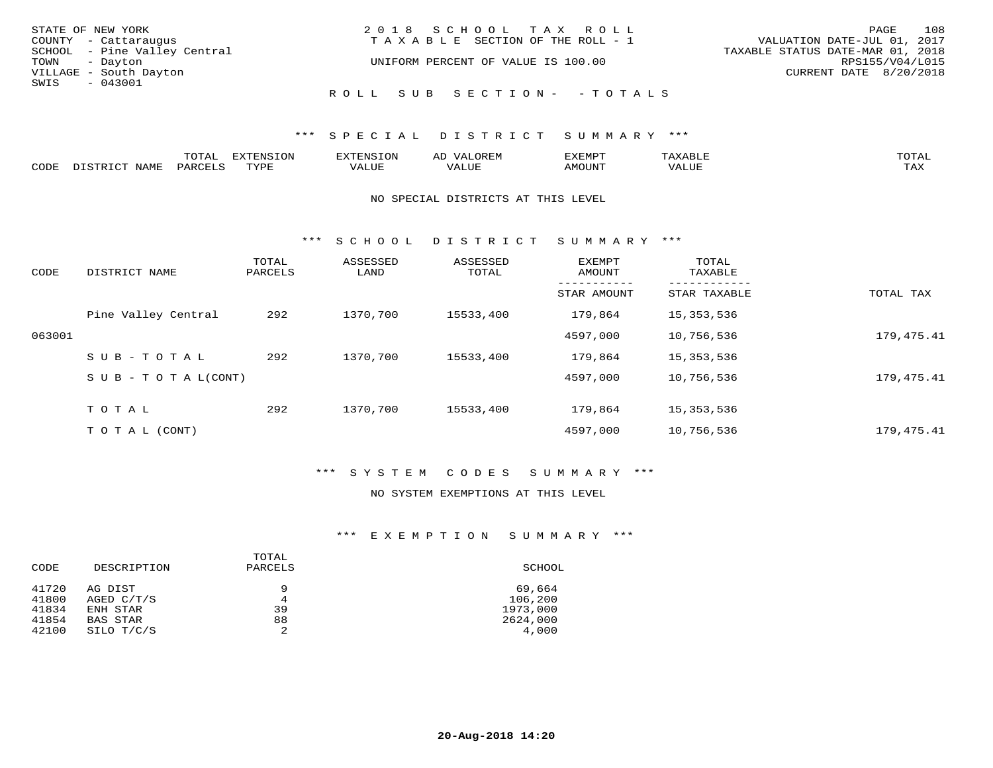| STATE OF NEW YORK            | 2018 SCHOOL TAX ROLL                  | 108<br>PAGE                      |
|------------------------------|---------------------------------------|----------------------------------|
| COUNTY - Cattaraugus         | T A X A B L E SECTION OF THE ROLL - 1 | VALUATION DATE-JUL 01, 2017      |
| SCHOOL - Pine Valley Central |                                       | TAXABLE STATUS DATE-MAR 01, 2018 |
| TOWN - Dayton                | UNIFORM PERCENT OF VALUE IS 100.00    | RPS155/V04/L015                  |
| VILLAGE - South Dayton       |                                       | CURRENT DATE 8/20/2018           |
| SWIS - 043001                |                                       |                                  |
|                              | ROLL SUB SECTION- - TOTALS            |                                  |

# \*\*\* S P E C I A L D I S T R I C T S U M M A R Y \*\*\*

|      |      | momn:<br>LUIAI | $\pi$<br>. JN | .     | : יהם קבר <i>ב</i><br>ΑL | תסאה <i>צ</i> י |                       | TOTA.      |
|------|------|----------------|---------------|-------|--------------------------|-----------------|-----------------------|------------|
| CODE | NAME | PARTPT         | mvnt          | VALUE |                          | <b>AMOUNT</b>   | ,,, , ,, <del>,</del> | TAY<br>∸∽∸ |

#### NO SPECIAL DISTRICTS AT THIS LEVEL

\*\*\* S C H O O L D I S T R I C T S U M M A R Y \*\*\*

| CODE   | DISTRICT NAME                    | TOTAL<br>PARCELS | ASSESSED<br>LAND | ASSESSED<br>TOTAL | EXEMPT<br>AMOUNT | TOTAL<br>TAXABLE |            |
|--------|----------------------------------|------------------|------------------|-------------------|------------------|------------------|------------|
|        |                                  |                  |                  |                   | STAR AMOUNT      | STAR TAXABLE     | TOTAL TAX  |
|        | Pine Valley Central              | 292              | 1370,700         | 15533,400         | 179,864          | 15, 353, 536     |            |
| 063001 |                                  |                  |                  |                   | 4597,000         | 10,756,536       | 179,475.41 |
|        | SUB-TOTAL                        | 292              | 1370,700         | 15533,400         | 179,864          | 15, 353, 536     |            |
|        | $S \cup B - T \cup T A L (CONT)$ |                  |                  |                   | 4597,000         | 10,756,536       | 179,475.41 |
|        | TOTAL                            | 292              | 1370,700         | 15533,400         | 179,864          | 15, 353, 536     |            |
|        | T O T A L (CONT)                 |                  |                  |                   | 4597,000         | 10,756,536       | 179,475.41 |

## \*\*\* S Y S T E M C O D E S S U M M A R Y \*\*\*

### NO SYSTEM EXEMPTIONS AT THIS LEVEL

# \*\*\* E X E M P T I O N S U M M A R Y \*\*\*

| CODE  | DESCRIPTION     | TOTAL<br>PARCELS | SCHOOL   |
|-------|-----------------|------------------|----------|
| 41720 | AG DIST         | 9                | 69,664   |
| 41800 | AGED C/T/S      | 4                | 106,200  |
| 41834 | ENH STAR        | 39               | 1973,000 |
| 41854 | <b>BAS STAR</b> | 88               | 2624,000 |
| 42100 | SILO T/C/S      | 2                | 4,000    |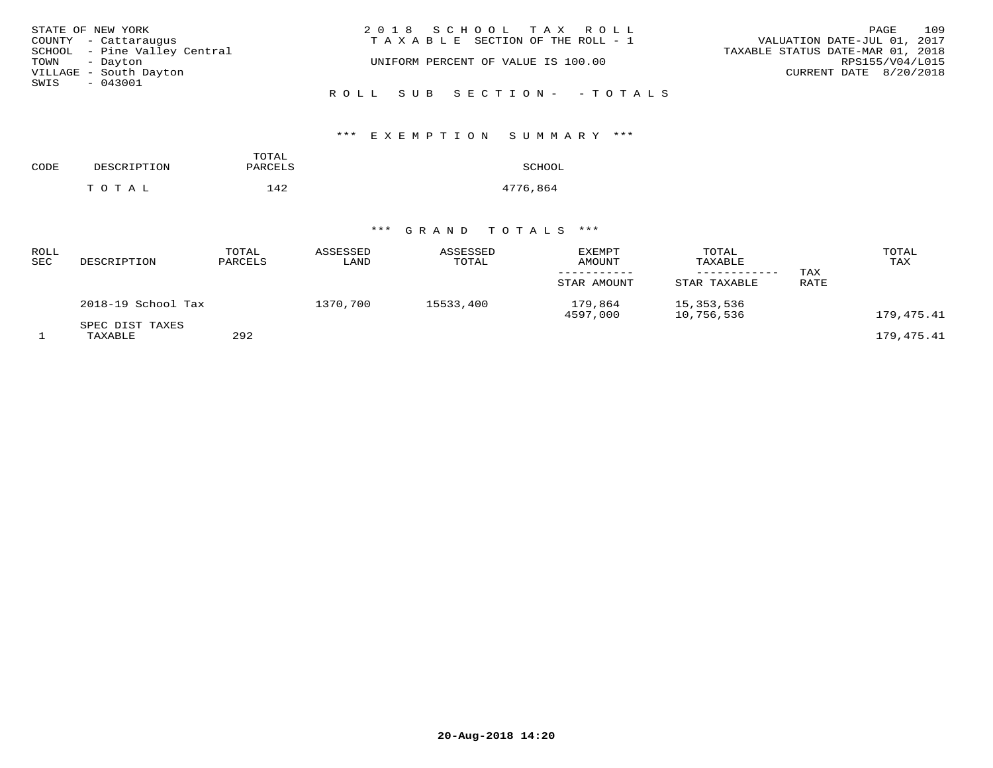| STATE OF NEW YORK            | 2018 SCHOOL TAX ROLL                  | 109<br>PAGE                      |
|------------------------------|---------------------------------------|----------------------------------|
| COUNTY - Cattaraugus         | T A X A B L E SECTION OF THE ROLL - 1 | VALUATION DATE-JUL 01, 2017      |
| SCHOOL - Pine Valley Central |                                       | TAXABLE STATUS DATE-MAR 01, 2018 |
| TOWN - Dayton                | UNIFORM PERCENT OF VALUE IS 100.00    | RPS155/V04/L015                  |
| VILLAGE - South Dayton       |                                       | CURRENT DATE 8/20/2018           |
| SWIS<br>$-043001$            |                                       |                                  |
|                              | ROLL SUB SECTION- - TOTALS            |                                  |

| CODE | DESCRIPTION | TOTAL<br>PARCELS | SCHOOL   |
|------|-------------|------------------|----------|
|      | TOTAL       | 142              | 4776,864 |

| ROLL<br>SEC | DESCRIPTION                | TOTAL<br>PARCELS | ASSESSED<br>LAND | ASSESSED<br>TOTAL | <b>EXEMPT</b><br>AMOUNT<br>STAR AMOUNT | TOTAL<br>TAXABLE<br>STAR TAXABLE | TAX<br>RATE | TOTAL<br>TAX |
|-------------|----------------------------|------------------|------------------|-------------------|----------------------------------------|----------------------------------|-------------|--------------|
|             | 2018-19 School Tax         |                  | 1370,700         | 15533,400         | 179,864<br>4597,000                    | 15,353,536<br>10,756,536         |             | 179,475.41   |
|             | SPEC DIST TAXES<br>TAXABLE | 292              |                  |                   |                                        |                                  |             | 179,475.41   |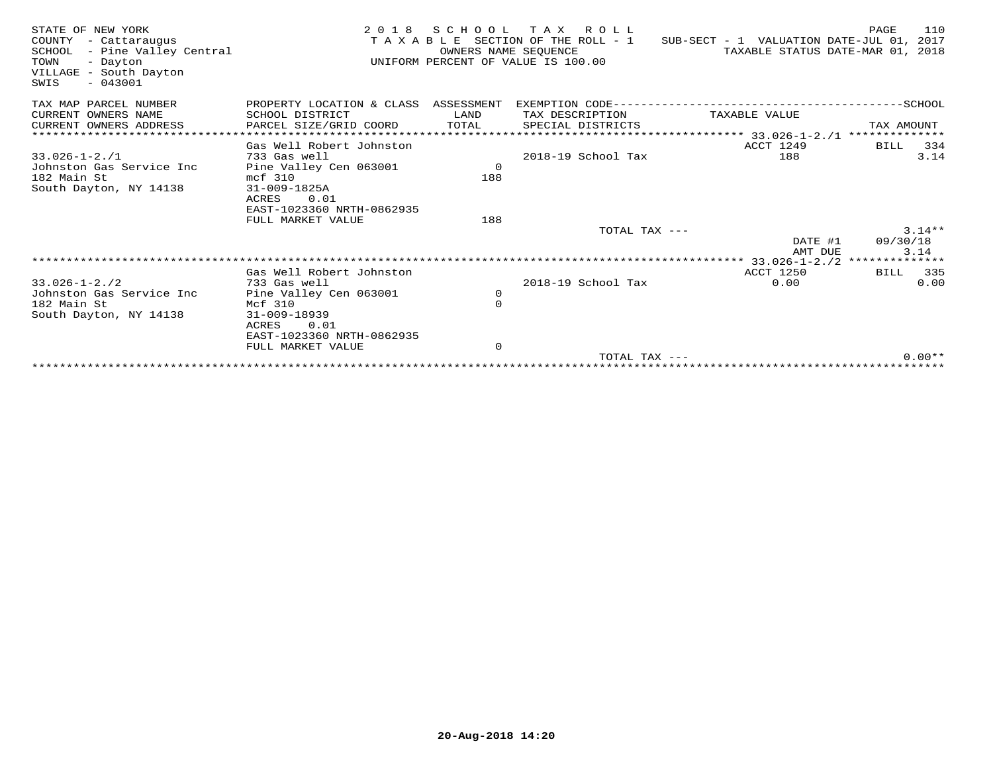| STATE OF NEW YORK<br>COUNTY - Cattaraugus<br>SCHOOL - Pine Valley Central<br>TOWN<br>- Dayton<br>VILLAGE - South Dayton<br>$-043001$<br>SWIS | 2 0 1 8                                | OWNERS NAME SEOUENCE | SCHOOL TAX ROLL<br>T A X A B L E SECTION OF THE ROLL - 1<br>UNIFORM PERCENT OF VALUE IS 100.00 | SUB-SECT - 1 VALUATION DATE-JUL 01, 2017<br>TAXABLE STATUS DATE-MAR 01, 2018 | PAGE<br>110         |
|----------------------------------------------------------------------------------------------------------------------------------------------|----------------------------------------|----------------------|------------------------------------------------------------------------------------------------|------------------------------------------------------------------------------|---------------------|
| TAX MAP PARCEL NUMBER                                                                                                                        | PROPERTY LOCATION & CLASS              | ASSESSMENT           | EXEMPTION CODE-----------                                                                      |                                                                              | -----------SCHOOL   |
| CURRENT OWNERS NAME                                                                                                                          | SCHOOL DISTRICT                        | LAND                 | TAX DESCRIPTION                                                                                | TAXABLE VALUE                                                                |                     |
| CURRENT OWNERS ADDRESS                                                                                                                       | PARCEL SIZE/GRID COORD                 | TOTAL                | SPECIAL DISTRICTS                                                                              |                                                                              | TAX AMOUNT          |
|                                                                                                                                              |                                        |                      |                                                                                                | **************** 33.026-1-2./1                                               | **************      |
|                                                                                                                                              | Gas Well Robert Johnston               |                      | 2018-19 School Tax                                                                             | ACCT 1249<br>188                                                             | 334<br>BILL<br>3.14 |
| $33.026 - 1 - 2.71$<br>Johnston Gas Service Inc                                                                                              | 733 Gas well<br>Pine Valley Cen 063001 | $\circ$              |                                                                                                |                                                                              |                     |
| 182 Main St                                                                                                                                  | mcf 310                                | 188                  |                                                                                                |                                                                              |                     |
| South Dayton, NY 14138                                                                                                                       | $31 - 009 - 1825A$                     |                      |                                                                                                |                                                                              |                     |
|                                                                                                                                              | 0.01<br>ACRES                          |                      |                                                                                                |                                                                              |                     |
|                                                                                                                                              | EAST-1023360 NRTH-0862935              |                      |                                                                                                |                                                                              |                     |
|                                                                                                                                              | FULL MARKET VALUE                      | 188                  |                                                                                                |                                                                              |                     |
|                                                                                                                                              |                                        |                      | TOTAL TAX ---                                                                                  |                                                                              | $3.14**$            |
|                                                                                                                                              |                                        |                      |                                                                                                | DATE #1                                                                      | 09/30/18            |
|                                                                                                                                              |                                        |                      |                                                                                                | AMT DUE<br>$****33.026 - 1 - 2.72****************$                           | 3.14                |
|                                                                                                                                              | Gas Well Robert Johnston               |                      |                                                                                                | <b>ACCT 1250</b>                                                             | 335<br>BILL         |
| $33.026 - 1 - 2.72$                                                                                                                          | 733 Gas well                           |                      | 2018-19 School Tax                                                                             | 0.00                                                                         | 0.00                |
| Johnston Gas Service Inc                                                                                                                     | Pine Valley Cen 063001                 | 0                    |                                                                                                |                                                                              |                     |
| 182 Main St                                                                                                                                  | Mcf 310                                | 0                    |                                                                                                |                                                                              |                     |
| South Dayton, NY 14138                                                                                                                       | 31-009-18939                           |                      |                                                                                                |                                                                              |                     |
|                                                                                                                                              | 0.01<br>ACRES                          |                      |                                                                                                |                                                                              |                     |
|                                                                                                                                              | EAST-1023360 NRTH-0862935              |                      |                                                                                                |                                                                              |                     |
|                                                                                                                                              | FULL MARKET VALUE                      | $\mathbf 0$          | TOTAL TAX $---$                                                                                |                                                                              | $0.00**$            |
|                                                                                                                                              | ********************************       |                      |                                                                                                |                                                                              |                     |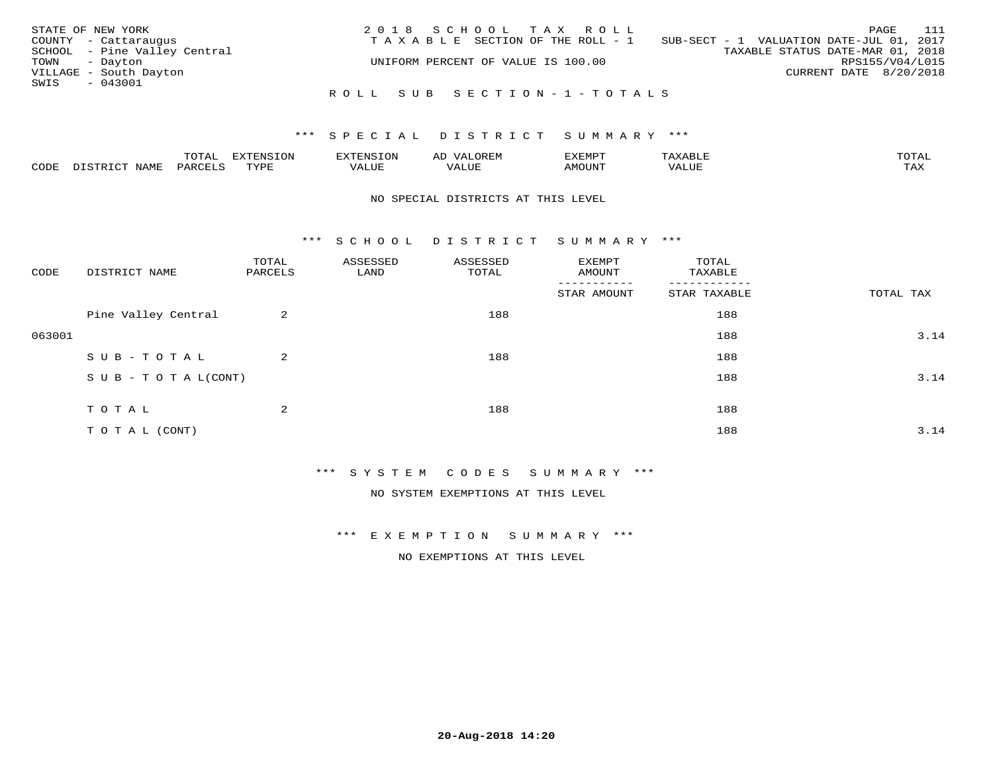| STATE OF NEW YORK |                              | 2018 SCHOOL TAX ROLL               | 111<br>PAGE                              |
|-------------------|------------------------------|------------------------------------|------------------------------------------|
|                   | COUNTY - Cattaraugus         | TAXABLE SECTION OF THE ROLL - 1    | SUB-SECT - 1 VALUATION DATE-JUL 01, 2017 |
|                   | SCHOOL - Pine Valley Central |                                    | TAXABLE STATUS DATE-MAR 01, 2018         |
| TOWN - Dayton     |                              | UNIFORM PERCENT OF VALUE IS 100.00 | RPS155/V04/L015                          |
|                   | VILLAGE - South Dayton       |                                    | CURRENT DATE 8/20/2018                   |
| SWIS              | $-043001$                    |                                    |                                          |
|                   |                              | ROLL SUB SECTION-1-TOTALS          |                                          |

### \*\*\* SPECIAL DISTRICT SUMMARY \*\*\*

|      |              | ™∩ͲϪ<br>بمحمد ب | -OP,             | <b>FNC</b> | ΑL    | ֿישו          |       |                    |
|------|--------------|-----------------|------------------|------------|-------|---------------|-------|--------------------|
| CODE | NAME<br>– a- | PART            | mynne<br>- - - - | ALUF       | 'ALUE | <b>IMOUNT</b> | VALUE | <b>TRAV</b><br>∸∽∸ |

### NO SPECIAL DISTRICTS AT THIS LEVEL

\*\*\* S C H O O L D I S T R I C T S U M M A R Y \*\*\*

| CODE   | DISTRICT NAME                    | TOTAL<br>PARCELS | ASSESSED<br>LAND | ASSESSED<br>TOTAL | EXEMPT<br>AMOUNT         | TOTAL<br>TAXABLE |           |
|--------|----------------------------------|------------------|------------------|-------------------|--------------------------|------------------|-----------|
|        |                                  |                  |                  |                   | $- - - -$<br>STAR AMOUNT | STAR TAXABLE     | TOTAL TAX |
|        | Pine Valley Central              | 2                |                  | 188               |                          | 188              |           |
| 063001 |                                  |                  |                  |                   |                          | 188              | 3.14      |
|        | SUB-TOTAL                        | 2                |                  | 188               |                          | 188              |           |
|        | $S \cup B - T \cup T A L (CONT)$ |                  |                  |                   |                          | 188              | 3.14      |
|        | TOTAL                            | 2                |                  | 188               |                          | 188              |           |
|        |                                  |                  |                  |                   |                          |                  |           |
|        | TO TAL (CONT)                    |                  |                  |                   |                          | 188              | 3.14      |

\*\*\* S Y S T E M C O D E S S U M M A R Y \*\*\*

NO SYSTEM EXEMPTIONS AT THIS LEVEL

\*\*\* E X E M P T I O N S U M M A R Y \*\*\*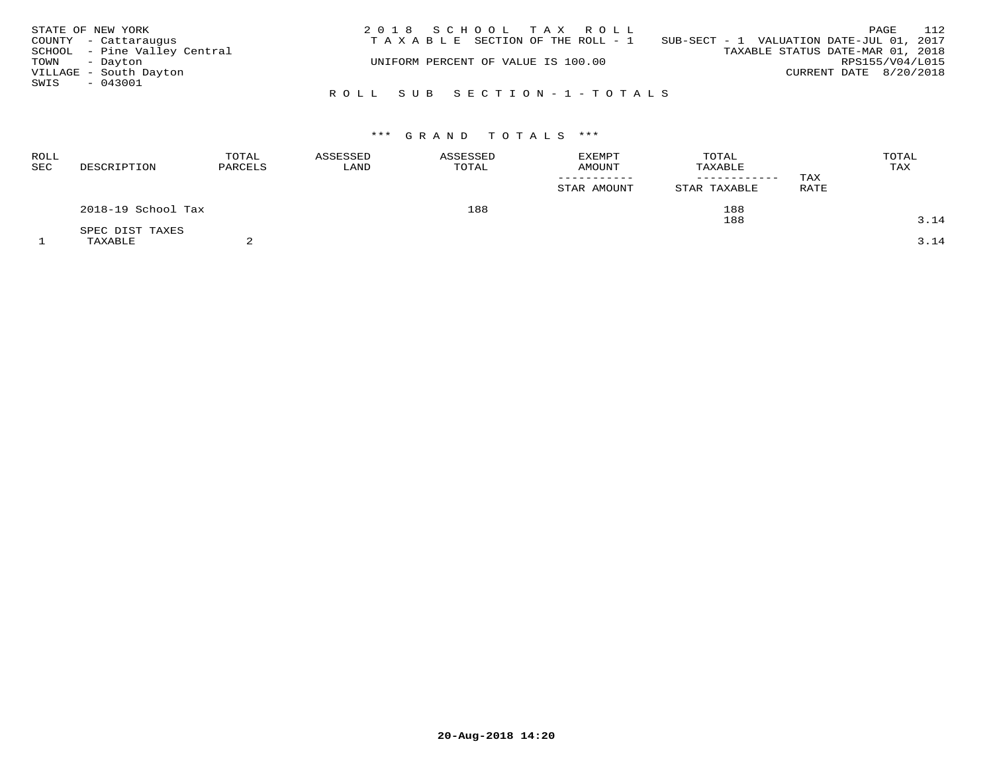| STATE OF NEW YORK            | 2018 SCHOOL TAX ROLL                  | 112<br>PAGE                              |
|------------------------------|---------------------------------------|------------------------------------------|
| COUNTY - Cattaraugus         | T A X A B L E SECTION OF THE ROLL - 1 | SUB-SECT - 1 VALUATION DATE-JUL 01, 2017 |
| SCHOOL - Pine Valley Central |                                       | TAXABLE STATUS DATE-MAR 01, 2018         |
| TOWN - Dayton                | UNIFORM PERCENT OF VALUE IS 100.00    | RPS155/V04/L015                          |
| VILLAGE - South Dayton       |                                       | CURRENT DATE 8/20/2018                   |
| SWIS<br>$-043001$            |                                       |                                          |
|                              | ROLL SUB SECTION-1-TOTALS             |                                          |

| ROLL<br>SEC | DESCRIPTION        | TOTAL<br>PARCELS | ASSESSED<br>LAND | ASSESSED<br>TOTAL | <b>EXEMPT</b><br>AMOUNT<br>STAR AMOUNT | TOTAL<br>TAXABLE<br>------------<br>STAR TAXABLE | TAX<br>RATE | TOTAL<br>TAX |
|-------------|--------------------|------------------|------------------|-------------------|----------------------------------------|--------------------------------------------------|-------------|--------------|
|             | 2018-19 School Tax |                  |                  | 188               |                                        | 188                                              |             |              |
|             | SPEC DIST TAXES    |                  |                  |                   |                                        | 188                                              |             | 3.14         |
|             | TAXABLE            |                  |                  |                   |                                        |                                                  |             | 3.14         |

**20-Aug-2018 14:20**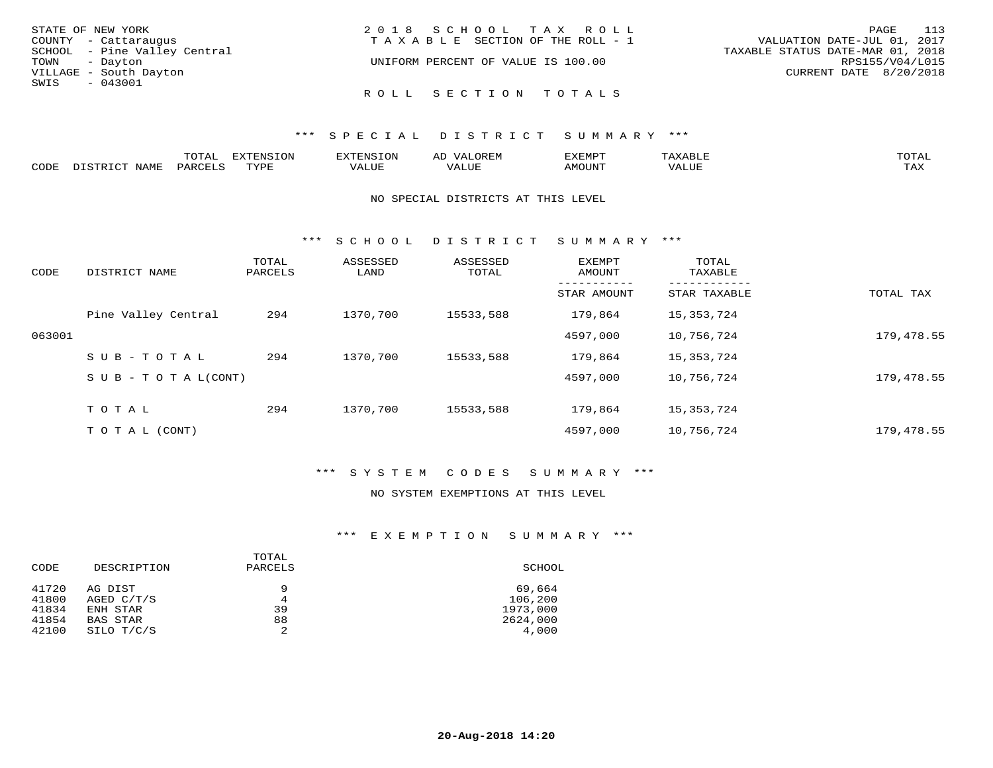| STATE OF NEW YORK            | 2018 SCHOOL TAX ROLL                  | 113<br>PAGE                      |
|------------------------------|---------------------------------------|----------------------------------|
| COUNTY - Cattaraugus         | T A X A B L E SECTION OF THE ROLL - 1 | VALUATION DATE-JUL 01, 2017      |
| SCHOOL - Pine Valley Central |                                       | TAXABLE STATUS DATE-MAR 01, 2018 |
| TOWN - Dayton                | UNIFORM PERCENT OF VALUE IS 100.00    | RPS155/V04/L015                  |
| VILLAGE - South Dayton       |                                       | CURRENT DATE 8/20/2018           |
| SWIS<br>$-043001$            |                                       |                                  |
|                              | ROLL SECTION TOTALS                   |                                  |

|      |                    | ----<br>◡∸∸ | EXTENSION |                              | ىد.        | יים אים יי    | <b>TOTA1</b><br>. U 1 1 1 1 |
|------|--------------------|-------------|-----------|------------------------------|------------|---------------|-----------------------------|
| CODE | <b>BAT</b><br>---- | ם דהדרות ה  | mvnt      | . <del>.</del><br>$\sqrt{ }$ | <b>TTT</b> | <b>MOTINT</b> | $m \times r$<br>1.732       |

### NO SPECIAL DISTRICTS AT THIS LEVEL

\*\*\* S C H O O L D I S T R I C T S U M M A R Y \*\*\*

| CODE   | DISTRICT NAME                    | TOTAL<br>PARCELS | ASSESSED<br>LAND | ASSESSED<br>TOTAL | <b>EXEMPT</b><br>AMOUNT | TOTAL<br>TAXABLE |            |
|--------|----------------------------------|------------------|------------------|-------------------|-------------------------|------------------|------------|
|        |                                  |                  |                  |                   | STAR AMOUNT             | STAR TAXABLE     | TOTAL TAX  |
|        | Pine Valley Central              | 294              | 1370,700         | 15533,588         | 179,864                 | 15, 353, 724     |            |
| 063001 |                                  |                  |                  |                   | 4597,000                | 10,756,724       | 179,478.55 |
|        | SUB-TOTAL                        | 294              | 1370,700         | 15533,588         | 179,864                 | 15,353,724       |            |
|        | $S \cup B - T \cup T A L (CONT)$ |                  |                  |                   | 4597,000                | 10,756,724       | 179,478.55 |
|        | TOTAL                            | 294              | 1370,700         | 15533,588         | 179,864                 | 15, 353, 724     |            |
|        | T O T A L (CONT)                 |                  |                  |                   | 4597,000                | 10,756,724       | 179,478.55 |

## \*\*\* S Y S T E M C O D E S S U M M A R Y \*\*\*

### NO SYSTEM EXEMPTIONS AT THIS LEVEL

## \*\*\* E X E M P T I O N S U M M A R Y \*\*\*

| CODE  | DESCRIPTION     | TOTAL<br>PARCELS | SCHOOL   |
|-------|-----------------|------------------|----------|
| 41720 | AG DIST         | 9                | 69,664   |
| 41800 | AGED C/T/S      | 4                | 106,200  |
| 41834 | ENH STAR        | 39               | 1973,000 |
| 41854 | <b>BAS STAR</b> | 88               | 2624,000 |
| 42100 | SILO T/C/S      | 2                | 4,000    |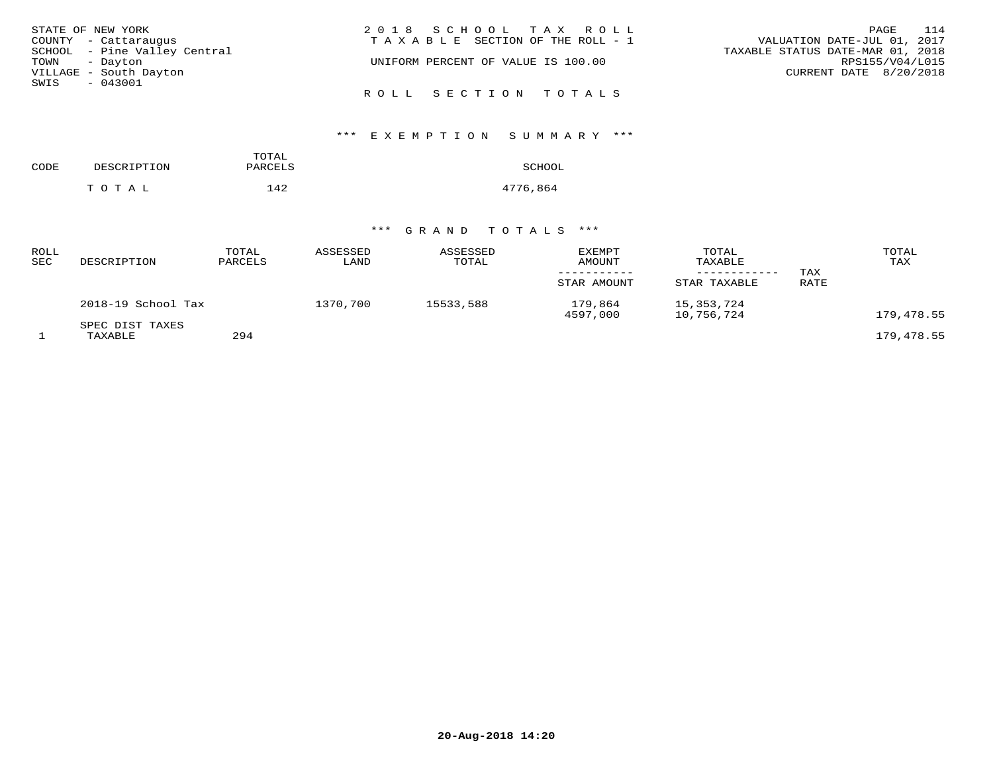| STATE OF NEW YORK            | 2018 SCHOOL TAX ROLL                  | 114<br>PAGE                      |
|------------------------------|---------------------------------------|----------------------------------|
| COUNTY - Cattaraugus         | T A X A B L E SECTION OF THE ROLL - 1 | VALUATION DATE-JUL 01, 2017      |
| SCHOOL - Pine Valley Central |                                       | TAXABLE STATUS DATE-MAR 01, 2018 |
| TOWN - Dayton                | UNIFORM PERCENT OF VALUE IS 100.00    | RPS155/V04/L015                  |
| VILLAGE - South Dayton       |                                       | CURRENT DATE 8/20/2018           |
| SWIS<br>- 043001             |                                       |                                  |
|                              | ROLL SECTION TOTALS                   |                                  |

| CODE | DESCRIPTION | TOTAL<br>PARCELS | SCHOOL   |
|------|-------------|------------------|----------|
|      | TOTAL       | 142              | 4776,864 |

| ROLL<br>SEC | DESCRIPTION                | TOTAL<br>PARCELS | ASSESSED<br>LAND | ASSESSED<br>TOTAL | <b>EXEMPT</b><br>AMOUNT<br>STAR AMOUNT | TOTAL<br>TAXABLE<br>STAR TAXABLE | TAX<br>RATE | TOTAL<br>TAX |
|-------------|----------------------------|------------------|------------------|-------------------|----------------------------------------|----------------------------------|-------------|--------------|
|             | 2018-19 School Tax         |                  | 1370,700         | 15533,588         | 179,864<br>4597,000                    | 15, 353, 724<br>10,756,724       |             | 179,478.55   |
|             | SPEC DIST TAXES<br>TAXABLE | 294              |                  |                   |                                        |                                  |             | 179,478.55   |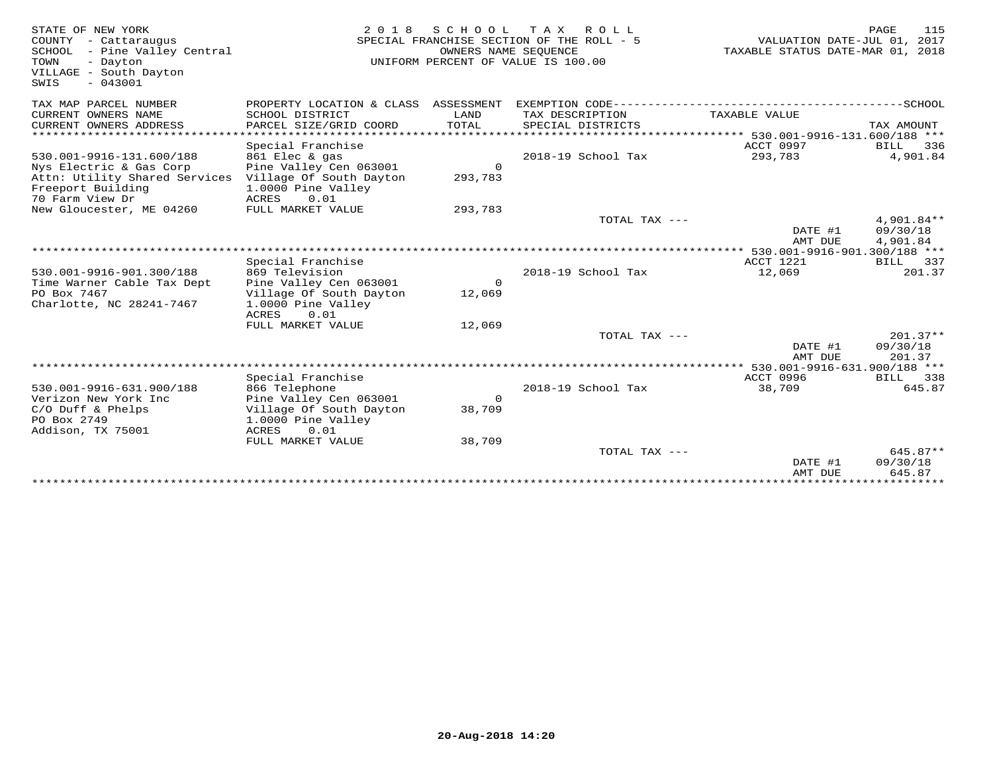| STATE OF NEW YORK<br>COUNTY - Cattaraugus<br>SCHOOL - Pine Valley Central<br>TOWN<br>- Dayton<br>VILLAGE - South Dayton<br>$-043001$<br>SWIS | 2 0 1 8                                                                                                        | S C H O O L           | T A X<br>R O L L<br>SPECIAL FRANCHISE SECTION OF THE ROLL - 5<br>OWNERS NAME SEQUENCE<br>UNIFORM PERCENT OF VALUE IS 100.00 | VALUATION DATE-JUL 01, 2017<br>TAXABLE STATUS DATE-MAR 01, 2018 | PAGE<br>115                          |
|----------------------------------------------------------------------------------------------------------------------------------------------|----------------------------------------------------------------------------------------------------------------|-----------------------|-----------------------------------------------------------------------------------------------------------------------------|-----------------------------------------------------------------|--------------------------------------|
| TAX MAP PARCEL NUMBER                                                                                                                        | PROPERTY LOCATION & CLASS ASSESSMENT                                                                           |                       |                                                                                                                             |                                                                 |                                      |
| CURRENT OWNERS NAME<br>CURRENT OWNERS ADDRESS                                                                                                | SCHOOL DISTRICT<br>PARCEL SIZE/GRID COORD                                                                      | LAND<br>TOTAL         | TAX DESCRIPTION<br>SPECIAL DISTRICTS                                                                                        | TAXABLE VALUE                                                   | TAX AMOUNT                           |
| ***********************                                                                                                                      |                                                                                                                |                       |                                                                                                                             |                                                                 |                                      |
| 530.001-9916-131.600/188<br>Nys Electric & Gas Corp<br>Attn: Utility Shared Services<br>Freeport Building                                    | Special Franchise<br>861 Elec & gas<br>Pine Valley Cen 063001<br>Village Of South Dayton<br>1.0000 Pine Valley | $\Omega$<br>293,783   | 2018-19 School Tax                                                                                                          | ACCT 0997<br>293,783                                            | <b>BILL</b><br>336<br>4,901.84       |
| 70 Farm View Dr                                                                                                                              | <b>ACRES</b><br>0.01                                                                                           |                       |                                                                                                                             |                                                                 |                                      |
| New Gloucester, ME 04260                                                                                                                     | FULL MARKET VALUE                                                                                              | 293,783               |                                                                                                                             |                                                                 |                                      |
|                                                                                                                                              |                                                                                                                |                       | TOTAL TAX $---$                                                                                                             | DATE #1<br>AMT DUE                                              | $4,901.84**$<br>09/30/18<br>4,901.84 |
|                                                                                                                                              |                                                                                                                |                       |                                                                                                                             | **** 530.001-9916-901.300/188 ***                               |                                      |
|                                                                                                                                              | Special Franchise                                                                                              |                       |                                                                                                                             | ACCT 1221                                                       | <b>BILL</b><br>337                   |
| 530.001-9916-901.300/188<br>Time Warner Cable Tax Dept                                                                                       | 869 Television<br>Pine Valley Cen 063001                                                                       | $\circ$               | 2018-19 School Tax                                                                                                          | 12,069                                                          | 201.37                               |
| PO Box 7467<br>Charlotte, NC 28241-7467                                                                                                      | Village Of South Dayton<br>1.0000 Pine Valley<br>0.01<br>ACRES                                                 | 12,069                |                                                                                                                             |                                                                 |                                      |
|                                                                                                                                              | FULL MARKET VALUE                                                                                              | 12,069                |                                                                                                                             |                                                                 |                                      |
|                                                                                                                                              |                                                                                                                |                       | TOTAL TAX ---                                                                                                               | DATE #1<br>AMT DUE                                              | $201.37**$<br>09/30/18<br>201.37     |
|                                                                                                                                              |                                                                                                                |                       |                                                                                                                             | 530.001-9916-631.900/188 ***                                    |                                      |
| 530.001-9916-631.900/188                                                                                                                     | Special Franchise<br>866 Telephone                                                                             |                       | 2018-19 School Tax                                                                                                          | <b>ACCT 0996</b><br>38,709                                      | BILL 338<br>645.87                   |
| Verizon New York Inc<br>$C/O$ Duff & Phelps<br>PO Box 2749<br>Addison, TX 75001                                                              | Pine Valley Cen 063001<br>Village Of South Dayton<br>1.0000 Pine Valley<br>0.01<br>ACRES                       | $\mathbf 0$<br>38,709 |                                                                                                                             |                                                                 |                                      |
|                                                                                                                                              | FULL MARKET VALUE                                                                                              | 38,709                |                                                                                                                             |                                                                 |                                      |
|                                                                                                                                              |                                                                                                                |                       | TOTAL TAX ---                                                                                                               | DATE #1<br>AMT DUE                                              | $645.87**$<br>09/30/18<br>645.87     |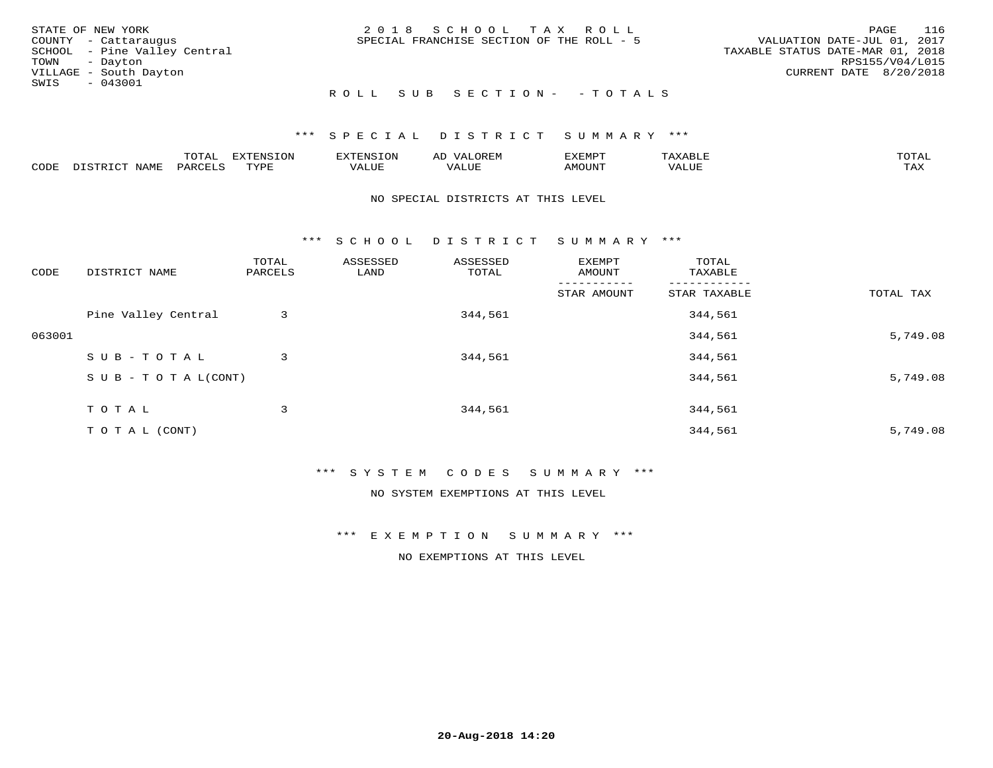|      | STATE OF NEW YORK            | 2018 SCHOOL TAX ROLL                      | PAGE                             | 116 |
|------|------------------------------|-------------------------------------------|----------------------------------|-----|
|      | COUNTY - Cattaraugus         | SPECIAL FRANCHISE SECTION OF THE ROLL - 5 | VALUATION DATE-JUL 01, 2017      |     |
|      | SCHOOL - Pine Valley Central |                                           | TAXABLE STATUS DATE-MAR 01, 2018 |     |
|      | TOWN - Dayton                |                                           | RPS155/V04/L015                  |     |
|      | VILLAGE - South Dayton       |                                           | CURRENT DATE 8/20/2018           |     |
| SWIS | $-043001$                    |                                           |                                  |     |
|      |                              | ROLL SUB SECTION- - TOTALS                |                                  |     |

### \*\*\* SPECIAL DISTRICT SUMMARY \*\*\*

|                         |      | m^m |      | 'NT C     |           | ∟ו∨ו          |              |                             |
|-------------------------|------|-----|------|-----------|-----------|---------------|--------------|-----------------------------|
| $\bigcap_{\Pi}$<br>◡◡◡ュ | мдмь |     | TVDF | ۳۰ تاللاد | $- - - -$ | 550T<br>IUUN. | ALUE<br>77 T | $m \times r$<br>- - - - - - |

### NO SPECIAL DISTRICTS AT THIS LEVEL

\*\*\* S C H O O L D I S T R I C T S U M M A R Y \*\*\*

| CODE   | DISTRICT NAME                    | TOTAL<br>PARCELS | ASSESSED<br>LAND | ASSESSED<br>TOTAL | EXEMPT<br>AMOUNT | TOTAL<br>TAXABLE |           |
|--------|----------------------------------|------------------|------------------|-------------------|------------------|------------------|-----------|
|        |                                  |                  |                  |                   | STAR AMOUNT      | STAR TAXABLE     | TOTAL TAX |
|        | Pine Valley Central              | 3                |                  | 344,561           |                  | 344,561          |           |
| 063001 |                                  |                  |                  |                   |                  | 344,561          | 5,749.08  |
|        | SUB-TOTAL                        | 3                |                  | 344,561           |                  | 344,561          |           |
|        | $S \cup B - T \cup T A L (CONT)$ |                  |                  |                   |                  | 344,561          | 5,749.08  |
|        | T O T A L                        | 3                |                  | 344,561           |                  | 344,561          |           |
|        | T O T A L (CONT)                 |                  |                  |                   |                  | 344,561          | 5,749.08  |

### \*\*\* S Y S T E M C O D E S S U M M A R Y \*\*\*

### NO SYSTEM EXEMPTIONS AT THIS LEVEL

\*\*\* E X E M P T I O N S U M M A R Y \*\*\*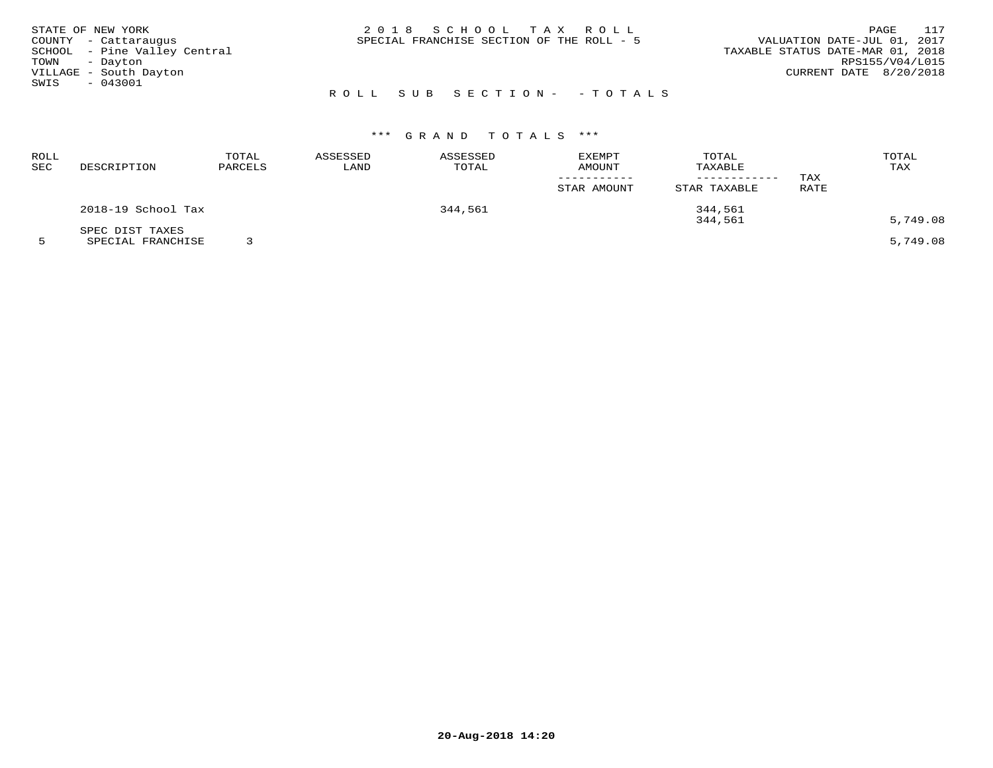| STATE OF NEW YORK      |                              |                           | 2018 SCHOOL TAX ROLL                      |  |                                  | PAGE                   | 117 |
|------------------------|------------------------------|---------------------------|-------------------------------------------|--|----------------------------------|------------------------|-----|
| COUNTY - Cattaraugus   |                              |                           | SPECIAL FRANCHISE SECTION OF THE ROLL - 5 |  | VALUATION DATE-JUL 01, 2017      |                        |     |
|                        | SCHOOL - Pine Valley Central |                           |                                           |  | TAXABLE STATUS DATE-MAR 01, 2018 |                        |     |
| TOWN - Dayton          |                              |                           |                                           |  |                                  | RPS155/V04/L015        |     |
| VILLAGE - South Dayton |                              |                           |                                           |  |                                  | CURRENT DATE 8/20/2018 |     |
| SWIS<br>- 043001       |                              |                           |                                           |  |                                  |                        |     |
|                        |                              | ROLL SUB SECTION- -TOTALS |                                           |  |                                  |                        |     |

| ROLL<br>SEC | DESCRIPTION        | TOTAL<br>PARCELS | ASSESSED<br>LAND | ASSESSED<br>TOTAL | <b>EXEMPT</b><br>AMOUNT | TOTAL<br>TAXABLE<br>------------ | TAX  | TOTAL<br>TAX |
|-------------|--------------------|------------------|------------------|-------------------|-------------------------|----------------------------------|------|--------------|
|             |                    |                  |                  |                   | STAR AMOUNT             | STAR TAXABLE                     | RATE |              |
|             | 2018-19 School Tax |                  |                  | 344,561           |                         | 344,561                          |      |              |
|             | SPEC DIST TAXES    |                  |                  |                   |                         | 344,561                          |      | 5,749.08     |
|             | SPECIAL FRANCHISE  |                  |                  |                   |                         |                                  |      | 5,749.08     |

**20-Aug-2018 14:20**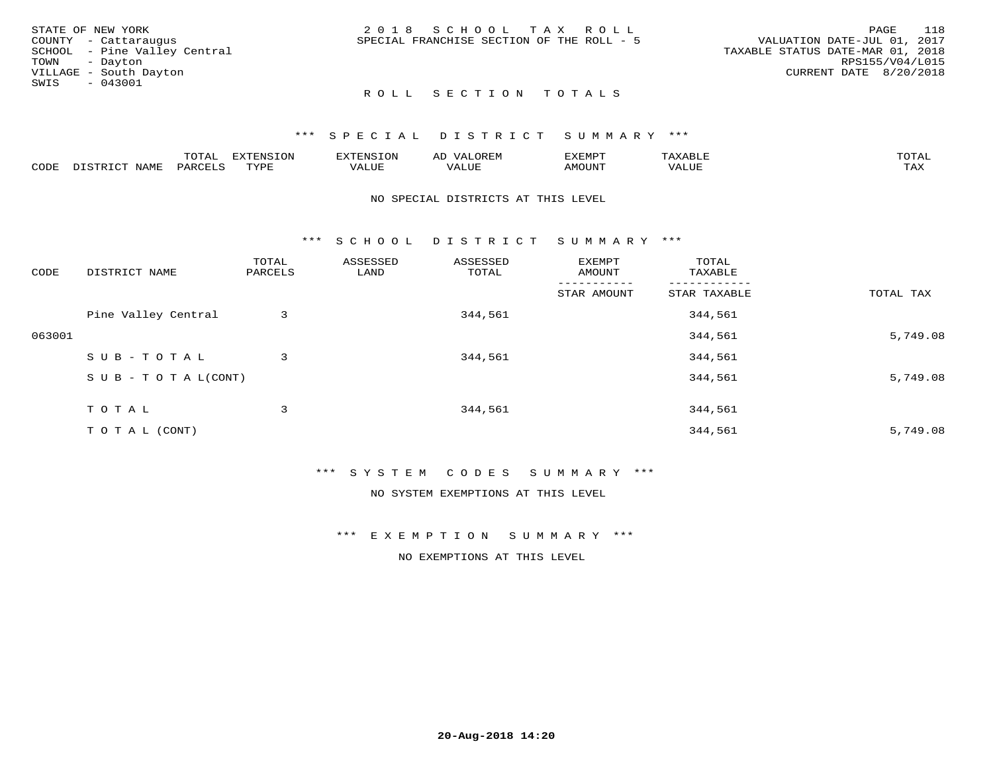|      | STATE OF NEW YORK            | 2018 SCHOOL TAX ROLL                      | 118<br>PAGE                      |
|------|------------------------------|-------------------------------------------|----------------------------------|
|      | COUNTY - Cattaraugus         | SPECIAL FRANCHISE SECTION OF THE ROLL - 5 | VALUATION DATE-JUL 01, 2017      |
|      | SCHOOL - Pine Valley Central |                                           | TAXABLE STATUS DATE-MAR 01, 2018 |
|      | TOWN - Dayton                |                                           | RPS155/V04/L015                  |
|      | VILLAGE - South Dayton       |                                           | CURRENT DATE 8/20/2018           |
| SWIS | $-043001$                    |                                           |                                  |
|      |                              | ROLL SECTION TOTALS                       |                                  |

|      |                               | <b>TOTAL</b> | EXTENSION       | XTENSION:                         | $T$ $\cap$ $\cap$ $\cap$<br>ΑIJ<br>UK LI <sup>w</sup> | 7325110 <del>00</del><br>∵ ب اب<br>. عەمدىك | $max$ is $n + r$<br>AXABLE | $m \wedge m \wedge r$ |
|------|-------------------------------|--------------|-----------------|-----------------------------------|-------------------------------------------------------|---------------------------------------------|----------------------------|-----------------------|
| CODE | <b>NAME</b><br>$ -$<br>DISTR. | PARCELS      | TVDF<br>- - - - | , <del>,</del> , , , , ,<br>ALUF. | VALUE                                                 | <b>MOUNT</b>                                | VALUE                      | <b>TAY</b><br>⊥⇔∆     |

### NO SPECIAL DISTRICTS AT THIS LEVEL

\*\*\* S C H O O L D I S T R I C T S U M M A R Y \*\*\*

| CODE   | DISTRICT NAME                    | TOTAL<br>PARCELS | ASSESSED<br>LAND | ASSESSED<br>TOTAL | EXEMPT<br>AMOUNT | TOTAL<br>TAXABLE |           |
|--------|----------------------------------|------------------|------------------|-------------------|------------------|------------------|-----------|
|        |                                  |                  |                  |                   | STAR AMOUNT      | STAR TAXABLE     | TOTAL TAX |
|        | Pine Valley Central              | 3                |                  | 344,561           |                  | 344,561          |           |
| 063001 |                                  |                  |                  |                   |                  | 344,561          | 5,749.08  |
|        | SUB-TOTAL                        | 3                |                  | 344,561           |                  | 344,561          |           |
|        | $S \cup B - T \cup T A L (CONT)$ |                  |                  |                   |                  | 344,561          | 5,749.08  |
|        | TOTAL                            | 3                |                  | 344,561           |                  | 344,561          |           |
|        | T O T A L (CONT)                 |                  |                  |                   |                  | 344,561          | 5,749.08  |

## \*\*\* S Y S T E M C O D E S S U M M A R Y \*\*\*

NO SYSTEM EXEMPTIONS AT THIS LEVEL

\*\*\* E X E M P T I O N S U M M A R Y \*\*\*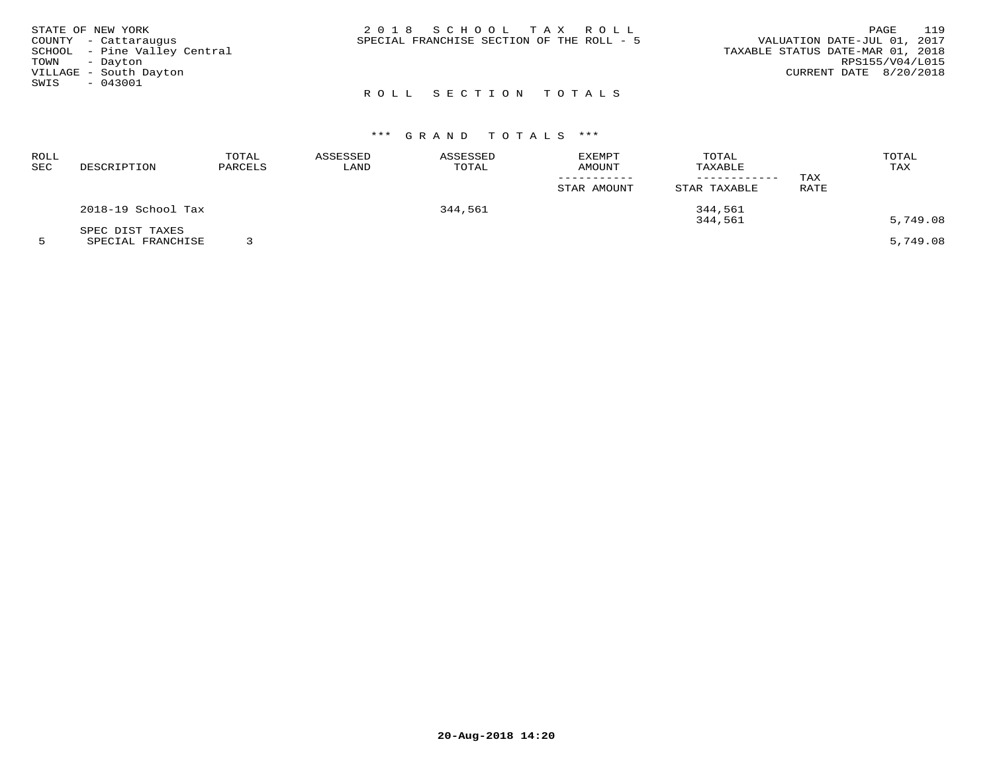|               | STATE OF NEW YORK            | 2018 SCHOOL TAX ROLL                      | 119<br>PAGE                      |
|---------------|------------------------------|-------------------------------------------|----------------------------------|
|               | COUNTY - Cattaraugus         | SPECIAL FRANCHISE SECTION OF THE ROLL - 5 | VALUATION DATE-JUL 01, 2017      |
|               | SCHOOL - Pine Valley Central |                                           | TAXABLE STATUS DATE-MAR 01, 2018 |
| TOWN - Dayton |                              |                                           | RPS155/V04/L015                  |
|               | VILLAGE - South Dayton       |                                           | CURRENT DATE 8/20/2018           |
| SWIS          | $-043001$                    |                                           |                                  |
|               |                              | ROLL SECTION TOTALS                       |                                  |

| ROLL<br>SEC | DESCRIPTION        | TOTAL<br>PARCELS | ASSESSED<br>LAND | ASSESSED<br>TOTAL | <b>EXEMPT</b><br>AMOUNT | TOTAL<br>TAXABLE | TAX  | TOTAL<br>TAX |
|-------------|--------------------|------------------|------------------|-------------------|-------------------------|------------------|------|--------------|
|             |                    |                  |                  |                   | STAR AMOUNT             | STAR TAXABLE     | RATE |              |
|             | 2018-19 School Tax |                  |                  | 344,561           |                         | 344,561          |      |              |
|             | SPEC DIST TAXES    |                  |                  |                   |                         | 344,561          |      | 5,749.08     |
|             | SPECIAL FRANCHISE  |                  |                  |                   |                         |                  |      | 5,749.08     |

**20-Aug-2018 14:20**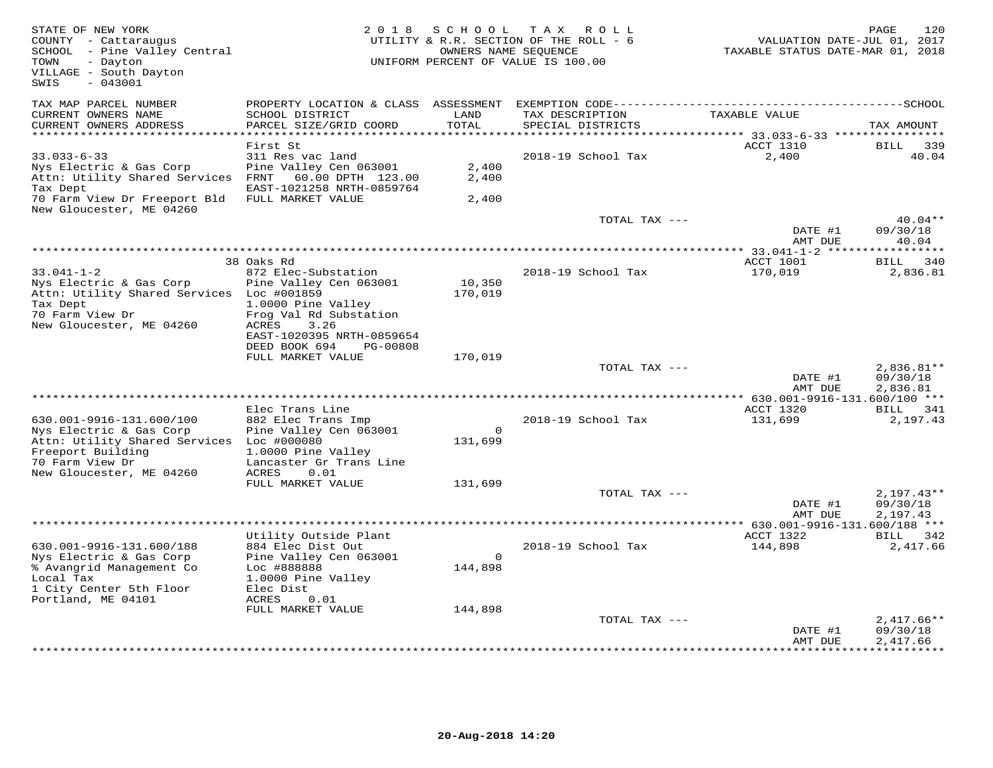| STATE OF NEW YORK<br>COUNTY - Cattaraugus<br>SCHOOL - Pine Valley Central<br>- Dayton<br>TOWN<br>VILLAGE - South Dayton<br>$-043001$<br>SWIS |                                                     | 2018 SCHOOL<br>OWNERS NAME SEQUENCE | TAX ROLL<br>UTILITY & R.R. SECTION OF THE ROLL - 6<br>UNIFORM PERCENT OF VALUE IS 100.00 | VALUATION DATE-JUL 01, 2017<br>TAXABLE STATUS DATE-MAR 01, 2018 | 120<br>PAGE           |
|----------------------------------------------------------------------------------------------------------------------------------------------|-----------------------------------------------------|-------------------------------------|------------------------------------------------------------------------------------------|-----------------------------------------------------------------|-----------------------|
| TAX MAP PARCEL NUMBER                                                                                                                        | PROPERTY LOCATION & CLASS ASSESSMENT                |                                     |                                                                                          |                                                                 |                       |
| CURRENT OWNERS NAME<br>CURRENT OWNERS ADDRESS<br>**********************                                                                      | SCHOOL DISTRICT<br>PARCEL SIZE/GRID COORD           | LAND<br>TOTAL                       | TAX DESCRIPTION<br>SPECIAL DISTRICTS                                                     | TAXABLE VALUE                                                   | TAX AMOUNT            |
|                                                                                                                                              | First St                                            |                                     |                                                                                          | ACCT 1310                                                       | 339<br>BILL           |
| $33.033 - 6 - 33$                                                                                                                            | 311 Res vac land                                    |                                     | 2018-19 School Tax                                                                       | 2,400                                                           | 40.04                 |
| Nys Electric & Gas Corp<br>Attn: Utility Shared Services                                                                                     | Pine Valley Cen 063001<br>FRNT<br>60.00 DPTH 123.00 | 2,400<br>2,400                      |                                                                                          |                                                                 |                       |
| Tax Dept                                                                                                                                     | EAST-1021258 NRTH-0859764                           |                                     |                                                                                          |                                                                 |                       |
| 70 Farm View Dr Freeport Bld<br>New Gloucester, ME 04260                                                                                     | FULL MARKET VALUE                                   | 2,400                               |                                                                                          |                                                                 |                       |
|                                                                                                                                              |                                                     |                                     | TOTAL TAX ---                                                                            | DATE #1                                                         | $40.04**$<br>09/30/18 |
|                                                                                                                                              |                                                     |                                     |                                                                                          | AMT DUE                                                         | 40.04<br>*********    |
|                                                                                                                                              | 38 Oaks Rd                                          |                                     |                                                                                          | ACCT 1001                                                       | 340<br>BILL           |
| $33.041 - 1 - 2$                                                                                                                             | 872 Elec-Substation                                 |                                     | 2018-19 School Tax                                                                       | 170,019                                                         | 2,836.81              |
| Nys Electric & Gas Corp                                                                                                                      | Pine Valley Cen 063001                              | 10,350                              |                                                                                          |                                                                 |                       |
| Attn: Utility Shared Services Loc #001859                                                                                                    |                                                     | 170,019                             |                                                                                          |                                                                 |                       |
| Tax Dept<br>70 Farm View Dr                                                                                                                  | 1.0000 Pine Valley<br>Frog Val Rd Substation        |                                     |                                                                                          |                                                                 |                       |
| New Gloucester, ME 04260                                                                                                                     | ACRES<br>3.26                                       |                                     |                                                                                          |                                                                 |                       |
|                                                                                                                                              | EAST-1020395 NRTH-0859654                           |                                     |                                                                                          |                                                                 |                       |
|                                                                                                                                              | DEED BOOK 694<br>PG-00808                           |                                     |                                                                                          |                                                                 |                       |
|                                                                                                                                              | FULL MARKET VALUE                                   | 170,019                             | TOTAL TAX ---                                                                            |                                                                 | $2,836.81**$          |
|                                                                                                                                              |                                                     |                                     |                                                                                          | DATE #1                                                         | 09/30/18              |
|                                                                                                                                              |                                                     |                                     |                                                                                          | AMT DUE                                                         | 2,836.81              |
|                                                                                                                                              |                                                     |                                     |                                                                                          | ********** 630.001-9916-131.600/100 ***                         |                       |
|                                                                                                                                              | Elec Trans Line                                     |                                     |                                                                                          | ACCT 1320                                                       | BILL 341              |
| 630.001-9916-131.600/100<br>Nys Electric & Gas Corp                                                                                          | 882 Elec Trans Imp<br>Pine Valley Cen 063001        | $\Omega$                            | 2018-19 School Tax                                                                       | 131,699                                                         | 2,197.43              |
| Attn: Utility Shared Services                                                                                                                | Loc #000080                                         | 131,699                             |                                                                                          |                                                                 |                       |
| Freeport Building                                                                                                                            | 1.0000 Pine Valley                                  |                                     |                                                                                          |                                                                 |                       |
| 70 Farm View Dr                                                                                                                              | Lancaster Gr Trans Line                             |                                     |                                                                                          |                                                                 |                       |
| New Gloucester, ME 04260                                                                                                                     | ACRES<br>0.01                                       |                                     |                                                                                          |                                                                 |                       |
|                                                                                                                                              | FULL MARKET VALUE                                   | 131,699                             | TOTAL TAX ---                                                                            |                                                                 | $2,197.43**$          |
|                                                                                                                                              |                                                     |                                     |                                                                                          | DATE #1                                                         | 09/30/18              |
|                                                                                                                                              |                                                     |                                     |                                                                                          | AMT DUE                                                         | 2,197.43              |
|                                                                                                                                              |                                                     |                                     |                                                                                          |                                                                 |                       |
|                                                                                                                                              | Utility Outside Plant                               |                                     |                                                                                          | ACCT 1322                                                       | BILL 342              |
| 630.001-9916-131.600/188<br>Nys Electric & Gas Corp                                                                                          | 884 Elec Dist Out<br>Pine Valley Cen 063001         | $\Omega$                            | 2018-19 School Tax                                                                       | 144,898                                                         | 2,417.66              |
| % Avangrid Management Co                                                                                                                     | Loc #888888                                         | 144,898                             |                                                                                          |                                                                 |                       |
| Local Tax                                                                                                                                    | 1.0000 Pine Valley                                  |                                     |                                                                                          |                                                                 |                       |
| 1 City Center 5th Floor                                                                                                                      | Elec Dist                                           |                                     |                                                                                          |                                                                 |                       |
| Portland, ME 04101                                                                                                                           | ACRES<br>0.01                                       |                                     |                                                                                          |                                                                 |                       |
|                                                                                                                                              | FULL MARKET VALUE                                   | 144,898                             | TOTAL TAX ---                                                                            |                                                                 | $2,417.66**$          |
|                                                                                                                                              |                                                     |                                     |                                                                                          | DATE #1                                                         | 09/30/18              |
|                                                                                                                                              |                                                     |                                     |                                                                                          | AMT DUE                                                         | 2,417.66              |
|                                                                                                                                              |                                                     |                                     |                                                                                          |                                                                 |                       |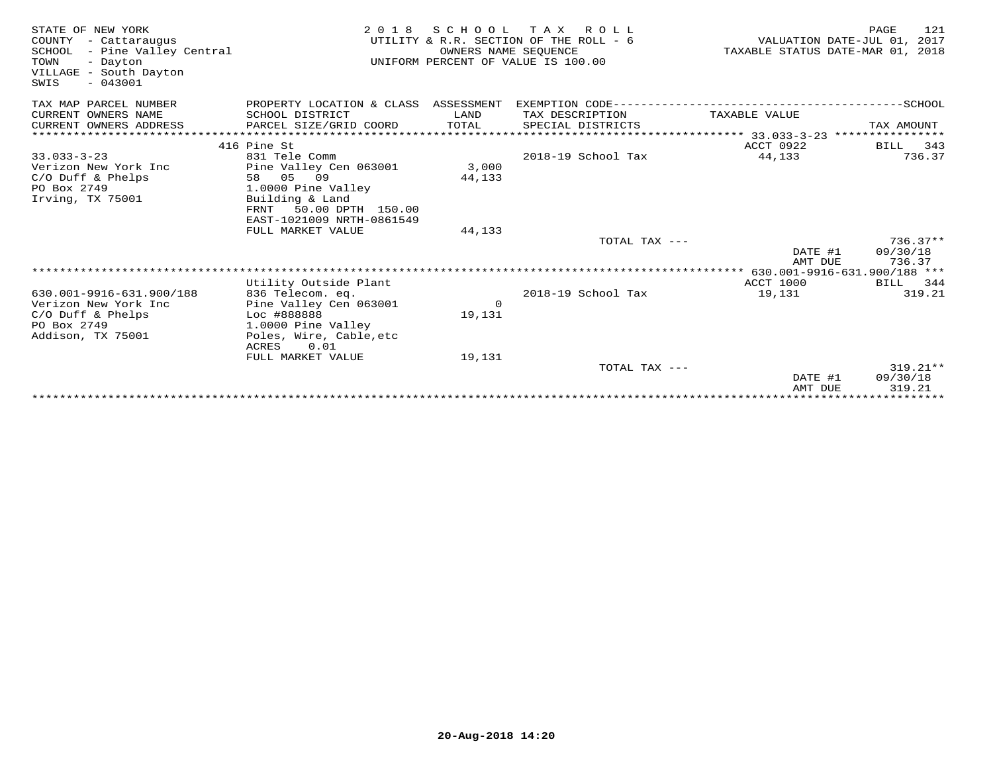| STATE OF NEW YORK<br>COUNTY - Cattaraugus<br>SCHOOL - Pine Valley Central<br>TOWN<br>- Dayton<br>VILLAGE - South Dayton<br>$-043001$<br>SWIS | 2 0 1 8                                                | SCHOOL<br>OWNERS NAME SEQUENCE | T A X<br>ROLL<br>UTILITY & R.R. SECTION OF THE ROLL - 6<br>UNIFORM PERCENT OF VALUE IS 100.00 | TAXABLE STATUS DATE-MAR 01, 2018 | 121<br>PAGE<br>VALUATION DATE-JUL 01, 2017 |
|----------------------------------------------------------------------------------------------------------------------------------------------|--------------------------------------------------------|--------------------------------|-----------------------------------------------------------------------------------------------|----------------------------------|--------------------------------------------|
| TAX MAP PARCEL NUMBER                                                                                                                        | PROPERTY LOCATION & CLASS ASSESSMENT                   |                                | EXEMPTION CODE----------------------------                                                    |                                  | --------------SCHOOL                       |
| CURRENT OWNERS NAME                                                                                                                          | SCHOOL DISTRICT                                        | LAND                           | TAX DESCRIPTION                                                                               | TAXABLE VALUE                    |                                            |
| CURRENT OWNERS ADDRESS                                                                                                                       | PARCEL SIZE/GRID COORD                                 | TOTAL                          | SPECIAL DISTRICTS                                                                             |                                  | TAX AMOUNT                                 |
|                                                                                                                                              | 416 Pine St                                            |                                |                                                                                               | ACCT 0922                        | BILL<br>343                                |
| $33.033 - 3 - 23$<br>Verizon New York Inc                                                                                                    | 831 Tele Comm<br>Pine Valley Cen 063001                | 3,000                          | 2018-19 School Tax                                                                            | 44,133                           | 736.37                                     |
| C/O Duff & Phelps                                                                                                                            | 58 05 09                                               | 44,133                         |                                                                                               |                                  |                                            |
| PO Box 2749<br>Irving, TX 75001                                                                                                              | 1.0000 Pine Valley<br>Building & Land                  |                                |                                                                                               |                                  |                                            |
|                                                                                                                                              | 50.00 DPTH 150.00<br>FRNT<br>EAST-1021009 NRTH-0861549 |                                |                                                                                               |                                  |                                            |
|                                                                                                                                              | FULL MARKET VALUE                                      | 44,133                         |                                                                                               |                                  |                                            |
|                                                                                                                                              |                                                        |                                | TOTAL TAX ---                                                                                 | DATE #1                          | $736.37**$<br>09/30/18                     |
|                                                                                                                                              |                                                        |                                |                                                                                               | AMT DUE                          | 736.37                                     |
|                                                                                                                                              |                                                        |                                |                                                                                               |                                  |                                            |
|                                                                                                                                              | Utility Outside Plant                                  |                                |                                                                                               | ACCT 1000                        | BILL 344                                   |
| 630.001-9916-631.900/188<br>Verizon New York Inc                                                                                             | 836 Telecom. eq.<br>Pine Valley Cen 063001             | $\circ$                        | 2018-19 School Tax                                                                            | 19,131                           | 319.21                                     |
| $C/O$ Duff & Phelps                                                                                                                          | Loc #888888                                            | 19,131                         |                                                                                               |                                  |                                            |
| PO Box 2749                                                                                                                                  | 1.0000 Pine Valley                                     |                                |                                                                                               |                                  |                                            |
| Addison, TX 75001                                                                                                                            | Poles, Wire, Cable, etc<br>0.01<br>ACRES               |                                |                                                                                               |                                  |                                            |
|                                                                                                                                              | FULL MARKET VALUE                                      | 19,131                         |                                                                                               |                                  |                                            |
|                                                                                                                                              |                                                        |                                | TOTAL TAX ---                                                                                 |                                  | $319.21**$                                 |
|                                                                                                                                              |                                                        |                                |                                                                                               | DATE #1                          | 09/30/18                                   |
|                                                                                                                                              |                                                        |                                |                                                                                               | AMT DUE                          | 319.21                                     |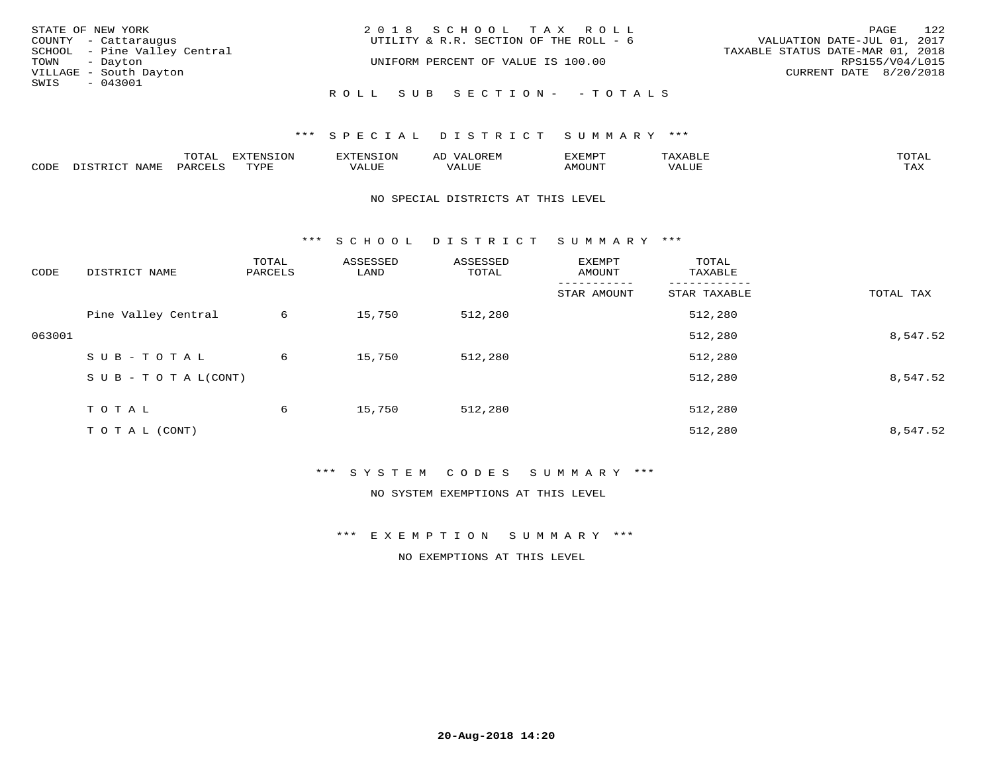| STATE OF NEW YORK            | 2018 SCHOOL TAX ROLL                   | 122<br>PAGE                      |
|------------------------------|----------------------------------------|----------------------------------|
| COUNTY - Cattaraugus         | UTILITY & R.R. SECTION OF THE ROLL - 6 | VALUATION DATE-JUL 01, 2017      |
| SCHOOL - Pine Valley Central |                                        | TAXABLE STATUS DATE-MAR 01, 2018 |
| TOWN - Dayton                | UNIFORM PERCENT OF VALUE IS 100.00     | RPS155/V04/L015                  |
| VILLAGE - South Dayton       |                                        | CURRENT DATE 8/20/2018           |
| SWIS - 043001                |                                        |                                  |
|                              | ROLL SUB SECTION- - TOTALS             |                                  |

|      | $n \wedge m \wedge n$ |                 | <b>MARINE</b>  | ΑL                           |                          |                    |                           |
|------|-----------------------|-----------------|----------------|------------------------------|--------------------------|--------------------|---------------------------|
| CODE | ΆR                    | $m \tau \tau n$ | اللالما للديات | $\cdots$<br>اللاقات المتحدين | <b>MOTTNTO</b><br>'UUN'. | <b>- ---</b><br>∕∆ | $m \times r$<br>- - - - - |

#### NO SPECIAL DISTRICTS AT THIS LEVEL

\*\*\* S C H O O L D I S T R I C T S U M M A R Y \*\*\*

| CODE   | DISTRICT NAME                    | TOTAL<br>PARCELS | ASSESSED<br>LAND | ASSESSED<br>TOTAL | EXEMPT<br>AMOUNT | TOTAL<br>TAXABLE |           |
|--------|----------------------------------|------------------|------------------|-------------------|------------------|------------------|-----------|
|        |                                  |                  |                  |                   | STAR AMOUNT      | STAR TAXABLE     | TOTAL TAX |
|        | Pine Valley Central              | 6                | 15,750           | 512,280           |                  | 512,280          |           |
| 063001 |                                  |                  |                  |                   |                  | 512,280          | 8,547.52  |
|        | SUB-TOTAL                        | 6                | 15,750           | 512,280           |                  | 512,280          |           |
|        | $S \cup B - T \cup T A L (CONT)$ |                  |                  |                   |                  | 512,280          | 8,547.52  |
|        | TOTAL                            | 6                | 15,750           | 512,280           |                  | 512,280          |           |
|        | T O T A L (CONT)                 |                  |                  |                   |                  | 512,280          | 8,547.52  |

## \*\*\* S Y S T E M C O D E S S U M M A R Y \*\*\*

NO SYSTEM EXEMPTIONS AT THIS LEVEL

\*\*\* E X E M P T I O N S U M M A R Y \*\*\*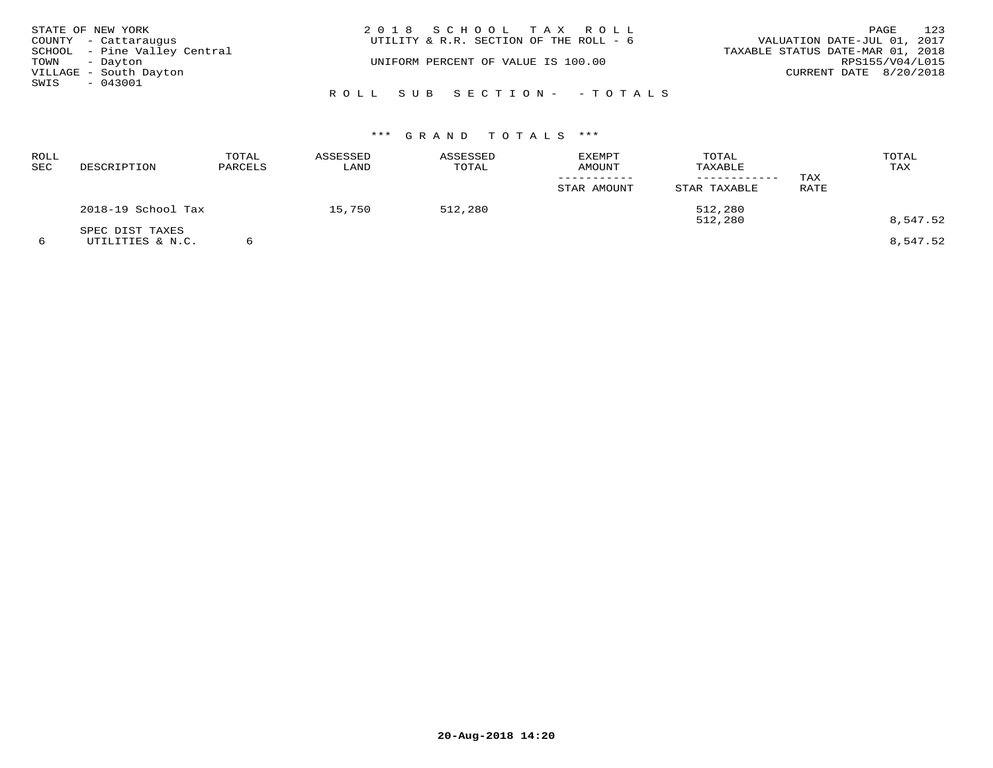|               | STATE OF NEW YORK            | 2018 SCHOOL TAX ROLL                   | 123<br>PAGE                      |
|---------------|------------------------------|----------------------------------------|----------------------------------|
|               | COUNTY - Cattaraugus         | UTILITY & R.R. SECTION OF THE ROLL - 6 | VALUATION DATE-JUL 01, 2017      |
|               | SCHOOL - Pine Valley Central |                                        | TAXABLE STATUS DATE-MAR 01, 2018 |
| TOWN - Dayton |                              | UNIFORM PERCENT OF VALUE IS 100.00     | RPS155/V04/L015                  |
|               | VILLAGE - South Dayton       |                                        | CURRENT DATE 8/20/2018           |
| SWIS          | - 043001                     |                                        |                                  |
|               |                              | ROLL SUB SECTION- - TOTALS             |                                  |

| ROLL<br>SEC | DESCRIPTION                         | TOTAL<br>PARCELS | ASSESSED<br>LAND | ASSESSED<br>TOTAL | EXEMPT<br><b>AMOUNT</b> | TOTAL<br>TAXABLE<br>--------- | TAX  | TOTAL<br>TAX |
|-------------|-------------------------------------|------------------|------------------|-------------------|-------------------------|-------------------------------|------|--------------|
|             |                                     |                  |                  |                   | STAR AMOUNT             | STAR TAXABLE                  | RATE |              |
|             | 2018-19 School Tax                  |                  | 15,750           | 512,280           |                         | 512,280<br>512,280            |      | 8,547.52     |
| 6           | SPEC DIST TAXES<br>UTILITIES & N.C. |                  |                  |                   |                         |                               |      | 8,547.52     |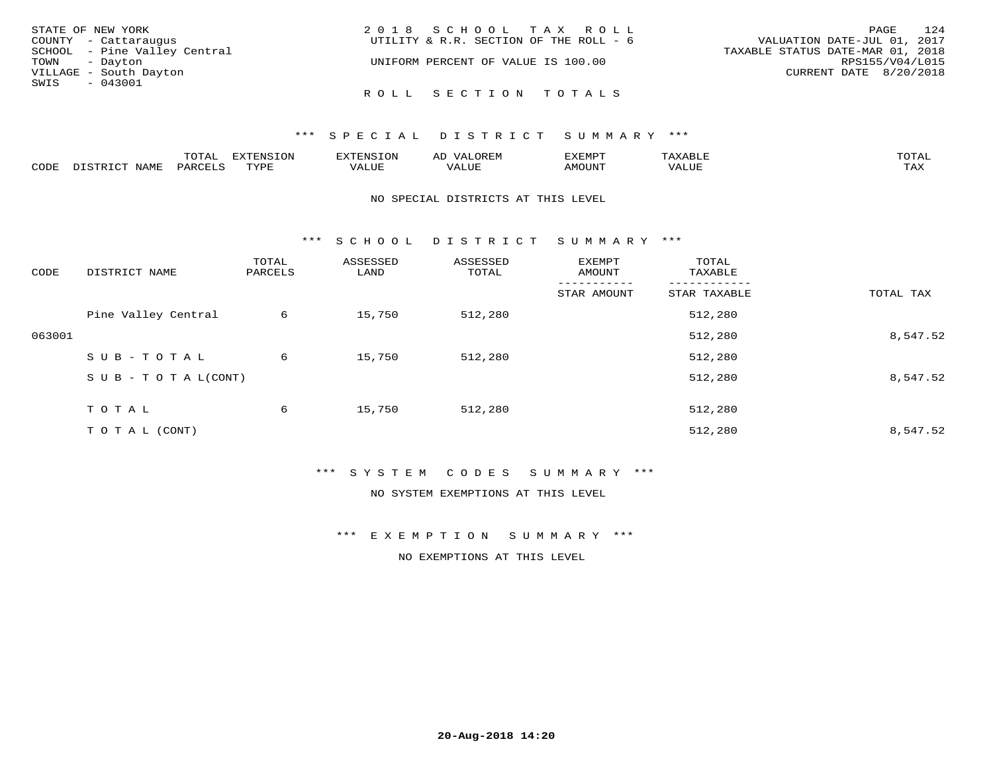| STATE OF NEW YORK            | 2018 SCHOOL TAX ROLL                   | 124<br>PAGE                      |
|------------------------------|----------------------------------------|----------------------------------|
| COUNTY - Cattaraugus         | UTILITY & R.R. SECTION OF THE ROLL - 6 | VALUATION DATE-JUL 01, 2017      |
| SCHOOL - Pine Valley Central |                                        | TAXABLE STATUS DATE-MAR 01, 2018 |
| TOWN - Dayton                | UNIFORM PERCENT OF VALUE IS 100.00     | RPS155/V04/L015                  |
| VILLAGE - South Dayton       |                                        | CURRENT DATE 8/20/2018           |
| SWIS<br>- 043001             |                                        |                                  |
|                              | ROLL SECTION TOTALS                    |                                  |

|               | $m \wedge m$ | --------<br>.UI | $\sim$ | . ب            |              |                             |
|---------------|--------------|-----------------|--------|----------------|--------------|-----------------------------|
| $\sim$<br>ັບມ |              | TVDL            | Alur   | <b>MOTTNTT</b> | י ב <i>ו</i> | $m \times r$<br>- - - - - - |

### NO SPECIAL DISTRICTS AT THIS LEVEL

\*\*\* S C H O O L D I S T R I C T S U M M A R Y \*\*\*

| CODE   | DISTRICT NAME                    | TOTAL<br>PARCELS | ASSESSED<br>LAND | ASSESSED<br>TOTAL | EXEMPT<br>AMOUNT | TOTAL<br>TAXABLE |           |
|--------|----------------------------------|------------------|------------------|-------------------|------------------|------------------|-----------|
|        |                                  |                  |                  |                   | STAR AMOUNT      | STAR TAXABLE     | TOTAL TAX |
|        | Pine Valley Central              | 6                | 15,750           | 512,280           |                  | 512,280          |           |
| 063001 |                                  |                  |                  |                   |                  | 512,280          | 8,547.52  |
|        | SUB-TOTAL                        | 6                | 15,750           | 512,280           |                  | 512,280          |           |
|        | $S \cup B - T \cup T A L (CONT)$ |                  |                  |                   |                  | 512,280          | 8,547.52  |
|        | T O T A L                        | 6                | 15,750           | 512,280           |                  | 512,280          |           |
|        | T O T A L (CONT)                 |                  |                  |                   |                  | 512,280          | 8,547.52  |

## \*\*\* S Y S T E M C O D E S S U M M A R Y \*\*\*

NO SYSTEM EXEMPTIONS AT THIS LEVEL

\*\*\* E X E M P T I O N S U M M A R Y \*\*\*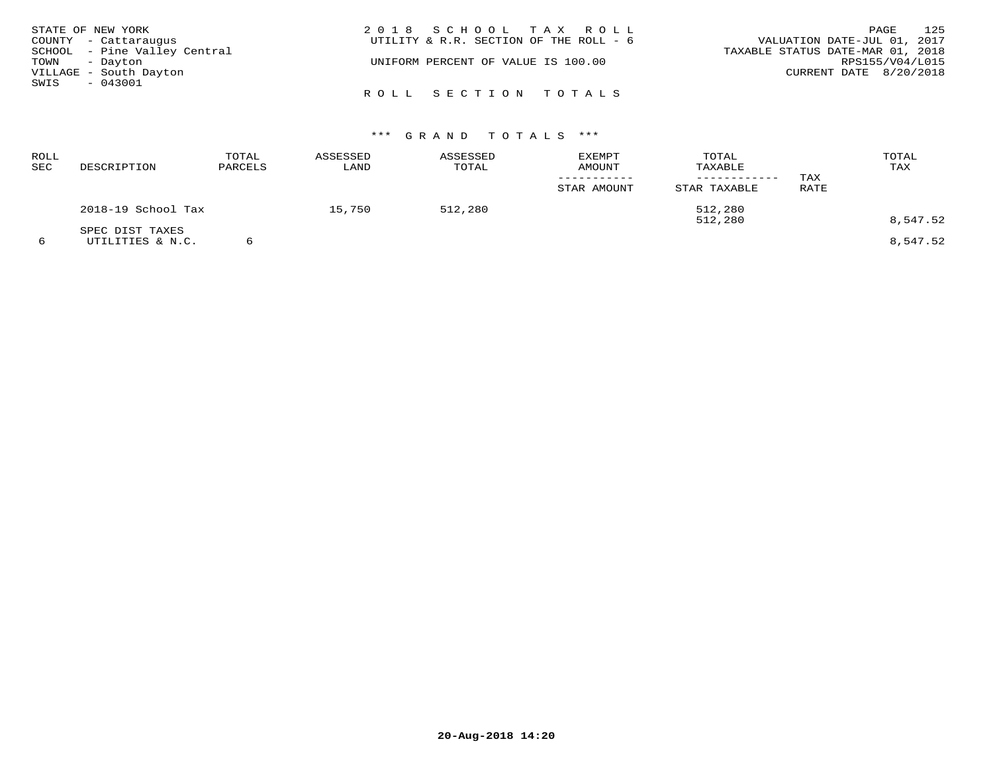| STATE OF NEW YORK            | 2018 SCHOOL TAX ROLL                   | 125<br>PAGE                      |
|------------------------------|----------------------------------------|----------------------------------|
| COUNTY - Cattaraugus         | UTILITY & R.R. SECTION OF THE ROLL - 6 | VALUATION DATE-JUL 01, 2017      |
| SCHOOL - Pine Valley Central |                                        | TAXABLE STATUS DATE-MAR 01, 2018 |
| TOWN - Dayton                | UNIFORM PERCENT OF VALUE IS 100.00     | RPS155/V04/L015                  |
| VILLAGE - South Dayton       |                                        | CURRENT DATE 8/20/2018           |
| SWIS<br>$-043001$            |                                        |                                  |
|                              | ROLL SECTION TOTALS                    |                                  |

| <b>ROLL</b><br>SEC | DESCRIPTION                         | TOTAL<br>PARCELS | ASSESSED<br>LAND | ASSESSED<br>TOTAL | <b>EXEMPT</b><br>AMOUNT<br>STAR AMOUNT | TOTAL<br>TAXABLE<br>STAR TAXABLE | TAX<br>RATE | TOTAL<br>TAX |
|--------------------|-------------------------------------|------------------|------------------|-------------------|----------------------------------------|----------------------------------|-------------|--------------|
|                    | 2018-19 School Tax                  |                  | 15,750           | 512,280           |                                        | 512,280<br>512,280               |             | 8,547.52     |
| 6                  | SPEC DIST TAXES<br>UTILITIES & N.C. |                  |                  |                   |                                        |                                  |             | 8,547.52     |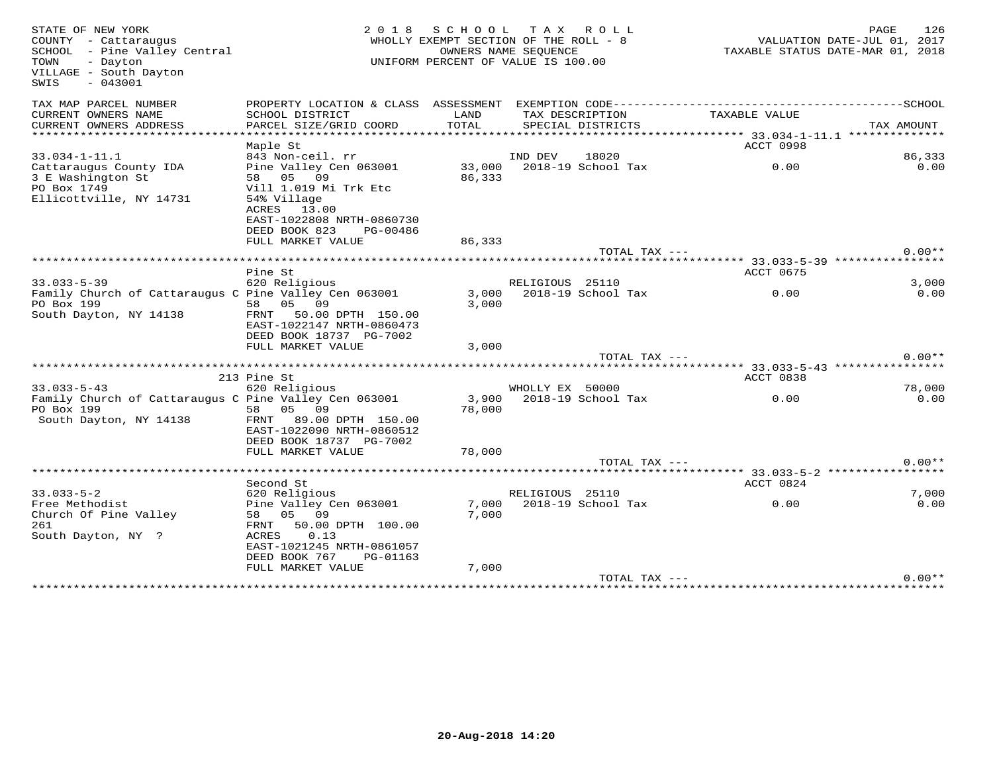| STATE OF NEW YORK<br>COUNTY - Cattaraugus<br>SCHOOL - Pine Valley Central<br>TOWN<br>- Dayton<br>VILLAGE - South Dayton<br>$-043001$<br>SWIS | 2 0 1 8<br>S C H O O L<br>TAX ROLL<br>WHOLLY EXEMPT SECTION OF THE ROLL - 8<br>OWNERS NAME SEOUENCE<br>UNIFORM PERCENT OF VALUE IS 100.00 |            |                 |                      | PAGE<br>126<br>VALUATION DATE-JUL 01, 2017<br>TAXABLE STATUS DATE-MAR 01, 2018 |            |          |
|----------------------------------------------------------------------------------------------------------------------------------------------|-------------------------------------------------------------------------------------------------------------------------------------------|------------|-----------------|----------------------|--------------------------------------------------------------------------------|------------|----------|
| TAX MAP PARCEL NUMBER<br>CURRENT OWNERS NAME                                                                                                 | SCHOOL DISTRICT                                                                                                                           | LAND       | TAX DESCRIPTION |                      | TAXABLE VALUE                                                                  |            |          |
| CURRENT OWNERS ADDRESS                                                                                                                       | PARCEL SIZE/GRID COORD                                                                                                                    | TOTAL      |                 | SPECIAL DISTRICTS    |                                                                                | TAX AMOUNT |          |
| ***********************                                                                                                                      |                                                                                                                                           |            |                 |                      |                                                                                |            |          |
|                                                                                                                                              | Maple St                                                                                                                                  |            |                 |                      | ACCT 0998                                                                      |            |          |
| $33.034 - 1 - 11.1$                                                                                                                          | 843 Non-ceil. rr                                                                                                                          |            | IND DEV         | 18020                |                                                                                |            | 86,333   |
| Cattaraugus County IDA                                                                                                                       | Pine Valley Cen 063001                                                                                                                    | 33,000     |                 | 2018-19 School Tax   | 0.00                                                                           |            | 0.00     |
| 3 E Washington St<br>PO Box 1749                                                                                                             | 58 05 09<br>Vill 1.019 Mi Trk Etc                                                                                                         | 86,333     |                 |                      |                                                                                |            |          |
| Ellicottville, NY 14731                                                                                                                      | 54% Village                                                                                                                               |            |                 |                      |                                                                                |            |          |
|                                                                                                                                              | ACRES 13.00                                                                                                                               |            |                 |                      |                                                                                |            |          |
|                                                                                                                                              | EAST-1022808 NRTH-0860730                                                                                                                 |            |                 |                      |                                                                                |            |          |
|                                                                                                                                              | DEED BOOK 823<br>PG-00486                                                                                                                 |            |                 |                      |                                                                                |            |          |
|                                                                                                                                              | FULL MARKET VALUE                                                                                                                         | 86,333     |                 |                      |                                                                                |            |          |
|                                                                                                                                              | ****************                                                                                                                          | ********** |                 | TOTAL TAX ---        |                                                                                |            | $0.00**$ |
|                                                                                                                                              | Pine St                                                                                                                                   |            |                 |                      | **** 33.033-5-39 ****                                                          |            |          |
| $33.033 - 5 - 39$                                                                                                                            | 620 Religious                                                                                                                             |            | RELIGIOUS 25110 |                      | ACCT 0675                                                                      |            | 3,000    |
| Family Church of Cattaraugus C Pine Valley Cen 063001                                                                                        |                                                                                                                                           | 3,000      |                 | 2018-19 School Tax   | 0.00                                                                           |            | 0.00     |
| PO Box 199                                                                                                                                   | 05 09<br>58                                                                                                                               | 3,000      |                 |                      |                                                                                |            |          |
| South Dayton, NY 14138                                                                                                                       | 50.00 DPTH 150.00<br>FRNT                                                                                                                 |            |                 |                      |                                                                                |            |          |
|                                                                                                                                              | EAST-1022147 NRTH-0860473                                                                                                                 |            |                 |                      |                                                                                |            |          |
|                                                                                                                                              | DEED BOOK 18737 PG-7002                                                                                                                   |            |                 |                      |                                                                                |            |          |
|                                                                                                                                              | FULL MARKET VALUE                                                                                                                         | 3,000      |                 |                      |                                                                                |            |          |
|                                                                                                                                              |                                                                                                                                           |            |                 | TOTAL TAX ---        |                                                                                |            | $0.00**$ |
|                                                                                                                                              | 213 Pine St                                                                                                                               |            |                 |                      | ACCT 0838                                                                      |            |          |
| $33.033 - 5 - 43$                                                                                                                            | 620 Religious                                                                                                                             |            | WHOLLY EX 50000 |                      |                                                                                |            | 78,000   |
| Family Church of Cattaraugus C Pine Valley Cen 063001                                                                                        |                                                                                                                                           | 3,900      |                 | $2018-19$ School Tax | 0.00                                                                           |            | 0.00     |
| PO Box 199                                                                                                                                   | 58<br>05 09                                                                                                                               | 78,000     |                 |                      |                                                                                |            |          |
| South Dayton, NY 14138                                                                                                                       | FRNT<br>89.00 DPTH 150.00                                                                                                                 |            |                 |                      |                                                                                |            |          |
|                                                                                                                                              | EAST-1022090 NRTH-0860512                                                                                                                 |            |                 |                      |                                                                                |            |          |
|                                                                                                                                              | DEED BOOK 18737 PG-7002                                                                                                                   |            |                 |                      |                                                                                |            |          |
|                                                                                                                                              | FULL MARKET VALUE                                                                                                                         | 78,000     |                 | TOTAL TAX ---        |                                                                                |            | $0.00**$ |
|                                                                                                                                              | *********************************                                                                                                         |            |                 |                      |                                                                                |            |          |
|                                                                                                                                              | Second St                                                                                                                                 |            |                 |                      | ACCT 0824                                                                      |            |          |
| $33.033 - 5 - 2$                                                                                                                             | 620 Religious                                                                                                                             |            | RELIGIOUS 25110 |                      |                                                                                |            | 7,000    |
| Free Methodist                                                                                                                               | Pine Valley Cen 063001                                                                                                                    | 7,000      |                 | 2018-19 School Tax   | 0.00                                                                           |            | 0.00     |
| Church Of Pine Valley                                                                                                                        | 05 09<br>58                                                                                                                               | 7,000      |                 |                      |                                                                                |            |          |
| 261                                                                                                                                          | 50.00 DPTH 100.00<br>FRNT                                                                                                                 |            |                 |                      |                                                                                |            |          |
| South Dayton, NY ?                                                                                                                           | 0.13<br>ACRES                                                                                                                             |            |                 |                      |                                                                                |            |          |
|                                                                                                                                              | EAST-1021245 NRTH-0861057                                                                                                                 |            |                 |                      |                                                                                |            |          |
|                                                                                                                                              | DEED BOOK 767<br>PG-01163<br>FULL MARKET VALUE                                                                                            | 7,000      |                 |                      |                                                                                |            |          |
|                                                                                                                                              |                                                                                                                                           |            |                 | TOTAL TAX ---        |                                                                                |            | $0.00**$ |
|                                                                                                                                              |                                                                                                                                           |            |                 |                      |                                                                                |            |          |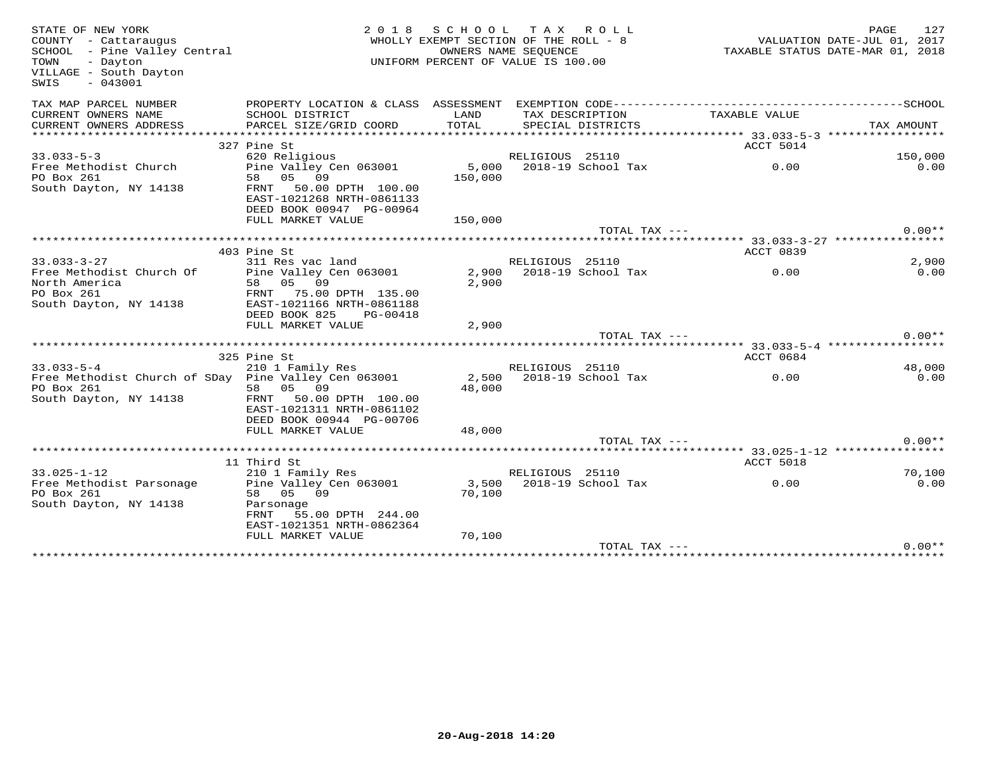| STATE OF NEW YORK<br>COUNTY - Cattaraugus<br>SCHOOL - Pine Valley Central<br>- Dayton<br>TOWN<br>VILLAGE - South Dayton<br>$-043001$<br>SWIS | 2 0 1 8                                                                                      | SCHOOL TAX ROLL<br>WHOLLY EXEMPT SECTION OF THE ROLL - 8<br>OWNERS NAME SEQUENCE<br>UNIFORM PERCENT OF VALUE IS 100.00 |                 |                          | PAGE 127<br>VALUATION DATE-JUL 01, 2017<br>TAXABLE STATIO DATE :<br>TAXABLE STATUS DATE-MAR 01, 2018 |            |          |
|----------------------------------------------------------------------------------------------------------------------------------------------|----------------------------------------------------------------------------------------------|------------------------------------------------------------------------------------------------------------------------|-----------------|--------------------------|------------------------------------------------------------------------------------------------------|------------|----------|
| TAX MAP PARCEL NUMBER                                                                                                                        | PROPERTY LOCATION & CLASS ASSESSMENT EXEMPTION CODE-----------------------------------SCHOOL |                                                                                                                        |                 |                          |                                                                                                      |            |          |
| CURRENT OWNERS NAME                                                                                                                          | SCHOOL DISTRICT                                                                              | LAND                                                                                                                   | TAX DESCRIPTION |                          | TAXABLE VALUE                                                                                        |            |          |
| CURRENT OWNERS ADDRESS                                                                                                                       | PARCEL SIZE/GRID COORD                                                                       | TOTAL                                                                                                                  |                 | SPECIAL DISTRICTS        |                                                                                                      | TAX AMOUNT |          |
|                                                                                                                                              | 327 Pine St                                                                                  |                                                                                                                        |                 |                          | ACCT 5014                                                                                            |            |          |
| $33.033 - 5 - 3$                                                                                                                             | 620 Religious                                                                                |                                                                                                                        | RELIGIOUS 25110 |                          |                                                                                                      |            | 150,000  |
| Free Methodist Church                                                                                                                        | Pine Valley Cen 063001                                                                       |                                                                                                                        |                 | 5,000 2018-19 School Tax | 0.00                                                                                                 |            | 0.00     |
| PO Box 261                                                                                                                                   | 58 05 09                                                                                     | 150,000                                                                                                                |                 |                          |                                                                                                      |            |          |
| South Dayton, NY 14138                                                                                                                       | 50.00 DPTH 100.00<br>FRNT                                                                    |                                                                                                                        |                 |                          |                                                                                                      |            |          |
|                                                                                                                                              | EAST-1021268 NRTH-0861133                                                                    |                                                                                                                        |                 |                          |                                                                                                      |            |          |
|                                                                                                                                              | DEED BOOK 00947 PG-00964                                                                     |                                                                                                                        |                 |                          |                                                                                                      |            |          |
|                                                                                                                                              | FULL MARKET VALUE                                                                            | 150,000                                                                                                                |                 | TOTAL TAX ---            |                                                                                                      |            | $0.00**$ |
|                                                                                                                                              |                                                                                              |                                                                                                                        |                 |                          | ********** 33.033-3-27 ****************                                                              |            |          |
|                                                                                                                                              | 403 Pine St                                                                                  |                                                                                                                        |                 |                          | ACCT 0839                                                                                            |            |          |
| $33.033 - 3 - 27$                                                                                                                            | 311 Res vac land                                                                             |                                                                                                                        | RELIGIOUS 25110 |                          |                                                                                                      |            | 2,900    |
| Free Methodist Church Of                                                                                                                     | Pine Valley Cen 063001                                                                       | 2,900                                                                                                                  |                 | 2018-19 School Tax       | 0.00                                                                                                 |            | 0.00     |
| North America                                                                                                                                | 58 05 09                                                                                     | 2,900                                                                                                                  |                 |                          |                                                                                                      |            |          |
| PO Box 261                                                                                                                                   | FRNT 75.00 DPTH 135.00                                                                       |                                                                                                                        |                 |                          |                                                                                                      |            |          |
| South Dayton, NY 14138                                                                                                                       | EAST-1021166 NRTH-0861188<br>DEED BOOK 825<br>PG-00418                                       |                                                                                                                        |                 |                          |                                                                                                      |            |          |
|                                                                                                                                              | FULL MARKET VALUE                                                                            | 2,900                                                                                                                  |                 |                          |                                                                                                      |            |          |
|                                                                                                                                              |                                                                                              |                                                                                                                        |                 | TOTAL TAX ---            |                                                                                                      |            | $0.00**$ |
|                                                                                                                                              |                                                                                              |                                                                                                                        |                 |                          |                                                                                                      |            |          |
|                                                                                                                                              | 325 Pine St                                                                                  |                                                                                                                        |                 |                          | ACCT 0684                                                                                            |            |          |
| $33.033 - 5 - 4$                                                                                                                             | 210 1 Family Res                                                                             |                                                                                                                        | RELIGIOUS 25110 |                          |                                                                                                      |            | 48,000   |
| Free Methodist Church of SDay Pine Valley Cen 063001                                                                                         |                                                                                              | 2,500                                                                                                                  |                 | 2018-19 School Tax       | 0.00                                                                                                 |            | 0.00     |
| PO Box 261                                                                                                                                   | 58 05 09                                                                                     | 48,000                                                                                                                 |                 |                          |                                                                                                      |            |          |
| South Dayton, NY 14138                                                                                                                       | 50.00 DPTH 100.00<br>FRNT<br>EAST-1021311 NRTH-0861102                                       |                                                                                                                        |                 |                          |                                                                                                      |            |          |
|                                                                                                                                              | DEED BOOK 00944 PG-00706                                                                     |                                                                                                                        |                 |                          |                                                                                                      |            |          |
|                                                                                                                                              | FULL MARKET VALUE                                                                            | 48,000                                                                                                                 |                 |                          |                                                                                                      |            |          |
|                                                                                                                                              |                                                                                              |                                                                                                                        |                 | TOTAL TAX ---            |                                                                                                      |            | $0.00**$ |
|                                                                                                                                              |                                                                                              |                                                                                                                        |                 |                          |                                                                                                      |            |          |
|                                                                                                                                              | 11 Third St                                                                                  |                                                                                                                        |                 |                          | ACCT 5018                                                                                            |            |          |
| $33.025 - 1 - 12$                                                                                                                            | 210 1 Family Res                                                                             |                                                                                                                        | RELIGIOUS 25110 |                          |                                                                                                      |            | 70,100   |
| Free Methodist Parsonage                                                                                                                     | Pine Valley Cen 063001                                                                       |                                                                                                                        |                 | 3,500 2018-19 School Tax | 0.00                                                                                                 |            | 0.00     |
| PO Box 261<br>South Dayton, NY 14138                                                                                                         | 58 05 09                                                                                     | 70,100                                                                                                                 |                 |                          |                                                                                                      |            |          |
|                                                                                                                                              | Parsonage<br>FRNT<br>55.00 DPTH 244.00                                                       |                                                                                                                        |                 |                          |                                                                                                      |            |          |
|                                                                                                                                              | EAST-1021351 NRTH-0862364                                                                    |                                                                                                                        |                 |                          |                                                                                                      |            |          |
|                                                                                                                                              | FULL MARKET VALUE                                                                            | 70,100                                                                                                                 |                 |                          |                                                                                                      |            |          |
|                                                                                                                                              |                                                                                              |                                                                                                                        |                 | TOTAL TAX ---            |                                                                                                      |            | $0.00**$ |
|                                                                                                                                              |                                                                                              |                                                                                                                        |                 |                          |                                                                                                      |            |          |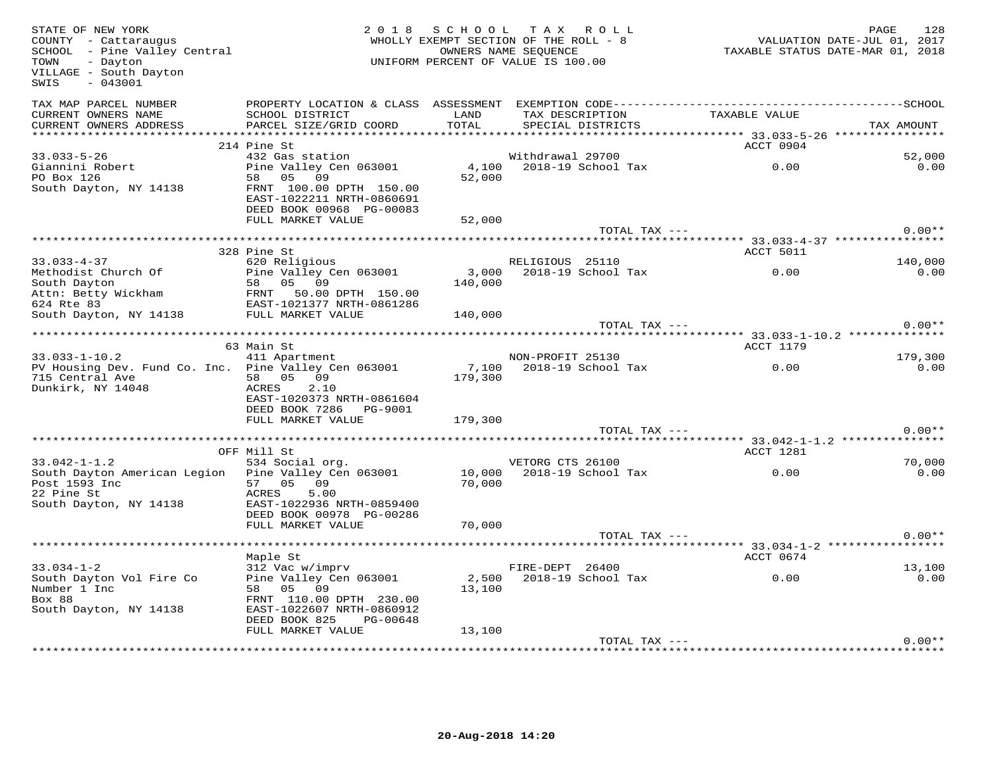| STATE OF NEW YORK<br>COUNTY - Cattaraugus<br>SCHOOL - Pine Valley Central<br>TOWN<br>- Dayton<br>VILLAGE - South Dayton<br>SWIS<br>$-043001$ |                                                                            |                 | 2018 SCHOOL TAX ROLL<br>WHOLLY EXEMPT SECTION OF THE ROLL - 8<br>OWNERS NAME SEOUENCE<br>UNIFORM PERCENT OF VALUE IS 100.00 | VALUATION DATE-JUL 01, 2017<br>TAXABLE STATUS DATE-MAR 01, 2018 | PAGE<br>128    |
|----------------------------------------------------------------------------------------------------------------------------------------------|----------------------------------------------------------------------------|-----------------|-----------------------------------------------------------------------------------------------------------------------------|-----------------------------------------------------------------|----------------|
| TAX MAP PARCEL NUMBER<br>CURRENT OWNERS NAME<br>CURRENT OWNERS ADDRESS                                                                       | SCHOOL DISTRICT<br>PARCEL SIZE/GRID COORD                                  | LAND<br>TOTAL   | SPECIAL DISTRICTS                                                                                                           | TAX DESCRIPTION TAXABLE VALUE                                   | TAX AMOUNT     |
|                                                                                                                                              |                                                                            |                 |                                                                                                                             |                                                                 |                |
|                                                                                                                                              | 214 Pine St                                                                |                 |                                                                                                                             | ACCT 0904                                                       |                |
| $33.033 - 5 - 26$                                                                                                                            | 432 Gas station                                                            |                 | Withdrawal 29700                                                                                                            |                                                                 | 52,000         |
| Giannini Robert<br>PO Box 126                                                                                                                | Pine Valley Cen 063001<br>58 05 09<br>FRNT 100.00 DPTH 150.00              | 4,100<br>52,000 | 2018-19 School Tax                                                                                                          | 0.00                                                            | 0.00           |
| South Dayton, NY 14138                                                                                                                       | EAST-1022211 NRTH-0860691<br>DEED BOOK 00968 PG-00083<br>FULL MARKET VALUE | 52,000          |                                                                                                                             |                                                                 |                |
|                                                                                                                                              |                                                                            |                 |                                                                                                                             | TOTAL TAX ---                                                   | $0.00**$       |
|                                                                                                                                              |                                                                            |                 |                                                                                                                             |                                                                 |                |
|                                                                                                                                              | 328 Pine St                                                                |                 |                                                                                                                             | ACCT 5011                                                       |                |
| $33.033 - 4 - 37$                                                                                                                            | 620 Religious                                                              |                 | RELIGIOUS 25110                                                                                                             |                                                                 | 140,000        |
| Methodist Church Of                                                                                                                          | Pine Valley Cen 063001                                                     |                 | 3,000 2018-19 School Tax                                                                                                    | 0.00                                                            | 0.00           |
| South Dayton                                                                                                                                 | 58 05 09                                                                   | 140,000         |                                                                                                                             |                                                                 |                |
| Attn: Betty Wickham FROM 50.00 DPTH 150.00<br>624 Rte 83                                                                                     |                                                                            |                 |                                                                                                                             |                                                                 |                |
| 624 Rte 83                                                                                                                                   | EAST-1021377 NRTH-0861286<br>FULL MARKET VALUE                             | 140,000         |                                                                                                                             |                                                                 |                |
| South Dayton, NY 14138                                                                                                                       |                                                                            |                 |                                                                                                                             | TOTAL TAX ---                                                   | $0.00**$       |
|                                                                                                                                              |                                                                            |                 |                                                                                                                             |                                                                 |                |
|                                                                                                                                              | 63 Main St                                                                 |                 |                                                                                                                             | <b>ACCT 1179</b>                                                |                |
| $33.033 - 1 - 10.2$                                                                                                                          | 411 Apartment                                                              |                 | NON-PROFIT 25130                                                                                                            |                                                                 | 179,300        |
| PV Housing Dev. Fund Co. Inc. Pine Valley Cen 063001                                                                                         |                                                                            |                 | 7,100 2018-19 School Tax                                                                                                    | 0.00                                                            | 0.00           |
| 715 Central Ave                                                                                                                              | 58 05 09                                                                   | 179,300         |                                                                                                                             |                                                                 |                |
| Dunkirk, NY 14048                                                                                                                            | 2.10<br>ACRES                                                              |                 |                                                                                                                             |                                                                 |                |
|                                                                                                                                              | EAST-1020373 NRTH-0861604<br>DEED BOOK 7286    PG-9001                     |                 |                                                                                                                             |                                                                 |                |
|                                                                                                                                              | FULL MARKET VALUE                                                          | 179,300         |                                                                                                                             |                                                                 |                |
|                                                                                                                                              |                                                                            |                 | TOTAL TAX ---                                                                                                               |                                                                 | $0.00**$       |
|                                                                                                                                              |                                                                            |                 |                                                                                                                             |                                                                 |                |
|                                                                                                                                              | OFF Mill St                                                                |                 |                                                                                                                             | ACCT 1281                                                       |                |
| $33.042 - 1 - 1.2$                                                                                                                           | 534 Social org.                                                            |                 | VETORG CTS 26100                                                                                                            |                                                                 | 70,000         |
| South Dayton American Legion Pine Valley Cen 063001                                                                                          |                                                                            | 10,000          | 2018-19 School Tax                                                                                                          | $\overline{0.00}$                                               | 0.00           |
| Post 1593 Inc<br>22 Pine St                                                                                                                  | 57 05 09<br>ACRES<br>5.00                                                  | 70,000          |                                                                                                                             |                                                                 |                |
| South Dayton, NY 14138                                                                                                                       | EAST-1022936 NRTH-0859400                                                  |                 |                                                                                                                             |                                                                 |                |
|                                                                                                                                              | DEED BOOK 00978 PG-00286                                                   |                 |                                                                                                                             |                                                                 |                |
|                                                                                                                                              | FULL MARKET VALUE                                                          | 70,000          |                                                                                                                             |                                                                 |                |
|                                                                                                                                              |                                                                            |                 | TOTAL TAX ---                                                                                                               |                                                                 | $0.00**$       |
|                                                                                                                                              |                                                                            |                 |                                                                                                                             | ********** 33.034-1-2 **************                            |                |
|                                                                                                                                              | Maple St                                                                   |                 |                                                                                                                             | ACCT 0674                                                       |                |
| $33.034 - 1 - 2$<br>South Dayton Vol Fire Co                                                                                                 | 312 Vac w/imprv<br>Pine Valley Cen 063001                                  |                 | FIRE-DEPT 26400<br>2,500 2018-19 School Tax                                                                                 | 0.00                                                            | 13,100<br>0.00 |
| Number 1 Inc                                                                                                                                 | 58 05 09                                                                   | 13,100          |                                                                                                                             |                                                                 |                |
| Box 88                                                                                                                                       | FRNT 110.00 DPTH 230.00                                                    |                 |                                                                                                                             |                                                                 |                |
| South Dayton, NY 14138                                                                                                                       | EAST-1022607 NRTH-0860912                                                  |                 |                                                                                                                             |                                                                 |                |
|                                                                                                                                              | DEED BOOK 825<br>PG-00648                                                  |                 |                                                                                                                             |                                                                 |                |
|                                                                                                                                              | FULL MARKET VALUE                                                          | 13,100          |                                                                                                                             |                                                                 |                |
|                                                                                                                                              |                                                                            |                 | TOTAL TAX ---                                                                                                               |                                                                 | $0.00**$       |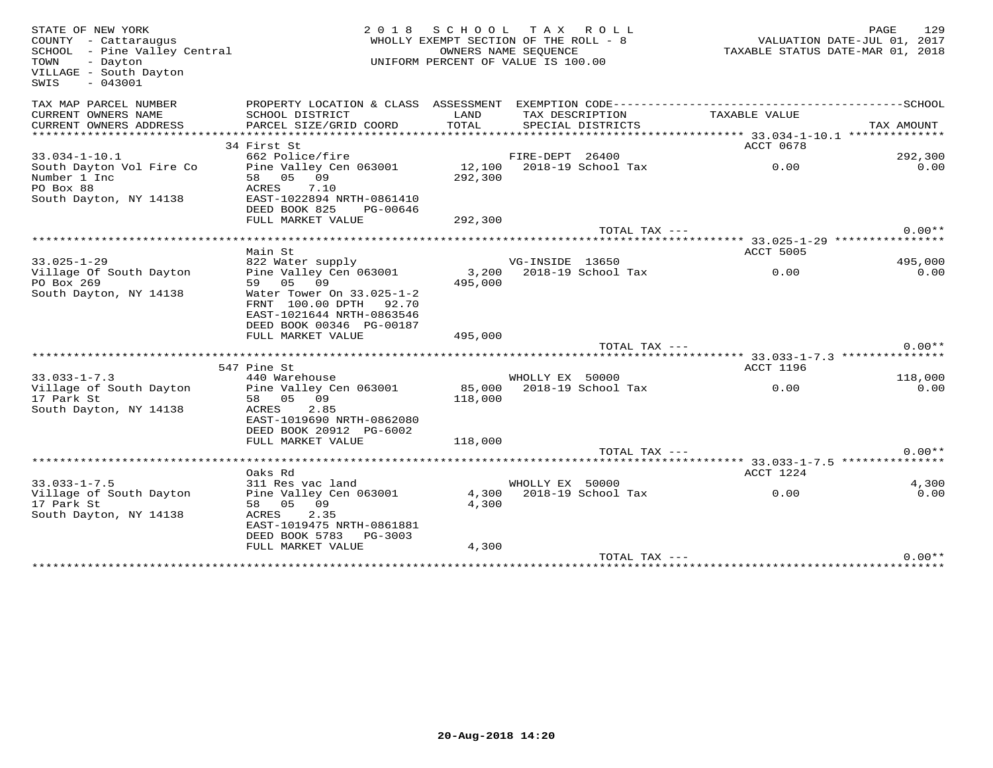| STATE OF NEW YORK<br>COUNTY - Cattaraugus<br>SCHOOL - Pine Valley Central<br>TOWN<br>- Dayton<br>VILLAGE - South Dayton<br>$-043001$<br>SWIS | 2 0 1 8                                                                                                      |         | SCHOOL TAX ROLL<br>WHOLLY EXEMPT SECTION OF THE ROLL - 8<br>OWNERS NAME SEOUENCE<br>UNIFORM PERCENT OF VALUE IS 100.00 |               | ریں۔<br>2017 VALUATION DATE-JUL 01, 2017<br>2018 TAXABLE STATUS DATE-MAR | PAGE<br>129     |
|----------------------------------------------------------------------------------------------------------------------------------------------|--------------------------------------------------------------------------------------------------------------|---------|------------------------------------------------------------------------------------------------------------------------|---------------|--------------------------------------------------------------------------|-----------------|
| TAX MAP PARCEL NUMBER                                                                                                                        |                                                                                                              |         |                                                                                                                        |               |                                                                          |                 |
| CURRENT OWNERS NAME                                                                                                                          | SCHOOL DISTRICT                                                                                              | LAND    | TAX DESCRIPTION                                                                                                        |               | TAXABLE VALUE                                                            |                 |
| CURRENT OWNERS ADDRESS                                                                                                                       | PARCEL SIZE/GRID COORD                                                                                       | TOTAL   | SPECIAL DISTRICTS                                                                                                      |               |                                                                          | TAX AMOUNT      |
|                                                                                                                                              | 34 First St                                                                                                  |         |                                                                                                                        |               | ACCT 0678                                                                |                 |
| $33.034 - 1 - 10.1$                                                                                                                          | 662 Police/fire                                                                                              |         | FIRE-DEPT 26400                                                                                                        |               |                                                                          | 292,300         |
| South Dayton Vol Fire Co                                                                                                                     | Pine Valley Cen 063001                                                                                       |         | 12,100 2018-19 School Tax                                                                                              |               | 0.00                                                                     | 0.00            |
| Number 1 Inc                                                                                                                                 | 58 05 09                                                                                                     | 292,300 |                                                                                                                        |               |                                                                          |                 |
| PO Box 88                                                                                                                                    | ACRES<br>7.10                                                                                                |         |                                                                                                                        |               |                                                                          |                 |
| South Dayton, NY 14138                                                                                                                       | EAST-1022894 NRTH-0861410                                                                                    |         |                                                                                                                        |               |                                                                          |                 |
|                                                                                                                                              | DEED BOOK 825<br>PG-00646                                                                                    |         |                                                                                                                        |               |                                                                          |                 |
|                                                                                                                                              | FULL MARKET VALUE                                                                                            | 292,300 |                                                                                                                        |               |                                                                          |                 |
|                                                                                                                                              |                                                                                                              |         |                                                                                                                        | TOTAL TAX --- |                                                                          | $0.00**$        |
|                                                                                                                                              |                                                                                                              |         |                                                                                                                        |               |                                                                          |                 |
|                                                                                                                                              | Main St                                                                                                      |         |                                                                                                                        |               | ACCT 5005                                                                |                 |
| $33.025 - 1 - 29$                                                                                                                            | nain be<br>822 Water supply<br>Pine Valley Cen 063001                                                        |         | VG-INSIDE 13650<br>3,200 2018-19 School Tax                                                                            |               | 0.00                                                                     | 495,000<br>0.00 |
| Village Of South Dayton<br>PO Box 269                                                                                                        | 59 05 09                                                                                                     | 495,000 |                                                                                                                        |               |                                                                          |                 |
| South Dayton, NY 14138                                                                                                                       | Water Tower On 33.025-1-2<br>FRNT 100.00 DPTH 92.70<br>EAST-1021644 NRTH-0863546<br>DEED BOOK 00346 PG-00187 |         |                                                                                                                        |               |                                                                          |                 |
|                                                                                                                                              | FULL MARKET VALUE                                                                                            | 495,000 |                                                                                                                        |               |                                                                          |                 |
|                                                                                                                                              |                                                                                                              |         |                                                                                                                        | TOTAL TAX --- |                                                                          | $0.00**$        |
|                                                                                                                                              | 547 Pine St                                                                                                  |         |                                                                                                                        |               | ACCT 1196                                                                |                 |
| $33.033 - 1 - 7.3$                                                                                                                           | 440 Warehouse                                                                                                |         | WHOLLY EX 50000                                                                                                        |               |                                                                          | 118,000         |
| Village of South Dayton                                                                                                                      | Pine Valley Cen 063001                                                                                       |         |                                                                                                                        |               |                                                                          | 0.00            |
| 17 Park St                                                                                                                                   | 58 05 09                                                                                                     | 118,000 |                                                                                                                        |               |                                                                          |                 |
| South Dayton, NY 14138                                                                                                                       | 2.85<br>ACRES<br>EAST-1019690 NRTH-0862080<br>DEED BOOK 20912 PG-6002                                        |         |                                                                                                                        |               |                                                                          |                 |
|                                                                                                                                              | FULL MARKET VALUE                                                                                            | 118,000 |                                                                                                                        |               |                                                                          |                 |
|                                                                                                                                              |                                                                                                              |         |                                                                                                                        | TOTAL TAX --- |                                                                          | $0.00**$        |
|                                                                                                                                              |                                                                                                              |         |                                                                                                                        |               |                                                                          |                 |
|                                                                                                                                              | Oaks Rd                                                                                                      |         |                                                                                                                        |               | ACCT 1224                                                                |                 |
| $33.033 - 1 - 7.5$                                                                                                                           | 311 Res vac land                                                                                             |         | WHOLLY EX 50000                                                                                                        |               |                                                                          | 4,300           |
| Village of South Dayton                                                                                                                      | Pine Valley Cen 063001                                                                                       |         | 4,300 2018-19 School Tax                                                                                               |               | 0.00                                                                     | 0.00            |
| 17 Park St<br>South Dayton, NY 14138                                                                                                         | 58 05 09<br>2.35                                                                                             | 4,300   |                                                                                                                        |               |                                                                          |                 |
|                                                                                                                                              | ACRES<br>EAST-1019475 NRTH-0861881<br>DEED BOOK 5783 PG-3003                                                 |         |                                                                                                                        |               |                                                                          |                 |
|                                                                                                                                              | FULL MARKET VALUE                                                                                            | 4,300   |                                                                                                                        |               |                                                                          |                 |
|                                                                                                                                              |                                                                                                              |         |                                                                                                                        | TOTAL TAX --- |                                                                          | $0.00**$        |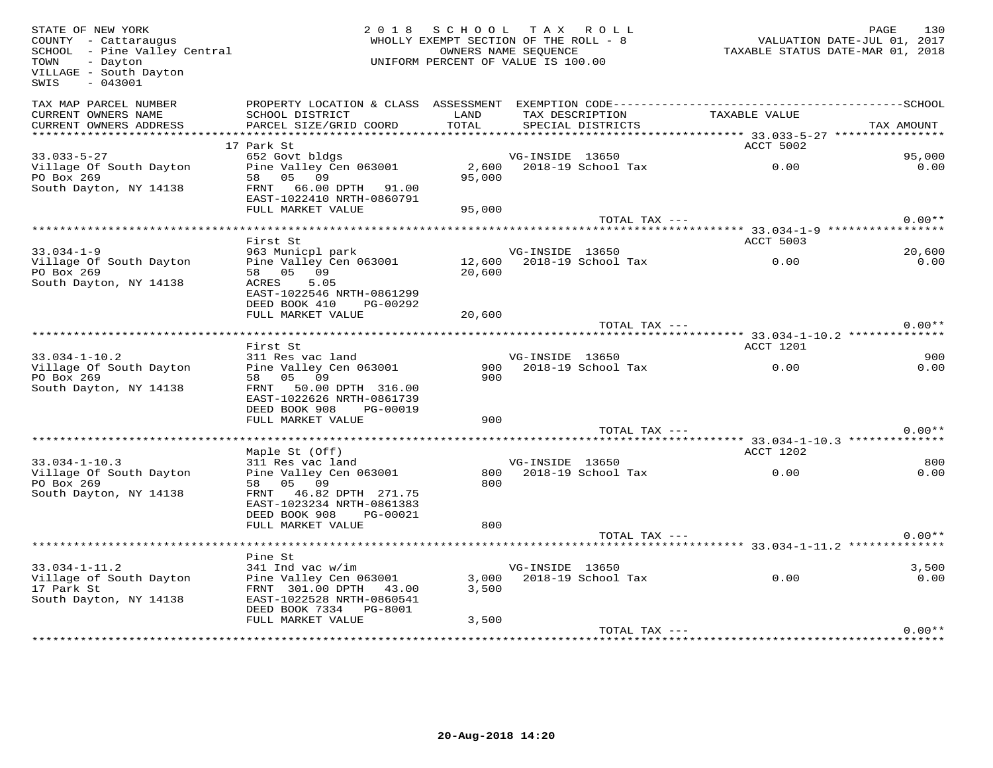| STATE OF NEW YORK<br>COUNTY - Cattaraugus<br>COONII - Cactaraugus<br>SCHOOL - Pine Valley Central<br>- Dayton<br>TOWN<br>VILLAGE - South Dayton<br>$-043001$<br>SWIS |                                                                                                                                                                 | 2018 SCHOOL TAX ROLL<br>WHOLLY EXEMPT SECTION OF THE ROLL - 8<br>OWNERS NAME SEQUENCE<br>UNIFORM PERCENT OF VALUE IS 100.00 |                 |                                      | 1302<br>TAXABLE STATUS DATE-JUL 01, 2017<br>TAXABLE STATUS DATE-MAR 01, 2018 | PAGE<br>130   |
|----------------------------------------------------------------------------------------------------------------------------------------------------------------------|-----------------------------------------------------------------------------------------------------------------------------------------------------------------|-----------------------------------------------------------------------------------------------------------------------------|-----------------|--------------------------------------|------------------------------------------------------------------------------|---------------|
| TAX MAP PARCEL NUMBER<br>CURRENT OWNERS NAME<br>CURRENT OWNERS ADDRESS                                                                                               | SCHOOL DISTRICT<br>PARCEL SIZE/GRID COORD                                                                                                                       | LAND<br>TOTAL                                                                                                               |                 | TAX DESCRIPTION<br>SPECIAL DISTRICTS | TAXABLE VALUE                                                                | TAX AMOUNT    |
|                                                                                                                                                                      |                                                                                                                                                                 |                                                                                                                             |                 |                                      |                                                                              |               |
| $33.033 - 5 - 27$                                                                                                                                                    | 17 Park St                                                                                                                                                      |                                                                                                                             |                 |                                      | ACCT 5002                                                                    | 95,000        |
| Village Of South Dayton<br>PO Box 269<br>South Dayton, NY 14138                                                                                                      | 652 Govt bldgs<br>052 Gove Diugs<br>Pine Valley Cen 063001<br>58 05 09<br>FRNT 66.00 DPTH 91.00<br>EAST-1022410 NRTH-0860791                                    | 95,000                                                                                                                      | VG-INSIDE 13650 | 2,600 2018-19 School Tax             | 0.00                                                                         | 0.00          |
|                                                                                                                                                                      | FULL MARKET VALUE                                                                                                                                               | 95,000                                                                                                                      |                 |                                      |                                                                              |               |
|                                                                                                                                                                      |                                                                                                                                                                 |                                                                                                                             |                 | TOTAL TAX ---                        |                                                                              | $0.00**$      |
|                                                                                                                                                                      |                                                                                                                                                                 |                                                                                                                             |                 |                                      | ************************* 33.034-1-9 ****************                        |               |
| $33.034 - 1 - 9$                                                                                                                                                     | First St<br>963 Municpl park                                                                                                                                    |                                                                                                                             | VG-INSIDE 13650 |                                      | ACCT 5003                                                                    | 20,600        |
| Village Of South Dayton<br>PO Box 269                                                                                                                                | Pine Valley Cen 063001<br>58 05 09                                                                                                                              | 20,600                                                                                                                      |                 | 12,600 2018-19 School Tax            | 0.00                                                                         | 0.00          |
| South Dayton, NY 14138                                                                                                                                               | ACRES<br>5.05<br>EAST-1022546 NRTH-0861299<br>DEED BOOK 410<br>PG-00292<br>FULL MARKET VALUE                                                                    | 20,600                                                                                                                      |                 |                                      |                                                                              |               |
|                                                                                                                                                                      |                                                                                                                                                                 |                                                                                                                             |                 | TOTAL TAX ---                        |                                                                              | $0.00**$      |
|                                                                                                                                                                      |                                                                                                                                                                 |                                                                                                                             |                 |                                      |                                                                              |               |
|                                                                                                                                                                      | First St                                                                                                                                                        |                                                                                                                             |                 |                                      | ACCT 1201                                                                    |               |
| $33.034 - 1 - 10.2$                                                                                                                                                  | 311 Res vac land                                                                                                                                                |                                                                                                                             | VG-INSIDE 13650 |                                      |                                                                              | 900           |
| Village Of South Dayton<br>PO Box 269<br>South Dayton, NY 14138                                                                                                      | Pine Valley Cen 063001<br>58 05 09<br>FRNT 50.00 DPTH 316.00<br>EAST-1022626 NRTH-0861739<br>DEED BOOK 908<br>PG-00019                                          | 900<br>900                                                                                                                  |                 | 2018-19 School Tax                   | 0.00                                                                         | 0.00          |
|                                                                                                                                                                      | FULL MARKET VALUE                                                                                                                                               | 900                                                                                                                         |                 |                                      |                                                                              | $0.00**$      |
|                                                                                                                                                                      |                                                                                                                                                                 |                                                                                                                             |                 | TOTAL TAX ---                        |                                                                              |               |
|                                                                                                                                                                      | Maple St (Off)                                                                                                                                                  |                                                                                                                             |                 |                                      | ACCT 1202                                                                    |               |
| $33.034 - 1 - 10.3$<br>Village Of South Dayton<br>PO Box 269<br>South Dayton, NY 14138                                                                               | 311 Res vac land<br>Pine Valley Cen 063001<br>58 05 09<br>FRNT 46.82 DPTH 271.75<br>EAST-1023234 NRTH-0861383<br>DEED BOOK 908<br>PG-00021<br>FULL MARKET VALUE | 800<br>800                                                                                                                  | VG-INSIDE 13650 | 800 2018-19 School Tax               | 0.00                                                                         | 800<br>0.00   |
|                                                                                                                                                                      |                                                                                                                                                                 |                                                                                                                             |                 | TOTAL TAX ---                        |                                                                              | $0.00**$      |
|                                                                                                                                                                      |                                                                                                                                                                 |                                                                                                                             |                 |                                      |                                                                              |               |
|                                                                                                                                                                      | Pine St                                                                                                                                                         |                                                                                                                             |                 |                                      |                                                                              |               |
| $33.034 - 1 - 11.2$<br>Village of South Dayton<br>17 Park St<br>South Dayton, NY 14138                                                                               | 341 Ind vac w/im<br>Pine Valley Cen 063001<br>FRNT 301.00 DPTH 43.00<br>EAST-1022528 NRTH-0860541<br>DEED BOOK 7334 PG-8001                                     | 3,500                                                                                                                       | VG-INSIDE 13650 | 3,000 2018-19 School Tax             | $\sim$ 0.00                                                                  | 3,500<br>0.00 |
|                                                                                                                                                                      | FULL MARKET VALUE                                                                                                                                               | 3,500                                                                                                                       |                 |                                      |                                                                              |               |
|                                                                                                                                                                      |                                                                                                                                                                 |                                                                                                                             |                 | TOTAL TAX ---                        |                                                                              | $0.00**$      |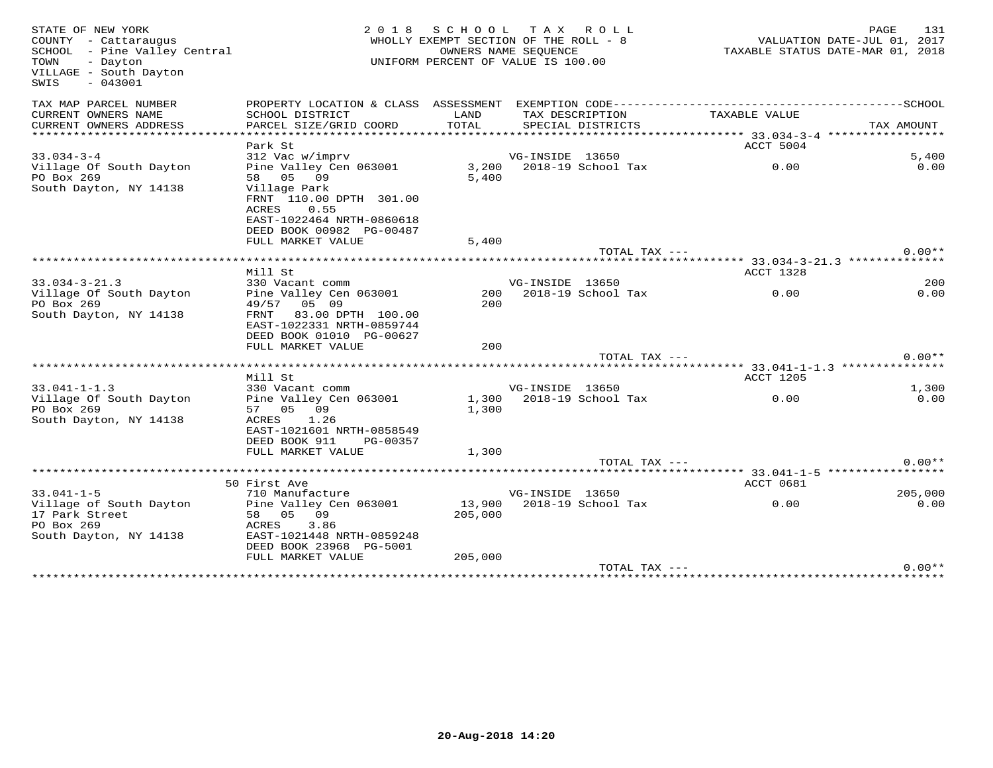| STATE OF NEW YORK<br>COUNTY - Cattaraugus<br>SCHOOL - Pine Valley Central<br>- Dayton<br>TOWN<br>VILLAGE - South Dayton<br>$-043001$<br>SWIS | 2 0 1 8                                                                                                                                          | SCHOOL TAX ROLL<br>WHOLLY EXEMPT SECTION OF THE ROLL - 8<br>UNIFORM PERCENT OF VALUE IS 100.00 | OWNERS NAME SEQUENCE |                                      |                                                     | PAGE<br>VALUATION DATE-JUL 01, 2017<br>TAXABLE STATUS DATE-MAR 01, 2018 | 131           |
|----------------------------------------------------------------------------------------------------------------------------------------------|--------------------------------------------------------------------------------------------------------------------------------------------------|------------------------------------------------------------------------------------------------|----------------------|--------------------------------------|-----------------------------------------------------|-------------------------------------------------------------------------|---------------|
| TAX MAP PARCEL NUMBER<br>CURRENT OWNERS NAME<br>CURRENT OWNERS ADDRESS                                                                       | PROPERTY LOCATION & CLASS ASSESSMENT EXEMPTION CODE--------------------------<br>SCHOOL DISTRICT<br>PARCEL SIZE/GRID COORD                       | LAND<br>TOTAL                                                                                  |                      | TAX DESCRIPTION<br>SPECIAL DISTRICTS | TAXABLE VALUE                                       | --------------SCHOOL<br>TAX AMOUNT                                      |               |
| ***********************                                                                                                                      |                                                                                                                                                  |                                                                                                |                      |                                      |                                                     |                                                                         |               |
|                                                                                                                                              | Park St                                                                                                                                          |                                                                                                |                      |                                      | ACCT 5004                                           |                                                                         |               |
| $33.034 - 3 - 4$<br>Village Of South Dayton<br>PO Box 269<br>South Dayton, NY 14138                                                          | 312 Vac w/imprv<br>Pine Valley Cen 063001<br>58 05 09<br>Village Park<br>FRNT 110.00 DPTH 301.00                                                 | 5,400                                                                                          | VG-INSIDE 13650      | 3,200 2018-19 School Tax             | 0.00                                                |                                                                         | 5,400<br>0.00 |
|                                                                                                                                              | ACRES<br>0.55<br>EAST-1022464 NRTH-0860618<br>DEED BOOK 00982 PG-00487<br>FULL MARKET VALUE                                                      | 5,400                                                                                          |                      |                                      |                                                     |                                                                         |               |
|                                                                                                                                              |                                                                                                                                                  |                                                                                                |                      | TOTAL TAX ---                        |                                                     | $0.00**$                                                                |               |
|                                                                                                                                              | Mill St                                                                                                                                          |                                                                                                |                      |                                      | ACCT 1328                                           |                                                                         |               |
| $33.034 - 3 - 21.3$                                                                                                                          | 330 Vacant comm                                                                                                                                  |                                                                                                | VG-INSIDE 13650      |                                      |                                                     |                                                                         | 200           |
| Village Of South Dayton<br>PO Box 269<br>South Dayton, NY 14138                                                                              | Pine Valley Cen 063001<br>49/57 05 09<br>83.00 DPTH 100.00<br>FRNT<br>EAST-1022331 NRTH-0859744<br>DEED BOOK 01010 PG-00627<br>FULL MARKET VALUE | 200<br>200<br>200                                                                              |                      | 2018-19 School Tax                   | 0.00                                                |                                                                         | 0.00          |
|                                                                                                                                              |                                                                                                                                                  |                                                                                                |                      | TOTAL TAX ---                        |                                                     | $0.00**$                                                                |               |
|                                                                                                                                              | Mill St                                                                                                                                          |                                                                                                |                      |                                      | ********* 33.041-1-1.3 ***************<br>ACCT 1205 |                                                                         |               |
| $33.041 - 1 - 1.3$                                                                                                                           | 330 Vacant comm                                                                                                                                  |                                                                                                | VG-INSIDE 13650      |                                      |                                                     |                                                                         | 1,300         |
| Village Of South Dayton<br>PO Box 269<br>South Dayton, NY 14138                                                                              | Pine Valley Cen 063001<br>57 05 09<br>ACRES<br>1.26<br>EAST-1021601 NRTH-0858549<br>DEED BOOK 911<br>PG-00357                                    | 1,300                                                                                          |                      | 1,300 2018-19 School Tax             | 0.00                                                |                                                                         | 0.00          |
|                                                                                                                                              | FULL MARKET VALUE                                                                                                                                | 1,300                                                                                          |                      |                                      |                                                     |                                                                         |               |
|                                                                                                                                              |                                                                                                                                                  |                                                                                                |                      | TOTAL TAX ---                        |                                                     | $0.00**$                                                                |               |
|                                                                                                                                              | 50 First Ave                                                                                                                                     |                                                                                                |                      |                                      | ACCT 0681                                           |                                                                         |               |
| $33.041 - 1 - 5$                                                                                                                             | 710 Manufacture                                                                                                                                  |                                                                                                | VG-INSIDE 13650      |                                      |                                                     | 205,000                                                                 |               |
| Village of South Dayton<br>17 Park Street<br>PO Box 269<br>South Dayton, NY 14138                                                            | Pine Valley Cen 063001<br>58 05 09<br>ACRES<br>3.86<br>EAST-1021448 NRTH-0859248<br>DEED BOOK 23968 PG-5001                                      | 205,000                                                                                        |                      | 13,900 2018-19 School Tax            | 0.00                                                |                                                                         | 0.00          |
|                                                                                                                                              | FULL MARKET VALUE                                                                                                                                | 205,000                                                                                        |                      |                                      |                                                     |                                                                         |               |
|                                                                                                                                              |                                                                                                                                                  |                                                                                                |                      | TOTAL TAX ---                        |                                                     | $0.00**$                                                                |               |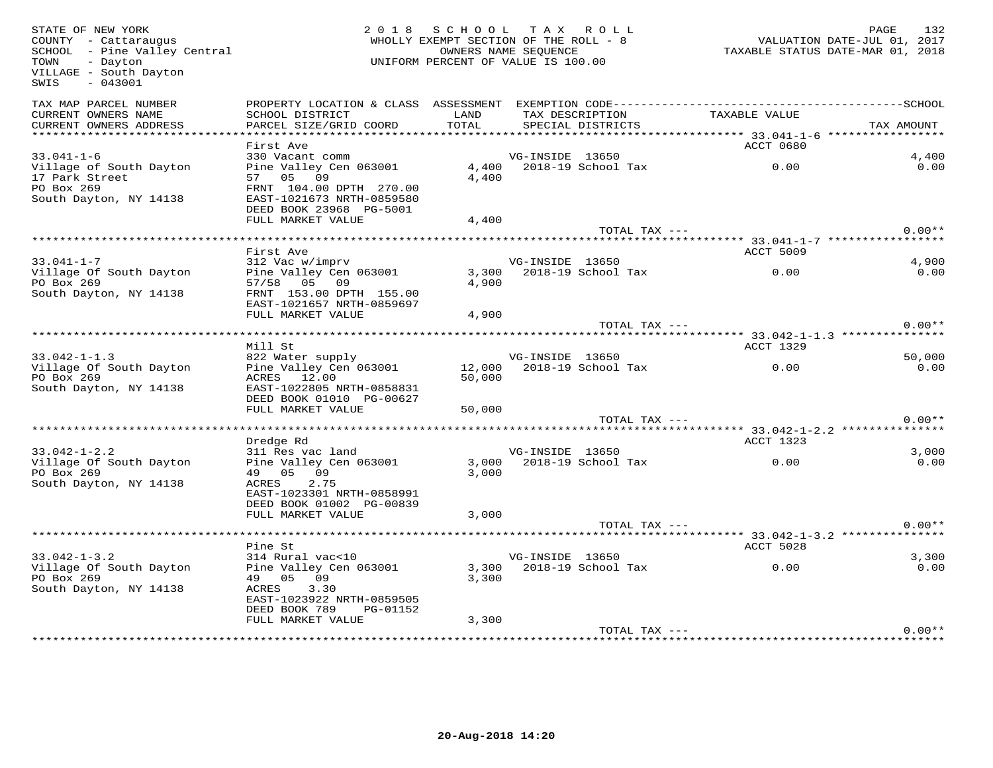| STATE OF NEW YORK<br>COUNTY - Cattaraugus<br>SCHOOL - Pine Valley Central<br>- Dayton<br>TOWN<br>VILLAGE - South Dayton<br>SWIS<br>$-043001$ |                                                                                                                       | 2018 SCHOOL TAX ROLL<br>WHOLLY EXEMPT SECTION OF THE ROLL - 8<br>UNIFORM PERCENT OF VALUE IS 100.00 | OWNERS NAME SEOUENCE |                                      | 752 1727<br>TAXABLE STATUS DATE-JUL 01, 2017<br>TAXABLE STATUS DATE-MAR 01, 2018 | PAGE<br>132   |
|----------------------------------------------------------------------------------------------------------------------------------------------|-----------------------------------------------------------------------------------------------------------------------|-----------------------------------------------------------------------------------------------------|----------------------|--------------------------------------|----------------------------------------------------------------------------------|---------------|
| TAX MAP PARCEL NUMBER<br>CURRENT OWNERS NAME<br>CURRENT OWNERS ADDRESS                                                                       | SCHOOL DISTRICT<br>PARCEL SIZE/GRID COORD                                                                             | LAND<br>TOTAL                                                                                       |                      | TAX DESCRIPTION<br>SPECIAL DISTRICTS | TAXABLE VALUE                                                                    | TAX AMOUNT    |
|                                                                                                                                              |                                                                                                                       |                                                                                                     |                      |                                      |                                                                                  |               |
| $33.041 - 1 - 6$                                                                                                                             | First Ave<br>330 Vacant comm                                                                                          |                                                                                                     | VG-INSIDE 13650      |                                      | ACCT 0680                                                                        | 4,400         |
| Village of South Dayton<br>17 Park Street<br>PO Box 269<br>South Dayton, NY 14138                                                            | Pine Valley Cen 063001<br>57 05 09<br>FRNT 104.00 DPTH 270.00<br>EAST-1021673 NRTH-0859580<br>DEED BOOK 23968 PG-5001 | 4,400                                                                                               |                      | 4,400 2018-19 School Tax             | 0.00                                                                             | 0.00          |
|                                                                                                                                              | FULL MARKET VALUE                                                                                                     | 4,400                                                                                               |                      |                                      |                                                                                  |               |
|                                                                                                                                              |                                                                                                                       |                                                                                                     |                      | TOTAL TAX ---                        |                                                                                  | $0.00**$      |
|                                                                                                                                              | First Ave                                                                                                             |                                                                                                     |                      |                                      | <b>ACCT 5009</b>                                                                 |               |
| $33.041 - 1 - 7$                                                                                                                             | 312 Vac w/imprv                                                                                                       |                                                                                                     | VG-INSIDE 13650      |                                      |                                                                                  | 4,900         |
| Village Of South Dayton<br>PO Box 269                                                                                                        | Pine Valley Cen 063001<br>57/58 05 09                                                                                 | 4,900                                                                                               |                      |                                      | 3,300 2018-19 School Tax 0.00                                                    | 0.00          |
| South Dayton, NY 14138                                                                                                                       | FRNT 153.00 DPTH 155.00<br>EAST-1021657 NRTH-0859697                                                                  |                                                                                                     |                      |                                      |                                                                                  |               |
|                                                                                                                                              | FULL MARKET VALUE                                                                                                     | 4,900                                                                                               |                      | TOTAL TAX ---                        |                                                                                  | $0.00**$      |
|                                                                                                                                              |                                                                                                                       |                                                                                                     |                      |                                      |                                                                                  |               |
|                                                                                                                                              | Mill St                                                                                                               |                                                                                                     |                      |                                      | ACCT 1329                                                                        |               |
| $33.042 - 1 - 1.3$                                                                                                                           | 822 Water supply                                                                                                      |                                                                                                     | VG-INSIDE 13650      |                                      |                                                                                  | 50,000        |
| Village Of South Dayton<br>PO Box 269<br>South Dayton, NY 14138                                                                              | Pine Valley Cen 063001<br>ACRES 12.00<br>EAST-1022805 NRTH-0858831<br>DEED BOOK 01010 PG-00627                        | 50,000                                                                                              |                      | 12,000 2018-19 School Tax            | 0.00                                                                             | 0.00          |
|                                                                                                                                              | FULL MARKET VALUE                                                                                                     | 50,000                                                                                              |                      |                                      |                                                                                  |               |
|                                                                                                                                              |                                                                                                                       |                                                                                                     |                      | TOTAL TAX ---                        |                                                                                  | $0.00**$      |
|                                                                                                                                              | Dredge Rd                                                                                                             |                                                                                                     |                      |                                      | ACCT 1323                                                                        |               |
| $33.042 - 1 - 2.2$<br>Village Of South Dayton<br>PO Box 269<br>South Dayton, NY 14138                                                        | 311 Res vac land<br>Pine Valley Cen 063001<br>49 05 09<br>ACRES<br>2.75                                               | 3,000                                                                                               | VG-INSIDE 13650      |                                      | 3,000 2018-19 School Tax 0.00                                                    | 3.000<br>0.00 |
|                                                                                                                                              | EAST-1023301 NRTH-0858991<br>DEED BOOK 01002 PG-00839<br>FULL MARKET VALUE                                            | 3,000                                                                                               |                      | TOTAL TAX ---                        |                                                                                  | $0.00**$      |
|                                                                                                                                              |                                                                                                                       |                                                                                                     |                      |                                      |                                                                                  |               |
|                                                                                                                                              | Pine St                                                                                                               |                                                                                                     |                      |                                      | ACCT 5028                                                                        |               |
| $33.042 - 1 - 3.2$                                                                                                                           | 314 Rural vac<10                                                                                                      |                                                                                                     | VG-INSIDE 13650      |                                      |                                                                                  | 3,300         |
| Village Of South Dayton<br>PO Box 269                                                                                                        | Pine Valley Cen 063001<br>49 05 09                                                                                    | 3,300                                                                                               |                      | 3,300 2018-19 School Tax             | 0.00                                                                             | 0.00          |
| South Dayton, NY 14138                                                                                                                       | 3.30<br>ACRES<br>EAST-1023922 NRTH-0859505<br>DEED BOOK 789<br>PG-01152                                               |                                                                                                     |                      |                                      |                                                                                  |               |
|                                                                                                                                              | FULL MARKET VALUE                                                                                                     | 3,300                                                                                               |                      |                                      |                                                                                  |               |
|                                                                                                                                              |                                                                                                                       |                                                                                                     |                      | TOTAL TAX ---                        |                                                                                  | $0.00**$      |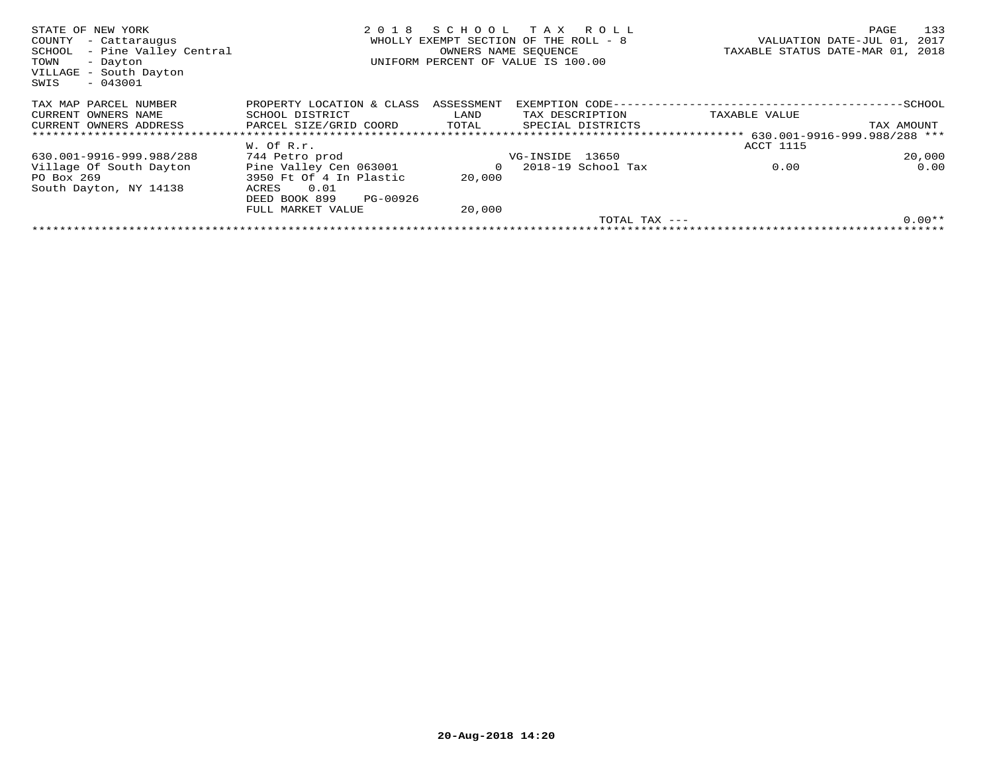| STATE OF NEW YORK<br>COUNTY<br>- Cattaraugus<br>- Pine Valley Central<br>SCHOOL<br>- Dayton<br>TOWN<br>VILLAGE - South Dayton<br>$-043001$<br>SWIS | 2018                      | SCHOOL<br>OWNERS NAME SEOUENCE | T A X<br>R O L L<br>WHOLLY EXEMPT SECTION OF THE ROLL - 8<br>UNIFORM PERCENT OF VALUE IS 100.00 |                                                   | 133<br>PAGE<br>2017<br>VALUATION DATE-JUL 01,<br>TAXABLE STATUS DATE-MAR 01,<br>2018 |
|----------------------------------------------------------------------------------------------------------------------------------------------------|---------------------------|--------------------------------|-------------------------------------------------------------------------------------------------|---------------------------------------------------|--------------------------------------------------------------------------------------|
| TAX MAP PARCEL NUMBER                                                                                                                              | PROPERTY LOCATION & CLASS | ASSESSMENT                     | EXEMPTION CODE---                                                                               |                                                   | -SCHOOL                                                                              |
| CURRENT OWNERS NAME                                                                                                                                | SCHOOL DISTRICT           | LAND                           | TAX DESCRIPTION                                                                                 | TAXABLE VALUE                                     |                                                                                      |
| CURRENT OWNERS ADDRESS                                                                                                                             | PARCEL SIZE/GRID COORD    | TOTAL                          | SPECIAL DISTRICTS                                                                               |                                                   | TAX AMOUNT                                                                           |
|                                                                                                                                                    |                           |                                |                                                                                                 | ******************** 630.001-9916-999.988/288 *** |                                                                                      |
|                                                                                                                                                    | W. Of R.r.                |                                |                                                                                                 | ACCT 1115                                         |                                                                                      |
| 630.001-9916-999.988/288                                                                                                                           | 744 Petro prod            |                                | VG-INSIDE 13650                                                                                 |                                                   | 20,000                                                                               |
| Village Of South Dayton                                                                                                                            | Pine Valley Cen 063001    | 0                              | 2018-19 School Tax                                                                              | 0.00                                              | 0.00                                                                                 |
| PO Box 269                                                                                                                                         | 3950 Ft Of 4 In Plastic   | 20,000                         |                                                                                                 |                                                   |                                                                                      |
| South Dayton, NY 14138                                                                                                                             | 0.01<br>ACRES             |                                |                                                                                                 |                                                   |                                                                                      |
|                                                                                                                                                    | DEED BOOK 899<br>PG-00926 |                                |                                                                                                 |                                                   |                                                                                      |
|                                                                                                                                                    | FULL MARKET VALUE         | 20,000                         |                                                                                                 |                                                   |                                                                                      |
|                                                                                                                                                    |                           |                                |                                                                                                 | TOTAL TAX ---                                     | $0.00**$                                                                             |
|                                                                                                                                                    |                           |                                |                                                                                                 |                                                   |                                                                                      |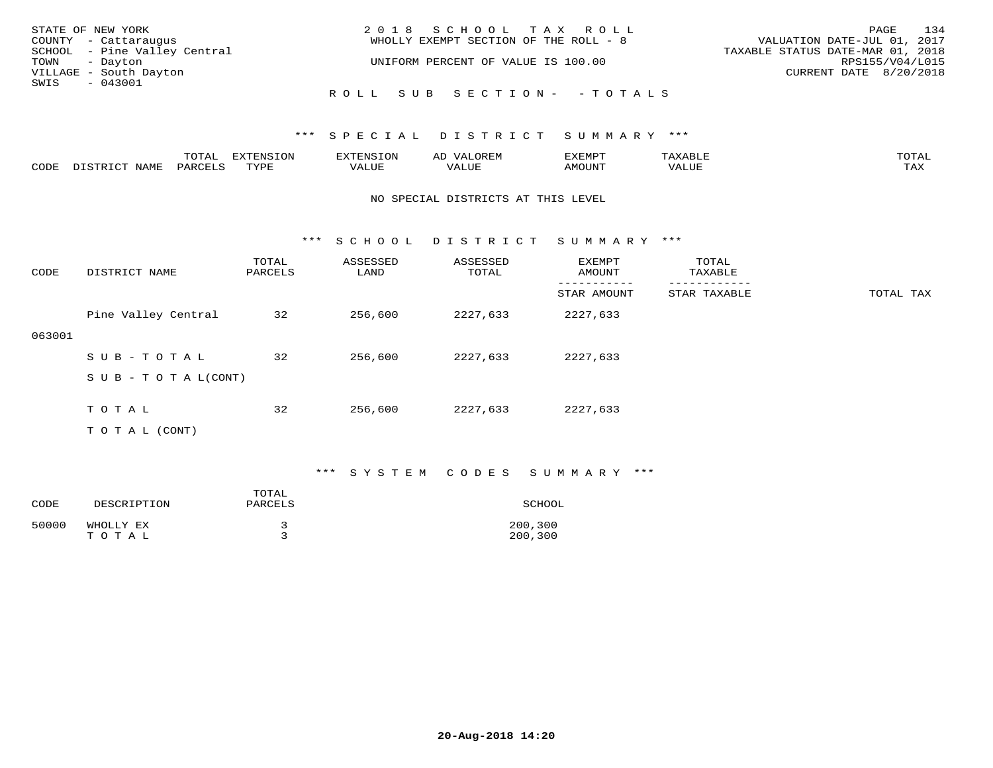| STATE OF NEW YORK            | 2018 SCHOOL TAX ROLL                  | 134<br>PAGE                      |
|------------------------------|---------------------------------------|----------------------------------|
| COUNTY - Cattaraugus         | WHOLLY EXEMPT SECTION OF THE ROLL - 8 | VALUATION DATE-JUL 01, 2017      |
| SCHOOL - Pine Valley Central |                                       | TAXABLE STATUS DATE-MAR 01, 2018 |
| TOWN - Dayton                | UNIFORM PERCENT OF VALUE IS 100.00    | RPS155/V04/L015                  |
| VILLAGE - South Dayton       |                                       | CURRENT DATE 8/20/2018           |
| SWIS<br>- 043001             |                                       |                                  |
|                              | ROLL SUB SECTION- - TOTALS            |                                  |

|      |      | $m \wedge m \wedge n$<br>- ∪ + <del>∩</del> | $\Box$<br>L V JIN |              | است  | 'XEMP.    |        | $T$ $\cap$ $T$ $\Delta$ T<br>◡∸ғ |
|------|------|---------------------------------------------|-------------------|--------------|------|-----------|--------|----------------------------------|
| CODE | NAMF |                                             | mvnt              | 77 T<br>ALUE | ALUF | 0.5077370 | '/ALUE | max x<br>⊥ <i>Γ</i> 1∡}          |

#### NO SPECIAL DISTRICTS AT THIS LEVEL

\*\*\* S C H O O L D I S T R I C T S U M M A R Y \*\*\*

| CODE   | DISTRICT NAME             | TOTAL<br>PARCELS | ASSESSED<br>LAND | ASSESSED<br>TOTAL | EXEMPT<br>AMOUNT | TOTAL<br>TAXABLE |           |
|--------|---------------------------|------------------|------------------|-------------------|------------------|------------------|-----------|
|        |                           |                  |                  |                   | STAR AMOUNT      | STAR TAXABLE     | TOTAL TAX |
|        | Pine Valley Central       | 32               | 256,600          | 2227,633          | 2227,633         |                  |           |
| 063001 |                           |                  |                  |                   |                  |                  |           |
|        | SUB-TOTAL                 | 32               | 256,600          | 2227,633          | 2227,633         |                  |           |
|        | S U B - T O T A $L(CONT)$ |                  |                  |                   |                  |                  |           |
|        |                           |                  |                  |                   |                  |                  |           |
|        | TOTAL                     | 32               | 256,600          | 2227,633          | 2227,633         |                  |           |
|        | T O T A L (CONT)          |                  |                  |                   |                  |                  |           |

### \*\*\* S Y S T E M C O D E S S U M M A R Y \*\*\*

| CODE  | DESCRIPTION        | TOTAL<br>PARCELS | SCHOOL             |
|-------|--------------------|------------------|--------------------|
| 50000 | WHOLLY EX<br>TOTAL |                  | 200,300<br>200,300 |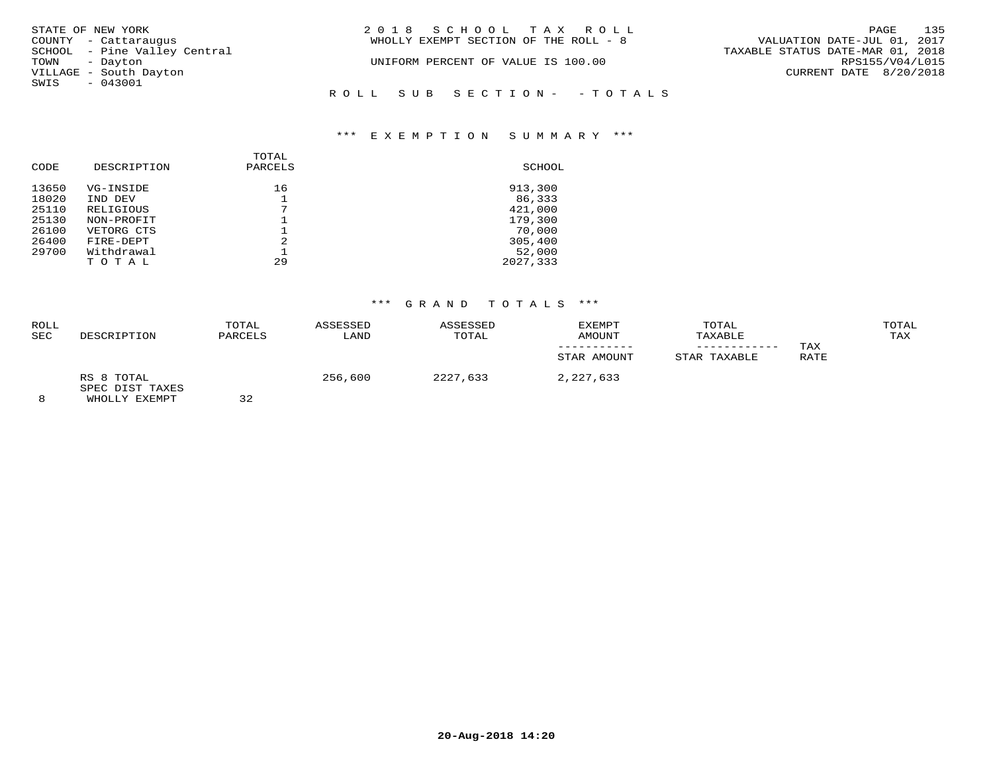| STATE OF NEW YORK            | 2018 SCHOOL TAX ROLL                  | 135<br>PAGE                      |
|------------------------------|---------------------------------------|----------------------------------|
| COUNTY - Cattaraugus         | WHOLLY EXEMPT SECTION OF THE ROLL - 8 | VALUATION DATE-JUL 01, 2017      |
| SCHOOL - Pine Valley Central |                                       | TAXABLE STATUS DATE-MAR 01, 2018 |
| TOWN<br>- Dayton             | UNIFORM PERCENT OF VALUE IS 100.00    | RPS155/V04/L015                  |
| VILLAGE - South Dayton       |                                       | CURRENT DATE 8/20/2018           |
| SWIS<br>$-043001$            |                                       |                                  |
|                              | ROLL SUB SECTION- - TOTALS            |                                  |
|                              |                                       |                                  |

| CODE  | DESCRIPTION | TOTAL<br>PARCELS | SCHOOL   |
|-------|-------------|------------------|----------|
| 13650 | VG-INSIDE   | 16               | 913,300  |
| 18020 | IND DEV     |                  | 86,333   |
| 25110 | RELIGIOUS   | ⇁                | 421,000  |
| 25130 | NON-PROFIT  |                  | 179,300  |
| 26100 | VETORG CTS  |                  | 70,000   |
| 26400 | FIRE-DEPT   | 2                | 305,400  |
| 29700 | Withdrawal  |                  | 52,000   |
|       | TOTAL       | 29               | 2027,333 |

## \*\*\* G R A N D T O T A L S \*\*\*

| ROLL<br>SEC | DESCRIPTION                   | TOTAL<br>PARCELS | ASSESSED<br>LAND | ASSESSED<br>TOTAL | EXEMPT<br>AMOUNT<br>STAR AMOUNT | TOTAL<br>TAXABLE<br>-----------<br>STAR TAXABLE | TAX<br>RATE | TOTAL<br>TAX |
|-------------|-------------------------------|------------------|------------------|-------------------|---------------------------------|-------------------------------------------------|-------------|--------------|
|             | RS 8 TOTAL<br>SPEC DIST TAXES | $ -$             | 256,600          | 2227,633          | 2,227,633                       |                                                 |             |              |

8 WHOLLY EXEMPT 32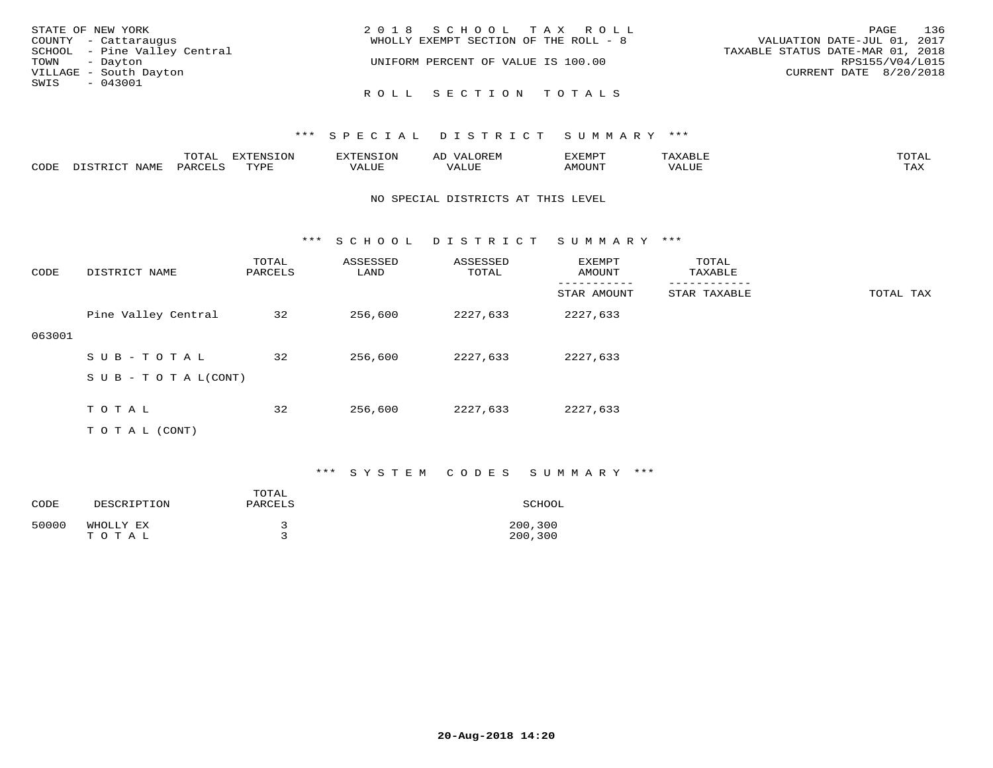| STATE OF NEW YORK            | 2018 SCHOOL TAX ROLL                  | 136<br>PAGE                      |
|------------------------------|---------------------------------------|----------------------------------|
| COUNTY - Cattaraugus         | WHOLLY EXEMPT SECTION OF THE ROLL - 8 | VALUATION DATE-JUL 01, 2017      |
| SCHOOL - Pine Valley Central |                                       | TAXABLE STATUS DATE-MAR 01, 2018 |
| TOWN - Dayton                | UNIFORM PERCENT OF VALUE IS 100.00    | RPS155/V04/L015                  |
| VILLAGE - South Dayton       |                                       | CURRENT DATE 8/20/2018           |
| SWIS<br>- 043001             |                                       |                                  |
|                              | ROLL SECTION TOTALS                   |                                  |

|      |      | $m \wedge m \wedge n$<br>. А I<br>- 777 | EXTENSION |       | UREF                                     | SXEMP. |       | TOTAI       |
|------|------|-----------------------------------------|-----------|-------|------------------------------------------|--------|-------|-------------|
| CODE | NAMF | DARCTIC                                 | TVDL      | 'ALUE | , <del>,</del> , , , , , ,<br>$\sqrt{ }$ |        | 'ALUE | max z<br>-∽ |

### NO SPECIAL DISTRICTS AT THIS LEVEL

\*\*\* S C H O O L D I S T R I C T S U M M A R Y \*\*\*

| CODE   | DISTRICT NAME             | TOTAL<br>PARCELS | ASSESSED<br>LAND | ASSESSED<br>TOTAL | EXEMPT<br>AMOUNT | TOTAL<br>TAXABLE |           |
|--------|---------------------------|------------------|------------------|-------------------|------------------|------------------|-----------|
|        |                           |                  |                  |                   | STAR AMOUNT      | STAR TAXABLE     | TOTAL TAX |
|        | Pine Valley Central       | 32               | 256,600          | 2227,633          | 2227,633         |                  |           |
| 063001 |                           |                  |                  |                   |                  |                  |           |
|        | SUB-TOTAL                 | 32               | 256,600          | 2227,633          | 2227,633         |                  |           |
|        | S U B - T O T A $L(CONT)$ |                  |                  |                   |                  |                  |           |
|        |                           |                  |                  |                   |                  |                  |           |
|        | TOTAL                     | 32               | 256,600          | 2227,633          | 2227,633         |                  |           |
|        | T O T A L (CONT)          |                  |                  |                   |                  |                  |           |

### \*\*\* S Y S T E M C O D E S S U M M A R Y \*\*\*

| CODE  | DESCRIPTION        | TOTAL<br>PARCELS | SCHOOL             |
|-------|--------------------|------------------|--------------------|
| 50000 | WHOLLY EX<br>TOTAL |                  | 200,300<br>200,300 |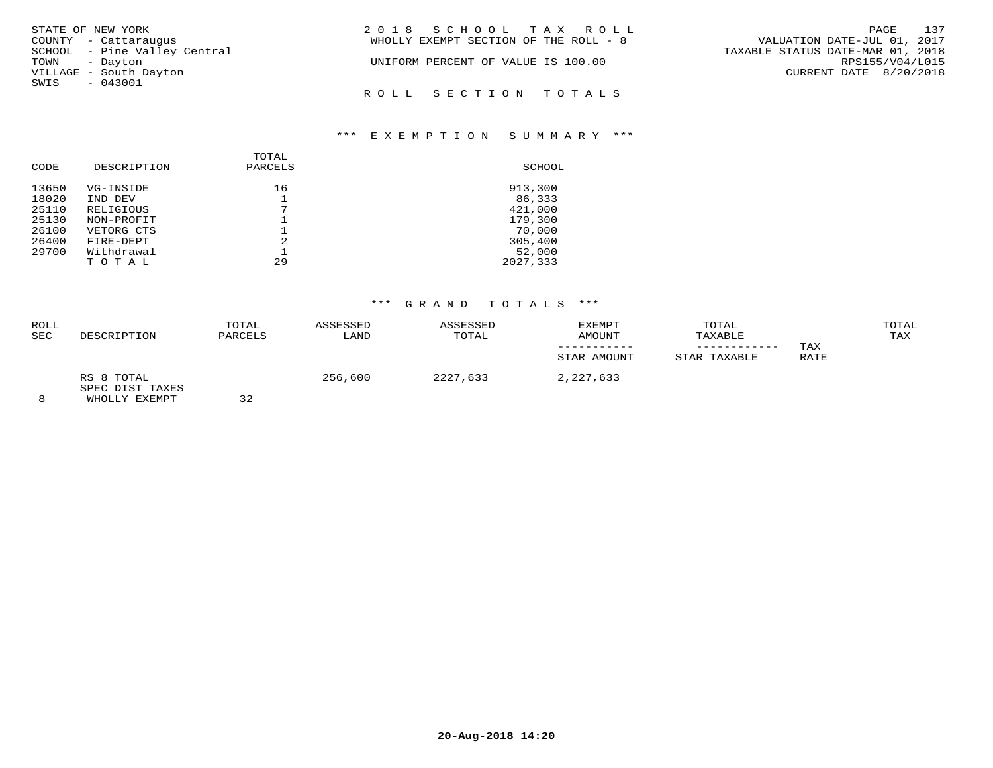| STATE OF NEW YORK |                              | 2018 SCHOOL TAX ROLL                                                 | PAGE 137        |  |
|-------------------|------------------------------|----------------------------------------------------------------------|-----------------|--|
|                   | COUNTY - Cattaraugus         | VALUATION DATE-JUL 01, 2017<br>WHOLLY EXEMPT SECTION OF THE ROLL - 8 |                 |  |
|                   | SCHOOL - Pine Valley Central | TAXABLE STATUS DATE-MAR 01, 2018                                     |                 |  |
| TOWN - Dayton     |                              | UNIFORM PERCENT OF VALUE IS 100.00                                   | RPS155/V04/L015 |  |
|                   | VILLAGE - South Dayton       | CURRENT DATE 8/20/2018                                               |                 |  |
| SWIS - 043001     |                              |                                                                      |                 |  |
|                   |                              | ROLL SECTION TOTALS                                                  |                 |  |

| CODE  | DESCRIPTION | TOTAL<br>PARCELS | SCHOOL   |
|-------|-------------|------------------|----------|
| 13650 | VG-INSIDE   | 16               | 913,300  |
| 18020 | IND DEV     |                  | 86,333   |
| 25110 | RELIGIOUS   | 7                | 421,000  |
| 25130 | NON-PROFIT  |                  | 179,300  |
| 26100 | VETORG CTS  |                  | 70,000   |
| 26400 | FIRE-DEPT   | 2                | 305,400  |
| 29700 | Withdrawal  |                  | 52,000   |
|       | TOTAL       | 29               | 2027,333 |

# \*\*\* G R A N D T O T A L S \*\*\*

| <b>ROLL</b><br><b>SEC</b> | DESCRIPTION                   | TOTAL<br>PARCELS | ASSESSED<br>LAND | ASSESSED<br>TOTAL | EXEMPT<br>AMOUNT<br>STAR AMOUNT | TOTAL<br>TAXABLE<br>STAR TAXABLE | TAX<br>RATE | TOTAL<br>TAX |
|---------------------------|-------------------------------|------------------|------------------|-------------------|---------------------------------|----------------------------------|-------------|--------------|
|                           | RS 8 TOTAL<br>SPEC DIST TAXES | $ -$             | 256,600          | 2227,633          | 2,227,633                       |                                  |             |              |

8 WHOLLY EXEMPT 32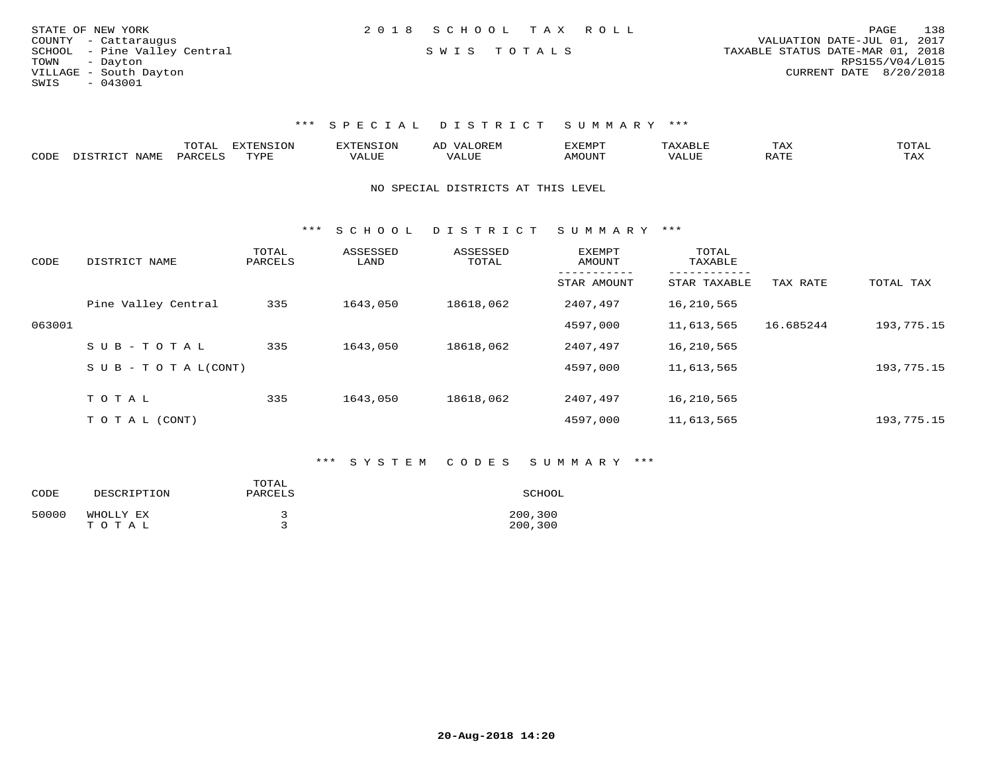| STATE OF NEW YORK            | 2018 SCHOOL TAX ROLL | PAGE                             | 138             |
|------------------------------|----------------------|----------------------------------|-----------------|
| COUNTY - Cattaraugus         |                      | VALUATION DATE-JUL 01, 2017      |                 |
| SCHOOL - Pine Valley Central | SWIS TOTALS          | TAXABLE STATUS DATE-MAR 01, 2018 |                 |
| TOWN - Dayton                |                      |                                  | RPS155/V04/L015 |
| VILLAGE - South Dayton       |                      | CURRENT DATE 8/20/2018           |                 |
| SWIS<br>$-043001$            |                      |                                  |                 |

|      |      | m^m* | <b>CENCTON</b> |      | $\rightarrow$ |     | TAX | TOTA |
|------|------|------|----------------|------|---------------|-----|-----|------|
| CODE | VAMF | ┘△ト  | $\n  T T T$    | ∖∟∟≀ | $\cdots$      | / Δ |     |      |

### NO SPECIAL DISTRICTS AT THIS LEVEL

\*\*\* S C H O O L D I S T R I C T S U M M A R Y \*\*\*

| CODE   | DISTRICT NAME              | TOTAL<br>PARCELS | ASSESSED<br>LAND | ASSESSED<br>TOTAL | EXEMPT<br>AMOUNT | TOTAL<br>TAXABLE         |           |            |
|--------|----------------------------|------------------|------------------|-------------------|------------------|--------------------------|-----------|------------|
|        |                            |                  |                  |                   | STAR AMOUNT      | --------<br>STAR TAXABLE | TAX RATE  | TOTAL TAX  |
|        | Pine Valley Central        | 335              | 1643,050         | 18618,062         | 2407,497         | 16,210,565               |           |            |
| 063001 |                            |                  |                  |                   | 4597,000         | 11,613,565               | 16.685244 | 193,775.15 |
|        | $SUB - TO TAL$             | 335              | 1643,050         | 18618,062         | 2407,497         | 16,210,565               |           |            |
|        | S U B - T O T A $L$ (CONT) |                  |                  |                   | 4597,000         | 11,613,565               |           | 193,775.15 |
|        | TOTAL                      | 335              | 1643,050         | 18618,062         | 2407,497         | 16,210,565               |           |            |
|        |                            |                  |                  |                   |                  |                          |           |            |
|        | T O T A L (CONT)           |                  |                  |                   | 4597,000         | 11,613,565               |           | 193,775.15 |

## \*\*\* S Y S T E M C O D E S S U M M A R Y \*\*\*

| CODE  | DESCRIPTION        | TOTAL<br>PARCELS | SCHOOL             |
|-------|--------------------|------------------|--------------------|
| 50000 | WHOLLY EX<br>TOTAL |                  | 200,300<br>200,300 |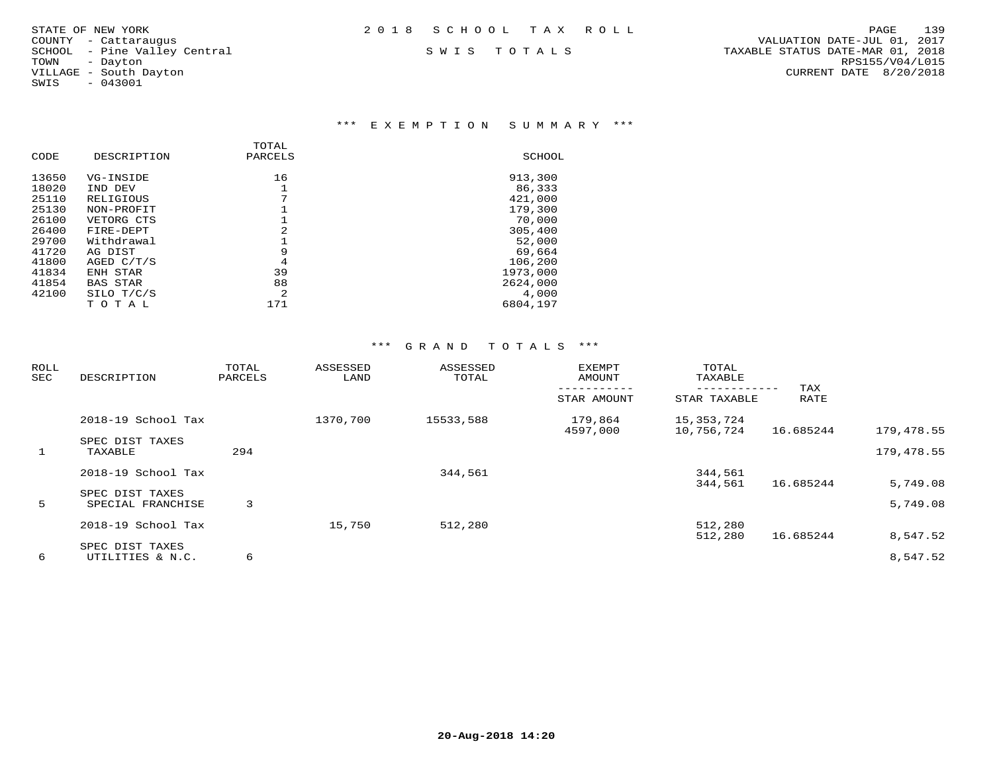SWIS - 043001

### \*\*\* E X E M P T I O N S U M M A R Y \*\*\*

|       |                 | TOTAL   |          |
|-------|-----------------|---------|----------|
| CODE  | DESCRIPTION     | PARCELS | SCHOOL   |
| 13650 | VG-INSIDE       | 16      | 913,300  |
| 18020 | IND DEV         |         | 86,333   |
| 25110 | RELIGIOUS       | 7       | 421,000  |
| 25130 | NON-PROFIT      |         | 179,300  |
| 26100 | VETORG CTS      |         | 70,000   |
| 26400 | FIRE-DEPT       | 2       | 305,400  |
| 29700 | Withdrawal      |         | 52,000   |
| 41720 | AG DIST         | 9       | 69,664   |
| 41800 | AGED $C/T/S$    | 4       | 106,200  |
| 41834 | ENH STAR        | 39      | 1973,000 |
| 41854 | <b>BAS STAR</b> | 88      | 2624,000 |
| 42100 | SILO T/C/S      | 2       | 4,000    |
|       | тотаь           | 171     | 6804,197 |

| <b>ROLL</b><br>SEC | DESCRIPTION                          | TOTAL<br>PARCELS | ASSESSED<br>LAND | ASSESSED<br>TOTAL | <b>EXEMPT</b><br>AMOUNT | TOTAL<br>TAXABLE         | TAX       |                      |
|--------------------|--------------------------------------|------------------|------------------|-------------------|-------------------------|--------------------------|-----------|----------------------|
|                    |                                      |                  |                  |                   | STAR AMOUNT             | STAR TAXABLE             | RATE      |                      |
|                    | 2018-19 School Tax                   |                  | 1370,700         | 15533,588         | 179,864<br>4597,000     | 15,353,724<br>10,756,724 | 16.685244 | 179,478.55           |
| $\mathbf{1}$       | SPEC DIST TAXES<br>TAXABLE           | 294              |                  |                   |                         |                          |           | 179,478.55           |
|                    | 2018-19 School Tax                   |                  |                  | 344,561           |                         | 344,561                  |           |                      |
| 5                  | SPEC DIST TAXES<br>SPECIAL FRANCHISE | 3                |                  |                   |                         | 344,561                  | 16.685244 | 5,749.08<br>5,749.08 |
|                    | 2018-19 School Tax                   |                  | 15,750           | 512,280           |                         | 512,280<br>512,280       | 16.685244 | 8,547.52             |
| 6                  | SPEC DIST TAXES<br>UTILITIES & N.C.  | 6                |                  |                   |                         |                          |           | 8,547.52             |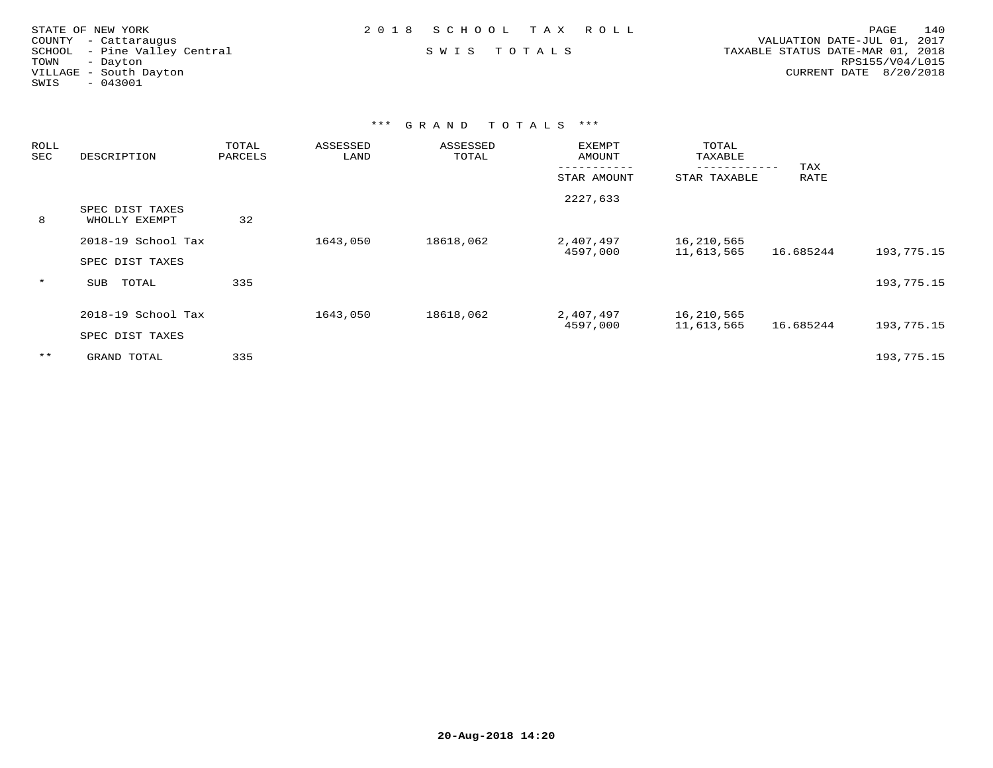| STATE OF NEW YORK            | 2018 SCHOOL TAX ROLL | 140<br>PAGE                      |
|------------------------------|----------------------|----------------------------------|
| COUNTY - Cattaraugus         |                      | VALUATION DATE-JUL 01, 2017      |
| SCHOOL - Pine Valley Central | SWIS TOTALS          | TAXABLE STATUS DATE-MAR 01, 2018 |
| TOWN<br>- Dayton             |                      | RPS155/V04/L015                  |
| VILLAGE - South Dayton       |                      | CURRENT DATE 8/20/2018           |
| $-043001$<br>SWIS            |                      |                                  |
|                              |                      |                                  |

| ROLL<br>SEC | DESCRIPTION                           | TOTAL<br>PARCELS | ASSESSED<br>LAND | ASSESSED<br>TOTAL | <b>EXEMPT</b><br>AMOUNT | TOTAL<br>TAXABLE         | TAX       |            |
|-------------|---------------------------------------|------------------|------------------|-------------------|-------------------------|--------------------------|-----------|------------|
|             |                                       |                  |                  |                   | STAR AMOUNT             | STAR TAXABLE             | RATE      |            |
| 8           | SPEC DIST TAXES<br>WHOLLY EXEMPT      | 32               |                  |                   | 2227,633                |                          |           |            |
|             | 2018-19 School Tax<br>SPEC DIST TAXES |                  | 1643,050         | 18618,062         | 2,407,497<br>4597,000   | 16,210,565<br>11,613,565 | 16.685244 | 193,775.15 |
| $\star$     | TOTAL<br>SUB                          | 335              |                  |                   |                         |                          |           | 193,775.15 |
|             | 2018-19 School Tax<br>SPEC DIST TAXES |                  | 1643,050         | 18618,062         | 2,407,497<br>4597,000   | 16,210,565<br>11,613,565 | 16.685244 | 193,775.15 |
| $***$       | GRAND TOTAL                           | 335              |                  |                   |                         |                          |           | 193,775.15 |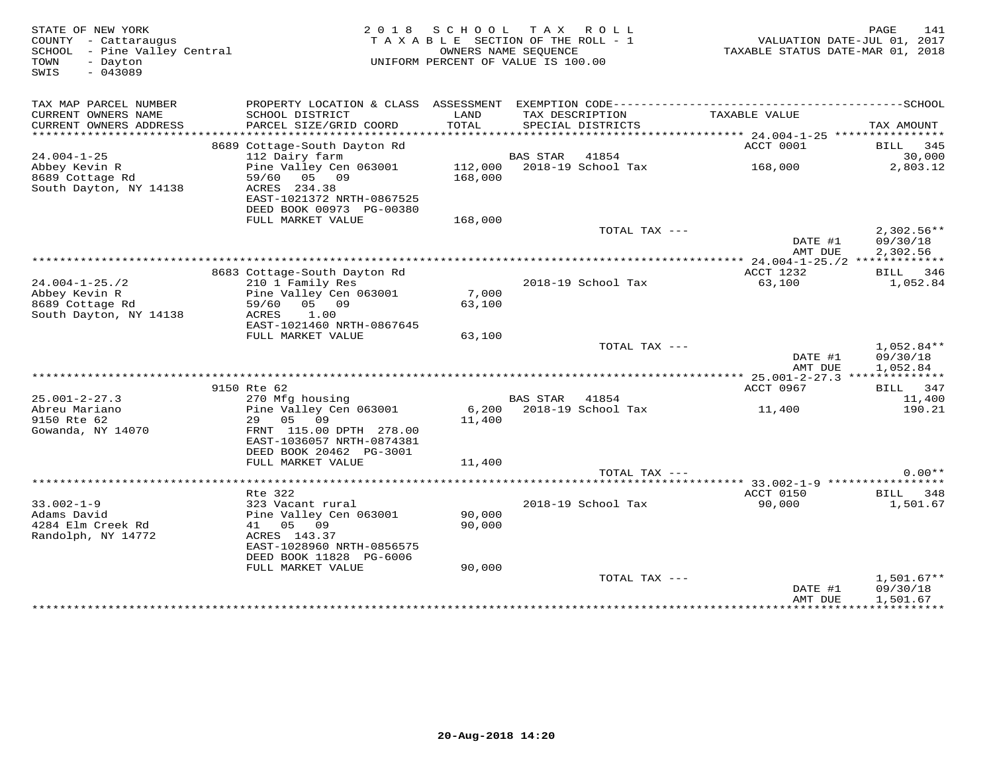| STATE OF NEW YORK<br>COUNTY - Cattaraugus<br>SCHOOL - Pine Valley Central<br>TOWN<br>- Dayton<br>$-043089$<br>SWIS |                                                                     | 2018 SCHOOL   | TAX ROLL<br>TAXABLE SECTION OF THE ROLL - 1<br>OWNERS NAME SEQUENCE<br>UNIFORM PERCENT OF VALUE IS 100.00 | VALUATION DATE-JUL 01, 2017<br>TAXABLE STATUS DATE-MAR 01, 2018 | PAGE<br>141              |
|--------------------------------------------------------------------------------------------------------------------|---------------------------------------------------------------------|---------------|-----------------------------------------------------------------------------------------------------------|-----------------------------------------------------------------|--------------------------|
| TAX MAP PARCEL NUMBER                                                                                              |                                                                     |               |                                                                                                           |                                                                 |                          |
| CURRENT OWNERS NAME<br>CURRENT OWNERS ADDRESS                                                                      | SCHOOL DISTRICT<br>PARCEL SIZE/GRID COORD                           | LAND<br>TOTAL | TAX DESCRIPTION<br>SPECIAL DISTRICTS                                                                      | TAXABLE VALUE                                                   | TAX AMOUNT               |
| **********************                                                                                             |                                                                     |               |                                                                                                           |                                                                 |                          |
|                                                                                                                    | 8689 Cottage-South Dayton Rd                                        |               |                                                                                                           | ACCT 0001                                                       | BILL 345                 |
| $24.004 - 1 - 25$<br>Abbey Kevin R                                                                                 | 112 Dairy farm<br>Pine Valley Cen 063001 112,000 2018-19 School Tax |               | <b>BAS STAR</b><br>41854                                                                                  | 168,000                                                         | 30,000<br>2,803.12       |
| $8689$ Cottage Rd                                                                                                  | 59/60 05 09                                                         | 168,000       |                                                                                                           |                                                                 |                          |
| South Dayton, NY 14138                                                                                             | ACRES 234.38                                                        |               |                                                                                                           |                                                                 |                          |
|                                                                                                                    | EAST-1021372 NRTH-0867525                                           |               |                                                                                                           |                                                                 |                          |
|                                                                                                                    | DEED BOOK 00973 PG-00380                                            |               |                                                                                                           |                                                                 |                          |
|                                                                                                                    | FULL MARKET VALUE                                                   | 168,000       |                                                                                                           |                                                                 |                          |
|                                                                                                                    |                                                                     |               | TOTAL TAX ---                                                                                             |                                                                 | $2,302.56**$             |
|                                                                                                                    |                                                                     |               |                                                                                                           | DATE #1<br>AMT DUE                                              | 09/30/18                 |
|                                                                                                                    |                                                                     |               |                                                                                                           |                                                                 | 2,302.56                 |
|                                                                                                                    | 8683 Cottage-South Dayton Rd                                        |               |                                                                                                           | ACCT 1232                                                       | BILL 346                 |
| $24.004 - 1 - 25.72$                                                                                               | 210 1 Family Res                                                    |               | 2018-19 School Tax                                                                                        | 63,100                                                          | 1,052.84                 |
| Abbey Kevin R                                                                                                      | Pine Valley Cen 063001                                              | 7,000         |                                                                                                           |                                                                 |                          |
| 8689 Cottage Rd                                                                                                    | 59/60 05 09                                                         | 63,100        |                                                                                                           |                                                                 |                          |
| South Dayton, NY 14138                                                                                             | ACRES<br>1.00                                                       |               |                                                                                                           |                                                                 |                          |
|                                                                                                                    | EAST-1021460 NRTH-0867645                                           |               |                                                                                                           |                                                                 |                          |
|                                                                                                                    | FULL MARKET VALUE                                                   | 63,100        |                                                                                                           |                                                                 |                          |
|                                                                                                                    |                                                                     |               | TOTAL TAX ---                                                                                             | DATE #1                                                         | $1,052.84**$<br>09/30/18 |
|                                                                                                                    |                                                                     |               |                                                                                                           | AMT DUE                                                         | 1,052.84                 |
|                                                                                                                    |                                                                     |               |                                                                                                           | *********** 25.001-2-27.3 **************                        |                          |
|                                                                                                                    | 9150 Rte 62                                                         |               |                                                                                                           | ACCT 0967                                                       | BILL 347                 |
| $25.001 - 2 - 27.3$                                                                                                | 270 Mfg housing                                                     |               | BAS STAR<br>41854                                                                                         |                                                                 | 11,400                   |
| Abreu Mariano                                                                                                      | Pine Valley Cen 063001                                              |               | 6,200 2018-19 School Tax                                                                                  | 11,400                                                          | 190.21                   |
| 9150 Rte 62                                                                                                        | 29 05 09                                                            | 11,400        |                                                                                                           |                                                                 |                          |
| Gowanda, NY 14070                                                                                                  | FRNT 115.00 DPTH 278.00<br>EAST-1036057 NRTH-0874381                |               |                                                                                                           |                                                                 |                          |
|                                                                                                                    | DEED BOOK 20462 PG-3001                                             |               |                                                                                                           |                                                                 |                          |
|                                                                                                                    | FULL MARKET VALUE                                                   | 11,400        |                                                                                                           |                                                                 |                          |
|                                                                                                                    |                                                                     |               | TOTAL TAX ---                                                                                             |                                                                 | $0.00**$                 |
|                                                                                                                    |                                                                     |               |                                                                                                           | ******* 33.002-1-9 *****************                            |                          |
|                                                                                                                    | Rte 322                                                             |               |                                                                                                           | ACCT 0150                                                       | BILL 348                 |
| $33.002 - 1 - 9$                                                                                                   | 323 Vacant rural                                                    |               | 2018-19 School Tax                                                                                        | 90,000                                                          | 1,501.67                 |
| Adams David                                                                                                        | Pine Valley Cen 063001                                              | 90,000        |                                                                                                           |                                                                 |                          |
| 4284 Elm Creek Rd                                                                                                  | 41 05 09                                                            | 90,000        |                                                                                                           |                                                                 |                          |
| Randolph, NY 14772                                                                                                 | ACRES 143.37<br>EAST-1028960 NRTH-0856575                           |               |                                                                                                           |                                                                 |                          |
|                                                                                                                    | DEED BOOK 11828 PG-6006                                             |               |                                                                                                           |                                                                 |                          |
|                                                                                                                    | FULL MARKET VALUE                                                   | 90,000        |                                                                                                           |                                                                 |                          |
|                                                                                                                    |                                                                     |               | TOTAL TAX ---                                                                                             |                                                                 | $1,501.67**$             |
|                                                                                                                    |                                                                     |               |                                                                                                           | DATE #1                                                         | 09/30/18                 |
|                                                                                                                    |                                                                     |               |                                                                                                           | AMT DUE                                                         | 1,501.67                 |
|                                                                                                                    |                                                                     |               |                                                                                                           |                                                                 |                          |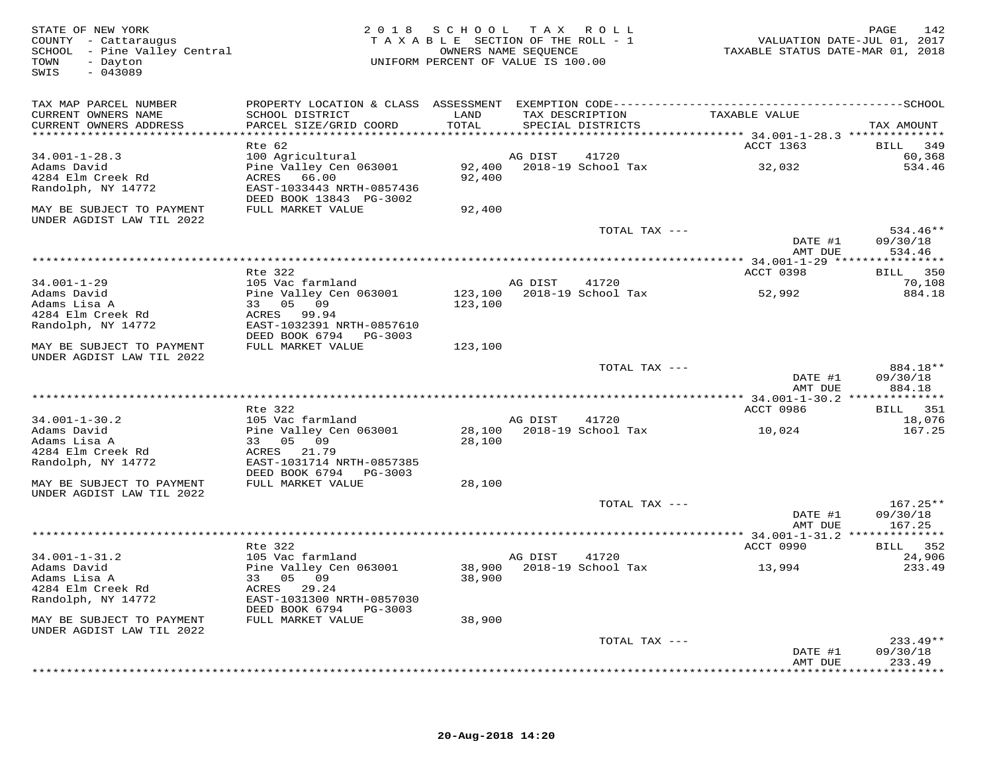| STATE OF NEW YORK<br>COUNTY - Cattaraugus<br>SCHOOL - Pine Valley Central<br>- Dayton<br>TOWN<br>$-043089$<br>SWIS |                                                                                              | 2018 SCHOOL<br>TAXABLE SECTION OF THE ROLL - 1<br>UNIFORM PERCENT OF VALUE IS 100.00 | TAX ROLL<br>OWNERS NAME SEOUENCE     |                    | TAXABLE STATUS DATE-MAR 01, 2018 | 142<br>PAGE<br>VALUATION DATE-JUL 01, 2017 |
|--------------------------------------------------------------------------------------------------------------------|----------------------------------------------------------------------------------------------|--------------------------------------------------------------------------------------|--------------------------------------|--------------------|----------------------------------|--------------------------------------------|
| TAX MAP PARCEL NUMBER                                                                                              | PROPERTY LOCATION & CLASS ASSESSMENT EXEMPTION CODE-----------------------------------SCHOOL |                                                                                      |                                      |                    |                                  |                                            |
| CURRENT OWNERS NAME                                                                                                | SCHOOL DISTRICT                                                                              | LAND                                                                                 | TAX DESCRIPTION                      |                    | TAXABLE VALUE                    |                                            |
| CURRENT OWNERS ADDRESS                                                                                             | PARCEL SIZE/GRID COORD                                                                       | TOTAL                                                                                | SPECIAL DISTRICTS                    |                    |                                  | TAX AMOUNT                                 |
|                                                                                                                    | Rte 62                                                                                       |                                                                                      |                                      |                    | ACCT 1363                        | 349<br>BILL                                |
| $34.001 - 1 - 28.3$                                                                                                | 100 Agricultural                                                                             |                                                                                      | AG DIST                              | 41720              |                                  | 60,368                                     |
| Adams David                                                                                                        | Pine Valley Cen 063001                                                                       | 92,400                                                                               |                                      | 2018-19 School Tax | 32,032                           | 534.46                                     |
| 4284 Elm Creek Rd                                                                                                  | 66.00<br>ACRES                                                                               | 92,400                                                                               |                                      |                    |                                  |                                            |
| Randolph, NY 14772                                                                                                 | EAST-1033443 NRTH-0857436<br>DEED BOOK 13843 PG-3002                                         |                                                                                      |                                      |                    |                                  |                                            |
| MAY BE SUBJECT TO PAYMENT                                                                                          | FULL MARKET VALUE                                                                            | 92,400                                                                               |                                      |                    |                                  |                                            |
| UNDER AGDIST LAW TIL 2022                                                                                          |                                                                                              |                                                                                      |                                      |                    |                                  |                                            |
|                                                                                                                    |                                                                                              |                                                                                      |                                      | TOTAL TAX ---      |                                  | $534.46**$                                 |
|                                                                                                                    |                                                                                              |                                                                                      |                                      |                    | DATE #1                          | 09/30/18                                   |
|                                                                                                                    |                                                                                              |                                                                                      |                                      |                    | AMT DUE                          | 534.46<br>***********                      |
|                                                                                                                    | Rte 322                                                                                      |                                                                                      |                                      |                    | ACCT 0398                        | 350<br><b>BILL</b>                         |
| $34.001 - 1 - 29$                                                                                                  | 105 Vac farmland                                                                             |                                                                                      | AG DIST                              | 41720              |                                  | 70,108                                     |
| Adams David                                                                                                        | Pine Valley Cen 063001                                                                       | 123,100                                                                              |                                      | 2018-19 School Tax | 52,992                           | 884.18                                     |
| Adams Lisa A                                                                                                       | 33 05 09<br>ACRES 99.94                                                                      | 123,100                                                                              |                                      |                    |                                  |                                            |
| 4284 Elm Creek Rd<br>Randolph, NY 14772                                                                            | EAST-1032391 NRTH-0857610                                                                    |                                                                                      |                                      |                    |                                  |                                            |
|                                                                                                                    | DEED BOOK 6794 PG-3003                                                                       |                                                                                      |                                      |                    |                                  |                                            |
| MAY BE SUBJECT TO PAYMENT                                                                                          | FULL MARKET VALUE                                                                            | 123,100                                                                              |                                      |                    |                                  |                                            |
| UNDER AGDIST LAW TIL 2022                                                                                          |                                                                                              |                                                                                      |                                      |                    |                                  |                                            |
|                                                                                                                    |                                                                                              |                                                                                      |                                      | TOTAL TAX ---      | DATE #1                          | 884.18**<br>09/30/18                       |
|                                                                                                                    |                                                                                              |                                                                                      |                                      |                    | AMT DUE                          | 884.18                                     |
|                                                                                                                    |                                                                                              |                                                                                      |                                      |                    |                                  |                                            |
|                                                                                                                    | Rte 322                                                                                      |                                                                                      |                                      |                    | ACCT 0986                        | BILL 351                                   |
| $34.001 - 1 - 30.2$<br>Adams David                                                                                 | 105 Vac farmland<br>Pine Valley Cen 063001                                                   |                                                                                      | AG DIST<br>28,100 2018-19 School Tax | 41720              |                                  | 18,076<br>167.25                           |
| Adams Lisa A                                                                                                       | 33 05 09                                                                                     | 28,100                                                                               |                                      |                    | 10,024                           |                                            |
| 4284 Elm Creek Rd                                                                                                  | ACRES 21.79                                                                                  |                                                                                      |                                      |                    |                                  |                                            |
| Randolph, NY 14772                                                                                                 | EAST-1031714 NRTH-0857385                                                                    |                                                                                      |                                      |                    |                                  |                                            |
|                                                                                                                    | DEED BOOK 6794 PG-3003                                                                       |                                                                                      |                                      |                    |                                  |                                            |
| MAY BE SUBJECT TO PAYMENT<br>UNDER AGDIST LAW TIL 2022                                                             | FULL MARKET VALUE                                                                            | 28,100                                                                               |                                      |                    |                                  |                                            |
|                                                                                                                    |                                                                                              |                                                                                      |                                      | TOTAL TAX ---      |                                  | $167.25**$                                 |
|                                                                                                                    |                                                                                              |                                                                                      |                                      |                    | DATE #1                          | 09/30/18                                   |
|                                                                                                                    |                                                                                              |                                                                                      |                                      |                    | AMT DUE                          | 167.25                                     |
|                                                                                                                    | Rte 322                                                                                      |                                                                                      |                                      |                    | ACCT 0990                        | BILL 352                                   |
| $34.001 - 1 - 31.2$                                                                                                | 105 Vac farmland                                                                             |                                                                                      | AG DIST                              | 41720              |                                  | 24,906                                     |
| Adams David                                                                                                        | Pine Valley Cen 063001                                                                       | 38,900                                                                               |                                      | 2018-19 School Tax | 13,994                           | 233.49                                     |
| Adams Lisa A                                                                                                       | 33 05<br>09                                                                                  | 38,900                                                                               |                                      |                    |                                  |                                            |
| 4284 Elm Creek Rd                                                                                                  | ACRES 29.24                                                                                  |                                                                                      |                                      |                    |                                  |                                            |
| Randolph, NY 14772                                                                                                 | EAST-1031300 NRTH-0857030<br>DEED BOOK 6794<br>PG-3003                                       |                                                                                      |                                      |                    |                                  |                                            |
| MAY BE SUBJECT TO PAYMENT                                                                                          | FULL MARKET VALUE                                                                            | 38,900                                                                               |                                      |                    |                                  |                                            |
| UNDER AGDIST LAW TIL 2022                                                                                          |                                                                                              |                                                                                      |                                      |                    |                                  |                                            |
|                                                                                                                    |                                                                                              |                                                                                      |                                      | TOTAL TAX ---      |                                  | $233.49**$                                 |
|                                                                                                                    |                                                                                              |                                                                                      |                                      |                    | DATE #1                          | 09/30/18                                   |
|                                                                                                                    |                                                                                              |                                                                                      |                                      |                    | AMT DUE                          | 233.49<br>* * * * * * * * * * * *          |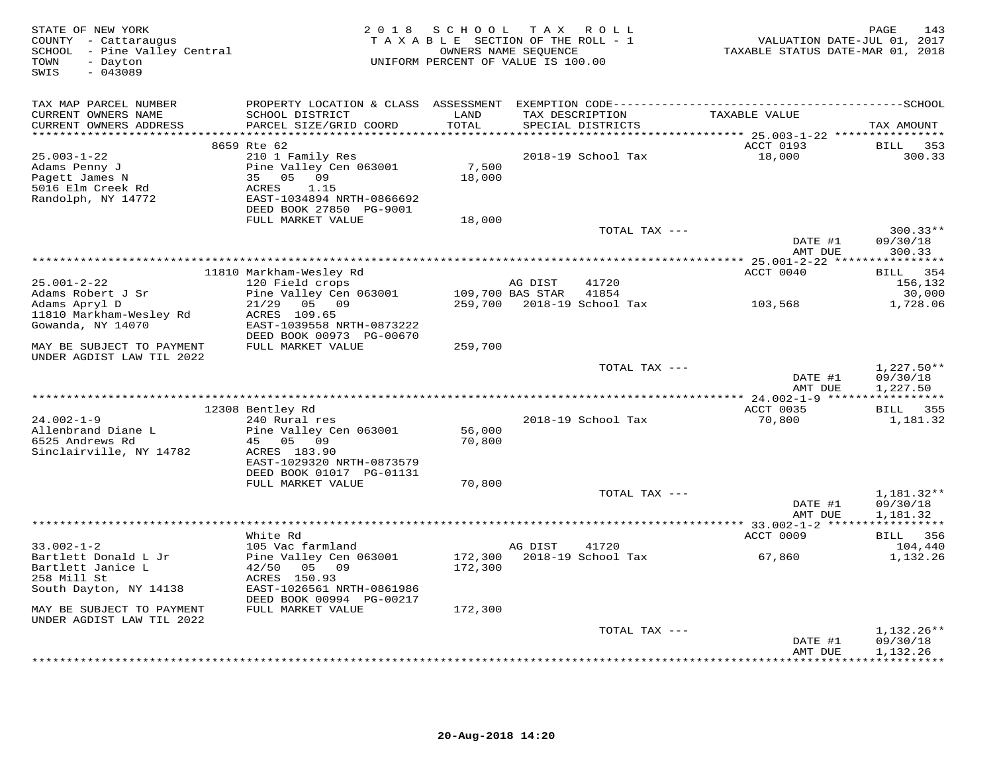| STATE OF NEW YORK<br>COUNTY - Cattaraugus<br>SCHOOL - Pine Valley Central<br>- Dayton<br>TOWN<br>$-043089$<br>SWIS |                                                                                                                 | 2018 SCHOOL<br>TAXABLE SECTION OF THE ROLL - 1<br>UNIFORM PERCENT OF VALUE IS 100.00 | OWNERS NAME SEQUENCE | TAX ROLL           | VALUATION DATE-JUL 01, 2017<br>TAXABLE STATUS DATE-MAR 01, 2018 | PAGE<br>143                          |
|--------------------------------------------------------------------------------------------------------------------|-----------------------------------------------------------------------------------------------------------------|--------------------------------------------------------------------------------------|----------------------|--------------------|-----------------------------------------------------------------|--------------------------------------|
| TAX MAP PARCEL NUMBER<br>CURRENT OWNERS NAME                                                                       | PROPERTY LOCATION & CLASS ASSESSMENT EXEMPTION CODE-----------------------------------SCHOOL<br>SCHOOL DISTRICT | LAND                                                                                 |                      | TAX DESCRIPTION    | TAXABLE VALUE                                                   |                                      |
| CURRENT OWNERS ADDRESS                                                                                             | PARCEL SIZE/GRID COORD                                                                                          | TOTAL                                                                                |                      | SPECIAL DISTRICTS  |                                                                 | TAX AMOUNT                           |
| **********************                                                                                             | 8659 Rte 62                                                                                                     | **********                                                                           |                      |                    | ACCT 0193                                                       | BILL<br>353                          |
| $25.003 - 1 - 22$<br>Adams Penny J<br>Pagett James N<br>5016 Elm Creek Rd<br>Randolph, NY 14772                    | 210 1 Family Res<br>Pine Valley Cen 063001<br>35 05<br>09<br>ACRES<br>1.15<br>EAST-1034894 NRTH-0866692         | 7,500<br>18,000                                                                      |                      | 2018-19 School Tax | 18,000                                                          | 300.33                               |
|                                                                                                                    | DEED BOOK 27850 PG-9001<br>FULL MARKET VALUE                                                                    | 18,000                                                                               |                      |                    |                                                                 |                                      |
|                                                                                                                    |                                                                                                                 |                                                                                      |                      | TOTAL TAX ---      | DATE #1                                                         | $300.33**$<br>09/30/18               |
|                                                                                                                    |                                                                                                                 |                                                                                      |                      |                    | AMT DUE                                                         | 300.33                               |
|                                                                                                                    | 11810 Markham-Wesley Rd                                                                                         |                                                                                      |                      |                    | ACCT 0040                                                       | BILL 354                             |
| $25.001 - 2 - 22$                                                                                                  | 120 Field crops                                                                                                 |                                                                                      | AG DIST              | 41720              |                                                                 | 156,132                              |
| Adams Robert J Sr                                                                                                  | Pine Valley Cen 063001                                                                                          |                                                                                      | 109,700 BAS STAR     | 41854              |                                                                 | 30,000                               |
| Adams Apryl D<br>11810 Markham-Wesley Rd<br>Gowanda, NY 14070                                                      | $21/29$ 05 09<br>ACRES 109.65<br>EAST-1039558 NRTH-0873222                                                      | 259,700                                                                              |                      | 2018-19 School Tax | 103,568                                                         | 1,728.06                             |
|                                                                                                                    | DEED BOOK 00973 PG-00670                                                                                        |                                                                                      |                      |                    |                                                                 |                                      |
| MAY BE SUBJECT TO PAYMENT<br>UNDER AGDIST LAW TIL 2022                                                             | FULL MARKET VALUE                                                                                               | 259,700                                                                              |                      |                    |                                                                 |                                      |
|                                                                                                                    |                                                                                                                 |                                                                                      |                      | TOTAL TAX ---      | DATE #1<br>AMT DUE                                              | $1,227.50**$<br>09/30/18<br>1,227.50 |
|                                                                                                                    |                                                                                                                 |                                                                                      |                      |                    |                                                                 |                                      |
| $24.002 - 1 - 9$                                                                                                   | 12308 Bentley Rd<br>240 Rural res                                                                               |                                                                                      |                      | 2018-19 School Tax | ACCT 0035<br>70,800                                             | BILL 355<br>1,181.32                 |
| Allenbrand Diane L<br>6525 Andrews Rd                                                                              | Pine Valley Cen 063001<br>45 05<br>09                                                                           | 56,000<br>70,800                                                                     |                      |                    |                                                                 |                                      |
| Sinclairville, NY 14782                                                                                            | ACRES 183.90<br>EAST-1029320 NRTH-0873579<br>DEED BOOK 01017 PG-01131                                           |                                                                                      |                      |                    |                                                                 |                                      |
|                                                                                                                    | FULL MARKET VALUE                                                                                               | 70,800                                                                               |                      |                    |                                                                 |                                      |
|                                                                                                                    |                                                                                                                 |                                                                                      |                      | TOTAL TAX ---      |                                                                 | 1,181.32**                           |
|                                                                                                                    |                                                                                                                 |                                                                                      |                      |                    | DATE #1<br>AMT DUE                                              | 09/30/18<br>1,181.32                 |
|                                                                                                                    |                                                                                                                 |                                                                                      |                      |                    |                                                                 |                                      |
|                                                                                                                    | White Rd                                                                                                        |                                                                                      |                      |                    | ACCT 0009                                                       | 356<br><b>BILL</b>                   |
| $33.002 - 1 - 2$                                                                                                   | 105 Vac farmland                                                                                                |                                                                                      | AG DIST              | 41720              |                                                                 | 104,440                              |
| Bartlett Donald L Jr<br>Bartlett Janice L<br>258 Mill St                                                           | Pine Valley Cen 063001<br>42/50 05 09<br>ACRES 150.93                                                           | 172,300<br>172,300                                                                   |                      | 2018-19 School Tax | 67,860                                                          | 1,132.26                             |
| South Dayton, NY 14138                                                                                             | EAST-1026561 NRTH-0861986<br>DEED BOOK 00994 PG-00217                                                           |                                                                                      |                      |                    |                                                                 |                                      |
| MAY BE SUBJECT TO PAYMENT<br>UNDER AGDIST LAW TIL 2022                                                             | FULL MARKET VALUE                                                                                               | 172,300                                                                              |                      |                    |                                                                 |                                      |
|                                                                                                                    |                                                                                                                 |                                                                                      |                      | TOTAL TAX ---      |                                                                 | 1,132.26**                           |
|                                                                                                                    |                                                                                                                 |                                                                                      |                      |                    | DATE #1<br>AMT DUE                                              | 09/30/18<br>1,132.26                 |
|                                                                                                                    |                                                                                                                 |                                                                                      |                      |                    |                                                                 | * * * * * * * * * *                  |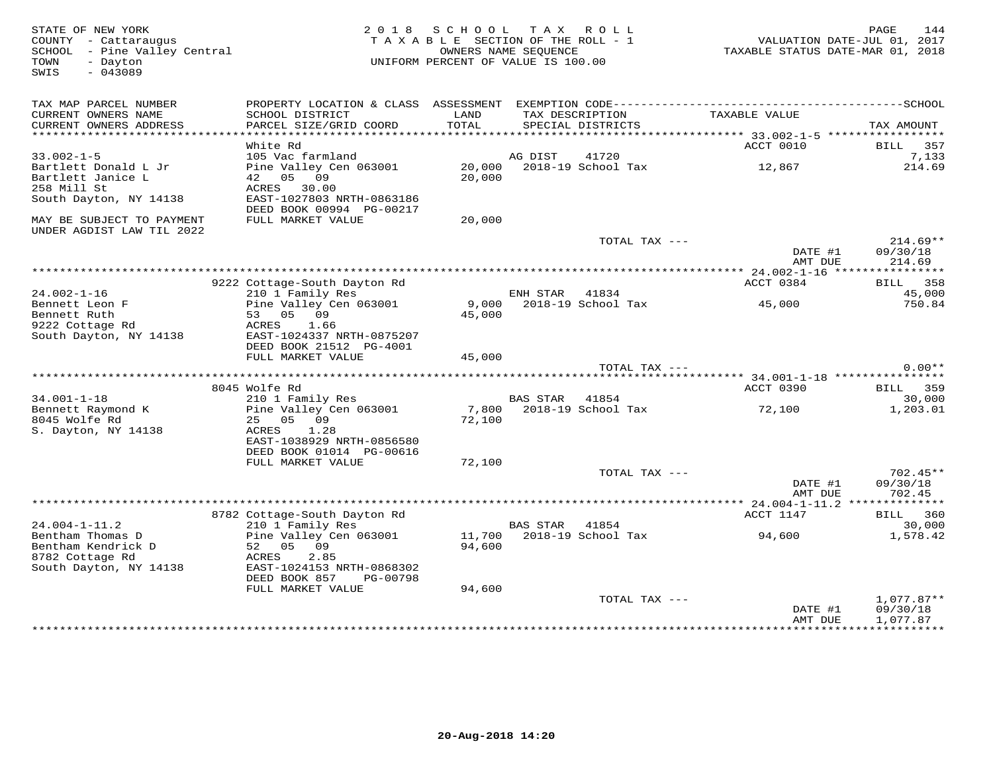| STATE OF NEW YORK<br>COUNTY - Cattaraugus<br>SCHOOL - Pine Valley Central<br>TOWN<br>- Dayton<br>SWIS<br>$-043089$ | 2 0 1 8                                               | SCHOOL<br>TAX ROLL<br>TAXABLE SECTION OF THE ROLL - 1<br>OWNERS NAME SEQUENCE<br>UNIFORM PERCENT OF VALUE IS 100.00 |                 |                    |  | 144<br>PAGE<br>VALUATION DATE-JUL 01, 2017<br>TAXABLE STATUS DATE-MAR 01, 2018 |                        |  |
|--------------------------------------------------------------------------------------------------------------------|-------------------------------------------------------|---------------------------------------------------------------------------------------------------------------------|-----------------|--------------------|--|--------------------------------------------------------------------------------|------------------------|--|
| TAX MAP PARCEL NUMBER<br>CURRENT OWNERS NAME                                                                       | SCHOOL DISTRICT                                       | LAND                                                                                                                |                 | TAX DESCRIPTION    |  | TAXABLE VALUE                                                                  |                        |  |
| CURRENT OWNERS ADDRESS<br>******************************                                                           | PARCEL SIZE/GRID COORD                                | TOTAL                                                                                                               |                 | SPECIAL DISTRICTS  |  |                                                                                | TAX AMOUNT             |  |
|                                                                                                                    | White Rd                                              |                                                                                                                     |                 |                    |  | ACCT 0010                                                                      | 357<br>BILL            |  |
| $33.002 - 1 - 5$                                                                                                   | 105 Vac farmland                                      |                                                                                                                     | AG DIST         | 41720              |  |                                                                                | 7,133                  |  |
| Bartlett Donald L Jr                                                                                               | Pine Valley Cen 063001                                | 20,000                                                                                                              |                 | 2018-19 School Tax |  | 12,867                                                                         | 214.69                 |  |
| Bartlett Janice L                                                                                                  | 42 05 09                                              | 20,000                                                                                                              |                 |                    |  |                                                                                |                        |  |
| 258 Mill St                                                                                                        | ACRES<br>30.00                                        |                                                                                                                     |                 |                    |  |                                                                                |                        |  |
| South Dayton, NY 14138                                                                                             | EAST-1027803 NRTH-0863186                             |                                                                                                                     |                 |                    |  |                                                                                |                        |  |
|                                                                                                                    | DEED BOOK 00994 PG-00217                              |                                                                                                                     |                 |                    |  |                                                                                |                        |  |
| MAY BE SUBJECT TO PAYMENT<br>UNDER AGDIST LAW TIL 2022                                                             | FULL MARKET VALUE                                     | 20,000                                                                                                              |                 |                    |  |                                                                                |                        |  |
|                                                                                                                    |                                                       |                                                                                                                     |                 | TOTAL TAX ---      |  | DATE #1                                                                        | $214.69**$<br>09/30/18 |  |
|                                                                                                                    |                                                       |                                                                                                                     |                 |                    |  | AMT DUE                                                                        | 214.69                 |  |
|                                                                                                                    | 9222 Cottage-South Dayton Rd                          |                                                                                                                     |                 |                    |  | ACCT 0384                                                                      | 358<br><b>BILL</b>     |  |
| $24.002 - 1 - 16$                                                                                                  | 210 1 Family Res                                      |                                                                                                                     | ENH STAR        | 41834              |  |                                                                                | 45,000                 |  |
| Bennett Leon F                                                                                                     | Pine Valley Cen 063001                                | 9,000                                                                                                               |                 | 2018-19 School Tax |  | 45,000                                                                         | 750.84                 |  |
| Bennett Ruth                                                                                                       | 53<br>05 09                                           | 45,000                                                                                                              |                 |                    |  |                                                                                |                        |  |
| 9222 Cottage Rd                                                                                                    | ACRES<br>1.66                                         |                                                                                                                     |                 |                    |  |                                                                                |                        |  |
| South Dayton, NY 14138                                                                                             | EAST-1024337 NRTH-0875207                             |                                                                                                                     |                 |                    |  |                                                                                |                        |  |
|                                                                                                                    | DEED BOOK 21512 PG-4001                               |                                                                                                                     |                 |                    |  |                                                                                |                        |  |
|                                                                                                                    | FULL MARKET VALUE                                     | 45,000                                                                                                              |                 | TOTAL TAX ---      |  |                                                                                | $0.00**$               |  |
|                                                                                                                    |                                                       |                                                                                                                     |                 |                    |  |                                                                                |                        |  |
|                                                                                                                    | 8045 Wolfe Rd                                         |                                                                                                                     |                 |                    |  | ACCT 0390                                                                      | 359<br>BILL            |  |
| $34.001 - 1 - 18$                                                                                                  | 210 1 Family Res                                      |                                                                                                                     | <b>BAS STAR</b> | 41854              |  |                                                                                | 30,000                 |  |
| Bennett Raymond K                                                                                                  | Pine Valley Cen 063001                                | 7,800                                                                                                               |                 | 2018-19 School Tax |  | 72,100                                                                         | 1,203.01               |  |
| 8045 Wolfe Rd                                                                                                      | 25<br>05 09                                           | 72,100                                                                                                              |                 |                    |  |                                                                                |                        |  |
| S. Dayton, NY 14138                                                                                                | 1.28<br>ACRES                                         |                                                                                                                     |                 |                    |  |                                                                                |                        |  |
|                                                                                                                    | EAST-1038929 NRTH-0856580<br>DEED BOOK 01014 PG-00616 |                                                                                                                     |                 |                    |  |                                                                                |                        |  |
|                                                                                                                    | FULL MARKET VALUE                                     | 72,100                                                                                                              |                 |                    |  |                                                                                |                        |  |
|                                                                                                                    |                                                       |                                                                                                                     |                 | TOTAL TAX ---      |  |                                                                                | $702.45**$             |  |
|                                                                                                                    |                                                       |                                                                                                                     |                 |                    |  | DATE #1                                                                        | 09/30/18               |  |
|                                                                                                                    |                                                       |                                                                                                                     |                 |                    |  | AMT DUE                                                                        | 702.45                 |  |
|                                                                                                                    |                                                       |                                                                                                                     |                 |                    |  | *** 24.004-1-11.2                                                              | *********              |  |
| $24.004 - 1 - 11.2$                                                                                                | 8782 Cottage-South Dayton Rd<br>210 1 Family Res      |                                                                                                                     | <b>BAS STAR</b> | 41854              |  | ACCT 1147                                                                      | BILL<br>360<br>30,000  |  |
| Bentham Thomas D                                                                                                   | Pine Valley Cen 063001                                | 11,700                                                                                                              |                 | 2018-19 School Tax |  | 94,600                                                                         | 1,578.42               |  |
| Bentham Kendrick D                                                                                                 | 09<br>52<br>05                                        | 94,600                                                                                                              |                 |                    |  |                                                                                |                        |  |
| 8782 Cottage Rd                                                                                                    | 2.85<br>ACRES                                         |                                                                                                                     |                 |                    |  |                                                                                |                        |  |
| South Dayton, NY 14138                                                                                             | EAST-1024153 NRTH-0868302                             |                                                                                                                     |                 |                    |  |                                                                                |                        |  |
|                                                                                                                    | DEED BOOK 857<br>PG-00798                             |                                                                                                                     |                 |                    |  |                                                                                |                        |  |
|                                                                                                                    | FULL MARKET VALUE                                     | 94,600                                                                                                              |                 | TOTAL TAX ---      |  |                                                                                | $1,077.87**$           |  |
|                                                                                                                    |                                                       |                                                                                                                     |                 |                    |  | DATE #1                                                                        | 09/30/18               |  |
|                                                                                                                    |                                                       |                                                                                                                     |                 |                    |  | AMT DUE                                                                        | 1,077.87               |  |
|                                                                                                                    |                                                       |                                                                                                                     |                 |                    |  | ***************                                                                | * * * * * * * * * * *  |  |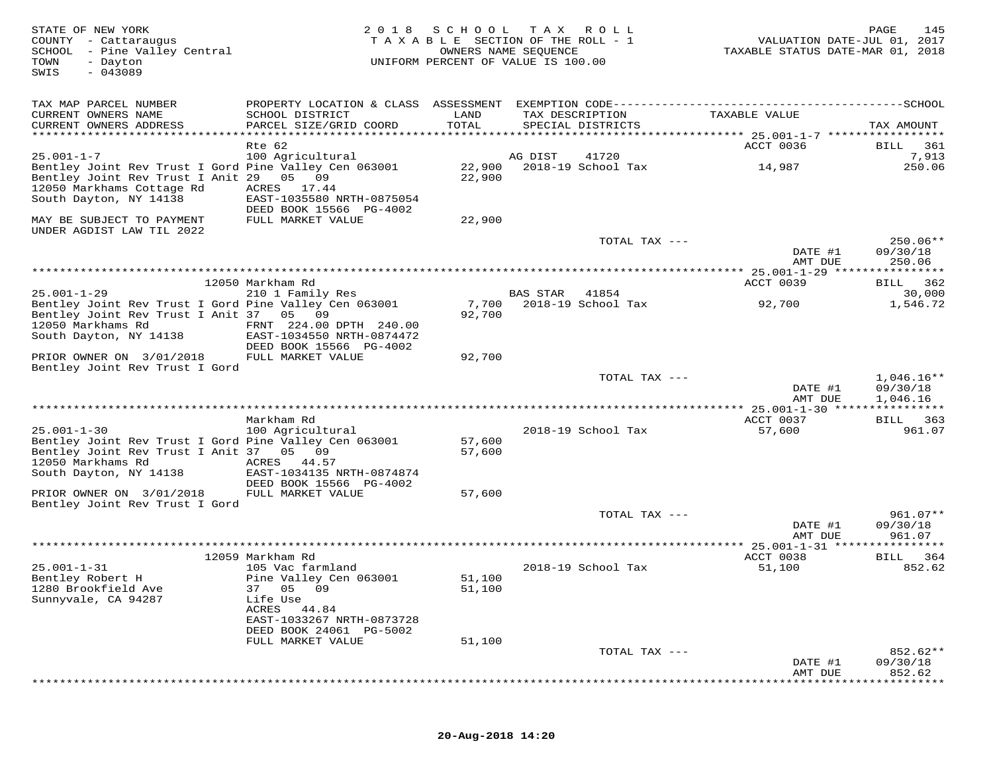| STATE OF NEW YORK<br>COUNTY - Cattaraugus<br>SCHOOL - Pine Valley Central<br>TOWN<br>- Dayton<br>$-043089$<br>SWIS                                      | 2 0 1 8                                                                                                        | SCHOOL<br>TAXABLE SECTION OF THE ROLL - 1<br>OWNERS NAME SEQUENCE<br>UNIFORM PERCENT OF VALUE IS 100.00 | T A X           | R O L L                              | VALUATION DATE-JUL 01, 2017<br>TAXABLE STATUS DATE-MAR 01, 2018 | PAGE<br>145                          |
|---------------------------------------------------------------------------------------------------------------------------------------------------------|----------------------------------------------------------------------------------------------------------------|---------------------------------------------------------------------------------------------------------|-----------------|--------------------------------------|-----------------------------------------------------------------|--------------------------------------|
| TAX MAP PARCEL NUMBER                                                                                                                                   |                                                                                                                |                                                                                                         |                 |                                      |                                                                 |                                      |
| CURRENT OWNERS NAME<br>CURRENT OWNERS ADDRESS                                                                                                           | SCHOOL DISTRICT<br>PARCEL SIZE/GRID COORD                                                                      | LAND<br>TOTAL                                                                                           |                 | TAX DESCRIPTION<br>SPECIAL DISTRICTS | TAXABLE VALUE                                                   | TAX AMOUNT                           |
|                                                                                                                                                         | Rte 62                                                                                                         |                                                                                                         |                 |                                      | ACCT 0036                                                       | BILL<br>361                          |
| $25.001 - 1 - 7$                                                                                                                                        | 100 Agricultural                                                                                               |                                                                                                         | AG DIST         | 41720                                |                                                                 | 7,913                                |
| Bentley Joint Rev Trust I Gord Pine Valley Cen 063001<br>Bentley Joint Rev Trust I Anit 29 05 09<br>12050 Markhams Cottage Rd<br>South Dayton, NY 14138 | ACRES 17.44<br>EAST-1035580 NRTH-0875054                                                                       | 22,900<br>22,900                                                                                        |                 | 2018-19 School Tax                   | 14,987                                                          | 250.06                               |
| MAY BE SUBJECT TO PAYMENT                                                                                                                               | DEED BOOK 15566 PG-4002<br>FULL MARKET VALUE                                                                   | 22,900                                                                                                  |                 |                                      |                                                                 |                                      |
| UNDER AGDIST LAW TIL 2022                                                                                                                               |                                                                                                                |                                                                                                         |                 |                                      |                                                                 |                                      |
|                                                                                                                                                         |                                                                                                                |                                                                                                         |                 | TOTAL TAX ---                        | DATE #1                                                         | $250.06**$<br>09/30/18               |
|                                                                                                                                                         |                                                                                                                |                                                                                                         |                 |                                      | AMT DUE                                                         | 250.06                               |
|                                                                                                                                                         | 12050 Markham Rd                                                                                               |                                                                                                         |                 |                                      | ACCT 0039                                                       | BILL 362                             |
| $25.001 - 1 - 29$                                                                                                                                       | 210 1 Family Res                                                                                               |                                                                                                         | <b>BAS STAR</b> | 41854                                |                                                                 | 30,000                               |
| Bentley Joint Rev Trust I Gord Pine Valley Cen 063001<br>Bentley Joint Rev Trust I Anit 37 05 09<br>12050 Markhams Rd<br>South Dayton, NY 14138         | FRNT 224.00 DPTH 240.00<br>EAST-1034550 NRTH-0874472<br>DEED BOOK 15566 PG-4002                                | 7,700<br>92,700                                                                                         |                 | 2018-19 School Tax                   | 92,700                                                          | 1,546.72                             |
| PRIOR OWNER ON 3/01/2018                                                                                                                                | FULL MARKET VALUE                                                                                              | 92,700                                                                                                  |                 |                                      |                                                                 |                                      |
| Bentley Joint Rev Trust I Gord                                                                                                                          |                                                                                                                |                                                                                                         |                 |                                      |                                                                 |                                      |
|                                                                                                                                                         |                                                                                                                |                                                                                                         |                 | TOTAL TAX ---                        | DATE #1<br>AMT DUE                                              | $1,046.16**$<br>09/30/18<br>1,046.16 |
|                                                                                                                                                         |                                                                                                                |                                                                                                         |                 |                                      |                                                                 |                                      |
|                                                                                                                                                         | Markham Rd                                                                                                     |                                                                                                         |                 |                                      | ACCT 0037                                                       | 363<br>BILL                          |
| $25.001 - 1 - 30$                                                                                                                                       | 100 Agricultural                                                                                               |                                                                                                         |                 | 2018-19 School Tax                   | 57,600                                                          | 961.07                               |
| Bentley Joint Rev Trust I Gord Pine Valley Cen 063001<br>Bentley Joint Rev Trust I Anit 37 05 09<br>12050 Markhams Rd<br>South Dayton, NY 14138         | ACRES 44.57<br>EAST-1034135 NRTH-0874874                                                                       | 57,600<br>57,600                                                                                        |                 |                                      |                                                                 |                                      |
|                                                                                                                                                         | DEED BOOK 15566 PG-4002                                                                                        |                                                                                                         |                 |                                      |                                                                 |                                      |
| PRIOR OWNER ON 3/01/2018                                                                                                                                | FULL MARKET VALUE                                                                                              | 57,600                                                                                                  |                 |                                      |                                                                 |                                      |
| Bentley Joint Rev Trust I Gord                                                                                                                          |                                                                                                                |                                                                                                         |                 |                                      |                                                                 |                                      |
|                                                                                                                                                         |                                                                                                                |                                                                                                         |                 | TOTAL TAX ---                        | DATE #1<br>AMT DUE                                              | $961.07**$<br>09/30/18<br>961.07     |
|                                                                                                                                                         |                                                                                                                |                                                                                                         |                 |                                      |                                                                 |                                      |
|                                                                                                                                                         | 12059 Markham Rd                                                                                               |                                                                                                         |                 |                                      | ACCT 0038                                                       | BILL<br>364                          |
| $25.001 - 1 - 31$<br>Bentley Robert H<br>1280 Brookfield Ave<br>Sunnyvale, CA 94287                                                                     | 105 Vac farmland<br>Pine Valley Cen 063001<br>37 05 09<br>Life Use<br>ACRES 44.84<br>EAST-1033267 NRTH-0873728 | 51,100<br>51,100                                                                                        |                 | 2018-19 School Tax                   | 51,100                                                          | 852.62                               |
|                                                                                                                                                         | DEED BOOK 24061 PG-5002                                                                                        |                                                                                                         |                 |                                      |                                                                 |                                      |
|                                                                                                                                                         | FULL MARKET VALUE                                                                                              | 51,100                                                                                                  |                 |                                      |                                                                 |                                      |
|                                                                                                                                                         |                                                                                                                |                                                                                                         |                 | TOTAL TAX ---                        | DATE #1                                                         | 852.62**<br>09/30/18                 |
|                                                                                                                                                         |                                                                                                                |                                                                                                         |                 |                                      | AMT DUE                                                         | 852.62                               |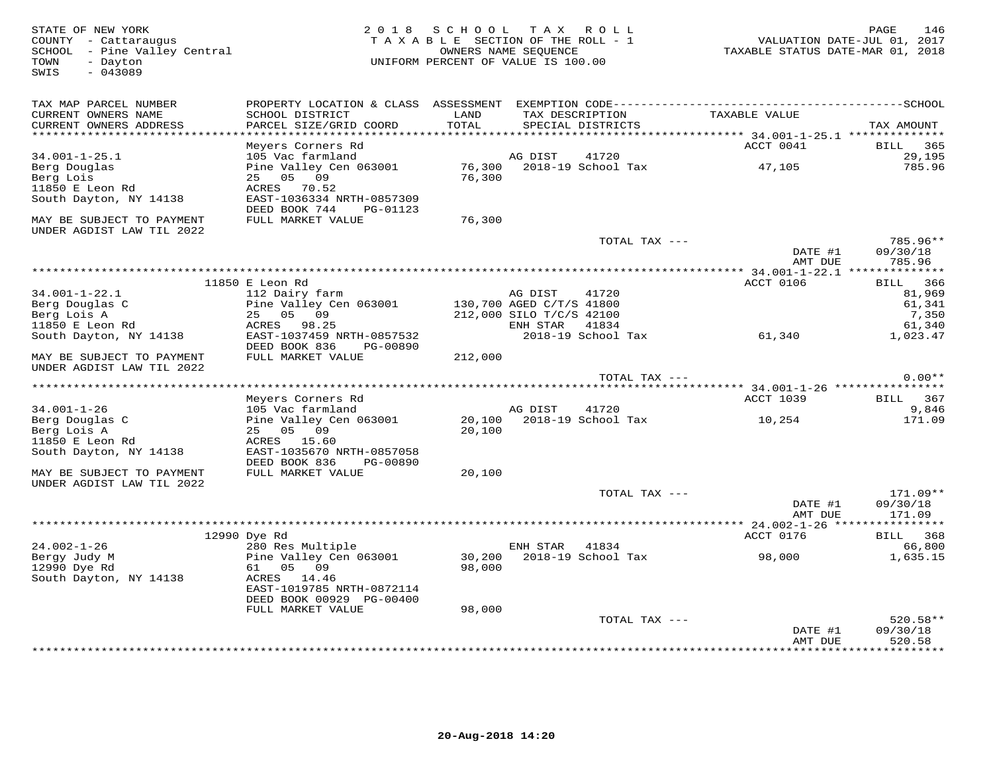| STATE OF NEW YORK<br>COUNTY - Cattaraugus<br>SCHOOL - Pine Valley Central<br>- Dayton<br>TOWN<br>$-043089$<br>SWIS | 2 0 1 8                                                                                                     | S C H O O L<br>TAXABLE SECTION OF THE ROLL - 1<br>UNIFORM PERCENT OF VALUE IS 100.00 | T A X<br>OWNERS NAME SEQUENCE        | ROLL ROLL                   | VALUATION DATE-JUL 01, 2017<br>TAXABLE STATUS DATE-MAR 01, 2018  | 146<br>PAGE                    |
|--------------------------------------------------------------------------------------------------------------------|-------------------------------------------------------------------------------------------------------------|--------------------------------------------------------------------------------------|--------------------------------------|-----------------------------|------------------------------------------------------------------|--------------------------------|
| TAX MAP PARCEL NUMBER<br>CURRENT OWNERS NAME<br>CURRENT OWNERS ADDRESS<br>**********************                   | SCHOOL DISTRICT<br>PARCEL SIZE/GRID COORD                                                                   | LAND<br>TOTAL                                                                        | TAX DESCRIPTION                      | SPECIAL DISTRICTS           | TAXABLE VALUE                                                    | TAX AMOUNT                     |
|                                                                                                                    | Meyers Corners Rd                                                                                           |                                                                                      |                                      |                             | ACCT 0041                                                        | 365<br>BILL                    |
| $34.001 - 1 - 25.1$<br>Berg Douglas<br>Berg Lois<br>11850 E Leon Rd<br>South Dayton, NY 14138                      | 105 Vac farmland<br>Pine Valley Cen 063001<br>05<br>09<br>25<br>ACRES<br>70.52<br>EAST-1036334 NRTH-0857309 | 76,300<br>76,300                                                                     | AG DIST                              | 41720<br>2018-19 School Tax | 47,105                                                           | 29,195<br>785.96               |
|                                                                                                                    | DEED BOOK 744<br>PG-01123                                                                                   |                                                                                      |                                      |                             |                                                                  |                                |
| MAY BE SUBJECT TO PAYMENT<br>UNDER AGDIST LAW TIL 2022                                                             | FULL MARKET VALUE                                                                                           | 76,300                                                                               |                                      |                             |                                                                  |                                |
|                                                                                                                    |                                                                                                             |                                                                                      |                                      | TOTAL TAX ---               | DATE #1                                                          | 785.96**<br>09/30/18           |
|                                                                                                                    |                                                                                                             |                                                                                      |                                      |                             | AMT DUE                                                          | 785.96                         |
|                                                                                                                    | 11850 E Leon Rd                                                                                             |                                                                                      |                                      |                             | ACCT 0106                                                        | 366<br><b>BILL</b>             |
| $34.001 - 1 - 22.1$<br>Berg Douglas C                                                                              | 112 Dairy farm<br>Pine Valley Cen 063001<br>25<br>05<br>09                                                  |                                                                                      | AG DIST<br>130,700 AGED C/T/S 41800  | 41720                       |                                                                  | 81,969<br>61,341               |
| Berg Lois A<br>11850 E Leon Rd<br>South Dayton, NY 14138                                                           | ACRES<br>98.25<br>EAST-1037459 NRTH-0857532<br>DEED BOOK 836<br>PG-00890                                    |                                                                                      | 212,000 SILO T/C/S 42100<br>ENH STAR | 41834<br>2018-19 School Tax | 61,340                                                           | 7,350<br>61,340<br>1,023.47    |
| MAY BE SUBJECT TO PAYMENT<br>UNDER AGDIST LAW TIL 2022                                                             | FULL MARKET VALUE                                                                                           | 212,000                                                                              |                                      |                             |                                                                  |                                |
|                                                                                                                    |                                                                                                             |                                                                                      |                                      | TOTAL TAX ---               |                                                                  | $0.00**$                       |
|                                                                                                                    | Meyers Corners Rd                                                                                           |                                                                                      |                                      |                             | ********************* 34.001-1-26 *****************<br>ACCT 1039 | 367<br><b>BILL</b>             |
| $34.001 - 1 - 26$                                                                                                  | 105 Vac farmland                                                                                            |                                                                                      | AG DIST                              | 41720                       |                                                                  | 9,846                          |
| Berg Douglas C<br>Berg Lois A<br>11850 E Leon Rd                                                                   | Pine Valley Cen 063001<br>05<br>09<br>25<br>ACRES<br>15.60                                                  | 20,100<br>20,100                                                                     |                                      | 2018-19 School Tax          | 10,254                                                           | 171.09                         |
| South Dayton, NY 14138                                                                                             | EAST-1035670 NRTH-0857058<br>DEED BOOK 836<br>PG-00890                                                      |                                                                                      |                                      |                             |                                                                  |                                |
| MAY BE SUBJECT TO PAYMENT                                                                                          | FULL MARKET VALUE                                                                                           | 20,100                                                                               |                                      |                             |                                                                  |                                |
| UNDER AGDIST LAW TIL 2022                                                                                          |                                                                                                             |                                                                                      |                                      | TOTAL TAX ---               | DATE #1<br>AMT DUE                                               | 171.09**<br>09/30/18<br>171.09 |
|                                                                                                                    |                                                                                                             |                                                                                      |                                      |                             | **** 24.002-1-26 ***                                             |                                |
|                                                                                                                    | 12990 Dye Rd                                                                                                |                                                                                      |                                      |                             | ACCT 0176                                                        | 368<br><b>BILL</b>             |
| $24.002 - 1 - 26$<br>Bergy Judy M<br>12990 Dye Rd                                                                  | 280 Res Multiple<br>Pine Valley Cen 063001<br>05 09<br>61                                                   | 30,200<br>98,000                                                                     | ENH STAR                             | 41834<br>2018-19 School Tax | 98,000                                                           | 66,800<br>1,635.15             |
| South Dayton, NY 14138                                                                                             | ACRES 14.46<br>EAST-1019785 NRTH-0872114<br>DEED BOOK 00929 PG-00400                                        |                                                                                      |                                      |                             |                                                                  |                                |
|                                                                                                                    | FULL MARKET VALUE                                                                                           | 98,000                                                                               |                                      |                             |                                                                  |                                |
|                                                                                                                    |                                                                                                             |                                                                                      |                                      | TOTAL TAX ---               | DATE #1<br>AMT DUE                                               | 520.58**<br>09/30/18<br>520.58 |
|                                                                                                                    |                                                                                                             |                                                                                      |                                      |                             | ************                                                     | * * * * * * * * ·              |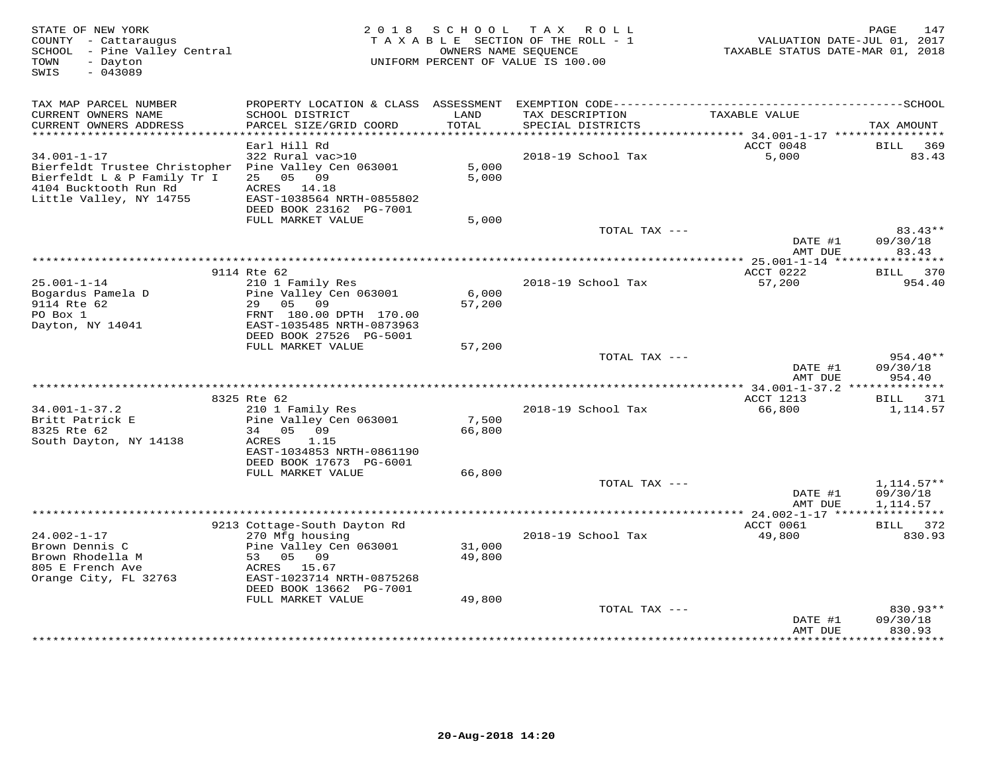| STATE OF NEW YORK<br>COUNTY - Cattaraugus<br>SCHOOL - Pine Valley Central<br>- Davton<br>TOWN<br>SWIS<br>$-043089$                                           | 2 0 1 8                                                                                                                                                 | SCHOOL                     | T A X<br>R O L L<br>TAXABLE SECTION OF THE ROLL - 1<br>OWNERS NAME SEQUENCE<br>UNIFORM PERCENT OF VALUE IS 100.00 | VALUATION DATE-JUL 01, 2017<br>TAXABLE STATUS DATE-MAR 01, 2018 | 147<br>PAGE                               |
|--------------------------------------------------------------------------------------------------------------------------------------------------------------|---------------------------------------------------------------------------------------------------------------------------------------------------------|----------------------------|-------------------------------------------------------------------------------------------------------------------|-----------------------------------------------------------------|-------------------------------------------|
| TAX MAP PARCEL NUMBER                                                                                                                                        |                                                                                                                                                         |                            |                                                                                                                   |                                                                 |                                           |
| CURRENT OWNERS NAME<br>CURRENT OWNERS ADDRESS                                                                                                                | SCHOOL DISTRICT<br>PARCEL SIZE/GRID COORD                                                                                                               | LAND<br>TOTAL              | TAX DESCRIPTION<br>SPECIAL DISTRICTS                                                                              | TAXABLE VALUE                                                   | TAX AMOUNT                                |
| ***********************                                                                                                                                      | Earl Hill Rd                                                                                                                                            |                            |                                                                                                                   | ACCT 0048                                                       | <b>BILL</b><br>369                        |
| $34.001 - 1 - 17$<br>Bierfeldt Trustee Christopher Pine Valley Cen 063001<br>Bierfeldt L & P Family Tr I<br>4104 Bucktooth Run Rd<br>Little Valley, NY 14755 | 322 Rural vac>10<br>25 05 09<br>ACRES 14.18<br>EAST-1038564 NRTH-0855802<br>DEED BOOK 23162 PG-7001                                                     | 5.000<br>5,000             | 2018-19 School Tax                                                                                                | 5,000                                                           | 83.43                                     |
|                                                                                                                                                              | FULL MARKET VALUE                                                                                                                                       | 5,000                      |                                                                                                                   |                                                                 |                                           |
|                                                                                                                                                              |                                                                                                                                                         |                            | TOTAL TAX ---                                                                                                     | DATE #1<br>AMT DUE                                              | $83.43**$<br>09/30/18<br>83.43            |
|                                                                                                                                                              | *************                                                                                                                                           |                            | *************************************                                                                             | *********** 25.001-1-14 *****                                   | ***********                               |
| $25.001 - 1 - 14$<br>Bogardus Pamela D<br>9114 Rte 62<br>PO Box 1<br>Dayton, NY 14041                                                                        | 9114 Rte 62<br>210 1 Family Res<br>Pine Valley Cen 063001<br>29 05 09<br>FRNT 180.00 DPTH 170.00<br>EAST-1035485 NRTH-0873963                           | 6,000<br>57,200            | 2018-19 School Tax                                                                                                | ACCT 0222<br>57,200                                             | BILL 370<br>954.40                        |
|                                                                                                                                                              | DEED BOOK 27526 PG-5001                                                                                                                                 |                            |                                                                                                                   |                                                                 |                                           |
|                                                                                                                                                              | FULL MARKET VALUE                                                                                                                                       | 57,200                     |                                                                                                                   |                                                                 |                                           |
|                                                                                                                                                              |                                                                                                                                                         |                            | TOTAL TAX ---                                                                                                     | DATE #1<br>AMT DUE                                              | $954.40**$<br>09/30/18<br>954.40          |
|                                                                                                                                                              |                                                                                                                                                         |                            |                                                                                                                   |                                                                 |                                           |
| $34.001 - 1 - 37.2$<br>Britt Patrick E<br>8325 Rte 62<br>South Dayton, NY 14138                                                                              | 8325 Rte 62<br>210 1 Family Res<br>Pine Valley Cen 063001<br>34 05 09<br>1.15<br>ACRES<br>EAST-1034853 NRTH-0861190                                     | 7,500<br>66,800            | 2018-19 School Tax                                                                                                | ACCT 1213<br>66,800                                             | BILL 371<br>1,114.57                      |
|                                                                                                                                                              | DEED BOOK 17673 PG-6001                                                                                                                                 |                            |                                                                                                                   |                                                                 |                                           |
|                                                                                                                                                              | FULL MARKET VALUE                                                                                                                                       | 66,800                     |                                                                                                                   |                                                                 |                                           |
|                                                                                                                                                              |                                                                                                                                                         |                            | TOTAL TAX ---                                                                                                     | DATE #1<br>AMT DUE                                              | $1,114.57**$<br>09/30/18<br>1,114.57      |
|                                                                                                                                                              |                                                                                                                                                         |                            |                                                                                                                   |                                                                 |                                           |
|                                                                                                                                                              | 9213 Cottage-South Dayton Rd                                                                                                                            |                            |                                                                                                                   | ACCT 0061                                                       | BILL<br>372                               |
| $24.002 - 1 - 17$<br>Brown Dennis C<br>Brown Rhodella M<br>805 E French Ave<br>Orange City, FL 32763                                                         | 270 Mfg housing<br>Pine Valley Cen 063001<br>53<br>05 09<br>ACRES<br>15.67<br>EAST-1023714 NRTH-0875268<br>DEED BOOK 13662 PG-7001<br>FULL MARKET VALUE | 31,000<br>49,800<br>49,800 | 2018-19 School Tax                                                                                                | 49,800                                                          | 830.93                                    |
|                                                                                                                                                              |                                                                                                                                                         |                            | TOTAL TAX ---                                                                                                     |                                                                 | $830.93**$                                |
|                                                                                                                                                              |                                                                                                                                                         |                            |                                                                                                                   | DATE #1<br>AMT DUE<br>***********                               | 09/30/18<br>830.93<br>* * * * * * * * * * |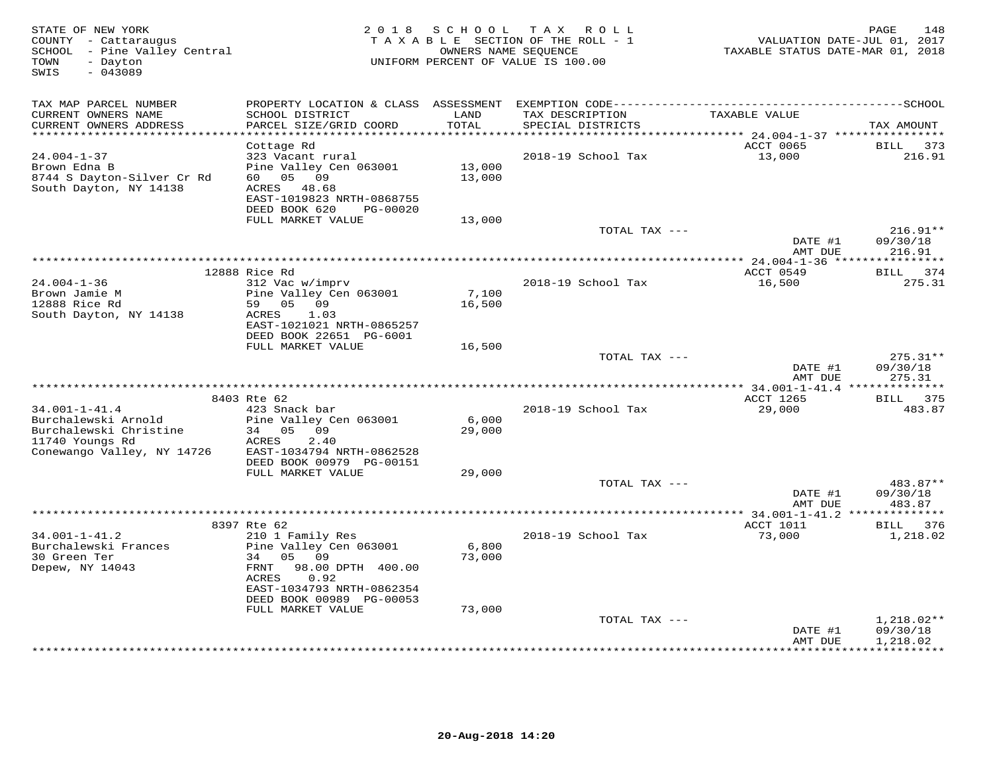| STATE OF NEW YORK<br>COUNTY - Cattaraugus<br>SCHOOL - Pine Valley Central<br>- Dayton<br>TOWN<br>$-043089$<br>SWIS |                                                                                                                                                  |                  | 2018 SCHOOL TAX ROLL<br>TAXABLE SECTION OF THE ROLL - 1<br>OWNERS NAME SEQUENCE<br>UNIFORM PERCENT OF VALUE IS 100.00 | VALUATION DATE-JUL 01, 2017<br>TAXABLE STATUS DATE-MAR 01, 2018 | 148<br>PAGE            |
|--------------------------------------------------------------------------------------------------------------------|--------------------------------------------------------------------------------------------------------------------------------------------------|------------------|-----------------------------------------------------------------------------------------------------------------------|-----------------------------------------------------------------|------------------------|
| TAX MAP PARCEL NUMBER<br>CURRENT OWNERS NAME<br>CURRENT OWNERS ADDRESS                                             | SCHOOL DISTRICT<br>PARCEL SIZE/GRID COORD                                                                                                        | LAND<br>TOTAL    | TAX DESCRIPTION<br>SPECIAL DISTRICTS                                                                                  | TAXABLE VALUE                                                   | TAX AMOUNT             |
| *********************                                                                                              |                                                                                                                                                  | ***********      |                                                                                                                       |                                                                 |                        |
| $24.004 - 1 - 37$<br>Brown Edna B<br>8744 S Dayton-Silver Cr Rd<br>South Dayton, NY 14138                          | Cottage Rd<br>323 Vacant rural<br>Pine Valley Cen 063001<br>60 05 09<br>ACRES<br>48.68<br>EAST-1019823 NRTH-0868755<br>DEED BOOK 620<br>PG-00020 | 13,000<br>13,000 | 2018-19 School Tax                                                                                                    | ACCT 0065<br>13,000                                             | BILL<br>373<br>216.91  |
|                                                                                                                    | FULL MARKET VALUE                                                                                                                                | 13,000           | TOTAL TAX ---                                                                                                         |                                                                 | $216.91**$             |
|                                                                                                                    |                                                                                                                                                  |                  |                                                                                                                       | DATE #1<br>AMT DUE                                              | 09/30/18<br>216.91     |
|                                                                                                                    |                                                                                                                                                  |                  |                                                                                                                       |                                                                 |                        |
|                                                                                                                    | 12888 Rice Rd                                                                                                                                    |                  |                                                                                                                       | ACCT 0549                                                       | BILL 374               |
| $24.004 - 1 - 36$<br>Brown Jamie M<br>12888 Rice Rd                                                                | 312 Vac w/imprv<br>Pine Valley Cen 063001<br>59 05 09                                                                                            | 7,100<br>16,500  | 2018-19 School Tax                                                                                                    | 16,500                                                          | 275.31                 |
| South Dayton, NY 14138                                                                                             | ACRES<br>1.03<br>EAST-1021021 NRTH-0865257<br>DEED BOOK 22651 PG-6001<br>FULL MARKET VALUE                                                       | 16,500           |                                                                                                                       |                                                                 |                        |
|                                                                                                                    |                                                                                                                                                  |                  | TOTAL TAX $---$                                                                                                       | DATE #1                                                         | $275.31**$<br>09/30/18 |
|                                                                                                                    |                                                                                                                                                  |                  |                                                                                                                       | AMT DUE                                                         | 275.31                 |
|                                                                                                                    | 8403 Rte 62                                                                                                                                      |                  |                                                                                                                       | ACCT 1265                                                       | BILL 375               |
| $34.001 - 1 - 41.4$<br>Burchalewski Arnold                                                                         | 423 Snack bar<br>Pine Valley Cen 063001                                                                                                          | 6,000            | 2018-19 School Tax                                                                                                    | 29,000                                                          | 483.87                 |
| Burchalewski Christine<br>11740 Youngs Rd<br>Conewango Valley, NY 14726                                            | 34 05 09<br>ACRES<br>2.40<br>EAST-1034794 NRTH-0862528                                                                                           | 29,000           |                                                                                                                       |                                                                 |                        |
|                                                                                                                    | DEED BOOK 00979 PG-00151<br>FULL MARKET VALUE                                                                                                    | 29,000           |                                                                                                                       |                                                                 |                        |
|                                                                                                                    |                                                                                                                                                  |                  | TOTAL TAX ---                                                                                                         | DATE #1                                                         | 483.87**<br>09/30/18   |
|                                                                                                                    |                                                                                                                                                  |                  |                                                                                                                       | AMT DUE                                                         | 483.87                 |
|                                                                                                                    |                                                                                                                                                  |                  |                                                                                                                       | **** 34.001-1-41.2 **************                               |                        |
|                                                                                                                    | 8397 Rte 62                                                                                                                                      |                  |                                                                                                                       | ACCT 1011                                                       | BILL 376               |
| $34.001 - 1 - 41.2$<br>Burchalewski Frances                                                                        | 210 1 Family Res<br>Pine Valley Cen 063001                                                                                                       | 6,800            | 2018-19 School Tax                                                                                                    | 73,000                                                          | 1,218.02               |
| 30 Green Ter                                                                                                       | 05 09<br>34                                                                                                                                      | 73,000           |                                                                                                                       |                                                                 |                        |
| Depew, NY 14043                                                                                                    | 98.00 DPTH 400.00<br>FRNT<br>0.92<br>ACRES                                                                                                       |                  |                                                                                                                       |                                                                 |                        |
|                                                                                                                    | EAST-1034793 NRTH-0862354<br>DEED BOOK 00989 PG-00053                                                                                            |                  |                                                                                                                       |                                                                 |                        |
|                                                                                                                    | FULL MARKET VALUE                                                                                                                                | 73,000           |                                                                                                                       |                                                                 |                        |
|                                                                                                                    |                                                                                                                                                  |                  | TOTAL TAX ---                                                                                                         |                                                                 | $1,218.02**$           |
|                                                                                                                    |                                                                                                                                                  |                  |                                                                                                                       | DATE #1<br>AMT DUE                                              | 09/30/18<br>1,218.02   |
|                                                                                                                    |                                                                                                                                                  |                  |                                                                                                                       |                                                                 | **********             |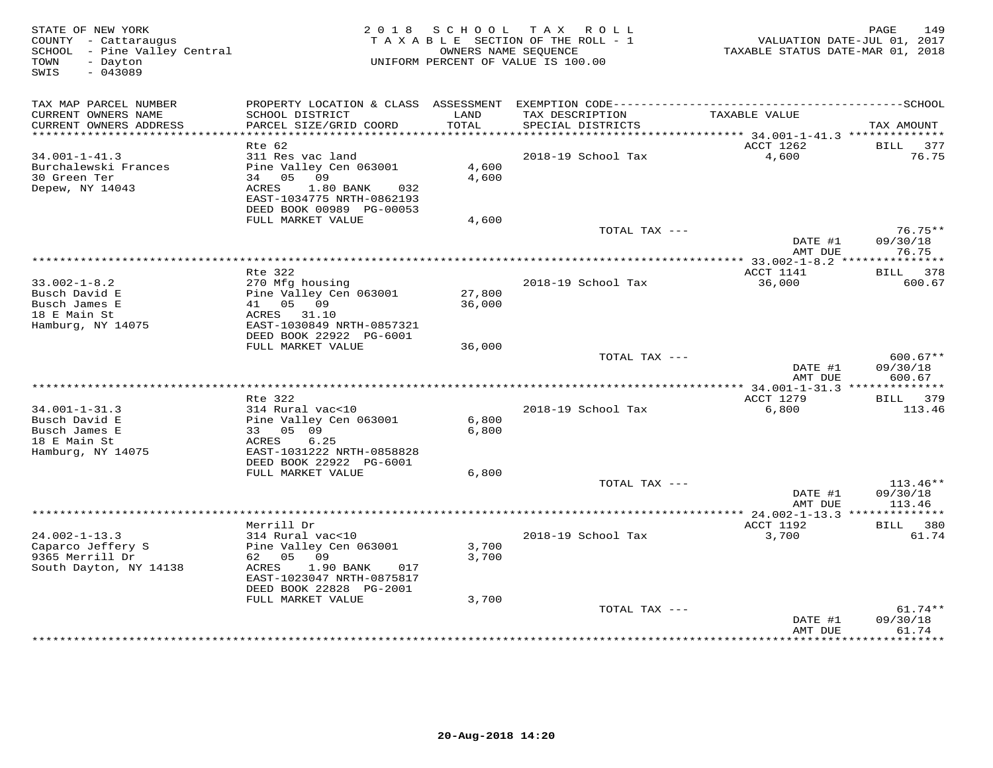| STATE OF NEW YORK<br>COUNTY - Cattaraugus<br>SCHOOL - Pine Valley Central<br>- Dayton<br>TOWN<br>SWIS<br>$-043089$ |                                                       | 2018 SCHOOL   | TAX ROLL<br>TAXABLE SECTION OF THE ROLL - 1<br>OWNERS NAME SEOUENCE<br>UNIFORM PERCENT OF VALUE IS 100.00 | TAXABLE STATUS DATE-MAR 01, 2018              | 149<br>PAGE<br>VALUATION DATE-JUL 01, 2017 |
|--------------------------------------------------------------------------------------------------------------------|-------------------------------------------------------|---------------|-----------------------------------------------------------------------------------------------------------|-----------------------------------------------|--------------------------------------------|
| TAX MAP PARCEL NUMBER                                                                                              |                                                       |               |                                                                                                           |                                               |                                            |
| CURRENT OWNERS NAME<br>CURRENT OWNERS ADDRESS<br>***********************                                           | SCHOOL DISTRICT<br>PARCEL SIZE/GRID COORD             | LAND<br>TOTAL | TAX DESCRIPTION<br>SPECIAL DISTRICTS                                                                      | TAXABLE VALUE                                 | TAX AMOUNT                                 |
|                                                                                                                    | Rte 62                                                |               |                                                                                                           | ACCT 1262                                     | BILL<br>377                                |
| $34.001 - 1 - 41.3$                                                                                                | 311 Res vac land                                      |               | 2018-19 School Tax                                                                                        | 4,600                                         | 76.75                                      |
| Burchalewski Frances                                                                                               | Pine Valley Cen 063001                                | 4,600         |                                                                                                           |                                               |                                            |
| 30 Green Ter                                                                                                       | 34 05 09                                              | 4,600         |                                                                                                           |                                               |                                            |
| Depew, NY 14043                                                                                                    | ACRES<br>$1.80$ BANK<br>032                           |               |                                                                                                           |                                               |                                            |
|                                                                                                                    | EAST-1034775 NRTH-0862193<br>DEED BOOK 00989 PG-00053 |               |                                                                                                           |                                               |                                            |
|                                                                                                                    | FULL MARKET VALUE                                     | 4,600         |                                                                                                           |                                               |                                            |
|                                                                                                                    |                                                       |               | TOTAL TAX ---                                                                                             |                                               | $76.75**$                                  |
|                                                                                                                    |                                                       |               |                                                                                                           | DATE #1<br>AMT DUE                            | 09/30/18<br>76.75                          |
|                                                                                                                    | Rte 322                                               |               |                                                                                                           | ACCT 1141                                     |                                            |
| $33.002 - 1 - 8.2$                                                                                                 | 270 Mfg housing                                       |               | 2018-19 School Tax                                                                                        | 36,000                                        | BILL 378<br>600.67                         |
| Busch David E                                                                                                      | Pine Valley Cen 063001                                | 27,800        |                                                                                                           |                                               |                                            |
| Busch James E                                                                                                      | 41 05 09                                              | 36,000        |                                                                                                           |                                               |                                            |
| 18 E Main St                                                                                                       | ACRES 31.10                                           |               |                                                                                                           |                                               |                                            |
| Hamburg, NY 14075                                                                                                  | EAST-1030849 NRTH-0857321                             |               |                                                                                                           |                                               |                                            |
|                                                                                                                    | DEED BOOK 22922 PG-6001<br>FULL MARKET VALUE          | 36,000        |                                                                                                           |                                               |                                            |
|                                                                                                                    |                                                       |               | TOTAL TAX ---                                                                                             |                                               | $600.67**$                                 |
|                                                                                                                    |                                                       |               |                                                                                                           | DATE #1                                       | 09/30/18                                   |
|                                                                                                                    |                                                       |               |                                                                                                           | AMT DUE                                       | 600.67                                     |
|                                                                                                                    |                                                       |               |                                                                                                           |                                               |                                            |
| $34.001 - 1 - 31.3$                                                                                                | Rte 322<br>314 Rural vac<10                           |               | 2018-19 School Tax                                                                                        | ACCT 1279<br>6,800                            | BILL 379<br>113.46                         |
| Busch David E                                                                                                      | Pine Valley Cen 063001                                | 6,800         |                                                                                                           |                                               |                                            |
| Busch James E                                                                                                      | 33 05 09                                              | 6,800         |                                                                                                           |                                               |                                            |
| 18 E Main St                                                                                                       | 6.25<br>ACRES                                         |               |                                                                                                           |                                               |                                            |
| Hamburg, NY 14075                                                                                                  | EAST-1031222 NRTH-0858828                             |               |                                                                                                           |                                               |                                            |
|                                                                                                                    | DEED BOOK 22922 PG-6001<br>FULL MARKET VALUE          | 6,800         |                                                                                                           |                                               |                                            |
|                                                                                                                    |                                                       |               | TOTAL TAX ---                                                                                             |                                               | 113.46**                                   |
|                                                                                                                    |                                                       |               |                                                                                                           | DATE #1                                       | 09/30/18                                   |
|                                                                                                                    |                                                       |               |                                                                                                           | AMT DUE                                       | 113.46                                     |
|                                                                                                                    |                                                       |               |                                                                                                           | *************** 24.002-1-13.3 *************** |                                            |
|                                                                                                                    | Merrill Dr                                            |               |                                                                                                           | ACCT 1192                                     | BILL 380                                   |
| $24.002 - 1 - 13.3$<br>Caparco Jeffery S                                                                           | 314 Rural vac<10<br>Pine Valley Cen 063001            | 3,700         | 2018-19 School Tax                                                                                        | 3,700                                         | 61.74                                      |
| 9365 Merrill Dr                                                                                                    | 62 05 09                                              | 3,700         |                                                                                                           |                                               |                                            |
| South Dayton, NY 14138                                                                                             | ACRES<br>1.90 BANK<br>017                             |               |                                                                                                           |                                               |                                            |
|                                                                                                                    | EAST-1023047 NRTH-0875817                             |               |                                                                                                           |                                               |                                            |
|                                                                                                                    | DEED BOOK 22828 PG-2001                               |               |                                                                                                           |                                               |                                            |
|                                                                                                                    | FULL MARKET VALUE                                     | 3,700         | TOTAL TAX ---                                                                                             |                                               | $61.74**$                                  |
|                                                                                                                    |                                                       |               |                                                                                                           | DATE #1                                       | 09/30/18                                   |
|                                                                                                                    |                                                       |               |                                                                                                           | AMT DUE                                       | 61.74                                      |
|                                                                                                                    |                                                       |               |                                                                                                           |                                               | .                                          |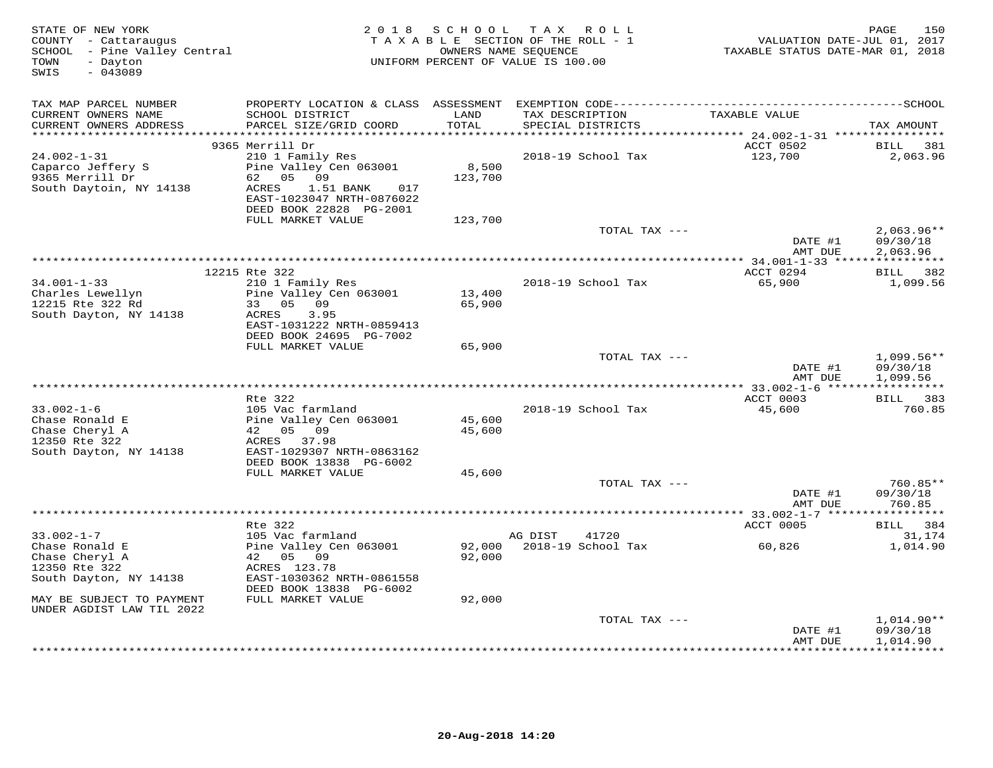| STATE OF NEW YORK<br>COUNTY - Cattaraugus<br>SCHOOL - Pine Valley Central<br>- Dayton<br>TOWN<br>$-043089$<br>SWIS |                                                                                                                                                                  | 2018 SCHOOL      | TAX ROLL<br>TAXABLE SECTION OF THE ROLL - 1<br>OWNERS NAME SEQUENCE<br>UNIFORM PERCENT OF VALUE IS 100.00 | VALUATION DATE-JUL 01, 2017<br>TAXABLE STATUS DATE-MAR 01, 2018 | PAGE<br>150                          |
|--------------------------------------------------------------------------------------------------------------------|------------------------------------------------------------------------------------------------------------------------------------------------------------------|------------------|-----------------------------------------------------------------------------------------------------------|-----------------------------------------------------------------|--------------------------------------|
| TAX MAP PARCEL NUMBER<br>CURRENT OWNERS NAME<br>CURRENT OWNERS ADDRESS                                             | SCHOOL DISTRICT<br>PARCEL SIZE/GRID COORD                                                                                                                        | LAND<br>TOTAL    | TAX DESCRIPTION<br>SPECIAL DISTRICTS                                                                      | TAXABLE VALUE                                                   | TAX AMOUNT                           |
| ************************                                                                                           | 9365 Merrill Dr                                                                                                                                                  |                  |                                                                                                           | ACCT 0502                                                       | BILL<br>381                          |
| $24.002 - 1 - 31$<br>Caparco Jeffery S<br>9365 Merrill Dr<br>South Daytoin, NY 14138                               | 210 1 Family Res<br>Pine Valley Cen 063001<br>62 05 09<br>ACRES<br>1.51 BANK<br>017<br>EAST-1023047 NRTH-0876022<br>DEED BOOK 22828 PG-2001<br>FULL MARKET VALUE | 8,500<br>123,700 | 2018-19 School Tax                                                                                        | 123,700                                                         | 2,063.96                             |
|                                                                                                                    |                                                                                                                                                                  | 123,700          | TOTAL TAX ---                                                                                             |                                                                 | $2,063.96**$                         |
|                                                                                                                    |                                                                                                                                                                  |                  |                                                                                                           | DATE #1<br>AMT DUE                                              | 09/30/18<br>2,063.96                 |
|                                                                                                                    |                                                                                                                                                                  |                  |                                                                                                           |                                                                 |                                      |
| $34.001 - 1 - 33$<br>Charles Lewellyn<br>12215 Rte 322 Rd<br>South Dayton, NY 14138                                | 12215 Rte 322<br>210 1 Family Res<br>Pine Valley Cen 063001<br>33 05<br>09<br>ACRES<br>3.95<br>EAST-1031222 NRTH-0859413<br>DEED BOOK 24695 PG-7002              | 13,400<br>65,900 | 2018-19 School Tax                                                                                        | ACCT 0294<br>65,900                                             | BILL 382<br>1,099.56                 |
|                                                                                                                    | FULL MARKET VALUE                                                                                                                                                | 65,900           |                                                                                                           |                                                                 |                                      |
|                                                                                                                    |                                                                                                                                                                  |                  | TOTAL TAX ---                                                                                             | DATE #1<br>AMT DUE                                              | $1,099.56**$<br>09/30/18<br>1,099.56 |
|                                                                                                                    |                                                                                                                                                                  |                  |                                                                                                           |                                                                 | ***********                          |
|                                                                                                                    | Rte 322                                                                                                                                                          |                  |                                                                                                           | ACCT 0003                                                       | BILL 383                             |
| $33.002 - 1 - 6$<br>Chase Ronald E<br>Chase Cheryl A<br>12350 Rte 322<br>South Dayton, NY 14138                    | 105 Vac farmland<br>Pine Valley Cen 063001<br>42 05 09<br>ACRES 37.98<br>EAST-1029307 NRTH-0863162<br>DEED BOOK 13838 PG-6002                                    | 45,600<br>45,600 | 2018-19 School Tax                                                                                        | 45,600                                                          | 760.85                               |
|                                                                                                                    | FULL MARKET VALUE                                                                                                                                                | 45,600           |                                                                                                           |                                                                 |                                      |
|                                                                                                                    |                                                                                                                                                                  |                  | TOTAL TAX ---                                                                                             | DATE #1<br>AMT DUE                                              | 760.85**<br>09/30/18<br>760.85       |
|                                                                                                                    |                                                                                                                                                                  |                  |                                                                                                           |                                                                 |                                      |
|                                                                                                                    | Rte 322                                                                                                                                                          |                  |                                                                                                           | ACCT 0005                                                       | BILL 384                             |
| $33.002 - 1 - 7$<br>Chase Ronald E<br>Chase Cheryl A<br>12350 Rte 322<br>South Dayton, NY 14138                    | 105 Vac farmland<br>Pine Valley Cen 063001<br>42 05 09<br>ACRES 123.78<br>EAST-1030362 NRTH-0861558<br>DEED BOOK 13838 PG-6002                                   | 92,000<br>92,000 | AG DIST<br>41720<br>2018-19 School Tax                                                                    | 60,826                                                          | 31,174<br>1,014.90                   |
| MAY BE SUBJECT TO PAYMENT                                                                                          | FULL MARKET VALUE                                                                                                                                                | 92,000           |                                                                                                           |                                                                 |                                      |
| UNDER AGDIST LAW TIL 2022                                                                                          |                                                                                                                                                                  |                  |                                                                                                           |                                                                 |                                      |
|                                                                                                                    |                                                                                                                                                                  |                  | TOTAL TAX ---                                                                                             | DATE #1<br>AMT DUE                                              | 1,014.90**<br>09/30/18<br>1,014.90   |
|                                                                                                                    |                                                                                                                                                                  |                  |                                                                                                           |                                                                 | **********                           |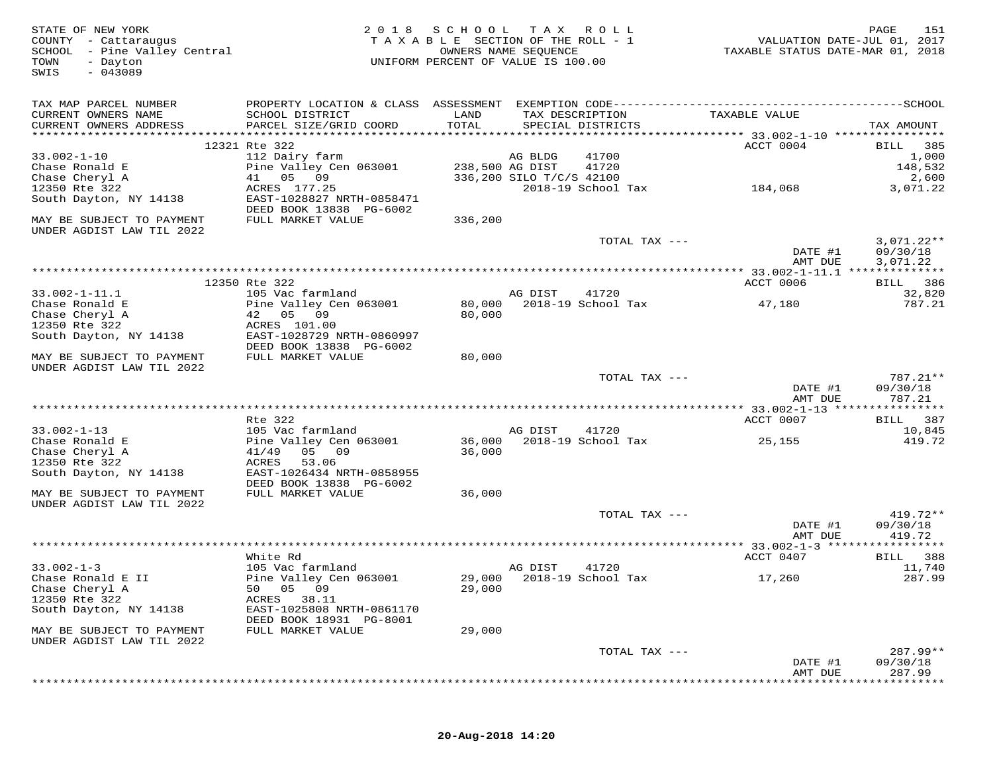| STATE OF NEW YORK<br>COUNTY - Cattaraugus<br>SCHOOL - Pine Valley Central<br>TOWN<br>- Dayton<br>$-043089$<br>SWIS | 2 0 1 8                                                                                      | SCHOOL<br>TAXABLE SECTION OF THE ROLL - 1<br>UNIFORM PERCENT OF VALUE IS 100.00 | T A X<br>OWNERS NAME SEQUENCE | R O L L                              | VALUATION DATE-JUL 01, 2017<br>TAXABLE STATUS DATE-MAR 01, 2018 | PAGE<br>151                          |
|--------------------------------------------------------------------------------------------------------------------|----------------------------------------------------------------------------------------------|---------------------------------------------------------------------------------|-------------------------------|--------------------------------------|-----------------------------------------------------------------|--------------------------------------|
| TAX MAP PARCEL NUMBER                                                                                              | PROPERTY LOCATION & CLASS ASSESSMENT EXEMPTION CODE-----------------------------------SCHOOL |                                                                                 |                               |                                      |                                                                 |                                      |
| CURRENT OWNERS NAME<br>CURRENT OWNERS ADDRESS                                                                      | SCHOOL DISTRICT<br>PARCEL SIZE/GRID COORD                                                    | LAND<br>TOTAL                                                                   |                               | TAX DESCRIPTION<br>SPECIAL DISTRICTS | TAXABLE VALUE                                                   | TAX AMOUNT                           |
|                                                                                                                    |                                                                                              |                                                                                 |                               |                                      |                                                                 |                                      |
| $33.002 - 1 - 10$                                                                                                  | 12321 Rte 322<br>112 Dairy farm                                                              |                                                                                 | AG BLDG                       |                                      | ACCT 0004                                                       | 385<br>BILL<br>1,000                 |
| Chase Ronald E                                                                                                     | Pine Valley Cen 063001                                                                       |                                                                                 | 238,500 AG DIST               | 41700<br>41720                       |                                                                 | 148,532                              |
| Chase Cheryl A                                                                                                     | 05 09<br>41                                                                                  |                                                                                 | 336,200 SILO T/C/S 42100      |                                      |                                                                 | 2,600                                |
| 12350 Rte 322                                                                                                      | ACRES 177.25                                                                                 |                                                                                 |                               | 2018-19 School Tax                   | 184,068                                                         | 3,071.22                             |
| South Dayton, NY 14138                                                                                             | EAST-1028827 NRTH-0858471<br>DEED BOOK 13838 PG-6002                                         |                                                                                 |                               |                                      |                                                                 |                                      |
| MAY BE SUBJECT TO PAYMENT<br>UNDER AGDIST LAW TIL 2022                                                             | FULL MARKET VALUE                                                                            | 336,200                                                                         |                               |                                      |                                                                 |                                      |
|                                                                                                                    |                                                                                              |                                                                                 |                               | TOTAL TAX ---                        | DATE #1<br>AMT DUE                                              | $3,071.22**$<br>09/30/18<br>3,071.22 |
|                                                                                                                    |                                                                                              |                                                                                 |                               |                                      |                                                                 |                                      |
|                                                                                                                    | 12350 Rte 322                                                                                |                                                                                 |                               |                                      | ACCT 0006                                                       | BILL 386                             |
| $33.002 - 1 - 11.1$                                                                                                | 105 Vac farmland                                                                             |                                                                                 | AG DIST                       | 41720                                |                                                                 | 32,820                               |
| Chase Ronald E                                                                                                     | Pine Valley Cen 063001                                                                       | 80,000                                                                          |                               | 2018-19 School Tax                   | 47,180                                                          | 787.21                               |
| Chase Cheryl A<br>12350 Rte 322                                                                                    | 42 05 09<br>ACRES 101.00                                                                     | 80,000                                                                          |                               |                                      |                                                                 |                                      |
| South Dayton, NY 14138                                                                                             | EAST-1028729 NRTH-0860997                                                                    |                                                                                 |                               |                                      |                                                                 |                                      |
|                                                                                                                    | DEED BOOK 13838 PG-6002                                                                      |                                                                                 |                               |                                      |                                                                 |                                      |
| MAY BE SUBJECT TO PAYMENT                                                                                          | FULL MARKET VALUE                                                                            | 80,000                                                                          |                               |                                      |                                                                 |                                      |
| UNDER AGDIST LAW TIL 2022                                                                                          |                                                                                              |                                                                                 |                               |                                      |                                                                 |                                      |
|                                                                                                                    |                                                                                              |                                                                                 |                               | TOTAL TAX ---                        |                                                                 | 787.21**                             |
|                                                                                                                    |                                                                                              |                                                                                 |                               |                                      | DATE #1<br>AMT DUE                                              | 09/30/18<br>787.21                   |
|                                                                                                                    |                                                                                              |                                                                                 |                               |                                      | ********** 33.002-1-13 *****                                    | ********                             |
|                                                                                                                    | Rte 322                                                                                      |                                                                                 |                               |                                      | ACCT 0007                                                       | 387<br>BILL                          |
| $33.002 - 1 - 13$                                                                                                  | 105 Vac farmland                                                                             |                                                                                 | AG DIST                       | 41720                                |                                                                 | 10,845                               |
| Chase Ronald E<br>Chase Cheryl A                                                                                   | Pine Valley Cen 063001<br>05 09<br>41/49                                                     | 36,000<br>36,000                                                                |                               | 2018-19 School Tax                   | 25,155                                                          | 419.72                               |
| 12350 Rte 322                                                                                                      | ACRES<br>53.06                                                                               |                                                                                 |                               |                                      |                                                                 |                                      |
| South Dayton, NY 14138                                                                                             | EAST-1026434 NRTH-0858955                                                                    |                                                                                 |                               |                                      |                                                                 |                                      |
|                                                                                                                    | DEED BOOK 13838 PG-6002                                                                      |                                                                                 |                               |                                      |                                                                 |                                      |
| MAY BE SUBJECT TO PAYMENT                                                                                          | FULL MARKET VALUE                                                                            | 36,000                                                                          |                               |                                      |                                                                 |                                      |
| UNDER AGDIST LAW TIL 2022                                                                                          |                                                                                              |                                                                                 |                               |                                      |                                                                 |                                      |
|                                                                                                                    |                                                                                              |                                                                                 |                               | TOTAL TAX ---                        |                                                                 | 419.72**                             |
|                                                                                                                    |                                                                                              |                                                                                 |                               |                                      | DATE #1<br>AMT DUE                                              | 09/30/18<br>419.72                   |
|                                                                                                                    |                                                                                              |                                                                                 |                               |                                      | *********** 33.002-1-3 ******************                       |                                      |
|                                                                                                                    | White Rd                                                                                     |                                                                                 |                               |                                      | ACCT 0407                                                       | 388<br>BILL                          |
| $33.002 - 1 - 3$                                                                                                   | 105 Vac farmland                                                                             |                                                                                 | AG DIST                       | 41720                                |                                                                 | 11,740                               |
| Chase Ronald E II                                                                                                  | Pine Valley Cen 063001                                                                       |                                                                                 |                               | 29,000 2018-19 School Tax            | 17,260                                                          | 287.99                               |
| Chase Cheryl A                                                                                                     | 50 05 09                                                                                     | 29,000                                                                          |                               |                                      |                                                                 |                                      |
| 12350 Rte 322                                                                                                      | ACRES 38.11                                                                                  |                                                                                 |                               |                                      |                                                                 |                                      |
| South Dayton, NY 14138                                                                                             | EAST-1025808 NRTH-0861170<br>DEED BOOK 18931 PG-8001                                         |                                                                                 |                               |                                      |                                                                 |                                      |
| MAY BE SUBJECT TO PAYMENT<br>UNDER AGDIST LAW TIL 2022                                                             | FULL MARKET VALUE                                                                            | 29,000                                                                          |                               |                                      |                                                                 |                                      |
|                                                                                                                    |                                                                                              |                                                                                 |                               | TOTAL TAX ---                        |                                                                 | 287.99**                             |
|                                                                                                                    |                                                                                              |                                                                                 |                               |                                      | DATE #1                                                         | 09/30/18                             |
|                                                                                                                    |                                                                                              |                                                                                 |                               |                                      | AMT DUE                                                         | 287.99                               |
|                                                                                                                    |                                                                                              |                                                                                 |                               |                                      |                                                                 |                                      |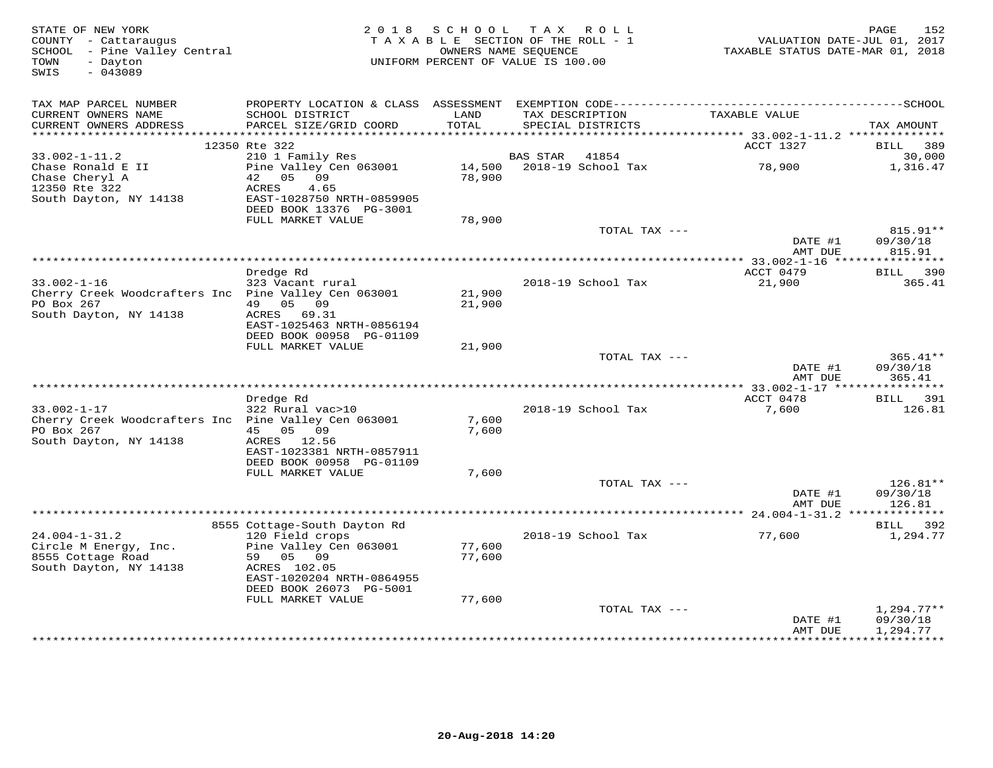| STATE OF NEW YORK<br>COUNTY - Cattaraugus<br>SCHOOL - Pine Valley Central<br>- Dayton<br>TOWN<br>SWIS<br>$-043089$ | 2 0 1 8                                               | SCHOOL<br>TAXABLE SECTION OF THE ROLL - 1<br>OWNERS NAME SEQUENCE<br>UNIFORM PERCENT OF VALUE IS 100.00 | T A X           | ROLL                                 | TAXABLE STATUS DATE-MAR 01, 2018  | 152<br>PAGE<br>VALUATION DATE-JUL 01, 2017 |
|--------------------------------------------------------------------------------------------------------------------|-------------------------------------------------------|---------------------------------------------------------------------------------------------------------|-----------------|--------------------------------------|-----------------------------------|--------------------------------------------|
| TAX MAP PARCEL NUMBER                                                                                              |                                                       |                                                                                                         |                 |                                      |                                   |                                            |
| CURRENT OWNERS NAME<br>CURRENT OWNERS ADDRESS<br>************************                                          | SCHOOL DISTRICT<br>PARCEL SIZE/GRID COORD             | LAND<br>TOTAL                                                                                           |                 | TAX DESCRIPTION<br>SPECIAL DISTRICTS | TAXABLE VALUE                     | TAX AMOUNT                                 |
|                                                                                                                    | 12350 Rte 322                                         |                                                                                                         |                 |                                      | ACCT 1327                         | <b>BILL</b><br>389                         |
| $33.002 - 1 - 11.2$                                                                                                | 210 1 Family Res                                      |                                                                                                         | <b>BAS STAR</b> | 41854                                |                                   | 30,000                                     |
| Chase Ronald E II<br>Chase Cheryl A                                                                                | Pine Valley Cen 063001<br>05 09<br>42                 | 14,500<br>78,900                                                                                        |                 | 2018-19 School Tax                   | 78,900                            | 1,316.47                                   |
| 12350 Rte 322<br>South Dayton, NY 14138                                                                            | ACRES<br>4.65<br>EAST-1028750 NRTH-0859905            |                                                                                                         |                 |                                      |                                   |                                            |
|                                                                                                                    | DEED BOOK 13376 PG-3001<br>FULL MARKET VALUE          | 78,900                                                                                                  |                 |                                      |                                   |                                            |
|                                                                                                                    |                                                       |                                                                                                         |                 | TOTAL TAX ---                        | DATE #1                           | 815.91**<br>09/30/18                       |
|                                                                                                                    |                                                       |                                                                                                         |                 |                                      | AMT DUE                           | 815.91                                     |
|                                                                                                                    | Dredge Rd                                             |                                                                                                         |                 |                                      | ** 33.002-1-16 *****<br>ACCT 0479 | ***********<br>BILL 390                    |
| $33.002 - 1 - 16$                                                                                                  | 323 Vacant rural                                      |                                                                                                         |                 | 2018-19 School Tax                   | 21,900                            | 365.41                                     |
| Cherry Creek Woodcrafters Inc Pine Valley Cen 063001                                                               |                                                       | 21,900                                                                                                  |                 |                                      |                                   |                                            |
| PO Box 267                                                                                                         | 49 05 09                                              | 21,900                                                                                                  |                 |                                      |                                   |                                            |
| South Dayton, NY 14138                                                                                             | ACRES 69.31                                           |                                                                                                         |                 |                                      |                                   |                                            |
|                                                                                                                    | EAST-1025463 NRTH-0856194<br>DEED BOOK 00958 PG-01109 |                                                                                                         |                 |                                      |                                   |                                            |
|                                                                                                                    | FULL MARKET VALUE                                     | 21,900                                                                                                  |                 |                                      |                                   |                                            |
|                                                                                                                    |                                                       |                                                                                                         |                 | TOTAL TAX ---                        |                                   | $365.41**$                                 |
|                                                                                                                    |                                                       |                                                                                                         |                 |                                      | DATE #1                           | 09/30/18                                   |
|                                                                                                                    |                                                       |                                                                                                         |                 |                                      | AMT DUE                           | 365.41                                     |
|                                                                                                                    | Dredge Rd                                             |                                                                                                         |                 |                                      | ACCT 0478                         | 391<br><b>BILL</b>                         |
| $33.002 - 1 - 17$                                                                                                  | 322 Rural vac>10                                      |                                                                                                         |                 | 2018-19 School Tax                   | 7,600                             | 126.81                                     |
| Cherry Creek Woodcrafters Inc Pine Valley Cen 063001                                                               |                                                       | 7,600                                                                                                   |                 |                                      |                                   |                                            |
| PO Box 267                                                                                                         | 45 05 09                                              | 7,600                                                                                                   |                 |                                      |                                   |                                            |
| South Dayton, NY 14138                                                                                             | ACRES 12.56                                           |                                                                                                         |                 |                                      |                                   |                                            |
|                                                                                                                    | EAST-1023381 NRTH-0857911<br>DEED BOOK 00958 PG-01109 |                                                                                                         |                 |                                      |                                   |                                            |
|                                                                                                                    | FULL MARKET VALUE                                     | 7,600                                                                                                   |                 |                                      |                                   |                                            |
|                                                                                                                    |                                                       |                                                                                                         |                 | TOTAL TAX ---                        |                                   | $126.81**$                                 |
|                                                                                                                    |                                                       |                                                                                                         |                 |                                      | DATE #1                           | 09/30/18                                   |
|                                                                                                                    |                                                       |                                                                                                         |                 |                                      | AMT DUE                           | 126.81                                     |
|                                                                                                                    | 8555 Cottage-South Dayton Rd                          |                                                                                                         |                 |                                      |                                   | BILL 392                                   |
| $24.004 - 1 - 31.2$                                                                                                | 120 Field crops                                       |                                                                                                         |                 | 2018-19 School Tax                   | 77,600                            | 1,294.77                                   |
| Circle M Energy, Inc.                                                                                              | Pine Valley Cen 063001                                | 77,600                                                                                                  |                 |                                      |                                   |                                            |
| 8555 Cottage Road                                                                                                  | 59<br>05 09                                           | 77,600                                                                                                  |                 |                                      |                                   |                                            |
| South Dayton, NY 14138                                                                                             | ACRES 102.05<br>EAST-1020204 NRTH-0864955             |                                                                                                         |                 |                                      |                                   |                                            |
|                                                                                                                    | DEED BOOK 26073 PG-5001                               |                                                                                                         |                 |                                      |                                   |                                            |
|                                                                                                                    | FULL MARKET VALUE                                     | 77,600                                                                                                  |                 |                                      |                                   |                                            |
|                                                                                                                    |                                                       |                                                                                                         |                 | TOTAL TAX ---                        |                                   | $1,294.77**$                               |
|                                                                                                                    |                                                       |                                                                                                         |                 |                                      | DATE #1<br>AMT DUE                | 09/30/18<br>1,294.77                       |
|                                                                                                                    |                                                       |                                                                                                         |                 |                                      | *************                     | **********                                 |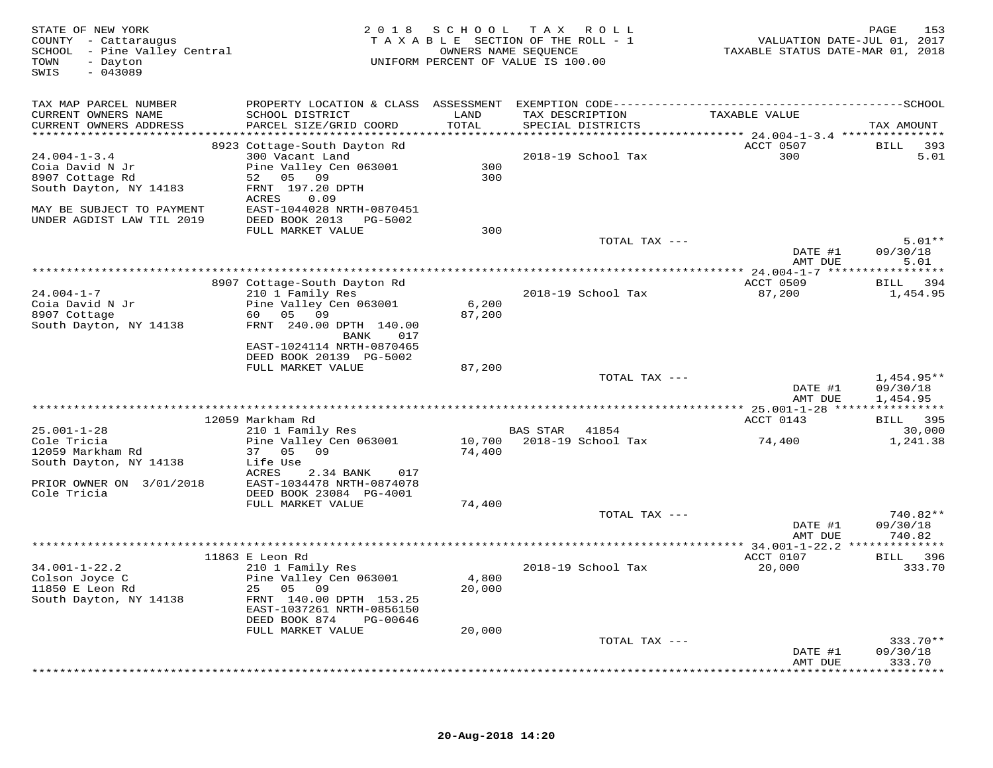| STATE OF NEW YORK<br>COUNTY - Cattaraugus<br>SCHOOL - Pine Valley Central<br>TOWN<br>- Dayton<br>$-043089$<br>SWIS |                                                      |               | 2018 SCHOOL TAX ROLL<br>TAXABLE SECTION OF THE ROLL - 1<br>OWNERS NAME SEQUENCE<br>UNIFORM PERCENT OF VALUE IS 100.00 | VALUATION DATE-JUL 01, 2017<br>TAXABLE STATUS DATE-MAR 01, 2018 | PAGE<br>153        |
|--------------------------------------------------------------------------------------------------------------------|------------------------------------------------------|---------------|-----------------------------------------------------------------------------------------------------------------------|-----------------------------------------------------------------|--------------------|
| TAX MAP PARCEL NUMBER                                                                                              |                                                      |               |                                                                                                                       |                                                                 |                    |
| CURRENT OWNERS NAME<br>CURRENT OWNERS ADDRESS                                                                      | SCHOOL DISTRICT<br>PARCEL SIZE/GRID COORD            | LAND<br>TOTAL | TAX DESCRIPTION<br>SPECIAL DISTRICTS                                                                                  | TAXABLE VALUE                                                   | TAX AMOUNT         |
|                                                                                                                    |                                                      |               |                                                                                                                       |                                                                 |                    |
|                                                                                                                    | 8923 Cottage-South Dayton Rd                         |               |                                                                                                                       | ACCT 0507<br>300                                                | BILL 393           |
| $24.004 - 1 - 3.4$<br>Coia David N Jr                                                                              | 300 Vacant Land<br>Pine Valley Cen 063001            | 300           | 2018-19 School Tax                                                                                                    |                                                                 | 5.01               |
| 8907 Cottage Rd                                                                                                    | 52 05 09                                             | 300           |                                                                                                                       |                                                                 |                    |
| South Dayton, NY 14183                                                                                             | FRNT 197.20 DPTH                                     |               |                                                                                                                       |                                                                 |                    |
|                                                                                                                    | ACRES<br>0.09                                        |               |                                                                                                                       |                                                                 |                    |
| MAY BE SUBJECT TO PAYMENT                                                                                          | EAST-1044028 NRTH-0870451                            |               |                                                                                                                       |                                                                 |                    |
| UNDER AGDIST LAW TIL 2019                                                                                          | DEED BOOK 2013 PG-5002                               |               |                                                                                                                       |                                                                 |                    |
|                                                                                                                    | FULL MARKET VALUE                                    | 300           |                                                                                                                       |                                                                 |                    |
|                                                                                                                    |                                                      |               | TOTAL TAX ---                                                                                                         |                                                                 | $5.01**$           |
|                                                                                                                    |                                                      |               |                                                                                                                       | DATE #1                                                         | 09/30/18           |
|                                                                                                                    |                                                      |               |                                                                                                                       | AMT DUE                                                         | 5.01               |
|                                                                                                                    | 8907 Cottage-South Dayton Rd                         |               |                                                                                                                       | ACCT 0509                                                       | BILL 394           |
| $24.004 - 1 - 7$                                                                                                   | 210 1 Family Res                                     |               | 2018-19 School Tax                                                                                                    | 87,200                                                          | 1,454.95           |
| Coia David N Jr                                                                                                    | Pine Valley Cen 063001                               | 6,200         |                                                                                                                       |                                                                 |                    |
| 8907 Cottage                                                                                                       | 60 05 09                                             | 87,200        |                                                                                                                       |                                                                 |                    |
| South Dayton, NY 14138                                                                                             | FRNT 240.00 DPTH 140.00                              |               |                                                                                                                       |                                                                 |                    |
|                                                                                                                    | BANK<br>017                                          |               |                                                                                                                       |                                                                 |                    |
|                                                                                                                    | EAST-1024114 NRTH-0870465<br>DEED BOOK 20139 PG-5002 |               |                                                                                                                       |                                                                 |                    |
|                                                                                                                    | FULL MARKET VALUE                                    | 87,200        |                                                                                                                       |                                                                 |                    |
|                                                                                                                    |                                                      |               | TOTAL TAX ---                                                                                                         |                                                                 | $1,454.95**$       |
|                                                                                                                    |                                                      |               |                                                                                                                       | DATE #1                                                         | 09/30/18           |
|                                                                                                                    |                                                      |               |                                                                                                                       | AMT DUE                                                         | 1,454.95           |
|                                                                                                                    |                                                      |               |                                                                                                                       |                                                                 |                    |
|                                                                                                                    | 12059 Markham Rd                                     |               |                                                                                                                       | ACCT 0143                                                       | BILL 395           |
| $25.001 - 1 - 28$                                                                                                  | 210 1 Family Res                                     |               | BAS STAR 41854<br>10,700 2018-19 School Tax                                                                           |                                                                 | 30,000             |
| Cole Tricia<br>12059 Markham Rd                                                                                    | Pine Valley Cen 063001<br>37 05 09                   | 74,400        |                                                                                                                       | 74,400                                                          | 1,241.38           |
| South Dayton, NY 14138                                                                                             | Life Use                                             |               |                                                                                                                       |                                                                 |                    |
|                                                                                                                    | ACRES<br>2.34 BANK<br>017                            |               |                                                                                                                       |                                                                 |                    |
| PRIOR OWNER ON 3/01/2018                                                                                           | EAST-1034478 NRTH-0874078                            |               |                                                                                                                       |                                                                 |                    |
| Cole Tricia                                                                                                        | DEED BOOK 23084 PG-4001                              |               |                                                                                                                       |                                                                 |                    |
|                                                                                                                    | FULL MARKET VALUE                                    | 74,400        |                                                                                                                       |                                                                 |                    |
|                                                                                                                    |                                                      |               | TOTAL TAX ---                                                                                                         |                                                                 | 740.82**           |
|                                                                                                                    |                                                      |               |                                                                                                                       | DATE #1<br>AMT DUE                                              | 09/30/18<br>740.82 |
|                                                                                                                    |                                                      |               |                                                                                                                       |                                                                 |                    |
|                                                                                                                    | 11863 E Leon Rd                                      |               |                                                                                                                       | ACCT 0107                                                       | BILL 396           |
| $34.001 - 1 - 22.2$                                                                                                | 210 1 Family Res                                     |               | 2018-19 School Tax                                                                                                    | 20,000                                                          | 333.70             |
| Colson Joyce C                                                                                                     | Pine Valley Cen 063001                               | 4,800         |                                                                                                                       |                                                                 |                    |
| 11850 E Leon Rd                                                                                                    | 25 05 09                                             | 20,000        |                                                                                                                       |                                                                 |                    |
| South Dayton, NY 14138                                                                                             | FRNT 140.00 DPTH 153.25                              |               |                                                                                                                       |                                                                 |                    |
|                                                                                                                    | EAST-1037261 NRTH-0856150                            |               |                                                                                                                       |                                                                 |                    |
|                                                                                                                    | DEED BOOK 874<br>PG-00646<br>FULL MARKET VALUE       | 20,000        |                                                                                                                       |                                                                 |                    |
|                                                                                                                    |                                                      |               | TOTAL TAX ---                                                                                                         |                                                                 | $333.70**$         |
|                                                                                                                    |                                                      |               |                                                                                                                       | DATE #1                                                         | 09/30/18           |
|                                                                                                                    |                                                      |               |                                                                                                                       | AMT DUE                                                         | 333.70             |
|                                                                                                                    |                                                      |               |                                                                                                                       |                                                                 | *********          |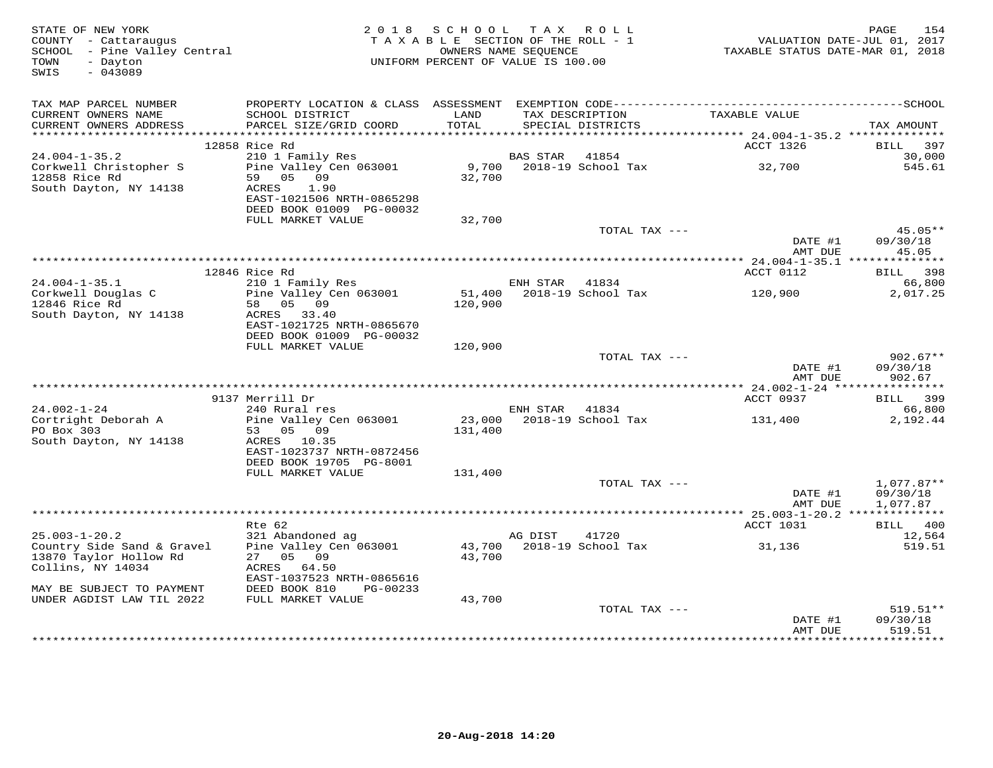| STATE OF NEW YORK<br>COUNTY - Cattaraugus<br>SCHOOL - Pine Valley Central<br>- Dayton<br>TOWN<br>$-043089$<br>SWIS |                                                       | 2018 SCHOOL TAX ROLL<br>TAXABLE SECTION OF THE ROLL - 1<br>OWNERS NAME SEQUENCE<br>UNIFORM PERCENT OF VALUE IS 100.00 |                |                                      | VALUATION DATE-JUL 01, 2017<br>TAXABLE STATUS DATE-MAR 01, 2018 | 154<br>PAGE           |
|--------------------------------------------------------------------------------------------------------------------|-------------------------------------------------------|-----------------------------------------------------------------------------------------------------------------------|----------------|--------------------------------------|-----------------------------------------------------------------|-----------------------|
| TAX MAP PARCEL NUMBER                                                                                              |                                                       |                                                                                                                       |                |                                      |                                                                 |                       |
| CURRENT OWNERS NAME<br>CURRENT OWNERS ADDRESS                                                                      | SCHOOL DISTRICT<br>PARCEL SIZE/GRID COORD             | LAND<br>TOTAL                                                                                                         |                | TAX DESCRIPTION<br>SPECIAL DISTRICTS | TAXABLE VALUE                                                   | TAX AMOUNT            |
|                                                                                                                    |                                                       |                                                                                                                       |                |                                      |                                                                 |                       |
| $24.004 - 1 - 35.2$                                                                                                | 12858 Rice Rd<br>210 1 Family Res                     |                                                                                                                       | BAS STAR       | 41854                                | ACCT 1326                                                       | BILL<br>397<br>30,000 |
| Corkwell Christopher S                                                                                             | Pine Valley Cen 063001                                | 9,700                                                                                                                 |                | 2018-19 School Tax                   | 32,700                                                          | 545.61                |
| 12858 Rice Rd<br>South Dayton, NY 14138                                                                            | 59 05 09<br>ACRES<br>1.90                             | 32,700                                                                                                                |                |                                      |                                                                 |                       |
|                                                                                                                    | EAST-1021506 NRTH-0865298<br>DEED BOOK 01009 PG-00032 |                                                                                                                       |                |                                      |                                                                 |                       |
|                                                                                                                    | FULL MARKET VALUE                                     | 32,700                                                                                                                |                |                                      |                                                                 |                       |
|                                                                                                                    |                                                       |                                                                                                                       |                | TOTAL TAX ---                        |                                                                 | 45.05**               |
|                                                                                                                    |                                                       |                                                                                                                       |                |                                      | DATE #1<br>AMT DUE                                              | 09/30/18<br>45.05     |
|                                                                                                                    |                                                       |                                                                                                                       |                |                                      |                                                                 |                       |
|                                                                                                                    | 12846 Rice Rd                                         |                                                                                                                       |                |                                      | ACCT 0112                                                       | BILL 398              |
| $24.004 - 1 - 35.1$<br>Corkwell Douglas C                                                                          | 210 1 Family Res<br>Pine Valley Cen 063001            |                                                                                                                       | ENH STAR       | 41834<br>51,400 2018-19 School Tax   | 120,900                                                         | 66,800<br>2,017.25    |
| 12846 Rice Rd                                                                                                      | 58 05 09                                              | 120,900                                                                                                               |                |                                      |                                                                 |                       |
| South Dayton, NY 14138                                                                                             | ACRES 33.40                                           |                                                                                                                       |                |                                      |                                                                 |                       |
|                                                                                                                    | EAST-1021725 NRTH-0865670                             |                                                                                                                       |                |                                      |                                                                 |                       |
|                                                                                                                    | DEED BOOK 01009 PG-00032<br>FULL MARKET VALUE         |                                                                                                                       |                |                                      |                                                                 |                       |
|                                                                                                                    |                                                       | 120,900                                                                                                               |                | TOTAL TAX ---                        |                                                                 | $902.67**$            |
|                                                                                                                    |                                                       |                                                                                                                       |                |                                      | DATE #1                                                         | 09/30/18              |
|                                                                                                                    |                                                       |                                                                                                                       |                |                                      | AMT DUE                                                         | 902.67                |
|                                                                                                                    |                                                       |                                                                                                                       |                |                                      |                                                                 |                       |
| $24.002 - 1 - 24$                                                                                                  | 9137 Merrill Dr<br>240 Rural res                      |                                                                                                                       | ENH STAR 41834 |                                      | ACCT 0937                                                       | BILL 399<br>66,800    |
| Cortright Deborah A                                                                                                | Pine Valley Cen 063001                                |                                                                                                                       |                | 23,000 2018-19 School Tax            | 131,400                                                         | 2,192.44              |
| PO Box 303                                                                                                         | 53 05 09                                              | 131,400                                                                                                               |                |                                      |                                                                 |                       |
| South Dayton, NY 14138                                                                                             | ACRES 10.35                                           |                                                                                                                       |                |                                      |                                                                 |                       |
|                                                                                                                    | EAST-1023737 NRTH-0872456                             |                                                                                                                       |                |                                      |                                                                 |                       |
|                                                                                                                    | DEED BOOK 19705 PG-8001<br>FULL MARKET VALUE          | 131,400                                                                                                               |                |                                      |                                                                 |                       |
|                                                                                                                    |                                                       |                                                                                                                       |                | TOTAL TAX ---                        |                                                                 | $1,077.87**$          |
|                                                                                                                    |                                                       |                                                                                                                       |                |                                      | DATE #1                                                         | 09/30/18              |
|                                                                                                                    |                                                       |                                                                                                                       |                |                                      | AMT DUE                                                         | 1,077.87              |
|                                                                                                                    |                                                       |                                                                                                                       |                |                                      |                                                                 |                       |
| $25.003 - 1 - 20.2$                                                                                                | Rte 62                                                |                                                                                                                       | AG DIST        | 41720                                | ACCT 1031                                                       | BILL 400<br>12,564    |
| Country Side Sand & Gravel                                                                                         | 321 Abandoned ag<br>Pine Valley Cen 063001            |                                                                                                                       |                | 43,700 2018-19 School Tax            | 31,136                                                          | 519.51                |
| 13870 Taylor Hollow Rd                                                                                             | 27 05 09                                              | 43,700                                                                                                                |                |                                      |                                                                 |                       |
| Collins, NY 14034                                                                                                  | ACRES<br>64.50                                        |                                                                                                                       |                |                                      |                                                                 |                       |
|                                                                                                                    | EAST-1037523 NRTH-0865616                             |                                                                                                                       |                |                                      |                                                                 |                       |
| MAY BE SUBJECT TO PAYMENT<br>UNDER AGDIST LAW TIL 2022                                                             | DEED BOOK 810<br>PG-00233<br>FULL MARKET VALUE        | 43,700                                                                                                                |                |                                      |                                                                 |                       |
|                                                                                                                    |                                                       |                                                                                                                       |                | TOTAL TAX ---                        |                                                                 | 519.51**              |
|                                                                                                                    |                                                       |                                                                                                                       |                |                                      | DATE #1                                                         | 09/30/18              |
|                                                                                                                    |                                                       |                                                                                                                       |                |                                      | AMT DUE                                                         | 519.51                |
|                                                                                                                    |                                                       |                                                                                                                       |                |                                      |                                                                 |                       |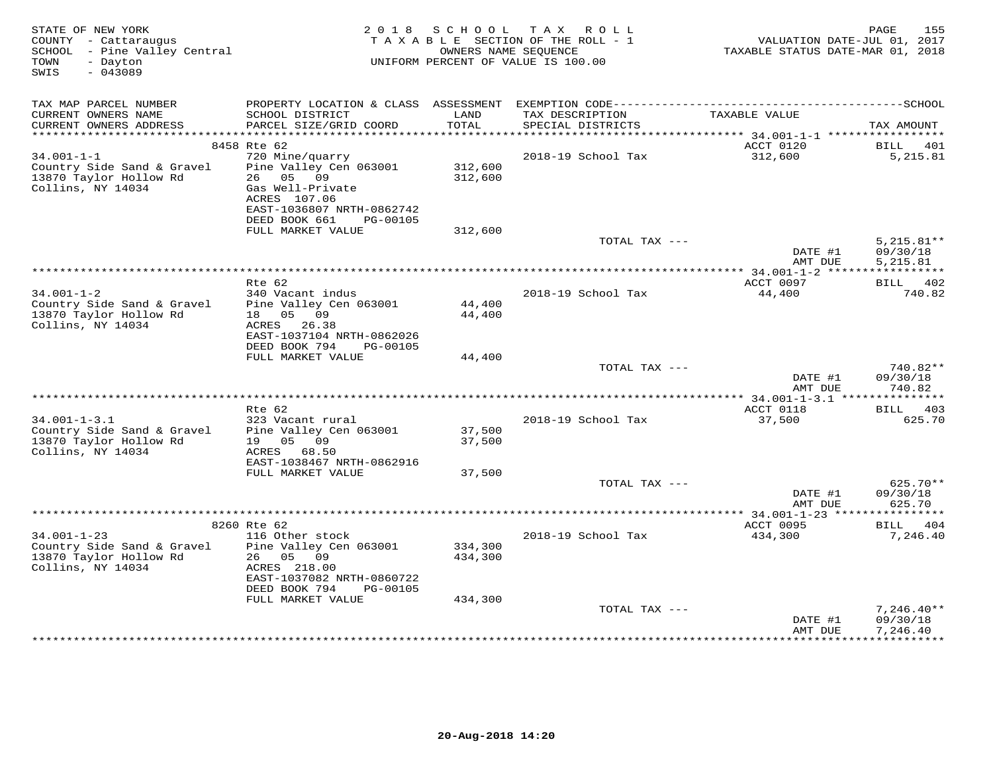| STATE OF NEW YORK<br>COUNTY - Cattaraugus<br>SCHOOL - Pine Valley Central<br>TOWN<br>- Dayton<br>SWIS<br>$-043089$ |                                                                                                                                                      | 2018 SCHOOL                   | TAX ROLL<br>TAXABLE SECTION OF THE ROLL - 1<br>OWNERS NAME SEQUENCE<br>UNIFORM PERCENT OF VALUE IS 100.00 | TAXABLE STATUS DATE-MAR 01, 2018 | 155<br>PAGE<br>VALUATION DATE-JUL 01, 2017 |
|--------------------------------------------------------------------------------------------------------------------|------------------------------------------------------------------------------------------------------------------------------------------------------|-------------------------------|-----------------------------------------------------------------------------------------------------------|----------------------------------|--------------------------------------------|
| TAX MAP PARCEL NUMBER<br>CURRENT OWNERS NAME<br>CURRENT OWNERS ADDRESS                                             | SCHOOL DISTRICT<br>PARCEL SIZE/GRID COORD                                                                                                            | LAND<br>TOTAL                 | TAX DESCRIPTION<br>SPECIAL DISTRICTS                                                                      | TAXABLE VALUE                    | TAX AMOUNT                                 |
|                                                                                                                    |                                                                                                                                                      |                               |                                                                                                           |                                  |                                            |
|                                                                                                                    | 8458 Rte 62                                                                                                                                          |                               |                                                                                                           | ACCT 0120                        | BILL<br>401                                |
| $34.001 - 1 - 1$<br>Country Side Sand & Gravel<br>13870 Taylor Hollow Rd<br>Collins, NY 14034                      | 720 Mine/quarry<br>Pine Valley Cen 063001<br>26 05 09<br>Gas Well-Private<br>ACRES 107.06<br>EAST-1036807 NRTH-0862742<br>DEED BOOK 661<br>PG-00105  | 312,600<br>312,600            | 2018-19 School Tax                                                                                        | 312,600                          | 5,215.81                                   |
|                                                                                                                    | FULL MARKET VALUE                                                                                                                                    | 312,600                       |                                                                                                           |                                  |                                            |
|                                                                                                                    |                                                                                                                                                      |                               | TOTAL TAX ---                                                                                             | DATE #1<br>AMT DUE               | $5.215.81**$<br>09/30/18<br>5,215.81       |
|                                                                                                                    |                                                                                                                                                      |                               |                                                                                                           |                                  |                                            |
|                                                                                                                    | Rte 62                                                                                                                                               |                               |                                                                                                           | ACCT 0097                        | BILL 402                                   |
| $34.001 - 1 - 2$<br>Country Side Sand & Gravel<br>13870 Taylor Hollow Rd<br>Collins, NY 14034                      | 340 Vacant indus<br>Pine Valley Cen 063001<br>18  05  09<br>ACRES 26.38<br>EAST-1037104 NRTH-0862026                                                 | 44,400<br>44,400              | 2018-19 School Tax                                                                                        | 44,400                           | 740.82                                     |
|                                                                                                                    | DEED BOOK 794<br>PG-00105<br>FULL MARKET VALUE                                                                                                       | 44,400                        |                                                                                                           |                                  |                                            |
|                                                                                                                    |                                                                                                                                                      |                               | TOTAL TAX ---                                                                                             | DATE #1<br>AMT DUE               | 740.82**<br>09/30/18<br>740.82             |
|                                                                                                                    |                                                                                                                                                      |                               |                                                                                                           |                                  |                                            |
|                                                                                                                    | $Rte$ 62                                                                                                                                             |                               |                                                                                                           | ACCT 0118                        | 403<br>BILL                                |
| $34.001 - 1 - 3.1$<br>Country Side Sand & Gravel<br>13870 Taylor Hollow Rd                                         | 323 Vacant rural<br>Pine Valley Cen 063001<br>19 05 09                                                                                               | 37,500<br>37,500              | 2018-19 School Tax                                                                                        | 37,500                           | 625.70                                     |
| Collins, NY 14034                                                                                                  | ACRES 68.50<br>EAST-1038467 NRTH-0862916                                                                                                             |                               |                                                                                                           |                                  |                                            |
|                                                                                                                    | FULL MARKET VALUE                                                                                                                                    | 37,500                        |                                                                                                           |                                  |                                            |
|                                                                                                                    |                                                                                                                                                      |                               | TOTAL TAX ---                                                                                             | DATE #1<br>AMT DUE               | 625.70**<br>09/30/18<br>625.70             |
|                                                                                                                    |                                                                                                                                                      |                               |                                                                                                           | ********** 34.001-1-23 ****      | *********                                  |
|                                                                                                                    | 8260 Rte 62                                                                                                                                          |                               |                                                                                                           | ACCT 0095                        | BILL<br>404                                |
| $34.001 - 1 - 23$<br>Country Side Sand & Gravel<br>13870 Taylor Hollow Rd<br>Collins, NY 14034                     | 116 Other stock<br>Pine Valley Cen 063001<br>26 05 09<br>ACRES 218.00<br>EAST-1037082 NRTH-0860722<br>DEED BOOK 794<br>PG-00105<br>FULL MARKET VALUE | 334,300<br>434,300<br>434,300 | 2018-19 School Tax                                                                                        | 434,300                          | 7,246.40                                   |
|                                                                                                                    |                                                                                                                                                      |                               | TOTAL TAX ---                                                                                             | DATE #1<br>AMT DUE               | $7,246.40**$<br>09/30/18<br>7,246.40       |
|                                                                                                                    |                                                                                                                                                      |                               |                                                                                                           |                                  | **********                                 |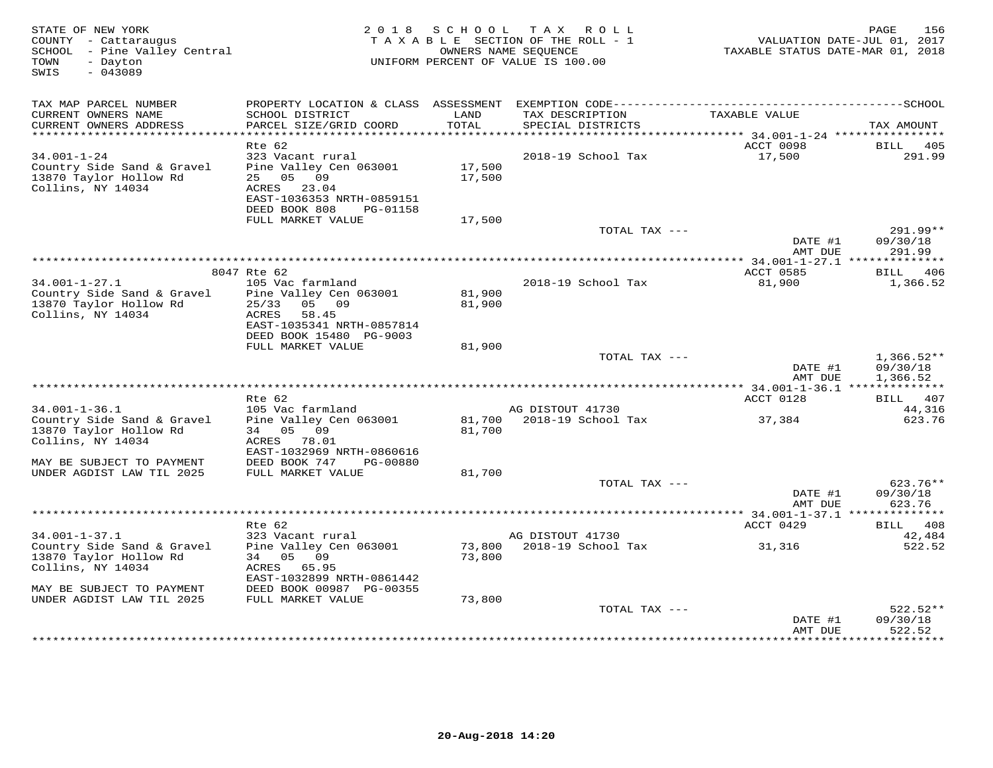| STATE OF NEW YORK<br>COUNTY - Cattaraugus<br>SCHOOL - Pine Valley Central<br>TOWN<br>- Dayton<br>$-043089$ | 2 0 1 8                                              | SCHOOL | TAX ROLL<br>TAXABLE SECTION OF THE ROLL - 1<br>OWNERS NAME SEOUENCE<br>UNIFORM PERCENT OF VALUE IS 100.00 | TAXABLE STATUS DATE-MAR 01, 2018     | 156<br>PAGE<br>VALUATION DATE-JUL 01, 2017 |
|------------------------------------------------------------------------------------------------------------|------------------------------------------------------|--------|-----------------------------------------------------------------------------------------------------------|--------------------------------------|--------------------------------------------|
| SWIS                                                                                                       |                                                      |        |                                                                                                           |                                      |                                            |
| TAX MAP PARCEL NUMBER<br>CURRENT OWNERS NAME                                                               | SCHOOL DISTRICT                                      | LAND   | TAX DESCRIPTION                                                                                           | TAXABLE VALUE                        |                                            |
| CURRENT OWNERS ADDRESS<br>*****************************                                                    | PARCEL SIZE/GRID COORD                               | TOTAL  | SPECIAL DISTRICTS                                                                                         |                                      | TAX AMOUNT                                 |
|                                                                                                            | Rte 62                                               |        |                                                                                                           | ACCT 0098                            | BILL<br>405                                |
| $34.001 - 1 - 24$                                                                                          | 323 Vacant rural                                     |        | 2018-19 School Tax                                                                                        | 17,500                               | 291.99                                     |
| Country Side Sand & Gravel                                                                                 | Pine Valley Cen 063001                               | 17,500 |                                                                                                           |                                      |                                            |
| 13870 Taylor Hollow Rd<br>Collins, NY 14034                                                                | 25<br>05<br>09<br>ACRES<br>23.04                     | 17,500 |                                                                                                           |                                      |                                            |
|                                                                                                            | EAST-1036353 NRTH-0859151                            |        |                                                                                                           |                                      |                                            |
|                                                                                                            | DEED BOOK 808<br>PG-01158                            |        |                                                                                                           |                                      |                                            |
|                                                                                                            | FULL MARKET VALUE                                    | 17,500 |                                                                                                           |                                      |                                            |
|                                                                                                            |                                                      |        | TOTAL TAX ---                                                                                             | DATE #1                              | 291.99**<br>09/30/18                       |
|                                                                                                            |                                                      |        |                                                                                                           | AMT DUE                              | 291.99                                     |
|                                                                                                            |                                                      |        | *************************                                                                                 | ******* 34.001-1-27.1 ************** |                                            |
| $34.001 - 1 - 27.1$                                                                                        | 8047 Rte 62<br>105 Vac farmland                      |        | 2018-19 School Tax                                                                                        | ACCT 0585<br>81,900                  | BILL 406<br>1,366.52                       |
| Country Side Sand & Gravel                                                                                 | Pine Valley Cen 063001                               | 81,900 |                                                                                                           |                                      |                                            |
| 13870 Taylor Hollow Rd                                                                                     | 05 09<br>25/33                                       | 81,900 |                                                                                                           |                                      |                                            |
| Collins, NY 14034                                                                                          | ACRES<br>58.45                                       |        |                                                                                                           |                                      |                                            |
|                                                                                                            | EAST-1035341 NRTH-0857814<br>DEED BOOK 15480 PG-9003 |        |                                                                                                           |                                      |                                            |
|                                                                                                            | FULL MARKET VALUE                                    | 81,900 |                                                                                                           |                                      |                                            |
|                                                                                                            |                                                      |        | TOTAL TAX ---                                                                                             |                                      | $1,366.52**$                               |
|                                                                                                            |                                                      |        |                                                                                                           | DATE #1<br>AMT DUE                   | 09/30/18<br>1,366.52                       |
|                                                                                                            |                                                      |        |                                                                                                           |                                      |                                            |
|                                                                                                            | Rte 62                                               |        |                                                                                                           | ACCT 0128                            | BILL 407                                   |
| $34.001 - 1 - 36.1$                                                                                        | 105 Vac farmland<br>Pine Valley Cen 063001           | 81,700 | AG DISTOUT 41730<br>2018-19 School Tax                                                                    |                                      | 44,316<br>623.76                           |
| Country Side Sand & Gravel<br>13870 Taylor Hollow Rd                                                       | 34 05 09                                             | 81,700 |                                                                                                           | 37,384                               |                                            |
| Collins, NY 14034                                                                                          | ACRES 78.01                                          |        |                                                                                                           |                                      |                                            |
|                                                                                                            | EAST-1032969 NRTH-0860616                            |        |                                                                                                           |                                      |                                            |
| MAY BE SUBJECT TO PAYMENT<br>UNDER AGDIST LAW TIL 2025                                                     | DEED BOOK 747<br>PG-00880<br>FULL MARKET VALUE       | 81,700 |                                                                                                           |                                      |                                            |
|                                                                                                            |                                                      |        | TOTAL TAX ---                                                                                             |                                      | 623.76**                                   |
|                                                                                                            |                                                      |        |                                                                                                           | DATE #1                              | 09/30/18                                   |
| ******************************                                                                             |                                                      |        |                                                                                                           | AMT DUE                              | 623.76                                     |
|                                                                                                            | Rte 62                                               |        |                                                                                                           | ACCT 0429                            | <b>BILL</b><br>408                         |
| $34.001 - 1 - 37.1$                                                                                        | 323 Vacant rural                                     |        | AG DISTOUT 41730                                                                                          |                                      | 42,484                                     |
| Country Side Sand & Gravel                                                                                 | Pine Valley Cen 063001                               | 73,800 | 2018-19 School Tax                                                                                        | 31,316                               | 522.52                                     |
| 13870 Taylor Hollow Rd<br>Collins, NY 14034                                                                | 05<br>09<br>34<br>ACRES<br>65.95                     | 73,800 |                                                                                                           |                                      |                                            |
|                                                                                                            | EAST-1032899 NRTH-0861442                            |        |                                                                                                           |                                      |                                            |
| MAY BE SUBJECT TO PAYMENT                                                                                  | DEED BOOK 00987 PG-00355                             |        |                                                                                                           |                                      |                                            |
| UNDER AGDIST LAW TIL 2025                                                                                  | FULL MARKET VALUE                                    | 73,800 | TOTAL TAX ---                                                                                             |                                      | $522.52**$                                 |
|                                                                                                            |                                                      |        |                                                                                                           | DATE #1                              | 09/30/18                                   |
|                                                                                                            |                                                      |        |                                                                                                           | AMT DUE                              | 522.52                                     |
|                                                                                                            |                                                      |        |                                                                                                           | * * * * * * * * * * * * * * * * *    | **********                                 |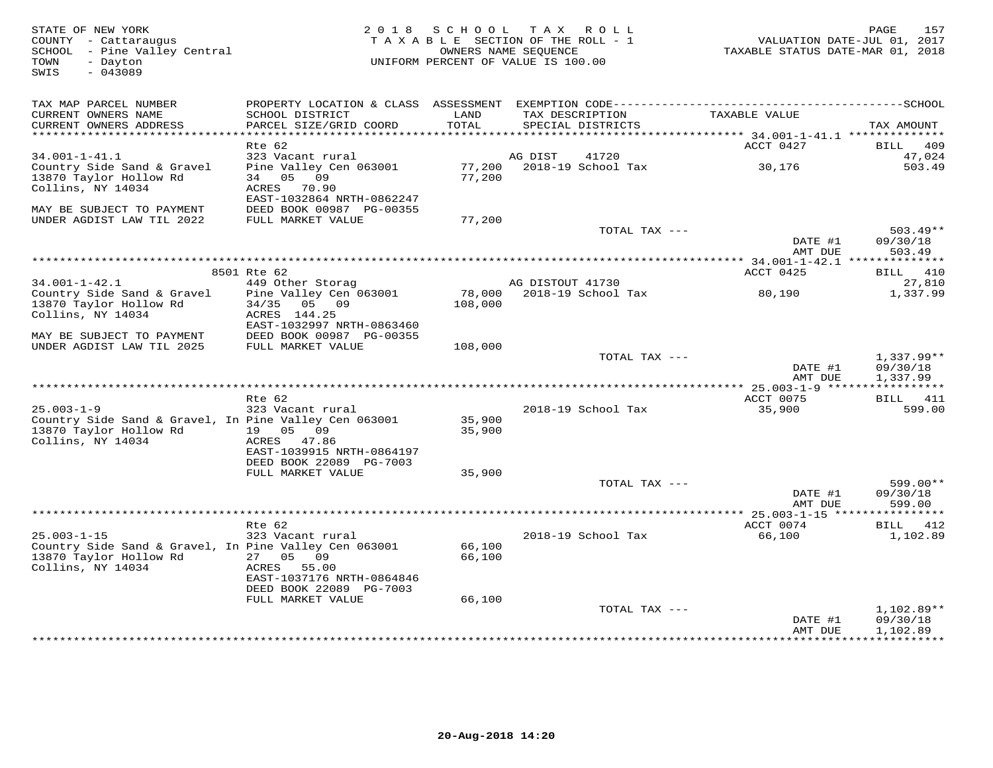| STATE OF NEW YORK<br>COUNTY - Cattaraugus<br>SCHOOL - Pine Valley Central<br>- Dayton<br>TOWN<br>SWIS<br>$-043089$ | 2 0 1 8<br>SCHOOL<br>TAX ROLL<br>TAXABLE SECTION OF THE ROLL - 1<br>OWNERS NAME SEOUENCE<br>UNIFORM PERCENT OF VALUE IS 100.00 |                  |                  | 157<br>PAGE<br>VALUATION DATE-JUL 01, 2017<br>TAXABLE STATUS DATE-MAR 01, 2018 |                    |                                      |
|--------------------------------------------------------------------------------------------------------------------|--------------------------------------------------------------------------------------------------------------------------------|------------------|------------------|--------------------------------------------------------------------------------|--------------------|--------------------------------------|
| TAX MAP PARCEL NUMBER                                                                                              |                                                                                                                                |                  |                  |                                                                                |                    |                                      |
| CURRENT OWNERS NAME<br>CURRENT OWNERS ADDRESS<br>**************************                                        | SCHOOL DISTRICT<br>PARCEL SIZE/GRID COORD                                                                                      | LAND<br>TOTAL    |                  | TAX DESCRIPTION<br>SPECIAL DISTRICTS                                           | TAXABLE VALUE      | TAX AMOUNT                           |
|                                                                                                                    | Rte 62                                                                                                                         |                  |                  |                                                                                | ACCT 0427          | 409<br>BILL                          |
| $34.001 - 1 - 41.1$                                                                                                | 323 Vacant rural                                                                                                               |                  | AG DIST          | 41720                                                                          |                    | 47,024                               |
| Country Side Sand & Gravel<br>13870 Taylor Hollow Rd                                                               | Pine Valley Cen 063001<br>34 05 09                                                                                             | 77,200<br>77,200 |                  | 2018-19 School Tax                                                             | 30,176             | 503.49                               |
| Collins, NY 14034                                                                                                  | ACRES<br>70.90<br>EAST-1032864 NRTH-0862247                                                                                    |                  |                  |                                                                                |                    |                                      |
| MAY BE SUBJECT TO PAYMENT<br>UNDER AGDIST LAW TIL 2022                                                             | DEED BOOK 00987 PG-00355<br>FULL MARKET VALUE                                                                                  | 77,200           |                  |                                                                                |                    |                                      |
|                                                                                                                    |                                                                                                                                |                  |                  | TOTAL TAX ---                                                                  | DATE #1            | $503.49**$<br>09/30/18               |
|                                                                                                                    |                                                                                                                                |                  |                  |                                                                                | AMT DUE            | 503.49                               |
|                                                                                                                    | 8501 Rte 62                                                                                                                    |                  |                  |                                                                                | ACCT 0425          | BILL 410                             |
| $34.001 - 1 - 42.1$                                                                                                | 449 Other Storag                                                                                                               |                  | AG DISTOUT 41730 |                                                                                |                    | 27,810                               |
| Country Side Sand & Gravel<br>13870 Taylor Hollow Rd<br>Collins, NY 14034                                          | Pine Valley Cen 063001<br>34/35<br>05 09<br>ACRES 144.25                                                                       | 108,000          |                  | 78,000 2018-19 School Tax                                                      | 80,190             | 1,337.99                             |
| MAY BE SUBJECT TO PAYMENT                                                                                          | EAST-1032997 NRTH-0863460<br>DEED BOOK 00987 PG-00355                                                                          |                  |                  |                                                                                |                    |                                      |
| UNDER AGDIST LAW TIL 2025                                                                                          | FULL MARKET VALUE                                                                                                              | 108,000          |                  |                                                                                |                    |                                      |
|                                                                                                                    |                                                                                                                                |                  |                  | TOTAL TAX ---                                                                  | DATE #1<br>AMT DUE | $1,337.99**$<br>09/30/18<br>1,337.99 |
|                                                                                                                    |                                                                                                                                |                  |                  |                                                                                |                    |                                      |
|                                                                                                                    | Rte 62                                                                                                                         |                  |                  |                                                                                | ACCT 0075          | BILL 411                             |
| $25.003 - 1 - 9$                                                                                                   | 323 Vacant rural                                                                                                               |                  |                  | 2018-19 School Tax                                                             | 35,900             | 599.00                               |
| Country Side Sand & Gravel, In Pine Valley Cen 063001<br>13870 Taylor Hollow Rd<br>Collins, NY 14034               | 19 05 09<br>ACRES 47.86                                                                                                        | 35,900<br>35,900 |                  |                                                                                |                    |                                      |
|                                                                                                                    | EAST-1039915 NRTH-0864197<br>DEED BOOK 22089 PG-7003                                                                           |                  |                  |                                                                                |                    |                                      |
|                                                                                                                    | FULL MARKET VALUE                                                                                                              | 35,900           |                  | TOTAL TAX ---                                                                  |                    | 599.00**                             |
|                                                                                                                    |                                                                                                                                |                  |                  |                                                                                | DATE #1<br>AMT DUE | 09/30/18<br>599.00                   |
|                                                                                                                    |                                                                                                                                |                  |                  |                                                                                |                    | ***********                          |
|                                                                                                                    | Rte 62                                                                                                                         |                  |                  |                                                                                | ACCT 0074          | BILL 412                             |
| $25.003 - 1 - 15$<br>Country Side Sand & Gravel, In Pine Valley Cen 063001<br>13870 Taylor Hollow Rd               | 323 Vacant rural<br>27 05 09                                                                                                   | 66,100<br>66,100 |                  | 2018-19 School Tax                                                             | 66,100             | 1,102.89                             |
| Collins, NY 14034                                                                                                  | ACRES 55.00<br>EAST-1037176 NRTH-0864846<br>DEED BOOK 22089 PG-7003                                                            |                  |                  |                                                                                |                    |                                      |
|                                                                                                                    | FULL MARKET VALUE                                                                                                              | 66,100           |                  |                                                                                |                    |                                      |
|                                                                                                                    |                                                                                                                                |                  |                  | TOTAL TAX ---                                                                  | DATE #1<br>AMT DUE | 1,102.89**<br>09/30/18<br>1,102.89   |
|                                                                                                                    |                                                                                                                                |                  |                  |                                                                                |                    | .                                    |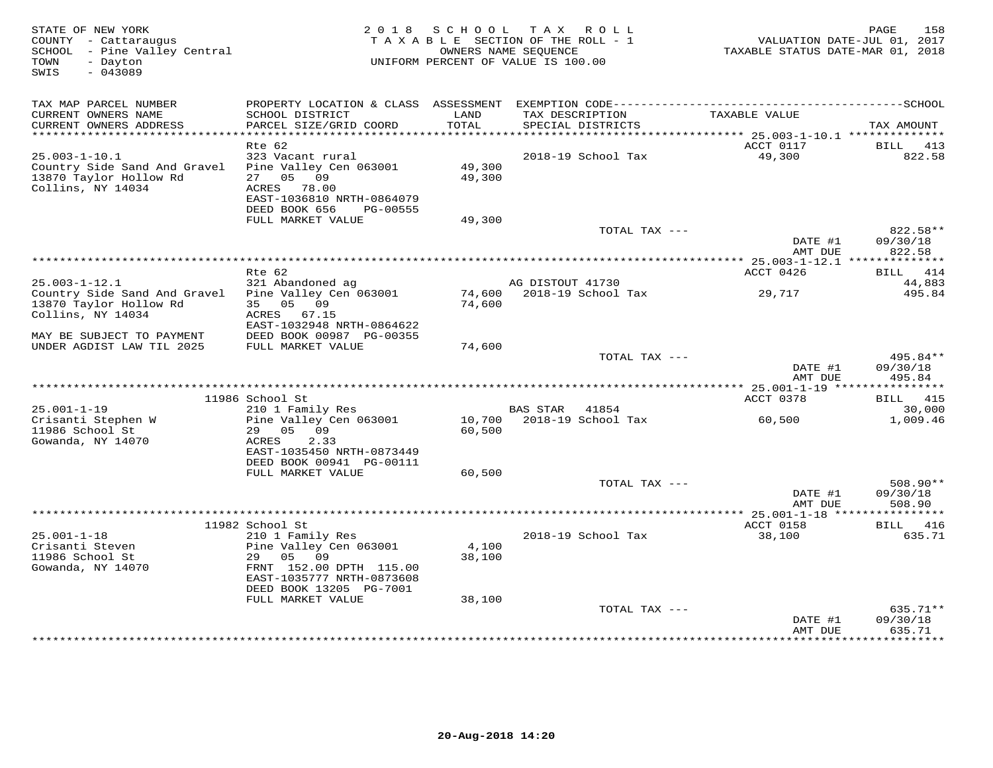| STATE OF NEW YORK<br>COUNTY - Cattaraugus<br>SCHOOL - Pine Valley Central<br>TOWN<br>- Dayton | 2 0 1 8                                        | SCHOOL          | TAX ROLL<br>TAXABLE SECTION OF THE ROLL - 1<br>OWNERS NAME SEQUENCE<br>UNIFORM PERCENT OF VALUE IS 100.00 | VALUATION DATE-JUL 01, 2017<br>TAXABLE STATUS DATE-MAR 01, 2018 | 158<br>PAGE           |
|-----------------------------------------------------------------------------------------------|------------------------------------------------|-----------------|-----------------------------------------------------------------------------------------------------------|-----------------------------------------------------------------|-----------------------|
| $-043089$<br>SWIS                                                                             |                                                |                 |                                                                                                           |                                                                 |                       |
| TAX MAP PARCEL NUMBER                                                                         |                                                |                 |                                                                                                           |                                                                 |                       |
| CURRENT OWNERS NAME<br>CURRENT OWNERS ADDRESS<br>**********************                       | SCHOOL DISTRICT<br>PARCEL SIZE/GRID COORD      | LAND<br>TOTAL   | TAX DESCRIPTION<br>SPECIAL DISTRICTS                                                                      | TAXABLE VALUE                                                   | TAX AMOUNT            |
|                                                                                               | $Rte$ 62                                       |                 |                                                                                                           | ACCT 0117                                                       | <b>BILL</b><br>413    |
| $25.003 - 1 - 10.1$                                                                           | 323 Vacant rural                               |                 | 2018-19 School Tax                                                                                        | 49,300                                                          | 822.58                |
| Country Side Sand And Gravel                                                                  | Pine Valley Cen 063001                         | 49,300          |                                                                                                           |                                                                 |                       |
| 13870 Taylor Hollow Rd                                                                        | 05<br>09<br>27                                 | 49,300          |                                                                                                           |                                                                 |                       |
| Collins, NY 14034                                                                             | ACRES<br>78.00                                 |                 |                                                                                                           |                                                                 |                       |
|                                                                                               | EAST-1036810 NRTH-0864079                      |                 |                                                                                                           |                                                                 |                       |
|                                                                                               | DEED BOOK 656<br>PG-00555<br>FULL MARKET VALUE | 49,300          |                                                                                                           |                                                                 |                       |
|                                                                                               |                                                |                 | TOTAL TAX ---                                                                                             |                                                                 | 822.58**              |
|                                                                                               |                                                |                 |                                                                                                           | DATE #1                                                         | 09/30/18              |
|                                                                                               |                                                |                 |                                                                                                           | AMT DUE                                                         | 822.58                |
|                                                                                               |                                                |                 | ***********************************                                                                       | ************ 25.003-1-12.1 **************                       |                       |
| $25.003 - 1 - 12.1$                                                                           | Rte 62<br>321 Abandoned ag                     |                 | AG DISTOUT 41730                                                                                          | ACCT 0426                                                       | 414<br>BILL<br>44,883 |
| Country Side Sand And Gravel                                                                  | Pine Valley Cen 063001                         | 74,600          | 2018-19 School Tax                                                                                        | 29,717                                                          | 495.84                |
| 13870 Taylor Hollow Rd                                                                        | 35 05 09                                       | 74,600          |                                                                                                           |                                                                 |                       |
| Collins, NY 14034                                                                             | ACRES 67.15                                    |                 |                                                                                                           |                                                                 |                       |
|                                                                                               | EAST-1032948 NRTH-0864622                      |                 |                                                                                                           |                                                                 |                       |
| MAY BE SUBJECT TO PAYMENT<br>UNDER AGDIST LAW TIL 2025                                        | DEED BOOK 00987 PG-00355<br>FULL MARKET VALUE  | 74,600          |                                                                                                           |                                                                 |                       |
|                                                                                               |                                                |                 | TOTAL TAX ---                                                                                             |                                                                 | 495.84**              |
|                                                                                               |                                                |                 |                                                                                                           | DATE #1                                                         | 09/30/18              |
|                                                                                               |                                                |                 |                                                                                                           | AMT DUE                                                         | 495.84                |
|                                                                                               |                                                |                 |                                                                                                           |                                                                 |                       |
|                                                                                               | 11986 School St                                |                 |                                                                                                           | ACCT 0378                                                       | <b>BILL</b> 415       |
| $25.001 - 1 - 19$<br>Crisanti Stephen W                                                       | 210 1 Family Res<br>Pine Valley Cen 063001     | 10,700          | <b>BAS STAR</b><br>41854<br>2018-19 School Tax                                                            | 60,500                                                          | 30,000<br>1,009.46    |
| 11986 School St                                                                               | 29 05<br>09                                    | 60,500          |                                                                                                           |                                                                 |                       |
| Gowanda, NY 14070                                                                             | ACRES<br>2.33                                  |                 |                                                                                                           |                                                                 |                       |
|                                                                                               | EAST-1035450 NRTH-0873449                      |                 |                                                                                                           |                                                                 |                       |
|                                                                                               | DEED BOOK 00941 PG-00111                       |                 |                                                                                                           |                                                                 |                       |
|                                                                                               | FULL MARKET VALUE                              | 60,500          | TOTAL TAX ---                                                                                             |                                                                 | $508.90**$            |
|                                                                                               |                                                |                 |                                                                                                           | DATE #1                                                         | 09/30/18              |
|                                                                                               |                                                |                 |                                                                                                           | AMT DUE                                                         | 508.90                |
|                                                                                               |                                                |                 |                                                                                                           | ****************** 25.001-1-18 *****                            |                       |
|                                                                                               | 11982 School St                                |                 |                                                                                                           | ACCT 0158                                                       | 416<br>BILL           |
| $25.001 - 1 - 18$                                                                             | 210 1 Family Res                               |                 | 2018-19 School Tax                                                                                        | 38,100                                                          | 635.71                |
| Crisanti Steven<br>11986 School St                                                            | Pine Valley Cen 063001<br>29<br>05<br>09       | 4,100<br>38,100 |                                                                                                           |                                                                 |                       |
| Gowanda, NY 14070                                                                             | FRNT 152.00 DPTH 115.00                        |                 |                                                                                                           |                                                                 |                       |
|                                                                                               | EAST-1035777 NRTH-0873608                      |                 |                                                                                                           |                                                                 |                       |
|                                                                                               | DEED BOOK 13205 PG-7001                        |                 |                                                                                                           |                                                                 |                       |
|                                                                                               | FULL MARKET VALUE                              | 38,100          |                                                                                                           |                                                                 |                       |
|                                                                                               |                                                |                 | TOTAL TAX ---                                                                                             |                                                                 | 635.71**              |
|                                                                                               |                                                |                 |                                                                                                           | DATE #1<br>AMT DUE                                              | 09/30/18<br>635.71    |
|                                                                                               |                                                |                 |                                                                                                           | **********                                                      | *********             |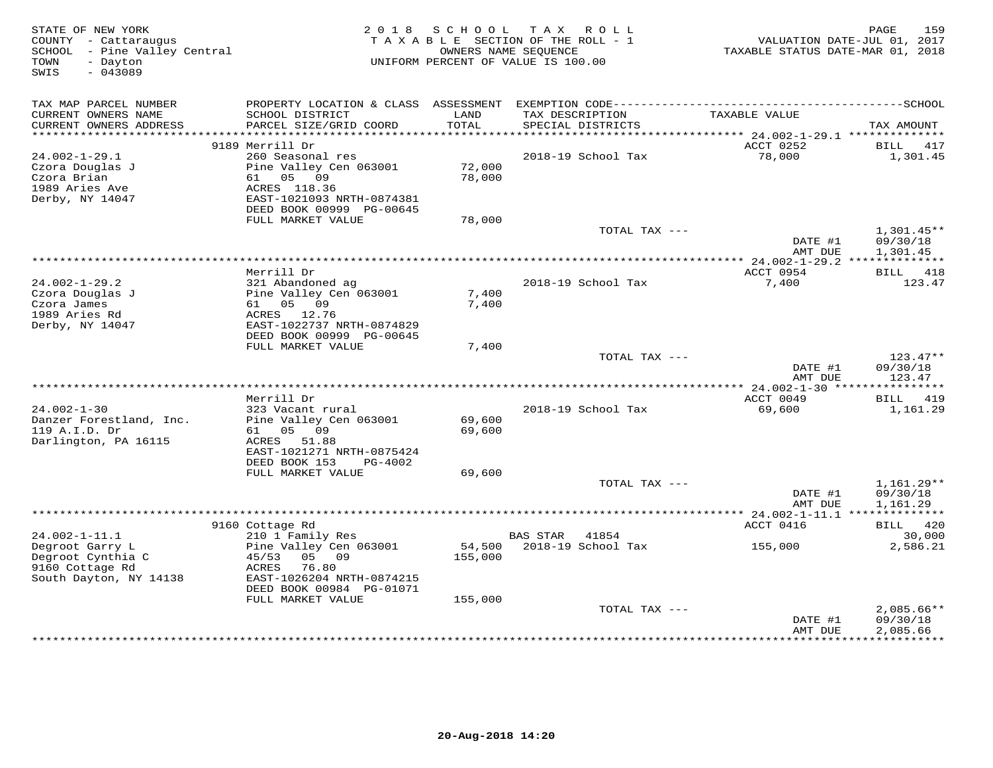| STATE OF NEW YORK<br>COUNTY - Cattaraugus<br>SCHOOL - Pine Valley Central<br>- Dayton<br>TOWN<br>SWIS<br>$-043089$ |                                               | 2018 SCHOOL      | T A X<br>R O L L<br>TAXABLE SECTION OF THE ROLL - 1<br>OWNERS NAME SEQUENCE<br>UNIFORM PERCENT OF VALUE IS 100.00 | VALUATION DATE-JUL 01, 2017<br>TAXABLE STATUS DATE-MAR 01, 2018 | 159<br>PAGE                         |
|--------------------------------------------------------------------------------------------------------------------|-----------------------------------------------|------------------|-------------------------------------------------------------------------------------------------------------------|-----------------------------------------------------------------|-------------------------------------|
| TAX MAP PARCEL NUMBER                                                                                              |                                               |                  |                                                                                                                   |                                                                 |                                     |
| CURRENT OWNERS NAME<br>CURRENT OWNERS ADDRESS                                                                      | SCHOOL DISTRICT<br>PARCEL SIZE/GRID COORD     | LAND<br>TOTAL    | TAX DESCRIPTION<br>SPECIAL DISTRICTS                                                                              | TAXABLE VALUE                                                   | TAX AMOUNT                          |
|                                                                                                                    | 9189 Merrill Dr                               |                  |                                                                                                                   | ACCT 0252                                                       | BILL 417                            |
| $24.002 - 1 - 29.1$                                                                                                | 260 Seasonal res                              |                  | 2018-19 School Tax                                                                                                | 78,000                                                          | 1,301.45                            |
| Czora Douglas J                                                                                                    | Pine Valley Cen 063001                        | 72,000           |                                                                                                                   |                                                                 |                                     |
| Czora Brian                                                                                                        | 61 05 09                                      | 78,000           |                                                                                                                   |                                                                 |                                     |
| 1989 Aries Ave                                                                                                     | ACRES 118.36                                  |                  |                                                                                                                   |                                                                 |                                     |
| Derby, NY 14047                                                                                                    | EAST-1021093 NRTH-0874381                     |                  |                                                                                                                   |                                                                 |                                     |
|                                                                                                                    | DEED BOOK 00999 PG-00645<br>FULL MARKET VALUE | 78,000           |                                                                                                                   |                                                                 |                                     |
|                                                                                                                    |                                               |                  | TOTAL TAX ---                                                                                                     |                                                                 | $1,301.45**$                        |
|                                                                                                                    |                                               |                  |                                                                                                                   | DATE #1                                                         | 09/30/18                            |
|                                                                                                                    |                                               |                  |                                                                                                                   | AMT DUE                                                         | 1,301.45                            |
|                                                                                                                    |                                               |                  |                                                                                                                   |                                                                 |                                     |
|                                                                                                                    | Merrill Dr                                    |                  |                                                                                                                   | ACCT 0954                                                       | BILL 418                            |
| $24.002 - 1 - 29.2$<br>Czora Douglas J                                                                             | 321 Abandoned ag<br>Pine Valley Cen 063001    | 7,400            | 2018-19 School Tax                                                                                                | 7,400                                                           | 123.47                              |
| Czora James                                                                                                        | 61 05 09                                      | 7,400            |                                                                                                                   |                                                                 |                                     |
| 1989 Aries Rd                                                                                                      | ACRES 12.76                                   |                  |                                                                                                                   |                                                                 |                                     |
| Derby, NY 14047                                                                                                    | EAST-1022737 NRTH-0874829                     |                  |                                                                                                                   |                                                                 |                                     |
|                                                                                                                    | DEED BOOK 00999 PG-00645                      |                  |                                                                                                                   |                                                                 |                                     |
|                                                                                                                    | FULL MARKET VALUE                             | 7,400            | TOTAL TAX ---                                                                                                     |                                                                 | $123.47**$                          |
|                                                                                                                    |                                               |                  |                                                                                                                   | DATE #1                                                         | 09/30/18                            |
|                                                                                                                    |                                               |                  |                                                                                                                   | AMT DUE                                                         | 123.47                              |
|                                                                                                                    |                                               |                  |                                                                                                                   |                                                                 |                                     |
|                                                                                                                    | Merrill Dr                                    |                  |                                                                                                                   | ACCT 0049                                                       | <b>BILL</b> 419                     |
| $24.002 - 1 - 30$                                                                                                  | 323 Vacant rural                              |                  | 2018-19 School Tax                                                                                                | 69,600                                                          | 1,161.29                            |
| Danzer Forestland, Inc.<br>119 A.I.D. Dr                                                                           | Pine Valley Cen 063001<br>61 05 09            | 69,600<br>69,600 |                                                                                                                   |                                                                 |                                     |
| Darlington, PA 16115                                                                                               | ACRES 51.88                                   |                  |                                                                                                                   |                                                                 |                                     |
|                                                                                                                    | EAST-1021271 NRTH-0875424                     |                  |                                                                                                                   |                                                                 |                                     |
|                                                                                                                    | DEED BOOK 153<br>PG-4002                      |                  |                                                                                                                   |                                                                 |                                     |
|                                                                                                                    | FULL MARKET VALUE                             | 69,600           |                                                                                                                   |                                                                 |                                     |
|                                                                                                                    |                                               |                  | TOTAL TAX ---                                                                                                     |                                                                 | $1,161.29**$                        |
|                                                                                                                    |                                               |                  |                                                                                                                   | DATE #1<br>AMT DUE                                              | 09/30/18<br>1,161.29                |
|                                                                                                                    |                                               |                  |                                                                                                                   | ********** 24.002-1-11.1 ***                                    | ***********                         |
|                                                                                                                    | 9160 Cottage Rd                               |                  |                                                                                                                   | ACCT 0416                                                       | BILL 420                            |
| 24.002-1-11.1                                                                                                      | 210 1 Family Res                              |                  | 41854<br>BAS STAR                                                                                                 |                                                                 | 30,000                              |
| Degroot Garry L                                                                                                    | Pine Valley Cen 063001                        | 54,500           | 2018-19 School Tax                                                                                                | 155,000                                                         | 2,586.21                            |
| Degroot Cynthia C                                                                                                  | 05 09<br>45/53                                | 155,000          |                                                                                                                   |                                                                 |                                     |
| 9160 Cottage Rd<br>South Dayton, NY 14138                                                                          | 76.80<br>ACRES<br>EAST-1026204 NRTH-0874215   |                  |                                                                                                                   |                                                                 |                                     |
|                                                                                                                    | DEED BOOK 00984 PG-01071                      |                  |                                                                                                                   |                                                                 |                                     |
|                                                                                                                    | FULL MARKET VALUE                             | 155,000          |                                                                                                                   |                                                                 |                                     |
|                                                                                                                    |                                               |                  | TOTAL TAX ---                                                                                                     |                                                                 | $2,085.66**$                        |
|                                                                                                                    |                                               |                  |                                                                                                                   | DATE #1                                                         | 09/30/18                            |
|                                                                                                                    |                                               |                  | ***************************                                                                                       | AMT DUE<br>**************                                       | 2,085.66<br>* * * * * * * * * * * * |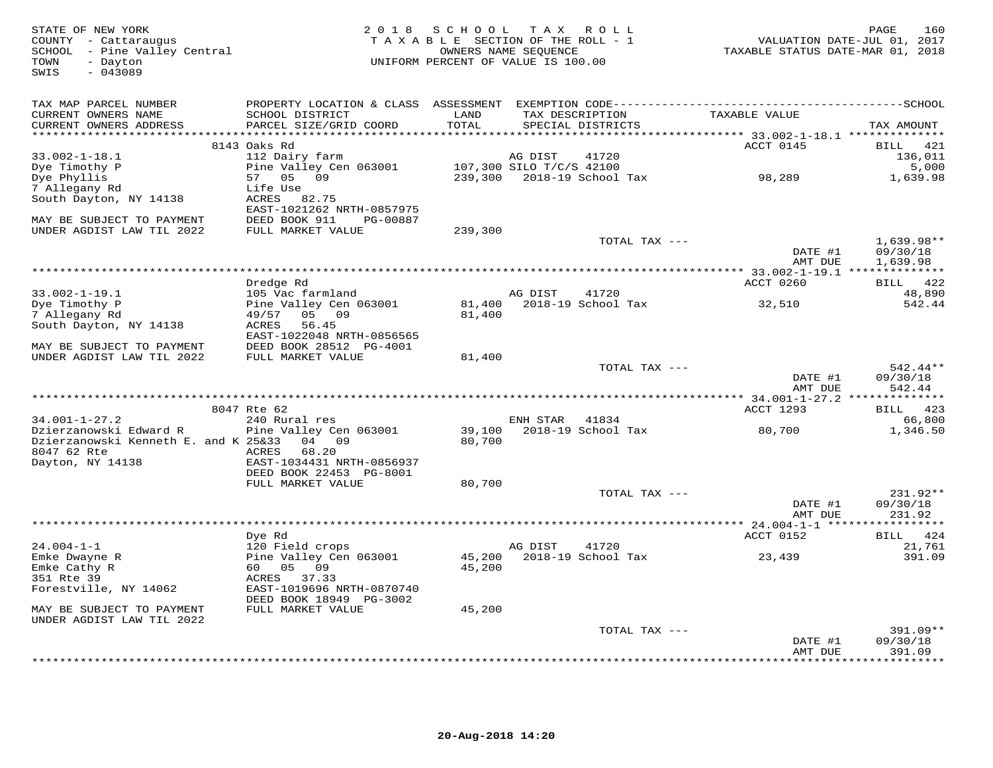| STATE OF NEW YORK<br>COUNTY - Cattaraugus<br>SCHOOL - Pine Valley Central<br>- Dayton<br>TOWN<br>$-043089$<br>SWIS | 2 0 1 8                                              | SCHOOL  | TAX ROLL<br>TAXABLE SECTION OF THE ROLL - 1<br>OWNERS NAME SEQUENCE<br>UNIFORM PERCENT OF VALUE IS 100.00 | TAXABLE STATUS DATE-MAR 01, 2018 | 160<br>PAGE<br>VALUATION DATE-JUL 01, 2017 |
|--------------------------------------------------------------------------------------------------------------------|------------------------------------------------------|---------|-----------------------------------------------------------------------------------------------------------|----------------------------------|--------------------------------------------|
| TAX MAP PARCEL NUMBER<br>CURRENT OWNERS NAME                                                                       | SCHOOL DISTRICT                                      | LAND    | TAX DESCRIPTION                                                                                           | TAXABLE VALUE                    |                                            |
| CURRENT OWNERS ADDRESS<br>**********************                                                                   | PARCEL SIZE/GRID COORD                               | TOTAL   | SPECIAL DISTRICTS                                                                                         |                                  | TAX AMOUNT                                 |
|                                                                                                                    | 8143 Oaks Rd                                         |         |                                                                                                           | ACCT 0145                        | 421<br>BILL                                |
| $33.002 - 1 - 18.1$                                                                                                | 112 Dairy farm                                       |         | AG DIST<br>41720                                                                                          |                                  | 136,011                                    |
| Dye Timothy P                                                                                                      | Pine Valley Cen 063001                               |         | 107,300 SILO T/C/S 42100                                                                                  |                                  | 5,000                                      |
| Dye Phyllis                                                                                                        | 57<br>05<br>09                                       |         | 239,300 2018-19 School Tax                                                                                | 98,289                           | 1,639.98                                   |
| 7 Allegany Rd<br>South Dayton, NY 14138                                                                            | Life Use<br>ACRES 82.75                              |         |                                                                                                           |                                  |                                            |
|                                                                                                                    | EAST-1021262 NRTH-0857975                            |         |                                                                                                           |                                  |                                            |
| MAY BE SUBJECT TO PAYMENT                                                                                          | DEED BOOK 911<br>PG-00887                            |         |                                                                                                           |                                  |                                            |
| UNDER AGDIST LAW TIL 2022                                                                                          | FULL MARKET VALUE                                    | 239,300 |                                                                                                           |                                  |                                            |
|                                                                                                                    |                                                      |         | TOTAL TAX ---                                                                                             |                                  | $1,639.98**$                               |
|                                                                                                                    |                                                      |         |                                                                                                           | DATE #1<br>AMT DUE               | 09/30/18<br>1,639.98                       |
| ******************************                                                                                     |                                                      |         |                                                                                                           |                                  |                                            |
|                                                                                                                    | Dredge Rd                                            |         |                                                                                                           | ACCT 0260                        | BILL 422                                   |
| $33.002 - 1 - 19.1$                                                                                                | 105 Vac farmland                                     |         | AG DIST<br>41720                                                                                          |                                  | 48,890                                     |
| Dye Timothy P<br>7 Allegany Rd                                                                                     | Pine Valley Cen 063001<br>49/57<br>05 09             | 81,400  | 81,400 2018-19 School Tax                                                                                 | 32,510                           | 542.44                                     |
| South Dayton, NY 14138                                                                                             | ACRES<br>56.45                                       |         |                                                                                                           |                                  |                                            |
|                                                                                                                    | EAST-1022048 NRTH-0856565                            |         |                                                                                                           |                                  |                                            |
| MAY BE SUBJECT TO PAYMENT                                                                                          | DEED BOOK 28512 PG-4001                              |         |                                                                                                           |                                  |                                            |
| UNDER AGDIST LAW TIL 2022                                                                                          | FULL MARKET VALUE                                    | 81,400  | TOTAL TAX ---                                                                                             |                                  | 542.44**                                   |
|                                                                                                                    |                                                      |         |                                                                                                           | DATE #1                          | 09/30/18                                   |
|                                                                                                                    |                                                      |         |                                                                                                           | AMT DUE                          | 542.44                                     |
|                                                                                                                    |                                                      |         |                                                                                                           |                                  |                                            |
| $34.001 - 1 - 27.2$                                                                                                | 8047 Rte 62<br>240 Rural res                         |         | ENH STAR<br>41834                                                                                         | ACCT 1293                        | BILL 423<br>66,800                         |
| Dzierzanowski Edward R                                                                                             | Pine Valley Cen 063001                               | 39,100  | 2018-19 School Tax                                                                                        | 80,700                           | 1,346.50                                   |
| Dzierzanowski Kenneth E. and K 25&33                                                                               | 04 09                                                | 80,700  |                                                                                                           |                                  |                                            |
| 8047 62 Rte                                                                                                        | ACRES<br>68.20                                       |         |                                                                                                           |                                  |                                            |
| Dayton, NY 14138                                                                                                   | EAST-1034431 NRTH-0856937<br>DEED BOOK 22453 PG-8001 |         |                                                                                                           |                                  |                                            |
|                                                                                                                    | FULL MARKET VALUE                                    | 80,700  |                                                                                                           |                                  |                                            |
|                                                                                                                    |                                                      |         | TOTAL TAX ---                                                                                             |                                  | 231.92**                                   |
|                                                                                                                    |                                                      |         |                                                                                                           | DATE #1                          | 09/30/18                                   |
|                                                                                                                    |                                                      |         |                                                                                                           | AMT DUE                          | 231.92                                     |
|                                                                                                                    | Dye Rd                                               |         |                                                                                                           | ACCT 0152                        | BILL 424                                   |
| $24.004 - 1 - 1$                                                                                                   | 120 Field crops                                      |         | AG DIST<br>41720                                                                                          |                                  | 21,761                                     |
| Emke Dwayne R                                                                                                      | Pine Valley Cen 063001                               | 45,200  | 2018-19 School Tax                                                                                        | 23,439                           | 391.09                                     |
| Emke Cathy R                                                                                                       | 60 05 09                                             | 45,200  |                                                                                                           |                                  |                                            |
| 351 Rte 39<br>Forestville, NY 14062                                                                                | ACRES 37.33<br>EAST-1019696 NRTH-0870740             |         |                                                                                                           |                                  |                                            |
|                                                                                                                    | DEED BOOK 18949 PG-3002                              |         |                                                                                                           |                                  |                                            |
| MAY BE SUBJECT TO PAYMENT                                                                                          | FULL MARKET VALUE                                    | 45,200  |                                                                                                           |                                  |                                            |
| UNDER AGDIST LAW TIL 2022                                                                                          |                                                      |         |                                                                                                           |                                  |                                            |
|                                                                                                                    |                                                      |         | TOTAL TAX ---                                                                                             | DATE #1                          | $391.09**$<br>09/30/18                     |
|                                                                                                                    |                                                      |         |                                                                                                           | AMT DUE                          | 391.09                                     |
|                                                                                                                    |                                                      |         |                                                                                                           |                                  | ********                                   |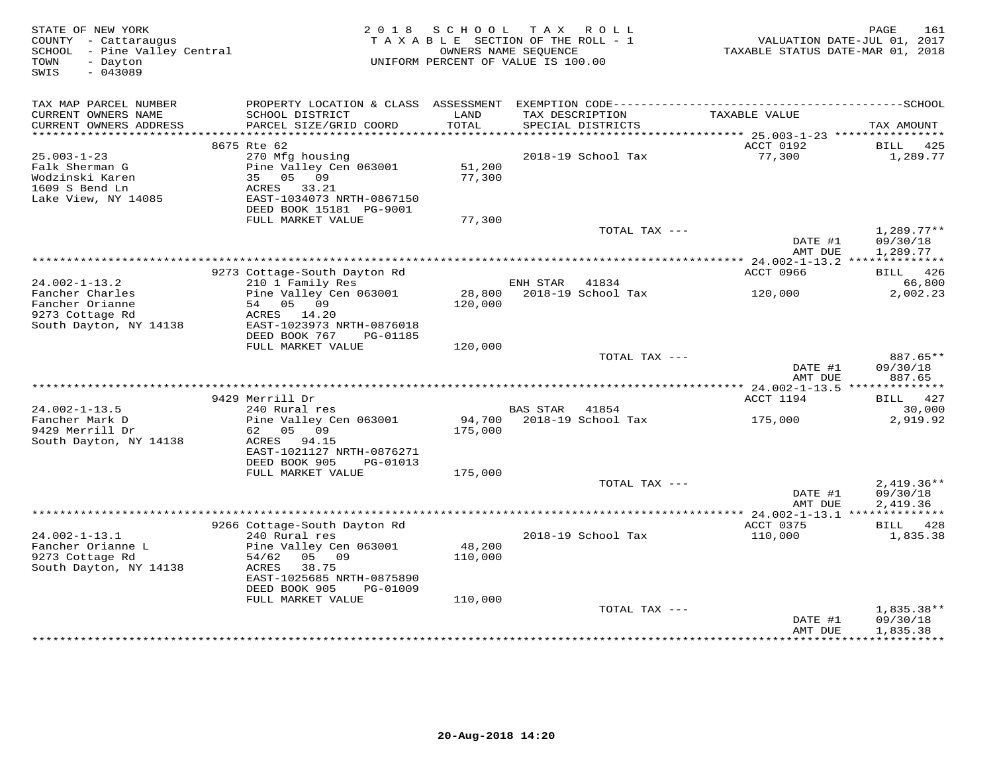| STATE OF NEW YORK<br>COUNTY - Cattaraugus<br>SCHOOL - Pine Valley Central<br>- Dayton<br>TOWN<br>$-043089$<br>SWIS |                                                      | 2018 SCHOOL       | TAX ROLL<br>TAXABLE SECTION OF THE ROLL - 1<br>OWNERS NAME SEQUENCE<br>UNIFORM PERCENT OF VALUE IS 100.00 | TAXABLE STATUS DATE-MAR 01, 2018 | 161<br>PAGE<br>VALUATION DATE-JUL 01, 2017 |
|--------------------------------------------------------------------------------------------------------------------|------------------------------------------------------|-------------------|-----------------------------------------------------------------------------------------------------------|----------------------------------|--------------------------------------------|
| TAX MAP PARCEL NUMBER<br>CURRENT OWNERS NAME                                                                       | SCHOOL DISTRICT                                      | LAND              | TAX DESCRIPTION                                                                                           | TAXABLE VALUE                    |                                            |
| CURRENT OWNERS ADDRESS                                                                                             | PARCEL SIZE/GRID COORD                               | TOTAL             | SPECIAL DISTRICTS                                                                                         |                                  | TAX AMOUNT                                 |
|                                                                                                                    | 8675 Rte 62                                          |                   |                                                                                                           | ACCT 0192                        | BILL<br>425                                |
| $25.003 - 1 - 23$                                                                                                  | 270 Mfg housing                                      |                   | 2018-19 School Tax                                                                                        | 77,300                           | 1,289.77                                   |
| Falk Sherman G<br>Wodzinski Karen<br>1609 S Bend Ln                                                                | Pine Valley Cen 063001<br>35 05 09<br>ACRES 33.21    | 51,200<br>77,300  |                                                                                                           |                                  |                                            |
| Lake View, NY 14085                                                                                                | EAST-1034073 NRTH-0867150<br>DEED BOOK 15181 PG-9001 |                   |                                                                                                           |                                  |                                            |
|                                                                                                                    | FULL MARKET VALUE                                    | 77,300            |                                                                                                           |                                  |                                            |
|                                                                                                                    |                                                      |                   | TOTAL TAX ---                                                                                             | DATE #1<br>AMT DUE               | $1,289.77**$<br>09/30/18<br>1,289.77       |
|                                                                                                                    |                                                      |                   |                                                                                                           |                                  |                                            |
|                                                                                                                    | 9273 Cottage-South Dayton Rd                         |                   |                                                                                                           | ACCT 0966                        | BILL 426                                   |
| $24.002 - 1 - 13.2$                                                                                                | 210 1 Family Res                                     |                   | ENH STAR<br>41834                                                                                         |                                  | 66,800                                     |
| Fancher Charles<br>Fancher Orianne<br>9273 Cottage Rd                                                              | Pine Valley Cen 063001<br>54 05 09<br>ACRES 14.20    | 120,000           | 28,800    2018-19    School Tax                                                                           | 120,000                          | 2,002.23                                   |
| South Dayton, NY 14138                                                                                             | EAST-1023973 NRTH-0876018                            |                   |                                                                                                           |                                  |                                            |
|                                                                                                                    | DEED BOOK 767<br>PG-01185<br>FULL MARKET VALUE       | 120,000           |                                                                                                           |                                  |                                            |
|                                                                                                                    |                                                      |                   | TOTAL TAX ---                                                                                             |                                  | 887.65**                                   |
|                                                                                                                    |                                                      |                   |                                                                                                           | DATE #1<br>AMT DUE               | 09/30/18<br>887.65                         |
|                                                                                                                    |                                                      |                   |                                                                                                           |                                  |                                            |
|                                                                                                                    | 9429 Merrill Dr                                      |                   |                                                                                                           | ACCT 1194                        | BILL 427                                   |
| $24.002 - 1 - 13.5$<br>Fancher Mark D                                                                              | 240 Rural res<br>Pine Valley Cen 063001              |                   | BAS STAR<br>41854<br>94,700 2018-19 School Tax                                                            | 175,000                          | 30,000<br>2,919.92                         |
| 9429 Merrill Dr                                                                                                    | 62 05 09                                             | 175,000           |                                                                                                           |                                  |                                            |
| South Dayton, NY 14138                                                                                             | ACRES 94.15                                          |                   |                                                                                                           |                                  |                                            |
|                                                                                                                    | EAST-1021127 NRTH-0876271                            |                   |                                                                                                           |                                  |                                            |
|                                                                                                                    | DEED BOOK 905<br>PG-01013                            |                   |                                                                                                           |                                  |                                            |
|                                                                                                                    | FULL MARKET VALUE                                    | 175,000           | TOTAL TAX ---                                                                                             |                                  |                                            |
|                                                                                                                    |                                                      |                   |                                                                                                           | DATE #1                          | $2,419.36**$<br>09/30/18                   |
|                                                                                                                    |                                                      |                   |                                                                                                           | AMT DUE                          | 2,419.36                                   |
|                                                                                                                    |                                                      |                   |                                                                                                           |                                  |                                            |
|                                                                                                                    | 9266 Cottage-South Dayton Rd                         |                   |                                                                                                           | ACCT 0375                        | BILL 428                                   |
| $24.002 - 1 - 13.1$                                                                                                | 240 Rural res                                        |                   | 2018-19 School Tax                                                                                        | 110,000                          | 1,835.38                                   |
| Fancher Orianne L<br>9273 Cottage Rd                                                                               | Pine Valley Cen 063001<br>05 09<br>54/62             | 48,200<br>110,000 |                                                                                                           |                                  |                                            |
| South Dayton, NY 14138                                                                                             | ACRES<br>38.75                                       |                   |                                                                                                           |                                  |                                            |
|                                                                                                                    | EAST-1025685 NRTH-0875890                            |                   |                                                                                                           |                                  |                                            |
|                                                                                                                    | DEED BOOK 905<br>PG-01009                            |                   |                                                                                                           |                                  |                                            |
|                                                                                                                    | FULL MARKET VALUE                                    | 110,000           |                                                                                                           |                                  |                                            |
|                                                                                                                    |                                                      |                   | TOTAL TAX ---                                                                                             | DATE #1                          | $1,835.38**$<br>09/30/18                   |
|                                                                                                                    |                                                      |                   |                                                                                                           | AMT DUE                          | 1,835.38                                   |
|                                                                                                                    |                                                      |                   |                                                                                                           |                                  |                                            |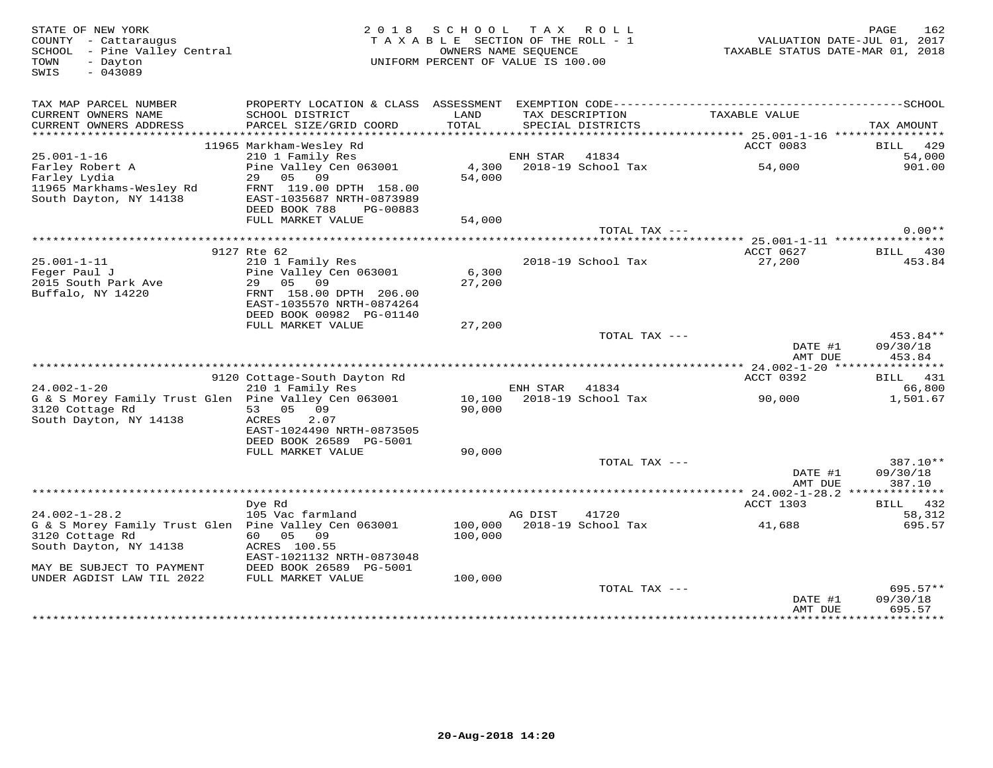| STATE OF NEW YORK<br>COUNTY - Cattaraugus<br>SCHOOL - Pine Valley Central<br>TOWN<br>- Dayton<br>$-043089$<br>SWIS |                                                                                   | 2018 SCHOOL<br>TAXABLE SECTION OF THE ROLL - 1<br>OWNERS NAME SEQUENCE<br>UNIFORM PERCENT OF VALUE IS 100.00 |                | TAX ROLL                             | VALUATION DATE-JUL 01, 2017<br>TAXABLE STATUS DATE-MAR 01, 2018 | PAGE<br>162                  |
|--------------------------------------------------------------------------------------------------------------------|-----------------------------------------------------------------------------------|--------------------------------------------------------------------------------------------------------------|----------------|--------------------------------------|-----------------------------------------------------------------|------------------------------|
| TAX MAP PARCEL NUMBER                                                                                              |                                                                                   |                                                                                                              |                |                                      |                                                                 |                              |
| CURRENT OWNERS NAME<br>CURRENT OWNERS ADDRESS                                                                      | SCHOOL DISTRICT<br>PARCEL SIZE/GRID COORD                                         | LAND<br>TOTAL                                                                                                |                | TAX DESCRIPTION<br>SPECIAL DISTRICTS | TAXABLE VALUE                                                   | TAX AMOUNT                   |
|                                                                                                                    |                                                                                   |                                                                                                              |                |                                      |                                                                 |                              |
| $25.001 - 1 - 16$                                                                                                  | 11965 Markham-Wesley Rd<br>210 1 Family Res                                       |                                                                                                              | ENH STAR 41834 |                                      | ACCT 0083                                                       | <b>BILL</b> 429<br>54,000    |
| Farley Robert A                                                                                                    | Pine Valley Cen 063001                                                            |                                                                                                              |                | 4,300 2018-19 School Tax             | 54,000                                                          | 901.00                       |
| Farley Lydia                                                                                                       | 29 05 09                                                                          | 54,000                                                                                                       |                |                                      |                                                                 |                              |
| 11965 Markhams-Wesley Rd<br>South Dayton, NY 14138                                                                 | FRNT 119.00 DPTH 158.00<br>EAST-1035687 NRTH-0873989<br>DEED BOOK 788<br>PG-00883 |                                                                                                              |                |                                      |                                                                 |                              |
|                                                                                                                    | FULL MARKET VALUE                                                                 | 54,000                                                                                                       |                |                                      |                                                                 |                              |
|                                                                                                                    |                                                                                   |                                                                                                              |                | TOTAL TAX ---                        |                                                                 | $0.00**$                     |
|                                                                                                                    |                                                                                   |                                                                                                              |                |                                      |                                                                 |                              |
| $25.001 - 1 - 11$                                                                                                  | 9127 Rte 62<br>210 1 Family Res                                                   |                                                                                                              |                | 2018-19 School Tax                   | ACCT 0627<br>27,200                                             | BILL 430<br>453.84           |
| Feger Paul J                                                                                                       | Pine Valley Cen 063001                                                            | 6,300                                                                                                        |                |                                      |                                                                 |                              |
| 2015 South Park Ave                                                                                                | 29 05 09                                                                          | 27,200                                                                                                       |                |                                      |                                                                 |                              |
| Buffalo, NY 14220                                                                                                  | FRNT 158.00 DPTH 206.00                                                           |                                                                                                              |                |                                      |                                                                 |                              |
|                                                                                                                    | EAST-1035570 NRTH-0874264                                                         |                                                                                                              |                |                                      |                                                                 |                              |
|                                                                                                                    | DEED BOOK 00982 PG-01140                                                          |                                                                                                              |                |                                      |                                                                 |                              |
|                                                                                                                    | FULL MARKET VALUE                                                                 | 27,200                                                                                                       |                | TOTAL TAX ---                        |                                                                 | 453.84**                     |
|                                                                                                                    |                                                                                   |                                                                                                              |                |                                      | DATE #1<br>AMT DUE                                              | 09/30/18<br>453.84           |
|                                                                                                                    |                                                                                   |                                                                                                              |                |                                      |                                                                 |                              |
|                                                                                                                    | 9120 Cottage-South Dayton Rd                                                      |                                                                                                              |                |                                      | ACCT 0392                                                       | BILL 431                     |
| $24.002 - 1 - 20$                                                                                                  | 210 1 Family Res                                                                  |                                                                                                              | ENH STAR       | 41834                                |                                                                 | 66,800                       |
| G & S Morey Family Trust Glen Pine Valley Cen 063001<br>3120 Cottage Rd                                            | 53 05 09                                                                          | 90,000                                                                                                       |                | 10,100 2018-19 School Tax            | 90,000                                                          | 1,501.67                     |
| South Dayton, NY 14138                                                                                             | 2.07<br>ACRES                                                                     |                                                                                                              |                |                                      |                                                                 |                              |
|                                                                                                                    | EAST-1024490 NRTH-0873505                                                         |                                                                                                              |                |                                      |                                                                 |                              |
|                                                                                                                    | DEED BOOK 26589 PG-5001                                                           |                                                                                                              |                |                                      |                                                                 |                              |
|                                                                                                                    | FULL MARKET VALUE                                                                 | 90,000                                                                                                       |                |                                      |                                                                 |                              |
|                                                                                                                    |                                                                                   |                                                                                                              |                | TOTAL TAX ---                        |                                                                 | 387.10**                     |
|                                                                                                                    |                                                                                   |                                                                                                              |                |                                      | DATE #1<br>AMT DUE                                              | 09/30/18<br>387.10           |
|                                                                                                                    |                                                                                   |                                                                                                              |                |                                      |                                                                 |                              |
|                                                                                                                    | Dye Rd                                                                            |                                                                                                              |                |                                      | ACCT 1303                                                       | BILL 432                     |
| $24.002 - 1 - 28.2$                                                                                                | 105 Vac farmland                                                                  |                                                                                                              | AG DIST        | 41720                                |                                                                 | 58,312                       |
| G & S Morey Family Trust Glen  Pine Valley Cen 063001                                                              |                                                                                   |                                                                                                              |                | 100,000 2018-19 School Tax           | 41,688                                                          | 695.57                       |
| 3120 Cottage Rd<br>South Dayton, NY 14138                                                                          | 60 05 09<br>ACRES 100.55                                                          | 100,000                                                                                                      |                |                                      |                                                                 |                              |
|                                                                                                                    | EAST-1021132 NRTH-0873048                                                         |                                                                                                              |                |                                      |                                                                 |                              |
| MAY BE SUBJECT TO PAYMENT                                                                                          | DEED BOOK 26589 PG-5001                                                           |                                                                                                              |                |                                      |                                                                 |                              |
| UNDER AGDIST LAW TIL 2022                                                                                          | FULL MARKET VALUE                                                                 | 100,000                                                                                                      |                |                                      |                                                                 |                              |
|                                                                                                                    |                                                                                   |                                                                                                              |                | TOTAL TAX ---                        |                                                                 | $695.57**$                   |
|                                                                                                                    |                                                                                   |                                                                                                              |                |                                      | DATE #1                                                         | 09/30/18                     |
|                                                                                                                    |                                                                                   |                                                                                                              |                |                                      | AMT DUE                                                         | 695.57<br><b>***********</b> |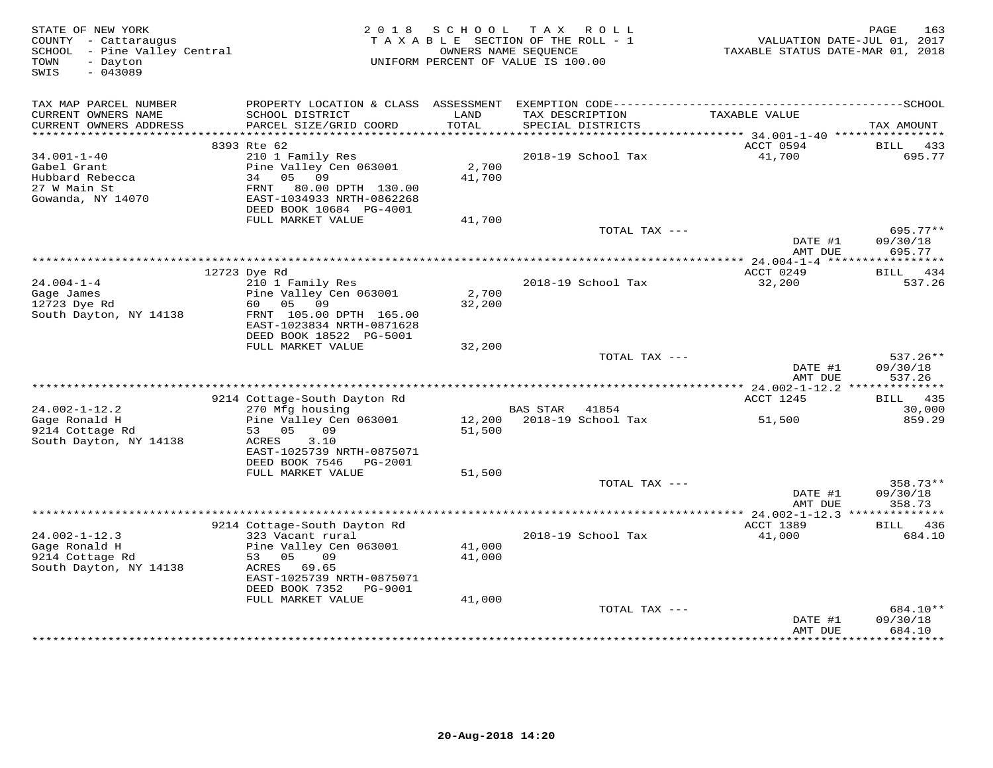| STATE OF NEW YORK<br>COUNTY - Cattaraugus<br>SCHOOL - Pine Valley Central<br>TOWN<br>- Dayton<br>$-043089$<br>SWIS |                                                                                                                                           | 2018 SCHOOL      | TAX ROLL<br>TAXABLE SECTION OF THE ROLL - 1<br>OWNERS NAME SEQUENCE<br>UNIFORM PERCENT OF VALUE IS 100.00 | VALUATION DATE-JUL 01, 2017<br>TAXABLE STATUS DATE-MAR 01, 2018 | <b>PAGE</b><br>163               |
|--------------------------------------------------------------------------------------------------------------------|-------------------------------------------------------------------------------------------------------------------------------------------|------------------|-----------------------------------------------------------------------------------------------------------|-----------------------------------------------------------------|----------------------------------|
| TAX MAP PARCEL NUMBER<br>CURRENT OWNERS NAME<br>CURRENT OWNERS ADDRESS                                             | PROPERTY LOCATION & CLASS ASSESSMENT EXEMPTION CODE-----------------------------------SCHOOL<br>SCHOOL DISTRICT<br>PARCEL SIZE/GRID COORD | LAND<br>TOTAL    | TAX DESCRIPTION<br>SPECIAL DISTRICTS                                                                      | TAXABLE VALUE                                                   | TAX AMOUNT                       |
|                                                                                                                    |                                                                                                                                           |                  |                                                                                                           |                                                                 |                                  |
| $34.001 - 1 - 40$                                                                                                  | 8393 Rte 62                                                                                                                               |                  | 2018-19 School Tax                                                                                        | ACCT 0594<br>41,700                                             | BILL 433<br>695.77               |
| Gabel Grant<br>Hubbard Rebecca<br>27 W Main St<br>Gowanda, NY 14070                                                | 210 1 Family Res<br>Pine Valley Cen 063001<br>34 05 09<br>FRNT 80.00 DPTH 130.00<br>EAST-1034933 NRTH-0862268<br>DEED BOOK 10684 PG-4001  | 2,700<br>41,700  |                                                                                                           |                                                                 |                                  |
|                                                                                                                    | FULL MARKET VALUE                                                                                                                         | 41,700           |                                                                                                           |                                                                 |                                  |
|                                                                                                                    |                                                                                                                                           |                  | TOTAL TAX ---                                                                                             | DATE #1<br>AMT DUE                                              | $695.77**$<br>09/30/18<br>695.77 |
|                                                                                                                    |                                                                                                                                           |                  |                                                                                                           |                                                                 |                                  |
|                                                                                                                    | 12723 Dye Rd                                                                                                                              |                  |                                                                                                           | ACCT 0249                                                       | BILL 434                         |
| $24.004 - 1 - 4$<br>Gage James<br>12723 Dye Rd<br>South Dayton, NY 14138                                           | 210 1 Family Res<br>Pine Valley Cen 063001<br>60 05<br>09<br>FRNT 105.00 DPTH 165.00<br>EAST-1023834 NRTH-0871628                         | 2,700<br>32,200  | 2018-19 School Tax                                                                                        | 32,200                                                          | 537.26                           |
|                                                                                                                    | DEED BOOK 18522 PG-5001<br>FULL MARKET VALUE                                                                                              | 32,200           |                                                                                                           |                                                                 |                                  |
|                                                                                                                    |                                                                                                                                           |                  | TOTAL TAX ---                                                                                             | DATE #1<br>AMT DUE                                              | $537.26**$<br>09/30/18<br>537.26 |
|                                                                                                                    |                                                                                                                                           |                  |                                                                                                           | ** 24.002-1-12.2 ***************<br>ACCT 1245                   | BILL 435                         |
| $24.002 - 1 - 12.2$<br>Gage Ronald H                                                                               | 9214 Cottage-South Dayton Rd<br>270 Mfg housing<br>Pine Valley Cen 063001                                                                 |                  | BAS STAR 41854<br>12,200 2018-19 School Tax                                                               | 51,500                                                          | 30,000<br>859.29                 |
| 9214 Cottage Rd<br>South Dayton, NY 14138                                                                          | 09<br>53 05<br>3.10<br>ACRES<br>EAST-1025739 NRTH-0875071<br>DEED BOOK 7546 PG-2001<br>FULL MARKET VALUE                                  | 51,500<br>51,500 |                                                                                                           |                                                                 |                                  |
|                                                                                                                    |                                                                                                                                           |                  | TOTAL TAX ---                                                                                             |                                                                 | 358.73**                         |
|                                                                                                                    |                                                                                                                                           |                  |                                                                                                           | DATE #1<br>AMT DUE                                              | 09/30/18<br>358.73               |
|                                                                                                                    |                                                                                                                                           |                  |                                                                                                           |                                                                 |                                  |
| $24.002 - 1 - 12.3$                                                                                                | 9214 Cottage-South Dayton Rd<br>323 Vacant rural                                                                                          |                  | 2018-19 School Tax                                                                                        | ACCT 1389<br>41,000                                             | <b>BILL</b> 436<br>684.10        |
| Gage Ronald H<br>9214 Cottage Rd<br>South Dayton, NY 14138                                                         | Pine Valley Cen 063001<br>53 05<br>09<br>ACRES 69.65                                                                                      | 41,000<br>41,000 |                                                                                                           |                                                                 |                                  |
|                                                                                                                    | EAST-1025739 NRTH-0875071<br>DEED BOOK 7352 PG-9001                                                                                       | 41,000           |                                                                                                           |                                                                 |                                  |
|                                                                                                                    | FULL MARKET VALUE                                                                                                                         |                  | TOTAL TAX ---                                                                                             |                                                                 | 684.10**                         |
|                                                                                                                    |                                                                                                                                           |                  |                                                                                                           | DATE #1<br>AMT DUE                                              | 09/30/18<br>684.10<br>********** |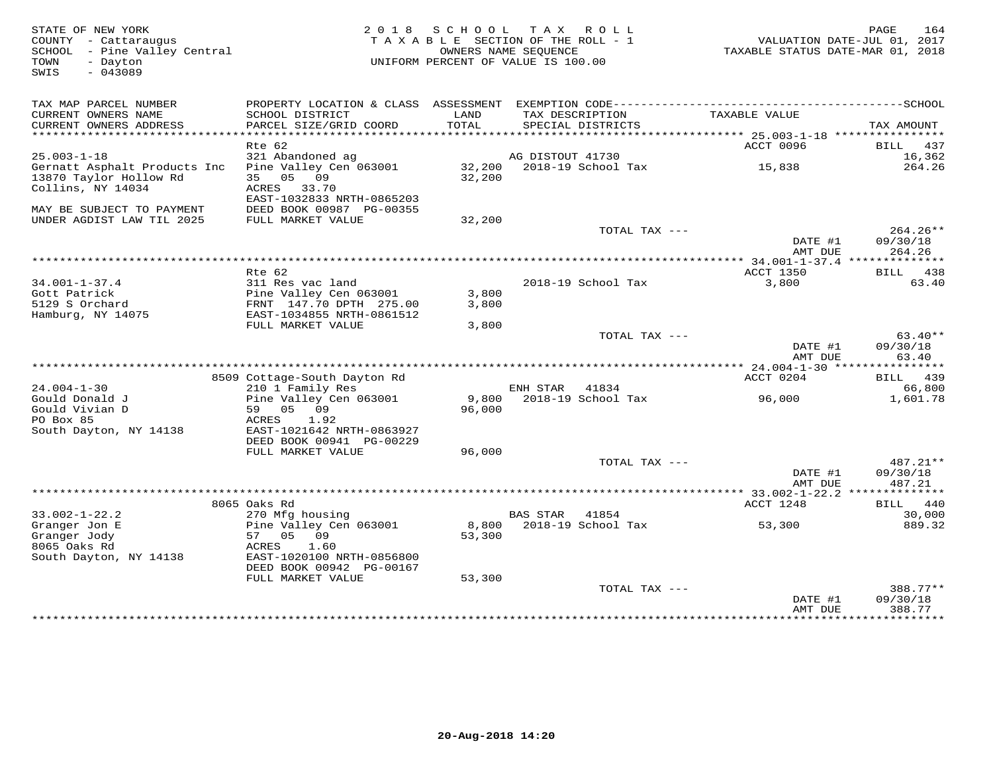| STATE OF NEW YORK<br>COUNTY - Cattaraugus<br>SCHOOL - Pine Valley Central<br>TOWN<br>- Dayton<br>$-043089$<br>SWIS | 2 0 1 8                                                                          |                 | SCHOOL TAX ROLL<br>TAXABLE SECTION OF THE ROLL - 1<br>OWNERS NAME SEOUENCE<br>UNIFORM PERCENT OF VALUE IS 100.00 | TAXABLE STATUS DATE-MAR 01, 2018 | 164<br>PAGE<br>VALUATION DATE-JUL 01, 2017 |
|--------------------------------------------------------------------------------------------------------------------|----------------------------------------------------------------------------------|-----------------|------------------------------------------------------------------------------------------------------------------|----------------------------------|--------------------------------------------|
| TAX MAP PARCEL NUMBER<br>CURRENT OWNERS NAME<br>CURRENT OWNERS ADDRESS                                             | SCHOOL DISTRICT<br>PARCEL SIZE/GRID COORD                                        | LAND<br>TOTAL   | TAX DESCRIPTION<br>SPECIAL DISTRICTS                                                                             | TAXABLE VALUE                    | TAX AMOUNT                                 |
| ******************************                                                                                     |                                                                                  |                 |                                                                                                                  |                                  |                                            |
|                                                                                                                    | Rte 62                                                                           |                 |                                                                                                                  | ACCT 0096                        | BILL 437                                   |
| $25.003 - 1 - 18$                                                                                                  | 321 Abandoned ag                                                                 |                 | AG DISTOUT 41730                                                                                                 |                                  | 16,362                                     |
| Gernatt Asphalt Products Inc<br>13870 Taylor Hollow Rd<br>Collins, NY 14034                                        | Pine Valley Cen 063001<br>35 05 09<br>ACRES 33.70<br>EAST-1032833 NRTH-0865203   | 32,200          |                                                                                                                  | 15,838                           | 264.26                                     |
| MAY BE SUBJECT TO PAYMENT                                                                                          | DEED BOOK 00987 PG-00355                                                         |                 |                                                                                                                  |                                  |                                            |
| UNDER AGDIST LAW TIL 2025                                                                                          | FULL MARKET VALUE                                                                | 32,200          |                                                                                                                  |                                  |                                            |
|                                                                                                                    |                                                                                  |                 | TOTAL TAX ---                                                                                                    | DATE #1<br>AMT DUE               | 264.26**<br>09/30/18<br>264.26             |
|                                                                                                                    |                                                                                  |                 |                                                                                                                  |                                  |                                            |
|                                                                                                                    | Rte 62                                                                           |                 |                                                                                                                  | ACCT 1350                        | BILL 438                                   |
| $34.001 - 1 - 37.4$                                                                                                | 311 Res vac land                                                                 |                 | 2018-19 School Tax                                                                                               | 3,800                            | 63.40                                      |
| Gott Patrick                                                                                                       | Pine Valley Cen 063001                                                           | 3,800           |                                                                                                                  |                                  |                                            |
| 5129 S Orchard<br>Hamburg, NY 14075                                                                                | FRNT 147.70 DPTH 275.00<br>EAST-1034855 NRTH-0861512                             | 3,800           |                                                                                                                  |                                  |                                            |
|                                                                                                                    | FULL MARKET VALUE                                                                | 3,800           |                                                                                                                  |                                  |                                            |
|                                                                                                                    |                                                                                  |                 | TOTAL TAX ---                                                                                                    | DATE #1<br>AMT DUE               | $63.40**$<br>09/30/18<br>63.40             |
|                                                                                                                    |                                                                                  |                 |                                                                                                                  |                                  |                                            |
|                                                                                                                    | 8509 Cottage-South Dayton Rd                                                     |                 |                                                                                                                  | ACCT 0204                        | BILL 439                                   |
| $24.004 - 1 - 30$                                                                                                  | 210 1 Family Res                                                                 |                 | ENH STAR<br>41834                                                                                                |                                  | 66,800                                     |
| Gould Donald J<br>Gould Vivian D<br>PO Box 85<br>South Dayton, NY 14138                                            | Pine Valley Cen 063001<br>59 05 09<br>ACRES<br>1.92<br>EAST-1021642 NRTH-0863927 | 9,800<br>96,000 | 2018-19 School Tax                                                                                               | 96,000                           | 1,601.78                                   |
|                                                                                                                    | DEED BOOK 00941 PG-00229                                                         |                 |                                                                                                                  |                                  |                                            |
|                                                                                                                    | FULL MARKET VALUE                                                                | 96,000          |                                                                                                                  |                                  |                                            |
|                                                                                                                    |                                                                                  |                 | TOTAL TAX ---                                                                                                    | DATE #1<br>AMT DUE               | 487.21**<br>09/30/18<br>487.21             |
|                                                                                                                    |                                                                                  |                 |                                                                                                                  |                                  |                                            |
|                                                                                                                    | 8065 Oaks Rd                                                                     |                 |                                                                                                                  | ACCT 1248                        | BILL 440                                   |
| $33.002 - 1 - 22.2$                                                                                                | 270 Mfg housing                                                                  |                 | <b>BAS STAR</b><br>41854                                                                                         |                                  | 30,000                                     |
| Granger Jon E<br>Granger Jody<br>8065 Oaks Rd<br>South Dayton, NY 14138                                            | Pine Valley Cen 063001<br>57 05 09<br>ACRES<br>1.60<br>EAST-1020100 NRTH-0856800 | 53,300          | 8,800 2018-19 School Tax                                                                                         | 53,300                           | 889.32                                     |
|                                                                                                                    | DEED BOOK 00942 PG-00167                                                         |                 |                                                                                                                  |                                  |                                            |
|                                                                                                                    | FULL MARKET VALUE                                                                | 53,300          |                                                                                                                  |                                  |                                            |
|                                                                                                                    |                                                                                  |                 | TOTAL TAX ---                                                                                                    | DATE #1                          | 388.77**<br>09/30/18                       |
|                                                                                                                    |                                                                                  |                 |                                                                                                                  | AMT DUE                          | 388.77                                     |
|                                                                                                                    |                                                                                  |                 |                                                                                                                  |                                  | ************                               |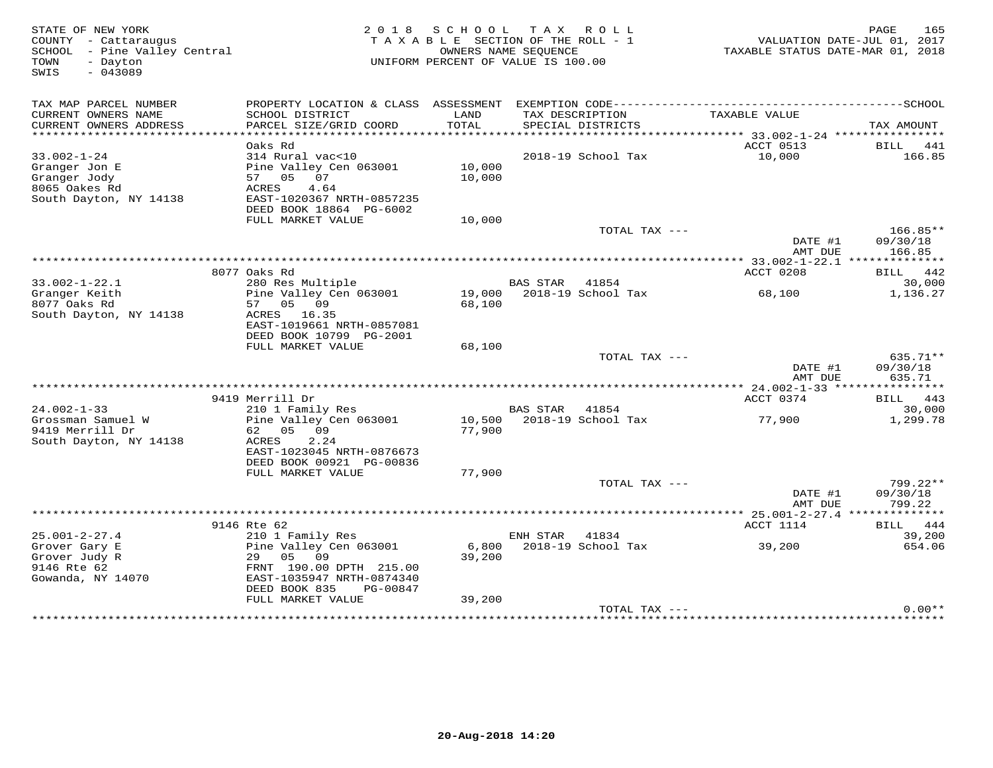| STATE OF NEW YORK<br>COUNTY - Cattaraugus<br>- Pine Valley Central<br>SCHOOL<br>TOWN<br>- Dayton<br>$-043089$<br>SWIS | 2 0 1 8                                              | SCHOOL          | T A X<br>R O L L<br>TAXABLE SECTION OF THE ROLL - 1<br>OWNERS NAME SEOUENCE<br>UNIFORM PERCENT OF VALUE IS 100.00 | TAXABLE STATUS DATE-MAR 01, 2018 | 165<br>PAGE<br>VALUATION DATE-JUL 01, 2017 |
|-----------------------------------------------------------------------------------------------------------------------|------------------------------------------------------|-----------------|-------------------------------------------------------------------------------------------------------------------|----------------------------------|--------------------------------------------|
| TAX MAP PARCEL NUMBER                                                                                                 | PROPERTY LOCATION & CLASS ASSESSMENT                 |                 |                                                                                                                   |                                  |                                            |
| CURRENT OWNERS NAME<br>CURRENT OWNERS ADDRESS                                                                         | SCHOOL DISTRICT<br>PARCEL SIZE/GRID COORD            | LAND<br>TOTAL   | TAX DESCRIPTION<br>SPECIAL DISTRICTS                                                                              | TAXABLE VALUE                    | TAX AMOUNT                                 |
| ***********************                                                                                               |                                                      |                 |                                                                                                                   |                                  |                                            |
|                                                                                                                       | Oaks Rd                                              |                 |                                                                                                                   | ACCT 0513                        | BILL 441                                   |
| $33.002 - 1 - 24$                                                                                                     | 314 Rural vac<10                                     |                 | 2018-19 School Tax                                                                                                | 10,000                           | 166.85                                     |
| Granger Jon E                                                                                                         | Pine Valley Cen 063001                               | 10,000          |                                                                                                                   |                                  |                                            |
| Granger Jody<br>8065 Oakes Rd                                                                                         | 07<br>57 05<br>4.64                                  | 10,000          |                                                                                                                   |                                  |                                            |
| South Dayton, NY 14138                                                                                                | ACRES<br>EAST-1020367 NRTH-0857235                   |                 |                                                                                                                   |                                  |                                            |
|                                                                                                                       | DEED BOOK 18864 PG-6002                              |                 |                                                                                                                   |                                  |                                            |
|                                                                                                                       | FULL MARKET VALUE                                    | 10,000          |                                                                                                                   |                                  |                                            |
|                                                                                                                       |                                                      |                 |                                                                                                                   | TOTAL TAX ---                    | $166.85**$                                 |
|                                                                                                                       |                                                      |                 |                                                                                                                   | DATE #1                          | 09/30/18                                   |
|                                                                                                                       |                                                      |                 |                                                                                                                   | AMT DUE                          | 166.85                                     |
|                                                                                                                       | 8077 Oaks Rd                                         |                 |                                                                                                                   | ACCT 0208                        | 442<br>BILL                                |
| $33.002 - 1 - 22.1$                                                                                                   | 280 Res Multiple                                     |                 | <b>BAS STAR</b><br>41854                                                                                          |                                  | 30,000                                     |
| Granger Keith                                                                                                         | Pine Valley Cen 063001                               | 19,000          | 2018-19 School Tax                                                                                                | 68,100                           | 1,136.27                                   |
| 8077 Oaks Rd                                                                                                          | 57<br>05<br>09                                       | 68,100          |                                                                                                                   |                                  |                                            |
| South Dayton, NY 14138                                                                                                | ACRES 16.35                                          |                 |                                                                                                                   |                                  |                                            |
|                                                                                                                       | EAST-1019661 NRTH-0857081<br>DEED BOOK 10799 PG-2001 |                 |                                                                                                                   |                                  |                                            |
|                                                                                                                       | FULL MARKET VALUE                                    | 68,100          |                                                                                                                   |                                  |                                            |
|                                                                                                                       |                                                      |                 |                                                                                                                   | TOTAL TAX ---                    | 635.71**                                   |
|                                                                                                                       |                                                      |                 |                                                                                                                   | DATE #1                          | 09/30/18                                   |
|                                                                                                                       |                                                      |                 |                                                                                                                   | AMT DUE                          | 635.71                                     |
|                                                                                                                       | 9419 Merrill Dr                                      |                 |                                                                                                                   | *********** 24.002-1-33 ****     |                                            |
| $24.002 - 1 - 33$                                                                                                     | 210 1 Family Res                                     |                 | <b>BAS STAR</b><br>41854                                                                                          | ACCT 0374                        | 443<br><b>BILL</b><br>30,000               |
| Grossman Samuel W                                                                                                     | Pine Valley Cen 063001                               | 10,500          | 2018-19 School Tax                                                                                                | 77,900                           | 1,299.78                                   |
| 9419 Merrill Dr                                                                                                       | 62<br>05<br>09                                       | 77,900          |                                                                                                                   |                                  |                                            |
| South Dayton, NY 14138                                                                                                | ACRES<br>2.24                                        |                 |                                                                                                                   |                                  |                                            |
|                                                                                                                       | EAST-1023045 NRTH-0876673                            |                 |                                                                                                                   |                                  |                                            |
|                                                                                                                       | DEED BOOK 00921 PG-00836                             |                 |                                                                                                                   |                                  |                                            |
|                                                                                                                       | FULL MARKET VALUE                                    | 77,900          |                                                                                                                   | TOTAL TAX ---                    | $799.22**$                                 |
|                                                                                                                       |                                                      |                 |                                                                                                                   | DATE #1                          | 09/30/18                                   |
|                                                                                                                       |                                                      |                 |                                                                                                                   | AMT DUE                          | 799.22                                     |
|                                                                                                                       |                                                      |                 |                                                                                                                   |                                  |                                            |
|                                                                                                                       | 9146 Rte 62                                          |                 |                                                                                                                   | ACCT 1114                        | 444<br>BILL                                |
| $25.001 - 2 - 27.4$                                                                                                   | 210 1 Family Res                                     |                 | ENH STAR<br>41834                                                                                                 |                                  | 39,200                                     |
| Grover Gary E<br>Grover Judy R                                                                                        | Pine Valley Cen 063001<br>05<br>09<br>29             | 6,800<br>39,200 | 2018-19 School Tax                                                                                                | 39,200                           | 654.06                                     |
| 9146 Rte 62                                                                                                           | FRNT 190.00 DPTH 215.00                              |                 |                                                                                                                   |                                  |                                            |
| Gowanda, NY 14070                                                                                                     | EAST-1035947 NRTH-0874340                            |                 |                                                                                                                   |                                  |                                            |
|                                                                                                                       | DEED BOOK 835<br>PG-00847                            |                 |                                                                                                                   |                                  |                                            |
|                                                                                                                       | FULL MARKET VALUE                                    | 39,200          |                                                                                                                   |                                  |                                            |
|                                                                                                                       |                                                      |                 |                                                                                                                   | TOTAL TAX ---                    | $0.00**$                                   |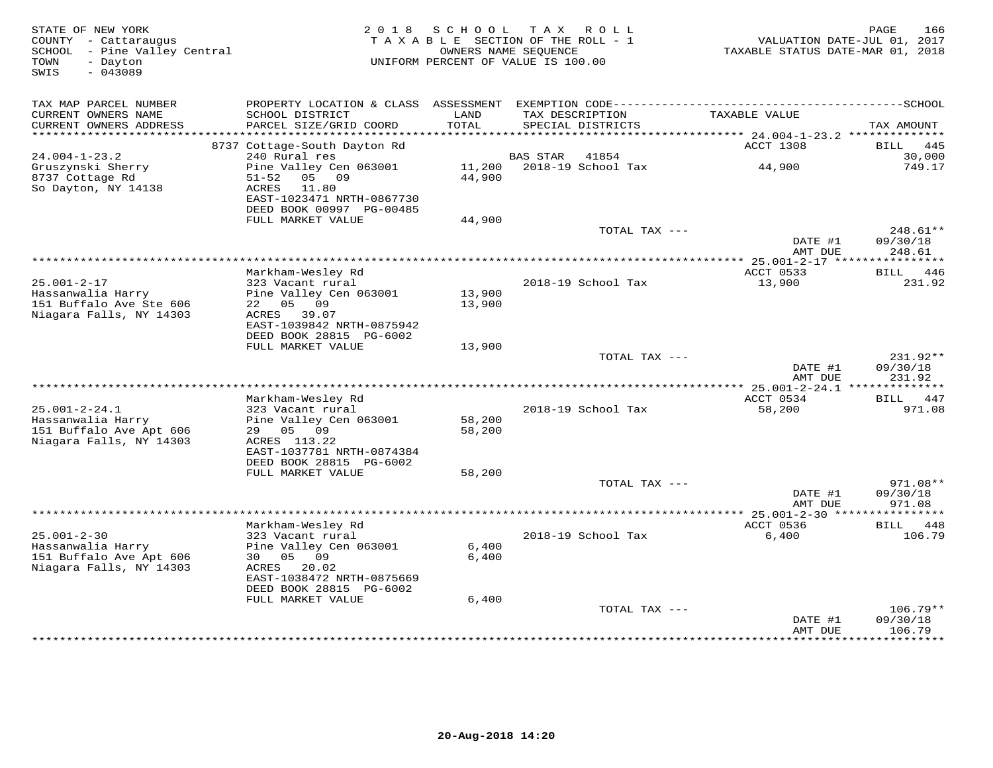| STATE OF NEW YORK<br>COUNTY - Cattaraugus<br>- Pine Valley Central<br>SCHOOL<br>- Dayton<br>TOWN<br>SWIS<br>$-043089$ | 2 0 1 8                                                                     | SCHOOL<br>TAXABLE SECTION OF THE ROLL - 1<br>OWNERS NAME SEQUENCE<br>UNIFORM PERCENT OF VALUE IS 100.00 | T A X                 | ROLL                                 | TAXABLE STATUS DATE-MAR 01, 2018 | 166<br>PAGE<br>VALUATION DATE-JUL 01, 2017 |
|-----------------------------------------------------------------------------------------------------------------------|-----------------------------------------------------------------------------|---------------------------------------------------------------------------------------------------------|-----------------------|--------------------------------------|----------------------------------|--------------------------------------------|
| TAX MAP PARCEL NUMBER                                                                                                 | PROPERTY LOCATION & CLASS                                                   |                                                                                                         |                       |                                      |                                  |                                            |
| CURRENT OWNERS NAME<br>CURRENT OWNERS ADDRESS                                                                         | SCHOOL DISTRICT<br>PARCEL SIZE/GRID COORD                                   | LAND<br>TOTAL                                                                                           |                       | TAX DESCRIPTION<br>SPECIAL DISTRICTS | TAXABLE VALUE                    | TAX AMOUNT                                 |
| ***********************                                                                                               |                                                                             |                                                                                                         |                       |                                      |                                  |                                            |
| $24.004 - 1 - 23.2$                                                                                                   | 8737 Cottage-South Dayton Rd<br>240 Rural res                               |                                                                                                         | <b>BAS STAR</b>       | 41854                                | ACCT 1308                        | 445<br>BILL<br>30,000                      |
| Gruszynski Sherry                                                                                                     | Pine Valley Cen 063001                                                      | 11,200                                                                                                  |                       | 2018-19 School Tax                   | 44,900                           | 749.17                                     |
| 8737 Cottage Rd<br>So Dayton, NY 14138                                                                                | $51 - 52$<br>05<br>09<br><b>ACRES</b><br>11.80<br>EAST-1023471 NRTH-0867730 | 44,900                                                                                                  |                       |                                      |                                  |                                            |
|                                                                                                                       | DEED BOOK 00997 PG-00485<br>FULL MARKET VALUE                               | 44,900                                                                                                  |                       |                                      |                                  |                                            |
|                                                                                                                       |                                                                             |                                                                                                         |                       | TOTAL TAX ---                        |                                  | 248.61**                                   |
|                                                                                                                       |                                                                             |                                                                                                         |                       |                                      | DATE #1<br>AMT DUE               | 09/30/18<br>248.61                         |
|                                                                                                                       |                                                                             |                                                                                                         | * * * * * * * * * * * |                                      | ** 25.001-2-17 ****              | * * * * * * * * * * *                      |
|                                                                                                                       | Markham-Wesley Rd                                                           |                                                                                                         |                       |                                      | ACCT 0533                        | BILL 446                                   |
| $25.001 - 2 - 17$<br>Hassanwalia Harry                                                                                | 323 Vacant rural<br>Pine Valley Cen 063001                                  | 13,900                                                                                                  |                       | 2018-19 School Tax                   | 13,900                           | 231.92                                     |
| 151 Buffalo Ave Ste 606                                                                                               | 22 05 09                                                                    | 13,900                                                                                                  |                       |                                      |                                  |                                            |
| Niagara Falls, NY 14303                                                                                               | ACRES 39.07                                                                 |                                                                                                         |                       |                                      |                                  |                                            |
|                                                                                                                       | EAST-1039842 NRTH-0875942                                                   |                                                                                                         |                       |                                      |                                  |                                            |
|                                                                                                                       | DEED BOOK 28815 PG-6002<br>FULL MARKET VALUE                                | 13,900                                                                                                  |                       |                                      |                                  |                                            |
|                                                                                                                       |                                                                             |                                                                                                         |                       | TOTAL TAX ---                        |                                  | 231.92**                                   |
|                                                                                                                       |                                                                             |                                                                                                         |                       |                                      | DATE #1                          | 09/30/18                                   |
| ******************************                                                                                        |                                                                             |                                                                                                         |                       |                                      | AMT DUE                          | 231.92<br>**************                   |
|                                                                                                                       | Markham-Wesley Rd                                                           |                                                                                                         |                       |                                      | ACCT 0534                        | 447<br>BILL                                |
| $25.001 - 2 - 24.1$                                                                                                   | 323 Vacant rural                                                            |                                                                                                         |                       | 2018-19 School Tax                   | 58,200                           | 971.08                                     |
| Hassanwalia Harry                                                                                                     | Pine Valley Cen 063001                                                      | 58,200                                                                                                  |                       |                                      |                                  |                                            |
| 151 Buffalo Ave Apt 606                                                                                               | 05<br>09<br>29                                                              | 58,200                                                                                                  |                       |                                      |                                  |                                            |
| Niagara Falls, NY 14303                                                                                               | ACRES 113.22<br>EAST-1037781 NRTH-0874384                                   |                                                                                                         |                       |                                      |                                  |                                            |
|                                                                                                                       | DEED BOOK 28815 PG-6002                                                     |                                                                                                         |                       |                                      |                                  |                                            |
|                                                                                                                       | FULL MARKET VALUE                                                           | 58,200                                                                                                  |                       |                                      |                                  |                                            |
|                                                                                                                       |                                                                             |                                                                                                         |                       | TOTAL TAX ---                        |                                  | $971.08**$                                 |
|                                                                                                                       |                                                                             |                                                                                                         |                       |                                      | DATE #1<br>AMT DUE               | 09/30/18<br>971.08                         |
|                                                                                                                       |                                                                             |                                                                                                         |                       |                                      | ************** 25.001-2-30 ****  |                                            |
|                                                                                                                       | Markham-Wesley Rd                                                           |                                                                                                         |                       |                                      | ACCT 0536                        | 448<br>BILL                                |
| $25.001 - 2 - 30$                                                                                                     | 323 Vacant rural                                                            |                                                                                                         |                       | 2018-19 School Tax                   | 6,400                            | 106.79                                     |
| Hassanwalia Harry                                                                                                     | Pine Valley Cen 063001                                                      | 6,400                                                                                                   |                       |                                      |                                  |                                            |
| 151 Buffalo Ave Apt 606<br>Niagara Falls, NY 14303                                                                    | 05<br>09<br>30<br>ACRES<br>20.02                                            | 6,400                                                                                                   |                       |                                      |                                  |                                            |
|                                                                                                                       | EAST-1038472 NRTH-0875669                                                   |                                                                                                         |                       |                                      |                                  |                                            |
|                                                                                                                       | DEED BOOK 28815 PG-6002                                                     |                                                                                                         |                       |                                      |                                  |                                            |
|                                                                                                                       | FULL MARKET VALUE                                                           | 6,400                                                                                                   |                       |                                      |                                  |                                            |
|                                                                                                                       |                                                                             |                                                                                                         |                       | TOTAL TAX ---                        |                                  | $106.79**$                                 |
|                                                                                                                       |                                                                             |                                                                                                         |                       |                                      | DATE #1<br>AMT DUE               | 09/30/18<br>106.79                         |
|                                                                                                                       |                                                                             |                                                                                                         |                       |                                      |                                  | *********                                  |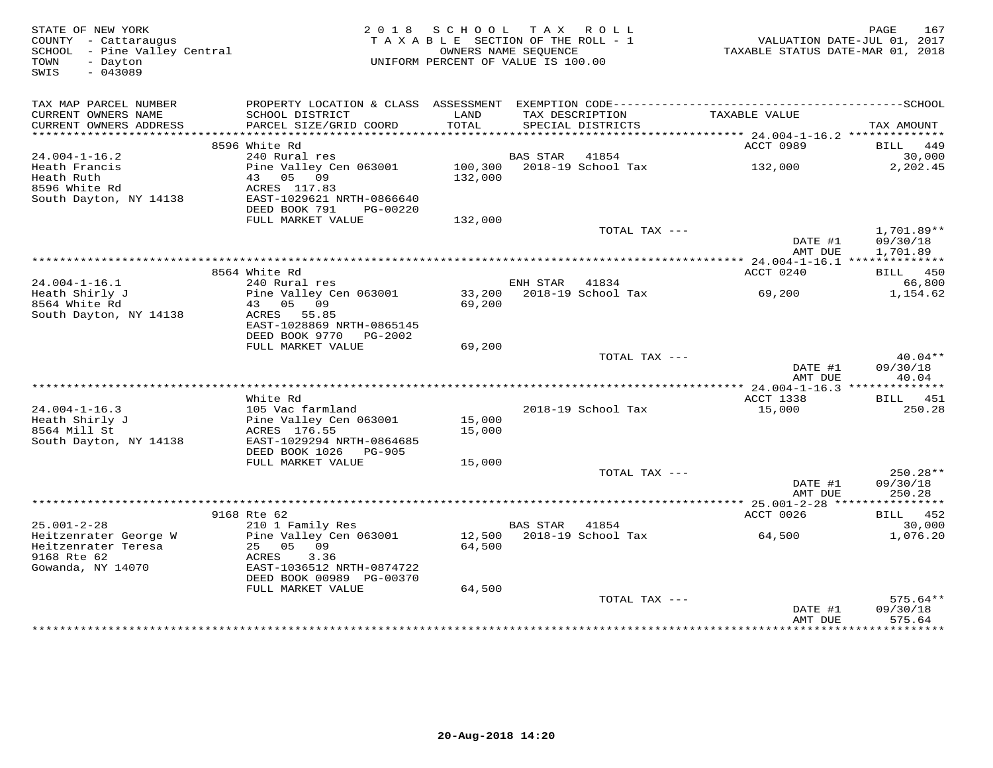| STATE OF NEW YORK<br>COUNTY - Cattaraugus<br>SCHOOL - Pine Valley Central<br>- Dayton<br>TOWN<br>$-043089$<br>SWIS | 2018 SCHOOL TAX ROLL<br>TAXABLE SECTION OF THE ROLL - 1<br>OWNERS NAME SEOUENCE<br>UNIFORM PERCENT OF VALUE IS 100.00             |                  |          |                            | 167<br>PAGE<br>7.002 1.07<br>TAXABLE STATUS DATE-JUL 01, 2017<br>TAXABLE STATUS DATE-MAR 01, 2018 |                                    |
|--------------------------------------------------------------------------------------------------------------------|-----------------------------------------------------------------------------------------------------------------------------------|------------------|----------|----------------------------|---------------------------------------------------------------------------------------------------|------------------------------------|
| TAX MAP PARCEL NUMBER<br>CURRENT OWNERS NAME<br>CURRENT OWNERS ADDRESS                                             | SCHOOL DISTRICT<br>PARCEL SIZE/GRID COORD                                                                                         | LAND<br>TOTAL    |          | SPECIAL DISTRICTS          | TAX DESCRIPTION TAXABLE VALUE                                                                     | TAX AMOUNT                         |
|                                                                                                                    |                                                                                                                                   |                  |          |                            |                                                                                                   |                                    |
| $24.004 - 1 - 16.2$                                                                                                | 8596 White Rd<br>240 Rural res                                                                                                    |                  | BAS STAR | 41854                      | ACCT 0989                                                                                         | BILL 449<br>30,000                 |
| Heath Francis<br>Heath Ruth<br>8596 White Rd<br>South Dayton, NY 14138                                             | Pine Valley Cen 063001<br>43 05 09<br>ACRES 117.83<br>EAST-1029621 NRTH-0866640                                                   | 132,000          |          | 100,300 2018-19 School Tax | 132,000                                                                                           | 2,202.45                           |
|                                                                                                                    | DEED BOOK 791<br>PG-00220<br>FULL MARKET VALUE                                                                                    | 132,000          |          |                            |                                                                                                   |                                    |
|                                                                                                                    |                                                                                                                                   |                  |          | TOTAL TAX ---              | DATE #1<br>AMT DUE                                                                                | 1,701.89**<br>09/30/18<br>1,701.89 |
|                                                                                                                    |                                                                                                                                   |                  |          |                            |                                                                                                   |                                    |
|                                                                                                                    | 8564 White Rd                                                                                                                     |                  |          |                            | ACCT 0240                                                                                         | BILL 450                           |
| $24.004 - 1 - 16.1$<br>Heath Shirly J                                                                              | 240 Rural res<br>Pine Valley Cen 063001                                                                                           |                  | ENH STAR | 41834                      | 33,200 2018-19 School Tax 69,200                                                                  | 66,800<br>1,154.62                 |
| 8564 White Rd<br>South Dayton, NY 14138                                                                            | 43 05 09<br>ACRES 55.85<br>EAST-1028869 NRTH-0865145<br>DEED BOOK 9770 PG-2002                                                    | 69,200           |          |                            |                                                                                                   |                                    |
|                                                                                                                    | FULL MARKET VALUE                                                                                                                 | 69,200           |          |                            |                                                                                                   |                                    |
|                                                                                                                    |                                                                                                                                   |                  |          | TOTAL TAX ---              | DATE #1<br>AMT DUE                                                                                | $40.04**$<br>09/30/18<br>40.04     |
|                                                                                                                    |                                                                                                                                   |                  |          |                            |                                                                                                   |                                    |
| $24.004 - 1 - 16.3$<br>24.004-1-10.00<br>Heath Shirly J<br>$F_1$ of                                                | White Rd<br>105 Vac farmland<br>105 Vac farmland<br>Pine Valley Cen 063001<br>ACRES 176.55                                        | 15,000<br>15,000 |          | 2018-19 School Tax         | ACCT 1338<br>15,000                                                                               | BILL 451<br>250.28                 |
| South Dayton, NY 14138                                                                                             | EAST-1029294 NRTH-0864685<br>DEED BOOK 1026 PG-905<br>FULL MARKET VALUE                                                           | 15,000           |          |                            |                                                                                                   |                                    |
|                                                                                                                    |                                                                                                                                   |                  |          | TOTAL TAX ---              | DATE #1                                                                                           | $250.28**$<br>09/30/18             |
|                                                                                                                    |                                                                                                                                   |                  |          |                            | AMT DUE                                                                                           | 250.28                             |
|                                                                                                                    | 9168 Rte 62                                                                                                                       |                  |          |                            | ACCT 0026                                                                                         | <b>BILL</b> 452                    |
| $25.001 - 2 - 28$                                                                                                  | 210 1 Family Res                                                                                                                  |                  | BAS STAR | 41854                      |                                                                                                   | 30,000                             |
| Heitzenrater George W<br>Heitzenrater Teresa<br>9168 Rte 62<br>Gowanda, NY 14070                                   | Pine Valley Cen 063001<br>25 05 09<br>ACRES<br>3.36<br>EAST-1036512 NRTH-0874722<br>DEED BOOK 00989 PG-00370<br>FULL MARKET VALUE | 64,500<br>64,500 |          | 12,500 2018-19 School Tax  | 64,500                                                                                            | 1,076.20                           |
|                                                                                                                    |                                                                                                                                   |                  |          | TOTAL TAX ---              | DATE #1                                                                                           | $575.64**$<br>09/30/18             |
|                                                                                                                    |                                                                                                                                   |                  |          |                            | AMT DUE                                                                                           | 575.64                             |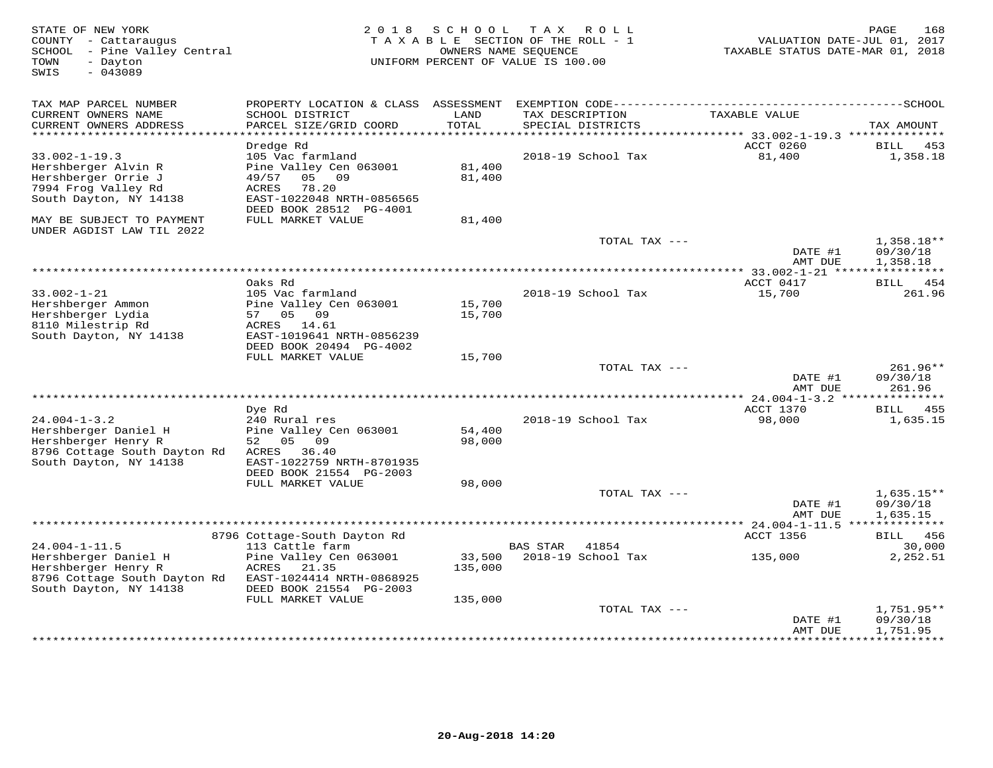| STATE OF NEW YORK<br>COUNTY - Cattaraugus<br>SCHOOL - Pine Valley Central<br>TOWN<br>- Dayton<br>SWIS<br>$-043089$ | 2 0 1 8                                            | S C H O O L      | T A X<br>R O L L<br>TAXABLE SECTION OF THE ROLL - 1<br>OWNERS NAME SEQUENCE<br>UNIFORM PERCENT OF VALUE IS 100.00 | VALUATION DATE-JUL 01, 2017<br>TAXABLE STATUS DATE-MAR 01, 2018 | PAGE<br>168            |
|--------------------------------------------------------------------------------------------------------------------|----------------------------------------------------|------------------|-------------------------------------------------------------------------------------------------------------------|-----------------------------------------------------------------|------------------------|
| TAX MAP PARCEL NUMBER                                                                                              | PROPERTY LOCATION & CLASS ASSESSMENT               |                  |                                                                                                                   |                                                                 |                        |
| CURRENT OWNERS NAME<br>CURRENT OWNERS ADDRESS<br>*************************                                         | SCHOOL DISTRICT<br>PARCEL SIZE/GRID COORD          | LAND<br>TOTAL    | TAX DESCRIPTION<br>SPECIAL DISTRICTS                                                                              | TAXABLE VALUE                                                   | TAX AMOUNT             |
|                                                                                                                    | Dredge Rd                                          |                  |                                                                                                                   | ACCT 0260                                                       | BILL<br>453            |
| $33.002 - 1 - 19.3$                                                                                                | 105 Vac farmland                                   |                  | 2018-19 School Tax                                                                                                | 81,400                                                          | 1,358.18               |
| Hershberger Alvin R                                                                                                | Pine Valley Cen 063001                             | 81,400           |                                                                                                                   |                                                                 |                        |
| Hershberger Orrie J                                                                                                | 49/57<br>05 09                                     | 81,400           |                                                                                                                   |                                                                 |                        |
| 7994 Frog Valley Rd<br>South Dayton, NY 14138                                                                      | <b>ACRES</b><br>78.20<br>EAST-1022048 NRTH-0856565 |                  |                                                                                                                   |                                                                 |                        |
|                                                                                                                    | DEED BOOK 28512 PG-4001                            |                  |                                                                                                                   |                                                                 |                        |
| MAY BE SUBJECT TO PAYMENT<br>UNDER AGDIST LAW TIL 2022                                                             | FULL MARKET VALUE                                  | 81,400           |                                                                                                                   |                                                                 |                        |
|                                                                                                                    |                                                    |                  | TOTAL TAX ---                                                                                                     |                                                                 | $1,358.18**$           |
|                                                                                                                    |                                                    |                  |                                                                                                                   | DATE #1<br>AMT DUE                                              | 09/30/18<br>1,358.18   |
|                                                                                                                    |                                                    |                  |                                                                                                                   |                                                                 |                        |
|                                                                                                                    | Oaks Rd                                            |                  |                                                                                                                   | ACCT 0417                                                       | BILL 454               |
| $33.002 - 1 - 21$                                                                                                  | 105 Vac farmland                                   |                  | 2018-19 School Tax                                                                                                | 15,700                                                          | 261.96                 |
| Hershberger Ammon<br>Hershberger Lydia                                                                             | Pine Valley Cen 063001<br>57 05<br>09              | 15,700<br>15,700 |                                                                                                                   |                                                                 |                        |
| 8110 Milestrip Rd                                                                                                  | ACRES 14.61                                        |                  |                                                                                                                   |                                                                 |                        |
| South Dayton, NY 14138                                                                                             | EAST-1019641 NRTH-0856239                          |                  |                                                                                                                   |                                                                 |                        |
|                                                                                                                    | DEED BOOK 20494 PG-4002                            |                  |                                                                                                                   |                                                                 |                        |
|                                                                                                                    | FULL MARKET VALUE                                  | 15,700           | TOTAL TAX ---                                                                                                     |                                                                 | 261.96**               |
|                                                                                                                    |                                                    |                  |                                                                                                                   | DATE #1                                                         | 09/30/18               |
|                                                                                                                    |                                                    |                  |                                                                                                                   | AMT DUE                                                         | 261.96                 |
|                                                                                                                    |                                                    |                  |                                                                                                                   |                                                                 |                        |
|                                                                                                                    | Dye Rd                                             |                  |                                                                                                                   | ACCT 1370                                                       | 455<br>BILL            |
| $24.004 - 1 - 3.2$<br>Hershberger Daniel H                                                                         | 240 Rural res<br>Pine Valley Cen 063001            | 54,400           | 2018-19 School Tax                                                                                                | 98,000                                                          | 1,635.15               |
| Hershberger Henry R                                                                                                | 52<br>05<br>09                                     | 98,000           |                                                                                                                   |                                                                 |                        |
| 8796 Cottage South Dayton Rd                                                                                       | 36.40<br>ACRES                                     |                  |                                                                                                                   |                                                                 |                        |
| South Dayton, NY 14138                                                                                             | EAST-1022759 NRTH-8701935                          |                  |                                                                                                                   |                                                                 |                        |
|                                                                                                                    | DEED BOOK 21554 PG-2003                            |                  |                                                                                                                   |                                                                 |                        |
|                                                                                                                    | FULL MARKET VALUE                                  | 98,000           | TOTAL TAX ---                                                                                                     |                                                                 | $1,635.15**$           |
|                                                                                                                    |                                                    |                  |                                                                                                                   | DATE #1                                                         | 09/30/18               |
|                                                                                                                    |                                                    |                  |                                                                                                                   | AMT DUE                                                         | 1,635.15               |
|                                                                                                                    |                                                    |                  |                                                                                                                   |                                                                 |                        |
| $24.004 - 1 - 11.5$                                                                                                | 8796 Cottage-South Dayton Rd                       |                  | 41854                                                                                                             | ACCT 1356                                                       | <b>BILL</b> 456        |
| Hershberger Daniel H                                                                                               | 113 Cattle farm<br>Pine Valley Cen 063001          | 33,500           | BAS STAR<br>2018-19 School Tax                                                                                    | 135,000                                                         | 30,000<br>2,252.51     |
| Hershberger Henry R                                                                                                | 21.35<br>ACRES                                     | 135,000          |                                                                                                                   |                                                                 |                        |
| 8796 Cottage South Dayton Rd                                                                                       | EAST-1024414 NRTH-0868925                          |                  |                                                                                                                   |                                                                 |                        |
| South Dayton, NY 14138                                                                                             | DEED BOOK 21554 PG-2003                            |                  |                                                                                                                   |                                                                 |                        |
|                                                                                                                    | FULL MARKET VALUE                                  | 135,000          |                                                                                                                   |                                                                 |                        |
|                                                                                                                    |                                                    |                  | TOTAL TAX ---                                                                                                     | DATE #1                                                         | 1,751.95**<br>09/30/18 |
|                                                                                                                    |                                                    |                  |                                                                                                                   | AMT DUE                                                         | 1,751.95               |
|                                                                                                                    |                                                    |                  |                                                                                                                   | ******************************                                  |                        |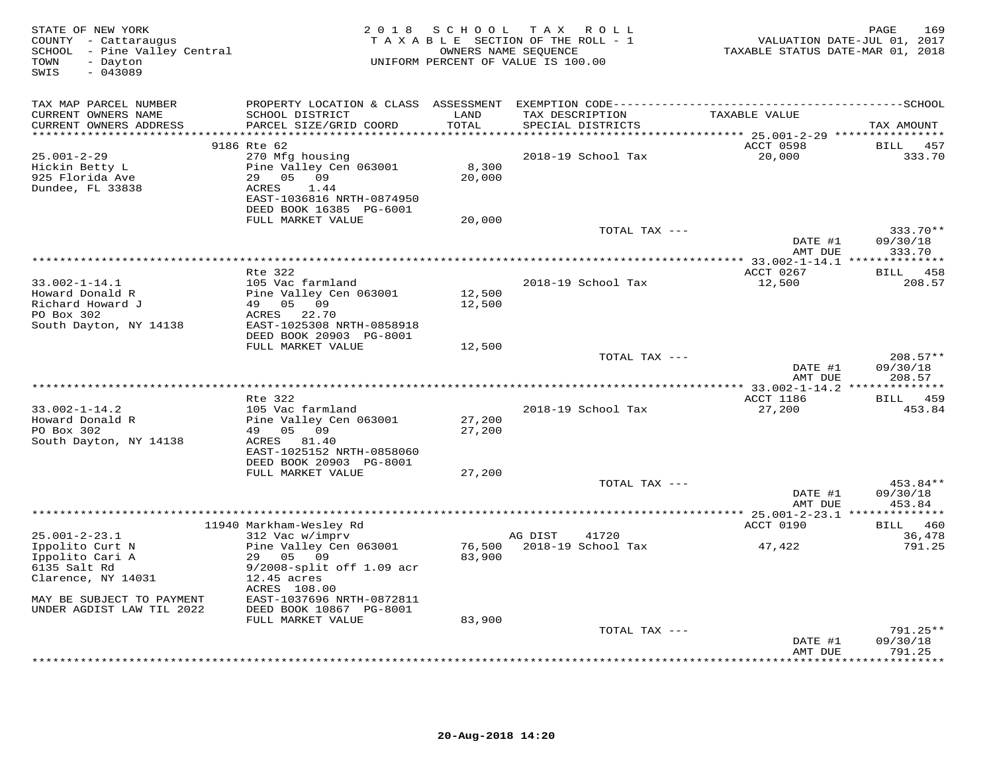| STATE OF NEW YORK<br>COUNTY - Cattaraugus<br>SCHOOL - Pine Valley Central<br>TOWN<br>- Dayton<br>$-043089$<br>SWIS                 | 2 0 1 8                                                                                                                                                     | S C H O O L             | TAX ROLL<br>TAXABLE SECTION OF THE ROLL - 1<br>OWNERS NAME SEQUENCE<br>UNIFORM PERCENT OF VALUE IS 100.00 | TAXABLE STATUS DATE-MAR 01, 2018                 | 169<br>PAGE<br>VALUATION DATE-JUL 01, 2017 |
|------------------------------------------------------------------------------------------------------------------------------------|-------------------------------------------------------------------------------------------------------------------------------------------------------------|-------------------------|-----------------------------------------------------------------------------------------------------------|--------------------------------------------------|--------------------------------------------|
| TAX MAP PARCEL NUMBER                                                                                                              |                                                                                                                                                             |                         |                                                                                                           |                                                  |                                            |
| CURRENT OWNERS NAME<br>CURRENT OWNERS ADDRESS                                                                                      | SCHOOL DISTRICT<br>PARCEL SIZE/GRID COORD                                                                                                                   | LAND<br>TOTAL<br>****** | TAX DESCRIPTION<br>SPECIAL DISTRICTS                                                                      | TAXABLE VALUE                                    | TAX AMOUNT                                 |
|                                                                                                                                    | 9186 Rte 62                                                                                                                                                 |                         |                                                                                                           | ****** 25.001-2-29 ****************<br>ACCT 0598 | <b>BILL</b><br>457                         |
| 25.001-2-29<br>Hickin Betty L<br>925 Florida Ave<br>Dundee, FL 33838                                                               | 270 Mfg housing<br>Pine Valley Cen 063001<br>29<br>05<br>09<br>ACRES<br>1.44<br>EAST-1036816 NRTH-0874950<br>DEED BOOK 16385 PG-6001                        | 8,300<br>20,000         | 2018-19 School Tax                                                                                        | 20,000                                           | 333.70                                     |
|                                                                                                                                    | FULL MARKET VALUE                                                                                                                                           | 20,000                  |                                                                                                           |                                                  |                                            |
|                                                                                                                                    |                                                                                                                                                             |                         | TOTAL TAX ---                                                                                             |                                                  | 333.70**                                   |
|                                                                                                                                    |                                                                                                                                                             |                         |                                                                                                           | DATE #1<br>AMT DUE                               | 09/30/18<br>333.70                         |
|                                                                                                                                    |                                                                                                                                                             |                         |                                                                                                           | *** 33.002-1-14.1 **************                 |                                            |
|                                                                                                                                    | Rte 322                                                                                                                                                     |                         |                                                                                                           | ACCT 0267                                        | 458<br>BILL                                |
| $33.002 - 1 - 14.1$<br>Howard Donald R<br>Richard Howard J<br>PO Box 302<br>South Dayton, NY 14138                                 | 105 Vac farmland<br>Pine Valley Cen 063001<br>49 05 09<br>ACRES<br>22.70<br>EAST-1025308 NRTH-0858918                                                       | 12,500<br>12,500        | 2018-19 School Tax                                                                                        | 12,500                                           | 208.57                                     |
|                                                                                                                                    | DEED BOOK 20903 PG-8001                                                                                                                                     |                         |                                                                                                           |                                                  |                                            |
|                                                                                                                                    | FULL MARKET VALUE                                                                                                                                           | 12,500                  | TOTAL TAX ---                                                                                             | DATE #1<br>AMT DUE                               | $208.57**$<br>09/30/18<br>208.57           |
|                                                                                                                                    |                                                                                                                                                             |                         | *********************************                                                                         | ** 33.002-1-14.2 *****                           | *********                                  |
|                                                                                                                                    | Rte 322                                                                                                                                                     |                         |                                                                                                           | ACCT 1186                                        | 459<br><b>BILL</b>                         |
| $33.002 - 1 - 14.2$<br>Howard Donald R<br>PO Box 302<br>South Dayton, NY 14138                                                     | 105 Vac farmland<br>Pine Valley Cen 063001<br>49 05 09<br>ACRES 81.40<br>EAST-1025152 NRTH-0858060<br>DEED BOOK 20903 PG-8001                               | 27,200<br>27,200        | 2018-19 School Tax                                                                                        | 27,200                                           | 453.84                                     |
|                                                                                                                                    | FULL MARKET VALUE                                                                                                                                           | 27,200                  |                                                                                                           |                                                  |                                            |
|                                                                                                                                    |                                                                                                                                                             |                         | TOTAL TAX ---                                                                                             | DATE #1<br>AMT DUE                               | 453.84**<br>09/30/18<br>453.84             |
|                                                                                                                                    | 11940 Markham-Wesley Rd                                                                                                                                     |                         |                                                                                                           | ACCT 0190                                        | 460<br><b>BILL</b>                         |
| $25.001 - 2 - 23.1$                                                                                                                | 312 Vac w/imprv                                                                                                                                             |                         | AG DIST<br>41720                                                                                          |                                                  | 36,478                                     |
| Ippolito Curt N<br>Ippolito Cari A<br>6135 Salt Rd<br>Clarence, NY 14031<br>MAY BE SUBJECT TO PAYMENT<br>UNDER AGDIST LAW TIL 2022 | Pine Valley Cen 063001<br>29 05<br>09<br>9/2008-split off 1.09 acr<br>$12.45$ acres<br>ACRES 108.00<br>EAST-1037696 NRTH-0872811<br>DEED BOOK 10867 PG-8001 | 76,500<br>83,900        | 2018-19 School Tax                                                                                        | 47,422                                           | 791.25                                     |
|                                                                                                                                    | FULL MARKET VALUE                                                                                                                                           | 83,900                  | TOTAL TAX ---                                                                                             |                                                  | $791.25**$                                 |
|                                                                                                                                    |                                                                                                                                                             |                         |                                                                                                           | DATE #1<br>AMT DUE                               | 09/30/18<br>791.25                         |
|                                                                                                                                    |                                                                                                                                                             |                         |                                                                                                           |                                                  | * * * * * * * *                            |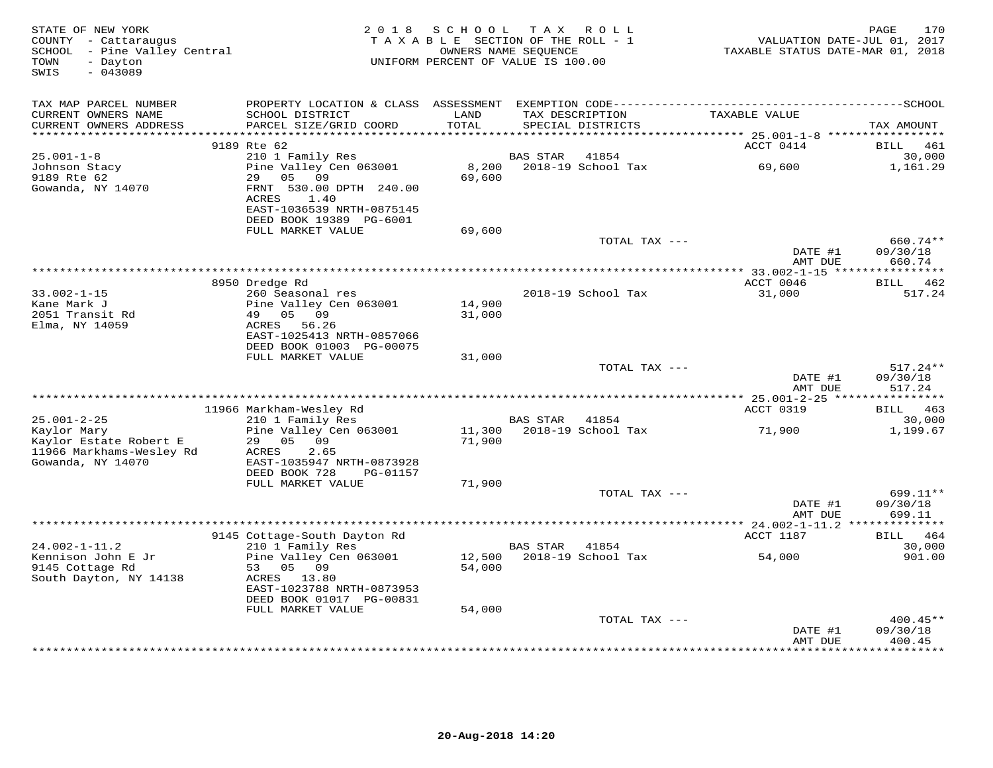| STATE OF NEW YORK<br>COUNTY - Cattaraugus<br>SCHOOL - Pine Valley Central<br>TOWN<br>- Dayton<br>SWIS<br>$-043089$ | 2 0 1 8                                                                   | S C H O O L<br>TAXABLE SECTION OF THE ROLL - 1<br>UNIFORM PERCENT OF VALUE IS 100.00 | T A X<br>OWNERS NAME SEQUENCE | ROLL                          | VALUATION DATE-JUL 01, 2017<br>TAXABLE STATUS DATE-MAR 01, 2018 | 170<br>PAGE                    |
|--------------------------------------------------------------------------------------------------------------------|---------------------------------------------------------------------------|--------------------------------------------------------------------------------------|-------------------------------|-------------------------------|-----------------------------------------------------------------|--------------------------------|
| TAX MAP PARCEL NUMBER                                                                                              |                                                                           |                                                                                      |                               |                               |                                                                 |                                |
| CURRENT OWNERS NAME<br>CURRENT OWNERS ADDRESS<br>***********************                                           | SCHOOL DISTRICT<br>PARCEL SIZE/GRID COORD<br>**************************** | LAND<br>TOTAL<br>****************                                                    | TAX DESCRIPTION               | SPECIAL DISTRICTS             | TAXABLE VALUE                                                   | TAX AMOUNT                     |
|                                                                                                                    | 9189 Rte 62                                                               |                                                                                      |                               |                               | ACCT 0414                                                       | 461<br>BILL                    |
| $25.001 - 1 - 8$                                                                                                   | 210 1 Family Res                                                          |                                                                                      | <b>BAS STAR</b>               | 41854                         |                                                                 | 30,000                         |
| Johnson Stacy<br>9189 Rte 62                                                                                       | Pine Valley Cen 063001<br>05<br>09<br>29                                  | 8,200<br>69,600                                                                      |                               | 2018-19 School Tax            | 69,600                                                          | 1,161.29                       |
| Gowanda, NY 14070                                                                                                  | FRNT 530.00 DPTH 240.00<br>1.40<br>ACRES                                  |                                                                                      |                               |                               |                                                                 |                                |
|                                                                                                                    | EAST-1036539 NRTH-0875145<br>DEED BOOK 19389 PG-6001                      |                                                                                      |                               |                               |                                                                 |                                |
|                                                                                                                    | FULL MARKET VALUE                                                         | 69,600                                                                               |                               | TOTAL TAX ---                 |                                                                 | 660.74**                       |
|                                                                                                                    |                                                                           |                                                                                      |                               |                               | DATE #1<br>AMT DUE                                              | 09/30/18<br>660.74             |
|                                                                                                                    |                                                                           |                                                                                      |                               |                               |                                                                 |                                |
| $33.002 - 1 - 15$                                                                                                  | 8950 Dredge Rd<br>260 Seasonal res                                        |                                                                                      |                               |                               | ACCT 0046                                                       | 462<br><b>BILL</b><br>517.24   |
| Kane Mark J                                                                                                        | Pine Valley Cen 063001                                                    | 14,900                                                                               |                               | 2018-19 School Tax            | 31,000                                                          |                                |
| 2051 Transit Rd                                                                                                    | 49 05 09                                                                  | 31,000                                                                               |                               |                               |                                                                 |                                |
| Elma, NY 14059                                                                                                     | ACRES<br>56.26                                                            |                                                                                      |                               |                               |                                                                 |                                |
|                                                                                                                    | EAST-1025413 NRTH-0857066                                                 |                                                                                      |                               |                               |                                                                 |                                |
|                                                                                                                    | DEED BOOK 01003 PG-00075<br>FULL MARKET VALUE                             | 31,000                                                                               |                               |                               |                                                                 |                                |
|                                                                                                                    |                                                                           |                                                                                      |                               | TOTAL TAX ---                 |                                                                 | $517.24**$                     |
|                                                                                                                    |                                                                           |                                                                                      |                               |                               | DATE #1<br>AMT DUE                                              | 09/30/18<br>517.24             |
|                                                                                                                    |                                                                           |                                                                                      |                               |                               | *********** 25.001-2-25 ****                                    | ***********                    |
| $25.001 - 2 - 25$                                                                                                  | 11966 Markham-Wesley Rd                                                   |                                                                                      | <b>BAS STAR</b>               | 41854                         | ACCT 0319                                                       | BILL 463<br>30,000             |
| Kaylor Mary                                                                                                        | 210 1 Family Res<br>Pine Valley Cen 063001                                | 11,300                                                                               |                               | 2018-19 School Tax            | 71,900                                                          | 1,199.67                       |
| Kaylor Estate Robert E<br>11966 Markhams-Wesley Rd<br>Gowanda, NY 14070                                            | 29<br>05<br>09<br>2.65<br>ACRES<br>EAST-1035947 NRTH-0873928              | 71,900                                                                               |                               |                               |                                                                 |                                |
|                                                                                                                    | DEED BOOK 728<br>PG-01157                                                 |                                                                                      |                               |                               |                                                                 |                                |
|                                                                                                                    | FULL MARKET VALUE                                                         | 71,900                                                                               |                               |                               |                                                                 |                                |
|                                                                                                                    |                                                                           |                                                                                      |                               | TOTAL TAX ---                 | DATE #1<br>AMT DUE                                              | 699.11**<br>09/30/18<br>699.11 |
|                                                                                                                    |                                                                           |                                                                                      |                               |                               |                                                                 | *********                      |
|                                                                                                                    | 9145 Cottage-South Dayton Rd                                              |                                                                                      |                               |                               | ACCT 1187                                                       | 464<br>BILL                    |
| $24.002 - 1 - 11.2$                                                                                                | 210 1 Family Res                                                          |                                                                                      | <b>BAS STAR</b>               | 41854                         |                                                                 | 30,000                         |
| Kennison John E Jr                                                                                                 | Pine Valley Cen 063001<br>53                                              | 12,500                                                                               |                               | 2018-19 School Tax            | 54,000                                                          | 901.00                         |
| 9145 Cottage Rd<br>South Dayton, NY 14138                                                                          | 05<br>09<br>ACRES 13.80                                                   | 54,000                                                                               |                               |                               |                                                                 |                                |
|                                                                                                                    | EAST-1023788 NRTH-0873953                                                 |                                                                                      |                               |                               |                                                                 |                                |
|                                                                                                                    | DEED BOOK 01017 PG-00831                                                  |                                                                                      |                               |                               |                                                                 |                                |
|                                                                                                                    | FULL MARKET VALUE                                                         | 54,000                                                                               |                               |                               |                                                                 |                                |
|                                                                                                                    |                                                                           |                                                                                      |                               | TOTAL TAX ---                 | DATE #1                                                         | $400.45**$<br>09/30/18         |
|                                                                                                                    |                                                                           |                                                                                      |                               | ***************************** | AMT DUE                                                         | 400.45<br>* * * * * * * * *    |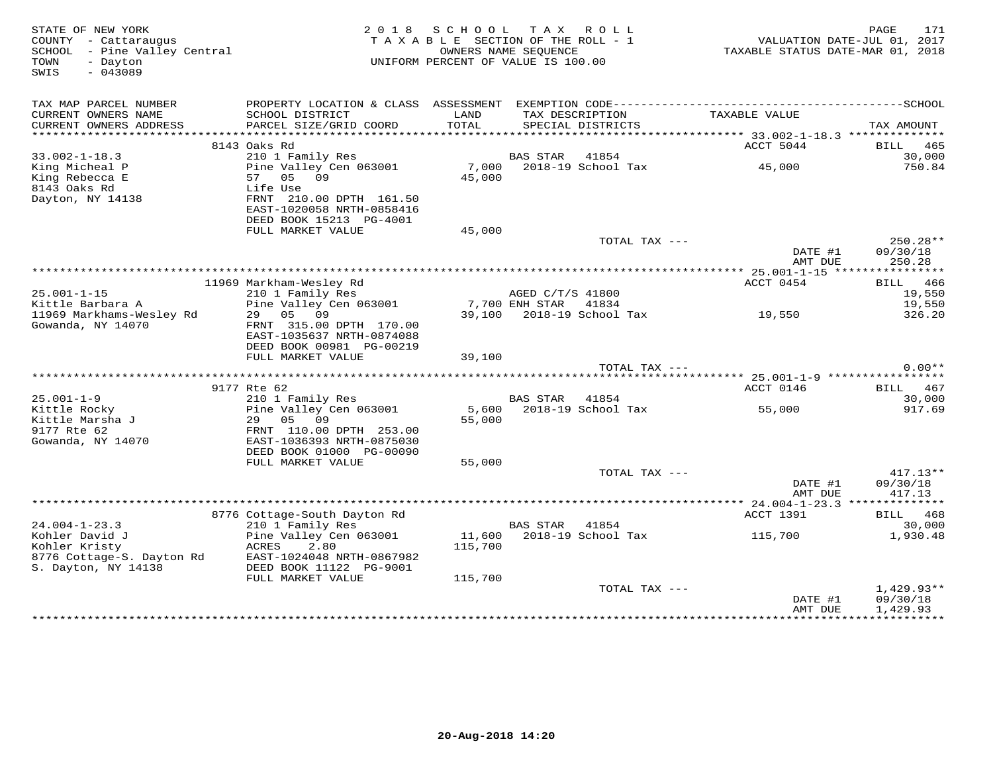| STATE OF NEW YORK<br>COUNTY - Cattaraugus<br>COUNTY - Cattaraugus<br>SCHOOL - Pine Valley Central<br>- Dayton<br>TOWN<br>$-043089$<br>SWIS |                                                                                              | 2018 SCHOOL<br>TAXABLE SECTION OF THE ROLL - 1<br>OWNERS NAME SEQUENCE<br>UNIFORM PERCENT OF VALUE IS 100.00 |                  | TAX ROLL                           | , VALUATION DATE-JUL V1, 2018<br>TAXABLE STATUS DATE-MAR 01, 2018 | 171<br>PAGE            |
|--------------------------------------------------------------------------------------------------------------------------------------------|----------------------------------------------------------------------------------------------|--------------------------------------------------------------------------------------------------------------|------------------|------------------------------------|-------------------------------------------------------------------|------------------------|
| TAX MAP PARCEL NUMBER<br>CURRENT OWNERS NAME                                                                                               | SCHOOL DISTRICT                                                                              | LAND                                                                                                         |                  | TAX DESCRIPTION                    | TAXABLE VALUE                                                     |                        |
| CURRENT OWNERS ADDRESS                                                                                                                     | PARCEL SIZE/GRID COORD                                                                       | TOTAL                                                                                                        |                  | SPECIAL DISTRICTS                  |                                                                   | TAX AMOUNT             |
|                                                                                                                                            |                                                                                              |                                                                                                              |                  |                                    |                                                                   |                        |
|                                                                                                                                            | 8143 Oaks Rd                                                                                 |                                                                                                              |                  |                                    | ACCT 5044                                                         | BILL 465               |
| $33.002 - 1 - 18.3$                                                                                                                        | 210 1 Family Res                                                                             |                                                                                                              | BAS STAR 41854   |                                    |                                                                   | 30,000                 |
| King Micheal P                                                                                                                             | Pine Valley Cen 063001                                                                       |                                                                                                              |                  | 7,000 2018-19 School Tax<br>45,000 | 45,000                                                            | 750.84                 |
| King Rebecca E                                                                                                                             | 57 05 09                                                                                     |                                                                                                              |                  |                                    |                                                                   |                        |
| 8143 Oaks Rd<br>Dayton, NY 14138                                                                                                           | Life Use<br>FRNT 210.00 DPTH 161.50<br>EAST-1020058 NRTH-0858416<br>DEED BOOK 15213 PG-4001  |                                                                                                              |                  |                                    |                                                                   |                        |
|                                                                                                                                            | FULL MARKET VALUE                                                                            | 45,000                                                                                                       |                  |                                    |                                                                   |                        |
|                                                                                                                                            |                                                                                              |                                                                                                              |                  | TOTAL TAX ---                      |                                                                   | 250.28**               |
|                                                                                                                                            |                                                                                              |                                                                                                              |                  |                                    | DATE #1<br>AMT DUE                                                | 09/30/18<br>250.28     |
|                                                                                                                                            |                                                                                              |                                                                                                              |                  |                                    |                                                                   |                        |
|                                                                                                                                            | 11969 Markham-Wesley Rd                                                                      |                                                                                                              |                  |                                    | ACCT 0454                                                         | BILL 466               |
| $25.001 - 1 - 15$                                                                                                                          | 210 1 Family Res                                                                             | AGED C/T,<br>7,700 ENH STAR<br>39,100 0000                                                                   | AGED C/T/S 41800 |                                    |                                                                   | 19,550                 |
| Kittle Barbara A                                                                                                                           | Pine Valley Cen 063001                                                                       |                                                                                                              |                  | 41834<br>39,100 2018-19 School Tax | 19,550                                                            | 19,550                 |
| 11969 Markhams-Wesley Rd<br>Gowanda, NY 14070                                                                                              | 29 05 09<br>FRNT 315.00 DPTH 170.00<br>EAST-1035637 NRTH-0874088<br>DEED BOOK 00981 PG-00219 |                                                                                                              |                  |                                    |                                                                   | 326.20                 |
|                                                                                                                                            | FULL MARKET VALUE                                                                            | 39,100                                                                                                       |                  | TOTAL TAX ---                      |                                                                   | $0.00**$               |
|                                                                                                                                            |                                                                                              |                                                                                                              |                  |                                    |                                                                   |                        |
|                                                                                                                                            | 9177 Rte 62                                                                                  |                                                                                                              |                  |                                    | ACCT 0146                                                         | BILL 467               |
| $25.001 - 1 - 9$                                                                                                                           | 210 1 Family Res                                                                             |                                                                                                              | BAS STAR 41854   |                                    |                                                                   | 30,000                 |
| x3:001 1 5<br>Kittle Rocky<br>Kittle Marsha J<br>Kittle Marsha J                                                                           | Pine Valley Cen 063001<br>29 05 09                                                           | 5,600<br>55,000                                                                                              |                  |                                    | 2018-19 School Tax 55,000                                         | 917.69                 |
| 9177 Rte 62                                                                                                                                | FRNT 110.00 DPTH 253.00                                                                      |                                                                                                              |                  |                                    |                                                                   |                        |
| Gowanda, NY 14070                                                                                                                          | EAST-1036393 NRTH-0875030<br>DEED BOOK 01000 PG-00090                                        |                                                                                                              |                  |                                    |                                                                   |                        |
|                                                                                                                                            | FULL MARKET VALUE                                                                            | 55,000                                                                                                       |                  |                                    |                                                                   |                        |
|                                                                                                                                            |                                                                                              |                                                                                                              |                  | TOTAL TAX ---                      | DATE #1                                                           | $417.13**$<br>09/30/18 |
|                                                                                                                                            |                                                                                              |                                                                                                              |                  |                                    | AMT DUE                                                           | 417.13                 |
|                                                                                                                                            |                                                                                              |                                                                                                              |                  |                                    |                                                                   |                        |
|                                                                                                                                            | 8776 Cottage-South Dayton Rd                                                                 |                                                                                                              |                  |                                    | ACCT 1391                                                         | BILL 468               |
| $24.004 - 1 - 23.3$                                                                                                                        | 210 1 Family Res                                                                             |                                                                                                              | BAS STAR 41854   |                                    |                                                                   | 30,000                 |
| Kohler David J<br>Kohler Kristy                                                                                                            | Pine Valley Cen 063001<br>ACRES<br>2.80                                                      | 11,600<br>115,700                                                                                            |                  |                                    | 2018-19 School Tax 115,700                                        | 1,930.48               |
| 8776 Cottage-S. Dayton Rd<br>S. Dayton, NY 14138                                                                                           | EAST-1024048 NRTH-0867982                                                                    |                                                                                                              |                  |                                    |                                                                   |                        |
| S. Dayton, NY 14138                                                                                                                        | DEED BOOK 11122 PG-9001                                                                      |                                                                                                              |                  |                                    |                                                                   |                        |
|                                                                                                                                            | FULL MARKET VALUE                                                                            | 115,700                                                                                                      |                  |                                    |                                                                   |                        |
|                                                                                                                                            |                                                                                              |                                                                                                              |                  | TOTAL TAX ---                      |                                                                   | $1,429.93**$           |
|                                                                                                                                            |                                                                                              |                                                                                                              |                  |                                    | DATE #1                                                           | 09/30/18               |
|                                                                                                                                            |                                                                                              |                                                                                                              |                  |                                    | AMT DUE                                                           | 1,429.93               |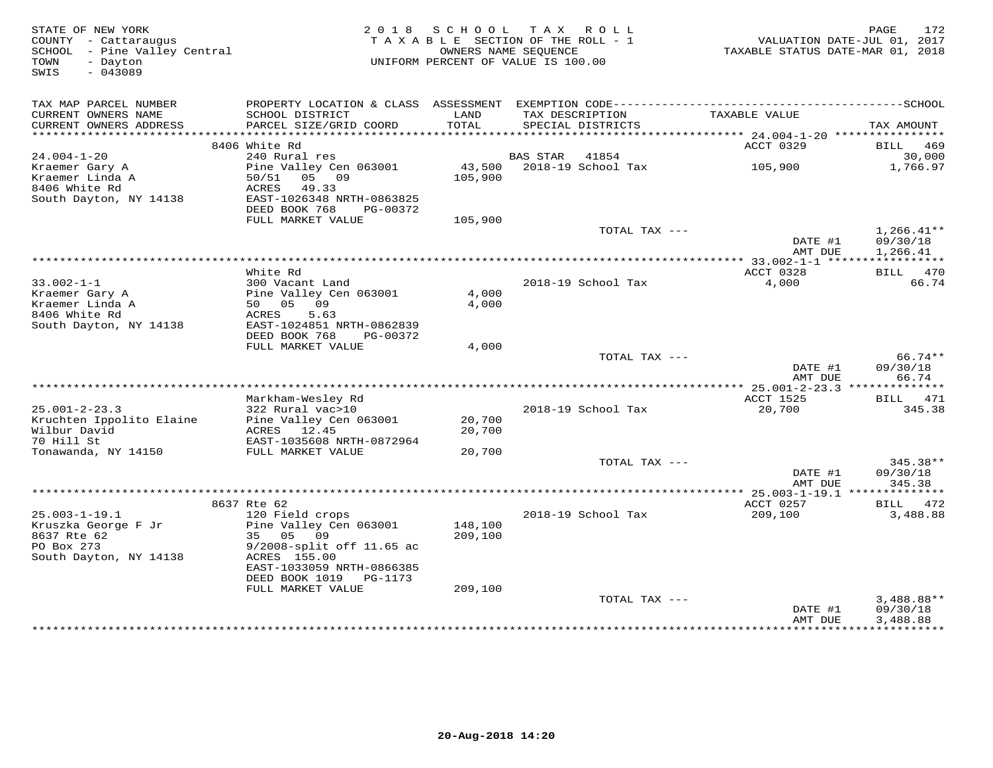| STATE OF NEW YORK<br>COUNTY - Cattaraugus<br>SCHOOL - Pine Valley Central<br>TOWN<br>- Dayton<br>SWIS<br>$-043089$ | 2 0 1 8<br>TAXABLE SECTION OF THE ROLL - 1<br>UNIFORM PERCENT OF VALUE IS 100.00                                                                                                  | 172<br>PAGE<br>VALUATION DATE-JUL 01, 2017<br>TAXABLE STATUS DATE-MAR 01, 2018 |          |                                      |                     |                                      |
|--------------------------------------------------------------------------------------------------------------------|-----------------------------------------------------------------------------------------------------------------------------------------------------------------------------------|--------------------------------------------------------------------------------|----------|--------------------------------------|---------------------|--------------------------------------|
| TAX MAP PARCEL NUMBER<br>CURRENT OWNERS NAME<br>CURRENT OWNERS ADDRESS                                             | SCHOOL DISTRICT<br>PARCEL SIZE/GRID COORD                                                                                                                                         | LAND<br>TOTAL                                                                  |          | TAX DESCRIPTION<br>SPECIAL DISTRICTS | TAXABLE VALUE       | TAX AMOUNT                           |
|                                                                                                                    |                                                                                                                                                                                   |                                                                                |          |                                      |                     |                                      |
| $24.004 - 1 - 20$                                                                                                  | 8406 White Rd<br>240 Rural res                                                                                                                                                    |                                                                                | BAS STAR | 41854                                | ACCT 0329           | BILL 469<br>30,000                   |
| Kraemer Gary A<br>Kraemer Linda A<br>8406 White Rd<br>South Dayton, NY 14138                                       | Pine Valley Cen 063001<br>50/51<br>05 09<br>ACRES<br>49.33<br>EAST-1026348 NRTH-0863825<br>DEED BOOK 768<br>PG-00372                                                              | 43,500<br>105,900                                                              |          | 2018-19 School Tax                   | 105,900             | 1,766.97                             |
|                                                                                                                    | FULL MARKET VALUE                                                                                                                                                                 | 105,900                                                                        |          |                                      |                     |                                      |
|                                                                                                                    |                                                                                                                                                                                   |                                                                                |          | TOTAL TAX ---                        | DATE #1<br>AMT DUE  | $1,266.41**$<br>09/30/18<br>1,266.41 |
|                                                                                                                    |                                                                                                                                                                                   |                                                                                |          |                                      |                     |                                      |
|                                                                                                                    | White Rd                                                                                                                                                                          |                                                                                |          |                                      | ACCT 0328           | BILL 470                             |
| $33.002 - 1 - 1$<br>Kraemer Gary A<br>Kraemer Linda A<br>8406 White Rd<br>South Dayton, NY 14138                   | 300 Vacant Land<br>Pine Valley Cen 063001<br>50 05 09<br>ACRES<br>5.63<br>EAST-1024851 NRTH-0862839<br>DEED BOOK 768<br>PG-00372                                                  | 4,000<br>4,000                                                                 |          | 2018-19 School Tax                   | 4,000               | 66.74                                |
|                                                                                                                    | FULL MARKET VALUE                                                                                                                                                                 | 4,000                                                                          |          |                                      |                     |                                      |
|                                                                                                                    |                                                                                                                                                                                   |                                                                                |          | TOTAL TAX ---                        | DATE #1<br>AMT DUE  | 66.74**<br>09/30/18<br>66.74         |
|                                                                                                                    |                                                                                                                                                                                   |                                                                                |          |                                      |                     |                                      |
| $25.001 - 2 - 23.3$<br>Kruchten Ippolito Elaine<br>Wilbur David<br>70 Hill St                                      | Markham-Wesley Rd<br>322 Rural vac>10<br>Pine Valley Cen 063001<br>ACRES 12.45<br>EAST-1035608 NRTH-0872964                                                                       | 20,700<br>20,700                                                               |          | 2018-19 School Tax                   | ACCT 1525<br>20,700 | BILL 471<br>345.38                   |
| Tonawanda, NY 14150                                                                                                | FULL MARKET VALUE                                                                                                                                                                 | 20,700                                                                         |          |                                      |                     |                                      |
|                                                                                                                    |                                                                                                                                                                                   |                                                                                |          | TOTAL TAX ---                        | DATE #1<br>AMT DUE  | 345.38**<br>09/30/18<br>345.38       |
|                                                                                                                    |                                                                                                                                                                                   |                                                                                |          |                                      |                     |                                      |
|                                                                                                                    | 8637 Rte 62                                                                                                                                                                       |                                                                                |          |                                      | ACCT 0257           | BILL 472                             |
| $25.003 - 1 - 19.1$<br>Kruszka George F Jr<br>8637 Rte 62<br>PO Box 273<br>South Dayton, NY 14138                  | 120 Field crops<br>Pine Valley Cen 063001<br>35 05<br>09<br>9/2008-split off 11.65 ac<br>ACRES 155.00<br>EAST-1033059 NRTH-0866385<br>DEED BOOK 1019 PG-1173<br>FULL MARKET VALUE | 148,100<br>209,100<br>209,100                                                  |          | 2018-19 School Tax                   | 209,100             | 3,488.88                             |
|                                                                                                                    |                                                                                                                                                                                   |                                                                                |          | TOTAL TAX ---                        | DATE #1             | $3,488.88**$<br>09/30/18             |
|                                                                                                                    |                                                                                                                                                                                   |                                                                                |          |                                      | AMT DUE             | 3,488.88                             |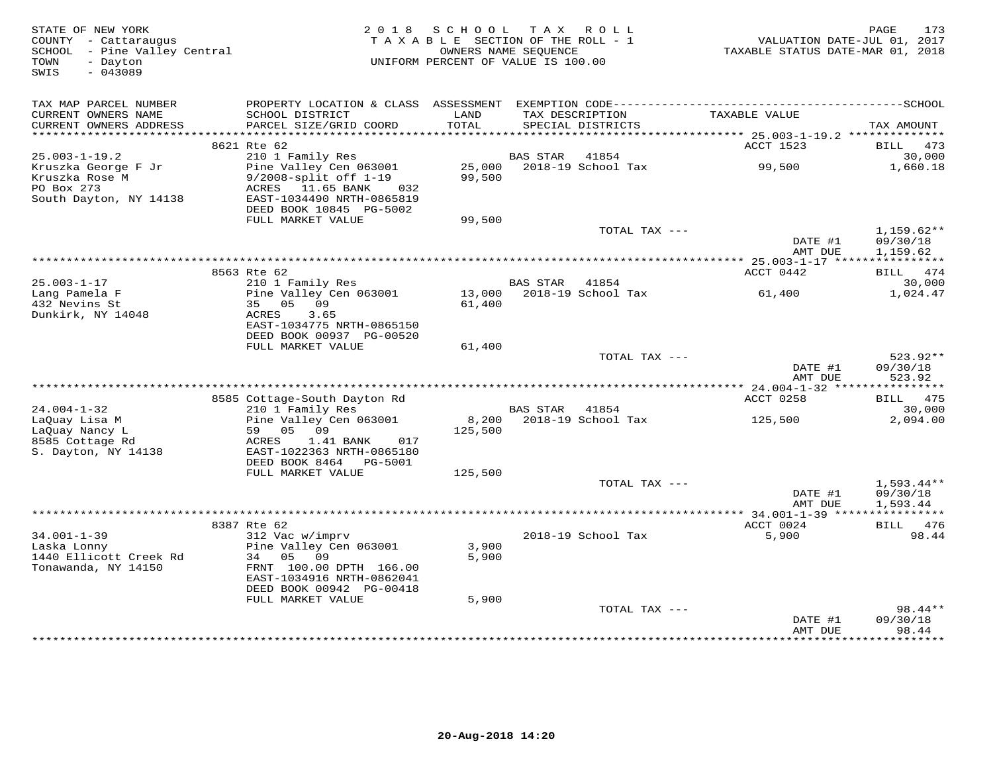| STATE OF NEW YORK<br>COUNTY - Cattaraugus<br>SCHOOL - Pine Valley Central<br>- Dayton<br>TOWN<br>SWIS<br>$-043089$ | 2 0 1 8                                                                                                      | SCHOOL<br>TAXABLE SECTION OF THE ROLL - 1<br>OWNERS NAME SEQUENCE<br>UNIFORM PERCENT OF VALUE IS 100.00 | T A X           | ROLL                                 | VALUATION DATE-JUL 01, 2017<br>TAXABLE STATUS DATE-MAR 01, 2018 | 173<br>PAGE                  |
|--------------------------------------------------------------------------------------------------------------------|--------------------------------------------------------------------------------------------------------------|---------------------------------------------------------------------------------------------------------|-----------------|--------------------------------------|-----------------------------------------------------------------|------------------------------|
| TAX MAP PARCEL NUMBER                                                                                              |                                                                                                              |                                                                                                         |                 |                                      |                                                                 |                              |
| CURRENT OWNERS NAME<br>CURRENT OWNERS ADDRESS<br>***********************                                           | SCHOOL DISTRICT<br>PARCEL SIZE/GRID COORD                                                                    | LAND<br>TOTAL                                                                                           |                 | TAX DESCRIPTION<br>SPECIAL DISTRICTS | TAXABLE VALUE                                                   | TAX AMOUNT                   |
|                                                                                                                    | 8621 Rte 62                                                                                                  |                                                                                                         |                 |                                      | ACCT 1523                                                       | BILL<br>473                  |
| $25.003 - 1 - 19.2$                                                                                                | 210 1 Family Res                                                                                             |                                                                                                         | <b>BAS STAR</b> | 41854                                |                                                                 | 30,000                       |
| Kruszka George F Jr<br>Kruszka Rose M<br>PO Box 273                                                                | Pine Valley Cen 063001<br>$9/2008$ -split off $1-19$<br>ACRES 11.65 BANK<br>032                              | 25,000<br>99,500                                                                                        |                 | 2018-19 School Tax                   | 99,500                                                          | 1,660.18                     |
| South Dayton, NY 14138                                                                                             | EAST-1034490 NRTH-0865819<br>DEED BOOK 10845 PG-5002                                                         |                                                                                                         |                 |                                      |                                                                 |                              |
|                                                                                                                    | FULL MARKET VALUE                                                                                            | 99,500                                                                                                  |                 | TOTAL TAX ---                        |                                                                 | $1,159.62**$                 |
|                                                                                                                    |                                                                                                              |                                                                                                         |                 |                                      | DATE #1<br>AMT DUE                                              | 09/30/18<br>1,159.62         |
|                                                                                                                    |                                                                                                              | ************************************                                                                    |                 |                                      | ********** 25.003-1-17 ****************                         |                              |
|                                                                                                                    | 8563 Rte 62                                                                                                  |                                                                                                         |                 |                                      | ACCT 0442                                                       | BILL 474                     |
| $25.003 - 1 - 17$                                                                                                  | 210 1 Family Res                                                                                             |                                                                                                         | <b>BAS STAR</b> | 41854                                |                                                                 | 30,000                       |
| Lang Pamela F<br>432 Nevins St<br>Dunkirk, NY 14048                                                                | Pine Valley Cen 063001<br>35 05 09<br>ACRES<br>3.65<br>EAST-1034775 NRTH-0865150<br>DEED BOOK 00937 PG-00520 | 13,000<br>61,400                                                                                        |                 | 2018-19 School Tax                   | 61,400                                                          | 1,024.47                     |
|                                                                                                                    | FULL MARKET VALUE                                                                                            | 61,400                                                                                                  |                 |                                      |                                                                 |                              |
|                                                                                                                    |                                                                                                              |                                                                                                         |                 | TOTAL TAX ---                        | DATE #1                                                         | 523.92**<br>09/30/18         |
|                                                                                                                    |                                                                                                              |                                                                                                         |                 |                                      | AMT DUE                                                         | 523.92                       |
|                                                                                                                    | 8585 Cottage-South Dayton Rd                                                                                 |                                                                                                         |                 |                                      | ACCT 0258                                                       | BILL 475                     |
| $24.004 - 1 - 32$                                                                                                  | 210 1 Family Res                                                                                             |                                                                                                         | BAS STAR        | 41854                                |                                                                 | 30,000                       |
| LaQuay Lisa M<br>LaOuay Nancy L                                                                                    | Pine Valley Cen 063001<br>59 05 09                                                                           | 8,200<br>125,500                                                                                        |                 | 2018-19 School Tax                   | 125,500                                                         | 2,094.00                     |
| 8585 Cottage Rd<br>S. Dayton, NY 14138                                                                             | ACRES<br>1.41 BANK<br>017<br>EAST-1022363 NRTH-0865180<br>DEED BOOK 8464<br>PG-5001                          |                                                                                                         |                 |                                      |                                                                 |                              |
|                                                                                                                    | FULL MARKET VALUE                                                                                            | 125,500                                                                                                 |                 |                                      |                                                                 |                              |
|                                                                                                                    |                                                                                                              |                                                                                                         |                 | TOTAL TAX ---                        |                                                                 | $1,593.44**$                 |
|                                                                                                                    |                                                                                                              |                                                                                                         |                 |                                      | DATE #1<br>AMT DUE                                              | 09/30/18<br>1,593.44         |
|                                                                                                                    |                                                                                                              |                                                                                                         |                 |                                      |                                                                 | ***********                  |
| $34.001 - 1 - 39$                                                                                                  | 8387 Rte 62<br>312 Vac w/imprv                                                                               |                                                                                                         |                 | 2018-19 School Tax                   | ACCT 0024<br>5,900                                              | 476<br>BILL<br>98.44         |
| Laska Lonny                                                                                                        | Pine Valley Cen 063001                                                                                       | 3,900                                                                                                   |                 |                                      |                                                                 |                              |
| 1440 Ellicott Creek Rd<br>Tonawanda, NY 14150                                                                      | 34<br>0.509<br>FRNT 100.00 DPTH 166.00<br>EAST-1034916 NRTH-0862041                                          | 5,900                                                                                                   |                 |                                      |                                                                 |                              |
|                                                                                                                    | DEED BOOK 00942 PG-00418                                                                                     |                                                                                                         |                 |                                      |                                                                 |                              |
|                                                                                                                    | FULL MARKET VALUE                                                                                            | 5,900                                                                                                   |                 |                                      |                                                                 |                              |
|                                                                                                                    |                                                                                                              |                                                                                                         |                 | TOTAL TAX ---                        | DATE #1<br>AMT DUE                                              | 98.44**<br>09/30/18<br>98.44 |
|                                                                                                                    |                                                                                                              |                                                                                                         |                 |                                      |                                                                 | <b>++++++++</b>              |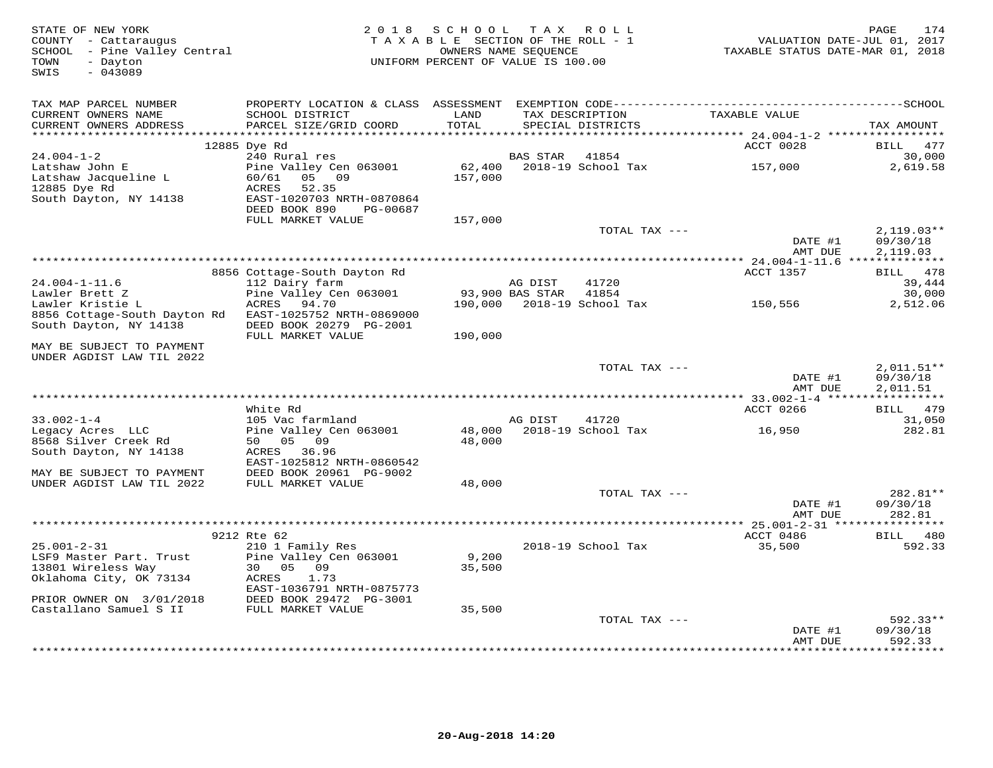| STATE OF NEW YORK<br>COUNTY - Cattaraugus<br>SCHOOL - Pine Valley Central<br>- Dayton<br>TOWN<br>SWIS<br>$-043089$ | 2 0 1 8                                      | SCHOOL<br>TAXABLE SECTION OF THE ROLL - 1<br>OWNERS NAME SEQUENCE<br>UNIFORM PERCENT OF VALUE IS 100.00 | T A X           | ROLL ROLL                            | VALUATION DATE-JUL 01, 2017<br>TAXABLE STATUS DATE-MAR 01, 2018 | PAGE<br>174              |
|--------------------------------------------------------------------------------------------------------------------|----------------------------------------------|---------------------------------------------------------------------------------------------------------|-----------------|--------------------------------------|-----------------------------------------------------------------|--------------------------|
| TAX MAP PARCEL NUMBER                                                                                              |                                              |                                                                                                         |                 |                                      |                                                                 |                          |
| CURRENT OWNERS NAME<br>CURRENT OWNERS ADDRESS                                                                      | SCHOOL DISTRICT<br>PARCEL SIZE/GRID COORD    | LAND<br>TOTAL                                                                                           |                 | TAX DESCRIPTION<br>SPECIAL DISTRICTS | TAXABLE VALUE                                                   | TAX AMOUNT               |
|                                                                                                                    | 12885 Dye Rd                                 |                                                                                                         |                 |                                      | ACCT 0028                                                       | 477<br>BILL              |
| $24.004 - 1 - 2$                                                                                                   | 240 Rural res                                |                                                                                                         | BAS STAR        | 41854                                |                                                                 | 30,000                   |
| Latshaw John E                                                                                                     | Pine Valley Cen 063001                       | 62,400                                                                                                  |                 | 2018-19 School Tax                   | 157,000                                                         | 2,619.58                 |
| Latshaw Jacqueline L                                                                                               | 60/61<br>05 09                               | 157,000                                                                                                 |                 |                                      |                                                                 |                          |
| 12885 Dye Rd                                                                                                       | ACRES<br>52.35                               |                                                                                                         |                 |                                      |                                                                 |                          |
| South Dayton, NY 14138                                                                                             | EAST-1020703 NRTH-0870864                    |                                                                                                         |                 |                                      |                                                                 |                          |
|                                                                                                                    | DEED BOOK 890<br>PG-00687                    |                                                                                                         |                 |                                      |                                                                 |                          |
|                                                                                                                    | FULL MARKET VALUE                            | 157,000                                                                                                 |                 |                                      |                                                                 |                          |
|                                                                                                                    |                                              |                                                                                                         |                 | TOTAL TAX ---                        | DATE #1                                                         | $2,119.03**$<br>09/30/18 |
|                                                                                                                    |                                              |                                                                                                         |                 |                                      | AMT DUE                                                         | 2,119.03                 |
|                                                                                                                    |                                              |                                                                                                         |                 |                                      |                                                                 |                          |
|                                                                                                                    | 8856 Cottage-South Dayton Rd                 |                                                                                                         |                 |                                      | ACCT 1357                                                       | BILL 478                 |
| $24.004 - 1 - 11.6$                                                                                                | 112 Dairy farm                               |                                                                                                         | AG DIST         | 41720                                |                                                                 | 39,444                   |
| Lawler Brett Z                                                                                                     | Pine Valley Cen 063001                       |                                                                                                         | 93,900 BAS STAR | 41854                                |                                                                 | 30,000                   |
| Lawler Kristie L                                                                                                   | ACRES<br>94.70                               | 190,000                                                                                                 |                 | 2018-19 School Tax                   | 150,556                                                         | 2,512.06                 |
| 8856 Cottage-South Dayton Rd                                                                                       | EAST-1025752 NRTH-0869000                    |                                                                                                         |                 |                                      |                                                                 |                          |
| South Dayton, NY 14138                                                                                             | DEED BOOK 20279 PG-2001<br>FULL MARKET VALUE | 190,000                                                                                                 |                 |                                      |                                                                 |                          |
| MAY BE SUBJECT TO PAYMENT<br>UNDER AGDIST LAW TIL 2022                                                             |                                              |                                                                                                         |                 |                                      |                                                                 |                          |
|                                                                                                                    |                                              |                                                                                                         |                 | TOTAL TAX ---                        |                                                                 | $2,011.51**$             |
|                                                                                                                    |                                              |                                                                                                         |                 |                                      | DATE #1<br>AMT DUE                                              | 09/30/18<br>2,011.51     |
|                                                                                                                    |                                              |                                                                                                         |                 |                                      | ******** 33.002-1-4 ******************                          |                          |
|                                                                                                                    | White Rd                                     |                                                                                                         |                 |                                      | ACCT 0266                                                       | BILL 479                 |
| $33.002 - 1 - 4$                                                                                                   | 105 Vac farmland                             |                                                                                                         | AG DIST         | 41720                                |                                                                 | 31,050                   |
| Legacy Acres LLC                                                                                                   | Pine Valley Cen 063001                       | 48,000<br>48,000                                                                                        |                 | 2018-19 School Tax                   | 16,950                                                          | 282.81                   |
| 8568 Silver Creek Rd<br>South Dayton, NY 14138                                                                     | 50 05 09<br>ACRES 36.96                      |                                                                                                         |                 |                                      |                                                                 |                          |
|                                                                                                                    | EAST-1025812 NRTH-0860542                    |                                                                                                         |                 |                                      |                                                                 |                          |
| MAY BE SUBJECT TO PAYMENT                                                                                          | DEED BOOK 20961 PG-9002                      |                                                                                                         |                 |                                      |                                                                 |                          |
| UNDER AGDIST LAW TIL 2022                                                                                          | FULL MARKET VALUE                            | 48,000                                                                                                  |                 |                                      |                                                                 |                          |
|                                                                                                                    |                                              |                                                                                                         |                 | TOTAL TAX ---                        |                                                                 | 282.81**                 |
|                                                                                                                    |                                              |                                                                                                         |                 |                                      | DATE #1                                                         | 09/30/18                 |
|                                                                                                                    |                                              |                                                                                                         |                 |                                      | AMT DUE                                                         | 282.81                   |
|                                                                                                                    | 9212 Rte 62                                  |                                                                                                         |                 |                                      | ***** 25.001-2-31 ****<br>ACCT 0486                             | <b>BILL</b>              |
| $25.001 - 2 - 31$                                                                                                  | 210 1 Family Res                             |                                                                                                         |                 | 2018-19 School Tax                   | 35,500                                                          | 480<br>592.33            |
| LSF9 Master Part. Trust                                                                                            | Pine Valley Cen 063001                       | 9,200                                                                                                   |                 |                                      |                                                                 |                          |
| 13801 Wireless Way                                                                                                 | 30  05  09                                   | 35,500                                                                                                  |                 |                                      |                                                                 |                          |
| Oklahoma City, OK 73134                                                                                            | ACRES<br>1.73                                |                                                                                                         |                 |                                      |                                                                 |                          |
|                                                                                                                    | EAST-1036791 NRTH-0875773                    |                                                                                                         |                 |                                      |                                                                 |                          |
| PRIOR OWNER ON 3/01/2018                                                                                           | DEED BOOK 29472 PG-3001                      |                                                                                                         |                 |                                      |                                                                 |                          |
| Castallano Samuel S II                                                                                             | FULL MARKET VALUE                            | 35,500                                                                                                  |                 |                                      |                                                                 |                          |
|                                                                                                                    |                                              |                                                                                                         |                 | TOTAL TAX ---                        |                                                                 | $592.33**$               |
|                                                                                                                    |                                              |                                                                                                         |                 |                                      | DATE #1<br>AMT DUE                                              | 09/30/18<br>592.33       |
|                                                                                                                    |                                              |                                                                                                         |                 | ************************             | ************                                                    | *********                |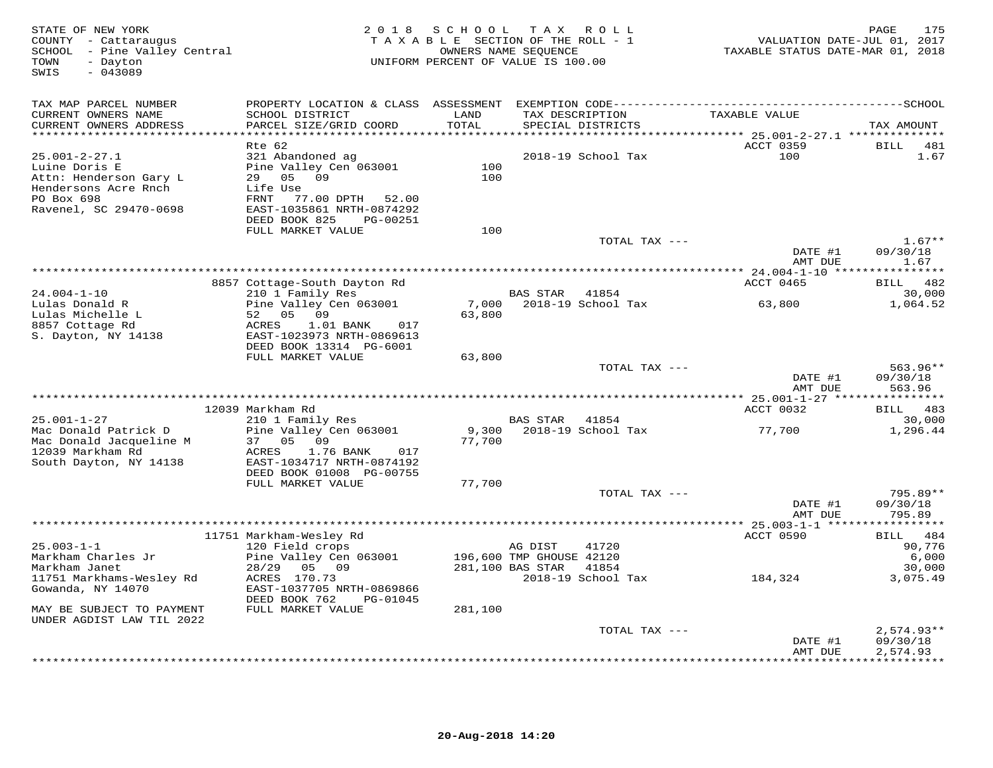| STATE OF NEW YORK<br>COUNTY - Cattaraugus<br>SCHOOL - Pine Valley Central<br>- Dayton<br>TOWN<br>$-043089$<br>SWIS | 2 0 1 8                                                                                                 | S C H O O L<br>TAXABLE SECTION OF THE ROLL - 1<br>UNIFORM PERCENT OF VALUE IS 100.00 | T A X<br>OWNERS NAME SEQUENCE       | R O L L                     | VALUATION DATE-JUL 01, 2017<br>TAXABLE STATUS DATE-MAR 01, 2018 | PAGE<br>175                    |
|--------------------------------------------------------------------------------------------------------------------|---------------------------------------------------------------------------------------------------------|--------------------------------------------------------------------------------------|-------------------------------------|-----------------------------|-----------------------------------------------------------------|--------------------------------|
| TAX MAP PARCEL NUMBER                                                                                              |                                                                                                         |                                                                                      |                                     |                             |                                                                 |                                |
| CURRENT OWNERS NAME<br>CURRENT OWNERS ADDRESS                                                                      | SCHOOL DISTRICT<br>PARCEL SIZE/GRID COORD                                                               | LAND<br>TOTAL                                                                        | TAX DESCRIPTION                     | SPECIAL DISTRICTS           | TAXABLE VALUE                                                   | TAX AMOUNT                     |
|                                                                                                                    |                                                                                                         | **********                                                                           |                                     |                             | ********* 25.001-2-27.1 **************                          |                                |
| $25.001 - 2 - 27.1$<br>Luine Doris E<br>Attn: Henderson Gary L<br>Hendersons Acre Rnch                             | Rte 62<br>321 Abandoned ag<br>Pine Valley Cen 063001<br>29 05<br>09<br>Life Use                         | 100<br>100                                                                           |                                     | 2018-19 School Tax          | ACCT 0359<br>100                                                | BILL<br>481<br>1.67            |
| PO Box 698<br>Ravenel, SC 29470-0698                                                                               | FRNT<br>77.00 DPTH 52.00<br>EAST-1035861 NRTH-0874292<br>DEED BOOK 825<br>PG-00251<br>FULL MARKET VALUE | 100                                                                                  |                                     |                             |                                                                 |                                |
|                                                                                                                    |                                                                                                         |                                                                                      |                                     | TOTAL TAX ---               |                                                                 | $1.67**$                       |
|                                                                                                                    |                                                                                                         |                                                                                      |                                     |                             | DATE #1<br>AMT DUE                                              | 09/30/18<br>1.67               |
|                                                                                                                    | ***********************************                                                                     |                                                                                      |                                     |                             | ********** 24.004-1-10 ****                                     | *********                      |
| $24.004 - 1 - 10$                                                                                                  | 8857 Cottage-South Dayton Rd<br>210 1 Family Res                                                        |                                                                                      | <b>BAS STAR</b>                     | 41854                       | ACCT 0465                                                       | 482<br>BILL<br>30,000          |
| Lulas Donald R<br>Lulas Michelle L<br>8857 Cottage Rd                                                              | Pine Valley Cen 063001<br>52<br>05<br>09<br>ACRES<br>1.01 BANK<br>017                                   | 7,000<br>63,800                                                                      |                                     | 2018-19 School Tax          | 63,800                                                          | 1,064.52                       |
| S. Dayton, NY 14138                                                                                                | EAST-1023973 NRTH-0869613<br>DEED BOOK 13314 PG-6001<br>FULL MARKET VALUE                               |                                                                                      |                                     |                             |                                                                 |                                |
|                                                                                                                    |                                                                                                         | 63,800                                                                               |                                     | TOTAL TAX ---               |                                                                 | $563.96**$                     |
|                                                                                                                    |                                                                                                         |                                                                                      |                                     |                             | DATE #1<br>AMT DUE                                              | 09/30/18<br>563.96             |
|                                                                                                                    | 12039 Markham Rd                                                                                        |                                                                                      |                                     |                             | ACCT 0032                                                       | BILL 483                       |
| $25.001 - 1 - 27$                                                                                                  | 210 1 Family Res                                                                                        |                                                                                      | <b>BAS STAR</b>                     | 41854                       |                                                                 | 30,000                         |
| Mac Donald Patrick D<br>Mac Donald Jacqueline M<br>12039 Markham Rd                                                | Pine Valley Cen 063001<br>37 05 09<br>ACRES<br>1.76 BANK<br>017                                         | 9,300<br>77,700                                                                      |                                     | 2018-19 School Tax          | 77,700                                                          | 1,296.44                       |
| South Dayton, NY 14138                                                                                             | EAST-1034717 NRTH-0874192<br>DEED BOOK 01008 PG-00755<br>FULL MARKET VALUE                              | 77,700                                                                               |                                     |                             |                                                                 |                                |
|                                                                                                                    |                                                                                                         |                                                                                      |                                     | TOTAL TAX ---               | DATE #1                                                         | $795.89**$<br>09/30/18         |
|                                                                                                                    |                                                                                                         |                                                                                      |                                     |                             | AMT DUE                                                         | 795.89                         |
|                                                                                                                    |                                                                                                         |                                                                                      |                                     |                             |                                                                 |                                |
| $25.003 - 1 - 1$<br>Markham Charles Jr                                                                             | 11751 Markham-Wesley Rd<br>120 Field crops<br>Pine Valley Cen 063001                                    |                                                                                      | AG DIST<br>196,600 TMP GHOUSE 42120 | 41720                       | ACCT 0590                                                       | 484<br>BILL<br>90,776<br>6,000 |
| Markham Janet<br>11751 Markhams-Wesley Rd<br>Gowanda, NY 14070                                                     | 28/29<br>05 09<br>ACRES 170.73<br>EAST-1037705 NRTH-0869866<br>DEED BOOK 762<br>PG-01045                |                                                                                      | 281,100 BAS STAR                    | 41854<br>2018-19 School Tax | 184,324                                                         | 30,000<br>3,075.49             |
| MAY BE SUBJECT TO PAYMENT<br>UNDER AGDIST LAW TIL 2022                                                             | FULL MARKET VALUE                                                                                       | 281,100                                                                              |                                     |                             |                                                                 |                                |
|                                                                                                                    |                                                                                                         |                                                                                      |                                     | TOTAL TAX ---               |                                                                 | $2,574.93**$                   |
|                                                                                                                    |                                                                                                         |                                                                                      |                                     |                             | DATE #1<br>AMT DUE                                              | 09/30/18<br>2,574.93           |
|                                                                                                                    |                                                                                                         |                                                                                      |                                     |                             |                                                                 | * * * * * * * * * *            |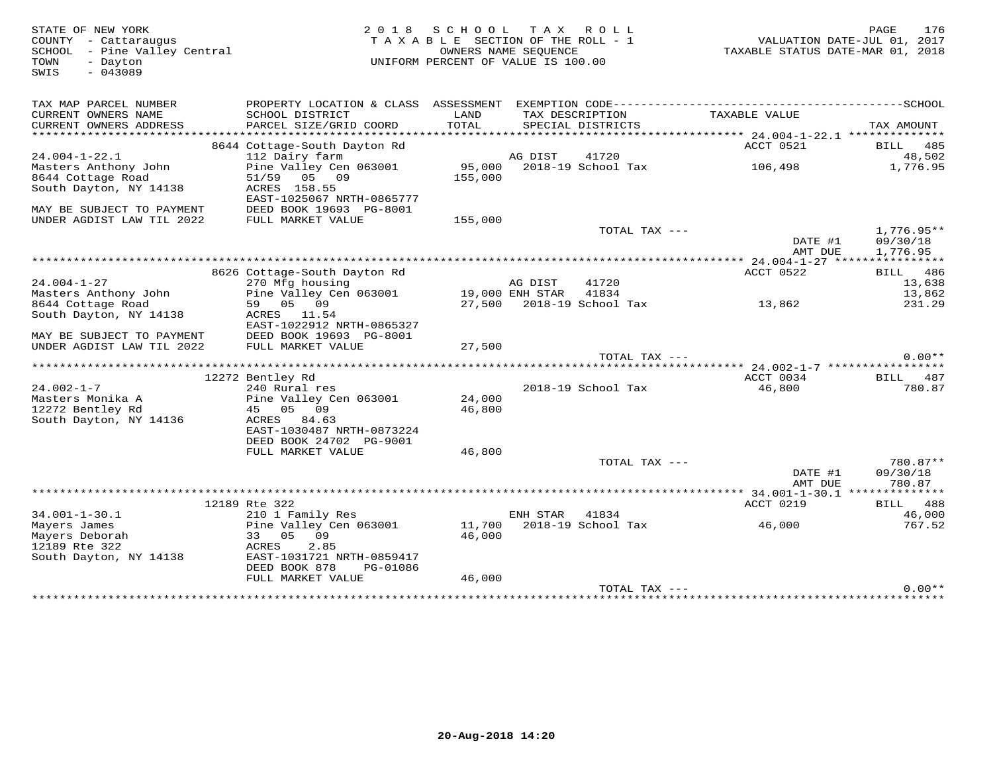| STATE OF NEW YORK<br>COUNTY - Cattaraugus<br>SCHOOL - Pine Valley Central<br>- Dayton<br>TOWN<br>$-043089$<br>SWIS | 2 0 1 8                                                                                      | SCHOOL TAX<br>TAXABLE SECTION OF THE ROLL - 1<br>OWNERS NAME SEQUENCE<br>UNIFORM PERCENT OF VALUE IS 100.00 |          | R O L L                              | TAXABLE STATUS DATE-MAR 01, 2018 | PAGE<br>176<br>VALUATION DATE-JUL 01, 2017 |
|--------------------------------------------------------------------------------------------------------------------|----------------------------------------------------------------------------------------------|-------------------------------------------------------------------------------------------------------------|----------|--------------------------------------|----------------------------------|--------------------------------------------|
| TAX MAP PARCEL NUMBER                                                                                              | PROPERTY LOCATION & CLASS ASSESSMENT EXEMPTION CODE-----------------------------------SCHOOL |                                                                                                             |          |                                      |                                  |                                            |
| CURRENT OWNERS NAME<br>CURRENT OWNERS ADDRESS                                                                      | SCHOOL DISTRICT<br>PARCEL SIZE/GRID COORD                                                    | LAND<br>TOTAL                                                                                               |          | TAX DESCRIPTION<br>SPECIAL DISTRICTS | TAXABLE VALUE                    | TAX AMOUNT                                 |
|                                                                                                                    |                                                                                              |                                                                                                             |          |                                      |                                  |                                            |
| $24.004 - 1 - 22.1$                                                                                                | 8644 Cottage-South Dayton Rd                                                                 |                                                                                                             | AG DIST  | 41720                                | ACCT 0521                        | BILL 485<br>48,502                         |
| Masters Anthony John                                                                                               | 112 Dairy farm<br>Pine Valley Cen 063001                                                     | 95,000                                                                                                      |          | 2018-19 School Tax                   | 106,498                          | 1,776.95                                   |
| 8644 Cottage Road                                                                                                  | 51/59 05 09                                                                                  | 155,000                                                                                                     |          |                                      |                                  |                                            |
| South Dayton, NY 14138                                                                                             | ACRES 158.55                                                                                 |                                                                                                             |          |                                      |                                  |                                            |
|                                                                                                                    | EAST-1025067 NRTH-0865777                                                                    |                                                                                                             |          |                                      |                                  |                                            |
| MAY BE SUBJECT TO PAYMENT                                                                                          | DEED BOOK 19693 PG-8001                                                                      |                                                                                                             |          |                                      |                                  |                                            |
| UNDER AGDIST LAW TIL 2022                                                                                          | FULL MARKET VALUE                                                                            | 155,000                                                                                                     |          |                                      |                                  |                                            |
|                                                                                                                    |                                                                                              |                                                                                                             |          | TOTAL TAX ---                        |                                  | $1,776.95**$                               |
|                                                                                                                    |                                                                                              |                                                                                                             |          |                                      | DATE #1                          | 09/30/18                                   |
|                                                                                                                    |                                                                                              |                                                                                                             |          |                                      | AMT DUE                          | 1,776.95                                   |
|                                                                                                                    | 8626 Cottage-South Dayton Rd                                                                 |                                                                                                             |          |                                      | ACCT 0522                        | <b>BILL</b> 486                            |
| $24.004 - 1 - 27$                                                                                                  | 270 Mfg housing                                                                              |                                                                                                             | AG DIST  | 41720                                |                                  | 13,638                                     |
| Masters Anthony John                                                                                               | Pine Valley Cen 063001                                                                       | 19,000 ENH STAR                                                                                             |          | 41834                                |                                  | 13,862                                     |
| 8644 Cottage Road                                                                                                  | 59 05 09                                                                                     |                                                                                                             |          | 27,500 2018-19 School Tax            | 13,862                           | 231.29                                     |
| South Dayton, NY 14138                                                                                             | ACRES 11.54                                                                                  |                                                                                                             |          |                                      |                                  |                                            |
|                                                                                                                    | EAST-1022912 NRTH-0865327                                                                    |                                                                                                             |          |                                      |                                  |                                            |
| MAY BE SUBJECT TO PAYMENT                                                                                          | DEED BOOK 19693 PG-8001                                                                      |                                                                                                             |          |                                      |                                  |                                            |
| UNDER AGDIST LAW TIL 2022                                                                                          | FULL MARKET VALUE                                                                            | 27,500                                                                                                      |          |                                      |                                  |                                            |
|                                                                                                                    |                                                                                              |                                                                                                             |          | TOTAL TAX ---                        |                                  | $0.00**$                                   |
|                                                                                                                    | 12272 Bentley Rd                                                                             |                                                                                                             |          |                                      | ACCT 0034                        | BILL 487                                   |
| $24.002 - 1 - 7$                                                                                                   | 240 Rural res                                                                                |                                                                                                             |          | 2018-19 School Tax                   | 46,800                           | 780.87                                     |
| Masters Monika A                                                                                                   | Pine Valley Cen 063001                                                                       | 24,000                                                                                                      |          |                                      |                                  |                                            |
| 12272 Bentley Rd                                                                                                   | 45 05 09                                                                                     | 46,800                                                                                                      |          |                                      |                                  |                                            |
| South Dayton, NY 14136                                                                                             | ACRES 84.63                                                                                  |                                                                                                             |          |                                      |                                  |                                            |
|                                                                                                                    | EAST-1030487 NRTH-0873224                                                                    |                                                                                                             |          |                                      |                                  |                                            |
|                                                                                                                    | DEED BOOK 24702 PG-9001                                                                      |                                                                                                             |          |                                      |                                  |                                            |
|                                                                                                                    | FULL MARKET VALUE                                                                            | 46,800                                                                                                      |          |                                      |                                  |                                            |
|                                                                                                                    |                                                                                              |                                                                                                             |          | TOTAL TAX ---                        | DATE #1                          | 780.87**<br>09/30/18                       |
|                                                                                                                    |                                                                                              |                                                                                                             |          |                                      | AMT DUE                          | 780.87                                     |
|                                                                                                                    |                                                                                              |                                                                                                             |          |                                      |                                  |                                            |
|                                                                                                                    | 12189 Rte 322                                                                                |                                                                                                             |          |                                      | ACCT 0219                        | BILL 488                                   |
| $34.001 - 1 - 30.1$                                                                                                | 210 1 Family Res                                                                             |                                                                                                             | ENH STAR | 41834                                |                                  | 46,000                                     |
| Mayers James                                                                                                       | Pine Valley Cen 063001                                                                       | 11,700                                                                                                      |          | 2018-19 School Tax                   | 46,000                           | 767.52                                     |
| Mayers Deborah                                                                                                     | 09<br>33 05                                                                                  | 46,000                                                                                                      |          |                                      |                                  |                                            |
| 12189 Rte 322                                                                                                      | 2.85<br>ACRES                                                                                |                                                                                                             |          |                                      |                                  |                                            |
| South Dayton, NY 14138                                                                                             | EAST-1031721 NRTH-0859417                                                                    |                                                                                                             |          |                                      |                                  |                                            |
|                                                                                                                    | DEED BOOK 878<br>PG-01086<br>FULL MARKET VALUE                                               | 46,000                                                                                                      |          |                                      |                                  |                                            |
|                                                                                                                    |                                                                                              |                                                                                                             |          | TOTAL TAX ---                        |                                  | $0.00**$                                   |
|                                                                                                                    |                                                                                              |                                                                                                             |          |                                      |                                  |                                            |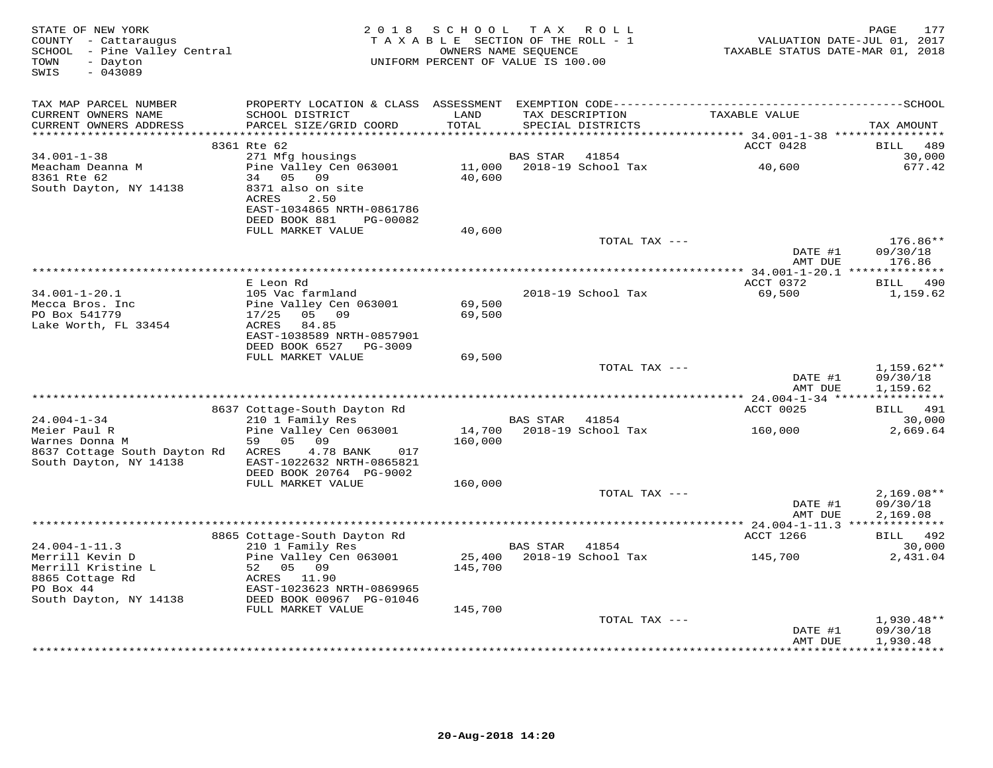| STATE OF NEW YORK<br>COUNTY - Cattaraugus<br>SCHOOL - Pine Valley Central<br>- Dayton<br>TOWN<br>$-043089$<br>SWIS | 2 0 1 8                                                                           | S C H O O L<br>TAXABLE SECTION OF THE ROLL - 1<br>UNIFORM PERCENT OF VALUE IS 100.00 | TAX ROLL<br>OWNERS NAME SEQUENCE |                    | TAXABLE STATUS DATE-MAR 01, 2018 | 177<br>PAGE<br>VALUATION DATE-JUL 01, 2017 |
|--------------------------------------------------------------------------------------------------------------------|-----------------------------------------------------------------------------------|--------------------------------------------------------------------------------------|----------------------------------|--------------------|----------------------------------|--------------------------------------------|
| TAX MAP PARCEL NUMBER                                                                                              |                                                                                   |                                                                                      |                                  |                    |                                  |                                            |
| CURRENT OWNERS NAME<br>CURRENT OWNERS ADDRESS<br>***********************                                           | SCHOOL DISTRICT<br>PARCEL SIZE/GRID COORD                                         | LAND<br>TOTAL                                                                        | TAX DESCRIPTION                  | SPECIAL DISTRICTS  | TAXABLE VALUE                    | TAX AMOUNT                                 |
|                                                                                                                    | 8361 Rte 62                                                                       |                                                                                      |                                  |                    | ACCT 0428                        | 489<br>BILL                                |
| $34.001 - 1 - 38$                                                                                                  | 271 Mfg housings                                                                  |                                                                                      | <b>BAS STAR</b>                  | 41854              |                                  | 30,000                                     |
| Meacham Deanna M<br>8361 Rte 62<br>South Dayton, NY 14138                                                          | Pine Valley Cen 063001<br>34 05<br>09<br>8371 also on site<br>ACRES<br>2.50       | 11,000<br>40,600                                                                     |                                  | 2018-19 School Tax | 40,600                           | 677.42                                     |
|                                                                                                                    | EAST-1034865 NRTH-0861786<br>DEED BOOK 881<br>PG-00082                            |                                                                                      |                                  |                    |                                  |                                            |
|                                                                                                                    | FULL MARKET VALUE                                                                 | 40,600                                                                               |                                  |                    |                                  |                                            |
|                                                                                                                    |                                                                                   |                                                                                      |                                  | TOTAL TAX ---      | DATE #1<br>AMT DUE               | 176.86**<br>09/30/18<br>176.86             |
|                                                                                                                    |                                                                                   |                                                                                      |                                  |                    |                                  |                                            |
| $34.001 - 1 - 20.1$                                                                                                | E Leon Rd<br>105 Vac farmland                                                     |                                                                                      |                                  | 2018-19 School Tax | ACCT 0372<br>69,500              | BILL 490<br>1,159.62                       |
| Mecca Bros. Inc<br>PO Box 541779                                                                                   | Pine Valley Cen 063001<br>17/25<br>05 09                                          | 69,500<br>69,500                                                                     |                                  |                    |                                  |                                            |
| Lake Worth, FL 33454                                                                                               | ACRES<br>84.85<br>EAST-1038589 NRTH-0857901                                       |                                                                                      |                                  |                    |                                  |                                            |
|                                                                                                                    | DEED BOOK 6527 PG-3009<br>FULL MARKET VALUE                                       | 69,500                                                                               |                                  |                    |                                  |                                            |
|                                                                                                                    |                                                                                   |                                                                                      |                                  | TOTAL TAX ---      |                                  | $1,159.62**$                               |
|                                                                                                                    |                                                                                   |                                                                                      |                                  |                    | DATE #1<br>AMT DUE               | 09/30/18<br>1,159.62                       |
|                                                                                                                    | 8637 Cottage-South Dayton Rd                                                      |                                                                                      |                                  |                    | ACCT 0025                        | BILL 491                                   |
| $24.004 - 1 - 34$                                                                                                  | 210 1 Family Res                                                                  |                                                                                      | BAS STAR                         | 41854              |                                  | 30,000                                     |
| Meier Paul R<br>Warnes Donna M                                                                                     | Pine Valley Cen 063001<br>59<br>05<br>09                                          | 14,700<br>160,000                                                                    |                                  | 2018-19 School Tax | 160,000                          | 2,669.64                                   |
| 8637 Cottage South Dayton Rd<br>South Dayton, NY 14138                                                             | ACRES<br>4.78 BANK<br>017<br>EAST-1022632 NRTH-0865821<br>DEED BOOK 20764 PG-9002 |                                                                                      |                                  |                    |                                  |                                            |
|                                                                                                                    | FULL MARKET VALUE                                                                 | 160,000                                                                              |                                  |                    |                                  |                                            |
|                                                                                                                    |                                                                                   |                                                                                      |                                  | TOTAL TAX ---      | DATE #1                          | $2,169.08**$<br>09/30/18                   |
|                                                                                                                    |                                                                                   |                                                                                      |                                  |                    | AMT DUE                          | 2,169.08                                   |
|                                                                                                                    | 8865 Cottage-South Dayton Rd                                                      |                                                                                      |                                  |                    | ACCT 1266                        | BILL 492                                   |
| $24.004 - 1 - 11.3$                                                                                                | 210 1 Family Res                                                                  |                                                                                      | <b>BAS STAR</b>                  | 41854              |                                  | 30,000                                     |
| Merrill Kevin D<br>Merrill Kristine L<br>8865 Cottage Rd                                                           | Pine Valley Cen 063001<br>52 05 09<br>ACRES 11.90                                 | 25,400<br>145,700                                                                    |                                  | 2018-19 School Tax | 145,700                          | 2,431.04                                   |
| PO Box 44<br>South Dayton, NY 14138                                                                                | EAST-1023623 NRTH-0869965<br>DEED BOOK 00967 PG-01046                             |                                                                                      |                                  |                    |                                  |                                            |
|                                                                                                                    | FULL MARKET VALUE                                                                 | 145,700                                                                              |                                  |                    |                                  |                                            |
|                                                                                                                    |                                                                                   |                                                                                      |                                  | TOTAL TAX ---      | DATE #1<br>AMT DUE               | 1,930.48**<br>09/30/18<br>1,930.48         |
|                                                                                                                    |                                                                                   |                                                                                      |                                  |                    |                                  | ************                               |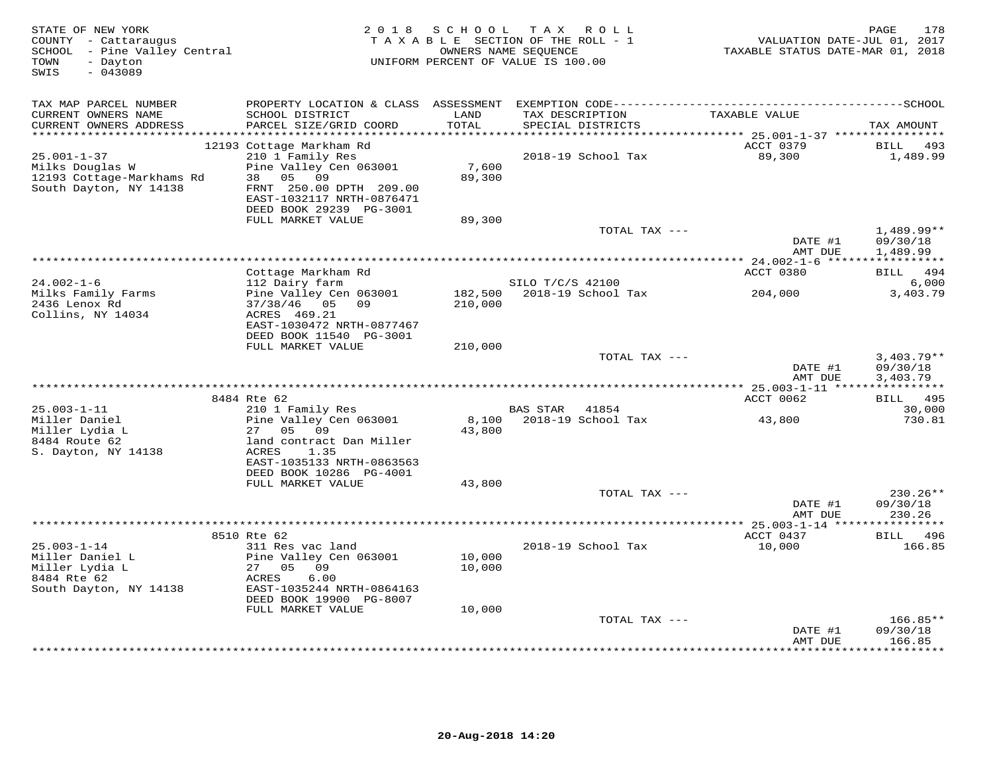| STATE OF NEW YORK<br>COUNTY - Cattaraugus<br>SCHOOL - Pine Valley Central<br>- Dayton<br>TOWN<br>SWIS<br>$-043089$ | 2 0 1 8                                                                                                                                                                          | S C H O O L                | T A X<br>ROLL ROLL<br>TAXABLE SECTION OF THE ROLL - 1<br>OWNERS NAME SEQUENCE<br>UNIFORM PERCENT OF VALUE IS 100.00 | VALUATION DATE-JUL 01, 2017<br>TAXABLE STATUS DATE-MAR 01, 2018 | 178<br>PAGE                           |
|--------------------------------------------------------------------------------------------------------------------|----------------------------------------------------------------------------------------------------------------------------------------------------------------------------------|----------------------------|---------------------------------------------------------------------------------------------------------------------|-----------------------------------------------------------------|---------------------------------------|
| TAX MAP PARCEL NUMBER<br>CURRENT OWNERS NAME<br>CURRENT OWNERS ADDRESS                                             | SCHOOL DISTRICT<br>PARCEL SIZE/GRID COORD                                                                                                                                        | LAND<br>TOTAL              | TAX DESCRIPTION<br>SPECIAL DISTRICTS                                                                                | TAXABLE VALUE                                                   | TAX AMOUNT                            |
| $25.001 - 1 - 37$<br>Milks Douglas W<br>12193 Cottage-Markhams Rd<br>South Dayton, NY 14138                        | 12193 Cottage Markham Rd<br>210 1 Family Res<br>Pine Valley Cen 063001<br>38 05 09<br>FRNT 250.00 DPTH 209.00<br>EAST-1032117 NRTH-0876471                                       | 7,600<br>89,300            | 2018-19 School Tax                                                                                                  | ACCT 0379<br>89,300                                             | 493<br>BILL<br>1,489.99               |
|                                                                                                                    | DEED BOOK 29239 PG-3001<br>FULL MARKET VALUE                                                                                                                                     | 89,300                     | TOTAL TAX ---                                                                                                       | DATE #1                                                         | $1,489.99**$<br>09/30/18              |
|                                                                                                                    |                                                                                                                                                                                  |                            |                                                                                                                     | AMT DUE                                                         | 1,489.99                              |
|                                                                                                                    | Cottage Markham Rd                                                                                                                                                               |                            |                                                                                                                     | ACCT 0380                                                       | BILL 494                              |
| $24.002 - 1 - 6$<br>Milks Family Farms<br>2436 Lenox Rd<br>Collins, NY 14034                                       | 112 Dairy farm<br>Pine Valley Cen 063001<br>37/38/46 05 09<br>ACRES 469.21                                                                                                       | 182,500<br>210,000         | SILO T/C/S 42100<br>2018-19 School Tax                                                                              | 204,000                                                         | 6,000<br>3,403.79                     |
|                                                                                                                    | EAST-1030472 NRTH-0877467<br>DEED BOOK 11540 PG-3001                                                                                                                             |                            |                                                                                                                     |                                                                 |                                       |
|                                                                                                                    | FULL MARKET VALUE                                                                                                                                                                | 210,000                    | TOTAL TAX ---                                                                                                       | DATE #1<br>AMT DUE                                              | $3,403.79**$<br>09/30/18<br>3,403.79  |
|                                                                                                                    |                                                                                                                                                                                  |                            |                                                                                                                     | ************* 25.003-1-11 *****************                     |                                       |
| $25.003 - 1 - 11$<br>Miller Daniel<br>Miller Lydia L<br>8484 Route 62<br>S. Dayton, NY 14138                       | 8484 Rte 62<br>210 1 Family Res<br>Pine Valley Cen 063001<br>09<br>27<br>05<br>land contract Dan Miller<br>ACRES<br>1.35<br>EAST-1035133 NRTH-0863563<br>DEED BOOK 10286 PG-4001 | 8,100<br>43,800            | 41854<br>BAS STAR<br>2018-19 School Tax                                                                             | ACCT 0062<br>43,800                                             | BILL 495<br>30,000<br>730.81          |
|                                                                                                                    | FULL MARKET VALUE                                                                                                                                                                | 43,800                     | TOTAL TAX ---                                                                                                       |                                                                 | 230.26**                              |
|                                                                                                                    |                                                                                                                                                                                  |                            |                                                                                                                     | DATE #1<br>AMT DUE                                              | 09/30/18<br>230.26                    |
|                                                                                                                    | 8510 Rte 62                                                                                                                                                                      |                            |                                                                                                                     | ** 25.003-1-14 ****<br>ACCT 0437                                | <b>BILL</b> 496                       |
| $25.003 - 1 - 14$<br>Miller Daniel L<br>Miller Lydia L<br>8484 Rte 62<br>South Dayton, NY 14138                    | 311 Res vac land<br>Pine Valley Cen 063001<br>27 05<br>09<br>6.00<br>ACRES<br>EAST-1035244 NRTH-0864163<br>DEED BOOK 19900 PG-8007<br>FULL MARKET VALUE                          | 10,000<br>10,000<br>10,000 | 2018-19 School Tax                                                                                                  | 10,000                                                          | 166.85                                |
|                                                                                                                    |                                                                                                                                                                                  |                            | TOTAL TAX ---                                                                                                       |                                                                 | $166.85**$                            |
|                                                                                                                    |                                                                                                                                                                                  |                            |                                                                                                                     | DATE #1<br>AMT DUE                                              | 09/30/18<br>166.85<br>* * * * * * * * |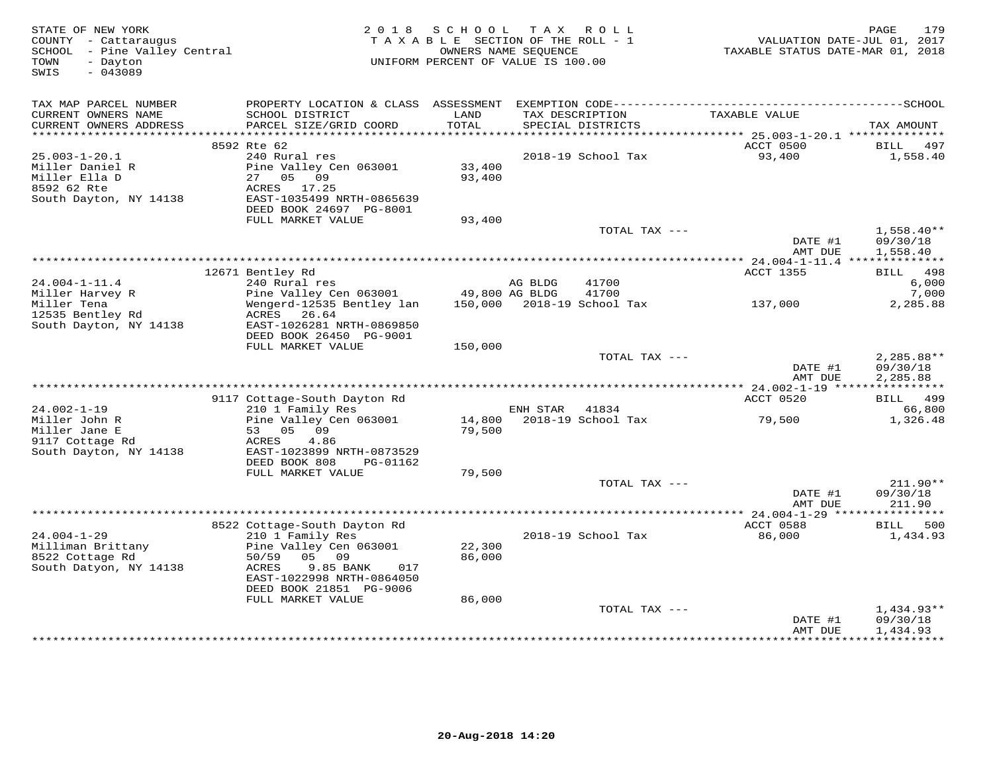| $-043089$<br>SWIS                                                            |                                                                                                              | UNIFORM PERCENT OF VALUE IS 100.00 | OWNERS NAME SEQUENCE |                                      | TAXABLE STATUS DATE-MAR 01, 2018 | VALUATION DATE-JUL 01, 2017                        |
|------------------------------------------------------------------------------|--------------------------------------------------------------------------------------------------------------|------------------------------------|----------------------|--------------------------------------|----------------------------------|----------------------------------------------------|
| TAX MAP PARCEL NUMBER                                                        |                                                                                                              |                                    |                      |                                      |                                  |                                                    |
| CURRENT OWNERS NAME<br>CURRENT OWNERS ADDRESS                                | SCHOOL DISTRICT<br>PARCEL SIZE/GRID COORD                                                                    | LAND<br>TOTAL                      |                      | TAX DESCRIPTION<br>SPECIAL DISTRICTS | TAXABLE VALUE                    | TAX AMOUNT                                         |
|                                                                              | 8592 Rte 62                                                                                                  |                                    |                      |                                      | ACCT 0500                        | 497<br>BILL                                        |
| $25.003 - 1 - 20.1$                                                          | 240 Rural res                                                                                                |                                    |                      | 2018-19 School Tax                   | 93,400                           | 1,558.40                                           |
| Miller Daniel R<br>Miller Ella D<br>8592 62 Rte<br>South Dayton, NY 14138    | Pine Valley Cen 063001<br>27<br>05 09<br>ACRES 17.25<br>EAST-1035499 NRTH-0865639<br>DEED BOOK 24697 PG-8001 | 33,400<br>93,400                   |                      |                                      |                                  |                                                    |
|                                                                              | FULL MARKET VALUE                                                                                            | 93,400                             |                      |                                      |                                  |                                                    |
|                                                                              |                                                                                                              |                                    |                      | TOTAL TAX ---                        | DATE #1<br>AMT DUE               | $1,558.40**$<br>09/30/18<br>1,558.40               |
|                                                                              |                                                                                                              |                                    |                      |                                      |                                  |                                                    |
|                                                                              | 12671 Bentley Rd                                                                                             |                                    |                      |                                      | <b>ACCT 1355</b>                 | BILL 498                                           |
| $24.004 - 1 - 11.4$                                                          | 240 Rural res<br>Pine Valley Cen 063001                                                                      | 49,800 AG BLDG                     | AG BLDG              | 41700<br>41700                       |                                  | 6,000<br>7,000                                     |
| Miller Harvey R<br>Miller Tena<br>12535 Bentley Rd<br>South Dayton, NY 14138 | Wengerd-12535 Bentley lan<br>ACRES 26.64<br>EAST-1026281 NRTH-0869850                                        |                                    |                      | 150,000 2018-19 School Tax           | 137,000                          | 2,285.88                                           |
|                                                                              | DEED BOOK 26450 PG-9001                                                                                      |                                    |                      |                                      |                                  |                                                    |
|                                                                              | FULL MARKET VALUE                                                                                            | 150,000                            |                      |                                      |                                  |                                                    |
|                                                                              |                                                                                                              |                                    |                      | TOTAL TAX ---                        | DATE #1<br>AMT DUE               | 2,285.88**<br>09/30/18<br>2,285.88                 |
|                                                                              |                                                                                                              |                                    |                      |                                      | ACCT 0520                        | BILL 499                                           |
| $24.002 - 1 - 19$                                                            | 9117 Cottage-South Dayton Rd<br>210 1 Family Res                                                             |                                    | ENH STAR             | 41834                                |                                  | 66,800                                             |
| Miller John R<br>Miller Jane E                                               | Pine Valley Cen 063001<br>53 05 09                                                                           | 79,500                             |                      | 14,800 2018-19 School Tax            | 79,500                           | 1,326.48                                           |
| 9117 Cottage Rd<br>South Dayton, NY 14138                                    | 4.86<br>ACRES<br>EAST-1023899 NRTH-0873529<br>DEED BOOK 808<br>PG-01162                                      |                                    |                      |                                      |                                  |                                                    |
|                                                                              | FULL MARKET VALUE                                                                                            | 79,500                             |                      |                                      |                                  |                                                    |
|                                                                              |                                                                                                              |                                    |                      | TOTAL TAX ---                        |                                  | $211.90**$                                         |
|                                                                              |                                                                                                              |                                    |                      |                                      | DATE #1<br>AMT DUE               | 09/30/18<br>211.90                                 |
|                                                                              | 8522 Cottage-South Dayton Rd                                                                                 |                                    |                      |                                      | ACCT 0588                        | 500<br>BILL                                        |
| $24.004 - 1 - 29$                                                            | 210 1 Family Res                                                                                             |                                    |                      | 2018-19 School Tax                   | 86,000                           | 1,434.93                                           |
| Milliman Brittany<br>8522 Cottage Rd<br>South Datyon, NY 14138               | Pine Valley Cen 063001<br>50/59<br>05 09<br>9.85 BANK<br>ACRES<br>017<br>EAST-1022998 NRTH-0864050           | 22,300<br>86,000                   |                      |                                      |                                  |                                                    |
|                                                                              | DEED BOOK 21851 PG-9006                                                                                      |                                    |                      |                                      |                                  |                                                    |
|                                                                              | FULL MARKET VALUE                                                                                            | 86,000                             |                      |                                      |                                  |                                                    |
|                                                                              |                                                                                                              |                                    |                      | TOTAL TAX ---                        | DATE #1<br>AMT DUE               | $1,434.93**$<br>09/30/18<br>1,434.93<br>********** |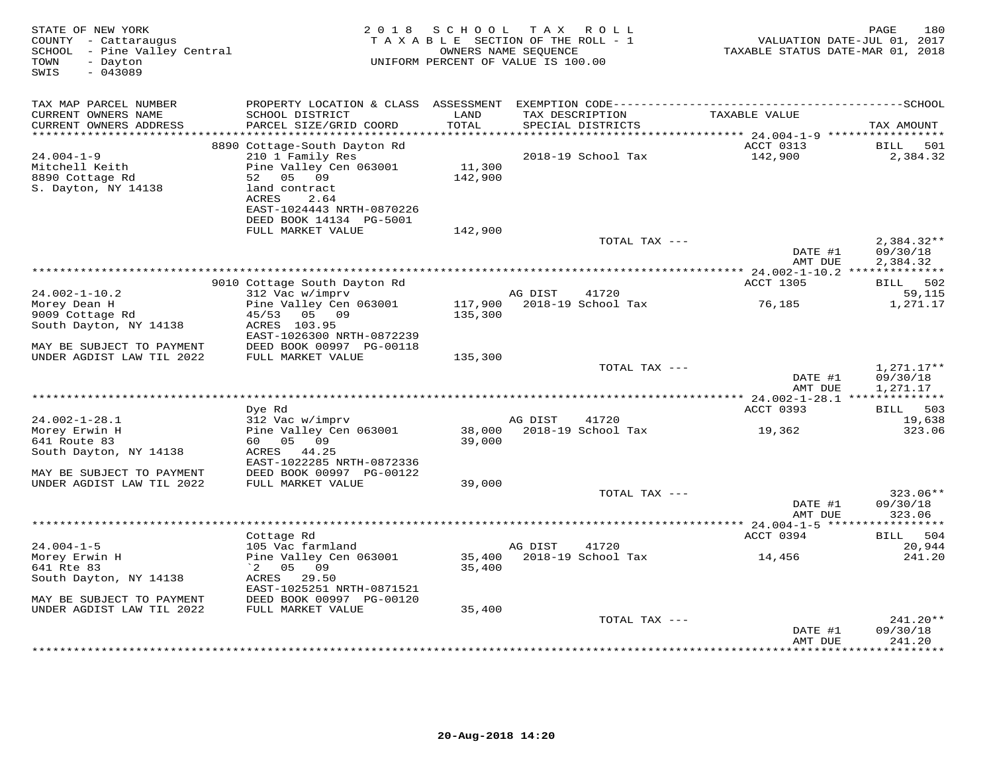| STATE OF NEW YORK<br>COUNTY - Cattaraugus<br>SCHOOL - Pine Valley Central<br>TOWN<br>- Dayton<br>SWIS<br>$-043089$ | 2 0 1 8                                     | SCHOOL           | T A X<br>ROLL ROLL<br>TAXABLE SECTION OF THE ROLL - 1<br>OWNERS NAME SEQUENCE<br>UNIFORM PERCENT OF VALUE IS 100.00 | VALUATION DATE-JUL 01, 2017<br>TAXABLE STATUS DATE-MAR 01, 2018 | PAGE<br>180          |
|--------------------------------------------------------------------------------------------------------------------|---------------------------------------------|------------------|---------------------------------------------------------------------------------------------------------------------|-----------------------------------------------------------------|----------------------|
| TAX MAP PARCEL NUMBER                                                                                              |                                             |                  |                                                                                                                     |                                                                 |                      |
| CURRENT OWNERS NAME<br>CURRENT OWNERS ADDRESS<br>***********************                                           | SCHOOL DISTRICT<br>PARCEL SIZE/GRID COORD   | LAND<br>TOTAL    | TAX DESCRIPTION<br>SPECIAL DISTRICTS                                                                                | TAXABLE VALUE                                                   | TAX AMOUNT           |
|                                                                                                                    | 8890 Cottage-South Dayton Rd                |                  |                                                                                                                     | ACCT 0313                                                       | 501<br><b>BILL</b>   |
| $24.004 - 1 - 9$                                                                                                   | 210 1 Family Res                            |                  | 2018-19 School Tax                                                                                                  | 142,900                                                         | 2,384.32             |
| Mitchell Keith                                                                                                     | Pine Valley Cen 063001                      | 11,300           |                                                                                                                     |                                                                 |                      |
| 8890 Cottage Rd                                                                                                    | 05<br>09<br>52                              | 142,900          |                                                                                                                     |                                                                 |                      |
| S. Dayton, NY 14138                                                                                                | land contract<br>ACRES<br>2.64              |                  |                                                                                                                     |                                                                 |                      |
|                                                                                                                    | EAST-1024443 NRTH-0870226                   |                  |                                                                                                                     |                                                                 |                      |
|                                                                                                                    | DEED BOOK 14134 PG-5001                     |                  |                                                                                                                     |                                                                 |                      |
|                                                                                                                    | FULL MARKET VALUE                           | 142,900          |                                                                                                                     |                                                                 |                      |
|                                                                                                                    |                                             |                  | TOTAL TAX ---                                                                                                       |                                                                 | $2,384.32**$         |
|                                                                                                                    |                                             |                  |                                                                                                                     | DATE #1<br>AMT DUE                                              | 09/30/18<br>2,384.32 |
|                                                                                                                    |                                             |                  |                                                                                                                     | *********** 24.002-1-10.2 **************                        |                      |
|                                                                                                                    | 9010 Cottage South Dayton Rd                |                  |                                                                                                                     | ACCT 1305                                                       | BILL 502             |
| $24.002 - 1 - 10.2$                                                                                                | 312 Vac w/imprv                             |                  | AG DIST<br>41720                                                                                                    |                                                                 | 59,115               |
| Morey Dean H                                                                                                       | Pine Valley Cen 063001                      | 117,900          | 2018-19 School Tax                                                                                                  | 76,185                                                          | 1,271.17             |
| 9009 Cottage Rd<br>South Dayton, NY 14138                                                                          | 45/53<br>05 09<br>ACRES 103.95              | 135,300          |                                                                                                                     |                                                                 |                      |
|                                                                                                                    | EAST-1026300 NRTH-0872239                   |                  |                                                                                                                     |                                                                 |                      |
| MAY BE SUBJECT TO PAYMENT                                                                                          | DEED BOOK 00997 PG-00118                    |                  |                                                                                                                     |                                                                 |                      |
| UNDER AGDIST LAW TIL 2022                                                                                          | FULL MARKET VALUE                           | 135,300          |                                                                                                                     |                                                                 |                      |
|                                                                                                                    |                                             |                  | TOTAL TAX ---                                                                                                       | DATE #1                                                         | $1,271.17**$         |
|                                                                                                                    |                                             |                  |                                                                                                                     | AMT DUE                                                         | 09/30/18<br>1,271.17 |
|                                                                                                                    |                                             |                  |                                                                                                                     | ******** 24.002-1-28.1 ***************                          |                      |
|                                                                                                                    | Dye Rd                                      |                  |                                                                                                                     | ACCT 0393                                                       | 503<br><b>BILL</b>   |
| $24.002 - 1 - 28.1$                                                                                                | 312 Vac w/imprv                             |                  | AG DIST<br>41720                                                                                                    |                                                                 | 19,638               |
| Morey Erwin H<br>641 Route 83                                                                                      | Pine Valley Cen 063001<br>60  05  09        | 38,000<br>39,000 | 2018-19 School Tax                                                                                                  | 19,362                                                          | 323.06               |
| South Dayton, NY 14138                                                                                             | ACRES 44.25                                 |                  |                                                                                                                     |                                                                 |                      |
|                                                                                                                    | EAST-1022285 NRTH-0872336                   |                  |                                                                                                                     |                                                                 |                      |
| MAY BE SUBJECT TO PAYMENT                                                                                          | DEED BOOK 00997 PG-00122                    |                  |                                                                                                                     |                                                                 |                      |
| UNDER AGDIST LAW TIL 2022                                                                                          | FULL MARKET VALUE                           | 39,000           |                                                                                                                     |                                                                 |                      |
|                                                                                                                    |                                             |                  | TOTAL TAX ---                                                                                                       | DATE #1                                                         | 323.06**<br>09/30/18 |
|                                                                                                                    |                                             |                  |                                                                                                                     | AMT DUE                                                         | 323.06               |
|                                                                                                                    |                                             |                  |                                                                                                                     | *** 24.004-1-5 *****                                            |                      |
|                                                                                                                    | Cottage Rd                                  |                  |                                                                                                                     | ACCT 0394                                                       | 504<br>BILL          |
| $24.004 - 1 - 5$                                                                                                   | 105 Vac farmland                            |                  | AG DIST<br>41720                                                                                                    |                                                                 | 20,944               |
| Morey Erwin H<br>641 Rte 83                                                                                        | Pine Valley Cen 063001<br>$^{\circ}2$ 05 09 | 35,400<br>35,400 | 2018-19 School Tax                                                                                                  | 14,456                                                          | 241.20               |
| South Dayton, NY 14138                                                                                             | ACRES 29.50                                 |                  |                                                                                                                     |                                                                 |                      |
|                                                                                                                    | EAST-1025251 NRTH-0871521                   |                  |                                                                                                                     |                                                                 |                      |
| MAY BE SUBJECT TO PAYMENT                                                                                          | DEED BOOK 00997 PG-00120                    |                  |                                                                                                                     |                                                                 |                      |
| UNDER AGDIST LAW TIL 2022                                                                                          | FULL MARKET VALUE                           | 35,400           | TOTAL TAX ---                                                                                                       |                                                                 | 241.20**             |
|                                                                                                                    |                                             |                  |                                                                                                                     | DATE #1                                                         | 09/30/18             |
|                                                                                                                    |                                             |                  |                                                                                                                     | AMT DUE                                                         | 241.20               |
|                                                                                                                    |                                             |                  |                                                                                                                     |                                                                 | * * * * * * * * *    |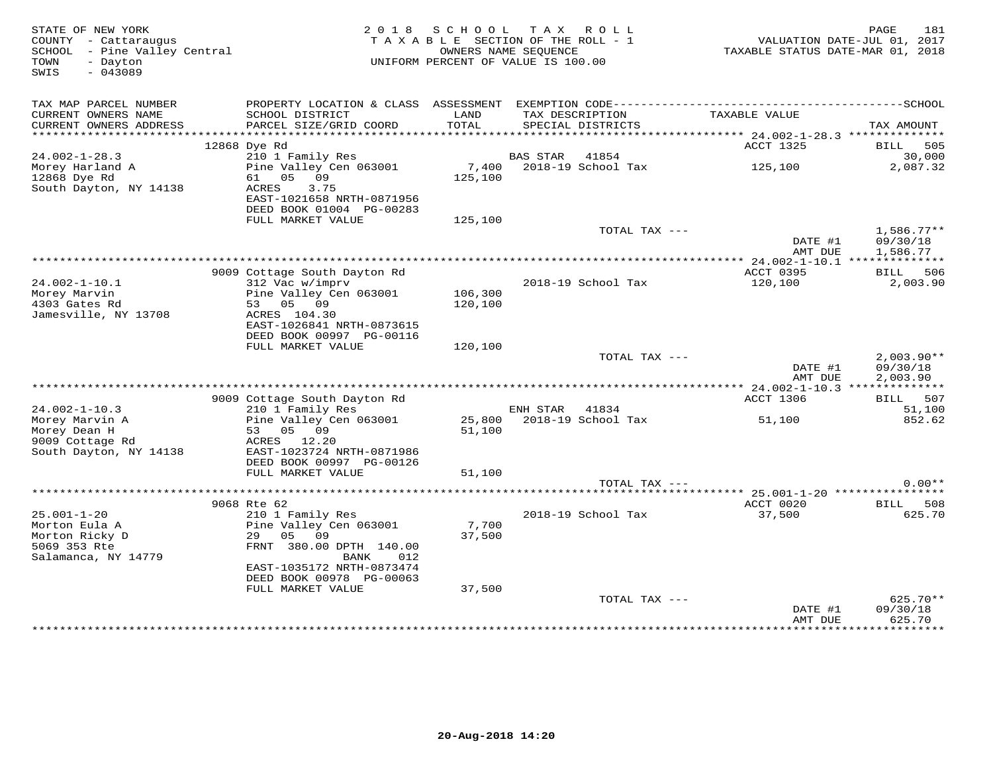| STATE OF NEW YORK<br>COUNTY - Cattaraugus<br>SCHOOL - Pine Valley Central<br>TOWN<br>- Dayton<br>SWIS<br>$-043089$ |                                                                        | 2018 SCHOOL<br>TAXABLE SECTION OF THE ROLL - 1<br>UNIFORM PERCENT OF VALUE IS 100.00 | OWNERS NAME SEQUENCE | TAX ROLL                        | TAXABLE STATUS DATE-MAR 01, 2018 | 181<br>PAGE<br>VALUATION DATE-JUL 01, 2017 |
|--------------------------------------------------------------------------------------------------------------------|------------------------------------------------------------------------|--------------------------------------------------------------------------------------|----------------------|---------------------------------|----------------------------------|--------------------------------------------|
| TAX MAP PARCEL NUMBER<br>CURRENT OWNERS NAME                                                                       | SCHOOL DISTRICT                                                        | LAND                                                                                 |                      | TAX DESCRIPTION                 | TAXABLE VALUE                    |                                            |
| CURRENT OWNERS ADDRESS                                                                                             | PARCEL SIZE/GRID COORD                                                 | TOTAL                                                                                |                      | SPECIAL DISTRICTS               |                                  | TAX AMOUNT                                 |
|                                                                                                                    | 12868 Dye Rd                                                           |                                                                                      |                      |                                 | ACCT 1325                        | BILL 505                                   |
| $24.002 - 1 - 28.3$                                                                                                | 210 1 Family Res                                                       |                                                                                      | <b>BAS STAR</b>      | 41854                           |                                  | 30,000                                     |
| Morey Harland A                                                                                                    | Pine Valley Cen 063001                                                 | 7,400                                                                                |                      | 2018-19 School Tax              | 125,100                          | 2,087.32                                   |
| 12868 Dye Rd                                                                                                       | 61 05 09                                                               | 125,100                                                                              |                      |                                 |                                  |                                            |
| South Dayton, NY 14138                                                                                             | ACRES<br>3.75<br>EAST-1021658 NRTH-0871956<br>DEED BOOK 01004 PG-00283 |                                                                                      |                      |                                 |                                  |                                            |
|                                                                                                                    | FULL MARKET VALUE                                                      | 125,100                                                                              |                      |                                 |                                  |                                            |
|                                                                                                                    |                                                                        |                                                                                      |                      | TOTAL TAX ---                   |                                  | $1,586.77**$                               |
|                                                                                                                    |                                                                        |                                                                                      |                      |                                 | DATE #1                          | 09/30/18                                   |
|                                                                                                                    |                                                                        |                                                                                      |                      |                                 | AMT DUE                          | 1,586.77                                   |
|                                                                                                                    | 9009 Cottage South Dayton Rd                                           |                                                                                      |                      |                                 | ACCT 0395                        | BILL 506                                   |
| $24.002 - 1 - 10.1$                                                                                                | 312 Vac w/imprv                                                        |                                                                                      |                      | 2018-19 School Tax              | 120,100                          | 2,003.90                                   |
| Morey Marvin                                                                                                       | Pine Valley Cen 063001                                                 | 106,300                                                                              |                      |                                 |                                  |                                            |
| 4303 Gates Rd                                                                                                      | 53 05 09                                                               | 120,100                                                                              |                      |                                 |                                  |                                            |
| Jamesville, NY 13708                                                                                               | ACRES 104.30                                                           |                                                                                      |                      |                                 |                                  |                                            |
|                                                                                                                    | EAST-1026841 NRTH-0873615                                              |                                                                                      |                      |                                 |                                  |                                            |
|                                                                                                                    | DEED BOOK 00997 PG-00116                                               |                                                                                      |                      |                                 |                                  |                                            |
|                                                                                                                    | FULL MARKET VALUE                                                      | 120,100                                                                              |                      | TOTAL TAX ---                   |                                  | $2,003.90**$                               |
|                                                                                                                    |                                                                        |                                                                                      |                      |                                 | DATE #1                          | 09/30/18                                   |
|                                                                                                                    |                                                                        |                                                                                      |                      |                                 | AMT DUE                          | 2,003.90                                   |
|                                                                                                                    |                                                                        |                                                                                      |                      |                                 |                                  |                                            |
|                                                                                                                    | 9009 Cottage South Dayton Rd                                           |                                                                                      |                      |                                 | ACCT 1306                        | BILL 507                                   |
| $24.002 - 1 - 10.3$                                                                                                | 210 1 Family Res                                                       |                                                                                      | ENH STAR             | 41834                           |                                  | 51,100                                     |
| Morey Marvin A<br>Morey Dean H                                                                                     | Pine Valley Cen 063001<br>53 05 09                                     | 51,100                                                                               |                      | 25,800    2018-19    School Tax | 51,100                           | 852.62                                     |
| 9009 Cottage Rd                                                                                                    | ACRES 12.20                                                            |                                                                                      |                      |                                 |                                  |                                            |
| South Dayton, NY 14138                                                                                             | EAST-1023724 NRTH-0871986                                              |                                                                                      |                      |                                 |                                  |                                            |
|                                                                                                                    | DEED BOOK 00997 PG-00126                                               |                                                                                      |                      |                                 |                                  |                                            |
|                                                                                                                    | FULL MARKET VALUE                                                      | 51,100                                                                               |                      |                                 |                                  |                                            |
|                                                                                                                    |                                                                        |                                                                                      |                      | TOTAL TAX ---                   |                                  | $0.00**$                                   |
|                                                                                                                    |                                                                        |                                                                                      |                      |                                 |                                  |                                            |
| $25.001 - 1 - 20$                                                                                                  | 9068 Rte 62<br>210 1 Family Res                                        |                                                                                      |                      | 2018-19 School Tax              | ACCT 0020<br>37,500              | BILL 508<br>625.70                         |
| Morton Eula A                                                                                                      | Pine Valley Cen 063001                                                 | 7,700                                                                                |                      |                                 |                                  |                                            |
| Morton Ricky D                                                                                                     | 29 05 09                                                               | 37,500                                                                               |                      |                                 |                                  |                                            |
| 5069 353 Rte                                                                                                       | FRNT 380.00 DPTH 140.00                                                |                                                                                      |                      |                                 |                                  |                                            |
| Salamanca, NY 14779                                                                                                | BANK<br>012                                                            |                                                                                      |                      |                                 |                                  |                                            |
|                                                                                                                    | EAST-1035172 NRTH-0873474                                              |                                                                                      |                      |                                 |                                  |                                            |
|                                                                                                                    | DEED BOOK 00978 PG-00063                                               |                                                                                      |                      |                                 |                                  |                                            |
|                                                                                                                    | FULL MARKET VALUE                                                      | 37,500                                                                               |                      |                                 |                                  |                                            |
|                                                                                                                    |                                                                        |                                                                                      |                      | TOTAL TAX ---                   | DATE #1                          | 625.70**<br>09/30/18                       |
|                                                                                                                    |                                                                        |                                                                                      |                      |                                 | AMT DUE                          | 625.70                                     |
|                                                                                                                    |                                                                        |                                                                                      |                      |                                 |                                  |                                            |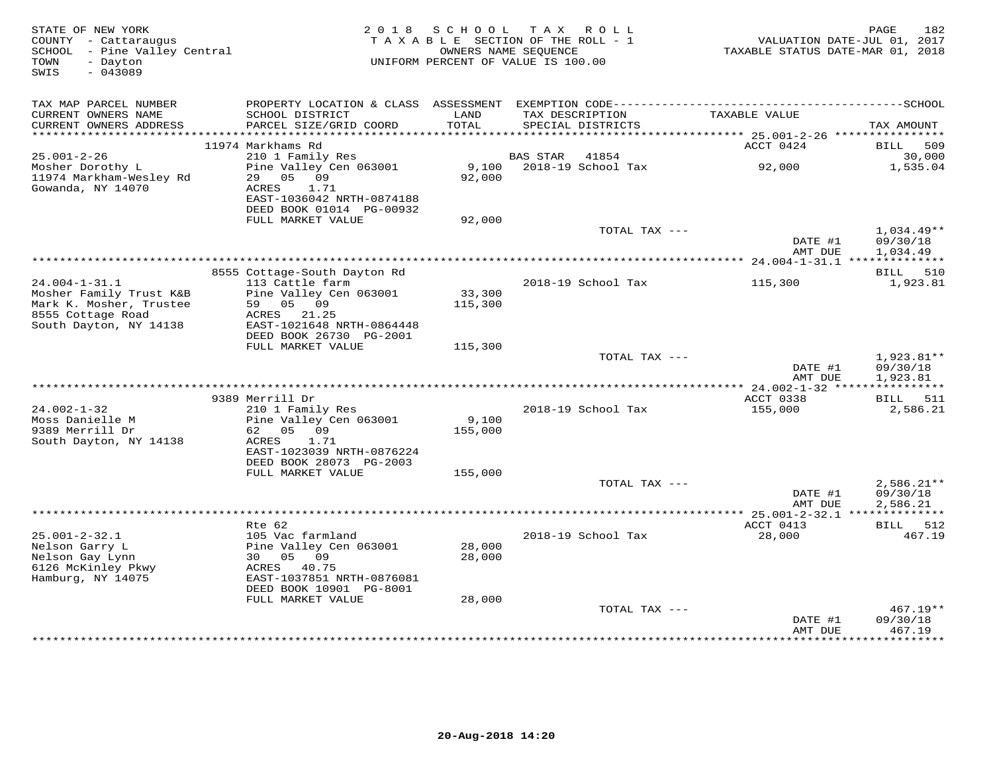| STATE OF NEW YORK<br>COUNTY - Cattaraugus<br>SCHOOL - Pine Valley Central<br>- Dayton<br>TOWN<br>$-043089$<br>SWIS | 2018 SCHOOL<br>TAX ROLL<br>TAXABLE SECTION OF THE ROLL - 1<br>OWNERS NAME SEQUENCE<br>UNIFORM PERCENT OF VALUE IS 100.00 |                   |                 |                                      | 182<br>PAGE<br>VALUATION DATE-JUL 01, 2017<br>TAXABLE STATUS DATE-MAR 01, 2018 |                                      |  |
|--------------------------------------------------------------------------------------------------------------------|--------------------------------------------------------------------------------------------------------------------------|-------------------|-----------------|--------------------------------------|--------------------------------------------------------------------------------|--------------------------------------|--|
| TAX MAP PARCEL NUMBER                                                                                              |                                                                                                                          |                   |                 |                                      |                                                                                |                                      |  |
| CURRENT OWNERS NAME<br>CURRENT OWNERS ADDRESS<br>************************                                          | SCHOOL DISTRICT<br>PARCEL SIZE/GRID COORD                                                                                | LAND<br>TOTAL     |                 | TAX DESCRIPTION<br>SPECIAL DISTRICTS | TAXABLE VALUE                                                                  | TAX AMOUNT                           |  |
|                                                                                                                    | 11974 Markhams Rd                                                                                                        |                   |                 |                                      | ACCT 0424                                                                      | 509<br>BILL                          |  |
| $25.001 - 2 - 26$                                                                                                  | 210 1 Family Res                                                                                                         |                   | <b>BAS STAR</b> | 41854                                |                                                                                | 30,000                               |  |
| Mosher Dorothy L<br>11974 Markham-Wesley Rd<br>Gowanda, NY 14070                                                   | Pine Valley Cen 063001<br>29<br>05<br>09<br>ACRES<br>1.71                                                                | 9,100<br>92,000   |                 | 2018-19 School Tax                   | 92,000                                                                         | 1,535.04                             |  |
|                                                                                                                    | EAST-1036042 NRTH-0874188<br>DEED BOOK 01014 PG-00932<br>FULL MARKET VALUE                                               | 92,000            |                 |                                      |                                                                                |                                      |  |
|                                                                                                                    |                                                                                                                          |                   |                 | TOTAL TAX ---                        |                                                                                | $1,034.49**$                         |  |
|                                                                                                                    |                                                                                                                          |                   |                 |                                      | DATE #1<br>AMT DUE                                                             | 09/30/18<br>1,034.49                 |  |
|                                                                                                                    |                                                                                                                          |                   |                 |                                      |                                                                                |                                      |  |
|                                                                                                                    | 8555 Cottage-South Dayton Rd                                                                                             |                   |                 |                                      |                                                                                | BILL 510                             |  |
| $24.004 - 1 - 31.1$<br>Mosher Family Trust K&B<br>Mark K. Mosher, Trustee                                          | 113 Cattle farm<br>Pine Valley Cen 063001<br>59 05 09                                                                    | 33,300<br>115,300 |                 | 2018-19 School Tax                   | 115,300                                                                        | 1,923.81                             |  |
| 8555 Cottage Road<br>South Dayton, NY 14138                                                                        | ACRES 21.25<br>EAST-1021648 NRTH-0864448                                                                                 |                   |                 |                                      |                                                                                |                                      |  |
|                                                                                                                    | DEED BOOK 26730 PG-2001                                                                                                  |                   |                 |                                      |                                                                                |                                      |  |
|                                                                                                                    | FULL MARKET VALUE                                                                                                        | 115,300           |                 | TOTAL TAX ---                        |                                                                                |                                      |  |
|                                                                                                                    |                                                                                                                          |                   |                 |                                      | DATE #1<br>AMT DUE                                                             | $1,923.81**$<br>09/30/18<br>1,923.81 |  |
|                                                                                                                    |                                                                                                                          |                   |                 |                                      |                                                                                |                                      |  |
| $24.002 - 1 - 32$                                                                                                  | 9389 Merrill Dr<br>210 1 Family Res                                                                                      |                   |                 | 2018-19 School Tax                   | ACCT 0338<br>155,000                                                           | BILL 511<br>2,586.21                 |  |
| Moss Danielle M                                                                                                    | Pine Valley Cen 063001                                                                                                   | 9,100             |                 |                                      |                                                                                |                                      |  |
| 9389 Merrill Dr                                                                                                    | 62 05 09                                                                                                                 | 155,000           |                 |                                      |                                                                                |                                      |  |
| South Dayton, NY 14138                                                                                             | ACRES<br>1.71<br>EAST-1023039 NRTH-0876224                                                                               |                   |                 |                                      |                                                                                |                                      |  |
|                                                                                                                    | DEED BOOK 28073 PG-2003                                                                                                  |                   |                 |                                      |                                                                                |                                      |  |
|                                                                                                                    | FULL MARKET VALUE                                                                                                        | 155,000           |                 | TOTAL TAX ---                        |                                                                                | $2,586.21**$                         |  |
|                                                                                                                    |                                                                                                                          |                   |                 |                                      | DATE #1                                                                        | 09/30/18                             |  |
|                                                                                                                    |                                                                                                                          |                   |                 |                                      | AMT DUE                                                                        | 2,586.21                             |  |
|                                                                                                                    | $Rte$ 62                                                                                                                 |                   |                 |                                      | ACCT 0413                                                                      | BILL 512                             |  |
| $25.001 - 2 - 32.1$                                                                                                | 105 Vac farmland                                                                                                         |                   |                 | 2018-19 School Tax                   | 28,000                                                                         | 467.19                               |  |
| Nelson Garry L                                                                                                     | Pine Valley Cen 063001                                                                                                   | 28,000            |                 |                                      |                                                                                |                                      |  |
| Nelson Gay Lynn                                                                                                    | 30<br>05<br>09                                                                                                           | 28,000            |                 |                                      |                                                                                |                                      |  |
| 6126 McKinley Pkwy<br>Hamburg, NY 14075                                                                            | ACRES<br>40.75<br>EAST-1037851 NRTH-0876081<br>DEED BOOK 10901 PG-8001                                                   |                   |                 |                                      |                                                                                |                                      |  |
|                                                                                                                    | FULL MARKET VALUE                                                                                                        | 28,000            |                 |                                      |                                                                                |                                      |  |
|                                                                                                                    |                                                                                                                          |                   |                 | TOTAL TAX ---                        |                                                                                | $467.19**$                           |  |
|                                                                                                                    |                                                                                                                          |                   |                 |                                      | DATE #1<br>AMT DUE                                                             | 09/30/18<br>467.19                   |  |
|                                                                                                                    |                                                                                                                          |                   |                 |                                      |                                                                                | **********                           |  |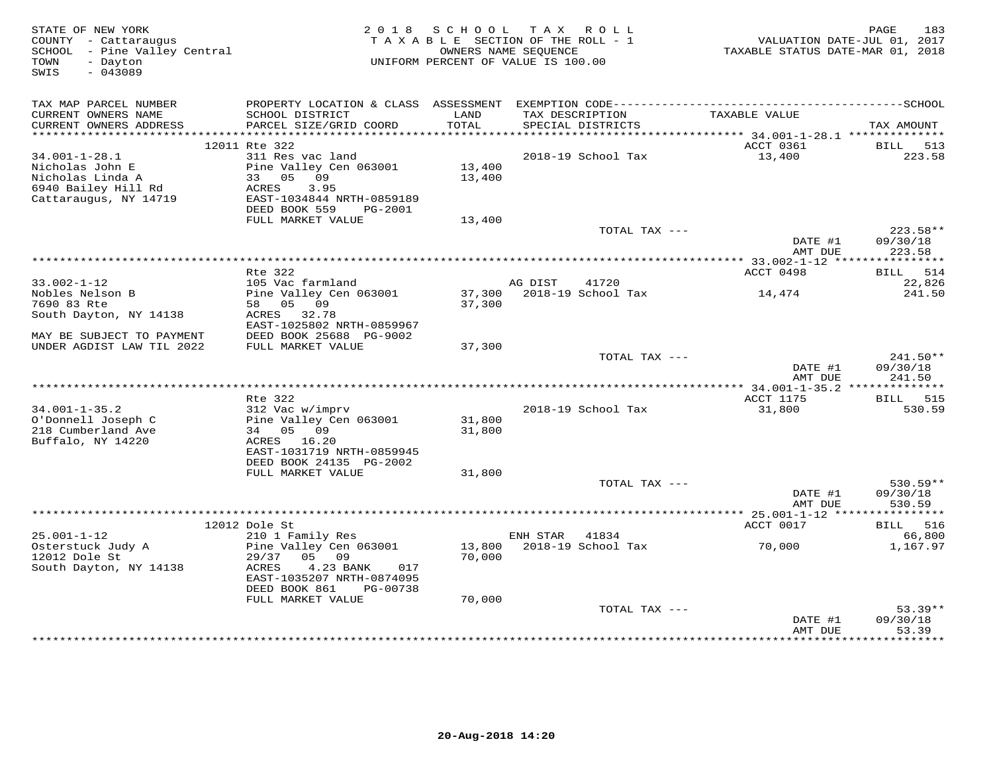| STATE OF NEW YORK<br>COUNTY - Cattaraugus<br>SCHOOL - Pine Valley Central | 2 0 1 8                                                |                  | SCHOOL TAX ROLL<br>TAXABLE SECTION OF THE ROLL - 1<br>OWNERS NAME SEQUENCE | VALUATION DATE-JUL 01, 2017<br>TAXABLE STATUS DATE-MAR 01, 2018 | PAGE<br>183         |
|---------------------------------------------------------------------------|--------------------------------------------------------|------------------|----------------------------------------------------------------------------|-----------------------------------------------------------------|---------------------|
| - Dayton<br>TOWN<br>$-043089$<br>SWIS                                     |                                                        |                  | UNIFORM PERCENT OF VALUE IS 100.00                                         |                                                                 |                     |
| TAX MAP PARCEL NUMBER                                                     |                                                        |                  |                                                                            |                                                                 |                     |
| CURRENT OWNERS NAME<br>CURRENT OWNERS ADDRESS                             | SCHOOL DISTRICT<br>PARCEL SIZE/GRID COORD              | LAND<br>TOTAL    | TAX DESCRIPTION<br>SPECIAL DISTRICTS                                       | TAXABLE VALUE                                                   | TAX AMOUNT          |
|                                                                           | 12011 Rte 322                                          |                  |                                                                            | ACCT 0361                                                       | 513<br>BILL         |
| $34.001 - 1 - 28.1$                                                       | 311 Res vac land                                       |                  | 2018-19 School Tax                                                         | 13,400                                                          | 223.58              |
| Nicholas John E                                                           | Pine Valley Cen 063001                                 | 13,400           |                                                                            |                                                                 |                     |
| Nicholas Linda A                                                          | 33 05 09                                               | 13,400           |                                                                            |                                                                 |                     |
| 6940 Bailey Hill Rd<br>Cattaraugus, NY 14719                              | ACRES<br>3.95<br>EAST-1034844 NRTH-0859189             |                  |                                                                            |                                                                 |                     |
|                                                                           | DEED BOOK 559<br>PG-2001                               |                  |                                                                            |                                                                 |                     |
|                                                                           | FULL MARKET VALUE                                      | 13,400           |                                                                            |                                                                 |                     |
|                                                                           |                                                        |                  | TOTAL TAX ---                                                              |                                                                 | 223.58**            |
|                                                                           |                                                        |                  |                                                                            | DATE #1<br>AMT DUE                                              | 09/30/18<br>223.58  |
|                                                                           |                                                        |                  |                                                                            |                                                                 |                     |
|                                                                           | Rte 322                                                |                  |                                                                            | ACCT 0498                                                       | BILL 514            |
| $33.002 - 1 - 12$                                                         | 105 Vac farmland                                       |                  | AG DIST<br>41720<br>2018-19 School Tax                                     |                                                                 | 22,826              |
| Nobles Nelson B<br>7690 83 Rte                                            | Pine Valley Cen 063001<br>58 05 09                     | 37,300<br>37,300 |                                                                            | 14,474                                                          | 241.50              |
| South Dayton, NY 14138                                                    | ACRES 32.78                                            |                  |                                                                            |                                                                 |                     |
|                                                                           | EAST-1025802 NRTH-0859967                              |                  |                                                                            |                                                                 |                     |
| MAY BE SUBJECT TO PAYMENT<br>UNDER AGDIST LAW TIL 2022                    | DEED BOOK 25688 PG-9002<br>FULL MARKET VALUE           | 37,300           |                                                                            |                                                                 |                     |
|                                                                           |                                                        |                  | TOTAL TAX ---                                                              |                                                                 | 241.50**            |
|                                                                           |                                                        |                  |                                                                            | DATE #1<br>AMT DUE                                              | 09/30/18<br>241.50  |
|                                                                           |                                                        |                  |                                                                            |                                                                 |                     |
|                                                                           | Rte 322                                                |                  |                                                                            | ACCT 1175                                                       | BILL 515            |
| $34.001 - 1 - 35.2$                                                       | 312 Vac w/imprv                                        |                  | 2018-19 School Tax                                                         | 31,800                                                          | 530.59              |
| O'Donnell Joseph C                                                        | Pine Valley Cen 063001                                 | 31,800           |                                                                            |                                                                 |                     |
| 218 Cumberland Ave                                                        | 34 05 09                                               | 31,800           |                                                                            |                                                                 |                     |
| Buffalo, NY 14220                                                         | ACRES 16.20<br>EAST-1031719 NRTH-0859945               |                  |                                                                            |                                                                 |                     |
|                                                                           | DEED BOOK 24135 PG-2002                                |                  |                                                                            |                                                                 |                     |
|                                                                           | FULL MARKET VALUE                                      | 31,800           |                                                                            |                                                                 |                     |
|                                                                           |                                                        |                  | TOTAL TAX ---                                                              |                                                                 | 530.59**            |
|                                                                           |                                                        |                  |                                                                            | DATE #1                                                         | 09/30/18            |
|                                                                           |                                                        |                  |                                                                            | AMT DUE                                                         | 530.59              |
|                                                                           | 12012 Dole St                                          |                  |                                                                            | ACCT 0017                                                       | BILL 516            |
| $25.001 - 1 - 12$                                                         | 210 1 Family Res                                       |                  | ENH STAR<br>41834                                                          |                                                                 | 66,800              |
| Osterstuck Judy A                                                         | Pine Valley Cen 063001                                 | 13,800           | 2018-19 School Tax                                                         | 70,000                                                          | 1,167.97            |
| 12012 Dole St                                                             | 29/37<br>05 09                                         | 70,000           |                                                                            |                                                                 |                     |
| South Dayton, NY 14138                                                    | 4.23 BANK<br>ACRES<br>017                              |                  |                                                                            |                                                                 |                     |
|                                                                           | EAST-1035207 NRTH-0874095<br>DEED BOOK 861<br>PG-00738 |                  |                                                                            |                                                                 |                     |
|                                                                           | FULL MARKET VALUE                                      | 70,000           |                                                                            |                                                                 |                     |
|                                                                           |                                                        |                  | TOTAL TAX ---                                                              |                                                                 | $53.39**$           |
|                                                                           |                                                        |                  |                                                                            | DATE #1                                                         | 09/30/18            |
|                                                                           |                                                        |                  |                                                                            | AMT DUE                                                         | 53.39<br>********** |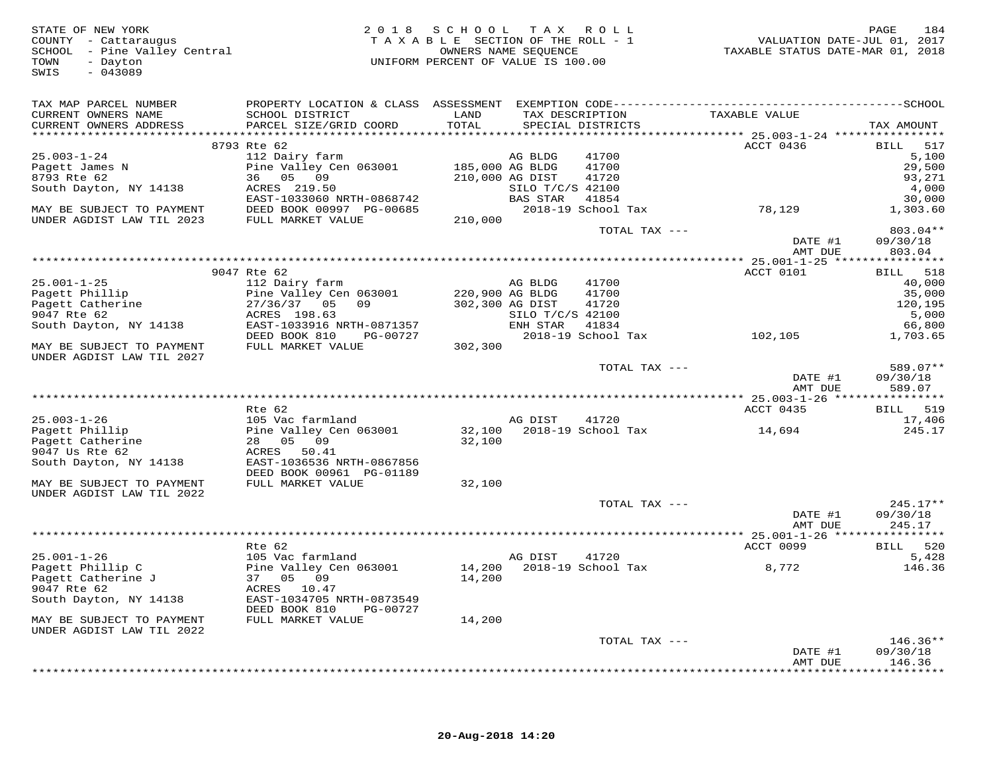| STATE OF NEW YORK<br>COUNTY - Cattaraugus<br>SCHOOL - Pine Valley Central<br>- Dayton<br>TOWN<br>$-043089$<br>SWIS |                                                                                | 2018 SCHOOL TAX ROLL<br>TAXABLE SECTION OF THE ROLL - 1<br>UNIFORM PERCENT OF VALUE IS 100.00 | OWNERS NAME SEQUENCE                       |                                      | VALUATION DATE-JUL 01, 2017<br>TAXABLE STATUS DATE-MAR 01, 2018 | 184<br>PAGE                             |
|--------------------------------------------------------------------------------------------------------------------|--------------------------------------------------------------------------------|-----------------------------------------------------------------------------------------------|--------------------------------------------|--------------------------------------|-----------------------------------------------------------------|-----------------------------------------|
| TAX MAP PARCEL NUMBER<br>CURRENT OWNERS NAME<br>CURRENT OWNERS ADDRESS                                             | SCHOOL DISTRICT<br>PARCEL SIZE/GRID COORD                                      | LAND<br>TOTAL                                                                                 |                                            | TAX DESCRIPTION<br>SPECIAL DISTRICTS | TAXABLE VALUE                                                   | TAX AMOUNT                              |
|                                                                                                                    | 8793 Rte 62                                                                    |                                                                                               |                                            |                                      | ACCT 0436                                                       | BILL<br>517                             |
| $25.003 - 1 - 24$<br>Pagett James N<br>8793 Rte 62                                                                 | 112 Dairy farm<br>Pine Valley Cen 063001 185,000 AG BLDG<br>36 05 09           | 210,000 AG DIST                                                                               | AG BLDG                                    | 41700<br>41700<br>41720              |                                                                 | 5,100<br>29,500<br>93,271               |
| South Dayton, NY 14138                                                                                             | ACRES 219.50<br>EAST-1033060 NRTH-0868742                                      |                                                                                               | SILO T/C/S 42100<br>SILO T/C/S<br>BAS STAR | 41854                                |                                                                 | 4,000<br>30,000                         |
| MAY BE SUBJECT TO PAYMENT<br>UNDER AGDIST LAW TIL 2023                                                             | DEED BOOK 00997 PG-00685<br>FULL MARKET VALUE                                  | 210,000                                                                                       |                                            | TOTAL TAX ---                        | 2018-19 School Tax         78,129                               | 1,303.60<br>803.04**                    |
|                                                                                                                    |                                                                                |                                                                                               |                                            |                                      | DATE #1<br>AMT DUE                                              | 09/30/18<br>803.04                      |
| **************************                                                                                         |                                                                                |                                                                                               |                                            |                                      |                                                                 |                                         |
| $25.001 - 1 - 25$<br>Pagett Phillip<br>Pagett Catherine                                                            | 9047 Rte 62<br>112 Dairy farm<br>Pine Valley Cen 063001<br>27/36/37 05 09      | 220,900 AG BLDG<br>302,300 AG DIST                                                            | AG BLDG                                    | 41700<br>41700<br>41720              | ACCT 0101                                                       | BILL 518<br>40,000<br>35,000<br>120,195 |
| 9047 Rte 62<br>South Dayton, NY 14138                                                                              | ACRES 198.63<br>EAST-1033916 NRTH-0871357<br>DEED BOOK 810 PG-00727            |                                                                                               | SILO T/C/S 42100<br>ENH STAR 41834         |                                      | 2018-19 School Tax 102,105                                      | 5,000<br>66,800<br>1,703.65             |
| MAY BE SUBJECT TO PAYMENT<br>UNDER AGDIST LAW TIL 2027                                                             | FULL MARKET VALUE                                                              | 302,300                                                                                       |                                            |                                      |                                                                 |                                         |
|                                                                                                                    |                                                                                |                                                                                               |                                            | TOTAL TAX ---                        | DATE #1<br>AMT DUE                                              | 589.07**<br>09/30/18<br>589.07          |
|                                                                                                                    |                                                                                |                                                                                               |                                            |                                      |                                                                 |                                         |
| $25.003 - 1 - 26$<br>Pagett Phillip                                                                                | Rte 62<br>105 Vac farmland<br>Pine Valley Cen 063001 32,100 2018-19 School Tax |                                                                                               | AG DIST                                    | 41720                                | ACCT 0435<br>14,694                                             | BILL 519<br>17,406<br>245.17            |
| Pagett Catherine<br>9047 Us Rte 62<br>South Dayton, NY 14138                                                       | 28 05 09<br>ACRES 50.41<br>EAST-1036536 NRTH-0867856                           | 32,100                                                                                        |                                            |                                      |                                                                 |                                         |
| MAY BE SUBJECT TO PAYMENT<br>UNDER AGDIST LAW TIL 2022                                                             | DEED BOOK 00961 PG-01189<br>FULL MARKET VALUE                                  | 32,100                                                                                        |                                            |                                      |                                                                 |                                         |
|                                                                                                                    |                                                                                |                                                                                               |                                            | TOTAL TAX ---                        | DATE #1<br>AMT DUE                                              | $245.17**$<br>09/30/18<br>245.17        |
|                                                                                                                    |                                                                                |                                                                                               |                                            |                                      |                                                                 |                                         |
| $25.001 - 1 - 26$                                                                                                  | Rte 62<br>105 Vac farmland                                                     |                                                                                               | AG DIST                                    | 41720                                | ACCT 0099                                                       | BILL 520<br>5,428                       |
| Pagett Phillip C<br>Pagett Catherine J<br>9047 Rte 62<br>South Dayton, NY 14138                                    | Pine Valley Cen 063001<br>37 05 09<br>ACRES 10.47<br>EAST-1034705 NRTH-0873549 | 14,200                                                                                        |                                            |                                      |                                                                 | 146.36                                  |
| MAY BE SUBJECT TO PAYMENT<br>UNDER AGDIST LAW TIL 2022                                                             | DEED BOOK 810<br>PG-00727<br>FULL MARKET VALUE                                 | 14,200                                                                                        |                                            |                                      |                                                                 |                                         |
|                                                                                                                    |                                                                                |                                                                                               |                                            | TOTAL TAX ---                        | DATE #1<br>AMT DUE                                              | $146.36**$<br>09/30/18<br>146.36        |
|                                                                                                                    |                                                                                |                                                                                               |                                            |                                      |                                                                 | **********                              |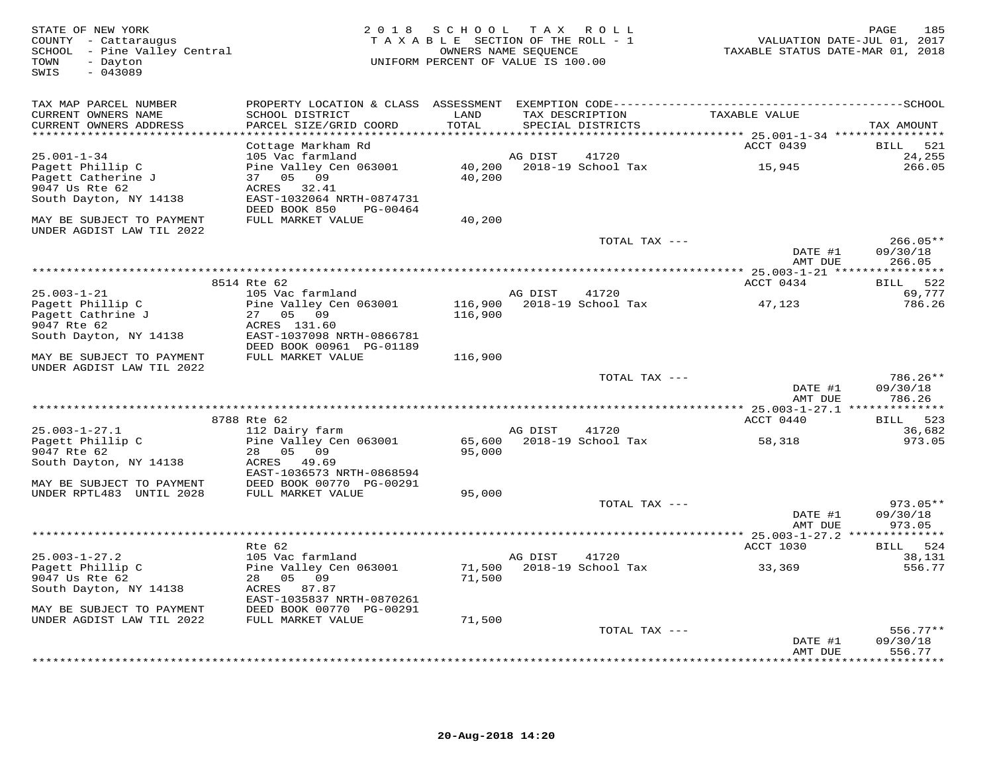| STATE OF NEW YORK<br>COUNTY - Cattaraugus<br>SCHOOL - Pine Valley Central<br>- Dayton<br>TOWN<br>$-043089$<br>SWIS | 2 0 1 8                                               | S C H O O L<br>TAXABLE SECTION OF THE ROLL - 1<br>OWNERS NAME SEQUENCE<br>UNIFORM PERCENT OF VALUE IS 100.00 | T A X   | ROLL                                 | VALUATION DATE-JUL 01, 2017<br>TAXABLE STATUS DATE-MAR 01, 2018 | PAGE<br>185                     |
|--------------------------------------------------------------------------------------------------------------------|-------------------------------------------------------|--------------------------------------------------------------------------------------------------------------|---------|--------------------------------------|-----------------------------------------------------------------|---------------------------------|
| TAX MAP PARCEL NUMBER                                                                                              |                                                       |                                                                                                              |         |                                      |                                                                 |                                 |
| CURRENT OWNERS NAME<br>CURRENT OWNERS ADDRESS                                                                      | SCHOOL DISTRICT<br>PARCEL SIZE/GRID COORD             | LAND<br>TOTAL                                                                                                |         | TAX DESCRIPTION<br>SPECIAL DISTRICTS | TAXABLE VALUE                                                   | TAX AMOUNT                      |
| **********************                                                                                             | Cottage Markham Rd                                    | *********                                                                                                    |         |                                      | ACCT 0439                                                       | 521<br>BILL                     |
| $25.001 - 1 - 34$                                                                                                  | 105 Vac farmland                                      |                                                                                                              | AG DIST | 41720                                |                                                                 | 24,255                          |
| Pagett Phillip C                                                                                                   | Pine Valley Cen 063001                                |                                                                                                              |         | 40,200 2018-19 School Tax            | 15,945                                                          | 266.05                          |
| Pagett Catherine J                                                                                                 | 37 05 09                                              | 40,200                                                                                                       |         |                                      |                                                                 |                                 |
| 9047 Us Rte 62                                                                                                     | ACRES 32.41<br>EAST-1032064 NRTH-0874731              |                                                                                                              |         |                                      |                                                                 |                                 |
| South Dayton, NY 14138                                                                                             | DEED BOOK 850<br>PG-00464                             |                                                                                                              |         |                                      |                                                                 |                                 |
| MAY BE SUBJECT TO PAYMENT<br>UNDER AGDIST LAW TIL 2022                                                             | FULL MARKET VALUE                                     | 40,200                                                                                                       |         |                                      |                                                                 |                                 |
|                                                                                                                    |                                                       |                                                                                                              |         | TOTAL TAX ---                        |                                                                 | $266.05**$                      |
|                                                                                                                    |                                                       |                                                                                                              |         |                                      | DATE #1                                                         | 09/30/18                        |
|                                                                                                                    |                                                       |                                                                                                              |         |                                      | AMT DUE<br>*********** 25.003-1-21 ****                         | 266.05<br>* * * * * * * * * * * |
|                                                                                                                    | 8514 Rte 62                                           |                                                                                                              |         |                                      | ACCT 0434                                                       | 522<br><b>BILL</b>              |
| $25.003 - 1 - 21$                                                                                                  | 105 Vac farmland                                      |                                                                                                              | AG DIST | 41720                                |                                                                 | 69,777                          |
| Pagett Phillip C                                                                                                   | Pine Valley Cen 063001                                |                                                                                                              |         | 116,900 2018-19 School Tax           | 47,123                                                          | 786.26                          |
| Pagett Cathrine J<br>9047 Rte 62                                                                                   | 27 05 09<br>ACRES 131.60                              | 116,900                                                                                                      |         |                                      |                                                                 |                                 |
| South Dayton, NY 14138                                                                                             | EAST-1037098 NRTH-0866781                             |                                                                                                              |         |                                      |                                                                 |                                 |
|                                                                                                                    | DEED BOOK 00961 PG-01189                              |                                                                                                              |         |                                      |                                                                 |                                 |
| MAY BE SUBJECT TO PAYMENT                                                                                          | FULL MARKET VALUE                                     | 116,900                                                                                                      |         |                                      |                                                                 |                                 |
| UNDER AGDIST LAW TIL 2022                                                                                          |                                                       |                                                                                                              |         |                                      |                                                                 |                                 |
|                                                                                                                    |                                                       |                                                                                                              |         | TOTAL TAX ---                        | DATE #1                                                         | 786.26**<br>09/30/18            |
|                                                                                                                    |                                                       |                                                                                                              |         |                                      | AMT DUE                                                         | 786.26                          |
|                                                                                                                    | ***********************************                   |                                                                                                              |         |                                      | ********* 25.003-1-27.1 **                                      | * * * * * * * * * * *           |
|                                                                                                                    | 8788 Rte 62                                           |                                                                                                              |         |                                      | ACCT 0440                                                       | BILL 523                        |
| $25.003 - 1 - 27.1$<br>Pagett Phillip C                                                                            | 112 Dairy farm<br>Pine Valley Cen 063001              |                                                                                                              | AG DIST | 41720<br>65,600 2018-19 School Tax   | 58,318                                                          | 36,682<br>973.05                |
| 9047 Rte 62                                                                                                        | 28 05 09                                              | 95,000                                                                                                       |         |                                      |                                                                 |                                 |
| South Dayton, NY 14138                                                                                             | ACRES 49.69                                           |                                                                                                              |         |                                      |                                                                 |                                 |
|                                                                                                                    | EAST-1036573 NRTH-0868594                             |                                                                                                              |         |                                      |                                                                 |                                 |
| MAY BE SUBJECT TO PAYMENT<br>UNDER RPTL483 UNTIL 2028                                                              | DEED BOOK 00770 PG-00291<br>FULL MARKET VALUE         | 95,000                                                                                                       |         |                                      |                                                                 |                                 |
|                                                                                                                    |                                                       |                                                                                                              |         | TOTAL TAX ---                        |                                                                 | $973.05**$                      |
|                                                                                                                    |                                                       |                                                                                                              |         |                                      | DATE #1                                                         | 09/30/18                        |
|                                                                                                                    |                                                       |                                                                                                              |         |                                      | AMT DUE                                                         | 973.05                          |
|                                                                                                                    | Rte 62                                                |                                                                                                              |         |                                      | ACCT 1030                                                       | BILL 524                        |
| $25.003 - 1 - 27.2$                                                                                                | 105 Vac farmland                                      |                                                                                                              | AG DIST | 41720                                |                                                                 | 38,131                          |
| Pagett Phillip C                                                                                                   | Pine Valley Cen 063001                                | 71,500                                                                                                       |         | 2018-19 School Tax                   | 33,369                                                          | 556.77                          |
| 9047 Us Rte 62                                                                                                     | 28 05 09                                              | 71,500                                                                                                       |         |                                      |                                                                 |                                 |
| South Dayton, NY 14138                                                                                             | ACRES 87.87                                           |                                                                                                              |         |                                      |                                                                 |                                 |
| MAY BE SUBJECT TO PAYMENT                                                                                          | EAST-1035837 NRTH-0870261<br>DEED BOOK 00770 PG-00291 |                                                                                                              |         |                                      |                                                                 |                                 |
| UNDER AGDIST LAW TIL 2022                                                                                          | FULL MARKET VALUE                                     | 71,500                                                                                                       |         |                                      |                                                                 |                                 |
|                                                                                                                    |                                                       |                                                                                                              |         | TOTAL TAX ---                        |                                                                 | $556.77**$                      |
|                                                                                                                    |                                                       |                                                                                                              |         |                                      | DATE #1                                                         | 09/30/18                        |
|                                                                                                                    |                                                       |                                                                                                              |         |                                      | AMT DUE                                                         | 556.77<br>* * * * * * * *       |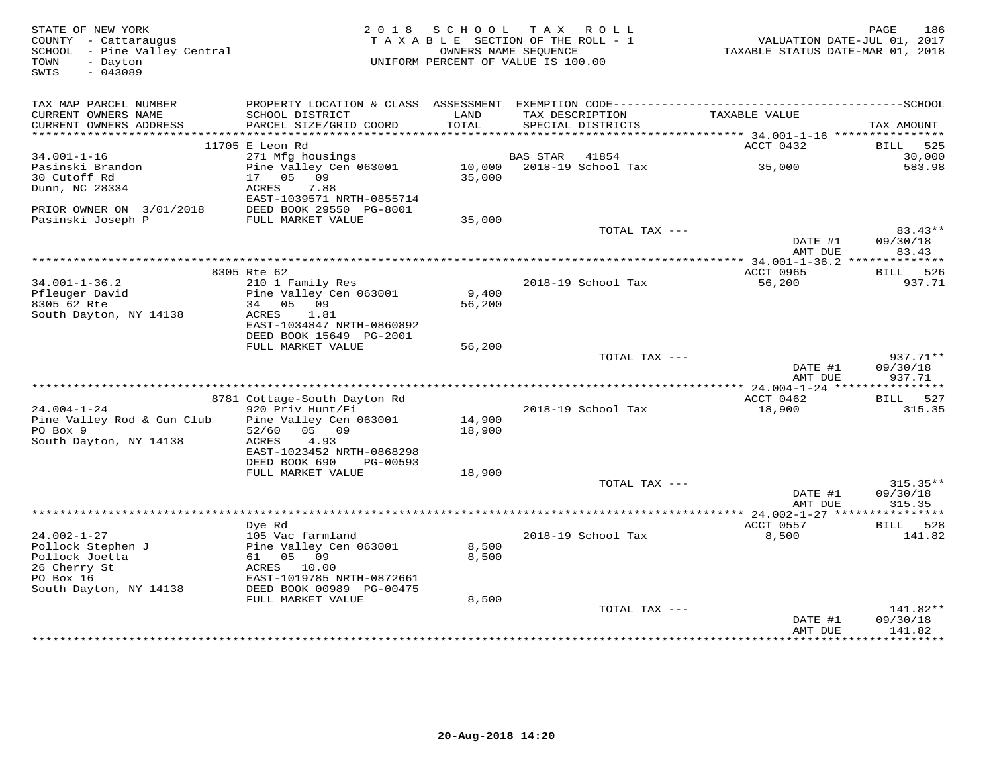| STATE OF NEW YORK<br>COUNTY - Cattaraugus<br>SCHOOL - Pine Valley Central<br>- Dayton<br>TOWN<br>$-043089$<br>SWIS | 2 0 1 8                                          | SCHOOL<br>TAXABLE SECTION OF THE ROLL - 1<br>OWNERS NAME SEOUENCE<br>UNIFORM PERCENT OF VALUE IS 100.00 |          | TAX ROLL                             | VALUATION DATE-JUL 01, 2017<br>TAXABLE STATUS DATE-MAR 01, 2018 | 186<br>PAGE                     |
|--------------------------------------------------------------------------------------------------------------------|--------------------------------------------------|---------------------------------------------------------------------------------------------------------|----------|--------------------------------------|-----------------------------------------------------------------|---------------------------------|
| TAX MAP PARCEL NUMBER                                                                                              |                                                  |                                                                                                         |          |                                      |                                                                 |                                 |
| CURRENT OWNERS NAME<br>CURRENT OWNERS ADDRESS                                                                      | SCHOOL DISTRICT<br>PARCEL SIZE/GRID COORD        | LAND<br>TOTAL                                                                                           |          | TAX DESCRIPTION<br>SPECIAL DISTRICTS | TAXABLE VALUE                                                   | TAX AMOUNT                      |
|                                                                                                                    | 11705 E Leon Rd                                  |                                                                                                         |          |                                      | ACCT 0432                                                       | 525<br>BILL                     |
| $34.001 - 1 - 16$                                                                                                  | 271 Mfg housings                                 |                                                                                                         | BAS STAR | 41854                                |                                                                 | 30,000                          |
| Pasinski Brandon<br>30 Cutoff Rd                                                                                   | Pine Valley Cen 063001<br>17 05 09               | 10,000<br>35,000                                                                                        |          | 2018-19 School Tax                   | 35,000                                                          | 583.98                          |
| Dunn, NC 28334                                                                                                     | 7.88<br>ACRES<br>EAST-1039571 NRTH-0855714       |                                                                                                         |          |                                      |                                                                 |                                 |
| PRIOR OWNER ON 3/01/2018<br>Pasinski Joseph P                                                                      | DEED BOOK 29550 PG-8001<br>FULL MARKET VALUE     | 35,000                                                                                                  |          |                                      |                                                                 |                                 |
|                                                                                                                    |                                                  |                                                                                                         |          | TOTAL TAX ---                        | DATE #1<br>AMT DUE                                              | 83.43**<br>09/30/18<br>83.43    |
|                                                                                                                    |                                                  |                                                                                                         |          |                                      |                                                                 |                                 |
|                                                                                                                    | 8305 Rte 62                                      |                                                                                                         |          |                                      | ACCT 0965                                                       | BILL 526                        |
| $34.001 - 1 - 36.2$                                                                                                | 210 1 Family Res                                 |                                                                                                         |          | 2018-19 School Tax                   | 56,200                                                          | 937.71                          |
| Pfleuger David<br>8305 62 Rte                                                                                      | Pine Valley Cen 063001<br>34 05 09               | 9,400<br>56,200                                                                                         |          |                                      |                                                                 |                                 |
| South Dayton, NY 14138                                                                                             | 1.81<br>ACRES                                    |                                                                                                         |          |                                      |                                                                 |                                 |
|                                                                                                                    | EAST-1034847 NRTH-0860892                        |                                                                                                         |          |                                      |                                                                 |                                 |
|                                                                                                                    | DEED BOOK 15649 PG-2001                          |                                                                                                         |          |                                      |                                                                 |                                 |
|                                                                                                                    | FULL MARKET VALUE                                | 56,200                                                                                                  |          | TOTAL TAX ---                        |                                                                 | $937.71**$                      |
|                                                                                                                    |                                                  |                                                                                                         |          |                                      | DATE #1                                                         | 09/30/18                        |
|                                                                                                                    |                                                  |                                                                                                         |          |                                      | AMT DUE                                                         | 937.71                          |
|                                                                                                                    |                                                  |                                                                                                         |          |                                      |                                                                 |                                 |
| $24.004 - 1 - 24$                                                                                                  | 8781 Cottage-South Dayton Rd<br>920 Priv Hunt/Fi |                                                                                                         |          | 2018-19 School Tax                   | ACCT 0462<br>18,900                                             | BILL 527<br>315.35              |
| Pine Valley Rod & Gun Club                                                                                         | Pine Valley Cen 063001                           | 14,900                                                                                                  |          |                                      |                                                                 |                                 |
| PO Box 9                                                                                                           | 05 09<br>52/60                                   | 18,900                                                                                                  |          |                                      |                                                                 |                                 |
| South Dayton, NY 14138                                                                                             | 4.93<br>ACRES                                    |                                                                                                         |          |                                      |                                                                 |                                 |
|                                                                                                                    | EAST-1023452 NRTH-0868298                        |                                                                                                         |          |                                      |                                                                 |                                 |
|                                                                                                                    | DEED BOOK 690<br>PG-00593<br>FULL MARKET VALUE   | 18,900                                                                                                  |          |                                      |                                                                 |                                 |
|                                                                                                                    |                                                  |                                                                                                         |          | TOTAL TAX ---                        |                                                                 | $315.35**$                      |
|                                                                                                                    |                                                  |                                                                                                         |          |                                      | DATE #1                                                         | 09/30/18                        |
|                                                                                                                    |                                                  |                                                                                                         |          |                                      | AMT DUE                                                         | 315.35                          |
|                                                                                                                    |                                                  |                                                                                                         |          |                                      |                                                                 |                                 |
| $24.002 - 1 - 27$                                                                                                  | Dye Rd<br>105 Vac farmland                       |                                                                                                         |          | 2018-19 School Tax                   | ACCT 0557<br>8,500                                              | BILL<br>528<br>141.82           |
| Pollock Stephen J                                                                                                  | Pine Valley Cen 063001                           | 8,500                                                                                                   |          |                                      |                                                                 |                                 |
| Pollock Joetta                                                                                                     | 61<br>0.5 0.9                                    | 8,500                                                                                                   |          |                                      |                                                                 |                                 |
| 26 Cherry St                                                                                                       | ACRES 10.00                                      |                                                                                                         |          |                                      |                                                                 |                                 |
| PO Box 16                                                                                                          | EAST-1019785 NRTH-0872661                        |                                                                                                         |          |                                      |                                                                 |                                 |
| South Dayton, NY 14138                                                                                             | DEED BOOK 00989 PG-00475<br>FULL MARKET VALUE    | 8,500                                                                                                   |          |                                      |                                                                 |                                 |
|                                                                                                                    |                                                  |                                                                                                         |          | TOTAL TAX ---                        |                                                                 | 141.82**                        |
|                                                                                                                    |                                                  |                                                                                                         |          |                                      | DATE #1                                                         | 09/30/18                        |
|                                                                                                                    |                                                  |                                                                                                         |          |                                      | AMT DUE                                                         | 141.82<br>* * * * * * * * * * * |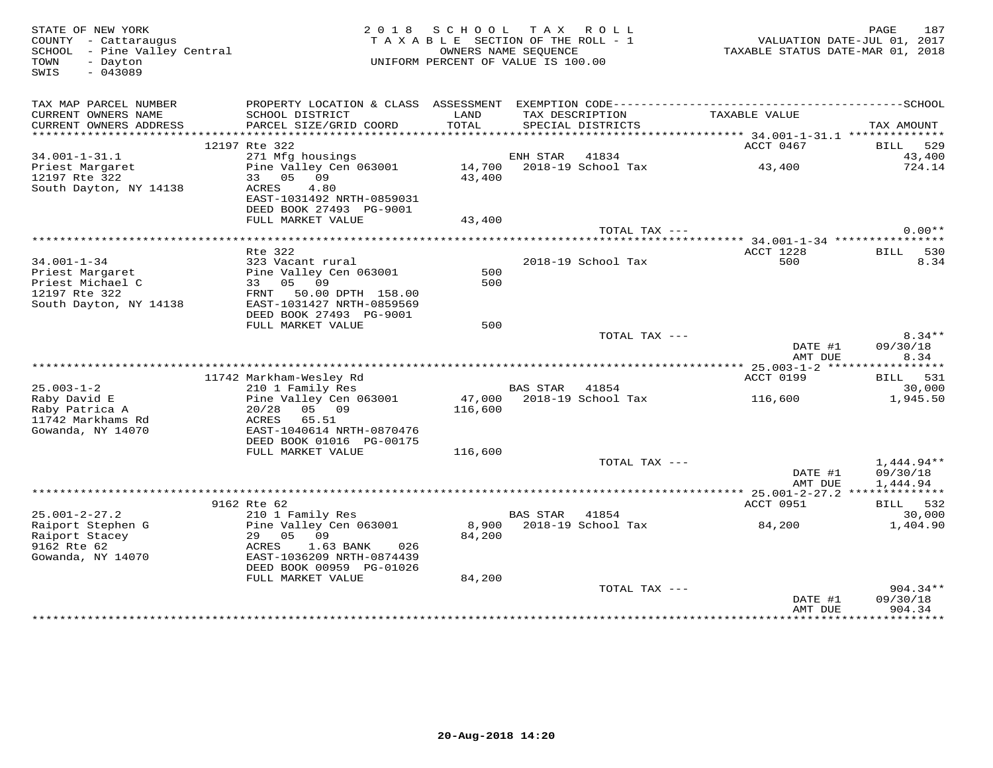| STATE OF NEW YORK<br>COUNTY - Cattaraugus<br>SCHOOL - Pine Valley Central<br>TOWN<br>- Dayton<br>$-043089$<br>SWIS |                                                                                    | 2018 SCHOOL TAX ROLL<br>TAXABLE SECTION OF THE ROLL - 1<br>UNIFORM PERCENT OF VALUE IS 100.00 | OWNERS NAME SEQUENCE |                                      | VALUATION DATE-JUL 01, 2017<br>TAXABLE STATUS DATE-MAR 01, 2018 | 187<br>PAGE                        |
|--------------------------------------------------------------------------------------------------------------------|------------------------------------------------------------------------------------|-----------------------------------------------------------------------------------------------|----------------------|--------------------------------------|-----------------------------------------------------------------|------------------------------------|
| TAX MAP PARCEL NUMBER<br>CURRENT OWNERS NAME<br>CURRENT OWNERS ADDRESS                                             | SCHOOL DISTRICT<br>PARCEL SIZE/GRID COORD                                          | LAND<br>TOTAL                                                                                 |                      | TAX DESCRIPTION<br>SPECIAL DISTRICTS | TAXABLE VALUE                                                   | TAX AMOUNT                         |
|                                                                                                                    |                                                                                    |                                                                                               |                      |                                      |                                                                 |                                    |
|                                                                                                                    | 12197 Rte 322                                                                      |                                                                                               |                      |                                      | ACCT 0467                                                       | BILL 529                           |
| $34.001 - 1 - 31.1$<br>Priest Margaret                                                                             | 271 Mfg housings<br>Pine Valley Cen 063001<br>33 05 09                             |                                                                                               | ENH STAR 41834       | 14,700    2018-19    School Tax      | 43,400                                                          | 43,400<br>724.14                   |
| 12197 Rte 322<br>South Dayton, NY 14138                                                                            | ACRES<br>4.80<br>EAST-1031492 NRTH-0859031<br>DEED BOOK 27493 PG-9001              | 43,400                                                                                        |                      |                                      |                                                                 |                                    |
|                                                                                                                    | FULL MARKET VALUE                                                                  | 43,400                                                                                        |                      |                                      |                                                                 |                                    |
|                                                                                                                    |                                                                                    |                                                                                               |                      | TOTAL TAX ---                        |                                                                 | $0.00**$                           |
|                                                                                                                    | Rte 322                                                                            |                                                                                               |                      |                                      | ACCT 1228                                                       | 530                                |
| $34.001 - 1 - 34$<br>Priest Margaret                                                                               | 323 Vacant rural<br>Pine Valley Cen 063001                                         | 500                                                                                           |                      | 2018-19 School Tax                   | 500                                                             | <b>BILL</b><br>8.34                |
| Priest Michael C<br>12197 Rte 322                                                                                  | 33 05 09<br>FRNT 50.00 DPTH 158.00                                                 | 500                                                                                           |                      |                                      |                                                                 |                                    |
| South Dayton, NY 14138                                                                                             | EAST-1031427 NRTH-0859569<br>DEED BOOK 27493 PG-9001                               |                                                                                               |                      |                                      |                                                                 |                                    |
|                                                                                                                    | FULL MARKET VALUE                                                                  | 500                                                                                           |                      |                                      |                                                                 |                                    |
|                                                                                                                    |                                                                                    |                                                                                               |                      | TOTAL TAX ---                        | DATE #1<br>AMT DUE                                              | $8.34**$<br>09/30/18<br>8.34       |
|                                                                                                                    |                                                                                    |                                                                                               |                      |                                      |                                                                 |                                    |
|                                                                                                                    | 11742 Markham-Wesley Rd                                                            |                                                                                               |                      |                                      | ACCT 0199                                                       | BILL 531                           |
| $25.003 - 1 - 2$                                                                                                   | 210 1 Family Res                                                                   |                                                                                               | BAS STAR             | 41854                                |                                                                 | 30,000                             |
| Raby David E<br>Raby Patrica A<br>11742 Markhams Rd                                                                | Pine Valley Cen 063001<br>05 09<br>20/28<br>ACRES<br>65.51                         | 116,600                                                                                       |                      | 47,000 2018-19 School Tax            | 116,600                                                         | 1,945.50                           |
| Gowanda, NY 14070                                                                                                  | EAST-1040614 NRTH-0870476<br>DEED BOOK 01016 PG-00175                              |                                                                                               |                      |                                      |                                                                 |                                    |
|                                                                                                                    | FULL MARKET VALUE                                                                  | 116,600                                                                                       |                      |                                      |                                                                 |                                    |
|                                                                                                                    |                                                                                    |                                                                                               |                      | TOTAL TAX ---                        | DATE #1<br>AMT DUE                                              | 1,444.94**<br>09/30/18<br>1,444.94 |
|                                                                                                                    |                                                                                    |                                                                                               |                      |                                      |                                                                 |                                    |
|                                                                                                                    | 9162 Rte 62                                                                        |                                                                                               |                      |                                      | ACCT 0951                                                       | BILL 532                           |
| $25.001 - 2 - 27.2$                                                                                                | 210 1 Family Res                                                                   |                                                                                               | BAS STAR             | 41854                                |                                                                 | 30,000                             |
| Raiport Stephen G<br>Raiport Stacey                                                                                | Pine Valley Cen 063001<br>29 05 09                                                 | 84,200                                                                                        |                      | 8,900 2018-19 School Tax             | 84,200                                                          | 1,404.90                           |
| 9162 Rte 62<br>Gowanda, NY 14070                                                                                   | ACRES<br>1.63 BANK<br>026<br>EAST-1036209 NRTH-0874439<br>DEED BOOK 00959 PG-01026 |                                                                                               |                      |                                      |                                                                 |                                    |
|                                                                                                                    | FULL MARKET VALUE                                                                  | 84,200                                                                                        |                      |                                      |                                                                 |                                    |
|                                                                                                                    |                                                                                    |                                                                                               |                      | TOTAL TAX ---                        | DATE #1                                                         | $904.34**$<br>09/30/18             |
|                                                                                                                    |                                                                                    |                                                                                               |                      |                                      | AMT DUE                                                         | 904.34<br>*********                |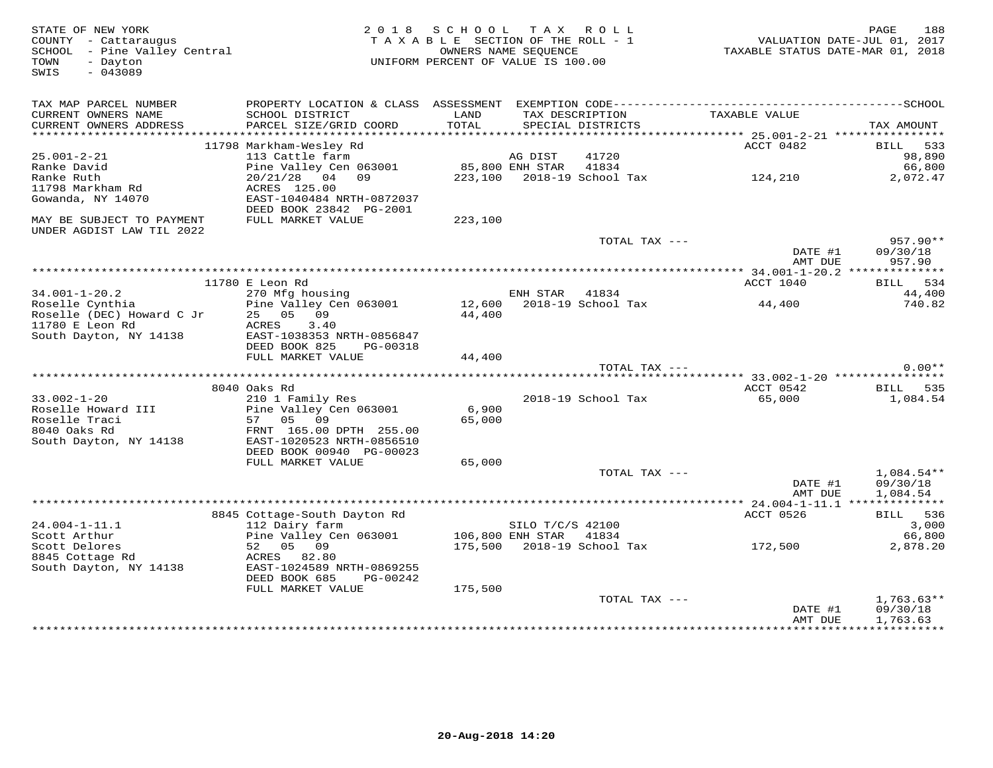| STATE OF NEW YORK<br>COUNTY - Cattaraugus<br>SCHOOL - Pine Valley Central<br>- Dayton<br>TOWN<br>SWIS<br>$-043089$ |                                                                                              | 2018 SCHOOL TAX ROLL<br>TAXABLE SECTION OF THE ROLL - 1<br>UNIFORM PERCENT OF VALUE IS 100.00 | OWNERS NAME SEOUENCE |                            | VALUATION DATE-JUL 01, 2017<br>TAXABLE STATUS DATE-MAR 01, 2018 | 188<br>PAGE                      |
|--------------------------------------------------------------------------------------------------------------------|----------------------------------------------------------------------------------------------|-----------------------------------------------------------------------------------------------|----------------------|----------------------------|-----------------------------------------------------------------|----------------------------------|
| TAX MAP PARCEL NUMBER                                                                                              | PROPERTY LOCATION & CLASS ASSESSMENT EXEMPTION CODE-----------------------------------SCHOOL |                                                                                               |                      |                            |                                                                 |                                  |
| CURRENT OWNERS NAME<br>CURRENT OWNERS ADDRESS                                                                      | SCHOOL DISTRICT<br>PARCEL SIZE/GRID COORD                                                    | LAND<br>TOTAL                                                                                 |                      | SPECIAL DISTRICTS          | TAX DESCRIPTION TAXABLE VALUE                                   | TAX AMOUNT                       |
|                                                                                                                    |                                                                                              |                                                                                               |                      |                            |                                                                 |                                  |
|                                                                                                                    | 11798 Markham-Wesley Rd                                                                      |                                                                                               |                      |                            | ACCT 0482                                                       | BILL 533                         |
| $25.001 - 2 - 21$                                                                                                  | 113 Cattle farm                                                                              | 85,800 ENH STAR                                                                               | AG DIST              | 41720                      |                                                                 | 98,890                           |
| Ranke David<br>Ranke Ruth                                                                                          | Pine Valley Cen 063001<br>20/21/28 04 09                                                     |                                                                                               |                      | 41834                      | 223,100 2018-19 School Tax 124,210                              | 66,800<br>2,072.47               |
| 11798 Markham Rd                                                                                                   | ACRES 125.00                                                                                 |                                                                                               |                      |                            |                                                                 |                                  |
| Gowanda, NY 14070                                                                                                  | EAST-1040484 NRTH-0872037<br>DEED BOOK 23842 PG-2001                                         |                                                                                               |                      |                            |                                                                 |                                  |
| MAY BE SUBJECT TO PAYMENT<br>UNDER AGDIST LAW TIL 2022                                                             | FULL MARKET VALUE                                                                            | 223,100                                                                                       |                      |                            |                                                                 |                                  |
|                                                                                                                    |                                                                                              |                                                                                               |                      | TOTAL TAX ---              | DATE #1<br>AMT DUE                                              | $957.90**$<br>09/30/18<br>957.90 |
|                                                                                                                    |                                                                                              |                                                                                               |                      |                            |                                                                 |                                  |
|                                                                                                                    | 11780 E Leon Rd                                                                              |                                                                                               |                      |                            | ACCT 1040                                                       | BILL 534                         |
| $34.001 - 1 - 20.2$                                                                                                | 270 Mfg housing                                                                              |                                                                                               | ENH STAR             | 41834                      |                                                                 | 44,400                           |
| Roselle Cynthia                                                                                                    | Pine Valley Cen 063001 12,600 2018-19 School Tax 44,400                                      |                                                                                               |                      |                            |                                                                 | 740.82                           |
| Roselle (DEC) Howard C Jr                                                                                          | 25 05 09                                                                                     | 44,400                                                                                        |                      |                            |                                                                 |                                  |
| 11780 E Leon Rd<br>South Dayton, NY 14138                                                                          | 3.40<br>ACRES                                                                                |                                                                                               |                      |                            |                                                                 |                                  |
|                                                                                                                    | EAST-1038353 NRTH-0856847<br>DEED BOOK 825<br>PG-00318                                       |                                                                                               |                      |                            |                                                                 |                                  |
|                                                                                                                    | FULL MARKET VALUE                                                                            | 44,400                                                                                        |                      |                            |                                                                 |                                  |
|                                                                                                                    |                                                                                              |                                                                                               |                      | TOTAL TAX ---              |                                                                 | $0.00**$                         |
|                                                                                                                    |                                                                                              |                                                                                               |                      |                            |                                                                 |                                  |
|                                                                                                                    | 8040 Oaks Rd                                                                                 |                                                                                               |                      |                            | ACCT 0542                                                       | BILL 535                         |
| $33.002 - 1 - 20$                                                                                                  | 210 1 Family Res                                                                             |                                                                                               |                      | 2018-19 School Tax         | 65,000                                                          | 1,084.54                         |
| Roselle Howard III<br>Roselle Traci                                                                                | Pine Valley Cen 063001<br>57 05 09                                                           | 6,900<br>65,000                                                                               |                      |                            |                                                                 |                                  |
| 8040 Oaks Rd                                                                                                       | FRNT 165.00 DPTH 255.00                                                                      |                                                                                               |                      |                            |                                                                 |                                  |
| South Dayton, NY 14138                                                                                             | EAST-1020523 NRTH-0856510                                                                    |                                                                                               |                      |                            |                                                                 |                                  |
|                                                                                                                    | DEED BOOK 00940 PG-00023                                                                     |                                                                                               |                      |                            |                                                                 |                                  |
|                                                                                                                    | FULL MARKET VALUE                                                                            | 65,000                                                                                        |                      |                            |                                                                 |                                  |
|                                                                                                                    |                                                                                              |                                                                                               |                      | TOTAL TAX ---              |                                                                 | $1,084.54**$                     |
|                                                                                                                    |                                                                                              |                                                                                               |                      |                            | DATE #1<br>AMT DUE                                              | 09/30/18<br>1,084.54             |
|                                                                                                                    |                                                                                              |                                                                                               |                      |                            |                                                                 |                                  |
|                                                                                                                    | 8845 Cottage-South Dayton Rd                                                                 |                                                                                               |                      |                            | ACCT 0526                                                       | BILL 536                         |
| $24.004 - 1 - 11.1$                                                                                                | 112 Dairy farm                                                                               |                                                                                               | SILO T/C/S 42100     |                            |                                                                 | 3,000                            |
| Scott Arthur                                                                                                       | Pine Valley Cen 063001                                                                       | 106,800 ENH STAR                                                                              |                      | 41834                      |                                                                 | 66,800                           |
| Scott Delores                                                                                                      | 52 05 09                                                                                     |                                                                                               |                      | 175,500 2018-19 School Tax | 172,500                                                         | 2,878.20                         |
| 8845 Cottage Rd<br>South Dayton, NY 14138                                                                          | ACRES 82.80<br>EAST-1024589 NRTH-0869255                                                     |                                                                                               |                      |                            |                                                                 |                                  |
|                                                                                                                    | DEED BOOK 685<br>PG-00242                                                                    |                                                                                               |                      |                            |                                                                 |                                  |
|                                                                                                                    | FULL MARKET VALUE                                                                            | 175,500                                                                                       |                      |                            |                                                                 |                                  |
|                                                                                                                    |                                                                                              |                                                                                               |                      | TOTAL TAX ---              |                                                                 | $1,763.63**$                     |
|                                                                                                                    |                                                                                              |                                                                                               |                      |                            | DATE #1                                                         | 09/30/18                         |
|                                                                                                                    |                                                                                              |                                                                                               |                      |                            | AMT DUE                                                         | 1,763.63                         |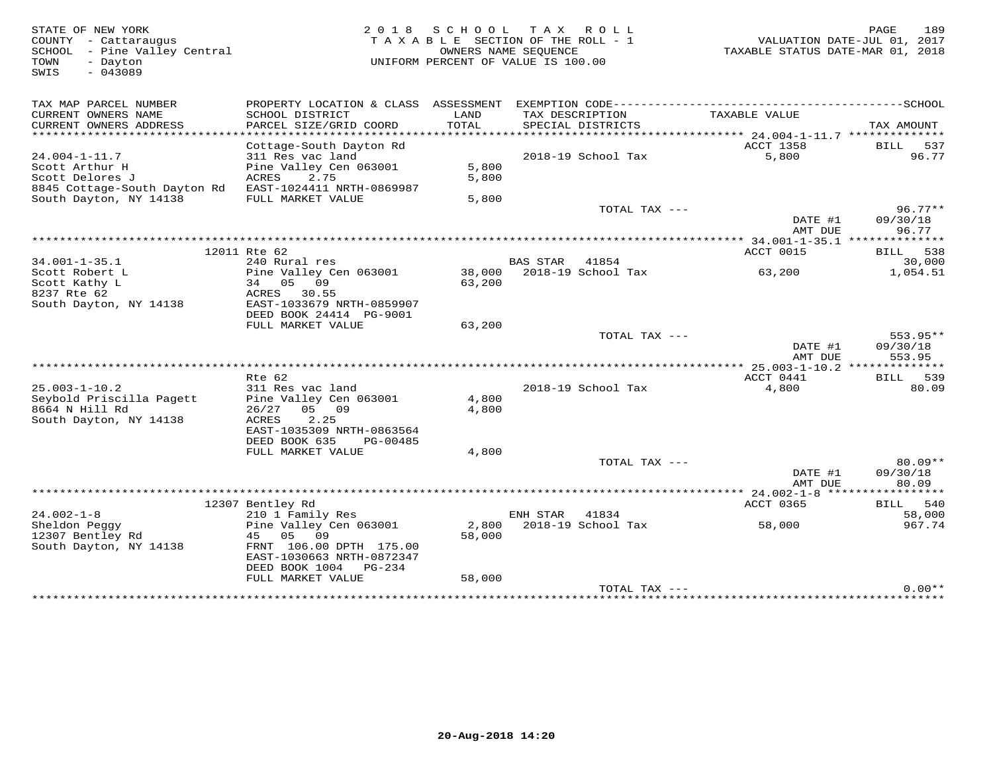| TAX MAP PARCEL NUMBER<br>CURRENT OWNERS NAME<br>SCHOOL DISTRICT<br>LAND<br>TAX DESCRIPTION<br>TAXABLE VALUE<br>PARCEL SIZE/GRID COORD<br>TOTAL<br>CURRENT OWNERS ADDRESS<br>SPECIAL DISTRICTS<br>ACCT 1358<br>Cottage-South Dayton Rd<br>$24.004 - 1 - 11.7$<br>2018-19 School Tax<br>311 Res vac land<br>5,800<br>Scott Arthur H<br>Pine Valley Cen 063001<br>5,800<br>Scott Delores J<br>ACRES<br>2.75<br>5,800<br>8845 Cottage-South Dayton Rd<br>EAST-1024411 NRTH-0869987<br>South Dayton, NY 14138<br>FULL MARKET VALUE<br>5,800<br>TOTAL TAX ---<br>DATE #1<br>AMT DUE<br>12011 Rte 62<br>ACCT 0015<br>$34.001 - 1 - 35.1$<br>240 Rural res<br>BAS STAR 41854<br>2018-19 School Tax<br>Scott Robert L<br>Pine Valley Cen 063001<br>38,000<br>63,200<br>Scott Kathy L<br>34 05 09<br>63,200<br>8237 Rte 62<br>ACRES 30.55<br>South Dayton, NY 14138<br>EAST-1033679 NRTH-0859907 | STATE OF NEW YORK<br>COUNTY - Cattaraugus<br>SCHOOL - Pine Valley Central<br>TOWN<br>- Dayton<br>SWIS<br>$-043089$ |                         | 2018 SCHOOL | TAX ROLL<br>TAXABLE SECTION OF THE ROLL - 1<br>OWNERS NAME SEOUENCE<br>UNIFORM PERCENT OF VALUE IS 100.00 | PAGE<br>189<br>VALUATION DATE-JUL 01, 2017<br>TAXABLE STATUS DATE-MAR 01, 2018 |
|----------------------------------------------------------------------------------------------------------------------------------------------------------------------------------------------------------------------------------------------------------------------------------------------------------------------------------------------------------------------------------------------------------------------------------------------------------------------------------------------------------------------------------------------------------------------------------------------------------------------------------------------------------------------------------------------------------------------------------------------------------------------------------------------------------------------------------------------------------------------------------------|--------------------------------------------------------------------------------------------------------------------|-------------------------|-------------|-----------------------------------------------------------------------------------------------------------|--------------------------------------------------------------------------------|
|                                                                                                                                                                                                                                                                                                                                                                                                                                                                                                                                                                                                                                                                                                                                                                                                                                                                                        |                                                                                                                    |                         |             |                                                                                                           |                                                                                |
|                                                                                                                                                                                                                                                                                                                                                                                                                                                                                                                                                                                                                                                                                                                                                                                                                                                                                        |                                                                                                                    |                         |             |                                                                                                           | TAX AMOUNT                                                                     |
|                                                                                                                                                                                                                                                                                                                                                                                                                                                                                                                                                                                                                                                                                                                                                                                                                                                                                        |                                                                                                                    |                         |             |                                                                                                           | BILL 537<br>96.77                                                              |
|                                                                                                                                                                                                                                                                                                                                                                                                                                                                                                                                                                                                                                                                                                                                                                                                                                                                                        |                                                                                                                    |                         |             |                                                                                                           | $96.77**$<br>09/30/18                                                          |
|                                                                                                                                                                                                                                                                                                                                                                                                                                                                                                                                                                                                                                                                                                                                                                                                                                                                                        |                                                                                                                    |                         |             |                                                                                                           | 96.77                                                                          |
|                                                                                                                                                                                                                                                                                                                                                                                                                                                                                                                                                                                                                                                                                                                                                                                                                                                                                        |                                                                                                                    |                         |             |                                                                                                           | BILL 538<br>30,000                                                             |
|                                                                                                                                                                                                                                                                                                                                                                                                                                                                                                                                                                                                                                                                                                                                                                                                                                                                                        |                                                                                                                    | DEED BOOK 24414 PG-9001 |             |                                                                                                           | 1,054.51                                                                       |
| FULL MARKET VALUE<br>63,200<br>TOTAL TAX ---                                                                                                                                                                                                                                                                                                                                                                                                                                                                                                                                                                                                                                                                                                                                                                                                                                           |                                                                                                                    |                         |             |                                                                                                           | $553.95**$                                                                     |
| DATE #1<br>AMT DUE                                                                                                                                                                                                                                                                                                                                                                                                                                                                                                                                                                                                                                                                                                                                                                                                                                                                     |                                                                                                                    |                         |             |                                                                                                           | 09/30/18<br>553.95                                                             |
| ACCT 0441<br>Rte 62                                                                                                                                                                                                                                                                                                                                                                                                                                                                                                                                                                                                                                                                                                                                                                                                                                                                    |                                                                                                                    |                         |             |                                                                                                           | BILL 539                                                                       |
| $25.003 - 1 - 10.2$<br>311 Res vac land<br>2018-19 School Tax<br>4,800<br>Seybold Priscilla Pagett<br>Pine Valley Cen 063001<br>4,800<br>8664 N Hill Rd<br>26/27<br>05 09<br>4,800<br>2.25<br>South Dayton, NY 14138<br>ACRES<br>EAST-1035309 NRTH-0863564<br>DEED BOOK 635<br>PG-00485                                                                                                                                                                                                                                                                                                                                                                                                                                                                                                                                                                                                |                                                                                                                    |                         |             |                                                                                                           | 80.09                                                                          |
| 4,800<br>FULL MARKET VALUE                                                                                                                                                                                                                                                                                                                                                                                                                                                                                                                                                                                                                                                                                                                                                                                                                                                             |                                                                                                                    |                         |             |                                                                                                           |                                                                                |
| TOTAL TAX ---<br>DATE #1<br>AMT DUE                                                                                                                                                                                                                                                                                                                                                                                                                                                                                                                                                                                                                                                                                                                                                                                                                                                    |                                                                                                                    |                         |             |                                                                                                           | $80.09**$<br>09/30/18<br>80.09                                                 |
|                                                                                                                                                                                                                                                                                                                                                                                                                                                                                                                                                                                                                                                                                                                                                                                                                                                                                        |                                                                                                                    |                         |             |                                                                                                           |                                                                                |
| 12307 Bentley Rd<br>ACCT 0365<br>$24.002 - 1 - 8$<br>210 1 Family Res<br>ENH STAR<br>41834<br>Sheldon Peggy<br>2,800<br>2018-19 School Tax<br>58,000<br>Pine Valley Cen 063001<br>12307 Bentley Rd<br>45 05 09<br>58,000<br>South Dayton, NY 14138<br>FRNT 106.00 DPTH 175.00<br>EAST-1030663 NRTH-0872347<br>DEED BOOK 1004 PG-234                                                                                                                                                                                                                                                                                                                                                                                                                                                                                                                                                    |                                                                                                                    |                         |             |                                                                                                           | BILL 540<br>58,000<br>967.74                                                   |
| 58,000<br>FULL MARKET VALUE<br>TOTAL TAX ---                                                                                                                                                                                                                                                                                                                                                                                                                                                                                                                                                                                                                                                                                                                                                                                                                                           |                                                                                                                    |                         |             |                                                                                                           | $0.00**$                                                                       |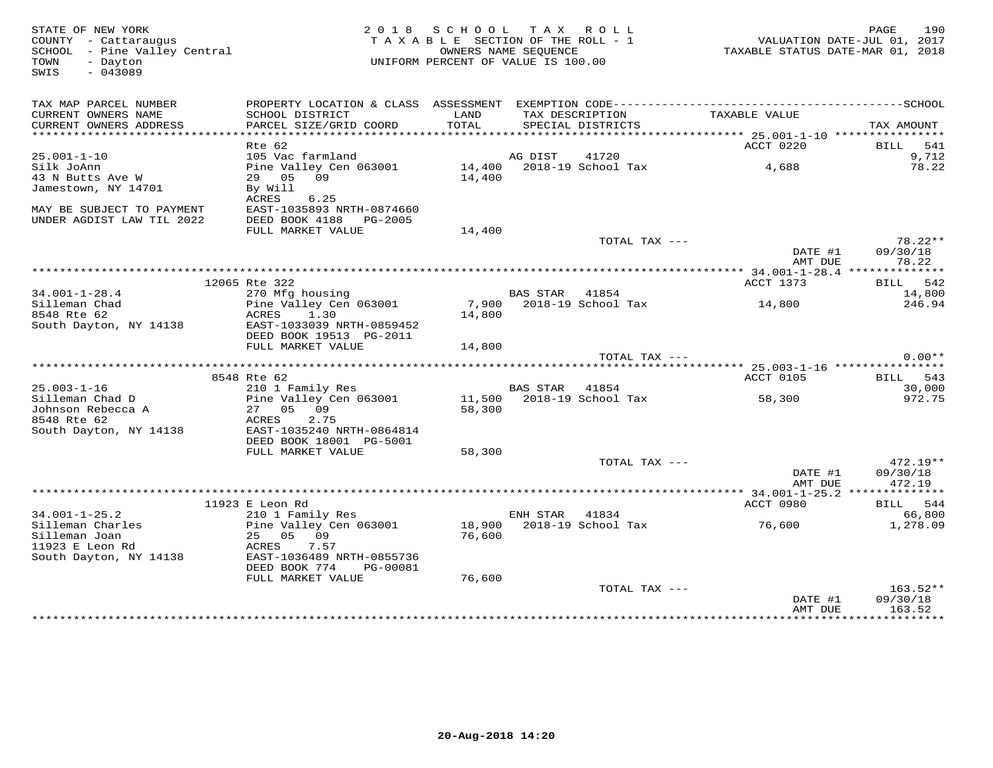| STATE OF NEW YORK<br>COUNTY - Cattaraugus<br>SCHOOL - Pine Valley Central<br>- Dayton<br>TOWN<br>SWIS<br>$-043089$ | 2 0 1 8                                                                                                                               | SCHOOL TAX ROLL<br>TAXABLE SECTION OF THE ROLL - 1<br>OWNERS NAME SEQUENCE<br>UNIFORM PERCENT OF VALUE IS 100.00 |          |                                      | VALUATION DATE-JUL 01, 2017<br>TAXABLE STATUS DATE-MAR 01, 2018 | 190<br>PAGE                      |
|--------------------------------------------------------------------------------------------------------------------|---------------------------------------------------------------------------------------------------------------------------------------|------------------------------------------------------------------------------------------------------------------|----------|--------------------------------------|-----------------------------------------------------------------|----------------------------------|
| TAX MAP PARCEL NUMBER<br>CURRENT OWNERS NAME<br>CURRENT OWNERS ADDRESS                                             | SCHOOL DISTRICT<br>PARCEL SIZE/GRID COORD                                                                                             | LAND<br>TOTAL                                                                                                    |          | TAX DESCRIPTION<br>SPECIAL DISTRICTS | TAXABLE VALUE                                                   | TAX AMOUNT                       |
|                                                                                                                    |                                                                                                                                       |                                                                                                                  |          |                                      | ACCT 0220                                                       |                                  |
| $25.001 - 1 - 10$                                                                                                  | Rte 62<br>105 Vac farmland                                                                                                            |                                                                                                                  | AG DIST  | 41720                                |                                                                 | BILL 541<br>9,712                |
| Silk JoAnn<br>43 N Butts Ave W<br>Jamestown, NY 14701                                                              | Pine Valley Cen 063001 14,400 2018-19 School Tax<br>29 05 09<br>By Will<br>6.25<br>ACRES                                              | 14,400                                                                                                           |          |                                      | 4,688                                                           | 78.22                            |
| MAY BE SUBJECT TO PAYMENT<br>UNDER AGDIST LAW TIL 2022                                                             | EAST-1035893 NRTH-0874660<br>DEED BOOK 4188 PG-2005<br>FULL MARKET VALUE                                                              | 14,400                                                                                                           |          | TOTAL TAX ---                        |                                                                 | 78.22**                          |
|                                                                                                                    |                                                                                                                                       |                                                                                                                  |          |                                      | DATE #1<br>AMT DUE                                              | 09/30/18<br>78.22                |
|                                                                                                                    |                                                                                                                                       |                                                                                                                  |          |                                      |                                                                 |                                  |
|                                                                                                                    | 12065 Rte 322                                                                                                                         |                                                                                                                  |          |                                      | ACCT 1373                                                       | BILL 542                         |
| $34.001 - 1 - 28.4$<br>Silleman Chad<br>8548 Rte 62<br>South Dayton, NY 14138                                      | 270 Mfg housing<br>Pine Valley Cen 063001<br>ACRES<br>1.30<br>EAST-1033039 NRTH-0859452                                               | 14,800                                                                                                           | BAS STAR | 41854<br>7,900 2018-19 School Tax    | 14,800                                                          | 14,800<br>246.94                 |
|                                                                                                                    | DEED BOOK 19513 PG-2011                                                                                                               |                                                                                                                  |          |                                      |                                                                 |                                  |
|                                                                                                                    | FULL MARKET VALUE                                                                                                                     | 14,800                                                                                                           |          | TOTAL TAX ---                        |                                                                 | $0.00**$                         |
|                                                                                                                    |                                                                                                                                       |                                                                                                                  |          |                                      |                                                                 |                                  |
|                                                                                                                    | 8548 Rte 62                                                                                                                           |                                                                                                                  |          |                                      | ACCT 0105                                                       | BILL 543                         |
| $25.003 - 1 - 16$                                                                                                  | 210 1 Family Res                                                                                                                      |                                                                                                                  | BAS STAR | 41854                                |                                                                 | 30,000                           |
| Silleman Chad D<br>Johnson Rebecca A<br>8548 Rte 62<br>South Dayton, NY 14138                                      | Pine Valley Cen 063001<br>27 05 09<br>2.75<br>ACRES<br>EAST-1035240 NRTH-0864814<br>DEED BOOK 18001 PG-5001                           | 58,300                                                                                                           |          | 11,500 2018-19 School Tax            | 58,300                                                          | 972.75                           |
|                                                                                                                    | FULL MARKET VALUE                                                                                                                     | 58,300                                                                                                           |          |                                      |                                                                 |                                  |
|                                                                                                                    |                                                                                                                                       |                                                                                                                  |          | TOTAL TAX ---                        | DATE #1<br>AMT DUE                                              | $472.19**$<br>09/30/18<br>472.19 |
|                                                                                                                    | 11923 E Leon Rd                                                                                                                       |                                                                                                                  |          |                                      | ACCT 0980                                                       | BILL 544                         |
| $34.001 - 1 - 25.2$                                                                                                | 210 1 Family Res                                                                                                                      |                                                                                                                  | ENH STAR | 41834                                |                                                                 | 66,800                           |
| Silleman Charles<br>Silleman Joan<br>11923 E Leon Rd<br>South Dayton, NY 14138                                     | Pine Valley Cen 063001<br>25 05<br>09<br>ACRES<br>7.57<br>EAST-1036489 NRTH-0855736<br>DEED BOOK 774<br>PG-00081<br>FULL MARKET VALUE | 76,600<br>76,600                                                                                                 |          | 18,900 2018-19 School Tax            | 76,600                                                          | 1,278.09                         |
|                                                                                                                    |                                                                                                                                       |                                                                                                                  |          | TOTAL TAX ---                        | DATE #1                                                         | $163.52**$<br>09/30/18           |
|                                                                                                                    |                                                                                                                                       |                                                                                                                  |          |                                      | AMT DUE                                                         | 163.52<br>*************          |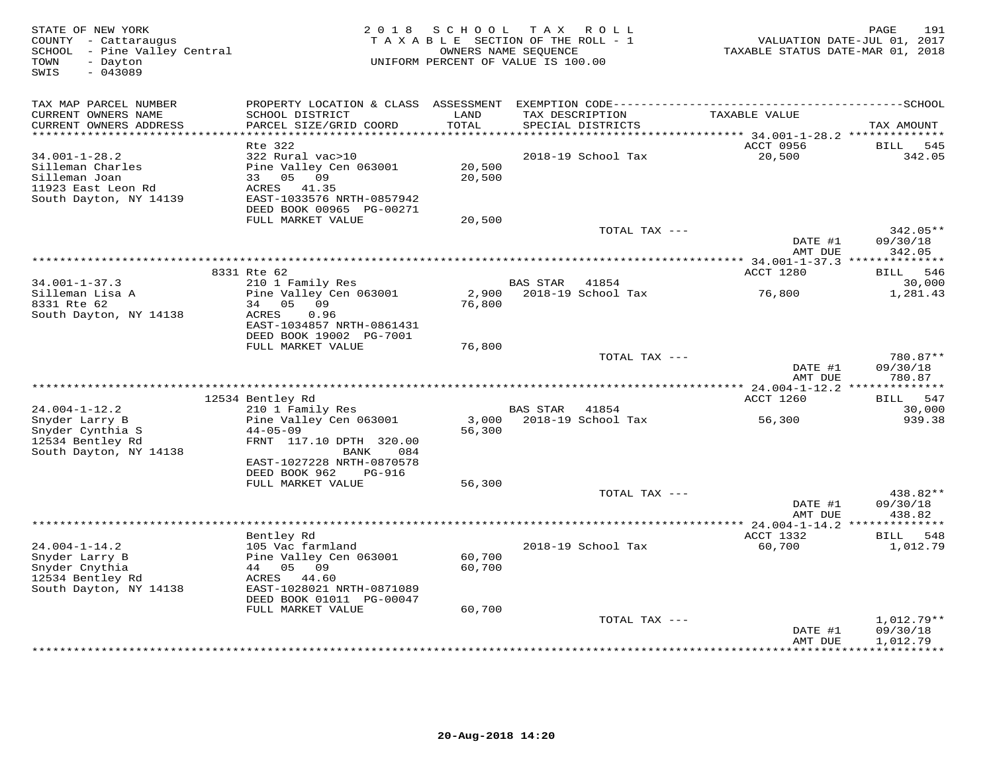| STATE OF NEW YORK<br>COUNTY - Cattaraugus<br>SCHOOL - Pine Valley Central<br>- Dayton<br>TOWN<br>SWIS<br>$-043089$ | 2 0 1 8                                               | SCHOOL<br>TAXABLE SECTION OF THE ROLL - 1<br>OWNERS NAME SEQUENCE<br>UNIFORM PERCENT OF VALUE IS 100.00 | T A X           | ROLL ROLL                            | TAXABLE STATUS DATE-MAR 01, 2018 | PAGE<br>191<br>VALUATION DATE-JUL 01, 2017 |
|--------------------------------------------------------------------------------------------------------------------|-------------------------------------------------------|---------------------------------------------------------------------------------------------------------|-----------------|--------------------------------------|----------------------------------|--------------------------------------------|
| TAX MAP PARCEL NUMBER                                                                                              |                                                       |                                                                                                         |                 |                                      |                                  |                                            |
| CURRENT OWNERS NAME<br>CURRENT OWNERS ADDRESS<br>***********************                                           | SCHOOL DISTRICT<br>PARCEL SIZE/GRID COORD             | LAND<br>TOTAL                                                                                           |                 | TAX DESCRIPTION<br>SPECIAL DISTRICTS | TAXABLE VALUE                    | TAX AMOUNT                                 |
|                                                                                                                    | Rte 322                                               |                                                                                                         |                 |                                      | ACCT 0956                        | 545<br><b>BILL</b>                         |
| $34.001 - 1 - 28.2$                                                                                                | 322 Rural vac>10                                      |                                                                                                         |                 | 2018-19 School Tax                   | 20,500                           | 342.05                                     |
| Silleman Charles                                                                                                   | Pine Valley Cen 063001                                | 20,500                                                                                                  |                 |                                      |                                  |                                            |
| Silleman Joan                                                                                                      | 05 09<br>33                                           | 20,500                                                                                                  |                 |                                      |                                  |                                            |
| 11923 East Leon Rd                                                                                                 | 41.35<br>ACRES                                        |                                                                                                         |                 |                                      |                                  |                                            |
| South Dayton, NY 14139                                                                                             | EAST-1033576 NRTH-0857942<br>DEED BOOK 00965 PG-00271 |                                                                                                         |                 |                                      |                                  |                                            |
|                                                                                                                    | FULL MARKET VALUE                                     | 20,500                                                                                                  |                 |                                      |                                  |                                            |
|                                                                                                                    |                                                       |                                                                                                         |                 | TOTAL TAX ---                        |                                  | 342.05**                                   |
|                                                                                                                    |                                                       |                                                                                                         |                 |                                      | DATE #1                          | 09/30/18                                   |
|                                                                                                                    |                                                       |                                                                                                         |                 |                                      | AMT DUE                          | 342.05                                     |
|                                                                                                                    |                                                       |                                                                                                         |                 |                                      |                                  |                                            |
| $34.001 - 1 - 37.3$                                                                                                | 8331 Rte 62<br>210 1 Family Res                       |                                                                                                         | BAS STAR 41854  |                                      | ACCT 1280                        | BILL 546<br>30,000                         |
| Silleman Lisa A                                                                                                    | Pine Valley Cen 063001                                | 2,900                                                                                                   |                 | 2018-19 School Tax                   | 76,800                           | 1,281.43                                   |
| 8331 Rte 62                                                                                                        | 34 05 09                                              | 76,800                                                                                                  |                 |                                      |                                  |                                            |
| South Dayton, NY 14138                                                                                             | ACRES<br>0.96                                         |                                                                                                         |                 |                                      |                                  |                                            |
|                                                                                                                    | EAST-1034857 NRTH-0861431                             |                                                                                                         |                 |                                      |                                  |                                            |
|                                                                                                                    | DEED BOOK 19002 PG-7001                               |                                                                                                         |                 |                                      |                                  |                                            |
|                                                                                                                    | FULL MARKET VALUE                                     | 76,800                                                                                                  |                 | TOTAL TAX ---                        |                                  | 780.87**                                   |
|                                                                                                                    |                                                       |                                                                                                         |                 |                                      | DATE #1                          | 09/30/18                                   |
|                                                                                                                    |                                                       |                                                                                                         |                 |                                      | AMT DUE                          | 780.87                                     |
|                                                                                                                    |                                                       |                                                                                                         |                 |                                      |                                  |                                            |
|                                                                                                                    | 12534 Bentley Rd                                      |                                                                                                         |                 |                                      | ACCT 1260                        | 547<br>BILL                                |
| $24.004 - 1 - 12.2$                                                                                                | 210 1 Family Res                                      |                                                                                                         | <b>BAS STAR</b> | 41854                                |                                  | 30,000                                     |
| Snyder Larry B<br>Snyder Cynthia S                                                                                 | Pine Valley Cen 063001<br>$44 - 05 - 09$              | 3,000<br>56,300                                                                                         |                 | 2018-19 School Tax                   | 56,300                           | 939.38                                     |
| 12534 Bentley Rd                                                                                                   | FRNT 117.10 DPTH 320.00                               |                                                                                                         |                 |                                      |                                  |                                            |
| South Dayton, NY 14138                                                                                             | 084<br>BANK                                           |                                                                                                         |                 |                                      |                                  |                                            |
|                                                                                                                    | EAST-1027228 NRTH-0870578                             |                                                                                                         |                 |                                      |                                  |                                            |
|                                                                                                                    | DEED BOOK 962<br><b>PG-916</b>                        |                                                                                                         |                 |                                      |                                  |                                            |
|                                                                                                                    | FULL MARKET VALUE                                     | 56,300                                                                                                  |                 |                                      |                                  |                                            |
|                                                                                                                    |                                                       |                                                                                                         |                 | TOTAL TAX ---                        | DATE #1                          | 438.82**<br>09/30/18                       |
|                                                                                                                    |                                                       |                                                                                                         |                 |                                      | AMT DUE                          | 438.82                                     |
|                                                                                                                    |                                                       |                                                                                                         |                 |                                      | ** $24.004 - 1 - 14.2$ *         |                                            |
|                                                                                                                    | Bentley Rd                                            |                                                                                                         |                 |                                      | ACCT 1332                        | BILL 548                                   |
| $24.004 - 1 - 14.2$                                                                                                | 105 Vac farmland                                      |                                                                                                         |                 | 2018-19 School Tax                   | 60,700                           | 1,012.79                                   |
| Snyder Larry B                                                                                                     | Pine Valley Cen 063001                                | 60,700                                                                                                  |                 |                                      |                                  |                                            |
| Snyder Cnythia                                                                                                     | 44 05 09                                              | 60,700                                                                                                  |                 |                                      |                                  |                                            |
| 12534 Bentley Rd<br>South Dayton, NY 14138                                                                         | ACRES 44.60<br>EAST-1028021 NRTH-0871089              |                                                                                                         |                 |                                      |                                  |                                            |
|                                                                                                                    | DEED BOOK 01011 PG-00047                              |                                                                                                         |                 |                                      |                                  |                                            |
|                                                                                                                    | FULL MARKET VALUE                                     | 60,700                                                                                                  |                 |                                      |                                  |                                            |
|                                                                                                                    |                                                       |                                                                                                         |                 | TOTAL TAX ---                        |                                  | $1,012.79**$                               |
|                                                                                                                    |                                                       |                                                                                                         |                 |                                      | DATE #1                          | 09/30/18                                   |
|                                                                                                                    |                                                       |                                                                                                         |                 | ********************************     | AMT DUE                          | 1,012.79<br>**********                     |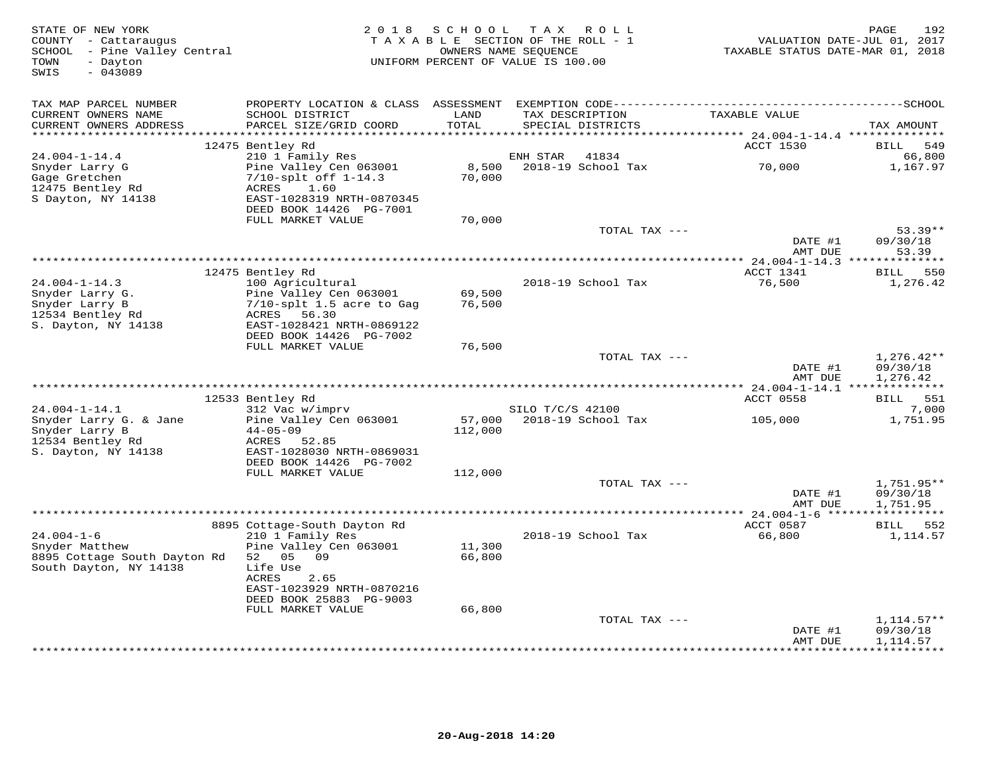| STATE OF NEW YORK<br>COUNTY - Cattaraugus<br>SCHOOL - Pine Valley Central<br>- Dayton<br>TOWN<br>SWIS<br>$-043089$ | 2 0 1 8                                                                                                                                                                                          | SCHOOL                     | T A X<br>ROLL<br>TAXABLE SECTION OF THE ROLL - 1<br>OWNERS NAME SEQUENCE<br>UNIFORM PERCENT OF VALUE IS 100.00 | TAXABLE STATUS DATE-MAR 01, 2018                 | PAGE<br>192<br>VALUATION DATE-JUL 01, 2017 |
|--------------------------------------------------------------------------------------------------------------------|--------------------------------------------------------------------------------------------------------------------------------------------------------------------------------------------------|----------------------------|----------------------------------------------------------------------------------------------------------------|--------------------------------------------------|--------------------------------------------|
| TAX MAP PARCEL NUMBER<br>CURRENT OWNERS NAME<br>CURRENT OWNERS ADDRESS<br>***********************                  | SCHOOL DISTRICT<br>PARCEL SIZE/GRID COORD                                                                                                                                                        | LAND<br>TOTAL              | TAX DESCRIPTION<br>SPECIAL DISTRICTS                                                                           | TAXABLE VALUE                                    | TAX AMOUNT                                 |
|                                                                                                                    | 12475 Bentley Rd                                                                                                                                                                                 |                            |                                                                                                                | ACCT 1530                                        | 549<br>BILL                                |
| $24.004 - 1 - 14.4$                                                                                                | 210 1 Family Res                                                                                                                                                                                 |                            | ENH STAR<br>41834                                                                                              |                                                  | 66,800                                     |
| Snyder Larry G<br>Gage Gretchen<br>12475 Bentley Rd<br>S Dayton, NY 14138                                          | Pine Valley Cen 063001<br>$7/10$ -splt off $1-14.3$<br>ACRES<br>1.60<br>EAST-1028319 NRTH-0870345<br>DEED BOOK 14426 PG-7001                                                                     | 8,500<br>70,000            | 2018-19 School Tax                                                                                             | 70,000                                           | 1,167.97                                   |
|                                                                                                                    | FULL MARKET VALUE                                                                                                                                                                                | 70,000                     | TOTAL TAX ---                                                                                                  |                                                  | $53.39**$                                  |
|                                                                                                                    |                                                                                                                                                                                                  |                            |                                                                                                                | DATE #1<br>AMT DUE                               | 09/30/18<br>53.39                          |
|                                                                                                                    |                                                                                                                                                                                                  |                            |                                                                                                                |                                                  |                                            |
| $24.004 - 1 - 14.3$<br>Snyder Larry G.<br>Snyder Larry B<br>12534 Bentley Rd<br>S. Dayton, NY 14138                | 12475 Bentley Rd<br>100 Agricultural<br>Pine Valley Cen 063001<br>7/10-splt 1.5 acre to Gag<br>ACRES 56.30<br>EAST-1028421 NRTH-0869122<br>DEED BOOK 14426 PG-7002                               | 69,500<br>76,500           | 2018-19 School Tax                                                                                             | ACCT 1341<br>76,500                              | BILL 550<br>1,276.42                       |
|                                                                                                                    | FULL MARKET VALUE                                                                                                                                                                                | 76,500                     |                                                                                                                |                                                  |                                            |
|                                                                                                                    |                                                                                                                                                                                                  |                            | TOTAL TAX ---                                                                                                  | DATE #1<br>AMT DUE                               | $1,276.42**$<br>09/30/18<br>1,276.42       |
|                                                                                                                    |                                                                                                                                                                                                  |                            |                                                                                                                | ****************** 24.004-1-14.1 *************** |                                            |
| $24.004 - 1 - 14.1$                                                                                                | 12533 Bentley Rd<br>312 Vac w/imprv                                                                                                                                                              |                            | SILO T/C/S 42100                                                                                               | ACCT 0558                                        | BILL 551<br>7,000                          |
| Snyder Larry G. & Jane<br>Snyder Larry B<br>12534 Bentley Rd<br>S. Dayton, NY 14138                                | Pine Valley Cen 063001<br>$44 - 05 - 09$<br>ACRES<br>52.85<br>EAST-1028030 NRTH-0869031<br>DEED BOOK 14426 PG-7002                                                                               | 57,000<br>112,000          | 2018-19 School Tax                                                                                             | 105,000                                          | 1,751.95                                   |
|                                                                                                                    | FULL MARKET VALUE                                                                                                                                                                                | 112,000                    |                                                                                                                |                                                  |                                            |
|                                                                                                                    |                                                                                                                                                                                                  |                            | TOTAL TAX ---                                                                                                  | DATE #1<br>AMT DUE                               | 1,751.95**<br>09/30/18<br>1,751.95         |
|                                                                                                                    |                                                                                                                                                                                                  |                            |                                                                                                                |                                                  |                                            |
| $24.004 - 1 - 6$<br>Snyder Matthew<br>8895 Cottage South Dayton Rd<br>South Dayton, NY 14138                       | 8895 Cottage-South Dayton Rd<br>210 1 Family Res<br>Pine Valley Cen 063001<br>52 05 09<br>Life Use<br>ACRES<br>2.65<br>EAST-1023929 NRTH-0870216<br>DEED BOOK 25883 PG-9003<br>FULL MARKET VALUE | 11,300<br>66,800<br>66,800 | 2018-19 School Tax                                                                                             | ACCT 0587<br>66,800                              | BILL 552<br>1,114.57                       |
|                                                                                                                    |                                                                                                                                                                                                  |                            | TOTAL TAX ---                                                                                                  |                                                  | $1,114.57**$                               |
|                                                                                                                    |                                                                                                                                                                                                  |                            |                                                                                                                | DATE #1<br>AMT DUE                               | 09/30/18<br>1,114.57<br>**********         |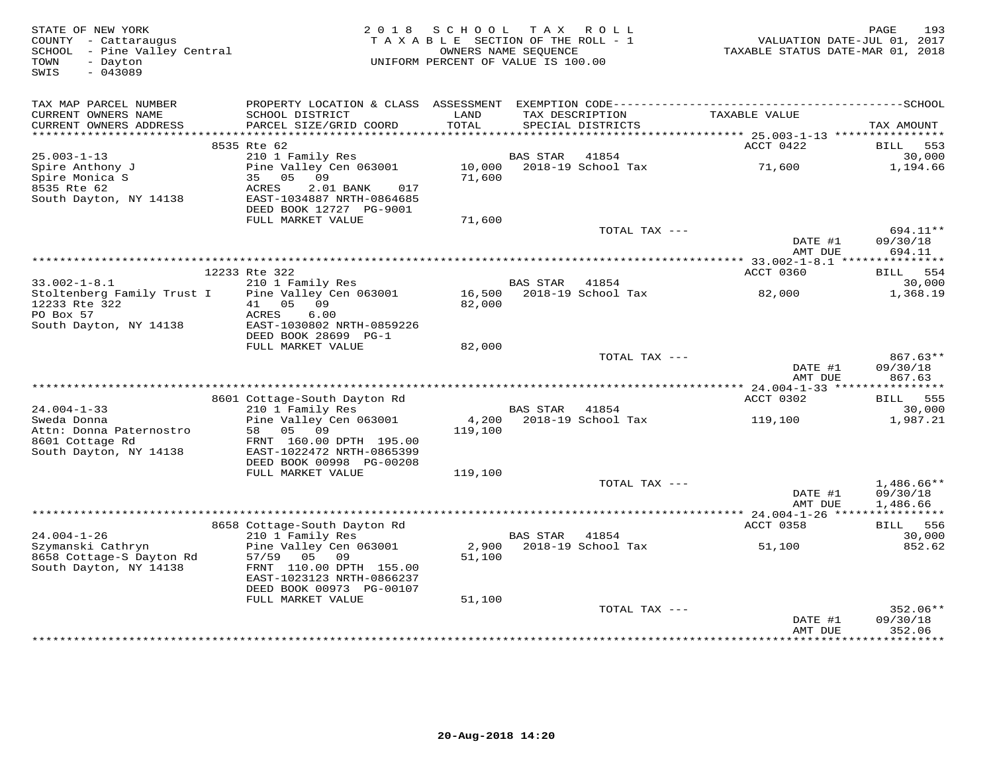| STATE OF NEW YORK<br>COUNTY - Cattaraugus<br>SCHOOL - Pine Valley Central<br>- Dayton<br>TOWN<br>SWIS<br>$-043089$ | 2 0 1 8                                                                                             | SCHOOL<br>TAXABLE SECTION OF THE ROLL - 1<br>OWNERS NAME SEQUENCE<br>UNIFORM PERCENT OF VALUE IS 100.00 | T A X           | ROLL                             | VALUATION DATE-JUL 01, 2017<br>TAXABLE STATUS DATE-MAR 01, 2018 | 193<br>PAGE                    |
|--------------------------------------------------------------------------------------------------------------------|-----------------------------------------------------------------------------------------------------|---------------------------------------------------------------------------------------------------------|-----------------|----------------------------------|-----------------------------------------------------------------|--------------------------------|
| TAX MAP PARCEL NUMBER<br>CURRENT OWNERS NAME                                                                       | SCHOOL DISTRICT                                                                                     | LAND                                                                                                    |                 | TAX DESCRIPTION                  | TAXABLE VALUE                                                   |                                |
| CURRENT OWNERS ADDRESS                                                                                             | PARCEL SIZE/GRID COORD                                                                              | TOTAL                                                                                                   |                 | SPECIAL DISTRICTS                |                                                                 | TAX AMOUNT                     |
|                                                                                                                    | 8535 Rte 62                                                                                         |                                                                                                         |                 |                                  | ACCT 0422                                                       | 553<br>BILL                    |
| $25.003 - 1 - 13$                                                                                                  | 210 1 Family Res                                                                                    |                                                                                                         | BAS STAR        | 41854                            |                                                                 | 30,000                         |
| Spire Anthony J<br>Spire Monica S<br>8535 Rte 62<br>South Dayton, NY 14138                                         | Pine Valley Cen 063001<br>35<br>05<br>09<br>ACRES<br>2.01 BANK<br>017<br>EAST-1034887 NRTH-0864685  | 10,000<br>71,600                                                                                        |                 | 2018-19 School Tax               | 71,600                                                          | 1,194.66                       |
|                                                                                                                    | DEED BOOK 12727 PG-9001<br>FULL MARKET VALUE                                                        | 71,600                                                                                                  |                 |                                  |                                                                 |                                |
|                                                                                                                    |                                                                                                     |                                                                                                         |                 | TOTAL TAX ---                    | DATE #1                                                         | 694.11**<br>09/30/18           |
|                                                                                                                    |                                                                                                     |                                                                                                         |                 |                                  | AMT DUE                                                         | 694.11                         |
|                                                                                                                    | 12233 Rte 322                                                                                       |                                                                                                         |                 |                                  | ACCT 0360                                                       | BILL 554                       |
| $33.002 - 1 - 8.1$<br>Stoltenberg Family Trust I                                                                   | 210 1 Family Res<br>Pine Valley Cen 063001                                                          | 16,500                                                                                                  | <b>BAS STAR</b> | 41854<br>2018-19 School Tax      | 82,000                                                          | 30,000<br>1,368.19             |
| 12233 Rte 322<br>PO Box 57<br>South Dayton, NY 14138                                                               | 41 05 09<br>ACRES<br>6.00<br>EAST-1030802 NRTH-0859226<br>DEED BOOK 28699 PG-1                      | 82,000                                                                                                  |                 |                                  |                                                                 |                                |
|                                                                                                                    | FULL MARKET VALUE                                                                                   | 82,000                                                                                                  |                 |                                  |                                                                 |                                |
|                                                                                                                    |                                                                                                     |                                                                                                         |                 | TOTAL TAX ---                    | DATE #1<br>AMT DUE                                              | 867.63**<br>09/30/18<br>867.63 |
|                                                                                                                    | 8601 Cottage-South Dayton Rd                                                                        |                                                                                                         |                 |                                  | ACCT 0302                                                       | BILL 555                       |
| $24.004 - 1 - 33$                                                                                                  | 210 1 Family Res                                                                                    |                                                                                                         | BAS STAR 41854  |                                  |                                                                 | 30,000                         |
| Sweda Donna<br>Attn: Donna Paternostro                                                                             | Pine Valley Cen 063001<br>58 05 09                                                                  | 4,200<br>119,100                                                                                        |                 | 2018-19 School Tax               | 119,100                                                         | 1,987.21                       |
| 8601 Cottage Rd<br>South Dayton, NY 14138                                                                          | FRNT 160.00 DPTH 195.00<br>EAST-1022472 NRTH-0865399                                                |                                                                                                         |                 |                                  |                                                                 |                                |
|                                                                                                                    | DEED BOOK 00998 PG-00208<br>FULL MARKET VALUE                                                       | 119,100                                                                                                 |                 |                                  |                                                                 |                                |
|                                                                                                                    |                                                                                                     |                                                                                                         |                 | TOTAL TAX ---                    |                                                                 | 1,486.66**                     |
|                                                                                                                    |                                                                                                     |                                                                                                         |                 |                                  | DATE #1<br>AMT DUE                                              | 09/30/18<br>1,486.66           |
|                                                                                                                    | 8658 Cottage-South Dayton Rd                                                                        |                                                                                                         |                 |                                  | ACCT 0358                                                       | BILL 556                       |
| $24.004 - 1 - 26$                                                                                                  | 210 1 Family Res                                                                                    |                                                                                                         | <b>BAS STAR</b> | 41854                            |                                                                 | 30,000                         |
| Szymanski Cathryn<br>8658 Cottage-S Dayton Rd<br>South Dayton, NY 14138                                            | Pine Valley Cen 063001<br>57/59<br>09<br>05<br>FRNT 110.00 DPTH 155.00<br>EAST-1023123 NRTH-0866237 | 2,900<br>51,100                                                                                         |                 | 2018-19 School Tax               | 51,100                                                          | 852.62                         |
|                                                                                                                    | DEED BOOK 00973 PG-00107                                                                            |                                                                                                         |                 |                                  |                                                                 |                                |
|                                                                                                                    | FULL MARKET VALUE                                                                                   | 51,100                                                                                                  |                 |                                  |                                                                 |                                |
|                                                                                                                    |                                                                                                     |                                                                                                         |                 | TOTAL TAX ---                    | DATE #1<br>AMT DUE                                              | 352.06**<br>09/30/18<br>352.06 |
|                                                                                                                    |                                                                                                     |                                                                                                         |                 | ******************************** | * * * * * * * * * * * * * *                                     | * * * * * * * * *              |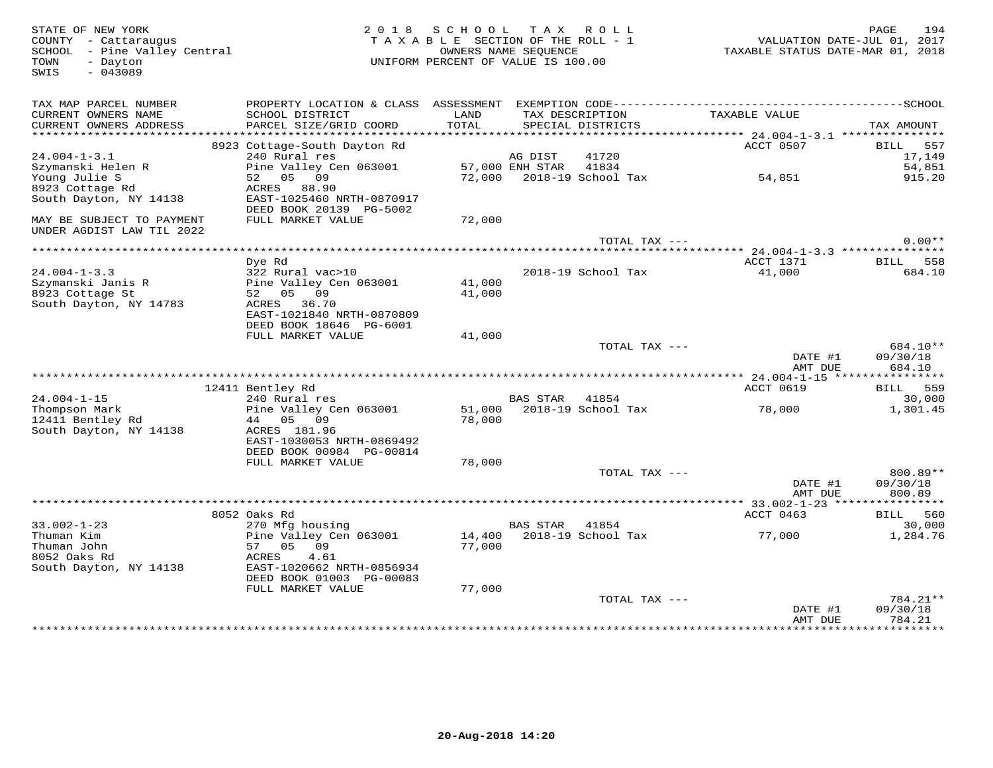| STATE OF NEW YORK<br>COUNTY - Cattaraugus<br>SCHOOL - Pine Valley Central<br>- Dayton<br>TOWN<br>$-043089$<br>SWIS | 2 0 1 8                                               | SCHOOL TAX<br>TAXABLE SECTION OF THE ROLL - 1<br>OWNERS NAME SEQUENCE<br>UNIFORM PERCENT OF VALUE IS 100.00 |                 | ROLL                                 | VALUATION DATE-JUL 01, 2017<br>TAXABLE STATUS DATE-MAR 01, 2018 | 194<br>PAGE                    |
|--------------------------------------------------------------------------------------------------------------------|-------------------------------------------------------|-------------------------------------------------------------------------------------------------------------|-----------------|--------------------------------------|-----------------------------------------------------------------|--------------------------------|
| TAX MAP PARCEL NUMBER<br>CURRENT OWNERS NAME<br>CURRENT OWNERS ADDRESS                                             | SCHOOL DISTRICT<br>PARCEL SIZE/GRID COORD             | LAND<br>TOTAL                                                                                               |                 | TAX DESCRIPTION<br>SPECIAL DISTRICTS | TAXABLE VALUE                                                   | TAX AMOUNT                     |
|                                                                                                                    |                                                       |                                                                                                             |                 |                                      |                                                                 |                                |
|                                                                                                                    | 8923 Cottage-South Dayton Rd                          |                                                                                                             |                 |                                      | ACCT 0507                                                       | 557<br>BILL                    |
| $24.004 - 1 - 3.1$                                                                                                 | 240 Rural res                                         |                                                                                                             | AG DIST         | 41720                                |                                                                 | 17,149                         |
| Szymanski Helen R                                                                                                  | Pine Valley Cen 063001                                |                                                                                                             | 57,000 ENH STAR | 41834                                |                                                                 | 54,851                         |
| Young Julie S<br>8923 Cottage Rd                                                                                   | 52 05 09<br>ACRES 88.90                               |                                                                                                             |                 | 72,000 2018-19 School Tax            | 54,851                                                          | 915.20                         |
| South Dayton, NY 14138                                                                                             | EAST-1025460 NRTH-0870917                             |                                                                                                             |                 |                                      |                                                                 |                                |
|                                                                                                                    | DEED BOOK 20139 PG-5002                               |                                                                                                             |                 |                                      |                                                                 |                                |
| MAY BE SUBJECT TO PAYMENT<br>UNDER AGDIST LAW TIL 2022                                                             | FULL MARKET VALUE                                     | 72,000                                                                                                      |                 |                                      |                                                                 |                                |
|                                                                                                                    |                                                       |                                                                                                             |                 | TOTAL TAX ---                        |                                                                 | $0.00**$                       |
|                                                                                                                    |                                                       |                                                                                                             |                 |                                      |                                                                 |                                |
|                                                                                                                    | Dye Rd                                                |                                                                                                             |                 |                                      | ACCT 1371                                                       | BILL<br>558                    |
| $24.004 - 1 - 3.3$<br>Szymanski Janis R                                                                            | 322 Rural vac>10<br>Pine Valley Cen 063001            | 41,000                                                                                                      |                 | 2018-19 School Tax                   | 41,000                                                          | 684.10                         |
| 8923 Cottage St                                                                                                    | 52 05 09                                              | 41,000                                                                                                      |                 |                                      |                                                                 |                                |
| South Dayton, NY 14783                                                                                             | ACRES<br>36.70                                        |                                                                                                             |                 |                                      |                                                                 |                                |
|                                                                                                                    | EAST-1021840 NRTH-0870809                             |                                                                                                             |                 |                                      |                                                                 |                                |
|                                                                                                                    | DEED BOOK 18646 PG-6001                               |                                                                                                             |                 |                                      |                                                                 |                                |
|                                                                                                                    | FULL MARKET VALUE                                     | 41,000                                                                                                      |                 |                                      |                                                                 |                                |
|                                                                                                                    |                                                       |                                                                                                             |                 | TOTAL TAX ---                        | DATE #1<br>AMT DUE                                              | 684.10**<br>09/30/18<br>684.10 |
|                                                                                                                    |                                                       |                                                                                                             |                 |                                      |                                                                 | ***********                    |
|                                                                                                                    | 12411 Bentley Rd                                      |                                                                                                             |                 |                                      | ACCT 0619                                                       | BILL 559                       |
| $24.004 - 1 - 15$                                                                                                  | 240 Rural res                                         |                                                                                                             | <b>BAS STAR</b> | 41854                                |                                                                 | 30,000                         |
| Thompson Mark                                                                                                      | Pine Valley Cen 063001                                | 51,000                                                                                                      |                 | 2018-19 School Tax                   | 78,000                                                          | 1,301.45                       |
| 12411 Bentley Rd                                                                                                   | 44 05 09                                              | 78,000                                                                                                      |                 |                                      |                                                                 |                                |
| South Dayton, NY 14138                                                                                             | ACRES 181.96                                          |                                                                                                             |                 |                                      |                                                                 |                                |
|                                                                                                                    | EAST-1030053 NRTH-0869492<br>DEED BOOK 00984 PG-00814 |                                                                                                             |                 |                                      |                                                                 |                                |
|                                                                                                                    | FULL MARKET VALUE                                     | 78,000                                                                                                      |                 |                                      |                                                                 |                                |
|                                                                                                                    |                                                       |                                                                                                             |                 | TOTAL TAX ---                        |                                                                 | 800.89**                       |
|                                                                                                                    |                                                       |                                                                                                             |                 |                                      | DATE #1                                                         | 09/30/18                       |
|                                                                                                                    |                                                       |                                                                                                             |                 |                                      | AMT DUE                                                         | 800.89                         |
|                                                                                                                    |                                                       |                                                                                                             |                 |                                      | *********** 33.002-1-23 ****                                    | **********                     |
|                                                                                                                    | 8052 Oaks Rd                                          |                                                                                                             |                 |                                      | ACCT 0463                                                       | BILL<br>560                    |
| $33.002 - 1 - 23$<br>Thuman Kim                                                                                    | 270 Mfg housing<br>Pine Valley Cen 063001             | 14,400                                                                                                      | BAS STAR        | 41854<br>2018-19 School Tax          | 77,000                                                          | 30,000<br>1,284.76             |
| Thuman John                                                                                                        | 57 05 09                                              | 77,000                                                                                                      |                 |                                      |                                                                 |                                |
| 8052 Oaks Rd                                                                                                       | ACRES<br>4.61                                         |                                                                                                             |                 |                                      |                                                                 |                                |
| South Dayton, NY 14138                                                                                             | EAST-1020662 NRTH-0856934                             |                                                                                                             |                 |                                      |                                                                 |                                |
|                                                                                                                    | DEED BOOK 01003 PG-00083                              |                                                                                                             |                 |                                      |                                                                 |                                |
|                                                                                                                    | FULL MARKET VALUE                                     | 77,000                                                                                                      |                 |                                      |                                                                 |                                |
|                                                                                                                    |                                                       |                                                                                                             |                 | TOTAL TAX ---                        |                                                                 | 784.21**<br>09/30/18           |
|                                                                                                                    |                                                       |                                                                                                             |                 |                                      | DATE #1<br>AMT DUE                                              | 784.21                         |
|                                                                                                                    |                                                       |                                                                                                             |                 |                                      |                                                                 | *********                      |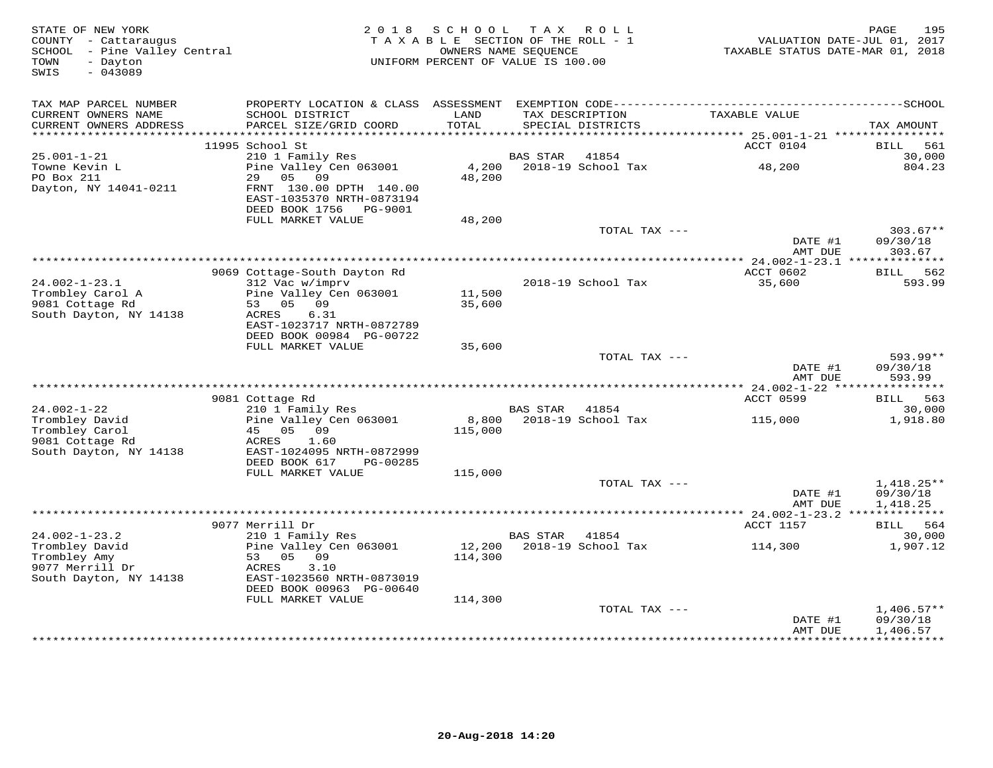| STATE OF NEW YORK<br>COUNTY - Cattaraugus<br>SCHOOL - Pine Valley Central<br>- Dayton<br>TOWN<br>$-043089$<br>SWIS | 2 0 1 8                                                                        | S C H O O L<br>TAXABLE SECTION OF THE ROLL - 1<br>OWNERS NAME SEQUENCE<br>UNIFORM PERCENT OF VALUE IS 100.00 | T A X           | ROLL                                 | TAXABLE STATUS DATE-MAR 01, 2018 | 195<br>PAGE<br>VALUATION DATE-JUL 01, 2017 |
|--------------------------------------------------------------------------------------------------------------------|--------------------------------------------------------------------------------|--------------------------------------------------------------------------------------------------------------|-----------------|--------------------------------------|----------------------------------|--------------------------------------------|
| TAX MAP PARCEL NUMBER                                                                                              |                                                                                |                                                                                                              |                 |                                      |                                  |                                            |
| CURRENT OWNERS NAME<br>CURRENT OWNERS ADDRESS                                                                      | SCHOOL DISTRICT<br>PARCEL SIZE/GRID COORD                                      | LAND<br>TOTAL                                                                                                |                 | TAX DESCRIPTION<br>SPECIAL DISTRICTS | TAXABLE VALUE                    | TAX AMOUNT                                 |
|                                                                                                                    |                                                                                |                                                                                                              |                 |                                      |                                  |                                            |
| $25.001 - 1 - 21$                                                                                                  | 11995 School St<br>210 1 Family Res                                            |                                                                                                              | <b>BAS STAR</b> | 41854                                | ACCT 0104                        | BILL<br>561<br>30,000                      |
| Towne Kevin L                                                                                                      | Pine Valley Cen 063001                                                         | 4,200                                                                                                        |                 | 2018-19 School Tax                   | 48,200                           | 804.23                                     |
| PO Box 211                                                                                                         | 29<br>05<br>09                                                                 | 48,200                                                                                                       |                 |                                      |                                  |                                            |
| Dayton, NY 14041-0211                                                                                              | FRNT 130.00 DPTH 140.00<br>EAST-1035370 NRTH-0873194<br>DEED BOOK 1756 PG-9001 |                                                                                                              |                 |                                      |                                  |                                            |
|                                                                                                                    | FULL MARKET VALUE                                                              | 48,200                                                                                                       |                 | TOTAL TAX ---                        |                                  | $303.67**$                                 |
|                                                                                                                    |                                                                                |                                                                                                              |                 |                                      | DATE #1<br>AMT DUE               | 09/30/18<br>303.67                         |
|                                                                                                                    |                                                                                |                                                                                                              |                 |                                      |                                  |                                            |
|                                                                                                                    | 9069 Cottage-South Dayton Rd                                                   |                                                                                                              |                 |                                      | ACCT 0602                        | <b>BILL</b> 562                            |
| $24.002 - 1 - 23.1$                                                                                                | 312 Vac w/imprv                                                                |                                                                                                              |                 | 2018-19 School Tax                   | 35,600                           | 593.99                                     |
| Trombley Carol A                                                                                                   | Pine Valley Cen 063001                                                         | 11,500                                                                                                       |                 |                                      |                                  |                                            |
| 9081 Cottage Rd<br>South Dayton, NY 14138                                                                          | 53 05 09<br>ACRES<br>6.31                                                      | 35,600                                                                                                       |                 |                                      |                                  |                                            |
|                                                                                                                    | EAST-1023717 NRTH-0872789                                                      |                                                                                                              |                 |                                      |                                  |                                            |
|                                                                                                                    | DEED BOOK 00984 PG-00722                                                       |                                                                                                              |                 |                                      |                                  |                                            |
|                                                                                                                    | FULL MARKET VALUE                                                              | 35,600                                                                                                       |                 |                                      |                                  |                                            |
|                                                                                                                    |                                                                                |                                                                                                              |                 | TOTAL TAX ---                        |                                  | $593.99**$                                 |
|                                                                                                                    |                                                                                |                                                                                                              |                 |                                      | DATE #1                          | 09/30/18                                   |
|                                                                                                                    |                                                                                |                                                                                                              |                 |                                      | AMT DUE                          | 593.99                                     |
|                                                                                                                    | 9081 Cottage Rd                                                                |                                                                                                              |                 |                                      | ACCT 0599                        | BILL 563                                   |
| $24.002 - 1 - 22$                                                                                                  | 210 1 Family Res                                                               |                                                                                                              | BAS STAR        | 41854                                |                                  | 30,000                                     |
| Trombley David                                                                                                     | Pine Valley Cen 063001                                                         |                                                                                                              |                 | 8,800 2018-19 School Tax             | 115,000                          | 1,918.80                                   |
| Trombley Carol                                                                                                     | 45 05<br>09                                                                    | 115,000                                                                                                      |                 |                                      |                                  |                                            |
| 9081 Cottage Rd                                                                                                    | ACRES<br>1.60                                                                  |                                                                                                              |                 |                                      |                                  |                                            |
| South Dayton, NY 14138                                                                                             | EAST-1024095 NRTH-0872999<br>DEED BOOK 617<br>PG-00285                         |                                                                                                              |                 |                                      |                                  |                                            |
|                                                                                                                    | FULL MARKET VALUE                                                              | 115,000                                                                                                      |                 |                                      |                                  |                                            |
|                                                                                                                    |                                                                                |                                                                                                              |                 | TOTAL TAX ---                        |                                  | $1,418.25**$                               |
|                                                                                                                    |                                                                                |                                                                                                              |                 |                                      | DATE #1                          | 09/30/18                                   |
|                                                                                                                    |                                                                                |                                                                                                              |                 |                                      | AMT DUE                          | 1,418.25                                   |
|                                                                                                                    |                                                                                |                                                                                                              |                 |                                      |                                  |                                            |
| $24.002 - 1 - 23.2$                                                                                                | 9077 Merrill Dr<br>210 1 Family Res                                            |                                                                                                              | <b>BAS STAR</b> | 41854                                | ACCT 1157                        | BILL 564<br>30,000                         |
| Trombley David                                                                                                     | Pine Valley Cen 063001                                                         | 12,200                                                                                                       |                 | 2018-19 School Tax                   | 114,300                          | 1,907.12                                   |
| Trombley Amy                                                                                                       | 53 05<br>09                                                                    | 114,300                                                                                                      |                 |                                      |                                  |                                            |
| 9077 Merrill Dr                                                                                                    | ACRES<br>3.10                                                                  |                                                                                                              |                 |                                      |                                  |                                            |
| South Dayton, NY 14138                                                                                             | EAST-1023560 NRTH-0873019                                                      |                                                                                                              |                 |                                      |                                  |                                            |
|                                                                                                                    | DEED BOOK 00963 PG-00640                                                       |                                                                                                              |                 |                                      |                                  |                                            |
|                                                                                                                    | FULL MARKET VALUE                                                              | 114,300                                                                                                      |                 | TOTAL TAX ---                        |                                  | $1,406.57**$                               |
|                                                                                                                    |                                                                                |                                                                                                              |                 |                                      | DATE #1                          | 09/30/18                                   |
|                                                                                                                    |                                                                                |                                                                                                              |                 |                                      | AMT DUE                          | 1,406.57                                   |
|                                                                                                                    |                                                                                |                                                                                                              |                 |                                      |                                  |                                            |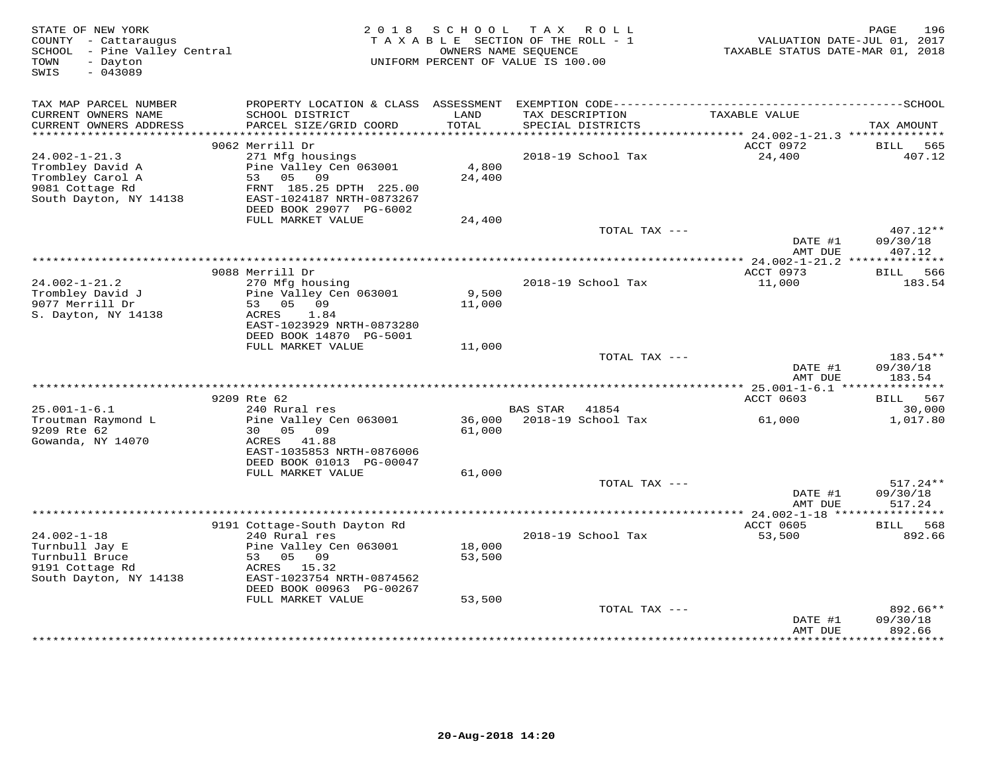| STATE OF NEW YORK<br>COUNTY - Cattaraugus<br>SCHOOL - Pine Valley Central<br>- Dayton<br>TOWN<br>$-043089$<br>SWIS |                                                                                                                                                  | 2018 SCHOOL                | TAX ROLL<br>TAXABLE SECTION OF THE ROLL - 1<br>OWNERS NAME SEQUENCE<br>UNIFORM PERCENT OF VALUE IS 100.00 | VALUATION DATE-JUL 01, 2017<br>TAXABLE STATUS DATE-MAR 01, 2018 | PAGE<br>196                      |
|--------------------------------------------------------------------------------------------------------------------|--------------------------------------------------------------------------------------------------------------------------------------------------|----------------------------|-----------------------------------------------------------------------------------------------------------|-----------------------------------------------------------------|----------------------------------|
| TAX MAP PARCEL NUMBER<br>CURRENT OWNERS NAME<br>CURRENT OWNERS ADDRESS                                             | PROPERTY LOCATION & CLASS ASSESSMENT EXEMPTION CODE-----------------------------------SCHOOL<br>SCHOOL DISTRICT<br>PARCEL SIZE/GRID COORD        | LAND<br>TOTAL              | TAX DESCRIPTION<br>SPECIAL DISTRICTS                                                                      | TAXABLE VALUE                                                   | TAX AMOUNT                       |
| ************************                                                                                           |                                                                                                                                                  |                            |                                                                                                           |                                                                 |                                  |
|                                                                                                                    | 9062 Merrill Dr                                                                                                                                  |                            |                                                                                                           | ACCT 0972                                                       | BILL<br>565                      |
| $24.002 - 1 - 21.3$<br>Trombley David A<br>Trombley Carol A<br>9081 Cottage Rd<br>South Dayton, NY 14138           | 271 Mfg housings<br>Pine Valley Cen 063001<br>53 05 09<br>FRNT 185.25 DPTH 225.00<br>EAST-1024187 NRTH-0873267<br>DEED BOOK 29077 PG-6002        | 4,800<br>24,400            | 2018-19 School Tax                                                                                        | 24,400                                                          | 407.12                           |
|                                                                                                                    | FULL MARKET VALUE                                                                                                                                | 24,400                     |                                                                                                           |                                                                 |                                  |
|                                                                                                                    |                                                                                                                                                  |                            | TOTAL TAX ---                                                                                             | DATE #1<br>AMT DUE                                              | $407.12**$<br>09/30/18<br>407.12 |
|                                                                                                                    |                                                                                                                                                  |                            |                                                                                                           |                                                                 |                                  |
|                                                                                                                    | 9088 Merrill Dr                                                                                                                                  |                            |                                                                                                           | ACCT 0973                                                       | BILL 566                         |
| $24.002 - 1 - 21.2$<br>Trombley David J<br>9077 Merrill Dr<br>S. Dayton, NY 14138                                  | 270 Mfg housing<br>Pine Valley Cen 063001<br>53 05 09<br>ACRES 1.84<br>EAST-1023929 NRTH-0873280<br>DEED BOOK 14870 PG-5001                      | 9,500<br>11,000            | 2018-19 School Tax                                                                                        | 11,000                                                          | 183.54                           |
|                                                                                                                    | FULL MARKET VALUE                                                                                                                                | 11,000                     |                                                                                                           |                                                                 |                                  |
|                                                                                                                    |                                                                                                                                                  |                            | TOTAL TAX ---                                                                                             | DATE #1<br>AMT DUE                                              | 183.54**<br>09/30/18<br>183.54   |
|                                                                                                                    | 9209 Rte 62                                                                                                                                      |                            |                                                                                                           | ACCT 0603                                                       | BILL 567                         |
| $25.001 - 1 - 6.1$                                                                                                 | 240 Rural res                                                                                                                                    |                            | BAS STAR 41854                                                                                            |                                                                 | 30,000                           |
| Troutman Raymond L<br>9209 Rte 62<br>Gowanda, NY 14070                                                             | Pine Valley Cen 063001<br>30  05  09<br>ACRES 41.88<br>EAST-1035853 NRTH-0876006<br>DEED BOOK 01013 PG-00047                                     | 61,000                     | 36,000 2018-19 School Tax                                                                                 | 61,000                                                          | 1,017.80                         |
|                                                                                                                    | FULL MARKET VALUE                                                                                                                                | 61,000                     | TOTAL TAX ---                                                                                             |                                                                 | $517.24**$                       |
|                                                                                                                    |                                                                                                                                                  |                            |                                                                                                           | DATE #1<br>AMT DUE                                              | 09/30/18<br>517.24               |
|                                                                                                                    |                                                                                                                                                  |                            |                                                                                                           |                                                                 |                                  |
|                                                                                                                    | 9191 Cottage-South Dayton Rd                                                                                                                     |                            |                                                                                                           | ACCT 0605                                                       | 568<br>BILL                      |
| $24.002 - 1 - 18$<br>Turnbull Jay E<br>Turnbull Bruce<br>9191 Cottage Rd<br>South Dayton, NY 14138                 | 240 Rural res<br>Pine Valley Cen 063001<br>53 05 09<br>ACRES 15.32<br>EAST-1023754 NRTH-0874562<br>DEED BOOK 00963 PG-00267<br>FULL MARKET VALUE | 18,000<br>53,500<br>53,500 | 2018-19 School Tax                                                                                        | 53,500                                                          | 892.66                           |
|                                                                                                                    |                                                                                                                                                  |                            | TOTAL TAX ---                                                                                             |                                                                 | 892.66**                         |
|                                                                                                                    |                                                                                                                                                  |                            |                                                                                                           | DATE #1<br>AMT DUE                                              | 09/30/18<br>892.66<br>********** |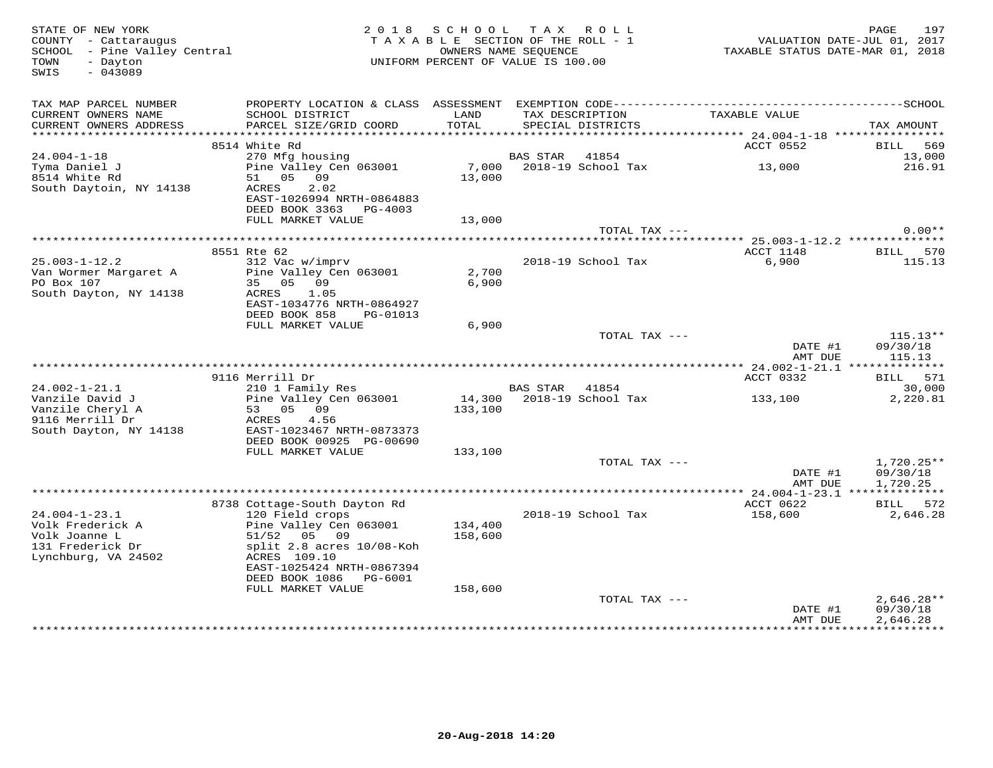| STATE OF NEW YORK<br>COUNTY - Cattaraugus<br>SCHOOL - Pine Valley Central<br>- Dayton<br>TOWN<br>$-043089$<br>SWIS |                                                                                     | 2018 SCHOOL TAX ROLL<br>TAXABLE SECTION OF THE ROLL - 1<br>OWNERS NAME SEQUENCE<br>UNIFORM PERCENT OF VALUE IS 100.00 |                |                                      | VALUATION DATE-JUL 01, 2017<br>TAXABLE STATUS DATE-MAR 01, 2018 | 197<br>PAGE                      |
|--------------------------------------------------------------------------------------------------------------------|-------------------------------------------------------------------------------------|-----------------------------------------------------------------------------------------------------------------------|----------------|--------------------------------------|-----------------------------------------------------------------|----------------------------------|
| TAX MAP PARCEL NUMBER<br>CURRENT OWNERS NAME<br>CURRENT OWNERS ADDRESS                                             | SCHOOL DISTRICT<br>PARCEL SIZE/GRID COORD                                           | LAND<br>TOTAL                                                                                                         |                | TAX DESCRIPTION<br>SPECIAL DISTRICTS | TAXABLE VALUE                                                   | TAX AMOUNT                       |
|                                                                                                                    |                                                                                     |                                                                                                                       |                |                                      |                                                                 |                                  |
| 24.004-1-18                                                                                                        | 8514 White Rd<br>270 Mfg housing                                                    |                                                                                                                       | BAS STAR       | 41854                                | ACCT 0552                                                       | BILL 569<br>13,000               |
| Tyma Daniel J<br>8514 White Rd<br>South Daytoin, NY 14138                                                          | Pine Valley Cen 063001<br>51 05 09<br>ACRES<br>2.02                                 | 13,000                                                                                                                |                | 7,000 2018-19 School Tax             | 13,000                                                          | 216.91                           |
|                                                                                                                    | EAST-1026994 NRTH-0864883<br>DEED BOOK 3363 PG-4003                                 |                                                                                                                       |                |                                      |                                                                 |                                  |
|                                                                                                                    | FULL MARKET VALUE                                                                   | 13,000                                                                                                                |                |                                      |                                                                 |                                  |
|                                                                                                                    |                                                                                     |                                                                                                                       |                | TOTAL TAX ---                        |                                                                 | $0.00**$                         |
|                                                                                                                    |                                                                                     |                                                                                                                       |                |                                      |                                                                 |                                  |
| $25.003 - 1 - 12.2$<br>Van Wormer Margaret A                                                                       | 8551 Rte 62<br>312 Vac w/imprv<br>Pine Valley Cen 063001                            | 2,700                                                                                                                 |                | 2018-19 School Tax                   | ACCT 1148<br>6,900                                              | BILL 570<br>115.13               |
| PO Box 107<br>South Dayton, NY 14138                                                                               | 35 05 09<br>ACRES<br>1.05<br>EAST-1034776 NRTH-0864927<br>DEED BOOK 858<br>PG-01013 | 6,900                                                                                                                 |                |                                      |                                                                 |                                  |
|                                                                                                                    | FULL MARKET VALUE                                                                   | 6,900                                                                                                                 |                |                                      |                                                                 |                                  |
|                                                                                                                    |                                                                                     |                                                                                                                       |                | TOTAL TAX ---                        | DATE #1<br>AMT DUE                                              | $115.13**$<br>09/30/18<br>115.13 |
|                                                                                                                    |                                                                                     |                                                                                                                       |                |                                      |                                                                 |                                  |
|                                                                                                                    | 9116 Merrill Dr                                                                     |                                                                                                                       |                |                                      | ACCT 0332                                                       | BILL 571                         |
| $24.002 - 1 - 21.1$                                                                                                | 210 1 Family Res                                                                    |                                                                                                                       | BAS STAR 41854 |                                      |                                                                 | 30,000                           |
| Vanzile David J<br>Vanzile Cheryl A<br>9116 Merrill Dr<br>South Dayton, NY 14138                                   | Pine Valley Cen 063001<br>53 05 09<br>ACRES<br>4.56<br>EAST-1023467 NRTH-0873373    | 133,100                                                                                                               |                | 14,300 2018-19 School Tax            | 133,100                                                         | 2,220.81                         |
|                                                                                                                    | DEED BOOK 00925 PG-00690<br>FULL MARKET VALUE                                       | 133,100                                                                                                               |                |                                      |                                                                 |                                  |
|                                                                                                                    |                                                                                     |                                                                                                                       |                | TOTAL TAX ---                        | DATE #1                                                         | $1,720.25**$<br>09/30/18         |
|                                                                                                                    |                                                                                     |                                                                                                                       |                |                                      | AMT DUE                                                         | 1,720.25                         |
|                                                                                                                    | 8738 Cottage-South Dayton Rd                                                        |                                                                                                                       |                |                                      | ACCT 0622                                                       | BILL 572                         |
| $24.004 - 1 - 23.1$                                                                                                | 120 Field crops                                                                     |                                                                                                                       |                | 2018-19 School Tax                   | 158,600                                                         | 2,646.28                         |
| Volk Frederick A<br>Volk Joanne L<br>131 Frederick Dr<br>Lynchburg, VA 24502                                       | Pine Valley Cen 063001<br>51/52 05 09<br>split 2.8 acres 10/08-Koh<br>ACRES 109.10  | 134,400<br>158,600                                                                                                    |                |                                      |                                                                 |                                  |
|                                                                                                                    | EAST-1025424 NRTH-0867394                                                           |                                                                                                                       |                |                                      |                                                                 |                                  |
|                                                                                                                    | DEED BOOK 1086 PG-6001<br>FULL MARKET VALUE                                         | 158,600                                                                                                               |                |                                      |                                                                 |                                  |
|                                                                                                                    |                                                                                     |                                                                                                                       |                | TOTAL TAX ---                        |                                                                 | $2,646.28**$                     |
|                                                                                                                    |                                                                                     |                                                                                                                       |                |                                      | DATE #1<br>AMT DUE                                              | 09/30/18<br>2,646.28             |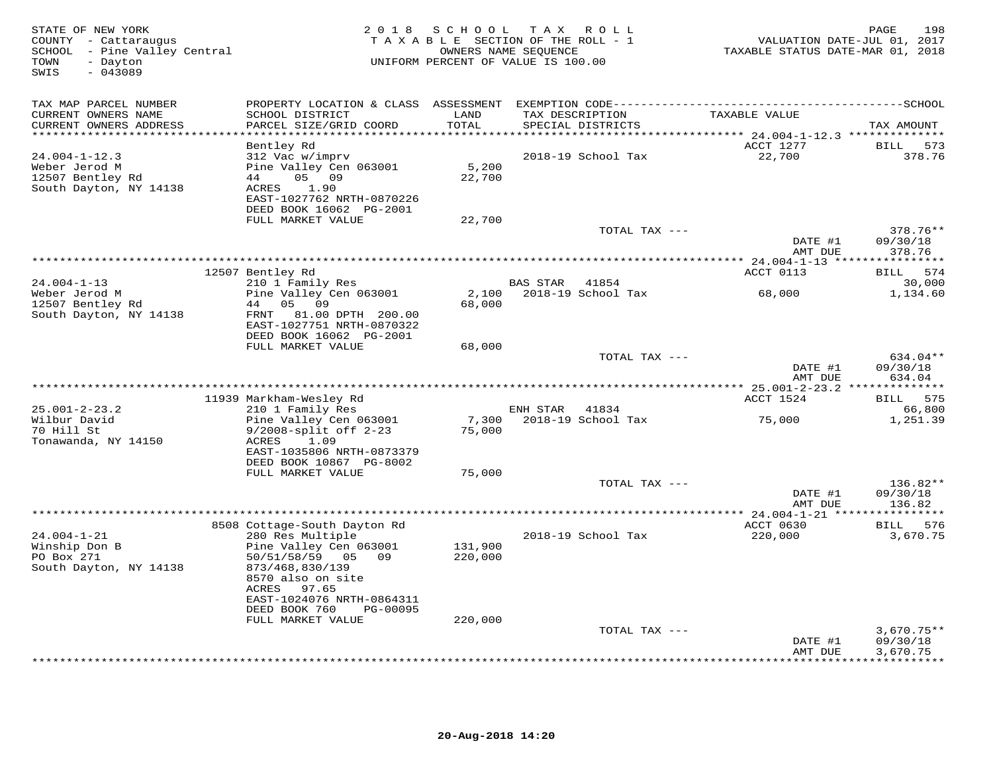| STATE OF NEW YORK<br>COUNTY - Cattaraugus<br>SCHOOL - Pine Valley Central<br>- Dayton<br>TOWN<br>$-043089$<br>SWIS | 2 0 1 8                                                | SCHOOL<br>TAXABLE SECTION OF THE ROLL - 1<br>UNIFORM PERCENT OF VALUE IS 100.00 | OWNERS NAME SEQUENCE | TAX ROLL           | VALUATION DATE-JUL 01, 2017<br>TAXABLE STATUS DATE-MAR 01, 2018 | 198<br>PAGE              |
|--------------------------------------------------------------------------------------------------------------------|--------------------------------------------------------|---------------------------------------------------------------------------------|----------------------|--------------------|-----------------------------------------------------------------|--------------------------|
| TAX MAP PARCEL NUMBER                                                                                              |                                                        |                                                                                 |                      |                    |                                                                 |                          |
| CURRENT OWNERS NAME                                                                                                | SCHOOL DISTRICT                                        | LAND                                                                            |                      | TAX DESCRIPTION    | TAXABLE VALUE                                                   |                          |
| CURRENT OWNERS ADDRESS<br>**********************                                                                   | PARCEL SIZE/GRID COORD<br>*******************          | TOTAL<br>*********                                                              |                      | SPECIAL DISTRICTS  | ******* 24.004-1-12.3 **************                            | TAX AMOUNT               |
|                                                                                                                    | Bentley Rd                                             |                                                                                 |                      |                    | ACCT 1277                                                       | <b>BILL</b><br>573       |
| $24.004 - 1 - 12.3$                                                                                                | 312 Vac w/imprv                                        |                                                                                 |                      | 2018-19 School Tax | 22,700                                                          | 378.76                   |
| Weber Jerod M                                                                                                      | Pine Valley Cen 063001                                 | 5,200                                                                           |                      |                    |                                                                 |                          |
| 12507 Bentley Rd                                                                                                   | 05 09<br>44                                            | 22,700                                                                          |                      |                    |                                                                 |                          |
| South Dayton, NY 14138                                                                                             | 1.90<br>ACRES<br>EAST-1027762 NRTH-0870226             |                                                                                 |                      |                    |                                                                 |                          |
|                                                                                                                    | DEED BOOK 16062 PG-2001                                |                                                                                 |                      |                    |                                                                 |                          |
|                                                                                                                    | FULL MARKET VALUE                                      | 22,700                                                                          |                      |                    |                                                                 |                          |
|                                                                                                                    |                                                        |                                                                                 |                      | TOTAL TAX ---      |                                                                 | 378.76**                 |
|                                                                                                                    |                                                        |                                                                                 |                      |                    | DATE #1                                                         | 09/30/18                 |
|                                                                                                                    |                                                        |                                                                                 |                      |                    | AMT DUE                                                         | 378.76                   |
|                                                                                                                    | 12507 Bentley Rd                                       |                                                                                 |                      |                    | ACCT 0113                                                       | BILL 574                 |
| $24.004 - 1 - 13$                                                                                                  | 210 1 Family Res                                       |                                                                                 | BAS STAR             | 41854              |                                                                 | 30,000                   |
| Weber Jerod M                                                                                                      | Pine Valley Cen 063001                                 | 2,100                                                                           |                      | 2018-19 School Tax | 68,000                                                          | 1,134.60                 |
| 12507 Bentley Rd                                                                                                   | 44 05<br>09                                            | 68,000                                                                          |                      |                    |                                                                 |                          |
| South Dayton, NY 14138                                                                                             | FRNT<br>81.00 DPTH 200.00<br>EAST-1027751 NRTH-0870322 |                                                                                 |                      |                    |                                                                 |                          |
|                                                                                                                    | DEED BOOK 16062 PG-2001                                |                                                                                 |                      |                    |                                                                 |                          |
|                                                                                                                    | FULL MARKET VALUE                                      | 68,000                                                                          |                      |                    |                                                                 |                          |
|                                                                                                                    |                                                        |                                                                                 |                      | TOTAL TAX ---      |                                                                 | 634.04**                 |
|                                                                                                                    |                                                        |                                                                                 |                      |                    | DATE #1                                                         | 09/30/18                 |
|                                                                                                                    |                                                        |                                                                                 |                      |                    | AMT DUE<br>************ 25.001-2-23.2 ***************           | 634.04                   |
|                                                                                                                    | 11939 Markham-Wesley Rd                                |                                                                                 |                      |                    | ACCT 1524                                                       | 575<br><b>BILL</b>       |
| $25.001 - 2 - 23.2$                                                                                                | 210 1 Family Res                                       |                                                                                 | ENH STAR             | 41834              |                                                                 | 66,800                   |
| Wilbur David                                                                                                       | Pine Valley Cen 063001                                 | 7,300                                                                           |                      | 2018-19 School Tax | 75,000                                                          | 1,251.39                 |
| 70 Hill St                                                                                                         | $9/2008$ -split off $2-23$                             | 75,000                                                                          |                      |                    |                                                                 |                          |
| Tonawanda, NY 14150                                                                                                | ACRES<br>1.09<br>EAST-1035806 NRTH-0873379             |                                                                                 |                      |                    |                                                                 |                          |
|                                                                                                                    | DEED BOOK 10867 PG-8002                                |                                                                                 |                      |                    |                                                                 |                          |
|                                                                                                                    | FULL MARKET VALUE                                      | 75,000                                                                          |                      |                    |                                                                 |                          |
|                                                                                                                    |                                                        |                                                                                 |                      | TOTAL TAX ---      |                                                                 | 136.82**                 |
|                                                                                                                    |                                                        |                                                                                 |                      |                    | DATE #1                                                         | 09/30/18<br>136.82       |
|                                                                                                                    |                                                        |                                                                                 |                      |                    | AMT DUE                                                         |                          |
|                                                                                                                    | 8508 Cottage-South Dayton Rd                           |                                                                                 |                      |                    | ACCT 0630                                                       | BILL 576                 |
| $24.004 - 1 - 21$                                                                                                  | 280 Res Multiple                                       |                                                                                 |                      | 2018-19 School Tax | 220,000                                                         | 3,670.75                 |
| Winship Don B                                                                                                      | Pine Valley Cen 063001                                 | 131,900                                                                         |                      |                    |                                                                 |                          |
| PO Box 271<br>South Dayton, NY 14138                                                                               | 50/51/58/59 05 09<br>873/468,830/139                   | 220,000                                                                         |                      |                    |                                                                 |                          |
|                                                                                                                    | 8570 also on site                                      |                                                                                 |                      |                    |                                                                 |                          |
|                                                                                                                    | ACRES<br>97.65                                         |                                                                                 |                      |                    |                                                                 |                          |
|                                                                                                                    | EAST-1024076 NRTH-0864311                              |                                                                                 |                      |                    |                                                                 |                          |
|                                                                                                                    | DEED BOOK 760<br>PG-00095                              |                                                                                 |                      |                    |                                                                 |                          |
|                                                                                                                    | FULL MARKET VALUE                                      | 220,000                                                                         |                      |                    |                                                                 |                          |
|                                                                                                                    |                                                        |                                                                                 |                      | TOTAL TAX ---      | DATE #1                                                         | $3,670.75**$<br>09/30/18 |
|                                                                                                                    |                                                        |                                                                                 |                      |                    | AMT DUE                                                         | 3,670.75                 |
|                                                                                                                    |                                                        |                                                                                 |                      |                    |                                                                 | * * * * * * * * *        |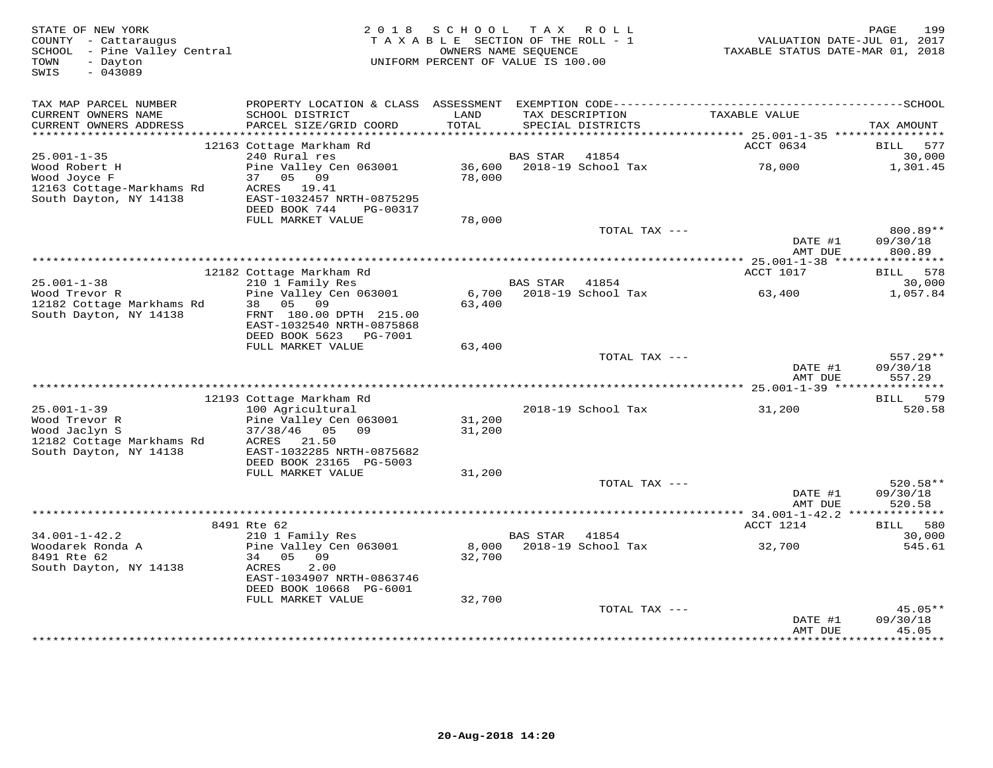| STATE OF NEW YORK<br>COUNTY - Cattaraugus<br>SCHOOL - Pine Valley Central<br>- Dayton<br>TOWN<br>$-043089$<br>SWIS | 2018                                                                                                            | SCHOOL<br>TAXABLE SECTION OF THE ROLL - 1<br>UNIFORM PERCENT OF VALUE IS 100.00 | T A X<br>OWNERS NAME SEQUENCE | R O L L                     | VALUATION DATE-JUL 01, 2017<br>TAXABLE STATUS DATE-MAR 01, 2018 | 199<br>PAGE             |
|--------------------------------------------------------------------------------------------------------------------|-----------------------------------------------------------------------------------------------------------------|---------------------------------------------------------------------------------|-------------------------------|-----------------------------|-----------------------------------------------------------------|-------------------------|
| TAX MAP PARCEL NUMBER<br>CURRENT OWNERS NAME                                                                       | PROPERTY LOCATION & CLASS ASSESSMENT EXEMPTION CODE-----------------------------------SCHOOL<br>SCHOOL DISTRICT | LAND                                                                            |                               | TAX DESCRIPTION             | TAXABLE VALUE                                                   |                         |
| CURRENT OWNERS ADDRESS                                                                                             | PARCEL SIZE/GRID COORD                                                                                          | TOTAL                                                                           |                               | SPECIAL DISTRICTS           |                                                                 | TAX AMOUNT              |
| ************************                                                                                           | 12163 Cottage Markham Rd                                                                                        |                                                                                 |                               |                             | ACCT 0634                                                       | 577<br>BILL             |
| $25.001 - 1 - 35$                                                                                                  | 240 Rural res                                                                                                   |                                                                                 | BAS STAR                      | 41854                       |                                                                 | 30,000                  |
| Wood Robert H<br>Wood Joyce F                                                                                      | Pine Valley Cen 063001<br>05 09<br>37                                                                           | 36,600<br>78,000                                                                |                               | 2018-19 School Tax          | 78,000                                                          | 1,301.45                |
| 12163 Cottage-Markhams Rd<br>South Dayton, NY 14138                                                                | ACRES 19.41<br>EAST-1032457 NRTH-0875295<br>DEED BOOK 744<br>PG-00317                                           |                                                                                 |                               |                             |                                                                 |                         |
|                                                                                                                    | FULL MARKET VALUE                                                                                               | 78,000                                                                          |                               |                             |                                                                 |                         |
|                                                                                                                    |                                                                                                                 |                                                                                 |                               | TOTAL TAX ---               |                                                                 | 800.89**                |
|                                                                                                                    |                                                                                                                 |                                                                                 |                               |                             | DATE #1<br>AMT DUE                                              | 09/30/18<br>800.89      |
|                                                                                                                    |                                                                                                                 |                                                                                 |                               |                             | ************* 25.001-1-38 *****<br><b>ACCT 1017</b>             | ***********<br>BILL 578 |
| $25.001 - 1 - 38$                                                                                                  | 12182 Cottage Markham Rd<br>210 1 Family Res                                                                    |                                                                                 | <b>BAS STAR</b>               | 41854                       |                                                                 | 30,000                  |
| Wood Trevor R                                                                                                      | Pine Valley Cen 063001                                                                                          | 6,700                                                                           |                               | 2018-19 School Tax          | 63,400                                                          | 1,057.84                |
| 12182 Cottage Markhams Rd                                                                                          | 38 05 09                                                                                                        | 63,400                                                                          |                               |                             |                                                                 |                         |
| South Dayton, NY 14138                                                                                             | FRNT 180.00 DPTH 215.00<br>EAST-1032540 NRTH-0875868                                                            |                                                                                 |                               |                             |                                                                 |                         |
|                                                                                                                    | DEED BOOK 5623 PG-7001<br>FULL MARKET VALUE                                                                     | 63,400                                                                          |                               |                             |                                                                 |                         |
|                                                                                                                    |                                                                                                                 |                                                                                 |                               | TOTAL TAX ---               |                                                                 | $557.29**$              |
|                                                                                                                    |                                                                                                                 |                                                                                 |                               |                             | DATE #1<br>AMT DUE                                              | 09/30/18<br>557.29      |
|                                                                                                                    |                                                                                                                 |                                                                                 |                               |                             |                                                                 |                         |
| $25.001 - 1 - 39$                                                                                                  | 12193 Cottage Markham Rd                                                                                        |                                                                                 |                               |                             |                                                                 | BILL 579<br>520.58      |
| Wood Trevor R                                                                                                      | 100 Agricultural<br>Pine Valley Cen 063001                                                                      | 31,200                                                                          |                               | 2018-19 School Tax          | 31,200                                                          |                         |
| Wood Jaclyn S                                                                                                      | 37/38/46 05<br>09                                                                                               | 31,200                                                                          |                               |                             |                                                                 |                         |
| 12182 Cottage Markhams Rd                                                                                          | 21.50<br>ACRES                                                                                                  |                                                                                 |                               |                             |                                                                 |                         |
| South Dayton, NY 14138                                                                                             | EAST-1032285 NRTH-0875682                                                                                       |                                                                                 |                               |                             |                                                                 |                         |
|                                                                                                                    | DEED BOOK 23165 PG-5003<br>FULL MARKET VALUE                                                                    | 31,200                                                                          |                               |                             |                                                                 |                         |
|                                                                                                                    |                                                                                                                 |                                                                                 |                               | TOTAL TAX ---               |                                                                 | $520.58**$              |
|                                                                                                                    |                                                                                                                 |                                                                                 |                               |                             | DATE #1<br>AMT DUE                                              | 09/30/18<br>520.58      |
|                                                                                                                    |                                                                                                                 |                                                                                 |                               |                             |                                                                 |                         |
|                                                                                                                    | 8491 Rte 62                                                                                                     |                                                                                 |                               |                             | ACCT 1214                                                       | 580<br>BILL             |
| $34.001 - 1 - 42.2$<br>Woodarek Ronda A                                                                            | 210 1 Family Res<br>Pine Valley Cen 063001                                                                      | 8,000                                                                           | BAS STAR                      | 41854<br>2018-19 School Tax | 32,700                                                          | 30,000<br>545.61        |
| 8491 Rte 62                                                                                                        | 34<br>05<br>09                                                                                                  | 32,700                                                                          |                               |                             |                                                                 |                         |
| South Dayton, NY 14138                                                                                             | ACRES<br>2.00<br>EAST-1034907 NRTH-0863746                                                                      |                                                                                 |                               |                             |                                                                 |                         |
|                                                                                                                    | DEED BOOK 10668 PG-6001                                                                                         |                                                                                 |                               |                             |                                                                 |                         |
|                                                                                                                    | FULL MARKET VALUE                                                                                               | 32,700                                                                          |                               |                             |                                                                 |                         |
|                                                                                                                    |                                                                                                                 |                                                                                 |                               | TOTAL TAX ---               | DATE #1                                                         | $45.05**$<br>09/30/18   |
|                                                                                                                    |                                                                                                                 |                                                                                 |                               |                             | AMT DUE<br>***************                                      | 45.05<br>**********     |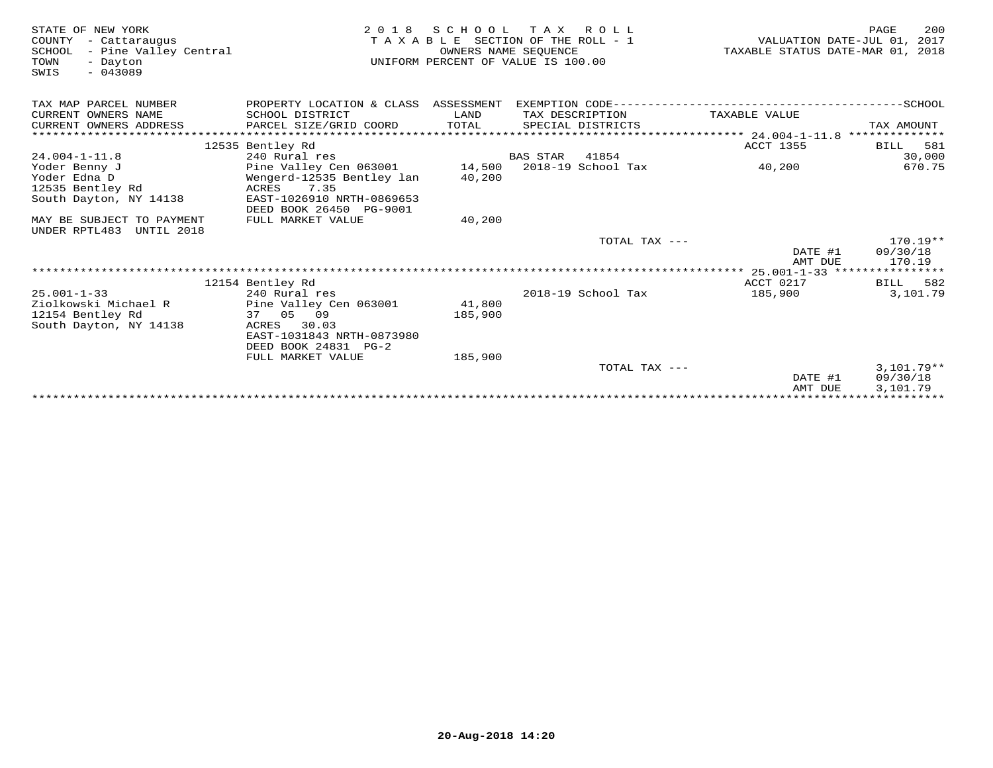| STATE OF NEW YORK<br>COUNTY<br>- Cattaraugus<br>- Pine Valley Central<br>SCHOOL<br>TOWN<br>- Dayton<br>$-043089$<br>SWIS | 2 0 1 8                              | SCHOOL TAX ROLL<br>TAXABLE SECTION OF THE ROLL - 1<br>UNIFORM PERCENT OF VALUE IS 100.00 | OWNERS NAME SEOUENCE |                    | TAXABLE STATUS DATE-MAR 01, 2018              | PAGE<br>200<br>VALUATION DATE-JUL 01, 2017 |
|--------------------------------------------------------------------------------------------------------------------------|--------------------------------------|------------------------------------------------------------------------------------------|----------------------|--------------------|-----------------------------------------------|--------------------------------------------|
| TAX MAP PARCEL NUMBER                                                                                                    | PROPERTY LOCATION & CLASS ASSESSMENT |                                                                                          |                      |                    |                                               |                                            |
| CURRENT OWNERS NAME                                                                                                      | SCHOOL DISTRICT                      | LAND                                                                                     | TAX DESCRIPTION      |                    | TAXABLE VALUE                                 |                                            |
| CURRENT OWNERS ADDRESS                                                                                                   | PARCEL SIZE/GRID COORD               | TOTAL                                                                                    |                      | SPECIAL DISTRICTS  |                                               | TAX AMOUNT                                 |
| ******************                                                                                                       | ***************************          |                                                                                          |                      |                    | ***************** 24.004-1-11.8               | **************                             |
| $24.004 - 1 - 11.8$                                                                                                      | 12535 Bentley Rd<br>240 Rural res    |                                                                                          | <b>BAS STAR</b>      | 41854              | <b>ACCT 1355</b>                              | BILL 581<br>30,000                         |
| Yoder Benny J                                                                                                            | Pine Valley Cen 063001               | 14,500                                                                                   |                      | 2018-19 School Tax | 40,200                                        | 670.75                                     |
| Yoder Edna D                                                                                                             | Wengerd-12535 Bentley lan            | 40,200                                                                                   |                      |                    |                                               |                                            |
| 12535 Bentley Rd                                                                                                         | ACRES<br>7.35                        |                                                                                          |                      |                    |                                               |                                            |
| South Dayton, NY 14138                                                                                                   | EAST-1026910 NRTH-0869653            |                                                                                          |                      |                    |                                               |                                            |
|                                                                                                                          | DEED BOOK 26450 PG-9001              |                                                                                          |                      |                    |                                               |                                            |
| MAY BE SUBJECT TO PAYMENT                                                                                                | FULL MARKET VALUE                    | 40,200                                                                                   |                      |                    |                                               |                                            |
| UNDER RPTL483<br>UNTIL 2018                                                                                              |                                      |                                                                                          |                      |                    |                                               |                                            |
|                                                                                                                          |                                      |                                                                                          |                      | TOTAL TAX ---      |                                               | $170.19**$                                 |
|                                                                                                                          |                                      |                                                                                          |                      |                    | DATE #1                                       | 09/30/18                                   |
|                                                                                                                          |                                      |                                                                                          |                      |                    | AMT DUE<br>**** 25.001-1-33 ***************** | 170.19                                     |
|                                                                                                                          | 12154 Bentley Rd                     |                                                                                          |                      |                    | ACCT 0217                                     | BILL 582                                   |
| $25.001 - 1 - 33$                                                                                                        | 240 Rural res                        |                                                                                          |                      | 2018-19 School Tax | 185,900                                       | 3,101.79                                   |
| Ziolkowski Michael R                                                                                                     | Pine Valley Cen 063001               | 41,800                                                                                   |                      |                    |                                               |                                            |
| 12154 Bentley Rd                                                                                                         | 37 05 09                             | 185,900                                                                                  |                      |                    |                                               |                                            |
| South Dayton, NY 14138                                                                                                   | 30.03<br>ACRES                       |                                                                                          |                      |                    |                                               |                                            |
|                                                                                                                          | EAST-1031843 NRTH-0873980            |                                                                                          |                      |                    |                                               |                                            |
|                                                                                                                          | DEED BOOK 24831 PG-2                 |                                                                                          |                      |                    |                                               |                                            |
|                                                                                                                          | FULL MARKET VALUE                    | 185,900                                                                                  |                      |                    |                                               |                                            |
|                                                                                                                          |                                      |                                                                                          |                      | TOTAL TAX ---      |                                               | $3,101.79**$                               |
|                                                                                                                          |                                      |                                                                                          |                      |                    | DATE #1                                       | 09/30/18                                   |
|                                                                                                                          |                                      |                                                                                          |                      |                    | AMT DUE                                       | 3,101.79                                   |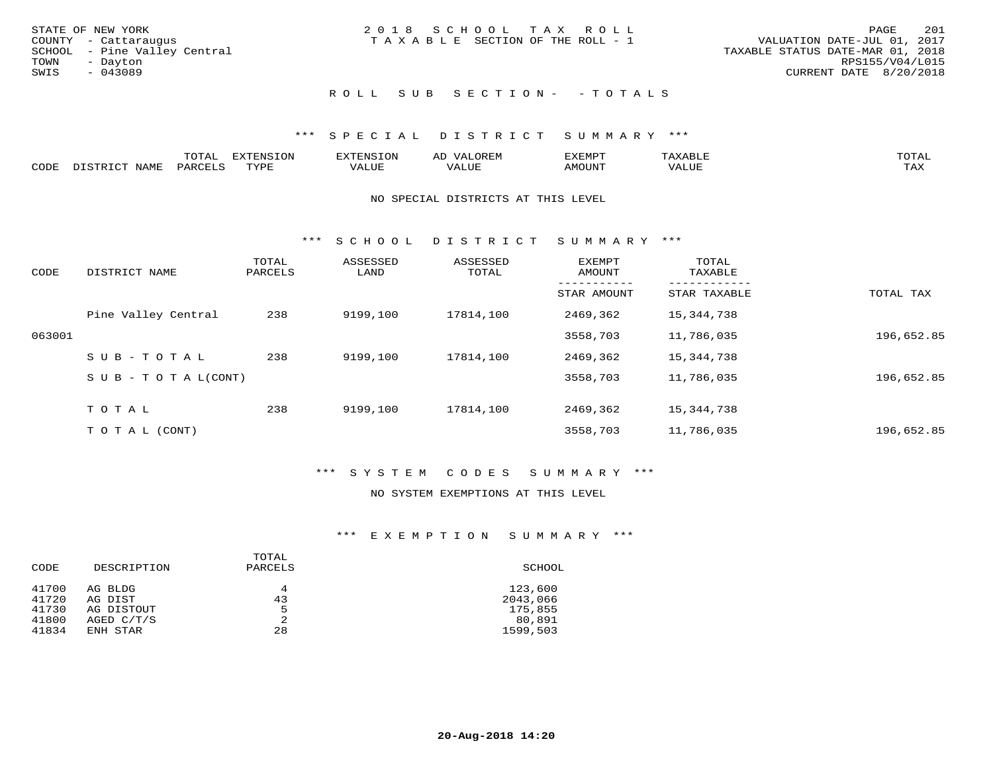|      | STATE OF NEW YORK            | 2018 SCHOOL TAX ROLL                  |  |                                  | PAGE            | - 201 |
|------|------------------------------|---------------------------------------|--|----------------------------------|-----------------|-------|
|      | COUNTY - Cattaraugus         | T A X A B L E SECTION OF THE ROLL - 1 |  | VALUATION DATE-JUL 01, 2017      |                 |       |
|      | SCHOOL - Pine Valley Central |                                       |  | TAXABLE STATUS DATE-MAR 01, 2018 |                 |       |
| TOWN | - Davton                     |                                       |  |                                  | RPS155/V04/L015 |       |
| SWIS | - 043089                     |                                       |  | CURRENT DATE 8/20/2018           |                 |       |
|      |                              |                                       |  |                                  |                 |       |

## ROLL SUB SECTION - - TOTALS

## \*\*\* S P E C I A L D I S T R I C T S U M M A R Y \*\*\*

|      |                   | -----<br>◡⊥▱ | <b>FYTFNSION</b><br>. v | H'NL'     |                          | .XEMP" | $\Delta$<br>.       | TOTAL |
|------|-------------------|--------------|-------------------------|-----------|--------------------------|--------|---------------------|-------|
| CODE | NTAM <sup>T</sup> | PARC         | $m \times r \cap \tau$  | تلالالتدك | , <del>,</del> , , , , , | MOUN.  | <b>TITT</b><br>ALUL | TAX   |

#### NO SPECIAL DISTRICTS AT THIS LEVEL

\*\*\* S C H O O L D I S T R I C T S U M M A R Y \*\*\*

| CODE   | DISTRICT NAME                    | TOTAL<br>PARCELS | ASSESSED<br>LAND | ASSESSED<br>TOTAL | EXEMPT<br>AMOUNT | TOTAL<br>TAXABLE |            |
|--------|----------------------------------|------------------|------------------|-------------------|------------------|------------------|------------|
|        |                                  |                  |                  |                   | STAR AMOUNT      | STAR TAXABLE     | TOTAL TAX  |
|        | Pine Valley Central              | 238              | 9199,100         | 17814,100         | 2469,362         | 15, 344, 738     |            |
| 063001 |                                  |                  |                  |                   | 3558,703         | 11,786,035       | 196,652.85 |
|        | SUB-TOTAL                        | 238              | 9199,100         | 17814,100         | 2469,362         | 15,344,738       |            |
|        | $S \cup B - T \cup T A L (CONT)$ |                  |                  |                   | 3558,703         | 11,786,035       | 196,652.85 |
|        | TOTAL                            | 238              | 9199,100         | 17814,100         | 2469,362         | 15,344,738       |            |
|        | T O T A L (CONT)                 |                  |                  |                   | 3558,703         | 11,786,035       | 196,652.85 |

## \*\*\* S Y S T E M C O D E S S U M M A R Y \*\*\*

#### NO SYSTEM EXEMPTIONS AT THIS LEVEL

## \*\*\* E X E M P T I O N S U M M A R Y \*\*\*

| CODE                                      | DESCRIPTION                                                | TOTAL<br>PARCELS   | SCHOOL                                               |
|-------------------------------------------|------------------------------------------------------------|--------------------|------------------------------------------------------|
| 41700<br>41720<br>41730<br>41800<br>41834 | AG BLDG<br>AG DIST<br>AG DISTOUT<br>AGED C/T/S<br>ENH STAR | 4<br>43<br>5<br>28 | 123,600<br>2043,066<br>175,855<br>80,891<br>1599,503 |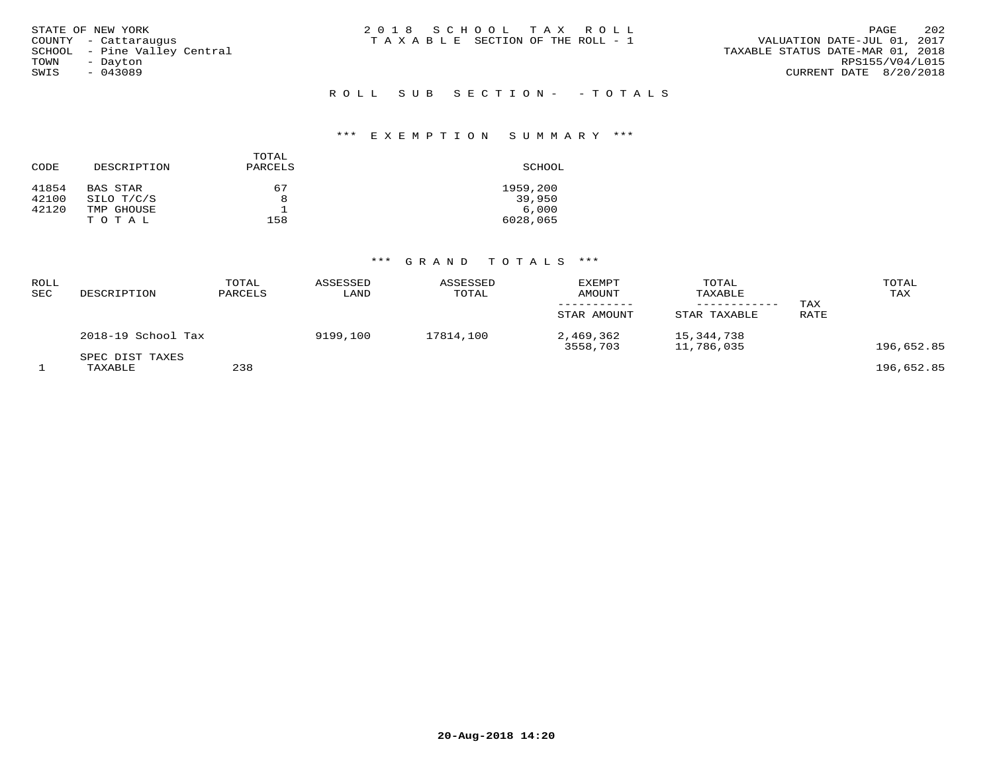| STATE OF NEW YORK            | 2018 SCHOOL TAX ROLL            | 202<br>PAGE                      |
|------------------------------|---------------------------------|----------------------------------|
| COUNTY - Cattarauqus         | TAXABLE SECTION OF THE ROLL - 1 | VALUATION DATE-JUL 01, 2017      |
| SCHOOL - Pine Valley Central |                                 | TAXABLE STATUS DATE-MAR 01, 2018 |
| TOWN<br>- Davton             |                                 | RPS155/V04/L015                  |
| SWIS<br>$-043089$            |                                 | CURRENT DATE 8/20/2018           |
|                              |                                 |                                  |
|                              | ROLL SUB SECTION- - TOTALS      |                                  |

# \*\*\* E X E M P T I O N S U M M A R Y \*\*\*

| CODE  | DESCRIPTION | TOTAL<br>PARCELS | SCHOOL   |
|-------|-------------|------------------|----------|
| 41854 | BAS STAR    | 67               | 1959,200 |
| 42100 | SILO T/C/S  | 8                | 39,950   |
| 42120 | TMP GHOUSE  |                  | 6.000    |
|       | TOTAL       | 158              | 6028,065 |

| <b>ROLL</b><br>SEC | DESCRIPTION                | TOTAL<br>PARCELS | ASSESSED<br>LAND | ASSESSED<br>TOTAL | EXEMPT<br>AMOUNT<br>STAR AMOUNT | TOTAL<br>TAXABLE<br>STAR TAXABLE | TAX<br>RATE | TOTAL<br>TAX |
|--------------------|----------------------------|------------------|------------------|-------------------|---------------------------------|----------------------------------|-------------|--------------|
|                    | 2018-19 School Tax         |                  | 9199,100         | 17814,100         | 2,469,362<br>3558,703           | 15,344,738<br>11,786,035         |             | 196,652.85   |
|                    | SPEC DIST TAXES<br>TAXABLE | 238              |                  |                   |                                 |                                  |             | 196,652.85   |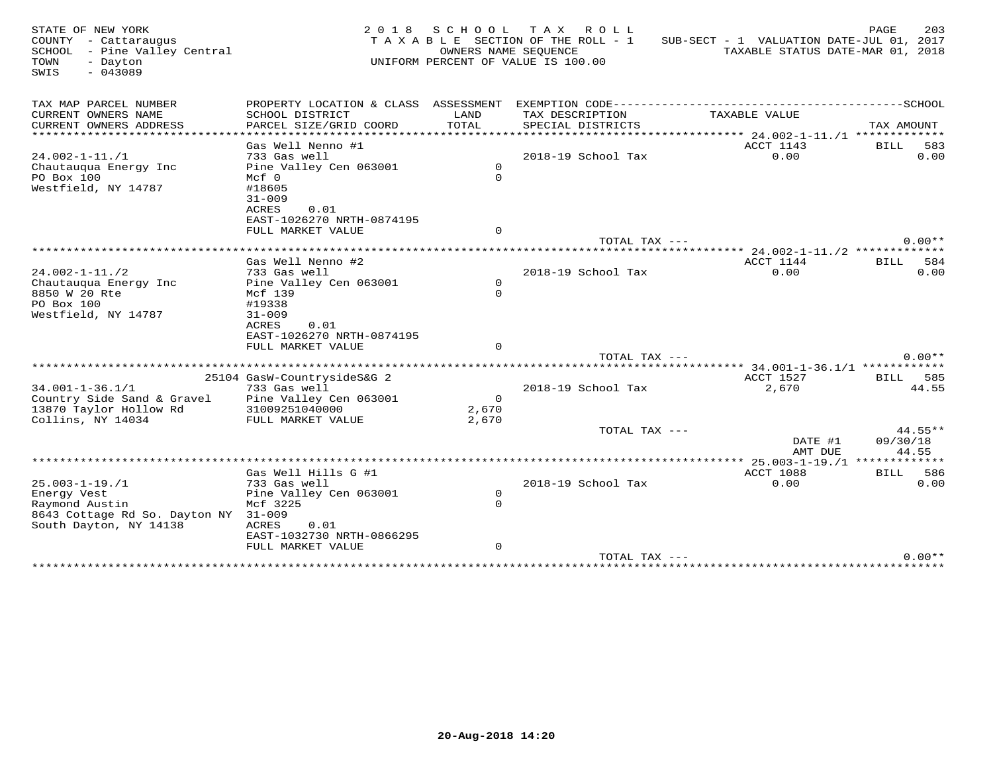| STATE OF NEW YORK<br>COUNTY - Cattaraugus<br>SCHOOL - Pine Valley Central<br>TOWN<br>- Dayton<br>SWIS<br>$-043089$     | 2 0 1 8                                                             |                            | SCHOOL TAX ROLL<br>TAXABLE SECTION OF THE ROLL - 1<br>OWNERS NAME SEOUENCE<br>UNIFORM PERCENT OF VALUE IS 100.00 | SUB-SECT - 1 VALUATION DATE-JUL 01, 2017 | 203<br>PAGE<br>TAXABLE STATUS DATE-MAR 01, 2018 |
|------------------------------------------------------------------------------------------------------------------------|---------------------------------------------------------------------|----------------------------|------------------------------------------------------------------------------------------------------------------|------------------------------------------|-------------------------------------------------|
| TAX MAP PARCEL NUMBER                                                                                                  |                                                                     |                            |                                                                                                                  |                                          |                                                 |
| CURRENT OWNERS NAME<br>CURRENT OWNERS ADDRESS<br>************************                                              | SCHOOL DISTRICT<br>PARCEL SIZE/GRID COORD                           | LAND<br>TOTAL              | TAX DESCRIPTION<br>SPECIAL DISTRICTS                                                                             | TAXABLE VALUE                            | TAX AMOUNT                                      |
| $24.002 - 1 - 11. / 1$<br>Chautauqua Energy Inc                                                                        | Gas Well Nenno #1<br>733 Gas well<br>Pine Valley Cen 063001         | $\Omega$                   | 2018-19 School Tax                                                                                               | ACCT 1143<br>0.00                        | 583<br>BILL<br>0.00                             |
| PO Box 100<br>Westfield, NY 14787                                                                                      | $Mcf$ 0<br>#18605<br>$31 - 009$<br>ACRES<br>0.01                    | $\Omega$                   |                                                                                                                  |                                          |                                                 |
|                                                                                                                        | EAST-1026270 NRTH-0874195<br>FULL MARKET VALUE                      | $\circ$                    |                                                                                                                  |                                          |                                                 |
|                                                                                                                        |                                                                     |                            | TOTAL TAX ---                                                                                                    |                                          | $0.00**$                                        |
|                                                                                                                        | Gas Well Nenno #2                                                   |                            |                                                                                                                  | ACCT 1144                                | BILL<br>584                                     |
| $24.002 - 1 - 11.72$                                                                                                   | 733 Gas well                                                        |                            | 2018-19 School Tax                                                                                               | 0.00                                     | 0.00                                            |
| Chautauqua Energy Inc<br>8850 W 20 Rte<br>PO Box 100<br>Westfield, NY 14787                                            | Pine Valley Cen 063001<br>Mcf 139<br>#19338<br>$31 - 009$           | $\circ$<br>$\Omega$        |                                                                                                                  |                                          |                                                 |
|                                                                                                                        | ACRES<br>0.01<br>EAST-1026270 NRTH-0874195<br>FULL MARKET VALUE     | $\Omega$                   |                                                                                                                  |                                          |                                                 |
|                                                                                                                        |                                                                     |                            | TOTAL TAX ---                                                                                                    |                                          | $0.00**$                                        |
|                                                                                                                        |                                                                     |                            |                                                                                                                  |                                          | *** 34.001-1-36.1/1 ************                |
| $34.001 - 1 - 36.1/1$                                                                                                  | 25104 GasW-CountrysideS&G 2<br>733 Gas well                         |                            | 2018-19 School Tax                                                                                               | ACCT 1527<br>2,670                       | <b>BILL</b><br>585<br>44.55                     |
| Country Side Sand & Gravel<br>13870 Taylor Hollow Rd<br>Collins, NY 14034                                              | Pine Valley Cen 063001<br>31009251040000<br>FULL MARKET VALUE       | $\Omega$<br>2,670<br>2,670 |                                                                                                                  |                                          |                                                 |
|                                                                                                                        |                                                                     |                            | TOTAL TAX ---                                                                                                    | DATE #1<br>AMT DUE                       | $44.55**$<br>09/30/18<br>44.55                  |
|                                                                                                                        |                                                                     |                            | ***********************                                                                                          |                                          | * 25.003-1-19./1 *************                  |
|                                                                                                                        | Gas Well Hills G #1                                                 |                            |                                                                                                                  | ACCT 1088                                | 586<br><b>BILL</b><br>0.00                      |
| $25.003 - 1 - 19.1$<br>Energy Vest<br>Raymond Austin<br>8643 Cottage Rd So. Dayton NY 31-009<br>South Dayton, NY 14138 | 733 Gas well<br>Pine Valley Cen 063001<br>Mcf 3225<br>ACRES<br>0.01 | $\Omega$<br>$\Omega$       | 2018-19 School Tax                                                                                               | 0.00                                     |                                                 |
|                                                                                                                        | EAST-1032730 NRTH-0866295<br>FULL MARKET VALUE                      | $\mathbf 0$                |                                                                                                                  |                                          |                                                 |
|                                                                                                                        |                                                                     |                            | TOTAL TAX ---<br>***********************************                                                             |                                          | $0.00**$                                        |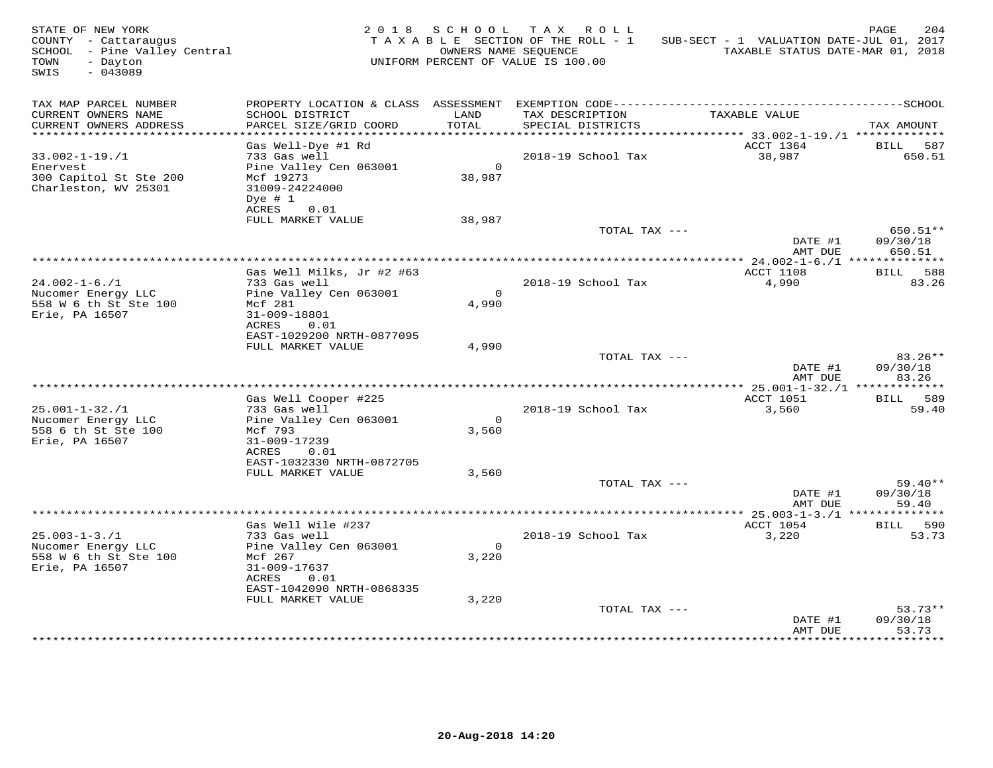| STATE OF NEW YORK<br>COUNTY - Cattaraugus<br>SCHOOL - Pine Valley Central<br>- Dayton<br>TOWN<br>$-043089$<br>SWIS |                                                                                                                           |                          | 2018 SCHOOL TAX ROLL<br>TAXABLE SECTION OF THE ROLL - 1<br>OWNERS NAME SEOUENCE<br>UNIFORM PERCENT OF VALUE IS 100.00 | SUB-SECT - 1 VALUATION DATE-JUL 01, 2017<br>TAXABLE STATUS DATE-MAR 01, 2018 | 204<br>PAGE                      |
|--------------------------------------------------------------------------------------------------------------------|---------------------------------------------------------------------------------------------------------------------------|--------------------------|-----------------------------------------------------------------------------------------------------------------------|------------------------------------------------------------------------------|----------------------------------|
| TAX MAP PARCEL NUMBER<br>CURRENT OWNERS NAME<br>CURRENT OWNERS ADDRESS                                             | SCHOOL DISTRICT<br>PARCEL SIZE/GRID COORD                                                                                 | LAND<br>TOTAL            | TAX DESCRIPTION<br>SPECIAL DISTRICTS                                                                                  | TAXABLE VALUE                                                                | TAX AMOUNT                       |
| ***********************                                                                                            |                                                                                                                           |                          |                                                                                                                       |                                                                              |                                  |
| $33.002 - 1 - 19.1$<br>Enervest<br>300 Capitol St Ste 200<br>Charleston, WV 25301                                  | Gas Well-Dye #1 Rd<br>733 Gas well<br>Pine Valley Cen 063001<br>Mcf 19273<br>31009-24224000<br>Dye $# 1$<br>0.01<br>ACRES | $\overline{0}$<br>38,987 | 2018-19 School Tax                                                                                                    | ACCT 1364<br>38,987                                                          | 587<br>BILL<br>650.51            |
|                                                                                                                    | FULL MARKET VALUE                                                                                                         | 38,987                   |                                                                                                                       |                                                                              |                                  |
|                                                                                                                    |                                                                                                                           |                          | TOTAL TAX ---                                                                                                         | DATE #1<br>AMT DUE                                                           | $650.51**$<br>09/30/18<br>650.51 |
|                                                                                                                    |                                                                                                                           |                          |                                                                                                                       |                                                                              |                                  |
| $24.002 - 1 - 6.71$                                                                                                | Gas Well Milks, Jr #2 #63<br>733 Gas well                                                                                 |                          | 2018-19 School Tax                                                                                                    | ACCT 1108<br>4,990                                                           | BILL 588<br>83.26                |
| Nucomer Energy LLC<br>558 W 6 th St Ste 100<br>Erie, PA 16507                                                      | Pine Valley Cen 063001<br>Mcf 281<br>31-009-18801<br>ACRES<br>0.01<br>EAST-1029200 NRTH-0877095                           | $\overline{0}$<br>4,990  |                                                                                                                       |                                                                              |                                  |
|                                                                                                                    | FULL MARKET VALUE                                                                                                         | 4,990                    |                                                                                                                       |                                                                              |                                  |
|                                                                                                                    |                                                                                                                           |                          | TOTAL TAX ---                                                                                                         | DATE #1<br>AMT DUE                                                           | $83.26**$<br>09/30/18<br>83.26   |
|                                                                                                                    | Gas Well Cooper #225                                                                                                      |                          |                                                                                                                       | ACCT 1051                                                                    | BILL 589                         |
| $25.001 - 1 - 32.71$                                                                                               | 733 Gas well                                                                                                              |                          | 2018-19 School Tax                                                                                                    | 3,560                                                                        | 59.40                            |
| Nucomer Energy LLC<br>558 6 th St Ste 100<br>Erie, PA 16507                                                        | Pine Valley Cen 063001<br>Mcf 793<br>31-009-17239                                                                         | $\bigcap$<br>3,560       |                                                                                                                       |                                                                              |                                  |
|                                                                                                                    | ACRES 0.01<br>EAST-1032330 NRTH-0872705                                                                                   |                          |                                                                                                                       |                                                                              |                                  |
|                                                                                                                    | FULL MARKET VALUE                                                                                                         | 3,560                    |                                                                                                                       |                                                                              |                                  |
|                                                                                                                    |                                                                                                                           |                          | TOTAL TAX ---                                                                                                         | DATE #1<br>AMT DUE                                                           | $59.40**$<br>09/30/18<br>59.40   |
|                                                                                                                    |                                                                                                                           |                          |                                                                                                                       |                                                                              |                                  |
| $25.003 - 1 - 3.71$<br>Nucomer Energy LLC                                                                          | Gas Well Wile #237<br>733 Gas well<br>Pine Valley Cen 063001                                                              | $\Omega$                 | 2018-19 School Tax                                                                                                    | ACCT 1054<br>3,220                                                           | BILL 590<br>53.73                |
| 558 W 6 th St Ste 100<br>Erie, PA 16507                                                                            | Mcf 267<br>31-009-17637<br>ACRES<br>0.01<br>EAST-1042090 NRTH-0868335                                                     | 3,220                    |                                                                                                                       |                                                                              |                                  |
|                                                                                                                    | FULL MARKET VALUE                                                                                                         | 3,220                    |                                                                                                                       |                                                                              |                                  |
|                                                                                                                    |                                                                                                                           |                          | TOTAL TAX ---                                                                                                         | DATE #1<br>AMT DUE                                                           | $53.73**$<br>09/30/18<br>53.73   |
|                                                                                                                    |                                                                                                                           |                          |                                                                                                                       |                                                                              | ***********                      |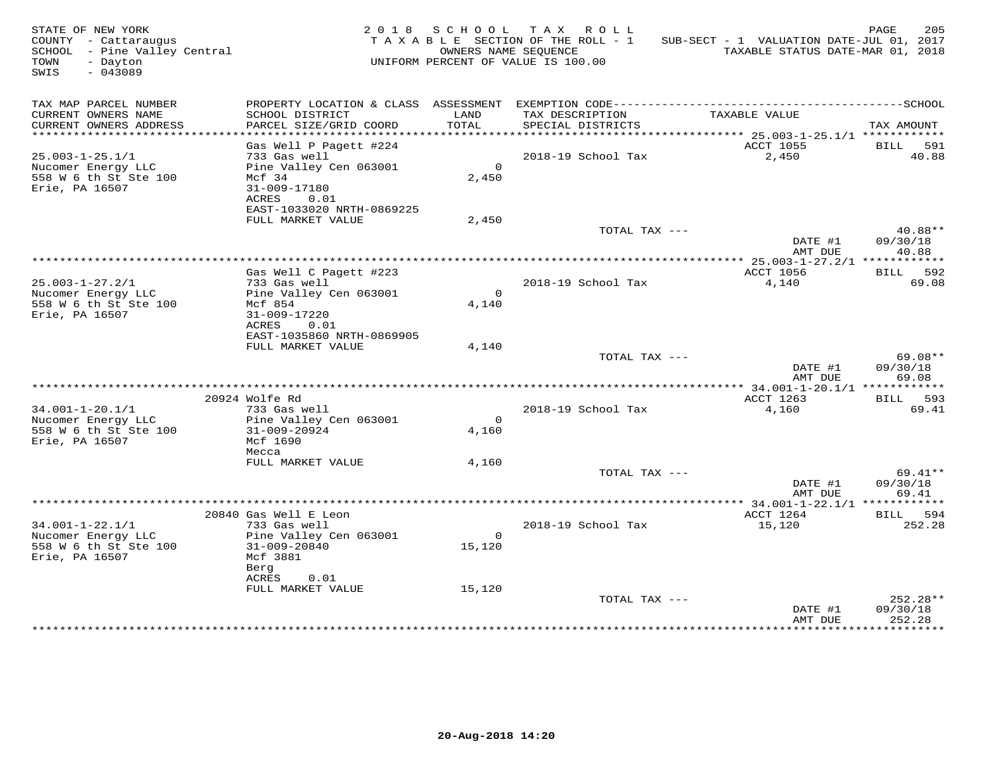| STATE OF NEW YORK<br>COUNTY - Cattaraugus<br>SCHOOL - Pine Valley Central<br>TOWN<br>- Dayton<br>$-043089$<br>SWIS |                                                    |                          | 2018 SCHOOL TAX ROLL<br>TAXABLE SECTION OF THE ROLL - 1<br>OWNERS NAME SEOUENCE<br>UNIFORM PERCENT OF VALUE IS 100.00 | SUB-SECT - 1 VALUATION DATE-JUL 01, 2017<br>TAXABLE STATUS DATE-MAR 01, 2018 | 205<br>PAGE       |
|--------------------------------------------------------------------------------------------------------------------|----------------------------------------------------|--------------------------|-----------------------------------------------------------------------------------------------------------------------|------------------------------------------------------------------------------|-------------------|
| TAX MAP PARCEL NUMBER<br>CURRENT OWNERS NAME                                                                       |                                                    | LAND                     | TAX DESCRIPTION                                                                                                       | TAXABLE VALUE                                                                |                   |
| CURRENT OWNERS ADDRESS                                                                                             | SCHOOL DISTRICT<br>PARCEL SIZE/GRID COORD          | TOTAL                    | SPECIAL DISTRICTS                                                                                                     |                                                                              | TAX AMOUNT        |
|                                                                                                                    |                                                    |                          |                                                                                                                       |                                                                              |                   |
|                                                                                                                    | Gas Well P Pagett #224                             |                          |                                                                                                                       | ACCT 1055                                                                    | BILL 591          |
| $25.003 - 1 - 25.1/1$<br>Nucomer Energy LLC                                                                        | 733 Gas well<br>Pine Valley Cen 063001             | $\overline{0}$           | 2018-19 School Tax                                                                                                    | 2,450                                                                        | 40.88             |
| 558 W 6 th St Ste 100<br>Erie, PA 16507                                                                            | Mcf 34<br>31-009-17180<br>ACRES<br>0.01            | 2,450                    |                                                                                                                       |                                                                              |                   |
|                                                                                                                    | EAST-1033020 NRTH-0869225                          |                          |                                                                                                                       |                                                                              |                   |
|                                                                                                                    | FULL MARKET VALUE                                  | 2,450                    |                                                                                                                       |                                                                              |                   |
|                                                                                                                    |                                                    |                          | TOTAL TAX ---                                                                                                         |                                                                              | 40.88**           |
|                                                                                                                    |                                                    |                          |                                                                                                                       | DATE #1<br>AMT DUE                                                           | 09/30/18<br>40.88 |
|                                                                                                                    |                                                    |                          |                                                                                                                       |                                                                              |                   |
|                                                                                                                    | Gas Well C Pagett #223                             |                          |                                                                                                                       | ACCT 1056                                                                    | BILL 592          |
| $25.003 - 1 - 27.2/1$                                                                                              | 733 Gas well                                       |                          | 2018-19 School Tax                                                                                                    | 4,140                                                                        | 69.08             |
| Nucomer Energy LLC<br>558 W 6 th St Ste 100                                                                        | Pine Valley Cen 063001<br>Mcf 854                  | $\mathbf{O}$<br>4,140    |                                                                                                                       |                                                                              |                   |
| Erie, PA 16507                                                                                                     | 31-009-17220                                       |                          |                                                                                                                       |                                                                              |                   |
|                                                                                                                    | ACRES<br>0.01                                      |                          |                                                                                                                       |                                                                              |                   |
|                                                                                                                    | EAST-1035860 NRTH-0869905<br>FULL MARKET VALUE     |                          |                                                                                                                       |                                                                              |                   |
|                                                                                                                    |                                                    | 4,140                    | TOTAL TAX ---                                                                                                         |                                                                              | 69.08**           |
|                                                                                                                    |                                                    |                          |                                                                                                                       | DATE #1<br>AMT DUE                                                           | 09/30/18<br>69.08 |
|                                                                                                                    | 20924 Wolfe Rd                                     |                          |                                                                                                                       | ACCT 1263                                                                    |                   |
| $34.001 - 1 - 20.1/1$                                                                                              | 733 Gas well                                       |                          | 2018-19 School Tax                                                                                                    | 4,160                                                                        | BILL 593<br>69.41 |
| Nucomer Energy LLC                                                                                                 | Pine Valley Cen 063001                             | $\overline{0}$           |                                                                                                                       |                                                                              |                   |
| 558 W 6 th St Ste 100<br>Erie, PA 16507                                                                            | 31-009-20924<br>Mcf 1690<br>Mecca                  | 4,160                    |                                                                                                                       |                                                                              |                   |
|                                                                                                                    | FULL MARKET VALUE                                  | 4,160                    |                                                                                                                       |                                                                              |                   |
|                                                                                                                    |                                                    |                          | TOTAL TAX ---                                                                                                         |                                                                              | $69.41**$         |
|                                                                                                                    |                                                    |                          |                                                                                                                       | DATE #1                                                                      | 09/30/18          |
|                                                                                                                    |                                                    |                          |                                                                                                                       | AMT DUE                                                                      | 69.41             |
|                                                                                                                    | 20840 Gas Well E Leon                              |                          |                                                                                                                       | ACCT 1264                                                                    | BILL 594          |
| $34.001 - 1 - 22.1/1$                                                                                              | 733 Gas well                                       |                          | 2018-19 School Tax                                                                                                    | 15,120                                                                       | 252.28            |
| Nucomer Energy LLC<br>558 W 6 th St Ste 100<br>Erie, PA 16507                                                      | Pine Valley Cen 063001<br>31-009-20840<br>Mcf 3881 | $\overline{0}$<br>15,120 |                                                                                                                       |                                                                              |                   |
|                                                                                                                    | Berg                                               |                          |                                                                                                                       |                                                                              |                   |
|                                                                                                                    | ACRES<br>0.01<br>FULL MARKET VALUE                 | 15,120                   |                                                                                                                       |                                                                              |                   |
|                                                                                                                    |                                                    |                          | TOTAL TAX ---                                                                                                         |                                                                              | $252.28**$        |
|                                                                                                                    |                                                    |                          |                                                                                                                       | DATE #1                                                                      | 09/30/18          |
|                                                                                                                    |                                                    |                          |                                                                                                                       | AMT DUE                                                                      | 252.28            |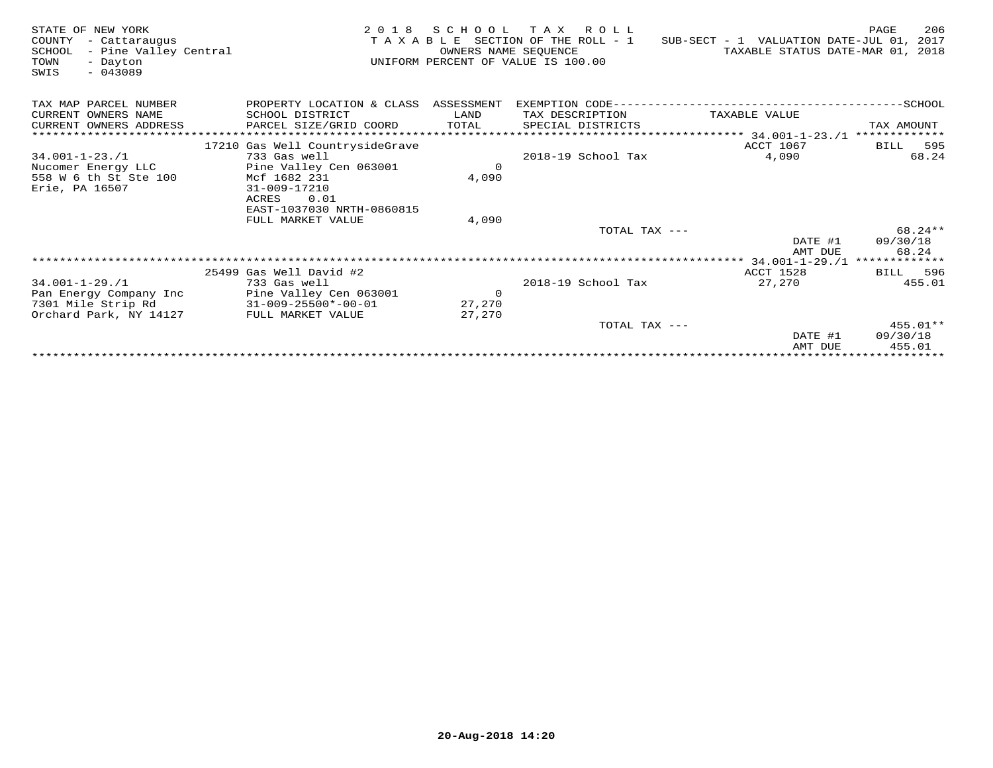| STATE OF NEW YORK<br>COUNTY<br>- Cattaraugus<br>- Pine Valley Central<br>SCHOOL<br>TOWN<br>- Dayton<br>$-043089$<br>SWIS | 2 0 1 8                              | S C H O O L<br>OWNERS NAME SEOUENCE | TAX ROLL<br>T A X A B L E SECTION OF THE ROLL - 1<br>UNIFORM PERCENT OF VALUE IS 100.00 | SUB-SECT - 1 VALUATION DATE-JUL 01, 2017<br>TAXABLE STATUS DATE-MAR 01, 2018 | 206<br>PAGE        |
|--------------------------------------------------------------------------------------------------------------------------|--------------------------------------|-------------------------------------|-----------------------------------------------------------------------------------------|------------------------------------------------------------------------------|--------------------|
| TAX MAP PARCEL NUMBER                                                                                                    | PROPERTY LOCATION & CLASS ASSESSMENT |                                     |                                                                                         |                                                                              |                    |
| CURRENT OWNERS NAME                                                                                                      | SCHOOL DISTRICT                      | LAND                                | TAX DESCRIPTION                                                                         | TAXABLE VALUE                                                                |                    |
| CURRENT OWNERS ADDRESS                                                                                                   | PARCEL SIZE/GRID COORD               | TOTAL                               | SPECIAL DISTRICTS                                                                       |                                                                              | TAX AMOUNT         |
|                                                                                                                          |                                      |                                     |                                                                                         | ****************** 34.001-1-23./1 *************                              |                    |
|                                                                                                                          | 17210 Gas Well CountrysideGrave      |                                     |                                                                                         | ACCT 1067                                                                    | 595<br><b>BILL</b> |
| $34.001 - 1 - 23.71$                                                                                                     | 733 Gas well                         |                                     | 2018-19 School Tax                                                                      | 4,090                                                                        | 68.24              |
| Nucomer Energy LLC                                                                                                       | Pine Valley Cen 063001               | $\Omega$                            |                                                                                         |                                                                              |                    |
| 558 W 6 th St Ste 100                                                                                                    | Mcf 1682 231                         | 4,090                               |                                                                                         |                                                                              |                    |
| Erie, PA 16507                                                                                                           | 31-009-17210                         |                                     |                                                                                         |                                                                              |                    |
|                                                                                                                          | 0.01<br>ACRES                        |                                     |                                                                                         |                                                                              |                    |
|                                                                                                                          | EAST-1037030 NRTH-0860815            |                                     |                                                                                         |                                                                              |                    |
|                                                                                                                          | FULL MARKET VALUE                    | 4,090                               |                                                                                         |                                                                              |                    |
|                                                                                                                          |                                      |                                     | TOTAL TAX ---                                                                           |                                                                              | 68.24 **           |
|                                                                                                                          |                                      |                                     |                                                                                         | DATE #1                                                                      | 09/30/18<br>68.24  |
|                                                                                                                          |                                      |                                     |                                                                                         | AMT DUE                                                                      |                    |
|                                                                                                                          | 25499 Gas Well David #2              |                                     |                                                                                         | <b>ACCT 1528</b>                                                             | BILL 596           |
| $34.001 - 1 - 29.71$                                                                                                     | 733 Gas well                         |                                     | 2018-19 School Tax                                                                      | 27,270                                                                       | 455.01             |
| Pan Energy Company Inc                                                                                                   | Pine Valley Cen 063001               | $\overline{0}$                      |                                                                                         |                                                                              |                    |
| 7301 Mile Strip Rd                                                                                                       | $31 - 009 - 25500 * - 00 - 01$       | 27,270                              |                                                                                         |                                                                              |                    |
| Orchard Park, NY 14127                                                                                                   | FULL MARKET VALUE                    | 27,270                              |                                                                                         |                                                                              |                    |
|                                                                                                                          |                                      |                                     | TOTAL TAX ---                                                                           |                                                                              | $455.01**$         |
|                                                                                                                          |                                      |                                     |                                                                                         | DATE #1                                                                      | 09/30/18           |
|                                                                                                                          |                                      |                                     |                                                                                         | AMT DUE                                                                      | 455.01             |
|                                                                                                                          |                                      |                                     |                                                                                         |                                                                              |                    |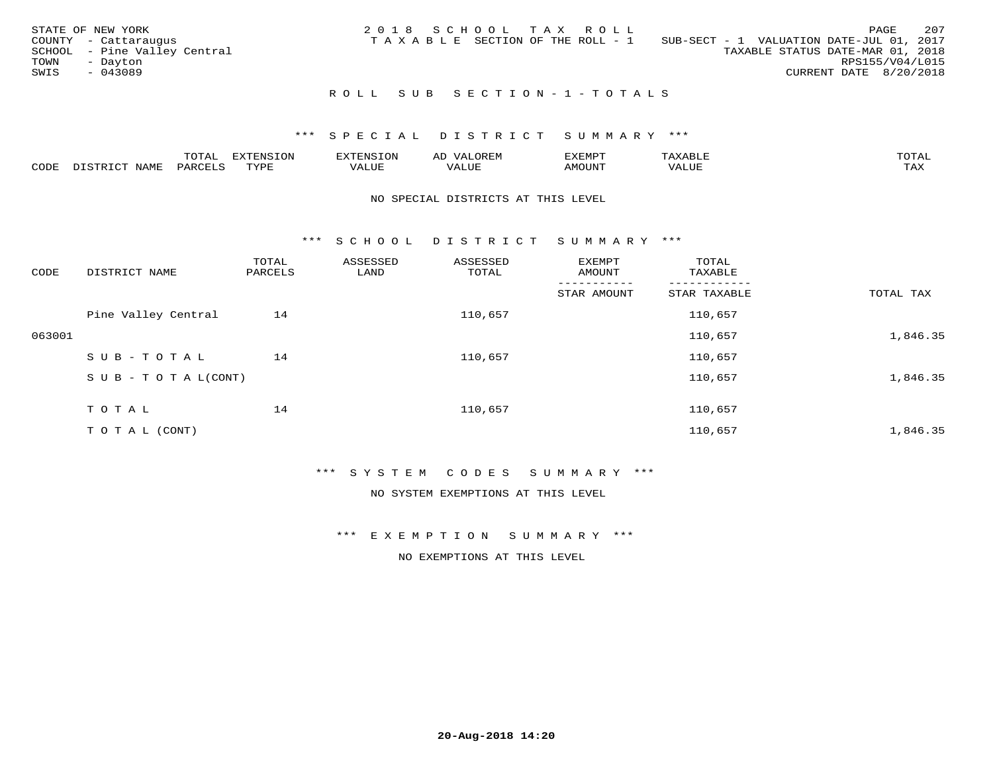|      | STATE OF NEW YORK            |  |  | 2018 SCHOOL TAX ROLL                  |                                          |                                  |                        | PAGE | 207 |
|------|------------------------------|--|--|---------------------------------------|------------------------------------------|----------------------------------|------------------------|------|-----|
|      | COUNTY - Cattaraugus         |  |  | T A X A B L E SECTION OF THE ROLL - 1 | SUB-SECT - 1 VALUATION DATE-JUL 01, 2017 |                                  |                        |      |     |
|      | SCHOOL - Pine Valley Central |  |  |                                       |                                          | TAXABLE STATUS DATE-MAR 01, 2018 |                        |      |     |
| TOWN | - Dayton                     |  |  |                                       |                                          |                                  | RPS155/V04/L015        |      |     |
| SWIS | $-043089$                    |  |  |                                       |                                          |                                  | CURRENT DATE 8/20/2018 |      |     |
|      |                              |  |  |                                       |                                          |                                  |                        |      |     |

# R O L L S U B S E C T I O N - 1 - T O T A L S

## \*\*\* S P E C I A L D I S T R I C T S U M M A R Y \*\*\*

|      |              | ---- | ח 77 | F.N.S             | ΑL | דסMדאי        |       | $m \wedge m \wedge n$ |
|------|--------------|------|------|-------------------|----|---------------|-------|-----------------------|
| CODE | - --<br>NAME | 'AKV | TVDF | $+ + + +$<br>ALUE |    | <b>MOTIN'</b> | T T T | ГAX                   |

#### NO SPECIAL DISTRICTS AT THIS LEVEL

\*\*\* S C H O O L D I S T R I C T S U M M A R Y \*\*\*

| TOTAL TAX |
|-----------|
|           |
| 1,846.35  |
|           |
| 1,846.35  |
|           |
| 1,846.35  |
|           |

## \*\*\* S Y S T E M C O D E S S U M M A R Y \*\*\*

NO SYSTEM EXEMPTIONS AT THIS LEVEL

\*\*\* E X E M P T I O N S U M M A R Y \*\*\*

NO EXEMPTIONS AT THIS LEVEL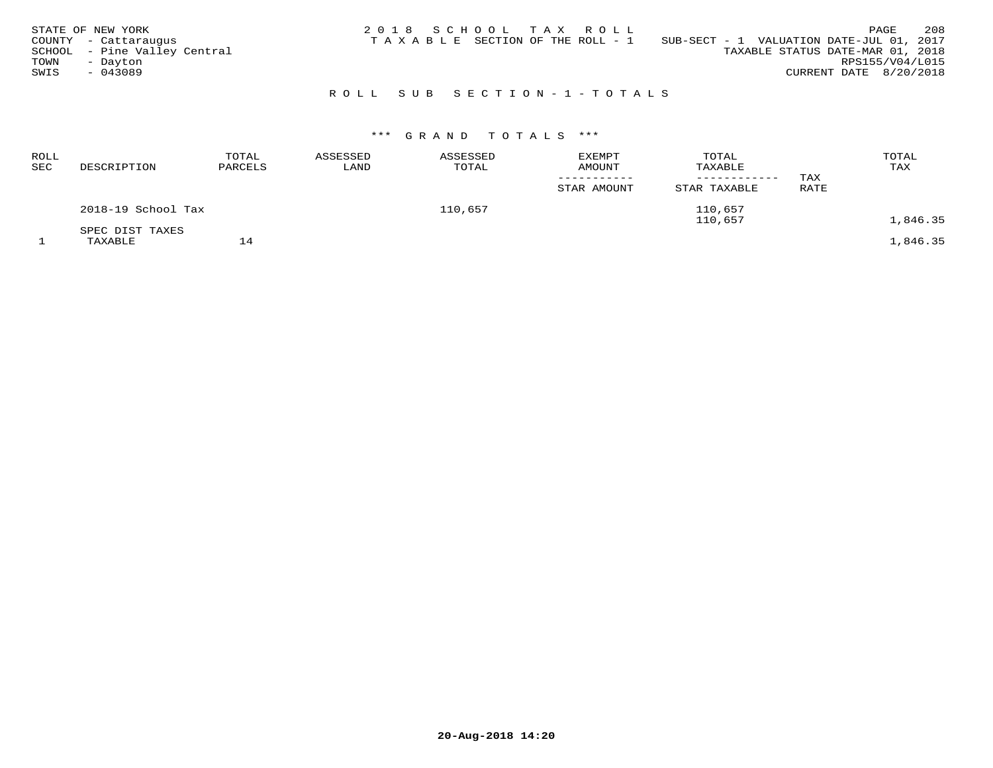| STATE OF NEW YORK<br>COUNTY - Cattaraugus<br>SCHOOL - Pine Valley Central<br>TOWN<br>- Dayton<br>SWIS<br>$-043089$ | 2018 SCHOOL TAX ROLL<br>SUB-SECT - 1 VALUATION DATE-JUL 01, 2017<br>TAXABLE SECTION OF THE ROLL - 1 | 208<br>PAGE<br>TAXABLE STATUS DATE-MAR 01, 2018<br>RPS155/V04/L015<br>CURRENT DATE 8/20/2018 |
|--------------------------------------------------------------------------------------------------------------------|-----------------------------------------------------------------------------------------------------|----------------------------------------------------------------------------------------------|
|                                                                                                                    | ROLL SUB SECTION-1-TOTALS                                                                           |                                                                                              |

# \*\*\* G R A N D T O T A L S \*\*\*

| <b>ROLL</b><br>$_{\rm{SEC}}$ | DESCRIPTION                | TOTAL<br>PARCELS | ASSESSED<br>LAND | ASSESSED<br>TOTAL | <b>EXEMPT</b><br>AMOUNT<br>STAR AMOUNT | TOTAL<br>TAXABLE<br>STAR TAXABLE | TAX<br><b>RATE</b> | TOTAL<br>TAX |
|------------------------------|----------------------------|------------------|------------------|-------------------|----------------------------------------|----------------------------------|--------------------|--------------|
|                              | 2018-19 School Tax         |                  |                  | 110,657           |                                        | 110,657<br>110,657               |                    | 1,846.35     |
|                              | SPEC DIST TAXES<br>TAXABLE | 14               |                  |                   |                                        |                                  |                    | 1,846.35     |

**20-Aug-2018 14:20**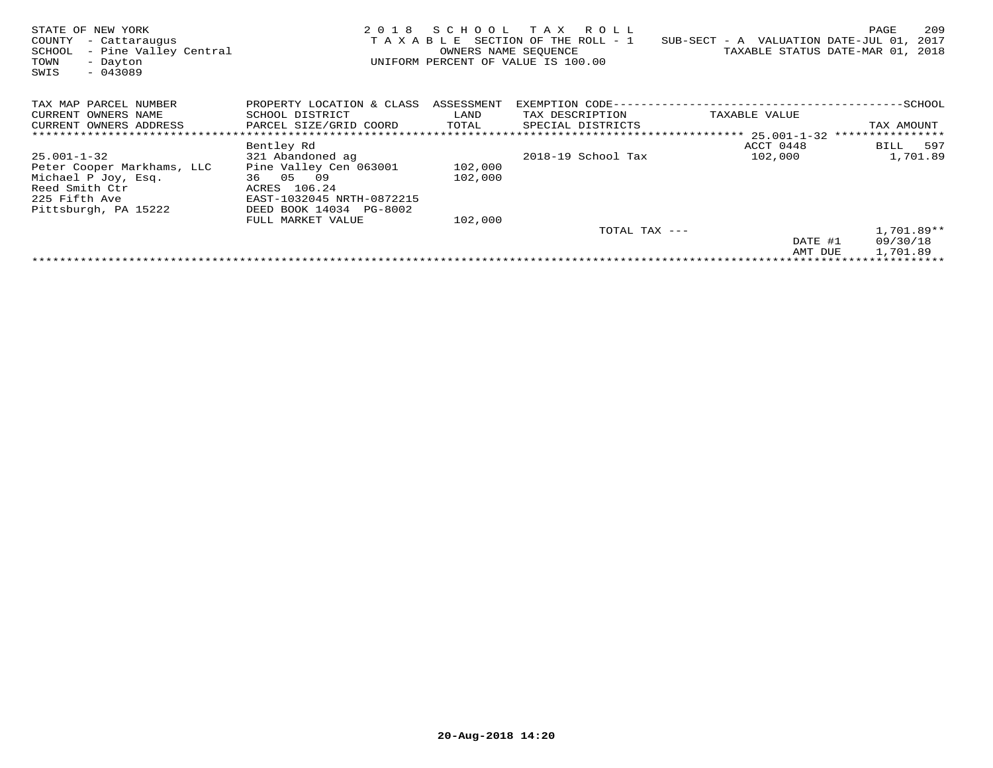| STATE OF NEW YORK<br>COUNTY<br>- Cattaraugus<br>- Pine Valley Central<br>SCHOOL<br>TOWN<br>- Dayton<br>SWIS<br>$-043089$          | TAXABLE                                                                                                                                      | OWNERS NAME SEQUENCE | 2018 SCHOOL TAX ROLL<br>SECTION OF THE ROLL - 1<br>UNIFORM PERCENT OF VALUE IS 100.00 | $SUB-SECTION - A$ VALUATION DATE-JUL 01, | 209<br>PAGE<br>2017<br>TAXABLE STATUS DATE-MAR 01, 2018 |
|-----------------------------------------------------------------------------------------------------------------------------------|----------------------------------------------------------------------------------------------------------------------------------------------|----------------------|---------------------------------------------------------------------------------------|------------------------------------------|---------------------------------------------------------|
| TAX MAP PARCEL NUMBER<br>CURRENT OWNERS NAME<br>CURRENT OWNERS ADDRESS                                                            | PROPERTY LOCATION & CLASS ASSESSMENT<br>SCHOOL DISTRICT<br>PARCEL SIZE/GRID COORD                                                            | LAND<br>TOTAL        | EXEMPTION CODE---<br>TAX DESCRIPTION<br>SPECIAL DISTRICTS                             | TAXABLE VALUE                            | -----------SCHOOL<br>TAX AMOUNT                         |
|                                                                                                                                   |                                                                                                                                              |                      |                                                                                       |                                          |                                                         |
| $25.001 - 1 - 32$<br>Peter Cooper Markhams, LLC<br>Michael P Joy, Esq.<br>Reed Smith Ctr<br>225 Fifth Ave<br>Pittsburgh, PA 15222 | Bentley Rd<br>321 Abandoned ag<br>Pine Valley Cen 063001<br>36 05 09<br>ACRES 106.24<br>EAST-1032045 NRTH-0872215<br>DEED BOOK 14034 PG-8002 | 102,000<br>102,000   | 2018-19 School Tax                                                                    | ACCT 0448<br>102,000                     | BILL 597<br>1,701.89                                    |
|                                                                                                                                   | FULL MARKET VALUE                                                                                                                            | 102,000              | TOTAL TAX ---                                                                         |                                          | $1,701.89**$                                            |
|                                                                                                                                   |                                                                                                                                              |                      |                                                                                       | DATE #1                                  | 09/30/18                                                |
|                                                                                                                                   |                                                                                                                                              |                      |                                                                                       | AMT DUE                                  | 1,701.89                                                |
|                                                                                                                                   |                                                                                                                                              |                      |                                                                                       |                                          |                                                         |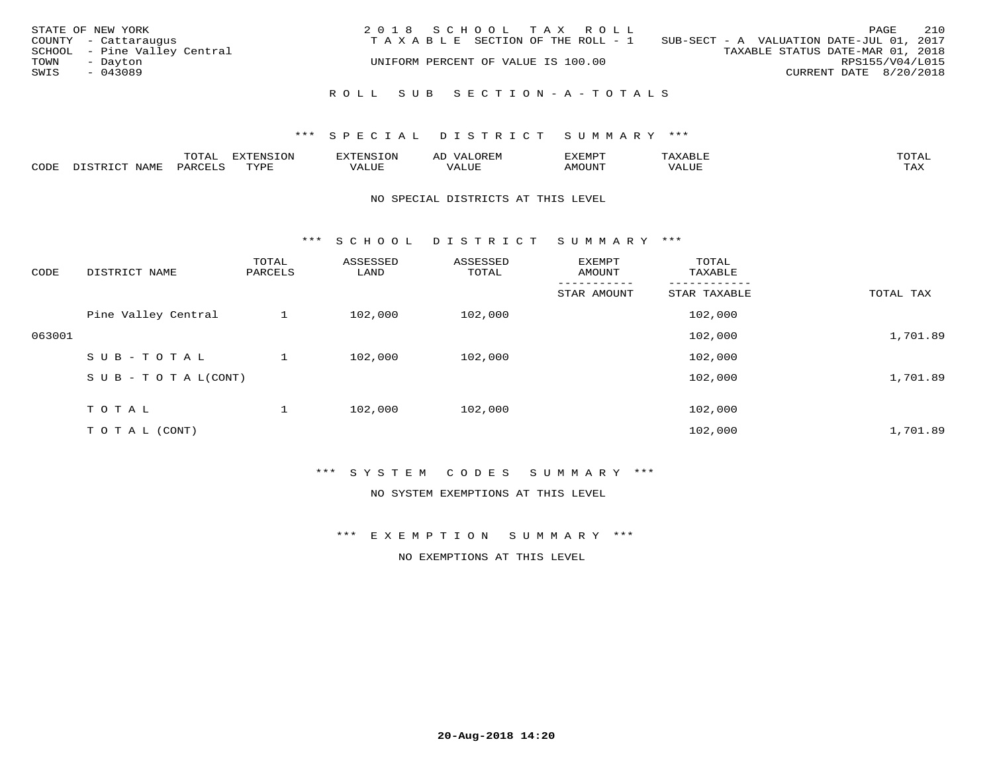| STATE OF NEW YORK<br>TOWN<br>SWIS | COUNTY - Cattaraugus<br>SCHOOL - Pine Valley Central<br>- Dayton<br>$-043089$ | 2018 SCHOOL TAX ROLL<br>TAXABLE SECTION OF THE ROLL - 1<br>UNIFORM PERCENT OF VALUE IS 100.00 | 210<br>PAGE<br>SUB-SECT - A VALUATION DATE-JUL 01, 2017<br>TAXABLE STATUS DATE-MAR 01, 2018<br>RPS155/V04/L015<br>CURRENT DATE 8/20/2018 |
|-----------------------------------|-------------------------------------------------------------------------------|-----------------------------------------------------------------------------------------------|------------------------------------------------------------------------------------------------------------------------------------------|
|                                   |                                                                               | ROLL SUB SECTION-A-TOTALS                                                                     |                                                                                                                                          |

#### \*\*\* S P E C I A L D I S T R I C T S U M M A R Y \*\*\*

|      |              | ™∩ͲϪ<br>بمحمد ب | -OP,             | <b>FNC</b> | ΑL    | ֿישוע         |       |                    |
|------|--------------|-----------------|------------------|------------|-------|---------------|-------|--------------------|
| CODE | NAME<br>– a- | PART            | mynne<br>- - - - | ALUF       | 'ALUE | <b>IMOUNT</b> | VALUE | <b>TRAV</b><br>∸∽∸ |

#### NO SPECIAL DISTRICTS AT THIS LEVEL

\*\*\* S C H O O L D I S T R I C T S U M M A R Y \*\*\*

| CODE   | DISTRICT NAME                    | TOTAL<br>PARCELS | ASSESSED<br>LAND | ASSESSED<br>TOTAL | EXEMPT<br>AMOUNT | TOTAL<br>TAXABLE |           |
|--------|----------------------------------|------------------|------------------|-------------------|------------------|------------------|-----------|
|        |                                  |                  |                  |                   | STAR AMOUNT      | STAR TAXABLE     | TOTAL TAX |
|        | Pine Valley Central              |                  | 102,000          | 102,000           |                  | 102,000          |           |
| 063001 |                                  |                  |                  |                   |                  | 102,000          | 1,701.89  |
|        | SUB-TOTAL                        |                  | 102,000          | 102,000           |                  | 102,000          |           |
|        | $S \cup B - T \cup T A L (CONT)$ |                  |                  |                   |                  | 102,000          | 1,701.89  |
|        | T O T A L                        |                  | 102,000          | 102,000           |                  | 102,000          |           |
|        | T O T A L (CONT)                 |                  |                  |                   |                  | 102,000          | 1,701.89  |

## \*\*\* S Y S T E M C O D E S S U M M A R Y \*\*\*

NO SYSTEM EXEMPTIONS AT THIS LEVEL

\*\*\* E X E M P T I O N S U M M A R Y \*\*\*

NO EXEMPTIONS AT THIS LEVEL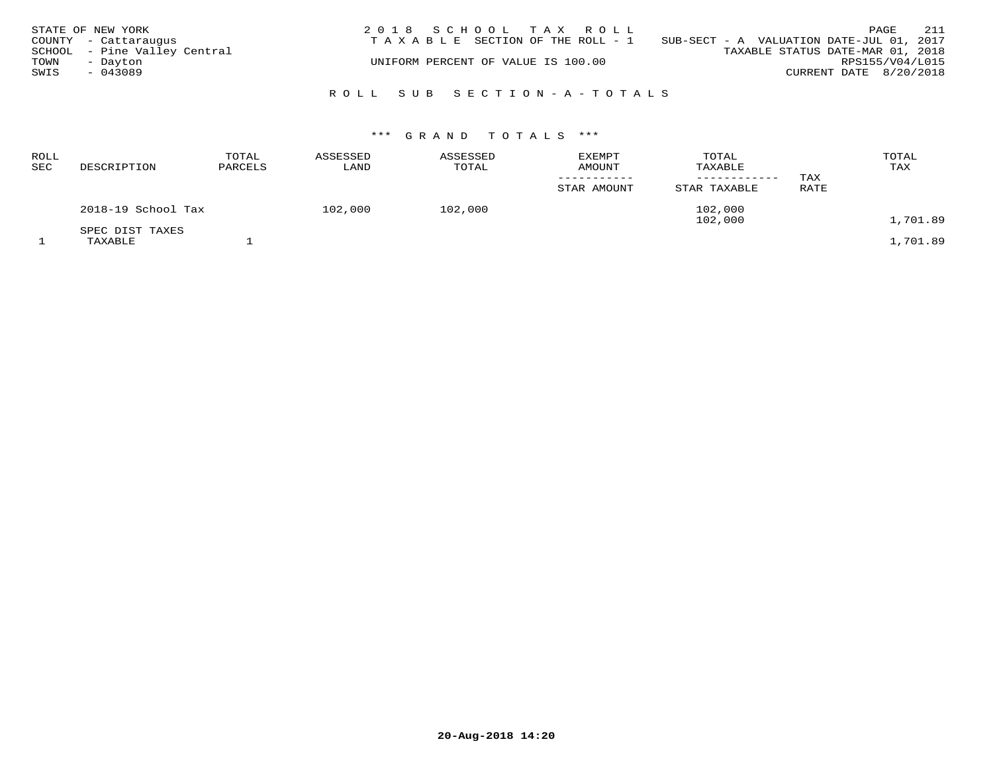|      | STATE OF NEW YORK            | 2018 SCHOOL TAX ROLL                                                           |                                  |                        | PAGE | 211 |
|------|------------------------------|--------------------------------------------------------------------------------|----------------------------------|------------------------|------|-----|
|      | COUNTY - Cattaraugus         | T A X A B L E SECTION OF THE ROLL - 1 SUB-SECT - A VALUATION DATE-JUL 01, 2017 |                                  |                        |      |     |
|      | SCHOOL - Pine Valley Central |                                                                                | TAXABLE STATUS DATE-MAR 01, 2018 |                        |      |     |
| TOWN | - Dayton                     | UNIFORM PERCENT OF VALUE IS 100.00                                             |                                  | RPS155/V04/L015        |      |     |
| SWIS | $-043089$                    |                                                                                |                                  | CURRENT DATE 8/20/2018 |      |     |
|      |                              |                                                                                |                                  |                        |      |     |
|      |                              | ROLL SUB SECTION-A-TOTALS                                                      |                                  |                        |      |     |

| ROLL<br>SEC | DESCRIPTION                | TOTAL<br>PARCELS | ASSESSED<br>LAND | ASSESSED<br>TOTAL | <b>EXEMPT</b><br><b>AMOUNT</b><br>STAR AMOUNT | TOTAL<br>TAXABLE<br>------------<br>STAR TAXABLE | TAX<br>RATE | TOTAL<br>TAX |
|-------------|----------------------------|------------------|------------------|-------------------|-----------------------------------------------|--------------------------------------------------|-------------|--------------|
|             | 2018-19 School Tax         |                  | 102,000          | 102,000           |                                               | 102,000<br>102,000                               |             | 1,701.89     |
|             | SPEC DIST TAXES<br>TAXABLE |                  |                  |                   |                                               |                                                  |             | 1,701.89     |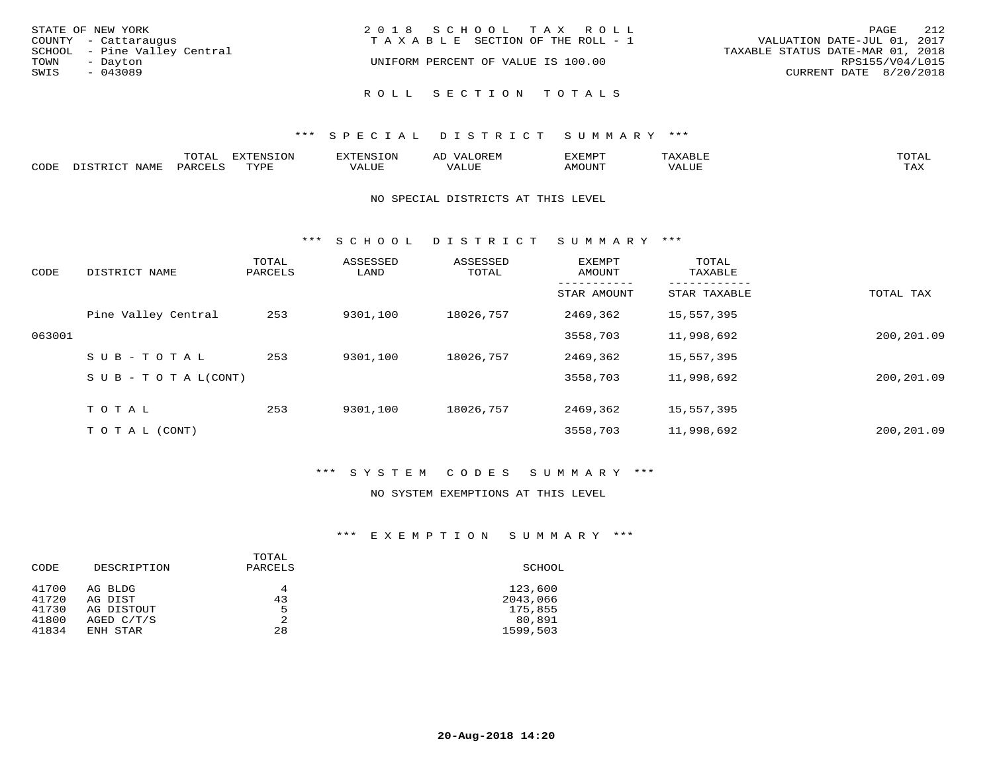| STATE OF NEW YORK            | 2018 SCHOOL TAX ROLL               | 212<br>PAGE                      |
|------------------------------|------------------------------------|----------------------------------|
| COUNTY - Cattaraugus         | TAXABLE SECTION OF THE ROLL - 1    | VALUATION DATE-JUL 01, 2017      |
| SCHOOL - Pine Valley Central |                                    | TAXABLE STATUS DATE-MAR 01, 2018 |
| TOWN<br>- Dayton             | UNIFORM PERCENT OF VALUE IS 100.00 | RPS155/V04/L015                  |
| SWIS<br>$-043089$            |                                    | CURRENT DATE 8/20/2018           |
|                              | ROLL SECTION TOTALS                |                                  |

## \*\*\* S P E C I A L D I S T R I C T S U M M A R Y \*\*\*

|      | ◡∸ғ      | ---<br>$\tau$ on<br><b>L'VIC</b> |                           | ∽     |       | <b>TOTA</b>               |
|------|----------|----------------------------------|---------------------------|-------|-------|---------------------------|
| CODE | $\cdots$ | PVDI                             | $777$ $777$<br>$\sqrt{ }$ | T T T | MOUNT | $m \times r$<br>- - - - - |

#### NO SPECIAL DISTRICTS AT THIS LEVEL

\*\*\* S C H O O L D I S T R I C T S U M M A R Y \*\*\*

| CODE   | DISTRICT NAME                    | TOTAL<br>PARCELS | ASSESSED<br>LAND | ASSESSED<br>TOTAL | EXEMPT<br>AMOUNT | TOTAL<br>TAXABLE |            |
|--------|----------------------------------|------------------|------------------|-------------------|------------------|------------------|------------|
|        |                                  |                  |                  |                   | STAR AMOUNT      | STAR TAXABLE     | TOTAL TAX  |
|        | Pine Valley Central              | 253              | 9301,100         | 18026,757         | 2469,362         | 15,557,395       |            |
| 063001 |                                  |                  |                  |                   | 3558,703         | 11,998,692       | 200,201.09 |
|        | SUB-TOTAL                        | 253              | 9301,100         | 18026,757         | 2469,362         | 15,557,395       |            |
|        | $S \cup B - T \cup T A L (CONT)$ |                  |                  |                   | 3558,703         | 11,998,692       | 200,201.09 |
|        | TOTAL                            | 253              | 9301,100         | 18026,757         | 2469,362         | 15,557,395       |            |
|        |                                  |                  |                  |                   |                  |                  |            |
|        | T O T A L (CONT)                 |                  |                  |                   | 3558,703         | 11,998,692       | 200,201.09 |

## \*\*\* S Y S T E M C O D E S S U M M A R Y \*\*\*

### NO SYSTEM EXEMPTIONS AT THIS LEVEL

## \*\*\* E X E M P T I O N S U M M A R Y \*\*\*

| CODE                                      | DESCRIPTION                                                | TOTAL<br>PARCELS   | SCHOOL                                               |
|-------------------------------------------|------------------------------------------------------------|--------------------|------------------------------------------------------|
| 41700<br>41720<br>41730<br>41800<br>41834 | AG BLDG<br>AG DIST<br>AG DISTOUT<br>AGED C/T/S<br>ENH STAR | 4<br>43<br>5<br>28 | 123,600<br>2043,066<br>175,855<br>80,891<br>1599,503 |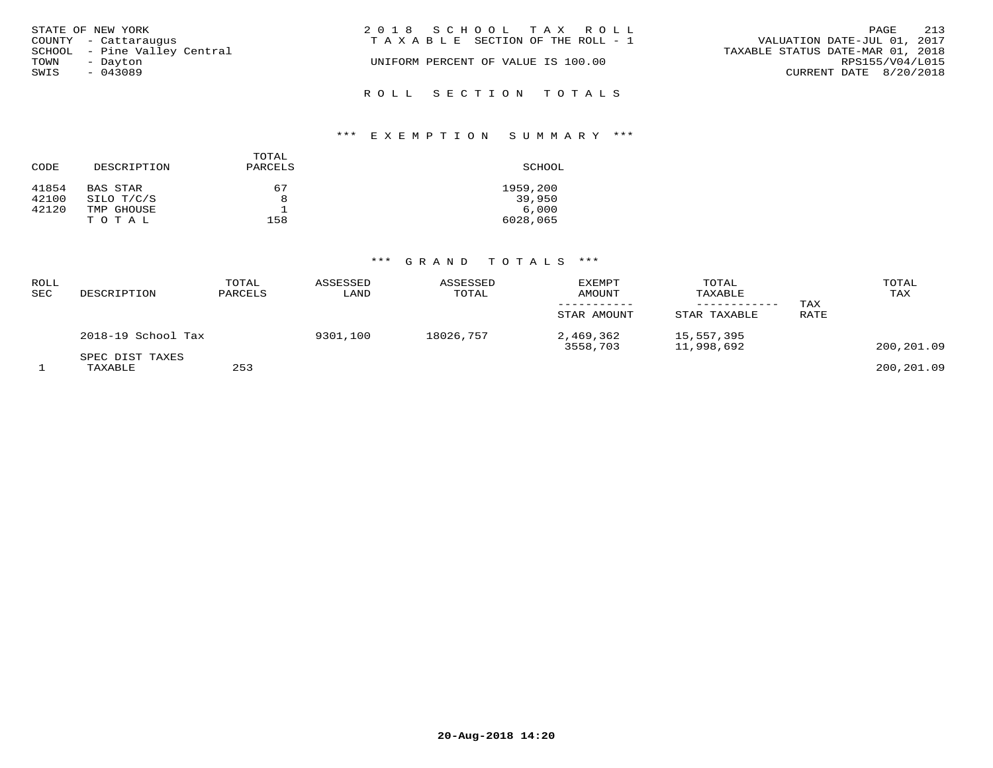| STATE OF NEW YORK            | 2018 SCHOOL TAX ROLL                  | 213<br>PAGE                      |
|------------------------------|---------------------------------------|----------------------------------|
| COUNTY - Cattaraugus         | T A X A B L E SECTION OF THE ROLL - 1 | VALUATION DATE-JUL 01, 2017      |
| SCHOOL - Pine Valley Central |                                       | TAXABLE STATUS DATE-MAR 01, 2018 |
| TOWN<br>- Dayton             | UNIFORM PERCENT OF VALUE IS 100.00    | RPS155/V04/L015                  |
| SWIS<br>$-043089$            |                                       | CURRENT DATE 8/20/2018           |
|                              | ROLL SECTION TOTALS                   |                                  |

# \*\*\* E X E M P T I O N S U M M A R Y \*\*\*

| CODE  | DESCRIPTION | TOTAL<br>PARCELS | SCHOOL   |
|-------|-------------|------------------|----------|
| 41854 | BAS STAR    | 67               | 1959,200 |
| 42100 | SILO T/C/S  | 8                | 39,950   |
| 42120 | TMP GHOUSE  |                  | 6,000    |
|       | TOTAL       | 158              | 6028,065 |

| <b>ROLL</b><br><b>SEC</b> | DESCRIPTION                | TOTAL<br>PARCELS | ASSESSED<br>LAND | ASSESSED<br>TOTAL | <b>EXEMPT</b><br>AMOUNT<br>STAR AMOUNT | TOTAL<br>TAXABLE<br>STAR TAXABLE | TAX<br>RATE | TOTAL<br>TAX |
|---------------------------|----------------------------|------------------|------------------|-------------------|----------------------------------------|----------------------------------|-------------|--------------|
|                           | 2018-19 School Tax         |                  | 9301,100         | 18026,757         | 2,469,362<br>3558,703                  | 15,557,395<br>11,998,692         |             | 200,201.09   |
|                           | SPEC DIST TAXES<br>TAXABLE | 253              |                  |                   |                                        |                                  |             | 200,201.09   |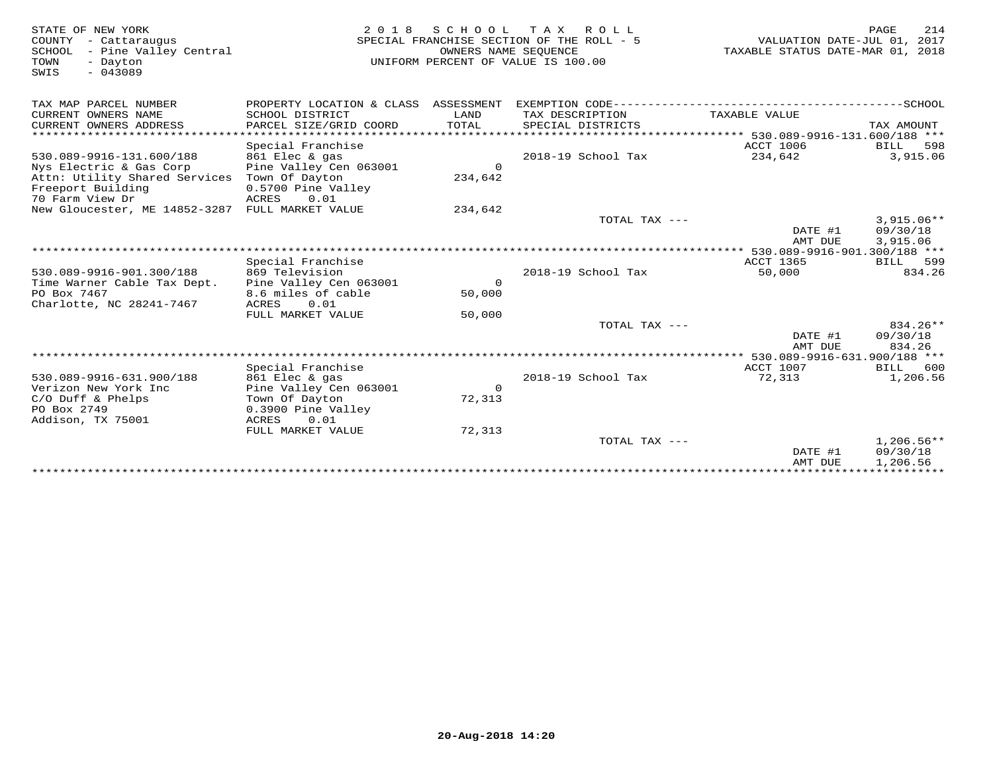| STATE OF NEW YORK<br>COUNTY - Cattaraugus<br>- Pine Valley Central<br>SCHOOL<br>TOWN<br>- Dayton<br>$-043089$<br>SWIS | 2 0 1 8                                   | OWNERS NAME SEQUENCE | SCHOOL TAX ROLL<br>SPECIAL FRANCHISE SECTION OF THE ROLL - 5<br>UNIFORM PERCENT OF VALUE IS 100.00 | VALUATION DATE-JUL 01, 2017<br>TAXABLE STATUS DATE-MAR 01, 2018 | PAGE<br>214             |
|-----------------------------------------------------------------------------------------------------------------------|-------------------------------------------|----------------------|----------------------------------------------------------------------------------------------------|-----------------------------------------------------------------|-------------------------|
| TAX MAP PARCEL NUMBER                                                                                                 | PROPERTY LOCATION & CLASS ASSESSMENT      |                      |                                                                                                    |                                                                 |                         |
| CURRENT OWNERS NAME<br>CURRENT OWNERS ADDRESS                                                                         | SCHOOL DISTRICT<br>PARCEL SIZE/GRID COORD | LAND<br>TOTAL        | TAX DESCRIPTION<br>SPECIAL DISTRICTS                                                               | TAXABLE VALUE                                                   | TAX AMOUNT              |
|                                                                                                                       |                                           |                      |                                                                                                    |                                                                 |                         |
|                                                                                                                       | Special Franchise                         |                      |                                                                                                    | ACCT 1006                                                       | BILL<br>598             |
| 530.089-9916-131.600/188                                                                                              | 861 Elec & gas                            |                      | 2018-19 School Tax                                                                                 | 234,642                                                         | 3,915.06                |
| Nys Electric & Gas Corp                                                                                               | Pine Valley Cen 063001                    | $\Omega$             |                                                                                                    |                                                                 |                         |
| Attn: Utility Shared Services                                                                                         | Town Of Dayton                            | 234,642              |                                                                                                    |                                                                 |                         |
| Freeport Building                                                                                                     | 0.5700 Pine Valley                        |                      |                                                                                                    |                                                                 |                         |
| 70 Farm View Dr                                                                                                       | ACRES<br>0.01                             |                      |                                                                                                    |                                                                 |                         |
| New Gloucester, ME 14852-3287                                                                                         | FULL MARKET VALUE                         | 234,642              |                                                                                                    |                                                                 |                         |
|                                                                                                                       |                                           |                      | TOTAL TAX $---$                                                                                    |                                                                 | $3,915.06**$            |
|                                                                                                                       |                                           |                      |                                                                                                    | DATE #1                                                         | 09/30/18                |
| ******************************                                                                                        |                                           |                      |                                                                                                    | AMT DUE                                                         | 3,915.06                |
|                                                                                                                       | Special Franchise                         |                      |                                                                                                    | ACCT 1365                                                       | BILL 599                |
| 530.089-9916-901.300/188                                                                                              | 869 Television                            |                      | 2018-19 School Tax                                                                                 | 50,000                                                          | 834.26                  |
| Time Warner Cable Tax Dept.                                                                                           | Pine Valley Cen 063001                    | $\circ$              |                                                                                                    |                                                                 |                         |
| PO Box 7467                                                                                                           | 8.6 miles of cable                        | 50,000               |                                                                                                    |                                                                 |                         |
| Charlotte, NC 28241-7467                                                                                              | 0.01<br>ACRES                             |                      |                                                                                                    |                                                                 |                         |
|                                                                                                                       | FULL MARKET VALUE                         | 50,000               |                                                                                                    |                                                                 |                         |
|                                                                                                                       |                                           |                      | TOTAL TAX $---$                                                                                    |                                                                 | 834.26**                |
|                                                                                                                       |                                           |                      |                                                                                                    | DATE #1                                                         | 09/30/18                |
|                                                                                                                       |                                           |                      |                                                                                                    | AMT DUE                                                         | 834.26                  |
|                                                                                                                       |                                           |                      |                                                                                                    |                                                                 |                         |
|                                                                                                                       | Special Franchise                         |                      |                                                                                                    | ACCT 1007                                                       | BILL<br>600             |
| 530.089-9916-631.900/188                                                                                              | 861 Elec & gas                            |                      | 2018-19 School Tax                                                                                 | 72,313                                                          | 1,206.56                |
| Verizon New York Inc                                                                                                  | Pine Valley Cen 063001                    | $\Omega$             |                                                                                                    |                                                                 |                         |
| $C/O$ Duff & Phelps                                                                                                   | Town Of Dayton                            | 72,313               |                                                                                                    |                                                                 |                         |
| PO Box 2749                                                                                                           | 0.3900 Pine Valley                        |                      |                                                                                                    |                                                                 |                         |
| Addison, TX 75001                                                                                                     | 0.01<br>ACRES                             |                      |                                                                                                    |                                                                 |                         |
|                                                                                                                       | FULL MARKET VALUE                         | 72,313               |                                                                                                    |                                                                 |                         |
|                                                                                                                       |                                           |                      | TOTAL TAX ---                                                                                      |                                                                 | $1,206.56**$            |
|                                                                                                                       |                                           |                      |                                                                                                    | DATE #1                                                         | 09/30/18                |
|                                                                                                                       |                                           |                      |                                                                                                    | AMT DUE                                                         | 1,206.56<br>*********** |
|                                                                                                                       |                                           |                      |                                                                                                    |                                                                 |                         |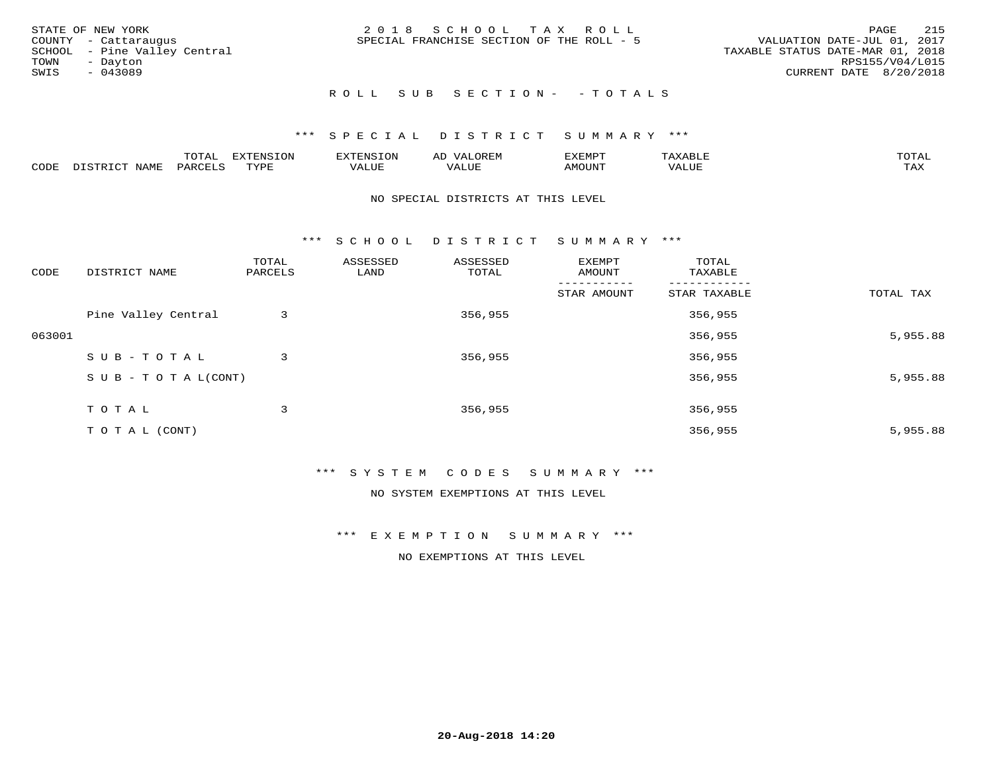|      | STATE OF NEW YORK            | 2018 SCHOOL TAX ROLL                                                     | PAGE            | 215 |
|------|------------------------------|--------------------------------------------------------------------------|-----------------|-----|
|      | COUNTY - Cattaraugus         | VALUATION DATE-JUL 01, 2017<br>SPECIAL FRANCHISE SECTION OF THE ROLL - 5 |                 |     |
|      | SCHOOL - Pine Valley Central | TAXABLE STATUS DATE-MAR 01, 2018                                         |                 |     |
| TOWN | - Davton                     |                                                                          | RPS155/V04/L015 |     |
| SWIS | - 043089                     | CURRENT DATE 8/20/2018                                                   |                 |     |
|      |                              |                                                                          |                 |     |

# ROLL SUB SECTION - - TOTALS

## \*\*\* S P E C I A L D I S T R I C T S U M M A R Y \*\*\*

|      |                            | ----<br>$\overline{\phantom{a}}$ | EXTENSION | <b>ENS</b>         | AL<br>$\cdots$ | דסאים אי     |                       | momn. |
|------|----------------------------|----------------------------------|-----------|--------------------|----------------|--------------|-----------------------|-------|
| CODE | $ \sim$ $-$<br><b>NAMP</b> | $\Omega$<br>'ARI                 | TVDF      | <b><i>ALUE</i></b> | 'ALUE          | <b>MOUNT</b> | . <del>.</del><br>JUI | TAX   |

#### NO SPECIAL DISTRICTS AT THIS LEVEL

\*\*\* S C H O O L D I S T R I C T S U M M A R Y \*\*\*

| CODE   | DISTRICT NAME                    | TOTAL<br>PARCELS | ASSESSED<br>LAND | ASSESSED<br>TOTAL | EXEMPT<br>AMOUNT | TOTAL<br>TAXABLE |           |
|--------|----------------------------------|------------------|------------------|-------------------|------------------|------------------|-----------|
|        |                                  |                  |                  |                   | STAR AMOUNT      | STAR TAXABLE     | TOTAL TAX |
|        | Pine Valley Central              | 3                |                  | 356,955           |                  | 356,955          |           |
| 063001 |                                  |                  |                  |                   |                  | 356,955          | 5,955.88  |
|        | SUB-TOTAL                        | 3                |                  | 356,955           |                  | 356,955          |           |
|        | $S \cup B - T \cup T A L (CONT)$ |                  |                  |                   |                  | 356,955          | 5,955.88  |
|        | T O T A L                        | 3                |                  | 356,955           |                  | 356,955          |           |
|        |                                  |                  |                  |                   |                  |                  |           |
|        | TO TAL (CONT)                    |                  |                  |                   |                  | 356,955          | 5,955.88  |

### \*\*\* S Y S T E M C O D E S S U M M A R Y \*\*\*

NO SYSTEM EXEMPTIONS AT THIS LEVEL

\*\*\* E X E M P T I O N S U M M A R Y \*\*\*

NO EXEMPTIONS AT THIS LEVEL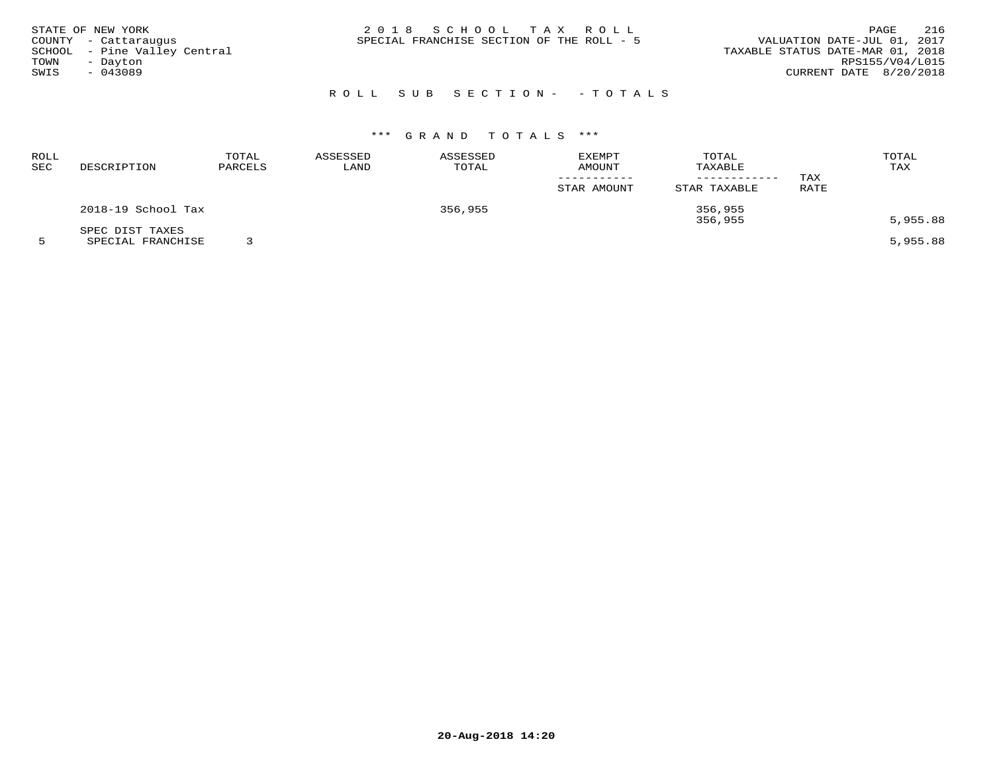| STATE OF NEW YORK<br>COUNTY - Cattaraugus<br>SCHOOL - Pine Valley Central<br>TOWN<br>- Dayton<br>SWIS<br>- 043089 | 2018 SCHOOL TAX ROLL<br>SPECIAL FRANCHISE SECTION OF THE ROLL - 5 | 216<br>PAGE<br>VALUATION DATE-JUL 01, 2017<br>TAXABLE STATUS DATE-MAR 01, 2018<br>RPS155/V04/L015<br>CURRENT DATE 8/20/2018 |
|-------------------------------------------------------------------------------------------------------------------|-------------------------------------------------------------------|-----------------------------------------------------------------------------------------------------------------------------|
|                                                                                                                   | ROLL SUB SECTION- - TOTALS                                        |                                                                                                                             |

| ROLL<br>SEC | DESCRIPTION                          | TOTAL<br>PARCELS | ASSESSED<br>LAND | ASSESSED<br>TOTAL | <b>EXEMPT</b><br>AMOUNT<br>STAR AMOUNT | TOTAL<br>TAXABLE<br>------------<br>STAR TAXABLE | TAX<br>RATE | TOTAL<br>TAX |
|-------------|--------------------------------------|------------------|------------------|-------------------|----------------------------------------|--------------------------------------------------|-------------|--------------|
|             | 2018-19 School Tax                   |                  |                  | 356,955           |                                        | 356,955<br>356,955                               |             | 5,955.88     |
|             | SPEC DIST TAXES<br>SPECIAL FRANCHISE |                  |                  |                   |                                        |                                                  |             | 5,955.88     |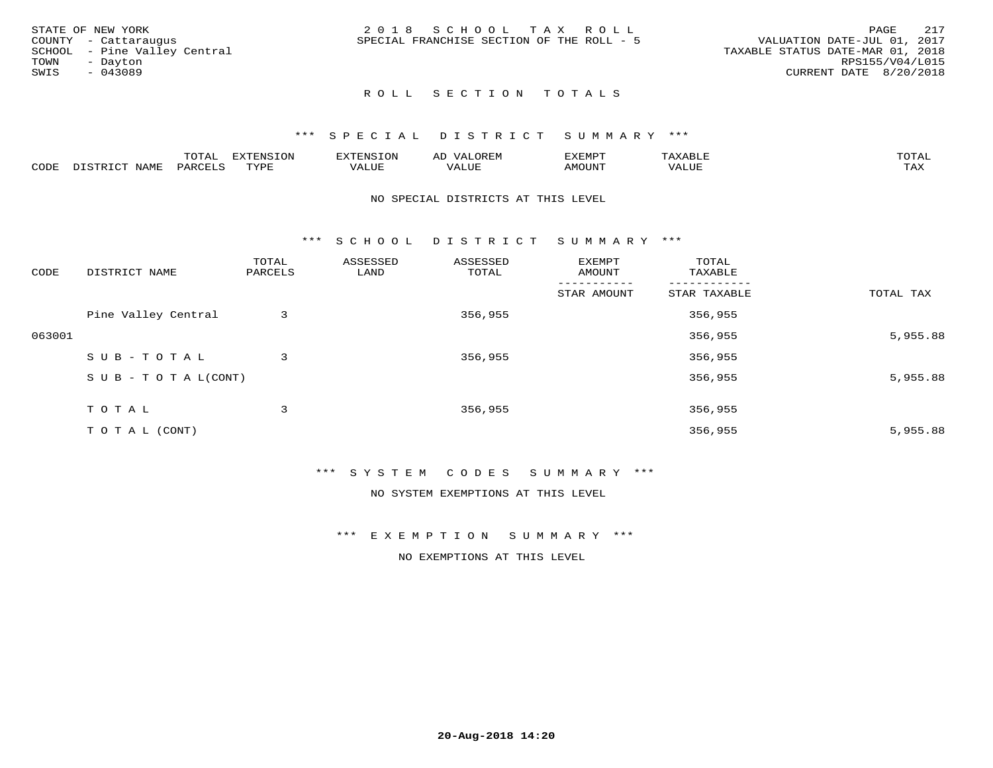| STATE OF NEW YORK            | 2018 SCHOOL TAX ROLL                      | 217<br>PAGE                      |
|------------------------------|-------------------------------------------|----------------------------------|
| COUNTY - Cattaraugus         | SPECIAL FRANCHISE SECTION OF THE ROLL - 5 | VALUATION DATE-JUL 01, 2017      |
| SCHOOL - Pine Valley Central |                                           | TAXABLE STATUS DATE-MAR 01, 2018 |
| TOWN<br>- Davton             |                                           | RPS155/V04/L015                  |
| SWIS<br>$-043089$            |                                           | CURRENT DATE 8/20/2018           |
|                              |                                           |                                  |

# ROLL SECTION TOTALS

#### \*\*\* S P E C I A L D I S T R I C T S U M M A R Y \*\*\*

|      |                          | momn.<br>LUIAL     | <b>EXTENSION</b> | $117$ mm $170707$<br>אי | ΑD<br>.JREN      | 33773850<br>ivi D'<br>ניומיום בי | $max$ and $max$ | $m \wedge m \wedge n$ |
|------|--------------------------|--------------------|------------------|-------------------------|------------------|----------------------------------|-----------------|-----------------------|
| CODE | <b>NAME</b><br>DISTO TOT | PARCE <sup>T</sup> | TVDF             | VALUE                   | -- - ---<br>ALUE | TUUOM4                           | VALUE           | <b>TAY</b><br>⊥⇔∆     |

#### NO SPECIAL DISTRICTS AT THIS LEVEL

\*\*\* S C H O O L D I S T R I C T S U M M A R Y \*\*\*

| CODE   | DISTRICT NAME                    | TOTAL<br>PARCELS | ASSESSED<br>LAND | ASSESSED<br>TOTAL | EXEMPT<br>AMOUNT | TOTAL<br>TAXABLE |           |
|--------|----------------------------------|------------------|------------------|-------------------|------------------|------------------|-----------|
|        |                                  |                  |                  |                   | STAR AMOUNT      | STAR TAXABLE     | TOTAL TAX |
|        | Pine Valley Central              | 3                |                  | 356,955           |                  | 356,955          |           |
| 063001 |                                  |                  |                  |                   |                  | 356,955          | 5,955.88  |
|        | SUB-TOTAL                        | 3                |                  | 356,955           |                  | 356,955          |           |
|        | $S \cup B - T \cup T A L (CONT)$ |                  |                  |                   |                  | 356,955          | 5,955.88  |
|        | TOTAL                            | 3                |                  | 356,955           |                  | 356,955          |           |
|        | T O T A L (CONT)                 |                  |                  |                   |                  | 356,955          | 5,955.88  |

#### \*\*\* S Y S T E M C O D E S S U M M A R Y \*\*\*

NO SYSTEM EXEMPTIONS AT THIS LEVEL

\*\*\* E X E M P T I O N S U M M A R Y \*\*\*

NO EXEMPTIONS AT THIS LEVEL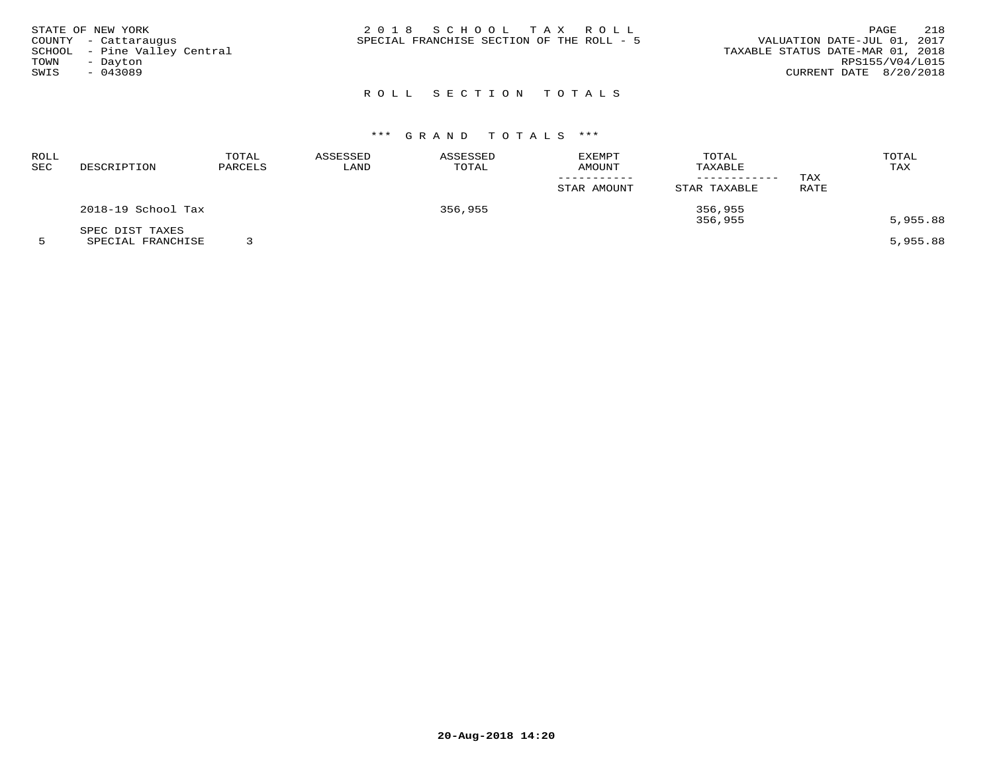| STATE OF NEW YORK<br>COUNTY - Cattaraugus<br>SCHOOL - Pine Valley Central<br>TOWN<br>- Dayton<br>SWIS<br>$-043089$ | 2018 SCHOOL TAX ROLL<br>SPECIAL FRANCHISE SECTION OF THE ROLL - 5 | 218<br>PAGE<br>VALUATION DATE-JUL 01, 2017<br>TAXABLE STATUS DATE-MAR 01, 2018<br>RPS155/V04/L015<br>CURRENT DATE 8/20/2018 |
|--------------------------------------------------------------------------------------------------------------------|-------------------------------------------------------------------|-----------------------------------------------------------------------------------------------------------------------------|
|                                                                                                                    | ROLL SECTION TOTALS                                               |                                                                                                                             |

| ROLL<br>SEC | DESCRIPTION                          | TOTAL<br>PARCELS | ASSESSED<br>LAND | ASSESSED<br>TOTAL | <b>EXEMPT</b><br><b>AMOUNT</b> | TOTAL<br>TAXABLE<br>---------- | TAX  | TOTAL<br>TAX |
|-------------|--------------------------------------|------------------|------------------|-------------------|--------------------------------|--------------------------------|------|--------------|
|             |                                      |                  |                  |                   | STAR AMOUNT                    | STAR TAXABLE                   | RATE |              |
|             | 2018-19 School Tax                   |                  |                  | 356,955           |                                | 356,955<br>356,955             |      | 5,955.88     |
|             | SPEC DIST TAXES<br>SPECIAL FRANCHISE |                  |                  |                   |                                |                                |      | 5,955.88     |

**20-Aug-2018 14:20**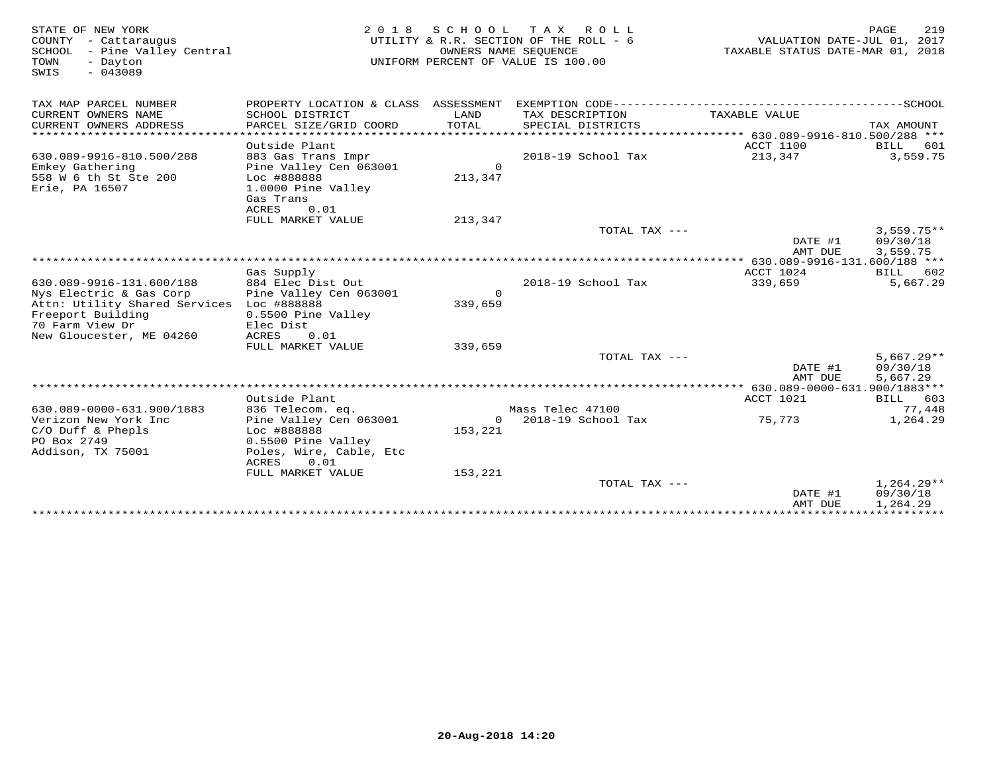| STATE OF NEW YORK<br>COUNTY - Cattaraugus<br>SCHOOL<br>- Pine Valley Central<br>TOWN<br>- Dayton<br>$-043089$<br>SWIS |                                           | OWNERS NAME SEOUENCE | 2018 SCHOOL TAX ROLL<br>UTILITY & R.R. SECTION OF THE ROLL - 6<br>UNIFORM PERCENT OF VALUE IS 100.00 | VALUATION DATE-JUL 01, 2017<br>TAXABLE STATUS DATE-MAR 01, 2018 | 219<br>PAGE  |
|-----------------------------------------------------------------------------------------------------------------------|-------------------------------------------|----------------------|------------------------------------------------------------------------------------------------------|-----------------------------------------------------------------|--------------|
| TAX MAP PARCEL NUMBER                                                                                                 | PROPERTY LOCATION & CLASS ASSESSMENT      |                      |                                                                                                      |                                                                 |              |
| CURRENT OWNERS NAME<br>CURRENT OWNERS ADDRESS                                                                         | SCHOOL DISTRICT<br>PARCEL SIZE/GRID COORD | LAND<br>TOTAL        | TAX DESCRIPTION<br>SPECIAL DISTRICTS                                                                 | TAXABLE VALUE                                                   | TAX AMOUNT   |
| ************************                                                                                              |                                           |                      |                                                                                                      |                                                                 |              |
|                                                                                                                       | Outside Plant                             |                      |                                                                                                      | ACCT 1100                                                       | BILL<br>601  |
| 630.089-9916-810.500/288                                                                                              | 883 Gas Trans Impr                        |                      | 2018-19 School Tax                                                                                   | 213,347                                                         | 3,559.75     |
| Emkey Gathering                                                                                                       | Pine Valley Cen 063001                    | $\circ$              |                                                                                                      |                                                                 |              |
| 558 W 6 th St Ste 200<br>Erie, PA 16507                                                                               | Loc #888888<br>1.0000 Pine Valley         | 213,347              |                                                                                                      |                                                                 |              |
|                                                                                                                       | Gas Trans                                 |                      |                                                                                                      |                                                                 |              |
|                                                                                                                       | ACRES<br>0.01                             |                      |                                                                                                      |                                                                 |              |
|                                                                                                                       | FULL MARKET VALUE                         | 213,347              |                                                                                                      |                                                                 |              |
|                                                                                                                       |                                           |                      | TOTAL TAX ---                                                                                        |                                                                 | $3,559.75**$ |
|                                                                                                                       |                                           |                      |                                                                                                      | DATE #1                                                         | 09/30/18     |
|                                                                                                                       |                                           |                      |                                                                                                      | AMT DUE                                                         | 3,559.75     |
|                                                                                                                       |                                           |                      |                                                                                                      | ********** 630.089-9916-131.600/188 ***                         |              |
|                                                                                                                       | Gas Supply                                |                      |                                                                                                      | ACCT 1024                                                       | BILL 602     |
| 630.089-9916-131.600/188                                                                                              | 884 Elec Dist Out                         |                      | 2018-19 School Tax                                                                                   | 339,659                                                         | 5,667.29     |
| Nys Electric & Gas Corp                                                                                               | Pine Valley Cen 063001                    | $\Omega$             |                                                                                                      |                                                                 |              |
| Attn: Utility Shared Services Loc #888888<br>Freeport Building                                                        | 0.5500 Pine Valley                        | 339,659              |                                                                                                      |                                                                 |              |
| 70 Farm View Dr                                                                                                       | Elec Dist                                 |                      |                                                                                                      |                                                                 |              |
| New Gloucester, ME 04260                                                                                              | ACRES<br>0.01                             |                      |                                                                                                      |                                                                 |              |
|                                                                                                                       | FULL MARKET VALUE                         | 339,659              |                                                                                                      |                                                                 |              |
|                                                                                                                       |                                           |                      | TOTAL TAX ---                                                                                        |                                                                 | $5,667.29**$ |
|                                                                                                                       |                                           |                      |                                                                                                      | DATE #1                                                         | 09/30/18     |
|                                                                                                                       |                                           |                      |                                                                                                      | AMT DUE                                                         | 5,667.29     |
|                                                                                                                       |                                           |                      |                                                                                                      |                                                                 |              |
|                                                                                                                       | Outside Plant                             |                      |                                                                                                      | ACCT 1021                                                       | BILL 603     |
| 630.089-0000-631.900/1883                                                                                             | 836 Telecom. eq.                          |                      | Mass Telec 47100                                                                                     |                                                                 | 77,448       |
| Verizon New York Inc                                                                                                  | Pine Valley Cen 063001                    | $\circ$              | 2018-19 School Tax                                                                                   | 75,773                                                          | 1,264.29     |
| $C/O$ Duff & Phepls<br>PO Box 2749                                                                                    | Loc #888888<br>0.5500 Pine Valley         | 153,221              |                                                                                                      |                                                                 |              |
| Addison, TX 75001                                                                                                     | Poles, Wire, Cable, Etc                   |                      |                                                                                                      |                                                                 |              |
|                                                                                                                       | ACRES<br>0.01                             |                      |                                                                                                      |                                                                 |              |
|                                                                                                                       | FULL MARKET VALUE                         | 153,221              |                                                                                                      |                                                                 |              |
|                                                                                                                       |                                           |                      | TOTAL TAX $---$                                                                                      |                                                                 | $1,264.29**$ |
|                                                                                                                       |                                           |                      |                                                                                                      | DATE #1                                                         | 09/30/18     |
|                                                                                                                       |                                           |                      |                                                                                                      | AMT DUE                                                         | 1,264.29     |
|                                                                                                                       |                                           |                      |                                                                                                      |                                                                 |              |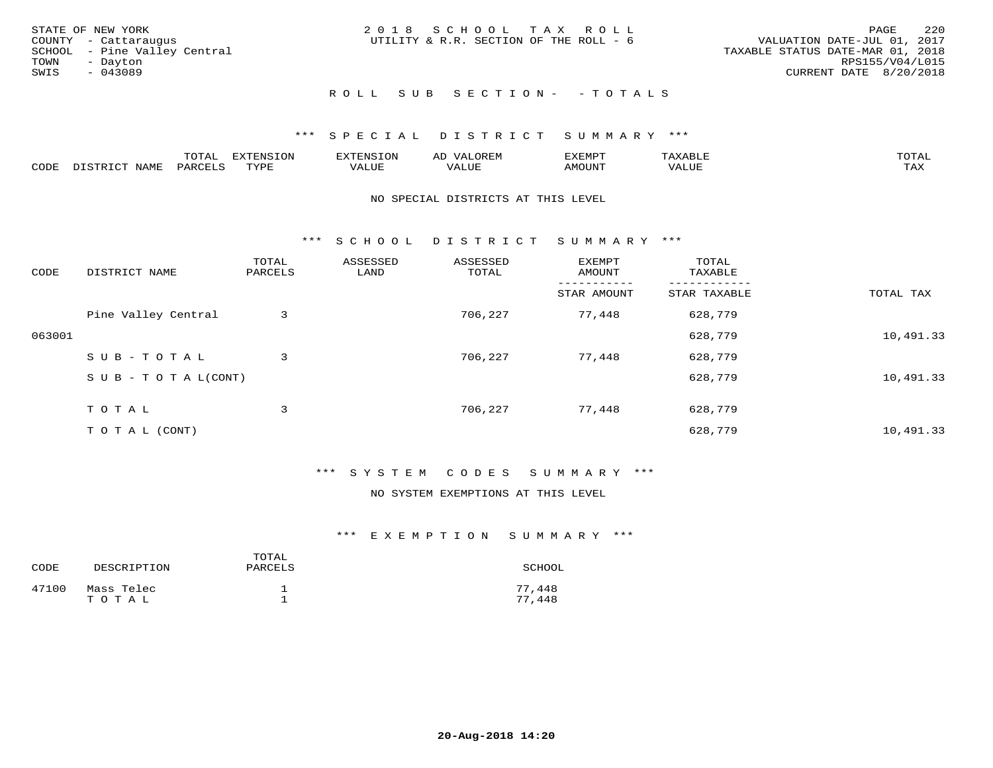| STATE OF NEW YORK<br>COUNTY - Cattaraugus<br>SCHOOL - Pine Valley Central<br>TOWN<br>- Dayton<br>SWIS<br>$-043089$ | 2018 SCHOOL TAX ROLL<br>UTILITY & R.R. SECTION OF THE ROLL - 6 | 2.20<br>PAGE<br>VALUATION DATE-JUL 01, 2017<br>TAXABLE STATUS DATE-MAR 01, 2018<br>RPS155/V04/L015<br>CURRENT DATE 8/20/2018 |
|--------------------------------------------------------------------------------------------------------------------|----------------------------------------------------------------|------------------------------------------------------------------------------------------------------------------------------|
|                                                                                                                    | ROLL SUB SECTION- - TOTALS                                     |                                                                                                                              |

## \*\*\* S P E C I A L D I S T R I C T S U M M A R Y \*\*\*

|      |                          | $m \wedge m \wedge n$<br>$\overline{\phantom{a}}$<br>◡⊥▱ | EXTENSION   | <b>EXTENSION</b>    | $\cdot$ / $\Delta$ .<br>ΑL | EXEMPT | הדרות העירה<br>xд          | TOTAL |
|------|--------------------------|----------------------------------------------------------|-------------|---------------------|----------------------------|--------|----------------------------|-------|
| CODE | NAME<br>$  -$<br>DICTPD. | PARCELS                                                  | <b>TYPE</b> | <b><i>TALUE</i></b> | VALUE                      | AMOUNT | , , , , , , , , ,<br>/ALUE | TAX   |

#### NO SPECIAL DISTRICTS AT THIS LEVEL

\*\*\* S C H O O L D I S T R I C T S U M M A R Y \*\*\*

| CODE   | DISTRICT NAME                    | TOTAL<br>PARCELS | ASSESSED<br>LAND | ASSESSED<br>TOTAL | EXEMPT<br>AMOUNT | TOTAL<br>TAXABLE |           |
|--------|----------------------------------|------------------|------------------|-------------------|------------------|------------------|-----------|
|        |                                  |                  |                  |                   | STAR AMOUNT      | STAR TAXABLE     | TOTAL TAX |
|        | Pine Valley Central              | 3                |                  | 706,227           | 77,448           | 628,779          |           |
| 063001 |                                  |                  |                  |                   |                  | 628,779          | 10,491.33 |
|        | SUB-TOTAL                        | 3                |                  | 706,227           | 77,448           | 628,779          |           |
|        | $S \cup B - T \cup T A L (CONT)$ |                  |                  |                   |                  | 628,779          | 10,491.33 |
|        | TOTAL                            | 3                |                  | 706,227           | 77,448           | 628,779          |           |
|        | T O T A L (CONT)                 |                  |                  |                   |                  | 628,779          | 10,491.33 |

# \*\*\* S Y S T E M C O D E S S U M M A R Y \*\*\*

#### NO SYSTEM EXEMPTIONS AT THIS LEVEL

| CODE  | DESCRIPTION         | TOTAL<br>PARCELS | SCHOOL           |
|-------|---------------------|------------------|------------------|
| 47100 | Mass Telec<br>TOTAL |                  | 77,448<br>77,448 |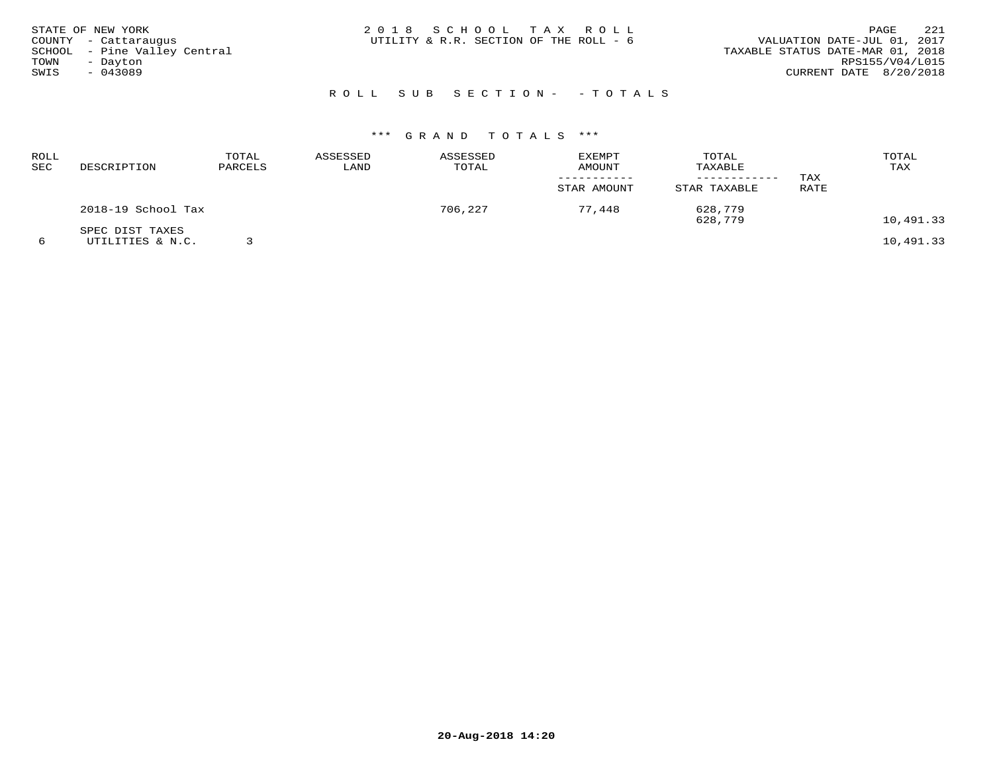| STATE OF NEW YORK<br>COUNTY - Cattaraugus<br>SCHOOL - Pine Valley Central<br>TOWN<br>- Dayton<br>SWIS<br>$-043089$ | 2018 SCHOOL TAX ROLL<br>UTILITY & R.R. SECTION OF THE ROLL - 6 | 221<br>PAGE<br>VALUATION DATE-JUL 01, 2017<br>TAXABLE STATUS DATE-MAR 01, 2018<br>RPS155/V04/L015<br>CURRENT DATE 8/20/2018 |
|--------------------------------------------------------------------------------------------------------------------|----------------------------------------------------------------|-----------------------------------------------------------------------------------------------------------------------------|
|                                                                                                                    | ROLL SUB SECTION- - TOTALS                                     |                                                                                                                             |

| <b>ROLL</b><br>SEC | DESCRIPTION                         | TOTAL<br>PARCELS | ASSESSED<br>LAND | ASSESSED<br>TOTAL | <b>EXEMPT</b><br>AMOUNT<br>STAR AMOUNT | TOTAL<br>TAXABLE<br>STAR TAXABLE | TAX<br>RATE | TOTAL<br>TAX |
|--------------------|-------------------------------------|------------------|------------------|-------------------|----------------------------------------|----------------------------------|-------------|--------------|
|                    | 2018-19 School Tax                  |                  |                  | 706,227           | 77,448                                 | 628,779<br>628,779               |             | 10,491.33    |
| 6                  | SPEC DIST TAXES<br>UTILITIES & N.C. |                  |                  |                   |                                        |                                  |             | 10,491.33    |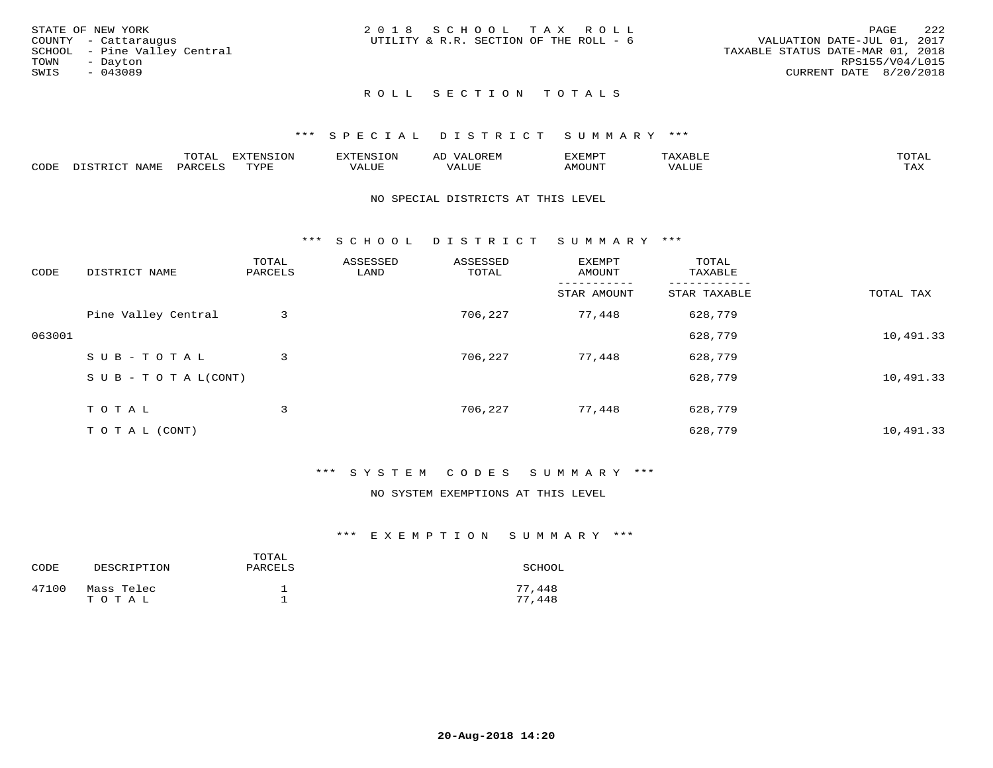|      | STATE OF NEW YORK            | 2018 SCHOOL TAX ROLL                   |  |  |                                  |                        | PAGE | -222 |
|------|------------------------------|----------------------------------------|--|--|----------------------------------|------------------------|------|------|
|      | COUNTY - Cattaraugus         | UTILITY & R.R. SECTION OF THE ROLL - 6 |  |  | VALUATION DATE-JUL 01, 2017      |                        |      |      |
|      | SCHOOL - Pine Valley Central |                                        |  |  | TAXABLE STATUS DATE-MAR 01, 2018 |                        |      |      |
| TOWN | - Davton                     |                                        |  |  |                                  | RPS155/V04/L015        |      |      |
| SWIS | - 043089                     |                                        |  |  |                                  | CURRENT DATE 8/20/2018 |      |      |
|      |                              |                                        |  |  |                                  |                        |      |      |

# ROLL SECTION TOTALS

### \*\*\* S P E C I A L D I S T R I C T S U M M A R Y \*\*\*

|      |                  | momm <sup>.</sup><br>TOTAT | <b>ELIMENT OF ONT</b><br>T OTA | 'ENS   | OREM                     | CXEMPT        | $max$ and $max$          | $m \wedge m \wedge n$ |
|------|------------------|----------------------------|--------------------------------|--------|--------------------------|---------------|--------------------------|-----------------------|
| CODE | NAME<br>DISTRICT | PARCELS                    | TVDF<br>.                      | 7ALUE. | . <del>.</del><br>. ALUF | <b>AMOUNT</b> | * * * * * * * *<br>'ALUL | <b>TAY</b><br>⊥⇔∆     |

#### NO SPECIAL DISTRICTS AT THIS LEVEL

\*\*\* S C H O O L D I S T R I C T S U M M A R Y \*\*\*

| CODE   | DISTRICT NAME                    | TOTAL<br>PARCELS | ASSESSED<br>LAND | ASSESSED<br>TOTAL | EXEMPT<br>AMOUNT | TOTAL<br>TAXABLE |           |
|--------|----------------------------------|------------------|------------------|-------------------|------------------|------------------|-----------|
|        |                                  |                  |                  |                   | STAR AMOUNT      | STAR TAXABLE     | TOTAL TAX |
|        | Pine Valley Central              | 3                |                  | 706,227           | 77,448           | 628,779          |           |
| 063001 |                                  |                  |                  |                   |                  | 628,779          | 10,491.33 |
|        | SUB-TOTAL                        | 3                |                  | 706,227           | 77,448           | 628,779          |           |
|        | $S \cup B - T \cup T A L (CONT)$ |                  |                  |                   |                  | 628,779          | 10,491.33 |
|        | TOTAL                            | 3                |                  | 706,227           | 77,448           | 628,779          |           |
|        | T O T A L (CONT)                 |                  |                  |                   |                  | 628,779          | 10,491.33 |

## \*\*\* S Y S T E M C O D E S S U M M A R Y \*\*\*

# NO SYSTEM EXEMPTIONS AT THIS LEVEL

| CODE  | DESCRIPTION         | TOTAL<br>PARCELS | SCHOOL           |
|-------|---------------------|------------------|------------------|
| 47100 | Mass Telec<br>TOTAL |                  | 77,448<br>77,448 |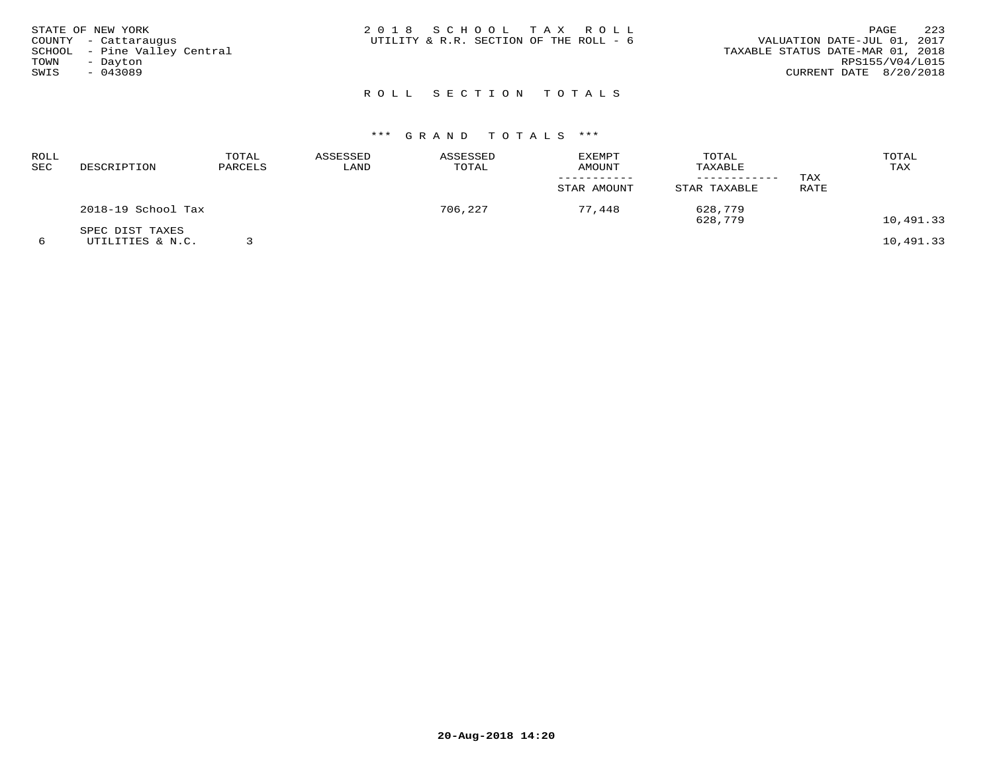| STATE OF NEW YORK<br>COUNTY - Cattaraugus<br>SCHOOL - Pine Valley Central<br>TOWN<br>- Dayton<br>SWIS<br>$-043089$ | 2018 SCHOOL TAX ROLL<br>UTILITY & R.R. SECTION OF THE ROLL - 6 | 2.2.3<br>PAGE<br>VALUATION DATE-JUL 01, 2017<br>TAXABLE STATUS DATE-MAR 01, 2018<br>RPS155/V04/L015<br>CURRENT DATE 8/20/2018 |
|--------------------------------------------------------------------------------------------------------------------|----------------------------------------------------------------|-------------------------------------------------------------------------------------------------------------------------------|
|                                                                                                                    | ROLL SECTION TOTALS                                            |                                                                                                                               |

| ROLL<br>SEC | DESCRIPTION                         | TOTAL<br>PARCELS | ASSESSED<br>LAND | ASSESSED<br>TOTAL | <b>EXEMPT</b><br><b>AMOUNT</b><br>STAR AMOUNT | TOTAL<br>TAXABLE<br>----------<br>STAR TAXABLE | TAX<br>RATE | TOTAL<br>TAX |
|-------------|-------------------------------------|------------------|------------------|-------------------|-----------------------------------------------|------------------------------------------------|-------------|--------------|
|             | 2018-19 School Tax                  |                  |                  | 706,227           | 77,448                                        | 628,779<br>628,779                             |             | 10,491.33    |
|             | SPEC DIST TAXES<br>UTILITIES & N.C. |                  |                  |                   |                                               |                                                |             | 10,491.33    |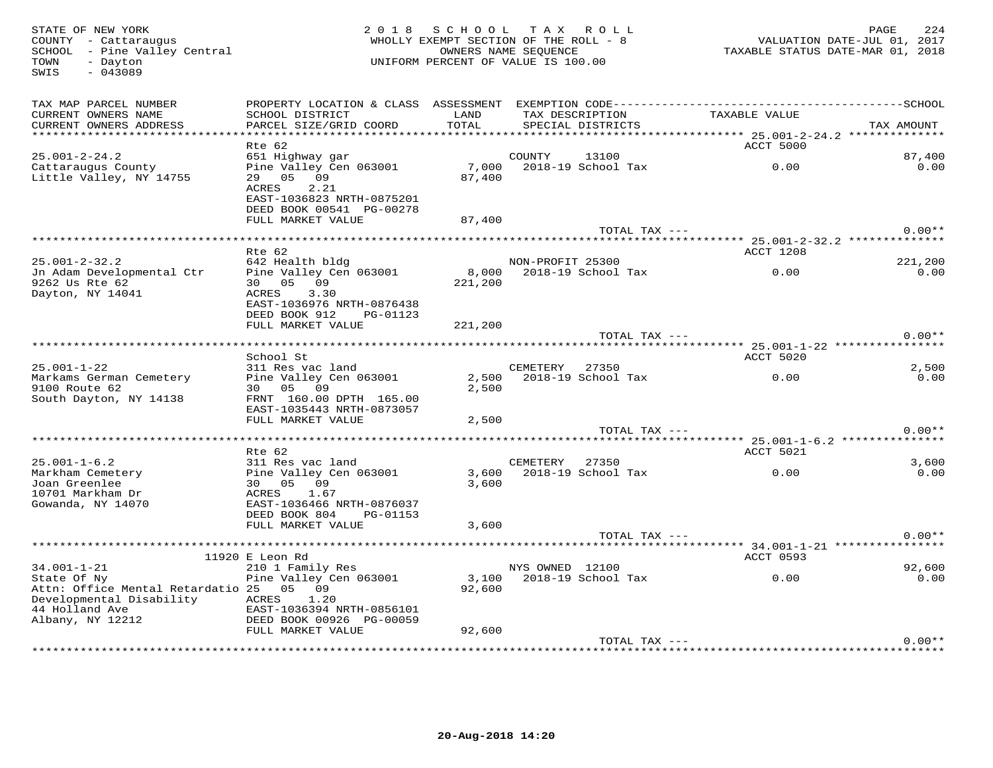STATE OF NEW YORK MORE 224 (229 MHOLLY EXEMPLE 20 MHOLLY EXEMPLE 20 MHOLLY EXEMPLE 20 MHOLLY EXEMPLE 20 MHOLLY EXEMPLE COUNTY - Cattary ORTE-JUL 01, 2017<br>SCHOOL - Pine Valley Central (2017 - 2018) MHOLLY EXEMPT SECTION OF SWIS - 043089TAX MAP PARCEL NUMBER PROPERTY LOCATION & CLASS ASSESSMENT EXEMPTION CODE------------------------------------------SCHOOL CURRENT OWNERS NAME SCHOOL DISTRICT LAND TAX DESCRIPTION TAXABLE VALUE CURRENT OWNERS ADDRESS PARCEL SIZE/GRID COORD TOTAL SPECIAL DISTRICTS TAX AMOUNT \*\*\*\*\*\*\*\*\*\*\*\*\*\*\*\*\*\*\*\*\*\*\*\*\*\*\*\*\*\*\*\*\*\*\*\*\*\*\*\*\*\*\*\*\*\*\*\*\*\*\*\*\*\*\*\*\*\*\*\*\*\*\*\*\*\*\*\*\*\*\*\*\*\*\*\*\*\*\*\*\*\*\*\*\*\*\*\*\*\*\*\*\*\*\*\*\*\*\*\*\*\*\* 25.001-2-24.2 \*\*\*\*\*\*\*\*\*\*\*\*\*\*Rte 62 ACCT 5000 ACCT 5000 ACCT 5000 ACCT 5000 ACCT 5000 ACCT 5000 ACCT 5000 ACCT 5000 ACCT 5000 ACCT 5000 ACCT 25.001-2-24.2 651 Highway gar COUNTY 13100 87,400 $\cap$   $\cap$ Cattaraugus County Pine Valley Cen 063001 7,000 2018-19 School Tax 0.00 0.00Little Valley, NY 14755 29 05 09 87,400 ACRES 2.21 EAST-1036823 NRTH-0875201 DEED BOOK 00541 PG-00278 FULL MARKET VALUE 87,400 TOTAL TAX --- 0.00\*\* \*\*\*\*\*\*\*\*\*\*\*\*\*\*\*\*\*\*\*\*\*\*\*\*\*\*\*\*\*\*\*\*\*\*\*\*\*\*\*\*\*\*\*\*\*\*\*\*\*\*\*\*\*\*\*\*\*\*\*\*\*\*\*\*\*\*\*\*\*\*\*\*\*\*\*\*\*\*\*\*\*\*\*\*\*\*\*\*\*\*\*\*\*\*\*\*\*\*\*\*\*\*\* 25.001-2-32.2 \*\*\*\*\*\*\*\*\*\*\*\*\*\*221,200 Rte 62 ACCT 1208 25.001-2-32.2 642 Health bldg NON-PROFIT 25300 221,200 $0.00$ Jn Adam Developmental Ctr Pine Valley Cen 063001 8,000 2018-19 School Tax 0.00 0.009262 Us Rte 62 30 05 09 221,200 Dayton, NY 14041 ACRES 3.30 EAST-1036976 NRTH-0876438 DEED BOOK 912 PG-01123 FULL MARKET VALUE 221,200TOTAL TAX  $---$  0.00\*\* \*\*\*\*\*\*\*\*\*\*\*\*\*\*\*\*\*\*\*\*\*\*\*\*\*\*\*\*\*\*\*\*\*\*\*\*\*\*\*\*\*\*\*\*\*\*\*\*\*\*\*\*\*\*\*\*\*\*\*\*\*\*\*\*\*\*\*\*\*\*\*\*\*\*\*\*\*\*\*\*\*\*\*\*\*\*\*\*\*\*\*\*\*\*\*\*\*\*\*\*\*\*\* 25.001-1-22 \*\*\*\*\*\*\*\*\*\*\*\*\*\*\*\*School St Accredit Superintensity of the School State of the School State of the School State of the School St  $0.00$ 25.001-1-22 311 Res vac land CEMETERY 27350 2,500 $0.00$ Markams German Cemetery Pine Valley Cen 063001 2,500 2018-19 School Tax 0.00 0.009100 Route 62 30 05 09 2,500 South Dayton, NY 14138 FRNT 160.00 DPTH 165.00 EAST-1035443 NRTH-0873057 FULL MARKET VALUE 2,500 TOTAL TAX --- 0.00\*\* \*\*\*\*\*\*\*\*\*\*\*\*\*\*\*\*\*\*\*\*\*\*\*\*\*\*\*\*\*\*\*\*\*\*\*\*\*\*\*\*\*\*\*\*\*\*\*\*\*\*\*\*\*\*\*\*\*\*\*\*\*\*\*\*\*\*\*\*\*\*\*\*\*\*\*\*\*\*\*\*\*\*\*\*\*\*\*\*\*\*\*\*\*\*\*\*\*\*\*\*\*\*\* 25.001-1-6.2 \*\*\*\*\*\*\*\*\*\*\*\*\*\*\* Rte 62 ACCT 5021 25.001-1-6.2 311 Res vac land CEMETERY 27350 3,600 $0.00$ Markham Cemetery Pine Valley Cen 063001 3,600 2018-19 School Tax 0.00 0.00Joan Greenlee 30 05 09 3,600 10701 Markham Dr ACRES 1.67 Gowanda, NY 14070 EAST-1036466 NRTH-0876037 DEED BOOK 804 PG-01153 FULL MARKET VALUE 3,600 TOTAL TAX --- 0.00\*\* \*\*\*\*\*\*\*\*\*\*\*\*\*\*\*\*\*\*\*\*\*\*\*\*\*\*\*\*\*\*\*\*\*\*\*\*\*\*\*\*\*\*\*\*\*\*\*\*\*\*\*\*\*\*\*\*\*\*\*\*\*\*\*\*\*\*\*\*\*\*\*\*\*\*\*\*\*\*\*\*\*\*\*\*\*\*\*\*\*\*\*\*\*\*\*\*\*\*\*\*\*\*\* 34.001-1-21 \*\*\*\*\*\*\*\*\*\*\*\*\*\*\*\* 11920 E Leon Rd ACCT 0593 34.001-1-21 210 1 Family Res NYS OWNED 12100 92,600 $0.00$ State Of Ny Pine Valley Cen 063001 3,100 2018-19 School Tax 0.00 0.00Attn: Office Mental Retardatio 25 05 09 92,600 Developmental Disability ACRES 1.20 44 Holland Ave EAST-1036394 NRTH-0856101 Albany, NY 12212 DEED BOOK 00926 PG-00059 FULL MARKET VALUE 92,600 TOTAL TAX --- 0.00\*\*

\*\*\*\*\*\*\*\*\*\*\*\*\*\*\*\*\*\*\*\*\*\*\*\*\*\*\*\*\*\*\*\*\*\*\*\*\*\*\*\*\*\*\*\*\*\*\*\*\*\*\*\*\*\*\*\*\*\*\*\*\*\*\*\*\*\*\*\*\*\*\*\*\*\*\*\*\*\*\*\*\*\*\*\*\*\*\*\*\*\*\*\*\*\*\*\*\*\*\*\*\*\*\*\*\*\*\*\*\*\*\*\*\*\*\*\*\*\*\*\*\*\*\*\*\*\*\*\*\*\*\*\*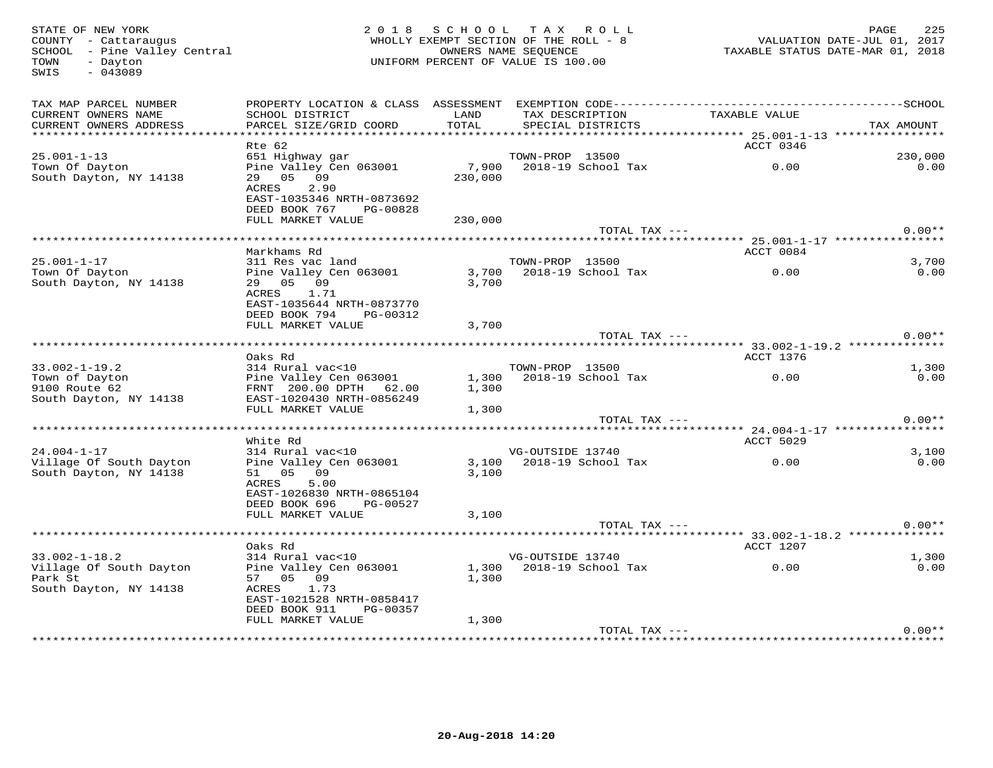SWIS - 043089

#### STATE OF NEW YORK PORT AND ROSE AND LOCULLY EXEMPT SECTION OF THE ROLL AS A COUNTY - Cattaraugus (225 MHOLLY EXEMPT SECTION OF THE ROLL - 8 WALUATION DATE-JUL 01, 2017<br>SCHOOL - Pine Valley Central (2018) WHOLLY EXEMPT SECT WHOLLY EXEMPT SECTION OF THE ROLL - 8 SCHOOL – Pine Valley Central OWNERS NAME SEQUENCE TAXABLE STATUS DATE-MAR 01, 2018 TOWN - Dayton UNIFORM PERCENT OF VALUE IS 100.00

| TAX MAP PARCEL NUMBER<br>CURRENT OWNERS NAME                 | PROPERTY LOCATION & CLASS ASSESSMENT<br>SCHOOL DISTRICT                                                       | LAND           | TAX DESCRIPTION          | TAXABLE VALUE    |            |
|--------------------------------------------------------------|---------------------------------------------------------------------------------------------------------------|----------------|--------------------------|------------------|------------|
| CURRENT OWNERS ADDRESS                                       | PARCEL SIZE/GRID COORD                                                                                        | TOTAL          | SPECIAL DISTRICTS        |                  | TAX AMOUNT |
|                                                              | Rte 62                                                                                                        |                |                          | ACCT 0346        |            |
| $25.001 - 1 - 13$                                            | 651 Highway gar                                                                                               |                | TOWN-PROP 13500          |                  | 230,000    |
| Town Of Dayton<br>South Dayton, NY 14138                     | Pine Valley Cen 063001<br>29 05 09<br>2.90<br>ACRES<br>EAST-1035346 NRTH-0873692<br>DEED BOOK 767<br>PG-00828 | 230,000        | 7,900 2018-19 School Tax | 0.00             | 0.00       |
|                                                              | FULL MARKET VALUE                                                                                             | 230,000        |                          |                  |            |
|                                                              |                                                                                                               |                | TOTAL TAX ---            |                  | $0.00**$   |
|                                                              | Markhams Rd                                                                                                   |                |                          | ACCT 0084        |            |
| $25.001 - 1 - 17$                                            | 311 Res vac land                                                                                              |                | TOWN-PROP 13500          |                  | 3,700      |
| Town Of Dayton<br>South Dayton, NY 14138                     | Pine Valley Cen 063001<br>29 05 09<br>ACRES<br>1.71<br>EAST-1035644 NRTH-0873770<br>DEED BOOK 794<br>PG-00312 | 3,700          | 3,700 2018-19 School Tax | 0.00             | 0.00       |
|                                                              | FULL MARKET VALUE                                                                                             | 3,700          |                          |                  |            |
|                                                              |                                                                                                               |                | TOTAL TAX ---            |                  | $0.00**$   |
|                                                              |                                                                                                               |                |                          |                  |            |
| $33.002 - 1 - 19.2$                                          | Oaks Rd<br>314 Rural vac<10                                                                                   |                | TOWN-PROP 13500          | ACCT 1376        | 1,300      |
| Town of Dayton                                               | Pine Valley Cen 063001                                                                                        |                | 1,300 2018-19 School Tax | 0.00             | 0.00       |
| 9100 Route 62<br>South Dayton, NY 14138                      | FRNT 200.00 DPTH 62.00<br>EAST-1020430 NRTH-0856249                                                           | 1,300          |                          |                  |            |
|                                                              | FULL MARKET VALUE                                                                                             | 1,300          |                          |                  |            |
|                                                              |                                                                                                               |                | TOTAL TAX ---            |                  | $0.00**$   |
|                                                              | White Rd                                                                                                      |                |                          | ACCT 5029        |            |
| $24.004 - 1 - 17$                                            | 314 Rural vac<10                                                                                              |                | VG-OUTSIDE 13740         |                  | 3,100      |
| Village Of South Dayton<br>South Dayton, NY 14138            | Pine Valley Cen 063001<br>51 05 09<br>ACRES<br>5.00<br>EAST-1026830 NRTH-0865104<br>DEED BOOK 696<br>PG-00527 | 3,100<br>3.100 | 2018-19 School Tax       | 0.00             | 0.00       |
|                                                              | FULL MARKET VALUE                                                                                             | 3,100          |                          |                  |            |
|                                                              |                                                                                                               |                | TOTAL TAX ---            |                  | $0.00**$   |
|                                                              | Oaks Rd                                                                                                       |                |                          | <b>ACCT 1207</b> |            |
| $33.002 - 1 - 18.2$                                          | 314 Rural vac<10                                                                                              |                | VG-OUTSIDE 13740         |                  | 1,300      |
| Village Of South Dayton<br>Park St<br>South Dayton, NY 14138 | Pine Valley Cen 063001<br>57 05 09<br>ACRES<br>1.73<br>EAST-1021528 NRTH-0858417<br>DEED BOOK 911<br>PG-00357 | 1,300          | 1,300 2018-19 School Tax | 0.00             | 0.00       |
|                                                              | FULL MARKET VALUE                                                                                             | 1,300          |                          |                  |            |
|                                                              |                                                                                                               |                | TOTAL TAX ---            |                  | $0.00**$   |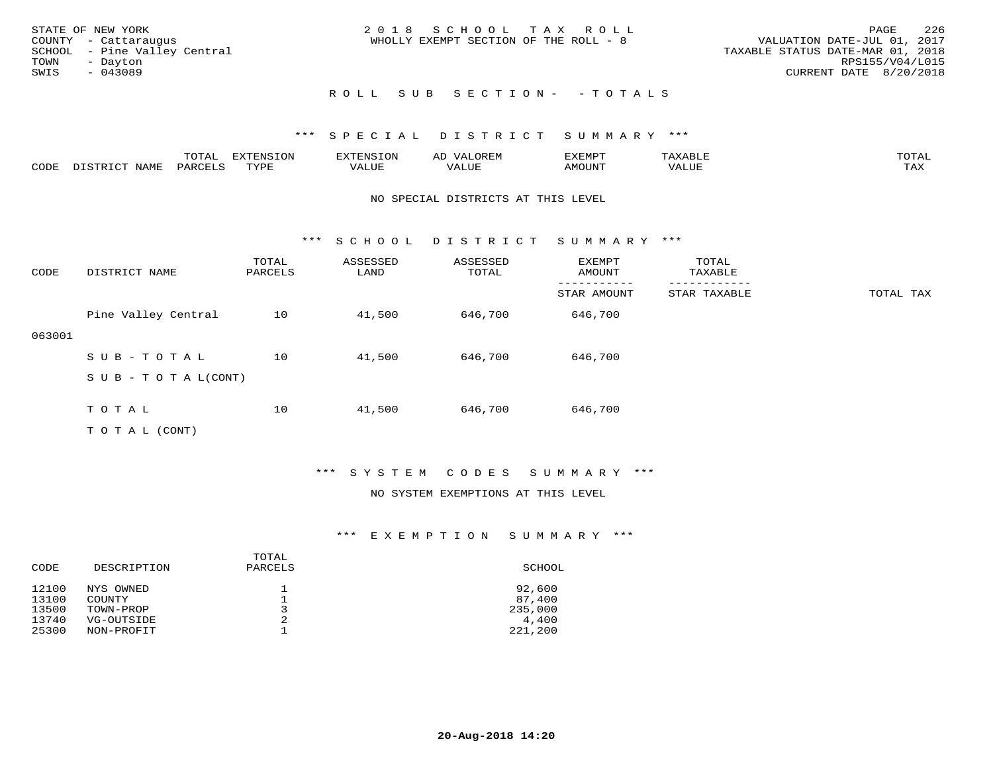| STATE OF NEW YORK            | 2018 SCHOOL TAX ROLL                  | 226<br>PAGE                      |
|------------------------------|---------------------------------------|----------------------------------|
| COUNTY - Cattaraugus         | WHOLLY EXEMPT SECTION OF THE ROLL - 8 | VALUATION DATE-JUL 01, 2017      |
| SCHOOL - Pine Valley Central |                                       | TAXABLE STATUS DATE-MAR 01, 2018 |
| TOWN<br>- Dayton             |                                       | RPS155/V04/L015                  |
| SWIS<br>- 043089             |                                       | CURRENT DATE 8/20/2018           |
|                              | ROLL SUB SECTION- - TOTALS            |                                  |

# \*\*\* S P E C I A L D I S T R I C T S U M M A R Y \*\*\*

|      |      | momn.<br>- JIAF | $\pi$<br>$\sim$ |       |       | ידס אידי | .     | momm <sup>.</sup><br>$\sim$ |
|------|------|-----------------|-----------------|-------|-------|----------|-------|-----------------------------|
| CODE | NAMF | PARO            | TVDI<br>.       | 'ALUE | - --- | AMOUNT   | 'ALUE | ma v<br>⊥ ∠∡∡               |

#### NO SPECIAL DISTRICTS AT THIS LEVEL

\*\*\* S C H O O L D I S T R I C T S U M M A R Y \*\*\*

| CODE   | DISTRICT NAME             | TOTAL<br>PARCELS | ASSESSED<br>LAND | ASSESSED<br>TOTAL | <b>EXEMPT</b><br>AMOUNT | TOTAL<br>TAXABLE |           |
|--------|---------------------------|------------------|------------------|-------------------|-------------------------|------------------|-----------|
|        |                           |                  |                  |                   | STAR AMOUNT             | STAR TAXABLE     | TOTAL TAX |
|        | Pine Valley Central       | 10               | 41,500           | 646,700           | 646,700                 |                  |           |
| 063001 |                           |                  |                  |                   |                         |                  |           |
|        | SUB-TOTAL                 | 10               | 41,500           | 646,700           | 646,700                 |                  |           |
|        | S U B - T O T A $L(CONT)$ |                  |                  |                   |                         |                  |           |
|        |                           |                  |                  |                   |                         |                  |           |
|        | TOTAL                     | 10               | 41,500           | 646,700           | 646,700                 |                  |           |
|        | T O T A L (CONT)          |                  |                  |                   |                         |                  |           |

## \*\*\* S Y S T E M C O D E S S U M M A R Y \*\*\*

#### NO SYSTEM EXEMPTIONS AT THIS LEVEL

| DESCRIPTION              | PARCELS | SCHOOL           |
|--------------------------|---------|------------------|
| NYS OWNED<br>COUNTY      |         | 92,600<br>87,400 |
| TOWN-PROP                |         | 235,000          |
| VG-OUTSIDE<br>NON-PROFIT | 2       | 4,400<br>221,200 |
|                          |         | TOTAL            |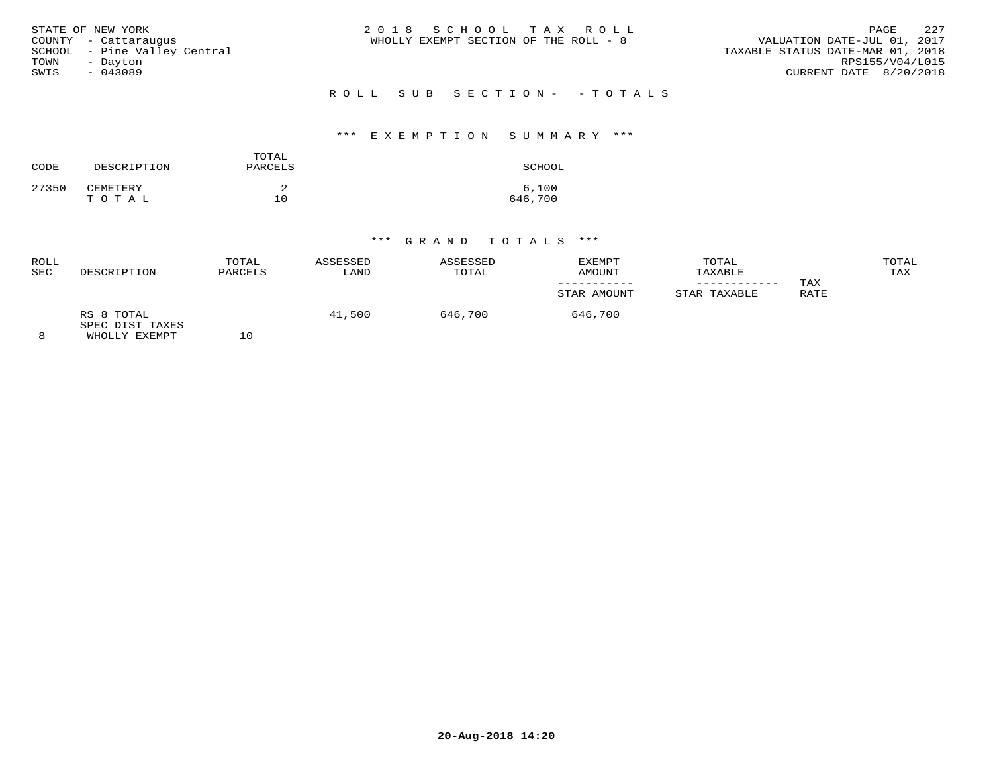| STATE OF NEW YORK            | 2018 SCHOOL TAX ROLL                  | 22.7<br>PAGE                     |
|------------------------------|---------------------------------------|----------------------------------|
| COUNTY - Cattaraugus         | WHOLLY EXEMPT SECTION OF THE ROLL - 8 | VALUATION DATE-JUL 01, 2017      |
| SCHOOL - Pine Valley Central |                                       | TAXABLE STATUS DATE-MAR 01, 2018 |
| TOWN<br>- Dayton             |                                       | RPS155/V04/L015                  |
| SWIS<br>- 043089             |                                       | CURRENT DATE 8/20/2018           |
|                              | ROLL SUB SECTION- - TOTALS            |                                  |

#### \*\*\* E X E M P T I O N S U M M A R Y \*\*\*

| CODE  | DESCRIPTION       | TOTAL<br>PARCELS | SCHOOL           |
|-------|-------------------|------------------|------------------|
| 27350 | CEMETERY<br>TOTAL | 10               | 6,100<br>646,700 |

| ROLL<br>SEC | DESCRIPTION                                    | TOTAL<br>PARCELS | ASSESSED<br>LAND | ASSESSED<br>TOTAL | EXEMPT<br>AMOUNT | TOTAL<br>TAXABLE | TAX  | TOTAL<br>TAX |
|-------------|------------------------------------------------|------------------|------------------|-------------------|------------------|------------------|------|--------------|
|             |                                                |                  |                  |                   | STAR AMOUNT      | STAR TAXABLE     | RATE |              |
|             | RS 8 TOTAL<br>SPEC DIST TAXES<br>WHOLLY EXEMPT | ΤU               | 41,500           | 646,700           | 646,700          |                  |      |              |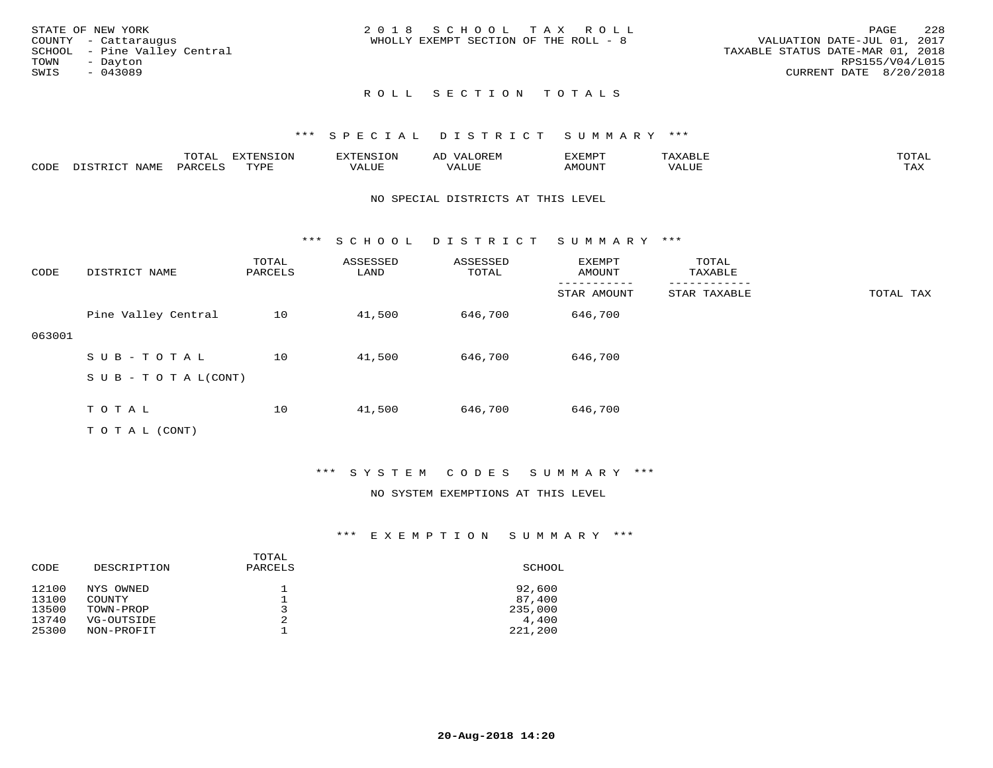|      | STATE OF NEW YORK            | 2018 SCHOOL TAX ROLL                                                 | PAGE            | 2.2.8 |
|------|------------------------------|----------------------------------------------------------------------|-----------------|-------|
|      | COUNTY - Cattaraugus         | VALUATION DATE-JUL 01, 2017<br>WHOLLY EXEMPT SECTION OF THE ROLL - 8 |                 |       |
|      | SCHOOL - Pine Valley Central | TAXABLE STATUS DATE-MAR 01, 2018                                     |                 |       |
| TOWN | - Davton                     |                                                                      | RPS155/V04/L015 |       |
| SWIS | - 043089                     | CURRENT DATE 8/20/2018                                               |                 |       |
|      |                              |                                                                      |                 |       |

# ROLL SECTION TOTALS

### \*\*\* S P E C I A L D I S T R I C T S U M M A R Y \*\*\*

|      | ----<br>◡∸ғ | ---<br>ENSION         |                            | AL'<br>∵⊔ت⊥د⊥ر |       | $m \wedge m$       |
|------|-------------|-----------------------|----------------------------|----------------|-------|--------------------|
| CODE |             | $m \times r \times r$ | , <del>,</del> , , , , , , |                | MOUN. | $- - - -$<br>. ris |

#### NO SPECIAL DISTRICTS AT THIS LEVEL

\*\*\* S C H O O L D I S T R I C T S U M M A R Y \*\*\*

| CODE   | DISTRICT NAME                    | TOTAL<br>PARCELS | ASSESSED<br>LAND | ASSESSED<br>TOTAL | EXEMPT<br>AMOUNT | TOTAL<br>TAXABLE |           |
|--------|----------------------------------|------------------|------------------|-------------------|------------------|------------------|-----------|
|        |                                  |                  |                  |                   | STAR AMOUNT      | STAR TAXABLE     | TOTAL TAX |
|        | Pine Valley Central              | 10               | 41,500           | 646,700           | 646,700          |                  |           |
| 063001 |                                  |                  |                  |                   |                  |                  |           |
|        | SUB-TOTAL                        | 10               | 41,500           | 646,700           | 646,700          |                  |           |
|        | $S \cup B - T \cup T A L (CONT)$ |                  |                  |                   |                  |                  |           |
|        | TOTAL                            | 10               | 41,500           | 646,700           | 646,700          |                  |           |

T O T A L (CONT)

## \*\*\* S Y S T E M C O D E S S U M M A R Y \*\*\*

#### NO SYSTEM EXEMPTIONS AT THIS LEVEL

| CODE  | DESCRIPTION | TOTAL<br>PARCELS | SCHOOL  |
|-------|-------------|------------------|---------|
| 12100 | NYS OWNED   |                  | 92,600  |
| 13100 | COUNTY      |                  | 87,400  |
| 13500 | TOWN-PROP   |                  | 235,000 |
| 13740 | VG-OUTSIDE  | 2                | 4,400   |
| 25300 | NON-PROFIT  |                  | 221,200 |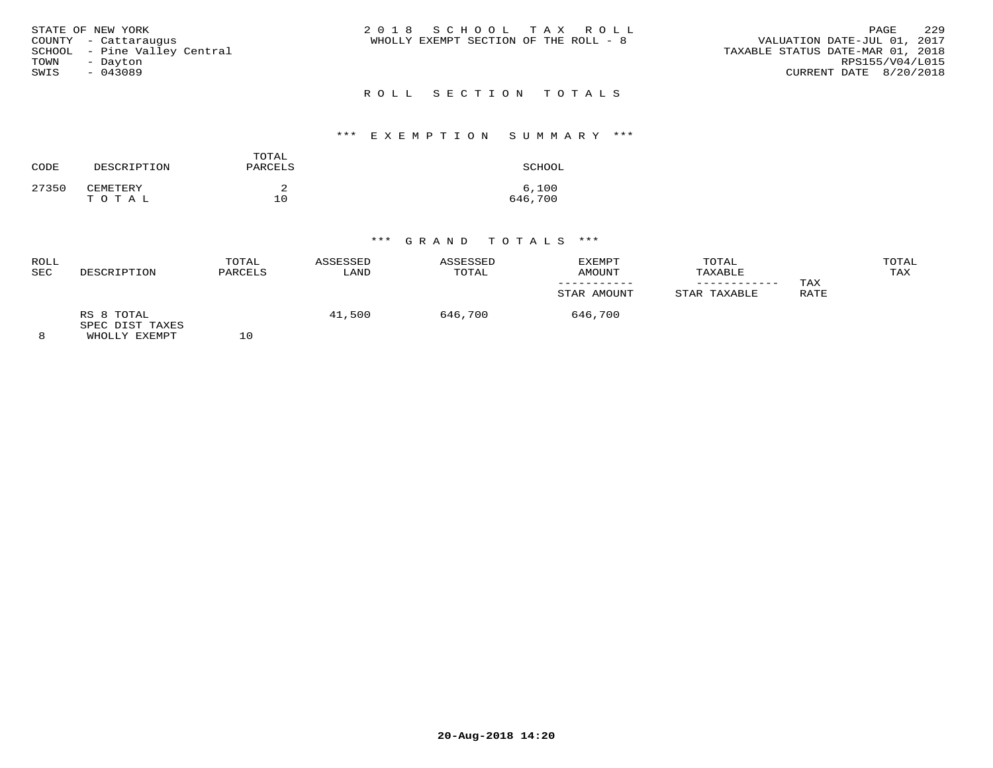|      | STATE OF NEW YORK            | 2018 SCHOOL TAX ROLL                                                 | PAGE                   | 229 |
|------|------------------------------|----------------------------------------------------------------------|------------------------|-----|
|      | COUNTY - Cattaraugus         | VALUATION DATE-JUL 01, 2017<br>WHOLLY EXEMPT SECTION OF THE ROLL - 8 |                        |     |
|      | SCHOOL - Pine Valley Central | TAXABLE STATUS DATE-MAR 01, 2018                                     |                        |     |
| TOWN | - Davton                     |                                                                      | RPS155/V04/L015        |     |
| SWIS | - 043089                     |                                                                      | CURRENT DATE 8/20/2018 |     |
|      |                              |                                                                      |                        |     |

# R O L L S E C T I O N T O T A L S

## \*\*\* E X E M P T I O N S U M M A R Y \*\*\*

| CODE  | DESCRIPTION       | TOTAL<br>PARCELS | SCHOOL           |
|-------|-------------------|------------------|------------------|
| 27350 | CEMETERY<br>TOTAL | 10               | 6,100<br>646,700 |

| ROLL<br><b>SEC</b> | DESCRIPTION                                    | TOTAL<br>PARCELS | ASSESSED<br>LAND | ASSESSED<br>TOTAL | EXEMPT<br>AMOUNT | TOTAL<br>TAXABLE |             | TOTAL<br>TAX |
|--------------------|------------------------------------------------|------------------|------------------|-------------------|------------------|------------------|-------------|--------------|
|                    |                                                |                  |                  |                   | STAR AMOUNT      | STAR TAXABLE     | TAX<br>RATE |              |
| 8                  | RS 8 TOTAL<br>SPEC DIST TAXES<br>WHOLLY EXEMPT | 10               | 41,500           | 646,700           | 646,700          |                  |             |              |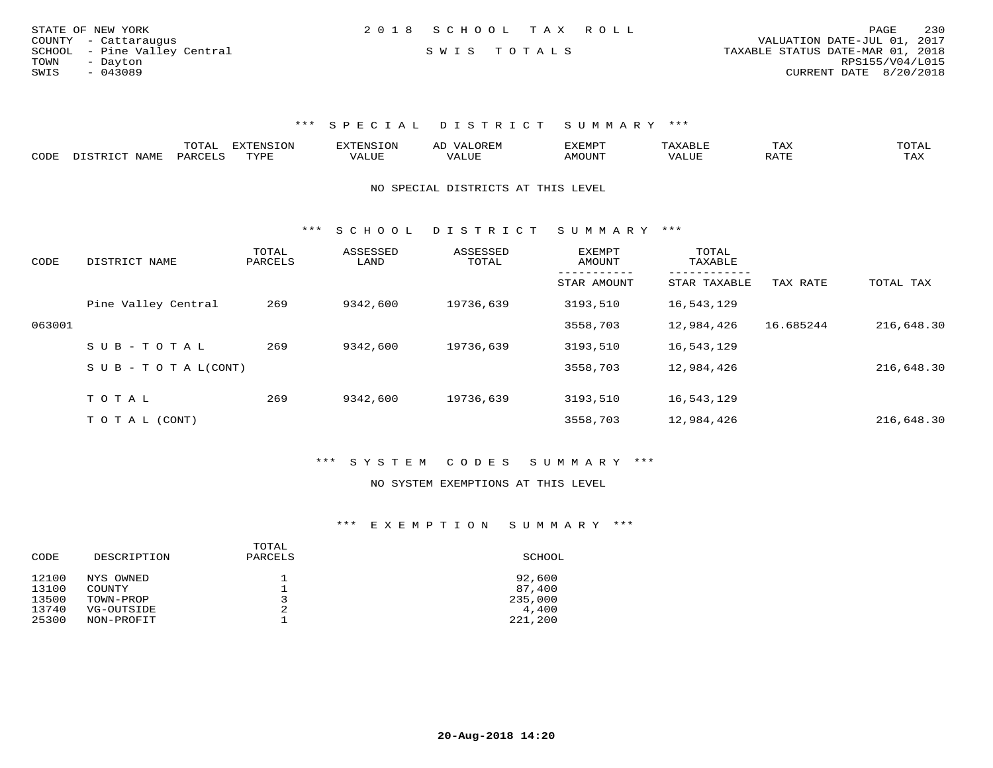| STATE OF NEW YORK            | 2018 SCHOOL TAX ROLL | PAGE                             | 230 |
|------------------------------|----------------------|----------------------------------|-----|
| COUNTY - Cattaraugus         |                      | VALUATION DATE-JUL 01, 2017      |     |
| SCHOOL - Pine Valley Central | SWIS TOTALS          | TAXABLE STATUS DATE-MAR 01, 2018 |     |
| TOWN<br>- Davton             |                      | RPS155/V04/L015                  |     |
| SWIS<br>- 043089             |                      | CURRENT DATE 8/20/2018           |     |
|                              |                      |                                  |     |

# \*\*\* S P E C I A L D I S T R I C T S U M M A R Y \*\*\*

|      | ----- |       | $\sim$ | רס אי די | ⊥⊷∆     |                      |
|------|-------|-------|--------|----------|---------|----------------------|
| CODE |       | ורזאר |        |          | $n \pi$ | $m \times r$<br>---- |

#### NO SPECIAL DISTRICTS AT THIS LEVEL

\*\*\* S C H O O L D I S T R I C T S U M M A R Y \*\*\*

| CODE   | DISTRICT NAME                    | TOTAL<br>PARCELS | ASSESSED<br>LAND | ASSESSED<br>TOTAL | <b>EXEMPT</b><br>AMOUNT | TOTAL<br>TAXABLE |           |            |
|--------|----------------------------------|------------------|------------------|-------------------|-------------------------|------------------|-----------|------------|
|        |                                  |                  |                  |                   | STAR AMOUNT             | STAR TAXABLE     | TAX RATE  | TOTAL TAX  |
|        | Pine Valley Central              | 269              | 9342,600         | 19736,639         | 3193,510                | 16,543,129       |           |            |
| 063001 |                                  |                  |                  |                   | 3558,703                | 12,984,426       | 16.685244 | 216,648.30 |
|        | SUB-TOTAL                        | 269              | 9342,600         | 19736,639         | 3193,510                | 16,543,129       |           |            |
|        | $S \cup B - T \cup T A L (CONT)$ |                  |                  |                   | 3558,703                | 12,984,426       |           | 216,648.30 |
|        | TOTAL                            | 269              | 9342,600         | 19736,639         | 3193,510                | 16,543,129       |           |            |
|        |                                  |                  |                  |                   |                         |                  |           |            |
|        | T O T A L (CONT)                 |                  |                  |                   | 3558,703                | 12,984,426       |           | 216,648.30 |

## \*\*\* S Y S T E M C O D E S S U M M A R Y \*\*\*

#### NO SYSTEM EXEMPTIONS AT THIS LEVEL

| CODE  | DESCRIPTION   | TOTAL<br>PARCELS | SCHOOL  |
|-------|---------------|------------------|---------|
| 12100 | NYS OWNED     | ᅩ                | 92,600  |
| 13100 | <b>COUNTY</b> |                  | 87,400  |
| 13500 | TOWN-PROP     | 3                | 235,000 |
| 13740 | VG-OUTSIDE    | 2                | 4,400   |
| 25300 | NON-PROFIT    |                  | 221,200 |
|       |               |                  |         |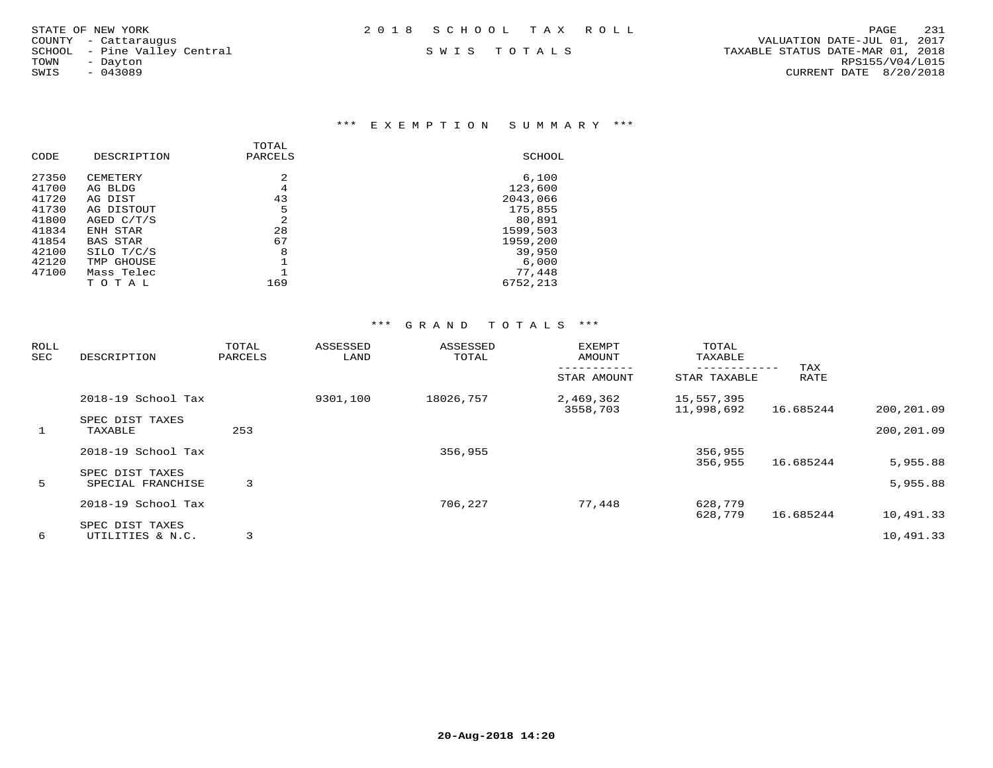\*\*\* E X E M P T I O N S U M M A R Y \*\*\*

|       |                 | TOTAL          |          |
|-------|-----------------|----------------|----------|
| CODE  | DESCRIPTION     | PARCELS        | SCHOOL   |
| 27350 | CEMETERY        | 2              | 6,100    |
| 41700 | AG BLDG         | 4              | 123,600  |
| 41720 | AG DIST         | 43             | 2043,066 |
| 41730 | AG DISTOUT      | 5              | 175,855  |
| 41800 | AGED C/T/S      | $\mathfrak{D}$ | 80,891   |
| 41834 | ENH STAR        | 28             | 1599,503 |
| 41854 | <b>BAS STAR</b> | 67             | 1959,200 |
| 42100 | SILO T/C/S      | 8              | 39,950   |
| 42120 | TMP GHOUSE      |                | 6,000    |
| 47100 | Mass Telec      |                | 77,448   |
|       | TOTAL           | 169            | 6752,213 |
|       |                 |                |          |

| ROLL<br>SEC | DESCRIPTION                          | TOTAL<br>PARCELS | ASSESSED<br>LAND | ASSESSED<br>TOTAL | <b>EXEMPT</b><br>AMOUNT | TOTAL<br>TAXABLE         |             |            |
|-------------|--------------------------------------|------------------|------------------|-------------------|-------------------------|--------------------------|-------------|------------|
|             |                                      |                  |                  |                   | STAR AMOUNT             | STAR TAXABLE             | TAX<br>RATE |            |
|             | 2018-19 School Tax                   |                  | 9301,100         | 18026,757         | 2,469,362<br>3558,703   | 15,557,395<br>11,998,692 | 16.685244   | 200,201.09 |
|             | SPEC DIST TAXES                      |                  |                  |                   |                         |                          |             |            |
| 1           | TAXABLE                              | 253              |                  |                   |                         |                          |             | 200,201.09 |
|             | 2018-19 School Tax                   |                  |                  | 356,955           |                         | 356,955                  |             |            |
|             |                                      |                  |                  |                   |                         | 356,955                  | 16.685244   | 5,955.88   |
| 5           | SPEC DIST TAXES<br>SPECIAL FRANCHISE | 3                |                  |                   |                         |                          |             | 5,955.88   |
|             | 2018-19 School Tax                   |                  |                  | 706,227           | 77,448                  | 628,779                  |             |            |
|             |                                      |                  |                  |                   |                         | 628,779                  | 16.685244   | 10,491.33  |
|             | SPEC DIST TAXES                      |                  |                  |                   |                         |                          |             |            |
| 6           | UTILITIES & N.C.                     | 3                |                  |                   |                         |                          |             | 10,491.33  |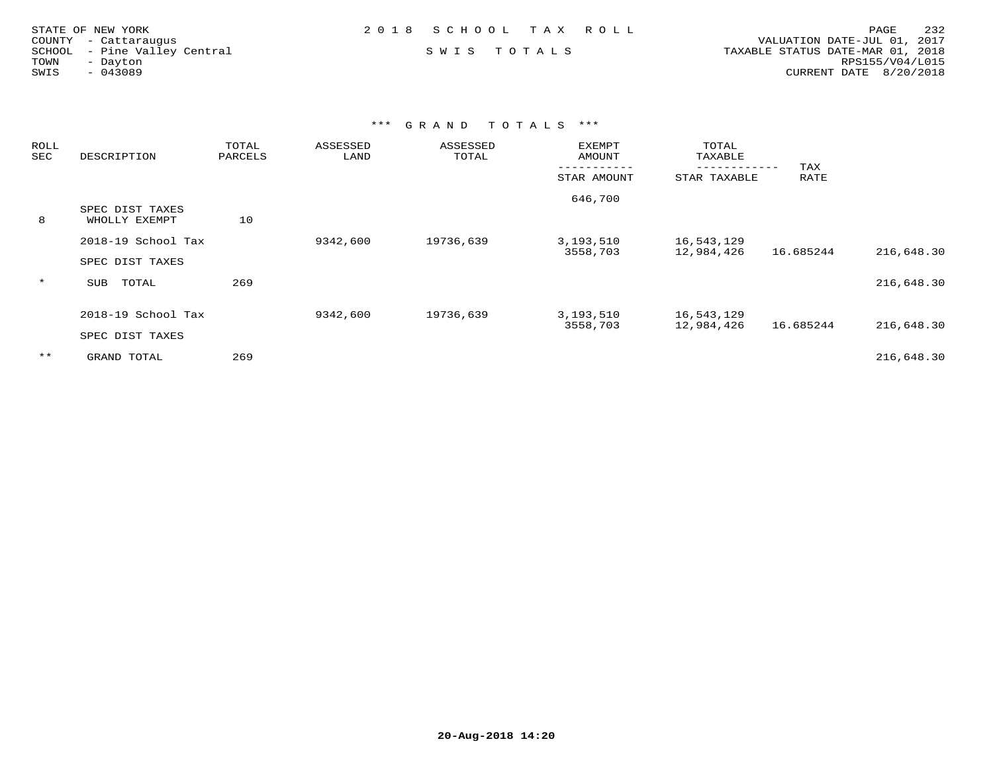|      | STATE OF NEW YORK            | 2018 SCHOOL TAX ROLL |  |                                  | PAGE                   | 232 |
|------|------------------------------|----------------------|--|----------------------------------|------------------------|-----|
|      | COUNTY - Cattaraugus         |                      |  | VALUATION DATE-JUL 01, 2017      |                        |     |
|      | SCHOOL - Pine Valley Central | SWIS TOTALS          |  | TAXABLE STATUS DATE-MAR 01, 2018 |                        |     |
| TOWN | - Davton                     |                      |  |                                  | RPS155/V04/L015        |     |
| SWIS | $-043089$                    |                      |  |                                  | CURRENT DATE 8/20/2018 |     |
|      |                              |                      |  |                                  |                        |     |

| ROLL<br>SEC | DESCRIPTION                           | TOTAL<br>PARCELS | ASSESSED<br>LAND | ASSESSED<br>TOTAL | <b>EXEMPT</b><br>AMOUNT | TOTAL<br>TAXABLE         | TAX       |            |
|-------------|---------------------------------------|------------------|------------------|-------------------|-------------------------|--------------------------|-----------|------------|
|             |                                       |                  |                  |                   | STAR AMOUNT             | STAR TAXABLE             | RATE      |            |
| 8           | SPEC DIST TAXES<br>WHOLLY EXEMPT      | 10               |                  |                   | 646,700                 |                          |           |            |
|             | 2018-19 School Tax                    |                  | 9342,600         | 19736,639         | 3,193,510<br>3558,703   | 16,543,129<br>12,984,426 | 16.685244 | 216,648.30 |
|             | SPEC DIST TAXES                       |                  |                  |                   |                         |                          |           |            |
| $\star$     | TOTAL<br>SUB                          | 269              |                  |                   |                         |                          |           | 216,648.30 |
|             | 2018-19 School Tax<br>SPEC DIST TAXES |                  | 9342,600         | 19736,639         | 3,193,510<br>3558,703   | 16,543,129<br>12,984,426 | 16.685244 | 216,648.30 |
| $***$       | GRAND TOTAL                           | 269              |                  |                   |                         |                          |           | 216,648.30 |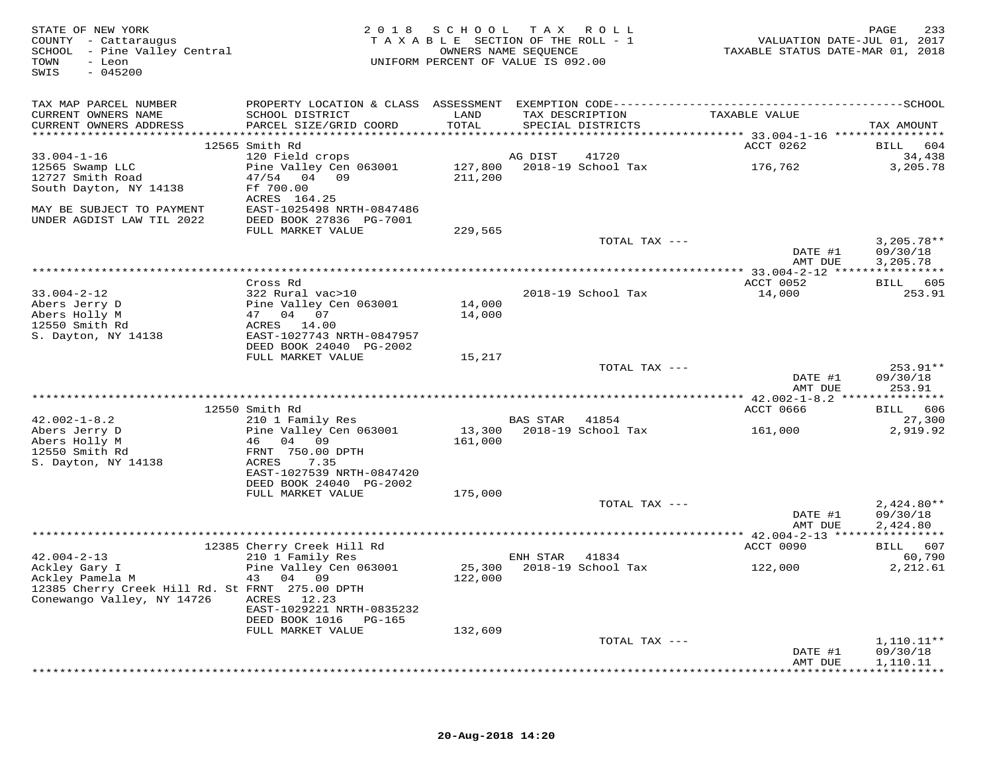| STATE OF NEW YORK<br>COUNTY - Cattaraugus<br>SCHOOL - Pine Valley Central<br>TOWN<br>- Leon<br>$-045200$<br>SWIS |                                                   |               | 2018 SCHOOL TAX ROLL<br>TAXABLE SECTION OF THE ROLL - 1<br>OWNERS NAME SEQUENCE<br>UNIFORM PERCENT OF VALUE IS 092.00 | VALUATION DATE-JUL 01, 2017<br>TAXABLE STATUS DATE-MAR 01, 2018 | 233<br>PAGE            |
|------------------------------------------------------------------------------------------------------------------|---------------------------------------------------|---------------|-----------------------------------------------------------------------------------------------------------------------|-----------------------------------------------------------------|------------------------|
| TAX MAP PARCEL NUMBER                                                                                            |                                                   |               |                                                                                                                       |                                                                 |                        |
| CURRENT OWNERS NAME<br>CURRENT OWNERS ADDRESS                                                                    | SCHOOL DISTRICT<br>PARCEL SIZE/GRID COORD         | LAND<br>TOTAL | TAX DESCRIPTION<br>SPECIAL DISTRICTS                                                                                  | TAXABLE VALUE                                                   | TAX AMOUNT             |
|                                                                                                                  | 12565 Smith Rd                                    |               |                                                                                                                       |                                                                 | BILL 604               |
| $33.004 - 1 - 16$                                                                                                | 120 Field crops                                   |               | AG DIST 41720                                                                                                         | ACCT 0262                                                       | 34,438                 |
| 12565 Swamp LLC                                                                                                  | Pine Valley Cen 063001 127,800 2018-19 School Tax |               |                                                                                                                       | 176,762                                                         | 3,205.78               |
| 12727 Smith Road                                                                                                 | 47/54 04 09                                       | 211,200       |                                                                                                                       |                                                                 |                        |
| South Dayton, NY 14138                                                                                           | Ff 700.00                                         |               |                                                                                                                       |                                                                 |                        |
|                                                                                                                  | ACRES 164.25                                      |               |                                                                                                                       |                                                                 |                        |
| MAY BE SUBJECT TO PAYMENT                                                                                        | EAST-1025498 NRTH-0847486                         |               |                                                                                                                       |                                                                 |                        |
| UNDER AGDIST LAW TIL 2022                                                                                        | DEED BOOK 27836 PG-7001<br>FULL MARKET VALUE      | 229,565       |                                                                                                                       |                                                                 |                        |
|                                                                                                                  |                                                   |               | TOTAL TAX ---                                                                                                         |                                                                 | $3,205.78**$           |
|                                                                                                                  |                                                   |               |                                                                                                                       | DATE #1                                                         | 09/30/18               |
|                                                                                                                  |                                                   |               |                                                                                                                       | AMT DUE                                                         | 3,205.78               |
|                                                                                                                  |                                                   |               |                                                                                                                       |                                                                 |                        |
|                                                                                                                  | Cross Rd                                          |               |                                                                                                                       | ACCT 0052                                                       | BILL 605<br>253.91     |
| $33.004 - 2 - 12$                                                                                                | 322 Rural vac>10<br>Pine Valley Cen 063001        | 14,000        | 2018-19 School Tax                                                                                                    | 14,000                                                          |                        |
|                                                                                                                  | 47 04 07                                          | 14,000        |                                                                                                                       |                                                                 |                        |
| Abers Jerry D<br>Abers Holly M<br>12550 Smith Rd<br>12550 Smith Rd                                               | ACRES 14.00                                       |               |                                                                                                                       |                                                                 |                        |
| S. Dayton, NY 14138                                                                                              | EAST-1027743 NRTH-0847957                         |               |                                                                                                                       |                                                                 |                        |
|                                                                                                                  | DEED BOOK 24040 PG-2002                           |               |                                                                                                                       |                                                                 |                        |
|                                                                                                                  | FULL MARKET VALUE                                 | 15,217        |                                                                                                                       |                                                                 |                        |
|                                                                                                                  |                                                   |               | TOTAL TAX ---                                                                                                         | DATE #1                                                         | $253.91**$<br>09/30/18 |
|                                                                                                                  |                                                   |               |                                                                                                                       | AMT DUE                                                         | 253.91                 |
|                                                                                                                  |                                                   |               |                                                                                                                       |                                                                 |                        |
|                                                                                                                  | 12550 Smith Rd                                    |               |                                                                                                                       | ACCT 0666                                                       | BILL 606               |
| $42.002 - 1 - 8.2$                                                                                               | 210 1 Family Res                                  |               | BAS STAR 41854                                                                                                        |                                                                 | 27,300                 |
| Abers Jerry D                                                                                                    | Pine Valley Cen 063001                            |               | 13,300 2018-19 School Tax                                                                                             | 161,000                                                         | 2,919.92               |
| Abers Holly M<br>12550 Smith Rd                                                                                  | 46 04 09<br>FRNT 750.00 DPTH                      | 161,000       |                                                                                                                       |                                                                 |                        |
| S. Dayton, NY 14138                                                                                              | ACRES 7.35                                        |               |                                                                                                                       |                                                                 |                        |
|                                                                                                                  | EAST-1027539 NRTH-0847420                         |               |                                                                                                                       |                                                                 |                        |
|                                                                                                                  | DEED BOOK 24040 PG-2002                           |               |                                                                                                                       |                                                                 |                        |
|                                                                                                                  | FULL MARKET VALUE                                 | 175,000       |                                                                                                                       |                                                                 |                        |
|                                                                                                                  |                                                   |               | TOTAL TAX ---                                                                                                         |                                                                 | $2,424.80**$           |
|                                                                                                                  |                                                   |               |                                                                                                                       | DATE #1<br>AMT DUE                                              | 09/30/18<br>2,424.80   |
|                                                                                                                  |                                                   |               |                                                                                                                       |                                                                 |                        |
|                                                                                                                  |                                                   |               |                                                                                                                       | ACCT 0090                                                       | BILL 607               |
| $42.004 - 2 - 13$                                                                                                | 12385 Cherry Creek Hill Rd<br>210 1 Family Res    |               | ENH STAR 41834                                                                                                        |                                                                 | 60,790                 |
| Ackley Gary I<br>Ackley Pamela M                                                                                 | Pine Valley Cen 063001                            |               | 25,300 2018-19 School Tax 122,000                                                                                     |                                                                 | 2,212.61               |
|                                                                                                                  | 43 04 09                                          | 122,000       |                                                                                                                       |                                                                 |                        |
| 12385 Cherry Creek Hill Rd. St FRNT 275.00 DPTH<br>Conewango Valley, NY 14726                                    |                                                   |               |                                                                                                                       |                                                                 |                        |
|                                                                                                                  | ACRES 12.23<br>EAST-1029221 NRTH-0835232          |               |                                                                                                                       |                                                                 |                        |
|                                                                                                                  | DEED BOOK 1016 PG-165                             |               |                                                                                                                       |                                                                 |                        |
|                                                                                                                  | FULL MARKET VALUE                                 | 132,609       |                                                                                                                       |                                                                 |                        |
|                                                                                                                  |                                                   |               | TOTAL TAX ---                                                                                                         |                                                                 | $1,110.11**$           |
|                                                                                                                  |                                                   |               |                                                                                                                       | DATE #1                                                         | 09/30/18               |
|                                                                                                                  |                                                   |               |                                                                                                                       | AMT DUE                                                         | 1,110.11               |
|                                                                                                                  |                                                   |               |                                                                                                                       |                                                                 |                        |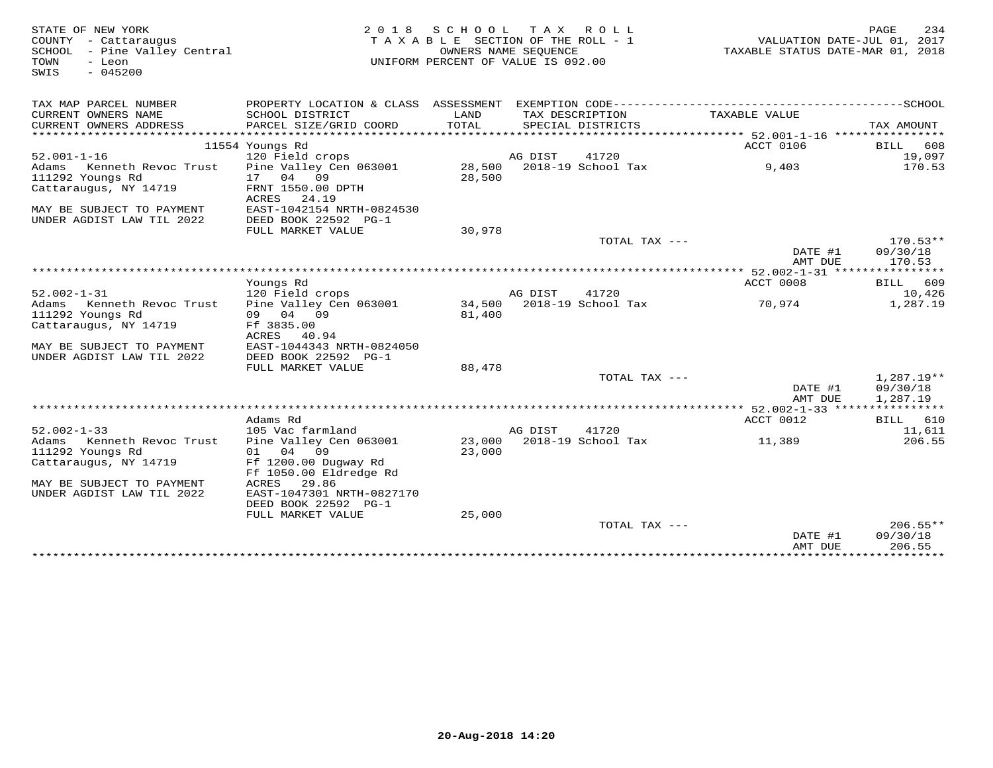| STATE OF NEW YORK<br>COUNTY - Cattaraugus<br>SCHOOL - Pine Valley Central<br>TOWN<br>- Leon<br>$-045200$<br>SWIS | 2 0 1 8                                                                                      | SCHOOL TAX ROLL<br>TAXABLE SECTION OF THE ROLL - 1<br>UNIFORM PERCENT OF VALUE IS 092.00 | OWNERS NAME SEQUENCE                 |                    | VALUATION DATE-JUL 01, 2017<br>TAXABLE STATUS DATE-MAR 01, 2018 | PAGE<br>234                      |
|------------------------------------------------------------------------------------------------------------------|----------------------------------------------------------------------------------------------|------------------------------------------------------------------------------------------|--------------------------------------|--------------------|-----------------------------------------------------------------|----------------------------------|
| TAX MAP PARCEL NUMBER                                                                                            | PROPERTY LOCATION & CLASS ASSESSMENT EXEMPTION CODE-----------------------------------SCHOOL |                                                                                          |                                      |                    |                                                                 |                                  |
| CURRENT OWNERS NAME<br>CURRENT OWNERS ADDRESS                                                                    | SCHOOL DISTRICT<br>PARCEL SIZE/GRID COORD                                                    | LAND<br>TOTAL                                                                            | TAX DESCRIPTION<br>SPECIAL DISTRICTS |                    | TAXABLE VALUE                                                   | TAX AMOUNT                       |
|                                                                                                                  | 11554 Youngs Rd                                                                              |                                                                                          |                                      |                    | ACCT 0106                                                       | BILL 608                         |
| $52.001 - 1 - 16$                                                                                                | 120 Field crops                                                                              |                                                                                          | AG DIST                              | 41720              |                                                                 | 19,097                           |
| Adams Kenneth Revoc Trust<br>111292 Youngs Rd                                                                    | Pine Valley Cen 063001<br>17<br>04<br>09                                                     | 28,500                                                                                   | 28,500 2018-19 School Tax            |                    | 9,403                                                           | 170.53                           |
| Cattaraugus, NY 14719<br>MAY BE SUBJECT TO PAYMENT                                                               | FRNT 1550.00 DPTH<br>ACRES<br>24.19<br>EAST-1042154 NRTH-0824530                             |                                                                                          |                                      |                    |                                                                 |                                  |
| UNDER AGDIST LAW TIL 2022                                                                                        | DEED BOOK 22592 PG-1                                                                         |                                                                                          |                                      |                    |                                                                 |                                  |
|                                                                                                                  | FULL MARKET VALUE                                                                            | 30,978                                                                                   |                                      |                    |                                                                 |                                  |
|                                                                                                                  |                                                                                              |                                                                                          |                                      | TOTAL TAX $---$    |                                                                 | $170.53**$                       |
|                                                                                                                  |                                                                                              |                                                                                          |                                      |                    | DATE #1                                                         | 09/30/18                         |
|                                                                                                                  |                                                                                              |                                                                                          |                                      |                    | AMT DUE<br>*********** 52.002-1-31 *****************            | 170.53                           |
|                                                                                                                  | Youngs Rd                                                                                    |                                                                                          |                                      |                    | ACCT 0008                                                       | BILL 609                         |
| $52.002 - 1 - 31$                                                                                                | 120 Field crops                                                                              |                                                                                          | AG DIST                              | 41720              |                                                                 | 10,426                           |
| Kenneth Revoc Trust<br>Adams<br>111292 Youngs Rd                                                                 | Pine Valley Cen 063001<br>09 04 09                                                           | 34,500<br>81,400                                                                         | 2018-19 School Tax                   |                    | 70,974                                                          | 1,287.19                         |
| Cattaraugus, NY 14719                                                                                            | Ff 3835.00<br>ACRES 40.94                                                                    |                                                                                          |                                      |                    |                                                                 |                                  |
| MAY BE SUBJECT TO PAYMENT<br>UNDER AGDIST LAW TIL 2022                                                           | EAST-1044343 NRTH-0824050<br>DEED BOOK 22592 PG-1<br>FULL MARKET VALUE                       | 88,478                                                                                   |                                      |                    |                                                                 |                                  |
|                                                                                                                  |                                                                                              |                                                                                          |                                      | TOTAL TAX ---      |                                                                 | 1,287.19**                       |
|                                                                                                                  |                                                                                              |                                                                                          |                                      |                    | DATE #1<br>AMT DUE                                              | 09/30/18<br>1,287.19             |
|                                                                                                                  |                                                                                              |                                                                                          |                                      |                    |                                                                 |                                  |
| $52.002 - 1 - 33$                                                                                                | Adams Rd<br>105 Vac farmland                                                                 |                                                                                          | AG DIST                              | 41720              | ACCT 0012                                                       | BILL 610<br>11,611               |
| Adams<br>Kenneth Revoc Trust<br>111292 Youngs Rd                                                                 | Pine Valley Cen 063001<br>01 04 09                                                           | 23,000<br>23,000                                                                         |                                      | 2018-19 School Tax | 11,389                                                          | 206.55                           |
| Cattaraugus, NY 14719                                                                                            | Ff 1200.00 Duqway Rd<br>Ff 1050.00 Eldredge Rd                                               |                                                                                          |                                      |                    |                                                                 |                                  |
| MAY BE SUBJECT TO PAYMENT<br>UNDER AGDIST LAW TIL 2022                                                           | 29.86<br>ACRES<br>EAST-1047301 NRTH-0827170<br>DEED BOOK 22592 PG-1                          |                                                                                          |                                      |                    |                                                                 |                                  |
|                                                                                                                  | FULL MARKET VALUE                                                                            | 25,000                                                                                   |                                      |                    |                                                                 |                                  |
|                                                                                                                  |                                                                                              |                                                                                          |                                      | TOTAL TAX ---      | DATE #1<br>AMT DUE                                              | $206.55**$<br>09/30/18<br>206.55 |
|                                                                                                                  |                                                                                              |                                                                                          |                                      |                    |                                                                 |                                  |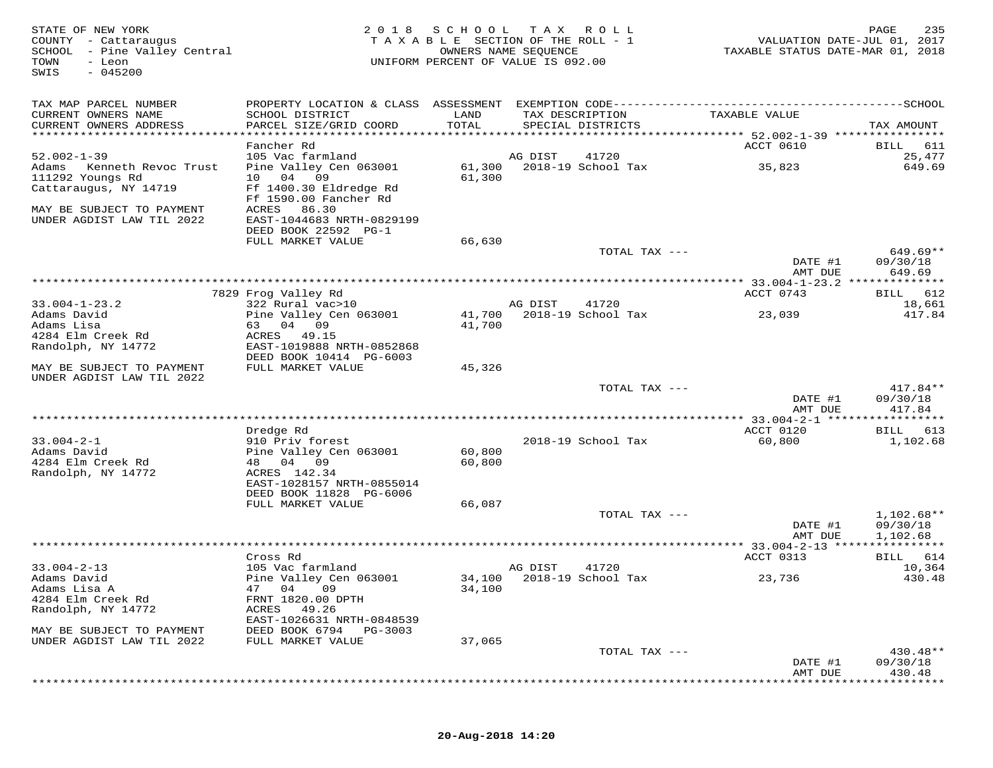| STATE OF NEW YORK<br>COUNTY - Cattaraugus<br>SCHOOL - Pine Valley Central<br>TOWN<br>- Leon<br>$-045200$<br>SWIS | 2 0 1 8                                           | SCHOOL           | T A X<br>R O L L<br>TAXABLE SECTION OF THE ROLL - 1<br>OWNERS NAME SEQUENCE<br>UNIFORM PERCENT OF VALUE IS 092.00 | VALUATION DATE-JUL 01, 2017<br>TAXABLE STATUS DATE-MAR 01, 2018 | PAGE<br>235           |
|------------------------------------------------------------------------------------------------------------------|---------------------------------------------------|------------------|-------------------------------------------------------------------------------------------------------------------|-----------------------------------------------------------------|-----------------------|
| TAX MAP PARCEL NUMBER                                                                                            |                                                   |                  |                                                                                                                   |                                                                 |                       |
| CURRENT OWNERS NAME<br>CURRENT OWNERS ADDRESS                                                                    | SCHOOL DISTRICT<br>PARCEL SIZE/GRID COORD         | LAND<br>TOTAL    | TAX DESCRIPTION<br>SPECIAL DISTRICTS                                                                              | TAXABLE VALUE                                                   | TAX AMOUNT            |
| ******************************                                                                                   |                                                   |                  |                                                                                                                   |                                                                 |                       |
| $52.002 - 1 - 39$                                                                                                | Fancher Rd                                        |                  | AG DIST                                                                                                           | ACCT 0610                                                       | BILL<br>611           |
| Adams<br>Kenneth Revoc Trust                                                                                     | 105 Vac farmland<br>Pine Valley Cen 063001        | 61,300           | 41720<br>2018-19 School Tax                                                                                       | 35,823                                                          | 25,477<br>649.69      |
| 111292 Youngs Rd                                                                                                 | 09<br>04<br>10                                    | 61,300           |                                                                                                                   |                                                                 |                       |
| Cattaraugus, NY 14719                                                                                            | Ff 1400.30 Eldredge Rd                            |                  |                                                                                                                   |                                                                 |                       |
|                                                                                                                  | Ff 1590.00 Fancher Rd                             |                  |                                                                                                                   |                                                                 |                       |
| MAY BE SUBJECT TO PAYMENT<br>UNDER AGDIST LAW TIL 2022                                                           | ACRES<br>86.30                                    |                  |                                                                                                                   |                                                                 |                       |
|                                                                                                                  | EAST-1044683 NRTH-0829199<br>DEED BOOK 22592 PG-1 |                  |                                                                                                                   |                                                                 |                       |
|                                                                                                                  | FULL MARKET VALUE                                 | 66,630           |                                                                                                                   |                                                                 |                       |
|                                                                                                                  |                                                   |                  | TOTAL TAX ---                                                                                                     |                                                                 | $649.69**$            |
|                                                                                                                  |                                                   |                  |                                                                                                                   | DATE #1                                                         | 09/30/18              |
|                                                                                                                  |                                                   |                  | ************************                                                                                          | AMT DUE<br>********* 33.004-1-23.2 **************               | 649.69                |
|                                                                                                                  | 7829 Frog Valley Rd                               |                  |                                                                                                                   | ACCT 0743                                                       | 612<br>BILL           |
| $33.004 - 1 - 23.2$                                                                                              | 322 Rural vac>10                                  |                  | AG DIST<br>41720                                                                                                  |                                                                 | 18,661                |
| Adams David                                                                                                      | Pine Valley Cen 063001                            | 41,700           | 2018-19 School Tax                                                                                                | 23,039                                                          | 417.84                |
| Adams Lisa                                                                                                       | 63<br>04<br>09                                    | 41,700           |                                                                                                                   |                                                                 |                       |
| 4284 Elm Creek Rd<br>Randolph, NY 14772                                                                          | 49.15<br>ACRES<br>EAST-1019888 NRTH-0852868       |                  |                                                                                                                   |                                                                 |                       |
|                                                                                                                  | DEED BOOK 10414 PG-6003                           |                  |                                                                                                                   |                                                                 |                       |
| MAY BE SUBJECT TO PAYMENT                                                                                        | FULL MARKET VALUE                                 | 45,326           |                                                                                                                   |                                                                 |                       |
| UNDER AGDIST LAW TIL 2022                                                                                        |                                                   |                  |                                                                                                                   |                                                                 |                       |
|                                                                                                                  |                                                   |                  | TOTAL TAX ---                                                                                                     | DATE #1                                                         | 417.84**<br>09/30/18  |
|                                                                                                                  |                                                   |                  |                                                                                                                   | AMT DUE                                                         | 417.84                |
|                                                                                                                  |                                                   |                  |                                                                                                                   |                                                                 |                       |
|                                                                                                                  | Dredge Rd                                         |                  |                                                                                                                   | ACCT 0120                                                       | 613<br>BILL           |
| $33.004 - 2 - 1$                                                                                                 | 910 Priv forest                                   |                  | 2018-19 School Tax                                                                                                | 60,800                                                          | 1,102.68              |
| Adams David<br>4284 Elm Creek Rd                                                                                 | Pine Valley Cen 063001<br>48 04<br>- 09           | 60,800<br>60,800 |                                                                                                                   |                                                                 |                       |
| Randolph, NY 14772                                                                                               | ACRES 142.34                                      |                  |                                                                                                                   |                                                                 |                       |
|                                                                                                                  | EAST-1028157 NRTH-0855014                         |                  |                                                                                                                   |                                                                 |                       |
|                                                                                                                  | DEED BOOK 11828 PG-6006                           |                  |                                                                                                                   |                                                                 |                       |
|                                                                                                                  | FULL MARKET VALUE                                 | 66,087           | TOTAL TAX ---                                                                                                     |                                                                 | $1,102.68**$          |
|                                                                                                                  |                                                   |                  |                                                                                                                   | DATE #1                                                         | 09/30/18              |
|                                                                                                                  |                                                   |                  |                                                                                                                   | AMT DUE                                                         | 1,102.68              |
|                                                                                                                  |                                                   |                  |                                                                                                                   |                                                                 | * * * * * * * * * * * |
|                                                                                                                  | Cross Rd                                          |                  |                                                                                                                   | ACCT 0313                                                       | 614<br>BILL           |
| $33.004 - 2 - 13$<br>Adams David                                                                                 | 105 Vac farmland<br>Pine Valley Cen 063001        |                  | AG DIST<br>41720<br>34,100 2018-19 School Tax                                                                     | 23,736                                                          | 10,364<br>430.48      |
| Adams Lisa A                                                                                                     | 47 04 09                                          | 34,100           |                                                                                                                   |                                                                 |                       |
| 4284 Elm Creek Rd                                                                                                | FRNT 1820.00 DPTH                                 |                  |                                                                                                                   |                                                                 |                       |
| Randolph, NY 14772                                                                                               | ACRES<br>49.26                                    |                  |                                                                                                                   |                                                                 |                       |
|                                                                                                                  | EAST-1026631 NRTH-0848539                         |                  |                                                                                                                   |                                                                 |                       |
| MAY BE SUBJECT TO PAYMENT<br>UNDER AGDIST LAW TIL 2022                                                           | DEED BOOK 6794<br>PG-3003<br>FULL MARKET VALUE    | 37,065           |                                                                                                                   |                                                                 |                       |
|                                                                                                                  |                                                   |                  | TOTAL TAX ---                                                                                                     |                                                                 | 430.48**              |
|                                                                                                                  |                                                   |                  |                                                                                                                   | DATE #1                                                         | 09/30/18              |
|                                                                                                                  |                                                   |                  |                                                                                                                   | AMT DUE                                                         | 430.48                |

\*\*\*\*\*\*\*\*\*\*\*\*\*\*\*\*\*\*\*\*\*\*\*\*\*\*\*\*\*\*\*\*\*\*\*\*\*\*\*\*\*\*\*\*\*\*\*\*\*\*\*\*\*\*\*\*\*\*\*\*\*\*\*\*\*\*\*\*\*\*\*\*\*\*\*\*\*\*\*\*\*\*\*\*\*\*\*\*\*\*\*\*\*\*\*\*\*\*\*\*\*\*\*\*\*\*\*\*\*\*\*\*\*\*\*\*\*\*\*\*\*\*\*\*\*\*\*\*\*\*\*\*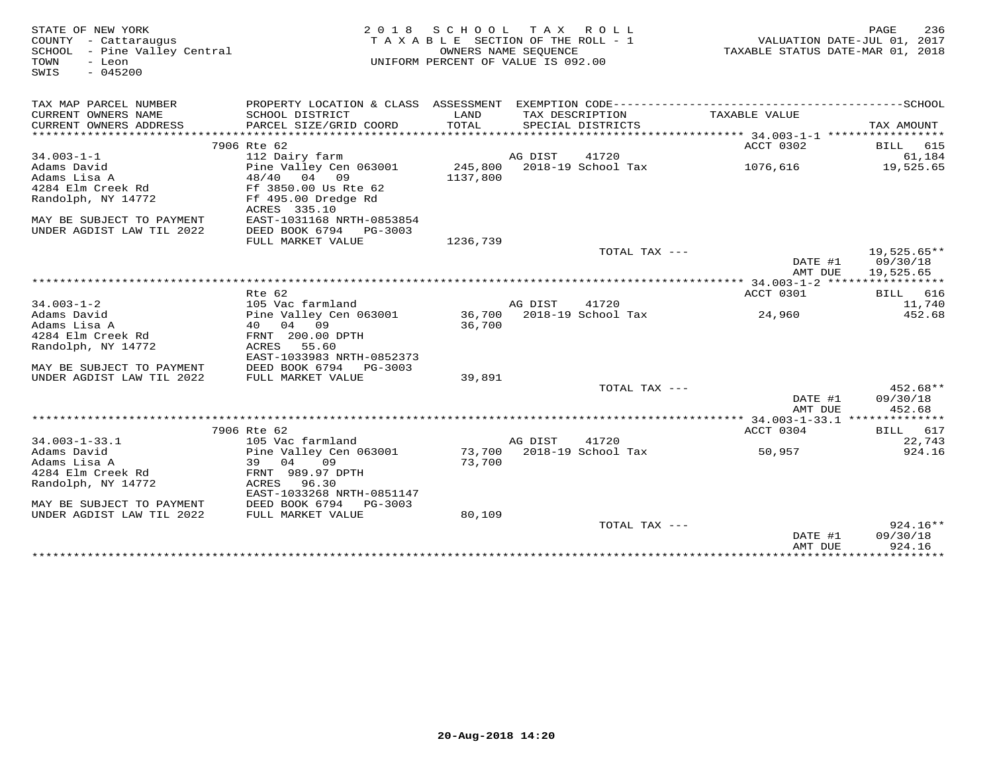| STATE OF NEW YORK<br>COUNTY - Cattaraugus<br>SCHOOL - Pine Valley Central<br>TOWN<br>- Leon<br>$-045200$<br>SWIS | 2 0 1 8                             | S C H O O L | TAX ROLL<br>TAXABLE SECTION OF THE ROLL - 1<br>OWNERS NAME SEQUENCE<br>UNIFORM PERCENT OF VALUE IS 092.00 | VALUATION DATE-JUL 01, 2017<br>TAXABLE STATUS DATE-MAR 01, 2018 | PAGE<br>236          |
|------------------------------------------------------------------------------------------------------------------|-------------------------------------|-------------|-----------------------------------------------------------------------------------------------------------|-----------------------------------------------------------------|----------------------|
|                                                                                                                  |                                     |             |                                                                                                           |                                                                 |                      |
| TAX MAP PARCEL NUMBER<br>CURRENT OWNERS NAME                                                                     | SCHOOL DISTRICT                     | LAND        | TAX DESCRIPTION                                                                                           | TAXABLE VALUE                                                   |                      |
| CURRENT OWNERS ADDRESS                                                                                           | PARCEL SIZE/GRID COORD              | TOTAL       | SPECIAL DISTRICTS                                                                                         |                                                                 | TAX AMOUNT           |
|                                                                                                                  |                                     |             |                                                                                                           |                                                                 |                      |
|                                                                                                                  | 7906 Rte 62                         |             |                                                                                                           | ACCT 0302                                                       | BILL 615             |
| $34.003 - 1 - 1$                                                                                                 | 112 Dairy farm                      |             | AG DIST<br>41720                                                                                          |                                                                 | 61,184               |
| Adams David                                                                                                      | Pine Valley Cen 063001              | 245,800     | 2018-19 School Tax                                                                                        | 1076,616                                                        | 19,525.65            |
| Adams Lisa A                                                                                                     | 48/40 04 09                         | 1137,800    |                                                                                                           |                                                                 |                      |
| 4284 Elm Creek Rd                                                                                                | Ff 3850.00 Us Rte 62                |             |                                                                                                           |                                                                 |                      |
| Randolph, NY 14772                                                                                               | Ff 495.00 Dredge Rd<br>ACRES 335.10 |             |                                                                                                           |                                                                 |                      |
| MAY BE SUBJECT TO PAYMENT                                                                                        | EAST-1031168 NRTH-0853854           |             |                                                                                                           |                                                                 |                      |
| UNDER AGDIST LAW TIL 2022                                                                                        | DEED BOOK 6794<br>PG-3003           |             |                                                                                                           |                                                                 |                      |
|                                                                                                                  | FULL MARKET VALUE                   | 1236,739    |                                                                                                           |                                                                 |                      |
|                                                                                                                  |                                     |             | TOTAL TAX ---                                                                                             |                                                                 | $19,525.65**$        |
|                                                                                                                  |                                     |             |                                                                                                           | DATE #1                                                         | 09/30/18             |
|                                                                                                                  |                                     |             |                                                                                                           | AMT DUE                                                         | 19,525.65            |
|                                                                                                                  |                                     |             |                                                                                                           |                                                                 |                      |
| $34.003 - 1 - 2$                                                                                                 | Rte 62<br>105 Vac farmland          |             | AG DIST<br>41720                                                                                          | ACCT 0301                                                       | BILL 616             |
| Adams David                                                                                                      | Pine Valley Cen 063001              |             | 36,700 2018-19 School Tax                                                                                 | 24,960                                                          | 11,740<br>452.68     |
| Adams Lisa A                                                                                                     | 40 04 09                            | 36,700      |                                                                                                           |                                                                 |                      |
| 4284 Elm Creek Rd                                                                                                | FRNT 200.00 DPTH                    |             |                                                                                                           |                                                                 |                      |
| Randolph, NY 14772                                                                                               | ACRES<br>55.60                      |             |                                                                                                           |                                                                 |                      |
|                                                                                                                  | EAST-1033983 NRTH-0852373           |             |                                                                                                           |                                                                 |                      |
| MAY BE SUBJECT TO PAYMENT                                                                                        | DEED BOOK 6794 PG-3003              |             |                                                                                                           |                                                                 |                      |
| UNDER AGDIST LAW TIL 2022                                                                                        | FULL MARKET VALUE                   | 39,891      |                                                                                                           |                                                                 |                      |
|                                                                                                                  |                                     |             | TOTAL TAX ---                                                                                             | DATE #1                                                         | 452.68**<br>09/30/18 |
|                                                                                                                  |                                     |             |                                                                                                           | AMT DUE                                                         | 452.68               |
|                                                                                                                  | 7906 Rte 62                         |             |                                                                                                           | ACCT 0304                                                       | BILL 617             |
| $34.003 - 1 - 33.1$                                                                                              | 105 Vac farmland                    |             | AG DIST<br>41720                                                                                          |                                                                 | 22,743               |
| Adams David                                                                                                      | Pine Valley Cen 063001              |             | 73,700 2018-19 School Tax                                                                                 | 50,957                                                          | 924.16               |
| Adams Lisa A                                                                                                     | 39<br>04<br>09                      | 73,700      |                                                                                                           |                                                                 |                      |
| 4284 Elm Creek Rd                                                                                                | FRNT 989.97 DPTH                    |             |                                                                                                           |                                                                 |                      |
| Randolph, NY 14772                                                                                               | ACRES<br>96.30                      |             |                                                                                                           |                                                                 |                      |
|                                                                                                                  | EAST-1033268 NRTH-0851147           |             |                                                                                                           |                                                                 |                      |
| MAY BE SUBJECT TO PAYMENT                                                                                        | DEED BOOK 6794<br>PG-3003           |             |                                                                                                           |                                                                 |                      |
| UNDER AGDIST LAW TIL 2022                                                                                        | FULL MARKET VALUE                   | 80,109      | TOTAL TAX ---                                                                                             |                                                                 | $924.16**$           |
|                                                                                                                  |                                     |             |                                                                                                           | DATE #1                                                         | 09/30/18             |
|                                                                                                                  |                                     |             |                                                                                                           | AMT DUE                                                         | 924.16               |
|                                                                                                                  |                                     |             | ***********************************                                                                       | *****************************                                   |                      |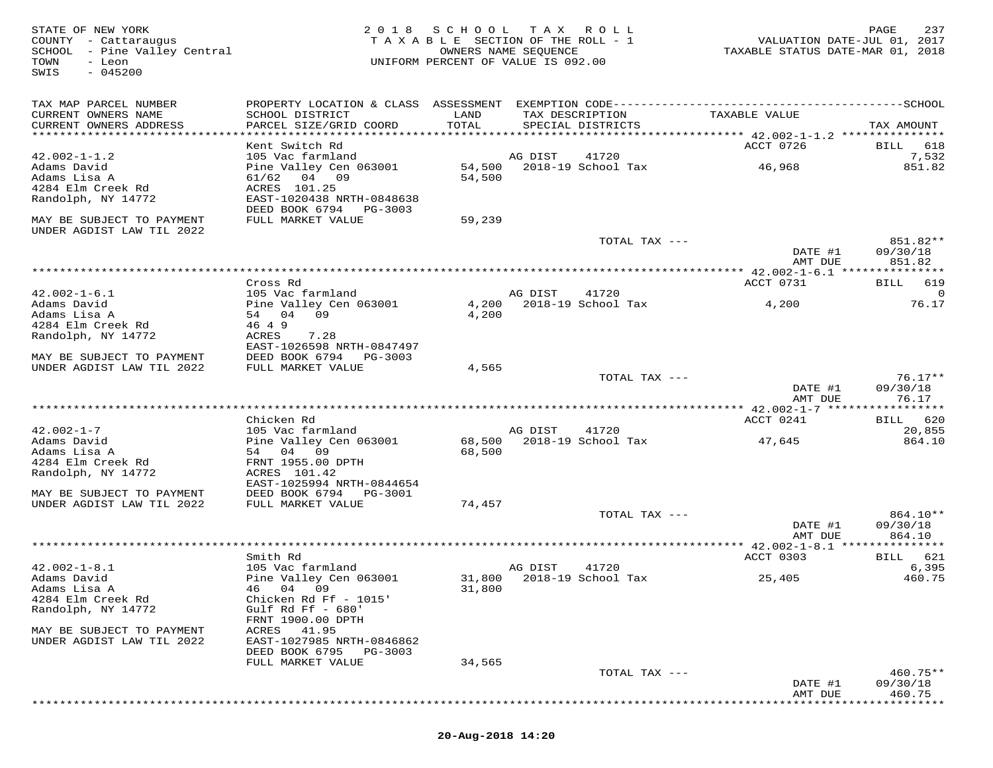FATE OF NEW YORK PAGE 237<br>COUNTY - Cattaraugus (2018 SCHOOL TAX ROLL-1) WALUATION DATE-JUL 01, 2017<br>SCHOOL - Pine Valley Central (2017 - 2018 ) OWNERS NAME SEQUENCE<br>TOWN - Leon (2018 - 2018 ) UNIFORM PERCENT OF VALUE IS 09 SWIS - 045200TAX MAP PARCEL NUMBER PROPERTY LOCATION & CLASS ASSESSMENT EXEMPTION CODE------------------------------------------SCHOOL CURRENT OWNERS NAME SCHOOL DISTRICT LAND TAX DESCRIPTION TAXABLE VALUE CURRENT OWNERS ADDRESS PARCEL SIZE/GRID COORD TOTAL SPECIAL DISTRICTS TAX AMOUNT \*\*\*\*\*\*\*\*\*\*\*\*\*\*\*\*\*\*\*\*\*\*\*\*\*\*\*\*\*\*\*\*\*\*\*\*\*\*\*\*\*\*\*\*\*\*\*\*\*\*\*\*\*\*\*\*\*\*\*\*\*\*\*\*\*\*\*\*\*\*\*\*\*\*\*\*\*\*\*\*\*\*\*\*\*\*\*\*\*\*\*\*\*\*\*\*\*\*\*\*\*\*\* 42.002-1-1.2 \*\*\*\*\*\*\*\*\*\*\*\*\*\*\*ROCT 0726 BILL 618 Kent Switch Rd ACCT 0726 BILL 618 $7,532$ 42.002-1-1.2 105 Vac farmland AG DIST 41720 7,532 851 82 Adams David Pine Valley Cen 063001 54,500 2018-19 School Tax 46,968 851.82Adams Lisa A 61/62 04 09 54,500 4284 Elm Creek Rd ACRES 101.25 Randolph, NY 14772 EAST-1020438 NRTH-0848638 DEED BOOK 6794 PG-3003 MAY BE SUBJECT TO PAYMENT FULL MARKET VALUE 59,239UNDER AGDIST LAW TIL 2022 TOTAL TAX --- 851.82\*\* DATE #1 09/30/18 AMT DUE 851.82 \*\*\*\*\*\*\*\*\*\*\*\*\*\*\*\*\*\*\*\*\*\*\*\*\*\*\*\*\*\*\*\*\*\*\*\*\*\*\*\*\*\*\*\*\*\*\*\*\*\*\*\*\*\*\*\*\*\*\*\*\*\*\*\*\*\*\*\*\*\*\*\*\*\*\*\*\*\*\*\*\*\*\*\*\*\*\*\*\*\*\*\*\*\*\*\*\*\*\*\*\*\*\* 42.002-1-6.1 \*\*\*\*\*\*\*\*\*\*\*\*\*\*\*42.002-1-6.1 Cross Rd<br>
Adams David DiS Vec farmland AG DIST 41720<br>
Adams Lisa A 54 04 09 4,200 2018-19 School Tax 4,200 76.17<br>
Adams Lisa A 54 04 09 4,200<br>
Randolph, NY 14772 ACRES 7.28<br>
MAY BE SUBJECT TO PAYMENT DEED BOO DATE #1 09/30/18<br>NMT pure 26.17 AMT DUE 76.17 \*\*\*\*\*\*\*\*\*\*\*\*\*\*\*\*\*\*\*\*\*\*\*\*\*\*\*\*\*\*\*\*\*\*\*\*\*\*\*\*\*\*\*\*\*\*\*\*\*\*\*\*\*\*\*\*\*\*\*\*\*\*\*\*\*\*\*\*\*\*\*\*\*\*\*\*\*\*\*\*\*\*\*\*\*\*\*\*\*\*\*\*\*\*\*\*\*\*\*\*\*\*\* 42.002-1-7 \*\*\*\*\*\*\*\*\*\*\*\*\*\*\*\*\*ACCT 0241 BILL 620 Chicken Rd ACCT 0241 BILL 62020,855 42.002-1-7 105 Vac farmland AG DIST 41720 20,855864.10 Adams David Pine Valley Cen 063001 68,500 2018-19 School Tax 47,645 864.10Adams Lisa A 54 04 09 68,500 4284 Elm Creek Rd FRNT 1955.00 DPTH Randolph, NY 14772 ACRES 101.42 EAST-1025994 NRTH-0844654 MAY BE SUBJECT TO PAYMENT DEED BOOK 6794 PG-3001 UNDER AGDIST LAW TIL 2022 FULL MARKET VALUE 74,457 TOTAL TAX --- 864.10\*\* DATE #1 09/30/18amt due to a second term of the second second second second second second second second second second second s \*\*\*\*\*\*\*\*\*\*\*\*\*\*\*\*\*\*\*\*\*\*\*\*\*\*\*\*\*\*\*\*\*\*\*\*\*\*\*\*\*\*\*\*\*\*\*\*\*\*\*\*\*\*\*\*\*\*\*\*\*\*\*\*\*\*\*\*\*\*\*\*\*\*\*\*\*\*\*\*\*\*\*\*\*\*\*\*\*\*\*\*\*\*\*\*\*\*\*\*\*\*\* 42.002-1-8.1 \*\*\*\*\*\*\*\*\*\*\*\*\*\*\*ACCT 0303 BILL 621 Smith Rd ACCT 0303 BILL 621 $6,395$ 42.002-1-8.1 105 Vac farmland AG DIST 41720 6,395460.75 Adams David Pine Valley Cen 063001 31,800 2018-19 School Tax 25,405 460.75Adams Lisa A 46 04 09 31,800 4284 Elm Creek Rd Chicken Rd Ff - 1015' Randolph, NY 14772 Gulf Rd Ff - 680' FRNT 1900.00 DPTH MAY BE SUBJECT TO PAYMENT ACRES 41.95 UNDER AGDIST LAW TIL 2022 EAST-1027985 NRTH-0846862 DEED BOOK 6795 PG-3003 FULL MARKET VALUE 34,565 TOTAL TAX --- 460.75\*\* DATE #1 09/30/18 AMT DUE 460.75\*\*\*\*\*\*\*\*\*\*\*\*\*\*\*\*\*\*\*\*\*\*\*\*\*\*\*\*\*\*\*\*\*\*\*\*\*\*\*\*\*\*\*\*\*\*\*\*\*\*\*\*\*\*\*\*\*\*\*\*\*\*\*\*\*\*\*\*\*\*\*\*\*\*\*\*\*\*\*\*\*\*\*\*\*\*\*\*\*\*\*\*\*\*\*\*\*\*\*\*\*\*\*\*\*\*\*\*\*\*\*\*\*\*\*\*\*\*\*\*\*\*\*\*\*\*\*\*\*\*\*\*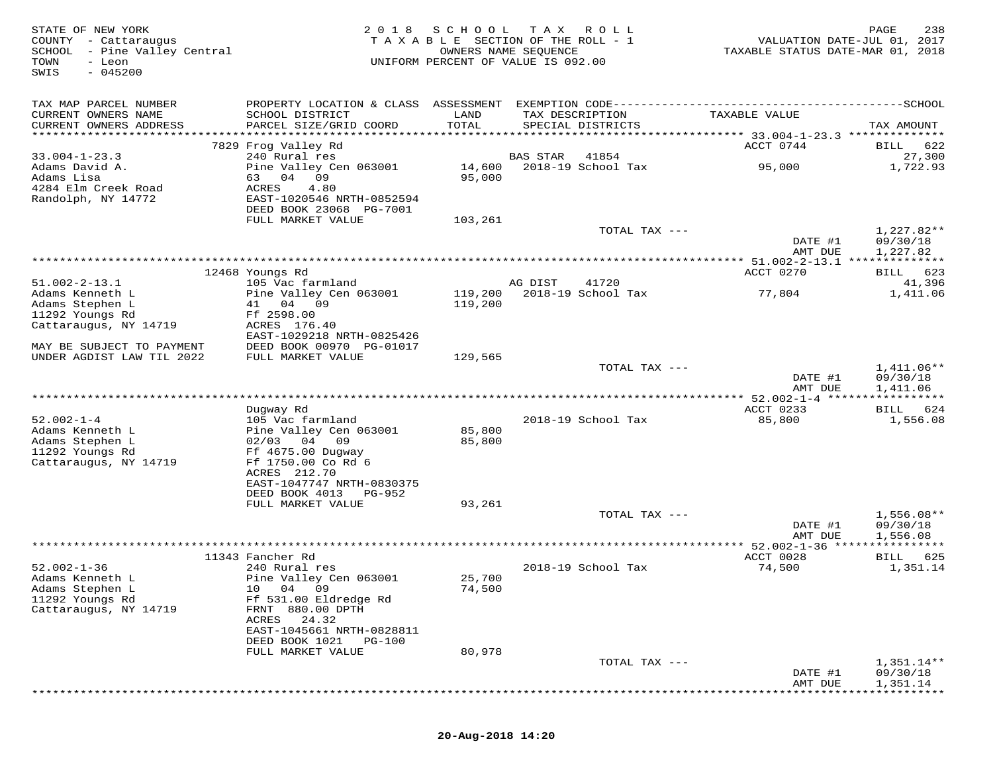| STATE OF NEW YORK<br>COUNTY - Cattaraugus<br>SCHOOL - Pine Valley Central<br>TOWN<br>- Leon<br>$-045200$<br>SWIS | 2 0 1 8                                                                                      | S C H O O L<br>TAXABLE SECTION OF THE ROLL - 1<br>OWNERS NAME SEQUENCE<br>UNIFORM PERCENT OF VALUE IS 092.00 | T A X    | ROLL                                 | VALUATION DATE-JUL 01, 2017<br>TAXABLE STATUS DATE-MAR 01, 2018 | PAGE<br>238             |
|------------------------------------------------------------------------------------------------------------------|----------------------------------------------------------------------------------------------|--------------------------------------------------------------------------------------------------------------|----------|--------------------------------------|-----------------------------------------------------------------|-------------------------|
| TAX MAP PARCEL NUMBER                                                                                            | PROPERTY LOCATION & CLASS ASSESSMENT EXEMPTION CODE-----------------------------------SCHOOL |                                                                                                              |          |                                      |                                                                 |                         |
| CURRENT OWNERS NAME<br>CURRENT OWNERS ADDRESS                                                                    | SCHOOL DISTRICT<br>PARCEL SIZE/GRID COORD                                                    | LAND<br>TOTAL                                                                                                |          | TAX DESCRIPTION<br>SPECIAL DISTRICTS | TAXABLE VALUE                                                   | TAX AMOUNT              |
|                                                                                                                  | 7829 Frog Valley Rd                                                                          |                                                                                                              |          |                                      | ACCT 0744                                                       | 622<br>BILL             |
| $33.004 - 1 - 23.3$                                                                                              | 240 Rural res                                                                                |                                                                                                              | BAS STAR | 41854                                |                                                                 | 27,300                  |
| Adams David A.<br>Adams Lisa                                                                                     | Pine Valley Cen 063001<br>04 09<br>63                                                        | 14,600<br>95,000                                                                                             |          | 2018-19 School Tax                   | 95,000                                                          | 1,722.93                |
| 4284 Elm Creek Road                                                                                              | ACRES<br>4.80                                                                                |                                                                                                              |          |                                      |                                                                 |                         |
| Randolph, NY 14772                                                                                               | EAST-1020546 NRTH-0852594                                                                    |                                                                                                              |          |                                      |                                                                 |                         |
|                                                                                                                  | DEED BOOK 23068 PG-7001<br>FULL MARKET VALUE                                                 | 103,261                                                                                                      |          |                                      |                                                                 |                         |
|                                                                                                                  |                                                                                              |                                                                                                              |          | TOTAL TAX ---                        |                                                                 | 1,227.82**              |
|                                                                                                                  |                                                                                              |                                                                                                              |          |                                      | DATE #1                                                         | 09/30/18                |
|                                                                                                                  |                                                                                              |                                                                                                              |          |                                      | AMT DUE                                                         | 1,227.82                |
|                                                                                                                  | 12468 Youngs Rd                                                                              |                                                                                                              |          |                                      | ACCT 0270                                                       | 623<br>BILL             |
| $51.002 - 2 - 13.1$                                                                                              | 105 Vac farmland                                                                             |                                                                                                              | AG DIST  | 41720                                |                                                                 | 41,396                  |
| Adams Kenneth L                                                                                                  | Pine Valley Cen 063001                                                                       | 119,200                                                                                                      |          | 2018-19 School Tax                   | 77,804                                                          | 1,411.06                |
| Adams Stephen L<br>11292 Youngs Rd                                                                               | 41 04 09<br>Ff 2598.00                                                                       | 119,200                                                                                                      |          |                                      |                                                                 |                         |
| Cattaraugus, NY 14719                                                                                            | ACRES 176.40                                                                                 |                                                                                                              |          |                                      |                                                                 |                         |
|                                                                                                                  | EAST-1029218 NRTH-0825426                                                                    |                                                                                                              |          |                                      |                                                                 |                         |
| MAY BE SUBJECT TO PAYMENT<br>UNDER AGDIST LAW TIL 2022                                                           | DEED BOOK 00970 PG-01017<br>FULL MARKET VALUE                                                | 129,565                                                                                                      |          |                                      |                                                                 |                         |
|                                                                                                                  |                                                                                              |                                                                                                              |          | TOTAL TAX ---                        |                                                                 | 1,411.06**              |
|                                                                                                                  |                                                                                              |                                                                                                              |          |                                      | DATE #1<br>AMT DUE                                              | 09/30/18<br>1,411.06    |
| ******************************                                                                                   |                                                                                              |                                                                                                              |          |                                      | ACCT 0233                                                       |                         |
| $52.002 - 1 - 4$                                                                                                 | Dugway Rd<br>105 Vac farmland                                                                |                                                                                                              |          | 2018-19 School Tax                   | 85,800                                                          | BILL<br>624<br>1,556.08 |
| Adams Kenneth L                                                                                                  | Pine Valley Cen 063001                                                                       | 85,800                                                                                                       |          |                                      |                                                                 |                         |
| Adams Stephen L                                                                                                  | $02/03$ 04<br>09                                                                             | 85,800                                                                                                       |          |                                      |                                                                 |                         |
| 11292 Youngs Rd<br>Cattaraugus, NY 14719                                                                         | Ff 4675.00 Dugway<br>Ff 1750.00 Co Rd 6                                                      |                                                                                                              |          |                                      |                                                                 |                         |
|                                                                                                                  | ACRES 212.70                                                                                 |                                                                                                              |          |                                      |                                                                 |                         |
|                                                                                                                  | EAST-1047747 NRTH-0830375                                                                    |                                                                                                              |          |                                      |                                                                 |                         |
|                                                                                                                  | DEED BOOK 4013<br>PG-952<br>FULL MARKET VALUE                                                | 93,261                                                                                                       |          |                                      |                                                                 |                         |
|                                                                                                                  |                                                                                              |                                                                                                              |          | TOTAL TAX ---                        |                                                                 | $1,556.08**$            |
|                                                                                                                  |                                                                                              |                                                                                                              |          |                                      | DATE #1                                                         | 09/30/18                |
|                                                                                                                  |                                                                                              |                                                                                                              |          |                                      | AMT DUE<br>***** 52.002-1-36 ****                               | 1,556.08                |
|                                                                                                                  | 11343 Fancher Rd                                                                             |                                                                                                              |          |                                      | ACCT 0028                                                       | BILL<br>625             |
| $52.002 - 1 - 36$                                                                                                | 240 Rural res                                                                                |                                                                                                              |          | 2018-19 School Tax                   | 74,500                                                          | 1,351.14                |
| Adams Kenneth L                                                                                                  | Pine Valley Cen 063001                                                                       | 25,700                                                                                                       |          |                                      |                                                                 |                         |
| Adams Stephen L<br>11292 Youngs Rd                                                                               | 10 04 09<br>Ff 531.00 Eldredge Rd                                                            | 74,500                                                                                                       |          |                                      |                                                                 |                         |
| Cattaraugus, NY 14719                                                                                            | FRNT 880.00 DPTH                                                                             |                                                                                                              |          |                                      |                                                                 |                         |
|                                                                                                                  | 24.32<br>ACRES                                                                               |                                                                                                              |          |                                      |                                                                 |                         |
|                                                                                                                  | EAST-1045661 NRTH-0828811<br>DEED BOOK 1021<br>$PG-100$                                      |                                                                                                              |          |                                      |                                                                 |                         |
|                                                                                                                  | FULL MARKET VALUE                                                                            | 80,978                                                                                                       |          |                                      |                                                                 |                         |
|                                                                                                                  |                                                                                              |                                                                                                              |          | TOTAL TAX ---                        |                                                                 | 1,351.14**              |
|                                                                                                                  |                                                                                              |                                                                                                              |          |                                      | DATE #1<br>AMT DUE                                              | 09/30/18<br>1,351.14    |
|                                                                                                                  |                                                                                              |                                                                                                              |          |                                      |                                                                 |                         |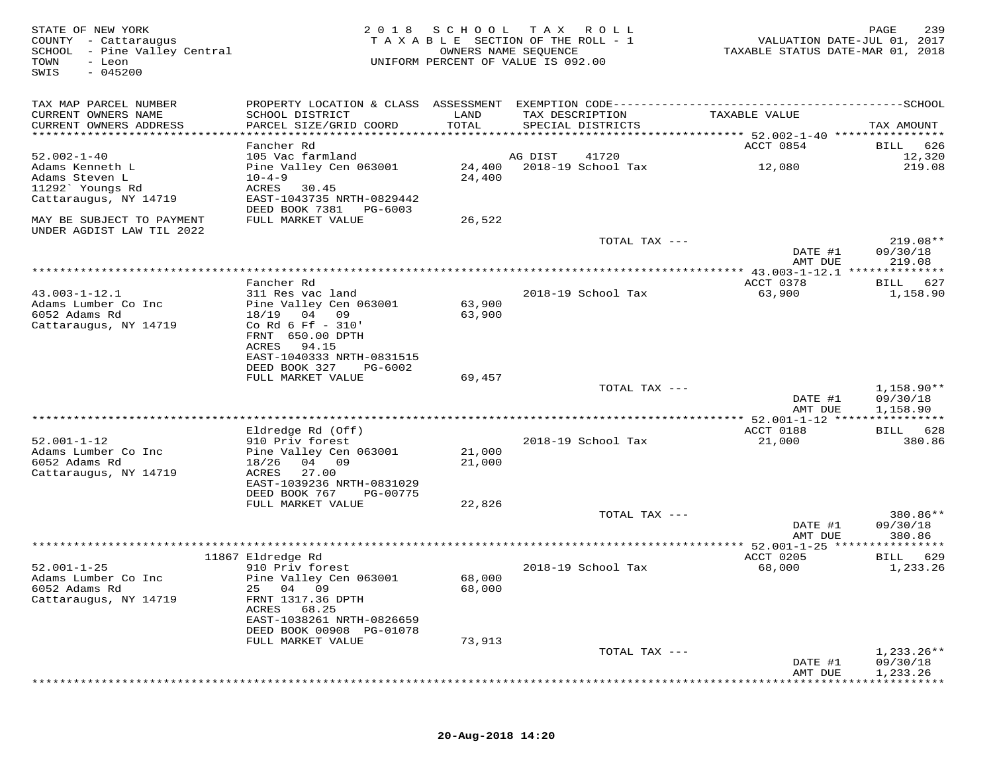| STATE OF NEW YORK<br>COUNTY - Cattaraugus<br>SCHOOL - Pine Valley Central<br>TOWN<br>- Leon<br>$-045200$<br>SWIS | 2 0 1 8                                        | S C H O O L   | T A X<br>ROLL<br>TAXABLE SECTION OF THE ROLL - 1<br>OWNERS NAME SEQUENCE<br>UNIFORM PERCENT OF VALUE IS 092.00 | VALUATION DATE-JUL 01, 2017<br>TAXABLE STATUS DATE-MAR 01, 2018 | PAGE<br>239            |
|------------------------------------------------------------------------------------------------------------------|------------------------------------------------|---------------|----------------------------------------------------------------------------------------------------------------|-----------------------------------------------------------------|------------------------|
| TAX MAP PARCEL NUMBER                                                                                            |                                                |               |                                                                                                                |                                                                 |                        |
| CURRENT OWNERS NAME<br>CURRENT OWNERS ADDRESS                                                                    | SCHOOL DISTRICT<br>PARCEL SIZE/GRID COORD      | LAND<br>TOTAL | TAX DESCRIPTION<br>SPECIAL DISTRICTS                                                                           | TAXABLE VALUE                                                   | TAX AMOUNT             |
|                                                                                                                  |                                                |               |                                                                                                                |                                                                 |                        |
| $52.002 - 1 - 40$                                                                                                | Fancher Rd<br>105 Vac farmland                 |               |                                                                                                                | ACCT 0854                                                       | BILL<br>626            |
| Adams Kenneth L                                                                                                  | Pine Valley Cen 063001                         | 24,400        | 41720<br>AG DIST<br>2018-19 School Tax                                                                         | 12,080                                                          | 12,320<br>219.08       |
| Adams Steven L                                                                                                   | $10 - 4 - 9$                                   | 24,400        |                                                                                                                |                                                                 |                        |
| 11292' Youngs Rd                                                                                                 | ACRES<br>30.45                                 |               |                                                                                                                |                                                                 |                        |
| Cattaraugus, NY 14719                                                                                            | EAST-1043735 NRTH-0829442                      |               |                                                                                                                |                                                                 |                        |
|                                                                                                                  | DEED BOOK 7381<br>PG-6003                      |               |                                                                                                                |                                                                 |                        |
| MAY BE SUBJECT TO PAYMENT                                                                                        | FULL MARKET VALUE                              | 26,522        |                                                                                                                |                                                                 |                        |
| UNDER AGDIST LAW TIL 2022                                                                                        |                                                |               |                                                                                                                |                                                                 |                        |
|                                                                                                                  |                                                |               | TOTAL TAX ---                                                                                                  | DATE #1                                                         | $219.08**$<br>09/30/18 |
|                                                                                                                  |                                                |               |                                                                                                                | AMT DUE                                                         | 219.08                 |
|                                                                                                                  |                                                |               |                                                                                                                |                                                                 |                        |
|                                                                                                                  | Fancher Rd                                     |               |                                                                                                                | ACCT 0378                                                       | 627<br>BILL            |
| $43.003 - 1 - 12.1$                                                                                              | 311 Res vac land                               |               | 2018-19 School Tax                                                                                             | 63,900                                                          | 1,158.90               |
| Adams Lumber Co Inc                                                                                              | Pine Valley Cen 063001                         | 63,900        |                                                                                                                |                                                                 |                        |
| 6052 Adams Rd                                                                                                    | 18/19<br>04 09                                 | 63,900        |                                                                                                                |                                                                 |                        |
| Cattaraugus, NY 14719                                                                                            | Co Rd 6 Ff - 310'<br>FRNT 650.00 DPTH          |               |                                                                                                                |                                                                 |                        |
|                                                                                                                  | 94.15<br>ACRES                                 |               |                                                                                                                |                                                                 |                        |
|                                                                                                                  | EAST-1040333 NRTH-0831515                      |               |                                                                                                                |                                                                 |                        |
|                                                                                                                  | DEED BOOK 327<br>PG-6002                       |               |                                                                                                                |                                                                 |                        |
|                                                                                                                  | FULL MARKET VALUE                              | 69,457        |                                                                                                                |                                                                 |                        |
|                                                                                                                  |                                                |               | TOTAL TAX ---                                                                                                  |                                                                 | 1,158.90**             |
|                                                                                                                  |                                                |               |                                                                                                                | DATE #1                                                         | 09/30/18               |
|                                                                                                                  |                                                |               |                                                                                                                | AMT DUE                                                         | 1,158.90               |
|                                                                                                                  | Eldredge Rd (Off)                              |               |                                                                                                                | ACCT 0188                                                       | BILL 628               |
| $52.001 - 1 - 12$                                                                                                | 910 Priv forest                                |               | 2018-19 School Tax                                                                                             | 21,000                                                          | 380.86                 |
| Adams Lumber Co Inc                                                                                              | Pine Valley Cen 063001                         | 21,000        |                                                                                                                |                                                                 |                        |
| 6052 Adams Rd                                                                                                    | 18/26<br>04 09                                 | 21,000        |                                                                                                                |                                                                 |                        |
| Cattaraugus, NY 14719                                                                                            | 27.00<br>ACRES                                 |               |                                                                                                                |                                                                 |                        |
|                                                                                                                  | EAST-1039236 NRTH-0831029                      |               |                                                                                                                |                                                                 |                        |
|                                                                                                                  | DEED BOOK 767<br>PG-00775<br>FULL MARKET VALUE | 22,826        |                                                                                                                |                                                                 |                        |
|                                                                                                                  |                                                |               | TOTAL TAX ---                                                                                                  |                                                                 | 380.86**               |
|                                                                                                                  |                                                |               |                                                                                                                | DATE #1                                                         | 09/30/18               |
|                                                                                                                  |                                                |               |                                                                                                                | AMT DUE                                                         | 380.86                 |
|                                                                                                                  |                                                |               |                                                                                                                |                                                                 | ********               |
|                                                                                                                  | 11867 Eldredge Rd                              |               |                                                                                                                | ACCT 0205                                                       | 629<br>BILL            |
| $52.001 - 1 - 25$<br>Adams Lumber Co Inc                                                                         | 910 Priv forest                                | 68,000        | 2018-19 School Tax                                                                                             | 68,000                                                          | 1,233.26               |
| 6052 Adams Rd                                                                                                    | Pine Valley Cen 063001<br>25 04 09             | 68,000        |                                                                                                                |                                                                 |                        |
| Cattaraugus, NY 14719                                                                                            | FRNT 1317.36 DPTH                              |               |                                                                                                                |                                                                 |                        |
|                                                                                                                  | ACRES<br>68.25                                 |               |                                                                                                                |                                                                 |                        |
|                                                                                                                  | EAST-1038261 NRTH-0826659                      |               |                                                                                                                |                                                                 |                        |
|                                                                                                                  | DEED BOOK 00908 PG-01078                       |               |                                                                                                                |                                                                 |                        |
|                                                                                                                  | FULL MARKET VALUE                              | 73,913        |                                                                                                                |                                                                 |                        |
|                                                                                                                  |                                                |               | TOTAL TAX ---                                                                                                  |                                                                 | $1,233.26**$           |
|                                                                                                                  |                                                |               |                                                                                                                | DATE #1<br>AMT DUE                                              | 09/30/18<br>1,233.26   |
|                                                                                                                  |                                                |               |                                                                                                                |                                                                 |                        |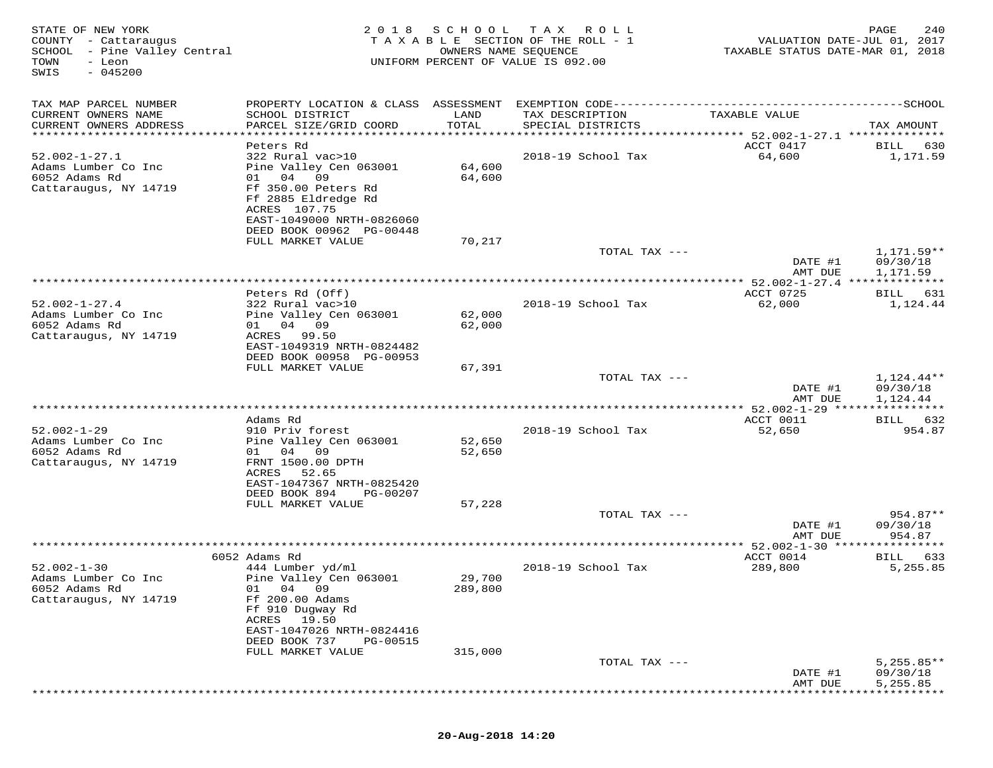| STATE OF NEW YORK<br>COUNTY - Cattaraugus<br>SCHOOL - Pine Valley Central<br>TOWN<br>- Leon<br>$-045200$<br>SWIS | 2 0 1 8                                                           | SCHOOL<br>OWNERS NAME SEQUENCE  | T A X<br>R O L L<br>T A X A B L E SECTION OF THE ROLL - 1<br>UNIFORM PERCENT OF VALUE IS 092.00 | VALUATION DATE-JUL 01, 2017<br>TAXABLE STATUS DATE-MAR 01, 2018 | 240<br>PAGE                        |
|------------------------------------------------------------------------------------------------------------------|-------------------------------------------------------------------|---------------------------------|-------------------------------------------------------------------------------------------------|-----------------------------------------------------------------|------------------------------------|
| TAX MAP PARCEL NUMBER                                                                                            | PROPERTY LOCATION & CLASS ASSESSMENT                              |                                 |                                                                                                 |                                                                 |                                    |
| CURRENT OWNERS NAME<br>CURRENT OWNERS ADDRESS                                                                    | SCHOOL DISTRICT<br>PARCEL SIZE/GRID COORD                         | LAND<br>TOTAL                   | TAX DESCRIPTION<br>SPECIAL DISTRICTS                                                            | TAXABLE VALUE                                                   | TAX AMOUNT                         |
| **********************                                                                                           | ************************                                          | * * * * * * * * * * * * * * * * |                                                                                                 | ********************************* 52.002-1-27.1 **************  |                                    |
| $52.002 - 1 - 27.1$                                                                                              | Peters Rd<br>322 Rural vac>10                                     |                                 | 2018-19 School Tax                                                                              | ACCT 0417<br>64,600                                             | BILL<br>630<br>1,171.59            |
| Adams Lumber Co Inc<br>6052 Adams Rd<br>Cattaraugus, NY 14719                                                    | Pine Valley Cen 063001<br>04<br>09<br>01 —<br>Ff 350.00 Peters Rd | 64,600<br>64,600                |                                                                                                 |                                                                 |                                    |
|                                                                                                                  | Ff 2885 Eldredge Rd<br>ACRES 107.75<br>EAST-1049000 NRTH-0826060  |                                 |                                                                                                 |                                                                 |                                    |
|                                                                                                                  | DEED BOOK 00962 PG-00448                                          |                                 |                                                                                                 |                                                                 |                                    |
|                                                                                                                  | FULL MARKET VALUE                                                 | 70,217                          |                                                                                                 |                                                                 |                                    |
|                                                                                                                  |                                                                   |                                 | TOTAL TAX ---                                                                                   | DATE #1<br>AMT DUE                                              | 1,171.59**<br>09/30/18<br>1,171.59 |
|                                                                                                                  |                                                                   |                                 |                                                                                                 |                                                                 |                                    |
|                                                                                                                  | Peters Rd (Off)                                                   |                                 |                                                                                                 | ACCT 0725                                                       | 631<br>BILL                        |
| $52.002 - 1 - 27.4$                                                                                              | 322 Rural vac>10                                                  |                                 | 2018-19 School Tax                                                                              | 62,000                                                          | 1,124.44                           |
| Adams Lumber Co Inc<br>6052 Adams Rd                                                                             | Pine Valley Cen 063001<br>04 09                                   | 62,000                          |                                                                                                 |                                                                 |                                    |
| Cattaraugus, NY 14719                                                                                            | 01<br>ACRES<br>99.50                                              | 62,000                          |                                                                                                 |                                                                 |                                    |
|                                                                                                                  | EAST-1049319 NRTH-0824482                                         |                                 |                                                                                                 |                                                                 |                                    |
|                                                                                                                  | DEED BOOK 00958 PG-00953                                          |                                 |                                                                                                 |                                                                 |                                    |
|                                                                                                                  | FULL MARKET VALUE                                                 | 67,391                          |                                                                                                 |                                                                 |                                    |
|                                                                                                                  |                                                                   |                                 | TOTAL TAX ---                                                                                   | DATE #1                                                         | 1,124.44**<br>09/30/18             |
|                                                                                                                  |                                                                   |                                 |                                                                                                 | AMT DUE                                                         | 1,124.44                           |
|                                                                                                                  |                                                                   |                                 |                                                                                                 |                                                                 |                                    |
|                                                                                                                  | Adams Rd                                                          |                                 |                                                                                                 | ACCT 0011                                                       | 632<br>BILL                        |
| $52.002 - 1 - 29$<br>Adams Lumber Co Inc                                                                         | 910 Priv forest<br>Pine Valley Cen 063001                         | 52,650                          | 2018-19 School Tax                                                                              | 52,650                                                          | 954.87                             |
| 6052 Adams Rd                                                                                                    | 01 04<br>09                                                       | 52,650                          |                                                                                                 |                                                                 |                                    |
| Cattaraugus, NY 14719                                                                                            | FRNT 1500.00 DPTH                                                 |                                 |                                                                                                 |                                                                 |                                    |
|                                                                                                                  | ACRES<br>52.65                                                    |                                 |                                                                                                 |                                                                 |                                    |
|                                                                                                                  | EAST-1047367 NRTH-0825420<br>DEED BOOK 894<br>PG-00207            |                                 |                                                                                                 |                                                                 |                                    |
|                                                                                                                  | FULL MARKET VALUE                                                 | 57,228                          |                                                                                                 |                                                                 |                                    |
|                                                                                                                  |                                                                   |                                 | TOTAL TAX ---                                                                                   |                                                                 | 954.87**                           |
|                                                                                                                  |                                                                   |                                 |                                                                                                 | DATE #1                                                         | 09/30/18                           |
|                                                                                                                  |                                                                   |                                 |                                                                                                 | AMT DUE                                                         | 954.87                             |
|                                                                                                                  | 6052 Adams Rd                                                     |                                 |                                                                                                 | ACCT 0014                                                       | 633<br>BILL                        |
| $52.002 - 1 - 30$                                                                                                | 444 Lumber yd/ml                                                  |                                 | 2018-19 School Tax                                                                              | 289,800                                                         | 5,255.85                           |
| Adams Lumber Co Inc                                                                                              | Pine Valley Cen 063001                                            | 29,700                          |                                                                                                 |                                                                 |                                    |
| 6052 Adams Rd<br>Cattaraugus, NY 14719                                                                           | 01 04 09<br>Ff 200.00 Adams                                       | 289,800                         |                                                                                                 |                                                                 |                                    |
|                                                                                                                  | Ff 910 Dugway Rd                                                  |                                 |                                                                                                 |                                                                 |                                    |
|                                                                                                                  | 19.50<br>ACRES                                                    |                                 |                                                                                                 |                                                                 |                                    |
|                                                                                                                  | EAST-1047026 NRTH-0824416                                         |                                 |                                                                                                 |                                                                 |                                    |
|                                                                                                                  | DEED BOOK 737<br>PG-00515<br>FULL MARKET VALUE                    | 315,000                         |                                                                                                 |                                                                 |                                    |
|                                                                                                                  |                                                                   |                                 | TOTAL TAX ---                                                                                   |                                                                 | $5,255.85**$                       |
|                                                                                                                  |                                                                   |                                 |                                                                                                 | DATE #1                                                         | 09/30/18                           |
|                                                                                                                  |                                                                   |                                 |                                                                                                 | AMT DUE                                                         | 5,255.85                           |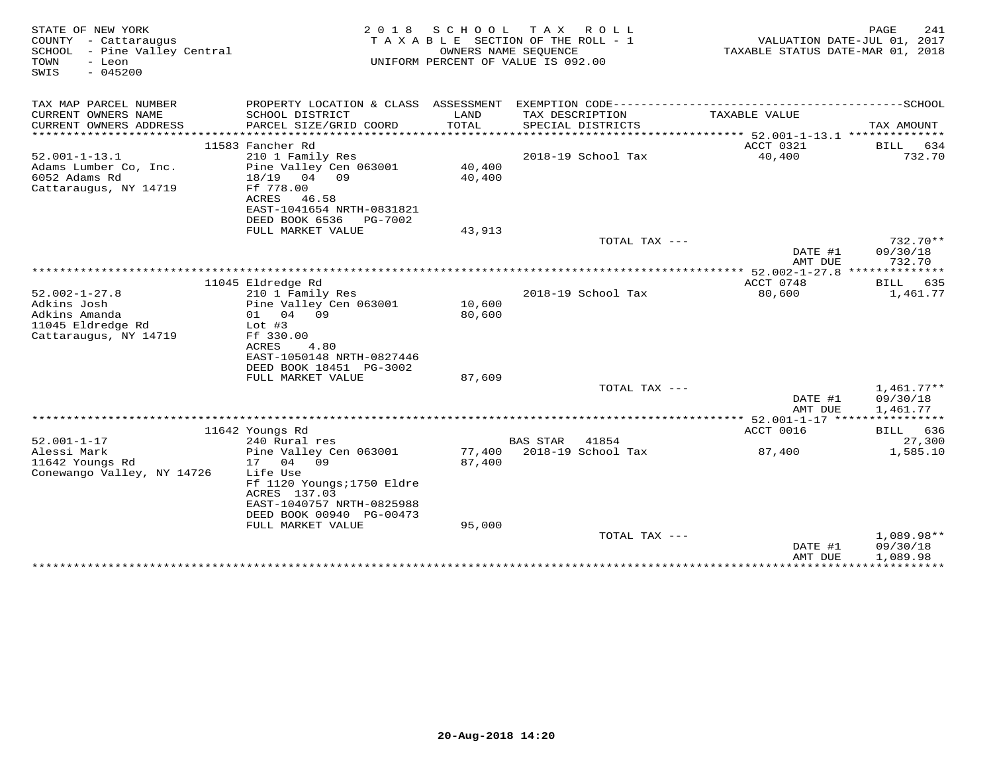| STATE OF NEW YORK<br>COUNTY - Cattaraugus<br>SCHOOL - Pine Valley Central<br>- Leon<br>TOWN<br>$-045200$<br>SWIS | 2 0 1 8                                  | <b>SCHOOL</b><br>T A X A B L E SECTION OF THE ROLL - 1<br>UNIFORM PERCENT OF VALUE IS 092.00 | T A X<br>OWNERS NAME SEOUENCE | ROLL                       |                                       | PAGE<br>241<br>VALUATION DATE-JUL 01, 2017<br>TAXABLE STATUS DATE-MAR 01, 2018 |
|------------------------------------------------------------------------------------------------------------------|------------------------------------------|----------------------------------------------------------------------------------------------|-------------------------------|----------------------------|---------------------------------------|--------------------------------------------------------------------------------|
| TAX MAP PARCEL NUMBER                                                                                            | PROPERTY LOCATION & CLASS ASSESSMENT     |                                                                                              |                               | EXEMPTION CODE------------ |                                       | -----------SCHOOL                                                              |
| CURRENT OWNERS NAME                                                                                              | SCHOOL DISTRICT                          | LAND                                                                                         | TAX DESCRIPTION               |                            | TAXABLE VALUE                         |                                                                                |
| CURRENT OWNERS ADDRESS                                                                                           | PARCEL SIZE/GRID COORD                   | TOTAL                                                                                        | SPECIAL DISTRICTS             |                            |                                       | TAX AMOUNT                                                                     |
|                                                                                                                  |                                          |                                                                                              |                               |                            |                                       |                                                                                |
| $52.001 - 1 - 13.1$                                                                                              | 11583 Fancher Rd<br>210 1 Family Res     |                                                                                              |                               | 2018-19 School Tax         | ACCT 0321<br>40,400                   | BILL<br>634<br>732.70                                                          |
| Adams Lumber Co, Inc.                                                                                            | Pine Valley Cen 063001                   | 40,400                                                                                       |                               |                            |                                       |                                                                                |
| 6052 Adams Rd                                                                                                    | 18/19<br>04 09                           | 40,400                                                                                       |                               |                            |                                       |                                                                                |
| Cattaraugus, NY 14719                                                                                            | Ff 778.00                                |                                                                                              |                               |                            |                                       |                                                                                |
|                                                                                                                  | ACRES<br>46.58                           |                                                                                              |                               |                            |                                       |                                                                                |
|                                                                                                                  | EAST-1041654 NRTH-0831821                |                                                                                              |                               |                            |                                       |                                                                                |
|                                                                                                                  | DEED BOOK 6536<br>PG-7002                |                                                                                              |                               |                            |                                       |                                                                                |
|                                                                                                                  | FULL MARKET VALUE                        | 43,913                                                                                       |                               | TOTAL TAX $---$            |                                       | $732.70**$                                                                     |
|                                                                                                                  |                                          |                                                                                              |                               |                            | DATE #1                               | 09/30/18                                                                       |
|                                                                                                                  |                                          |                                                                                              |                               |                            | AMT DUE                               | 732.70                                                                         |
|                                                                                                                  |                                          |                                                                                              |                               |                            |                                       |                                                                                |
|                                                                                                                  | 11045 Eldredge Rd                        |                                                                                              |                               |                            | ACCT 0748                             | 635<br>BILL                                                                    |
| $52.002 - 1 - 27.8$                                                                                              | 210 1 Family Res                         |                                                                                              |                               | 2018-19 School Tax         | 80,600                                | 1,461.77                                                                       |
| Adkins Josh<br>Adkins Amanda                                                                                     | Pine Valley Cen 063001<br>04 09<br>01    | 10,600<br>80,600                                                                             |                               |                            |                                       |                                                                                |
| 11045 Eldredge Rd                                                                                                | Lot $#3$                                 |                                                                                              |                               |                            |                                       |                                                                                |
| Cattaraugus, NY 14719                                                                                            | Ff 330.00                                |                                                                                              |                               |                            |                                       |                                                                                |
|                                                                                                                  | ACRES<br>4.80                            |                                                                                              |                               |                            |                                       |                                                                                |
|                                                                                                                  | EAST-1050148 NRTH-0827446                |                                                                                              |                               |                            |                                       |                                                                                |
|                                                                                                                  | DEED BOOK 18451 PG-3002                  |                                                                                              |                               |                            |                                       |                                                                                |
|                                                                                                                  | FULL MARKET VALUE                        | 87,609                                                                                       |                               | TOTAL TAX $---$            |                                       | $1,461.77**$                                                                   |
|                                                                                                                  |                                          |                                                                                              |                               |                            | DATE #1                               | 09/30/18                                                                       |
|                                                                                                                  |                                          |                                                                                              |                               |                            | AMT DUE                               | 1,461.77                                                                       |
|                                                                                                                  |                                          |                                                                                              |                               |                            | ******** 52.001-1-17 **************** |                                                                                |
|                                                                                                                  | 11642 Youngs Rd                          |                                                                                              |                               |                            | ACCT 0016                             | BILL<br>636                                                                    |
| $52.001 - 1 - 17$                                                                                                | 240 Rural res                            |                                                                                              | <b>BAS STAR</b>               | 41854                      |                                       | 27,300                                                                         |
| Alessi Mark<br>11642 Youngs Rd                                                                                   | Pine Valley Cen 063001<br>17<br>04<br>09 | 77,400<br>87,400                                                                             |                               | 2018-19 School Tax         | 87,400                                | 1,585.10                                                                       |
| Conewango Valley, NY 14726                                                                                       | Life Use                                 |                                                                                              |                               |                            |                                       |                                                                                |
|                                                                                                                  | Ff 1120 Youngs; 1750 Eldre               |                                                                                              |                               |                            |                                       |                                                                                |
|                                                                                                                  | ACRES 137.03                             |                                                                                              |                               |                            |                                       |                                                                                |
|                                                                                                                  | EAST-1040757 NRTH-0825988                |                                                                                              |                               |                            |                                       |                                                                                |
|                                                                                                                  | DEED BOOK 00940 PG-00473                 |                                                                                              |                               |                            |                                       |                                                                                |
|                                                                                                                  | FULL MARKET VALUE                        | 95,000                                                                                       |                               | TOTAL TAX $---$            |                                       | $1,089.98**$                                                                   |
|                                                                                                                  |                                          |                                                                                              |                               |                            | DATE #1                               | 09/30/18                                                                       |
|                                                                                                                  |                                          |                                                                                              |                               |                            | AMT DUE                               | 1,089.98                                                                       |
|                                                                                                                  |                                          |                                                                                              |                               |                            |                                       | ***************************                                                    |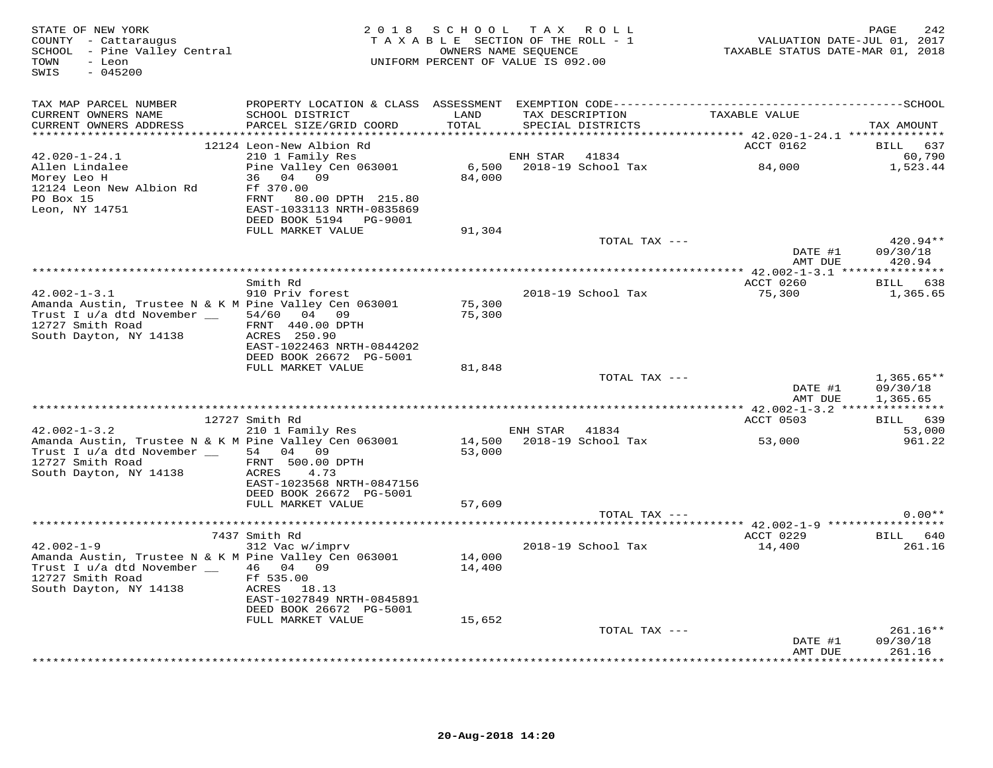| STATE OF NEW YORK<br>COUNTY - Cattaraugus<br>SCHOOL - Pine Valley Central<br>- Leon<br>TOWN<br>$-045200$<br>SWIS                                               |                                                                                          | 2018 SCHOOL TAX ROLL<br>TAXABLE SECTION OF THE ROLL - 1<br>OWNERS NAME SEQUENCE<br>UNIFORM PERCENT OF VALUE IS 092.00 |                |                                      | 742<br>710 VALUATION DATE-JUL 01, 2017<br>712 TAXABLE STATUS DATE-MAR 01, 2018 | PAGE<br>242                          |
|----------------------------------------------------------------------------------------------------------------------------------------------------------------|------------------------------------------------------------------------------------------|-----------------------------------------------------------------------------------------------------------------------|----------------|--------------------------------------|--------------------------------------------------------------------------------|--------------------------------------|
| TAX MAP PARCEL NUMBER<br>CURRENT OWNERS NAME<br>CURRENT OWNERS ADDRESS                                                                                         | SCHOOL DISTRICT<br>PARCEL SIZE/GRID COORD                                                | LAND<br>TOTAL                                                                                                         |                | TAX DESCRIPTION<br>SPECIAL DISTRICTS | TAXABLE VALUE                                                                  | TAX AMOUNT                           |
|                                                                                                                                                                | 12124 Leon-New Albion Rd                                                                 |                                                                                                                       |                |                                      | ACCT 0162                                                                      | BILL 637                             |
| $42.020 - 1 - 24.1$<br>Allen Lindalee<br>Morey Leo H<br>12124 Leon New Albion Rd                                                                               | 210 1 Family Res<br>Pine Valley Cen 063001<br>36 04 09<br>Ff 370.00                      | 84,000                                                                                                                | ENH STAR 41834 |                                      | 6,500 2018-19 School Tax 64,000                                                | 60,790<br>1,523.44                   |
| PO Box 15<br>Leon, NY 14751                                                                                                                                    | FRNT 80.00 DPTH 215.80<br>EAST-1033113 NRTH-0835869<br>DEED BOOK 5194    PG-9001         |                                                                                                                       |                |                                      |                                                                                |                                      |
|                                                                                                                                                                | FULL MARKET VALUE                                                                        | 91,304                                                                                                                |                | TOTAL TAX ---                        |                                                                                | $420.94**$                           |
|                                                                                                                                                                |                                                                                          |                                                                                                                       |                |                                      | DATE #1<br>AMT DUE                                                             | 09/30/18<br>420.94                   |
|                                                                                                                                                                |                                                                                          |                                                                                                                       |                |                                      |                                                                                |                                      |
| $42.002 - 1 - 3.1$<br>Amanda Austin, Trustee N & K M Pine Valley Cen 063001<br>Trust I $u/a$ dtd November $\_\_\_$ 54/60 04 09                                 | Smith Rd<br>910 Priv forest                                                              | 75,300<br>75,300                                                                                                      |                | 2018-19 School Tax                   | ACCT 0260<br>75,300                                                            | BILL 638<br>1,365.65                 |
| 12727 Smith Road<br>South Dayton, NY 14138                                                                                                                     | FRNT 440.00 DPTH<br>ACRES 250.90<br>EAST-1022463 NRTH-0844202<br>DEED BOOK 26672 PG-5001 |                                                                                                                       |                |                                      |                                                                                |                                      |
|                                                                                                                                                                | FULL MARKET VALUE                                                                        | 81,848                                                                                                                |                |                                      |                                                                                |                                      |
|                                                                                                                                                                |                                                                                          |                                                                                                                       |                | TOTAL TAX ---                        | DATE #1<br>AMT DUE                                                             | $1,365.65**$<br>09/30/18<br>1,365.65 |
|                                                                                                                                                                |                                                                                          |                                                                                                                       |                |                                      |                                                                                |                                      |
| $42.002 - 1 - 3.2$                                                                                                                                             | 12727 Smith Rd<br>210 1 Family Res                                                       |                                                                                                                       | ENH STAR 41834 |                                      | ACCT 0503                                                                      | BILL 639<br>53,000                   |
| Amanda Austin, Trustee N & K M Pine Valley Cen 063001<br>Trust I u/a dtd November __ 54 04 09<br>12727 Smith Road<br>South Dayton, NY 14138                    | FRNT 500.00 DPTH<br>ACRES 4.73                                                           | 53,000                                                                                                                |                | 14,500 2018-19 School Tax            | 53,000                                                                         | 961.22                               |
|                                                                                                                                                                | EAST-1023568 NRTH-0847156<br>DEED BOOK 26672 PG-5001<br>FULL MARKET VALUE                | 57,609                                                                                                                |                | TOTAL TAX ---                        |                                                                                | $0.00**$                             |
|                                                                                                                                                                |                                                                                          |                                                                                                                       |                |                                      |                                                                                |                                      |
|                                                                                                                                                                | 7437 Smith Rd                                                                            |                                                                                                                       |                |                                      | ACCT 0229                                                                      | <b>BILL</b> 640                      |
| $42.002 - 1 - 9$<br>Amanda Austin, Trustee N & K M Pine Valley Cen 063001<br>Trust I u/a dtd November _ 46 04 09<br>12727 Smith Road<br>South Dayton, NY 14138 | 312 Vac w/imprv<br>Ff 535.00<br>ACRES 18.13<br>EAST-1027849 NRTH-0845891                 | 14,000<br>14,400                                                                                                      |                | 2018-19 School Tax                   | 14,400                                                                         | 261.16                               |
|                                                                                                                                                                | DEED BOOK 26672 PG-5001<br>FULL MARKET VALUE                                             | 15,652                                                                                                                |                |                                      |                                                                                |                                      |
|                                                                                                                                                                |                                                                                          |                                                                                                                       |                | TOTAL TAX ---                        | DATE #1                                                                        | $261.16**$<br>09/30/18               |
|                                                                                                                                                                |                                                                                          |                                                                                                                       |                |                                      | AMT DUE                                                                        | 261.16<br>.                          |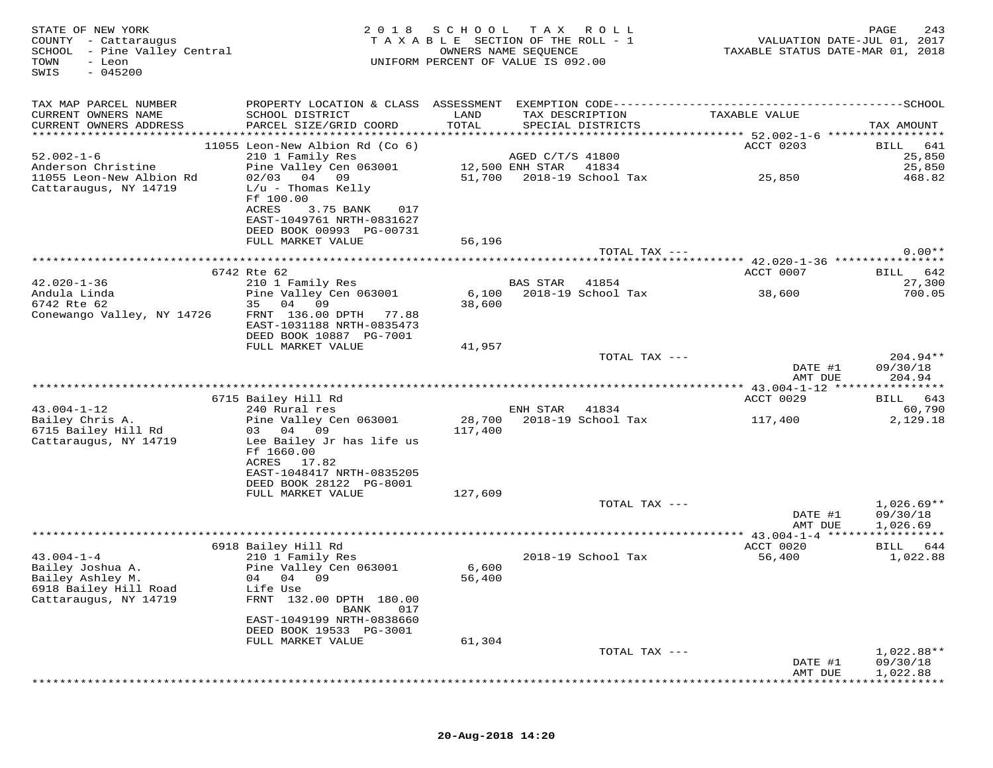| STATE OF NEW YORK<br>COUNTY - Cattaraugus<br>SCHOOL - Pine Valley Central<br>TOWN<br>- Leon<br>$-045200$<br>SWIS | 2018                                                                            | S C H O O L<br>TAXABLE SECTION OF THE ROLL - 1<br>UNIFORM PERCENT OF VALUE IS 092.00 | T A X<br>OWNERS NAME SEQUENCE | R O L L            | TAXABLE STATUS DATE-MAR 01, 2018                        |                    | PAGE<br>243<br>VALUATION DATE-JUL 01, 2017 |
|------------------------------------------------------------------------------------------------------------------|---------------------------------------------------------------------------------|--------------------------------------------------------------------------------------|-------------------------------|--------------------|---------------------------------------------------------|--------------------|--------------------------------------------|
| TAX MAP PARCEL NUMBER                                                                                            |                                                                                 |                                                                                      |                               |                    |                                                         |                    |                                            |
| CURRENT OWNERS NAME                                                                                              | SCHOOL DISTRICT                                                                 | LAND                                                                                 |                               | TAX DESCRIPTION    | TAXABLE VALUE                                           |                    |                                            |
| CURRENT OWNERS ADDRESS                                                                                           | PARCEL SIZE/GRID COORD                                                          | TOTAL                                                                                |                               | SPECIAL DISTRICTS  |                                                         |                    | TAX AMOUNT                                 |
|                                                                                                                  | 11055 Leon-New Albion Rd (Co 6)                                                 |                                                                                      |                               |                    | ACCT 0203                                               |                    | 641<br>BILL                                |
| $52.002 - 1 - 6$                                                                                                 | 210 1 Family Res                                                                |                                                                                      | AGED C/T/S 41800              |                    |                                                         |                    | 25,850                                     |
| Anderson Christine                                                                                               | Pine Valley Cen 063001                                                          |                                                                                      | 12,500 ENH STAR               | 41834              |                                                         |                    | 25,850                                     |
| 11055 Leon-New Albion Rd<br>Cattaraugus, NY 14719                                                                | $02/03$ 04 09<br>$L/u$ - Thomas Kelly<br>Ff 100.00<br>ACRES<br>3.75 BANK<br>017 | 51,700                                                                               |                               | 2018-19 School Tax | 25,850                                                  |                    | 468.82                                     |
|                                                                                                                  | EAST-1049761 NRTH-0831627<br>DEED BOOK 00993 PG-00731                           |                                                                                      |                               |                    |                                                         |                    |                                            |
|                                                                                                                  | FULL MARKET VALUE                                                               | 56,196                                                                               |                               |                    |                                                         |                    |                                            |
|                                                                                                                  |                                                                                 |                                                                                      |                               | TOTAL TAX ---      |                                                         |                    | $0.00**$                                   |
|                                                                                                                  | 6742 Rte 62                                                                     |                                                                                      |                               |                    | ACCT 0007                                               |                    | 642<br><b>BILL</b>                         |
| $42.020 - 1 - 36$                                                                                                | 210 1 Family Res                                                                |                                                                                      | <b>BAS STAR</b>               | 41854              |                                                         |                    | 27,300                                     |
| Andula Linda                                                                                                     | Pine Valley Cen 063001                                                          | 6,100                                                                                |                               | 2018-19 School Tax | 38,600                                                  |                    | 700.05                                     |
| 6742 Rte 62                                                                                                      | 35<br>04<br>09                                                                  | 38,600                                                                               |                               |                    |                                                         |                    |                                            |
| Conewango Valley, NY 14726                                                                                       | FRNT 136.00 DPTH 77.88<br>EAST-1031188 NRTH-0835473<br>DEED BOOK 10887 PG-7001  |                                                                                      |                               |                    |                                                         |                    |                                            |
|                                                                                                                  | FULL MARKET VALUE                                                               | 41,957                                                                               |                               |                    |                                                         |                    |                                            |
|                                                                                                                  |                                                                                 |                                                                                      |                               | TOTAL TAX ---      |                                                         |                    | $204.94**$                                 |
|                                                                                                                  |                                                                                 |                                                                                      |                               |                    |                                                         | DATE #1<br>AMT DUE | 09/30/18<br>204.94                         |
|                                                                                                                  | 6715 Bailey Hill Rd                                                             |                                                                                      |                               |                    | ************ 43.004-1-12 *****************<br>ACCT 0029 |                    | 643<br>BILL                                |
| $43.004 - 1 - 12$                                                                                                | 240 Rural res                                                                   |                                                                                      | ENH STAR                      | 41834              |                                                         |                    | 60,790                                     |
| Bailey Chris A.                                                                                                  | Pine Valley Cen 063001                                                          | 28,700                                                                               |                               | 2018-19 School Tax | 117,400                                                 |                    | 2,129.18                                   |
| 6715 Bailey Hill Rd<br>Cattaraugus, NY 14719                                                                     | 03 04 09<br>Lee Bailey Jr has life us<br>Ff 1660.00<br>ACRES 17.82              | 117,400                                                                              |                               |                    |                                                         |                    |                                            |
|                                                                                                                  | EAST-1048417 NRTH-0835205                                                       |                                                                                      |                               |                    |                                                         |                    |                                            |
|                                                                                                                  | DEED BOOK 28122 PG-8001                                                         |                                                                                      |                               |                    |                                                         |                    |                                            |
|                                                                                                                  | FULL MARKET VALUE                                                               | 127,609                                                                              |                               | TOTAL TAX ---      |                                                         |                    | $1,026.69**$                               |
|                                                                                                                  |                                                                                 |                                                                                      |                               |                    |                                                         | DATE #1            | 09/30/18                                   |
|                                                                                                                  |                                                                                 |                                                                                      |                               |                    |                                                         | AMT DUE            | 1,026.69                                   |
|                                                                                                                  | 6918 Bailey Hill Rd                                                             |                                                                                      |                               |                    | ACCT 0020                                               |                    | BILL<br>644                                |
| $43.004 - 1 - 4$                                                                                                 | 210 1 Family Res                                                                |                                                                                      |                               | 2018-19 School Tax | 56,400                                                  |                    | 1,022.88                                   |
| Bailey Joshua A.                                                                                                 | Pine Valley Cen 063001                                                          | 6,600                                                                                |                               |                    |                                                         |                    |                                            |
| Bailey Ashley M.                                                                                                 | 04 04 09                                                                        | 56,400                                                                               |                               |                    |                                                         |                    |                                            |
| 6918 Bailey Hill Road<br>Cattaraugus, NY 14719                                                                   | Life Use<br>FRNT 132.00 DPTH 180.00<br>017<br>BANK                              |                                                                                      |                               |                    |                                                         |                    |                                            |
|                                                                                                                  | EAST-1049199 NRTH-0838660                                                       |                                                                                      |                               |                    |                                                         |                    |                                            |
|                                                                                                                  | DEED BOOK 19533 PG-3001                                                         |                                                                                      |                               |                    |                                                         |                    |                                            |
|                                                                                                                  | FULL MARKET VALUE                                                               | 61,304                                                                               |                               | TOTAL TAX ---      |                                                         |                    | 1,022.88**                                 |
|                                                                                                                  |                                                                                 |                                                                                      |                               |                    |                                                         | DATE #1            | 09/30/18                                   |
|                                                                                                                  |                                                                                 |                                                                                      |                               |                    |                                                         | AMT DUE            | 1,022.88                                   |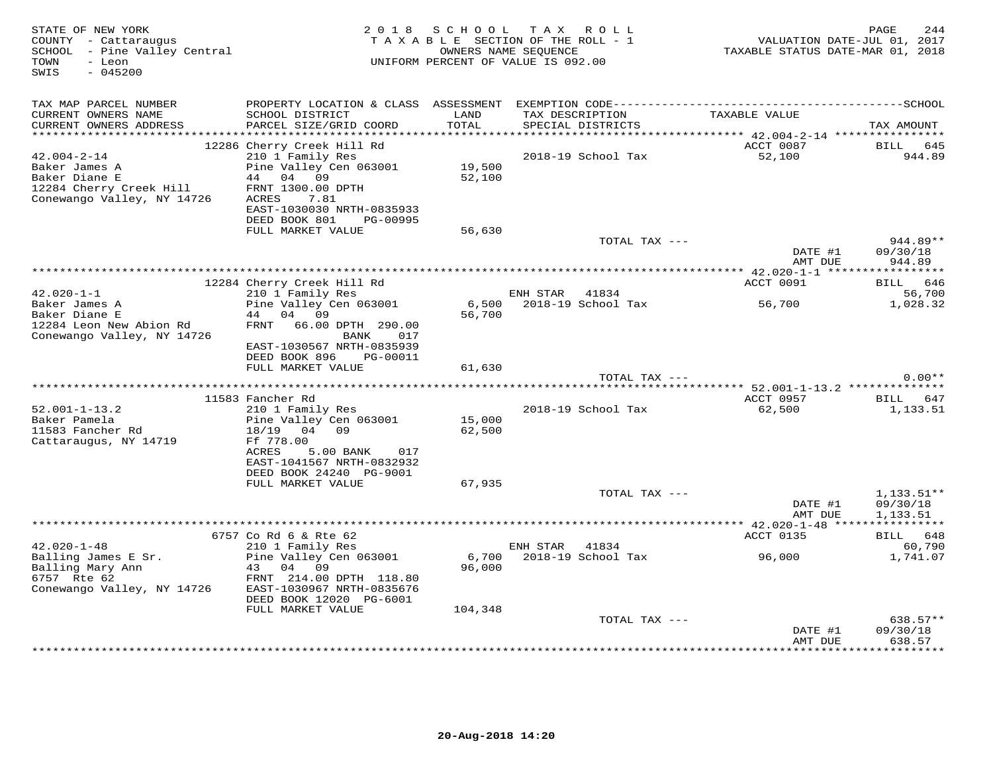| PROPERTY LOCATION & CLASS ASSESSMENT EXEMPTION CODE-----------------------------------SCHOOL<br>TAX MAP PARCEL NUMBER<br>TAXABLE VALUE<br>CURRENT OWNERS NAME<br>SCHOOL DISTRICT<br>LAND<br>TAX DESCRIPTION<br>TOTAL<br>CURRENT OWNERS ADDRESS<br>PARCEL SIZE/GRID COORD<br>SPECIAL DISTRICTS<br>TAX AMOUNT<br>12286 Cherry Creek Hill Rd<br>ACCT 0087<br>BILL<br>645<br>$42.004 - 2 - 14$<br>210 1 Family Res<br>2018-19 School Tax<br>52,100<br>944.89<br>Pine Valley Cen 063001<br>Baker James A<br>19,500<br>Baker Diane E<br>04 09<br>52,100<br>44<br>12284 Cherry Creek Hill<br>FRNT 1300.00 DPTH<br>Conewango Valley, NY 14726<br>ACRES<br>7.81<br>EAST-1030030 NRTH-0835933<br>DEED BOOK 801<br>PG-00995<br>FULL MARKET VALUE<br>56,630<br>TOTAL TAX ---<br>944.89**<br>DATE #1<br>09/30/18<br>AMT DUE<br>944.89<br>12284 Cherry Creek Hill Rd<br>ACCT 0091<br>646<br>BILL<br>$42.020 - 1 - 1$<br>56,700<br>210 1 Family Res<br>ENH STAR<br>41834<br>Baker James A<br>Pine Valley Cen 063001<br>2018-19 School Tax<br>1,028.32<br>6,500<br>56,700<br>Baker Diane E<br>44 04 09<br>56,700<br>12284 Leon New Abion Rd<br>FRNT 66.00 DPTH 290.00<br>Conewango Valley, NY 14726<br>BANK<br>017<br>EAST-1030567 NRTH-0835939<br>DEED BOOK 896<br>PG-00011<br>FULL MARKET VALUE<br>61,630<br>TOTAL TAX ---<br>$0.00**$<br>11583 Fancher Rd<br>ACCT 0957<br>BILL 647<br>$52.001 - 1 - 13.2$<br>210 1 Family Res<br>2018-19 School Tax<br>62,500<br>1,133.51<br>Baker Pamela<br>Pine Valley Cen 063001<br>15,000<br>11583 Fancher Rd<br>18/19<br>04<br>09<br>62,500<br>Cattaraugus, NY 14719<br>Ff 778.00<br>ACRES<br>5.00 BANK<br>017<br>EAST-1041567 NRTH-0832932<br>DEED BOOK 24240 PG-9001<br>FULL MARKET VALUE<br>67,935<br>TOTAL TAX ---<br>$1,133.51**$<br>DATE #1<br>09/30/18<br>AMT DUE<br>1,133.51<br>*********** 42.020-1-48 ****<br>***********<br>6757 Co Rd 6 & Rte 62<br>ACCT 0135<br>BILL 648<br>$42.020 - 1 - 48$<br>210 1 Family Res<br>ENH STAR<br>41834<br>60,790<br>Balling James E Sr.<br>Pine Valley Cen 063001<br>6,700<br>2018-19 School Tax<br>96,000<br>1,741.07<br>Balling Mary Ann<br>43 04 09<br>96,000<br>6757 Rte 62<br>FRNT 214.00 DPTH 118.80<br>Conewango Valley, NY 14726<br>EAST-1030967 NRTH-0835676<br>DEED BOOK 12020 PG-6001<br>FULL MARKET VALUE<br>104,348<br>638.57**<br>TOTAL TAX ---<br>09/30/18<br>DATE #1<br>638.57<br>AMT DUE<br>*************<br>* * * * * * * * * | STATE OF NEW YORK<br>COUNTY - Cattaraugus<br>SCHOOL - Pine Valley Central<br>TOWN<br>- Leon<br>$-045200$<br>SWIS |  | 2018 SCHOOL TAX ROLL<br>TAXABLE SECTION OF THE ROLL - 1<br>OWNERS NAME SEQUENCE<br>UNIFORM PERCENT OF VALUE IS 092.00 | TAXABLE STATUS DATE-MAR 01, 2018 | 244<br>PAGE<br>VALUATION DATE-JUL 01, 2017 |
|----------------------------------------------------------------------------------------------------------------------------------------------------------------------------------------------------------------------------------------------------------------------------------------------------------------------------------------------------------------------------------------------------------------------------------------------------------------------------------------------------------------------------------------------------------------------------------------------------------------------------------------------------------------------------------------------------------------------------------------------------------------------------------------------------------------------------------------------------------------------------------------------------------------------------------------------------------------------------------------------------------------------------------------------------------------------------------------------------------------------------------------------------------------------------------------------------------------------------------------------------------------------------------------------------------------------------------------------------------------------------------------------------------------------------------------------------------------------------------------------------------------------------------------------------------------------------------------------------------------------------------------------------------------------------------------------------------------------------------------------------------------------------------------------------------------------------------------------------------------------------------------------------------------------------------------------------------------------------------------------------------------------------------------------------------------------------------------------------------------------------------------------------------------------------------------------------------------------------------------------------------------------------------------------------------------------------------------------------------------------------------------------------------------------|------------------------------------------------------------------------------------------------------------------|--|-----------------------------------------------------------------------------------------------------------------------|----------------------------------|--------------------------------------------|
|                                                                                                                                                                                                                                                                                                                                                                                                                                                                                                                                                                                                                                                                                                                                                                                                                                                                                                                                                                                                                                                                                                                                                                                                                                                                                                                                                                                                                                                                                                                                                                                                                                                                                                                                                                                                                                                                                                                                                                                                                                                                                                                                                                                                                                                                                                                                                                                                                      |                                                                                                                  |  |                                                                                                                       |                                  |                                            |
|                                                                                                                                                                                                                                                                                                                                                                                                                                                                                                                                                                                                                                                                                                                                                                                                                                                                                                                                                                                                                                                                                                                                                                                                                                                                                                                                                                                                                                                                                                                                                                                                                                                                                                                                                                                                                                                                                                                                                                                                                                                                                                                                                                                                                                                                                                                                                                                                                      |                                                                                                                  |  |                                                                                                                       |                                  |                                            |
|                                                                                                                                                                                                                                                                                                                                                                                                                                                                                                                                                                                                                                                                                                                                                                                                                                                                                                                                                                                                                                                                                                                                                                                                                                                                                                                                                                                                                                                                                                                                                                                                                                                                                                                                                                                                                                                                                                                                                                                                                                                                                                                                                                                                                                                                                                                                                                                                                      |                                                                                                                  |  |                                                                                                                       |                                  |                                            |
|                                                                                                                                                                                                                                                                                                                                                                                                                                                                                                                                                                                                                                                                                                                                                                                                                                                                                                                                                                                                                                                                                                                                                                                                                                                                                                                                                                                                                                                                                                                                                                                                                                                                                                                                                                                                                                                                                                                                                                                                                                                                                                                                                                                                                                                                                                                                                                                                                      |                                                                                                                  |  |                                                                                                                       |                                  |                                            |
|                                                                                                                                                                                                                                                                                                                                                                                                                                                                                                                                                                                                                                                                                                                                                                                                                                                                                                                                                                                                                                                                                                                                                                                                                                                                                                                                                                                                                                                                                                                                                                                                                                                                                                                                                                                                                                                                                                                                                                                                                                                                                                                                                                                                                                                                                                                                                                                                                      |                                                                                                                  |  |                                                                                                                       |                                  |                                            |
|                                                                                                                                                                                                                                                                                                                                                                                                                                                                                                                                                                                                                                                                                                                                                                                                                                                                                                                                                                                                                                                                                                                                                                                                                                                                                                                                                                                                                                                                                                                                                                                                                                                                                                                                                                                                                                                                                                                                                                                                                                                                                                                                                                                                                                                                                                                                                                                                                      |                                                                                                                  |  |                                                                                                                       |                                  |                                            |
|                                                                                                                                                                                                                                                                                                                                                                                                                                                                                                                                                                                                                                                                                                                                                                                                                                                                                                                                                                                                                                                                                                                                                                                                                                                                                                                                                                                                                                                                                                                                                                                                                                                                                                                                                                                                                                                                                                                                                                                                                                                                                                                                                                                                                                                                                                                                                                                                                      |                                                                                                                  |  |                                                                                                                       |                                  |                                            |
|                                                                                                                                                                                                                                                                                                                                                                                                                                                                                                                                                                                                                                                                                                                                                                                                                                                                                                                                                                                                                                                                                                                                                                                                                                                                                                                                                                                                                                                                                                                                                                                                                                                                                                                                                                                                                                                                                                                                                                                                                                                                                                                                                                                                                                                                                                                                                                                                                      |                                                                                                                  |  |                                                                                                                       |                                  |                                            |
|                                                                                                                                                                                                                                                                                                                                                                                                                                                                                                                                                                                                                                                                                                                                                                                                                                                                                                                                                                                                                                                                                                                                                                                                                                                                                                                                                                                                                                                                                                                                                                                                                                                                                                                                                                                                                                                                                                                                                                                                                                                                                                                                                                                                                                                                                                                                                                                                                      |                                                                                                                  |  |                                                                                                                       |                                  |                                            |
|                                                                                                                                                                                                                                                                                                                                                                                                                                                                                                                                                                                                                                                                                                                                                                                                                                                                                                                                                                                                                                                                                                                                                                                                                                                                                                                                                                                                                                                                                                                                                                                                                                                                                                                                                                                                                                                                                                                                                                                                                                                                                                                                                                                                                                                                                                                                                                                                                      |                                                                                                                  |  |                                                                                                                       |                                  |                                            |
|                                                                                                                                                                                                                                                                                                                                                                                                                                                                                                                                                                                                                                                                                                                                                                                                                                                                                                                                                                                                                                                                                                                                                                                                                                                                                                                                                                                                                                                                                                                                                                                                                                                                                                                                                                                                                                                                                                                                                                                                                                                                                                                                                                                                                                                                                                                                                                                                                      |                                                                                                                  |  |                                                                                                                       |                                  |                                            |
|                                                                                                                                                                                                                                                                                                                                                                                                                                                                                                                                                                                                                                                                                                                                                                                                                                                                                                                                                                                                                                                                                                                                                                                                                                                                                                                                                                                                                                                                                                                                                                                                                                                                                                                                                                                                                                                                                                                                                                                                                                                                                                                                                                                                                                                                                                                                                                                                                      |                                                                                                                  |  |                                                                                                                       |                                  |                                            |
|                                                                                                                                                                                                                                                                                                                                                                                                                                                                                                                                                                                                                                                                                                                                                                                                                                                                                                                                                                                                                                                                                                                                                                                                                                                                                                                                                                                                                                                                                                                                                                                                                                                                                                                                                                                                                                                                                                                                                                                                                                                                                                                                                                                                                                                                                                                                                                                                                      |                                                                                                                  |  |                                                                                                                       |                                  |                                            |
|                                                                                                                                                                                                                                                                                                                                                                                                                                                                                                                                                                                                                                                                                                                                                                                                                                                                                                                                                                                                                                                                                                                                                                                                                                                                                                                                                                                                                                                                                                                                                                                                                                                                                                                                                                                                                                                                                                                                                                                                                                                                                                                                                                                                                                                                                                                                                                                                                      |                                                                                                                  |  |                                                                                                                       |                                  |                                            |
|                                                                                                                                                                                                                                                                                                                                                                                                                                                                                                                                                                                                                                                                                                                                                                                                                                                                                                                                                                                                                                                                                                                                                                                                                                                                                                                                                                                                                                                                                                                                                                                                                                                                                                                                                                                                                                                                                                                                                                                                                                                                                                                                                                                                                                                                                                                                                                                                                      |                                                                                                                  |  |                                                                                                                       |                                  |                                            |
|                                                                                                                                                                                                                                                                                                                                                                                                                                                                                                                                                                                                                                                                                                                                                                                                                                                                                                                                                                                                                                                                                                                                                                                                                                                                                                                                                                                                                                                                                                                                                                                                                                                                                                                                                                                                                                                                                                                                                                                                                                                                                                                                                                                                                                                                                                                                                                                                                      |                                                                                                                  |  |                                                                                                                       |                                  |                                            |
|                                                                                                                                                                                                                                                                                                                                                                                                                                                                                                                                                                                                                                                                                                                                                                                                                                                                                                                                                                                                                                                                                                                                                                                                                                                                                                                                                                                                                                                                                                                                                                                                                                                                                                                                                                                                                                                                                                                                                                                                                                                                                                                                                                                                                                                                                                                                                                                                                      |                                                                                                                  |  |                                                                                                                       |                                  |                                            |
|                                                                                                                                                                                                                                                                                                                                                                                                                                                                                                                                                                                                                                                                                                                                                                                                                                                                                                                                                                                                                                                                                                                                                                                                                                                                                                                                                                                                                                                                                                                                                                                                                                                                                                                                                                                                                                                                                                                                                                                                                                                                                                                                                                                                                                                                                                                                                                                                                      |                                                                                                                  |  |                                                                                                                       |                                  |                                            |
|                                                                                                                                                                                                                                                                                                                                                                                                                                                                                                                                                                                                                                                                                                                                                                                                                                                                                                                                                                                                                                                                                                                                                                                                                                                                                                                                                                                                                                                                                                                                                                                                                                                                                                                                                                                                                                                                                                                                                                                                                                                                                                                                                                                                                                                                                                                                                                                                                      |                                                                                                                  |  |                                                                                                                       |                                  |                                            |
|                                                                                                                                                                                                                                                                                                                                                                                                                                                                                                                                                                                                                                                                                                                                                                                                                                                                                                                                                                                                                                                                                                                                                                                                                                                                                                                                                                                                                                                                                                                                                                                                                                                                                                                                                                                                                                                                                                                                                                                                                                                                                                                                                                                                                                                                                                                                                                                                                      |                                                                                                                  |  |                                                                                                                       |                                  |                                            |
|                                                                                                                                                                                                                                                                                                                                                                                                                                                                                                                                                                                                                                                                                                                                                                                                                                                                                                                                                                                                                                                                                                                                                                                                                                                                                                                                                                                                                                                                                                                                                                                                                                                                                                                                                                                                                                                                                                                                                                                                                                                                                                                                                                                                                                                                                                                                                                                                                      |                                                                                                                  |  |                                                                                                                       |                                  |                                            |
|                                                                                                                                                                                                                                                                                                                                                                                                                                                                                                                                                                                                                                                                                                                                                                                                                                                                                                                                                                                                                                                                                                                                                                                                                                                                                                                                                                                                                                                                                                                                                                                                                                                                                                                                                                                                                                                                                                                                                                                                                                                                                                                                                                                                                                                                                                                                                                                                                      |                                                                                                                  |  |                                                                                                                       |                                  |                                            |
|                                                                                                                                                                                                                                                                                                                                                                                                                                                                                                                                                                                                                                                                                                                                                                                                                                                                                                                                                                                                                                                                                                                                                                                                                                                                                                                                                                                                                                                                                                                                                                                                                                                                                                                                                                                                                                                                                                                                                                                                                                                                                                                                                                                                                                                                                                                                                                                                                      |                                                                                                                  |  |                                                                                                                       |                                  |                                            |
|                                                                                                                                                                                                                                                                                                                                                                                                                                                                                                                                                                                                                                                                                                                                                                                                                                                                                                                                                                                                                                                                                                                                                                                                                                                                                                                                                                                                                                                                                                                                                                                                                                                                                                                                                                                                                                                                                                                                                                                                                                                                                                                                                                                                                                                                                                                                                                                                                      |                                                                                                                  |  |                                                                                                                       |                                  |                                            |
|                                                                                                                                                                                                                                                                                                                                                                                                                                                                                                                                                                                                                                                                                                                                                                                                                                                                                                                                                                                                                                                                                                                                                                                                                                                                                                                                                                                                                                                                                                                                                                                                                                                                                                                                                                                                                                                                                                                                                                                                                                                                                                                                                                                                                                                                                                                                                                                                                      |                                                                                                                  |  |                                                                                                                       |                                  |                                            |
|                                                                                                                                                                                                                                                                                                                                                                                                                                                                                                                                                                                                                                                                                                                                                                                                                                                                                                                                                                                                                                                                                                                                                                                                                                                                                                                                                                                                                                                                                                                                                                                                                                                                                                                                                                                                                                                                                                                                                                                                                                                                                                                                                                                                                                                                                                                                                                                                                      |                                                                                                                  |  |                                                                                                                       |                                  |                                            |
|                                                                                                                                                                                                                                                                                                                                                                                                                                                                                                                                                                                                                                                                                                                                                                                                                                                                                                                                                                                                                                                                                                                                                                                                                                                                                                                                                                                                                                                                                                                                                                                                                                                                                                                                                                                                                                                                                                                                                                                                                                                                                                                                                                                                                                                                                                                                                                                                                      |                                                                                                                  |  |                                                                                                                       |                                  |                                            |
|                                                                                                                                                                                                                                                                                                                                                                                                                                                                                                                                                                                                                                                                                                                                                                                                                                                                                                                                                                                                                                                                                                                                                                                                                                                                                                                                                                                                                                                                                                                                                                                                                                                                                                                                                                                                                                                                                                                                                                                                                                                                                                                                                                                                                                                                                                                                                                                                                      |                                                                                                                  |  |                                                                                                                       |                                  |                                            |
|                                                                                                                                                                                                                                                                                                                                                                                                                                                                                                                                                                                                                                                                                                                                                                                                                                                                                                                                                                                                                                                                                                                                                                                                                                                                                                                                                                                                                                                                                                                                                                                                                                                                                                                                                                                                                                                                                                                                                                                                                                                                                                                                                                                                                                                                                                                                                                                                                      |                                                                                                                  |  |                                                                                                                       |                                  |                                            |
|                                                                                                                                                                                                                                                                                                                                                                                                                                                                                                                                                                                                                                                                                                                                                                                                                                                                                                                                                                                                                                                                                                                                                                                                                                                                                                                                                                                                                                                                                                                                                                                                                                                                                                                                                                                                                                                                                                                                                                                                                                                                                                                                                                                                                                                                                                                                                                                                                      |                                                                                                                  |  |                                                                                                                       |                                  |                                            |
|                                                                                                                                                                                                                                                                                                                                                                                                                                                                                                                                                                                                                                                                                                                                                                                                                                                                                                                                                                                                                                                                                                                                                                                                                                                                                                                                                                                                                                                                                                                                                                                                                                                                                                                                                                                                                                                                                                                                                                                                                                                                                                                                                                                                                                                                                                                                                                                                                      |                                                                                                                  |  |                                                                                                                       |                                  |                                            |
|                                                                                                                                                                                                                                                                                                                                                                                                                                                                                                                                                                                                                                                                                                                                                                                                                                                                                                                                                                                                                                                                                                                                                                                                                                                                                                                                                                                                                                                                                                                                                                                                                                                                                                                                                                                                                                                                                                                                                                                                                                                                                                                                                                                                                                                                                                                                                                                                                      |                                                                                                                  |  |                                                                                                                       |                                  |                                            |
|                                                                                                                                                                                                                                                                                                                                                                                                                                                                                                                                                                                                                                                                                                                                                                                                                                                                                                                                                                                                                                                                                                                                                                                                                                                                                                                                                                                                                                                                                                                                                                                                                                                                                                                                                                                                                                                                                                                                                                                                                                                                                                                                                                                                                                                                                                                                                                                                                      |                                                                                                                  |  |                                                                                                                       |                                  |                                            |
|                                                                                                                                                                                                                                                                                                                                                                                                                                                                                                                                                                                                                                                                                                                                                                                                                                                                                                                                                                                                                                                                                                                                                                                                                                                                                                                                                                                                                                                                                                                                                                                                                                                                                                                                                                                                                                                                                                                                                                                                                                                                                                                                                                                                                                                                                                                                                                                                                      |                                                                                                                  |  |                                                                                                                       |                                  |                                            |
|                                                                                                                                                                                                                                                                                                                                                                                                                                                                                                                                                                                                                                                                                                                                                                                                                                                                                                                                                                                                                                                                                                                                                                                                                                                                                                                                                                                                                                                                                                                                                                                                                                                                                                                                                                                                                                                                                                                                                                                                                                                                                                                                                                                                                                                                                                                                                                                                                      |                                                                                                                  |  |                                                                                                                       |                                  |                                            |
|                                                                                                                                                                                                                                                                                                                                                                                                                                                                                                                                                                                                                                                                                                                                                                                                                                                                                                                                                                                                                                                                                                                                                                                                                                                                                                                                                                                                                                                                                                                                                                                                                                                                                                                                                                                                                                                                                                                                                                                                                                                                                                                                                                                                                                                                                                                                                                                                                      |                                                                                                                  |  |                                                                                                                       |                                  |                                            |
|                                                                                                                                                                                                                                                                                                                                                                                                                                                                                                                                                                                                                                                                                                                                                                                                                                                                                                                                                                                                                                                                                                                                                                                                                                                                                                                                                                                                                                                                                                                                                                                                                                                                                                                                                                                                                                                                                                                                                                                                                                                                                                                                                                                                                                                                                                                                                                                                                      |                                                                                                                  |  |                                                                                                                       |                                  |                                            |
|                                                                                                                                                                                                                                                                                                                                                                                                                                                                                                                                                                                                                                                                                                                                                                                                                                                                                                                                                                                                                                                                                                                                                                                                                                                                                                                                                                                                                                                                                                                                                                                                                                                                                                                                                                                                                                                                                                                                                                                                                                                                                                                                                                                                                                                                                                                                                                                                                      |                                                                                                                  |  |                                                                                                                       |                                  |                                            |
|                                                                                                                                                                                                                                                                                                                                                                                                                                                                                                                                                                                                                                                                                                                                                                                                                                                                                                                                                                                                                                                                                                                                                                                                                                                                                                                                                                                                                                                                                                                                                                                                                                                                                                                                                                                                                                                                                                                                                                                                                                                                                                                                                                                                                                                                                                                                                                                                                      |                                                                                                                  |  |                                                                                                                       |                                  |                                            |
|                                                                                                                                                                                                                                                                                                                                                                                                                                                                                                                                                                                                                                                                                                                                                                                                                                                                                                                                                                                                                                                                                                                                                                                                                                                                                                                                                                                                                                                                                                                                                                                                                                                                                                                                                                                                                                                                                                                                                                                                                                                                                                                                                                                                                                                                                                                                                                                                                      |                                                                                                                  |  |                                                                                                                       |                                  |                                            |
|                                                                                                                                                                                                                                                                                                                                                                                                                                                                                                                                                                                                                                                                                                                                                                                                                                                                                                                                                                                                                                                                                                                                                                                                                                                                                                                                                                                                                                                                                                                                                                                                                                                                                                                                                                                                                                                                                                                                                                                                                                                                                                                                                                                                                                                                                                                                                                                                                      |                                                                                                                  |  |                                                                                                                       |                                  |                                            |
|                                                                                                                                                                                                                                                                                                                                                                                                                                                                                                                                                                                                                                                                                                                                                                                                                                                                                                                                                                                                                                                                                                                                                                                                                                                                                                                                                                                                                                                                                                                                                                                                                                                                                                                                                                                                                                                                                                                                                                                                                                                                                                                                                                                                                                                                                                                                                                                                                      |                                                                                                                  |  |                                                                                                                       |                                  |                                            |
|                                                                                                                                                                                                                                                                                                                                                                                                                                                                                                                                                                                                                                                                                                                                                                                                                                                                                                                                                                                                                                                                                                                                                                                                                                                                                                                                                                                                                                                                                                                                                                                                                                                                                                                                                                                                                                                                                                                                                                                                                                                                                                                                                                                                                                                                                                                                                                                                                      |                                                                                                                  |  |                                                                                                                       |                                  |                                            |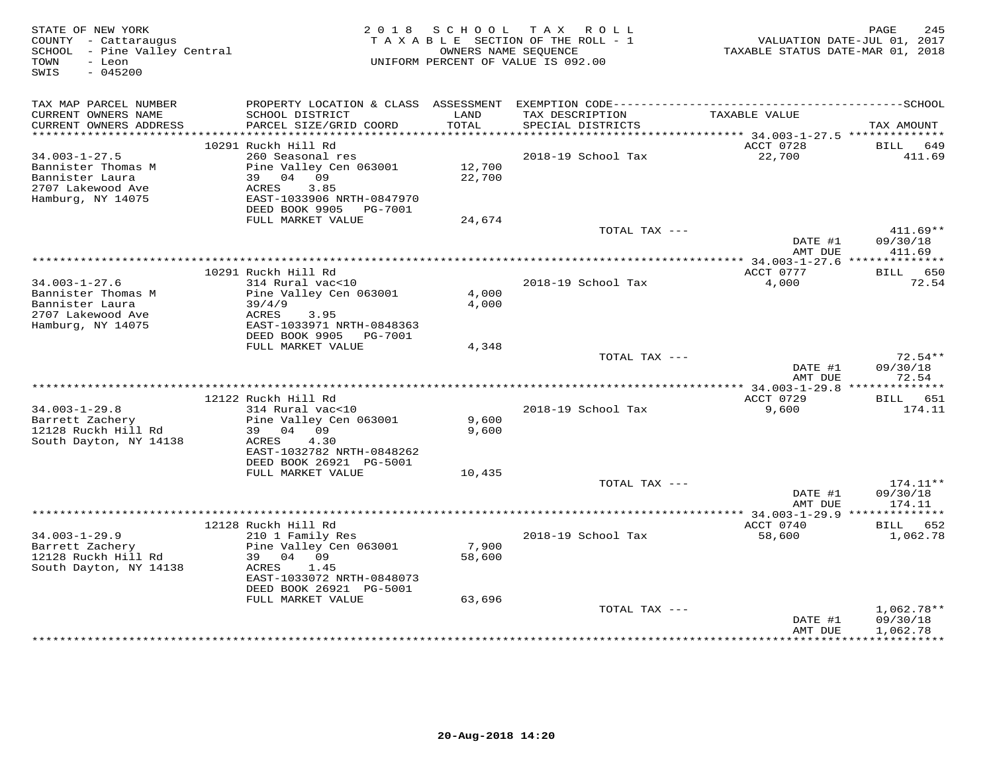| STATE OF NEW YORK<br>COUNTY - Cattaraugus<br>SCHOOL - Pine Valley Central<br>- Leon<br>TOWN<br>SWIS<br>$-045200$ |                                                                                  | 2018 SCHOOL      | TAX ROLL<br>TAXABLE SECTION OF THE ROLL - 1<br>OWNERS NAME SEQUENCE<br>UNIFORM PERCENT OF VALUE IS 092.00 | VALUATION DATE-JUL 01, 2017<br>TAXABLE STATUS DATE-MAR 01, 2018 | 245<br>PAGE              |
|------------------------------------------------------------------------------------------------------------------|----------------------------------------------------------------------------------|------------------|-----------------------------------------------------------------------------------------------------------|-----------------------------------------------------------------|--------------------------|
| TAX MAP PARCEL NUMBER                                                                                            |                                                                                  |                  |                                                                                                           |                                                                 |                          |
| CURRENT OWNERS NAME<br>CURRENT OWNERS ADDRESS<br>************************                                        | SCHOOL DISTRICT<br>PARCEL SIZE/GRID COORD                                        | LAND<br>TOTAL    | TAX DESCRIPTION<br>SPECIAL DISTRICTS                                                                      | TAXABLE VALUE                                                   | TAX AMOUNT               |
|                                                                                                                  | 10291 Ruckh Hill Rd                                                              |                  |                                                                                                           | ACCT 0728                                                       | BILL<br>649              |
| $34.003 - 1 - 27.5$                                                                                              | 260 Seasonal res                                                                 |                  | 2018-19 School Tax                                                                                        | 22,700                                                          | 411.69                   |
| Bannister Thomas M<br>Bannister Laura<br>2707 Lakewood Ave<br>Hamburg, NY 14075                                  | Pine Valley Cen 063001<br>39 04 09<br>3.85<br>ACRES<br>EAST-1033906 NRTH-0847970 | 12,700<br>22,700 |                                                                                                           |                                                                 |                          |
|                                                                                                                  | DEED BOOK 9905 PG-7001                                                           |                  |                                                                                                           |                                                                 |                          |
|                                                                                                                  | FULL MARKET VALUE                                                                | 24,674           | TOTAL TAX ---                                                                                             |                                                                 | $411.69**$               |
|                                                                                                                  |                                                                                  |                  |                                                                                                           | DATE #1<br>AMT DUE                                              | 09/30/18<br>411.69       |
|                                                                                                                  |                                                                                  |                  |                                                                                                           | *********** 34.003-1-27.6 **************                        |                          |
|                                                                                                                  | 10291 Ruckh Hill Rd                                                              |                  |                                                                                                           | ACCT 0777                                                       | BILL 650                 |
| $34.003 - 1 - 27.6$                                                                                              | 314 Rural vac<10                                                                 |                  | 2018-19 School Tax                                                                                        | 4,000                                                           | 72.54                    |
| Bannister Thomas M<br>Bannister Laura                                                                            | Pine Valley Cen 063001<br>39/4/9                                                 | 4,000<br>4,000   |                                                                                                           |                                                                 |                          |
| 2707 Lakewood Ave                                                                                                | ACRES<br>3.95                                                                    |                  |                                                                                                           |                                                                 |                          |
| Hamburg, NY 14075                                                                                                | EAST-1033971 NRTH-0848363                                                        |                  |                                                                                                           |                                                                 |                          |
|                                                                                                                  | DEED BOOK 9905 PG-7001                                                           |                  |                                                                                                           |                                                                 |                          |
|                                                                                                                  | FULL MARKET VALUE                                                                | 4,348            | TOTAL TAX ---                                                                                             |                                                                 | $72.54**$                |
|                                                                                                                  |                                                                                  |                  |                                                                                                           | DATE #1<br>AMT DUE                                              | 09/30/18<br>72.54        |
|                                                                                                                  |                                                                                  |                  |                                                                                                           |                                                                 |                          |
|                                                                                                                  | 12122 Ruckh Hill Rd                                                              |                  |                                                                                                           | ACCT 0729                                                       | BILL 651                 |
| $34.003 - 1 - 29.8$                                                                                              | 314 Rural vac<10                                                                 |                  | 2018-19 School Tax                                                                                        | 9,600                                                           | 174.11                   |
| Barrett Zachery<br>12128 Ruckh Hill Rd                                                                           | Pine Valley Cen 063001<br>39 04 09                                               | 9,600<br>9,600   |                                                                                                           |                                                                 |                          |
| South Dayton, NY 14138                                                                                           | 4.30<br>ACRES                                                                    |                  |                                                                                                           |                                                                 |                          |
|                                                                                                                  | EAST-1032782 NRTH-0848262                                                        |                  |                                                                                                           |                                                                 |                          |
|                                                                                                                  | DEED BOOK 26921 PG-5001                                                          |                  |                                                                                                           |                                                                 |                          |
|                                                                                                                  | FULL MARKET VALUE                                                                | 10,435           |                                                                                                           |                                                                 |                          |
|                                                                                                                  |                                                                                  |                  | TOTAL TAX ---                                                                                             | DATE #1                                                         | $174.11**$<br>09/30/18   |
|                                                                                                                  |                                                                                  |                  |                                                                                                           | AMT DUE                                                         | 174.11                   |
|                                                                                                                  |                                                                                  |                  |                                                                                                           |                                                                 |                          |
|                                                                                                                  | 12128 Ruckh Hill Rd                                                              |                  |                                                                                                           | ACCT 0740                                                       | BILL 652                 |
| $34.003 - 1 - 29.9$                                                                                              | 210 1 Family Res                                                                 | 7,900            | 2018-19 School Tax                                                                                        | 58,600                                                          | 1,062.78                 |
| Barrett Zachery<br>12128 Ruckh Hill Rd                                                                           | Pine Valley Cen 063001<br>39 04 09                                               | 58,600           |                                                                                                           |                                                                 |                          |
| South Dayton, NY 14138                                                                                           | ACRES<br>1.45                                                                    |                  |                                                                                                           |                                                                 |                          |
|                                                                                                                  | EAST-1033072 NRTH-0848073                                                        |                  |                                                                                                           |                                                                 |                          |
|                                                                                                                  | DEED BOOK 26921 PG-5001                                                          |                  |                                                                                                           |                                                                 |                          |
|                                                                                                                  | FULL MARKET VALUE                                                                | 63,696           |                                                                                                           |                                                                 |                          |
|                                                                                                                  |                                                                                  |                  | TOTAL TAX ---                                                                                             | DATE #1                                                         | $1,062.78**$<br>09/30/18 |
|                                                                                                                  |                                                                                  |                  |                                                                                                           | AMT DUE                                                         | 1,062.78                 |
|                                                                                                                  |                                                                                  |                  |                                                                                                           |                                                                 |                          |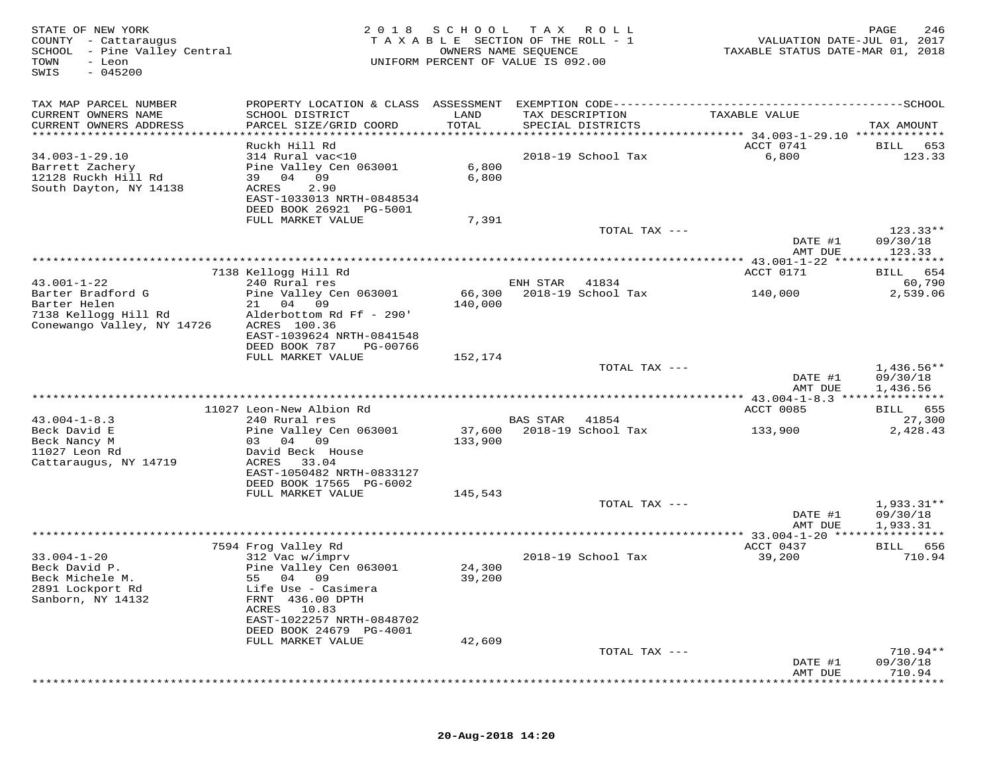| STATE OF NEW YORK<br>COUNTY - Cattaraugus<br>SCHOOL - Pine Valley Central<br>TOWN<br>- Leon<br>$-045200$<br>SWIS | 2 0 1 8                                              | SCHOOL<br>OWNERS NAME SEQUENCE | T A X<br>R O L L<br>TAXABLE SECTION OF THE ROLL - 1<br>UNIFORM PERCENT OF VALUE IS 092.00 | VALUATION DATE-JUL 01, 2017<br>TAXABLE STATUS DATE-MAR 01, 2018 | PAGE<br>246            |
|------------------------------------------------------------------------------------------------------------------|------------------------------------------------------|--------------------------------|-------------------------------------------------------------------------------------------|-----------------------------------------------------------------|------------------------|
| TAX MAP PARCEL NUMBER                                                                                            |                                                      |                                |                                                                                           |                                                                 |                        |
| CURRENT OWNERS NAME<br>CURRENT OWNERS ADDRESS                                                                    | SCHOOL DISTRICT<br>PARCEL SIZE/GRID COORD            | LAND<br>TOTAL                  | TAX DESCRIPTION<br>SPECIAL DISTRICTS                                                      | TAXABLE VALUE                                                   | TAX AMOUNT             |
| *************************                                                                                        |                                                      |                                |                                                                                           |                                                                 |                        |
|                                                                                                                  | Ruckh Hill Rd                                        |                                |                                                                                           | ACCT 0741                                                       | <b>BILL</b><br>653     |
| $34.003 - 1 - 29.10$<br>Barrett Zachery                                                                          | 314 Rural vac<10<br>Pine Valley Cen 063001           | 6,800                          | 2018-19 School Tax                                                                        | 6,800                                                           | 123.33                 |
| 12128 Ruckh Hill Rd                                                                                              | 39 04<br>09                                          | 6,800                          |                                                                                           |                                                                 |                        |
| South Dayton, NY 14138                                                                                           | 2.90<br>ACRES                                        |                                |                                                                                           |                                                                 |                        |
|                                                                                                                  | EAST-1033013 NRTH-0848534<br>DEED BOOK 26921 PG-5001 |                                |                                                                                           |                                                                 |                        |
|                                                                                                                  | FULL MARKET VALUE                                    | 7,391                          |                                                                                           |                                                                 |                        |
|                                                                                                                  |                                                      |                                | TOTAL TAX ---                                                                             | DATE #1                                                         | $123.33**$<br>09/30/18 |
|                                                                                                                  |                                                      |                                |                                                                                           | AMT DUE                                                         | 123.33                 |
|                                                                                                                  |                                                      |                                |                                                                                           |                                                                 |                        |
| $43.001 - 1 - 22$                                                                                                | 7138 Kellogg Hill Rd<br>240 Rural res                |                                | ENH STAR<br>41834                                                                         | ACCT 0171                                                       | BILL 654<br>60,790     |
| Barter Bradford G                                                                                                | Pine Valley Cen 063001                               | 66,300                         | 2018-19 School Tax                                                                        | 140,000                                                         | 2,539.06               |
| Barter Helen                                                                                                     | 21 04 09                                             | 140,000                        |                                                                                           |                                                                 |                        |
| 7138 Kellogg Hill Rd<br>Conewango Valley, NY 14726                                                               | Alderbottom Rd Ff - 290'<br>ACRES 100.36             |                                |                                                                                           |                                                                 |                        |
|                                                                                                                  | EAST-1039624 NRTH-0841548                            |                                |                                                                                           |                                                                 |                        |
|                                                                                                                  | DEED BOOK 787<br>PG-00766                            |                                |                                                                                           |                                                                 |                        |
|                                                                                                                  | FULL MARKET VALUE                                    | 152,174                        | TOTAL TAX ---                                                                             |                                                                 | $1,436.56**$           |
|                                                                                                                  |                                                      |                                |                                                                                           | DATE #1                                                         | 09/30/18               |
|                                                                                                                  |                                                      |                                |                                                                                           | AMT DUE                                                         | 1,436.56               |
|                                                                                                                  | 11027 Leon-New Albion Rd                             |                                |                                                                                           | ACCT 0085                                                       | BILL 655               |
| $43.004 - 1 - 8.3$                                                                                               | 240 Rural res                                        |                                | BAS STAR<br>41854                                                                         |                                                                 | 27,300                 |
| Beck David E<br>Beck Nancy M                                                                                     | Pine Valley Cen 063001<br>03 04 09                   | 37,600<br>133,900              | 2018-19 School Tax                                                                        | 133,900                                                         | 2,428.43               |
| 11027 Leon Rd                                                                                                    | David Beck House                                     |                                |                                                                                           |                                                                 |                        |
| Cattaraugus, NY 14719                                                                                            | ACRES<br>33.04                                       |                                |                                                                                           |                                                                 |                        |
|                                                                                                                  | EAST-1050482 NRTH-0833127<br>DEED BOOK 17565 PG-6002 |                                |                                                                                           |                                                                 |                        |
|                                                                                                                  | FULL MARKET VALUE                                    | 145,543                        |                                                                                           |                                                                 |                        |
|                                                                                                                  |                                                      |                                | TOTAL TAX ---                                                                             |                                                                 | $1,933.31**$           |
|                                                                                                                  |                                                      |                                |                                                                                           | DATE #1<br>AMT DUE                                              | 09/30/18<br>1,933.31   |
|                                                                                                                  |                                                      |                                |                                                                                           | *** 33.004-1-20 ****                                            | **********             |
|                                                                                                                  | 7594 Frog Valley Rd                                  |                                |                                                                                           | ACCT 0437                                                       | BILL 656               |
| $33.004 - 1 - 20$<br>Beck David P.                                                                               | 312 Vac w/imprv<br>Pine Valley Cen 063001            | 24,300                         | 2018-19 School Tax                                                                        | 39,200                                                          | 710.94                 |
| Beck Michele M.                                                                                                  | 55 04 09                                             | 39,200                         |                                                                                           |                                                                 |                        |
| 2891 Lockport Rd<br>Sanborn, NY 14132                                                                            | Life Use - Casimera<br>FRNT 436.00 DPTH              |                                |                                                                                           |                                                                 |                        |
|                                                                                                                  | 10.83<br>ACRES                                       |                                |                                                                                           |                                                                 |                        |
|                                                                                                                  | EAST-1022257 NRTH-0848702                            |                                |                                                                                           |                                                                 |                        |
|                                                                                                                  | DEED BOOK 24679 PG-4001<br>FULL MARKET VALUE         | 42,609                         |                                                                                           |                                                                 |                        |
|                                                                                                                  |                                                      |                                | TOTAL TAX ---                                                                             |                                                                 | 710.94**               |
|                                                                                                                  |                                                      |                                |                                                                                           | DATE #1                                                         | 09/30/18               |
|                                                                                                                  |                                                      |                                |                                                                                           | AMT DUE                                                         | 710.94                 |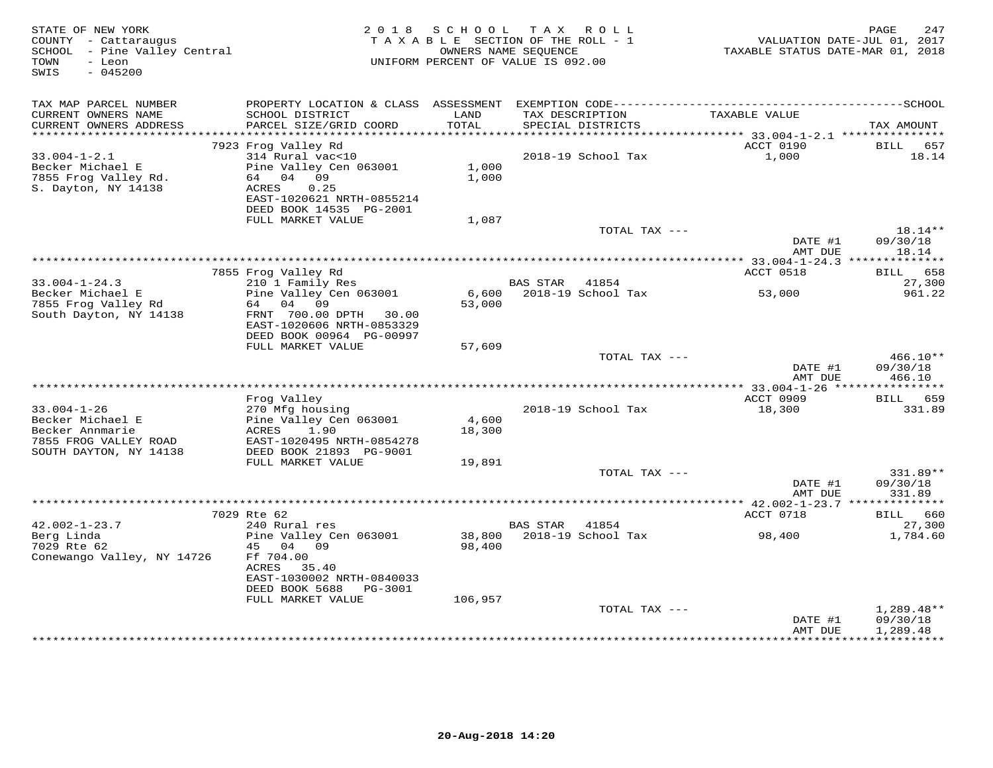| PROPERTY LOCATION & CLASS ASSESSMENT<br>TAX MAP PARCEL NUMBER<br>CURRENT OWNERS NAME<br>SCHOOL DISTRICT<br>LAND<br>TAX DESCRIPTION<br>TAXABLE VALUE<br>TOTAL<br>CURRENT OWNERS ADDRESS<br>PARCEL SIZE/GRID COORD<br>SPECIAL DISTRICTS<br>***********************<br>ACCT 0190<br>7923 Frog Valley Rd<br>BILL<br>$33.004 - 1 - 2.1$<br>314 Rural vac<10<br>1,000<br>2018-19 School Tax<br>Becker Michael E<br>Pine Valley Cen 063001<br>1,000<br>64 04 09<br>1,000<br>7855 Frog Valley Rd.<br>S. Dayton, NY 14138<br>ACRES<br>0.25<br>EAST-1020621 NRTH-0855214<br>DEED BOOK 14535 PG-2001<br>FULL MARKET VALUE<br>1,087<br>TOTAL TAX ---<br>$18.14**$<br>DATE #1<br>AMT DUE<br>************** 33.004-1-24.3 ***************<br>7855 Frog Valley Rd<br>ACCT 0518<br>210 1 Family Res<br><b>BAS STAR</b><br>$33.004 - 1 - 24.3$<br>41854<br>Becker Michael E<br>Pine Valley Cen 063001<br>2018-19 School Tax<br>6,600<br>53,000<br>7855 Frog Valley Rd<br>64 04 09<br>53,000<br>South Dayton, NY 14138<br>FRNT 700.00 DPTH 30.00<br>EAST-1020606 NRTH-0853329<br>DEED BOOK 00964 PG-00997<br>FULL MARKET VALUE<br>57,609<br>TOTAL TAX ---<br>DATE #1<br>AMT DUE<br>ACCT 0909<br>Frog Valley<br>BILL 659<br>$33.004 - 1 - 26$<br>2018-19 School Tax<br>270 Mfg housing<br>18,300<br>4,600<br>Becker Michael E<br>Pine Valley Cen 063001<br>Becker Annmarie<br>ACRES<br>1.90<br>18,300<br>7855 FROG VALLEY ROAD<br>EAST-1020495 NRTH-0854278<br>DEED BOOK 21893 PG-9001<br>SOUTH DAYTON, NY 14138<br>FULL MARKET VALUE<br>19,891<br>TOTAL TAX ---<br>DATE #1<br>AMT DUE<br>7029 Rte 62<br>ACCT 0718<br>$42.002 - 1 - 23.7$<br>240 Rural res<br>BAS STAR<br>41854<br>Berg Linda<br>38,800<br>2018-19 School Tax<br>Pine Valley Cen 063001<br>98,400<br>7029 Rte 62<br>45 04 09<br>98,400<br>Conewango Valley, NY 14726<br>Ff 704.00<br>ACRES<br>35.40<br>EAST-1030002 NRTH-0840033<br>DEED BOOK 5688<br>PG-3001<br>FULL MARKET VALUE<br>106,957 | STATE OF NEW YORK<br>COUNTY - Cattaraugus<br>SCHOOL - Pine Valley Central<br>- Leon<br>TOWN<br>$-045200$<br>SWIS | 2018 | SCHOOL | T A X<br>R O L L<br>TAXABLE SECTION OF THE ROLL - 1<br>OWNERS NAME SEOUENCE<br>UNIFORM PERCENT OF VALUE IS 092.00 | VALUATION DATE-JUL 01, 2017<br>TAXABLE STATUS DATE-MAR 01, 2018 | 247<br>PAGE                          |
|--------------------------------------------------------------------------------------------------------------------------------------------------------------------------------------------------------------------------------------------------------------------------------------------------------------------------------------------------------------------------------------------------------------------------------------------------------------------------------------------------------------------------------------------------------------------------------------------------------------------------------------------------------------------------------------------------------------------------------------------------------------------------------------------------------------------------------------------------------------------------------------------------------------------------------------------------------------------------------------------------------------------------------------------------------------------------------------------------------------------------------------------------------------------------------------------------------------------------------------------------------------------------------------------------------------------------------------------------------------------------------------------------------------------------------------------------------------------------------------------------------------------------------------------------------------------------------------------------------------------------------------------------------------------------------------------------------------------------------------------------------------------------------------------------------------------------------------------------------------------------------------------------------------------------------------------|------------------------------------------------------------------------------------------------------------------|------|--------|-------------------------------------------------------------------------------------------------------------------|-----------------------------------------------------------------|--------------------------------------|
|                                                                                                                                                                                                                                                                                                                                                                                                                                                                                                                                                                                                                                                                                                                                                                                                                                                                                                                                                                                                                                                                                                                                                                                                                                                                                                                                                                                                                                                                                                                                                                                                                                                                                                                                                                                                                                                                                                                                            |                                                                                                                  |      |        |                                                                                                                   |                                                                 | TAX AMOUNT                           |
|                                                                                                                                                                                                                                                                                                                                                                                                                                                                                                                                                                                                                                                                                                                                                                                                                                                                                                                                                                                                                                                                                                                                                                                                                                                                                                                                                                                                                                                                                                                                                                                                                                                                                                                                                                                                                                                                                                                                            |                                                                                                                  |      |        |                                                                                                                   |                                                                 | 657                                  |
|                                                                                                                                                                                                                                                                                                                                                                                                                                                                                                                                                                                                                                                                                                                                                                                                                                                                                                                                                                                                                                                                                                                                                                                                                                                                                                                                                                                                                                                                                                                                                                                                                                                                                                                                                                                                                                                                                                                                            |                                                                                                                  |      |        |                                                                                                                   |                                                                 | 18.14                                |
|                                                                                                                                                                                                                                                                                                                                                                                                                                                                                                                                                                                                                                                                                                                                                                                                                                                                                                                                                                                                                                                                                                                                                                                                                                                                                                                                                                                                                                                                                                                                                                                                                                                                                                                                                                                                                                                                                                                                            |                                                                                                                  |      |        |                                                                                                                   |                                                                 |                                      |
|                                                                                                                                                                                                                                                                                                                                                                                                                                                                                                                                                                                                                                                                                                                                                                                                                                                                                                                                                                                                                                                                                                                                                                                                                                                                                                                                                                                                                                                                                                                                                                                                                                                                                                                                                                                                                                                                                                                                            |                                                                                                                  |      |        |                                                                                                                   |                                                                 | 09/30/18<br>18.14                    |
|                                                                                                                                                                                                                                                                                                                                                                                                                                                                                                                                                                                                                                                                                                                                                                                                                                                                                                                                                                                                                                                                                                                                                                                                                                                                                                                                                                                                                                                                                                                                                                                                                                                                                                                                                                                                                                                                                                                                            |                                                                                                                  |      |        |                                                                                                                   |                                                                 |                                      |
|                                                                                                                                                                                                                                                                                                                                                                                                                                                                                                                                                                                                                                                                                                                                                                                                                                                                                                                                                                                                                                                                                                                                                                                                                                                                                                                                                                                                                                                                                                                                                                                                                                                                                                                                                                                                                                                                                                                                            |                                                                                                                  |      |        |                                                                                                                   |                                                                 | BILL 658                             |
|                                                                                                                                                                                                                                                                                                                                                                                                                                                                                                                                                                                                                                                                                                                                                                                                                                                                                                                                                                                                                                                                                                                                                                                                                                                                                                                                                                                                                                                                                                                                                                                                                                                                                                                                                                                                                                                                                                                                            |                                                                                                                  |      |        |                                                                                                                   |                                                                 | 27,300<br>961.22                     |
|                                                                                                                                                                                                                                                                                                                                                                                                                                                                                                                                                                                                                                                                                                                                                                                                                                                                                                                                                                                                                                                                                                                                                                                                                                                                                                                                                                                                                                                                                                                                                                                                                                                                                                                                                                                                                                                                                                                                            |                                                                                                                  |      |        |                                                                                                                   |                                                                 |                                      |
|                                                                                                                                                                                                                                                                                                                                                                                                                                                                                                                                                                                                                                                                                                                                                                                                                                                                                                                                                                                                                                                                                                                                                                                                                                                                                                                                                                                                                                                                                                                                                                                                                                                                                                                                                                                                                                                                                                                                            |                                                                                                                  |      |        |                                                                                                                   |                                                                 | 466.10**<br>09/30/18<br>466.10       |
|                                                                                                                                                                                                                                                                                                                                                                                                                                                                                                                                                                                                                                                                                                                                                                                                                                                                                                                                                                                                                                                                                                                                                                                                                                                                                                                                                                                                                                                                                                                                                                                                                                                                                                                                                                                                                                                                                                                                            |                                                                                                                  |      |        |                                                                                                                   |                                                                 |                                      |
|                                                                                                                                                                                                                                                                                                                                                                                                                                                                                                                                                                                                                                                                                                                                                                                                                                                                                                                                                                                                                                                                                                                                                                                                                                                                                                                                                                                                                                                                                                                                                                                                                                                                                                                                                                                                                                                                                                                                            |                                                                                                                  |      |        |                                                                                                                   |                                                                 | 331.89                               |
|                                                                                                                                                                                                                                                                                                                                                                                                                                                                                                                                                                                                                                                                                                                                                                                                                                                                                                                                                                                                                                                                                                                                                                                                                                                                                                                                                                                                                                                                                                                                                                                                                                                                                                                                                                                                                                                                                                                                            |                                                                                                                  |      |        |                                                                                                                   |                                                                 |                                      |
|                                                                                                                                                                                                                                                                                                                                                                                                                                                                                                                                                                                                                                                                                                                                                                                                                                                                                                                                                                                                                                                                                                                                                                                                                                                                                                                                                                                                                                                                                                                                                                                                                                                                                                                                                                                                                                                                                                                                            |                                                                                                                  |      |        |                                                                                                                   |                                                                 | 331.89**<br>09/30/18<br>331.89       |
|                                                                                                                                                                                                                                                                                                                                                                                                                                                                                                                                                                                                                                                                                                                                                                                                                                                                                                                                                                                                                                                                                                                                                                                                                                                                                                                                                                                                                                                                                                                                                                                                                                                                                                                                                                                                                                                                                                                                            |                                                                                                                  |      |        |                                                                                                                   |                                                                 | BILL 660                             |
|                                                                                                                                                                                                                                                                                                                                                                                                                                                                                                                                                                                                                                                                                                                                                                                                                                                                                                                                                                                                                                                                                                                                                                                                                                                                                                                                                                                                                                                                                                                                                                                                                                                                                                                                                                                                                                                                                                                                            |                                                                                                                  |      |        |                                                                                                                   |                                                                 | 27,300                               |
|                                                                                                                                                                                                                                                                                                                                                                                                                                                                                                                                                                                                                                                                                                                                                                                                                                                                                                                                                                                                                                                                                                                                                                                                                                                                                                                                                                                                                                                                                                                                                                                                                                                                                                                                                                                                                                                                                                                                            |                                                                                                                  |      |        |                                                                                                                   |                                                                 | 1,784.60                             |
|                                                                                                                                                                                                                                                                                                                                                                                                                                                                                                                                                                                                                                                                                                                                                                                                                                                                                                                                                                                                                                                                                                                                                                                                                                                                                                                                                                                                                                                                                                                                                                                                                                                                                                                                                                                                                                                                                                                                            |                                                                                                                  |      |        |                                                                                                                   |                                                                 |                                      |
| TOTAL TAX ---<br>DATE #1<br>AMT DUE                                                                                                                                                                                                                                                                                                                                                                                                                                                                                                                                                                                                                                                                                                                                                                                                                                                                                                                                                                                                                                                                                                                                                                                                                                                                                                                                                                                                                                                                                                                                                                                                                                                                                                                                                                                                                                                                                                        |                                                                                                                  |      |        |                                                                                                                   |                                                                 | $1,289.48**$<br>09/30/18<br>1,289.48 |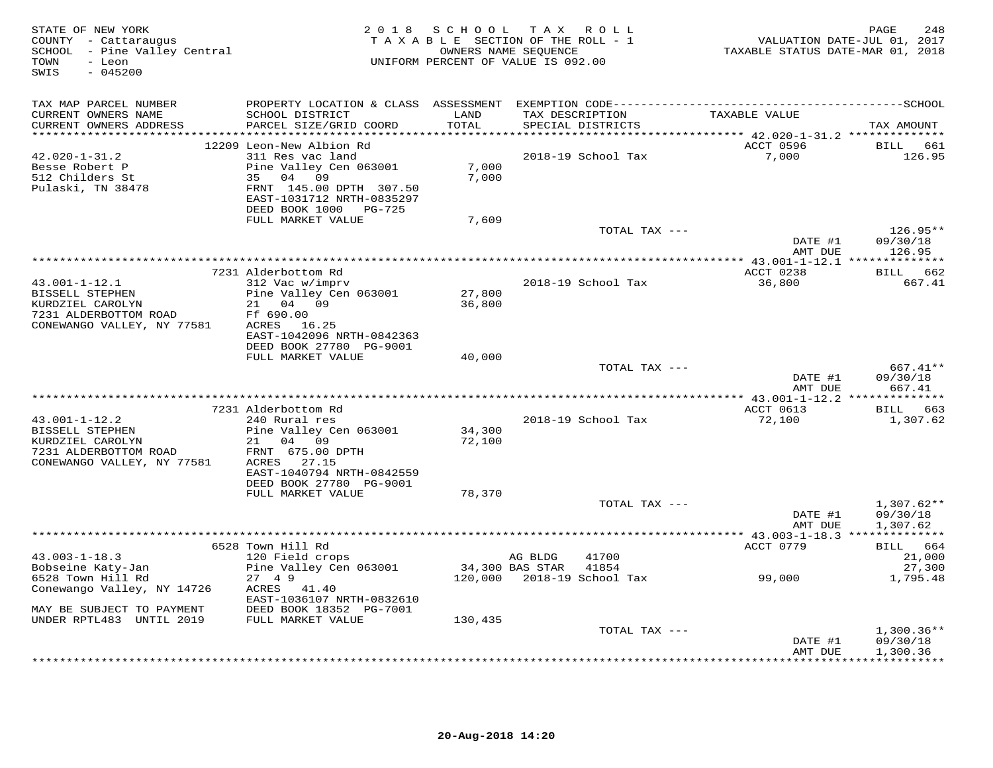| STATE OF NEW YORK<br>COUNTY - Cattaraugus<br>SCHOOL - Pine Valley Central<br>- Leon<br>TOWN<br>$-045200$<br>SWIS | 2 0 1 8                                              | SCHOOL          | TAX ROLL<br>TAXABLE SECTION OF THE ROLL - 1<br>OWNERS NAME SEQUENCE<br>UNIFORM PERCENT OF VALUE IS 092.00 | VALUATION DATE-JUL 01, 2017<br>TAXABLE STATUS DATE-MAR 01, 2018 | PAGE<br>248              |
|------------------------------------------------------------------------------------------------------------------|------------------------------------------------------|-----------------|-----------------------------------------------------------------------------------------------------------|-----------------------------------------------------------------|--------------------------|
| TAX MAP PARCEL NUMBER                                                                                            |                                                      |                 |                                                                                                           |                                                                 |                          |
| CURRENT OWNERS NAME<br>CURRENT OWNERS ADDRESS                                                                    | SCHOOL DISTRICT<br>PARCEL SIZE/GRID COORD            | LAND<br>TOTAL   | TAX DESCRIPTION<br>SPECIAL DISTRICTS                                                                      | TAXABLE VALUE                                                   | TAX AMOUNT               |
| ***********************                                                                                          | ***********<br>12209 Leon-New Albion Rd              |                 |                                                                                                           | ACCT 0596                                                       | BILL 661                 |
| $42.020 - 1 - 31.2$                                                                                              | 311 Res vac land                                     |                 | 2018-19 School Tax                                                                                        | 7,000                                                           | 126.95                   |
| Besse Robert P                                                                                                   | Pine Valley Cen 063001                               | 7,000           |                                                                                                           |                                                                 |                          |
| 512 Childers St                                                                                                  | 35 04 09                                             | 7,000           |                                                                                                           |                                                                 |                          |
| Pulaski, TN 38478                                                                                                | FRNT 145.00 DPTH 307.50<br>EAST-1031712 NRTH-0835297 |                 |                                                                                                           |                                                                 |                          |
|                                                                                                                  | DEED BOOK 1000 PG-725<br>FULL MARKET VALUE           | 7,609           |                                                                                                           |                                                                 |                          |
|                                                                                                                  |                                                      |                 | TOTAL TAX ---                                                                                             |                                                                 | $126.95**$               |
|                                                                                                                  |                                                      |                 |                                                                                                           | DATE #1                                                         | 09/30/18                 |
|                                                                                                                  |                                                      |                 |                                                                                                           | AMT DUE                                                         | 126.95                   |
|                                                                                                                  | 7231 Alderbottom Rd                                  |                 |                                                                                                           | ACCT 0238                                                       | BILL 662                 |
| $43.001 - 1 - 12.1$                                                                                              | 312 Vac w/imprv                                      |                 | 2018-19 School Tax                                                                                        | 36,800                                                          | 667.41                   |
| BISSELL STEPHEN                                                                                                  | Pine Valley Cen 063001                               | 27,800          |                                                                                                           |                                                                 |                          |
| KURDZIEL CAROLYN                                                                                                 | 21 04 09                                             | 36,800          |                                                                                                           |                                                                 |                          |
| 7231 ALDERBOTTOM ROAD<br>CONEWANGO VALLEY, NY 77581                                                              | Ff 690.00<br>ACRES 16.25                             |                 |                                                                                                           |                                                                 |                          |
|                                                                                                                  | EAST-1042096 NRTH-0842363                            |                 |                                                                                                           |                                                                 |                          |
|                                                                                                                  | DEED BOOK 27780 PG-9001                              |                 |                                                                                                           |                                                                 |                          |
|                                                                                                                  | FULL MARKET VALUE                                    | 40,000          |                                                                                                           |                                                                 |                          |
|                                                                                                                  |                                                      |                 | TOTAL TAX ---                                                                                             | DATE #1                                                         | $667.41**$<br>09/30/18   |
|                                                                                                                  |                                                      |                 |                                                                                                           | AMT DUE                                                         | 667.41                   |
|                                                                                                                  |                                                      |                 |                                                                                                           |                                                                 |                          |
|                                                                                                                  | 7231 Alderbottom Rd                                  |                 |                                                                                                           | ACCT 0613                                                       | BILL 663                 |
| $43.001 - 1 - 12.2$<br>BISSELL STEPHEN                                                                           | 240 Rural res<br>Pine Valley Cen 063001              | 34,300          | 2018-19 School Tax                                                                                        | 72,100                                                          | 1,307.62                 |
| KURDZIEL CAROLYN                                                                                                 | 21 04 09                                             | 72,100          |                                                                                                           |                                                                 |                          |
| 7231 ALDERBOTTOM ROAD                                                                                            | FRNT 675.00 DPTH                                     |                 |                                                                                                           |                                                                 |                          |
| CONEWANGO VALLEY, NY 77581                                                                                       | ACRES 27.15                                          |                 |                                                                                                           |                                                                 |                          |
|                                                                                                                  | EAST-1040794 NRTH-0842559<br>DEED BOOK 27780 PG-9001 |                 |                                                                                                           |                                                                 |                          |
|                                                                                                                  | FULL MARKET VALUE                                    | 78,370          |                                                                                                           |                                                                 |                          |
|                                                                                                                  |                                                      |                 | TOTAL TAX ---                                                                                             |                                                                 | $1,307.62**$             |
|                                                                                                                  |                                                      |                 |                                                                                                           | DATE #1                                                         | 09/30/18                 |
|                                                                                                                  |                                                      |                 |                                                                                                           | AMT DUE                                                         | 1,307.62                 |
|                                                                                                                  | 6528 Town Hill Rd                                    |                 |                                                                                                           | ACCT 0779                                                       | BILL 664                 |
| $43.003 - 1 - 18.3$                                                                                              | 120 Field crops                                      |                 | 41700<br>AG BLDG                                                                                          |                                                                 | 21,000                   |
| Bobseine Katy-Jan                                                                                                | Pine Valley Cen 063001                               | 34,300 BAS STAR | 41854                                                                                                     |                                                                 | 27,300                   |
| 6528 Town Hill Rd<br>Conewango Valley, NY 14726                                                                  | 27 4 9<br>ACRES 41.40                                |                 | 120,000 2018-19 School Tax                                                                                | 99,000                                                          | 1,795.48                 |
|                                                                                                                  | EAST-1036107 NRTH-0832610                            |                 |                                                                                                           |                                                                 |                          |
| MAY BE SUBJECT TO PAYMENT                                                                                        | DEED BOOK 18352 PG-7001                              |                 |                                                                                                           |                                                                 |                          |
| UNDER RPTL483 UNTIL 2019                                                                                         | FULL MARKET VALUE                                    | 130,435         |                                                                                                           |                                                                 |                          |
|                                                                                                                  |                                                      |                 | TOTAL TAX ---                                                                                             | DATE #1                                                         | $1,300.36**$<br>09/30/18 |
|                                                                                                                  |                                                      |                 |                                                                                                           | AMT DUE                                                         | 1,300.36                 |
|                                                                                                                  |                                                      |                 |                                                                                                           |                                                                 | <b>+++++++++++</b>       |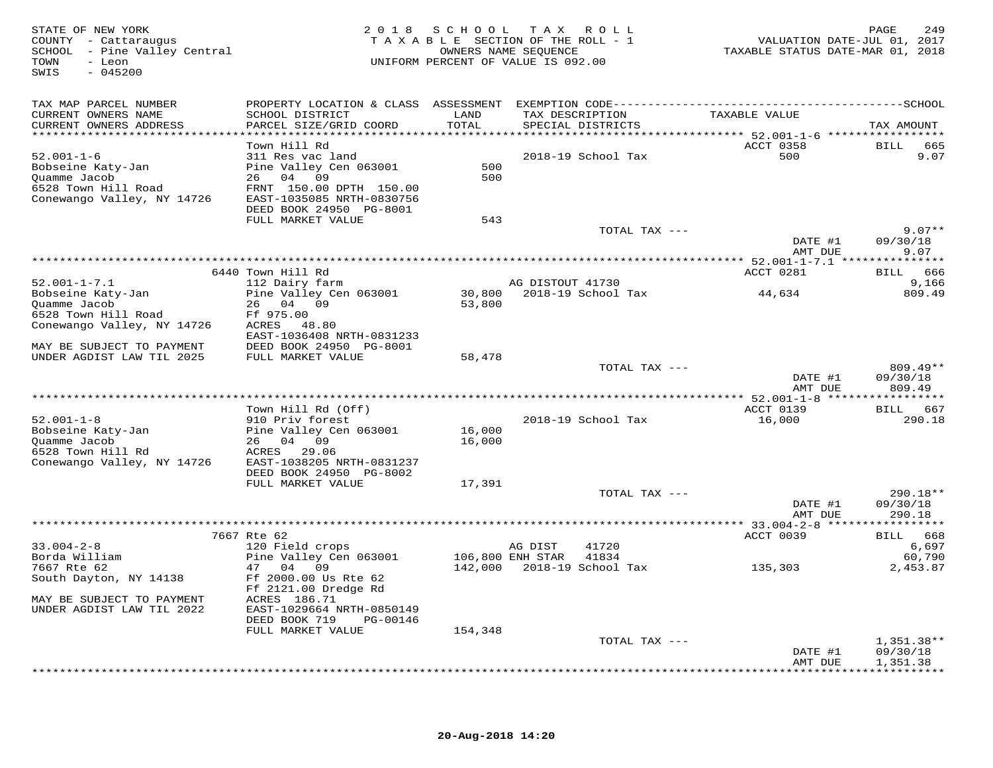STATE OF NEW YORK 2 0 1 8 S C H O O L T A X R O L L PAGE 249 COUNTY - Cattaraugus T A X A B L E SECTION OF THE ROLL - 1 VALUATION DATE-JUL 01, 2017 SCHOOL - Pine Valley Central OWNERS NAME SEQUENCE TAXABLE STATUS DATE-MAR 01, 2018 TOWN - Leon UNIFORM PERCENT OF VALUE IS 092.00SWIS - 045200TAX MAP PARCEL NUMBER PROPERTY LOCATION & CLASS ASSESSMENT EXEMPTION CODE------------------------------------------SCHOOL CURRENT OWNERS NAME SCHOOL DISTRICT LAND TAX DESCRIPTION TAXABLE VALUE CURRENT OWNERS ADDRESS PARCEL SIZE/GRID COORD TOTAL SPECIAL DISTRICTS TAX AMOUNT \*\*\*\*\*\*\*\*\*\*\*\*\*\*\*\*\*\*\*\*\*\*\*\*\*\*\*\*\*\*\*\*\*\*\*\*\*\*\*\*\*\*\*\*\*\*\*\*\*\*\*\*\*\*\*\*\*\*\*\*\*\*\*\*\*\*\*\*\*\*\*\*\*\*\*\*\*\*\*\*\*\*\*\*\*\*\*\*\*\*\*\*\*\*\*\*\*\*\*\*\*\*\* 52.001-1-6 \*\*\*\*\*\*\*\*\*\*\*\*\*\*\*\*\* Town Hill Rd ACCT 0358 BILL 665 52.001-1-6 311 Res vac land 2018-19 School Tax 500 9.07Bobseine Katy-Jan Pine Valley Cen 063001 500 Quamme Jacob 26 04 09 500 6528 Town Hill Road FRNT 150.00 DPTH 150.00 Conewango Valley, NY 14726 EAST-1035085 NRTH-0830756 DEED BOOK 24950 PG-8001 FULL MARKET VALUE 543 TOTAL TAX --- 9.07\*\* DATE #1 09/30/18 AMT DUE 9.07 \*\*\*\*\*\*\*\*\*\*\*\*\*\*\*\*\*\*\*\*\*\*\*\*\*\*\*\*\*\*\*\*\*\*\*\*\*\*\*\*\*\*\*\*\*\*\*\*\*\*\*\*\*\*\*\*\*\*\*\*\*\*\*\*\*\*\*\*\*\*\*\*\*\*\*\*\*\*\*\*\*\*\*\*\*\*\*\*\*\*\*\*\*\*\*\*\*\*\*\*\*\*\* 52.001-1-7.1 \*\*\*\*\*\*\*\*\*\*\*\*\*\*\*ACCT 0281 BILL 666 6440 Town Hill Rd ACCT 0281 BILL 6669,166 52.001-1-7.1 112 Dairy farm AG DISTOUT 41730 9,166809.49 Bobseine Katy-Jan Pine Valley Cen 063001 30,800 2018-19 School Tax 44,634 809.49Quamme Jacob 26 04 09 53,800<br>6528 Town Hill Road Ff 975.00 53,800<br>Conewango Valley, NY 14726 ACRES 48.80<br>MAY BE SUBJECT TO PAYMENT DEED BOOK 24950 PG-8001 58,478 TOTAL TAX --- 809.49\*\* 809.49\*\* DATE #1 09/30/18809.49 AMT DUE 809.49 \*\*\*\*\*\*\*\*\*\*\*\*\*\*\*\*\*\*\*\*\*\*\*\*\*\*\*\*\*\*\*\*\*\*\*\*\*\*\*\*\*\*\*\*\*\*\*\*\*\*\*\*\*\*\*\*\*\*\*\*\*\*\*\*\*\*\*\*\*\*\*\*\*\*\*\*\*\*\*\*\*\*\*\*\*\*\*\*\*\*\*\*\*\*\*\*\*\*\*\*\*\*\* 52.001-1-8 \*\*\*\*\*\*\*\*\*\*\*\*\*\*\*\*\*Town Hill Rd (Off) ACCT 0139 BILL 667 52.001-1-8 910 Priv forest 2018-19 School Tax 16,000 290.18Bobseine Katy-Jan Pine Valley Cen 063001 16,000 Quamme Jacob 26 04 09 16,000 6528 Town Hill Rd ACRES 29.06 Conewango Valley, NY 14726 EAST-1038205 NRTH-0831237 DEED BOOK 24950 PG-8002 FULL MARKET VALUE 17,391 TOTAL TAX --- 290.18\*\* DATE #1 09/30/18 AMT DUE 290.18\*\*\*\*\*\*\*\*\*\*\*\*\*\*\*\*\*\*\*\*\*\*\*\*\*\*\*\*\*\*\*\*\*\*\*\*\*\*\*\*\*\*\*\*\*\*\*\*\*\*\*\*\*\*\*\*\*\*\*\*\*\*\*\*\*\*\*\*\*\*\*\*\*\*\*\*\*\*\*\*\*\*\*\*\*\*\*\*\*\*\*\*\*\*\*\*\*\*\*\*\*\*\* 33.004-2-8 \*\*\*\*\*\*\*\*\*\*\*\*\*\*\*\*\*7667 Rte 62<br>Borda William (1720 Mg) 20 Field crops (120 Field crops (120 Field Crops (120 Mg) 2018<br>T667 Rte 62 (1790 Mg) 47 (1899 Mg) 106,800 ENH STAR 41834<br>South Dayton, NY 14138 (1990 Mg) 142,000 2018-19 School Tax (135, MAY BE SUBJECT TO PAYMENT ACRES 186.71 UNDER AGDIST LAW TIL 2022 EAST-1029664 NRTH-0850149 DEED BOOK 719 PG-00146FULL MARKET VALUE 154,348 TOTAL TAX --- 1,351.38\*\* DATE #1 09/30/18AMT DUE 1,351.38 AMT DUE 1,351.38 \*\*\*\*\*\*\*\*\*\*\*\*\*\*\*\*\*\*\*\*\*\*\*\*\*\*\*\*\*\*\*\*\*\*\*\*\*\*\*\*\*\*\*\*\*\*\*\*\*\*\*\*\*\*\*\*\*\*\*\*\*\*\*\*\*\*\*\*\*\*\*\*\*\*\*\*\*\*\*\*\*\*\*\*\*\*\*\*\*\*\*\*\*\*\*\*\*\*\*\*\*\*\*\*\*\*\*\*\*\*\*\*\*\*\*\*\*\*\*\*\*\*\*\*\*\*\*\*\*\*\*\*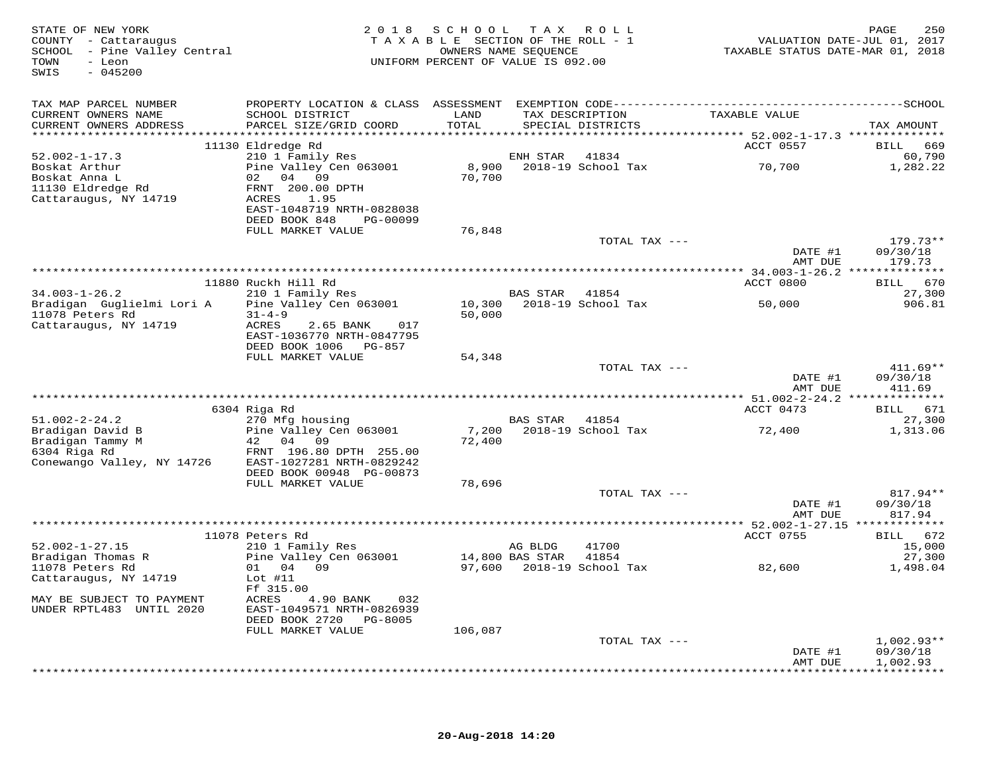| STATE OF NEW YORK<br>COUNTY - Cattaraugus<br>SCHOOL - Pine Valley Central<br>- Leon<br>TOWN<br>$-045200$<br>SWIS | 2 0 1 8                                                | SCHOOL TAX<br>TAXABLE SECTION OF THE ROLL - 1<br>OWNERS NAME SEQUENCE<br>UNIFORM PERCENT OF VALUE IS 092.00 |          | R O L L                              | VALUATION DATE-JUL 01, 2017<br>TAXABLE STATUS DATE-MAR 01, 2018 | 250<br>PAGE                  |
|------------------------------------------------------------------------------------------------------------------|--------------------------------------------------------|-------------------------------------------------------------------------------------------------------------|----------|--------------------------------------|-----------------------------------------------------------------|------------------------------|
| TAX MAP PARCEL NUMBER                                                                                            |                                                        |                                                                                                             |          |                                      |                                                                 |                              |
| CURRENT OWNERS NAME<br>CURRENT OWNERS ADDRESS                                                                    | SCHOOL DISTRICT<br>PARCEL SIZE/GRID COORD              | LAND<br>TOTAL                                                                                               |          | TAX DESCRIPTION<br>SPECIAL DISTRICTS | TAXABLE VALUE                                                   | TAX AMOUNT                   |
|                                                                                                                  |                                                        |                                                                                                             |          |                                      |                                                                 |                              |
| $52.002 - 1 - 17.3$                                                                                              | 11130 Eldredge Rd<br>210 1 Family Res                  |                                                                                                             | ENH STAR | 41834                                | ACCT 0557                                                       | BILL<br>669<br>60,790        |
| Boskat Arthur                                                                                                    | Pine Valley Cen 063001                                 | 8,900                                                                                                       |          | 2018-19 School Tax                   | 70,700                                                          | 1,282.22                     |
| Boskat Anna L                                                                                                    | 02 04 09                                               | 70,700                                                                                                      |          |                                      |                                                                 |                              |
| 11130 Eldredge Rd                                                                                                | FRNT 200.00 DPTH                                       |                                                                                                             |          |                                      |                                                                 |                              |
| Cattaraugus, NY 14719                                                                                            | ACRES<br>1.95                                          |                                                                                                             |          |                                      |                                                                 |                              |
|                                                                                                                  | EAST-1048719 NRTH-0828038                              |                                                                                                             |          |                                      |                                                                 |                              |
|                                                                                                                  | DEED BOOK 848<br>PG-00099<br>FULL MARKET VALUE         | 76,848                                                                                                      |          |                                      |                                                                 |                              |
|                                                                                                                  |                                                        |                                                                                                             |          | TOTAL TAX ---                        |                                                                 | $179.73**$                   |
|                                                                                                                  |                                                        |                                                                                                             |          |                                      | DATE #1                                                         | 09/30/18                     |
|                                                                                                                  |                                                        |                                                                                                             |          |                                      | AMT DUE                                                         | 179.73                       |
|                                                                                                                  |                                                        |                                                                                                             |          |                                      |                                                                 |                              |
|                                                                                                                  | 11880 Ruckh Hill Rd                                    |                                                                                                             |          |                                      | ACCT 0800                                                       | BILL 670                     |
| $34.003 - 1 - 26.2$                                                                                              | 210 1 Family Res                                       |                                                                                                             | BAS STAR | 41854<br>2018-19 School Tax          |                                                                 | 27,300                       |
| Bradigan Guglielmi Lori A<br>11078 Peters Rd                                                                     | Pine Valley Cen 063001<br>$31 - 4 - 9$                 | 10,300<br>50,000                                                                                            |          |                                      | 50,000                                                          | 906.81                       |
| Cattaraugus, NY 14719                                                                                            | ACRES<br>2.65 BANK<br>017                              |                                                                                                             |          |                                      |                                                                 |                              |
|                                                                                                                  | EAST-1036770 NRTH-0847795                              |                                                                                                             |          |                                      |                                                                 |                              |
|                                                                                                                  | DEED BOOK 1006 PG-857                                  |                                                                                                             |          |                                      |                                                                 |                              |
|                                                                                                                  | FULL MARKET VALUE                                      | 54,348                                                                                                      |          |                                      |                                                                 |                              |
|                                                                                                                  |                                                        |                                                                                                             |          | TOTAL TAX ---                        |                                                                 | $411.69**$                   |
|                                                                                                                  |                                                        |                                                                                                             |          |                                      | DATE #1<br>AMT DUE                                              | 09/30/18<br>411.69           |
|                                                                                                                  |                                                        |                                                                                                             |          |                                      |                                                                 |                              |
|                                                                                                                  | 6304 Riga Rd                                           |                                                                                                             |          |                                      | ACCT 0473                                                       | BILL 671                     |
| $51.002 - 2 - 24.2$                                                                                              | 270 Mfg housing                                        |                                                                                                             | BAS STAR | 41854                                |                                                                 | 27,300                       |
| Bradigan David B                                                                                                 | Pine Valley Cen 063001                                 |                                                                                                             |          | 7,200 2018-19 School Tax             | 72,400                                                          | 1,313.06                     |
| Bradigan Tammy M                                                                                                 | 42 04<br>09                                            | 72,400                                                                                                      |          |                                      |                                                                 |                              |
| 6304 Riga Rd                                                                                                     | FRNT 196.80 DPTH 255.00                                |                                                                                                             |          |                                      |                                                                 |                              |
| Conewango Valley, NY 14726                                                                                       | EAST-1027281 NRTH-0829242<br>DEED BOOK 00948 PG-00873  |                                                                                                             |          |                                      |                                                                 |                              |
|                                                                                                                  | FULL MARKET VALUE                                      | 78,696                                                                                                      |          |                                      |                                                                 |                              |
|                                                                                                                  |                                                        |                                                                                                             |          | TOTAL TAX ---                        |                                                                 | 817.94**                     |
|                                                                                                                  |                                                        |                                                                                                             |          |                                      | DATE #1                                                         | 09/30/18                     |
|                                                                                                                  |                                                        |                                                                                                             |          |                                      | AMT DUE                                                         | 817.94                       |
|                                                                                                                  |                                                        |                                                                                                             |          |                                      |                                                                 |                              |
| $52.002 - 1 - 27.15$                                                                                             | 11078 Peters Rd<br>210 1 Family Res                    |                                                                                                             | AG BLDG  | 41700                                | ACCT 0755                                                       | 672<br><b>BILL</b><br>15,000 |
| Bradigan Thomas R                                                                                                | Pine Valley Cen 063001                                 | 14,800 BAS STAR                                                                                             |          | 41854                                |                                                                 | 27,300                       |
| 11078 Peters Rd                                                                                                  | 01 04 09                                               |                                                                                                             |          | 97,600 2018-19 School Tax            | 82,600                                                          | 1,498.04                     |
| Cattaraugus, NY 14719                                                                                            | Lot $#11$                                              |                                                                                                             |          |                                      |                                                                 |                              |
|                                                                                                                  | Ff 315.00                                              |                                                                                                             |          |                                      |                                                                 |                              |
| MAY BE SUBJECT TO PAYMENT                                                                                        | ACRES<br>4.90 BANK<br>032                              |                                                                                                             |          |                                      |                                                                 |                              |
| UNDER RPTL483 UNTIL 2020                                                                                         | EAST-1049571 NRTH-0826939<br>DEED BOOK 2720<br>PG-8005 |                                                                                                             |          |                                      |                                                                 |                              |
|                                                                                                                  | FULL MARKET VALUE                                      | 106,087                                                                                                     |          |                                      |                                                                 |                              |
|                                                                                                                  |                                                        |                                                                                                             |          | TOTAL TAX ---                        |                                                                 | $1,002.93**$                 |
|                                                                                                                  |                                                        |                                                                                                             |          |                                      | DATE #1                                                         | 09/30/18                     |
|                                                                                                                  |                                                        |                                                                                                             |          |                                      | AMT DUE                                                         | 1,002.93                     |
|                                                                                                                  |                                                        |                                                                                                             |          |                                      |                                                                 | * * * * * * * * * *          |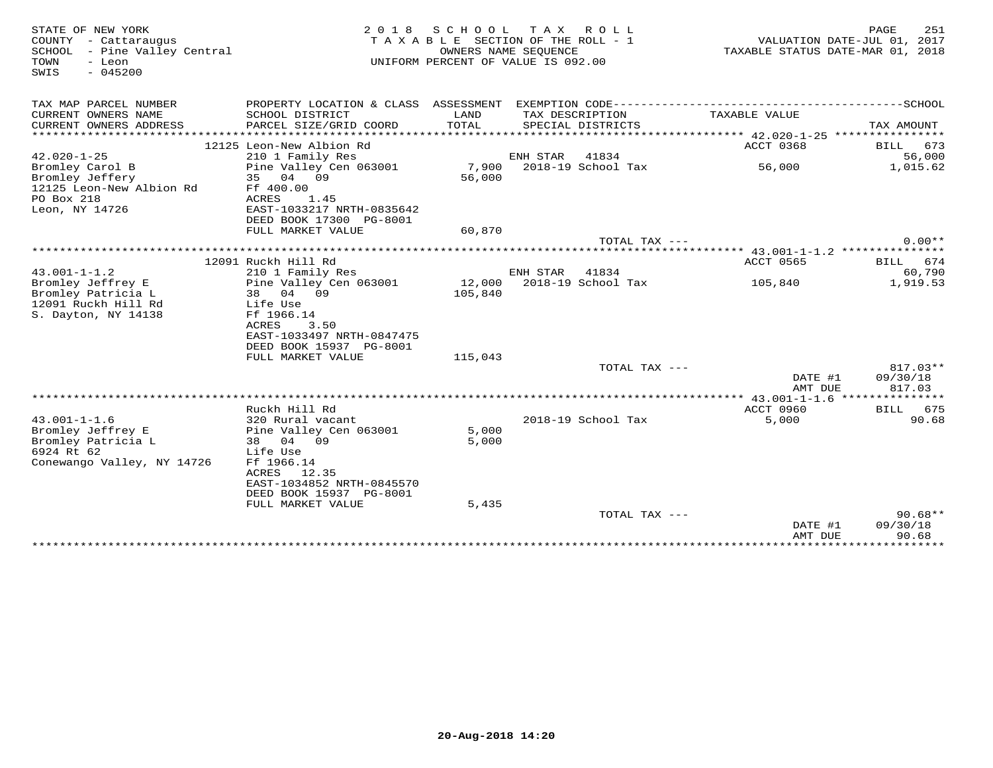| STATE OF NEW YORK<br>COUNTY - Cattaraugus  | 2 0 1 8                                      | SCHOOL                           | T A X<br>R O L L<br>T A X A B L E SECTION OF THE ROLL - 1 | VALUATION DATE-JUL 01, 2017              | PAGE<br>251                  |
|--------------------------------------------|----------------------------------------------|----------------------------------|-----------------------------------------------------------|------------------------------------------|------------------------------|
| SCHOOL - Pine Valley Central               |                                              | TAXABLE STATUS DATE-MAR 01, 2018 |                                                           |                                          |                              |
| - Leon<br>TOWN<br>SWIS<br>$-045200$        |                                              |                                  | UNIFORM PERCENT OF VALUE IS 092.00                        |                                          |                              |
| TAX MAP PARCEL NUMBER                      | PROPERTY LOCATION & CLASS ASSESSMENT         |                                  |                                                           |                                          |                              |
| CURRENT OWNERS NAME                        | SCHOOL DISTRICT                              | LAND                             | TAX DESCRIPTION                                           | TAXABLE VALUE                            |                              |
| CURRENT OWNERS ADDRESS                     | PARCEL SIZE/GRID COORD                       | TOTAL                            | SPECIAL DISTRICTS                                         |                                          | TAX AMOUNT                   |
| **********************                     |                                              |                                  |                                                           |                                          |                              |
| $42.020 - 1 - 25$                          | 12125 Leon-New Albion Rd<br>210 1 Family Res |                                  | ENH STAR<br>41834                                         | ACCT 0368                                | 673<br><b>BILL</b><br>56,000 |
| Bromley Carol B                            | Pine Valley Cen 063001                       | 7,900                            | 2018-19 School Tax                                        | 56,000                                   | 1,015.62                     |
| Bromley Jeffery                            | 04 09<br>35                                  | 56,000                           |                                                           |                                          |                              |
| 12125 Leon-New Albion Rd                   | Ff 400.00                                    |                                  |                                                           |                                          |                              |
| PO Box 218                                 | ACRES<br>1.45                                |                                  |                                                           |                                          |                              |
| Leon, NY 14726                             | EAST-1033217 NRTH-0835642                    |                                  |                                                           |                                          |                              |
|                                            | DEED BOOK 17300 PG-8001                      |                                  |                                                           |                                          |                              |
|                                            | FULL MARKET VALUE                            | 60,870                           |                                                           |                                          |                              |
|                                            |                                              |                                  | TOTAL TAX ---                                             |                                          | $0.00**$                     |
|                                            |                                              |                                  |                                                           |                                          |                              |
|                                            | 12091 Ruckh Hill Rd                          |                                  |                                                           | ACCT 0565                                | BILL<br>674                  |
| $43.001 - 1 - 1.2$                         | 210 1 Family Res                             |                                  | ENH STAR<br>41834                                         |                                          | 60,790                       |
| Bromley Jeffrey E                          | Pine Valley Cen 063001                       | 12,000                           | 2018-19 School Tax                                        | 105,840                                  | 1,919.53                     |
| Bromley Patricia L                         | 38 04 09                                     | 105,840                          |                                                           |                                          |                              |
| 12091 Ruckh Hill Rd<br>S. Dayton, NY 14138 | Life Use<br>Ff 1966.14                       |                                  |                                                           |                                          |                              |
|                                            | ACRES<br>3.50                                |                                  |                                                           |                                          |                              |
|                                            | EAST-1033497 NRTH-0847475                    |                                  |                                                           |                                          |                              |
|                                            | DEED BOOK 15937 PG-8001                      |                                  |                                                           |                                          |                              |
|                                            | FULL MARKET VALUE                            | 115,043                          |                                                           |                                          |                              |
|                                            |                                              |                                  | TOTAL TAX ---                                             |                                          | $817.03**$                   |
|                                            |                                              |                                  |                                                           | DATE #1                                  | 09/30/18                     |
|                                            |                                              |                                  |                                                           | AMT DUE                                  | 817.03                       |
|                                            |                                              |                                  |                                                           |                                          |                              |
|                                            | Ruckh Hill Rd                                |                                  |                                                           | ACCT 0960                                | BILL 675                     |
| $43.001 - 1 - 1.6$                         | 320 Rural vacant                             |                                  | 2018-19 School Tax                                        | 5,000                                    | 90.68                        |
| Bromley Jeffrey E                          | Pine Valley Cen 063001                       | 5,000                            |                                                           |                                          |                              |
| Bromley Patricia L<br>6924 Rt 62           | 04 09<br>38                                  | 5,000                            |                                                           |                                          |                              |
| Conewango Valley, NY 14726                 | Life Use<br>Ff 1966.14                       |                                  |                                                           |                                          |                              |
|                                            | ACRES 12.35                                  |                                  |                                                           |                                          |                              |
|                                            | EAST-1034852 NRTH-0845570                    |                                  |                                                           |                                          |                              |
|                                            | DEED BOOK 15937 PG-8001                      |                                  |                                                           |                                          |                              |
|                                            | FULL MARKET VALUE                            | 5,435                            |                                                           |                                          |                              |
|                                            |                                              |                                  | TOTAL TAX ---                                             |                                          | $90.68**$                    |
|                                            |                                              |                                  |                                                           | DATE #1                                  | 09/30/18                     |
|                                            |                                              |                                  |                                                           | AMT DUE<br>***************************** | 90.68                        |
|                                            |                                              |                                  |                                                           |                                          |                              |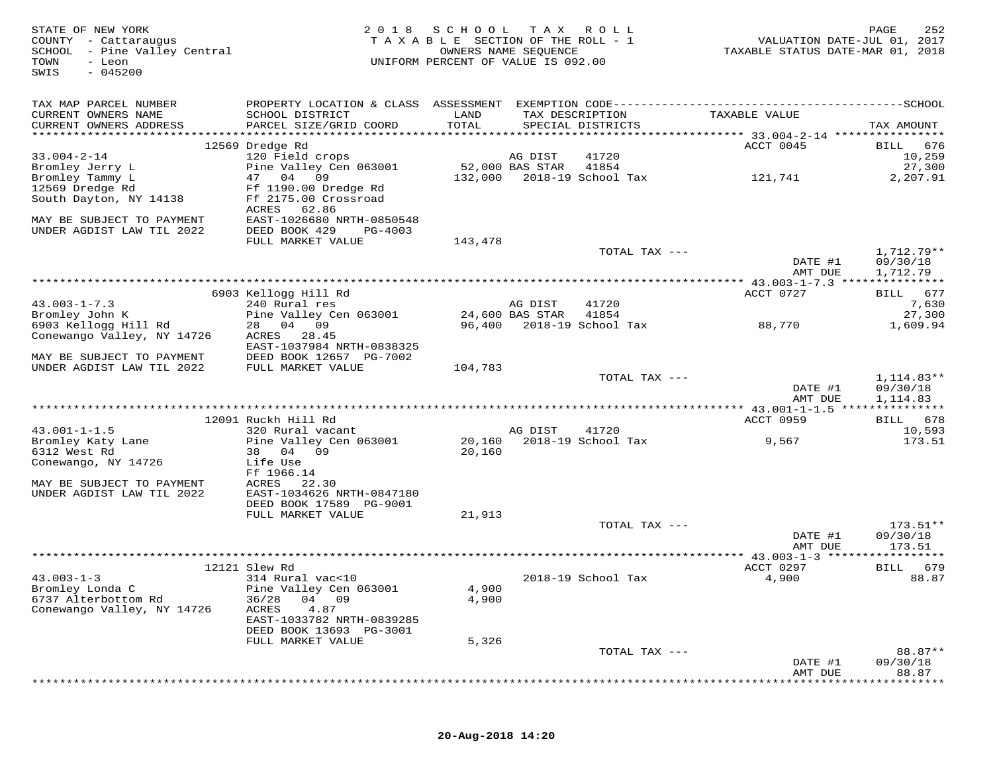| STATE OF NEW YORK<br>COUNTY - Cattaraugus<br>SCHOOL - Pine Valley Central<br>- Leon<br>TOWN<br>$-045200$<br>SWIS | 2 0 1 8                                              | S C H O O L<br>TAXABLE SECTION OF THE ROLL - 1<br>UNIFORM PERCENT OF VALUE IS 092.00 | T A X<br>OWNERS NAME SEQUENCE | R O L L                              | VALUATION DATE-JUL 01, 2017<br>TAXABLE STATUS DATE-MAR 01, 2018 | PAGE<br>252                  |
|------------------------------------------------------------------------------------------------------------------|------------------------------------------------------|--------------------------------------------------------------------------------------|-------------------------------|--------------------------------------|-----------------------------------------------------------------|------------------------------|
| TAX MAP PARCEL NUMBER                                                                                            |                                                      |                                                                                      |                               |                                      |                                                                 |                              |
| CURRENT OWNERS NAME<br>CURRENT OWNERS ADDRESS                                                                    | SCHOOL DISTRICT<br>PARCEL SIZE/GRID COORD            | LAND<br>TOTAL                                                                        |                               | TAX DESCRIPTION<br>SPECIAL DISTRICTS | TAXABLE VALUE                                                   | TAX AMOUNT                   |
|                                                                                                                  |                                                      |                                                                                      |                               |                                      |                                                                 |                              |
|                                                                                                                  | 12569 Dredge Rd                                      |                                                                                      |                               |                                      | ACCT 0045                                                       | <b>BILL</b><br>676           |
| $33.004 - 2 - 14$                                                                                                | 120 Field crops                                      |                                                                                      | AG DIST                       | 41720                                |                                                                 | 10,259                       |
| Bromley Jerry L                                                                                                  | Pine Valley Cen 063001                               |                                                                                      | 52,000 BAS STAR               | 41854                                |                                                                 | 27,300                       |
| Bromley Tammy L                                                                                                  | 47<br>04<br>09                                       | 132,000                                                                              |                               | 2018-19 School Tax                   | 121,741                                                         | 2,207.91                     |
| 12569 Dredge Rd                                                                                                  | Ff 1190.00 Dredge Rd<br>Ff 2175.00 Crossroad         |                                                                                      |                               |                                      |                                                                 |                              |
| South Dayton, NY 14138                                                                                           | 62.86<br>ACRES                                       |                                                                                      |                               |                                      |                                                                 |                              |
| MAY BE SUBJECT TO PAYMENT                                                                                        | EAST-1026680 NRTH-0850548                            |                                                                                      |                               |                                      |                                                                 |                              |
| UNDER AGDIST LAW TIL 2022                                                                                        | DEED BOOK 429<br>PG-4003                             |                                                                                      |                               |                                      |                                                                 |                              |
|                                                                                                                  | FULL MARKET VALUE                                    | 143,478                                                                              |                               |                                      |                                                                 |                              |
|                                                                                                                  |                                                      |                                                                                      |                               | TOTAL TAX ---                        |                                                                 | 1,712.79**                   |
|                                                                                                                  |                                                      |                                                                                      |                               |                                      | DATE #1                                                         | 09/30/18                     |
|                                                                                                                  |                                                      |                                                                                      |                               |                                      | AMT DUE                                                         | 1,712.79                     |
|                                                                                                                  | 6903 Kellogg Hill Rd                                 |                                                                                      |                               |                                      | ACCT 0727                                                       | BILL 677                     |
| $43.003 - 1 - 7.3$                                                                                               | 240 Rural res                                        |                                                                                      | AG DIST                       | 41720                                |                                                                 | 7,630                        |
| Bromley John K                                                                                                   | Pine Valley Cen 063001                               |                                                                                      | 24,600 BAS STAR               | 41854                                |                                                                 | 27,300                       |
| 6903 Kellogg Hill Rd                                                                                             | 28<br>04 09                                          | 96,400                                                                               |                               | 2018-19 School Tax                   | 88,770                                                          | 1,609.94                     |
| Conewango Valley, NY 14726                                                                                       | ACRES<br>28.45                                       |                                                                                      |                               |                                      |                                                                 |                              |
| MAY BE SUBJECT TO PAYMENT                                                                                        | EAST-1037984 NRTH-0838325<br>DEED BOOK 12657 PG-7002 |                                                                                      |                               |                                      |                                                                 |                              |
| UNDER AGDIST LAW TIL 2022                                                                                        | FULL MARKET VALUE                                    | 104,783                                                                              |                               |                                      |                                                                 |                              |
|                                                                                                                  |                                                      |                                                                                      |                               | TOTAL TAX ---                        |                                                                 | $1,114.83**$                 |
|                                                                                                                  |                                                      |                                                                                      |                               |                                      | DATE #1                                                         | 09/30/18                     |
|                                                                                                                  |                                                      |                                                                                      |                               |                                      | AMT DUE                                                         | 1,114.83                     |
|                                                                                                                  | 12091 Ruckh Hill Rd                                  |                                                                                      |                               |                                      | ACCT 0959                                                       |                              |
| $43.001 - 1 - 1.5$                                                                                               | 320 Rural vacant                                     |                                                                                      | AG DIST                       | 41720                                |                                                                 | 678<br><b>BILL</b><br>10,593 |
| Bromley Katy Lane                                                                                                | Pine Valley Cen 063001                               | 20,160                                                                               |                               | 2018-19 School Tax                   | 9,567                                                           | 173.51                       |
| 6312 West Rd                                                                                                     | 38<br>04 09                                          | 20,160                                                                               |                               |                                      |                                                                 |                              |
| Conewango, NY 14726                                                                                              | Life Use                                             |                                                                                      |                               |                                      |                                                                 |                              |
|                                                                                                                  | Ff 1966.14                                           |                                                                                      |                               |                                      |                                                                 |                              |
| MAY BE SUBJECT TO PAYMENT                                                                                        | ACRES<br>22.30                                       |                                                                                      |                               |                                      |                                                                 |                              |
| UNDER AGDIST LAW TIL 2022                                                                                        | EAST-1034626 NRTH-0847180<br>DEED BOOK 17589 PG-9001 |                                                                                      |                               |                                      |                                                                 |                              |
|                                                                                                                  | FULL MARKET VALUE                                    | 21,913                                                                               |                               |                                      |                                                                 |                              |
|                                                                                                                  |                                                      |                                                                                      |                               | TOTAL TAX ---                        |                                                                 | $173.51**$                   |
|                                                                                                                  |                                                      |                                                                                      |                               |                                      | DATE #1                                                         | 09/30/18                     |
|                                                                                                                  |                                                      |                                                                                      |                               |                                      | AMT DUE                                                         | 173.51                       |
|                                                                                                                  |                                                      |                                                                                      |                               |                                      |                                                                 |                              |
| $43.003 - 1 - 3$                                                                                                 | 12121 Slew Rd<br>314 Rural vac<10                    |                                                                                      |                               | 2018-19 School Tax                   | ACCT 0297<br>4,900                                              | 679<br>BILL<br>88.87         |
| Bromley Londa C                                                                                                  | Pine Valley Cen 063001                               | 4,900                                                                                |                               |                                      |                                                                 |                              |
| 6737 Alterbottom Rd                                                                                              | 04 09<br>36/28                                       | 4,900                                                                                |                               |                                      |                                                                 |                              |
| Conewango Valley, NY 14726                                                                                       | 4.87<br>ACRES                                        |                                                                                      |                               |                                      |                                                                 |                              |
|                                                                                                                  | EAST-1033782 NRTH-0839285                            |                                                                                      |                               |                                      |                                                                 |                              |
|                                                                                                                  | DEED BOOK 13693 PG-3001                              |                                                                                      |                               |                                      |                                                                 |                              |
|                                                                                                                  | FULL MARKET VALUE                                    | 5,326                                                                                |                               | TOTAL TAX ---                        |                                                                 | 88.87**                      |
|                                                                                                                  |                                                      |                                                                                      |                               |                                      | DATE #1                                                         | 09/30/18                     |
|                                                                                                                  |                                                      |                                                                                      |                               |                                      | AMT DUE                                                         | 88.87                        |
|                                                                                                                  |                                                      |                                                                                      |                               |                                      |                                                                 |                              |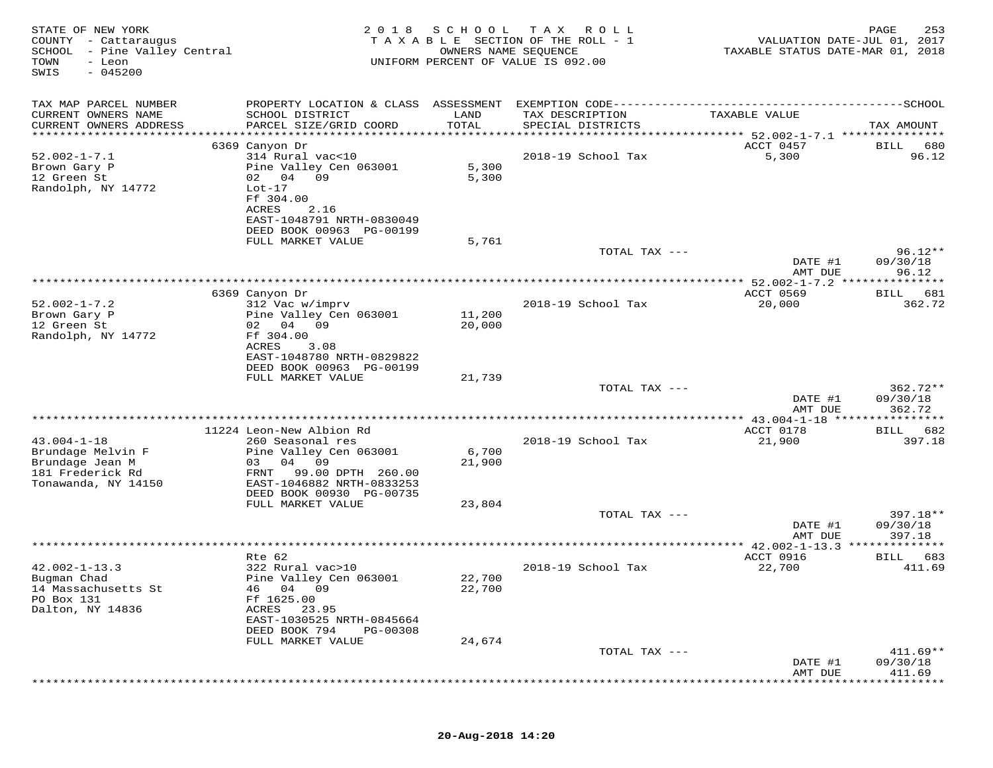| STATE OF NEW YORK<br>COUNTY<br>- Cattaraugus<br>SCHOOL<br>- Pine Valley Central<br>TOWN<br>- Leon<br>$-045200$<br>SWIS | 2 0 1 8                                                | SCHOOL<br>OWNERS NAME SEQUENCE | T A X<br>R O L L<br>TAXABLE SECTION OF THE ROLL - 1<br>UNIFORM PERCENT OF VALUE IS 092.00 | VALUATION DATE-JUL 01, 2017<br>TAXABLE STATUS DATE-MAR 01, 2018 | PAGE<br>253            |
|------------------------------------------------------------------------------------------------------------------------|--------------------------------------------------------|--------------------------------|-------------------------------------------------------------------------------------------|-----------------------------------------------------------------|------------------------|
| TAX MAP PARCEL NUMBER                                                                                                  | PROPERTY LOCATION & CLASS ASSESSMENT                   |                                | EXEMPTION CODE----------------------------                                                |                                                                 | -----------SCHOOL      |
| CURRENT OWNERS NAME                                                                                                    | SCHOOL DISTRICT                                        | LAND                           | TAX DESCRIPTION                                                                           | TAXABLE VALUE                                                   |                        |
| CURRENT OWNERS ADDRESS<br>**********************                                                                       | PARCEL SIZE/GRID COORD                                 | TOTAL                          | SPECIAL DISTRICTS                                                                         |                                                                 | TAX AMOUNT             |
|                                                                                                                        | 6369 Canyon Dr                                         |                                |                                                                                           | ACCT 0457                                                       | 680<br>BILL            |
| $52.002 - 1 - 7.1$                                                                                                     | 314 Rural vac<10                                       |                                | 2018-19 School Tax                                                                        | 5,300                                                           | 96.12                  |
| Brown Gary P                                                                                                           | Pine Valley Cen 063001<br>09                           | 5,300                          |                                                                                           |                                                                 |                        |
| 12 Green St<br>Randolph, NY 14772                                                                                      | 02 04<br>$Lot-17$                                      | 5,300                          |                                                                                           |                                                                 |                        |
|                                                                                                                        | Ff 304.00                                              |                                |                                                                                           |                                                                 |                        |
|                                                                                                                        | ACRES<br>2.16                                          |                                |                                                                                           |                                                                 |                        |
|                                                                                                                        | EAST-1048791 NRTH-0830049<br>DEED BOOK 00963 PG-00199  |                                |                                                                                           |                                                                 |                        |
|                                                                                                                        | FULL MARKET VALUE                                      | 5,761                          |                                                                                           |                                                                 |                        |
|                                                                                                                        |                                                        |                                | TOTAL TAX ---                                                                             |                                                                 | $96.12**$              |
|                                                                                                                        |                                                        |                                |                                                                                           | DATE #1<br>AMT DUE                                              | 09/30/18<br>96.12      |
|                                                                                                                        |                                                        |                                |                                                                                           | **************** 52.002-1-7.2 ***************                   |                        |
| $52.002 - 1 - 7.2$                                                                                                     | 6369 Canyon Dr                                         |                                |                                                                                           | ACCT 0569                                                       | 681<br>BILL            |
| Brown Gary P                                                                                                           | 312 Vac w/imprv<br>Pine Valley Cen 063001              | 11,200                         | 2018-19 School Tax                                                                        | 20,000                                                          | 362.72                 |
| 12 Green St                                                                                                            | 02 04<br>09                                            | 20,000                         |                                                                                           |                                                                 |                        |
| Randolph, NY 14772                                                                                                     | Ff 304.00                                              |                                |                                                                                           |                                                                 |                        |
|                                                                                                                        | ACRES<br>3.08<br>EAST-1048780 NRTH-0829822             |                                |                                                                                           |                                                                 |                        |
|                                                                                                                        | DEED BOOK 00963 PG-00199                               |                                |                                                                                           |                                                                 |                        |
|                                                                                                                        | FULL MARKET VALUE                                      | 21,739                         |                                                                                           |                                                                 |                        |
|                                                                                                                        |                                                        |                                | TOTAL TAX ---                                                                             | DATE #1                                                         | $362.72**$<br>09/30/18 |
|                                                                                                                        |                                                        |                                |                                                                                           | AMT DUE                                                         | 362.72                 |
|                                                                                                                        |                                                        |                                |                                                                                           |                                                                 |                        |
| $43.004 - 1 - 18$                                                                                                      | 11224 Leon-New Albion Rd<br>260 Seasonal res           |                                | 2018-19 School Tax                                                                        | ACCT 0178<br>21,900                                             | 682<br>BILL<br>397.18  |
| Brundage Melvin F                                                                                                      | Pine Valley Cen 063001                                 | 6,700                          |                                                                                           |                                                                 |                        |
| Brundage Jean M                                                                                                        | 03<br>04<br>09                                         | 21,900                         |                                                                                           |                                                                 |                        |
| 181 Frederick Rd<br>Tonawanda, NY 14150                                                                                | FRNT<br>99.00 DPTH 260.00<br>EAST-1046882 NRTH-0833253 |                                |                                                                                           |                                                                 |                        |
|                                                                                                                        | DEED BOOK 00930 PG-00735                               |                                |                                                                                           |                                                                 |                        |
|                                                                                                                        | FULL MARKET VALUE                                      | 23,804                         |                                                                                           |                                                                 |                        |
|                                                                                                                        |                                                        |                                | TOTAL TAX ---                                                                             | DATE #1                                                         | $397.18**$<br>09/30/18 |
|                                                                                                                        |                                                        |                                |                                                                                           | AMT DUE                                                         | 397.18                 |
|                                                                                                                        |                                                        |                                |                                                                                           | ** $42.002 - 1 - 13.3$                                          |                        |
| $42.002 - 1 - 13.3$                                                                                                    | Rte 62<br>322 Rural vac>10                             |                                | 2018-19 School Tax                                                                        | ACCT 0916<br>22,700                                             | 683<br>BILL<br>411.69  |
| Bugman Chad                                                                                                            | Pine Valley Cen 063001                                 | 22,700                         |                                                                                           |                                                                 |                        |
| 14 Massachusetts St                                                                                                    | 46 04 09                                               | 22,700                         |                                                                                           |                                                                 |                        |
| PO Box 131<br>Dalton, NY 14836                                                                                         | Ff 1625.00<br>ACRES                                    |                                |                                                                                           |                                                                 |                        |
|                                                                                                                        | 23.95<br>EAST-1030525 NRTH-0845664                     |                                |                                                                                           |                                                                 |                        |
|                                                                                                                        | DEED BOOK 794<br>PG-00308                              |                                |                                                                                           |                                                                 |                        |
|                                                                                                                        | FULL MARKET VALUE                                      | 24,674                         | TOTAL TAX ---                                                                             |                                                                 | $411.69**$             |
|                                                                                                                        |                                                        |                                |                                                                                           | DATE #1                                                         | 09/30/18               |
|                                                                                                                        |                                                        |                                |                                                                                           | AMT DUE                                                         | 411.69                 |
|                                                                                                                        |                                                        |                                |                                                                                           |                                                                 |                        |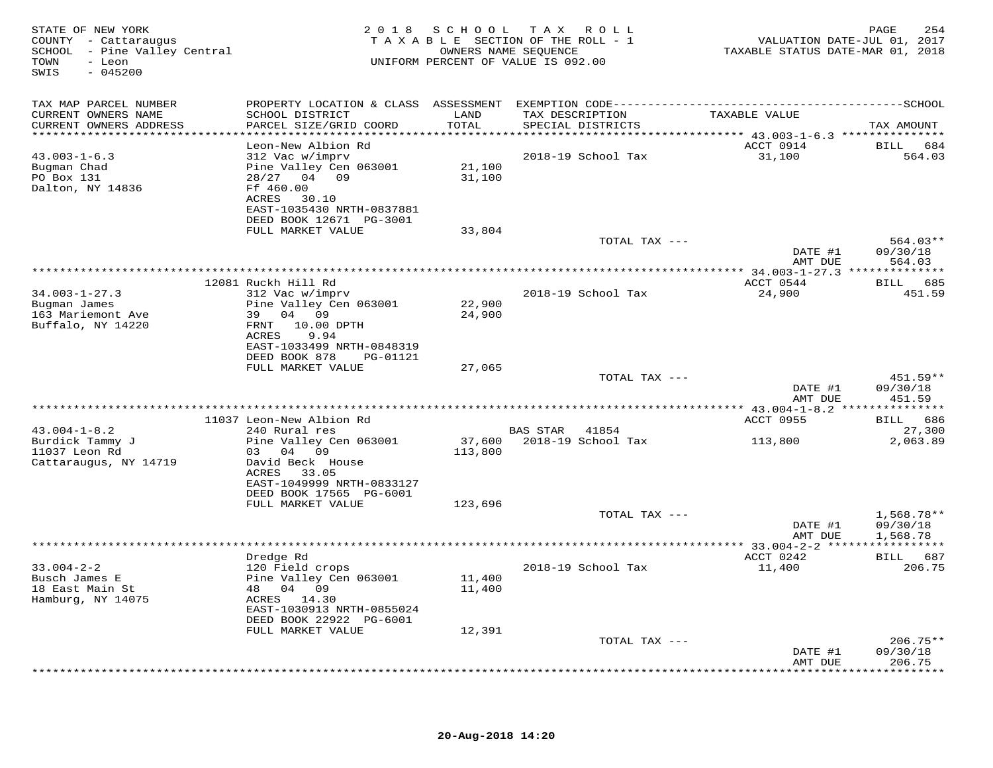| STATE OF NEW YORK<br>COUNTY - Cattaraugus<br>SCHOOL - Pine Valley Central<br>TOWN<br>- Leon<br>$-045200$<br>SWIS |                                                                                                                                                                       | 2018 SCHOOL                  | TAX ROLL<br>TAXABLE SECTION OF THE ROLL - 1<br>OWNERS NAME SEQUENCE<br>UNIFORM PERCENT OF VALUE IS 092.00 | VALUATION DATE-JUL 01, 2017<br>TAXABLE STATUS DATE-MAR 01, 2018 | PAGE<br>254                     |
|------------------------------------------------------------------------------------------------------------------|-----------------------------------------------------------------------------------------------------------------------------------------------------------------------|------------------------------|-----------------------------------------------------------------------------------------------------------|-----------------------------------------------------------------|---------------------------------|
| TAX MAP PARCEL NUMBER<br>CURRENT OWNERS NAME<br>CURRENT OWNERS ADDRESS<br>**********************                 | SCHOOL DISTRICT<br>PARCEL SIZE/GRID COORD                                                                                                                             | LAND<br>TOTAL<br>*********** | TAX DESCRIPTION<br>SPECIAL DISTRICTS                                                                      | TAXABLE VALUE                                                   | TAX AMOUNT                      |
| $43.003 - 1 - 6.3$<br>Bugman Chad<br>PO Box 131<br>Dalton, NY 14836                                              | Leon-New Albion Rd<br>312 Vac w/imprv<br>Pine Valley Cen 063001<br>28/27 04 09<br>Ff 460.00<br>ACRES<br>30.10<br>EAST-1035430 NRTH-0837881<br>DEED BOOK 12671 PG-3001 | 21,100<br>31,100             | ************************************** 43.003-1-6.3 ***************<br>2018-19 School Tax                 | ACCT 0914<br>31,100                                             | <b>BILL</b><br>684<br>564.03    |
|                                                                                                                  | FULL MARKET VALUE                                                                                                                                                     | 33,804                       | TOTAL TAX ---                                                                                             | DATE #1                                                         | 564.03**<br>09/30/18            |
| $34.003 - 1 - 27.3$                                                                                              | 12081 Ruckh Hill Rd<br>312 Vac w/imprv                                                                                                                                |                              | 2018-19 School Tax                                                                                        | AMT DUE<br>ACCT 0544<br>24,900                                  | 564.03<br>BILL 685<br>451.59    |
| Bugman James<br>163 Mariemont Ave<br>Buffalo, NY 14220                                                           | Pine Valley Cen 063001<br>39 04 09<br>FRNT 10.00 DPTH<br>ACRES<br>9.94<br>EAST-1033499 NRTH-0848319<br>DEED BOOK 878<br>PG-01121                                      | 22,900<br>24,900             |                                                                                                           |                                                                 |                                 |
|                                                                                                                  | FULL MARKET VALUE                                                                                                                                                     | 27,065                       | TOTAL TAX ---                                                                                             | DATE #1                                                         | 451.59**<br>09/30/18            |
|                                                                                                                  |                                                                                                                                                                       |                              |                                                                                                           | AMT DUE                                                         | 451.59                          |
|                                                                                                                  | 11037 Leon-New Albion Rd                                                                                                                                              |                              |                                                                                                           | ACCT 0955                                                       | BILL 686                        |
| $43.004 - 1 - 8.2$<br>Burdick Tammy J<br>11037 Leon Rd<br>Cattaraugus, NY 14719                                  | 240 Rural res<br>Pine Valley Cen 063001<br>03 04 09<br>David Beck House<br>ACRES 33.05<br>EAST-1049999 NRTH-0833127                                                   | 37,600<br>113,800            | BAS STAR 41854<br>2018-19 School Tax                                                                      | 113,800                                                         | 27,300<br>2,063.89              |
|                                                                                                                  | DEED BOOK 17565 PG-6001<br>FULL MARKET VALUE                                                                                                                          | 123,696                      | TOTAL TAX ---                                                                                             | DATE #1                                                         | $1,568.78**$<br>09/30/18        |
|                                                                                                                  |                                                                                                                                                                       |                              |                                                                                                           | AMT DUE                                                         | 1,568.78                        |
|                                                                                                                  |                                                                                                                                                                       |                              | ************************                                                                                  | ** 33.004-2-2 ******************                                |                                 |
| $33.004 - 2 - 2$<br>Busch James E<br>18 East Main St<br>Hamburg, NY 14075                                        | Dredge Rd<br>120 Field crops<br>Pine Valley Cen 063001<br>48 04 09<br>ACRES 14.30<br>EAST-1030913 NRTH-0855024<br>DEED BOOK 22922 PG-6001                             | 11,400<br>11,400             | 2018-19 School Tax                                                                                        | ACCT 0242<br>11,400                                             | BILL 687<br>206.75              |
|                                                                                                                  | FULL MARKET VALUE                                                                                                                                                     | 12,391                       | TOTAL TAX ---                                                                                             |                                                                 | $206.75**$                      |
|                                                                                                                  |                                                                                                                                                                       |                              |                                                                                                           | DATE #1<br>AMT DUE                                              | 09/30/18<br>206.75<br>********* |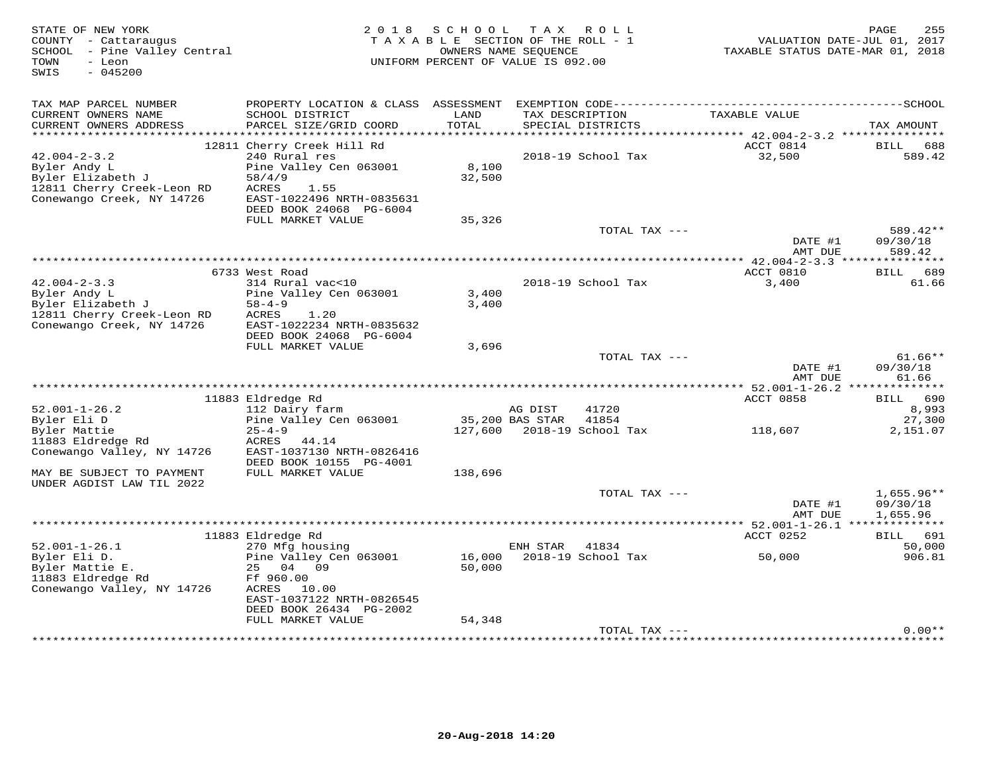| TAX MAP PARCEL NUMBER<br>CURRENT OWNERS NAME<br>TAXABLE VALUE<br>SCHOOL DISTRICT<br>LAND<br>TAX DESCRIPTION<br>TOTAL<br>CURRENT OWNERS ADDRESS<br>PARCEL SIZE/GRID COORD<br>SPECIAL DISTRICTS<br>TAX AMOUNT<br>12811 Cherry Creek Hill Rd<br>ACCT 0814<br>688<br>BILL<br>$42.004 - 2 - 3.2$<br>2018-19 School Tax<br>240 Rural res<br>32,500<br>589.42<br>8,100<br>Byler Andy L<br>Pine Valley Cen 063001<br>Byler Elizabeth J<br>58/4/9<br>32,500<br>12811 Cherry Creek-Leon RD<br>ACRES<br>1.55<br>Conewango Creek, NY 14726<br>EAST-1022496 NRTH-0835631<br>DEED BOOK 24068 PG-6004<br>FULL MARKET VALUE<br>35,326<br>589.42**<br>TOTAL TAX ---<br>DATE #1<br>09/30/18<br>589.42<br>AMT DUE<br>******************<br>ACCT 0810<br>6733 West Road<br>BILL 689<br>$42.004 - 2 - 3.3$<br>314 Rural vac<10<br>2018-19 School Tax<br>3,400<br>61.66<br>Byler Andy L<br>Pine Valley Cen 063001<br>3,400<br>Byler Elizabeth J<br>$58 - 4 - 9$<br>3,400<br>12811 Cherry Creek-Leon RD<br>ACRES<br>1.20<br>Conewango Creek, NY 14726<br>EAST-1022234 NRTH-0835632<br>DEED BOOK 24068 PG-6004<br>FULL MARKET VALUE<br>3,696<br>$61.66**$<br>TOTAL TAX ---<br>DATE #1<br>09/30/18<br>61.66<br>AMT DUE<br>*********** 52.001-1-26.2<br>**************<br>11883 Eldredge Rd<br>ACCT 0858<br>BILL 690<br>$52.001 - 1 - 26.2$<br>41720<br>8,993<br>112 Dairy farm<br>AG DIST<br>Byler Eli D<br>Pine Valley Cen 063001<br>35,200 BAS STAR<br>41854<br>27,300<br>Byler Mattie<br>127,600<br>2018-19 School Tax<br>2,151.07<br>$25 - 4 - 9$<br>118,607<br>11883 Eldredge Rd<br>ACRES<br>44.14<br>Conewango Valley, NY 14726<br>EAST-1037130 NRTH-0826416<br>DEED BOOK 10155 PG-4001<br>MAY BE SUBJECT TO PAYMENT<br>FULL MARKET VALUE<br>138,696<br>UNDER AGDIST LAW TIL 2022<br>$1,655.96**$<br>TOTAL TAX ---<br>09/30/18<br>DATE #1<br>AMT DUE<br>1,655.96<br>********* 52.001-1-26.1 **************<br>ACCT 0252<br>11883 Eldredge Rd<br>BILL 691<br>$52.001 - 1 - 26.1$<br>270 Mfg housing<br>ENH STAR<br>41834<br>50,000<br>Byler Eli D.<br>Pine Valley Cen 063001<br>16,000<br>2018-19 School Tax<br>50,000<br>906.81<br>Byler Mattie E.<br>25 04<br>09<br>50,000<br>11883 Eldredge Rd<br>Ff 960.00<br>Conewango Valley, NY 14726<br>ACRES<br>10.00<br>EAST-1037122 NRTH-0826545<br>DEED BOOK 26434 PG-2002<br>FULL MARKET VALUE<br>54,348<br>$0.00**$<br>TOTAL TAX --- | STATE OF NEW YORK<br>COUNTY - Cattaraugus<br>- Pine Valley Central<br>SCHOOL<br>TOWN<br>- Leon<br>SWIS<br>$-045200$ | 2 0 1 8 | SCHOOL<br>TAXABLE SECTION OF THE ROLL - 1<br>UNIFORM PERCENT OF VALUE IS 092.00 | T A X<br>OWNERS NAME SEQUENCE | R O L L | VALUATION DATE-JUL 01, 2017<br>TAXABLE STATUS DATE-MAR 01, 2018 | 255<br>PAGE |
|----------------------------------------------------------------------------------------------------------------------------------------------------------------------------------------------------------------------------------------------------------------------------------------------------------------------------------------------------------------------------------------------------------------------------------------------------------------------------------------------------------------------------------------------------------------------------------------------------------------------------------------------------------------------------------------------------------------------------------------------------------------------------------------------------------------------------------------------------------------------------------------------------------------------------------------------------------------------------------------------------------------------------------------------------------------------------------------------------------------------------------------------------------------------------------------------------------------------------------------------------------------------------------------------------------------------------------------------------------------------------------------------------------------------------------------------------------------------------------------------------------------------------------------------------------------------------------------------------------------------------------------------------------------------------------------------------------------------------------------------------------------------------------------------------------------------------------------------------------------------------------------------------------------------------------------------------------------------------------------------------------------------------------------------------------------------------------------------------------------------------------------------------------------------------------------------------------------------------------------------------------------------------------------------------------------------------------------------------------------|---------------------------------------------------------------------------------------------------------------------|---------|---------------------------------------------------------------------------------|-------------------------------|---------|-----------------------------------------------------------------|-------------|
|                                                                                                                                                                                                                                                                                                                                                                                                                                                                                                                                                                                                                                                                                                                                                                                                                                                                                                                                                                                                                                                                                                                                                                                                                                                                                                                                                                                                                                                                                                                                                                                                                                                                                                                                                                                                                                                                                                                                                                                                                                                                                                                                                                                                                                                                                                                                                                |                                                                                                                     |         |                                                                                 |                               |         |                                                                 |             |
|                                                                                                                                                                                                                                                                                                                                                                                                                                                                                                                                                                                                                                                                                                                                                                                                                                                                                                                                                                                                                                                                                                                                                                                                                                                                                                                                                                                                                                                                                                                                                                                                                                                                                                                                                                                                                                                                                                                                                                                                                                                                                                                                                                                                                                                                                                                                                                |                                                                                                                     |         |                                                                                 |                               |         |                                                                 |             |
|                                                                                                                                                                                                                                                                                                                                                                                                                                                                                                                                                                                                                                                                                                                                                                                                                                                                                                                                                                                                                                                                                                                                                                                                                                                                                                                                                                                                                                                                                                                                                                                                                                                                                                                                                                                                                                                                                                                                                                                                                                                                                                                                                                                                                                                                                                                                                                |                                                                                                                     |         |                                                                                 |                               |         |                                                                 |             |
|                                                                                                                                                                                                                                                                                                                                                                                                                                                                                                                                                                                                                                                                                                                                                                                                                                                                                                                                                                                                                                                                                                                                                                                                                                                                                                                                                                                                                                                                                                                                                                                                                                                                                                                                                                                                                                                                                                                                                                                                                                                                                                                                                                                                                                                                                                                                                                |                                                                                                                     |         |                                                                                 |                               |         |                                                                 |             |
|                                                                                                                                                                                                                                                                                                                                                                                                                                                                                                                                                                                                                                                                                                                                                                                                                                                                                                                                                                                                                                                                                                                                                                                                                                                                                                                                                                                                                                                                                                                                                                                                                                                                                                                                                                                                                                                                                                                                                                                                                                                                                                                                                                                                                                                                                                                                                                |                                                                                                                     |         |                                                                                 |                               |         |                                                                 |             |
|                                                                                                                                                                                                                                                                                                                                                                                                                                                                                                                                                                                                                                                                                                                                                                                                                                                                                                                                                                                                                                                                                                                                                                                                                                                                                                                                                                                                                                                                                                                                                                                                                                                                                                                                                                                                                                                                                                                                                                                                                                                                                                                                                                                                                                                                                                                                                                |                                                                                                                     |         |                                                                                 |                               |         |                                                                 |             |
|                                                                                                                                                                                                                                                                                                                                                                                                                                                                                                                                                                                                                                                                                                                                                                                                                                                                                                                                                                                                                                                                                                                                                                                                                                                                                                                                                                                                                                                                                                                                                                                                                                                                                                                                                                                                                                                                                                                                                                                                                                                                                                                                                                                                                                                                                                                                                                |                                                                                                                     |         |                                                                                 |                               |         |                                                                 |             |
|                                                                                                                                                                                                                                                                                                                                                                                                                                                                                                                                                                                                                                                                                                                                                                                                                                                                                                                                                                                                                                                                                                                                                                                                                                                                                                                                                                                                                                                                                                                                                                                                                                                                                                                                                                                                                                                                                                                                                                                                                                                                                                                                                                                                                                                                                                                                                                |                                                                                                                     |         |                                                                                 |                               |         |                                                                 |             |
|                                                                                                                                                                                                                                                                                                                                                                                                                                                                                                                                                                                                                                                                                                                                                                                                                                                                                                                                                                                                                                                                                                                                                                                                                                                                                                                                                                                                                                                                                                                                                                                                                                                                                                                                                                                                                                                                                                                                                                                                                                                                                                                                                                                                                                                                                                                                                                |                                                                                                                     |         |                                                                                 |                               |         |                                                                 |             |
|                                                                                                                                                                                                                                                                                                                                                                                                                                                                                                                                                                                                                                                                                                                                                                                                                                                                                                                                                                                                                                                                                                                                                                                                                                                                                                                                                                                                                                                                                                                                                                                                                                                                                                                                                                                                                                                                                                                                                                                                                                                                                                                                                                                                                                                                                                                                                                |                                                                                                                     |         |                                                                                 |                               |         |                                                                 |             |
|                                                                                                                                                                                                                                                                                                                                                                                                                                                                                                                                                                                                                                                                                                                                                                                                                                                                                                                                                                                                                                                                                                                                                                                                                                                                                                                                                                                                                                                                                                                                                                                                                                                                                                                                                                                                                                                                                                                                                                                                                                                                                                                                                                                                                                                                                                                                                                |                                                                                                                     |         |                                                                                 |                               |         |                                                                 |             |
|                                                                                                                                                                                                                                                                                                                                                                                                                                                                                                                                                                                                                                                                                                                                                                                                                                                                                                                                                                                                                                                                                                                                                                                                                                                                                                                                                                                                                                                                                                                                                                                                                                                                                                                                                                                                                                                                                                                                                                                                                                                                                                                                                                                                                                                                                                                                                                |                                                                                                                     |         |                                                                                 |                               |         |                                                                 |             |
|                                                                                                                                                                                                                                                                                                                                                                                                                                                                                                                                                                                                                                                                                                                                                                                                                                                                                                                                                                                                                                                                                                                                                                                                                                                                                                                                                                                                                                                                                                                                                                                                                                                                                                                                                                                                                                                                                                                                                                                                                                                                                                                                                                                                                                                                                                                                                                |                                                                                                                     |         |                                                                                 |                               |         |                                                                 |             |
|                                                                                                                                                                                                                                                                                                                                                                                                                                                                                                                                                                                                                                                                                                                                                                                                                                                                                                                                                                                                                                                                                                                                                                                                                                                                                                                                                                                                                                                                                                                                                                                                                                                                                                                                                                                                                                                                                                                                                                                                                                                                                                                                                                                                                                                                                                                                                                |                                                                                                                     |         |                                                                                 |                               |         |                                                                 |             |
|                                                                                                                                                                                                                                                                                                                                                                                                                                                                                                                                                                                                                                                                                                                                                                                                                                                                                                                                                                                                                                                                                                                                                                                                                                                                                                                                                                                                                                                                                                                                                                                                                                                                                                                                                                                                                                                                                                                                                                                                                                                                                                                                                                                                                                                                                                                                                                |                                                                                                                     |         |                                                                                 |                               |         |                                                                 |             |
|                                                                                                                                                                                                                                                                                                                                                                                                                                                                                                                                                                                                                                                                                                                                                                                                                                                                                                                                                                                                                                                                                                                                                                                                                                                                                                                                                                                                                                                                                                                                                                                                                                                                                                                                                                                                                                                                                                                                                                                                                                                                                                                                                                                                                                                                                                                                                                |                                                                                                                     |         |                                                                                 |                               |         |                                                                 |             |
|                                                                                                                                                                                                                                                                                                                                                                                                                                                                                                                                                                                                                                                                                                                                                                                                                                                                                                                                                                                                                                                                                                                                                                                                                                                                                                                                                                                                                                                                                                                                                                                                                                                                                                                                                                                                                                                                                                                                                                                                                                                                                                                                                                                                                                                                                                                                                                |                                                                                                                     |         |                                                                                 |                               |         |                                                                 |             |
|                                                                                                                                                                                                                                                                                                                                                                                                                                                                                                                                                                                                                                                                                                                                                                                                                                                                                                                                                                                                                                                                                                                                                                                                                                                                                                                                                                                                                                                                                                                                                                                                                                                                                                                                                                                                                                                                                                                                                                                                                                                                                                                                                                                                                                                                                                                                                                |                                                                                                                     |         |                                                                                 |                               |         |                                                                 |             |
|                                                                                                                                                                                                                                                                                                                                                                                                                                                                                                                                                                                                                                                                                                                                                                                                                                                                                                                                                                                                                                                                                                                                                                                                                                                                                                                                                                                                                                                                                                                                                                                                                                                                                                                                                                                                                                                                                                                                                                                                                                                                                                                                                                                                                                                                                                                                                                |                                                                                                                     |         |                                                                                 |                               |         |                                                                 |             |
|                                                                                                                                                                                                                                                                                                                                                                                                                                                                                                                                                                                                                                                                                                                                                                                                                                                                                                                                                                                                                                                                                                                                                                                                                                                                                                                                                                                                                                                                                                                                                                                                                                                                                                                                                                                                                                                                                                                                                                                                                                                                                                                                                                                                                                                                                                                                                                |                                                                                                                     |         |                                                                                 |                               |         |                                                                 |             |
|                                                                                                                                                                                                                                                                                                                                                                                                                                                                                                                                                                                                                                                                                                                                                                                                                                                                                                                                                                                                                                                                                                                                                                                                                                                                                                                                                                                                                                                                                                                                                                                                                                                                                                                                                                                                                                                                                                                                                                                                                                                                                                                                                                                                                                                                                                                                                                |                                                                                                                     |         |                                                                                 |                               |         |                                                                 |             |
|                                                                                                                                                                                                                                                                                                                                                                                                                                                                                                                                                                                                                                                                                                                                                                                                                                                                                                                                                                                                                                                                                                                                                                                                                                                                                                                                                                                                                                                                                                                                                                                                                                                                                                                                                                                                                                                                                                                                                                                                                                                                                                                                                                                                                                                                                                                                                                |                                                                                                                     |         |                                                                                 |                               |         |                                                                 |             |
|                                                                                                                                                                                                                                                                                                                                                                                                                                                                                                                                                                                                                                                                                                                                                                                                                                                                                                                                                                                                                                                                                                                                                                                                                                                                                                                                                                                                                                                                                                                                                                                                                                                                                                                                                                                                                                                                                                                                                                                                                                                                                                                                                                                                                                                                                                                                                                |                                                                                                                     |         |                                                                                 |                               |         |                                                                 |             |
|                                                                                                                                                                                                                                                                                                                                                                                                                                                                                                                                                                                                                                                                                                                                                                                                                                                                                                                                                                                                                                                                                                                                                                                                                                                                                                                                                                                                                                                                                                                                                                                                                                                                                                                                                                                                                                                                                                                                                                                                                                                                                                                                                                                                                                                                                                                                                                |                                                                                                                     |         |                                                                                 |                               |         |                                                                 |             |
|                                                                                                                                                                                                                                                                                                                                                                                                                                                                                                                                                                                                                                                                                                                                                                                                                                                                                                                                                                                                                                                                                                                                                                                                                                                                                                                                                                                                                                                                                                                                                                                                                                                                                                                                                                                                                                                                                                                                                                                                                                                                                                                                                                                                                                                                                                                                                                |                                                                                                                     |         |                                                                                 |                               |         |                                                                 |             |
|                                                                                                                                                                                                                                                                                                                                                                                                                                                                                                                                                                                                                                                                                                                                                                                                                                                                                                                                                                                                                                                                                                                                                                                                                                                                                                                                                                                                                                                                                                                                                                                                                                                                                                                                                                                                                                                                                                                                                                                                                                                                                                                                                                                                                                                                                                                                                                |                                                                                                                     |         |                                                                                 |                               |         |                                                                 |             |
|                                                                                                                                                                                                                                                                                                                                                                                                                                                                                                                                                                                                                                                                                                                                                                                                                                                                                                                                                                                                                                                                                                                                                                                                                                                                                                                                                                                                                                                                                                                                                                                                                                                                                                                                                                                                                                                                                                                                                                                                                                                                                                                                                                                                                                                                                                                                                                |                                                                                                                     |         |                                                                                 |                               |         |                                                                 |             |
|                                                                                                                                                                                                                                                                                                                                                                                                                                                                                                                                                                                                                                                                                                                                                                                                                                                                                                                                                                                                                                                                                                                                                                                                                                                                                                                                                                                                                                                                                                                                                                                                                                                                                                                                                                                                                                                                                                                                                                                                                                                                                                                                                                                                                                                                                                                                                                |                                                                                                                     |         |                                                                                 |                               |         |                                                                 |             |
|                                                                                                                                                                                                                                                                                                                                                                                                                                                                                                                                                                                                                                                                                                                                                                                                                                                                                                                                                                                                                                                                                                                                                                                                                                                                                                                                                                                                                                                                                                                                                                                                                                                                                                                                                                                                                                                                                                                                                                                                                                                                                                                                                                                                                                                                                                                                                                |                                                                                                                     |         |                                                                                 |                               |         |                                                                 |             |
|                                                                                                                                                                                                                                                                                                                                                                                                                                                                                                                                                                                                                                                                                                                                                                                                                                                                                                                                                                                                                                                                                                                                                                                                                                                                                                                                                                                                                                                                                                                                                                                                                                                                                                                                                                                                                                                                                                                                                                                                                                                                                                                                                                                                                                                                                                                                                                |                                                                                                                     |         |                                                                                 |                               |         |                                                                 |             |
|                                                                                                                                                                                                                                                                                                                                                                                                                                                                                                                                                                                                                                                                                                                                                                                                                                                                                                                                                                                                                                                                                                                                                                                                                                                                                                                                                                                                                                                                                                                                                                                                                                                                                                                                                                                                                                                                                                                                                                                                                                                                                                                                                                                                                                                                                                                                                                |                                                                                                                     |         |                                                                                 |                               |         |                                                                 |             |
|                                                                                                                                                                                                                                                                                                                                                                                                                                                                                                                                                                                                                                                                                                                                                                                                                                                                                                                                                                                                                                                                                                                                                                                                                                                                                                                                                                                                                                                                                                                                                                                                                                                                                                                                                                                                                                                                                                                                                                                                                                                                                                                                                                                                                                                                                                                                                                |                                                                                                                     |         |                                                                                 |                               |         |                                                                 |             |
|                                                                                                                                                                                                                                                                                                                                                                                                                                                                                                                                                                                                                                                                                                                                                                                                                                                                                                                                                                                                                                                                                                                                                                                                                                                                                                                                                                                                                                                                                                                                                                                                                                                                                                                                                                                                                                                                                                                                                                                                                                                                                                                                                                                                                                                                                                                                                                |                                                                                                                     |         |                                                                                 |                               |         |                                                                 |             |
|                                                                                                                                                                                                                                                                                                                                                                                                                                                                                                                                                                                                                                                                                                                                                                                                                                                                                                                                                                                                                                                                                                                                                                                                                                                                                                                                                                                                                                                                                                                                                                                                                                                                                                                                                                                                                                                                                                                                                                                                                                                                                                                                                                                                                                                                                                                                                                |                                                                                                                     |         |                                                                                 |                               |         |                                                                 |             |
|                                                                                                                                                                                                                                                                                                                                                                                                                                                                                                                                                                                                                                                                                                                                                                                                                                                                                                                                                                                                                                                                                                                                                                                                                                                                                                                                                                                                                                                                                                                                                                                                                                                                                                                                                                                                                                                                                                                                                                                                                                                                                                                                                                                                                                                                                                                                                                |                                                                                                                     |         |                                                                                 |                               |         |                                                                 |             |
|                                                                                                                                                                                                                                                                                                                                                                                                                                                                                                                                                                                                                                                                                                                                                                                                                                                                                                                                                                                                                                                                                                                                                                                                                                                                                                                                                                                                                                                                                                                                                                                                                                                                                                                                                                                                                                                                                                                                                                                                                                                                                                                                                                                                                                                                                                                                                                |                                                                                                                     |         |                                                                                 |                               |         |                                                                 |             |
|                                                                                                                                                                                                                                                                                                                                                                                                                                                                                                                                                                                                                                                                                                                                                                                                                                                                                                                                                                                                                                                                                                                                                                                                                                                                                                                                                                                                                                                                                                                                                                                                                                                                                                                                                                                                                                                                                                                                                                                                                                                                                                                                                                                                                                                                                                                                                                |                                                                                                                     |         |                                                                                 |                               |         |                                                                 |             |
|                                                                                                                                                                                                                                                                                                                                                                                                                                                                                                                                                                                                                                                                                                                                                                                                                                                                                                                                                                                                                                                                                                                                                                                                                                                                                                                                                                                                                                                                                                                                                                                                                                                                                                                                                                                                                                                                                                                                                                                                                                                                                                                                                                                                                                                                                                                                                                |                                                                                                                     |         |                                                                                 |                               |         |                                                                 |             |
|                                                                                                                                                                                                                                                                                                                                                                                                                                                                                                                                                                                                                                                                                                                                                                                                                                                                                                                                                                                                                                                                                                                                                                                                                                                                                                                                                                                                                                                                                                                                                                                                                                                                                                                                                                                                                                                                                                                                                                                                                                                                                                                                                                                                                                                                                                                                                                |                                                                                                                     |         |                                                                                 |                               |         |                                                                 |             |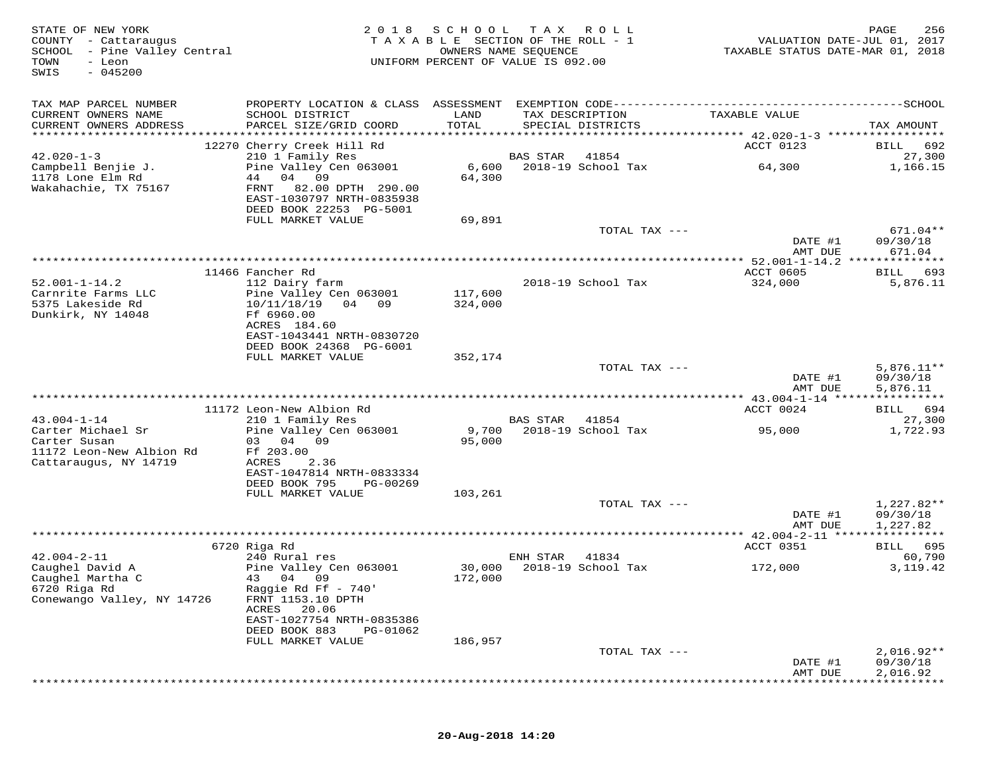| STATE OF NEW YORK<br>COUNTY - Cattaraugus<br>SCHOOL<br>- Pine Valley Central<br>TOWN<br>- Leon<br>$-045200$<br>SWIS | 2 0 1 8                                                                                                                    | SCHOOL<br>TAXABLE SECTION OF THE ROLL - 1<br>OWNERS NAME SEQUENCE<br>UNIFORM PERCENT OF VALUE IS 092.00 | T A X           | R O L L            | VALUATION DATE-JUL 01, 2017<br>TAXABLE STATUS DATE-MAR 01, 2018    | PAGE<br>256             |
|---------------------------------------------------------------------------------------------------------------------|----------------------------------------------------------------------------------------------------------------------------|---------------------------------------------------------------------------------------------------------|-----------------|--------------------|--------------------------------------------------------------------|-------------------------|
| TAX MAP PARCEL NUMBER                                                                                               |                                                                                                                            |                                                                                                         |                 |                    |                                                                    |                         |
| CURRENT OWNERS NAME                                                                                                 | SCHOOL DISTRICT                                                                                                            | LAND                                                                                                    | TAX DESCRIPTION |                    | TAXABLE VALUE                                                      |                         |
| CURRENT OWNERS ADDRESS                                                                                              | PARCEL SIZE/GRID COORD                                                                                                     | TOTAL                                                                                                   |                 | SPECIAL DISTRICTS  |                                                                    | TAX AMOUNT              |
|                                                                                                                     | 12270 Cherry Creek Hill Rd                                                                                                 |                                                                                                         |                 |                    | ACCT 0123                                                          | 692<br>BILL             |
| $42.020 - 1 - 3$                                                                                                    | 210 1 Family Res                                                                                                           |                                                                                                         | <b>BAS STAR</b> | 41854              |                                                                    | 27,300                  |
| Campbell Benjie J.<br>1178 Lone Elm Rd<br>Wakahachie, TX 75167                                                      | Pine Valley Cen 063001<br>04 09<br>44<br>82.00 DPTH 290.00<br>FRNT<br>EAST-1030797 NRTH-0835938<br>DEED BOOK 22253 PG-5001 | 6,600<br>64,300                                                                                         |                 | 2018-19 School Tax | 64,300                                                             | 1,166.15                |
|                                                                                                                     | FULL MARKET VALUE                                                                                                          | 69,891                                                                                                  |                 |                    |                                                                    |                         |
|                                                                                                                     |                                                                                                                            |                                                                                                         |                 | TOTAL TAX ---      | DATE #1                                                            | 671.04**<br>09/30/18    |
|                                                                                                                     |                                                                                                                            | *************************************                                                                   |                 |                    | AMT DUE                                                            | 671.04                  |
|                                                                                                                     | 11466 Fancher Rd                                                                                                           |                                                                                                         |                 |                    | ***************** 52.001-1-14.2 **************<br><b>ACCT 0605</b> | BILL<br>693             |
| $52.001 - 1 - 14.2$                                                                                                 | 112 Dairy farm                                                                                                             |                                                                                                         |                 | 2018-19 School Tax | 324,000                                                            | 5,876.11                |
| Carnrite Farms LLC                                                                                                  | Pine Valley Cen 063001                                                                                                     | 117,600                                                                                                 |                 |                    |                                                                    |                         |
| 5375 Lakeside Rd<br>Dunkirk, NY 14048                                                                               | 10/11/18/19<br>04 09<br>Ff 6960.00<br>ACRES 184.60                                                                         | 324,000                                                                                                 |                 |                    |                                                                    |                         |
|                                                                                                                     | EAST-1043441 NRTH-0830720                                                                                                  |                                                                                                         |                 |                    |                                                                    |                         |
|                                                                                                                     | DEED BOOK 24368 PG-6001<br>FULL MARKET VALUE                                                                               | 352,174                                                                                                 |                 |                    |                                                                    |                         |
|                                                                                                                     |                                                                                                                            |                                                                                                         |                 | TOTAL TAX ---      |                                                                    | $5,876.11**$            |
|                                                                                                                     |                                                                                                                            |                                                                                                         |                 |                    | DATE #1<br>AMT DUE                                                 | 09/30/18<br>5,876.11    |
|                                                                                                                     | 11172 Leon-New Albion Rd                                                                                                   |                                                                                                         |                 |                    | ACCT 0024                                                          | BILL 694                |
| $43.004 - 1 - 14$                                                                                                   | 210 1 Family Res                                                                                                           |                                                                                                         | BAS STAR        | 41854              |                                                                    | 27,300                  |
| Carter Michael Sr<br>Carter Susan                                                                                   | Pine Valley Cen 063001<br>03 04 09                                                                                         | 9,700<br>95,000                                                                                         |                 | 2018-19 School Tax | 95,000                                                             | 1,722.93                |
| 11172 Leon-New Albion Rd<br>Cattaraugus, NY 14719                                                                   | Ff 203.00<br>ACRES<br>2.36<br>EAST-1047814 NRTH-0833334<br>DEED BOOK 795<br>PG-00269                                       |                                                                                                         |                 |                    |                                                                    |                         |
|                                                                                                                     | FULL MARKET VALUE                                                                                                          | 103,261                                                                                                 |                 |                    |                                                                    |                         |
|                                                                                                                     |                                                                                                                            |                                                                                                         |                 | TOTAL TAX ---      |                                                                    | 1,227.82**              |
|                                                                                                                     |                                                                                                                            |                                                                                                         |                 |                    | DATE #1<br>AMT DUE                                                 | 09/30/18                |
|                                                                                                                     |                                                                                                                            | *********************************                                                                       |                 |                    | **** $42.004 - 2 - 11$ ****                                        | 1,227.82<br>*********** |
|                                                                                                                     | 6720 Riga Rd                                                                                                               |                                                                                                         |                 |                    | ACCT 0351                                                          | BILL 695                |
| $42.004 - 2 - 11$                                                                                                   | 240 Rural res                                                                                                              |                                                                                                         | ENH STAR        | 41834              |                                                                    | 60,790                  |
| Caughel David A<br>Caughel Martha C<br>6720 Riga Rd                                                                 | Pine Valley Cen 063001<br>43 04 09<br>Raggie Rd Ff - 740'                                                                  | 30,000<br>172,000                                                                                       |                 | 2018-19 School Tax | 172,000                                                            | 3, 119. 42              |
| Conewango Valley, NY 14726                                                                                          | FRNT 1153.10 DPTH<br>20.06<br>ACRES<br>EAST-1027754 NRTH-0835386                                                           |                                                                                                         |                 |                    |                                                                    |                         |
|                                                                                                                     | DEED BOOK 883<br>PG-01062                                                                                                  |                                                                                                         |                 |                    |                                                                    |                         |
|                                                                                                                     | FULL MARKET VALUE                                                                                                          | 186,957                                                                                                 |                 | TOTAL TAX ---      |                                                                    | $2,016.92**$            |
|                                                                                                                     |                                                                                                                            |                                                                                                         |                 |                    | DATE #1<br>AMT DUE                                                 | 09/30/18<br>2,016.92    |
|                                                                                                                     |                                                                                                                            |                                                                                                         |                 |                    |                                                                    |                         |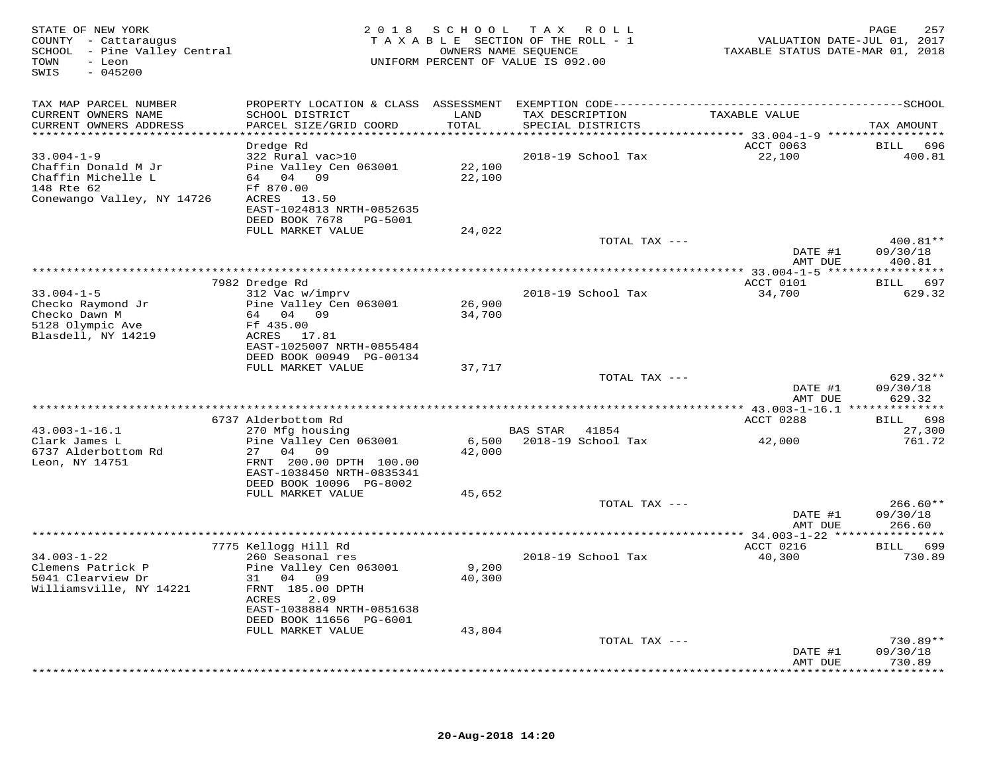| STATE OF NEW YORK<br>COUNTY - Cattaraugus<br>SCHOOL - Pine Valley Central<br>TOWN<br>- Leon<br>$-045200$<br>SWIS |                                                      | 2018 SCHOOL TAX<br>TAXABLE SECTION OF THE ROLL - 1<br>OWNERS NAME SEOUENCE<br>UNIFORM PERCENT OF VALUE IS 092.00 | 257<br>PAGE<br>VALUATION DATE-JUL 01, 2017<br>TAXABLE STATUS DATE-MAR 01, 2018 |               |                        |
|------------------------------------------------------------------------------------------------------------------|------------------------------------------------------|------------------------------------------------------------------------------------------------------------------|--------------------------------------------------------------------------------|---------------|------------------------|
| TAX MAP PARCEL NUMBER                                                                                            |                                                      |                                                                                                                  |                                                                                |               |                        |
| CURRENT OWNERS NAME<br>CURRENT OWNERS ADDRESS                                                                    | SCHOOL DISTRICT<br>PARCEL SIZE/GRID COORD            | LAND<br>TOTAL                                                                                                    | TAX DESCRIPTION<br>SPECIAL DISTRICTS                                           | TAXABLE VALUE | TAX AMOUNT             |
|                                                                                                                  | Dredge Rd                                            |                                                                                                                  |                                                                                | ACCT 0063     | BILL 696               |
| $33.004 - 1 - 9$                                                                                                 | 322 Rural vac>10                                     |                                                                                                                  | 2018-19 School Tax                                                             | 22,100        | 400.81                 |
| Chaffin Donald M Jr                                                                                              | Pine Valley Cen 063001                               | 22,100                                                                                                           |                                                                                |               |                        |
| Chaffin Michelle L<br>148 Rte 62                                                                                 | 64 04 09<br>Ff 870.00                                | 22,100                                                                                                           |                                                                                |               |                        |
| Conewango Valley, NY 14726                                                                                       | ACRES 13.50                                          |                                                                                                                  |                                                                                |               |                        |
|                                                                                                                  | EAST-1024813 NRTH-0852635                            |                                                                                                                  |                                                                                |               |                        |
|                                                                                                                  | DEED BOOK 7678    PG-5001                            |                                                                                                                  |                                                                                |               |                        |
|                                                                                                                  | FULL MARKET VALUE                                    | 24,022                                                                                                           |                                                                                |               |                        |
|                                                                                                                  |                                                      |                                                                                                                  | TOTAL TAX ---                                                                  | DATE #1       | $400.81**$<br>09/30/18 |
|                                                                                                                  |                                                      |                                                                                                                  |                                                                                | AMT DUE       | 400.81                 |
|                                                                                                                  |                                                      |                                                                                                                  |                                                                                |               |                        |
|                                                                                                                  | 7982 Dredge Rd                                       |                                                                                                                  |                                                                                | ACCT 0101     | BILL 697               |
| $33.004 - 1 - 5$<br>Checko Raymond Jr                                                                            | 312 Vac w/imprv                                      |                                                                                                                  | 2018-19 School Tax                                                             | 34,700        | 629.32                 |
| Checko Dawn M                                                                                                    | Pine Valley Cen 063001<br>64 04 09                   | 26,900<br>34,700                                                                                                 |                                                                                |               |                        |
| 5128 Olympic Ave                                                                                                 | Ff 435.00                                            |                                                                                                                  |                                                                                |               |                        |
| Blasdell, NY 14219                                                                                               | ACRES 17.81                                          |                                                                                                                  |                                                                                |               |                        |
|                                                                                                                  | EAST-1025007 NRTH-0855484                            |                                                                                                                  |                                                                                |               |                        |
|                                                                                                                  | DEED BOOK 00949 PG-00134<br>FULL MARKET VALUE        | 37,717                                                                                                           |                                                                                |               |                        |
|                                                                                                                  |                                                      |                                                                                                                  | TOTAL TAX ---                                                                  |               | 629.32**               |
|                                                                                                                  |                                                      |                                                                                                                  |                                                                                | DATE #1       | 09/30/18               |
|                                                                                                                  |                                                      |                                                                                                                  |                                                                                | AMT DUE       | 629.32                 |
|                                                                                                                  |                                                      |                                                                                                                  |                                                                                |               |                        |
| $43.003 - 1 - 16.1$                                                                                              | 6737 Alderbottom Rd<br>270 Mfg housing               |                                                                                                                  | BAS STAR 41854                                                                 | ACCT 0288     | BILL 698<br>27,300     |
| Clark James L                                                                                                    | Pine Valley Cen 063001                               | 6,500                                                                                                            | 2018-19 School Tax                                                             | 42,000        | 761.72                 |
| 6737 Alderbottom Rd                                                                                              | 27 04 09                                             | 42,000                                                                                                           |                                                                                |               |                        |
| Leon, NY 14751                                                                                                   | FRNT 200.00 DPTH 100.00                              |                                                                                                                  |                                                                                |               |                        |
|                                                                                                                  | EAST-1038450 NRTH-0835341                            |                                                                                                                  |                                                                                |               |                        |
|                                                                                                                  | DEED BOOK 10096 PG-8002<br>FULL MARKET VALUE         | 45,652                                                                                                           |                                                                                |               |                        |
|                                                                                                                  |                                                      |                                                                                                                  | TOTAL TAX ---                                                                  |               | $266.60**$             |
|                                                                                                                  |                                                      |                                                                                                                  |                                                                                | DATE #1       | 09/30/18               |
|                                                                                                                  |                                                      |                                                                                                                  |                                                                                | AMT DUE       | 266.60                 |
|                                                                                                                  |                                                      |                                                                                                                  |                                                                                | ACCT 0216     | BILL 699               |
| $34.003 - 1 - 22$                                                                                                | 7775 Kellogg Hill Rd<br>260 Seasonal res             |                                                                                                                  | 2018-19 School Tax                                                             | 40,300        | 730.89                 |
| Clemens Patrick P                                                                                                | Pine Valley Cen 063001                               | 9,200                                                                                                            |                                                                                |               |                        |
| 5041 Clearview Dr                                                                                                | 31 04 09                                             | 40,300                                                                                                           |                                                                                |               |                        |
| Williamsville, NY 14221                                                                                          | FRNT 185.00 DPTH                                     |                                                                                                                  |                                                                                |               |                        |
|                                                                                                                  | 2.09<br>ACRES                                        |                                                                                                                  |                                                                                |               |                        |
|                                                                                                                  | EAST-1038884 NRTH-0851638<br>DEED BOOK 11656 PG-6001 |                                                                                                                  |                                                                                |               |                        |
|                                                                                                                  | FULL MARKET VALUE                                    | 43,804                                                                                                           |                                                                                |               |                        |
|                                                                                                                  |                                                      |                                                                                                                  | TOTAL TAX ---                                                                  |               | $730.89**$             |
|                                                                                                                  |                                                      |                                                                                                                  |                                                                                | DATE #1       | 09/30/18               |
|                                                                                                                  |                                                      |                                                                                                                  |                                                                                | AMT DUE       | 730.89<br>**********   |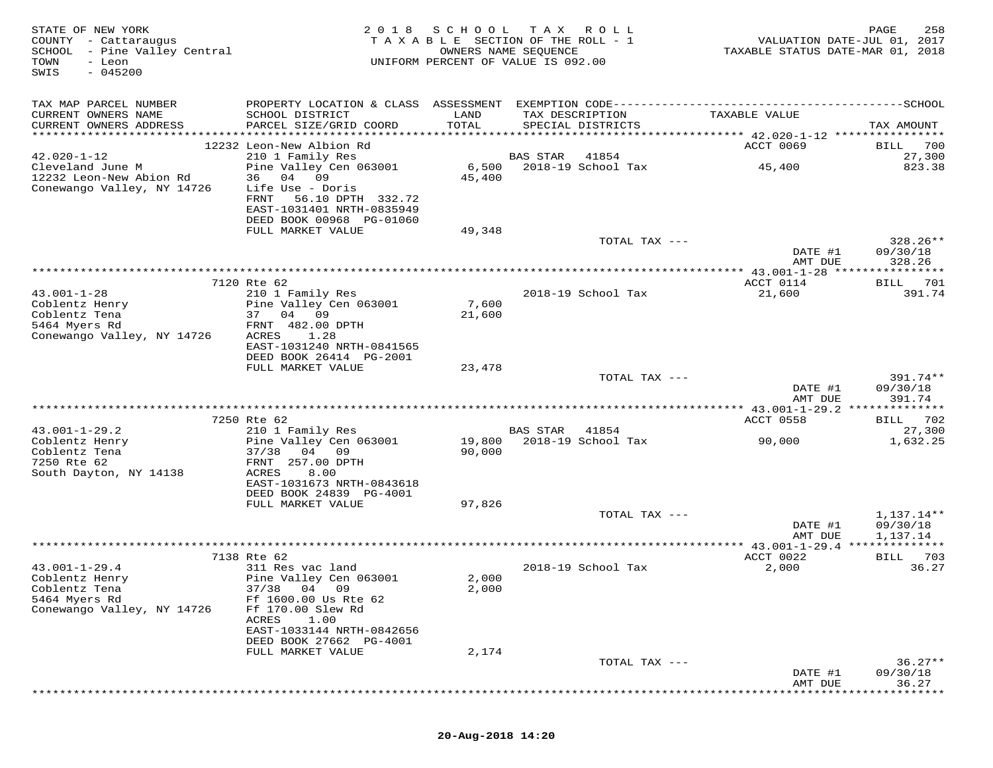| STATE OF NEW YORK<br>COUNTY - Cattaraugus<br>SCHOOL - Pine Valley Central<br>TOWN<br>- Leon<br>$-045200$<br>SWIS | 2 0 1 8                                                                                                          | S C H O O L      | T A X<br>R O L L<br>TAXABLE SECTION OF THE ROLL - 1<br>OWNERS NAME SEQUENCE<br>UNIFORM PERCENT OF VALUE IS 092.00 |               | VALUATION DATE-JUL 01, 2017<br>TAXABLE STATUS DATE-MAR 01, 2018 | PAGE<br>258                        |
|------------------------------------------------------------------------------------------------------------------|------------------------------------------------------------------------------------------------------------------|------------------|-------------------------------------------------------------------------------------------------------------------|---------------|-----------------------------------------------------------------|------------------------------------|
| TAX MAP PARCEL NUMBER                                                                                            |                                                                                                                  |                  |                                                                                                                   |               |                                                                 |                                    |
| CURRENT OWNERS NAME<br>CURRENT OWNERS ADDRESS                                                                    | SCHOOL DISTRICT<br>PARCEL SIZE/GRID COORD                                                                        | LAND<br>TOTAL    | TAX DESCRIPTION<br>SPECIAL DISTRICTS                                                                              |               | TAXABLE VALUE                                                   | TAX AMOUNT                         |
| ******************                                                                                               |                                                                                                                  |                  |                                                                                                                   |               |                                                                 |                                    |
| $42.020 - 1 - 12$                                                                                                | 12232 Leon-New Albion Rd<br>210 1 Family Res                                                                     |                  | BAS STAR<br>41854                                                                                                 |               | ACCT 0069                                                       | 700<br>BILL<br>27,300              |
| Cleveland June M<br>12232 Leon-New Abion Rd<br>Conewango Valley, NY 14726                                        | Pine Valley Cen 063001<br>36 04 09<br>Life Use - Doris<br>FRNT<br>56.10 DPTH 332.72<br>EAST-1031401 NRTH-0835949 | 6,500<br>45,400  | 2018-19 School Tax                                                                                                |               | 45,400                                                          | 823.38                             |
|                                                                                                                  | DEED BOOK 00968 PG-01060<br>FULL MARKET VALUE                                                                    | 49,348           |                                                                                                                   |               |                                                                 |                                    |
|                                                                                                                  |                                                                                                                  |                  |                                                                                                                   | TOTAL TAX --- | DATE #1                                                         | $328.26**$<br>09/30/18             |
|                                                                                                                  |                                                                                                                  |                  |                                                                                                                   |               | AMT DUE                                                         | 328.26                             |
|                                                                                                                  | 7120 Rte 62                                                                                                      |                  |                                                                                                                   |               | ACCT 0114                                                       | 701<br>BILL                        |
| $43.001 - 1 - 28$<br>Coblentz Henry<br>Coblentz Tena<br>5464 Myers Rd                                            | 210 1 Family Res<br>Pine Valley Cen 063001<br>37 04 09<br>FRNT 482.00 DPTH                                       | 7,600<br>21,600  | 2018-19 School Tax                                                                                                |               | 21,600                                                          | 391.74                             |
| Conewango Valley, NY 14726                                                                                       | ACRES<br>1.28<br>EAST-1031240 NRTH-0841565<br>DEED BOOK 26414 PG-2001<br>FULL MARKET VALUE                       | 23,478           |                                                                                                                   |               |                                                                 |                                    |
|                                                                                                                  |                                                                                                                  |                  |                                                                                                                   | TOTAL TAX --- |                                                                 | 391.74**                           |
|                                                                                                                  |                                                                                                                  |                  |                                                                                                                   |               | DATE #1<br>AMT DUE                                              | 09/30/18<br>391.74                 |
|                                                                                                                  |                                                                                                                  |                  |                                                                                                                   |               |                                                                 |                                    |
| $43.001 - 1 - 29.2$                                                                                              | 7250 Rte 62<br>210 1 Family Res                                                                                  |                  | BAS STAR<br>41854                                                                                                 |               | ACCT 0558                                                       | BILL 702<br>27,300                 |
| Coblentz Henry<br>Coblentz Tena<br>7250 Rte 62<br>South Dayton, NY 14138                                         | Pine Valley Cen 063001<br>37/38<br>04 09<br>FRNT 257.00 DPTH<br>ACRES<br>8.00                                    | 19,800<br>90,000 | 2018-19 School Tax                                                                                                |               | 90,000                                                          | 1,632.25                           |
|                                                                                                                  | EAST-1031673 NRTH-0843618<br>DEED BOOK 24839 PG-4001                                                             |                  |                                                                                                                   |               |                                                                 |                                    |
|                                                                                                                  | FULL MARKET VALUE                                                                                                | 97,826           |                                                                                                                   |               |                                                                 |                                    |
|                                                                                                                  |                                                                                                                  |                  |                                                                                                                   | TOTAL TAX --- | DATE #1<br>AMT DUE                                              | 1,137.14**<br>09/30/18<br>1,137.14 |
|                                                                                                                  |                                                                                                                  |                  |                                                                                                                   |               |                                                                 |                                    |
|                                                                                                                  | 7138 Rte 62                                                                                                      |                  |                                                                                                                   |               | ACCT 0022                                                       | 703<br>BILL                        |
| $43.001 - 1 - 29.4$<br>Coblentz Henry<br>Coblentz Tena<br>5464 Myers Rd<br>Conewango Valley, NY 14726            | 311 Res vac land<br>Pine Valley Cen 063001<br>37/38 04 09<br>Ff 1600.00 Us Rte 62<br>Ff 170.00 Slew Rd           | 2,000<br>2,000   | 2018-19 School Tax                                                                                                |               | 2,000                                                           | 36.27                              |
|                                                                                                                  | ACRES<br>1.00<br>EAST-1033144 NRTH-0842656<br>DEED BOOK 27662 PG-4001<br>FULL MARKET VALUE                       | 2,174            |                                                                                                                   |               |                                                                 |                                    |
|                                                                                                                  |                                                                                                                  |                  |                                                                                                                   | TOTAL TAX --- |                                                                 | $36.27**$                          |
|                                                                                                                  |                                                                                                                  |                  |                                                                                                                   |               | DATE #1<br>AMT DUE                                              | 09/30/18<br>36.27                  |
|                                                                                                                  |                                                                                                                  |                  |                                                                                                                   |               |                                                                 |                                    |

## **20-Aug-2018 14:20**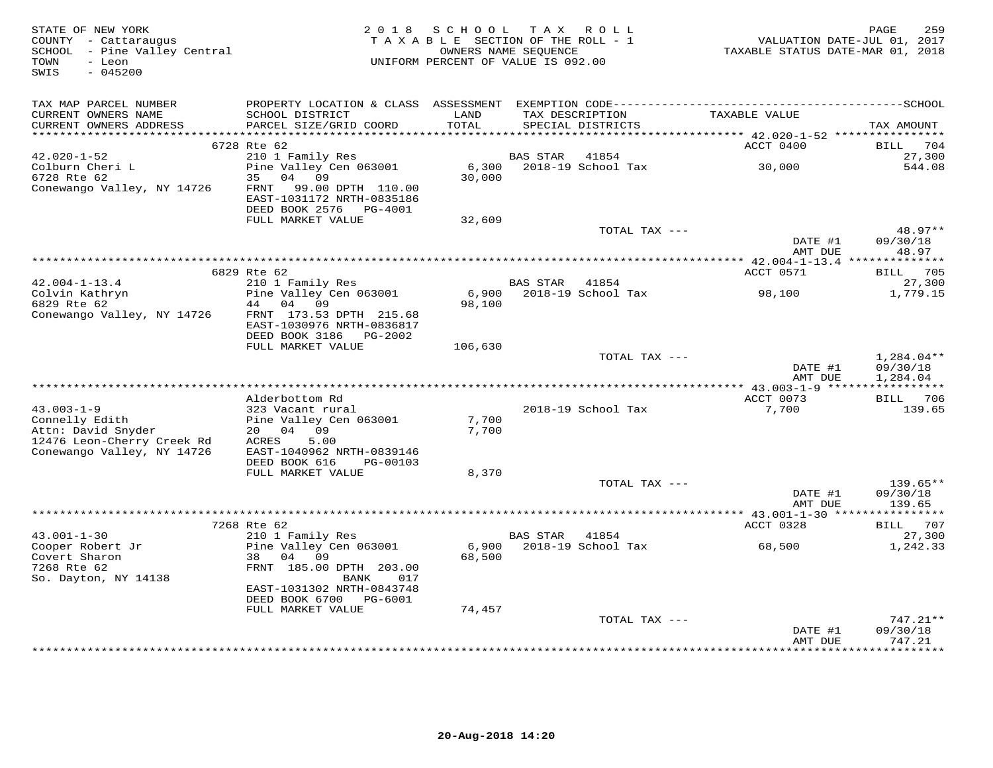| STATE OF NEW YORK<br>COUNTY - Cattaraugus<br>SCHOOL - Pine Valley Central<br>TOWN<br>- Leon<br>SWIS<br>$-045200$ | 2 0 1 8                                                | SCHOOL TAX ROLL<br>TAXABLE SECTION OF THE ROLL - 1<br>OWNERS NAME SEQUENCE<br>UNIFORM PERCENT OF VALUE IS 092.00 |                |                                      | VALUATION DATE-JUL 01, 2017<br>TAXABLE STATUS DATE-MAR 01, 2018 | 259<br>PAGE                   |
|------------------------------------------------------------------------------------------------------------------|--------------------------------------------------------|------------------------------------------------------------------------------------------------------------------|----------------|--------------------------------------|-----------------------------------------------------------------|-------------------------------|
| TAX MAP PARCEL NUMBER                                                                                            |                                                        |                                                                                                                  |                |                                      |                                                                 |                               |
| CURRENT OWNERS NAME<br>CURRENT OWNERS ADDRESS                                                                    | SCHOOL DISTRICT<br>PARCEL SIZE/GRID COORD              | LAND<br>TOTAL                                                                                                    |                | TAX DESCRIPTION<br>SPECIAL DISTRICTS | TAXABLE VALUE                                                   | TAX AMOUNT                    |
|                                                                                                                  |                                                        |                                                                                                                  |                |                                      |                                                                 |                               |
|                                                                                                                  | 6728 Rte 62                                            |                                                                                                                  |                |                                      | ACCT 0400                                                       | BILL 704                      |
| 42.020-1-52                                                                                                      | 210 1 Family Res                                       |                                                                                                                  | BAS STAR       | 41854                                |                                                                 | 27,300                        |
|                                                                                                                  | Pine Valley Cen 063001                                 |                                                                                                                  |                | 6,300 2018-19 School Tax             | 30,000                                                          | 544.08                        |
| Colburn Cheri L<br>6728 Rte 62                                                                                   | 35 04 09                                               | 30,000                                                                                                           |                |                                      |                                                                 |                               |
| Conewango Valley, NY 14726                                                                                       | FRNT<br>99.00 DPTH 110.00<br>EAST-1031172 NRTH-0835186 |                                                                                                                  |                |                                      |                                                                 |                               |
|                                                                                                                  | DEED BOOK 2576 PG-4001                                 |                                                                                                                  |                |                                      |                                                                 |                               |
|                                                                                                                  | FULL MARKET VALUE                                      | 32,609                                                                                                           |                |                                      |                                                                 |                               |
|                                                                                                                  |                                                        |                                                                                                                  |                | TOTAL TAX ---                        |                                                                 | $48.97**$                     |
|                                                                                                                  |                                                        |                                                                                                                  |                |                                      | DATE #1<br>AMT DUE                                              | 09/30/18<br>48.97             |
|                                                                                                                  | 6829 Rte 62                                            |                                                                                                                  |                |                                      | ACCT 0571                                                       | BILL 705                      |
| $42.004 - 1 - 13.4$                                                                                              | 210 1 Family Res                                       |                                                                                                                  | BAS STAR 41854 |                                      |                                                                 | 27,300                        |
|                                                                                                                  | Pine Valley Cen 063001                                 |                                                                                                                  |                |                                      |                                                                 | 1,779.15                      |
| Colvin Kathryn<br>6829 Rte 62<br>6829 Rte 62                                                                     | 44 04 09                                               | 98,100                                                                                                           |                |                                      |                                                                 |                               |
| Conewango Valley, NY 14726                                                                                       | FRNT 173.53 DPTH 215.68                                |                                                                                                                  |                |                                      |                                                                 |                               |
|                                                                                                                  | EAST-1030976 NRTH-0836817                              |                                                                                                                  |                |                                      |                                                                 |                               |
|                                                                                                                  | DEED BOOK 3186 PG-2002                                 |                                                                                                                  |                |                                      |                                                                 |                               |
|                                                                                                                  | FULL MARKET VALUE                                      | 106,630                                                                                                          |                |                                      |                                                                 |                               |
|                                                                                                                  |                                                        |                                                                                                                  |                | TOTAL TAX ---                        |                                                                 | $1,284.04**$                  |
|                                                                                                                  |                                                        |                                                                                                                  |                |                                      | DATE #1                                                         | 09/30/18                      |
|                                                                                                                  |                                                        |                                                                                                                  |                |                                      | AMT DUE                                                         | 1,284.04                      |
|                                                                                                                  | Alderbottom Rd                                         |                                                                                                                  |                |                                      | ACCT 0073                                                       | BILL 706                      |
| $43.003 - 1 - 9$                                                                                                 | 323 Vacant rural                                       |                                                                                                                  |                | 2018-19 School Tax                   | 7,700                                                           | 139.65                        |
| Connelly Edith                                                                                                   | Pine Valley Cen 063001                                 | 7,700                                                                                                            |                |                                      |                                                                 |                               |
| Attn: David Snyder                                                                                               | 20 04 09                                               | 7,700                                                                                                            |                |                                      |                                                                 |                               |
| 12476 Leon-Cherry Creek Rd                                                                                       | ACRES<br>5.00                                          |                                                                                                                  |                |                                      |                                                                 |                               |
| Conewango Valley, NY 14726                                                                                       | EAST-1040962 NRTH-0839146                              |                                                                                                                  |                |                                      |                                                                 |                               |
|                                                                                                                  | DEED BOOK 616<br>PG-00103                              |                                                                                                                  |                |                                      |                                                                 |                               |
|                                                                                                                  | FULL MARKET VALUE                                      | 8,370                                                                                                            |                |                                      |                                                                 |                               |
|                                                                                                                  |                                                        |                                                                                                                  |                | TOTAL TAX ---                        |                                                                 | 139.65**                      |
|                                                                                                                  |                                                        |                                                                                                                  |                |                                      | DATE #1                                                         | 09/30/18                      |
|                                                                                                                  |                                                        |                                                                                                                  |                |                                      | AMT DUE                                                         | 139.65                        |
|                                                                                                                  | 7268 Rte 62                                            |                                                                                                                  |                |                                      | ACCT 0328                                                       | BILL 707                      |
| $43.001 - 1 - 30$                                                                                                | 210 1 Family Res                                       |                                                                                                                  | BAS STAR 41854 |                                      |                                                                 | 27,300                        |
| Cooper Robert Jr                                                                                                 | Pine Valley Cen 063001                                 |                                                                                                                  |                |                                      |                                                                 | 1,242.33                      |
| Covert Sharon                                                                                                    | 38 04 09                                               | 68,500                                                                                                           |                |                                      |                                                                 |                               |
| 7268 Rte 62                                                                                                      | FRNT 185.00 DPTH 203.00                                |                                                                                                                  |                |                                      |                                                                 |                               |
| So. Dayton, NY 14138                                                                                             | BANK<br>017                                            |                                                                                                                  |                |                                      |                                                                 |                               |
|                                                                                                                  | EAST-1031302 NRTH-0843748                              |                                                                                                                  |                |                                      |                                                                 |                               |
|                                                                                                                  | DEED BOOK 6700 PG-6001                                 |                                                                                                                  |                |                                      |                                                                 |                               |
|                                                                                                                  | FULL MARKET VALUE                                      | 74,457                                                                                                           |                |                                      |                                                                 |                               |
|                                                                                                                  |                                                        |                                                                                                                  |                | TOTAL TAX ---                        |                                                                 | $747.21**$                    |
|                                                                                                                  |                                                        |                                                                                                                  |                |                                      | DATE #1                                                         | 09/30/18                      |
|                                                                                                                  |                                                        |                                                                                                                  |                |                                      | AMT DUE                                                         | 747.21<br>* * * * * * * * * * |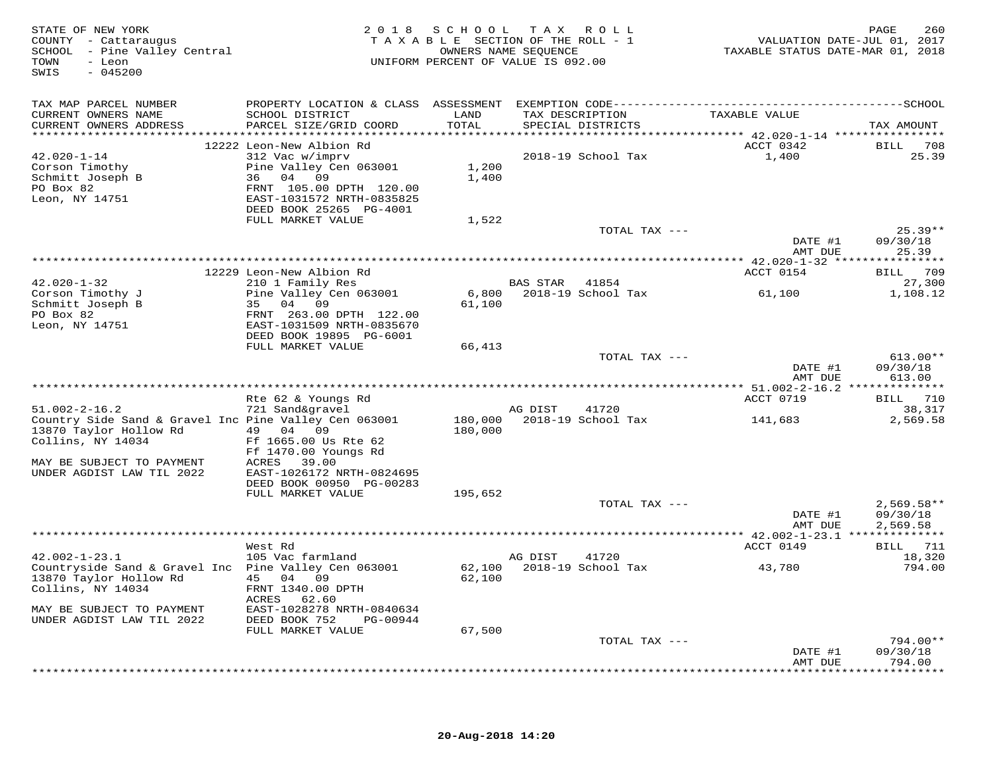| STATE OF NEW YORK<br>COUNTY - Cattaraugus<br>SCHOOL - Pine Valley Central<br>TOWN<br>- Leon<br>$-045200$<br>SWIS |                                                                                              | 2018 SCHOOL<br>TAXABLE SECTION OF THE ROLL - 1<br>OWNERS NAME SEQUENCE<br>UNIFORM PERCENT OF VALUE IS 092.00 |                | TAX ROLL                             | TAXABLE STATUS DATE-MAR 01, 2018 | 260<br>PAGE<br>VALUATION DATE-JUL 01, 2017 |
|------------------------------------------------------------------------------------------------------------------|----------------------------------------------------------------------------------------------|--------------------------------------------------------------------------------------------------------------|----------------|--------------------------------------|----------------------------------|--------------------------------------------|
| TAX MAP PARCEL NUMBER                                                                                            | PROPERTY LOCATION & CLASS ASSESSMENT EXEMPTION CODE-----------------------------------SCHOOL |                                                                                                              |                |                                      |                                  |                                            |
| CURRENT OWNERS NAME<br>CURRENT OWNERS ADDRESS                                                                    | SCHOOL DISTRICT<br>PARCEL SIZE/GRID COORD                                                    | LAND<br>TOTAL                                                                                                |                | TAX DESCRIPTION<br>SPECIAL DISTRICTS | TAXABLE VALUE                    | TAX AMOUNT                                 |
|                                                                                                                  | 12222 Leon-New Albion Rd                                                                     |                                                                                                              |                |                                      | ACCT 0342                        | BILL 708                                   |
| $42.020 - 1 - 14$                                                                                                | 312 Vac w/imprv                                                                              |                                                                                                              |                | 2018-19 School Tax                   | 1,400                            | 25.39                                      |
| Corson Timothy                                                                                                   | Pine Valley Cen 063001                                                                       | 1,200                                                                                                        |                |                                      |                                  |                                            |
| Schmitt Joseph B                                                                                                 | 36 04 09                                                                                     | 1,400                                                                                                        |                |                                      |                                  |                                            |
| PO Box 82                                                                                                        | FRNT 105.00 DPTH 120.00                                                                      |                                                                                                              |                |                                      |                                  |                                            |
| Leon, NY 14751                                                                                                   | EAST-1031572 NRTH-0835825                                                                    |                                                                                                              |                |                                      |                                  |                                            |
|                                                                                                                  | DEED BOOK 25265 PG-4001                                                                      |                                                                                                              |                |                                      |                                  |                                            |
|                                                                                                                  | FULL MARKET VALUE                                                                            | 1,522                                                                                                        |                | TOTAL TAX ---                        |                                  | $25.39**$                                  |
|                                                                                                                  |                                                                                              |                                                                                                              |                |                                      | DATE #1                          | 09/30/18                                   |
|                                                                                                                  |                                                                                              |                                                                                                              |                |                                      | AMT DUE                          | 25.39                                      |
|                                                                                                                  |                                                                                              |                                                                                                              |                |                                      |                                  |                                            |
|                                                                                                                  | 12229 Leon-New Albion Rd                                                                     |                                                                                                              |                |                                      | ACCT 0154                        | BILL 709                                   |
| $42.020 - 1 - 32$                                                                                                | 210 1 Family Res                                                                             |                                                                                                              | BAS STAR 41854 |                                      |                                  | 27,300                                     |
| Corson Timothy J                                                                                                 | Pine Valley Cen 063001                                                                       | 6,800                                                                                                        |                | 2018-19 School Tax                   | 61,100                           | 1,108.12                                   |
| Schmitt Joseph B                                                                                                 | 35 04 09                                                                                     | 61,100                                                                                                       |                |                                      |                                  |                                            |
| PO Box 82                                                                                                        | FRNT 263.00 DPTH 122.00                                                                      |                                                                                                              |                |                                      |                                  |                                            |
| Leon, NY 14751                                                                                                   | EAST-1031509 NRTH-0835670<br>DEED BOOK 19895 PG-6001                                         |                                                                                                              |                |                                      |                                  |                                            |
|                                                                                                                  | FULL MARKET VALUE                                                                            | 66,413                                                                                                       |                |                                      |                                  |                                            |
|                                                                                                                  |                                                                                              |                                                                                                              |                | TOTAL TAX ---                        |                                  | $613.00**$                                 |
|                                                                                                                  |                                                                                              |                                                                                                              |                |                                      | DATE #1                          | 09/30/18                                   |
|                                                                                                                  |                                                                                              |                                                                                                              |                |                                      | AMT DUE                          | 613.00                                     |
|                                                                                                                  |                                                                                              |                                                                                                              |                |                                      |                                  |                                            |
|                                                                                                                  | Rte 62 & Youngs Rd                                                                           |                                                                                                              |                |                                      | ACCT 0719                        | BILL 710                                   |
| $51.002 - 2 - 16.2$                                                                                              | 721 Sand&gravel                                                                              |                                                                                                              | AG DIST        | 41720                                |                                  | 38,317                                     |
| Country Side Sand & Gravel Inc Pine Valley Cen 063001<br>13870 Taylor Hollow Rd                                  | 49 04 09                                                                                     | 180,000<br>180,000                                                                                           |                | 2018-19 School Tax                   | 141,683                          | 2,569.58                                   |
| Collins, NY 14034                                                                                                | Ff 1665.00 Us Rte 62                                                                         |                                                                                                              |                |                                      |                                  |                                            |
|                                                                                                                  | Ff 1470.00 Youngs Rd                                                                         |                                                                                                              |                |                                      |                                  |                                            |
| MAY BE SUBJECT TO PAYMENT                                                                                        | ACRES<br>39.00                                                                               |                                                                                                              |                |                                      |                                  |                                            |
| UNDER AGDIST LAW TIL 2022                                                                                        | EAST-1026172 NRTH-0824695                                                                    |                                                                                                              |                |                                      |                                  |                                            |
|                                                                                                                  | DEED BOOK 00950 PG-00283                                                                     |                                                                                                              |                |                                      |                                  |                                            |
|                                                                                                                  | FULL MARKET VALUE                                                                            | 195,652                                                                                                      |                |                                      |                                  |                                            |
|                                                                                                                  |                                                                                              |                                                                                                              |                | TOTAL TAX ---                        |                                  | $2,569.58**$                               |
|                                                                                                                  |                                                                                              |                                                                                                              |                |                                      | DATE #1                          | 09/30/18                                   |
|                                                                                                                  |                                                                                              |                                                                                                              |                |                                      | AMT DUE                          | 2,569.58                                   |
|                                                                                                                  | West Rd                                                                                      |                                                                                                              |                |                                      | ACCT 0149                        | BILL 711                                   |
| $42.002 - 1 - 23.1$                                                                                              | 105 Vac farmland                                                                             |                                                                                                              | AG DIST        | 41720                                |                                  | 18,320                                     |
| Countryside Sand & Gravel Inc Pine Valley Cen 063001                                                             |                                                                                              | 62,100                                                                                                       |                | 2018-19 School Tax                   | 43,780                           | 794.00                                     |
| 13870 Taylor Hollow Rd                                                                                           | 45 04 09                                                                                     | 62,100                                                                                                       |                |                                      |                                  |                                            |
| Collins, NY 14034                                                                                                | FRNT 1340.00 DPTH<br>62.60<br>ACRES                                                          |                                                                                                              |                |                                      |                                  |                                            |
| MAY BE SUBJECT TO PAYMENT                                                                                        | EAST-1028278 NRTH-0840634                                                                    |                                                                                                              |                |                                      |                                  |                                            |
| UNDER AGDIST LAW TIL 2022                                                                                        | DEED BOOK 752<br>PG-00944                                                                    |                                                                                                              |                |                                      |                                  |                                            |
|                                                                                                                  | FULL MARKET VALUE                                                                            | 67,500                                                                                                       |                |                                      |                                  |                                            |
|                                                                                                                  |                                                                                              |                                                                                                              |                | TOTAL TAX ---                        |                                  | 794.00**                                   |
|                                                                                                                  |                                                                                              |                                                                                                              |                |                                      | DATE #1                          | 09/30/18                                   |
|                                                                                                                  |                                                                                              |                                                                                                              |                |                                      | AMT DUE                          | 794.00                                     |
|                                                                                                                  |                                                                                              |                                                                                                              |                |                                      |                                  | * * * * * * * * * *                        |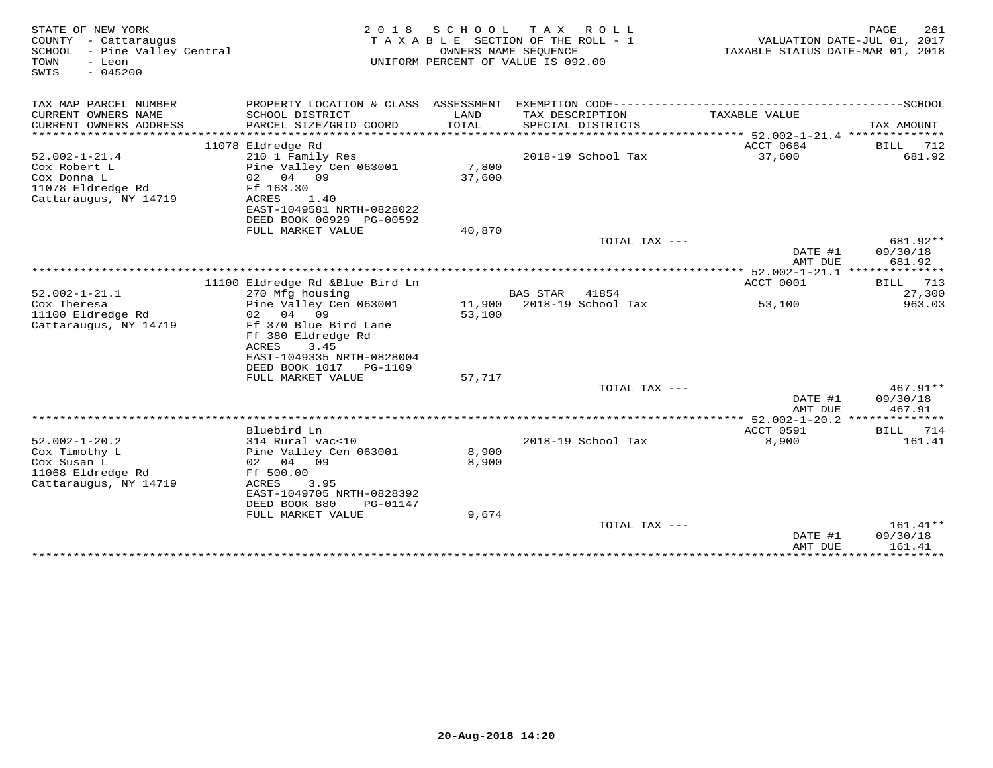| STATE OF NEW YORK<br>COUNTY - Cattaraugus<br>SCHOOL<br>- Pine Valley Central<br>TOWN<br>- Leon<br>SWIS<br>$-045200$ | 2 0 1 8                                                                                                                                        | SCHOOL          | T A X<br>R O L L<br>TAXABLE SECTION OF THE ROLL - 1<br>OWNERS NAME SEQUENCE<br>UNIFORM PERCENT OF VALUE IS 092.00 | TAXABLE STATUS DATE-MAR 01, 2018 | PAGE<br>261<br>VALUATION DATE-JUL 01, 2017 |
|---------------------------------------------------------------------------------------------------------------------|------------------------------------------------------------------------------------------------------------------------------------------------|-----------------|-------------------------------------------------------------------------------------------------------------------|----------------------------------|--------------------------------------------|
| TAX MAP PARCEL NUMBER                                                                                               |                                                                                                                                                |                 |                                                                                                                   |                                  |                                            |
| CURRENT OWNERS NAME<br>CURRENT OWNERS ADDRESS                                                                       | SCHOOL DISTRICT<br>PARCEL SIZE/GRID COORD                                                                                                      | LAND<br>TOTAL   | TAX DESCRIPTION<br>SPECIAL DISTRICTS                                                                              | TAXABLE VALUE                    | TAX AMOUNT                                 |
| ***********************                                                                                             | 11078 Eldredge Rd                                                                                                                              |                 |                                                                                                                   | ACCT 0664                        | BILL<br>712                                |
| $52.002 - 1 - 21.4$<br>Cox Robert L<br>Cox Donna L<br>11078 Eldredge Rd<br>Cattaraugus, NY 14719                    | 210 1 Family Res<br>Pine Valley Cen 063001<br>02 04 09<br>Ff 163.30<br>ACRES<br>1.40                                                           | 7,800<br>37,600 | 2018-19 School Tax                                                                                                | 37,600                           | 681.92                                     |
|                                                                                                                     | EAST-1049581 NRTH-0828022                                                                                                                      |                 |                                                                                                                   |                                  |                                            |
|                                                                                                                     | DEED BOOK 00929 PG-00592<br>FULL MARKET VALUE                                                                                                  | 40,870          |                                                                                                                   |                                  |                                            |
|                                                                                                                     |                                                                                                                                                |                 | TOTAL TAX ---                                                                                                     |                                  | 681.92**                                   |
|                                                                                                                     |                                                                                                                                                |                 |                                                                                                                   | DATE #1<br>AMT DUE               | 09/30/18<br>681.92                         |
|                                                                                                                     |                                                                                                                                                |                 |                                                                                                                   |                                  |                                            |
|                                                                                                                     | 11100 Eldredge Rd &Blue Bird Ln                                                                                                                |                 |                                                                                                                   | ACCT 0001                        | <b>BILL</b><br>713                         |
| $52.002 - 1 - 21.1$<br>Cox Theresa                                                                                  | 270 Mfg housing<br>Pine Valley Cen 063001                                                                                                      | 11,900          | <b>BAS STAR</b><br>41854<br>2018-19 School Tax                                                                    | 53,100                           | 27,300<br>963.03                           |
| 11100 Eldredge Rd                                                                                                   | 04 09<br>02                                                                                                                                    | 53,100          |                                                                                                                   |                                  |                                            |
| Cattaraugus, NY 14719                                                                                               | Ff 370 Blue Bird Lane<br>Ff 380 Eldredge Rd<br>3.45<br>ACRES<br>EAST-1049335 NRTH-0828004<br>DEED BOOK 1017 PG-1109                            |                 |                                                                                                                   |                                  |                                            |
|                                                                                                                     | FULL MARKET VALUE                                                                                                                              | 57,717          | TOTAL TAX ---                                                                                                     |                                  | $467.91**$                                 |
|                                                                                                                     |                                                                                                                                                |                 |                                                                                                                   | DATE #1<br>AMT DUE               | 09/30/18<br>467.91                         |
|                                                                                                                     |                                                                                                                                                |                 |                                                                                                                   | ** 52.002-1-20.2 **************  |                                            |
|                                                                                                                     | Bluebird Ln                                                                                                                                    |                 |                                                                                                                   | ACCT 0591                        | 714<br>BILL                                |
| $52.002 - 1 - 20.2$<br>Cox Timothy L<br>Cox Susan L<br>11068 Eldredge Rd<br>Cattaraugus, NY 14719                   | 314 Rural vac<10<br>Pine Valley Cen 063001<br>02 04 09<br>Ff 500.00<br>ACRES<br>3.95<br>EAST-1049705 NRTH-0828392<br>DEED BOOK 880<br>PG-01147 | 8,900<br>8,900  | 2018-19 School Tax                                                                                                | 8,900                            | 161.41                                     |
|                                                                                                                     | FULL MARKET VALUE                                                                                                                              | 9,674           |                                                                                                                   |                                  |                                            |
|                                                                                                                     |                                                                                                                                                |                 | TOTAL TAX ---                                                                                                     | DATE #1<br>AMT DUE               | 161.41**<br>09/30/18<br>161.41             |
|                                                                                                                     |                                                                                                                                                |                 |                                                                                                                   | *************                    | **************                             |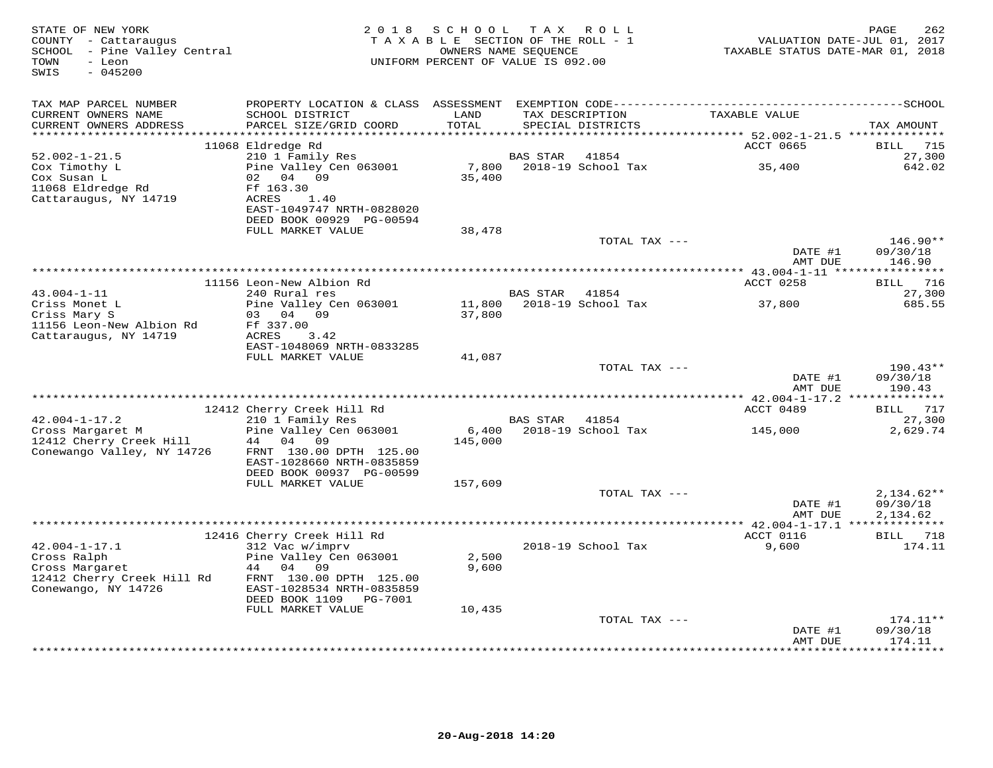| STATE OF NEW YORK<br>COUNTY - Cattaraugus<br>SCHOOL - Pine Valley Central<br>TOWN<br>- Leon<br>$-045200$<br>SWIS | 2 0 1 8                                               | SCHOOL<br>TAXABLE SECTION OF THE ROLL - 1<br>OWNERS NAME SEQUENCE<br>UNIFORM PERCENT OF VALUE IS 092.00 | T A X           | ROLL                                 | TAXABLE STATUS DATE-MAR 01, 2018                          | PAGE<br>262<br>VALUATION DATE-JUL 01, 2017 |
|------------------------------------------------------------------------------------------------------------------|-------------------------------------------------------|---------------------------------------------------------------------------------------------------------|-----------------|--------------------------------------|-----------------------------------------------------------|--------------------------------------------|
| TAX MAP PARCEL NUMBER                                                                                            |                                                       |                                                                                                         |                 |                                      |                                                           |                                            |
| CURRENT OWNERS NAME<br>CURRENT OWNERS ADDRESS                                                                    | SCHOOL DISTRICT<br>PARCEL SIZE/GRID COORD             | LAND<br>TOTAL                                                                                           |                 | TAX DESCRIPTION<br>SPECIAL DISTRICTS | TAXABLE VALUE                                             | TAX AMOUNT                                 |
| ***********************                                                                                          | 11068 Eldredge Rd                                     |                                                                                                         |                 |                                      | ACCT 0665                                                 | 715<br>BILL                                |
| $52.002 - 1 - 21.5$                                                                                              | 210 1 Family Res                                      |                                                                                                         | <b>BAS STAR</b> | 41854                                |                                                           | 27,300                                     |
| Cox Timothy L                                                                                                    | Pine Valley Cen 063001                                | 7,800                                                                                                   |                 | 2018-19 School Tax                   | 35,400                                                    | 642.02                                     |
| Cox Susan L                                                                                                      | 02<br>04 09                                           | 35,400                                                                                                  |                 |                                      |                                                           |                                            |
| 11068 Eldredge Rd                                                                                                | Ff 163.30                                             |                                                                                                         |                 |                                      |                                                           |                                            |
| Cattaraugus, NY 14719                                                                                            | ACRES<br>1.40                                         |                                                                                                         |                 |                                      |                                                           |                                            |
|                                                                                                                  | EAST-1049747 NRTH-0828020<br>DEED BOOK 00929 PG-00594 |                                                                                                         |                 |                                      |                                                           |                                            |
|                                                                                                                  | FULL MARKET VALUE                                     | 38,478                                                                                                  |                 |                                      |                                                           |                                            |
|                                                                                                                  |                                                       |                                                                                                         |                 | TOTAL TAX ---                        |                                                           | $146.90**$                                 |
|                                                                                                                  |                                                       |                                                                                                         |                 |                                      | DATE #1<br>AMT DUE                                        | 09/30/18<br>146.90                         |
|                                                                                                                  |                                                       |                                                                                                         |                 |                                      |                                                           |                                            |
|                                                                                                                  | 11156 Leon-New Albion Rd                              |                                                                                                         |                 |                                      | ACCT 0258                                                 | 716<br>BILL                                |
| $43.004 - 1 - 11$<br>Criss Monet L                                                                               | 240 Rural res<br>Pine Valley Cen 063001               | 11,800                                                                                                  | <b>BAS STAR</b> | 41854<br>2018-19 School Tax          | 37,800                                                    | 27,300<br>685.55                           |
| Criss Mary S                                                                                                     | 03<br>04<br>09                                        | 37,800                                                                                                  |                 |                                      |                                                           |                                            |
| 11156 Leon-New Albion Rd                                                                                         | Ff 337.00                                             |                                                                                                         |                 |                                      |                                                           |                                            |
| Cattaraugus, NY 14719                                                                                            | ACRES<br>3.42                                         |                                                                                                         |                 |                                      |                                                           |                                            |
|                                                                                                                  | EAST-1048069 NRTH-0833285                             |                                                                                                         |                 |                                      |                                                           |                                            |
|                                                                                                                  | FULL MARKET VALUE                                     | 41,087                                                                                                  |                 |                                      |                                                           |                                            |
|                                                                                                                  |                                                       |                                                                                                         |                 | TOTAL TAX ---                        | DATE #1                                                   | $190.43**$<br>09/30/18                     |
|                                                                                                                  |                                                       |                                                                                                         |                 |                                      | AMT DUE                                                   | 190.43                                     |
|                                                                                                                  | 12412 Cherry Creek Hill Rd                            |                                                                                                         |                 |                                      | *************** 42.004-1-17.2 **************<br>ACCT 0489 | 717<br>BILL                                |
| $42.004 - 1 - 17.2$                                                                                              | 210 1 Family Res                                      |                                                                                                         | <b>BAS STAR</b> | 41854                                |                                                           | 27,300                                     |
| Cross Margaret M                                                                                                 | Pine Valley Cen 063001                                | 6,400                                                                                                   |                 | 2018-19 School Tax                   | 145,000                                                   | 2,629.74                                   |
| 12412 Cherry Creek Hill                                                                                          | 44<br>04<br>09                                        | 145,000                                                                                                 |                 |                                      |                                                           |                                            |
| Conewango Valley, NY 14726                                                                                       | FRNT 130.00 DPTH 125.00                               |                                                                                                         |                 |                                      |                                                           |                                            |
|                                                                                                                  | EAST-1028660 NRTH-0835859                             |                                                                                                         |                 |                                      |                                                           |                                            |
|                                                                                                                  | DEED BOOK 00937 PG-00599<br>FULL MARKET VALUE         | 157,609                                                                                                 |                 |                                      |                                                           |                                            |
|                                                                                                                  |                                                       |                                                                                                         |                 | TOTAL TAX ---                        |                                                           | $2,134.62**$                               |
|                                                                                                                  |                                                       |                                                                                                         |                 |                                      | DATE #1                                                   | 09/30/18                                   |
|                                                                                                                  |                                                       |                                                                                                         |                 |                                      | AMT DUE                                                   | 2,134.62                                   |
|                                                                                                                  |                                                       |                                                                                                         |                 |                                      |                                                           |                                            |
|                                                                                                                  | 12416 Cherry Creek Hill Rd                            |                                                                                                         |                 |                                      | ACCT 0116                                                 | BILL 718                                   |
| $42.004 - 1 - 17.1$<br>Cross Ralph                                                                               | 312 Vac w/imprv<br>Pine Valley Cen 063001             | 2,500                                                                                                   |                 | 2018-19 School Tax                   | 9,600                                                     | 174.11                                     |
| Cross Margaret                                                                                                   | 44 04 09                                              | 9,600                                                                                                   |                 |                                      |                                                           |                                            |
| 12412 Cherry Creek Hill Rd                                                                                       | FRNT 130.00 DPTH 125.00                               |                                                                                                         |                 |                                      |                                                           |                                            |
| Conewango, NY 14726                                                                                              | EAST-1028534 NRTH-0835859                             |                                                                                                         |                 |                                      |                                                           |                                            |
|                                                                                                                  | DEED BOOK 1109<br>PG-7001                             |                                                                                                         |                 |                                      |                                                           |                                            |
|                                                                                                                  | FULL MARKET VALUE                                     | 10,435                                                                                                  |                 |                                      |                                                           |                                            |
|                                                                                                                  |                                                       |                                                                                                         |                 | TOTAL TAX ---                        | DATE #1                                                   | 174.11**<br>09/30/18                       |
|                                                                                                                  |                                                       |                                                                                                         |                 |                                      | AMT DUE                                                   | 174.11                                     |
|                                                                                                                  |                                                       |                                                                                                         |                 |                                      |                                                           | *********                                  |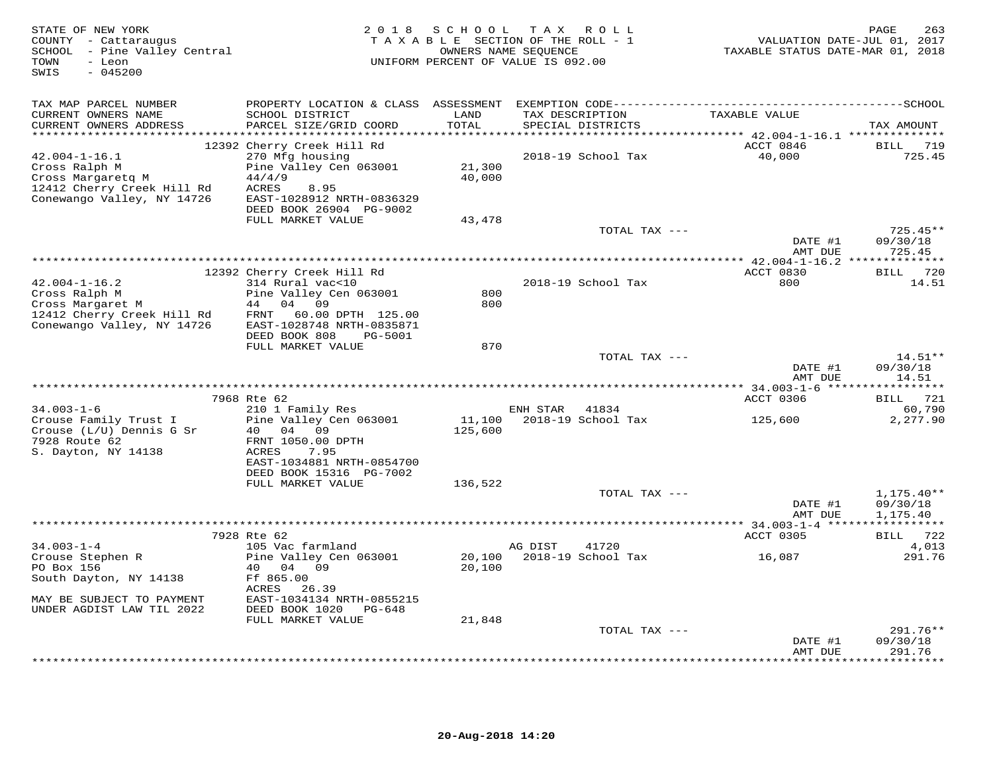| STATE OF NEW YORK<br>COUNTY - Cattaraugus<br>SCHOOL - Pine Valley Central<br>- Leon<br>TOWN<br>$-045200$<br>SWIS      | 2 0 1 8                                                                                                                                                    |                  | SCHOOL TAX ROLL<br>TAXABLE SECTION OF THE ROLL - 1<br>OWNERS NAME SEQUENCE<br>UNIFORM PERCENT OF VALUE IS 092.00 | VALUATION DATE-JUL 01, 2017<br>TAXABLE STATUS DATE-MAR 01, 2018 | 263<br>PAGE                          |
|-----------------------------------------------------------------------------------------------------------------------|------------------------------------------------------------------------------------------------------------------------------------------------------------|------------------|------------------------------------------------------------------------------------------------------------------|-----------------------------------------------------------------|--------------------------------------|
| TAX MAP PARCEL NUMBER                                                                                                 |                                                                                                                                                            |                  |                                                                                                                  |                                                                 |                                      |
| CURRENT OWNERS NAME<br>CURRENT OWNERS ADDRESS                                                                         | SCHOOL DISTRICT<br>PARCEL SIZE/GRID COORD                                                                                                                  | LAND<br>TOTAL    | TAX DESCRIPTION<br>SPECIAL DISTRICTS                                                                             | TAXABLE VALUE                                                   | TAX AMOUNT                           |
| $42.004 - 1 - 16.1$<br>Cross Ralph M<br>Cross Margaretq M<br>12412 Cherry Creek Hill Rd<br>Conewango Valley, NY 14726 | 12392 Cherry Creek Hill Rd<br>270 Mfg housing<br>Pine Valley Cen 063001<br>44/4/9<br>ACRES<br>8.95<br>EAST-1028912 NRTH-0836329<br>DEED BOOK 26904 PG-9002 | 21,300<br>40,000 | 2018-19 School Tax                                                                                               | ACCT 0846<br>40,000                                             | BILL 719<br>725.45                   |
|                                                                                                                       | FULL MARKET VALUE                                                                                                                                          | 43,478           |                                                                                                                  |                                                                 |                                      |
|                                                                                                                       |                                                                                                                                                            |                  | TOTAL TAX ---                                                                                                    | DATE #1                                                         | $725.45**$<br>09/30/18               |
| *****************************                                                                                         |                                                                                                                                                            |                  |                                                                                                                  | AMT DUE                                                         | 725.45                               |
|                                                                                                                       | 12392 Cherry Creek Hill Rd                                                                                                                                 |                  |                                                                                                                  | ACCT 0830                                                       | BILL 720                             |
| $42.004 - 1 - 16.2$<br>Cross Ralph M<br>Cross Margaret M<br>12412 Cherry Creek Hill Rd<br>Conewango Valley, NY 14726  | 314 Rural vac<10<br>Pine Valley Cen 063001<br>44 04 09<br>60.00 DPTH 125.00<br>FRNT<br>EAST-1028748 NRTH-0835871                                           | 800<br>800       | 2018-19 School Tax                                                                                               | 800                                                             | 14.51                                |
|                                                                                                                       | DEED BOOK 808<br>PG-5001<br>FULL MARKET VALUE                                                                                                              | 870              |                                                                                                                  |                                                                 |                                      |
|                                                                                                                       |                                                                                                                                                            |                  | TOTAL TAX ---                                                                                                    | DATE #1<br>AMT DUE                                              | $14.51**$<br>09/30/18<br>14.51       |
|                                                                                                                       |                                                                                                                                                            |                  |                                                                                                                  |                                                                 |                                      |
| $34.003 - 1 - 6$<br>Crouse Family Trust I                                                                             | 7968 Rte 62<br>210 1 Family Res<br>Pine Valley Cen 063001                                                                                                  | 11,100           | ENH STAR 41834<br>2018-19 School Tax                                                                             | ACCT 0306<br>125,600                                            | BILL 721<br>60,790<br>2,277.90       |
| Crouse (L/U) Dennis G Sr<br>7928 Route 62<br>S. Dayton, NY 14138                                                      | 40 04 09<br>FRNT 1050.00 DPTH<br>ACRES<br>7.95<br>EAST-1034881 NRTH-0854700<br>DEED BOOK 15316 PG-7002                                                     | 125,600          |                                                                                                                  |                                                                 |                                      |
|                                                                                                                       | FULL MARKET VALUE                                                                                                                                          | 136,522          |                                                                                                                  |                                                                 |                                      |
|                                                                                                                       |                                                                                                                                                            |                  | TOTAL TAX ---                                                                                                    | DATE #1<br>AMT DUE                                              | $1,175.40**$<br>09/30/18<br>1,175.40 |
|                                                                                                                       |                                                                                                                                                            |                  |                                                                                                                  |                                                                 |                                      |
| $34.003 - 1 - 4$                                                                                                      | 7928 Rte 62<br>105 Vac farmland                                                                                                                            |                  | 41720<br>AG DIST                                                                                                 | ACCT 0305                                                       | BILL 722<br>4,013                    |
| Crouse Stephen R<br>PO Box 156<br>South Dayton, NY 14138                                                              | Pine Valley Cen 063001<br>40 04 09<br>Ff 865.00<br>ACRES<br>26.39                                                                                          | 20,100<br>20,100 | 2018-19 School Tax                                                                                               | 16,087                                                          | 291.76                               |
| MAY BE SUBJECT TO PAYMENT<br>UNDER AGDIST LAW TIL 2022                                                                | EAST-1034134 NRTH-0855215<br>DEED BOOK 1020 PG-648                                                                                                         |                  |                                                                                                                  |                                                                 |                                      |
|                                                                                                                       | FULL MARKET VALUE                                                                                                                                          | 21,848           | TOTAL TAX ---                                                                                                    |                                                                 | 291.76**                             |
|                                                                                                                       |                                                                                                                                                            |                  |                                                                                                                  | DATE #1<br>AMT DUE                                              | 09/30/18<br>291.76                   |
|                                                                                                                       |                                                                                                                                                            |                  |                                                                                                                  |                                                                 | ********                             |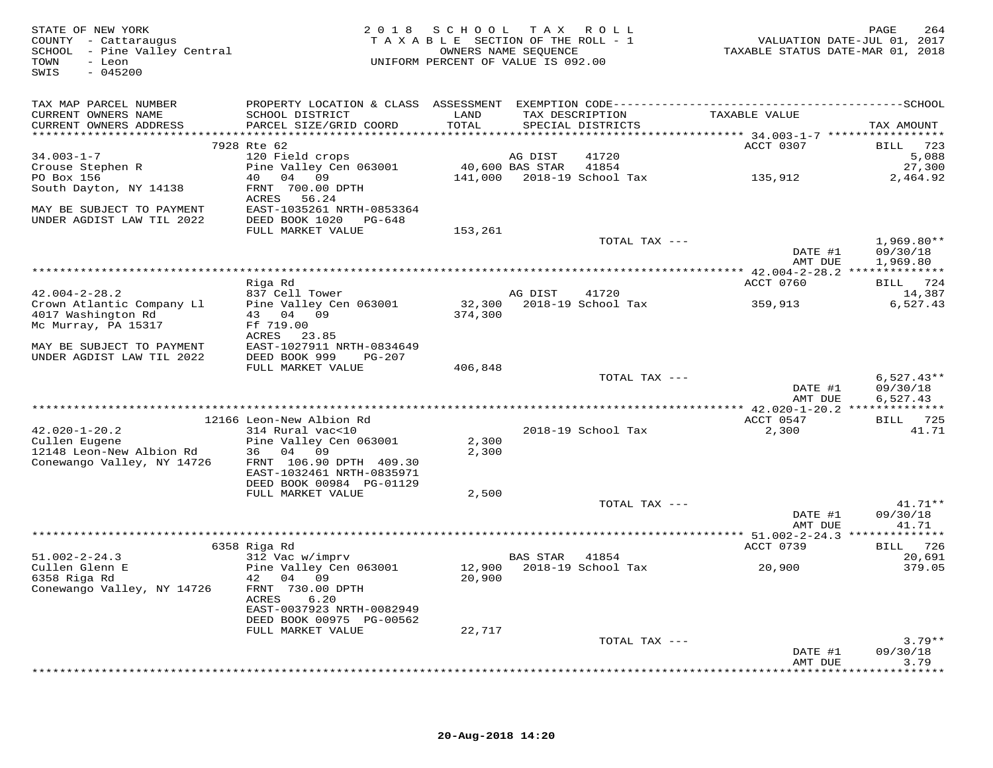| STATE OF NEW YORK<br>COUNTY - Cattaraugus<br>SCHOOL - Pine Valley Central<br>TOWN<br>- Leon<br>$-045200$<br>SWIS |                                              | 2018 SCHOOL TAX ROLL<br>TAXABLE SECTION OF THE ROLL - 1<br>UNIFORM PERCENT OF VALUE IS 092.00 | OWNERS NAME SEQUENCE |                            | TAXABLE STATUS DATE-MAR 01, 2018 | 264<br>PAGE<br>VALUATION DATE-JUL 01, 2017 |
|------------------------------------------------------------------------------------------------------------------|----------------------------------------------|-----------------------------------------------------------------------------------------------|----------------------|----------------------------|----------------------------------|--------------------------------------------|
| TAX MAP PARCEL NUMBER                                                                                            |                                              |                                                                                               |                      |                            |                                  |                                            |
| CURRENT OWNERS NAME<br>CURRENT OWNERS ADDRESS                                                                    | SCHOOL DISTRICT<br>PARCEL SIZE/GRID COORD    | LAND<br>TOTAL                                                                                 | TAX DESCRIPTION      | SPECIAL DISTRICTS          | TAXABLE VALUE                    | TAX AMOUNT                                 |
|                                                                                                                  | 7928 Rte 62                                  |                                                                                               |                      |                            | ACCT 0307                        | BILL 723                                   |
| $34.003 - 1 - 7$                                                                                                 | 120 Field crops                              |                                                                                               | AG DIST              | 41720                      |                                  | 5,088                                      |
| Crouse Stephen R                                                                                                 | Pine Valley Cen 063001 40,600 BAS STAR 41854 |                                                                                               |                      |                            |                                  | 27,300                                     |
| PO Box 156                                                                                                       | 40 04 09                                     |                                                                                               |                      | 141,000 2018-19 School Tax | 135,912                          | 2,464.92                                   |
| South Dayton, NY 14138                                                                                           | FRNT 700.00 DPTH                             |                                                                                               |                      |                            |                                  |                                            |
| MAY BE SUBJECT TO PAYMENT                                                                                        | ACRES 56.24<br>EAST-1035261 NRTH-0853364     |                                                                                               |                      |                            |                                  |                                            |
| UNDER AGDIST LAW TIL 2022                                                                                        | DEED BOOK 1020 PG-648                        |                                                                                               |                      |                            |                                  |                                            |
|                                                                                                                  | FULL MARKET VALUE                            | 153,261                                                                                       |                      |                            |                                  |                                            |
|                                                                                                                  |                                              |                                                                                               |                      | TOTAL TAX ---              |                                  | $1,969.80**$                               |
|                                                                                                                  |                                              |                                                                                               |                      |                            | DATE #1                          | 09/30/18                                   |
|                                                                                                                  |                                              |                                                                                               |                      |                            | AMT DUE                          | 1,969.80                                   |
|                                                                                                                  | Riga Rd                                      |                                                                                               |                      |                            | ACCT 0760                        | BILL 724                                   |
| $42.004 - 2 - 28.2$                                                                                              | 837 Cell Tower                               |                                                                                               | AG DIST              | 41720                      |                                  | 14,387                                     |
| Crown Atlantic Company Ll                                                                                        | Pine Valley Cen 063001                       |                                                                                               |                      | 32,300 2018-19 School Tax  | 359,913                          | 6,527.43                                   |
| 4017 Washington Rd                                                                                               | 43 04 09                                     | 374,300                                                                                       |                      |                            |                                  |                                            |
| Mc Murray, PA 15317                                                                                              | Ff 719.00<br>ACRES 23.85                     |                                                                                               |                      |                            |                                  |                                            |
| MAY BE SUBJECT TO PAYMENT                                                                                        | EAST-1027911 NRTH-0834649                    |                                                                                               |                      |                            |                                  |                                            |
| UNDER AGDIST LAW TIL 2022                                                                                        | DEED BOOK 999<br>PG-207                      |                                                                                               |                      |                            |                                  |                                            |
|                                                                                                                  | FULL MARKET VALUE                            | 406,848                                                                                       |                      |                            |                                  |                                            |
|                                                                                                                  |                                              |                                                                                               |                      | TOTAL TAX ---              |                                  | $6,527.43**$                               |
|                                                                                                                  |                                              |                                                                                               |                      |                            | DATE #1<br>AMT DUE               | 09/30/18<br>6,527.43                       |
|                                                                                                                  |                                              |                                                                                               |                      |                            |                                  |                                            |
|                                                                                                                  | 12166 Leon-New Albion Rd                     |                                                                                               |                      |                            | ACCT 0547                        | BILL 725                                   |
| $42.020 - 1 - 20.2$                                                                                              | 314 Rural vac<10                             |                                                                                               |                      | 2018-19 School Tax         | 2,300                            | 41.71                                      |
| Cullen Eugene                                                                                                    | Pine Valley Cen 063001                       | 2,300                                                                                         |                      |                            |                                  |                                            |
| 12148 Leon-New Albion Rd<br>Conewango Valley, NY 14726                                                           | 36 04 09<br>FRNT 106.90 DPTH 409.30          | 2,300                                                                                         |                      |                            |                                  |                                            |
|                                                                                                                  | EAST-1032461 NRTH-0835971                    |                                                                                               |                      |                            |                                  |                                            |
|                                                                                                                  | DEED BOOK 00984 PG-01129                     |                                                                                               |                      |                            |                                  |                                            |
|                                                                                                                  | FULL MARKET VALUE                            | 2,500                                                                                         |                      |                            |                                  |                                            |
|                                                                                                                  |                                              |                                                                                               |                      | TOTAL TAX ---              |                                  | $41.71**$                                  |
|                                                                                                                  |                                              |                                                                                               |                      |                            | DATE #1<br>AMT DUE               | 09/30/18<br>41.71                          |
|                                                                                                                  |                                              |                                                                                               |                      |                            |                                  |                                            |
|                                                                                                                  | 6358 Riga Rd                                 |                                                                                               |                      |                            | ACCT 0739                        | BILL 726                                   |
| $51.002 - 2 - 24.3$                                                                                              | 312 Vac w/imprv                              |                                                                                               | BAS STAR             | 41854                      |                                  | 20,691                                     |
| Cullen Glenn E                                                                                                   | Pine Valley Cen 063001                       |                                                                                               |                      | 12,900 2018-19 School Tax  | 20,900                           | 379.05                                     |
| 6358 Riga Rd<br>Conewango Valley, NY 14726                                                                       | 42 04 09<br>FRNT 730.00 DPTH                 | 20,900                                                                                        |                      |                            |                                  |                                            |
|                                                                                                                  | ACRES<br>6.20                                |                                                                                               |                      |                            |                                  |                                            |
|                                                                                                                  | EAST-0037923 NRTH-0082949                    |                                                                                               |                      |                            |                                  |                                            |
|                                                                                                                  | DEED BOOK 00975 PG-00562                     |                                                                                               |                      |                            |                                  |                                            |
|                                                                                                                  | FULL MARKET VALUE                            | 22,717                                                                                        |                      |                            |                                  |                                            |
|                                                                                                                  |                                              |                                                                                               |                      | TOTAL TAX ---              | DATE #1                          | $3.79**$<br>09/30/18                       |
|                                                                                                                  |                                              |                                                                                               |                      |                            | AMT DUE                          | 3.79                                       |
|                                                                                                                  |                                              |                                                                                               |                      |                            |                                  |                                            |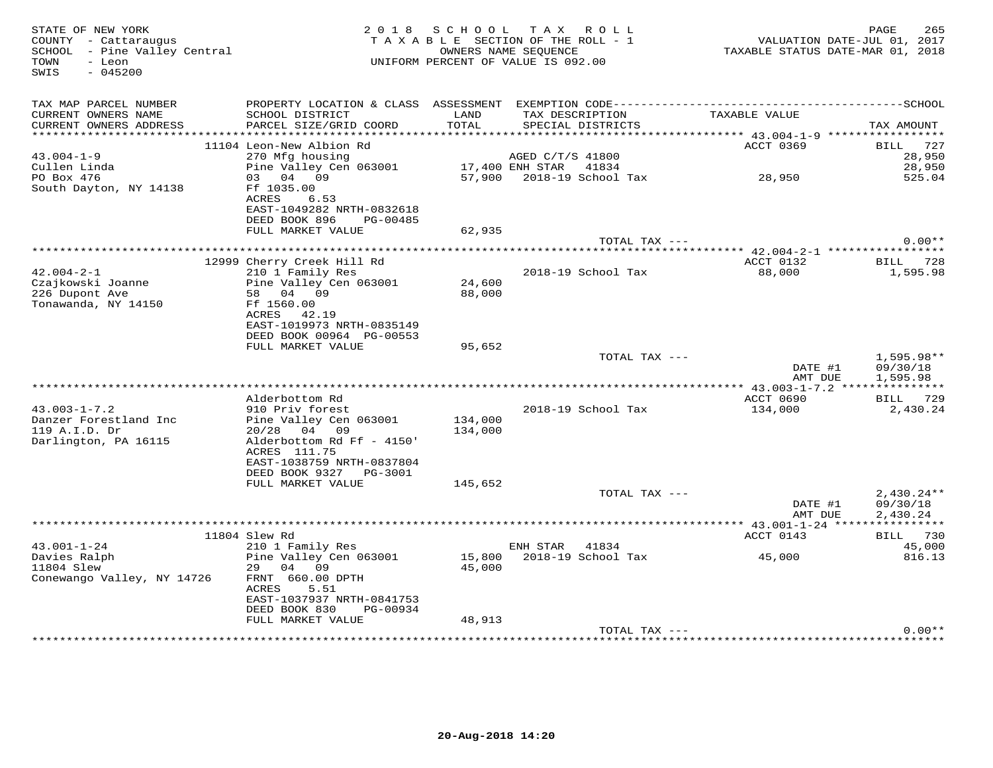| STATE OF NEW YORK<br>COUNTY - Cattaraugus<br>SCHOOL - Pine Valley Central<br>- Leon<br>TOWN<br>$-045200$<br>SWIS |                                                                                              |                 | 2018 SCHOOL TAX ROLL<br>TAXABLE SECTION OF THE ROLL - 1<br>OWNERS NAME SEQUENCE<br>UNIFORM PERCENT OF VALUE IS 092.00 |                     | 265<br>PAGE<br>VALUATION DATE-JUL 01, 2017<br>TAXABLE STATUS DATE-MAR 01, 2018 |
|------------------------------------------------------------------------------------------------------------------|----------------------------------------------------------------------------------------------|-----------------|-----------------------------------------------------------------------------------------------------------------------|---------------------|--------------------------------------------------------------------------------|
| TAX MAP PARCEL NUMBER                                                                                            | PROPERTY LOCATION & CLASS ASSESSMENT EXEMPTION CODE-----------------------------------SCHOOL |                 |                                                                                                                       |                     |                                                                                |
| CURRENT OWNERS NAME<br>CURRENT OWNERS ADDRESS                                                                    | SCHOOL DISTRICT<br>PARCEL SIZE/GRID COORD                                                    | LAND<br>TOTAL   | TAX DESCRIPTION<br>SPECIAL DISTRICTS                                                                                  | TAXABLE VALUE       | TAX AMOUNT                                                                     |
|                                                                                                                  | 11104 Leon-New Albion Rd                                                                     |                 |                                                                                                                       | ACCT 0369           | BILL 727                                                                       |
| $43.004 - 1 - 9$                                                                                                 | 270 Mfg housing                                                                              |                 | AGED C/T/S 41800                                                                                                      |                     | 28,950                                                                         |
| Cullen Linda                                                                                                     | Pine Valley Cen 063001                                                                       | 17,400 ENH STAR | 41834                                                                                                                 |                     | 28,950                                                                         |
| PO Box 476                                                                                                       | 03 04 09                                                                                     |                 | 57,900 2018-19 School Tax                                                                                             | 28,950              | 525.04                                                                         |
| South Dayton, NY 14138                                                                                           | Ff 1035.00<br>ACRES<br>6.53<br>EAST-1049282 NRTH-0832618<br>DEED BOOK 896<br>PG-00485        |                 |                                                                                                                       |                     |                                                                                |
|                                                                                                                  | FULL MARKET VALUE                                                                            | 62,935          |                                                                                                                       |                     |                                                                                |
|                                                                                                                  |                                                                                              |                 |                                                                                                                       | TOTAL TAX ---       | $0.00**$                                                                       |
|                                                                                                                  |                                                                                              |                 |                                                                                                                       |                     |                                                                                |
| $42.004 - 2 - 1$                                                                                                 | 12999 Cherry Creek Hill Rd<br>210 1 Family Res                                               |                 | 2018-19 School Tax                                                                                                    | ACCT 0132<br>88,000 | BILL 728<br>1,595.98                                                           |
| Czajkowski Joanne                                                                                                | Pine Valley Cen 063001                                                                       | 24,600          |                                                                                                                       |                     |                                                                                |
| 226 Dupont Ave<br>Tonawanda, NY 14150                                                                            | 58 04<br>09<br>Ff 1560.00<br>42.19<br>ACRES                                                  | 88,000          |                                                                                                                       |                     |                                                                                |
|                                                                                                                  | EAST-1019973 NRTH-0835149                                                                    |                 |                                                                                                                       |                     |                                                                                |
|                                                                                                                  | DEED BOOK 00964 PG-00553                                                                     |                 |                                                                                                                       |                     |                                                                                |
|                                                                                                                  | FULL MARKET VALUE                                                                            | 95,652          |                                                                                                                       | TOTAL TAX ---       | 1,595.98**                                                                     |
|                                                                                                                  |                                                                                              |                 |                                                                                                                       |                     | DATE #1<br>09/30/18                                                            |
|                                                                                                                  |                                                                                              |                 |                                                                                                                       |                     | AMT DUE<br>1,595.98                                                            |
|                                                                                                                  |                                                                                              |                 |                                                                                                                       |                     |                                                                                |
| $43.003 - 1 - 7.2$                                                                                               | Alderbottom Rd                                                                               |                 |                                                                                                                       | ACCT 0690           | BILL 729                                                                       |
| Danzer Forestland Inc                                                                                            | 910 Priv forest<br>Pine Valley Cen 063001                                                    | 134,000         | 2018-19 School Tax                                                                                                    | 134,000             | 2,430.24                                                                       |
| 119 A.I.D. Dr                                                                                                    | 20/28<br>04 09                                                                               | 134,000         |                                                                                                                       |                     |                                                                                |
| Darlington, PA 16115                                                                                             | Alderbottom Rd Ff - 4150'                                                                    |                 |                                                                                                                       |                     |                                                                                |
|                                                                                                                  | ACRES 111.75                                                                                 |                 |                                                                                                                       |                     |                                                                                |
|                                                                                                                  | EAST-1038759 NRTH-0837804                                                                    |                 |                                                                                                                       |                     |                                                                                |
|                                                                                                                  | DEED BOOK 9327 PG-3001                                                                       |                 |                                                                                                                       |                     |                                                                                |
|                                                                                                                  | FULL MARKET VALUE                                                                            | 145,652         |                                                                                                                       |                     |                                                                                |
|                                                                                                                  |                                                                                              |                 |                                                                                                                       | TOTAL TAX ---       | $2,430.24**$                                                                   |
|                                                                                                                  | *******************                                                                          |                 |                                                                                                                       |                     | DATE #1<br>09/30/18<br>AMT DUE<br>2,430.24                                     |
|                                                                                                                  | 11804 Slew Rd                                                                                |                 |                                                                                                                       | ACCT 0143           | BILL 730                                                                       |
| $43.001 - 1 - 24$                                                                                                | 210 1 Family Res                                                                             |                 | ENH STAR<br>41834                                                                                                     |                     | 45,000                                                                         |
| Davies Ralph                                                                                                     | Pine Valley Cen 063001                                                                       |                 | 15,800 2018-19 School Tax                                                                                             | 45,000              | 816.13                                                                         |
| 11804 Slew                                                                                                       | 29 04 09                                                                                     | 45,000          |                                                                                                                       |                     |                                                                                |
| Conewango Valley, NY 14726                                                                                       | FRNT 660.00 DPTH<br>ACRES<br>5.51<br>EAST-1037937 NRTH-0841753                               |                 |                                                                                                                       |                     |                                                                                |
|                                                                                                                  | DEED BOOK 830<br>PG-00934                                                                    |                 |                                                                                                                       |                     |                                                                                |
|                                                                                                                  | FULL MARKET VALUE                                                                            | 48,913          |                                                                                                                       |                     |                                                                                |
|                                                                                                                  |                                                                                              |                 |                                                                                                                       | TOTAL TAX ---       | $0.00**$                                                                       |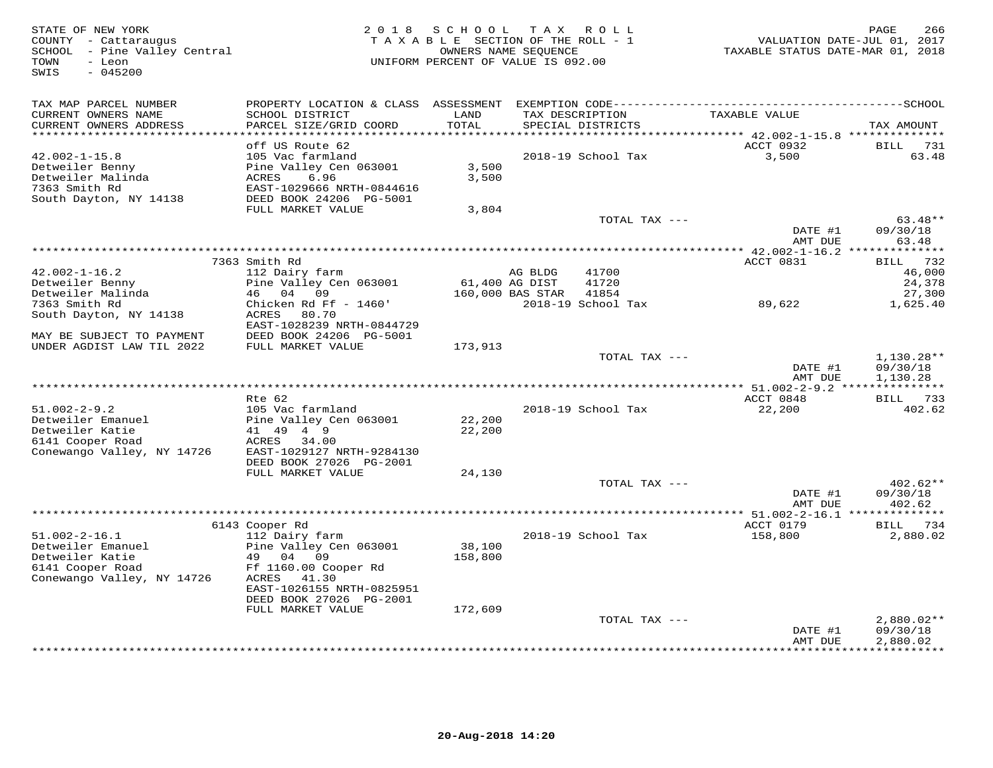SWIS - 045200

## STATE OF NEW YORK 2 0 1 8 S C H O O L T A X R O L L PAGE 266 COUNTY - Cattaraugus T A X A B L E SECTION OF THE ROLL - 1 VALUATION DATE-JUL 01, 2017 SCHOOL - Pine Valley Central OWNERS NAME SEQUENCE TAXABLE STATUS DATE-MAR 01, 2018 TOWN - Leon UNIFORM PERCENT OF VALUE IS 092.00

| TAX MAP PARCEL NUMBER<br>CURRENT OWNERS NAME<br>CURRENT OWNERS ADDRESS       | PROPERTY LOCATION & CLASS ASSESSMENT<br>SCHOOL DISTRICT<br>PARCEL SIZE/GRID COORD               | LAND<br>TOTAL  | TAX DESCRIPTION         | EXEMPTION CODE----------<br>SPECIAL DISTRICTS | TAXABLE VALUE                                       | $-----SCHOOL$<br>TAX AMOUNT |
|------------------------------------------------------------------------------|-------------------------------------------------------------------------------------------------|----------------|-------------------------|-----------------------------------------------|-----------------------------------------------------|-----------------------------|
| *********************                                                        |                                                                                                 | ***********    |                         |                                               | **************************** 42.002-1-15.8 ******** |                             |
|                                                                              | off US Route 62                                                                                 |                |                         |                                               | ACCT 0932                                           | BILL<br>731                 |
| $42.002 - 1 - 15.8$<br>Detweiler Benny<br>Detweiler Malinda<br>7363 Smith Rd | 105 Vac farmland<br>Pine Valley Cen 063001<br>6.96<br><b>ACRES</b><br>EAST-1029666 NRTH-0844616 | 3,500<br>3,500 |                         | 2018-19 School Tax                            | 3,500                                               | 63.48                       |
| South Dayton, NY 14138                                                       | DEED BOOK 24206 PG-5001<br>FULL MARKET VALUE                                                    | 3,804          |                         |                                               |                                                     |                             |
|                                                                              |                                                                                                 |                |                         | TOTAL TAX ---                                 |                                                     | $63.48**$                   |
|                                                                              |                                                                                                 |                |                         |                                               | DATE #1                                             | 09/30/18                    |
|                                                                              |                                                                                                 |                |                         |                                               | AMT DUE                                             | 63.48                       |
|                                                                              |                                                                                                 |                |                         |                                               | ************ 42.002-1-16.2                          | **************              |
|                                                                              | 7363 Smith Rd                                                                                   |                |                         |                                               | ACCT 0831                                           | 732<br>BILL                 |
| $42.002 - 1 - 16.2$                                                          | 112 Dairy farm                                                                                  |                | AG BLDG                 | 41700                                         |                                                     | 46,000                      |
| Detweiler Benny                                                              | Pine Valley Cen 063001                                                                          |                | 61,400 AG DIST          | 41720                                         |                                                     | 24,378                      |
| Detweiler Malinda                                                            | 46<br>04<br>09                                                                                  |                | 160,000 BAS STAR        | 41854                                         |                                                     | 27,300                      |
| 7363 Smith Rd                                                                | Chicken Rd Ff - 1460'                                                                           |                |                         | 2018-19 School Tax                            | 89,622                                              | 1,625.40                    |
| South Dayton, NY 14138                                                       | ACRES<br>80.70                                                                                  |                |                         |                                               |                                                     |                             |
|                                                                              | EAST-1028239 NRTH-0844729                                                                       |                |                         |                                               |                                                     |                             |
| MAY BE SUBJECT TO PAYMENT<br>UNDER AGDIST LAW TIL 2022                       | DEED BOOK 24206 PG-5001<br>FULL MARKET VALUE                                                    | 173,913        |                         |                                               |                                                     |                             |
|                                                                              |                                                                                                 |                |                         | TOTAL TAX ---                                 |                                                     | $1,130.28**$                |
|                                                                              |                                                                                                 |                |                         |                                               | DATE #1                                             | 09/30/18                    |
|                                                                              |                                                                                                 |                |                         |                                               | AMT DUE                                             | 1,130.28                    |
|                                                                              |                                                                                                 |                |                         |                                               |                                                     | *****                       |
|                                                                              | Rte 62                                                                                          |                |                         |                                               | ACCT 0848                                           | <b>BILL</b><br>733          |
| $51.002 - 2 - 9.2$                                                           | 105 Vac farmland                                                                                |                |                         | 2018-19 School Tax                            | 22,200                                              | 402.62                      |
| Detweiler Emanuel                                                            | Pine Valley Cen 063001                                                                          | 22,200         |                         |                                               |                                                     |                             |
| Detweiler Katie                                                              | 41 49 4 9                                                                                       | 22,200         |                         |                                               |                                                     |                             |
| 6141 Cooper Road                                                             | 34.00<br>ACRES                                                                                  |                |                         |                                               |                                                     |                             |
| Conewango Valley, NY 14726                                                   | EAST-1029127 NRTH-9284130                                                                       |                |                         |                                               |                                                     |                             |
|                                                                              | DEED BOOK 27026 PG-2001                                                                         |                |                         |                                               |                                                     |                             |
|                                                                              | FULL MARKET VALUE                                                                               | 24,130         |                         | TOTAL TAX ---                                 |                                                     | $402.62**$                  |
|                                                                              |                                                                                                 |                |                         |                                               | DATE #1                                             | 09/30/18                    |
|                                                                              |                                                                                                 |                |                         |                                               | AMT DUE                                             | 402.62                      |
|                                                                              |                                                                                                 |                | *********************** |                                               | ** 51.002-2-16.1 ***************                    |                             |
|                                                                              | 6143 Cooper Rd                                                                                  |                |                         |                                               | ACCT 0179                                           | BILL<br>734                 |
| $51.002 - 2 - 16.1$                                                          | 112 Dairy farm                                                                                  |                |                         | 2018-19 School Tax                            | 158,800                                             | 2,880.02                    |
| Detweiler Emanuel                                                            | Pine Valley Cen 063001                                                                          | 38,100         |                         |                                               |                                                     |                             |
| Detweiler Katie                                                              | 04 09<br>49                                                                                     | 158,800        |                         |                                               |                                                     |                             |
| 6141 Cooper Road                                                             | Ff 1160.00 Cooper Rd                                                                            |                |                         |                                               |                                                     |                             |
| Conewango Valley, NY 14726                                                   | ACRES<br>41.30                                                                                  |                |                         |                                               |                                                     |                             |
|                                                                              | EAST-1026155 NRTH-0825951                                                                       |                |                         |                                               |                                                     |                             |
|                                                                              | DEED BOOK 27026 PG-2001                                                                         |                |                         |                                               |                                                     |                             |
|                                                                              | FULL MARKET VALUE                                                                               | 172,609        |                         | TOTAL TAX ---                                 |                                                     | $2,880.02**$                |
|                                                                              |                                                                                                 |                |                         |                                               | DATE #1                                             | 09/30/18                    |
|                                                                              |                                                                                                 |                |                         |                                               | AMT DUE                                             | 2,880.02                    |
|                                                                              |                                                                                                 |                |                         |                                               |                                                     | * * * * * * * * * *         |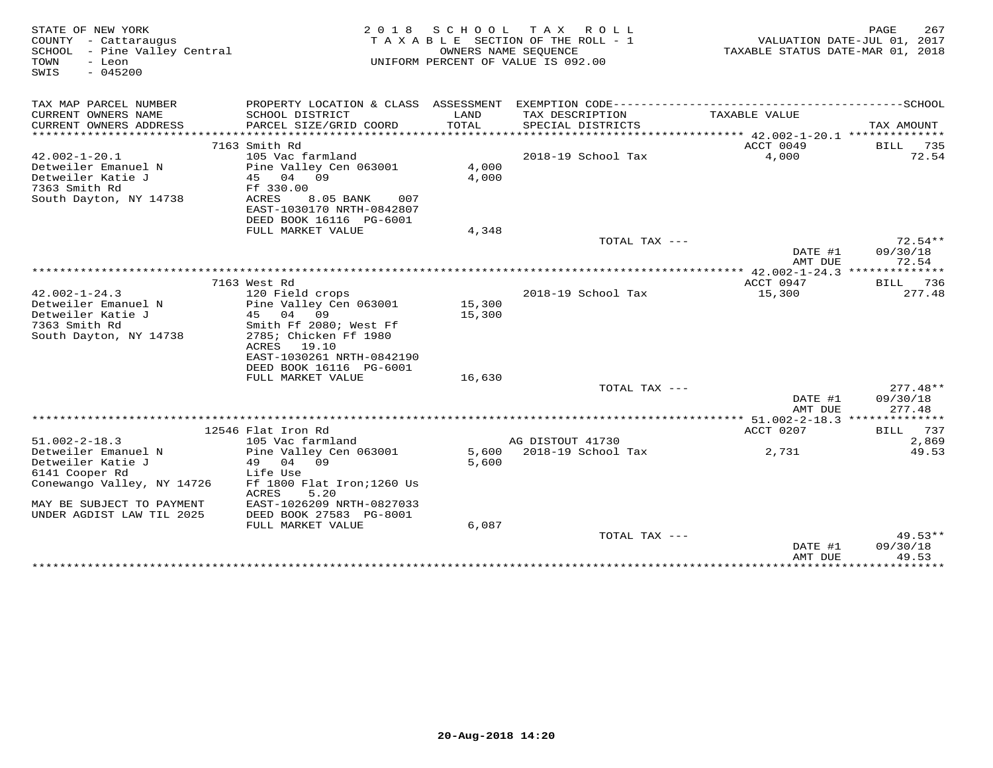| STATE OF NEW YORK<br>COUNTY - Cattaraugus<br>SCHOOL - Pine Valley Central<br>TOWN<br>- Leon<br>SWIS<br>$-045200$ | 2 0 1 8                                               | S C H O O L    | T A X<br>R O L L<br>TAXABLE SECTION OF THE ROLL - 1<br>OWNERS NAME SEOUENCE<br>UNIFORM PERCENT OF VALUE IS 092.00 | TAXABLE STATUS DATE-MAR 01, 2018        | 267<br>PAGE<br>VALUATION DATE-JUL 01, 2017 |
|------------------------------------------------------------------------------------------------------------------|-------------------------------------------------------|----------------|-------------------------------------------------------------------------------------------------------------------|-----------------------------------------|--------------------------------------------|
| TAX MAP PARCEL NUMBER                                                                                            |                                                       |                |                                                                                                                   |                                         |                                            |
| CURRENT OWNERS NAME                                                                                              | SCHOOL DISTRICT                                       | LAND           | TAX DESCRIPTION                                                                                                   | TAXABLE VALUE                           |                                            |
| CURRENT OWNERS ADDRESS<br>***********************                                                                | PARCEL SIZE/GRID COORD<br>*************************** | TOTAL          | SPECIAL DISTRICTS                                                                                                 |                                         | TAX AMOUNT                                 |
|                                                                                                                  | 7163 Smith Rd                                         |                |                                                                                                                   | ACCT 0049                               | BILL<br>735                                |
| $42.002 - 1 - 20.1$                                                                                              | 105 Vac farmland                                      |                | 2018-19 School Tax                                                                                                | 4,000                                   | 72.54                                      |
| Detweiler Emanuel N                                                                                              | Pine Valley Cen 063001                                | 4,000          |                                                                                                                   |                                         |                                            |
| Detweiler Katie J                                                                                                | 45 04 09                                              | 4,000          |                                                                                                                   |                                         |                                            |
| 7363 Smith Rd<br>South Dayton, NY 14738                                                                          | Ff 330.00<br>ACRES<br>8.05 BANK<br>007                |                |                                                                                                                   |                                         |                                            |
|                                                                                                                  | EAST-1030170 NRTH-0842807                             |                |                                                                                                                   |                                         |                                            |
|                                                                                                                  | DEED BOOK 16116 PG-6001                               |                |                                                                                                                   |                                         |                                            |
|                                                                                                                  | FULL MARKET VALUE                                     | 4,348          |                                                                                                                   |                                         |                                            |
|                                                                                                                  |                                                       |                | TOTAL TAX ---                                                                                                     |                                         | $72.54**$                                  |
|                                                                                                                  |                                                       |                |                                                                                                                   | DATE #1<br>AMT DUE                      | 09/30/18<br>72.54                          |
|                                                                                                                  |                                                       |                |                                                                                                                   | ** 42.002-1-24.3 ***************        |                                            |
|                                                                                                                  | 7163 West Rd                                          |                |                                                                                                                   | ACCT 0947                               | 736<br>BILL                                |
| $42.002 - 1 - 24.3$                                                                                              | 120 Field crops                                       |                | 2018-19 School Tax                                                                                                | 15,300                                  | 277.48                                     |
| Detweiler Emanuel N                                                                                              | Pine Valley Cen 063001                                | 15,300         |                                                                                                                   |                                         |                                            |
| Detweiler Katie J<br>7363 Smith Rd                                                                               | 45<br>04<br>09<br>Smith Ff 2080; West Ff              | 15,300         |                                                                                                                   |                                         |                                            |
| South Dayton, NY 14738                                                                                           | 2785; Chicken Ff 1980                                 |                |                                                                                                                   |                                         |                                            |
|                                                                                                                  | 19.10<br>ACRES                                        |                |                                                                                                                   |                                         |                                            |
|                                                                                                                  | EAST-1030261 NRTH-0842190                             |                |                                                                                                                   |                                         |                                            |
|                                                                                                                  | DEED BOOK 16116 PG-6001                               |                |                                                                                                                   |                                         |                                            |
|                                                                                                                  | FULL MARKET VALUE                                     | 16,630         |                                                                                                                   |                                         |                                            |
|                                                                                                                  |                                                       |                | TOTAL TAX ---                                                                                                     | DATE #1                                 | $277.48**$<br>09/30/18                     |
|                                                                                                                  |                                                       |                |                                                                                                                   | AMT DUE                                 | 277.48                                     |
|                                                                                                                  |                                                       |                |                                                                                                                   | ********** 51.002-2-18.3 ************** |                                            |
|                                                                                                                  | 12546 Flat Iron Rd                                    |                |                                                                                                                   | ACCT 0207                               | 737<br>BILL                                |
| $51.002 - 2 - 18.3$                                                                                              | 105 Vac farmland                                      |                | AG DISTOUT 41730                                                                                                  |                                         | 2,869                                      |
| Detweiler Emanuel N<br>Detweiler Katie J                                                                         | Pine Valley Cen 063001<br>04<br>09<br>49              | 5,600<br>5,600 | 2018-19 School Tax                                                                                                | 2,731                                   | 49.53                                      |
| 6141 Cooper Rd                                                                                                   | Life Use                                              |                |                                                                                                                   |                                         |                                            |
| Conewango Valley, NY 14726                                                                                       | Ff 1800 Flat Iron; 1260 Us                            |                |                                                                                                                   |                                         |                                            |
|                                                                                                                  | ACRES<br>5.20                                         |                |                                                                                                                   |                                         |                                            |
| MAY BE SUBJECT TO PAYMENT                                                                                        | EAST-1026209 NRTH-0827033                             |                |                                                                                                                   |                                         |                                            |
| UNDER AGDIST LAW TIL 2025                                                                                        | DEED BOOK 27583 PG-8001<br>FULL MARKET VALUE          | 6,087          |                                                                                                                   |                                         |                                            |
|                                                                                                                  |                                                       |                | TOTAL TAX ---                                                                                                     |                                         | $49.53**$                                  |
|                                                                                                                  |                                                       |                |                                                                                                                   | DATE #1                                 | 09/30/18                                   |
|                                                                                                                  |                                                       |                |                                                                                                                   | AMT DUE                                 | 49.53                                      |
|                                                                                                                  |                                                       |                |                                                                                                                   | **************                          | *********                                  |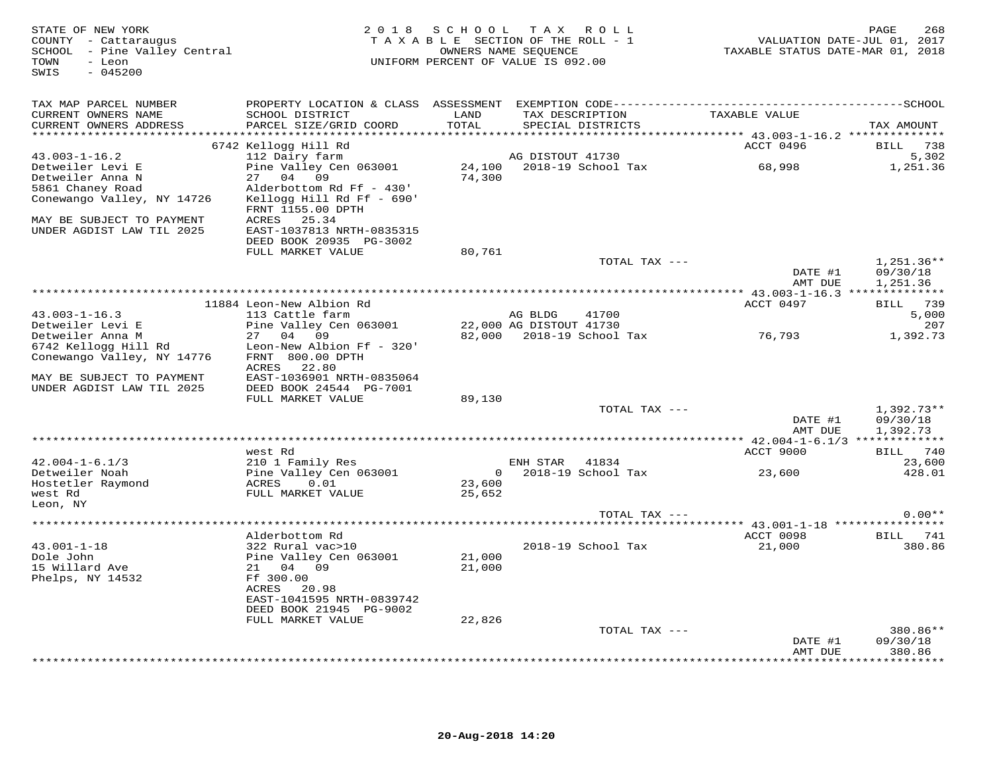| STATE OF NEW YORK<br>COUNTY - Cattaraugus<br>SCHOOL - Pine Valley Central<br>TOWN<br>- Leon<br>SWIS<br>$-045200$ |                                                                                                                                               | 2018 SCHOOL      | TAX ROLL<br>TAXABLE SECTION OF THE ROLL - 1<br>OWNERS NAME SEQUENCE<br>UNIFORM PERCENT OF VALUE IS 092.00 | TAXABLE STATUS DATE-MAR 01, 2018 | PAGE<br>268<br>VALUATION DATE-JUL 01, 2017 |
|------------------------------------------------------------------------------------------------------------------|-----------------------------------------------------------------------------------------------------------------------------------------------|------------------|-----------------------------------------------------------------------------------------------------------|----------------------------------|--------------------------------------------|
| TAX MAP PARCEL NUMBER<br>CURRENT OWNERS NAME<br>CURRENT OWNERS ADDRESS<br>***********************                | SCHOOL DISTRICT<br>PARCEL SIZE/GRID COORD                                                                                                     | LAND<br>TOTAL    | TAX DESCRIPTION<br>SPECIAL DISTRICTS                                                                      | TAXABLE VALUE                    | TAX AMOUNT                                 |
|                                                                                                                  | 6742 Kellogg Hill Rd                                                                                                                          |                  |                                                                                                           | ACCT 0496                        | BILL 738                                   |
| $43.003 - 1 - 16.2$<br>Detweiler Levi E<br>Detweiler Anna N                                                      | 112 Dairy farm<br>Pine Valley Cen 063001<br>27 04<br>09                                                                                       | 74,300           | AG DISTOUT 41730<br>24,100 2018-19 School Tax                                                             | 68,998                           | 5,302<br>1,251.36                          |
| 5861 Chaney Road<br>Conewango Valley, NY 14726                                                                   | Alderbottom Rd Ff - 430'<br>Kellogg Hill Rd Ff - 690'<br>FRNT 1155.00 DPTH                                                                    |                  |                                                                                                           |                                  |                                            |
| MAY BE SUBJECT TO PAYMENT<br>UNDER AGDIST LAW TIL 2025                                                           | ACRES 25.34<br>EAST-1037813 NRTH-0835315<br>DEED BOOK 20935 PG-3002                                                                           |                  |                                                                                                           |                                  |                                            |
|                                                                                                                  | FULL MARKET VALUE                                                                                                                             | 80,761           | TOTAL TAX ---                                                                                             |                                  | $1,251.36**$                               |
|                                                                                                                  |                                                                                                                                               |                  |                                                                                                           | DATE #1<br>AMT DUE               | 09/30/18<br>1,251.36                       |
|                                                                                                                  | 11884 Leon-New Albion Rd                                                                                                                      |                  |                                                                                                           | ACCT 0497                        | BILL 739                                   |
| $43.003 - 1 - 16.3$                                                                                              | 113 Cattle farm                                                                                                                               |                  | AG BLDG<br>41700                                                                                          |                                  | 5,000                                      |
| Detweiler Levi E                                                                                                 | Pine Valley Cen 063001                                                                                                                        |                  | 22,000 AG DISTOUT 41730                                                                                   |                                  | 207                                        |
| Detweiler Anna M<br>6742 Kellogg Hill Rd<br>Conewango Valley, NY 14776                                           | 27 04 09<br>Leon-New Albion Ff - 320'<br>FRNT 800.00 DPTH<br>22.80<br>ACRES                                                                   |                  | 82,000 2018-19 School Tax                                                                                 | 76,793                           | 1,392.73                                   |
| MAY BE SUBJECT TO PAYMENT<br>UNDER AGDIST LAW TIL 2025                                                           | EAST-1036901 NRTH-0835064<br>DEED BOOK 24544 PG-7001<br>FULL MARKET VALUE                                                                     | 89,130           |                                                                                                           |                                  |                                            |
|                                                                                                                  |                                                                                                                                               |                  | TOTAL TAX ---                                                                                             | DATE #1<br>AMT DUE               | $1,392.73**$<br>09/30/18<br>1,392.73       |
|                                                                                                                  |                                                                                                                                               |                  |                                                                                                           |                                  |                                            |
|                                                                                                                  | west Rd                                                                                                                                       |                  |                                                                                                           | ACCT 9000                        | BILL 740                                   |
| $42.004 - 1 - 6.1/3$<br>Detweiler Noah                                                                           | 210 1 Family Res<br>Pine Valley Cen 063001                                                                                                    |                  | ENH STAR<br>41834<br>$0 \t 2018-19$ School Tax                                                            | 23,600                           | 23,600<br>428.01                           |
| Hostetler Raymond<br>west Rd                                                                                     | 0.01<br>ACRES<br>FULL MARKET VALUE                                                                                                            | 23,600<br>25,652 |                                                                                                           |                                  |                                            |
| Leon, NY                                                                                                         |                                                                                                                                               |                  | TOTAL TAX ---                                                                                             |                                  | $0.00**$                                   |
|                                                                                                                  |                                                                                                                                               |                  |                                                                                                           |                                  |                                            |
|                                                                                                                  | Alderbottom Rd                                                                                                                                |                  |                                                                                                           | ACCT 0098                        | <b>BILL</b> 741                            |
| $43.001 - 1 - 18$<br>Dole John<br>15 Willard Ave<br>Phelps, NY 14532                                             | 322 Rural vac>10<br>Pine Valley Cen 063001<br>21 04 09<br>Ff 300.00<br>ACRES<br>20.98<br>EAST-1041595 NRTH-0839742<br>DEED BOOK 21945 PG-9002 | 21,000<br>21,000 | 2018-19 School Tax                                                                                        | 21,000                           | 380.86                                     |
|                                                                                                                  | FULL MARKET VALUE                                                                                                                             | 22,826           |                                                                                                           |                                  |                                            |
|                                                                                                                  |                                                                                                                                               |                  | TOTAL TAX ---                                                                                             | DATE #1<br>AMT DUE               | 380.86**<br>09/30/18<br>380.86             |
|                                                                                                                  |                                                                                                                                               |                  |                                                                                                           |                                  | * * * * * * * *                            |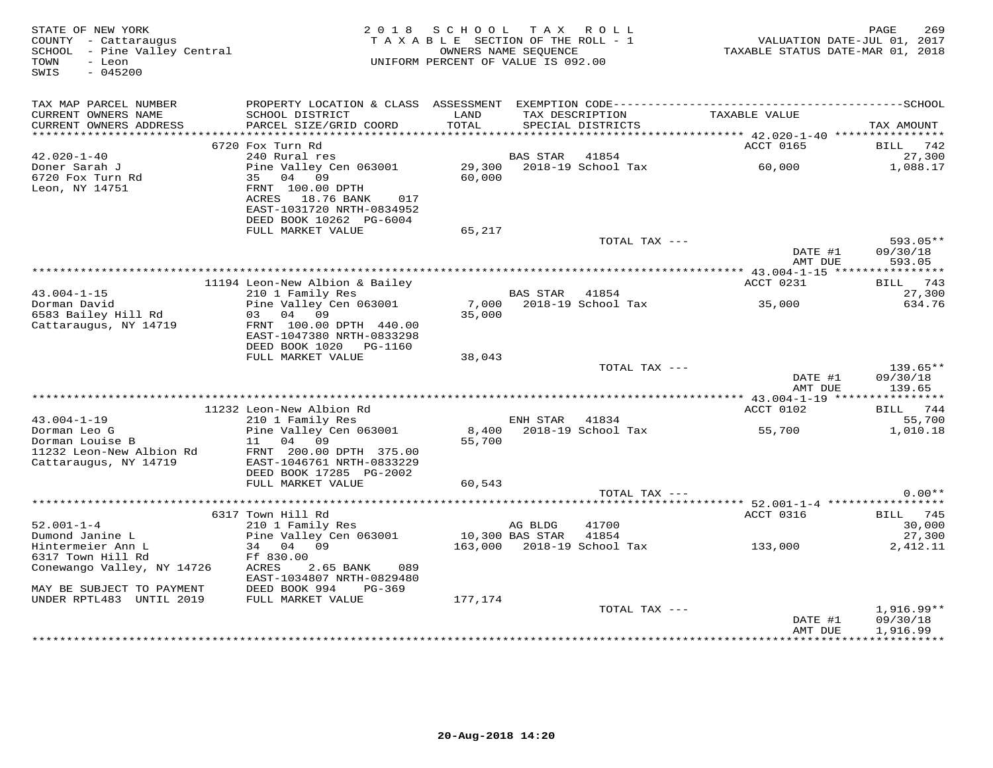| STATE OF NEW YORK<br>COUNTY - Cattaraugus<br>SCHOOL - Pine Valley Central<br>TOWN<br>- Leon<br>$-045200$<br>SWIS |                                                                                                                | 2018 SCHOOL<br>TAXABLE SECTION OF THE ROLL - 1<br>UNIFORM PERCENT OF VALUE IS 092.00 | OWNERS NAME SEQUENCE       | TAX ROLL                             | VALUATION DATE-JUL 01, 2017<br>TAXABLE STATUS DATE-MAR 01, 2018 | PAGE<br>269                        |
|------------------------------------------------------------------------------------------------------------------|----------------------------------------------------------------------------------------------------------------|--------------------------------------------------------------------------------------|----------------------------|--------------------------------------|-----------------------------------------------------------------|------------------------------------|
| TAX MAP PARCEL NUMBER                                                                                            |                                                                                                                |                                                                                      |                            |                                      |                                                                 |                                    |
| CURRENT OWNERS NAME<br>CURRENT OWNERS ADDRESS                                                                    | SCHOOL DISTRICT<br>PARCEL SIZE/GRID COORD                                                                      | LAND<br>TOTAL                                                                        |                            | TAX DESCRIPTION<br>SPECIAL DISTRICTS | TAXABLE VALUE                                                   | TAX AMOUNT                         |
|                                                                                                                  |                                                                                                                |                                                                                      |                            |                                      |                                                                 |                                    |
|                                                                                                                  | 6720 Fox Turn Rd                                                                                               |                                                                                      |                            |                                      | ACCT 0165                                                       | BILL<br>742                        |
| $42.020 - 1 - 40$                                                                                                | 240 Rural res                                                                                                  |                                                                                      | BAS STAR                   | 41854                                |                                                                 | 27,300                             |
| Doner Sarah J<br>6720 Fox Turn Rd<br>Leon, NY 14751                                                              | Pine Valley Cen 063001<br>35 04 09<br>FRNT 100.00 DPTH<br>ACRES 18.76 BANK<br>017<br>EAST-1031720 NRTH-0834952 | 29,300<br>60,000                                                                     |                            | 2018-19 School Tax                   | 60,000                                                          | 1,088.17                           |
|                                                                                                                  | DEED BOOK 10262 PG-6004                                                                                        |                                                                                      |                            |                                      |                                                                 |                                    |
|                                                                                                                  | FULL MARKET VALUE                                                                                              | 65,217                                                                               |                            |                                      |                                                                 |                                    |
|                                                                                                                  |                                                                                                                |                                                                                      |                            | TOTAL TAX ---                        | DATE #1<br>AMT DUE                                              | 593.05**<br>09/30/18<br>593.05     |
|                                                                                                                  |                                                                                                                |                                                                                      |                            |                                      |                                                                 |                                    |
|                                                                                                                  | 11194 Leon-New Albion & Bailey                                                                                 |                                                                                      |                            |                                      | ACCT 0231                                                       | <b>BILL</b> 743                    |
| $43.004 - 1 - 15$                                                                                                | 210 1 Family Res                                                                                               |                                                                                      | BAS STAR 41854             |                                      |                                                                 | 27,300                             |
| Dorman David<br>6583 Bailey Hill Rd                                                                              | Pine Valley Cen 063001<br>03 04<br>09                                                                          | 35,000                                                                               |                            | 7,000 2018-19 School Tax             | 35,000                                                          | 634.76                             |
| Cattaraugus, NY 14719                                                                                            | FRNT 100.00 DPTH 440.00                                                                                        |                                                                                      |                            |                                      |                                                                 |                                    |
|                                                                                                                  | EAST-1047380 NRTH-0833298                                                                                      |                                                                                      |                            |                                      |                                                                 |                                    |
|                                                                                                                  | DEED BOOK 1020 PG-1160                                                                                         |                                                                                      |                            |                                      |                                                                 |                                    |
|                                                                                                                  | FULL MARKET VALUE                                                                                              | 38,043                                                                               |                            |                                      |                                                                 |                                    |
|                                                                                                                  |                                                                                                                |                                                                                      |                            | TOTAL TAX ---                        |                                                                 | $139.65**$                         |
|                                                                                                                  |                                                                                                                |                                                                                      |                            |                                      | DATE #1<br>AMT DUE                                              | 09/30/18<br>139.65                 |
|                                                                                                                  |                                                                                                                | ********************************                                                     |                            |                                      | ******** 43.004-1-19 **                                         | ***********                        |
|                                                                                                                  | 11232 Leon-New Albion Rd                                                                                       |                                                                                      |                            |                                      | ACCT 0102                                                       | BILL<br>744                        |
| $43.004 - 1 - 19$                                                                                                | 210 1 Family Res                                                                                               |                                                                                      | ENH STAR                   | 41834                                |                                                                 | 55,700                             |
| Dorman Leo G                                                                                                     | Pine Valley Cen 063001                                                                                         |                                                                                      |                            | 8,400 2018-19 School Tax             | 55,700                                                          | 1,010.18                           |
| Dorman Louise B                                                                                                  | 11 04 09                                                                                                       | 55,700                                                                               |                            |                                      |                                                                 |                                    |
| 11232 Leon-New Albion Rd<br>Cattaraugus, NY 14719                                                                | FRNT 200.00 DPTH 375.00<br>EAST-1046761 NRTH-0833229<br>DEED BOOK 17285 PG-2002                                |                                                                                      |                            |                                      |                                                                 |                                    |
|                                                                                                                  | FULL MARKET VALUE                                                                                              | 60,543                                                                               |                            |                                      |                                                                 |                                    |
|                                                                                                                  |                                                                                                                |                                                                                      |                            | TOTAL TAX ---                        |                                                                 | $0.00**$                           |
|                                                                                                                  |                                                                                                                |                                                                                      |                            |                                      |                                                                 |                                    |
|                                                                                                                  | 6317 Town Hill Rd                                                                                              |                                                                                      |                            |                                      | ACCT 0316                                                       | <b>BILL</b> 745                    |
| $52.001 - 1 - 4$<br>Dumond Janine L                                                                              | 210 1 Family Res                                                                                               |                                                                                      | AG BLDG<br>10,300 BAS STAR | 41700<br>41854                       |                                                                 | 30,000<br>27,300                   |
| Hintermeier Ann L                                                                                                | Pine Valley Cen 063001<br>34 04 09                                                                             |                                                                                      |                            |                                      | 163,000 2018-19 School Tax 133,000                              | 2,412.11                           |
| 6317 Town Hill Rd                                                                                                | Ff 830.00                                                                                                      |                                                                                      |                            |                                      |                                                                 |                                    |
| Conewango Valley, NY 14726                                                                                       | ACRES<br>2.65 BANK<br>089                                                                                      |                                                                                      |                            |                                      |                                                                 |                                    |
|                                                                                                                  | EAST-1034807 NRTH-0829480                                                                                      |                                                                                      |                            |                                      |                                                                 |                                    |
| MAY BE SUBJECT TO PAYMENT                                                                                        | DEED BOOK 994<br>$PG-369$                                                                                      |                                                                                      |                            |                                      |                                                                 |                                    |
| UNDER RPTL483 UNTIL 2019                                                                                         | FULL MARKET VALUE                                                                                              | 177,174                                                                              |                            |                                      |                                                                 |                                    |
|                                                                                                                  |                                                                                                                |                                                                                      |                            | TOTAL TAX ---                        | DATE #1<br>AMT DUE                                              | 1,916.99**<br>09/30/18<br>1,916.99 |
|                                                                                                                  |                                                                                                                |                                                                                      |                            |                                      |                                                                 |                                    |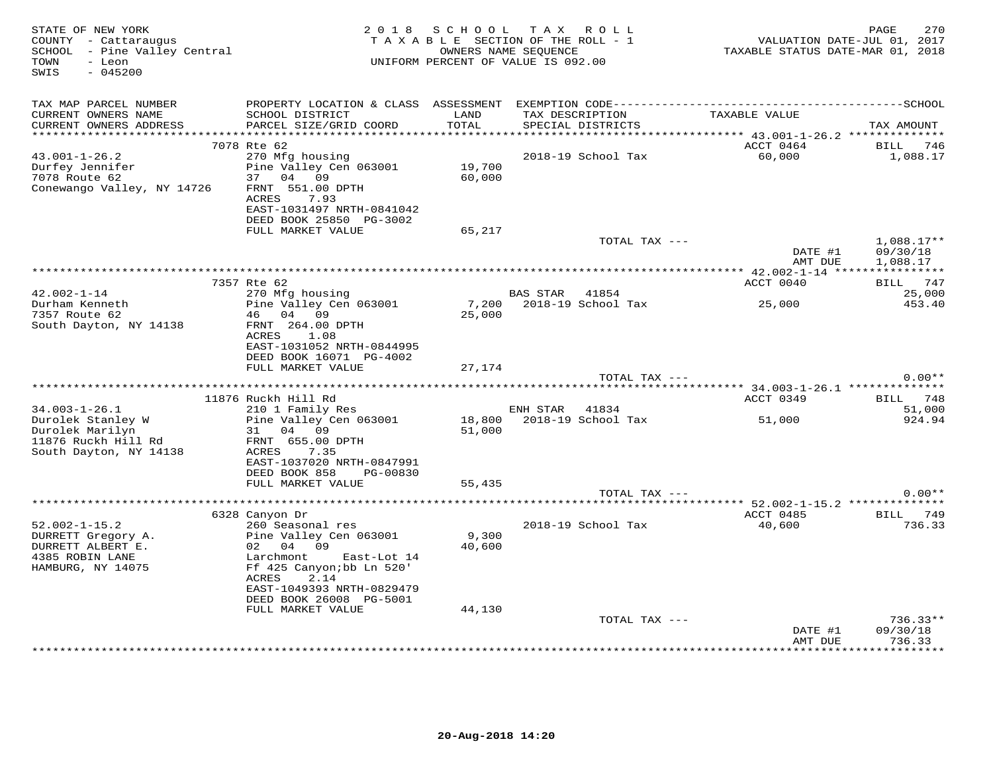| STATE OF NEW YORK<br>COUNTY - Cattaraugus<br>SCHOOL - Pine Valley Central<br>- Leon<br>TOWN<br>$-045200$<br>SWIS |                                                                                              | 2018 SCHOOL TAX ROLL<br>TAXABLE SECTION OF THE ROLL - 1<br>UNIFORM PERCENT OF VALUE IS 092.00 | OWNERS NAME SEQUENCE |                                      | VALUATION DATE-JUL 01, 2017<br>TAXABLE STATUS DATE-MAR 01, 2018 | 270<br>PAGE              |
|------------------------------------------------------------------------------------------------------------------|----------------------------------------------------------------------------------------------|-----------------------------------------------------------------------------------------------|----------------------|--------------------------------------|-----------------------------------------------------------------|--------------------------|
| TAX MAP PARCEL NUMBER                                                                                            | PROPERTY LOCATION & CLASS ASSESSMENT EXEMPTION CODE-----------------------------------SCHOOL |                                                                                               |                      |                                      |                                                                 |                          |
| CURRENT OWNERS NAME<br>CURRENT OWNERS ADDRESS                                                                    | SCHOOL DISTRICT<br>PARCEL SIZE/GRID COORD                                                    | LAND<br>TOTAL                                                                                 |                      | TAX DESCRIPTION<br>SPECIAL DISTRICTS | TAXABLE VALUE                                                   | TAX AMOUNT               |
|                                                                                                                  | 7078 Rte 62                                                                                  |                                                                                               |                      |                                      | ACCT 0464                                                       | 746<br>BILL              |
| $43.001 - 1 - 26.2$<br>Durfey Jennifer                                                                           | 270 Mfg housing<br>Pine Valley Cen 063001                                                    | 19,700                                                                                        |                      | 2018-19 School Tax                   | 60,000                                                          | 1,088.17                 |
| 7078 Route 62<br>Conewango Valley, NY 14726                                                                      | 04 09<br>37<br>FRNT 551.00 DPTH<br>ACRES<br>7.93<br>EAST-1031497 NRTH-0841042                | 60,000                                                                                        |                      |                                      |                                                                 |                          |
|                                                                                                                  | DEED BOOK 25850 PG-3002<br>FULL MARKET VALUE                                                 | 65,217                                                                                        |                      |                                      |                                                                 |                          |
|                                                                                                                  |                                                                                              |                                                                                               |                      | TOTAL TAX ---                        | DATE #1                                                         | $1,088.17**$<br>09/30/18 |
|                                                                                                                  |                                                                                              |                                                                                               |                      |                                      | AMT DUE                                                         | 1,088.17                 |
|                                                                                                                  | 7357 Rte 62                                                                                  |                                                                                               |                      |                                      | ACCT 0040                                                       | BILL 747                 |
| $42.002 - 1 - 14$                                                                                                | 270 Mfg housing                                                                              |                                                                                               | BAS STAR             | 41854                                |                                                                 | 25,000                   |
| Durham Kenneth<br>7357 Route 62                                                                                  | Pine Valley Cen 063001<br>46 04 09                                                           | 7,200<br>25,000                                                                               |                      | 2018-19 School Tax                   | 25,000                                                          | 453.40                   |
| South Dayton, NY 14138                                                                                           | FRNT 264.00 DPTH<br>ACRES<br>1.08<br>EAST-1031052 NRTH-0844995<br>DEED BOOK 16071 PG-4002    |                                                                                               |                      |                                      |                                                                 |                          |
|                                                                                                                  | FULL MARKET VALUE                                                                            | 27,174                                                                                        |                      | TOTAL TAX ---                        |                                                                 | $0.00**$                 |
|                                                                                                                  |                                                                                              |                                                                                               |                      |                                      |                                                                 |                          |
|                                                                                                                  | 11876 Ruckh Hill Rd                                                                          |                                                                                               |                      |                                      | ACCT 0349                                                       | 748<br>BILL              |
| $34.003 - 1 - 26.1$                                                                                              | 210 1 Family Res                                                                             |                                                                                               | ENH STAR             | 41834                                |                                                                 | 51,000                   |
| Durolek Stanley W<br>Durolek Marilyn<br>11876 Ruckh Hill Rd                                                      | Pine Valley Cen 063001<br>31<br>04 09<br>FRNT 655.00 DPTH                                    | 18,800<br>51,000                                                                              |                      | 2018-19 School Tax                   | 51,000                                                          | 924.94                   |
| South Dayton, NY 14138                                                                                           | ACRES<br>7.35<br>EAST-1037020 NRTH-0847991                                                   |                                                                                               |                      |                                      |                                                                 |                          |
|                                                                                                                  | DEED BOOK 858<br>PG-00830<br>FULL MARKET VALUE                                               | 55,435                                                                                        |                      |                                      |                                                                 |                          |
|                                                                                                                  |                                                                                              |                                                                                               |                      | TOTAL TAX ---                        |                                                                 | $0.00**$                 |
|                                                                                                                  |                                                                                              |                                                                                               |                      |                                      | ************************** 52.002-1-15.2 **************         |                          |
|                                                                                                                  | 6328 Canyon Dr                                                                               |                                                                                               |                      |                                      | ACCT 0485                                                       | BILL 749                 |
| $52.002 - 1 - 15.2$<br>DURRETT Gregory A.                                                                        | 260 Seasonal res<br>Pine Valley Cen 063001                                                   | 9,300                                                                                         |                      | 2018-19 School Tax                   | 40,600                                                          | 736.33                   |
| DURRETT ALBERT E.                                                                                                | 02 04 09                                                                                     | 40,600                                                                                        |                      |                                      |                                                                 |                          |
| 4385 ROBIN LANE                                                                                                  | Larchmont<br>East-Lot 14                                                                     |                                                                                               |                      |                                      |                                                                 |                          |
| HAMBURG, NY 14075                                                                                                | Ff 425 Canyon; bb Ln 520'<br>ACRES<br>2.14                                                   |                                                                                               |                      |                                      |                                                                 |                          |
|                                                                                                                  | EAST-1049393 NRTH-0829479<br>DEED BOOK 26008 PG-5001                                         |                                                                                               |                      |                                      |                                                                 |                          |
|                                                                                                                  | FULL MARKET VALUE                                                                            | 44,130                                                                                        |                      |                                      |                                                                 |                          |
|                                                                                                                  |                                                                                              |                                                                                               |                      | TOTAL TAX ---                        | DATE #1                                                         | $736.33**$<br>09/30/18   |
|                                                                                                                  |                                                                                              |                                                                                               |                      |                                      | AMT DUE<br>**********                                           | 736.33<br>*********      |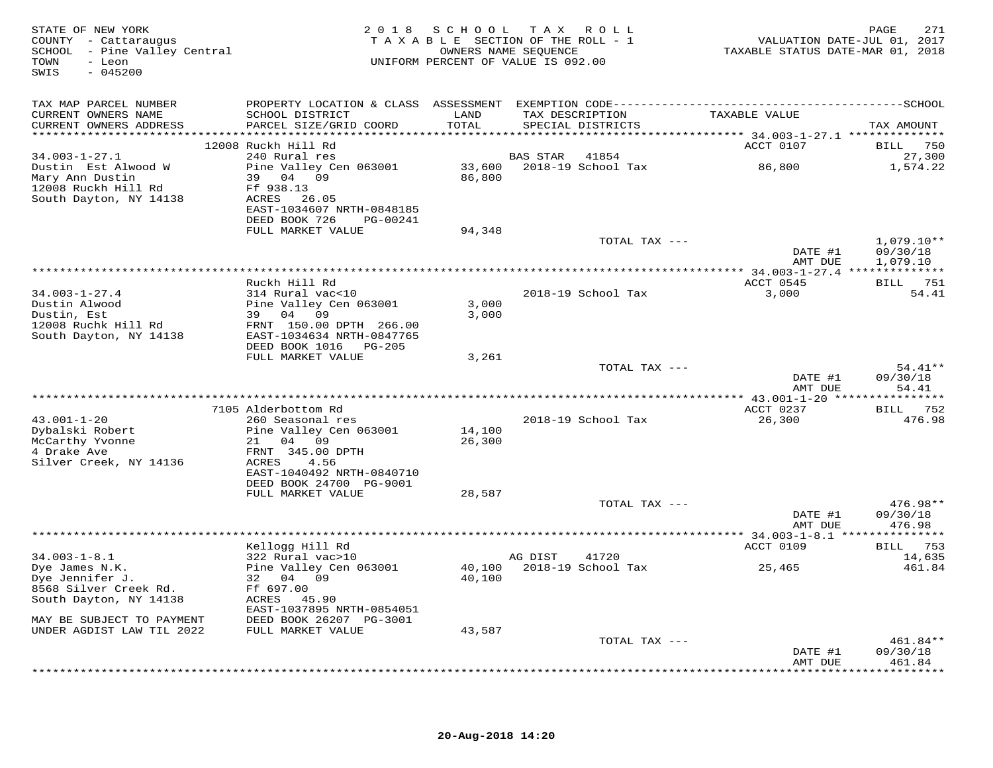| STATE OF NEW YORK<br>COUNTY - Cattaraugus<br>SCHOOL - Pine Valley Central<br>- Leon<br>TOWN<br>$-045200$<br>SWIS |                                            |                | 2018 SCHOOL TAX ROLL<br>TAXABLE SECTION OF THE ROLL - 1<br>OWNERS NAME SEOUENCE<br>UNIFORM PERCENT OF VALUE IS 092.00 | VALUATION DATE-JUL 01, 2017<br>TAXABLE STATUS DATE-MAR 01, 2018 | 271<br>PAGE               |
|------------------------------------------------------------------------------------------------------------------|--------------------------------------------|----------------|-----------------------------------------------------------------------------------------------------------------------|-----------------------------------------------------------------|---------------------------|
| TAX MAP PARCEL NUMBER<br>CURRENT OWNERS NAME                                                                     | SCHOOL DISTRICT                            | LAND           | TAX DESCRIPTION                                                                                                       | TAXABLE VALUE                                                   |                           |
| CURRENT OWNERS ADDRESS                                                                                           | PARCEL SIZE/GRID COORD                     | TOTAL          | SPECIAL DISTRICTS                                                                                                     |                                                                 | TAX AMOUNT                |
|                                                                                                                  |                                            |                |                                                                                                                       |                                                                 |                           |
| $34.003 - 1 - 27.1$                                                                                              | 12008 Ruckh Hill Rd<br>240 Rural res       |                | BAS STAR 41854                                                                                                        | ACCT 0107                                                       | <b>BILL</b> 750<br>27,300 |
| Dustin Est Alwood W                                                                                              | Pine Valley Cen 063001                     |                |                                                                                                                       | 86,800                                                          | 1,574.22                  |
| Mary Ann Dustin                                                                                                  | 39 04 09                                   | 86,800         |                                                                                                                       |                                                                 |                           |
| 12008 Ruckh Hill Rd                                                                                              | Ff 938.13                                  |                |                                                                                                                       |                                                                 |                           |
| South Dayton, NY 14138                                                                                           | ACRES 26.05<br>EAST-1034607 NRTH-0848185   |                |                                                                                                                       |                                                                 |                           |
|                                                                                                                  | DEED BOOK 726<br>PG-00241                  |                |                                                                                                                       |                                                                 |                           |
|                                                                                                                  | FULL MARKET VALUE                          | 94,348         |                                                                                                                       |                                                                 |                           |
|                                                                                                                  |                                            |                | TOTAL TAX ---                                                                                                         |                                                                 | $1,079.10**$              |
|                                                                                                                  |                                            |                |                                                                                                                       | DATE #1<br>AMT DUE                                              | 09/30/18<br>1,079.10      |
|                                                                                                                  |                                            |                |                                                                                                                       |                                                                 |                           |
|                                                                                                                  | Ruckh Hill Rd                              |                |                                                                                                                       | ACCT 0545                                                       | BILL 751                  |
| $34.003 - 1 - 27.4$                                                                                              | 314 Rural vac<10                           |                | 2018-19 School Tax                                                                                                    | 3,000                                                           | 54.41                     |
| Dustin Alwood<br>Dustin, Est                                                                                     | Pine Valley Cen 063001<br>39 04 09         | 3,000<br>3,000 |                                                                                                                       |                                                                 |                           |
| 12008 Ruchk Hill Rd                                                                                              | FRNT 150.00 DPTH 266.00                    |                |                                                                                                                       |                                                                 |                           |
| South Dayton, NY 14138                                                                                           | EAST-1034634 NRTH-0847765                  |                |                                                                                                                       |                                                                 |                           |
|                                                                                                                  | DEED BOOK 1016 PG-205<br>FULL MARKET VALUE | 3,261          |                                                                                                                       |                                                                 |                           |
|                                                                                                                  |                                            |                | TOTAL TAX ---                                                                                                         |                                                                 | 54.41**                   |
|                                                                                                                  |                                            |                |                                                                                                                       | DATE #1                                                         | 09/30/18                  |
|                                                                                                                  |                                            |                |                                                                                                                       | AMT DUE                                                         | 54.41                     |
|                                                                                                                  | 7105 Alderbottom Rd                        |                |                                                                                                                       | ACCT 0237                                                       | <b>BILL</b> 752           |
| $43.001 - 1 - 20$                                                                                                | 260 Seasonal res                           |                | 2018-19 School Tax                                                                                                    | 26,300                                                          | 476.98                    |
| Dybalski Robert                                                                                                  | Pine Valley Cen 063001                     | 14,100         |                                                                                                                       |                                                                 |                           |
| McCarthy Yvonne                                                                                                  | 21 04 09                                   | 26,300         |                                                                                                                       |                                                                 |                           |
| 4 Drake Ave<br>Silver Creek, NY 14136                                                                            | FRNT 345.00 DPTH<br>4.56<br>ACRES          |                |                                                                                                                       |                                                                 |                           |
|                                                                                                                  | EAST-1040492 NRTH-0840710                  |                |                                                                                                                       |                                                                 |                           |
|                                                                                                                  | DEED BOOK 24700 PG-9001                    |                |                                                                                                                       |                                                                 |                           |
|                                                                                                                  | FULL MARKET VALUE                          | 28,587         |                                                                                                                       |                                                                 |                           |
|                                                                                                                  |                                            |                | TOTAL TAX ---                                                                                                         | DATE #1                                                         | 476.98**<br>09/30/18      |
|                                                                                                                  |                                            |                |                                                                                                                       | AMT DUE                                                         | 476.98                    |
|                                                                                                                  |                                            |                |                                                                                                                       |                                                                 |                           |
| $34.003 - 1 - 8.1$                                                                                               | Kellogg Hill Rd<br>322 Rural vac>10        |                |                                                                                                                       | <b>ACCT 0109</b>                                                | BILL 753                  |
| Dye James N.K.                                                                                                   | Pine Valley Cen 063001                     |                | AG DIST<br>41720<br>40,100 2018-19 School Tax                                                                         | 25,465                                                          | 14,635<br>461.84          |
| Dye Jennifer J.                                                                                                  | 32 04 09                                   | 40,100         |                                                                                                                       |                                                                 |                           |
| 8568 Silver Creek Rd.                                                                                            | Ff 697.00                                  |                |                                                                                                                       |                                                                 |                           |
| South Dayton, NY 14138                                                                                           | ACRES 45.90<br>EAST-1037895 NRTH-0854051   |                |                                                                                                                       |                                                                 |                           |
| MAY BE SUBJECT TO PAYMENT                                                                                        | DEED BOOK 26207 PG-3001                    |                |                                                                                                                       |                                                                 |                           |
| UNDER AGDIST LAW TIL 2022                                                                                        | FULL MARKET VALUE                          | 43,587         |                                                                                                                       |                                                                 |                           |
|                                                                                                                  |                                            |                | TOTAL TAX ---                                                                                                         |                                                                 | 461.84**                  |
|                                                                                                                  |                                            |                |                                                                                                                       | DATE #1<br>AMT DUE                                              | 09/30/18<br>461.84        |
|                                                                                                                  |                                            |                |                                                                                                                       |                                                                 | **********                |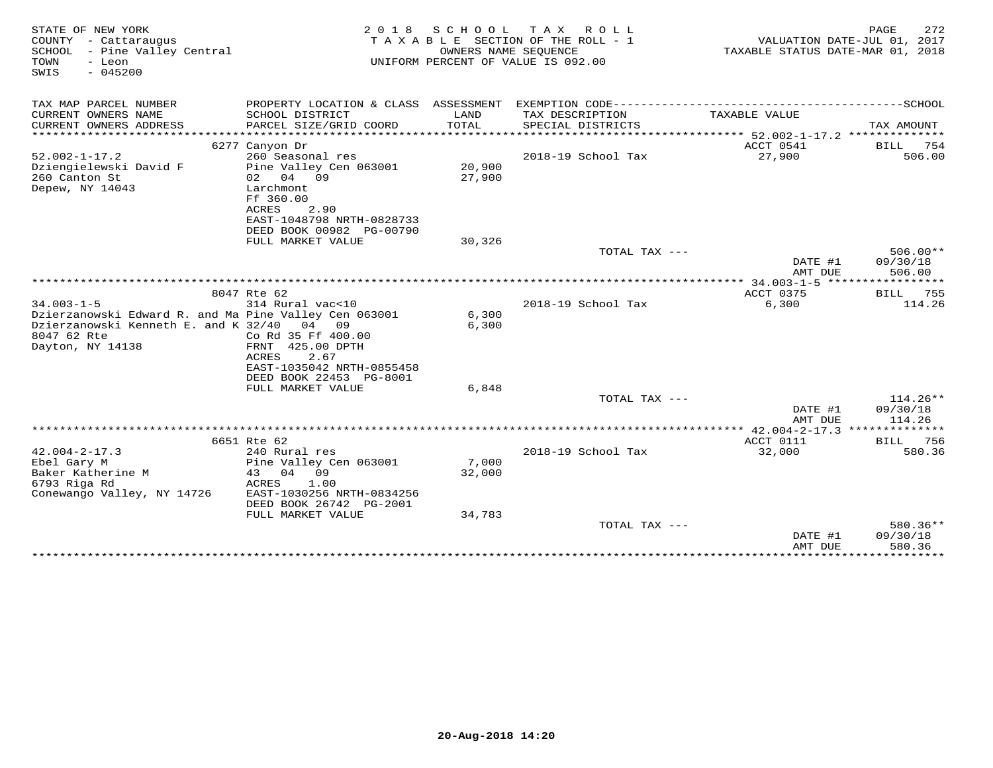| STATE OF NEW YORK<br>COUNTY - Cattaraugus<br>SCHOOL - Pine Valley Central<br>TOWN<br>- Leon<br>$-045200$<br>SWIS                                     |                                                                                                   | OWNERS NAME SEQUENCE | 2018 SCHOOL TAX ROLL<br>TAXABLE SECTION OF THE ROLL - 1<br>UNIFORM PERCENT OF VALUE IS 092.00 | VALUATION DATE-JUL 01, 2017<br>TAXABLE STATUS DATE-MAR 01, 2018 | 272<br>PAGE                      |
|------------------------------------------------------------------------------------------------------------------------------------------------------|---------------------------------------------------------------------------------------------------|----------------------|-----------------------------------------------------------------------------------------------|-----------------------------------------------------------------|----------------------------------|
| TAX MAP PARCEL NUMBER                                                                                                                                |                                                                                                   |                      |                                                                                               |                                                                 |                                  |
| CURRENT OWNERS NAME<br>CURRENT OWNERS ADDRESS                                                                                                        | SCHOOL DISTRICT<br>PARCEL SIZE/GRID COORD                                                         | LAND<br><b>TOTAL</b> | TAX DESCRIPTION<br>SPECIAL DISTRICTS                                                          | TAXABLE VALUE                                                   | TAX AMOUNT                       |
|                                                                                                                                                      |                                                                                                   |                      |                                                                                               |                                                                 |                                  |
| $52.002 - 1 - 17.2$                                                                                                                                  | 6277 Canyon Dr<br>260 Seasonal res                                                                |                      | 2018-19 School Tax                                                                            | ACCT 0541<br>27,900                                             | BILL 754<br>506.00               |
| Dziengielewski David F<br>260 Canton St<br>Depew, NY 14043                                                                                           | Pine Valley Cen 063001<br>02 04 09<br>Larchmont                                                   | 20,900<br>27,900     |                                                                                               |                                                                 |                                  |
|                                                                                                                                                      | Ff 360.00<br>ACRES<br>2.90<br>EAST-1048798 NRTH-0828733                                           |                      |                                                                                               |                                                                 |                                  |
|                                                                                                                                                      | DEED BOOK 00982 PG-00790                                                                          |                      |                                                                                               |                                                                 |                                  |
|                                                                                                                                                      | FULL MARKET VALUE                                                                                 | 30,326               | TOTAL TAX ---                                                                                 |                                                                 | $506.00**$                       |
|                                                                                                                                                      |                                                                                                   |                      |                                                                                               | DATE #1<br>AMT DUE                                              | 09/30/18<br>506.00               |
|                                                                                                                                                      |                                                                                                   |                      |                                                                                               |                                                                 |                                  |
|                                                                                                                                                      | 8047 Rte 62                                                                                       |                      |                                                                                               | ACCT 0375                                                       | 755<br>BILL                      |
| $34.003 - 1 - 5$<br>Dzierzanowski Edward R. and Ma Pine Valley Cen 063001<br>Dzierzanowski Kenneth E. and K 32/40<br>8047 62 Rte<br>Dayton, NY 14138 | 314 Rural vac<10<br>04<br>09<br>Co Rd 35 Ff 400.00<br>FRNT 425.00 DPTH<br>ACRES<br>2.67           | 6,300<br>6,300       | 2018-19 School Tax                                                                            | 6,300                                                           | 114.26                           |
|                                                                                                                                                      | EAST-1035042 NRTH-0855458<br>DEED BOOK 22453 PG-8001                                              |                      |                                                                                               |                                                                 |                                  |
|                                                                                                                                                      | FULL MARKET VALUE                                                                                 | 6,848                |                                                                                               |                                                                 |                                  |
|                                                                                                                                                      |                                                                                                   |                      | TOTAL TAX ---                                                                                 | DATE #1<br>AMT DUE                                              | $114.26**$<br>09/30/18<br>114.26 |
|                                                                                                                                                      |                                                                                                   |                      |                                                                                               |                                                                 |                                  |
|                                                                                                                                                      | 6651 Rte 62                                                                                       |                      |                                                                                               | ACCT 0111                                                       | BILL<br>756                      |
| $42.004 - 2 - 17.3$<br>Ebel Gary M<br>Baker Katherine M<br>6793 Riga Rd<br>Conewango Valley, NY 14726                                                | 240 Rural res<br>Pine Valley Cen 063001<br>43 04 09<br>ACRES<br>1.00<br>EAST-1030256 NRTH-0834256 | 7,000<br>32,000      | 2018-19 School Tax                                                                            | 32,000                                                          | 580.36                           |
|                                                                                                                                                      | DEED BOOK 26742 PG-2001<br>FULL MARKET VALUE                                                      | 34,783               |                                                                                               |                                                                 |                                  |
|                                                                                                                                                      |                                                                                                   |                      | TOTAL TAX ---                                                                                 |                                                                 | 580.36**                         |
|                                                                                                                                                      |                                                                                                   |                      | **************************                                                                    | DATE #1<br>AMT DUE                                              | 09/30/18<br>580.36               |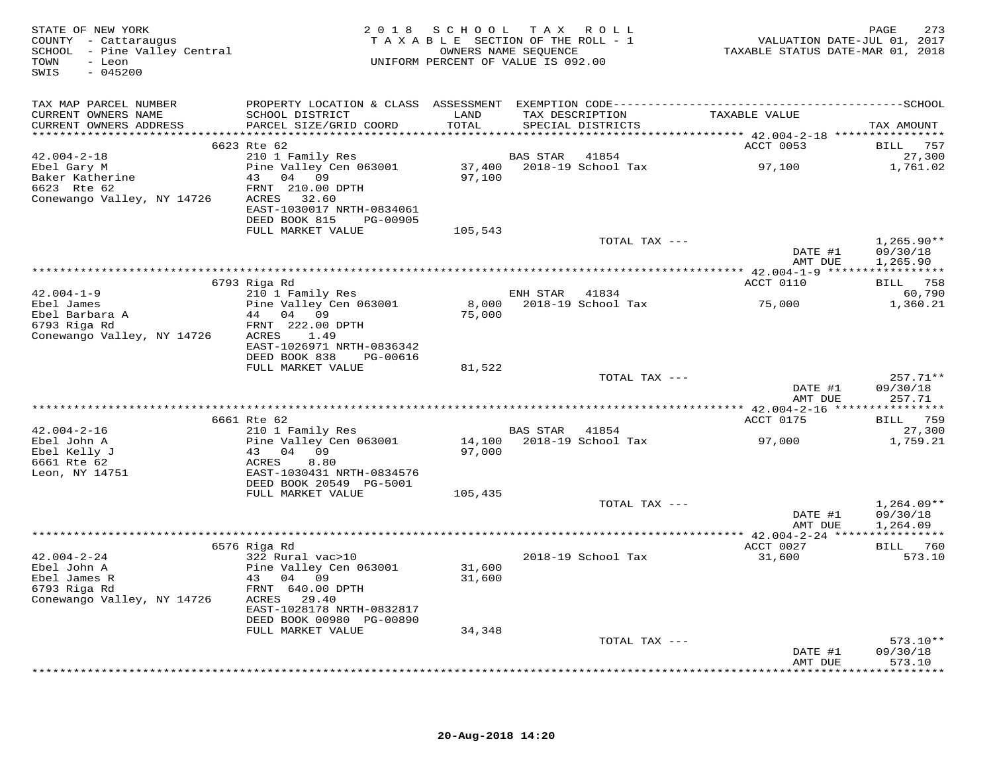| STATE OF NEW YORK<br>COUNTY - Cattaraugus<br>SCHOOL - Pine Valley Central<br>SCHOOL - Pine Valley Central<br>COUNTY - Toon<br>COUNTY - Toon<br>COUNTY - Toon<br>COUNTY - Toon<br>COUNTY - COUNTY CENTRAL PERCENT OF VALUE IS 092.00 |                                                                                                                   |               |                |                    | 273 PAGE<br>2017 VALUATION DATE-JUL<br>2018 TAXABLE STATUS DATE-MAR |                        |
|-------------------------------------------------------------------------------------------------------------------------------------------------------------------------------------------------------------------------------------|-------------------------------------------------------------------------------------------------------------------|---------------|----------------|--------------------|---------------------------------------------------------------------|------------------------|
| TAX MAP PARCEL NUMBER                                                                                                                                                                                                               |                                                                                                                   |               |                |                    |                                                                     |                        |
| CURRENT OWNERS NAME<br>CURRENT OWNERS ADDRESS                                                                                                                                                                                       | SCHOOL DISTRICT<br>PARCEL SIZE/GRID COORD                                                                         | LAND<br>TOTAL |                | SPECIAL DISTRICTS  | TAX DESCRIPTION TAXABLE VALUE                                       | TAX AMOUNT             |
|                                                                                                                                                                                                                                     |                                                                                                                   |               |                |                    |                                                                     |                        |
|                                                                                                                                                                                                                                     | 6623 Rte 62                                                                                                       |               |                |                    | <b>ACCT 0053</b>                                                    | <b>BILL</b> 757        |
| $42.004 - 2 - 18$                                                                                                                                                                                                                   | 210 1 Family Res<br>210 1 Family Res 68 BAS 31AR 41694<br>Pine Valley Cen 063001 37,400 2018-19 School Tax 97,100 |               | BAS STAR 41854 |                    |                                                                     | 27,300<br>1,761.02     |
| Ebel Gary M<br>Baker Katherine<br>6623 Rte 62                                                                                                                                                                                       | 43 04 09                                                                                                          | 97,100        |                |                    |                                                                     |                        |
|                                                                                                                                                                                                                                     | FRNT 210.00 DPTH                                                                                                  |               |                |                    |                                                                     |                        |
| Conewango Valley, NY 14726 ACRES 32.60                                                                                                                                                                                              |                                                                                                                   |               |                |                    |                                                                     |                        |
|                                                                                                                                                                                                                                     | EAST-1030017 NRTH-0834061                                                                                         |               |                |                    |                                                                     |                        |
|                                                                                                                                                                                                                                     | DEED BOOK 815 PG-00905                                                                                            |               |                |                    |                                                                     |                        |
|                                                                                                                                                                                                                                     | FULL MARKET VALUE                                                                                                 | 105,543       |                |                    |                                                                     |                        |
|                                                                                                                                                                                                                                     |                                                                                                                   |               |                | TOTAL TAX ---      |                                                                     | 1,265.90**             |
|                                                                                                                                                                                                                                     |                                                                                                                   |               |                |                    | DATE #1                                                             | 09/30/18               |
|                                                                                                                                                                                                                                     |                                                                                                                   |               |                |                    | AMT DUE                                                             | 1,265.90               |
|                                                                                                                                                                                                                                     |                                                                                                                   |               |                |                    |                                                                     |                        |
|                                                                                                                                                                                                                                     | 6793 Riga Rd                                                                                                      |               |                |                    | ACCT 0110                                                           | BILL 758               |
| $42.004 - 1 - 9$                                                                                                                                                                                                                    | %% xiga x<br>210 1 Family Res<br>Pine Valley Cen 063001                                                           |               | ENH STAR 41834 |                    |                                                                     | 60,790                 |
|                                                                                                                                                                                                                                     |                                                                                                                   |               |                |                    |                                                                     | 1,360.21               |
| Ebel James<br>Ebel Barbara A<br>6793 Riga Rd                                                                                                                                                                                        | 44 04 09                                                                                                          | 75,000        |                |                    |                                                                     |                        |
| Conewango Valley, NY 14726                                                                                                                                                                                                          | FRNT 222.00 DPTH<br>ACRES 1.49                                                                                    |               |                |                    |                                                                     |                        |
|                                                                                                                                                                                                                                     | EAST-1026971 NRTH-0836342                                                                                         |               |                |                    |                                                                     |                        |
|                                                                                                                                                                                                                                     | DEED BOOK 838 PG-00616                                                                                            |               |                |                    |                                                                     |                        |
|                                                                                                                                                                                                                                     | FULL MARKET VALUE                                                                                                 | 81,522        |                |                    |                                                                     |                        |
|                                                                                                                                                                                                                                     |                                                                                                                   |               |                | TOTAL TAX ---      | DATE #1                                                             | $257.71**$             |
|                                                                                                                                                                                                                                     |                                                                                                                   |               |                |                    |                                                                     | 09/30/18               |
|                                                                                                                                                                                                                                     |                                                                                                                   |               |                |                    | AMT DUE                                                             | 257.71                 |
|                                                                                                                                                                                                                                     |                                                                                                                   |               |                |                    |                                                                     |                        |
|                                                                                                                                                                                                                                     | 6661 Rte 62                                                                                                       |               |                |                    | ACCT 0175                                                           | BILL 759               |
| $42.004 - 2 - 16$                                                                                                                                                                                                                   | 210 1 Family Res                                                                                                  |               | BAS STAR 41854 |                    |                                                                     | 27,300                 |
|                                                                                                                                                                                                                                     | Pine Valley Cen $063001$ 14,100 2018-19 School Tax                                                                |               |                |                    | 97,000                                                              | 1,759.21               |
|                                                                                                                                                                                                                                     |                                                                                                                   | 97,000        |                |                    |                                                                     |                        |
|                                                                                                                                                                                                                                     |                                                                                                                   |               |                |                    |                                                                     |                        |
| Ebel John A<br>Ebel John A<br>Ebel Kelly J<br>6661 Rte 62<br>Leon, NY 14751<br>2007 - 20130431 NRTH-0834576<br>2014 PG-5001<br>2014 PG-5001<br>2014 PG-5001<br>2014 PG-5001                                                         |                                                                                                                   |               |                |                    |                                                                     |                        |
|                                                                                                                                                                                                                                     | DEED BOOK 20549 PG-5001<br>FULL MARKET VALUE                                                                      |               |                |                    |                                                                     |                        |
|                                                                                                                                                                                                                                     |                                                                                                                   | 105,435       |                | TOTAL TAX ---      |                                                                     | $1,264.09**$           |
|                                                                                                                                                                                                                                     |                                                                                                                   |               |                |                    | DATE #1                                                             | 09/30/18               |
|                                                                                                                                                                                                                                     |                                                                                                                   |               |                |                    | AMT DUE                                                             | 1,264.09               |
|                                                                                                                                                                                                                                     |                                                                                                                   |               |                |                    |                                                                     |                        |
|                                                                                                                                                                                                                                     | 6576 Riga Rd                                                                                                      |               |                |                    | ACCT 0027                                                           | BILL 760               |
|                                                                                                                                                                                                                                     | 322 Rural vac>10                                                                                                  |               |                | 2018-19 School Tax | 31,600                                                              | 573.10                 |
|                                                                                                                                                                                                                                     | Pine Valley Cen 063001 31,600                                                                                     |               |                |                    |                                                                     |                        |
|                                                                                                                                                                                                                                     | 43 04 09                                                                                                          | 31,600        |                |                    |                                                                     |                        |
|                                                                                                                                                                                                                                     | FRNT 640.00 DPTH                                                                                                  |               |                |                    |                                                                     |                        |
| Conewango Valley, NY 14726 ACRES 29.40                                                                                                                                                                                              |                                                                                                                   |               |                |                    |                                                                     |                        |
|                                                                                                                                                                                                                                     | EAST-1028178 NRTH-0832817                                                                                         |               |                |                    |                                                                     |                        |
|                                                                                                                                                                                                                                     | DEED BOOK 00980 PG-00890                                                                                          |               |                |                    |                                                                     |                        |
|                                                                                                                                                                                                                                     | FULL MARKET VALUE                                                                                                 | 34,348        |                |                    |                                                                     |                        |
|                                                                                                                                                                                                                                     |                                                                                                                   |               |                | TOTAL TAX ---      |                                                                     | $573.10**$<br>09/30/18 |
|                                                                                                                                                                                                                                     |                                                                                                                   |               |                |                    | DATE #1<br>AMT DUE                                                  | 573.10                 |
|                                                                                                                                                                                                                                     |                                                                                                                   |               |                |                    |                                                                     | ***********            |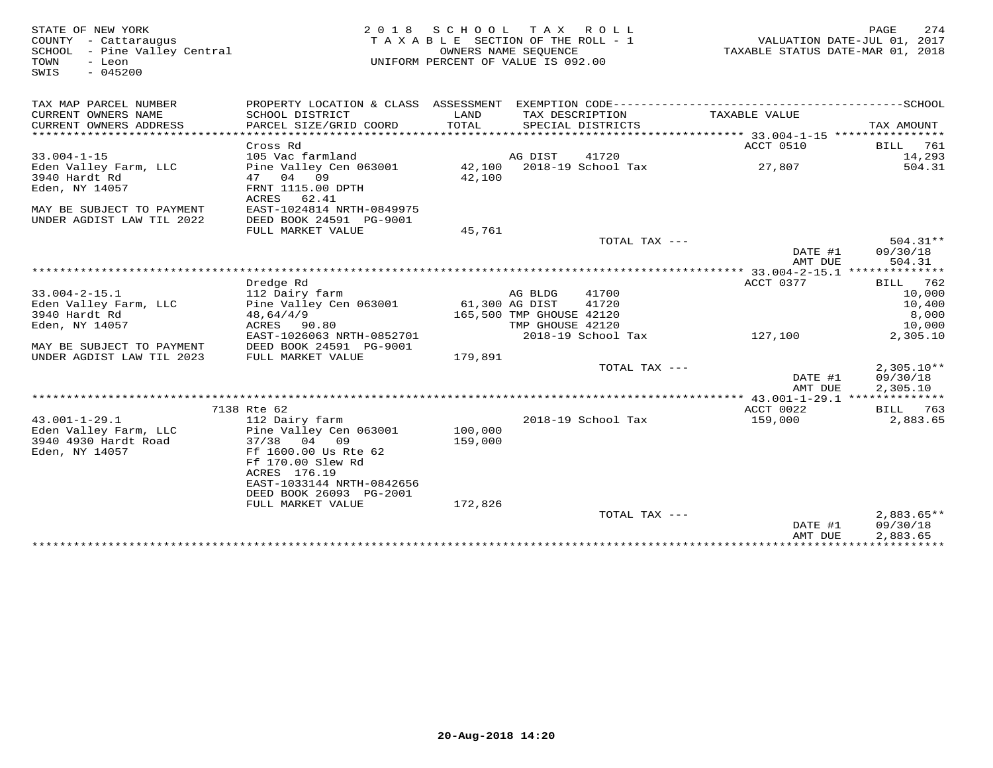| STATE OF NEW YORK<br>COUNTY - Cattaraugus<br>SCHOOL - Pine Valley Central<br>TOWN<br>- Leon<br>$-045200$<br>SWIS | 2 0 1 8                                                                                      | SCHOOL TAX | R O L L<br>TAXABLE SECTION OF THE ROLL - 1<br>OWNERS NAME SEOUENCE<br>UNIFORM PERCENT OF VALUE IS 092.00 |                 | TAXABLE STATUS DATE-MAR 01, 2018 | 274<br>PAGE<br>VALUATION DATE-JUL 01, 2017 |
|------------------------------------------------------------------------------------------------------------------|----------------------------------------------------------------------------------------------|------------|----------------------------------------------------------------------------------------------------------|-----------------|----------------------------------|--------------------------------------------|
| TAX MAP PARCEL NUMBER                                                                                            | PROPERTY LOCATION & CLASS ASSESSMENT EXEMPTION CODE-----------------------------------SCHOOL |            |                                                                                                          |                 |                                  |                                            |
| CURRENT OWNERS NAME                                                                                              | SCHOOL DISTRICT                                                                              | LAND       | TAX DESCRIPTION                                                                                          |                 | TAXABLE VALUE                    |                                            |
| CURRENT OWNERS ADDRESS                                                                                           | PARCEL SIZE/GRID COORD                                                                       | TOTAL      | SPECIAL DISTRICTS                                                                                        |                 |                                  | TAX AMOUNT                                 |
|                                                                                                                  | Cross Rd                                                                                     |            |                                                                                                          |                 | ACCT 0510                        | BILL 761                                   |
| $33.004 - 1 - 15$                                                                                                | 105 Vac farmland                                                                             |            | AG DIST<br>41720                                                                                         |                 |                                  | 14,293                                     |
| Eden Valley Farm, LLC                                                                                            | Pine Valley Cen 063001                                                                       | 42,100     | 2018-19 School Tax                                                                                       |                 | 27,807                           | 504.31                                     |
| 3940 Hardt Rd                                                                                                    | 47 04 09                                                                                     | 42,100     |                                                                                                          |                 |                                  |                                            |
| Eden, NY 14057                                                                                                   | FRNT 1115.00 DPTH                                                                            |            |                                                                                                          |                 |                                  |                                            |
|                                                                                                                  | ACRES 62.41                                                                                  |            |                                                                                                          |                 |                                  |                                            |
| MAY BE SUBJECT TO PAYMENT                                                                                        | EAST-1024814 NRTH-0849975                                                                    |            |                                                                                                          |                 |                                  |                                            |
| UNDER AGDIST LAW TIL 2022                                                                                        | DEED BOOK 24591 PG-9001                                                                      |            |                                                                                                          |                 |                                  |                                            |
|                                                                                                                  | FULL MARKET VALUE                                                                            | 45,761     |                                                                                                          | TOTAL TAX ---   |                                  | $504.31**$                                 |
|                                                                                                                  |                                                                                              |            |                                                                                                          |                 | DATE #1                          | 09/30/18                                   |
|                                                                                                                  |                                                                                              |            |                                                                                                          |                 | AMT DUE                          | 504.31                                     |
|                                                                                                                  |                                                                                              |            |                                                                                                          |                 |                                  |                                            |
|                                                                                                                  | Dredge Rd                                                                                    |            |                                                                                                          |                 | ACCT 0377                        | 762<br>BILL                                |
| $33.004 - 2 - 15.1$                                                                                              | 112 Dairy farm                                                                               |            | AG BLDG<br>41700                                                                                         |                 |                                  | 10,000                                     |
| Eden Valley Farm, LLC                                                                                            | Pine Valley Cen 063001                                                                       |            | 61,300 AG DIST<br>41720                                                                                  |                 |                                  | 10,400                                     |
| 3940 Hardt Rd                                                                                                    | 48,64/4/9<br>ACRES 90.80                                                                     |            | 165,500 TMP GHOUSE 42120<br>TMP GHOUSE 42120                                                             |                 |                                  | 8,000<br>10,000                            |
| Eden, NY 14057                                                                                                   | EAST-1026063 NRTH-0852701                                                                    |            | 2018-19 School Tax                                                                                       |                 | 127,100                          | 2,305.10                                   |
| MAY BE SUBJECT TO PAYMENT                                                                                        | DEED BOOK 24591 PG-9001                                                                      |            |                                                                                                          |                 |                                  |                                            |
| UNDER AGDIST LAW TIL 2023                                                                                        | FULL MARKET VALUE                                                                            | 179,891    |                                                                                                          |                 |                                  |                                            |
|                                                                                                                  |                                                                                              |            |                                                                                                          | TOTAL TAX ---   |                                  | $2,305.10**$                               |
|                                                                                                                  |                                                                                              |            |                                                                                                          |                 | DATE #1                          | 09/30/18                                   |
|                                                                                                                  |                                                                                              |            |                                                                                                          |                 | AMT DUE                          | 2,305.10                                   |
|                                                                                                                  | 7138 Rte 62                                                                                  |            |                                                                                                          |                 | ACCT 0022                        |                                            |
| $43.001 - 1 - 29.1$                                                                                              | 112 Dairy farm                                                                               |            | 2018-19 School Tax                                                                                       |                 | 159,000                          | BILL 763<br>2,883.65                       |
| Eden Valley Farm, LLC                                                                                            | Pine Valley Cen 063001                                                                       | 100,000    |                                                                                                          |                 |                                  |                                            |
| 3940 4930 Hardt Road                                                                                             | 37/38 04 09                                                                                  | 159,000    |                                                                                                          |                 |                                  |                                            |
| Eden, NY 14057                                                                                                   | Ff 1600.00 Us Rte 62                                                                         |            |                                                                                                          |                 |                                  |                                            |
|                                                                                                                  | Ff 170.00 Slew Rd                                                                            |            |                                                                                                          |                 |                                  |                                            |
|                                                                                                                  | ACRES 176.19                                                                                 |            |                                                                                                          |                 |                                  |                                            |
|                                                                                                                  | EAST-1033144 NRTH-0842656<br>DEED BOOK 26093 PG-2001                                         |            |                                                                                                          |                 |                                  |                                            |
|                                                                                                                  | FULL MARKET VALUE                                                                            | 172,826    |                                                                                                          |                 |                                  |                                            |
|                                                                                                                  |                                                                                              |            |                                                                                                          | TOTAL TAX $---$ |                                  | $2.883.65**$                               |
|                                                                                                                  |                                                                                              |            |                                                                                                          |                 | DATE #1                          | 09/30/18                                   |
|                                                                                                                  |                                                                                              |            |                                                                                                          |                 | AMT DUE                          | 2,883.65                                   |
|                                                                                                                  |                                                                                              |            |                                                                                                          |                 |                                  |                                            |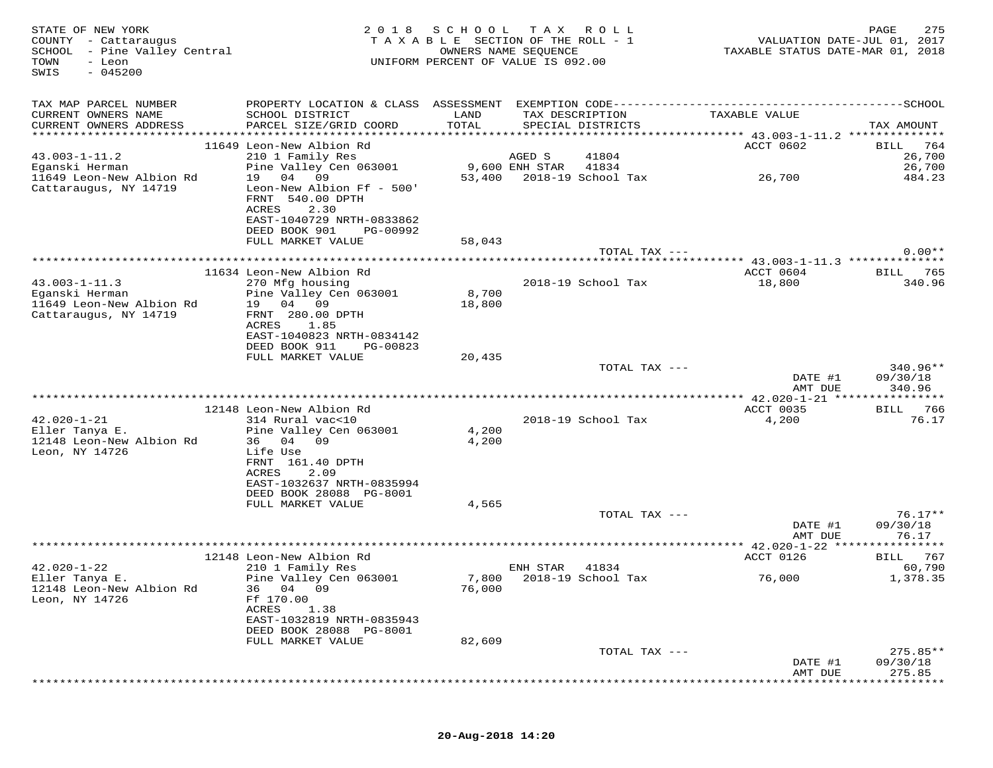| STATE OF NEW YORK<br>COUNTY - Cattaraugus<br>SCHOOL - Pine Valley Central<br>TOWN<br>- Leon<br>$-045200$<br>SWIS | 2 0 1 8                                                                                                                                 | SCHOOL<br>TAXABLE SECTION OF THE ROLL - 1<br>UNIFORM PERCENT OF VALUE IS 092.00 | T A X<br>OWNERS NAME SEQUENCE | R O L L                     | VALUATION DATE-JUL 01, 2017<br>TAXABLE STATUS DATE-MAR 01, 2018 | 275<br>PAGE                      |
|------------------------------------------------------------------------------------------------------------------|-----------------------------------------------------------------------------------------------------------------------------------------|---------------------------------------------------------------------------------|-------------------------------|-----------------------------|-----------------------------------------------------------------|----------------------------------|
| TAX MAP PARCEL NUMBER<br>CURRENT OWNERS NAME<br>CURRENT OWNERS ADDRESS                                           | PROPERTY LOCATION & CLASS ASSESSMENT<br>SCHOOL DISTRICT<br>PARCEL SIZE/GRID COORD                                                       | LAND<br>TOTAL                                                                   | TAX DESCRIPTION               | SPECIAL DISTRICTS           | TAXABLE VALUE                                                   | TAX AMOUNT                       |
| ***********************                                                                                          |                                                                                                                                         |                                                                                 |                               |                             |                                                                 |                                  |
| $43.003 - 1 - 11.2$                                                                                              | 11649 Leon-New Albion Rd<br>210 1 Family Res                                                                                            |                                                                                 | AGED S                        | 41804                       | ACCT 0602                                                       | 764<br>BILL<br>26,700            |
| Eganski Herman                                                                                                   | Pine Valley Cen 063001                                                                                                                  |                                                                                 | 9,600 ENH STAR                | 41834                       |                                                                 | 26,700                           |
| 11649 Leon-New Albion Rd<br>Cattaraugus, NY 14719                                                                | 19 04<br>09<br>Leon-New Albion Ff - 500'<br>FRNT 540.00 DPTH<br>ACRES<br>2.30<br>EAST-1040729 NRTH-0833862<br>DEED BOOK 901<br>PG-00992 | 53,400                                                                          |                               | 2018-19 School Tax          | 26,700                                                          | 484.23                           |
|                                                                                                                  | FULL MARKET VALUE                                                                                                                       | 58,043                                                                          |                               |                             |                                                                 |                                  |
|                                                                                                                  |                                                                                                                                         |                                                                                 |                               | TOTAL TAX ---               |                                                                 | $0.00**$                         |
|                                                                                                                  | ****************                                                                                                                        | *******************                                                             |                               |                             | ***** 43.003-1-11.3 **********                                  |                                  |
| $43.003 - 1 - 11.3$<br>Eganski Herman                                                                            | 11634 Leon-New Albion Rd<br>270 Mfg housing<br>Pine Valley Cen 063001                                                                   | 8,700                                                                           |                               | 2018-19 School Tax          | ACCT 0604<br>18,800                                             | 765<br>BILL<br>340.96            |
| 11649 Leon-New Albion Rd<br>Cattaraugus, NY 14719                                                                | 19 04<br>09<br>FRNT 280.00 DPTH<br>ACRES<br>1.85<br>EAST-1040823 NRTH-0834142<br>DEED BOOK 911<br>PG-00823                              | 18,800                                                                          |                               |                             |                                                                 |                                  |
|                                                                                                                  | FULL MARKET VALUE                                                                                                                       | 20,435                                                                          |                               | TOTAL TAX ---               |                                                                 | $340.96**$                       |
|                                                                                                                  |                                                                                                                                         |                                                                                 |                               |                             | DATE #1<br>AMT DUE                                              | 09/30/18<br>340.96               |
|                                                                                                                  |                                                                                                                                         |                                                                                 |                               |                             | *** 42.020-1-21 *****                                           |                                  |
| $42.020 - 1 - 21$<br>Eller Tanya E.                                                                              | 12148 Leon-New Albion Rd<br>314 Rural vac<10<br>Pine Valley Cen 063001                                                                  | 4,200                                                                           |                               | 2018-19 School Tax          | ACCT 0035<br>4,200                                              | 766<br>BILL<br>76.17             |
| 12148 Leon-New Albion Rd<br>Leon, NY 14726                                                                       | 36 04<br>09<br>Life Use<br>FRNT 161.40 DPTH<br>ACRES<br>2.09                                                                            | 4,200                                                                           |                               |                             |                                                                 |                                  |
|                                                                                                                  | EAST-1032637 NRTH-0835994<br>DEED BOOK 28088 PG-8001                                                                                    |                                                                                 |                               |                             |                                                                 |                                  |
|                                                                                                                  | FULL MARKET VALUE                                                                                                                       | 4,565                                                                           |                               |                             |                                                                 |                                  |
|                                                                                                                  |                                                                                                                                         |                                                                                 |                               | TOTAL TAX ---               | DATE #1<br>AMT DUE                                              | $76.17**$<br>09/30/18<br>76.17   |
|                                                                                                                  |                                                                                                                                         |                                                                                 |                               |                             |                                                                 |                                  |
|                                                                                                                  | 12148 Leon-New Albion Rd                                                                                                                |                                                                                 |                               |                             | ACCT 0126                                                       | 767<br>BILL                      |
| $42.020 - 1 - 22$<br>Eller Tanya E.<br>12148 Leon-New Albion Rd                                                  | 210 1 Family Res<br>Pine Valley Cen 063001<br>36 04 09                                                                                  | 7,800<br>76,000                                                                 | ENH STAR                      | 41834<br>2018-19 School Tax | 76,000                                                          | 60,790<br>1,378.35               |
| Leon, NY 14726                                                                                                   | Ff 170.00<br>ACRES<br>1.38<br>EAST-1032819 NRTH-0835943<br>DEED BOOK 28088 PG-8001                                                      |                                                                                 |                               |                             |                                                                 |                                  |
|                                                                                                                  | FULL MARKET VALUE                                                                                                                       | 82,609                                                                          |                               |                             |                                                                 |                                  |
|                                                                                                                  |                                                                                                                                         |                                                                                 |                               | TOTAL TAX ---               | DATE #1<br>AMT DUE                                              | $275.85**$<br>09/30/18<br>275.85 |
|                                                                                                                  |                                                                                                                                         |                                                                                 |                               |                             |                                                                 |                                  |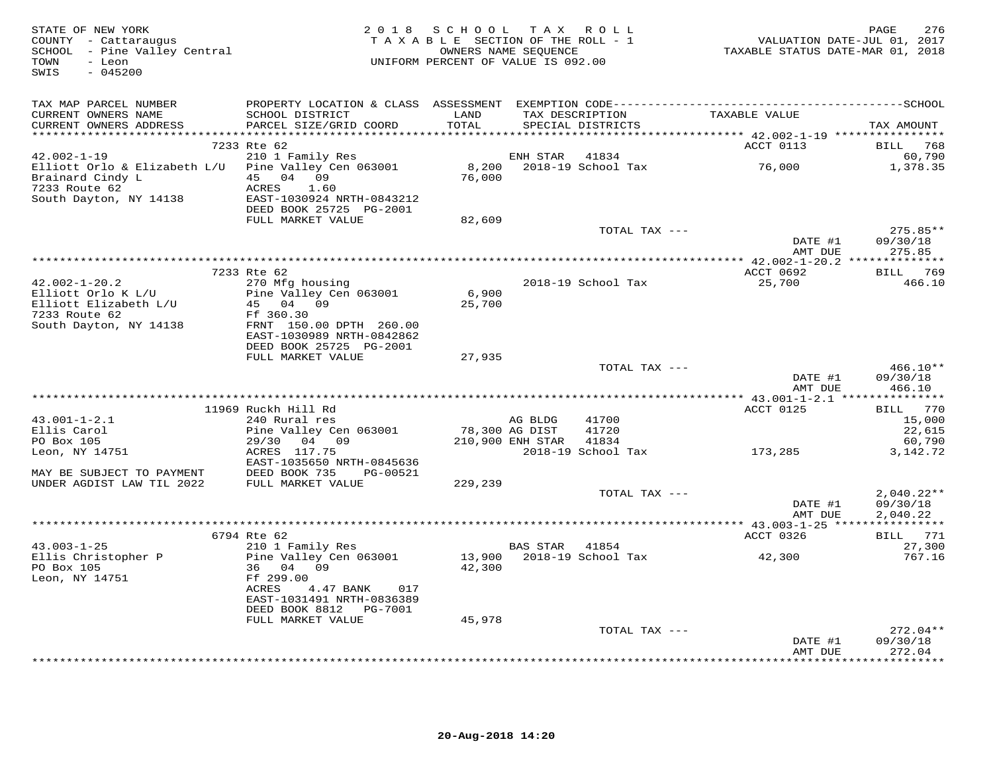| STATE OF NEW YORK<br>STATE OF NEW YORA<br>COUNTY - Cattaraugus<br>SCHOOL - Pine Valley Central<br>$-045200$<br>SWIS |                                                                       | 2018 SCHOOL TAX ROLL<br>UNIFORM PERCENT OF VALUE IS 092.00 |                  | T A X A B L E SECTION OF THE ROLL - 1<br>OWNERS NAME SEQUENCE |                    | 276<br>PAGE            |
|---------------------------------------------------------------------------------------------------------------------|-----------------------------------------------------------------------|------------------------------------------------------------|------------------|---------------------------------------------------------------|--------------------|------------------------|
| TAX MAP PARCEL NUMBER<br>CURRENT OWNERS NAME                                                                        | SCHOOL DISTRICT                                                       | LAND                                                       |                  | TAX DESCRIPTION                                               | TAXABLE VALUE      |                        |
| CURRENT OWNERS ADDRESS                                                                                              | PARCEL SIZE/GRID COORD                                                | TOTAL                                                      |                  | SPECIAL DISTRICTS                                             |                    | TAX AMOUNT             |
| ***********************                                                                                             | 7233 Rte 62                                                           |                                                            |                  |                                                               |                    |                        |
| $42.002 - 1 - 19$                                                                                                   | 210 1 Family Res                                                      |                                                            | ENH STAR         | 41834                                                         | ACCT 0113          | BILL 768<br>60,790     |
| Elliott Orlo & Elizabeth L/U Pine Valley Cen 063001<br>Brainard Cindy L<br>7233 Route 62                            | 45 04 09                                                              | 76,000                                                     |                  | 8,200 2018-19 School Tax 76,000                               |                    | 1,378.35               |
| 7233 Route 62<br>South Dayton, NY 14138                                                                             | 1.60<br>ACRES<br>EAST-1030924 NRTH-0843212<br>DEED BOOK 25725 PG-2001 |                                                            |                  |                                                               |                    |                        |
|                                                                                                                     | FULL MARKET VALUE                                                     | 82,609                                                     |                  |                                                               |                    |                        |
|                                                                                                                     |                                                                       |                                                            |                  | TOTAL TAX ---                                                 | DATE #1            | $275.85**$<br>09/30/18 |
|                                                                                                                     |                                                                       |                                                            |                  |                                                               | AMT DUE            | 275.85                 |
|                                                                                                                     |                                                                       |                                                            |                  |                                                               |                    |                        |
|                                                                                                                     | 7233 Rte 62                                                           |                                                            |                  |                                                               | ACCT 0692          | BILL 769               |
| $42.002 - 1 - 20.2$                                                                                                 | 270 Mfg housing                                                       |                                                            |                  | 2018-19 School Tax                                            | 25,700             | 466.10                 |
| Elliott Orlo K L/U<br>Elliott Elizabeth L/U                                                                         | Pine Valley Cen 063001<br>45 04 09                                    | 6,900<br>25,700                                            |                  |                                                               |                    |                        |
| 7233 Route 62                                                                                                       | Ff 360.30                                                             |                                                            |                  |                                                               |                    |                        |
| South Dayton, NY 14138                                                                                              | FRNT 150.00 DPTH 260.00<br>EAST-1030989 NRTH-0842862                  |                                                            |                  |                                                               |                    |                        |
|                                                                                                                     | DEED BOOK 25725 PG-2001                                               |                                                            |                  |                                                               |                    |                        |
|                                                                                                                     | FULL MARKET VALUE                                                     | 27,935                                                     |                  |                                                               |                    |                        |
|                                                                                                                     |                                                                       |                                                            |                  | TOTAL TAX ---                                                 |                    | $466.10**$             |
|                                                                                                                     |                                                                       |                                                            |                  |                                                               | DATE #1<br>AMT DUE | 09/30/18<br>466.10     |
|                                                                                                                     |                                                                       |                                                            |                  |                                                               |                    |                        |
|                                                                                                                     | 11969 Ruckh Hill Rd                                                   |                                                            |                  |                                                               | ACCT 0125          | BILL 770               |
| $43.001 - 1 - 2.1$                                                                                                  | 240 Rural res                                                         | 78,300 AG DIST                                             | AG BLDG          | 41700                                                         |                    | 15,000                 |
| Ellis Carol<br>PO Box 105                                                                                           | Pine Valley Cen 063001<br>29/30 04 09                                 |                                                            | 210,900 ENH STAR | 41720<br>41834                                                |                    | 22,615<br>60,790       |
| Leon, NY 14751                                                                                                      | ACRES 117.75                                                          |                                                            |                  | 2018-19 School Tax                                            | 173,285            | 3, 142. 72             |
|                                                                                                                     | EAST-1035650 NRTH-0845636                                             |                                                            |                  |                                                               |                    |                        |
| MAY BE SUBJECT TO PAYMENT                                                                                           | DEED BOOK 735 PG-00521                                                |                                                            |                  |                                                               |                    |                        |
| UNDER AGDIST LAW TIL 2022                                                                                           | FULL MARKET VALUE                                                     | 229,239                                                    |                  | TOTAL TAX ---                                                 |                    | $2,040.22**$           |
|                                                                                                                     |                                                                       |                                                            |                  |                                                               | DATE #1            | 09/30/18               |
|                                                                                                                     |                                                                       |                                                            |                  |                                                               | AMT DUE            | 2,040.22               |
|                                                                                                                     |                                                                       |                                                            |                  |                                                               |                    |                        |
|                                                                                                                     | 6794 Rte 62                                                           |                                                            |                  |                                                               | ACCT 0326          | BILL 771               |
| $43.003 - 1 - 25$<br>Ellis Christopher P                                                                            | 210 1 Family Res<br>Pine Valley Cen 063001                            |                                                            | BAS STAR 41854   | 13,900 2018-19 School Tax 42,300                              |                    | 27,300<br>767.16       |
| PO Box 105<br>Leon, NY 14751                                                                                        | 36 04 09<br>Ff 299.00                                                 | 42,300                                                     |                  |                                                               |                    |                        |
|                                                                                                                     | ACRES<br>4.47 BANK<br>017<br>EAST-1031491 NRTH-0836389                |                                                            |                  |                                                               |                    |                        |
|                                                                                                                     | DEED BOOK 8812 PG-7001                                                |                                                            |                  |                                                               |                    |                        |
|                                                                                                                     | FULL MARKET VALUE                                                     | 45,978                                                     |                  | TOTAL TAX ---                                                 |                    | $272.04**$             |
|                                                                                                                     |                                                                       |                                                            |                  |                                                               | DATE #1            | 09/30/18               |
|                                                                                                                     |                                                                       |                                                            |                  |                                                               | AMT DUE            | 272.04<br>********     |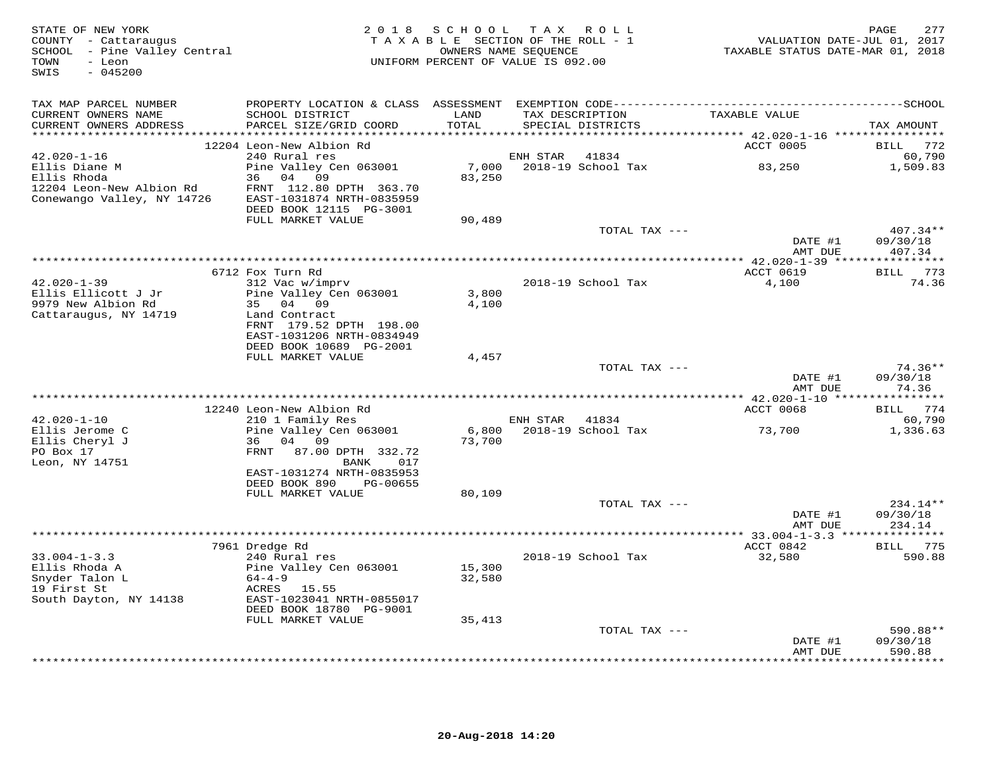| STATE OF NEW YORK<br>COUNTY - Cattaraugus<br>SCHOOL - Pine Valley Central<br>TOWN<br>- Leon<br>SWIS<br>$-045200$ | 2 0 1 8                                                                         | SCHOOL          | TAX ROLL<br>TAXABLE SECTION OF THE ROLL - 1<br>OWNERS NAME SEQUENCE<br>UNIFORM PERCENT OF VALUE IS 092.00 | VALUATION DATE-JUL 01, 2017<br>TAXABLE STATUS DATE-MAR 01, 2018 | 277<br>PAGE                 |
|------------------------------------------------------------------------------------------------------------------|---------------------------------------------------------------------------------|-----------------|-----------------------------------------------------------------------------------------------------------|-----------------------------------------------------------------|-----------------------------|
| TAX MAP PARCEL NUMBER                                                                                            |                                                                                 |                 |                                                                                                           |                                                                 |                             |
| CURRENT OWNERS NAME<br>CURRENT OWNERS ADDRESS                                                                    | SCHOOL DISTRICT<br>PARCEL SIZE/GRID COORD                                       | LAND<br>TOTAL   | TAX DESCRIPTION<br>SPECIAL DISTRICTS                                                                      | TAXABLE VALUE                                                   | TAX AMOUNT                  |
| ***************                                                                                                  | 12204 Leon-New Albion Rd                                                        | ******          |                                                                                                           | ******** 42.020-1-16 *****************<br>ACCT 0005             | BILL<br>772                 |
| $42.020 - 1 - 16$                                                                                                | 240 Rural res                                                                   |                 | ENH STAR<br>41834                                                                                         |                                                                 | 60,790                      |
| Ellis Diane M<br>Ellis Rhoda                                                                                     | Pine Valley Cen 063001<br>04<br>09<br>36                                        | 7,000<br>83,250 | 2018-19 School Tax                                                                                        | 83,250                                                          | 1,509.83                    |
| 12204 Leon-New Albion Rd<br>Conewango Valley, NY 14726                                                           | FRNT 112.80 DPTH 363.70<br>EAST-1031874 NRTH-0835959<br>DEED BOOK 12115 PG-3001 |                 |                                                                                                           |                                                                 |                             |
|                                                                                                                  | FULL MARKET VALUE                                                               | 90,489          |                                                                                                           |                                                                 |                             |
|                                                                                                                  |                                                                                 |                 | TOTAL TAX ---                                                                                             |                                                                 | $407.34**$                  |
|                                                                                                                  |                                                                                 |                 |                                                                                                           | DATE #1                                                         | 09/30/18                    |
|                                                                                                                  |                                                                                 |                 |                                                                                                           | AMT DUE                                                         | 407.34<br>* * * * * * * * * |
|                                                                                                                  | 6712 Fox Turn Rd                                                                |                 |                                                                                                           | ACCT 0619                                                       | 773<br>BILL                 |
| $42.020 - 1 - 39$                                                                                                | 312 Vac w/imprv                                                                 |                 | 2018-19 School Tax                                                                                        | 4,100                                                           | 74.36                       |
| Ellis Ellicott J Jr                                                                                              | Pine Valley Cen 063001                                                          | 3,800           |                                                                                                           |                                                                 |                             |
| 9979 New Albion Rd<br>Cattaraugus, NY 14719                                                                      | 35 04 09<br>Land Contract                                                       | 4,100           |                                                                                                           |                                                                 |                             |
|                                                                                                                  | FRNT 179.52 DPTH 198.00                                                         |                 |                                                                                                           |                                                                 |                             |
|                                                                                                                  | EAST-1031206 NRTH-0834949                                                       |                 |                                                                                                           |                                                                 |                             |
|                                                                                                                  | DEED BOOK 10689 PG-2001                                                         |                 |                                                                                                           |                                                                 |                             |
|                                                                                                                  | FULL MARKET VALUE                                                               | 4,457           | TOTAL TAX ---                                                                                             |                                                                 | 74.36**                     |
|                                                                                                                  |                                                                                 |                 |                                                                                                           | DATE #1<br>AMT DUE                                              | 09/30/18<br>74.36           |
|                                                                                                                  |                                                                                 |                 |                                                                                                           |                                                                 |                             |
|                                                                                                                  | 12240 Leon-New Albion Rd                                                        |                 |                                                                                                           | ACCT 0068                                                       | BILL 774                    |
| $42.020 - 1 - 10$                                                                                                | 210 1 Family Res                                                                |                 | ENH STAR<br>41834                                                                                         |                                                                 | 60,790                      |
| Ellis Jerome C<br>Ellis Cheryl J                                                                                 | Pine Valley Cen 063001<br>36<br>04<br>09                                        | 6,800<br>73,700 | 2018-19 School Tax                                                                                        | 73,700                                                          | 1,336.63                    |
| PO Box 17                                                                                                        | 87.00 DPTH 332.72<br>FRNT                                                       |                 |                                                                                                           |                                                                 |                             |
| Leon, NY 14751                                                                                                   | BANK<br>017                                                                     |                 |                                                                                                           |                                                                 |                             |
|                                                                                                                  | EAST-1031274 NRTH-0835953                                                       |                 |                                                                                                           |                                                                 |                             |
|                                                                                                                  | DEED BOOK 890<br>PG-00655<br>FULL MARKET VALUE                                  | 80,109          |                                                                                                           |                                                                 |                             |
|                                                                                                                  |                                                                                 |                 | TOTAL TAX ---                                                                                             |                                                                 | $234.14**$                  |
|                                                                                                                  |                                                                                 |                 |                                                                                                           | DATE #1                                                         | 09/30/18                    |
|                                                                                                                  |                                                                                 |                 |                                                                                                           | AMT DUE                                                         | 234.14                      |
|                                                                                                                  | 7961 Dredge Rd                                                                  |                 |                                                                                                           | ACCT 0842                                                       | BILL 775                    |
| $33.004 - 1 - 3.3$                                                                                               | 240 Rural res                                                                   |                 | 2018-19 School Tax                                                                                        | 32,580                                                          | 590.88                      |
| Ellis Rhoda A                                                                                                    | Pine Valley Cen 063001                                                          | 15,300          |                                                                                                           |                                                                 |                             |
| Snyder Talon L<br>19 First St                                                                                    | $64 - 4 - 9$<br>ACRES 15.55                                                     | 32,580          |                                                                                                           |                                                                 |                             |
| South Dayton, NY 14138                                                                                           | EAST-1023041 NRTH-0855017                                                       |                 |                                                                                                           |                                                                 |                             |
|                                                                                                                  | DEED BOOK 18780 PG-9001                                                         |                 |                                                                                                           |                                                                 |                             |
|                                                                                                                  | FULL MARKET VALUE                                                               | 35,413          |                                                                                                           |                                                                 |                             |
|                                                                                                                  |                                                                                 |                 | TOTAL TAX ---                                                                                             | DATE #1                                                         | 590.88**<br>09/30/18        |
|                                                                                                                  |                                                                                 |                 |                                                                                                           | AMT DUE                                                         | 590.88                      |
|                                                                                                                  |                                                                                 |                 |                                                                                                           |                                                                 | - + + + + + + +             |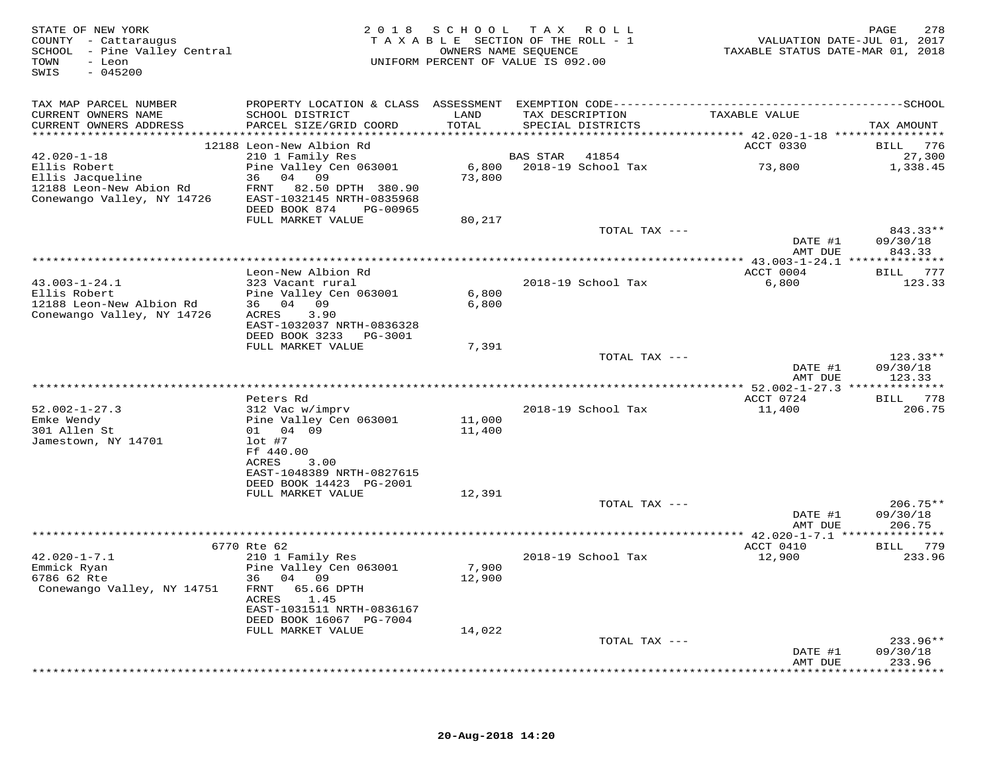| STATE OF NEW YORK<br>COUNTY - Cattaraugus<br>SCHOOL - Pine Valley Central<br>- Leon<br>TOWN<br>$-045200$<br>SWIS |                                                     |        | 2018 SCHOOL TAX ROLL<br>TAXABLE SECTION OF THE ROLL - 1<br>OWNERS NAME SEQUENCE<br>UNIFORM PERCENT OF VALUE IS 092.00 | VALUATION DATE-JUL 01, 2017<br>TAXABLE STATUS DATE-MAR 01, 2018 | 278<br>PAGE        |
|------------------------------------------------------------------------------------------------------------------|-----------------------------------------------------|--------|-----------------------------------------------------------------------------------------------------------------------|-----------------------------------------------------------------|--------------------|
| TAX MAP PARCEL NUMBER                                                                                            |                                                     |        |                                                                                                                       |                                                                 |                    |
| CURRENT OWNERS NAME                                                                                              | SCHOOL DISTRICT                                     | LAND   | TAX DESCRIPTION                                                                                                       | TAXABLE VALUE                                                   |                    |
| CURRENT OWNERS ADDRESS                                                                                           | PARCEL SIZE/GRID COORD                              | TOTAL  | SPECIAL DISTRICTS                                                                                                     |                                                                 | TAX AMOUNT         |
|                                                                                                                  | 12188 Leon-New Albion Rd                            |        |                                                                                                                       | ACCT 0330                                                       | BILL 776           |
| $42.020 - 1 - 18$                                                                                                | 210 1 Family Res                                    |        | BAS STAR<br>41854                                                                                                     |                                                                 | 27,300             |
| Ellis Robert                                                                                                     | Pine Valley Cen 063001                              | 6,800  | 2018-19 School Tax                                                                                                    | 73,800                                                          | 1,338.45           |
| Ellis Jacqueline                                                                                                 | 36 04 09                                            | 73,800 |                                                                                                                       |                                                                 |                    |
| 12188 Leon-New Abion Rd<br>Conewango Valley, NY 14726                                                            | FRNT 82.50 DPTH 380.90<br>EAST-1032145 NRTH-0835968 |        |                                                                                                                       |                                                                 |                    |
|                                                                                                                  | DEED BOOK 874<br>PG-00965                           |        |                                                                                                                       |                                                                 |                    |
|                                                                                                                  | FULL MARKET VALUE                                   | 80,217 |                                                                                                                       |                                                                 |                    |
|                                                                                                                  |                                                     |        | TOTAL TAX ---                                                                                                         |                                                                 | 843.33**           |
|                                                                                                                  |                                                     |        |                                                                                                                       | DATE #1                                                         | 09/30/18           |
|                                                                                                                  |                                                     |        |                                                                                                                       | AMT DUE                                                         | 843.33             |
|                                                                                                                  | Leon-New Albion Rd                                  |        |                                                                                                                       | ACCT 0004                                                       | BILL 777           |
| $43.003 - 1 - 24.1$                                                                                              | 323 Vacant rural                                    |        | 2018-19 School Tax                                                                                                    | 6,800                                                           | 123.33             |
| Ellis Robert                                                                                                     | Pine Valley Cen 063001                              | 6,800  |                                                                                                                       |                                                                 |                    |
| 12188 Leon-New Albion Rd                                                                                         | 36 04 09                                            | 6,800  |                                                                                                                       |                                                                 |                    |
| Conewango Valley, NY 14726                                                                                       | ACRES<br>3.90<br>EAST-1032037 NRTH-0836328          |        |                                                                                                                       |                                                                 |                    |
|                                                                                                                  | DEED BOOK 3233 PG-3001                              |        |                                                                                                                       |                                                                 |                    |
|                                                                                                                  | FULL MARKET VALUE                                   | 7,391  |                                                                                                                       |                                                                 |                    |
|                                                                                                                  |                                                     |        | TOTAL TAX ---                                                                                                         |                                                                 | $123.33**$         |
|                                                                                                                  |                                                     |        |                                                                                                                       | DATE #1<br>AMT DUE                                              | 09/30/18<br>123.33 |
|                                                                                                                  |                                                     |        |                                                                                                                       |                                                                 |                    |
| $52.002 - 1 - 27.3$                                                                                              | Peters Rd<br>312 Vac w/imprv                        |        | 2018-19 School Tax                                                                                                    | ACCT 0724<br>11,400                                             | BILL 778<br>206.75 |
| Emke Wendy                                                                                                       | Pine Valley Cen 063001                              | 11,000 |                                                                                                                       |                                                                 |                    |
| 301 Allen St                                                                                                     | 01 04 09                                            | 11,400 |                                                                                                                       |                                                                 |                    |
| Jamestown, NY 14701                                                                                              | $lot$ #7                                            |        |                                                                                                                       |                                                                 |                    |
|                                                                                                                  | Ff 440.00                                           |        |                                                                                                                       |                                                                 |                    |
|                                                                                                                  | ACRES<br>3.00<br>EAST-1048389 NRTH-0827615          |        |                                                                                                                       |                                                                 |                    |
|                                                                                                                  | DEED BOOK 14423 PG-2001                             |        |                                                                                                                       |                                                                 |                    |
|                                                                                                                  | FULL MARKET VALUE                                   | 12,391 |                                                                                                                       |                                                                 |                    |
|                                                                                                                  |                                                     |        | TOTAL TAX ---                                                                                                         |                                                                 | 206.75**           |
|                                                                                                                  |                                                     |        |                                                                                                                       | DATE #1<br>AMT DUE                                              | 09/30/18           |
|                                                                                                                  |                                                     |        |                                                                                                                       |                                                                 | 206.75             |
|                                                                                                                  | 6770 Rte 62                                         |        |                                                                                                                       | ACCT 0410                                                       | BILL 779           |
| $42.020 - 1 - 7.1$                                                                                               | 210 1 Family Res                                    |        | 2018-19 School Tax                                                                                                    | 12,900                                                          | 233.96             |
| Emmick Ryan                                                                                                      | Pine Valley Cen 063001                              | 7,900  |                                                                                                                       |                                                                 |                    |
| 6786 62 Rte                                                                                                      | 36 04 09                                            | 12,900 |                                                                                                                       |                                                                 |                    |
| Conewango Valley, NY 14751                                                                                       | FRNT 65.66 DPTH<br>ACRES<br>1.45                    |        |                                                                                                                       |                                                                 |                    |
|                                                                                                                  | EAST-1031511 NRTH-0836167                           |        |                                                                                                                       |                                                                 |                    |
|                                                                                                                  | DEED BOOK 16067 PG-7004                             |        |                                                                                                                       |                                                                 |                    |
|                                                                                                                  | FULL MARKET VALUE                                   | 14,022 |                                                                                                                       |                                                                 |                    |
|                                                                                                                  |                                                     |        | TOTAL TAX ---                                                                                                         |                                                                 | 233.96**           |
|                                                                                                                  |                                                     |        |                                                                                                                       | DATE #1<br>AMT DUE                                              | 09/30/18<br>233.96 |
|                                                                                                                  |                                                     |        |                                                                                                                       |                                                                 | ***********        |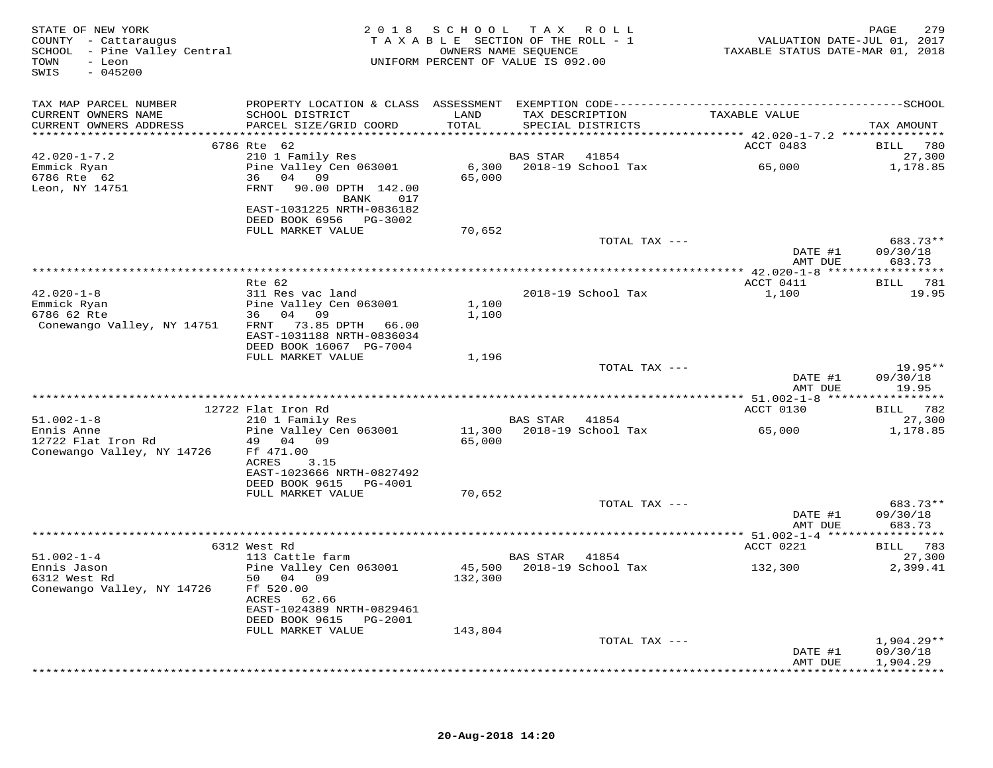| STATE OF NEW YORK<br>COUNTY - Cattaraugus<br>SCHOOL - Pine Valley Central<br>TOWN - Leon<br>TOWN<br>- Leon<br>$-045200$<br>SWIS |                                                    |         | 2018 SCHOOL TAX ROLL<br>TAXABLE SECTION OF THE ROLL - 1<br>OWNERS NAME SEQUENCE<br>UNIFORM PERCENT OF VALUE IS 092.00 | PAGE 279<br>VALUATION DATE-JUL 01, 2017<br>TAXABLE STATUS DATE-MAR 01, 2018 |                                        |
|---------------------------------------------------------------------------------------------------------------------------------|----------------------------------------------------|---------|-----------------------------------------------------------------------------------------------------------------------|-----------------------------------------------------------------------------|----------------------------------------|
| TAX MAP PARCEL NUMBER                                                                                                           |                                                    |         |                                                                                                                       |                                                                             |                                        |
| CURRENT OWNERS NAME                                                                                                             | SCHOOL DISTRICT                                    | LAND    |                                                                                                                       | TAX DESCRIPTION TAXABLE VALUE                                               |                                        |
| CURRENT OWNERS ADDRESS                                                                                                          | PARCEL SIZE/GRID COORD                             | TOTAL   | SPECIAL DISTRICTS                                                                                                     |                                                                             | TAX AMOUNT                             |
|                                                                                                                                 | 6786 Rte 62                                        |         |                                                                                                                       | ACCT 0483                                                                   | BILL 780                               |
| $42.020 - 1 - 7.2$                                                                                                              | 210 1 Family Res                                   |         | BAS STAR 41854                                                                                                        |                                                                             | 27,300                                 |
| Emmick Ryan                                                                                                                     | Pine Valley Cen 063001                             |         |                                                                                                                       | 6,300 2018-19 School Tax 65,000                                             | 1,178.85                               |
| 6786 Rte 62                                                                                                                     | 36 04 09                                           | 65,000  |                                                                                                                       |                                                                             |                                        |
| Leon, NY 14751                                                                                                                  | FRNT 90.00 DPTH 142.00                             |         |                                                                                                                       |                                                                             |                                        |
|                                                                                                                                 | BANK 017<br>EAST-1031225 NRTH-0836182              |         |                                                                                                                       |                                                                             |                                        |
|                                                                                                                                 | DEED BOOK 6956 PG-3002                             |         |                                                                                                                       |                                                                             |                                        |
|                                                                                                                                 | FULL MARKET VALUE                                  | 70,652  |                                                                                                                       |                                                                             |                                        |
|                                                                                                                                 |                                                    |         | TOTAL TAX ---                                                                                                         |                                                                             | 683.73**                               |
|                                                                                                                                 |                                                    |         |                                                                                                                       | DATE #1                                                                     | 09/30/18                               |
|                                                                                                                                 |                                                    |         |                                                                                                                       | AMT DUE                                                                     | 683.73                                 |
|                                                                                                                                 | Rte 62                                             |         |                                                                                                                       | ACCT 0411                                                                   | <b>BILL</b> 781                        |
| $42.020 - 1 - 8$                                                                                                                | 311 Res vac land                                   |         | 2018-19 School Tax                                                                                                    | 1,100                                                                       | 19.95                                  |
| Emmick Ryan                                                                                                                     | Pine Valley Cen 063001                             | 1,100   |                                                                                                                       |                                                                             |                                        |
| 6786 62 Rte                                                                                                                     | 36 04 09                                           | 1,100   |                                                                                                                       |                                                                             |                                        |
| Conewango Valley, NY 14751                                                                                                      | FRNT 73.85 DPTH 66.00<br>EAST-1031188 NRTH-0836034 |         |                                                                                                                       |                                                                             |                                        |
|                                                                                                                                 | DEED BOOK 16067 PG-7004                            |         |                                                                                                                       |                                                                             |                                        |
|                                                                                                                                 | FULL MARKET VALUE                                  | 1,196   |                                                                                                                       |                                                                             |                                        |
|                                                                                                                                 |                                                    |         | TOTAL TAX ---                                                                                                         |                                                                             | $19.95**$                              |
|                                                                                                                                 |                                                    |         |                                                                                                                       | DATE #1                                                                     | 09/30/18                               |
|                                                                                                                                 |                                                    |         |                                                                                                                       | AMT DUE                                                                     | 19.95                                  |
|                                                                                                                                 | 12722 Flat Iron Rd                                 |         |                                                                                                                       | ACCT 0130                                                                   | BILL 782                               |
| $51.002 - 1 - 8$                                                                                                                | 210 1 Family Res                                   |         | <b>BAS STAR 41854</b>                                                                                                 |                                                                             | 27,300                                 |
| Ennis Anne                                                                                                                      | Pine Valley Cen 063001                             |         | 11,300 2018-19 School Tax                                                                                             | 65,000                                                                      | 1,178.85                               |
| 12722 Flat Iron Rd                                                                                                              | 49 04 09                                           | 65,000  |                                                                                                                       |                                                                             |                                        |
| Conewango Valley, NY 14726                                                                                                      | Ff 471.00                                          |         |                                                                                                                       |                                                                             |                                        |
|                                                                                                                                 | ACRES<br>3.15<br>EAST-1023666 NRTH-0827492         |         |                                                                                                                       |                                                                             |                                        |
|                                                                                                                                 | DEED BOOK 9615 PG-4001                             |         |                                                                                                                       |                                                                             |                                        |
|                                                                                                                                 | FULL MARKET VALUE                                  | 70,652  |                                                                                                                       |                                                                             |                                        |
|                                                                                                                                 |                                                    |         | TOTAL TAX ---                                                                                                         |                                                                             | 683.73**                               |
|                                                                                                                                 |                                                    |         |                                                                                                                       | DATE #1                                                                     | 09/30/18                               |
|                                                                                                                                 |                                                    |         |                                                                                                                       | AMT DUE                                                                     | 683.73                                 |
|                                                                                                                                 | 6312 West Rd                                       |         |                                                                                                                       | ACCT 0221                                                                   | BILL 783                               |
| $51.002 - 1 - 4$                                                                                                                | 113 Cattle farm                                    |         | BAS STAR 41854                                                                                                        |                                                                             | 27,300                                 |
| Ennis Jason                                                                                                                     | Pine Valley Cen 063001                             |         |                                                                                                                       | 45,500 2018-19 School Tax 132,300                                           | 2,399.41                               |
| 6312 West Rd                                                                                                                    | 50 04 09                                           | 132,300 |                                                                                                                       |                                                                             |                                        |
| Conewango Valley, NY 14726                                                                                                      | Ff 520.00                                          |         |                                                                                                                       |                                                                             |                                        |
|                                                                                                                                 | ACRES 62.66<br>EAST-1024389 NRTH-0829461           |         |                                                                                                                       |                                                                             |                                        |
|                                                                                                                                 | DEED BOOK 9615 PG-2001                             |         |                                                                                                                       |                                                                             |                                        |
|                                                                                                                                 | FULL MARKET VALUE                                  | 143,804 |                                                                                                                       |                                                                             |                                        |
|                                                                                                                                 |                                                    |         | TOTAL TAX ---                                                                                                         |                                                                             | $1,904.29**$                           |
|                                                                                                                                 |                                                    |         |                                                                                                                       | DATE #1                                                                     | 09/30/18                               |
|                                                                                                                                 |                                                    |         |                                                                                                                       | AMT DUE                                                                     | 1,904.29<br>************************** |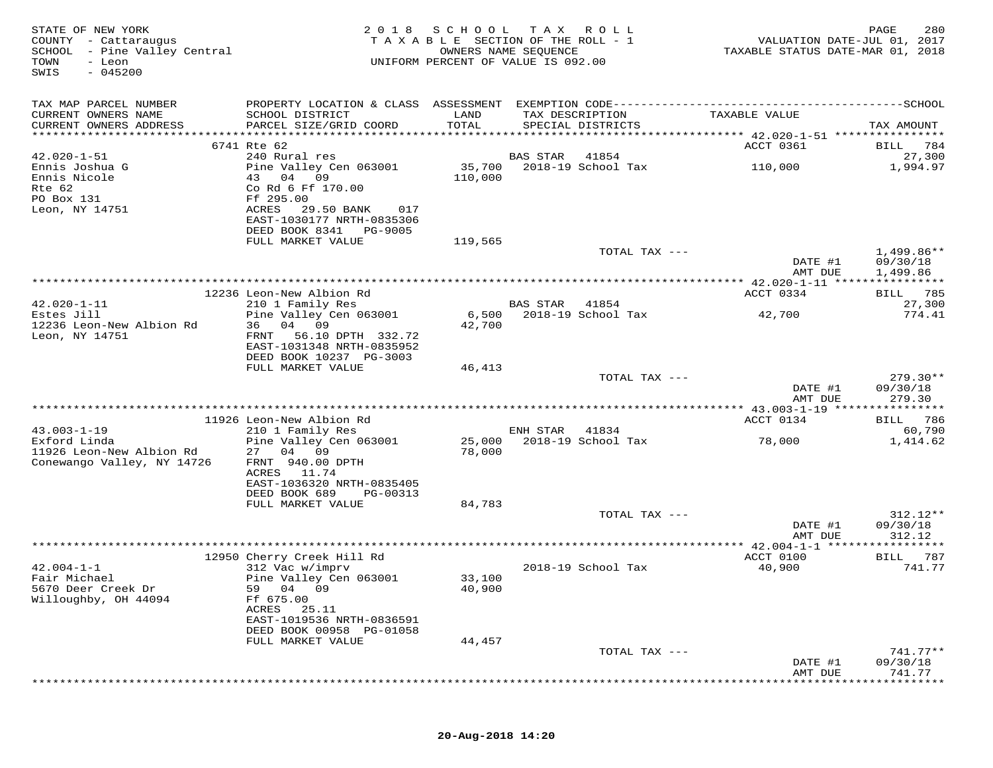| STATE OF NEW YORK<br>COUNTY - Cattaraugus<br>SCHOOL - Pine Valley Central<br>TOWN<br>- Leon<br>$-045200$<br>SWIS | 2 0 1 8                                                                              | SCHOOL<br>TAXABLE SECTION OF THE ROLL - 1<br>OWNERS NAME SEQUENCE<br>UNIFORM PERCENT OF VALUE IS 092.00 | T A X           | R O L L                              | VALUATION DATE-JUL 01, 2017<br>TAXABLE STATUS DATE-MAR 01, 2018 | 280<br>PAGE                 |
|------------------------------------------------------------------------------------------------------------------|--------------------------------------------------------------------------------------|---------------------------------------------------------------------------------------------------------|-----------------|--------------------------------------|-----------------------------------------------------------------|-----------------------------|
| TAX MAP PARCEL NUMBER                                                                                            |                                                                                      |                                                                                                         |                 |                                      |                                                                 |                             |
| CURRENT OWNERS NAME<br>CURRENT OWNERS ADDRESS                                                                    | SCHOOL DISTRICT<br>PARCEL SIZE/GRID COORD                                            | LAND<br>TOTAL                                                                                           |                 | TAX DESCRIPTION<br>SPECIAL DISTRICTS | TAXABLE VALUE                                                   | TAX AMOUNT                  |
|                                                                                                                  | 6741 Rte 62                                                                          |                                                                                                         |                 |                                      | ACCT 0361                                                       | 784<br>BILL                 |
| $42.020 - 1 - 51$                                                                                                | 240 Rural res                                                                        |                                                                                                         | BAS STAR        | 41854                                |                                                                 | 27,300                      |
| Ennis Joshua G<br>Ennis Nicole                                                                                   | Pine Valley Cen 063001<br>04<br>43<br>09                                             | 35,700<br>110,000                                                                                       |                 | 2018-19 School Tax                   | 110,000                                                         | 1,994.97                    |
| Rte 62<br>PO Box 131                                                                                             | Co Rd 6 Ff 170.00<br>Ff 295.00                                                       |                                                                                                         |                 |                                      |                                                                 |                             |
| Leon, NY 14751                                                                                                   | ACRES<br>29.50 BANK<br>017<br>EAST-1030177 NRTH-0835306<br>DEED BOOK 8341<br>PG-9005 |                                                                                                         |                 |                                      |                                                                 |                             |
|                                                                                                                  | FULL MARKET VALUE                                                                    | 119,565                                                                                                 |                 |                                      |                                                                 |                             |
|                                                                                                                  |                                                                                      |                                                                                                         |                 | TOTAL TAX ---                        | DATE #1                                                         | $1,499.86**$<br>09/30/18    |
|                                                                                                                  |                                                                                      |                                                                                                         |                 |                                      | AMT DUE                                                         | 1,499.86                    |
|                                                                                                                  | 12236 Leon-New Albion Rd                                                             |                                                                                                         |                 |                                      | ************** 42.020-1-11 *****************<br>ACCT 0334       | BILL 785                    |
| $42.020 - 1 - 11$                                                                                                | 210 1 Family Res                                                                     |                                                                                                         | <b>BAS STAR</b> | 41854                                |                                                                 | 27,300                      |
| Estes Jill                                                                                                       | Pine Valley Cen 063001                                                               | 6,500                                                                                                   |                 | 2018-19 School Tax                   | 42,700                                                          | 774.41                      |
| 12236 Leon-New Albion Rd                                                                                         | 04 09<br>36                                                                          | 42,700                                                                                                  |                 |                                      |                                                                 |                             |
| Leon, NY 14751                                                                                                   | 56.10 DPTH 332.72<br>FRNT                                                            |                                                                                                         |                 |                                      |                                                                 |                             |
|                                                                                                                  | EAST-1031348 NRTH-0835952<br>DEED BOOK 10237 PG-3003                                 |                                                                                                         |                 |                                      |                                                                 |                             |
|                                                                                                                  | FULL MARKET VALUE                                                                    | 46,413                                                                                                  |                 |                                      |                                                                 |                             |
|                                                                                                                  |                                                                                      |                                                                                                         |                 | TOTAL TAX ---                        |                                                                 | $279.30**$                  |
|                                                                                                                  |                                                                                      |                                                                                                         |                 |                                      | DATE #1                                                         | 09/30/18                    |
|                                                                                                                  |                                                                                      |                                                                                                         |                 |                                      | AMT DUE                                                         | 279.30<br>*********         |
|                                                                                                                  | 11926 Leon-New Albion Rd                                                             |                                                                                                         |                 |                                      | ACCT 0134                                                       | 786<br>BILL                 |
| $43.003 - 1 - 19$                                                                                                | 210 1 Family Res                                                                     |                                                                                                         | ENH STAR        | 41834                                |                                                                 | 60,790                      |
| Exford Linda                                                                                                     | Pine Valley Cen 063001                                                               | 25,000                                                                                                  |                 | 2018-19 School Tax                   | 78,000                                                          | 1,414.62                    |
| 11926 Leon-New Albion Rd                                                                                         | 27 04 09                                                                             | 78,000                                                                                                  |                 |                                      |                                                                 |                             |
| Conewango Valley, NY 14726                                                                                       | FRNT 940.00 DPTH                                                                     |                                                                                                         |                 |                                      |                                                                 |                             |
|                                                                                                                  | ACRES<br>11.74<br>EAST-1036320 NRTH-0835405                                          |                                                                                                         |                 |                                      |                                                                 |                             |
|                                                                                                                  | DEED BOOK 689<br>PG-00313                                                            |                                                                                                         |                 |                                      |                                                                 |                             |
|                                                                                                                  | FULL MARKET VALUE                                                                    | 84,783                                                                                                  |                 |                                      |                                                                 |                             |
|                                                                                                                  |                                                                                      |                                                                                                         |                 | TOTAL TAX ---                        |                                                                 | 312.12**                    |
|                                                                                                                  |                                                                                      |                                                                                                         |                 |                                      | DATE #1                                                         | 09/30/18                    |
|                                                                                                                  |                                                                                      |                                                                                                         |                 |                                      | AMT DUE                                                         | 312.12<br>* * * * * * * * * |
|                                                                                                                  | 12950 Cherry Creek Hill Rd                                                           |                                                                                                         |                 |                                      | ACCT 0100                                                       | 787<br>BILL                 |
| $42.004 - 1 - 1$                                                                                                 | 312 Vac w/imprv                                                                      |                                                                                                         |                 | 2018-19 School Tax                   | 40,900                                                          | 741.77                      |
| Fair Michael                                                                                                     | Pine Valley Cen 063001                                                               | 33,100                                                                                                  |                 |                                      |                                                                 |                             |
| 5670 Deer Creek Dr                                                                                               | 59 04 09                                                                             | 40,900                                                                                                  |                 |                                      |                                                                 |                             |
| Willoughby, OH 44094                                                                                             | Ff 675.00<br>ACRES<br>25.11                                                          |                                                                                                         |                 |                                      |                                                                 |                             |
|                                                                                                                  | EAST-1019536 NRTH-0836591                                                            |                                                                                                         |                 |                                      |                                                                 |                             |
|                                                                                                                  | DEED BOOK 00958 PG-01058                                                             |                                                                                                         |                 |                                      |                                                                 |                             |
|                                                                                                                  | FULL MARKET VALUE                                                                    | 44,457                                                                                                  |                 |                                      |                                                                 |                             |
|                                                                                                                  |                                                                                      |                                                                                                         |                 | TOTAL TAX ---                        |                                                                 | $741.77**$                  |
|                                                                                                                  |                                                                                      |                                                                                                         |                 |                                      | DATE #1<br>AMT DUE                                              | 09/30/18<br>741.77          |
|                                                                                                                  |                                                                                      |                                                                                                         |                 |                                      |                                                                 |                             |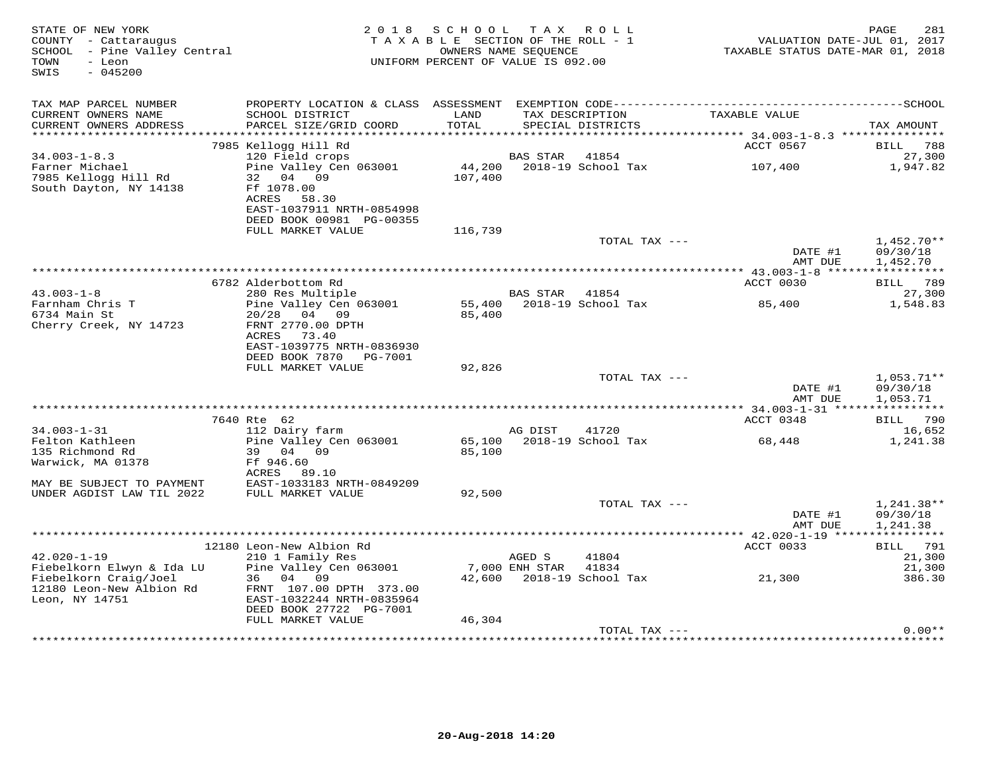| STATE OF NEW YORK<br>COUNTY - Cattaraugus<br>SCHOOL - Pine Valley Central<br>- Leon<br>TOWN<br>SWIS<br>$-045200$ |                                                                                                                                   | 2018 SCHOOL TAX ROLL<br>TAXABLE SECTION OF THE ROLL - 1<br>UNIFORM PERCENT OF VALUE IS 092.00 | OWNERS NAME SEQUENCE     |                                      | VALUATION DATE-JUL 01, 2017<br>TAXABLE STATUS DATE-MAR 01, 2018 | PAGE<br>281                          |
|------------------------------------------------------------------------------------------------------------------|-----------------------------------------------------------------------------------------------------------------------------------|-----------------------------------------------------------------------------------------------|--------------------------|--------------------------------------|-----------------------------------------------------------------|--------------------------------------|
| TAX MAP PARCEL NUMBER                                                                                            |                                                                                                                                   |                                                                                               |                          |                                      |                                                                 |                                      |
| CURRENT OWNERS NAME<br>CURRENT OWNERS ADDRESS                                                                    | SCHOOL DISTRICT<br>PARCEL SIZE/GRID COORD                                                                                         | LAND<br>TOTAL                                                                                 |                          | TAX DESCRIPTION<br>SPECIAL DISTRICTS | TAXABLE VALUE                                                   | TAX AMOUNT                           |
|                                                                                                                  | 7985 Kellogg Hill Rd                                                                                                              |                                                                                               |                          |                                      | ACCT 0567                                                       | 788<br>BILL                          |
| $34.003 - 1 - 8.3$                                                                                               | 120 Field crops                                                                                                                   |                                                                                               | <b>BAS STAR</b>          | 41854                                |                                                                 | 27,300                               |
| Farner Michael<br>7985 Kellogg Hill Rd<br>South Dayton, NY 14138                                                 | Pine Valley Cen 063001<br>32<br>04<br>09<br>Ff 1078.00<br>ACRES<br>58.30<br>EAST-1037911 NRTH-0854998<br>DEED BOOK 00981 PG-00355 | 44,200<br>107,400                                                                             |                          | 2018-19 School Tax                   | 107,400                                                         | 1,947.82                             |
|                                                                                                                  | FULL MARKET VALUE                                                                                                                 | 116,739                                                                                       |                          |                                      |                                                                 |                                      |
|                                                                                                                  |                                                                                                                                   |                                                                                               |                          | TOTAL TAX ---                        | DATE #1<br>AMT DUE                                              | $1.452.70**$<br>09/30/18<br>1,452.70 |
|                                                                                                                  |                                                                                                                                   |                                                                                               |                          |                                      |                                                                 |                                      |
|                                                                                                                  | 6782 Alderbottom Rd                                                                                                               |                                                                                               |                          |                                      | ACCT 0030                                                       | <b>BILL</b> 789                      |
| $43.003 - 1 - 8$<br>Farnham Chris T<br>6734 Main St<br>Cherry Creek, NY 14723                                    | 280 Res Multiple<br>Pine Valley Cen 063001<br>04 09<br>20/28<br>FRNT 2770.00 DPTH<br>73.40<br>ACRES                               | 55,400<br>85,400                                                                              | BAS STAR                 | 41854<br>2018-19 School Tax          | 85,400                                                          | 27,300<br>1,548.83                   |
|                                                                                                                  | EAST-1039775 NRTH-0836930<br>DEED BOOK 7870<br>PG-7001                                                                            |                                                                                               |                          |                                      |                                                                 |                                      |
|                                                                                                                  | FULL MARKET VALUE                                                                                                                 | 92,826                                                                                        |                          |                                      |                                                                 |                                      |
|                                                                                                                  |                                                                                                                                   |                                                                                               |                          | TOTAL TAX ---                        | DATE #1                                                         | $1,053.71**$<br>09/30/18             |
|                                                                                                                  |                                                                                                                                   |                                                                                               |                          |                                      | AMT DUE<br>*************** 34.003-1-31 *****************        | 1,053.71                             |
|                                                                                                                  | 7640 Rte 62                                                                                                                       |                                                                                               |                          |                                      | ACCT 0348                                                       | 790<br>BILL                          |
| $34.003 - 1 - 31$                                                                                                | 112 Dairy farm                                                                                                                    |                                                                                               | AG DIST                  | 41720                                |                                                                 | 16,652                               |
| Felton Kathleen<br>135 Richmond Rd<br>Warwick, MA 01378                                                          | Pine Valley Cen 063001<br>39 04 09<br>Ff 946.60                                                                                   | 65,100<br>85,100                                                                              |                          | 2018-19 School Tax                   | 68,448                                                          | 1,241.38                             |
| MAY BE SUBJECT TO PAYMENT                                                                                        | ACRES 89.10<br>EAST-1033183 NRTH-0849209                                                                                          |                                                                                               |                          |                                      |                                                                 |                                      |
| UNDER AGDIST LAW TIL 2022                                                                                        | FULL MARKET VALUE                                                                                                                 | 92,500                                                                                        |                          | TOTAL TAX ---                        |                                                                 | 1,241.38**                           |
|                                                                                                                  |                                                                                                                                   |                                                                                               |                          |                                      | DATE #1<br>AMT DUE                                              | 09/30/18<br>1,241.38                 |
|                                                                                                                  |                                                                                                                                   |                                                                                               |                          |                                      |                                                                 |                                      |
|                                                                                                                  | 12180 Leon-New Albion Rd                                                                                                          |                                                                                               |                          |                                      | ACCT 0033                                                       | BILL 791                             |
| $42.020 - 1 - 19$<br>Fiebelkorn Elwyn & Ida LU                                                                   | 210 1 Family Res<br>Pine Valley Cen 063001                                                                                        |                                                                                               | AGED S<br>7,000 ENH STAR | 41804<br>41834                       |                                                                 | 21,300<br>21,300                     |
| Fiebelkorn Craig/Joel<br>12180 Leon-New Albion Rd<br>Leon, NY 14751                                              | 36<br>04<br>09<br>FRNT 107.00 DPTH 373.00<br>EAST-1032244 NRTH-0835964<br>DEED BOOK 27722 PG-7001                                 |                                                                                               |                          | 42,600 2018-19 School Tax            | 21,300                                                          | 386.30                               |
|                                                                                                                  | FULL MARKET VALUE                                                                                                                 | 46,304                                                                                        |                          |                                      |                                                                 |                                      |
|                                                                                                                  |                                                                                                                                   |                                                                                               |                          | TOTAL TAX ---                        |                                                                 | $0.00**$                             |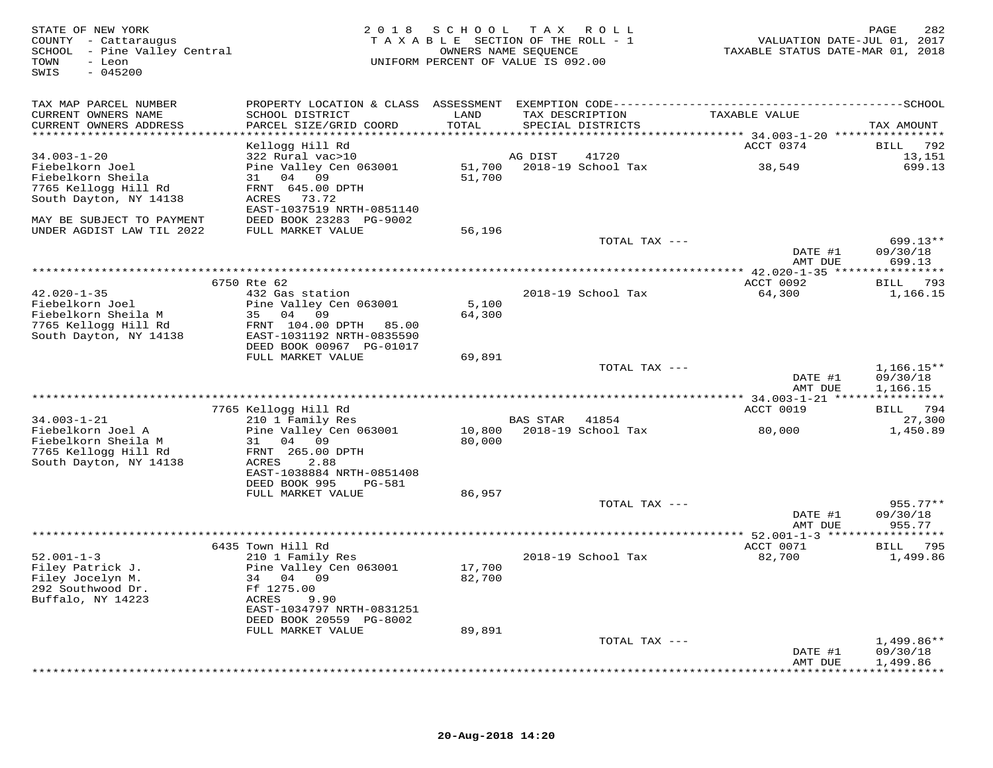| STATE OF NEW YORK<br>COUNTY - Cattaraugus<br>SCHOOL - Pine Valley Central<br>- Leon<br>TOWN<br>SWIS<br>$-045200$ |                                              | 2018 SCHOOL      | T A X<br>R O L L<br>TAXABLE SECTION OF THE ROLL - 1<br>OWNERS NAME SEQUENCE<br>UNIFORM PERCENT OF VALUE IS 092.00 | VALUATION DATE-JUL 01, 2017<br>TAXABLE STATUS DATE-MAR 01, 2018 | PAGE<br>282              |
|------------------------------------------------------------------------------------------------------------------|----------------------------------------------|------------------|-------------------------------------------------------------------------------------------------------------------|-----------------------------------------------------------------|--------------------------|
| TAX MAP PARCEL NUMBER                                                                                            |                                              |                  |                                                                                                                   |                                                                 |                          |
| CURRENT OWNERS NAME<br>CURRENT OWNERS ADDRESS<br>*************************                                       | SCHOOL DISTRICT<br>PARCEL SIZE/GRID COORD    | LAND<br>TOTAL    | TAX DESCRIPTION<br>SPECIAL DISTRICTS                                                                              | TAXABLE VALUE                                                   | TAX AMOUNT               |
|                                                                                                                  | Kellogg Hill Rd                              |                  |                                                                                                                   | ACCT 0374                                                       | 792<br>BILL              |
| $34.003 - 1 - 20$                                                                                                | 322 Rural vac>10                             |                  | AG DIST<br>41720                                                                                                  |                                                                 | 13,151                   |
| Fiebelkorn Joel                                                                                                  | Pine Valley Cen 063001                       |                  | 51,700 2018-19 School Tax                                                                                         | 38,549                                                          | 699.13                   |
| Fiebelkorn Sheila<br>7765 Kellogg Hill Rd                                                                        | 31 04 09<br>FRNT 645.00 DPTH                 | 51,700           |                                                                                                                   |                                                                 |                          |
| South Dayton, NY 14138                                                                                           | ACRES 73.72                                  |                  |                                                                                                                   |                                                                 |                          |
|                                                                                                                  | EAST-1037519 NRTH-0851140                    |                  |                                                                                                                   |                                                                 |                          |
| MAY BE SUBJECT TO PAYMENT                                                                                        | DEED BOOK 23283 PG-9002                      |                  |                                                                                                                   |                                                                 |                          |
| UNDER AGDIST LAW TIL 2022                                                                                        | FULL MARKET VALUE                            | 56,196           |                                                                                                                   |                                                                 |                          |
|                                                                                                                  |                                              |                  | TOTAL TAX ---                                                                                                     | DATE #1                                                         | $699.13**$<br>09/30/18   |
|                                                                                                                  |                                              |                  |                                                                                                                   | AMT DUE                                                         | 699.13                   |
|                                                                                                                  |                                              |                  |                                                                                                                   | ************* 42.020-1-35 *****                                 | ***********              |
|                                                                                                                  | 6750 Rte 62                                  |                  |                                                                                                                   | ACCT 0092                                                       | BILL 793                 |
| $42.020 - 1 - 35$                                                                                                | 432 Gas station                              |                  | 2018-19 School Tax                                                                                                | 64,300                                                          | 1,166.15                 |
| Fiebelkorn Joel<br>Fiebelkorn Sheila M                                                                           | Pine Valley Cen 063001<br>35 04 09           | 5,100<br>64,300  |                                                                                                                   |                                                                 |                          |
| 7765 Kellogg Hill Rd                                                                                             | FRNT 104.00 DPTH 85.00                       |                  |                                                                                                                   |                                                                 |                          |
| South Dayton, NY 14138                                                                                           | EAST-1031192 NRTH-0835590                    |                  |                                                                                                                   |                                                                 |                          |
|                                                                                                                  | DEED BOOK 00967 PG-01017                     |                  |                                                                                                                   |                                                                 |                          |
|                                                                                                                  | FULL MARKET VALUE                            | 69,891           |                                                                                                                   |                                                                 |                          |
|                                                                                                                  |                                              |                  | TOTAL TAX ---                                                                                                     | DATE #1                                                         | $1,166.15**$<br>09/30/18 |
|                                                                                                                  |                                              |                  |                                                                                                                   | AMT DUE                                                         | 1,166.15                 |
|                                                                                                                  |                                              |                  |                                                                                                                   |                                                                 |                          |
|                                                                                                                  | 7765 Kellogg Hill Rd                         |                  |                                                                                                                   | ACCT 0019                                                       | BILL 794                 |
| $34.003 - 1 - 21$                                                                                                | 210 1 Family Res                             |                  | BAS STAR<br>41854                                                                                                 |                                                                 | 27,300                   |
| Fiebelkorn Joel A<br>Fiebelkorn Sheila M                                                                         | Pine Valley Cen 063001<br>31<br>04 09        | 10,800<br>80,000 | 2018-19 School Tax                                                                                                | 80,000                                                          | 1,450.89                 |
| 7765 Kellogg Hill Rd                                                                                             | FRNT 265.00 DPTH                             |                  |                                                                                                                   |                                                                 |                          |
| South Dayton, NY 14138                                                                                           | ACRES<br>2.88                                |                  |                                                                                                                   |                                                                 |                          |
|                                                                                                                  | EAST-1038884 NRTH-0851408                    |                  |                                                                                                                   |                                                                 |                          |
|                                                                                                                  | DEED BOOK 995<br>PG-581                      |                  |                                                                                                                   |                                                                 |                          |
|                                                                                                                  | FULL MARKET VALUE                            | 86,957           | TOTAL TAX ---                                                                                                     |                                                                 | $955.77**$               |
|                                                                                                                  |                                              |                  |                                                                                                                   | DATE #1                                                         | 09/30/18                 |
|                                                                                                                  |                                              |                  |                                                                                                                   | AMT DUE                                                         | 955.77                   |
|                                                                                                                  |                                              |                  |                                                                                                                   |                                                                 |                          |
|                                                                                                                  | 6435 Town Hill Rd                            |                  |                                                                                                                   | ACCT 0071                                                       | 795<br>BILL              |
| $52.001 - 1 - 3$<br>Filey Patrick J.                                                                             | 210 1 Family Res<br>Pine Valley Cen 063001   | 17,700           | 2018-19 School Tax                                                                                                | 82,700                                                          | 1,499.86                 |
| Filey Jocelyn M.                                                                                                 | 34 04 09                                     | 82,700           |                                                                                                                   |                                                                 |                          |
| 292 Southwood Dr.                                                                                                | Ff 1275.00                                   |                  |                                                                                                                   |                                                                 |                          |
| Buffalo, NY 14223                                                                                                | ACRES<br>9.90                                |                  |                                                                                                                   |                                                                 |                          |
|                                                                                                                  | EAST-1034797 NRTH-0831251                    |                  |                                                                                                                   |                                                                 |                          |
|                                                                                                                  | DEED BOOK 20559 PG-8002<br>FULL MARKET VALUE | 89,891           |                                                                                                                   |                                                                 |                          |
|                                                                                                                  |                                              |                  | TOTAL TAX ---                                                                                                     |                                                                 | $1,499.86**$             |
|                                                                                                                  |                                              |                  |                                                                                                                   | DATE #1                                                         | 09/30/18                 |
|                                                                                                                  |                                              |                  |                                                                                                                   | AMT DUE                                                         | 1,499.86                 |
|                                                                                                                  |                                              |                  |                                                                                                                   |                                                                 | * * * * * * * * *        |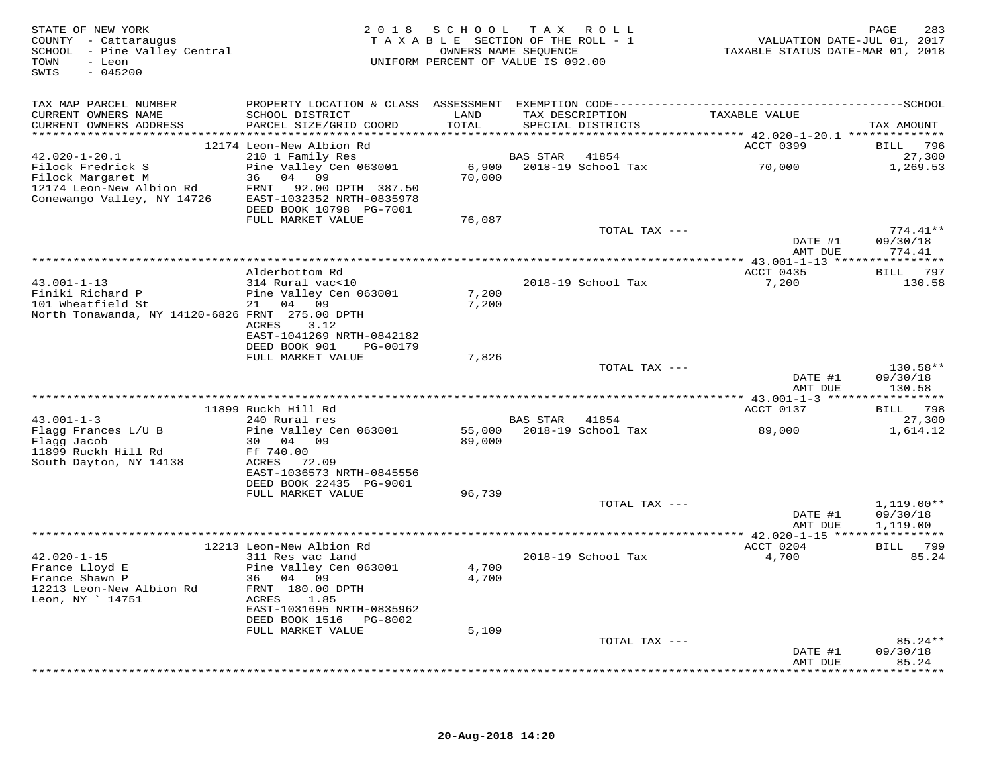| TAX MAP PARCEL NUMBER<br>TAXABLE VALUE<br>CURRENT OWNERS NAME<br>SCHOOL DISTRICT<br>LAND<br>TAX DESCRIPTION<br>PARCEL SIZE/GRID COORD<br>TOTAL<br>CURRENT OWNERS ADDRESS<br>SPECIAL DISTRICTS<br>TAX AMOUNT<br>ACCT 0399<br>12174 Leon-New Albion Rd<br>$42.020 - 1 - 20.1$<br>210 1 Family Res<br>BAS STAR<br>41854<br>70,000<br>Filock Fredrick S<br>Pine Valley Cen 063001<br>6,900 2018-19 School Tax<br>36 04 09<br>70,000<br>Filock Margaret M<br>12174 Leon-New Albion Rd<br>12174 VY 14726<br>FRNT 92.00 DPTH 387.50<br>EAST-1032352 NRTH-0835978<br>DEED BOOK 10798 PG-7001<br>FULL MARKET VALUE<br>76,087<br>TOTAL TAX ---<br>DATE #1<br>09/30/18<br>AMT DUE<br>ACCT 0435<br>Alderbottom Rd<br>$43.001 - 1 - 13$<br>2018-19 School Tax<br>7,200<br>314 Rural vac<10<br>Finiki Richard P<br>Pine Valley Cen 063001<br>7,200<br>101 Wheatfield St<br>21 04 09<br>7,200<br>North Tonawanda, NY 14120-6826 FRNT 275.00 DPTH<br>ACRES 3.12<br>EAST-1041269 NRTH-0842182<br>DEED BOOK 901<br>PG-00179<br>7,826<br>FULL MARKET VALUE<br>TOTAL TAX ---<br>DATE #1<br>AMT DUE<br>***************************<br>*********** 43.001-1-3 *****<br>* * * * * * * * * * * *<br>11899 Ruckh Hill Rd<br>ACCT 0137<br>BILL 798<br>$43.001 - 1 - 3$<br>240 Rural res<br>BAS STAR 41854<br>89,000<br>Flagg Frances L/U B<br>Pine Valley Cen 063001<br>55,000 2018-19 School Tax<br>Flagg Jacob<br>30 04 09<br>89,000<br>11899 Ruckh Hill Rd<br>Ff 740.00<br>South Dayton, NY 14138<br>ACRES 72.09<br>EAST-1036573 NRTH-0845556<br>DEED BOOK 22435 PG-9001<br>FULL MARKET VALUE<br>96,739<br>TOTAL TAX ---<br>DATE #1<br>AMT DUE | 283<br>VALUATION DATE-JUL 01, 2017<br>TAXABLE STATUS DATE-MAR 01, 2018 |
|-------------------------------------------------------------------------------------------------------------------------------------------------------------------------------------------------------------------------------------------------------------------------------------------------------------------------------------------------------------------------------------------------------------------------------------------------------------------------------------------------------------------------------------------------------------------------------------------------------------------------------------------------------------------------------------------------------------------------------------------------------------------------------------------------------------------------------------------------------------------------------------------------------------------------------------------------------------------------------------------------------------------------------------------------------------------------------------------------------------------------------------------------------------------------------------------------------------------------------------------------------------------------------------------------------------------------------------------------------------------------------------------------------------------------------------------------------------------------------------------------------------------------------------------------------------------------------------------------------------------------|------------------------------------------------------------------------|
|                                                                                                                                                                                                                                                                                                                                                                                                                                                                                                                                                                                                                                                                                                                                                                                                                                                                                                                                                                                                                                                                                                                                                                                                                                                                                                                                                                                                                                                                                                                                                                                                                         |                                                                        |
|                                                                                                                                                                                                                                                                                                                                                                                                                                                                                                                                                                                                                                                                                                                                                                                                                                                                                                                                                                                                                                                                                                                                                                                                                                                                                                                                                                                                                                                                                                                                                                                                                         |                                                                        |
|                                                                                                                                                                                                                                                                                                                                                                                                                                                                                                                                                                                                                                                                                                                                                                                                                                                                                                                                                                                                                                                                                                                                                                                                                                                                                                                                                                                                                                                                                                                                                                                                                         | BILL 796                                                               |
|                                                                                                                                                                                                                                                                                                                                                                                                                                                                                                                                                                                                                                                                                                                                                                                                                                                                                                                                                                                                                                                                                                                                                                                                                                                                                                                                                                                                                                                                                                                                                                                                                         | 27,300<br>1,269.53                                                     |
|                                                                                                                                                                                                                                                                                                                                                                                                                                                                                                                                                                                                                                                                                                                                                                                                                                                                                                                                                                                                                                                                                                                                                                                                                                                                                                                                                                                                                                                                                                                                                                                                                         |                                                                        |
|                                                                                                                                                                                                                                                                                                                                                                                                                                                                                                                                                                                                                                                                                                                                                                                                                                                                                                                                                                                                                                                                                                                                                                                                                                                                                                                                                                                                                                                                                                                                                                                                                         | $774.41**$                                                             |
|                                                                                                                                                                                                                                                                                                                                                                                                                                                                                                                                                                                                                                                                                                                                                                                                                                                                                                                                                                                                                                                                                                                                                                                                                                                                                                                                                                                                                                                                                                                                                                                                                         | 774.41                                                                 |
|                                                                                                                                                                                                                                                                                                                                                                                                                                                                                                                                                                                                                                                                                                                                                                                                                                                                                                                                                                                                                                                                                                                                                                                                                                                                                                                                                                                                                                                                                                                                                                                                                         | BILL 797                                                               |
|                                                                                                                                                                                                                                                                                                                                                                                                                                                                                                                                                                                                                                                                                                                                                                                                                                                                                                                                                                                                                                                                                                                                                                                                                                                                                                                                                                                                                                                                                                                                                                                                                         | 130.58                                                                 |
|                                                                                                                                                                                                                                                                                                                                                                                                                                                                                                                                                                                                                                                                                                                                                                                                                                                                                                                                                                                                                                                                                                                                                                                                                                                                                                                                                                                                                                                                                                                                                                                                                         |                                                                        |
|                                                                                                                                                                                                                                                                                                                                                                                                                                                                                                                                                                                                                                                                                                                                                                                                                                                                                                                                                                                                                                                                                                                                                                                                                                                                                                                                                                                                                                                                                                                                                                                                                         |                                                                        |
|                                                                                                                                                                                                                                                                                                                                                                                                                                                                                                                                                                                                                                                                                                                                                                                                                                                                                                                                                                                                                                                                                                                                                                                                                                                                                                                                                                                                                                                                                                                                                                                                                         | $130.58**$                                                             |
|                                                                                                                                                                                                                                                                                                                                                                                                                                                                                                                                                                                                                                                                                                                                                                                                                                                                                                                                                                                                                                                                                                                                                                                                                                                                                                                                                                                                                                                                                                                                                                                                                         | 09/30/18<br>130.58                                                     |
|                                                                                                                                                                                                                                                                                                                                                                                                                                                                                                                                                                                                                                                                                                                                                                                                                                                                                                                                                                                                                                                                                                                                                                                                                                                                                                                                                                                                                                                                                                                                                                                                                         |                                                                        |
|                                                                                                                                                                                                                                                                                                                                                                                                                                                                                                                                                                                                                                                                                                                                                                                                                                                                                                                                                                                                                                                                                                                                                                                                                                                                                                                                                                                                                                                                                                                                                                                                                         | 27,300                                                                 |
|                                                                                                                                                                                                                                                                                                                                                                                                                                                                                                                                                                                                                                                                                                                                                                                                                                                                                                                                                                                                                                                                                                                                                                                                                                                                                                                                                                                                                                                                                                                                                                                                                         | 1,614.12                                                               |
|                                                                                                                                                                                                                                                                                                                                                                                                                                                                                                                                                                                                                                                                                                                                                                                                                                                                                                                                                                                                                                                                                                                                                                                                                                                                                                                                                                                                                                                                                                                                                                                                                         |                                                                        |
|                                                                                                                                                                                                                                                                                                                                                                                                                                                                                                                                                                                                                                                                                                                                                                                                                                                                                                                                                                                                                                                                                                                                                                                                                                                                                                                                                                                                                                                                                                                                                                                                                         |                                                                        |
|                                                                                                                                                                                                                                                                                                                                                                                                                                                                                                                                                                                                                                                                                                                                                                                                                                                                                                                                                                                                                                                                                                                                                                                                                                                                                                                                                                                                                                                                                                                                                                                                                         | $1,119.00**$<br>09/30/18                                               |
|                                                                                                                                                                                                                                                                                                                                                                                                                                                                                                                                                                                                                                                                                                                                                                                                                                                                                                                                                                                                                                                                                                                                                                                                                                                                                                                                                                                                                                                                                                                                                                                                                         | 1,119.00                                                               |
| ACCT 0204<br>12213 Leon-New Albion Rd                                                                                                                                                                                                                                                                                                                                                                                                                                                                                                                                                                                                                                                                                                                                                                                                                                                                                                                                                                                                                                                                                                                                                                                                                                                                                                                                                                                                                                                                                                                                                                                   | BILL 799                                                               |
| $42.020 - 1 - 15$<br>2018-19 School Tax<br>4,700<br>311 Res vac land<br>France Lloyd E<br>Pine Valley Cen 063001<br>4,700                                                                                                                                                                                                                                                                                                                                                                                                                                                                                                                                                                                                                                                                                                                                                                                                                                                                                                                                                                                                                                                                                                                                                                                                                                                                                                                                                                                                                                                                                               | 85.24                                                                  |
| France Shawn P<br>36 04 09<br>4,700<br>12213 Leon-New Albion Rd<br>FRNT 180.00 DPTH<br>Leon, NY 14751<br>ACRES 1.85                                                                                                                                                                                                                                                                                                                                                                                                                                                                                                                                                                                                                                                                                                                                                                                                                                                                                                                                                                                                                                                                                                                                                                                                                                                                                                                                                                                                                                                                                                     |                                                                        |
| EAST-1031695 NRTH-0835962<br>DEED BOOK 1516    PG-8002<br>FULL MARKET VALUE<br>5,109                                                                                                                                                                                                                                                                                                                                                                                                                                                                                                                                                                                                                                                                                                                                                                                                                                                                                                                                                                                                                                                                                                                                                                                                                                                                                                                                                                                                                                                                                                                                    |                                                                        |
| TOTAL TAX ---                                                                                                                                                                                                                                                                                                                                                                                                                                                                                                                                                                                                                                                                                                                                                                                                                                                                                                                                                                                                                                                                                                                                                                                                                                                                                                                                                                                                                                                                                                                                                                                                           | $85.24**$                                                              |
| 09/30/18<br>DATE #1<br>AMT DUE                                                                                                                                                                                                                                                                                                                                                                                                                                                                                                                                                                                                                                                                                                                                                                                                                                                                                                                                                                                                                                                                                                                                                                                                                                                                                                                                                                                                                                                                                                                                                                                          | 85.24<br>* * * * * * *                                                 |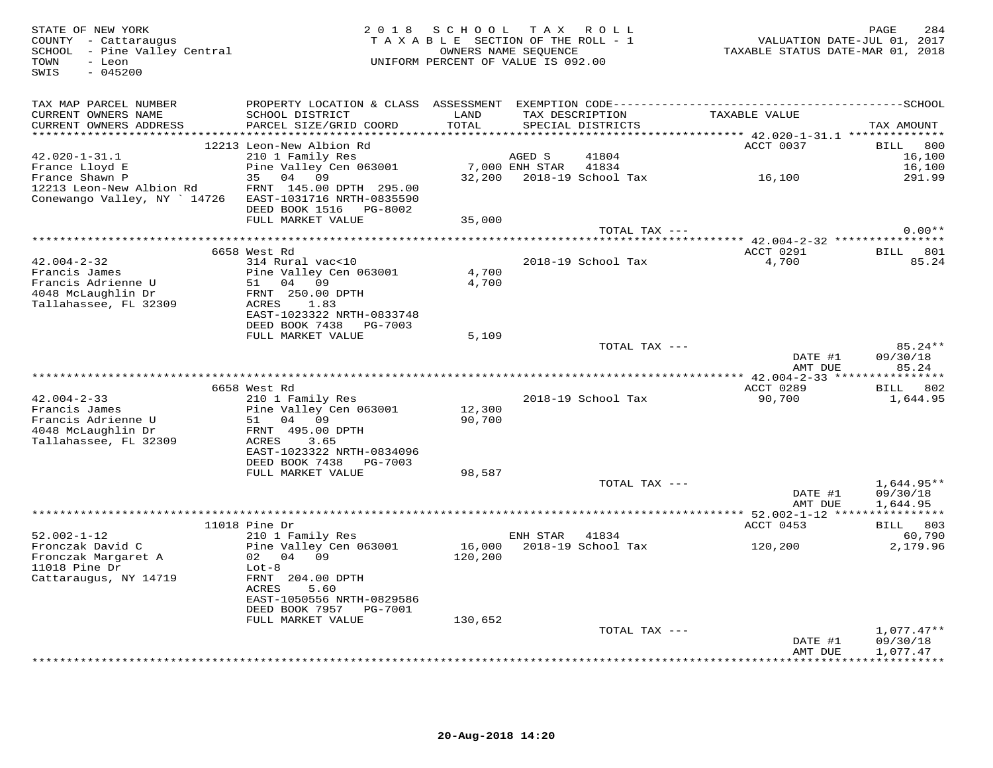| STATE OF NEW YORK<br>COUNTY - Cattaraugus<br>SCHOOL - Pine Valley Central<br>TOWN<br>- Leon<br>$-045200$<br>SWIS |                                                                                   | 2018 SCHOOL TAX ROLL<br>TAXABLE SECTION OF THE ROLL - 1<br>OWNERS NAME SEQUENCE<br>UNIFORM PERCENT OF VALUE IS 092.00 |                |                                                          |                                                           | 284<br>PAGE<br>VALUATION DATE-JUL 01, 2017<br>TAXABLE STATUS DATE-MAR 01, 2018 |
|------------------------------------------------------------------------------------------------------------------|-----------------------------------------------------------------------------------|-----------------------------------------------------------------------------------------------------------------------|----------------|----------------------------------------------------------|-----------------------------------------------------------|--------------------------------------------------------------------------------|
| TAX MAP PARCEL NUMBER                                                                                            |                                                                                   |                                                                                                                       |                |                                                          |                                                           |                                                                                |
| CURRENT OWNERS NAME<br>CURRENT OWNERS ADDRESS<br>***************                                                 | SCHOOL DISTRICT<br>PARCEL SIZE/GRID COORD                                         | LAND<br>TOTAL<br>*******                                                                                              |                | TAX DESCRIPTION<br>SPECIAL DISTRICTS<br>**************** | TAXABLE VALUE<br>********** 42.020-1-31.1 *************** | TAX AMOUNT                                                                     |
|                                                                                                                  | 12213 Leon-New Albion Rd                                                          |                                                                                                                       |                |                                                          | ACCT 0037                                                 | <b>BILL</b><br>800                                                             |
| $42.020 - 1 - 31.1$                                                                                              | 210 1 Family Res                                                                  |                                                                                                                       | AGED S         | 41804                                                    |                                                           | 16,100                                                                         |
| France Lloyd E                                                                                                   | Pine Valley Cen 063001                                                            |                                                                                                                       | 7,000 ENH STAR | 41834                                                    |                                                           | 16,100                                                                         |
| France Shawn P                                                                                                   | 04<br>35<br>09                                                                    |                                                                                                                       |                | 32,200 2018-19 School Tax                                | 16,100                                                    | 291.99                                                                         |
| 12213 Leon-New Albion Rd<br>Conewango Valley, NY ` 14726                                                         | FRNT 145.00 DPTH 295.00<br>EAST-1031716 NRTH-0835590<br>DEED BOOK 1516    PG-8002 |                                                                                                                       |                |                                                          |                                                           |                                                                                |
|                                                                                                                  | FULL MARKET VALUE                                                                 | 35,000                                                                                                                |                |                                                          |                                                           |                                                                                |
|                                                                                                                  |                                                                                   |                                                                                                                       |                | TOTAL TAX ---                                            |                                                           | $0.00**$                                                                       |
|                                                                                                                  |                                                                                   |                                                                                                                       |                |                                                          |                                                           |                                                                                |
|                                                                                                                  | 6658 West Rd                                                                      |                                                                                                                       |                |                                                          | ACCT 0291                                                 | 801<br>BILL                                                                    |
| $42.004 - 2 - 32$                                                                                                | 314 Rural vac<10                                                                  | 4,700                                                                                                                 |                | 2018-19 School Tax                                       | 4,700                                                     | 85.24                                                                          |
| Francis James<br>Francis Adrienne U                                                                              | Pine Valley Cen 063001<br>04 09<br>51                                             | 4,700                                                                                                                 |                |                                                          |                                                           |                                                                                |
| 4048 McLaughlin Dr                                                                                               | FRNT 250.00 DPTH                                                                  |                                                                                                                       |                |                                                          |                                                           |                                                                                |
| Tallahassee, FL 32309                                                                                            | ACRES<br>1.83                                                                     |                                                                                                                       |                |                                                          |                                                           |                                                                                |
|                                                                                                                  | EAST-1023322 NRTH-0833748                                                         |                                                                                                                       |                |                                                          |                                                           |                                                                                |
|                                                                                                                  | DEED BOOK 7438<br>PG-7003                                                         |                                                                                                                       |                |                                                          |                                                           |                                                                                |
|                                                                                                                  | FULL MARKET VALUE                                                                 | 5,109                                                                                                                 |                | TOTAL TAX ---                                            |                                                           | 85.24**                                                                        |
|                                                                                                                  |                                                                                   |                                                                                                                       |                |                                                          | DATE #1<br>AMT DUE                                        | 09/30/18<br>85.24                                                              |
|                                                                                                                  |                                                                                   |                                                                                                                       |                |                                                          |                                                           |                                                                                |
|                                                                                                                  | 6658 West Rd                                                                      |                                                                                                                       |                |                                                          | ACCT 0289                                                 | BILL 802                                                                       |
| $42.004 - 2 - 33$<br>Francis James                                                                               | 210 1 Family Res<br>Pine Valley Cen 063001                                        | 12,300                                                                                                                |                | 2018-19 School Tax                                       | 90,700                                                    | 1,644.95                                                                       |
| Francis Adrienne U                                                                                               | 51<br>04 09                                                                       | 90,700                                                                                                                |                |                                                          |                                                           |                                                                                |
| 4048 McLaughlin Dr                                                                                               | FRNT 495.00 DPTH                                                                  |                                                                                                                       |                |                                                          |                                                           |                                                                                |
| Tallahassee, FL 32309                                                                                            | 3.65<br>ACRES                                                                     |                                                                                                                       |                |                                                          |                                                           |                                                                                |
|                                                                                                                  | EAST-1023322 NRTH-0834096                                                         |                                                                                                                       |                |                                                          |                                                           |                                                                                |
|                                                                                                                  | DEED BOOK 7438<br>PG-7003<br>FULL MARKET VALUE                                    | 98,587                                                                                                                |                |                                                          |                                                           |                                                                                |
|                                                                                                                  |                                                                                   |                                                                                                                       |                | TOTAL TAX ---                                            |                                                           | $1,644.95**$                                                                   |
|                                                                                                                  |                                                                                   |                                                                                                                       |                |                                                          | DATE #1                                                   | 09/30/18                                                                       |
|                                                                                                                  |                                                                                   |                                                                                                                       |                |                                                          | AMT DUE                                                   | 1,644.95                                                                       |
|                                                                                                                  |                                                                                   |                                                                                                                       |                |                                                          |                                                           |                                                                                |
|                                                                                                                  | $11018$ Pine Dr                                                                   |                                                                                                                       |                |                                                          | ACCT 0453                                                 | BILL 803                                                                       |
| $52.002 - 1 - 12$<br>Fronczak David C                                                                            | 210 1 Family Res<br>Pine Valley Cen 063001                                        | 16,000                                                                                                                | ENH STAR       | 41834<br>2018-19 School Tax                              | 120,200                                                   | 60,790<br>2,179.96                                                             |
| Fronczak Margaret A                                                                                              | 02 04 09                                                                          | 120,200                                                                                                               |                |                                                          |                                                           |                                                                                |
| $11018$ Pine Dr                                                                                                  | $Lot-8$                                                                           |                                                                                                                       |                |                                                          |                                                           |                                                                                |
| Cattaraugus, NY 14719                                                                                            | FRNT 204.00 DPTH                                                                  |                                                                                                                       |                |                                                          |                                                           |                                                                                |
|                                                                                                                  | ACRES<br>5.60                                                                     |                                                                                                                       |                |                                                          |                                                           |                                                                                |
|                                                                                                                  | EAST-1050556 NRTH-0829586<br>DEED BOOK 7957 PG-7001                               |                                                                                                                       |                |                                                          |                                                           |                                                                                |
|                                                                                                                  | FULL MARKET VALUE                                                                 | 130,652                                                                                                               |                |                                                          |                                                           |                                                                                |
|                                                                                                                  |                                                                                   |                                                                                                                       |                | TOTAL TAX ---                                            |                                                           | $1,077.47**$                                                                   |
|                                                                                                                  |                                                                                   |                                                                                                                       |                |                                                          | DATE #1                                                   | 09/30/18                                                                       |
|                                                                                                                  |                                                                                   |                                                                                                                       |                |                                                          | AMT DUE                                                   | 1,077.47<br><b>+++++++++</b>                                                   |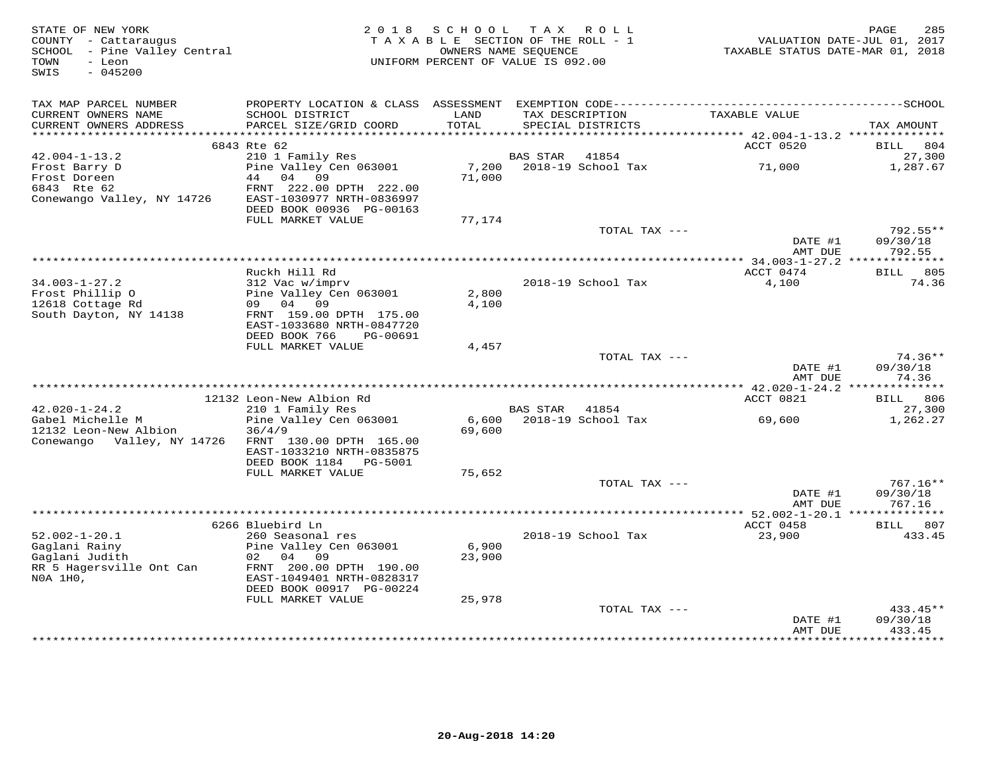| STATE OF NEW YORK<br>COUNTY - Cattaraugus<br>SCHOOL - Pine Valley Central<br>- Leon<br>TOWN |                                                                                              | 2018 SCHOOL TAX ROLL<br>TAXABLE SECTION OF THE ROLL - 1<br>UNIFORM PERCENT OF VALUE IS 092.00 | OWNERS NAME SEOUENCE |                                      | TAXABLE STATUS DATE-MAR 01, 2018            | PAGE<br>285<br>VALUATION DATE-JUL 01, 2017 |
|---------------------------------------------------------------------------------------------|----------------------------------------------------------------------------------------------|-----------------------------------------------------------------------------------------------|----------------------|--------------------------------------|---------------------------------------------|--------------------------------------------|
| $-045200$<br>SWIS                                                                           |                                                                                              |                                                                                               |                      |                                      |                                             |                                            |
| TAX MAP PARCEL NUMBER                                                                       | PROPERTY LOCATION & CLASS ASSESSMENT EXEMPTION CODE-----------------------------------SCHOOL |                                                                                               |                      |                                      |                                             |                                            |
| CURRENT OWNERS NAME<br>CURRENT OWNERS ADDRESS                                               | SCHOOL DISTRICT<br>PARCEL SIZE/GRID COORD                                                    | LAND<br>TOTAL                                                                                 |                      | TAX DESCRIPTION<br>SPECIAL DISTRICTS | TAXABLE VALUE                               | TAX AMOUNT                                 |
|                                                                                             |                                                                                              |                                                                                               |                      |                                      |                                             |                                            |
| $42.004 - 1 - 13.2$                                                                         | 6843 Rte 62<br>210 1 Family Res                                                              |                                                                                               | <b>BAS STAR</b>      | 41854                                | ACCT 0520                                   | 804<br>BILL<br>27,300                      |
| Frost Barry D                                                                               | Pine Valley Cen 063001                                                                       | 7,200                                                                                         |                      | 2018-19 School Tax                   | 71,000                                      | 1,287.67                                   |
| Frost Doreen                                                                                | 44 04 09                                                                                     | 71,000                                                                                        |                      |                                      |                                             |                                            |
| 6843 Rte 62                                                                                 | FRNT 222.00 DPTH 222.00                                                                      |                                                                                               |                      |                                      |                                             |                                            |
| Conewango Valley, NY 14726                                                                  | EAST-1030977 NRTH-0836997                                                                    |                                                                                               |                      |                                      |                                             |                                            |
|                                                                                             | DEED BOOK 00936 PG-00163                                                                     |                                                                                               |                      |                                      |                                             |                                            |
|                                                                                             | FULL MARKET VALUE                                                                            | 77,174                                                                                        |                      | TOTAL TAX ---                        |                                             | $792.55**$                                 |
|                                                                                             |                                                                                              |                                                                                               |                      |                                      | DATE #1                                     | 09/30/18                                   |
|                                                                                             |                                                                                              |                                                                                               |                      |                                      | AMT DUE                                     | 792.55                                     |
|                                                                                             |                                                                                              |                                                                                               |                      |                                      | ************* 34.003-1-27.2 *************** |                                            |
|                                                                                             | Ruckh Hill Rd                                                                                |                                                                                               |                      |                                      | ACCT 0474                                   | BILL 805                                   |
| $34.003 - 1 - 27.2$<br>Frost Phillip 0                                                      | 312 Vac w/imprv<br>Pine Valley Cen 063001                                                    | 2,800                                                                                         |                      | 2018-19 School Tax                   | 4,100                                       | 74.36                                      |
| 12618 Cottage Rd                                                                            | 09 04 09                                                                                     | 4,100                                                                                         |                      |                                      |                                             |                                            |
| South Dayton, NY 14138                                                                      | FRNT 159.00 DPTH 175.00                                                                      |                                                                                               |                      |                                      |                                             |                                            |
|                                                                                             | EAST-1033680 NRTH-0847720                                                                    |                                                                                               |                      |                                      |                                             |                                            |
|                                                                                             | DEED BOOK 766<br>PG-00691                                                                    |                                                                                               |                      |                                      |                                             |                                            |
|                                                                                             | FULL MARKET VALUE                                                                            | 4,457                                                                                         |                      | TOTAL TAX ---                        |                                             | $74.36**$                                  |
|                                                                                             |                                                                                              |                                                                                               |                      |                                      | DATE #1                                     | 09/30/18                                   |
|                                                                                             |                                                                                              |                                                                                               |                      |                                      | AMT DUE                                     | 74.36                                      |
|                                                                                             |                                                                                              |                                                                                               |                      |                                      |                                             |                                            |
|                                                                                             | 12132 Leon-New Albion Rd                                                                     |                                                                                               |                      |                                      | ACCT 0821                                   | BILL 806                                   |
| $42.020 - 1 - 24.2$<br>Gabel Michelle M                                                     | 210 1 Family Res<br>Pine Valley Cen 063001                                                   |                                                                                               | BAS STAR 41854       | 6,600 2018-19 School Tax             | 69,600                                      | 27,300<br>1,262.27                         |
| 12132 Leon-New Albion                                                                       | 36/4/9                                                                                       | 69,600                                                                                        |                      |                                      |                                             |                                            |
| Conewango Valley, NY 14726                                                                  | FRNT 130.00 DPTH 165.00                                                                      |                                                                                               |                      |                                      |                                             |                                            |
|                                                                                             | EAST-1033210 NRTH-0835875                                                                    |                                                                                               |                      |                                      |                                             |                                            |
|                                                                                             | DEED BOOK 1184    PG-5001                                                                    |                                                                                               |                      |                                      |                                             |                                            |
|                                                                                             | FULL MARKET VALUE                                                                            | 75,652                                                                                        |                      | TOTAL TAX ---                        |                                             | $767.16**$                                 |
|                                                                                             |                                                                                              |                                                                                               |                      |                                      | DATE #1                                     | 09/30/18                                   |
|                                                                                             |                                                                                              |                                                                                               |                      |                                      | AMT DUE                                     | 767.16                                     |
|                                                                                             |                                                                                              |                                                                                               |                      |                                      |                                             |                                            |
|                                                                                             | 6266 Bluebird Ln                                                                             |                                                                                               |                      |                                      | ACCT 0458                                   | BILL 807                                   |
| $52.002 - 1 - 20.1$                                                                         | 260 Seasonal res                                                                             |                                                                                               |                      | 2018-19 School Tax                   | 23,900                                      | 433.45                                     |
| Gaglani Rainy<br>Gaglani Judith                                                             | Pine Valley Cen 063001<br>02 04 09                                                           | 6,900<br>23,900                                                                               |                      |                                      |                                             |                                            |
| RR 5 Hagersville Ont Can                                                                    | FRNT 200.00 DPTH 190.00                                                                      |                                                                                               |                      |                                      |                                             |                                            |
| NOA 1H0,                                                                                    | EAST-1049401 NRTH-0828317                                                                    |                                                                                               |                      |                                      |                                             |                                            |
|                                                                                             | DEED BOOK 00917 PG-00224                                                                     |                                                                                               |                      |                                      |                                             |                                            |
|                                                                                             | FULL MARKET VALUE                                                                            | 25,978                                                                                        |                      |                                      |                                             |                                            |
|                                                                                             |                                                                                              |                                                                                               |                      | TOTAL TAX ---                        |                                             | $433.45**$                                 |
|                                                                                             |                                                                                              |                                                                                               |                      |                                      | DATE #1<br>AMT DUE                          | 09/30/18<br>433.45                         |
|                                                                                             |                                                                                              |                                                                                               |                      |                                      | ****************                            | **********                                 |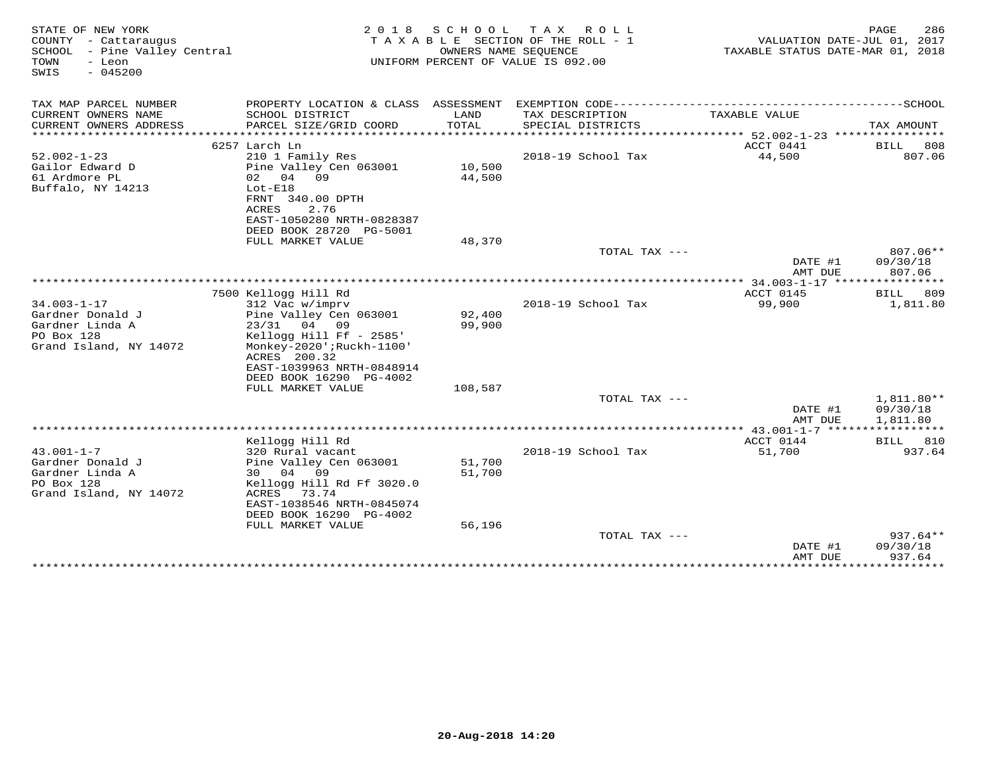| STATE OF NEW YORK<br>COUNTY - Cattaraugus<br>SCHOOL - Pine Valley Central<br>TOWN<br>- Leon<br>SWIS<br>$-045200$ | 2 0 1 8                                             | S C H O O L<br>OWNERS NAME SEOUENCE | T A X<br>R O L L<br>TAXABLE SECTION OF THE ROLL - 1<br>UNIFORM PERCENT OF VALUE IS 092.00 | VALUATION DATE-JUL 01, 2017<br>TAXABLE STATUS DATE-MAR 01, 2018 | PAGE<br>286           |
|------------------------------------------------------------------------------------------------------------------|-----------------------------------------------------|-------------------------------------|-------------------------------------------------------------------------------------------|-----------------------------------------------------------------|-----------------------|
| TAX MAP PARCEL NUMBER                                                                                            |                                                     |                                     |                                                                                           |                                                                 |                       |
| CURRENT OWNERS NAME<br>CURRENT OWNERS ADDRESS                                                                    | SCHOOL DISTRICT<br>PARCEL SIZE/GRID COORD           | LAND<br>TOTAL                       | TAX DESCRIPTION<br>SPECIAL DISTRICTS                                                      | TAXABLE VALUE                                                   | TAX AMOUNT            |
|                                                                                                                  |                                                     |                                     |                                                                                           |                                                                 |                       |
|                                                                                                                  | 6257 Larch Ln                                       |                                     |                                                                                           | ACCT 0441                                                       | <b>BILL</b><br>808    |
| $52.002 - 1 - 23$                                                                                                | 210 1 Family Res                                    |                                     | 2018-19 School Tax                                                                        | 44,500                                                          | 807.06                |
| Gailor Edward D                                                                                                  | Pine Valley Cen 063001                              | 10,500                              |                                                                                           |                                                                 |                       |
| 61 Ardmore PL                                                                                                    | 09<br>02 04                                         | 44,500                              |                                                                                           |                                                                 |                       |
| Buffalo, NY 14213                                                                                                | $Lot-E18$<br>FRNT 340.00 DPTH                       |                                     |                                                                                           |                                                                 |                       |
|                                                                                                                  | ACRES<br>2.76                                       |                                     |                                                                                           |                                                                 |                       |
|                                                                                                                  | EAST-1050280 NRTH-0828387                           |                                     |                                                                                           |                                                                 |                       |
|                                                                                                                  | DEED BOOK 28720 PG-5001                             |                                     |                                                                                           |                                                                 |                       |
|                                                                                                                  | FULL MARKET VALUE                                   | 48,370                              |                                                                                           |                                                                 |                       |
|                                                                                                                  |                                                     |                                     | TOTAL TAX ---                                                                             |                                                                 | 807.06**              |
|                                                                                                                  |                                                     |                                     |                                                                                           | DATE #1<br>AMT DUE                                              | 09/30/18<br>807.06    |
|                                                                                                                  |                                                     |                                     |                                                                                           | *************** 34.003-1-17 *****************                   |                       |
|                                                                                                                  | 7500 Kellogg Hill Rd                                |                                     |                                                                                           | ACCT 0145                                                       | 809<br>BILL           |
| $34.003 - 1 - 17$                                                                                                | 312 Vac w/imprv                                     |                                     | 2018-19 School Tax                                                                        | 99,900                                                          | 1,811.80              |
| Gardner Donald J                                                                                                 | Pine Valley Cen 063001                              | 92,400                              |                                                                                           |                                                                 |                       |
| Gardner Linda A                                                                                                  | 23/31 04 09                                         | 99,900                              |                                                                                           |                                                                 |                       |
| PO Box 128<br>Grand Island, NY 14072                                                                             | Kellogg Hill Ff - 2585'<br>Monkey-2020';Ruckh-1100' |                                     |                                                                                           |                                                                 |                       |
|                                                                                                                  | ACRES 200.32                                        |                                     |                                                                                           |                                                                 |                       |
|                                                                                                                  | EAST-1039963 NRTH-0848914                           |                                     |                                                                                           |                                                                 |                       |
|                                                                                                                  | DEED BOOK 16290 PG-4002                             |                                     |                                                                                           |                                                                 |                       |
|                                                                                                                  | FULL MARKET VALUE                                   | 108,587                             |                                                                                           |                                                                 |                       |
|                                                                                                                  |                                                     |                                     | TOTAL TAX $---$                                                                           |                                                                 | $1,811.80**$          |
|                                                                                                                  |                                                     |                                     |                                                                                           | DATE #1<br>AMT DUE                                              | 09/30/18<br>1,811.80  |
|                                                                                                                  |                                                     |                                     |                                                                                           | **** $43.001 - 1 - 7$ *****************                         |                       |
|                                                                                                                  | Kellogg Hill Rd                                     |                                     |                                                                                           | ACCT 0144                                                       | BILL 810              |
| $43.001 - 1 - 7$                                                                                                 | 320 Rural vacant                                    |                                     | 2018-19 School Tax                                                                        | 51,700                                                          | 937.64                |
| Gardner Donald J                                                                                                 | Pine Valley Cen 063001                              | 51,700                              |                                                                                           |                                                                 |                       |
| Gardner Linda A                                                                                                  | 30 04 09                                            | 51,700                              |                                                                                           |                                                                 |                       |
| PO Box 128                                                                                                       | Kellogg Hill Rd Ff 3020.0                           |                                     |                                                                                           |                                                                 |                       |
| Grand Island, NY 14072                                                                                           | ACRES<br>73.74<br>EAST-1038546 NRTH-0845074         |                                     |                                                                                           |                                                                 |                       |
|                                                                                                                  | DEED BOOK 16290 PG-4002                             |                                     |                                                                                           |                                                                 |                       |
|                                                                                                                  | FULL MARKET VALUE                                   | 56,196                              |                                                                                           |                                                                 |                       |
|                                                                                                                  |                                                     |                                     | TOTAL TAX $---$                                                                           |                                                                 | $937.64**$            |
|                                                                                                                  |                                                     |                                     |                                                                                           | DATE #1                                                         | 09/30/18              |
|                                                                                                                  |                                                     |                                     |                                                                                           | AMT DUE<br>***************                                      | 937.64<br>*********** |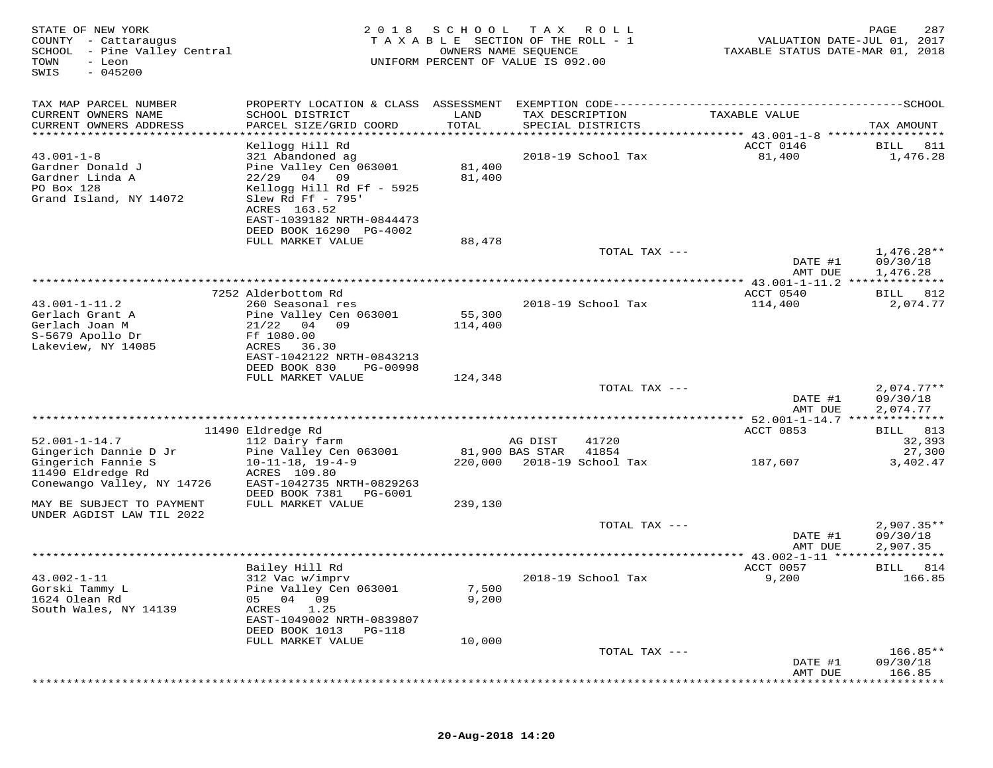| STATE OF NEW YORK<br>COUNTY - Cattaraugus<br>SCHOOL - Pine Valley Central<br>TOWN<br>- Leon<br>$-045200$<br>SWIS | 2 0 1 8                                    | SCHOOL<br>TAXABLE SECTION OF THE ROLL - 1<br>UNIFORM PERCENT OF VALUE IS 092.00 | T A X<br>OWNERS NAME SEQUENCE | R O L L               | VALUATION DATE-JUL 01, 2017<br>TAXABLE STATUS DATE-MAR 01, 2018 | 287<br>PAGE         |
|------------------------------------------------------------------------------------------------------------------|--------------------------------------------|---------------------------------------------------------------------------------|-------------------------------|-----------------------|-----------------------------------------------------------------|---------------------|
| TAX MAP PARCEL NUMBER                                                                                            | PROPERTY LOCATION & CLASS ASSESSMENT       |                                                                                 |                               |                       | EXEMPTION CODE-----------------------------                     | -------------SCHOOL |
| CURRENT OWNERS NAME<br>CURRENT OWNERS ADDRESS                                                                    | SCHOOL DISTRICT<br>PARCEL SIZE/GRID COORD  | LAND<br>TOTAL                                                                   | TAX DESCRIPTION               | SPECIAL DISTRICTS     | TAXABLE VALUE                                                   | TAX AMOUNT          |
| ********************                                                                                             | *********************                      | ****************                                                                |                               | ********************* | ******** 43.001-1-8 *****************                           |                     |
|                                                                                                                  | Kellogg Hill Rd                            |                                                                                 |                               |                       | ACCT 0146                                                       | 811<br>BILL         |
| $43.001 - 1 - 8$                                                                                                 | 321 Abandoned ag                           |                                                                                 |                               | 2018-19 School Tax    | 81,400                                                          | 1,476.28            |
| Gardner Donald J<br>Gardner Linda A                                                                              | Pine Valley Cen 063001<br>$22/29$ 04 09    | 81,400<br>81,400                                                                |                               |                       |                                                                 |                     |
| PO Box 128                                                                                                       | Kellogg Hill Rd Ff - 5925                  |                                                                                 |                               |                       |                                                                 |                     |
| Grand Island, NY 14072                                                                                           | Slew Rd Ff - 795'                          |                                                                                 |                               |                       |                                                                 |                     |
|                                                                                                                  | ACRES 163.52                               |                                                                                 |                               |                       |                                                                 |                     |
|                                                                                                                  | EAST-1039182 NRTH-0844473                  |                                                                                 |                               |                       |                                                                 |                     |
|                                                                                                                  | DEED BOOK 16290 PG-4002                    |                                                                                 |                               |                       |                                                                 |                     |
|                                                                                                                  | FULL MARKET VALUE                          | 88,478                                                                          |                               | TOTAL TAX ---         |                                                                 | 1,476.28**          |
|                                                                                                                  |                                            |                                                                                 |                               |                       | DATE #1                                                         | 09/30/18            |
|                                                                                                                  |                                            |                                                                                 |                               |                       | AMT DUE                                                         | 1,476.28            |
|                                                                                                                  |                                            |                                                                                 |                               |                       | ********* 43.001-1-11.2 **************                          |                     |
|                                                                                                                  | 7252 Alderbottom Rd                        |                                                                                 |                               |                       | ACCT 0540                                                       | 812<br>BILL         |
| $43.001 - 1 - 11.2$<br>Gerlach Grant A                                                                           | 260 Seasonal res<br>Pine Valley Cen 063001 | 55,300                                                                          |                               | 2018-19 School Tax    | 114,400                                                         | 2,074.77            |
| Gerlach Joan M                                                                                                   | 21/22<br>04<br>09                          | 114,400                                                                         |                               |                       |                                                                 |                     |
| S-5679 Apollo Dr                                                                                                 | Ff 1080.00                                 |                                                                                 |                               |                       |                                                                 |                     |
| Lakeview, NY 14085                                                                                               | ACRES<br>36.30                             |                                                                                 |                               |                       |                                                                 |                     |
|                                                                                                                  | EAST-1042122 NRTH-0843213                  |                                                                                 |                               |                       |                                                                 |                     |
|                                                                                                                  | DEED BOOK 830<br>PG-00998                  |                                                                                 |                               |                       |                                                                 |                     |
|                                                                                                                  | FULL MARKET VALUE                          | 124,348                                                                         |                               | TOTAL TAX ---         |                                                                 | $2,074.77**$        |
|                                                                                                                  |                                            |                                                                                 |                               |                       | DATE #1                                                         | 09/30/18            |
|                                                                                                                  |                                            |                                                                                 |                               |                       | AMT DUE                                                         | 2,074.77            |
|                                                                                                                  |                                            |                                                                                 |                               |                       |                                                                 |                     |
|                                                                                                                  | 11490 Eldredge Rd                          |                                                                                 |                               |                       | ACCT 0853                                                       | BILL 813            |
| $52.001 - 1 - 14.7$<br>Gingerich Dannie D Jr                                                                     | 112 Dairy farm<br>Pine Valley Cen 063001   |                                                                                 | AG DIST<br>81,900 BAS STAR    | 41720<br>41854        |                                                                 | 32,393<br>27,300    |
| Gingerich Fannie S                                                                                               | $10 - 11 - 18$ , $19 - 4 - 9$              | 220,000                                                                         |                               | 2018-19 School Tax    | 187,607                                                         | 3,402.47            |
| 11490 Eldredge Rd                                                                                                | ACRES 109.80                               |                                                                                 |                               |                       |                                                                 |                     |
| Conewango Valley, NY 14726                                                                                       | EAST-1042735 NRTH-0829263                  |                                                                                 |                               |                       |                                                                 |                     |
|                                                                                                                  | DEED BOOK 7381<br>PG-6001                  |                                                                                 |                               |                       |                                                                 |                     |
| MAY BE SUBJECT TO PAYMENT                                                                                        | FULL MARKET VALUE                          | 239,130                                                                         |                               |                       |                                                                 |                     |
| UNDER AGDIST LAW TIL 2022                                                                                        |                                            |                                                                                 |                               | TOTAL TAX ---         |                                                                 | $2,907.35**$        |
|                                                                                                                  |                                            |                                                                                 |                               |                       | DATE #1                                                         | 09/30/18            |
|                                                                                                                  |                                            |                                                                                 |                               |                       | AMT DUE                                                         | 2,907.35            |
|                                                                                                                  |                                            |                                                                                 |                               |                       | ** 43.002-1-11                                                  |                     |
|                                                                                                                  | Bailey Hill Rd                             |                                                                                 |                               |                       | ACCT 0057                                                       | BILL<br>814         |
| $43.002 - 1 - 11$                                                                                                | 312 Vac w/imprv                            |                                                                                 |                               | 2018-19 School Tax    | 9,200                                                           | 166.85              |
| Gorski Tammy L<br>1624 Olean Rd                                                                                  | Pine Valley Cen 063001<br>04<br>05<br>09   | 7,500<br>9,200                                                                  |                               |                       |                                                                 |                     |
| South Wales, NY 14139                                                                                            | ACRES<br>1.25                              |                                                                                 |                               |                       |                                                                 |                     |
|                                                                                                                  | EAST-1049002 NRTH-0839807                  |                                                                                 |                               |                       |                                                                 |                     |
|                                                                                                                  | DEED BOOK 1013<br>PG-118                   |                                                                                 |                               |                       |                                                                 |                     |
|                                                                                                                  | FULL MARKET VALUE                          | 10,000                                                                          |                               |                       |                                                                 |                     |
|                                                                                                                  |                                            |                                                                                 |                               | TOTAL TAX ---         |                                                                 | $166.85**$          |
|                                                                                                                  |                                            |                                                                                 |                               |                       | DATE #1<br>AMT DUE                                              | 09/30/18<br>166.85  |
|                                                                                                                  |                                            |                                                                                 |                               |                       |                                                                 |                     |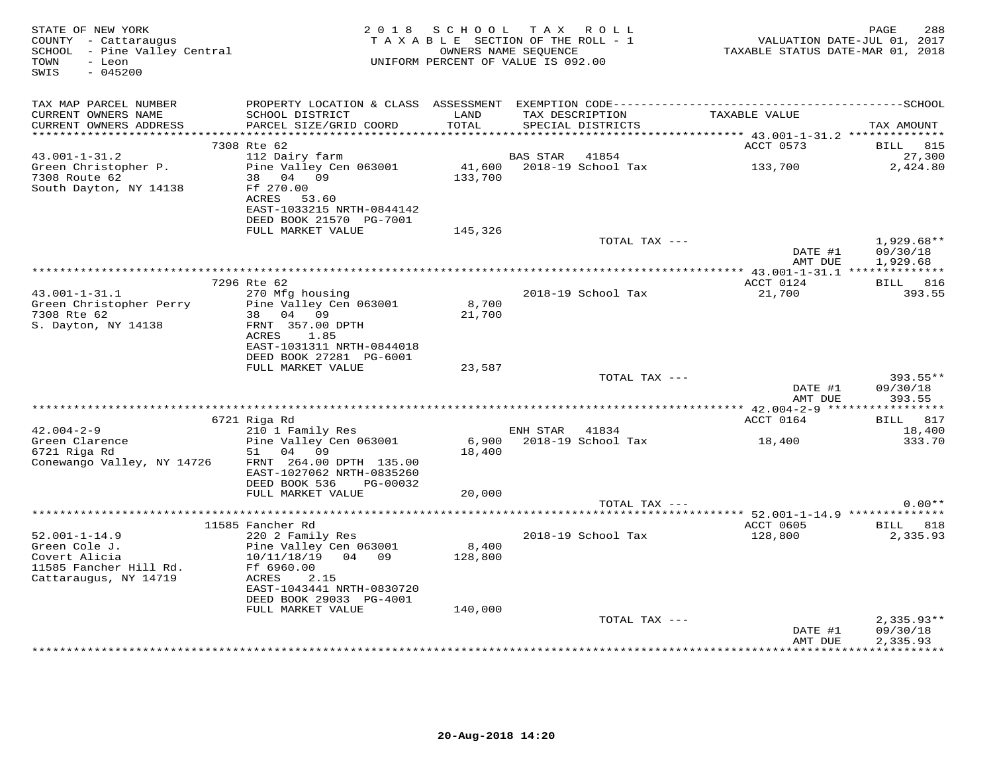|                                                                                                          |                                                                                                   |                   | OWNERS NAME SEQUENCE<br>UNIFORM PERCENT OF VALUE IS 092.00 |                    | TAXABLE STATUS DATE-MAR 01, 2018 | VALUATION DATE-JUL 01, 2017          |
|----------------------------------------------------------------------------------------------------------|---------------------------------------------------------------------------------------------------|-------------------|------------------------------------------------------------|--------------------|----------------------------------|--------------------------------------|
| TAX MAP PARCEL NUMBER                                                                                    |                                                                                                   |                   |                                                            |                    |                                  |                                      |
| CURRENT OWNERS NAME<br>CURRENT OWNERS ADDRESS                                                            | SCHOOL DISTRICT<br>PARCEL SIZE/GRID COORD                                                         | LAND<br>TOTAL     | TAX DESCRIPTION<br>SPECIAL DISTRICTS                       |                    | TAXABLE VALUE                    | TAX AMOUNT                           |
|                                                                                                          | 7308 Rte 62                                                                                       |                   |                                                            |                    | ACCT 0573                        | BILL 815                             |
| $43.001 - 1 - 31.2$                                                                                      | 112 Dairy farm                                                                                    |                   | BAS STAR                                                   | 41854              |                                  | 27,300                               |
| Green Christopher P.<br>7308 Route 62<br>South Dayton, NY 14138                                          | Pine Valley Cen 063001<br>38 04 09<br>Ff 270.00<br>ACRES 53.60<br>EAST-1033215 NRTH-0844142       | 41,600<br>133,700 | 2018-19 School Tax                                         |                    | 133,700                          | 2,424.80                             |
|                                                                                                          | DEED BOOK 21570 PG-7001<br>FULL MARKET VALUE                                                      | 145,326           |                                                            |                    |                                  |                                      |
|                                                                                                          |                                                                                                   |                   |                                                            | TOTAL TAX ---      | DATE #1                          | $1,929.68**$<br>09/30/18             |
|                                                                                                          |                                                                                                   |                   |                                                            |                    | AMT DUE                          | 1,929.68                             |
|                                                                                                          |                                                                                                   |                   |                                                            |                    |                                  |                                      |
| $43.001 - 1 - 31.1$                                                                                      | 7296 Rte 62<br>270 Mfg housing                                                                    |                   |                                                            | 2018-19 School Tax | ACCT 0124<br>21,700              | BILL 816<br>393.55                   |
| Green Christopher Perry<br>7308 Rte 62<br>S. Dayton, NY 14138                                            | Pine Valley Cen 063001<br>38 04 09<br>FRNT 357.00 DPTH<br>ACRES<br>1.85                           | 8,700<br>21,700   |                                                            |                    |                                  |                                      |
|                                                                                                          | EAST-1031311 NRTH-0844018<br>DEED BOOK 27281 PG-6001<br>FULL MARKET VALUE                         | 23,587            |                                                            |                    |                                  |                                      |
|                                                                                                          |                                                                                                   |                   |                                                            | TOTAL TAX ---      | DATE #1                          | 393.55**<br>09/30/18                 |
|                                                                                                          |                                                                                                   |                   |                                                            |                    | AMT DUE                          | 393.55                               |
|                                                                                                          | 6721 Riga Rd                                                                                      |                   |                                                            |                    | ACCT 0164                        | BILL 817                             |
| $42.004 - 2 - 9$                                                                                         | 210 1 Family Res                                                                                  |                   | ENH STAR 41834                                             |                    |                                  | 18,400                               |
| Green Clarence<br>6721 Riga Rd<br>Conewango Valley, NY 14726                                             | Pine Valley Cen 063001<br>51 04 09<br>FRNT 264.00 DPTH 135.00<br>EAST-1027062 NRTH-0835260        | 6,900<br>18,400   | 2018-19 School Tax                                         |                    | 18,400                           | 333.70                               |
|                                                                                                          | DEED BOOK 536<br>PG-00032                                                                         |                   |                                                            |                    |                                  |                                      |
|                                                                                                          | FULL MARKET VALUE                                                                                 | 20,000            |                                                            | TOTAL TAX ---      |                                  | $0.00**$                             |
|                                                                                                          |                                                                                                   |                   |                                                            |                    |                                  |                                      |
|                                                                                                          | 11585 Fancher Rd                                                                                  |                   |                                                            |                    | ACCT 0605                        | BILL 818                             |
| $52.001 - 1 - 14.9$<br>Green Cole J.<br>Covert Alicia<br>11585 Fancher Hill Rd.<br>Cattaraugus, NY 14719 | 220 2 Family Res<br>Pine Valley Cen 063001<br>10/11/18/19<br>04 09<br>Ff 6960.00<br>ACRES<br>2.15 | 8,400<br>128,800  | 2018-19 School Tax                                         |                    | 128,800                          | 2,335.93                             |
|                                                                                                          | EAST-1043441 NRTH-0830720<br>DEED BOOK 29033 PG-4001                                              |                   |                                                            |                    |                                  |                                      |
|                                                                                                          | FULL MARKET VALUE                                                                                 | 140,000           |                                                            |                    |                                  |                                      |
|                                                                                                          |                                                                                                   |                   |                                                            | TOTAL TAX ---      | DATE #1<br>AMT DUE               | $2,335.93**$<br>09/30/18<br>2,335.93 |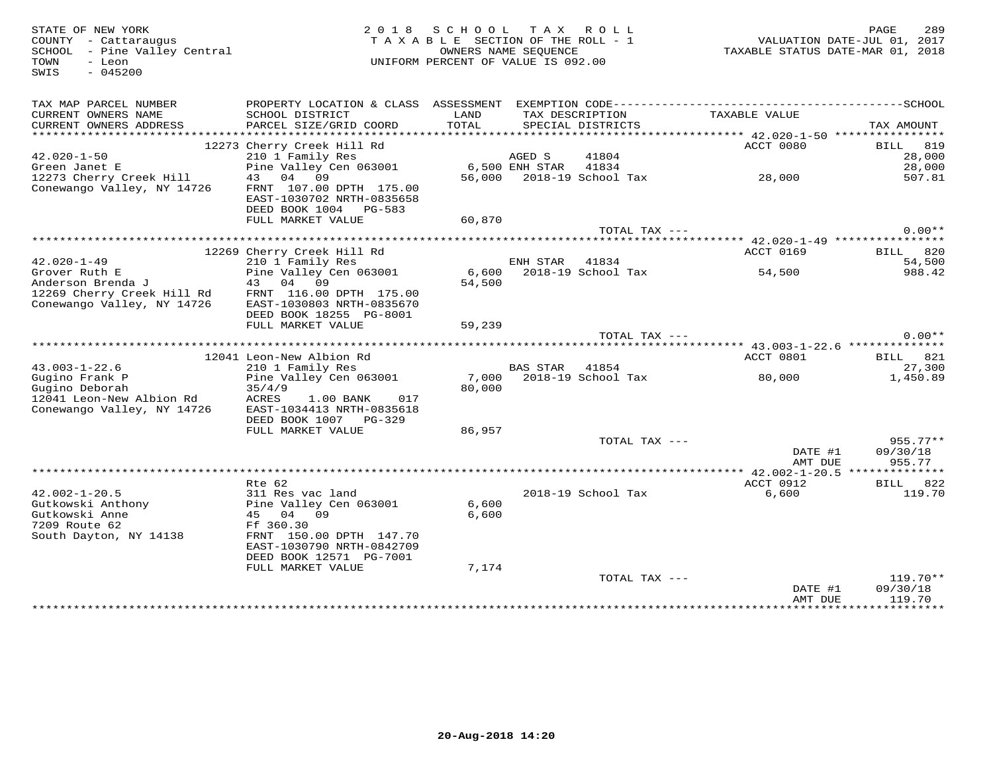SWIS - 045200

## STATE OF NEW YORK MESS PAGE 289<br>COUNTY - Cattaraugus had the section of the Roll - 1 when the NALUATION DATE-JUL 01, 2017<br>SCHOOL - Pine Valley Central Material Management of the SECTION OF THE ROLL - 1 when the VALUATION D

| TAX MAP PARCEL NUMBER<br>CURRENT OWNERS NAME<br>CURRENT OWNERS ADDRESS | PROPERTY LOCATION & CLASS ASSESSMENT<br>SCHOOL DISTRICT<br>PARCEL SIZE/GRID COORD | LAND<br>TOTAL | TAX DESCRIPTION | SPECIAL DISTRICTS  | TAXABLE VALUE                            | TAX AMOUNT            |
|------------------------------------------------------------------------|-----------------------------------------------------------------------------------|---------------|-----------------|--------------------|------------------------------------------|-----------------------|
| *************************                                              |                                                                                   |               |                 |                    |                                          |                       |
|                                                                        | 12273 Cherry Creek Hill Rd                                                        |               |                 |                    | ACCT 0080                                | 819<br>BILL           |
| $42.020 - 1 - 50$                                                      | 210 1 Family Res                                                                  |               | AGED S          | 41804              |                                          | 28,000                |
| Green Janet E                                                          | Pine Valley Cen 063001                                                            |               | 6,500 ENH STAR  | 41834              |                                          | 28,000                |
| 12273 Cherry Creek Hill                                                | 43 04 09                                                                          | 56,000        |                 | 2018-19 School Tax | 28,000                                   | 507.81                |
| Conewango Valley, NY 14726                                             | FRNT 107.00 DPTH 175.00                                                           |               |                 |                    |                                          |                       |
|                                                                        | EAST-1030702 NRTH-0835658                                                         |               |                 |                    |                                          |                       |
|                                                                        | DEED BOOK 1004<br>PG-583                                                          |               |                 |                    |                                          |                       |
|                                                                        |                                                                                   |               |                 |                    |                                          |                       |
|                                                                        | FULL MARKET VALUE                                                                 | 60,870        |                 | TOTAL TAX ---      |                                          | $0.00**$              |
|                                                                        |                                                                                   |               |                 |                    |                                          |                       |
|                                                                        |                                                                                   |               |                 |                    |                                          |                       |
|                                                                        | 12269 Cherry Creek Hill Rd                                                        |               |                 |                    | <b>ACCT 0169</b>                         | 820<br>BILL           |
| $42.020 - 1 - 49$                                                      | 210 1 Family Res                                                                  |               | ENH STAR        | 41834              |                                          | 54,500                |
| Grover Ruth E                                                          | Pine Valley Cen 063001                                                            | 6,600         |                 | 2018-19 School Tax | 54,500                                   | 988.42                |
| Anderson Brenda J                                                      | 04<br>09<br>43                                                                    | 54,500        |                 |                    |                                          |                       |
| 12269 Cherry Creek Hill Rd                                             | FRNT 116.00 DPTH 175.00                                                           |               |                 |                    |                                          |                       |
| Conewango Valley, NY 14726                                             | EAST-1030803 NRTH-0835670                                                         |               |                 |                    |                                          |                       |
|                                                                        | DEED BOOK 18255 PG-8001                                                           |               |                 |                    |                                          |                       |
|                                                                        | FULL MARKET VALUE                                                                 | 59,239        |                 |                    |                                          |                       |
|                                                                        |                                                                                   |               |                 | TOTAL TAX ---      |                                          | $0.00**$              |
|                                                                        |                                                                                   |               |                 |                    | ********** 43.003-1-22.6 *************** |                       |
|                                                                        | 12041 Leon-New Albion Rd                                                          |               |                 |                    | ACCT 0801                                | BILL<br>821           |
| $43.003 - 1 - 22.6$                                                    | 210 1 Family Res                                                                  |               | <b>BAS STAR</b> | 41854              |                                          | 27,300                |
| Gugino Frank P                                                         | Pine Valley Cen 063001                                                            | 7,000         |                 | 2018-19 School Tax | 80,000                                   | 1,450.89              |
| Gugino Deborah                                                         | 35/4/9                                                                            | 80,000        |                 |                    |                                          |                       |
| 12041 Leon-New Albion Rd                                               | ACRES<br>1.00 BANK<br>017                                                         |               |                 |                    |                                          |                       |
| Conewango Valley, NY 14726                                             | EAST-1034413 NRTH-0835618                                                         |               |                 |                    |                                          |                       |
|                                                                        | DEED BOOK 1007<br>PG-329                                                          |               |                 |                    |                                          |                       |
|                                                                        | FULL MARKET VALUE                                                                 | 86,957        |                 |                    |                                          |                       |
|                                                                        |                                                                                   |               |                 | TOTAL TAX ---      |                                          | $955.77**$            |
|                                                                        |                                                                                   |               |                 |                    | DATE #1                                  | 09/30/18              |
|                                                                        |                                                                                   |               |                 |                    | AMT DUE                                  | 955.77                |
|                                                                        |                                                                                   |               |                 |                    |                                          | **************        |
|                                                                        | Rte 62                                                                            |               |                 |                    | ACCT 0912                                | BILL<br>822           |
| $42.002 - 1 - 20.5$                                                    | 311 Res vac land                                                                  |               |                 | 2018-19 School Tax | 6,600                                    | 119.70                |
| Gutkowski Anthony                                                      | Pine Valley Cen 063001                                                            | 6,600         |                 |                    |                                          |                       |
| Gutkowski Anne                                                         | 45 04 09                                                                          | 6,600         |                 |                    |                                          |                       |
| 7209 Route 62                                                          | Ff 360.30                                                                         |               |                 |                    |                                          |                       |
|                                                                        |                                                                                   |               |                 |                    |                                          |                       |
| South Dayton, NY 14138                                                 | FRNT 150.00 DPTH 147.70<br>EAST-1030790 NRTH-0842709                              |               |                 |                    |                                          |                       |
|                                                                        |                                                                                   |               |                 |                    |                                          |                       |
|                                                                        | DEED BOOK 12571 PG-7001                                                           |               |                 |                    |                                          |                       |
|                                                                        | FULL MARKET VALUE                                                                 | 7,174         |                 |                    |                                          |                       |
|                                                                        |                                                                                   |               |                 | TOTAL TAX ---      |                                          | $119.70**$            |
|                                                                        |                                                                                   |               |                 |                    | DATE #1                                  | 09/30/18              |
|                                                                        |                                                                                   |               |                 |                    | AMT DUE<br>***********************       | 119.70<br>*********** |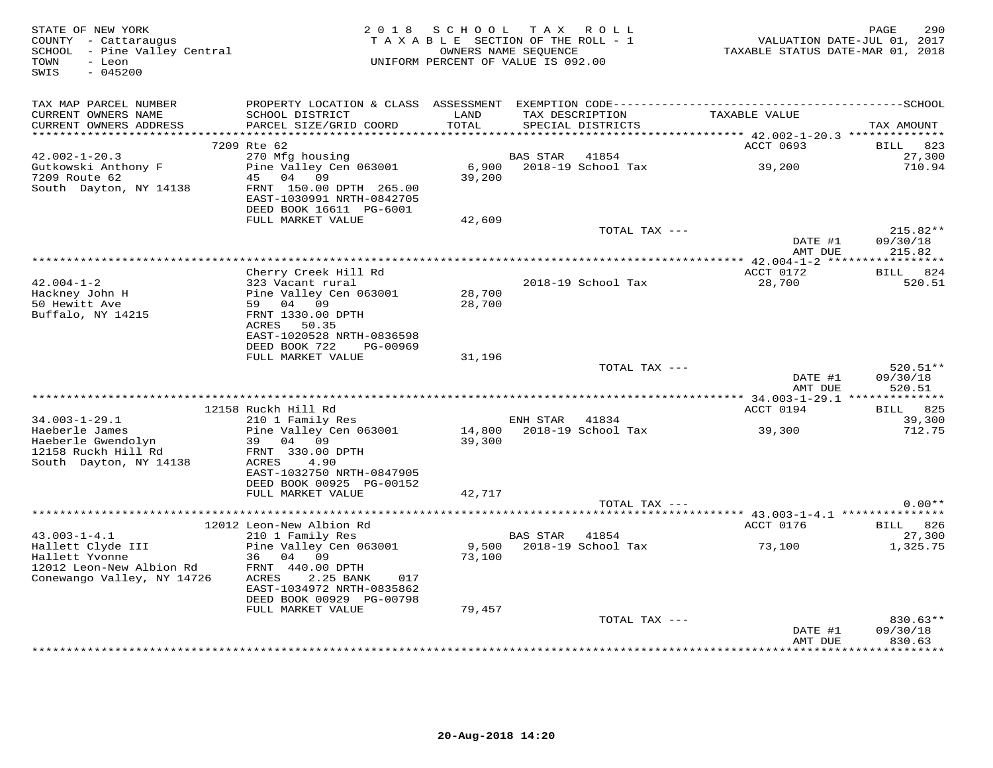| STATE OF NEW YORK<br>COUNTY - Cattaraugus<br>SCHOOL - Pine Valley Central<br>TOWN<br>- Leon<br>SWIS<br>$-045200$ | 2018 SCHOOL TAX ROLL<br>TAXABLE SECTION OF THE ROLL - 1<br>OWNERS NAME SEQUENCE<br>UNIFORM PERCENT OF VALUE IS 092.00 |        |                 | 290<br>PAGE<br>VALUATION DATE-JUL 01, 2017<br>TAXABLE STATUS DATE-MAR 01, 2018 |                    |                              |
|------------------------------------------------------------------------------------------------------------------|-----------------------------------------------------------------------------------------------------------------------|--------|-----------------|--------------------------------------------------------------------------------|--------------------|------------------------------|
| TAX MAP PARCEL NUMBER<br>CURRENT OWNERS NAME                                                                     | SCHOOL DISTRICT                                                                                                       | LAND   |                 |                                                                                | TAXABLE VALUE      |                              |
| CURRENT OWNERS ADDRESS                                                                                           | PARCEL SIZE/GRID COORD                                                                                                | TOTAL  | TAX DESCRIPTION | SPECIAL DISTRICTS                                                              |                    | TAX AMOUNT                   |
| ***********************                                                                                          |                                                                                                                       |        |                 |                                                                                |                    |                              |
| $42.002 - 1 - 20.3$                                                                                              | 7209 Rte 62<br>270 Mfg housing                                                                                        |        | <b>BAS STAR</b> | 41854                                                                          | ACCT 0693          | 823<br><b>BILL</b><br>27,300 |
| Gutkowski Anthony F                                                                                              | Pine Valley Cen 063001                                                                                                | 6,900  |                 | 2018-19 School Tax                                                             | 39,200             | 710.94                       |
| 7209 Route 62                                                                                                    | 45<br>04 09                                                                                                           | 39,200 |                 |                                                                                |                    |                              |
| South Dayton, NY 14138                                                                                           | FRNT 150.00 DPTH 265.00                                                                                               |        |                 |                                                                                |                    |                              |
|                                                                                                                  | EAST-1030991 NRTH-0842705                                                                                             |        |                 |                                                                                |                    |                              |
|                                                                                                                  | DEED BOOK 16611 PG-6001                                                                                               |        |                 |                                                                                |                    |                              |
|                                                                                                                  | FULL MARKET VALUE                                                                                                     | 42,609 |                 | TOTAL TAX ---                                                                  |                    |                              |
|                                                                                                                  |                                                                                                                       |        |                 |                                                                                | DATE #1            | $215.82**$<br>09/30/18       |
|                                                                                                                  |                                                                                                                       |        |                 |                                                                                | AMT DUE            | 215.82                       |
|                                                                                                                  |                                                                                                                       |        |                 |                                                                                |                    |                              |
|                                                                                                                  | Cherry Creek Hill Rd                                                                                                  |        |                 |                                                                                | ACCT 0172          | BILL 824                     |
| $42.004 - 1 - 2$                                                                                                 | 323 Vacant rural                                                                                                      |        |                 | 2018-19 School Tax                                                             | 28,700             | 520.51                       |
| Hackney John H                                                                                                   | Pine Valley Cen 063001<br>59 04 09                                                                                    | 28,700 |                 |                                                                                |                    |                              |
| 50 Hewitt Ave<br>Buffalo, NY 14215                                                                               | FRNT 1330.00 DPTH                                                                                                     | 28,700 |                 |                                                                                |                    |                              |
|                                                                                                                  | ACRES 50.35                                                                                                           |        |                 |                                                                                |                    |                              |
|                                                                                                                  | EAST-1020528 NRTH-0836598                                                                                             |        |                 |                                                                                |                    |                              |
|                                                                                                                  | DEED BOOK 722<br>PG-00969                                                                                             |        |                 |                                                                                |                    |                              |
|                                                                                                                  | FULL MARKET VALUE                                                                                                     | 31,196 |                 |                                                                                |                    |                              |
|                                                                                                                  |                                                                                                                       |        |                 | TOTAL TAX ---                                                                  |                    | $520.51**$<br>09/30/18       |
|                                                                                                                  |                                                                                                                       |        |                 |                                                                                | DATE #1<br>AMT DUE | 520.51                       |
|                                                                                                                  |                                                                                                                       |        |                 |                                                                                |                    |                              |
| $34.003 - 1 - 29.1$                                                                                              | 12158 Ruckh Hill Rd<br>210 1 Family Res                                                                               |        | ENH STAR        | 41834                                                                          | ACCT 0194          | BILL 825<br>39,300           |
| Haeberle James                                                                                                   | Pine Valley Cen 063001                                                                                                | 14,800 |                 | 2018-19 School Tax                                                             | 39,300             | 712.75                       |
| Haeberle Gwendolyn                                                                                               | 39 04 09                                                                                                              | 39,300 |                 |                                                                                |                    |                              |
| 12158 Ruckh Hill Rd                                                                                              | FRNT 330.00 DPTH                                                                                                      |        |                 |                                                                                |                    |                              |
| South Dayton, NY 14138                                                                                           | ACRES<br>4.90                                                                                                         |        |                 |                                                                                |                    |                              |
|                                                                                                                  | EAST-1032750 NRTH-0847905                                                                                             |        |                 |                                                                                |                    |                              |
|                                                                                                                  | DEED BOOK 00925 PG-00152<br>FULL MARKET VALUE                                                                         | 42,717 |                 |                                                                                |                    |                              |
|                                                                                                                  |                                                                                                                       |        |                 | TOTAL TAX ---                                                                  |                    | $0.00**$                     |
|                                                                                                                  |                                                                                                                       |        |                 |                                                                                |                    |                              |
|                                                                                                                  | 12012 Leon-New Albion Rd                                                                                              |        |                 |                                                                                | ACCT 0176          | BILL 826                     |
| $43.003 - 1 - 4.1$                                                                                               | 210 1 Family Res                                                                                                      |        | BAS STAR 41854  |                                                                                |                    | 27,300                       |
| Hallett Clyde III                                                                                                | Pine Valley Cen 063001                                                                                                | 9,500  |                 | 2018-19 School Tax                                                             | 73,100             | 1,325.75                     |
| Hallett Yvonne<br>12012 Leon-New Albion Rd                                                                       | 36 04 09<br>FRNT 440.00 DPTH                                                                                          | 73,100 |                 |                                                                                |                    |                              |
| Conewango Valley, NY 14726                                                                                       | ACRES<br>2.25 BANK<br>017                                                                                             |        |                 |                                                                                |                    |                              |
|                                                                                                                  | EAST-1034972 NRTH-0835862                                                                                             |        |                 |                                                                                |                    |                              |
|                                                                                                                  | DEED BOOK 00929 PG-00798                                                                                              |        |                 |                                                                                |                    |                              |
|                                                                                                                  | FULL MARKET VALUE                                                                                                     | 79,457 |                 |                                                                                |                    |                              |
|                                                                                                                  |                                                                                                                       |        |                 | TOTAL TAX ---                                                                  |                    | 830.63**                     |
|                                                                                                                  |                                                                                                                       |        |                 |                                                                                | DATE #1            | 09/30/18                     |
|                                                                                                                  |                                                                                                                       |        |                 |                                                                                | AMT DUE            | 830.63<br>********           |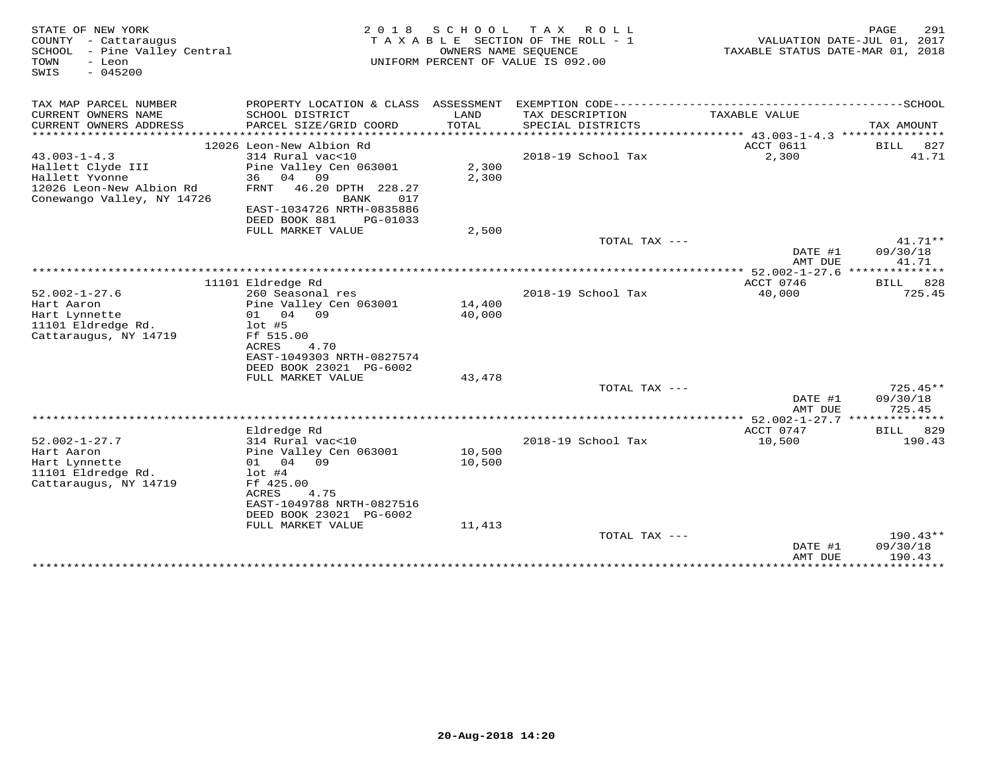| STATE OF NEW YORK<br>2 0 1 8<br>S C H O O L<br>T A X<br>R O L L<br>SECTION OF THE ROLL - 1<br>COUNTY<br>- Cattaraugus<br>TAXABLE<br>SCHOOL<br>- Pine Valley Central<br>OWNERS NAME SEOUENCE<br>TOWN<br>- Leon<br>UNIFORM PERCENT OF VALUE IS 092.00<br>$-045200$<br>SWIS |                                                                   |                  |                                      | 291<br>PAGE<br>VALUATION DATE-JUL 01, 2017<br>TAXABLE STATUS DATE-MAR 01, 2018 |                        |  |
|--------------------------------------------------------------------------------------------------------------------------------------------------------------------------------------------------------------------------------------------------------------------------|-------------------------------------------------------------------|------------------|--------------------------------------|--------------------------------------------------------------------------------|------------------------|--|
| TAX MAP PARCEL NUMBER                                                                                                                                                                                                                                                    | PROPERTY LOCATION & CLASS ASSESSMENT                              |                  |                                      |                                                                                |                        |  |
| CURRENT OWNERS NAME<br>CURRENT OWNERS ADDRESS<br>**********************                                                                                                                                                                                                  | SCHOOL DISTRICT<br>PARCEL SIZE/GRID COORD                         | LAND<br>TOTAL    | TAX DESCRIPTION<br>SPECIAL DISTRICTS | TAXABLE VALUE                                                                  | TAX AMOUNT             |  |
|                                                                                                                                                                                                                                                                          | 12026 Leon-New Albion Rd                                          |                  |                                      | ACCT 0611                                                                      | BILL<br>827            |  |
| $43.003 - 1 - 4.3$                                                                                                                                                                                                                                                       | 314 Rural vac<10                                                  |                  | 2018-19 School Tax                   | 2,300                                                                          | 41.71                  |  |
| Hallett Clyde III                                                                                                                                                                                                                                                        | Pine Valley Cen 063001                                            | 2,300            |                                      |                                                                                |                        |  |
| Hallett Yvonne<br>12026 Leon-New Albion Rd<br>Conewango Valley, NY 14726                                                                                                                                                                                                 | 04<br>09<br>36<br>46.20 DPTH 228.27<br><b>FRNT</b><br>017<br>BANK | 2,300            |                                      |                                                                                |                        |  |
|                                                                                                                                                                                                                                                                          | EAST-1034726 NRTH-0835886                                         |                  |                                      |                                                                                |                        |  |
|                                                                                                                                                                                                                                                                          | DEED BOOK 881<br>PG-01033                                         |                  |                                      |                                                                                |                        |  |
|                                                                                                                                                                                                                                                                          | FULL MARKET VALUE                                                 | 2,500            |                                      |                                                                                |                        |  |
|                                                                                                                                                                                                                                                                          |                                                                   |                  | TOTAL TAX $---$                      |                                                                                | $41.71**$              |  |
|                                                                                                                                                                                                                                                                          |                                                                   |                  |                                      | DATE #1<br>AMT DUE                                                             | 09/30/18<br>41.71      |  |
|                                                                                                                                                                                                                                                                          |                                                                   |                  | ***********************              | $** 52.002 - 1 - 27.6$                                                         | * * * * * * *          |  |
|                                                                                                                                                                                                                                                                          | 11101 Eldredge Rd                                                 |                  |                                      | ACCT 0746                                                                      | 828<br>BILL            |  |
| $52.002 - 1 - 27.6$                                                                                                                                                                                                                                                      | 260 Seasonal res                                                  |                  | 2018-19 School Tax                   | 40,000                                                                         | 725.45                 |  |
| Hart Aaron                                                                                                                                                                                                                                                               | Pine Valley Cen 063001                                            | 14,400           |                                      |                                                                                |                        |  |
| Hart Lynnette<br>11101 Eldredge Rd.                                                                                                                                                                                                                                      | 04 09<br>01<br>$1$ ot #5                                          | 40,000           |                                      |                                                                                |                        |  |
| Cattaraugus, NY 14719                                                                                                                                                                                                                                                    | Ff 515.00                                                         |                  |                                      |                                                                                |                        |  |
|                                                                                                                                                                                                                                                                          | <b>ACRES</b><br>4.70                                              |                  |                                      |                                                                                |                        |  |
|                                                                                                                                                                                                                                                                          | EAST-1049303 NRTH-0827574                                         |                  |                                      |                                                                                |                        |  |
|                                                                                                                                                                                                                                                                          | DEED BOOK 23021 PG-6002                                           |                  |                                      |                                                                                |                        |  |
|                                                                                                                                                                                                                                                                          | FULL MARKET VALUE                                                 | 43,478           |                                      |                                                                                |                        |  |
|                                                                                                                                                                                                                                                                          |                                                                   |                  | TOTAL TAX $---$                      | DATE #1                                                                        | $725.45**$<br>09/30/18 |  |
|                                                                                                                                                                                                                                                                          |                                                                   |                  |                                      | AMT DUE                                                                        | 725.45                 |  |
|                                                                                                                                                                                                                                                                          |                                                                   |                  |                                      | ******** 52.002-1-27.7 *****                                                   | ********               |  |
|                                                                                                                                                                                                                                                                          | Eldredge Rd                                                       |                  |                                      | ACCT 0747                                                                      | 829<br>BILL            |  |
| $52.002 - 1 - 27.7$                                                                                                                                                                                                                                                      | 314 Rural vac<10                                                  |                  | 2018-19 School Tax                   | 10,500                                                                         | 190.43                 |  |
| Hart Aaron<br>Hart Lynnette                                                                                                                                                                                                                                              | Pine Valley Cen 063001<br>01 04<br>09                             | 10,500<br>10,500 |                                      |                                                                                |                        |  |
| 11101 Eldredge Rd.                                                                                                                                                                                                                                                       | $1$ ot #4                                                         |                  |                                      |                                                                                |                        |  |
| Cattaraugus, NY 14719                                                                                                                                                                                                                                                    | Ff 425.00                                                         |                  |                                      |                                                                                |                        |  |
|                                                                                                                                                                                                                                                                          | <b>ACRES</b><br>4.75                                              |                  |                                      |                                                                                |                        |  |
|                                                                                                                                                                                                                                                                          | EAST-1049788 NRTH-0827516                                         |                  |                                      |                                                                                |                        |  |
|                                                                                                                                                                                                                                                                          | DEED BOOK 23021 PG-6002<br>FULL MARKET VALUE                      | 11,413           |                                      |                                                                                |                        |  |
|                                                                                                                                                                                                                                                                          |                                                                   |                  | TOTAL TAX ---                        |                                                                                | 190.43**               |  |
|                                                                                                                                                                                                                                                                          |                                                                   |                  |                                      | DATE #1                                                                        | 09/30/18               |  |
|                                                                                                                                                                                                                                                                          |                                                                   |                  |                                      | AMT DUE                                                                        | 190.43                 |  |
|                                                                                                                                                                                                                                                                          |                                                                   |                  |                                      | *************                                                                  | *********              |  |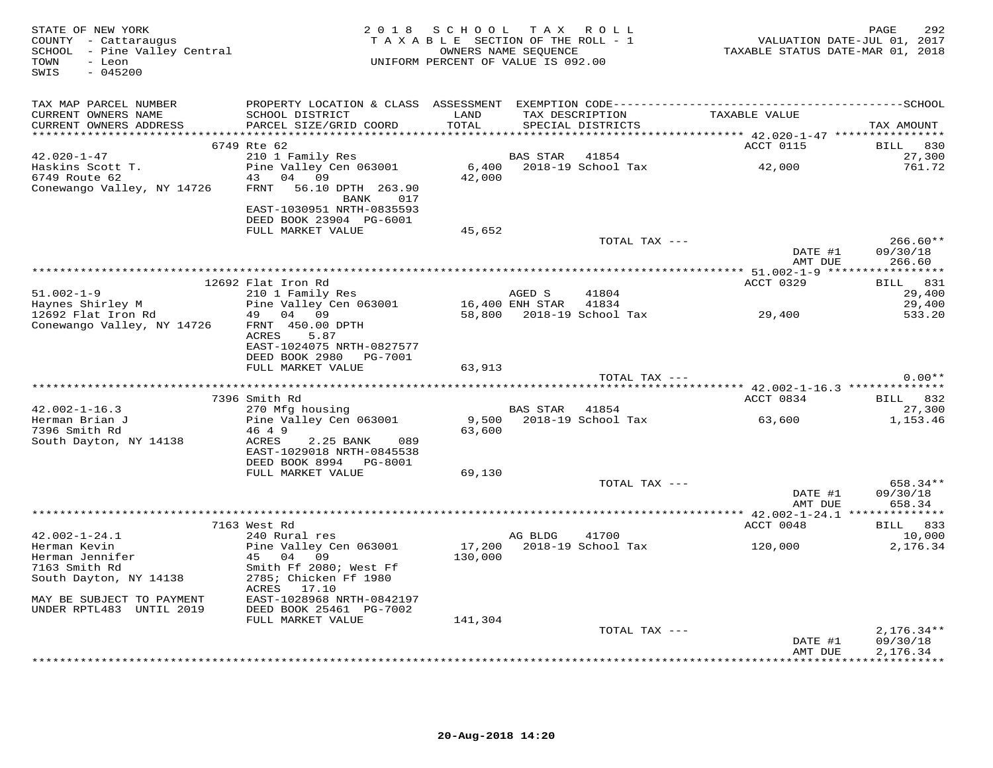| STATE OF NEW YORK<br>COUNTY - Cattaraugus<br>SCHOOL - Pine Valley Central<br>TOWN<br>- Leon<br>$-045200$<br>SWIS |                                            | 2018 SCHOOL<br>TAXABLE SECTION OF THE ROLL - 1<br>OWNERS NAME SEQUENCE<br>UNIFORM PERCENT OF VALUE IS 092.00 |                 | TAX ROLL                    | VALUATION DATE-JUL 01, 2017<br>TAXABLE STATUS DATE-MAR 01, 2018 | 292<br>PAGE          |
|------------------------------------------------------------------------------------------------------------------|--------------------------------------------|--------------------------------------------------------------------------------------------------------------|-----------------|-----------------------------|-----------------------------------------------------------------|----------------------|
| TAX MAP PARCEL NUMBER                                                                                            |                                            |                                                                                                              |                 |                             |                                                                 |                      |
| CURRENT OWNERS NAME                                                                                              | SCHOOL DISTRICT                            | LAND                                                                                                         |                 | TAX DESCRIPTION             | TAXABLE VALUE                                                   |                      |
| CURRENT OWNERS ADDRESS                                                                                           | PARCEL SIZE/GRID COORD                     | TOTAL                                                                                                        |                 | SPECIAL DISTRICTS           |                                                                 | TAX AMOUNT           |
|                                                                                                                  | 6749 Rte 62                                |                                                                                                              |                 |                             | ACCT 0115                                                       | 830<br><b>BILL</b>   |
| $42.020 - 1 - 47$                                                                                                | 210 1 Family Res                           |                                                                                                              | BAS STAR        | 41854                       |                                                                 | 27,300               |
| Haskins Scott T.                                                                                                 | Pine Valley Cen 063001                     |                                                                                                              |                 | 6,400 2018-19 School Tax    | 42,000                                                          | 761.72               |
| 6749 Route 62                                                                                                    | 43 04 09                                   | 42,000                                                                                                       |                 |                             |                                                                 |                      |
| Conewango Valley, NY 14726                                                                                       | FRNT<br>56.10 DPTH 263.90                  |                                                                                                              |                 |                             |                                                                 |                      |
|                                                                                                                  | BANK<br>017<br>EAST-1030951 NRTH-0835593   |                                                                                                              |                 |                             |                                                                 |                      |
|                                                                                                                  | DEED BOOK 23904 PG-6001                    |                                                                                                              |                 |                             |                                                                 |                      |
|                                                                                                                  | FULL MARKET VALUE                          | 45,652                                                                                                       |                 |                             |                                                                 |                      |
|                                                                                                                  |                                            |                                                                                                              |                 | TOTAL TAX ---               |                                                                 | $266.60**$           |
|                                                                                                                  |                                            |                                                                                                              |                 |                             | DATE #1                                                         | 09/30/18             |
|                                                                                                                  |                                            |                                                                                                              |                 |                             | AMT DUE                                                         | 266.60               |
|                                                                                                                  | 12692 Flat Iron Rd                         |                                                                                                              |                 |                             | ACCT 0329                                                       | BILL 831             |
| $51.002 - 1 - 9$                                                                                                 | 210 1 Family Res                           |                                                                                                              | AGED S          | 41804                       |                                                                 | 29,400               |
| Haynes Shirley M                                                                                                 | Pine Valley Cen 063001                     |                                                                                                              | 16,400 ENH STAR | 41834                       |                                                                 | 29,400               |
| 12692 Flat Iron Rd                                                                                               | 49 04 09                                   |                                                                                                              |                 | 58,800 2018-19 School Tax   | 29,400                                                          | 533.20               |
| Conewango Valley, NY 14726                                                                                       | FRNT 450.00 DPTH                           |                                                                                                              |                 |                             |                                                                 |                      |
|                                                                                                                  | 5.87<br>ACRES<br>EAST-1024075 NRTH-0827577 |                                                                                                              |                 |                             |                                                                 |                      |
|                                                                                                                  | DEED BOOK 2980    PG-7001                  |                                                                                                              |                 |                             |                                                                 |                      |
|                                                                                                                  | FULL MARKET VALUE                          | 63,913                                                                                                       |                 |                             |                                                                 |                      |
|                                                                                                                  |                                            |                                                                                                              |                 | TOTAL TAX ---               |                                                                 | $0.00**$             |
|                                                                                                                  |                                            |                                                                                                              |                 |                             |                                                                 |                      |
| $42.002 - 1 - 16.3$                                                                                              | 7396 Smith Rd<br>270 Mfg housing           |                                                                                                              | BAS STAR 41854  |                             | ACCT 0834                                                       | BILL 832<br>27,300   |
| Herman Brian J                                                                                                   | Pine Valley Cen 063001                     | 9,500                                                                                                        |                 | 2018-19 School Tax          | 63,600                                                          | 1,153.46             |
| 7396 Smith Rd                                                                                                    | 46 4 9                                     | 63,600                                                                                                       |                 |                             |                                                                 |                      |
| South Dayton, NY 14138                                                                                           | ACRES<br>2.25 BANK<br>089                  |                                                                                                              |                 |                             |                                                                 |                      |
|                                                                                                                  | EAST-1029018 NRTH-0845538                  |                                                                                                              |                 |                             |                                                                 |                      |
|                                                                                                                  | DEED BOOK 8994 PG-8001                     | 69,130                                                                                                       |                 |                             |                                                                 |                      |
|                                                                                                                  | FULL MARKET VALUE                          |                                                                                                              |                 | TOTAL TAX ---               |                                                                 | 658.34**             |
|                                                                                                                  |                                            |                                                                                                              |                 |                             | DATE #1                                                         | 09/30/18             |
|                                                                                                                  |                                            |                                                                                                              |                 |                             | AMT DUE                                                         | 658.34               |
|                                                                                                                  |                                            |                                                                                                              |                 |                             |                                                                 |                      |
| $42.002 - 1 - 24.1$                                                                                              | 7163 West Rd<br>240 Rural res              |                                                                                                              |                 |                             | ACCT 0048                                                       | BILL 833<br>10,000   |
| Herman Kevin                                                                                                     | Pine Valley Cen 063001                     | 17,200                                                                                                       | AG BLDG         | 41700<br>2018-19 School Tax | 120,000                                                         | 2,176.34             |
| Herman Jennifer                                                                                                  | 45 04 09                                   | 130,000                                                                                                      |                 |                             |                                                                 |                      |
| 7163 Smith Rd                                                                                                    | Smith Ff 2080; West Ff                     |                                                                                                              |                 |                             |                                                                 |                      |
| South Dayton, NY 14138                                                                                           | 2785; Chicken Ff 1980<br>ACRES 17.10       |                                                                                                              |                 |                             |                                                                 |                      |
| MAY BE SUBJECT TO PAYMENT                                                                                        | EAST-1028968 NRTH-0842197                  |                                                                                                              |                 |                             |                                                                 |                      |
| UNDER RPTL483 UNTIL 2019                                                                                         | DEED BOOK 25461 PG-7002                    |                                                                                                              |                 |                             |                                                                 |                      |
|                                                                                                                  | FULL MARKET VALUE                          | 141,304                                                                                                      |                 |                             |                                                                 |                      |
|                                                                                                                  |                                            |                                                                                                              |                 | TOTAL TAX ---               |                                                                 | $2,176.34**$         |
|                                                                                                                  |                                            |                                                                                                              |                 |                             | DATE #1<br>AMT DUE                                              | 09/30/18<br>2,176.34 |
|                                                                                                                  |                                            |                                                                                                              |                 |                             |                                                                 | <b>++++++++++</b>    |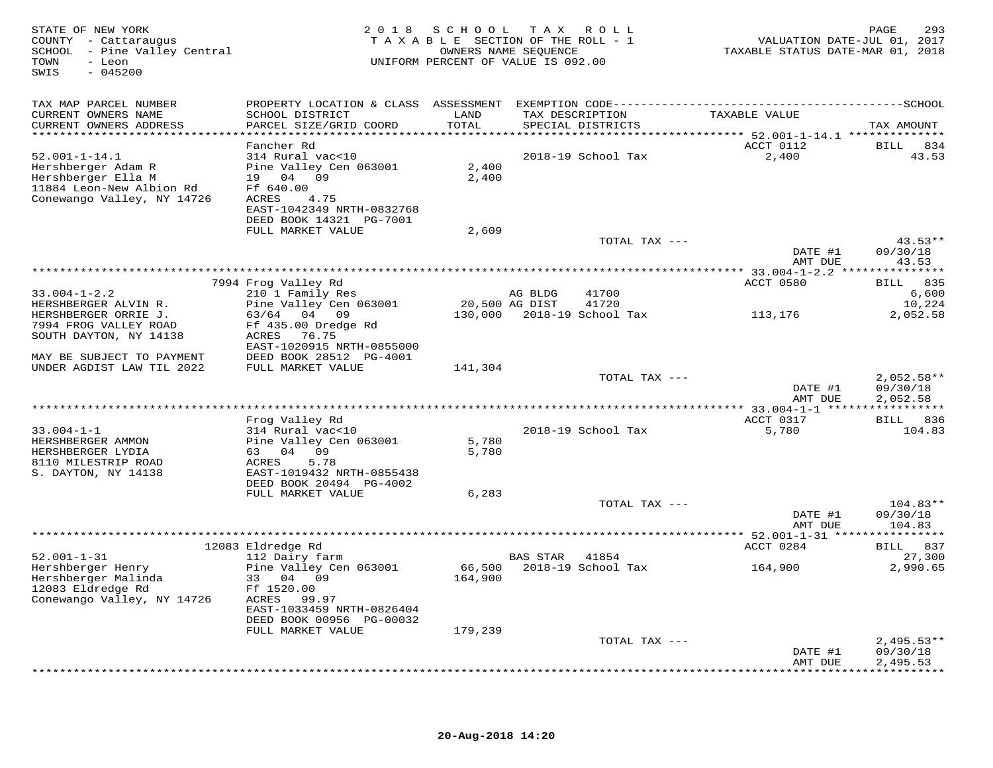| STATE OF NEW YORK<br>COUNTY - Cattaraugus<br>SCHOOL - Pine Valley Central<br>- Leon<br>TOWN<br>$-045200$<br>SWIS |                                                       |                | 2018 SCHOOL TAX ROLL<br>TAXABLE SECTION OF THE ROLL - 1<br>OWNERS NAME SEQUENCE<br>UNIFORM PERCENT OF VALUE IS 092.00 | VALUATION DATE-JUL 01, 2017<br>TAXABLE STATUS DATE-MAR 01, 2018 | 293<br>PAGE            |
|------------------------------------------------------------------------------------------------------------------|-------------------------------------------------------|----------------|-----------------------------------------------------------------------------------------------------------------------|-----------------------------------------------------------------|------------------------|
| TAX MAP PARCEL NUMBER                                                                                            |                                                       |                |                                                                                                                       |                                                                 |                        |
| CURRENT OWNERS NAME                                                                                              | SCHOOL DISTRICT                                       | LAND           | TAX DESCRIPTION                                                                                                       | TAXABLE VALUE                                                   |                        |
| CURRENT OWNERS ADDRESS<br>*****************************                                                          | PARCEL SIZE/GRID COORD                                | TOTAL          | SPECIAL DISTRICTS                                                                                                     |                                                                 | TAX AMOUNT             |
|                                                                                                                  | Fancher Rd                                            |                |                                                                                                                       | ACCT 0112                                                       | BILL 834               |
| $52.001 - 1 - 14.1$                                                                                              | 314 Rural vac<10                                      |                | 2018-19 School Tax                                                                                                    | 2,400                                                           | 43.53                  |
| Hershberger Adam R                                                                                               | Pine Valley Cen 063001                                | 2,400          |                                                                                                                       |                                                                 |                        |
| Hershberger Ella M<br>11884 Leon-New Albion Rd                                                                   | 19 04 09<br>Ff 640.00                                 | 2,400          |                                                                                                                       |                                                                 |                        |
| Conewango Valley, NY 14726                                                                                       | ACRES<br>4.75                                         |                |                                                                                                                       |                                                                 |                        |
|                                                                                                                  | EAST-1042349 NRTH-0832768                             |                |                                                                                                                       |                                                                 |                        |
|                                                                                                                  | DEED BOOK 14321 PG-7001                               |                |                                                                                                                       |                                                                 |                        |
|                                                                                                                  | FULL MARKET VALUE                                     | 2,609          | TOTAL TAX ---                                                                                                         |                                                                 | $43.53**$              |
|                                                                                                                  |                                                       |                |                                                                                                                       | DATE #1                                                         | 09/30/18               |
|                                                                                                                  |                                                       |                |                                                                                                                       | AMT DUE                                                         | 43.53                  |
|                                                                                                                  | 7994 Frog Valley Rd                                   |                |                                                                                                                       | ACCT 0580                                                       | BILL 835               |
| $33.004 - 1 - 2.2$                                                                                               | 210 1 Family Res                                      |                | AG BLDG<br>41700                                                                                                      |                                                                 | 6,600                  |
| HERSHBERGER ALVIN R.                                                                                             | Pine Valley Cen 063001                                | 20,500 AG DIST | 41720                                                                                                                 |                                                                 | 10,224                 |
| HERSHBERGER ORRIE J.<br>7994 FROG VALLEY ROAD                                                                    | 63/64 04 09<br>Ff 435.00 Dredge Rd                    |                | 130,000 2018-19 School Tax                                                                                            | 113,176                                                         | 2,052.58               |
| SOUTH DAYTON, NY 14138                                                                                           | ACRES 76.75                                           |                |                                                                                                                       |                                                                 |                        |
|                                                                                                                  | EAST-1020915 NRTH-0855000                             |                |                                                                                                                       |                                                                 |                        |
| MAY BE SUBJECT TO PAYMENT                                                                                        | DEED BOOK 28512 PG-4001                               |                |                                                                                                                       |                                                                 |                        |
| UNDER AGDIST LAW TIL 2022                                                                                        | FULL MARKET VALUE                                     | 141,304        | TOTAL TAX ---                                                                                                         |                                                                 | $2,052.58**$           |
|                                                                                                                  |                                                       |                |                                                                                                                       | DATE #1                                                         | 09/30/18               |
|                                                                                                                  |                                                       |                |                                                                                                                       | AMT DUE                                                         | 2,052.58               |
|                                                                                                                  | Frog Valley Rd                                        |                |                                                                                                                       | ACCT 0317                                                       | BILL 836               |
| $33.004 - 1 - 1$                                                                                                 | 314 Rural vac<10                                      |                | 2018-19 School Tax                                                                                                    | 5,780                                                           | 104.83                 |
| HERSHBERGER AMMON                                                                                                | Pine Valley Cen 063001                                | 5,780          |                                                                                                                       |                                                                 |                        |
| HERSHBERGER LYDIA                                                                                                | 63 04 09                                              | 5,780          |                                                                                                                       |                                                                 |                        |
| 8110 MILESTRIP ROAD<br>S. DAYTON, NY 14138                                                                       | 5.78<br>ACRES<br>EAST-1019432 NRTH-0855438            |                |                                                                                                                       |                                                                 |                        |
|                                                                                                                  | DEED BOOK 20494 PG-4002                               |                |                                                                                                                       |                                                                 |                        |
|                                                                                                                  | FULL MARKET VALUE                                     | 6,283          |                                                                                                                       |                                                                 |                        |
|                                                                                                                  |                                                       |                | TOTAL TAX ---                                                                                                         | DATE #1                                                         | $104.83**$<br>09/30/18 |
|                                                                                                                  |                                                       |                |                                                                                                                       | AMT DUE                                                         | 104.83                 |
|                                                                                                                  |                                                       |                |                                                                                                                       |                                                                 |                        |
|                                                                                                                  | 12083 Eldredge Rd                                     |                |                                                                                                                       | ACCT 0284                                                       | BILL 837               |
| $52.001 - 1 - 31$<br>Hershberger Henry                                                                           | 112 Dairy farm<br>Pine Valley Cen 063001              | 66,500         | <b>BAS STAR</b><br>41854<br>2018-19 School Tax                                                                        | 164,900                                                         | 27,300<br>2,990.65     |
| Hershberger Malinda                                                                                              | 33 04 09                                              | 164,900        |                                                                                                                       |                                                                 |                        |
| 12083 Eldredge Rd                                                                                                | Ff 1520.00                                            |                |                                                                                                                       |                                                                 |                        |
| Conewango Valley, NY 14726                                                                                       | ACRES 99.97                                           |                |                                                                                                                       |                                                                 |                        |
|                                                                                                                  | EAST-1033459 NRTH-0826404<br>DEED BOOK 00956 PG-00032 |                |                                                                                                                       |                                                                 |                        |
|                                                                                                                  | FULL MARKET VALUE                                     | 179,239        |                                                                                                                       |                                                                 |                        |
|                                                                                                                  |                                                       |                | TOTAL TAX ---                                                                                                         |                                                                 | $2,495.53**$           |
|                                                                                                                  |                                                       |                |                                                                                                                       | DATE #1                                                         | 09/30/18<br>2,495.53   |
|                                                                                                                  |                                                       |                |                                                                                                                       | AMT DUE                                                         |                        |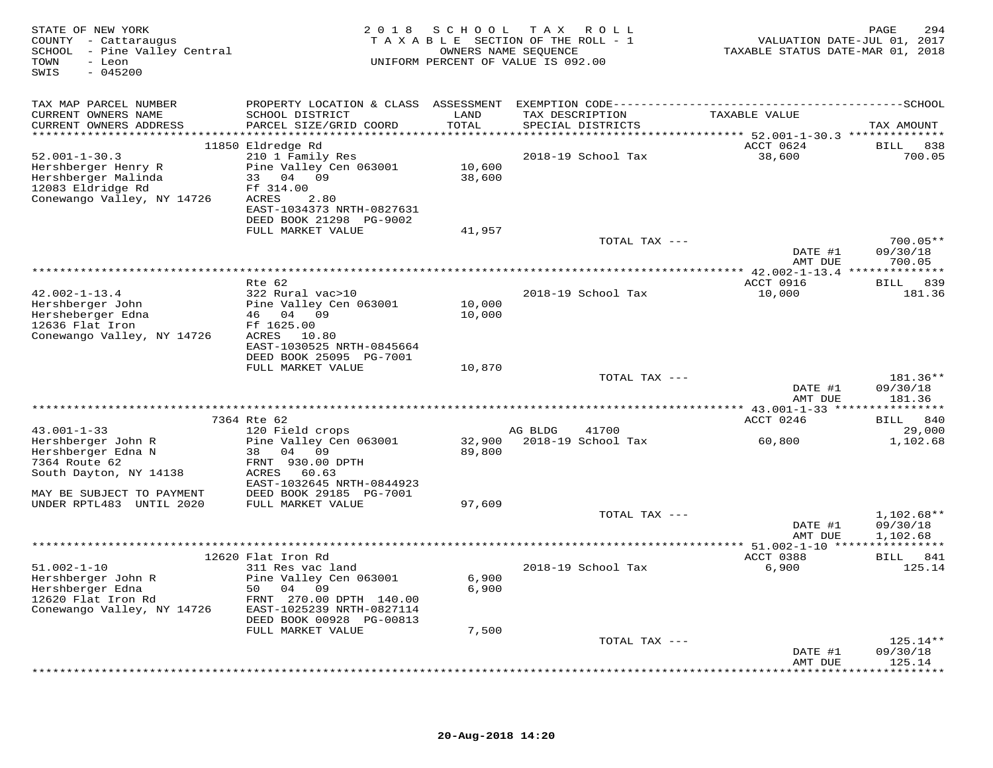| STATE OF NEW YORK<br>COUNTY - Cattaraugus<br>SCHOOL - Pine Valley Central<br>- Leon<br>TOWN<br>$-045200$<br>SWIS     |                                                                                                   | SCHOOL TAX ROLL<br>2 0 1 8<br>TAXABLE SECTION OF THE ROLL - 1<br>OWNERS NAME SEQUENCE<br>UNIFORM PERCENT OF VALUE IS 092.00 |                                        | VALUATION DATE-JUL 01, 2017<br>TAXABLE STATUS DATE-MAR 01, 2018 | PAGE<br>294                          |
|----------------------------------------------------------------------------------------------------------------------|---------------------------------------------------------------------------------------------------|-----------------------------------------------------------------------------------------------------------------------------|----------------------------------------|-----------------------------------------------------------------|--------------------------------------|
| TAX MAP PARCEL NUMBER                                                                                                |                                                                                                   |                                                                                                                             |                                        |                                                                 |                                      |
| CURRENT OWNERS NAME<br>CURRENT OWNERS ADDRESS                                                                        | SCHOOL DISTRICT<br>PARCEL SIZE/GRID COORD                                                         | LAND<br>TOTAL                                                                                                               | TAX DESCRIPTION<br>SPECIAL DISTRICTS   | TAXABLE VALUE                                                   | TAX AMOUNT                           |
| $52.001 - 1 - 30.3$<br>Hershberger Henry R<br>Hershberger Malinda<br>12083 Eldridge Rd<br>Conewango Valley, NY 14726 | 11850 Eldredge Rd<br>210 1 Family Res<br>Pine Valley Cen 063001<br>33 04 09<br>Ff 314.00<br>ACRES | 10,600<br>38,600                                                                                                            | 2018-19 School Tax                     | ACCT 0624<br>38,600                                             | BILL 838<br>700.05                   |
|                                                                                                                      | 2.80<br>EAST-1034373 NRTH-0827631<br>DEED BOOK 21298 PG-9002<br>FULL MARKET VALUE                 | 41,957                                                                                                                      |                                        |                                                                 |                                      |
|                                                                                                                      |                                                                                                   |                                                                                                                             | TOTAL TAX ---                          | DATE #1<br>AMT DUE                                              | $700.05**$<br>09/30/18<br>700.05     |
|                                                                                                                      | * * * * * * * * *                                                                                 |                                                                                                                             |                                        | ************ 42.002-1-13.4 ***************                      |                                      |
| $42.002 - 1 - 13.4$<br>Hershberger John<br>Hersheberger Edna                                                         | Rte 62<br>322 Rural vac>10<br>Pine Valley Cen 063001<br>46 04 09                                  | 10,000<br>10,000                                                                                                            | 2018-19 School Tax                     | ACCT 0916<br>10,000                                             | BILL 839<br>181.36                   |
| 12636 Flat Iron<br>Conewango Valley, NY 14726                                                                        | Ff 1625.00<br>ACRES 10.80<br>EAST-1030525 NRTH-0845664<br>DEED BOOK 25095 PG-7001                 |                                                                                                                             |                                        |                                                                 |                                      |
|                                                                                                                      | FULL MARKET VALUE                                                                                 | 10,870                                                                                                                      | TOTAL TAX ---                          | DATE #1                                                         | 181.36**<br>09/30/18                 |
|                                                                                                                      |                                                                                                   |                                                                                                                             |                                        | AMT DUE                                                         | 181.36                               |
|                                                                                                                      | 7364 Rte 62                                                                                       |                                                                                                                             |                                        | ACCT 0246                                                       | BILL 840                             |
| $43.001 - 1 - 33$<br>Hershberger John R                                                                              | 120 Field crops<br>Pine Valley Cen 063001                                                         | 32,900                                                                                                                      | AG BLDG<br>41700<br>2018-19 School Tax | 60,800                                                          | 29,000<br>1,102.68                   |
| Hershberger Edna N<br>7364 Route 62<br>South Dayton, NY 14138                                                        | 38 04 09<br>FRNT 930.00 DPTH<br>60.63<br>ACRES<br>EAST-1032645 NRTH-0844923                       | 89,800                                                                                                                      |                                        |                                                                 |                                      |
| MAY BE SUBJECT TO PAYMENT<br>UNDER RPTL483 UNTIL 2020                                                                | DEED BOOK 29185 PG-7001<br>FULL MARKET VALUE                                                      | 97,609                                                                                                                      |                                        |                                                                 |                                      |
|                                                                                                                      |                                                                                                   |                                                                                                                             | TOTAL TAX ---                          | DATE #1<br>AMT DUE                                              | $1,102.68**$<br>09/30/18<br>1,102.68 |
|                                                                                                                      |                                                                                                   |                                                                                                                             |                                        |                                                                 |                                      |
| $51.002 - 1 - 10$                                                                                                    | 12620 Flat Iron Rd<br>311 Res vac land                                                            |                                                                                                                             | 2018-19 School Tax                     | ACCT 0388                                                       | BILL 841<br>125.14                   |
| Hershberger John R<br>Hershberger Edna<br>12620 Flat Iron Rd<br>Conewango Valley, NY 14726                           | Pine Valley Cen 063001<br>50 04 09<br>FRNT 270.00 DPTH 140.00<br>EAST-1025239 NRTH-0827114        | 6,900<br>6,900                                                                                                              |                                        | 6,900                                                           |                                      |
|                                                                                                                      | DEED BOOK 00928 PG-00813<br>FULL MARKET VALUE                                                     | 7,500                                                                                                                       |                                        |                                                                 |                                      |
|                                                                                                                      |                                                                                                   |                                                                                                                             | TOTAL TAX ---                          |                                                                 | $125.14**$                           |
|                                                                                                                      |                                                                                                   |                                                                                                                             |                                        | DATE #1<br>AMT DUE                                              | 09/30/18<br>125.14                   |
|                                                                                                                      |                                                                                                   |                                                                                                                             |                                        |                                                                 | **********                           |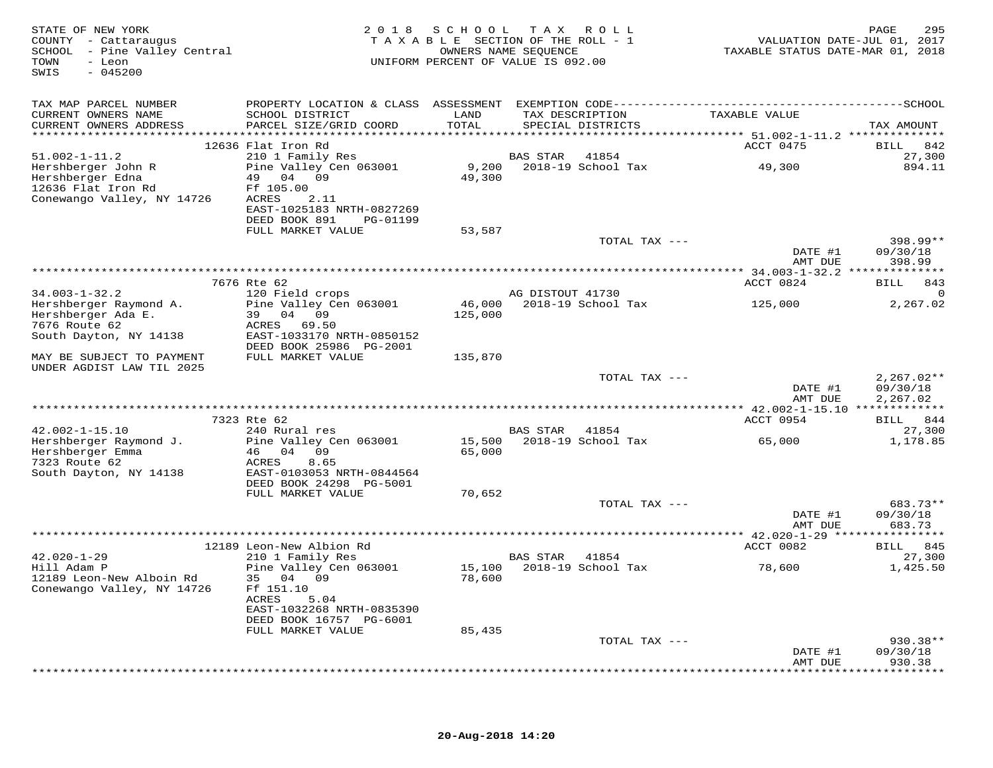| STATE OF NEW YORK<br>COUNTY - Cattaraugus<br>SCHOOL - Pine Valley Central<br>TOWN<br>- Leon<br>$-045200$<br>SWIS | 2 0 1 8                                                                                       |                  | SCHOOL TAX ROLL<br>TAXABLE SECTION OF THE ROLL - 1<br>OWNERS NAME SEQUENCE<br>UNIFORM PERCENT OF VALUE IS 092.00 | VALUATION DATE-JUL 01, 2017<br>TAXABLE STATUS DATE-MAR 01, 2018 | 295<br>PAGE                          |
|------------------------------------------------------------------------------------------------------------------|-----------------------------------------------------------------------------------------------|------------------|------------------------------------------------------------------------------------------------------------------|-----------------------------------------------------------------|--------------------------------------|
| TAX MAP PARCEL NUMBER                                                                                            |                                                                                               |                  |                                                                                                                  |                                                                 |                                      |
| CURRENT OWNERS NAME<br>CURRENT OWNERS ADDRESS                                                                    | SCHOOL DISTRICT<br>PARCEL SIZE/GRID COORD                                                     | LAND<br>TOTAL    | TAX DESCRIPTION<br>SPECIAL DISTRICTS                                                                             | TAXABLE VALUE                                                   | TAX AMOUNT                           |
|                                                                                                                  | ******************************                                                                |                  |                                                                                                                  | ********** 51.002-1-11.2 **************                         |                                      |
|                                                                                                                  | 12636 Flat Iron Rd                                                                            |                  |                                                                                                                  | ACCT 0475                                                       | BILL<br>842                          |
| $51.002 - 1 - 11.2$                                                                                              | 210 1 Family Res                                                                              |                  | BAS STAR<br>41854                                                                                                |                                                                 | 27,300                               |
| Hershberger John R<br>Hershberger Edna<br>12636 Flat Iron Rd<br>Conewango Valley, NY 14726                       | Pine Valley Cen 063001<br>49 04 09<br>Ff 105.00<br>ACRES<br>2.11<br>EAST-1025183 NRTH-0827269 | 9,200<br>49,300  | 2018-19 School Tax                                                                                               | 49,300                                                          | 894.11                               |
|                                                                                                                  | DEED BOOK 891<br>PG-01199                                                                     |                  |                                                                                                                  |                                                                 |                                      |
|                                                                                                                  | FULL MARKET VALUE                                                                             | 53,587           |                                                                                                                  |                                                                 |                                      |
|                                                                                                                  |                                                                                               |                  | TOTAL TAX ---                                                                                                    | DATE #1<br>AMT DUE                                              | $398.99**$<br>09/30/18<br>398.99     |
|                                                                                                                  |                                                                                               |                  |                                                                                                                  |                                                                 |                                      |
|                                                                                                                  | 7676 Rte 62                                                                                   |                  |                                                                                                                  | ACCT 0824                                                       | 843<br>BILL<br>$\Omega$              |
| $34.003 - 1 - 32.2$<br>Hershberger Raymond A.                                                                    | 120 Field crops<br>Pine Valley Cen 063001                                                     | 46,000           | AG DISTOUT 41730<br>2018-19 School Tax                                                                           | 125,000                                                         | 2,267.02                             |
| Hershberger Ada E.                                                                                               | 39 04 09                                                                                      | 125,000          |                                                                                                                  |                                                                 |                                      |
| 7676 Route 62                                                                                                    | ACRES<br>69.50                                                                                |                  |                                                                                                                  |                                                                 |                                      |
| South Dayton, NY 14138                                                                                           | EAST-1033170 NRTH-0850152                                                                     |                  |                                                                                                                  |                                                                 |                                      |
| MAY BE SUBJECT TO PAYMENT<br>UNDER AGDIST LAW TIL 2025                                                           | DEED BOOK 25986 PG-2001<br>FULL MARKET VALUE                                                  | 135,870          |                                                                                                                  |                                                                 |                                      |
|                                                                                                                  |                                                                                               |                  | TOTAL TAX ---                                                                                                    | DATE #1<br>AMT DUE<br>*********** 42.002-1-15.10 ************** | $2,267.02**$<br>09/30/18<br>2,267.02 |
|                                                                                                                  | 7323 Rte 62                                                                                   |                  |                                                                                                                  | ACCT 0954                                                       | BILL 844                             |
| $42.002 - 1 - 15.10$                                                                                             | 240 Rural res                                                                                 |                  | BAS STAR 41854                                                                                                   |                                                                 | 27,300                               |
| Hershberger Raymond J.<br>Hershberger Emma                                                                       | Pine Valley Cen 063001<br>46 04 09                                                            | 65,000           | 15,500 2018-19 School Tax                                                                                        | 65,000                                                          | 1,178.85                             |
| 7323 Route 62<br>South Dayton, NY 14138                                                                          | ACRES<br>8.65<br>EAST-0103053 NRTH-0844564<br>DEED BOOK 24298 PG-5001                         |                  |                                                                                                                  |                                                                 |                                      |
|                                                                                                                  | FULL MARKET VALUE                                                                             | 70,652           |                                                                                                                  |                                                                 |                                      |
|                                                                                                                  |                                                                                               |                  | TOTAL TAX ---                                                                                                    |                                                                 | 683.73**                             |
|                                                                                                                  |                                                                                               |                  |                                                                                                                  | DATE #1<br>AMT DUE                                              | 09/30/18<br>683.73                   |
|                                                                                                                  |                                                                                               |                  |                                                                                                                  |                                                                 | ***********                          |
| $42.020 - 1 - 29$                                                                                                | 12189 Leon-New Albion Rd<br>210 1 Family Res                                                  |                  | BAS STAR<br>41854                                                                                                | ACCT 0082                                                       | BILL 845<br>27,300                   |
| Hill Adam P<br>12189 Leon-New Alboin Rd                                                                          | Pine Valley Cen 063001<br>35 04 09                                                            | 15,100<br>78,600 | 2018-19 School Tax                                                                                               | 78,600                                                          | 1,425.50                             |
| Conewango Valley, NY 14726                                                                                       | Ff 151.10<br>5.04<br>ACRES<br>EAST-1032268 NRTH-0835390<br>DEED BOOK 16757 PG-6001            |                  |                                                                                                                  |                                                                 |                                      |
|                                                                                                                  | FULL MARKET VALUE                                                                             | 85,435           |                                                                                                                  |                                                                 |                                      |
|                                                                                                                  |                                                                                               |                  | TOTAL TAX ---                                                                                                    | DATE #1<br>AMT DUE                                              | $930.38**$<br>09/30/18<br>930.38     |
|                                                                                                                  |                                                                                               |                  |                                                                                                                  |                                                                 |                                      |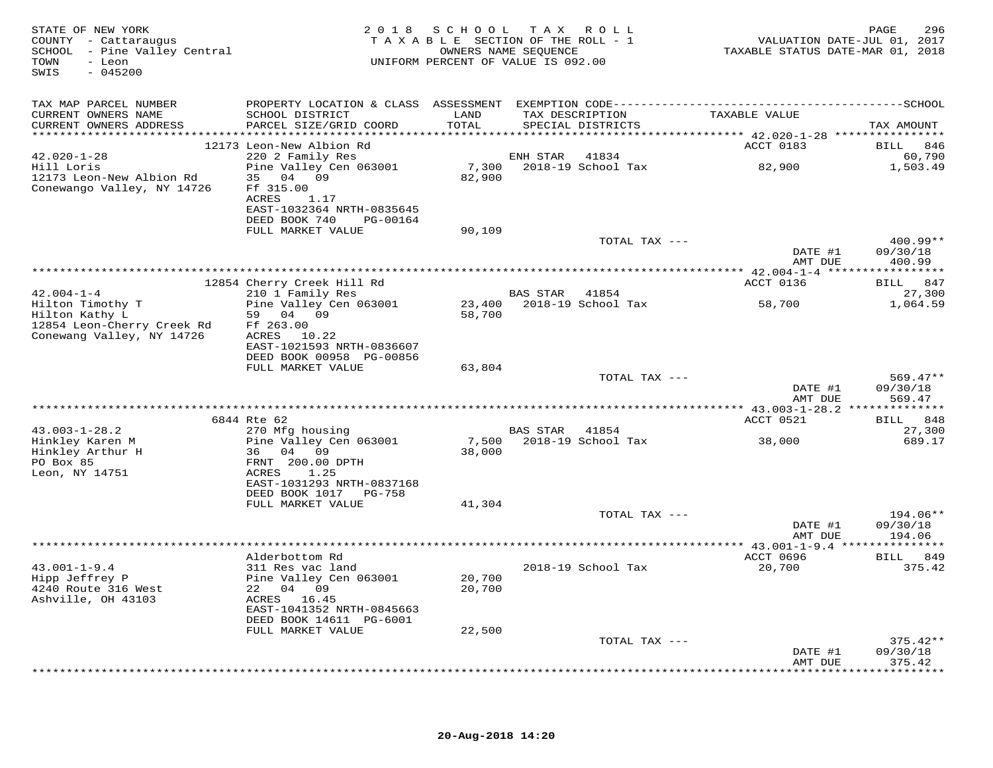| STATE OF NEW YORK<br>COUNTY - Cattaraugus<br>SCHOOL - Pine Valley Central<br>TOWN<br>- Leon<br>$-045200$<br>SWIS |                                                                                                                         |               | 2018 SCHOOL TAX ROLL<br>TAXABLE SECTION OF THE ROLL - 1<br>OWNERS NAME SEOUENCE<br>UNIFORM PERCENT OF VALUE IS 092.00 | VALUATION DATE-JUL 01, 2017<br>TAXABLE STATUS DATE-MAR 01, 2018 | 296<br>PAGE                      |
|------------------------------------------------------------------------------------------------------------------|-------------------------------------------------------------------------------------------------------------------------|---------------|-----------------------------------------------------------------------------------------------------------------------|-----------------------------------------------------------------|----------------------------------|
| TAX MAP PARCEL NUMBER                                                                                            |                                                                                                                         |               |                                                                                                                       |                                                                 |                                  |
| CURRENT OWNERS NAME<br>CURRENT OWNERS ADDRESS                                                                    | SCHOOL DISTRICT<br>PARCEL SIZE/GRID COORD                                                                               | LAND<br>TOTAL | TAX DESCRIPTION<br>SPECIAL DISTRICTS                                                                                  | TAXABLE VALUE                                                   | TAX AMOUNT                       |
|                                                                                                                  |                                                                                                                         |               |                                                                                                                       |                                                                 |                                  |
|                                                                                                                  | 12173 Leon-New Albion Rd                                                                                                |               |                                                                                                                       | ACCT 0183                                                       | <b>BILL</b><br>846               |
| $42.020 - 1 - 28$                                                                                                | 220 2 Family Res                                                                                                        |               | ENH STAR 41834                                                                                                        |                                                                 | 60,790                           |
| Hill Loris<br>12173 Leon-New Albion Rd<br>Conewango Valley, NY 14726                                             | Pine Valley Cen 063001<br>35 04 09<br>Ff 315.00<br>ACRES<br>1.17<br>EAST-1032364 NRTH-0835645<br>DEED BOOK 740 PG-00164 | 82,900        |                                                                                                                       | 7,300 2018-19 School Tax 32,900                                 | 1,503.49                         |
|                                                                                                                  | FULL MARKET VALUE                                                                                                       | 90,109        |                                                                                                                       |                                                                 |                                  |
|                                                                                                                  |                                                                                                                         |               | TOTAL TAX ---                                                                                                         | DATE #1<br>AMT DUE                                              | 400.99**<br>09/30/18<br>400.99   |
|                                                                                                                  |                                                                                                                         |               |                                                                                                                       |                                                                 |                                  |
|                                                                                                                  | 12854 Cherry Creek Hill Rd                                                                                              |               |                                                                                                                       | ACCT 0136                                                       | BILL 847                         |
| $42.004 - 1 - 4$                                                                                                 | 210 1 Family Res                                                                                                        |               | BAS STAR 41854                                                                                                        |                                                                 | 27,300                           |
| Hilton Timothy T<br>Hilton Kathy L                                                                               | Pine Valley Cen 063001<br>59 04 09                                                                                      | 58,700        | 23,400 2018-19 School Tax                                                                                             | 58,700                                                          | 1,064.59                         |
| 12854 Leon-Cherry Creek Rd<br>Conewang Valley, NY 14726                                                          | Ff 263.00<br>ACRES 10.22<br>EAST-1021593 NRTH-0836607<br>DEED BOOK 00958 PG-00856                                       |               |                                                                                                                       |                                                                 |                                  |
|                                                                                                                  | FULL MARKET VALUE                                                                                                       | 63,804        |                                                                                                                       |                                                                 |                                  |
|                                                                                                                  |                                                                                                                         |               | TOTAL TAX ---                                                                                                         | DATE #1<br>AMT DUE                                              | $569.47**$<br>09/30/18<br>569.47 |
|                                                                                                                  |                                                                                                                         |               |                                                                                                                       |                                                                 |                                  |
|                                                                                                                  | 6844 Rte 62                                                                                                             |               |                                                                                                                       | ACCT 0521                                                       | BILL 848                         |
| $43.003 - 1 - 28.2$                                                                                              | 270 Mfg housing                                                                                                         |               | BAS STAR 41854                                                                                                        |                                                                 | 27,300                           |
| Hinkley Karen M<br>Hinkley Arthur H                                                                              | Pine Valley Cen 063001<br>36 04 09                                                                                      | 38,000        | 7,500 2018-19 School Tax                                                                                              | 38,000                                                          | 689.17                           |
| PO Box 85<br>Leon, NY 14751                                                                                      | FRNT 200.00 DPTH<br>1.25<br>ACRES<br>EAST-1031293 NRTH-0837168<br>DEED BOOK 1017 PG-758                                 |               |                                                                                                                       |                                                                 |                                  |
|                                                                                                                  | FULL MARKET VALUE                                                                                                       | 41,304        |                                                                                                                       |                                                                 |                                  |
|                                                                                                                  |                                                                                                                         |               | TOTAL TAX ---                                                                                                         | DATE #1<br>AMT DUE                                              | 194.06**<br>09/30/18<br>194.06   |
|                                                                                                                  |                                                                                                                         |               |                                                                                                                       |                                                                 |                                  |
|                                                                                                                  | Alderbottom Rd                                                                                                          |               |                                                                                                                       | ACCT 0696                                                       | BILL 849                         |
| $43.001 - 1 - 9.4$                                                                                               | 311 Res vac land                                                                                                        |               | 2018-19 School Tax                                                                                                    | 20,700                                                          | 375.42                           |
| Hipp Jeffrey P                                                                                                   | Pine Valley Cen 063001                                                                                                  | 20,700        |                                                                                                                       |                                                                 |                                  |
| 4240 Route 316 West<br>Ashville, OH 43103                                                                        | 22 04 09<br>ACRES 16.45                                                                                                 | 20,700        |                                                                                                                       |                                                                 |                                  |
|                                                                                                                  | EAST-1041352 NRTH-0845663<br>DEED BOOK 14611 PG-6001                                                                    |               |                                                                                                                       |                                                                 |                                  |
|                                                                                                                  | FULL MARKET VALUE                                                                                                       | 22,500        |                                                                                                                       |                                                                 |                                  |
|                                                                                                                  |                                                                                                                         |               | TOTAL TAX ---                                                                                                         | DATE #1                                                         | $375.42**$<br>09/30/18           |
|                                                                                                                  |                                                                                                                         |               |                                                                                                                       | AMT DUE                                                         | 375.42<br>************           |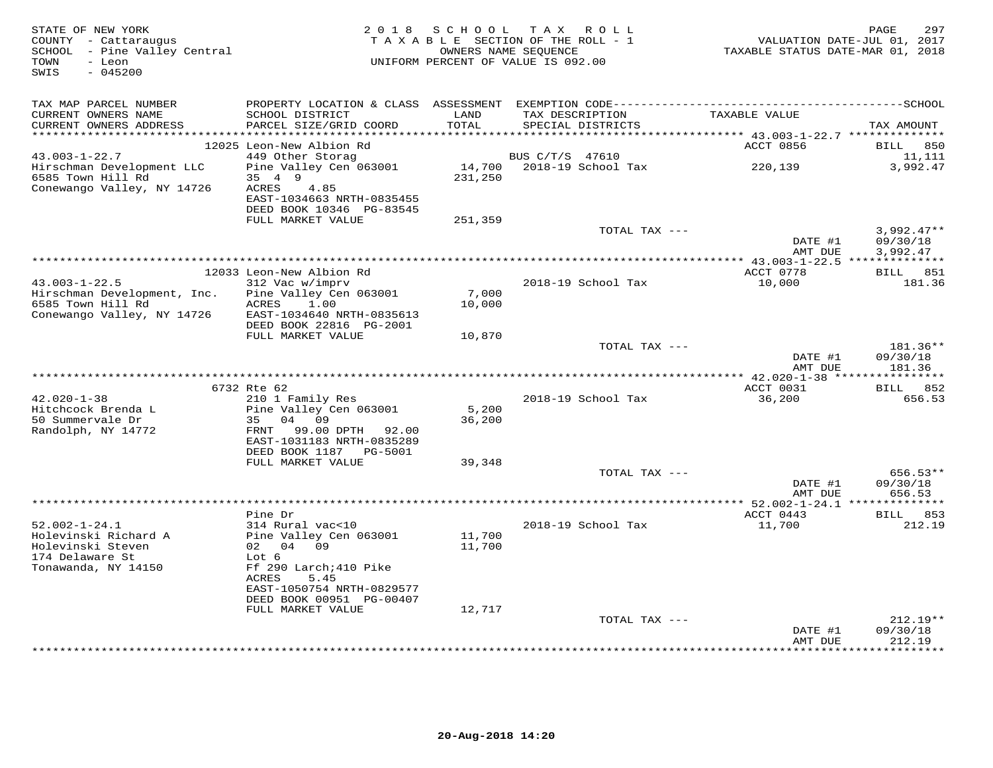| STATE OF NEW YORK<br>COUNTY - Cattaraugus<br>SCHOOL - Pine Valley Central<br>TOWN<br>- Leon<br>$-045200$<br>SWIS | 2018 SCHOOL<br>TAX ROLL<br>TAXABLE SECTION OF THE ROLL - 1<br>OWNERS NAME SEQUENCE<br>UNIFORM PERCENT OF VALUE IS 092.00 |               |                                      | PAGE<br>297<br>VALUATION DATE-JUL 01, 2017<br>TAXABLE STATUS DATE-MAR 01, 2018 |                                   |  |
|------------------------------------------------------------------------------------------------------------------|--------------------------------------------------------------------------------------------------------------------------|---------------|--------------------------------------|--------------------------------------------------------------------------------|-----------------------------------|--|
| TAX MAP PARCEL NUMBER                                                                                            |                                                                                                                          |               |                                      |                                                                                |                                   |  |
| CURRENT OWNERS NAME<br>CURRENT OWNERS ADDRESS<br>***********************                                         | SCHOOL DISTRICT<br>PARCEL SIZE/GRID COORD                                                                                | LAND<br>TOTAL | TAX DESCRIPTION<br>SPECIAL DISTRICTS | TAXABLE VALUE                                                                  | TAX AMOUNT                        |  |
|                                                                                                                  | 12025 Leon-New Albion Rd                                                                                                 |               |                                      | ACCT 0856                                                                      | BILL<br>850                       |  |
| $43.003 - 1 - 22.7$                                                                                              | 449 Other Storag                                                                                                         |               | BUS C/T/S 47610                      |                                                                                | 11,111                            |  |
| Hirschman Development LLC                                                                                        | Pine Valley Cen 063001                                                                                                   |               | 14,700 2018-19 School Tax            | 220,139                                                                        | 3,992.47                          |  |
| 6585 Town Hill Rd                                                                                                | 35 4 9                                                                                                                   | 231,250       |                                      |                                                                                |                                   |  |
| Conewango Valley, NY 14726                                                                                       | ACRES<br>4.85<br>EAST-1034663 NRTH-0835455                                                                               |               |                                      |                                                                                |                                   |  |
|                                                                                                                  | DEED BOOK 10346 PG-83545                                                                                                 |               |                                      |                                                                                |                                   |  |
|                                                                                                                  | FULL MARKET VALUE                                                                                                        | 251,359       |                                      |                                                                                |                                   |  |
|                                                                                                                  |                                                                                                                          |               | TOTAL TAX ---                        |                                                                                | $3,992.47**$                      |  |
|                                                                                                                  |                                                                                                                          |               |                                      | DATE #1                                                                        | 09/30/18                          |  |
|                                                                                                                  |                                                                                                                          |               |                                      | AMT DUE                                                                        | 3,992.47                          |  |
|                                                                                                                  | 12033 Leon-New Albion Rd                                                                                                 |               |                                      | ACCT 0778                                                                      | BILL 851                          |  |
| $43.003 - 1 - 22.5$                                                                                              | 312 Vac w/imprv                                                                                                          |               | 2018-19 School Tax                   | 10,000                                                                         | 181.36                            |  |
| Hirschman Development, Inc.                                                                                      | Pine Valley Cen 063001                                                                                                   | 7,000         |                                      |                                                                                |                                   |  |
| 6585 Town Hill Rd                                                                                                | 1.00<br>ACRES                                                                                                            | 10,000        |                                      |                                                                                |                                   |  |
| Conewango Valley, NY 14726                                                                                       | EAST-1034640 NRTH-0835613<br>DEED BOOK 22816 PG-2001                                                                     |               |                                      |                                                                                |                                   |  |
|                                                                                                                  | FULL MARKET VALUE                                                                                                        | 10,870        |                                      |                                                                                |                                   |  |
|                                                                                                                  |                                                                                                                          |               | TOTAL TAX ---                        |                                                                                | 181.36**                          |  |
|                                                                                                                  |                                                                                                                          |               |                                      | DATE #1<br>AMT DUE                                                             | 09/30/18<br>181.36                |  |
|                                                                                                                  |                                                                                                                          |               |                                      | *** 42.020-1-38 *****************                                              |                                   |  |
| $42.020 - 1 - 38$                                                                                                | 6732 Rte 62<br>210 1 Family Res                                                                                          |               | 2018-19 School Tax                   | ACCT 0031<br>36,200                                                            | <b>BILL</b><br>852<br>656.53      |  |
| Hitchcock Brenda L                                                                                               | Pine Valley Cen 063001                                                                                                   | 5,200         |                                      |                                                                                |                                   |  |
| 50 Summervale Dr                                                                                                 | 35 04<br>09                                                                                                              | 36,200        |                                      |                                                                                |                                   |  |
| Randolph, NY 14772                                                                                               | 99.00 DPTH 92.00<br>FRNT                                                                                                 |               |                                      |                                                                                |                                   |  |
|                                                                                                                  | EAST-1031183 NRTH-0835289                                                                                                |               |                                      |                                                                                |                                   |  |
|                                                                                                                  | DEED BOOK 1187    PG-5001<br>FULL MARKET VALUE                                                                           | 39,348        |                                      |                                                                                |                                   |  |
|                                                                                                                  |                                                                                                                          |               | TOTAL TAX ---                        |                                                                                | 656.53**                          |  |
|                                                                                                                  |                                                                                                                          |               |                                      | DATE #1                                                                        | 09/30/18                          |  |
|                                                                                                                  |                                                                                                                          |               |                                      | AMT DUE                                                                        | 656.53                            |  |
|                                                                                                                  | Pine Dr                                                                                                                  |               |                                      | ********* 52.002-1-24.1 ***<br>ACCT 0443                                       | ***********<br><b>BILL</b><br>853 |  |
| $52.002 - 1 - 24.1$                                                                                              | 314 Rural vac<10                                                                                                         |               | 2018-19 School Tax                   | 11,700                                                                         | 212.19                            |  |
| Holevinski Richard A                                                                                             | Pine Valley Cen 063001                                                                                                   | 11,700        |                                      |                                                                                |                                   |  |
| Holevinski Steven                                                                                                | 02 04 09                                                                                                                 | 11,700        |                                      |                                                                                |                                   |  |
| 174 Delaware St                                                                                                  | Lot 6                                                                                                                    |               |                                      |                                                                                |                                   |  |
| Tonawanda, NY 14150                                                                                              | Ff 290 Larch; 410 Pike<br>ACRES<br>5.45                                                                                  |               |                                      |                                                                                |                                   |  |
|                                                                                                                  | EAST-1050754 NRTH-0829577                                                                                                |               |                                      |                                                                                |                                   |  |
|                                                                                                                  | DEED BOOK 00951 PG-00407                                                                                                 |               |                                      |                                                                                |                                   |  |
|                                                                                                                  | FULL MARKET VALUE                                                                                                        | 12,717        |                                      |                                                                                |                                   |  |
|                                                                                                                  |                                                                                                                          |               | TOTAL TAX ---                        |                                                                                | $212.19**$                        |  |
|                                                                                                                  |                                                                                                                          |               |                                      | DATE #1<br>AMT DUE                                                             | 09/30/18<br>212.19                |  |
|                                                                                                                  |                                                                                                                          |               |                                      |                                                                                | * * * * * * * *                   |  |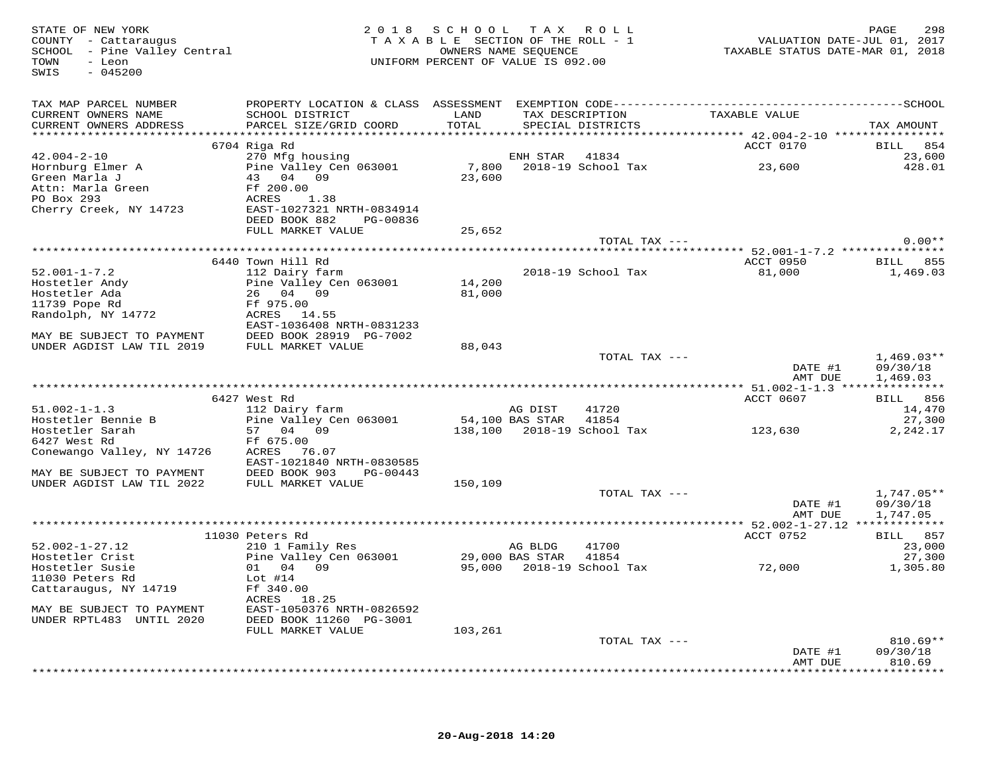| STATE OF NEW YORK<br>COUNTY - Cattaraugus<br>SCHOOL - Pine Valley Central<br>TAXABLE SECTION OF INE ROUENCE<br>OWNERS NAME SEQUENCE<br>UNIFORM PERCENT OF VALUE IS 092.00             |                                                                                                               | TAXABLE SECTION OF THE ROLL - 1 |         | " <sup>-</sup> תחמא<br>אסדי | PAGE 298<br>2017 VALUATION DATE-JUL 01, 2017<br>2018 TAXABLE STATUS DATE-MAR | 298<br>PAGE                   |
|---------------------------------------------------------------------------------------------------------------------------------------------------------------------------------------|---------------------------------------------------------------------------------------------------------------|---------------------------------|---------|-----------------------------|------------------------------------------------------------------------------|-------------------------------|
| TAX MAP PARCEL NUMBER                                                                                                                                                                 |                                                                                                               |                                 |         |                             |                                                                              |                               |
| CURRENT OWNERS NAME                                                                                                                                                                   | SCHOOL DISTRICT                                                                                               | LAND                            |         |                             | EXEMPTION CODE----------<br>TAX DESCRIPTION TAXABLE VALUE                    |                               |
| CURRENT OWNERS ADDRESS                                                                                                                                                                | PARCEL SIZE/GRID COORD                                                                                        | TOTAL                           |         |                             |                                                                              | TAX AMOUNT                    |
|                                                                                                                                                                                       | 6704 Riga Rd                                                                                                  |                                 |         |                             | <b>ACCT 0170</b>                                                             | BILL 854                      |
| $42.004 - 2 - 10$                                                                                                                                                                     |                                                                                                               |                                 |         |                             |                                                                              | 23,600                        |
| Hornburg Elmer A<br>Green Marla J                                                                                                                                                     | 270 Mfg housing<br>Pine Valley Cen 063001 (2018-19 School Tax (23,600)<br>23,600 (2018-19 School Tax (23,600) |                                 |         |                             |                                                                              | 428.01                        |
|                                                                                                                                                                                       |                                                                                                               |                                 |         |                             |                                                                              |                               |
| Green Marla J<br>Attn: Marla Green<br>PO Box 293<br>Cherry Creek, NY 14723<br>The EAST-1027321 NRTH-0834914<br>The Same Constant Creek, NY 14723<br>The Same Constant Creek, NY 14723 |                                                                                                               |                                 |         |                             |                                                                              |                               |
|                                                                                                                                                                                       |                                                                                                               |                                 |         |                             |                                                                              |                               |
|                                                                                                                                                                                       | DEED BOOK 882<br>PG-00836                                                                                     |                                 |         |                             |                                                                              |                               |
|                                                                                                                                                                                       | FULL MARKET VALUE                                                                                             | 25,652                          |         |                             |                                                                              |                               |
|                                                                                                                                                                                       |                                                                                                               |                                 |         | TOTAL TAX ---               |                                                                              | $0.00**$                      |
|                                                                                                                                                                                       |                                                                                                               |                                 |         |                             | ACCT 0950 BILL 855                                                           |                               |
| $52.001 - 1 - 7.2$                                                                                                                                                                    | 6440 Town Hill Rd<br>112 Dairy farm                                                                           |                                 |         | 2018-19 School Tax          | 81,000                                                                       | 1,469.03                      |
|                                                                                                                                                                                       | 112 Dairy farm<br>Pine Valley Cen 063001 14,200                                                               |                                 |         |                             |                                                                              |                               |
|                                                                                                                                                                                       |                                                                                                               | 81,000                          |         |                             |                                                                              |                               |
|                                                                                                                                                                                       |                                                                                                               |                                 |         |                             |                                                                              |                               |
| Hostetler Andy<br>Hostetler Ada<br>11739 Pope Rd<br>Randolph, NY 14772<br>Randolph, NY 14772<br>EAST-1036408 P                                                                        |                                                                                                               |                                 |         |                             |                                                                              |                               |
|                                                                                                                                                                                       | EAST-1036408 NRTH-0831233                                                                                     |                                 |         |                             |                                                                              |                               |
| MAY BE SUBJECT TO PAYMENT DEED BOOK 28919 PG-7002<br>UNDER AGDIST LAW TIL 2019 FULL MARKET VALUE                                                                                      |                                                                                                               | 88,043                          |         |                             |                                                                              |                               |
|                                                                                                                                                                                       |                                                                                                               |                                 |         | TOTAL TAX ---               |                                                                              | $1,469.03**$                  |
|                                                                                                                                                                                       |                                                                                                               |                                 |         |                             | DATE #1<br>AMT DUE                                                           | 09/30/18<br>1,469.03          |
|                                                                                                                                                                                       |                                                                                                               |                                 |         |                             |                                                                              |                               |
|                                                                                                                                                                                       | 6427 West Rd                                                                                                  |                                 |         |                             | ACCT 0607                                                                    | BILL 856                      |
| $51.002 - 1 - 1.3$                                                                                                                                                                    | 112 Dairy farm<br>112 Dairy Iarm<br>Pine Valley Cen 063001 - 54,100 BAS STAR - 41854                          |                                 | AG DIST | 41720                       |                                                                              | 14,470                        |
| Hostetler Bennie B                                                                                                                                                                    | 57 04 09                                                                                                      |                                 |         |                             | 138,100 2018-19 School Tax 123,630                                           | 27,300                        |
| Hostetler Sarah<br>6427 West Rd                                                                                                                                                       | Ff 675.00                                                                                                     |                                 |         |                             |                                                                              | 2,242.17                      |
| Conewango Valley, NY 14726                                                                                                                                                            | ACRES 76.07                                                                                                   |                                 |         |                             |                                                                              |                               |
|                                                                                                                                                                                       | EAST-1021840 NRTH-0830585                                                                                     |                                 |         |                             |                                                                              |                               |
| MAY BE SUBJECT TO PAYMENT                                                                                                                                                             | DEED BOOK 903 PG-00443                                                                                        |                                 |         |                             |                                                                              |                               |
| UNDER AGDIST LAW TIL 2022                                                                                                                                                             | FULL MARKET VALUE                                                                                             | 150,109                         |         | TOTAL TAX ---               |                                                                              | 1,747.05**                    |
|                                                                                                                                                                                       |                                                                                                               |                                 |         |                             | DATE #1                                                                      | 09/30/18                      |
|                                                                                                                                                                                       |                                                                                                               |                                 |         |                             | AMT DUE                                                                      | 1,747.05                      |
|                                                                                                                                                                                       |                                                                                                               |                                 |         |                             |                                                                              |                               |
|                                                                                                                                                                                       | 11030 Peters Rd                                                                                               |                                 |         |                             | ACCT 0752                                                                    | BILL 857                      |
| $52.002 - 1 - 27.12$<br>Hostetler Crist                                                                                                                                               | 210 1 Family Res                                                                                              |                                 | AG BLDG |                             |                                                                              | 23,000<br>27,300              |
| Hostetler Susie                                                                                                                                                                       | 210 1 Family Res<br>Pine Valley Cen 063001 29,000 BAS STAR 41854<br>95,000 2018-19 School Tax 72,000 72,000   |                                 |         |                             |                                                                              | 1,305.80                      |
| 11030 Peters Rd                                                                                                                                                                       | Lot $#14$                                                                                                     |                                 |         |                             |                                                                              |                               |
| Cattaraugus, NY 14719                                                                                                                                                                 | Ff 340.00                                                                                                     |                                 |         |                             |                                                                              |                               |
|                                                                                                                                                                                       | ACRES 18.25                                                                                                   |                                 |         |                             |                                                                              |                               |
| MAY BE SUBJECT TO PAYMENT<br>UNDER RPTL483 UNTIL 2020                                                                                                                                 | EAST-1050376 NRTH-0826592<br>DEED BOOK 11260 PG-3001                                                          |                                 |         |                             |                                                                              |                               |
|                                                                                                                                                                                       | FULL MARKET VALUE                                                                                             | 103,261                         |         |                             |                                                                              |                               |
|                                                                                                                                                                                       |                                                                                                               |                                 |         | TOTAL TAX ---               |                                                                              | $810.69**$                    |
|                                                                                                                                                                                       |                                                                                                               |                                 |         |                             | DATE #1                                                                      | 09/30/18                      |
|                                                                                                                                                                                       |                                                                                                               |                                 |         |                             | AMT DUE                                                                      | 810.69<br>* * * * * * * * * * |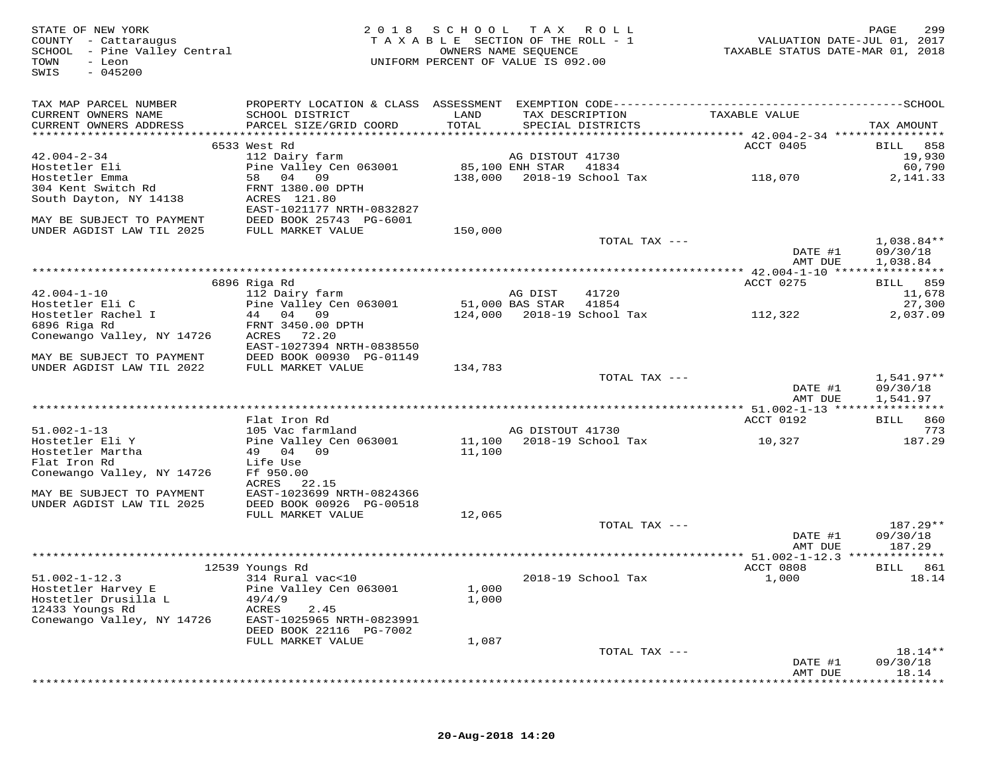| STATE OF NEW YORK<br>COUNTY - Cattaraugus<br>SCHOOL - Pine Valley Central<br>TOWN<br>- Leon<br>$-045200$<br>SWIS |                                           | 2018 SCHOOL<br>TAXABLE SECTION OF THE ROLL - 1<br>UNIFORM PERCENT OF VALUE IS 092.00 | OWNERS NAME SEQUENCE | TAX ROLL                   | VALUATION DATE-JUL 01, 2017<br>TAXABLE STATUS DATE-MAR 01, 2018 | PAGE<br>299            |
|------------------------------------------------------------------------------------------------------------------|-------------------------------------------|--------------------------------------------------------------------------------------|----------------------|----------------------------|-----------------------------------------------------------------|------------------------|
| TAX MAP PARCEL NUMBER                                                                                            |                                           |                                                                                      |                      |                            |                                                                 |                        |
| CURRENT OWNERS NAME                                                                                              | SCHOOL DISTRICT                           | LAND                                                                                 | TAX DESCRIPTION      |                            | TAXABLE VALUE                                                   |                        |
| CURRENT OWNERS ADDRESS                                                                                           | PARCEL SIZE/GRID COORD                    | TOTAL                                                                                |                      | SPECIAL DISTRICTS          |                                                                 | TAX AMOUNT             |
|                                                                                                                  | 6533 West Rd                              |                                                                                      |                      |                            | ACCT 0405                                                       | BILL 858               |
| $42.004 - 2 - 34$                                                                                                | 112 Dairy farm                            |                                                                                      | AG DISTOUT 41730     |                            |                                                                 | 19,930                 |
| Hostetler Eli                                                                                                    | Pine Valley Cen 063001                    |                                                                                      | 85,100 ENH STAR      | 41834                      |                                                                 | 60,790                 |
| Hostetler Emma                                                                                                   | 58 04 09                                  |                                                                                      |                      | 138,000 2018-19 School Tax | 118,070                                                         | 2,141.33               |
| 304 Kent Switch Rd                                                                                               | FRNT 1380.00 DPTH                         |                                                                                      |                      |                            |                                                                 |                        |
| South Dayton, NY 14138                                                                                           | ACRES 121.80<br>EAST-1021177 NRTH-0832827 |                                                                                      |                      |                            |                                                                 |                        |
| MAY BE SUBJECT TO PAYMENT                                                                                        | DEED BOOK 25743 PG-6001                   |                                                                                      |                      |                            |                                                                 |                        |
| UNDER AGDIST LAW TIL 2025                                                                                        | FULL MARKET VALUE                         | 150,000                                                                              |                      |                            |                                                                 |                        |
|                                                                                                                  |                                           |                                                                                      |                      | TOTAL TAX ---              | DATE #1<br>AMT DUE                                              | 1,038.84**<br>09/30/18 |
|                                                                                                                  |                                           |                                                                                      |                      |                            |                                                                 | 1,038.84               |
|                                                                                                                  | 6896 Riga Rd                              |                                                                                      |                      |                            | ACCT 0275                                                       | BILL 859               |
| $42.004 - 1 - 10$                                                                                                | 112 Dairy farm                            |                                                                                      | AG DIST              | 41720                      |                                                                 | 11,678                 |
| Hostetler Eli C                                                                                                  | Pine Valley Cen 063001                    | 51,000 BAS STAR                                                                      |                      | 41854                      |                                                                 | 27,300                 |
| Hostetler Rachel I                                                                                               | 44 04 09                                  |                                                                                      |                      | 124,000 2018-19 School Tax | 112,322                                                         | 2,037.09               |
| 6896 Riga Rd<br>Conewango Valley, NY 14726                                                                       | FRNT 3450.00 DPTH<br>ACRES 72.20          |                                                                                      |                      |                            |                                                                 |                        |
|                                                                                                                  | EAST-1027394 NRTH-0838550                 |                                                                                      |                      |                            |                                                                 |                        |
| MAY BE SUBJECT TO PAYMENT                                                                                        | DEED BOOK 00930 PG-01149                  |                                                                                      |                      |                            |                                                                 |                        |
| UNDER AGDIST LAW TIL 2022                                                                                        | FULL MARKET VALUE                         | 134,783                                                                              |                      | TOTAL TAX ---              |                                                                 | 1,541.97**             |
|                                                                                                                  |                                           |                                                                                      |                      |                            | DATE #1<br>AMT DUE                                              | 09/30/18<br>1,541.97   |
|                                                                                                                  |                                           |                                                                                      |                      |                            | **************** 51.002-1-13 *****************                  |                        |
|                                                                                                                  | Flat Iron Rd                              |                                                                                      |                      |                            | ACCT 0192                                                       | 860<br>BILL            |
| $51.002 - 1 - 13$                                                                                                | 105 Vac farmland                          |                                                                                      | AG DISTOUT 41730     |                            |                                                                 | 773                    |
| Hostetler Eli Y                                                                                                  | Pine Valley Cen 063001                    |                                                                                      |                      | 11,100 2018-19 School Tax  | 10,327                                                          | 187.29                 |
| Hostetler Martha<br>Flat Iron Rd                                                                                 | 49 04 09<br>Life Use                      | 11,100                                                                               |                      |                            |                                                                 |                        |
| Conewango Valley, NY 14726                                                                                       | Ff 950.00                                 |                                                                                      |                      |                            |                                                                 |                        |
|                                                                                                                  | ACRES 22.15                               |                                                                                      |                      |                            |                                                                 |                        |
| MAY BE SUBJECT TO PAYMENT                                                                                        | EAST-1023699 NRTH-0824366                 |                                                                                      |                      |                            |                                                                 |                        |
| UNDER AGDIST LAW TIL 2025                                                                                        | DEED BOOK 00926 PG-00518                  |                                                                                      |                      |                            |                                                                 |                        |
|                                                                                                                  | FULL MARKET VALUE                         | 12,065                                                                               |                      |                            |                                                                 |                        |
|                                                                                                                  |                                           |                                                                                      |                      | TOTAL TAX ---              | DATE #1                                                         | 187.29**<br>09/30/18   |
|                                                                                                                  |                                           |                                                                                      |                      |                            | AMT DUE                                                         | 187.29                 |
|                                                                                                                  |                                           |                                                                                      |                      |                            |                                                                 |                        |
|                                                                                                                  | 12539 Youngs Rd                           |                                                                                      |                      |                            | ACCT 0808                                                       | BILL<br>861            |
| $51.002 - 1 - 12.3$                                                                                              | 314 Rural vac<10                          |                                                                                      |                      | 2018-19 School Tax         | 1,000                                                           | 18.14                  |
| Hostetler Harvey E                                                                                               | Pine Valley Cen 063001                    | 1,000                                                                                |                      |                            |                                                                 |                        |
| Hostetler Drusilla L<br>12433 Youngs Rd                                                                          | 49/4/9<br>ACRES<br>2.45                   | 1,000                                                                                |                      |                            |                                                                 |                        |
| Conewango Valley, NY 14726                                                                                       | EAST-1025965 NRTH-0823991                 |                                                                                      |                      |                            |                                                                 |                        |
|                                                                                                                  | DEED BOOK 22116 PG-7002                   |                                                                                      |                      |                            |                                                                 |                        |
|                                                                                                                  | FULL MARKET VALUE                         | 1,087                                                                                |                      |                            |                                                                 |                        |
|                                                                                                                  |                                           |                                                                                      |                      | TOTAL TAX ---              |                                                                 | $18.14**$              |
|                                                                                                                  |                                           |                                                                                      |                      |                            | DATE #1                                                         | 09/30/18               |
|                                                                                                                  |                                           |                                                                                      |                      |                            | AMT DUE                                                         | 18.14                  |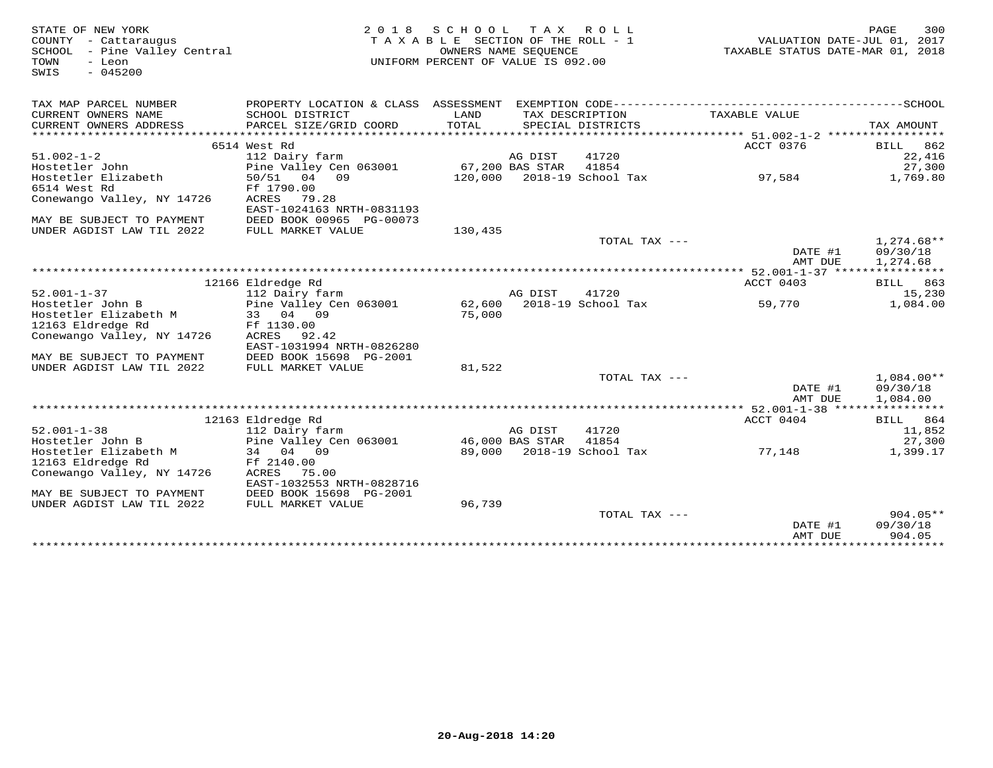| STATE OF NEW YORK<br>COUNTY - Cattaraugus<br>SCHOOL - Pine Valley Central<br>TOWN<br>- Leon<br>$-045200$<br>SWIS | 2 0 1 8                                   | S C H O O L<br>TAXABLE SECTION OF THE ROLL - 1<br>UNIFORM PERCENT OF VALUE IS 092.00 | OWNERS NAME SEQUENCE | TAX ROLL                             | VALUATION DAIL-000 01, 2018<br>TAXABLE STATUS DATE-MAR 01, 2018 | 300<br>PAGE                          |
|------------------------------------------------------------------------------------------------------------------|-------------------------------------------|--------------------------------------------------------------------------------------|----------------------|--------------------------------------|-----------------------------------------------------------------|--------------------------------------|
|                                                                                                                  |                                           |                                                                                      |                      |                                      |                                                                 |                                      |
| TAX MAP PARCEL NUMBER                                                                                            |                                           |                                                                                      |                      |                                      |                                                                 |                                      |
| CURRENT OWNERS NAME<br>CURRENT OWNERS ADDRESS                                                                    | SCHOOL DISTRICT<br>PARCEL SIZE/GRID COORD | LAND<br>TOTAL                                                                        |                      | TAX DESCRIPTION<br>SPECIAL DISTRICTS | TAXABLE VALUE                                                   | TAX AMOUNT                           |
|                                                                                                                  |                                           |                                                                                      |                      |                                      |                                                                 |                                      |
|                                                                                                                  | 6514 West Rd                              |                                                                                      |                      |                                      | ACCT 0376                                                       | BILL 862                             |
| $51.002 - 1 - 2$                                                                                                 | 112 Dairy farm                            |                                                                                      | AG DIST              | 41720                                |                                                                 | 22,416                               |
| Hostetler John                                                                                                   | Pine Valley Cen 063001                    |                                                                                      | 67,200 BAS STAR      | 41854                                |                                                                 | 27,300                               |
| Hostetler Elizabeth                                                                                              | 50/51 04 09                               |                                                                                      |                      | 120,000 2018-19 School Tax           | 97,584                                                          | 1,769.80                             |
| 6514 West Rd                                                                                                     | Ff 1790.00                                |                                                                                      |                      |                                      |                                                                 |                                      |
| Conewango Valley, NY 14726                                                                                       | ACRES 79.28                               |                                                                                      |                      |                                      |                                                                 |                                      |
|                                                                                                                  | EAST-1024163 NRTH-0831193                 |                                                                                      |                      |                                      |                                                                 |                                      |
| MAY BE SUBJECT TO PAYMENT                                                                                        | DEED BOOK 00965 PG-00073                  |                                                                                      |                      |                                      |                                                                 |                                      |
| UNDER AGDIST LAW TIL 2022                                                                                        | FULL MARKET VALUE                         | 130,435                                                                              |                      |                                      |                                                                 |                                      |
|                                                                                                                  |                                           |                                                                                      |                      | TOTAL TAX ---                        | DATE #1<br>AMT DUE                                              | $1,274.68**$<br>09/30/18<br>1,274.68 |
|                                                                                                                  |                                           |                                                                                      |                      |                                      | ************** 52.001-1-37 *****************                    |                                      |
|                                                                                                                  | 12166 Eldredge Rd                         |                                                                                      |                      |                                      | ACCT 0403                                                       | BILL 863                             |
| $52.001 - 1 - 37$                                                                                                | 112 Dairy farm                            |                                                                                      | AG DIST              | 41720                                |                                                                 | 15,230                               |
| Hostetler John B                                                                                                 | Pine Valley Cen 063001                    |                                                                                      |                      | 62,600 2018-19 School Tax            | 59,770                                                          | 1,084.00                             |
| Hostetler Elizabeth M                                                                                            | 33 04 09                                  | 75,000                                                                               |                      |                                      |                                                                 |                                      |
| 12163 Eldredge Rd                                                                                                | Ff 1130.00                                |                                                                                      |                      |                                      |                                                                 |                                      |
| Conewango Valley, NY 14726                                                                                       | ACRES 92.42                               |                                                                                      |                      |                                      |                                                                 |                                      |
|                                                                                                                  | EAST-1031994 NRTH-0826280                 |                                                                                      |                      |                                      |                                                                 |                                      |
| MAY BE SUBJECT TO PAYMENT                                                                                        | DEED BOOK 15698 PG-2001                   |                                                                                      |                      |                                      |                                                                 |                                      |
| UNDER AGDIST LAW TIL 2022                                                                                        | FULL MARKET VALUE                         | 81,522                                                                               |                      |                                      |                                                                 |                                      |
|                                                                                                                  |                                           |                                                                                      |                      | TOTAL TAX ---                        |                                                                 | $1.084.00**$                         |
|                                                                                                                  |                                           |                                                                                      |                      |                                      | DATE #1<br>AMT DUE                                              | 09/30/18<br>1,084.00                 |
|                                                                                                                  |                                           |                                                                                      |                      |                                      | ************** 52.001-1-38 *****************                    |                                      |
|                                                                                                                  | 12163 Eldredge Rd                         |                                                                                      |                      |                                      | ACCT 0404                                                       | BILL 864                             |
| $52.001 - 1 - 38$                                                                                                | 112 Dairy farm                            |                                                                                      | AG DIST              | 41720                                |                                                                 | 11,852                               |
| Hostetler John B                                                                                                 | Pine Valley Cen 063001                    | 46,000 BAS STAR                                                                      |                      | 41854                                |                                                                 | 27,300                               |
| Hostetler Elizabeth M                                                                                            | 34 04 09                                  |                                                                                      |                      | 89,000 2018-19 School Tax            | 77,148                                                          | 1,399.17                             |
| 12163 Eldredge Rd                                                                                                | Ff 2140.00                                |                                                                                      |                      |                                      |                                                                 |                                      |
| Conewango Valley, NY 14726                                                                                       | ACRES 75.00                               |                                                                                      |                      |                                      |                                                                 |                                      |
|                                                                                                                  | EAST-1032553 NRTH-0828716                 |                                                                                      |                      |                                      |                                                                 |                                      |
| MAY BE SUBJECT TO PAYMENT                                                                                        | DEED BOOK 15698 PG-2001                   |                                                                                      |                      |                                      |                                                                 |                                      |
| UNDER AGDIST LAW TIL 2022                                                                                        | FULL MARKET VALUE                         | 96,739                                                                               |                      |                                      |                                                                 |                                      |
|                                                                                                                  |                                           |                                                                                      |                      | TOTAL TAX ---                        |                                                                 | $904.05**$                           |
|                                                                                                                  |                                           |                                                                                      |                      |                                      | DATE #1                                                         | 09/30/18                             |
|                                                                                                                  |                                           |                                                                                      |                      |                                      | AMT DUE                                                         | 904.05                               |
|                                                                                                                  |                                           |                                                                                      |                      |                                      |                                                                 |                                      |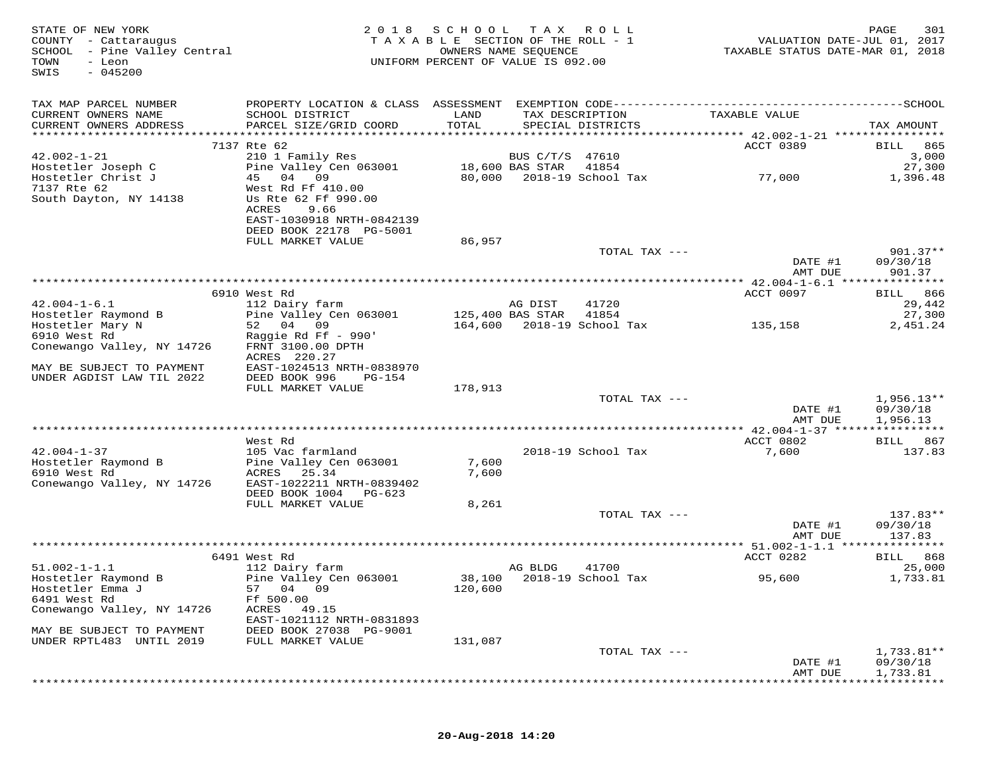| STATE OF NEW YORK<br>COUNTY - Cattaraugus<br>SCHOOL - Pine Valley Central<br>TOWN<br>- Leon<br>$-045200$<br>SWIS | 2 0 1 8                                                                                                           | SCHOOL<br>TAXABLE SECTION OF THE ROLL - 1<br>OWNERS NAME SEQUENCE<br>UNIFORM PERCENT OF VALUE IS 092.00 | T A X            | R O L L                              | TAXABLE STATUS DATE-MAR 01, 2018         | PAGE<br>301<br>VALUATION DATE-JUL 01, 2017 |
|------------------------------------------------------------------------------------------------------------------|-------------------------------------------------------------------------------------------------------------------|---------------------------------------------------------------------------------------------------------|------------------|--------------------------------------|------------------------------------------|--------------------------------------------|
| TAX MAP PARCEL NUMBER                                                                                            |                                                                                                                   |                                                                                                         |                  |                                      |                                          |                                            |
| CURRENT OWNERS NAME<br>CURRENT OWNERS ADDRESS                                                                    | SCHOOL DISTRICT<br>PARCEL SIZE/GRID COORD                                                                         | LAND<br>TOTAL                                                                                           |                  | TAX DESCRIPTION<br>SPECIAL DISTRICTS | TAXABLE VALUE                            | TAX AMOUNT                                 |
|                                                                                                                  |                                                                                                                   |                                                                                                         |                  |                                      |                                          |                                            |
|                                                                                                                  | 7137 Rte 62                                                                                                       |                                                                                                         |                  |                                      | ACCT 0389                                | 865<br><b>BILL</b>                         |
| $42.002 - 1 - 21$                                                                                                | 210 1 Family Res<br>Pine Valley Cen 063001                                                                        |                                                                                                         | BUS C/T/S 47610  |                                      |                                          | 3,000                                      |
| Hostetler Joseph C<br>Hostetler Christ J                                                                         | 45 04 09                                                                                                          | 80,000                                                                                                  | 18,600 BAS STAR  | 41854<br>2018-19 School Tax          | 77,000                                   | 27,300<br>1,396.48                         |
| 7137 Rte 62<br>South Dayton, NY 14138                                                                            | West Rd Ff 410.00<br>Us Rte 62 Ff 990.00<br>ACRES<br>9.66<br>EAST-1030918 NRTH-0842139<br>DEED BOOK 22178 PG-5001 |                                                                                                         |                  |                                      |                                          |                                            |
|                                                                                                                  | FULL MARKET VALUE                                                                                                 | 86,957                                                                                                  |                  |                                      |                                          |                                            |
|                                                                                                                  |                                                                                                                   |                                                                                                         |                  | TOTAL TAX ---                        | DATE #1                                  | $901.37**$<br>09/30/18                     |
|                                                                                                                  |                                                                                                                   |                                                                                                         |                  |                                      | AMT DUE                                  | 901.37                                     |
|                                                                                                                  |                                                                                                                   |                                                                                                         |                  |                                      | ********** 42.004-1-6.1 **************** |                                            |
| $42.004 - 1 - 6.1$                                                                                               | 6910 West Rd<br>112 Dairy farm                                                                                    |                                                                                                         | AG DIST          | 41720                                | ACCT 0097                                | BILL 866<br>29,442                         |
| Hostetler Raymond B                                                                                              | Pine Valley Cen 063001                                                                                            |                                                                                                         | 125,400 BAS STAR | 41854                                |                                          | 27,300                                     |
| Hostetler Mary N                                                                                                 | 52 04 09                                                                                                          | 164,600                                                                                                 |                  | 2018-19 School Tax                   | 135,158                                  | 2,451.24                                   |
| 6910 West Rd                                                                                                     | Raggie Rd Ff - 990'                                                                                               |                                                                                                         |                  |                                      |                                          |                                            |
| Conewango Valley, NY 14726                                                                                       | FRNT 3100.00 DPTH                                                                                                 |                                                                                                         |                  |                                      |                                          |                                            |
|                                                                                                                  | ACRES 220.27                                                                                                      |                                                                                                         |                  |                                      |                                          |                                            |
| MAY BE SUBJECT TO PAYMENT                                                                                        | EAST-1024513 NRTH-0838970                                                                                         |                                                                                                         |                  |                                      |                                          |                                            |
| UNDER AGDIST LAW TIL 2022                                                                                        | DEED BOOK 996<br>PG-154<br>FULL MARKET VALUE                                                                      | 178,913                                                                                                 |                  |                                      |                                          |                                            |
|                                                                                                                  |                                                                                                                   |                                                                                                         |                  | TOTAL TAX ---                        |                                          | $1,956.13**$                               |
|                                                                                                                  |                                                                                                                   |                                                                                                         |                  |                                      | DATE #1                                  | 09/30/18                                   |
|                                                                                                                  |                                                                                                                   |                                                                                                         |                  |                                      | AMT DUE                                  | 1,956.13                                   |
|                                                                                                                  |                                                                                                                   |                                                                                                         |                  |                                      | ********** 42.004-1-37 ***************** |                                            |
|                                                                                                                  | West Rd                                                                                                           |                                                                                                         |                  |                                      | ACCT 0802                                | BILL 867                                   |
| $42.004 - 1 - 37$                                                                                                | 105 Vac farmland                                                                                                  |                                                                                                         |                  | 2018-19 School Tax                   | 7,600                                    | 137.83                                     |
| Hostetler Raymond B<br>6910 West Rd                                                                              | Pine Valley Cen 063001<br>ACRES<br>25.34                                                                          | 7,600<br>7,600                                                                                          |                  |                                      |                                          |                                            |
| Conewango Valley, NY 14726                                                                                       | EAST-1022211 NRTH-0839402                                                                                         |                                                                                                         |                  |                                      |                                          |                                            |
|                                                                                                                  | DEED BOOK 1004 PG-623                                                                                             |                                                                                                         |                  |                                      |                                          |                                            |
|                                                                                                                  | FULL MARKET VALUE                                                                                                 | 8,261                                                                                                   |                  |                                      |                                          |                                            |
|                                                                                                                  |                                                                                                                   |                                                                                                         |                  | TOTAL TAX ---                        |                                          | $137.83**$                                 |
|                                                                                                                  |                                                                                                                   |                                                                                                         |                  |                                      | DATE #1                                  | 09/30/18                                   |
|                                                                                                                  |                                                                                                                   |                                                                                                         |                  |                                      | AMT DUE                                  | 137.83                                     |
|                                                                                                                  |                                                                                                                   |                                                                                                         |                  |                                      |                                          | * * * * * * * * *<br><b>BILL</b> 868       |
| $51.002 - 1 - 1.1$                                                                                               | 6491 West Rd<br>112 Dairy farm                                                                                    |                                                                                                         | AG BLDG          | 41700                                | ACCT 0282                                | 25,000                                     |
| Hostetler Raymond B                                                                                              | Pine Valley Cen 063001                                                                                            |                                                                                                         |                  | 38,100 2018-19 School Tax            | 95,600                                   | 1,733.81                                   |
| Hostetler Emma J                                                                                                 | 57 04 09                                                                                                          | 120,600                                                                                                 |                  |                                      |                                          |                                            |
| 6491 West Rd                                                                                                     | Ff 500.00                                                                                                         |                                                                                                         |                  |                                      |                                          |                                            |
| Conewango Valley, NY 14726                                                                                       | ACRES<br>49.15<br>EAST-1021112 NRTH-0831893                                                                       |                                                                                                         |                  |                                      |                                          |                                            |
| MAY BE SUBJECT TO PAYMENT                                                                                        | DEED BOOK 27038 PG-9001                                                                                           |                                                                                                         |                  |                                      |                                          |                                            |
| UNDER RPTL483 UNTIL 2019                                                                                         | FULL MARKET VALUE                                                                                                 | 131,087                                                                                                 |                  |                                      |                                          |                                            |
|                                                                                                                  |                                                                                                                   |                                                                                                         |                  | TOTAL TAX ---                        |                                          | 1,733.81**                                 |
|                                                                                                                  |                                                                                                                   |                                                                                                         |                  |                                      | DATE #1                                  | 09/30/18                                   |
|                                                                                                                  |                                                                                                                   |                                                                                                         |                  |                                      | AMT DUE                                  | 1,733.81                                   |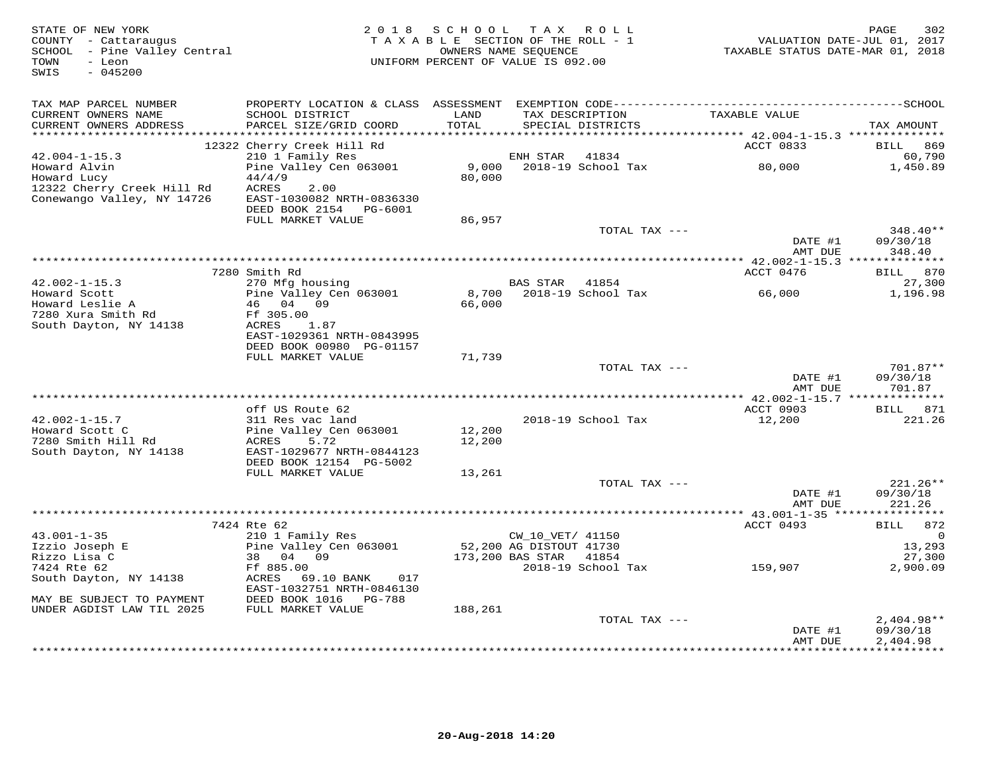| STATE OF NEW YORK<br>COUNTY - Cattaraugus<br>SCHOOL - Pine Valley Central<br>- Leon<br>TOWN<br>SWIS<br>$-045200$ |                                            | 2018 SCHOOL TAX ROLL<br>TAXABLE SECTION OF THE ROLL - 1<br>UNIFORM PERCENT OF VALUE IS 092.00 | OWNERS NAME SEQUENCE    |                                   | TAXABLE STATUS DATE-MAR 01, 2018 | 302<br>PAGE<br>VALUATION DATE-JUL 01, 2017 |
|------------------------------------------------------------------------------------------------------------------|--------------------------------------------|-----------------------------------------------------------------------------------------------|-------------------------|-----------------------------------|----------------------------------|--------------------------------------------|
| TAX MAP PARCEL NUMBER                                                                                            |                                            |                                                                                               |                         |                                   |                                  |                                            |
| CURRENT OWNERS NAME<br>CURRENT OWNERS ADDRESS                                                                    | SCHOOL DISTRICT<br>PARCEL SIZE/GRID COORD  | LAND<br>TOTAL                                                                                 | TAX DESCRIPTION         | SPECIAL DISTRICTS                 | TAXABLE VALUE                    | TAX AMOUNT                                 |
|                                                                                                                  |                                            |                                                                                               |                         |                                   |                                  |                                            |
|                                                                                                                  | 12322 Cherry Creek Hill Rd                 |                                                                                               |                         |                                   | ACCT 0833                        | 869<br>BILL                                |
| $42.004 - 1 - 15.3$<br>Howard Alvin                                                                              | 210 1 Family Res<br>Pine Valley Cen 063001 |                                                                                               | ENH STAR                | 41834<br>9,000 2018-19 School Tax | 80,000                           | 60,790<br>1,450.89                         |
| Howard Lucy                                                                                                      | 44/4/9                                     | 80,000                                                                                        |                         |                                   |                                  |                                            |
| 12322 Cherry Creek Hill Rd                                                                                       | ACRES<br>2.00                              |                                                                                               |                         |                                   |                                  |                                            |
| Conewango Valley, NY 14726                                                                                       | EAST-1030082 NRTH-0836330                  |                                                                                               |                         |                                   |                                  |                                            |
|                                                                                                                  | DEED BOOK 2154 PG-6001                     |                                                                                               |                         |                                   |                                  |                                            |
|                                                                                                                  | FULL MARKET VALUE                          | 86,957                                                                                        |                         |                                   |                                  |                                            |
|                                                                                                                  |                                            |                                                                                               |                         | TOTAL TAX ---                     |                                  | $348.40**$                                 |
|                                                                                                                  |                                            |                                                                                               |                         |                                   | DATE #1                          | 09/30/18                                   |
|                                                                                                                  |                                            |                                                                                               |                         |                                   | AMT DUE                          | 348.40                                     |
|                                                                                                                  |                                            |                                                                                               |                         |                                   |                                  |                                            |
|                                                                                                                  | 7280 Smith Rd                              |                                                                                               | BAS STAR 41854          |                                   | ACCT 0476                        | BILL 870                                   |
| $42.002 - 1 - 15.3$<br>Howard Scott                                                                              | 270 Mfg housing<br>Pine Valley Cen 063001  | 8,700                                                                                         |                         | 2018-19 School Tax                | 66,000                           | 27,300<br>1,196.98                         |
| Howard Leslie A                                                                                                  | 46 04 09                                   | 66,000                                                                                        |                         |                                   |                                  |                                            |
| 7280 Xura Smith Rd                                                                                               | Ff 305.00                                  |                                                                                               |                         |                                   |                                  |                                            |
| South Dayton, NY 14138                                                                                           | ACRES<br>1.87                              |                                                                                               |                         |                                   |                                  |                                            |
|                                                                                                                  | EAST-1029361 NRTH-0843995                  |                                                                                               |                         |                                   |                                  |                                            |
|                                                                                                                  | DEED BOOK 00980 PG-01157                   |                                                                                               |                         |                                   |                                  |                                            |
|                                                                                                                  | FULL MARKET VALUE                          | 71,739                                                                                        |                         |                                   |                                  |                                            |
|                                                                                                                  |                                            |                                                                                               |                         | TOTAL TAX ---                     |                                  | $701.87**$                                 |
|                                                                                                                  |                                            |                                                                                               |                         |                                   | DATE #1<br>AMT DUE               | 09/30/18                                   |
|                                                                                                                  |                                            |                                                                                               |                         |                                   |                                  | 701.87                                     |
|                                                                                                                  | off US Route 62                            |                                                                                               |                         |                                   | ACCT 0903                        | BILL 871                                   |
| $42.002 - 1 - 15.7$                                                                                              | 311 Res vac land                           |                                                                                               |                         | 2018-19 School Tax                | 12,200                           | 221.26                                     |
| Howard Scott C                                                                                                   | Pine Valley Cen 063001                     | 12,200                                                                                        |                         |                                   |                                  |                                            |
| 7280 Smith Hill Rd                                                                                               | ACRES<br>5.72                              | 12,200                                                                                        |                         |                                   |                                  |                                            |
| South Dayton, NY 14138                                                                                           | EAST-1029677 NRTH-0844123                  |                                                                                               |                         |                                   |                                  |                                            |
|                                                                                                                  | DEED BOOK 12154 PG-5002                    |                                                                                               |                         |                                   |                                  |                                            |
|                                                                                                                  | FULL MARKET VALUE                          | 13,261                                                                                        |                         |                                   |                                  |                                            |
|                                                                                                                  |                                            |                                                                                               |                         | TOTAL TAX ---                     |                                  | 221.26**                                   |
|                                                                                                                  |                                            |                                                                                               |                         |                                   | DATE #1<br>AMT DUE               | 09/30/18<br>221.26                         |
|                                                                                                                  |                                            |                                                                                               |                         |                                   |                                  |                                            |
|                                                                                                                  | 7424 Rte 62                                |                                                                                               |                         |                                   | ACCT 0493                        | 872<br><b>BILL</b>                         |
| $43.001 - 1 - 35$                                                                                                | 210 1 Family Res                           |                                                                                               | CW_10_VET/ 41150        |                                   |                                  | $\Omega$                                   |
| Izzio Joseph E                                                                                                   | Pine Valley Cen 063001                     |                                                                                               | 52,200 AG DISTOUT 41730 |                                   |                                  | 13,293                                     |
| Rizzo Lisa C                                                                                                     | 38 04 09                                   |                                                                                               | 173,200 BAS STAR        | 41854                             |                                  | 27,300                                     |
| 7424 Rte 62                                                                                                      | Ff 885.00                                  |                                                                                               |                         | 2018-19 School Tax                | 159,907                          | 2,900.09                                   |
| South Dayton, NY 14138                                                                                           | ACRES 69.10 BANK<br>017                    |                                                                                               |                         |                                   |                                  |                                            |
|                                                                                                                  | EAST-1032751 NRTH-0846130                  |                                                                                               |                         |                                   |                                  |                                            |
| MAY BE SUBJECT TO PAYMENT<br>UNDER AGDIST LAW TIL 2025                                                           | DEED BOOK 1016 PG-788<br>FULL MARKET VALUE | 188,261                                                                                       |                         |                                   |                                  |                                            |
|                                                                                                                  |                                            |                                                                                               |                         | TOTAL TAX ---                     |                                  | $2,404.98**$                               |
|                                                                                                                  |                                            |                                                                                               |                         |                                   | DATE #1                          | 09/30/18                                   |
|                                                                                                                  |                                            |                                                                                               |                         |                                   | AMT DUE                          | 2,404.98                                   |
|                                                                                                                  |                                            |                                                                                               |                         |                                   |                                  | * * * * * * * * * * * * *                  |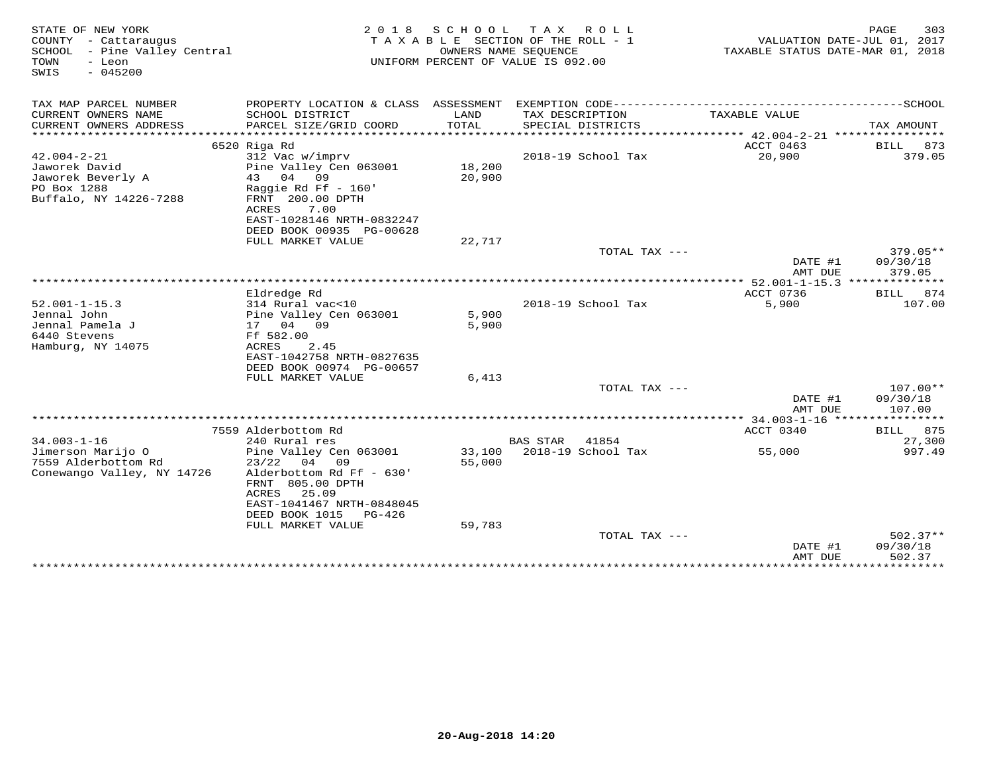| STATE OF NEW YORK<br>COUNTY - Cattaraugus<br>SCHOOL<br>- Pine Valley Central<br>TOWN<br>- Leon<br>SWIS<br>$-045200$ | 2 0 1 8                                    | S C H O O L<br>TAXABLE SECTION OF THE ROLL - 1<br>UNIFORM PERCENT OF VALUE IS 092.00 | T A X<br>OWNERS NAME SEOUENCE | R O L L            | VALUATION DATE-JUL 01, 2017<br>TAXABLE STATUS DATE-MAR 01, 2018 | PAGE        | 303        |
|---------------------------------------------------------------------------------------------------------------------|--------------------------------------------|--------------------------------------------------------------------------------------|-------------------------------|--------------------|-----------------------------------------------------------------|-------------|------------|
| TAX MAP PARCEL NUMBER                                                                                               |                                            |                                                                                      |                               |                    |                                                                 |             |            |
| CURRENT OWNERS NAME<br>CURRENT OWNERS ADDRESS                                                                       | SCHOOL DISTRICT<br>PARCEL SIZE/GRID COORD  | LAND<br>TOTAL                                                                        | TAX DESCRIPTION               | SPECIAL DISTRICTS  | TAXABLE VALUE                                                   | TAX AMOUNT  |            |
| ***********************                                                                                             | **************************                 |                                                                                      |                               |                    |                                                                 |             |            |
|                                                                                                                     | 6520 Riga Rd                               |                                                                                      |                               |                    | ACCT 0463                                                       | BILL        | 873        |
| $42.004 - 2 - 21$                                                                                                   | 312 Vac w/imprv                            |                                                                                      |                               | 2018-19 School Tax | 20,900                                                          |             | 379.05     |
| Jaworek David                                                                                                       | Pine Valley Cen 063001                     | 18,200                                                                               |                               |                    |                                                                 |             |            |
| Jaworek Beverly A                                                                                                   | 04<br>43<br>09                             | 20,900                                                                               |                               |                    |                                                                 |             |            |
| PO Box 1288                                                                                                         | Raggie Rd Ff - 160'                        |                                                                                      |                               |                    |                                                                 |             |            |
| Buffalo, NY 14226-7288                                                                                              | FRNT 200.00 DPTH<br>ACRES<br>7.00          |                                                                                      |                               |                    |                                                                 |             |            |
|                                                                                                                     | EAST-1028146 NRTH-0832247                  |                                                                                      |                               |                    |                                                                 |             |            |
|                                                                                                                     | DEED BOOK 00935 PG-00628                   |                                                                                      |                               |                    |                                                                 |             |            |
|                                                                                                                     | FULL MARKET VALUE                          | 22,717                                                                               |                               |                    |                                                                 |             |            |
|                                                                                                                     |                                            |                                                                                      |                               | TOTAL TAX ---      |                                                                 |             | $379.05**$ |
|                                                                                                                     |                                            |                                                                                      |                               |                    | DATE #1                                                         | 09/30/18    |            |
|                                                                                                                     |                                            |                                                                                      |                               |                    | AMT DUE                                                         |             | 379.05     |
|                                                                                                                     |                                            |                                                                                      | ********************          |                    | $*$ 52.001-1-15.3 $**$                                          |             |            |
|                                                                                                                     | Eldredge Rd                                |                                                                                      |                               |                    | ACCT 0736                                                       | BILL        | 874        |
| $52.001 - 1 - 15.3$                                                                                                 | 314 Rural vac<10                           |                                                                                      |                               | 2018-19 School Tax | 5,900                                                           |             | 107.00     |
| Jennal John                                                                                                         | Pine Valley Cen 063001                     | 5,900                                                                                |                               |                    |                                                                 |             |            |
| Jennal Pamela J                                                                                                     | 04<br>09<br>17                             | 5,900                                                                                |                               |                    |                                                                 |             |            |
| 6440 Stevens                                                                                                        | Ff 582.00                                  |                                                                                      |                               |                    |                                                                 |             |            |
| Hamburg, NY 14075                                                                                                   | 2.45<br>ACRES<br>EAST-1042758 NRTH-0827635 |                                                                                      |                               |                    |                                                                 |             |            |
|                                                                                                                     | DEED BOOK 00974 PG-00657                   |                                                                                      |                               |                    |                                                                 |             |            |
|                                                                                                                     | FULL MARKET VALUE                          | 6,413                                                                                |                               |                    |                                                                 |             |            |
|                                                                                                                     |                                            |                                                                                      |                               | TOTAL TAX ---      |                                                                 |             | 107.00**   |
|                                                                                                                     |                                            |                                                                                      |                               |                    | DATE #1                                                         | 09/30/18    |            |
|                                                                                                                     |                                            |                                                                                      |                               |                    | AMT DUE                                                         |             | 107.00     |
|                                                                                                                     |                                            |                                                                                      |                               |                    | ******* 34.003-1-16 ****************                            |             |            |
|                                                                                                                     | 7559 Alderbottom Rd                        |                                                                                      |                               |                    | ACCT 0340                                                       | <b>BILL</b> | 875        |
| $34.003 - 1 - 16$                                                                                                   | 240 Rural res                              |                                                                                      | <b>BAS STAR</b>               | 41854              |                                                                 |             | 27,300     |
| Jimerson Marijo O                                                                                                   | Pine Valley Cen 063001                     | 33,100                                                                               |                               | 2018-19 School Tax | 55,000                                                          |             | 997.49     |
| 7559 Alderbottom Rd                                                                                                 | 23/22<br>04<br>09                          | 55,000                                                                               |                               |                    |                                                                 |             |            |
| Conewango Valley, NY 14726                                                                                          | Alderbottom Rd Ff - 630'                   |                                                                                      |                               |                    |                                                                 |             |            |
|                                                                                                                     | FRNT 805.00 DPTH<br>ACRES<br>25.09         |                                                                                      |                               |                    |                                                                 |             |            |
|                                                                                                                     | EAST-1041467 NRTH-0848045                  |                                                                                      |                               |                    |                                                                 |             |            |
|                                                                                                                     | DEED BOOK 1015<br>PG-426                   |                                                                                      |                               |                    |                                                                 |             |            |
|                                                                                                                     | FULL MARKET VALUE                          | 59,783                                                                               |                               |                    |                                                                 |             |            |
|                                                                                                                     |                                            |                                                                                      |                               | TOTAL TAX ---      |                                                                 |             | $502.37**$ |
|                                                                                                                     |                                            |                                                                                      |                               |                    | DATE #1                                                         | 09/30/18    |            |
|                                                                                                                     |                                            |                                                                                      |                               |                    | AMT DUE                                                         |             | 502.37     |
|                                                                                                                     |                                            |                                                                                      |                               |                    | ***************                                                 |             | *********  |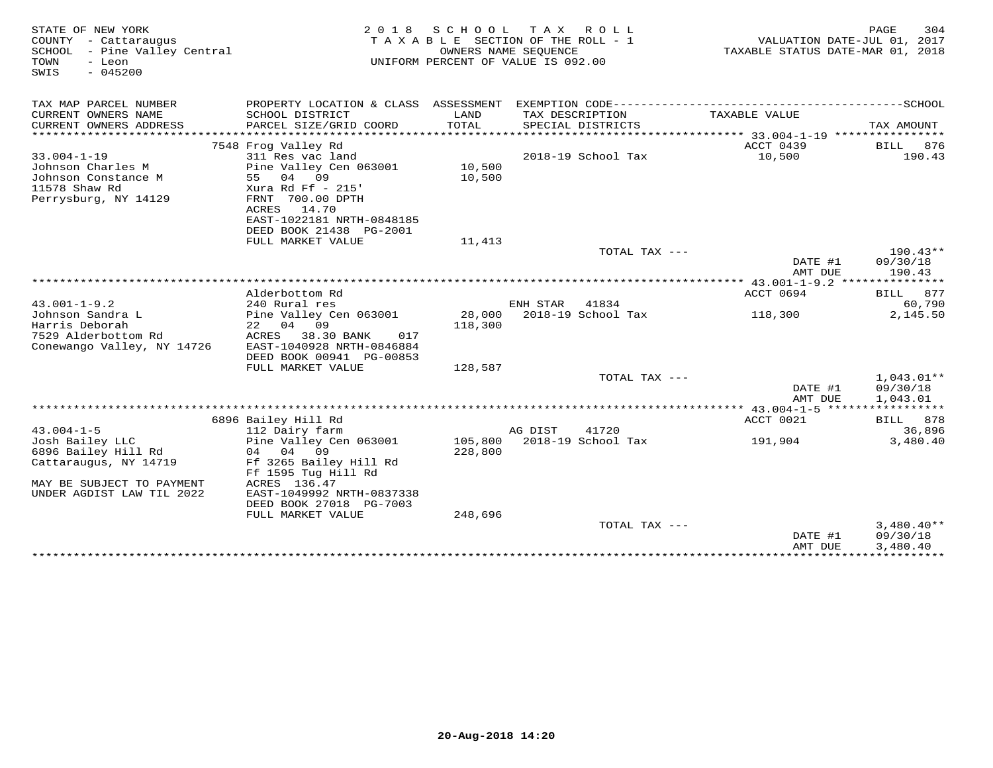| STATE OF NEW YORK<br>COUNTY - Cattaraugus<br>SCHOOL<br>- Pine Valley Central<br>TOWN<br>- Leon<br>$-045200$<br>SWIS | 2 0 1 8                                                                                                                                                                  | SCHOOL<br>TAXABLE SECTION OF THE ROLL - 1<br>UNIFORM PERCENT OF VALUE IS 092.00 | T A X<br>OWNERS NAME SEOUENCE | R O L L                              | VALUATION DATE-JUL 01, 2017<br>TAXABLE STATUS DATE-MAR 01, 2018 | 304<br>PAGE          |
|---------------------------------------------------------------------------------------------------------------------|--------------------------------------------------------------------------------------------------------------------------------------------------------------------------|---------------------------------------------------------------------------------|-------------------------------|--------------------------------------|-----------------------------------------------------------------|----------------------|
| TAX MAP PARCEL NUMBER                                                                                               | PROPERTY LOCATION & CLASS ASSESSMENT EXEMPTION CODE-----------------------------------SCHOOL                                                                             |                                                                                 |                               |                                      |                                                                 |                      |
| CURRENT OWNERS NAME<br>CURRENT OWNERS ADDRESS                                                                       | SCHOOL DISTRICT<br>PARCEL SIZE/GRID COORD                                                                                                                                | LAND<br><b>TOTAL</b>                                                            |                               | TAX DESCRIPTION<br>SPECIAL DISTRICTS | TAXABLE VALUE                                                   | TAX AMOUNT           |
|                                                                                                                     |                                                                                                                                                                          |                                                                                 |                               |                                      |                                                                 |                      |
| $33.004 - 1 - 19$<br>Johnson Charles M<br>Johnson Constance M<br>11578 Shaw Rd<br>Perrysburg, NY 14129              | 7548 Frog Valley Rd<br>311 Res vac land<br>Pine Valley Cen 063001<br>55<br>04<br>09<br>Xura Rd Ff - 215'<br>FRNT 700.00 DPTH<br>ACRES 14.70<br>EAST-1022181 NRTH-0848185 | 10,500<br>10,500                                                                |                               | 2018-19 School Tax                   | ACCT 0439<br>10,500                                             | BILL 876<br>190.43   |
|                                                                                                                     | DEED BOOK 21438 PG-2001                                                                                                                                                  |                                                                                 |                               |                                      |                                                                 |                      |
|                                                                                                                     | FULL MARKET VALUE                                                                                                                                                        | 11,413                                                                          |                               | TOTAL TAX $---$                      |                                                                 | $190.43**$           |
|                                                                                                                     |                                                                                                                                                                          |                                                                                 |                               |                                      | DATE #1<br>AMT DUE                                              | 09/30/18<br>190.43   |
|                                                                                                                     |                                                                                                                                                                          |                                                                                 |                               |                                      | *************** $43.001 - 1 - 9.2$ ****************             |                      |
|                                                                                                                     | Alderbottom Rd                                                                                                                                                           |                                                                                 |                               |                                      | ACCT 0694                                                       | 877<br>BILL          |
| $43.001 - 1 - 9.2$                                                                                                  | 240 Rural res                                                                                                                                                            |                                                                                 | ENH STAR                      | 41834                                |                                                                 | 60,790               |
| Johnson Sandra L<br>Harris Deborah<br>7529 Alderbottom Rd<br>Conewango Valley, NY 14726                             | Pine Valley Cen 063001<br>22<br>04<br>09<br>ACRES<br>38.30 BANK<br>017<br>EAST-1040928 NRTH-0846884<br>DEED BOOK 00941 PG-00853                                          | 28,000<br>118,300                                                               |                               | 2018-19 School Tax                   | 118,300                                                         | 2,145.50             |
|                                                                                                                     | FULL MARKET VALUE                                                                                                                                                        | 128,587                                                                         |                               | TOTAL TAX ---                        |                                                                 | $1,043.01**$         |
|                                                                                                                     |                                                                                                                                                                          |                                                                                 |                               |                                      | DATE #1<br>AMT DUE                                              | 09/30/18<br>1,043.01 |
|                                                                                                                     |                                                                                                                                                                          |                                                                                 |                               |                                      |                                                                 |                      |
|                                                                                                                     | 6896 Bailey Hill Rd                                                                                                                                                      |                                                                                 |                               |                                      | ACCT 0021                                                       | BILL 878             |
| $43.004 - 1 - 5$<br>Josh Bailey LLC<br>6896 Bailey Hill Rd<br>Cattaraugus, NY 14719<br>MAY BE SUBJECT TO PAYMENT    | 112 Dairy farm<br>Pine Valley Cen 063001<br>04 04 09<br>Ff 3265 Bailey Hill Rd<br>Ff 1595 Tug Hill Rd<br>ACRES 136.47                                                    | 105,800<br>228,800                                                              | AG DIST                       | 41720<br>2018-19 School Tax          | 191,904                                                         | 36,896<br>3,480.40   |
| UNDER AGDIST LAW TIL 2022                                                                                           | EAST-1049992 NRTH-0837338<br>DEED BOOK 27018 PG-7003                                                                                                                     |                                                                                 |                               |                                      |                                                                 |                      |
|                                                                                                                     | FULL MARKET VALUE                                                                                                                                                        | 248,696                                                                         |                               | TOTAL TAX $---$                      |                                                                 | $3,480.40**$         |
|                                                                                                                     |                                                                                                                                                                          |                                                                                 |                               |                                      | DATE #1<br>AMT DUE<br>****************************              | 09/30/18<br>3,480.40 |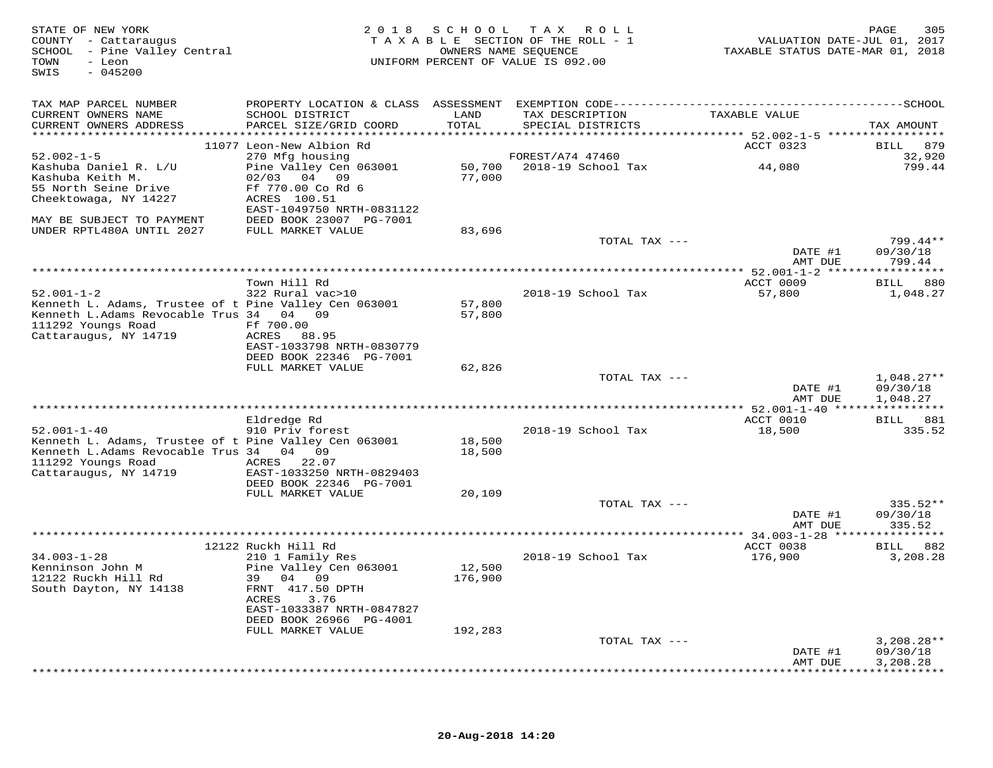| STATE OF NEW YORK<br>COUNTY - Cattaraugus<br>SCHOOL - Pine Valley Central<br>- Leon<br>TOWN<br>$-045200$<br>SWIS |                                              | OWNERS NAME SEQUENCE | 2018 SCHOOL TAX ROLL<br>TAXABLE SECTION OF THE ROLL - 1<br>UNIFORM PERCENT OF VALUE IS 092.00 | VALUATION DATE-JUL 01, 2017<br>TAXABLE STATUS DATE-MAR 01, 2018 | 305<br>PAGE        |
|------------------------------------------------------------------------------------------------------------------|----------------------------------------------|----------------------|-----------------------------------------------------------------------------------------------|-----------------------------------------------------------------|--------------------|
| TAX MAP PARCEL NUMBER                                                                                            |                                              |                      |                                                                                               |                                                                 |                    |
| CURRENT OWNERS NAME<br>CURRENT OWNERS ADDRESS                                                                    | SCHOOL DISTRICT<br>PARCEL SIZE/GRID COORD    | LAND<br>TOTAL        | TAX DESCRIPTION<br>SPECIAL DISTRICTS                                                          | TAXABLE VALUE                                                   | TAX AMOUNT         |
|                                                                                                                  | 11077 Leon-New Albion Rd                     |                      |                                                                                               | ACCT 0323                                                       | BILL 879           |
| $52.002 - 1 - 5$                                                                                                 | 270 Mfg housing                              |                      | FOREST/A74 47460                                                                              |                                                                 | 32,920             |
| Kashuba Daniel R. L/U                                                                                            | Pine Valley Cen 063001                       |                      | 50,700 2018-19 School Tax                                                                     | 44,080                                                          | 799.44             |
| Kashuba Keith M.                                                                                                 | 02/03 04 09                                  | 77,000               |                                                                                               |                                                                 |                    |
| 55 North Seine Drive                                                                                             | Ff 770.00 Co Rd 6<br>ACRES 100.51            |                      |                                                                                               |                                                                 |                    |
| Cheektowaga, NY 14227                                                                                            | EAST-1049750 NRTH-0831122                    |                      |                                                                                               |                                                                 |                    |
| MAY BE SUBJECT TO PAYMENT                                                                                        | DEED BOOK 23007 PG-7001                      |                      |                                                                                               |                                                                 |                    |
| UNDER RPTL480A UNTIL 2027                                                                                        | FULL MARKET VALUE                            | 83,696               |                                                                                               |                                                                 |                    |
|                                                                                                                  |                                              |                      | TOTAL TAX ---                                                                                 |                                                                 | 799.44**           |
|                                                                                                                  |                                              |                      |                                                                                               | DATE #1<br>AMT DUE                                              | 09/30/18<br>799.44 |
|                                                                                                                  |                                              |                      |                                                                                               |                                                                 |                    |
|                                                                                                                  | Town Hill Rd                                 |                      |                                                                                               | ACCT 0009                                                       | BILL 880           |
| $52.001 - 1 - 2$                                                                                                 | 322 Rural vac>10                             |                      | 2018-19 School Tax                                                                            | 57,800                                                          | 1,048.27           |
| Kenneth L. Adams, Trustee of t Pine Valley Cen 063001<br>Kenneth L.Adams Revocable Trus 34 04 09                 |                                              | 57,800<br>57,800     |                                                                                               |                                                                 |                    |
| 111292 Youngs Road                                                                                               | Ff 700.00                                    |                      |                                                                                               |                                                                 |                    |
| Cattaraugus, NY 14719                                                                                            | ACRES 88.95                                  |                      |                                                                                               |                                                                 |                    |
|                                                                                                                  | EAST-1033798 NRTH-0830779                    |                      |                                                                                               |                                                                 |                    |
|                                                                                                                  | DEED BOOK 22346 PG-7001<br>FULL MARKET VALUE | 62,826               |                                                                                               |                                                                 |                    |
|                                                                                                                  |                                              |                      | TOTAL TAX ---                                                                                 |                                                                 | $1,048.27**$       |
|                                                                                                                  |                                              |                      |                                                                                               | DATE #1                                                         | 09/30/18           |
|                                                                                                                  |                                              |                      |                                                                                               | AMT DUE                                                         | 1,048.27           |
|                                                                                                                  | Eldredge Rd                                  |                      |                                                                                               | ACCT 0010                                                       | BILL 881           |
| $52.001 - 1 - 40$                                                                                                | 910 Priv forest                              |                      | 2018-19 School Tax                                                                            | 18,500                                                          | 335.52             |
| Kenneth L. Adams, Trustee of t Pine Valley Cen 063001                                                            |                                              | 18,500               |                                                                                               |                                                                 |                    |
| Kenneth L.Adams Revocable Trus 34 04 09                                                                          |                                              | 18,500               |                                                                                               |                                                                 |                    |
| 111292 Youngs Road<br>Cattaraugus, NY 14719                                                                      | ACRES 22.07<br>EAST-1033250 NRTH-0829403     |                      |                                                                                               |                                                                 |                    |
|                                                                                                                  | DEED BOOK 22346 PG-7001                      |                      |                                                                                               |                                                                 |                    |
|                                                                                                                  | FULL MARKET VALUE                            | 20,109               |                                                                                               |                                                                 |                    |
|                                                                                                                  |                                              |                      | TOTAL TAX ---                                                                                 |                                                                 | 335.52**           |
|                                                                                                                  |                                              |                      |                                                                                               | DATE #1<br>AMT DUE                                              | 09/30/18<br>335.52 |
|                                                                                                                  |                                              |                      |                                                                                               |                                                                 |                    |
|                                                                                                                  | 12122 Ruckh Hill Rd                          |                      |                                                                                               | ACCT 0038                                                       | BILL 882           |
| $34.003 - 1 - 28$                                                                                                | 210 1 Family Res                             |                      | 2018-19 School Tax                                                                            | 176,900                                                         | 3,208.28           |
| Kenninson John M<br>12122 Ruckh Hill Rd                                                                          | Pine Valley Cen 063001<br>39 04 09           | 12,500<br>176,900    |                                                                                               |                                                                 |                    |
| South Dayton, NY 14138                                                                                           | FRNT 417.50 DPTH                             |                      |                                                                                               |                                                                 |                    |
|                                                                                                                  | ACRES<br>3.76                                |                      |                                                                                               |                                                                 |                    |
|                                                                                                                  | EAST-1033387 NRTH-0847827                    |                      |                                                                                               |                                                                 |                    |
|                                                                                                                  | DEED BOOK 26966 PG-4001                      |                      |                                                                                               |                                                                 |                    |
|                                                                                                                  | FULL MARKET VALUE                            | 192,283              | TOTAL TAX ---                                                                                 |                                                                 | $3,208.28**$       |
|                                                                                                                  |                                              |                      |                                                                                               | DATE #1                                                         | 09/30/18           |
|                                                                                                                  |                                              |                      |                                                                                               | AMT DUE                                                         | 3,208.28           |
|                                                                                                                  |                                              |                      |                                                                                               |                                                                 |                    |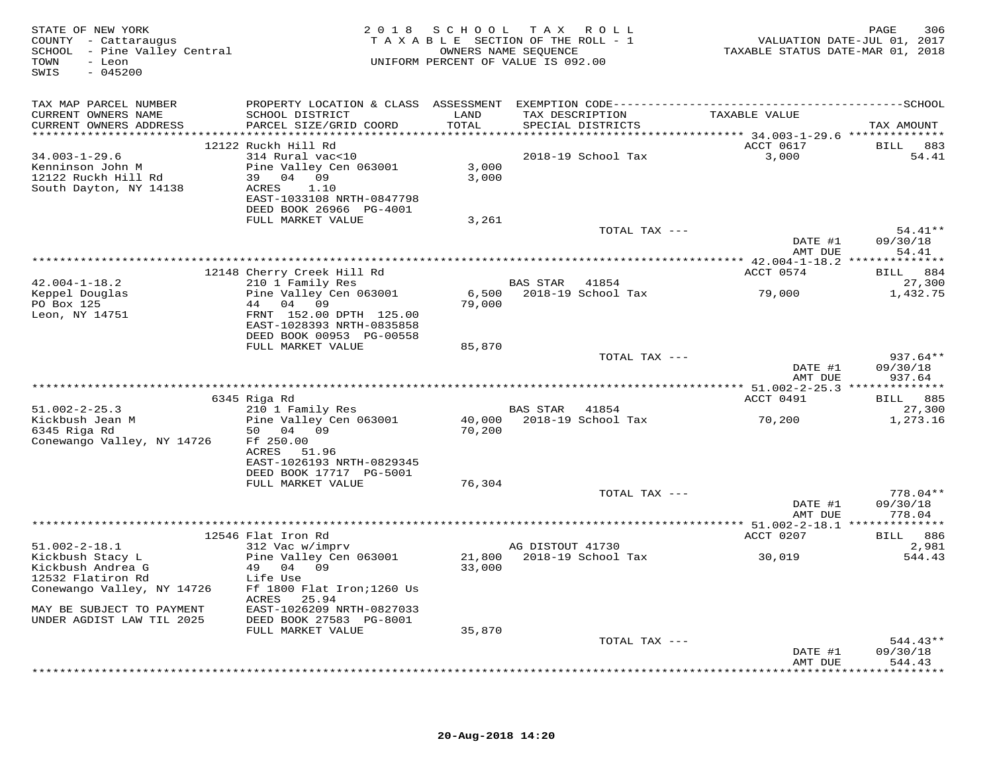| TAX MAP PARCEL NUMBER<br>CURRENT OWNERS NAME<br>SCHOOL DISTRICT<br>TAXABLE VALUE<br>LAND<br>TAX DESCRIPTION<br>PARCEL SIZE/GRID COORD<br>TOTAL<br>CURRENT OWNERS ADDRESS<br>SPECIAL DISTRICTS<br>ACCT 0617<br>12122 Ruckh Hill Rd<br>2018-19 School Tax<br>3,000<br>$34.003 - 1 - 29.6$<br>314 Rural vac<10<br>Pine Valley Cen 063001<br>3,000<br>Kenninson John M<br>12122 Ruckh Hill Rd<br>39 04 09<br>3,000<br>South Dayton, NY 14138<br>1.10<br>ACRES<br>EAST-1033108 NRTH-0847798<br>DEED BOOK 26966 PG-4001<br>FULL MARKET VALUE<br>3,261<br>TOTAL TAX ---<br>DATE #1<br>09/30/18<br>AMT DUE<br>54.41<br>12148 Cherry Creek Hill Rd<br>ACCT 0574<br>BILL<br>210 1 Family Res<br>$42.004 - 1 - 18.2$<br>BAS STAR<br>41854<br>Pine Valley Cen 063001<br>2018-19 School Tax<br>79,000<br>Keppel Douglas<br>6,500<br>04 09<br>79,000<br>PO Box 125<br>44<br>Leon, NY 14751<br>FRNT 152.00 DPTH 125.00<br>EAST-1028393 NRTH-0835858<br>DEED BOOK 00953 PG-00558<br>FULL MARKET VALUE<br>85,870<br>TOTAL TAX ---<br>937.64**<br>DATE #1<br>09/30/18<br>AMT DUE<br>937.64<br>ACCT 0491<br>6345 Riga Rd<br>210 1 Family Res<br>$51.002 - 2 - 25.3$<br>BAS STAR 41854<br>27,300<br>2018-19 School Tax<br>Kickbush Jean M<br>Pine Valley Cen 063001<br>40,000<br>70,200<br>1,273.16<br>6345 Riga Rd<br>50 04 09<br>70,200<br>Conewango Valley, NY 14726<br>Ff 250.00<br>ACRES<br>51.96<br>EAST-1026193 NRTH-0829345<br>DEED BOOK 17717 PG-5001<br>FULL MARKET VALUE<br>76,304<br>TOTAL TAX ---<br>778.04**<br>DATE #1<br>09/30/18<br>778.04<br>AMT DUE<br>ACCT 0207<br>12546 Flat Iron Rd<br><b>BILL</b> 886<br>312 Vac w/imprv<br>AG DISTOUT 41730<br>$51.002 - 2 - 18.1$<br>2,981<br>21,800<br>2018-19 School Tax<br>Kickbush Stacy L<br>Pine Valley Cen 063001<br>30,019<br>544.43<br>Kickbush Andrea G<br>49 04 09<br>33,000<br>12532 Flatiron Rd<br>Life Use<br>Conewango Valley, NY 14726<br>Ff 1800 Flat Iron; 1260 Us<br>ACRES<br>25.94<br>MAY BE SUBJECT TO PAYMENT<br>EAST-1026209 NRTH-0827033<br>UNDER AGDIST LAW TIL 2025<br>DEED BOOK 27583 PG-8001<br>FULL MARKET VALUE<br>35,870<br>TOTAL TAX --- | STATE OF NEW YORK<br>COUNTY - Cattaraugus<br>SCHOOL - Pine Valley Central<br>- Leon<br>TOWN<br>SWIS<br>$-045200$ | 2018 SCHOOL TAX ROLL<br>TAXABLE SECTION OF THE ROLL - 1<br>UNIFORM PERCENT OF VALUE IS 092.00 | OWNERS NAME SEQUENCE | TAXABLE STATUS DATE-MAR 01, 2018 | PAGE<br>306<br>VALUATION DATE-JUL 01, 2017 |
|---------------------------------------------------------------------------------------------------------------------------------------------------------------------------------------------------------------------------------------------------------------------------------------------------------------------------------------------------------------------------------------------------------------------------------------------------------------------------------------------------------------------------------------------------------------------------------------------------------------------------------------------------------------------------------------------------------------------------------------------------------------------------------------------------------------------------------------------------------------------------------------------------------------------------------------------------------------------------------------------------------------------------------------------------------------------------------------------------------------------------------------------------------------------------------------------------------------------------------------------------------------------------------------------------------------------------------------------------------------------------------------------------------------------------------------------------------------------------------------------------------------------------------------------------------------------------------------------------------------------------------------------------------------------------------------------------------------------------------------------------------------------------------------------------------------------------------------------------------------------------------------------------------------------------------------------------------------------------------------------------------------------------------------------------------------------------------------------------------------|------------------------------------------------------------------------------------------------------------------|-----------------------------------------------------------------------------------------------|----------------------|----------------------------------|--------------------------------------------|
|                                                                                                                                                                                                                                                                                                                                                                                                                                                                                                                                                                                                                                                                                                                                                                                                                                                                                                                                                                                                                                                                                                                                                                                                                                                                                                                                                                                                                                                                                                                                                                                                                                                                                                                                                                                                                                                                                                                                                                                                                                                                                                               |                                                                                                                  |                                                                                               |                      |                                  |                                            |
|                                                                                                                                                                                                                                                                                                                                                                                                                                                                                                                                                                                                                                                                                                                                                                                                                                                                                                                                                                                                                                                                                                                                                                                                                                                                                                                                                                                                                                                                                                                                                                                                                                                                                                                                                                                                                                                                                                                                                                                                                                                                                                               |                                                                                                                  |                                                                                               |                      |                                  | TAX AMOUNT                                 |
|                                                                                                                                                                                                                                                                                                                                                                                                                                                                                                                                                                                                                                                                                                                                                                                                                                                                                                                                                                                                                                                                                                                                                                                                                                                                                                                                                                                                                                                                                                                                                                                                                                                                                                                                                                                                                                                                                                                                                                                                                                                                                                               |                                                                                                                  |                                                                                               |                      |                                  | BILL 883                                   |
|                                                                                                                                                                                                                                                                                                                                                                                                                                                                                                                                                                                                                                                                                                                                                                                                                                                                                                                                                                                                                                                                                                                                                                                                                                                                                                                                                                                                                                                                                                                                                                                                                                                                                                                                                                                                                                                                                                                                                                                                                                                                                                               |                                                                                                                  |                                                                                               |                      |                                  | 54.41                                      |
|                                                                                                                                                                                                                                                                                                                                                                                                                                                                                                                                                                                                                                                                                                                                                                                                                                                                                                                                                                                                                                                                                                                                                                                                                                                                                                                                                                                                                                                                                                                                                                                                                                                                                                                                                                                                                                                                                                                                                                                                                                                                                                               |                                                                                                                  |                                                                                               |                      |                                  |                                            |
|                                                                                                                                                                                                                                                                                                                                                                                                                                                                                                                                                                                                                                                                                                                                                                                                                                                                                                                                                                                                                                                                                                                                                                                                                                                                                                                                                                                                                                                                                                                                                                                                                                                                                                                                                                                                                                                                                                                                                                                                                                                                                                               |                                                                                                                  |                                                                                               |                      |                                  |                                            |
|                                                                                                                                                                                                                                                                                                                                                                                                                                                                                                                                                                                                                                                                                                                                                                                                                                                                                                                                                                                                                                                                                                                                                                                                                                                                                                                                                                                                                                                                                                                                                                                                                                                                                                                                                                                                                                                                                                                                                                                                                                                                                                               |                                                                                                                  |                                                                                               |                      |                                  |                                            |
|                                                                                                                                                                                                                                                                                                                                                                                                                                                                                                                                                                                                                                                                                                                                                                                                                                                                                                                                                                                                                                                                                                                                                                                                                                                                                                                                                                                                                                                                                                                                                                                                                                                                                                                                                                                                                                                                                                                                                                                                                                                                                                               |                                                                                                                  |                                                                                               |                      |                                  |                                            |
|                                                                                                                                                                                                                                                                                                                                                                                                                                                                                                                                                                                                                                                                                                                                                                                                                                                                                                                                                                                                                                                                                                                                                                                                                                                                                                                                                                                                                                                                                                                                                                                                                                                                                                                                                                                                                                                                                                                                                                                                                                                                                                               |                                                                                                                  |                                                                                               |                      |                                  |                                            |
|                                                                                                                                                                                                                                                                                                                                                                                                                                                                                                                                                                                                                                                                                                                                                                                                                                                                                                                                                                                                                                                                                                                                                                                                                                                                                                                                                                                                                                                                                                                                                                                                                                                                                                                                                                                                                                                                                                                                                                                                                                                                                                               |                                                                                                                  |                                                                                               |                      |                                  | $54.41**$                                  |
|                                                                                                                                                                                                                                                                                                                                                                                                                                                                                                                                                                                                                                                                                                                                                                                                                                                                                                                                                                                                                                                                                                                                                                                                                                                                                                                                                                                                                                                                                                                                                                                                                                                                                                                                                                                                                                                                                                                                                                                                                                                                                                               |                                                                                                                  |                                                                                               |                      |                                  |                                            |
|                                                                                                                                                                                                                                                                                                                                                                                                                                                                                                                                                                                                                                                                                                                                                                                                                                                                                                                                                                                                                                                                                                                                                                                                                                                                                                                                                                                                                                                                                                                                                                                                                                                                                                                                                                                                                                                                                                                                                                                                                                                                                                               |                                                                                                                  |                                                                                               |                      |                                  | 884                                        |
|                                                                                                                                                                                                                                                                                                                                                                                                                                                                                                                                                                                                                                                                                                                                                                                                                                                                                                                                                                                                                                                                                                                                                                                                                                                                                                                                                                                                                                                                                                                                                                                                                                                                                                                                                                                                                                                                                                                                                                                                                                                                                                               |                                                                                                                  |                                                                                               |                      |                                  | 27,300                                     |
|                                                                                                                                                                                                                                                                                                                                                                                                                                                                                                                                                                                                                                                                                                                                                                                                                                                                                                                                                                                                                                                                                                                                                                                                                                                                                                                                                                                                                                                                                                                                                                                                                                                                                                                                                                                                                                                                                                                                                                                                                                                                                                               |                                                                                                                  |                                                                                               |                      |                                  | 1,432.75                                   |
|                                                                                                                                                                                                                                                                                                                                                                                                                                                                                                                                                                                                                                                                                                                                                                                                                                                                                                                                                                                                                                                                                                                                                                                                                                                                                                                                                                                                                                                                                                                                                                                                                                                                                                                                                                                                                                                                                                                                                                                                                                                                                                               |                                                                                                                  |                                                                                               |                      |                                  |                                            |
|                                                                                                                                                                                                                                                                                                                                                                                                                                                                                                                                                                                                                                                                                                                                                                                                                                                                                                                                                                                                                                                                                                                                                                                                                                                                                                                                                                                                                                                                                                                                                                                                                                                                                                                                                                                                                                                                                                                                                                                                                                                                                                               |                                                                                                                  |                                                                                               |                      |                                  |                                            |
|                                                                                                                                                                                                                                                                                                                                                                                                                                                                                                                                                                                                                                                                                                                                                                                                                                                                                                                                                                                                                                                                                                                                                                                                                                                                                                                                                                                                                                                                                                                                                                                                                                                                                                                                                                                                                                                                                                                                                                                                                                                                                                               |                                                                                                                  |                                                                                               |                      |                                  |                                            |
|                                                                                                                                                                                                                                                                                                                                                                                                                                                                                                                                                                                                                                                                                                                                                                                                                                                                                                                                                                                                                                                                                                                                                                                                                                                                                                                                                                                                                                                                                                                                                                                                                                                                                                                                                                                                                                                                                                                                                                                                                                                                                                               |                                                                                                                  |                                                                                               |                      |                                  |                                            |
|                                                                                                                                                                                                                                                                                                                                                                                                                                                                                                                                                                                                                                                                                                                                                                                                                                                                                                                                                                                                                                                                                                                                                                                                                                                                                                                                                                                                                                                                                                                                                                                                                                                                                                                                                                                                                                                                                                                                                                                                                                                                                                               |                                                                                                                  |                                                                                               |                      |                                  |                                            |
|                                                                                                                                                                                                                                                                                                                                                                                                                                                                                                                                                                                                                                                                                                                                                                                                                                                                                                                                                                                                                                                                                                                                                                                                                                                                                                                                                                                                                                                                                                                                                                                                                                                                                                                                                                                                                                                                                                                                                                                                                                                                                                               |                                                                                                                  |                                                                                               |                      |                                  |                                            |
|                                                                                                                                                                                                                                                                                                                                                                                                                                                                                                                                                                                                                                                                                                                                                                                                                                                                                                                                                                                                                                                                                                                                                                                                                                                                                                                                                                                                                                                                                                                                                                                                                                                                                                                                                                                                                                                                                                                                                                                                                                                                                                               |                                                                                                                  |                                                                                               |                      |                                  | BILL 885                                   |
|                                                                                                                                                                                                                                                                                                                                                                                                                                                                                                                                                                                                                                                                                                                                                                                                                                                                                                                                                                                                                                                                                                                                                                                                                                                                                                                                                                                                                                                                                                                                                                                                                                                                                                                                                                                                                                                                                                                                                                                                                                                                                                               |                                                                                                                  |                                                                                               |                      |                                  |                                            |
|                                                                                                                                                                                                                                                                                                                                                                                                                                                                                                                                                                                                                                                                                                                                                                                                                                                                                                                                                                                                                                                                                                                                                                                                                                                                                                                                                                                                                                                                                                                                                                                                                                                                                                                                                                                                                                                                                                                                                                                                                                                                                                               |                                                                                                                  |                                                                                               |                      |                                  |                                            |
|                                                                                                                                                                                                                                                                                                                                                                                                                                                                                                                                                                                                                                                                                                                                                                                                                                                                                                                                                                                                                                                                                                                                                                                                                                                                                                                                                                                                                                                                                                                                                                                                                                                                                                                                                                                                                                                                                                                                                                                                                                                                                                               |                                                                                                                  |                                                                                               |                      |                                  |                                            |
|                                                                                                                                                                                                                                                                                                                                                                                                                                                                                                                                                                                                                                                                                                                                                                                                                                                                                                                                                                                                                                                                                                                                                                                                                                                                                                                                                                                                                                                                                                                                                                                                                                                                                                                                                                                                                                                                                                                                                                                                                                                                                                               |                                                                                                                  |                                                                                               |                      |                                  |                                            |
|                                                                                                                                                                                                                                                                                                                                                                                                                                                                                                                                                                                                                                                                                                                                                                                                                                                                                                                                                                                                                                                                                                                                                                                                                                                                                                                                                                                                                                                                                                                                                                                                                                                                                                                                                                                                                                                                                                                                                                                                                                                                                                               |                                                                                                                  |                                                                                               |                      |                                  |                                            |
|                                                                                                                                                                                                                                                                                                                                                                                                                                                                                                                                                                                                                                                                                                                                                                                                                                                                                                                                                                                                                                                                                                                                                                                                                                                                                                                                                                                                                                                                                                                                                                                                                                                                                                                                                                                                                                                                                                                                                                                                                                                                                                               |                                                                                                                  |                                                                                               |                      |                                  |                                            |
|                                                                                                                                                                                                                                                                                                                                                                                                                                                                                                                                                                                                                                                                                                                                                                                                                                                                                                                                                                                                                                                                                                                                                                                                                                                                                                                                                                                                                                                                                                                                                                                                                                                                                                                                                                                                                                                                                                                                                                                                                                                                                                               |                                                                                                                  |                                                                                               |                      |                                  |                                            |
|                                                                                                                                                                                                                                                                                                                                                                                                                                                                                                                                                                                                                                                                                                                                                                                                                                                                                                                                                                                                                                                                                                                                                                                                                                                                                                                                                                                                                                                                                                                                                                                                                                                                                                                                                                                                                                                                                                                                                                                                                                                                                                               |                                                                                                                  |                                                                                               |                      |                                  |                                            |
|                                                                                                                                                                                                                                                                                                                                                                                                                                                                                                                                                                                                                                                                                                                                                                                                                                                                                                                                                                                                                                                                                                                                                                                                                                                                                                                                                                                                                                                                                                                                                                                                                                                                                                                                                                                                                                                                                                                                                                                                                                                                                                               |                                                                                                                  |                                                                                               |                      |                                  |                                            |
|                                                                                                                                                                                                                                                                                                                                                                                                                                                                                                                                                                                                                                                                                                                                                                                                                                                                                                                                                                                                                                                                                                                                                                                                                                                                                                                                                                                                                                                                                                                                                                                                                                                                                                                                                                                                                                                                                                                                                                                                                                                                                                               |                                                                                                                  |                                                                                               |                      |                                  |                                            |
|                                                                                                                                                                                                                                                                                                                                                                                                                                                                                                                                                                                                                                                                                                                                                                                                                                                                                                                                                                                                                                                                                                                                                                                                                                                                                                                                                                                                                                                                                                                                                                                                                                                                                                                                                                                                                                                                                                                                                                                                                                                                                                               |                                                                                                                  |                                                                                               |                      |                                  |                                            |
|                                                                                                                                                                                                                                                                                                                                                                                                                                                                                                                                                                                                                                                                                                                                                                                                                                                                                                                                                                                                                                                                                                                                                                                                                                                                                                                                                                                                                                                                                                                                                                                                                                                                                                                                                                                                                                                                                                                                                                                                                                                                                                               |                                                                                                                  |                                                                                               |                      |                                  |                                            |
|                                                                                                                                                                                                                                                                                                                                                                                                                                                                                                                                                                                                                                                                                                                                                                                                                                                                                                                                                                                                                                                                                                                                                                                                                                                                                                                                                                                                                                                                                                                                                                                                                                                                                                                                                                                                                                                                                                                                                                                                                                                                                                               |                                                                                                                  |                                                                                               |                      |                                  |                                            |
|                                                                                                                                                                                                                                                                                                                                                                                                                                                                                                                                                                                                                                                                                                                                                                                                                                                                                                                                                                                                                                                                                                                                                                                                                                                                                                                                                                                                                                                                                                                                                                                                                                                                                                                                                                                                                                                                                                                                                                                                                                                                                                               |                                                                                                                  |                                                                                               |                      |                                  |                                            |
|                                                                                                                                                                                                                                                                                                                                                                                                                                                                                                                                                                                                                                                                                                                                                                                                                                                                                                                                                                                                                                                                                                                                                                                                                                                                                                                                                                                                                                                                                                                                                                                                                                                                                                                                                                                                                                                                                                                                                                                                                                                                                                               |                                                                                                                  |                                                                                               |                      |                                  |                                            |
|                                                                                                                                                                                                                                                                                                                                                                                                                                                                                                                                                                                                                                                                                                                                                                                                                                                                                                                                                                                                                                                                                                                                                                                                                                                                                                                                                                                                                                                                                                                                                                                                                                                                                                                                                                                                                                                                                                                                                                                                                                                                                                               |                                                                                                                  |                                                                                               |                      |                                  | 544.43**                                   |
| DATE #1<br>09/30/18<br>AMT DUE<br>544.43<br>************************************                                                                                                                                                                                                                                                                                                                                                                                                                                                                                                                                                                                                                                                                                                                                                                                                                                                                                                                                                                                                                                                                                                                                                                                                                                                                                                                                                                                                                                                                                                                                                                                                                                                                                                                                                                                                                                                                                                                                                                                                                              |                                                                                                                  |                                                                                               |                      |                                  | * * * * * * * *                            |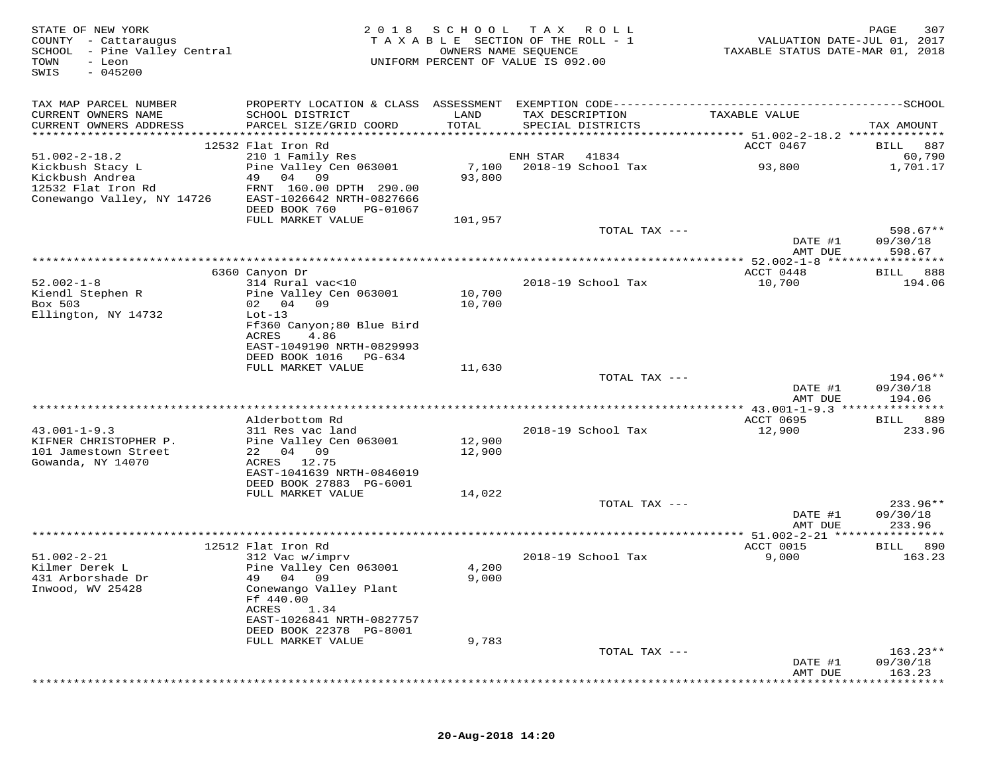| STATE OF NEW YORK<br>COUNTY - Cattaraugus<br>SCHOOL - Pine Valley Central<br>TOWN<br>- Leon<br>$-045200$<br>SWIS | 2 0 1 8                                            | S C H O O L<br>OWNERS NAME SEQUENCE | T A X<br>ROLL ROLL<br>TAXABLE SECTION OF THE ROLL - 1<br>UNIFORM PERCENT OF VALUE IS 092.00 | VALUATION DATE-JUL 01, 2017<br>TAXABLE STATUS DATE-MAR 01, 2018 | PAGE<br>307                 |
|------------------------------------------------------------------------------------------------------------------|----------------------------------------------------|-------------------------------------|---------------------------------------------------------------------------------------------|-----------------------------------------------------------------|-----------------------------|
| TAX MAP PARCEL NUMBER                                                                                            |                                                    |                                     |                                                                                             |                                                                 |                             |
| CURRENT OWNERS NAME                                                                                              | SCHOOL DISTRICT                                    | LAND                                | TAX DESCRIPTION                                                                             | TAXABLE VALUE                                                   |                             |
| CURRENT OWNERS ADDRESS                                                                                           | PARCEL SIZE/GRID COORD                             | TOTAL                               | SPECIAL DISTRICTS                                                                           |                                                                 | TAX AMOUNT                  |
|                                                                                                                  | 12532 Flat Iron Rd                                 |                                     |                                                                                             | ACCT 0467                                                       | BILL 887                    |
| $51.002 - 2 - 18.2$                                                                                              | 210 1 Family Res                                   |                                     | ENH STAR<br>41834                                                                           |                                                                 | 60,790                      |
| Kickbush Stacy L<br>Kickbush Andrea                                                                              | Pine Valley Cen 063001<br>49 04 09                 | 7,100<br>93,800                     | 2018-19 School Tax                                                                          | 93,800                                                          | 1,701.17                    |
| 12532 Flat Iron Rd                                                                                               | FRNT 160.00 DPTH 290.00                            |                                     |                                                                                             |                                                                 |                             |
| Conewango Valley, NY 14726                                                                                       | EAST-1026642 NRTH-0827666                          |                                     |                                                                                             |                                                                 |                             |
|                                                                                                                  | DEED BOOK 760<br>PG-01067                          |                                     |                                                                                             |                                                                 |                             |
|                                                                                                                  | FULL MARKET VALUE                                  | 101,957                             | TOTAL TAX ---                                                                               |                                                                 | $598.67**$                  |
|                                                                                                                  |                                                    |                                     |                                                                                             | DATE #1                                                         | 09/30/18                    |
|                                                                                                                  |                                                    |                                     |                                                                                             | AMT DUE                                                         | 598.67                      |
|                                                                                                                  | 6360 Canyon Dr                                     |                                     |                                                                                             | ACCT 0448                                                       | BILL<br>888                 |
| $52.002 - 1 - 8$                                                                                                 | 314 Rural vac<10                                   |                                     | 2018-19 School Tax                                                                          | 10,700                                                          | 194.06                      |
| Kiendl Stephen R                                                                                                 | Pine Valley Cen 063001                             | 10,700                              |                                                                                             |                                                                 |                             |
| Box 503<br>Ellington, NY 14732                                                                                   | 02 04 09<br>$Lot-13$                               | 10,700                              |                                                                                             |                                                                 |                             |
|                                                                                                                  | Ff360 Canyon;80 Blue Bird                          |                                     |                                                                                             |                                                                 |                             |
|                                                                                                                  | ACRES<br>4.86                                      |                                     |                                                                                             |                                                                 |                             |
|                                                                                                                  | EAST-1049190 NRTH-0829993<br>DEED BOOK 1016 PG-634 |                                     |                                                                                             |                                                                 |                             |
|                                                                                                                  | FULL MARKET VALUE                                  | 11,630                              |                                                                                             |                                                                 |                             |
|                                                                                                                  |                                                    |                                     | TOTAL TAX ---                                                                               |                                                                 | 194.06**                    |
|                                                                                                                  |                                                    |                                     |                                                                                             | DATE #1<br>AMT DUE                                              | 09/30/18<br>194.06          |
|                                                                                                                  |                                                    |                                     |                                                                                             | ********** 43.001-1-9.3 ***************                         |                             |
|                                                                                                                  | Alderbottom Rd                                     |                                     |                                                                                             | ACCT 0695                                                       | 889<br>BILL                 |
| $43.001 - 1 - 9.3$<br>KIFNER CHRISTOPHER P.                                                                      | 311 Res vac land<br>Pine Valley Cen 063001         | 12,900                              | 2018-19 School Tax                                                                          | 12,900                                                          | 233.96                      |
| 101 Jamestown Street                                                                                             | 22 04 09                                           | 12,900                              |                                                                                             |                                                                 |                             |
| Gowanda, NY 14070                                                                                                | ACRES 12.75                                        |                                     |                                                                                             |                                                                 |                             |
|                                                                                                                  | EAST-1041639 NRTH-0846019                          |                                     |                                                                                             |                                                                 |                             |
|                                                                                                                  | DEED BOOK 27883 PG-6001<br>FULL MARKET VALUE       | 14,022                              |                                                                                             |                                                                 |                             |
|                                                                                                                  |                                                    |                                     | TOTAL TAX ---                                                                               |                                                                 | $233.96**$                  |
|                                                                                                                  |                                                    |                                     |                                                                                             | DATE #1                                                         | 09/30/18                    |
|                                                                                                                  |                                                    |                                     | ***********************                                                                     | AMT DUE<br>*** 51.002-2-21 ***                                  | 233.96<br>* * * * * * * * * |
|                                                                                                                  | 12512 Flat Iron Rd                                 |                                     |                                                                                             | ACCT 0015                                                       | 890<br>BILL                 |
| $51.002 - 2 - 21$                                                                                                | 312 Vac w/imprv                                    |                                     | 2018-19 School Tax                                                                          | 9,000                                                           | 163.23                      |
| Kilmer Derek L<br>431 Arborshade Dr                                                                              | Pine Valley Cen 063001<br>49 04 09                 | 4,200<br>9,000                      |                                                                                             |                                                                 |                             |
| Inwood, WV 25428                                                                                                 | Conewango Valley Plant                             |                                     |                                                                                             |                                                                 |                             |
|                                                                                                                  | Ff 440.00                                          |                                     |                                                                                             |                                                                 |                             |
|                                                                                                                  | ACRES<br>1.34<br>EAST-1026841 NRTH-0827757         |                                     |                                                                                             |                                                                 |                             |
|                                                                                                                  | DEED BOOK 22378 PG-8001                            |                                     |                                                                                             |                                                                 |                             |
|                                                                                                                  | FULL MARKET VALUE                                  | 9,783                               |                                                                                             |                                                                 |                             |
|                                                                                                                  |                                                    |                                     | TOTAL TAX ---                                                                               |                                                                 | $163.23**$<br>09/30/18      |
|                                                                                                                  |                                                    |                                     |                                                                                             | DATE #1<br>AMT DUE                                              | 163.23                      |
|                                                                                                                  |                                                    |                                     |                                                                                             |                                                                 |                             |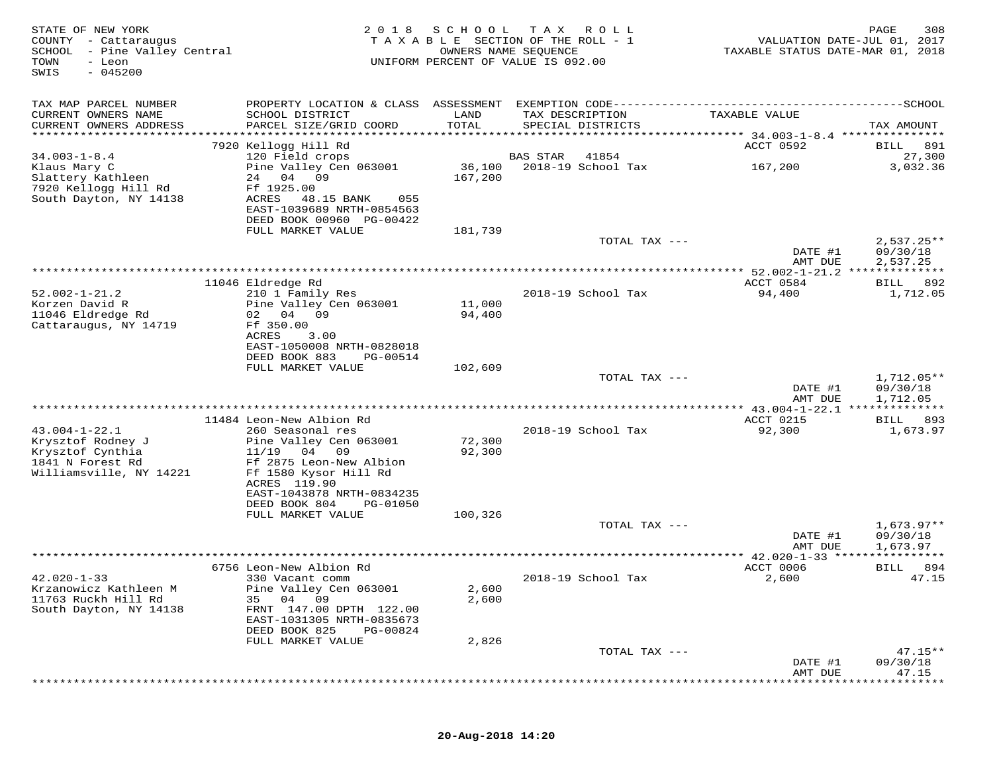| COUNTY - Cattaraugus<br>SCHOOL - Pine Valley Central<br>TOWN<br>- Leon<br>$-045200$<br>SWIS |                                                                                            | 2018<br>SCHOOL<br>OWNERS NAME SEQUENCE | T A X<br>R O L L<br>TAXABLE SECTION OF THE ROLL - 1<br>UNIFORM PERCENT OF VALUE IS 092.00 | VALUATION DATE-JUL 01, 2017<br>TAXABLE STATUS DATE-MAR 01, 2018 | 308<br>PAGE                          |
|---------------------------------------------------------------------------------------------|--------------------------------------------------------------------------------------------|----------------------------------------|-------------------------------------------------------------------------------------------|-----------------------------------------------------------------|--------------------------------------|
| TAX MAP PARCEL NUMBER                                                                       |                                                                                            |                                        |                                                                                           |                                                                 |                                      |
| CURRENT OWNERS NAME<br>CURRENT OWNERS ADDRESS                                               | SCHOOL DISTRICT<br>PARCEL SIZE/GRID COORD                                                  | LAND<br>TOTAL                          | TAX DESCRIPTION<br>SPECIAL DISTRICTS                                                      | TAXABLE VALUE                                                   | TAX AMOUNT                           |
|                                                                                             | 7920 Kellogg Hill Rd                                                                       |                                        |                                                                                           | ACCT 0592                                                       | <b>BILL</b><br>891                   |
| $34.003 - 1 - 8.4$                                                                          | 120 Field crops                                                                            |                                        | 41854<br>BAS STAR                                                                         |                                                                 | 27,300                               |
| Klaus Mary C<br>Slattery Kathleen<br>7920 Kellogg Hill Rd<br>South Dayton, NY 14138         | Pine Valley Cen 063001<br>24 04<br>09<br>Ff 1925.00<br>ACRES<br>48.15 BANK<br>055          | 36,100<br>167,200                      | 2018-19 School Tax                                                                        | 167,200                                                         | 3,032.36                             |
|                                                                                             | EAST-1039689 NRTH-0854563<br>DEED BOOK 00960 PG-00422                                      |                                        |                                                                                           |                                                                 |                                      |
|                                                                                             | FULL MARKET VALUE                                                                          | 181,739                                |                                                                                           |                                                                 |                                      |
|                                                                                             |                                                                                            |                                        | TOTAL TAX ---                                                                             | DATE #1<br>AMT DUE                                              | $2,537.25**$<br>09/30/18<br>2,537.25 |
|                                                                                             |                                                                                            |                                        |                                                                                           |                                                                 |                                      |
|                                                                                             | 11046 Eldredge Rd                                                                          |                                        |                                                                                           | ACCT 0584                                                       | 892<br>BILL                          |
| $52.002 - 1 - 21.2$<br>Korzen David R<br>11046 Eldredge Rd                                  | 210 1 Family Res<br>Pine Valley Cen 063001<br>02 04<br>09                                  | 11,000<br>94,400                       | 2018-19 School Tax                                                                        | 94,400                                                          | 1,712.05                             |
| Cattaraugus, NY 14719                                                                       | Ff 350.00<br>ACRES<br>3.00<br>EAST-1050008 NRTH-0828018                                    |                                        |                                                                                           |                                                                 |                                      |
|                                                                                             | DEED BOOK 883<br>PG-00514                                                                  |                                        |                                                                                           |                                                                 |                                      |
|                                                                                             | FULL MARKET VALUE                                                                          | 102,609                                |                                                                                           |                                                                 |                                      |
|                                                                                             |                                                                                            |                                        | TOTAL TAX ---                                                                             | DATE #1<br>AMT DUE                                              | $1,712.05**$<br>09/30/18<br>1,712.05 |
|                                                                                             |                                                                                            |                                        |                                                                                           |                                                                 |                                      |
|                                                                                             | 11484 Leon-New Albion Rd                                                                   |                                        |                                                                                           | ACCT 0215                                                       | BILL 893                             |
| $43.004 - 1 - 22.1$<br>Krysztof Rodney J<br>Krysztof Cynthia<br>1841 N Forest Rd            | 260 Seasonal res<br>Pine Valley Cen 063001<br>11/19<br>04<br>09<br>Ff 2875 Leon-New Albion | 72,300<br>92,300                       | 2018-19 School Tax                                                                        | 92,300                                                          | 1,673.97                             |
| Williamsville, NY 14221                                                                     | Ff 1580 Kysor Hill Rd<br>ACRES 119.90<br>EAST-1043878 NRTH-0834235                         |                                        |                                                                                           |                                                                 |                                      |
|                                                                                             | DEED BOOK 804<br>PG-01050                                                                  |                                        |                                                                                           |                                                                 |                                      |
|                                                                                             | FULL MARKET VALUE                                                                          | 100,326                                | TOTAL TAX ---                                                                             |                                                                 | $1,673.97**$                         |
|                                                                                             |                                                                                            |                                        |                                                                                           | DATE #1<br>AMT DUE                                              | 09/30/18<br>1,673.97                 |
|                                                                                             | 6756 Leon-New Albion Rd                                                                    |                                        |                                                                                           | ACCT 0006                                                       | 894<br><b>BILL</b>                   |
| $42.020 - 1 - 33$<br>Krzanowicz Kathleen M                                                  | 330 Vacant comm<br>Pine Valley Cen 063001                                                  | 2,600                                  | 2018-19 School Tax                                                                        | 2,600                                                           | 47.15                                |
| 11763 Ruckh Hill Rd<br>South Dayton, NY 14138                                               | 04<br>09<br>35<br>FRNT 147.00 DPTH 122.00<br>EAST-1031305 NRTH-0835673                     | 2,600                                  |                                                                                           |                                                                 |                                      |
|                                                                                             | DEED BOOK 825<br>PG-00824<br>FULL MARKET VALUE                                             | 2,826                                  |                                                                                           |                                                                 |                                      |
|                                                                                             |                                                                                            |                                        | TOTAL TAX ---                                                                             |                                                                 | $47.15**$                            |
|                                                                                             |                                                                                            |                                        |                                                                                           | DATE #1<br>AMT DUE                                              | 09/30/18<br>47.15                    |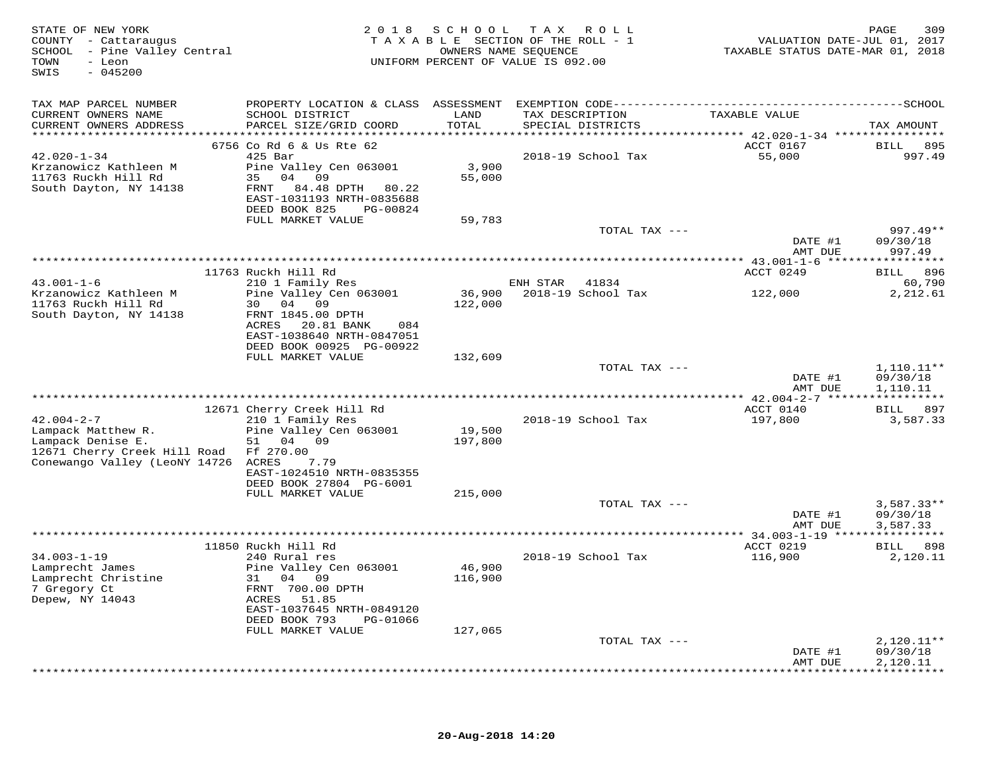| STATE OF NEW YORK<br>COUNTY - Cattaraugus<br>SCHOOL - Pine Valley Central<br>- Leon<br>TOWN<br>$-045200$<br>SWIS |                                                                                                                       |                 | 2018 SCHOOL TAX ROLL<br>TAXABLE SECTION OF THE ROLL - 1<br>OWNERS NAME SEQUENCE<br>UNIFORM PERCENT OF VALUE IS 092.00 | VALUATION DATE-JUL 01, 2017<br>TAXABLE STATUS DATE-MAR 01, 2018 | 309<br>PAGE                          |
|------------------------------------------------------------------------------------------------------------------|-----------------------------------------------------------------------------------------------------------------------|-----------------|-----------------------------------------------------------------------------------------------------------------------|-----------------------------------------------------------------|--------------------------------------|
| TAX MAP PARCEL NUMBER                                                                                            |                                                                                                                       |                 |                                                                                                                       |                                                                 |                                      |
| CURRENT OWNERS NAME<br>CURRENT OWNERS ADDRESS                                                                    | SCHOOL DISTRICT<br>PARCEL SIZE/GRID COORD                                                                             | LAND<br>TOTAL   | TAX DESCRIPTION<br>SPECIAL DISTRICTS                                                                                  | TAXABLE VALUE                                                   | TAX AMOUNT                           |
|                                                                                                                  | 6756 Co Rd 6 & Us Rte 62                                                                                              |                 |                                                                                                                       | ACCT 0167                                                       | BILL 895                             |
| $42.020 - 1 - 34$                                                                                                | $425$ Bar                                                                                                             |                 | 2018-19 School Tax                                                                                                    | 55,000                                                          | 997.49                               |
| Krzanowicz Kathleen M<br>11763 Ruckh Hill Rd<br>South Dayton, NY 14138                                           | Pine Valley Cen 063001<br>35 04 09<br>FRNT 84.48 DPTH 80.22<br>EAST-1031193 NRTH-0835688<br>DEED BOOK 825<br>PG-00824 | 3,900<br>55,000 |                                                                                                                       |                                                                 |                                      |
|                                                                                                                  | FULL MARKET VALUE                                                                                                     | 59,783          |                                                                                                                       |                                                                 |                                      |
|                                                                                                                  |                                                                                                                       |                 | TOTAL TAX ---                                                                                                         | DATE #1<br>AMT DUE                                              | 997.49**<br>09/30/18<br>997.49       |
|                                                                                                                  |                                                                                                                       |                 |                                                                                                                       |                                                                 |                                      |
|                                                                                                                  | 11763 Ruckh Hill Rd                                                                                                   |                 |                                                                                                                       | ACCT 0249                                                       | 896<br>BILL                          |
| $43.001 - 1 - 6$<br>Krzanowicz Kathleen M                                                                        | 210 1 Family Res                                                                                                      |                 | ENH STAR 41834<br>36,900    2018-19    School Tax                                                                     | 122,000                                                         | 60,790<br>2,212.61                   |
| 11763 Ruckh Hill Rd<br>South Dayton, NY 14138                                                                    | Pine Valley Cen 063001<br>30 04 09<br>FRNT 1845.00 DPTH                                                               | 122,000         |                                                                                                                       |                                                                 |                                      |
|                                                                                                                  | ACRES 20.81 BANK<br>084<br>EAST-1038640 NRTH-0847051<br>DEED BOOK 00925 PG-00922                                      |                 |                                                                                                                       |                                                                 |                                      |
|                                                                                                                  | FULL MARKET VALUE                                                                                                     | 132,609         |                                                                                                                       |                                                                 |                                      |
|                                                                                                                  |                                                                                                                       |                 | TOTAL TAX ---                                                                                                         | DATE #1<br>AMT DUE                                              | $1,110.11**$<br>09/30/18<br>1,110.11 |
|                                                                                                                  |                                                                                                                       |                 | ************************************                                                                                  | *********** 42.004-2-7 ******************                       |                                      |
|                                                                                                                  | 12671 Cherry Creek Hill Rd                                                                                            |                 |                                                                                                                       | ACCT 0140                                                       | BILL 897                             |
| $42.004 - 2 - 7$<br>Lampack Matthew R.                                                                           | 210 1 Family Res<br>Pine Valley Cen 063001                                                                            | 19,500          | 2018-19 School Tax                                                                                                    | 197,800                                                         | 3,587.33                             |
| Lampack Denise E.                                                                                                | 04 09<br>51                                                                                                           | 197,800         |                                                                                                                       |                                                                 |                                      |
| 12671 Cherry Creek Hill Road<br>Conewango Valley (LeoNY 14726 ACRES                                              | Ff 270.00<br>7.79                                                                                                     |                 |                                                                                                                       |                                                                 |                                      |
|                                                                                                                  | EAST-1024510 NRTH-0835355<br>DEED BOOK 27804 PG-6001                                                                  |                 |                                                                                                                       |                                                                 |                                      |
|                                                                                                                  | FULL MARKET VALUE                                                                                                     | 215,000         |                                                                                                                       |                                                                 |                                      |
|                                                                                                                  |                                                                                                                       |                 | TOTAL TAX ---                                                                                                         |                                                                 | $3,587.33**$                         |
|                                                                                                                  |                                                                                                                       |                 |                                                                                                                       | DATE #1<br>AMT DUE                                              | 09/30/18<br>3,587.33                 |
|                                                                                                                  | 11850 Ruckh Hill Rd                                                                                                   |                 |                                                                                                                       | ACCT 0219                                                       | BILL 898                             |
| $34.003 - 1 - 19$                                                                                                | 240 Rural res                                                                                                         |                 | 2018-19 School Tax                                                                                                    | 116,900                                                         | 2,120.11                             |
| Lamprecht James                                                                                                  | Pine Valley Cen 063001                                                                                                | 46,900          |                                                                                                                       |                                                                 |                                      |
| Lamprecht Christine<br>7 Gregory Ct                                                                              | 31 04 09<br>FRNT 700.00 DPTH                                                                                          | 116,900         |                                                                                                                       |                                                                 |                                      |
| Depew, NY 14043                                                                                                  | ACRES<br>51.85<br>EAST-1037645 NRTH-0849120                                                                           |                 |                                                                                                                       |                                                                 |                                      |
|                                                                                                                  | DEED BOOK 793<br>PG-01066                                                                                             |                 |                                                                                                                       |                                                                 |                                      |
|                                                                                                                  | FULL MARKET VALUE                                                                                                     | 127,065         | TOTAL TAX ---                                                                                                         |                                                                 | $2,120.11**$                         |
|                                                                                                                  |                                                                                                                       |                 |                                                                                                                       | DATE #1<br>AMT DUE                                              | 09/30/18<br>2,120.11                 |
|                                                                                                                  |                                                                                                                       |                 |                                                                                                                       |                                                                 | * * * * * * * * * * *                |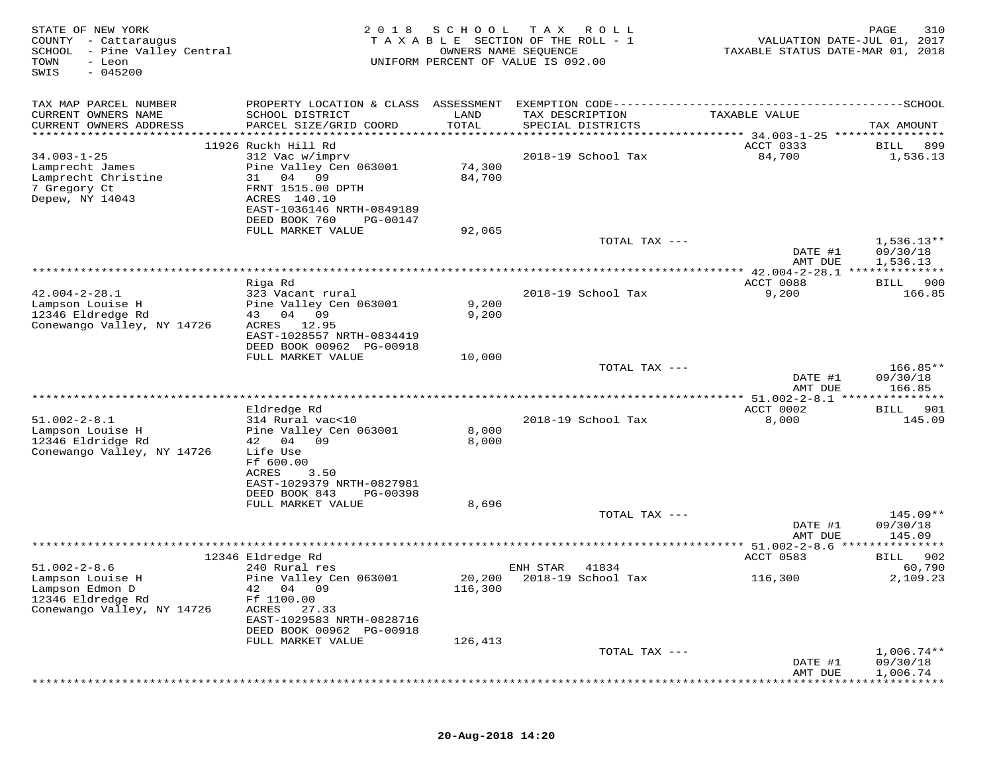| TAX MAP PARCEL NUMBER<br>CURRENT OWNERS NAME<br>SCHOOL DISTRICT<br>LAND<br>TAX DESCRIPTION<br>TAXABLE VALUE<br>CURRENT OWNERS ADDRESS<br>PARCEL SIZE/GRID COORD<br>TOTAL<br>SPECIAL DISTRICTS<br>TAX AMOUNT<br>***********************<br>11926 Ruckh Hill Rd<br>ACCT 0333<br>BILL<br>$34.003 - 1 - 25$<br>312 Vac w/imprv<br>2018-19 School Tax<br>84,700<br>1,536.13<br>Pine Valley Cen 063001<br>74,300<br>Lamprecht James<br>Lamprecht Christine<br>04 09<br>84,700<br>31<br>7 Gregory Ct<br>FRNT 1515.00 DPTH<br>Depew, NY 14043<br>ACRES 140.10<br>EAST-1036146 NRTH-0849189<br>DEED BOOK 760<br>PG-00147<br>FULL MARKET VALUE<br>92,065<br>$1,536.13**$<br>TOTAL TAX ---<br>DATE #1<br>09/30/18<br>1,536.13<br>AMT DUE<br>***************<br>ACCT 0088<br>Riga Rd<br>BILL<br>$42.004 - 2 - 28.1$<br>323 Vacant rural<br>2018-19 School Tax<br>9,200<br>166.85<br>9,200<br>Lampson Louise H<br>Pine Valley Cen 063001<br>12346 Eldredge Rd<br>43 04 09<br>9,200<br>Conewango Valley, NY 14726<br>12.95<br>ACRES | 310<br>VALUATION DATE-JUL 01, 2017<br>TAXABLE STATUS DATE-MAR 01, 2018 |
|-----------------------------------------------------------------------------------------------------------------------------------------------------------------------------------------------------------------------------------------------------------------------------------------------------------------------------------------------------------------------------------------------------------------------------------------------------------------------------------------------------------------------------------------------------------------------------------------------------------------------------------------------------------------------------------------------------------------------------------------------------------------------------------------------------------------------------------------------------------------------------------------------------------------------------------------------------------------------------------------------------------------------|------------------------------------------------------------------------|
|                                                                                                                                                                                                                                                                                                                                                                                                                                                                                                                                                                                                                                                                                                                                                                                                                                                                                                                                                                                                                       |                                                                        |
|                                                                                                                                                                                                                                                                                                                                                                                                                                                                                                                                                                                                                                                                                                                                                                                                                                                                                                                                                                                                                       |                                                                        |
|                                                                                                                                                                                                                                                                                                                                                                                                                                                                                                                                                                                                                                                                                                                                                                                                                                                                                                                                                                                                                       |                                                                        |
|                                                                                                                                                                                                                                                                                                                                                                                                                                                                                                                                                                                                                                                                                                                                                                                                                                                                                                                                                                                                                       | 899                                                                    |
|                                                                                                                                                                                                                                                                                                                                                                                                                                                                                                                                                                                                                                                                                                                                                                                                                                                                                                                                                                                                                       |                                                                        |
|                                                                                                                                                                                                                                                                                                                                                                                                                                                                                                                                                                                                                                                                                                                                                                                                                                                                                                                                                                                                                       |                                                                        |
|                                                                                                                                                                                                                                                                                                                                                                                                                                                                                                                                                                                                                                                                                                                                                                                                                                                                                                                                                                                                                       |                                                                        |
|                                                                                                                                                                                                                                                                                                                                                                                                                                                                                                                                                                                                                                                                                                                                                                                                                                                                                                                                                                                                                       |                                                                        |
|                                                                                                                                                                                                                                                                                                                                                                                                                                                                                                                                                                                                                                                                                                                                                                                                                                                                                                                                                                                                                       |                                                                        |
|                                                                                                                                                                                                                                                                                                                                                                                                                                                                                                                                                                                                                                                                                                                                                                                                                                                                                                                                                                                                                       |                                                                        |
|                                                                                                                                                                                                                                                                                                                                                                                                                                                                                                                                                                                                                                                                                                                                                                                                                                                                                                                                                                                                                       |                                                                        |
|                                                                                                                                                                                                                                                                                                                                                                                                                                                                                                                                                                                                                                                                                                                                                                                                                                                                                                                                                                                                                       |                                                                        |
|                                                                                                                                                                                                                                                                                                                                                                                                                                                                                                                                                                                                                                                                                                                                                                                                                                                                                                                                                                                                                       |                                                                        |
|                                                                                                                                                                                                                                                                                                                                                                                                                                                                                                                                                                                                                                                                                                                                                                                                                                                                                                                                                                                                                       | 900                                                                    |
|                                                                                                                                                                                                                                                                                                                                                                                                                                                                                                                                                                                                                                                                                                                                                                                                                                                                                                                                                                                                                       |                                                                        |
|                                                                                                                                                                                                                                                                                                                                                                                                                                                                                                                                                                                                                                                                                                                                                                                                                                                                                                                                                                                                                       |                                                                        |
|                                                                                                                                                                                                                                                                                                                                                                                                                                                                                                                                                                                                                                                                                                                                                                                                                                                                                                                                                                                                                       |                                                                        |
| EAST-1028557 NRTH-0834419<br>DEED BOOK 00962 PG-00918                                                                                                                                                                                                                                                                                                                                                                                                                                                                                                                                                                                                                                                                                                                                                                                                                                                                                                                                                                 |                                                                        |
| FULL MARKET VALUE<br>10,000                                                                                                                                                                                                                                                                                                                                                                                                                                                                                                                                                                                                                                                                                                                                                                                                                                                                                                                                                                                           |                                                                        |
| $166.85**$<br>TOTAL TAX ---                                                                                                                                                                                                                                                                                                                                                                                                                                                                                                                                                                                                                                                                                                                                                                                                                                                                                                                                                                                           |                                                                        |
| 09/30/18<br>DATE #1<br>166.85<br>AMT DUE                                                                                                                                                                                                                                                                                                                                                                                                                                                                                                                                                                                                                                                                                                                                                                                                                                                                                                                                                                              |                                                                        |
| ** 51.002-2-8.1 ****************                                                                                                                                                                                                                                                                                                                                                                                                                                                                                                                                                                                                                                                                                                                                                                                                                                                                                                                                                                                      |                                                                        |
| ACCT 0002<br>Eldredge Rd<br>BILL                                                                                                                                                                                                                                                                                                                                                                                                                                                                                                                                                                                                                                                                                                                                                                                                                                                                                                                                                                                      | 901                                                                    |
| $51.002 - 2 - 8.1$<br>314 Rural vac<10<br>2018-19 School Tax<br>8,000<br>Lampson Louise H<br>Pine Valley Cen 063001<br>8,000                                                                                                                                                                                                                                                                                                                                                                                                                                                                                                                                                                                                                                                                                                                                                                                                                                                                                          | 145.09                                                                 |
| 12346 Eldridge Rd<br>42 04 09<br>8,000                                                                                                                                                                                                                                                                                                                                                                                                                                                                                                                                                                                                                                                                                                                                                                                                                                                                                                                                                                                |                                                                        |
| Conewango Valley, NY 14726<br>Life Use                                                                                                                                                                                                                                                                                                                                                                                                                                                                                                                                                                                                                                                                                                                                                                                                                                                                                                                                                                                |                                                                        |
| Ff 600.00<br>ACRES<br>3.50                                                                                                                                                                                                                                                                                                                                                                                                                                                                                                                                                                                                                                                                                                                                                                                                                                                                                                                                                                                            |                                                                        |
| EAST-1029379 NRTH-0827981                                                                                                                                                                                                                                                                                                                                                                                                                                                                                                                                                                                                                                                                                                                                                                                                                                                                                                                                                                                             |                                                                        |
| DEED BOOK 843<br>PG-00398                                                                                                                                                                                                                                                                                                                                                                                                                                                                                                                                                                                                                                                                                                                                                                                                                                                                                                                                                                                             |                                                                        |
| FULL MARKET VALUE<br>8,696<br>145.09**                                                                                                                                                                                                                                                                                                                                                                                                                                                                                                                                                                                                                                                                                                                                                                                                                                                                                                                                                                                |                                                                        |
| TOTAL TAX ---<br>DATE #1<br>09/30/18                                                                                                                                                                                                                                                                                                                                                                                                                                                                                                                                                                                                                                                                                                                                                                                                                                                                                                                                                                                  |                                                                        |
| 145.09<br>AMT DUE                                                                                                                                                                                                                                                                                                                                                                                                                                                                                                                                                                                                                                                                                                                                                                                                                                                                                                                                                                                                     |                                                                        |
| *********** 51.002-2-8.6 ******<br>* * * * * * * * *                                                                                                                                                                                                                                                                                                                                                                                                                                                                                                                                                                                                                                                                                                                                                                                                                                                                                                                                                                  |                                                                        |
| 12346 Eldredge Rd<br>ACCT 0583<br>BILL<br>$51.002 - 2 - 8.6$<br>240 Rural res<br>ENH STAR<br>41834                                                                                                                                                                                                                                                                                                                                                                                                                                                                                                                                                                                                                                                                                                                                                                                                                                                                                                                    | 902<br>60,790                                                          |
| Pine Valley Cen 063001<br>20,200 2018-19 School Tax<br>116,300<br>2,109.23<br>Lampson Louise H                                                                                                                                                                                                                                                                                                                                                                                                                                                                                                                                                                                                                                                                                                                                                                                                                                                                                                                        |                                                                        |
| Lampson Edmon D<br>04 09<br>116,300<br>42                                                                                                                                                                                                                                                                                                                                                                                                                                                                                                                                                                                                                                                                                                                                                                                                                                                                                                                                                                             |                                                                        |
| 12346 Eldredge Rd<br>Ff 1100.00<br>Conewango Valley, NY 14726<br>ACRES<br>27.33                                                                                                                                                                                                                                                                                                                                                                                                                                                                                                                                                                                                                                                                                                                                                                                                                                                                                                                                       |                                                                        |
| EAST-1029583 NRTH-0828716                                                                                                                                                                                                                                                                                                                                                                                                                                                                                                                                                                                                                                                                                                                                                                                                                                                                                                                                                                                             |                                                                        |
| DEED BOOK 00962 PG-00918                                                                                                                                                                                                                                                                                                                                                                                                                                                                                                                                                                                                                                                                                                                                                                                                                                                                                                                                                                                              |                                                                        |
| FULL MARKET VALUE<br>126,413<br>$1,006.74**$<br>TOTAL TAX ---                                                                                                                                                                                                                                                                                                                                                                                                                                                                                                                                                                                                                                                                                                                                                                                                                                                                                                                                                         |                                                                        |
| 09/30/18<br>DATE #1                                                                                                                                                                                                                                                                                                                                                                                                                                                                                                                                                                                                                                                                                                                                                                                                                                                                                                                                                                                                   |                                                                        |
| 1,006.74<br>AMT DUE                                                                                                                                                                                                                                                                                                                                                                                                                                                                                                                                                                                                                                                                                                                                                                                                                                                                                                                                                                                                   |                                                                        |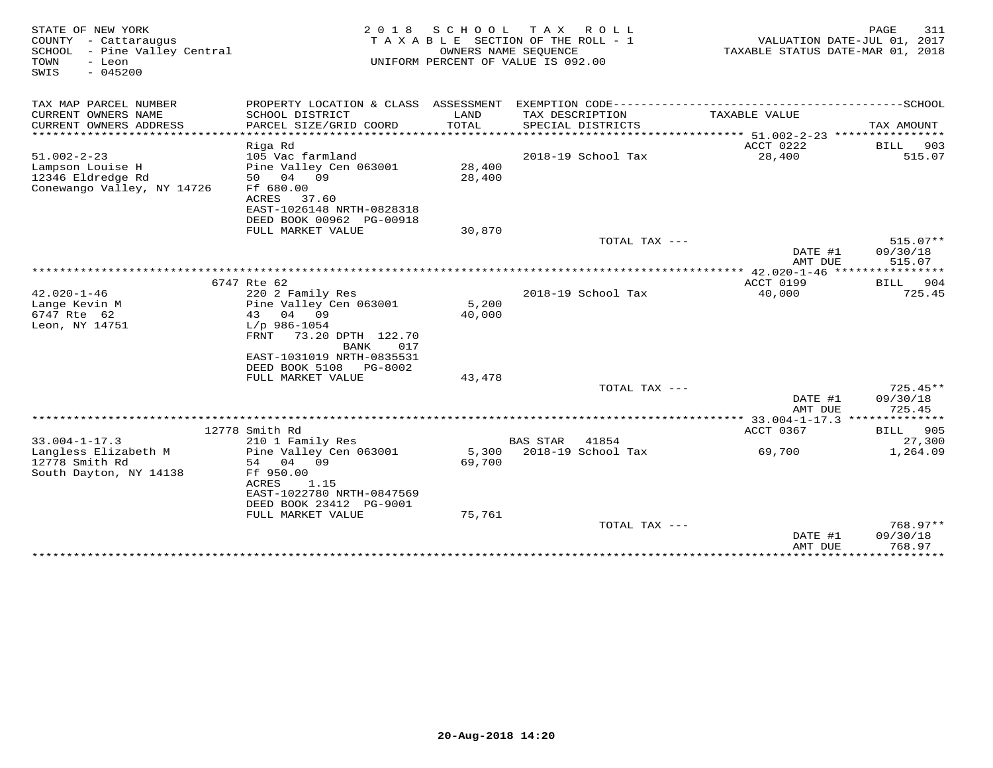| STATE OF NEW YORK<br>COUNTY - Cattaraugus<br>SCHOOL - Pine Valley Central<br>- Leon<br>TOWN<br>$-045200$<br>SWIS | 2 0 1 8                                               | S C H O O L     | T A X<br>R O L L<br>TAXABLE SECTION OF THE ROLL - 1<br>OWNERS NAME SEQUENCE<br>UNIFORM PERCENT OF VALUE IS 092.00 | TAXABLE STATUS DATE-MAR 01, 2018            | PAGE<br>311<br>VALUATION DATE-JUL 01, 2017 |
|------------------------------------------------------------------------------------------------------------------|-------------------------------------------------------|-----------------|-------------------------------------------------------------------------------------------------------------------|---------------------------------------------|--------------------------------------------|
| TAX MAP PARCEL NUMBER                                                                                            |                                                       |                 |                                                                                                                   |                                             |                                            |
| CURRENT OWNERS NAME<br>CURRENT OWNERS ADDRESS                                                                    | SCHOOL DISTRICT<br>PARCEL SIZE/GRID COORD             | LAND<br>TOTAL   | TAX DESCRIPTION<br>SPECIAL DISTRICTS                                                                              | TAXABLE VALUE                               | TAX AMOUNT                                 |
| *************************                                                                                        |                                                       |                 |                                                                                                                   |                                             |                                            |
|                                                                                                                  | Riga Rd                                               |                 |                                                                                                                   | ACCT 0222                                   | BILL<br>903                                |
| $51.002 - 2 - 23$                                                                                                | 105 Vac farmland                                      |                 | 2018-19 School Tax                                                                                                | 28,400                                      | 515.07                                     |
| Lampson Louise H                                                                                                 | Pine Valley Cen 063001                                | 28,400          |                                                                                                                   |                                             |                                            |
| 12346 Eldredge Rd                                                                                                | 50 04 09                                              | 28,400          |                                                                                                                   |                                             |                                            |
| Conewango Valley, NY 14726                                                                                       | Ff 680.00                                             |                 |                                                                                                                   |                                             |                                            |
|                                                                                                                  | ACRES<br>37.60                                        |                 |                                                                                                                   |                                             |                                            |
|                                                                                                                  | EAST-1026148 NRTH-0828318<br>DEED BOOK 00962 PG-00918 |                 |                                                                                                                   |                                             |                                            |
|                                                                                                                  | FULL MARKET VALUE                                     | 30,870          |                                                                                                                   |                                             |                                            |
|                                                                                                                  |                                                       |                 | TOTAL TAX ---                                                                                                     |                                             | $515.07**$                                 |
|                                                                                                                  |                                                       |                 |                                                                                                                   | DATE #1                                     | 09/30/18                                   |
|                                                                                                                  |                                                       |                 |                                                                                                                   | AMT DUE                                     | 515.07                                     |
|                                                                                                                  |                                                       |                 |                                                                                                                   | ************* 42.020-1-46 ***************** |                                            |
|                                                                                                                  | 6747 Rte 62                                           |                 |                                                                                                                   | ACCT 0199                                   | 904<br>BILL                                |
| $42.020 - 1 - 46$                                                                                                | 220 2 Family Res                                      |                 | 2018-19 School Tax                                                                                                | 40,000                                      | 725.45                                     |
| Lange Kevin M<br>6747 Rte 62                                                                                     | Pine Valley Cen 063001<br>04 09<br>43                 | 5,200<br>40,000 |                                                                                                                   |                                             |                                            |
| Leon, NY 14751                                                                                                   | $L/p$ 986-1054                                        |                 |                                                                                                                   |                                             |                                            |
|                                                                                                                  | 73.20 DPTH 122.70<br>FRNT                             |                 |                                                                                                                   |                                             |                                            |
|                                                                                                                  | 017<br><b>BANK</b>                                    |                 |                                                                                                                   |                                             |                                            |
|                                                                                                                  | EAST-1031019 NRTH-0835531                             |                 |                                                                                                                   |                                             |                                            |
|                                                                                                                  | DEED BOOK 5108 PG-8002                                |                 |                                                                                                                   |                                             |                                            |
|                                                                                                                  | FULL MARKET VALUE                                     | 43,478          |                                                                                                                   |                                             |                                            |
|                                                                                                                  |                                                       |                 | TOTAL TAX ---                                                                                                     |                                             | $725.45**$                                 |
|                                                                                                                  |                                                       |                 |                                                                                                                   | DATE #1<br>AMT DUE                          | 09/30/18<br>725.45                         |
|                                                                                                                  |                                                       |                 |                                                                                                                   |                                             |                                            |
|                                                                                                                  | 12778 Smith Rd                                        |                 |                                                                                                                   | ACCT 0367                                   | <b>BILL</b> 905                            |
| $33.004 - 1 - 17.3$                                                                                              | 210 1 Family Res                                      |                 | <b>BAS STAR</b><br>41854                                                                                          |                                             | 27,300                                     |
| Langless Elizabeth M                                                                                             | Pine Valley Cen 063001                                | 5,300           | 2018-19 School Tax                                                                                                | 69,700                                      | 1,264.09                                   |
| 12778 Smith Rd                                                                                                   | 54 04 09                                              | 69,700          |                                                                                                                   |                                             |                                            |
| South Dayton, NY 14138                                                                                           | Ff 950.00                                             |                 |                                                                                                                   |                                             |                                            |
|                                                                                                                  | ACRES<br>1.15                                         |                 |                                                                                                                   |                                             |                                            |
|                                                                                                                  | EAST-1022780 NRTH-0847569                             |                 |                                                                                                                   |                                             |                                            |
|                                                                                                                  | DEED BOOK 23412 PG-9001                               | 75,761          |                                                                                                                   |                                             |                                            |
|                                                                                                                  | FULL MARKET VALUE                                     |                 | TOTAL TAX ---                                                                                                     |                                             | 768.97**                                   |
|                                                                                                                  |                                                       |                 |                                                                                                                   | DATE #1                                     | 09/30/18                                   |
|                                                                                                                  |                                                       |                 |                                                                                                                   | AMT DUE                                     | 768.97                                     |
|                                                                                                                  |                                                       |                 |                                                                                                                   |                                             | ****************************               |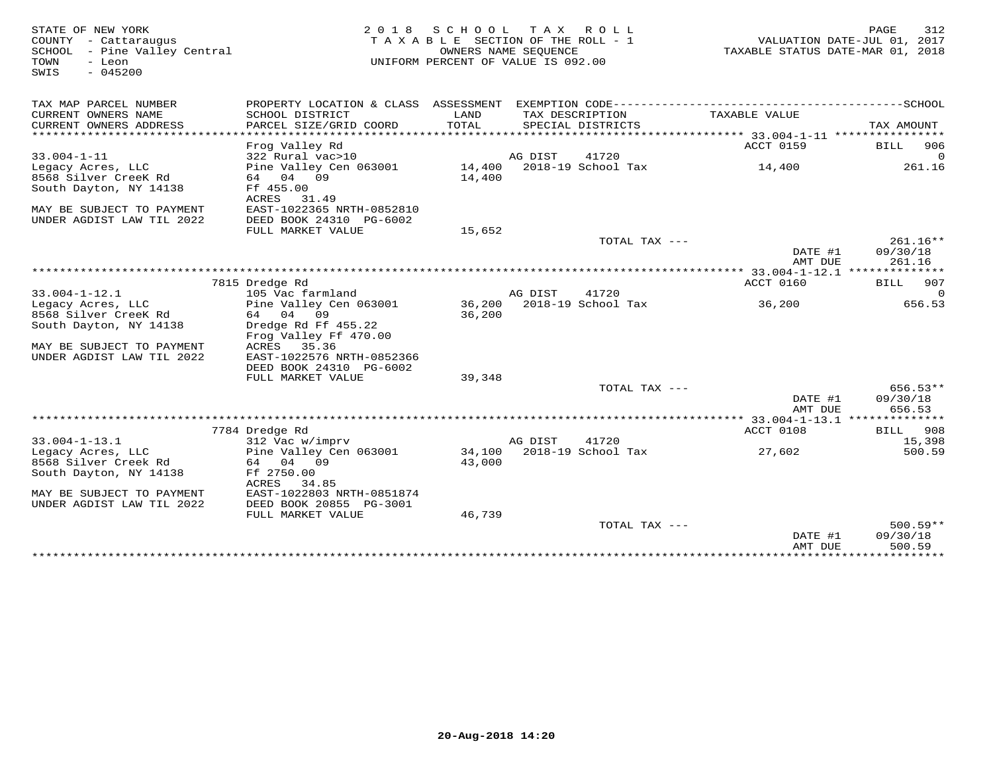| STATE OF NEW YORK<br>COUNTY - Cattaraugus<br>SCHOOL<br>- Pine Valley Central<br>TOWN<br>- Leon<br>$-045200$<br>SWIS | 2 0 1 8                                                           | S C H O O L<br>TAXABLE SECTION OF THE ROLL - 1<br>OWNERS NAME SEQUENCE<br>UNIFORM PERCENT OF VALUE IS 092.00 | T A X   | R O L L                              | TAXABLE STATUS DATE-MAR 01, 2018            | 312<br>PAGE<br>VALUATION DATE-JUL 01, 2017 |
|---------------------------------------------------------------------------------------------------------------------|-------------------------------------------------------------------|--------------------------------------------------------------------------------------------------------------|---------|--------------------------------------|---------------------------------------------|--------------------------------------------|
| TAX MAP PARCEL NUMBER                                                                                               | PROPERTY LOCATION & CLASS ASSESSMENT                              |                                                                                                              |         |                                      |                                             |                                            |
| CURRENT OWNERS NAME<br>CURRENT OWNERS ADDRESS<br>********************                                               | SCHOOL DISTRICT<br>PARCEL SIZE/GRID COORD                         | LAND<br>TOTAL                                                                                                |         | TAX DESCRIPTION<br>SPECIAL DISTRICTS | TAXABLE VALUE                               | TAX AMOUNT<br>* * * * *                    |
| $33.004 - 1 - 11$                                                                                                   | Frog Valley Rd<br>322 Rural vac>10                                |                                                                                                              | AG DIST | 41720                                | ACCT 0159                                   | 906<br>BILL<br>$\Omega$                    |
| Legacy Acres, LLC<br>8568 Silver CreeK Rd<br>South Dayton, NY 14138                                                 | Pine Valley Cen 063001<br>64 04 09<br>Ff 455.00<br>ACRES<br>31.49 | 14,400<br>14,400                                                                                             |         | 2018-19 School Tax                   | 14,400                                      | 261.16                                     |
| MAY BE SUBJECT TO PAYMENT<br>UNDER AGDIST LAW TIL 2022                                                              | EAST-1022365 NRTH-0852810<br>DEED BOOK 24310 PG-6002              |                                                                                                              |         |                                      |                                             |                                            |
|                                                                                                                     | FULL MARKET VALUE                                                 | 15,652                                                                                                       |         |                                      |                                             |                                            |
|                                                                                                                     |                                                                   |                                                                                                              |         | TOTAL TAX $---$                      | DATE #1<br>AMT DUE                          | $261.16**$<br>09/30/18<br>261.16           |
|                                                                                                                     |                                                                   |                                                                                                              |         |                                      | **** 33.004-1-12.1 ***************          |                                            |
| $33.004 - 1 - 12.1$                                                                                                 | 7815 Dredge Rd<br>105 Vac farmland                                |                                                                                                              | AG DIST | 41720                                | ACCT 0160                                   | 907<br>BILL<br>0                           |
| Legacy Acres, LLC                                                                                                   | Pine Valley Cen 063001                                            | 36,200                                                                                                       |         | 2018-19 School Tax                   | 36,200                                      | 656.53                                     |
| 8568 Silver CreeK Rd                                                                                                | 64 04<br>09                                                       | 36,200                                                                                                       |         |                                      |                                             |                                            |
| South Dayton, NY 14138                                                                                              | Dredge Rd Ff 455.22<br>Frog Valley Ff 470.00                      |                                                                                                              |         |                                      |                                             |                                            |
| MAY BE SUBJECT TO PAYMENT                                                                                           | ACRES<br>35.36                                                    |                                                                                                              |         |                                      |                                             |                                            |
| UNDER AGDIST LAW TIL 2022                                                                                           | EAST-1022576 NRTH-0852366                                         |                                                                                                              |         |                                      |                                             |                                            |
|                                                                                                                     | DEED BOOK 24310 PG-6002<br>FULL MARKET VALUE                      | 39,348                                                                                                       |         |                                      |                                             |                                            |
|                                                                                                                     |                                                                   |                                                                                                              |         | TOTAL TAX ---                        | DATE #1                                     | $656.53**$<br>09/30/18                     |
|                                                                                                                     |                                                                   |                                                                                                              |         |                                      | AMT DUE                                     | 656.53                                     |
|                                                                                                                     |                                                                   |                                                                                                              |         |                                      | ********** 33.004-1-13.1 *****<br>ACCT 0108 | * * * * * * *<br>908                       |
| $33.004 - 1 - 13.1$                                                                                                 | 7784 Dredge Rd<br>312 Vac w/imprv                                 |                                                                                                              | AG DIST | 41720                                |                                             | <b>BILL</b><br>15,398                      |
| Legacy Acres, LLC                                                                                                   | Pine Valley Cen 063001                                            | 34,100                                                                                                       |         | 2018-19 School Tax                   | 27,602                                      | 500.59                                     |
| 8568 Silver Creek Rd                                                                                                | 64 04 09                                                          | 43,000                                                                                                       |         |                                      |                                             |                                            |
| South Dayton, NY 14138                                                                                              | Ff 2750.00<br>ACRES<br>34.85                                      |                                                                                                              |         |                                      |                                             |                                            |
| MAY BE SUBJECT TO PAYMENT                                                                                           | EAST-1022803 NRTH-0851874                                         |                                                                                                              |         |                                      |                                             |                                            |
| UNDER AGDIST LAW TIL 2022                                                                                           | DEED BOOK 20855 PG-3001                                           |                                                                                                              |         |                                      |                                             |                                            |
|                                                                                                                     | FULL MARKET VALUE                                                 | 46,739                                                                                                       |         | TOTAL TAX $---$                      |                                             | $500.59**$                                 |
|                                                                                                                     |                                                                   |                                                                                                              |         |                                      | DATE #1<br>AMT DUE                          | 09/30/18<br>500.59                         |
|                                                                                                                     |                                                                   |                                                                                                              |         |                                      | ****************************                |                                            |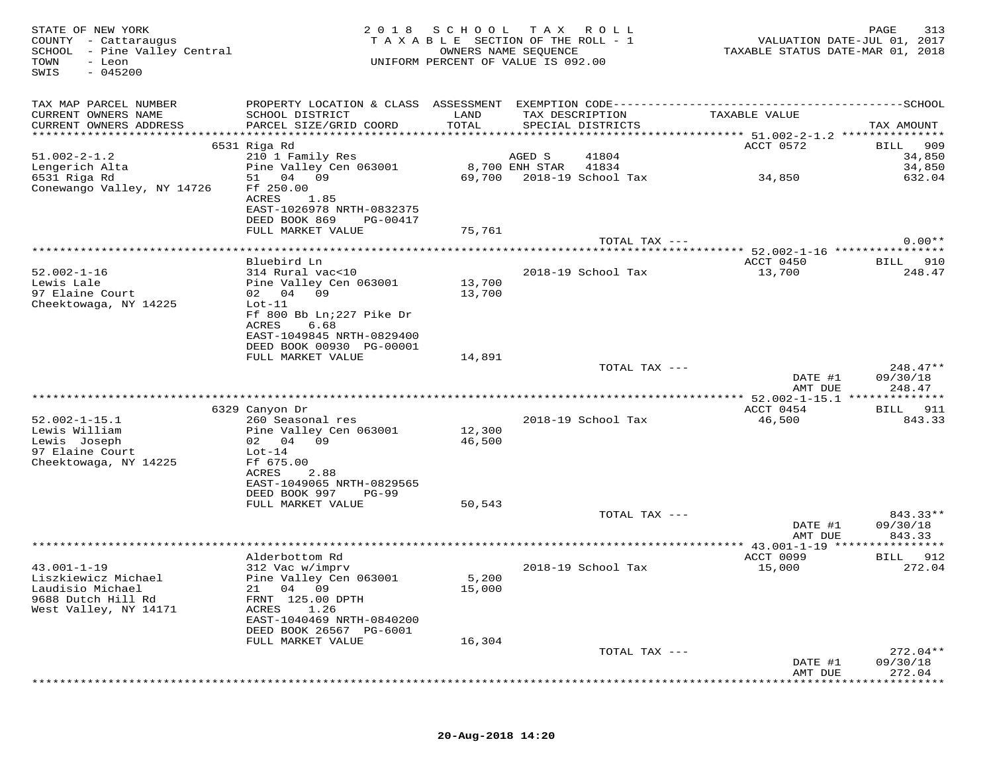| STATE OF NEW YORK<br>COUNTY - Cattaraugus<br>SCHOOL - Pine Valley Central<br>TOWN<br>- Leon<br>$-045200$<br>SWIS | 2 0 1 8                                               | SCHOOL<br>TAXABLE SECTION OF THE ROLL - 1<br>OWNERS NAME SEQUENCE<br>UNIFORM PERCENT OF VALUE IS 092.00 | T A X          | ROLL                        | VALUATION DATE-JUL 01, 2017<br>TAXABLE STATUS DATE-MAR 01, 2018 | PAGE<br>313           |
|------------------------------------------------------------------------------------------------------------------|-------------------------------------------------------|---------------------------------------------------------------------------------------------------------|----------------|-----------------------------|-----------------------------------------------------------------|-----------------------|
| TAX MAP PARCEL NUMBER                                                                                            |                                                       |                                                                                                         |                |                             |                                                                 |                       |
| CURRENT OWNERS NAME                                                                                              | SCHOOL DISTRICT                                       | LAND                                                                                                    |                | TAX DESCRIPTION             | TAXABLE VALUE                                                   |                       |
| CURRENT OWNERS ADDRESS                                                                                           | PARCEL SIZE/GRID COORD                                | TOTAL                                                                                                   |                | SPECIAL DISTRICTS           |                                                                 | TAX AMOUNT            |
|                                                                                                                  | 6531 Riga Rd                                          |                                                                                                         |                |                             | ACCT 0572                                                       | 909<br>BILL           |
| $51.002 - 2 - 1.2$                                                                                               | 210 1 Family Res                                      |                                                                                                         | AGED S         | 41804                       |                                                                 | 34,850                |
| Lengerich Alta<br>6531 Riga Rd                                                                                   | Pine Valley Cen 063001<br>51 04 09                    | 69,700                                                                                                  | 8,700 ENH STAR | 41834<br>2018-19 School Tax | 34,850                                                          | 34,850<br>632.04      |
| Conewango Valley, NY 14726                                                                                       | Ff 250.00                                             |                                                                                                         |                |                             |                                                                 |                       |
|                                                                                                                  | ACRES<br>1.85                                         |                                                                                                         |                |                             |                                                                 |                       |
|                                                                                                                  | EAST-1026978 NRTH-0832375                             |                                                                                                         |                |                             |                                                                 |                       |
|                                                                                                                  | DEED BOOK 869<br>PG-00417<br>FULL MARKET VALUE        | 75,761                                                                                                  |                |                             |                                                                 |                       |
|                                                                                                                  |                                                       |                                                                                                         |                | TOTAL TAX ---               |                                                                 | $0.00**$              |
|                                                                                                                  |                                                       |                                                                                                         |                |                             | ***************** 52.002-1-16 *****************                 |                       |
| $52.002 - 1 - 16$                                                                                                | Bluebird Ln<br>314 Rural vac<10                       |                                                                                                         |                | 2018-19 School Tax          | ACCT 0450<br>13,700                                             | 910<br>BILL<br>248.47 |
| Lewis Lale                                                                                                       | Pine Valley Cen 063001                                | 13,700                                                                                                  |                |                             |                                                                 |                       |
| 97 Elaine Court                                                                                                  | 02 04 09                                              | 13,700                                                                                                  |                |                             |                                                                 |                       |
| Cheektowaga, NY 14225                                                                                            | $Lot-11$<br>Ff 800 Bb Ln; 227 Pike Dr                 |                                                                                                         |                |                             |                                                                 |                       |
|                                                                                                                  | ACRES<br>6.68                                         |                                                                                                         |                |                             |                                                                 |                       |
|                                                                                                                  | EAST-1049845 NRTH-0829400                             |                                                                                                         |                |                             |                                                                 |                       |
|                                                                                                                  | DEED BOOK 00930 PG-00001<br>FULL MARKET VALUE         | 14,891                                                                                                  |                |                             |                                                                 |                       |
|                                                                                                                  |                                                       |                                                                                                         |                | TOTAL TAX ---               |                                                                 | $248.47**$            |
|                                                                                                                  |                                                       |                                                                                                         |                |                             | DATE #1                                                         | 09/30/18              |
|                                                                                                                  |                                                       |                                                                                                         |                |                             | AMT DUE                                                         | 248.47                |
|                                                                                                                  | 6329 Canyon Dr                                        |                                                                                                         |                |                             | ACCT 0454                                                       | 911<br>BILL           |
| $52.002 - 1 - 15.1$                                                                                              | 260 Seasonal res                                      |                                                                                                         |                | 2018-19 School Tax          | 46,500                                                          | 843.33                |
| Lewis William                                                                                                    | Pine Valley Cen 063001                                | 12,300                                                                                                  |                |                             |                                                                 |                       |
| Lewis Joseph<br>97 Elaine Court                                                                                  | 02 04 09<br>$Lot-14$                                  | 46,500                                                                                                  |                |                             |                                                                 |                       |
| Cheektowaga, NY 14225                                                                                            | Ff 675.00                                             |                                                                                                         |                |                             |                                                                 |                       |
|                                                                                                                  | 2.88<br>ACRES                                         |                                                                                                         |                |                             |                                                                 |                       |
|                                                                                                                  | EAST-1049065 NRTH-0829565<br>DEED BOOK 997<br>$PG-99$ |                                                                                                         |                |                             |                                                                 |                       |
|                                                                                                                  | FULL MARKET VALUE                                     | 50,543                                                                                                  |                |                             |                                                                 |                       |
|                                                                                                                  |                                                       |                                                                                                         |                | TOTAL TAX ---               |                                                                 | 843.33**              |
|                                                                                                                  |                                                       |                                                                                                         |                |                             | DATE #1<br>AMT DUE                                              | 09/30/18<br>843.33    |
|                                                                                                                  |                                                       |                                                                                                         |                |                             | ********* 43.001-1-19 *****                                     | ********              |
|                                                                                                                  | Alderbottom Rd                                        |                                                                                                         |                |                             | ACCT 0099                                                       | 912<br>BILL           |
| $43.001 - 1 - 19$<br>Liszkiewicz Michael                                                                         | 312 Vac w/imprv<br>Pine Valley Cen 063001             | 5,200                                                                                                   |                | 2018-19 School Tax          | 15,000                                                          | 272.04                |
| Laudisio Michael                                                                                                 | 21 04 09                                              | 15,000                                                                                                  |                |                             |                                                                 |                       |
| 9688 Dutch Hill Rd                                                                                               | FRNT 125.00 DPTH                                      |                                                                                                         |                |                             |                                                                 |                       |
| West Valley, NY 14171                                                                                            | 1.26<br>ACRES<br>EAST-1040469 NRTH-0840200            |                                                                                                         |                |                             |                                                                 |                       |
|                                                                                                                  | DEED BOOK 26567 PG-6001                               |                                                                                                         |                |                             |                                                                 |                       |
|                                                                                                                  | FULL MARKET VALUE                                     | 16,304                                                                                                  |                |                             |                                                                 |                       |
|                                                                                                                  |                                                       |                                                                                                         |                | TOTAL TAX ---               |                                                                 | $272.04**$            |
|                                                                                                                  |                                                       |                                                                                                         |                |                             | DATE #1<br>AMT DUE                                              | 09/30/18<br>272.04    |
|                                                                                                                  |                                                       |                                                                                                         |                |                             |                                                                 |                       |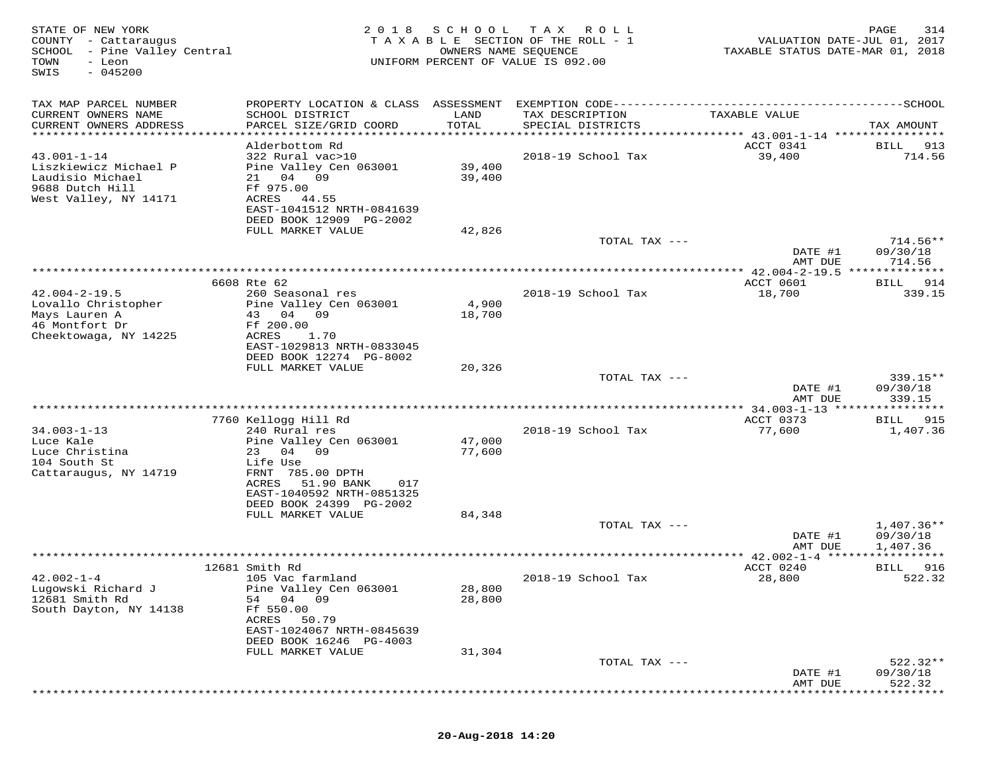| TAX MAP PARCEL NUMBER<br>CURRENT OWNERS NAME<br>SCHOOL DISTRICT<br>LAND<br>TAX DESCRIPTION<br>TAXABLE VALUE<br>CURRENT OWNERS ADDRESS<br>PARCEL SIZE/GRID COORD<br>TOTAL<br>SPECIAL DISTRICTS<br>***********************<br>Alderbottom Rd<br>ACCT 0341<br>BILL<br>$43.001 - 1 - 14$<br>322 Rural vac>10<br>2018-19 School Tax<br>39,400<br>Liszkiewicz Michael P<br>Pine Valley Cen 063001<br>39,400<br>Laudisio Michael<br>21 04 09<br>39,400<br>9688 Dutch Hill<br>Ff 975.00<br>West Valley, NY 14171<br>ACRES<br>44.55<br>EAST-1041512 NRTH-0841639<br>DEED BOOK 12909 PG-2002<br>42,826<br>FULL MARKET VALUE<br>TOTAL TAX ---<br>09/30/18<br>DATE #1<br>AMT DUE<br>************ 42.004-2-19.5 *****<br>* * * * * * * * *<br>6608 Rte 62<br>ACCT 0601<br>914<br>BILL<br>$42.004 - 2 - 19.5$<br>260 Seasonal res<br>2018-19 School Tax<br>18,700<br>4,900<br>Lovallo Christopher<br>Pine Valley Cen 063001<br>Mays Lauren A<br>43 04 09<br>18,700<br>46 Montfort Dr<br>Ff 200.00<br>Cheektowaga, NY 14225<br>ACRES<br>1.70<br>EAST-1029813 NRTH-0833045<br>DEED BOOK 12274 PG-8002<br>FULL MARKET VALUE<br>20,326<br>TOTAL TAX ---<br>DATE #1<br>AMT DUE<br>339.15<br>* * * * * * * *<br>7760 Kellogg Hill Rd<br>ACCT 0373<br>BILL<br>$34.003 - 1 - 13$<br>240 Rural res<br>2018-19 School Tax<br>77,600<br>47,000<br>Luce Kale<br>Pine Valley Cen 063001<br>Luce Christina<br>23 04 09<br>77,600<br>104 South St<br>Life Use<br>Cattaraugus, NY 14719<br>FRNT 785.00 DPTH<br>ACRES<br>51.90 BANK<br>017<br>EAST-1040592 NRTH-0851325<br>DEED BOOK 24399 PG-2002<br>FULL MARKET VALUE<br>84,348<br>TOTAL TAX ---<br>DATE #1<br>1,407.36<br>AMT DUE<br>************ 42.002-1-4 ******************<br>12681 Smith Rd<br>ACCT 0240<br>BILL<br>$42.002 - 1 - 4$<br>105 Vac farmland<br>2018-19 School Tax<br>28,800<br>Lugowski Richard J<br>Pine Valley Cen 063001<br>28,800<br>28,800<br>12681 Smith Rd<br>54<br>04 09<br>South Dayton, NY 14138<br>Ff 550.00<br>50.79<br>ACRES<br>EAST-1024067 NRTH-0845639<br>DEED BOOK 16246 PG-4003<br>31,304<br>FULL MARKET VALUE<br>TOTAL TAX ---<br>DATE #1<br>09/30/18<br>AMT DUE | STATE OF NEW YORK<br>COUNTY - Cattaraugus<br>SCHOOL - Pine Valley Central<br>TOWN<br>- Leon<br>$-045200$<br>SWIS | 2018 SCHOOL<br>OWNERS NAME SEQUENCE | T A X<br>R O L L<br>TAXABLE SECTION OF THE ROLL - 1<br>UNIFORM PERCENT OF VALUE IS 092.00 | VALUATION DATE-JUL 01, 2017<br>TAXABLE STATUS DATE-MAR 01, 2018 | 314<br>PAGE              |
|----------------------------------------------------------------------------------------------------------------------------------------------------------------------------------------------------------------------------------------------------------------------------------------------------------------------------------------------------------------------------------------------------------------------------------------------------------------------------------------------------------------------------------------------------------------------------------------------------------------------------------------------------------------------------------------------------------------------------------------------------------------------------------------------------------------------------------------------------------------------------------------------------------------------------------------------------------------------------------------------------------------------------------------------------------------------------------------------------------------------------------------------------------------------------------------------------------------------------------------------------------------------------------------------------------------------------------------------------------------------------------------------------------------------------------------------------------------------------------------------------------------------------------------------------------------------------------------------------------------------------------------------------------------------------------------------------------------------------------------------------------------------------------------------------------------------------------------------------------------------------------------------------------------------------------------------------------------------------------------------------------------------------------------------------------------------------------------------------------------------------|------------------------------------------------------------------------------------------------------------------|-------------------------------------|-------------------------------------------------------------------------------------------|-----------------------------------------------------------------|--------------------------|
|                                                                                                                                                                                                                                                                                                                                                                                                                                                                                                                                                                                                                                                                                                                                                                                                                                                                                                                                                                                                                                                                                                                                                                                                                                                                                                                                                                                                                                                                                                                                                                                                                                                                                                                                                                                                                                                                                                                                                                                                                                                                                                                            |                                                                                                                  |                                     |                                                                                           |                                                                 | TAX AMOUNT               |
|                                                                                                                                                                                                                                                                                                                                                                                                                                                                                                                                                                                                                                                                                                                                                                                                                                                                                                                                                                                                                                                                                                                                                                                                                                                                                                                                                                                                                                                                                                                                                                                                                                                                                                                                                                                                                                                                                                                                                                                                                                                                                                                            |                                                                                                                  |                                     |                                                                                           |                                                                 |                          |
|                                                                                                                                                                                                                                                                                                                                                                                                                                                                                                                                                                                                                                                                                                                                                                                                                                                                                                                                                                                                                                                                                                                                                                                                                                                                                                                                                                                                                                                                                                                                                                                                                                                                                                                                                                                                                                                                                                                                                                                                                                                                                                                            |                                                                                                                  |                                     |                                                                                           |                                                                 | 913<br>714.56            |
|                                                                                                                                                                                                                                                                                                                                                                                                                                                                                                                                                                                                                                                                                                                                                                                                                                                                                                                                                                                                                                                                                                                                                                                                                                                                                                                                                                                                                                                                                                                                                                                                                                                                                                                                                                                                                                                                                                                                                                                                                                                                                                                            |                                                                                                                  |                                     |                                                                                           |                                                                 | $714.56**$               |
|                                                                                                                                                                                                                                                                                                                                                                                                                                                                                                                                                                                                                                                                                                                                                                                                                                                                                                                                                                                                                                                                                                                                                                                                                                                                                                                                                                                                                                                                                                                                                                                                                                                                                                                                                                                                                                                                                                                                                                                                                                                                                                                            |                                                                                                                  |                                     |                                                                                           |                                                                 |                          |
|                                                                                                                                                                                                                                                                                                                                                                                                                                                                                                                                                                                                                                                                                                                                                                                                                                                                                                                                                                                                                                                                                                                                                                                                                                                                                                                                                                                                                                                                                                                                                                                                                                                                                                                                                                                                                                                                                                                                                                                                                                                                                                                            |                                                                                                                  |                                     |                                                                                           |                                                                 | 714.56                   |
|                                                                                                                                                                                                                                                                                                                                                                                                                                                                                                                                                                                                                                                                                                                                                                                                                                                                                                                                                                                                                                                                                                                                                                                                                                                                                                                                                                                                                                                                                                                                                                                                                                                                                                                                                                                                                                                                                                                                                                                                                                                                                                                            |                                                                                                                  |                                     |                                                                                           |                                                                 |                          |
|                                                                                                                                                                                                                                                                                                                                                                                                                                                                                                                                                                                                                                                                                                                                                                                                                                                                                                                                                                                                                                                                                                                                                                                                                                                                                                                                                                                                                                                                                                                                                                                                                                                                                                                                                                                                                                                                                                                                                                                                                                                                                                                            |                                                                                                                  |                                     |                                                                                           |                                                                 | 339.15                   |
|                                                                                                                                                                                                                                                                                                                                                                                                                                                                                                                                                                                                                                                                                                                                                                                                                                                                                                                                                                                                                                                                                                                                                                                                                                                                                                                                                                                                                                                                                                                                                                                                                                                                                                                                                                                                                                                                                                                                                                                                                                                                                                                            |                                                                                                                  |                                     |                                                                                           |                                                                 |                          |
|                                                                                                                                                                                                                                                                                                                                                                                                                                                                                                                                                                                                                                                                                                                                                                                                                                                                                                                                                                                                                                                                                                                                                                                                                                                                                                                                                                                                                                                                                                                                                                                                                                                                                                                                                                                                                                                                                                                                                                                                                                                                                                                            |                                                                                                                  |                                     |                                                                                           |                                                                 | 339.15**                 |
|                                                                                                                                                                                                                                                                                                                                                                                                                                                                                                                                                                                                                                                                                                                                                                                                                                                                                                                                                                                                                                                                                                                                                                                                                                                                                                                                                                                                                                                                                                                                                                                                                                                                                                                                                                                                                                                                                                                                                                                                                                                                                                                            |                                                                                                                  |                                     |                                                                                           |                                                                 | 09/30/18                 |
|                                                                                                                                                                                                                                                                                                                                                                                                                                                                                                                                                                                                                                                                                                                                                                                                                                                                                                                                                                                                                                                                                                                                                                                                                                                                                                                                                                                                                                                                                                                                                                                                                                                                                                                                                                                                                                                                                                                                                                                                                                                                                                                            |                                                                                                                  |                                     |                                                                                           |                                                                 | 915                      |
|                                                                                                                                                                                                                                                                                                                                                                                                                                                                                                                                                                                                                                                                                                                                                                                                                                                                                                                                                                                                                                                                                                                                                                                                                                                                                                                                                                                                                                                                                                                                                                                                                                                                                                                                                                                                                                                                                                                                                                                                                                                                                                                            |                                                                                                                  |                                     |                                                                                           |                                                                 | 1,407.36                 |
|                                                                                                                                                                                                                                                                                                                                                                                                                                                                                                                                                                                                                                                                                                                                                                                                                                                                                                                                                                                                                                                                                                                                                                                                                                                                                                                                                                                                                                                                                                                                                                                                                                                                                                                                                                                                                                                                                                                                                                                                                                                                                                                            |                                                                                                                  |                                     |                                                                                           |                                                                 |                          |
|                                                                                                                                                                                                                                                                                                                                                                                                                                                                                                                                                                                                                                                                                                                                                                                                                                                                                                                                                                                                                                                                                                                                                                                                                                                                                                                                                                                                                                                                                                                                                                                                                                                                                                                                                                                                                                                                                                                                                                                                                                                                                                                            |                                                                                                                  |                                     |                                                                                           |                                                                 |                          |
|                                                                                                                                                                                                                                                                                                                                                                                                                                                                                                                                                                                                                                                                                                                                                                                                                                                                                                                                                                                                                                                                                                                                                                                                                                                                                                                                                                                                                                                                                                                                                                                                                                                                                                                                                                                                                                                                                                                                                                                                                                                                                                                            |                                                                                                                  |                                     |                                                                                           |                                                                 | $1,407.36**$<br>09/30/18 |
|                                                                                                                                                                                                                                                                                                                                                                                                                                                                                                                                                                                                                                                                                                                                                                                                                                                                                                                                                                                                                                                                                                                                                                                                                                                                                                                                                                                                                                                                                                                                                                                                                                                                                                                                                                                                                                                                                                                                                                                                                                                                                                                            |                                                                                                                  |                                     |                                                                                           |                                                                 |                          |
|                                                                                                                                                                                                                                                                                                                                                                                                                                                                                                                                                                                                                                                                                                                                                                                                                                                                                                                                                                                                                                                                                                                                                                                                                                                                                                                                                                                                                                                                                                                                                                                                                                                                                                                                                                                                                                                                                                                                                                                                                                                                                                                            |                                                                                                                  |                                     |                                                                                           |                                                                 | 916                      |
|                                                                                                                                                                                                                                                                                                                                                                                                                                                                                                                                                                                                                                                                                                                                                                                                                                                                                                                                                                                                                                                                                                                                                                                                                                                                                                                                                                                                                                                                                                                                                                                                                                                                                                                                                                                                                                                                                                                                                                                                                                                                                                                            |                                                                                                                  |                                     |                                                                                           |                                                                 | 522.32                   |
|                                                                                                                                                                                                                                                                                                                                                                                                                                                                                                                                                                                                                                                                                                                                                                                                                                                                                                                                                                                                                                                                                                                                                                                                                                                                                                                                                                                                                                                                                                                                                                                                                                                                                                                                                                                                                                                                                                                                                                                                                                                                                                                            |                                                                                                                  |                                     |                                                                                           |                                                                 | $522.32**$               |
|                                                                                                                                                                                                                                                                                                                                                                                                                                                                                                                                                                                                                                                                                                                                                                                                                                                                                                                                                                                                                                                                                                                                                                                                                                                                                                                                                                                                                                                                                                                                                                                                                                                                                                                                                                                                                                                                                                                                                                                                                                                                                                                            |                                                                                                                  |                                     |                                                                                           |                                                                 | 522.32                   |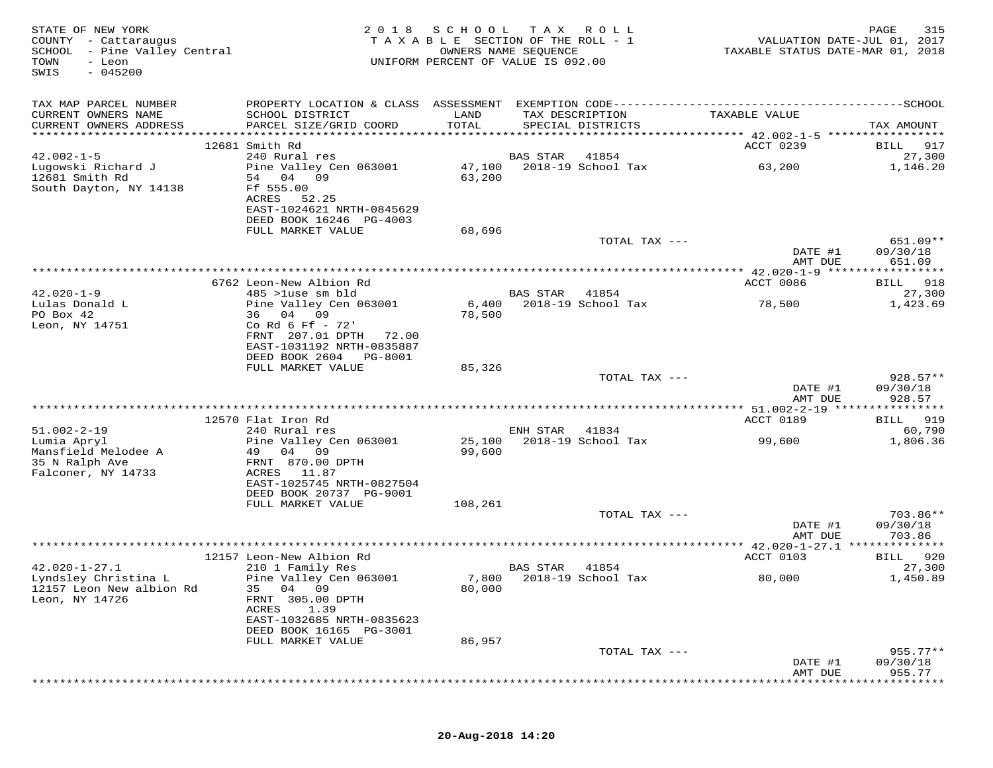| STATE OF NEW YORK<br>COUNTY - Cattaraugus<br>SCHOOL - Pine Valley Central<br>TOWN<br>- Leon<br>$-045200$<br>SWIS | 2018                                                                   | SCHOOL<br>TAXABLE SECTION OF THE ROLL - 1<br>OWNERS NAME SEQUENCE<br>UNIFORM PERCENT OF VALUE IS 092.00 | T A X           | R O L L                              |                                      | 315<br>PAGE<br>VALUATION DATE-JUL 01, 2017<br>TAXABLE STATUS DATE-MAR 01, 2018 |
|------------------------------------------------------------------------------------------------------------------|------------------------------------------------------------------------|---------------------------------------------------------------------------------------------------------|-----------------|--------------------------------------|--------------------------------------|--------------------------------------------------------------------------------|
| TAX MAP PARCEL NUMBER                                                                                            |                                                                        |                                                                                                         |                 |                                      |                                      |                                                                                |
| CURRENT OWNERS NAME<br>CURRENT OWNERS ADDRESS                                                                    | SCHOOL DISTRICT<br>PARCEL SIZE/GRID COORD                              | LAND<br>TOTAL                                                                                           |                 | TAX DESCRIPTION<br>SPECIAL DISTRICTS | TAXABLE VALUE                        | TAX AMOUNT                                                                     |
|                                                                                                                  |                                                                        |                                                                                                         |                 |                                      |                                      |                                                                                |
|                                                                                                                  | 12681 Smith Rd                                                         |                                                                                                         |                 |                                      | ACCT 0239                            | 917<br>BILL                                                                    |
| $42.002 - 1 - 5$                                                                                                 | 240 Rural res                                                          |                                                                                                         | BAS STAR        | 41854                                |                                      | 27,300                                                                         |
| Lugowski Richard J<br>12681 Smith Rd<br>South Dayton, NY 14138                                                   | Pine Valley Cen 063001<br>54 04<br>09<br>Ff 555.00                     | 47,100<br>63,200                                                                                        |                 | 2018-19 School Tax                   | 63,200                               | 1,146.20                                                                       |
|                                                                                                                  | 52.25<br>ACRES<br>EAST-1024621 NRTH-0845629<br>DEED BOOK 16246 PG-4003 |                                                                                                         |                 |                                      |                                      |                                                                                |
|                                                                                                                  | FULL MARKET VALUE                                                      | 68,696                                                                                                  |                 |                                      |                                      |                                                                                |
|                                                                                                                  |                                                                        |                                                                                                         |                 | TOTAL TAX ---                        | DATE #1                              | 651.09**<br>09/30/18                                                           |
|                                                                                                                  |                                                                        |                                                                                                         |                 |                                      | AMT DUE                              | 651.09                                                                         |
|                                                                                                                  | 6762 Leon-New Albion Rd                                                |                                                                                                         |                 |                                      | ACCT 0086                            | 918<br>BILL                                                                    |
| $42.020 - 1 - 9$                                                                                                 | 485 >luse sm bld                                                       |                                                                                                         | <b>BAS STAR</b> | 41854                                |                                      | 27,300                                                                         |
| Lulas Donald L<br>PO Box 42                                                                                      | Pine Valley Cen 063001<br>36 04 09                                     | 6,400<br>78,500                                                                                         |                 | 2018-19 School Tax                   | 78,500                               | 1,423.69                                                                       |
| Leon, NY 14751                                                                                                   | Co Rd 6 Ff - 72'                                                       |                                                                                                         |                 |                                      |                                      |                                                                                |
|                                                                                                                  | FRNT 207.01 DPTH<br>72.00                                              |                                                                                                         |                 |                                      |                                      |                                                                                |
|                                                                                                                  | EAST-1031192 NRTH-0835887<br>DEED BOOK 2604                            |                                                                                                         |                 |                                      |                                      |                                                                                |
|                                                                                                                  | PG-8001<br>FULL MARKET VALUE                                           | 85,326                                                                                                  |                 |                                      |                                      |                                                                                |
|                                                                                                                  |                                                                        |                                                                                                         |                 | TOTAL TAX ---                        |                                      | 928.57**                                                                       |
|                                                                                                                  |                                                                        |                                                                                                         |                 |                                      | DATE #1<br>AMT DUE                   | 09/30/18<br>928.57                                                             |
|                                                                                                                  |                                                                        |                                                                                                         |                 |                                      |                                      |                                                                                |
| $51.002 - 2 - 19$                                                                                                | 12570 Flat Iron Rd<br>240 Rural res                                    |                                                                                                         | ENH STAR        | 41834                                | ACCT 0189                            | 919<br>BILL<br>60,790                                                          |
| Lumia Apryl                                                                                                      | Pine Valley Cen 063001                                                 | 25,100                                                                                                  |                 | 2018-19 School Tax                   | 99,600                               | 1,806.36                                                                       |
| Mansfield Melodee A<br>35 N Ralph Ave                                                                            | 49<br>04<br>09<br>FRNT 870.00 DPTH                                     | 99,600                                                                                                  |                 |                                      |                                      |                                                                                |
| Falconer, NY 14733                                                                                               | ACRES<br>11.87<br>EAST-1025745 NRTH-0827504                            |                                                                                                         |                 |                                      |                                      |                                                                                |
|                                                                                                                  | DEED BOOK 20737 PG-9001                                                |                                                                                                         |                 |                                      |                                      |                                                                                |
|                                                                                                                  | FULL MARKET VALUE                                                      | 108,261                                                                                                 |                 | TOTAL TAX ---                        |                                      | 703.86**                                                                       |
|                                                                                                                  |                                                                        |                                                                                                         |                 |                                      | DATE #1<br>AMT DUE                   | 09/30/18<br>703.86                                                             |
|                                                                                                                  | * * * * * * * * * * * * * * * *                                        | **********************************                                                                      |                 |                                      | ******* 42.020-1-27.1 ************** |                                                                                |
|                                                                                                                  | 12157 Leon-New Albion Rd                                               |                                                                                                         |                 |                                      | ACCT 0103                            | 920<br>BILL                                                                    |
| $42.020 - 1 - 27.1$                                                                                              | 210 1 Family Res                                                       |                                                                                                         | BAS STAR        | 41854                                |                                      | 27,300                                                                         |
| Lyndsley Christina L<br>12157 Leon New albion Rd<br>Leon, NY 14726                                               | Pine Valley Cen 063001<br>35 04 09<br>FRNT 305.00 DPTH                 | 80,000                                                                                                  |                 | 7,800 2018-19 School Tax             | 80,000                               | 1,450.89                                                                       |
|                                                                                                                  | ACRES<br>1.39<br>EAST-1032685 NRTH-0835623<br>DEED BOOK 16165 PG-3001  |                                                                                                         |                 |                                      |                                      |                                                                                |
|                                                                                                                  | FULL MARKET VALUE                                                      | 86,957                                                                                                  |                 |                                      |                                      |                                                                                |
|                                                                                                                  |                                                                        |                                                                                                         |                 | TOTAL TAX ---                        |                                      | $955.77**$                                                                     |
|                                                                                                                  |                                                                        |                                                                                                         |                 |                                      | DATE #1<br>AMT DUE                   | 09/30/18<br>955.77                                                             |
|                                                                                                                  |                                                                        |                                                                                                         |                 |                                      |                                      |                                                                                |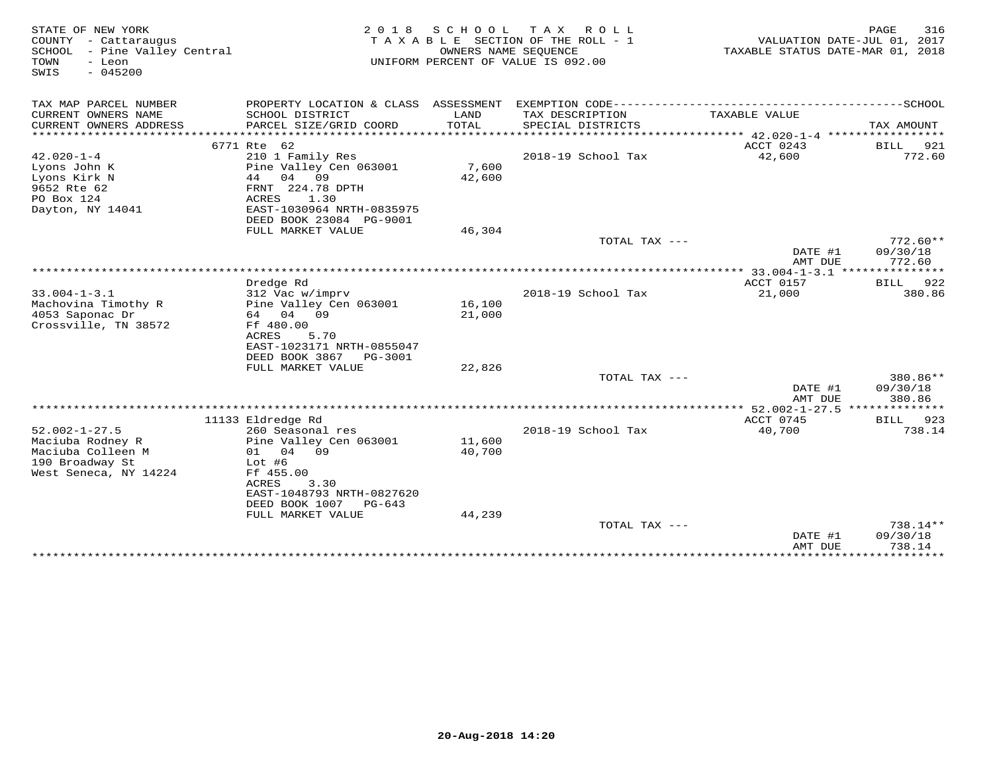| STATE OF NEW YORK<br>COUNTY - Cattaraugus<br>SCHOOL<br>- Pine Valley Central<br>- Leon<br>TOWN<br>$-045200$<br>SWIS | 2 0 1 8                                             | S C H O O L      | T A X<br>R O L L<br>TAXABLE SECTION OF THE ROLL - 1<br>OWNERS NAME SEQUENCE<br>UNIFORM PERCENT OF VALUE IS 092.00 | VALUATION DATE-JUL 01, 2017<br>TAXABLE STATUS DATE-MAR 01, 2018 | PAGE<br>316        |
|---------------------------------------------------------------------------------------------------------------------|-----------------------------------------------------|------------------|-------------------------------------------------------------------------------------------------------------------|-----------------------------------------------------------------|--------------------|
| TAX MAP PARCEL NUMBER                                                                                               | PROPERTY LOCATION & CLASS ASSESSMENT                |                  |                                                                                                                   |                                                                 |                    |
| CURRENT OWNERS NAME<br>CURRENT OWNERS ADDRESS                                                                       | SCHOOL DISTRICT                                     | LAND<br>TOTAL    | TAX DESCRIPTION<br>SPECIAL DISTRICTS                                                                              | TAXABLE VALUE                                                   |                    |
| **********************                                                                                              | PARCEL SIZE/GRID COORD                              |                  |                                                                                                                   |                                                                 | TAX AMOUNT         |
|                                                                                                                     | 6771 Rte 62                                         |                  |                                                                                                                   | ACCT 0243                                                       | 921<br>BILL        |
| $42.020 - 1 - 4$                                                                                                    | 210 1 Family Res                                    |                  | 2018-19 School Tax                                                                                                | 42,600                                                          | 772.60             |
| Lyons John K                                                                                                        | Pine Valley Cen 063001                              | 7,600            |                                                                                                                   |                                                                 |                    |
| Lyons Kirk N                                                                                                        | 44<br>04 09                                         | 42,600           |                                                                                                                   |                                                                 |                    |
| 9652 Rte 62<br>PO Box 124                                                                                           | FRNT 224.78 DPTH<br>ACRES<br>1.30                   |                  |                                                                                                                   |                                                                 |                    |
| Dayton, NY 14041                                                                                                    | EAST-1030964 NRTH-0835975                           |                  |                                                                                                                   |                                                                 |                    |
|                                                                                                                     | DEED BOOK 23084 PG-9001                             |                  |                                                                                                                   |                                                                 |                    |
|                                                                                                                     | FULL MARKET VALUE                                   | 46,304           |                                                                                                                   |                                                                 |                    |
|                                                                                                                     |                                                     |                  | TOTAL TAX ---                                                                                                     |                                                                 | $772.60**$         |
|                                                                                                                     |                                                     |                  |                                                                                                                   | DATE #1                                                         | 09/30/18           |
|                                                                                                                     |                                                     |                  |                                                                                                                   | AMT DUE<br>************ 33.004-1-3.1 ****************           | 772.60             |
|                                                                                                                     | Dredge Rd                                           |                  |                                                                                                                   | ACCT 0157                                                       | BILL<br>922        |
| $33.004 - 1 - 3.1$                                                                                                  | 312 Vac w/imprv                                     |                  | 2018-19 School Tax                                                                                                | 21,000                                                          | 380.86             |
| Machovina Timothy R                                                                                                 | Pine Valley Cen 063001                              | 16,100           |                                                                                                                   |                                                                 |                    |
| 4053 Saponac Dr                                                                                                     | 64 04 09                                            | 21,000           |                                                                                                                   |                                                                 |                    |
| Crossville, TN 38572                                                                                                | Ff 480.00                                           |                  |                                                                                                                   |                                                                 |                    |
|                                                                                                                     | ACRES<br>5.70                                       |                  |                                                                                                                   |                                                                 |                    |
|                                                                                                                     | EAST-1023171 NRTH-0855047<br>DEED BOOK 3867 PG-3001 |                  |                                                                                                                   |                                                                 |                    |
|                                                                                                                     | FULL MARKET VALUE                                   | 22,826           |                                                                                                                   |                                                                 |                    |
|                                                                                                                     |                                                     |                  | TOTAL TAX ---                                                                                                     |                                                                 | 380.86**           |
|                                                                                                                     |                                                     |                  |                                                                                                                   | DATE #1<br>AMT DUE                                              | 09/30/18<br>380.86 |
|                                                                                                                     |                                                     |                  |                                                                                                                   | **** 52.002-1-27.5 *****                                        | *********          |
|                                                                                                                     | 11133 Eldredge Rd                                   |                  |                                                                                                                   | ACCT 0745                                                       | 923<br><b>BILL</b> |
| $52.002 - 1 - 27.5$                                                                                                 | 260 Seasonal res                                    |                  | 2018-19 School Tax                                                                                                | 40,700                                                          | 738.14             |
| Maciuba Rodney R<br>Maciuba Colleen M                                                                               | Pine Valley Cen 063001<br>01 04 09                  | 11,600<br>40,700 |                                                                                                                   |                                                                 |                    |
| 190 Broadway St                                                                                                     | Lot $#6$                                            |                  |                                                                                                                   |                                                                 |                    |
| West Seneca, NY 14224                                                                                               | Ff 455.00                                           |                  |                                                                                                                   |                                                                 |                    |
|                                                                                                                     | ACRES<br>3.30                                       |                  |                                                                                                                   |                                                                 |                    |
|                                                                                                                     | EAST-1048793 NRTH-0827620                           |                  |                                                                                                                   |                                                                 |                    |
|                                                                                                                     | DEED BOOK 1007<br>PG-643                            |                  |                                                                                                                   |                                                                 |                    |
|                                                                                                                     | FULL MARKET VALUE                                   | 44,239           | TOTAL TAX ---                                                                                                     |                                                                 | 738.14**           |
|                                                                                                                     |                                                     |                  |                                                                                                                   | DATE #1                                                         | 09/30/18           |
|                                                                                                                     |                                                     |                  |                                                                                                                   | AMT DUE                                                         | 738.14             |
|                                                                                                                     |                                                     |                  |                                                                                                                   | ***************                                                 | ***********        |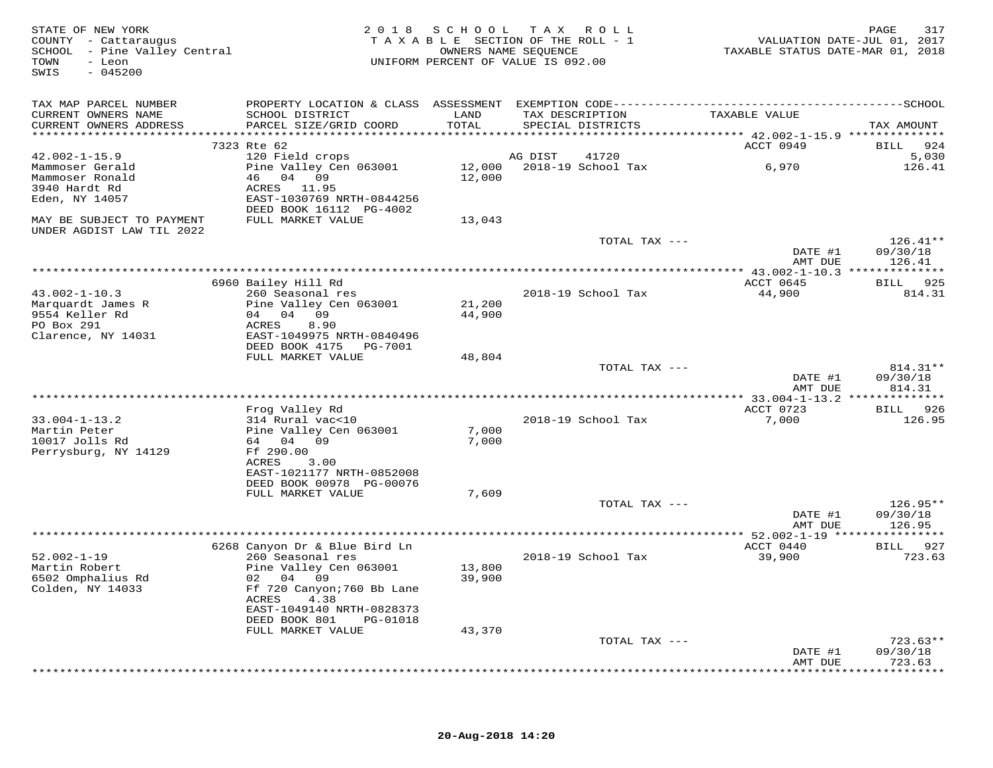| STATE OF NEW YORK<br>COUNTY - Cattaraugus<br>SCHOOL - Pine Valley Central<br>- Leon<br>TOWN<br>$-045200$<br>SWIS |                                                        |        | 2018 SCHOOL TAX ROLL<br>TAXABLE SECTION OF THE ROLL - 1<br>OWNERS NAME SEQUENCE<br>UNIFORM PERCENT OF VALUE IS 092.00 | VALUATION DATE-JUL 01, 2017<br>TAXABLE STATUS DATE-MAR 01, 2018 | 317<br>PAGE                 |
|------------------------------------------------------------------------------------------------------------------|--------------------------------------------------------|--------|-----------------------------------------------------------------------------------------------------------------------|-----------------------------------------------------------------|-----------------------------|
| TAX MAP PARCEL NUMBER                                                                                            |                                                        |        |                                                                                                                       |                                                                 |                             |
| CURRENT OWNERS NAME                                                                                              | SCHOOL DISTRICT                                        | LAND   | TAX DESCRIPTION                                                                                                       | TAXABLE VALUE                                                   |                             |
| CURRENT OWNERS ADDRESS                                                                                           | PARCEL SIZE/GRID COORD                                 | TOTAL  | SPECIAL DISTRICTS                                                                                                     |                                                                 | TAX AMOUNT                  |
|                                                                                                                  |                                                        |        |                                                                                                                       |                                                                 |                             |
| $42.002 - 1 - 15.9$                                                                                              | 7323 Rte 62<br>120 Field crops                         |        | AG DIST<br>41720                                                                                                      | ACCT 0949                                                       | 924<br><b>BILL</b><br>5,030 |
| Mammoser Gerald                                                                                                  | Pine Valley Cen 063001                                 | 12,000 | 2018-19 School Tax                                                                                                    | 6,970                                                           | 126.41                      |
| Mammoser Ronald                                                                                                  | 46 04 09                                               | 12,000 |                                                                                                                       |                                                                 |                             |
| 3940 Hardt Rd                                                                                                    | ACRES 11.95                                            |        |                                                                                                                       |                                                                 |                             |
| Eden, NY 14057                                                                                                   | EAST-1030769 NRTH-0844256                              |        |                                                                                                                       |                                                                 |                             |
|                                                                                                                  | DEED BOOK 16112 PG-4002                                |        |                                                                                                                       |                                                                 |                             |
| MAY BE SUBJECT TO PAYMENT<br>UNDER AGDIST LAW TIL 2022                                                           | FULL MARKET VALUE                                      | 13,043 |                                                                                                                       |                                                                 |                             |
|                                                                                                                  |                                                        |        | TOTAL TAX ---                                                                                                         |                                                                 | $126.41**$                  |
|                                                                                                                  |                                                        |        |                                                                                                                       | DATE #1<br>AMT DUE                                              | 09/30/18<br>126.41          |
|                                                                                                                  | 6960 Bailey Hill Rd                                    |        |                                                                                                                       | ACCT 0645                                                       | BILL 925                    |
| $43.002 - 1 - 10.3$                                                                                              | 260 Seasonal res                                       |        | 2018-19 School Tax                                                                                                    | 44,900                                                          | 814.31                      |
| Marquardt James R                                                                                                | Pine Valley Cen 063001                                 | 21,200 |                                                                                                                       |                                                                 |                             |
| 9554 Keller Rd                                                                                                   | 04 04 09                                               | 44,900 |                                                                                                                       |                                                                 |                             |
| PO Box 291                                                                                                       | ACRES<br>8.90                                          |        |                                                                                                                       |                                                                 |                             |
| Clarence, NY 14031                                                                                               | EAST-1049975 NRTH-0840496                              |        |                                                                                                                       |                                                                 |                             |
|                                                                                                                  | DEED BOOK 4175 PG-7001                                 |        |                                                                                                                       |                                                                 |                             |
|                                                                                                                  | FULL MARKET VALUE                                      | 48,804 | TOTAL TAX ---                                                                                                         |                                                                 | 814.31**                    |
|                                                                                                                  |                                                        |        |                                                                                                                       | DATE #1                                                         | 09/30/18                    |
|                                                                                                                  |                                                        |        |                                                                                                                       | AMT DUE                                                         | 814.31                      |
|                                                                                                                  |                                                        |        |                                                                                                                       |                                                                 |                             |
|                                                                                                                  | Frog Valley Rd                                         |        |                                                                                                                       | ACCT 0723                                                       | BILL 926                    |
| $33.004 - 1 - 13.2$                                                                                              | 314 Rural vac<10                                       |        | 2018-19 School Tax                                                                                                    | 7,000                                                           | 126.95                      |
| Martin Peter                                                                                                     | Pine Valley Cen 063001                                 | 7,000  |                                                                                                                       |                                                                 |                             |
| 10017 Jolls Rd<br>Perrysburg, NY 14129                                                                           | 64 04 09<br>Ff 290.00                                  | 7,000  |                                                                                                                       |                                                                 |                             |
|                                                                                                                  | ACRES<br>3.00                                          |        |                                                                                                                       |                                                                 |                             |
|                                                                                                                  | EAST-1021177 NRTH-0852008                              |        |                                                                                                                       |                                                                 |                             |
|                                                                                                                  | DEED BOOK 00978 PG-00076                               |        |                                                                                                                       |                                                                 |                             |
|                                                                                                                  | FULL MARKET VALUE                                      | 7,609  |                                                                                                                       |                                                                 |                             |
|                                                                                                                  |                                                        |        | TOTAL TAX ---                                                                                                         |                                                                 | 126.95**                    |
|                                                                                                                  |                                                        |        |                                                                                                                       | DATE #1                                                         | 09/30/18                    |
|                                                                                                                  |                                                        |        |                                                                                                                       | AMT DUE                                                         | 126.95                      |
|                                                                                                                  | 6268 Canyon Dr & Blue Bird Ln                          |        |                                                                                                                       | ACCT 0440                                                       | BILL 927                    |
| $52.002 - 1 - 19$                                                                                                | 260 Seasonal res                                       |        | 2018-19 School Tax                                                                                                    | 39,900                                                          | 723.63                      |
| Martin Robert                                                                                                    | Pine Valley Cen 063001                                 | 13,800 |                                                                                                                       |                                                                 |                             |
| 6502 Omphalius Rd                                                                                                | 02 04 09                                               | 39,900 |                                                                                                                       |                                                                 |                             |
| Colden, NY 14033                                                                                                 | Ff 720 Canyon; 760 Bb Lane<br>ACRES<br>4.38            |        |                                                                                                                       |                                                                 |                             |
|                                                                                                                  | EAST-1049140 NRTH-0828373<br>DEED BOOK 801<br>PG-01018 |        |                                                                                                                       |                                                                 |                             |
|                                                                                                                  | FULL MARKET VALUE                                      | 43,370 |                                                                                                                       |                                                                 |                             |
|                                                                                                                  |                                                        |        | TOTAL TAX ---                                                                                                         |                                                                 | $723.63**$                  |
|                                                                                                                  |                                                        |        |                                                                                                                       | DATE #1                                                         | 09/30/18                    |
|                                                                                                                  |                                                        |        |                                                                                                                       | AMT DUE                                                         | 723.63<br>***********       |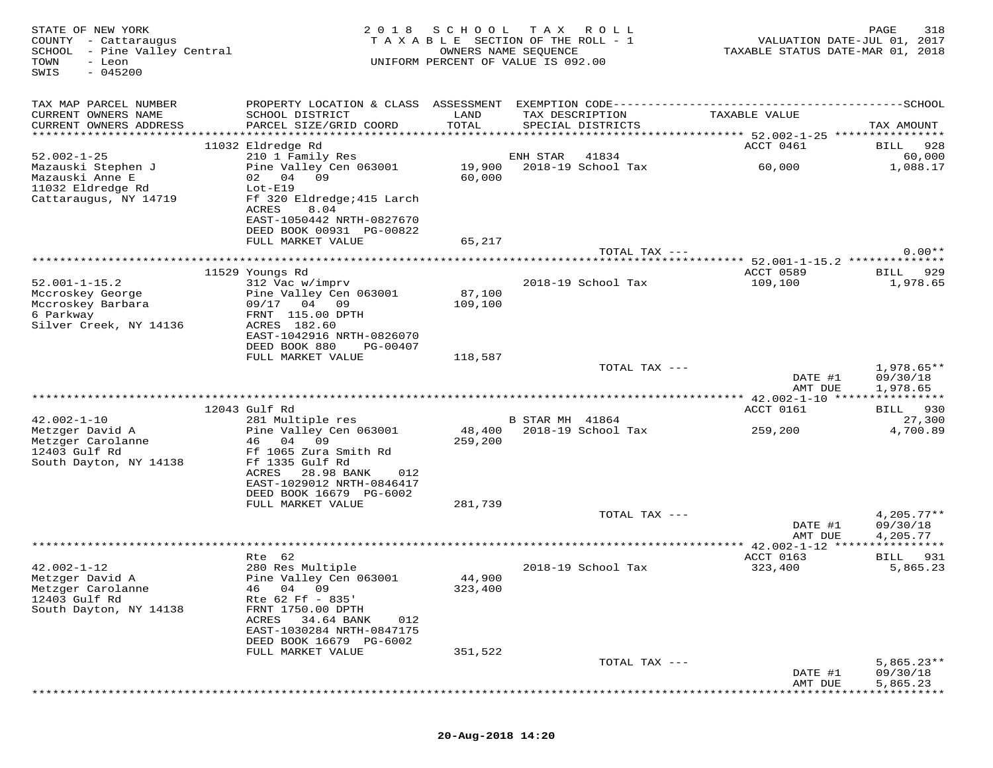| STATE OF NEW YORK<br>COUNTY - Cattaraugus<br>SCHOOL - Pine Valley Central<br>TOWN<br>- Leon<br>$-045200$<br>SWIS | 2 0 1 8                                                                                                                                                    | SCHOOL            | T A X<br>R O L L<br>TAXABLE SECTION OF THE ROLL - 1<br>OWNERS NAME SEQUENCE<br>UNIFORM PERCENT OF VALUE IS 092.00 | VALUATION DATE-JUL 01, 2017<br>TAXABLE STATUS DATE-MAR 01, 2018 | PAGE<br>318                          |
|------------------------------------------------------------------------------------------------------------------|------------------------------------------------------------------------------------------------------------------------------------------------------------|-------------------|-------------------------------------------------------------------------------------------------------------------|-----------------------------------------------------------------|--------------------------------------|
| TAX MAP PARCEL NUMBER                                                                                            |                                                                                                                                                            |                   |                                                                                                                   |                                                                 |                                      |
| CURRENT OWNERS NAME<br>CURRENT OWNERS ADDRESS                                                                    | SCHOOL DISTRICT<br>PARCEL SIZE/GRID COORD                                                                                                                  | LAND<br>TOTAL     | TAX DESCRIPTION<br>SPECIAL DISTRICTS                                                                              | TAXABLE VALUE                                                   | TAX AMOUNT                           |
|                                                                                                                  | 11032 Eldredge Rd                                                                                                                                          |                   |                                                                                                                   | ACCT 0461                                                       | BILL<br>928                          |
| $52.002 - 1 - 25$                                                                                                | 210 1 Family Res                                                                                                                                           |                   | ENH STAR<br>41834                                                                                                 |                                                                 | 60,000                               |
| Mazauski Stephen J<br>Mazauski Anne E<br>11032 Eldredge Rd<br>Cattaraugus, NY 14719                              | Pine Valley Cen 063001<br>09<br>02 04<br>$Lot-E19$<br>Ff 320 Eldredge; 415 Larch                                                                           | 19,900<br>60,000  | 2018-19 School Tax                                                                                                | 60,000                                                          | 1,088.17                             |
|                                                                                                                  | ACRES<br>8.04<br>EAST-1050442 NRTH-0827670<br>DEED BOOK 00931 PG-00822                                                                                     |                   |                                                                                                                   |                                                                 |                                      |
|                                                                                                                  | FULL MARKET VALUE                                                                                                                                          | 65,217            |                                                                                                                   |                                                                 |                                      |
|                                                                                                                  |                                                                                                                                                            |                   | TOTAL TAX ---                                                                                                     |                                                                 | $0.00**$                             |
|                                                                                                                  | 11529 Youngs Rd                                                                                                                                            |                   |                                                                                                                   | ACCT 0589                                                       | BILL 929                             |
| $52.001 - 1 - 15.2$<br>Mccroskey George<br>Mccroskey Barbara<br>6 Parkway<br>Silver Creek, NY 14136              | 312 Vac w/imprv<br>Pine Valley Cen 063001<br>09/17 04 09<br>FRNT 115.00 DPTH<br>ACRES 182.60                                                               | 87,100<br>109,100 | 2018-19 School Tax                                                                                                | 109,100                                                         | 1,978.65                             |
|                                                                                                                  | EAST-1042916 NRTH-0826070<br>DEED BOOK 880<br>PG-00407<br>FULL MARKET VALUE                                                                                | 118,587           |                                                                                                                   |                                                                 |                                      |
|                                                                                                                  |                                                                                                                                                            |                   | TOTAL TAX ---                                                                                                     | DATE #1<br>AMT DUE                                              | $1,978.65**$<br>09/30/18<br>1,978.65 |
|                                                                                                                  |                                                                                                                                                            |                   |                                                                                                                   |                                                                 |                                      |
|                                                                                                                  | 12043 Gulf Rd                                                                                                                                              |                   |                                                                                                                   | ACCT 0161                                                       | BILL 930                             |
| $42.002 - 1 - 10$<br>Metzger David A                                                                             | 281 Multiple res<br>Pine Valley Cen 063001                                                                                                                 |                   | B STAR MH 41864<br>48,400 2018-19 School Tax                                                                      | 259,200                                                         | 27,300<br>4,700.89                   |
| Metzger Carolanne<br>12403 Gulf Rd<br>South Dayton, NY 14138                                                     | 09<br>46 04<br>Ff 1065 Zura Smith Rd<br>Ff 1335 Gulf Rd<br>ACRES<br>28.98 BANK<br>012<br>EAST-1029012 NRTH-0846417<br>DEED BOOK 16679 PG-6002              | 259,200           |                                                                                                                   |                                                                 |                                      |
|                                                                                                                  | FULL MARKET VALUE                                                                                                                                          | 281,739           |                                                                                                                   |                                                                 |                                      |
|                                                                                                                  |                                                                                                                                                            |                   | TOTAL TAX ---                                                                                                     | DATE #1<br>AMT DUE                                              | $4,205.77**$<br>09/30/18<br>4,205.77 |
|                                                                                                                  | Rte 62                                                                                                                                                     |                   |                                                                                                                   | ACCT 0163                                                       | BILL<br>931                          |
| $42.002 - 1 - 12$<br>Metzger David A<br>Metzger Carolanne<br>12403 Gulf Rd<br>South Dayton, NY 14138             | 280 Res Multiple<br>Pine Valley Cen 063001<br>46 04 09<br>Rte 62 Ff - 835'<br>FRNT 1750.00 DPTH<br>ACRES<br>34.64 BANK<br>012<br>EAST-1030284 NRTH-0847175 | 44,900<br>323,400 | 2018-19 School Tax                                                                                                | 323,400                                                         | 5,865.23                             |
|                                                                                                                  | DEED BOOK 16679 PG-6002                                                                                                                                    |                   |                                                                                                                   |                                                                 |                                      |
|                                                                                                                  | FULL MARKET VALUE                                                                                                                                          | 351,522           |                                                                                                                   |                                                                 |                                      |
|                                                                                                                  |                                                                                                                                                            |                   | TOTAL TAX ---                                                                                                     | DATE #1<br>AMT DUE                                              | $5,865.23**$<br>09/30/18<br>5,865.23 |

\*\*\*\*\*\*\*\*\*\*\*\*\*\*\*\*\*\*\*\*\*\*\*\*\*\*\*\*\*\*\*\*\*\*\*\*\*\*\*\*\*\*\*\*\*\*\*\*\*\*\*\*\*\*\*\*\*\*\*\*\*\*\*\*\*\*\*\*\*\*\*\*\*\*\*\*\*\*\*\*\*\*\*\*\*\*\*\*\*\*\*\*\*\*\*\*\*\*\*\*\*\*\*\*\*\*\*\*\*\*\*\*\*\*\*\*\*\*\*\*\*\*\*\*\*\*\*\*\*\*\*\*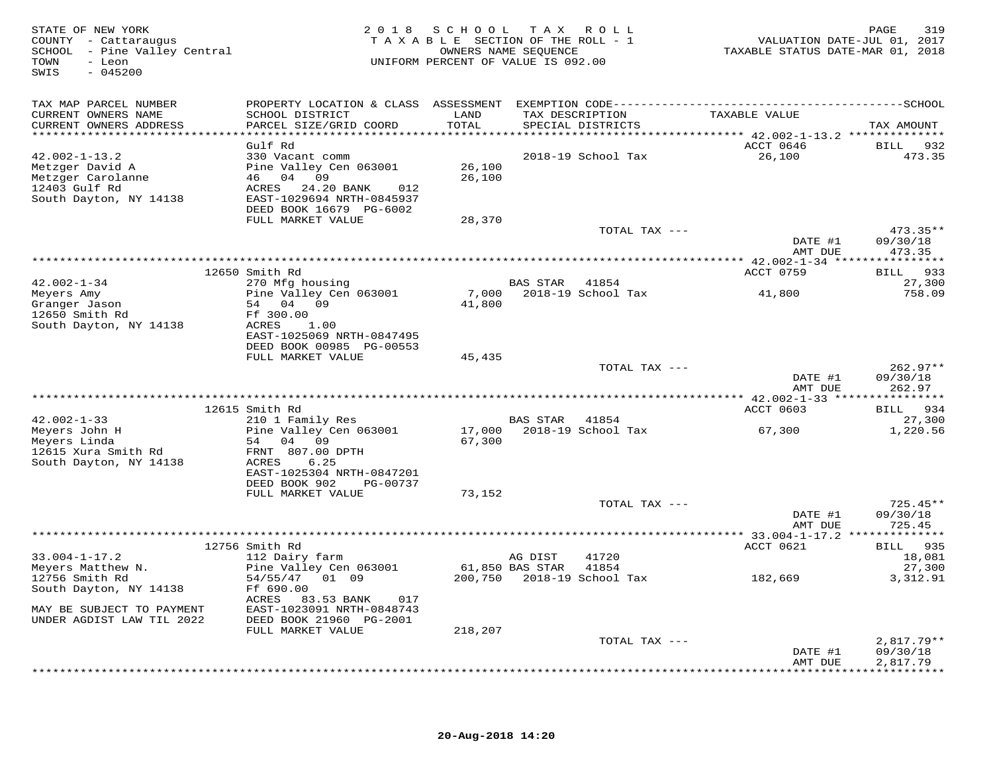| STATE OF NEW YORK<br>COUNTY - Cattaraugus<br>SCHOOL - Pine Valley Central<br>- Leon<br>TOWN<br>SWIS<br>$-045200$ |                                                         |         | 2018 SCHOOL TAX ROLL<br>TAXABLE SECTION OF THE ROLL - 1<br>OWNERS NAME SEQUENCE<br>UNIFORM PERCENT OF VALUE IS 092.00 |               | TAXABLE STATUS DATE-MAR 01, 2018 | 319<br>PAGE<br>VALUATION DATE-JUL 01, 2017 |
|------------------------------------------------------------------------------------------------------------------|---------------------------------------------------------|---------|-----------------------------------------------------------------------------------------------------------------------|---------------|----------------------------------|--------------------------------------------|
| TAX MAP PARCEL NUMBER                                                                                            |                                                         |         |                                                                                                                       |               |                                  |                                            |
| CURRENT OWNERS NAME                                                                                              | SCHOOL DISTRICT                                         | LAND    | TAX DESCRIPTION                                                                                                       |               | TAXABLE VALUE                    |                                            |
| CURRENT OWNERS ADDRESS<br>******************************                                                         | PARCEL SIZE/GRID COORD                                  | TOTAL   | SPECIAL DISTRICTS                                                                                                     |               |                                  | TAX AMOUNT                                 |
|                                                                                                                  | Gulf Rd                                                 |         |                                                                                                                       |               | ACCT 0646                        | 932<br>BILL                                |
| $42.002 - 1 - 13.2$                                                                                              | 330 Vacant comm                                         |         | 2018-19 School Tax                                                                                                    |               | 26,100                           | 473.35                                     |
| Metzger David A                                                                                                  | Pine Valley Cen 063001                                  | 26,100  |                                                                                                                       |               |                                  |                                            |
| Metzger Carolanne                                                                                                | 46 04 09                                                | 26,100  |                                                                                                                       |               |                                  |                                            |
| 12403 Gulf Rd<br>South Dayton, NY 14138                                                                          | ACRES<br>24.20 BANK<br>012<br>EAST-1029694 NRTH-0845937 |         |                                                                                                                       |               |                                  |                                            |
|                                                                                                                  | DEED BOOK 16679 PG-6002                                 |         |                                                                                                                       |               |                                  |                                            |
|                                                                                                                  | FULL MARKET VALUE                                       | 28,370  |                                                                                                                       |               |                                  |                                            |
|                                                                                                                  |                                                         |         |                                                                                                                       | TOTAL TAX --- |                                  | $473.35**$                                 |
|                                                                                                                  |                                                         |         |                                                                                                                       |               | DATE #1                          | 09/30/18                                   |
|                                                                                                                  |                                                         |         |                                                                                                                       |               | AMT DUE                          | 473.35                                     |
|                                                                                                                  | 12650 Smith Rd                                          |         |                                                                                                                       |               | ACCT 0759                        | 933<br><b>BILL</b>                         |
| $42.002 - 1 - 34$                                                                                                | 270 Mfg housing                                         |         | <b>BAS STAR</b>                                                                                                       | 41854         |                                  | 27,300                                     |
| Meyers Amy                                                                                                       | Pine Valley Cen 063001                                  | 7,000   | 2018-19 School Tax                                                                                                    |               | 41,800                           | 758.09                                     |
| Granger Jason                                                                                                    | 54 04 09                                                | 41,800  |                                                                                                                       |               |                                  |                                            |
| 12650 Smith Rd                                                                                                   | Ff 300.00                                               |         |                                                                                                                       |               |                                  |                                            |
| South Dayton, NY 14138                                                                                           | ACRES<br>1.00<br>EAST-1025069 NRTH-0847495              |         |                                                                                                                       |               |                                  |                                            |
|                                                                                                                  | DEED BOOK 00985 PG-00553                                |         |                                                                                                                       |               |                                  |                                            |
|                                                                                                                  | FULL MARKET VALUE                                       | 45,435  |                                                                                                                       |               |                                  |                                            |
|                                                                                                                  |                                                         |         |                                                                                                                       | TOTAL TAX --- |                                  | $262.97**$                                 |
|                                                                                                                  |                                                         |         |                                                                                                                       |               | DATE #1<br>AMT DUE               | 09/30/18<br>262.97                         |
|                                                                                                                  |                                                         |         |                                                                                                                       |               |                                  |                                            |
|                                                                                                                  | 12615 Smith Rd                                          |         |                                                                                                                       |               | ACCT 0603                        | <b>BILL</b><br>934                         |
| $42.002 - 1 - 33$                                                                                                | 210 1 Family Res                                        |         | <b>BAS STAR</b>                                                                                                       | 41854         |                                  | 27,300                                     |
| Meyers John H                                                                                                    | Pine Valley Cen 063001                                  | 17,000  | 2018-19 School Tax                                                                                                    |               | 67,300                           | 1,220.56                                   |
| Meyers Linda<br>12615 Xura Smith Rd                                                                              | 54 04 09<br>FRNT 807.00 DPTH                            | 67,300  |                                                                                                                       |               |                                  |                                            |
| South Dayton, NY 14138                                                                                           | ACRES<br>6.25                                           |         |                                                                                                                       |               |                                  |                                            |
|                                                                                                                  | EAST-1025304 NRTH-0847201                               |         |                                                                                                                       |               |                                  |                                            |
|                                                                                                                  | DEED BOOK 902<br>PG-00737                               |         |                                                                                                                       |               |                                  |                                            |
|                                                                                                                  | FULL MARKET VALUE                                       | 73,152  |                                                                                                                       |               |                                  |                                            |
|                                                                                                                  |                                                         |         |                                                                                                                       | TOTAL TAX --- | DATE #1                          | $725.45**$                                 |
|                                                                                                                  |                                                         |         |                                                                                                                       |               | AMT DUE                          | 09/30/18<br>725.45                         |
|                                                                                                                  |                                                         |         |                                                                                                                       |               |                                  |                                            |
|                                                                                                                  | 12756 Smith Rd                                          |         |                                                                                                                       |               | ACCT 0621                        | BILL 935                                   |
| $33.004 - 1 - 17.2$                                                                                              | 112 Dairy farm                                          |         | AG DIST                                                                                                               | 41720         |                                  | 18,081                                     |
| Meyers Matthew N.<br>12756 Smith Rd                                                                              | Pine Valley Cen 063001<br>54/55/47 01 09                |         | 61,850 BAS STAR<br>200,750    2018-19    School Tax                                                                   | 41854         | 182,669                          | 27,300<br>3,312.91                         |
| South Dayton, NY 14138                                                                                           | Ff 690.00                                               |         |                                                                                                                       |               |                                  |                                            |
|                                                                                                                  | ACRES 83.53 BANK<br>017                                 |         |                                                                                                                       |               |                                  |                                            |
| MAY BE SUBJECT TO PAYMENT                                                                                        | EAST-1023091 NRTH-0848743                               |         |                                                                                                                       |               |                                  |                                            |
| UNDER AGDIST LAW TIL 2022                                                                                        | DEED BOOK 21960 PG-2001                                 |         |                                                                                                                       |               |                                  |                                            |
|                                                                                                                  | FULL MARKET VALUE                                       | 218,207 |                                                                                                                       |               |                                  |                                            |
|                                                                                                                  |                                                         |         |                                                                                                                       | TOTAL TAX --- | DATE #1                          | $2,817.79**$<br>09/30/18                   |
|                                                                                                                  |                                                         |         |                                                                                                                       |               | AMT DUE                          | 2,817.79                                   |
|                                                                                                                  |                                                         |         |                                                                                                                       |               |                                  | * * * * * * * * * *                        |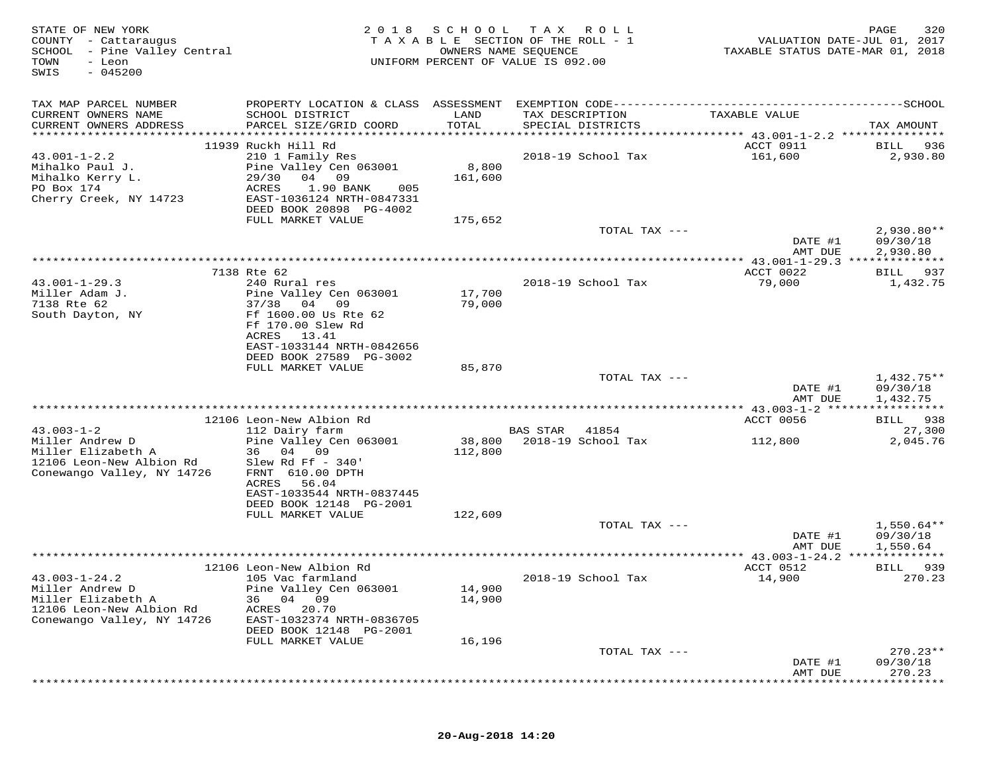| STATE OF NEW YORK<br>COUNTY - Cattaraugus<br>SCHOOL - Pine Valley Central<br>TOWN<br>- Leon<br>$-045200$<br>SWIS       | 2 0 1 8                                                                                                                                                         | SCHOOL TAX<br>TAXABLE SECTION OF THE ROLL - 1<br>OWNERS NAME SEQUENCE<br>UNIFORM PERCENT OF VALUE IS 092.00 |          | ROLL                        | TAXABLE STATUS DATE-MAR 01, 2018                | PAGE<br>320<br>VALUATION DATE-JUL 01, 2017 |
|------------------------------------------------------------------------------------------------------------------------|-----------------------------------------------------------------------------------------------------------------------------------------------------------------|-------------------------------------------------------------------------------------------------------------|----------|-----------------------------|-------------------------------------------------|--------------------------------------------|
| TAX MAP PARCEL NUMBER<br>CURRENT OWNERS NAME                                                                           | SCHOOL DISTRICT                                                                                                                                                 | LAND                                                                                                        |          | TAX DESCRIPTION             | TAXABLE VALUE                                   |                                            |
| CURRENT OWNERS ADDRESS<br>********************                                                                         | PARCEL SIZE/GRID COORD                                                                                                                                          | TOTAL<br>****************                                                                                   |          | SPECIAL DISTRICTS           |                                                 | TAX AMOUNT                                 |
| $43.001 - 1 - 2.2$<br>Mihalko Paul J.<br>Mihalko Kerry L.<br>PO Box 174<br>Cherry Creek, NY 14723                      | 11939 Ruckh Hill Rd<br>210 1 Family Res<br>Pine Valley Cen 063001<br>04 09<br>29/30<br>ACRES<br>1.90 BANK<br>005<br>EAST-1036124 NRTH-0847331                   | 8,800<br>161,600                                                                                            |          | 2018-19 School Tax          | ACCT 0911<br>161,600                            | BILL<br>936<br>2,930.80                    |
|                                                                                                                        | DEED BOOK 20898 PG-4002                                                                                                                                         |                                                                                                             |          |                             |                                                 |                                            |
|                                                                                                                        | FULL MARKET VALUE                                                                                                                                               | 175,652                                                                                                     |          | TOTAL TAX ---               | DATE #1                                         | $2,930.80**$<br>09/30/18                   |
|                                                                                                                        |                                                                                                                                                                 |                                                                                                             |          |                             | AMT DUE                                         | 2,930.80                                   |
| $43.001 - 1 - 29.3$                                                                                                    | 7138 Rte 62<br>240 Rural res                                                                                                                                    |                                                                                                             |          | 2018-19 School Tax          | ACCT 0022<br>79,000                             | BILL 937<br>1,432.75                       |
| Miller Adam J.<br>7138 Rte 62<br>South Dayton, NY                                                                      | Pine Valley Cen 063001<br>37/38<br>04 09<br>Ff 1600.00 Us Rte 62<br>Ff 170.00 Slew Rd<br>ACRES<br>13.41<br>EAST-1033144 NRTH-0842656<br>DEED BOOK 27589 PG-3002 | 17,700<br>79,000                                                                                            |          |                             |                                                 |                                            |
|                                                                                                                        | FULL MARKET VALUE                                                                                                                                               | 85,870                                                                                                      |          |                             |                                                 |                                            |
|                                                                                                                        |                                                                                                                                                                 |                                                                                                             |          | TOTAL TAX ---               | DATE #1<br>AMT DUE                              | $1,432.75**$<br>09/30/18<br>1,432.75       |
|                                                                                                                        |                                                                                                                                                                 |                                                                                                             |          |                             |                                                 |                                            |
|                                                                                                                        | 12106 Leon-New Albion Rd                                                                                                                                        |                                                                                                             |          |                             | ACCT 0056                                       | BILL 938                                   |
| $43.003 - 1 - 2$<br>Miller Andrew D<br>Miller Elizabeth A<br>12106 Leon-New Albion Rd<br>Conewango Valley, NY 14726    | 112 Dairy farm<br>Pine Valley Cen 063001<br>36 04 09<br>Slew Rd Ff $-340'$<br>FRNT 610.00 DPTH                                                                  | 38,800<br>112,800                                                                                           | BAS STAR | 41854<br>2018-19 School Tax | 112,800                                         | 27,300<br>2,045.76                         |
|                                                                                                                        | 56.04<br>ACRES<br>EAST-1033544 NRTH-0837445<br>DEED BOOK 12148 PG-2001<br>FULL MARKET VALUE                                                                     | 122,609                                                                                                     |          |                             |                                                 |                                            |
|                                                                                                                        |                                                                                                                                                                 |                                                                                                             |          | TOTAL TAX ---               |                                                 | $1,550.64**$                               |
|                                                                                                                        |                                                                                                                                                                 |                                                                                                             |          |                             | DATE #1<br>AMT DUE<br>** $43.003 - 1 - 24.2$ ** | 09/30/18<br>1,550.64                       |
|                                                                                                                        | 12106 Leon-New Albion Rd                                                                                                                                        |                                                                                                             |          |                             | ACCT 0512                                       | 939<br>BILL                                |
| $43.003 - 1 - 24.2$<br>Miller Andrew D<br>Miller Elizabeth A<br>12106 Leon-New Albion Rd<br>Conewango Valley, NY 14726 | 105 Vac farmland<br>Pine Valley Cen 063001<br>04<br>09<br>36<br>ACRES<br>20.70<br>EAST-1032374 NRTH-0836705<br>DEED BOOK 12148 PG-2001                          | 14,900<br>14,900                                                                                            |          | 2018-19 School Tax          | 14,900                                          | 270.23                                     |
|                                                                                                                        | FULL MARKET VALUE                                                                                                                                               | 16,196                                                                                                      |          |                             |                                                 |                                            |
|                                                                                                                        |                                                                                                                                                                 |                                                                                                             |          | TOTAL TAX ---               | DATE #1<br>AMT DUE                              | $270.23**$<br>09/30/18<br>270.23           |
|                                                                                                                        |                                                                                                                                                                 |                                                                                                             |          |                             |                                                 |                                            |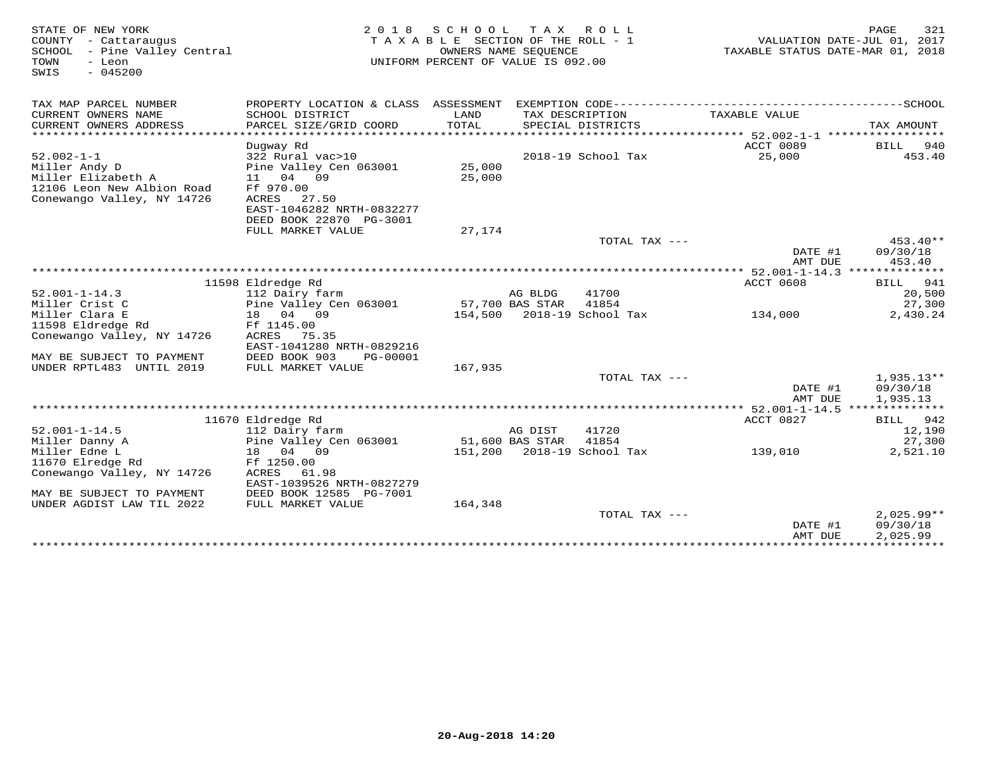| STATE OF NEW YORK<br>COUNTY - Cattaraugus<br>SCHOOL - Pine Valley Central<br>TOWN<br>- Leon<br>$-045200$<br>SWIS | 2 0 1 8                       | S C H O O L<br>TAXABLE SECTION OF THE ROLL - 1<br>UNIFORM PERCENT OF VALUE IS 092.00 | T A X<br>OWNERS NAME SEQUENCE | R O L L                    | TAXABLE STATUS DATE-MAR 01, 2018        | 321<br>PAGE<br>VALUATION DATE-JUL 01, 2017 |
|------------------------------------------------------------------------------------------------------------------|-------------------------------|--------------------------------------------------------------------------------------|-------------------------------|----------------------------|-----------------------------------------|--------------------------------------------|
| TAX MAP PARCEL NUMBER                                                                                            |                               |                                                                                      |                               |                            |                                         |                                            |
| CURRENT OWNERS NAME                                                                                              | SCHOOL DISTRICT               | LAND                                                                                 |                               | TAX DESCRIPTION            | TAXABLE VALUE                           |                                            |
| CURRENT OWNERS ADDRESS                                                                                           | PARCEL SIZE/GRID COORD        | TOTAL                                                                                |                               | SPECIAL DISTRICTS          |                                         | TAX AMOUNT                                 |
|                                                                                                                  |                               |                                                                                      |                               |                            | ACCT 0089                               |                                            |
| $52.002 - 1 - 1$                                                                                                 | Dugway Rd<br>322 Rural vac>10 |                                                                                      |                               | 2018-19 School Tax         | 25,000                                  | BILL 940<br>453.40                         |
| Miller Andy D                                                                                                    | Pine Valley Cen 063001        | 25,000                                                                               |                               |                            |                                         |                                            |
| Miller Elizabeth A                                                                                               | 11 04 09                      | 25,000                                                                               |                               |                            |                                         |                                            |
| 12106 Leon New Albion Road                                                                                       | Ff 970.00                     |                                                                                      |                               |                            |                                         |                                            |
| Conewango Valley, NY 14726                                                                                       | ACRES 27.50                   |                                                                                      |                               |                            |                                         |                                            |
|                                                                                                                  | EAST-1046282 NRTH-0832277     |                                                                                      |                               |                            |                                         |                                            |
|                                                                                                                  | DEED BOOK 22870 PG-3001       |                                                                                      |                               |                            |                                         |                                            |
|                                                                                                                  | FULL MARKET VALUE             | 27,174                                                                               |                               |                            |                                         |                                            |
|                                                                                                                  |                               |                                                                                      |                               | TOTAL TAX ---              |                                         | $453.40**$                                 |
|                                                                                                                  |                               |                                                                                      |                               |                            | DATE #1                                 | 09/30/18                                   |
|                                                                                                                  |                               |                                                                                      |                               |                            | AMT DUE                                 | 453.40                                     |
|                                                                                                                  |                               |                                                                                      |                               |                            | ********** 52.001-1-14.3 ************** |                                            |
|                                                                                                                  | 11598 Eldredge Rd             |                                                                                      |                               |                            | ACCT 0608                               | 941<br>BILL                                |
| $52.001 - 1 - 14.3$                                                                                              | 112 Dairy farm                |                                                                                      | AG BLDG                       | 41700                      |                                         | 20,500                                     |
| Miller Crist C                                                                                                   | Pine Valley Cen 063001        |                                                                                      | 57,700 BAS STAR               | 41854                      |                                         | 27,300                                     |
| Miller Clara E                                                                                                   | 18 04 09                      |                                                                                      |                               | 154,500 2018-19 School Tax | 134,000                                 | 2,430.24                                   |
| 11598 Eldredge Rd<br>Conewango Valley, NY 14726                                                                  | Ff 1145.00<br>ACRES 75.35     |                                                                                      |                               |                            |                                         |                                            |
|                                                                                                                  | EAST-1041280 NRTH-0829216     |                                                                                      |                               |                            |                                         |                                            |
| MAY BE SUBJECT TO PAYMENT                                                                                        | DEED BOOK 903<br>PG-00001     |                                                                                      |                               |                            |                                         |                                            |
| UNDER RPTL483 UNTIL 2019                                                                                         | FULL MARKET VALUE             | 167,935                                                                              |                               |                            |                                         |                                            |
|                                                                                                                  |                               |                                                                                      |                               | TOTAL TAX ---              |                                         | $1,935.13**$                               |
|                                                                                                                  |                               |                                                                                      |                               |                            | DATE #1                                 | 09/30/18                                   |
|                                                                                                                  |                               |                                                                                      |                               |                            | AMT DUE                                 | 1,935.13                                   |
|                                                                                                                  |                               |                                                                                      |                               |                            |                                         |                                            |
|                                                                                                                  | 11670 Eldredge Rd             |                                                                                      |                               |                            | ACCT 0827                               | BILL 942                                   |
| $52.001 - 1 - 14.5$                                                                                              | 112 Dairy farm                |                                                                                      | AG DIST                       | 41720                      |                                         | 12,190                                     |
| Miller Danny A                                                                                                   | Pine Valley Cen 063001        |                                                                                      | 51,600 BAS STAR               | 41854                      |                                         | 27,300                                     |
| Miller Edne L                                                                                                    | 18 04 09                      |                                                                                      |                               | 151,200 2018-19 School Tax | 139,010                                 | 2,521.10                                   |
| 11670 Elredge Rd                                                                                                 | Ff 1250.00                    |                                                                                      |                               |                            |                                         |                                            |
| Conewango Valley, NY 14726                                                                                       | ACRES<br>61.98                |                                                                                      |                               |                            |                                         |                                            |
|                                                                                                                  | EAST-1039526 NRTH-0827279     |                                                                                      |                               |                            |                                         |                                            |
| MAY BE SUBJECT TO PAYMENT                                                                                        | DEED BOOK 12585 PG-7001       |                                                                                      |                               |                            |                                         |                                            |
| UNDER AGDIST LAW TIL 2022                                                                                        | FULL MARKET VALUE             | 164,348                                                                              |                               | TOTAL TAX ---              |                                         | $2,025.99**$                               |
|                                                                                                                  |                               |                                                                                      |                               |                            | DATE #1                                 | 09/30/18                                   |
|                                                                                                                  |                               |                                                                                      |                               |                            | AMT DUE                                 | 2,025.99                                   |
|                                                                                                                  |                               |                                                                                      |                               |                            |                                         |                                            |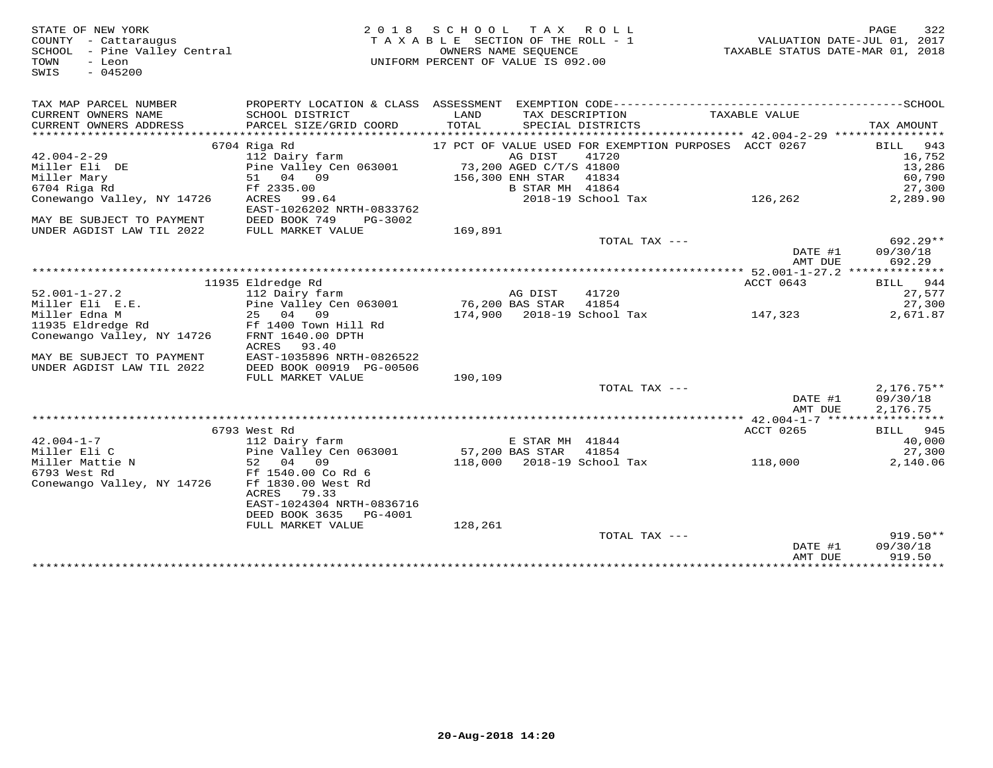STATE OF NEW YORK 2 0 1 8 S C H O O L T A X R O L L PAGE 322 COUNTY - Cattaraugus T A X A B L E SECTION OF THE ROLL - 1 VALUATION DATE-JUL 01, 2017 SCHOOL - Pine Valley Central OWNERS NAME SEQUENCE TAXABLE STATUS DATE-MAR 01, 2018 TOWN - Leon UNIFORM PERCENT OF VALUE IS 092.00 SWIS - 045200TAX MAP PARCEL NUMBER PROPERTY LOCATION & CLASS ASSESSMENT EXEMPTION CODE------------------------------------------SCHOOL CURRENT OWNERS NAME SCHOOL DISTRICT LAND TAX DESCRIPTION TAXABLE VALUE CURRENT OWNERS ADDRESS PARCEL SIZE/GRID COORD TOTAL SPECIAL DISTRICTS TAX AMOUNT \*\*\*\*\*\*\*\*\*\*\*\*\*\*\*\*\*\*\*\*\*\*\*\*\*\*\*\*\*\*\*\*\*\*\*\*\*\*\*\*\*\*\*\*\*\*\*\*\*\*\*\*\*\*\*\*\*\*\*\*\*\*\*\*\*\*\*\*\*\*\*\*\*\*\*\*\*\*\*\*\*\*\*\*\*\*\*\*\*\*\*\*\*\*\*\*\*\*\*\*\*\*\* 42.004-2-29 \*\*\*\*\*\*\*\*\*\*\*\*\*\*\*\* 6704 Riga Rd 17 PCT OF VALUE USED FOR EXEMPTION PURPOSES ACCT 0267 BILL 943 42.004-2-29 112 Dairy farm AG DIST 41720 16,752 Miller Eli DE Pine Valley Cen 063001 73,200 AGED C/T/S 41800 13,286 Miller Mary 51 04 09 156,300 ENH STAR 41834 60,790 6704 Riga Rd Ff 2335.00 B STAR MH 41864 27,300 Conewango Valley, NY 14726 ACRES 99.64 2018-19 School Tax 126,262 2,289.90 EAST-1026202 NRTH-0833762 MAY BE SUBJECT TO PAYMENT DEED BOOK 749 PG-3002 UNDER AGDIST LAW TIL 2022 FULL MARKET VALUE 169,891 TOTAL TAX --- 692.29\*\* DATE #1 09/30/18 AMT DUE 692.29 \*\*\*\*\*\*\*\*\*\*\*\*\*\*\*\*\*\*\*\*\*\*\*\*\*\*\*\*\*\*\*\*\*\*\*\*\*\*\*\*\*\*\*\*\*\*\*\*\*\*\*\*\*\*\*\*\*\*\*\*\*\*\*\*\*\*\*\*\*\*\*\*\*\*\*\*\*\*\*\*\*\*\*\*\*\*\*\*\*\*\*\*\*\*\*\*\*\*\*\*\*\*\* 52.001-1-27.2 \*\*\*\*\*\*\*\*\*\*\*\*\*\* 11935 Eldredge Rd ACCT 0643 BILL 944 52.001-1-27.2 112 Dairy farm AG DIST 41720 27,577 Miller Eli E.E. Pine Valley Cen 063001 76,200 BAS STAR 41854 27,300 Miller Edna M 25 04 09 174,900 2018-19 School Tax 147,323 2,671.87 11935 Eldredge Rd Ff 1400 Town Hill Rd Conewango Valley, NY 14726 FRNT 1640.00 DPTH ACRES 93.40 MAY BE SUBJECT TO PAYMENT EAST-1035896 NRTH-0826522 UNDER AGDIST LAW TIL 2022 DEED BOOK 00919 PG-00506 FULL MARKET VALUE 190,109 TOTAL TAX --- 2,176.75\*\*TOTAL TAX --- AMT DUE 2,176.75 \*\*\*\*\*\*\*\*\*\*\*\*\*\*\*\*\*\*\*\*\*\*\*\*\*\*\*\*\*\*\*\*\*\*\*\*\*\*\*\*\*\*\*\*\*\*\*\*\*\*\*\*\*\*\*\*\*\*\*\*\*\*\*\*\*\*\*\*\*\*\*\*\*\*\*\*\*\*\*\*\*\*\*\*\*\*\*\*\*\*\*\*\*\*\*\*\*\*\*\*\*\*\* 42.004-1-7 \*\*\*\*\*\*\*\*\*\*\*\*\*\*\*\*\* 6793 West Rd ACCT 0265 BILL 945 42.004-1-7 112 Dairy farm E STAR MH 41844 40,000 Miller Eli C Pine Valley Cen 063001 57,200 BAS STAR 41854 27,300 Miller Mattie N 52 04 09 118,000 2018-19 School Tax 118,000 2,140.06 6793 West Rd Ff 1540.00 Co Rd 6 Conewango Valley, NY 14726 Ff 1830.00 West Rd ACRES 79.33 EAST-1024304 NRTH-0836716 DEED BOOK 3635 PG-4001 FULL MARKET VALUE 128,261 TOTAL TAX --- 919.50\*\* $09/30/18$  DATE #1 09/30/18AMT DUE 919.50

\*\*\*\*\*\*\*\*\*\*\*\*\*\*\*\*\*\*\*\*\*\*\*\*\*\*\*\*\*\*\*\*\*\*\*\*\*\*\*\*\*\*\*\*\*\*\*\*\*\*\*\*\*\*\*\*\*\*\*\*\*\*\*\*\*\*\*\*\*\*\*\*\*\*\*\*\*\*\*\*\*\*\*\*\*\*\*\*\*\*\*\*\*\*\*\*\*\*\*\*\*\*\*\*\*\*\*\*\*\*\*\*\*\*\*\*\*\*\*\*\*\*\*\*\*\*\*\*\*\*\*\*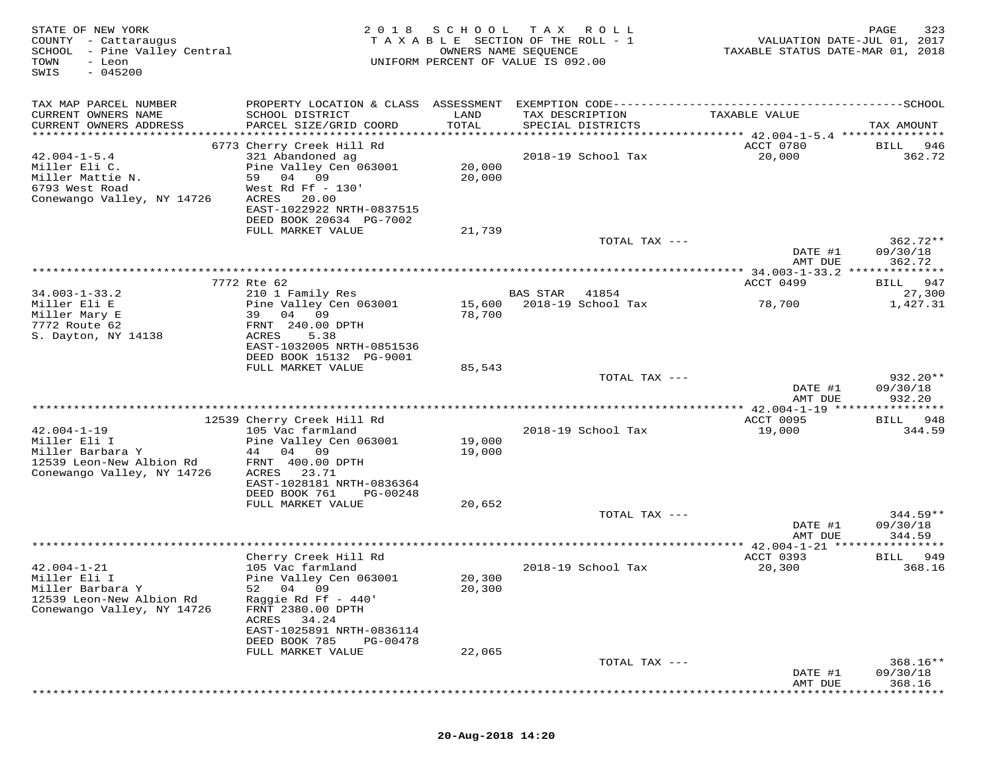| STATE OF NEW YORK<br>COUNTY - Cattaraugus<br>SCHOOL - Pine Valley Central<br>TOWN<br>- Leon<br>$-045200$<br>SWIS | 2 0 1 8                                                                                                                                                                                                     | SCHOOL<br>TAXABLE SECTION OF THE ROLL - 1<br>OWNERS NAME SEQUENCE<br>UNIFORM PERCENT OF VALUE IS 092.00 | T A X           | R O L L                     | VALUATION DATE-JUL 01, 2017<br>TAXABLE STATUS DATE-MAR 01, 2018 | 323<br>PAGE                       |
|------------------------------------------------------------------------------------------------------------------|-------------------------------------------------------------------------------------------------------------------------------------------------------------------------------------------------------------|---------------------------------------------------------------------------------------------------------|-----------------|-----------------------------|-----------------------------------------------------------------|-----------------------------------|
| TAX MAP PARCEL NUMBER<br>CURRENT OWNERS NAME<br>CURRENT OWNERS ADDRESS                                           | SCHOOL DISTRICT<br>PARCEL SIZE/GRID COORD                                                                                                                                                                   | LAND<br>TOTAL                                                                                           | TAX DESCRIPTION | SPECIAL DISTRICTS           | TAXABLE VALUE                                                   | TAX AMOUNT                        |
| $42.004 - 1 - 5.4$<br>Miller Eli C.<br>Miller Mattie N.<br>6793 West Road<br>Conewango Valley, NY 14726          | 6773 Cherry Creek Hill Rd<br>321 Abandoned ag<br>Pine Valley Cen 063001<br>59 04<br>09<br>West Rd Ff $-130'$<br>ACRES<br>20.00<br>EAST-1022922 NRTH-0837515<br>DEED BOOK 20634 PG-7002<br>FULL MARKET VALUE | 20,000<br>20,000<br>21,739                                                                              |                 | 2018-19 School Tax          | ACCT 0780<br>20,000                                             | <b>BILL</b><br>946<br>362.72      |
|                                                                                                                  |                                                                                                                                                                                                             |                                                                                                         |                 | TOTAL TAX ---               | DATE #1                                                         | $362.72**$<br>09/30/18            |
|                                                                                                                  |                                                                                                                                                                                                             |                                                                                                         |                 |                             | AMT DUE                                                         | 362.72<br>* * * * * * * * *       |
| $34.003 - 1 - 33.2$<br>Miller Eli E<br>Miller Mary E<br>7772 Route 62<br>S. Dayton, NY 14138                     | 7772 Rte 62<br>210 1 Family Res<br>Pine Valley Cen 063001<br>39 04 09<br>FRNT 240.00 DPTH<br>ACRES<br>5.38<br>EAST-1032005 NRTH-0851536                                                                     | 15,600<br>78,700                                                                                        | BAS STAR        | 41854<br>2018-19 School Tax | ACCT 0499<br>78,700                                             | 947<br>BILL<br>27,300<br>1,427.31 |
|                                                                                                                  | DEED BOOK 15132 PG-9001<br>FULL MARKET VALUE                                                                                                                                                                | 85,543                                                                                                  |                 | TOTAL TAX ---               | DATE #1<br>AMT DUE                                              | $932.20**$<br>09/30/18<br>932.20  |
|                                                                                                                  |                                                                                                                                                                                                             |                                                                                                         |                 |                             |                                                                 |                                   |
| $42.004 - 1 - 19$<br>Miller Eli I<br>Miller Barbara Y<br>12539 Leon-New Albion Rd<br>Conewango Valley, NY 14726  | 12539 Cherry Creek Hill Rd<br>105 Vac farmland<br>Pine Valley Cen 063001<br>44 04 09<br>FRNT 400.00 DPTH<br>ACRES<br>23.71<br>EAST-1028181 NRTH-0836364<br>DEED BOOK 761<br>PG-00248                        | 19,000<br>19,000                                                                                        |                 | 2018-19 School Tax          | ACCT 0095<br>19,000                                             | 948<br>BILL<br>344.59             |
|                                                                                                                  | FULL MARKET VALUE                                                                                                                                                                                           | 20,652                                                                                                  |                 | TOTAL TAX ---               | DATE #1                                                         | $344.59**$<br>09/30/18            |
|                                                                                                                  |                                                                                                                                                                                                             | ***********************************                                                                     |                 |                             | AMT DUE                                                         | 344.59                            |
| $42.004 - 1 - 21$<br>Miller Eli I<br>Miller Barbara Y<br>12539 Leon-New Albion Rd<br>Conewango Valley, NY 14726  | Cherry Creek Hill Rd<br>105 Vac farmland<br>Pine Valley Cen 063001<br>04 09<br>52<br>Raggie Rd Ff - 440'<br>FRNT 2380.00 DPTH<br>34.24<br>ACRES<br>EAST-1025891 NRTH-0836114                                | 20,300<br>20,300                                                                                        |                 | 2018-19 School Tax          | **** 42.004-1-21<br>ACCT 0393<br>20,300                         | 949<br>BILL<br>368.16             |
|                                                                                                                  | DEED BOOK 785<br>PG-00478<br>FULL MARKET VALUE                                                                                                                                                              | 22,065                                                                                                  |                 | TOTAL TAX ---               |                                                                 | 368.16**                          |
|                                                                                                                  |                                                                                                                                                                                                             |                                                                                                         |                 |                             | DATE #1<br>AMT DUE                                              | 09/30/18<br>368.16                |

## **20-Aug-2018 14:20**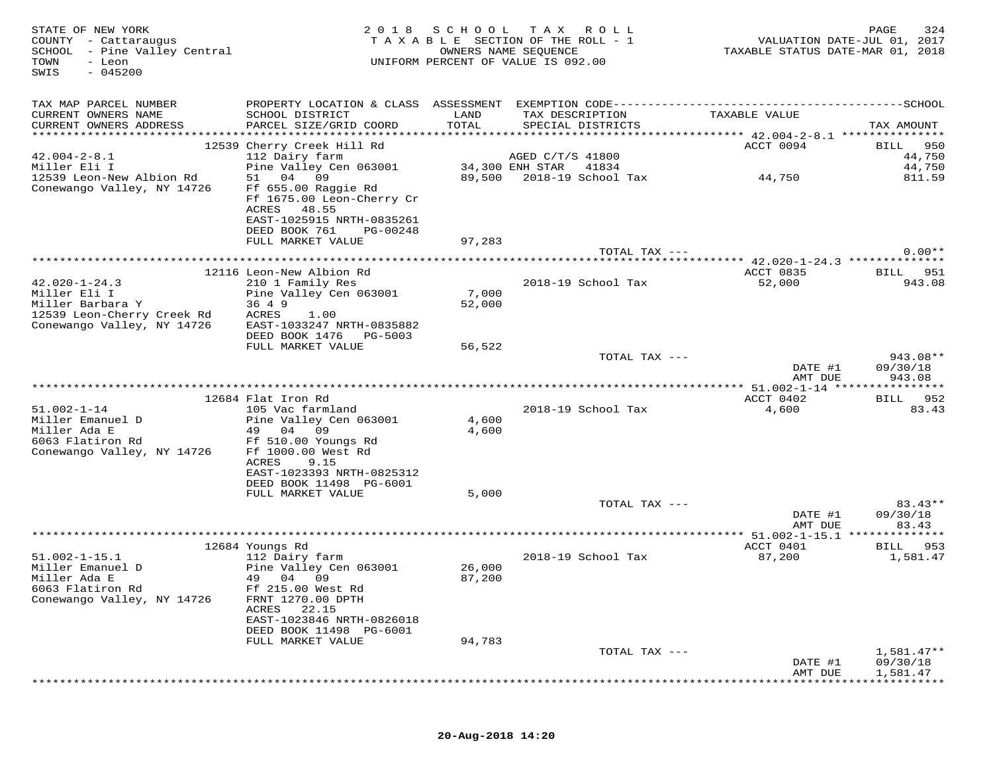| STATE OF NEW YORK<br>COUNTY - Cattaraugus<br>SCHOOL - Pine Valley Central<br>TOWN<br>- Leon<br>$-045200$<br>SWIS | 2 0 1 8                                                                                                                      | SCHOOL<br>OWNERS NAME SEQUENCE | T A X<br>T A X A B L E SECTION OF THE ROLL - 1<br>UNIFORM PERCENT OF VALUE IS 092.00 | R O L L       |                                | PAGE<br>324<br>VALUATION DATE-JUL 01, 2017<br>TAXABLE STATUS DATE-MAR 01, 2018 |
|------------------------------------------------------------------------------------------------------------------|------------------------------------------------------------------------------------------------------------------------------|--------------------------------|--------------------------------------------------------------------------------------|---------------|--------------------------------|--------------------------------------------------------------------------------|
| TAX MAP PARCEL NUMBER                                                                                            | PROPERTY LOCATION & CLASS ASSESSMENT EXEMPTION CODE-----------------------------------SCHOOL                                 |                                |                                                                                      |               |                                |                                                                                |
| CURRENT OWNERS NAME                                                                                              | SCHOOL DISTRICT                                                                                                              | LAND                           | TAX DESCRIPTION                                                                      |               | TAXABLE VALUE                  |                                                                                |
| CURRENT OWNERS ADDRESS<br>************************                                                               | PARCEL SIZE/GRID COORD                                                                                                       | TOTAL                          | SPECIAL DISTRICTS                                                                    |               |                                | TAX AMOUNT                                                                     |
|                                                                                                                  | 12539 Cherry Creek Hill Rd                                                                                                   |                                |                                                                                      |               | ACCT 0094                      | 950<br>BILL                                                                    |
| $42.004 - 2 - 8.1$                                                                                               | 112 Dairy farm                                                                                                               |                                | AGED C/T/S 41800                                                                     |               |                                | 44,750                                                                         |
| Miller Eli I                                                                                                     | Pine Valley Cen 063001<br>04<br>09<br>51                                                                                     |                                | 34,300 ENH STAR<br>2018-19 School Tax                                                | 41834         |                                | 44,750<br>811.59                                                               |
| 12539 Leon-New Albion Rd<br>Conewango Valley, NY 14726                                                           | Ff 655.00 Raggie Rd<br>Ff 1675.00 Leon-Cherry Cr<br>ACRES<br>48.55<br>EAST-1025915 NRTH-0835261<br>DEED BOOK 761<br>PG-00248 | 89,500                         |                                                                                      |               | 44,750                         |                                                                                |
|                                                                                                                  | FULL MARKET VALUE                                                                                                            | 97,283                         |                                                                                      |               |                                |                                                                                |
|                                                                                                                  |                                                                                                                              |                                |                                                                                      | TOTAL TAX --- |                                | $0.00**$                                                                       |
|                                                                                                                  | 12116 Leon-New Albion Rd                                                                                                     |                                |                                                                                      |               | ACCT 0835                      | 951<br>BILL                                                                    |
| $42.020 - 1 - 24.3$                                                                                              | 210 1 Family Res                                                                                                             |                                | 2018-19 School Tax                                                                   |               | 52,000                         | 943.08                                                                         |
| Miller Eli I                                                                                                     | Pine Valley Cen 063001                                                                                                       | 7,000                          |                                                                                      |               |                                |                                                                                |
| Miller Barbara Y<br>12539 Leon-Cherry Creek Rd                                                                   | 36 4 9<br>ACRES<br>1.00                                                                                                      | 52,000                         |                                                                                      |               |                                |                                                                                |
| Conewango Valley, NY 14726                                                                                       | EAST-1033247 NRTH-0835882                                                                                                    |                                |                                                                                      |               |                                |                                                                                |
|                                                                                                                  | DEED BOOK 1476<br>PG-5003                                                                                                    |                                |                                                                                      |               |                                |                                                                                |
|                                                                                                                  | FULL MARKET VALUE                                                                                                            | 56,522                         |                                                                                      |               |                                |                                                                                |
|                                                                                                                  |                                                                                                                              |                                |                                                                                      | TOTAL TAX --- |                                | $943.08**$<br>DATE #1<br>09/30/18                                              |
|                                                                                                                  |                                                                                                                              |                                |                                                                                      |               |                                | 943.08<br>AMT DUE                                                              |
|                                                                                                                  |                                                                                                                              |                                |                                                                                      |               |                                |                                                                                |
| $51.002 - 1 - 14$                                                                                                | 12684 Flat Iron Rd<br>105 Vac farmland                                                                                       |                                | 2018-19 School Tax                                                                   |               | ACCT 0402<br>4,600             | BILL 952<br>83.43                                                              |
| Miller Emanuel D                                                                                                 | Pine Valley Cen 063001                                                                                                       | 4,600                          |                                                                                      |               |                                |                                                                                |
| Miller Ada E                                                                                                     | 09<br>49 04                                                                                                                  | 4,600                          |                                                                                      |               |                                |                                                                                |
| 6063 Flatiron Rd<br>Conewango Valley, NY 14726                                                                   | Ff 510.00 Youngs Rd<br>Ff 1000.00 West Rd                                                                                    |                                |                                                                                      |               |                                |                                                                                |
|                                                                                                                  | ACRES<br>9.15                                                                                                                |                                |                                                                                      |               |                                |                                                                                |
|                                                                                                                  | EAST-1023393 NRTH-0825312                                                                                                    |                                |                                                                                      |               |                                |                                                                                |
|                                                                                                                  | DEED BOOK 11498 PG-6001<br>FULL MARKET VALUE                                                                                 | 5,000                          |                                                                                      |               |                                |                                                                                |
|                                                                                                                  |                                                                                                                              |                                |                                                                                      | TOTAL TAX --- |                                | $83.43**$                                                                      |
|                                                                                                                  |                                                                                                                              |                                |                                                                                      |               |                                | DATE #1<br>09/30/18                                                            |
|                                                                                                                  |                                                                                                                              |                                | *************************************                                                |               |                                | 83.43<br>AMT DUE                                                               |
|                                                                                                                  | 12684 Youngs Rd                                                                                                              |                                |                                                                                      |               | *** 51.002-1-15.1<br>ACCT 0401 | **************<br>953<br>BILL                                                  |
| $51.002 - 1 - 15.1$                                                                                              | 112 Dairy farm                                                                                                               |                                | 2018-19 School Tax                                                                   |               | 87,200                         | 1,581.47                                                                       |
| Miller Emanuel D                                                                                                 | Pine Valley Cen 063001                                                                                                       | 26,000                         |                                                                                      |               |                                |                                                                                |
| Miller Ada E<br>6063 Flatiron Rd                                                                                 | 49 04 09<br>Ff 215.00 West Rd                                                                                                | 87,200                         |                                                                                      |               |                                |                                                                                |
| Conewango Valley, NY 14726                                                                                       | FRNT 1270.00 DPTH                                                                                                            |                                |                                                                                      |               |                                |                                                                                |
|                                                                                                                  | 22.15<br>ACRES                                                                                                               |                                |                                                                                      |               |                                |                                                                                |
|                                                                                                                  | EAST-1023846 NRTH-0826018<br>DEED BOOK 11498 PG-6001                                                                         |                                |                                                                                      |               |                                |                                                                                |
|                                                                                                                  | FULL MARKET VALUE                                                                                                            | 94,783                         |                                                                                      |               |                                |                                                                                |
|                                                                                                                  |                                                                                                                              |                                |                                                                                      | TOTAL TAX --- |                                | $1,581.47**$                                                                   |
|                                                                                                                  |                                                                                                                              |                                |                                                                                      |               |                                | DATE #1<br>09/30/18                                                            |
|                                                                                                                  |                                                                                                                              |                                |                                                                                      |               |                                | 1,581.47<br>AMT DUE                                                            |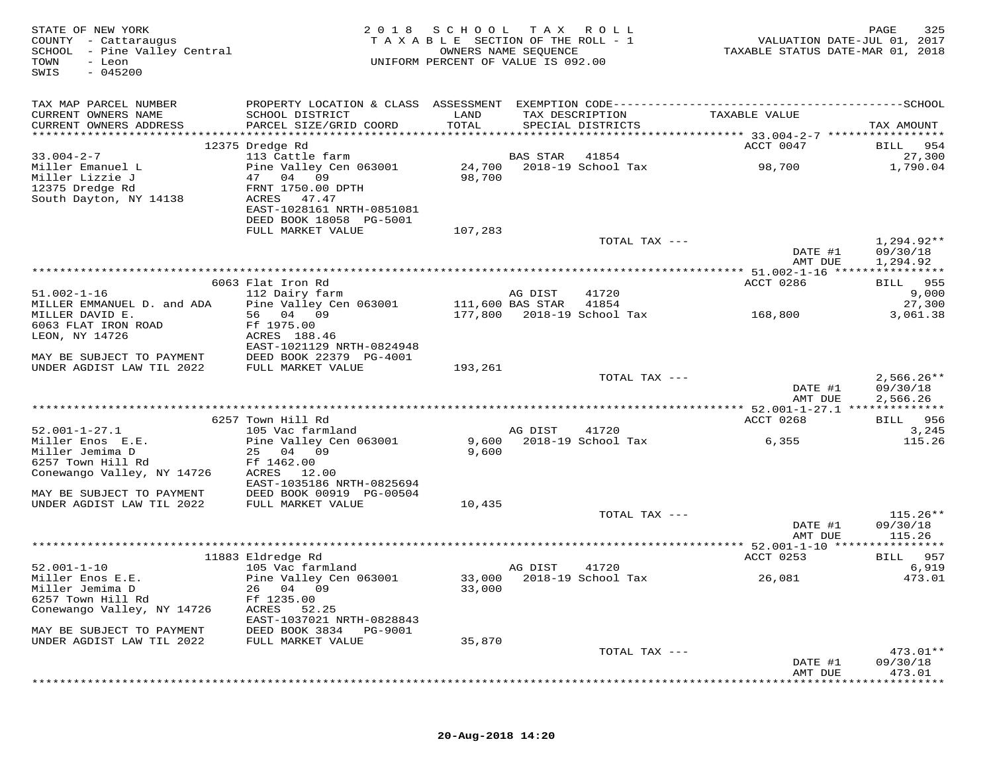| STATE OF NEW YORK<br>COUNTY - Cattaraugus<br>SCHOOL - Pine Valley Central<br>TOWN<br>- Leon<br>$-045200$<br>SWIS |                                             | 2018 SCHOOL TAX ROLL<br>TAXABLE SECTION OF THE ROLL - 1<br>UNIFORM PERCENT OF VALUE IS 092.00 | OWNERS NAME SEQUENCE |                                      | VALUATION DATE-JUL 01, 2017<br>TAXABLE STATUS DATE-MAR 01, 2018 | 325<br>PAGE            |
|------------------------------------------------------------------------------------------------------------------|---------------------------------------------|-----------------------------------------------------------------------------------------------|----------------------|--------------------------------------|-----------------------------------------------------------------|------------------------|
| TAX MAP PARCEL NUMBER                                                                                            |                                             |                                                                                               |                      |                                      |                                                                 |                        |
| CURRENT OWNERS NAME<br>CURRENT OWNERS ADDRESS                                                                    | SCHOOL DISTRICT<br>PARCEL SIZE/GRID COORD   | LAND<br>TOTAL                                                                                 |                      | TAX DESCRIPTION<br>SPECIAL DISTRICTS | TAXABLE VALUE                                                   | TAX AMOUNT             |
|                                                                                                                  |                                             |                                                                                               |                      |                                      |                                                                 |                        |
|                                                                                                                  | 12375 Dredge Rd                             |                                                                                               |                      |                                      | ACCT 0047                                                       | BILL 954               |
| $33.004 - 2 - 7$                                                                                                 | 113 Cattle farm                             |                                                                                               | BAS STAR             | 41854                                |                                                                 | 27,300                 |
| Miller Emanuel L<br>Miller Lizzie J                                                                              | Pine Valley Cen 063001<br>47 04 09          | 98,700                                                                                        |                      | 24,700 2018-19 School Tax            | 98,700                                                          | 1,790.04               |
| 12375 Dredge Rd                                                                                                  | FRNT 1750.00 DPTH                           |                                                                                               |                      |                                      |                                                                 |                        |
| South Dayton, NY 14138                                                                                           | ACRES 47.47                                 |                                                                                               |                      |                                      |                                                                 |                        |
|                                                                                                                  | EAST-1028161 NRTH-0851081                   |                                                                                               |                      |                                      |                                                                 |                        |
|                                                                                                                  | DEED BOOK 18058 PG-5001                     |                                                                                               |                      |                                      |                                                                 |                        |
|                                                                                                                  | FULL MARKET VALUE                           | 107,283                                                                                       |                      |                                      |                                                                 |                        |
|                                                                                                                  |                                             |                                                                                               |                      | TOTAL TAX ---                        |                                                                 | $1,294.92**$           |
|                                                                                                                  |                                             |                                                                                               |                      |                                      | DATE #1                                                         | 09/30/18               |
|                                                                                                                  |                                             |                                                                                               |                      |                                      | AMT DUE                                                         | 1,294.92               |
|                                                                                                                  | 6063 Flat Iron Rd                           |                                                                                               |                      |                                      | ACCT 0286                                                       | BILL 955               |
| $51.002 - 1 - 16$                                                                                                | 112 Dairy farm                              |                                                                                               | AG DIST              | 41720                                |                                                                 | 9,000                  |
| MILLER EMMANUEL D. and ADA                                                                                       | Pine Valley Cen 063001 111,600 BAS STAR     |                                                                                               |                      | 41854                                |                                                                 | 27,300                 |
| MILLER DAVID E.                                                                                                  | 56 04 09                                    |                                                                                               |                      | 177,800 2018-19 School Tax           | 168,800                                                         | 3,061.38               |
| 6063 FLAT IRON ROAD                                                                                              | Ff 1975.00                                  |                                                                                               |                      |                                      |                                                                 |                        |
| LEON, NY 14726                                                                                                   | ACRES 188.46                                |                                                                                               |                      |                                      |                                                                 |                        |
|                                                                                                                  | EAST-1021129 NRTH-0824948                   |                                                                                               |                      |                                      |                                                                 |                        |
| MAY BE SUBJECT TO PAYMENT DEED BOOK 22379 PG-4001<br>UNDER AGDIST LAW TIL 2022 FULL MARKET VALUE                 |                                             | 193,261                                                                                       |                      |                                      |                                                                 |                        |
|                                                                                                                  |                                             |                                                                                               |                      | TOTAL TAX ---                        |                                                                 | $2,566.26**$           |
|                                                                                                                  |                                             |                                                                                               |                      |                                      | DATE #1                                                         | 09/30/18               |
|                                                                                                                  |                                             |                                                                                               |                      |                                      | AMT DUE                                                         | 2,566.26               |
|                                                                                                                  |                                             |                                                                                               |                      |                                      |                                                                 |                        |
|                                                                                                                  | 6257 Town Hill Rd                           |                                                                                               |                      |                                      | ACCT 0268                                                       | BILL 956               |
| $52.001 - 1 - 27.1$<br>Miller Enos E.E.                                                                          | 105 Vac farmland<br>Pine Valley Cen 063001  | 9,600                                                                                         | AG DIST              | 41720<br>2018-19 School Tax          | 6,355                                                           | 3,245<br>115.26        |
| Miller Jemima D                                                                                                  | 25 04 09                                    | 9,600                                                                                         |                      |                                      |                                                                 |                        |
| 6257 Town Hill Rd                                                                                                | Ff 1462.00                                  |                                                                                               |                      |                                      |                                                                 |                        |
| Conewango Valley, NY 14726                                                                                       | ACRES 12.00                                 |                                                                                               |                      |                                      |                                                                 |                        |
|                                                                                                                  | EAST-1035186 NRTH-0825694                   |                                                                                               |                      |                                      |                                                                 |                        |
| MAY BE SUBJECT TO PAYMENT                                                                                        | DEED BOOK 00919 PG-00504                    |                                                                                               |                      |                                      |                                                                 |                        |
| UNDER AGDIST LAW TIL 2022                                                                                        | FULL MARKET VALUE                           | 10,435                                                                                        |                      |                                      |                                                                 |                        |
|                                                                                                                  |                                             |                                                                                               |                      | TOTAL TAX ---                        | DATE #1                                                         | $115.26**$<br>09/30/18 |
|                                                                                                                  |                                             |                                                                                               |                      |                                      | AMT DUE                                                         | 115.26                 |
|                                                                                                                  |                                             |                                                                                               |                      |                                      |                                                                 |                        |
|                                                                                                                  | 11883 Eldredge Rd                           |                                                                                               |                      |                                      | ACCT 0253                                                       | BILL 957               |
| $52.001 - 1 - 10$                                                                                                | 105 Vac farmland                            |                                                                                               | AG DIST              | 41720                                |                                                                 | 6,919                  |
| Miller Enos E.E.                                                                                                 | Pine Valley Cen 063001                      |                                                                                               |                      | 33,000 2018-19 School Tax            | 26,081                                                          | 473.01                 |
| Miller Jemima D                                                                                                  | 26 04 09                                    | 33,000                                                                                        |                      |                                      |                                                                 |                        |
| 6257 Town Hill Rd<br>Conewango Valley, NY 14726                                                                  | Ff 1235.00                                  |                                                                                               |                      |                                      |                                                                 |                        |
|                                                                                                                  | ACRES<br>52.25<br>EAST-1037021 NRTH-0828843 |                                                                                               |                      |                                      |                                                                 |                        |
| MAY BE SUBJECT TO PAYMENT                                                                                        | DEED BOOK 3834<br>PG-9001                   |                                                                                               |                      |                                      |                                                                 |                        |
| UNDER AGDIST LAW TIL 2022                                                                                        | FULL MARKET VALUE                           | 35,870                                                                                        |                      |                                      |                                                                 |                        |
|                                                                                                                  |                                             |                                                                                               |                      | TOTAL TAX ---                        |                                                                 | $473.01**$             |
|                                                                                                                  |                                             |                                                                                               |                      |                                      | DATE #1                                                         | 09/30/18               |
|                                                                                                                  |                                             |                                                                                               |                      |                                      | AMT DUE                                                         | 473.01                 |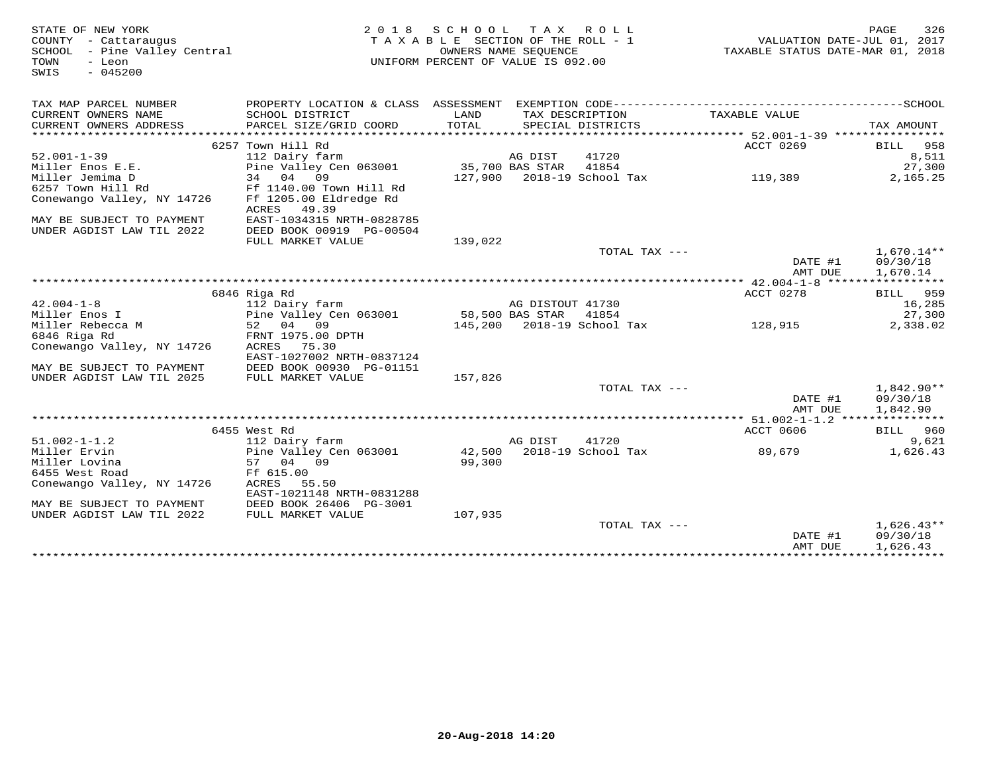| STATE OF NEW YORK<br>COUNTY - Cattaraugus<br>SCHOOL - Pine Valley Central<br>TOWN<br>- Leon<br>SWIS<br>$-045200$ |                                                       | 2018 SCHOOL<br>TAXABLE SECTION OF THE ROLL - 1<br>OWNERS NAME SEQUENCE<br>UNIFORM PERCENT OF VALUE IS 092.00 | TAX ROLL         |                                     | TAXABLE STATUS DATE-MAR 01, 2018          | PAGE<br>326<br>VALUATION DATE-JUL 01, 2017 |
|------------------------------------------------------------------------------------------------------------------|-------------------------------------------------------|--------------------------------------------------------------------------------------------------------------|------------------|-------------------------------------|-------------------------------------------|--------------------------------------------|
| TAX MAP PARCEL NUMBER                                                                                            |                                                       |                                                                                                              |                  |                                     |                                           |                                            |
| CURRENT OWNERS NAME                                                                                              | SCHOOL DISTRICT                                       | LAND<br>TOTAL                                                                                                |                  | TAX DESCRIPTION                     | TAXABLE VALUE                             |                                            |
| CURRENT OWNERS ADDRESS                                                                                           | PARCEL SIZE/GRID COORD                                |                                                                                                              |                  | SPECIAL DISTRICTS                   |                                           | TAX AMOUNT                                 |
|                                                                                                                  | 6257 Town Hill Rd                                     |                                                                                                              |                  |                                     | ACCT 0269                                 | BILL 958                                   |
| $52.001 - 1 - 39$                                                                                                | 112 Dairy farm                                        |                                                                                                              | AG DIST          | 41720                               |                                           | 8,511                                      |
| Miller Enos E.E.                                                                                                 | Pine Valley Cen 063001                                |                                                                                                              | 35,700 BAS STAR  | 41854                               |                                           | 27,300                                     |
| Miller Jemima D                                                                                                  | 34 04 09                                              |                                                                                                              |                  | 127,900 2018-19 School Tax          | 119,389                                   | 2,165.25                                   |
| 6257 Town Hill Rd                                                                                                | Ff 1140.00 Town Hill Rd                               |                                                                                                              |                  |                                     |                                           |                                            |
| Conewango Valley, NY 14726                                                                                       | Ff 1205.00 Eldredge Rd                                |                                                                                                              |                  |                                     |                                           |                                            |
|                                                                                                                  | ACRES<br>49.39                                        |                                                                                                              |                  |                                     |                                           |                                            |
| MAY BE SUBJECT TO PAYMENT<br>UNDER AGDIST LAW TIL 2022                                                           | EAST-1034315 NRTH-0828785<br>DEED BOOK 00919 PG-00504 |                                                                                                              |                  |                                     |                                           |                                            |
|                                                                                                                  | FULL MARKET VALUE                                     | 139,022                                                                                                      |                  |                                     |                                           |                                            |
|                                                                                                                  |                                                       |                                                                                                              |                  | TOTAL TAX ---                       |                                           | $1,670.14**$                               |
|                                                                                                                  |                                                       |                                                                                                              |                  |                                     | DATE #1                                   | 09/30/18                                   |
|                                                                                                                  |                                                       |                                                                                                              |                  |                                     | AMT DUE                                   | 1,670.14                                   |
|                                                                                                                  |                                                       |                                                                                                              |                  |                                     | *********** 42.004-1-8 ****************** |                                            |
|                                                                                                                  | 6846 Riga Rd                                          |                                                                                                              |                  |                                     | ACCT 0278                                 | BILL 959                                   |
| $42.004 - 1 - 8$                                                                                                 | 112 Dairy farm                                        |                                                                                                              | AG DISTOUT 41730 |                                     |                                           | 16,285                                     |
| Miller Enos I<br>Miller Rebecca M                                                                                | Pine Valley Cen 063001<br>52 04 09                    |                                                                                                              | 58,500 BAS STAR  | 41854<br>145,200 2018-19 School Tax |                                           | 27,300<br>2,338.02                         |
| 6846 Riga Rd                                                                                                     | FRNT 1975.00 DPTH                                     |                                                                                                              |                  |                                     | 128,915                                   |                                            |
| Conewango Valley, NY 14726                                                                                       | ACRES<br>75.30                                        |                                                                                                              |                  |                                     |                                           |                                            |
|                                                                                                                  | EAST-1027002 NRTH-0837124                             |                                                                                                              |                  |                                     |                                           |                                            |
| MAY BE SUBJECT TO PAYMENT                                                                                        | DEED BOOK 00930 PG-01151                              |                                                                                                              |                  |                                     |                                           |                                            |
| UNDER AGDIST LAW TIL 2025                                                                                        | FULL MARKET VALUE                                     | 157,826                                                                                                      |                  |                                     |                                           |                                            |
|                                                                                                                  |                                                       |                                                                                                              |                  | TOTAL TAX ---                       | DATE #1<br>AMT DUE                        | $1,842.90**$<br>09/30/18<br>1,842.90       |
|                                                                                                                  |                                                       |                                                                                                              |                  |                                     |                                           |                                            |
|                                                                                                                  | 6455 West Rd                                          |                                                                                                              |                  |                                     | ACCT 0606                                 | <b>BILL</b> 960                            |
| $51.002 - 1 - 1.2$                                                                                               | 112 Dairy farm                                        |                                                                                                              | AG DIST          | 41720                               |                                           | 9,621                                      |
| Miller Ervin                                                                                                     | Pine Valley Cen 063001                                |                                                                                                              |                  | 42,500 2018-19 School Tax           | 89,679                                    | 1,626.43                                   |
| Miller Lovina                                                                                                    | 57 04 09                                              | 99,300                                                                                                       |                  |                                     |                                           |                                            |
| 6455 West Road                                                                                                   | Ff 615.00                                             |                                                                                                              |                  |                                     |                                           |                                            |
| Conewango Valley, NY 14726                                                                                       | ACRES<br>55.50                                        |                                                                                                              |                  |                                     |                                           |                                            |
| MAY BE SUBJECT TO PAYMENT                                                                                        | EAST-1021148 NRTH-0831288<br>DEED BOOK 26406 PG-3001  |                                                                                                              |                  |                                     |                                           |                                            |
| UNDER AGDIST LAW TIL 2022                                                                                        | FULL MARKET VALUE                                     | 107,935                                                                                                      |                  |                                     |                                           |                                            |
|                                                                                                                  |                                                       |                                                                                                              |                  | TOTAL TAX ---                       |                                           | $1,626.43**$                               |
|                                                                                                                  |                                                       |                                                                                                              |                  |                                     | DATE #1<br>AMT DUE                        | 09/30/18<br>1,626.43                       |
|                                                                                                                  |                                                       |                                                                                                              |                  |                                     |                                           |                                            |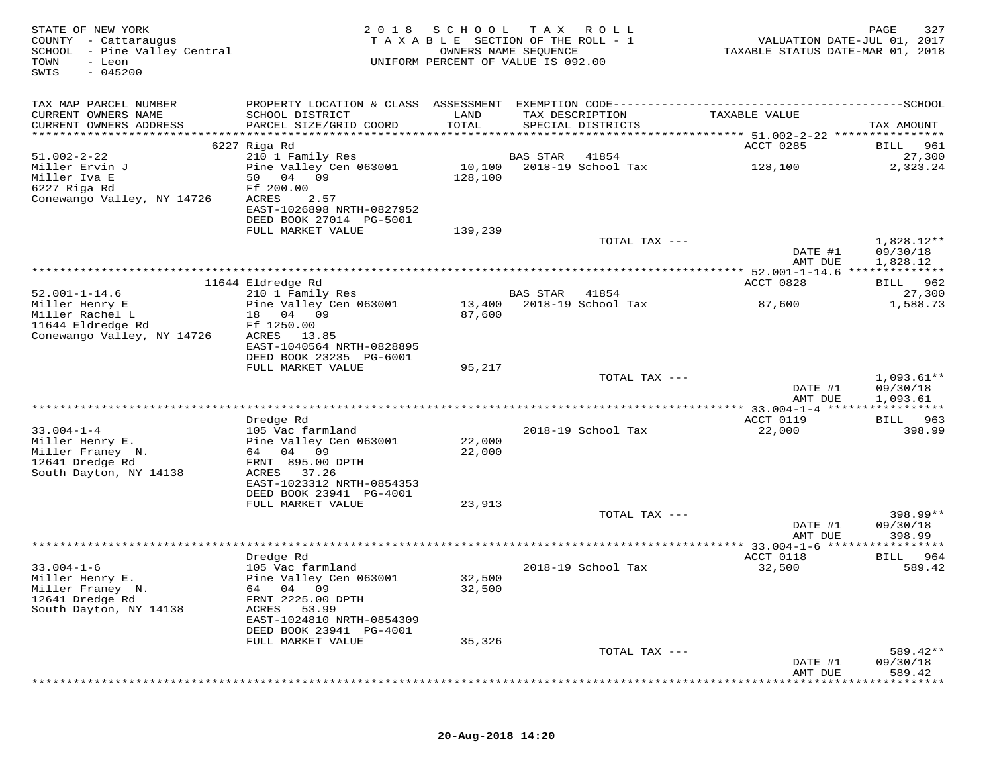| STATE OF NEW YORK<br>COUNTY - Cattaraugus<br>SCHOOL - Pine Valley Central<br>TOWN<br>- Leon<br>$-045200$<br>SWIS | 2 0 1 8                                                                   | S C H O O L       | T A X<br>R O L L<br>TAXABLE SECTION OF THE ROLL - 1<br>OWNERS NAME SEQUENCE<br>UNIFORM PERCENT OF VALUE IS 092.00 | TAXABLE STATUS DATE-MAR 01, 2018             | 327<br>PAGE<br>VALUATION DATE-JUL 01, 2017 |
|------------------------------------------------------------------------------------------------------------------|---------------------------------------------------------------------------|-------------------|-------------------------------------------------------------------------------------------------------------------|----------------------------------------------|--------------------------------------------|
| TAX MAP PARCEL NUMBER                                                                                            |                                                                           |                   |                                                                                                                   |                                              |                                            |
| CURRENT OWNERS NAME<br>CURRENT OWNERS ADDRESS                                                                    | SCHOOL DISTRICT<br>PARCEL SIZE/GRID COORD                                 | LAND<br>TOTAL     | TAX DESCRIPTION<br>SPECIAL DISTRICTS                                                                              | TAXABLE VALUE                                | TAX AMOUNT                                 |
|                                                                                                                  |                                                                           |                   |                                                                                                                   |                                              |                                            |
| $51.002 - 2 - 22$                                                                                                | 6227 Riga Rd<br>210 1 Family Res                                          |                   | <b>BAS STAR</b><br>41854                                                                                          | ACCT 0285                                    | BILL 961<br>27,300                         |
| Miller Ervin J<br>Miller Iva E                                                                                   | Pine Valley Cen 063001<br>50 04 09                                        | 10,100<br>128,100 | 2018-19 School Tax                                                                                                | 128,100                                      | 2,323.24                                   |
| 6227 Riga Rd<br>Conewango Valley, NY 14726                                                                       | Ff 200.00<br>2.57<br>ACRES                                                |                   |                                                                                                                   |                                              |                                            |
|                                                                                                                  | EAST-1026898 NRTH-0827952<br>DEED BOOK 27014 PG-5001<br>FULL MARKET VALUE | 139,239           |                                                                                                                   |                                              |                                            |
|                                                                                                                  |                                                                           |                   | TOTAL TAX ---                                                                                                     |                                              | $1,828.12**$                               |
|                                                                                                                  |                                                                           |                   |                                                                                                                   | DATE #1<br>AMT DUE                           | 09/30/18<br>1,828.12                       |
|                                                                                                                  |                                                                           |                   |                                                                                                                   | ************** 52.001-1-14.6 *************** |                                            |
|                                                                                                                  | 11644 Eldredge Rd                                                         |                   |                                                                                                                   | ACCT 0828                                    | 962<br>BILL                                |
| $52.001 - 1 - 14.6$                                                                                              | 210 1 Family Res                                                          |                   | <b>BAS STAR</b><br>41854                                                                                          |                                              | 27,300                                     |
| Miller Henry E<br>Miller Rachel L                                                                                | Pine Valley Cen 063001<br>18 04 09                                        | 13,400<br>87,600  | 2018-19 School Tax                                                                                                | 87,600                                       | 1,588.73                                   |
| 11644 Eldredge Rd                                                                                                | Ff 1250.00                                                                |                   |                                                                                                                   |                                              |                                            |
| Conewango Valley, NY 14726                                                                                       | ACRES<br>13.85                                                            |                   |                                                                                                                   |                                              |                                            |
|                                                                                                                  | EAST-1040564 NRTH-0828895                                                 |                   |                                                                                                                   |                                              |                                            |
|                                                                                                                  | DEED BOOK 23235 PG-6001                                                   |                   |                                                                                                                   |                                              |                                            |
|                                                                                                                  | FULL MARKET VALUE                                                         | 95,217            |                                                                                                                   |                                              |                                            |
|                                                                                                                  |                                                                           |                   | TOTAL TAX ---                                                                                                     | DATE #1                                      | $1,093.61**$<br>09/30/18                   |
|                                                                                                                  |                                                                           |                   |                                                                                                                   | AMT DUE                                      | 1,093.61                                   |
|                                                                                                                  |                                                                           |                   |                                                                                                                   |                                              |                                            |
|                                                                                                                  | Dredge Rd                                                                 |                   |                                                                                                                   | ACCT 0119                                    | 963<br>BILL                                |
| $33.004 - 1 - 4$                                                                                                 | 105 Vac farmland                                                          |                   | 2018-19 School Tax                                                                                                | 22,000                                       | 398.99                                     |
| Miller Henry E.<br>Miller Franey N.                                                                              | Pine Valley Cen 063001<br>64 04 09                                        | 22,000            |                                                                                                                   |                                              |                                            |
| 12641 Dredge Rd                                                                                                  | FRNT 895.00 DPTH                                                          | 22,000            |                                                                                                                   |                                              |                                            |
| South Dayton, NY 14138                                                                                           | ACRES 37.26                                                               |                   |                                                                                                                   |                                              |                                            |
|                                                                                                                  | EAST-1023312 NRTH-0854353                                                 |                   |                                                                                                                   |                                              |                                            |
|                                                                                                                  | DEED BOOK 23941 PG-4001                                                   |                   |                                                                                                                   |                                              |                                            |
|                                                                                                                  | FULL MARKET VALUE                                                         | 23,913            |                                                                                                                   |                                              |                                            |
|                                                                                                                  |                                                                           |                   | TOTAL TAX ---                                                                                                     | DATE #1                                      | 398.99**<br>09/30/18                       |
|                                                                                                                  |                                                                           |                   |                                                                                                                   | AMT DUE                                      | 398.99                                     |
|                                                                                                                  |                                                                           |                   |                                                                                                                   |                                              |                                            |
|                                                                                                                  | Dredge Rd                                                                 |                   |                                                                                                                   | ACCT 0118                                    | 964<br>BILL                                |
| $33.004 - 1 - 6$                                                                                                 | 105 Vac farmland                                                          |                   | 2018-19 School Tax                                                                                                | 32,500                                       | 589.42                                     |
| Miller Henry E.<br>Miller Franey N.                                                                              | Pine Valley Cen 063001<br>04 09                                           | 32,500<br>32,500  |                                                                                                                   |                                              |                                            |
| 12641 Dredge Rd                                                                                                  | 64<br>FRNT 2225.00 DPTH                                                   |                   |                                                                                                                   |                                              |                                            |
| South Dayton, NY 14138                                                                                           | 53.99<br>ACRES                                                            |                   |                                                                                                                   |                                              |                                            |
|                                                                                                                  | EAST-1024810 NRTH-0854309                                                 |                   |                                                                                                                   |                                              |                                            |
|                                                                                                                  | DEED BOOK 23941 PG-4001                                                   |                   |                                                                                                                   |                                              |                                            |
|                                                                                                                  | FULL MARKET VALUE                                                         | 35,326            |                                                                                                                   |                                              |                                            |
|                                                                                                                  |                                                                           |                   | TOTAL TAX ---                                                                                                     | DATE #1                                      | 589.42**<br>09/30/18                       |
|                                                                                                                  |                                                                           |                   |                                                                                                                   | AMT DUE                                      | 589.42                                     |
|                                                                                                                  |                                                                           |                   |                                                                                                                   |                                              |                                            |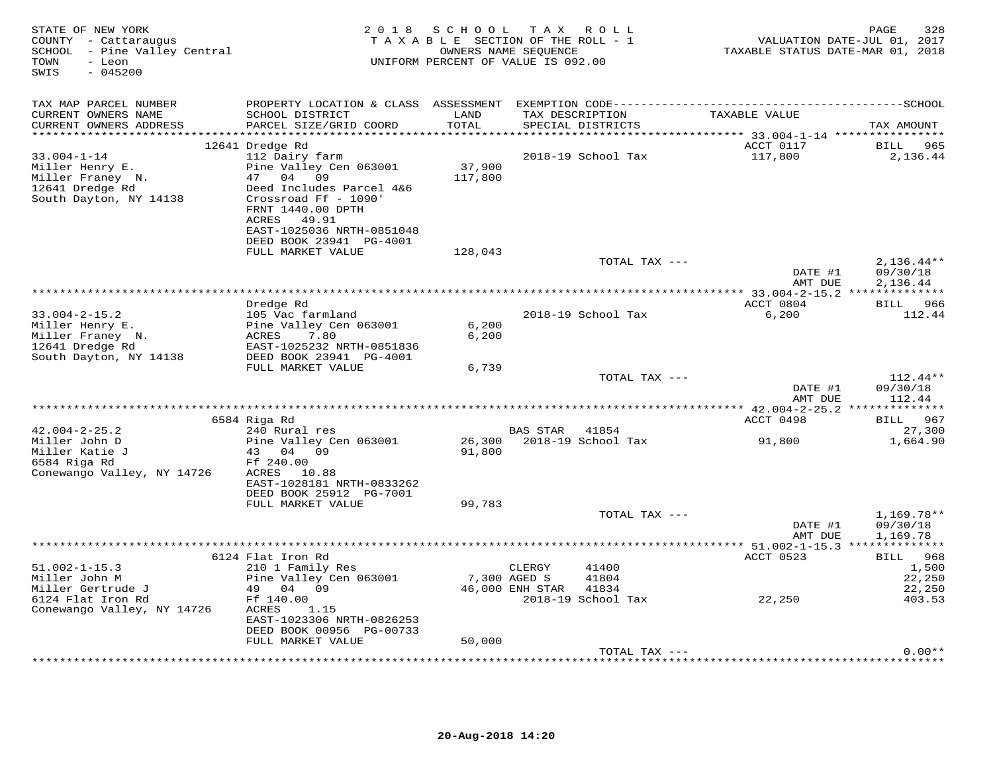| STATE OF NEW YORK<br>COUNTY - Cattaraugus<br>SCHOOL - Pine Valley Central<br>- Leon<br>TOWN<br>SWIS<br>$-045200$ |                                                                                                                                                                 | 2018 SCHOOL TAX ROLL<br>TAXABLE SECTION OF THE ROLL - 1<br>OWNERS NAME SEQUENCE<br>UNIFORM PERCENT OF VALUE IS 092.00 |                           |                                      | TAXABLE STATUS DATE-MAR 01, 2018                      | 328<br>PAGE<br>VALUATION DATE-JUL 01, 2017 |
|------------------------------------------------------------------------------------------------------------------|-----------------------------------------------------------------------------------------------------------------------------------------------------------------|-----------------------------------------------------------------------------------------------------------------------|---------------------------|--------------------------------------|-------------------------------------------------------|--------------------------------------------|
| TAX MAP PARCEL NUMBER                                                                                            |                                                                                                                                                                 |                                                                                                                       |                           |                                      |                                                       |                                            |
| CURRENT OWNERS NAME<br>CURRENT OWNERS ADDRESS                                                                    | SCHOOL DISTRICT<br>PARCEL SIZE/GRID COORD                                                                                                                       | LAND<br>TOTAL                                                                                                         |                           | TAX DESCRIPTION<br>SPECIAL DISTRICTS | TAXABLE VALUE                                         | TAX AMOUNT                                 |
|                                                                                                                  |                                                                                                                                                                 |                                                                                                                       |                           |                                      | ACCT 0117                                             |                                            |
| $33.004 - 1 - 14$<br>Miller Henry E.<br>Miller Franey N.<br>12641 Dredge Rd<br>South Dayton, NY 14138            | 12641 Dredge Rd<br>112 Dairy farm<br>Pine Valley Cen 063001<br>47 04 09<br>Deed Includes Parcel 4&6<br>Crossroad Ff - 1090'<br>FRNT 1440.00 DPTH<br>ACRES 49.91 | 37,900<br>117,800                                                                                                     |                           | 2018-19 School Tax                   | 117,800                                               | BILL 965<br>2,136.44                       |
|                                                                                                                  | EAST-1025036 NRTH-0851048<br>DEED BOOK 23941 PG-4001<br>FULL MARKET VALUE                                                                                       | 128,043                                                                                                               |                           |                                      |                                                       |                                            |
|                                                                                                                  |                                                                                                                                                                 |                                                                                                                       |                           | TOTAL TAX ---                        | DATE #1<br>AMT DUE                                    | $2,136.44**$<br>09/30/18<br>2,136.44       |
|                                                                                                                  |                                                                                                                                                                 |                                                                                                                       |                           |                                      |                                                       |                                            |
| $33.004 - 2 - 15.2$<br>Miller Henry E.<br>Miller Franey N.<br>12641 Dredge Rd                                    | Dredge Rd<br>105 Vac farmland<br>Pine Valley Cen 063001<br>ACRES<br>7.80<br>EAST-1025232 NRTH-0851836                                                           | 6,200<br>6,200                                                                                                        |                           | 2018-19 School Tax                   | ACCT 0804<br>6,200                                    | BILL 966<br>112.44                         |
| South Dayton, NY 14138                                                                                           | DEED BOOK 23941 PG-4001                                                                                                                                         |                                                                                                                       |                           |                                      |                                                       |                                            |
|                                                                                                                  | FULL MARKET VALUE                                                                                                                                               | 6,739                                                                                                                 |                           | TOTAL TAX ---                        |                                                       | $112.44**$                                 |
|                                                                                                                  |                                                                                                                                                                 |                                                                                                                       |                           |                                      | DATE #1<br>AMT DUE                                    | 09/30/18<br>112.44                         |
|                                                                                                                  | ****************                                                                                                                                                |                                                                                                                       |                           |                                      |                                                       |                                            |
|                                                                                                                  | 6584 Riga Rd                                                                                                                                                    |                                                                                                                       |                           |                                      | ACCT 0498                                             | BILL 967                                   |
| $42.004 - 2 - 25.2$<br>Miller John D<br>Miller Katie J<br>6584 Riga Rd<br>Conewango Valley, NY 14726             | 240 Rural res<br>Pine Valley Cen 063001<br>43 04 09<br>Ff 240.00<br>ACRES 10.88<br>EAST-1028181 NRTH-0833262                                                    | 91,800                                                                                                                | BAS STAR                  | 41854<br>26,300 2018-19 School Tax   | 91,800                                                | 27,300<br>1,664.90                         |
|                                                                                                                  | DEED BOOK 25912 PG-7001                                                                                                                                         |                                                                                                                       |                           |                                      |                                                       |                                            |
|                                                                                                                  | FULL MARKET VALUE                                                                                                                                               | 99,783                                                                                                                |                           | TOTAL TAX ---                        | DATE #1                                               | 1,169.78**<br>09/30/18                     |
|                                                                                                                  |                                                                                                                                                                 |                                                                                                                       |                           |                                      | AMT DUE                                               | 1,169.78                                   |
|                                                                                                                  | 6124 Flat Iron Rd                                                                                                                                               |                                                                                                                       |                           |                                      | *********** 51.002-1-15.3 **************<br>ACCT 0523 | BILL 968                                   |
| $51.002 - 1 - 15.3$<br>Miller John M<br>Miller Gertrude J                                                        | 210 1 Family Res<br>Pine Valley Cen 063001<br>49 04 09                                                                                                          | 7,300 AGED S                                                                                                          | CLERGY<br>46,000 ENH STAR | 41400<br>41804<br>41834              |                                                       | 1,500<br>22,250<br>22,250                  |
| 6124 Flat Iron Rd<br>Conewango Valley, NY 14726                                                                  | Ff 140.00<br>ACRES<br>1.15<br>EAST-1023306 NRTH-0826253<br>DEED BOOK 00956 PG-00733<br>FULL MARKET VALUE                                                        | 50,000                                                                                                                |                           | 2018-19 School Tax                   | 22,250                                                | 403.53                                     |
|                                                                                                                  |                                                                                                                                                                 |                                                                                                                       |                           | TOTAL TAX ---                        |                                                       | $0.00**$                                   |
|                                                                                                                  |                                                                                                                                                                 |                                                                                                                       |                           |                                      |                                                       |                                            |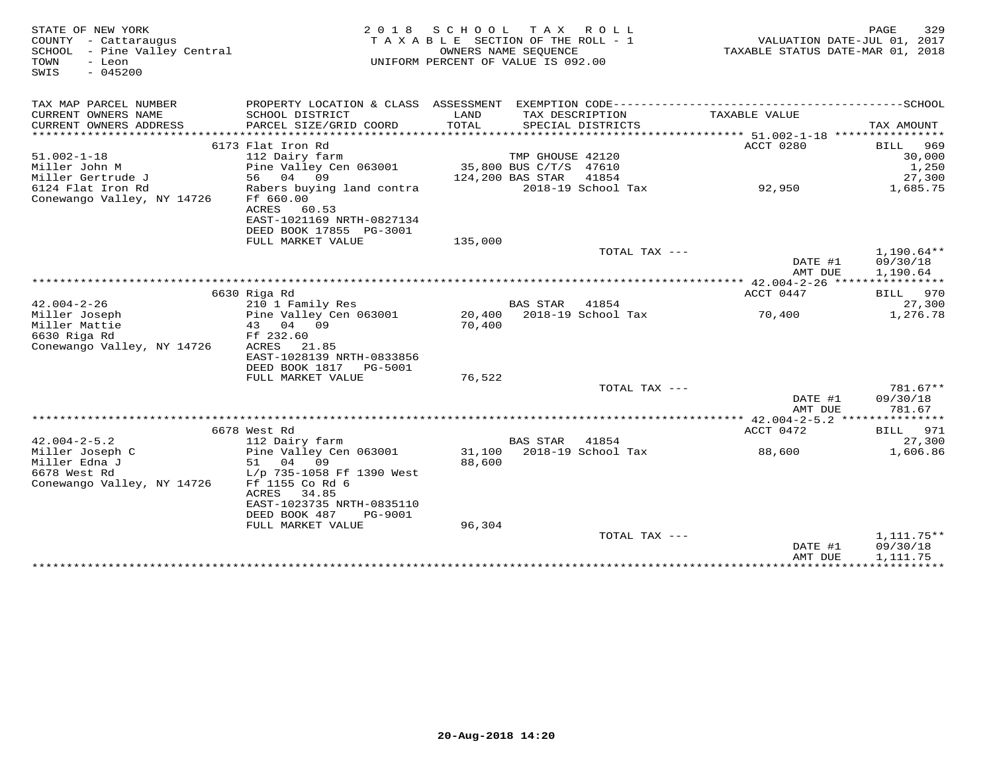| STATE OF NEW YORK<br>COUNTY - Cattaraugus<br>SCHOOL - Pine Valley Central<br>TOWN<br>- Leon<br>$-045200$<br>SWIS |                                                                           | 2018 SCHOOL TAX ROLL<br>TAXABLE SECTION OF THE ROLL - 1<br>UNIFORM PERCENT OF VALUE IS 092.00 | OWNERS NAME SEQUENCE |                                      | VALUATION DATE-JUL 01, 2017<br>TAXABLE STATUS DATE-MAR 01, 2018 | 329<br>PAGE                          |
|------------------------------------------------------------------------------------------------------------------|---------------------------------------------------------------------------|-----------------------------------------------------------------------------------------------|----------------------|--------------------------------------|-----------------------------------------------------------------|--------------------------------------|
| TAX MAP PARCEL NUMBER                                                                                            |                                                                           |                                                                                               |                      |                                      |                                                                 |                                      |
| CURRENT OWNERS NAME<br>CURRENT OWNERS ADDRESS<br>**********************                                          | SCHOOL DISTRICT<br>PARCEL SIZE/GRID COORD<br>**************************** | LAND<br>TOTAL                                                                                 |                      | TAX DESCRIPTION<br>SPECIAL DISTRICTS | TAXABLE VALUE                                                   | TAX AMOUNT                           |
|                                                                                                                  | 6173 Flat Iron Rd                                                         |                                                                                               |                      |                                      | ACCT 0280                                                       | BILL<br>969                          |
| $51.002 - 1 - 18$                                                                                                | 112 Dairy farm                                                            |                                                                                               | TMP GHOUSE 42120     |                                      |                                                                 | 30,000                               |
| Miller John M                                                                                                    | Pine Valley Cen 063001                                                    | 35,800 BUS C/T/S 47610                                                                        |                      |                                      |                                                                 | 1,250                                |
| Miller Gertrude J                                                                                                | 56 04 09                                                                  | 124,200 BAS STAR                                                                              |                      | 41854                                |                                                                 | 27,300                               |
| 6124 Flat Iron Rd<br>Conewango Valley, NY 14726                                                                  | Rabers buying land contra<br>Ff 660.00                                    |                                                                                               |                      | 2018-19 School Tax                   | 92,950                                                          | 1,685.75                             |
|                                                                                                                  | ACRES<br>60.53<br>EAST-1021169 NRTH-0827134                               |                                                                                               |                      |                                      |                                                                 |                                      |
|                                                                                                                  | DEED BOOK 17855 PG-3001                                                   |                                                                                               |                      |                                      |                                                                 |                                      |
|                                                                                                                  | FULL MARKET VALUE                                                         | 135,000                                                                                       |                      | TOTAL TAX ---                        | DATE #1                                                         | $1,190.64**$<br>09/30/18             |
|                                                                                                                  |                                                                           |                                                                                               |                      |                                      | AMT DUE                                                         | 1,190.64                             |
|                                                                                                                  |                                                                           |                                                                                               |                      |                                      |                                                                 |                                      |
|                                                                                                                  | 6630 Riga Rd                                                              |                                                                                               |                      |                                      | ACCT 0447                                                       | BILL 970                             |
| $42.004 - 2 - 26$                                                                                                | 210 1 Family Res                                                          |                                                                                               | BAS STAR             | 41854                                |                                                                 | 27,300                               |
| Miller Joseph                                                                                                    | Pine Valley Cen 063001                                                    |                                                                                               |                      | 20,400 2018-19 School Tax            | 70,400                                                          | 1,276.78                             |
| Miller Mattie                                                                                                    | 43 04 09                                                                  | 70,400                                                                                        |                      |                                      |                                                                 |                                      |
| 6630 Riga Rd                                                                                                     | Ff 232.60                                                                 |                                                                                               |                      |                                      |                                                                 |                                      |
| Conewango Valley, NY 14726                                                                                       | ACRES 21.85                                                               |                                                                                               |                      |                                      |                                                                 |                                      |
|                                                                                                                  | EAST-1028139 NRTH-0833856                                                 |                                                                                               |                      |                                      |                                                                 |                                      |
|                                                                                                                  | DEED BOOK 1817 PG-5001                                                    |                                                                                               |                      |                                      |                                                                 |                                      |
|                                                                                                                  | FULL MARKET VALUE                                                         | 76,522                                                                                        |                      |                                      |                                                                 |                                      |
|                                                                                                                  |                                                                           |                                                                                               |                      | TOTAL TAX ---                        |                                                                 | $781.67**$                           |
|                                                                                                                  |                                                                           |                                                                                               |                      |                                      | DATE #1<br>AMT DUE                                              | 09/30/18<br>781.67                   |
|                                                                                                                  |                                                                           |                                                                                               |                      |                                      |                                                                 |                                      |
| $42.004 - 2 - 5.2$                                                                                               | 6678 West Rd                                                              |                                                                                               | <b>BAS STAR</b>      | 41854                                | ACCT 0472                                                       | BILL 971                             |
|                                                                                                                  | 112 Dairy farm                                                            |                                                                                               |                      |                                      |                                                                 | 27,300                               |
| Miller Joseph C<br>Miller Edna J                                                                                 | Pine Valley Cen 063001<br>51 04<br>09                                     | 88,600                                                                                        |                      | 31,100 2018-19 School Tax            | 88,600                                                          | 1,606.86                             |
| 6678 West Rd                                                                                                     | L/p 735-1058 Ff 1390 West                                                 |                                                                                               |                      |                                      |                                                                 |                                      |
| Conewango Valley, NY 14726                                                                                       | Ff 1155 Co Rd 6<br>ACRES 34.85                                            |                                                                                               |                      |                                      |                                                                 |                                      |
|                                                                                                                  | EAST-1023735 NRTH-0835110                                                 |                                                                                               |                      |                                      |                                                                 |                                      |
|                                                                                                                  | DEED BOOK 487<br>PG-9001                                                  |                                                                                               |                      |                                      |                                                                 |                                      |
|                                                                                                                  | FULL MARKET VALUE                                                         | 96,304                                                                                        |                      |                                      |                                                                 |                                      |
|                                                                                                                  |                                                                           |                                                                                               |                      | TOTAL TAX ---                        | DATE #1<br>AMT DUE                                              | $1,111.75**$<br>09/30/18<br>1,111.75 |
|                                                                                                                  |                                                                           |                                                                                               |                      |                                      |                                                                 |                                      |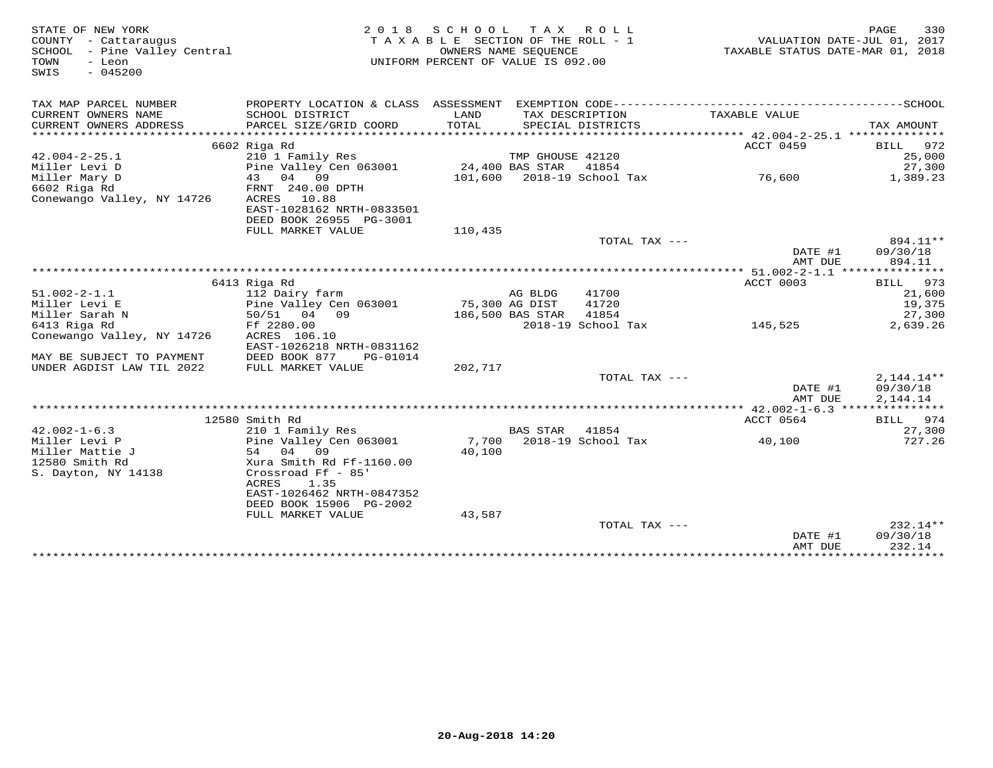| STATE OF NEW YORK<br>COUNTY - Cattaraugus<br>SCHOOL - Pine Valley Central<br>TOWN<br>- Leon<br>$-045200$<br>SWIS | 2 0 1 8                                                                     | SCHOOL<br>TAXABLE SECTION OF THE ROLL - 1<br>UNIFORM PERCENT OF VALUE IS 092.00 | T A X<br>OWNERS NAME SEQUENCE | R O L L                    | TAXABLE STATUS DATE-MAR 01, 2018 | PAGE<br>VALUATION DATE-JUL 01, 2017 | 330                     |
|------------------------------------------------------------------------------------------------------------------|-----------------------------------------------------------------------------|---------------------------------------------------------------------------------|-------------------------------|----------------------------|----------------------------------|-------------------------------------|-------------------------|
| TAX MAP PARCEL NUMBER                                                                                            | PROPERTY LOCATION & CLASS ASSESSMENT EXEMPTION CODE------------------------ |                                                                                 |                               |                            |                                  | -------------SCHOOL                 |                         |
| CURRENT OWNERS NAME                                                                                              | SCHOOL DISTRICT                                                             | LAND                                                                            |                               | TAX DESCRIPTION            | TAXABLE VALUE                    |                                     |                         |
| CURRENT OWNERS ADDRESS                                                                                           | PARCEL SIZE/GRID COORD                                                      | TOTAL                                                                           |                               | SPECIAL DISTRICTS          |                                  | TAX AMOUNT                          |                         |
|                                                                                                                  | 6602 Riga Rd                                                                |                                                                                 |                               |                            | ACCT 0459                        | BILL                                | 972                     |
| $42.004 - 2 - 25.1$                                                                                              | 210 1 Family Res                                                            |                                                                                 | TMP GHOUSE 42120              |                            |                                  |                                     | 25,000                  |
| Miller Levi D                                                                                                    | Pine Valley Cen 063001                                                      |                                                                                 | 24,400 BAS STAR               | 41854                      |                                  |                                     | 27,300                  |
| Miller Mary D                                                                                                    | 43 04 09                                                                    |                                                                                 |                               | 101,600 2018-19 School Tax | 76,600                           |                                     | 1,389.23                |
| 6602 Riga Rd                                                                                                     | FRNT 240.00 DPTH                                                            |                                                                                 |                               |                            |                                  |                                     |                         |
| Conewango Valley, NY 14726                                                                                       | ACRES<br>10.88<br>EAST-1028162 NRTH-0833501                                 |                                                                                 |                               |                            |                                  |                                     |                         |
|                                                                                                                  | DEED BOOK 26955 PG-3001                                                     |                                                                                 |                               |                            |                                  |                                     |                         |
|                                                                                                                  | FULL MARKET VALUE                                                           | 110,435                                                                         |                               |                            |                                  |                                     |                         |
|                                                                                                                  |                                                                             |                                                                                 |                               | TOTAL TAX ---              |                                  |                                     | 894.11**                |
|                                                                                                                  |                                                                             |                                                                                 |                               |                            | DATE #1                          |                                     | 09/30/18                |
|                                                                                                                  |                                                                             |                                                                                 |                               |                            | AMT DUE                          |                                     | 894.11                  |
|                                                                                                                  | 6413 Riga Rd                                                                |                                                                                 |                               |                            | ACCT 0003                        | <b>BILL</b>                         | 973                     |
| $51.002 - 2 - 1.1$                                                                                               | 112 Dairy farm                                                              |                                                                                 | AG BLDG                       | 41700                      |                                  |                                     | 21,600                  |
| Miller Levi E                                                                                                    | Pine Valley Cen 063001                                                      |                                                                                 | 75,300 AG DIST                | 41720                      |                                  |                                     | 19,375                  |
| Miller Sarah N                                                                                                   | 50/51 04 09                                                                 |                                                                                 | 186,500 BAS STAR              | 41854                      |                                  |                                     | 27,300                  |
| 6413 Riga Rd                                                                                                     | Ff 2280.00                                                                  |                                                                                 |                               | 2018-19 School Tax         | 145,525                          |                                     | 2,639.26                |
| Conewango Valley, NY 14726                                                                                       | ACRES 106.10                                                                |                                                                                 |                               |                            |                                  |                                     |                         |
| MAY BE SUBJECT TO PAYMENT                                                                                        | EAST-1026218 NRTH-0831162<br>DEED BOOK 877<br>PG-01014                      |                                                                                 |                               |                            |                                  |                                     |                         |
| UNDER AGDIST LAW TIL 2022                                                                                        | FULL MARKET VALUE                                                           | 202,717                                                                         |                               |                            |                                  |                                     |                         |
|                                                                                                                  |                                                                             |                                                                                 |                               | TOTAL TAX ---              |                                  |                                     | $2,144.14**$            |
|                                                                                                                  |                                                                             |                                                                                 |                               |                            | DATE #1                          |                                     | 09/30/18                |
|                                                                                                                  |                                                                             |                                                                                 |                               |                            | AMT DUE                          |                                     | 2,144.14                |
|                                                                                                                  | 12580 Smith Rd                                                              |                                                                                 |                               |                            | ACCT 0564                        |                                     | BILL 974                |
| $42.002 - 1 - 6.3$                                                                                               | 210 1 Family Res                                                            |                                                                                 | <b>BAS STAR</b>               | 41854                      |                                  |                                     | 27,300                  |
| Miller Levi P                                                                                                    | Pine Valley Cen 063001                                                      | 7,700                                                                           |                               | 2018-19 School Tax         | 40,100                           |                                     | 727.26                  |
| Miller Mattie J                                                                                                  | 54 04 09                                                                    | 40,100                                                                          |                               |                            |                                  |                                     |                         |
| 12580 Smith Rd                                                                                                   | Xura Smith Rd Ff-1160.00                                                    |                                                                                 |                               |                            |                                  |                                     |                         |
| S. Dayton, NY 14138                                                                                              | Crossroad Ff - 85'<br>ACRES<br>1.35                                         |                                                                                 |                               |                            |                                  |                                     |                         |
|                                                                                                                  | EAST-1026462 NRTH-0847352                                                   |                                                                                 |                               |                            |                                  |                                     |                         |
|                                                                                                                  | DEED BOOK 15906 PG-2002                                                     |                                                                                 |                               |                            |                                  |                                     |                         |
|                                                                                                                  | FULL MARKET VALUE                                                           | 43,587                                                                          |                               |                            |                                  |                                     |                         |
|                                                                                                                  |                                                                             |                                                                                 |                               | TOTAL TAX ---              |                                  |                                     | $232.14**$              |
|                                                                                                                  |                                                                             |                                                                                 |                               |                            | DATE #1<br>AMT DUE               | 09/30/18                            | 232.14                  |
|                                                                                                                  |                                                                             |                                                                                 |                               |                            | ***************                  |                                     | * * * * * * * * * * * * |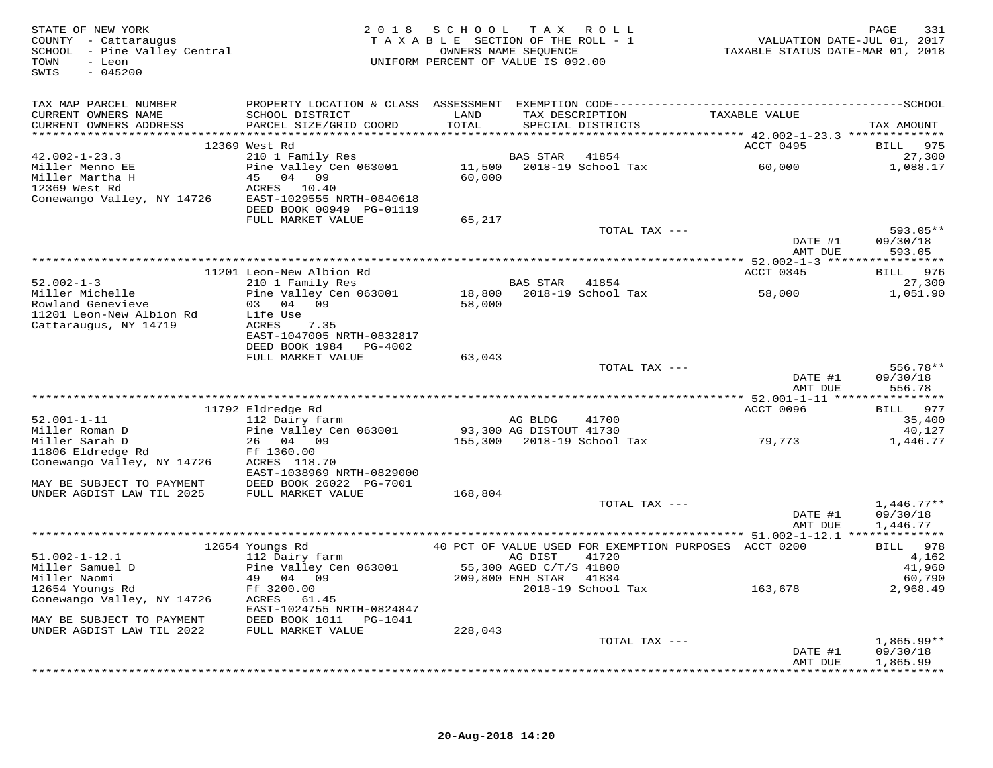| STATE OF NEW YORK<br>STATE OF NEW IONA<br>COUNTY - Cattaraugus<br>SCHOOL - Pine Valley Central<br>$-045200$<br>SWIS |                                                                                                                     | 2018 SCHOOL TAX ROLL                     |         | T A X A B L E SECTION OF THE ROLL - 1<br>OWNERS NAME SEQUENCE<br>UNIFORM PERCENT OF VALUE IS 092.00 | rage<br>710 VALUATION DATE-JUL 01, 2017<br>712 TAXABLE STATUS DATE-MAR 01, 2018 | 331<br>PAGE          |
|---------------------------------------------------------------------------------------------------------------------|---------------------------------------------------------------------------------------------------------------------|------------------------------------------|---------|-----------------------------------------------------------------------------------------------------|---------------------------------------------------------------------------------|----------------------|
| TAX MAP PARCEL NUMBER                                                                                               |                                                                                                                     |                                          |         |                                                                                                     |                                                                                 |                      |
| CURRENT OWNERS NAME<br>CURRENT OWNERS ADDRESS                                                                       | SCHOOL DISTRICT<br>PARCEL SIZE/GRID COORD                                                                           | LAND<br>TOTAL                            |         | TAX DESCRIPTION TAXABLE VALUE<br>SERCIAL DISTRICTS<br>SPECIAL DISTRICTS                             |                                                                                 | TAX AMOUNT           |
|                                                                                                                     | 12369 West Rd                                                                                                       |                                          |         |                                                                                                     | ACCT 0495                                                                       | BILL 975             |
| $42.002 - 1 - 23.3$                                                                                                 | 210 1 Family Res<br>Pine Valley Cen 063001 11,500 2018-19 School Tax 60,000<br>45 04 09 60,000 60,000               |                                          |         |                                                                                                     |                                                                                 | 27,300               |
| Miller Menno EE                                                                                                     |                                                                                                                     |                                          |         |                                                                                                     |                                                                                 | 1,088.17             |
| Miller Martha H<br>12369 West Rd                                                                                    | 45 04 09<br>ACRES 10.40                                                                                             |                                          |         |                                                                                                     |                                                                                 |                      |
| Conewango Valley, NY 14726 EAST-1029555 NRTH-0840618                                                                |                                                                                                                     |                                          |         |                                                                                                     |                                                                                 |                      |
|                                                                                                                     | DEED BOOK 00949 PG-01119                                                                                            |                                          |         |                                                                                                     |                                                                                 |                      |
|                                                                                                                     | FULL MARKET VALUE                                                                                                   | 65,217                                   |         |                                                                                                     |                                                                                 |                      |
|                                                                                                                     |                                                                                                                     |                                          |         | TOTAL TAX ---                                                                                       |                                                                                 | 593.05**             |
|                                                                                                                     |                                                                                                                     |                                          |         |                                                                                                     | DATE #1<br>AMT DUE                                                              | 09/30/18<br>593.05   |
|                                                                                                                     |                                                                                                                     |                                          |         |                                                                                                     |                                                                                 |                      |
|                                                                                                                     | 11201 Leon-New Albion Rd                                                                                            |                                          |         |                                                                                                     | ACCT 0345                                                                       | BILL 976             |
| $52.002 - 1 - 3$                                                                                                    |                                                                                                                     |                                          |         |                                                                                                     |                                                                                 | 27,300               |
| Miller Michelle<br>Rowland Genevieve                                                                                |                                                                                                                     |                                          |         |                                                                                                     | 58,000                                                                          | 1,051.90             |
| 11201 Leon-New Albion Rd                                                                                            | 18.000 Eleon-New Albion Ku<br>210 1 Family Res<br>Pine Valley Cen 063001 18,800 2018-19 School Tax<br>58,000 58,000 |                                          |         |                                                                                                     |                                                                                 |                      |
| Cattaraugus, NY 14719                                                                                               | ACRES 7.35                                                                                                          |                                          |         |                                                                                                     |                                                                                 |                      |
|                                                                                                                     | EAST-1047005 NRTH-0832817                                                                                           |                                          |         |                                                                                                     |                                                                                 |                      |
|                                                                                                                     | DEED BOOK 1984    PG-4002                                                                                           |                                          |         |                                                                                                     |                                                                                 |                      |
|                                                                                                                     | FULL MARKET VALUE                                                                                                   | 63,043                                   |         |                                                                                                     |                                                                                 |                      |
|                                                                                                                     |                                                                                                                     |                                          |         | TOTAL TAX ---                                                                                       | DATE $\sharp$ <sup>1</sup>                                                      | 556.78**<br>09/30/18 |
|                                                                                                                     |                                                                                                                     |                                          |         |                                                                                                     | AMT DUE                                                                         | 556.78               |
|                                                                                                                     |                                                                                                                     |                                          |         |                                                                                                     |                                                                                 |                      |
|                                                                                                                     | 11792 Eldredge Rd                                                                                                   |                                          |         |                                                                                                     | ACCT 0096                                                                       | BILL 977             |
| $52.001 - 1 - 11$<br>Miller Roman D                                                                                 | 112 Dairy farm<br>Pine Valley Cen 063001                                                                            | AG BLDG 41700<br>93,300 AG DISTOUT 41730 |         | 41700                                                                                               |                                                                                 | 35,400<br>40,127     |
| Miller Sarah D                                                                                                      | 26 04 09                                                                                                            |                                          |         |                                                                                                     | 155,300 2018-19 School Tax 79,773                                               | 1,446.77             |
| 11806 Eldredge Rd                                                                                                   | Ff 1360.00                                                                                                          |                                          |         |                                                                                                     |                                                                                 |                      |
| Conewango Valley, NY 14726 ACRES 118.70                                                                             |                                                                                                                     |                                          |         |                                                                                                     |                                                                                 |                      |
|                                                                                                                     | EAST-1038969 NRTH-0829000                                                                                           |                                          |         |                                                                                                     |                                                                                 |                      |
| MAY BE SUBJECT TO PAYMENT DEED BOOK 26022 PG-7001<br>UNDER AGDIST LAW TIL 2025 FULL MARKET VALUE                    |                                                                                                                     | 168,804                                  |         |                                                                                                     |                                                                                 |                      |
|                                                                                                                     |                                                                                                                     |                                          |         | TOTAL TAX ---                                                                                       |                                                                                 | $1,446.77**$         |
|                                                                                                                     |                                                                                                                     |                                          |         |                                                                                                     | DATE #1                                                                         | 09/30/18             |
|                                                                                                                     |                                                                                                                     |                                          |         |                                                                                                     | AMT DUE                                                                         | 1,446.77             |
|                                                                                                                     |                                                                                                                     |                                          |         |                                                                                                     | 40 PCT OF VALUE USED FOR EXEMPTION PURPOSES ACCT 0200                           |                      |
| $51.002 - 1 - 12.1$                                                                                                 | 12654 Youngs Rd<br>112 Dairy farm                                                                                   |                                          | AG DIST | 41720                                                                                               |                                                                                 | BILL 978<br>4,162    |
| Miller Samuel D                                                                                                     | AG DIST 41720<br>Pine Valley Cen 063001 55,300 AGED C/T/S 41800<br>49 04 09 209,800 ENH STAR 41834<br>Ff 3200 00    |                                          |         |                                                                                                     |                                                                                 | 41,960               |
| Miller Naomi                                                                                                        |                                                                                                                     |                                          |         |                                                                                                     |                                                                                 | 60,790               |
| 12654 Youngs Rd                                                                                                     | Ff 3200.00                                                                                                          |                                          |         |                                                                                                     | 2018-19 School Tax 163,678                                                      | 2,968.49             |
| Conewango Valley, NY 14726                                                                                          | ACRES 61.45<br>EAST-1024755 NRTH-0824847                                                                            |                                          |         |                                                                                                     |                                                                                 |                      |
| EAST-1024755 NRTH-0824847<br>MAY BE SUBJECT TO PAYMENT DEED BOOK 1011 PG-1041                                       |                                                                                                                     |                                          |         |                                                                                                     |                                                                                 |                      |
| UNDER AGDIST LAW TIL 2022                                                                                           | FULL MARKET VALUE                                                                                                   | 228,043                                  |         |                                                                                                     |                                                                                 |                      |
|                                                                                                                     |                                                                                                                     |                                          |         | TOTAL TAX ---                                                                                       |                                                                                 | $1,865.99**$         |
|                                                                                                                     |                                                                                                                     |                                          |         |                                                                                                     | DATE #1                                                                         | 09/30/18             |
|                                                                                                                     |                                                                                                                     |                                          |         |                                                                                                     | AMT DUE                                                                         | 1,865.99             |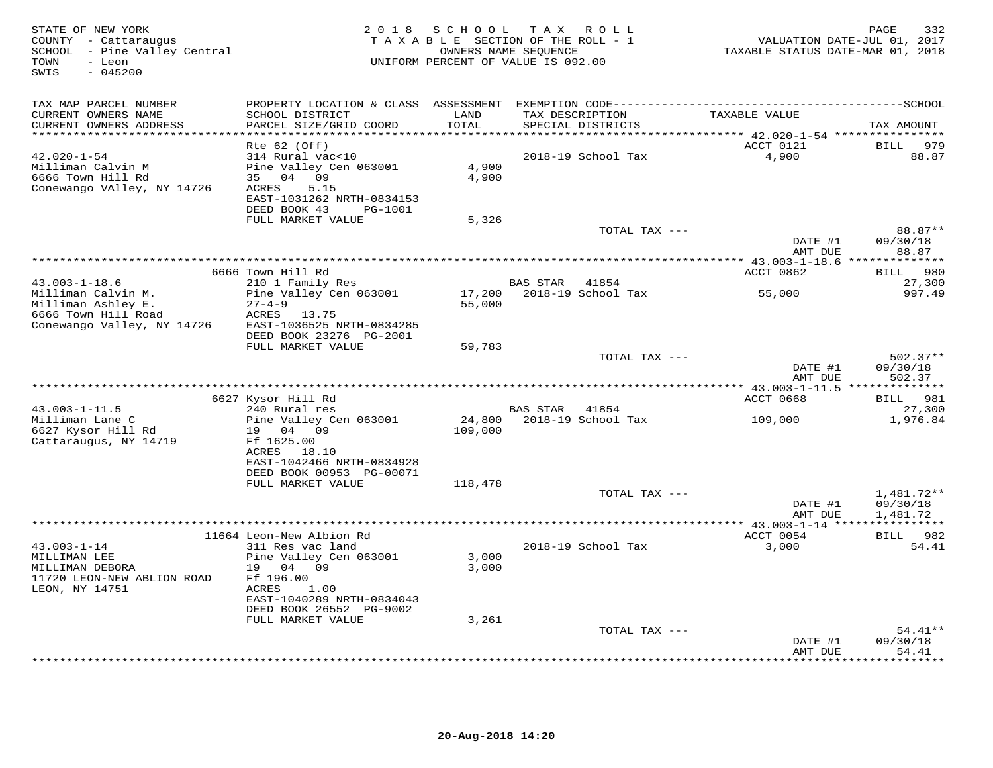| STATE OF NEW YORK<br>COUNTY - Cattaraugus<br>SCHOOL - Pine Valley Central<br>- Leon<br>TOWN<br>$-045200$<br>SWIS | 2 0 1 8<br>TAXABLE SECTION OF THE ROLL - 1<br>UNIFORM PERCENT OF VALUE IS 092.00                                                                                  | VALUATION DATE-JUL 01, 2017<br>TAXABLE STATUS DATE-MAR 01, 2018 | 332<br>PAGE |                                      |                                                    |                                  |
|------------------------------------------------------------------------------------------------------------------|-------------------------------------------------------------------------------------------------------------------------------------------------------------------|-----------------------------------------------------------------|-------------|--------------------------------------|----------------------------------------------------|----------------------------------|
| TAX MAP PARCEL NUMBER                                                                                            |                                                                                                                                                                   |                                                                 |             |                                      |                                                    |                                  |
| CURRENT OWNERS NAME<br>CURRENT OWNERS ADDRESS<br>****************                                                | SCHOOL DISTRICT<br>PARCEL SIZE/GRID COORD                                                                                                                         | LAND<br>TOTAL<br>******                                         |             | TAX DESCRIPTION<br>SPECIAL DISTRICTS | TAXABLE VALUE                                      | TAX AMOUNT                       |
|                                                                                                                  | $Rte$ 62 (Off)                                                                                                                                                    |                                                                 |             |                                      | ******* 42.020-1-54 *****************<br>ACCT 0121 | <b>BILL</b><br>979               |
| $42.020 - 1 - 54$<br>Milliman Calvin M<br>6666 Town Hill Rd<br>Conewango VAlley, NY 14726                        | 314 Rural vac<10<br>Pine Valley Cen 063001<br>35 04 09<br>ACRES<br>5.15<br>EAST-1031262 NRTH-0834153<br>DEED BOOK 43<br>PG-1001                                   | 4,900<br>4,900                                                  |             | 2018-19 School Tax                   | 4,900                                              | 88.87                            |
|                                                                                                                  | FULL MARKET VALUE                                                                                                                                                 | 5,326                                                           |             |                                      |                                                    |                                  |
|                                                                                                                  |                                                                                                                                                                   |                                                                 |             | TOTAL TAX ---                        | DATE #1                                            | 88.87**<br>09/30/18              |
|                                                                                                                  |                                                                                                                                                                   |                                                                 |             |                                      | AMT DUE                                            | 88.87                            |
|                                                                                                                  | 6666 Town Hill Rd                                                                                                                                                 |                                                                 |             |                                      | ACCT 0862                                          | 980<br>BILL                      |
| $43.003 - 1 - 18.6$                                                                                              | 210 1 Family Res                                                                                                                                                  |                                                                 | BAS STAR    | 41854                                |                                                    | 27,300                           |
| Milliman Calvin M.<br>Milliman Ashley E.<br>6666 Town Hill Road<br>Conewango Valley, NY 14726                    | Pine Valley Cen 063001<br>$27 - 4 - 9$<br>ACRES 13.75<br>EAST-1036525 NRTH-0834285                                                                                | 17,200<br>55,000                                                |             | 2018-19 School Tax                   | 55,000                                             | 997.49                           |
|                                                                                                                  | DEED BOOK 23276 PG-2001<br>FULL MARKET VALUE                                                                                                                      | 59,783                                                          |             |                                      |                                                    |                                  |
|                                                                                                                  |                                                                                                                                                                   |                                                                 |             | TOTAL TAX ---                        | DATE #1<br>AMT DUE                                 | $502.37**$<br>09/30/18<br>502.37 |
|                                                                                                                  |                                                                                                                                                                   | ***********************************                             |             |                                      | ******** 43.003-1-11.5 **************              |                                  |
| $43.003 - 1 - 11.5$                                                                                              | 6627 Kysor Hill Rd<br>240 Rural res                                                                                                                               |                                                                 | BAS STAR    | 41854                                | ACCT 0668                                          | 981<br><b>BILL</b><br>27,300     |
| Milliman Lane C<br>6627 Kysor Hill Rd<br>Cattaraugus, NY 14719                                                   | Pine Valley Cen 063001<br>19 04 09<br>Ff 1625.00<br>ACRES 18.10<br>EAST-1042466 NRTH-0834928                                                                      | 24,800<br>109,000                                               |             | 2018-19 School Tax                   | 109,000                                            | 1,976.84                         |
|                                                                                                                  | DEED BOOK 00953 PG-00071                                                                                                                                          |                                                                 |             |                                      |                                                    |                                  |
|                                                                                                                  | FULL MARKET VALUE                                                                                                                                                 | 118,478                                                         |             | TOTAL TAX ---                        |                                                    |                                  |
|                                                                                                                  |                                                                                                                                                                   |                                                                 |             |                                      | DATE #1                                            | 1,481.72**<br>09/30/18           |
|                                                                                                                  |                                                                                                                                                                   |                                                                 |             |                                      | AMT DUE<br>********** 43.003-1-14 **************** | 1,481.72                         |
|                                                                                                                  | 11664 Leon-New Albion Rd                                                                                                                                          |                                                                 |             |                                      | ACCT 0054                                          | 982<br><b>BILL</b>               |
| $43.003 - 1 - 14$<br>MILLIMAN LEE<br>MILLIMAN DEBORA<br>11720 LEON-NEW ABLION ROAD<br>LEON, NY 14751             | 311 Res vac land<br>Pine Valley Cen 063001<br>19 04 09<br>Ff 196.00<br>ACRES<br>1.00<br>EAST-1040289 NRTH-0834043<br>DEED BOOK 26552 PG-9002<br>FULL MARKET VALUE | 3,000<br>3,000<br>3,261                                         |             | 2018-19 School Tax                   | 3,000                                              | 54.41                            |
|                                                                                                                  |                                                                                                                                                                   |                                                                 |             | TOTAL TAX ---                        |                                                    | $54.41**$                        |
|                                                                                                                  |                                                                                                                                                                   |                                                                 |             |                                      | DATE #1<br>AMT DUE                                 | 09/30/18<br>54.41                |
|                                                                                                                  |                                                                                                                                                                   |                                                                 |             |                                      |                                                    | .                                |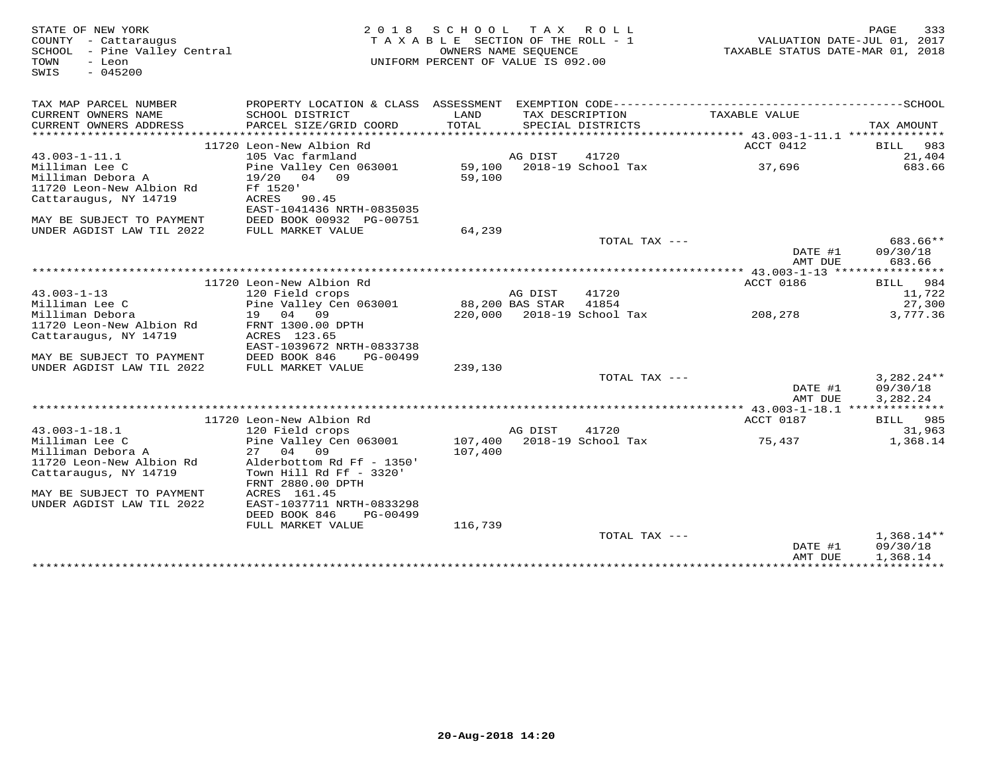| STATE OF NEW YORK<br>COUNTY - Cattaraugus<br>SCHOOL - Pine Valley Central<br>TOWN<br>- Leon<br>$-045200$<br>SWIS |                                                                     | 2018 SCHOOL<br>TAXABLE SECTION OF THE ROLL - 1<br>UNIFORM PERCENT OF VALUE IS 092.00 | OWNERS NAME SEQUENCE | TAX ROLL                             | TAXABLE STATUS DATE-MAR 01, 2018 | 333<br>PAGE<br>VALUATION DATE-JUL 01, 2017 |
|------------------------------------------------------------------------------------------------------------------|---------------------------------------------------------------------|--------------------------------------------------------------------------------------|----------------------|--------------------------------------|----------------------------------|--------------------------------------------|
| TAX MAP PARCEL NUMBER                                                                                            |                                                                     |                                                                                      |                      |                                      |                                  |                                            |
| CURRENT OWNERS NAME<br>CURRENT OWNERS ADDRESS<br>********************                                            | SCHOOL DISTRICT<br>PARCEL SIZE/GRID COORD<br>********************** | LAND<br>TOTAL                                                                        |                      | TAX DESCRIPTION<br>SPECIAL DISTRICTS | TAXABLE VALUE                    | TAX AMOUNT                                 |
|                                                                                                                  | 11720 Leon-New Albion Rd                                            |                                                                                      |                      |                                      | ACCT 0412                        | 983<br>BILL                                |
| $43.003 - 1 - 11.1$                                                                                              | 105 Vac farmland                                                    |                                                                                      | AG DIST              | 41720                                |                                  | 21,404                                     |
| Milliman Lee C<br>Milliman Debora A<br>11720 Leon-New Albion Rd                                                  | Pine Valley Cen 063001<br>19/20 04 09<br>Ff 1520'                   | 59,100                                                                               |                      | 59,100 2018-19 School Tax            | 37,696                           | 683.66                                     |
| Cattaraugus, NY 14719                                                                                            | ACRES 90.45<br>EAST-1041436 NRTH-0835035                            |                                                                                      |                      |                                      |                                  |                                            |
| MAY BE SUBJECT TO PAYMENT<br>UNDER AGDIST LAW TIL 2022                                                           | DEED BOOK 00932 PG-00751<br>FULL MARKET VALUE                       | 64,239                                                                               |                      |                                      |                                  |                                            |
|                                                                                                                  |                                                                     |                                                                                      |                      | TOTAL TAX ---                        |                                  | 683.66**                                   |
|                                                                                                                  |                                                                     |                                                                                      |                      |                                      | DATE #1<br>AMT DUE               | 09/30/18<br>683.66                         |
|                                                                                                                  |                                                                     |                                                                                      |                      |                                      |                                  |                                            |
|                                                                                                                  | 11720 Leon-New Albion Rd                                            |                                                                                      |                      |                                      | ACCT 0186                        | BILL 984                                   |
| $43.003 - 1 - 13$                                                                                                | 120 Field crops                                                     |                                                                                      | AG DIST              | 41720                                |                                  | 11,722                                     |
| Milliman Lee C                                                                                                   | Pine Valley Cen 063001                                              |                                                                                      | 88,200 BAS STAR      | 41854                                |                                  | 27,300                                     |
| Milliman Debora                                                                                                  | 19 04 09                                                            |                                                                                      |                      | 220,000 2018-19 School Tax           | 208,278                          | 3,777.36                                   |
| 11720 Leon-New Albion Rd<br>Cattaraugus, NY 14719                                                                | FRNT 1300.00 DPTH<br>ACRES 123.65<br>EAST-1039672 NRTH-0833738      |                                                                                      |                      |                                      |                                  |                                            |
| MAY BE SUBJECT TO PAYMENT                                                                                        | DEED BOOK 846<br>PG-00499                                           |                                                                                      |                      |                                      |                                  |                                            |
| UNDER AGDIST LAW TIL 2022                                                                                        | FULL MARKET VALUE                                                   | 239,130                                                                              |                      |                                      |                                  |                                            |
|                                                                                                                  |                                                                     |                                                                                      |                      | TOTAL TAX ---                        | DATE #1                          | $3,282.24**$<br>09/30/18                   |
|                                                                                                                  |                                                                     |                                                                                      |                      |                                      | AMT DUE                          | 3,282.24                                   |
|                                                                                                                  |                                                                     |                                                                                      |                      |                                      |                                  |                                            |
|                                                                                                                  | 11720 Leon-New Albion Rd                                            |                                                                                      |                      |                                      | ACCT 0187                        | BILL 985                                   |
| $43.003 - 1 - 18.1$<br>Milliman Lee C                                                                            | 120 Field crops<br>Pine Valley Cen 063001                           | 107,400                                                                              | AG DIST              | 41720<br>2018-19 School Tax          |                                  | 31,963<br>1,368.14                         |
| Milliman Debora A                                                                                                | 27 04 09                                                            | 107,400                                                                              |                      |                                      | 75,437                           |                                            |
| 11720 Leon-New Albion Rd                                                                                         | Alderbottom Rd Ff - 1350'                                           |                                                                                      |                      |                                      |                                  |                                            |
| Cattaraugus, NY 14719                                                                                            | Town Hill Rd Ff - 3320'                                             |                                                                                      |                      |                                      |                                  |                                            |
|                                                                                                                  | FRNT 2880.00 DPTH                                                   |                                                                                      |                      |                                      |                                  |                                            |
| MAY BE SUBJECT TO PAYMENT                                                                                        | ACRES 161.45                                                        |                                                                                      |                      |                                      |                                  |                                            |
| UNDER AGDIST LAW TIL 2022                                                                                        | EAST-1037711 NRTH-0833298                                           |                                                                                      |                      |                                      |                                  |                                            |
|                                                                                                                  | DEED BOOK 846<br>PG-00499                                           |                                                                                      |                      |                                      |                                  |                                            |
|                                                                                                                  | FULL MARKET VALUE                                                   | 116,739                                                                              |                      |                                      |                                  |                                            |
|                                                                                                                  |                                                                     |                                                                                      |                      | TOTAL TAX ---                        | DATE #1<br>AMT DUE               | $1,368.14**$<br>09/30/18<br>1,368.14       |
|                                                                                                                  |                                                                     |                                                                                      |                      |                                      |                                  |                                            |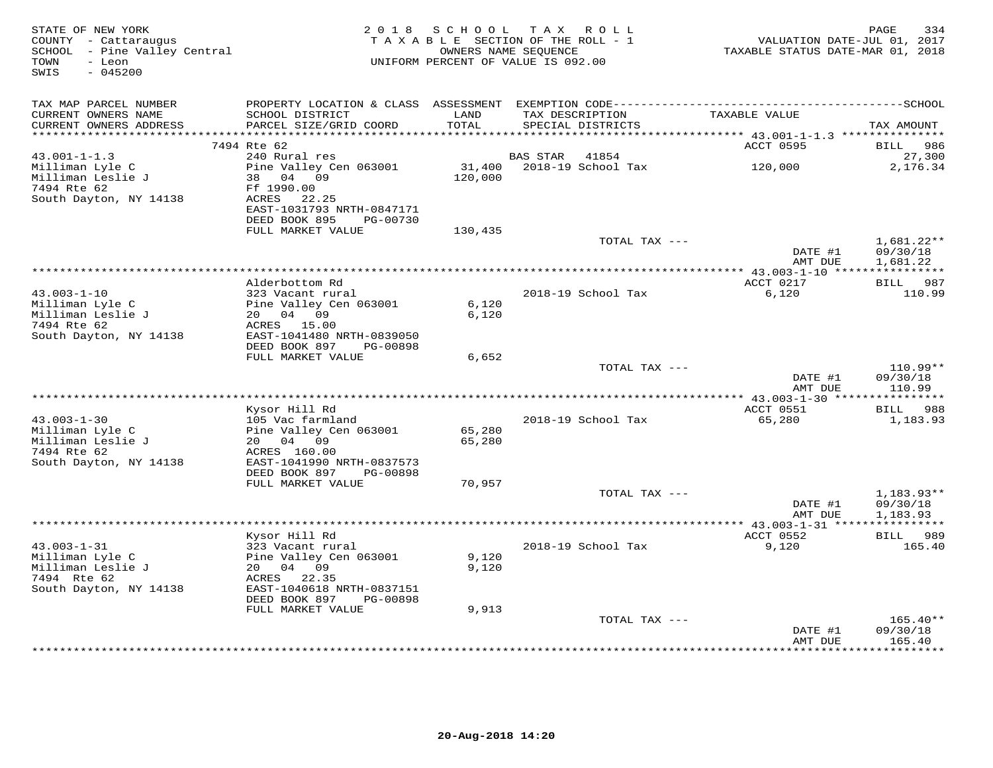| TAX MAP PARCEL NUMBER<br>PROPERTY LOCATION & CLASS ASSESSMENT<br>CURRENT OWNERS NAME<br>SCHOOL DISTRICT<br>LAND<br>TAXABLE VALUE<br>TAX DESCRIPTION<br>TOTAL<br>CURRENT OWNERS ADDRESS<br>PARCEL SIZE/GRID COORD<br>SPECIAL DISTRICTS<br>TAX AMOUNT<br>**********************<br>****************************<br>******************<br>7494 Rte 62<br>ACCT 0595<br>986<br>BILL<br>240 Rural res<br><b>BAS STAR</b><br>41854<br>27,300<br>$43.001 - 1 - 1.3$<br>Pine Valley Cen 063001<br>31,400<br>2018-19 School Tax<br>120,000<br>2,176.34<br>Milliman Lyle C<br>120,000<br>Milliman Leslie J<br>38 04 09<br>Ff 1990.00<br>7494 Rte 62<br>South Dayton, NY 14138<br>ACRES 22.25<br>EAST-1031793 NRTH-0847171<br>DEED BOOK 895<br>PG-00730<br>FULL MARKET VALUE<br>130,435<br>TOTAL TAX ---<br>$1,681.22**$<br>DATE #1<br>09/30/18<br>AMT DUE<br>1,681.22<br>ACCT 0217<br>Alderbottom Rd<br>BILL 987<br>$43.003 - 1 - 10$<br>2018-19 School Tax<br>6,120<br>110.99<br>323 Vacant rural<br>6,120<br>Milliman Lyle C<br>Pine Valley Cen 063001<br>Milliman Leslie J<br>20 04 09<br>6,120<br>7494 Rte 62<br>ACRES 15.00<br>South Dayton, NY 14138<br>EAST-1041480 NRTH-0839050<br>DEED BOOK 897<br>PG-00898<br>FULL MARKET VALUE<br>6,652<br>$110.99**$<br>TOTAL TAX ---<br>DATE #1<br>09/30/18<br>AMT DUE<br>110.99<br>Kysor Hill Rd<br>ACCT 0551<br>BILL 988<br>$43.003 - 1 - 30$<br>2018-19 School Tax<br>65,280<br>1,183.93<br>105 Vac farmland<br>Milliman Lyle C<br>Pine Valley Cen 063001<br>65,280<br>Milliman Leslie J<br>20 04 09<br>65,280<br>7494 Rte 62<br>ACRES 160.00<br>South Dayton, NY 14138<br>EAST-1041990 NRTH-0837573<br>DEED BOOK 897<br>PG-00898<br>FULL MARKET VALUE<br>70,957<br>TOTAL TAX ---<br>$1,183.93**$<br>DATE #1<br>09/30/18<br>1,183.93<br>AMT DUE<br>Kysor Hill Rd<br>ACCT 0552<br>BILL 989<br>$43.003 - 1 - 31$<br>323 Vacant rural<br>2018-19 School Tax<br>9,120<br>165.40<br>Milliman Lyle C<br>9,120<br>Pine Valley Cen 063001<br>Milliman Leslie J<br>20  04  09<br>9,120<br>7494 Rte 62<br>ACRES 22.35<br>EAST-1040618 NRTH-0837151<br>South Dayton, NY 14138<br>DEED BOOK 897<br>PG-00898<br>FULL MARKET VALUE<br>9,913<br>TOTAL TAX ---<br>$165.40**$<br>DATE #1<br>09/30/18<br>AMT DUE<br>165.40 | STATE OF NEW YORK<br>COUNTY - Cattaraugus<br>SCHOOL - Pine Valley Central<br>TOWN<br>- Leon<br>$-045200$<br>SWIS | 2018 SCHOOL TAX ROLL<br>TAXABLE SECTION OF THE ROLL - 1<br>UNIFORM PERCENT OF VALUE IS 092.00 | 334<br>PAGE<br>VALUATION DATE-JUL 01, 2017<br>TAXABLE STATUS DATE-MAR 01, 2018 |                |                     |
|-----------------------------------------------------------------------------------------------------------------------------------------------------------------------------------------------------------------------------------------------------------------------------------------------------------------------------------------------------------------------------------------------------------------------------------------------------------------------------------------------------------------------------------------------------------------------------------------------------------------------------------------------------------------------------------------------------------------------------------------------------------------------------------------------------------------------------------------------------------------------------------------------------------------------------------------------------------------------------------------------------------------------------------------------------------------------------------------------------------------------------------------------------------------------------------------------------------------------------------------------------------------------------------------------------------------------------------------------------------------------------------------------------------------------------------------------------------------------------------------------------------------------------------------------------------------------------------------------------------------------------------------------------------------------------------------------------------------------------------------------------------------------------------------------------------------------------------------------------------------------------------------------------------------------------------------------------------------------------------------------------------------------------------------------------------------------------------------------------------------------------------------------------------------------------------------------------------------------------------------------|------------------------------------------------------------------------------------------------------------------|-----------------------------------------------------------------------------------------------|--------------------------------------------------------------------------------|----------------|---------------------|
|                                                                                                                                                                                                                                                                                                                                                                                                                                                                                                                                                                                                                                                                                                                                                                                                                                                                                                                                                                                                                                                                                                                                                                                                                                                                                                                                                                                                                                                                                                                                                                                                                                                                                                                                                                                                                                                                                                                                                                                                                                                                                                                                                                                                                                               |                                                                                                                  |                                                                                               |                                                                                |                |                     |
|                                                                                                                                                                                                                                                                                                                                                                                                                                                                                                                                                                                                                                                                                                                                                                                                                                                                                                                                                                                                                                                                                                                                                                                                                                                                                                                                                                                                                                                                                                                                                                                                                                                                                                                                                                                                                                                                                                                                                                                                                                                                                                                                                                                                                                               |                                                                                                                  |                                                                                               |                                                                                |                |                     |
|                                                                                                                                                                                                                                                                                                                                                                                                                                                                                                                                                                                                                                                                                                                                                                                                                                                                                                                                                                                                                                                                                                                                                                                                                                                                                                                                                                                                                                                                                                                                                                                                                                                                                                                                                                                                                                                                                                                                                                                                                                                                                                                                                                                                                                               |                                                                                                                  |                                                                                               |                                                                                |                |                     |
|                                                                                                                                                                                                                                                                                                                                                                                                                                                                                                                                                                                                                                                                                                                                                                                                                                                                                                                                                                                                                                                                                                                                                                                                                                                                                                                                                                                                                                                                                                                                                                                                                                                                                                                                                                                                                                                                                                                                                                                                                                                                                                                                                                                                                                               |                                                                                                                  |                                                                                               |                                                                                |                |                     |
|                                                                                                                                                                                                                                                                                                                                                                                                                                                                                                                                                                                                                                                                                                                                                                                                                                                                                                                                                                                                                                                                                                                                                                                                                                                                                                                                                                                                                                                                                                                                                                                                                                                                                                                                                                                                                                                                                                                                                                                                                                                                                                                                                                                                                                               |                                                                                                                  |                                                                                               |                                                                                |                |                     |
|                                                                                                                                                                                                                                                                                                                                                                                                                                                                                                                                                                                                                                                                                                                                                                                                                                                                                                                                                                                                                                                                                                                                                                                                                                                                                                                                                                                                                                                                                                                                                                                                                                                                                                                                                                                                                                                                                                                                                                                                                                                                                                                                                                                                                                               |                                                                                                                  |                                                                                               |                                                                                |                |                     |
|                                                                                                                                                                                                                                                                                                                                                                                                                                                                                                                                                                                                                                                                                                                                                                                                                                                                                                                                                                                                                                                                                                                                                                                                                                                                                                                                                                                                                                                                                                                                                                                                                                                                                                                                                                                                                                                                                                                                                                                                                                                                                                                                                                                                                                               |                                                                                                                  |                                                                                               |                                                                                |                |                     |
|                                                                                                                                                                                                                                                                                                                                                                                                                                                                                                                                                                                                                                                                                                                                                                                                                                                                                                                                                                                                                                                                                                                                                                                                                                                                                                                                                                                                                                                                                                                                                                                                                                                                                                                                                                                                                                                                                                                                                                                                                                                                                                                                                                                                                                               |                                                                                                                  |                                                                                               |                                                                                |                |                     |
|                                                                                                                                                                                                                                                                                                                                                                                                                                                                                                                                                                                                                                                                                                                                                                                                                                                                                                                                                                                                                                                                                                                                                                                                                                                                                                                                                                                                                                                                                                                                                                                                                                                                                                                                                                                                                                                                                                                                                                                                                                                                                                                                                                                                                                               |                                                                                                                  |                                                                                               |                                                                                |                |                     |
|                                                                                                                                                                                                                                                                                                                                                                                                                                                                                                                                                                                                                                                                                                                                                                                                                                                                                                                                                                                                                                                                                                                                                                                                                                                                                                                                                                                                                                                                                                                                                                                                                                                                                                                                                                                                                                                                                                                                                                                                                                                                                                                                                                                                                                               |                                                                                                                  |                                                                                               |                                                                                |                |                     |
|                                                                                                                                                                                                                                                                                                                                                                                                                                                                                                                                                                                                                                                                                                                                                                                                                                                                                                                                                                                                                                                                                                                                                                                                                                                                                                                                                                                                                                                                                                                                                                                                                                                                                                                                                                                                                                                                                                                                                                                                                                                                                                                                                                                                                                               |                                                                                                                  |                                                                                               |                                                                                |                |                     |
|                                                                                                                                                                                                                                                                                                                                                                                                                                                                                                                                                                                                                                                                                                                                                                                                                                                                                                                                                                                                                                                                                                                                                                                                                                                                                                                                                                                                                                                                                                                                                                                                                                                                                                                                                                                                                                                                                                                                                                                                                                                                                                                                                                                                                                               |                                                                                                                  |                                                                                               |                                                                                |                |                     |
|                                                                                                                                                                                                                                                                                                                                                                                                                                                                                                                                                                                                                                                                                                                                                                                                                                                                                                                                                                                                                                                                                                                                                                                                                                                                                                                                                                                                                                                                                                                                                                                                                                                                                                                                                                                                                                                                                                                                                                                                                                                                                                                                                                                                                                               |                                                                                                                  |                                                                                               |                                                                                |                |                     |
|                                                                                                                                                                                                                                                                                                                                                                                                                                                                                                                                                                                                                                                                                                                                                                                                                                                                                                                                                                                                                                                                                                                                                                                                                                                                                                                                                                                                                                                                                                                                                                                                                                                                                                                                                                                                                                                                                                                                                                                                                                                                                                                                                                                                                                               |                                                                                                                  |                                                                                               |                                                                                |                |                     |
|                                                                                                                                                                                                                                                                                                                                                                                                                                                                                                                                                                                                                                                                                                                                                                                                                                                                                                                                                                                                                                                                                                                                                                                                                                                                                                                                                                                                                                                                                                                                                                                                                                                                                                                                                                                                                                                                                                                                                                                                                                                                                                                                                                                                                                               |                                                                                                                  |                                                                                               |                                                                                |                |                     |
|                                                                                                                                                                                                                                                                                                                                                                                                                                                                                                                                                                                                                                                                                                                                                                                                                                                                                                                                                                                                                                                                                                                                                                                                                                                                                                                                                                                                                                                                                                                                                                                                                                                                                                                                                                                                                                                                                                                                                                                                                                                                                                                                                                                                                                               |                                                                                                                  |                                                                                               |                                                                                |                |                     |
|                                                                                                                                                                                                                                                                                                                                                                                                                                                                                                                                                                                                                                                                                                                                                                                                                                                                                                                                                                                                                                                                                                                                                                                                                                                                                                                                                                                                                                                                                                                                                                                                                                                                                                                                                                                                                                                                                                                                                                                                                                                                                                                                                                                                                                               |                                                                                                                  |                                                                                               |                                                                                |                |                     |
|                                                                                                                                                                                                                                                                                                                                                                                                                                                                                                                                                                                                                                                                                                                                                                                                                                                                                                                                                                                                                                                                                                                                                                                                                                                                                                                                                                                                                                                                                                                                                                                                                                                                                                                                                                                                                                                                                                                                                                                                                                                                                                                                                                                                                                               |                                                                                                                  |                                                                                               |                                                                                |                |                     |
|                                                                                                                                                                                                                                                                                                                                                                                                                                                                                                                                                                                                                                                                                                                                                                                                                                                                                                                                                                                                                                                                                                                                                                                                                                                                                                                                                                                                                                                                                                                                                                                                                                                                                                                                                                                                                                                                                                                                                                                                                                                                                                                                                                                                                                               |                                                                                                                  |                                                                                               |                                                                                |                |                     |
|                                                                                                                                                                                                                                                                                                                                                                                                                                                                                                                                                                                                                                                                                                                                                                                                                                                                                                                                                                                                                                                                                                                                                                                                                                                                                                                                                                                                                                                                                                                                                                                                                                                                                                                                                                                                                                                                                                                                                                                                                                                                                                                                                                                                                                               |                                                                                                                  |                                                                                               |                                                                                |                |                     |
|                                                                                                                                                                                                                                                                                                                                                                                                                                                                                                                                                                                                                                                                                                                                                                                                                                                                                                                                                                                                                                                                                                                                                                                                                                                                                                                                                                                                                                                                                                                                                                                                                                                                                                                                                                                                                                                                                                                                                                                                                                                                                                                                                                                                                                               |                                                                                                                  |                                                                                               |                                                                                |                |                     |
|                                                                                                                                                                                                                                                                                                                                                                                                                                                                                                                                                                                                                                                                                                                                                                                                                                                                                                                                                                                                                                                                                                                                                                                                                                                                                                                                                                                                                                                                                                                                                                                                                                                                                                                                                                                                                                                                                                                                                                                                                                                                                                                                                                                                                                               |                                                                                                                  |                                                                                               |                                                                                |                |                     |
|                                                                                                                                                                                                                                                                                                                                                                                                                                                                                                                                                                                                                                                                                                                                                                                                                                                                                                                                                                                                                                                                                                                                                                                                                                                                                                                                                                                                                                                                                                                                                                                                                                                                                                                                                                                                                                                                                                                                                                                                                                                                                                                                                                                                                                               |                                                                                                                  |                                                                                               |                                                                                |                |                     |
|                                                                                                                                                                                                                                                                                                                                                                                                                                                                                                                                                                                                                                                                                                                                                                                                                                                                                                                                                                                                                                                                                                                                                                                                                                                                                                                                                                                                                                                                                                                                                                                                                                                                                                                                                                                                                                                                                                                                                                                                                                                                                                                                                                                                                                               |                                                                                                                  |                                                                                               |                                                                                |                |                     |
|                                                                                                                                                                                                                                                                                                                                                                                                                                                                                                                                                                                                                                                                                                                                                                                                                                                                                                                                                                                                                                                                                                                                                                                                                                                                                                                                                                                                                                                                                                                                                                                                                                                                                                                                                                                                                                                                                                                                                                                                                                                                                                                                                                                                                                               |                                                                                                                  |                                                                                               |                                                                                |                |                     |
|                                                                                                                                                                                                                                                                                                                                                                                                                                                                                                                                                                                                                                                                                                                                                                                                                                                                                                                                                                                                                                                                                                                                                                                                                                                                                                                                                                                                                                                                                                                                                                                                                                                                                                                                                                                                                                                                                                                                                                                                                                                                                                                                                                                                                                               |                                                                                                                  |                                                                                               |                                                                                |                |                     |
|                                                                                                                                                                                                                                                                                                                                                                                                                                                                                                                                                                                                                                                                                                                                                                                                                                                                                                                                                                                                                                                                                                                                                                                                                                                                                                                                                                                                                                                                                                                                                                                                                                                                                                                                                                                                                                                                                                                                                                                                                                                                                                                                                                                                                                               |                                                                                                                  |                                                                                               |                                                                                |                |                     |
|                                                                                                                                                                                                                                                                                                                                                                                                                                                                                                                                                                                                                                                                                                                                                                                                                                                                                                                                                                                                                                                                                                                                                                                                                                                                                                                                                                                                                                                                                                                                                                                                                                                                                                                                                                                                                                                                                                                                                                                                                                                                                                                                                                                                                                               |                                                                                                                  |                                                                                               |                                                                                |                |                     |
|                                                                                                                                                                                                                                                                                                                                                                                                                                                                                                                                                                                                                                                                                                                                                                                                                                                                                                                                                                                                                                                                                                                                                                                                                                                                                                                                                                                                                                                                                                                                                                                                                                                                                                                                                                                                                                                                                                                                                                                                                                                                                                                                                                                                                                               |                                                                                                                  |                                                                                               |                                                                                |                |                     |
|                                                                                                                                                                                                                                                                                                                                                                                                                                                                                                                                                                                                                                                                                                                                                                                                                                                                                                                                                                                                                                                                                                                                                                                                                                                                                                                                                                                                                                                                                                                                                                                                                                                                                                                                                                                                                                                                                                                                                                                                                                                                                                                                                                                                                                               |                                                                                                                  |                                                                                               |                                                                                |                |                     |
|                                                                                                                                                                                                                                                                                                                                                                                                                                                                                                                                                                                                                                                                                                                                                                                                                                                                                                                                                                                                                                                                                                                                                                                                                                                                                                                                                                                                                                                                                                                                                                                                                                                                                                                                                                                                                                                                                                                                                                                                                                                                                                                                                                                                                                               |                                                                                                                  |                                                                                               |                                                                                |                |                     |
|                                                                                                                                                                                                                                                                                                                                                                                                                                                                                                                                                                                                                                                                                                                                                                                                                                                                                                                                                                                                                                                                                                                                                                                                                                                                                                                                                                                                                                                                                                                                                                                                                                                                                                                                                                                                                                                                                                                                                                                                                                                                                                                                                                                                                                               |                                                                                                                  |                                                                                               |                                                                                |                |                     |
|                                                                                                                                                                                                                                                                                                                                                                                                                                                                                                                                                                                                                                                                                                                                                                                                                                                                                                                                                                                                                                                                                                                                                                                                                                                                                                                                                                                                                                                                                                                                                                                                                                                                                                                                                                                                                                                                                                                                                                                                                                                                                                                                                                                                                                               |                                                                                                                  |                                                                                               |                                                                                |                |                     |
|                                                                                                                                                                                                                                                                                                                                                                                                                                                                                                                                                                                                                                                                                                                                                                                                                                                                                                                                                                                                                                                                                                                                                                                                                                                                                                                                                                                                                                                                                                                                                                                                                                                                                                                                                                                                                                                                                                                                                                                                                                                                                                                                                                                                                                               |                                                                                                                  |                                                                                               |                                                                                |                |                     |
|                                                                                                                                                                                                                                                                                                                                                                                                                                                                                                                                                                                                                                                                                                                                                                                                                                                                                                                                                                                                                                                                                                                                                                                                                                                                                                                                                                                                                                                                                                                                                                                                                                                                                                                                                                                                                                                                                                                                                                                                                                                                                                                                                                                                                                               |                                                                                                                  |                                                                                               |                                                                                |                |                     |
|                                                                                                                                                                                                                                                                                                                                                                                                                                                                                                                                                                                                                                                                                                                                                                                                                                                                                                                                                                                                                                                                                                                                                                                                                                                                                                                                                                                                                                                                                                                                                                                                                                                                                                                                                                                                                                                                                                                                                                                                                                                                                                                                                                                                                                               |                                                                                                                  |                                                                                               |                                                                                |                |                     |
|                                                                                                                                                                                                                                                                                                                                                                                                                                                                                                                                                                                                                                                                                                                                                                                                                                                                                                                                                                                                                                                                                                                                                                                                                                                                                                                                                                                                                                                                                                                                                                                                                                                                                                                                                                                                                                                                                                                                                                                                                                                                                                                                                                                                                                               |                                                                                                                  |                                                                                               |                                                                                | ************** | * * * * * * * * * * |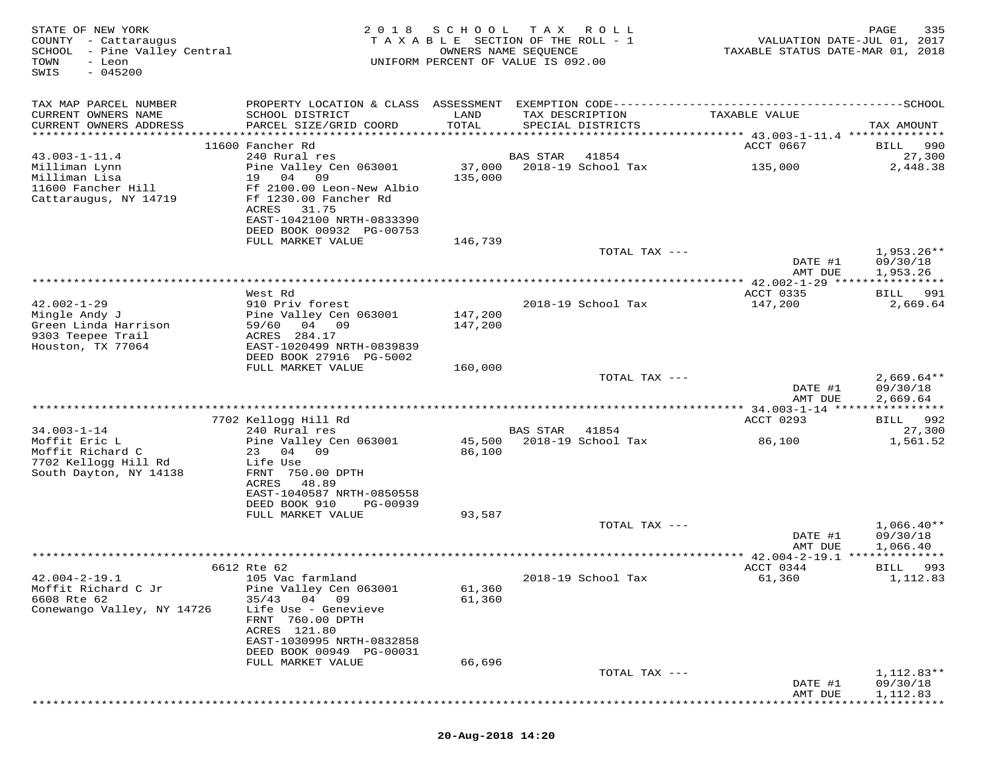| STATE OF NEW YORK<br>COUNTY - Cattaraugus<br>SCHOOL - Pine Valley Central<br>TOWN<br>- Leon<br>$-045200$<br>SWIS | 2 0 1 8                                                                                                        | SCHOOL<br>TAXABLE SECTION OF THE ROLL - 1<br>OWNERS NAME SEQUENCE<br>UNIFORM PERCENT OF VALUE IS 092.00 | T A X    | R O L L                              | TAXABLE STATUS DATE-MAR 01, 2018             | PAGE<br>335<br>VALUATION DATE-JUL 01, 2017 |
|------------------------------------------------------------------------------------------------------------------|----------------------------------------------------------------------------------------------------------------|---------------------------------------------------------------------------------------------------------|----------|--------------------------------------|----------------------------------------------|--------------------------------------------|
| TAX MAP PARCEL NUMBER                                                                                            |                                                                                                                |                                                                                                         |          |                                      |                                              |                                            |
| CURRENT OWNERS NAME<br>CURRENT OWNERS ADDRESS                                                                    | SCHOOL DISTRICT<br>PARCEL SIZE/GRID COORD                                                                      | LAND<br>TOTAL                                                                                           |          | TAX DESCRIPTION<br>SPECIAL DISTRICTS | TAXABLE VALUE                                | TAX AMOUNT                                 |
|                                                                                                                  | 11600 Fancher Rd                                                                                               |                                                                                                         |          |                                      | ACCT 0667                                    | 990<br>BILL                                |
| $43.003 - 1 - 11.4$                                                                                              | 240 Rural res                                                                                                  |                                                                                                         | BAS STAR | 41854                                |                                              | 27,300                                     |
| Milliman Lynn                                                                                                    | Pine Valley Cen 063001                                                                                         | 37,000                                                                                                  |          | 2018-19 School Tax                   | 135,000                                      | 2,448.38                                   |
| Milliman Lisa<br>11600 Fancher Hill                                                                              | 19 04 09                                                                                                       | 135,000                                                                                                 |          |                                      |                                              |                                            |
| Cattaraugus, NY 14719                                                                                            | Ff 2100.00 Leon-New Albio<br>Ff 1230.00 Fancher Rd<br>ACRES<br>31.75<br>EAST-1042100 NRTH-0833390              |                                                                                                         |          |                                      |                                              |                                            |
|                                                                                                                  | DEED BOOK 00932 PG-00753                                                                                       |                                                                                                         |          |                                      |                                              |                                            |
|                                                                                                                  | FULL MARKET VALUE                                                                                              | 146,739                                                                                                 |          | TOTAL TAX ---                        |                                              | $1,953.26**$                               |
|                                                                                                                  |                                                                                                                |                                                                                                         |          |                                      | DATE #1                                      | 09/30/18                                   |
|                                                                                                                  |                                                                                                                |                                                                                                         |          |                                      | AMT DUE                                      | 1,953.26                                   |
|                                                                                                                  |                                                                                                                |                                                                                                         |          |                                      |                                              |                                            |
| $42.002 - 1 - 29$                                                                                                | West Rd<br>910 Priv forest                                                                                     |                                                                                                         |          | 2018-19 School Tax                   | <b>ACCT 0335</b><br>147,200                  | BILL 991<br>2,669.64                       |
| Mingle Andy J                                                                                                    | Pine Valley Cen 063001                                                                                         | 147,200                                                                                                 |          |                                      |                                              |                                            |
| Green Linda Harrison                                                                                             | 59/60<br>04 09                                                                                                 | 147,200                                                                                                 |          |                                      |                                              |                                            |
| 9303 Teepee Trail<br>Houston, TX 77064                                                                           | ACRES 284.17<br>EAST-1020499 NRTH-0839839                                                                      |                                                                                                         |          |                                      |                                              |                                            |
|                                                                                                                  | DEED BOOK 27916 PG-5002                                                                                        |                                                                                                         |          |                                      |                                              |                                            |
|                                                                                                                  | FULL MARKET VALUE                                                                                              | 160,000                                                                                                 |          |                                      |                                              |                                            |
|                                                                                                                  |                                                                                                                |                                                                                                         |          | TOTAL TAX ---                        | DATE #1<br>AMT DUE                           | $2,669.64**$<br>09/30/18<br>2,669.64       |
|                                                                                                                  |                                                                                                                |                                                                                                         |          |                                      | ************ 34.003-1-14 *****************   |                                            |
|                                                                                                                  | 7702 Kellogg Hill Rd                                                                                           |                                                                                                         |          |                                      | ACCT 0293                                    | BILL 992                                   |
| $34.003 - 1 - 14$                                                                                                | 240 Rural res                                                                                                  |                                                                                                         | BAS STAR | 41854                                |                                              | 27,300                                     |
| Moffit Eric L<br>Moffit Richard C<br>7702 Kellogg Hill Rd<br>South Dayton, NY 14138                              | Pine Valley Cen 063001<br>23 04 09<br>Life Use<br>FRNT 750.00 DPTH<br>ACRES 48.89<br>EAST-1040587 NRTH-0850558 | 86,100                                                                                                  |          | 45,500 2018-19 School Tax            | 86,100                                       | 1,561.52                                   |
|                                                                                                                  | DEED BOOK 910<br>PG-00939                                                                                      |                                                                                                         |          |                                      |                                              |                                            |
|                                                                                                                  | FULL MARKET VALUE                                                                                              | 93,587                                                                                                  |          | TOTAL TAX ---                        |                                              | $1,066.40**$                               |
|                                                                                                                  |                                                                                                                |                                                                                                         |          |                                      | DATE #1                                      | 09/30/18                                   |
|                                                                                                                  |                                                                                                                |                                                                                                         |          |                                      | AMT DUE                                      | 1,066.40                                   |
|                                                                                                                  |                                                                                                                |                                                                                                         |          |                                      |                                              |                                            |
| $42.004 - 2 - 19.1$                                                                                              | 6612 Rte 62<br>105 Vac farmland                                                                                |                                                                                                         |          | 2018-19 School Tax                   | ACCT 0344<br>61,360                          | BILL<br>993<br>1,112.83                    |
| Moffit Richard C Jr                                                                                              | Pine Valley Cen 063001                                                                                         | 61,360                                                                                                  |          |                                      |                                              |                                            |
| 6608 Rte 62                                                                                                      | $35/43$ 04 09                                                                                                  | 61,360                                                                                                  |          |                                      |                                              |                                            |
| Conewango Valley, NY 14726                                                                                       | Life Use - Genevieve<br>FRNT 760.00 DPTH<br>ACRES 121.80                                                       |                                                                                                         |          |                                      |                                              |                                            |
|                                                                                                                  | EAST-1030995 NRTH-0832858                                                                                      |                                                                                                         |          |                                      |                                              |                                            |
|                                                                                                                  | DEED BOOK 00949 PG-00031<br>FULL MARKET VALUE                                                                  | 66,696                                                                                                  |          |                                      |                                              |                                            |
|                                                                                                                  |                                                                                                                |                                                                                                         |          | TOTAL TAX ---                        |                                              | 1,112.83**                                 |
|                                                                                                                  |                                                                                                                |                                                                                                         |          |                                      | DATE #1                                      | 09/30/18                                   |
|                                                                                                                  |                                                                                                                |                                                                                                         |          |                                      | AMT DUE<br>********************************* | 1,112.83                                   |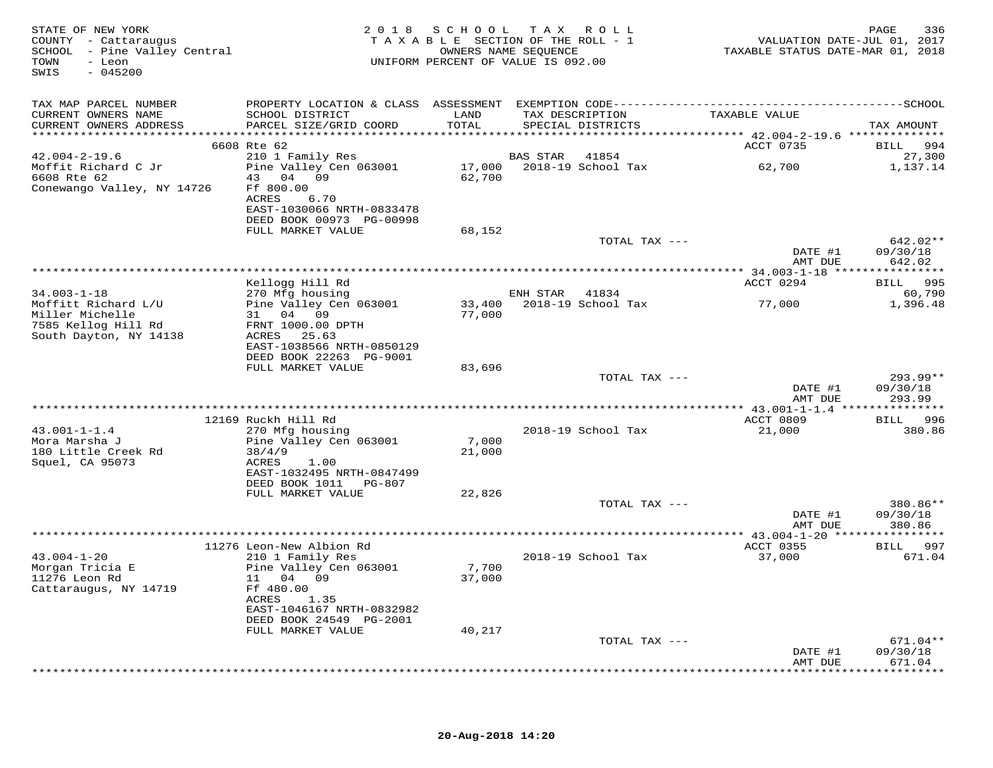| STATE OF NEW YORK<br>COUNTY - Cattaraugus<br>SCHOOL - Pine Valley Central<br>- Leon<br>TOWN<br>$-045200$<br>SWIS | 2018 SCHOOL TAX ROLL<br>TAXABLE SECTION OF THE ROLL - 1<br>UNIFORM PERCENT OF VALUE IS 092.00 | VALUATION DATE-JUL 01, 2017<br>TAXABLE STATUS DATE-MAR 01, 2018 | PAGE<br>336     |                           |                     |                                |
|------------------------------------------------------------------------------------------------------------------|-----------------------------------------------------------------------------------------------|-----------------------------------------------------------------|-----------------|---------------------------|---------------------|--------------------------------|
| TAX MAP PARCEL NUMBER                                                                                            |                                                                                               |                                                                 |                 |                           |                     |                                |
| CURRENT OWNERS NAME<br>CURRENT OWNERS ADDRESS                                                                    | SCHOOL DISTRICT<br>PARCEL SIZE/GRID COORD                                                     | LAND<br>TOTAL                                                   | TAX DESCRIPTION | SPECIAL DISTRICTS         | TAXABLE VALUE       | TAX AMOUNT                     |
|                                                                                                                  |                                                                                               |                                                                 |                 |                           |                     |                                |
|                                                                                                                  | 6608 Rte 62                                                                                   |                                                                 |                 |                           | ACCT 0735           | 994<br>BILL                    |
| $42.004 - 2 - 19.6$                                                                                              | 210 1 Family Res                                                                              |                                                                 | <b>BAS STAR</b> | 41854                     |                     | 27,300                         |
| Moffit Richard C Jr<br>6608 Rte 62<br>Conewango Valley, NY 14726                                                 | Pine Valley Cen 063001<br>43 04 09<br>Ff 800.00                                               | 62,700                                                          |                 | 17,000 2018-19 School Tax | 62,700              | 1,137.14                       |
|                                                                                                                  | ACRES<br>6.70<br>EAST-1030066 NRTH-0833478<br>DEED BOOK 00973 PG-00998                        |                                                                 |                 |                           |                     |                                |
|                                                                                                                  | FULL MARKET VALUE                                                                             | 68,152                                                          |                 | TOTAL TAX ---             |                     | 642.02**                       |
|                                                                                                                  |                                                                                               |                                                                 |                 |                           | DATE #1<br>AMT DUE  | 09/30/18<br>642.02             |
|                                                                                                                  |                                                                                               |                                                                 |                 |                           |                     |                                |
| $34.003 - 1 - 18$                                                                                                | Kellogg Hill Rd<br>270 Mfg housing                                                            |                                                                 | ENH STAR 41834  |                           | ACCT 0294           | BILL 995<br>60,790             |
| Moffitt Richard L/U                                                                                              | Pine Valley Cen 063001                                                                        | 33,400                                                          |                 | 2018-19 School Tax        | 77,000              | 1,396.48                       |
| Miller Michelle                                                                                                  | 31 04 09                                                                                      | 77,000                                                          |                 |                           |                     |                                |
| 7585 Kellog Hill Rd                                                                                              | FRNT 1000.00 DPTH                                                                             |                                                                 |                 |                           |                     |                                |
| South Dayton, NY 14138                                                                                           | ACRES 25.63                                                                                   |                                                                 |                 |                           |                     |                                |
|                                                                                                                  | EAST-1038566 NRTH-0850129                                                                     |                                                                 |                 |                           |                     |                                |
|                                                                                                                  | DEED BOOK 22263 PG-9001<br>FULL MARKET VALUE                                                  | 83,696                                                          |                 |                           |                     |                                |
|                                                                                                                  |                                                                                               |                                                                 |                 | TOTAL TAX ---             |                     | $293.99**$                     |
|                                                                                                                  |                                                                                               |                                                                 |                 |                           | DATE #1<br>AMT DUE  | 09/30/18<br>293.99             |
|                                                                                                                  |                                                                                               |                                                                 |                 |                           |                     |                                |
| $43.001 - 1 - 1.4$                                                                                               | 12169 Ruckh Hill Rd                                                                           |                                                                 |                 | 2018-19 School Tax        | ACCT 0809<br>21,000 | BILL 996<br>380.86             |
| Mora Marsha J                                                                                                    | 270 Mfg housing<br>Pine Valley Cen 063001                                                     | 7,000                                                           |                 |                           |                     |                                |
| 180 Little Creek Rd                                                                                              | 38/4/9                                                                                        | 21,000                                                          |                 |                           |                     |                                |
| Squel, CA 95073                                                                                                  | ACRES<br>1.00                                                                                 |                                                                 |                 |                           |                     |                                |
|                                                                                                                  | EAST-1032495 NRTH-0847499                                                                     |                                                                 |                 |                           |                     |                                |
|                                                                                                                  | DEED BOOK 1011 PG-807                                                                         | 22,826                                                          |                 |                           |                     |                                |
|                                                                                                                  | FULL MARKET VALUE                                                                             |                                                                 |                 | TOTAL TAX ---             |                     | 380.86**                       |
|                                                                                                                  |                                                                                               |                                                                 |                 |                           | DATE #1             | 09/30/18                       |
|                                                                                                                  |                                                                                               |                                                                 |                 |                           | AMT DUE             | 380.86                         |
|                                                                                                                  |                                                                                               |                                                                 |                 |                           |                     |                                |
|                                                                                                                  | 11276 Leon-New Albion Rd                                                                      |                                                                 |                 |                           | ACCT 0355           | BILL 997                       |
| $43.004 - 1 - 20$<br>Morgan Tricia E                                                                             | 210 1 Family Res<br>Pine Valley Cen 063001                                                    | 7,700                                                           |                 | 2018-19 School Tax        | 37,000              | 671.04                         |
| 11276 Leon Rd                                                                                                    | 11 04 09                                                                                      | 37,000                                                          |                 |                           |                     |                                |
| Cattaraugus, NY 14719                                                                                            | Ff 480.00<br>ACRES<br>1.35                                                                    |                                                                 |                 |                           |                     |                                |
|                                                                                                                  | EAST-1046167 NRTH-0832982<br>DEED BOOK 24549 PG-2001                                          |                                                                 |                 |                           |                     |                                |
|                                                                                                                  | FULL MARKET VALUE                                                                             | 40,217                                                          |                 |                           |                     |                                |
|                                                                                                                  |                                                                                               |                                                                 |                 | TOTAL TAX ---             | DATE #1<br>AMT DUE  | 671.04**<br>09/30/18<br>671.04 |
|                                                                                                                  |                                                                                               |                                                                 |                 |                           |                     | ***********                    |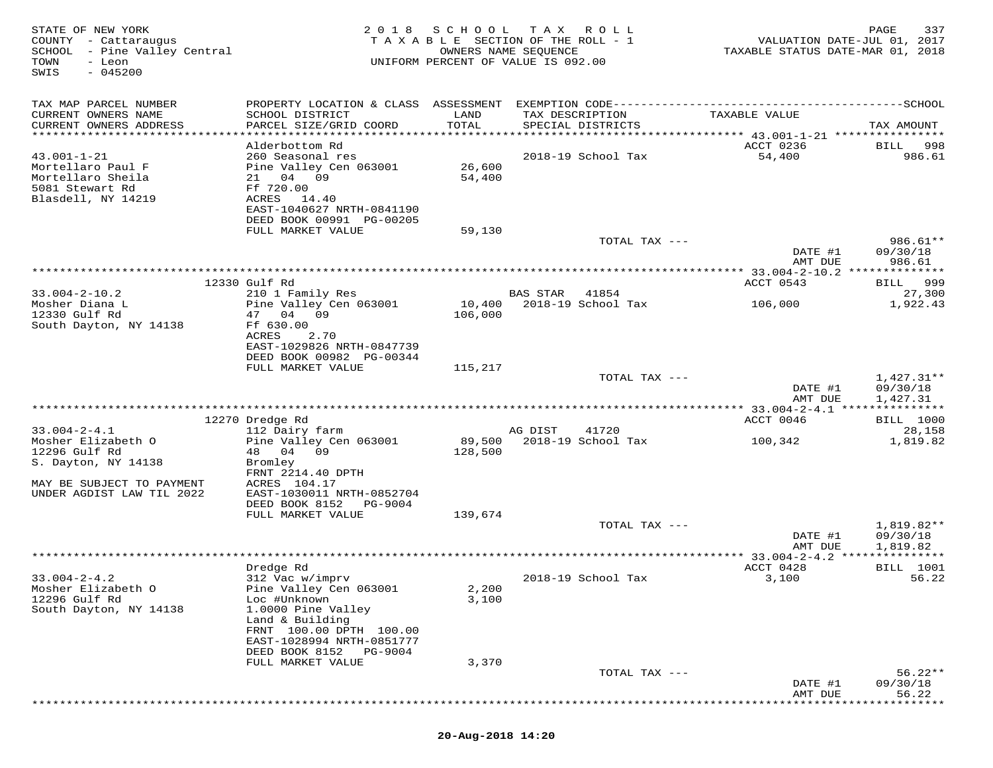| STATE OF NEW YORK<br>COUNTY - Cattaraugus<br>SCHOOL - Pine Valley Central<br>TOWN<br>- Leon<br>$-045200$<br>SWIS | 2 0 1 8                                                                                                                              | SCHOOL             | T A X<br>R O L L<br>TAXABLE SECTION OF THE ROLL - 1<br>OWNERS NAME SEQUENCE<br>UNIFORM PERCENT OF VALUE IS 092.00 | VALUATION DATE-JUL 01, 2017<br>TAXABLE STATUS DATE-MAR 01, 2018 | 337<br>PAGE                        |
|------------------------------------------------------------------------------------------------------------------|--------------------------------------------------------------------------------------------------------------------------------------|--------------------|-------------------------------------------------------------------------------------------------------------------|-----------------------------------------------------------------|------------------------------------|
| TAX MAP PARCEL NUMBER<br>CURRENT OWNERS NAME<br>CURRENT OWNERS ADDRESS                                           | PROPERTY LOCATION & CLASS ASSESSMENT EXEMPTION CODE---------------------------<br>SCHOOL DISTRICT<br>PARCEL SIZE/GRID COORD          | LAND<br>TOTAL      | TAX DESCRIPTION<br>SPECIAL DISTRICTS                                                                              | TAXABLE VALUE                                                   | -------------SCHOOL<br>TAX AMOUNT  |
| ********************                                                                                             | **********************                                                                                                               | ****************** |                                                                                                                   | ********************************* 43.001-1-21 ***************** |                                    |
| $43.001 - 1 - 21$<br>Mortellaro Paul F<br>Mortellaro Sheila<br>5081 Stewart Rd<br>Blasdell, NY 14219             | Alderbottom Rd<br>260 Seasonal res<br>Pine Valley Cen 063001<br>21 04 09<br>Ff 720.00<br>ACRES<br>14.40<br>EAST-1040627 NRTH-0841190 | 26,600<br>54,400   | 2018-19 School Tax                                                                                                | ACCT 0236<br>54,400                                             | 998<br>BILL<br>986.61              |
|                                                                                                                  | DEED BOOK 00991 PG-00205                                                                                                             |                    |                                                                                                                   |                                                                 |                                    |
|                                                                                                                  | FULL MARKET VALUE                                                                                                                    | 59,130             | TOTAL TAX ---                                                                                                     |                                                                 | 986.61**                           |
|                                                                                                                  |                                                                                                                                      |                    |                                                                                                                   | DATE #1                                                         | 09/30/18                           |
|                                                                                                                  |                                                                                                                                      |                    |                                                                                                                   | AMT DUE                                                         | 986.61                             |
|                                                                                                                  | 12330 Gulf Rd                                                                                                                        |                    |                                                                                                                   | ACCT 0543                                                       | 999<br>BILL                        |
| $33.004 - 2 - 10.2$<br>Mosher Diana L                                                                            | 210 1 Family Res<br>Pine Valley Cen 063001                                                                                           | 10,400             | <b>BAS STAR</b><br>41854<br>2018-19 School Tax                                                                    | 106,000                                                         | 27,300<br>1,922.43                 |
| 12330 Gulf Rd<br>South Dayton, NY 14138                                                                          | 47 04<br>09<br>Ff 630.00<br>ACRES<br>2.70<br>EAST-1029826 NRTH-0847739<br>DEED BOOK 00982 PG-00344                                   | 106,000            |                                                                                                                   |                                                                 |                                    |
|                                                                                                                  | FULL MARKET VALUE                                                                                                                    | 115,217            | TOTAL TAX ---                                                                                                     |                                                                 | $1,427.31**$                       |
|                                                                                                                  |                                                                                                                                      |                    |                                                                                                                   | DATE #1<br>AMT DUE                                              | 09/30/18<br>1,427.31               |
|                                                                                                                  | 12270 Dredge Rd                                                                                                                      |                    |                                                                                                                   | ACCT 0046                                                       | <b>BILL</b> 1000                   |
| $33.004 - 2 - 4.1$                                                                                               | 112 Dairy farm                                                                                                                       |                    | 41720<br>AG DIST                                                                                                  |                                                                 | 28,158                             |
| Mosher Elizabeth O<br>12296 Gulf Rd<br>S. Dayton, NY 14138                                                       | Pine Valley Cen 063001<br>48 04 09<br>Bromley                                                                                        | 89,500<br>128,500  | 2018-19 School Tax                                                                                                | 100,342                                                         | 1,819.82                           |
| MAY BE SUBJECT TO PAYMENT<br>UNDER AGDIST LAW TIL 2022                                                           | FRNT 2214.40 DPTH<br>ACRES 104.17<br>EAST-1030011 NRTH-0852704<br>DEED BOOK 8152 PG-9004                                             |                    |                                                                                                                   |                                                                 |                                    |
|                                                                                                                  | FULL MARKET VALUE                                                                                                                    | 139,674            |                                                                                                                   |                                                                 |                                    |
|                                                                                                                  |                                                                                                                                      |                    | TOTAL TAX ---                                                                                                     | DATE #1<br>AMT DUE                                              | 1,819.82**<br>09/30/18<br>1,819.82 |
|                                                                                                                  | Dredge Rd                                                                                                                            |                    |                                                                                                                   | *** 33.004-2-4.2<br>ACCT 0428                                   | **********<br><b>BILL</b> 1001     |
| $33.004 - 2 - 4.2$<br>Mosher Elizabeth O<br>12296 Gulf Rd                                                        | 312 Vac w/imprv<br>Pine Valley Cen 063001<br>Loc #Unknown                                                                            | 2,200<br>3,100     | 2018-19 School Tax                                                                                                | 3,100                                                           | 56.22                              |
| South Dayton, NY 14138                                                                                           | 1.0000 Pine Valley<br>Land & Building<br>FRNT 100.00 DPTH 100.00                                                                     |                    |                                                                                                                   |                                                                 |                                    |
|                                                                                                                  | EAST-1028994 NRTH-0851777<br>DEED BOOK 8152<br>PG-9004                                                                               |                    |                                                                                                                   |                                                                 |                                    |
|                                                                                                                  | FULL MARKET VALUE                                                                                                                    | 3,370              |                                                                                                                   |                                                                 |                                    |
|                                                                                                                  |                                                                                                                                      |                    | TOTAL TAX ---                                                                                                     | DATE #1<br>AMT DUE                                              | $56.22**$<br>09/30/18<br>56.22     |
|                                                                                                                  |                                                                                                                                      |                    |                                                                                                                   |                                                                 |                                    |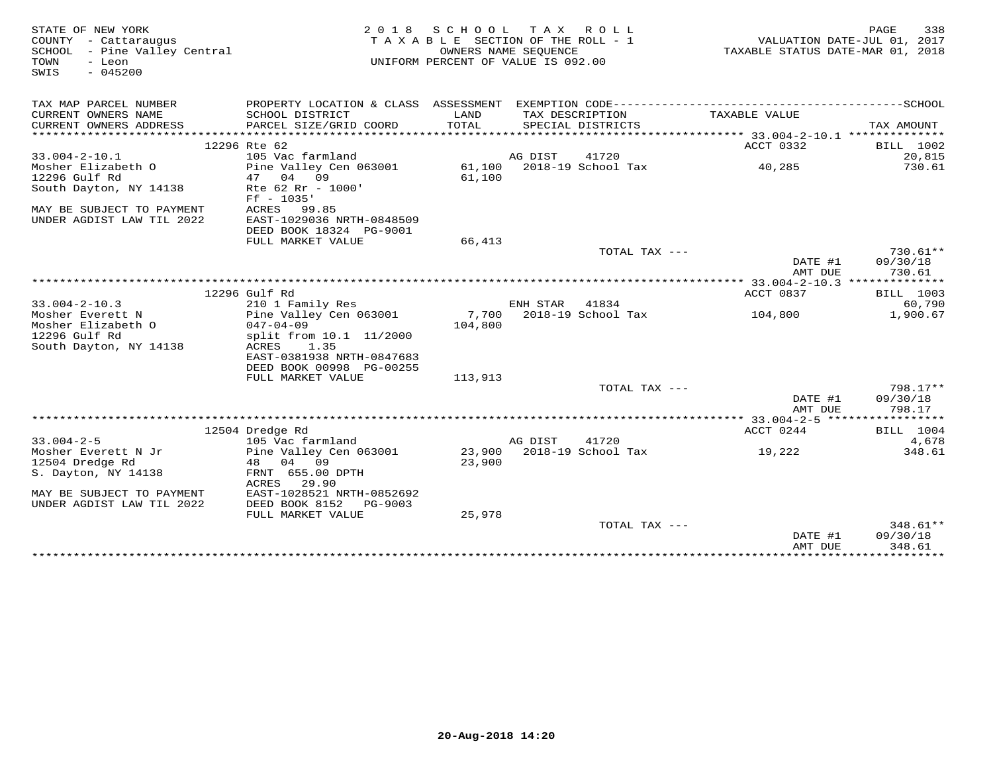| STATE OF NEW YORK<br>COUNTY - Cattaraugus<br>SCHOOL - Pine Valley Central<br>TOWN<br>- Leon<br>$-045200$<br>SWIS |                                                                                              | 2018 SCHOOL TAX ROLL<br>TAXABLE SECTION OF THE ROLL - 1<br>OWNERS NAME SEQUENCE<br>UNIFORM PERCENT OF VALUE IS 092.00 |          |                           | TAXABLE STATUS DATE-MAR 01, 2018 | 338<br>PAGE<br>VALUATION DATE-JUL 01, 2017 |
|------------------------------------------------------------------------------------------------------------------|----------------------------------------------------------------------------------------------|-----------------------------------------------------------------------------------------------------------------------|----------|---------------------------|----------------------------------|--------------------------------------------|
| TAX MAP PARCEL NUMBER                                                                                            | PROPERTY LOCATION & CLASS ASSESSMENT EXEMPTION CODE-----------------------------------SCHOOL |                                                                                                                       |          |                           |                                  |                                            |
| CURRENT OWNERS NAME                                                                                              | SCHOOL DISTRICT                                                                              | LAND                                                                                                                  |          | TAX DESCRIPTION           | TAXABLE VALUE                    |                                            |
| CURRENT OWNERS ADDRESS                                                                                           | PARCEL SIZE/GRID COORD                                                                       | TOTAL                                                                                                                 |          | SPECIAL DISTRICTS         |                                  | TAX AMOUNT                                 |
|                                                                                                                  | 12296 Rte 62                                                                                 |                                                                                                                       |          |                           | ACCT 0332                        | BILL 1002                                  |
| $33.004 - 2 - 10.1$                                                                                              | 105 Vac farmland                                                                             |                                                                                                                       | AG DIST  | 41720                     |                                  | 20,815                                     |
| Mosher Elizabeth O                                                                                               | Pine Valley Cen 063001                                                                       |                                                                                                                       |          | 61,100 2018-19 School Tax | 40,285                           | 730.61                                     |
| 12296 Gulf Rd                                                                                                    | 04 09<br>47                                                                                  | 61,100                                                                                                                |          |                           |                                  |                                            |
| South Dayton, NY 14138                                                                                           | Rte 62 Rr - 1000'<br>$Ff - 1035'$                                                            |                                                                                                                       |          |                           |                                  |                                            |
| MAY BE SUBJECT TO PAYMENT<br>UNDER AGDIST LAW TIL 2022                                                           | ACRES 99.85<br>EAST-1029036 NRTH-0848509                                                     |                                                                                                                       |          |                           |                                  |                                            |
|                                                                                                                  | DEED BOOK 18324 PG-9001                                                                      |                                                                                                                       |          |                           |                                  |                                            |
|                                                                                                                  | FULL MARKET VALUE                                                                            | 66,413                                                                                                                |          |                           |                                  |                                            |
|                                                                                                                  |                                                                                              |                                                                                                                       |          | TOTAL TAX ---             |                                  | $730.61**$                                 |
|                                                                                                                  |                                                                                              |                                                                                                                       |          |                           | DATE #1                          | 09/30/18                                   |
|                                                                                                                  |                                                                                              |                                                                                                                       |          |                           | AMT DUE                          | 730.61                                     |
|                                                                                                                  | 12296 Gulf Rd                                                                                |                                                                                                                       |          |                           | ACCT 0837                        | BILL 1003                                  |
| $33.004 - 2 - 10.3$                                                                                              | 210 1 Family Res                                                                             |                                                                                                                       | ENH STAR | 41834                     |                                  | 60,790                                     |
| Mosher Everett N                                                                                                 | Pine Valley Cen 063001                                                                       |                                                                                                                       |          | 7,700 2018-19 School Tax  | 104,800                          | 1,900.67                                   |
| Mosher Elizabeth O                                                                                               | $047 - 04 - 09$                                                                              | 104,800                                                                                                               |          |                           |                                  |                                            |
| 12296 Gulf Rd                                                                                                    | split from 10.1 11/2000                                                                      |                                                                                                                       |          |                           |                                  |                                            |
| South Dayton, NY 14138                                                                                           | ACRES<br>1.35                                                                                |                                                                                                                       |          |                           |                                  |                                            |
|                                                                                                                  | EAST-0381938 NRTH-0847683                                                                    |                                                                                                                       |          |                           |                                  |                                            |
|                                                                                                                  | DEED BOOK 00998 PG-00255                                                                     |                                                                                                                       |          |                           |                                  |                                            |
|                                                                                                                  | FULL MARKET VALUE                                                                            | 113,913                                                                                                               |          |                           |                                  |                                            |
|                                                                                                                  |                                                                                              |                                                                                                                       |          | TOTAL TAX ---             |                                  | 798.17**                                   |
|                                                                                                                  |                                                                                              |                                                                                                                       |          |                           | DATE #1<br>AMT DUE               | 09/30/18<br>798.17                         |
|                                                                                                                  |                                                                                              |                                                                                                                       |          |                           |                                  |                                            |
|                                                                                                                  | 12504 Dredge Rd                                                                              |                                                                                                                       |          |                           | ACCT 0244                        | BILL 1004                                  |
| $33.004 - 2 - 5$                                                                                                 | 105 Vac farmland                                                                             |                                                                                                                       | AG DIST  | 41720                     |                                  | 4,678                                      |
| Mosher Everett N Jr                                                                                              | Pine Valley Cen 063001                                                                       |                                                                                                                       |          | 23,900 2018-19 School Tax | 19,222                           | 348.61                                     |
| 12504 Dredge Rd                                                                                                  | 48 04 09                                                                                     | 23,900                                                                                                                |          |                           |                                  |                                            |
| S. Dayton, NY 14138                                                                                              | FRNT 655.00 DPTH<br>29.90<br>ACRES                                                           |                                                                                                                       |          |                           |                                  |                                            |
| MAY BE SUBJECT TO PAYMENT                                                                                        | EAST-1028521 NRTH-0852692                                                                    |                                                                                                                       |          |                           |                                  |                                            |
| UNDER AGDIST LAW TIL 2022                                                                                        | DEED BOOK 8152<br>PG-9003                                                                    |                                                                                                                       |          |                           |                                  |                                            |
|                                                                                                                  | FULL MARKET VALUE                                                                            | 25,978                                                                                                                |          |                           |                                  |                                            |
|                                                                                                                  |                                                                                              |                                                                                                                       |          | TOTAL TAX $---$           |                                  | $348.61**$                                 |
|                                                                                                                  |                                                                                              |                                                                                                                       |          |                           | DATE #1                          | 09/30/18                                   |
|                                                                                                                  |                                                                                              |                                                                                                                       |          |                           | AMT DUE                          | 348.61                                     |
|                                                                                                                  |                                                                                              |                                                                                                                       |          |                           |                                  |                                            |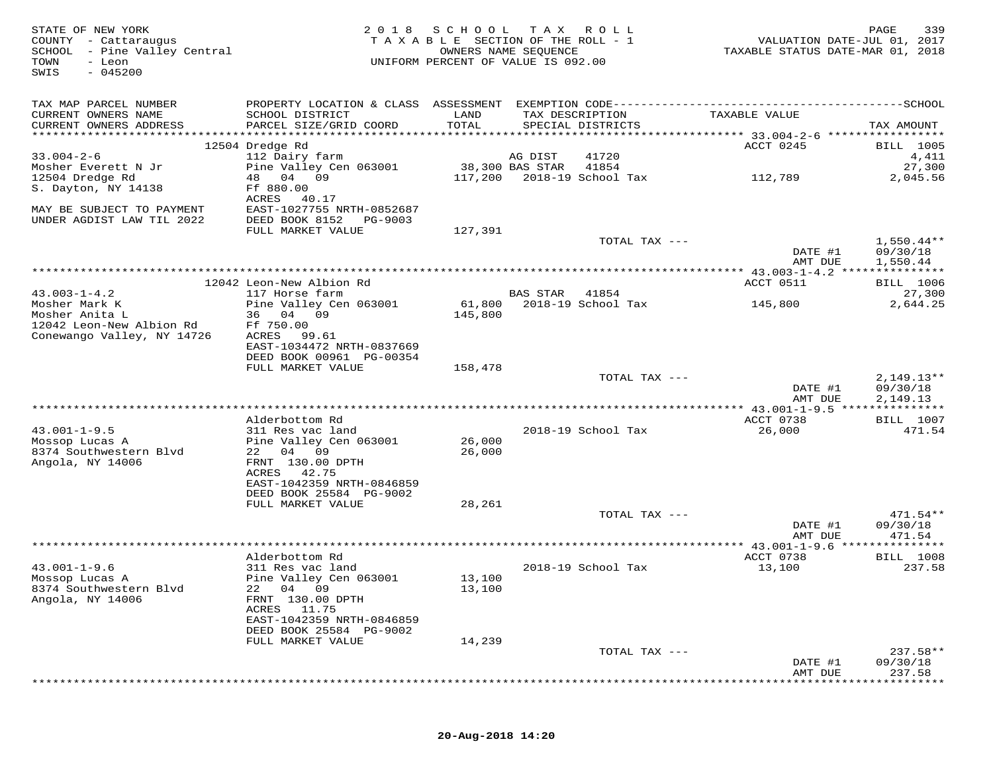| STATE OF NEW YORK<br>COUNTY - Cattaraugus<br>SCHOOL - Pine Valley Central<br>TOWN<br>- Leon<br>$-045200$<br>SWIS | 2 0 1 8                                                | SCHOOL TAX ROLL<br>TAXABLE SECTION OF THE ROLL - 1<br>UNIFORM PERCENT OF VALUE IS 092.00 | OWNERS NAME SEQUENCE |                                      | VALUATION DATE-JUL 01, 2017<br>TAXABLE STATUS DATE-MAR 01, 2018 | PAGE<br>339          |
|------------------------------------------------------------------------------------------------------------------|--------------------------------------------------------|------------------------------------------------------------------------------------------|----------------------|--------------------------------------|-----------------------------------------------------------------|----------------------|
| TAX MAP PARCEL NUMBER                                                                                            |                                                        |                                                                                          |                      |                                      |                                                                 |                      |
| CURRENT OWNERS NAME<br>CURRENT OWNERS ADDRESS                                                                    | SCHOOL DISTRICT<br>PARCEL SIZE/GRID COORD              | LAND<br>TOTAL                                                                            |                      | TAX DESCRIPTION<br>SPECIAL DISTRICTS | TAXABLE VALUE                                                   | TAX AMOUNT           |
|                                                                                                                  | 12504 Dredge Rd                                        |                                                                                          |                      |                                      | ACCT 0245                                                       | <b>BILL</b> 1005     |
| $33.004 - 2 - 6$                                                                                                 | 112 Dairy farm                                         |                                                                                          | AG DIST              | 41720                                |                                                                 | 4,411                |
| Mosher Everett N Jr                                                                                              | Pine Valley Cen 063001                                 |                                                                                          | 38,300 BAS STAR      | 41854                                |                                                                 | 27,300               |
| 12504 Dredge Rd                                                                                                  | 48 04 09                                               | 117,200                                                                                  |                      | 2018-19 School Tax                   | 112,789                                                         | 2,045.56             |
| S. Dayton, NY 14138                                                                                              | Ff 880.00                                              |                                                                                          |                      |                                      |                                                                 |                      |
|                                                                                                                  | 40.17<br>ACRES                                         |                                                                                          |                      |                                      |                                                                 |                      |
| MAY BE SUBJECT TO PAYMENT<br>UNDER AGDIST LAW TIL 2022                                                           | EAST-1027755 NRTH-0852687<br>DEED BOOK 8152<br>PG-9003 |                                                                                          |                      |                                      |                                                                 |                      |
|                                                                                                                  | FULL MARKET VALUE                                      | 127,391                                                                                  |                      |                                      |                                                                 |                      |
|                                                                                                                  |                                                        |                                                                                          |                      | TOTAL TAX ---                        |                                                                 | $1,550.44**$         |
|                                                                                                                  |                                                        |                                                                                          |                      |                                      | DATE #1<br>AMT DUE                                              | 09/30/18<br>1,550.44 |
|                                                                                                                  |                                                        |                                                                                          |                      |                                      | ************ 43.003-1-4.2 ****************                      |                      |
|                                                                                                                  | 12042 Leon-New Albion Rd                               |                                                                                          |                      |                                      | ACCT 0511                                                       | <b>BILL</b> 1006     |
| $43.003 - 1 - 4.2$                                                                                               | 117 Horse farm                                         |                                                                                          | <b>BAS STAR</b>      | 41854                                |                                                                 | 27,300               |
| Mosher Mark K                                                                                                    | Pine Valley Cen 063001                                 | 61,800                                                                                   |                      | 2018-19 School Tax                   | 145,800                                                         | 2,644.25             |
| Mosher Anita L                                                                                                   | 36 04 09                                               | 145,800                                                                                  |                      |                                      |                                                                 |                      |
| 12042 Leon-New Albion Rd                                                                                         | Ff 750.00<br>99.61                                     |                                                                                          |                      |                                      |                                                                 |                      |
| Conewango Valley, NY 14726                                                                                       | ACRES<br>EAST-1034472 NRTH-0837669                     |                                                                                          |                      |                                      |                                                                 |                      |
|                                                                                                                  | DEED BOOK 00961 PG-00354                               |                                                                                          |                      |                                      |                                                                 |                      |
|                                                                                                                  | FULL MARKET VALUE                                      | 158,478                                                                                  |                      |                                      |                                                                 |                      |
|                                                                                                                  |                                                        |                                                                                          |                      | TOTAL TAX ---                        |                                                                 | $2,149.13**$         |
|                                                                                                                  |                                                        |                                                                                          |                      |                                      | DATE #1                                                         | 09/30/18             |
|                                                                                                                  |                                                        |                                                                                          |                      |                                      | AMT DUE                                                         | 2,149.13             |
|                                                                                                                  | Alderbottom Rd                                         |                                                                                          |                      |                                      | ACCT 0738                                                       | <b>BILL</b> 1007     |
| $43.001 - 1 - 9.5$                                                                                               | 311 Res vac land                                       |                                                                                          |                      | 2018-19 School Tax                   | 26,000                                                          | 471.54               |
| Mossop Lucas A                                                                                                   | Pine Valley Cen 063001                                 | 26,000                                                                                   |                      |                                      |                                                                 |                      |
| 8374 Southwestern Blvd                                                                                           | 22 04 09                                               | 26,000                                                                                   |                      |                                      |                                                                 |                      |
| Angola, NY 14006                                                                                                 | FRNT 130.00 DPTH                                       |                                                                                          |                      |                                      |                                                                 |                      |
|                                                                                                                  | ACRES<br>42.75                                         |                                                                                          |                      |                                      |                                                                 |                      |
|                                                                                                                  | EAST-1042359 NRTH-0846859<br>DEED BOOK 25584 PG-9002   |                                                                                          |                      |                                      |                                                                 |                      |
|                                                                                                                  | FULL MARKET VALUE                                      | 28,261                                                                                   |                      |                                      |                                                                 |                      |
|                                                                                                                  |                                                        |                                                                                          |                      | TOTAL TAX ---                        |                                                                 | $471.54**$           |
|                                                                                                                  |                                                        |                                                                                          |                      |                                      | DATE #1                                                         | 09/30/18             |
|                                                                                                                  |                                                        |                                                                                          |                      |                                      | AMT DUE                                                         | 471.54               |
|                                                                                                                  |                                                        |                                                                                          |                      |                                      |                                                                 |                      |
|                                                                                                                  | Alderbottom Rd                                         |                                                                                          |                      |                                      | ACCT 0738                                                       | <b>BILL</b> 1008     |
| $43.001 - 1 - 9.6$<br>Mossop Lucas A                                                                             | 311 Res vac land<br>Pine Valley Cen 063001             | 13,100                                                                                   |                      | 2018-19 School Tax                   | 13,100                                                          | 237.58               |
| 8374 Southwestern Blvd                                                                                           | 22 04 09                                               | 13,100                                                                                   |                      |                                      |                                                                 |                      |
| Angola, NY 14006                                                                                                 | FRNT 130.00 DPTH                                       |                                                                                          |                      |                                      |                                                                 |                      |
|                                                                                                                  | ACRES<br>11.75                                         |                                                                                          |                      |                                      |                                                                 |                      |
|                                                                                                                  | EAST-1042359 NRTH-0846859                              |                                                                                          |                      |                                      |                                                                 |                      |
|                                                                                                                  | DEED BOOK 25584 PG-9002                                |                                                                                          |                      |                                      |                                                                 |                      |
|                                                                                                                  | FULL MARKET VALUE                                      | 14,239                                                                                   |                      |                                      |                                                                 | $237.58**$           |
|                                                                                                                  |                                                        |                                                                                          |                      | TOTAL TAX ---                        | DATE #1                                                         | 09/30/18             |
|                                                                                                                  |                                                        |                                                                                          |                      |                                      | AMT DUE                                                         | 237.58               |
|                                                                                                                  |                                                        |                                                                                          |                      |                                      |                                                                 |                      |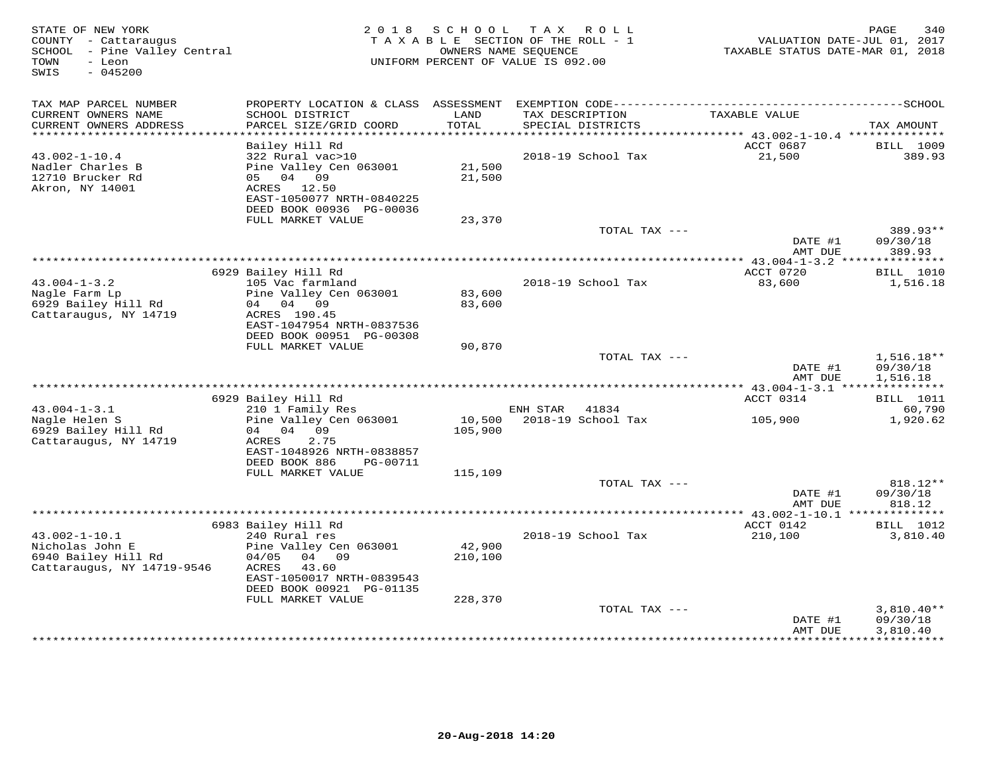| STATE OF NEW YORK<br>COUNTY - Cattaraugus<br>SCHOOL - Pine Valley Central<br>- Leon<br>TOWN<br>$-045200$<br>SWIS |                                               | 2018 SCHOOL   | TAX ROLL<br>TAXABLE SECTION OF THE ROLL - 1<br>OWNERS NAME SEQUENCE<br>UNIFORM PERCENT OF VALUE IS 092.00 | VALUATION DATE-JUL 01, 2017<br>TAXABLE STATUS DATE-MAR 01, 2018 | PAGE<br>340            |
|------------------------------------------------------------------------------------------------------------------|-----------------------------------------------|---------------|-----------------------------------------------------------------------------------------------------------|-----------------------------------------------------------------|------------------------|
| TAX MAP PARCEL NUMBER                                                                                            |                                               |               |                                                                                                           |                                                                 |                        |
| CURRENT OWNERS NAME<br>CURRENT OWNERS ADDRESS<br>************************                                        | SCHOOL DISTRICT<br>PARCEL SIZE/GRID COORD     | LAND<br>TOTAL | TAX DESCRIPTION<br>SPECIAL DISTRICTS                                                                      | TAXABLE VALUE                                                   | TAX AMOUNT             |
|                                                                                                                  | Bailey Hill Rd                                |               |                                                                                                           | ACCT 0687                                                       | BILL 1009              |
| $43.002 - 1 - 10.4$                                                                                              | 322 Rural vac>10                              |               | 2018-19 School Tax                                                                                        | 21,500                                                          | 389.93                 |
| Nadler Charles B                                                                                                 | Pine Valley Cen 063001                        | 21,500        |                                                                                                           |                                                                 |                        |
| 12710 Brucker Rd                                                                                                 | 05 04 09                                      | 21,500        |                                                                                                           |                                                                 |                        |
| Akron, NY 14001                                                                                                  | ACRES 12.50<br>EAST-1050077 NRTH-0840225      |               |                                                                                                           |                                                                 |                        |
|                                                                                                                  | DEED BOOK 00936 PG-00036                      |               |                                                                                                           |                                                                 |                        |
|                                                                                                                  | FULL MARKET VALUE                             | 23,370        |                                                                                                           |                                                                 |                        |
|                                                                                                                  |                                               |               | TOTAL TAX ---                                                                                             |                                                                 | 389.93**               |
|                                                                                                                  |                                               |               |                                                                                                           | DATE #1                                                         | 09/30/18               |
|                                                                                                                  |                                               |               |                                                                                                           | AMT DUE<br>*********** 43.004-1-3.2 ****************            | 389.93                 |
|                                                                                                                  | 6929 Bailey Hill Rd                           |               |                                                                                                           | ACCT 0720                                                       | <b>BILL</b> 1010       |
| $43.004 - 1 - 3.2$                                                                                               | 105 Vac farmland                              |               | 2018-19 School Tax                                                                                        | 83,600                                                          | 1,516.18               |
| Nagle Farm Lp                                                                                                    | Pine Valley Cen 063001                        | 83,600        |                                                                                                           |                                                                 |                        |
| 6929 Bailey Hill Rd<br>Cattaraugus, NY 14719                                                                     | 04 04 09<br>ACRES 190.45                      | 83,600        |                                                                                                           |                                                                 |                        |
|                                                                                                                  | EAST-1047954 NRTH-0837536                     |               |                                                                                                           |                                                                 |                        |
|                                                                                                                  | DEED BOOK 00951 PG-00308                      |               |                                                                                                           |                                                                 |                        |
|                                                                                                                  | FULL MARKET VALUE                             | 90,870        |                                                                                                           |                                                                 |                        |
|                                                                                                                  |                                               |               | TOTAL TAX ---                                                                                             | DATE #1                                                         | 1,516.18**<br>09/30/18 |
|                                                                                                                  |                                               |               |                                                                                                           | AMT DUE                                                         | 1,516.18               |
|                                                                                                                  |                                               |               |                                                                                                           |                                                                 |                        |
|                                                                                                                  | 6929 Bailey Hill Rd                           |               |                                                                                                           | ACCT 0314                                                       | <b>BILL</b> 1011       |
| $43.004 - 1 - 3.1$                                                                                               | 210 1 Family Res                              |               | ENH STAR<br>41834<br>10,500 2018-19 School Tax                                                            |                                                                 | 60,790<br>1,920.62     |
| Nagle Helen S<br>6929 Bailey Hill Rd                                                                             | Pine Valley Cen 063001<br>04 04<br>09         | 105,900       |                                                                                                           | 105,900                                                         |                        |
| Cattaraugus, NY 14719                                                                                            | 2.75<br>ACRES                                 |               |                                                                                                           |                                                                 |                        |
|                                                                                                                  | EAST-1048926 NRTH-0838857                     |               |                                                                                                           |                                                                 |                        |
|                                                                                                                  | DEED BOOK 886<br>PG-00711                     |               |                                                                                                           |                                                                 |                        |
|                                                                                                                  | FULL MARKET VALUE                             | 115,109       | TOTAL TAX ---                                                                                             |                                                                 | 818.12**               |
|                                                                                                                  |                                               |               |                                                                                                           | DATE #1                                                         | 09/30/18               |
|                                                                                                                  |                                               |               |                                                                                                           | AMT DUE                                                         | 818.12                 |
|                                                                                                                  |                                               |               |                                                                                                           |                                                                 |                        |
|                                                                                                                  | 6983 Bailey Hill Rd                           |               |                                                                                                           | ACCT 0142                                                       | BILL 1012              |
| $43.002 - 1 - 10.1$<br>Nicholas John E                                                                           | 240 Rural res<br>Pine Valley Cen 063001       | 42,900        | 2018-19 School Tax                                                                                        | 210,100                                                         | 3,810.40               |
| 6940 Bailey Hill Rd                                                                                              | 04/05<br>04 09                                | 210,100       |                                                                                                           |                                                                 |                        |
| Cattaraugus, NY 14719-9546                                                                                       | ACRES<br>43.60                                |               |                                                                                                           |                                                                 |                        |
|                                                                                                                  | EAST-1050017 NRTH-0839543                     |               |                                                                                                           |                                                                 |                        |
|                                                                                                                  | DEED BOOK 00921 PG-01135<br>FULL MARKET VALUE | 228,370       |                                                                                                           |                                                                 |                        |
|                                                                                                                  |                                               |               | TOTAL TAX ---                                                                                             |                                                                 | $3,810.40**$           |
|                                                                                                                  |                                               |               |                                                                                                           | DATE #1                                                         | 09/30/18               |
|                                                                                                                  |                                               |               |                                                                                                           | AMT DUE                                                         | 3,810.40               |
|                                                                                                                  |                                               |               |                                                                                                           |                                                                 |                        |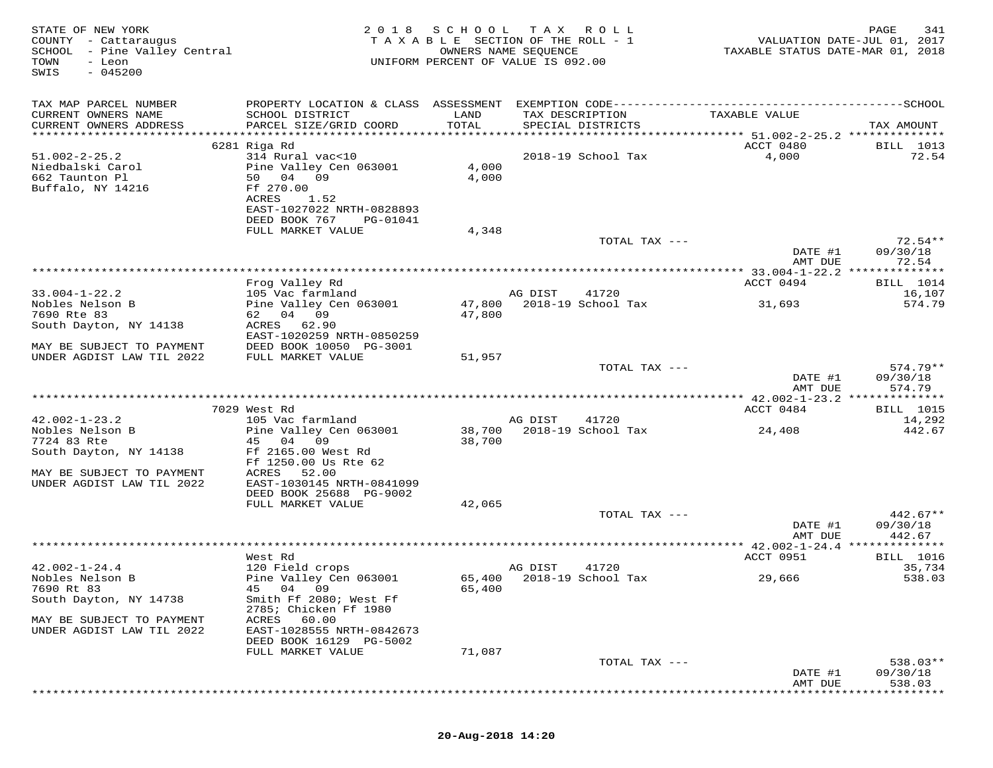| STATE OF NEW YORK<br>COUNTY - Cattaraugus<br>SCHOOL - Pine Valley Central<br>TOWN<br>- Leon<br>$-045200$<br>SWIS | 2 0 1 8                                                                                 | S C H O O L<br>TAXABLE SECTION OF THE ROLL - 1<br>OWNERS NAME SEQUENCE<br>UNIFORM PERCENT OF VALUE IS 092.00 | T A X   | <b>ROLL</b>                          | TAXABLE STATUS DATE-MAR 01, 2018 | PAGE<br>341<br>VALUATION DATE-JUL 01, 2017 |
|------------------------------------------------------------------------------------------------------------------|-----------------------------------------------------------------------------------------|--------------------------------------------------------------------------------------------------------------|---------|--------------------------------------|----------------------------------|--------------------------------------------|
| TAX MAP PARCEL NUMBER                                                                                            |                                                                                         |                                                                                                              |         |                                      |                                  |                                            |
| CURRENT OWNERS NAME<br>CURRENT OWNERS ADDRESS<br>***********************                                         | SCHOOL DISTRICT<br>PARCEL SIZE/GRID COORD                                               | LAND<br>TOTAL                                                                                                |         | TAX DESCRIPTION<br>SPECIAL DISTRICTS | TAXABLE VALUE                    | TAX AMOUNT                                 |
|                                                                                                                  | 6281 Riga Rd                                                                            |                                                                                                              |         |                                      | ACCT 0480                        | BILL 1013                                  |
| $51.002 - 2 - 25.2$<br>Niedbalski Carol<br>662 Taunton Pl<br>Buffalo, NY 14216                                   | 314 Rural vac<10<br>Pine Valley Cen 063001<br>50 04<br>09<br>Ff 270.00<br>ACRES<br>1.52 | 4,000<br>4,000                                                                                               |         | 2018-19 School Tax                   | 4,000                            | 72.54                                      |
|                                                                                                                  | EAST-1027022 NRTH-0828893<br>DEED BOOK 767<br>PG-01041                                  |                                                                                                              |         |                                      |                                  |                                            |
|                                                                                                                  | FULL MARKET VALUE                                                                       | 4,348                                                                                                        |         |                                      |                                  |                                            |
|                                                                                                                  |                                                                                         |                                                                                                              |         | TOTAL TAX ---                        | DATE #1<br>AMT DUE               | $72.54**$<br>09/30/18<br>72.54             |
|                                                                                                                  |                                                                                         |                                                                                                              |         |                                      |                                  |                                            |
|                                                                                                                  | Frog Valley Rd                                                                          |                                                                                                              |         |                                      | ACCT 0494                        | <b>BILL</b> 1014                           |
| $33.004 - 1 - 22.2$<br>Nobles Nelson B                                                                           | 105 Vac farmland                                                                        |                                                                                                              | AG DIST | 41720                                |                                  | 16,107                                     |
| 7690 Rte 83                                                                                                      | Pine Valley Cen 063001<br>62 04 09                                                      | 47,800<br>47,800                                                                                             |         | 2018-19 School Tax                   | 31,693                           | 574.79                                     |
| South Dayton, NY 14138                                                                                           | ACRES 62.90<br>EAST-1020259 NRTH-0850259                                                |                                                                                                              |         |                                      |                                  |                                            |
| MAY BE SUBJECT TO PAYMENT                                                                                        | DEED BOOK 10050 PG-3001                                                                 |                                                                                                              |         |                                      |                                  |                                            |
| UNDER AGDIST LAW TIL 2022                                                                                        | FULL MARKET VALUE                                                                       | 51,957                                                                                                       |         | TOTAL TAX ---                        |                                  | $574.79**$                                 |
|                                                                                                                  |                                                                                         |                                                                                                              |         |                                      | DATE #1<br>AMT DUE               | 09/30/18<br>574.79                         |
|                                                                                                                  |                                                                                         |                                                                                                              |         |                                      |                                  |                                            |
| $42.002 - 1 - 23.2$                                                                                              | 7029 West Rd<br>105 Vac farmland                                                        |                                                                                                              | AG DIST | 41720                                | ACCT 0484                        | BILL 1015<br>14,292                        |
| Nobles Nelson B                                                                                                  | Pine Valley Cen 063001                                                                  | 38,700                                                                                                       |         | 2018-19 School Tax                   | 24,408                           | 442.67                                     |
| 7724 83 Rte                                                                                                      | 45 04<br>09                                                                             | 38,700                                                                                                       |         |                                      |                                  |                                            |
| South Dayton, NY 14138                                                                                           | Ff 2165.00 West Rd<br>Ff 1250.00 Us Rte 62                                              |                                                                                                              |         |                                      |                                  |                                            |
| MAY BE SUBJECT TO PAYMENT<br>UNDER AGDIST LAW TIL 2022                                                           | ACRES<br>52.00<br>EAST-1030145 NRTH-0841099<br>DEED BOOK 25688 PG-9002                  |                                                                                                              |         |                                      |                                  |                                            |
|                                                                                                                  | FULL MARKET VALUE                                                                       | 42,065                                                                                                       |         |                                      |                                  |                                            |
|                                                                                                                  |                                                                                         |                                                                                                              |         | TOTAL TAX ---                        | DATE #1                          | $442.67**$<br>09/30/18                     |
|                                                                                                                  |                                                                                         |                                                                                                              |         |                                      | AMT DUE                          | 442.67                                     |
|                                                                                                                  | West Rd                                                                                 |                                                                                                              |         |                                      | ACCT 0951                        | BILL 1016                                  |
| $42.002 - 1 - 24.4$                                                                                              | 120 Field crops                                                                         |                                                                                                              | AG DIST | 41720                                |                                  | 35,734                                     |
| Nobles Nelson B                                                                                                  | Pine Valley Cen 063001                                                                  |                                                                                                              |         | 65,400 2018-19 School Tax            | 29,666                           | 538.03                                     |
| 7690 Rt 83<br>South Dayton, NY 14738                                                                             | 04 09<br>Smith Ff 2080; West Ff<br>2785; Chicken Ff 1980                                | 65,400                                                                                                       |         |                                      |                                  |                                            |
| MAY BE SUBJECT TO PAYMENT<br>UNDER AGDIST LAW TIL 2022                                                           | 60.00<br>ACRES<br>EAST-1028555 NRTH-0842673                                             |                                                                                                              |         |                                      |                                  |                                            |
|                                                                                                                  | DEED BOOK 16129 PG-5002                                                                 |                                                                                                              |         |                                      |                                  |                                            |
|                                                                                                                  | FULL MARKET VALUE                                                                       | 71,087                                                                                                       |         |                                      |                                  |                                            |
|                                                                                                                  |                                                                                         |                                                                                                              |         | TOTAL TAX ---                        | DATE #1                          | 538.03**<br>09/30/18                       |
|                                                                                                                  |                                                                                         |                                                                                                              |         |                                      | AMT DUE                          | 538.03                                     |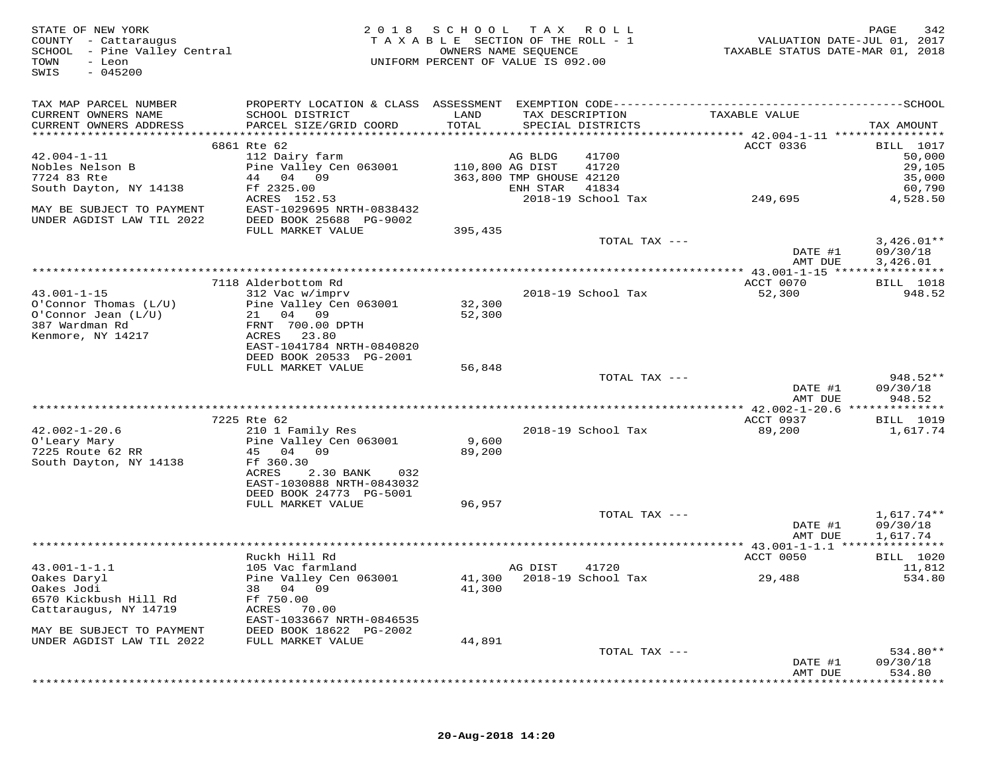| STATE OF NEW YORK<br>COUNTY - Cattaraugus<br>SCHOOL - Pine Valley Central<br>TOWN<br>- Leon<br>$-045200$<br>SWIS | 2 0 1 8                                                                           | SCHOOL           | T A X<br>R O L L<br>TAXABLE SECTION OF THE ROLL - 1<br>OWNERS NAME SEQUENCE<br>UNIFORM PERCENT OF VALUE IS 092.00 |               | VALUATION DATE-JUL 01, 2017<br>TAXABLE STATUS DATE-MAR 01, 2018 | 342<br>PAGE                          |
|------------------------------------------------------------------------------------------------------------------|-----------------------------------------------------------------------------------|------------------|-------------------------------------------------------------------------------------------------------------------|---------------|-----------------------------------------------------------------|--------------------------------------|
| TAX MAP PARCEL NUMBER<br>CURRENT OWNERS NAME<br>CURRENT OWNERS ADDRESS                                           | SCHOOL DISTRICT<br>PARCEL SIZE/GRID COORD                                         | LAND<br>TOTAL    | TAX DESCRIPTION<br>SPECIAL DISTRICTS                                                                              |               | TAXABLE VALUE                                                   | TAX AMOUNT                           |
|                                                                                                                  |                                                                                   |                  |                                                                                                                   |               |                                                                 |                                      |
| $42.004 - 1 - 11$                                                                                                | 6861 Rte 62<br>112 Dairy farm                                                     |                  | 41700<br>AG BLDG                                                                                                  |               | ACCT 0336                                                       | <b>BILL</b> 1017<br>50,000           |
| Nobles Nelson B<br>7724 83 Rte                                                                                   | Pine Valley Cen 063001<br>44 04 09                                                |                  | 110,800 AG DIST<br>41720<br>363,800 TMP GHOUSE 42120                                                              |               |                                                                 | 29,105<br>35,000                     |
| South Dayton, NY 14138<br>MAY BE SUBJECT TO PAYMENT                                                              | Ff 2325.00<br>ACRES 152.53<br>EAST-1029695 NRTH-0838432                           |                  | ENH STAR<br>41834<br>2018-19 School Tax                                                                           |               | 249,695                                                         | 60,790<br>4,528.50                   |
| UNDER AGDIST LAW TIL 2022                                                                                        | DEED BOOK 25688 PG-9002<br>FULL MARKET VALUE                                      | 395,435          |                                                                                                                   |               |                                                                 |                                      |
|                                                                                                                  |                                                                                   |                  |                                                                                                                   | TOTAL TAX --- | DATE #1<br>AMT DUE                                              | $3,426.01**$<br>09/30/18<br>3,426.01 |
|                                                                                                                  |                                                                                   |                  |                                                                                                                   |               | ************** 43.001-1-15 ****************                     |                                      |
|                                                                                                                  | 7118 Alderbottom Rd                                                               |                  |                                                                                                                   |               | ACCT 0070                                                       | <b>BILL</b> 1018                     |
| $43.001 - 1 - 15$<br>$O'Connor$ Thomas $(L/U)$<br>$O'Connor$ Jean $(L/U)$<br>387 Wardman Rd                      | 312 Vac w/imprv<br>Pine Valley Cen 063001<br>21 04 09<br>FRNT 700.00 DPTH         | 32,300<br>52,300 | 2018-19 School Tax                                                                                                |               | 52,300                                                          | 948.52                               |
| Kenmore, NY 14217                                                                                                | ACRES<br>23.80<br>EAST-1041784 NRTH-0840820<br>DEED BOOK 20533 PG-2001            |                  |                                                                                                                   |               |                                                                 |                                      |
|                                                                                                                  | FULL MARKET VALUE                                                                 | 56,848           |                                                                                                                   |               |                                                                 |                                      |
|                                                                                                                  |                                                                                   |                  |                                                                                                                   | TOTAL TAX --- | DATE #1<br>AMT DUE                                              | 948.52**<br>09/30/18<br>948.52       |
|                                                                                                                  |                                                                                   |                  |                                                                                                                   |               |                                                                 |                                      |
|                                                                                                                  | 7225 Rte 62                                                                       |                  |                                                                                                                   |               | ACCT 0937                                                       | <b>BILL</b> 1019                     |
| $42.002 - 1 - 20.6$<br>O'Leary Mary<br>7225 Route 62 RR<br>South Dayton, NY 14138                                | 210 1 Family Res<br>Pine Valley Cen 063001<br>45 04 09<br>Ff 360.30               | 9,600<br>89,200  | 2018-19 School Tax                                                                                                |               | 89,200                                                          | 1,617.74                             |
|                                                                                                                  | ACRES<br>2.30 BANK<br>032<br>EAST-1030888 NRTH-0843032<br>DEED BOOK 24773 PG-5001 |                  |                                                                                                                   |               |                                                                 |                                      |
|                                                                                                                  | FULL MARKET VALUE                                                                 | 96,957           |                                                                                                                   |               |                                                                 |                                      |
|                                                                                                                  |                                                                                   |                  |                                                                                                                   | TOTAL TAX --- | DATE #1<br>AMT DUE                                              | 1,617.74**<br>09/30/18<br>1,617.74   |
|                                                                                                                  |                                                                                   |                  |                                                                                                                   |               |                                                                 |                                      |
| $43.001 - 1 - 1.1$                                                                                               | Ruckh Hill Rd<br>105 Vac farmland                                                 |                  | AG DIST<br>41720                                                                                                  |               | ACCT 0050                                                       | <b>BILL</b> 1020<br>11,812           |
| Oakes Daryl<br>Oakes Jodi<br>6570 Kickbush Hill Rd                                                               | Pine Valley Cen 063001<br>38<br>04 09<br>Ff 750.00                                | 41,300           | 41,300 2018-19 School Tax                                                                                         |               | 29,488                                                          | 534.80                               |
| Cattaraugus, NY 14719<br>MAY BE SUBJECT TO PAYMENT                                                               | ACRES<br>70.00<br>EAST-1033667 NRTH-0846535<br>DEED BOOK 18622 PG-2002            |                  |                                                                                                                   |               |                                                                 |                                      |
| UNDER AGDIST LAW TIL 2022                                                                                        | FULL MARKET VALUE                                                                 | 44,891           |                                                                                                                   |               |                                                                 |                                      |
|                                                                                                                  |                                                                                   |                  |                                                                                                                   | TOTAL TAX --- | DATE #1<br>AMT DUE                                              | 534.80**<br>09/30/18<br>534.80       |
|                                                                                                                  |                                                                                   |                  |                                                                                                                   |               |                                                                 |                                      |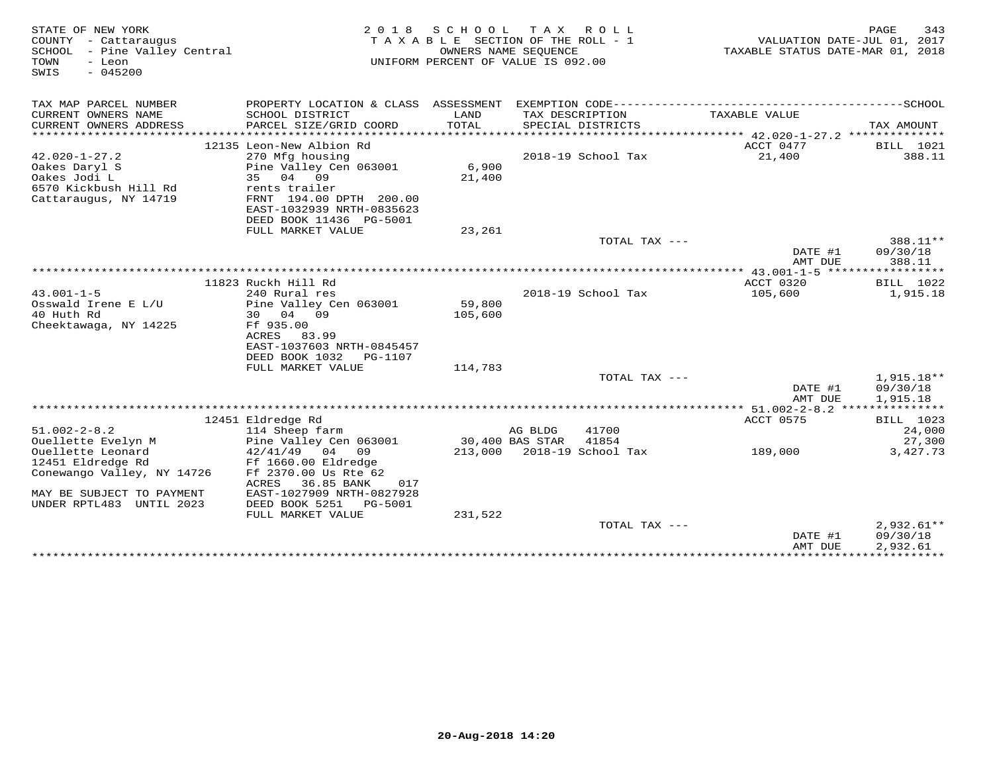| STATE OF NEW YORK<br>COUNTY - Cattaraugus<br>SCHOOL - Pine Valley Central<br>TOWN<br>- Leon<br>SWIS<br>$-045200$ | 2 0 1 8                                      | SCHOOL<br>TAXABLE SECTION OF THE ROLL - 1<br>UNIFORM PERCENT OF VALUE IS 092.00 | T A X<br>OWNERS NAME SEQUENCE | R O L L                    | VALUATION DATE-JUL 01, 2017<br>TAXABLE STATUS DATE-MAR 01, 2018 | PAGE<br>343          |
|------------------------------------------------------------------------------------------------------------------|----------------------------------------------|---------------------------------------------------------------------------------|-------------------------------|----------------------------|-----------------------------------------------------------------|----------------------|
| TAX MAP PARCEL NUMBER                                                                                            |                                              |                                                                                 |                               |                            |                                                                 |                      |
| CURRENT OWNERS NAME<br>CURRENT OWNERS ADDRESS<br>***********************                                         | SCHOOL DISTRICT<br>PARCEL SIZE/GRID COORD    | LAND<br>TOTAL                                                                   | TAX DESCRIPTION               | SPECIAL DISTRICTS          | TAXABLE VALUE                                                   | TAX AMOUNT           |
|                                                                                                                  | 12135 Leon-New Albion Rd                     |                                                                                 |                               |                            | ACCT 0477                                                       | BILL 1021            |
| $42.020 - 1 - 27.2$                                                                                              | 270 Mfg housing                              |                                                                                 |                               | 2018-19 School Tax         | 21,400                                                          | 388.11               |
| Oakes Daryl S                                                                                                    | Pine Valley Cen 063001                       | 6,900                                                                           |                               |                            |                                                                 |                      |
| Oakes Jodi L                                                                                                     | 35 04 09                                     | 21,400                                                                          |                               |                            |                                                                 |                      |
| 6570 Kickbush Hill Rd                                                                                            | rents trailer                                |                                                                                 |                               |                            |                                                                 |                      |
| Cattaraugus, NY 14719                                                                                            | FRNT 194.00 DPTH 200.00                      |                                                                                 |                               |                            |                                                                 |                      |
|                                                                                                                  | EAST-1032939 NRTH-0835623                    |                                                                                 |                               |                            |                                                                 |                      |
|                                                                                                                  | DEED BOOK 11436 PG-5001<br>FULL MARKET VALUE | 23,261                                                                          |                               |                            |                                                                 |                      |
|                                                                                                                  |                                              |                                                                                 |                               | TOTAL TAX ---              |                                                                 | 388.11**             |
|                                                                                                                  |                                              |                                                                                 |                               |                            | DATE #1                                                         | 09/30/18             |
|                                                                                                                  |                                              |                                                                                 |                               |                            | AMT DUE                                                         | 388.11               |
|                                                                                                                  |                                              |                                                                                 |                               |                            |                                                                 |                      |
|                                                                                                                  | 11823 Ruckh Hill Rd                          |                                                                                 |                               |                            | ACCT 0320                                                       | BILL 1022            |
| $43.001 - 1 - 5$                                                                                                 | 240 Rural res                                |                                                                                 |                               | 2018-19 School Tax         | 105,600                                                         | 1,915.18             |
| Osswald Irene E L/U<br>40 Huth Rd                                                                                | Pine Valley Cen 063001<br>30 04 09           | 59,800<br>105,600                                                               |                               |                            |                                                                 |                      |
| Cheektawaga, NY 14225                                                                                            | Ff 935.00                                    |                                                                                 |                               |                            |                                                                 |                      |
|                                                                                                                  | ACRES 83.99                                  |                                                                                 |                               |                            |                                                                 |                      |
|                                                                                                                  | EAST-1037603 NRTH-0845457                    |                                                                                 |                               |                            |                                                                 |                      |
|                                                                                                                  | DEED BOOK 1032<br>PG-1107                    |                                                                                 |                               |                            |                                                                 |                      |
|                                                                                                                  | FULL MARKET VALUE                            | 114,783                                                                         |                               |                            |                                                                 |                      |
|                                                                                                                  |                                              |                                                                                 |                               | TOTAL TAX ---              |                                                                 | 1,915.18**           |
|                                                                                                                  |                                              |                                                                                 |                               |                            | DATE #1<br>AMT DUE                                              | 09/30/18<br>1,915.18 |
|                                                                                                                  |                                              |                                                                                 |                               |                            |                                                                 |                      |
|                                                                                                                  | 12451 Eldredge Rd                            |                                                                                 |                               |                            | <b>ACCT 0575</b>                                                | BILL 1023            |
| $51.002 - 2 - 8.2$                                                                                               | 114 Sheep farm                               |                                                                                 | AG BLDG                       | 41700                      |                                                                 | 24,000               |
| Ouellette Evelyn M                                                                                               | Pine Valley Cen 063001                       |                                                                                 | 30,400 BAS STAR               | 41854                      |                                                                 | 27,300               |
| Ouellette Leonard                                                                                                | $42/41/49$ 04 09                             |                                                                                 |                               | 213,000 2018-19 School Tax | 189,000                                                         | 3,427.73             |
| 12451 Eldredge Rd                                                                                                | Ff 1660.00 Eldredge                          |                                                                                 |                               |                            |                                                                 |                      |
| Conewango Valley, NY 14726                                                                                       | Ff 2370.00 Us Rte 62<br>36.85 BANK<br>017    |                                                                                 |                               |                            |                                                                 |                      |
| MAY BE SUBJECT TO PAYMENT                                                                                        | ACRES<br>EAST-1027909 NRTH-0827928           |                                                                                 |                               |                            |                                                                 |                      |
| UNDER RPTL483 UNTIL 2023                                                                                         | DEED BOOK 5251<br>PG-5001                    |                                                                                 |                               |                            |                                                                 |                      |
|                                                                                                                  | FULL MARKET VALUE                            | 231,522                                                                         |                               |                            |                                                                 |                      |
|                                                                                                                  |                                              |                                                                                 |                               | TOTAL TAX ---              |                                                                 | $2,932.61**$         |
|                                                                                                                  |                                              |                                                                                 |                               |                            | DATE #1                                                         | 09/30/18             |
|                                                                                                                  |                                              |                                                                                 |                               |                            | AMT DUE                                                         | 2,932.61             |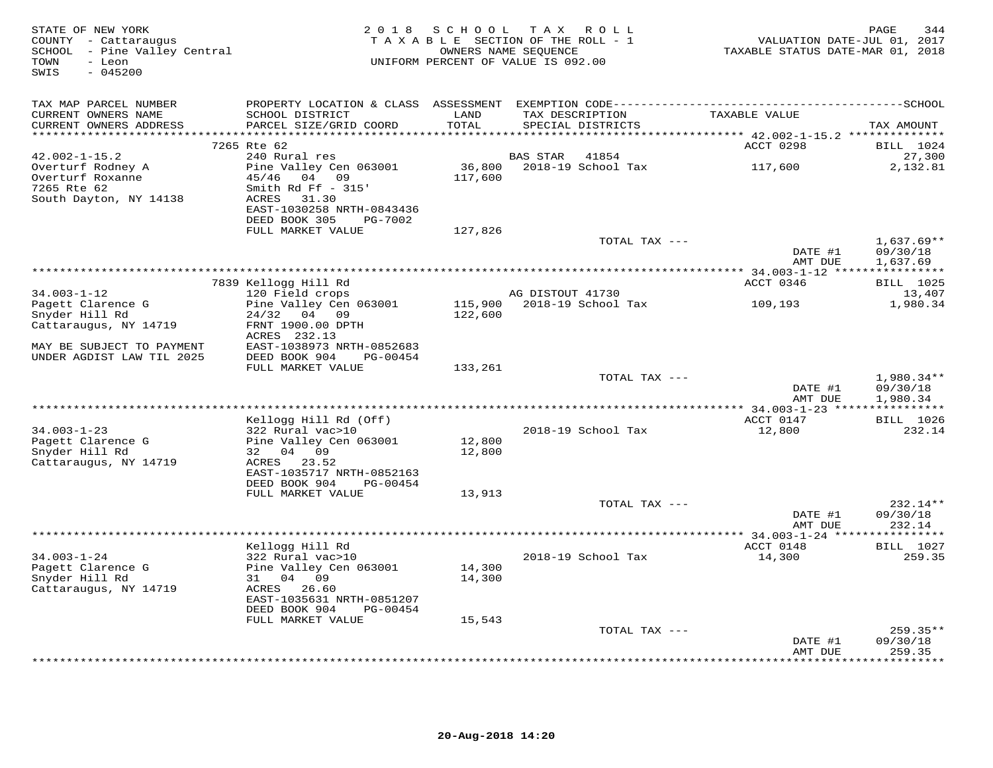| TAX MAP PARCEL NUMBER<br>TAXABLE VALUE<br>CURRENT OWNERS NAME<br>SCHOOL DISTRICT<br>LAND<br>TAX DESCRIPTION                                                                           |                                                            |
|---------------------------------------------------------------------------------------------------------------------------------------------------------------------------------------|------------------------------------------------------------|
| TOTAL<br>CURRENT OWNERS ADDRESS<br>PARCEL SIZE/GRID COORD<br>SPECIAL DISTRICTS                                                                                                        | TAX AMOUNT                                                 |
| 7265 Rte 62<br>ACCT 0298                                                                                                                                                              | <b>BILL</b> 1024                                           |
| 240 Rural res<br>$42.002 - 1 - 15.2$<br>BAS STAR<br>41854<br>36,800 2018-19 School Tax<br>117,600<br>Overturf Rodney A<br>Pine Valley Cen 063001                                      | 27,300<br>2,132.81                                         |
| 45/46 04 09<br>117,600<br>Overturf Roxanne<br>7265 Rte 62<br>Smith Rd Ff $-315'$<br>South Dayton, NY 14138<br>ACRES<br>31.30<br>EAST-1030258 NRTH-0843436<br>DEED BOOK 305<br>PG-7002 |                                                            |
| FULL MARKET VALUE<br>127,826                                                                                                                                                          |                                                            |
| TOTAL TAX ---                                                                                                                                                                         | $1,637.69**$<br>DATE #1<br>09/30/18<br>AMT DUE<br>1,637.69 |
|                                                                                                                                                                                       |                                                            |
| 7839 Kellogg Hill Rd<br>ACCT 0346                                                                                                                                                     | <b>BILL</b> 1025                                           |
| $34.003 - 1 - 12$<br>120 Field crops<br>AG DISTOUT 41730<br>115,900 2018-19 School Tax<br>Pagett Clarence G<br>Pine Valley Cen 063001<br>109,193                                      | 13,407<br>1,980.34                                         |
| 122,600<br>Snyder Hill Rd<br>24/32 04 09                                                                                                                                              |                                                            |
| Cattaraugus, NY 14719<br>FRNT 1900.00 DPTH<br>ACRES 232.13                                                                                                                            |                                                            |
| EAST-1038973 NRTH-0852683<br>MAY BE SUBJECT TO PAYMENT<br>UNDER AGDIST LAW TIL 2025<br>DEED BOOK 904<br>PG-00454<br>FULL MARKET VALUE<br>133,261                                      |                                                            |
| TOTAL TAX ---                                                                                                                                                                         | $1,980.34**$                                               |
|                                                                                                                                                                                       | DATE #1<br>09/30/18<br>AMT DUE<br>1,980.34                 |
| *****************************<br>Kellogg Hill Rd (Off)<br>ACCT 0147                                                                                                                   | <b>BILL</b> 1026                                           |
| $34.003 - 1 - 23$<br>322 Rural vac>10<br>2018-19 School Tax<br>12,800                                                                                                                 | 232.14                                                     |
| 12,800<br>Pagett Clarence G<br>Pine Valley Cen 063001                                                                                                                                 |                                                            |
| Snyder Hill Rd<br>32 04 09<br>12,800<br>ACRES 23.52<br>Cattaraugus, NY 14719<br>EAST-1035717 NRTH-0852163                                                                             |                                                            |
| DEED BOOK 904<br>PG-00454                                                                                                                                                             |                                                            |
| FULL MARKET VALUE<br>13,913<br>TOTAL TAX ---                                                                                                                                          | $232.14**$                                                 |
|                                                                                                                                                                                       | DATE #1<br>09/30/18<br>AMT DUE<br>232.14                   |
|                                                                                                                                                                                       |                                                            |
| Kellogg Hill Rd<br>ACCT 0148<br>$34.003 - 1 - 24$<br>322 Rural vac>10<br>2018-19 School Tax<br>14,300                                                                                 | <b>BILL</b> 1027<br>259.35                                 |
| Pagett Clarence G<br>14,300<br>Pine Valley Cen 063001                                                                                                                                 |                                                            |
| Snyder Hill Rd<br>31 04 09<br>14,300<br>Cattaraugus, NY 14719<br>ACRES 26.60                                                                                                          |                                                            |
| EAST-1035631 NRTH-0851207<br>DEED BOOK 904<br>PG-00454                                                                                                                                |                                                            |
| FULL MARKET VALUE<br>15,543                                                                                                                                                           |                                                            |
| TOTAL TAX ---                                                                                                                                                                         | $259.35**$<br>09/30/18<br>DATE #1                          |
|                                                                                                                                                                                       | 259.35<br>AMT DUE<br><b>++++++++</b>                       |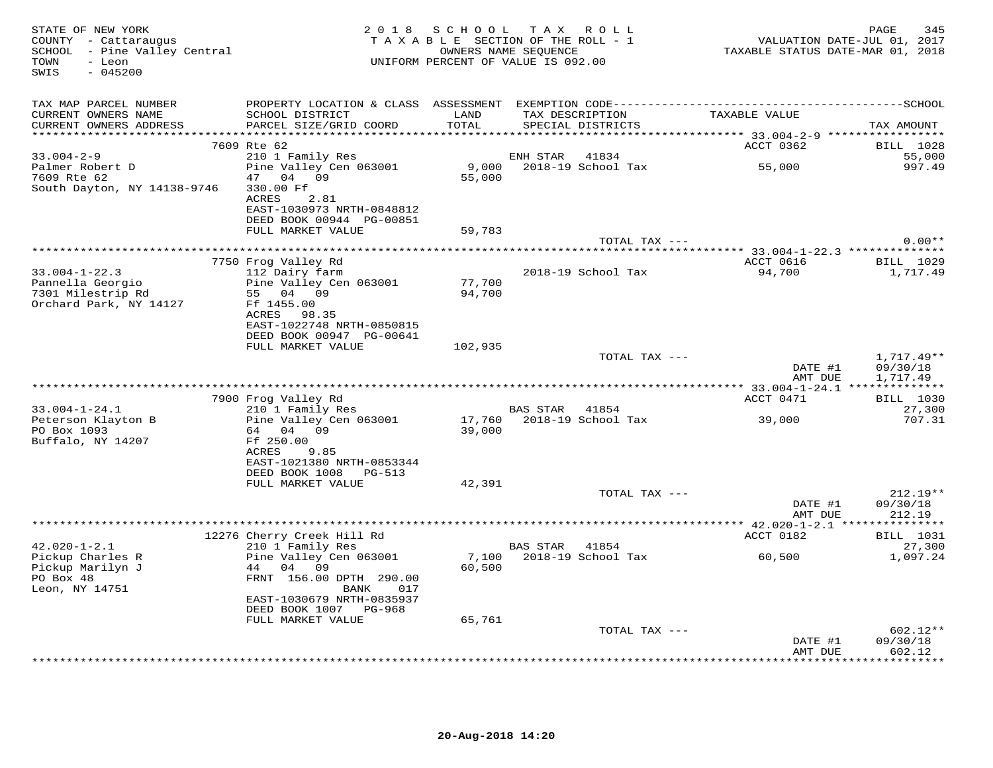| STATE OF NEW YORK<br>COUNTY - Cattaraugus<br>SCHOOL - Pine Valley Central<br>TOWN<br>- Leon<br>$-045200$<br>SWIS | 2 0 1 8                                               |         | SCHOOL TAX ROLL<br>TAXABLE SECTION OF THE ROLL - 1<br>OWNERS NAME SEQUENCE<br>UNIFORM PERCENT OF VALUE IS 092.00 | VALUATION DATE-JUL 01, 2017<br>TAXABLE STATUS DATE-MAR 01, 2018 | 345<br>PAGE        |
|------------------------------------------------------------------------------------------------------------------|-------------------------------------------------------|---------|------------------------------------------------------------------------------------------------------------------|-----------------------------------------------------------------|--------------------|
| TAX MAP PARCEL NUMBER                                                                                            |                                                       |         |                                                                                                                  |                                                                 |                    |
| CURRENT OWNERS NAME                                                                                              | SCHOOL DISTRICT                                       | LAND    | TAX DESCRIPTION                                                                                                  | TAXABLE VALUE                                                   |                    |
| CURRENT OWNERS ADDRESS                                                                                           | PARCEL SIZE/GRID COORD                                | TOTAL   | SPECIAL DISTRICTS                                                                                                |                                                                 | TAX AMOUNT         |
|                                                                                                                  | 7609 Rte 62                                           |         |                                                                                                                  | ACCT 0362                                                       | <b>BILL</b> 1028   |
| $33.004 - 2 - 9$                                                                                                 | 210 1 Family Res                                      |         | 41834<br>ENH STAR                                                                                                |                                                                 | 55,000             |
| Palmer Robert D                                                                                                  | Pine Valley Cen 063001                                |         | 9,000 2018-19 School Tax                                                                                         | 55,000                                                          | 997.49             |
| 7609 Rte 62                                                                                                      | 47 04 09                                              | 55,000  |                                                                                                                  |                                                                 |                    |
| South Dayton, NY 14138-9746                                                                                      | 330.00 Ff                                             |         |                                                                                                                  |                                                                 |                    |
|                                                                                                                  | ACRES<br>2.81                                         |         |                                                                                                                  |                                                                 |                    |
|                                                                                                                  | EAST-1030973 NRTH-0848812<br>DEED BOOK 00944 PG-00851 |         |                                                                                                                  |                                                                 |                    |
|                                                                                                                  | FULL MARKET VALUE                                     | 59,783  |                                                                                                                  |                                                                 |                    |
|                                                                                                                  |                                                       |         | TOTAL TAX ---                                                                                                    |                                                                 | $0.00**$           |
|                                                                                                                  |                                                       |         |                                                                                                                  |                                                                 |                    |
|                                                                                                                  | 7750 Frog Valley Rd                                   |         |                                                                                                                  | ACCT 0616                                                       | BILL 1029          |
| $33.004 - 1 - 22.3$<br>Pannella Georgio                                                                          | 112 Dairy farm<br>Pine Valley Cen 063001              | 77,700  | 2018-19 School Tax                                                                                               | 94,700                                                          | 1,717.49           |
| 7301 Milestrip Rd                                                                                                | 55 04 09                                              | 94,700  |                                                                                                                  |                                                                 |                    |
| Orchard Park, NY 14127                                                                                           | Ff 1455.00                                            |         |                                                                                                                  |                                                                 |                    |
|                                                                                                                  | ACRES 98.35                                           |         |                                                                                                                  |                                                                 |                    |
|                                                                                                                  | EAST-1022748 NRTH-0850815                             |         |                                                                                                                  |                                                                 |                    |
|                                                                                                                  | DEED BOOK 00947 PG-00641                              |         |                                                                                                                  |                                                                 |                    |
|                                                                                                                  | FULL MARKET VALUE                                     | 102,935 | TOTAL TAX ---                                                                                                    |                                                                 | $1,717.49**$       |
|                                                                                                                  |                                                       |         |                                                                                                                  | DATE #1                                                         | 09/30/18           |
|                                                                                                                  |                                                       |         |                                                                                                                  | AMT DUE                                                         | 1,717.49           |
|                                                                                                                  |                                                       |         |                                                                                                                  |                                                                 |                    |
|                                                                                                                  | 7900 Frog Valley Rd                                   |         |                                                                                                                  | ACCT 0471                                                       | <b>BILL</b> 1030   |
| $33.004 - 1 - 24.1$<br>Peterson Klayton B                                                                        | 210 1 Family Res<br>Pine Valley Cen 063001            |         | BAS STAR 41854<br>17,760 2018-19 School Tax                                                                      | 39,000                                                          | 27,300<br>707.31   |
| PO Box 1093                                                                                                      | 64 04 09                                              | 39,000  |                                                                                                                  |                                                                 |                    |
| Buffalo, NY 14207                                                                                                | Ff 250.00                                             |         |                                                                                                                  |                                                                 |                    |
|                                                                                                                  | ACRES<br>9.85                                         |         |                                                                                                                  |                                                                 |                    |
|                                                                                                                  | EAST-1021380 NRTH-0853344                             |         |                                                                                                                  |                                                                 |                    |
|                                                                                                                  | DEED BOOK 1008 PG-513                                 |         |                                                                                                                  |                                                                 |                    |
|                                                                                                                  | FULL MARKET VALUE                                     | 42,391  | TOTAL TAX ---                                                                                                    |                                                                 | $212.19**$         |
|                                                                                                                  |                                                       |         |                                                                                                                  | DATE #1                                                         | 09/30/18           |
|                                                                                                                  |                                                       |         |                                                                                                                  | AMT DUE                                                         | 212.19             |
|                                                                                                                  |                                                       |         |                                                                                                                  |                                                                 |                    |
|                                                                                                                  | 12276 Cherry Creek Hill Rd                            |         |                                                                                                                  | ACCT 0182                                                       | <b>BILL</b> 1031   |
| $42.020 - 1 - 2.1$<br>Pickup Charles R                                                                           | 210 1 Family Res<br>Pine Valley Cen 063001            | 7,100   | BAS STAR 41854<br>2018-19 School Tax                                                                             | 60,500                                                          | 27,300<br>1,097.24 |
| Pickup Marilyn J                                                                                                 | 44 04 09                                              | 60,500  |                                                                                                                  |                                                                 |                    |
| PO Box 48                                                                                                        | FRNT 156.00 DPTH 290.00                               |         |                                                                                                                  |                                                                 |                    |
| Leon, NY 14751                                                                                                   | BANK<br>017                                           |         |                                                                                                                  |                                                                 |                    |
|                                                                                                                  | EAST-1030679 NRTH-0835937                             |         |                                                                                                                  |                                                                 |                    |
|                                                                                                                  | DEED BOOK 1007 PG-968                                 |         |                                                                                                                  |                                                                 |                    |
|                                                                                                                  | FULL MARKET VALUE                                     | 65,761  | TOTAL TAX ---                                                                                                    |                                                                 | $602.12**$         |
|                                                                                                                  |                                                       |         |                                                                                                                  | DATE #1                                                         | 09/30/18           |
|                                                                                                                  |                                                       |         |                                                                                                                  | AMT DUE                                                         | 602.12             |
|                                                                                                                  |                                                       |         |                                                                                                                  |                                                                 | ********           |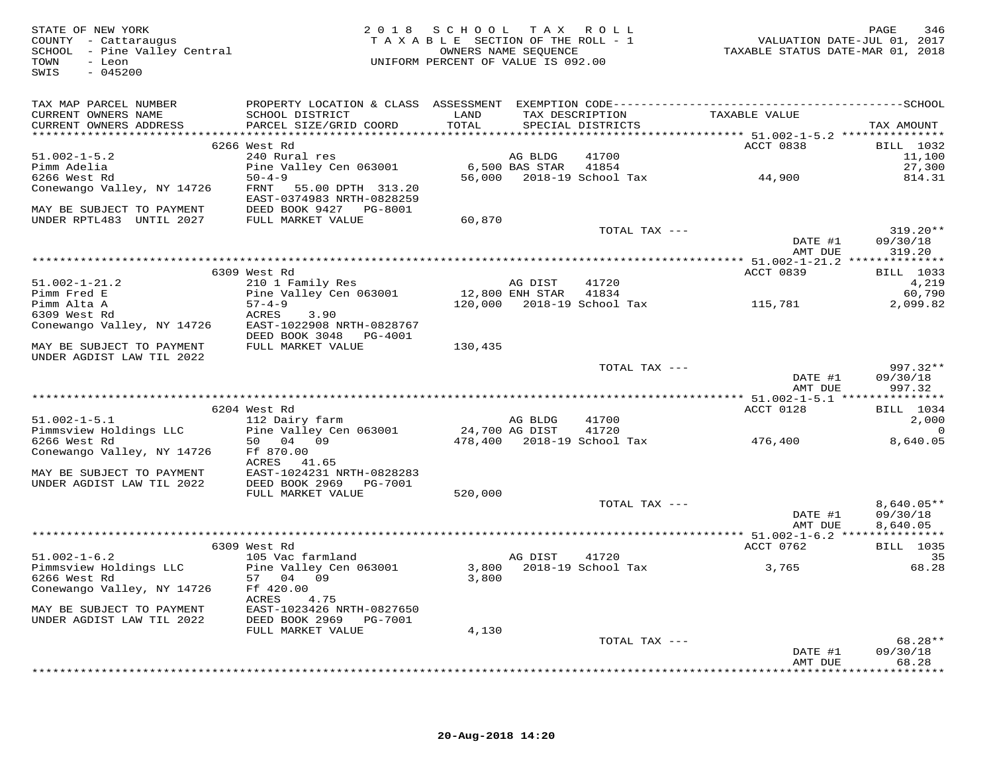| STATE OF NEW YORK<br>COUNTY - Cattaraugus<br>COUNTY - Cattaraugus<br>SCHOOL - Pine Valley Central<br>TOWN<br>- Leon<br>$-045200$<br>SWIS                                                                                                                                                                                                                                                                                                                                                         |                                                        | 2018 SCHOOL TAX ROLL<br>UNIFORM PERCENT OF VALUE IS 092.00 |                      |                                                    | FAGE 346<br>TAXABLE SECTION OF THE ROLL - 1 VALUATION DATE-JUL 01, 2017<br>OWNERS NAME SEQUENCE TAXABLE STATUS DATE-MAR 01, 2018 | PAGE<br>346          |
|--------------------------------------------------------------------------------------------------------------------------------------------------------------------------------------------------------------------------------------------------------------------------------------------------------------------------------------------------------------------------------------------------------------------------------------------------------------------------------------------------|--------------------------------------------------------|------------------------------------------------------------|----------------------|----------------------------------------------------|----------------------------------------------------------------------------------------------------------------------------------|----------------------|
| TAX MAP PARCEL NUMBER                                                                                                                                                                                                                                                                                                                                                                                                                                                                            |                                                        |                                                            |                      |                                                    |                                                                                                                                  |                      |
| CURRENT OWNERS NAME<br>CURRENT OWNERS ADDRESS                                                                                                                                                                                                                                                                                                                                                                                                                                                    | SCHOOL DISTRICT<br>PARCEL SIZE/GRID COORD              | LAND<br>TOTAL                                              |                      | TAX DESCRIPTION TAXABLE VALUE<br>SPECIAL DISTRICTS |                                                                                                                                  | TAX AMOUNT           |
|                                                                                                                                                                                                                                                                                                                                                                                                                                                                                                  | 6266 West Rd                                           |                                                            |                      |                                                    | ACCT 0838                                                                                                                        | BILL 1032            |
| $51.002 - 1 - 5.2$                                                                                                                                                                                                                                                                                                                                                                                                                                                                               | 240 Rural res                                          |                                                            | AG BLDG              | 41700                                              |                                                                                                                                  | 11,100               |
| Pimm Adelia                                                                                                                                                                                                                                                                                                                                                                                                                                                                                      | Pine Valley Cen 063001                                 |                                                            | 6,500 BAS STAR 41854 |                                                    |                                                                                                                                  | 27,300               |
| 6266 West Rd                                                                                                                                                                                                                                                                                                                                                                                                                                                                                     | $50 - 4 - 9$                                           |                                                            |                      | 56,000 2018-19 School Tax 44,900                   |                                                                                                                                  | 814.31               |
| Conewango Valley, NY 14726                                                                                                                                                                                                                                                                                                                                                                                                                                                                       | FRNT<br>55.00 DPTH 313.20<br>EAST-0374983 NRTH-0828259 |                                                            |                      |                                                    |                                                                                                                                  |                      |
| MAY BE SUBJECT TO PAYMENT                                                                                                                                                                                                                                                                                                                                                                                                                                                                        | DEED BOOK 9427 PG-8001                                 |                                                            |                      |                                                    |                                                                                                                                  |                      |
| UNDER RPTL483 UNTIL 2027                                                                                                                                                                                                                                                                                                                                                                                                                                                                         | FULL MARKET VALUE                                      | 60,870                                                     |                      |                                                    |                                                                                                                                  |                      |
|                                                                                                                                                                                                                                                                                                                                                                                                                                                                                                  |                                                        |                                                            |                      | TOTAL TAX ---                                      |                                                                                                                                  | $319.20**$           |
|                                                                                                                                                                                                                                                                                                                                                                                                                                                                                                  |                                                        |                                                            |                      |                                                    | DATE #1                                                                                                                          | 09/30/18             |
|                                                                                                                                                                                                                                                                                                                                                                                                                                                                                                  |                                                        |                                                            |                      |                                                    | AMT DUE                                                                                                                          | 319.20               |
|                                                                                                                                                                                                                                                                                                                                                                                                                                                                                                  |                                                        |                                                            |                      |                                                    |                                                                                                                                  |                      |
|                                                                                                                                                                                                                                                                                                                                                                                                                                                                                                  | 6309 West Rd                                           |                                                            |                      |                                                    | ACCT 0839                                                                                                                        | <b>BILL</b> 1033     |
| $51.002 - 1 - 21.2$                                                                                                                                                                                                                                                                                                                                                                                                                                                                              | 210 1 Family Res                                       |                                                            | AG DIST              | 41720                                              |                                                                                                                                  | 4,219<br>60,790      |
| Pimm Fred E<br>Pimm Alta A                                                                                                                                                                                                                                                                                                                                                                                                                                                                       | Pine Valley Cen 063001<br>$57 - 4 - 9$                 | 12,800 ENH STAR 41834                                      |                      |                                                    | 120,000 2018-19 School Tax 115,781                                                                                               | 2,099.82             |
| 6309 West Rd                                                                                                                                                                                                                                                                                                                                                                                                                                                                                     | 3.90<br>ACRES                                          |                                                            |                      |                                                    |                                                                                                                                  |                      |
| Conewango Valley, NY 14726                                                                                                                                                                                                                                                                                                                                                                                                                                                                       | EAST-1022908 NRTH-0828767                              |                                                            |                      |                                                    |                                                                                                                                  |                      |
|                                                                                                                                                                                                                                                                                                                                                                                                                                                                                                  | DEED BOOK 3048 PG-4001                                 |                                                            |                      |                                                    |                                                                                                                                  |                      |
| MAY BE SUBJECT TO PAYMENT                                                                                                                                                                                                                                                                                                                                                                                                                                                                        | FULL MARKET VALUE                                      | 130,435                                                    |                      |                                                    |                                                                                                                                  |                      |
| UNDER AGDIST LAW TIL 2022                                                                                                                                                                                                                                                                                                                                                                                                                                                                        |                                                        |                                                            |                      |                                                    |                                                                                                                                  |                      |
|                                                                                                                                                                                                                                                                                                                                                                                                                                                                                                  |                                                        |                                                            |                      | TOTAL TAX ---                                      |                                                                                                                                  | $997.32**$           |
|                                                                                                                                                                                                                                                                                                                                                                                                                                                                                                  |                                                        |                                                            |                      |                                                    | DATE #1                                                                                                                          | 09/30/18             |
|                                                                                                                                                                                                                                                                                                                                                                                                                                                                                                  |                                                        |                                                            |                      |                                                    | AMT DUE                                                                                                                          | 997.32               |
|                                                                                                                                                                                                                                                                                                                                                                                                                                                                                                  |                                                        |                                                            |                      |                                                    |                                                                                                                                  |                      |
|                                                                                                                                                                                                                                                                                                                                                                                                                                                                                                  | 6204 West Rd                                           |                                                            |                      |                                                    | ACCT 0128                                                                                                                        | BILL 1034            |
| $51.002 - 1 - 5.1$                                                                                                                                                                                                                                                                                                                                                                                                                                                                               | 112 Dairy farm<br>Pine Valley Cen 063001               |                                                            | AG BLDG              | 41700                                              |                                                                                                                                  | 2,000                |
| Pimmsview Holdings LLC<br>6266 West Rd                                                                                                                                                                                                                                                                                                                                                                                                                                                           | 50 04 09                                               | 24,700 AG DIST                                             |                      | 41720<br>478,400 2018-19 School Tax                | 476,400                                                                                                                          | $\Omega$<br>8,640.05 |
| Conewango Valley, NY 14726                                                                                                                                                                                                                                                                                                                                                                                                                                                                       | Ff 870.00                                              |                                                            |                      |                                                    |                                                                                                                                  |                      |
|                                                                                                                                                                                                                                                                                                                                                                                                                                                                                                  | ACRES 41.65                                            |                                                            |                      |                                                    |                                                                                                                                  |                      |
| MAY BE SUBJECT TO PAYMENT                                                                                                                                                                                                                                                                                                                                                                                                                                                                        | EAST-1024231 NRTH-0828283                              |                                                            |                      |                                                    |                                                                                                                                  |                      |
| UNDER AGDIST LAW TIL 2022                                                                                                                                                                                                                                                                                                                                                                                                                                                                        | DEED BOOK 2969 PG-7001                                 |                                                            |                      |                                                    |                                                                                                                                  |                      |
|                                                                                                                                                                                                                                                                                                                                                                                                                                                                                                  | FULL MARKET VALUE                                      | 520,000                                                    |                      |                                                    |                                                                                                                                  |                      |
|                                                                                                                                                                                                                                                                                                                                                                                                                                                                                                  |                                                        |                                                            |                      | TOTAL TAX ---                                      |                                                                                                                                  | $8,640.05**$         |
|                                                                                                                                                                                                                                                                                                                                                                                                                                                                                                  |                                                        |                                                            |                      |                                                    | DATE #1                                                                                                                          | 09/30/18             |
|                                                                                                                                                                                                                                                                                                                                                                                                                                                                                                  |                                                        |                                                            |                      |                                                    | AMT DUE                                                                                                                          | 8,640.05             |
|                                                                                                                                                                                                                                                                                                                                                                                                                                                                                                  |                                                        |                                                            |                      |                                                    |                                                                                                                                  |                      |
|                                                                                                                                                                                                                                                                                                                                                                                                                                                                                                  | 6309 West Rd                                           |                                                            |                      |                                                    | ACCT 0762                                                                                                                        | <b>BILL</b> 1035     |
| $51.002 - 1 - 6.2$                                                                                                                                                                                                                                                                                                                                                                                                                                                                               | 105 Vac farmland<br>Pine Valley Cen 063001             |                                                            | AG DIST              | 41720                                              |                                                                                                                                  | 35                   |
| Pimmsview Holdings LLC<br>$\label{eq:2.1} \frac{1}{\sqrt{2}}\left(\frac{1}{\sqrt{2}}\right)^{2} \left(\frac{1}{\sqrt{2}}\right)^{2} \left(\frac{1}{\sqrt{2}}\right)^{2} \left(\frac{1}{\sqrt{2}}\right)^{2} \left(\frac{1}{\sqrt{2}}\right)^{2} \left(\frac{1}{\sqrt{2}}\right)^{2} \left(\frac{1}{\sqrt{2}}\right)^{2} \left(\frac{1}{\sqrt{2}}\right)^{2} \left(\frac{1}{\sqrt{2}}\right)^{2} \left(\frac{1}{\sqrt{2}}\right)^{2} \left(\frac{1}{\sqrt{2}}\right)^{2} \left(\$<br>6266 West Rd | 57 04 09                                               | 3,800                                                      |                      | 3,800 2018-19 School Tax                           | 3,765                                                                                                                            | 68.28                |
| Conewango Valley, NY 14726                                                                                                                                                                                                                                                                                                                                                                                                                                                                       | Ff 420.00                                              |                                                            |                      |                                                    |                                                                                                                                  |                      |
|                                                                                                                                                                                                                                                                                                                                                                                                                                                                                                  | ACRES<br>4.75                                          |                                                            |                      |                                                    |                                                                                                                                  |                      |
| MAY BE SUBJECT TO PAYMENT                                                                                                                                                                                                                                                                                                                                                                                                                                                                        | EAST-1023426 NRTH-0827650                              |                                                            |                      |                                                    |                                                                                                                                  |                      |
| UNDER AGDIST LAW TIL 2022                                                                                                                                                                                                                                                                                                                                                                                                                                                                        | DEED BOOK 2969    PG-7001                              |                                                            |                      |                                                    |                                                                                                                                  |                      |
|                                                                                                                                                                                                                                                                                                                                                                                                                                                                                                  | FULL MARKET VALUE                                      | 4,130                                                      |                      |                                                    |                                                                                                                                  |                      |
|                                                                                                                                                                                                                                                                                                                                                                                                                                                                                                  |                                                        |                                                            |                      | TOTAL TAX ---                                      |                                                                                                                                  | $68.28**$            |
|                                                                                                                                                                                                                                                                                                                                                                                                                                                                                                  |                                                        |                                                            |                      |                                                    | DATE #1                                                                                                                          | 09/30/18             |
|                                                                                                                                                                                                                                                                                                                                                                                                                                                                                                  |                                                        |                                                            |                      |                                                    | AMT DUE                                                                                                                          | 68.28                |
|                                                                                                                                                                                                                                                                                                                                                                                                                                                                                                  |                                                        |                                                            |                      |                                                    |                                                                                                                                  | *********            |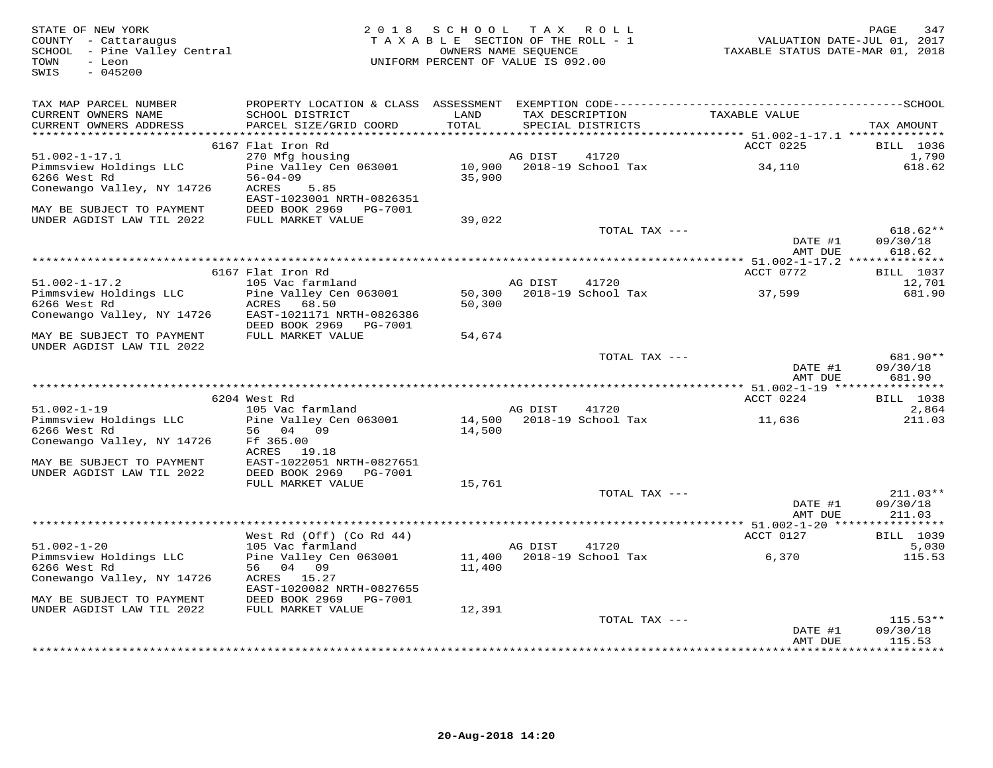| STATE OF NEW YORK<br>COUNTY - Cattaraugus<br>SCHOOL - Pine Valley Central<br>TOWN<br>- Leon<br>SWIS<br>$-045200$ |                                              | 2018 SCHOOL TAX ROLL<br>TAXABLE SECTION OF THE ROLL - 1<br>OWNERS NAME SEQUENCE<br>UNIFORM PERCENT OF VALUE IS 092.00 |               |                                      | VALUATION DATE-JUL 01, 2017<br>TAXABLE STATUS DATE-MAR 01, 2018 | PAGE<br>347               |
|------------------------------------------------------------------------------------------------------------------|----------------------------------------------|-----------------------------------------------------------------------------------------------------------------------|---------------|--------------------------------------|-----------------------------------------------------------------|---------------------------|
| TAX MAP PARCEL NUMBER                                                                                            |                                              |                                                                                                                       |               |                                      |                                                                 |                           |
| CURRENT OWNERS NAME<br>CURRENT OWNERS ADDRESS                                                                    | SCHOOL DISTRICT<br>PARCEL SIZE/GRID COORD    | LAND<br>TOTAL                                                                                                         |               | TAX DESCRIPTION<br>SPECIAL DISTRICTS | TAXABLE VALUE                                                   | TAX AMOUNT                |
|                                                                                                                  | 6167 Flat Iron Rd                            |                                                                                                                       |               |                                      | ACCT 0225                                                       | <b>BILL</b> 1036          |
| $51.002 - 1 - 17.1$                                                                                              | 270 Mfg housing                              |                                                                                                                       | AG DIST       | 41720                                |                                                                 | 1,790                     |
| Pimmsview Holdings LLC                                                                                           | Pine Valley Cen 063001                       |                                                                                                                       |               | 10,900 2018-19 School Tax            | 34,110                                                          | 618.62                    |
| 6266 West Rd                                                                                                     | $56 - 04 - 09$                               | 35,900                                                                                                                |               |                                      |                                                                 |                           |
| Conewango Valley, NY 14726                                                                                       | 5.85<br>ACRES                                |                                                                                                                       |               |                                      |                                                                 |                           |
|                                                                                                                  | EAST-1023001 NRTH-0826351                    |                                                                                                                       |               |                                      |                                                                 |                           |
| MAY BE SUBJECT TO PAYMENT                                                                                        | DEED BOOK 2969 PG-7001                       |                                                                                                                       |               |                                      |                                                                 |                           |
| UNDER AGDIST LAW TIL 2022                                                                                        | FULL MARKET VALUE                            | 39,022                                                                                                                |               | TOTAL TAX ---                        |                                                                 | $618.62**$                |
|                                                                                                                  |                                              |                                                                                                                       |               |                                      | DATE #1                                                         | 09/30/18                  |
|                                                                                                                  |                                              |                                                                                                                       |               |                                      | AMT DUE                                                         | 618.62                    |
|                                                                                                                  |                                              |                                                                                                                       |               |                                      |                                                                 |                           |
|                                                                                                                  | 6167 Flat Iron Rd                            |                                                                                                                       |               |                                      | ACCT 0772                                                       | BILL 1037                 |
| $51.002 - 1 - 17.2$                                                                                              | 105 Vac farmland                             |                                                                                                                       | AG DIST 41720 |                                      |                                                                 | 12,701                    |
| Pimmsview Holdings LLC                                                                                           | Pine Valley Cen 063001                       | 50,300                                                                                                                |               | 2018-19 School Tax                   | 37,599                                                          | 681.90                    |
| 6266 West Rd<br>Conewango Valley, NY 14726                                                                       | ACRES 68.50<br>EAST-1021171 NRTH-0826386     | 50,300                                                                                                                |               |                                      |                                                                 |                           |
|                                                                                                                  | DEED BOOK 2969 PG-7001                       |                                                                                                                       |               |                                      |                                                                 |                           |
| MAY BE SUBJECT TO PAYMENT                                                                                        | FULL MARKET VALUE                            | 54,674                                                                                                                |               |                                      |                                                                 |                           |
| UNDER AGDIST LAW TIL 2022                                                                                        |                                              |                                                                                                                       |               |                                      |                                                                 |                           |
|                                                                                                                  |                                              |                                                                                                                       |               | TOTAL TAX ---                        |                                                                 | 681.90**                  |
|                                                                                                                  |                                              |                                                                                                                       |               |                                      | DATE #1                                                         | 09/30/18                  |
|                                                                                                                  |                                              |                                                                                                                       |               |                                      | AMT DUE                                                         | 681.90                    |
|                                                                                                                  | 6204 West Rd                                 |                                                                                                                       |               |                                      | ACCT 0224                                                       | <b>BILL</b> 1038          |
| $51.002 - 1 - 19$                                                                                                | 105 Vac farmland                             |                                                                                                                       | AG DIST       | 41720                                |                                                                 | 2,864                     |
| Pimmsview Holdings LLC                                                                                           | Pine Valley Cen 063001                       |                                                                                                                       |               | 14,500 2018-19 School Tax            | 11,636                                                          | 211.03                    |
| 6266 West Rd                                                                                                     | 56 04 09                                     | 14,500                                                                                                                |               |                                      |                                                                 |                           |
| Conewango Valley, NY 14726                                                                                       | Ff 365.00                                    |                                                                                                                       |               |                                      |                                                                 |                           |
| MAY BE SUBJECT TO PAYMENT                                                                                        | ACRES 19.18<br>EAST-1022051 NRTH-0827651     |                                                                                                                       |               |                                      |                                                                 |                           |
| UNDER AGDIST LAW TIL 2022                                                                                        | DEED BOOK 2969<br>PG-7001                    |                                                                                                                       |               |                                      |                                                                 |                           |
|                                                                                                                  | FULL MARKET VALUE                            | 15,761                                                                                                                |               |                                      |                                                                 |                           |
|                                                                                                                  |                                              |                                                                                                                       |               | TOTAL TAX ---                        |                                                                 | $211.03**$                |
|                                                                                                                  |                                              |                                                                                                                       |               |                                      | DATE #1                                                         | 09/30/18                  |
|                                                                                                                  |                                              |                                                                                                                       |               |                                      | AMT DUE                                                         | 211.03                    |
|                                                                                                                  |                                              |                                                                                                                       |               |                                      |                                                                 |                           |
| $51.002 - 1 - 20$                                                                                                | West Rd (Off) (Co Rd 44)<br>105 Vac farmland |                                                                                                                       | AG DIST       | 41720                                | ACCT 0127                                                       | <b>BILL</b> 1039<br>5,030 |
| Pimmsview Holdings LLC                                                                                           | Pine Valley Cen 063001                       |                                                                                                                       |               | 11,400 2018-19 School Tax            | 6,370                                                           | 115.53                    |
| 6266 West Rd                                                                                                     | 56 04 09                                     | 11,400                                                                                                                |               |                                      |                                                                 |                           |
| Conewango Valley, NY 14726                                                                                       | ACRES 15.27                                  |                                                                                                                       |               |                                      |                                                                 |                           |
|                                                                                                                  | EAST-1020082 NRTH-0827655                    |                                                                                                                       |               |                                      |                                                                 |                           |
| MAY BE SUBJECT TO PAYMENT                                                                                        | DEED BOOK 2969 PG-7001                       |                                                                                                                       |               |                                      |                                                                 |                           |
| UNDER AGDIST LAW TIL 2022                                                                                        | FULL MARKET VALUE                            | 12,391                                                                                                                |               |                                      |                                                                 |                           |
|                                                                                                                  |                                              |                                                                                                                       |               | TOTAL TAX ---                        | DATE #1                                                         | $115.53**$<br>09/30/18    |
|                                                                                                                  |                                              |                                                                                                                       |               |                                      | AMT DUE                                                         | 115.53                    |
|                                                                                                                  |                                              |                                                                                                                       |               |                                      |                                                                 | . * * * * * * * * *       |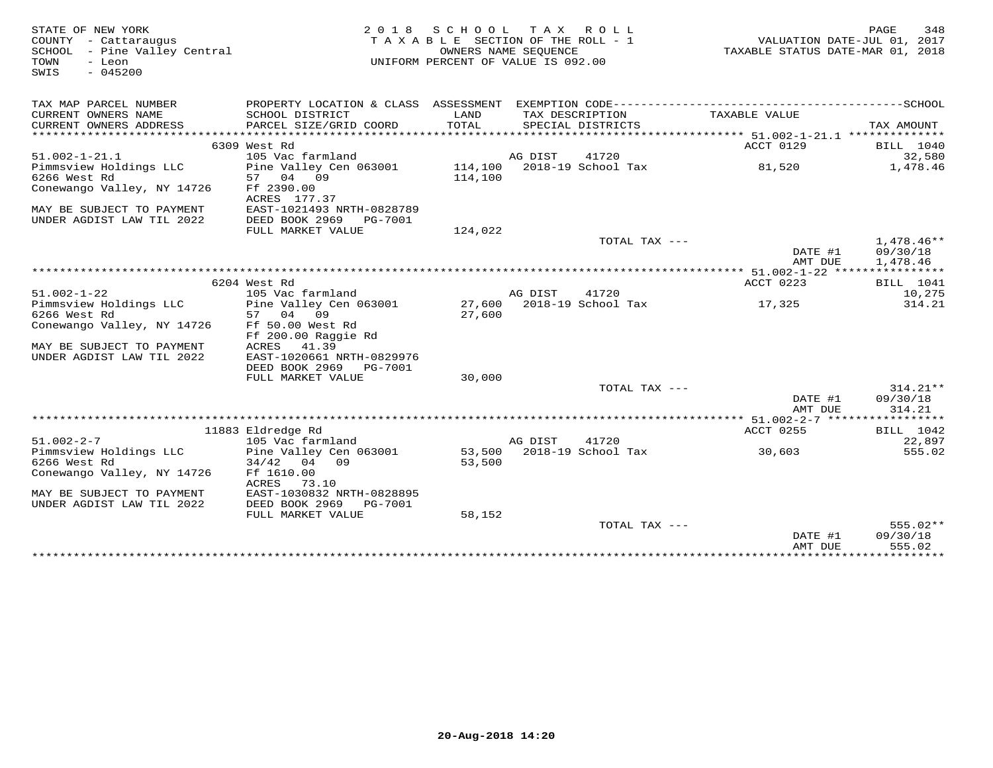| STATE OF NEW YORK<br>COUNTY - Cattaraugus<br>SCHOOL<br>- Pine Valley Central<br>- Leon<br>TOWN<br>$-045200$<br>SWIS | 2 0 1 8                                                                                      | S C H O O L<br>TAXABLE SECTION OF THE ROLL - 1<br>OWNERS NAME SEQUENCE<br>UNIFORM PERCENT OF VALUE IS 092.00 |         | TAX ROLL                             | VALUATION DATE-JUL 01, 2017<br>TAXABLE STATUS DATE-MAR 01, 2018 | 348<br>PAGE         |
|---------------------------------------------------------------------------------------------------------------------|----------------------------------------------------------------------------------------------|--------------------------------------------------------------------------------------------------------------|---------|--------------------------------------|-----------------------------------------------------------------|---------------------|
| TAX MAP PARCEL NUMBER                                                                                               | PROPERTY LOCATION & CLASS ASSESSMENT EXEMPTION CODE-----------------------------------SCHOOL |                                                                                                              |         |                                      |                                                                 |                     |
| CURRENT OWNERS NAME<br>CURRENT OWNERS ADDRESS                                                                       | SCHOOL DISTRICT<br>PARCEL SIZE/GRID COORD                                                    | LAND<br>TOTAL                                                                                                |         | TAX DESCRIPTION<br>SPECIAL DISTRICTS | TAXABLE VALUE                                                   | TAX AMOUNT          |
|                                                                                                                     |                                                                                              |                                                                                                              |         |                                      |                                                                 |                     |
|                                                                                                                     | 6309 West Rd<br>105 Vac farmland                                                             |                                                                                                              |         | 41720                                | ACCT 0129                                                       | BILL 1040<br>32,580 |
| $51.002 - 1 - 21.1$<br>Pimmsview Holdings LLC                                                                       | Pine Valley Cen 063001                                                                       |                                                                                                              | AG DIST | 114,100 2018-19 School Tax           | 81,520                                                          | 1,478.46            |
| 6266 West Rd                                                                                                        | 57 04 09                                                                                     | 114,100                                                                                                      |         |                                      |                                                                 |                     |
| Conewango Valley, NY 14726                                                                                          | Ff 2390.00<br>ACRES 177.37                                                                   |                                                                                                              |         |                                      |                                                                 |                     |
| MAY BE SUBJECT TO PAYMENT                                                                                           | EAST-1021493 NRTH-0828789                                                                    |                                                                                                              |         |                                      |                                                                 |                     |
| UNDER AGDIST LAW TIL 2022                                                                                           | DEED BOOK 2969<br>PG-7001                                                                    |                                                                                                              |         |                                      |                                                                 |                     |
|                                                                                                                     | FULL MARKET VALUE                                                                            | 124,022                                                                                                      |         |                                      |                                                                 |                     |
|                                                                                                                     |                                                                                              |                                                                                                              |         | TOTAL TAX ---                        |                                                                 | $1.478.46**$        |
|                                                                                                                     |                                                                                              |                                                                                                              |         |                                      | DATE #1                                                         | 09/30/18            |
|                                                                                                                     |                                                                                              |                                                                                                              |         |                                      | AMT DUE                                                         | 1,478.46            |
|                                                                                                                     |                                                                                              |                                                                                                              |         |                                      |                                                                 |                     |
|                                                                                                                     | 6204 West Rd                                                                                 |                                                                                                              |         |                                      | ACCT 0223                                                       | <b>BILL</b> 1041    |
| $51.002 - 1 - 22$                                                                                                   | 105 Vac farmland                                                                             |                                                                                                              | AG DIST | 41720                                |                                                                 | 10,275              |
| Pimmsview Holdings LLC<br>6266 West Rd                                                                              | Pine Valley Cen 063001<br>57 04<br>09                                                        | 27,600<br>27,600                                                                                             |         | 2018-19 School Tax                   | 17,325                                                          | 314.21              |
| Conewango Valley, NY 14726                                                                                          | Ff 50.00 West Rd                                                                             |                                                                                                              |         |                                      |                                                                 |                     |
|                                                                                                                     | Ff 200.00 Raggie Rd                                                                          |                                                                                                              |         |                                      |                                                                 |                     |
| MAY BE SUBJECT TO PAYMENT                                                                                           | ACRES<br>41.39                                                                               |                                                                                                              |         |                                      |                                                                 |                     |
| UNDER AGDIST LAW TIL 2022                                                                                           | EAST-1020661 NRTH-0829976                                                                    |                                                                                                              |         |                                      |                                                                 |                     |
|                                                                                                                     | DEED BOOK 2969 PG-7001                                                                       |                                                                                                              |         |                                      |                                                                 |                     |
|                                                                                                                     | FULL MARKET VALUE                                                                            | 30,000                                                                                                       |         |                                      |                                                                 |                     |
|                                                                                                                     |                                                                                              |                                                                                                              |         | TOTAL TAX ---                        |                                                                 | $314.21**$          |
|                                                                                                                     |                                                                                              |                                                                                                              |         |                                      | DATE #1                                                         | 09/30/18            |
|                                                                                                                     |                                                                                              |                                                                                                              |         |                                      | AMT DUE                                                         | 314.21              |
|                                                                                                                     | 11883 Eldredge Rd                                                                            |                                                                                                              |         |                                      | ACCT 0255                                                       | BILL 1042           |
| $51.002 - 2 - 7$                                                                                                    | 105 Vac farmland                                                                             |                                                                                                              | AG DIST | 41720                                |                                                                 | 22,897              |
| Pimmsview Holdings LLC                                                                                              | Pine Valley Cen 063001                                                                       |                                                                                                              |         | 53,500 2018-19 School Tax            | 30,603                                                          | 555.02              |
| 6266 West Rd                                                                                                        | $34/42$ 04 09                                                                                | 53,500                                                                                                       |         |                                      |                                                                 |                     |
| Conewango Valley, NY 14726                                                                                          | Ff 1610.00                                                                                   |                                                                                                              |         |                                      |                                                                 |                     |
|                                                                                                                     | ACRES<br>73.10                                                                               |                                                                                                              |         |                                      |                                                                 |                     |
| MAY BE SUBJECT TO PAYMENT                                                                                           | EAST-1030832 NRTH-0828895                                                                    |                                                                                                              |         |                                      |                                                                 |                     |
| UNDER AGDIST LAW TIL 2022                                                                                           | DEED BOOK 2969<br>PG-7001                                                                    |                                                                                                              |         |                                      |                                                                 |                     |
|                                                                                                                     | FULL MARKET VALUE                                                                            | 58,152                                                                                                       |         |                                      |                                                                 |                     |
|                                                                                                                     |                                                                                              |                                                                                                              |         | TOTAL TAX $---$                      |                                                                 | $555.02**$          |
|                                                                                                                     |                                                                                              |                                                                                                              |         |                                      | DATE #1<br>AMT DUE                                              | 09/30/18<br>555.02  |
|                                                                                                                     |                                                                                              |                                                                                                              |         |                                      |                                                                 |                     |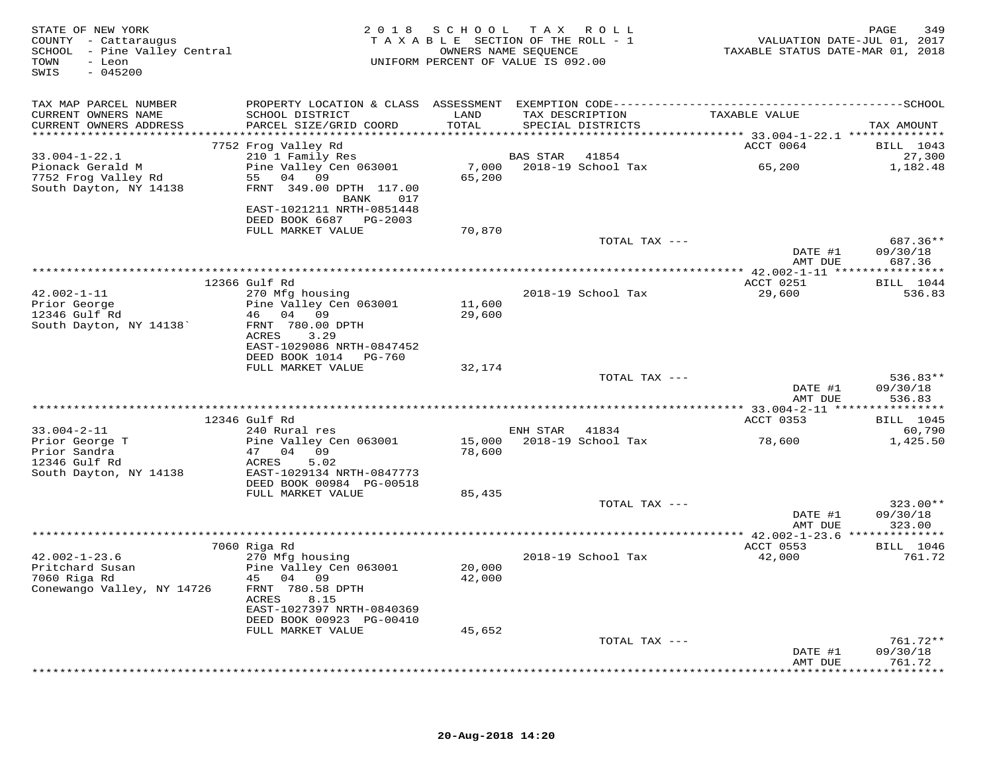| STATE OF NEW YORK<br>COUNTY - Cattaraugus<br>SCHOOL - Pine Valley Central<br>TOWN<br>- Leon<br>$-045200$<br>SWIS |                                                                           |               | 2018 SCHOOL TAX ROLL<br>TAXABLE SECTION OF THE ROLL - 1<br>OWNERS NAME SEQUENCE<br>UNIFORM PERCENT OF VALUE IS 092.00 | VALUATION DATE-JUL 01, 2017<br>TAXABLE STATUS DATE-MAR 01, 2018 | 349<br>PAGE                    |
|------------------------------------------------------------------------------------------------------------------|---------------------------------------------------------------------------|---------------|-----------------------------------------------------------------------------------------------------------------------|-----------------------------------------------------------------|--------------------------------|
| TAX MAP PARCEL NUMBER                                                                                            |                                                                           |               |                                                                                                                       |                                                                 |                                |
| CURRENT OWNERS NAME<br>CURRENT OWNERS ADDRESS                                                                    | SCHOOL DISTRICT<br>PARCEL SIZE/GRID COORD                                 | LAND<br>TOTAL | TAX DESCRIPTION<br>SPECIAL DISTRICTS                                                                                  | TAXABLE VALUE                                                   | TAX AMOUNT                     |
|                                                                                                                  | 7752 Frog Valley Rd                                                       |               |                                                                                                                       | ACCT 0064                                                       | BILL 1043                      |
| $33.004 - 1 - 22.1$                                                                                              | 210 1 Family Res                                                          |               | BAS STAR 41854                                                                                                        |                                                                 | 27,300                         |
| Pionack Gerald M<br>7752 Frog Valley Rd<br>South Dayton, NY 14138                                                | Pine Valley Cen 063001<br>55 04 09<br>FRNT 349.00 DPTH 117.00<br>BANK 017 | 65,200        | 7,000 2018-19 School Tax 65,200                                                                                       |                                                                 | 1,182.48                       |
|                                                                                                                  | EAST-1021211 NRTH-0851448<br>DEED BOOK 6687 PG-2003                       |               |                                                                                                                       |                                                                 |                                |
|                                                                                                                  | FULL MARKET VALUE                                                         | 70,870        |                                                                                                                       |                                                                 |                                |
|                                                                                                                  |                                                                           |               | TOTAL TAX ---                                                                                                         | DATE #1<br>AMT DUE                                              | 687.36**<br>09/30/18<br>687.36 |
|                                                                                                                  |                                                                           |               |                                                                                                                       |                                                                 |                                |
|                                                                                                                  | 12366 Gulf Rd                                                             |               |                                                                                                                       | ACCT 0251                                                       | BILL 1044                      |
| $42.002 - 1 - 11$<br>Prior George                                                                                | 270 Mfg housing<br>Pine Valley Cen 063001                                 | 11,600        | 2018-19 School Tax                                                                                                    | 29,600                                                          | 536.83                         |
| 12346 Gulf Rd                                                                                                    | 46 04 09                                                                  | 29,600        |                                                                                                                       |                                                                 |                                |
| South Dayton, NY 14138'                                                                                          | FRNT 780.00 DPTH                                                          |               |                                                                                                                       |                                                                 |                                |
|                                                                                                                  | ACRES 3.29                                                                |               |                                                                                                                       |                                                                 |                                |
|                                                                                                                  | EAST-1029086 NRTH-0847452<br>DEED BOOK 1014    PG-760                     |               |                                                                                                                       |                                                                 |                                |
|                                                                                                                  | FULL MARKET VALUE                                                         | 32,174        |                                                                                                                       |                                                                 |                                |
|                                                                                                                  |                                                                           |               | TOTAL TAX ---                                                                                                         |                                                                 | $536.83**$                     |
|                                                                                                                  |                                                                           |               |                                                                                                                       | DATE #1                                                         | 09/30/18                       |
|                                                                                                                  |                                                                           |               |                                                                                                                       | AMT DUE                                                         | 536.83                         |
|                                                                                                                  | 12346 Gulf Rd                                                             |               |                                                                                                                       | ACCT 0353                                                       | <b>BILL</b> 1045               |
| $33.004 - 2 - 11$                                                                                                | 240 Rural res                                                             |               | ENH STAR 41834                                                                                                        |                                                                 | 60,790                         |
| Prior George T                                                                                                   | Pine Valley Cen 063001                                                    |               | 15,000    2018-19    School Tax                                                                                       | 78,600                                                          | 1,425.50                       |
| Prior Sandra<br>12346 Gulf Rd                                                                                    | 47 04 09<br>5.02<br>ACRES                                                 | 78,600        |                                                                                                                       |                                                                 |                                |
| South Dayton, NY 14138                                                                                           | EAST-1029134 NRTH-0847773                                                 |               |                                                                                                                       |                                                                 |                                |
|                                                                                                                  | DEED BOOK 00984 PG-00518                                                  |               |                                                                                                                       |                                                                 |                                |
|                                                                                                                  | FULL MARKET VALUE                                                         | 85,435        |                                                                                                                       |                                                                 | 323.00**                       |
|                                                                                                                  |                                                                           |               | TOTAL TAX ---                                                                                                         | DATE #1                                                         | 09/30/18                       |
|                                                                                                                  |                                                                           |               |                                                                                                                       | AMT DUE                                                         | 323.00                         |
|                                                                                                                  |                                                                           |               |                                                                                                                       |                                                                 |                                |
| $42.002 - 1 - 23.6$                                                                                              | 7060 Riga Rd<br>270 Mfg housing                                           |               | 2018-19 School Tax                                                                                                    | ACCT 0553<br>42,000                                             | <b>BILL</b> 1046<br>761.72     |
| Pritchard Susan                                                                                                  | Pine Valley Cen 063001                                                    | 20,000        |                                                                                                                       |                                                                 |                                |
| 7060 Riga Rd                                                                                                     | 45 04 09                                                                  | 42,000        |                                                                                                                       |                                                                 |                                |
| Conewango Valley, NY 14726                                                                                       | FRNT 780.58 DPTH<br>ACRES<br>8.15                                         |               |                                                                                                                       |                                                                 |                                |
|                                                                                                                  | EAST-1027397 NRTH-0840369<br>DEED BOOK 00923 PG-00410                     |               |                                                                                                                       |                                                                 |                                |
|                                                                                                                  | FULL MARKET VALUE                                                         | 45,652        |                                                                                                                       |                                                                 |                                |
|                                                                                                                  |                                                                           |               | TOTAL TAX ---                                                                                                         |                                                                 | 761.72**                       |
|                                                                                                                  |                                                                           |               |                                                                                                                       | DATE #1                                                         | 09/30/18                       |
|                                                                                                                  |                                                                           |               |                                                                                                                       | AMT DUE                                                         | 761.72                         |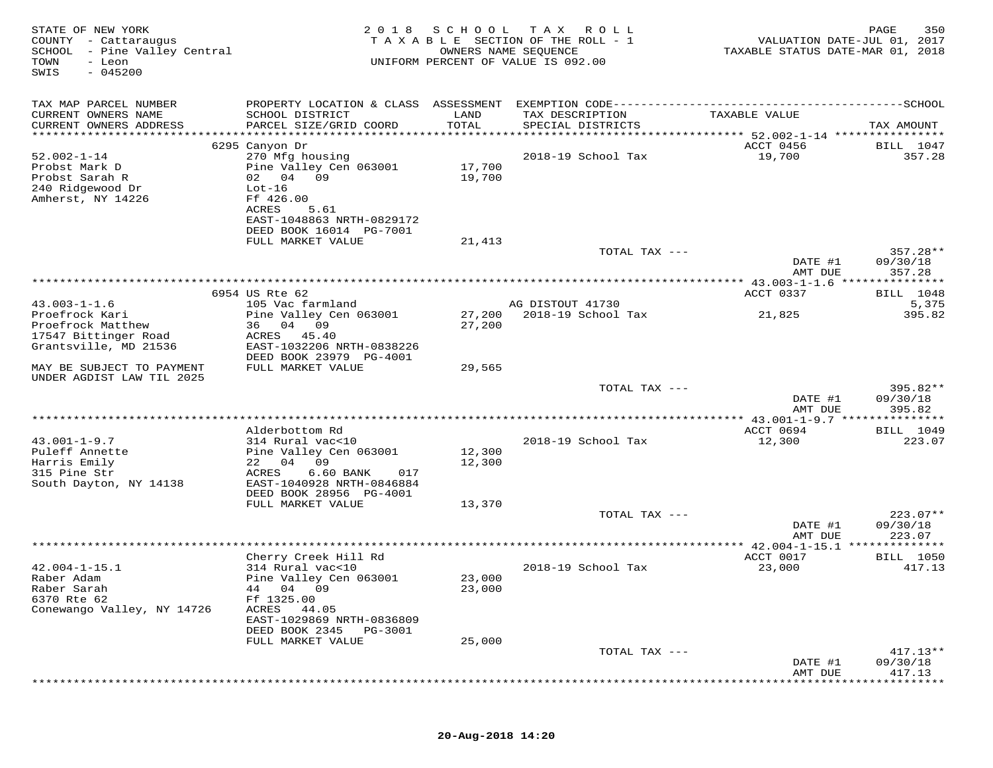| STATE OF NEW YORK<br>COUNTY - Cattaraugus<br>SCHOOL - Pine Valley Central<br>TOWN<br>- Leon<br>$-045200$<br>SWIS | 2 0 1 8                                    | SCHOOL           | T A X<br>ROLL<br>TAXABLE SECTION OF THE ROLL - 1<br>OWNERS NAME SEQUENCE<br>UNIFORM PERCENT OF VALUE IS 092.00 | VALUATION DATE-JUL 01, 2017<br>TAXABLE STATUS DATE-MAR 01, 2018 | PAGE<br>350            |
|------------------------------------------------------------------------------------------------------------------|--------------------------------------------|------------------|----------------------------------------------------------------------------------------------------------------|-----------------------------------------------------------------|------------------------|
| TAX MAP PARCEL NUMBER                                                                                            | PROPERTY LOCATION & CLASS ASSESSMENT       |                  |                                                                                                                |                                                                 |                        |
| CURRENT OWNERS NAME<br>CURRENT OWNERS ADDRESS                                                                    | SCHOOL DISTRICT<br>PARCEL SIZE/GRID COORD  | LAND<br>TOTAL    | TAX DESCRIPTION<br>SPECIAL DISTRICTS                                                                           | TAXABLE VALUE                                                   | TAX AMOUNT             |
| ***********************                                                                                          |                                            |                  |                                                                                                                |                                                                 |                        |
|                                                                                                                  | 6295 Canyon Dr                             |                  |                                                                                                                | ACCT 0456                                                       | <b>BILL</b> 1047       |
| $52.002 - 1 - 14$                                                                                                | 270 Mfg housing                            |                  | 2018-19 School Tax                                                                                             | 19,700                                                          | 357.28                 |
| Probst Mark D                                                                                                    | Pine Valley Cen 063001                     | 17,700           |                                                                                                                |                                                                 |                        |
| Probst Sarah R<br>240 Ridgewood Dr                                                                               | 02 04 09<br>$Lot-16$                       | 19,700           |                                                                                                                |                                                                 |                        |
| Amherst, NY 14226                                                                                                | Ff 426.00                                  |                  |                                                                                                                |                                                                 |                        |
|                                                                                                                  | ACRES<br>5.61                              |                  |                                                                                                                |                                                                 |                        |
|                                                                                                                  | EAST-1048863 NRTH-0829172                  |                  |                                                                                                                |                                                                 |                        |
|                                                                                                                  | DEED BOOK 16014 PG-7001                    |                  |                                                                                                                |                                                                 |                        |
|                                                                                                                  | FULL MARKET VALUE                          | 21,413           |                                                                                                                |                                                                 |                        |
|                                                                                                                  |                                            |                  | TOTAL TAX ---                                                                                                  | DATE #1                                                         | $357.28**$<br>09/30/18 |
|                                                                                                                  |                                            |                  |                                                                                                                | AMT DUE                                                         | 357.28                 |
|                                                                                                                  |                                            |                  |                                                                                                                | ************** 43.003-1-1.6 ****************                    |                        |
|                                                                                                                  | 6954 US Rte 62                             |                  |                                                                                                                | ACCT 0337                                                       | <b>BILL</b> 1048       |
| $43.003 - 1 - 1.6$                                                                                               | 105 Vac farmland                           |                  | AG DISTOUT 41730<br>2018-19 School Tax                                                                         |                                                                 | 5,375                  |
| Proefrock Kari<br>Proefrock Matthew                                                                              | Pine Valley Cen 063001<br>04<br>36<br>09   | 27,200<br>27,200 |                                                                                                                | 21,825                                                          | 395.82                 |
| 17547 Bittinger Road                                                                                             | ACRES<br>45.40                             |                  |                                                                                                                |                                                                 |                        |
| Grantsville, MD 21536                                                                                            | EAST-1032206 NRTH-0838226                  |                  |                                                                                                                |                                                                 |                        |
|                                                                                                                  | DEED BOOK 23979 PG-4001                    |                  |                                                                                                                |                                                                 |                        |
| MAY BE SUBJECT TO PAYMENT                                                                                        | FULL MARKET VALUE                          | 29,565           |                                                                                                                |                                                                 |                        |
| UNDER AGDIST LAW TIL 2025                                                                                        |                                            |                  | TOTAL TAX ---                                                                                                  |                                                                 | 395.82**               |
|                                                                                                                  |                                            |                  |                                                                                                                | DATE #1                                                         | 09/30/18               |
|                                                                                                                  |                                            |                  |                                                                                                                | AMT DUE                                                         | 395.82                 |
|                                                                                                                  |                                            |                  | **********************                                                                                         | ******** 43.001-1-9.7 ***************                           |                        |
|                                                                                                                  | Alderbottom Rd                             |                  |                                                                                                                | ACCT 0694                                                       | <b>BILL</b> 1049       |
| $43.001 - 1 - 9.7$<br>Puleff Annette                                                                             | 314 Rural vac<10<br>Pine Valley Cen 063001 | 12,300           | 2018-19 School Tax                                                                                             | 12,300                                                          | 223.07                 |
| Harris Emily                                                                                                     | 09<br>22<br>04                             | 12,300           |                                                                                                                |                                                                 |                        |
| 315 Pine Str                                                                                                     | ACRES<br>6.60 BANK<br>017                  |                  |                                                                                                                |                                                                 |                        |
| South Dayton, NY 14138                                                                                           | EAST-1040928 NRTH-0846884                  |                  |                                                                                                                |                                                                 |                        |
|                                                                                                                  | DEED BOOK 28956 PG-4001                    |                  |                                                                                                                |                                                                 |                        |
|                                                                                                                  | FULL MARKET VALUE                          | 13,370           |                                                                                                                |                                                                 |                        |
|                                                                                                                  |                                            |                  | TOTAL TAX ---                                                                                                  | DATE #1                                                         | $223.07**$<br>09/30/18 |
|                                                                                                                  |                                            |                  |                                                                                                                | AMT DUE                                                         | 223.07                 |
|                                                                                                                  |                                            |                  |                                                                                                                |                                                                 |                        |
|                                                                                                                  | Cherry Creek Hill Rd                       |                  |                                                                                                                | ACCT 0017                                                       | <b>BILL</b> 1050       |
| $42.004 - 1 - 15.1$                                                                                              | 314 Rural vac<10                           |                  | 2018-19 School Tax                                                                                             | 23,000                                                          | 417.13                 |
| Raber Adam                                                                                                       | Pine Valley Cen 063001<br>44 04 09         | 23,000           |                                                                                                                |                                                                 |                        |
| Raber Sarah<br>6370 Rte 62                                                                                       | Ff 1325.00                                 | 23,000           |                                                                                                                |                                                                 |                        |
| Conewango Valley, NY 14726                                                                                       | ACRES<br>44.05                             |                  |                                                                                                                |                                                                 |                        |
|                                                                                                                  | EAST-1029869 NRTH-0836809                  |                  |                                                                                                                |                                                                 |                        |
|                                                                                                                  | DEED BOOK 2345<br>PG-3001                  |                  |                                                                                                                |                                                                 |                        |
|                                                                                                                  | FULL MARKET VALUE                          | 25,000           |                                                                                                                |                                                                 |                        |
|                                                                                                                  |                                            |                  | TOTAL TAX ---                                                                                                  |                                                                 | $417.13**$<br>09/30/18 |
|                                                                                                                  |                                            |                  |                                                                                                                | DATE #1<br>AMT DUE                                              | 417.13                 |
|                                                                                                                  |                                            |                  |                                                                                                                |                                                                 |                        |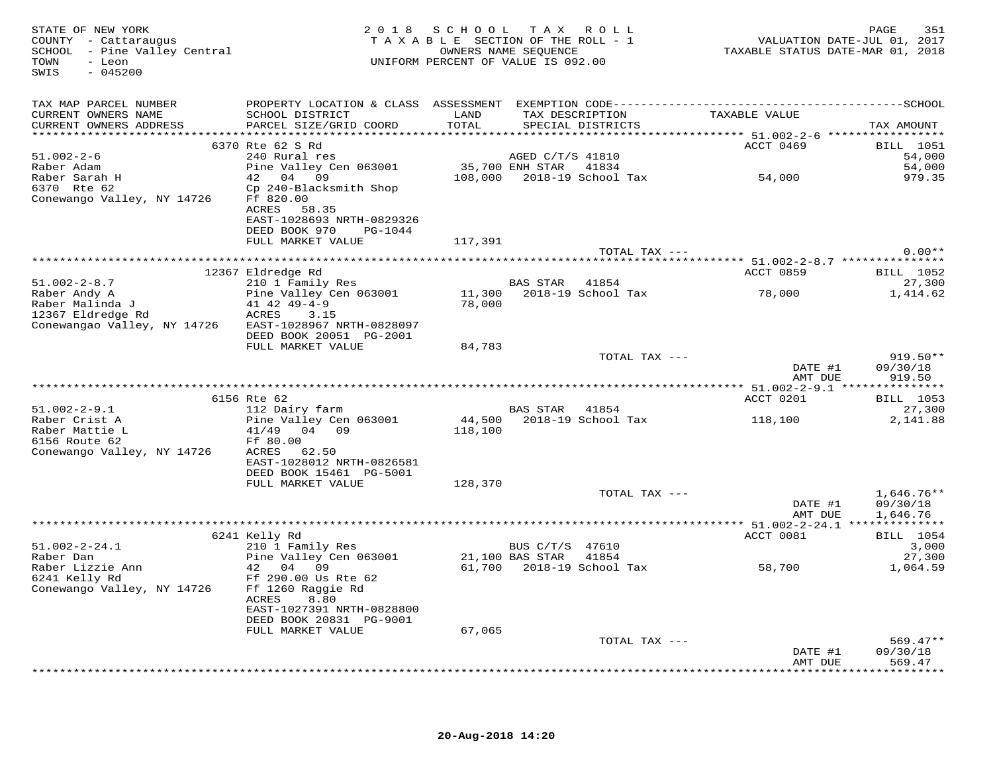| STATE OF NEW YORK<br>STATE OF NEW YOKK<br>COUNTY  – Cattaraugus<br>SCHOOL  – Pine Valley Central<br>TOWN<br>- Leon<br>$-045200$<br>SWIS |                                              | 2018 SCHOOL TAX ROLL<br>TAXABLE SECTION OF THE ROLL - 1 |                  | UNIFORM PERCENT OF VALUE IS 092.00   | VALUATION DATE-JUL 01, 2017<br>TAXABLE STATUS DATE-MAR 01, 2018 | 351<br>PAGE            |
|-----------------------------------------------------------------------------------------------------------------------------------------|----------------------------------------------|---------------------------------------------------------|------------------|--------------------------------------|-----------------------------------------------------------------|------------------------|
| TAX MAP PARCEL NUMBER                                                                                                                   |                                              |                                                         |                  |                                      |                                                                 |                        |
| CURRENT OWNERS NAME<br>CURRENT OWNERS ADDRESS                                                                                           | SCHOOL DISTRICT<br>PARCEL SIZE/GRID COORD    | LAND<br>TOTAL                                           |                  | TAX DESCRIPTION<br>SPECIAL DISTRICTS | TAXABLE VALUE                                                   | TAX AMOUNT             |
|                                                                                                                                         |                                              |                                                         |                  |                                      |                                                                 |                        |
|                                                                                                                                         | 6370 Rte 62 S Rd                             |                                                         |                  |                                      | ACCT 0469                                                       | <b>BILL</b> 1051       |
| $51.002 - 2 - 6$                                                                                                                        | 240 Rural res                                |                                                         | AGED C/T/S 41810 |                                      |                                                                 | 54,000                 |
| Raber Adam                                                                                                                              | Pine Valley Cen 063001 35,700 ENH STAR 41834 |                                                         |                  |                                      |                                                                 | 54,000                 |
| Raber Sarah H                                                                                                                           | 42 04 09                                     |                                                         |                  |                                      | 108,000 2018-19 School Tax 54,000                               | 979.35                 |
| 6370 Rte 62<br>Conewango Valley, NY 14726 Ff 820.00                                                                                     | Cp 240-Blacksmith Shop                       |                                                         |                  |                                      |                                                                 |                        |
|                                                                                                                                         | ACRES<br>58.35                               |                                                         |                  |                                      |                                                                 |                        |
|                                                                                                                                         | EAST-1028693 NRTH-0829326                    |                                                         |                  |                                      |                                                                 |                        |
|                                                                                                                                         | DEED BOOK 970<br>PG-1044                     |                                                         |                  |                                      |                                                                 |                        |
|                                                                                                                                         | FULL MARKET VALUE                            | 117,391                                                 |                  |                                      |                                                                 |                        |
|                                                                                                                                         |                                              |                                                         |                  | TOTAL TAX ---                        |                                                                 | $0.00**$               |
|                                                                                                                                         |                                              |                                                         |                  |                                      |                                                                 |                        |
| $51.002 - 2 - 8.7$                                                                                                                      | 12367 Eldredge Rd<br>210 1 Family Res        |                                                         | BAS STAR 41854   |                                      | ACCT 0859                                                       | BILL 1052<br>27,300    |
| Raber Andy A                                                                                                                            | Pine Valley Cen 063001                       |                                                         |                  |                                      | 78,000                                                          | 1,414.62               |
| Raber Malinda J                                                                                                                         | 41 42 49-4-9                                 |                                                         |                  | 11,300 2018-19 School Tax<br>78,000  |                                                                 |                        |
| 12367 Eldredge Rd                                                                                                                       | ACRES<br>3.15                                |                                                         |                  |                                      |                                                                 |                        |
| Conewangao Valley, NY 14726                                                                                                             | EAST-1028967 NRTH-0828097                    |                                                         |                  |                                      |                                                                 |                        |
|                                                                                                                                         | DEED BOOK 20051 PG-2001                      |                                                         |                  |                                      |                                                                 |                        |
|                                                                                                                                         | FULL MARKET VALUE                            | 84,783                                                  |                  |                                      |                                                                 |                        |
|                                                                                                                                         |                                              |                                                         |                  | TOTAL TAX ---                        | DATE #1                                                         | $919.50**$<br>09/30/18 |
|                                                                                                                                         |                                              |                                                         |                  |                                      | AMT DUE                                                         | 919.50                 |
|                                                                                                                                         |                                              |                                                         |                  |                                      |                                                                 |                        |
|                                                                                                                                         | 6156 Rte 62                                  |                                                         |                  |                                      | ACCT 0201                                                       | <b>BILL</b> 1053       |
| $51.002 - 2 - 9.1$                                                                                                                      | 112 Dairy farm                               |                                                         | BAS STAR 41854   |                                      |                                                                 | 27,300                 |
| Raber Crist A                                                                                                                           | Pine Valley Cen 063001                       |                                                         |                  | 44,500 2018-19 School Tax            | 118,100                                                         | 2,141.88               |
| Raber Mattie L                                                                                                                          | 41/49 04 09                                  | 118,100                                                 |                  |                                      |                                                                 |                        |
| 6156 Route 62<br>Conewango Valley, NY 14726                                                                                             | Ff 80.00<br>ACRES<br>62.50                   |                                                         |                  |                                      |                                                                 |                        |
|                                                                                                                                         | EAST-1028012 NRTH-0826581                    |                                                         |                  |                                      |                                                                 |                        |
|                                                                                                                                         | DEED BOOK 15461 PG-5001                      |                                                         |                  |                                      |                                                                 |                        |
|                                                                                                                                         | FULL MARKET VALUE                            | 128,370                                                 |                  |                                      |                                                                 |                        |
|                                                                                                                                         |                                              |                                                         |                  | TOTAL TAX ---                        |                                                                 | $1,646.76**$           |
|                                                                                                                                         |                                              |                                                         |                  |                                      | DATE #1                                                         | 09/30/18               |
|                                                                                                                                         |                                              |                                                         |                  |                                      | AMT DUE                                                         | 1,646.76               |
|                                                                                                                                         | 6241 Kelly Rd                                |                                                         |                  |                                      | ACCT 0081                                                       | BILL 1054              |
| $51.002 - 2 - 24.1$                                                                                                                     | 210 1 Family Res                             |                                                         | BUS C/T/S 47610  |                                      |                                                                 | 3,000                  |
| Raber Dan                                                                                                                               | Pine Valley Cen 063001 21,100 BAS STAR 41854 |                                                         |                  |                                      |                                                                 | 27,300                 |
|                                                                                                                                         |                                              |                                                         |                  |                                      | 61,700 2018-19 School Tax 58,700                                | 1,064.59               |
| Raber Lizzie Ann (1200)<br>6241 Kelly Rd (1290.00 Us Rte 62                                                                             |                                              |                                                         |                  |                                      |                                                                 |                        |
| Conewango Valley, NY 14726                                                                                                              | Ff 1260 Raggie Rd                            |                                                         |                  |                                      |                                                                 |                        |
|                                                                                                                                         | ACRES<br>8.80                                |                                                         |                  |                                      |                                                                 |                        |
|                                                                                                                                         | EAST-1027391 NRTH-0828800                    |                                                         |                  |                                      |                                                                 |                        |
|                                                                                                                                         | DEED BOOK 20831 PG-9001<br>FULL MARKET VALUE | 67,065                                                  |                  |                                      |                                                                 |                        |
|                                                                                                                                         |                                              |                                                         |                  | TOTAL TAX ---                        |                                                                 | $569.47**$             |
|                                                                                                                                         |                                              |                                                         |                  |                                      | DATE #1                                                         | 09/30/18               |
|                                                                                                                                         |                                              |                                                         |                  |                                      | AMT DUE                                                         | 569.47                 |
|                                                                                                                                         |                                              |                                                         |                  |                                      |                                                                 | **********             |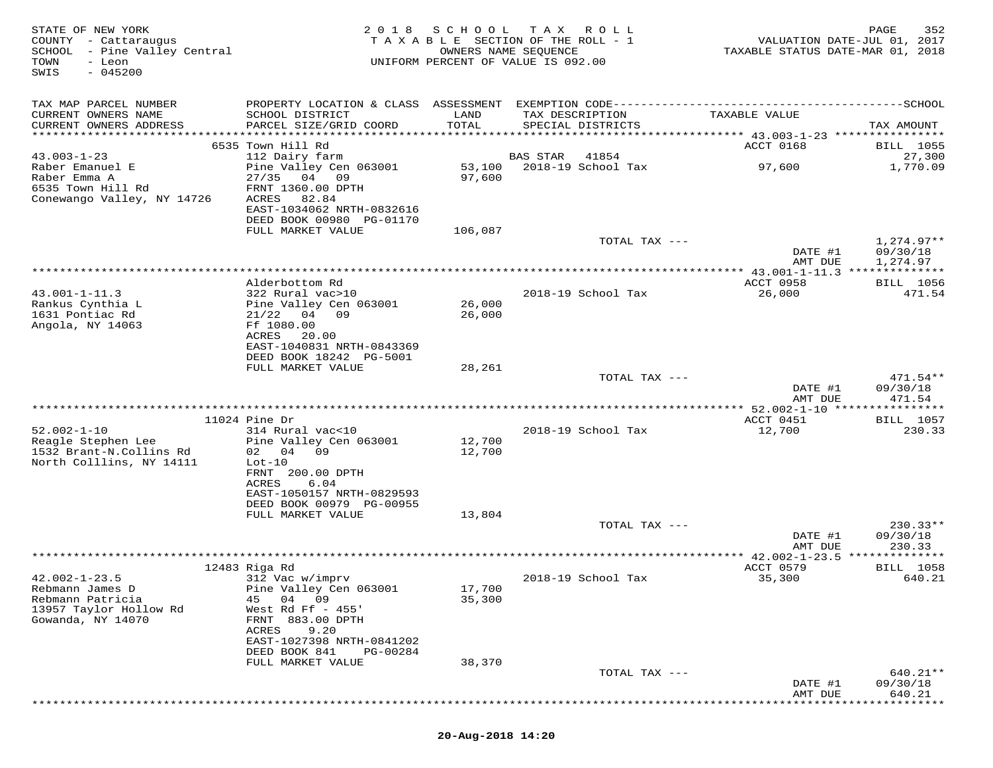| STATE OF NEW YORK<br>COUNTY - Cattaraugus<br>SCHOOL - Pine Valley Central<br>TOWN<br>- Leon<br>$-045200$<br>SWIS |                                                                                                           |                  | 2018 SCHOOL TAX ROLL<br>TAXABLE SECTION OF THE ROLL - 1<br>OWNERS NAME SEQUENCE<br>UNIFORM PERCENT OF VALUE IS 092.00 | VALUATION DATE-JUL 01, 2017<br>TAXABLE STATUS DATE-MAR 01, 2018 | PAGE<br>352                            |
|------------------------------------------------------------------------------------------------------------------|-----------------------------------------------------------------------------------------------------------|------------------|-----------------------------------------------------------------------------------------------------------------------|-----------------------------------------------------------------|----------------------------------------|
| TAX MAP PARCEL NUMBER<br>CURRENT OWNERS NAME<br>CURRENT OWNERS ADDRESS                                           | SCHOOL DISTRICT<br>PARCEL SIZE/GRID COORD                                                                 | LAND<br>TOTAL    | TAX DESCRIPTION<br>SPECIAL DISTRICTS                                                                                  | TAXABLE VALUE                                                   | TAX AMOUNT                             |
|                                                                                                                  |                                                                                                           |                  |                                                                                                                       |                                                                 |                                        |
| $43.003 - 1 - 23$<br>Raber Emanuel E<br>Raber Emma A<br>6535 Town Hill Rd                                        | 6535 Town Hill Rd<br>112 Dairy farm<br>Pine Valley Cen 063001<br>27/35<br>04 09<br>FRNT 1360.00 DPTH      | 53,100<br>97,600 | BAS STAR<br>41854<br>2018-19 School Tax                                                                               | ACCT 0168<br>97,600                                             | <b>BILL</b> 1055<br>27,300<br>1,770.09 |
| Conewango Valley, NY 14726                                                                                       | ACRES<br>82.84<br>EAST-1034062 NRTH-0832616<br>DEED BOOK 00980 PG-01170<br>FULL MARKET VALUE              | 106,087          |                                                                                                                       |                                                                 |                                        |
|                                                                                                                  |                                                                                                           |                  | TOTAL TAX ---                                                                                                         | DATE #1<br>AMT DUE                                              | $1,274.97**$<br>09/30/18<br>1,274.97   |
|                                                                                                                  |                                                                                                           |                  |                                                                                                                       |                                                                 |                                        |
| $43.001 - 1 - 11.3$<br>Rankus Cynthia L<br>1631 Pontiac Rd                                                       | Alderbottom Rd<br>322 Rural vac>10<br>Pine Valley Cen 063001<br>$21/22$ 04 09                             | 26,000<br>26,000 | 2018-19 School Tax                                                                                                    | ACCT 0958<br>26,000                                             | BILL 1056<br>471.54                    |
| Angola, NY 14063                                                                                                 | Ff 1080.00<br>ACRES<br>20.00<br>EAST-1040831 NRTH-0843369<br>DEED BOOK 18242 PG-5001                      |                  |                                                                                                                       |                                                                 |                                        |
|                                                                                                                  | FULL MARKET VALUE                                                                                         | 28,261           |                                                                                                                       |                                                                 |                                        |
|                                                                                                                  |                                                                                                           |                  | TOTAL TAX ---                                                                                                         | DATE #1<br>AMT DUE                                              | $471.54**$<br>09/30/18<br>471.54       |
|                                                                                                                  | $11024$ Pine Dr                                                                                           |                  |                                                                                                                       |                                                                 | <b>BILL</b> 1057                       |
| $52.002 - 1 - 10$<br>Reagle Stephen Lee<br>1532 Brant-N.Collins Rd                                               | 314 Rural vac<10<br>Pine Valley Cen 063001<br>02 04<br>09                                                 | 12,700<br>12,700 | 2018-19 School Tax                                                                                                    | ACCT 0451<br>12,700                                             | 230.33                                 |
| North Colllins, NY 14111                                                                                         | $Lot-10$<br>FRNT 200.00 DPTH<br>ACRES<br>6.04<br>EAST-1050157 NRTH-0829593                                |                  |                                                                                                                       |                                                                 |                                        |
|                                                                                                                  | DEED BOOK 00979 PG-00955<br>FULL MARKET VALUE                                                             | 13,804           |                                                                                                                       |                                                                 |                                        |
|                                                                                                                  |                                                                                                           |                  | TOTAL TAX ---                                                                                                         | DATE #1<br>AMT DUE                                              | $230.33**$<br>09/30/18<br>230.33       |
|                                                                                                                  |                                                                                                           |                  |                                                                                                                       |                                                                 |                                        |
|                                                                                                                  | 12483 Riga Rd                                                                                             |                  |                                                                                                                       | ACCT 0579                                                       | <b>BILL</b> 1058                       |
| $42.002 - 1 - 23.5$<br>Rebmann James D<br>Rebmann Patricia<br>13957 Taylor Hollow Rd<br>Gowanda, NY 14070        | 312 Vac w/imprv<br>Pine Valley Cen 063001<br>45<br>04<br>09<br>West Rd Ff $-455$ '<br>883.00 DPTH<br>FRNT | 17,700<br>35,300 | 2018-19 School Tax                                                                                                    | 35,300                                                          | 640.21                                 |
|                                                                                                                  | ACRES<br>9.20<br>EAST-1027398 NRTH-0841202<br>DEED BOOK 841<br>PG-00284<br>FULL MARKET VALUE              | 38,370           |                                                                                                                       |                                                                 |                                        |
|                                                                                                                  |                                                                                                           |                  | TOTAL TAX ---                                                                                                         | DATE #1<br>AMT DUE                                              | 640.21**<br>09/30/18<br>640.21         |
|                                                                                                                  |                                                                                                           |                  |                                                                                                                       |                                                                 |                                        |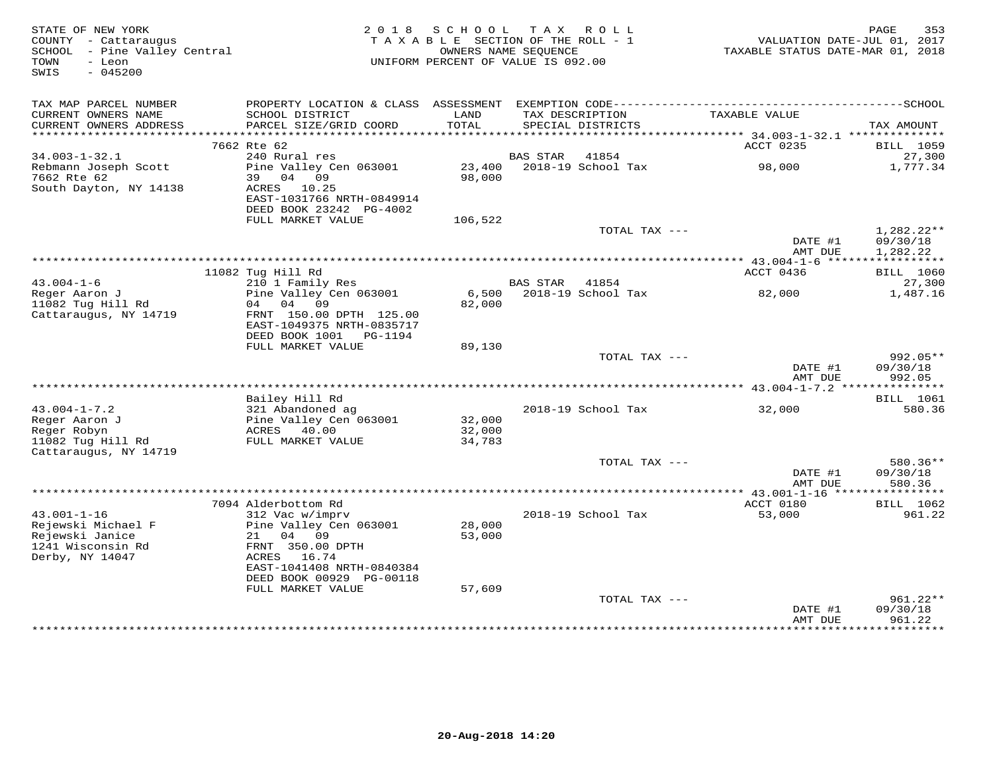| STATE OF NEW YORK<br>COUNTY - Cattaraugus<br>SCHOOL - Pine Valley Central<br>- Leon<br>TOWN<br>SWIS<br>$-045200$ | 2 0 1 8                                                                                          | S C H O O L<br>TAXABLE SECTION OF THE ROLL - 1<br>UNIFORM PERCENT OF VALUE IS 092.00 | OWNERS NAME SEQUENCE | TAX ROLL                             | TAXABLE STATUS DATE-MAR 01, 2018          | 353<br>PAGE<br>VALUATION DATE-JUL 01, 2017 |
|------------------------------------------------------------------------------------------------------------------|--------------------------------------------------------------------------------------------------|--------------------------------------------------------------------------------------|----------------------|--------------------------------------|-------------------------------------------|--------------------------------------------|
| TAX MAP PARCEL NUMBER<br>CURRENT OWNERS NAME<br>CURRENT OWNERS ADDRESS                                           | SCHOOL DISTRICT<br>PARCEL SIZE/GRID COORD                                                        | LAND<br>TOTAL                                                                        |                      | TAX DESCRIPTION<br>SPECIAL DISTRICTS | TAXABLE VALUE                             | TAX AMOUNT                                 |
| *******************                                                                                              |                                                                                                  |                                                                                      |                      |                                      |                                           |                                            |
|                                                                                                                  | 7662 Rte 62                                                                                      |                                                                                      |                      |                                      | ACCT 0235                                 | BILL 1059                                  |
| $34.003 - 1 - 32.1$                                                                                              | 240 Rural res                                                                                    |                                                                                      | <b>BAS STAR</b>      | 41854                                |                                           | 27,300                                     |
| Rebmann Joseph Scott<br>7662 Rte 62                                                                              | Pine Valley Cen 063001<br>39 04 09                                                               | 23,400<br>98,000                                                                     |                      | 2018-19 School Tax                   | 98,000                                    | 1,777.34                                   |
| South Dayton, NY 14138                                                                                           | ACRES 10.25<br>EAST-1031766 NRTH-0849914<br>DEED BOOK 23242 PG-4002                              |                                                                                      |                      |                                      |                                           |                                            |
|                                                                                                                  | FULL MARKET VALUE                                                                                | 106,522                                                                              |                      |                                      |                                           |                                            |
|                                                                                                                  |                                                                                                  |                                                                                      |                      | TOTAL TAX ---                        | DATE #1                                   | 1,282.22**<br>09/30/18                     |
|                                                                                                                  |                                                                                                  | ******************************                                                       |                      |                                      | AMT DUE                                   | 1,282.22<br>***********                    |
|                                                                                                                  | 11082 Tug Hill Rd                                                                                |                                                                                      |                      |                                      | ********** 43.004-1-6 ******<br>ACCT 0436 | BILL 1060                                  |
| $43.004 - 1 - 6$                                                                                                 | 210 1 Family Res                                                                                 |                                                                                      | <b>BAS STAR</b>      | 41854                                |                                           | 27,300                                     |
| Reger Aaron J                                                                                                    | Pine Valley Cen 063001                                                                           | 6,500                                                                                |                      | 2018-19 School Tax                   | 82,000                                    | 1,487.16                                   |
| 11082 Tug Hill Rd<br>Cattaraugus, NY 14719                                                                       | 04<br>04<br>09<br>FRNT 150.00 DPTH 125.00<br>EAST-1049375 NRTH-0835717<br>DEED BOOK 1001 PG-1194 | 82,000                                                                               |                      |                                      |                                           |                                            |
|                                                                                                                  | FULL MARKET VALUE                                                                                | 89,130                                                                               |                      |                                      |                                           |                                            |
|                                                                                                                  |                                                                                                  |                                                                                      |                      | TOTAL TAX ---                        | DATE #1                                   | $992.05**$<br>09/30/18                     |
|                                                                                                                  |                                                                                                  |                                                                                      |                      |                                      | AMT DUE                                   | 992.05                                     |
|                                                                                                                  |                                                                                                  |                                                                                      |                      |                                      |                                           |                                            |
|                                                                                                                  | Bailey Hill Rd                                                                                   |                                                                                      |                      |                                      |                                           | BILL 1061                                  |
| $43.004 - 1 - 7.2$<br>Reger Aaron J                                                                              | 321 Abandoned ag<br>Pine Valley Cen 063001                                                       | 32,000                                                                               |                      | 2018-19 School Tax                   | 32,000                                    | 580.36                                     |
| Reger Robyn                                                                                                      | ACRES 40.00                                                                                      | 32,000                                                                               |                      |                                      |                                           |                                            |
| 11082 Tug Hill Rd<br>Cattaraugus, NY 14719                                                                       | FULL MARKET VALUE                                                                                | 34,783                                                                               |                      |                                      |                                           |                                            |
|                                                                                                                  |                                                                                                  |                                                                                      |                      | TOTAL TAX ---                        |                                           | $580.36**$                                 |
|                                                                                                                  |                                                                                                  |                                                                                      |                      |                                      | DATE #1<br>AMT DUE                        | 09/30/18<br>580.36                         |
|                                                                                                                  |                                                                                                  |                                                                                      |                      |                                      | ** $43.001 - 1 - 16$ ****                 | * * * * * * * * * * *                      |
| $43.001 - 1 - 16$                                                                                                | 7094 Alderbottom Rd<br>312 Vac w/imprv                                                           |                                                                                      |                      | 2018-19 School Tax                   | ACCT 0180<br>53,000                       | BILL 1062<br>961.22                        |
| Rejewski Michael F<br>Rejewski Janice<br>1241 Wisconsin Rd                                                       | Pine Valley Cen 063001<br>04<br>09<br>21<br>FRNT 350.00 DPTH                                     | 28,000<br>53,000                                                                     |                      |                                      |                                           |                                            |
| Derby, NY 14047                                                                                                  | 16.74<br>ACRES<br>EAST-1041408 NRTH-0840384<br>DEED BOOK 00929 PG-00118                          |                                                                                      |                      |                                      |                                           |                                            |
|                                                                                                                  | FULL MARKET VALUE                                                                                | 57,609                                                                               |                      | TOTAL TAX ---                        |                                           | 961.22**                                   |
|                                                                                                                  |                                                                                                  |                                                                                      |                      |                                      | DATE #1<br>AMT DUE                        | 09/30/18<br>961.22                         |
|                                                                                                                  |                                                                                                  |                                                                                      |                      |                                      |                                           |                                            |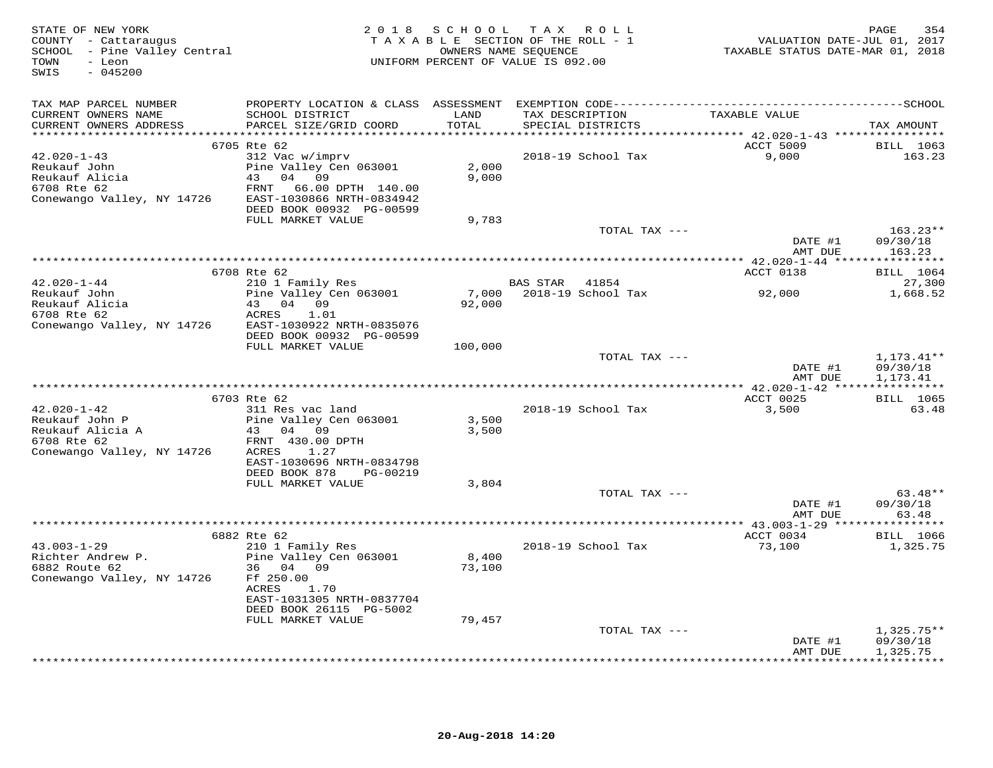| STATE OF NEW YORK<br>COUNTY - Cattaraugus<br>SCHOOL - Pine Valley Central<br>TOWN<br>- Leon<br>SWIS<br>$-045200$ |                                                                                                                                              | 2018 SCHOOL TAX ROLL<br>TAXABLE SECTION OF THE ROLL - 1<br>OWNERS NAME SEQUENCE<br>UNIFORM PERCENT OF VALUE IS 092.00 |                |                                      | VALUATION DATE-JUL 01, 2017<br>TAXABLE STATUS DATE-MAR 01, 2018 | 354<br>PAGE                          |
|------------------------------------------------------------------------------------------------------------------|----------------------------------------------------------------------------------------------------------------------------------------------|-----------------------------------------------------------------------------------------------------------------------|----------------|--------------------------------------|-----------------------------------------------------------------|--------------------------------------|
| TAX MAP PARCEL NUMBER<br>CURRENT OWNERS NAME<br>CURRENT OWNERS ADDRESS                                           | SCHOOL DISTRICT<br>PARCEL SIZE/GRID COORD                                                                                                    | LAND<br>TOTAL                                                                                                         |                | TAX DESCRIPTION<br>SPECIAL DISTRICTS | TAXABLE VALUE                                                   | TAX AMOUNT                           |
|                                                                                                                  | 6705 Rte 62                                                                                                                                  |                                                                                                                       |                |                                      | ACCT 5009                                                       | <b>BILL</b> 1063                     |
| 42.020-1-43<br>Reukauf John<br>Reukauf Alicia<br>6708 Rte 62<br>Conewango Valley, NY 14726                       | 312 Vac w/imprv<br>Pine Valley Cen 063001<br>43 04 09<br>FRNT<br>66.00 DPTH 140.00<br>EAST-1030866 NRTH-0834942<br>DEED BOOK 00932 PG-00599  | 2,000<br>9,000                                                                                                        |                | 2018-19 School Tax                   | 9,000                                                           | 163.23                               |
|                                                                                                                  | FULL MARKET VALUE                                                                                                                            | 9,783                                                                                                                 |                | TOTAL TAX ---                        |                                                                 | $163.23**$                           |
|                                                                                                                  |                                                                                                                                              |                                                                                                                       |                |                                      | DATE #1<br>AMT DUE                                              | 09/30/18<br>163.23                   |
|                                                                                                                  |                                                                                                                                              |                                                                                                                       |                |                                      |                                                                 |                                      |
| $42.020 - 1 - 44$                                                                                                | 6708 Rte 62<br>210 1 Family Res                                                                                                              |                                                                                                                       | BAS STAR 41854 |                                      | ACCT 0138                                                       | <b>BILL</b> 1064<br>27,300           |
| Reukauf John<br>Reukauf Alicia<br>Reukauf Alicia<br>Conewango Valley, NY 14726                                   | Pine Valley Cen 063001<br>43 04 09<br>ACRES<br>1.01<br>EAST-1030922 NRTH-0835076                                                             | 7,000<br>92,000                                                                                                       |                | 2018-19 School Tax                   | 92,000                                                          | 1,668.52                             |
|                                                                                                                  | DEED BOOK 00932 PG-00599                                                                                                                     |                                                                                                                       |                |                                      |                                                                 |                                      |
|                                                                                                                  | FULL MARKET VALUE                                                                                                                            | 100,000                                                                                                               |                | TOTAL TAX ---                        | DATE #1<br>AMT DUE                                              | $1,173.41**$<br>09/30/18<br>1,173.41 |
|                                                                                                                  |                                                                                                                                              |                                                                                                                       |                |                                      | ****************** 42.020-1-42 *****************                |                                      |
| $42.020 - 1 - 42$<br>Reukauf John P<br>Reunaur<br>Reukauf Alicia A<br>6708 Rte 62<br>Conewango Valley, NY 14726  | 6703 Rte 62<br>311 Res vac land<br>Pine Valley Cen 063001<br>43 04 09<br>FRNT 430.00 DPTH<br>ACRES<br>1.27<br>EAST-1030696 NRTH-0834798      | 3,500<br>3,500                                                                                                        |                | 2018-19 School Tax                   | ACCT 0025<br>3,500                                              | <b>BILL</b> 1065<br>63.48            |
|                                                                                                                  | DEED BOOK 878<br>PG-00219                                                                                                                    |                                                                                                                       |                |                                      |                                                                 |                                      |
|                                                                                                                  | FULL MARKET VALUE                                                                                                                            | 3,804                                                                                                                 |                | TOTAL TAX ---                        |                                                                 | $63.48**$                            |
|                                                                                                                  |                                                                                                                                              |                                                                                                                       |                |                                      | DATE #1<br>AMT DUE                                              | 09/30/18<br>63.48                    |
|                                                                                                                  | 6882 Rte 62                                                                                                                                  |                                                                                                                       |                |                                      | ACCT 0034                                                       | <b>BILL</b> 1066                     |
| $43.003 - 1 - 29$<br>Richter Andrew P.<br>6882 Route 62<br>Conewango Valley, NY 14726                            | 210 1 Family Res<br>Pine Valley Cen 063001<br>36 04 09<br>Ff 250.00<br>ACRES<br>1.70<br>EAST-1031305 NRTH-0837704<br>DEED BOOK 26115 PG-5002 | 8,400<br>73,100                                                                                                       |                | 2018-19 School Tax                   | 73,100                                                          | 1,325.75                             |
|                                                                                                                  | FULL MARKET VALUE                                                                                                                            | 79,457                                                                                                                |                |                                      |                                                                 |                                      |
|                                                                                                                  |                                                                                                                                              |                                                                                                                       |                | TOTAL TAX ---                        | DATE #1<br>AMT DUE                                              | $1,325.75**$<br>09/30/18<br>1,325.75 |
|                                                                                                                  |                                                                                                                                              |                                                                                                                       |                |                                      |                                                                 | * * * * * * * * * * * *              |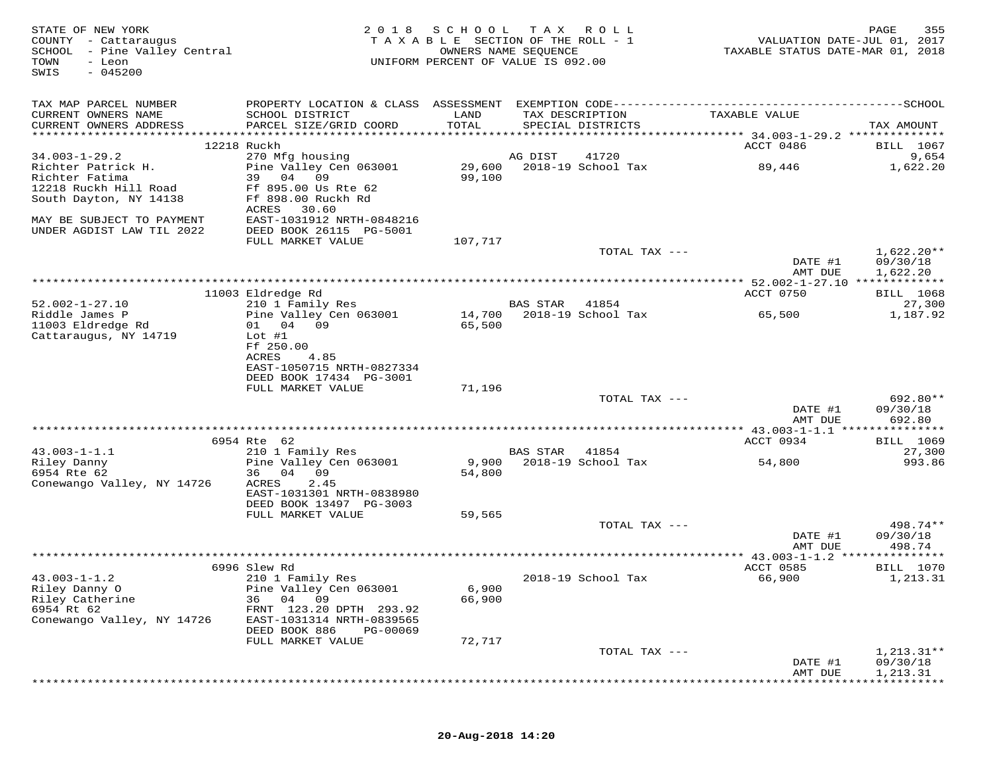| STATE OF NEW YORK<br>COUNTY - Cattaraugus<br>SCHOOL - Pine Valley Central<br>TOWN<br>- Leon<br>$-045200$<br>SWIS | 2 0 1 8                                                                                      | SCHOOL<br>TAXABLE SECTION OF THE ROLL - 1<br>UNIFORM PERCENT OF VALUE IS 092.00 | T A X<br>OWNERS NAME SEQUENCE | ROLL                                 | VALUATION DATE-JUL 01, 2017<br>TAXABLE STATUS DATE-MAR 01, 2018 | PAGE<br>355                  |
|------------------------------------------------------------------------------------------------------------------|----------------------------------------------------------------------------------------------|---------------------------------------------------------------------------------|-------------------------------|--------------------------------------|-----------------------------------------------------------------|------------------------------|
| TAX MAP PARCEL NUMBER                                                                                            | PROPERTY LOCATION & CLASS ASSESSMENT EXEMPTION CODE-----------------------------------SCHOOL |                                                                                 |                               |                                      |                                                                 |                              |
| CURRENT OWNERS NAME<br>CURRENT OWNERS ADDRESS                                                                    | SCHOOL DISTRICT<br>PARCEL SIZE/GRID COORD                                                    | LAND<br>TOTAL                                                                   |                               | TAX DESCRIPTION<br>SPECIAL DISTRICTS | TAXABLE VALUE                                                   | TAX AMOUNT                   |
|                                                                                                                  |                                                                                              |                                                                                 |                               |                                      |                                                                 |                              |
| $34.003 - 1 - 29.2$                                                                                              | 12218 Ruckh<br>270 Mfg housing                                                               |                                                                                 | AG DIST                       | 41720                                | ACCT 0486                                                       | <b>BILL</b> 1067<br>9,654    |
| Richter Patrick H.<br>Richter Fatima                                                                             | Pine Valley Cen 063001<br>39<br>04<br>09                                                     | 29,600<br>99,100                                                                |                               | 2018-19 School Tax                   | 89,446                                                          | 1,622.20                     |
| 12218 Ruckh Hill Road<br>South Dayton, NY 14138                                                                  | Ff 895.00 Us Rte 62<br>Ff 898.00 Ruckh Rd                                                    |                                                                                 |                               |                                      |                                                                 |                              |
| MAY BE SUBJECT TO PAYMENT<br>UNDER AGDIST LAW TIL 2022                                                           | ACRES<br>30.60<br>EAST-1031912 NRTH-0848216<br>DEED BOOK 26115 PG-5001                       |                                                                                 |                               |                                      |                                                                 |                              |
|                                                                                                                  | FULL MARKET VALUE                                                                            | 107,717                                                                         |                               |                                      |                                                                 |                              |
|                                                                                                                  |                                                                                              |                                                                                 |                               | TOTAL TAX ---                        | DATE #1                                                         | $1,622.20**$<br>09/30/18     |
|                                                                                                                  |                                                                                              |                                                                                 |                               |                                      | AMT DUE<br>*********** 52.002-1-27.10 *************             | 1,622.20                     |
|                                                                                                                  | 11003 Eldredge Rd                                                                            |                                                                                 |                               |                                      | ACCT 0750                                                       | BILL 1068                    |
| $52.002 - 1 - 27.10$                                                                                             | 210 1 Family Res                                                                             |                                                                                 | <b>BAS STAR</b>               | 41854                                |                                                                 | 27,300                       |
| Riddle James P<br>11003 Eldredge Rd<br>Cattaraugus, NY 14719                                                     | Pine Valley Cen 063001<br>01 04 09<br>$Lot$ #1                                               | 14,700<br>65,500                                                                |                               | 2018-19 School Tax                   | 65,500                                                          | 1,187.92                     |
|                                                                                                                  | Ff 250.00<br>ACRES<br>4.85<br>EAST-1050715 NRTH-0827334                                      |                                                                                 |                               |                                      |                                                                 |                              |
|                                                                                                                  | DEED BOOK 17434 PG-3001                                                                      |                                                                                 |                               |                                      |                                                                 |                              |
|                                                                                                                  | FULL MARKET VALUE                                                                            | 71,196                                                                          |                               | TOTAL TAX ---                        |                                                                 | 692.80**                     |
|                                                                                                                  |                                                                                              |                                                                                 |                               |                                      | DATE #1<br>AMT DUE                                              | 09/30/18<br>692.80           |
|                                                                                                                  |                                                                                              |                                                                                 |                               |                                      |                                                                 |                              |
|                                                                                                                  | 6954 Rte 62                                                                                  |                                                                                 |                               |                                      | ACCT 0934                                                       | <b>BILL</b> 1069             |
| $43.003 - 1 - 1.1$<br>Riley Danny                                                                                | 210 1 Family Res<br>Pine Valley Cen 063001                                                   | 9,900                                                                           | BAS STAR                      | 41854<br>2018-19 School Tax          | 54,800                                                          | 27,300<br>993.86             |
| 6954 Rte 62<br>Conewango Valley, NY 14726                                                                        | 36 04 09<br>ACRES<br>2.45                                                                    | 54,800                                                                          |                               |                                      |                                                                 |                              |
|                                                                                                                  | EAST-1031301 NRTH-0838980<br>DEED BOOK 13497 PG-3003<br>FULL MARKET VALUE                    |                                                                                 |                               |                                      |                                                                 |                              |
|                                                                                                                  |                                                                                              | 59,565                                                                          |                               | TOTAL TAX ---                        |                                                                 | 498.74**                     |
|                                                                                                                  |                                                                                              |                                                                                 |                               |                                      | DATE #1<br>AMT DUE                                              | 09/30/18<br>498.74           |
|                                                                                                                  |                                                                                              |                                                                                 |                               |                                      |                                                                 |                              |
| $43.003 - 1 - 1.2$                                                                                               | 6996 Slew Rd<br>210 1 Family Res                                                             |                                                                                 |                               | 2018-19 School Tax                   | ACCT 0585<br>66,900                                             | <b>BILL</b> 1070<br>1,213.31 |
| Riley Danny O<br>Riley Catherine                                                                                 | Pine Valley Cen 063001<br>04 09<br>36                                                        | 6,900<br>66,900                                                                 |                               |                                      |                                                                 |                              |
| 6954 Rt 62<br>Conewango Valley, NY 14726                                                                         | FRNT 123.20 DPTH 293.92<br>EAST-1031314 NRTH-0839565                                         |                                                                                 |                               |                                      |                                                                 |                              |
|                                                                                                                  | DEED BOOK 886<br>PG-00069<br>FULL MARKET VALUE                                               | 72,717                                                                          |                               |                                      |                                                                 |                              |
|                                                                                                                  |                                                                                              |                                                                                 |                               | TOTAL TAX ---                        |                                                                 | $1,213.31**$                 |
|                                                                                                                  |                                                                                              |                                                                                 |                               |                                      | DATE #1<br>AMT DUE                                              | 09/30/18<br>1,213.31         |
|                                                                                                                  |                                                                                              |                                                                                 |                               |                                      |                                                                 |                              |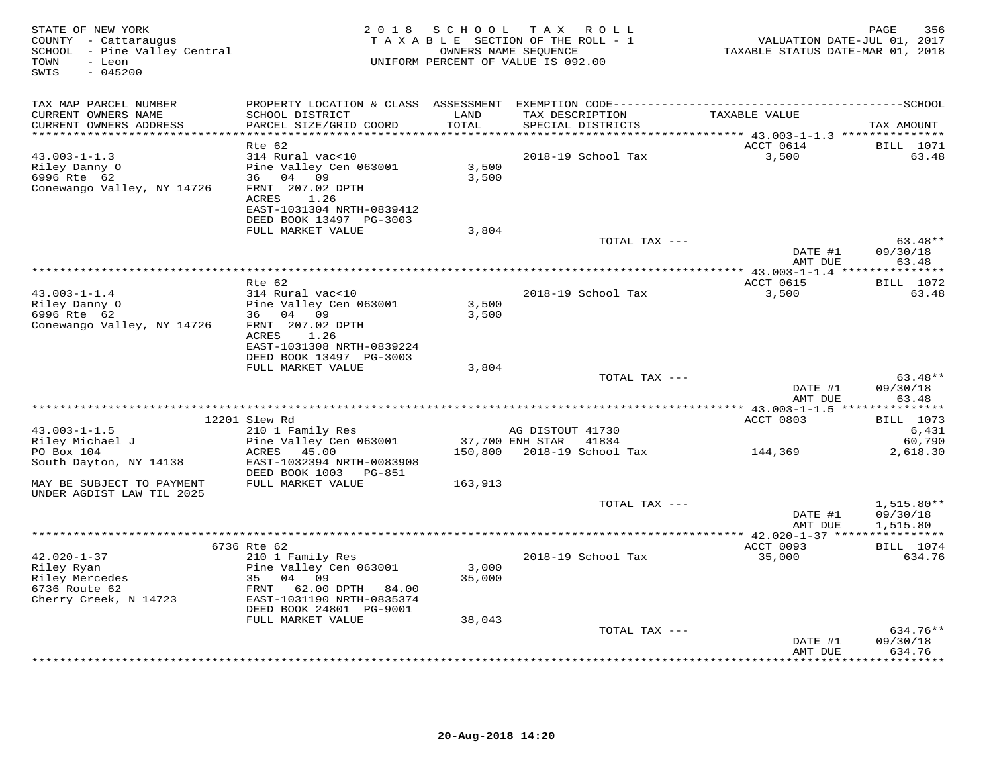| STATE OF NEW YORK<br>COUNTY - Cattaraugus<br>SCHOOL - Pine Valley Central<br>TOWN<br>- Leon<br>$-045200$<br>SWIS |                                                                                                                                 | 2018 SCHOOL     | TAX ROLL<br>TAXABLE SECTION OF THE ROLL - 1<br>OWNERS NAME SEQUENCE<br>UNIFORM PERCENT OF VALUE IS 092.00 | VALUATION DATE-JUL 01, 2017<br>TAXABLE STATUS DATE-MAR 01, 2018 | PAGE<br>356                          |
|------------------------------------------------------------------------------------------------------------------|---------------------------------------------------------------------------------------------------------------------------------|-----------------|-----------------------------------------------------------------------------------------------------------|-----------------------------------------------------------------|--------------------------------------|
| TAX MAP PARCEL NUMBER                                                                                            |                                                                                                                                 |                 |                                                                                                           |                                                                 |                                      |
| CURRENT OWNERS NAME<br>CURRENT OWNERS ADDRESS                                                                    | SCHOOL DISTRICT<br>PARCEL SIZE/GRID COORD                                                                                       | LAND<br>TOTAL   | TAX DESCRIPTION<br>SPECIAL DISTRICTS                                                                      | TAXABLE VALUE                                                   | TAX AMOUNT                           |
| **********************                                                                                           |                                                                                                                                 | ***********     |                                                                                                           | ********* 43.003-1-1.3 ***************                          |                                      |
| $43.003 - 1 - 1.3$<br>Riley Danny O<br>6996 Rte 62<br>Conewango Valley, NY 14726                                 | Rte 62<br>314 Rural vac<10<br>Pine Valley Cen 063001<br>36 04 09<br>FRNT 207.02 DPTH<br>ACRES 1.26<br>EAST-1031304 NRTH-0839412 | 3,500<br>3,500  | 2018-19 School Tax                                                                                        | ACCT 0614<br>3,500                                              | <b>BILL</b> 1071<br>63.48            |
|                                                                                                                  | DEED BOOK 13497 PG-3003                                                                                                         |                 |                                                                                                           |                                                                 |                                      |
|                                                                                                                  | FULL MARKET VALUE                                                                                                               | 3,804           | TOTAL TAX ---                                                                                             |                                                                 | $63.48**$                            |
|                                                                                                                  |                                                                                                                                 |                 |                                                                                                           | DATE #1<br>AMT DUE                                              | 09/30/18<br>63.48                    |
|                                                                                                                  |                                                                                                                                 |                 |                                                                                                           | *********** 43.003-1-1.4 ****                                   | ***********                          |
|                                                                                                                  | Rte 62                                                                                                                          |                 |                                                                                                           | ACCT 0615                                                       | <b>BILL</b> 1072                     |
| $43.003 - 1 - 1.4$<br>Riley Danny O<br>6996 Rte 62<br>Conewango Valley, NY 14726                                 | 314 Rural vac<10<br>Pine Valley Cen 063001<br>36 04 09<br>FRNT 207.02 DPTH                                                      | 3,500<br>3,500  | 2018-19 School Tax                                                                                        | 3,500                                                           | 63.48                                |
|                                                                                                                  | ACRES 1.26<br>EAST-1031308 NRTH-0839224<br>DEED BOOK 13497 PG-3003                                                              |                 |                                                                                                           |                                                                 |                                      |
|                                                                                                                  | FULL MARKET VALUE                                                                                                               | 3,804           |                                                                                                           |                                                                 |                                      |
|                                                                                                                  |                                                                                                                                 |                 | TOTAL TAX ---                                                                                             | DATE #1<br>AMT DUE                                              | $63.48**$<br>09/30/18<br>63.48       |
|                                                                                                                  |                                                                                                                                 |                 |                                                                                                           | *********** 43.003-1-1.5 ***                                    | ***********                          |
|                                                                                                                  | 12201 Slew Rd                                                                                                                   |                 |                                                                                                           | ACCT 0803                                                       | <b>BILL</b> 1073                     |
| $43.003 - 1 - 1.5$<br>Riley Michael J                                                                            | 210 1 Family Res<br>Pine Valley Cen 063001                                                                                      |                 | AG DISTOUT 41730<br>37,700 ENH STAR 41834                                                                 |                                                                 | 6,431<br>60,790                      |
| PO Box 104<br>South Dayton, NY 14138                                                                             | ACRES 45.00<br>EAST-1032394 NRTH-0083908<br>DEED BOOK 1003 PG-851                                                               |                 | 150,800 2018-19 School Tax                                                                                | 144,369                                                         | 2,618.30                             |
| MAY BE SUBJECT TO PAYMENT<br>UNDER AGDIST LAW TIL 2025                                                           | FULL MARKET VALUE                                                                                                               | 163,913         |                                                                                                           |                                                                 |                                      |
|                                                                                                                  |                                                                                                                                 |                 | TOTAL TAX ---                                                                                             | DATE #1<br>AMT DUE                                              | $1,515.80**$<br>09/30/18<br>1,515.80 |
|                                                                                                                  |                                                                                                                                 |                 |                                                                                                           |                                                                 |                                      |
|                                                                                                                  | 6736 Rte 62                                                                                                                     |                 |                                                                                                           | ACCT 0093                                                       | <b>BILL</b> 1074                     |
| $42.020 - 1 - 37$<br>Riley Ryan<br>Riley Mercedes<br>6736 Route 62<br>6736 Route 62<br>Cherry Creek, N 14723     | 210 1 Family Res<br>Pine Valley Cen 063001<br>35 04 09<br>62.00 DPTH 84.00<br>FRNT<br>EAST-1031190 NRTH-0835374                 | 3,000<br>35,000 | 2018-19 School Tax                                                                                        | 35,000                                                          | 634.76                               |
|                                                                                                                  | DEED BOOK 24801 PG-9001                                                                                                         |                 |                                                                                                           |                                                                 |                                      |
|                                                                                                                  | FULL MARKET VALUE                                                                                                               | 38,043          |                                                                                                           |                                                                 |                                      |
|                                                                                                                  |                                                                                                                                 |                 | TOTAL TAX ---                                                                                             | DATE #1<br>AMT DUE                                              | $634.76**$<br>09/30/18<br>634.76     |
|                                                                                                                  |                                                                                                                                 |                 |                                                                                                           |                                                                 | <b>++++++++</b>                      |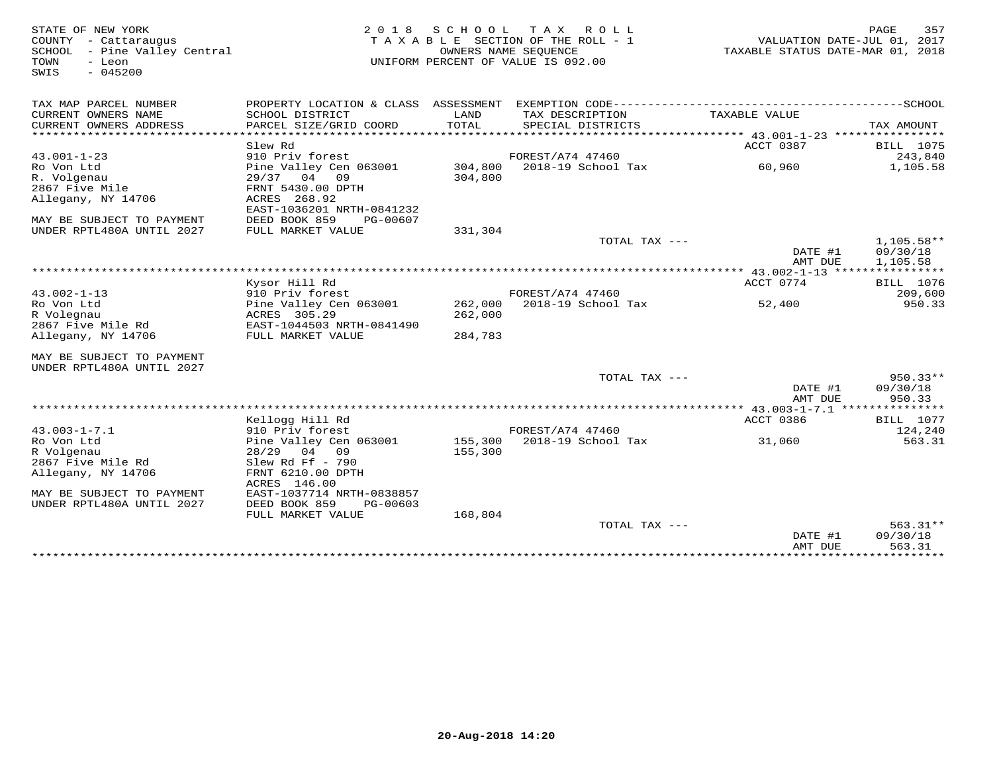| STATE OF NEW YORK<br>COUNTY - Cattaraugus<br>SCHOOL - Pine Valley Central<br>- Leon<br>TOWN<br>$-045200$<br>SWIS | 2018                                      | SCHOOL  | T A X<br>ROLL<br>TAXABLE SECTION OF THE ROLL - 1<br>OWNERS NAME SEOUENCE<br>UNIFORM PERCENT OF VALUE IS 092.00 | VALUATION DATE-JUL 01, 2017<br>TAXABLE STATUS DATE-MAR 01, 2018 | 357<br>PAGE         |
|------------------------------------------------------------------------------------------------------------------|-------------------------------------------|---------|----------------------------------------------------------------------------------------------------------------|-----------------------------------------------------------------|---------------------|
| TAX MAP PARCEL NUMBER                                                                                            | PROPERTY LOCATION & CLASS ASSESSMENT      |         |                                                                                                                |                                                                 |                     |
| CURRENT OWNERS NAME                                                                                              | SCHOOL DISTRICT                           | LAND    | TAX DESCRIPTION                                                                                                | TAXABLE VALUE                                                   |                     |
| CURRENT OWNERS ADDRESS<br>********************                                                                   | PARCEL SIZE/GRID COORD                    | TOTAL   | SPECIAL DISTRICTS                                                                                              |                                                                 | TAX AMOUNT<br>***** |
|                                                                                                                  | Slew Rd                                   |         |                                                                                                                | ACCT 0387                                                       | <b>BILL</b> 1075    |
| $43.001 - 1 - 23$                                                                                                | 910 Priv forest                           |         | FOREST/A74 47460                                                                                               |                                                                 | 243,840             |
| Ro Von Ltd                                                                                                       | Pine Valley Cen 063001                    | 304,800 | 2018-19 School Tax                                                                                             | 60,960                                                          | 1,105.58            |
| R. Volgenau                                                                                                      | 29/37 04<br>09                            | 304,800 |                                                                                                                |                                                                 |                     |
| 2867 Five Mile                                                                                                   | FRNT 5430.00 DPTH                         |         |                                                                                                                |                                                                 |                     |
| Allegany, NY 14706                                                                                               | ACRES 268.92                              |         |                                                                                                                |                                                                 |                     |
|                                                                                                                  | EAST-1036201 NRTH-0841232                 |         |                                                                                                                |                                                                 |                     |
| MAY BE SUBJECT TO PAYMENT                                                                                        | DEED BOOK 859<br>PG-00607                 |         |                                                                                                                |                                                                 |                     |
| UNDER RPTL480A UNTIL 2027                                                                                        | FULL MARKET VALUE                         | 331,304 | TOTAL TAX ---                                                                                                  |                                                                 | $1.105.58**$        |
|                                                                                                                  |                                           |         |                                                                                                                | DATE #1                                                         | 09/30/18            |
|                                                                                                                  |                                           |         |                                                                                                                | AMT DUE                                                         | 1,105.58            |
|                                                                                                                  |                                           |         |                                                                                                                |                                                                 |                     |
|                                                                                                                  | Kysor Hill Rd                             |         |                                                                                                                | ACCT 0774                                                       | <b>BILL</b> 1076    |
| $43.002 - 1 - 13$                                                                                                | 910 Priv forest                           |         | FOREST/A74 47460                                                                                               |                                                                 | 209,600             |
| Ro Von Ltd                                                                                                       | Pine Valley Cen 063001                    | 262,000 | 2018-19 School Tax                                                                                             | 52,400                                                          | 950.33              |
| R Volegnau<br>2867 Five Mile Rd                                                                                  | ACRES 305.29<br>EAST-1044503 NRTH-0841490 | 262,000 |                                                                                                                |                                                                 |                     |
| Allegany, NY 14706                                                                                               | FULL MARKET VALUE                         | 284,783 |                                                                                                                |                                                                 |                     |
|                                                                                                                  |                                           |         |                                                                                                                |                                                                 |                     |
| MAY BE SUBJECT TO PAYMENT                                                                                        |                                           |         |                                                                                                                |                                                                 |                     |
| UNDER RPTL480A UNTIL 2027                                                                                        |                                           |         |                                                                                                                |                                                                 |                     |
|                                                                                                                  |                                           |         | TOTAL TAX ---                                                                                                  |                                                                 | $950.33**$          |
|                                                                                                                  |                                           |         |                                                                                                                | DATE #1                                                         | 09/30/18            |
| ******************************                                                                                   |                                           |         |                                                                                                                | AMT DUE                                                         | 950.33              |
|                                                                                                                  | Kellogg Hill Rd                           |         |                                                                                                                | ACCT 0386                                                       | <b>BILL</b> 1077    |
| $43.003 - 1 - 7.1$                                                                                               | 910 Priv forest                           |         | FOREST/A74 47460                                                                                               |                                                                 | 124,240             |
| Ro Von Ltd                                                                                                       | Pine Valley Cen 063001                    | 155,300 | 2018-19 School Tax                                                                                             | 31,060                                                          | 563.31              |
| R Volgenau                                                                                                       | 28/29 04 09                               | 155,300 |                                                                                                                |                                                                 |                     |
| 2867 Five Mile Rd                                                                                                | Slew Rd Ff $-790$                         |         |                                                                                                                |                                                                 |                     |
| Allegany, NY 14706                                                                                               | FRNT 6210.00 DPTH                         |         |                                                                                                                |                                                                 |                     |
| MAY BE SUBJECT TO PAYMENT                                                                                        | ACRES 146.00<br>EAST-1037714 NRTH-0838857 |         |                                                                                                                |                                                                 |                     |
| UNDER RPTL480A UNTIL 2027                                                                                        | DEED BOOK 859<br>PG-00603                 |         |                                                                                                                |                                                                 |                     |
|                                                                                                                  | FULL MARKET VALUE                         | 168,804 |                                                                                                                |                                                                 |                     |
|                                                                                                                  |                                           |         | TOTAL TAX $---$                                                                                                |                                                                 | $563.31**$          |
|                                                                                                                  |                                           |         |                                                                                                                | DATE #1                                                         | 09/30/18            |
|                                                                                                                  |                                           |         |                                                                                                                | AMT DUE                                                         | 563.31              |
|                                                                                                                  |                                           |         |                                                                                                                |                                                                 |                     |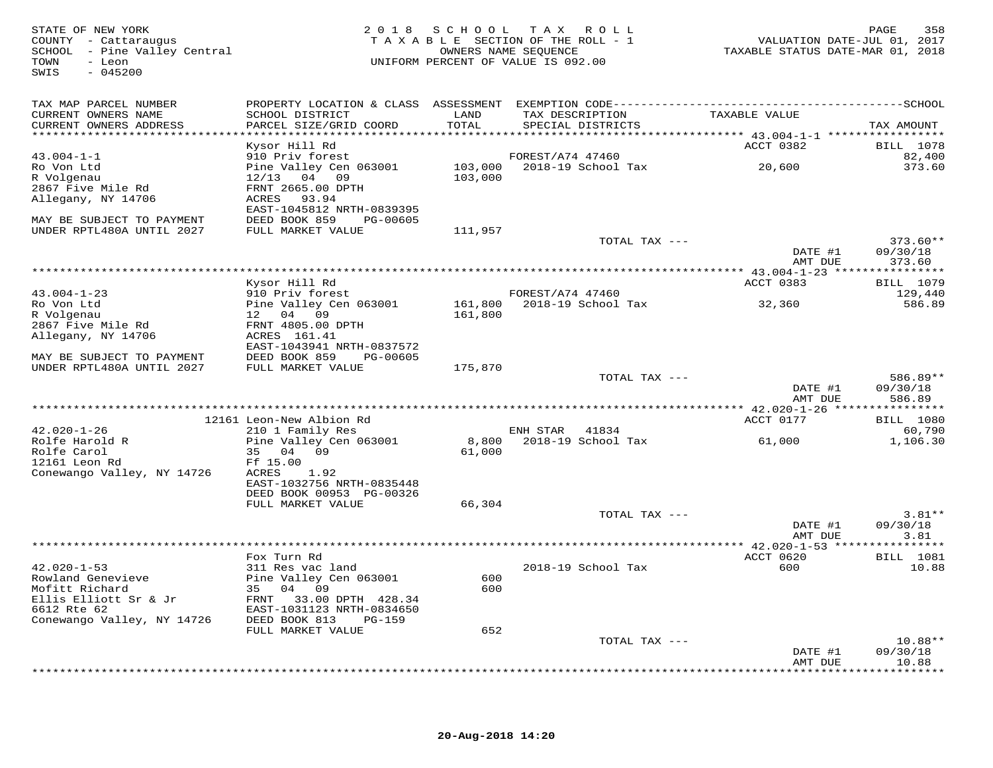| TAX MAP PARCEL NUMBER<br>TAXABLE VALUE<br>CURRENT OWNERS NAME<br>SCHOOL DISTRICT<br>LAND<br>TAX DESCRIPTION<br>CURRENT OWNERS ADDRESS<br>PARCEL SIZE/GRID COORD<br>TOTAL<br>SPECIAL DISTRICTS<br>TAX AMOUNT<br>*************************<br>ACCT 0382<br><b>BILL</b> 1078<br>Kysor Hill Rd<br>$43.004 - 1 - 1$<br>910 Priv forest<br>FOREST/A74 47460<br>82,400<br>Ro Von Ltd<br>Pine Valley Cen 063001<br>103,000 2018-19 School Tax<br>20,600<br>373.60<br>R Volgenau<br>$12/13$ 04 09<br>103,000<br>2867 Five Mile Rd<br>FRNT 2665.00 DPTH<br>Allegany, NY 14706<br>ACRES 93.94<br>EAST-1045812 NRTH-0839395<br>MAY BE SUBJECT TO PAYMENT<br>DEED BOOK 859 PG-00605<br>UNDER RPTL480A UNTIL 2027<br>FULL MARKET VALUE<br>111,957<br>$373.60**$<br>TOTAL TAX ---<br>DATE #1<br>09/30/18<br>373.60<br>AMT DUE<br>**************** 43.004-1-23 *****************<br>BILL 1079<br>Kysor Hill Rd<br>ACCT 0383<br>$43.004 - 1 - 23$<br>910 Priv forest<br>FOREST/A74 47460<br>129,440<br>Ro Von Ltd<br>Pine Valley Cen 063001<br>161,800 2018-19 School Tax<br>32,360<br>586.89<br>R Volgenau<br>12 04 09<br>161,800<br>2867 Five Mile Rd<br>FRNT 4805.00 DPTH<br>Allegany, NY 14706<br>ACRES 161.41<br>EAST-1043941 NRTH-0837572<br>MAY BE SUBJECT TO PAYMENT<br>DEED BOOK 859<br>PG-00605<br>UNDER RPTL480A UNTIL 2027<br>FULL MARKET VALUE<br>175,870<br>TOTAL TAX ---<br>586.89**<br>DATE #1<br>09/30/18<br>AMT DUE<br>586.89<br>12161 Leon-New Albion Rd<br>ACCT 0177<br><b>BILL</b> 1080<br>$42.020 - 1 - 26$<br>210 1 Family Res<br>ENH STAR 41834<br>60,790<br>8,800<br>2018-19 School Tax<br>Rolfe Harold R<br>Pine Valley Cen 063001<br>1,106.30<br>61,000<br>Rolfe Carol<br>35 04 09<br>61,000<br>12161 Leon Rd<br>Ff 15.00<br>Conewango Valley, NY 14726<br>ACRES<br>1.92<br>EAST-1032756 NRTH-0835448<br>DEED BOOK 00953 PG-00326<br>FULL MARKET VALUE<br>66,304<br>$3.81**$<br>TOTAL TAX ---<br>DATE #1<br>09/30/18<br>AMT DUE<br>3.81<br>*******************************<br>** 42.020-1-53 ****************<br>ACCT 0620<br><b>BILL</b> 1081<br>Fox Turn Rd<br>$42.020 - 1 - 53$<br>311 Res vac land<br>2018-19 School Tax<br>600<br>10.88<br>600<br>Rowland Genevieve<br>Pine Valley Cen 063001<br>Mofitt Richard<br>35 04 09<br>600<br>Ellis Elliott Sr & Jr<br>FRNT 33.00 DPTH 428.34<br>6612 Rte 62<br>EAST-1031123 NRTH-0834650<br>Conewango Valley, NY 14726<br>DEED BOOK 813<br>PG-159<br>FULL MARKET VALUE<br>652<br>TOTAL TAX ---<br>$10.88**$<br>09/30/18<br>DATE #1<br>AMT DUE<br>10.88<br>******* | STATE OF NEW YORK<br>COUNTY - Cattaraugus<br>SCHOOL - Pine Valley Central<br>- Leon<br>TOWN<br>SWIS<br>$-045200$ |  | 2018 SCHOOL TAX ROLL<br>TAXABLE SECTION OF THE ROLL - 1<br>OWNERS NAME SEQUENCE<br>UNIFORM PERCENT OF VALUE IS 092.00 | VALUATION DATE-JUL 01, 2017<br>TAXABLE STATUS DATE-MAR 01, 2018 | PAGE<br>358 |
|---------------------------------------------------------------------------------------------------------------------------------------------------------------------------------------------------------------------------------------------------------------------------------------------------------------------------------------------------------------------------------------------------------------------------------------------------------------------------------------------------------------------------------------------------------------------------------------------------------------------------------------------------------------------------------------------------------------------------------------------------------------------------------------------------------------------------------------------------------------------------------------------------------------------------------------------------------------------------------------------------------------------------------------------------------------------------------------------------------------------------------------------------------------------------------------------------------------------------------------------------------------------------------------------------------------------------------------------------------------------------------------------------------------------------------------------------------------------------------------------------------------------------------------------------------------------------------------------------------------------------------------------------------------------------------------------------------------------------------------------------------------------------------------------------------------------------------------------------------------------------------------------------------------------------------------------------------------------------------------------------------------------------------------------------------------------------------------------------------------------------------------------------------------------------------------------------------------------------------------------------------------------------------------------------------------------------------------------------------------------------------------------------------------------------------------------------------------------------------------------------------------------------|------------------------------------------------------------------------------------------------------------------|--|-----------------------------------------------------------------------------------------------------------------------|-----------------------------------------------------------------|-------------|
|                                                                                                                                                                                                                                                                                                                                                                                                                                                                                                                                                                                                                                                                                                                                                                                                                                                                                                                                                                                                                                                                                                                                                                                                                                                                                                                                                                                                                                                                                                                                                                                                                                                                                                                                                                                                                                                                                                                                                                                                                                                                                                                                                                                                                                                                                                                                                                                                                                                                                                                           |                                                                                                                  |  |                                                                                                                       |                                                                 |             |
|                                                                                                                                                                                                                                                                                                                                                                                                                                                                                                                                                                                                                                                                                                                                                                                                                                                                                                                                                                                                                                                                                                                                                                                                                                                                                                                                                                                                                                                                                                                                                                                                                                                                                                                                                                                                                                                                                                                                                                                                                                                                                                                                                                                                                                                                                                                                                                                                                                                                                                                           |                                                                                                                  |  |                                                                                                                       |                                                                 |             |
|                                                                                                                                                                                                                                                                                                                                                                                                                                                                                                                                                                                                                                                                                                                                                                                                                                                                                                                                                                                                                                                                                                                                                                                                                                                                                                                                                                                                                                                                                                                                                                                                                                                                                                                                                                                                                                                                                                                                                                                                                                                                                                                                                                                                                                                                                                                                                                                                                                                                                                                           |                                                                                                                  |  |                                                                                                                       |                                                                 |             |
|                                                                                                                                                                                                                                                                                                                                                                                                                                                                                                                                                                                                                                                                                                                                                                                                                                                                                                                                                                                                                                                                                                                                                                                                                                                                                                                                                                                                                                                                                                                                                                                                                                                                                                                                                                                                                                                                                                                                                                                                                                                                                                                                                                                                                                                                                                                                                                                                                                                                                                                           |                                                                                                                  |  |                                                                                                                       |                                                                 |             |
|                                                                                                                                                                                                                                                                                                                                                                                                                                                                                                                                                                                                                                                                                                                                                                                                                                                                                                                                                                                                                                                                                                                                                                                                                                                                                                                                                                                                                                                                                                                                                                                                                                                                                                                                                                                                                                                                                                                                                                                                                                                                                                                                                                                                                                                                                                                                                                                                                                                                                                                           |                                                                                                                  |  |                                                                                                                       |                                                                 |             |
|                                                                                                                                                                                                                                                                                                                                                                                                                                                                                                                                                                                                                                                                                                                                                                                                                                                                                                                                                                                                                                                                                                                                                                                                                                                                                                                                                                                                                                                                                                                                                                                                                                                                                                                                                                                                                                                                                                                                                                                                                                                                                                                                                                                                                                                                                                                                                                                                                                                                                                                           |                                                                                                                  |  |                                                                                                                       |                                                                 |             |
|                                                                                                                                                                                                                                                                                                                                                                                                                                                                                                                                                                                                                                                                                                                                                                                                                                                                                                                                                                                                                                                                                                                                                                                                                                                                                                                                                                                                                                                                                                                                                                                                                                                                                                                                                                                                                                                                                                                                                                                                                                                                                                                                                                                                                                                                                                                                                                                                                                                                                                                           |                                                                                                                  |  |                                                                                                                       |                                                                 |             |
|                                                                                                                                                                                                                                                                                                                                                                                                                                                                                                                                                                                                                                                                                                                                                                                                                                                                                                                                                                                                                                                                                                                                                                                                                                                                                                                                                                                                                                                                                                                                                                                                                                                                                                                                                                                                                                                                                                                                                                                                                                                                                                                                                                                                                                                                                                                                                                                                                                                                                                                           |                                                                                                                  |  |                                                                                                                       |                                                                 |             |
|                                                                                                                                                                                                                                                                                                                                                                                                                                                                                                                                                                                                                                                                                                                                                                                                                                                                                                                                                                                                                                                                                                                                                                                                                                                                                                                                                                                                                                                                                                                                                                                                                                                                                                                                                                                                                                                                                                                                                                                                                                                                                                                                                                                                                                                                                                                                                                                                                                                                                                                           |                                                                                                                  |  |                                                                                                                       |                                                                 |             |
|                                                                                                                                                                                                                                                                                                                                                                                                                                                                                                                                                                                                                                                                                                                                                                                                                                                                                                                                                                                                                                                                                                                                                                                                                                                                                                                                                                                                                                                                                                                                                                                                                                                                                                                                                                                                                                                                                                                                                                                                                                                                                                                                                                                                                                                                                                                                                                                                                                                                                                                           |                                                                                                                  |  |                                                                                                                       |                                                                 |             |
|                                                                                                                                                                                                                                                                                                                                                                                                                                                                                                                                                                                                                                                                                                                                                                                                                                                                                                                                                                                                                                                                                                                                                                                                                                                                                                                                                                                                                                                                                                                                                                                                                                                                                                                                                                                                                                                                                                                                                                                                                                                                                                                                                                                                                                                                                                                                                                                                                                                                                                                           |                                                                                                                  |  |                                                                                                                       |                                                                 |             |
|                                                                                                                                                                                                                                                                                                                                                                                                                                                                                                                                                                                                                                                                                                                                                                                                                                                                                                                                                                                                                                                                                                                                                                                                                                                                                                                                                                                                                                                                                                                                                                                                                                                                                                                                                                                                                                                                                                                                                                                                                                                                                                                                                                                                                                                                                                                                                                                                                                                                                                                           |                                                                                                                  |  |                                                                                                                       |                                                                 |             |
|                                                                                                                                                                                                                                                                                                                                                                                                                                                                                                                                                                                                                                                                                                                                                                                                                                                                                                                                                                                                                                                                                                                                                                                                                                                                                                                                                                                                                                                                                                                                                                                                                                                                                                                                                                                                                                                                                                                                                                                                                                                                                                                                                                                                                                                                                                                                                                                                                                                                                                                           |                                                                                                                  |  |                                                                                                                       |                                                                 |             |
|                                                                                                                                                                                                                                                                                                                                                                                                                                                                                                                                                                                                                                                                                                                                                                                                                                                                                                                                                                                                                                                                                                                                                                                                                                                                                                                                                                                                                                                                                                                                                                                                                                                                                                                                                                                                                                                                                                                                                                                                                                                                                                                                                                                                                                                                                                                                                                                                                                                                                                                           |                                                                                                                  |  |                                                                                                                       |                                                                 |             |
|                                                                                                                                                                                                                                                                                                                                                                                                                                                                                                                                                                                                                                                                                                                                                                                                                                                                                                                                                                                                                                                                                                                                                                                                                                                                                                                                                                                                                                                                                                                                                                                                                                                                                                                                                                                                                                                                                                                                                                                                                                                                                                                                                                                                                                                                                                                                                                                                                                                                                                                           |                                                                                                                  |  |                                                                                                                       |                                                                 |             |
|                                                                                                                                                                                                                                                                                                                                                                                                                                                                                                                                                                                                                                                                                                                                                                                                                                                                                                                                                                                                                                                                                                                                                                                                                                                                                                                                                                                                                                                                                                                                                                                                                                                                                                                                                                                                                                                                                                                                                                                                                                                                                                                                                                                                                                                                                                                                                                                                                                                                                                                           |                                                                                                                  |  |                                                                                                                       |                                                                 |             |
|                                                                                                                                                                                                                                                                                                                                                                                                                                                                                                                                                                                                                                                                                                                                                                                                                                                                                                                                                                                                                                                                                                                                                                                                                                                                                                                                                                                                                                                                                                                                                                                                                                                                                                                                                                                                                                                                                                                                                                                                                                                                                                                                                                                                                                                                                                                                                                                                                                                                                                                           |                                                                                                                  |  |                                                                                                                       |                                                                 |             |
|                                                                                                                                                                                                                                                                                                                                                                                                                                                                                                                                                                                                                                                                                                                                                                                                                                                                                                                                                                                                                                                                                                                                                                                                                                                                                                                                                                                                                                                                                                                                                                                                                                                                                                                                                                                                                                                                                                                                                                                                                                                                                                                                                                                                                                                                                                                                                                                                                                                                                                                           |                                                                                                                  |  |                                                                                                                       |                                                                 |             |
|                                                                                                                                                                                                                                                                                                                                                                                                                                                                                                                                                                                                                                                                                                                                                                                                                                                                                                                                                                                                                                                                                                                                                                                                                                                                                                                                                                                                                                                                                                                                                                                                                                                                                                                                                                                                                                                                                                                                                                                                                                                                                                                                                                                                                                                                                                                                                                                                                                                                                                                           |                                                                                                                  |  |                                                                                                                       |                                                                 |             |
|                                                                                                                                                                                                                                                                                                                                                                                                                                                                                                                                                                                                                                                                                                                                                                                                                                                                                                                                                                                                                                                                                                                                                                                                                                                                                                                                                                                                                                                                                                                                                                                                                                                                                                                                                                                                                                                                                                                                                                                                                                                                                                                                                                                                                                                                                                                                                                                                                                                                                                                           |                                                                                                                  |  |                                                                                                                       |                                                                 |             |
|                                                                                                                                                                                                                                                                                                                                                                                                                                                                                                                                                                                                                                                                                                                                                                                                                                                                                                                                                                                                                                                                                                                                                                                                                                                                                                                                                                                                                                                                                                                                                                                                                                                                                                                                                                                                                                                                                                                                                                                                                                                                                                                                                                                                                                                                                                                                                                                                                                                                                                                           |                                                                                                                  |  |                                                                                                                       |                                                                 |             |
|                                                                                                                                                                                                                                                                                                                                                                                                                                                                                                                                                                                                                                                                                                                                                                                                                                                                                                                                                                                                                                                                                                                                                                                                                                                                                                                                                                                                                                                                                                                                                                                                                                                                                                                                                                                                                                                                                                                                                                                                                                                                                                                                                                                                                                                                                                                                                                                                                                                                                                                           |                                                                                                                  |  |                                                                                                                       |                                                                 |             |
|                                                                                                                                                                                                                                                                                                                                                                                                                                                                                                                                                                                                                                                                                                                                                                                                                                                                                                                                                                                                                                                                                                                                                                                                                                                                                                                                                                                                                                                                                                                                                                                                                                                                                                                                                                                                                                                                                                                                                                                                                                                                                                                                                                                                                                                                                                                                                                                                                                                                                                                           |                                                                                                                  |  |                                                                                                                       |                                                                 |             |
|                                                                                                                                                                                                                                                                                                                                                                                                                                                                                                                                                                                                                                                                                                                                                                                                                                                                                                                                                                                                                                                                                                                                                                                                                                                                                                                                                                                                                                                                                                                                                                                                                                                                                                                                                                                                                                                                                                                                                                                                                                                                                                                                                                                                                                                                                                                                                                                                                                                                                                                           |                                                                                                                  |  |                                                                                                                       |                                                                 |             |
|                                                                                                                                                                                                                                                                                                                                                                                                                                                                                                                                                                                                                                                                                                                                                                                                                                                                                                                                                                                                                                                                                                                                                                                                                                                                                                                                                                                                                                                                                                                                                                                                                                                                                                                                                                                                                                                                                                                                                                                                                                                                                                                                                                                                                                                                                                                                                                                                                                                                                                                           |                                                                                                                  |  |                                                                                                                       |                                                                 |             |
|                                                                                                                                                                                                                                                                                                                                                                                                                                                                                                                                                                                                                                                                                                                                                                                                                                                                                                                                                                                                                                                                                                                                                                                                                                                                                                                                                                                                                                                                                                                                                                                                                                                                                                                                                                                                                                                                                                                                                                                                                                                                                                                                                                                                                                                                                                                                                                                                                                                                                                                           |                                                                                                                  |  |                                                                                                                       |                                                                 |             |
|                                                                                                                                                                                                                                                                                                                                                                                                                                                                                                                                                                                                                                                                                                                                                                                                                                                                                                                                                                                                                                                                                                                                                                                                                                                                                                                                                                                                                                                                                                                                                                                                                                                                                                                                                                                                                                                                                                                                                                                                                                                                                                                                                                                                                                                                                                                                                                                                                                                                                                                           |                                                                                                                  |  |                                                                                                                       |                                                                 |             |
|                                                                                                                                                                                                                                                                                                                                                                                                                                                                                                                                                                                                                                                                                                                                                                                                                                                                                                                                                                                                                                                                                                                                                                                                                                                                                                                                                                                                                                                                                                                                                                                                                                                                                                                                                                                                                                                                                                                                                                                                                                                                                                                                                                                                                                                                                                                                                                                                                                                                                                                           |                                                                                                                  |  |                                                                                                                       |                                                                 |             |
|                                                                                                                                                                                                                                                                                                                                                                                                                                                                                                                                                                                                                                                                                                                                                                                                                                                                                                                                                                                                                                                                                                                                                                                                                                                                                                                                                                                                                                                                                                                                                                                                                                                                                                                                                                                                                                                                                                                                                                                                                                                                                                                                                                                                                                                                                                                                                                                                                                                                                                                           |                                                                                                                  |  |                                                                                                                       |                                                                 |             |
|                                                                                                                                                                                                                                                                                                                                                                                                                                                                                                                                                                                                                                                                                                                                                                                                                                                                                                                                                                                                                                                                                                                                                                                                                                                                                                                                                                                                                                                                                                                                                                                                                                                                                                                                                                                                                                                                                                                                                                                                                                                                                                                                                                                                                                                                                                                                                                                                                                                                                                                           |                                                                                                                  |  |                                                                                                                       |                                                                 |             |
|                                                                                                                                                                                                                                                                                                                                                                                                                                                                                                                                                                                                                                                                                                                                                                                                                                                                                                                                                                                                                                                                                                                                                                                                                                                                                                                                                                                                                                                                                                                                                                                                                                                                                                                                                                                                                                                                                                                                                                                                                                                                                                                                                                                                                                                                                                                                                                                                                                                                                                                           |                                                                                                                  |  |                                                                                                                       |                                                                 |             |
|                                                                                                                                                                                                                                                                                                                                                                                                                                                                                                                                                                                                                                                                                                                                                                                                                                                                                                                                                                                                                                                                                                                                                                                                                                                                                                                                                                                                                                                                                                                                                                                                                                                                                                                                                                                                                                                                                                                                                                                                                                                                                                                                                                                                                                                                                                                                                                                                                                                                                                                           |                                                                                                                  |  |                                                                                                                       |                                                                 |             |
|                                                                                                                                                                                                                                                                                                                                                                                                                                                                                                                                                                                                                                                                                                                                                                                                                                                                                                                                                                                                                                                                                                                                                                                                                                                                                                                                                                                                                                                                                                                                                                                                                                                                                                                                                                                                                                                                                                                                                                                                                                                                                                                                                                                                                                                                                                                                                                                                                                                                                                                           |                                                                                                                  |  |                                                                                                                       |                                                                 |             |
|                                                                                                                                                                                                                                                                                                                                                                                                                                                                                                                                                                                                                                                                                                                                                                                                                                                                                                                                                                                                                                                                                                                                                                                                                                                                                                                                                                                                                                                                                                                                                                                                                                                                                                                                                                                                                                                                                                                                                                                                                                                                                                                                                                                                                                                                                                                                                                                                                                                                                                                           |                                                                                                                  |  |                                                                                                                       |                                                                 |             |
|                                                                                                                                                                                                                                                                                                                                                                                                                                                                                                                                                                                                                                                                                                                                                                                                                                                                                                                                                                                                                                                                                                                                                                                                                                                                                                                                                                                                                                                                                                                                                                                                                                                                                                                                                                                                                                                                                                                                                                                                                                                                                                                                                                                                                                                                                                                                                                                                                                                                                                                           |                                                                                                                  |  |                                                                                                                       |                                                                 |             |
|                                                                                                                                                                                                                                                                                                                                                                                                                                                                                                                                                                                                                                                                                                                                                                                                                                                                                                                                                                                                                                                                                                                                                                                                                                                                                                                                                                                                                                                                                                                                                                                                                                                                                                                                                                                                                                                                                                                                                                                                                                                                                                                                                                                                                                                                                                                                                                                                                                                                                                                           |                                                                                                                  |  |                                                                                                                       |                                                                 |             |
|                                                                                                                                                                                                                                                                                                                                                                                                                                                                                                                                                                                                                                                                                                                                                                                                                                                                                                                                                                                                                                                                                                                                                                                                                                                                                                                                                                                                                                                                                                                                                                                                                                                                                                                                                                                                                                                                                                                                                                                                                                                                                                                                                                                                                                                                                                                                                                                                                                                                                                                           |                                                                                                                  |  |                                                                                                                       |                                                                 |             |
|                                                                                                                                                                                                                                                                                                                                                                                                                                                                                                                                                                                                                                                                                                                                                                                                                                                                                                                                                                                                                                                                                                                                                                                                                                                                                                                                                                                                                                                                                                                                                                                                                                                                                                                                                                                                                                                                                                                                                                                                                                                                                                                                                                                                                                                                                                                                                                                                                                                                                                                           |                                                                                                                  |  |                                                                                                                       |                                                                 |             |
|                                                                                                                                                                                                                                                                                                                                                                                                                                                                                                                                                                                                                                                                                                                                                                                                                                                                                                                                                                                                                                                                                                                                                                                                                                                                                                                                                                                                                                                                                                                                                                                                                                                                                                                                                                                                                                                                                                                                                                                                                                                                                                                                                                                                                                                                                                                                                                                                                                                                                                                           |                                                                                                                  |  |                                                                                                                       |                                                                 |             |
|                                                                                                                                                                                                                                                                                                                                                                                                                                                                                                                                                                                                                                                                                                                                                                                                                                                                                                                                                                                                                                                                                                                                                                                                                                                                                                                                                                                                                                                                                                                                                                                                                                                                                                                                                                                                                                                                                                                                                                                                                                                                                                                                                                                                                                                                                                                                                                                                                                                                                                                           |                                                                                                                  |  |                                                                                                                       |                                                                 |             |
|                                                                                                                                                                                                                                                                                                                                                                                                                                                                                                                                                                                                                                                                                                                                                                                                                                                                                                                                                                                                                                                                                                                                                                                                                                                                                                                                                                                                                                                                                                                                                                                                                                                                                                                                                                                                                                                                                                                                                                                                                                                                                                                                                                                                                                                                                                                                                                                                                                                                                                                           |                                                                                                                  |  |                                                                                                                       |                                                                 |             |
|                                                                                                                                                                                                                                                                                                                                                                                                                                                                                                                                                                                                                                                                                                                                                                                                                                                                                                                                                                                                                                                                                                                                                                                                                                                                                                                                                                                                                                                                                                                                                                                                                                                                                                                                                                                                                                                                                                                                                                                                                                                                                                                                                                                                                                                                                                                                                                                                                                                                                                                           |                                                                                                                  |  |                                                                                                                       |                                                                 |             |
|                                                                                                                                                                                                                                                                                                                                                                                                                                                                                                                                                                                                                                                                                                                                                                                                                                                                                                                                                                                                                                                                                                                                                                                                                                                                                                                                                                                                                                                                                                                                                                                                                                                                                                                                                                                                                                                                                                                                                                                                                                                                                                                                                                                                                                                                                                                                                                                                                                                                                                                           |                                                                                                                  |  |                                                                                                                       |                                                                 |             |
|                                                                                                                                                                                                                                                                                                                                                                                                                                                                                                                                                                                                                                                                                                                                                                                                                                                                                                                                                                                                                                                                                                                                                                                                                                                                                                                                                                                                                                                                                                                                                                                                                                                                                                                                                                                                                                                                                                                                                                                                                                                                                                                                                                                                                                                                                                                                                                                                                                                                                                                           |                                                                                                                  |  |                                                                                                                       |                                                                 |             |
|                                                                                                                                                                                                                                                                                                                                                                                                                                                                                                                                                                                                                                                                                                                                                                                                                                                                                                                                                                                                                                                                                                                                                                                                                                                                                                                                                                                                                                                                                                                                                                                                                                                                                                                                                                                                                                                                                                                                                                                                                                                                                                                                                                                                                                                                                                                                                                                                                                                                                                                           |                                                                                                                  |  |                                                                                                                       |                                                                 |             |
|                                                                                                                                                                                                                                                                                                                                                                                                                                                                                                                                                                                                                                                                                                                                                                                                                                                                                                                                                                                                                                                                                                                                                                                                                                                                                                                                                                                                                                                                                                                                                                                                                                                                                                                                                                                                                                                                                                                                                                                                                                                                                                                                                                                                                                                                                                                                                                                                                                                                                                                           |                                                                                                                  |  |                                                                                                                       |                                                                 |             |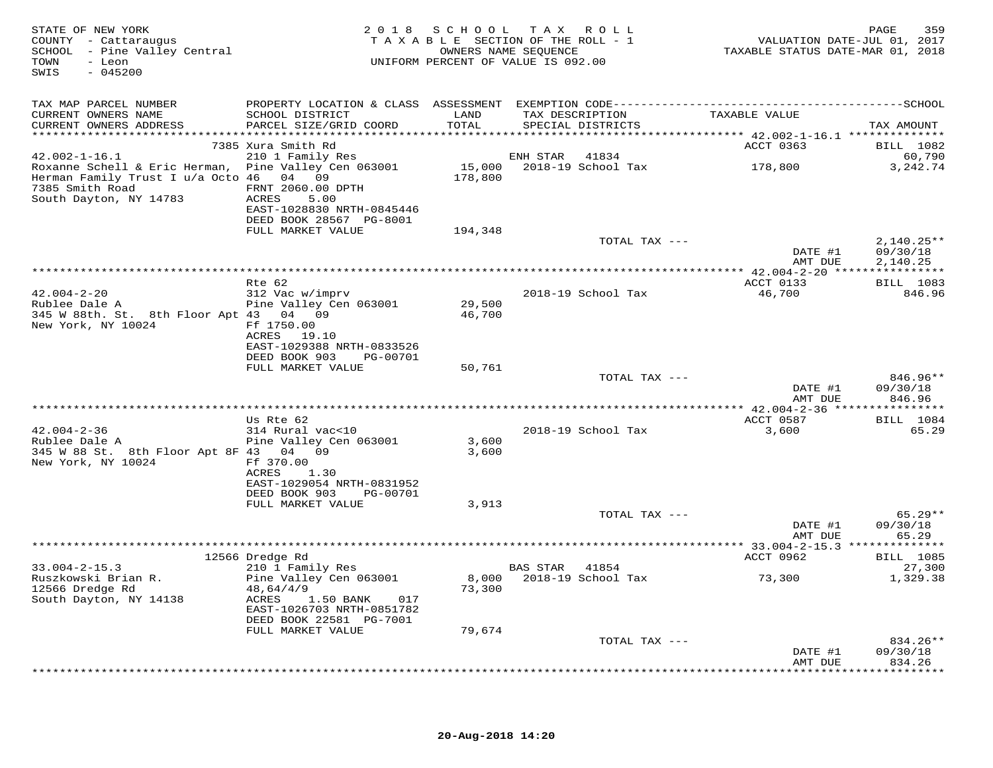| STATE OF NEW YORK<br>COUNTY - Cattaraugus<br>SCHOOL - Pine Valley Central<br>- Leon<br>TOWN<br>$-045200$<br>SWIS                             |                                                                                   |                  | 2018 SCHOOL TAX ROLL<br>TAXABLE SECTION OF THE ROLL - 1<br>OWNERS NAME SEOUENCE<br>UNIFORM PERCENT OF VALUE IS 092.00 | VALUATION DATE-JUL 01, 2017<br>TAXABLE STATUS DATE-MAR 01, 2018 | 359<br>PAGE                    |
|----------------------------------------------------------------------------------------------------------------------------------------------|-----------------------------------------------------------------------------------|------------------|-----------------------------------------------------------------------------------------------------------------------|-----------------------------------------------------------------|--------------------------------|
| TAX MAP PARCEL NUMBER                                                                                                                        |                                                                                   |                  |                                                                                                                       |                                                                 |                                |
| CURRENT OWNERS NAME<br>CURRENT OWNERS ADDRESS                                                                                                | SCHOOL DISTRICT<br>PARCEL SIZE/GRID COORD                                         | LAND<br>TOTAL    | TAX DESCRIPTION<br>SPECIAL DISTRICTS                                                                                  | TAXABLE VALUE                                                   | TAX AMOUNT                     |
|                                                                                                                                              |                                                                                   |                  |                                                                                                                       |                                                                 |                                |
| $42.002 - 1 - 16.1$                                                                                                                          | 7385 Xura Smith Rd<br>210 1 Family Res                                            |                  | ENH STAR 41834                                                                                                        | ACCT 0363                                                       | BILL 1082<br>60,790            |
| Roxanne Schell & Eric Herman, Pine Valley Cen 063001<br>Herman Family Trust I u/a Octo 46 04 09<br>7385 Smith Road<br>South Dayton, NY 14783 | FRNT 2060.00 DPTH<br>ACRES<br>5.00                                                | 178,800          | 15,000 2018-19 School Tax                                                                                             | 178,800                                                         | 3,242.74                       |
|                                                                                                                                              | EAST-1028830 NRTH-0845446<br>DEED BOOK 28567 PG-8001                              |                  |                                                                                                                       |                                                                 |                                |
|                                                                                                                                              | FULL MARKET VALUE                                                                 | 194,348          |                                                                                                                       |                                                                 |                                |
|                                                                                                                                              |                                                                                   |                  | TOTAL TAX ---                                                                                                         | DATE #1                                                         | $2,140.25**$<br>09/30/18       |
|                                                                                                                                              |                                                                                   |                  |                                                                                                                       | AMT DUE                                                         | 2,140.25                       |
|                                                                                                                                              | Rte 62                                                                            |                  |                                                                                                                       | ACCT 0133                                                       | <b>BILL</b> 1083               |
| $42.004 - 2 - 20$                                                                                                                            | 312 Vac w/imprv                                                                   |                  | 2018-19 School Tax                                                                                                    | 46,700                                                          | 846.96                         |
| Rublee Dale A<br>345 W 88th. St. 8th Floor Apt 43 04 09<br>New York, NY 10024                                                                | Pine Valley Cen 063001<br>Ff 1750.00                                              | 29,500<br>46,700 |                                                                                                                       |                                                                 |                                |
|                                                                                                                                              | ACRES 19.10<br>EAST-1029388 NRTH-0833526                                          |                  |                                                                                                                       |                                                                 |                                |
|                                                                                                                                              | DEED BOOK 903<br>PG-00701<br>FULL MARKET VALUE                                    | 50,761           |                                                                                                                       |                                                                 |                                |
|                                                                                                                                              |                                                                                   |                  | TOTAL TAX ---                                                                                                         |                                                                 | 846.96**                       |
|                                                                                                                                              |                                                                                   |                  |                                                                                                                       | DATE #1<br>AMT DUE                                              | 09/30/18<br>846.96             |
|                                                                                                                                              | Us Rte 62                                                                         |                  |                                                                                                                       | ACCT 0587                                                       | BILL 1084                      |
| $42.004 - 2 - 36$                                                                                                                            | 314 Rural vac<10                                                                  |                  | 2018-19 School Tax                                                                                                    | 3,600                                                           | 65.29                          |
| Rublee Dale A                                                                                                                                | Pine Valley Cen 063001                                                            | 3,600            |                                                                                                                       |                                                                 |                                |
| 345 W 88 St. 8th Floor Apt 8F 43 04 09<br>New York, NY 10024                                                                                 | Ff 370.00<br>ACRES<br>1.30                                                        | 3,600            |                                                                                                                       |                                                                 |                                |
|                                                                                                                                              | EAST-1029054 NRTH-0831952<br>DEED BOOK 903<br>PG-00701                            |                  |                                                                                                                       |                                                                 |                                |
|                                                                                                                                              | FULL MARKET VALUE                                                                 | 3,913            |                                                                                                                       |                                                                 |                                |
|                                                                                                                                              |                                                                                   |                  | TOTAL TAX ---                                                                                                         | DATE #1<br>AMT DUE                                              | $65.29**$<br>09/30/18<br>65.29 |
|                                                                                                                                              |                                                                                   |                  |                                                                                                                       |                                                                 |                                |
|                                                                                                                                              | 12566 Dredge Rd                                                                   |                  |                                                                                                                       | ACCT 0962                                                       | <b>BILL</b> 1085               |
| $33.004 - 2 - 15.3$                                                                                                                          | 210 1 Family Res                                                                  |                  | BAS STAR 41854                                                                                                        |                                                                 | 27,300                         |
| Ruszkowski Brian R.<br>12566 Dredge Rd                                                                                                       | Pine Valley Cen 063001<br>48,64/4/9                                               | 73,300           | 8,000 2018-19 School Tax                                                                                              | 73,300                                                          | 1,329.38                       |
| South Dayton, NY 14138                                                                                                                       | ACRES<br>1.50 BANK<br>017<br>EAST-1026703 NRTH-0851782<br>DEED BOOK 22581 PG-7001 |                  |                                                                                                                       |                                                                 |                                |
|                                                                                                                                              | FULL MARKET VALUE                                                                 | 79,674           |                                                                                                                       |                                                                 |                                |
|                                                                                                                                              |                                                                                   |                  | TOTAL TAX ---                                                                                                         |                                                                 | 834.26**                       |
|                                                                                                                                              |                                                                                   |                  |                                                                                                                       | DATE #1<br>AMT DUE                                              | 09/30/18<br>834.26             |
|                                                                                                                                              |                                                                                   |                  |                                                                                                                       |                                                                 |                                |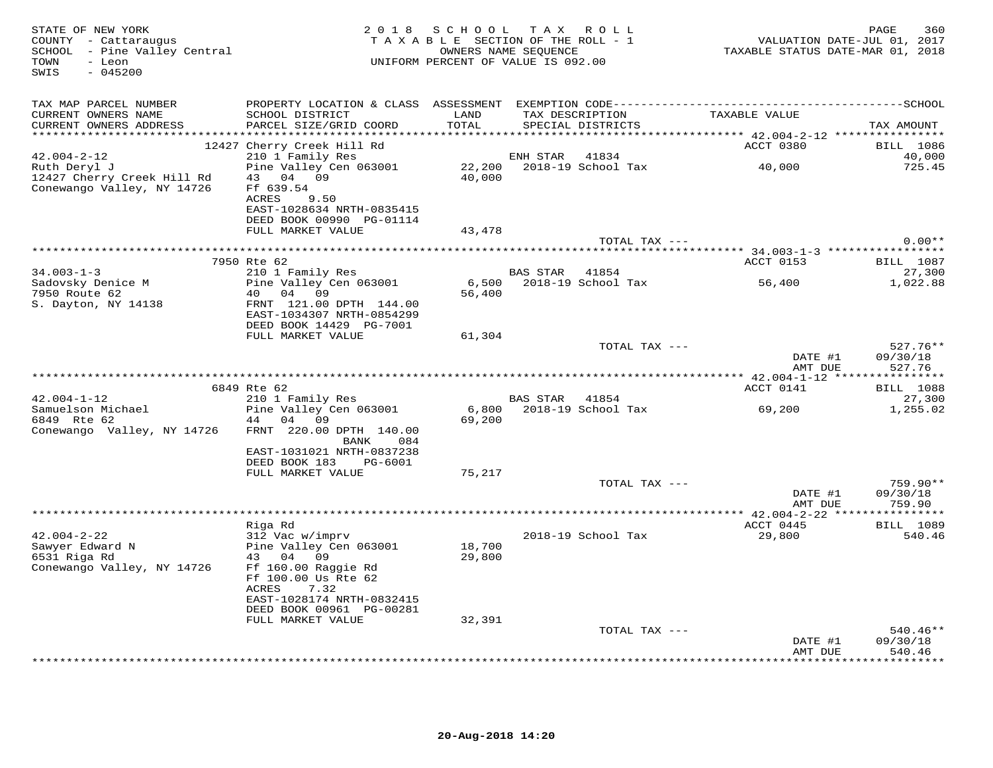| STATE OF NEW YORK<br>COUNTY - Cattaraugus<br>SCHOOL - Pine Valley Central<br>TOWN<br>- Leon<br>$-045200$<br>SWIS |                                                                                                         |               | 2018 SCHOOL TAX ROLL<br>TAXABLE SECTION OF THE ROLL - 1<br>OWNERS NAME SEOUENCE<br>UNIFORM PERCENT OF VALUE IS 092.00 | TAXABLE STATUS DATE-MAR 01, 2018    | PAGE<br>360<br>VALUATION DATE-JUL 01, 2017 |
|------------------------------------------------------------------------------------------------------------------|---------------------------------------------------------------------------------------------------------|---------------|-----------------------------------------------------------------------------------------------------------------------|-------------------------------------|--------------------------------------------|
| TAX MAP PARCEL NUMBER                                                                                            |                                                                                                         |               |                                                                                                                       |                                     |                                            |
| CURRENT OWNERS NAME<br>CURRENT OWNERS ADDRESS                                                                    | SCHOOL DISTRICT<br>PARCEL SIZE/GRID COORD                                                               | LAND<br>TOTAL | TAX DESCRIPTION<br>SPECIAL DISTRICTS                                                                                  | TAXABLE VALUE                       | TAX AMOUNT                                 |
|                                                                                                                  |                                                                                                         |               |                                                                                                                       |                                     |                                            |
| $42.004 - 2 - 12$                                                                                                | 12427 Cherry Creek Hill Rd<br>210 1 Family Res                                                          |               | ENH STAR<br>41834                                                                                                     | ACCT 0380                           | <b>BILL</b> 1086<br>40,000                 |
| Ruth Deryl J                                                                                                     | Pine Valley Cen 063001                                                                                  |               | 22,200 2018-19 School Tax                                                                                             | 40,000                              | 725.45                                     |
| 12427 Cherry Creek Hill Rd<br>Conewango Valley, NY 14726                                                         | 43 04 09<br>Ff 639.54<br>ACRES<br>9.50<br>EAST-1028634 NRTH-0835415<br>DEED BOOK 00990 PG-01114         | 40,000        |                                                                                                                       |                                     |                                            |
|                                                                                                                  | FULL MARKET VALUE                                                                                       | 43,478        |                                                                                                                       |                                     |                                            |
|                                                                                                                  |                                                                                                         |               |                                                                                                                       | TOTAL TAX ---                       | $0.00**$                                   |
|                                                                                                                  |                                                                                                         |               |                                                                                                                       |                                     |                                            |
|                                                                                                                  | 7950 Rte 62                                                                                             |               |                                                                                                                       | ACCT 0153                           | <b>BILL</b> 1087                           |
| $34.003 - 1 - 3$                                                                                                 | 210 1 Family Res                                                                                        |               | BAS STAR 41854                                                                                                        |                                     | 27,300                                     |
| Sadovsky Denice M                                                                                                | Pine Valley Cen 063001                                                                                  | 6,500         | 2018-19 School Tax                                                                                                    | 56,400                              | 1,022.88                                   |
| 7950 Route 62<br>S. Dayton, NY 14138                                                                             | 40 04 09<br>FRNT 121.00 DPTH 144.00<br>EAST-1034307 NRTH-0854299<br>DEED BOOK 14429 PG-7001             | 56,400        |                                                                                                                       |                                     |                                            |
|                                                                                                                  | FULL MARKET VALUE                                                                                       | 61,304        |                                                                                                                       |                                     |                                            |
|                                                                                                                  |                                                                                                         |               |                                                                                                                       | TOTAL TAX ---<br>DATE #1<br>AMT DUE | $527.76**$<br>09/30/18<br>527.76           |
|                                                                                                                  |                                                                                                         |               |                                                                                                                       |                                     |                                            |
|                                                                                                                  | 6849 Rte 62                                                                                             |               |                                                                                                                       | ACCT 0141                           | <b>BILL</b> 1088                           |
| $42.004 - 1 - 12$                                                                                                | 210 1 Family Res                                                                                        |               | <b>BAS STAR</b><br>41854                                                                                              |                                     | 27,300                                     |
| Samuelson Michael<br>6849 Rte 62                                                                                 | Pine Valley Cen 063001<br>44 04 09                                                                      | 69,200        | 6,800 2018-19 School Tax                                                                                              | 69,200                              | 1,255.02                                   |
| Conewango Valley, NY 14726                                                                                       | FRNT 220.00 DPTH 140.00<br>084<br>BANK                                                                  |               |                                                                                                                       |                                     |                                            |
|                                                                                                                  | EAST-1031021 NRTH-0837238<br>DEED BOOK 183<br>PG-6001                                                   |               |                                                                                                                       |                                     |                                            |
|                                                                                                                  | FULL MARKET VALUE                                                                                       | 75,217        |                                                                                                                       |                                     |                                            |
|                                                                                                                  |                                                                                                         |               |                                                                                                                       | TOTAL TAX ---                       | 759.90**                                   |
|                                                                                                                  |                                                                                                         |               |                                                                                                                       | DATE #1<br>AMT DUE                  | 09/30/18<br>759.90                         |
|                                                                                                                  |                                                                                                         |               |                                                                                                                       |                                     |                                            |
|                                                                                                                  | Riga Rd                                                                                                 |               |                                                                                                                       | ACCT 0445                           | <b>BILL</b> 1089                           |
| $42.004 - 2 - 22$<br>Sawyer Edward N                                                                             | 312 Vac w/imprv<br>Pine Valley Cen 063001                                                               | 18,700        | 2018-19 School Tax                                                                                                    | 29,800                              | 540.46                                     |
| 6531 Riga Rd<br>Conewango Valley, NY 14726                                                                       | 43 04<br>09<br>Ff 160.00 Raggie Rd<br>Ff 100.00 Us Rte 62<br>ACRES<br>7.32<br>EAST-1028174 NRTH-0832415 | 29,800        |                                                                                                                       |                                     |                                            |
|                                                                                                                  | DEED BOOK 00961 PG-00281<br>FULL MARKET VALUE                                                           | 32,391        |                                                                                                                       |                                     |                                            |
|                                                                                                                  |                                                                                                         |               |                                                                                                                       | TOTAL TAX ---                       | $540.46**$                                 |
|                                                                                                                  |                                                                                                         |               |                                                                                                                       | DATE #1<br>AMT DUE                  | 09/30/18<br>540.46                         |
|                                                                                                                  |                                                                                                         |               |                                                                                                                       |                                     | ********                                   |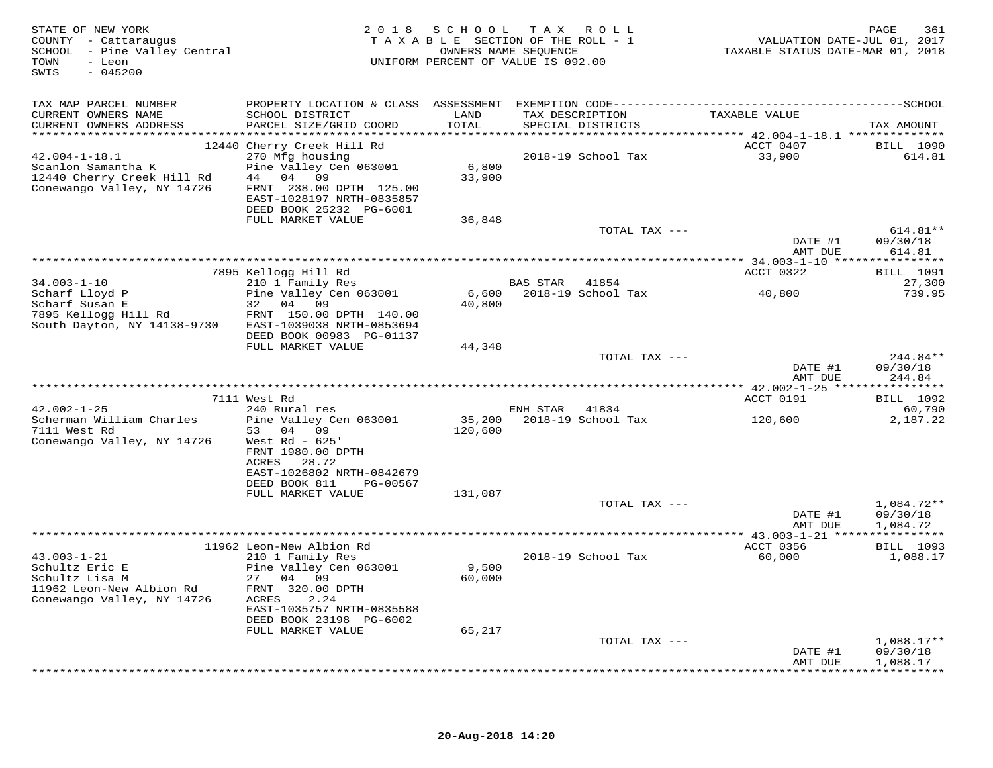| STATE OF NEW YORK<br>COUNTY - Cattaraugus<br>SCHOOL - Pine Valley Central<br>TOWN<br>- Leon<br>$-045200$<br>SWIS |                                                                                 | 2018 SCHOOL TAX ROLL<br>TAXABLE SECTION OF THE ROLL - 1<br>OWNERS NAME SEQUENCE<br>UNIFORM PERCENT OF VALUE IS 092.00 |                |                                      | VALUATION DATE-JUL 01, 2017<br>TAXABLE STATUS DATE-MAR 01, 2018 | PAGE<br>361                      |
|------------------------------------------------------------------------------------------------------------------|---------------------------------------------------------------------------------|-----------------------------------------------------------------------------------------------------------------------|----------------|--------------------------------------|-----------------------------------------------------------------|----------------------------------|
| TAX MAP PARCEL NUMBER                                                                                            |                                                                                 |                                                                                                                       |                |                                      |                                                                 |                                  |
| CURRENT OWNERS NAME<br>CURRENT OWNERS ADDRESS                                                                    | SCHOOL DISTRICT<br>PARCEL SIZE/GRID COORD                                       | LAND<br>TOTAL                                                                                                         |                | TAX DESCRIPTION<br>SPECIAL DISTRICTS | TAXABLE VALUE                                                   | TAX AMOUNT                       |
|                                                                                                                  | 12440 Cherry Creek Hill Rd                                                      |                                                                                                                       |                |                                      | ACCT 0407                                                       | <b>BILL</b> 1090                 |
| $42.004 - 1 - 18.1$<br>Scanlon Samantha K<br>12440 Cherry Creek Hill Rd                                          | 270 Mfg housing<br>Pine Valley Cen 063001<br>44 04 09                           | 6,800<br>33,900                                                                                                       |                | 2018-19 School Tax                   | 33,900                                                          | 614.81                           |
| Conewango Valley, NY 14726                                                                                       | FRNT 238.00 DPTH 125.00<br>EAST-1028197 NRTH-0835857<br>DEED BOOK 25232 PG-6001 |                                                                                                                       |                |                                      |                                                                 |                                  |
|                                                                                                                  | FULL MARKET VALUE                                                               | 36,848                                                                                                                |                |                                      |                                                                 |                                  |
|                                                                                                                  |                                                                                 |                                                                                                                       |                | TOTAL TAX ---                        | DATE #1<br>AMT DUE                                              | $614.81**$<br>09/30/18<br>614.81 |
|                                                                                                                  |                                                                                 |                                                                                                                       |                |                                      |                                                                 |                                  |
| $34.003 - 1 - 10$                                                                                                | 7895 Kellogg Hill Rd<br>210 1 Family Res                                        |                                                                                                                       | BAS STAR       | 41854                                | ACCT 0322                                                       | <b>BILL</b> 1091<br>27,300       |
| Scharf Lloyd P                                                                                                   | Pine Valley Cen 063001                                                          | 6,600                                                                                                                 |                | 2018-19 School Tax                   | 40,800                                                          | 739.95                           |
| Scharf Susan E<br>7895 Kellogg Hill Rd                                                                           | 32 04 09<br>FRNT 150.00 DPTH 140.00                                             | 40,800                                                                                                                |                |                                      |                                                                 |                                  |
| South Dayton, NY 14138-9730                                                                                      | EAST-1039038 NRTH-0853694                                                       |                                                                                                                       |                |                                      |                                                                 |                                  |
|                                                                                                                  | DEED BOOK 00983 PG-01137<br>FULL MARKET VALUE                                   | 44,348                                                                                                                |                |                                      |                                                                 |                                  |
|                                                                                                                  |                                                                                 |                                                                                                                       |                | TOTAL TAX ---                        |                                                                 | $244.84**$                       |
|                                                                                                                  |                                                                                 |                                                                                                                       |                |                                      | DATE #1<br>AMT DUE                                              | 09/30/18<br>244.84               |
|                                                                                                                  |                                                                                 |                                                                                                                       |                |                                      |                                                                 |                                  |
| $42.002 - 1 - 25$                                                                                                | 7111 West Rd<br>240 Rural res                                                   |                                                                                                                       | ENH STAR 41834 |                                      | ACCT 0191                                                       | BILL 1092<br>60,790              |
| Scherman William Charles                                                                                         | Pine Valley Cen 063001                                                          | 35,200                                                                                                                |                | 2018-19 School Tax                   | 120,600                                                         | 2,187.22                         |
| 7111 West Rd<br>Conewango Valley, NY 14726                                                                       | 53 04 09<br>West Rd - $625'$                                                    | 120,600                                                                                                               |                |                                      |                                                                 |                                  |
|                                                                                                                  | FRNT 1980.00 DPTH<br>ACRES<br>28.72                                             |                                                                                                                       |                |                                      |                                                                 |                                  |
|                                                                                                                  | EAST-1026802 NRTH-0842679                                                       |                                                                                                                       |                |                                      |                                                                 |                                  |
|                                                                                                                  | DEED BOOK 811<br>PG-00567<br>FULL MARKET VALUE                                  | 131,087                                                                                                               |                |                                      |                                                                 |                                  |
|                                                                                                                  |                                                                                 |                                                                                                                       |                | TOTAL TAX ---                        |                                                                 | $1,084.72**$                     |
|                                                                                                                  |                                                                                 |                                                                                                                       |                |                                      | DATE #1<br>AMT DUE                                              | 09/30/18<br>1,084.72             |
|                                                                                                                  |                                                                                 |                                                                                                                       |                |                                      |                                                                 |                                  |
| $43.003 - 1 - 21$                                                                                                | 11962 Leon-New Albion Rd<br>210 1 Family Res                                    |                                                                                                                       |                | 2018-19 School Tax                   | ACCT 0356<br>60,000                                             | BILL 1093<br>1,088.17            |
| Schultz Eric E                                                                                                   | Pine Valley Cen 063001                                                          | 9,500                                                                                                                 |                |                                      |                                                                 |                                  |
| Schultz Lisa M<br>11962 Leon-New Albion Rd                                                                       | 27 04 09<br>FRNT 320.00 DPTH                                                    | 60,000                                                                                                                |                |                                      |                                                                 |                                  |
| Conewango Valley, NY 14726                                                                                       | ACRES<br>2.24                                                                   |                                                                                                                       |                |                                      |                                                                 |                                  |
|                                                                                                                  | EAST-1035757 NRTH-0835588<br>DEED BOOK 23198 PG-6002                            |                                                                                                                       |                |                                      |                                                                 |                                  |
|                                                                                                                  | FULL MARKET VALUE                                                               | 65,217                                                                                                                |                |                                      |                                                                 |                                  |
|                                                                                                                  |                                                                                 |                                                                                                                       |                | TOTAL TAX ---                        | DATE #1                                                         | $1,088.17**$<br>09/30/18         |
|                                                                                                                  |                                                                                 |                                                                                                                       |                |                                      | AMT DUE                                                         | 1,088.17                         |
|                                                                                                                  |                                                                                 |                                                                                                                       |                |                                      |                                                                 |                                  |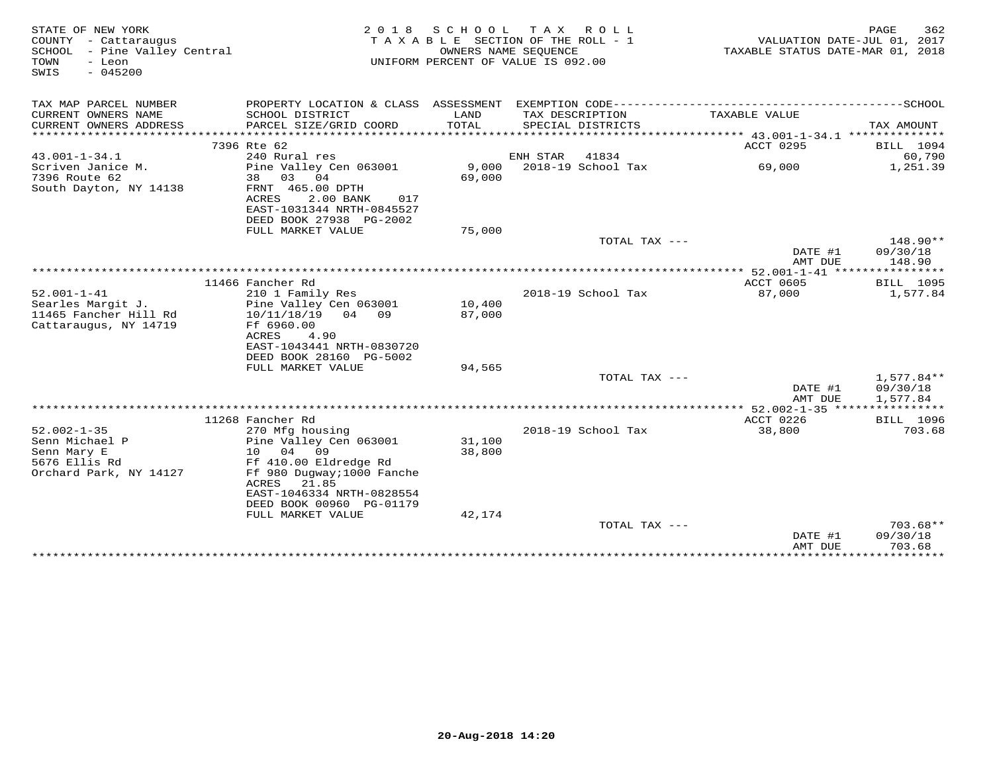| -------------SCHOOL<br>TAX MAP PARCEL NUMBER<br>PROPERTY LOCATION & CLASS ASSESSMENT<br>EXEMPTION CODE----------------------------<br>CURRENT OWNERS NAME<br>SCHOOL DISTRICT<br>LAND<br>TAX DESCRIPTION<br>TAXABLE VALUE<br>PARCEL SIZE/GRID COORD<br>TOTAL<br>CURRENT OWNERS ADDRESS<br>SPECIAL DISTRICTS<br>TAX AMOUNT<br>*************************<br>7396 Rte 62<br>ACCT 0295<br>BILL 1094<br>$43.001 - 1 - 34.1$<br>41834<br>60,790<br>240 Rural res<br>ENH STAR<br>9,000<br>2018-19 School Tax<br>Scriven Janice M.<br>Pine Valley Cen 063001<br>69,000<br>1,251.39<br>7396 Route 62<br>04<br>69,000<br>38<br>03<br>South Dayton, NY 14138<br>FRNT 465.00 DPTH<br>2.00 BANK<br>ACRES<br>017<br>EAST-1031344 NRTH-0845527<br>DEED BOOK 27938 PG-2002<br>FULL MARKET VALUE<br>75,000<br>TOTAL TAX ---<br>148.90**<br>09/30/18<br>DATE #1<br>AMT DUE<br>148.90<br>************** 52.001-1-41 *****************<br>ACCT 0605<br>11466 Fancher Rd<br>BILL 1095<br>$52.001 - 1 - 41$<br>2018-19 School Tax<br>87,000<br>210 1 Family Res<br>1,577.84<br>Searles Margit J.<br>Pine Valley Cen 063001<br>10,400<br>87,000<br>11465 Fancher Hill Rd<br>10/11/18/19 04 09<br>Cattaraugus, NY 14719<br>Ff 6960.00<br>ACRES<br>4.90<br>EAST-1043441 NRTH-0830720<br>DEED BOOK 28160 PG-5002<br>94,565<br>FULL MARKET VALUE<br>TOTAL TAX ---<br>$1,577.84**$<br>DATE #1<br>09/30/18<br>1,577.84<br>AMT DUE<br>ACCT 0226<br>11268 Fancher Rd<br><b>BILL</b> 1096<br>703.68<br>$52.002 - 1 - 35$<br>2018-19 School Tax<br>38,800<br>270 Mfg housing<br>Senn Michael P<br>Pine Valley Cen 063001<br>31,100<br>10 04 09<br>Senn Mary E<br>38,800<br>5676 Ellis Rd<br>Ff 410.00 Eldredge Rd<br>Orchard Park, NY 14127<br>Ff 980 Duqway; 1000 Fanche<br>ACRES<br>21.85<br>EAST-1046334 NRTH-0828554<br>DEED BOOK 00960 PG-01179<br>FULL MARKET VALUE<br>42,174<br>TOTAL TAX ---<br>$703.68**$<br>DATE #1<br>09/30/18<br>703.68<br>AMT DUE<br>***********<br>************ | STATE OF NEW YORK<br>COUNTY - Cattaraugus<br>SCHOOL - Pine Valley Central<br>TOWN<br>- Leon<br>$-045200$<br>SWIS | 2 0 1 8 | SCHOOL | T A X<br>R O L L<br>TAXABLE SECTION OF THE ROLL - 1<br>OWNERS NAME SEQUENCE<br>UNIFORM PERCENT OF VALUE IS 092.00 | TAXABLE STATUS DATE-MAR 01, 2018 | 362<br>PAGE<br>VALUATION DATE-JUL 01, 2017 |
|-------------------------------------------------------------------------------------------------------------------------------------------------------------------------------------------------------------------------------------------------------------------------------------------------------------------------------------------------------------------------------------------------------------------------------------------------------------------------------------------------------------------------------------------------------------------------------------------------------------------------------------------------------------------------------------------------------------------------------------------------------------------------------------------------------------------------------------------------------------------------------------------------------------------------------------------------------------------------------------------------------------------------------------------------------------------------------------------------------------------------------------------------------------------------------------------------------------------------------------------------------------------------------------------------------------------------------------------------------------------------------------------------------------------------------------------------------------------------------------------------------------------------------------------------------------------------------------------------------------------------------------------------------------------------------------------------------------------------------------------------------------------------------------------------------------------------------------------------------------------------------------------------------------------------------------------------------------|------------------------------------------------------------------------------------------------------------------|---------|--------|-------------------------------------------------------------------------------------------------------------------|----------------------------------|--------------------------------------------|
|                                                                                                                                                                                                                                                                                                                                                                                                                                                                                                                                                                                                                                                                                                                                                                                                                                                                                                                                                                                                                                                                                                                                                                                                                                                                                                                                                                                                                                                                                                                                                                                                                                                                                                                                                                                                                                                                                                                                                             |                                                                                                                  |         |        |                                                                                                                   |                                  |                                            |
|                                                                                                                                                                                                                                                                                                                                                                                                                                                                                                                                                                                                                                                                                                                                                                                                                                                                                                                                                                                                                                                                                                                                                                                                                                                                                                                                                                                                                                                                                                                                                                                                                                                                                                                                                                                                                                                                                                                                                             |                                                                                                                  |         |        |                                                                                                                   |                                  |                                            |
|                                                                                                                                                                                                                                                                                                                                                                                                                                                                                                                                                                                                                                                                                                                                                                                                                                                                                                                                                                                                                                                                                                                                                                                                                                                                                                                                                                                                                                                                                                                                                                                                                                                                                                                                                                                                                                                                                                                                                             |                                                                                                                  |         |        |                                                                                                                   |                                  |                                            |
|                                                                                                                                                                                                                                                                                                                                                                                                                                                                                                                                                                                                                                                                                                                                                                                                                                                                                                                                                                                                                                                                                                                                                                                                                                                                                                                                                                                                                                                                                                                                                                                                                                                                                                                                                                                                                                                                                                                                                             |                                                                                                                  |         |        |                                                                                                                   |                                  |                                            |
|                                                                                                                                                                                                                                                                                                                                                                                                                                                                                                                                                                                                                                                                                                                                                                                                                                                                                                                                                                                                                                                                                                                                                                                                                                                                                                                                                                                                                                                                                                                                                                                                                                                                                                                                                                                                                                                                                                                                                             |                                                                                                                  |         |        |                                                                                                                   |                                  |                                            |
|                                                                                                                                                                                                                                                                                                                                                                                                                                                                                                                                                                                                                                                                                                                                                                                                                                                                                                                                                                                                                                                                                                                                                                                                                                                                                                                                                                                                                                                                                                                                                                                                                                                                                                                                                                                                                                                                                                                                                             |                                                                                                                  |         |        |                                                                                                                   |                                  |                                            |
|                                                                                                                                                                                                                                                                                                                                                                                                                                                                                                                                                                                                                                                                                                                                                                                                                                                                                                                                                                                                                                                                                                                                                                                                                                                                                                                                                                                                                                                                                                                                                                                                                                                                                                                                                                                                                                                                                                                                                             |                                                                                                                  |         |        |                                                                                                                   |                                  |                                            |
|                                                                                                                                                                                                                                                                                                                                                                                                                                                                                                                                                                                                                                                                                                                                                                                                                                                                                                                                                                                                                                                                                                                                                                                                                                                                                                                                                                                                                                                                                                                                                                                                                                                                                                                                                                                                                                                                                                                                                             |                                                                                                                  |         |        |                                                                                                                   |                                  |                                            |
|                                                                                                                                                                                                                                                                                                                                                                                                                                                                                                                                                                                                                                                                                                                                                                                                                                                                                                                                                                                                                                                                                                                                                                                                                                                                                                                                                                                                                                                                                                                                                                                                                                                                                                                                                                                                                                                                                                                                                             |                                                                                                                  |         |        |                                                                                                                   |                                  |                                            |
|                                                                                                                                                                                                                                                                                                                                                                                                                                                                                                                                                                                                                                                                                                                                                                                                                                                                                                                                                                                                                                                                                                                                                                                                                                                                                                                                                                                                                                                                                                                                                                                                                                                                                                                                                                                                                                                                                                                                                             |                                                                                                                  |         |        |                                                                                                                   |                                  |                                            |
|                                                                                                                                                                                                                                                                                                                                                                                                                                                                                                                                                                                                                                                                                                                                                                                                                                                                                                                                                                                                                                                                                                                                                                                                                                                                                                                                                                                                                                                                                                                                                                                                                                                                                                                                                                                                                                                                                                                                                             |                                                                                                                  |         |        |                                                                                                                   |                                  |                                            |
|                                                                                                                                                                                                                                                                                                                                                                                                                                                                                                                                                                                                                                                                                                                                                                                                                                                                                                                                                                                                                                                                                                                                                                                                                                                                                                                                                                                                                                                                                                                                                                                                                                                                                                                                                                                                                                                                                                                                                             |                                                                                                                  |         |        |                                                                                                                   |                                  |                                            |
|                                                                                                                                                                                                                                                                                                                                                                                                                                                                                                                                                                                                                                                                                                                                                                                                                                                                                                                                                                                                                                                                                                                                                                                                                                                                                                                                                                                                                                                                                                                                                                                                                                                                                                                                                                                                                                                                                                                                                             |                                                                                                                  |         |        |                                                                                                                   |                                  |                                            |
|                                                                                                                                                                                                                                                                                                                                                                                                                                                                                                                                                                                                                                                                                                                                                                                                                                                                                                                                                                                                                                                                                                                                                                                                                                                                                                                                                                                                                                                                                                                                                                                                                                                                                                                                                                                                                                                                                                                                                             |                                                                                                                  |         |        |                                                                                                                   |                                  |                                            |
|                                                                                                                                                                                                                                                                                                                                                                                                                                                                                                                                                                                                                                                                                                                                                                                                                                                                                                                                                                                                                                                                                                                                                                                                                                                                                                                                                                                                                                                                                                                                                                                                                                                                                                                                                                                                                                                                                                                                                             |                                                                                                                  |         |        |                                                                                                                   |                                  |                                            |
|                                                                                                                                                                                                                                                                                                                                                                                                                                                                                                                                                                                                                                                                                                                                                                                                                                                                                                                                                                                                                                                                                                                                                                                                                                                                                                                                                                                                                                                                                                                                                                                                                                                                                                                                                                                                                                                                                                                                                             |                                                                                                                  |         |        |                                                                                                                   |                                  |                                            |
|                                                                                                                                                                                                                                                                                                                                                                                                                                                                                                                                                                                                                                                                                                                                                                                                                                                                                                                                                                                                                                                                                                                                                                                                                                                                                                                                                                                                                                                                                                                                                                                                                                                                                                                                                                                                                                                                                                                                                             |                                                                                                                  |         |        |                                                                                                                   |                                  |                                            |
|                                                                                                                                                                                                                                                                                                                                                                                                                                                                                                                                                                                                                                                                                                                                                                                                                                                                                                                                                                                                                                                                                                                                                                                                                                                                                                                                                                                                                                                                                                                                                                                                                                                                                                                                                                                                                                                                                                                                                             |                                                                                                                  |         |        |                                                                                                                   |                                  |                                            |
|                                                                                                                                                                                                                                                                                                                                                                                                                                                                                                                                                                                                                                                                                                                                                                                                                                                                                                                                                                                                                                                                                                                                                                                                                                                                                                                                                                                                                                                                                                                                                                                                                                                                                                                                                                                                                                                                                                                                                             |                                                                                                                  |         |        |                                                                                                                   |                                  |                                            |
|                                                                                                                                                                                                                                                                                                                                                                                                                                                                                                                                                                                                                                                                                                                                                                                                                                                                                                                                                                                                                                                                                                                                                                                                                                                                                                                                                                                                                                                                                                                                                                                                                                                                                                                                                                                                                                                                                                                                                             |                                                                                                                  |         |        |                                                                                                                   |                                  |                                            |
|                                                                                                                                                                                                                                                                                                                                                                                                                                                                                                                                                                                                                                                                                                                                                                                                                                                                                                                                                                                                                                                                                                                                                                                                                                                                                                                                                                                                                                                                                                                                                                                                                                                                                                                                                                                                                                                                                                                                                             |                                                                                                                  |         |        |                                                                                                                   |                                  |                                            |
|                                                                                                                                                                                                                                                                                                                                                                                                                                                                                                                                                                                                                                                                                                                                                                                                                                                                                                                                                                                                                                                                                                                                                                                                                                                                                                                                                                                                                                                                                                                                                                                                                                                                                                                                                                                                                                                                                                                                                             |                                                                                                                  |         |        |                                                                                                                   |                                  |                                            |
|                                                                                                                                                                                                                                                                                                                                                                                                                                                                                                                                                                                                                                                                                                                                                                                                                                                                                                                                                                                                                                                                                                                                                                                                                                                                                                                                                                                                                                                                                                                                                                                                                                                                                                                                                                                                                                                                                                                                                             |                                                                                                                  |         |        |                                                                                                                   |                                  |                                            |
|                                                                                                                                                                                                                                                                                                                                                                                                                                                                                                                                                                                                                                                                                                                                                                                                                                                                                                                                                                                                                                                                                                                                                                                                                                                                                                                                                                                                                                                                                                                                                                                                                                                                                                                                                                                                                                                                                                                                                             |                                                                                                                  |         |        |                                                                                                                   |                                  |                                            |
|                                                                                                                                                                                                                                                                                                                                                                                                                                                                                                                                                                                                                                                                                                                                                                                                                                                                                                                                                                                                                                                                                                                                                                                                                                                                                                                                                                                                                                                                                                                                                                                                                                                                                                                                                                                                                                                                                                                                                             |                                                                                                                  |         |        |                                                                                                                   |                                  |                                            |
|                                                                                                                                                                                                                                                                                                                                                                                                                                                                                                                                                                                                                                                                                                                                                                                                                                                                                                                                                                                                                                                                                                                                                                                                                                                                                                                                                                                                                                                                                                                                                                                                                                                                                                                                                                                                                                                                                                                                                             |                                                                                                                  |         |        |                                                                                                                   |                                  |                                            |
|                                                                                                                                                                                                                                                                                                                                                                                                                                                                                                                                                                                                                                                                                                                                                                                                                                                                                                                                                                                                                                                                                                                                                                                                                                                                                                                                                                                                                                                                                                                                                                                                                                                                                                                                                                                                                                                                                                                                                             |                                                                                                                  |         |        |                                                                                                                   |                                  |                                            |
|                                                                                                                                                                                                                                                                                                                                                                                                                                                                                                                                                                                                                                                                                                                                                                                                                                                                                                                                                                                                                                                                                                                                                                                                                                                                                                                                                                                                                                                                                                                                                                                                                                                                                                                                                                                                                                                                                                                                                             |                                                                                                                  |         |        |                                                                                                                   |                                  |                                            |
|                                                                                                                                                                                                                                                                                                                                                                                                                                                                                                                                                                                                                                                                                                                                                                                                                                                                                                                                                                                                                                                                                                                                                                                                                                                                                                                                                                                                                                                                                                                                                                                                                                                                                                                                                                                                                                                                                                                                                             |                                                                                                                  |         |        |                                                                                                                   |                                  |                                            |
|                                                                                                                                                                                                                                                                                                                                                                                                                                                                                                                                                                                                                                                                                                                                                                                                                                                                                                                                                                                                                                                                                                                                                                                                                                                                                                                                                                                                                                                                                                                                                                                                                                                                                                                                                                                                                                                                                                                                                             |                                                                                                                  |         |        |                                                                                                                   |                                  |                                            |
|                                                                                                                                                                                                                                                                                                                                                                                                                                                                                                                                                                                                                                                                                                                                                                                                                                                                                                                                                                                                                                                                                                                                                                                                                                                                                                                                                                                                                                                                                                                                                                                                                                                                                                                                                                                                                                                                                                                                                             |                                                                                                                  |         |        |                                                                                                                   |                                  |                                            |
|                                                                                                                                                                                                                                                                                                                                                                                                                                                                                                                                                                                                                                                                                                                                                                                                                                                                                                                                                                                                                                                                                                                                                                                                                                                                                                                                                                                                                                                                                                                                                                                                                                                                                                                                                                                                                                                                                                                                                             |                                                                                                                  |         |        |                                                                                                                   |                                  |                                            |
|                                                                                                                                                                                                                                                                                                                                                                                                                                                                                                                                                                                                                                                                                                                                                                                                                                                                                                                                                                                                                                                                                                                                                                                                                                                                                                                                                                                                                                                                                                                                                                                                                                                                                                                                                                                                                                                                                                                                                             |                                                                                                                  |         |        |                                                                                                                   |                                  |                                            |
|                                                                                                                                                                                                                                                                                                                                                                                                                                                                                                                                                                                                                                                                                                                                                                                                                                                                                                                                                                                                                                                                                                                                                                                                                                                                                                                                                                                                                                                                                                                                                                                                                                                                                                                                                                                                                                                                                                                                                             |                                                                                                                  |         |        |                                                                                                                   |                                  |                                            |
|                                                                                                                                                                                                                                                                                                                                                                                                                                                                                                                                                                                                                                                                                                                                                                                                                                                                                                                                                                                                                                                                                                                                                                                                                                                                                                                                                                                                                                                                                                                                                                                                                                                                                                                                                                                                                                                                                                                                                             |                                                                                                                  |         |        |                                                                                                                   |                                  |                                            |
|                                                                                                                                                                                                                                                                                                                                                                                                                                                                                                                                                                                                                                                                                                                                                                                                                                                                                                                                                                                                                                                                                                                                                                                                                                                                                                                                                                                                                                                                                                                                                                                                                                                                                                                                                                                                                                                                                                                                                             |                                                                                                                  |         |        |                                                                                                                   |                                  |                                            |
|                                                                                                                                                                                                                                                                                                                                                                                                                                                                                                                                                                                                                                                                                                                                                                                                                                                                                                                                                                                                                                                                                                                                                                                                                                                                                                                                                                                                                                                                                                                                                                                                                                                                                                                                                                                                                                                                                                                                                             |                                                                                                                  |         |        |                                                                                                                   |                                  |                                            |
|                                                                                                                                                                                                                                                                                                                                                                                                                                                                                                                                                                                                                                                                                                                                                                                                                                                                                                                                                                                                                                                                                                                                                                                                                                                                                                                                                                                                                                                                                                                                                                                                                                                                                                                                                                                                                                                                                                                                                             |                                                                                                                  |         |        |                                                                                                                   |                                  |                                            |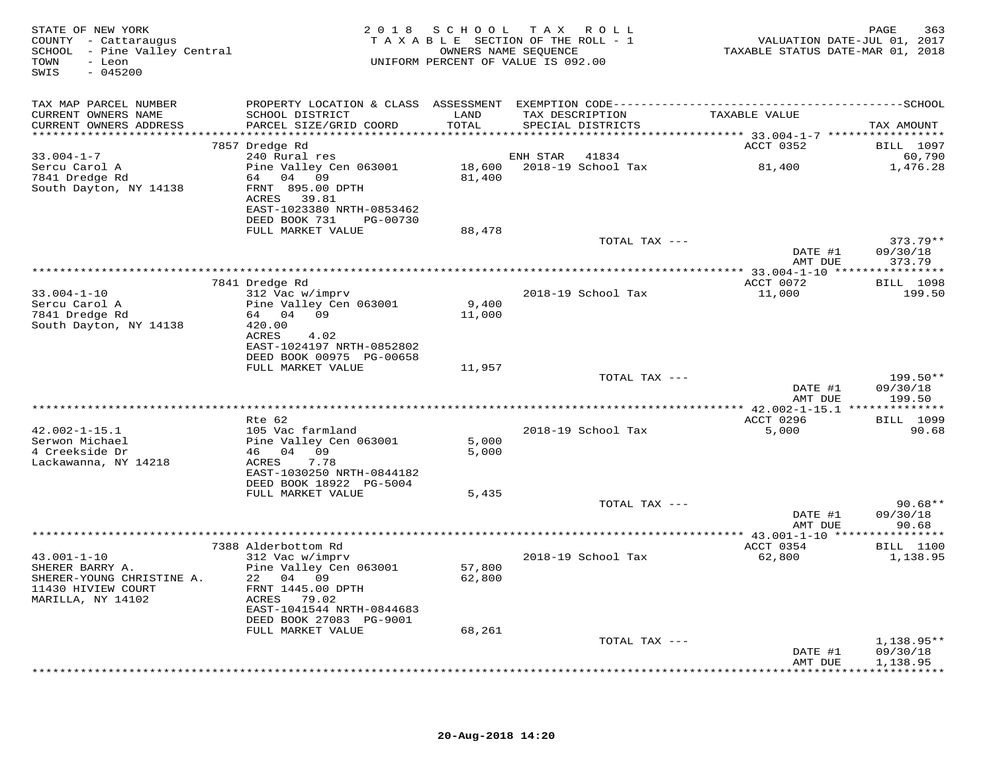| STATE OF NEW YORK<br>COUNTY - Cattaraugus<br>SCHOOL - Pine Valley Central<br>- Leon<br>TOWN<br>$-045200$<br>SWIS |                                                        | OWNERS NAME SEQUENCE | 2018 SCHOOL TAX ROLL<br>TAXABLE SECTION OF THE ROLL - 1<br>UNIFORM PERCENT OF VALUE IS 092.00 |               | TAXABLE STATUS DATE-MAR 01, 2018 | PAGE<br>363<br>VALUATION DATE-JUL 01, 2017 |
|------------------------------------------------------------------------------------------------------------------|--------------------------------------------------------|----------------------|-----------------------------------------------------------------------------------------------|---------------|----------------------------------|--------------------------------------------|
| TAX MAP PARCEL NUMBER                                                                                            |                                                        |                      |                                                                                               |               |                                  |                                            |
| CURRENT OWNERS NAME                                                                                              | SCHOOL DISTRICT                                        | LAND                 | TAX DESCRIPTION                                                                               |               | TAXABLE VALUE                    |                                            |
| CURRENT OWNERS ADDRESS                                                                                           | PARCEL SIZE/GRID COORD                                 | TOTAL                | SPECIAL DISTRICTS                                                                             |               |                                  | TAX AMOUNT                                 |
|                                                                                                                  | 7857 Dredge Rd                                         |                      |                                                                                               |               | ACCT 0352                        | <b>BILL</b> 1097                           |
| $33.004 - 1 - 7$                                                                                                 | 240 Rural res                                          |                      | ENH STAR                                                                                      | 41834         |                                  | 60,790                                     |
| Sercu Carol A                                                                                                    | Pine Valley Cen 063001                                 |                      |                                                                                               |               | 81,400                           | 1,476.28                                   |
| 7841 Dredge Rd<br>South Dayton, NY 14138                                                                         | 64 04 09<br>FRNT 895.00 DPTH<br>ACRES 39.81            | 81,400               |                                                                                               |               |                                  |                                            |
|                                                                                                                  | EAST-1023380 NRTH-0853462<br>DEED BOOK 731<br>PG-00730 |                      |                                                                                               |               |                                  |                                            |
|                                                                                                                  | FULL MARKET VALUE                                      | 88,478               |                                                                                               |               |                                  |                                            |
|                                                                                                                  |                                                        |                      |                                                                                               | TOTAL TAX --- | DATE #1                          | $373.79**$<br>09/30/18                     |
|                                                                                                                  |                                                        |                      |                                                                                               |               | AMT DUE                          | 373.79                                     |
|                                                                                                                  | 7841 Dredge Rd                                         |                      |                                                                                               |               | ACCT 0072                        | <b>BILL</b> 1098                           |
| $33.004 - 1 - 10$                                                                                                | 312 Vac w/imprv                                        |                      | 2018-19 School Tax                                                                            |               | 11,000                           | 199.50                                     |
| Sercu Carol A                                                                                                    | Pine Valley Cen 063001                                 | 9,400                |                                                                                               |               |                                  |                                            |
| 7841 Dredge Rd<br>South Dayton, NY 14138                                                                         | 64 04 09<br>420.00                                     | 11,000               |                                                                                               |               |                                  |                                            |
|                                                                                                                  | ACRES<br>4.02                                          |                      |                                                                                               |               |                                  |                                            |
|                                                                                                                  | EAST-1024197 NRTH-0852802                              |                      |                                                                                               |               |                                  |                                            |
|                                                                                                                  | DEED BOOK 00975 PG-00658<br>FULL MARKET VALUE          | 11,957               |                                                                                               |               |                                  |                                            |
|                                                                                                                  |                                                        |                      |                                                                                               | TOTAL TAX --- |                                  | 199.50**                                   |
|                                                                                                                  |                                                        |                      |                                                                                               |               | DATE #1                          | 09/30/18                                   |
|                                                                                                                  |                                                        |                      |                                                                                               |               | AMT DUE                          | 199.50                                     |
|                                                                                                                  | Rte 62                                                 |                      |                                                                                               |               | ACCT 0296                        | <b>BILL</b> 1099                           |
| $42.002 - 1 - 15.1$                                                                                              | 105 Vac farmland                                       |                      | 2018-19 School Tax                                                                            |               | 5,000                            | 90.68                                      |
| Serwon Michael                                                                                                   | Pine Valley Cen 063001                                 | 5,000                |                                                                                               |               |                                  |                                            |
| 4 Creekside Dr<br>Lackawanna, NY 14218                                                                           | 46 04 09<br>ACRES<br>7.78                              | 5,000                |                                                                                               |               |                                  |                                            |
|                                                                                                                  | EAST-1030250 NRTH-0844182                              |                      |                                                                                               |               |                                  |                                            |
|                                                                                                                  | DEED BOOK 18922 PG-5004                                |                      |                                                                                               |               |                                  |                                            |
|                                                                                                                  | FULL MARKET VALUE                                      | 5,435                |                                                                                               |               |                                  |                                            |
|                                                                                                                  |                                                        |                      |                                                                                               | TOTAL TAX --- | DATE #1                          | $90.68**$<br>09/30/18                      |
|                                                                                                                  |                                                        |                      |                                                                                               |               | AMT DUE                          | 90.68                                      |
|                                                                                                                  |                                                        |                      |                                                                                               |               |                                  |                                            |
| $43.001 - 1 - 10$                                                                                                | 7388 Alderbottom Rd<br>312 Vac w/imprv                 |                      | 2018-19 School Tax                                                                            |               | ACCT 0354<br>62,800              | <b>BILL</b> 1100<br>1,138.95               |
| SHERER BARRY A.                                                                                                  | Pine Valley Cen 063001                                 | 57,800               |                                                                                               |               |                                  |                                            |
| SHERER-YOUNG CHRISTINE A.                                                                                        | 22 04 09                                               | 62,800               |                                                                                               |               |                                  |                                            |
| 11430 HIVIEW COURT                                                                                               | FRNT 1445.00 DPTH                                      |                      |                                                                                               |               |                                  |                                            |
| MARILLA, NY 14102                                                                                                | ACRES 79.02<br>EAST-1041544 NRTH-0844683               |                      |                                                                                               |               |                                  |                                            |
|                                                                                                                  | DEED BOOK 27083 PG-9001                                |                      |                                                                                               |               |                                  |                                            |
|                                                                                                                  | FULL MARKET VALUE                                      | 68,261               |                                                                                               |               |                                  |                                            |
|                                                                                                                  |                                                        |                      |                                                                                               | TOTAL TAX --- | DATE #1                          | $1,138.95**$<br>09/30/18                   |
|                                                                                                                  |                                                        |                      |                                                                                               |               | AMT DUE                          | 1,138.95                                   |
|                                                                                                                  |                                                        |                      |                                                                                               |               |                                  |                                            |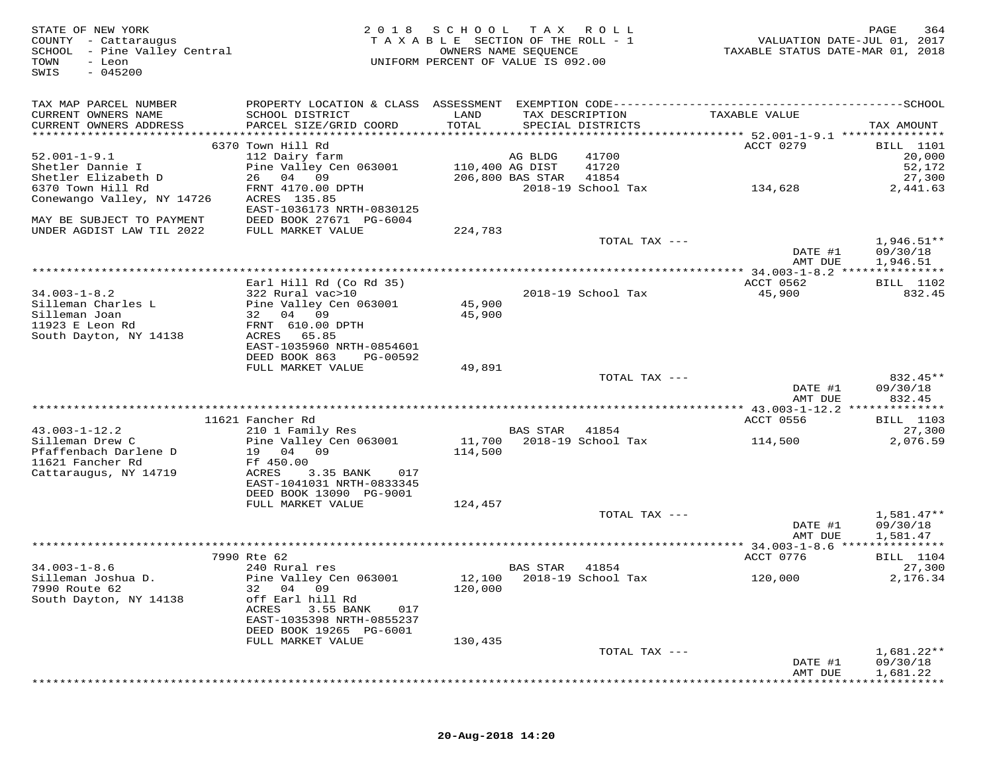| STATE OF NEW YORK<br>COUNTY - Cattaraugus<br>SCHOOL - Pine Valley Central<br>TOWN<br>- Leon<br>$-045200$<br>SWIS | 2 0 1 8                                              | S C H O O L<br>TAXABLE SECTION OF THE ROLL - 1<br>UNIFORM PERCENT OF VALUE IS 092.00 | T A X<br>OWNERS NAME SEQUENCE | ROLL ROLL                   | VALUATION DATE-JUL 01, 2017<br>TAXABLE STATUS DATE-MAR 01, 2018 | PAGE<br>364          |
|------------------------------------------------------------------------------------------------------------------|------------------------------------------------------|--------------------------------------------------------------------------------------|-------------------------------|-----------------------------|-----------------------------------------------------------------|----------------------|
| TAX MAP PARCEL NUMBER                                                                                            |                                                      |                                                                                      |                               |                             |                                                                 |                      |
| CURRENT OWNERS NAME                                                                                              | SCHOOL DISTRICT                                      | LAND                                                                                 | TAX DESCRIPTION               |                             | TAXABLE VALUE                                                   |                      |
| CURRENT OWNERS ADDRESS                                                                                           | PARCEL SIZE/GRID COORD                               | TOTAL                                                                                |                               | SPECIAL DISTRICTS           |                                                                 | TAX AMOUNT           |
|                                                                                                                  | 6370 Town Hill Rd                                    |                                                                                      |                               |                             | ACCT 0279                                                       | <b>BILL</b> 1101     |
| $52.001 - 1 - 9.1$                                                                                               | 112 Dairy farm                                       |                                                                                      | AG BLDG                       | 41700                       |                                                                 | 20,000               |
| Shetler Dannie I                                                                                                 | Pine Valley Cen 063001                               |                                                                                      | 110,400 AG DIST               | 41720                       |                                                                 | 52,172               |
| Shetler Elizabeth D<br>6370 Town Hill Rd                                                                         | 26 04 09<br>FRNT 4170.00 DPTH                        |                                                                                      | 206,800 BAS STAR              | 41854<br>2018-19 School Tax | 134,628                                                         | 27,300<br>2,441.63   |
| Conewango Valley, NY 14726                                                                                       | ACRES 135.85                                         |                                                                                      |                               |                             |                                                                 |                      |
|                                                                                                                  | EAST-1036173 NRTH-0830125                            |                                                                                      |                               |                             |                                                                 |                      |
| MAY BE SUBJECT TO PAYMENT                                                                                        | DEED BOOK 27671 PG-6004                              |                                                                                      |                               |                             |                                                                 |                      |
| UNDER AGDIST LAW TIL 2022                                                                                        | FULL MARKET VALUE                                    | 224,783                                                                              |                               | TOTAL TAX ---               |                                                                 | $1,946.51**$         |
|                                                                                                                  |                                                      |                                                                                      |                               |                             | DATE #1                                                         | 09/30/18             |
|                                                                                                                  |                                                      |                                                                                      |                               |                             | AMT DUE                                                         | 1,946.51             |
|                                                                                                                  |                                                      | ************************************                                                 |                               |                             | **************** 34.003-1-8.2 ***************                   |                      |
| $34.003 - 1 - 8.2$                                                                                               | Earl Hill Rd (Co Rd 35)<br>322 Rural vac>10          |                                                                                      |                               | 2018-19 School Tax          | ACCT 0562<br>45,900                                             | BILL 1102<br>832.45  |
| Silleman Charles L                                                                                               | Pine Valley Cen 063001                               | 45,900                                                                               |                               |                             |                                                                 |                      |
| Silleman Joan                                                                                                    | 32 04 09                                             | 45,900                                                                               |                               |                             |                                                                 |                      |
| 11923 E Leon Rd                                                                                                  | FRNT 610.00 DPTH                                     |                                                                                      |                               |                             |                                                                 |                      |
| South Dayton, NY 14138                                                                                           | ACRES 65.85<br>EAST-1035960 NRTH-0854601             |                                                                                      |                               |                             |                                                                 |                      |
|                                                                                                                  | DEED BOOK 863<br>PG-00592                            |                                                                                      |                               |                             |                                                                 |                      |
|                                                                                                                  | FULL MARKET VALUE                                    | 49,891                                                                               |                               |                             |                                                                 |                      |
|                                                                                                                  |                                                      |                                                                                      |                               | TOTAL TAX ---               | DATE #1                                                         | 832.45**<br>09/30/18 |
|                                                                                                                  |                                                      |                                                                                      |                               |                             | AMT DUE                                                         | 832.45               |
|                                                                                                                  |                                                      |                                                                                      |                               |                             |                                                                 |                      |
|                                                                                                                  | 11621 Fancher Rd                                     |                                                                                      |                               |                             | ACCT 0556                                                       | BILL 1103            |
| $43.003 - 1 - 12.2$<br>Silleman Drew C                                                                           | 210 1 Family Res<br>Pine Valley Cen 063001           | 11,700                                                                               | <b>BAS STAR</b>               | 41854<br>2018-19 School Tax | 114,500                                                         | 27,300<br>2,076.59   |
| Pfaffenbach Darlene D                                                                                            | 19 04 09                                             | 114,500                                                                              |                               |                             |                                                                 |                      |
| 11621 Fancher Rd                                                                                                 | Ff 450.00                                            |                                                                                      |                               |                             |                                                                 |                      |
| Cattaraugus, NY 14719                                                                                            | ACRES<br>3.35 BANK<br>017                            |                                                                                      |                               |                             |                                                                 |                      |
|                                                                                                                  | EAST-1041031 NRTH-0833345<br>DEED BOOK 13090 PG-9001 |                                                                                      |                               |                             |                                                                 |                      |
|                                                                                                                  | FULL MARKET VALUE                                    | 124,457                                                                              |                               |                             |                                                                 |                      |
|                                                                                                                  |                                                      |                                                                                      |                               | TOTAL TAX ---               |                                                                 | $1,581.47**$         |
|                                                                                                                  |                                                      |                                                                                      |                               |                             | DATE #1                                                         | 09/30/18             |
|                                                                                                                  |                                                      |                                                                                      |                               |                             | AMT DUE                                                         | 1,581.47             |
|                                                                                                                  | 7990 Rte 62                                          |                                                                                      |                               |                             | ACCT 0776                                                       | <b>BILL</b> 1104     |
| $34.003 - 1 - 8.6$                                                                                               | 240 Rural res                                        |                                                                                      | BAS STAR                      | 41854                       |                                                                 | 27,300               |
| Silleman Joshua D.<br>7990 Route 62                                                                              | Pine Valley Cen 063001<br>04 09                      | 120,000                                                                              | 12,100 2018-19 School Tax     |                             | 120,000                                                         | 2,176.34             |
| South Dayton, NY 14138                                                                                           | 32<br>off Earl hill Rd                               |                                                                                      |                               |                             |                                                                 |                      |
|                                                                                                                  | 3.55 BANK<br>ACRES<br>017                            |                                                                                      |                               |                             |                                                                 |                      |
|                                                                                                                  | EAST-1035398 NRTH-0855237                            |                                                                                      |                               |                             |                                                                 |                      |
|                                                                                                                  | DEED BOOK 19265 PG-6001<br>FULL MARKET VALUE         | 130,435                                                                              |                               |                             |                                                                 |                      |
|                                                                                                                  |                                                      |                                                                                      |                               | TOTAL TAX ---               |                                                                 | $1,681.22**$         |
|                                                                                                                  |                                                      |                                                                                      |                               |                             | DATE #1                                                         | 09/30/18             |
|                                                                                                                  |                                                      |                                                                                      |                               |                             | AMT DUE                                                         | 1,681.22             |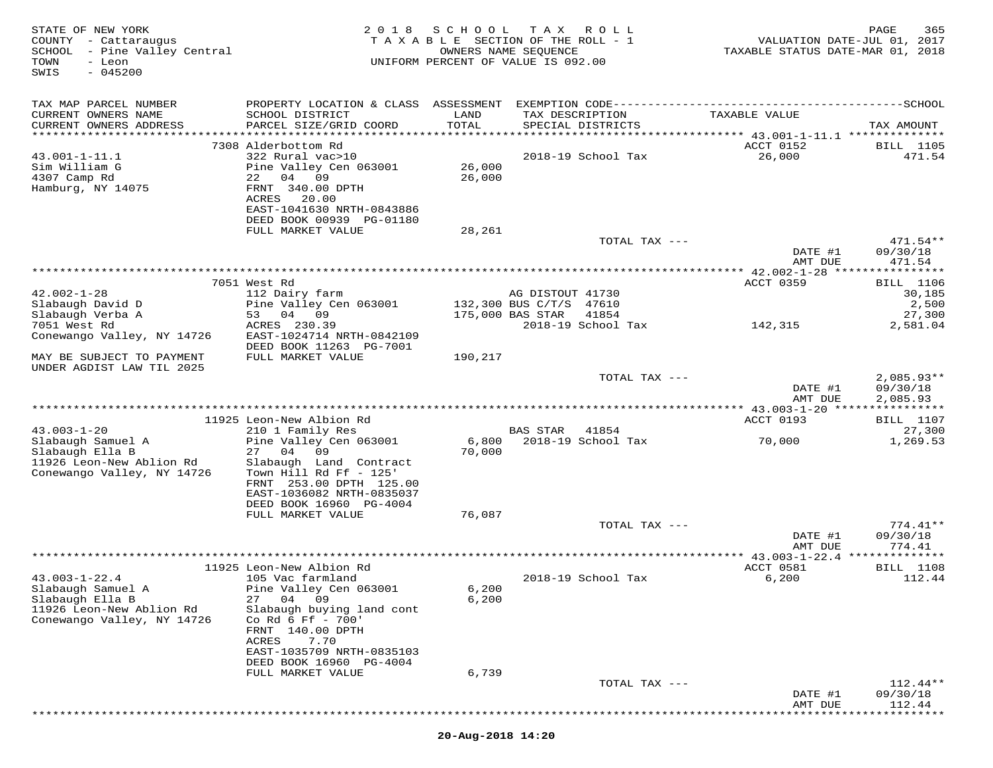| STATE OF NEW YORK<br>COUNTY - Cattaraugus<br>SCHOOL - Pine Valley Central<br>TOWN<br>- Leon<br>$-045200$<br>SWIS | 2018                                                                                                                         | SCHOOL<br>TAXABLE SECTION OF THE ROLL - 1<br>UNIFORM PERCENT OF VALUE IS 092.00 | T A X<br>OWNERS NAME SEQUENCE               | R O L L            | TAXABLE STATUS DATE-MAR 01, 2018 | PAGE<br>365<br>VALUATION DATE-JUL 01, 2017 |
|------------------------------------------------------------------------------------------------------------------|------------------------------------------------------------------------------------------------------------------------------|---------------------------------------------------------------------------------|---------------------------------------------|--------------------|----------------------------------|--------------------------------------------|
| TAX MAP PARCEL NUMBER                                                                                            |                                                                                                                              |                                                                                 |                                             |                    |                                  |                                            |
| CURRENT OWNERS NAME<br>CURRENT OWNERS ADDRESS                                                                    | SCHOOL DISTRICT<br>PARCEL SIZE/GRID COORD                                                                                    | LAND<br>TOTAL                                                                   | TAX DESCRIPTION<br>SPECIAL DISTRICTS        |                    | TAXABLE VALUE                    | TAX AMOUNT                                 |
|                                                                                                                  | 7308 Alderbottom Rd                                                                                                          |                                                                                 |                                             |                    | ACCT 0152                        | <b>BILL</b> 1105                           |
| $43.001 - 1 - 11.1$<br>Sim William G<br>4307 Camp Rd<br>Hamburg, NY 14075                                        | 322 Rural vac>10<br>Pine Valley Cen 063001<br>22<br>04 09<br>FRNT 340.00 DPTH<br>ACRES<br>20.00<br>EAST-1041630 NRTH-0843886 | 26,000<br>26,000                                                                |                                             | 2018-19 School Tax | 26,000                           | 471.54                                     |
|                                                                                                                  | DEED BOOK 00939 PG-01180<br>FULL MARKET VALUE                                                                                | 28,261                                                                          |                                             |                    |                                  |                                            |
|                                                                                                                  |                                                                                                                              |                                                                                 |                                             | TOTAL TAX ---      | DATE #1<br>AMT DUE               | $471.54**$<br>09/30/18<br>471.54           |
|                                                                                                                  |                                                                                                                              |                                                                                 |                                             |                    | ************ 42.002-1-28 ****    | * * * * * * * * *                          |
|                                                                                                                  | 7051 West Rd                                                                                                                 |                                                                                 |                                             |                    | ACCT 0359                        | <b>BILL</b> 1106                           |
| $42.002 - 1 - 28$<br>Slabaugh David D                                                                            | 112 Dairy farm<br>Pine Valley Cen 063001                                                                                     |                                                                                 | AG DISTOUT 41730<br>132,300 BUS C/T/S 47610 |                    |                                  | 30,185<br>2,500                            |
| Slabaugh Verba A                                                                                                 | 53 04 09                                                                                                                     |                                                                                 | 175,000 BAS STAR                            | 41854              |                                  | 27,300                                     |
| 7051 West Rd                                                                                                     | ACRES 230.39                                                                                                                 |                                                                                 |                                             | 2018-19 School Tax | 142,315                          | 2,581.04                                   |
| Conewango Valley, NY 14726                                                                                       | EAST-1024714 NRTH-0842109<br>DEED BOOK 11263 PG-7001                                                                         |                                                                                 |                                             |                    |                                  |                                            |
| MAY BE SUBJECT TO PAYMENT<br>UNDER AGDIST LAW TIL 2025                                                           | FULL MARKET VALUE                                                                                                            | 190,217                                                                         |                                             |                    |                                  |                                            |
|                                                                                                                  |                                                                                                                              |                                                                                 |                                             | TOTAL TAX ---      |                                  | $2,085.93**$                               |
|                                                                                                                  |                                                                                                                              |                                                                                 |                                             |                    |                                  |                                            |
|                                                                                                                  |                                                                                                                              |                                                                                 |                                             |                    | DATE #1<br>AMT DUE               | 09/30/18<br>2,085.93                       |
|                                                                                                                  | 11925 Leon-New Albion Rd                                                                                                     |                                                                                 |                                             |                    | ACCT 0193                        |                                            |
| $43.003 - 1 - 20$                                                                                                | 210 1 Family Res                                                                                                             |                                                                                 | <b>BAS STAR</b>                             | 41854              |                                  | <b>BILL</b> 1107<br>27,300                 |
| Slabaugh Samuel A                                                                                                | Pine Valley Cen 063001                                                                                                       | 6,800                                                                           |                                             | 2018-19 School Tax | 70,000                           | 1,269.53                                   |
| Slabaugh Ella B                                                                                                  | 04<br>09<br>27                                                                                                               | 70,000                                                                          |                                             |                    |                                  |                                            |
| 11926 Leon-New Ablion Rd<br>Conewango Valley, NY 14726                                                           | Slabaugh Land Contract<br>Town Hill Rd Ff - 125'                                                                             |                                                                                 |                                             |                    |                                  |                                            |
|                                                                                                                  | FRNT 253.00 DPTH 125.00                                                                                                      |                                                                                 |                                             |                    |                                  |                                            |
|                                                                                                                  | EAST-1036082 NRTH-0835037                                                                                                    |                                                                                 |                                             |                    |                                  |                                            |
|                                                                                                                  | DEED BOOK 16960 PG-4004<br>FULL MARKET VALUE                                                                                 | 76,087                                                                          |                                             |                    |                                  |                                            |
|                                                                                                                  |                                                                                                                              |                                                                                 |                                             | TOTAL TAX ---      |                                  | $774.41**$                                 |
|                                                                                                                  |                                                                                                                              |                                                                                 |                                             |                    | DATE #1<br>AMT DUE               | 09/30/18<br>774.41                         |
|                                                                                                                  |                                                                                                                              |                                                                                 |                                             |                    |                                  |                                            |
|                                                                                                                  | 11925 Leon-New Albion Rd                                                                                                     |                                                                                 |                                             |                    | ACCT 0581                        | <b>BILL</b> 1108                           |
| $43.003 - 1 - 22.4$<br>Slabaugh Samuel A                                                                         | 105 Vac farmland<br>Pine Valley Cen 063001                                                                                   | 6,200                                                                           |                                             | 2018-19 School Tax | 6,200                            | 112.44                                     |
| Slabaugh Ella B                                                                                                  | 27<br>04<br>09                                                                                                               | 6,200                                                                           |                                             |                    |                                  |                                            |
| 11926 Leon-New Ablion Rd                                                                                         | Slabaugh buying land cont                                                                                                    |                                                                                 |                                             |                    |                                  |                                            |
| Conewango Valley, NY 14726                                                                                       | Co Rd 6 Ff - 700'<br>FRNT 140.00 DPTH                                                                                        |                                                                                 |                                             |                    |                                  |                                            |
|                                                                                                                  | ACRES<br>7.70                                                                                                                |                                                                                 |                                             |                    |                                  |                                            |
|                                                                                                                  | EAST-1035709 NRTH-0835103                                                                                                    |                                                                                 |                                             |                    |                                  |                                            |
|                                                                                                                  | DEED BOOK 16960 PG-4004<br>FULL MARKET VALUE                                                                                 | 6,739                                                                           |                                             |                    |                                  |                                            |
|                                                                                                                  |                                                                                                                              |                                                                                 |                                             | TOTAL TAX ---      |                                  | $112.44**$                                 |
|                                                                                                                  |                                                                                                                              |                                                                                 |                                             |                    | DATE #1<br>AMT DUE               | 09/30/18<br>112.44                         |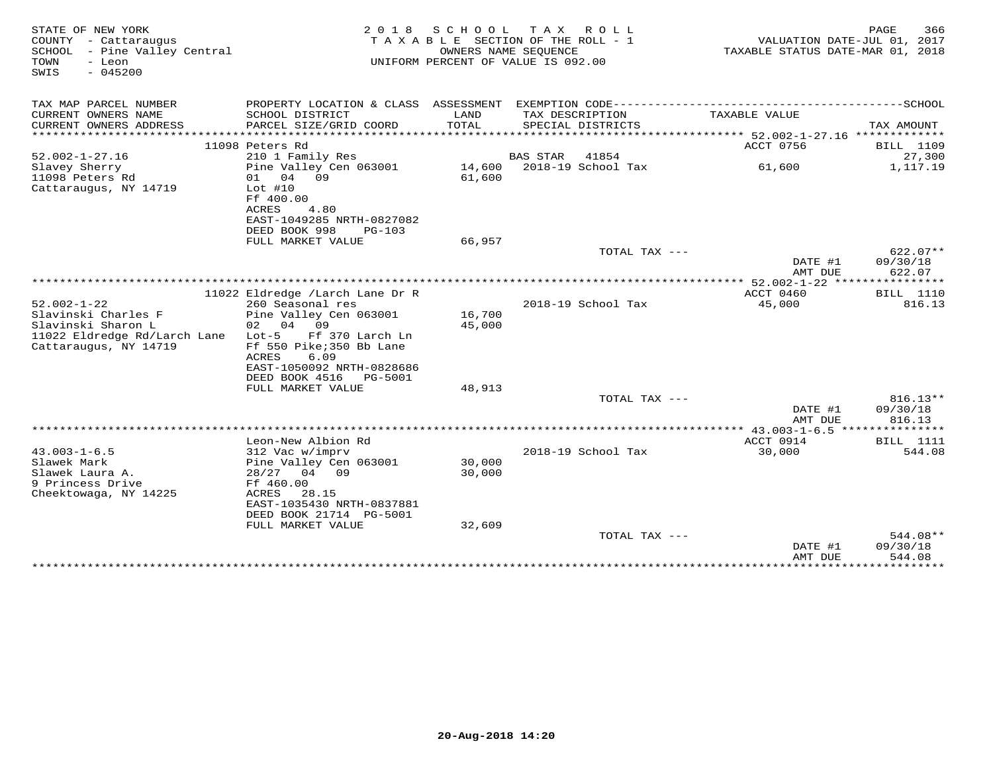| STATE OF NEW YORK<br>COUNTY - Cattaraugus<br>SCHOOL - Pine Valley Central<br>TOWN<br>- Leon<br>$-045200$<br>SWIS        | 2 0 1 8<br>TAXABLE                                                                                                                                                | S C H O O L      | T A X<br>R O L L<br>SECTION OF THE ROLL - 1<br>OWNERS NAME SEOUENCE<br>UNIFORM PERCENT OF VALUE IS 092.00 | VALUATION DATE-JUL 01, 2017<br>TAXABLE STATUS DATE-MAR 01, 2018 | 366<br>PAGE                                 |
|-------------------------------------------------------------------------------------------------------------------------|-------------------------------------------------------------------------------------------------------------------------------------------------------------------|------------------|-----------------------------------------------------------------------------------------------------------|-----------------------------------------------------------------|---------------------------------------------|
| TAX MAP PARCEL NUMBER                                                                                                   | PROPERTY LOCATION & CLASS ASSESSMENT EXEMPTION CODE-----------------------------------SCHOOL                                                                      |                  |                                                                                                           |                                                                 |                                             |
| CURRENT OWNERS NAME<br>CURRENT OWNERS ADDRESS<br>***********************                                                | SCHOOL DISTRICT<br>PARCEL SIZE/GRID COORD                                                                                                                         | LAND<br>TOTAL    | TAX DESCRIPTION<br>SPECIAL DISTRICTS                                                                      | TAXABLE VALUE                                                   | TAX AMOUNT                                  |
| $52.002 - 1 - 27.16$                                                                                                    | 11098 Peters Rd<br>210 1 Family Res                                                                                                                               |                  | <b>BAS STAR</b><br>41854                                                                                  | ACCT 0756                                                       | <b>BILL</b> 1109<br>27,300                  |
| Slavey Sherry<br>11098 Peters Rd<br>Cattaraugus, NY 14719                                                               | Pine Valley Cen 063001<br>04<br>09<br>01<br>$Lot$ #10<br>Ff 400.00<br>ACRES<br>4.80<br>EAST-1049285 NRTH-0827082<br>DEED BOOK 998<br>$PG-103$                     | 14,600<br>61,600 | 2018-19 School Tax                                                                                        | 61,600                                                          | 1,117.19                                    |
|                                                                                                                         | FULL MARKET VALUE                                                                                                                                                 | 66,957           | TOTAL TAX ---                                                                                             |                                                                 | $622.07**$                                  |
|                                                                                                                         |                                                                                                                                                                   |                  |                                                                                                           | DATE #1<br>AMT DUE                                              | 09/30/18<br>622.07                          |
|                                                                                                                         | 11022 Eldredge /Larch Lane Dr R                                                                                                                                   |                  |                                                                                                           | ACCT 0460                                                       | <b>BILL</b> 1110                            |
| $52.002 - 1 - 22$<br>Slavinski Charles F<br>Slavinski Sharon L<br>11022 Eldredge Rd/Larch Lane<br>Cattaraugus, NY 14719 | 260 Seasonal res<br>Pine Valley Cen 063001<br>02 04<br>09<br>$Lot-5$<br>Ff 370 Larch Ln<br>Ff 550 Pike; 350 Bb Lane<br>ACRES<br>6.09<br>EAST-1050092 NRTH-0828686 | 16,700<br>45,000 | 2018-19 School Tax                                                                                        | 45,000                                                          | 816.13                                      |
|                                                                                                                         | DEED BOOK 4516<br>PG-5001<br>FULL MARKET VALUE                                                                                                                    | 48,913           |                                                                                                           |                                                                 |                                             |
|                                                                                                                         |                                                                                                                                                                   |                  | TOTAL TAX $---$                                                                                           | DATE #1<br>AMT DUE                                              | 816.13**<br>09/30/18<br>816.13              |
|                                                                                                                         | Leon-New Albion Rd                                                                                                                                                |                  |                                                                                                           | **** 43.003-1-6.5 ****************<br>ACCT 0914                 | <b>BILL</b> 1111                            |
| $43.003 - 1 - 6.5$<br>Slawek Mark<br>Slawek Laura A.<br>9 Princess Drive<br>Cheektowaga, NY 14225                       | 312 Vac w/imprv<br>Pine Valley Cen 063001<br>$28/27$ 04 09<br>Ff 460.00<br>ACRES<br>28.15<br>EAST-1035430 NRTH-0837881<br>DEED BOOK 21714 PG-5001                 | 30,000<br>30,000 | 2018-19 School Tax                                                                                        | 30,000                                                          | 544.08                                      |
|                                                                                                                         | FULL MARKET VALUE                                                                                                                                                 | 32,609           |                                                                                                           |                                                                 |                                             |
|                                                                                                                         |                                                                                                                                                                   |                  | TOTAL TAX ---                                                                                             | DATE #1<br>AMT DUE<br>***************                           | 544.08**<br>09/30/18<br>544.08<br>********* |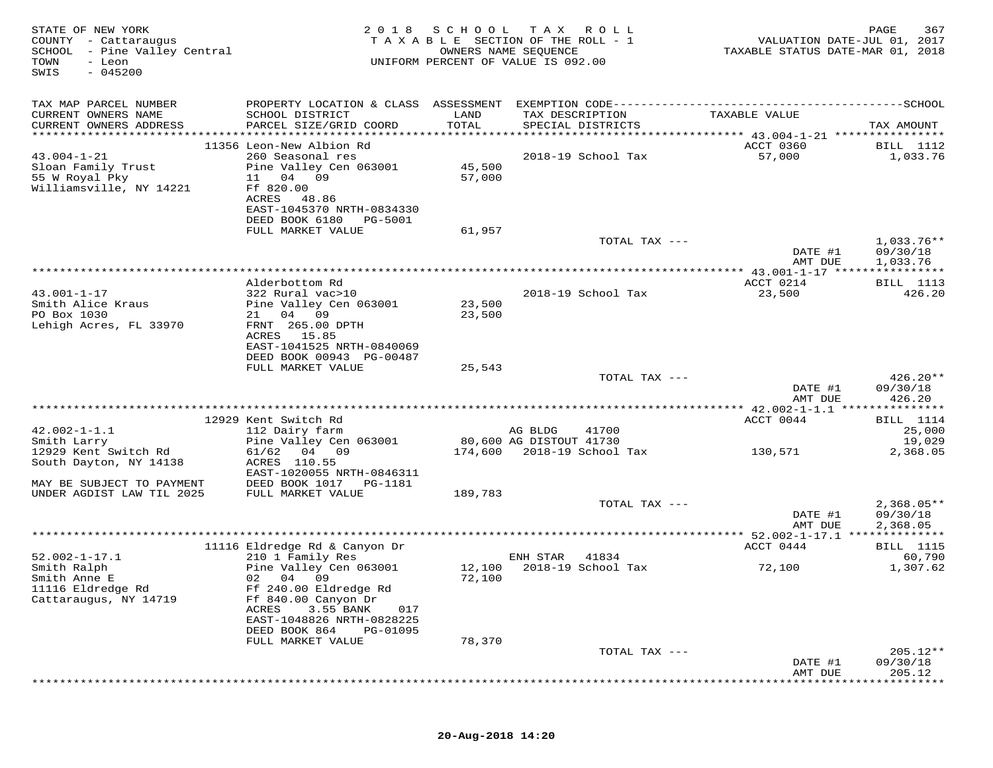| STATE OF NEW YORK<br>COUNTY - Cattaraugus<br>SCHOOL - Pine Valley Central<br>TOWN<br>- Leon<br>SWIS<br>$-045200$ | 2018                                                                                            | SCHOOL           | T A X<br>R O L L<br>TAXABLE SECTION OF THE ROLL - 1<br>OWNERS NAME SEQUENCE<br>UNIFORM PERCENT OF VALUE IS 092.00 | VALUATION DATE-JUL 01, 2017<br>TAXABLE STATUS DATE-MAR 01, 2018 | 367<br>PAGE                  |
|------------------------------------------------------------------------------------------------------------------|-------------------------------------------------------------------------------------------------|------------------|-------------------------------------------------------------------------------------------------------------------|-----------------------------------------------------------------|------------------------------|
| TAX MAP PARCEL NUMBER                                                                                            |                                                                                                 |                  |                                                                                                                   |                                                                 |                              |
| CURRENT OWNERS NAME<br>CURRENT OWNERS ADDRESS                                                                    | SCHOOL DISTRICT<br>PARCEL SIZE/GRID COORD                                                       | LAND<br>TOTAL    | TAX DESCRIPTION<br>SPECIAL DISTRICTS                                                                              | TAXABLE VALUE                                                   | TAX AMOUNT                   |
|                                                                                                                  |                                                                                                 |                  |                                                                                                                   |                                                                 |                              |
| $43.004 - 1 - 21$<br>Sloan Family Trust<br>55 W Royal Pky<br>Williamsville, NY 14221                             | 11356 Leon-New Albion Rd<br>260 Seasonal res<br>Pine Valley Cen 063001<br>11 04 09<br>Ff 820.00 | 45,500<br>57,000 | 2018-19 School Tax                                                                                                | ACCT 0360<br>57,000                                             | <b>BILL</b> 1112<br>1,033.76 |
|                                                                                                                  | ACRES<br>48.86<br>EAST-1045370 NRTH-0834330<br>DEED BOOK 6180<br>PG-5001<br>FULL MARKET VALUE   | 61,957           |                                                                                                                   |                                                                 |                              |
|                                                                                                                  |                                                                                                 |                  | TOTAL TAX ---                                                                                                     |                                                                 | $1,033.76**$                 |
|                                                                                                                  |                                                                                                 |                  |                                                                                                                   | DATE #1<br>AMT DUE                                              | 09/30/18<br>1,033.76         |
|                                                                                                                  |                                                                                                 |                  |                                                                                                                   |                                                                 |                              |
| $43.001 - 1 - 17$                                                                                                | Alderbottom Rd<br>322 Rural vac>10                                                              |                  | 2018-19 School Tax                                                                                                | ACCT 0214<br>23,500                                             | <b>BILL</b> 1113<br>426.20   |
| Smith Alice Kraus                                                                                                | Pine Valley Cen 063001                                                                          | 23,500           |                                                                                                                   |                                                                 |                              |
| PO Box 1030                                                                                                      | 21 04 09                                                                                        | 23,500           |                                                                                                                   |                                                                 |                              |
| Lehigh Acres, FL 33970                                                                                           | FRNT 265.00 DPTH<br>ACRES 15.85                                                                 |                  |                                                                                                                   |                                                                 |                              |
|                                                                                                                  | EAST-1041525 NRTH-0840069                                                                       |                  |                                                                                                                   |                                                                 |                              |
|                                                                                                                  | DEED BOOK 00943 PG-00487                                                                        |                  |                                                                                                                   |                                                                 |                              |
|                                                                                                                  | FULL MARKET VALUE                                                                               | 25,543           |                                                                                                                   |                                                                 |                              |
|                                                                                                                  |                                                                                                 |                  | TOTAL TAX ---                                                                                                     | DATE #1                                                         | 426.20**<br>09/30/18         |
|                                                                                                                  |                                                                                                 |                  |                                                                                                                   | AMT DUE                                                         | 426.20                       |
|                                                                                                                  | 12929 Kent Switch Rd                                                                            |                  |                                                                                                                   | ACCT 0044                                                       | BILL 1114                    |
| $42.002 - 1 - 1.1$                                                                                               | 112 Dairy farm                                                                                  |                  | AG BLDG<br>41700                                                                                                  |                                                                 | 25,000                       |
| Smith Larry<br>12929 Kent Switch Rd                                                                              | Pine Valley Cen 063001<br>61/62<br>04 09                                                        |                  | 80,600 AG DISTOUT 41730<br>174,600 2018-19 School Tax                                                             | 130,571                                                         | 19,029<br>2,368.05           |
| South Dayton, NY 14138                                                                                           | ACRES 110.55<br>EAST-1020055 NRTH-0846311                                                       |                  |                                                                                                                   |                                                                 |                              |
| MAY BE SUBJECT TO PAYMENT                                                                                        | DEED BOOK 1017<br>PG-1181                                                                       |                  |                                                                                                                   |                                                                 |                              |
| UNDER AGDIST LAW TIL 2025                                                                                        | FULL MARKET VALUE                                                                               | 189,783          |                                                                                                                   |                                                                 |                              |
|                                                                                                                  |                                                                                                 |                  | TOTAL TAX ---                                                                                                     | DATE #1                                                         | $2,368.05**$<br>09/30/18     |
|                                                                                                                  |                                                                                                 |                  |                                                                                                                   | AMT DUE                                                         | 2,368.05                     |
|                                                                                                                  | 11116 Eldredge Rd & Canyon Dr                                                                   |                  |                                                                                                                   | ************ 52.002-1-17.1 ***************<br>ACCT 0444         | <b>BILL</b> 1115             |
| $52.002 - 1 - 17.1$                                                                                              | 210 1 Family Res                                                                                |                  | 41834<br>ENH STAR                                                                                                 |                                                                 | 60,790                       |
| Smith Ralph                                                                                                      | Pine Valley Cen 063001                                                                          | 12,100           | 2018-19 School Tax                                                                                                | 72,100                                                          | 1,307.62                     |
| Smith Anne E<br>11116 Eldredge Rd                                                                                | 02 04 09<br>Ff 240.00 Eldredge Rd                                                               | 72,100           |                                                                                                                   |                                                                 |                              |
| Cattaraugus, NY 14719                                                                                            | Ff 840.00 Canyon Dr                                                                             |                  |                                                                                                                   |                                                                 |                              |
|                                                                                                                  | 3.55 BANK<br>ACRES<br>017                                                                       |                  |                                                                                                                   |                                                                 |                              |
|                                                                                                                  | EAST-1048826 NRTH-0828225<br>DEED BOOK 864<br>PG-01095                                          |                  |                                                                                                                   |                                                                 |                              |
|                                                                                                                  | FULL MARKET VALUE                                                                               | 78,370           |                                                                                                                   |                                                                 |                              |
|                                                                                                                  |                                                                                                 |                  | TOTAL TAX ---                                                                                                     |                                                                 | 205.12**                     |
|                                                                                                                  |                                                                                                 |                  |                                                                                                                   | DATE #1<br>AMT DUE                                              | 09/30/18<br>205.12           |
|                                                                                                                  |                                                                                                 |                  |                                                                                                                   |                                                                 |                              |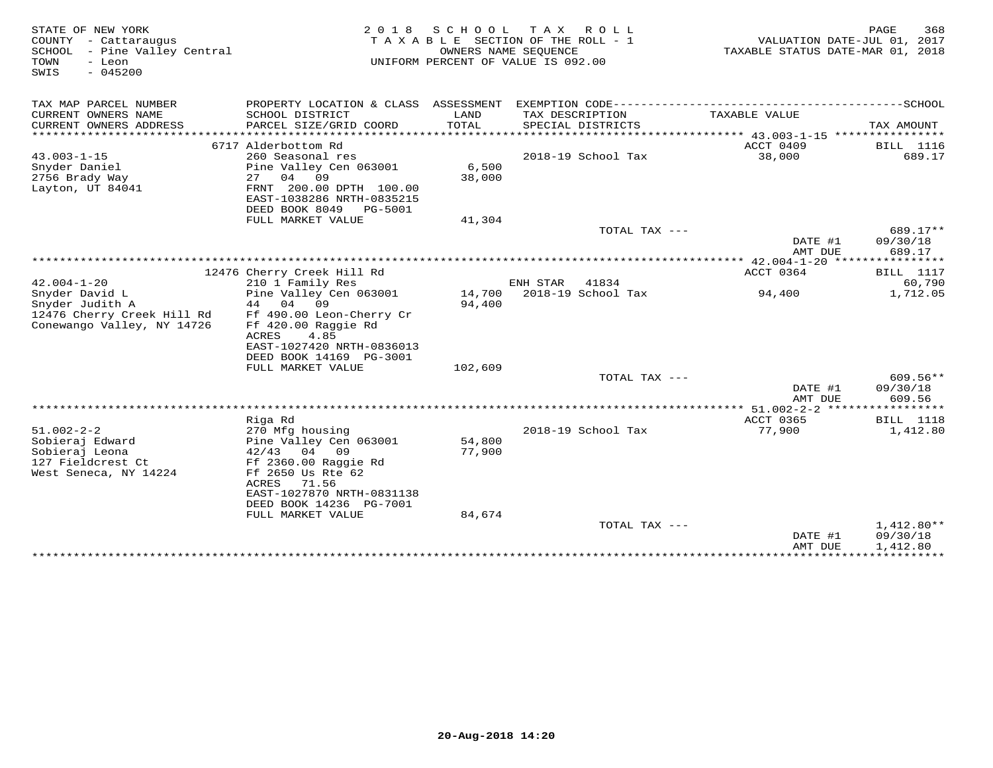| STATE OF NEW YORK<br>COUNTY - Cattaraugus<br>SCHOOL - Pine Valley Central<br>- Leon<br>TOWN<br>$-045200$<br>SWIS | 2 0 1 8                                                | S C H O O L      | T A X<br>R O L L<br>TAXABLE SECTION OF THE ROLL - 1<br>OWNERS NAME SEQUENCE<br>UNIFORM PERCENT OF VALUE IS 092.00 | VALUATION DATE-JUL 01, 2017<br>TAXABLE STATUS DATE-MAR 01, 2018 | PAGE<br>368              |
|------------------------------------------------------------------------------------------------------------------|--------------------------------------------------------|------------------|-------------------------------------------------------------------------------------------------------------------|-----------------------------------------------------------------|--------------------------|
| TAX MAP PARCEL NUMBER                                                                                            |                                                        |                  |                                                                                                                   |                                                                 |                          |
| CURRENT OWNERS NAME                                                                                              | SCHOOL DISTRICT                                        | LAND             | TAX DESCRIPTION                                                                                                   | TAXABLE VALUE                                                   |                          |
| CURRENT OWNERS ADDRESS<br>***********************                                                                | PARCEL SIZE/GRID COORD                                 | TOTAL            | SPECIAL DISTRICTS                                                                                                 |                                                                 | TAX AMOUNT               |
|                                                                                                                  | 6717 Alderbottom Rd                                    |                  |                                                                                                                   | ACCT 0409                                                       | <b>BILL</b> 1116         |
| $43.003 - 1 - 15$                                                                                                | 260 Seasonal res                                       |                  | 2018-19 School Tax                                                                                                | 38,000                                                          | 689.17                   |
| Snyder Daniel                                                                                                    | Pine Valley Cen 063001                                 | 6,500            |                                                                                                                   |                                                                 |                          |
| 2756 Brady Way                                                                                                   | 04 09<br>27                                            | 38,000           |                                                                                                                   |                                                                 |                          |
| Layton, UT 84041                                                                                                 | FRNT 200.00 DPTH 100.00                                |                  |                                                                                                                   |                                                                 |                          |
|                                                                                                                  | EAST-1038286 NRTH-0835215<br>DEED BOOK 8049<br>PG-5001 |                  |                                                                                                                   |                                                                 |                          |
|                                                                                                                  | FULL MARKET VALUE                                      | 41,304           |                                                                                                                   |                                                                 |                          |
|                                                                                                                  |                                                        |                  | TOTAL TAX ---                                                                                                     |                                                                 | 689.17**                 |
|                                                                                                                  |                                                        |                  |                                                                                                                   | DATE #1<br>AMT DUE                                              | 09/30/18<br>689.17       |
|                                                                                                                  |                                                        |                  |                                                                                                                   |                                                                 |                          |
|                                                                                                                  | 12476 Cherry Creek Hill Rd                             |                  |                                                                                                                   | ACCT 0364                                                       | <b>BILL</b> 1117         |
| $42.004 - 1 - 20$                                                                                                | 210 1 Family Res                                       |                  | ENH STAR<br>41834                                                                                                 |                                                                 | 60,790                   |
| Snyder David L<br>Snyder Judith A                                                                                | Pine Valley Cen 063001<br>09<br>44 04                  | 14,700<br>94,400 | 2018-19 School Tax                                                                                                | 94,400                                                          | 1,712.05                 |
| 12476 Cherry Creek Hill Rd                                                                                       | Ff 490.00 Leon-Cherry Cr                               |                  |                                                                                                                   |                                                                 |                          |
| Conewango Valley, NY 14726                                                                                       | Ff 420.00 Raggie Rd                                    |                  |                                                                                                                   |                                                                 |                          |
|                                                                                                                  | 4.85<br>ACRES                                          |                  |                                                                                                                   |                                                                 |                          |
|                                                                                                                  | EAST-1027420 NRTH-0836013                              |                  |                                                                                                                   |                                                                 |                          |
|                                                                                                                  | DEED BOOK 14169 PG-3001                                |                  |                                                                                                                   |                                                                 |                          |
|                                                                                                                  | FULL MARKET VALUE                                      | 102,609          | TOTAL TAX ---                                                                                                     |                                                                 | $609.56**$               |
|                                                                                                                  |                                                        |                  |                                                                                                                   | DATE #1                                                         | 09/30/18                 |
|                                                                                                                  |                                                        |                  |                                                                                                                   | AMT DUE                                                         | 609.56                   |
|                                                                                                                  |                                                        |                  |                                                                                                                   | ****** 51.002-2-2 ******************                            |                          |
|                                                                                                                  | Riga Rd                                                |                  |                                                                                                                   | ACCT 0365                                                       | <b>BILL</b> 1118         |
| $51.002 - 2 - 2$                                                                                                 | 270 Mfg housing                                        |                  | 2018-19 School Tax                                                                                                | 77,900                                                          | 1,412.80                 |
| Sobieraj Edward                                                                                                  | Pine Valley Cen 063001                                 | 54,800           |                                                                                                                   |                                                                 |                          |
| Sobieraj Leona<br>127 Fieldcrest Ct                                                                              | $42/43$ 04 09<br>Ff 2360.00 Raggie Rd                  | 77,900           |                                                                                                                   |                                                                 |                          |
| West Seneca, NY 14224                                                                                            | Ff 2650 Us Rte 62                                      |                  |                                                                                                                   |                                                                 |                          |
|                                                                                                                  | ACRES<br>71.56                                         |                  |                                                                                                                   |                                                                 |                          |
|                                                                                                                  | EAST-1027870 NRTH-0831138                              |                  |                                                                                                                   |                                                                 |                          |
|                                                                                                                  | DEED BOOK 14236 PG-7001                                |                  |                                                                                                                   |                                                                 |                          |
|                                                                                                                  | FULL MARKET VALUE                                      | 84,674           |                                                                                                                   |                                                                 |                          |
|                                                                                                                  |                                                        |                  | TOTAL TAX ---                                                                                                     | DATE #1                                                         | $1,412.80**$<br>09/30/18 |
|                                                                                                                  |                                                        |                  |                                                                                                                   | AMT DUE                                                         | 1,412.80                 |
|                                                                                                                  |                                                        |                  |                                                                                                                   | ***************************                                     |                          |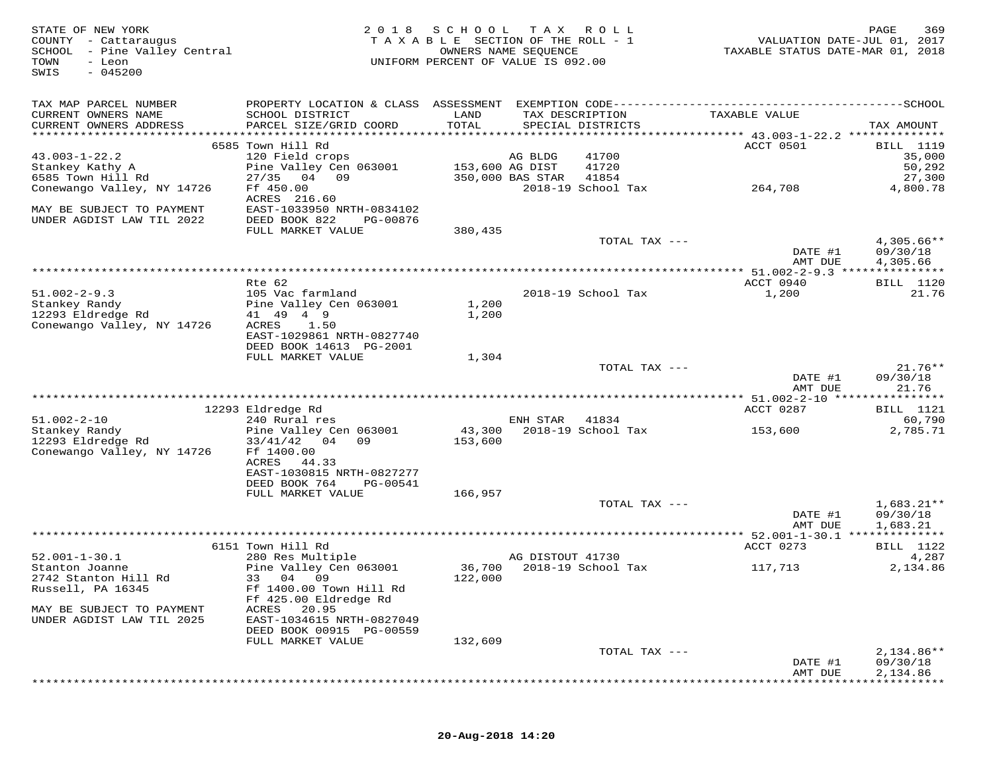| TAX MAP PARCEL NUMBER<br>CURRENT OWNERS NAME<br>SCHOOL DISTRICT<br>LAND<br>TAX DESCRIPTION<br>TAXABLE VALUE<br>CURRENT OWNERS ADDRESS<br>PARCEL SIZE/GRID COORD<br>TOTAL<br>SPECIAL DISTRICTS<br>TAX AMOUNT<br>6585 Town Hill Rd<br>ACCT 0501<br><b>BILL</b> 1119<br>$43.003 - 1 - 22.2$<br>120 Field crops<br>41700<br>35,000<br>AG BLDG<br>Stankey Kathy A<br>Pine Valley Cen 063001<br>153,600 AG DIST<br>41720<br>50,292<br>6585 Town Hill Rd<br>27/35<br>04 09<br>41854<br>27,300<br>350,000 BAS STAR<br>Conewango Valley, NY 14726<br>Ff 450.00<br>2018-19 School Tax<br>264,708<br>4,800.78<br>ACRES 216.60<br>EAST-1033950 NRTH-0834102<br>MAY BE SUBJECT TO PAYMENT<br>UNDER AGDIST LAW TIL 2022<br>DEED BOOK 822<br>PG-00876<br>380,435<br>FULL MARKET VALUE<br>$4,305.66**$<br>TOTAL TAX ---<br>09/30/18<br>DATE #1<br>AMT DUE<br>4,305.66<br>**************** 51.002-2-9.3 ***************<br>Rte 62<br>ACCT 0940<br><b>BILL</b> 1120<br>$51.002 - 2 - 9.3$<br>105 Vac farmland<br>2018-19 School Tax<br>1,200<br>21.76<br>Stankey Randy<br>Pine Valley Cen 063001<br>1,200<br>41 49 4 9<br>12293 Eldredge Rd<br>1,200<br>Conewango Valley, NY 14726<br>ACRES<br>1.50<br>EAST-1029861 NRTH-0827740<br>DEED BOOK 14613 PG-2001<br>FULL MARKET VALUE<br>1,304<br>TOTAL TAX ---<br>$21.76**$<br>DATE #1<br>09/30/18<br>21.76<br>AMT DUE<br>12293 Eldredge Rd<br>ACCT 0287<br>BILL 1121<br>$51.002 - 2 - 10$<br>60,790<br>240 Rural res<br>ENH STAR<br>41834<br>2018-19 School Tax<br>Stankey Randy<br>Pine Valley Cen 063001<br>43,300<br>2,785.71<br>153,600<br>12293 Eldredge Rd<br>$33/41/42$ 04<br>09<br>153,600<br>Conewango Valley, NY 14726<br>Ff 1400.00<br>ACRES<br>44.33<br>EAST-1030815 NRTH-0827277<br>DEED BOOK 764<br>PG-00541<br>FULL MARKET VALUE<br>166,957<br>TOTAL TAX ---<br>$1,683.21**$<br>DATE #1<br>09/30/18<br>AMT DUE<br>1,683.21<br>********** 52.001-1-30.1 **************<br>ACCT 0273<br>6151 Town Hill Rd<br>BILL 1122<br>4,287<br>$52.001 - 1 - 30.1$<br>280 Res Multiple<br>AG DISTOUT 41730<br>Stanton Joanne<br>Pine Valley Cen 063001<br>36,700<br>2018-19 School Tax<br>2,134.86<br>117,713<br>2742 Stanton Hill Rd<br>33 04 09<br>122,000<br>Russell, PA 16345<br>Ff 1400.00 Town Hill Rd<br>Ff 425.00 Eldredge Rd<br>ACRES<br>20.95<br>MAY BE SUBJECT TO PAYMENT<br>EAST-1034615 NRTH-0827049<br>UNDER AGDIST LAW TIL 2025<br>DEED BOOK 00915 PG-00559<br>FULL MARKET VALUE<br>132,609<br>$2,134.86**$<br>TOTAL TAX ---<br>09/30/18<br>DATE #1<br>2,134.86<br>AMT DUE | STATE OF NEW YORK<br>COUNTY - Cattaraugus<br>SCHOOL - Pine Valley Central<br>TOWN<br>- Leon<br>$-045200$<br>SWIS | 2 0 1 8 | SCHOOL<br>TAXABLE SECTION OF THE ROLL - 1<br>UNIFORM PERCENT OF VALUE IS 092.00 | T A X<br>OWNERS NAME SEQUENCE | R O L L | VALUATION DATE-JUL 01, 2017<br>TAXABLE STATUS DATE-MAR 01, 2018 | 369<br>PAGE |
|-----------------------------------------------------------------------------------------------------------------------------------------------------------------------------------------------------------------------------------------------------------------------------------------------------------------------------------------------------------------------------------------------------------------------------------------------------------------------------------------------------------------------------------------------------------------------------------------------------------------------------------------------------------------------------------------------------------------------------------------------------------------------------------------------------------------------------------------------------------------------------------------------------------------------------------------------------------------------------------------------------------------------------------------------------------------------------------------------------------------------------------------------------------------------------------------------------------------------------------------------------------------------------------------------------------------------------------------------------------------------------------------------------------------------------------------------------------------------------------------------------------------------------------------------------------------------------------------------------------------------------------------------------------------------------------------------------------------------------------------------------------------------------------------------------------------------------------------------------------------------------------------------------------------------------------------------------------------------------------------------------------------------------------------------------------------------------------------------------------------------------------------------------------------------------------------------------------------------------------------------------------------------------------------------------------------------------------------------------------------------------------------------------------------------------------------------------------------------------------------------------------------------|------------------------------------------------------------------------------------------------------------------|---------|---------------------------------------------------------------------------------|-------------------------------|---------|-----------------------------------------------------------------|-------------|
|                                                                                                                                                                                                                                                                                                                                                                                                                                                                                                                                                                                                                                                                                                                                                                                                                                                                                                                                                                                                                                                                                                                                                                                                                                                                                                                                                                                                                                                                                                                                                                                                                                                                                                                                                                                                                                                                                                                                                                                                                                                                                                                                                                                                                                                                                                                                                                                                                                                                                                                       |                                                                                                                  |         |                                                                                 |                               |         |                                                                 |             |
|                                                                                                                                                                                                                                                                                                                                                                                                                                                                                                                                                                                                                                                                                                                                                                                                                                                                                                                                                                                                                                                                                                                                                                                                                                                                                                                                                                                                                                                                                                                                                                                                                                                                                                                                                                                                                                                                                                                                                                                                                                                                                                                                                                                                                                                                                                                                                                                                                                                                                                                       |                                                                                                                  |         |                                                                                 |                               |         |                                                                 |             |
|                                                                                                                                                                                                                                                                                                                                                                                                                                                                                                                                                                                                                                                                                                                                                                                                                                                                                                                                                                                                                                                                                                                                                                                                                                                                                                                                                                                                                                                                                                                                                                                                                                                                                                                                                                                                                                                                                                                                                                                                                                                                                                                                                                                                                                                                                                                                                                                                                                                                                                                       |                                                                                                                  |         |                                                                                 |                               |         |                                                                 |             |
|                                                                                                                                                                                                                                                                                                                                                                                                                                                                                                                                                                                                                                                                                                                                                                                                                                                                                                                                                                                                                                                                                                                                                                                                                                                                                                                                                                                                                                                                                                                                                                                                                                                                                                                                                                                                                                                                                                                                                                                                                                                                                                                                                                                                                                                                                                                                                                                                                                                                                                                       |                                                                                                                  |         |                                                                                 |                               |         |                                                                 |             |
|                                                                                                                                                                                                                                                                                                                                                                                                                                                                                                                                                                                                                                                                                                                                                                                                                                                                                                                                                                                                                                                                                                                                                                                                                                                                                                                                                                                                                                                                                                                                                                                                                                                                                                                                                                                                                                                                                                                                                                                                                                                                                                                                                                                                                                                                                                                                                                                                                                                                                                                       |                                                                                                                  |         |                                                                                 |                               |         |                                                                 |             |
|                                                                                                                                                                                                                                                                                                                                                                                                                                                                                                                                                                                                                                                                                                                                                                                                                                                                                                                                                                                                                                                                                                                                                                                                                                                                                                                                                                                                                                                                                                                                                                                                                                                                                                                                                                                                                                                                                                                                                                                                                                                                                                                                                                                                                                                                                                                                                                                                                                                                                                                       |                                                                                                                  |         |                                                                                 |                               |         |                                                                 |             |
|                                                                                                                                                                                                                                                                                                                                                                                                                                                                                                                                                                                                                                                                                                                                                                                                                                                                                                                                                                                                                                                                                                                                                                                                                                                                                                                                                                                                                                                                                                                                                                                                                                                                                                                                                                                                                                                                                                                                                                                                                                                                                                                                                                                                                                                                                                                                                                                                                                                                                                                       |                                                                                                                  |         |                                                                                 |                               |         |                                                                 |             |
|                                                                                                                                                                                                                                                                                                                                                                                                                                                                                                                                                                                                                                                                                                                                                                                                                                                                                                                                                                                                                                                                                                                                                                                                                                                                                                                                                                                                                                                                                                                                                                                                                                                                                                                                                                                                                                                                                                                                                                                                                                                                                                                                                                                                                                                                                                                                                                                                                                                                                                                       |                                                                                                                  |         |                                                                                 |                               |         |                                                                 |             |
|                                                                                                                                                                                                                                                                                                                                                                                                                                                                                                                                                                                                                                                                                                                                                                                                                                                                                                                                                                                                                                                                                                                                                                                                                                                                                                                                                                                                                                                                                                                                                                                                                                                                                                                                                                                                                                                                                                                                                                                                                                                                                                                                                                                                                                                                                                                                                                                                                                                                                                                       |                                                                                                                  |         |                                                                                 |                               |         |                                                                 |             |
|                                                                                                                                                                                                                                                                                                                                                                                                                                                                                                                                                                                                                                                                                                                                                                                                                                                                                                                                                                                                                                                                                                                                                                                                                                                                                                                                                                                                                                                                                                                                                                                                                                                                                                                                                                                                                                                                                                                                                                                                                                                                                                                                                                                                                                                                                                                                                                                                                                                                                                                       |                                                                                                                  |         |                                                                                 |                               |         |                                                                 |             |
|                                                                                                                                                                                                                                                                                                                                                                                                                                                                                                                                                                                                                                                                                                                                                                                                                                                                                                                                                                                                                                                                                                                                                                                                                                                                                                                                                                                                                                                                                                                                                                                                                                                                                                                                                                                                                                                                                                                                                                                                                                                                                                                                                                                                                                                                                                                                                                                                                                                                                                                       |                                                                                                                  |         |                                                                                 |                               |         |                                                                 |             |
|                                                                                                                                                                                                                                                                                                                                                                                                                                                                                                                                                                                                                                                                                                                                                                                                                                                                                                                                                                                                                                                                                                                                                                                                                                                                                                                                                                                                                                                                                                                                                                                                                                                                                                                                                                                                                                                                                                                                                                                                                                                                                                                                                                                                                                                                                                                                                                                                                                                                                                                       |                                                                                                                  |         |                                                                                 |                               |         |                                                                 |             |
|                                                                                                                                                                                                                                                                                                                                                                                                                                                                                                                                                                                                                                                                                                                                                                                                                                                                                                                                                                                                                                                                                                                                                                                                                                                                                                                                                                                                                                                                                                                                                                                                                                                                                                                                                                                                                                                                                                                                                                                                                                                                                                                                                                                                                                                                                                                                                                                                                                                                                                                       |                                                                                                                  |         |                                                                                 |                               |         |                                                                 |             |
|                                                                                                                                                                                                                                                                                                                                                                                                                                                                                                                                                                                                                                                                                                                                                                                                                                                                                                                                                                                                                                                                                                                                                                                                                                                                                                                                                                                                                                                                                                                                                                                                                                                                                                                                                                                                                                                                                                                                                                                                                                                                                                                                                                                                                                                                                                                                                                                                                                                                                                                       |                                                                                                                  |         |                                                                                 |                               |         |                                                                 |             |
|                                                                                                                                                                                                                                                                                                                                                                                                                                                                                                                                                                                                                                                                                                                                                                                                                                                                                                                                                                                                                                                                                                                                                                                                                                                                                                                                                                                                                                                                                                                                                                                                                                                                                                                                                                                                                                                                                                                                                                                                                                                                                                                                                                                                                                                                                                                                                                                                                                                                                                                       |                                                                                                                  |         |                                                                                 |                               |         |                                                                 |             |
|                                                                                                                                                                                                                                                                                                                                                                                                                                                                                                                                                                                                                                                                                                                                                                                                                                                                                                                                                                                                                                                                                                                                                                                                                                                                                                                                                                                                                                                                                                                                                                                                                                                                                                                                                                                                                                                                                                                                                                                                                                                                                                                                                                                                                                                                                                                                                                                                                                                                                                                       |                                                                                                                  |         |                                                                                 |                               |         |                                                                 |             |
|                                                                                                                                                                                                                                                                                                                                                                                                                                                                                                                                                                                                                                                                                                                                                                                                                                                                                                                                                                                                                                                                                                                                                                                                                                                                                                                                                                                                                                                                                                                                                                                                                                                                                                                                                                                                                                                                                                                                                                                                                                                                                                                                                                                                                                                                                                                                                                                                                                                                                                                       |                                                                                                                  |         |                                                                                 |                               |         |                                                                 |             |
|                                                                                                                                                                                                                                                                                                                                                                                                                                                                                                                                                                                                                                                                                                                                                                                                                                                                                                                                                                                                                                                                                                                                                                                                                                                                                                                                                                                                                                                                                                                                                                                                                                                                                                                                                                                                                                                                                                                                                                                                                                                                                                                                                                                                                                                                                                                                                                                                                                                                                                                       |                                                                                                                  |         |                                                                                 |                               |         |                                                                 |             |
|                                                                                                                                                                                                                                                                                                                                                                                                                                                                                                                                                                                                                                                                                                                                                                                                                                                                                                                                                                                                                                                                                                                                                                                                                                                                                                                                                                                                                                                                                                                                                                                                                                                                                                                                                                                                                                                                                                                                                                                                                                                                                                                                                                                                                                                                                                                                                                                                                                                                                                                       |                                                                                                                  |         |                                                                                 |                               |         |                                                                 |             |
|                                                                                                                                                                                                                                                                                                                                                                                                                                                                                                                                                                                                                                                                                                                                                                                                                                                                                                                                                                                                                                                                                                                                                                                                                                                                                                                                                                                                                                                                                                                                                                                                                                                                                                                                                                                                                                                                                                                                                                                                                                                                                                                                                                                                                                                                                                                                                                                                                                                                                                                       |                                                                                                                  |         |                                                                                 |                               |         |                                                                 |             |
|                                                                                                                                                                                                                                                                                                                                                                                                                                                                                                                                                                                                                                                                                                                                                                                                                                                                                                                                                                                                                                                                                                                                                                                                                                                                                                                                                                                                                                                                                                                                                                                                                                                                                                                                                                                                                                                                                                                                                                                                                                                                                                                                                                                                                                                                                                                                                                                                                                                                                                                       |                                                                                                                  |         |                                                                                 |                               |         |                                                                 |             |
|                                                                                                                                                                                                                                                                                                                                                                                                                                                                                                                                                                                                                                                                                                                                                                                                                                                                                                                                                                                                                                                                                                                                                                                                                                                                                                                                                                                                                                                                                                                                                                                                                                                                                                                                                                                                                                                                                                                                                                                                                                                                                                                                                                                                                                                                                                                                                                                                                                                                                                                       |                                                                                                                  |         |                                                                                 |                               |         |                                                                 |             |
|                                                                                                                                                                                                                                                                                                                                                                                                                                                                                                                                                                                                                                                                                                                                                                                                                                                                                                                                                                                                                                                                                                                                                                                                                                                                                                                                                                                                                                                                                                                                                                                                                                                                                                                                                                                                                                                                                                                                                                                                                                                                                                                                                                                                                                                                                                                                                                                                                                                                                                                       |                                                                                                                  |         |                                                                                 |                               |         |                                                                 |             |
|                                                                                                                                                                                                                                                                                                                                                                                                                                                                                                                                                                                                                                                                                                                                                                                                                                                                                                                                                                                                                                                                                                                                                                                                                                                                                                                                                                                                                                                                                                                                                                                                                                                                                                                                                                                                                                                                                                                                                                                                                                                                                                                                                                                                                                                                                                                                                                                                                                                                                                                       |                                                                                                                  |         |                                                                                 |                               |         |                                                                 |             |
|                                                                                                                                                                                                                                                                                                                                                                                                                                                                                                                                                                                                                                                                                                                                                                                                                                                                                                                                                                                                                                                                                                                                                                                                                                                                                                                                                                                                                                                                                                                                                                                                                                                                                                                                                                                                                                                                                                                                                                                                                                                                                                                                                                                                                                                                                                                                                                                                                                                                                                                       |                                                                                                                  |         |                                                                                 |                               |         |                                                                 |             |
|                                                                                                                                                                                                                                                                                                                                                                                                                                                                                                                                                                                                                                                                                                                                                                                                                                                                                                                                                                                                                                                                                                                                                                                                                                                                                                                                                                                                                                                                                                                                                                                                                                                                                                                                                                                                                                                                                                                                                                                                                                                                                                                                                                                                                                                                                                                                                                                                                                                                                                                       |                                                                                                                  |         |                                                                                 |                               |         |                                                                 |             |
|                                                                                                                                                                                                                                                                                                                                                                                                                                                                                                                                                                                                                                                                                                                                                                                                                                                                                                                                                                                                                                                                                                                                                                                                                                                                                                                                                                                                                                                                                                                                                                                                                                                                                                                                                                                                                                                                                                                                                                                                                                                                                                                                                                                                                                                                                                                                                                                                                                                                                                                       |                                                                                                                  |         |                                                                                 |                               |         |                                                                 |             |
|                                                                                                                                                                                                                                                                                                                                                                                                                                                                                                                                                                                                                                                                                                                                                                                                                                                                                                                                                                                                                                                                                                                                                                                                                                                                                                                                                                                                                                                                                                                                                                                                                                                                                                                                                                                                                                                                                                                                                                                                                                                                                                                                                                                                                                                                                                                                                                                                                                                                                                                       |                                                                                                                  |         |                                                                                 |                               |         |                                                                 |             |
|                                                                                                                                                                                                                                                                                                                                                                                                                                                                                                                                                                                                                                                                                                                                                                                                                                                                                                                                                                                                                                                                                                                                                                                                                                                                                                                                                                                                                                                                                                                                                                                                                                                                                                                                                                                                                                                                                                                                                                                                                                                                                                                                                                                                                                                                                                                                                                                                                                                                                                                       |                                                                                                                  |         |                                                                                 |                               |         |                                                                 |             |
|                                                                                                                                                                                                                                                                                                                                                                                                                                                                                                                                                                                                                                                                                                                                                                                                                                                                                                                                                                                                                                                                                                                                                                                                                                                                                                                                                                                                                                                                                                                                                                                                                                                                                                                                                                                                                                                                                                                                                                                                                                                                                                                                                                                                                                                                                                                                                                                                                                                                                                                       |                                                                                                                  |         |                                                                                 |                               |         |                                                                 |             |
|                                                                                                                                                                                                                                                                                                                                                                                                                                                                                                                                                                                                                                                                                                                                                                                                                                                                                                                                                                                                                                                                                                                                                                                                                                                                                                                                                                                                                                                                                                                                                                                                                                                                                                                                                                                                                                                                                                                                                                                                                                                                                                                                                                                                                                                                                                                                                                                                                                                                                                                       |                                                                                                                  |         |                                                                                 |                               |         |                                                                 |             |
|                                                                                                                                                                                                                                                                                                                                                                                                                                                                                                                                                                                                                                                                                                                                                                                                                                                                                                                                                                                                                                                                                                                                                                                                                                                                                                                                                                                                                                                                                                                                                                                                                                                                                                                                                                                                                                                                                                                                                                                                                                                                                                                                                                                                                                                                                                                                                                                                                                                                                                                       |                                                                                                                  |         |                                                                                 |                               |         |                                                                 |             |
|                                                                                                                                                                                                                                                                                                                                                                                                                                                                                                                                                                                                                                                                                                                                                                                                                                                                                                                                                                                                                                                                                                                                                                                                                                                                                                                                                                                                                                                                                                                                                                                                                                                                                                                                                                                                                                                                                                                                                                                                                                                                                                                                                                                                                                                                                                                                                                                                                                                                                                                       |                                                                                                                  |         |                                                                                 |                               |         |                                                                 |             |
|                                                                                                                                                                                                                                                                                                                                                                                                                                                                                                                                                                                                                                                                                                                                                                                                                                                                                                                                                                                                                                                                                                                                                                                                                                                                                                                                                                                                                                                                                                                                                                                                                                                                                                                                                                                                                                                                                                                                                                                                                                                                                                                                                                                                                                                                                                                                                                                                                                                                                                                       |                                                                                                                  |         |                                                                                 |                               |         |                                                                 |             |
|                                                                                                                                                                                                                                                                                                                                                                                                                                                                                                                                                                                                                                                                                                                                                                                                                                                                                                                                                                                                                                                                                                                                                                                                                                                                                                                                                                                                                                                                                                                                                                                                                                                                                                                                                                                                                                                                                                                                                                                                                                                                                                                                                                                                                                                                                                                                                                                                                                                                                                                       |                                                                                                                  |         |                                                                                 |                               |         |                                                                 |             |
|                                                                                                                                                                                                                                                                                                                                                                                                                                                                                                                                                                                                                                                                                                                                                                                                                                                                                                                                                                                                                                                                                                                                                                                                                                                                                                                                                                                                                                                                                                                                                                                                                                                                                                                                                                                                                                                                                                                                                                                                                                                                                                                                                                                                                                                                                                                                                                                                                                                                                                                       |                                                                                                                  |         |                                                                                 |                               |         |                                                                 |             |
|                                                                                                                                                                                                                                                                                                                                                                                                                                                                                                                                                                                                                                                                                                                                                                                                                                                                                                                                                                                                                                                                                                                                                                                                                                                                                                                                                                                                                                                                                                                                                                                                                                                                                                                                                                                                                                                                                                                                                                                                                                                                                                                                                                                                                                                                                                                                                                                                                                                                                                                       |                                                                                                                  |         |                                                                                 |                               |         |                                                                 |             |
|                                                                                                                                                                                                                                                                                                                                                                                                                                                                                                                                                                                                                                                                                                                                                                                                                                                                                                                                                                                                                                                                                                                                                                                                                                                                                                                                                                                                                                                                                                                                                                                                                                                                                                                                                                                                                                                                                                                                                                                                                                                                                                                                                                                                                                                                                                                                                                                                                                                                                                                       |                                                                                                                  |         |                                                                                 |                               |         |                                                                 |             |
|                                                                                                                                                                                                                                                                                                                                                                                                                                                                                                                                                                                                                                                                                                                                                                                                                                                                                                                                                                                                                                                                                                                                                                                                                                                                                                                                                                                                                                                                                                                                                                                                                                                                                                                                                                                                                                                                                                                                                                                                                                                                                                                                                                                                                                                                                                                                                                                                                                                                                                                       |                                                                                                                  |         |                                                                                 |                               |         |                                                                 |             |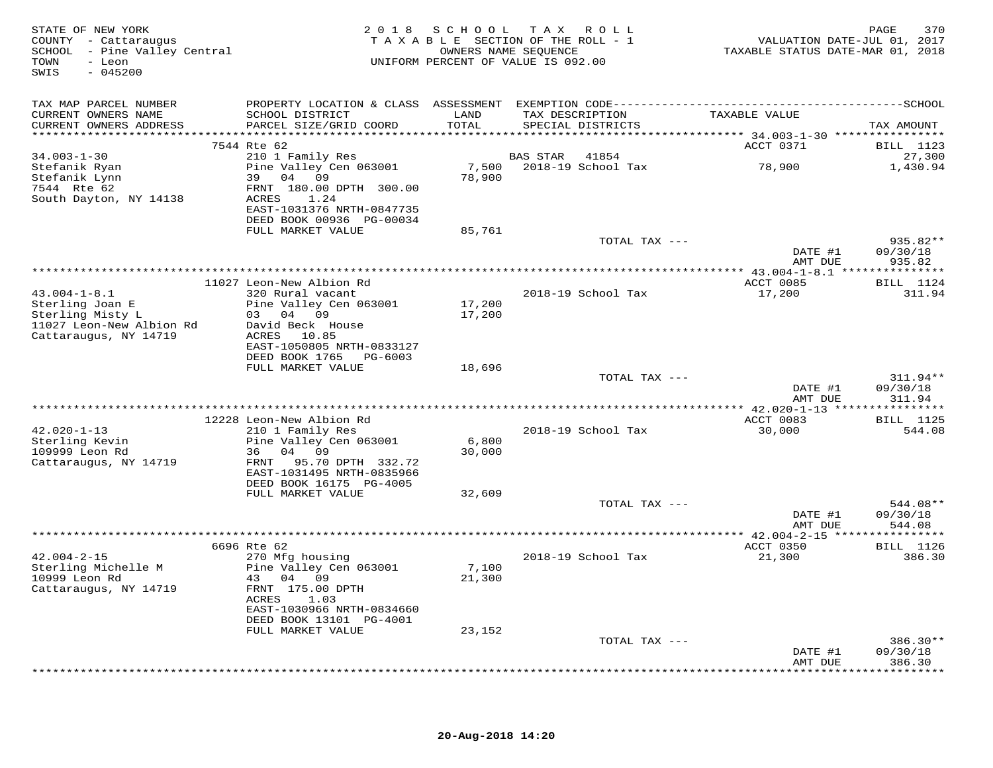| STATE OF NEW YORK<br>COUNTY - Cattaraugus<br>SCHOOL - Pine Valley Central<br>- Leon<br>TOWN<br>SWIS<br>$-045200$ |                                              |               | 2018 SCHOOL TAX ROLL<br>TAXABLE SECTION OF THE ROLL - 1<br>OWNERS NAME SEQUENCE<br>UNIFORM PERCENT OF VALUE IS 092.00 | VALUATION DATE-JUL 01, 2017<br>TAXABLE STATUS DATE-MAR 01, 2018 | 370<br>PAGE                |
|------------------------------------------------------------------------------------------------------------------|----------------------------------------------|---------------|-----------------------------------------------------------------------------------------------------------------------|-----------------------------------------------------------------|----------------------------|
| TAX MAP PARCEL NUMBER                                                                                            |                                              |               |                                                                                                                       |                                                                 |                            |
| CURRENT OWNERS NAME<br>CURRENT OWNERS ADDRESS                                                                    | SCHOOL DISTRICT<br>PARCEL SIZE/GRID COORD    | LAND<br>TOTAL | TAX DESCRIPTION<br>SPECIAL DISTRICTS                                                                                  | TAXABLE VALUE                                                   | TAX AMOUNT                 |
|                                                                                                                  |                                              |               |                                                                                                                       |                                                                 |                            |
| $34.003 - 1 - 30$                                                                                                | 7544 Rte 62<br>210 1 Family Res              |               | BAS STAR<br>41854                                                                                                     | ACCT 0371                                                       | <b>BILL</b> 1123<br>27,300 |
| Stefanik Ryan                                                                                                    | Pine Valley Cen 063001                       |               | 7,500 2018-19 School Tax                                                                                              | 78,900                                                          | 1,430.94                   |
| Stefanik Lynn                                                                                                    | 39 04 09                                     | 78,900        |                                                                                                                       |                                                                 |                            |
| 7544 Rte 62                                                                                                      | FRNT 180.00 DPTH 300.00                      |               |                                                                                                                       |                                                                 |                            |
| South Dayton, NY 14138                                                                                           | ACRES 1.24<br>EAST-1031376 NRTH-0847735      |               |                                                                                                                       |                                                                 |                            |
|                                                                                                                  | DEED BOOK 00936 PG-00034                     |               |                                                                                                                       |                                                                 |                            |
|                                                                                                                  | FULL MARKET VALUE                            | 85,761        |                                                                                                                       |                                                                 |                            |
|                                                                                                                  |                                              |               | TOTAL TAX ---                                                                                                         |                                                                 | $935.82**$                 |
|                                                                                                                  |                                              |               |                                                                                                                       | DATE #1<br>AMT DUE                                              | 09/30/18<br>935.82         |
|                                                                                                                  |                                              |               |                                                                                                                       |                                                                 |                            |
|                                                                                                                  | 11027 Leon-New Albion Rd                     |               |                                                                                                                       | ACCT 0085                                                       | <b>BILL</b> 1124           |
| $43.004 - 1 - 8.1$                                                                                               | 320 Rural vacant                             |               | 2018-19 School Tax                                                                                                    | 17,200                                                          | 311.94                     |
| Sterling Joan E                                                                                                  | Pine Valley Cen 063001                       | 17,200        |                                                                                                                       |                                                                 |                            |
| Sterling Misty L<br>11027 Leon-New Albion Rd                                                                     | 03 04 09<br>David Beck House                 | 17,200        |                                                                                                                       |                                                                 |                            |
| Cattaraugus, NY 14719                                                                                            | ACRES 10.85                                  |               |                                                                                                                       |                                                                 |                            |
|                                                                                                                  | EAST-1050805 NRTH-0833127                    |               |                                                                                                                       |                                                                 |                            |
|                                                                                                                  | DEED BOOK 1765 PG-6003                       |               |                                                                                                                       |                                                                 |                            |
|                                                                                                                  | FULL MARKET VALUE                            | 18,696        |                                                                                                                       |                                                                 |                            |
|                                                                                                                  |                                              |               | TOTAL TAX ---                                                                                                         | DATE #1                                                         | 311.94**<br>09/30/18       |
|                                                                                                                  |                                              |               |                                                                                                                       | AMT DUE                                                         | 311.94                     |
|                                                                                                                  |                                              |               |                                                                                                                       |                                                                 |                            |
|                                                                                                                  | 12228 Leon-New Albion Rd                     |               |                                                                                                                       | ACCT 0083                                                       | <b>BILL</b> 1125           |
| $42.020 - 1 - 13$                                                                                                | 210 1 Family Res                             | 6,800         | 2018-19 School Tax                                                                                                    | 30,000                                                          | 544.08                     |
| Sterling Kevin<br>109999 Leon Rd                                                                                 | Pine Valley Cen 063001<br>36 04 09           | 30,000        |                                                                                                                       |                                                                 |                            |
| Cattaraugus, NY 14719                                                                                            | FRNT<br>95.70 DPTH 332.72                    |               |                                                                                                                       |                                                                 |                            |
|                                                                                                                  | EAST-1031495 NRTH-0835966                    |               |                                                                                                                       |                                                                 |                            |
|                                                                                                                  | DEED BOOK 16175 PG-4005                      |               |                                                                                                                       |                                                                 |                            |
|                                                                                                                  | FULL MARKET VALUE                            | 32,609        | TOTAL TAX ---                                                                                                         |                                                                 | 544.08**                   |
|                                                                                                                  |                                              |               |                                                                                                                       | DATE #1                                                         | 09/30/18                   |
|                                                                                                                  |                                              |               |                                                                                                                       | AMT DUE                                                         | 544.08                     |
|                                                                                                                  |                                              |               |                                                                                                                       |                                                                 |                            |
|                                                                                                                  | 6696 Rte 62                                  |               |                                                                                                                       | ACCT 0350                                                       | <b>BILL</b> 1126           |
| $42.004 - 2 - 15$<br>Sterling Michelle M                                                                         | 270 Mfg housing<br>Pine Valley Cen 063001    | 7,100         | 2018-19 School Tax                                                                                                    | 21,300                                                          | 386.30                     |
| 10999 Leon Rd                                                                                                    | 43 04 09                                     | 21,300        |                                                                                                                       |                                                                 |                            |
| Cattaraugus, NY 14719                                                                                            | FRNT 175.00 DPTH                             |               |                                                                                                                       |                                                                 |                            |
|                                                                                                                  | 1.03<br>ACRES                                |               |                                                                                                                       |                                                                 |                            |
|                                                                                                                  | EAST-1030966 NRTH-0834660                    |               |                                                                                                                       |                                                                 |                            |
|                                                                                                                  | DEED BOOK 13101 PG-4001<br>FULL MARKET VALUE | 23,152        |                                                                                                                       |                                                                 |                            |
|                                                                                                                  |                                              |               | TOTAL TAX ---                                                                                                         |                                                                 | $386.30**$                 |
|                                                                                                                  |                                              |               |                                                                                                                       | DATE #1                                                         | 09/30/18                   |
|                                                                                                                  |                                              |               |                                                                                                                       | AMT DUE                                                         | 386.30                     |
|                                                                                                                  |                                              |               |                                                                                                                       |                                                                 | *********                  |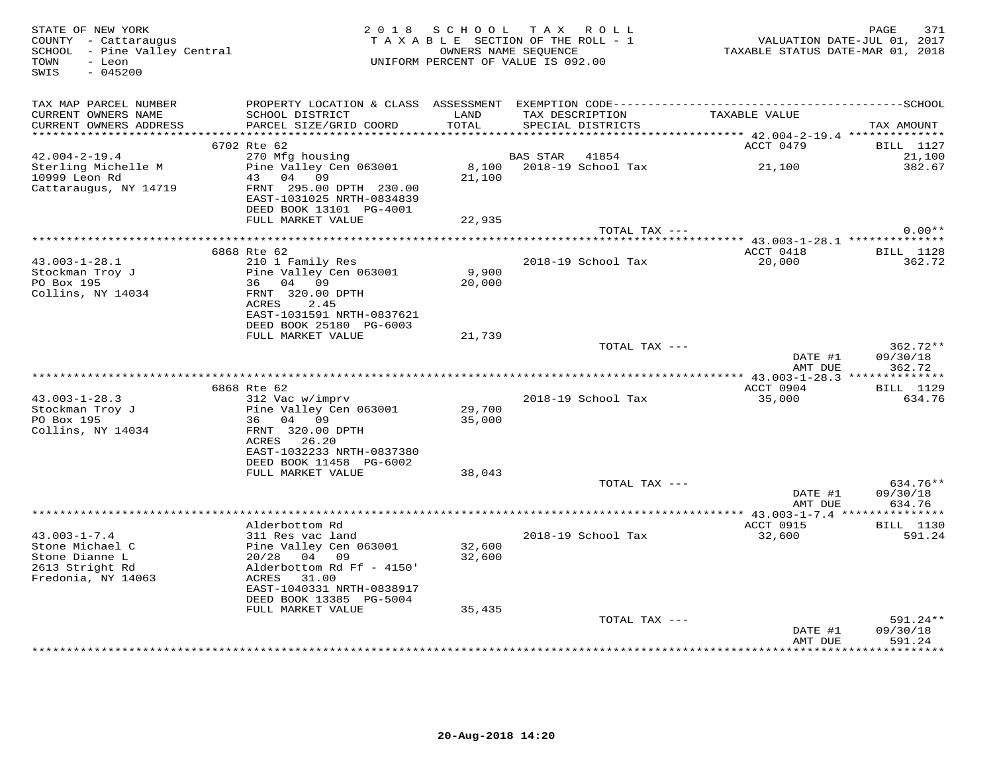| STATE OF NEW YORK<br>COUNTY - Cattaraugus<br>SCHOOL - Pine Valley Central<br>TOWN<br>- Leon<br>SWIS<br>$-045200$ | 2 0 1 8                                                                                                                                                 | SCHOOL<br>TAXABLE SECTION OF THE ROLL - 1<br>OWNERS NAME SEQUENCE<br>UNIFORM PERCENT OF VALUE IS 092.00 | TAX ROLL        |                                               | TAXABLE STATUS DATE-MAR 01, 2018 | 371<br>PAGE<br>VALUATION DATE-JUL 01, 2017    |
|------------------------------------------------------------------------------------------------------------------|---------------------------------------------------------------------------------------------------------------------------------------------------------|---------------------------------------------------------------------------------------------------------|-----------------|-----------------------------------------------|----------------------------------|-----------------------------------------------|
| TAX MAP PARCEL NUMBER<br>CURRENT OWNERS NAME<br>CURRENT OWNERS ADDRESS                                           | SCHOOL DISTRICT<br>PARCEL SIZE/GRID COORD                                                                                                               | LAND<br>TOTAL                                                                                           | TAX DESCRIPTION | SPECIAL DISTRICTS                             | TAXABLE VALUE                    | TAX AMOUNT                                    |
|                                                                                                                  | 6702 Rte 62                                                                                                                                             |                                                                                                         |                 |                                               | ACCT 0479                        | BILL 1127                                     |
| $42.004 - 2 - 19.4$<br>Sterling Michelle M<br>10999 Leon Rd                                                      | 270 Mfg housing<br>Pine Valley Cen 063001<br>43 04 09                                                                                                   | 21,100                                                                                                  | BAS STAR 41854  | 8,100 2018-19 School Tax                      | 21,100                           | 21,100<br>382.67                              |
| Cattaraugus, NY 14719                                                                                            | FRNT 295.00 DPTH 230.00<br>EAST-1031025 NRTH-0834839<br>DEED BOOK 13101 PG-4001<br>FULL MARKET VALUE                                                    | 22,935                                                                                                  |                 |                                               |                                  |                                               |
|                                                                                                                  |                                                                                                                                                         |                                                                                                         |                 | TOTAL TAX ---                                 |                                  | $0.00**$                                      |
|                                                                                                                  |                                                                                                                                                         |                                                                                                         |                 |                                               |                                  |                                               |
| $43.003 - 1 - 28.1$<br>Stockman Troy J<br>PO Box 195<br>Collins, NY 14034                                        | 6868 Rte 62<br>210 1 Family Res<br>Pine Valley Cen 063001<br>36 04 09<br>FRNT 320.00 DPTH<br>ACRES<br>2.45                                              | 9,900<br>20,000                                                                                         |                 | 2018-19 School Tax                            | ACCT 0418<br>20,000              | BILL 1128<br>362.72                           |
|                                                                                                                  | EAST-1031591 NRTH-0837621<br>DEED BOOK 25180 PG-6003<br>FULL MARKET VALUE                                                                               | 21,739                                                                                                  |                 |                                               |                                  |                                               |
|                                                                                                                  |                                                                                                                                                         |                                                                                                         |                 | TOTAL TAX ---                                 | DATE #1<br>AMT DUE               | $362.72**$<br>09/30/18<br>362.72              |
|                                                                                                                  |                                                                                                                                                         |                                                                                                         |                 |                                               |                                  | **** $43.003 - 1 - 28.3$ **************       |
| $43.003 - 1 - 28.3$                                                                                              | 6868 Rte 62<br>312 Vac w/imprv                                                                                                                          |                                                                                                         |                 | 2018-19 School Tax                            | ACCT 0904<br>35,000              | BILL 1129<br>634.76                           |
| Stockman Troy J<br>PO Box 195<br>Collins, NY 14034                                                               | Pine Valley Cen 063001<br>36 04 09<br>FRNT 320.00 DPTH<br>ACRES 26.20<br>EAST-1032233 NRTH-0837380                                                      | 29,700<br>35,000                                                                                        |                 |                                               |                                  |                                               |
|                                                                                                                  | DEED BOOK 11458 PG-6002                                                                                                                                 |                                                                                                         |                 |                                               |                                  |                                               |
|                                                                                                                  | FULL MARKET VALUE                                                                                                                                       | 38,043                                                                                                  |                 | TOTAL TAX ---                                 | DATE #1<br>AMT DUE               | 634.76**<br>09/30/18<br>634.76                |
|                                                                                                                  |                                                                                                                                                         |                                                                                                         |                 |                                               |                                  |                                               |
| $43.003 - 1 - 7.4$<br>Stone Michael C<br>Stone Dianne L<br>2613 Stright Rd<br>Fredonia, NY 14063                 | Alderbottom Rd<br>311 Res vac land<br>Pine Valley Cen 063001<br>04 09<br>20/28<br>Alderbottom Rd Ff - 4150'<br>ACRES 31.00<br>EAST-1040331 NRTH-0838917 | 32,600<br>32,600                                                                                        |                 | 2018-19 School Tax                            | ACCT 0915<br>32,600              | <b>BILL</b> 1130<br>591.24                    |
|                                                                                                                  | DEED BOOK 13385 PG-5004                                                                                                                                 |                                                                                                         |                 |                                               |                                  |                                               |
|                                                                                                                  | FULL MARKET VALUE                                                                                                                                       | 35,435                                                                                                  |                 |                                               |                                  |                                               |
|                                                                                                                  |                                                                                                                                                         |                                                                                                         |                 | TOTAL TAX ---<br>**************************** | DATE #1<br>AMT DUE               | $591.24**$<br>09/30/18<br>591.24<br>********* |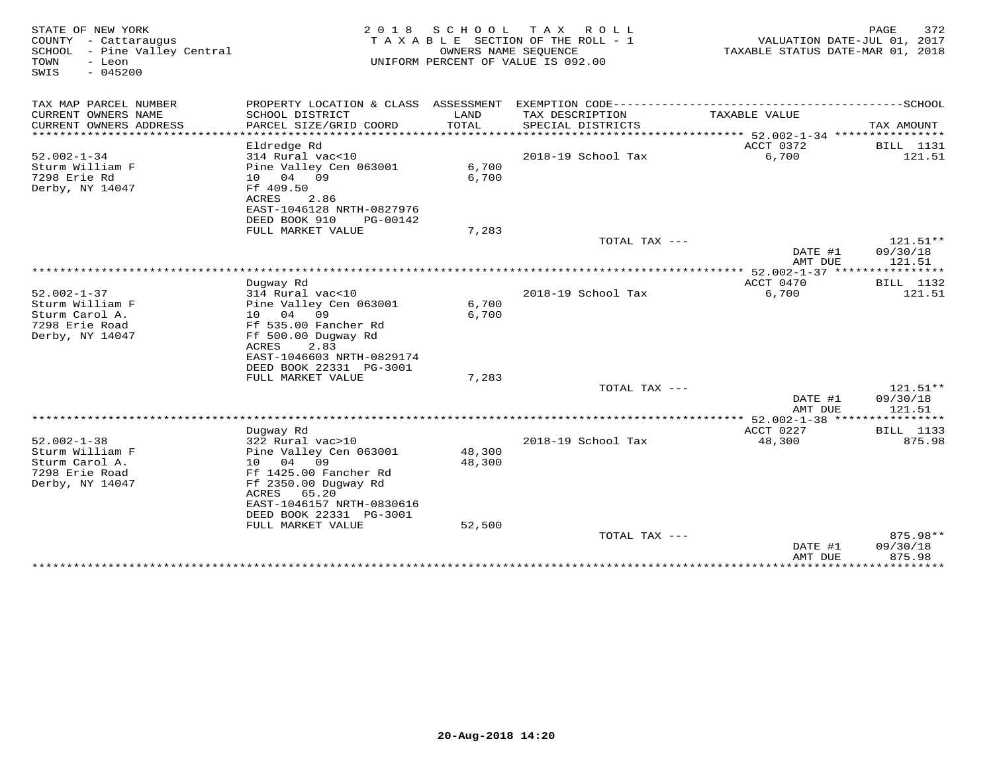| TAX MAP PARCEL NUMBER<br>PROPERTY LOCATION & CLASS ASSESSMENT<br>CURRENT OWNERS NAME<br>SCHOOL DISTRICT<br>LAND<br>TAX DESCRIPTION<br>TAXABLE VALUE<br>CURRENT OWNERS ADDRESS<br>PARCEL SIZE/GRID COORD<br>TOTAL<br>SPECIAL DISTRICTS<br>TAX AMOUNT<br>************************<br>********************<br>Eldredge Rd<br>ACCT 0372<br>BILL 1131<br>$52.002 - 1 - 34$<br>2018-19 School Tax<br>6,700<br>121.51<br>314 Rural vac<10<br>Sturm William F<br>Pine Valley Cen 063001<br>6,700<br>7298 Erie Rd<br>04 09<br>6,700<br>10<br>Derby, NY 14047<br>Ff 409.50<br>ACRES<br>2.86<br>EAST-1046128 NRTH-0827976<br>DEED BOOK 910<br>PG-00142<br>FULL MARKET VALUE<br>7,283<br>121.51**<br>TOTAL TAX ---<br>09/30/18<br>DATE #1<br>AMT DUE<br>121.51<br>*********************<br>$*$ 52.002-1-37 $**$<br>********<br>Duqway Rd<br>ACCT 0470<br><b>BILL</b> 1132<br>$52.002 - 1 - 37$<br>314 Rural vac<10<br>6,700<br>121.51<br>2018-19 School Tax<br>6,700<br>Sturm William F<br>Pine Valley Cen 063001<br>Sturm Carol A.<br>04<br>09<br>6,700<br>10<br>7298 Erie Road<br>Ff 535.00 Fancher Rd<br>Derby, NY 14047<br>Ff 500.00 Dugway Rd<br>2.83<br>ACRES<br>EAST-1046603 NRTH-0829174<br>DEED BOOK 22331 PG-3001<br>7,283<br>FULL MARKET VALUE<br>TOTAL TAX $---$<br>$121.51**$<br>09/30/18<br>DATE #1<br>121.51<br>AMT DUE<br>** 52.002-1-38 *******<br>********<br>ACCT 0227<br>Duqway Rd<br><b>BILL</b> 1133<br>$52.002 - 1 - 38$<br>875.98<br>2018-19 School Tax<br>48,300<br>322 Rural vac>10<br>Sturm William F<br>48,300<br>Pine Valley Cen 063001<br>Sturm Carol A.<br>04<br>09<br>48,300<br>10<br>7298 Erie Road<br>Ff 1425.00 Fancher Rd<br>Derby, NY 14047<br>Ff 2350.00 Duqway Rd<br>ACRES<br>65.20<br>EAST-1046157 NRTH-0830616<br>DEED BOOK 22331 PG-3001<br>FULL MARKET VALUE<br>52,500<br>TOTAL TAX ---<br>875.98**<br>09/30/18<br>DATE #1<br>875.98<br>AMT DUE<br>************<br>* * * * * * * * * | STATE OF NEW YORK<br>COUNTY - Cattaraugus<br>SCHOOL - Pine Valley Central<br>TOWN<br>- Leon<br>$-045200$<br>SWIS | 2 0 1 8 | SCHOOL | ROLL<br>T A X<br>TAXABLE SECTION OF THE ROLL - 1<br>OWNERS NAME SEOUENCE<br>UNIFORM PERCENT OF VALUE IS 092.00 | VALUATION DATE-JUL 01, 2017<br>TAXABLE STATUS DATE-MAR 01, 2018 | 372<br>PAGE |
|---------------------------------------------------------------------------------------------------------------------------------------------------------------------------------------------------------------------------------------------------------------------------------------------------------------------------------------------------------------------------------------------------------------------------------------------------------------------------------------------------------------------------------------------------------------------------------------------------------------------------------------------------------------------------------------------------------------------------------------------------------------------------------------------------------------------------------------------------------------------------------------------------------------------------------------------------------------------------------------------------------------------------------------------------------------------------------------------------------------------------------------------------------------------------------------------------------------------------------------------------------------------------------------------------------------------------------------------------------------------------------------------------------------------------------------------------------------------------------------------------------------------------------------------------------------------------------------------------------------------------------------------------------------------------------------------------------------------------------------------------------------------------------------------------------------------------------------------------------------------------------------------------------------------|------------------------------------------------------------------------------------------------------------------|---------|--------|----------------------------------------------------------------------------------------------------------------|-----------------------------------------------------------------|-------------|
|                                                                                                                                                                                                                                                                                                                                                                                                                                                                                                                                                                                                                                                                                                                                                                                                                                                                                                                                                                                                                                                                                                                                                                                                                                                                                                                                                                                                                                                                                                                                                                                                                                                                                                                                                                                                                                                                                                                     |                                                                                                                  |         |        |                                                                                                                |                                                                 |             |
|                                                                                                                                                                                                                                                                                                                                                                                                                                                                                                                                                                                                                                                                                                                                                                                                                                                                                                                                                                                                                                                                                                                                                                                                                                                                                                                                                                                                                                                                                                                                                                                                                                                                                                                                                                                                                                                                                                                     |                                                                                                                  |         |        |                                                                                                                |                                                                 |             |
|                                                                                                                                                                                                                                                                                                                                                                                                                                                                                                                                                                                                                                                                                                                                                                                                                                                                                                                                                                                                                                                                                                                                                                                                                                                                                                                                                                                                                                                                                                                                                                                                                                                                                                                                                                                                                                                                                                                     |                                                                                                                  |         |        |                                                                                                                |                                                                 |             |
|                                                                                                                                                                                                                                                                                                                                                                                                                                                                                                                                                                                                                                                                                                                                                                                                                                                                                                                                                                                                                                                                                                                                                                                                                                                                                                                                                                                                                                                                                                                                                                                                                                                                                                                                                                                                                                                                                                                     |                                                                                                                  |         |        |                                                                                                                |                                                                 |             |
|                                                                                                                                                                                                                                                                                                                                                                                                                                                                                                                                                                                                                                                                                                                                                                                                                                                                                                                                                                                                                                                                                                                                                                                                                                                                                                                                                                                                                                                                                                                                                                                                                                                                                                                                                                                                                                                                                                                     |                                                                                                                  |         |        |                                                                                                                |                                                                 |             |
|                                                                                                                                                                                                                                                                                                                                                                                                                                                                                                                                                                                                                                                                                                                                                                                                                                                                                                                                                                                                                                                                                                                                                                                                                                                                                                                                                                                                                                                                                                                                                                                                                                                                                                                                                                                                                                                                                                                     |                                                                                                                  |         |        |                                                                                                                |                                                                 |             |
|                                                                                                                                                                                                                                                                                                                                                                                                                                                                                                                                                                                                                                                                                                                                                                                                                                                                                                                                                                                                                                                                                                                                                                                                                                                                                                                                                                                                                                                                                                                                                                                                                                                                                                                                                                                                                                                                                                                     |                                                                                                                  |         |        |                                                                                                                |                                                                 |             |
|                                                                                                                                                                                                                                                                                                                                                                                                                                                                                                                                                                                                                                                                                                                                                                                                                                                                                                                                                                                                                                                                                                                                                                                                                                                                                                                                                                                                                                                                                                                                                                                                                                                                                                                                                                                                                                                                                                                     |                                                                                                                  |         |        |                                                                                                                |                                                                 |             |
|                                                                                                                                                                                                                                                                                                                                                                                                                                                                                                                                                                                                                                                                                                                                                                                                                                                                                                                                                                                                                                                                                                                                                                                                                                                                                                                                                                                                                                                                                                                                                                                                                                                                                                                                                                                                                                                                                                                     |                                                                                                                  |         |        |                                                                                                                |                                                                 |             |
|                                                                                                                                                                                                                                                                                                                                                                                                                                                                                                                                                                                                                                                                                                                                                                                                                                                                                                                                                                                                                                                                                                                                                                                                                                                                                                                                                                                                                                                                                                                                                                                                                                                                                                                                                                                                                                                                                                                     |                                                                                                                  |         |        |                                                                                                                |                                                                 |             |
|                                                                                                                                                                                                                                                                                                                                                                                                                                                                                                                                                                                                                                                                                                                                                                                                                                                                                                                                                                                                                                                                                                                                                                                                                                                                                                                                                                                                                                                                                                                                                                                                                                                                                                                                                                                                                                                                                                                     |                                                                                                                  |         |        |                                                                                                                |                                                                 |             |
|                                                                                                                                                                                                                                                                                                                                                                                                                                                                                                                                                                                                                                                                                                                                                                                                                                                                                                                                                                                                                                                                                                                                                                                                                                                                                                                                                                                                                                                                                                                                                                                                                                                                                                                                                                                                                                                                                                                     |                                                                                                                  |         |        |                                                                                                                |                                                                 |             |
|                                                                                                                                                                                                                                                                                                                                                                                                                                                                                                                                                                                                                                                                                                                                                                                                                                                                                                                                                                                                                                                                                                                                                                                                                                                                                                                                                                                                                                                                                                                                                                                                                                                                                                                                                                                                                                                                                                                     |                                                                                                                  |         |        |                                                                                                                |                                                                 |             |
|                                                                                                                                                                                                                                                                                                                                                                                                                                                                                                                                                                                                                                                                                                                                                                                                                                                                                                                                                                                                                                                                                                                                                                                                                                                                                                                                                                                                                                                                                                                                                                                                                                                                                                                                                                                                                                                                                                                     |                                                                                                                  |         |        |                                                                                                                |                                                                 |             |
|                                                                                                                                                                                                                                                                                                                                                                                                                                                                                                                                                                                                                                                                                                                                                                                                                                                                                                                                                                                                                                                                                                                                                                                                                                                                                                                                                                                                                                                                                                                                                                                                                                                                                                                                                                                                                                                                                                                     |                                                                                                                  |         |        |                                                                                                                |                                                                 |             |
|                                                                                                                                                                                                                                                                                                                                                                                                                                                                                                                                                                                                                                                                                                                                                                                                                                                                                                                                                                                                                                                                                                                                                                                                                                                                                                                                                                                                                                                                                                                                                                                                                                                                                                                                                                                                                                                                                                                     |                                                                                                                  |         |        |                                                                                                                |                                                                 |             |
|                                                                                                                                                                                                                                                                                                                                                                                                                                                                                                                                                                                                                                                                                                                                                                                                                                                                                                                                                                                                                                                                                                                                                                                                                                                                                                                                                                                                                                                                                                                                                                                                                                                                                                                                                                                                                                                                                                                     |                                                                                                                  |         |        |                                                                                                                |                                                                 |             |
|                                                                                                                                                                                                                                                                                                                                                                                                                                                                                                                                                                                                                                                                                                                                                                                                                                                                                                                                                                                                                                                                                                                                                                                                                                                                                                                                                                                                                                                                                                                                                                                                                                                                                                                                                                                                                                                                                                                     |                                                                                                                  |         |        |                                                                                                                |                                                                 |             |
|                                                                                                                                                                                                                                                                                                                                                                                                                                                                                                                                                                                                                                                                                                                                                                                                                                                                                                                                                                                                                                                                                                                                                                                                                                                                                                                                                                                                                                                                                                                                                                                                                                                                                                                                                                                                                                                                                                                     |                                                                                                                  |         |        |                                                                                                                |                                                                 |             |
|                                                                                                                                                                                                                                                                                                                                                                                                                                                                                                                                                                                                                                                                                                                                                                                                                                                                                                                                                                                                                                                                                                                                                                                                                                                                                                                                                                                                                                                                                                                                                                                                                                                                                                                                                                                                                                                                                                                     |                                                                                                                  |         |        |                                                                                                                |                                                                 |             |
|                                                                                                                                                                                                                                                                                                                                                                                                                                                                                                                                                                                                                                                                                                                                                                                                                                                                                                                                                                                                                                                                                                                                                                                                                                                                                                                                                                                                                                                                                                                                                                                                                                                                                                                                                                                                                                                                                                                     |                                                                                                                  |         |        |                                                                                                                |                                                                 |             |
|                                                                                                                                                                                                                                                                                                                                                                                                                                                                                                                                                                                                                                                                                                                                                                                                                                                                                                                                                                                                                                                                                                                                                                                                                                                                                                                                                                                                                                                                                                                                                                                                                                                                                                                                                                                                                                                                                                                     |                                                                                                                  |         |        |                                                                                                                |                                                                 |             |
|                                                                                                                                                                                                                                                                                                                                                                                                                                                                                                                                                                                                                                                                                                                                                                                                                                                                                                                                                                                                                                                                                                                                                                                                                                                                                                                                                                                                                                                                                                                                                                                                                                                                                                                                                                                                                                                                                                                     |                                                                                                                  |         |        |                                                                                                                |                                                                 |             |
|                                                                                                                                                                                                                                                                                                                                                                                                                                                                                                                                                                                                                                                                                                                                                                                                                                                                                                                                                                                                                                                                                                                                                                                                                                                                                                                                                                                                                                                                                                                                                                                                                                                                                                                                                                                                                                                                                                                     |                                                                                                                  |         |        |                                                                                                                |                                                                 |             |
|                                                                                                                                                                                                                                                                                                                                                                                                                                                                                                                                                                                                                                                                                                                                                                                                                                                                                                                                                                                                                                                                                                                                                                                                                                                                                                                                                                                                                                                                                                                                                                                                                                                                                                                                                                                                                                                                                                                     |                                                                                                                  |         |        |                                                                                                                |                                                                 |             |
|                                                                                                                                                                                                                                                                                                                                                                                                                                                                                                                                                                                                                                                                                                                                                                                                                                                                                                                                                                                                                                                                                                                                                                                                                                                                                                                                                                                                                                                                                                                                                                                                                                                                                                                                                                                                                                                                                                                     |                                                                                                                  |         |        |                                                                                                                |                                                                 |             |
|                                                                                                                                                                                                                                                                                                                                                                                                                                                                                                                                                                                                                                                                                                                                                                                                                                                                                                                                                                                                                                                                                                                                                                                                                                                                                                                                                                                                                                                                                                                                                                                                                                                                                                                                                                                                                                                                                                                     |                                                                                                                  |         |        |                                                                                                                |                                                                 |             |
|                                                                                                                                                                                                                                                                                                                                                                                                                                                                                                                                                                                                                                                                                                                                                                                                                                                                                                                                                                                                                                                                                                                                                                                                                                                                                                                                                                                                                                                                                                                                                                                                                                                                                                                                                                                                                                                                                                                     |                                                                                                                  |         |        |                                                                                                                |                                                                 |             |
|                                                                                                                                                                                                                                                                                                                                                                                                                                                                                                                                                                                                                                                                                                                                                                                                                                                                                                                                                                                                                                                                                                                                                                                                                                                                                                                                                                                                                                                                                                                                                                                                                                                                                                                                                                                                                                                                                                                     |                                                                                                                  |         |        |                                                                                                                |                                                                 |             |
|                                                                                                                                                                                                                                                                                                                                                                                                                                                                                                                                                                                                                                                                                                                                                                                                                                                                                                                                                                                                                                                                                                                                                                                                                                                                                                                                                                                                                                                                                                                                                                                                                                                                                                                                                                                                                                                                                                                     |                                                                                                                  |         |        |                                                                                                                |                                                                 |             |
|                                                                                                                                                                                                                                                                                                                                                                                                                                                                                                                                                                                                                                                                                                                                                                                                                                                                                                                                                                                                                                                                                                                                                                                                                                                                                                                                                                                                                                                                                                                                                                                                                                                                                                                                                                                                                                                                                                                     |                                                                                                                  |         |        |                                                                                                                |                                                                 |             |
|                                                                                                                                                                                                                                                                                                                                                                                                                                                                                                                                                                                                                                                                                                                                                                                                                                                                                                                                                                                                                                                                                                                                                                                                                                                                                                                                                                                                                                                                                                                                                                                                                                                                                                                                                                                                                                                                                                                     |                                                                                                                  |         |        |                                                                                                                |                                                                 |             |
|                                                                                                                                                                                                                                                                                                                                                                                                                                                                                                                                                                                                                                                                                                                                                                                                                                                                                                                                                                                                                                                                                                                                                                                                                                                                                                                                                                                                                                                                                                                                                                                                                                                                                                                                                                                                                                                                                                                     |                                                                                                                  |         |        |                                                                                                                |                                                                 |             |
|                                                                                                                                                                                                                                                                                                                                                                                                                                                                                                                                                                                                                                                                                                                                                                                                                                                                                                                                                                                                                                                                                                                                                                                                                                                                                                                                                                                                                                                                                                                                                                                                                                                                                                                                                                                                                                                                                                                     |                                                                                                                  |         |        |                                                                                                                |                                                                 |             |
|                                                                                                                                                                                                                                                                                                                                                                                                                                                                                                                                                                                                                                                                                                                                                                                                                                                                                                                                                                                                                                                                                                                                                                                                                                                                                                                                                                                                                                                                                                                                                                                                                                                                                                                                                                                                                                                                                                                     |                                                                                                                  |         |        |                                                                                                                |                                                                 |             |
|                                                                                                                                                                                                                                                                                                                                                                                                                                                                                                                                                                                                                                                                                                                                                                                                                                                                                                                                                                                                                                                                                                                                                                                                                                                                                                                                                                                                                                                                                                                                                                                                                                                                                                                                                                                                                                                                                                                     |                                                                                                                  |         |        |                                                                                                                |                                                                 |             |
|                                                                                                                                                                                                                                                                                                                                                                                                                                                                                                                                                                                                                                                                                                                                                                                                                                                                                                                                                                                                                                                                                                                                                                                                                                                                                                                                                                                                                                                                                                                                                                                                                                                                                                                                                                                                                                                                                                                     |                                                                                                                  |         |        |                                                                                                                |                                                                 |             |
|                                                                                                                                                                                                                                                                                                                                                                                                                                                                                                                                                                                                                                                                                                                                                                                                                                                                                                                                                                                                                                                                                                                                                                                                                                                                                                                                                                                                                                                                                                                                                                                                                                                                                                                                                                                                                                                                                                                     |                                                                                                                  |         |        |                                                                                                                |                                                                 |             |
|                                                                                                                                                                                                                                                                                                                                                                                                                                                                                                                                                                                                                                                                                                                                                                                                                                                                                                                                                                                                                                                                                                                                                                                                                                                                                                                                                                                                                                                                                                                                                                                                                                                                                                                                                                                                                                                                                                                     |                                                                                                                  |         |        |                                                                                                                |                                                                 |             |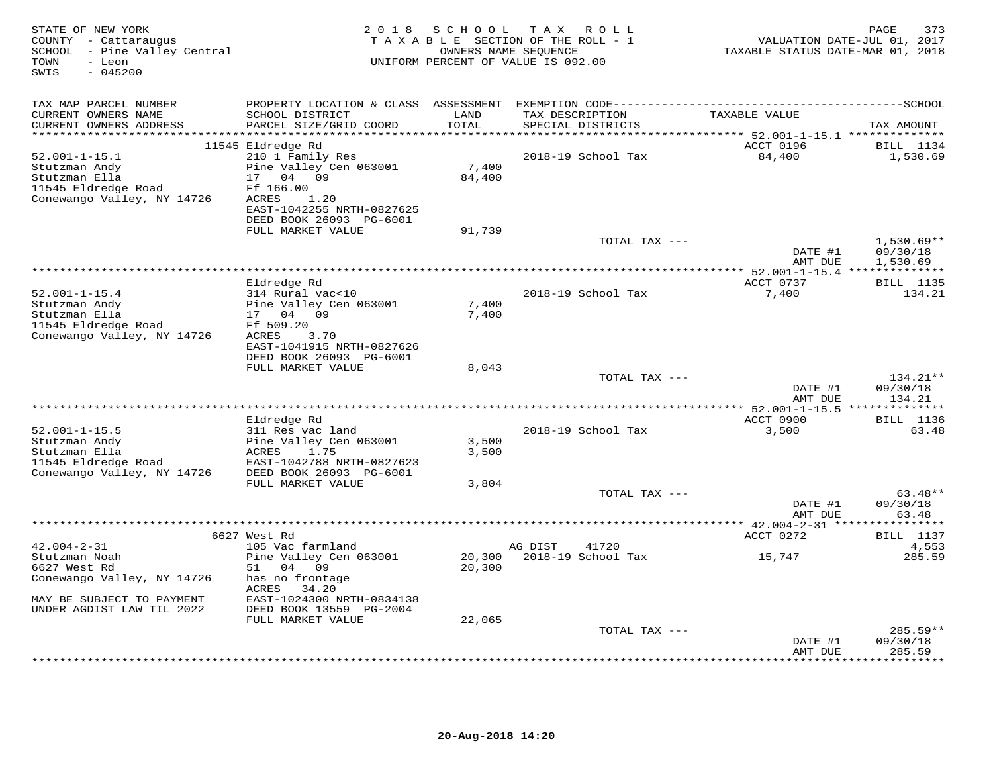| STATE OF NEW YORK<br>COUNTY - Cattaraugus<br>SCHOOL - Pine Valley Central<br>- Leon<br>TOWN<br>$-045200$<br>SWIS | 2 0 1 8                                      | S C H O O L               | TAX ROLL<br>TAXABLE SECTION OF THE ROLL - 1<br>OWNERS NAME SEQUENCE<br>UNIFORM PERCENT OF VALUE IS 092.00 | VALUATION DATE-JUL 01, 2017<br>TAXABLE STATUS DATE-MAR 01, 2018 | PAGE<br>373        |
|------------------------------------------------------------------------------------------------------------------|----------------------------------------------|---------------------------|-----------------------------------------------------------------------------------------------------------|-----------------------------------------------------------------|--------------------|
| TAX MAP PARCEL NUMBER                                                                                            |                                              |                           | PROPERTY LOCATION & CLASS ASSESSMENT EXEMPTION CODE-----------------------------------SCHOOL              |                                                                 |                    |
| CURRENT OWNERS NAME<br>CURRENT OWNERS ADDRESS                                                                    | SCHOOL DISTRICT<br>PARCEL SIZE/GRID COORD    | LAND<br>TOTAL             | TAX DESCRIPTION<br>SPECIAL DISTRICTS                                                                      | TAXABLE VALUE                                                   | TAX AMOUNT         |
| **********************                                                                                           | 11545 Eldredge Rd                            | * * * * * * * * * * * * * | *********************************** 52.001-1-15.1 **************                                          | ACCT 0196                                                       | BILL 1134          |
| $52.001 - 1 - 15.1$                                                                                              | 210 1 Family Res                             |                           | 2018-19 School Tax                                                                                        | 84,400                                                          | 1,530.69           |
| Stutzman Andy                                                                                                    | Pine Valley Cen 063001                       | 7,400                     |                                                                                                           |                                                                 |                    |
| Stutzman Ella                                                                                                    | 17 04 09                                     | 84,400                    |                                                                                                           |                                                                 |                    |
| 11545 Eldredge Road                                                                                              | Ff 166.00                                    |                           |                                                                                                           |                                                                 |                    |
| Conewango Valley, NY 14726                                                                                       | ACRES<br>1.20                                |                           |                                                                                                           |                                                                 |                    |
|                                                                                                                  | EAST-1042255 NRTH-0827625                    |                           |                                                                                                           |                                                                 |                    |
|                                                                                                                  | DEED BOOK 26093 PG-6001<br>FULL MARKET VALUE | 91,739                    |                                                                                                           |                                                                 |                    |
|                                                                                                                  |                                              |                           | TOTAL TAX ---                                                                                             |                                                                 | $1,530.69**$       |
|                                                                                                                  |                                              |                           |                                                                                                           | DATE #1                                                         | 09/30/18           |
|                                                                                                                  |                                              |                           |                                                                                                           | AMT DUE                                                         | 1,530.69           |
|                                                                                                                  |                                              |                           |                                                                                                           |                                                                 |                    |
|                                                                                                                  | Eldredge Rd                                  |                           |                                                                                                           | ACCT 0737                                                       | <b>BILL</b> 1135   |
| $52.001 - 1 - 15.4$<br>Stutzman Andy                                                                             | 314 Rural vac<10<br>Pine Valley Cen 063001   | 7,400                     | 2018-19 School Tax                                                                                        | 7,400                                                           | 134.21             |
| Stutzman Ella                                                                                                    | 17 04 09                                     | 7,400                     |                                                                                                           |                                                                 |                    |
| 11545 Eldredge Road                                                                                              | Ff 509.20                                    |                           |                                                                                                           |                                                                 |                    |
| Conewango Valley, NY 14726                                                                                       | ACRES 3.70                                   |                           |                                                                                                           |                                                                 |                    |
|                                                                                                                  | EAST-1041915 NRTH-0827626                    |                           |                                                                                                           |                                                                 |                    |
|                                                                                                                  | DEED BOOK 26093 PG-6001                      |                           |                                                                                                           |                                                                 |                    |
|                                                                                                                  | FULL MARKET VALUE                            | 8,043                     | TOTAL TAX ---                                                                                             |                                                                 | $134.21**$         |
|                                                                                                                  |                                              |                           |                                                                                                           | DATE #1                                                         | 09/30/18           |
|                                                                                                                  |                                              |                           |                                                                                                           | AMT DUE                                                         | 134.21             |
|                                                                                                                  |                                              |                           |                                                                                                           |                                                                 |                    |
|                                                                                                                  | Eldredge Rd                                  |                           |                                                                                                           | ACCT 0900                                                       | <b>BILL</b> 1136   |
| $52.001 - 1 - 15.5$                                                                                              | 311 Res vac land                             |                           | 2018-19 School Tax                                                                                        | 3,500                                                           | 63.48              |
| Stutzman Andy<br>Stutzman Ella                                                                                   | Pine Valley Cen 063001<br>ACRES<br>1.75      | 3,500<br>3,500            |                                                                                                           |                                                                 |                    |
| 11545 Eldredge Road                                                                                              | EAST-1042788 NRTH-0827623                    |                           |                                                                                                           |                                                                 |                    |
| Conewango Valley, NY 14726                                                                                       | DEED BOOK 26093 PG-6001                      |                           |                                                                                                           |                                                                 |                    |
|                                                                                                                  | FULL MARKET VALUE                            | 3,804                     |                                                                                                           |                                                                 |                    |
|                                                                                                                  |                                              |                           | TOTAL TAX ---                                                                                             |                                                                 | $63.48**$          |
|                                                                                                                  |                                              |                           |                                                                                                           | DATE #1                                                         | 09/30/18           |
|                                                                                                                  |                                              |                           |                                                                                                           | AMT DUE                                                         | 63.48              |
|                                                                                                                  | 6627 West Rd                                 |                           |                                                                                                           | ACCT 0272                                                       | <b>BILL</b> 1137   |
| $42.004 - 2 - 31$                                                                                                | 105 Vac farmland                             |                           | AG DIST<br>41720                                                                                          |                                                                 | 4,553              |
| Stutzman Noah                                                                                                    | Pine Valley Cen 063001                       | 20,300                    | 2018-19 School Tax                                                                                        | 15,747                                                          | 285.59             |
| 6627 West Rd                                                                                                     | 51 04 09                                     | 20,300                    |                                                                                                           |                                                                 |                    |
| Conewango Valley, NY 14726                                                                                       | has no frontage<br>ACRES<br>34.20            |                           |                                                                                                           |                                                                 |                    |
| MAY BE SUBJECT TO PAYMENT                                                                                        | EAST-1024300 NRTH-0834138                    |                           |                                                                                                           |                                                                 |                    |
| UNDER AGDIST LAW TIL 2022                                                                                        | DEED BOOK 13559 PG-2004                      |                           |                                                                                                           |                                                                 |                    |
|                                                                                                                  | FULL MARKET VALUE                            | 22,065                    |                                                                                                           |                                                                 |                    |
|                                                                                                                  |                                              |                           | TOTAL TAX ---                                                                                             |                                                                 | $285.59**$         |
|                                                                                                                  |                                              |                           |                                                                                                           | DATE #1<br>AMT DUE                                              | 09/30/18<br>285.59 |
|                                                                                                                  |                                              |                           |                                                                                                           |                                                                 | * * * * * * * *    |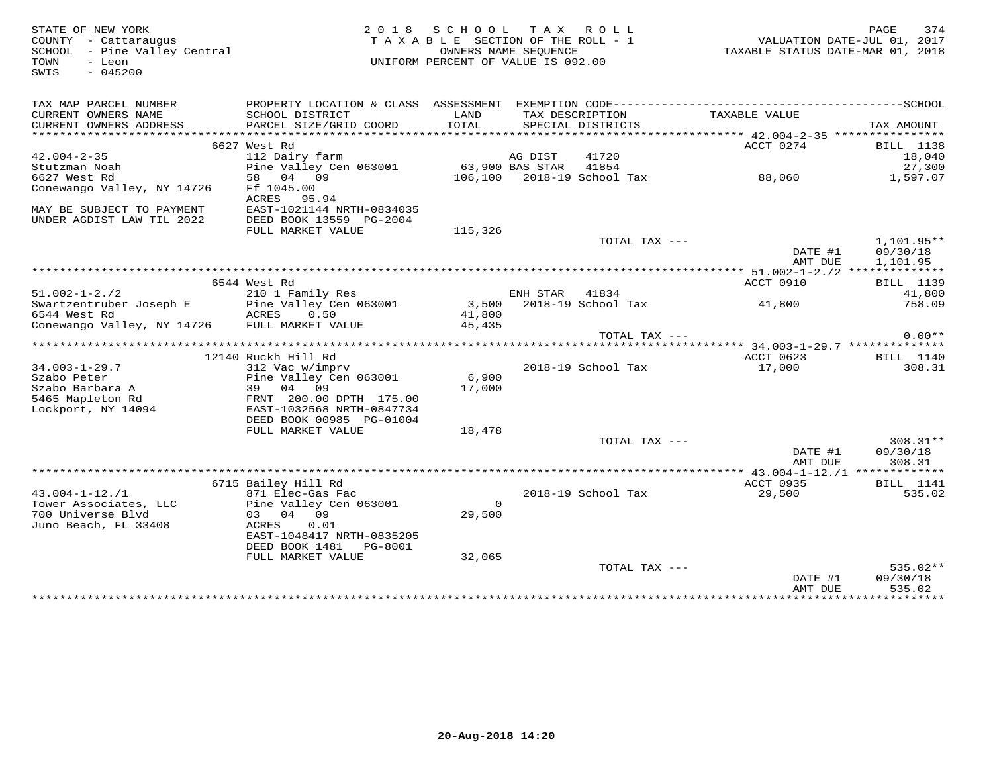| STATE OF NEW YORK<br>COUNTY - Cattaraugus<br>SCHOOL - Pine Valley Central<br>TOWN<br>- Leon<br>SWIS<br>$-045200$ |                                                                                              | 2018 SCHOOL TAX ROLL<br>TAXABLE SECTION OF THE ROLL - 1<br>UNIFORM PERCENT OF VALUE IS 092.00 | OWNERS NAME SEQUENCE |                                   | VALUATION DATE-JUL 01, 2017<br>TAXABLE STATUS DATE-MAR 01, 2018 | 374<br>PAGE          |
|------------------------------------------------------------------------------------------------------------------|----------------------------------------------------------------------------------------------|-----------------------------------------------------------------------------------------------|----------------------|-----------------------------------|-----------------------------------------------------------------|----------------------|
| TAX MAP PARCEL NUMBER                                                                                            | PROPERTY LOCATION & CLASS ASSESSMENT EXEMPTION CODE-----------------------------------SCHOOL |                                                                                               |                      |                                   |                                                                 |                      |
| CURRENT OWNERS NAME                                                                                              | SCHOOL DISTRICT                                                                              | LAND<br>TOTAL                                                                                 |                      | TAX DESCRIPTION                   | TAXABLE VALUE                                                   |                      |
| CURRENT OWNERS ADDRESS                                                                                           | PARCEL SIZE/GRID COORD                                                                       |                                                                                               |                      | SPECIAL DISTRICTS                 |                                                                 | TAX AMOUNT           |
|                                                                                                                  | 6627 West Rd                                                                                 |                                                                                               |                      |                                   | ACCT 0274                                                       | <b>BILL</b> 1138     |
| $42.004 - 2 - 35$                                                                                                | 112 Dairy farm                                                                               |                                                                                               | AG DIST              | 41720                             |                                                                 | 18,040               |
| Stutzman Noah                                                                                                    | Pine Valley Cen 063001                                                                       | 63,900 BAS STAR 41854                                                                         |                      |                                   |                                                                 | 27,300               |
| 6627 West Rd                                                                                                     | 58 04 09                                                                                     |                                                                                               |                      | 106,100 2018-19 School Tax 88,060 |                                                                 | 1,597.07             |
| Conewango Valley, NY 14726                                                                                       | Ff 1045.00<br>ACRES 95.94                                                                    |                                                                                               |                      |                                   |                                                                 |                      |
| MAY BE SUBJECT TO PAYMENT                                                                                        | EAST-1021144 NRTH-0834035                                                                    |                                                                                               |                      |                                   |                                                                 |                      |
| UNDER AGDIST LAW TIL 2022                                                                                        | DEED BOOK 13559 PG-2004                                                                      |                                                                                               |                      |                                   |                                                                 |                      |
|                                                                                                                  | FULL MARKET VALUE                                                                            | 115,326                                                                                       |                      | TOTAL TAX ---                     |                                                                 | $1,101.95**$         |
|                                                                                                                  |                                                                                              |                                                                                               |                      |                                   | DATE #1<br>AMT DUE                                              | 09/30/18<br>1,101.95 |
|                                                                                                                  |                                                                                              |                                                                                               |                      |                                   |                                                                 |                      |
|                                                                                                                  | 6544 West Rd                                                                                 |                                                                                               |                      |                                   | ACCT 0910                                                       | BILL 1139            |
| $51.002 - 1 - 2.72$                                                                                              | 210 1 Family Res                                                                             |                                                                                               | ENH STAR 41834       |                                   |                                                                 | 41,800               |
| Swartzentruber Joseph E                                                                                          | Pine Valley Cen 063001<br>0.50                                                               | 41,800                                                                                        |                      | 3,500    2018-19    School Tax    | 41,800                                                          | 758.09               |
| 6544 West Rd<br>Conewango Valley, NY 14726 FULL MARKET VALUE                                                     | ACRES                                                                                        | 45,435                                                                                        |                      |                                   |                                                                 |                      |
|                                                                                                                  |                                                                                              |                                                                                               |                      | TOTAL TAX ---                     |                                                                 | $0.00**$             |
|                                                                                                                  |                                                                                              |                                                                                               |                      |                                   |                                                                 |                      |
|                                                                                                                  | 12140 Ruckh Hill Rd                                                                          |                                                                                               |                      |                                   | ACCT 0623                                                       | <b>BILL</b> 1140     |
| $34.003 - 1 - 29.7$                                                                                              | 312 Vac w/imprv                                                                              |                                                                                               |                      | 2018-19 School Tax                | 17,000                                                          | 308.31               |
| Szabo Peter                                                                                                      | Pine Valley Cen 063001                                                                       | 6,900                                                                                         |                      |                                   |                                                                 |                      |
| Szabo Barbara A<br>5465 Mapleton Rd                                                                              | 39 04<br>09<br>FRNT 200.00 DPTH 175.00                                                       | 17,000                                                                                        |                      |                                   |                                                                 |                      |
| Lockport, NY 14094                                                                                               | EAST-1032568 NRTH-0847734                                                                    |                                                                                               |                      |                                   |                                                                 |                      |
|                                                                                                                  | DEED BOOK 00985 PG-01004                                                                     |                                                                                               |                      |                                   |                                                                 |                      |
|                                                                                                                  | FULL MARKET VALUE                                                                            | 18,478                                                                                        |                      |                                   |                                                                 |                      |
|                                                                                                                  |                                                                                              |                                                                                               |                      | TOTAL TAX ---                     |                                                                 | 308.31**             |
|                                                                                                                  |                                                                                              |                                                                                               |                      |                                   | DATE #1                                                         | 09/30/18             |
|                                                                                                                  |                                                                                              |                                                                                               |                      |                                   | AMT DUE                                                         | 308.31               |
|                                                                                                                  | 6715 Bailey Hill Rd                                                                          |                                                                                               |                      |                                   | ACCT 0935                                                       | <b>BILL</b> 1141     |
| $43.004 - 1 - 12$ ./1                                                                                            | 871 Elec-Gas Fac                                                                             |                                                                                               |                      | 2018-19 School Tax                | 29,500                                                          | 535.02               |
| Tower Associates, LLC                                                                                            | Pine Valley Cen 063001                                                                       | $\circ$                                                                                       |                      |                                   |                                                                 |                      |
| 700 Universe Blyd                                                                                                | 03 04 09                                                                                     | 29,500                                                                                        |                      |                                   |                                                                 |                      |
| Juno Beach, FL 33408                                                                                             | ACRES<br>0.01                                                                                |                                                                                               |                      |                                   |                                                                 |                      |
|                                                                                                                  | EAST-1048417 NRTH-0835205                                                                    |                                                                                               |                      |                                   |                                                                 |                      |
|                                                                                                                  | DEED BOOK 1481 PG-8001<br>FULL MARKET VALUE                                                  | 32,065                                                                                        |                      |                                   |                                                                 |                      |
|                                                                                                                  |                                                                                              |                                                                                               |                      | TOTAL TAX ---                     |                                                                 | $535.02**$           |
|                                                                                                                  |                                                                                              |                                                                                               |                      |                                   | DATE #1                                                         | 09/30/18             |
|                                                                                                                  |                                                                                              |                                                                                               |                      |                                   | AMT DUE                                                         | 535.02               |
|                                                                                                                  |                                                                                              |                                                                                               |                      |                                   |                                                                 |                      |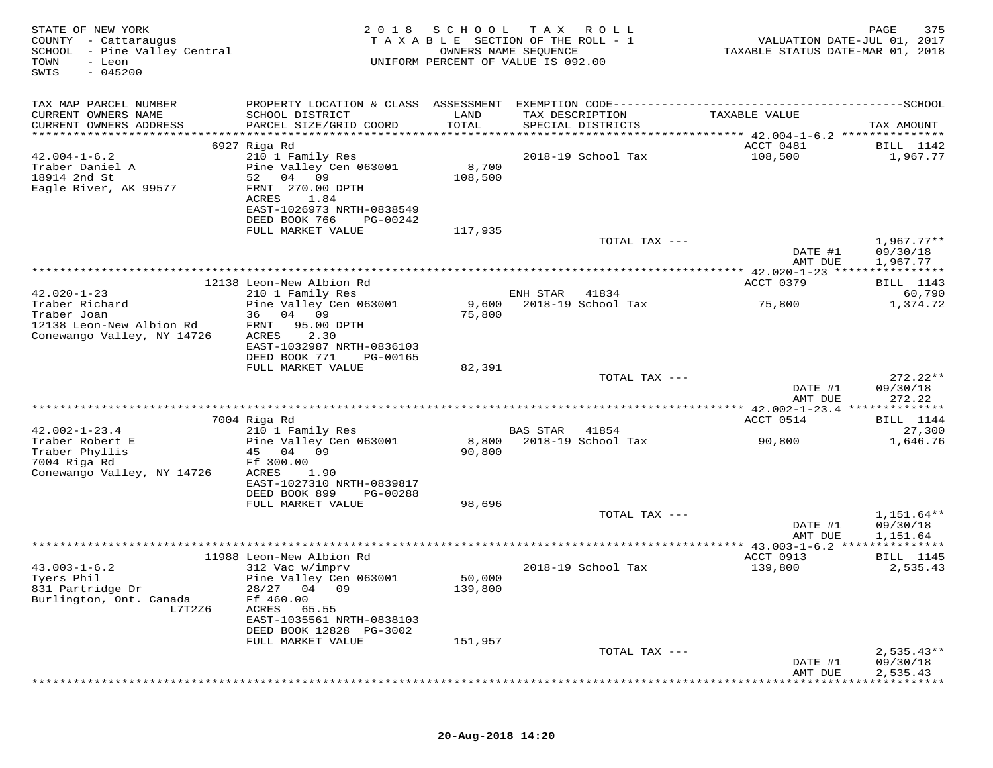| STATE OF NEW YORK<br>COUNTY - Cattaraugus<br>SCHOOL - Pine Valley Central<br>TOWN<br>- Leon<br>SWIS<br>$-045200$ | 2018                                                   | SCHOOL<br>OWNERS NAME SEQUENCE | T A X<br>R O L L<br>TAXABLE SECTION OF THE ROLL - 1<br>UNIFORM PERCENT OF VALUE IS 092.00 | VALUATION DATE-JUL 01, 2017<br>TAXABLE STATUS DATE-MAR 01, 2018 | 375<br>PAGE              |
|------------------------------------------------------------------------------------------------------------------|--------------------------------------------------------|--------------------------------|-------------------------------------------------------------------------------------------|-----------------------------------------------------------------|--------------------------|
| TAX MAP PARCEL NUMBER                                                                                            | PROPERTY LOCATION & CLASS ASSESSMENT                   |                                | EXEMPTION CODE------------                                                                | ------------------------------SCHOOL                            |                          |
| CURRENT OWNERS NAME<br>CURRENT OWNERS ADDRESS                                                                    | SCHOOL DISTRICT<br>PARCEL SIZE/GRID COORD              | LAND<br>TOTAL                  | TAX DESCRIPTION<br>SPECIAL DISTRICTS                                                      | TAXABLE VALUE                                                   | TAX AMOUNT               |
| ************************                                                                                         | 6927 Riga Rd                                           |                                |                                                                                           | ACCT 0481                                                       | BILL 1142                |
| $42.004 - 1 - 6.2$                                                                                               | 210 1 Family Res                                       |                                | 2018-19 School Tax                                                                        | 108,500                                                         | 1,967.77                 |
| Traber Daniel A                                                                                                  | Pine Valley Cen 063001                                 | 8,700                          |                                                                                           |                                                                 |                          |
| 18914 2nd St                                                                                                     | 04<br>09<br>52                                         | 108,500                        |                                                                                           |                                                                 |                          |
| Eagle River, AK 99577                                                                                            | FRNT 270.00 DPTH<br>1.84<br>ACRES                      |                                |                                                                                           |                                                                 |                          |
|                                                                                                                  | EAST-1026973 NRTH-0838549                              |                                |                                                                                           |                                                                 |                          |
|                                                                                                                  | DEED BOOK 766<br>PG-00242                              |                                |                                                                                           |                                                                 |                          |
|                                                                                                                  | FULL MARKET VALUE                                      | 117,935                        |                                                                                           |                                                                 |                          |
|                                                                                                                  |                                                        |                                | TOTAL TAX ---                                                                             | DATE #1                                                         | $1,967.77**$<br>09/30/18 |
|                                                                                                                  |                                                        |                                |                                                                                           | AMT DUE                                                         | 1,967.77                 |
|                                                                                                                  |                                                        |                                |                                                                                           |                                                                 | ********                 |
|                                                                                                                  | 12138 Leon-New Albion Rd                               |                                |                                                                                           | ACCT 0379                                                       | BILL 1143                |
| $42.020 - 1 - 23$<br>Traber Richard                                                                              | 210 1 Family Res<br>Pine Valley Cen 063001             | 9,600                          | ENH STAR<br>41834<br>2018-19 School Tax                                                   | 75,800                                                          | 60,790<br>1,374.72       |
| Traber Joan                                                                                                      | 36<br>04 09                                            | 75,800                         |                                                                                           |                                                                 |                          |
| 12138 Leon-New Albion Rd                                                                                         | 95.00 DPTH<br>FRNT                                     |                                |                                                                                           |                                                                 |                          |
| Conewango Valley, NY 14726                                                                                       | ACRES<br>2.30                                          |                                |                                                                                           |                                                                 |                          |
|                                                                                                                  | EAST-1032987 NRTH-0836103<br>DEED BOOK 771<br>PG-00165 |                                |                                                                                           |                                                                 |                          |
|                                                                                                                  | FULL MARKET VALUE                                      | 82,391                         |                                                                                           |                                                                 |                          |
|                                                                                                                  |                                                        |                                | TOTAL TAX ---                                                                             |                                                                 | $272.22**$               |
|                                                                                                                  |                                                        |                                |                                                                                           | DATE #1                                                         | 09/30/18                 |
|                                                                                                                  |                                                        |                                |                                                                                           | AMT DUE<br>********** 42.002-1-23.4 **************              | 272.22                   |
|                                                                                                                  | 7004 Riga Rd                                           |                                |                                                                                           | ACCT 0514                                                       | BILL 1144                |
| $42.002 - 1 - 23.4$                                                                                              | 210 1 Family Res                                       |                                | <b>BAS STAR</b><br>41854                                                                  |                                                                 | 27,300                   |
| Traber Robert E                                                                                                  | Pine Valley Cen 063001                                 | 8,800                          | 2018-19 School Tax                                                                        | 90,800                                                          | 1,646.76                 |
| Traber Phyllis<br>7004 Riga Rd                                                                                   | 45<br>04 09<br>Ff 300.00                               | 90,800                         |                                                                                           |                                                                 |                          |
| Conewango Valley, NY 14726                                                                                       | ACRES<br>1.90                                          |                                |                                                                                           |                                                                 |                          |
|                                                                                                                  | EAST-1027310 NRTH-0839817                              |                                |                                                                                           |                                                                 |                          |
|                                                                                                                  | DEED BOOK 899<br>PG-00288                              |                                |                                                                                           |                                                                 |                          |
|                                                                                                                  | FULL MARKET VALUE                                      | 98,696                         | TOTAL TAX ---                                                                             |                                                                 | $1,151.64**$             |
|                                                                                                                  |                                                        |                                |                                                                                           | DATE #1                                                         | 09/30/18                 |
|                                                                                                                  |                                                        |                                |                                                                                           | AMT DUE                                                         | 1,151.64                 |
|                                                                                                                  |                                                        |                                |                                                                                           | **** $43.003 - 1 - 6.2$                                         | * * * * * * * * * * *    |
| $43.003 - 1 - 6.2$                                                                                               | 11988 Leon-New Albion Rd                               |                                | 2018-19 School Tax                                                                        | ACCT 0913<br>139,800                                            | <b>BILL</b> 1145         |
| Tyers Phil                                                                                                       | 312 Vac w/imprv<br>Pine Valley Cen 063001              | 50,000                         |                                                                                           |                                                                 | 2,535.43                 |
| 831 Partridge Dr                                                                                                 | 28/27<br>09<br>04                                      | 139,800                        |                                                                                           |                                                                 |                          |
| Burlington, Ont. Canada                                                                                          | Ff 460.00                                              |                                |                                                                                           |                                                                 |                          |
| L7T2Z6                                                                                                           | ACRES<br>65.55<br>EAST-1035561 NRTH-0838103            |                                |                                                                                           |                                                                 |                          |
|                                                                                                                  | DEED BOOK 12828 PG-3002                                |                                |                                                                                           |                                                                 |                          |
|                                                                                                                  | FULL MARKET VALUE                                      | 151,957                        |                                                                                           |                                                                 |                          |
|                                                                                                                  |                                                        |                                | TOTAL TAX ---                                                                             |                                                                 | $2,535.43**$             |
|                                                                                                                  |                                                        |                                |                                                                                           | DATE #1<br>AMT DUE                                              | 09/30/18<br>2,535.43     |
|                                                                                                                  |                                                        |                                |                                                                                           |                                                                 |                          |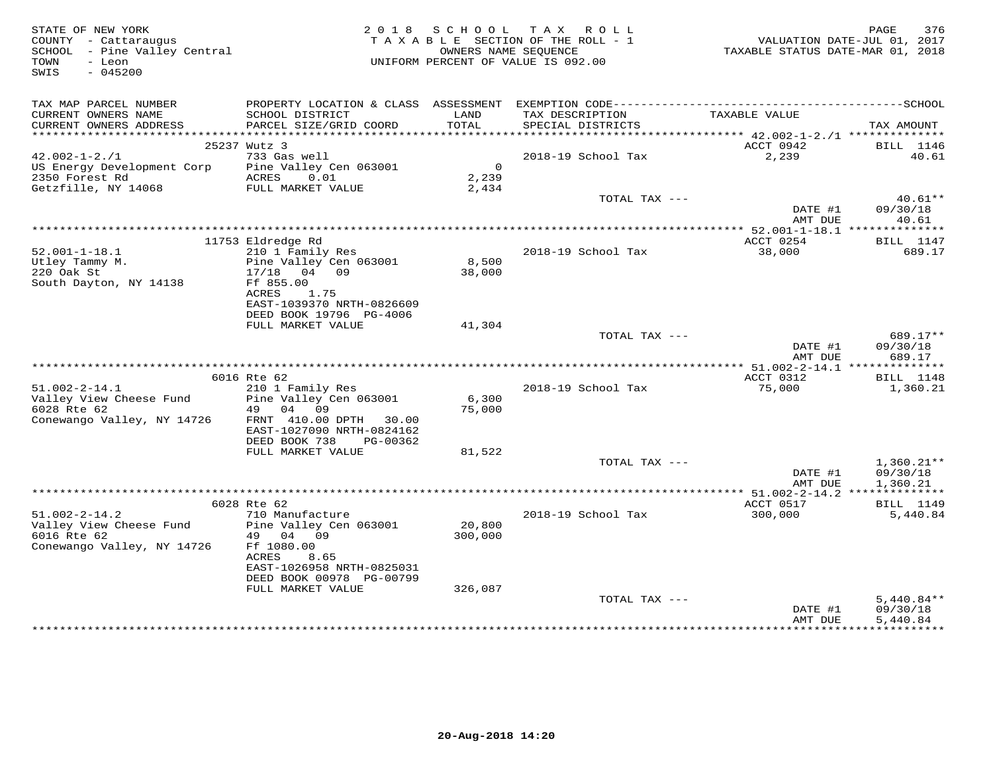| STATE OF NEW YORK<br>COUNTY - Cattaraugus<br>SCHOOL - Pine Valley Central<br>- Leon<br>TOWN<br>SWIS<br>$-045200$ |                                           |                         | 2018 SCHOOL TAX ROLL<br>TAXABLE SECTION OF THE ROLL - 1<br>OWNERS NAME SEOUENCE<br>UNIFORM PERCENT OF VALUE IS 092.00 | VALUATION DATE-JUL 01, 2017<br>TAXABLE STATUS DATE-MAR 01, 2018 | 376<br>PAGE                    |
|------------------------------------------------------------------------------------------------------------------|-------------------------------------------|-------------------------|-----------------------------------------------------------------------------------------------------------------------|-----------------------------------------------------------------|--------------------------------|
| TAX MAP PARCEL NUMBER                                                                                            |                                           |                         |                                                                                                                       |                                                                 |                                |
| CURRENT OWNERS NAME<br>CURRENT OWNERS ADDRESS                                                                    | SCHOOL DISTRICT<br>PARCEL SIZE/GRID COORD | LAND<br>TOTAL           | TAX DESCRIPTION<br>SPECIAL DISTRICTS<br>SPECIAL DISTRICTS                                                             | TAXABLE VALUE                                                   | TAX AMOUNT                     |
|                                                                                                                  |                                           |                         |                                                                                                                       |                                                                 |                                |
|                                                                                                                  | 25237 Wutz 3                              |                         |                                                                                                                       | ACCT 0942                                                       | <b>BILL</b> 1146               |
| $42.002 - 1 - 2.71$                                                                                              | 733 Gas well                              | $\overline{\mathbf{0}}$ | 2018-19 School Tax                                                                                                    | 2,239                                                           | 40.61                          |
| US Energy Development Corp<br>2350 Forest Rd                                                                     | Pine Valley Cen 063001<br>ACRES 0.01      | 2,239                   |                                                                                                                       |                                                                 |                                |
| Getzfille, NY 14068 FULL MARKET VALUE                                                                            |                                           | 2,434                   |                                                                                                                       |                                                                 |                                |
|                                                                                                                  |                                           |                         | TOTAL TAX ---                                                                                                         | DATE #1<br>AMT DUE                                              | $40.61**$<br>09/30/18<br>40.61 |
|                                                                                                                  |                                           |                         |                                                                                                                       |                                                                 |                                |
|                                                                                                                  | 11753 Eldredge Rd                         |                         |                                                                                                                       | ACCT 0254                                                       | <b>BILL</b> 1147               |
| $52.001 - 1 - 18.1$                                                                                              | 210 1 Family Res                          |                         | 2018-19 School Tax                                                                                                    | 38,000                                                          | 689.17                         |
| Utley Tammy M.<br>220 Oak St                                                                                     | Pine Valley Cen 063001                    | 8,500                   |                                                                                                                       |                                                                 |                                |
|                                                                                                                  | 17/18 04 09                               | 38,000                  |                                                                                                                       |                                                                 |                                |
| South Dayton, NY 14138                                                                                           | Ff 855.00<br>ACRES<br>1.75                |                         |                                                                                                                       |                                                                 |                                |
|                                                                                                                  | EAST-1039370 NRTH-0826609                 |                         |                                                                                                                       |                                                                 |                                |
|                                                                                                                  | DEED BOOK 19796 PG-4006                   |                         |                                                                                                                       |                                                                 |                                |
|                                                                                                                  | FULL MARKET VALUE                         | 41,304                  |                                                                                                                       |                                                                 |                                |
|                                                                                                                  |                                           |                         | TOTAL TAX ---                                                                                                         |                                                                 | 689.17**                       |
|                                                                                                                  |                                           |                         |                                                                                                                       | DATE #1<br>AMT DUE                                              | 09/30/18<br>689.17             |
|                                                                                                                  |                                           |                         |                                                                                                                       |                                                                 |                                |
|                                                                                                                  | 6016 Rte 62                               |                         |                                                                                                                       | ACCT 0312                                                       | BILL 1148                      |
| $51.002 - 2 - 14.1$<br>Valley View Cheese Fund Pine Valley Cen 063001                                            | 210 1 Family Res                          | 6,300                   | 2018-19 School Tax                                                                                                    | 75,000                                                          | 1,360.21                       |
| 6028 Rte 62                                                                                                      | 49 04 09                                  | 75,000                  |                                                                                                                       |                                                                 |                                |
| Conewango Valley, NY 14726                                                                                       | FRNT 410.00 DPTH 30.00                    |                         |                                                                                                                       |                                                                 |                                |
|                                                                                                                  | EAST-1027090 NRTH-0824162                 |                         |                                                                                                                       |                                                                 |                                |
|                                                                                                                  | DEED BOOK 738<br>PG-00362                 |                         |                                                                                                                       |                                                                 |                                |
|                                                                                                                  | FULL MARKET VALUE                         | 81,522                  | TOTAL TAX ---                                                                                                         |                                                                 | $1,360.21**$                   |
|                                                                                                                  |                                           |                         |                                                                                                                       | DATE #1                                                         | 09/30/18                       |
|                                                                                                                  |                                           |                         |                                                                                                                       | AMT DUE                                                         | 1,360.21                       |
|                                                                                                                  |                                           |                         |                                                                                                                       |                                                                 |                                |
|                                                                                                                  | 6028 Rte 62                               |                         |                                                                                                                       | ACCT 0517                                                       | BILL 1149                      |
| $51.002 - 2 - 14.2$                                                                                              | 710 Manufacture<br>Pine Valley Cen 063001 | 20,800                  | 2018-19 School Tax                                                                                                    | 300,000                                                         | 5,440.84                       |
| Valley View Cheese Fund<br>6016 Rte 62                                                                           | 49 04 09                                  | 300,000                 |                                                                                                                       |                                                                 |                                |
| Conewango Valley, NY 14726                                                                                       | Ff 1080.00                                |                         |                                                                                                                       |                                                                 |                                |
|                                                                                                                  | ACRES<br>8.65                             |                         |                                                                                                                       |                                                                 |                                |
|                                                                                                                  | EAST-1026958 NRTH-0825031                 |                         |                                                                                                                       |                                                                 |                                |
|                                                                                                                  | DEED BOOK 00978 PG-00799                  |                         |                                                                                                                       |                                                                 |                                |
|                                                                                                                  | FULL MARKET VALUE                         | 326,087                 | TOTAL TAX ---                                                                                                         |                                                                 | $5,440.84**$                   |
|                                                                                                                  |                                           |                         |                                                                                                                       | DATE #1                                                         | 09/30/18                       |
|                                                                                                                  |                                           |                         |                                                                                                                       | AMT DUE                                                         | 5,440.84                       |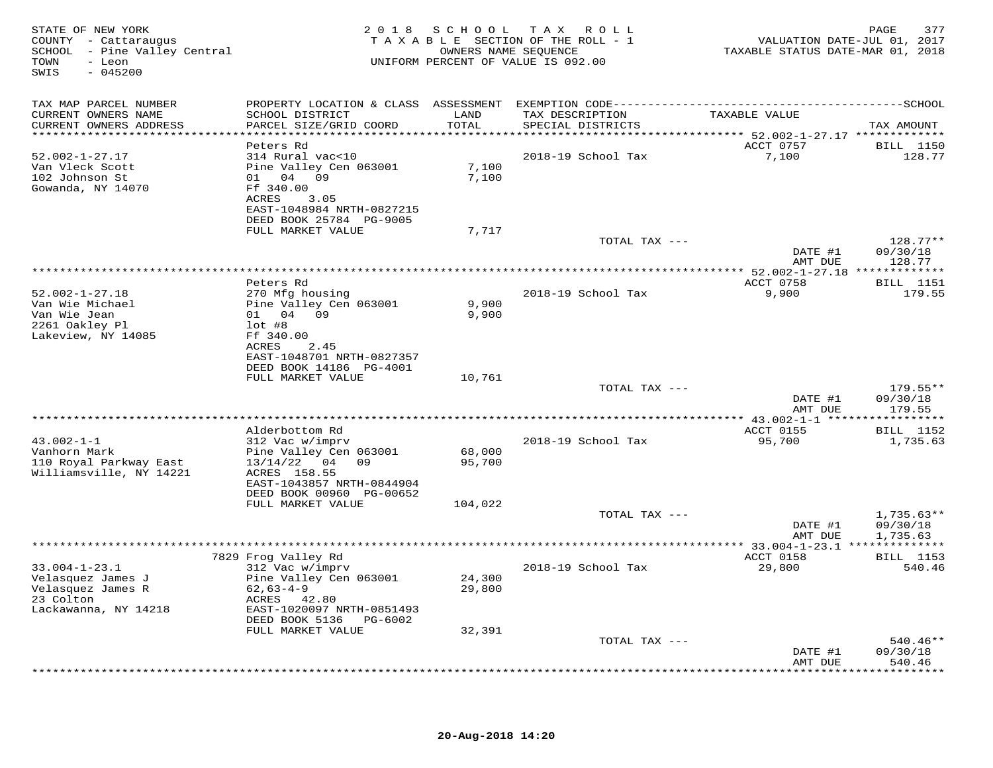| STATE OF NEW YORK<br>COUNTY - Cattaraugus<br>SCHOOL - Pine Valley Central<br>- Leon<br>TOWN<br>$-045200$<br>SWIS |                                                                                                |                  | 2018 SCHOOL TAX ROLL<br>TAXABLE SECTION OF THE ROLL - 1<br>OWNERS NAME SEQUENCE<br>UNIFORM PERCENT OF VALUE IS 092.00 | VALUATION DATE-JUL 01, 2017<br>TAXABLE STATUS DATE-MAR 01, 2018 | 377<br>PAGE                          |
|------------------------------------------------------------------------------------------------------------------|------------------------------------------------------------------------------------------------|------------------|-----------------------------------------------------------------------------------------------------------------------|-----------------------------------------------------------------|--------------------------------------|
| TAX MAP PARCEL NUMBER                                                                                            |                                                                                                |                  |                                                                                                                       |                                                                 |                                      |
| CURRENT OWNERS NAME<br>CURRENT OWNERS ADDRESS                                                                    | SCHOOL DISTRICT<br>PARCEL SIZE/GRID COORD                                                      | LAND<br>TOTAL    | TAX DESCRIPTION<br>SPECIAL DISTRICTS                                                                                  | TAXABLE VALUE                                                   | TAX AMOUNT                           |
| ************************                                                                                         |                                                                                                |                  |                                                                                                                       |                                                                 |                                      |
| $52.002 - 1 - 27.17$<br>Van Vleck Scott                                                                          | Peters Rd<br>314 Rural vac<10<br>Pine Valley Cen 063001                                        | 7,100            | 2018-19 School Tax                                                                                                    | ACCT 0757<br>7,100                                              | <b>BILL</b> 1150<br>128.77           |
| 102 Johnson St<br>Gowanda, NY 14070                                                                              | 01 04 09<br>Ff 340.00<br>ACRES<br>3.05<br>EAST-1048984 NRTH-0827215<br>DEED BOOK 25784 PG-9005 | 7,100            |                                                                                                                       |                                                                 |                                      |
|                                                                                                                  | FULL MARKET VALUE                                                                              | 7,717            |                                                                                                                       |                                                                 |                                      |
|                                                                                                                  |                                                                                                |                  | TOTAL TAX ---                                                                                                         | DATE #1                                                         | $128.77**$<br>09/30/18               |
|                                                                                                                  |                                                                                                |                  | **********************                                                                                                | AMT DUE<br>***** 52.002-1-27.18 *************                   | 128.77                               |
|                                                                                                                  | Peters Rd                                                                                      |                  |                                                                                                                       | ACCT 0758                                                       | <b>BILL</b> 1151                     |
| $52.002 - 1 - 27.18$<br>Van Wie Michael<br>Van Wie Jean                                                          | 270 Mfg housing<br>Pine Valley Cen 063001<br>01 04 09                                          | 9,900<br>9,900   | 2018-19 School Tax                                                                                                    | 9,900                                                           | 179.55                               |
| 2261 Oakley Pl<br>Lakeview, NY 14085                                                                             | $lot$ #8<br>Ff 340.00<br>ACRES<br>2.45                                                         |                  |                                                                                                                       |                                                                 |                                      |
|                                                                                                                  | EAST-1048701 NRTH-0827357<br>DEED BOOK 14186 PG-4001<br>FULL MARKET VALUE                      | 10,761           |                                                                                                                       |                                                                 |                                      |
|                                                                                                                  |                                                                                                |                  | TOTAL TAX ---                                                                                                         |                                                                 | $179.55**$                           |
|                                                                                                                  |                                                                                                |                  |                                                                                                                       | DATE #1<br>AMT DUE                                              | 09/30/18<br>179.55<br>**********     |
|                                                                                                                  | Alderbottom Rd                                                                                 |                  |                                                                                                                       | ACCT 0155                                                       | <b>BILL</b> 1152                     |
| $43.002 - 1 - 1$<br>Vanhorn Mark                                                                                 | 312 Vac w/imprv<br>Pine Valley Cen 063001                                                      | 68,000           | 2018-19 School Tax                                                                                                    | 95,700                                                          | 1,735.63                             |
| 110 Royal Parkway East<br>Williamsville, NY 14221                                                                | $13/14/22$ 04 09<br>ACRES 158.55<br>EAST-1043857 NRTH-0844904                                  | 95,700           |                                                                                                                       |                                                                 |                                      |
|                                                                                                                  | DEED BOOK 00960 PG-00652<br>FULL MARKET VALUE                                                  | 104,022          |                                                                                                                       |                                                                 |                                      |
|                                                                                                                  |                                                                                                |                  | TOTAL TAX ---                                                                                                         | DATE #1<br>AMT DUE                                              | $1,735.63**$<br>09/30/18<br>1,735.63 |
|                                                                                                                  |                                                                                                |                  | ***************                                                                                                       | ** 33.004-1-23.1 **************                                 |                                      |
| $33.004 - 1 - 23.1$                                                                                              | 7829 Frog Valley Rd<br>312 Vac w/imprv                                                         |                  | 2018-19 School Tax                                                                                                    | ACCT 0158<br>29,800                                             | <b>BILL</b> 1153<br>540.46           |
| Velasquez James J<br>Velasquez James R                                                                           | Pine Valley Cen 063001<br>$62,63-4-9$                                                          | 24,300<br>29,800 |                                                                                                                       |                                                                 |                                      |
| 23 Colton<br>Lackawanna, NY 14218                                                                                | ACRES 42.80<br>EAST-1020097 NRTH-0851493                                                       |                  |                                                                                                                       |                                                                 |                                      |
|                                                                                                                  | DEED BOOK 5136<br>PG-6002<br>FULL MARKET VALUE                                                 | 32,391           |                                                                                                                       |                                                                 |                                      |
|                                                                                                                  |                                                                                                |                  | TOTAL TAX ---                                                                                                         |                                                                 | $540.46**$                           |
|                                                                                                                  |                                                                                                |                  |                                                                                                                       | DATE #1<br>AMT DUE                                              | 09/30/18<br>540.46                   |
|                                                                                                                  |                                                                                                |                  | **************************                                                                                            |                                                                 | * * * * * * * *                      |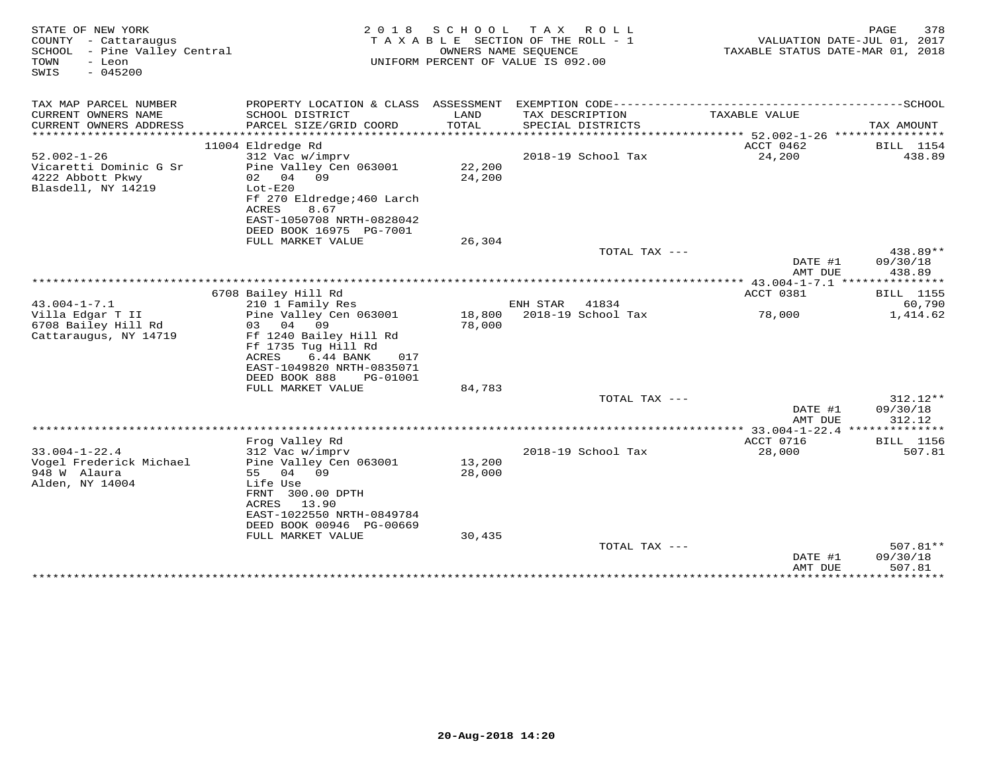| STATE OF NEW YORK<br>COUNTY - Cattaraugus<br>SCHOOL - Pine Valley Central<br>TOWN<br>- Leon<br>$-045200$<br>SWIS | 2 0 1 8                                                                                                                                                                               | S C H O O L<br>TAXABLE SECTION OF THE ROLL - 1<br>UNIFORM PERCENT OF VALUE IS 092.00 | OWNERS NAME SEQUENCE | TAX ROLL                        | TAXABLE STATUS DATE-MAR 01, 2018 | PAGE<br>VALUATION DATE-JUL 01, 2017 | 378                            |
|------------------------------------------------------------------------------------------------------------------|---------------------------------------------------------------------------------------------------------------------------------------------------------------------------------------|--------------------------------------------------------------------------------------|----------------------|---------------------------------|----------------------------------|-------------------------------------|--------------------------------|
| TAX MAP PARCEL NUMBER                                                                                            |                                                                                                                                                                                       |                                                                                      |                      |                                 |                                  |                                     |                                |
| CURRENT OWNERS NAME<br>CURRENT OWNERS ADDRESS<br>*********************                                           | SCHOOL DISTRICT<br>PARCEL SIZE/GRID COORD<br>****************************                                                                                                             | LAND<br>TOTAL                                                                        | TAX DESCRIPTION      | SPECIAL DISTRICTS               | TAXABLE VALUE                    |                                     | TAX AMOUNT                     |
|                                                                                                                  | 11004 Eldredge Rd                                                                                                                                                                     |                                                                                      |                      |                                 | ACCT 0462                        |                                     | BILL 1154                      |
| $52.002 - 1 - 26$                                                                                                | 312 Vac w/imprv                                                                                                                                                                       |                                                                                      |                      | 2018-19 School Tax              | 24,200                           |                                     | 438.89                         |
| Vicaretti Dominic G Sr<br>4222 Abbott Pkwy<br>Blasdell, NY 14219                                                 | Pine Valley Cen 063001<br>02 04 09<br>$Lot-E20$<br>Ff 270 Eldredge; 460 Larch<br>ACRES<br>8.67<br>EAST-1050708 NRTH-0828042<br>DEED BOOK 16975 PG-7001                                | 22,200<br>24,200                                                                     |                      |                                 |                                  |                                     |                                |
|                                                                                                                  | FULL MARKET VALUE                                                                                                                                                                     | 26,304                                                                               |                      |                                 |                                  |                                     |                                |
|                                                                                                                  |                                                                                                                                                                                       |                                                                                      |                      | TOTAL TAX ---                   | DATE #1                          | AMT DUE                             | 438.89**<br>09/30/18<br>438.89 |
|                                                                                                                  |                                                                                                                                                                                       |                                                                                      |                      |                                 |                                  |                                     |                                |
|                                                                                                                  | 6708 Bailey Hill Rd                                                                                                                                                                   |                                                                                      |                      |                                 | ACCT 0381                        |                                     | <b>BILL</b> 1155               |
| $43.004 - 1 - 7.1$                                                                                               | 210 1 Family Res                                                                                                                                                                      |                                                                                      | ENH STAR             | 41834                           |                                  |                                     | 60,790                         |
| Villa Edgar T II<br>6708 Bailey Hill Rd<br>Cattaraugus, NY 14719                                                 | Pine Valley Cen 063001<br>03 04 09<br>Ff 1240 Bailey Hill Rd<br>Ff 1735 Tug Hill Rd<br>6.44 BANK<br>ACRES<br>017<br>EAST-1049820 NRTH-0835071<br>DEED BOOK 888<br>PG-01001            | 18,800<br>78,000                                                                     |                      | 2018-19 School Tax              | 78,000                           |                                     | 1,414.62                       |
|                                                                                                                  | FULL MARKET VALUE                                                                                                                                                                     | 84,783                                                                               |                      |                                 |                                  |                                     |                                |
|                                                                                                                  |                                                                                                                                                                                       |                                                                                      |                      | TOTAL TAX ---                   | DATE #1<br>AMT DUE               |                                     | 312.12**<br>09/30/18<br>312.12 |
|                                                                                                                  |                                                                                                                                                                                       |                                                                                      |                      |                                 |                                  |                                     |                                |
|                                                                                                                  | Frog Valley Rd                                                                                                                                                                        |                                                                                      |                      |                                 | ACCT 0716                        |                                     | BILL 1156                      |
| $33.004 - 1 - 22.4$<br>Vogel Frederick Michael<br>948 W Alaura<br>Alden, NY 14004                                | 312 Vac w/imprv<br>Pine Valley Cen 063001<br>55 04 09<br>Life Use<br>FRNT 300.00 DPTH<br>13.90<br>ACRES<br>EAST-1022550 NRTH-0849784<br>DEED BOOK 00946 PG-00669<br>FULL MARKET VALUE | 13,200<br>28,000<br>30,435                                                           |                      | 2018-19 School Tax              | 28,000                           |                                     | 507.81                         |
|                                                                                                                  |                                                                                                                                                                                       |                                                                                      |                      | TOTAL TAX ---                   |                                  |                                     | $507.81**$                     |
|                                                                                                                  |                                                                                                                                                                                       |                                                                                      |                      |                                 |                                  | DATE #1<br>AMT DUE                  | 09/30/18<br>507.81             |
|                                                                                                                  |                                                                                                                                                                                       |                                                                                      |                      | ******************************* | ****************                 |                                     | **********                     |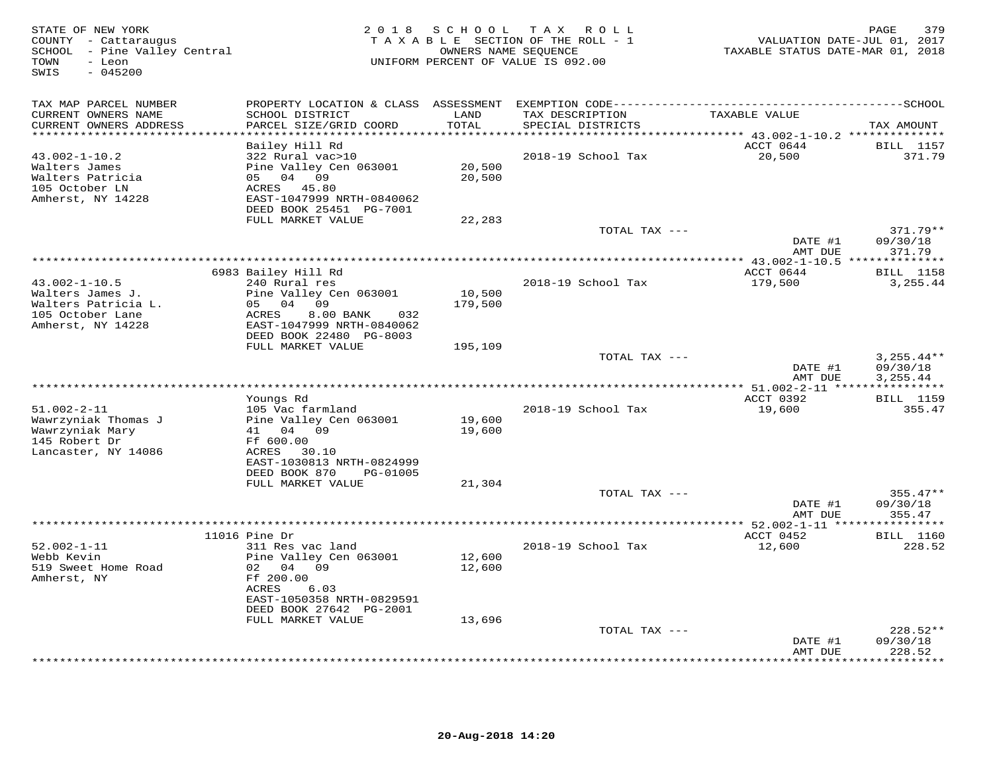| STATE OF NEW YORK<br>COUNTY - Cattaraugus<br>SCHOOL - Pine Valley Central<br>- Leon<br>TOWN<br>SWIS<br>$-045200$ |                                                                                                                                                                      | 2018 SCHOOL                | TAX ROLL<br>TAXABLE SECTION OF THE ROLL - 1<br>OWNERS NAME SEQUENCE<br>UNIFORM PERCENT OF VALUE IS 092.00 | VALUATION DATE-JUL 01, 2017<br>TAXABLE STATUS DATE-MAR 01, 2018        | 379<br>PAGE                           |
|------------------------------------------------------------------------------------------------------------------|----------------------------------------------------------------------------------------------------------------------------------------------------------------------|----------------------------|-----------------------------------------------------------------------------------------------------------|------------------------------------------------------------------------|---------------------------------------|
| TAX MAP PARCEL NUMBER                                                                                            |                                                                                                                                                                      |                            |                                                                                                           |                                                                        |                                       |
| CURRENT OWNERS NAME<br>CURRENT OWNERS ADDRESS                                                                    | SCHOOL DISTRICT<br>PARCEL SIZE/GRID COORD                                                                                                                            | LAND<br>TOTAL              | TAX DESCRIPTION<br>SPECIAL DISTRICTS                                                                      | TAXABLE VALUE                                                          | TAX AMOUNT                            |
|                                                                                                                  | Bailey Hill Rd                                                                                                                                                       | **********                 |                                                                                                           | **************************** 43.002-1-10.2 **************<br>ACCT 0644 | <b>BILL</b> 1157                      |
| $43.002 - 1 - 10.2$<br>Walters James<br>Walters Patricia<br>105 October LN<br>Amherst, NY 14228                  | 322 Rural vac>10<br>Pine Valley Cen 063001<br>05 04 09<br>ACRES 45.80<br>EAST-1047999 NRTH-0840062                                                                   | 20,500<br>20,500           | 2018-19 School Tax                                                                                        | 20,500                                                                 | 371.79                                |
|                                                                                                                  | DEED BOOK 25451 PG-7001<br>FULL MARKET VALUE                                                                                                                         | 22,283                     |                                                                                                           |                                                                        |                                       |
|                                                                                                                  |                                                                                                                                                                      |                            | TOTAL TAX ---                                                                                             |                                                                        | $371.79**$                            |
|                                                                                                                  |                                                                                                                                                                      |                            |                                                                                                           | DATE #1                                                                | 09/30/18                              |
|                                                                                                                  |                                                                                                                                                                      |                            |                                                                                                           | AMT DUE                                                                | 371.79                                |
|                                                                                                                  | 6983 Bailey Hill Rd                                                                                                                                                  |                            |                                                                                                           | ACCT 0644                                                              | <b>BILL</b> 1158                      |
| $43.002 - 1 - 10.5$<br>Walters James J.<br>Walters Patricia L.<br>105 October Lane                               | 240 Rural res<br>Pine Valley Cen 063001<br>05 04<br>09<br>8.00 BANK<br>ACRES<br>032                                                                                  | 10,500<br>179,500          | 2018-19 School Tax                                                                                        | 179,500                                                                | 3,255.44                              |
| Amherst, NY 14228                                                                                                | EAST-1047999 NRTH-0840062<br>DEED BOOK 22480 PG-8003<br>FULL MARKET VALUE                                                                                            | 195,109                    |                                                                                                           |                                                                        |                                       |
|                                                                                                                  |                                                                                                                                                                      |                            | TOTAL TAX ---                                                                                             | DATE #1<br>AMT DUE                                                     | $3,255.44**$<br>09/30/18<br>3, 255.44 |
|                                                                                                                  |                                                                                                                                                                      |                            |                                                                                                           |                                                                        |                                       |
| $51.002 - 2 - 11$<br>Wawrzyniak Thomas J<br>Wawrzyniak Mary<br>145 Robert Dr<br>Lancaster, NY 14086              | Youngs Rd<br>105 Vac farmland<br>Pine Valley Cen 063001<br>41 04 09<br>Ff 600.00<br>ACRES<br>30.10<br>EAST-1030813 NRTH-0824999                                      | 19,600<br>19,600           | 2018-19 School Tax                                                                                        | ACCT 0392<br>19,600                                                    | <b>BILL</b> 1159<br>355.47            |
|                                                                                                                  | DEED BOOK 870<br>PG-01005                                                                                                                                            |                            |                                                                                                           |                                                                        |                                       |
|                                                                                                                  | FULL MARKET VALUE                                                                                                                                                    | 21,304                     | TOTAL TAX ---                                                                                             |                                                                        | $355.47**$                            |
|                                                                                                                  |                                                                                                                                                                      |                            |                                                                                                           | DATE #1                                                                | 09/30/18                              |
|                                                                                                                  | **********************                                                                                                                                               |                            |                                                                                                           | AMT DUE                                                                | 355.47                                |
|                                                                                                                  | 11016 Pine Dr                                                                                                                                                        |                            |                                                                                                           | ACCT 0452                                                              | <b>BILL</b> 1160                      |
| $52.002 - 1 - 11$<br>Webb Kevin<br>519 Sweet Home Road<br>Amherst, NY                                            | 311 Res vac land<br>Pine Valley Cen 063001<br>02 04<br>09<br>Ff 200.00<br>ACRES<br>6.03<br>EAST-1050358 NRTH-0829591<br>DEED BOOK 27642 PG-2001<br>FULL MARKET VALUE | 12,600<br>12,600<br>13,696 | 2018-19 School Tax                                                                                        | 12,600                                                                 | 228.52                                |
|                                                                                                                  |                                                                                                                                                                      |                            | TOTAL TAX ---                                                                                             |                                                                        | $228.52**$                            |
|                                                                                                                  |                                                                                                                                                                      |                            |                                                                                                           | DATE #1<br>AMT DUE                                                     | 09/30/18<br>228.52<br>.               |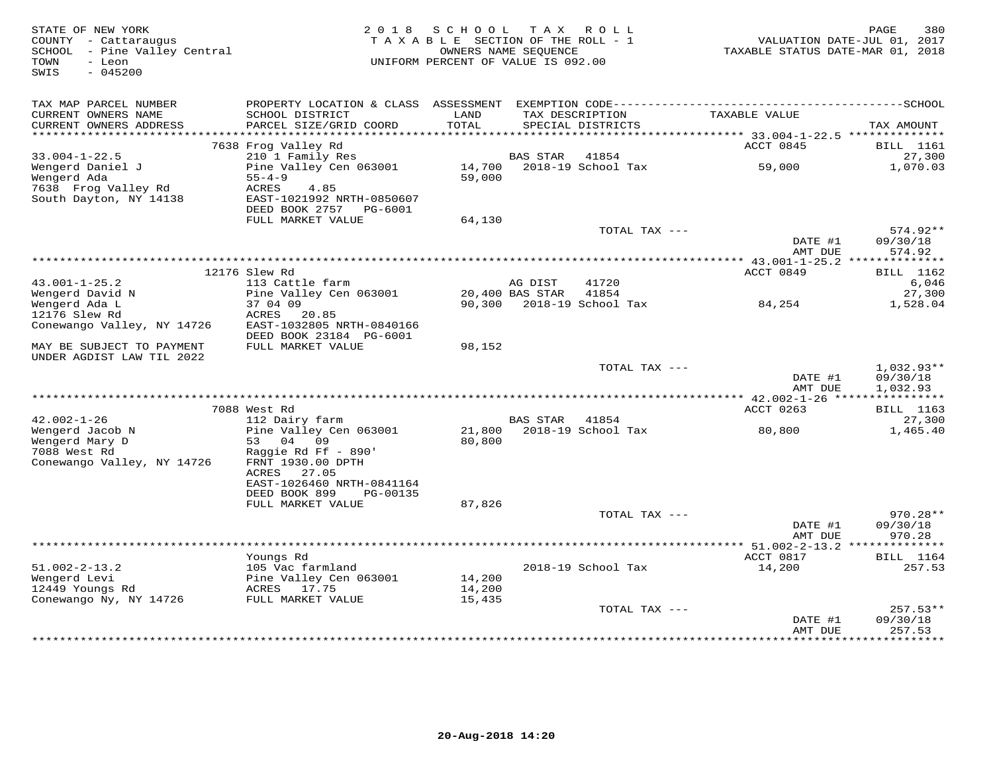| STATE OF NEW YORK<br>COUNTY - Cattaraugus<br>SCHOOL - Pine Valley Central<br>TOWN<br>- Leon<br>$-045200$<br>SWIS | 2 0 1 8                                                                                       | S C H O O L<br>TAXABLE SECTION OF THE ROLL - 1<br>UNIFORM PERCENT OF VALUE IS 092.00 | OWNERS NAME SEQUENCE | TAX ROLL                             | VALUATION DATE-JUL 01, 2017<br>TAXABLE STATUS DATE-MAR 01, 2018 | PAGE<br>380                |
|------------------------------------------------------------------------------------------------------------------|-----------------------------------------------------------------------------------------------|--------------------------------------------------------------------------------------|----------------------|--------------------------------------|-----------------------------------------------------------------|----------------------------|
|                                                                                                                  |                                                                                               |                                                                                      |                      |                                      |                                                                 |                            |
| TAX MAP PARCEL NUMBER<br>CURRENT OWNERS NAME<br>CURRENT OWNERS ADDRESS                                           | SCHOOL DISTRICT<br>PARCEL SIZE/GRID COORD                                                     | LAND<br>TOTAL                                                                        |                      | TAX DESCRIPTION<br>SPECIAL DISTRICTS | TAXABLE VALUE                                                   | TAX AMOUNT                 |
| *************************                                                                                        |                                                                                               |                                                                                      |                      |                                      |                                                                 |                            |
| $33.004 - 1 - 22.5$                                                                                              | 7638 Frog Valley Rd<br>210 1 Family Res                                                       |                                                                                      | BAS STAR             | 41854                                | ACCT 0845                                                       | <b>BILL</b> 1161<br>27,300 |
| Wengerd Daniel J<br>Wengerd Ada                                                                                  | Pine Valley Cen 063001<br>$55 - 4 - 9$                                                        | 14,700<br>59,000                                                                     |                      | 2018-19 School Tax                   | 59,000                                                          | 1,070.03                   |
| 7638 Frog Valley Rd<br>South Dayton, NY 14138                                                                    | ACRES<br>4.85<br>EAST-1021992 NRTH-0850607<br>DEED BOOK 2757 PG-6001                          |                                                                                      |                      |                                      |                                                                 |                            |
|                                                                                                                  | FULL MARKET VALUE                                                                             | 64,130                                                                               |                      |                                      |                                                                 |                            |
|                                                                                                                  |                                                                                               |                                                                                      |                      | TOTAL TAX ---                        | DATE #1                                                         | $574.92**$<br>09/30/18     |
|                                                                                                                  |                                                                                               |                                                                                      |                      |                                      | AMT DUE                                                         | 574.92                     |
|                                                                                                                  |                                                                                               |                                                                                      |                      |                                      | **************** 43.001-1-25.2 **************                   |                            |
| $43.001 - 1 - 25.2$                                                                                              | 12176 Slew Rd<br>113 Cattle farm                                                              |                                                                                      | AG DIST              | 41720                                | ACCT 0849                                                       | <b>BILL</b> 1162<br>6,046  |
| Wengerd David N                                                                                                  | Pine Valley Cen 063001                                                                        |                                                                                      | 20,400 BAS STAR      | 41854                                |                                                                 | 27,300                     |
| Wengerd Ada L                                                                                                    | 37 04 09                                                                                      |                                                                                      |                      | 90,300 2018-19 School Tax            | 84,254                                                          | 1,528.04                   |
| 12176 Slew Rd                                                                                                    | ACRES<br>20.85                                                                                |                                                                                      |                      |                                      |                                                                 |                            |
| Conewango Valley, NY 14726                                                                                       | EAST-1032805 NRTH-0840166                                                                     |                                                                                      |                      |                                      |                                                                 |                            |
| MAY BE SUBJECT TO PAYMENT<br>UNDER AGDIST LAW TIL 2022                                                           | DEED BOOK 23184 PG-6001<br>FULL MARKET VALUE                                                  | 98,152                                                                               |                      |                                      |                                                                 |                            |
|                                                                                                                  |                                                                                               |                                                                                      |                      | TOTAL TAX ---                        |                                                                 | $1,032.93**$               |
|                                                                                                                  |                                                                                               |                                                                                      |                      |                                      | DATE #1<br>AMT DUE                                              | 09/30/18<br>1,032.93       |
|                                                                                                                  |                                                                                               |                                                                                      |                      |                                      |                                                                 |                            |
|                                                                                                                  | 7088 West Rd                                                                                  |                                                                                      |                      |                                      | ACCT 0263                                                       | <b>BILL</b> 1163           |
| $42.002 - 1 - 26$<br>Wengerd Jacob N                                                                             | 112 Dairy farm                                                                                |                                                                                      | <b>BAS STAR</b>      | 41854<br>2018-19 School Tax          |                                                                 | 27,300                     |
| Wengerd Mary D<br>7088 West Rd<br>Conewango Valley, NY 14726                                                     | Pine Valley Cen 063001<br>53 04<br>09<br>Raggie Rd Ff - 890'<br>FRNT 1930.00 DPTH             | 21,800<br>80,800                                                                     |                      |                                      | 80,800                                                          | 1,465.40                   |
|                                                                                                                  | ACRES<br>27.05<br>EAST-1026460 NRTH-0841164<br>DEED BOOK 899<br>PG-00135<br>FULL MARKET VALUE | 87,826                                                                               |                      |                                      |                                                                 |                            |
|                                                                                                                  |                                                                                               |                                                                                      |                      | TOTAL TAX ---                        | DATE #1                                                         | $970.28**$<br>09/30/18     |
|                                                                                                                  |                                                                                               |                                                                                      |                      |                                      | AMT DUE                                                         | 970.28                     |
|                                                                                                                  |                                                                                               |                                                                                      |                      |                                      |                                                                 |                            |
|                                                                                                                  | Youngs Rd                                                                                     |                                                                                      |                      |                                      | ACCT 0817                                                       | <b>BILL</b> 1164           |
| $51.002 - 2 - 13.2$<br>Wengerd Levi                                                                              | 105 Vac farmland<br>Pine Valley Cen 063001                                                    | 14,200                                                                               |                      | 2018-19 School Tax                   | 14,200                                                          | 257.53                     |
| 12449 Youngs Rd                                                                                                  | ACRES 17.75                                                                                   | 14,200                                                                               |                      |                                      |                                                                 |                            |
| Conewango Ny, NY 14726                                                                                           | FULL MARKET VALUE                                                                             | 15,435                                                                               |                      |                                      |                                                                 |                            |
|                                                                                                                  |                                                                                               |                                                                                      |                      | TOTAL TAX ---                        |                                                                 | $257.53**$                 |
|                                                                                                                  |                                                                                               |                                                                                      |                      |                                      | DATE #1<br>AMT DUE                                              | 09/30/18<br>257.53         |
|                                                                                                                  |                                                                                               |                                                                                      |                      |                                      |                                                                 |                            |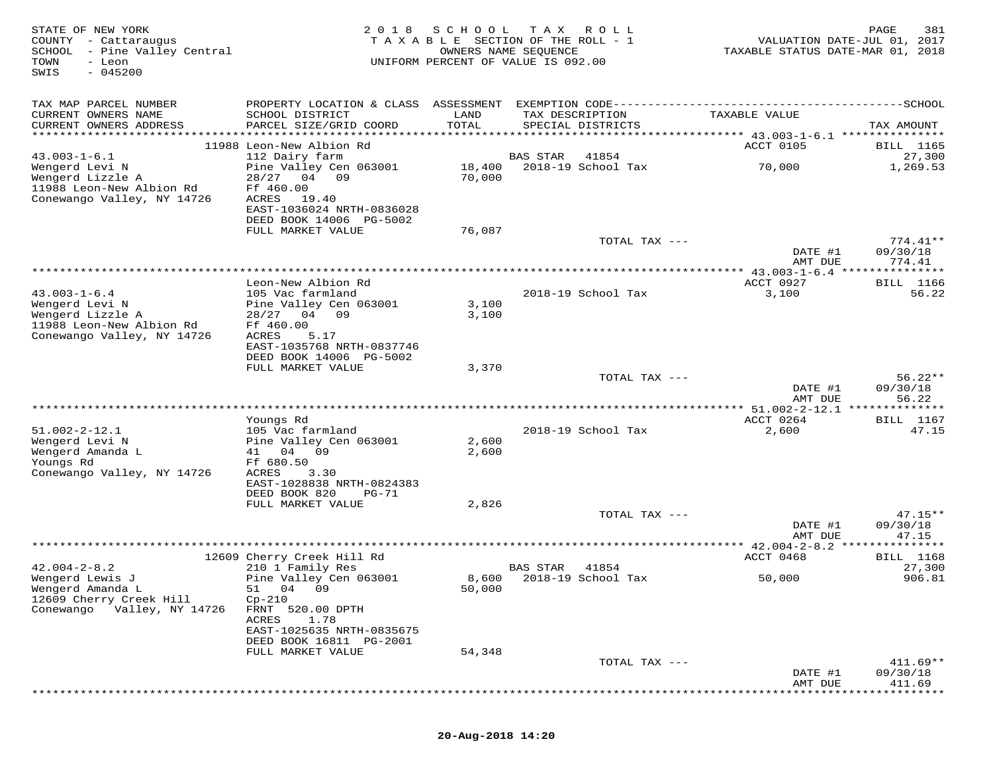| STATE OF NEW YORK<br>COUNTY - Cattaraugus<br>SCHOOL - Pine Valley Central<br>TOWN<br>- Leon<br>SWIS<br>$-045200$   | 2 0 1 8                                                                                                                                   | SCHOOL                           | T A X<br>R O L L<br>TAXABLE SECTION OF THE ROLL - 1<br>OWNERS NAME SEQUENCE<br>UNIFORM PERCENT OF VALUE IS 092.00 | VALUATION DATE-JUL 01, 2017<br>TAXABLE STATUS DATE-MAR 01, 2018 | PAGE<br>381                       |
|--------------------------------------------------------------------------------------------------------------------|-------------------------------------------------------------------------------------------------------------------------------------------|----------------------------------|-------------------------------------------------------------------------------------------------------------------|-----------------------------------------------------------------|-----------------------------------|
| TAX MAP PARCEL NUMBER<br>CURRENT OWNERS NAME<br>CURRENT OWNERS ADDRESS                                             | PROPERTY LOCATION & CLASS ASSESSMENT EXEMPTION CODE-----------------------------------SCHOOL<br>SCHOOL DISTRICT<br>PARCEL SIZE/GRID COORD | LAND<br>TOTAL                    | TAX DESCRIPTION<br>SPECIAL DISTRICTS                                                                              | TAXABLE VALUE                                                   | TAX AMOUNT                        |
| $43.003 - 1 - 6.1$<br>Wengerd Levi N<br>Wengerd Lizzle A<br>11988 Leon-New Albion Rd                               | 11988 Leon-New Albion Rd<br>112 Dairy farm<br>Pine Valley Cen 063001<br>28/27<br>04 09<br>Ff 460.00<br>19.40                              | 18,400<br>70,000                 | <b>BAS STAR</b><br>41854<br>2018-19 School Tax                                                                    | ACCT 0105<br>70,000                                             | BILL 1165<br>27,300<br>1,269.53   |
| Conewango Valley, NY 14726                                                                                         | ACRES<br>EAST-1036024 NRTH-0836028<br>DEED BOOK 14006 PG-5002<br>FULL MARKET VALUE                                                        | 76,087                           | TOTAL TAX ---                                                                                                     |                                                                 | $774.41**$                        |
|                                                                                                                    |                                                                                                                                           |                                  |                                                                                                                   | DATE #1<br>AMT DUE                                              | 09/30/18<br>774.41                |
| $43.003 - 1 - 6.4$<br>Wengerd Levi N<br>Wengerd Lizzle A<br>11988 Leon-New Albion Rd<br>Conewango Valley, NY 14726 | Leon-New Albion Rd<br>105 Vac farmland<br>Pine Valley Cen 063001<br>04 09<br>28/27<br>Ff 460.00<br>ACRES<br>5.17                          | 3,100<br>3,100                   | 2018-19 School Tax                                                                                                | ACCT 0927<br>3,100                                              | BILL 1166<br>56.22                |
|                                                                                                                    | EAST-1035768 NRTH-0837746<br>DEED BOOK 14006 PG-5002<br>FULL MARKET VALUE                                                                 | 3,370                            | TOTAL TAX ---                                                                                                     | DATE #1<br>AMT DUE                                              | $56.22**$<br>09/30/18<br>56.22    |
|                                                                                                                    | Youngs Rd                                                                                                                                 | ******************************** |                                                                                                                   | **** 51.002-2-12.1 ***<br>ACCT 0264                             | * * * * * * *<br><b>BILL</b> 1167 |
| $51.002 - 2 - 12.1$<br>Wengerd Levi N<br>Wengerd Amanda L<br>Youngs Rd<br>Conewango Valley, NY 14726               | 105 Vac farmland<br>Pine Valley Cen 063001<br>41 04 09<br>Ff 680.50<br>ACRES<br>3.30<br>EAST-1028838 NRTH-0824383                         | 2,600<br>2,600                   | 2018-19 School Tax                                                                                                | 2,600                                                           | 47.15                             |
|                                                                                                                    | DEED BOOK 820<br>$PG-71$<br>FULL MARKET VALUE                                                                                             | 2,826                            | TOTAL TAX ---                                                                                                     | DATE #1                                                         | $47.15**$<br>09/30/18             |
|                                                                                                                    |                                                                                                                                           |                                  |                                                                                                                   | AMT DUE<br>********* 42.004-2-8.2 ****                          | 47.15<br>* * * * * * * *          |
|                                                                                                                    | 12609 Cherry Creek Hill Rd                                                                                                                |                                  |                                                                                                                   | ACCT 0468                                                       | <b>BILL</b> 1168                  |
| $42.004 - 2 - 8.2$<br>Wengerd Lewis J<br>Wengerd Amanda L<br>12609 Cherry Creek Hill<br>Conewango Valley, NY 14726 | 210 1 Family Res<br>Pine Valley Cen 063001<br>51 04<br>09<br>$Cp-210$<br>FRNT 520.00 DPTH<br>ACRES<br>1.78<br>EAST-1025635 NRTH-0835675   | 50,000                           | <b>BAS STAR</b><br>41854<br>8,600 2018-19 School Tax                                                              | 50,000                                                          | 27,300<br>906.81                  |
|                                                                                                                    | DEED BOOK 16811 PG-2001<br>FULL MARKET VALUE                                                                                              | 54,348                           |                                                                                                                   |                                                                 |                                   |
|                                                                                                                    |                                                                                                                                           |                                  | TOTAL TAX ---                                                                                                     | DATE #1<br>AMT DUE                                              | $411.69**$<br>09/30/18<br>411.69  |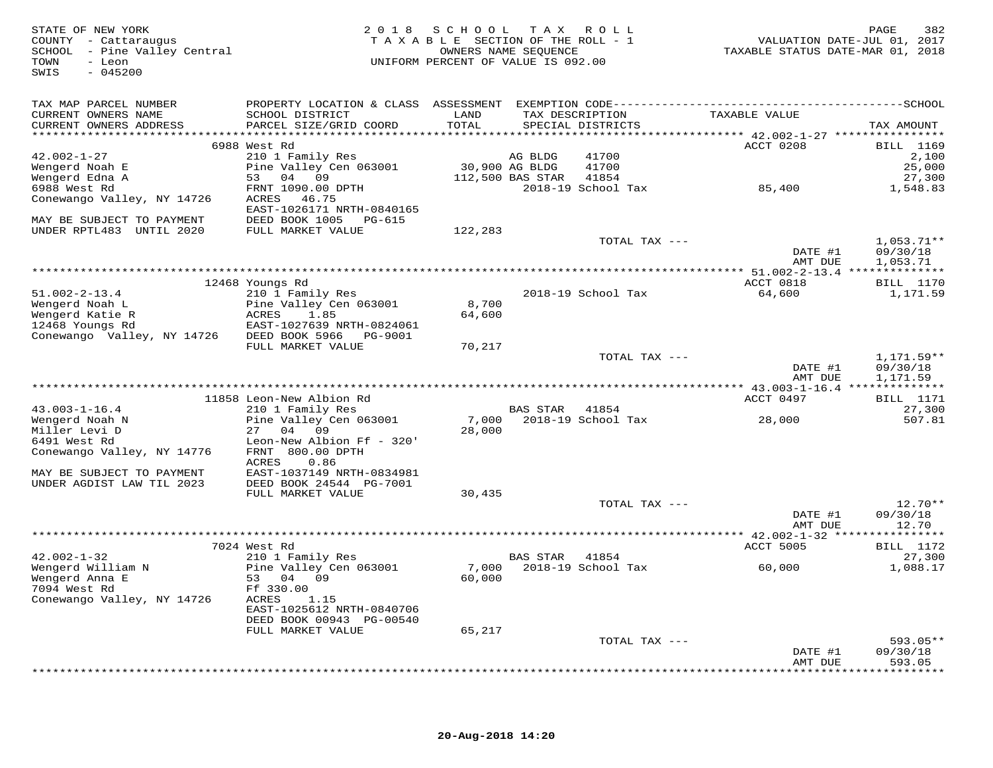| STATE OF NEW YORK<br>COUNTY - Cattaraugus<br>SCHOOL - Pine Valley Central<br>TOWN<br>- Leon<br>$-045200$<br>SWIS |                                                     | 2018 SCHOOL TAX ROLL<br>TAXABLE SECTION OF THE ROLL - 1<br>UNIFORM PERCENT OF VALUE IS 092.00 | OWNERS NAME SEQUENCE |                             | VALUATION DATE-JUL 01, 2017<br>TAXABLE STATUS DATE-MAR 01, 2018 | PAGE<br>382        |
|------------------------------------------------------------------------------------------------------------------|-----------------------------------------------------|-----------------------------------------------------------------------------------------------|----------------------|-----------------------------|-----------------------------------------------------------------|--------------------|
|                                                                                                                  |                                                     |                                                                                               |                      |                             |                                                                 |                    |
| TAX MAP PARCEL NUMBER<br>CURRENT OWNERS NAME                                                                     | SCHOOL DISTRICT                                     | LAND                                                                                          |                      | TAX DESCRIPTION             | TAXABLE VALUE                                                   |                    |
| CURRENT OWNERS ADDRESS                                                                                           | PARCEL SIZE/GRID COORD                              | TOTAL                                                                                         |                      | SPECIAL DISTRICTS           |                                                                 | TAX AMOUNT         |
|                                                                                                                  |                                                     |                                                                                               |                      |                             |                                                                 |                    |
|                                                                                                                  | 6988 West Rd                                        |                                                                                               |                      |                             | ACCT 0208                                                       | <b>BILL</b> 1169   |
| $42.002 - 1 - 27$                                                                                                | 210 1 Family Res                                    |                                                                                               | AG BLDG              | 41700                       |                                                                 | 2,100              |
| Wengerd Noah E                                                                                                   | Pine Valley Cen 063001                              | 30,900 AG BLDG                                                                                |                      | 41700                       |                                                                 | 25,000             |
| Wengerd Edna A                                                                                                   | 53 04 09                                            |                                                                                               | 112,500 BAS STAR     | 41854                       |                                                                 | 27,300             |
| 6988 West Rd                                                                                                     | FRNT 1090.00 DPTH                                   |                                                                                               |                      | 2018-19 School Tax          | 85,400                                                          | 1,548.83           |
| Conewango Valley, NY 14726                                                                                       | ACRES 46.75                                         |                                                                                               |                      |                             |                                                                 |                    |
| MAY BE SUBJECT TO PAYMENT                                                                                        | EAST-1026171 NRTH-0840165<br>DEED BOOK 1005 PG-615  |                                                                                               |                      |                             |                                                                 |                    |
| UNDER RPTL483 UNTIL 2020                                                                                         | FULL MARKET VALUE                                   | 122,283                                                                                       |                      |                             |                                                                 |                    |
|                                                                                                                  |                                                     |                                                                                               |                      | TOTAL TAX ---               |                                                                 | $1,053.71**$       |
|                                                                                                                  |                                                     |                                                                                               |                      |                             | DATE #1                                                         | 09/30/18           |
|                                                                                                                  |                                                     |                                                                                               |                      |                             | AMT DUE                                                         | 1,053.71           |
|                                                                                                                  |                                                     |                                                                                               |                      |                             |                                                                 |                    |
|                                                                                                                  | 12468 Youngs Rd                                     |                                                                                               |                      |                             | ACCT 0818                                                       | <b>BILL</b> 1170   |
| $51.002 - 2 - 13.4$                                                                                              | 210 1 Family Res                                    |                                                                                               |                      | 2018-19 School Tax          | 64,600                                                          | 1,171.59           |
| Wengerd Noah L                                                                                                   | Pine Valley Cen 063001                              | 8,700                                                                                         |                      |                             |                                                                 |                    |
| Wengerd Katie R                                                                                                  | ACRES<br>1.85                                       | 64,600                                                                                        |                      |                             |                                                                 |                    |
| 12468 Youngs Rd                                                                                                  | EAST-1027639 NRTH-0824061<br>DEED BOOK 5966 PG-9001 |                                                                                               |                      |                             |                                                                 |                    |
| Conewango Valley, NY 14726                                                                                       | FULL MARKET VALUE                                   | 70,217                                                                                        |                      |                             |                                                                 |                    |
|                                                                                                                  |                                                     |                                                                                               |                      | TOTAL TAX ---               |                                                                 | $1.171.59**$       |
|                                                                                                                  |                                                     |                                                                                               |                      |                             | DATE #1                                                         | 09/30/18           |
|                                                                                                                  |                                                     |                                                                                               |                      |                             | AMT DUE                                                         | 1,171.59           |
|                                                                                                                  |                                                     |                                                                                               |                      |                             |                                                                 |                    |
|                                                                                                                  | 11858 Leon-New Albion Rd                            |                                                                                               |                      |                             | ACCT 0497                                                       | <b>BILL</b> 1171   |
| $43.003 - 1 - 16.4$                                                                                              | 210 1 Family Res                                    |                                                                                               | BAS STAR 41854       |                             |                                                                 | 27,300             |
| Wengerd Noah N                                                                                                   | Pine Valley Cen 063001                              | 7,000                                                                                         |                      | 2018-19 School Tax          | 28,000                                                          | 507.81             |
| Miller Levi D                                                                                                    | 27 04 09                                            | 28,000                                                                                        |                      |                             |                                                                 |                    |
| 6491 West Rd                                                                                                     | Leon-New Albion Ff - 320'<br>FRNT 800.00 DPTH       |                                                                                               |                      |                             |                                                                 |                    |
| Conewango Valley, NY 14776                                                                                       | ACRES<br>0.86                                       |                                                                                               |                      |                             |                                                                 |                    |
| MAY BE SUBJECT TO PAYMENT                                                                                        | EAST-1037149 NRTH-0834981                           |                                                                                               |                      |                             |                                                                 |                    |
| UNDER AGDIST LAW TIL 2023                                                                                        | DEED BOOK 24544 PG-7001                             |                                                                                               |                      |                             |                                                                 |                    |
|                                                                                                                  | FULL MARKET VALUE                                   | 30,435                                                                                        |                      |                             |                                                                 |                    |
|                                                                                                                  |                                                     |                                                                                               |                      | TOTAL TAX ---               |                                                                 | $12.70**$          |
|                                                                                                                  |                                                     |                                                                                               |                      |                             | DATE #1                                                         | 09/30/18           |
|                                                                                                                  |                                                     |                                                                                               |                      |                             | AMT DUE                                                         | 12.70              |
|                                                                                                                  |                                                     |                                                                                               |                      |                             |                                                                 |                    |
|                                                                                                                  | 7024 West Rd                                        |                                                                                               |                      |                             | <b>ACCT 5005</b>                                                | <b>BILL</b> 1172   |
| $42.002 - 1 - 32$<br>Wengerd William N                                                                           | 210 1 Family Res                                    |                                                                                               | <b>BAS STAR</b>      | 41854<br>2018-19 School Tax |                                                                 | 27,300<br>1,088.17 |
| Wengerd Anna E                                                                                                   | Pine Valley Cen 063001<br>53 04 09                  | 7,000<br>60,000                                                                               |                      |                             | 60,000                                                          |                    |
| 7094 West Rd                                                                                                     | Ff 330.00                                           |                                                                                               |                      |                             |                                                                 |                    |
| Conewango Valley, NY 14726                                                                                       | 1.15<br>ACRES                                       |                                                                                               |                      |                             |                                                                 |                    |
|                                                                                                                  | EAST-1025612 NRTH-0840706                           |                                                                                               |                      |                             |                                                                 |                    |
|                                                                                                                  | DEED BOOK 00943 PG-00540                            |                                                                                               |                      |                             |                                                                 |                    |
|                                                                                                                  | FULL MARKET VALUE                                   | 65,217                                                                                        |                      |                             |                                                                 |                    |
|                                                                                                                  |                                                     |                                                                                               |                      | TOTAL TAX ---               |                                                                 | $593.05**$         |
|                                                                                                                  |                                                     |                                                                                               |                      |                             | DATE #1                                                         | 09/30/18           |
|                                                                                                                  |                                                     |                                                                                               |                      |                             | AMT DUE                                                         | 593.05             |
|                                                                                                                  |                                                     |                                                                                               |                      |                             |                                                                 | **********         |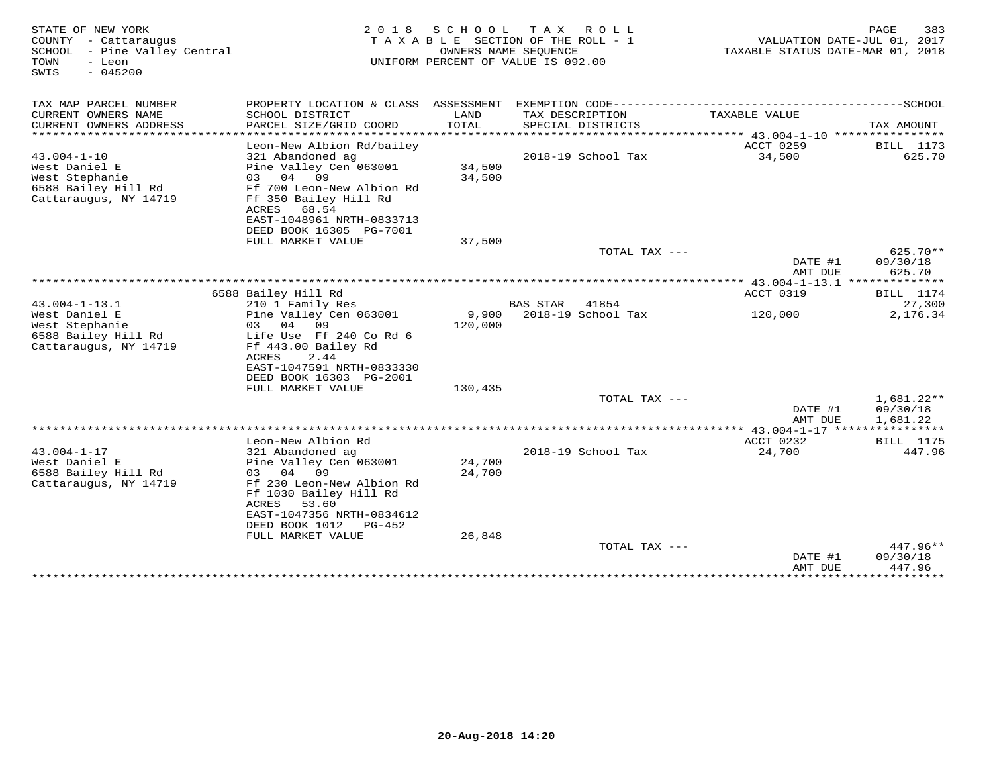| STATE OF NEW YORK<br>COUNTY - Cattaraugus<br>SCHOOL - Pine Valley Central<br>TOWN<br>- Leon<br>$-045200$<br>SWIS | 2 0 1 8                                                                                                                                                                                                        | SCHOOL           | T A X<br>ROLL ROLL<br>TAXABLE SECTION OF THE ROLL - 1<br>OWNERS NAME SEQUENCE<br>UNIFORM PERCENT OF VALUE IS 092.00 | VALUATION DATE-JUL 01, 2017<br>TAXABLE STATUS DATE-MAR 01, 2018 | 383<br>PAGE                          |
|------------------------------------------------------------------------------------------------------------------|----------------------------------------------------------------------------------------------------------------------------------------------------------------------------------------------------------------|------------------|---------------------------------------------------------------------------------------------------------------------|-----------------------------------------------------------------|--------------------------------------|
| TAX MAP PARCEL NUMBER<br>CURRENT OWNERS NAME<br>CURRENT OWNERS ADDRESS                                           | PROPERTY LOCATION & CLASS ASSESSMENT EXEMPTION CODE-----------------------------------SCHOOL<br>SCHOOL DISTRICT<br>PARCEL SIZE/GRID COORD                                                                      | LAND<br>TOTAL    | TAX DESCRIPTION<br>SPECIAL DISTRICTS                                                                                | TAXABLE VALUE                                                   | TAX AMOUNT                           |
| *******************                                                                                              |                                                                                                                                                                                                                |                  |                                                                                                                     |                                                                 |                                      |
| $43.004 - 1 - 10$<br>West Daniel E<br>West Stephanie<br>6588 Bailey Hill Rd                                      | Leon-New Albion Rd/bailey<br>321 Abandoned ag<br>Pine Valley Cen 063001<br>04 09<br>03<br>Ff 700 Leon-New Albion Rd                                                                                            | 34,500<br>34,500 | 2018-19 School Tax                                                                                                  | ACCT 0259<br>34,500                                             | <b>BILL</b> 1173<br>625.70           |
| Cattaraugus, NY 14719                                                                                            | Ff 350 Bailey Hill Rd<br>ACRES<br>68.54<br>EAST-1048961 NRTH-0833713<br>DEED BOOK 16305 PG-7001<br>FULL MARKET VALUE                                                                                           | 37,500           |                                                                                                                     |                                                                 |                                      |
|                                                                                                                  |                                                                                                                                                                                                                |                  | TOTAL TAX ---                                                                                                       |                                                                 | $625.70**$                           |
|                                                                                                                  |                                                                                                                                                                                                                |                  |                                                                                                                     | DATE #1<br>AMT DUE                                              | 09/30/18<br>625.70                   |
|                                                                                                                  | 6588 Bailey Hill Rd                                                                                                                                                                                            |                  |                                                                                                                     | ACCT 0319                                                       | <b>BILL</b> 1174                     |
| $43.004 - 1 - 13.1$                                                                                              | 210 1 Family Res                                                                                                                                                                                               |                  | <b>BAS STAR</b><br>41854                                                                                            |                                                                 | 27,300                               |
| West Daniel E<br>West Stephanie<br>6588 Bailey Hill Rd<br>Cattaraugus, NY 14719                                  | Pine Valley Cen 063001<br>03 04<br>09<br>Life Use Ff 240 Co Rd 6<br>Ff 443.00 Bailey Rd<br>ACRES<br>2.44<br>EAST-1047591 NRTH-0833330<br>DEED BOOK 16303 PG-2001                                               | 9,900<br>120,000 | 2018-19 School Tax                                                                                                  | 120,000                                                         | 2,176.34                             |
|                                                                                                                  | FULL MARKET VALUE                                                                                                                                                                                              | 130,435          |                                                                                                                     |                                                                 |                                      |
|                                                                                                                  |                                                                                                                                                                                                                |                  | TOTAL TAX ---                                                                                                       | DATE #1<br>AMT DUE                                              | $1,681.22**$<br>09/30/18<br>1,681.22 |
|                                                                                                                  |                                                                                                                                                                                                                |                  |                                                                                                                     |                                                                 |                                      |
| $43.004 - 1 - 17$<br>West Daniel E<br>6588 Bailey Hill Rd<br>Cattaraugus, NY 14719                               | Leon-New Albion Rd<br>321 Abandoned ag<br>Pine Valley Cen 063001<br>03 04 09<br>Ff 230 Leon-New Albion Rd<br>Ff 1030 Bailey Hill Rd<br>ACRES<br>53.60<br>EAST-1047356 NRTH-0834612<br>DEED BOOK 1012<br>PG-452 | 24,700<br>24,700 | 2018-19 School Tax                                                                                                  | ACCT 0232<br>24,700                                             | <b>BILL</b> 1175<br>447.96           |
|                                                                                                                  | FULL MARKET VALUE                                                                                                                                                                                              | 26,848           |                                                                                                                     |                                                                 |                                      |
|                                                                                                                  |                                                                                                                                                                                                                |                  | TOTAL TAX ---                                                                                                       | DATE #1<br>AMT DUE                                              | 447.96**<br>09/30/18<br>447.96       |
|                                                                                                                  |                                                                                                                                                                                                                |                  |                                                                                                                     | ***************                                                 | *********                            |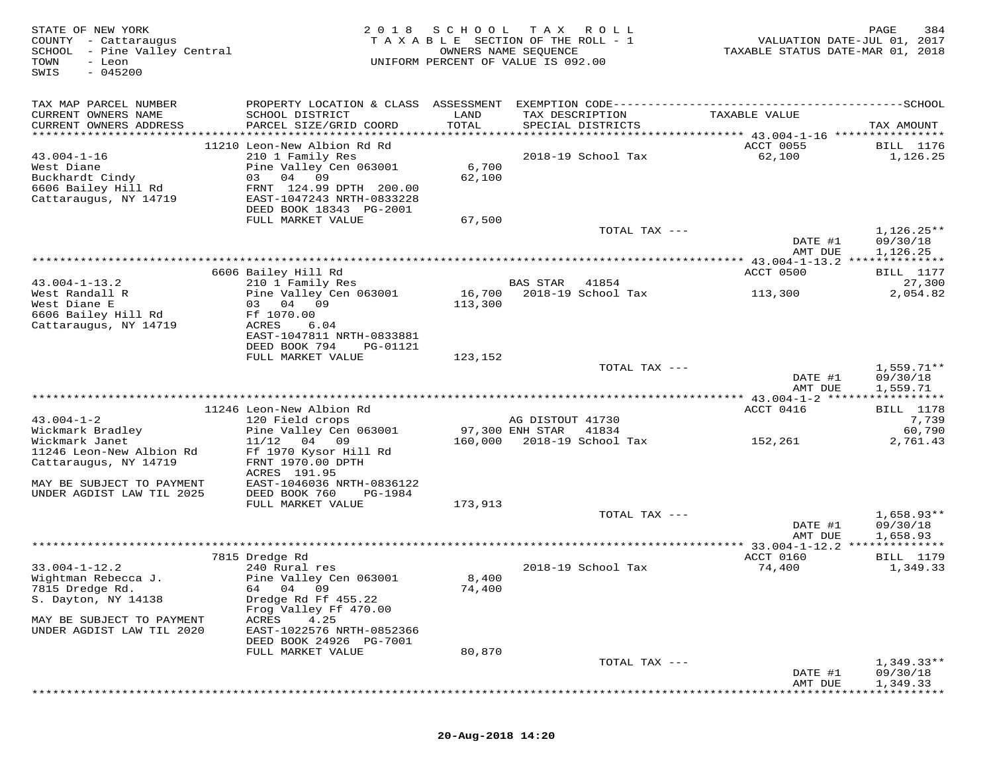| STATE OF NEW YORK<br>COUNTY - Cattaraugus<br>SCHOOL - Pine Valley Central<br>TOWN<br>- Leon<br>$-045200$<br>SWIS | 2 0 1 8                                                                                                                                      | SCHOOL            | T A X<br>ROLL<br>TAXABLE SECTION OF THE ROLL - 1<br>OWNERS NAME SEQUENCE<br>UNIFORM PERCENT OF VALUE IS 092.00                       | VALUATION DATE-JUL 01, 2017<br>TAXABLE STATUS DATE-MAR 01, 2018 | PAGE<br>384                          |
|------------------------------------------------------------------------------------------------------------------|----------------------------------------------------------------------------------------------------------------------------------------------|-------------------|--------------------------------------------------------------------------------------------------------------------------------------|-----------------------------------------------------------------|--------------------------------------|
| TAX MAP PARCEL NUMBER<br>CURRENT OWNERS NAME<br>CURRENT OWNERS ADDRESS<br>***********************                | SCHOOL DISTRICT<br>PARCEL SIZE/GRID COORD                                                                                                    | LAND<br>TOTAL     | PROPERTY LOCATION & CLASS ASSESSMENT EXEMPTION CODE-----------------------------------SCHOOL<br>TAX DESCRIPTION<br>SPECIAL DISTRICTS | TAXABLE VALUE                                                   | TAX AMOUNT                           |
|                                                                                                                  | 11210 Leon-New Albion Rd Rd                                                                                                                  |                   |                                                                                                                                      | ACCT 0055                                                       | <b>BILL</b> 1176                     |
| $43.004 - 1 - 16$<br>West Diane<br>Buckhardt Cindy<br>6606 Bailey Hill Rd<br>Cattaraugus, NY 14719               | 210 1 Family Res<br>Pine Valley Cen 063001<br>04 09<br>03<br>FRNT 124.99 DPTH 200.00<br>EAST-1047243 NRTH-0833228<br>DEED BOOK 18343 PG-2001 | 6,700<br>62,100   | 2018-19 School Tax                                                                                                                   | 62,100                                                          | 1,126.25                             |
|                                                                                                                  | FULL MARKET VALUE                                                                                                                            | 67,500            |                                                                                                                                      |                                                                 |                                      |
|                                                                                                                  |                                                                                                                                              |                   | TOTAL TAX ---                                                                                                                        | DATE #1                                                         | $1,126.25**$<br>09/30/18             |
|                                                                                                                  |                                                                                                                                              |                   |                                                                                                                                      | AMT DUE<br>************ 43.004-1-13.2 ***************           | 1,126.25                             |
|                                                                                                                  | 6606 Bailey Hill Rd                                                                                                                          |                   |                                                                                                                                      | ACCT 0500                                                       | <b>BILL</b> 1177                     |
| $43.004 - 1 - 13.2$                                                                                              | 210 1 Family Res                                                                                                                             |                   | <b>BAS STAR</b><br>41854                                                                                                             |                                                                 | 27,300                               |
| West Randall R<br>West Diane E<br>6606 Bailey Hill Rd<br>Cattaraugus, NY 14719                                   | Pine Valley Cen 063001<br>03 04 09<br>Ff 1070.00<br>ACRES<br>6.04<br>EAST-1047811 NRTH-0833881                                               | 16,700<br>113,300 | 2018-19 School Tax                                                                                                                   | 113,300                                                         | 2,054.82                             |
|                                                                                                                  | DEED BOOK 794<br>PG-01121                                                                                                                    |                   |                                                                                                                                      |                                                                 |                                      |
|                                                                                                                  | FULL MARKET VALUE                                                                                                                            | 123,152           |                                                                                                                                      |                                                                 |                                      |
|                                                                                                                  |                                                                                                                                              |                   | TOTAL TAX ---                                                                                                                        | DATE #1<br>AMT DUE                                              | $1,559.71**$<br>09/30/18<br>1,559.71 |
|                                                                                                                  |                                                                                                                                              |                   |                                                                                                                                      |                                                                 |                                      |
|                                                                                                                  | 11246 Leon-New Albion Rd                                                                                                                     |                   |                                                                                                                                      | ACCT 0416                                                       | BILL 1178                            |
| $43.004 - 1 - 2$<br>Wickmark Bradley                                                                             | 120 Field crops<br>Pine Valley Cen 063001                                                                                                    |                   | AG DISTOUT 41730<br>97,300 ENH STAR<br>41834                                                                                         |                                                                 | 7,739<br>60,790                      |
| Wickmark Janet                                                                                                   | 04 09<br>11/12                                                                                                                               | 160,000           | 2018-19 School Tax                                                                                                                   | 152,261                                                         | 2,761.43                             |
| 11246 Leon-New Albion Rd<br>Cattaraugus, NY 14719                                                                | Ff 1970 Kysor Hill Rd<br>FRNT 1970.00 DPTH<br>ACRES 191.95                                                                                   |                   |                                                                                                                                      |                                                                 |                                      |
| MAY BE SUBJECT TO PAYMENT<br>UNDER AGDIST LAW TIL 2025                                                           | EAST-1046036 NRTH-0836122<br>DEED BOOK 760                                                                                                   |                   |                                                                                                                                      |                                                                 |                                      |
|                                                                                                                  | PG-1984<br>FULL MARKET VALUE                                                                                                                 | 173,913           |                                                                                                                                      |                                                                 |                                      |
|                                                                                                                  |                                                                                                                                              |                   | TOTAL TAX ---                                                                                                                        | DATE #1                                                         | $1,658.93**$<br>09/30/18             |
|                                                                                                                  |                                                                                                                                              |                   |                                                                                                                                      | AMT DUE                                                         | 1,658.93                             |
|                                                                                                                  |                                                                                                                                              |                   |                                                                                                                                      |                                                                 | * * * * * * * * *                    |
|                                                                                                                  | 7815 Dredge Rd                                                                                                                               |                   |                                                                                                                                      | ACCT 0160                                                       | <b>BILL</b> 1179                     |
| $33.004 - 1 - 12.2$<br>Wightman Rebecca J.                                                                       | 240 Rural res<br>Pine Valley Cen 063001                                                                                                      | 8,400             | 2018-19 School Tax                                                                                                                   | 74,400                                                          | 1,349.33                             |
| 7815 Dredge Rd.                                                                                                  | 64 04 09                                                                                                                                     | 74,400            |                                                                                                                                      |                                                                 |                                      |
| S. Dayton, NY 14138                                                                                              | Dredge Rd Ff 455.22<br>Frog Valley Ff 470.00                                                                                                 |                   |                                                                                                                                      |                                                                 |                                      |
| MAY BE SUBJECT TO PAYMENT<br>UNDER AGDIST LAW TIL 2020                                                           | 4.25<br>ACRES<br>EAST-1022576 NRTH-0852366<br>DEED BOOK 24926 PG-7001                                                                        |                   |                                                                                                                                      |                                                                 |                                      |
|                                                                                                                  | FULL MARKET VALUE                                                                                                                            | 80,870            |                                                                                                                                      |                                                                 |                                      |
|                                                                                                                  |                                                                                                                                              |                   | TOTAL TAX ---                                                                                                                        |                                                                 | $1,349.33**$                         |
|                                                                                                                  |                                                                                                                                              |                   |                                                                                                                                      | DATE #1<br>AMT DUE                                              | 09/30/18<br>1,349.33                 |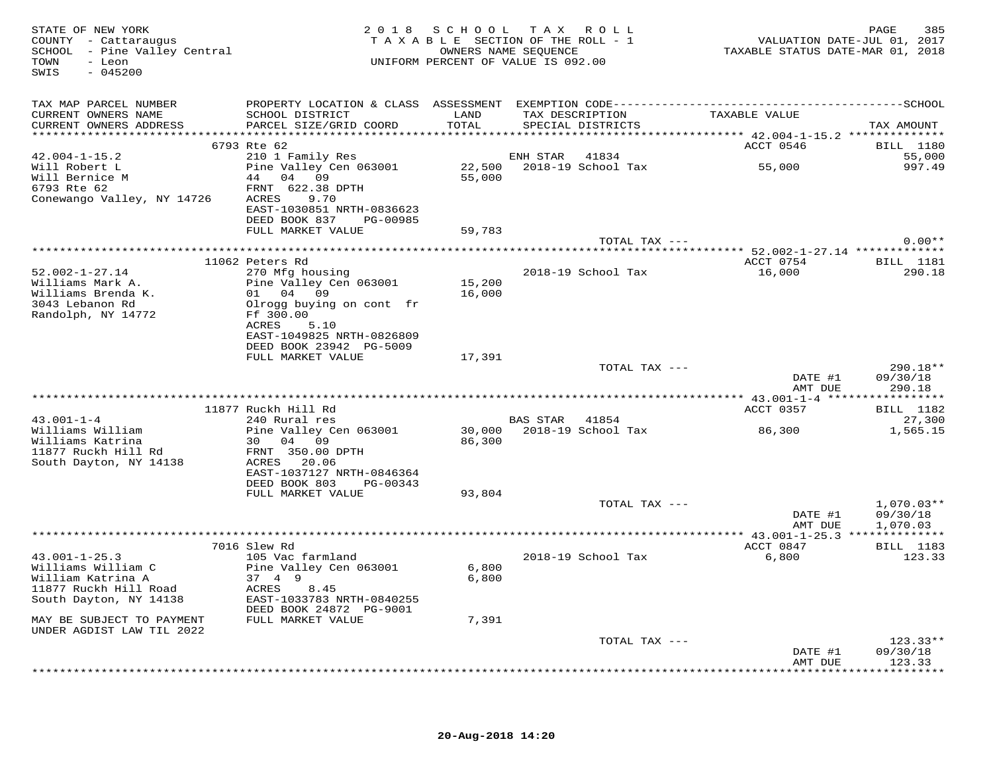| TAX MAP PARCEL NUMBER<br>TAX DESCRIPTION TAXABLE VALUE<br>SCHOOL DISTRICT LAND<br>CURRENT OWNERS NAME<br>PARCEL SIZE/GRID COORD<br>TOTAL<br>CURRENT OWNERS ADDRESS<br>SPECIAL DISTRICTS<br>TAX AMOUNT<br>ACCT 0546<br>6793 Rte 62<br><b>BILL 1180</b><br>210 1 Family Res<br>ENH STAR 41834<br>$42.004 - 1 - 15.2$<br>55,000<br>22,500 2018-19 School Tax 55,000<br>Pine Valley Cen 063001<br>Will Robert L<br>997.49<br>55,000<br>Conewango Valley, NY 14726 ACRES 9.70<br>EAST-1030851 NRTH-0836623<br>DEED BOOK 837 PG-00985<br>FULL MARKET VALUE<br>59,783<br>$0.00**$<br>TOTAL TAX ---<br>11062 Peters Rd<br>ACCT 0754 BILL 1181<br>270 Mfg housing<br>$52.002 - 1 - 27.14$<br>2018-19 School Tax<br>16,000<br>290.18<br>15,200<br>Pine Valley Cen 063001<br>Williams Mark A.<br>Williams Brenda K.<br>01 04 09<br>16,000<br>3043 Lebanon Rd<br>Olrogg buying on cont fr<br>Randolph, NY 14772<br>Ff 300.00<br>ACRES 5.10<br>EAST-1049825 NRTH-0826809<br>DEED BOOK 23942 PG-5009<br>17,391<br>FULL MARKET VALUE<br>TOTAL TAX ---<br>$290.18**$<br>DATE #1<br>09/30/18<br>AMT DUE<br>290.18<br>11877 Ruckh Hill Rd<br>ACCT 0357<br><b>BILL</b> 1182<br>240 Rural res<br>$43.001 - 1 - 4$<br><b>BAS STAR</b> 41854<br>27,300<br>30,000 2018-19 School Tax<br>86,300<br>Pine Valley Cen 063001<br>1,565.15<br>Williams William<br>Pine $\begin{array}{ccc} \text{Pine} & \text{Value} & \text{Value} \\ 30 & 04 & 09 \\ 0 & 0 & 0 \end{array}$<br>86,300<br>Williams Katrina<br>EAST-1037127 NRTH-0846364<br>DEED BOOK 803 PG-00343<br>FULL MARKET VALUE<br>93,804<br>TOTAL TAX ---<br>$1,070.03**$<br>DATE #1<br>09/30/18<br>AMT DUE<br>1,070.03<br>ACCT 0847<br>7016 Slew Rd<br><b>BILL</b> 1183<br>105 Vac farmland<br>$43.001 - 1 - 25.3$<br>2018-19 School Tax<br>6,800<br>123.33<br>43.001-1-40.0<br>Williams William C<br>Pine Valley Cen 063001<br>6,800<br>37 4 9<br>6,800<br>William Katrına A<br>11877 Ruckh Hill Road<br>2011 - Titor NY 14138<br>ACRES 8.45<br>EAST-1033783 NRTH-0840255<br>DEED BOOK 24872 PG-9001<br>7,391<br>FULL MARKET VALUE<br>MAY BE SUBJECT TO PAYMENT<br>UNDER AGDIST LAW TIL 2022<br>TOTAL TAX ---<br>$123.33**$<br>09/30/18<br>DATE #1<br>123.33<br>AMT DUE<br>*********** | STATE OF NEW YORK<br>COUNTY - Cattaraugus<br>SCHOOL - Pine Valley Central<br>- Leon<br>TOWN<br>SWIS<br>$-045200$ |  | 2018 SCHOOL TAX ROLL<br>TAXABLE SECTION OF THE ROLL - 1<br>OWNERS NAME SEQUENCE<br>UNIFORM PERCENT OF VALUE IS 092.00 | VALUATION DATE-JUL 01, 2017<br>TAXABLE STATUS DATE-MAR 01, 2018 | 385<br>PAGE |
|-----------------------------------------------------------------------------------------------------------------------------------------------------------------------------------------------------------------------------------------------------------------------------------------------------------------------------------------------------------------------------------------------------------------------------------------------------------------------------------------------------------------------------------------------------------------------------------------------------------------------------------------------------------------------------------------------------------------------------------------------------------------------------------------------------------------------------------------------------------------------------------------------------------------------------------------------------------------------------------------------------------------------------------------------------------------------------------------------------------------------------------------------------------------------------------------------------------------------------------------------------------------------------------------------------------------------------------------------------------------------------------------------------------------------------------------------------------------------------------------------------------------------------------------------------------------------------------------------------------------------------------------------------------------------------------------------------------------------------------------------------------------------------------------------------------------------------------------------------------------------------------------------------------------------------------------------------------------------------------------------------------------------------------------------------------------------------------------------------------------------------------------------------------------------------------------------------------------------|------------------------------------------------------------------------------------------------------------------|--|-----------------------------------------------------------------------------------------------------------------------|-----------------------------------------------------------------|-------------|
|                                                                                                                                                                                                                                                                                                                                                                                                                                                                                                                                                                                                                                                                                                                                                                                                                                                                                                                                                                                                                                                                                                                                                                                                                                                                                                                                                                                                                                                                                                                                                                                                                                                                                                                                                                                                                                                                                                                                                                                                                                                                                                                                                                                                                       |                                                                                                                  |  |                                                                                                                       |                                                                 |             |
|                                                                                                                                                                                                                                                                                                                                                                                                                                                                                                                                                                                                                                                                                                                                                                                                                                                                                                                                                                                                                                                                                                                                                                                                                                                                                                                                                                                                                                                                                                                                                                                                                                                                                                                                                                                                                                                                                                                                                                                                                                                                                                                                                                                                                       |                                                                                                                  |  |                                                                                                                       |                                                                 |             |
|                                                                                                                                                                                                                                                                                                                                                                                                                                                                                                                                                                                                                                                                                                                                                                                                                                                                                                                                                                                                                                                                                                                                                                                                                                                                                                                                                                                                                                                                                                                                                                                                                                                                                                                                                                                                                                                                                                                                                                                                                                                                                                                                                                                                                       |                                                                                                                  |  |                                                                                                                       |                                                                 |             |
|                                                                                                                                                                                                                                                                                                                                                                                                                                                                                                                                                                                                                                                                                                                                                                                                                                                                                                                                                                                                                                                                                                                                                                                                                                                                                                                                                                                                                                                                                                                                                                                                                                                                                                                                                                                                                                                                                                                                                                                                                                                                                                                                                                                                                       |                                                                                                                  |  |                                                                                                                       |                                                                 |             |
|                                                                                                                                                                                                                                                                                                                                                                                                                                                                                                                                                                                                                                                                                                                                                                                                                                                                                                                                                                                                                                                                                                                                                                                                                                                                                                                                                                                                                                                                                                                                                                                                                                                                                                                                                                                                                                                                                                                                                                                                                                                                                                                                                                                                                       |                                                                                                                  |  |                                                                                                                       |                                                                 |             |
|                                                                                                                                                                                                                                                                                                                                                                                                                                                                                                                                                                                                                                                                                                                                                                                                                                                                                                                                                                                                                                                                                                                                                                                                                                                                                                                                                                                                                                                                                                                                                                                                                                                                                                                                                                                                                                                                                                                                                                                                                                                                                                                                                                                                                       |                                                                                                                  |  |                                                                                                                       |                                                                 |             |
|                                                                                                                                                                                                                                                                                                                                                                                                                                                                                                                                                                                                                                                                                                                                                                                                                                                                                                                                                                                                                                                                                                                                                                                                                                                                                                                                                                                                                                                                                                                                                                                                                                                                                                                                                                                                                                                                                                                                                                                                                                                                                                                                                                                                                       |                                                                                                                  |  |                                                                                                                       |                                                                 |             |
|                                                                                                                                                                                                                                                                                                                                                                                                                                                                                                                                                                                                                                                                                                                                                                                                                                                                                                                                                                                                                                                                                                                                                                                                                                                                                                                                                                                                                                                                                                                                                                                                                                                                                                                                                                                                                                                                                                                                                                                                                                                                                                                                                                                                                       |                                                                                                                  |  |                                                                                                                       |                                                                 |             |
|                                                                                                                                                                                                                                                                                                                                                                                                                                                                                                                                                                                                                                                                                                                                                                                                                                                                                                                                                                                                                                                                                                                                                                                                                                                                                                                                                                                                                                                                                                                                                                                                                                                                                                                                                                                                                                                                                                                                                                                                                                                                                                                                                                                                                       |                                                                                                                  |  |                                                                                                                       |                                                                 |             |
|                                                                                                                                                                                                                                                                                                                                                                                                                                                                                                                                                                                                                                                                                                                                                                                                                                                                                                                                                                                                                                                                                                                                                                                                                                                                                                                                                                                                                                                                                                                                                                                                                                                                                                                                                                                                                                                                                                                                                                                                                                                                                                                                                                                                                       |                                                                                                                  |  |                                                                                                                       |                                                                 |             |
|                                                                                                                                                                                                                                                                                                                                                                                                                                                                                                                                                                                                                                                                                                                                                                                                                                                                                                                                                                                                                                                                                                                                                                                                                                                                                                                                                                                                                                                                                                                                                                                                                                                                                                                                                                                                                                                                                                                                                                                                                                                                                                                                                                                                                       |                                                                                                                  |  |                                                                                                                       |                                                                 |             |
|                                                                                                                                                                                                                                                                                                                                                                                                                                                                                                                                                                                                                                                                                                                                                                                                                                                                                                                                                                                                                                                                                                                                                                                                                                                                                                                                                                                                                                                                                                                                                                                                                                                                                                                                                                                                                                                                                                                                                                                                                                                                                                                                                                                                                       |                                                                                                                  |  |                                                                                                                       |                                                                 |             |
|                                                                                                                                                                                                                                                                                                                                                                                                                                                                                                                                                                                                                                                                                                                                                                                                                                                                                                                                                                                                                                                                                                                                                                                                                                                                                                                                                                                                                                                                                                                                                                                                                                                                                                                                                                                                                                                                                                                                                                                                                                                                                                                                                                                                                       |                                                                                                                  |  |                                                                                                                       |                                                                 |             |
|                                                                                                                                                                                                                                                                                                                                                                                                                                                                                                                                                                                                                                                                                                                                                                                                                                                                                                                                                                                                                                                                                                                                                                                                                                                                                                                                                                                                                                                                                                                                                                                                                                                                                                                                                                                                                                                                                                                                                                                                                                                                                                                                                                                                                       |                                                                                                                  |  |                                                                                                                       |                                                                 |             |
|                                                                                                                                                                                                                                                                                                                                                                                                                                                                                                                                                                                                                                                                                                                                                                                                                                                                                                                                                                                                                                                                                                                                                                                                                                                                                                                                                                                                                                                                                                                                                                                                                                                                                                                                                                                                                                                                                                                                                                                                                                                                                                                                                                                                                       |                                                                                                                  |  |                                                                                                                       |                                                                 |             |
|                                                                                                                                                                                                                                                                                                                                                                                                                                                                                                                                                                                                                                                                                                                                                                                                                                                                                                                                                                                                                                                                                                                                                                                                                                                                                                                                                                                                                                                                                                                                                                                                                                                                                                                                                                                                                                                                                                                                                                                                                                                                                                                                                                                                                       |                                                                                                                  |  |                                                                                                                       |                                                                 |             |
|                                                                                                                                                                                                                                                                                                                                                                                                                                                                                                                                                                                                                                                                                                                                                                                                                                                                                                                                                                                                                                                                                                                                                                                                                                                                                                                                                                                                                                                                                                                                                                                                                                                                                                                                                                                                                                                                                                                                                                                                                                                                                                                                                                                                                       |                                                                                                                  |  |                                                                                                                       |                                                                 |             |
|                                                                                                                                                                                                                                                                                                                                                                                                                                                                                                                                                                                                                                                                                                                                                                                                                                                                                                                                                                                                                                                                                                                                                                                                                                                                                                                                                                                                                                                                                                                                                                                                                                                                                                                                                                                                                                                                                                                                                                                                                                                                                                                                                                                                                       |                                                                                                                  |  |                                                                                                                       |                                                                 |             |
|                                                                                                                                                                                                                                                                                                                                                                                                                                                                                                                                                                                                                                                                                                                                                                                                                                                                                                                                                                                                                                                                                                                                                                                                                                                                                                                                                                                                                                                                                                                                                                                                                                                                                                                                                                                                                                                                                                                                                                                                                                                                                                                                                                                                                       |                                                                                                                  |  |                                                                                                                       |                                                                 |             |
|                                                                                                                                                                                                                                                                                                                                                                                                                                                                                                                                                                                                                                                                                                                                                                                                                                                                                                                                                                                                                                                                                                                                                                                                                                                                                                                                                                                                                                                                                                                                                                                                                                                                                                                                                                                                                                                                                                                                                                                                                                                                                                                                                                                                                       |                                                                                                                  |  |                                                                                                                       |                                                                 |             |
|                                                                                                                                                                                                                                                                                                                                                                                                                                                                                                                                                                                                                                                                                                                                                                                                                                                                                                                                                                                                                                                                                                                                                                                                                                                                                                                                                                                                                                                                                                                                                                                                                                                                                                                                                                                                                                                                                                                                                                                                                                                                                                                                                                                                                       |                                                                                                                  |  |                                                                                                                       |                                                                 |             |
|                                                                                                                                                                                                                                                                                                                                                                                                                                                                                                                                                                                                                                                                                                                                                                                                                                                                                                                                                                                                                                                                                                                                                                                                                                                                                                                                                                                                                                                                                                                                                                                                                                                                                                                                                                                                                                                                                                                                                                                                                                                                                                                                                                                                                       |                                                                                                                  |  |                                                                                                                       |                                                                 |             |
|                                                                                                                                                                                                                                                                                                                                                                                                                                                                                                                                                                                                                                                                                                                                                                                                                                                                                                                                                                                                                                                                                                                                                                                                                                                                                                                                                                                                                                                                                                                                                                                                                                                                                                                                                                                                                                                                                                                                                                                                                                                                                                                                                                                                                       |                                                                                                                  |  |                                                                                                                       |                                                                 |             |
|                                                                                                                                                                                                                                                                                                                                                                                                                                                                                                                                                                                                                                                                                                                                                                                                                                                                                                                                                                                                                                                                                                                                                                                                                                                                                                                                                                                                                                                                                                                                                                                                                                                                                                                                                                                                                                                                                                                                                                                                                                                                                                                                                                                                                       |                                                                                                                  |  |                                                                                                                       |                                                                 |             |
|                                                                                                                                                                                                                                                                                                                                                                                                                                                                                                                                                                                                                                                                                                                                                                                                                                                                                                                                                                                                                                                                                                                                                                                                                                                                                                                                                                                                                                                                                                                                                                                                                                                                                                                                                                                                                                                                                                                                                                                                                                                                                                                                                                                                                       |                                                                                                                  |  |                                                                                                                       |                                                                 |             |
|                                                                                                                                                                                                                                                                                                                                                                                                                                                                                                                                                                                                                                                                                                                                                                                                                                                                                                                                                                                                                                                                                                                                                                                                                                                                                                                                                                                                                                                                                                                                                                                                                                                                                                                                                                                                                                                                                                                                                                                                                                                                                                                                                                                                                       |                                                                                                                  |  |                                                                                                                       |                                                                 |             |
|                                                                                                                                                                                                                                                                                                                                                                                                                                                                                                                                                                                                                                                                                                                                                                                                                                                                                                                                                                                                                                                                                                                                                                                                                                                                                                                                                                                                                                                                                                                                                                                                                                                                                                                                                                                                                                                                                                                                                                                                                                                                                                                                                                                                                       |                                                                                                                  |  |                                                                                                                       |                                                                 |             |
|                                                                                                                                                                                                                                                                                                                                                                                                                                                                                                                                                                                                                                                                                                                                                                                                                                                                                                                                                                                                                                                                                                                                                                                                                                                                                                                                                                                                                                                                                                                                                                                                                                                                                                                                                                                                                                                                                                                                                                                                                                                                                                                                                                                                                       |                                                                                                                  |  |                                                                                                                       |                                                                 |             |
|                                                                                                                                                                                                                                                                                                                                                                                                                                                                                                                                                                                                                                                                                                                                                                                                                                                                                                                                                                                                                                                                                                                                                                                                                                                                                                                                                                                                                                                                                                                                                                                                                                                                                                                                                                                                                                                                                                                                                                                                                                                                                                                                                                                                                       |                                                                                                                  |  |                                                                                                                       |                                                                 |             |
|                                                                                                                                                                                                                                                                                                                                                                                                                                                                                                                                                                                                                                                                                                                                                                                                                                                                                                                                                                                                                                                                                                                                                                                                                                                                                                                                                                                                                                                                                                                                                                                                                                                                                                                                                                                                                                                                                                                                                                                                                                                                                                                                                                                                                       |                                                                                                                  |  |                                                                                                                       |                                                                 |             |
|                                                                                                                                                                                                                                                                                                                                                                                                                                                                                                                                                                                                                                                                                                                                                                                                                                                                                                                                                                                                                                                                                                                                                                                                                                                                                                                                                                                                                                                                                                                                                                                                                                                                                                                                                                                                                                                                                                                                                                                                                                                                                                                                                                                                                       |                                                                                                                  |  |                                                                                                                       |                                                                 |             |
|                                                                                                                                                                                                                                                                                                                                                                                                                                                                                                                                                                                                                                                                                                                                                                                                                                                                                                                                                                                                                                                                                                                                                                                                                                                                                                                                                                                                                                                                                                                                                                                                                                                                                                                                                                                                                                                                                                                                                                                                                                                                                                                                                                                                                       |                                                                                                                  |  |                                                                                                                       |                                                                 |             |
|                                                                                                                                                                                                                                                                                                                                                                                                                                                                                                                                                                                                                                                                                                                                                                                                                                                                                                                                                                                                                                                                                                                                                                                                                                                                                                                                                                                                                                                                                                                                                                                                                                                                                                                                                                                                                                                                                                                                                                                                                                                                                                                                                                                                                       |                                                                                                                  |  |                                                                                                                       |                                                                 |             |
|                                                                                                                                                                                                                                                                                                                                                                                                                                                                                                                                                                                                                                                                                                                                                                                                                                                                                                                                                                                                                                                                                                                                                                                                                                                                                                                                                                                                                                                                                                                                                                                                                                                                                                                                                                                                                                                                                                                                                                                                                                                                                                                                                                                                                       |                                                                                                                  |  |                                                                                                                       |                                                                 |             |
|                                                                                                                                                                                                                                                                                                                                                                                                                                                                                                                                                                                                                                                                                                                                                                                                                                                                                                                                                                                                                                                                                                                                                                                                                                                                                                                                                                                                                                                                                                                                                                                                                                                                                                                                                                                                                                                                                                                                                                                                                                                                                                                                                                                                                       |                                                                                                                  |  |                                                                                                                       |                                                                 |             |
|                                                                                                                                                                                                                                                                                                                                                                                                                                                                                                                                                                                                                                                                                                                                                                                                                                                                                                                                                                                                                                                                                                                                                                                                                                                                                                                                                                                                                                                                                                                                                                                                                                                                                                                                                                                                                                                                                                                                                                                                                                                                                                                                                                                                                       |                                                                                                                  |  |                                                                                                                       |                                                                 |             |
|                                                                                                                                                                                                                                                                                                                                                                                                                                                                                                                                                                                                                                                                                                                                                                                                                                                                                                                                                                                                                                                                                                                                                                                                                                                                                                                                                                                                                                                                                                                                                                                                                                                                                                                                                                                                                                                                                                                                                                                                                                                                                                                                                                                                                       |                                                                                                                  |  |                                                                                                                       |                                                                 |             |
|                                                                                                                                                                                                                                                                                                                                                                                                                                                                                                                                                                                                                                                                                                                                                                                                                                                                                                                                                                                                                                                                                                                                                                                                                                                                                                                                                                                                                                                                                                                                                                                                                                                                                                                                                                                                                                                                                                                                                                                                                                                                                                                                                                                                                       |                                                                                                                  |  |                                                                                                                       |                                                                 |             |
|                                                                                                                                                                                                                                                                                                                                                                                                                                                                                                                                                                                                                                                                                                                                                                                                                                                                                                                                                                                                                                                                                                                                                                                                                                                                                                                                                                                                                                                                                                                                                                                                                                                                                                                                                                                                                                                                                                                                                                                                                                                                                                                                                                                                                       |                                                                                                                  |  |                                                                                                                       |                                                                 |             |
|                                                                                                                                                                                                                                                                                                                                                                                                                                                                                                                                                                                                                                                                                                                                                                                                                                                                                                                                                                                                                                                                                                                                                                                                                                                                                                                                                                                                                                                                                                                                                                                                                                                                                                                                                                                                                                                                                                                                                                                                                                                                                                                                                                                                                       |                                                                                                                  |  |                                                                                                                       |                                                                 |             |
|                                                                                                                                                                                                                                                                                                                                                                                                                                                                                                                                                                                                                                                                                                                                                                                                                                                                                                                                                                                                                                                                                                                                                                                                                                                                                                                                                                                                                                                                                                                                                                                                                                                                                                                                                                                                                                                                                                                                                                                                                                                                                                                                                                                                                       |                                                                                                                  |  |                                                                                                                       |                                                                 |             |
|                                                                                                                                                                                                                                                                                                                                                                                                                                                                                                                                                                                                                                                                                                                                                                                                                                                                                                                                                                                                                                                                                                                                                                                                                                                                                                                                                                                                                                                                                                                                                                                                                                                                                                                                                                                                                                                                                                                                                                                                                                                                                                                                                                                                                       |                                                                                                                  |  |                                                                                                                       |                                                                 |             |
|                                                                                                                                                                                                                                                                                                                                                                                                                                                                                                                                                                                                                                                                                                                                                                                                                                                                                                                                                                                                                                                                                                                                                                                                                                                                                                                                                                                                                                                                                                                                                                                                                                                                                                                                                                                                                                                                                                                                                                                                                                                                                                                                                                                                                       |                                                                                                                  |  |                                                                                                                       |                                                                 |             |
|                                                                                                                                                                                                                                                                                                                                                                                                                                                                                                                                                                                                                                                                                                                                                                                                                                                                                                                                                                                                                                                                                                                                                                                                                                                                                                                                                                                                                                                                                                                                                                                                                                                                                                                                                                                                                                                                                                                                                                                                                                                                                                                                                                                                                       |                                                                                                                  |  |                                                                                                                       |                                                                 |             |
|                                                                                                                                                                                                                                                                                                                                                                                                                                                                                                                                                                                                                                                                                                                                                                                                                                                                                                                                                                                                                                                                                                                                                                                                                                                                                                                                                                                                                                                                                                                                                                                                                                                                                                                                                                                                                                                                                                                                                                                                                                                                                                                                                                                                                       |                                                                                                                  |  |                                                                                                                       |                                                                 |             |
|                                                                                                                                                                                                                                                                                                                                                                                                                                                                                                                                                                                                                                                                                                                                                                                                                                                                                                                                                                                                                                                                                                                                                                                                                                                                                                                                                                                                                                                                                                                                                                                                                                                                                                                                                                                                                                                                                                                                                                                                                                                                                                                                                                                                                       |                                                                                                                  |  |                                                                                                                       |                                                                 |             |
|                                                                                                                                                                                                                                                                                                                                                                                                                                                                                                                                                                                                                                                                                                                                                                                                                                                                                                                                                                                                                                                                                                                                                                                                                                                                                                                                                                                                                                                                                                                                                                                                                                                                                                                                                                                                                                                                                                                                                                                                                                                                                                                                                                                                                       |                                                                                                                  |  |                                                                                                                       |                                                                 |             |
|                                                                                                                                                                                                                                                                                                                                                                                                                                                                                                                                                                                                                                                                                                                                                                                                                                                                                                                                                                                                                                                                                                                                                                                                                                                                                                                                                                                                                                                                                                                                                                                                                                                                                                                                                                                                                                                                                                                                                                                                                                                                                                                                                                                                                       |                                                                                                                  |  |                                                                                                                       |                                                                 |             |
|                                                                                                                                                                                                                                                                                                                                                                                                                                                                                                                                                                                                                                                                                                                                                                                                                                                                                                                                                                                                                                                                                                                                                                                                                                                                                                                                                                                                                                                                                                                                                                                                                                                                                                                                                                                                                                                                                                                                                                                                                                                                                                                                                                                                                       |                                                                                                                  |  |                                                                                                                       |                                                                 |             |
|                                                                                                                                                                                                                                                                                                                                                                                                                                                                                                                                                                                                                                                                                                                                                                                                                                                                                                                                                                                                                                                                                                                                                                                                                                                                                                                                                                                                                                                                                                                                                                                                                                                                                                                                                                                                                                                                                                                                                                                                                                                                                                                                                                                                                       |                                                                                                                  |  |                                                                                                                       |                                                                 |             |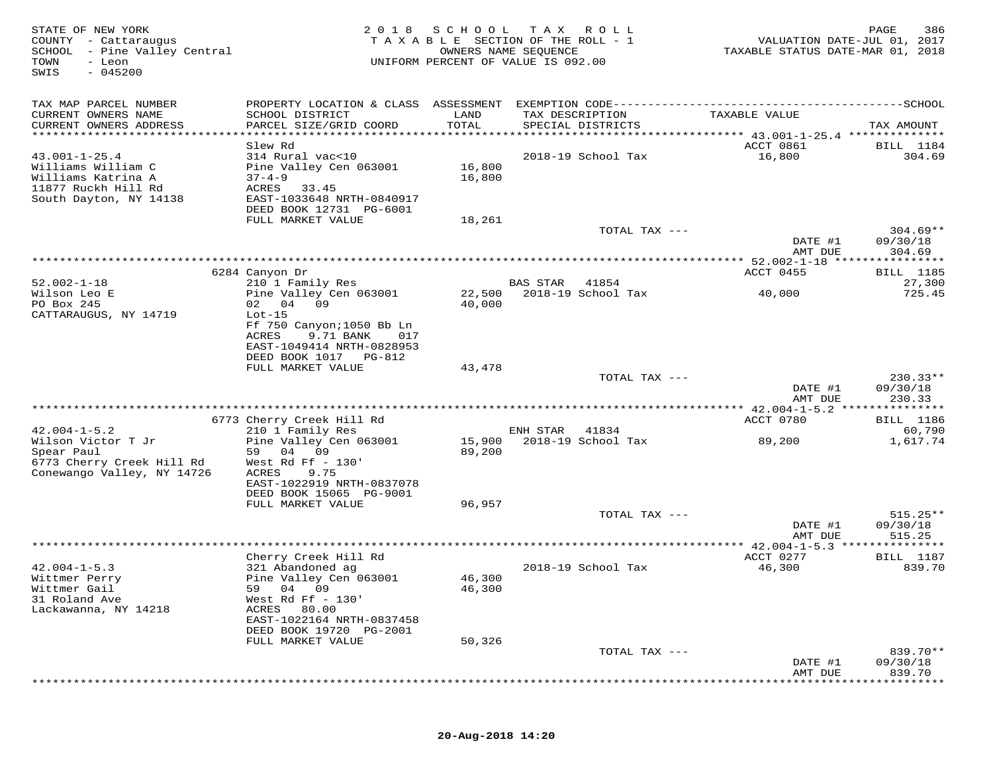| STATE OF NEW YORK<br>COUNTY - Cattaraugus<br>SCHOOL<br>- Pine Valley Central<br>TOWN<br>- Leon<br>$-045200$<br>SWIS | 2 0 1 8                                                                                                                               | SCHOOL           | T A X<br>R O L L<br>TAXABLE SECTION OF THE ROLL - 1<br>OWNERS NAME SEQUENCE<br>UNIFORM PERCENT OF VALUE IS 092.00 | VALUATION DATE-JUL 01, 2017<br>TAXABLE STATUS DATE-MAR 01, 2018 | 386<br>PAGE                           |
|---------------------------------------------------------------------------------------------------------------------|---------------------------------------------------------------------------------------------------------------------------------------|------------------|-------------------------------------------------------------------------------------------------------------------|-----------------------------------------------------------------|---------------------------------------|
| TAX MAP PARCEL NUMBER                                                                                               |                                                                                                                                       |                  |                                                                                                                   |                                                                 |                                       |
| CURRENT OWNERS NAME<br>CURRENT OWNERS ADDRESS                                                                       | SCHOOL DISTRICT<br>PARCEL SIZE/GRID COORD                                                                                             | LAND<br>TOTAL    | TAX DESCRIPTION<br>SPECIAL DISTRICTS                                                                              | TAXABLE VALUE                                                   | TAX AMOUNT                            |
| *****************************                                                                                       |                                                                                                                                       |                  |                                                                                                                   |                                                                 |                                       |
| $43.001 - 1 - 25.4$<br>Williams William C<br>Williams Katrina A<br>11877 Ruckh Hill Rd<br>South Dayton, NY 14138    | Slew Rd<br>314 Rural vac<10<br>Pine Valley Cen 063001<br>$37 - 4 - 9$<br>ACRES<br>33.45<br>EAST-1033648 NRTH-0840917                  | 16,800<br>16,800 | 2018-19 School Tax                                                                                                | ACCT 0861<br>16,800                                             | <b>BILL</b> 1184<br>304.69            |
|                                                                                                                     | DEED BOOK 12731 PG-6001<br>FULL MARKET VALUE                                                                                          | 18,261           |                                                                                                                   |                                                                 |                                       |
|                                                                                                                     |                                                                                                                                       |                  | TOTAL TAX ---                                                                                                     | DATE #1                                                         | $304.69**$<br>09/30/18                |
|                                                                                                                     |                                                                                                                                       |                  |                                                                                                                   | AMT DUE                                                         | 304.69                                |
|                                                                                                                     |                                                                                                                                       |                  |                                                                                                                   |                                                                 |                                       |
|                                                                                                                     | 6284 Canyon Dr                                                                                                                        |                  |                                                                                                                   | ACCT 0455                                                       | <b>BILL</b> 1185                      |
| $52.002 - 1 - 18$<br>Wilson Leo E                                                                                   | 210 1 Family Res<br>Pine Valley Cen 063001                                                                                            | 22,500           | BAS STAR<br>41854<br>2018-19 School Tax                                                                           | 40,000                                                          | 27,300<br>725.45                      |
| PO Box 245                                                                                                          | 09<br>02 04                                                                                                                           | 40,000           |                                                                                                                   |                                                                 |                                       |
| CATTARAUGUS, NY 14719                                                                                               | $Lot-15$<br>Ff 750 Canyon; 1050 Bb Ln<br>ACRES<br>9.71 BANK<br>017<br>EAST-1049414 NRTH-0828953<br>DEED BOOK 1017 PG-812              |                  |                                                                                                                   |                                                                 |                                       |
|                                                                                                                     | FULL MARKET VALUE                                                                                                                     | 43,478           |                                                                                                                   |                                                                 |                                       |
|                                                                                                                     |                                                                                                                                       |                  | TOTAL TAX ---                                                                                                     | DATE #1<br>AMT DUE                                              | $230.33**$<br>09/30/18<br>230.33      |
|                                                                                                                     |                                                                                                                                       |                  |                                                                                                                   |                                                                 | * * * * * * * * *                     |
|                                                                                                                     | 6773 Cherry Creek Hill Rd                                                                                                             |                  |                                                                                                                   | ACCT 0780                                                       | <b>BILL</b> 1186                      |
| $42.004 - 1 - 5.2$                                                                                                  | 210 1 Family Res                                                                                                                      |                  | ENH STAR<br>41834                                                                                                 |                                                                 | 60,790                                |
| Wilson Victor T Jr<br>Spear Paul<br>6773 Cherry Creek Hill Rd<br>Conewango Valley, NY 14726                         | Pine Valley Cen 063001<br>59<br>04<br>09<br>West Rd Ff $-130'$<br>ACRES<br>9.75<br>EAST-1022919 NRTH-0837078                          | 15,900<br>89,200 | 2018-19 School Tax                                                                                                | 89,200                                                          | 1,617.74                              |
|                                                                                                                     | DEED BOOK 15065 PG-9001                                                                                                               |                  |                                                                                                                   |                                                                 |                                       |
|                                                                                                                     | FULL MARKET VALUE                                                                                                                     | 96,957           |                                                                                                                   |                                                                 |                                       |
|                                                                                                                     |                                                                                                                                       |                  | TOTAL TAX ---                                                                                                     |                                                                 | $515.25**$                            |
|                                                                                                                     |                                                                                                                                       |                  | ***********************************                                                                               | DATE #1<br>AMT DUE                                              | 09/30/18<br>515.25                    |
|                                                                                                                     | Cherry Creek Hill Rd                                                                                                                  |                  |                                                                                                                   | ** 42.004-1-5.3 ***<br>ACCT 0277                                | * * * * * * * * *<br><b>BILL</b> 1187 |
| $42.004 - 1 - 5.3$                                                                                                  | 321 Abandoned ag                                                                                                                      |                  | 2018-19 School Tax                                                                                                | 46,300                                                          | 839.70                                |
| Wittmer Perry<br>Wittmer Gail<br>31 Roland Ave<br>Lackawanna, NY 14218                                              | Pine Valley Cen 063001<br>04 09<br>59<br>West Rd Ff $-130'$<br>ACRES<br>80.00<br>EAST-1022164 NRTH-0837458<br>DEED BOOK 19720 PG-2001 | 46,300<br>46,300 |                                                                                                                   |                                                                 |                                       |
|                                                                                                                     | FULL MARKET VALUE                                                                                                                     | 50,326           |                                                                                                                   |                                                                 |                                       |
|                                                                                                                     |                                                                                                                                       |                  | TOTAL TAX ---                                                                                                     |                                                                 | 839.70**                              |
|                                                                                                                     |                                                                                                                                       |                  |                                                                                                                   | DATE #1<br>AMT DUE                                              | 09/30/18<br>839.70                    |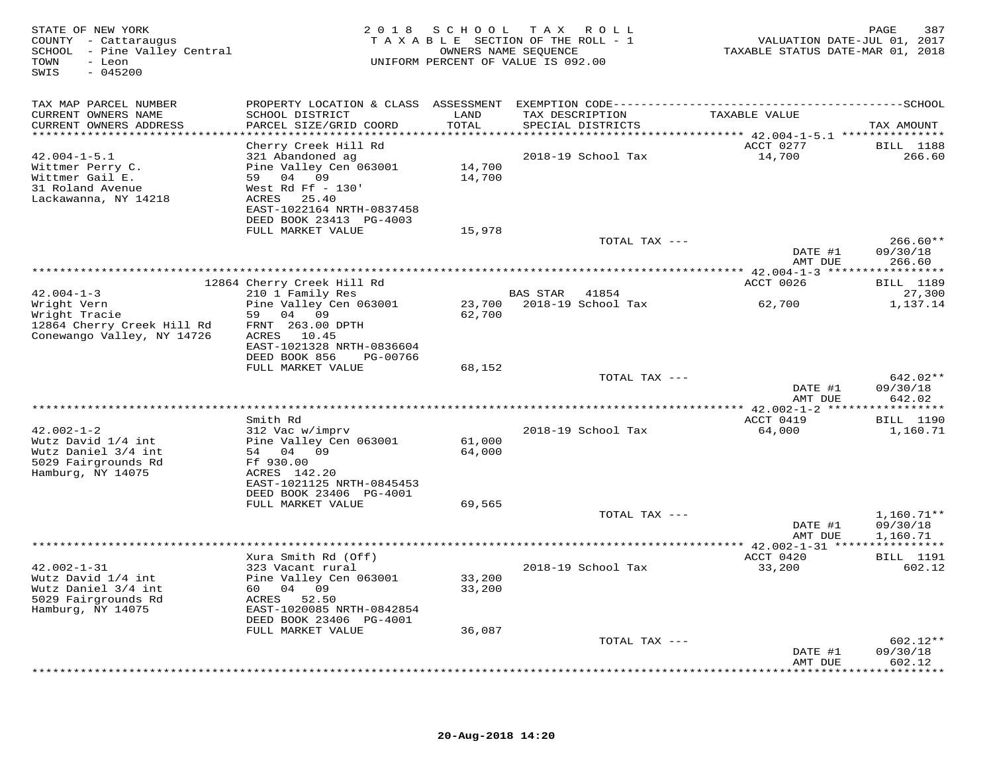| STATE OF NEW YORK<br>COUNTY - Cattaraugus<br>SCHOOL - Pine Valley Central<br>TOWN<br>- Leon<br>SWIS<br>$-045200$ |                                                                                                                                                                                                  | 2018 SCHOOL TAX            | R O L L<br>TAXABLE SECTION OF THE ROLL - 1<br>OWNERS NAME SEQUENCE<br>UNIFORM PERCENT OF VALUE IS 092.00 | VALUATION DATE-JUL 01, 2017<br>TAXABLE STATUS DATE-MAR 01, 2018 | 387<br>PAGE                          |
|------------------------------------------------------------------------------------------------------------------|--------------------------------------------------------------------------------------------------------------------------------------------------------------------------------------------------|----------------------------|----------------------------------------------------------------------------------------------------------|-----------------------------------------------------------------|--------------------------------------|
| TAX MAP PARCEL NUMBER<br>CURRENT OWNERS NAME<br>CURRENT OWNERS ADDRESS<br>***********************                | SCHOOL DISTRICT<br>PARCEL SIZE/GRID COORD                                                                                                                                                        | LAND<br>TOTAL              | TAX DESCRIPTION<br>SPECIAL DISTRICTS                                                                     | TAXABLE VALUE                                                   | TAX AMOUNT                           |
| $42.004 - 1 - 5.1$<br>Wittmer Perry C.<br>Wittmer Gail E.<br>31 Roland Avenue<br>Lackawanna, NY 14218            | Cherry Creek Hill Rd<br>321 Abandoned ag<br>Pine Valley Cen 063001<br>59 04 09<br>West Rd Ff $-130'$<br>ACRES 25.40<br>EAST-1022164 NRTH-0837458<br>DEED BOOK 23413 PG-4003<br>FULL MARKET VALUE | 14,700<br>14,700<br>15,978 | 2018-19 School Tax                                                                                       | ACCT 0277<br>14,700                                             | <b>BILL</b> 1188<br>266.60           |
|                                                                                                                  |                                                                                                                                                                                                  |                            | TOTAL TAX ---                                                                                            | DATE #1<br>AMT DUE                                              | $266.60**$<br>09/30/18<br>266.60     |
|                                                                                                                  |                                                                                                                                                                                                  |                            |                                                                                                          |                                                                 |                                      |
| $42.004 - 1 - 3$                                                                                                 | 12864 Cherry Creek Hill Rd                                                                                                                                                                       |                            |                                                                                                          | ACCT 0026                                                       | <b>BILL</b> 1189                     |
| Wright Vern<br>Wright Tracie<br>12864 Cherry Creek Hill Rd<br>Conewango Valley, NY 14726                         | 210 1 Family Res<br>Pine Valley Cen 063001<br>59 04 09<br>FRNT 263.00 DPTH<br>ACRES 10.45<br>EAST-1021328 NRTH-0836604                                                                           | 62,700                     | BAS STAR<br>41854<br>23,700 2018-19 School Tax                                                           | 62,700                                                          | 27,300<br>1,137.14                   |
|                                                                                                                  | DEED BOOK 856<br>PG-00766<br>FULL MARKET VALUE                                                                                                                                                   | 68,152                     |                                                                                                          |                                                                 |                                      |
|                                                                                                                  |                                                                                                                                                                                                  |                            | TOTAL TAX ---                                                                                            | DATE #1<br>AMT DUE                                              | 642.02**<br>09/30/18<br>642.02       |
|                                                                                                                  |                                                                                                                                                                                                  |                            |                                                                                                          |                                                                 |                                      |
| $42.002 - 1 - 2$<br>Wutz David 1/4 int<br>Wutz Daniel 3/4 int<br>5029 Fairgrounds Rd<br>Hamburg, NY 14075        | Smith Rd<br>312 Vac w/imprv<br>Pine Valley Cen 063001<br>54 04 09<br>Ff 930.00<br>ACRES 142.20<br>EAST-1021125 NRTH-0845453                                                                      | 61,000<br>64,000           | 2018-19 School Tax                                                                                       | ACCT 0419<br>64,000                                             | <b>BILL</b> 1190<br>1,160.71         |
|                                                                                                                  | DEED BOOK 23406 PG-4001                                                                                                                                                                          |                            |                                                                                                          |                                                                 |                                      |
|                                                                                                                  | FULL MARKET VALUE                                                                                                                                                                                | 69,565                     | TOTAL TAX ---                                                                                            | DATE #1<br>AMT DUE                                              | $1,160.71**$<br>09/30/18<br>1,160.71 |
|                                                                                                                  |                                                                                                                                                                                                  |                            |                                                                                                          | **** 42.002-1-31 ****************                               |                                      |
| $42.002 - 1 - 31$<br>Wutz David 1/4 int<br>Wutz Daniel 3/4 int<br>5029 Fairgrounds Rd<br>Hamburg, NY 14075       | Xura Smith Rd (Off)<br>323 Vacant rural<br>Pine Valley Cen 063001<br>60 04 09<br>ACRES 52.50<br>EAST-1020085 NRTH-0842854<br>DEED BOOK 23406 PG-4001<br>FULL MARKET VALUE                        | 33,200<br>33,200<br>36,087 | 2018-19 School Tax                                                                                       | ACCT 0420<br>33,200                                             | <b>BILL</b> 1191<br>602.12           |
|                                                                                                                  |                                                                                                                                                                                                  |                            | TOTAL TAX ---                                                                                            |                                                                 | $602.12**$                           |
|                                                                                                                  |                                                                                                                                                                                                  |                            |                                                                                                          | DATE #1<br>AMT DUE                                              | 09/30/18<br>602.12<br>********       |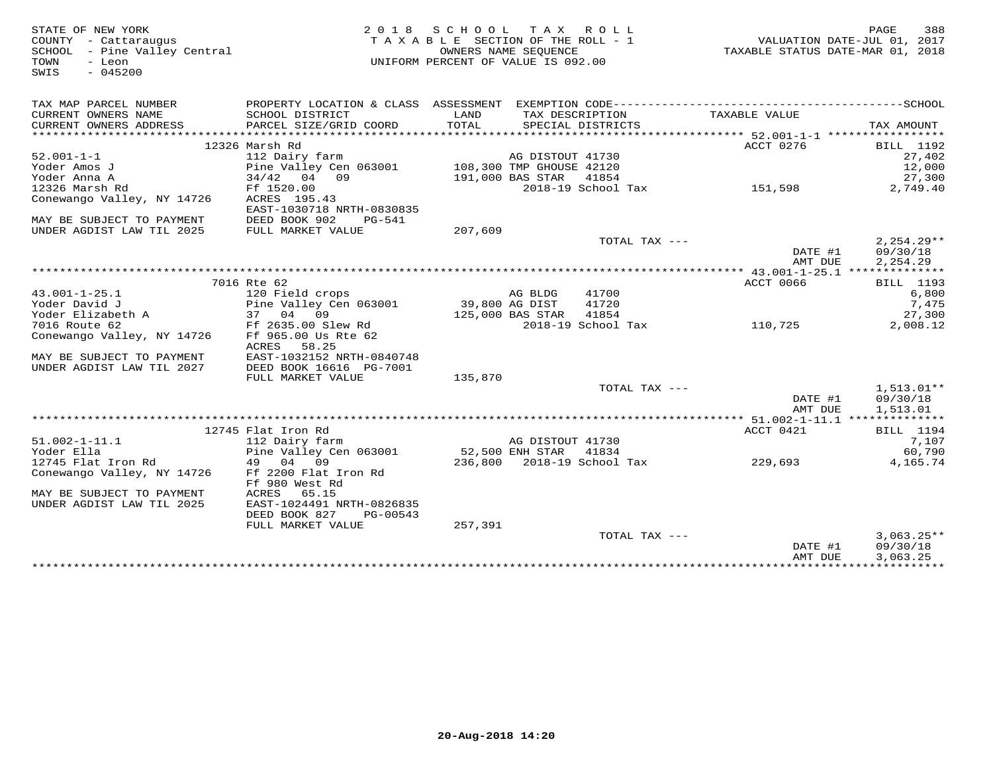| STATE OF NEW YORK<br>COUNTY - Cattaraugus<br>SCHOOL - Pine Valley Central<br>- Leon<br>TOWN<br>$-045200$<br>SWIS |                                           | 2018 SCHOOL<br>TAXABLE SECTION OF THE ROLL - 1<br>UNIFORM PERCENT OF VALUE IS 092.00 | TAX ROLL<br>OWNERS NAME SEOUENCE |                            | TAXABLE STATUS DATE-MAR 01, 2018 | 388<br>PAGE<br>VALUATION DATE-JUL 01, 2017 |
|------------------------------------------------------------------------------------------------------------------|-------------------------------------------|--------------------------------------------------------------------------------------|----------------------------------|----------------------------|----------------------------------|--------------------------------------------|
| TAX MAP PARCEL NUMBER                                                                                            |                                           |                                                                                      |                                  |                            |                                  |                                            |
| CURRENT OWNERS NAME<br>CURRENT OWNERS ADDRESS                                                                    | SCHOOL DISTRICT<br>PARCEL SIZE/GRID COORD | LAND<br>TOTAL                                                                        | TAX DESCRIPTION                  | SPECIAL DISTRICTS          | TAXABLE VALUE                    | TAX AMOUNT                                 |
|                                                                                                                  | 12326 Marsh Rd                            |                                                                                      |                                  |                            | ACCT 0276                        | <b>BILL</b> 1192                           |
| $52.001 - 1 - 1$                                                                                                 | 112 Dairy farm                            |                                                                                      | AG DISTOUT 41730                 |                            |                                  | 27,402                                     |
| Yoder Amos J                                                                                                     | Pine Valley Cen 063001                    | 108,300 TMP GHOUSE 42120                                                             |                                  |                            |                                  | 12,000                                     |
| Yoder Anna A                                                                                                     | $34/42$ 04 09                             |                                                                                      | 191,000 BAS STAR                 | 41854                      |                                  | 27,300                                     |
| 12326 Marsh Rd                                                                                                   | Ff 1520.00                                |                                                                                      |                                  | 2018-19 School Tax         | 151,598                          | 2,749.40                                   |
| Conewango Valley, NY 14726                                                                                       | ACRES 195.43<br>EAST-1030718 NRTH-0830835 |                                                                                      |                                  |                            |                                  |                                            |
| MAY BE SUBJECT TO PAYMENT                                                                                        | DEED BOOK 902<br>PG-541                   |                                                                                      |                                  |                            |                                  |                                            |
| UNDER AGDIST LAW TIL 2025                                                                                        | FULL MARKET VALUE                         | 207,609                                                                              |                                  |                            |                                  |                                            |
|                                                                                                                  |                                           |                                                                                      |                                  | TOTAL TAX ---              | DATE #1<br>AMT DUE               | $2,254.29**$<br>09/30/18<br>2,254.29       |
|                                                                                                                  |                                           |                                                                                      |                                  |                            |                                  |                                            |
|                                                                                                                  | 7016 Rte 62                               |                                                                                      |                                  |                            | ACCT 0066                        | <b>BILL</b> 1193                           |
| $43.001 - 1 - 25.1$                                                                                              | 120 Field crops                           |                                                                                      | AG BLDG                          | 41700                      |                                  | 6,800                                      |
| Yoder David J                                                                                                    | Pine Valley Cen 063001                    | 39,800 AG DIST                                                                       |                                  | 41720                      |                                  | 7,475                                      |
| Yoder Elizabeth A                                                                                                | 37 04 09                                  |                                                                                      | 125,000 BAS STAR                 | 41854                      |                                  | 27,300                                     |
| 7016 Route 62                                                                                                    | Ff 2635.00 Slew Rd                        |                                                                                      |                                  | 2018-19 School Tax         | 110,725                          | 2,008.12                                   |
| Conewango Valley, NY 14726                                                                                       | Ff 965.00 Us Rte 62<br>58.25<br>ACRES     |                                                                                      |                                  |                            |                                  |                                            |
| MAY BE SUBJECT TO PAYMENT                                                                                        | EAST-1032152 NRTH-0840748                 |                                                                                      |                                  |                            |                                  |                                            |
| UNDER AGDIST LAW TIL 2027                                                                                        | DEED BOOK 16616 PG-7001                   |                                                                                      |                                  |                            |                                  |                                            |
|                                                                                                                  | FULL MARKET VALUE                         | 135,870                                                                              |                                  |                            |                                  |                                            |
|                                                                                                                  |                                           |                                                                                      |                                  | TOTAL TAX ---              |                                  | $1,513.01**$                               |
|                                                                                                                  |                                           |                                                                                      |                                  |                            | DATE #1<br>AMT DUE               | 09/30/18<br>1,513.01                       |
|                                                                                                                  |                                           |                                                                                      |                                  |                            | ACCT 0421                        |                                            |
| $51.002 - 1 - 11.1$                                                                                              | 12745 Flat Iron Rd                        |                                                                                      | AG DISTOUT 41730                 |                            |                                  | <b>BILL</b> 1194                           |
| Yoder Ella                                                                                                       | 112 Dairy farm<br>Pine Valley Cen 063001  |                                                                                      | 52,500 ENH STAR                  | 41834                      |                                  | 7,107<br>60,790                            |
| 12745 Flat Iron Rd                                                                                               | 49 04 09                                  |                                                                                      |                                  | 236,800 2018-19 School Tax | 229,693                          | 4,165.74                                   |
| Conewango Valley, NY 14726                                                                                       | Ff 2200 Flat Iron Rd                      |                                                                                      |                                  |                            |                                  |                                            |
|                                                                                                                  | Ff 980 West Rd                            |                                                                                      |                                  |                            |                                  |                                            |
| MAY BE SUBJECT TO PAYMENT                                                                                        | ACRES<br>65.15                            |                                                                                      |                                  |                            |                                  |                                            |
| UNDER AGDIST LAW TIL 2025                                                                                        | EAST-1024491 NRTH-0826835                 |                                                                                      |                                  |                            |                                  |                                            |
|                                                                                                                  | DEED BOOK 827<br>PG-00543                 |                                                                                      |                                  |                            |                                  |                                            |
|                                                                                                                  | FULL MARKET VALUE                         | 257,391                                                                              |                                  |                            |                                  |                                            |
|                                                                                                                  |                                           |                                                                                      |                                  | TOTAL TAX ---              |                                  | $3,063.25**$                               |
|                                                                                                                  |                                           |                                                                                      |                                  |                            | DATE #1                          | 09/30/18                                   |
|                                                                                                                  |                                           |                                                                                      |                                  |                            | AMT DUE                          | 3,063.25                                   |
|                                                                                                                  |                                           |                                                                                      |                                  |                            |                                  |                                            |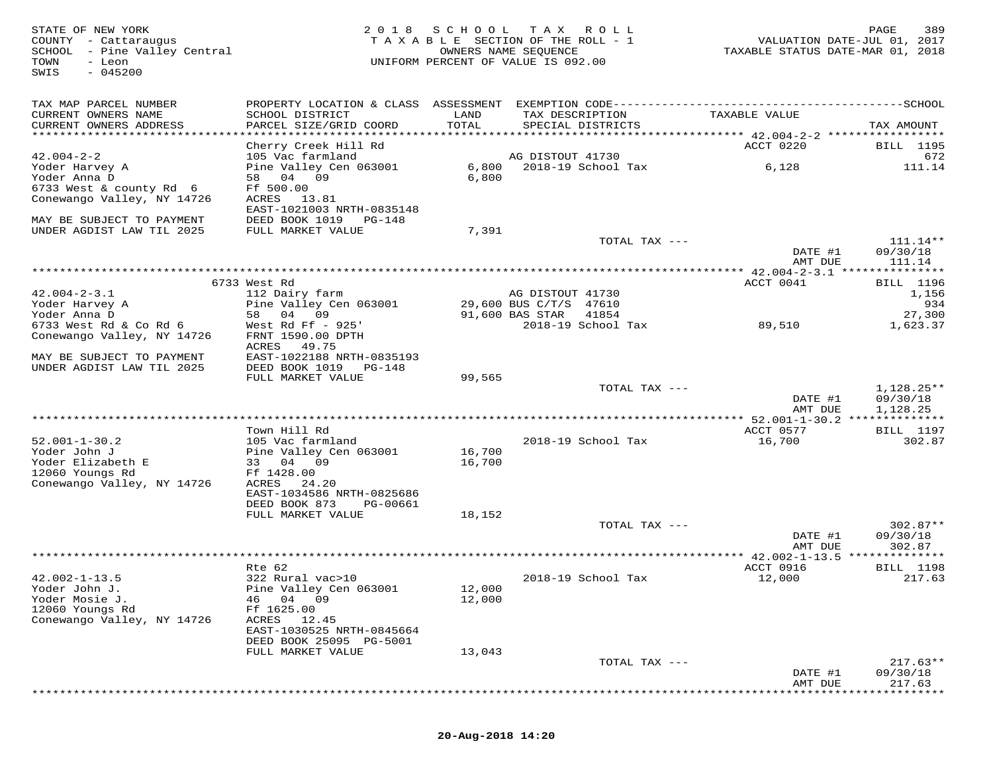| STATE OF NEW YORK<br>COUNTY - Cattaraugus<br>SCHOOL - Pine Valley Central<br>TOWN<br>- Leon<br>$-045200$<br>SWIS | 2018                                                   | S C H O O L<br>TAXABLE SECTION OF THE ROLL - 1<br>UNIFORM PERCENT OF VALUE IS 092.00 | OWNERS NAME SEQUENCE   | TAX ROLL           |               |           | 389<br>PAGE<br>VALUATION DATE-JUL 01, 2017<br>TAXABLE STATUS DATE-MAR 01, 2018 |
|------------------------------------------------------------------------------------------------------------------|--------------------------------------------------------|--------------------------------------------------------------------------------------|------------------------|--------------------|---------------|-----------|--------------------------------------------------------------------------------|
| TAX MAP PARCEL NUMBER                                                                                            |                                                        |                                                                                      |                        |                    |               |           |                                                                                |
| CURRENT OWNERS NAME<br>CURRENT OWNERS ADDRESS                                                                    | SCHOOL DISTRICT<br>PARCEL SIZE/GRID COORD              | LAND<br>TOTAL                                                                        | TAX DESCRIPTION        | SPECIAL DISTRICTS  | TAXABLE VALUE |           | TAX AMOUNT                                                                     |
|                                                                                                                  |                                                        |                                                                                      |                        |                    |               |           |                                                                                |
|                                                                                                                  | Cherry Creek Hill Rd                                   |                                                                                      |                        |                    |               | ACCT 0220 | <b>BILL</b> 1195                                                               |
| $42.004 - 2 - 2$<br>Yoder Harvey A                                                                               | 105 Vac farmland<br>Pine Valley Cen 063001             | 6,800                                                                                | AG DISTOUT 41730       | 2018-19 School Tax |               | 6,128     | 672<br>111.14                                                                  |
| Yoder Anna D                                                                                                     | 58 04 09                                               | 6,800                                                                                |                        |                    |               |           |                                                                                |
| 6733 West & county Rd 6                                                                                          | Ff 500.00                                              |                                                                                      |                        |                    |               |           |                                                                                |
| Conewango Valley, NY 14726                                                                                       | 13.81<br>ACRES                                         |                                                                                      |                        |                    |               |           |                                                                                |
|                                                                                                                  | EAST-1021003 NRTH-0835148                              |                                                                                      |                        |                    |               |           |                                                                                |
| MAY BE SUBJECT TO PAYMENT                                                                                        | DEED BOOK 1019 PG-148                                  |                                                                                      |                        |                    |               |           |                                                                                |
| UNDER AGDIST LAW TIL 2025                                                                                        | FULL MARKET VALUE                                      | 7,391                                                                                |                        |                    |               |           |                                                                                |
|                                                                                                                  |                                                        |                                                                                      |                        | TOTAL TAX ---      |               | DATE #1   | 111.14**<br>09/30/18                                                           |
|                                                                                                                  |                                                        |                                                                                      |                        |                    |               | AMT DUE   | 111.14                                                                         |
|                                                                                                                  |                                                        |                                                                                      |                        |                    |               |           | ***************** 42.004-2-3.1 ****************                                |
|                                                                                                                  | 6733 West Rd                                           |                                                                                      |                        |                    |               | ACCT 0041 | BILL 1196                                                                      |
| $42.004 - 2 - 3.1$                                                                                               | 112 Dairy farm                                         |                                                                                      | AG DISTOUT 41730       |                    |               |           | 1,156                                                                          |
| Yoder Harvey A                                                                                                   | Pine Valley Cen 063001                                 |                                                                                      | 29,600 BUS C/T/S 47610 |                    |               |           | 934                                                                            |
| Yoder Anna D                                                                                                     | 58 04 09                                               |                                                                                      | 91,600 BAS STAR        | 41854              |               |           | 27,300                                                                         |
| 6733 West Rd & Co Rd 6<br>Conewango Valley, NY 14726                                                             | West Rd Ff $-925'$<br>FRNT 1590.00 DPTH                |                                                                                      |                        | 2018-19 School Tax |               | 89,510    | 1,623.37                                                                       |
|                                                                                                                  | ACRES<br>49.75                                         |                                                                                      |                        |                    |               |           |                                                                                |
| MAY BE SUBJECT TO PAYMENT                                                                                        | EAST-1022188 NRTH-0835193                              |                                                                                      |                        |                    |               |           |                                                                                |
| UNDER AGDIST LAW TIL 2025                                                                                        | DEED BOOK 1019 PG-148                                  |                                                                                      |                        |                    |               |           |                                                                                |
|                                                                                                                  | FULL MARKET VALUE                                      | 99,565                                                                               |                        |                    |               |           |                                                                                |
|                                                                                                                  |                                                        |                                                                                      |                        | TOTAL TAX ---      |               |           | 1,128.25**                                                                     |
|                                                                                                                  |                                                        |                                                                                      |                        |                    |               | DATE #1   | 09/30/18                                                                       |
|                                                                                                                  |                                                        |                                                                                      |                        |                    |               | AMT DUE   | 1,128.25<br>**************** 52.001-1-30.2 **************                      |
|                                                                                                                  | Town Hill Rd                                           |                                                                                      |                        |                    |               | ACCT 0577 | <b>BILL</b> 1197                                                               |
| $52.001 - 1 - 30.2$                                                                                              | 105 Vac farmland                                       |                                                                                      |                        | 2018-19 School Tax |               | 16,700    | 302.87                                                                         |
| Yoder John J                                                                                                     | Pine Valley Cen 063001                                 | 16,700                                                                               |                        |                    |               |           |                                                                                |
| Yoder Elizabeth E                                                                                                | 09<br>33 04                                            | 16,700                                                                               |                        |                    |               |           |                                                                                |
| 12060 Youngs Rd                                                                                                  | Ff 1428.00                                             |                                                                                      |                        |                    |               |           |                                                                                |
| Conewango Valley, NY 14726                                                                                       | ACRES<br>24.20                                         |                                                                                      |                        |                    |               |           |                                                                                |
|                                                                                                                  | EAST-1034586 NRTH-0825686<br>DEED BOOK 873<br>PG-00661 |                                                                                      |                        |                    |               |           |                                                                                |
|                                                                                                                  | FULL MARKET VALUE                                      | 18,152                                                                               |                        |                    |               |           |                                                                                |
|                                                                                                                  |                                                        |                                                                                      |                        | TOTAL TAX ---      |               |           | $302.87**$                                                                     |
|                                                                                                                  |                                                        |                                                                                      |                        |                    |               | DATE #1   | 09/30/18                                                                       |
|                                                                                                                  |                                                        |                                                                                      |                        |                    |               | AMT DUE   | 302.87                                                                         |
|                                                                                                                  |                                                        |                                                                                      |                        |                    |               |           |                                                                                |
|                                                                                                                  | Rte 62                                                 |                                                                                      |                        |                    |               | ACCT 0916 | <b>BILL</b> 1198                                                               |
| $42.002 - 1 - 13.5$                                                                                              | 322 Rural vac>10<br>Pine Valley Cen 063001             |                                                                                      |                        | 2018-19 School Tax |               | 12,000    | 217.63                                                                         |
| Yoder John J.<br>Yoder Mosie J.                                                                                  | 04 09<br>46                                            | 12,000<br>12,000                                                                     |                        |                    |               |           |                                                                                |
| 12060 Youngs Rd                                                                                                  | Ff 1625.00                                             |                                                                                      |                        |                    |               |           |                                                                                |
| Conewango Valley, NY 14726                                                                                       | ACRES<br>12.45                                         |                                                                                      |                        |                    |               |           |                                                                                |
|                                                                                                                  | EAST-1030525 NRTH-0845664                              |                                                                                      |                        |                    |               |           |                                                                                |
|                                                                                                                  | DEED BOOK 25095 PG-5001                                |                                                                                      |                        |                    |               |           |                                                                                |
|                                                                                                                  | FULL MARKET VALUE                                      | 13,043                                                                               |                        |                    |               |           |                                                                                |
|                                                                                                                  |                                                        |                                                                                      |                        | TOTAL TAX ---      |               | DATE #1   | $217.63**$<br>09/30/18                                                         |
|                                                                                                                  |                                                        |                                                                                      |                        |                    |               | AMT DUE   | 217.63                                                                         |
|                                                                                                                  |                                                        |                                                                                      |                        |                    |               |           |                                                                                |

\*\*\*\*\*\*\*\*\*\*\*\*\*\*\*\*\*\*\*\*\*\*\*\*\*\*\*\*\*\*\*\*\*\*\*\*\*\*\*\*\*\*\*\*\*\*\*\*\*\*\*\*\*\*\*\*\*\*\*\*\*\*\*\*\*\*\*\*\*\*\*\*\*\*\*\*\*\*\*\*\*\*\*\*\*\*\*\*\*\*\*\*\*\*\*\*\*\*\*\*\*\*\*\*\*\*\*\*\*\*\*\*\*\*\*\*\*\*\*\*\*\*\*\*\*\*\*\*\*\*\*\*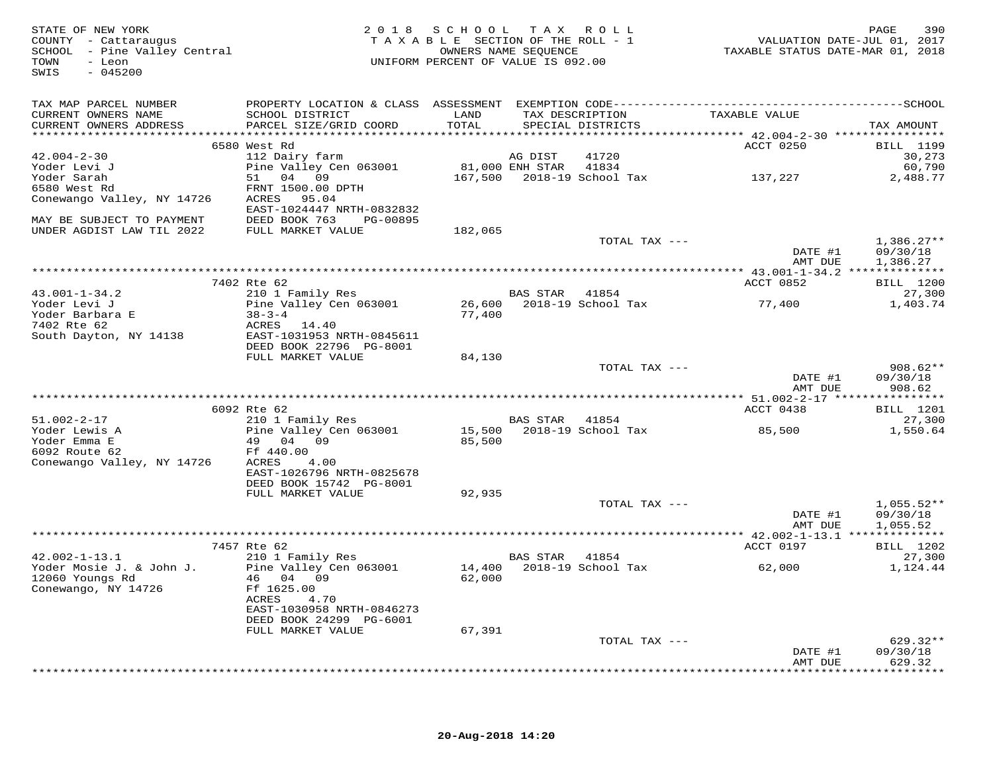| STATE OF NEW YORK<br>COUNTY - Cattaraugus<br>SCHOOL - Pine Valley Central<br>TOWN<br>- Leon<br>$-045200$<br>SWIS |                                                      | 2018 SCHOOL TAX ROLL<br>TAXABLE SECTION OF THE ROLL - 1<br>OWNERS NAME SEQUENCE<br>UNIFORM PERCENT OF VALUE IS 092.00 |                | :OLL - 1                             | VALUATION DATE-JUL 01, 2017<br>TAXABLE STATUS DATE-MAR 01, 2018 | 390<br>PAGE                |
|------------------------------------------------------------------------------------------------------------------|------------------------------------------------------|-----------------------------------------------------------------------------------------------------------------------|----------------|--------------------------------------|-----------------------------------------------------------------|----------------------------|
| TAX MAP PARCEL NUMBER                                                                                            |                                                      |                                                                                                                       |                |                                      |                                                                 |                            |
| CURRENT OWNERS NAME<br>CURRENT OWNERS ADDRESS                                                                    | SCHOOL DISTRICT<br>PARCEL SIZE/GRID COORD            | LAND<br>TOTAL                                                                                                         |                | TAX DESCRIPTION<br>SPECIAL DISTRICTS | TAXABLE VALUE                                                   | TAX AMOUNT                 |
|                                                                                                                  |                                                      |                                                                                                                       |                |                                      |                                                                 |                            |
| $42.004 - 2 - 30$                                                                                                | 6580 West Rd<br>112 Dairy farm                       |                                                                                                                       | AG DIST        | 41720                                | ACCT 0250                                                       | <b>BILL</b> 1199<br>30,273 |
| Yoder Levi J                                                                                                     | Pine Valley Cen 063001                               | 81,000 ENH STAR                                                                                                       |                | 41834                                |                                                                 | 60,790                     |
| Yoder Sarah                                                                                                      | 51 04 09                                             |                                                                                                                       |                | 167,500    2018-19    School Tax     | 137,227                                                         | 2,488.77                   |
| 6580 West Rd                                                                                                     | FRNT 1500.00 DPTH                                    |                                                                                                                       |                |                                      |                                                                 |                            |
| Conewango Valley, NY 14726                                                                                       | ACRES 95.04<br>EAST-1024447 NRTH-0832832             |                                                                                                                       |                |                                      |                                                                 |                            |
| MAY BE SUBJECT TO PAYMENT                                                                                        | DEED BOOK 763 PG-00895                               |                                                                                                                       |                |                                      |                                                                 |                            |
| UNDER AGDIST LAW TIL 2022                                                                                        | FULL MARKET VALUE                                    | 182,065                                                                                                               |                |                                      |                                                                 |                            |
|                                                                                                                  |                                                      |                                                                                                                       |                | TOTAL TAX ---                        | DATE #1                                                         | $1,386.27**$<br>09/30/18   |
|                                                                                                                  |                                                      |                                                                                                                       |                |                                      | AMT DUE                                                         | 1,386.27                   |
|                                                                                                                  | 7402 Rte 62                                          |                                                                                                                       |                |                                      | ACCT 0852                                                       | <b>BILL</b> 1200           |
| $43.001 - 1 - 34.2$                                                                                              | 210 1 Family Res                                     |                                                                                                                       | BAS STAR 41854 |                                      |                                                                 | 27,300                     |
| Yoder Levi J                                                                                                     | Pine Valley Cen 063001                               |                                                                                                                       |                |                                      |                                                                 | 1,403.74                   |
| Yoder Barbara E<br>7402 Rte 62                                                                                   | $38 - 3 - 4$                                         | 77,400                                                                                                                |                |                                      |                                                                 |                            |
| 7402 Rte 62                                                                                                      | ACRES 14.40                                          |                                                                                                                       |                |                                      |                                                                 |                            |
| South Dayton, NY 14138                                                                                           | EAST-1031953 NRTH-0845611<br>DEED BOOK 22796 PG-8001 |                                                                                                                       |                |                                      |                                                                 |                            |
|                                                                                                                  | FULL MARKET VALUE                                    | 84,130                                                                                                                |                |                                      |                                                                 |                            |
|                                                                                                                  |                                                      |                                                                                                                       |                | TOTAL TAX ---                        |                                                                 | $908.62**$                 |
|                                                                                                                  |                                                      |                                                                                                                       |                |                                      | DATE #1<br>AMT DUE                                              | 09/30/18<br>908.62         |
|                                                                                                                  |                                                      |                                                                                                                       |                |                                      |                                                                 |                            |
|                                                                                                                  | 6092 Rte 62                                          |                                                                                                                       |                |                                      | ACCT 0438                                                       | BILL 1201                  |
| 51.002-2-17                                                                                                      | 210 1 Family Res                                     |                                                                                                                       | BAS STAR 41854 |                                      |                                                                 | 27,300                     |
| Yoder Lewis A                                                                                                    | Pine Valley Cen 063001                               |                                                                                                                       |                | 15,500 2018-19 School Tax            | 85,500                                                          | 1,550.64                   |
| Yoder Emma E                                                                                                     | 49 04 09                                             | 85,500                                                                                                                |                |                                      |                                                                 |                            |
| 6092 Route 62                                                                                                    | Ff 440.00                                            |                                                                                                                       |                |                                      |                                                                 |                            |
| Conewango Valley, NY 14726                                                                                       | 4.00<br>ACRES<br>EAST-1026796 NRTH-0825678           |                                                                                                                       |                |                                      |                                                                 |                            |
|                                                                                                                  | DEED BOOK 15742 PG-8001                              |                                                                                                                       |                |                                      |                                                                 |                            |
|                                                                                                                  | FULL MARKET VALUE                                    | 92,935                                                                                                                |                |                                      |                                                                 |                            |
|                                                                                                                  |                                                      |                                                                                                                       |                | TOTAL TAX ---                        |                                                                 | $1,055.52**$               |
|                                                                                                                  |                                                      |                                                                                                                       |                |                                      | DATE #1                                                         | 09/30/18                   |
|                                                                                                                  |                                                      |                                                                                                                       |                |                                      | AMT DUE                                                         | 1,055.52                   |
|                                                                                                                  |                                                      |                                                                                                                       |                |                                      |                                                                 |                            |
| $42.002 - 1 - 13.1$                                                                                              | 7457 Rte 62<br>210 1 Family Res                      |                                                                                                                       | BAS STAR       | 41854                                | ACCT 0197                                                       | BILL 1202<br>27,300        |
| Yoder Mosie J. & John J.                                                                                         | Pine Valley Cen 063001                               |                                                                                                                       |                | 14,400 2018-19 School Tax            | 62,000                                                          | 1,124.44                   |
| 12060 Youngs Rd                                                                                                  | 46 04 09                                             | 62,000                                                                                                                |                |                                      |                                                                 |                            |
| Conewango, NY 14726                                                                                              | Ff 1625.00                                           |                                                                                                                       |                |                                      |                                                                 |                            |
|                                                                                                                  | 4.70<br>ACRES                                        |                                                                                                                       |                |                                      |                                                                 |                            |
|                                                                                                                  | EAST-1030958 NRTH-0846273                            |                                                                                                                       |                |                                      |                                                                 |                            |
|                                                                                                                  | DEED BOOK 24299 PG-6001                              |                                                                                                                       |                |                                      |                                                                 |                            |
|                                                                                                                  | FULL MARKET VALUE                                    | 67,391                                                                                                                |                | TOTAL TAX ---                        |                                                                 | $629.32**$                 |
|                                                                                                                  |                                                      |                                                                                                                       |                |                                      | DATE #1                                                         | 09/30/18                   |
|                                                                                                                  |                                                      |                                                                                                                       |                |                                      | AMT DUE                                                         | 629.32                     |
|                                                                                                                  |                                                      |                                                                                                                       |                |                                      |                                                                 | ***********                |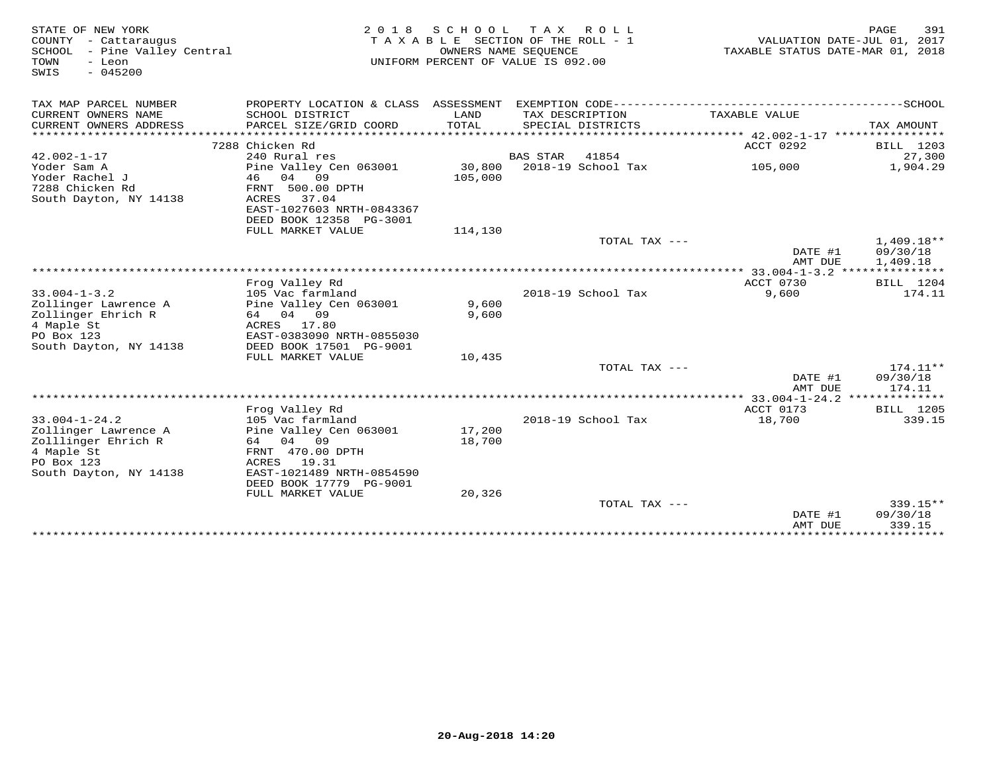| STATE OF NEW YORK               | 2 0 1 8                   | S C H O O L          | T A X<br>R O L L                   |                                  | 391<br>PAGE      |
|---------------------------------|---------------------------|----------------------|------------------------------------|----------------------------------|------------------|
| COUNTY - Cattaraugus            |                           |                      | TAXABLE SECTION OF THE ROLL - 1    | VALUATION DATE-JUL 01, 2017      |                  |
| SCHOOL<br>- Pine Valley Central |                           | OWNERS NAME SEQUENCE |                                    | TAXABLE STATUS DATE-MAR 01, 2018 |                  |
| TOWN<br>- Leon                  |                           |                      | UNIFORM PERCENT OF VALUE IS 092.00 |                                  |                  |
| $-045200$<br>SWIS               |                           |                      |                                    |                                  |                  |
|                                 |                           |                      |                                    |                                  |                  |
| TAX MAP PARCEL NUMBER           |                           |                      |                                    |                                  |                  |
| CURRENT OWNERS NAME             | SCHOOL DISTRICT           | LAND                 | TAX DESCRIPTION                    | TAXABLE VALUE                    |                  |
| CURRENT OWNERS ADDRESS          | PARCEL SIZE/GRID COORD    | TOTAL                | SPECIAL DISTRICTS                  |                                  | TAX AMOUNT       |
| **********************          |                           |                      |                                    |                                  |                  |
|                                 | 7288 Chicken Rd           |                      |                                    | ACCT 0292                        | BILL 1203        |
| $42.002 - 1 - 17$               | 240 Rural res             |                      | <b>BAS STAR</b><br>41854           |                                  | 27,300           |
| Yoder Sam A                     | Pine Valley Cen 063001    | 30,800               | 2018-19 School Tax                 | 105,000                          | 1,904.29         |
| Yoder Rachel J                  | 46<br>04<br>09            | 105,000              |                                    |                                  |                  |
| 7288 Chicken Rd                 | FRNT 500.00 DPTH          |                      |                                    |                                  |                  |
| South Dayton, NY 14138          | 37.04<br>ACRES            |                      |                                    |                                  |                  |
|                                 | EAST-1027603 NRTH-0843367 |                      |                                    |                                  |                  |
|                                 | DEED BOOK 12358 PG-3001   |                      |                                    |                                  |                  |
|                                 | FULL MARKET VALUE         | 114,130              |                                    |                                  |                  |
|                                 |                           |                      | TOTAL TAX ---                      |                                  | $1,409.18**$     |
|                                 |                           |                      |                                    | DATE #1                          | 09/30/18         |
|                                 |                           |                      |                                    | AMT DUE                          | 1,409.18         |
|                                 |                           |                      |                                    |                                  |                  |
|                                 | Frog Valley Rd            |                      |                                    | ACCT 0730                        | BILL 1204        |
| $33.004 - 1 - 3.2$              | 105 Vac farmland          |                      | 2018-19 School Tax                 | 9,600                            | 174.11           |
| Zollinger Lawrence A            | Pine Valley Cen 063001    | 9,600                |                                    |                                  |                  |
| Zollinger Ehrich R              | 64 04 09                  | 9,600                |                                    |                                  |                  |
| 4 Maple St                      | ACRES<br>17.80            |                      |                                    |                                  |                  |
| PO Box 123                      | EAST-0383090 NRTH-0855030 |                      |                                    |                                  |                  |
| South Dayton, NY 14138          | DEED BOOK 17501 PG-9001   |                      |                                    |                                  |                  |
|                                 | FULL MARKET VALUE         | 10,435               | TOTAL TAX $---$                    |                                  | $174.11**$       |
|                                 |                           |                      |                                    | DATE #1                          | 09/30/18         |
|                                 |                           |                      |                                    | AMT DUE                          | 174.11           |
|                                 |                           |                      |                                    |                                  |                  |
|                                 | Frog Valley Rd            |                      |                                    | ACCT 0173                        | <b>BILL</b> 1205 |
| $33.004 - 1 - 24.2$             | 105 Vac farmland          |                      | 2018-19 School Tax                 | 18,700                           | 339.15           |
| Zollinger Lawrence A            | Pine Valley Cen 063001    | 17,200               |                                    |                                  |                  |
| Zolllinger Ehrich R             | 64<br>04<br>09            | 18,700               |                                    |                                  |                  |
| 4 Maple St                      | FRNT 470.00 DPTH          |                      |                                    |                                  |                  |
| PO Box 123                      | ACRES<br>19.31            |                      |                                    |                                  |                  |
| South Dayton, NY 14138          | EAST-1021489 NRTH-0854590 |                      |                                    |                                  |                  |
|                                 | DEED BOOK 17779 PG-9001   |                      |                                    |                                  |                  |
|                                 | FULL MARKET VALUE         | 20,326               |                                    |                                  |                  |
|                                 |                           |                      | TOTAL TAX ---                      |                                  | 339.15**         |
|                                 |                           |                      |                                    | DATE #1                          | 09/30/18         |
|                                 |                           |                      |                                    | AMT DUE                          | 339.15           |
|                                 |                           |                      |                                    |                                  | *******          |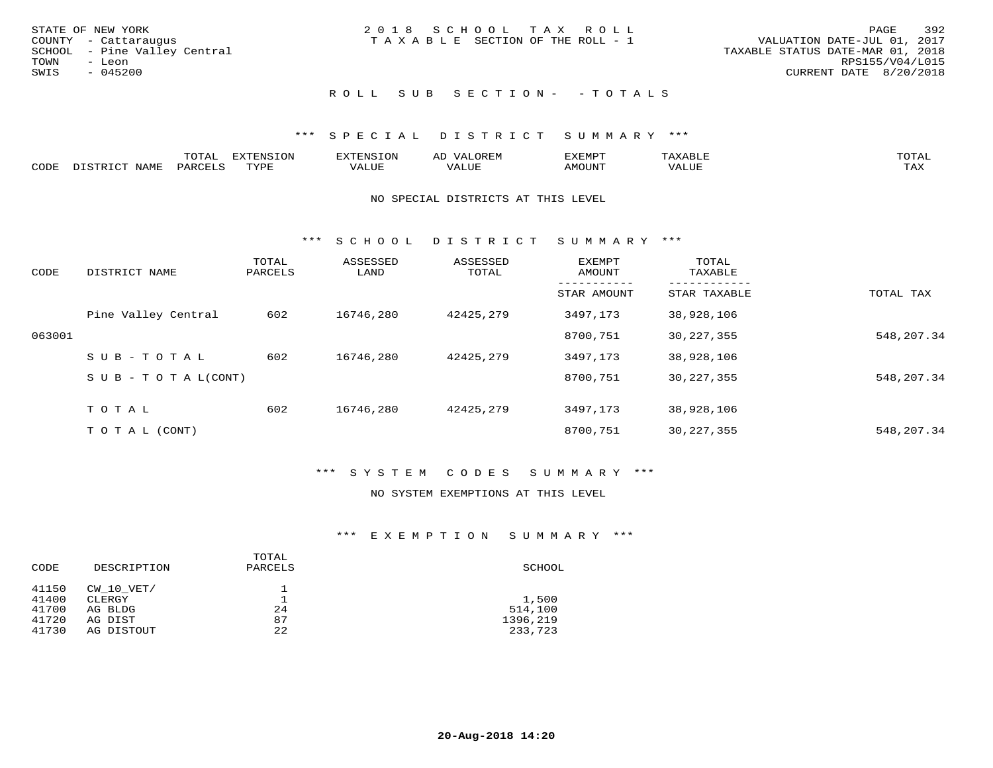| STATE OF NEW YORK            | 2018 SCHOOL TAX ROLL                  | 392<br>PAGE                      |
|------------------------------|---------------------------------------|----------------------------------|
| COUNTY - Cattaraugus         | T A X A B L E SECTION OF THE ROLL - 1 | VALUATION DATE-JUL 01, 2017      |
| SCHOOL - Pine Valley Central |                                       | TAXABLE STATUS DATE-MAR 01, 2018 |
| TOWN<br>- Leon               |                                       | RPS155/V04/L015                  |
| SWIS<br>$-045200$            |                                       | CURRENT DATE 8/20/2018           |
|                              |                                       |                                  |
|                              |                                       |                                  |

# ROLL SUB SECTION - - TOTALS

### \*\*\* S P E C I A L D I S T R I C T S U M M A R Y \*\*\*

|      |      | mom n<br>.UIAL | <b>DIZPOILIC TOM</b><br>.UP | -------- |         | :XEMP' | $\Delta$<br>ו וכו | TOTAL |
|------|------|----------------|-----------------------------|----------|---------|--------|-------------------|-------|
| CODE | NAME | AR             | TVDI                        | ALUI     | الاللطم | MOUN'I | ALUE              | TAX   |

#### NO SPECIAL DISTRICTS AT THIS LEVEL

\*\*\* S C H O O L D I S T R I C T S U M M A R Y \*\*\*

| CODE   | DISTRICT NAME                    | TOTAL<br>PARCELS | ASSESSED<br>LAND | ASSESSED<br>TOTAL | EXEMPT<br>AMOUNT | TOTAL<br>TAXABLE |            |
|--------|----------------------------------|------------------|------------------|-------------------|------------------|------------------|------------|
|        |                                  |                  |                  |                   | STAR AMOUNT      | STAR TAXABLE     | TOTAL TAX  |
|        | Pine Valley Central              | 602              | 16746,280        | 42425,279         | 3497,173         | 38,928,106       |            |
| 063001 |                                  |                  |                  |                   | 8700,751         | 30, 227, 355     | 548,207.34 |
|        | SUB-TOTAL                        | 602              | 16746,280        | 42425,279         | 3497,173         | 38,928,106       |            |
|        | $S \cup B - T \cup T A L (CONT)$ |                  |                  |                   | 8700,751         | 30, 227, 355     | 548,207.34 |
|        | TOTAL                            | 602              | 16746,280        | 42425,279         | 3497,173         | 38,928,106       |            |
|        | T O T A L (CONT)                 |                  |                  |                   | 8700,751         | 30, 227, 355     | 548,207.34 |

## \*\*\* S Y S T E M C O D E S S U M M A R Y \*\*\*

#### NO SYSTEM EXEMPTIONS AT THIS LEVEL

### \*\*\* E X E M P T I O N S U M M A R Y \*\*\*

| CODE  | DESCRIPTION | TOTAL<br>PARCELS | SCHOOL   |
|-------|-------------|------------------|----------|
| 41150 | CW 10 VET/  |                  |          |
| 41400 | CLERGY      |                  | 1,500    |
| 41700 | AG BLDG     | 24               | 514,100  |
| 41720 | AG DIST     | 87               | 1396,219 |
| 41730 | AG DISTOUT  | 22               | 233,723  |
|       |             |                  |          |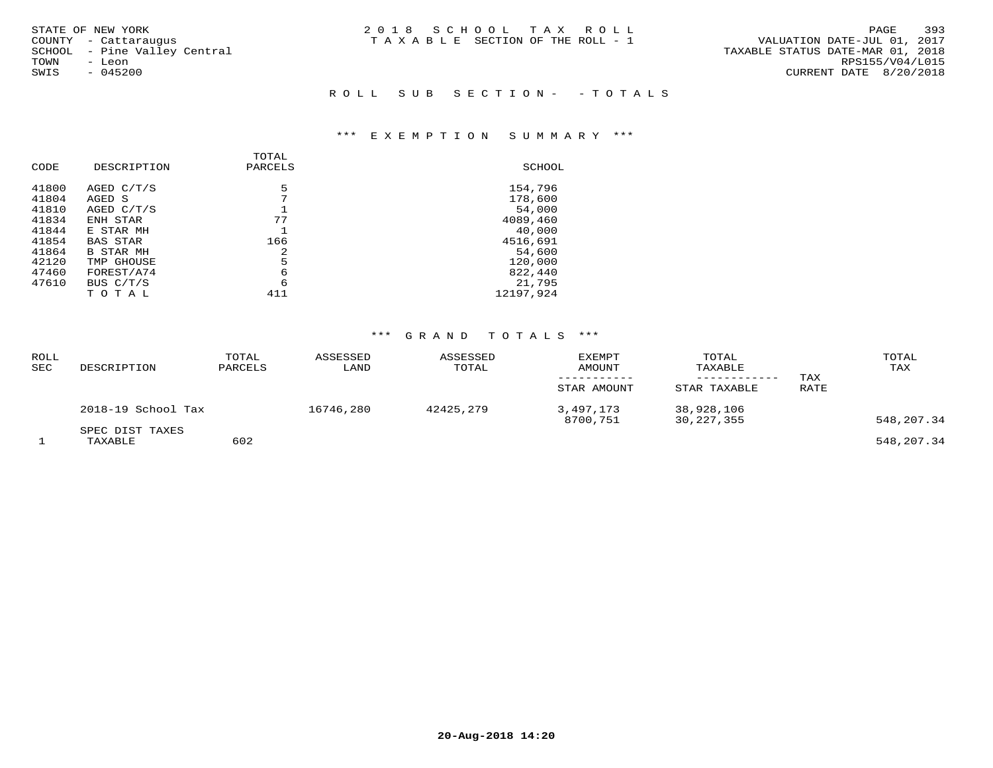| STATE OF NEW YORK            | 2018 SCHOOL TAX ROLL                  | 393<br>PAGE                      |
|------------------------------|---------------------------------------|----------------------------------|
| COUNTY - Cattaraugus         | T A X A B L E SECTION OF THE ROLL - 1 | VALUATION DATE-JUL 01, 2017      |
| SCHOOL - Pine Valley Central |                                       | TAXABLE STATUS DATE-MAR 01, 2018 |
| TOWN<br>- Leon               |                                       | RPS155/V04/L015                  |
| $-045200$<br>SWIS            |                                       | CURRENT DATE 8/20/2018           |
|                              |                                       |                                  |
|                              | ROLL SUB SECTION- - TOTALS            |                                  |

# \*\*\* E X E M P T I O N S U M M A R Y \*\*\*

|       |                  | TOTAL   |           |
|-------|------------------|---------|-----------|
| CODE  | DESCRIPTION      | PARCELS | SCHOOL    |
| 41800 | AGED C/T/S       | 5       | 154,796   |
| 41804 | AGED S           | 7       | 178,600   |
| 41810 | AGED C/T/S       |         | 54,000    |
| 41834 | ENH STAR         | 77      | 4089,460  |
| 41844 | E STAR MH        |         | 40,000    |
| 41854 | BAS STAR         | 166     | 4516,691  |
| 41864 | <b>B STAR MH</b> | 2       | 54,600    |
| 42120 | TMP GHOUSE       | 5       | 120,000   |
| 47460 | FOREST/A74       | 6       | 822,440   |
| 47610 | BUS C/T/S        | 6       | 21,795    |
|       | тотаь            | 411     | 12197,924 |
|       |                  |         |           |

## \*\*\* G R A N D T O T A L S \*\*\*

| ROLL<br>SEC | DESCRIPTION                | TOTAL<br>PARCELS | ASSESSED<br>LAND | ASSESSED<br>TOTAL | <b>EXEMPT</b><br>AMOUNT<br>STAR AMOUNT | TOTAL<br>TAXABLE<br>STAR TAXABLE | TAX<br>RATE | TOTAL<br>TAX |
|-------------|----------------------------|------------------|------------------|-------------------|----------------------------------------|----------------------------------|-------------|--------------|
|             | 2018-19 School Tax         |                  | 16746,280        | 42425,279         | 3,497,173<br>8700,751                  | 38,928,106<br>30,227,355         |             | 548,207.34   |
|             | SPEC DIST TAXES<br>TAXABLE | 602              |                  |                   |                                        |                                  |             | 548,207.34   |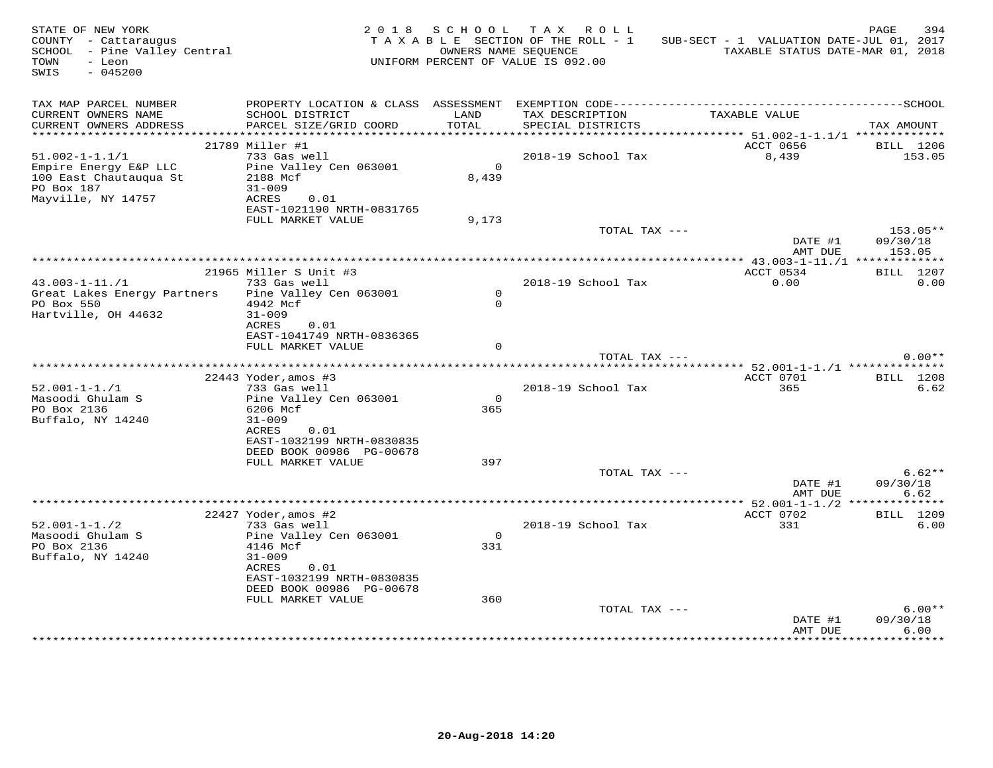| STATE OF NEW YORK<br>COUNTY - Cattaraugus<br>SCHOOL - Pine Valley Central<br>TOWN<br>- Leon<br>SWIS<br>$-045200$ |                                               |                | 2018 SCHOOL TAX ROLL<br>TAXABLE SECTION OF THE ROLL - 1<br>OWNERS NAME SEOUENCE<br>UNIFORM PERCENT OF VALUE IS 092.00 | SUB-SECT - 1 VALUATION DATE-JUL 01, 2017<br>TAXABLE STATUS DATE-MAR 01, 2018 | PAGE<br>394      |
|------------------------------------------------------------------------------------------------------------------|-----------------------------------------------|----------------|-----------------------------------------------------------------------------------------------------------------------|------------------------------------------------------------------------------|------------------|
| TAX MAP PARCEL NUMBER<br>CURRENT OWNERS NAME<br>CURRENT OWNERS ADDRESS                                           | SCHOOL DISTRICT<br>PARCEL SIZE/GRID COORD     | LAND<br>TOTAL  | TAX DESCRIPTION<br>SPECIAL DISTRICTS                                                                                  | TAXABLE VALUE                                                                | TAX AMOUNT       |
|                                                                                                                  |                                               |                |                                                                                                                       |                                                                              |                  |
|                                                                                                                  | 21789 Miller #1                               |                |                                                                                                                       | ACCT 0656                                                                    | <b>BILL</b> 1206 |
| $51.002 - 1 - 1.1/1$<br>Empire Energy E&P LLC                                                                    | 733 Gas well<br>Pine Valley Cen 063001        | $\overline{0}$ | 2018-19 School Tax                                                                                                    | 8,439                                                                        | 153.05           |
| 100 East Chautauqua St                                                                                           | 2188 Mcf                                      | 8,439          |                                                                                                                       |                                                                              |                  |
| PO Box 187                                                                                                       | $31 - 009$                                    |                |                                                                                                                       |                                                                              |                  |
| Mayville, NY 14757                                                                                               | ACRES<br>0.01                                 |                |                                                                                                                       |                                                                              |                  |
|                                                                                                                  | EAST-1021190 NRTH-0831765                     |                |                                                                                                                       |                                                                              |                  |
|                                                                                                                  | FULL MARKET VALUE                             | 9,173          | TOTAL TAX ---                                                                                                         |                                                                              | 153.05**         |
|                                                                                                                  |                                               |                |                                                                                                                       | DATE #1                                                                      | 09/30/18         |
|                                                                                                                  |                                               |                |                                                                                                                       | AMT DUE                                                                      | 153.05           |
|                                                                                                                  |                                               |                |                                                                                                                       |                                                                              |                  |
|                                                                                                                  | 21965 Miller S Unit #3                        |                |                                                                                                                       | ACCT 0534                                                                    | <b>BILL</b> 1207 |
| $43.003 - 1 - 11./1$<br>Great Lakes Energy Partners                                                              | 733 Gas well<br>Pine Valley Cen 063001        | $\circ$        | 2018-19 School Tax                                                                                                    | 0.00                                                                         | 0.00             |
| PO Box 550                                                                                                       | 4942 Mcf                                      | $\Omega$       |                                                                                                                       |                                                                              |                  |
| Hartville, OH 44632                                                                                              | $31 - 009$                                    |                |                                                                                                                       |                                                                              |                  |
|                                                                                                                  | 0.01<br>ACRES                                 |                |                                                                                                                       |                                                                              |                  |
|                                                                                                                  | EAST-1041749 NRTH-0836365                     | $\Omega$       |                                                                                                                       |                                                                              |                  |
|                                                                                                                  | FULL MARKET VALUE                             |                | TOTAL TAX ---                                                                                                         |                                                                              | $0.00**$         |
|                                                                                                                  |                                               |                |                                                                                                                       |                                                                              |                  |
|                                                                                                                  | $22443$ Yoder, amos #3                        |                |                                                                                                                       | ACCT 0701                                                                    | BILL 1208        |
| $52.001 - 1 - 1.71$                                                                                              | 733 Gas well                                  |                | 2018-19 School Tax                                                                                                    | 365                                                                          | 6.62             |
| Masoodi Ghulam S<br>PO Box 2136                                                                                  | Pine Valley Cen 063001<br>6206 Mcf            | $\circ$<br>365 |                                                                                                                       |                                                                              |                  |
| Buffalo, NY 14240                                                                                                | $31 - 009$                                    |                |                                                                                                                       |                                                                              |                  |
|                                                                                                                  | ACRES<br>0.01                                 |                |                                                                                                                       |                                                                              |                  |
|                                                                                                                  | EAST-1032199 NRTH-0830835                     |                |                                                                                                                       |                                                                              |                  |
|                                                                                                                  | DEED BOOK 00986 PG-00678                      |                |                                                                                                                       |                                                                              |                  |
|                                                                                                                  | FULL MARKET VALUE                             | 397            | TOTAL TAX ---                                                                                                         |                                                                              | $6.62**$         |
|                                                                                                                  |                                               |                |                                                                                                                       | DATE #1                                                                      | 09/30/18         |
|                                                                                                                  |                                               |                |                                                                                                                       | AMT DUE                                                                      | 6.62             |
|                                                                                                                  |                                               |                |                                                                                                                       |                                                                              |                  |
|                                                                                                                  | 22427 Yoder, amos #2                          |                |                                                                                                                       | ACCT 0702                                                                    | BILL 1209        |
| $52.001 - 1 - 1.72$<br>Masoodi Ghulam S                                                                          | 733 Gas well<br>Pine Valley Cen 063001        | $\Omega$       | 2018-19 School Tax                                                                                                    | 331                                                                          | 6.00             |
| PO Box 2136                                                                                                      | 4146 Mcf                                      | 331            |                                                                                                                       |                                                                              |                  |
| Buffalo, NY 14240                                                                                                | $31 - 009$                                    |                |                                                                                                                       |                                                                              |                  |
|                                                                                                                  | ACRES<br>0.01                                 |                |                                                                                                                       |                                                                              |                  |
|                                                                                                                  | EAST-1032199 NRTH-0830835                     |                |                                                                                                                       |                                                                              |                  |
|                                                                                                                  | DEED BOOK 00986 PG-00678<br>FULL MARKET VALUE | 360            |                                                                                                                       |                                                                              |                  |
|                                                                                                                  |                                               |                | TOTAL TAX ---                                                                                                         |                                                                              | $6.00**$         |
|                                                                                                                  |                                               |                |                                                                                                                       | DATE #1                                                                      | 09/30/18         |
|                                                                                                                  |                                               |                |                                                                                                                       | AMT DUE                                                                      | 6.00             |
|                                                                                                                  |                                               |                |                                                                                                                       |                                                                              |                  |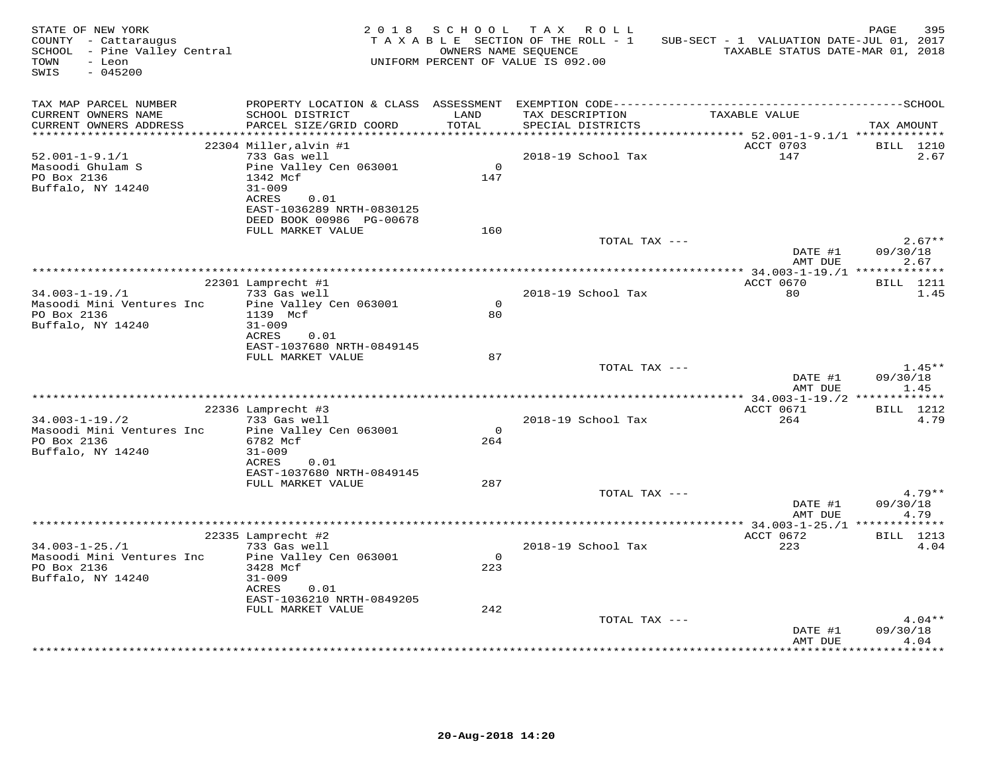| STATE OF NEW YORK<br>COUNTY - Cattaraugus<br>SCHOOL - Pine Valley Central<br>TOWN<br>- Leon<br>SWIS<br>$-045200$ |                                                                                             |                 | 2018 SCHOOL TAX ROLL<br>TAXABLE SECTION OF THE ROLL - 1<br>OWNERS NAME SEQUENCE<br>UNIFORM PERCENT OF VALUE IS 092.00 | SUB-SECT - 1 VALUATION DATE-JUL 01, 2017<br>TAXABLE STATUS DATE-MAR 01, 2018 | PAGE<br>395                  |
|------------------------------------------------------------------------------------------------------------------|---------------------------------------------------------------------------------------------|-----------------|-----------------------------------------------------------------------------------------------------------------------|------------------------------------------------------------------------------|------------------------------|
| TAX MAP PARCEL NUMBER<br>CURRENT OWNERS NAME<br>CURRENT OWNERS ADDRESS                                           | SCHOOL DISTRICT<br>PARCEL SIZE/GRID COORD                                                   | LAND<br>TOTAL   | TAX DESCRIPTION<br>SPECIAL DISTRICTS                                                                                  | TAXABLE VALUE                                                                | TAX AMOUNT                   |
|                                                                                                                  |                                                                                             |                 |                                                                                                                       |                                                                              |                              |
|                                                                                                                  | 22304 Miller, alvin #1<br>733 Gas well                                                      |                 | 2018-19 School Tax                                                                                                    | ACCT 0703<br>147                                                             | <b>BILL</b> 1210<br>2.67     |
| $52.001 - 1 - 9.1/1$<br>Masoodi Ghulam S<br>PO Box 2136<br>Buffalo, NY 14240                                     | Pine Valley Cen 063001<br>1342 Mcf<br>$31 - 009$                                            | $\Omega$<br>147 |                                                                                                                       |                                                                              |                              |
|                                                                                                                  | ACRES<br>0.01<br>EAST-1036289 NRTH-0830125<br>DEED BOOK 00986 PG-00678<br>FULL MARKET VALUE | 160             |                                                                                                                       |                                                                              |                              |
|                                                                                                                  |                                                                                             |                 | TOTAL TAX ---                                                                                                         | DATE #1                                                                      | $2.67**$<br>09/30/18         |
|                                                                                                                  |                                                                                             |                 |                                                                                                                       | AMT DUE                                                                      | 2.67                         |
|                                                                                                                  |                                                                                             |                 |                                                                                                                       |                                                                              |                              |
| $34.003 - 1 - 19. / 1$                                                                                           | 22301 Lamprecht #1<br>733 Gas well                                                          |                 | 2018-19 School Tax                                                                                                    | ACCT 0670<br>80                                                              | <b>BILL</b> 1211<br>1.45     |
| Masoodi Mini Ventures Inc<br>PO Box 2136<br>Buffalo, NY 14240                                                    | Pine Valley Cen 063001<br>1139 Mcf<br>$31 - 009$                                            | $\Omega$<br>80  |                                                                                                                       |                                                                              |                              |
|                                                                                                                  | ACRES<br>0.01<br>EAST-1037680 NRTH-0849145<br>FULL MARKET VALUE                             | 87              |                                                                                                                       |                                                                              |                              |
|                                                                                                                  |                                                                                             |                 | TOTAL TAX ---                                                                                                         | DATE #1<br>AMT DUE                                                           | $1.45**$<br>09/30/18<br>1.45 |
|                                                                                                                  |                                                                                             |                 |                                                                                                                       |                                                                              |                              |
|                                                                                                                  | 22336 Lamprecht #3                                                                          |                 |                                                                                                                       | ACCT 0671                                                                    | <b>BILL</b> 1212             |
| $34.003 - 1 - 19.72$<br>Masoodi Mini Ventures Inc<br>PO Box 2136                                                 | 733 Gas well<br>Pine Valley Cen 063001<br>6782 Mcf                                          | $\Omega$<br>264 | 2018-19 School Tax                                                                                                    | 264                                                                          | 4.79                         |
| Buffalo, NY 14240                                                                                                | $31 - 009$<br>ACRES<br>0.01<br>EAST-1037680 NRTH-0849145                                    |                 |                                                                                                                       |                                                                              |                              |
|                                                                                                                  | FULL MARKET VALUE                                                                           | 287             |                                                                                                                       |                                                                              |                              |
|                                                                                                                  |                                                                                             |                 | TOTAL TAX ---                                                                                                         | DATE #1                                                                      | $4.79**$<br>09/30/18         |
|                                                                                                                  |                                                                                             |                 |                                                                                                                       | AMT DUE                                                                      | 4.79                         |
| $34.003 - 1 - 25. / 1$                                                                                           | 22335 Lamprecht #2<br>733 Gas well                                                          |                 | 2018-19 School Tax                                                                                                    | ACCT 0672<br>223                                                             | <b>BILL</b> 1213<br>4.04     |
| Masoodi Mini Ventures Inc<br>PO Box 2136<br>Buffalo, NY 14240                                                    | Pine Valley Cen 063001<br>3428 Mcf<br>$31 - 009$                                            | $\Omega$<br>223 |                                                                                                                       |                                                                              |                              |
|                                                                                                                  | ACRES<br>0.01<br>EAST-1036210 NRTH-0849205<br>FULL MARKET VALUE                             | 242             |                                                                                                                       |                                                                              |                              |
|                                                                                                                  |                                                                                             |                 | TOTAL TAX ---                                                                                                         | DATE #1                                                                      | $4.04**$<br>09/30/18         |
|                                                                                                                  |                                                                                             |                 |                                                                                                                       | AMT DUE<br>.                                                                 | 4.04<br>*******              |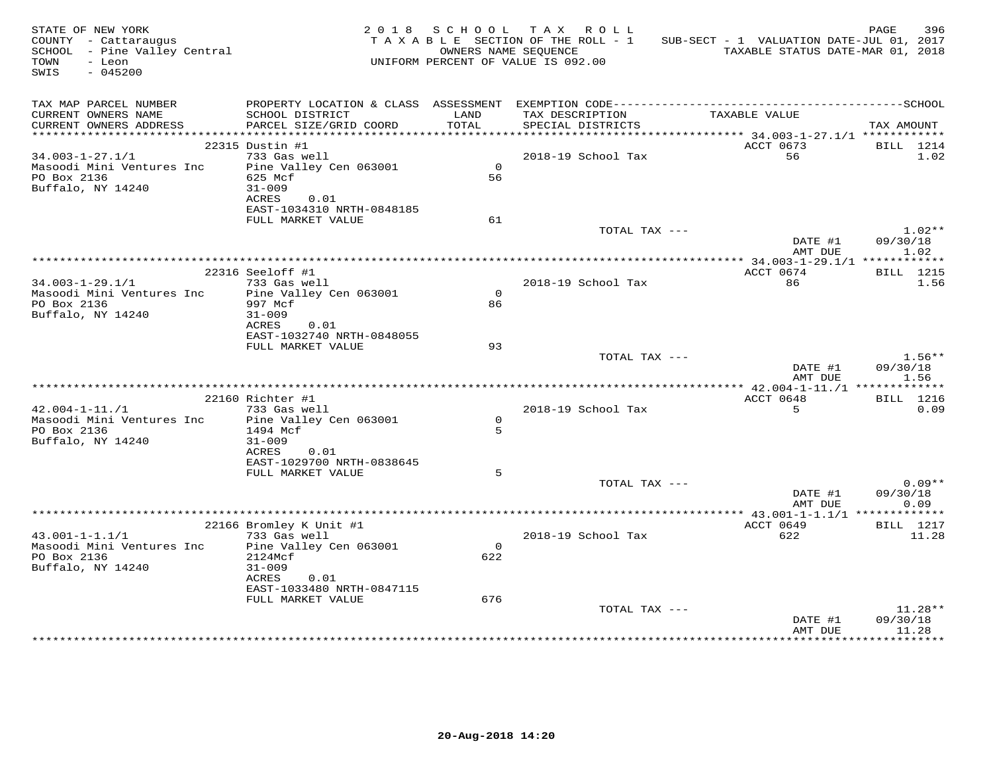| STATE OF NEW YORK<br>COUNTY - Cattaraugus<br>$SCH OOL$ - Pine Valley Central<br>TOWN<br>- Leon<br>SWIS<br>$-045200$ |                                                |                      | 2018 SCHOOL TAX ROLL<br>TAXABLE SECTION OF THE ROLL - 1<br>OWNERS NAME SEOUENCE<br>UNIFORM PERCENT OF VALUE IS 092.00 | SUB-SECT - 1 VALUATION DATE-JUL 01, 2017<br>TAXABLE STATUS DATE-MAR 01, 2018 | PAGE<br>396              |
|---------------------------------------------------------------------------------------------------------------------|------------------------------------------------|----------------------|-----------------------------------------------------------------------------------------------------------------------|------------------------------------------------------------------------------|--------------------------|
| TAX MAP PARCEL NUMBER<br>CURRENT OWNERS NAME                                                                        | SCHOOL DISTRICT                                | LAND<br><b>TOTAL</b> | TAX DESCRIPTION                                                                                                       | TAXABLE VALUE                                                                |                          |
| CURRENT OWNERS ADDRESS                                                                                              | PARCEL SIZE/GRID COORD                         |                      | SPECIAL DISTRICTS                                                                                                     |                                                                              | TAX AMOUNT               |
|                                                                                                                     | 22315 Dustin #1                                |                      |                                                                                                                       | ACCT 0673                                                                    | BILL 1214                |
| $34.003 - 1 - 27.1/1$                                                                                               | 733 Gas well                                   |                      | 2018-19 School Tax                                                                                                    | 56                                                                           | 1.02                     |
| Masoodi Mini Ventures Inc                                                                                           | Pine Valley Cen 063001                         | $\overline{0}$       |                                                                                                                       |                                                                              |                          |
| PO Box 2136                                                                                                         | 625 Mcf                                        | 56                   |                                                                                                                       |                                                                              |                          |
| Buffalo, NY 14240                                                                                                   | $31 - 009$                                     |                      |                                                                                                                       |                                                                              |                          |
|                                                                                                                     | ACRES<br>0.01<br>EAST-1034310 NRTH-0848185     |                      |                                                                                                                       |                                                                              |                          |
|                                                                                                                     | FULL MARKET VALUE                              | 61                   |                                                                                                                       |                                                                              |                          |
|                                                                                                                     |                                                |                      | TOTAL TAX ---                                                                                                         |                                                                              | $1.02**$                 |
|                                                                                                                     |                                                |                      |                                                                                                                       | DATE #1<br>AMT DUE                                                           | 09/30/18<br>1.02         |
|                                                                                                                     |                                                |                      |                                                                                                                       |                                                                              |                          |
| $34.003 - 1 - 29.1/1$                                                                                               | 22316 Seeloff #1<br>733 Gas well               |                      | 2018-19 School Tax                                                                                                    | ACCT 0674<br>86                                                              | <b>BILL</b> 1215<br>1.56 |
| Masoodi Mini Ventures Inc                                                                                           | Pine Valley Cen 063001                         | $\Omega$             |                                                                                                                       |                                                                              |                          |
| PO Box 2136                                                                                                         | 997 Mcf                                        | 86                   |                                                                                                                       |                                                                              |                          |
| Buffalo, NY 14240                                                                                                   | $31 - 009$                                     |                      |                                                                                                                       |                                                                              |                          |
|                                                                                                                     | ACRES<br>0.01                                  |                      |                                                                                                                       |                                                                              |                          |
|                                                                                                                     | EAST-1032740 NRTH-0848055                      |                      |                                                                                                                       |                                                                              |                          |
|                                                                                                                     | FULL MARKET VALUE                              | 93                   | TOTAL TAX ---                                                                                                         |                                                                              | $1.56**$                 |
|                                                                                                                     |                                                |                      |                                                                                                                       | DATE #1<br>AMT DUE                                                           | 09/30/18<br>1.56         |
|                                                                                                                     |                                                |                      |                                                                                                                       |                                                                              |                          |
|                                                                                                                     | 22160 Richter #1                               |                      |                                                                                                                       | ACCT 0648                                                                    | <b>BILL</b> 1216         |
| $42.004 - 1 - 11.71$                                                                                                | 733 Gas well                                   |                      | 2018-19 School Tax                                                                                                    | 5                                                                            | 0.09                     |
| Masoodi Mini Ventures Inc                                                                                           | Pine Valley Cen 063001                         | $\Omega$             |                                                                                                                       |                                                                              |                          |
| PO Box 2136                                                                                                         | 1494 Mcf                                       | 5                    |                                                                                                                       |                                                                              |                          |
| Buffalo, NY 14240                                                                                                   | $31 - 009$<br>ACRES<br>0.01                    |                      |                                                                                                                       |                                                                              |                          |
|                                                                                                                     | EAST-1029700 NRTH-0838645                      |                      |                                                                                                                       |                                                                              |                          |
|                                                                                                                     | FULL MARKET VALUE                              | 5                    |                                                                                                                       |                                                                              |                          |
|                                                                                                                     |                                                |                      | TOTAL TAX ---                                                                                                         |                                                                              | $0.09**$                 |
|                                                                                                                     |                                                |                      |                                                                                                                       | DATE #1                                                                      | 09/30/18                 |
|                                                                                                                     |                                                |                      | *******************************                                                                                       | AMT DUE                                                                      | 0.09                     |
|                                                                                                                     | 22166 Bromley K Unit #1                        |                      |                                                                                                                       | ********* $43.001 - 1 - 1.1/1$ *************<br>ACCT 0649                    | <b>BILL</b> 1217         |
| $43.001 - 1 - 1.1/1$                                                                                                | 733 Gas well                                   |                      | 2018-19 School Tax                                                                                                    | 622                                                                          | 11.28                    |
| Masoodi Mini Ventures Inc                                                                                           | Pine Valley Cen 063001                         | $\mathbf{O}$         |                                                                                                                       |                                                                              |                          |
| PO Box 2136                                                                                                         | 2124Mcf                                        | 622                  |                                                                                                                       |                                                                              |                          |
| Buffalo, NY 14240                                                                                                   | 31-009                                         |                      |                                                                                                                       |                                                                              |                          |
|                                                                                                                     | 0.01<br>ACRES                                  |                      |                                                                                                                       |                                                                              |                          |
|                                                                                                                     | EAST-1033480 NRTH-0847115<br>FULL MARKET VALUE | 676                  |                                                                                                                       |                                                                              |                          |
|                                                                                                                     |                                                |                      | TOTAL TAX ---                                                                                                         |                                                                              | 11.28**                  |
|                                                                                                                     |                                                |                      |                                                                                                                       | DATE #1                                                                      | 09/30/18                 |
|                                                                                                                     |                                                |                      |                                                                                                                       | AMT DUE                                                                      | 11.28                    |
|                                                                                                                     |                                                |                      |                                                                                                                       |                                                                              |                          |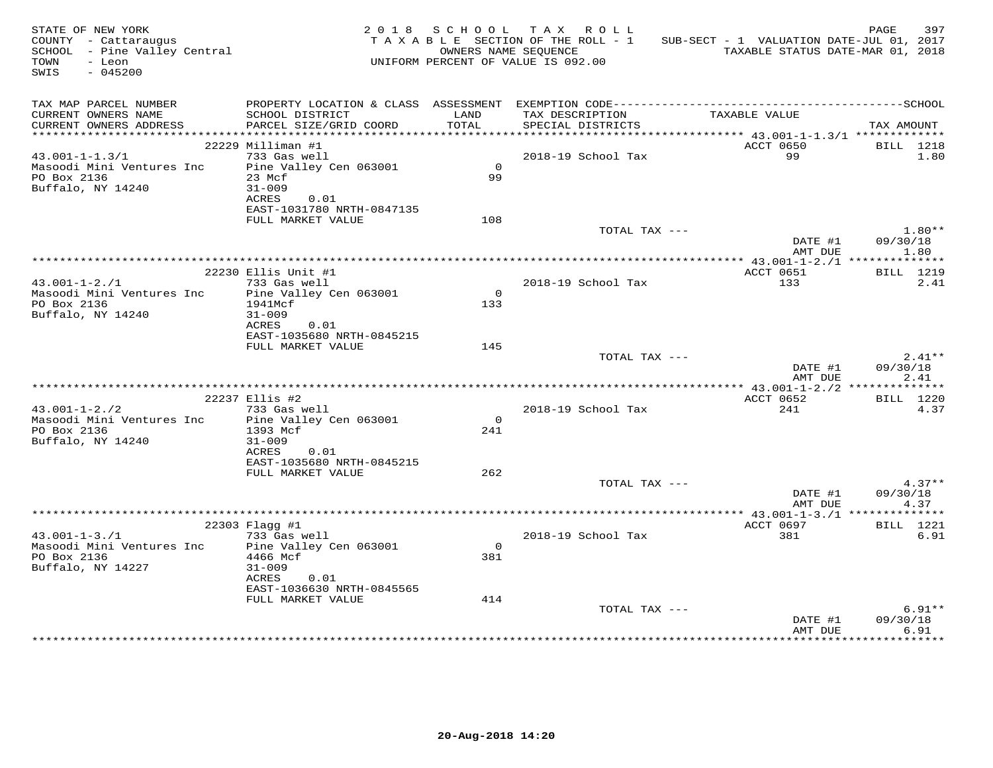| STATE OF NEW YORK<br>COUNTY - Cattaraugus<br>COUNTY - Cattaraugus<br>SCHOOL - Pine Valley Central<br>TOWN<br>- Leon<br>SWIS<br>$-045200$ |                                                                |                | 2018 SCHOOL TAX ROLL<br>TAXABLE SECTION OF THE ROLL - 1<br>OWNERS NAME SEQUENCE<br>UNIFORM PERCENT OF VALUE IS 092.00 | SUB-SECT - 1 VALUATION DATE-JUL 01, 2017<br>TAXABLE STATUS DATE-MAR 01, 2018 | 397<br>PAGE              |
|------------------------------------------------------------------------------------------------------------------------------------------|----------------------------------------------------------------|----------------|-----------------------------------------------------------------------------------------------------------------------|------------------------------------------------------------------------------|--------------------------|
| TAX MAP PARCEL NUMBER<br>CURRENT OWNERS NAME<br>CURRENT OWNERS ADDRESS                                                                   | SCHOOL DISTRICT<br>PARCEL SIZE/GRID COORD                      | LAND<br>TOTAL  | TAX DESCRIPTION<br>SPECIAL DISTRICTS                                                                                  | TAXABLE VALUE                                                                | TAX AMOUNT               |
|                                                                                                                                          |                                                                |                |                                                                                                                       |                                                                              |                          |
|                                                                                                                                          | 22229 Milliman #1                                              |                |                                                                                                                       | ACCT 0650                                                                    | BILL 1218                |
| $43.001 - 1 - 1.3/1$<br>Masoodi Mini Ventures Inc<br>PO Box 2136<br>Buffalo, NY 14240                                                    | 733 Gas well<br>Pine Valley Cen 063001<br>23 Mcf<br>$31 - 009$ | $\Omega$<br>99 | 2018-19 School Tax                                                                                                    | 99                                                                           | 1.80                     |
|                                                                                                                                          | ACRES<br>0.01<br>EAST-1031780 NRTH-0847135                     |                |                                                                                                                       |                                                                              |                          |
|                                                                                                                                          | FULL MARKET VALUE                                              | 108            |                                                                                                                       |                                                                              |                          |
|                                                                                                                                          |                                                                |                | TOTAL TAX ---                                                                                                         |                                                                              | $1.80**$                 |
|                                                                                                                                          |                                                                |                |                                                                                                                       | DATE #1<br>AMT DUE                                                           | 09/30/18<br>1.80         |
|                                                                                                                                          | 22230 Ellis Unit #1                                            |                |                                                                                                                       | ACCT 0651                                                                    | <b>BILL</b> 1219         |
| $43.001 - 1 - 2.71$                                                                                                                      | 733 Gas well                                                   |                | 2018-19 School Tax                                                                                                    | 133                                                                          | 2.41                     |
| Masoodi Mini Ventures Inc                                                                                                                | Pine Valley Cen 063001                                         | $\overline{0}$ |                                                                                                                       |                                                                              |                          |
| PO Box 2136                                                                                                                              | 1941Mcf                                                        | 133            |                                                                                                                       |                                                                              |                          |
| Buffalo, NY 14240                                                                                                                        | $31 - 009$                                                     |                |                                                                                                                       |                                                                              |                          |
|                                                                                                                                          | ACRES<br>0.01<br>EAST-1035680 NRTH-0845215                     |                |                                                                                                                       |                                                                              |                          |
|                                                                                                                                          | FULL MARKET VALUE                                              | 145            |                                                                                                                       |                                                                              |                          |
|                                                                                                                                          |                                                                |                | TOTAL TAX ---                                                                                                         |                                                                              | $2.41**$                 |
|                                                                                                                                          |                                                                |                |                                                                                                                       | DATE #1<br>AMT DUE                                                           | 09/30/18<br>2.41         |
|                                                                                                                                          |                                                                |                |                                                                                                                       |                                                                              |                          |
| $43.001 - 1 - 2.72$                                                                                                                      | 22237 Ellis #2<br>733 Gas well                                 |                | 2018-19 School Tax                                                                                                    | ACCT 0652<br>241                                                             | <b>BILL</b> 1220<br>4.37 |
| Masoodi Mini Ventures Inc                                                                                                                | Pine Valley Cen 063001                                         | $\Omega$       |                                                                                                                       |                                                                              |                          |
| PO Box 2136                                                                                                                              | 1393 Mcf                                                       | 241            |                                                                                                                       |                                                                              |                          |
| Buffalo, NY 14240                                                                                                                        | $31 - 009$                                                     |                |                                                                                                                       |                                                                              |                          |
|                                                                                                                                          | 0.01<br>ACRES                                                  |                |                                                                                                                       |                                                                              |                          |
|                                                                                                                                          | EAST-1035680 NRTH-0845215<br>FULL MARKET VALUE                 | 262            |                                                                                                                       |                                                                              |                          |
|                                                                                                                                          |                                                                |                | TOTAL TAX ---                                                                                                         |                                                                              | $4.37**$                 |
|                                                                                                                                          |                                                                |                |                                                                                                                       | DATE #1                                                                      | 09/30/18                 |
|                                                                                                                                          |                                                                |                |                                                                                                                       | AMT DUE                                                                      | 4.37                     |
|                                                                                                                                          |                                                                |                |                                                                                                                       |                                                                              |                          |
| $43.001 - 1 - 3.71$                                                                                                                      | $22303$ Flagg #1<br>733 Gas well                               |                | 2018-19 School Tax                                                                                                    | ACCT 0697<br>381                                                             | BILL 1221<br>6.91        |
| Masoodi Mini Ventures Inc                                                                                                                | Pine Valley Cen 063001                                         | $\Omega$       |                                                                                                                       |                                                                              |                          |
| PO Box 2136                                                                                                                              | 4466 Mcf                                                       | 381            |                                                                                                                       |                                                                              |                          |
| Buffalo, NY 14227                                                                                                                        | $31 - 009$                                                     |                |                                                                                                                       |                                                                              |                          |
|                                                                                                                                          | ACRES<br>0.01                                                  |                |                                                                                                                       |                                                                              |                          |
|                                                                                                                                          | EAST-1036630 NRTH-0845565<br>FULL MARKET VALUE                 | 414            |                                                                                                                       |                                                                              |                          |
|                                                                                                                                          |                                                                |                | TOTAL TAX ---                                                                                                         |                                                                              | $6.91**$                 |
|                                                                                                                                          |                                                                |                |                                                                                                                       | DATE #1                                                                      | 09/30/18                 |
|                                                                                                                                          |                                                                |                |                                                                                                                       | AMT DUE                                                                      | 6.91                     |
|                                                                                                                                          |                                                                |                |                                                                                                                       |                                                                              |                          |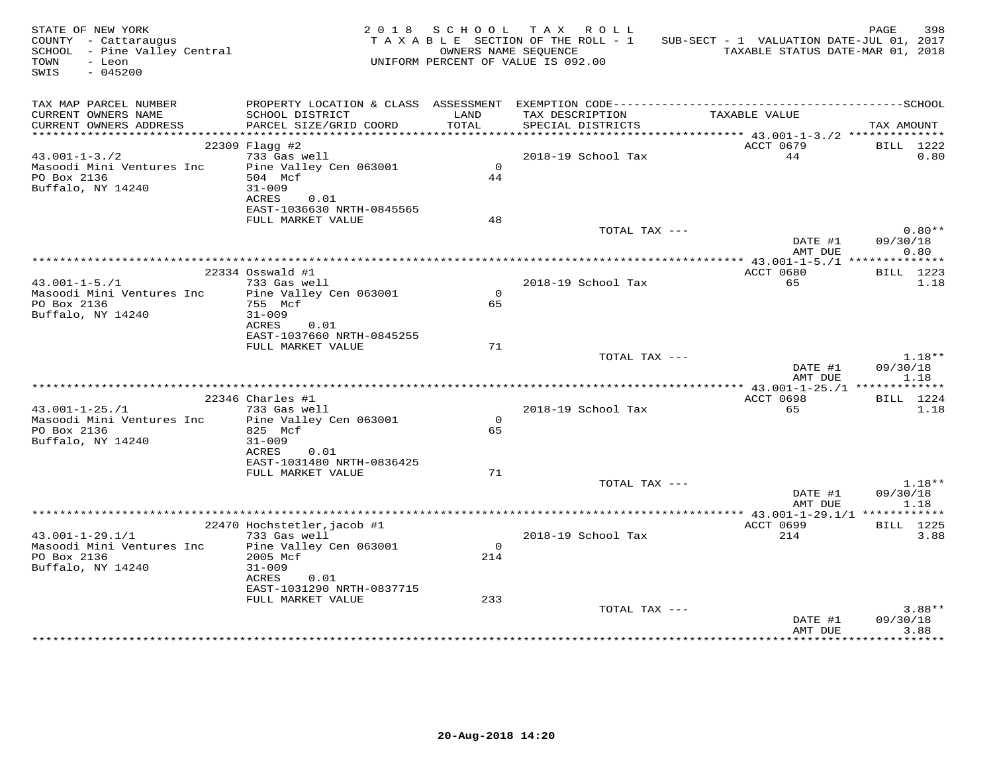| STATE OF NEW YORK<br>COUNTY - Cattaraugus<br>SCHOOL - Pine Valley Central<br>TOWN<br>- Leon<br>SWIS<br>$-045200$ |                                                                  |                | 2018 SCHOOL TAX ROLL<br>TAXABLE SECTION OF THE ROLL - 1<br>UNIFORM PERCENT OF VALUE IS 092.00 | SUB-SECT - 1 VALUATION DATE-JUL 01, 2017<br>OWNERS NAME SEQUENCE TAXABLE STATUS DATE-MAR 01, 2018 | PAGE<br>398          |
|------------------------------------------------------------------------------------------------------------------|------------------------------------------------------------------|----------------|-----------------------------------------------------------------------------------------------|---------------------------------------------------------------------------------------------------|----------------------|
| TAX MAP PARCEL NUMBER<br>CURRENT OWNERS NAME<br>CURRENT OWNERS ADDRESS                                           | SCHOOL DISTRICT<br>PARCEL SIZE/GRID COORD                        | LAND<br>TOTAL  | TAX DESCRIPTION<br>SPECIAL DISTRICTS                                                          | TAXABLE VALUE                                                                                     | TAX AMOUNT           |
|                                                                                                                  |                                                                  |                |                                                                                               |                                                                                                   |                      |
| $43.001 - 1 - 3.72$                                                                                              | 22309 Flagg #2<br>733 Gas well                                   |                | 2018-19 School Tax                                                                            | ACCT 0679<br>44                                                                                   | BILL 1222<br>0.80    |
| Masoodi Mini Ventures Inc<br>PO Box 2136<br>Buffalo, NY 14240                                                    | Pine Valley Cen 063001<br>504 Mcf<br>$31 - 009$<br>ACRES<br>0.01 | $\Omega$<br>44 |                                                                                               |                                                                                                   |                      |
|                                                                                                                  | EAST-1036630 NRTH-0845565                                        |                |                                                                                               |                                                                                                   |                      |
|                                                                                                                  | FULL MARKET VALUE                                                | 48             |                                                                                               |                                                                                                   |                      |
|                                                                                                                  |                                                                  |                | TOTAL TAX ---                                                                                 |                                                                                                   | $0.80**$             |
|                                                                                                                  |                                                                  |                |                                                                                               | DATE #1<br>AMT DUE                                                                                | 09/30/18<br>0.80     |
|                                                                                                                  | 22334 Osswald #1                                                 |                |                                                                                               | ACCT 0680                                                                                         | <b>BILL</b> 1223     |
| $43.001 - 1 - 5.71$                                                                                              | 733 Gas well                                                     |                | 2018-19 School Tax                                                                            | 65                                                                                                | 1.18                 |
| Masoodi Mini Ventures Inc                                                                                        | Pine Valley Cen 063001                                           | $\Omega$       |                                                                                               |                                                                                                   |                      |
| PO Box 2136                                                                                                      | 755 Mcf                                                          | 65             |                                                                                               |                                                                                                   |                      |
| Buffalo, NY 14240                                                                                                | $31 - 009$                                                       |                |                                                                                               |                                                                                                   |                      |
|                                                                                                                  | ACRES<br>0.01<br>EAST-1037660 NRTH-0845255                       |                |                                                                                               |                                                                                                   |                      |
|                                                                                                                  | FULL MARKET VALUE                                                | 71             |                                                                                               |                                                                                                   |                      |
|                                                                                                                  |                                                                  |                | TOTAL TAX ---                                                                                 | DATE #1                                                                                           | $1.18**$<br>09/30/18 |
|                                                                                                                  |                                                                  |                |                                                                                               | AMT DUE                                                                                           | 1.18                 |
|                                                                                                                  | $22346$ Charles #1                                               |                |                                                                                               | ACCT 0698                                                                                         | BILL 1224            |
| $43.001 - 1 - 25.71$                                                                                             | 733 Gas well                                                     |                | 2018-19 School Tax                                                                            | 65                                                                                                | 1.18                 |
| Masoodi Mini Ventures Inc Pine Valley Cen 063001                                                                 |                                                                  | $\mathbf{0}$   |                                                                                               |                                                                                                   |                      |
| PO Box 2136                                                                                                      | 825 Mcf                                                          | 65             |                                                                                               |                                                                                                   |                      |
| Buffalo, NY 14240                                                                                                | $31 - 009$                                                       |                |                                                                                               |                                                                                                   |                      |
|                                                                                                                  | ACRES<br>0.01<br>EAST-1031480 NRTH-0836425                       |                |                                                                                               |                                                                                                   |                      |
|                                                                                                                  | FULL MARKET VALUE                                                | 71             |                                                                                               |                                                                                                   |                      |
|                                                                                                                  |                                                                  |                | TOTAL TAX ---                                                                                 |                                                                                                   | $1.18**$             |
|                                                                                                                  |                                                                  |                |                                                                                               | DATE #1                                                                                           | 09/30/18             |
|                                                                                                                  |                                                                  |                |                                                                                               | AMT DUE                                                                                           | 1.18                 |
|                                                                                                                  | 22470 Hochstetler, jacob #1                                      |                |                                                                                               | ACCT 0699                                                                                         | BILL 1225            |
| $43.001 - 1 - 29.1/1$                                                                                            | 733 Gas well                                                     |                | 2018-19 School Tax                                                                            | 214                                                                                               | 3.88                 |
| Masoodi Mini Ventures Inc Pine Valley Cen 063001                                                                 |                                                                  | $\Omega$       |                                                                                               |                                                                                                   |                      |
| PO Box 2136                                                                                                      | 2005 Mcf                                                         | 214            |                                                                                               |                                                                                                   |                      |
| Buffalo, NY 14240                                                                                                | $31 - 009$<br>ACRES 0.01                                         |                |                                                                                               |                                                                                                   |                      |
|                                                                                                                  | EAST-1031290 NRTH-0837715                                        |                |                                                                                               |                                                                                                   |                      |
|                                                                                                                  | FULL MARKET VALUE                                                | 233            |                                                                                               |                                                                                                   |                      |
|                                                                                                                  |                                                                  |                | TOTAL TAX ---                                                                                 |                                                                                                   | $3.88**$             |
|                                                                                                                  |                                                                  |                |                                                                                               | DATE #1                                                                                           | 09/30/18             |
|                                                                                                                  |                                                                  |                |                                                                                               | AMT DUE                                                                                           | 3.88                 |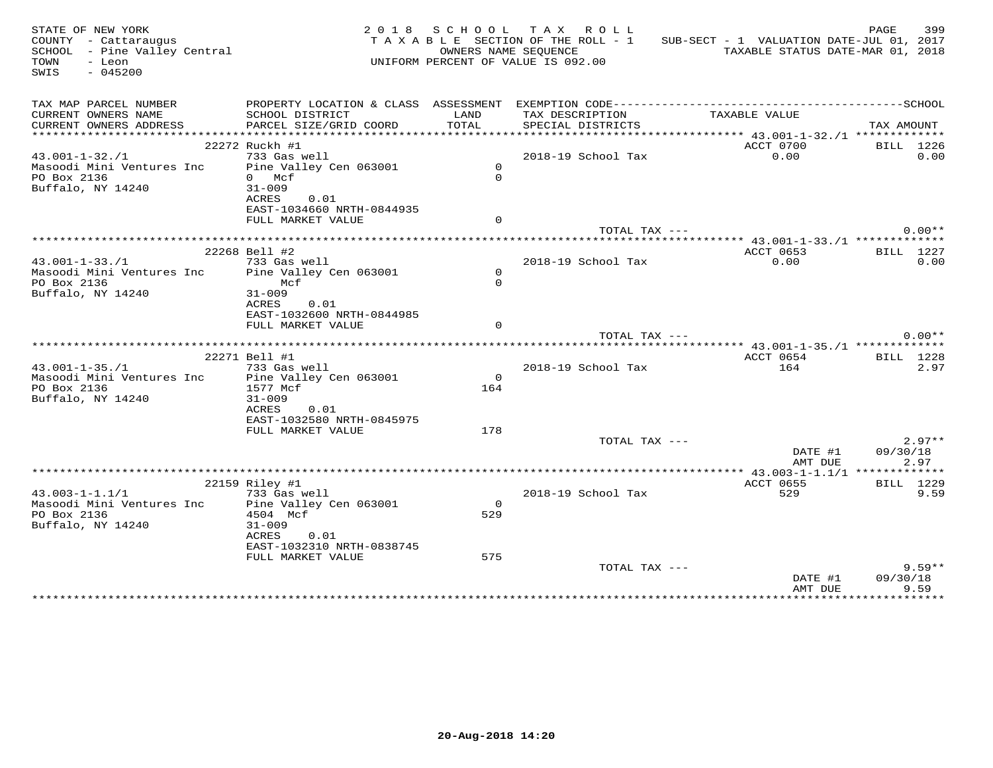| STATE OF NEW YORK<br>COUNTY - Cattaraugus<br>SCHOOL - Pine Valley Central |                                            |                | 2018 SCHOOL TAX ROLL<br>TAXABLE SECTION OF THE ROLL - 1<br>OWNERS NAME SEOUENCE | SUB-SECT - 1 VALUATION DATE-JUL 01, 2017                     | PAGE<br>399<br>TAXABLE STATUS DATE-MAR 01, 2018 |
|---------------------------------------------------------------------------|--------------------------------------------|----------------|---------------------------------------------------------------------------------|--------------------------------------------------------------|-------------------------------------------------|
| TOWN<br>- Leon<br>SWIS<br>$-045200$                                       |                                            |                | UNIFORM PERCENT OF VALUE IS 092.00                                              |                                                              |                                                 |
| TAX MAP PARCEL NUMBER                                                     |                                            |                |                                                                                 |                                                              |                                                 |
| CURRENT OWNERS NAME                                                       | SCHOOL DISTRICT                            | LAND           | TAX DESCRIPTION                                                                 | TAXABLE VALUE                                                |                                                 |
| CURRENT OWNERS ADDRESS                                                    | PARCEL SIZE/GRID COORD                     | TOTAL          | SPECIAL DISTRICTS                                                               |                                                              | TAX AMOUNT                                      |
|                                                                           | 22272 Ruckh #1                             |                |                                                                                 | ****************** 43.001-1-32./1 *************<br>ACCT 0700 | BILL 1226                                       |
| $43.001 - 1 - 32. / 1$                                                    | 733 Gas well                               |                | 2018-19 School Tax                                                              | 0.00                                                         | 0.00                                            |
| Masoodi Mini Ventures Inc  Pine Valley Cen 063001                         |                                            | $\circ$        |                                                                                 |                                                              |                                                 |
| PO Box 2136                                                               | 0 Mcf                                      | $\Omega$       |                                                                                 |                                                              |                                                 |
| Buffalo, NY 14240                                                         | $31 - 009$                                 |                |                                                                                 |                                                              |                                                 |
|                                                                           | ACRES<br>0.01                              |                |                                                                                 |                                                              |                                                 |
|                                                                           | EAST-1034660 NRTH-0844935                  | $\Omega$       |                                                                                 |                                                              |                                                 |
|                                                                           | FULL MARKET VALUE                          |                | TOTAL TAX ---                                                                   |                                                              | $0.00**$                                        |
|                                                                           |                                            |                |                                                                                 |                                                              |                                                 |
|                                                                           | 22268 Bell #2                              |                |                                                                                 | ACCT 0653                                                    | BILL 1227                                       |
| $43.001 - 1 - 33.71$                                                      | 733 Gas well                               |                | 2018-19 School Tax                                                              | 0.00                                                         | 0.00                                            |
| Masoodi Mini Ventures Inc                                                 | Pine Valley Cen 063001                     | $\circ$        |                                                                                 |                                                              |                                                 |
| PO Box 2136                                                               | Mcf                                        | $\Omega$       |                                                                                 |                                                              |                                                 |
| Buffalo, NY 14240                                                         | $31 - 009$<br>ACRES<br>0.01                |                |                                                                                 |                                                              |                                                 |
|                                                                           | EAST-1032600 NRTH-0844985                  |                |                                                                                 |                                                              |                                                 |
|                                                                           | FULL MARKET VALUE                          | $\Omega$       |                                                                                 |                                                              |                                                 |
|                                                                           |                                            |                | TOTAL TAX ---                                                                   |                                                              | $0.00**$                                        |
|                                                                           |                                            |                |                                                                                 |                                                              |                                                 |
|                                                                           | 22271 Bell #1                              |                |                                                                                 | ACCT 0654                                                    | <b>BILL</b> 1228                                |
| $43.001 - 1 - 35. / 1$<br>Masoodi Mini Ventures Inc                       | 733 Gas well<br>Pine Valley Cen 063001     | $\Omega$       | 2018-19 School Tax                                                              | 164                                                          | 2.97                                            |
| PO Box 2136                                                               | 1577 Mcf                                   | 164            |                                                                                 |                                                              |                                                 |
| Buffalo, NY 14240                                                         | $31 - 009$                                 |                |                                                                                 |                                                              |                                                 |
|                                                                           | ACRES<br>0.01                              |                |                                                                                 |                                                              |                                                 |
|                                                                           | EAST-1032580 NRTH-0845975                  |                |                                                                                 |                                                              |                                                 |
|                                                                           | FULL MARKET VALUE                          | 178            |                                                                                 |                                                              |                                                 |
|                                                                           |                                            |                | TOTAL TAX ---                                                                   |                                                              | $2.97**$                                        |
|                                                                           |                                            |                |                                                                                 | DATE #1<br>AMT DUE                                           | 09/30/18<br>2.97                                |
|                                                                           |                                            |                |                                                                                 |                                                              |                                                 |
|                                                                           | 22159 Riley #1                             |                |                                                                                 | ACCT 0655                                                    | BILL 1229                                       |
| $43.003 - 1 - 1.1/1$                                                      | 733 Gas well                               |                | 2018-19 School Tax                                                              | 529                                                          | 9.59                                            |
| Masoodi Mini Ventures Inc                                                 | Pine Valley Cen 063001                     | $\overline{0}$ |                                                                                 |                                                              |                                                 |
| PO Box 2136                                                               | 4504 Mcf                                   | 529            |                                                                                 |                                                              |                                                 |
| Buffalo, NY 14240                                                         | $31 - 009$                                 |                |                                                                                 |                                                              |                                                 |
|                                                                           | ACRES<br>0.01<br>EAST-1032310 NRTH-0838745 |                |                                                                                 |                                                              |                                                 |
|                                                                           | FULL MARKET VALUE                          | 575            |                                                                                 |                                                              |                                                 |
|                                                                           |                                            |                | TOTAL TAX ---                                                                   |                                                              | $9.59**$                                        |
|                                                                           |                                            |                |                                                                                 | DATE #1                                                      | 09/30/18                                        |
|                                                                           |                                            |                |                                                                                 | AMT DUE                                                      | 9.59                                            |
|                                                                           |                                            |                |                                                                                 |                                                              |                                                 |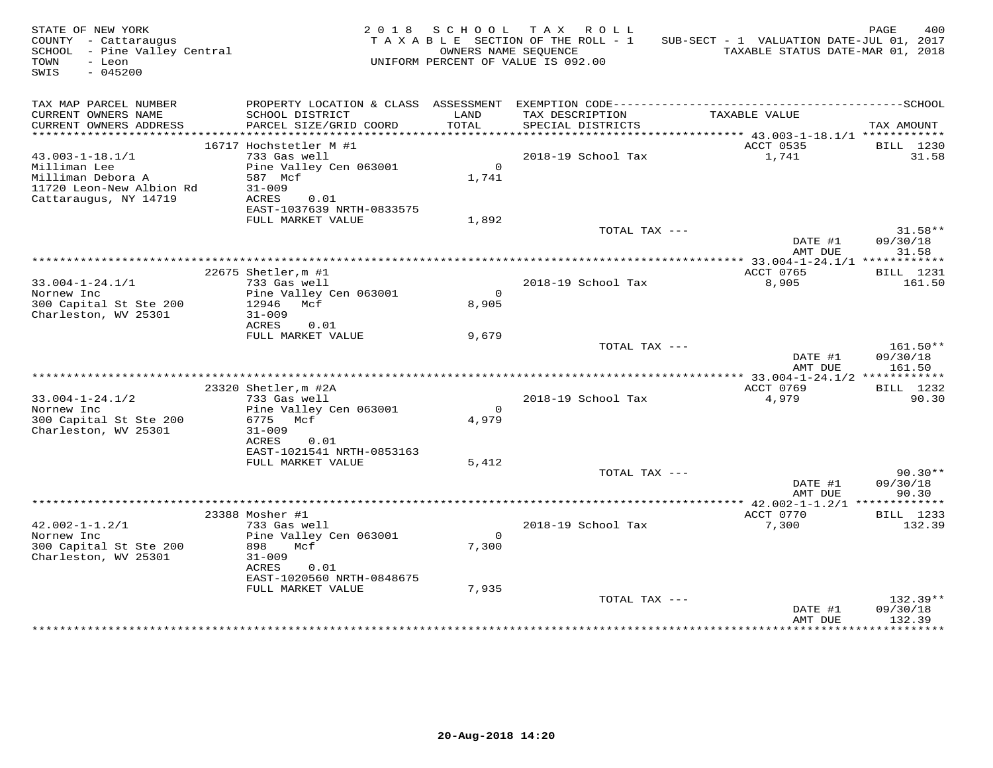| STATE OF NEW YORK<br>COUNTY - Cattaraugus<br>SCHOOL - Pine Valley Central<br>- Leon<br>TOWN<br>$-045200$<br>SWIS |                                                                                                                                       | OWNERS NAME SEOUENCE    | 2018 SCHOOL TAX ROLL<br>TAXABLE SECTION OF THE ROLL - 1<br>UNIFORM PERCENT OF VALUE IS 092.00 | SUB-SECT - 1 VALUATION DATE-JUL 01, 2017<br>TAXABLE STATUS DATE-MAR 01, 2018 | PAGE<br>400                    |
|------------------------------------------------------------------------------------------------------------------|---------------------------------------------------------------------------------------------------------------------------------------|-------------------------|-----------------------------------------------------------------------------------------------|------------------------------------------------------------------------------|--------------------------------|
| TAX MAP PARCEL NUMBER<br>CURRENT OWNERS NAME<br>CURRENT OWNERS ADDRESS                                           | SCHOOL DISTRICT<br>PARCEL SIZE/GRID COORD                                                                                             | LAND<br>TOTAL           | TAX DESCRIPTION<br>SPECIAL DISTRICTS                                                          | TAXABLE VALUE                                                                | TAX AMOUNT                     |
| ************************                                                                                         |                                                                                                                                       |                         |                                                                                               |                                                                              |                                |
| $43.003 - 1 - 18.1/1$<br>Milliman Lee<br>Milliman Debora A<br>11720 Leon-New Albion Rd<br>Cattaraugus, NY 14719  | 16717 Hochstetler M #1<br>733 Gas well<br>Pine Valley Cen 063001<br>587 Mcf<br>$31 - 009$<br>ACRES<br>0.01                            | $\overline{0}$<br>1,741 | 2018-19 School Tax                                                                            | ACCT 0535<br>1,741                                                           | BILL 1230<br>31.58             |
|                                                                                                                  | EAST-1037639 NRTH-0833575<br>FULL MARKET VALUE                                                                                        | 1,892                   |                                                                                               |                                                                              |                                |
|                                                                                                                  |                                                                                                                                       |                         | TOTAL TAX ---                                                                                 | DATE #1<br>AMT DUE                                                           | $31.58**$<br>09/30/18<br>31.58 |
|                                                                                                                  |                                                                                                                                       |                         |                                                                                               | *************** 33.004-1-24.1/1 ************                                 |                                |
|                                                                                                                  | 22675 Shetler, m #1                                                                                                                   |                         |                                                                                               | ACCT 0765                                                                    | BILL 1231                      |
| $33.004 - 1 - 24.1/1$<br>Nornew Inc<br>300 Capital St Ste 200<br>Charleston, WV 25301                            | 733 Gas well<br>Pine Valley Cen 063001<br>12946 Mcf<br>$31 - 009$<br>ACRES<br>0.01                                                    | $\Omega$<br>8,905       | 2018-19 School Tax                                                                            | 8,905                                                                        | 161.50                         |
|                                                                                                                  | FULL MARKET VALUE                                                                                                                     | 9,679                   | TOTAL TAX ---                                                                                 | DATE #1                                                                      | 161.50**<br>09/30/18           |
|                                                                                                                  |                                                                                                                                       |                         |                                                                                               | AMT DUE                                                                      | 161.50                         |
|                                                                                                                  | 23320 Shetler, m #2A                                                                                                                  |                         |                                                                                               | ACCT 0769                                                                    | BILL 1232                      |
| $33.004 - 1 - 24.1/2$<br>Nornew Inc<br>300 Capital St Ste 200<br>Charleston, WV 25301                            | 733 Gas well<br>Pine Valley Cen 063001<br>6775 Mcf<br>$31 - 009$<br>ACRES<br>0.01                                                     | $\Omega$<br>4,979       | 2018-19 School Tax                                                                            | 4,979                                                                        | 90.30                          |
|                                                                                                                  | EAST-1021541 NRTH-0853163                                                                                                             |                         |                                                                                               |                                                                              |                                |
|                                                                                                                  | FULL MARKET VALUE                                                                                                                     | 5,412                   | TOTAL TAX ---                                                                                 | DATE #1<br>AMT DUE                                                           | $90.30**$<br>09/30/18<br>90.30 |
|                                                                                                                  |                                                                                                                                       |                         |                                                                                               |                                                                              |                                |
| $42.002 - 1 - 1.2/1$<br>Nornew Inc<br>300 Capital St Ste 200<br>Charleston, WV 25301                             | 23388 Mosher #1<br>733 Gas well<br>Pine Valley Cen 063001<br>898 —<br>Mcf<br>$31 - 009$<br>ACRES<br>0.01<br>EAST-1020560 NRTH-0848675 | $\overline{0}$<br>7,300 | 2018-19 School Tax                                                                            | ACCT 0770<br>7,300                                                           | BILL 1233<br>132.39            |
|                                                                                                                  | FULL MARKET VALUE                                                                                                                     | 7,935                   | TOTAL TAX ---                                                                                 | DATE #1<br>AMT DUE                                                           | 132.39**<br>09/30/18<br>132.39 |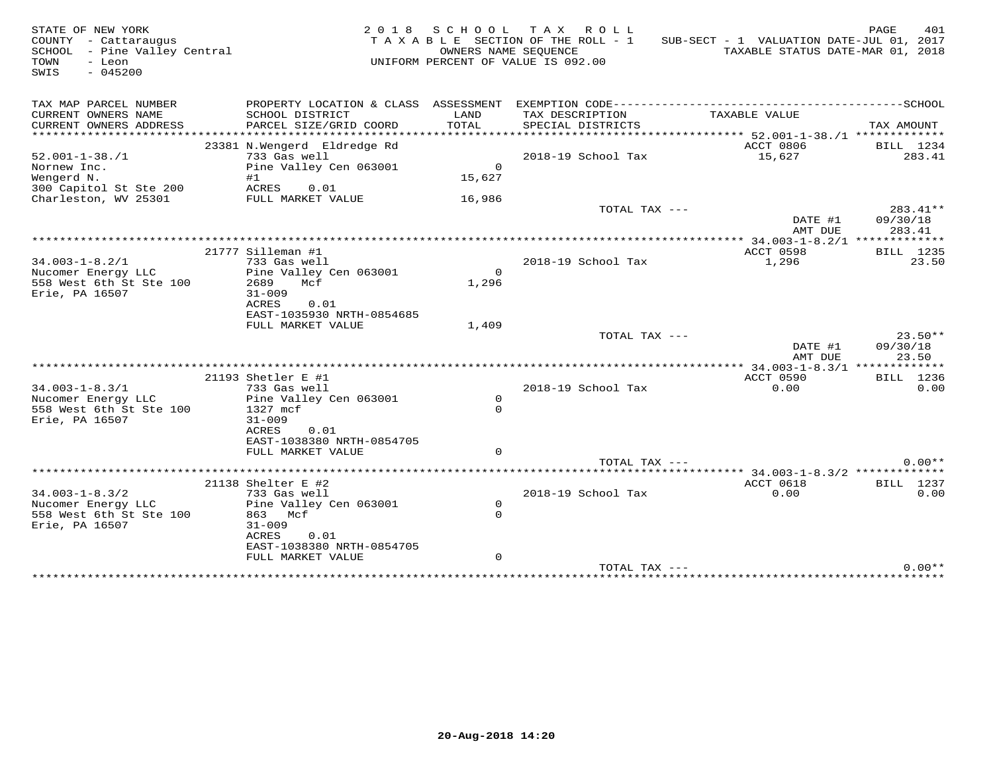| STATE OF NEW YORK<br>COUNTY - Cattaraugus<br>SCHOOL - Pine Valley Central<br>- Leon<br>TOWN<br>SWIS<br>$-045200$ |                                                                                                                                                          | OWNERS NAME SEQUENCE                 | 2018 SCHOOL TAX ROLL<br>TAXABLE SECTION OF THE ROLL - 1<br>UNIFORM PERCENT OF VALUE IS 092.00 | SUB-SECT - 1 VALUATION DATE-JUL 01, 2017<br>TAXABLE STATUS DATE-MAR 01, 2018 | 401<br>PAGE                    |
|------------------------------------------------------------------------------------------------------------------|----------------------------------------------------------------------------------------------------------------------------------------------------------|--------------------------------------|-----------------------------------------------------------------------------------------------|------------------------------------------------------------------------------|--------------------------------|
| TAX MAP PARCEL NUMBER<br>CURRENT OWNERS NAME<br>CURRENT OWNERS ADDRESS                                           | PROPERTY LOCATION & CLASS ASSESSMENT<br>SCHOOL DISTRICT<br>PARCEL SIZE/GRID COORD                                                                        | LAND<br>TOTAL                        | TAX DESCRIPTION<br>SPECIAL DISTRICTS                                                          | TAXABLE VALUE                                                                | TAX AMOUNT                     |
| **********************<br>$52.001 - 1 - 38. / 1$<br>Nornew Inc.<br>Wengerd N.<br>300 Capitol St Ste 200          | ****************************<br>23381 N.Wengerd Eldredge Rd<br>733 Gas well<br>Pine Valley Cen 063001<br>#1<br>ACRES<br>0.01                             | $\Omega$<br>15,627                   | 2018-19 School Tax                                                                            | ACCT 0806<br>15,627                                                          | BILL 1234<br>283.41            |
| Charleston, WV 25301                                                                                             | FULL MARKET VALUE                                                                                                                                        | 16,986                               | TOTAL TAX ---                                                                                 | DATE #1<br>AMT DUE                                                           | 283.41**<br>09/30/18<br>283.41 |
| $34.003 - 1 - 8.2/1$<br>Nucomer Energy LLC<br>558 West 6th St Ste 100<br>Erie, PA 16507                          | 21777 Silleman #1<br>733 Gas well<br>Pine Valley Cen 063001<br>2689<br>Mcf<br>$31 - 009$<br><b>ACRES</b><br>0.01                                         | $\Omega$<br>1,296                    | 2018-19 School Tax                                                                            | ACCT 0598<br>1,296                                                           | BILL 1235<br>23.50             |
|                                                                                                                  | EAST-1035930 NRTH-0854685<br>FULL MARKET VALUE                                                                                                           | 1,409                                | TOTAL TAX ---                                                                                 | DATE #1<br>AMT DUE                                                           | $23.50**$<br>09/30/18<br>23.50 |
|                                                                                                                  |                                                                                                                                                          |                                      |                                                                                               | ***** 34.003-1-8.3/1 *************                                           |                                |
| $34.003 - 1 - 8.3/1$<br>Nucomer Energy LLC<br>558 West 6th St Ste 100<br>Erie, PA 16507                          | 21193 Shetler E #1<br>733 Gas well<br>Pine Valley Cen 063001<br>1327 mcf<br>$31 - 009$<br>ACRES<br>0.01<br>EAST-1038380 NRTH-0854705                     | $\mathsf{O}$<br>$\Omega$<br>$\Omega$ | 2018-19 School Tax                                                                            | ACCT 0590<br>0.00                                                            | BILL 1236<br>0.00              |
|                                                                                                                  | FULL MARKET VALUE                                                                                                                                        |                                      | TOTAL TAX ---                                                                                 |                                                                              | $0.00**$                       |
| $34.003 - 1 - 8.3/2$<br>Nucomer Energy LLC<br>558 West 6th St Ste 100<br>Erie, PA 16507                          | 21138 Shelter E #2<br>733 Gas well<br>Pine Valley Cen 063001<br>863 Mcf<br>$31 - 009$<br>ACRES<br>0.01<br>EAST-1038380 NRTH-0854705<br>FULL MARKET VALUE | $\circ$<br>$\Omega$<br>$\mathbf 0$   | 2018-19 School Tax                                                                            | ACCT 0618<br>0.00                                                            | <b>BILL</b> 1237<br>0.00       |
|                                                                                                                  |                                                                                                                                                          |                                      | TOTAL TAX ---                                                                                 |                                                                              | $0.00**$                       |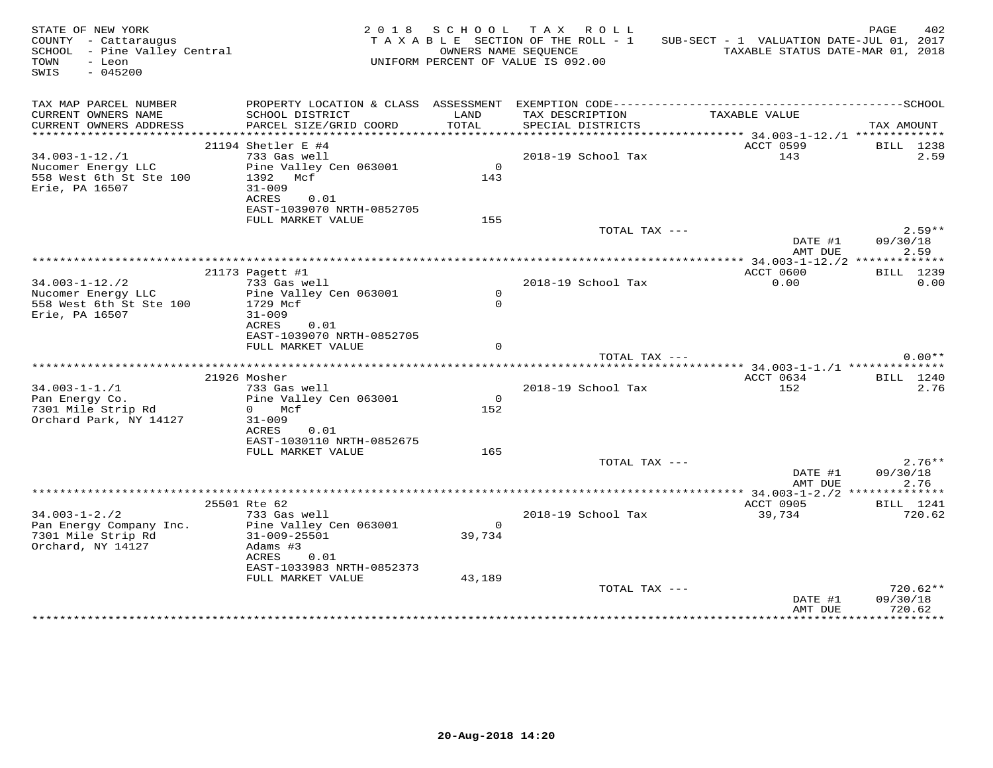| STATE OF NEW YORK<br>COUNTY - Cattaraugus<br>SCHOOL - Pine Valley Central<br>TOWN<br>- Leon<br>$-045200$<br>SWIS |                                                                                                                                     |                          | 2018 SCHOOL TAX ROLL<br>TAXABLE SECTION OF THE ROLL - 1<br>OWNERS NAME SEQUENCE<br>UNIFORM PERCENT OF VALUE IS 092.00 | SUB-SECT - 1 VALUATION DATE-JUL 01, 2017<br>TAXABLE STATUS DATE-MAR 01, 2018 | PAGE<br>402                    |
|------------------------------------------------------------------------------------------------------------------|-------------------------------------------------------------------------------------------------------------------------------------|--------------------------|-----------------------------------------------------------------------------------------------------------------------|------------------------------------------------------------------------------|--------------------------------|
| TAX MAP PARCEL NUMBER<br>CURRENT OWNERS NAME<br>CURRENT OWNERS ADDRESS                                           | SCHOOL DISTRICT<br>PARCEL SIZE/GRID COORD                                                                                           | LAND<br>TOTAL            | TAX DESCRIPTION<br>SPECIAL DISTRICTS                                                                                  | TAXABLE VALUE                                                                | TAX AMOUNT                     |
|                                                                                                                  | 21194 Shetler E #4                                                                                                                  |                          |                                                                                                                       | <b>ACCT 0599</b>                                                             | BILL 1238                      |
| $34.003 - 1 - 12$ ./1<br>Nucomer Energy LLC<br>558 West 6th St Ste 100<br>Erie, PA 16507                         | 733 Gas well<br>Pine Valley Cen 063001<br>1392 Mcf<br>$31 - 009$<br>ACRES<br>0.01<br>EAST-1039070 NRTH-0852705                      | $\overline{0}$<br>143    | 2018-19 School Tax                                                                                                    | 143                                                                          | 2.59                           |
|                                                                                                                  | FULL MARKET VALUE                                                                                                                   | 155                      |                                                                                                                       |                                                                              |                                |
|                                                                                                                  |                                                                                                                                     |                          | TOTAL TAX ---                                                                                                         | $\overline{\text{DATE}}$ #1<br>AMT DUE                                       | $2.59**$<br>09/30/18<br>2.59   |
|                                                                                                                  |                                                                                                                                     |                          |                                                                                                                       |                                                                              |                                |
| $34.003 - 1 - 12./2$<br>Nucomer Energy LLC<br>558 West 6th St Ste 100<br>Erie, PA 16507                          | 21173 Pagett #1<br>733 Gas well<br>Pine Valley Cen 063001<br>1729 Mcf<br>$31 - 009$                                                 | $\circ$<br>$\Omega$      | 2018–19 School Tax                                                                                                    | ACCT 0600<br>0.00                                                            | BILL 1239<br>0.00              |
|                                                                                                                  | ACRES 0.01<br>EAST-1039070 NRTH-0852705<br>FULL MARKET VALUE                                                                        | $\Omega$                 |                                                                                                                       |                                                                              |                                |
|                                                                                                                  |                                                                                                                                     |                          |                                                                                                                       | TOTAL TAX ---                                                                | $0.00**$                       |
|                                                                                                                  | 21926 Mosher                                                                                                                        |                          |                                                                                                                       | ACCT 0634                                                                    | BILL 1240                      |
| $34.003 - 1 - 1.71$<br>Pan Energy Co.<br>7301 Mile Strip Rd<br>Orchard Park, NY 14127                            | 733 Gas well<br>Pine Valley Cen 063001<br>0 Mcf<br>$31 - 009$<br>ACRES 0.01                                                         | $\overline{0}$<br>152    | 2018-19 School Tax                                                                                                    | 152                                                                          | 2.76                           |
|                                                                                                                  | EAST-1030110 NRTH-0852675<br>FULL MARKET VALUE                                                                                      | 165                      | TOTAL TAX ---                                                                                                         |                                                                              | $2.76**$                       |
|                                                                                                                  |                                                                                                                                     |                          |                                                                                                                       | DATE #1<br>AMT DUE                                                           | 09/30/18<br>2.76               |
|                                                                                                                  |                                                                                                                                     |                          |                                                                                                                       |                                                                              |                                |
| $34.003 - 1 - 2.72$<br>Pan Energy Company Inc.<br>7301 Mile Strip Rd<br>Orchard, NY 14127                        | 25501 Rte 62<br>733 Gas well<br>Pine Valley Cen 063001<br>$31 - 009 - 25501$<br>Adams #3<br>ACRES 0.01<br>EAST-1033983 NRTH-0852373 | $\overline{0}$<br>39,734 | 2018-19 School Tax                                                                                                    | ACCT 0905<br>39,734                                                          | BILL 1241<br>720.62            |
|                                                                                                                  | FULL MARKET VALUE                                                                                                                   | 43,189                   | TOTAL TAX ---                                                                                                         | DATE #1<br>AMT DUE                                                           | 720.62**<br>09/30/18<br>720.62 |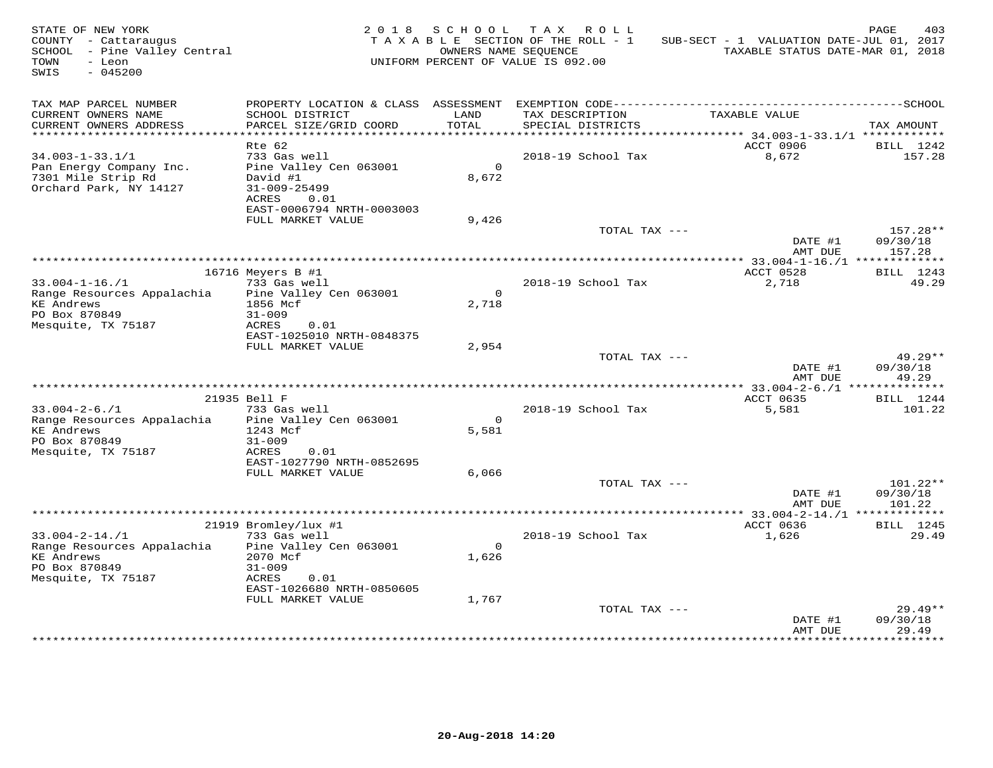| STATE OF NEW YORK<br>COUNTY - Cattaraugus<br>SCHOOL - Pine Valley Central<br>TOWN<br>- Leon<br>SWIS<br>$-045200$ |                                                |                | 2018 SCHOOL TAX ROLL<br>TAXABLE SECTION OF THE ROLL - 1<br>OWNERS NAME SEOUENCE<br>UNIFORM PERCENT OF VALUE IS 092.00 | SUB-SECT - 1 VALUATION DATE-JUL 01, 2017<br>TAXABLE STATUS DATE-MAR 01, 2018 | 403<br>PAGE         |
|------------------------------------------------------------------------------------------------------------------|------------------------------------------------|----------------|-----------------------------------------------------------------------------------------------------------------------|------------------------------------------------------------------------------|---------------------|
| TAX MAP PARCEL NUMBER<br>CURRENT OWNERS NAME                                                                     | SCHOOL DISTRICT                                | LAND           | TAX DESCRIPTION                                                                                                       | TAXABLE VALUE                                                                |                     |
| CURRENT OWNERS ADDRESS                                                                                           | PARCEL SIZE/GRID COORD                         | TOTAL          | SPECIAL DISTRICTS                                                                                                     |                                                                              | TAX AMOUNT          |
| **********************                                                                                           |                                                |                |                                                                                                                       |                                                                              |                     |
| $34.003 - 1 - 33.1/1$                                                                                            | Rte 62<br>733 Gas well                         |                | 2018-19 School Tax                                                                                                    | ACCT 0906<br>8,672                                                           | BILL 1242<br>157.28 |
| Pan Energy Company Inc.                                                                                          | Pine Valley Cen 063001                         | $\Omega$       |                                                                                                                       |                                                                              |                     |
| 7301 Mile Strip Rd                                                                                               | David #1                                       | 8,672          |                                                                                                                       |                                                                              |                     |
| Orchard Park, NY 14127                                                                                           | $31 - 009 - 25499$                             |                |                                                                                                                       |                                                                              |                     |
|                                                                                                                  | ACRES<br>0.01                                  |                |                                                                                                                       |                                                                              |                     |
|                                                                                                                  | EAST-0006794 NRTH-0003003<br>FULL MARKET VALUE | 9,426          |                                                                                                                       |                                                                              |                     |
|                                                                                                                  |                                                |                | TOTAL TAX ---                                                                                                         |                                                                              | 157.28**            |
|                                                                                                                  |                                                |                |                                                                                                                       | DATE #1<br>AMT DUE                                                           | 09/30/18<br>157.28  |
|                                                                                                                  |                                                |                |                                                                                                                       |                                                                              |                     |
|                                                                                                                  | 16716 Meyers B #1                              |                |                                                                                                                       | ACCT 0528                                                                    | BILL 1243           |
| $33.004 - 1 - 16. / 1$<br>Range Resources Appalachia                                                             | 733 Gas well<br>Pine Valley Cen 063001         | $\overline{0}$ | 2018-19 School Tax                                                                                                    | 2,718                                                                        | 49.29               |
| <b>KE</b> Andrews                                                                                                | 1856 Mcf                                       | 2,718          |                                                                                                                       |                                                                              |                     |
| PO Box 870849                                                                                                    | $31 - 009$                                     |                |                                                                                                                       |                                                                              |                     |
| Mesquite, TX 75187                                                                                               | ACRES<br>0.01                                  |                |                                                                                                                       |                                                                              |                     |
|                                                                                                                  | EAST-1025010 NRTH-0848375                      |                |                                                                                                                       |                                                                              |                     |
|                                                                                                                  | FULL MARKET VALUE                              | 2,954          | TOTAL TAX ---                                                                                                         |                                                                              | $49.29**$           |
|                                                                                                                  |                                                |                |                                                                                                                       | DATE #1                                                                      | 09/30/18            |
|                                                                                                                  |                                                |                |                                                                                                                       | AMT DUE                                                                      | 49.29               |
|                                                                                                                  |                                                |                |                                                                                                                       |                                                                              |                     |
|                                                                                                                  | 21935 Bell F                                   |                |                                                                                                                       | ACCT 0635                                                                    | BILL 1244           |
| $33.004 - 2 - 6.71$<br>Range Resources Appalachia                                                                | 733 Gas well<br>Pine Valley Cen 063001         | $\Omega$       | 2018-19 School Tax                                                                                                    | 5,581                                                                        | 101.22              |
| <b>KE</b> Andrews                                                                                                | 1243 Mcf                                       | 5,581          |                                                                                                                       |                                                                              |                     |
| PO Box 870849                                                                                                    | $31 - 009$                                     |                |                                                                                                                       |                                                                              |                     |
| Mesquite, TX 75187                                                                                               | ACRES<br>0.01                                  |                |                                                                                                                       |                                                                              |                     |
|                                                                                                                  | EAST-1027790 NRTH-0852695                      |                |                                                                                                                       |                                                                              |                     |
|                                                                                                                  | FULL MARKET VALUE                              | 6,066          | TOTAL TAX ---                                                                                                         |                                                                              | $101.22**$          |
|                                                                                                                  |                                                |                |                                                                                                                       | DATE #1                                                                      | 09/30/18            |
|                                                                                                                  |                                                |                |                                                                                                                       | AMT DUE                                                                      | 101.22              |
|                                                                                                                  |                                                |                |                                                                                                                       |                                                                              |                     |
|                                                                                                                  | 21919 Bromley/lux #1                           |                |                                                                                                                       | ACCT 0636                                                                    | BILL 1245           |
| $33.004 - 2 - 14.71$<br>Range Resources Appalachia                                                               | 733 Gas well<br>Pine Valley Cen 063001         | $\Omega$       | 2018-19 School Tax                                                                                                    | 1,626                                                                        | 29.49               |
| <b>KE</b> Andrews                                                                                                | 2070 Mcf                                       | 1,626          |                                                                                                                       |                                                                              |                     |
| PO Box 870849                                                                                                    | $31 - 009$                                     |                |                                                                                                                       |                                                                              |                     |
| Mesquite, TX 75187                                                                                               | ACRES<br>0.01                                  |                |                                                                                                                       |                                                                              |                     |
|                                                                                                                  | EAST-1026680 NRTH-0850605                      |                |                                                                                                                       |                                                                              |                     |
|                                                                                                                  | FULL MARKET VALUE                              | 1,767          | TOTAL TAX ---                                                                                                         |                                                                              | $29.49**$           |
|                                                                                                                  |                                                |                |                                                                                                                       | DATE #1                                                                      | 09/30/18            |
|                                                                                                                  |                                                |                |                                                                                                                       | AMT DUE                                                                      | 29.49               |
|                                                                                                                  |                                                |                |                                                                                                                       |                                                                              | ***********         |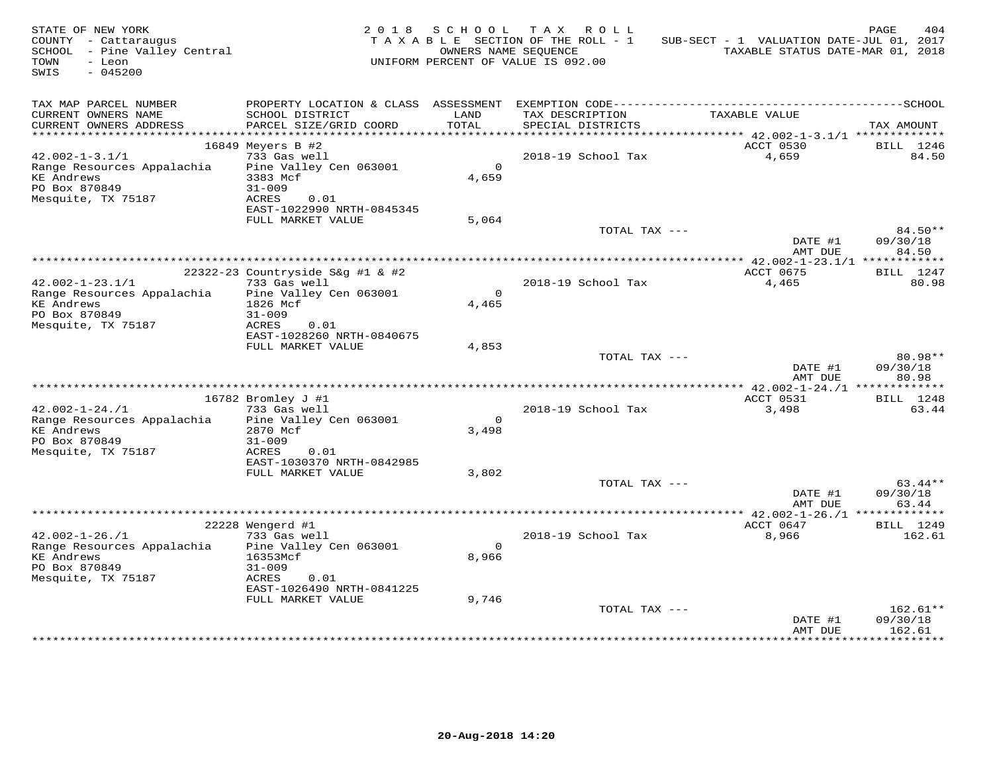| STATE OF NEW YORK<br>COUNTY - Cattaraugus<br>SCHOOL - Pine Valley Central<br>TOWN<br>- Leon<br>$-045200$<br>SWIS |                                                  | 2018 SCHOOL      | TAX ROLL<br>TAXABLE SECTION OF THE ROLL - 1<br>OWNERS NAME SEOUENCE<br>UNIFORM PERCENT OF VALUE IS 092.00 | SUB-SECT - 1 VALUATION DATE-JUL 01, 2017<br>TAXABLE STATUS DATE-MAR 01, 2018 | 404<br>PAGE        |
|------------------------------------------------------------------------------------------------------------------|--------------------------------------------------|------------------|-----------------------------------------------------------------------------------------------------------|------------------------------------------------------------------------------|--------------------|
| TAX MAP PARCEL NUMBER<br>CURRENT OWNERS NAME<br>CURRENT OWNERS ADDRESS                                           | SCHOOL DISTRICT<br>PARCEL SIZE/GRID COORD        | LAND<br>TOTAL    | TAX DESCRIPTION<br>SPECIAL DISTRICTS                                                                      | TAXABLE VALUE                                                                | TAX AMOUNT         |
| **********************                                                                                           |                                                  |                  |                                                                                                           |                                                                              |                    |
|                                                                                                                  | 16849 Meyers B #2                                |                  |                                                                                                           | ACCT 0530                                                                    | BILL 1246          |
| $42.002 - 1 - 3.1/1$                                                                                             | 733 Gas well                                     |                  | 2018-19 School Tax                                                                                        | 4,659                                                                        | 84.50              |
| Range Resources Appalachia<br><b>KE</b> Andrews<br>PO Box 870849                                                 | Pine Valley Cen 063001<br>3383 Mcf<br>$31 - 009$ | $\circ$<br>4,659 |                                                                                                           |                                                                              |                    |
| Mesquite, TX 75187                                                                                               | ACRES<br>0.01<br>EAST-1022990 NRTH-0845345       |                  |                                                                                                           |                                                                              |                    |
|                                                                                                                  | FULL MARKET VALUE                                | 5,064            | TOTAL TAX ---                                                                                             |                                                                              | 84.50**            |
|                                                                                                                  |                                                  |                  |                                                                                                           | DATE #1<br>AMT DUE                                                           | 09/30/18<br>84.50  |
|                                                                                                                  |                                                  |                  |                                                                                                           |                                                                              |                    |
| $42.002 - 1 - 23.1/1$                                                                                            | 22322-23 Countryside S&q #1 & #2<br>733 Gas well |                  | 2018-19 School Tax                                                                                        | ACCT 0675<br>4,465                                                           | BILL 1247<br>80.98 |
| Range Resources Appalachia                                                                                       | Pine Valley Cen 063001                           | $\Omega$         |                                                                                                           |                                                                              |                    |
| <b>KE Andrews</b>                                                                                                | 1826 Mcf                                         | 4,465            |                                                                                                           |                                                                              |                    |
| PO Box 870849                                                                                                    | $31 - 009$                                       |                  |                                                                                                           |                                                                              |                    |
| Mesquite, TX 75187                                                                                               | ACRES<br>0.01<br>EAST-1028260 NRTH-0840675       |                  |                                                                                                           |                                                                              |                    |
|                                                                                                                  | FULL MARKET VALUE                                | 4,853            |                                                                                                           |                                                                              |                    |
|                                                                                                                  |                                                  |                  | TOTAL TAX ---                                                                                             |                                                                              | 80.98**            |
|                                                                                                                  |                                                  |                  |                                                                                                           | DATE #1                                                                      | 09/30/18           |
|                                                                                                                  |                                                  |                  |                                                                                                           | AMT DUE                                                                      | 80.98              |
|                                                                                                                  | 16782 Bromley J #1                               |                  |                                                                                                           | ACCT 0531                                                                    | BILL 1248          |
| $42.002 - 1 - 24.71$                                                                                             | 733 Gas well                                     |                  | 2018-19 School Tax                                                                                        | 3,498                                                                        | 63.44              |
| Range Resources Appalachia                                                                                       | Pine Valley Cen 063001                           | $\circ$          |                                                                                                           |                                                                              |                    |
| <b>KE Andrews</b>                                                                                                | 2870 Mcf                                         | 3,498            |                                                                                                           |                                                                              |                    |
| PO Box 870849                                                                                                    | $31 - 009$                                       |                  |                                                                                                           |                                                                              |                    |
| Mesquite, TX 75187                                                                                               | ACRES<br>0.01<br>EAST-1030370 NRTH-0842985       |                  |                                                                                                           |                                                                              |                    |
|                                                                                                                  | FULL MARKET VALUE                                | 3,802            |                                                                                                           |                                                                              |                    |
|                                                                                                                  |                                                  |                  | TOTAL TAX ---                                                                                             |                                                                              | 63.44**            |
|                                                                                                                  |                                                  |                  |                                                                                                           | DATE #1                                                                      | 09/30/18           |
|                                                                                                                  |                                                  |                  |                                                                                                           | AMT DUE                                                                      | 63.44              |
|                                                                                                                  | 22228 Wengerd #1                                 |                  |                                                                                                           | ************** 42.002-1-26./1 **************<br>ACCT 0647                    | BILL 1249          |
| $42.002 - 1 - 26. / 1$                                                                                           | 733 Gas well                                     |                  | 2018-19 School Tax                                                                                        | 8,966                                                                        | 162.61             |
| Range Resources Appalachia                                                                                       | Pine Valley Cen 063001                           | $\Omega$         |                                                                                                           |                                                                              |                    |
| <b>KE Andrews</b>                                                                                                | 16353Mcf                                         | 8,966            |                                                                                                           |                                                                              |                    |
| PO Box 870849                                                                                                    | $31 - 009$<br>0.01                               |                  |                                                                                                           |                                                                              |                    |
| Mesquite, TX 75187                                                                                               | ACRES<br>EAST-1026490 NRTH-0841225               |                  |                                                                                                           |                                                                              |                    |
|                                                                                                                  | FULL MARKET VALUE                                | 9,746            |                                                                                                           |                                                                              |                    |
|                                                                                                                  |                                                  |                  | TOTAL TAX ---                                                                                             |                                                                              | $162.61**$         |
|                                                                                                                  |                                                  |                  |                                                                                                           | DATE #1                                                                      | 09/30/18           |
|                                                                                                                  |                                                  |                  |                                                                                                           | AMT DUE                                                                      | 162.61             |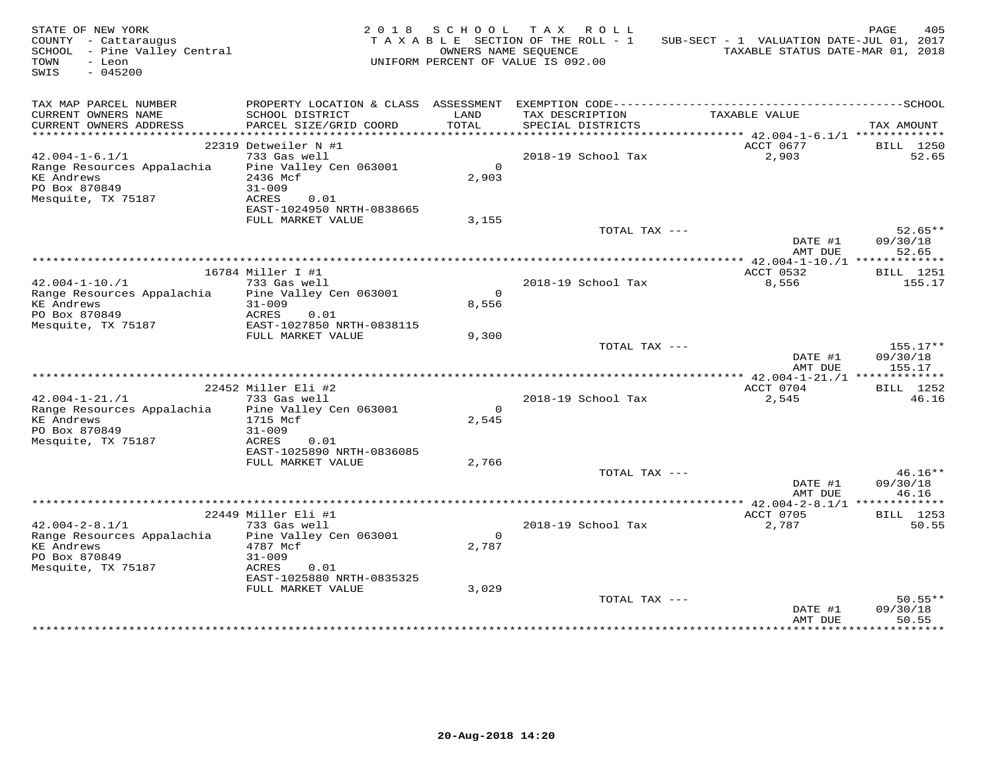| STATE OF NEW YORK<br>COUNTY - Cattaraugus<br>SCHOOL - Pine Valley Central<br>TOWN<br>- Leon<br>$-045200$<br>SWIS |                                                                                                                                        | OWNERS NAME SEOUENCE | 2018 SCHOOL TAX ROLL<br>TAXABLE SECTION OF THE ROLL - 1<br>UNIFORM PERCENT OF VALUE IS 092.00 | SUB-SECT - 1 VALUATION DATE-JUL 01, 2017<br>TAXABLE STATUS DATE-MAR 01, 2018 | PAGE<br>405                    |
|------------------------------------------------------------------------------------------------------------------|----------------------------------------------------------------------------------------------------------------------------------------|----------------------|-----------------------------------------------------------------------------------------------|------------------------------------------------------------------------------|--------------------------------|
| TAX MAP PARCEL NUMBER<br>CURRENT OWNERS NAME<br>CURRENT OWNERS ADDRESS                                           | SCHOOL DISTRICT<br>PARCEL SIZE/GRID COORD                                                                                              | LAND<br>TOTAL        | TAX DESCRIPTION<br>SPECIAL DISTRICTS                                                          | TAXABLE VALUE                                                                | TAX AMOUNT                     |
| ***********************                                                                                          |                                                                                                                                        |                      |                                                                                               |                                                                              |                                |
| $42.004 - 1 - 6.1/1$<br>Range Resources Appalachia<br>KE Andrews<br>PO Box 870849<br>Mesquite, TX 75187          | 22319 Detweiler N #1<br>733 Gas well<br>Pine Valley Cen 063001<br>2436 Mcf<br>$31 - 009$<br>ACRES<br>0.01<br>EAST-1024950 NRTH-0838665 | $\Omega$<br>2,903    | 2018-19 School Tax                                                                            | ACCT 0677<br>2,903                                                           | BILL 1250<br>52.65             |
|                                                                                                                  | FULL MARKET VALUE                                                                                                                      | 3,155                |                                                                                               |                                                                              |                                |
|                                                                                                                  |                                                                                                                                        |                      | TOTAL TAX ---                                                                                 | DATE #1<br>AMT DUE                                                           | $52.65**$<br>09/30/18<br>52.65 |
|                                                                                                                  |                                                                                                                                        |                      |                                                                                               | ************** 42.004-1-10./1 **************                                 |                                |
| $42.004 - 1 - 10.71$                                                                                             | 16784 Miller I #1<br>733 Gas well                                                                                                      |                      | 2018-19 School Tax                                                                            | ACCT 0532<br>8,556                                                           | <b>BILL</b> 1251<br>155.17     |
| Range Resources Appalachia<br><b>KE Andrews</b><br>PO Box 870849<br>Mesquite, TX 75187                           | Pine Valley Cen 063001<br>$31 - 009$<br>ACRES<br>0.01<br>EAST-1027850 NRTH-0838115                                                     | $\Omega$<br>8,556    |                                                                                               |                                                                              |                                |
|                                                                                                                  | FULL MARKET VALUE                                                                                                                      | 9,300                | TOTAL TAX ---                                                                                 |                                                                              | 155.17**                       |
|                                                                                                                  |                                                                                                                                        |                      |                                                                                               | DATE #1<br>AMT DUE                                                           | 09/30/18<br>155.17             |
|                                                                                                                  |                                                                                                                                        |                      |                                                                                               |                                                                              |                                |
| $42.004 - 1 - 21. / 1$                                                                                           | 22452 Miller Eli #2<br>733 Gas well                                                                                                    |                      | 2018-19 School Tax                                                                            | ACCT 0704<br>2,545                                                           | <b>BILL</b> 1252<br>46.16      |
| Range Resources Appalachia<br><b>KE Andrews</b><br>PO Box 870849<br>Mesquite, TX 75187                           | Pine Valley Cen 063001<br>1715 Mcf<br>$31 - 009$<br>ACRES<br>0.01                                                                      | $\Omega$<br>2,545    |                                                                                               |                                                                              |                                |
|                                                                                                                  | EAST-1025890 NRTH-0836085                                                                                                              |                      |                                                                                               |                                                                              |                                |
|                                                                                                                  | FULL MARKET VALUE                                                                                                                      | 2,766                | TOTAL TAX ---                                                                                 | DATE #1                                                                      | $46.16**$<br>09/30/18          |
|                                                                                                                  |                                                                                                                                        |                      |                                                                                               | AMT DUE                                                                      | 46.16                          |
|                                                                                                                  | 22449 Miller Eli #1                                                                                                                    |                      |                                                                                               | ACCT 0705                                                                    | <b>BILL</b> 1253               |
| $42.004 - 2 - 8.1/1$<br>Range Resources Appalachia<br>KE Andrews<br>PO Box 870849<br>Mesquite, TX 75187          | 733 Gas well<br>Pine Valley Cen 063001<br>4787 Mcf<br>$31 - 009$<br>ACRES<br>0.01                                                      | $\circ$<br>2,787     | 2018-19 School Tax                                                                            | 2,787                                                                        | 50.55                          |
|                                                                                                                  | EAST-1025880 NRTH-0835325                                                                                                              |                      |                                                                                               |                                                                              |                                |
|                                                                                                                  | FULL MARKET VALUE                                                                                                                      | 3,029                | TOTAL TAX ---                                                                                 | DATE #1<br>AMT DUE                                                           | $50.55**$<br>09/30/18<br>50.55 |
|                                                                                                                  |                                                                                                                                        |                      |                                                                                               |                                                                              |                                |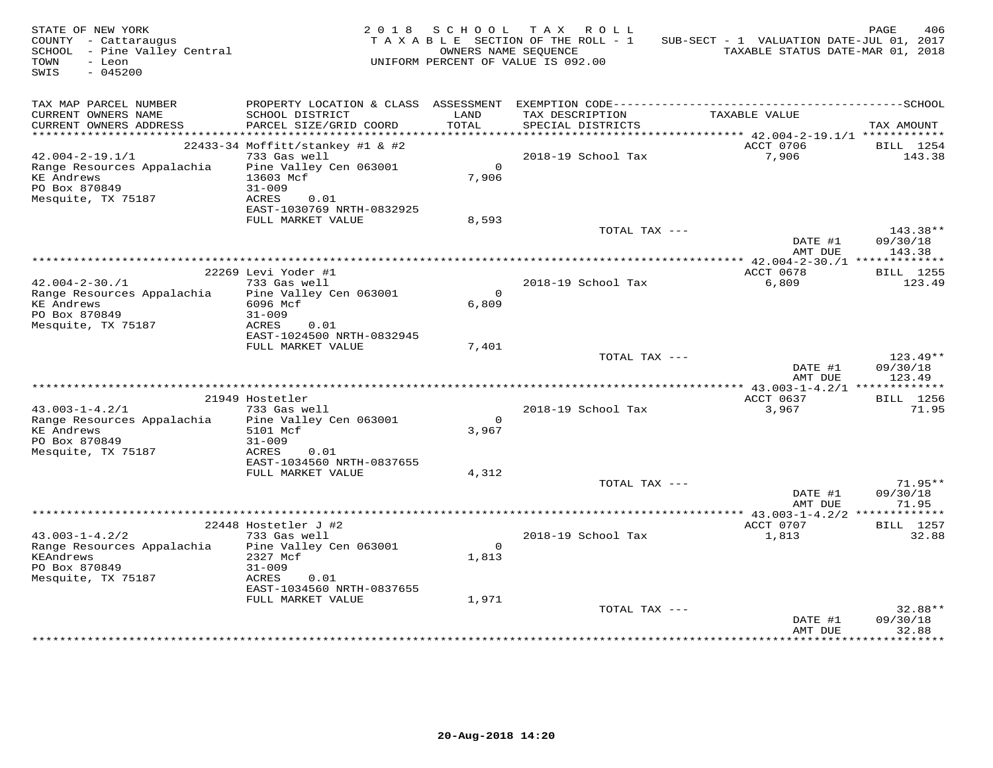| STATE OF NEW YORK<br>COUNTY - Cattaraugus<br>SCHOOL - Pine Valley Central<br>TOWN<br>- Leon<br>SWIS<br>$-045200$ |                                                                    |                   | 2018 SCHOOL TAX ROLL<br>TAXABLE SECTION OF THE ROLL - 1<br>OWNERS NAME SEQUENCE<br>UNIFORM PERCENT OF VALUE IS 092.00 | SUB-SECT - 1 VALUATION DATE-JUL 01, 2017<br>TAXABLE STATUS DATE-MAR 01, 2018 | PAGE<br>406                      |
|------------------------------------------------------------------------------------------------------------------|--------------------------------------------------------------------|-------------------|-----------------------------------------------------------------------------------------------------------------------|------------------------------------------------------------------------------|----------------------------------|
| TAX MAP PARCEL NUMBER<br>CURRENT OWNERS NAME<br>CURRENT OWNERS ADDRESS                                           | SCHOOL DISTRICT<br>PARCEL SIZE/GRID COORD                          | LAND<br>TOTAL     | TAX DESCRIPTION<br>SPECIAL DISTRICTS                                                                                  | TAXABLE VALUE                                                                | TAX AMOUNT                       |
|                                                                                                                  |                                                                    |                   |                                                                                                                       |                                                                              |                                  |
| $42.004 - 2 - 19.1/1$                                                                                            | 22433-34 Moffitt/stankey #1 & #2<br>733 Gas well                   |                   | 2018-19 School Tax                                                                                                    | ACCT 0706<br>7,906                                                           | BILL 1254<br>143.38              |
| Range Resources Appalachia<br><b>KE Andrews</b><br>PO Box 870849<br>Mesquite, TX 75187                           | Pine Valley Cen 063001<br>13603 Mcf<br>$31 - 009$<br>ACRES<br>0.01 | $\Omega$<br>7,906 |                                                                                                                       |                                                                              |                                  |
|                                                                                                                  | EAST-1030769 NRTH-0832925                                          |                   |                                                                                                                       |                                                                              |                                  |
|                                                                                                                  | FULL MARKET VALUE                                                  | 8,593             | TOTAL TAX ---                                                                                                         | DATE #1                                                                      | 143.38**<br>09/30/18             |
|                                                                                                                  | *****************                                                  |                   |                                                                                                                       | AMT DUE                                                                      | 143.38                           |
|                                                                                                                  | 22269 Levi Yoder #1                                                |                   |                                                                                                                       | *************** 42.004-2-30./1 **************<br>ACCT 0678                   | BILL 1255                        |
| $42.004 - 2 - 30.71$                                                                                             | 733 Gas well                                                       |                   | 2018-19 School Tax                                                                                                    | 6,809                                                                        | 123.49                           |
| Range Resources Appalachia<br><b>KE Andrews</b><br>PO Box 870849<br>Mesquite, TX 75187                           | Pine Valley Cen 063001<br>6096 Mcf<br>$31 - 009$<br>ACRES<br>0.01  | $\Omega$<br>6,809 |                                                                                                                       |                                                                              |                                  |
|                                                                                                                  | EAST-1024500 NRTH-0832945                                          |                   |                                                                                                                       |                                                                              |                                  |
|                                                                                                                  | FULL MARKET VALUE                                                  | 7,401             | TOTAL TAX ---                                                                                                         | DATE #1<br>AMT DUE                                                           | $123.49**$<br>09/30/18<br>123.49 |
|                                                                                                                  |                                                                    |                   |                                                                                                                       |                                                                              |                                  |
|                                                                                                                  | 21949 Hostetler                                                    |                   |                                                                                                                       | ACCT 0637                                                                    | BILL 1256                        |
| $43.003 - 1 - 4.2/1$<br>Range Resources Appalachia                                                               | 733 Gas well<br>Pine Valley Cen 063001                             | $\circ$           | 2018-19 School Tax                                                                                                    | 3,967                                                                        | 71.95                            |
| <b>KE Andrews</b><br>PO Box 870849                                                                               | 5101 Mcf<br>$31 - 009$                                             | 3,967             |                                                                                                                       |                                                                              |                                  |
| Mesquite, TX 75187                                                                                               | ACRES<br>0.01<br>EAST-1034560 NRTH-0837655                         |                   |                                                                                                                       |                                                                              |                                  |
|                                                                                                                  | FULL MARKET VALUE                                                  | 4,312             |                                                                                                                       |                                                                              |                                  |
|                                                                                                                  |                                                                    |                   | TOTAL TAX ---                                                                                                         | DATE #1<br>AMT DUE                                                           | $71.95**$<br>09/30/18<br>71.95   |
|                                                                                                                  |                                                                    |                   |                                                                                                                       |                                                                              |                                  |
|                                                                                                                  | $22448$ Hostetler J #2                                             |                   |                                                                                                                       | ACCT 0707                                                                    | BILL 1257                        |
| $43.003 - 1 - 4.2/2$<br>Range Resources Appalachia<br>KEAndrews                                                  | 733 Gas well<br>Pine Valley Cen 063001<br>2327 Mcf                 | $\Omega$<br>1,813 | 2018-19 School Tax                                                                                                    | 1,813                                                                        | 32.88                            |
| PO Box 870849<br>Mesquite, TX 75187                                                                              | $31 - 009$<br>0.01<br>ACRES<br>EAST-1034560 NRTH-0837655           |                   |                                                                                                                       |                                                                              |                                  |
|                                                                                                                  | FULL MARKET VALUE                                                  | 1,971             |                                                                                                                       |                                                                              |                                  |
|                                                                                                                  |                                                                    |                   | TOTAL TAX ---                                                                                                         | DATE #1<br>AMT DUE                                                           | 32.88**<br>09/30/18<br>32.88     |
|                                                                                                                  |                                                                    |                   |                                                                                                                       |                                                                              |                                  |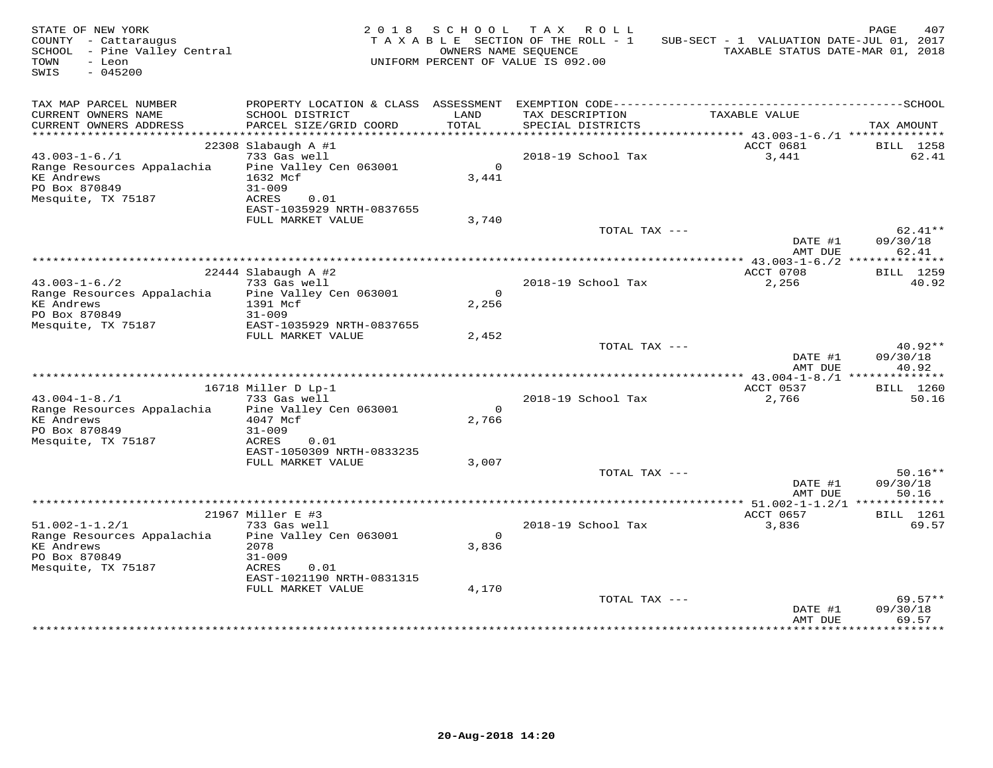| STATE OF NEW YORK<br>COUNTY - Cattaraugus<br>SCHOOL - Pine Valley Central<br>TOWN<br>- Leon<br>$-045200$<br>SWIS |                                                                                   | OWNERS NAME SEOUENCE    | 2018 SCHOOL TAX ROLL<br>TAXABLE SECTION OF THE ROLL - 1<br>UNIFORM PERCENT OF VALUE IS 092.00 | SUB-SECT - 1 VALUATION DATE-JUL 01, 2017 | PAGE<br>407<br>TAXABLE STATUS DATE-MAR 01, 2018 |
|------------------------------------------------------------------------------------------------------------------|-----------------------------------------------------------------------------------|-------------------------|-----------------------------------------------------------------------------------------------|------------------------------------------|-------------------------------------------------|
| TAX MAP PARCEL NUMBER<br>CURRENT OWNERS NAME<br>CURRENT OWNERS ADDRESS                                           | SCHOOL DISTRICT<br>PARCEL SIZE/GRID COORD                                         | LAND<br>TOTAL           | TAX DESCRIPTION<br>SPECIAL DISTRICTS                                                          | TAXABLE VALUE                            | TAX AMOUNT                                      |
|                                                                                                                  |                                                                                   |                         |                                                                                               |                                          |                                                 |
|                                                                                                                  | $22308$ Slabaugh A #1                                                             |                         |                                                                                               | ACCT 0681                                | BILL 1258                                       |
| $43.003 - 1 - 6.71$<br>Range Resources Appalachia<br><b>KE</b> Andrews<br>PO Box 870849<br>Mesquite, TX 75187    | 733 Gas well<br>Pine Valley Cen 063001<br>1632 Mcf<br>$31 - 009$<br>ACRES<br>0.01 | $\overline{0}$<br>3,441 | 2018-19 School Tax                                                                            | 3,441                                    | 62.41                                           |
|                                                                                                                  | EAST-1035929 NRTH-0837655                                                         |                         |                                                                                               |                                          |                                                 |
|                                                                                                                  | FULL MARKET VALUE                                                                 | 3,740                   | TOTAL TAX ---                                                                                 | DATE #1                                  | $62.41**$<br>09/30/18                           |
|                                                                                                                  |                                                                                   |                         |                                                                                               | AMT DUE                                  | 62.41                                           |
|                                                                                                                  |                                                                                   |                         |                                                                                               | *********** 43.003-1-6./2 ************** |                                                 |
| $43.003 - 1 - 6.72$                                                                                              | 22444 Slabaugh A #2<br>733 Gas well                                               |                         | 2018-19 School Tax                                                                            | ACCT 0708<br>2,256                       | BILL 1259<br>40.92                              |
| Range Resources Appalachia<br><b>KE Andrews</b><br>PO Box 870849                                                 | Pine Valley Cen 063001<br>1391 Mcf<br>$31 - 009$                                  | $\Omega$<br>2,256       |                                                                                               |                                          |                                                 |
| Mesquite, TX 75187                                                                                               | EAST-1035929 NRTH-0837655<br>FULL MARKET VALUE                                    | 2,452                   |                                                                                               |                                          |                                                 |
|                                                                                                                  |                                                                                   |                         | TOTAL TAX ---                                                                                 | DATE #1<br>AMT DUE                       | $40.92**$<br>09/30/18<br>40.92                  |
|                                                                                                                  |                                                                                   |                         |                                                                                               |                                          |                                                 |
|                                                                                                                  | 16718 Miller D Lp-1                                                               |                         |                                                                                               | ACCT 0537                                | BILL 1260                                       |
| $43.004 - 1 - 8.71$<br>Range Resources Appalachia<br><b>KE Andrews</b><br>PO Box 870849<br>Mesquite, TX 75187    | 733 Gas well<br>Pine Valley Cen 063001<br>4047 Mcf<br>$31 - 009$<br>ACRES<br>0.01 | $\circ$<br>2,766        | 2018-19 School Tax                                                                            | 2,766                                    | 50.16                                           |
|                                                                                                                  | EAST-1050309 NRTH-0833235<br>FULL MARKET VALUE                                    | 3,007                   |                                                                                               |                                          |                                                 |
|                                                                                                                  |                                                                                   |                         | TOTAL TAX ---                                                                                 | DATE #1<br>AMT DUE                       | $50.16**$<br>09/30/18<br>50.16                  |
|                                                                                                                  |                                                                                   |                         |                                                                                               |                                          |                                                 |
|                                                                                                                  | 21967 Miller E #3                                                                 |                         |                                                                                               | ACCT 0657                                | BILL 1261                                       |
| $51.002 - 1 - 1.2/1$<br>Range Resources Appalachia<br><b>KE</b> Andrews<br>PO Box 870849<br>Mesquite, TX 75187   | 733 Gas well<br>Pine Valley Cen 063001<br>2078<br>$31 - 009$<br>0.01<br>ACRES     | $\overline{O}$<br>3,836 | 2018-19 School Tax                                                                            | 3,836                                    | 69.57                                           |
|                                                                                                                  | EAST-1021190 NRTH-0831315                                                         |                         |                                                                                               |                                          |                                                 |
|                                                                                                                  | FULL MARKET VALUE                                                                 | 4,170                   | TOTAL TAX ---                                                                                 | DATE #1<br>AMT DUE                       | $69.57**$<br>09/30/18<br>69.57                  |
|                                                                                                                  |                                                                                   |                         |                                                                                               |                                          |                                                 |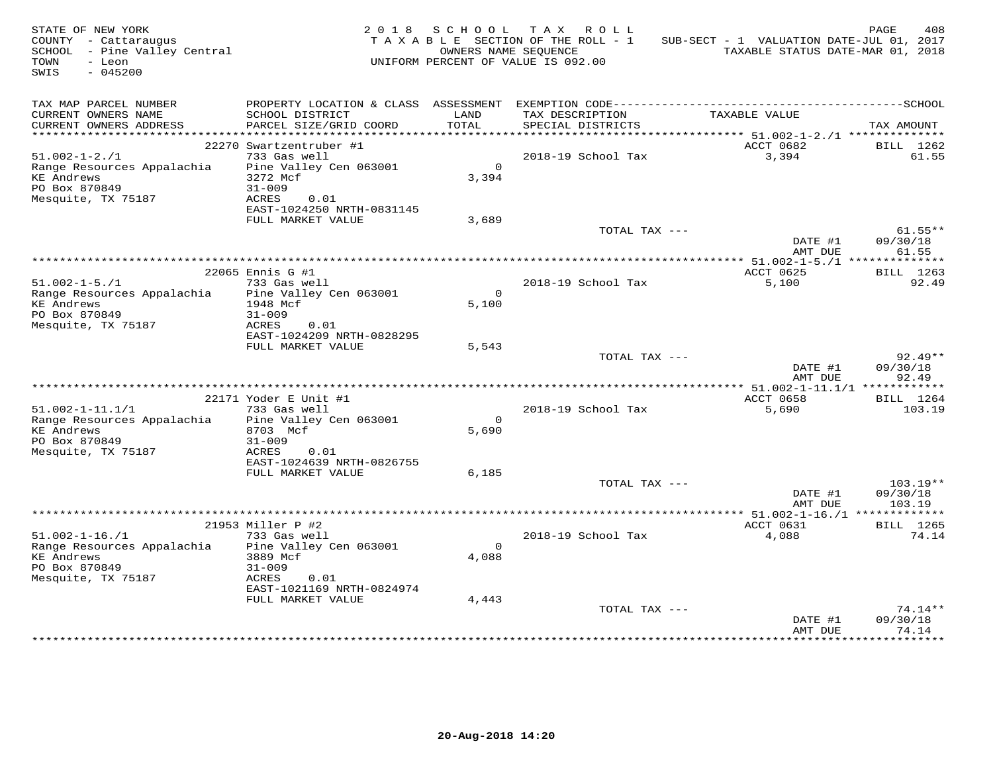| STATE OF NEW YORK<br>COUNTY - Cattaraugus<br>SCHOOL - Pine Valley Central<br>TOWN<br>- Leon<br>$-045200$<br>SWIS |                                        | 2018 SCHOOL       | TAX ROLL<br>T A X A B L E SECTION OF THE ROLL - 1<br>OWNERS NAME SEQUENCE<br>UNIFORM PERCENT OF VALUE IS 092.00 | SUB-SECT - 1 VALUATION DATE-JUL 01, 2017<br>TAXABLE STATUS DATE-MAR 01, 2018 | PAGE<br>408            |
|------------------------------------------------------------------------------------------------------------------|----------------------------------------|-------------------|-----------------------------------------------------------------------------------------------------------------|------------------------------------------------------------------------------|------------------------|
| TAX MAP PARCEL NUMBER<br>CURRENT OWNERS NAME                                                                     | SCHOOL DISTRICT                        | LAND              | TAX DESCRIPTION                                                                                                 | TAXABLE VALUE                                                                |                        |
| CURRENT OWNERS ADDRESS                                                                                           | PARCEL SIZE/GRID COORD                 | TOTAL             | SPECIAL DISTRICTS                                                                                               |                                                                              | TAX AMOUNT             |
|                                                                                                                  |                                        |                   |                                                                                                                 |                                                                              |                        |
|                                                                                                                  | 22270 Swartzentruber #1                |                   |                                                                                                                 | ACCT 0682                                                                    | BILL 1262              |
| $51.002 - 1 - 2.71$<br>Range Resources Appalachia                                                                | 733 Gas well<br>Pine Valley Cen 063001 | $\Omega$          | 2018-19 School Tax                                                                                              | 3,394                                                                        | 61.55                  |
| <b>KE</b> Andrews                                                                                                | 3272 Mcf                               | 3,394             |                                                                                                                 |                                                                              |                        |
| PO Box 870849                                                                                                    | $31 - 009$                             |                   |                                                                                                                 |                                                                              |                        |
| Mesquite, TX 75187                                                                                               | ACRES<br>0.01                          |                   |                                                                                                                 |                                                                              |                        |
|                                                                                                                  | EAST-1024250 NRTH-0831145              |                   |                                                                                                                 |                                                                              |                        |
|                                                                                                                  | FULL MARKET VALUE                      | 3,689             |                                                                                                                 |                                                                              | $61.55**$              |
|                                                                                                                  |                                        |                   | TOTAL TAX ---                                                                                                   | DATE #1                                                                      | 09/30/18               |
|                                                                                                                  |                                        |                   |                                                                                                                 | AMT DUE                                                                      | 61.55                  |
|                                                                                                                  | ****************                       |                   | ***********************************                                                                             | ************** 51.002-1-5./1 ***************                                 |                        |
|                                                                                                                  | 22065 Ennis G #1                       |                   |                                                                                                                 | ACCT 0625                                                                    | BILL 1263              |
| $51.002 - 1 - 5.71$                                                                                              | 733 Gas well                           |                   | 2018-19 School Tax                                                                                              | 5,100                                                                        | 92.49                  |
| Range Resources Appalachia<br><b>KE Andrews</b>                                                                  | Pine Valley Cen 063001<br>1948 Mcf     | $\Omega$<br>5,100 |                                                                                                                 |                                                                              |                        |
| PO Box 870849                                                                                                    | $31 - 009$                             |                   |                                                                                                                 |                                                                              |                        |
| Mesquite, TX 75187                                                                                               | ACRES<br>0.01                          |                   |                                                                                                                 |                                                                              |                        |
|                                                                                                                  | EAST-1024209 NRTH-0828295              |                   |                                                                                                                 |                                                                              |                        |
|                                                                                                                  | FULL MARKET VALUE                      | 5,543             |                                                                                                                 |                                                                              |                        |
|                                                                                                                  |                                        |                   | TOTAL TAX ---                                                                                                   | DATE #1                                                                      | $92.49**$<br>09/30/18  |
|                                                                                                                  |                                        |                   |                                                                                                                 | AMT DUE                                                                      | 92.49                  |
|                                                                                                                  |                                        |                   |                                                                                                                 |                                                                              |                        |
|                                                                                                                  | 22171 Yoder E Unit #1                  |                   |                                                                                                                 | ACCT 0658                                                                    | BILL 1264              |
| $51.002 - 1 - 11.1/1$                                                                                            | 733 Gas well                           |                   | 2018-19 School Tax                                                                                              | 5,690                                                                        | 103.19                 |
| Range Resources Appalachia<br><b>KE</b> Andrews                                                                  | Pine Valley Cen 063001<br>8703 Mcf     | $\Omega$<br>5,690 |                                                                                                                 |                                                                              |                        |
| PO Box 870849                                                                                                    | $31 - 009$                             |                   |                                                                                                                 |                                                                              |                        |
| Mesquite, TX 75187                                                                                               | ACRES<br>0.01                          |                   |                                                                                                                 |                                                                              |                        |
|                                                                                                                  | EAST-1024639 NRTH-0826755              |                   |                                                                                                                 |                                                                              |                        |
|                                                                                                                  | FULL MARKET VALUE                      | 6,185             |                                                                                                                 |                                                                              |                        |
|                                                                                                                  |                                        |                   | TOTAL TAX ---                                                                                                   | DATE #1                                                                      | $103.19**$<br>09/30/18 |
|                                                                                                                  |                                        |                   |                                                                                                                 | AMT DUE                                                                      | 103.19                 |
|                                                                                                                  |                                        |                   |                                                                                                                 | ********** 51.002-1-16./1 *************                                      |                        |
|                                                                                                                  | 21953 Miller P #2                      |                   |                                                                                                                 | ACCT 0631                                                                    | BILL 1265              |
| $51.002 - 1 - 16. / 1$                                                                                           | 733 Gas well                           |                   | 2018-19 School Tax                                                                                              | 4,088                                                                        | 74.14                  |
| Range Resources Appalachia                                                                                       | Pine Valley Cen 063001                 | $\circ$           |                                                                                                                 |                                                                              |                        |
| <b>KE Andrews</b><br>PO Box 870849                                                                               | 3889 Mcf<br>$31 - 009$                 | 4,088             |                                                                                                                 |                                                                              |                        |
| Mesquite, TX 75187                                                                                               | ACRES<br>0.01                          |                   |                                                                                                                 |                                                                              |                        |
|                                                                                                                  | EAST-1021169 NRTH-0824974              |                   |                                                                                                                 |                                                                              |                        |
|                                                                                                                  | FULL MARKET VALUE                      | 4,443             |                                                                                                                 |                                                                              |                        |
|                                                                                                                  |                                        |                   | TOTAL TAX ---                                                                                                   |                                                                              | $74.14**$              |
|                                                                                                                  |                                        |                   |                                                                                                                 | DATE #1<br>AMT DUE                                                           | 09/30/18<br>74.14      |
|                                                                                                                  |                                        |                   |                                                                                                                 |                                                                              |                        |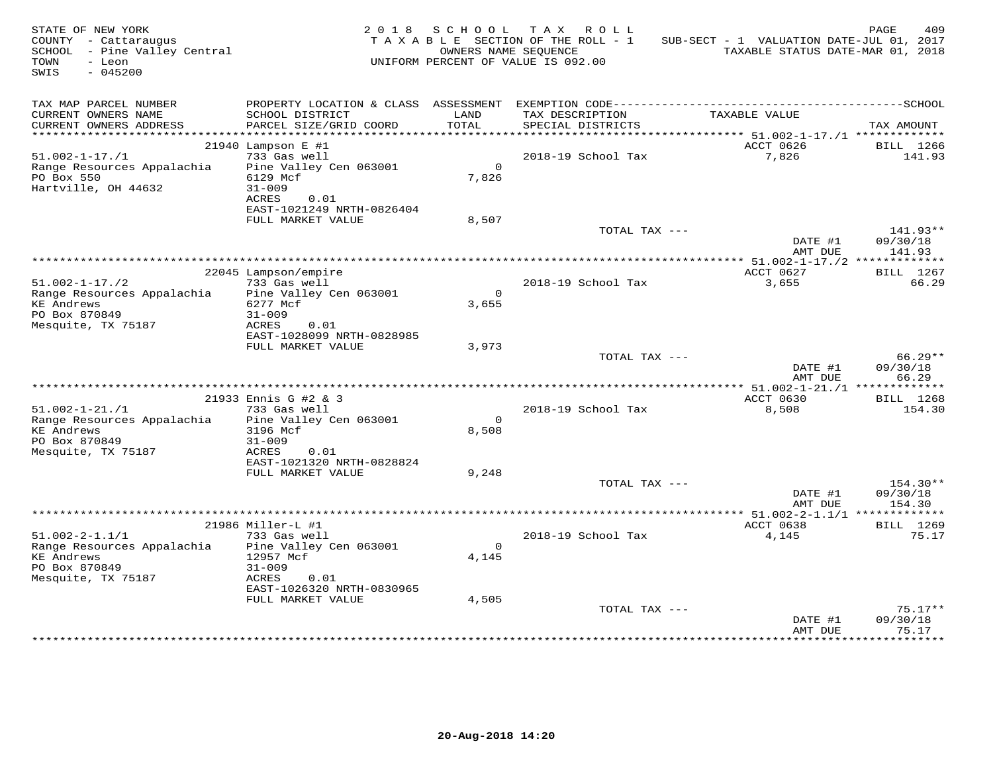| STATE OF NEW YORK<br>COUNTY - Cattaraugus<br>SCHOOL - Pine Valley Central<br>- Leon<br>TOWN<br>SWIS<br>$-045200$ |                                                  |                       | 2018 SCHOOL TAX ROLL<br>TAXABLE SECTION OF THE ROLL - 1<br>OWNERS NAME SEOUENCE<br>UNIFORM PERCENT OF VALUE IS 092.00 | SUB-SECT - 1 VALUATION DATE-JUL 01, 2017<br>TAXABLE STATUS DATE-MAR 01, 2018 | 409<br>PAGE                    |
|------------------------------------------------------------------------------------------------------------------|--------------------------------------------------|-----------------------|-----------------------------------------------------------------------------------------------------------------------|------------------------------------------------------------------------------|--------------------------------|
| TAX MAP PARCEL NUMBER<br>CURRENT OWNERS NAME                                                                     | SCHOOL DISTRICT                                  | LAND                  | TAX DESCRIPTION                                                                                                       | TAXABLE VALUE                                                                |                                |
| CURRENT OWNERS ADDRESS                                                                                           | PARCEL SIZE/GRID COORD                           | TOTAL                 | SPECIAL DISTRICTS                                                                                                     |                                                                              | TAX AMOUNT                     |
| ***********************                                                                                          |                                                  |                       |                                                                                                                       |                                                                              |                                |
| $51.002 - 1 - 17. / 1$                                                                                           | 21940 Lampson E #1<br>733 Gas well               |                       | 2018-19 School Tax                                                                                                    | ACCT 0626<br>7,826                                                           | BILL 1266<br>141.93            |
| Range Resources Appalachia<br>PO Box 550<br>Hartville, OH 44632                                                  | Pine Valley Cen 063001<br>6129 Mcf<br>$31 - 009$ | $\mathsf{O}$<br>7,826 |                                                                                                                       |                                                                              |                                |
|                                                                                                                  | ACRES<br>0.01<br>EAST-1021249 NRTH-0826404       |                       |                                                                                                                       |                                                                              |                                |
|                                                                                                                  | FULL MARKET VALUE                                | 8,507                 | TOTAL TAX ---                                                                                                         |                                                                              | 141.93**                       |
|                                                                                                                  |                                                  |                       |                                                                                                                       | DATE #1<br>AMT DUE                                                           | 09/30/18<br>141.93             |
|                                                                                                                  |                                                  |                       |                                                                                                                       | ACCT 0627                                                                    |                                |
| $51.002 - 1 - 17.72$                                                                                             | 22045 Lampson/empire<br>733 Gas well             |                       | 2018-19 School Tax                                                                                                    | 3,655                                                                        | BILL 1267<br>66.29             |
| Range Resources Appalachia<br><b>KE Andrews</b>                                                                  | Pine Valley Cen 063001<br>6277 Mcf               | $\Omega$<br>3,655     |                                                                                                                       |                                                                              |                                |
| PO Box 870849<br>Mesquite, TX 75187                                                                              | $31 - 009$<br>ACRES<br>0.01                      |                       |                                                                                                                       |                                                                              |                                |
|                                                                                                                  | EAST-1028099 NRTH-0828985                        |                       |                                                                                                                       |                                                                              |                                |
|                                                                                                                  | FULL MARKET VALUE                                | 3,973                 |                                                                                                                       |                                                                              |                                |
|                                                                                                                  |                                                  |                       | TOTAL TAX ---                                                                                                         | DATE #1<br>AMT DUE                                                           | $66.29**$<br>09/30/18<br>66.29 |
|                                                                                                                  |                                                  |                       |                                                                                                                       |                                                                              |                                |
|                                                                                                                  | 21933 Ennis G #2 & 3                             |                       |                                                                                                                       | ACCT 0630                                                                    | BILL 1268                      |
| $51.002 - 1 - 21. / 1$                                                                                           | 733 Gas well                                     |                       | 2018-19 School Tax                                                                                                    | 8,508                                                                        | 154.30                         |
| Range Resources Appalachia                                                                                       | Pine Valley Cen 063001                           | $\mathbf 0$           |                                                                                                                       |                                                                              |                                |
| <b>KE Andrews</b><br>PO Box 870849                                                                               | 3196 Mcf<br>$31 - 009$                           | 8,508                 |                                                                                                                       |                                                                              |                                |
| Mesquite, TX 75187                                                                                               | ACRES<br>0.01                                    |                       |                                                                                                                       |                                                                              |                                |
|                                                                                                                  | EAST-1021320 NRTH-0828824                        |                       |                                                                                                                       |                                                                              |                                |
|                                                                                                                  | FULL MARKET VALUE                                | 9,248                 |                                                                                                                       |                                                                              |                                |
|                                                                                                                  |                                                  |                       | TOTAL TAX ---                                                                                                         |                                                                              | 154.30**                       |
|                                                                                                                  |                                                  |                       |                                                                                                                       | DATE #1<br>AMT DUE                                                           | 09/30/18<br>154.30             |
|                                                                                                                  |                                                  |                       |                                                                                                                       | ************** 51.002-2-1.1/1 **************                                 |                                |
|                                                                                                                  | 21986 Miller-L #1                                |                       |                                                                                                                       | ACCT 0638                                                                    | BILL 1269                      |
| $51.002 - 2 - 1.1/1$                                                                                             | 733 Gas well                                     |                       | 2018-19 School Tax                                                                                                    | 4,145                                                                        | 75.17                          |
| Range Resources Appalachia                                                                                       | Pine Valley Cen 063001                           | $\Omega$              |                                                                                                                       |                                                                              |                                |
| <b>KE Andrews</b><br>PO Box 870849                                                                               | 12957 Mcf<br>$31 - 009$                          | 4,145                 |                                                                                                                       |                                                                              |                                |
| Mesquite, TX 75187                                                                                               | 0.01<br>ACRES                                    |                       |                                                                                                                       |                                                                              |                                |
|                                                                                                                  | EAST-1026320 NRTH-0830965                        |                       |                                                                                                                       |                                                                              |                                |
|                                                                                                                  | FULL MARKET VALUE                                | 4,505                 |                                                                                                                       |                                                                              |                                |
|                                                                                                                  |                                                  |                       | TOTAL TAX ---                                                                                                         |                                                                              | $75.17**$                      |
|                                                                                                                  |                                                  |                       |                                                                                                                       | DATE #1<br>AMT DUE                                                           | 09/30/18<br>75.17              |
|                                                                                                                  |                                                  |                       |                                                                                                                       |                                                                              |                                |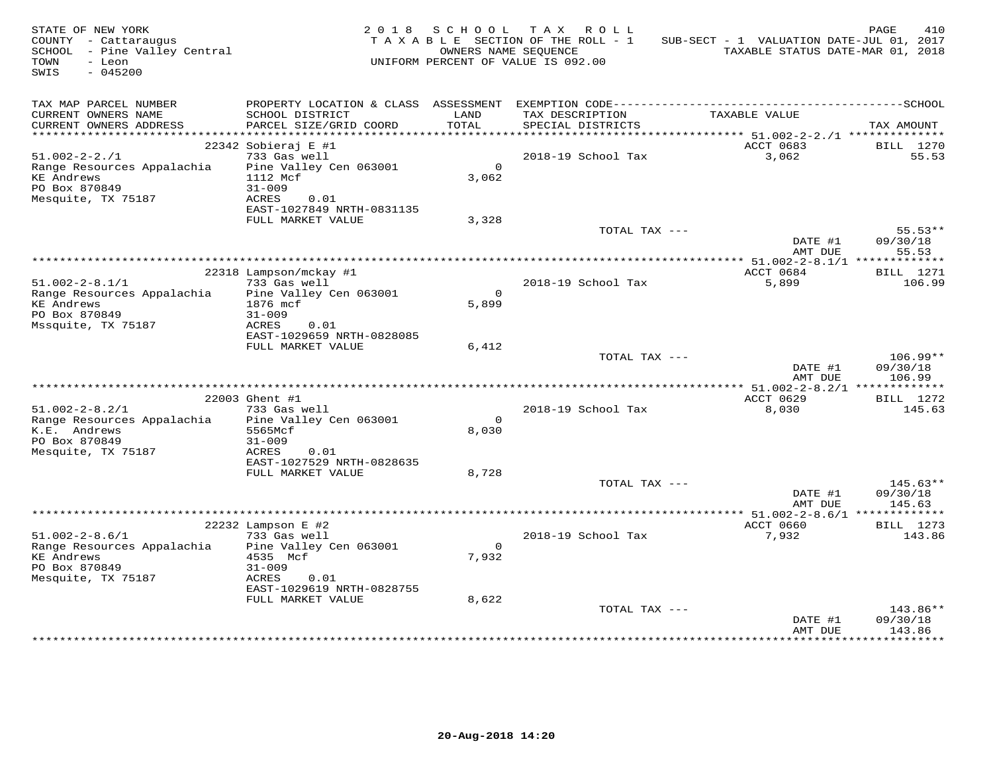| STATE OF NEW YORK<br>COUNTY - Cattaraugus<br>SCHOOL - Pine Valley Central<br>- Leon<br>TOWN<br>$-045200$<br>SWIS |                                                                                                                                        | 2018 SCHOOL             | TAX ROLL<br>TAXABLE SECTION OF THE ROLL - 1<br>OWNERS NAME SEQUENCE<br>UNIFORM PERCENT OF VALUE IS 092.00 | SUB-SECT - 1 VALUATION DATE-JUL 01, 2017<br>TAXABLE STATUS DATE-MAR 01, 2018 | PAGE<br>410                      |
|------------------------------------------------------------------------------------------------------------------|----------------------------------------------------------------------------------------------------------------------------------------|-------------------------|-----------------------------------------------------------------------------------------------------------|------------------------------------------------------------------------------|----------------------------------|
| TAX MAP PARCEL NUMBER<br>CURRENT OWNERS NAME<br>CURRENT OWNERS ADDRESS                                           | SCHOOL DISTRICT<br>PARCEL SIZE/GRID COORD                                                                                              | LAND<br>TOTAL           | TAX DESCRIPTION<br>SPECIAL DISTRICTS                                                                      | TAXABLE VALUE                                                                | TAX AMOUNT                       |
|                                                                                                                  |                                                                                                                                        |                         |                                                                                                           |                                                                              |                                  |
| $51.002 - 2 - 2.71$<br>Range Resources Appalachia<br><b>KE Andrews</b><br>PO Box 870849<br>Mesquite, TX 75187    | 22342 Sobieraj E #1<br>733 Gas well<br>Pine Valley Cen 063001<br>1112 Mcf<br>$31 - 009$<br>ACRES<br>0.01<br>EAST-1027849 NRTH-0831135  | $\Omega$<br>3,062       | 2018-19 School Tax                                                                                        | ACCT 0683<br>3,062                                                           | BILL 1270<br>55.53               |
|                                                                                                                  | FULL MARKET VALUE                                                                                                                      | 3,328                   |                                                                                                           |                                                                              |                                  |
|                                                                                                                  |                                                                                                                                        |                         | TOTAL TAX ---                                                                                             | DATE #1<br>AMT DUE                                                           | $55.53**$<br>09/30/18<br>55.53   |
|                                                                                                                  |                                                                                                                                        |                         |                                                                                                           |                                                                              |                                  |
| $51.002 - 2 - 8.1/1$<br>Range Resources Appalachia<br><b>KE Andrews</b><br>PO Box 870849<br>Mssquite, TX 75187   | 22318 Lampson/mckay #1<br>733 Gas well<br>Pine Valley Cen 063001<br>1876 mcf<br>$31 - 009$<br>ACRES<br>0.01                            | $\overline{0}$<br>5,899 | 2018-19 School Tax                                                                                        | ACCT 0684<br>5,899                                                           | <b>BILL</b> 1271<br>106.99       |
|                                                                                                                  | EAST-1029659 NRTH-0828085                                                                                                              |                         |                                                                                                           |                                                                              |                                  |
|                                                                                                                  | FULL MARKET VALUE                                                                                                                      | 6,412                   | TOTAL TAX ---                                                                                             | DATE #1<br>AMT DUE                                                           | $106.99**$<br>09/30/18<br>106.99 |
|                                                                                                                  |                                                                                                                                        |                         |                                                                                                           |                                                                              |                                  |
| $51.002 - 2 - 8.2/1$<br>Range Resources Appalachia<br>K.E. Andrews<br>PO Box 870849<br>Mesquite, TX 75187        | 22003 Ghent #1<br>733 Gas well<br>Pine Valley Cen 063001<br>5565Mcf<br>$31 - 009$<br>ACRES<br>0.01                                     | $\Omega$<br>8,030       | 2018-19 School Tax                                                                                        | ACCT 0629<br>8,030                                                           | BILL 1272<br>145.63              |
|                                                                                                                  | EAST-1027529 NRTH-0828635<br>FULL MARKET VALUE                                                                                         | 8,728                   |                                                                                                           |                                                                              |                                  |
|                                                                                                                  |                                                                                                                                        |                         | TOTAL TAX ---                                                                                             | DATE #1<br>AMT DUE                                                           | $145.63**$<br>09/30/18<br>145.63 |
|                                                                                                                  |                                                                                                                                        |                         |                                                                                                           |                                                                              |                                  |
| $51.002 - 2 - 8.6/1$<br>Range Resources Appalachia<br><b>KE Andrews</b><br>PO Box 870849<br>Mesquite, TX 75187   | $22232$ Lampson E #2<br>733 Gas well<br>Pine Valley Cen 063001<br>4535 Mcf<br>$31 - 009$<br>ACRES<br>0.01<br>EAST-1029619 NRTH-0828755 | $\Omega$<br>7,932       | 2018-19 School Tax                                                                                        | ACCT 0660<br>7,932                                                           | <b>BILL</b> 1273<br>143.86       |
|                                                                                                                  | FULL MARKET VALUE                                                                                                                      | 8,622                   | TOTAL TAX ---                                                                                             | DATE #1<br>AMT DUE                                                           | 143.86**<br>09/30/18<br>143.86   |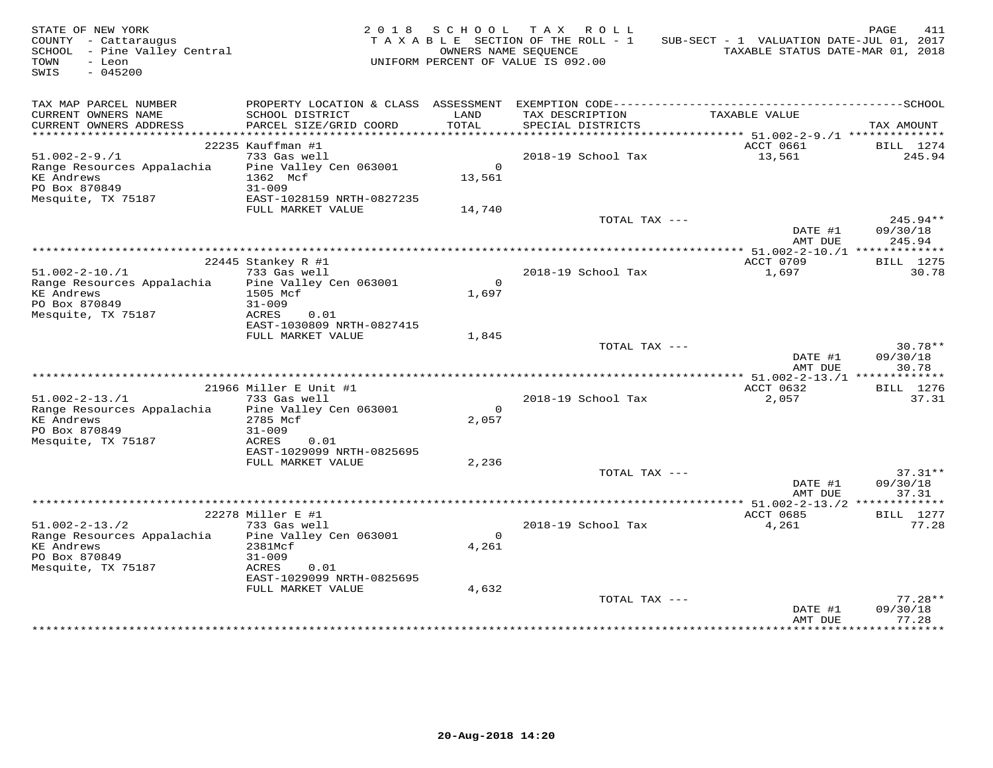| STATE OF NEW YORK<br>COUNTY - Cattaraugus<br>SCHOOL - Pine Valley Central<br>TOWN<br>- Leon<br>$-045200$<br>SWIS |                                                                                       |                         | 2018 SCHOOL TAX ROLL<br>TAXABLE SECTION OF THE ROLL - 1<br>OWNERS NAME SEQUENCE<br>UNIFORM PERCENT OF VALUE IS 092.00 | SUB-SECT - 1 VALUATION DATE-JUL 01, 2017<br>TAXABLE STATUS DATE-MAR 01, 2018 | PAGE<br>411                    |
|------------------------------------------------------------------------------------------------------------------|---------------------------------------------------------------------------------------|-------------------------|-----------------------------------------------------------------------------------------------------------------------|------------------------------------------------------------------------------|--------------------------------|
| TAX MAP PARCEL NUMBER<br>CURRENT OWNERS NAME<br>CURRENT OWNERS ADDRESS                                           | SCHOOL DISTRICT<br>PARCEL SIZE/GRID COORD                                             | LAND<br>TOTAL           | TAX DESCRIPTION<br>SPECIAL DISTRICTS                                                                                  | TAXABLE VALUE                                                                | TAX AMOUNT                     |
|                                                                                                                  |                                                                                       |                         |                                                                                                                       |                                                                              |                                |
| $51.002 - 2 - 9.1$<br>Range Resources Appalachia<br><b>KE</b> Andrews<br>PO Box 870849                           | 22235 Kauffman #1<br>733 Gas well<br>Pine Valley Cen 063001<br>1362 Mcf<br>$31 - 009$ | $\Omega$<br>13,561      | 2018-19 School Tax                                                                                                    | ACCT 0661<br>13,561                                                          | BILL 1274<br>245.94            |
| Mesquite, TX 75187                                                                                               | EAST-1028159 NRTH-0827235                                                             |                         |                                                                                                                       |                                                                              |                                |
|                                                                                                                  | FULL MARKET VALUE                                                                     | 14,740                  |                                                                                                                       |                                                                              |                                |
|                                                                                                                  |                                                                                       |                         | TOTAL TAX ---                                                                                                         | DATE #1<br>AMT DUE                                                           | 245.94**<br>09/30/18<br>245.94 |
|                                                                                                                  |                                                                                       |                         |                                                                                                                       |                                                                              |                                |
|                                                                                                                  | 22445 Stankey R #1                                                                    |                         |                                                                                                                       | ACCT 0709                                                                    | BILL 1275                      |
| $51.002 - 2 - 10.71$                                                                                             | 733 Gas well                                                                          |                         | 2018-19 School Tax                                                                                                    | 1,697                                                                        | 30.78                          |
| Range Resources Appalachia<br><b>KE</b> Andrews<br>PO Box 870849                                                 | Pine Valley Cen 063001<br>1505 Mcf<br>$31 - 009$                                      | $\Omega$<br>1,697       |                                                                                                                       |                                                                              |                                |
| Mesquite, TX 75187                                                                                               | ACRES<br>0.01<br>EAST-1030809 NRTH-0827415<br>FULL MARKET VALUE                       | 1,845                   |                                                                                                                       |                                                                              |                                |
|                                                                                                                  |                                                                                       |                         | TOTAL TAX ---                                                                                                         | DATE #1<br>AMT DUE                                                           | $30.78**$<br>09/30/18<br>30.78 |
|                                                                                                                  |                                                                                       |                         |                                                                                                                       |                                                                              |                                |
|                                                                                                                  | 21966 Miller E Unit #1                                                                |                         |                                                                                                                       | ACCT 0632                                                                    | <b>BILL</b> 1276               |
| $51.002 - 2 - 13.71$<br>Range Resources Appalachia<br><b>KE</b> Andrews<br>PO Box 870849                         | 733 Gas well<br>Pine Valley Cen 063001<br>2785 Mcf<br>$31 - 009$                      | $\Omega$<br>2,057       | 2018-19 School Tax                                                                                                    | 2,057                                                                        | 37.31                          |
| Mesquite, TX 75187                                                                                               | ACRES<br>0.01<br>EAST-1029099 NRTH-0825695<br>FULL MARKET VALUE                       | 2,236                   | TOTAL TAX ---                                                                                                         |                                                                              | $37.31**$                      |
|                                                                                                                  |                                                                                       |                         |                                                                                                                       | DATE #1<br>AMT DUE                                                           | 09/30/18<br>37.31              |
|                                                                                                                  |                                                                                       |                         |                                                                                                                       |                                                                              |                                |
|                                                                                                                  | 22278 Miller E #1                                                                     |                         |                                                                                                                       | ACCT 0685                                                                    | <b>BILL</b> 1277               |
| $51.002 - 2 - 13.72$<br>Range Resources Appalachia<br><b>KE</b> Andrews<br>PO Box 870849                         | 733 Gas well<br>Pine Valley Cen 063001<br>2381Mcf<br>$31 - 009$                       | $\overline{0}$<br>4,261 | 2018-19 School Tax                                                                                                    | 4,261                                                                        | 77.28                          |
| Mesquite, TX 75187                                                                                               | ACRES<br>0.01<br>EAST-1029099 NRTH-0825695<br>FULL MARKET VALUE                       | 4,632                   |                                                                                                                       |                                                                              |                                |
|                                                                                                                  |                                                                                       |                         | TOTAL TAX ---                                                                                                         |                                                                              | $77.28**$                      |
|                                                                                                                  |                                                                                       |                         |                                                                                                                       | DATE #1<br>AMT DUE                                                           | 09/30/18<br>77.28              |
|                                                                                                                  |                                                                                       |                         |                                                                                                                       |                                                                              |                                |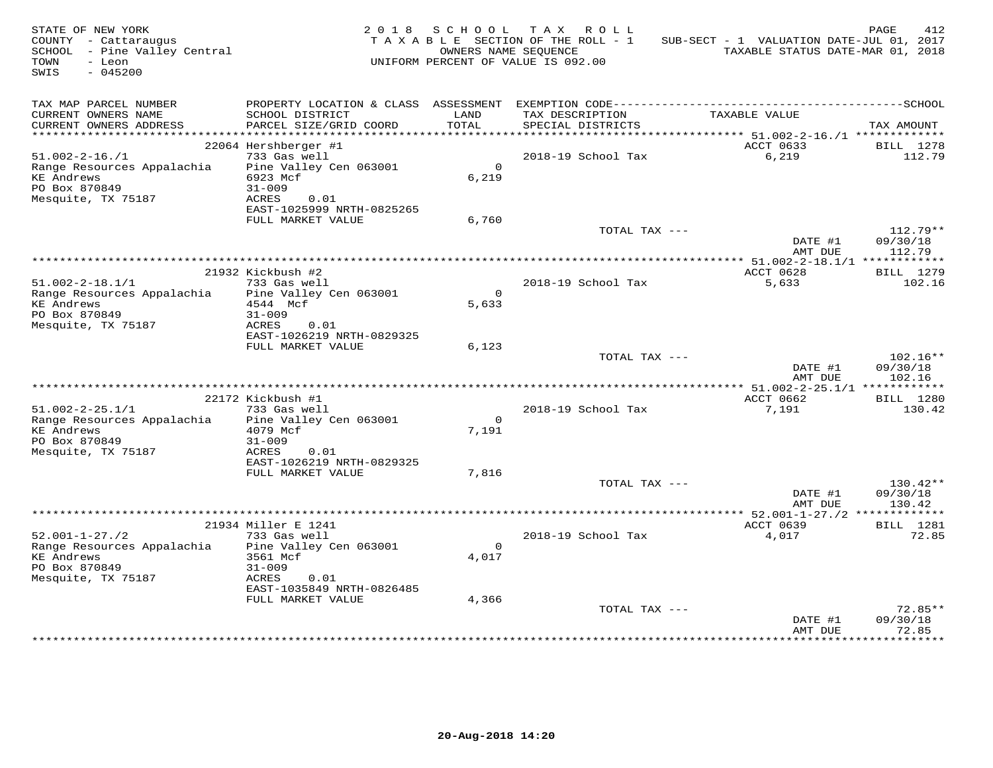| STATE OF NEW YORK<br>COUNTY - Cattaraugus<br>SCHOOL - Pine Valley Central<br>TOWN<br>- Leon<br>SWIS<br>$-045200$ |                                                                                                | 2018 SCHOOL             | TAX ROLL<br>TAXABLE SECTION OF THE ROLL - 1<br>OWNERS NAME SEQUENCE<br>UNIFORM PERCENT OF VALUE IS 092.00 | SUB-SECT - 1 VALUATION DATE-JUL 01, 2017<br>TAXABLE STATUS DATE-MAR 01, 2018 | PAGE<br>412                      |
|------------------------------------------------------------------------------------------------------------------|------------------------------------------------------------------------------------------------|-------------------------|-----------------------------------------------------------------------------------------------------------|------------------------------------------------------------------------------|----------------------------------|
| TAX MAP PARCEL NUMBER<br>CURRENT OWNERS NAME<br>CURRENT OWNERS ADDRESS                                           | SCHOOL DISTRICT<br>PARCEL SIZE/GRID COORD                                                      | LAND<br>TOTAL           | TAX DESCRIPTION<br>SPECIAL DISTRICTS                                                                      | TAXABLE VALUE                                                                | TAX AMOUNT                       |
|                                                                                                                  |                                                                                                |                         |                                                                                                           |                                                                              |                                  |
|                                                                                                                  | 22064 Hershberger #1<br>733 Gas well                                                           |                         |                                                                                                           | ACCT 0633                                                                    | BILL 1278                        |
| $51.002 - 2 - 16. / 1$<br>Range Resources Appalachia<br>KE Andrews<br>PO Box 870849<br>Mesquite, TX 75187        | Pine Valley Cen 063001<br>6923 Mcf<br>$31 - 009$<br>ACRES<br>0.01                              | $\Omega$<br>6,219       | 2018-19 School Tax                                                                                        | 6,219                                                                        | 112.79                           |
|                                                                                                                  | EAST-1025999 NRTH-0825265                                                                      |                         |                                                                                                           |                                                                              |                                  |
|                                                                                                                  | FULL MARKET VALUE                                                                              | 6,760                   | TOTAL TAX ---                                                                                             | DATE #1<br>AMT DUE                                                           | $112.79**$<br>09/30/18<br>112.79 |
|                                                                                                                  |                                                                                                |                         |                                                                                                           |                                                                              |                                  |
|                                                                                                                  | 21932 Kickbush #2                                                                              |                         |                                                                                                           | ACCT 0628                                                                    | <b>BILL</b> 1279                 |
| $51.002 - 2 - 18.1/1$<br>Range Resources Appalachia<br>KE Andrews<br>PO Box 870849<br>Mesquite, TX 75187         | 733 Gas well<br>Pine Valley Cen 063001<br>4544 Mcf<br>$31 - 009$<br>ACRES<br>0.01              | $\overline{0}$<br>5,633 | 2018-19 School Tax                                                                                        | 5,633                                                                        | 102.16                           |
|                                                                                                                  | EAST-1026219 NRTH-0829325                                                                      |                         |                                                                                                           |                                                                              |                                  |
|                                                                                                                  | FULL MARKET VALUE                                                                              | 6,123                   |                                                                                                           |                                                                              |                                  |
|                                                                                                                  |                                                                                                |                         | TOTAL TAX ---                                                                                             | DATE #1<br>AMT DUE                                                           | $102.16**$<br>09/30/18<br>102.16 |
|                                                                                                                  | 22172 Kickbush #1                                                                              |                         |                                                                                                           | ACCT 0662                                                                    | <b>BILL</b> 1280                 |
| $51.002 - 2 - 25.1/1$                                                                                            | 733 Gas well                                                                                   |                         | 2018-19 School Tax                                                                                        | 7,191                                                                        | 130.42                           |
| Range Resources Appalachia                                                                                       | Pine Valley Cen 063001                                                                         | $\Omega$                |                                                                                                           |                                                                              |                                  |
| <b>KE Andrews</b><br>PO Box 870849<br>Mesquite, TX 75187                                                         | 4079 Mcf<br>$31 - 009$<br>ACRES<br>0.01                                                        | 7.191                   |                                                                                                           |                                                                              |                                  |
|                                                                                                                  | EAST-1026219 NRTH-0829325                                                                      |                         |                                                                                                           |                                                                              |                                  |
|                                                                                                                  | FULL MARKET VALUE                                                                              | 7,816                   | TOTAL TAX ---                                                                                             |                                                                              | $130.42**$                       |
|                                                                                                                  |                                                                                                |                         |                                                                                                           | DATE #1<br>AMT DUE                                                           | 09/30/18<br>130.42               |
|                                                                                                                  |                                                                                                |                         |                                                                                                           | ************* 52.001-1-27./2 **************                                  |                                  |
| $52.001 - 1 - 27.72$                                                                                             | 21934 Miller E 1241<br>733 Gas well                                                            |                         | 2018-19 School Tax                                                                                        | ACCT 0639<br>4,017                                                           | <b>BILL</b> 1281<br>72.85        |
| Range Resources Appalachia<br><b>KE Andrews</b><br>PO Box 870849<br>Mesquite, TX 75187                           | Pine Valley Cen 063001<br>3561 Mcf<br>$31 - 009$<br>ACRES<br>0.01<br>EAST-1035849 NRTH-0826485 | $\Omega$<br>4,017       |                                                                                                           |                                                                              |                                  |
|                                                                                                                  | FULL MARKET VALUE                                                                              | 4,366                   |                                                                                                           |                                                                              |                                  |
|                                                                                                                  |                                                                                                |                         | TOTAL TAX ---                                                                                             | DATE #1<br>AMT DUE                                                           | $72.85**$<br>09/30/18<br>72.85   |
|                                                                                                                  |                                                                                                |                         |                                                                                                           |                                                                              |                                  |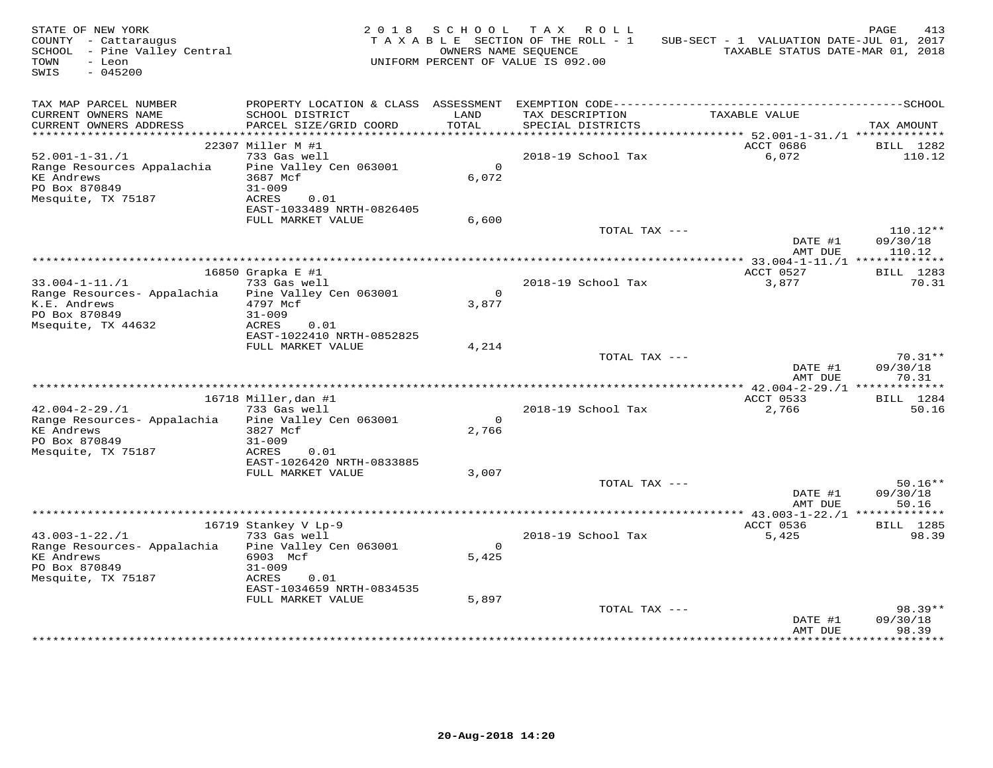| STATE OF NEW YORK<br>COUNTY - Cattaraugus<br>SCHOOL - Pine Valley Central<br>TOWN<br>- Leon<br>SWIS<br>$-045200$ |                                      | 2018 SCHOOL    | TAX ROLL<br>TAXABLE SECTION OF THE ROLL - 1<br>OWNERS NAME SEOUENCE<br>UNIFORM PERCENT OF VALUE IS 092.00 | SUB-SECT - 1 VALUATION DATE-JUL 01, 2017<br>TAXABLE STATUS DATE-MAR 01, 2018 | PAGE<br>413           |
|------------------------------------------------------------------------------------------------------------------|--------------------------------------|----------------|-----------------------------------------------------------------------------------------------------------|------------------------------------------------------------------------------|-----------------------|
| TAX MAP PARCEL NUMBER<br>CURRENT OWNERS NAME                                                                     | SCHOOL DISTRICT                      | LAND           | TAX DESCRIPTION                                                                                           | TAXABLE VALUE                                                                |                       |
| CURRENT OWNERS ADDRESS                                                                                           | PARCEL SIZE/GRID COORD               | TOTAL          | SPECIAL DISTRICTS                                                                                         |                                                                              | TAX AMOUNT            |
| ***********************                                                                                          |                                      |                |                                                                                                           |                                                                              |                       |
| $52.001 - 1 - 31. / 1$                                                                                           | 22307 Miller M #1<br>733 Gas well    |                | 2018-19 School Tax                                                                                        | ACCT 0686<br>6,072                                                           | BILL 1282<br>110.12   |
| Range Resources Appalachia                                                                                       | Pine Valley Cen 063001               | $\circ$        |                                                                                                           |                                                                              |                       |
| <b>KE</b> Andrews                                                                                                | 3687 Mcf                             | 6,072          |                                                                                                           |                                                                              |                       |
| PO Box 870849                                                                                                    | $31 - 009$                           |                |                                                                                                           |                                                                              |                       |
| Mesquite, TX 75187                                                                                               | ACRES<br>0.01                        |                |                                                                                                           |                                                                              |                       |
|                                                                                                                  | EAST-1033489 NRTH-0826405            |                |                                                                                                           |                                                                              |                       |
|                                                                                                                  | FULL MARKET VALUE                    | 6,600          |                                                                                                           |                                                                              |                       |
|                                                                                                                  |                                      |                | TOTAL TAX ---                                                                                             |                                                                              | $110.12**$            |
|                                                                                                                  |                                      |                |                                                                                                           | DATE #1<br>AMT DUE                                                           | 09/30/18<br>110.12    |
|                                                                                                                  |                                      |                |                                                                                                           |                                                                              |                       |
|                                                                                                                  | 16850 Grapka E #1                    |                |                                                                                                           | ACCT 0527                                                                    | BILL 1283             |
| $33.004 - 1 - 11.71$                                                                                             | 733 Gas well                         |                | 2018-19 School Tax                                                                                        | 3,877                                                                        | 70.31                 |
| Range Resources- Appalachia                                                                                      | Pine Valley Cen 063001               | $\overline{0}$ |                                                                                                           |                                                                              |                       |
| K.E. Andrews                                                                                                     | 4797 Mcf                             | 3,877          |                                                                                                           |                                                                              |                       |
| PO Box 870849<br>Msequite, TX 44632                                                                              | $31 - 009$<br>ACRES<br>0.01          |                |                                                                                                           |                                                                              |                       |
|                                                                                                                  | EAST-1022410 NRTH-0852825            |                |                                                                                                           |                                                                              |                       |
|                                                                                                                  | FULL MARKET VALUE                    | 4,214          |                                                                                                           |                                                                              |                       |
|                                                                                                                  |                                      |                | TOTAL TAX ---                                                                                             |                                                                              | $70.31**$             |
|                                                                                                                  |                                      |                |                                                                                                           | DATE #1                                                                      | 09/30/18              |
|                                                                                                                  |                                      |                |                                                                                                           | AMT DUE                                                                      | 70.31                 |
|                                                                                                                  |                                      |                |                                                                                                           |                                                                              |                       |
| $42.004 - 2 - 29.71$                                                                                             | 16718 Miller, dan #1<br>733 Gas well |                | 2018-19 School Tax                                                                                        | ACCT 0533<br>2,766                                                           | BILL 1284<br>50.16    |
| Range Resources- Appalachia                                                                                      | Pine Valley Cen 063001               | $\circ$        |                                                                                                           |                                                                              |                       |
| <b>KE Andrews</b>                                                                                                | 3827 Mcf                             | 2,766          |                                                                                                           |                                                                              |                       |
| PO Box 870849                                                                                                    | $31 - 009$                           |                |                                                                                                           |                                                                              |                       |
| Mesquite, TX 75187                                                                                               | ACRES<br>0.01                        |                |                                                                                                           |                                                                              |                       |
|                                                                                                                  | EAST-1026420 NRTH-0833885            |                |                                                                                                           |                                                                              |                       |
|                                                                                                                  | FULL MARKET VALUE                    | 3,007          |                                                                                                           |                                                                              |                       |
|                                                                                                                  |                                      |                | TOTAL TAX ---                                                                                             | DATE #1                                                                      | $50.16**$<br>09/30/18 |
|                                                                                                                  |                                      |                |                                                                                                           | AMT DUE                                                                      | 50.16                 |
|                                                                                                                  |                                      |                |                                                                                                           | *************** 43.003-1-22./1 **************                                |                       |
|                                                                                                                  | 16719 Stankey V Lp-9                 |                |                                                                                                           | ACCT 0536                                                                    | <b>BILL</b> 1285      |
| $43.003 - 1 - 22.71$                                                                                             | 733 Gas well                         |                | 2018-19 School Tax                                                                                        | 5,425                                                                        | 98.39                 |
| Range Resources- Appalachia                                                                                      | Pine Valley Cen 063001               | $\Omega$       |                                                                                                           |                                                                              |                       |
| <b>KE Andrews</b>                                                                                                | 6903 Mcf                             | 5,425          |                                                                                                           |                                                                              |                       |
| PO Box 870849                                                                                                    | $31 - 009$<br>ACRES                  |                |                                                                                                           |                                                                              |                       |
| Mesquite, TX 75187                                                                                               | 0.01<br>EAST-1034659 NRTH-0834535    |                |                                                                                                           |                                                                              |                       |
|                                                                                                                  | FULL MARKET VALUE                    | 5,897          |                                                                                                           |                                                                              |                       |
|                                                                                                                  |                                      |                | TOTAL TAX ---                                                                                             |                                                                              | 98.39**               |
|                                                                                                                  |                                      |                |                                                                                                           | DATE #1                                                                      | 09/30/18              |
|                                                                                                                  |                                      |                |                                                                                                           | AMT DUE                                                                      | 98.39                 |
|                                                                                                                  |                                      |                |                                                                                                           |                                                                              |                       |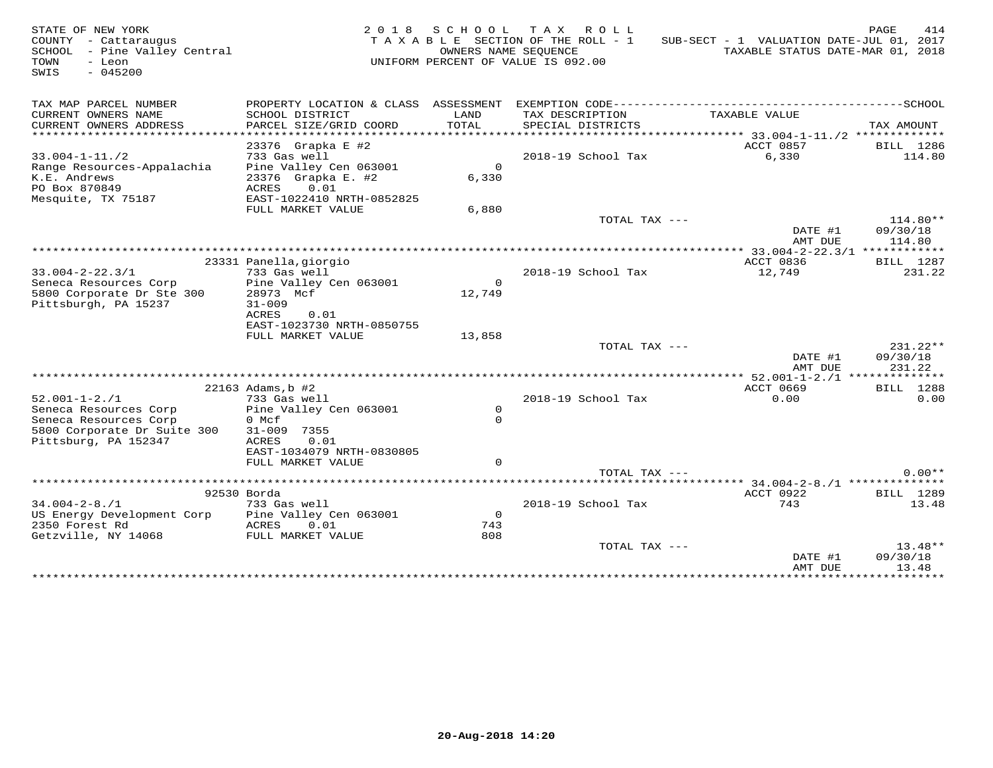| TAX MAP PARCEL NUMBER<br>PROPERTY LOCATION & CLASS ASSESSMENT<br>CURRENT OWNERS NAME<br>SCHOOL DISTRICT<br>LAND<br>TAX DESCRIPTION<br>TAXABLE VALUE<br>PARCEL SIZE/GRID COORD<br>TOTAL<br>CURRENT OWNERS ADDRESS<br>SPECIAL DISTRICTS<br>**********************<br>***********************<br>23376 Grapka E #2<br>ACCT 0857<br>$33.004 - 1 - 11.72$<br>733 Gas well<br>2018-19 School Tax<br>6,330<br>Pine Valley Cen 063001<br>$\mathsf{O}$<br>Range Resources-Appalachia<br>K.E. Andrews<br>23376 Grapka E. #2<br>6,330<br>0.01<br>PO Box 870849<br>ACRES<br>Mesquite, TX 75187<br>EAST-1022410 NRTH-0852825<br>FULL MARKET VALUE<br>6,880<br>TOTAL TAX ---<br>DATE #1<br>09/30/18<br>114.80<br>AMT DUE<br>23331 Panella, giorgio<br>ACCT 0836<br>$33.004 - 2 - 22.3/1$<br>733 Gas well<br>2018-19 School Tax<br>12,749<br>Pine Valley Cen 063001<br>$\Omega$<br>Seneca Resources Corp<br>5800 Corporate Dr Ste 300<br>12,749<br>28973 Mcf<br>Pittsburgh, PA 15237<br>$31 - 009$<br>ACRES<br>0.01<br>EAST-1023730 NRTH-0850755<br>FULL MARKET VALUE<br>13,858<br>TOTAL TAX ---<br>$231.22**$<br>DATE #1<br>09/30/18<br>AMT DUE<br>231.22<br>***** 52.001-1-2./1 **************<br>22163 Adams, b #2<br>ACCT 0669<br>BILL 1288<br>$52.001 - 1 - 2.71$<br>733 Gas well<br>2018-19 School Tax<br>0.00<br>Seneca Resources Corp<br>Pine Valley Cen 063001<br>$\circ$<br>$\Omega$<br>Seneca Resources Corp<br>0 Mcf<br>5800 Corporate Dr Suite 300<br>31-009 7355<br>Pittsburg, PA 152347<br>ACRES<br>0.01<br>EAST-1034079 NRTH-0830805<br>FULL MARKET VALUE<br>$\Omega$<br>TOTAL TAX $---$<br>ACCT 0922<br>92530 Borda<br>BILL 1289<br>743<br>$34.004 - 2 - 8.71$<br>733 Gas well<br>2018-19 School Tax<br>US Energy Development Corp<br>Pine Valley Cen 063001<br>$\Omega$<br>2350 Forest Rd<br>ACRES<br>0.01<br>743<br>808<br>Getzville, NY 14068<br>FULL MARKET VALUE<br>TOTAL TAX --- | STATE OF NEW YORK<br>COUNTY - Cattaraugus<br>SCHOOL - Pine Valley Central<br>TOWN<br>- Leon<br>SWIS<br>$-045200$ | OWNERS NAME SEQUENCE | 2018 SCHOOL TAX ROLL<br>TAXABLE SECTION OF THE ROLL - 1<br>UNIFORM PERCENT OF VALUE IS 092.00 | SUB-SECT - 1 VALUATION DATE-JUL 01, 2017<br>TAXABLE STATUS DATE-MAR 01, 2018 | PAGE<br>414           |
|------------------------------------------------------------------------------------------------------------------------------------------------------------------------------------------------------------------------------------------------------------------------------------------------------------------------------------------------------------------------------------------------------------------------------------------------------------------------------------------------------------------------------------------------------------------------------------------------------------------------------------------------------------------------------------------------------------------------------------------------------------------------------------------------------------------------------------------------------------------------------------------------------------------------------------------------------------------------------------------------------------------------------------------------------------------------------------------------------------------------------------------------------------------------------------------------------------------------------------------------------------------------------------------------------------------------------------------------------------------------------------------------------------------------------------------------------------------------------------------------------------------------------------------------------------------------------------------------------------------------------------------------------------------------------------------------------------------------------------------------------------------------------------------------------------------------------------------------------------------------------------------|------------------------------------------------------------------------------------------------------------------|----------------------|-----------------------------------------------------------------------------------------------|------------------------------------------------------------------------------|-----------------------|
|                                                                                                                                                                                                                                                                                                                                                                                                                                                                                                                                                                                                                                                                                                                                                                                                                                                                                                                                                                                                                                                                                                                                                                                                                                                                                                                                                                                                                                                                                                                                                                                                                                                                                                                                                                                                                                                                                          |                                                                                                                  |                      |                                                                                               |                                                                              | TAX AMOUNT            |
|                                                                                                                                                                                                                                                                                                                                                                                                                                                                                                                                                                                                                                                                                                                                                                                                                                                                                                                                                                                                                                                                                                                                                                                                                                                                                                                                                                                                                                                                                                                                                                                                                                                                                                                                                                                                                                                                                          |                                                                                                                  |                      |                                                                                               |                                                                              | BILL 1286<br>114.80   |
|                                                                                                                                                                                                                                                                                                                                                                                                                                                                                                                                                                                                                                                                                                                                                                                                                                                                                                                                                                                                                                                                                                                                                                                                                                                                                                                                                                                                                                                                                                                                                                                                                                                                                                                                                                                                                                                                                          |                                                                                                                  |                      |                                                                                               |                                                                              | $114.80**$            |
|                                                                                                                                                                                                                                                                                                                                                                                                                                                                                                                                                                                                                                                                                                                                                                                                                                                                                                                                                                                                                                                                                                                                                                                                                                                                                                                                                                                                                                                                                                                                                                                                                                                                                                                                                                                                                                                                                          |                                                                                                                  |                      |                                                                                               |                                                                              |                       |
|                                                                                                                                                                                                                                                                                                                                                                                                                                                                                                                                                                                                                                                                                                                                                                                                                                                                                                                                                                                                                                                                                                                                                                                                                                                                                                                                                                                                                                                                                                                                                                                                                                                                                                                                                                                                                                                                                          |                                                                                                                  |                      |                                                                                               |                                                                              | BILL 1287<br>231.22   |
|                                                                                                                                                                                                                                                                                                                                                                                                                                                                                                                                                                                                                                                                                                                                                                                                                                                                                                                                                                                                                                                                                                                                                                                                                                                                                                                                                                                                                                                                                                                                                                                                                                                                                                                                                                                                                                                                                          |                                                                                                                  |                      |                                                                                               |                                                                              |                       |
|                                                                                                                                                                                                                                                                                                                                                                                                                                                                                                                                                                                                                                                                                                                                                                                                                                                                                                                                                                                                                                                                                                                                                                                                                                                                                                                                                                                                                                                                                                                                                                                                                                                                                                                                                                                                                                                                                          |                                                                                                                  |                      |                                                                                               |                                                                              |                       |
|                                                                                                                                                                                                                                                                                                                                                                                                                                                                                                                                                                                                                                                                                                                                                                                                                                                                                                                                                                                                                                                                                                                                                                                                                                                                                                                                                                                                                                                                                                                                                                                                                                                                                                                                                                                                                                                                                          |                                                                                                                  |                      |                                                                                               |                                                                              |                       |
|                                                                                                                                                                                                                                                                                                                                                                                                                                                                                                                                                                                                                                                                                                                                                                                                                                                                                                                                                                                                                                                                                                                                                                                                                                                                                                                                                                                                                                                                                                                                                                                                                                                                                                                                                                                                                                                                                          |                                                                                                                  |                      |                                                                                               |                                                                              | 0.00                  |
|                                                                                                                                                                                                                                                                                                                                                                                                                                                                                                                                                                                                                                                                                                                                                                                                                                                                                                                                                                                                                                                                                                                                                                                                                                                                                                                                                                                                                                                                                                                                                                                                                                                                                                                                                                                                                                                                                          |                                                                                                                  |                      |                                                                                               |                                                                              |                       |
|                                                                                                                                                                                                                                                                                                                                                                                                                                                                                                                                                                                                                                                                                                                                                                                                                                                                                                                                                                                                                                                                                                                                                                                                                                                                                                                                                                                                                                                                                                                                                                                                                                                                                                                                                                                                                                                                                          |                                                                                                                  |                      |                                                                                               |                                                                              | $0.00**$              |
|                                                                                                                                                                                                                                                                                                                                                                                                                                                                                                                                                                                                                                                                                                                                                                                                                                                                                                                                                                                                                                                                                                                                                                                                                                                                                                                                                                                                                                                                                                                                                                                                                                                                                                                                                                                                                                                                                          |                                                                                                                  |                      |                                                                                               |                                                                              |                       |
|                                                                                                                                                                                                                                                                                                                                                                                                                                                                                                                                                                                                                                                                                                                                                                                                                                                                                                                                                                                                                                                                                                                                                                                                                                                                                                                                                                                                                                                                                                                                                                                                                                                                                                                                                                                                                                                                                          |                                                                                                                  |                      |                                                                                               |                                                                              | 13.48                 |
| 13.48<br>AMT DUE                                                                                                                                                                                                                                                                                                                                                                                                                                                                                                                                                                                                                                                                                                                                                                                                                                                                                                                                                                                                                                                                                                                                                                                                                                                                                                                                                                                                                                                                                                                                                                                                                                                                                                                                                                                                                                                                         |                                                                                                                  |                      |                                                                                               | DATE #1                                                                      | $13.48**$<br>09/30/18 |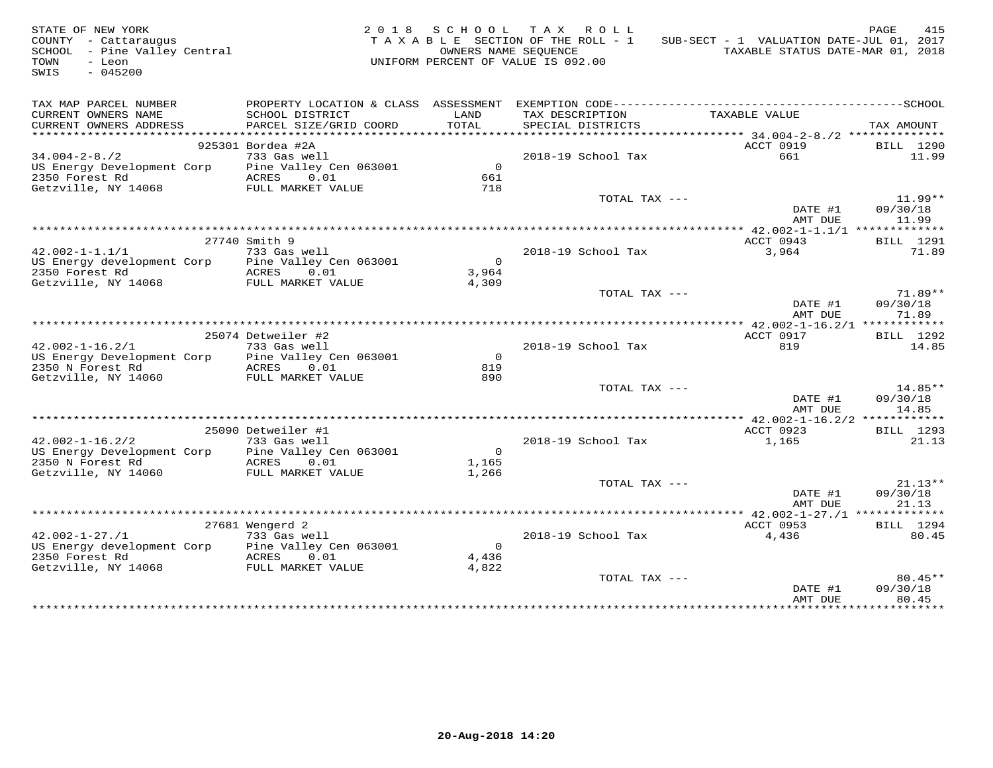| STATE OF NEW YORK<br>COUNTY - Cattaraugus<br>SCHOOL - Pine Valley Central<br>TOWN<br>- Leon<br>SWIS<br>$-045200$ |                                         | OWNERS NAME SEOUENCE    | 2018 SCHOOL TAX ROLL<br>TAXABLE SECTION OF THE ROLL - 1<br>UNIFORM PERCENT OF VALUE IS 092.00 | SUB-SECT - 1 VALUATION DATE-JUL 01, 2017<br>TAXABLE STATUS DATE-MAR 01, 2018 | PAGE<br>415        |
|------------------------------------------------------------------------------------------------------------------|-----------------------------------------|-------------------------|-----------------------------------------------------------------------------------------------|------------------------------------------------------------------------------|--------------------|
| TAX MAP PARCEL NUMBER                                                                                            |                                         |                         |                                                                                               |                                                                              |                    |
| CURRENT OWNERS NAME                                                                                              | SCHOOL DISTRICT                         | LAND                    | TAX DESCRIPTION                                                                               | TAXABLE VALUE                                                                |                    |
| CURRENT OWNERS ADDRESS                                                                                           | PARCEL SIZE/GRID COORD                  | TOTAL                   | SPECIAL DISTRICTS                                                                             |                                                                              | TAX AMOUNT         |
| ************************                                                                                         |                                         |                         |                                                                                               |                                                                              |                    |
| $34.004 - 2 - 8.72$                                                                                              | 925301 Bordea #2A<br>733 Gas well       |                         | 2018-19 School Tax                                                                            | ACCT 0919<br>661                                                             | BILL 1290<br>11.99 |
| US Energy Development Corp Pine Valley Cen 063001                                                                |                                         | $\Omega$                |                                                                                               |                                                                              |                    |
| 2350 Forest Rd                                                                                                   | ACRES 0.01                              | 661                     |                                                                                               |                                                                              |                    |
| Getzville, NY 14068                                                                                              | FULL MARKET VALUE                       | 718                     |                                                                                               |                                                                              |                    |
|                                                                                                                  |                                         |                         | TOTAL TAX ---                                                                                 |                                                                              | $11.99**$          |
|                                                                                                                  |                                         |                         |                                                                                               | DATE #1                                                                      | 09/30/18           |
|                                                                                                                  |                                         |                         |                                                                                               | AMT DUE                                                                      | 11.99              |
|                                                                                                                  |                                         |                         |                                                                                               |                                                                              |                    |
|                                                                                                                  | 27740 Smith 9                           |                         |                                                                                               | ACCT 0943                                                                    | <b>BILL</b> 1291   |
| $42.002 - 1 - 1.1/1$<br>US Energy development Corp Pine Valley Cen 063001                                        | 733 Gas well                            | $\overline{0}$          | 2018-19 School Tax                                                                            | 3,964                                                                        | 71.89              |
| 2350 Forest Rd                                                                                                   | ACRES 0.01                              | 3,964                   |                                                                                               |                                                                              |                    |
| Getzville, NY 14068                                                                                              | FULL MARKET VALUE                       | 4,309                   |                                                                                               |                                                                              |                    |
|                                                                                                                  |                                         |                         | TOTAL TAX ---                                                                                 |                                                                              | $71.89**$          |
|                                                                                                                  |                                         |                         |                                                                                               | DATE #1<br>AMT DUE                                                           | 09/30/18<br>71.89  |
|                                                                                                                  |                                         |                         |                                                                                               |                                                                              |                    |
|                                                                                                                  | 25074 Detweiler #2                      |                         |                                                                                               | ACCT 0917                                                                    | <b>BILL</b> 1292   |
| $42.002 - 1 - 16.2/1$                                                                                            | 733 Gas well                            |                         | 2018-19 School Tax                                                                            | 819                                                                          | 14.85              |
| US Energy Development Corp<br>2350 N Forest Rd                                                                   | Pine Valley Cen 063001<br>ACRES 0.01    | $\Omega$<br>819         |                                                                                               |                                                                              |                    |
| Getzville, NY 14060                                                                                              | FULL MARKET VALUE                       | 890                     |                                                                                               |                                                                              |                    |
|                                                                                                                  |                                         |                         | TOTAL TAX ---                                                                                 |                                                                              | 14.85**            |
|                                                                                                                  |                                         |                         |                                                                                               | DATE #1                                                                      | 09/30/18           |
|                                                                                                                  |                                         |                         |                                                                                               | AMT DUE                                                                      | 14.85              |
|                                                                                                                  |                                         |                         |                                                                                               |                                                                              |                    |
|                                                                                                                  | 25090 Detweiler #1                      |                         |                                                                                               | ACCT 0923                                                                    | BILL 1293          |
| $42.002 - 1 - 16.2/2$                                                                                            | 733 Gas well                            |                         | 2018-19 School Tax                                                                            | 1,165                                                                        | 21.13              |
| US Energy Development Corp<br>2350 N Forest Rd                                                                   | Pine Valley Cen 063001<br>ACRES 0.01    | $\overline{0}$<br>1,165 |                                                                                               |                                                                              |                    |
| Getzville, NY 14060                                                                                              | FULL MARKET VALUE                       | 1,266                   |                                                                                               |                                                                              |                    |
|                                                                                                                  |                                         |                         | TOTAL TAX ---                                                                                 |                                                                              | $21.13**$          |
|                                                                                                                  |                                         |                         |                                                                                               | DATE #1                                                                      | 09/30/18           |
|                                                                                                                  |                                         |                         |                                                                                               | AMT DUE                                                                      | 21.13              |
|                                                                                                                  |                                         |                         |                                                                                               | ********* 42.002-1-27./1 *************                                       |                    |
|                                                                                                                  | 27681 Wengerd 2                         |                         |                                                                                               | ACCT 0953                                                                    | BILL 1294          |
| $42.002 - 1 - 27.71$                                                                                             | 733 Gas well                            |                         | 2018-19 School Tax                                                                            | 4,436                                                                        | 80.45              |
| US Energy development Corp<br>2350 Forest Rd                                                                     | Pine Valley Cen 063001<br>ACRES<br>0.01 | $\overline{0}$          |                                                                                               |                                                                              |                    |
| Getzville, NY 14068                                                                                              | FULL MARKET VALUE                       | 4,436<br>4,822          |                                                                                               |                                                                              |                    |
|                                                                                                                  |                                         |                         | TOTAL TAX ---                                                                                 |                                                                              | $80.45**$          |
|                                                                                                                  |                                         |                         |                                                                                               | DATE #1                                                                      | 09/30/18           |
|                                                                                                                  |                                         |                         |                                                                                               | AMT DUE                                                                      | 80.45              |
|                                                                                                                  |                                         |                         |                                                                                               | + + + + + + + + + + + + + +                                                  | <b>++++++++++</b>  |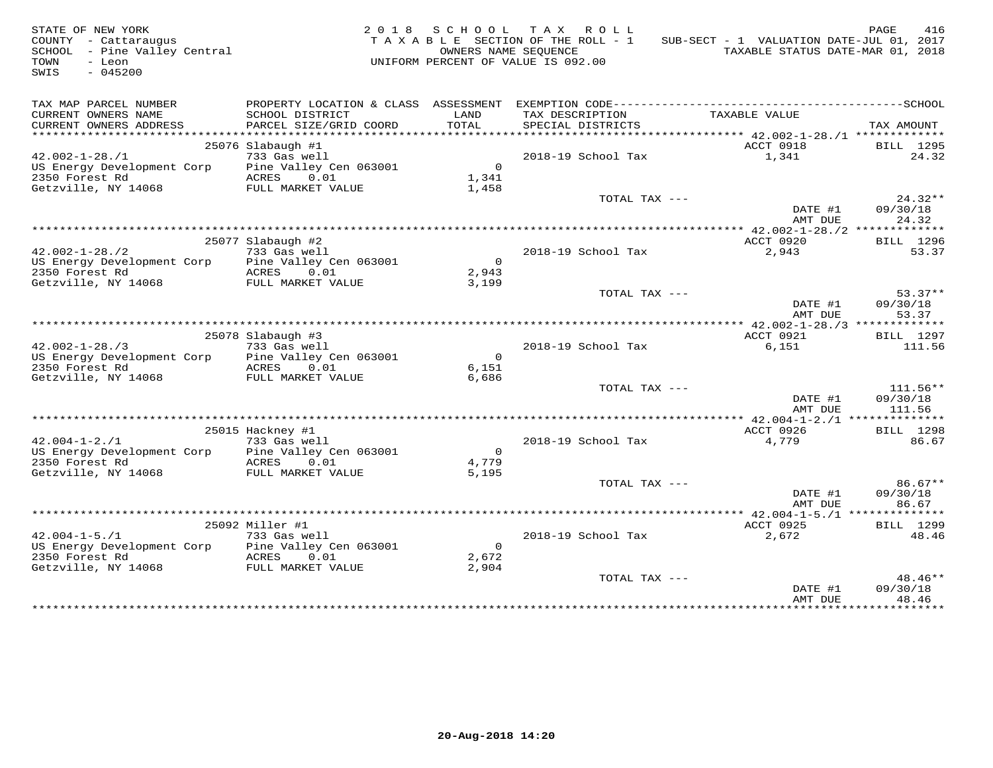| STATE OF NEW YORK<br>COUNTY - Cattaraugus<br>SCHOOL - Pine Valley Central<br>TOWN<br>- Leon<br>$-045200$<br>SWIS |                                      |                         | 2018 SCHOOL TAX ROLL<br>TAXABLE SECTION OF THE ROLL - 1<br>OWNERS NAME SEQUENCE<br>UNIFORM PERCENT OF VALUE IS 092.00 | SUB-SECT - 1 VALUATION DATE-JUL 01, 2017<br>TAXABLE STATUS DATE-MAR 01, 2018 | PAGE<br>416           |
|------------------------------------------------------------------------------------------------------------------|--------------------------------------|-------------------------|-----------------------------------------------------------------------------------------------------------------------|------------------------------------------------------------------------------|-----------------------|
| TAX MAP PARCEL NUMBER                                                                                            | PROPERTY LOCATION & CLASS ASSESSMENT |                         |                                                                                                                       |                                                                              |                       |
| CURRENT OWNERS NAME                                                                                              | SCHOOL DISTRICT                      | LAND                    | TAX DESCRIPTION                                                                                                       | TAXABLE VALUE                                                                |                       |
| CURRENT OWNERS ADDRESS<br>**********************                                                                 | PARCEL SIZE/GRID COORD               | TOTAL                   | SPECIAL DISTRICTS                                                                                                     |                                                                              | TAX AMOUNT            |
|                                                                                                                  | 25076 Slabaugh #1                    |                         |                                                                                                                       | ACCT 0918                                                                    | BILL 1295             |
| $42.002 - 1 - 28.71$                                                                                             | 733 Gas well                         |                         | 2018-19 School Tax                                                                                                    | 1,341                                                                        | 24.32                 |
| US Energy Development Corp Pine Valley Cen 063001                                                                |                                      | $\overline{0}$          |                                                                                                                       |                                                                              |                       |
| 2350 Forest Rd                                                                                                   | ACRES 0.01                           | 1,341                   |                                                                                                                       |                                                                              |                       |
| Getzville, NY 14068                                                                                              | FULL MARKET VALUE                    | 1,458                   |                                                                                                                       |                                                                              |                       |
|                                                                                                                  |                                      |                         | TOTAL TAX ---                                                                                                         |                                                                              | $24.32**$             |
|                                                                                                                  |                                      |                         |                                                                                                                       | DATE #1                                                                      | 09/30/18              |
|                                                                                                                  |                                      |                         |                                                                                                                       | AMT DUE                                                                      | 24.32                 |
|                                                                                                                  | 25077 Slabaugh #2                    |                         |                                                                                                                       | ACCT 0920                                                                    | BILL 1296             |
| $42.002 - 1 - 28.72$                                                                                             | 733 Gas well                         |                         | 2018-19 School Tax                                                                                                    | 2,943                                                                        | 53.37                 |
| US Energy Development Corp                                                                                       | Pine Valley Cen 063001               | $\overline{0}$          |                                                                                                                       |                                                                              |                       |
| 2350 Forest Rd                                                                                                   | ACRES 0.01                           | 2,943                   |                                                                                                                       |                                                                              |                       |
| Getzville, NY 14068                                                                                              | FULL MARKET VALUE                    | 3,199                   |                                                                                                                       |                                                                              |                       |
|                                                                                                                  |                                      |                         | TOTAL TAX ---                                                                                                         | DATE #1                                                                      | $53.37**$<br>09/30/18 |
|                                                                                                                  |                                      |                         |                                                                                                                       | AMT DUE                                                                      | 53.37                 |
|                                                                                                                  |                                      |                         |                                                                                                                       |                                                                              |                       |
|                                                                                                                  | 25078 Slabaugh #3                    |                         |                                                                                                                       | ACCT 0921                                                                    | BILL 1297             |
| $42.002 - 1 - 28.73$                                                                                             | 733 Gas well                         |                         | 2018-19 School Tax                                                                                                    | 6,151                                                                        | 111.56                |
| US Energy Development Corp                                                                                       | Pine Valley Cen 063001               | $\overline{0}$          |                                                                                                                       |                                                                              |                       |
| 2350 Forest Rd                                                                                                   | ACRES 0.01                           | 6,151                   |                                                                                                                       |                                                                              |                       |
| Getzville, NY 14068                                                                                              | FULL MARKET VALUE                    | 6,686                   | TOTAL TAX ---                                                                                                         |                                                                              | $111.56**$            |
|                                                                                                                  |                                      |                         |                                                                                                                       | DATE #1                                                                      | 09/30/18              |
|                                                                                                                  |                                      |                         |                                                                                                                       | AMT DUE                                                                      | 111.56                |
|                                                                                                                  |                                      |                         |                                                                                                                       |                                                                              |                       |
|                                                                                                                  | 25015 Hackney #1                     |                         |                                                                                                                       | ACCT 0926                                                                    | <b>BILL</b> 1298      |
| $42.004 - 1 - 2.71$                                                                                              | 733 Gas well                         |                         | 2018-19 School Tax                                                                                                    | 4,779                                                                        | 86.67                 |
| US Energy Development Corp<br>2350 Forest Rd                                                                     | Pine Valley Cen 063001<br>ACRES 0.01 | $\overline{0}$<br>4,779 |                                                                                                                       |                                                                              |                       |
| Getzville, NY 14068                                                                                              | FULL MARKET VALUE                    | 5,195                   |                                                                                                                       |                                                                              |                       |
|                                                                                                                  |                                      |                         | TOTAL TAX ---                                                                                                         |                                                                              | $86.67**$             |
|                                                                                                                  |                                      |                         |                                                                                                                       | DATE #1                                                                      | 09/30/18              |
|                                                                                                                  |                                      |                         |                                                                                                                       | AMT DUE                                                                      | 86.67                 |
|                                                                                                                  |                                      |                         |                                                                                                                       |                                                                              |                       |
| $42.004 - 1 - 5.71$                                                                                              | 25092 Miller #1<br>733 Gas well      |                         | 2018-19 School Tax                                                                                                    | ACCT 0925<br>2,672                                                           | BILL 1299<br>48.46    |
| US Energy Development Corp                                                                                       | Pine Valley Cen 063001               | $\overline{0}$          |                                                                                                                       |                                                                              |                       |
| 2350 Forest Rd                                                                                                   | ACRES 0.01                           | 2,672                   |                                                                                                                       |                                                                              |                       |
| Getzville, NY 14068                                                                                              | FULL MARKET VALUE                    | 2,904                   |                                                                                                                       |                                                                              |                       |
|                                                                                                                  |                                      |                         | TOTAL TAX ---                                                                                                         |                                                                              | $48.46**$             |
|                                                                                                                  |                                      |                         |                                                                                                                       | DATE #1                                                                      | 09/30/18              |
|                                                                                                                  |                                      |                         |                                                                                                                       | AMT DUE<br>+ + + + + + + + + + + + + + +                                     | 48.46<br>.            |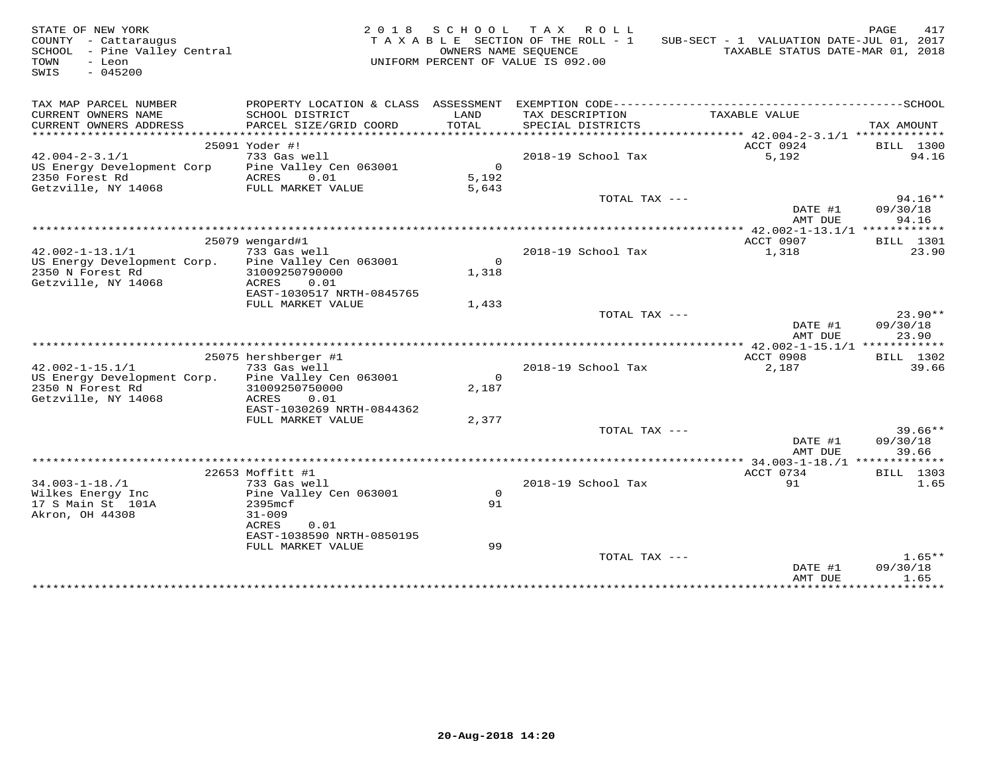| STATE OF NEW YORK<br>COUNTY - Cattaraugus<br>SCHOOL - Pine Valley Central<br>TOWN<br>- Leon<br>$-045200$<br>SWIS |                                           |                | 2018 SCHOOL TAX ROLL<br>TAXABLE SECTION OF THE ROLL - 1<br>OWNERS NAME SEQUENCE<br>UNIFORM PERCENT OF VALUE IS 092.00 | SUB-SECT - 1 VALUATION DATE-JUL 01, 2017<br>TAXABLE STATUS DATE-MAR 01, 2018                 | PAGE<br>417                    |
|------------------------------------------------------------------------------------------------------------------|-------------------------------------------|----------------|-----------------------------------------------------------------------------------------------------------------------|----------------------------------------------------------------------------------------------|--------------------------------|
| TAX MAP PARCEL NUMBER                                                                                            |                                           |                |                                                                                                                       | PROPERTY LOCATION & CLASS ASSESSMENT EXEMPTION CODE-----------------------------------SCHOOL |                                |
| CURRENT OWNERS NAME<br>CURRENT OWNERS ADDRESS                                                                    | SCHOOL DISTRICT<br>PARCEL SIZE/GRID COORD | LAND<br>TOTAL  | TAX DESCRIPTION<br>SPECIAL DISTRICTS                                                                                  | TAXABLE VALUE                                                                                | TAX AMOUNT                     |
|                                                                                                                  | 25091 Yoder #!                            |                |                                                                                                                       | ACCT 0924                                                                                    | BILL 1300                      |
| $42.004 - 2 - 3.1/1$                                                                                             | 733 Gas well                              |                | 2018-19 School Tax                                                                                                    | 5,192                                                                                        | 94.16                          |
| US Energy Development Corp                                                                                       | Pine Valley Cen 063001                    | $\circ$        |                                                                                                                       |                                                                                              |                                |
| 2350 Forest Rd                                                                                                   | ACRES<br>0.01                             | 5,192          |                                                                                                                       |                                                                                              |                                |
| Getzville, NY 14068                                                                                              | FULL MARKET VALUE                         | 5,643          |                                                                                                                       |                                                                                              |                                |
|                                                                                                                  |                                           |                | TOTAL TAX ---                                                                                                         | DATE #1<br>AMT DUE                                                                           | $94.16**$<br>09/30/18<br>94.16 |
|                                                                                                                  |                                           |                |                                                                                                                       |                                                                                              |                                |
|                                                                                                                  | 25079 wengard#1                           |                |                                                                                                                       | ACCT 0907                                                                                    | BILL 1301                      |
| $42.002 - 1 - 13.1/1$                                                                                            | 733 Gas well                              |                | 2018-19 School Tax                                                                                                    | 1,318                                                                                        | 23.90                          |
| US Energy Development Corp.                                                                                      | Pine Valley Cen 063001                    | $\overline{0}$ |                                                                                                                       |                                                                                              |                                |
| 2350 N Forest Rd                                                                                                 | 31009250790000                            | 1,318          |                                                                                                                       |                                                                                              |                                |
| Getzville, NY 14068                                                                                              | ACRES<br>0.01                             |                |                                                                                                                       |                                                                                              |                                |
|                                                                                                                  | EAST-1030517 NRTH-0845765                 |                |                                                                                                                       |                                                                                              |                                |
|                                                                                                                  | FULL MARKET VALUE                         | 1,433          |                                                                                                                       |                                                                                              |                                |
|                                                                                                                  |                                           |                | TOTAL TAX ---                                                                                                         |                                                                                              | $23.90**$                      |
|                                                                                                                  |                                           |                |                                                                                                                       | DATE #1                                                                                      | 09/30/18                       |
|                                                                                                                  |                                           |                |                                                                                                                       | AMT DUE                                                                                      | 23.90                          |
|                                                                                                                  | 25075 hershberger #1                      |                |                                                                                                                       | ACCT 0908                                                                                    | BILL 1302                      |
| $42.002 - 1 - 15.1/1$                                                                                            | 733 Gas well                              |                | 2018-19 School Tax                                                                                                    | 2,187                                                                                        | 39.66                          |
| US Energy Development Corp.                                                                                      | Pine Valley Cen 063001                    | $\circ$        |                                                                                                                       |                                                                                              |                                |
| 2350 N Forest Rd                                                                                                 | 31009250750000                            | 2,187          |                                                                                                                       |                                                                                              |                                |
| Getzville, NY 14068                                                                                              | ACRES<br>0.01                             |                |                                                                                                                       |                                                                                              |                                |
|                                                                                                                  | EAST-1030269 NRTH-0844362                 |                |                                                                                                                       |                                                                                              |                                |
|                                                                                                                  | FULL MARKET VALUE                         | 2,377          |                                                                                                                       |                                                                                              |                                |
|                                                                                                                  |                                           |                | TOTAL TAX ---                                                                                                         |                                                                                              | $39.66**$                      |
|                                                                                                                  |                                           |                |                                                                                                                       | DATE #1                                                                                      | 09/30/18                       |
|                                                                                                                  |                                           |                |                                                                                                                       | AMT DUE                                                                                      | 39.66                          |
|                                                                                                                  |                                           |                |                                                                                                                       | $****34.003-1-18./1*************$                                                            |                                |
|                                                                                                                  | 22653 Moffitt #1                          |                |                                                                                                                       | ACCT 0734                                                                                    | BILL 1303                      |
| $34.003 - 1 - 18. / 1$                                                                                           | 733 Gas well                              |                | 2018-19 School Tax                                                                                                    | 91                                                                                           | 1.65                           |
| Wilkes Energy Inc                                                                                                | Pine Valley Cen 063001                    | $\mathbf{0}$   |                                                                                                                       |                                                                                              |                                |
| 17 S Main St 101A                                                                                                | 2395mcf                                   | 91             |                                                                                                                       |                                                                                              |                                |
| Akron, OH 44308                                                                                                  | $31 - 009$<br>ACRES<br>0.01               |                |                                                                                                                       |                                                                                              |                                |
|                                                                                                                  | EAST-1038590 NRTH-0850195                 |                |                                                                                                                       |                                                                                              |                                |
|                                                                                                                  | FULL MARKET VALUE                         | 99             |                                                                                                                       |                                                                                              |                                |
|                                                                                                                  |                                           |                | TOTAL TAX ---                                                                                                         |                                                                                              | $1.65**$                       |
|                                                                                                                  |                                           |                |                                                                                                                       | DATE #1<br>AMT DUE                                                                           | 09/30/18<br>1.65               |
|                                                                                                                  |                                           |                |                                                                                                                       | <b>++++++++++++++</b>                                                                        | ********                       |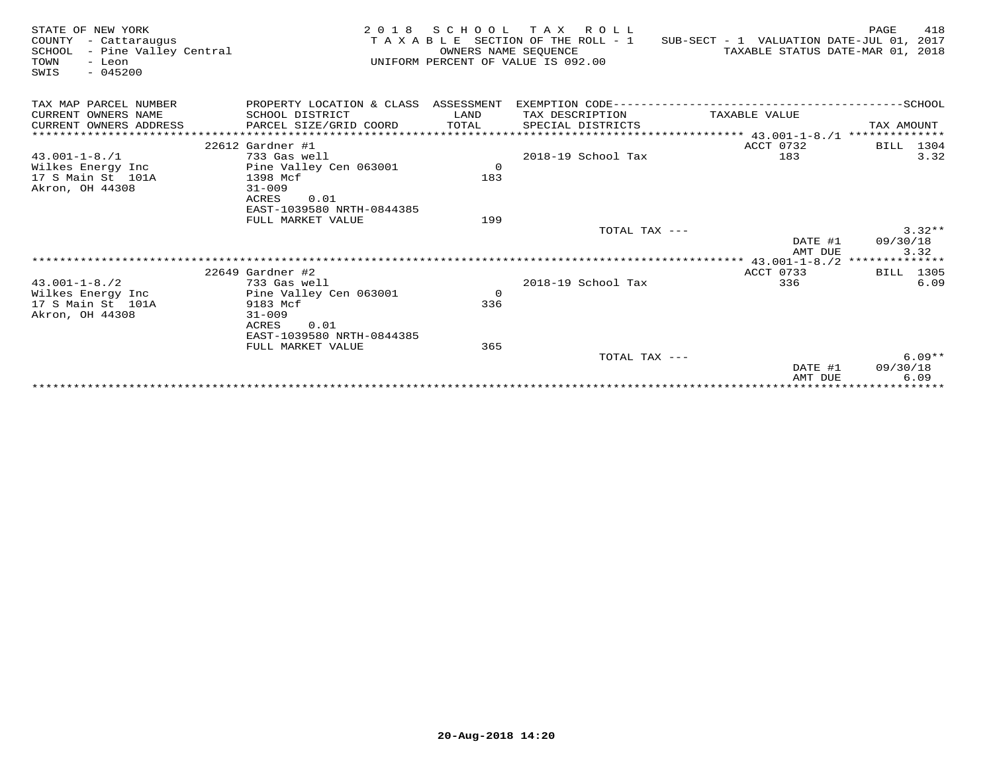| STATE OF NEW YORK<br>COUNTY<br>- Cattaraugus<br>SCHOOL<br>- Pine Valley Central<br>TOWN<br>- Leon<br>$-045200$<br>SWIS | 2 0 1 8                              | SCHOOL<br>OWNERS NAME SEOUENCE | TAX ROLL<br>TAXABLE SECTION OF THE ROLL - 1<br>UNIFORM PERCENT OF VALUE IS 092.00 | SUB-SECT - 1 VALUATION DATE-JUL 01, 2017<br>TAXABLE STATUS DATE-MAR 01, 2018 | 418<br>PAGE                   |
|------------------------------------------------------------------------------------------------------------------------|--------------------------------------|--------------------------------|-----------------------------------------------------------------------------------|------------------------------------------------------------------------------|-------------------------------|
| TAX MAP PARCEL NUMBER                                                                                                  | PROPERTY LOCATION & CLASS ASSESSMENT |                                |                                                                                   |                                                                              |                               |
| CURRENT OWNERS NAME                                                                                                    | SCHOOL DISTRICT                      | LAND                           | TAX DESCRIPTION                                                                   | TAXABLE VALUE                                                                |                               |
| CURRENT OWNERS ADDRESS                                                                                                 | PARCEL SIZE/GRID COORD               | TOTAL                          | SPECIAL DISTRICTS                                                                 |                                                                              | TAX AMOUNT                    |
| ***********************                                                                                                |                                      |                                |                                                                                   |                                                                              |                               |
|                                                                                                                        | $22612$ Gardner #1                   |                                |                                                                                   | ACCT 0732                                                                    | BILL 1304                     |
| $43.001 - 1 - 8.71$                                                                                                    | 733 Gas well                         |                                | 2018-19 School Tax                                                                | 183                                                                          | 3.32                          |
| Wilkes Energy Inc                                                                                                      | Pine Valley Cen 063001               | $\mathbf 0$                    |                                                                                   |                                                                              |                               |
| 17 S Main St 101A                                                                                                      | 1398 Mcf                             | 183                            |                                                                                   |                                                                              |                               |
| Akron, OH 44308                                                                                                        | $31 - 009$                           |                                |                                                                                   |                                                                              |                               |
|                                                                                                                        | ACRES<br>0.01                        |                                |                                                                                   |                                                                              |                               |
|                                                                                                                        | EAST-1039580 NRTH-0844385            |                                |                                                                                   |                                                                              |                               |
|                                                                                                                        | FULL MARKET VALUE                    | 199                            |                                                                                   |                                                                              | $3.32**$                      |
|                                                                                                                        |                                      |                                | TOTAL TAX ---                                                                     | DATE #1                                                                      | 09/30/18                      |
|                                                                                                                        |                                      |                                |                                                                                   | AMT DUE                                                                      | 3.32                          |
|                                                                                                                        |                                      |                                |                                                                                   |                                                                              |                               |
|                                                                                                                        | $22649$ Gardner #2                   |                                |                                                                                   | ACCT 0733                                                                    | BILL 1305                     |
| $43.001 - 1 - 8.72$                                                                                                    | 733 Gas well                         |                                | 2018-19 School Tax                                                                | 336                                                                          | 6.09                          |
| Wilkes Energy Inc                                                                                                      | Pine Valley Cen 063001               | $\Omega$                       |                                                                                   |                                                                              |                               |
| 17 S Main St 101A                                                                                                      | 9183 Mcf                             | 336                            |                                                                                   |                                                                              |                               |
| Akron, OH 44308                                                                                                        | $31 - 009$                           |                                |                                                                                   |                                                                              |                               |
|                                                                                                                        | ACRES<br>0.01                        |                                |                                                                                   |                                                                              |                               |
|                                                                                                                        | EAST-1039580 NRTH-0844385            |                                |                                                                                   |                                                                              |                               |
|                                                                                                                        | FULL MARKET VALUE                    | 365                            |                                                                                   |                                                                              |                               |
|                                                                                                                        |                                      |                                | TOTAL TAX ---                                                                     |                                                                              | $6.09**$                      |
|                                                                                                                        |                                      |                                |                                                                                   | DATE #1                                                                      | 09/30/18                      |
|                                                                                                                        |                                      |                                |                                                                                   | AMT DUE                                                                      | 6.09<br>* * * * * * * * * * * |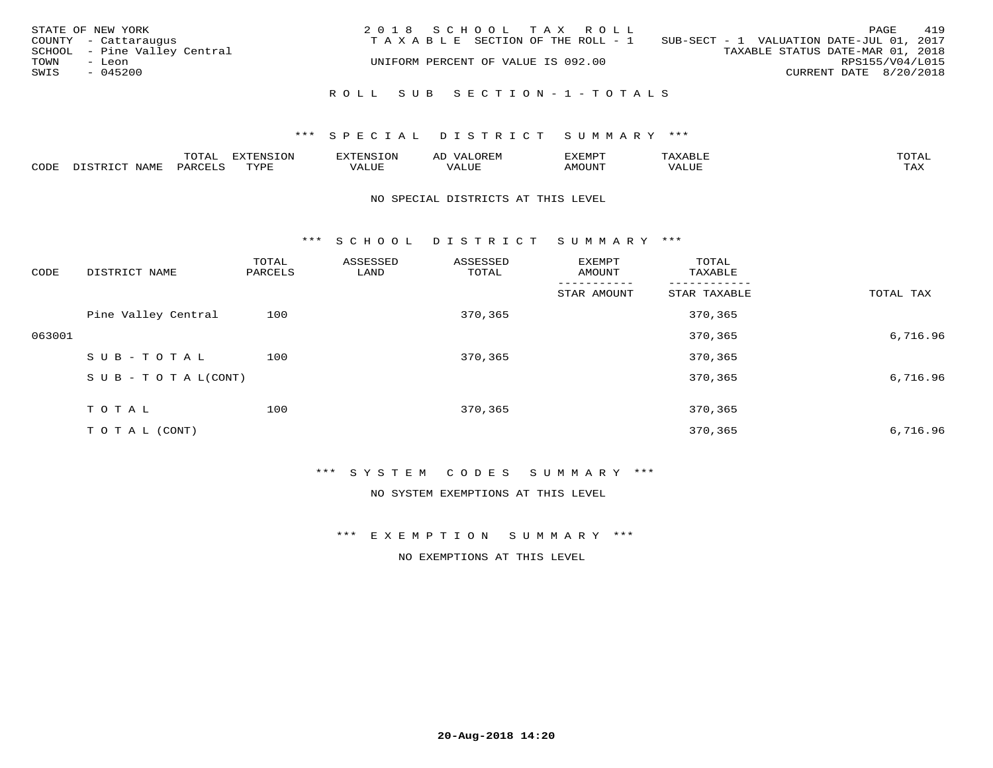| STATE OF NEW YORK<br>COUNTY - Cattaraugus<br>SCHOOL - Pine Valley Central<br>TOWN<br>- Leon<br>SWIS<br>$-045200$ | 2018 SCHOOL TAX ROLL<br>TAXABLE SECTION OF THE ROLL - 1<br>UNIFORM PERCENT OF VALUE IS 092.00 | 419<br>PAGE<br>SUB-SECT - 1 VALUATION DATE-JUL 01, 2017<br>TAXABLE STATUS DATE-MAR 01, 2018<br>RPS155/V04/L015<br>CURRENT DATE 8/20/2018 |
|------------------------------------------------------------------------------------------------------------------|-----------------------------------------------------------------------------------------------|------------------------------------------------------------------------------------------------------------------------------------------|
|                                                                                                                  | ROLL SUB SECTION-1-TOTALS                                                                     |                                                                                                                                          |

## \*\*\* S P E C I A L D I S T R I C T S U M M A R Y \*\*\*

|      |      | $m \wedge m \wedge n$<br>◡∸ғ | TON                              | . HUNY              | AĽ                  | ے ا      |       | $m \wedge m \wedge n$ |
|------|------|------------------------------|----------------------------------|---------------------|---------------------|----------|-------|-----------------------|
| CODE | NAMF | 'AK                          | $m \times r \times r$<br>- - - - | T T T<br>اللالمستحم | - ---<br>اللالمستعم | 57077375 | VALUF | $m \times r$<br>- −-  |

#### NO SPECIAL DISTRICTS AT THIS LEVEL

\*\*\* S C H O O L D I S T R I C T S U M M A R Y \*\*\*

| CODE   | DISTRICT NAME                    | TOTAL<br>PARCELS | ASSESSED<br>LAND | ASSESSED<br>TOTAL | EXEMPT<br>AMOUNT | TOTAL<br>TAXABLE |           |
|--------|----------------------------------|------------------|------------------|-------------------|------------------|------------------|-----------|
|        |                                  |                  |                  |                   | STAR AMOUNT      | STAR TAXABLE     | TOTAL TAX |
|        | Pine Valley Central              | 100              |                  | 370,365           |                  | 370,365          |           |
| 063001 |                                  |                  |                  |                   |                  | 370,365          | 6,716.96  |
|        | SUB-TOTAL                        | 100              |                  | 370,365           |                  | 370,365          |           |
|        | $S \cup B - T \cup T A L (CONT)$ |                  |                  |                   |                  | 370,365          | 6,716.96  |
|        | TOTAL                            | 100              |                  | 370,365           |                  | 370,365          |           |
|        |                                  |                  |                  |                   |                  |                  |           |
|        | T O T A L (CONT)                 |                  |                  |                   |                  | 370,365          | 6,716.96  |

\*\*\* S Y S T E M C O D E S S U M M A R Y \*\*\*

NO SYSTEM EXEMPTIONS AT THIS LEVEL

\*\*\* E X E M P T I O N S U M M A R Y \*\*\*

NO EXEMPTIONS AT THIS LEVEL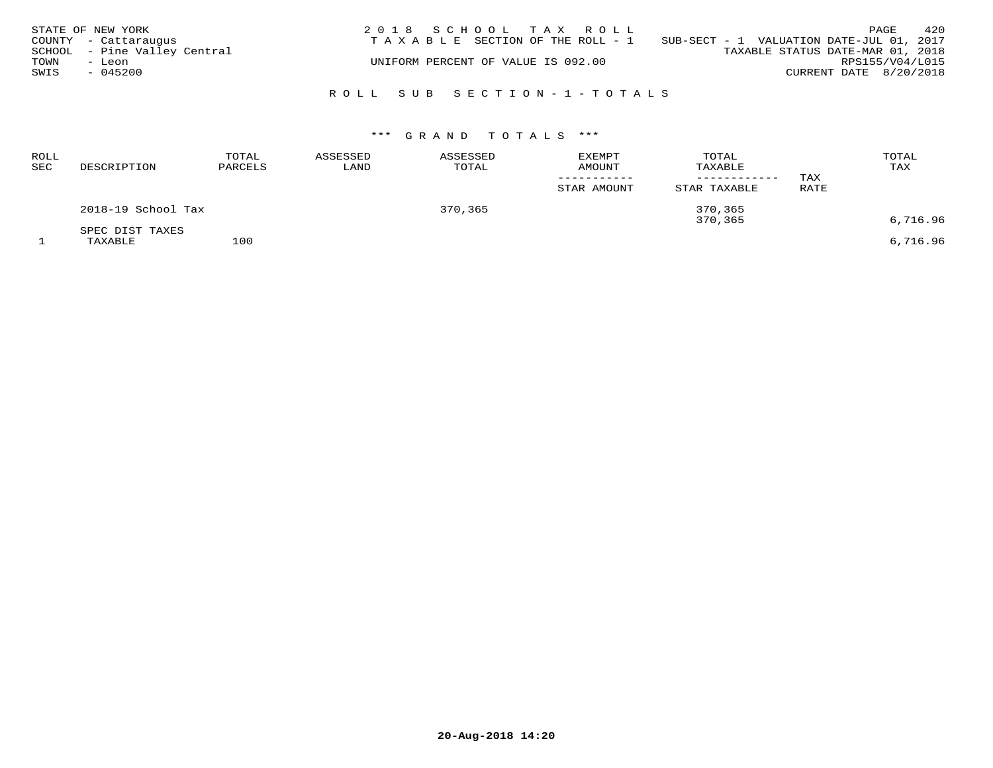|      | STATE OF NEW YORK            | 2018 SCHOOL TAX ROLL                                                           |                                  | PAGE                   | 420             |
|------|------------------------------|--------------------------------------------------------------------------------|----------------------------------|------------------------|-----------------|
|      | COUNTY - Cattaraugus         | T A X A B L E SECTION OF THE ROLL - 1 SUB-SECT - 1 VALUATION DATE-JUL 01, 2017 |                                  |                        |                 |
|      | SCHOOL - Pine Valley Central |                                                                                | TAXABLE STATUS DATE-MAR 01, 2018 |                        |                 |
| TOWN | - Leon                       | UNIFORM PERCENT OF VALUE IS 092.00                                             |                                  |                        | RPS155/V04/L015 |
| SWIS | $-045200$                    |                                                                                |                                  | CURRENT DATE 8/20/2018 |                 |
|      |                              |                                                                                |                                  |                        |                 |
|      |                              | ROLL SUB SECTION-1-TOTALS                                                      |                                  |                        |                 |

# \*\*\* G R A N D T O T A L S \*\*\*

| <b>ROLL</b><br><b>SEC</b> | DESCRIPTION                | TOTAL<br>PARCELS | ASSESSED<br>LAND | ASSESSED<br>TOTAL | <b>EXEMPT</b><br>AMOUNT<br>STAR AMOUNT | TOTAL<br>TAXABLE<br>STAR TAXABLE | TAX<br>RATE | TOTAL<br>TAX |
|---------------------------|----------------------------|------------------|------------------|-------------------|----------------------------------------|----------------------------------|-------------|--------------|
|                           | 2018-19 School Tax         |                  |                  | 370,365           |                                        | 370,365<br>370,365               |             | 6,716.96     |
|                           | SPEC DIST TAXES<br>TAXABLE | 100              |                  |                   |                                        |                                  |             | 6,716.96     |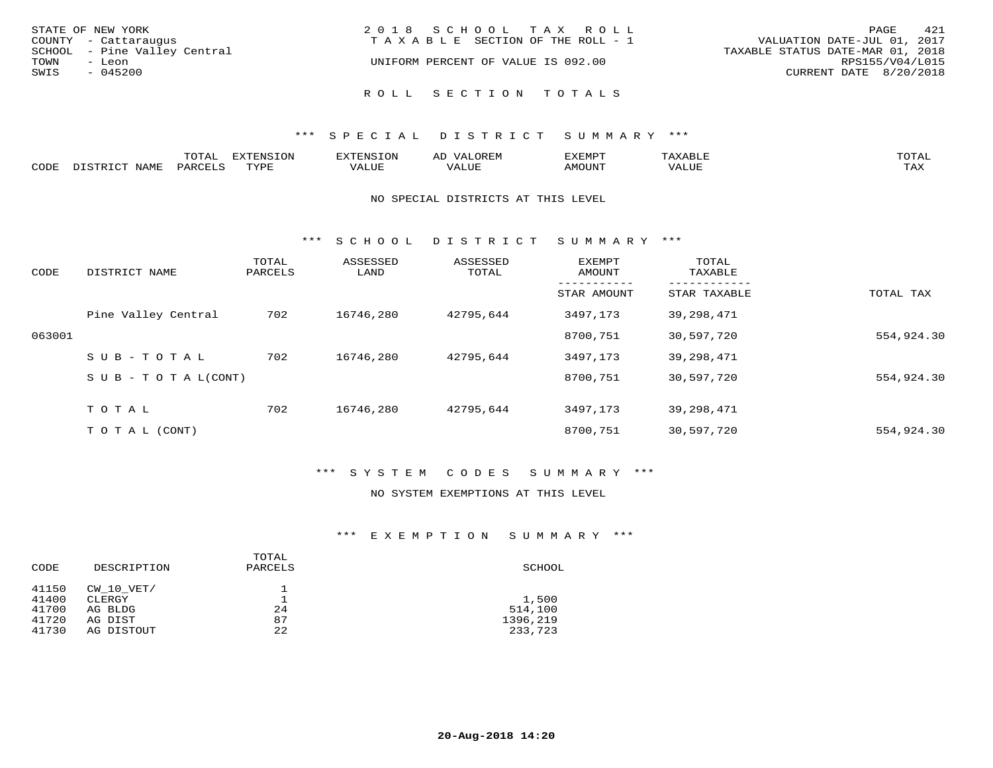| STATE OF NEW YORK<br>COUNTY - Cattaraugus<br>SCHOOL - Pine Valley Central | 2018 SCHOOL TAX ROLL<br>T A X A B L E SECTION OF THE ROLL - 1 | 421<br>PAGE<br>VALUATION DATE-JUL 01, 2017<br>TAXABLE STATUS DATE-MAR 01, 2018 |
|---------------------------------------------------------------------------|---------------------------------------------------------------|--------------------------------------------------------------------------------|
| TOWN<br>- Leon<br>SWIS<br>$-045200$                                       | UNIFORM PERCENT OF VALUE IS 092.00                            | RPS155/V04/L015<br>CURRENT DATE 8/20/2018                                      |
|                                                                           | ROLL SECTION TOTALS                                           |                                                                                |

## \*\*\* S P E C I A L D I S T R I C T S U M M A R Y \*\*\*

|      |              | UIAI          | ਸ∨ਰਸਾਮ⊂ T∩N    |        | ╌     | 'XEMP' | $\mathbf{x}$ . | TOTAL |
|------|--------------|---------------|----------------|--------|-------|--------|----------------|-------|
| CODE |              |               |                |        |       |        |                |       |
|      | <b>NTAME</b> | <b>DARCET</b> | <b>EXZIDIT</b> | '/ALUL | VALUF | AMOUNT | <b>7ALUE</b>   | TAX   |
|      |              |               |                |        |       |        |                |       |

#### NO SPECIAL DISTRICTS AT THIS LEVEL

\*\*\* S C H O O L D I S T R I C T S U M M A R Y \*\*\*

| CODE   | DISTRICT NAME                    | TOTAL<br>PARCELS | ASSESSED<br>LAND | ASSESSED<br>TOTAL | EXEMPT<br>AMOUNT | TOTAL<br>TAXABLE |            |
|--------|----------------------------------|------------------|------------------|-------------------|------------------|------------------|------------|
|        |                                  |                  |                  |                   | STAR AMOUNT      | STAR TAXABLE     | TOTAL TAX  |
|        | Pine Valley Central              | 702              | 16746,280        | 42795,644         | 3497,173         | 39,298,471       |            |
| 063001 |                                  |                  |                  |                   | 8700,751         | 30,597,720       | 554,924.30 |
|        | SUB-TOTAL                        | 702              | 16746,280        | 42795,644         | 3497,173         | 39,298,471       |            |
|        | $S \cup B - T \cup T A L (CONT)$ |                  |                  |                   | 8700,751         | 30,597,720       | 554,924.30 |
|        | T O T A L                        | 702              | 16746,280        | 42795,644         | 3497,173         | 39,298,471       |            |
|        | T O T A L (CONT)                 |                  |                  |                   | 8700,751         | 30,597,720       | 554,924.30 |

# \*\*\* S Y S T E M C O D E S S U M M A R Y \*\*\*

#### NO SYSTEM EXEMPTIONS AT THIS LEVEL

## \*\*\* E X E M P T I O N S U M M A R Y \*\*\*

| CODE  | DESCRIPTION | TOTAL<br>PARCELS | SCHOOL   |
|-------|-------------|------------------|----------|
| 41150 | CW 10 VET/  |                  |          |
| 41400 | CLERGY      |                  | 1,500    |
| 41700 | AG BLDG     | 24               | 514,100  |
| 41720 | AG DIST     | 87               | 1396,219 |
| 41730 | AG DISTOUT  | 22               | 233,723  |
|       |             |                  |          |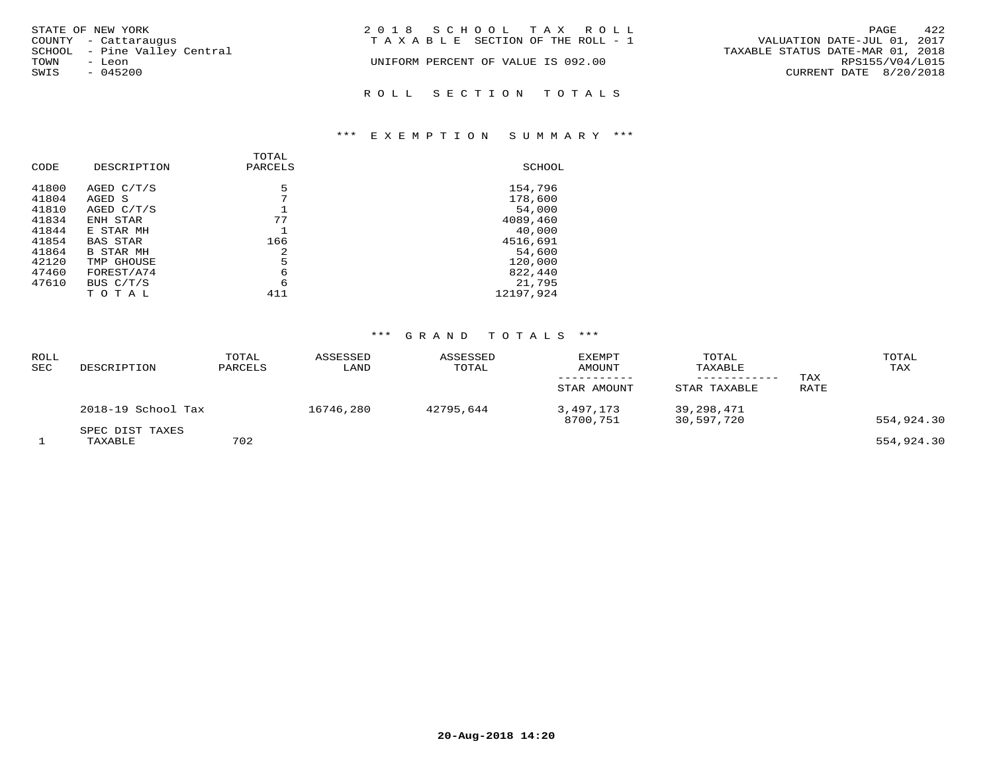| STATE OF NEW YORK            | 2018 SCHOOL TAX ROLL               | 422<br>PAGE                      |
|------------------------------|------------------------------------|----------------------------------|
| COUNTY - Cattaraugus         | TAXABLE SECTION OF THE ROLL - 1    | VALUATION DATE-JUL 01, 2017      |
| SCHOOL - Pine Valley Central |                                    | TAXABLE STATUS DATE-MAR 01, 2018 |
| TOWN<br>- Leon               | UNIFORM PERCENT OF VALUE IS 092.00 | RPS155/V04/L015                  |
| SWIS<br>$-045200$            |                                    | CURRENT DATE 8/20/2018           |
|                              | ROLL SECTION TOTALS                |                                  |

## \*\*\* E X E M P T I O N S U M M A R Y \*\*\*

| CODE  | DESCRIPTION      | <b>TOTAL</b><br>PARCELS | SCHOOL    |
|-------|------------------|-------------------------|-----------|
| 41800 | AGED C/T/S       | 5                       | 154,796   |
| 41804 | AGED S           | 7                       | 178,600   |
| 41810 | AGED C/T/S       |                         | 54,000    |
| 41834 | ENH STAR         | 77                      | 4089,460  |
| 41844 | E STAR MH        |                         | 40,000    |
| 41854 | <b>BAS STAR</b>  | 166                     | 4516,691  |
| 41864 | <b>B STAR MH</b> | 2                       | 54,600    |
| 42120 | TMP GHOUSE       | 5                       | 120,000   |
| 47460 | FOREST/A74       | 6                       | 822,440   |
| 47610 | BUS C/T/S        | 6                       | 21,795    |
|       | тотаг            | 411                     | 12197.924 |

# \*\*\* G R A N D T O T A L S \*\*\*

| ROLL<br>SEC | DESCRIPTION                | TOTAL<br>PARCELS | ASSESSED<br>LAND | ASSESSED<br>TOTAL | EXEMPT<br>AMOUNT<br>STAR AMOUNT | TOTAL<br>TAXABLE<br>STAR TAXABLE | TAX<br>RATE | TOTAL<br>TAX |
|-------------|----------------------------|------------------|------------------|-------------------|---------------------------------|----------------------------------|-------------|--------------|
|             | 2018-19 School Tax         |                  | 16746,280        | 42795,644         | 3,497,173<br>8700,751           | 39,298,471<br>30,597,720         |             | 554,924.30   |
|             | SPEC DIST TAXES<br>TAXABLE | 702              |                  |                   |                                 |                                  |             | 554,924.30   |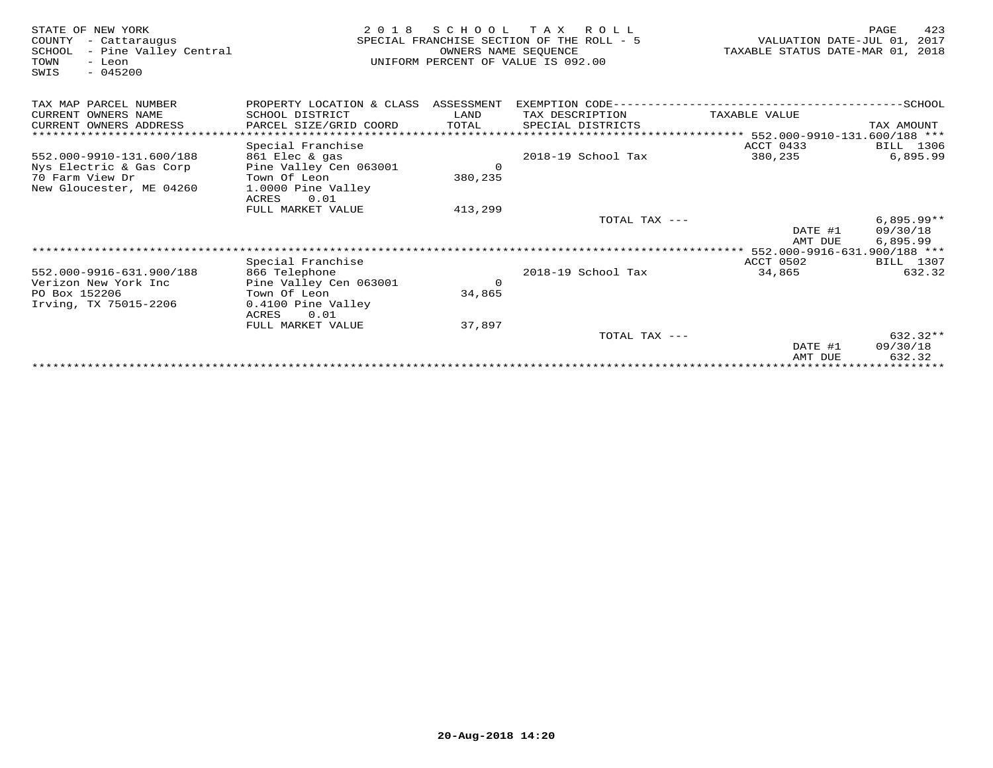| STATE OF NEW YORK<br>- Cattaraugus<br>COUNTY<br>- Pine Valley Central<br>SCHOOL<br>- Leon<br>TOWN<br>$-045200$<br>SWIS | 2 0 1 8                              | SCHOOL<br>OWNERS NAME SEOUENCE | TAX ROLL<br>SPECIAL FRANCHISE SECTION OF THE ROLL - 5<br>UNIFORM PERCENT OF VALUE IS 092.00 | VALUATION DATE-JUL 01, 2017<br>TAXABLE STATUS DATE-MAR 01, 2018 | 423<br>PAGE  |
|------------------------------------------------------------------------------------------------------------------------|--------------------------------------|--------------------------------|---------------------------------------------------------------------------------------------|-----------------------------------------------------------------|--------------|
| TAX MAP PARCEL NUMBER                                                                                                  | PROPERTY LOCATION & CLASS ASSESSMENT |                                |                                                                                             |                                                                 |              |
| CURRENT OWNERS NAME                                                                                                    | SCHOOL DISTRICT                      | LAND                           | TAX DESCRIPTION                                                                             | TAXABLE VALUE                                                   |              |
| CURRENT OWNERS ADDRESS                                                                                                 | PARCEL SIZE/GRID COORD               | TOTAL                          | SPECIAL DISTRICTS                                                                           |                                                                 | TAX AMOUNT   |
| *********************                                                                                                  |                                      |                                | ********************************** 552.000-9910-131.600/188 ***                             |                                                                 |              |
|                                                                                                                        | Special Franchise                    |                                |                                                                                             | ACCT 0433                                                       | BILL 1306    |
| 552.000-9910-131.600/188                                                                                               | 861 Elec & gas                       |                                | 2018-19 School Tax                                                                          | 380,235                                                         | 6,895.99     |
| Nys Electric & Gas Corp                                                                                                | Pine Valley Cen 063001               | $\Omega$                       |                                                                                             |                                                                 |              |
| 70 Farm View Dr                                                                                                        | Town Of Leon                         | 380,235                        |                                                                                             |                                                                 |              |
| New Gloucester, ME 04260                                                                                               | 1.0000 Pine Valley                   |                                |                                                                                             |                                                                 |              |
|                                                                                                                        | 0.01<br>ACRES<br>FULL MARKET VALUE   | 413,299                        |                                                                                             |                                                                 |              |
|                                                                                                                        |                                      |                                | TOTAL TAX ---                                                                               |                                                                 | $6,895.99**$ |
|                                                                                                                        |                                      |                                |                                                                                             | DATE #1                                                         | 09/30/18     |
|                                                                                                                        |                                      |                                |                                                                                             | AMT DUE                                                         | 6,895.99     |
|                                                                                                                        |                                      |                                |                                                                                             |                                                                 |              |
|                                                                                                                        | Special Franchise                    |                                |                                                                                             | ACCT 0502                                                       | BILL 1307    |
| 552.000-9916-631.900/188                                                                                               | 866 Telephone                        |                                | 2018-19 School Tax                                                                          | 34,865                                                          | 632.32       |
| Verizon New York Inc                                                                                                   | Pine Valley Cen 063001               | $\Omega$                       |                                                                                             |                                                                 |              |
| PO Box 152206                                                                                                          | Town Of Leon                         | 34,865                         |                                                                                             |                                                                 |              |
| Irving, TX 75015-2206                                                                                                  | 0.4100 Pine Valley                   |                                |                                                                                             |                                                                 |              |
|                                                                                                                        | ACRES<br>0.01                        |                                |                                                                                             |                                                                 |              |
|                                                                                                                        | FULL MARKET VALUE                    | 37,897                         |                                                                                             |                                                                 |              |
|                                                                                                                        |                                      |                                | TOTAL TAX ---                                                                               |                                                                 | $632.32**$   |
|                                                                                                                        |                                      |                                |                                                                                             | DATE #1                                                         | 09/30/18     |
|                                                                                                                        |                                      |                                |                                                                                             | AMT DUE                                                         | 632.32       |
|                                                                                                                        |                                      |                                |                                                                                             |                                                                 |              |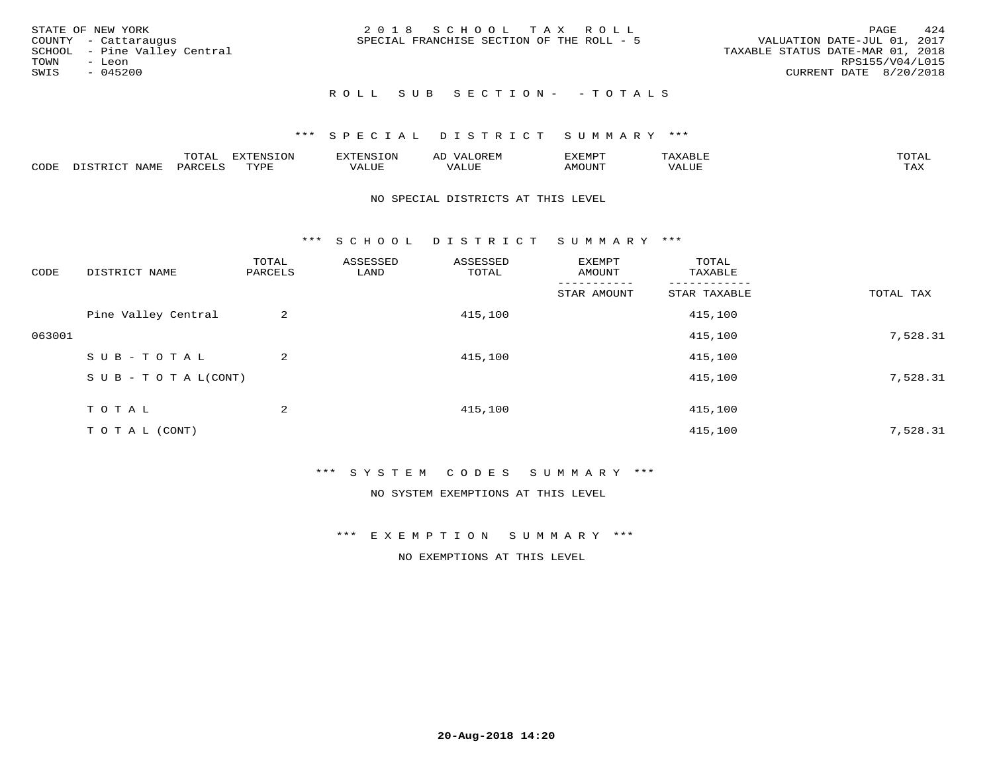|      | STATE OF NEW YORK            | 2018 SCHOOL TAX ROLL                      | 424<br>PAGE                      |
|------|------------------------------|-------------------------------------------|----------------------------------|
|      | COUNTY - Cattaraugus         | SPECIAL FRANCHISE SECTION OF THE ROLL - 5 | VALUATION DATE-JUL 01, 2017      |
|      | SCHOOL - Pine Valley Central |                                           | TAXABLE STATUS DATE-MAR 01, 2018 |
| TOWN | - Leon                       |                                           | RPS155/V04/L015                  |
| SWIS | - 045200                     |                                           | CURRENT DATE 8/20/2018           |
|      |                              |                                           |                                  |

# ROLL SUB SECTION - - TOTALS

## \*\*\* S P E C I A L D I S T R I C T S U M M A R Y \*\*\*

|      |                      | ----<br><u>UIAI</u> | <b>FYTFNSION</b><br>- 75 | <b>FNC</b>     | ᅺᅜᄓ                      | SXEMPT | $\Delta$<br>.                  | $m \wedge m \wedge n$ |
|------|----------------------|---------------------|--------------------------|----------------|--------------------------|--------|--------------------------------|-----------------------|
| CODE | <b>NTAMT</b><br>⊥∙⊥⊥ | D.ODT.<br>PARL      | $m \tau \tau m$<br>.     | T T T<br>ALUF: | , <del>,</del> , , , , , | MOUN.  | , 77 T TT <del>D</del><br>ALUE | TAX                   |

#### NO SPECIAL DISTRICTS AT THIS LEVEL

\*\*\* S C H O O L D I S T R I C T S U M M A R Y \*\*\*

| CODE   | DISTRICT NAME                    | TOTAL<br>PARCELS | ASSESSED<br>LAND | ASSESSED<br>TOTAL | EXEMPT<br>AMOUNT | TOTAL<br>TAXABLE |           |
|--------|----------------------------------|------------------|------------------|-------------------|------------------|------------------|-----------|
|        |                                  |                  |                  |                   | STAR AMOUNT      | STAR TAXABLE     | TOTAL TAX |
|        | Pine Valley Central              | 2                |                  | 415,100           |                  | 415,100          |           |
| 063001 |                                  |                  |                  |                   |                  | 415,100          | 7,528.31  |
|        | SUB-TOTAL                        | 2                |                  | 415,100           |                  | 415,100          |           |
|        | $S \cup B - T \cup T A L (CONT)$ |                  |                  |                   |                  | 415,100          | 7,528.31  |
|        | TOTAL                            | 2                |                  | 415,100           |                  | 415,100          |           |
|        | T O T A L (CONT)                 |                  |                  |                   |                  | 415,100          | 7,528.31  |

### \*\*\* S Y S T E M C O D E S S U M M A R Y \*\*\*

NO SYSTEM EXEMPTIONS AT THIS LEVEL

\*\*\* E X E M P T I O N S U M M A R Y \*\*\*

NO EXEMPTIONS AT THIS LEVEL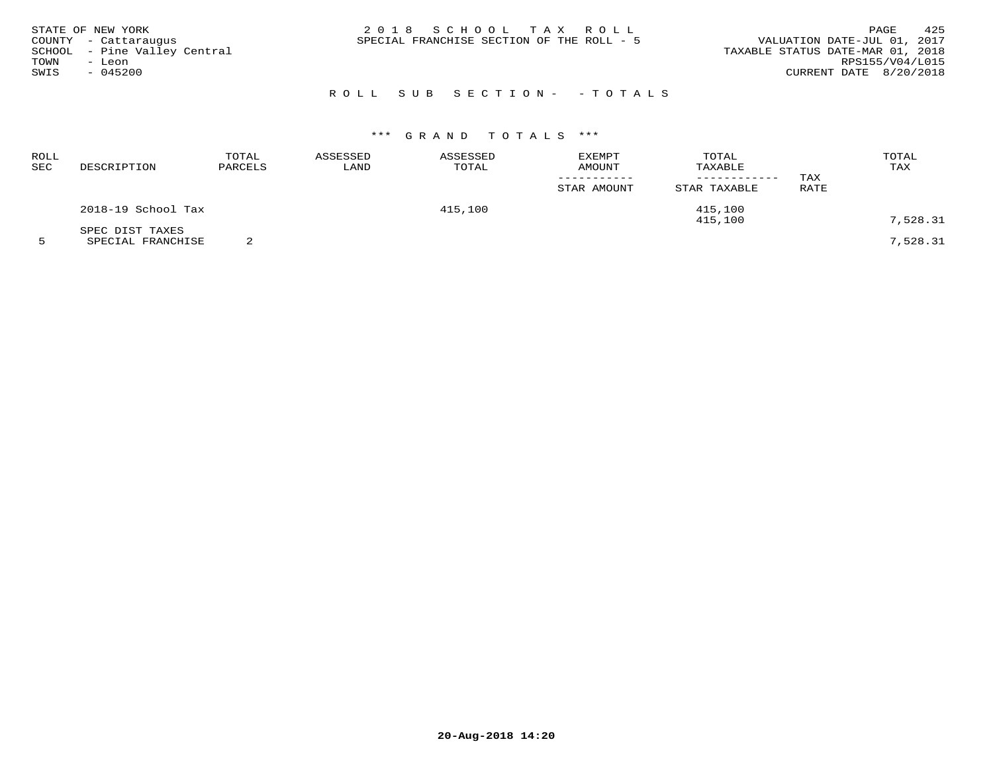| STATE OF NEW YORK<br>COUNTY - Cattaraugus<br>SCHOOL - Pine Valley Central<br>TOWN<br>– Leon<br>SWIS<br>$-045200$ | 2018 SCHOOL TAX ROLL<br>SPECIAL FRANCHISE SECTION OF THE ROLL - 5 | 425<br>PAGE<br>VALUATION DATE-JUL 01, 2017<br>TAXABLE STATUS DATE-MAR 01, 2018<br>RPS155/V04/L015<br>CURRENT DATE 8/20/2018 |
|------------------------------------------------------------------------------------------------------------------|-------------------------------------------------------------------|-----------------------------------------------------------------------------------------------------------------------------|
|                                                                                                                  | ROLL SUB SECTION- - TOTALS                                        |                                                                                                                             |

# \*\*\* G R A N D T O T A L S \*\*\*

| ROLL<br>SEC | DESCRIPTION                          | TOTAL<br>PARCELS | ASSESSED<br>LAND | ASSESSED<br>TOTAL | <b>EXEMPT</b><br>AMOUNT<br>STAR AMOUNT | TOTAL<br>TAXABLE<br>STAR TAXABLE | TAX<br>RATE | TOTAL<br>TAX |
|-------------|--------------------------------------|------------------|------------------|-------------------|----------------------------------------|----------------------------------|-------------|--------------|
|             | 2018-19 School Tax                   |                  |                  | 415,100           |                                        | 415,100<br>415,100               |             | 7,528.31     |
|             | SPEC DIST TAXES<br>SPECIAL FRANCHISE |                  |                  |                   |                                        |                                  |             | 7,528.31     |

**20-Aug-2018 14:20**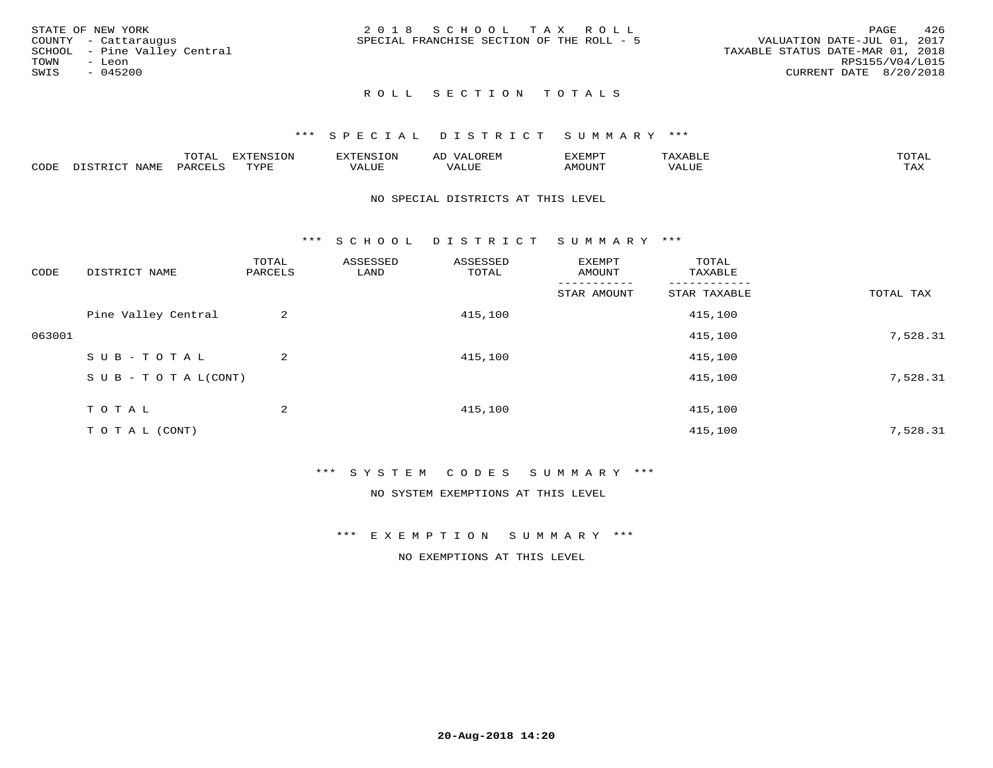|      | STATE OF NEW YORK            | 2018 SCHOOL TAX ROLL                      |  |                                  |                        | PAGE | 426 |
|------|------------------------------|-------------------------------------------|--|----------------------------------|------------------------|------|-----|
|      | COUNTY - Cattaraugus         | SPECIAL FRANCHISE SECTION OF THE ROLL - 5 |  | VALUATION DATE-JUL 01, 2017      |                        |      |     |
|      | SCHOOL - Pine Valley Central |                                           |  | TAXABLE STATUS DATE-MAR 01, 2018 |                        |      |     |
|      |                              |                                           |  |                                  |                        |      |     |
| TOWN | - Leon                       |                                           |  |                                  | RPS155/V04/L015        |      |     |
| SWIS | $-045200$                    |                                           |  |                                  | CURRENT DATE 8/20/2018 |      |     |
|      |                              |                                           |  |                                  |                        |      |     |

# ROLL SECTION TOTALS

#### \*\*\* S P E C I A L D I S T R I C T S U M M A R Y \*\*\*

|      |      | momm<br>LUIAL | $\blacksquare$<br>mazma<br>.UP | . N.S                | . JR P.IV     | המארד 17<br>ິ<br>⊐ויום∧נ |                |                    |
|------|------|---------------|--------------------------------|----------------------|---------------|--------------------------|----------------|--------------------|
| CODE | NAME | . DAD'        | TVDI<br>.                      | 77\TTTT<br>الالالدين | T T T<br>ALUI | AMOUNT                   | T T T T<br>′ △ | $m \times r$<br>∸⊷ |

#### NO SPECIAL DISTRICTS AT THIS LEVEL

\*\*\* S C H O O L D I S T R I C T S U M M A R Y \*\*\*

| CODE   | DISTRICT NAME                    | TOTAL<br>PARCELS | ASSESSED<br>LAND | ASSESSED<br>TOTAL | EXEMPT<br>AMOUNT | TOTAL<br>TAXABLE |           |
|--------|----------------------------------|------------------|------------------|-------------------|------------------|------------------|-----------|
|        |                                  |                  |                  |                   | STAR AMOUNT      | STAR TAXABLE     | TOTAL TAX |
|        | Pine Valley Central              | 2                |                  | 415,100           |                  | 415,100          |           |
| 063001 |                                  |                  |                  |                   |                  | 415,100          | 7,528.31  |
|        | SUB-TOTAL                        | $\overline{2}$   |                  | 415,100           |                  | 415,100          |           |
|        | $S \cup B - T \cup T A L (CONT)$ |                  |                  |                   |                  | 415,100          | 7,528.31  |
|        | TOTAL                            | 2                |                  | 415,100           |                  | 415,100          |           |
|        | T O T A L (CONT)                 |                  |                  |                   |                  | 415,100          | 7,528.31  |

### \*\*\* S Y S T E M C O D E S S U M M A R Y \*\*\*

NO SYSTEM EXEMPTIONS AT THIS LEVEL

\*\*\* E X E M P T I O N S U M M A R Y \*\*\*

NO EXEMPTIONS AT THIS LEVEL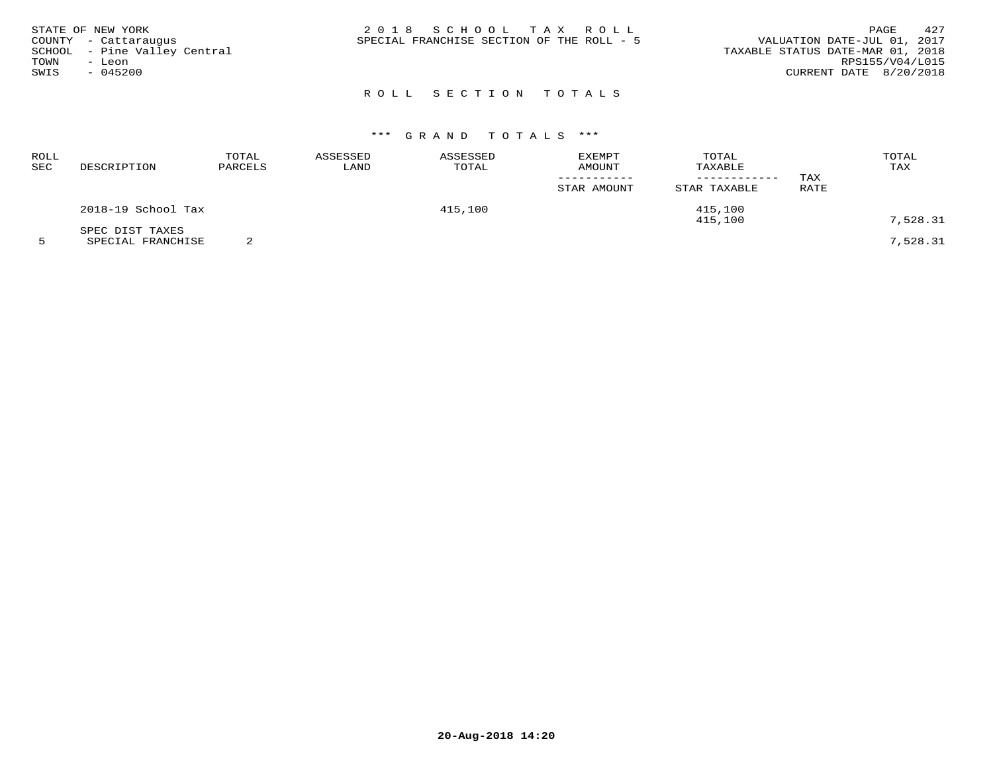|      | STATE OF NEW YORK            | 2018 SCHOOL TAX ROLL                                                     | PAGE            | 427 |
|------|------------------------------|--------------------------------------------------------------------------|-----------------|-----|
|      | COUNTY - Cattaraugus         | VALUATION DATE-JUL 01, 2017<br>SPECIAL FRANCHISE SECTION OF THE ROLL - 5 |                 |     |
|      | SCHOOL - Pine Valley Central | TAXABLE STATUS DATE-MAR 01, 2018                                         |                 |     |
| TOWN | - Leon                       |                                                                          | RPS155/V04/L015 |     |
| SWIS | - 045200                     | CURRENT DATE 8/20/2018                                                   |                 |     |
|      |                              |                                                                          |                 |     |

# ROLL SECTION TOTALS

# \*\*\* G R A N D T O T A L S \*\*\*

| ROLL<br>SEC | DESCRIPTION                          | TOTAL<br>PARCELS | ASSESSED<br>LAND | ASSESSED<br>TOTAL | EXEMPT<br><b>AMOUNT</b><br>STAR AMOUNT | TOTAL<br>TAXABLE<br>---------<br>STAR TAXABLE | TAX<br>RATE | TOTAL<br>TAX |
|-------------|--------------------------------------|------------------|------------------|-------------------|----------------------------------------|-----------------------------------------------|-------------|--------------|
|             | 2018-19 School Tax                   |                  |                  | 415,100           |                                        | 415,100<br>415,100                            |             | 7,528.31     |
|             | SPEC DIST TAXES<br>SPECIAL FRANCHISE |                  |                  |                   |                                        |                                               |             | 7,528.31     |

**20-Aug-2018 14:20**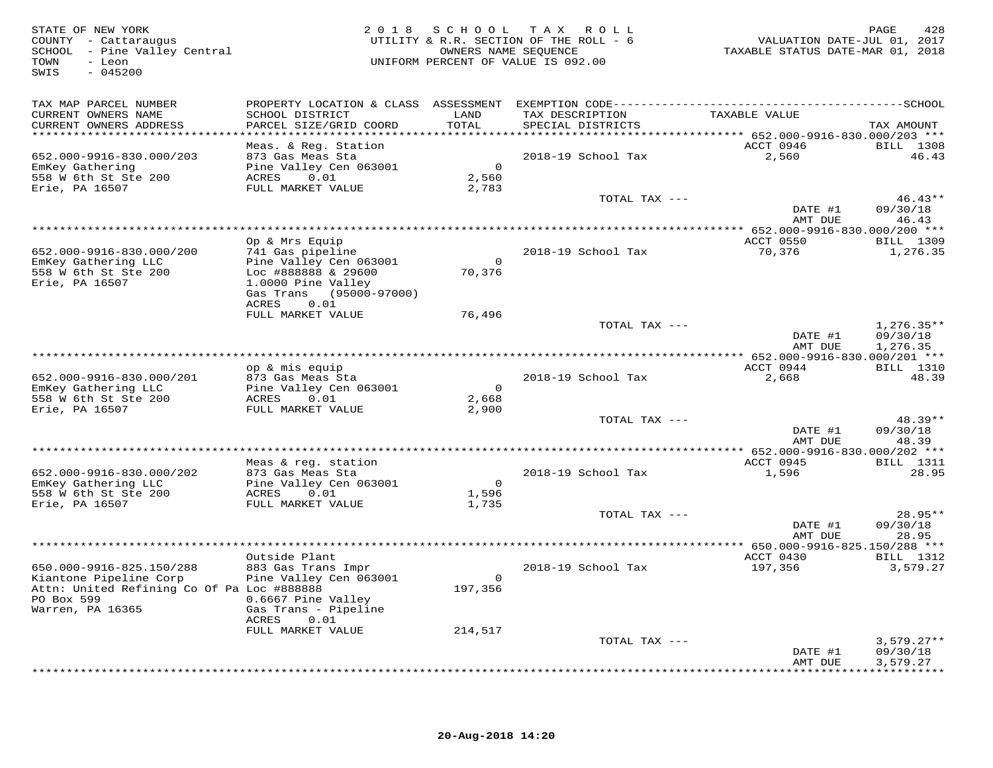| STATE OF NEW YORK<br>COUNTY - Cattaraugus<br>SCHOOL - Pine Valley Central<br>TOWN<br>- Leon<br>SWIS<br>$-045200$ | 2 0 1 8                                       | OWNERS NAME SEQUENCE    | SCHOOL TAX ROLL<br>UTILITY & R.R. SECTION OF THE ROLL - 6<br>UNIFORM PERCENT OF VALUE IS 092.00 | VALUATION DATE-JUL 01, 2017<br>TAXABLE STATUS DATE-MAR 01, 2018 | PAGE<br>428          |
|------------------------------------------------------------------------------------------------------------------|-----------------------------------------------|-------------------------|-------------------------------------------------------------------------------------------------|-----------------------------------------------------------------|----------------------|
| TAX MAP PARCEL NUMBER                                                                                            |                                               |                         |                                                                                                 |                                                                 |                      |
| CURRENT OWNERS NAME<br>CURRENT OWNERS ADDRESS<br>************************                                        | SCHOOL DISTRICT<br>PARCEL SIZE/GRID COORD     | LAND<br>TOTAL           | TAX DESCRIPTION<br>SPECIAL DISTRICTS                                                            | TAXABLE VALUE                                                   | TAX AMOUNT           |
|                                                                                                                  | Meas. & Reg. Station                          |                         |                                                                                                 | ACCT 0946                                                       | <b>BILL</b> 1308     |
| 652.000-9916-830.000/203                                                                                         | 873 Gas Meas Sta                              |                         | 2018-19 School Tax                                                                              | 2,560                                                           | 46.43                |
| EmKey Gathering                                                                                                  | Pine Valley Cen 063001                        | $\overline{0}$          |                                                                                                 |                                                                 |                      |
| 558 W 6th St Ste 200<br>Erie, PA 16507                                                                           | 0.01<br>ACRES<br>FULL MARKET VALUE            | 2,560<br>2,783          |                                                                                                 |                                                                 |                      |
|                                                                                                                  |                                               |                         | TOTAL TAX ---                                                                                   |                                                                 | $46.43**$            |
|                                                                                                                  |                                               |                         |                                                                                                 | DATE #1                                                         | 09/30/18             |
|                                                                                                                  |                                               |                         |                                                                                                 | AMT DUE                                                         | 46.43                |
|                                                                                                                  | Op & Mrs Equip                                |                         |                                                                                                 | ACCT 0550                                                       | <b>BILL</b> 1309     |
| 652.000-9916-830.000/200                                                                                         | 741 Gas pipeline                              |                         | 2018-19 School Tax                                                                              | 70,376                                                          | 1,276.35             |
| EmKey Gathering LLC                                                                                              | Pine Valley Cen 063001                        | $\overline{0}$          |                                                                                                 |                                                                 |                      |
| 558 W 6th St Ste 200                                                                                             | Loc #888888 & 29600                           | 70,376                  |                                                                                                 |                                                                 |                      |
| Erie, PA 16507                                                                                                   | 1.0000 Pine Valley<br>Gas Trans (95000-97000) |                         |                                                                                                 |                                                                 |                      |
|                                                                                                                  | 0.01<br>ACRES                                 |                         |                                                                                                 |                                                                 |                      |
|                                                                                                                  | FULL MARKET VALUE                             | 76,496                  |                                                                                                 |                                                                 |                      |
|                                                                                                                  |                                               |                         | TOTAL TAX ---                                                                                   |                                                                 | $1,276.35**$         |
|                                                                                                                  |                                               |                         |                                                                                                 | DATE #1<br>AMT DUE                                              | 09/30/18<br>1,276.35 |
|                                                                                                                  |                                               |                         |                                                                                                 |                                                                 |                      |
|                                                                                                                  | op & mis equip                                |                         |                                                                                                 | ACCT 0944                                                       | <b>BILL</b> 1310     |
| 652.000-9916-830.000/201                                                                                         | 873 Gas Meas Sta                              |                         | 2018-19 School Tax                                                                              | 2,668                                                           | 48.39                |
| EmKey Gathering LLC<br>558 W 6th St Ste 200                                                                      | Pine Valley Cen 063001<br>ACRES<br>0.01       | $\overline{0}$<br>2,668 |                                                                                                 |                                                                 |                      |
| Erie, PA 16507                                                                                                   | FULL MARKET VALUE                             | 2,900                   |                                                                                                 |                                                                 |                      |
|                                                                                                                  |                                               |                         | TOTAL TAX ---                                                                                   |                                                                 | $48.39**$            |
|                                                                                                                  |                                               |                         |                                                                                                 | DATE #1                                                         | 09/30/18             |
|                                                                                                                  |                                               |                         |                                                                                                 | AMT DUE                                                         | 48.39                |
|                                                                                                                  | Meas & reg. station                           |                         |                                                                                                 | ACCT 0945                                                       | <b>BILL</b> 1311     |
| 652.000-9916-830.000/202                                                                                         | 873 Gas Meas Sta                              |                         | 2018-19 School Tax                                                                              | 1,596                                                           | 28.95                |
| EmKey Gathering LLC                                                                                              | Pine Valley Cen 063001                        | $\overline{0}$          |                                                                                                 |                                                                 |                      |
| 558 W 6th St Ste 200<br>Erie, PA 16507                                                                           | 0.01<br>ACRES<br>FULL MARKET VALUE            | 1,596<br>1,735          |                                                                                                 |                                                                 |                      |
|                                                                                                                  |                                               |                         | TOTAL TAX ---                                                                                   |                                                                 | $28.95**$            |
|                                                                                                                  |                                               |                         |                                                                                                 | DATE #1                                                         | 09/30/18             |
|                                                                                                                  |                                               |                         |                                                                                                 | AMT DUE                                                         | 28.95                |
|                                                                                                                  | Outside Plant                                 |                         |                                                                                                 | ** 650.000-9916-825.150/288 ***<br>ACCT 0430                    | <b>BILL</b> 1312     |
| 650.000-9916-825.150/288                                                                                         | 883 Gas Trans Impr                            |                         | 2018-19 School Tax                                                                              | 197,356                                                         | 3,579.27             |
| Kiantone Pipeline Corp                                                                                           | Pine Valley Cen 063001                        | $\overline{0}$          |                                                                                                 |                                                                 |                      |
| Attn: United Refining Co Of Pa Loc #888888                                                                       |                                               | 197,356                 |                                                                                                 |                                                                 |                      |
| PO Box 599<br>Warren, PA 16365                                                                                   | 0.6667 Pine Valley<br>Gas Trans - Pipeline    |                         |                                                                                                 |                                                                 |                      |
|                                                                                                                  | ACRES<br>0.01                                 |                         |                                                                                                 |                                                                 |                      |
|                                                                                                                  | FULL MARKET VALUE                             | 214,517                 |                                                                                                 |                                                                 |                      |
|                                                                                                                  |                                               |                         | TOTAL TAX ---                                                                                   |                                                                 | $3,579.27**$         |
|                                                                                                                  |                                               |                         |                                                                                                 | DATE #1<br>AMT DUE                                              | 09/30/18<br>3,579.27 |
|                                                                                                                  |                                               |                         |                                                                                                 |                                                                 | * * * * * * * * * *  |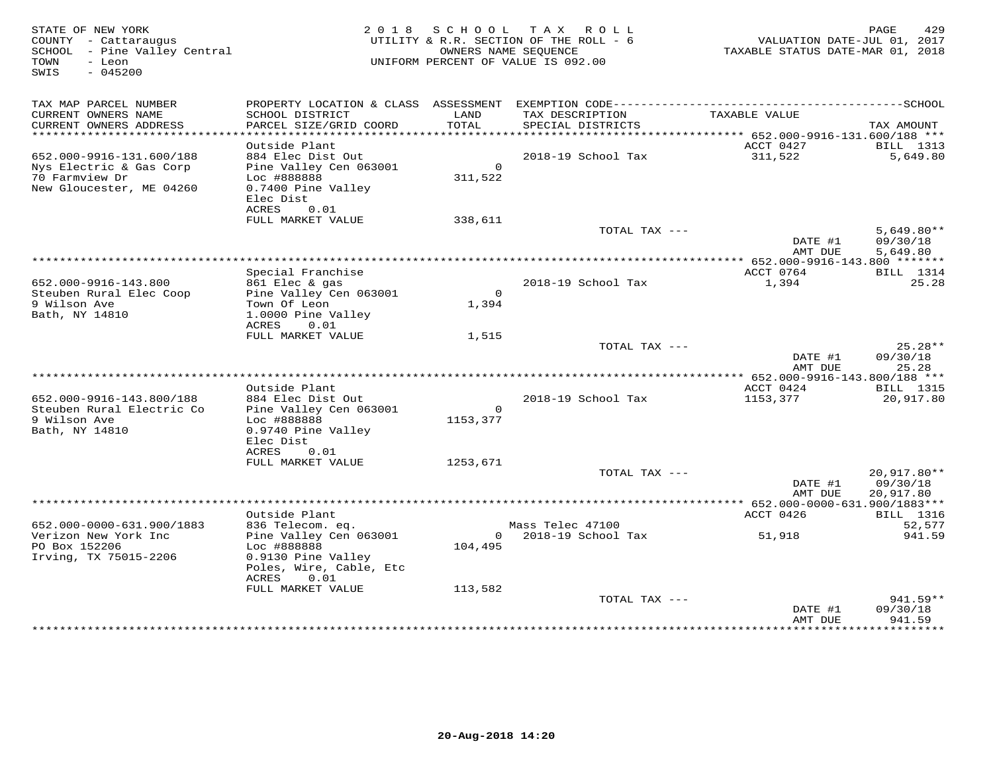| STATE OF NEW YORK<br>COUNTY - Cattaraugus<br>SCHOOL - Pine Valley Central<br>TOWN<br>- Leon<br>SWIS<br>$-045200$ |                                                                                                                |                           | 2018 SCHOOL TAX ROLL<br>UTILITY & R.R. SECTION OF THE ROLL - 6<br>OWNERS NAME SEQUENCE<br>UNIFORM PERCENT OF VALUE IS 092.00 | VALUATION DATE-JUL 01, 2017<br>TAXABLE STATUS DATE-MAR 01, 2018 | 429<br>PAGE                               |
|------------------------------------------------------------------------------------------------------------------|----------------------------------------------------------------------------------------------------------------|---------------------------|------------------------------------------------------------------------------------------------------------------------------|-----------------------------------------------------------------|-------------------------------------------|
| TAX MAP PARCEL NUMBER<br>CURRENT OWNERS NAME<br>CURRENT OWNERS ADDRESS                                           | SCHOOL DISTRICT<br>PARCEL SIZE/GRID COORD                                                                      | LAND<br>TOTAL             | TAX DESCRIPTION<br>SPECIAL DISTRICTS                                                                                         | TAXABLE VALUE                                                   | TAX AMOUNT                                |
|                                                                                                                  |                                                                                                                |                           |                                                                                                                              |                                                                 |                                           |
| 652.000-9916-131.600/188<br>Nys Electric & Gas Corp<br>70 Farmview Dr<br>New Gloucester, ME 04260                | Outside Plant<br>884 Elec Dist Out<br>Pine Valley Cen 063001<br>Loc #888888<br>0.7400 Pine Valley<br>Elec Dist | $\overline{0}$<br>311,522 | 2018-19 School Tax                                                                                                           | ACCT 0427<br>311,522                                            | BILL 1313<br>5,649.80                     |
|                                                                                                                  | ACRES<br>0.01<br>FULL MARKET VALUE                                                                             | 338,611                   |                                                                                                                              |                                                                 |                                           |
|                                                                                                                  |                                                                                                                |                           | TOTAL TAX ---                                                                                                                | DATE #1<br>AMT DUE                                              | $5,649.80**$<br>09/30/18<br>5,649.80      |
|                                                                                                                  |                                                                                                                |                           |                                                                                                                              |                                                                 |                                           |
| 652.000-9916-143.800                                                                                             | Special Franchise<br>861 Elec & gas                                                                            |                           | 2018-19 School Tax                                                                                                           | ACCT 0764<br>1,394                                              | <b>BILL</b> 1314<br>25.28                 |
| Steuben Rural Elec Coop<br>9 Wilson Ave<br>Bath, NY 14810                                                        | Pine Valley Cen 063001<br>Town Of Leon<br>1.0000 Pine Valley<br>ACRES<br>0.01                                  | $\circ$<br>1,394          |                                                                                                                              |                                                                 |                                           |
|                                                                                                                  | FULL MARKET VALUE                                                                                              | 1,515                     | TOTAL TAX ---                                                                                                                |                                                                 | $25.28**$                                 |
|                                                                                                                  |                                                                                                                |                           |                                                                                                                              | DATE #1<br>AMT DUE                                              | 09/30/18<br>25.28                         |
|                                                                                                                  |                                                                                                                |                           |                                                                                                                              |                                                                 |                                           |
| 652.000-9916-143.800/188                                                                                         | Outside Plant<br>884 Elec Dist Out                                                                             |                           | 2018-19 School Tax                                                                                                           | ACCT 0424<br>1153,377                                           | BILL 1315<br>20,917.80                    |
| Steuben Rural Electric Co<br>9 Wilson Ave<br>Bath, NY 14810                                                      | Pine Valley Cen 063001<br>Loc #888888<br>0.9740 Pine Valley<br>Elec Dist                                       | $\mathsf{O}$<br>1153,377  |                                                                                                                              |                                                                 |                                           |
|                                                                                                                  | ACRES<br>0.01                                                                                                  |                           |                                                                                                                              |                                                                 |                                           |
|                                                                                                                  | FULL MARKET VALUE                                                                                              | 1253,671                  | TOTAL TAX ---                                                                                                                |                                                                 | 20,917.80**                               |
|                                                                                                                  |                                                                                                                |                           |                                                                                                                              | DATE #1<br>AMT DUE                                              | 09/30/18<br>20,917.80                     |
|                                                                                                                  | Outside Plant                                                                                                  |                           |                                                                                                                              | ACCT 0426                                                       | <b>BILL</b> 1316                          |
| 652.000-0000-631.900/1883                                                                                        | 836 Telecom. eq.                                                                                               |                           | Mass Telec 47100                                                                                                             |                                                                 | 52,577                                    |
| Verizon New York Inc<br>PO Box 152206<br>Irving, TX 75015-2206                                                   | Pine Valley Cen 063001<br>Loc #888888<br>0.9130 Pine Valley<br>Poles, Wire, Cable, Etc<br>0.01<br>ACRES        | 104,495                   | 0 2018-19 School Tax                                                                                                         | 51,918                                                          | 941.59                                    |
|                                                                                                                  | FULL MARKET VALUE                                                                                              | 113,582                   | TOTAL TAX ---                                                                                                                |                                                                 | 941.59**                                  |
|                                                                                                                  |                                                                                                                |                           |                                                                                                                              | DATE #1<br>AMT DUE                                              | 09/30/18<br>941.59<br>* * * * * * * * * * |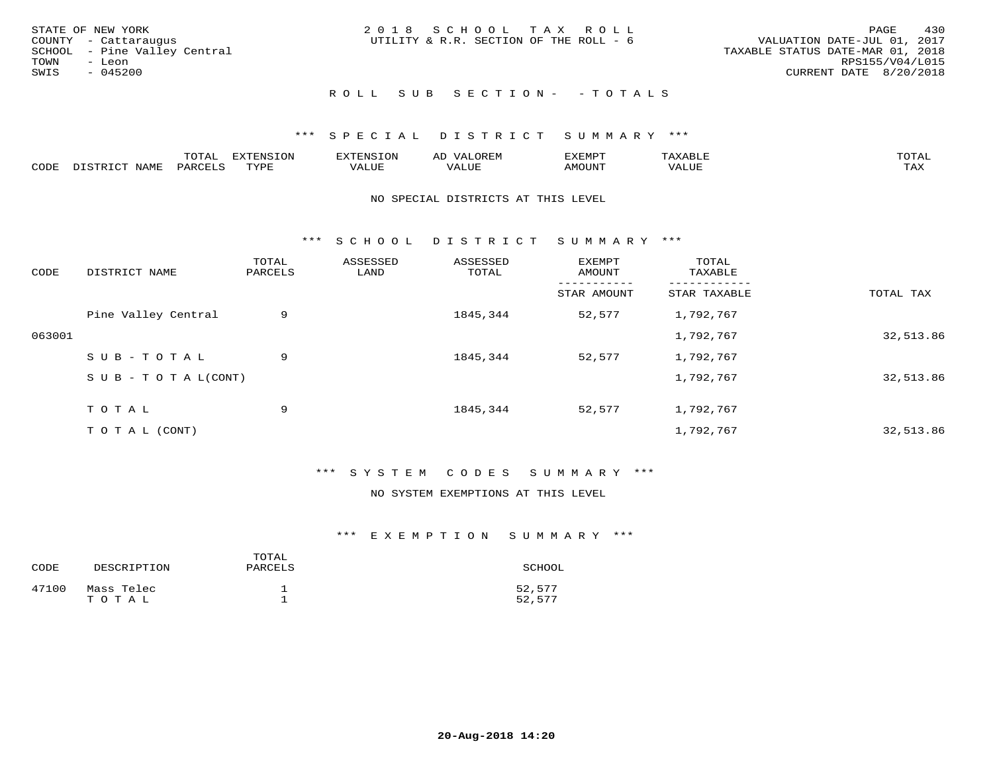| STATE OF NEW YORK            | 2018 SCHOOL TAX ROLL                   | 430<br>PAGE                      |
|------------------------------|----------------------------------------|----------------------------------|
| COUNTY - Cattaraugus         | UTILITY & R.R. SECTION OF THE ROLL - 6 | VALUATION DATE-JUL 01, 2017      |
| SCHOOL - Pine Valley Central |                                        | TAXABLE STATUS DATE-MAR 01, 2018 |
| TOWN<br>- Leon               |                                        | RPS155/V04/L015                  |
| SWIS<br>$-045200$            |                                        | CURRENT DATE 8/20/2018           |
|                              | ROLL SUB SECTION- - TOTALS             |                                  |

## \*\*\* S P E C I A L D I S T R I C T S U M M A R Y \*\*\*

|      |      | momn.<br>.UIAL | <b>DIZODALO TOM</b><br><b>1115</b><br>LUP | ר את דר            | ΑL<br>$\cdots$      | EXEMPT        | 'ΔΧΔ<br>AAABLE | momn. |
|------|------|----------------|-------------------------------------------|--------------------|---------------------|---------------|----------------|-------|
| CODE | NAME | 'ARC           | TVDF<br>د د د                             | <b>TTT</b><br>ALUM | <b>TTT</b><br>7ALUE | <b>TNUOMA</b> | . ALUE         | TAX   |

#### NO SPECIAL DISTRICTS AT THIS LEVEL

\*\*\* S C H O O L D I S T R I C T S U M M A R Y \*\*\*

| CODE   | DISTRICT NAME                    | TOTAL<br>PARCELS | ASSESSED<br>LAND | ASSESSED<br>TOTAL | EXEMPT<br>AMOUNT | TOTAL<br>TAXABLE |           |
|--------|----------------------------------|------------------|------------------|-------------------|------------------|------------------|-----------|
|        |                                  |                  |                  |                   | STAR AMOUNT      | STAR TAXABLE     | TOTAL TAX |
|        | Pine Valley Central              | 9                |                  | 1845,344          | 52,577           | 1,792,767        |           |
| 063001 |                                  |                  |                  |                   |                  | 1,792,767        | 32,513.86 |
|        | SUB-TOTAL                        | 9                |                  | 1845,344          | 52,577           | 1,792,767        |           |
|        | $S \cup B - T \cup T A L (CONT)$ |                  |                  |                   |                  | 1,792,767        | 32,513.86 |
|        | TOTAL                            | 9                |                  | 1845,344          | 52,577           | 1,792,767        |           |
|        | T O T A L (CONT)                 |                  |                  |                   |                  | 1,792,767        | 32,513.86 |

# \*\*\* S Y S T E M C O D E S S U M M A R Y \*\*\*

#### NO SYSTEM EXEMPTIONS AT THIS LEVEL

## \*\*\* E X E M P T I O N S U M M A R Y \*\*\*

| CODE  | DESCRIPTION         | TOTAL<br>PARCELS | SCHOOL           |
|-------|---------------------|------------------|------------------|
| 47100 | Mass Telec<br>TOTAL |                  | 52,577<br>52,577 |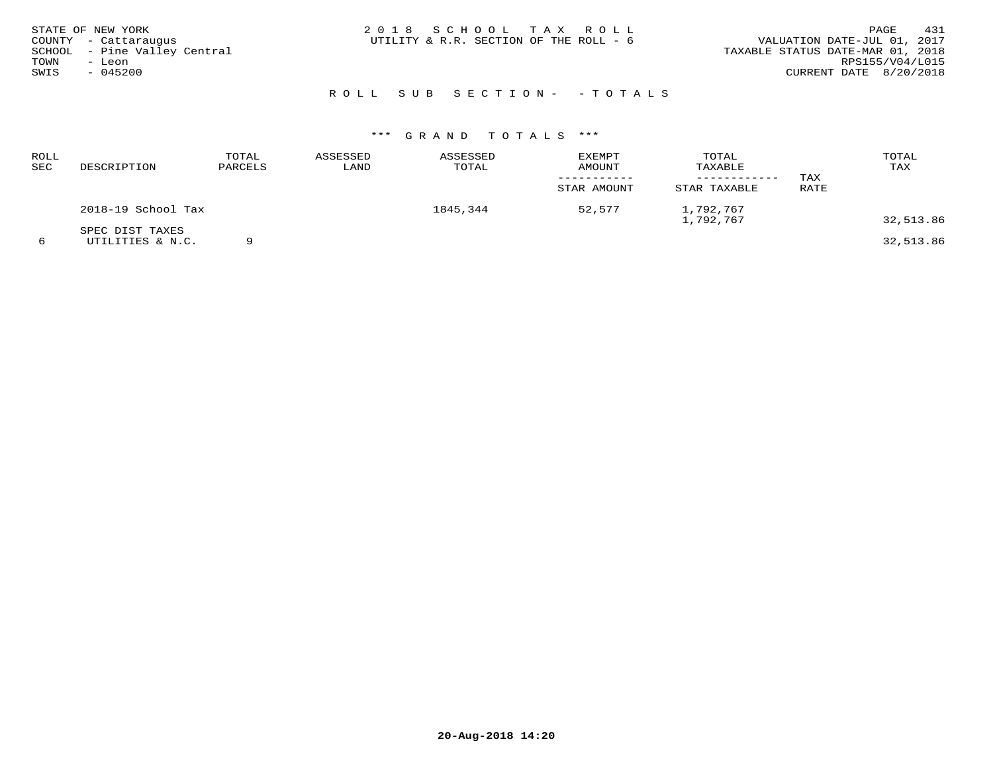| STATE OF NEW YORK<br>COUNTY - Cattaraugus<br>SCHOOL - Pine Valley Central<br>TOWN<br>– Leon<br>SWIS<br>$-045200$ | 2018 SCHOOL TAX ROLL<br>UTILITY & R.R. SECTION OF THE ROLL - 6 | 431<br>PAGE<br>VALUATION DATE-JUL 01, 2017<br>TAXABLE STATUS DATE-MAR 01, 2018<br>RPS155/V04/L015<br>CURRENT DATE 8/20/2018 |
|------------------------------------------------------------------------------------------------------------------|----------------------------------------------------------------|-----------------------------------------------------------------------------------------------------------------------------|
|                                                                                                                  | ROLL SUB SECTION- - TOTALS                                     |                                                                                                                             |

# \*\*\* G R A N D T O T A L S \*\*\*

| ROLL<br>SEC | DESCRIPTION                         | TOTAL<br>PARCELS | ASSESSED<br>LAND | ASSESSED<br>TOTAL | <b>EXEMPT</b><br>AMOUNT<br>STAR AMOUNT | TOTAL<br>TAXABLE<br>STAR TAXABLE | TAX<br>RATE | TOTAL<br>TAX |
|-------------|-------------------------------------|------------------|------------------|-------------------|----------------------------------------|----------------------------------|-------------|--------------|
|             | 2018-19 School Tax                  |                  |                  | 1845,344          | 52,577                                 | 1,792,767<br>1,792,767           |             | 32,513.86    |
|             | SPEC DIST TAXES<br>UTILITIES & N.C. |                  |                  |                   |                                        |                                  |             | 32,513.86    |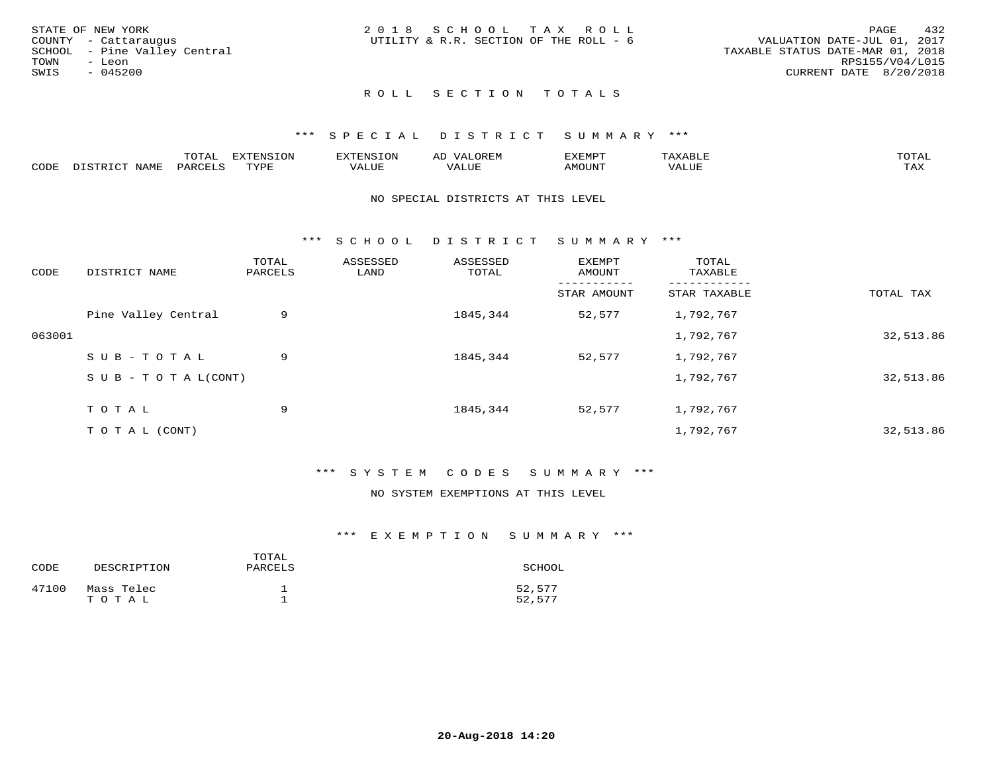| STATE OF NEW YORK            | 2018 SCHOOL TAX ROLL                   | 432<br>PAGE                      |
|------------------------------|----------------------------------------|----------------------------------|
| COUNTY - Cattaraugus         | UTILITY & R.R. SECTION OF THE ROLL - 6 | VALUATION DATE-JUL 01, 2017      |
| SCHOOL - Pine Valley Central |                                        | TAXABLE STATUS DATE-MAR 01, 2018 |
| TOWN<br>- Leon               |                                        | RPS155/V04/L015                  |
| SWIS<br>- 045200             |                                        | CURRENT DATE 8/20/2018           |
|                              |                                        |                                  |

## ROLL SECTION TOTALS

## \*\*\* S P E C I A L D I S T R I C T S U M M A R Y \*\*\*

|            |       | m^m*<br>1 U TIJ | $T^{\sim}$<br>$-1$ |                            | AL |      | <b>TOTA</b><br>◡∸ғ  |
|------------|-------|-----------------|--------------------|----------------------------|----|------|---------------------|
| $\sim$ הרי | N A M |                 | $m \tau \tau n$    | , <del>,</del> , , , , , , |    | ITN' | $- - - -$<br>. LIII |

#### NO SPECIAL DISTRICTS AT THIS LEVEL

\*\*\* S C H O O L D I S T R I C T S U M M A R Y \*\*\*

| CODE   | DISTRICT NAME                    | TOTAL<br>PARCELS | ASSESSED<br>LAND | ASSESSED<br>TOTAL | EXEMPT<br>AMOUNT | TOTAL<br>TAXABLE |           |
|--------|----------------------------------|------------------|------------------|-------------------|------------------|------------------|-----------|
|        |                                  |                  |                  |                   | STAR AMOUNT      | STAR TAXABLE     | TOTAL TAX |
|        | Pine Valley Central              | 9                |                  | 1845,344          | 52,577           | 1,792,767        |           |
| 063001 |                                  |                  |                  |                   |                  | 1,792,767        | 32,513.86 |
|        | SUB-TOTAL                        | 9                |                  | 1845,344          | 52,577           | 1,792,767        |           |
|        | $S \cup B - T \cup T A L (CONT)$ |                  |                  |                   |                  | 1,792,767        | 32,513.86 |
|        | TOTAL                            | 9                |                  | 1845,344          | 52,577           | 1,792,767        |           |
|        | T O T A L (CONT)                 |                  |                  |                   |                  | 1,792,767        | 32,513.86 |

## \*\*\* S Y S T E M C O D E S S U M M A R Y \*\*\*

## NO SYSTEM EXEMPTIONS AT THIS LEVEL

| CODE  | DESCRIPTION         | TOTAL<br>PARCELS | SCHOOL           |
|-------|---------------------|------------------|------------------|
| 47100 | Mass Telec<br>TOTAL |                  | 52,577<br>52,577 |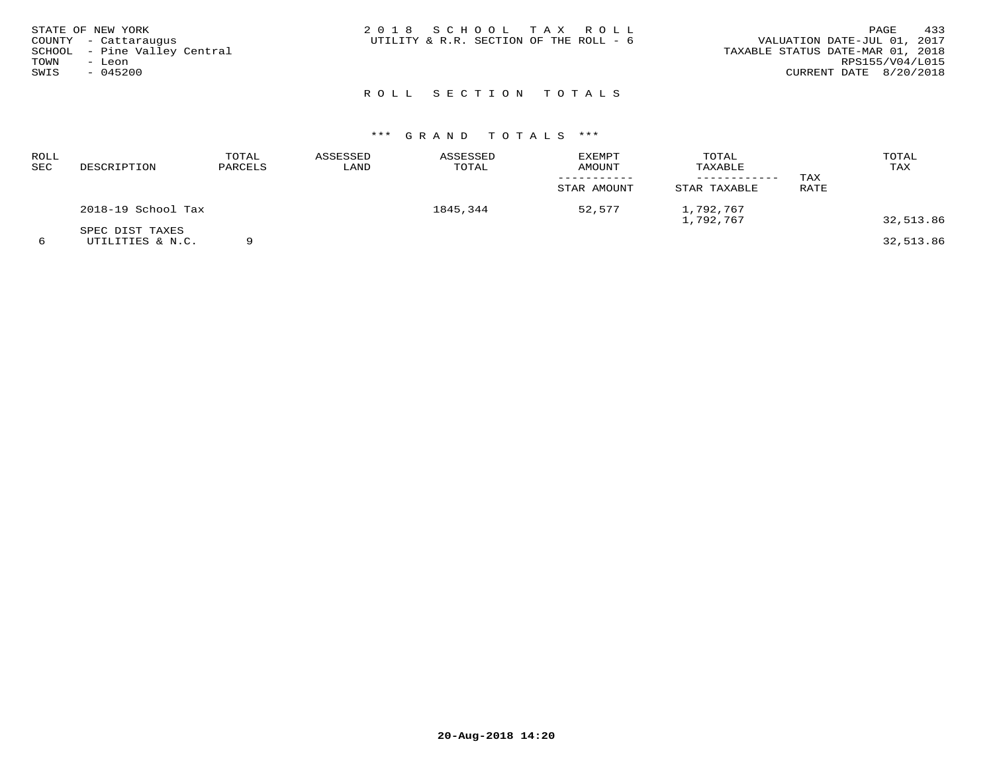| STATE OF NEW YORK<br>COUNTY - Cattaraugus<br>SCHOOL - Pine Valley Central<br>TOWN<br>- Leon<br>SWIS<br>$-045200$ | 2018 SCHOOL TAX ROLL<br>UTILITY & R.R. SECTION OF THE ROLL - 6 | 433<br>PAGE<br>VALUATION DATE-JUL 01, 2017<br>TAXABLE STATUS DATE-MAR 01, 2018<br>RPS155/V04/L015<br>CURRENT DATE 8/20/2018 |
|------------------------------------------------------------------------------------------------------------------|----------------------------------------------------------------|-----------------------------------------------------------------------------------------------------------------------------|
|                                                                                                                  | ROLL SECTION TOTALS                                            |                                                                                                                             |

| ROLL<br>SEC | DESCRIPTION                         | TOTAL<br>PARCELS | ASSESSED<br>LAND | ASSESSED<br>TOTAL | <b>EXEMPT</b><br>AMOUNT<br>STAR AMOUNT | TOTAL<br>TAXABLE<br>STAR TAXABLE | TAX<br>RATE | TOTAL<br>TAX |
|-------------|-------------------------------------|------------------|------------------|-------------------|----------------------------------------|----------------------------------|-------------|--------------|
|             | 2018-19 School Tax                  |                  |                  | 1845,344          | 52,577                                 | 1,792,767<br>1,792,767           |             | 32,513.86    |
|             | SPEC DIST TAXES<br>UTILITIES & N.C. |                  |                  |                   |                                        |                                  |             | 32,513.86    |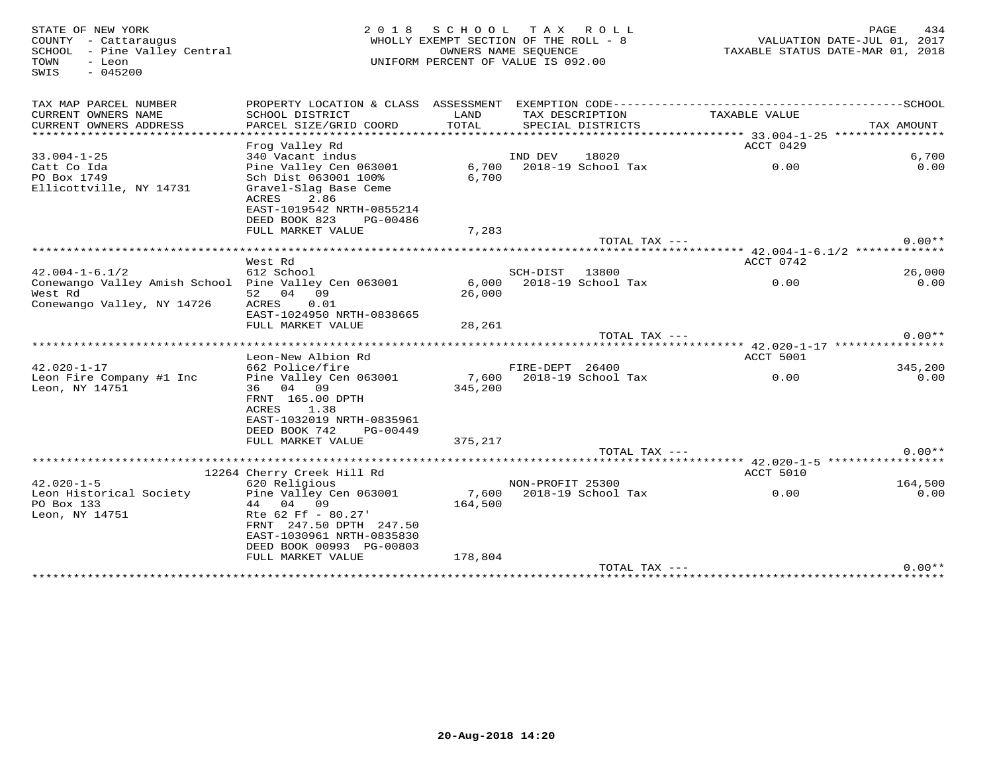SWIS - 045200

# STATE OF NEW YORK 2 0 1 8 S C H O O L T A X R O L L PAGE 434 COUNTY - Cattaraugus WHOLLY EXEMPT SECTION OF THE ROLL - 8 VALUATION DATE-JUL 01, 2017 SCHOOL - Pine Valley Central OWNERS NAME SEQUENCE TAXABLE STATUS DATE-MAR 01, 2018TOWN - Leon UNIFORM PERCENT OF VALUE IS 092.00

| TAX MAP PARCEL NUMBER<br>CURRENT OWNERS NAME<br>CURRENT OWNERS ADDRESS | PROPERTY LOCATION & CLASS ASSESSMENT<br>SCHOOL DISTRICT<br>PARCEL SIZE/GRID COORD | LAND<br>TOTAL | TAX DESCRIPTION<br>SPECIAL DISTRICTS | TAXABLE VALUE                          | TAX AMOUNT |
|------------------------------------------------------------------------|-----------------------------------------------------------------------------------|---------------|--------------------------------------|----------------------------------------|------------|
| ************************                                               |                                                                                   |               |                                      |                                        |            |
|                                                                        | Frog Valley Rd                                                                    |               |                                      | ACCT 0429                              |            |
| $33.004 - 1 - 25$                                                      | 340 Vacant indus                                                                  |               | IND DEV<br>18020                     |                                        | 6,700      |
| Catt Co Ida                                                            | Pine Valley Cen 063001                                                            | 6,700         | 2018-19 School Tax                   | 0.00                                   | 0.00       |
| PO Box 1749                                                            | Sch Dist 063001 100%                                                              | 6,700         |                                      |                                        |            |
| Ellicottville, NY 14731                                                | Gravel-Slag Base Ceme                                                             |               |                                      |                                        |            |
|                                                                        | 2.86<br>ACRES<br>EAST-1019542 NRTH-0855214                                        |               |                                      |                                        |            |
|                                                                        | DEED BOOK 823<br>PG-00486                                                         |               |                                      |                                        |            |
|                                                                        | FULL MARKET VALUE                                                                 | 7,283         |                                      |                                        |            |
|                                                                        |                                                                                   |               | TOTAL TAX $---$                      |                                        | $0.00**$   |
|                                                                        |                                                                                   |               |                                      | ********* 42.004-1-6.1/2 ************* |            |
|                                                                        | West Rd                                                                           |               |                                      | ACCT 0742                              |            |
| $42.004 - 1 - 6.1/2$                                                   | 612 School                                                                        |               | SCH-DIST<br>13800                    |                                        | 26,000     |
| Conewango Valley Amish School Pine Valley Cen 063001                   |                                                                                   | 6,000         | 2018-19 School Tax                   | 0.00                                   | 0.00       |
| West Rd<br>Conewango Valley, NY 14726                                  | 09<br>52 04<br><b>ACRES</b><br>0.01                                               | 26,000        |                                      |                                        |            |
|                                                                        | EAST-1024950 NRTH-0838665                                                         |               |                                      |                                        |            |
|                                                                        | FULL MARKET VALUE                                                                 | 28,261        |                                      |                                        |            |
|                                                                        |                                                                                   |               | TOTAL TAX ---                        |                                        | $0.00**$   |
|                                                                        |                                                                                   |               |                                      |                                        |            |
|                                                                        | Leon-New Albion Rd                                                                |               |                                      | ACCT 5001                              |            |
| $42.020 - 1 - 17$                                                      | 662 Police/fire                                                                   |               | FIRE-DEPT 26400                      |                                        | 345,200    |
| Leon Fire Company #1 Inc                                               | Pine Valley Cen 063001                                                            | 7,600         | 2018-19 School Tax                   | 0.00                                   | 0.00       |
| Leon, NY 14751                                                         | 04 09<br>36<br>FRNT 165.00 DPTH                                                   | 345,200       |                                      |                                        |            |
|                                                                        | <b>ACRES</b><br>1.38                                                              |               |                                      |                                        |            |
|                                                                        | EAST-1032019 NRTH-0835961                                                         |               |                                      |                                        |            |
|                                                                        | DEED BOOK 742<br>PG-00449                                                         |               |                                      |                                        |            |
|                                                                        | FULL MARKET VALUE                                                                 | 375,217       |                                      |                                        |            |
|                                                                        |                                                                                   |               | TOTAL TAX ---                        |                                        | $0.00**$   |
|                                                                        | ***********************************                                               |               |                                      | ****** 42.020-1-5 *****************    |            |
| $42.020 - 1 - 5$                                                       | 12264 Cherry Creek Hill Rd<br>620 Religious                                       |               | NON-PROFIT 25300                     | ACCT 5010                              | 164,500    |
| Leon Historical Society                                                | Pine Valley Cen 063001                                                            | 7,600         | 2018-19 School Tax                   | 0.00                                   | 0.00       |
| PO Box 133                                                             | 09<br>04<br>44                                                                    | 164,500       |                                      |                                        |            |
| Leon, NY 14751                                                         | Rte 62 Ff - 80.27'                                                                |               |                                      |                                        |            |
|                                                                        | FRNT 247.50 DPTH 247.50                                                           |               |                                      |                                        |            |
|                                                                        | EAST-1030961 NRTH-0835830                                                         |               |                                      |                                        |            |
|                                                                        | DEED BOOK 00993 PG-00803                                                          |               |                                      |                                        |            |
|                                                                        | FULL MARKET VALUE                                                                 | 178,804       |                                      |                                        |            |
|                                                                        |                                                                                   |               | TOTAL TAX ---                        |                                        | $0.00**$   |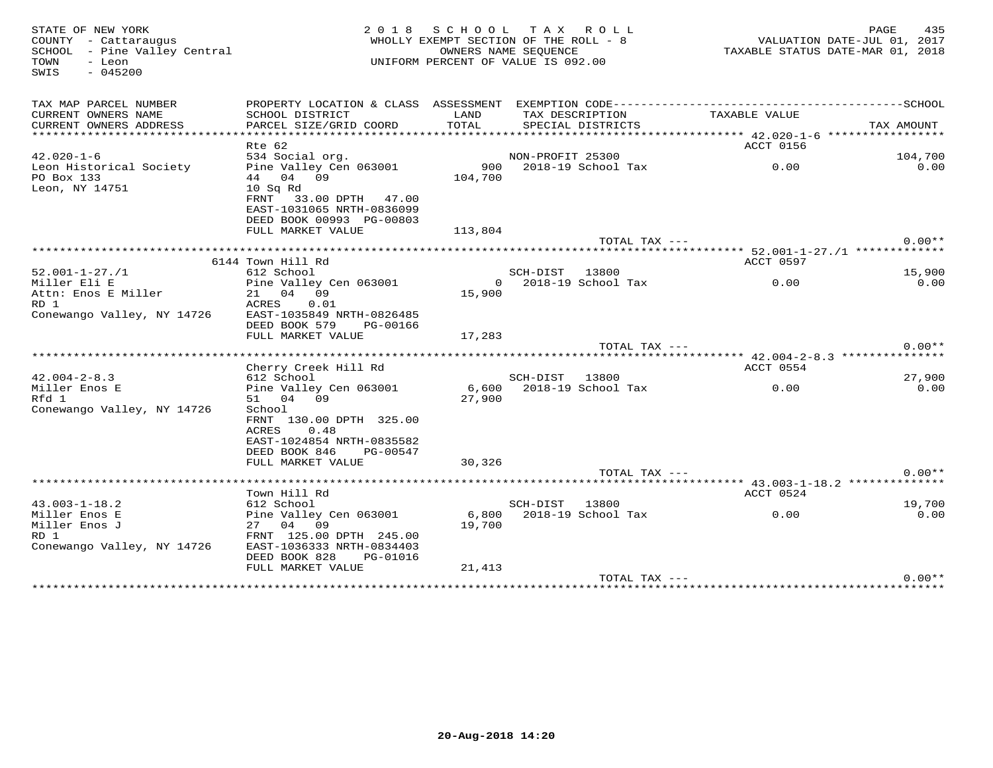| STATE OF NEW YORK<br>COUNTY - Cattaraugus<br>SCHOOL - Pine Valley Central<br>TOWN<br>- Leon<br>$-045200$<br>SWIS |                                                                                                                         | 2018 SCHOOL TAX ROLL<br>WHOLLY EXEMPT SECTION OF THE ROLL - 8<br>UNIFORM PERCENT OF VALUE IS 092.00 | OWNERS NAME SEQUENCE |                              | VALUATION DATE-JUL 01, 2017<br>TAXABLE STATUS DATE-MAR 01, 2018 | PAGE<br>435 |
|------------------------------------------------------------------------------------------------------------------|-------------------------------------------------------------------------------------------------------------------------|-----------------------------------------------------------------------------------------------------|----------------------|------------------------------|-----------------------------------------------------------------|-------------|
| TAX MAP PARCEL NUMBER                                                                                            |                                                                                                                         |                                                                                                     |                      |                              |                                                                 |             |
| CURRENT OWNERS NAME<br>CURRENT OWNERS ADDRESS                                                                    | SCHOOL DISTRICT<br>PARCEL SIZE/GRID COORD                                                                               | LAND<br>TOTAL                                                                                       | TAX DESCRIPTION      | SPECIAL DISTRICTS            | TAXABLE VALUE                                                   | TAX AMOUNT  |
|                                                                                                                  |                                                                                                                         |                                                                                                     |                      |                              |                                                                 |             |
|                                                                                                                  | Rte 62                                                                                                                  |                                                                                                     |                      |                              | ACCT 0156                                                       |             |
| $42.020 - 1 - 6$                                                                                                 | 534 Social org.                                                                                                         |                                                                                                     | NON-PROFIT 25300     |                              |                                                                 | 104,700     |
| Leon Historical Society<br>PO Box 133<br>Leon, NY 14751                                                          | Pine Valley Cen 063001<br>44 04 09<br>10 Sq Rd<br>FRNT<br>33.00 DPTH 47.00<br>EAST-1031065 NRTH-0836099                 | 104,700                                                                                             |                      | 900     2018-19  School  Tax | 0.00                                                            | 0.00        |
|                                                                                                                  | DEED BOOK 00993 PG-00803                                                                                                |                                                                                                     |                      |                              |                                                                 |             |
|                                                                                                                  | FULL MARKET VALUE                                                                                                       | 113,804                                                                                             |                      |                              |                                                                 |             |
|                                                                                                                  |                                                                                                                         |                                                                                                     |                      | TOTAL TAX ---                |                                                                 | $0.00**$    |
|                                                                                                                  | 6144 Town Hill Rd                                                                                                       |                                                                                                     |                      |                              | ACCT 0597                                                       |             |
| $52.001 - 1 - 27. / 1$                                                                                           | 612 School                                                                                                              |                                                                                                     | SCH-DIST 13800       |                              |                                                                 | 15,900      |
| Miller Eli E                                                                                                     | Pine Valley Cen 063001                                                                                                  | $\Omega$                                                                                            |                      | 2018-19 School Tax           | 0.00                                                            | 0.00        |
| Attn: Enos E Miller<br>RD 1                                                                                      | 21 04 09<br>ACRES 0.01                                                                                                  | 15,900                                                                                              |                      |                              |                                                                 |             |
| Conewango Valley, NY 14726                                                                                       | EAST-1035849 NRTH-0826485<br>DEED BOOK 579<br>PG-00166                                                                  |                                                                                                     |                      |                              |                                                                 |             |
|                                                                                                                  | FULL MARKET VALUE                                                                                                       | 17,283                                                                                              |                      | TOTAL TAX ---                |                                                                 | $0.00**$    |
|                                                                                                                  |                                                                                                                         |                                                                                                     |                      |                              |                                                                 |             |
|                                                                                                                  | Cherry Creek Hill Rd                                                                                                    |                                                                                                     |                      |                              | ACCT 0554                                                       |             |
| $42.004 - 2 - 8.3$                                                                                               | 612 School                                                                                                              |                                                                                                     | SCH-DIST 13800       |                              |                                                                 | 27,900      |
| Miller Enos E                                                                                                    | Pine Valley Cen 063001                                                                                                  | 6,600                                                                                               |                      | 2018-19 School Tax           | 0.00                                                            | 0.00        |
| Rfd 1<br>Conewango Valley, NY 14726                                                                              | 51 04 09<br>School<br>FRNT 130.00 DPTH 325.00<br>0.48<br>ACRES<br>EAST-1024854 NRTH-0835582<br>DEED BOOK 846 PG-00547   | 27,900                                                                                              |                      |                              |                                                                 |             |
|                                                                                                                  | FULL MARKET VALUE                                                                                                       | 30,326                                                                                              |                      | TOTAL TAX ---                |                                                                 | $0.00**$    |
|                                                                                                                  |                                                                                                                         |                                                                                                     |                      |                              |                                                                 |             |
|                                                                                                                  | Town Hill Rd                                                                                                            |                                                                                                     |                      |                              | ACCT 0524                                                       |             |
| $43.003 - 1 - 18.2$                                                                                              | 612 School                                                                                                              |                                                                                                     | SCH-DIST 13800       |                              |                                                                 | 19,700      |
| Miller Enos E<br>Miller Enos J<br>RD 1<br>Conewango Valley, NY 14726                                             | Pine Valley Cen 063001<br>27 04 09<br>FRNT 125.00 DPTH 245.00<br>EAST-1036333 NRTH-0834403<br>DEED BOOK 828<br>PG-01016 | 19,700                                                                                              |                      | 6,800 2018-19 School Tax     | 0.00                                                            | 0.00        |
|                                                                                                                  | FULL MARKET VALUE                                                                                                       | 21,413                                                                                              |                      |                              |                                                                 |             |
|                                                                                                                  |                                                                                                                         |                                                                                                     |                      | TOTAL TAX ---                |                                                                 | $0.00**$    |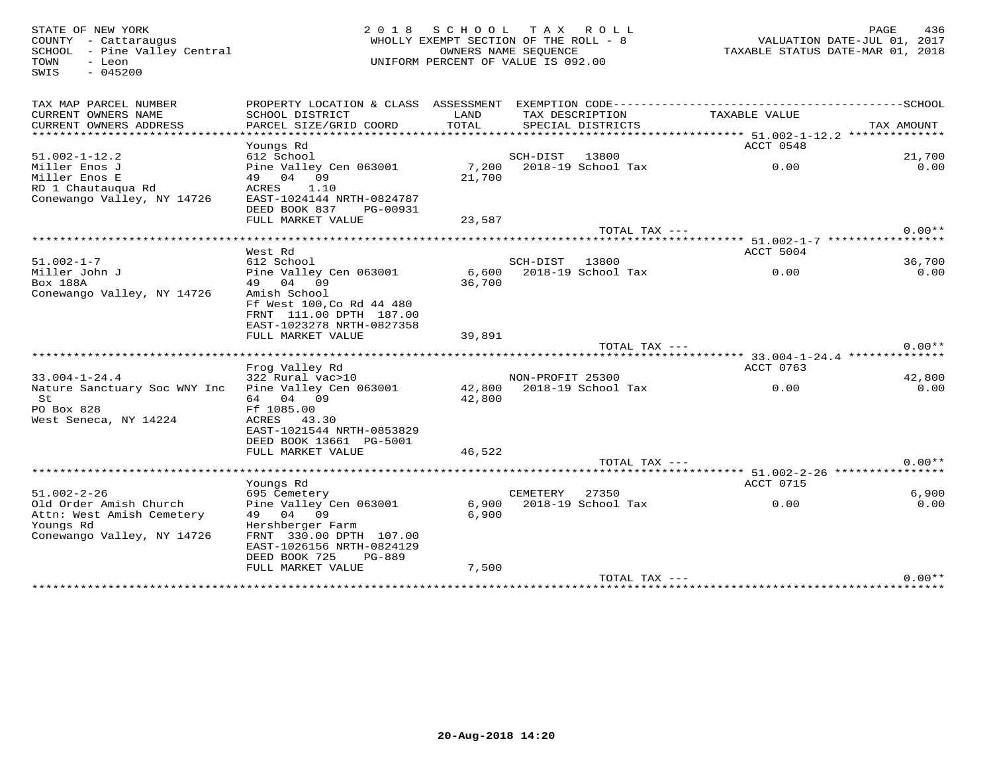STATE OF NEW YORK 2 0 1 8 S C H O O L T A X R O L L PAGE 436COUNTY - Cattaraugus WHOLLY EXEMPT SECTION OF THE ROLL - 8 VALUATION DATE-JUL 01, 2017SCHOOL - Pine Valley Central OWNERS NAME SEQUENCE TAXABLE STATUS DATE-MAR 01, 2018TOWN - Leon UNIFORM PERCENT OF VALUE IS 092.00 SWIS - 045200TAX MAP PARCEL NUMBER PROPERTY LOCATION & CLASS ASSESSMENT EXEMPTION CODE------------------------------------------SCHOOL CURRENT OWNERS NAME SCHOOL DISTRICT LAND TAX DESCRIPTION TAXABLE VALUE CURRENT OWNERS ADDRESS PARCEL SIZE/GRID COORD TOTAL SPECIAL DISTRICTS TAX AMOUNT \*\*\*\*\*\*\*\*\*\*\*\*\*\*\*\*\*\*\*\*\*\*\*\*\*\*\*\*\*\*\*\*\*\*\*\*\*\*\*\*\*\*\*\*\*\*\*\*\*\*\*\*\*\*\*\*\*\*\*\*\*\*\*\*\*\*\*\*\*\*\*\*\*\*\*\*\*\*\*\*\*\*\*\*\*\*\*\*\*\*\*\*\*\*\*\*\*\*\*\*\*\*\* 51.002-1-12.2 \*\*\*\*\*\*\*\*\*\*\*\*\*\* Youngs Rd ACCT 0548 51.002-1-12.2 612 School SCH-DIST 13800 21,700 $\cap$   $\cap$ Miller Enos J Pine Valley Cen 063001 7,200 2018-19 School Tax 0.00 0.00Miller Enos E 49 04 09 21,700 RD 1 Chautauqua Rd ACRES 1.10 Conewango Valley, NY 14726 EAST-1024144 NRTH-0824787 DEED BOOK 837 PG-00931 FULL MARKET VALUE 23,587TOTAL TAX  $---$  0.00\*\* \*\*\*\*\*\*\*\*\*\*\*\*\*\*\*\*\*\*\*\*\*\*\*\*\*\*\*\*\*\*\*\*\*\*\*\*\*\*\*\*\*\*\*\*\*\*\*\*\*\*\*\*\*\*\*\*\*\*\*\*\*\*\*\*\*\*\*\*\*\*\*\*\*\*\*\*\*\*\*\*\*\*\*\*\*\*\*\*\*\*\*\*\*\*\*\*\*\*\*\*\*\*\* 51.002-1-7 \*\*\*\*\*\*\*\*\*\*\*\*\*\*\*\*\* West Rd ACCT 5004 51.002-1-7 612 School SCH-DIST 13800 36,700 $0.00$ Miller John J Pine Valley Cen 063001 6,600 2018-19 School Tax 0.00 0.00Box 188A 49 04 09 36,700<br>Canalismus Nallais NY 14736 Amigh Cabaal Example 1 1002-1-7<br>
Conewango Valley, NY 14726<br>
Conewango Valley, NY 14726<br>
Conewango Valley, NY 14726<br>
Amish School Ff West 100,Co Rd 44 480 FRNT 111.00 DPTH 187.00 EAST-1023278 NRTH-0827358 FULL MARKET VALUE 39,891 TOTAL TAX --- 0.00\*\* \*\*\*\*\*\*\*\*\*\*\*\*\*\*\*\*\*\*\*\*\*\*\*\*\*\*\*\*\*\*\*\*\*\*\*\*\*\*\*\*\*\*\*\*\*\*\*\*\*\*\*\*\*\*\*\*\*\*\*\*\*\*\*\*\*\*\*\*\*\*\*\*\*\*\*\*\*\*\*\*\*\*\*\*\*\*\*\*\*\*\*\*\*\*\*\*\*\*\*\*\*\*\* 33.004-1-24.4 \*\*\*\*\*\*\*\*\*\*\*\*\*\* Frog Valley Rd ACCT 0763 33.004-1-24.4 322 Rural vac>10 NON-PROFIT 25300 42,800 $0.00$ Nature Sanctuary Soc WNY Inc Pine Valley Cen 063001 42,800 2018-19 School Tax 0.00 0.00 St 64 04 09 42,800 PO Box 828 Ff 1085.00ACRES 43.30 West Seneca, NY 14224 EAST-1021544 NRTH-0853829 DEED BOOK 13661 PG-5001FULL MARKET VALUE 46,522 TOTAL TAX --- 0.00\*\* \*\*\*\*\*\*\*\*\*\*\*\*\*\*\*\*\*\*\*\*\*\*\*\*\*\*\*\*\*\*\*\*\*\*\*\*\*\*\*\*\*\*\*\*\*\*\*\*\*\*\*\*\*\*\*\*\*\*\*\*\*\*\*\*\*\*\*\*\*\*\*\*\*\*\*\*\*\*\*\*\*\*\*\*\*\*\*\*\*\*\*\*\*\*\*\*\*\*\*\*\*\*\* 51.002-2-26 \*\*\*\*\*\*\*\*\*\*\*\*\*\*\*\* Youngs Rd ACCT 0715 51.002-2-26 695 Cemetery CEMETERY 27350 6,900 $0.00$ Old Order Amish Church Pine Valley Cen 063001 6,900 2018-19 School Tax 0.00 0.00Attn: West Amish Cemetery 49 04 09 6,900 Youngs Rd Hershberger Farm Conewango Valley, NY 14726 FRNT 330.00 DPTH 107.00 EAST-1026156 NRTH-0824129 DEED BOOK 725 PG-889 FULL MARKET VALUE 7,500 TOTAL TAX  $---$  0.00\*\*

\*\*\*\*\*\*\*\*\*\*\*\*\*\*\*\*\*\*\*\*\*\*\*\*\*\*\*\*\*\*\*\*\*\*\*\*\*\*\*\*\*\*\*\*\*\*\*\*\*\*\*\*\*\*\*\*\*\*\*\*\*\*\*\*\*\*\*\*\*\*\*\*\*\*\*\*\*\*\*\*\*\*\*\*\*\*\*\*\*\*\*\*\*\*\*\*\*\*\*\*\*\*\*\*\*\*\*\*\*\*\*\*\*\*\*\*\*\*\*\*\*\*\*\*\*\*\*\*\*\*\*\*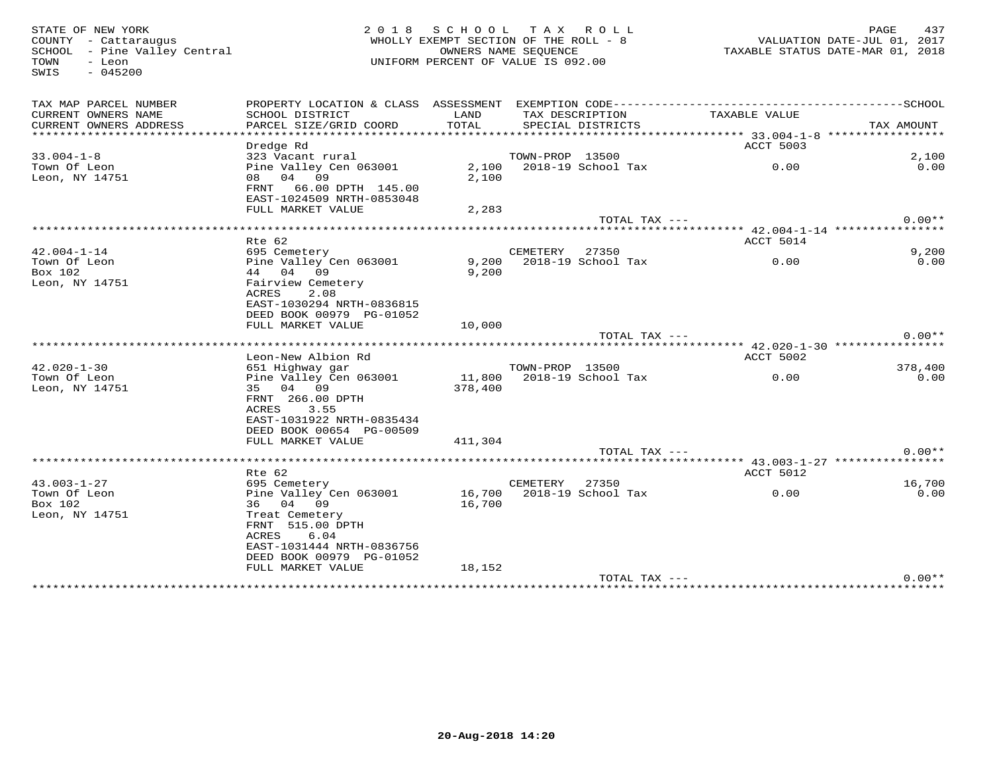SWIS - 045200

## STATE OF NEW YORK PAGE A37<br>COUNTY - Cattaraugus page and the countrum of the ROLL - 8 (COUNTY - Cattaraugus page and the MAGE 437<br>SCHOOL - Pine Valley Central page the counters name SEQUENCE the SEQUENCE of the Valley Cent WHOLLY EXEMPT SECTION OF THE ROLL - 8 SCHOOL – Pine Valley Central OWNERS NAME SEQUENCE TAXABLE STATUS DATE-MAR 01, 2018 TOWN - Leon UNIFORM PERCENT OF VALUE IS 092.00

| TAX MAP PARCEL NUMBER<br>CURRENT OWNERS NAME<br>CURRENT OWNERS ADDRESS | SCHOOL DISTRICT<br>PARCEL SIZE/GRID COORD                                                                                                     | LAND<br>TOTAL     |                 | TAX DESCRIPTION<br>SPECIAL DISTRICTS | TAXABLE VALUE<br>********************* 33.004-1-8 ****************** | TAX AMOUNT |
|------------------------------------------------------------------------|-----------------------------------------------------------------------------------------------------------------------------------------------|-------------------|-----------------|--------------------------------------|----------------------------------------------------------------------|------------|
| $33.004 - 1 - 8$                                                       | Dredge Rd<br>323 Vacant rural                                                                                                                 |                   | TOWN-PROP 13500 |                                      | ACCT 5003                                                            | 2,100      |
| Town Of Leon<br>Leon, NY 14751                                         | Pine Valley Cen 063001<br>08 04 09<br>66.00 DPTH 145.00<br>FRNT<br>EAST-1024509 NRTH-0853048                                                  | 2,100<br>2,100    |                 | 2018-19 School Tax                   | 0.00                                                                 | 0.00       |
|                                                                        | FULL MARKET VALUE                                                                                                                             | 2,283             |                 | TOTAL TAX ---                        |                                                                      | $0.00**$   |
|                                                                        | **************************************                                                                                                        |                   |                 |                                      | ********** 42.004-1-14 *****************                             |            |
|                                                                        | Rte 62                                                                                                                                        |                   |                 |                                      | ACCT 5014                                                            |            |
| $42.004 - 1 - 14$                                                      | 695 Cemetery                                                                                                                                  |                   | CEMETERY        | 27350                                |                                                                      | 9,200      |
| Town Of Leon                                                           | Pine Valley Cen 063001                                                                                                                        | 9,200             |                 | 2018-19 School Tax                   | 0.00                                                                 | 0.00       |
| Box 102<br>Leon, NY 14751                                              | 44 04 09<br>Fairview Cemetery<br>ACRES<br>2.08<br>EAST-1030294 NRTH-0836815                                                                   | 9,200             |                 |                                      |                                                                      |            |
|                                                                        | DEED BOOK 00979 PG-01052<br>FULL MARKET VALUE                                                                                                 |                   |                 |                                      |                                                                      |            |
|                                                                        |                                                                                                                                               | 10,000            |                 | TOTAL TAX ---                        |                                                                      | $0.00**$   |
|                                                                        |                                                                                                                                               |                   |                 |                                      |                                                                      |            |
|                                                                        | Leon-New Albion Rd                                                                                                                            |                   |                 |                                      | ACCT 5002                                                            |            |
| $42.020 - 1 - 30$                                                      | 651 Highway gar                                                                                                                               |                   | TOWN-PROP 13500 |                                      |                                                                      | 378,400    |
| Town Of Leon<br>Leon, NY 14751                                         | Pine Valley Cen 063001<br>35 04 09<br>FRNT 266.00 DPTH<br>ACRES<br>3.55<br>EAST-1031922 NRTH-0835434<br>DEED BOOK 00654 PG-00509              | 11,800<br>378,400 |                 | 2018-19 School Tax                   | 0.00                                                                 | 0.00       |
|                                                                        | FULL MARKET VALUE                                                                                                                             | 411,304           |                 |                                      |                                                                      |            |
|                                                                        |                                                                                                                                               |                   |                 | TOTAL TAX ---                        |                                                                      | $0.00**$   |
|                                                                        | Rte 62                                                                                                                                        |                   |                 |                                      | ACCT 5012                                                            |            |
| $43.003 - 1 - 27$                                                      | 695 Cemetery                                                                                                                                  |                   | CEMETERY        | 27350                                |                                                                      | 16,700     |
| Town Of Leon                                                           | Pine Valley Cen 063001                                                                                                                        | 16,700            |                 | 2018-19 School Tax                   | 0.00                                                                 | 0.00       |
| Box 102<br>Leon, NY 14751                                              | 36 04 09<br>Treat Cemetery<br>FRNT 515.00 DPTH<br>ACRES<br>6.04<br>EAST-1031444 NRTH-0836756<br>DEED BOOK 00979 PG-01052<br>FULL MARKET VALUE | 16,700<br>18,152  |                 |                                      |                                                                      |            |
|                                                                        |                                                                                                                                               |                   |                 | TOTAL TAX ---                        |                                                                      | $0.00**$   |
|                                                                        |                                                                                                                                               |                   |                 |                                      |                                                                      |            |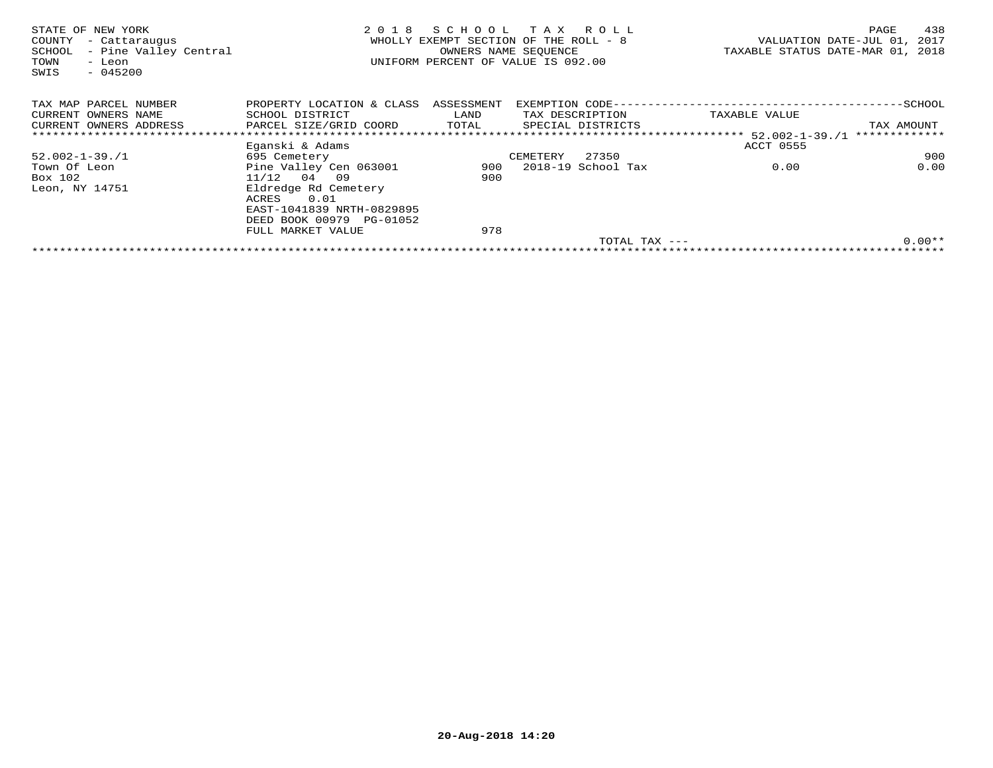| STATE OF NEW YORK<br>- Cattaraugus<br>COUNTY<br>- Pine Valley Central<br>SCHOOL<br>TOWN<br>- Leon<br>SWIS<br>$-045200$ | 2018                      | SCHOOL     | T A X<br>R O L L<br>WHOLLY EXEMPT SECTION OF THE ROLL - 8<br>OWNERS NAME SEOUENCE<br>UNIFORM PERCENT OF VALUE IS 092.00 |                 | 438<br>PAGE<br>VALUATION DATE-JUL 01,<br>2017<br>TAXABLE STATUS DATE-MAR 01, 2018 |
|------------------------------------------------------------------------------------------------------------------------|---------------------------|------------|-------------------------------------------------------------------------------------------------------------------------|-----------------|-----------------------------------------------------------------------------------|
| TAX MAP PARCEL NUMBER                                                                                                  | PROPERTY LOCATION & CLASS | ASSESSMENT | EXEMPTION CODE----                                                                                                      |                 | -SCHOOL                                                                           |
| CURRENT OWNERS NAME                                                                                                    | SCHOOL DISTRICT           | LAND       | TAX DESCRIPTION                                                                                                         | TAXABLE VALUE   |                                                                                   |
| CURRENT OWNERS ADDRESS                                                                                                 | PARCEL SIZE/GRID COORD    | TOTAL      | SPECIAL DISTRICTS                                                                                                       |                 | TAX AMOUNT                                                                        |
|                                                                                                                        |                           |            |                                                                                                                         |                 | *************                                                                     |
|                                                                                                                        | Eganski & Adams           |            |                                                                                                                         | ACCT 0555       |                                                                                   |
| $52.002 - 1 - 39.1$                                                                                                    | 695 Cemetery              |            | 27350<br>CEMETERY                                                                                                       |                 | 900                                                                               |
| Town Of Leon                                                                                                           | Pine Valley Cen 063001    | 900        | 2018-19 School Tax                                                                                                      | 0.00            | 0.00                                                                              |
| Box 102                                                                                                                | $11/12$ 04<br>09          | 900        |                                                                                                                         |                 |                                                                                   |
| Leon, NY 14751                                                                                                         | Eldredge Rd Cemetery      |            |                                                                                                                         |                 |                                                                                   |
|                                                                                                                        | 0.01<br>ACRES             |            |                                                                                                                         |                 |                                                                                   |
|                                                                                                                        | EAST-1041839 NRTH-0829895 |            |                                                                                                                         |                 |                                                                                   |
|                                                                                                                        | DEED BOOK 00979 PG-01052  |            |                                                                                                                         |                 |                                                                                   |
|                                                                                                                        | FULL MARKET VALUE         | 978        |                                                                                                                         |                 |                                                                                   |
|                                                                                                                        |                           |            |                                                                                                                         | TOTAL TAX $---$ | $0.00**$                                                                          |
|                                                                                                                        |                           |            |                                                                                                                         |                 |                                                                                   |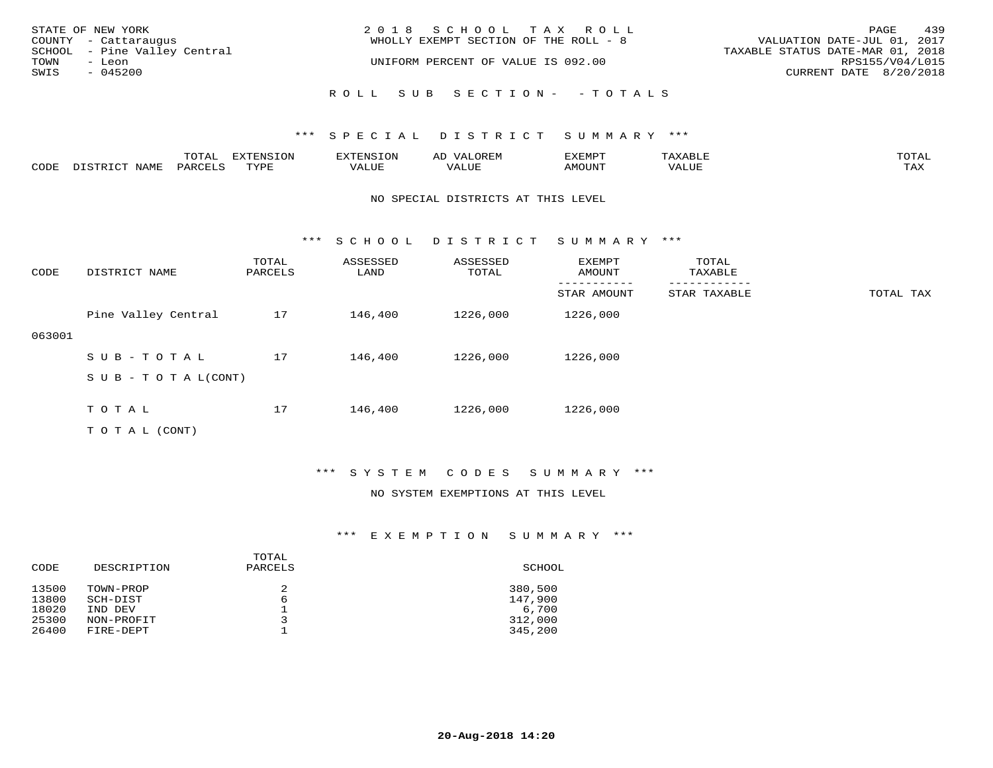| STATE OF NEW YORK<br>COUNTY - Cattaraugus      | 2018 SCHOOL TAX ROLL<br>WHOLLY EXEMPT SECTION OF THE ROLL - 8 | 439<br>PAGE<br>VALUATION DATE-JUL 01, 2017          |
|------------------------------------------------|---------------------------------------------------------------|-----------------------------------------------------|
| SCHOOL - Pine Valley Central<br>TOWN<br>– Leon | UNIFORM PERCENT OF VALUE IS 092.00                            | TAXABLE STATUS DATE-MAR 01, 2018<br>RPS155/V04/L015 |
| SWIS<br>$-045200$                              |                                                               | CURRENT DATE 8/20/2018                              |
|                                                | ROLL SUB SECTION- - TOTALS                                    |                                                     |

|      |      | $m \wedge m \wedge n$<br>$\sim$ 1<br>∸ ∪ ⊥ <del>⊓</del> ⊥⊥ | $T \cap N$<br>----<br>ᄗᄭ | . | ∼ | YFMDT<br>⊐∡⊾⊥⊥∙⊥⊥ |       | mom <sub>n</sub> .<br>$\cdot$ $\Delta$ |
|------|------|------------------------------------------------------------|--------------------------|---|---|-------------------|-------|----------------------------------------|
| CODE | NAME | $PARTF^*$                                                  | $m \tau \tau n$          |   |   | <b>MOTTNTO</b>    | VALUE | ma v<br>⊥ ∠~∡∡                         |

## NO SPECIAL DISTRICTS AT THIS LEVEL

\*\*\* S C H O O L D I S T R I C T S U M M A R Y \*\*\*

| CODE   | DISTRICT NAME              | TOTAL<br>PARCELS | ASSESSED<br>LAND | ASSESSED<br>TOTAL | EXEMPT<br>AMOUNT | TOTAL<br>TAXABLE |           |
|--------|----------------------------|------------------|------------------|-------------------|------------------|------------------|-----------|
|        |                            |                  |                  |                   | STAR AMOUNT      | STAR TAXABLE     | TOTAL TAX |
|        | Pine Valley Central        | 17               | 146,400          | 1226,000          | 1226,000         |                  |           |
| 063001 |                            |                  |                  |                   |                  |                  |           |
|        | SUB-TOTAL                  | 17               | 146,400          | 1226,000          | 1226,000         |                  |           |
|        | S U B - T O T A $L$ (CONT) |                  |                  |                   |                  |                  |           |
|        |                            |                  |                  |                   |                  |                  |           |
|        | TOTAL                      | 17               | 146,400          | 1226,000          | 1226,000         |                  |           |
|        | T O T A L (CONT)           |                  |                  |                   |                  |                  |           |

\*\*\* S Y S T E M C O D E S S U M M A R Y \*\*\*

## NO SYSTEM EXEMPTIONS AT THIS LEVEL

| CODE                                      | DESCRIPTION                                                 | TOTAL<br>PARCELS | SCHOOL                                            |
|-------------------------------------------|-------------------------------------------------------------|------------------|---------------------------------------------------|
| 13500<br>13800<br>18020<br>25300<br>26400 | TOWN-PROP<br>SCH-DIST<br>IND DEV<br>NON-PROFIT<br>FIRE-DEPT | 2<br>6<br>ิว     | 380,500<br>147,900<br>6,700<br>312,000<br>345,200 |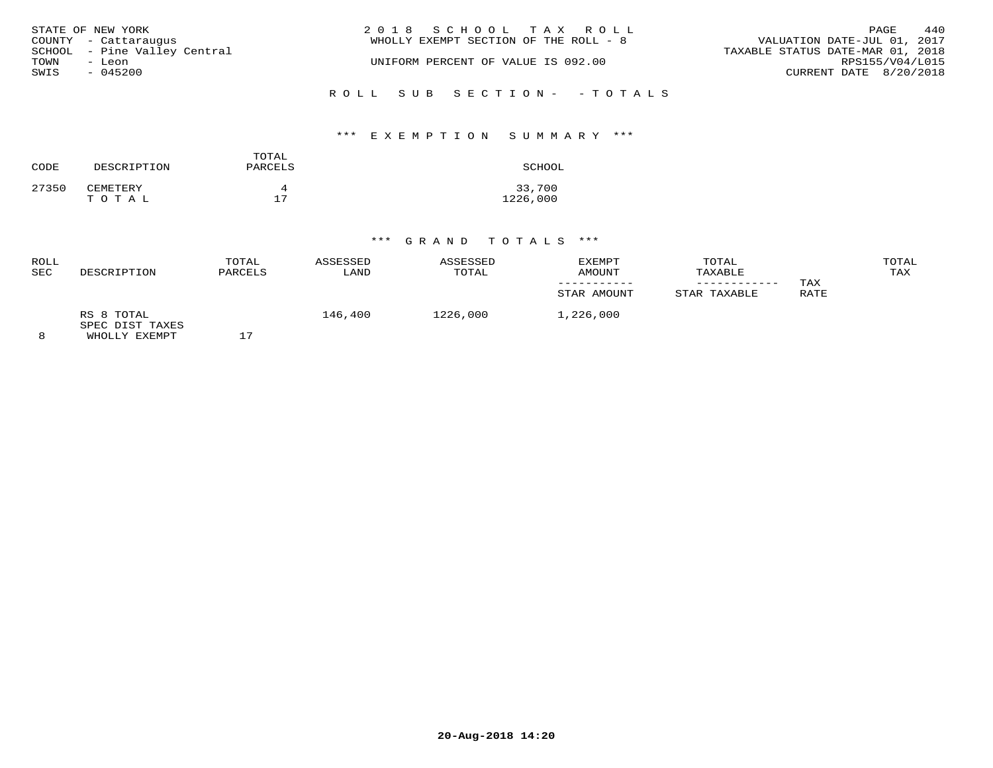| STATE OF NEW YORK<br>COUNTY - Cattaraugus<br>SCHOOL - Pine Valley Central | 2018 SCHOOL TAX ROLL<br>WHOLLY EXEMPT SECTION OF THE ROLL - 8 | 440<br>PAGE<br>VALUATION DATE-JUL 01, 2017<br>TAXABLE STATUS DATE-MAR 01, 2018 |
|---------------------------------------------------------------------------|---------------------------------------------------------------|--------------------------------------------------------------------------------|
| TOWN<br>- Leon                                                            | UNIFORM PERCENT OF VALUE IS 092.00                            | RPS155/V04/L015                                                                |
| SWIS<br>$-045200$                                                         |                                                               | CURRENT DATE 8/20/2018                                                         |
|                                                                           | ROLL SUB SECTION- - TOTALS                                    |                                                                                |

## \*\*\* E X E M P T I O N S U M M A R Y \*\*\*

| CODE  | DESCRIPTION | TOTAL<br>PARCELS | SCHOOL   |
|-------|-------------|------------------|----------|
| 27350 | CEMETERY    | д                | 33,700   |
|       | TOTAL       | 17               | 1226,000 |

| ROLL<br><b>SEC</b> | DESCRIPTION                                    | TOTAL<br>PARCELS | ASSESSED<br>LAND | ASSESSED<br>TOTAL | EXEMPT<br>AMOUNT<br>STAR AMOUNT | TOTAL<br>TAXABLE<br>STAR TAXABLE | TAX<br>RATE | TOTAL<br>TAX |
|--------------------|------------------------------------------------|------------------|------------------|-------------------|---------------------------------|----------------------------------|-------------|--------------|
| 8                  | RS 8 TOTAL<br>SPEC DIST TAXES<br>WHOLLY EXEMPT |                  | 146,400          | 1226,000          | 1,226,000                       |                                  |             |              |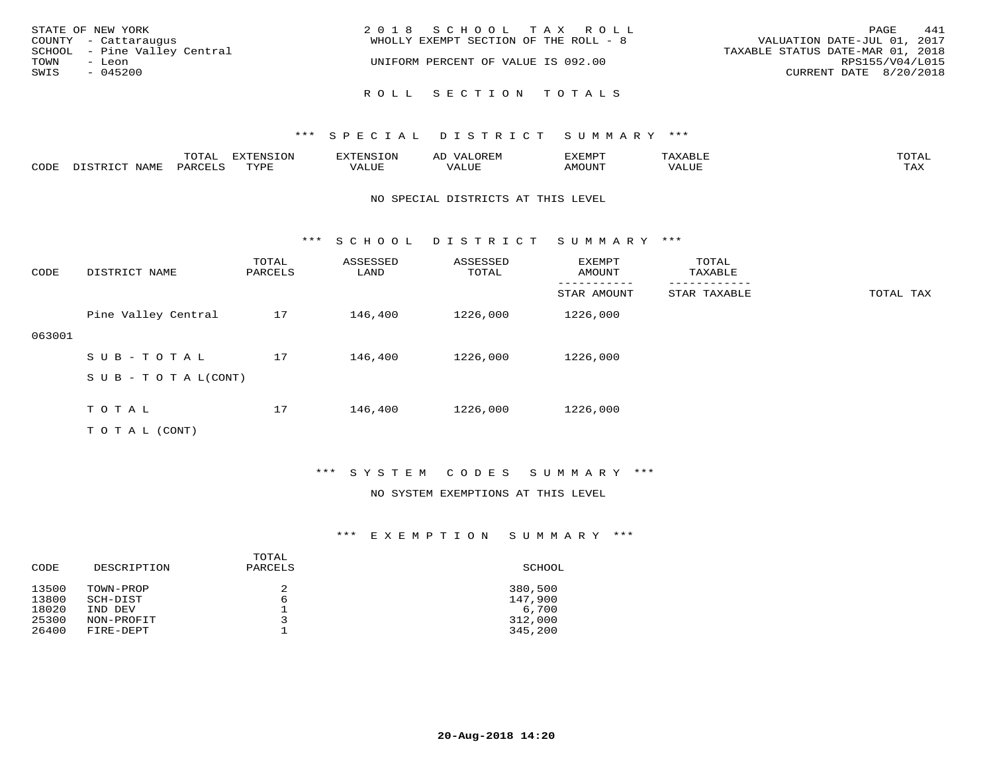| STATE OF NEW YORK<br>COUNTY - Cattaraugus<br>SCHOOL - Pine Valley Central<br>TOWN<br>- Leon<br>SWIS<br>$-045200$ | 2018 SCHOOL TAX ROLL<br>WHOLLY EXEMPT SECTION OF THE ROLL - 8<br>UNIFORM PERCENT OF VALUE IS 092.00 | 441<br>PAGE<br>VALUATION DATE-JUL 01, 2017<br>TAXABLE STATUS DATE-MAR 01, 2018<br>RPS155/V04/L015<br>CURRENT DATE 8/20/2018 |
|------------------------------------------------------------------------------------------------------------------|-----------------------------------------------------------------------------------------------------|-----------------------------------------------------------------------------------------------------------------------------|
|                                                                                                                  | ROLL SECTION TOTALS                                                                                 |                                                                                                                             |

|      |      | ----<br>◡⊥▱                     | <b>EXTENSION</b> | <b>XTENSION</b> | استدعا                           | ZXEMPT             | AABDL<br>∸ | $m \wedge m \wedge n$<br>"UTAL |
|------|------|---------------------------------|------------------|-----------------|----------------------------------|--------------------|------------|--------------------------------|
| CODE | NAMF | $O$ $\Delta$ $R$ $CH$ $T$ . $C$ | <b>TUVDE</b>     | 'ALUE           | , , , , , , <del>,</del><br>ALUE | NOUNT <del>.</del> | VALUE      | <b>TAY</b><br>- ∠∡∡            |

## NO SPECIAL DISTRICTS AT THIS LEVEL

\*\*\* S C H O O L D I S T R I C T S U M M A R Y \*\*\*

| CODE   | DISTRICT NAME                    | TOTAL<br>PARCELS | ASSESSED<br>LAND | ASSESSED<br>TOTAL | EXEMPT<br>AMOUNT | TOTAL<br>TAXABLE |           |
|--------|----------------------------------|------------------|------------------|-------------------|------------------|------------------|-----------|
|        |                                  |                  |                  |                   | STAR AMOUNT      | STAR TAXABLE     | TOTAL TAX |
|        | Pine Valley Central              | 17               | 146,400          | 1226,000          | 1226,000         |                  |           |
| 063001 |                                  |                  |                  |                   |                  |                  |           |
|        | SUB-TOTAL                        | 17               | 146,400          | 1226,000          | 1226,000         |                  |           |
|        | $S \cup B - T \cup T A L (CONT)$ |                  |                  |                   |                  |                  |           |
|        |                                  |                  |                  |                   |                  |                  |           |
|        | TOTAL                            | 17               | 146,400          | 1226,000          | 1226,000         |                  |           |
|        | T O T A L (CONT)                 |                  |                  |                   |                  |                  |           |

## \*\*\* S Y S T E M C O D E S S U M M A R Y \*\*\*

## NO SYSTEM EXEMPTIONS AT THIS LEVEL

| CODE                                      | DESCRIPTION                                                 | TOTAL<br>PARCELS | SCHOOL                                            |
|-------------------------------------------|-------------------------------------------------------------|------------------|---------------------------------------------------|
| 13500<br>13800<br>18020<br>25300<br>26400 | TOWN-PROP<br>SCH-DIST<br>IND DEV<br>NON-PROFIT<br>FIRE-DEPT | 2<br>6<br>っ      | 380,500<br>147,900<br>6,700<br>312,000<br>345,200 |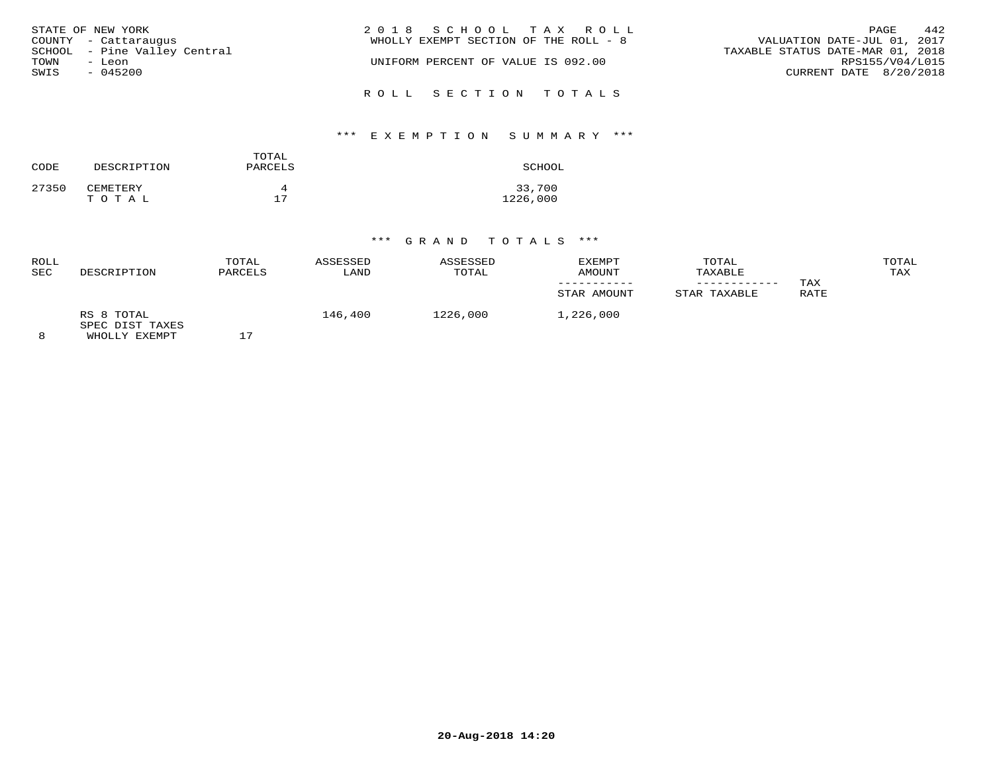|      | STATE OF NEW YORK            | 2018 SCHOOL TAX ROLL                  | 442<br>PAGE                      |
|------|------------------------------|---------------------------------------|----------------------------------|
|      | COUNTY - Cattaraugus         | WHOLLY EXEMPT SECTION OF THE ROLL - 8 | VALUATION DATE-JUL 01, 2017      |
|      | SCHOOL - Pine Valley Central |                                       | TAXABLE STATUS DATE-MAR 01, 2018 |
| TOWN | - Leon                       | UNIFORM PERCENT OF VALUE IS 092.00    | RPS155/V04/L015                  |
| SWIS | $-045200$                    |                                       | CURRENT DATE 8/20/2018           |
|      |                              | ROLL SECTION TOTALS                   |                                  |

## \*\*\* E X E M P T I O N S U M M A R Y \*\*\*

| CODE  | DESCRIPTION       | TOTAL<br>PARCELS | SCHOOL             |
|-------|-------------------|------------------|--------------------|
| 27350 | CEMETERY<br>TOTAL | 17               | 33,700<br>1226,000 |

| ROLL<br><b>SEC</b> | DESCRIPTION                                    | TOTAL<br>PARCELS | ASSESSED<br>LAND | ASSESSED<br>TOTAL | <b>EXEMPT</b><br>AMOUNT<br>STAR AMOUNT | TOTAL<br>TAXABLE<br>STAR TAXABLE | TAX<br>RATE | TOTAL<br>TAX |
|--------------------|------------------------------------------------|------------------|------------------|-------------------|----------------------------------------|----------------------------------|-------------|--------------|
| 8                  | RS 8 TOTAL<br>SPEC DIST TAXES<br>WHOLLY EXEMPT | $\overline{a}$   | 146,400          | 1226,000          | 1,226,000                              |                                  |             |              |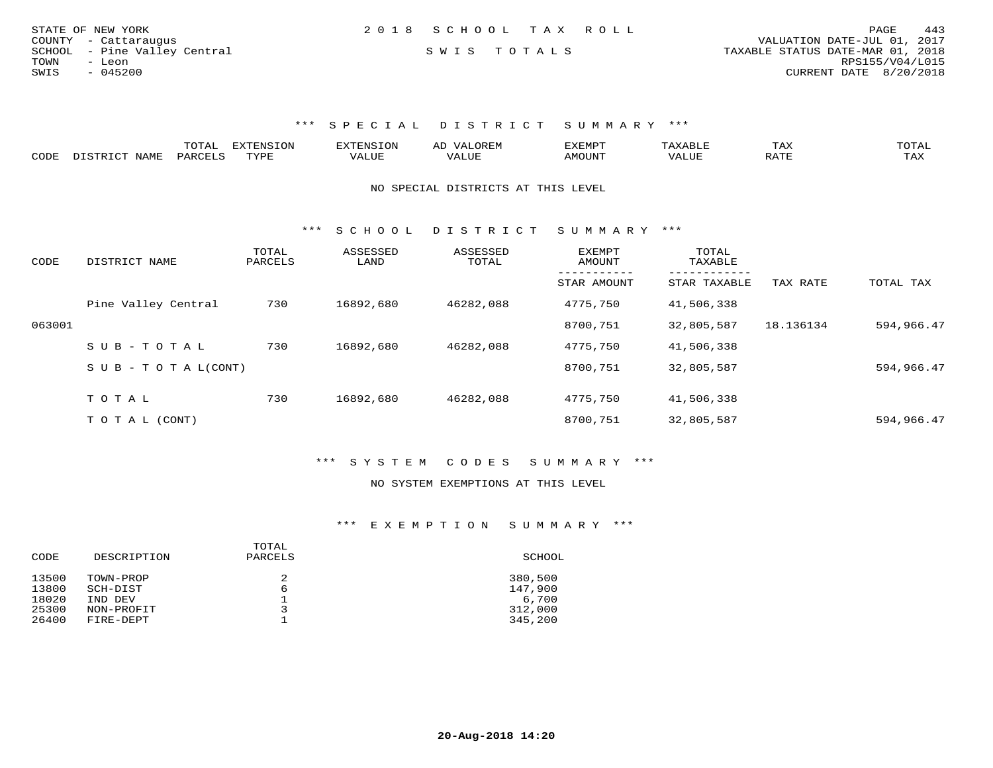| STATE OF NEW YORK            | 2018 SCHOOL TAX ROLL | PAGE                             | 443 |
|------------------------------|----------------------|----------------------------------|-----|
| COUNTY - Cattaraugus         |                      | VALUATION DATE-JUL 01, 2017      |     |
| SCHOOL - Pine Valley Central | SWIS TOTALS          | TAXABLE STATUS DATE-MAR 01, 2018 |     |
| TOWN<br>- Leon               |                      | RPS155/V04/L015                  |     |
| $-045200$<br>SWIS            |                      | CURRENT DATE 8/20/2018           |     |
|                              |                      |                                  |     |

|      |                                                 |         | <b>EXTENSION</b> |        | A <sub>1</sub> | EXEMP.          |       | 1 A A                              |                     |
|------|-------------------------------------------------|---------|------------------|--------|----------------|-----------------|-------|------------------------------------|---------------------|
| CODE | NAME.<br>$T$ $\cap$ $\cap$ $\cap$ $\cap$ $\cap$ | DARCTIC | rvdf             | 1.111P | ALUI           | MOUN.<br>ו טו ב | VALUL | סידי ג<br>$\overline{\phantom{a}}$ | $m \times r$<br>TAX |

#### NO SPECIAL DISTRICTS AT THIS LEVEL

\*\*\* S C H O O L D I S T R I C T S U M M A R Y \*\*\*

| CODE   | DISTRICT NAME                    | TOTAL<br>PARCELS | ASSESSED<br>LAND | ASSESSED<br>TOTAL | EXEMPT<br>AMOUNT | TOTAL<br>TAXABLE<br>. |           |            |
|--------|----------------------------------|------------------|------------------|-------------------|------------------|-----------------------|-----------|------------|
|        |                                  |                  |                  |                   | STAR AMOUNT      | STAR TAXABLE          | TAX RATE  | TOTAL TAX  |
|        | Pine Valley Central              | 730              | 16892,680        | 46282,088         | 4775,750         | 41,506,338            |           |            |
| 063001 |                                  |                  |                  |                   | 8700,751         | 32,805,587            | 18.136134 | 594,966.47 |
|        | $SUB - TO TAL$                   | 730              | 16892,680        | 46282,088         | 4775,750         | 41,506,338            |           |            |
|        | $S \cup B - T \cup T A L (CONT)$ |                  |                  |                   | 8700,751         | 32,805,587            |           | 594,966.47 |
|        | TOTAL                            | 730              | 16892,680        | 46282,088         |                  |                       |           |            |
|        |                                  |                  |                  |                   | 4775,750         | 41,506,338            |           |            |
|        | T O T A L (CONT)                 |                  |                  |                   | 8700,751         | 32,805,587            |           | 594,966.47 |

## \*\*\* S Y S T E M C O D E S S U M M A R Y \*\*\*

#### NO SYSTEM EXEMPTIONS AT THIS LEVEL

| CODE  | DESCRIPTION | TOTAL<br>PARCELS | SCHOOL  |
|-------|-------------|------------------|---------|
| 13500 | TOWN-PROP   | 2                | 380,500 |
| 13800 | SCH-DIST    | 6                | 147,900 |
| 18020 | IND DEV     | ᅩ                | 6,700   |
| 25300 | NON-PROFIT  | 3                | 312,000 |
| 26400 | FIRE-DEPT   |                  | 345,200 |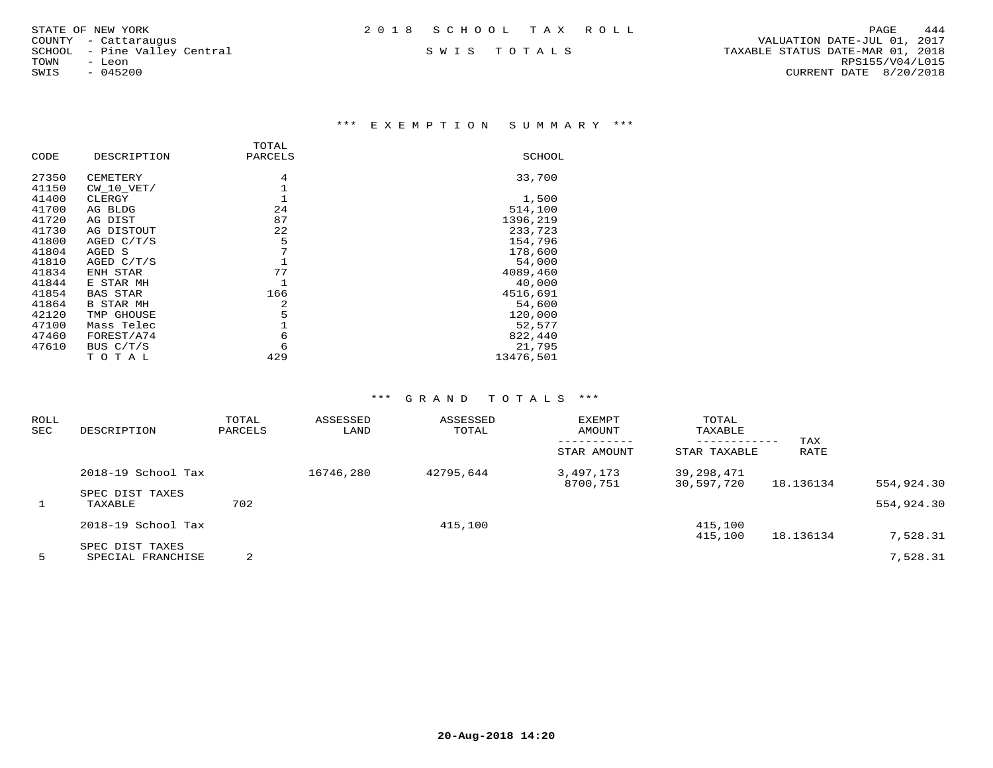| 2018 SCHOOL TAX ROLL |  |
|----------------------|--|
|----------------------|--|

\*\*\* E X E M P T I O N S U M M A R Y \*\*\*

|       |                  | TOTAL   |           |
|-------|------------------|---------|-----------|
| CODE  | DESCRIPTION      | PARCELS | SCHOOL    |
| 27350 | CEMETERY         | 4       | 33,700    |
| 41150 | $CW$ 10 $VET/$   | 1       |           |
| 41400 | CLERGY           | 1       | 1,500     |
| 41700 | AG BLDG          | 24      | 514,100   |
| 41720 | AG DIST          | 87      | 1396,219  |
| 41730 | AG DISTOUT       | 22      | 233,723   |
| 41800 | AGED C/T/S       | 5       | 154,796   |
| 41804 | AGED S           | 7       | 178,600   |
| 41810 | AGED $C/T/S$     |         | 54,000    |
| 41834 | ENH STAR         | 77      | 4089,460  |
| 41844 | E STAR MH        | 1       | 40,000    |
| 41854 | <b>BAS STAR</b>  | 166     | 4516,691  |
| 41864 | <b>B STAR MH</b> | 2       | 54,600    |
| 42120 | TMP GHOUSE       | 5       | 120,000   |
| 47100 | Mass Telec       |         | 52,577    |
| 47460 | FOREST/A74       | 6       | 822,440   |
| 47610 | BUS $C/T/S$      | 6       | 21,795    |
|       | тотаь            | 429     | 13476,501 |

| ROLL<br><b>SEC</b> | DESCRIPTION                | TOTAL<br>PARCELS | ASSESSED<br>LAND | ASSESSED<br>TOTAL | EXEMPT<br>AMOUNT<br>STAR AMOUNT | TOTAL<br>TAXABLE<br>------------<br>STAR TAXABLE | TAX<br>RATE |            |
|--------------------|----------------------------|------------------|------------------|-------------------|---------------------------------|--------------------------------------------------|-------------|------------|
|                    | 2018-19 School Tax         |                  | 16746,280        | 42795,644         | 3,497,173<br>8700,751           | 39,298,471<br>30,597,720                         | 18.136134   | 554,924.30 |
| 1                  | SPEC DIST TAXES<br>TAXABLE | 702              |                  |                   |                                 |                                                  |             | 554,924.30 |
|                    | 2018-19 School Tax         |                  |                  | 415,100           |                                 | 415,100                                          |             |            |
|                    | SPEC DIST TAXES            |                  |                  |                   |                                 | 415,100                                          | 18.136134   | 7,528.31   |
| 5                  | SPECIAL FRANCHISE          | 2                |                  |                   |                                 |                                                  |             | 7,528.31   |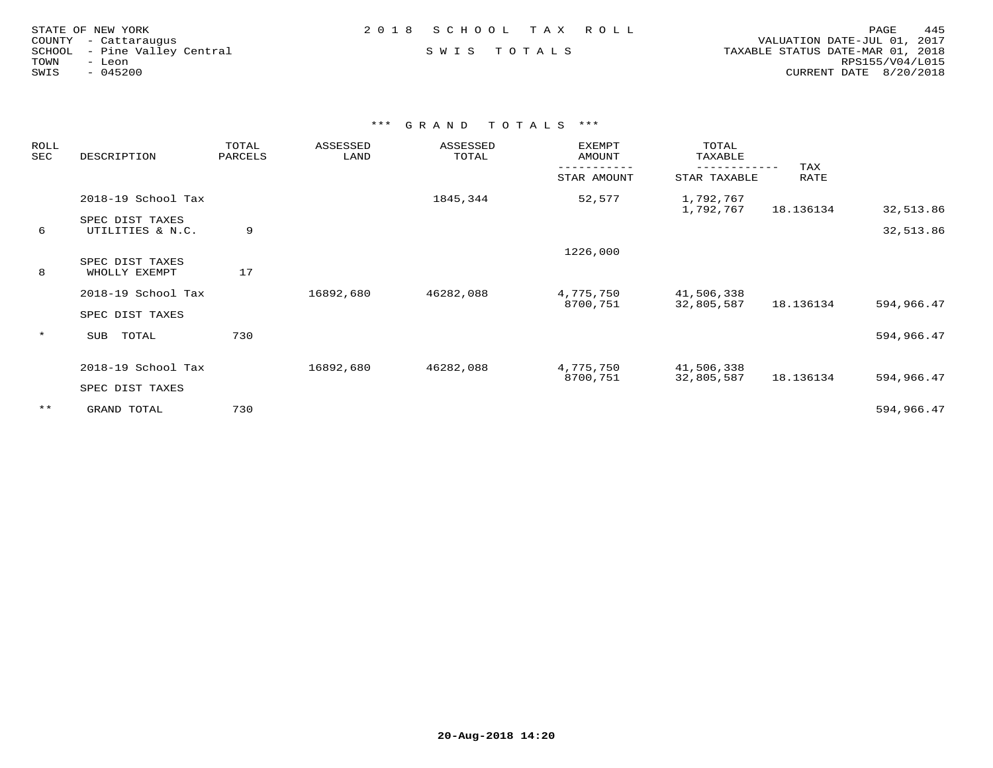| STATE OF NEW YORK            | 2018 SCHOOL TAX ROLL | 445<br>PAGE                      |
|------------------------------|----------------------|----------------------------------|
| COUNTY - Cattaraugus         |                      | VALUATION DATE-JUL 01, 2017      |
| SCHOOL - Pine Valley Central | SWIS TOTALS          | TAXABLE STATUS DATE-MAR 01, 2018 |
| TOWN<br>- Leon               |                      | RPS155/V04/L015                  |
| $-045200$<br>SWIS            |                      | CURRENT DATE 8/20/2018           |
|                              |                      |                                  |

| ROLL<br>SEC | DESCRIPTION                         | TOTAL<br>PARCELS | ASSESSED<br>LAND | ASSESSED<br>TOTAL | EXEMPT<br>AMOUNT | TOTAL<br>TAXABLE       |             |            |
|-------------|-------------------------------------|------------------|------------------|-------------------|------------------|------------------------|-------------|------------|
|             |                                     |                  |                  |                   | STAR AMOUNT      | STAR TAXABLE           | TAX<br>RATE |            |
|             | 2018-19 School Tax                  |                  |                  | 1845,344          | 52,577           | 1,792,767<br>1,792,767 | 18.136134   | 32,513.86  |
| 6           | SPEC DIST TAXES<br>UTILITIES & N.C. | 9                |                  |                   |                  |                        |             | 32,513.86  |
|             |                                     |                  |                  |                   | 1226,000         |                        |             |            |
| 8           | SPEC DIST TAXES<br>WHOLLY EXEMPT    | 17               |                  |                   |                  |                        |             |            |
|             | 2018-19 School Tax                  |                  | 16892,680        | 46282,088         | 4,775,750        | 41,506,338             |             |            |
|             | SPEC DIST TAXES                     |                  |                  |                   | 8700,751         | 32,805,587             | 18.136134   | 594,966.47 |
| $\star$     | TOTAL<br>SUB                        | 730              |                  |                   |                  |                        |             | 594,966.47 |
|             | 2018-19 School Tax                  |                  | 16892,680        | 46282,088         | 4,775,750        | 41,506,338             |             |            |
|             | SPEC DIST TAXES                     |                  |                  |                   | 8700,751         | 32,805,587             | 18.136134   | 594,966.47 |
| $***$       | GRAND TOTAL                         | 730              |                  |                   |                  |                        |             | 594,966.47 |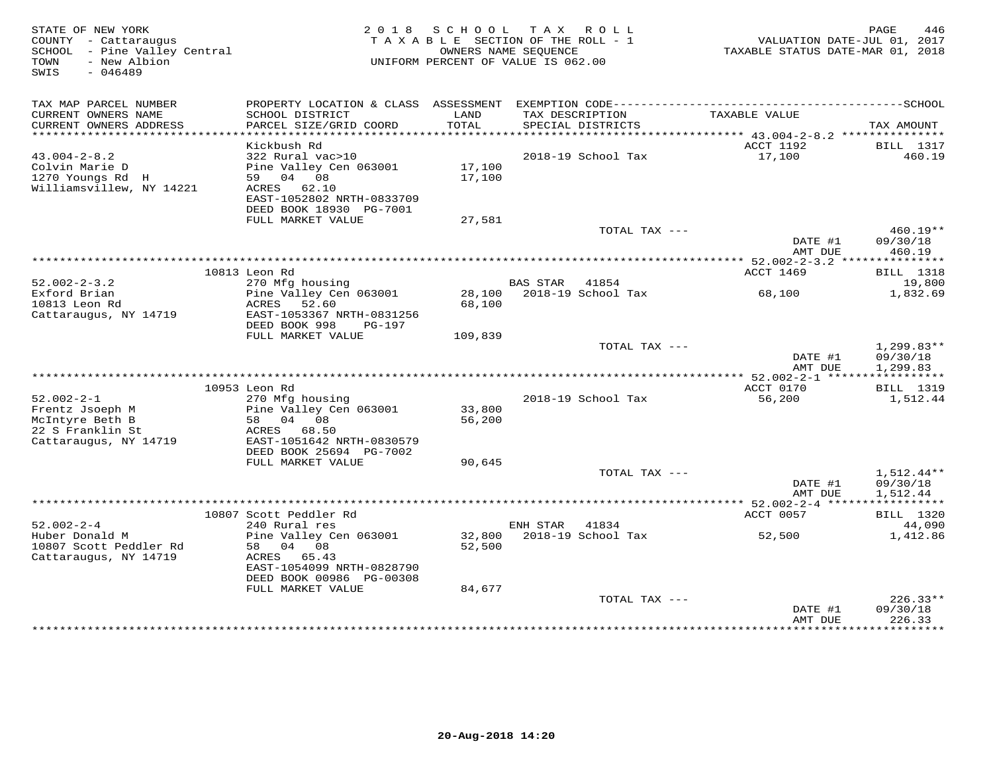| STATE OF NEW YORK<br>COUNTY - Cattaraugus<br>SCHOOL - Pine Valley Central<br>- New Albion<br>TOWN<br>$-046489$<br>SWIS |                                           | 2018 SCHOOL<br>TAXABLE SECTION OF THE ROLL - 1<br>OWNERS NAME SEQUENCE<br>UNIFORM PERCENT OF VALUE IS 062.00 |          | TAX ROLL                             | VALUATION DATE-JUL 01, 2017<br>TAXABLE STATUS DATE-MAR 01, 2018 | PAGE<br>446                |
|------------------------------------------------------------------------------------------------------------------------|-------------------------------------------|--------------------------------------------------------------------------------------------------------------|----------|--------------------------------------|-----------------------------------------------------------------|----------------------------|
| TAX MAP PARCEL NUMBER                                                                                                  |                                           |                                                                                                              |          |                                      |                                                                 |                            |
| CURRENT OWNERS NAME<br>CURRENT OWNERS ADDRESS                                                                          | SCHOOL DISTRICT<br>PARCEL SIZE/GRID COORD | LAND<br>TOTAL                                                                                                |          | TAX DESCRIPTION<br>SPECIAL DISTRICTS | TAXABLE VALUE                                                   | TAX AMOUNT                 |
|                                                                                                                        |                                           |                                                                                                              |          |                                      |                                                                 |                            |
| $43.004 - 2 - 8.2$                                                                                                     | Kickbush Rd<br>322 Rural vac>10           |                                                                                                              |          | 2018-19 School Tax                   | ACCT 1192<br>17,100                                             | <b>BILL 1317</b><br>460.19 |
| Colvin Marie D                                                                                                         | Pine Valley Cen 063001                    | 17,100                                                                                                       |          |                                      |                                                                 |                            |
| 1270 Youngs Rd H                                                                                                       | 59 04 08                                  | 17,100                                                                                                       |          |                                      |                                                                 |                            |
| Williamsvillew, NY 14221                                                                                               | ACRES 62.10                               |                                                                                                              |          |                                      |                                                                 |                            |
|                                                                                                                        | EAST-1052802 NRTH-0833709                 |                                                                                                              |          |                                      |                                                                 |                            |
|                                                                                                                        | DEED BOOK 18930 PG-7001                   |                                                                                                              |          |                                      |                                                                 |                            |
|                                                                                                                        | FULL MARKET VALUE                         | 27,581                                                                                                       |          | TOTAL TAX ---                        |                                                                 | $460.19**$                 |
|                                                                                                                        |                                           |                                                                                                              |          |                                      | DATE #1                                                         | 09/30/18                   |
|                                                                                                                        |                                           |                                                                                                              |          |                                      | AMT DUE                                                         | 460.19                     |
|                                                                                                                        |                                           |                                                                                                              |          |                                      |                                                                 |                            |
|                                                                                                                        | 10813 Leon Rd                             |                                                                                                              |          |                                      | ACCT 1469                                                       | <b>BILL</b> 1318           |
| $52.002 - 2 - 3.2$<br>Exford Brian                                                                                     | 270 Mfg housing<br>Pine Valley Cen 063001 |                                                                                                              | BAS STAR | 41854<br>28,100 2018-19 School Tax   | 68,100                                                          | 19,800<br>1,832.69         |
| 10813 Leon Rd                                                                                                          | ACRES<br>52.60                            | 68,100                                                                                                       |          |                                      |                                                                 |                            |
| Cattaraugus, NY 14719                                                                                                  | EAST-1053367 NRTH-0831256                 |                                                                                                              |          |                                      |                                                                 |                            |
|                                                                                                                        | DEED BOOK 998<br>PG-197                   |                                                                                                              |          |                                      |                                                                 |                            |
|                                                                                                                        | FULL MARKET VALUE                         | 109,839                                                                                                      |          |                                      |                                                                 |                            |
|                                                                                                                        |                                           |                                                                                                              |          | TOTAL TAX ---                        | DATE #1                                                         | $1,299.83**$<br>09/30/18   |
|                                                                                                                        |                                           |                                                                                                              |          |                                      | AMT DUE                                                         | 1,299.83                   |
|                                                                                                                        |                                           |                                                                                                              |          |                                      |                                                                 |                            |
|                                                                                                                        | 10953 Leon Rd                             |                                                                                                              |          |                                      | ACCT 0170                                                       | <b>BILL</b> 1319           |
| $52.002 - 2 - 1$                                                                                                       | 270 Mfg housing                           |                                                                                                              |          | 2018-19 School Tax                   | 56,200                                                          | 1,512.44                   |
| Frentz Jsoeph M<br>McIntyre Beth B                                                                                     | Pine Valley Cen 063001<br>58 04 08        | 33,800<br>56,200                                                                                             |          |                                      |                                                                 |                            |
| 22 S Franklin St                                                                                                       | ACRES 68.50                               |                                                                                                              |          |                                      |                                                                 |                            |
| Cattaraugus, NY 14719                                                                                                  | EAST-1051642 NRTH-0830579                 |                                                                                                              |          |                                      |                                                                 |                            |
|                                                                                                                        | DEED BOOK 25694 PG-7002                   |                                                                                                              |          |                                      |                                                                 |                            |
|                                                                                                                        | FULL MARKET VALUE                         | 90,645                                                                                                       |          |                                      |                                                                 |                            |
|                                                                                                                        |                                           |                                                                                                              |          | TOTAL TAX ---                        | DATE #1                                                         | 1,512.44**<br>09/30/18     |
|                                                                                                                        |                                           |                                                                                                              |          |                                      | AMT DUE                                                         | 1,512.44                   |
|                                                                                                                        |                                           |                                                                                                              |          |                                      |                                                                 |                            |
|                                                                                                                        | 10807 Scott Peddler Rd                    |                                                                                                              |          |                                      | ACCT 0057                                                       | BILL 1320                  |
| $52.002 - 2 - 4$                                                                                                       | 240 Rural res                             |                                                                                                              | ENH STAR | 41834                                |                                                                 | 44,090                     |
| Huber Donald M<br>10807 Scott Peddler Rd                                                                               | Pine Valley Cen 063001<br>58 04 08        | 52,500                                                                                                       |          | 32,800 2018-19 School Tax            | 52,500                                                          | 1,412.86                   |
| Cattaraugus, NY 14719                                                                                                  | ACRES 65.43                               |                                                                                                              |          |                                      |                                                                 |                            |
|                                                                                                                        | EAST-1054099 NRTH-0828790                 |                                                                                                              |          |                                      |                                                                 |                            |
|                                                                                                                        | DEED BOOK 00986 PG-00308                  |                                                                                                              |          |                                      |                                                                 |                            |
|                                                                                                                        | FULL MARKET VALUE                         | 84,677                                                                                                       |          |                                      |                                                                 |                            |
|                                                                                                                        |                                           |                                                                                                              |          | TOTAL TAX ---                        | DATE #1                                                         | $226.33**$<br>09/30/18     |
|                                                                                                                        |                                           |                                                                                                              |          |                                      | AMT DUE                                                         | 226.33                     |
|                                                                                                                        |                                           |                                                                                                              |          |                                      |                                                                 |                            |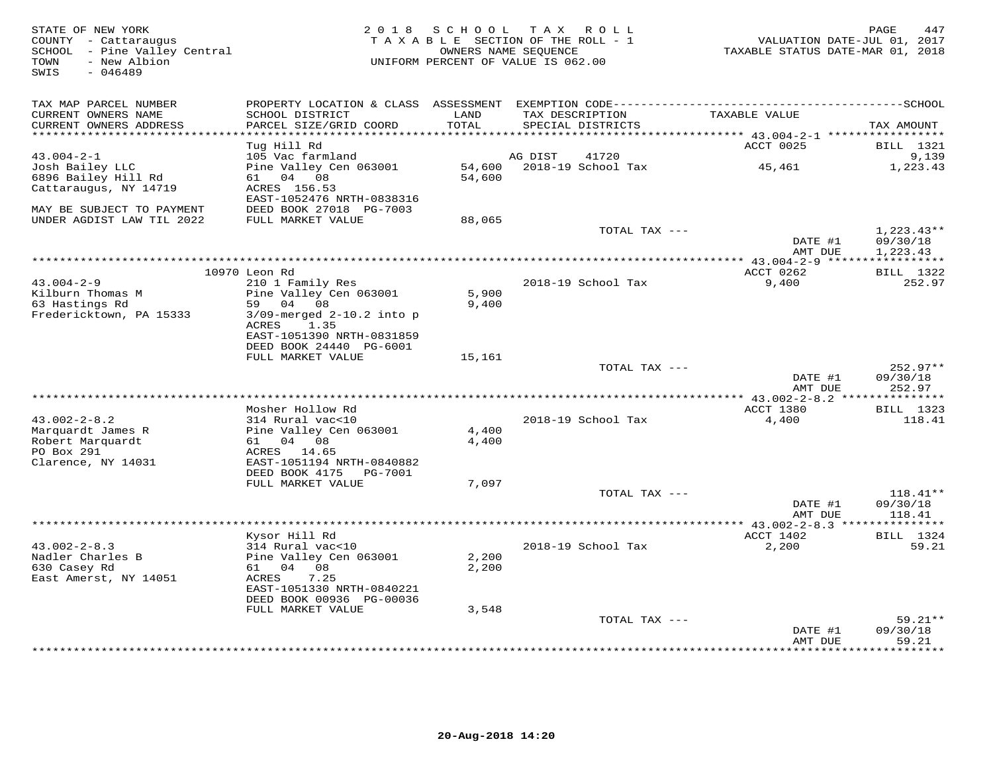| STATE OF NEW YORK<br>COUNTY - Cattaraugus<br>SCHOOL - Pine Valley Central<br>- New Albion<br>TOWN<br>$-046489$<br>SWIS |                                                        | 2018 SCHOOL TAX ROLL<br>T A X A B L E SECTION OF THE ROLL - 1<br>OWNERS NAME SEQUENCE<br>UNIFORM PERCENT OF VALUE IS 062.00 |         |                           | TAXABLE STATUS DATE-MAR 01, 2018 | PAGE<br>447<br>VALUATION DATE-JUL 01, 2017 |
|------------------------------------------------------------------------------------------------------------------------|--------------------------------------------------------|-----------------------------------------------------------------------------------------------------------------------------|---------|---------------------------|----------------------------------|--------------------------------------------|
| TAX MAP PARCEL NUMBER<br>CURRENT OWNERS NAME                                                                           | SCHOOL DISTRICT                                        | LAND                                                                                                                        |         | TAX DESCRIPTION           | TAXABLE VALUE                    |                                            |
| CURRENT OWNERS ADDRESS                                                                                                 | PARCEL SIZE/GRID COORD                                 | TOTAL                                                                                                                       |         | SPECIAL DISTRICTS         |                                  | TAX AMOUNT                                 |
|                                                                                                                        |                                                        | ***********                                                                                                                 |         |                           |                                  |                                            |
| $43.004 - 2 - 1$                                                                                                       | Tug Hill Rd<br>105 Vac farmland                        |                                                                                                                             | AG DIST | 41720                     | ACCT 0025                        | <b>BILL</b> 1321<br>9,139                  |
| Josh Bailey LLC                                                                                                        | Pine Valley Cen 063001                                 |                                                                                                                             |         | 54,600 2018-19 School Tax | 45,461                           | 1,223.43                                   |
| 6896 Bailey Hill Rd                                                                                                    | 61 04 08                                               | 54,600                                                                                                                      |         |                           |                                  |                                            |
| Cattaraugus, NY 14719                                                                                                  | ACRES 156.53                                           |                                                                                                                             |         |                           |                                  |                                            |
|                                                                                                                        | EAST-1052476 NRTH-0838316                              |                                                                                                                             |         |                           |                                  |                                            |
| MAY BE SUBJECT TO PAYMENT                                                                                              | DEED BOOK 27018 PG-7003                                |                                                                                                                             |         |                           |                                  |                                            |
| UNDER AGDIST LAW TIL 2022                                                                                              | FULL MARKET VALUE                                      | 88,065                                                                                                                      |         |                           |                                  |                                            |
|                                                                                                                        |                                                        |                                                                                                                             |         | TOTAL TAX ---             | DATE #1                          | $1,223.43**$                               |
|                                                                                                                        |                                                        |                                                                                                                             |         |                           | AMT DUE                          | 09/30/18<br>1,223.43                       |
|                                                                                                                        |                                                        |                                                                                                                             |         |                           |                                  |                                            |
|                                                                                                                        | 10970 Leon Rd                                          |                                                                                                                             |         |                           | ACCT 0262                        | <b>BILL</b> 1322                           |
| $43.004 - 2 - 9$                                                                                                       | 210 1 Family Res                                       |                                                                                                                             |         | 2018-19 School Tax        | 9,400                            | 252.97                                     |
| Kilburn Thomas M                                                                                                       | Pine Valley Cen 063001                                 | 5,900                                                                                                                       |         |                           |                                  |                                            |
| 63 Hastings Rd                                                                                                         | 59 04 08                                               | 9,400                                                                                                                       |         |                           |                                  |                                            |
| Fredericktown, PA 15333                                                                                                | $3/09$ -merged $2-10.2$ into p<br>1.35<br>ACRES        |                                                                                                                             |         |                           |                                  |                                            |
|                                                                                                                        | EAST-1051390 NRTH-0831859                              |                                                                                                                             |         |                           |                                  |                                            |
|                                                                                                                        | DEED BOOK 24440 PG-6001                                |                                                                                                                             |         |                           |                                  |                                            |
|                                                                                                                        | FULL MARKET VALUE                                      | 15,161                                                                                                                      |         |                           |                                  |                                            |
|                                                                                                                        |                                                        |                                                                                                                             |         | TOTAL TAX ---             |                                  | $252.97**$                                 |
|                                                                                                                        |                                                        |                                                                                                                             |         |                           | DATE #1                          | 09/30/18                                   |
|                                                                                                                        |                                                        |                                                                                                                             |         |                           | AMT DUE                          | 252.97                                     |
|                                                                                                                        | Mosher Hollow Rd                                       |                                                                                                                             |         |                           | ACCT 1380                        | <b>BILL</b> 1323                           |
| $43.002 - 2 - 8.2$                                                                                                     | 314 Rural vac<10                                       |                                                                                                                             |         | 2018-19 School Tax        | 4,400                            | 118.41                                     |
| Marquardt James R                                                                                                      | Pine Valley Cen 063001                                 | 4,400                                                                                                                       |         |                           |                                  |                                            |
| Robert Marquardt                                                                                                       | 61 04 08                                               | 4,400                                                                                                                       |         |                           |                                  |                                            |
| PO Box 291                                                                                                             | ACRES 14.65                                            |                                                                                                                             |         |                           |                                  |                                            |
| Clarence, NY 14031                                                                                                     | EAST-1051194 NRTH-0840882<br>DEED BOOK 4175    PG-7001 |                                                                                                                             |         |                           |                                  |                                            |
|                                                                                                                        | FULL MARKET VALUE                                      | 7,097                                                                                                                       |         |                           |                                  |                                            |
|                                                                                                                        |                                                        |                                                                                                                             |         | TOTAL TAX ---             |                                  | $118.41**$                                 |
|                                                                                                                        |                                                        |                                                                                                                             |         |                           | DATE #1                          | 09/30/18                                   |
|                                                                                                                        |                                                        |                                                                                                                             |         |                           | AMT DUE                          | 118.41                                     |
|                                                                                                                        |                                                        |                                                                                                                             |         |                           | ************ 43.002-2-8.3 **     |                                            |
| $43.002 - 2 - 8.3$                                                                                                     | Kysor Hill Rd<br>314 Rural vac<10                      |                                                                                                                             |         | 2018-19 School Tax        | ACCT 1402                        | BILL 1324<br>59.21                         |
| Nadler Charles B                                                                                                       | Pine Valley Cen 063001                                 | 2,200                                                                                                                       |         |                           | 2,200                            |                                            |
| 630 Casey Rd                                                                                                           | 61 04 08                                               | 2,200                                                                                                                       |         |                           |                                  |                                            |
| East Amerst, NY 14051                                                                                                  | ACRES<br>7.25                                          |                                                                                                                             |         |                           |                                  |                                            |
|                                                                                                                        | EAST-1051330 NRTH-0840221                              |                                                                                                                             |         |                           |                                  |                                            |
|                                                                                                                        | DEED BOOK 00936 PG-00036                               |                                                                                                                             |         |                           |                                  |                                            |
|                                                                                                                        | FULL MARKET VALUE                                      | 3,548                                                                                                                       |         |                           |                                  |                                            |
|                                                                                                                        |                                                        |                                                                                                                             |         | TOTAL TAX ---             | DATE #1                          | $59.21**$<br>09/30/18                      |
|                                                                                                                        |                                                        |                                                                                                                             |         |                           | AMT DUE                          | 59.21                                      |
|                                                                                                                        |                                                        |                                                                                                                             |         |                           |                                  | * * * * * * * *                            |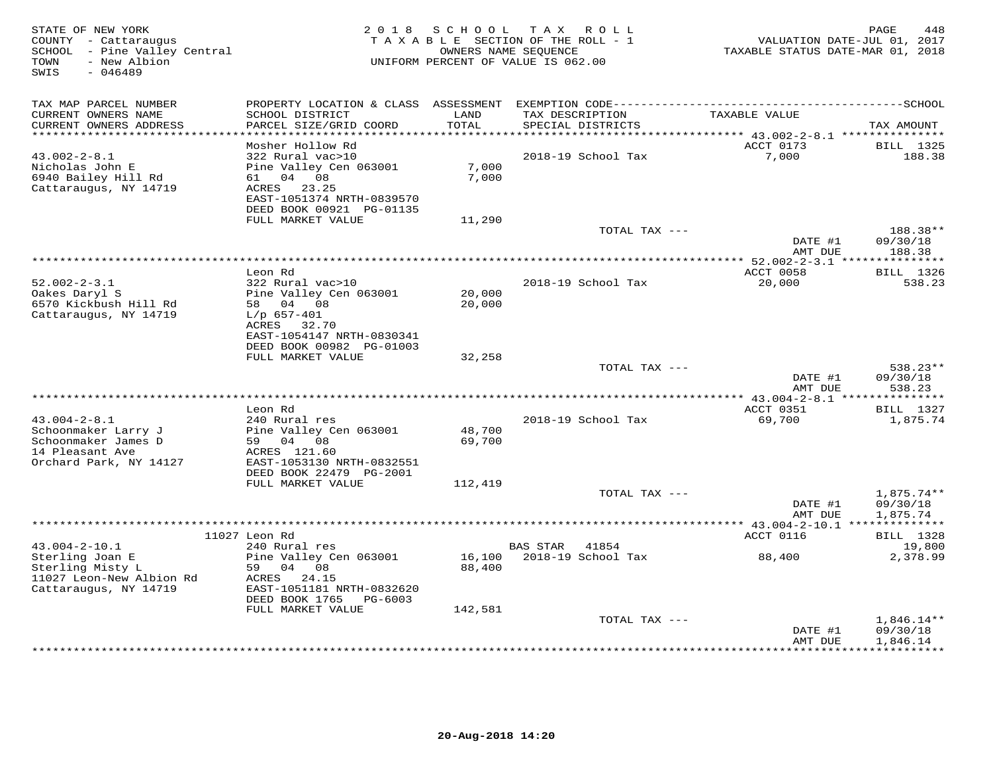| STATE OF NEW YORK<br>COUNTY - Cattaraugus<br>SCHOOL - Pine Valley Central<br>- New Albion<br>TOWN<br>$-046489$<br>SWIS | 2 0 1 8                                                                                                                                                                         | SCHOOL                      | T A X<br>ROLL<br>TAXABLE SECTION OF THE ROLL - 1<br>OWNERS NAME SEQUENCE<br>UNIFORM PERCENT OF VALUE IS 062.00 | VALUATION DATE-JUL 01, 2017<br>TAXABLE STATUS DATE-MAR 01, 2018 | 448<br>PAGE                                   |
|------------------------------------------------------------------------------------------------------------------------|---------------------------------------------------------------------------------------------------------------------------------------------------------------------------------|-----------------------------|----------------------------------------------------------------------------------------------------------------|-----------------------------------------------------------------|-----------------------------------------------|
| TAX MAP PARCEL NUMBER<br>CURRENT OWNERS NAME<br>CURRENT OWNERS ADDRESS                                                 | SCHOOL DISTRICT<br>PARCEL SIZE/GRID COORD                                                                                                                                       | LAND<br>TOTAL               | TAX DESCRIPTION<br>SPECIAL DISTRICTS                                                                           | TAXABLE VALUE                                                   | TAX AMOUNT                                    |
|                                                                                                                        |                                                                                                                                                                                 | ******                      |                                                                                                                | *********** 43.002-2-8.1 ****************                       |                                               |
| $43.002 - 2 - 8.1$<br>Nicholas John E<br>6940 Bailey Hill Rd<br>Cattaraugus, NY 14719                                  | Mosher Hollow Rd<br>322 Rural vac>10<br>Pine Valley Cen 063001<br>04 08<br>61 —<br>ACRES<br>23.25<br>EAST-1051374 NRTH-0839570<br>DEED BOOK 00921 PG-01135<br>FULL MARKET VALUE | 7,000<br>7,000<br>11,290    | 2018-19 School Tax                                                                                             | ACCT 0173<br>7,000                                              | <b>BILL</b> 1325<br>188.38                    |
|                                                                                                                        |                                                                                                                                                                                 |                             | TOTAL TAX ---                                                                                                  |                                                                 | 188.38**                                      |
|                                                                                                                        |                                                                                                                                                                                 |                             |                                                                                                                | DATE #1<br>AMT DUE                                              | 09/30/18<br>188.38                            |
|                                                                                                                        |                                                                                                                                                                                 |                             | ******************************                                                                                 | *** 52.002-2-3.1 ****************                               |                                               |
| $52.002 - 2 - 3.1$<br>Oakes Daryl S<br>6570 Kickbush Hill Rd<br>Cattaraugus, NY 14719                                  | Leon Rd<br>322 Rural vac>10<br>Pine Valley Cen 063001<br>58 04 08<br>$L/p$ 657-401<br>ACRES<br>32.70<br>EAST-1054147 NRTH-0830341                                               | 20,000<br>20,000            | 2018-19 School Tax                                                                                             | ACCT 0058<br>20,000                                             | <b>BILL</b> 1326<br>538.23                    |
|                                                                                                                        | DEED BOOK 00982 PG-01003                                                                                                                                                        |                             |                                                                                                                |                                                                 |                                               |
|                                                                                                                        | FULL MARKET VALUE                                                                                                                                                               | 32,258                      | TOTAL TAX ---                                                                                                  |                                                                 | 538.23**                                      |
|                                                                                                                        | ********                                                                                                                                                                        |                             | **********************                                                                                         | DATE #1<br>AMT DUE<br>** $43.004 - 2 - 8.1$ ***                 | 09/30/18<br>538.23<br>* * * * * * * * * * * * |
|                                                                                                                        | Leon Rd                                                                                                                                                                         |                             |                                                                                                                | ACCT 0351                                                       | <b>BILL</b> 1327                              |
| $43.004 - 2 - 8.1$<br>Schoonmaker Larry J<br>Schoonmaker James D<br>14 Pleasant Ave<br>Orchard Park, NY 14127          | 240 Rural res<br>Pine Valley Cen 063001<br>59 04 08<br>ACRES 121.60<br>EAST-1053130 NRTH-0832551<br>DEED BOOK 22479 PG-2001                                                     | 48,700<br>69,700            | 2018-19 School Tax                                                                                             | 69,700                                                          | 1,875.74                                      |
|                                                                                                                        | FULL MARKET VALUE                                                                                                                                                               | 112,419                     |                                                                                                                |                                                                 |                                               |
|                                                                                                                        | ********************                                                                                                                                                            |                             | TOTAL TAX ---<br>************************                                                                      | DATE #1<br>AMT DUE<br>********* 43.004-2-10.1 **                | $1,875.74**$<br>09/30/18<br>1,875.74          |
|                                                                                                                        | 11027 Leon Rd                                                                                                                                                                   |                             |                                                                                                                | ACCT 0116                                                       | <b>BILL</b> 1328                              |
| $43.004 - 2 - 10.1$                                                                                                    | 240 Rural res                                                                                                                                                                   |                             | <b>BAS STAR</b><br>41854                                                                                       |                                                                 | 19,800                                        |
| Sterling Joan E<br>Sterling Misty L<br>11027 Leon-New Albion Rd<br>Cattaraugus, NY 14719                               | Pine Valley Cen 063001<br>59 04 08<br>ACRES<br>24.15<br>EAST-1051181 NRTH-0832620<br>DEED BOOK 1765<br>PG-6003<br>FULL MARKET VALUE                                             | 16,100<br>88,400<br>142,581 | 2018-19 School Tax                                                                                             | 88,400                                                          | 2,378.99                                      |
|                                                                                                                        |                                                                                                                                                                                 |                             | TOTAL TAX ---                                                                                                  |                                                                 | $1,846.14**$                                  |
|                                                                                                                        |                                                                                                                                                                                 |                             |                                                                                                                | DATE #1<br>AMT DUE                                              | 09/30/18<br>1,846.14<br>* * * * * * * * * *   |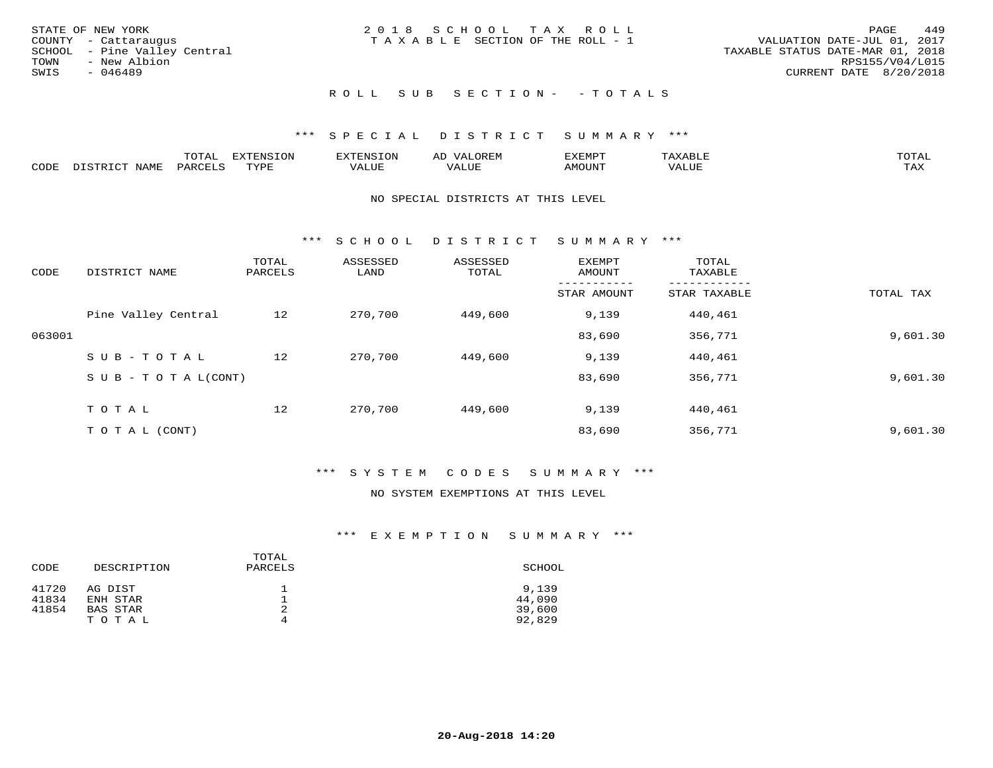| STATE OF NEW YORK<br>COUNTY - Cattaraugus<br>SCHOOL - Pine Valley Central<br>TOWN<br>- New Albion | 2018 SCHOOL TAX ROLL<br>T A X A B L E SECTION OF THE ROLL - 1 | 449<br>PAGE<br>VALUATION DATE-JUL 01, 2017<br>TAXABLE STATUS DATE-MAR 01, 2018<br>RPS155/V04/L015 |
|---------------------------------------------------------------------------------------------------|---------------------------------------------------------------|---------------------------------------------------------------------------------------------------|
| SWIS<br>- 046489                                                                                  |                                                               | CURRENT DATE 8/20/2018                                                                            |
|                                                                                                   | ROLL SUB SECTION- - TOTALS                                    |                                                                                                   |

|      |                      | ----           | <b>FYTFNSION</b><br>- 75 | <b>FNC</b>     | ᅺᅜᄓ                      | SXEMPT | $\Delta$<br>.                  | $m \wedge m \wedge n$ |
|------|----------------------|----------------|--------------------------|----------------|--------------------------|--------|--------------------------------|-----------------------|
| CODE | <b>NTAMT</b><br>⊥∙⊥⊥ | D.ODT.<br>PARL | $m \tau \tau m$<br>.     | T T T<br>ALUF: | , <del>,</del> , , , , , | MOUN.  | , 77 T TT <del>D</del><br>ALUE | TAX                   |

#### NO SPECIAL DISTRICTS AT THIS LEVEL

\*\*\* S C H O O L D I S T R I C T S U M M A R Y \*\*\*

| CODE   | DISTRICT NAME                    | TOTAL<br>PARCELS | ASSESSED<br>LAND | ASSESSED<br>TOTAL | EXEMPT<br>AMOUNT | TOTAL<br>TAXABLE |           |
|--------|----------------------------------|------------------|------------------|-------------------|------------------|------------------|-----------|
|        |                                  |                  |                  |                   | STAR AMOUNT      | STAR TAXABLE     | TOTAL TAX |
|        | Pine Valley Central              | 12               | 270,700          | 449,600           | 9,139            | 440,461          |           |
| 063001 |                                  |                  |                  |                   | 83,690           | 356,771          | 9,601.30  |
|        | SUB-TOTAL                        | 12               | 270,700          | 449,600           | 9,139            | 440,461          |           |
|        | $S \cup B - T \cup T A L (CONT)$ |                  |                  |                   | 83,690           | 356,771          | 9,601.30  |
|        | TOTAL                            | 12               | 270,700          | 449,600           | 9,139            | 440,461          |           |
|        | T O T A L (CONT)                 |                  |                  |                   | 83,690           | 356,771          | 9,601.30  |

## \*\*\* S Y S T E M C O D E S S U M M A R Y \*\*\*

## NO SYSTEM EXEMPTIONS AT THIS LEVEL

| CODE  | DESCRIPTION | TOTAL<br>PARCELS | SCHOOL |
|-------|-------------|------------------|--------|
| 41720 | AG DIST     |                  | 9,139  |
| 41834 | ENH STAR    |                  | 44,090 |
| 41854 | BAS STAR    | 2                | 39,600 |
|       | TOTAL       | 4                | 92,829 |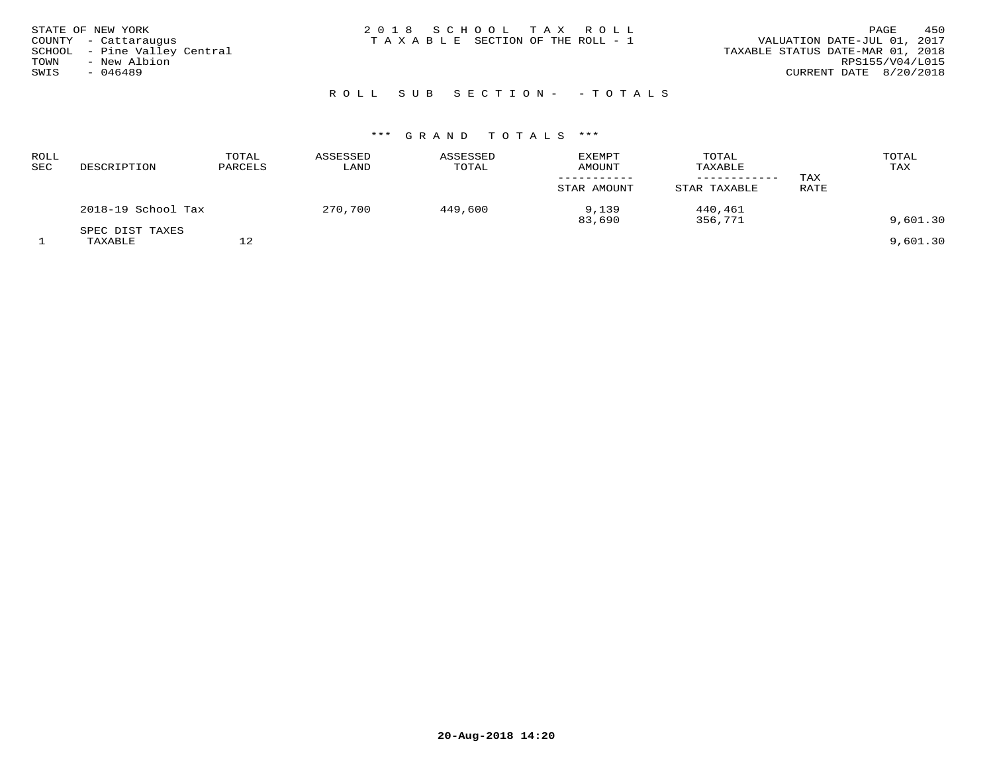## ROLL SUB SECTION - - TOTALS

| ROLL<br><b>SEC</b> | DESCRIPTION                | TOTAL<br>PARCELS | ASSESSED<br>LAND | ASSESSED<br>TOTAL | EXEMPT<br>AMOUNT               | TOTAL<br>TAXABLE<br>---------      | TAX  | TOTAL<br>TAX |
|--------------------|----------------------------|------------------|------------------|-------------------|--------------------------------|------------------------------------|------|--------------|
|                    | 2018-19 School Tax         |                  | 270,700          | 449,600           | STAR AMOUNT<br>9,139<br>83,690 | STAR TAXABLE<br>440,461<br>356,771 | RATE | 9,601.30     |
|                    | SPEC DIST TAXES<br>TAXABLE | ຳ<br>ΤZ          |                  |                   |                                |                                    |      | 9,601.30     |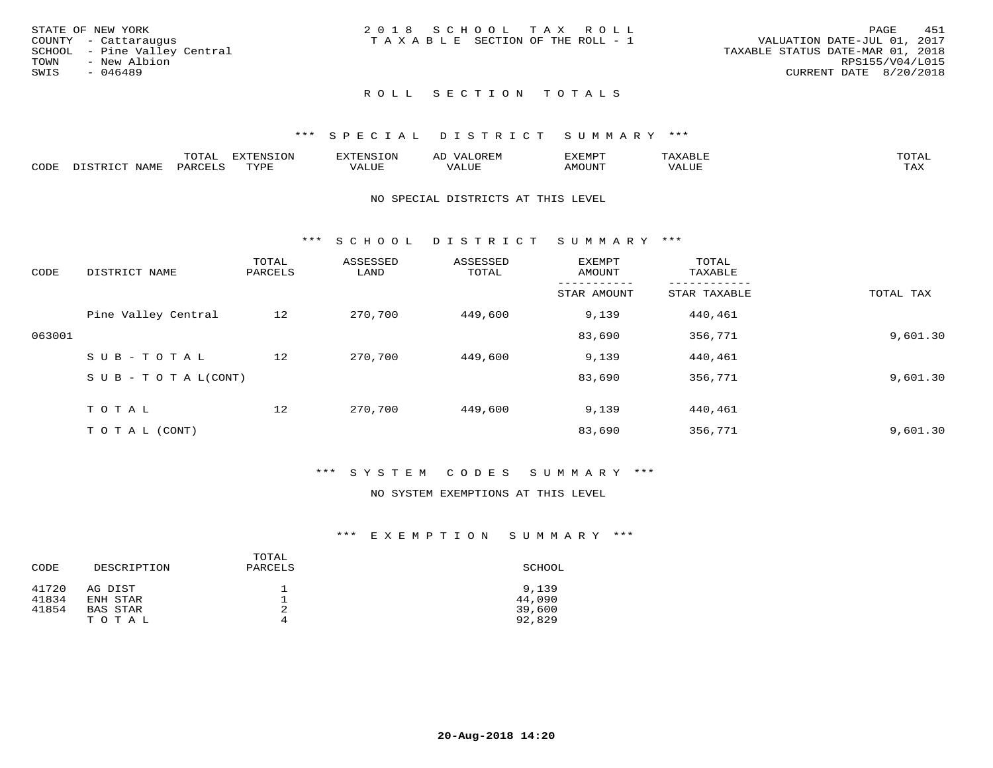|      | STATE OF NEW YORK            | 2018 SCHOOL TAX ROLL                  | 451<br>PAGE                      |
|------|------------------------------|---------------------------------------|----------------------------------|
|      | COUNTY - Cattaraugus         | T A X A B L E SECTION OF THE ROLL - 1 | VALUATION DATE-JUL 01, 2017      |
|      | SCHOOL - Pine Valley Central |                                       | TAXABLE STATUS DATE-MAR 01, 2018 |
| TOWN | - New Albion                 |                                       | RPS155/V04/L015                  |
| SWIS | - 046489                     |                                       | CURRENT DATE 8/20/2018           |
|      |                              |                                       |                                  |

## ROLL SECTION TOTALS

## \*\*\* S P E C I A L D I S T R I C T S U M M A R Y \*\*\*

|      |                      | mom n | <b>ELIMENT CLOSE</b><br>LUP | ALS.               | ΑL            | ,,, <del>,</del> ,,, <del>,</del><br>، ب<br>- ۱٬۱۳۰ نا ۱٬ |                         |                    |
|------|----------------------|-------|-----------------------------|--------------------|---------------|-----------------------------------------------------------|-------------------------|--------------------|
| CODE | <b>NAMT</b><br>11.17 | PARC  | TVDF                        | <b>TTT</b><br>ALUR | T T T<br>ALUE | TUUOMA                                                    | . <del>.</del><br>'ALUL | $m \times r$<br>∸⊷ |

#### NO SPECIAL DISTRICTS AT THIS LEVEL

\*\*\* S C H O O L D I S T R I C T S U M M A R Y \*\*\*

| CODE   | DISTRICT NAME                    | TOTAL<br>PARCELS | ASSESSED<br>LAND | ASSESSED<br>TOTAL | EXEMPT<br>AMOUNT | TOTAL<br>TAXABLE |           |
|--------|----------------------------------|------------------|------------------|-------------------|------------------|------------------|-----------|
|        |                                  |                  |                  |                   | STAR AMOUNT      | STAR TAXABLE     | TOTAL TAX |
|        | Pine Valley Central              | 12               | 270,700          | 449,600           | 9,139            | 440,461          |           |
| 063001 |                                  |                  |                  |                   | 83,690           | 356,771          | 9,601.30  |
|        | SUB-TOTAL                        | 12               | 270,700          | 449,600           | 9,139            | 440,461          |           |
|        | $S \cup B - T \cup T A L (CONT)$ |                  |                  |                   | 83,690           | 356,771          | 9,601.30  |
|        | TOTAL                            | 12               | 270,700          | 449,600           | 9,139            | 440,461          |           |
|        | T O T A L (CONT)                 |                  |                  |                   | 83,690           | 356,771          | 9,601.30  |

## \*\*\* S Y S T E M C O D E S S U M M A R Y \*\*\*

## NO SYSTEM EXEMPTIONS AT THIS LEVEL

| CODE  | DESCRIPTION | TOTAL<br>PARCELS | SCHOOL |
|-------|-------------|------------------|--------|
| 41720 | AG DIST     |                  | 9,139  |
| 41834 | ENH STAR    |                  | 44,090 |
| 41854 | BAS STAR    | 2                | 39,600 |
|       | TOTAL       | 4                | 92,829 |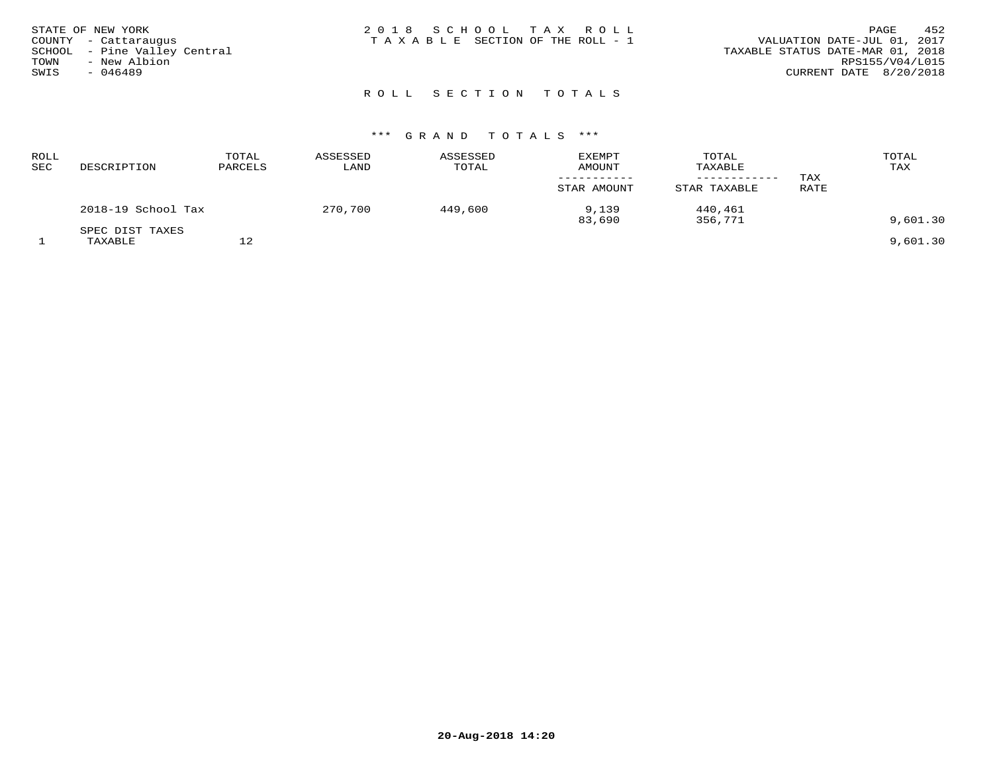| STATE OF NEW YORK<br>COUNTY - Cattaraugus<br>SCHOOL - Pine Valley Central | 2018 SCHOOL TAX ROLL<br>TAXABLE SECTION OF THE ROLL - 1 | 452<br>PAGE<br>VALUATION DATE-JUL 01, 2017<br>TAXABLE STATUS DATE-MAR 01, 2018 |
|---------------------------------------------------------------------------|---------------------------------------------------------|--------------------------------------------------------------------------------|
|                                                                           |                                                         |                                                                                |
| TOWN<br>- New Albion                                                      |                                                         | RPS155/V04/L015                                                                |
| SWIS<br>$-046489$                                                         |                                                         | CURRENT DATE 8/20/2018                                                         |
|                                                                           |                                                         |                                                                                |

## ROLL SECTION TOTALS

| <b>ROLL</b><br>SEC | DESCRIPTION                | TOTAL<br>PARCELS | ASSESSED<br>LAND | ASSESSED<br>TOTAL | <b>EXEMPT</b><br><b>AMOUNT</b><br>STAR AMOUNT | TOTAL<br>TAXABLE<br>STAR TAXABLE | TAX<br>RATE | TOTAL<br>TAX |
|--------------------|----------------------------|------------------|------------------|-------------------|-----------------------------------------------|----------------------------------|-------------|--------------|
|                    | 2018-19 School Tax         |                  | 270,700          | 449,600           | 9,139<br>83,690                               | 440,461<br>356,771               |             | 9,601.30     |
|                    | SPEC DIST TAXES<br>TAXABLE | っ<br>∸∠          |                  |                   |                                               |                                  |             | 9.601.30     |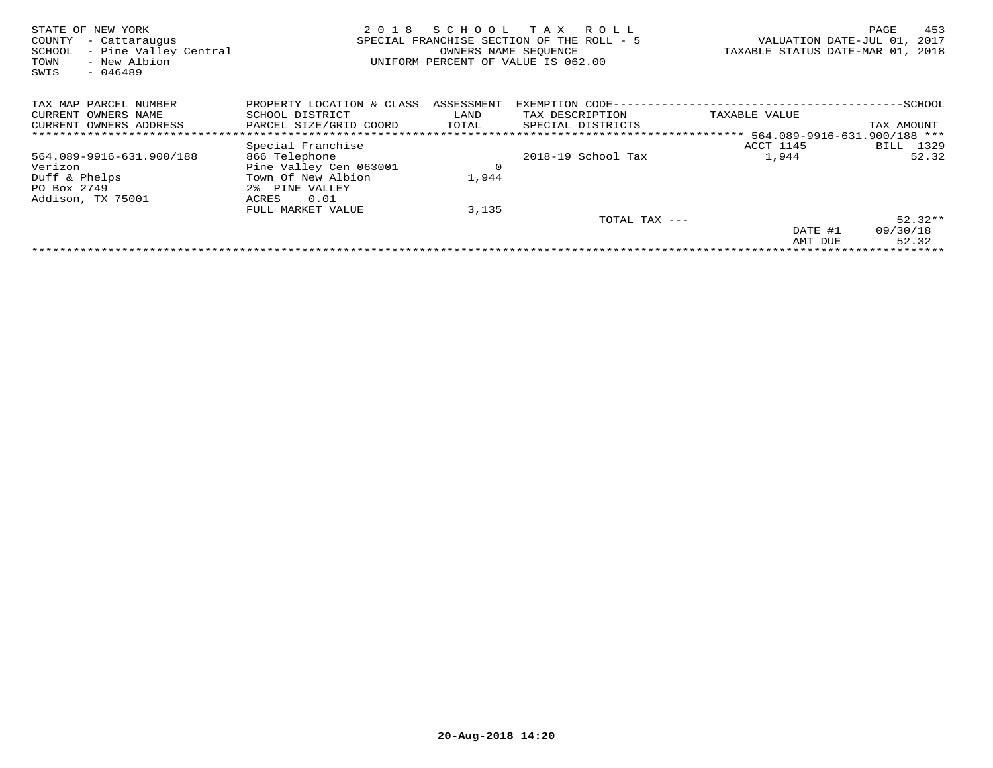| STATE OF NEW YORK<br>COUNTY<br>- Cattaraugus<br>- Pine Valley Central<br>SCHOOL<br>- New Albion<br>TOWN<br>SWIS<br>$-046489$ | 2018                      | SCHOOL TAX | R O L L<br>SPECIAL FRANCHISE SECTION OF THE ROLL - 5<br>OWNERS NAME SEOUENCE<br>UNIFORM PERCENT OF VALUE IS 062.00 | TAXABLE STATUS DATE-MAR 01, | 453<br>PAGE<br>2017<br>VALUATION DATE-JUL 01,<br>2018 |
|------------------------------------------------------------------------------------------------------------------------------|---------------------------|------------|--------------------------------------------------------------------------------------------------------------------|-----------------------------|-------------------------------------------------------|
| TAX MAP PARCEL NUMBER                                                                                                        | PROPERTY LOCATION & CLASS | ASSESSMENT | EXEMPTION CODE--                                                                                                   |                             | -SCHOOL                                               |
| OWNERS NAME<br>CURRENT                                                                                                       | SCHOOL DISTRICT           | LAND       | TAX DESCRIPTION                                                                                                    | TAXABLE VALUE               |                                                       |
| CURRENT OWNERS ADDRESS                                                                                                       | PARCEL SIZE/GRID COORD    | TOTAL      | SPECIAL DISTRICTS                                                                                                  |                             | TAX AMOUNT                                            |
|                                                                                                                              |                           |            |                                                                                                                    |                             |                                                       |
|                                                                                                                              | Special Franchise         |            |                                                                                                                    | ACCT 1145                   | 1329<br>BILL                                          |
| 564.089-9916-631.900/188                                                                                                     | 866 Telephone             |            | 2018-19 School Tax                                                                                                 | 1,944                       | 52.32                                                 |
| Verizon                                                                                                                      | Pine Valley Cen 063001    | $\circ$    |                                                                                                                    |                             |                                                       |
| Duff & Phelps                                                                                                                | Town Of New Albion        | 1,944      |                                                                                                                    |                             |                                                       |
| PO Box 2749                                                                                                                  | 2% PINE VALLEY            |            |                                                                                                                    |                             |                                                       |
| Addison, TX 75001                                                                                                            | 0.01<br>ACRES             |            |                                                                                                                    |                             |                                                       |
|                                                                                                                              | FULL MARKET VALUE         | 3,135      |                                                                                                                    |                             |                                                       |
|                                                                                                                              |                           |            | TOTAL TAX ---                                                                                                      |                             | $52.32**$                                             |
|                                                                                                                              |                           |            |                                                                                                                    | DATE #1                     | 09/30/18                                              |
|                                                                                                                              |                           |            |                                                                                                                    | AMT DUE                     | 52.32                                                 |
|                                                                                                                              |                           |            |                                                                                                                    |                             |                                                       |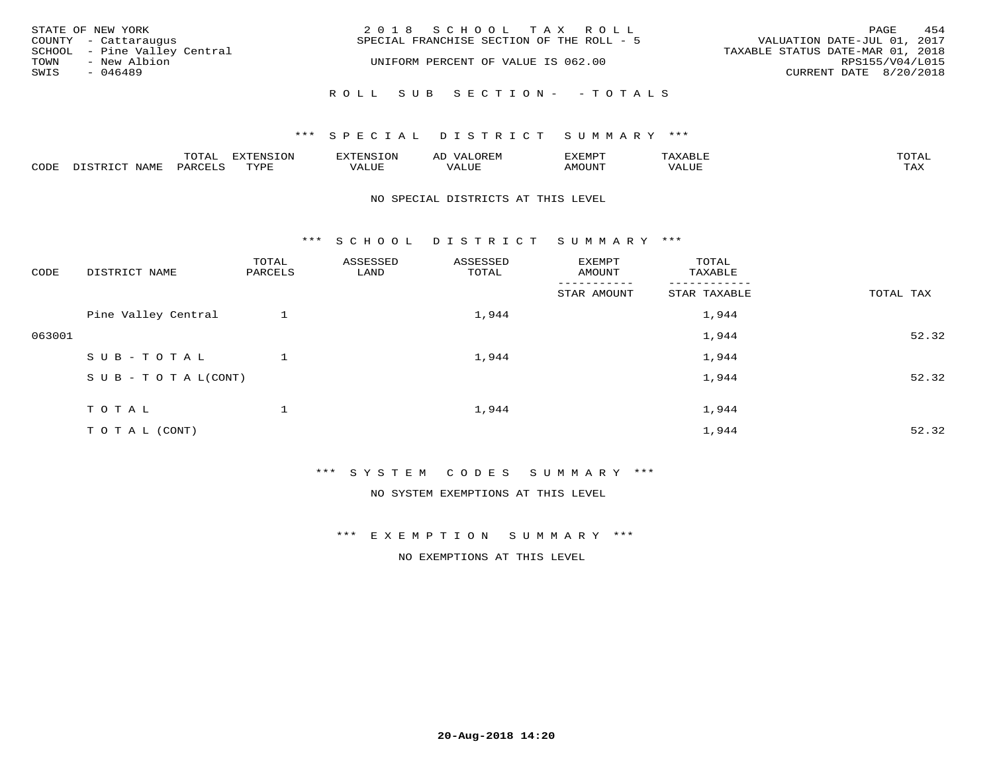|      | STATE OF NEW YORK<br>COUNTY - Cattaraugus    | 2018 SCHOOL TAX ROLL<br>SPECIAL FRANCHISE SECTION OF THE ROLL - 5 | PAGE<br>VALUATION DATE-JUL 01, 2017                 | 454 |
|------|----------------------------------------------|-------------------------------------------------------------------|-----------------------------------------------------|-----|
| TOWN | SCHOOL - Pine Valley Central<br>- New Albion | UNIFORM PERCENT OF VALUE IS 062.00                                | TAXABLE STATUS DATE-MAR 01, 2018<br>RPS155/V04/L015 |     |
| SWIS | - 046489                                     |                                                                   | CURRENT DATE 8/20/2018                              |     |
|      |                                              | ROLL SUB SECTION- - TOTALS                                        |                                                     |     |

## \*\*\* SPECIAL DISTRICT SUMMARY \*\*\*

|                  |      | ----          |                 | <b>MARINE</b> | AL          | ם כדי ארד לצו |           | $m \wedge m \wedge n$<br>$\cdots$ |
|------------------|------|---------------|-----------------|---------------|-------------|---------------|-----------|-----------------------------------|
| C <sub>CDI</sub> | NAME | דיהר מ<br>'AK | TVDF<br>- - - - | $- - - -$     | ۳۰ تا سلامہ | LUIIONA       | $- - - -$ | $m \times r$<br>- ∠∡∡             |

#### NO SPECIAL DISTRICTS AT THIS LEVEL

\*\*\* S C H O O L D I S T R I C T S U M M A R Y \*\*\*

| CODE   | DISTRICT NAME                    | TOTAL<br>PARCELS | ASSESSED<br>LAND | ASSESSED<br>TOTAL | EXEMPT<br>AMOUNT      | TOTAL<br>TAXABLE |           |
|--------|----------------------------------|------------------|------------------|-------------------|-----------------------|------------------|-----------|
|        |                                  |                  |                  |                   | ------<br>STAR AMOUNT | STAR TAXABLE     | TOTAL TAX |
|        | Pine Valley Central              |                  |                  | 1,944             |                       | 1,944            |           |
| 063001 |                                  |                  |                  |                   |                       | 1,944            | 52.32     |
|        | SUB-TOTAL                        |                  |                  | 1,944             |                       | 1,944            |           |
|        | $S \cup B - T \cup T A L (CONT)$ |                  |                  |                   |                       | 1,944            | 52.32     |
|        | TOTAL                            |                  |                  | 1,944             |                       | 1,944            |           |
|        | T O T A L (CONT)                 |                  |                  |                   |                       | 1,944            | 52.32     |

\*\*\* S Y S T E M C O D E S S U M M A R Y \*\*\*

NO SYSTEM EXEMPTIONS AT THIS LEVEL

\*\*\* E X E M P T I O N S U M M A R Y \*\*\*

NO EXEMPTIONS AT THIS LEVEL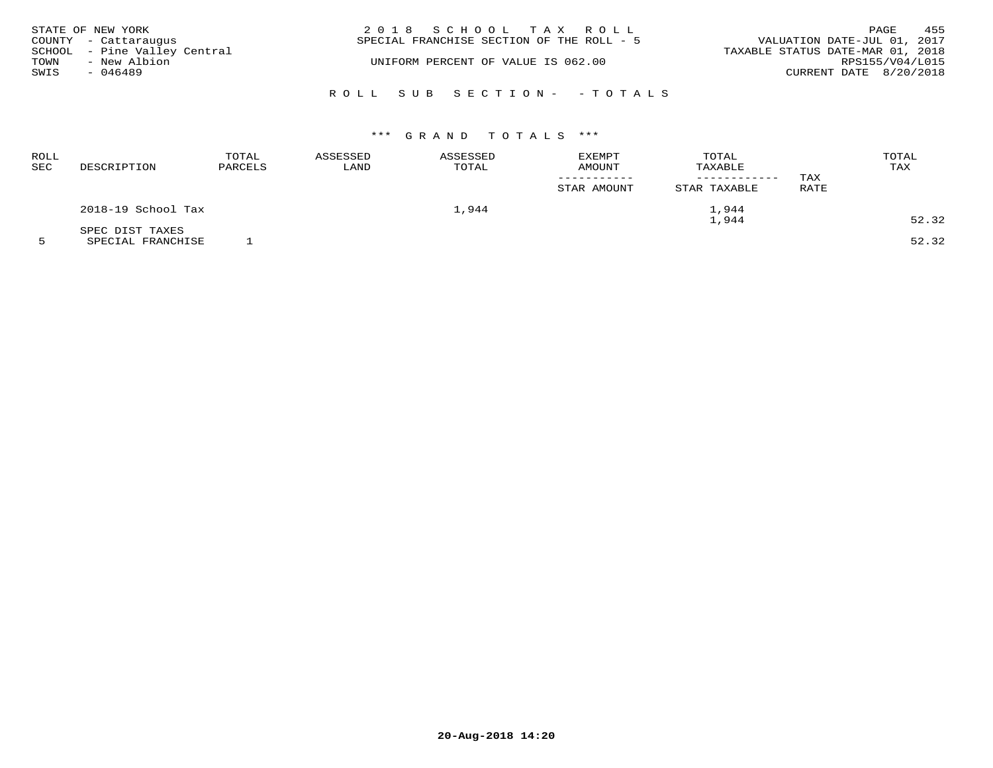| STATE OF NEW YORK            | 2018 SCHOOL TAX ROLL                      | 455<br>PAGE                      |
|------------------------------|-------------------------------------------|----------------------------------|
| COUNTY - Cattaraugus         | SPECIAL FRANCHISE SECTION OF THE ROLL - 5 | VALUATION DATE-JUL 01, 2017      |
| SCHOOL - Pine Valley Central |                                           | TAXABLE STATUS DATE-MAR 01, 2018 |
| - New Albion<br>TOWN         | UNIFORM PERCENT OF VALUE IS 062.00        | RPS155/V04/L015                  |
| SWIS<br>- 046489             |                                           | CURRENT DATE 8/20/2018           |
|                              |                                           |                                  |
|                              | ROLL SUB SECTION- - TOTALS                |                                  |

| ROLL<br><b>SEC</b> | DESCRIPTION        | TOTAL<br>PARCELS | ASSESSED<br>LAND | ASSESSED<br>TOTAL | <b>EXEMPT</b><br><b>AMOUNT</b><br>STAR AMOUNT | TOTAL<br>TAXABLE<br>STAR TAXABLE | TAX<br><b>RATE</b> | TOTAL<br>TAX |
|--------------------|--------------------|------------------|------------------|-------------------|-----------------------------------------------|----------------------------------|--------------------|--------------|
|                    | 2018-19 School Tax |                  |                  | 1,944             |                                               | 1,944                            |                    |              |
|                    | SPEC DIST TAXES    |                  |                  |                   |                                               | 1,944                            |                    | 52.32        |

5 SPECIAL FRANCHISE 1 52.32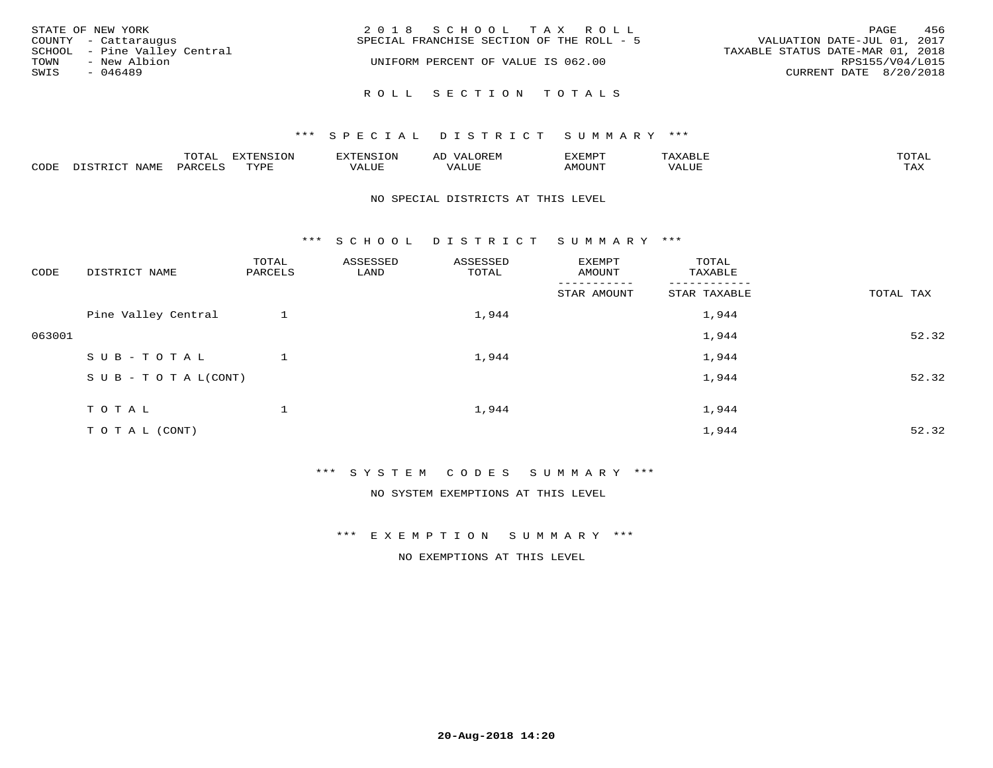| STATE OF NEW YORK<br>COUNTY - Cattaraugus                                 | 2018 SCHOOL TAX ROLL<br>SPECIAL FRANCHISE SECTION OF THE ROLL - 5 | 456<br>PAGE<br>VALUATION DATE-JUL 01, 2017                                    |
|---------------------------------------------------------------------------|-------------------------------------------------------------------|-------------------------------------------------------------------------------|
| SCHOOL - Pine Valley Central<br>- New Albion<br>TOWN<br>SWIS<br>$-046489$ | UNIFORM PERCENT OF VALUE IS 062.00                                | TAXABLE STATUS DATE-MAR 01, 2018<br>RPS155/V04/L015<br>CURRENT DATE 8/20/2018 |
|                                                                           | ROLL SECTION TOTALS                                               |                                                                               |

|      |       | $m \wedge m \wedge n$<br>◡⊥▱ | . U             | .         | AL.         | ,,, <del>,</del> ,,, <del>,</del><br>◡ | <b>TOTA</b><br>$2 + 11$ |
|------|-------|------------------------------|-----------------|-----------|-------------|----------------------------------------|-------------------------|
| CODE | √T∆M. | 44K                          | $m \tau \tau n$ | $- - - -$ | ۳۰ تا سند د |                                        | $- - - -$<br>1.732      |

## NO SPECIAL DISTRICTS AT THIS LEVEL

\*\*\* S C H O O L D I S T R I C T S U M M A R Y \*\*\*

| CODE   | DISTRICT NAME                    | TOTAL<br>PARCELS | ASSESSED<br>LAND | ASSESSED<br>TOTAL | EXEMPT<br>AMOUNT | TOTAL<br>TAXABLE |           |
|--------|----------------------------------|------------------|------------------|-------------------|------------------|------------------|-----------|
|        |                                  |                  |                  |                   | STAR AMOUNT      | STAR TAXABLE     | TOTAL TAX |
|        | Pine Valley Central              |                  |                  | 1,944             |                  | 1,944            |           |
| 063001 |                                  |                  |                  |                   |                  | 1,944            | 52.32     |
|        | SUB-TOTAL                        |                  |                  | 1,944             |                  | 1,944            |           |
|        | $S \cup B - T \cup T A L (CONT)$ |                  |                  |                   |                  | 1,944            | 52.32     |
|        | TOTAL                            |                  |                  | 1,944             |                  | 1,944            |           |
|        | TO TAL (CONT)                    |                  |                  |                   |                  | 1,944            | 52.32     |

\*\*\* S Y S T E M C O D E S S U M M A R Y \*\*\*

NO SYSTEM EXEMPTIONS AT THIS LEVEL

\*\*\* E X E M P T I O N S U M M A R Y \*\*\*

NO EXEMPTIONS AT THIS LEVEL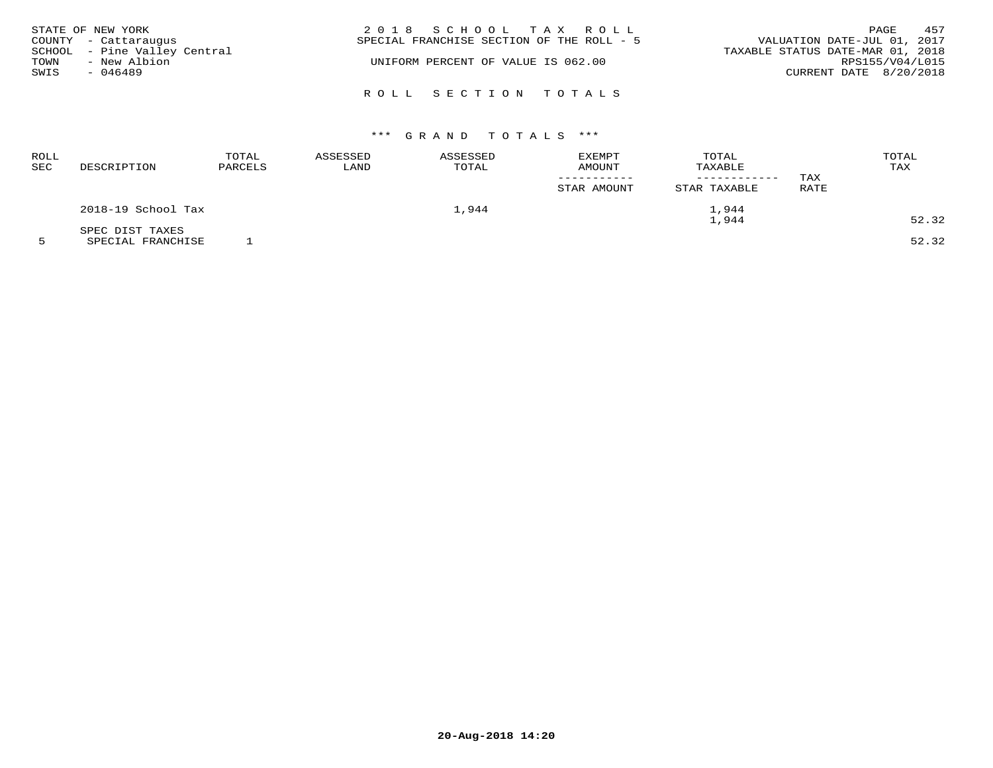|              | STATE OF NEW YORK<br>COUNTY - Cattaraugus                 | 2018 SCHOOL TAX ROLL<br>SPECIAL FRANCHISE SECTION OF THE ROLL - 5 | 457<br>PAGE<br>VALUATION DATE-JUL 01, 2017                                    |
|--------------|-----------------------------------------------------------|-------------------------------------------------------------------|-------------------------------------------------------------------------------|
| TOWN<br>SWIS | SCHOOL - Pine Valley Central<br>- New Albion<br>$-046489$ | UNIFORM PERCENT OF VALUE IS 062.00                                | TAXABLE STATUS DATE-MAR 01, 2018<br>RPS155/V04/L015<br>CURRENT DATE 8/20/2018 |
|              |                                                           | ROLL SECTION TOTALS                                               |                                                                               |

| ROLL<br><b>SEC</b> | DESCRIPTION        | TOTAL<br>PARCELS | ASSESSED<br>LAND | <b>ASSESSED</b><br>TOTAL | <b>EXEMPT</b><br>AMOUNT<br>STAR AMOUNT | TOTAL<br>TAXABLE<br>STAR TAXABLE | TAX<br>RATE | TOTAL<br>TAX |
|--------------------|--------------------|------------------|------------------|--------------------------|----------------------------------------|----------------------------------|-------------|--------------|
|                    | 2018-19 School Tax |                  |                  | 1,944                    |                                        | 1,944                            |             |              |
|                    | SPEC DIST TAXES    |                  |                  |                          |                                        | 1,944                            |             | 52.32        |

5 SPECIAL FRANCHISE 1 52.32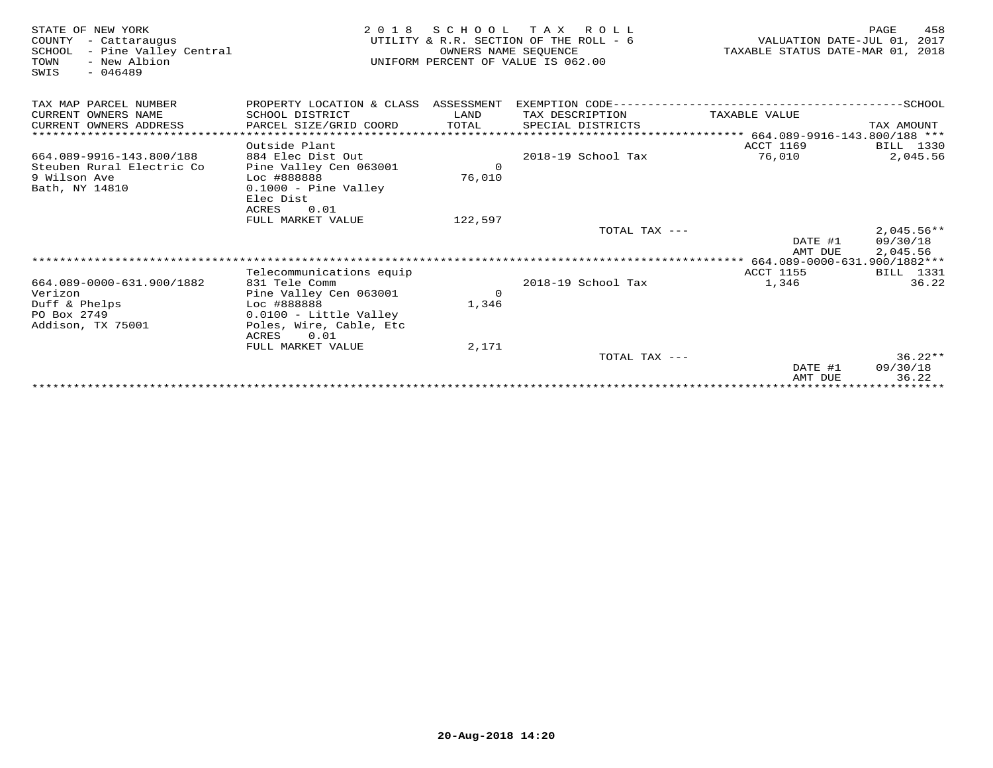| STATE OF NEW YORK<br>- Cattaraugus<br>COUNTY<br>SCHOOL<br>- Pine Valley Central<br>TOWN<br>- New Albion<br>$-046489$<br>SWIS | 2 0 1 8                                             | OWNERS NAME SEQUENCE | SCHOOL TAX ROLL<br>UTILITY & R.R. SECTION OF THE ROLL - 6<br>UNIFORM PERCENT OF VALUE IS 062.00 | VALUATION DATE-JUL 01, 2017<br>TAXABLE STATUS DATE-MAR 01, 2018 | 458<br>PAGE  |
|------------------------------------------------------------------------------------------------------------------------------|-----------------------------------------------------|----------------------|-------------------------------------------------------------------------------------------------|-----------------------------------------------------------------|--------------|
| TAX MAP PARCEL NUMBER                                                                                                        | PROPERTY LOCATION & CLASS ASSESSMENT                |                      |                                                                                                 |                                                                 |              |
| CURRENT OWNERS NAME                                                                                                          | SCHOOL DISTRICT                                     | LAND                 | TAX DESCRIPTION                                                                                 | TAXABLE VALUE                                                   |              |
| CURRENT OWNERS ADDRESS                                                                                                       | PARCEL SIZE/GRID COORD                              | TOTAL                | SPECIAL DISTRICTS                                                                               |                                                                 | TAX AMOUNT   |
| *************************                                                                                                    |                                                     |                      |                                                                                                 |                                                                 |              |
|                                                                                                                              | Outside Plant                                       |                      |                                                                                                 | <b>ACCT 1169</b>                                                | BILL 1330    |
| 664.089-9916-143.800/188                                                                                                     | 884 Elec Dist Out                                   |                      | 2018-19 School Tax                                                                              | 76,010                                                          | 2,045.56     |
| Steuben Rural Electric Co                                                                                                    | Pine Valley Cen 063001                              | $\Omega$             |                                                                                                 |                                                                 |              |
| 9 Wilson Ave                                                                                                                 | Loc #888888                                         | 76,010               |                                                                                                 |                                                                 |              |
| Bath, NY 14810                                                                                                               | $0.1000 -$ Pine Valley<br>Elec Dist                 |                      |                                                                                                 |                                                                 |              |
|                                                                                                                              | ACRES<br>0.01                                       |                      |                                                                                                 |                                                                 |              |
|                                                                                                                              | FULL MARKET VALUE                                   | 122,597              |                                                                                                 |                                                                 |              |
|                                                                                                                              |                                                     |                      | TOTAL TAX ---                                                                                   |                                                                 | $2,045.56**$ |
|                                                                                                                              |                                                     |                      |                                                                                                 | DATE #1                                                         | 09/30/18     |
|                                                                                                                              |                                                     |                      |                                                                                                 | AMT DUE                                                         | 2,045.56     |
|                                                                                                                              |                                                     |                      |                                                                                                 |                                                                 |              |
|                                                                                                                              | Telecommunications equip                            |                      |                                                                                                 | <b>ACCT 1155</b>                                                | BILL 1331    |
| 664.089-0000-631.900/1882                                                                                                    | 831 Tele Comm                                       |                      | 2018-19 School Tax                                                                              | 1,346                                                           | 36.22        |
| Verizon                                                                                                                      | Pine Valley Cen 063001                              | $\Omega$             |                                                                                                 |                                                                 |              |
| Duff & Phelps                                                                                                                | Loc #888888                                         | 1,346                |                                                                                                 |                                                                 |              |
| PO Box 2749<br>Addison, TX 75001                                                                                             | $0.0100 - Little Valley$<br>Poles, Wire, Cable, Etc |                      |                                                                                                 |                                                                 |              |
|                                                                                                                              | ACRES<br>0.01                                       |                      |                                                                                                 |                                                                 |              |
|                                                                                                                              | FULL MARKET VALUE                                   | 2,171                |                                                                                                 |                                                                 |              |
|                                                                                                                              |                                                     |                      | TOTAL TAX $---$                                                                                 |                                                                 | $36.22**$    |
|                                                                                                                              |                                                     |                      |                                                                                                 | DATE #1                                                         | 09/30/18     |
|                                                                                                                              |                                                     |                      |                                                                                                 | AMT DUE                                                         | 36.22        |
|                                                                                                                              |                                                     |                      |                                                                                                 |                                                                 |              |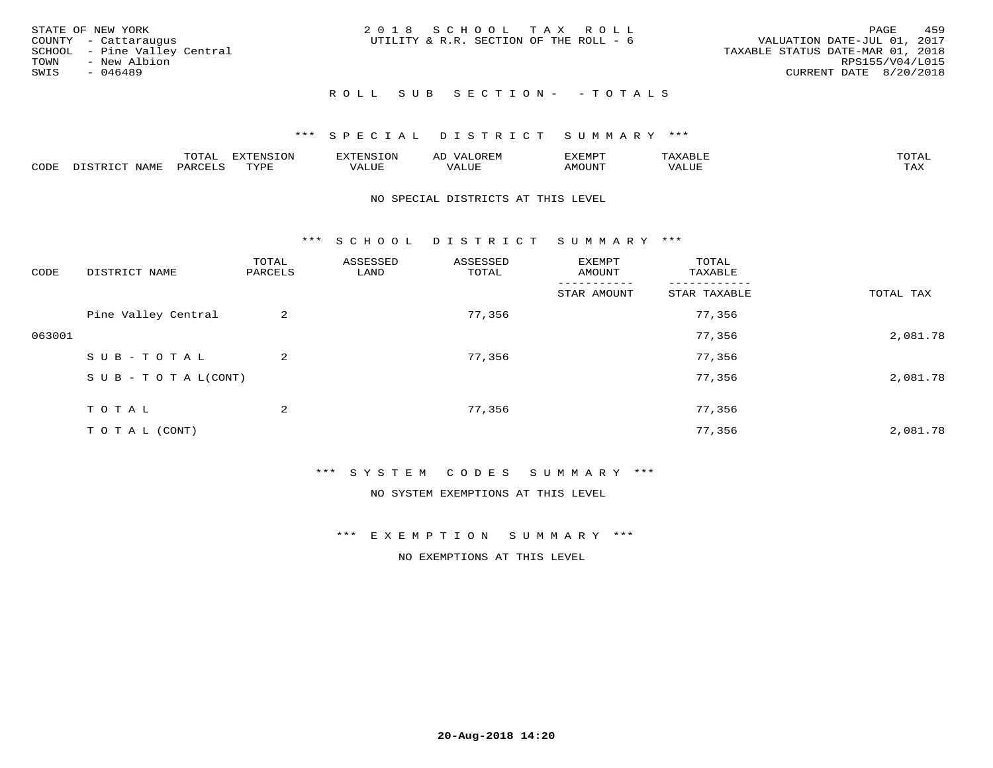| STATE OF NEW YORK<br>COUNTY - Cattaraugus<br>SCHOOL - Pine Valley Central<br>TOWN<br>- New Albion<br>SWIS<br>- 046489 | 2018 SCHOOL TAX ROLL<br>UTILITY & R.R. SECTION OF THE ROLL - 6 | 459<br>PAGE<br>VALUATION DATE-JUL 01, 2017<br>TAXABLE STATUS DATE-MAR 01, 2018<br>RPS155/V04/L015<br>CURRENT DATE 8/20/2018 |
|-----------------------------------------------------------------------------------------------------------------------|----------------------------------------------------------------|-----------------------------------------------------------------------------------------------------------------------------|
|                                                                                                                       | ROLL SUB SECTION- - TOTALS                                     |                                                                                                                             |

|      |             | $m \wedge m$<br>$\sim$ |      | אי - | ΑL   | "EMP   |       |                |
|------|-------------|------------------------|------|------|------|--------|-------|----------------|
| CODE | <b>NAMH</b> | PARTF                  | TVDF | ALUE | ALUI | AMOUNT | VALUE | max x<br>- ∠∡∡ |

## NO SPECIAL DISTRICTS AT THIS LEVEL

\*\*\* S C H O O L D I S T R I C T S U M M A R Y \*\*\*

| CODE   | DISTRICT NAME                    | TOTAL<br>PARCELS | ASSESSED<br>LAND | ASSESSED<br>TOTAL | EXEMPT<br>AMOUNT | TOTAL<br>TAXABLE |           |
|--------|----------------------------------|------------------|------------------|-------------------|------------------|------------------|-----------|
|        |                                  |                  |                  |                   | STAR AMOUNT      | STAR TAXABLE     | TOTAL TAX |
|        | Pine Valley Central              | 2                |                  | 77,356            |                  | 77,356           |           |
| 063001 |                                  |                  |                  |                   |                  | 77,356           | 2,081.78  |
|        | SUB-TOTAL                        | $\overline{a}$   |                  | 77,356            |                  | 77,356           |           |
|        | $S \cup B - T \cup T A L (CONT)$ |                  |                  |                   |                  | 77,356           | 2,081.78  |
|        | T O T A L                        | 2                |                  | 77,356            |                  | 77,356           |           |
|        | T O T A L (CONT)                 |                  |                  |                   |                  | 77,356           | 2,081.78  |

## \*\*\* S Y S T E M C O D E S S U M M A R Y \*\*\*

NO SYSTEM EXEMPTIONS AT THIS LEVEL

\*\*\* E X E M P T I O N S U M M A R Y \*\*\*

NO EXEMPTIONS AT THIS LEVEL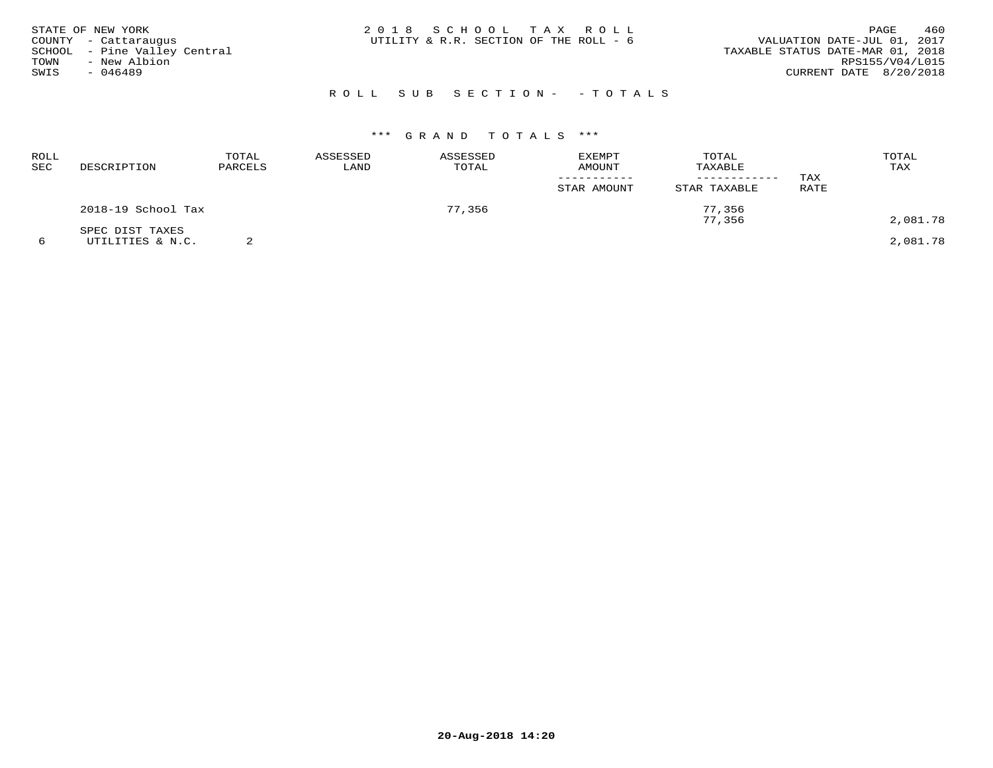| STATE OF NEW YORK<br>COUNTY - Cattaraugus<br>SCHOOL - Pine Valley Central<br>TOWN<br>- New Albion<br>SWIS<br>- 046489 | 2018 SCHOOL TAX ROLL<br>UTILITY & R.R. SECTION OF THE ROLL - 6 | 460<br>PAGE<br>VALUATION DATE-JUL 01, 2017<br>TAXABLE STATUS DATE-MAR 01, 2018<br>RPS155/V04/L015<br>CURRENT DATE 8/20/2018 |
|-----------------------------------------------------------------------------------------------------------------------|----------------------------------------------------------------|-----------------------------------------------------------------------------------------------------------------------------|
|                                                                                                                       | ROLL SUB SECTION- - TOTALS                                     |                                                                                                                             |

| ROLL<br><b>SEC</b> | DESCRIPTION                         | TOTAL<br>PARCELS | ASSESSED<br>LAND | ASSESSED<br>TOTAL | EXEMPT<br>AMOUNT<br>STAR AMOUNT | TOTAL<br>TAXABLE<br>STAR TAXABLE | TAX<br>RATE | TOTAL<br>TAX |
|--------------------|-------------------------------------|------------------|------------------|-------------------|---------------------------------|----------------------------------|-------------|--------------|
|                    | 2018-19 School Tax                  |                  |                  | 77,356            |                                 | 77,356<br>77,356                 |             | 2,081.78     |
|                    | SPEC DIST TAXES<br>UTILITIES & N.C. |                  |                  |                   |                                 |                                  |             | 2,081.78     |

**20-Aug-2018 14:20**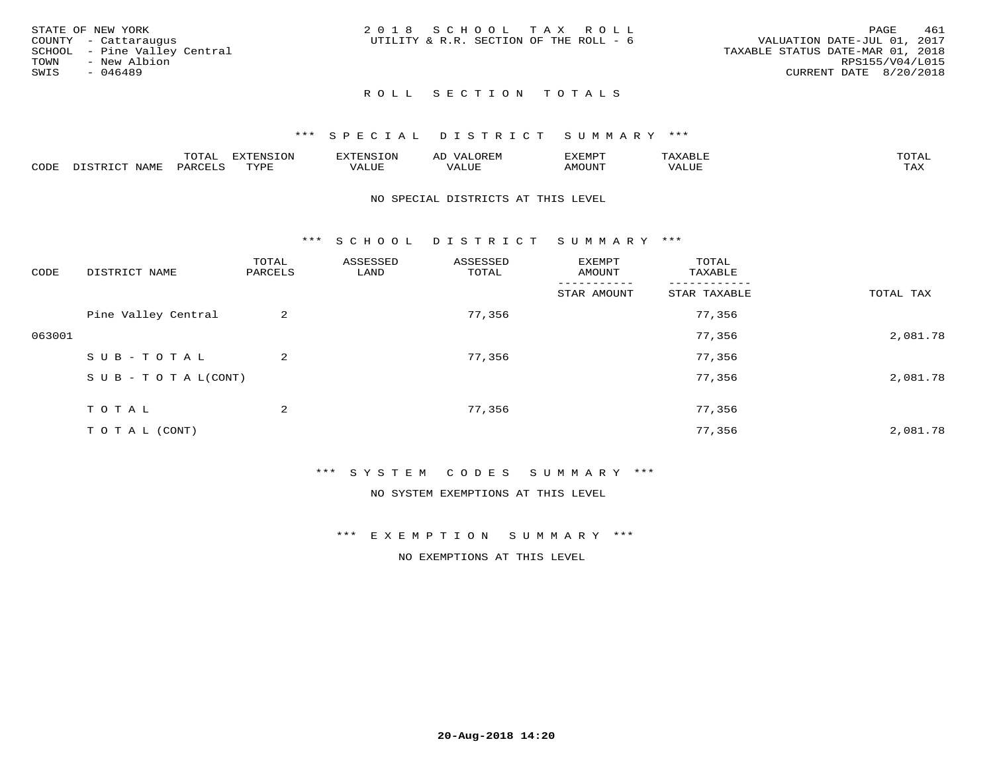| 461                              |
|----------------------------------|
|                                  |
| VALUATION DATE-JUL 01, 2017      |
| TAXABLE STATUS DATE-MAR 01, 2018 |
| RPS155/V04/L015                  |
| CURRENT DATE 8/20/2018           |
|                                  |
|                                  |

## ROLL SECTION TOTALS

#### \*\*\* S P E C I A L D I S T R I C T S U M M A R Y \*\*\*

|      |                          | momz.<br>.UIAL               | <b>EXTENSION</b> | 'XTENSION      | $T$ $\cap$ $\cap$ $\cap$ $\wedge$ $\wedge$<br>ΑIJ<br>OR EI <sup>w</sup> | EXEMPT        | $\pi$ $\pi$ $\pi$ $\pi$ $\pi$<br>ΆXΔ<br>$A\Lambda A B \cup B$ | $m \wedge m \wedge n$<br>T AT |
|------|--------------------------|------------------------------|------------------|----------------|-------------------------------------------------------------------------|---------------|---------------------------------------------------------------|-------------------------------|
| CODE | DISTO TOT<br><b>NAME</b> | PARCELS<br>$\cdot$ . $\cdot$ | TVDF<br>.        | 77777<br>VALUE | VALUE                                                                   | <b>TNUOMA</b> | VALUE                                                         | $m \times r$<br>⊥⇔∆           |

## NO SPECIAL DISTRICTS AT THIS LEVEL

\*\*\* S C H O O L D I S T R I C T S U M M A R Y \*\*\*

| CODE   | DISTRICT NAME                    | TOTAL<br>PARCELS | ASSESSED<br>LAND | ASSESSED<br>TOTAL | EXEMPT<br>AMOUNT | TOTAL<br>TAXABLE |           |
|--------|----------------------------------|------------------|------------------|-------------------|------------------|------------------|-----------|
|        |                                  |                  |                  |                   | STAR AMOUNT      | STAR TAXABLE     | TOTAL TAX |
|        | Pine Valley Central              | 2                |                  | 77,356            |                  | 77,356           |           |
| 063001 |                                  |                  |                  |                   |                  | 77,356           | 2,081.78  |
|        | SUB-TOTAL                        | $\overline{a}$   |                  | 77,356            |                  | 77,356           |           |
|        | $S \cup B - T \cup T A L (CONT)$ |                  |                  |                   |                  | 77,356           | 2,081.78  |
|        | TOTAL                            | 2                |                  | 77,356            |                  | 77,356           |           |
|        | T O T A L (CONT)                 |                  |                  |                   |                  | 77,356           | 2,081.78  |

#### \*\*\* S Y S T E M C O D E S S U M M A R Y \*\*\*

NO SYSTEM EXEMPTIONS AT THIS LEVEL

\*\*\* E X E M P T I O N S U M M A R Y \*\*\*

NO EXEMPTIONS AT THIS LEVEL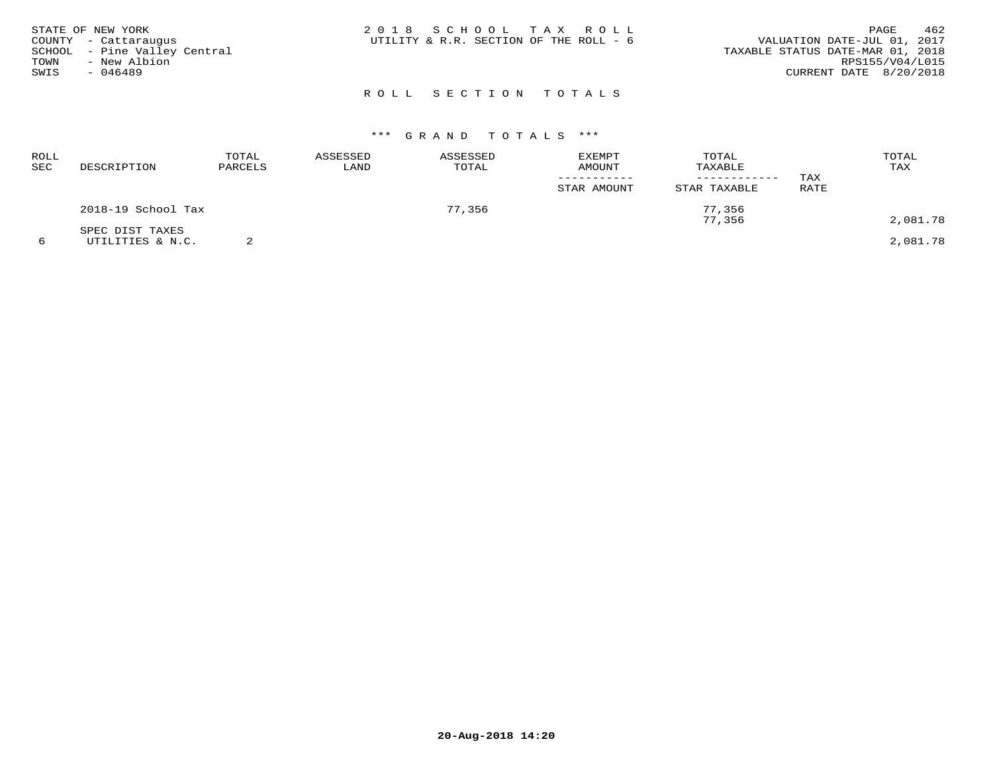| STATE OF NEW YORK<br>COUNTY - Cattaraugus<br>SCHOOL - Pine Valley Central<br>TOWN<br>- New Albion<br>SWIS<br>$-046489$ | 2018 SCHOOL TAX ROLL<br>UTILITY & R.R. SECTION OF THE ROLL - 6 | 462<br>PAGE<br>VALUATION DATE-JUL 01, 2017<br>TAXABLE STATUS DATE-MAR 01, 2018<br>RPS155/V04/L015<br>CURRENT DATE 8/20/2018 |
|------------------------------------------------------------------------------------------------------------------------|----------------------------------------------------------------|-----------------------------------------------------------------------------------------------------------------------------|
|                                                                                                                        | ROLL SECTION TOTALS                                            |                                                                                                                             |

| ROLL<br>SEC | DESCRIPTION                         | TOTAL<br>PARCELS | ASSESSED<br>LAND | ASSESSED<br>TOTAL | <b>EXEMPT</b><br>AMOUNT<br>STAR AMOUNT | TOTAL<br>TAXABLE<br>STAR TAXABLE | TAX<br>RATE | TOTAL<br>TAX |
|-------------|-------------------------------------|------------------|------------------|-------------------|----------------------------------------|----------------------------------|-------------|--------------|
|             | 2018-19 School Tax                  |                  |                  | 77,356            |                                        | 77,356<br>77,356                 |             | 2,081.78     |
|             | SPEC DIST TAXES<br>UTILITIES & N.C. |                  |                  |                   |                                        |                                  |             | 2,081.78     |

**20-Aug-2018 14:20**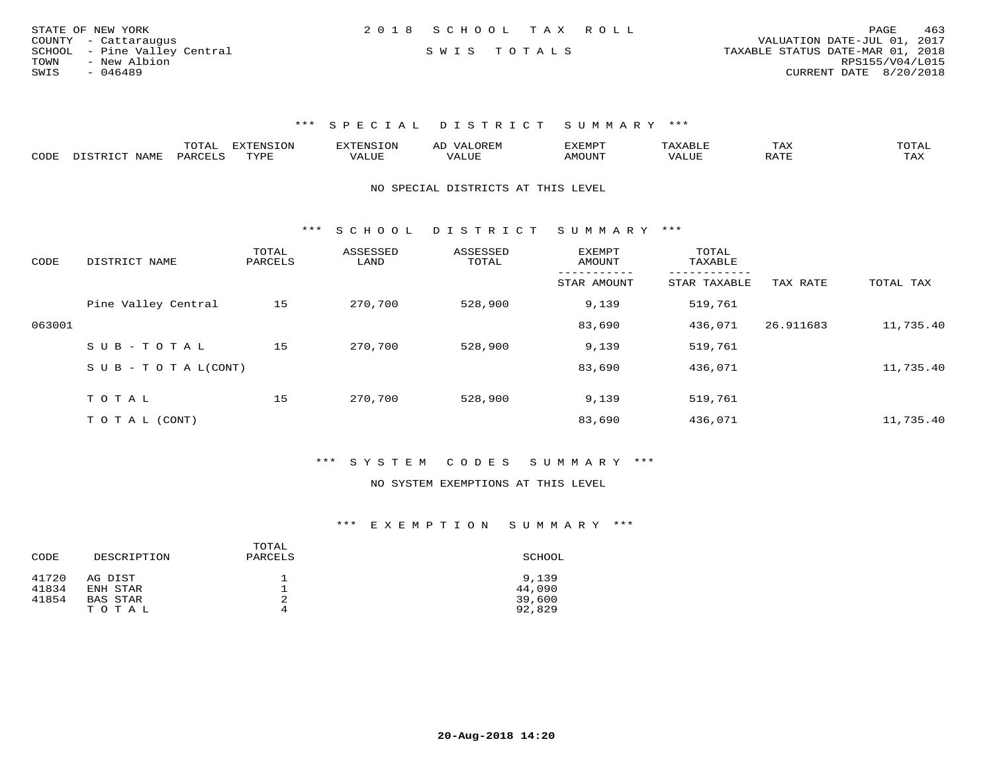| STATE OF NEW YORK            | 2018 SCHOOL TAX ROLL | 463<br>PAGE                      |
|------------------------------|----------------------|----------------------------------|
| COUNTY - Cattaraugus         |                      | VALUATION DATE-JUL 01, 2017      |
| SCHOOL - Pine Valley Central | SWIS TOTALS          | TAXABLE STATUS DATE-MAR 01, 2018 |
| - New Albion<br>TOWN         |                      | RPS155/V04/L015                  |
| SWIS<br>- 046489             |                      | CURRENT DATE 8/20/2018           |

|      |                                                 |         | <b>EXTENSION</b> |        | A <sub>1</sub> | EXEMP.          |       | 1 A A                              |                     |
|------|-------------------------------------------------|---------|------------------|--------|----------------|-----------------|-------|------------------------------------|---------------------|
| CODE | NAME.<br>$T$ $\cap$ $\cap$ $\cap$ $\cap$ $\cap$ | DARCTIC | rvdf             | 1.111P | ALUI           | MOUN.<br>ו טו ב | VALUL | סידי ג<br>$\overline{\phantom{a}}$ | $m \times r$<br>TAX |

NO SPECIAL DISTRICTS AT THIS LEVEL

\*\*\* S C H O O L D I S T R I C T S U M M A R Y \*\*\*

| CODE   | DISTRICT NAME                    | TOTAL<br>PARCELS | ASSESSED<br>LAND | ASSESSED<br>TOTAL | <b>EXEMPT</b><br>AMOUNT | TOTAL<br>TAXABLE |           |           |
|--------|----------------------------------|------------------|------------------|-------------------|-------------------------|------------------|-----------|-----------|
|        |                                  |                  |                  |                   | STAR AMOUNT             | STAR TAXABLE     | TAX RATE  | TOTAL TAX |
|        | Pine Valley Central              | 15               | 270,700          | 528,900           | 9,139                   | 519,761          |           |           |
| 063001 |                                  |                  |                  |                   | 83,690                  | 436,071          | 26.911683 | 11,735.40 |
|        | SUB-TOTAL                        | 15               | 270,700          | 528,900           | 9,139                   | 519,761          |           |           |
|        | $S \cup B - T \cup T A L (CONT)$ |                  |                  |                   | 83,690                  | 436,071          |           | 11,735.40 |
|        | TOTAL                            | 15               | 270,700          | 528,900           | 9,139                   | 519,761          |           |           |
|        | T O T A L (CONT)                 |                  |                  |                   | 83,690                  | 436,071          |           | 11,735.40 |

\*\*\* S Y S T E M C O D E S S U M M A R Y \*\*\*

#### NO SYSTEM EXEMPTIONS AT THIS LEVEL

|       |             | TOTAL   |        |
|-------|-------------|---------|--------|
| CODE  | DESCRIPTION | PARCELS | SCHOOL |
| 41720 | AG DIST     |         | 9,139  |
| 41834 | ENH STAR    | ᅩ       | 44,090 |
| 41854 | BAS STAR    | 2       | 39,600 |
|       | TOTAL       | 4       | 92,829 |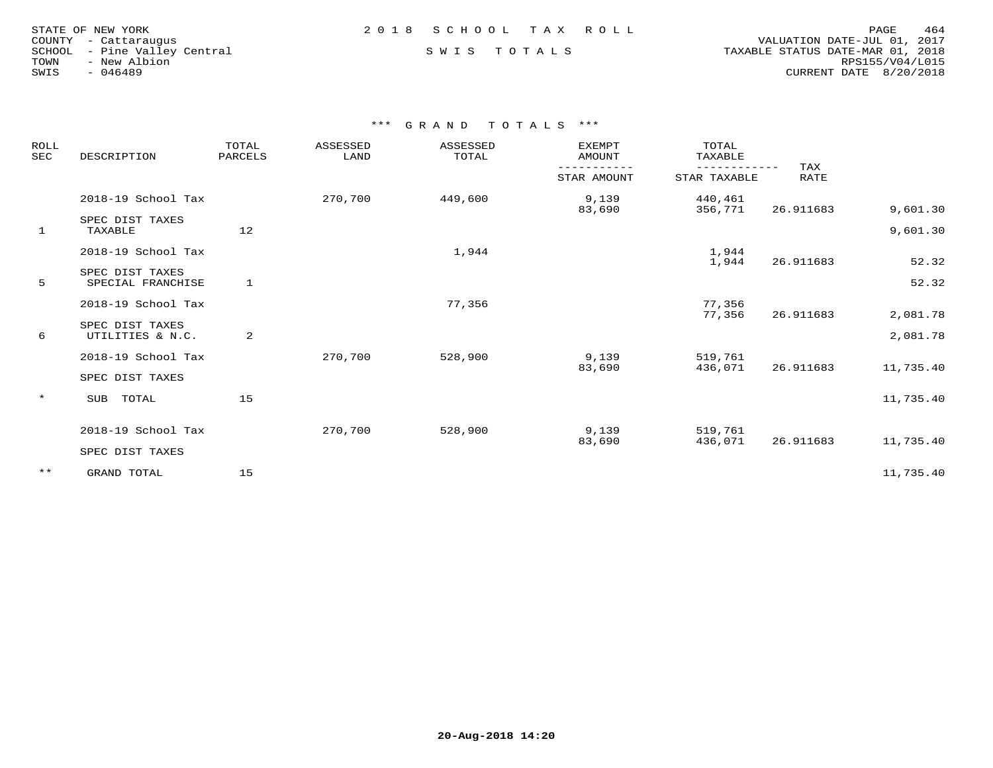| STATE OF NEW YORK    |           |                       |  |
|----------------------|-----------|-----------------------|--|
| COUNTY - Cattaraugus |           |                       |  |
| SCHOOL               |           | - Pine Valley Central |  |
| TOWN                 |           | - New Albion          |  |
| SWIS                 | $-046489$ |                       |  |

 COUNTY - Cattaraugus VALUATION DATE-JUL 01, 2017 SCHOOL - Pine Valley Central S W I S T O T A L S TAXABLE STATUS DATE-MAR 01, 2018 TOWN - New Albion RPS155/V04/L015SWIS - 046489 CURRENT DATE 8/20/2018

| <b>ROLL</b><br><b>SEC</b> | DESCRIPTION                          |    | TOTAL<br>PARCELS | ASSESSED<br>LAND | ASSESSED<br>TOTAL | EXEMPT<br><b>AMOUNT</b> | TOTAL<br>TAXABLE | TAX       |  |
|---------------------------|--------------------------------------|----|------------------|------------------|-------------------|-------------------------|------------------|-----------|--|
|                           |                                      |    |                  |                  | STAR AMOUNT       | STAR TAXABLE            | RATE             |           |  |
|                           | 2018-19 School Tax                   |    | 270,700          | 449,600          | 9,139<br>83,690   | 440,461<br>356,771      | 26.911683        | 9,601.30  |  |
| 1                         | SPEC DIST TAXES<br>TAXABLE           | 12 |                  |                  |                   |                         |                  | 9,601.30  |  |
|                           | 2018-19 School Tax                   |    |                  | 1,944            |                   | 1,944<br>1,944          | 26.911683        | 52.32     |  |
| 5                         | SPEC DIST TAXES<br>SPECIAL FRANCHISE | 1  |                  |                  |                   |                         |                  | 52.32     |  |
|                           | 2018-19 School Tax                   |    |                  | 77,356           |                   | 77,356<br>77,356        | 26.911683        | 2,081.78  |  |
| 6                         | SPEC DIST TAXES<br>UTILITIES & N.C.  | 2  |                  |                  |                   |                         |                  | 2,081.78  |  |
|                           | 2018-19 School Tax                   |    | 270,700          | 528,900          | 9,139<br>83,690   | 519,761<br>436,071      | 26.911683        | 11,735.40 |  |
|                           | SPEC DIST TAXES                      |    |                  |                  |                   |                         |                  |           |  |
| $\star$                   | TOTAL<br>SUB                         | 15 |                  |                  |                   |                         |                  | 11,735.40 |  |
|                           | 2018-19 School Tax                   |    | 270,700          | 528,900          | 9,139<br>83,690   | 519,761<br>436,071      | 26.911683        | 11,735.40 |  |
|                           | SPEC DIST TAXES                      |    |                  |                  |                   |                         |                  |           |  |
| $***$                     | GRAND TOTAL                          | 15 |                  |                  |                   |                         |                  | 11,735.40 |  |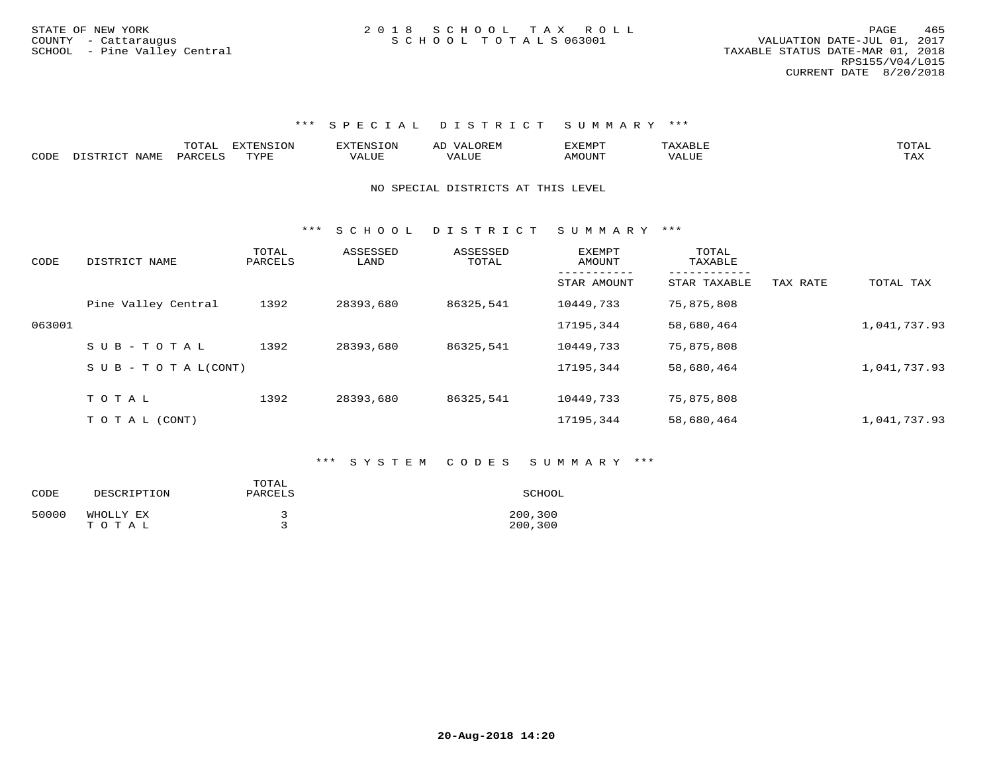|      |               | ----<br>⊥◡⊥▱⊥ | EXTENSION | <b>OREM</b><br>$\Delta$ | ,,, <del>,</del> ,,,,,<br>'YFMF |              | $T$ $\cap$ $T$ $\Delta$ T<br>◡⊥▱ |
|------|---------------|---------------|-----------|-------------------------|---------------------------------|--------------|----------------------------------|
| CODE | √T∆MF<br>$ -$ | PARC          | TVDF      | $4 \text{Li}$           | M∩TTN™                          | <b>VALUE</b> |                                  |

## NO SPECIAL DISTRICTS AT THIS LEVEL

\*\*\* S C H O O L D I S T R I C T S U M M A R Y \*\*\*

| CODE   | DISTRICT NAME                    | TOTAL<br>PARCELS | ASSESSED<br>LAND | ASSESSED<br>TOTAL | EXEMPT<br>AMOUNT           | TOTAL<br>TAXABLE             |          |              |
|--------|----------------------------------|------------------|------------------|-------------------|----------------------------|------------------------------|----------|--------------|
|        |                                  |                  |                  |                   | -----------<br>STAR AMOUNT | ------------<br>STAR TAXABLE | TAX RATE | TOTAL TAX    |
|        | Pine Valley Central              | 1392             | 28393,680        | 86325,541         | 10449,733                  | 75,875,808                   |          |              |
| 063001 |                                  |                  |                  |                   | 17195,344                  | 58,680,464                   |          | 1,041,737.93 |
|        | SUB-TOTAL                        | 1392             | 28393,680        | 86325,541         | 10449,733                  | 75,875,808                   |          |              |
|        | $S \cup B - T \cup T A L (CONT)$ |                  |                  |                   | 17195,344                  | 58,680,464                   |          | 1,041,737.93 |
|        |                                  |                  |                  |                   |                            |                              |          |              |
|        | TOTAL                            | 1392             | 28393,680        | 86325,541         | 10449,733                  | 75,875,808                   |          |              |
|        | T O T A L (CONT)                 |                  |                  |                   | 17195,344                  | 58,680,464                   |          | 1,041,737.93 |

## \*\*\* S Y S T E M C O D E S S U M M A R Y \*\*\*

| CODE  | DESCRIPTION        | TOTAL<br>PARCELS | SCHOOL             |
|-------|--------------------|------------------|--------------------|
| 50000 | WHOLLY EX<br>TOTAL |                  | 200,300<br>200,300 |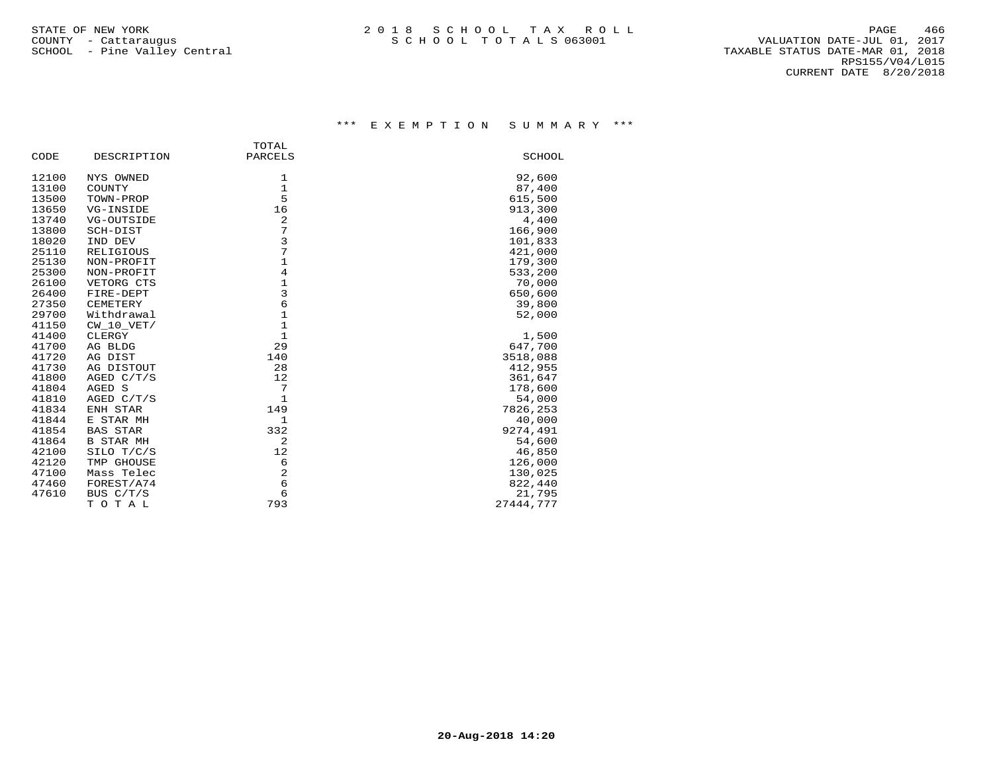|       |                  | TOTAL          |           |
|-------|------------------|----------------|-----------|
| CODE  | DESCRIPTION      | PARCELS        | SCHOOL    |
| 12100 | NYS OWNED        | 1              | 92,600    |
| 13100 | COUNTY           | $\mathbf{1}$   | 87,400    |
| 13500 | TOWN-PROP        | 5              | 615,500   |
| 13650 | VG-INSIDE        | 16             | 913,300   |
| 13740 | VG-OUTSIDE       | 2              | 4,400     |
| 13800 | SCH-DIST         | 7              | 166,900   |
| 18020 | IND DEV          | 3              | 101,833   |
| 25110 | RELIGIOUS        | 7              | 421,000   |
| 25130 | NON-PROFIT       | $\mathbf{1}$   | 179,300   |
| 25300 | NON-PROFIT       | $\overline{4}$ | 533,200   |
| 26100 | VETORG CTS       | $\mathbf{1}$   | 70,000    |
| 26400 | FIRE-DEPT        | $\mathsf{3}$   | 650,600   |
| 27350 | CEMETERY         | 6              | 39,800    |
| 29700 | Withdrawal       | $1\,$          | 52,000    |
| 41150 | CW 10 VET/       | $\mathbf{1}$   |           |
| 41400 | CLERGY           | $\mathbf{1}$   | 1,500     |
| 41700 | AG BLDG          | 29             | 647,700   |
| 41720 | AG DIST          | 140            | 3518,088  |
| 41730 | AG DISTOUT       | 28             | 412,955   |
| 41800 | AGED $C/T/S$     | 12             | 361,647   |
| 41804 | AGED S           | 7              | 178,600   |
| 41810 | AGED C/T/S       | $\mathbf{1}$   | 54,000    |
| 41834 | ENH STAR         | 149            | 7826,253  |
| 41844 | E STAR MH        | $\mathbf{1}$   | 40,000    |
| 41854 | <b>BAS STAR</b>  | 332            | 9274,491  |
| 41864 | <b>B STAR MH</b> | 2              | 54,600    |
| 42100 | SILO T/C/S       | 12             | 46,850    |
| 42120 | TMP GHOUSE       | 6              | 126,000   |
| 47100 | Mass Telec       | $\overline{c}$ | 130,025   |
| 47460 | FOREST/A74       | 6              | 822,440   |
| 47610 | BUS C/T/S        | $\epsilon$     | 21,795    |
|       | TOTAL            | 793            | 27444,777 |